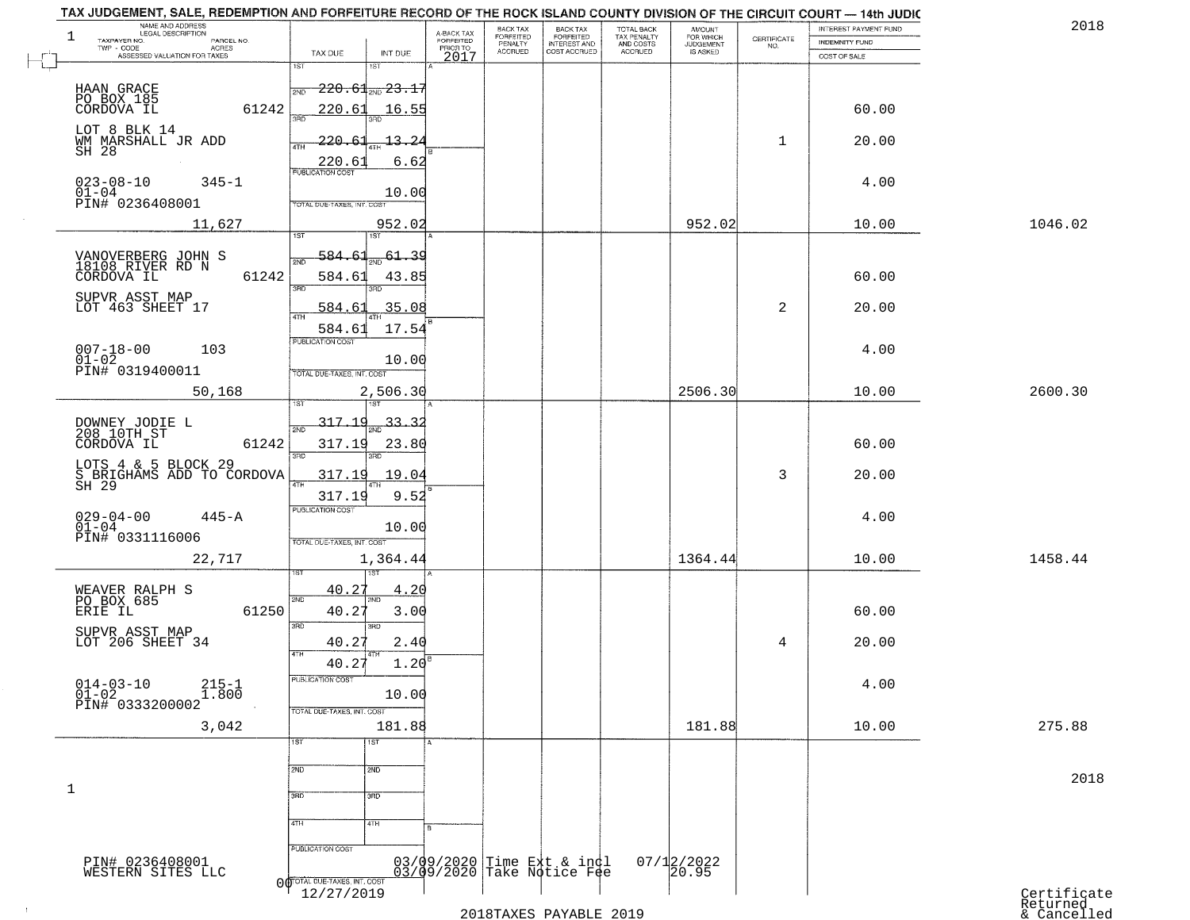| NAME AND ADDRESS<br>LEGAL DESCRIPTION<br>$\mathbf{1}$<br>TAXPAYER NO.<br>PARCEL NO.<br>TWP - CODE<br>ACRES |                                                                                                       | A-BACK TAX<br>FORFEITED<br>PRIOR TO | BACK TAX<br>FORFEITED<br>PENALTY | BACK TAX<br>FORFEITED<br>INTEREST AND<br>COST ACCRUED    | TOTAL BACK<br>TAX PENALTY<br>AND COSTS | AMOUNT<br>FOR WHICH<br><b>JUDGEMENT</b> | $\begin{array}{c} \text{CERTIFICATE} \\ \text{NO.} \end{array}$ | INTEREST PAYMENT FUND<br><b>INDEMNITY FUND</b> | 2018                                   |
|------------------------------------------------------------------------------------------------------------|-------------------------------------------------------------------------------------------------------|-------------------------------------|----------------------------------|----------------------------------------------------------|----------------------------------------|-----------------------------------------|-----------------------------------------------------------------|------------------------------------------------|----------------------------------------|
| ASSESSED VALUATION FOR TAXES                                                                               | TAX DUE<br>INT DUE<br>1ST<br>$1S$ T                                                                   | 2017                                | <b>ACCRUED</b>                   |                                                          | ACCRUED                                | IS ASKED                                |                                                                 | COST OF SALE                                   |                                        |
| HAAN GRACE<br>PO BOX 185<br>CORDOVA IL<br>61242                                                            | $\textcolor{blue}{\textbf{-220.61}}$ and $\textcolor{blue}{\textbf{23.1'}}$<br>2ND<br>220.61<br>16.55 |                                     |                                  |                                                          |                                        |                                         |                                                                 | 60.00                                          |                                        |
| LOT 8 BLK 14<br>WM MARSHALL JR ADD<br>SH 28                                                                | $-220 - 6$<br>$-13 - 2$<br>4TH<br>6.62                                                                |                                     |                                  |                                                          |                                        |                                         | $\mathbf{1}$                                                    | 20.00                                          |                                        |
| $023 - 08 - 10$<br>$345 - 1$<br>$01 - 04$<br>PIN# 0236408001                                               | 220.61<br>10.00<br>TOTAL DUE-TAXES, INT. COST                                                         |                                     |                                  |                                                          |                                        |                                         |                                                                 | 4.00                                           |                                        |
| 11,627                                                                                                     | 952.02<br>1ST<br>1ST                                                                                  |                                     |                                  |                                                          |                                        | 952.02                                  |                                                                 | 10.00                                          | 1046.02                                |
| VANOVERBERG JOHN S<br>18108 RIVER RD N<br>61242<br>CORDOVA IL                                              | 584.61<br>61.39<br>584.6<br>43.85<br><b>SRD</b><br>3RD                                                |                                     |                                  |                                                          |                                        |                                         |                                                                 | 60.00                                          |                                        |
| SUPVR ASST MAP<br>LOT 463 SHEET 17                                                                         | 35.08<br>584.63<br>47H                                                                                |                                     |                                  |                                                          |                                        |                                         | 2                                                               | 20.00                                          |                                        |
| 103                                                                                                        | 17.54<br>584.61<br>PUBLICATION COST<br>10.00<br>TOTAL DUE-TAXES, INT. COST                            |                                     |                                  |                                                          |                                        |                                         |                                                                 | 4.00                                           |                                        |
| 50,168                                                                                                     | 2,506.30                                                                                              |                                     |                                  |                                                          |                                        | 2506.30                                 |                                                                 | 10.00                                          | 2600.30                                |
| DOWNEY JODIE L<br>208 10TH ST<br>61242<br>CORDOVA IL                                                       | 317.19<br>33.32<br>2ND<br>317.19<br>23.80                                                             |                                     |                                  |                                                          |                                        |                                         |                                                                 | 60.00                                          |                                        |
| LOTS 4 & 5 BLOCK 29<br>S BRIGHAMS ADD TO CORDOVA<br>SH 29                                                  | 3RD<br>3RD<br>317.19<br>19.04<br>正<br>317.19<br>9.52                                                  |                                     |                                  |                                                          |                                        |                                         | 3                                                               | 20.00                                          |                                        |
| $029 - 04 - 00$<br>$445 - A$<br>$01-04$<br>PIN# 0331116006                                                 | <b>PUBLICATION COST</b><br>10.00<br>TOTAL OUE-TAXES, INT. COST                                        |                                     |                                  |                                                          |                                        |                                         |                                                                 | 4.00                                           |                                        |
| 22,717                                                                                                     | 1,364.44                                                                                              |                                     |                                  |                                                          |                                        | 1364.44                                 |                                                                 | 10.00                                          | 1458.44                                |
| WEAVER RALPH S<br>PO BOX 685<br>ERIE IL<br>61250                                                           | 40.27<br>4.20<br>2ND<br>2ND<br>40.27<br>3.00<br>3RD<br>$\overline{3BD}$                               |                                     |                                  |                                                          |                                        |                                         |                                                                 | 60.00                                          |                                        |
| SUPVR ASST MAP<br>LOT 206 SHEET 34                                                                         | 40.27<br>2.40<br>4TH                                                                                  |                                     |                                  |                                                          |                                        |                                         | 4                                                               | 20.00                                          |                                        |
| $014 - 03 - 10$<br>$01 - 02$<br>$215 - 1$<br>$\overline{1.800}$<br>PIN# 0333200002                         | 1.20<br>40.27<br>PUBLICATION COST<br>10.00                                                            |                                     |                                  |                                                          |                                        |                                         |                                                                 | 4.00                                           |                                        |
| 3,042                                                                                                      | TOTAL DUE-TAXES, INT. COST<br>181.88                                                                  |                                     |                                  |                                                          |                                        | 181.88                                  |                                                                 | 10.00                                          | 275.88                                 |
|                                                                                                            | 1ST<br>1ST<br>2ND<br>2ND                                                                              |                                     |                                  |                                                          |                                        |                                         |                                                                 |                                                | 2018                                   |
| 1                                                                                                          | 3BD<br>3 <sub>BD</sub><br>4TH<br>4TH                                                                  |                                     |                                  |                                                          |                                        |                                         |                                                                 |                                                |                                        |
| PIN# 0236408001                                                                                            | PUBLICATION COST                                                                                      |                                     |                                  | 03/09/2020 Time Ext & indl<br>03/09/2020 Take Notice Fee |                                        | 07/12/2022<br>20.95                     |                                                                 |                                                |                                        |
| WESTERN SITES LLC                                                                                          | O OTOTAL DUE-TAXES, INT. COST<br>12/27/2019                                                           |                                     |                                  | 2018TAXES PAYABLE 2019                                   |                                        |                                         |                                                                 |                                                | Certificate<br>Returned<br>& Cancelled |

## 2018TAXES PAYABLE 2019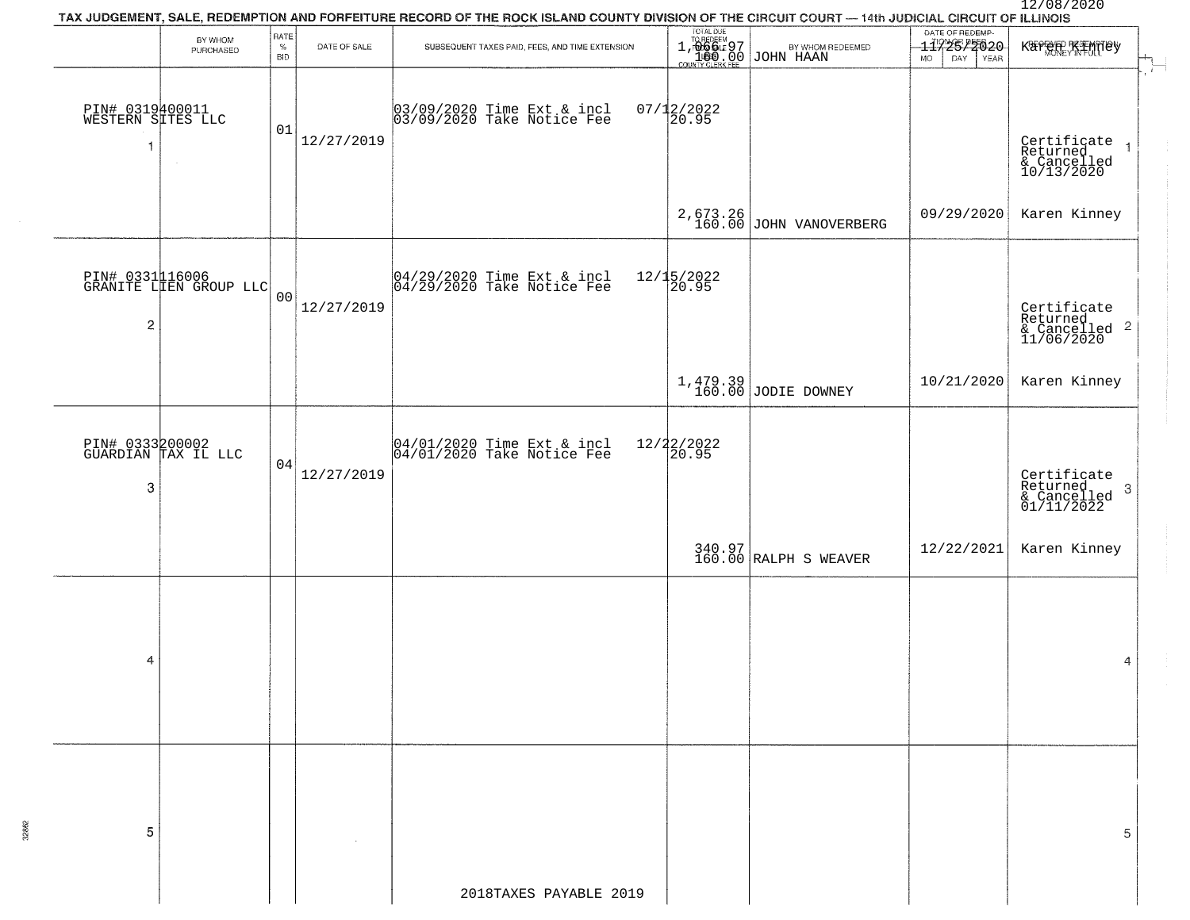# 12/08/2020<br>TAX JUDGEMENT, SALE, REDEMPTION AND FORFEITURE RECORD OF THE ROCK ISLAND COUNTY DIVISION OF THE CIRCUIT COURT — 14th JUDICIAL CIRCUIT OF ILLINOIS TOTAL DUE DATE OF REDEMP-RATE BY WHOM DATE OF SALE SUBSEQUENT TAXES PAID, FEES, AND TIME EXTENSION  $\%$ 1,06664597 | BYWHOM REDEEMED | 1172577020 KATHAH KAPAHILISY<br>\_\_\_1600,00 JOHN HAAN | MO DAY YEAR PURCHASED **BID** PIN# 0319400011 03/09/2020 Time Ext & incl 07/12/2022 WESTERN SITES LLC 03/09/2020 Take Notice Fee 20.95 01 $12/27/2019$   $\overline{Certificate 1}$  $\overline{1}$ Returned & Cancelled 10/13/2020 2,673.26 JOHN VANOVERBERG 209/29/2020 Karen Kinney PIN# 0331116006 04/29/2020 Time Ext & incl 12/15/2022 GRANITE LIEN GROUP LLC 04/29/2020 Take Notice Fee 20.95  $0<sub>0</sub>$ 12/27/2019 Certificate Returned & Cancelled 11/06/2020  $\overline{\mathbf{c}}$ 1,479.39 JODIE DOWNEY 2021/2020 Karen Kinney PIN# 0333200002 04/01/2020 Time Ext & incl 12/22/2022 GUARDIAN TAX IL LLC 04/01/2020 Take Notice Fee 20.95 0412/27/2019 Certificate Returned & Cancelled 01/11/2022 3 340.97|<br>160.00|RALPH S WEAVER | 12/22/2021| Karen Kinney  $\boldsymbol{A}$ 4 5 5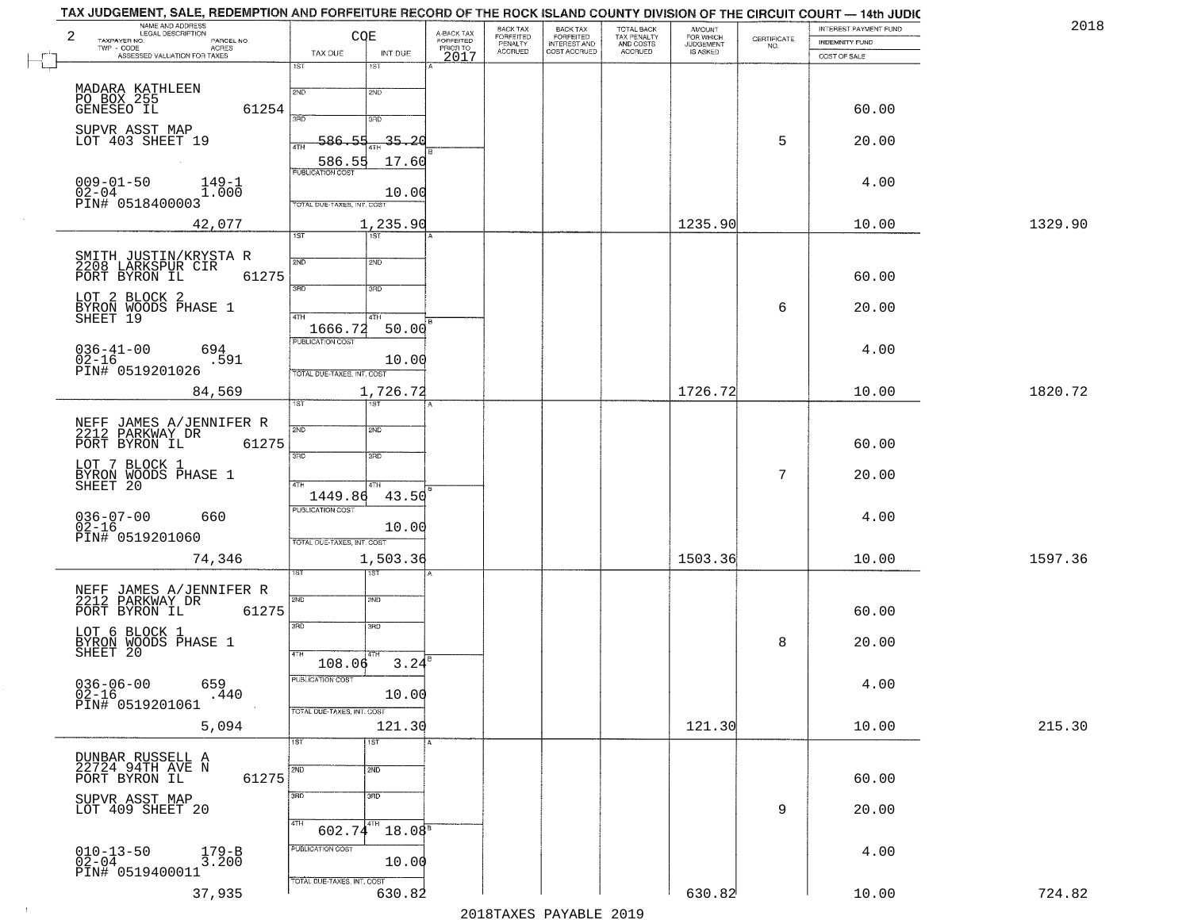| 2018    | INTEREST PAYMENT FUND          | CERTIFICATE | AMOUNT<br>FOR WHICH          | TOTAL BACK<br>TAX PENALTY<br>AND COSTS | BACK TAX<br>FORFEITED<br>INTEREST AND | BACK TAX<br>FORFEITED<br>PENALTY | A-BACK TAX<br>FORFEITED<br>PRIOR TO | CQE                    |                                   | NAME AND ADDRESS<br>LEGAL DESCRIPTION<br>PARCEL NO. | 2<br>TAXPAYER NO.                           |
|---------|--------------------------------|-------------|------------------------------|----------------------------------------|---------------------------------------|----------------------------------|-------------------------------------|------------------------|-----------------------------------|-----------------------------------------------------|---------------------------------------------|
|         | INDEMNITY FUND<br>COST OF SALE | NO.         | <b>JUDGEMENT</b><br>IS ASKED | ACCRUED                                | COST ACCRUED                          | <b>ACCRUED</b>                   | 2017                                | INT DUE                | TAX DUE                           | ACRES<br>ASSESSED VALUATION FOR TAXES               | TWP - CODE                                  |
|         |                                |             |                              |                                        |                                       |                                  |                                     | 18T                    | 1ST                               |                                                     |                                             |
|         |                                |             |                              |                                        |                                       |                                  |                                     | 2ND                    | 2ND                               |                                                     |                                             |
|         | 60.00                          |             |                              |                                        |                                       |                                  |                                     |                        |                                   | 61254                                               | MADARA KATHLEEN<br>PO BOX 255<br>GENESEO IL |
|         |                                |             |                              |                                        |                                       |                                  |                                     | 3RD                    | 390                               |                                                     | SUPVR ASST MAP                              |
|         | 20.00                          | 5           |                              |                                        |                                       |                                  |                                     | $-35 - 20$             | $-586.55$<br>4TH                  |                                                     | LOT 403 SHEET 19                            |
|         |                                |             |                              |                                        |                                       |                                  |                                     | 17.60                  | 586.55<br><b>PUBLICATION COST</b> |                                                     |                                             |
|         | 4.00                           |             |                              |                                        |                                       |                                  |                                     | 10.00                  |                                   | $149 - 1$<br>1.000                                  | $009 - 01 - 50$<br>$02 - 04$                |
|         |                                |             |                              |                                        |                                       |                                  |                                     |                        | TOTAL DUE-TAXES, INT. COST        |                                                     | PIN# 0518400003                             |
| 1329.90 | 10.00                          |             | 1235.90                      |                                        |                                       |                                  |                                     | 1,235.90<br>1ST        | 1ST                               | 42,077                                              |                                             |
|         |                                |             |                              |                                        |                                       |                                  |                                     |                        |                                   |                                                     |                                             |
|         |                                |             |                              |                                        |                                       |                                  |                                     | 2ND                    | 2ND                               | SMITH JUSTIN/KRYSTA R<br>2208 LARKSPUR CIR          |                                             |
|         | 60.00                          |             |                              |                                        |                                       |                                  |                                     | 3RD                    | उन्नठ                             | 61275                                               | PORT BYRON IL                               |
|         | 20.00                          | 6           |                              |                                        |                                       |                                  |                                     |                        |                                   | BYRON WOODS PHASE 1<br>SHEET 19                     | LOT 2 BLOCK 2                               |
|         |                                |             |                              |                                        |                                       |                                  |                                     | 4TH<br>50.00           | 47H<br>1666.72                    |                                                     |                                             |
|         | 4.00                           |             |                              |                                        |                                       |                                  |                                     |                        | PUBLICATION COST                  | 694                                                 | $036 - 41 - 00$                             |
|         |                                |             |                              |                                        |                                       |                                  |                                     | 10.00                  | TOTAL DUE-TAXES, INT. COST        | .591                                                | $02 - 16$<br>PIN# 0519201026                |
| 1820.72 | 10.00                          |             | 1726.72                      |                                        |                                       |                                  |                                     | 1,726.72               |                                   | 84,569                                              |                                             |
|         |                                |             |                              |                                        |                                       |                                  |                                     |                        | 1ST                               |                                                     |                                             |
|         |                                |             |                              |                                        |                                       |                                  |                                     | 2ND                    | 2ND                               | NEFF JAMES A/JENNIFER R<br>2212 PARKWAY DR          |                                             |
|         | 60.00                          |             |                              |                                        |                                       |                                  |                                     | 3RD                    | 3RD                               | 61275                                               | PORT BYRON IL                               |
|         | 20.00                          | 7           |                              |                                        |                                       |                                  |                                     |                        |                                   |                                                     | LOT 7 BLOCK 1                               |
|         |                                |             |                              |                                        |                                       |                                  |                                     | 4TH<br>43.50           | 4TH<br>1449.86                    | BYRON WOODS PHASE 1<br>SHEET 20                     |                                             |
|         | 4.00                           |             |                              |                                        |                                       |                                  |                                     |                        | PUBLICATION COST                  | 660                                                 | $036 - 07 - 00$                             |
|         |                                |             |                              |                                        |                                       |                                  |                                     | 10.00                  |                                   |                                                     | $02 - 16$                                   |
|         |                                |             |                              |                                        |                                       |                                  |                                     |                        | TOTAL OUE-TAXES, INT. COST        |                                                     | PIN# 0519201060                             |
| 1597.36 | 10.00                          |             | 1503.36                      |                                        |                                       |                                  |                                     | 1,503.36               |                                   | 74,346                                              |                                             |
|         |                                |             |                              |                                        |                                       |                                  |                                     | 2ND                    | 2ND                               | NEFF JAMES A/JENNIFER R<br>2212 PARKWAY DR          |                                             |
|         | 60.00                          |             |                              |                                        |                                       |                                  |                                     |                        |                                   | 61275                                               | PORT BYRON IL                               |
|         |                                |             |                              |                                        |                                       |                                  |                                     | 3BD                    | 3RD                               |                                                     | LOT 6 BLOCK 1                               |
|         | 20.00                          | 8           |                              |                                        |                                       |                                  |                                     |                        | 4TH                               | BYRON WOODS PHASE 1                                 | SHEET 20                                    |
|         |                                |             |                              |                                        |                                       |                                  |                                     | 3.24                   | 108.06<br>PUBLICATION COST        |                                                     |                                             |
|         | 4.00                           |             |                              |                                        |                                       |                                  |                                     | 10.00                  |                                   | 659<br>.440                                         | $036 - 06 - 00$<br>$02 - 16$                |
|         |                                |             |                              |                                        |                                       |                                  |                                     |                        | TOTAL DUE-TAXES, INT. COST        |                                                     | PIN# 0519201061                             |
| 215.30  | 10.00                          |             | 121.30                       |                                        |                                       |                                  |                                     | 121.30                 |                                   | 5,094                                               |                                             |
|         |                                |             |                              |                                        |                                       |                                  |                                     | 1ST                    | 1ST                               |                                                     | DUNBAR RUSSELL A                            |
|         | 60.00                          |             |                              |                                        |                                       |                                  |                                     | 2ND                    | 2ND                               | 61275                                               | 22724 94TH AVE N<br>PORT BYRON IL           |
|         |                                |             |                              |                                        |                                       |                                  |                                     | 3RD                    | 3RD                               |                                                     |                                             |
|         | 20.00                          | 9           |                              |                                        |                                       |                                  |                                     |                        |                                   |                                                     | SUPVR ASST MAP<br>LOT 409 SHEET 20          |
|         |                                |             |                              |                                        |                                       |                                  |                                     | 4TH<br>$18.08^{\circ}$ | 4TH<br>602.74                     |                                                     |                                             |
|         | 4.00                           |             |                              |                                        |                                       |                                  |                                     | 10.00                  | PUBLICATION COST                  | 179-B<br>3.200                                      | $010 - 13 - 50$<br>02-04                    |
|         |                                |             |                              |                                        |                                       |                                  |                                     |                        | TOTAL DUE-TAXES, INT. COST        |                                                     | PIN# 0519400011                             |
| 724.82  | 10.00                          |             | 630.82                       |                                        |                                       |                                  |                                     | 630.82                 |                                   | 37,935                                              |                                             |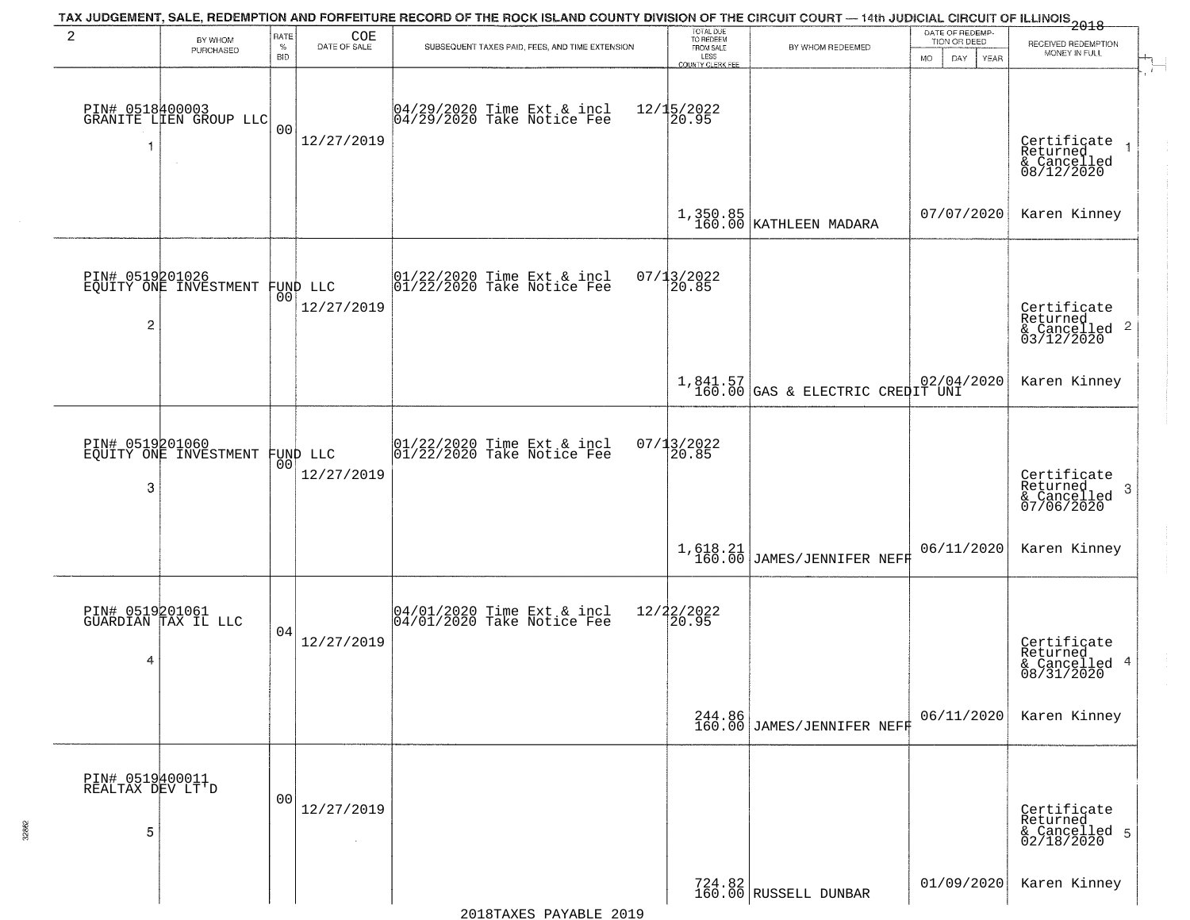|                                          |                                           |                            |                                | TAX JUDGEMENT, SALE, REDEMPTION AND FORFEITURE RECORD OF THE ROCK ISLAND COUNTY DIVISION OF THE CIRCUIT COURT — 14th JUDICIAL CIRCUIT OF ILLINOIS 2018 |                                                                 |                                                |                                                             |                                                                      |
|------------------------------------------|-------------------------------------------|----------------------------|--------------------------------|--------------------------------------------------------------------------------------------------------------------------------------------------------|-----------------------------------------------------------------|------------------------------------------------|-------------------------------------------------------------|----------------------------------------------------------------------|
| 2                                        | BY WHOM<br>PURCHASED                      | RATE<br>$\%$<br><b>BID</b> | COE<br>DATE OF SALE            | SUBSEQUENT TAXES PAID, FEES, AND TIME EXTENSION                                                                                                        | TOTAL DUE<br>TO REDEEM<br>FROM SALE<br>LESS<br>COUNTY CLERK FEE | BY WHOM REDEEMED                               | DATE OF REDEMP-<br>TION OR DEED<br><b>MO</b><br>DAY<br>YEAR | RECEIVED REDEMPTION<br>MONEY IN FULL                                 |
| -1                                       | PIN# 0518400003<br>GRANITE LIEN GROUP LLC | 0 <sub>0</sub>             | 12/27/2019                     | 04/29/2020 Time Ext & incl<br>04/29/2020 Take Notice Fee                                                                                               | 12/15/2022<br>20.95                                             |                                                |                                                             | $\mathbf{r}$<br>Certificate<br>Returned<br>& Cancelled<br>08/12/2020 |
|                                          |                                           |                            |                                |                                                                                                                                                        |                                                                 | $1,350.85$<br>160.00 KATHLEEN MADARA           | 07/07/2020                                                  | Karen Kinney                                                         |
| $\overline{c}$                           | PIN# 0519201026<br>EQUITY ONE INVESTMENT  |                            | FUND LLC<br> 00 <br>12/27/2019 | $ 01/22/2020$ Time Ext & incl<br>$ 01/22/2020$ Take Notice Fee                                                                                         | 07/13/2022<br>20.85                                             |                                                |                                                             | Certificate<br>Returned<br>$\frac{1}{2}$ Cancelled 2<br>03/12/2020   |
|                                          |                                           |                            |                                |                                                                                                                                                        |                                                                 | $1,841.57$<br>160.00 GAS & ELECTRIC CREDIT UNI |                                                             | Karen Kinney                                                         |
| 3                                        | PIN# 0519201060<br>EQUITY ONE INVESTMENT  | 00                         | FUND LLC<br>12/27/2019         | $\begin{array}{c}  01/22/2020 \text{ Time} \text{ Ext} & \text{incl} \\  01/22/2020 \text{ Take Notice } \text{Fe} \end{array}$                        | $07/13/2022$<br>20.85                                           |                                                |                                                             | Certificate<br>Returned<br>3<br>& Cancelled<br>07/06/2020            |
|                                          |                                           |                            |                                |                                                                                                                                                        |                                                                 | 1,618.21<br>160.00 JAMES/JENNIFER NEFF         | 06/11/2020                                                  | Karen Kinney                                                         |
| 4                                        | PIN# 0519201061<br>GUARDIAN TAX IL LLC    | 04                         | 12/27/2019                     | 04/01/2020 Time Ext & incl<br>04/01/2020 Take Notice Fee                                                                                               | 12/22/2022<br>20.95                                             |                                                |                                                             | Certificate<br>Returned<br>& Cancelled 4<br>08/31/2020               |
|                                          |                                           |                            |                                |                                                                                                                                                        | 244.86<br>160.00                                                | JAMES/JENNIFER NEFF                            | 06/11/2020                                                  | Karen Kinney                                                         |
| PIN# 0519400011<br>REALTAX DEV LT'D<br>5 |                                           | 0 <sub>0</sub>             | 12/27/2019                     |                                                                                                                                                        |                                                                 |                                                |                                                             | Certificate<br>Returned<br>& Cancelled 5<br>02/18/2020               |
|                                          |                                           |                            |                                |                                                                                                                                                        |                                                                 | 724.82<br>160.00 RUSSELL DUNBAR                | 01/09/2020                                                  | Karen Kinney                                                         |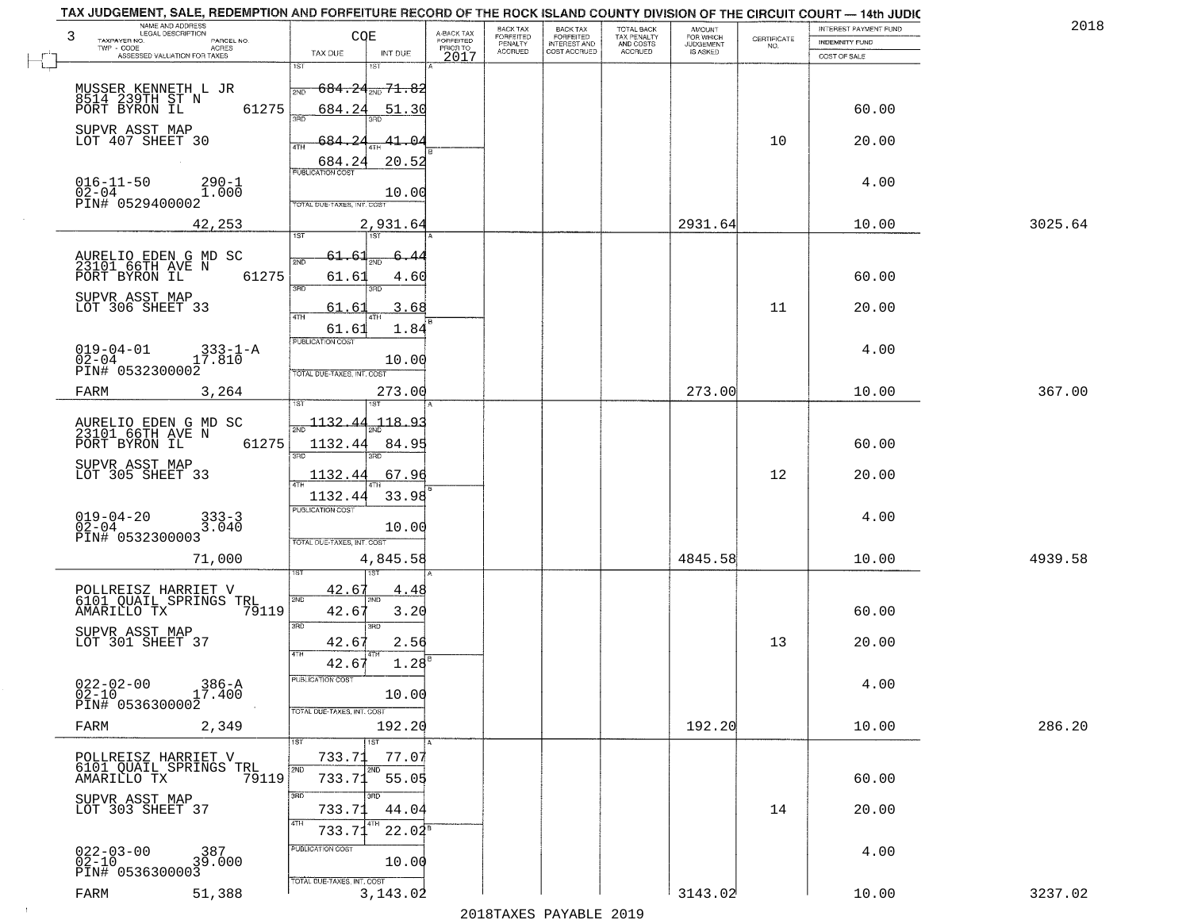| TAX JUDGEMENT, SALE, REDEMPTION AND FORFEITURE RECORD OF THE ROCK ISLAND COUNTY DIVISION OF THE CIRCUIT COURT — 14th JUDIC |                                   |                                       |                                     |                             |                                                  |                                                   |                                    |                    |                       |         |
|----------------------------------------------------------------------------------------------------------------------------|-----------------------------------|---------------------------------------|-------------------------------------|-----------------------------|--------------------------------------------------|---------------------------------------------------|------------------------------------|--------------------|-----------------------|---------|
| NAME AND ADDRESS<br>LEGAL DESCRIPTION                                                                                      |                                   |                                       |                                     | BACK TAX                    | <b>BACK TAX</b>                                  |                                                   | <b>AMOUNT</b>                      |                    | INTEREST PAYMENT FUND | 201     |
| 3<br>TAXPAYER NO.<br>PARCEL NO.<br>TWP - CODE<br><b>ACRES</b>                                                              | COE                               |                                       | A-BACK TAX<br>FORFEITED<br>PRIOR TO | <b>FORFEITED</b><br>PENALTY | <b>FORFEITED</b><br>INTEREST AND<br>COST ACCRUED | TOTAL BACK<br>TAX PENALTY<br>AND COSTS<br>ACCRUED | FOR WHICH<br>JUDGEMENT<br>IS ASKED | CERTIFICATE<br>NO. | INDEMNITY FUND        |         |
| ASSESSED VALUATION FOR TAXES                                                                                               | TAX DUE                           | INT DUE                               | 2017                                | <b>ACCRUED</b>              |                                                  |                                                   |                                    |                    | COST OF SALE          |         |
|                                                                                                                            | 1ST                               | 15T                                   |                                     |                             |                                                  |                                                   |                                    |                    |                       |         |
|                                                                                                                            | 2ND                               | <del>684.24<sub>2ND</sub> 71.82</del> |                                     |                             |                                                  |                                                   |                                    |                    |                       |         |
| MUSSER KENNETH L JR<br>8514 239TH ST N                                                                                     |                                   |                                       |                                     |                             |                                                  |                                                   |                                    |                    |                       |         |
| 61275<br>PORT BYRON IL                                                                                                     | 684.24<br>3AD                     | 51.30                                 |                                     |                             |                                                  |                                                   |                                    |                    | 60.00                 |         |
| SUPVR ASST MAP                                                                                                             |                                   |                                       |                                     |                             |                                                  |                                                   |                                    |                    |                       |         |
| LOT 407 SHEET 30                                                                                                           | -684<br>4TH                       | 41.04                                 |                                     |                             |                                                  |                                                   |                                    | 10                 | 20.00                 |         |
|                                                                                                                            |                                   |                                       |                                     |                             |                                                  |                                                   |                                    |                    |                       |         |
|                                                                                                                            | 684.24<br><b>PUBLICATION COST</b> | 20.52                                 |                                     |                             |                                                  |                                                   |                                    |                    |                       |         |
| $016 - 11 - 50$<br>$290 - 1$                                                                                               |                                   |                                       |                                     |                             |                                                  |                                                   |                                    |                    | 4.00                  |         |
| $0\bar{2} - 0\bar{4}$<br>1.000                                                                                             |                                   | 10.00                                 |                                     |                             |                                                  |                                                   |                                    |                    |                       |         |
| PIN# 0529400002                                                                                                            | TOTAL DUE-TAXES, INT. COST        |                                       |                                     |                             |                                                  |                                                   |                                    |                    |                       |         |
| 42,253                                                                                                                     |                                   | 2,931.64                              |                                     |                             |                                                  |                                                   | 2931.64                            |                    | 10.00                 | 3025.64 |
|                                                                                                                            | 1ST                               | 1ST                                   |                                     |                             |                                                  |                                                   |                                    |                    |                       |         |
|                                                                                                                            |                                   |                                       |                                     |                             |                                                  |                                                   |                                    |                    |                       |         |
| AURELIO EDEN G MD SC<br>23101 66TH AVE N                                                                                   | 2ND                               |                                       |                                     |                             |                                                  |                                                   |                                    |                    |                       |         |
| 61275<br>PORT BYRON IL                                                                                                     | 61.61                             | 4.60                                  |                                     |                             |                                                  |                                                   |                                    |                    | 60.00                 |         |
| SUPVR ASST MAP                                                                                                             | 3RD                               | 3RD                                   |                                     |                             |                                                  |                                                   |                                    |                    |                       |         |
| LOT 306 SHEET 33                                                                                                           | 61<br>. 6                         | 3.68                                  |                                     |                             |                                                  |                                                   |                                    | 11                 | 20.00                 |         |
|                                                                                                                            | 47H<br>61.61                      | 1.84                                  |                                     |                             |                                                  |                                                   |                                    |                    |                       |         |
|                                                                                                                            | PUBLICATION COST                  |                                       |                                     |                             |                                                  |                                                   |                                    |                    |                       |         |
| $019 - 04 - 01$<br>$333 - 1 - A$                                                                                           |                                   |                                       |                                     |                             |                                                  |                                                   |                                    |                    | 4.00                  |         |
| $0\bar{2} - 0\bar{4}$<br>17.810<br>PIN# 0532300002                                                                         |                                   | 10.00                                 |                                     |                             |                                                  |                                                   |                                    |                    |                       |         |
|                                                                                                                            | TOTAL DUE-TAXES, INT. COST        |                                       |                                     |                             |                                                  |                                                   |                                    |                    |                       |         |
| FARM<br>3,264                                                                                                              |                                   | 273.00                                |                                     |                             |                                                  |                                                   | 273.00                             |                    | 10.00                 | 367.00  |
|                                                                                                                            |                                   |                                       |                                     |                             |                                                  |                                                   |                                    |                    |                       |         |
|                                                                                                                            | 1132.44                           | $-118.93$                             |                                     |                             |                                                  |                                                   |                                    |                    |                       |         |
| AURELIO EDEN G MD SC<br>23101 66TH AVE N                                                                                   |                                   |                                       |                                     |                             |                                                  |                                                   |                                    |                    |                       |         |
| PORT BYRON IL<br>61275                                                                                                     | 1132.44<br>3RD                    | 84.95<br>3RD                          |                                     |                             |                                                  |                                                   |                                    |                    | 60.00                 |         |
|                                                                                                                            |                                   |                                       |                                     |                             |                                                  |                                                   |                                    |                    |                       |         |
| SUPVR ASST MAP<br>LOT 305 SHEET 33                                                                                         | 1132.44                           | 67.96                                 |                                     |                             |                                                  |                                                   |                                    | 12                 | 20.00                 |         |
|                                                                                                                            | 1132.44                           | 33.98                                 |                                     |                             |                                                  |                                                   |                                    |                    |                       |         |
|                                                                                                                            | <b>PUBLICATION COST</b>           |                                       |                                     |                             |                                                  |                                                   |                                    |                    |                       |         |
| $019 - 04 - 20$<br>02-04<br>$333 - 3$<br>3.040                                                                             |                                   |                                       |                                     |                             |                                                  |                                                   |                                    |                    | 4.00                  |         |
| PIN# 0532300003                                                                                                            |                                   | 10.00                                 |                                     |                             |                                                  |                                                   |                                    |                    |                       |         |
|                                                                                                                            | TOTAL OUE-TAXES, INT. COST        |                                       |                                     |                             |                                                  |                                                   |                                    |                    |                       |         |
| 71,000                                                                                                                     |                                   | 4,845.58                              |                                     |                             |                                                  |                                                   | 4845.58                            |                    | 10.00                 | 4939.58 |
|                                                                                                                            |                                   | 151                                   |                                     |                             |                                                  |                                                   |                                    |                    |                       |         |
| POLLREISZ HARRIET V                                                                                                        | 42.6'                             | 4.<br>-48                             |                                     |                             |                                                  |                                                   |                                    |                    |                       |         |
| 6101 QUAIL SPRINGS TRL<br>AMARILLO TX<br>79119                                                                             | 2ND<br>42.6                       |                                       |                                     |                             |                                                  |                                                   |                                    |                    | 60.00                 |         |
|                                                                                                                            |                                   | 3.20                                  |                                     |                             |                                                  |                                                   |                                    |                    |                       |         |
| SUPVR ASST MAP                                                                                                             | 3RD                               | 3HD                                   |                                     |                             |                                                  |                                                   |                                    |                    |                       |         |
| LOT 301 SHEET 37                                                                                                           | 42.6<br>4TH                       | 2.56                                  |                                     |                             |                                                  |                                                   |                                    | 13                 | 20.00                 |         |
|                                                                                                                            | 42.6                              | 1.28                                  |                                     |                             |                                                  |                                                   |                                    |                    |                       |         |
|                                                                                                                            | PUBLICATION COST                  |                                       |                                     |                             |                                                  |                                                   |                                    |                    |                       |         |
| $022 - 02 - 00$<br>17.400<br>02-10                                                                                         |                                   | 10.00                                 |                                     |                             |                                                  |                                                   |                                    |                    | 4.00                  |         |
| PIN# 0536300002                                                                                                            |                                   |                                       |                                     |                             |                                                  |                                                   |                                    |                    |                       |         |
|                                                                                                                            | TOTAL DUE-TAXES, INT. COST        |                                       |                                     |                             |                                                  |                                                   |                                    |                    |                       |         |
| FARM<br>2,349                                                                                                              |                                   | 192.20                                |                                     |                             |                                                  |                                                   | 192.20                             |                    | 10.00                 | 286.20  |
|                                                                                                                            | 1ST                               | 1ST                                   |                                     |                             |                                                  |                                                   |                                    |                    |                       |         |
| POLLREISZ HARRIET V<br>6101 QUAIL SPRINGS TRL                                                                              | 733.71                            | 77.07                                 |                                     |                             |                                                  |                                                   |                                    |                    |                       |         |
| AMARILLO TX<br>79119                                                                                                       | 2ND<br>733.71                     | 2ND<br>55.05                          |                                     |                             |                                                  |                                                   |                                    |                    | 60.00                 |         |
|                                                                                                                            | 3RD                               | 3 <sub>BD</sub>                       |                                     |                             |                                                  |                                                   |                                    |                    |                       |         |
| SUPVR ASST MAP                                                                                                             |                                   |                                       |                                     |                             |                                                  |                                                   |                                    |                    |                       |         |
| LOT 303 SHEET 37                                                                                                           | 733.71<br>4TH                     | 44.04                                 |                                     |                             |                                                  |                                                   |                                    | 14                 | 20.00                 |         |
|                                                                                                                            | 733.71                            | $22.04^s$                             |                                     |                             |                                                  |                                                   |                                    |                    |                       |         |
|                                                                                                                            | PUBLICATION COST                  |                                       |                                     |                             |                                                  |                                                   |                                    |                    |                       |         |
| $022 - 03 - 00$<br>02-10<br>387<br>39.000                                                                                  |                                   | 10.00                                 |                                     |                             |                                                  |                                                   |                                    |                    | 4.00                  |         |
| PIN# 0536300003                                                                                                            |                                   |                                       |                                     |                             |                                                  |                                                   |                                    |                    |                       |         |
|                                                                                                                            | TOTAL DUE-TAXES, INT. COST        |                                       |                                     |                             |                                                  |                                                   | 3143.02                            |                    |                       | 3237.02 |
| FARM<br>51,388                                                                                                             |                                   | 3,143.02                              |                                     |                             |                                                  |                                                   |                                    |                    | 10.00                 |         |
|                                                                                                                            |                                   |                                       |                                     |                             | מרמפ הזתגעות מהעגדומפ                            |                                                   |                                    |                    |                       |         |

 $\sim 10^{-1}$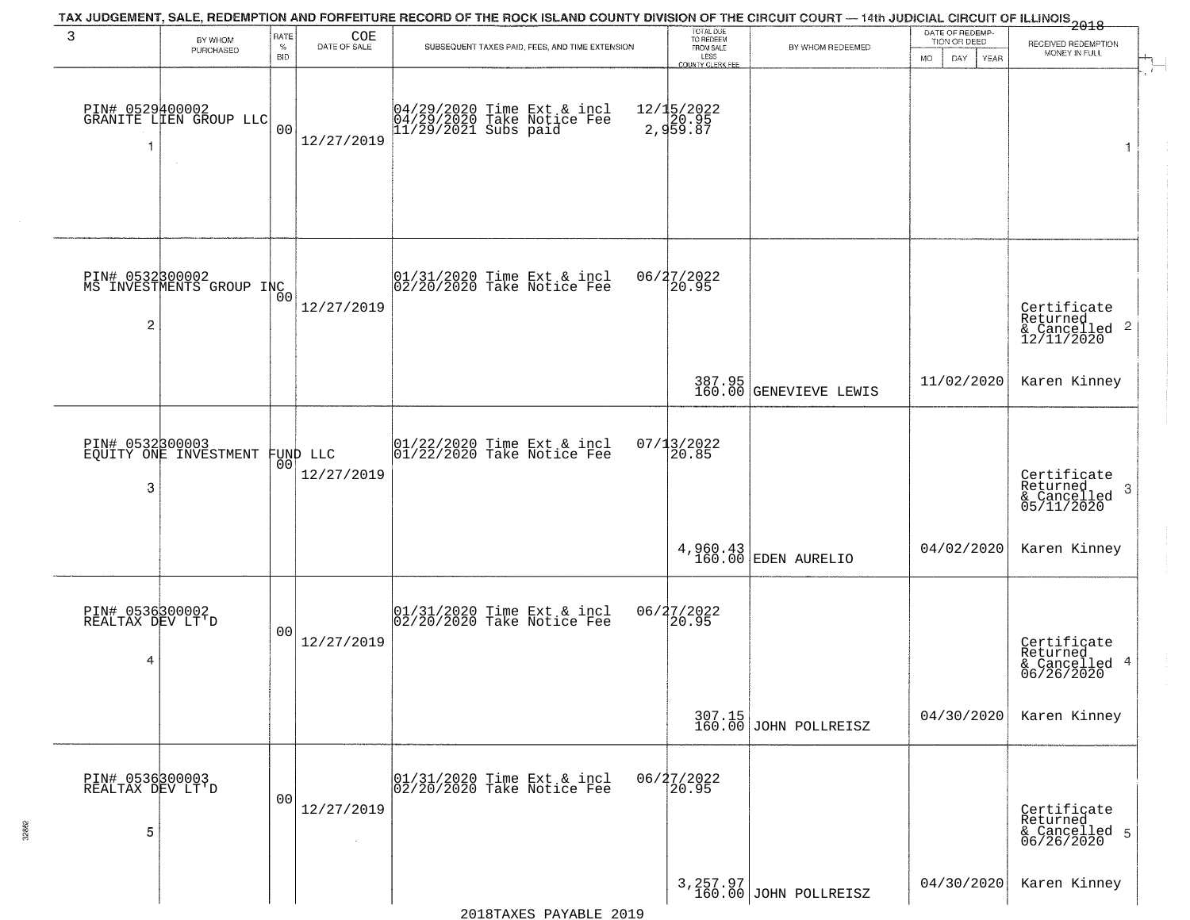|                                          |                                             |                |                        |                                                                                  | TAX JUDGEMENT, SALE, REDEMPTION AND FORFEITURE RECORD OF THE ROCK ISLAND COUNTY DIVISION OF THE CIRCUIT COURT — 14th JUDICIAL CIRCUIT OF ILLINOIS 2018<br>TOTAL DUE<br>TO REDEEM<br>DATE OF REDEMP-<br>TION OR DEED |                                    |                          |                                                                    |
|------------------------------------------|---------------------------------------------|----------------|------------------------|----------------------------------------------------------------------------------|---------------------------------------------------------------------------------------------------------------------------------------------------------------------------------------------------------------------|------------------------------------|--------------------------|--------------------------------------------------------------------|
| 3                                        | BY WHOM<br>PURCHASED                        | RATE<br>$\%$   | COE<br>DATE OF SALE    | SUBSEQUENT TAXES PAID, FEES, AND TIME EXTENSION                                  | FROM SALE                                                                                                                                                                                                           | BY WHOM REDEEMED                   |                          | RECEIVED REDEMPTION                                                |
|                                          |                                             | <b>BID</b>     |                        |                                                                                  | LESS<br><b>COUNTY CLERK FEE</b>                                                                                                                                                                                     |                                    | <b>MO</b><br>DAY<br>YEAR | MONEY IN FULL<br>$\mathbf{r}$                                      |
| -1                                       | PIN# 0529400002<br>GRANITE LIEN GROUP LLC   | 0 <sub>0</sub> | 12/27/2019             | 04/29/2020 Time Ext & incl<br>04/29/2020 Take Notice Fee<br>11/29/2021 Subs paid | 12/15/2022<br>20.95<br>2,959.87                                                                                                                                                                                     |                                    |                          | $\mathbf{1}$                                                       |
| $\overline{c}$                           | PIN# 0532300002<br>MS INVESTMENTS GROUP INC | 0 <sub>0</sub> | 12/27/2019             | $ 01/31/2020$ Time Ext & incl<br>$ 02/20/2020$ Take Notice Fee                   | 06/27/2022<br>20.95                                                                                                                                                                                                 |                                    |                          | Certificate<br>Returned<br>$\frac{1}{2}$ Cancelled 2<br>12/11/2020 |
|                                          |                                             |                |                        |                                                                                  |                                                                                                                                                                                                                     | 387.95<br>160.00 GENEVIEVE LEWIS   | 11/02/2020               | Karen Kinney                                                       |
| PIN# 0532300003<br>3                     | EQUITY ONE INVESTMENT                       | 00             | FUND LLC<br>12/27/2019 | $\begin{array}{c} 01/22/2020 \\ 01/22/2020 \\ 01 \end{array}$ Take Notice Fee    | $07/13/2022$<br>20.85                                                                                                                                                                                               |                                    |                          | Certificate<br>Returned<br>3<br>& Cancelled<br>05/11/2020          |
|                                          |                                             |                |                        |                                                                                  |                                                                                                                                                                                                                     | 4,960.43<br>160.00 EDEN AURELIO    | 04/02/2020               | Karen Kinney                                                       |
| PIN# 0536300002<br>REALTAX DEV LT'D<br>4 |                                             | 00             | 12/27/2019             | 01/31/2020 Time Ext & incl<br>02/20/2020 Take Notice Fee                         | 06/27/2022<br>[20.95]                                                                                                                                                                                               |                                    |                          | Certificate<br>Returned<br>& Cancelled 4<br>06/26/2020             |
|                                          |                                             |                |                        |                                                                                  |                                                                                                                                                                                                                     | 307.15<br>160.00 JOHN POLLREISZ    | 04/30/2020               | Karen Kinney                                                       |
| PIN# 0536300003<br>REALTAX DEV LT'D<br>5 |                                             | 0 <sub>0</sub> | 12/27/2019             | 01/31/2020 Time Ext & incl<br>02/20/2020 Take Notice Fee                         | 06/27/2022<br>20.95                                                                                                                                                                                                 |                                    |                          | Certificate<br>Returned<br>& Cancelled 5<br>06/26/2020             |
|                                          |                                             |                |                        |                                                                                  |                                                                                                                                                                                                                     | 3, 257.97<br>160.00 JOHN POLLREISZ | 04/30/2020               | Karen Kinney                                                       |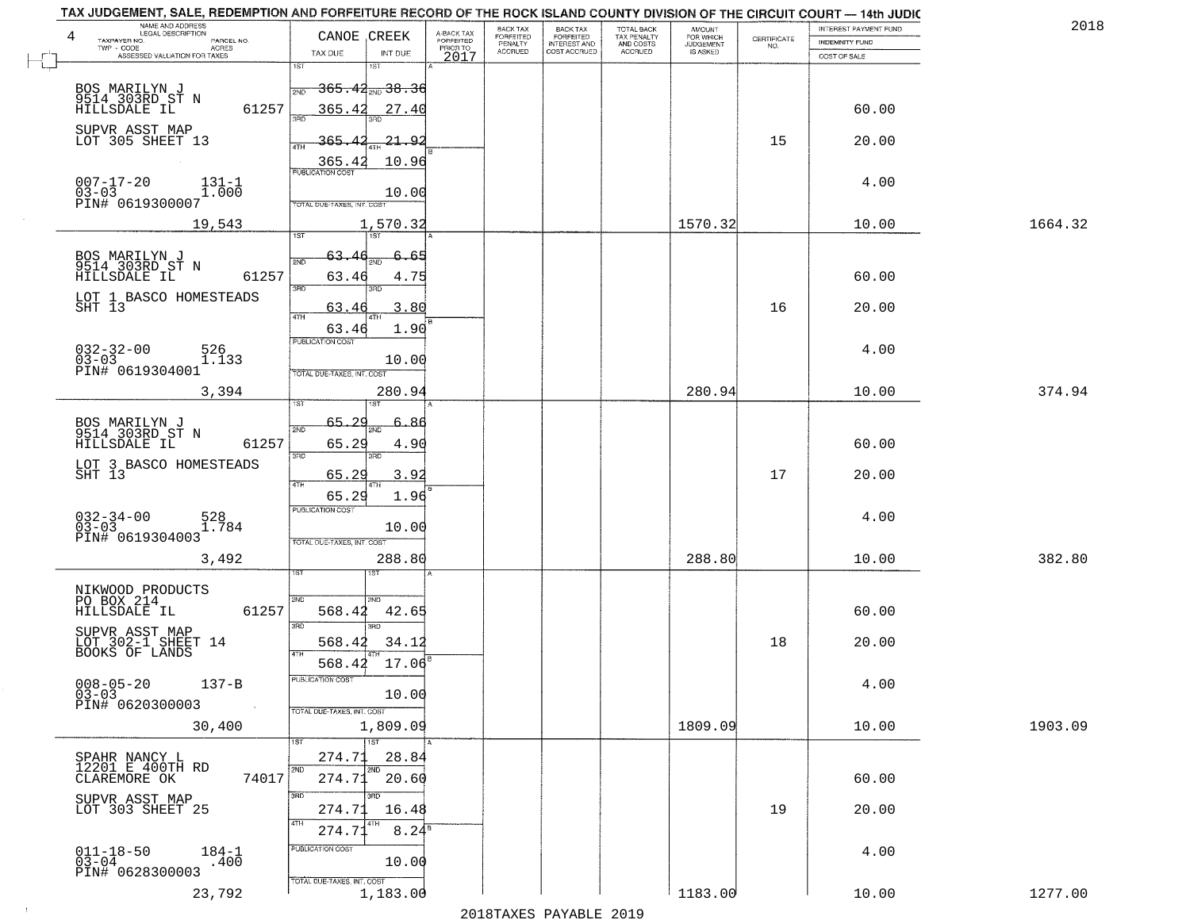| NAME AND ADDRESS<br>LEGAL DESCRIPTION<br>4<br>TAXPAYER NO.<br>PARCEL NO.                      | CANOE CREEK                                         | A-BACK TAX<br>FORFEITED | BACK TAX<br>FORFEITED<br>PENALTY | <b>BACK TAX</b><br><b>FORFEITED</b> | TOTAL BACK<br>TAX PENALTY | <b>AMOUNT</b><br>FOR WHICH<br>JUDGEMENT<br>IS ASKED | CERTIFICATE | INTEREST PAYMENT FUND<br>INDEMNITY FUND | 2018    |
|-----------------------------------------------------------------------------------------------|-----------------------------------------------------|-------------------------|----------------------------------|-------------------------------------|---------------------------|-----------------------------------------------------|-------------|-----------------------------------------|---------|
| TWP - CODE<br><b>ACRES</b><br>ASSESSED VALUATION FOR TAXES                                    | TAX DUE<br>INT DUE                                  | PRIOR TO<br>2017        | ACCRUED                          | INTEREST AND                        | AND COSTS<br>ACCRUED      |                                                     | NO.         | COST OF SALE                            |         |
|                                                                                               | 1ST<br><del>365.42<sub>210</sub>38.36</del><br>2ND  |                         |                                  |                                     |                           |                                                     |             |                                         |         |
| BOS MARILYN J<br>9514 303RD ST N<br>61257<br>HILLSDALE IL                                     | 365.42<br>27.40<br>बन्नल                            |                         |                                  |                                     |                           |                                                     |             | 60.00                                   |         |
| SUPVR ASST MAP<br>LOT 305 SHEET 13                                                            | 365.<br><u> 21.92</u><br>4TH                        |                         |                                  |                                     |                           |                                                     | 15          | 20.00                                   |         |
|                                                                                               | 365.4<br>10.96<br><b>PUBLICATION COST</b>           |                         |                                  |                                     |                           |                                                     |             |                                         |         |
| $007 - 17 - 20$<br>$131 - 1$<br>$03 - 03$<br>$1.\overline{0}0\overline{0}$<br>PIN# 0619300007 | 10.00<br>TOTAL DUE-TAXES, INT. COST                 |                         |                                  |                                     |                           |                                                     |             | 4.00                                    |         |
| 19,543                                                                                        | 1,570.32<br>$\overline{157}$<br>1ST                 |                         |                                  |                                     |                           | 1570.32                                             |             | 10.00                                   | 1664.32 |
| BOS MARILYN J<br>9514 303RD ST N                                                              | 63.<br>-65<br>6<br>2ND                              |                         |                                  |                                     |                           |                                                     |             |                                         |         |
| 61257<br>HILLSDALE IL                                                                         | 63.46<br>4.75<br>3RD<br>3RD                         |                         |                                  |                                     |                           |                                                     |             | 60.00                                   |         |
| LOT 1 BASCO HOMESTEADS<br>SHT 13                                                              | 63.4<br>3.80<br>4TH                                 |                         |                                  |                                     |                           |                                                     | 16          | 20.00                                   |         |
| $032 - 32 - 00$<br>$03 - 03$<br>526<br>1.133                                                  | 1.90<br>63.46<br>PUBLICATION COST                   |                         |                                  |                                     |                           |                                                     |             | 4.00                                    |         |
| PIN# 0619304001                                                                               | 10.00<br>TOTAL DUE-TAXES, INT. COST                 |                         |                                  |                                     |                           |                                                     |             |                                         |         |
| 3,394                                                                                         | 280.94<br>1ST                                       |                         |                                  |                                     |                           | 280.94                                              |             | 10.00                                   | 374.94  |
| BOS MARILYN J<br>9514 303RD ST N<br>61257<br>HILLSDALE IL                                     | 65.<br>2 Q<br>2ND                                   |                         |                                  |                                     |                           |                                                     |             | 60.00                                   |         |
| LOT 3 BASCO HOMESTEADS<br>SHT 13                                                              | 65.29<br>4.90<br>3RD<br>3BD                         |                         |                                  |                                     |                           |                                                     |             |                                         |         |
|                                                                                               | 3.92<br>65.29<br>4TH<br>65.29<br>1.96               |                         |                                  |                                     |                           |                                                     | 17          | 20.00                                   |         |
| $032 - 34 - 00$<br>03-03<br>528<br>1.784                                                      | <b>PUBLICATION COST</b><br>10.00                    |                         |                                  |                                     |                           |                                                     |             | 4.00                                    |         |
| PIN# 0619304003<br>3,492                                                                      | TOTAL OUE-TAXES, INT. COST<br>288.80                |                         |                                  |                                     |                           | 288.80                                              |             | 10.00                                   | 382.80  |
|                                                                                               |                                                     |                         |                                  |                                     |                           |                                                     |             |                                         |         |
| NIKWOOD PRODUCTS<br>PO BOX 214<br>61257<br>HILLSDALE IL                                       | 2ND<br>ND.<br>568.42<br>42.65                       |                         |                                  |                                     |                           |                                                     |             | 60.00                                   |         |
| SUPVR ASST MAP<br>LOT 302-1 SHEET 14<br>BOOKS OF LANDS                                        | 3RD<br>3RD<br>568.42<br>34.12                       |                         |                                  |                                     |                           |                                                     | 18          | 20.00                                   |         |
|                                                                                               | 4TH<br>17.06<br>568.42<br>PUBLICATION COST          |                         |                                  |                                     |                           |                                                     |             |                                         |         |
| $008 - 05 - 20$<br>$137 - B$<br>$03 - 03$<br>PIN# 0620300003<br><b>Contract</b>               | 10.00<br>TOTAL DUE-TAXES, INT. COST                 |                         |                                  |                                     |                           |                                                     |             | 4.00                                    |         |
| 30,400                                                                                        | 1,809.09                                            |                         |                                  |                                     |                           | 1809.09                                             |             | 10.00                                   | 1903.09 |
| SPAHR NANCY L<br>12201 E 400TH RD                                                             | ∏ist<br>274.71<br>28.84<br>2ND<br>2ND               |                         |                                  |                                     |                           |                                                     |             |                                         |         |
| CLAREMORE OK<br>74017                                                                         | 274.71<br>20.60<br>3RD<br>अंग                       |                         |                                  |                                     |                           |                                                     |             | 60.00                                   |         |
| SUPVR ASST MAP<br>LOT 303 SHEET 25                                                            | 274.71<br>16.48<br>4TH<br>4TH                       |                         |                                  |                                     |                           |                                                     | 19          | 20.00                                   |         |
| $011 - 18 - 50$<br>03-04<br>$184 - 1$                                                         | $8.24^{\overline{8}}$<br>274.71<br>PUBLICATION COST |                         |                                  |                                     |                           |                                                     |             | 4.00                                    |         |
| .400<br>PIN# 0628300003                                                                       | 10.00<br>TOTAL DUE-TAXES, INT. COST                 |                         |                                  |                                     |                           |                                                     |             |                                         |         |
| 23,792                                                                                        | 1,183.00                                            |                         |                                  |                                     |                           | 1183.00                                             |             | 10.00                                   | 1277.00 |

 $\sim 100$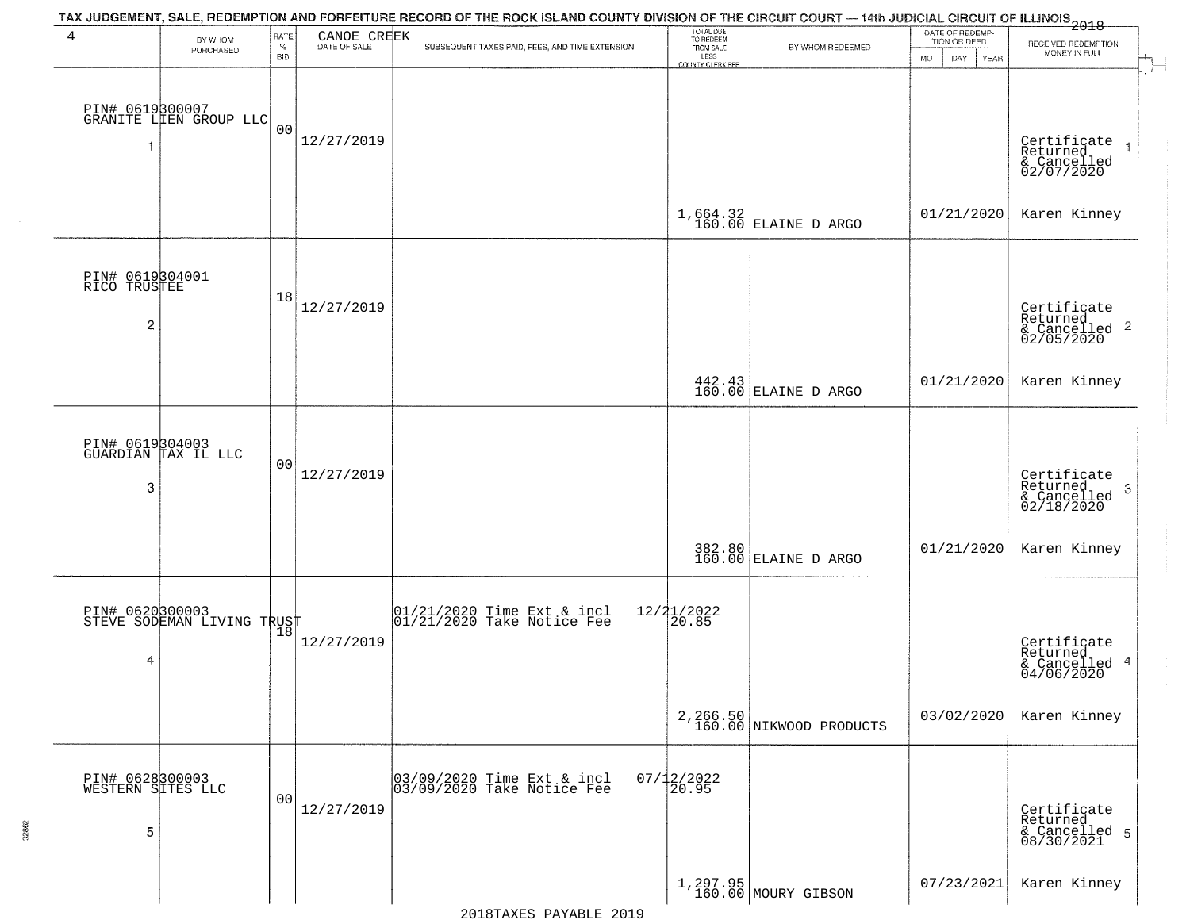| 4                                                 | BY WHOM<br>PURCHASED                                | RATE<br>$\%$<br><b>BID</b> | CANOE CREEK<br>DATE OF SALE  | TAX JUDGEMENT, SALE, REDEMPTION AND FORFEITURE RECORD OF THE ROCK ISLAND COUNTY DIVISION OF THE CIRCUIT COURT — 14th JUDICIAL CIRCUIT OF ILLINOIS 2018<br>SUBSEQUENT TAXES PAID, FEES, AND TIME EXTENSION | TOTAL DUE<br>TO REDEEM<br>FROM SALE<br>LESS<br><b>COUNTY CLERK FEE</b> | BY WHOM REDEEMED                     | DATE OF REDEMP-<br>TION OR DEED<br>MO.<br>DAY<br>YEAR | RECEIVED REDEMPTION<br>MONEY IN FULL                       |
|---------------------------------------------------|-----------------------------------------------------|----------------------------|------------------------------|-----------------------------------------------------------------------------------------------------------------------------------------------------------------------------------------------------------|------------------------------------------------------------------------|--------------------------------------|-------------------------------------------------------|------------------------------------------------------------|
|                                                   | PIN# 0619300007<br>GRANITE LIEN GROUP LLC<br>$\sim$ | 0 <sub>0</sub>             | 12/27/2019                   |                                                                                                                                                                                                           |                                                                        |                                      |                                                       | Certificate<br>Returned<br>& Cancelled<br>02/07/2020       |
|                                                   |                                                     |                            |                              |                                                                                                                                                                                                           |                                                                        | $1,664.32$ ELAINE D ARGO             | 01/21/2020                                            | Karen Kinney                                               |
| PIN# 0619304001<br>RICO TRUSTEE<br>$\overline{c}$ |                                                     | 18                         | 12/27/2019                   |                                                                                                                                                                                                           |                                                                        |                                      |                                                       | Certificate<br>Returned<br>$\frac{12241164}{62/05/2020}$ 2 |
|                                                   |                                                     |                            |                              |                                                                                                                                                                                                           |                                                                        | $442.43$ ELAINE D ARGO               | 01/21/2020                                            | Karen Kinney                                               |
| 3                                                 | PIN# 0619304003<br>GUARDIAN TAX IL LLC              | 0 <sub>0</sub>             | 12/27/2019                   |                                                                                                                                                                                                           |                                                                        |                                      |                                                       | Certificate<br>Returned<br>3<br>& Cancelled<br>02/18/2020  |
|                                                   |                                                     |                            |                              |                                                                                                                                                                                                           | 382.80<br>160.00                                                       | ELAINE D ARGO                        | 01/21/2020                                            | Karen Kinney                                               |
| 4                                                 | PIN# 0620300003<br>STEVE SODEMAN LIVING TRUST       |                            | 12/27/2019                   | 01/21/2020 Time Ext & incl<br>01/21/2020 Take Notice Fee                                                                                                                                                  | $12/21/2022$<br>20.85                                                  |                                      |                                                       | Certificate<br>Returned<br>4<br>& Cancelled<br>04/06/2020  |
|                                                   |                                                     |                            |                              |                                                                                                                                                                                                           |                                                                        | 2, 266.50<br>160.00 NIKWOOD PRODUCTS | 03/02/2020                                            | Karen Kinney                                               |
| PIN# 0628300003<br>WESTERN SITES LLC<br>5         |                                                     | 00                         | 12/27/2019<br>$\sim 10^{-1}$ | 03/09/2020 Time Ext & incl<br>03/09/2020 Take Notice Fee                                                                                                                                                  | $07/12/2022$<br>20.95                                                  |                                      |                                                       | Certificate<br>Returned<br>& Cancelled 5<br>08/30/2021     |
|                                                   |                                                     |                            |                              |                                                                                                                                                                                                           |                                                                        | 1,297.95<br>160.00 MOURY GIBSON      | 07/23/2021                                            | Karen Kinney                                               |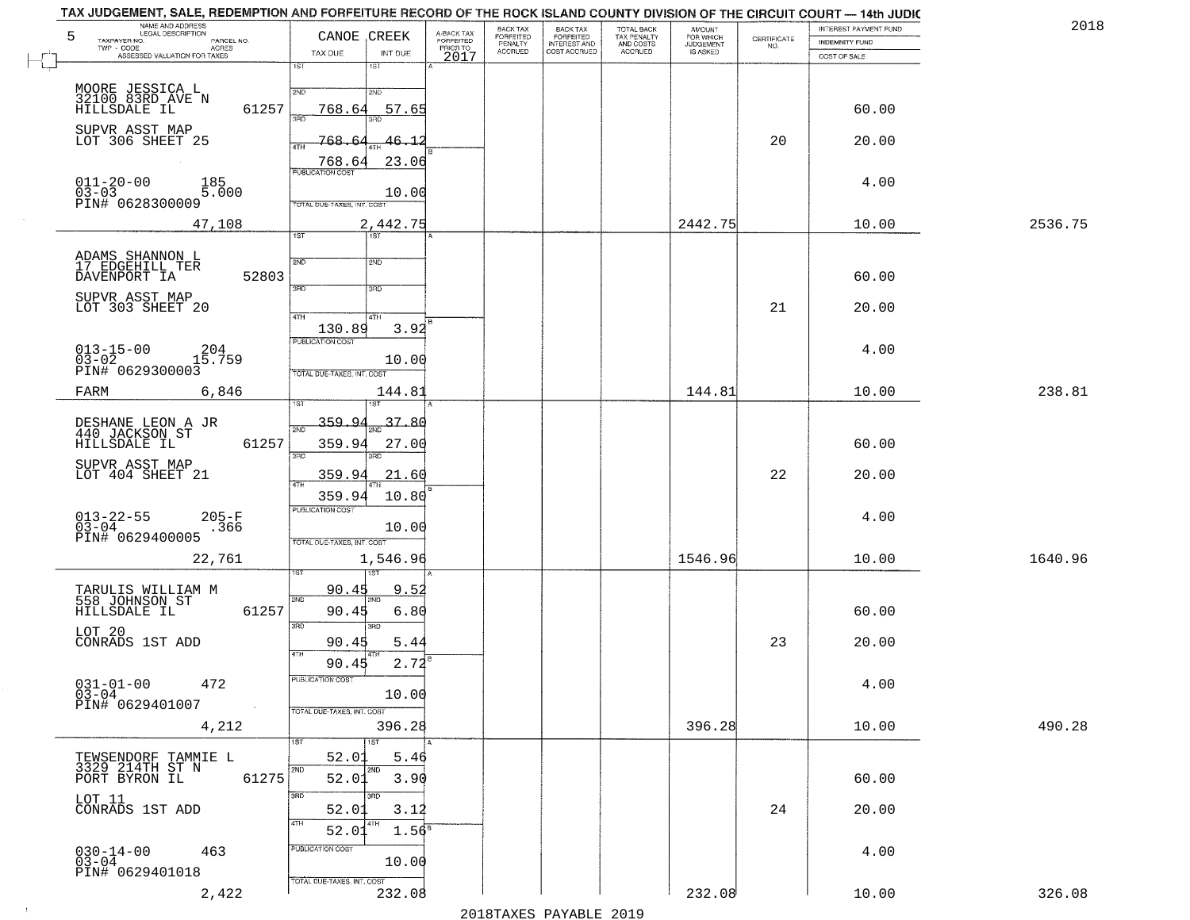| TAX JUDGEMENT, SALE, REDEMPTION AND FORFEITURE RECORD OF THE ROCK ISLAND COUNTY DIVISION OF THE CIRCUIT COURT — 14th JUDIC<br>NAME AND ADDRESS<br>LEGAL DESCRIPTION<br>5<br>TAXPAYER NO.<br>PARCEL NO.<br>TWP - CODE AGRES<br>ASSESSED VALUATION FOR TAXES | CANOE CREEK<br>TAX DUE<br>INT DUE                                                 | BACK TAX<br>A-BACK TAX<br>FORFEITED<br><b>FORFEITED</b><br>PENALTY<br>ACCRUED<br>PRIOR TO | BACK TAX<br>FORFEITED<br>INTEREST AND<br>COST ACCRUED | TOTAL BACK<br>TAX PENALTY<br>AND COSTS<br>ACCRUED | <b>AMOUNT</b><br>FOR WHICH<br>JUDGEMENT<br>IS ASKED | CERTIFICATE<br>NO. | INTEREST PAYMENT FUND<br>INDEMNITY FUND | 2018    |
|------------------------------------------------------------------------------------------------------------------------------------------------------------------------------------------------------------------------------------------------------------|-----------------------------------------------------------------------------------|-------------------------------------------------------------------------------------------|-------------------------------------------------------|---------------------------------------------------|-----------------------------------------------------|--------------------|-----------------------------------------|---------|
|                                                                                                                                                                                                                                                            | 1ST<br>1ST                                                                        | 2017                                                                                      |                                                       |                                                   |                                                     |                    | COST OF SALE                            |         |
| MOORE JESSICA L<br>32100 83RD AVE N<br>HILLSDALE IL<br>61257                                                                                                                                                                                               | 2ND<br>2ND<br>768.64<br>57.65<br>3AD                                              |                                                                                           |                                                       |                                                   |                                                     |                    | 60.00                                   |         |
| SUPVR ASST MAP<br>LOT 306 SHEET 25                                                                                                                                                                                                                         | 768<br>46.1<br>4TH<br>768.64<br>23.06                                             |                                                                                           |                                                       |                                                   |                                                     | 20                 | 20.00                                   |         |
| $011 - 20 - 00$<br>185<br>5.000<br>$03 - 03$<br>PIN# 0628300009                                                                                                                                                                                            | <b>PUBLICATION COST</b><br>10.00<br>TOTAL DUE-TAXES, INT. COST                    |                                                                                           |                                                       |                                                   |                                                     |                    | 4.00                                    |         |
| 47,108                                                                                                                                                                                                                                                     | 2,442.75<br>$\overline{1ST}$<br><b>TST</b>                                        |                                                                                           |                                                       |                                                   | 2442.75                                             |                    | 10.00                                   | 2536.75 |
| ADAMS SHANNON L<br>17 EDGEHILL TER<br>52803<br>DAVENPORT IA                                                                                                                                                                                                | 2ND<br>2ND<br>3RD<br>3HD                                                          |                                                                                           |                                                       |                                                   |                                                     |                    | 60.00                                   |         |
| SUPVR ASST MAP<br>LOT 303 SHEET 20                                                                                                                                                                                                                         | 47H<br>4TH                                                                        |                                                                                           |                                                       |                                                   |                                                     | 21                 | 20.00                                   |         |
| 204<br>$013 - 15 - 00$<br>$03 - 02$<br>15.759<br>PIN# 0629300003                                                                                                                                                                                           | 3.92<br>130.89<br>PUBLICATION COST<br>10.00<br>TOTAL DUE-TAXES, INT. COST         |                                                                                           |                                                       |                                                   |                                                     |                    | 4.00                                    |         |
| FARM<br>6,846                                                                                                                                                                                                                                              | 144.81                                                                            |                                                                                           |                                                       |                                                   | 144.81                                              |                    | 10.00                                   | 238.81  |
| DESHANE LEON A JR<br>440 JACKSON ST<br>61257<br>HILLSDALE IL                                                                                                                                                                                               | 359.94<br>37.80<br>359.94<br>27.00<br>3RD                                         |                                                                                           |                                                       |                                                   |                                                     |                    | 60.00                                   |         |
| SUPVR ASST MAP<br>LOT 404 SHEET 21                                                                                                                                                                                                                         | 359.94<br>21.60<br>4TH                                                            |                                                                                           |                                                       |                                                   |                                                     | 22                 | 20.00                                   |         |
| $013 - 22 - 55$<br>03-04<br>$205 - F$<br>.366<br>PIN# 0629400005                                                                                                                                                                                           | 10.80<br>359.94<br><b>PUBLICATION COST</b><br>10.00<br>TOTAL OUE-TAXES, INT. COST |                                                                                           |                                                       |                                                   |                                                     |                    | 4.00                                    |         |
| 22,761                                                                                                                                                                                                                                                     | 1,546.96                                                                          |                                                                                           |                                                       |                                                   | 1546.96                                             |                    | 10.00                                   | 1640.96 |
| TARULIS WILLIAM M<br>558 JOHNSON ST<br>61257<br>HILLSDALE IL                                                                                                                                                                                               | 90.45<br>9.5<br>2ND<br>90.45<br>6.80<br>3BD<br>3RD                                |                                                                                           |                                                       |                                                   |                                                     |                    | 60.00                                   |         |
| LOT 20<br>CONRADS 1ST ADD                                                                                                                                                                                                                                  | 90.45<br>5.44<br>4TH<br>2.72<br>90.45                                             |                                                                                           |                                                       |                                                   |                                                     | 23                 | 20.00                                   |         |
| $031 - 01 - 00$ 472<br>$03 - 04$<br>PIN# 0629401007<br>$\sim 10^{-1}$                                                                                                                                                                                      | PUBLICATION COST<br>10.00<br>TOTAL DUE-TAXES, INT. COST                           |                                                                                           |                                                       |                                                   |                                                     |                    | 4.00                                    |         |
| 4,212                                                                                                                                                                                                                                                      | 396.28                                                                            |                                                                                           |                                                       |                                                   | 396.28                                              |                    | 10.00                                   | 490.28  |
| TEWSENDORF TAMMIE L<br>3329 214TH ST N<br>61275<br>PORT BYRON IL                                                                                                                                                                                           | 1ST<br>52.01<br>5.46<br>2ND<br>2ND<br>3.90<br>52.01                               |                                                                                           |                                                       |                                                   |                                                     |                    | 60.00                                   |         |
| LOT 11<br>CONRADS 1ST ADD                                                                                                                                                                                                                                  | 3BD<br>3RD<br>52.01<br>3.12<br>4TH                                                |                                                                                           |                                                       |                                                   |                                                     | 24                 | 20.00                                   |         |
| $030 - 14 - 00$<br>463<br>$03 - 04$<br>PIN# 0629401018                                                                                                                                                                                                     | $1.56^8$<br>52.01<br>PUBLICATION COST<br>10.00<br>TOTAL DUE-TAXES, INT. COST      |                                                                                           |                                                       |                                                   |                                                     |                    | 4.00                                    |         |
| 2,422                                                                                                                                                                                                                                                      | 232.08                                                                            |                                                                                           |                                                       |                                                   | 232.08                                              |                    | 10.00                                   | 326.08  |

 $\sim 100$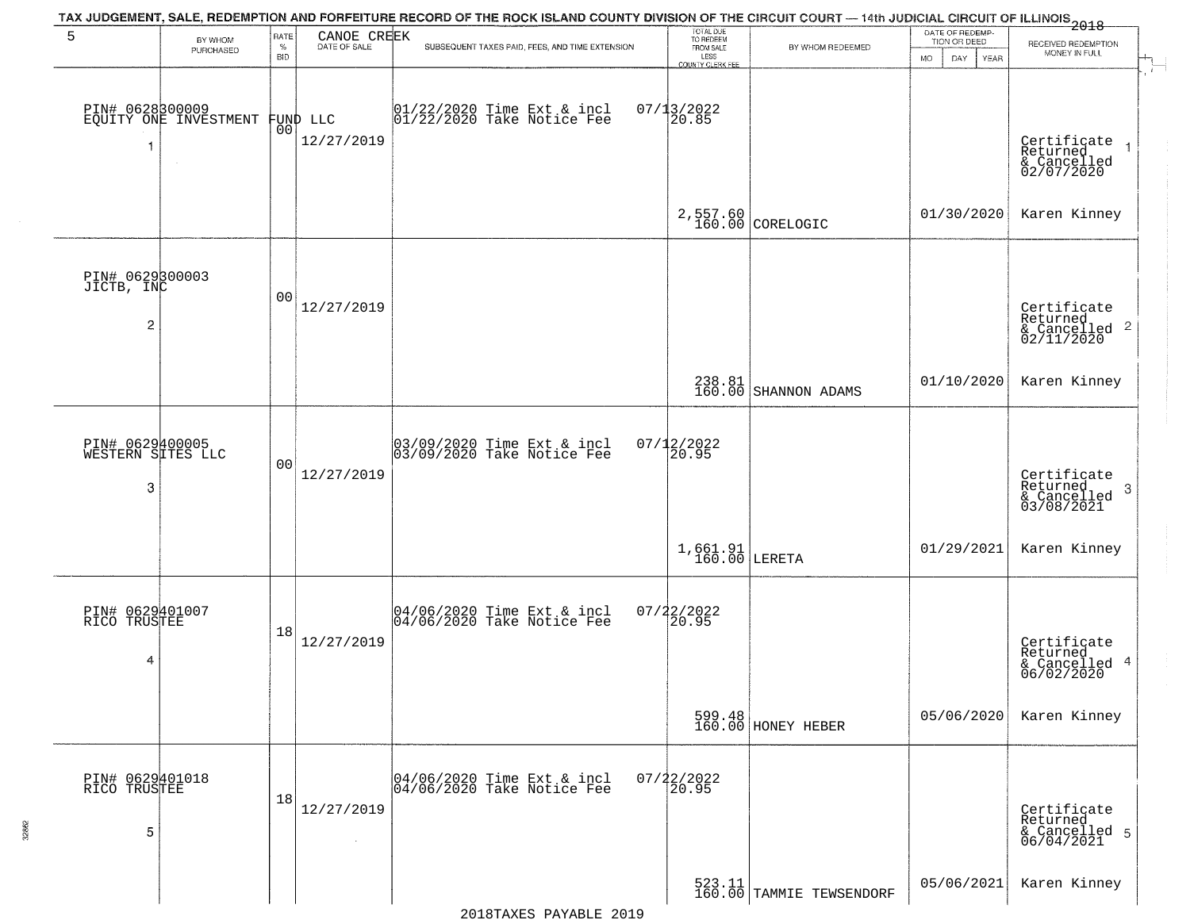| 5                                               | BY WHOM                                  | RATE               | CANOE CREEK<br>DATE OF SALE | TAX JUDGEMENT, SALE, REDEMPTION AND FORFEITURE RECORD OF THE ROCK ISLAND COUNTY DIVISION OF THE CIRCUIT COURT — 14th JUDICIAL CIRCUIT OF ILLINOIS 2018 | TOTAL DUE<br>TO REDEEM                |                                    | DATE OF REDEMP-<br>TION OR DEED | RECEIVED REDEMPTION                                                    |
|-------------------------------------------------|------------------------------------------|--------------------|-----------------------------|--------------------------------------------------------------------------------------------------------------------------------------------------------|---------------------------------------|------------------------------------|---------------------------------|------------------------------------------------------------------------|
|                                                 | PURCHASED                                | $\%$<br><b>BID</b> |                             | SUBSEQUENT TAXES PAID, FEES, AND TIME EXTENSION                                                                                                        | FROM SALE<br>LESS<br>COUNTY CLERK FEE | BY WHOM REDEEMED                   | <b>MO</b><br>DAY<br>YEAR        | MONEY IN FULL                                                          |
| 1                                               | PIN# 0628300009<br>EQUITY ONE INVESTMENT | 00                 | FUND LLC<br>12/27/2019      | 01/22/2020 Time Ext & incl<br>01/22/2020 Take Notice Fee                                                                                               | $07/13/2022$<br>20.85                 |                                    |                                 | Certificate<br>Returned<br>& Cancelled<br>02/07/2020                   |
|                                                 |                                          |                    |                             |                                                                                                                                                        |                                       | $2,557.60$ CORELOGIC               | 01/30/2020                      | Karen Kinney                                                           |
| PIN# 0629300003<br>JICTB, INC<br>$\overline{2}$ |                                          | 0 <sub>0</sub>     | 12/27/2019                  |                                                                                                                                                        |                                       |                                    |                                 | Certificate<br>Returned<br>$\overline{c}$<br>& Cancelled<br>02/11/2020 |
|                                                 |                                          |                    |                             |                                                                                                                                                        |                                       | 238.81<br>160.00 SHANNON ADAMS     | 01/10/2020                      | Karen Kinney                                                           |
| PIN# 0629400005<br>WESTERN SITES LLC<br>3       |                                          | 0 <sub>0</sub>     | 12/27/2019                  | 03/09/2020 Time Ext & incl<br>03/09/2020 Take Notice Fee                                                                                               | $07/12/2022$<br>20.95                 |                                    |                                 | Certificate<br>Returned<br>3<br>& Cancelled<br>03/08/2021              |
|                                                 |                                          |                    |                             |                                                                                                                                                        | $1,661.91$<br>160.00 LERETA           |                                    | 01/29/2021                      | Karen Kinney                                                           |
| PIN# 0629401007<br>RICO TRUSTEE<br>4            |                                          | 18                 | 12/27/2019                  | 04/06/2020 Time Ext & incl<br>04/06/2020 Take Notice Fee                                                                                               | $07/22/2022$<br>20.95                 |                                    |                                 | Certificate<br>Returned<br>& Cancelled 4<br>06/02/2020                 |
|                                                 |                                          |                    |                             |                                                                                                                                                        |                                       | 599.48<br>160.00 HONEY HEBER       | 05/06/2020                      | Karen Kinney                                                           |
| PIN# 0629401018<br>RICO TRUSTEE<br>5            |                                          | 18                 | 12/27/2019                  | 04/06/2020 Time Ext & incl<br>04/06/2020 Take Notice Fee                                                                                               | $07/22/2022$<br>20.95                 |                                    |                                 | Certificate<br>Returned<br>& Cancelled 5<br>06/04/2021                 |
|                                                 |                                          |                    |                             |                                                                                                                                                        |                                       | 523.11<br>160.00 TAMMIE TEWSENDORF | 05/06/2021                      | Karen Kinney                                                           |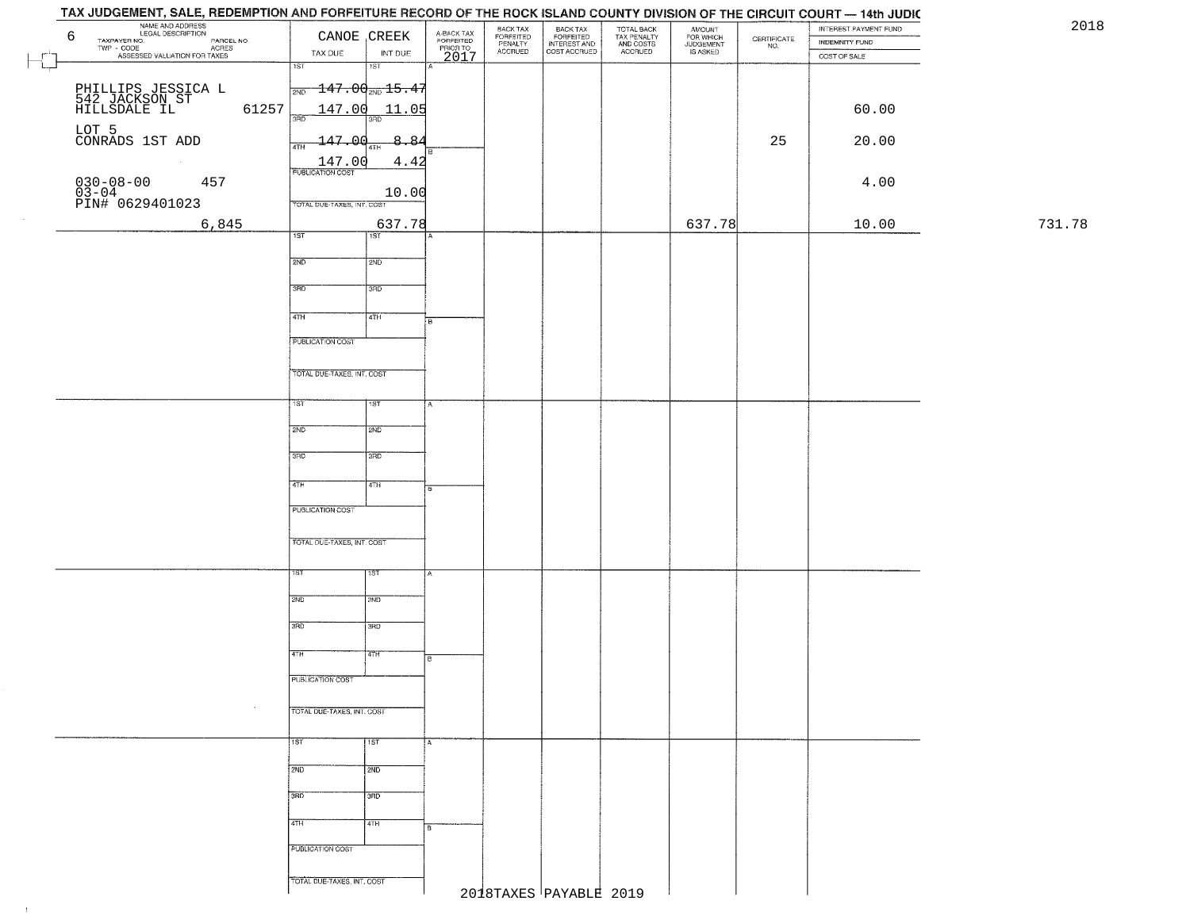|              | NAME AND ADDRESS<br>LEGAL DESCRIPTION<br>TAXPAYER NO.<br>6                                   |                                   | CANOE , CREEK     |                                             | BACK TAX                        | BACK TAX<br>FORFEITED<br>INTEREST AND<br>COST ACCRUED | TOTAL BACK<br>TAX PENALTY<br>AND COSTS<br>ACCRUED | AMOUNT<br>FOR WHICH<br>JUDGEMENT<br>IS ASKED |                    | INTEREST PAYMENT FUND          | 20     |
|--------------|----------------------------------------------------------------------------------------------|-----------------------------------|-------------------|---------------------------------------------|---------------------------------|-------------------------------------------------------|---------------------------------------------------|----------------------------------------------|--------------------|--------------------------------|--------|
|              | LEGAL DESCRIPTION PARCEL NO.<br>- CODE ACRES<br>- ASSESSED VALUATION FOR TAXES<br>TWP - CODE | TAX DUE                           | INT DUE           | A-BACK TAX<br>FORFEITED<br>PRIOR TO<br>2017 | FORFEITED<br>PENALTY<br>ACCRUED |                                                       |                                                   |                                              | CERTIFICATE<br>NO. | INDEMNITY FUND<br>COST OF SALE |        |
| $\mathbf{L}$ |                                                                                              | 1ST                               | $\overline{181}$  |                                             |                                 |                                                       |                                                   |                                              |                    |                                |        |
|              |                                                                                              | $\frac{147.00}{200}$ 15.47        |                   |                                             |                                 |                                                       |                                                   |                                              |                    |                                |        |
|              | PHILLIPS JESSICA L<br>542 JACKSON ST<br>HILLSDALE IL<br>61257                                |                                   | 147.00 11.05      |                                             |                                 |                                                       |                                                   |                                              |                    | 60.00                          |        |
|              |                                                                                              | 38D                               | 3RD               |                                             |                                 |                                                       |                                                   |                                              |                    |                                |        |
|              | LOT 5<br>CONRADS 1ST ADD                                                                     | 147.00<br>4TH                     | 8.84              |                                             |                                 |                                                       |                                                   |                                              | 25                 | 20.00                          |        |
|              | $\sim 10^{-1}$                                                                               | 147.00<br><b>PUBLICATION COST</b> | 4.42              |                                             |                                 |                                                       |                                                   |                                              |                    |                                |        |
|              | 457                                                                                          |                                   |                   |                                             |                                 |                                                       |                                                   |                                              |                    | 4.00                           |        |
|              | $030-08-00$<br>03-04<br>PIN# 0629401023                                                      | TOTAL DUE-TAXES, INT. COST        | 10.00             |                                             |                                 |                                                       |                                                   |                                              |                    |                                |        |
|              | 6,845                                                                                        |                                   | 637.78            |                                             |                                 |                                                       |                                                   | 637.78                                       |                    | 10.00                          | 731.78 |
|              |                                                                                              | 1ST                               | 1ST               |                                             |                                 |                                                       |                                                   |                                              |                    |                                |        |
|              |                                                                                              | 2ND                               | 2ND               |                                             |                                 |                                                       |                                                   |                                              |                    |                                |        |
|              |                                                                                              | 3RD                               | 3RD               |                                             |                                 |                                                       |                                                   |                                              |                    |                                |        |
|              |                                                                                              |                                   |                   |                                             |                                 |                                                       |                                                   |                                              |                    |                                |        |
|              |                                                                                              | 47H                               | 4TH               | 'n.                                         |                                 |                                                       |                                                   |                                              |                    |                                |        |
|              |                                                                                              | <b>PUBLICATION COST</b>           |                   |                                             |                                 |                                                       |                                                   |                                              |                    |                                |        |
|              |                                                                                              |                                   |                   |                                             |                                 |                                                       |                                                   |                                              |                    |                                |        |
|              |                                                                                              | TOTAL DUE-TAXES, INT. COST        |                   |                                             |                                 |                                                       |                                                   |                                              |                    |                                |        |
|              |                                                                                              | 1ST                               | 18T               |                                             |                                 |                                                       |                                                   |                                              |                    |                                |        |
|              |                                                                                              | 2ND                               | 2ND               |                                             |                                 |                                                       |                                                   |                                              |                    |                                |        |
|              |                                                                                              |                                   |                   |                                             |                                 |                                                       |                                                   |                                              |                    |                                |        |
|              |                                                                                              | 3 <sub>BD</sub>                   | 3 <sub>3</sub> RD |                                             |                                 |                                                       |                                                   |                                              |                    |                                |        |
|              |                                                                                              | 4TH                               | 4TH               |                                             |                                 |                                                       |                                                   |                                              |                    |                                |        |
|              |                                                                                              | PUBLICATION COST                  |                   |                                             |                                 |                                                       |                                                   |                                              |                    |                                |        |
|              |                                                                                              |                                   |                   |                                             |                                 |                                                       |                                                   |                                              |                    |                                |        |
|              |                                                                                              | TOTAL OUE-TAXES, INT. COST        |                   |                                             |                                 |                                                       |                                                   |                                              |                    |                                |        |
|              |                                                                                              |                                   |                   |                                             |                                 |                                                       |                                                   |                                              |                    |                                |        |
|              |                                                                                              | 1ST                               | ाइक               |                                             |                                 |                                                       |                                                   |                                              |                    |                                |        |
|              |                                                                                              | 2ND                               | 2ND               |                                             |                                 |                                                       |                                                   |                                              |                    |                                |        |
|              |                                                                                              | 3RD                               | 3BD               |                                             |                                 |                                                       |                                                   |                                              |                    |                                |        |
|              |                                                                                              |                                   |                   |                                             |                                 |                                                       |                                                   |                                              |                    |                                |        |
|              |                                                                                              | 4TH                               | विज्ञाना          | l B                                         |                                 |                                                       |                                                   |                                              |                    |                                |        |
|              |                                                                                              | PUBLICATION COST                  |                   |                                             |                                 |                                                       |                                                   |                                              |                    |                                |        |
|              |                                                                                              | TOTAL DUE-TAXES, INT. COST        |                   |                                             |                                 |                                                       |                                                   |                                              |                    |                                |        |
|              |                                                                                              |                                   |                   |                                             |                                 |                                                       |                                                   |                                              |                    |                                |        |
|              |                                                                                              | 1ST                               | <b>TST</b>        |                                             |                                 |                                                       |                                                   |                                              |                    |                                |        |
|              |                                                                                              | 2ND                               | 2ND               |                                             |                                 |                                                       |                                                   |                                              |                    |                                |        |
|              |                                                                                              |                                   |                   |                                             |                                 |                                                       |                                                   |                                              |                    |                                |        |
|              |                                                                                              | 3BD                               | 3RD               |                                             |                                 |                                                       |                                                   |                                              |                    |                                |        |
|              |                                                                                              | 4TH                               | 4TH               |                                             |                                 |                                                       |                                                   |                                              |                    |                                |        |
|              |                                                                                              | PUBLICATION COST                  |                   |                                             |                                 |                                                       |                                                   |                                              |                    |                                |        |
|              |                                                                                              |                                   |                   |                                             |                                 |                                                       |                                                   |                                              |                    |                                |        |
|              |                                                                                              | TOTAL DUE-TAXES, INT. COST        |                   |                                             |                                 |                                                       |                                                   |                                              |                    |                                |        |
|              |                                                                                              |                                   |                   |                                             |                                 | 2018TAXES PAYABLE 2019                                |                                                   |                                              |                    |                                |        |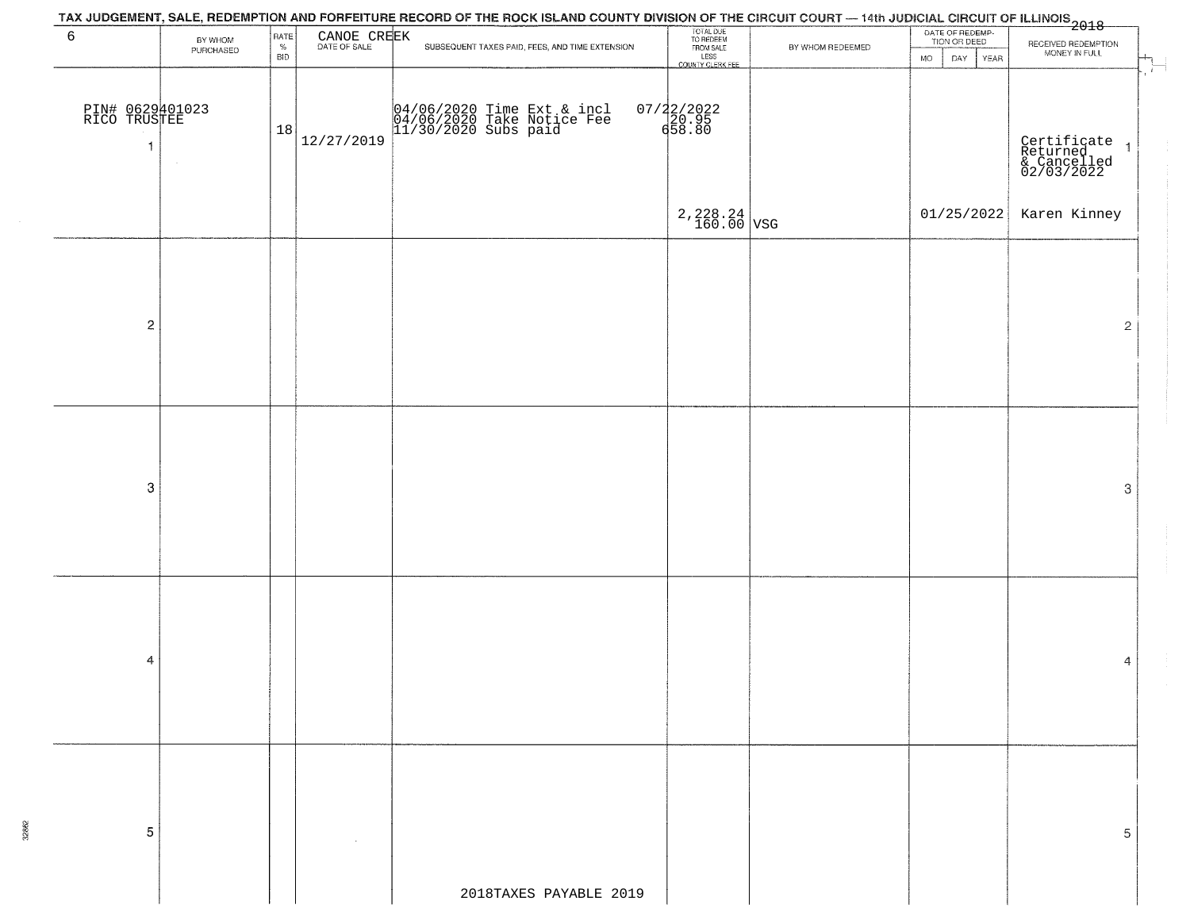| 6                                    | BY WHOM<br>PURCHASED | RATE<br>%<br><b>BID</b> | CANOE CREEK<br>DATE OF SALE | SUBSEQUENT TAXES PAID, FEES, AND TIME EXTENSION                                  | TOTAL DUE<br>TO REDEEM<br>FROM SALE<br>LESS<br>COUNTY CLERK FEE | BY WHOM REDEEMED | DATE OF REDEMP-<br>TION OR DEED<br>DAY<br>YEAR<br><b>MO</b> | RECEIVED REDEMPTION<br>MONEY IN FULL                                   |
|--------------------------------------|----------------------|-------------------------|-----------------------------|----------------------------------------------------------------------------------|-----------------------------------------------------------------|------------------|-------------------------------------------------------------|------------------------------------------------------------------------|
| PIN# 0629401023<br>RICO TRUSTEE<br>1 | $\sim$               | 18                      | 12/27/2019                  | 04/06/2020 Time Ext & incl<br>04/06/2020 Take Notice Fee<br>11/30/2020 Subs paid | 07/22/2022<br>20.95<br>658.80                                   |                  |                                                             | $\sim 10^{-1}$<br>Certificate<br>Returned<br>& Cancelled<br>02/03/2022 |
|                                      |                      |                         |                             |                                                                                  | $2,228.24$ VSG                                                  |                  | 01/25/2022                                                  | Karen Kinney                                                           |
| $\mathbf 2$                          |                      |                         |                             |                                                                                  |                                                                 |                  |                                                             | $\overline{2}$                                                         |
|                                      |                      |                         |                             |                                                                                  |                                                                 |                  |                                                             |                                                                        |
| $\boldsymbol{3}$                     |                      |                         |                             |                                                                                  |                                                                 |                  |                                                             | 3                                                                      |
|                                      |                      |                         |                             |                                                                                  |                                                                 |                  |                                                             |                                                                        |
| 4                                    |                      |                         |                             |                                                                                  |                                                                 |                  |                                                             | 4                                                                      |
|                                      |                      |                         |                             |                                                                                  |                                                                 |                  |                                                             |                                                                        |
| 5                                    |                      |                         |                             |                                                                                  |                                                                 |                  |                                                             | 5                                                                      |
|                                      |                      |                         |                             | 2018TAXES PAYABLE 2019                                                           |                                                                 |                  |                                                             |                                                                        |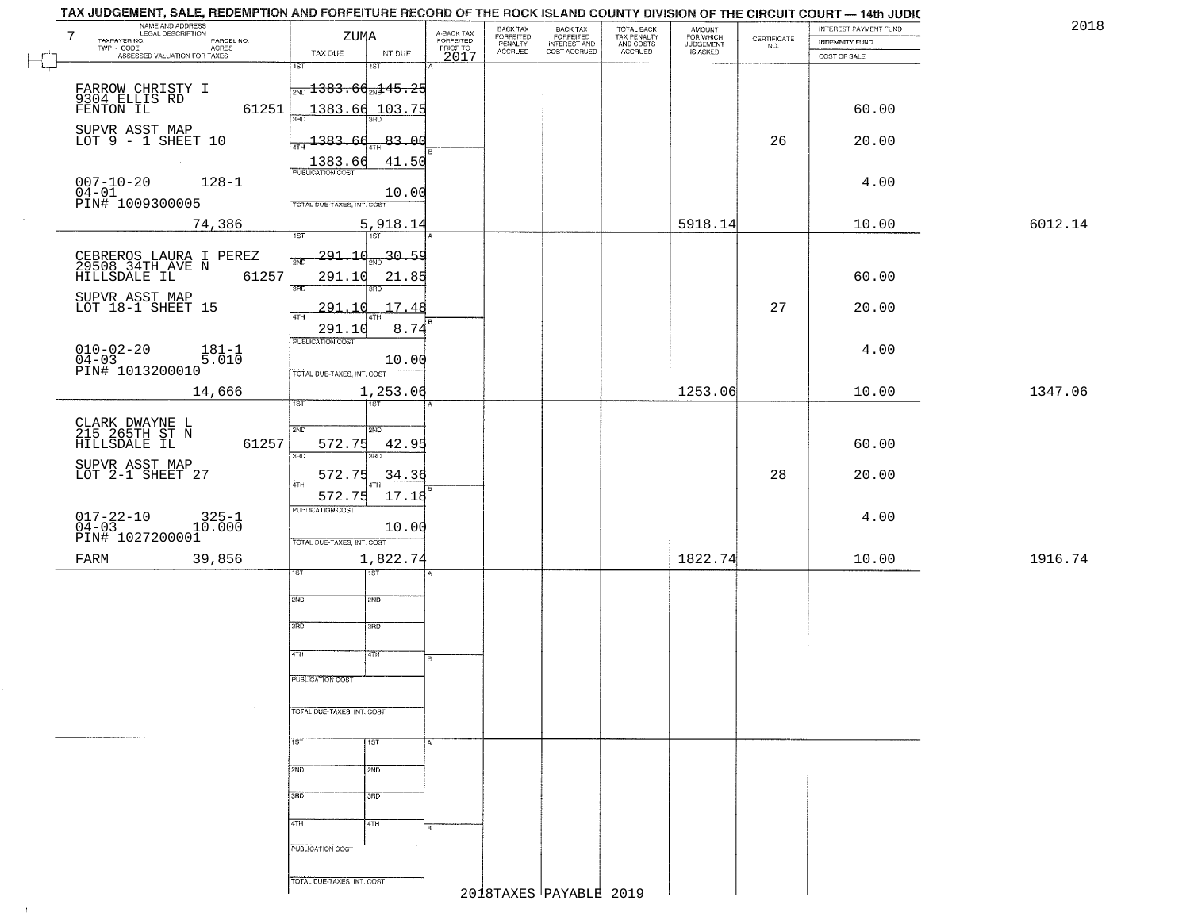|         | <b>INDEMNITY FUND</b> | CERTIFICATE<br>NO. | AMOUNT<br>FOR WHICH | TOTAL BACK<br>TAX PENALTY<br>AND COSTS |                                                       | BACK TAX<br>FORFEITED<br>PENALTY |                                             |                       | ZUMA                                         | NAME AND ADDRESS<br>LEGAL DESCRIPTION                               |
|---------|-----------------------|--------------------|---------------------|----------------------------------------|-------------------------------------------------------|----------------------------------|---------------------------------------------|-----------------------|----------------------------------------------|---------------------------------------------------------------------|
|         | COST OF SALE          |                    | <b>JUDGEMENT</b>    | ACCRUED                                | BACK TAX<br>FORFEITED<br>INTEREST AND<br>COST ACCRUED | <b>ACCRUED</b>                   | A-BACK TAX<br>FORFEITED<br>PRIOR TO<br>2017 | INT DUE               | TAX DUE                                      | TAXPAYER NO.<br>PARCEL NO.<br>ACRES<br>ASSESSED VALUATION FOR TAXES |
|         |                       |                    |                     |                                        |                                                       |                                  |                                             | $\overline{181}$      | $\overline{1ST}$                             |                                                                     |
|         |                       |                    |                     |                                        |                                                       |                                  |                                             |                       | $\frac{1}{2ND}$ 1383.6 $\frac{d}{2ND}$ 45.25 | FARROW CHRISTY I<br>9304 ELLIS RD<br>FENTON IL                      |
|         | 60.00                 |                    |                     |                                        |                                                       |                                  |                                             | <u>1383.66 103.75</u> | 3RD                                          | 61251                                                               |
|         | 20.00                 | 26                 |                     |                                        |                                                       |                                  |                                             | $-83.00$              | $\frac{1383.60}{471}$                        | SUPVR ASST MAP<br>LOT $9 - 1$ SHEET 10                              |
|         |                       |                    |                     |                                        |                                                       |                                  |                                             | 41.50                 |                                              |                                                                     |
|         | 4.00                  |                    |                     |                                        |                                                       |                                  |                                             |                       | 1383.66                                      | $007 - 10 - 20$<br>$128 - 1$                                        |
|         |                       |                    |                     |                                        |                                                       |                                  |                                             | 10.00                 | TOTAL DUE-TAXES, INT. COST                   | 04-01<br>PIN# 1009300005                                            |
| 6012.14 | 10.00                 |                    | 5918.14             |                                        |                                                       |                                  |                                             | 5,918.14              |                                              |                                                                     |
|         |                       |                    |                     |                                        |                                                       |                                  |                                             | TST <sup>1</sup>      | 1ST                                          | 74,386                                                              |
|         |                       |                    |                     |                                        |                                                       |                                  |                                             | 20.59                 | 291.10<br>2ND                                | CEBREROS LAURA I PEREZ<br>29508 34TH AVE N                          |
|         | 60.00                 |                    |                     |                                        |                                                       |                                  |                                             | 21.85                 | 291.10                                       | 61257<br>HILLSDALE IL                                               |
|         |                       |                    |                     |                                        |                                                       |                                  |                                             | 3RD                   | $\overline{3BD}$                             | SUPVR ASST MAP                                                      |
|         | 20.00                 | 27                 |                     |                                        |                                                       |                                  |                                             | 291.10 17.48          | 47H                                          | LOT 18-1 SHEET 15                                                   |
|         |                       |                    |                     |                                        |                                                       |                                  |                                             | 8.74                  | 291.10<br>PUBLICATION COST                   |                                                                     |
|         | 4.00                  |                    |                     |                                        |                                                       |                                  |                                             | 10.00                 |                                              | $010 - 02 - 20$<br>$04 - 03$<br>$181 - 1$<br>5.010                  |
|         |                       |                    |                     |                                        |                                                       |                                  |                                             |                       | TOTAL DUE-TAXES, INT. COST                   | PIN# 1013200010                                                     |
| 1347.06 | 10.00                 |                    | 1253.06             |                                        |                                                       |                                  |                                             | 1,253.06<br>1ST       | is T                                         | 14,666                                                              |
|         |                       |                    |                     |                                        |                                                       |                                  |                                             |                       |                                              |                                                                     |
|         | 60.00                 |                    |                     |                                        |                                                       |                                  |                                             | SND<br>42.95          | 2ND<br>572.75                                | CLARK DWAYNE L<br>215 265TH ST N<br>61257<br>HILLSDALE IL           |
|         |                       |                    |                     |                                        |                                                       |                                  |                                             | 3RD                   | 3RD                                          | SUPVR ASST MAP                                                      |
|         | 20.00                 | 28                 |                     |                                        |                                                       |                                  |                                             | 34.36                 | 572.75<br>4TH                                | LOT 2-1 SHEET 27                                                    |
|         |                       |                    |                     |                                        |                                                       |                                  |                                             | 17.18                 | 572.75<br><b>PUBLICATION COST</b>            |                                                                     |
|         | 4.00                  |                    |                     |                                        |                                                       |                                  |                                             | 10.00                 |                                              | $017 - 22 - 10$<br>04-03<br>$325 - 1$<br>10.000                     |
|         |                       |                    |                     |                                        |                                                       |                                  |                                             |                       | TOTAL OUE-TAXES, INT. COST                   | PIN# 1027200001                                                     |
| 1916.74 | 10.00                 |                    | 1822.74             |                                        |                                                       |                                  |                                             | 1,822.74              |                                              | 39,856                                                              |
|         |                       |                    |                     |                                        |                                                       |                                  |                                             | ख़                    | ST                                           |                                                                     |
|         |                       |                    |                     |                                        |                                                       |                                  |                                             | 2ND                   | 2ND                                          |                                                                     |
|         |                       |                    |                     |                                        |                                                       |                                  |                                             | 3BD                   | 3BD                                          |                                                                     |
|         |                       |                    |                     |                                        |                                                       |                                  |                                             |                       |                                              |                                                                     |
|         |                       |                    |                     |                                        |                                                       |                                  | в                                           | 4TH                   | 4TH                                          |                                                                     |
|         |                       |                    |                     |                                        |                                                       |                                  |                                             |                       | PUBLICATION COST                             |                                                                     |
|         |                       |                    |                     |                                        |                                                       |                                  |                                             |                       | TOTAL DUE-TAXES, INT. COST                   |                                                                     |
|         |                       |                    |                     |                                        |                                                       |                                  |                                             |                       |                                              |                                                                     |
|         |                       |                    |                     |                                        |                                                       |                                  |                                             | $\overline{1}$ 1st    | 1ST                                          |                                                                     |
|         |                       |                    |                     |                                        |                                                       |                                  |                                             | 2ND                   | 2ND                                          |                                                                     |
|         |                       |                    |                     |                                        |                                                       |                                  |                                             |                       |                                              |                                                                     |
|         |                       |                    |                     |                                        |                                                       |                                  |                                             | 3HD                   | 3RD                                          |                                                                     |
|         |                       |                    |                     |                                        |                                                       |                                  |                                             | 4TH                   | 4TH                                          |                                                                     |
|         |                       |                    |                     |                                        |                                                       |                                  |                                             |                       | PUBLICATION COST                             |                                                                     |
|         |                       |                    |                     |                                        |                                                       |                                  |                                             |                       |                                              |                                                                     |
|         |                       |                    |                     |                                        |                                                       |                                  |                                             |                       |                                              |                                                                     |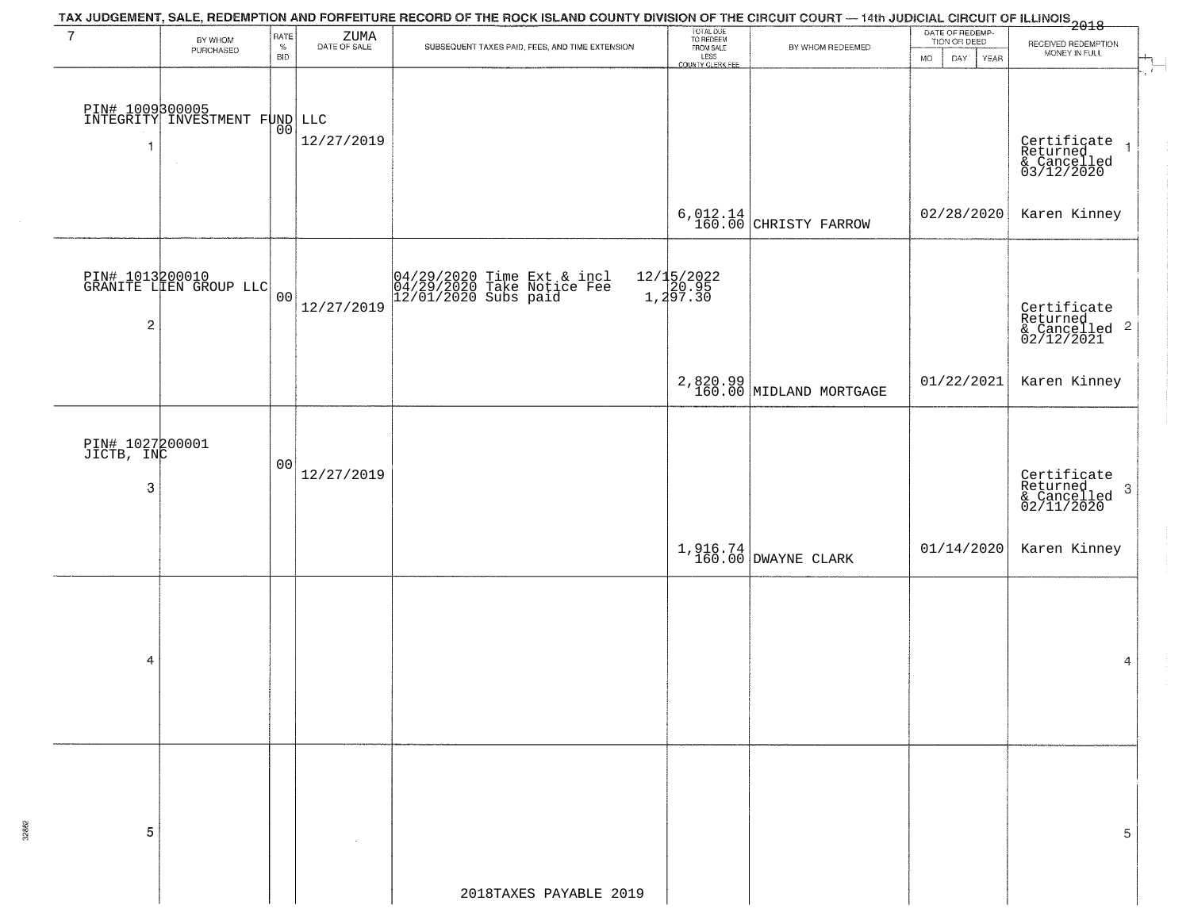| $7\phantom{.0}$      |                                                               |                                           |                                                                            |                                                                                  |                                                                                         |                                                                                                     |                                                                              |  |  |  |  |  |
|----------------------|---------------------------------------------------------------|-------------------------------------------|----------------------------------------------------------------------------|----------------------------------------------------------------------------------|-----------------------------------------------------------------------------------------|-----------------------------------------------------------------------------------------------------|------------------------------------------------------------------------------|--|--|--|--|--|
| BY WHOM<br>PURCHASED | $\%$<br><b>BID</b>                                            | $\rm ZUMA$ DATE OF SALE                   | SUBSEQUENT TAXES PAID, FEES, AND TIME EXTENSION                            | FROM SALE                                                                        | BY WHOM REDEEMED                                                                        | TION OR DEED<br><b>MO</b><br>DAY.<br>YEAR                                                           | RECEIVED REDEMPTION<br>MONEY IN FULL                                         |  |  |  |  |  |
| $\sim$               |                                                               | 12/27/2019                                |                                                                            |                                                                                  |                                                                                         |                                                                                                     | H<br>Certificate<br>Returned 1<br>& Cancelled<br>03/12/2020                  |  |  |  |  |  |
|                      |                                                               |                                           |                                                                            |                                                                                  |                                                                                         |                                                                                                     | Karen Kinney                                                                 |  |  |  |  |  |
|                      |                                                               | 12/27/2019                                |                                                                            |                                                                                  |                                                                                         |                                                                                                     | Certificate<br>Returned<br>& Cancelled <sup>2</sup><br>02/12/2021            |  |  |  |  |  |
|                      |                                                               |                                           |                                                                            |                                                                                  |                                                                                         | 01/22/2021                                                                                          | Karen Kinney                                                                 |  |  |  |  |  |
|                      | 0 <sub>0</sub>                                                | 12/27/2019                                |                                                                            |                                                                                  |                                                                                         |                                                                                                     | Certificate<br>Returned<br>& Cancelled<br>02/11/2020<br>$\boldsymbol{\beta}$ |  |  |  |  |  |
|                      |                                                               |                                           |                                                                            |                                                                                  |                                                                                         | 01/14/2020                                                                                          | Karen Kinney                                                                 |  |  |  |  |  |
|                      |                                                               |                                           |                                                                            |                                                                                  |                                                                                         |                                                                                                     | 4                                                                            |  |  |  |  |  |
|                      |                                                               |                                           |                                                                            |                                                                                  |                                                                                         |                                                                                                     | 5                                                                            |  |  |  |  |  |
|                      | $\overline{\mathbf{c}}$<br>PIN# 1027200001<br>JICTB, INC<br>3 | PIN# 1013200010<br>GRANITE LIEN GROUP LLC | RATE<br>PIN# 1009300005<br>INTEGRITY INVESTMENT FOND LLC<br>0 <sub>0</sub> | 04/29/2020 Time Ext & incl<br>04/29/2020 Take Notice Fee<br>12/01/2020 Subs paid | TOTAL DUE<br>TO REDEEM<br>LESS<br>COUNTY CLERK FEE<br>12/15/2022<br>1,20.95<br>1,297.30 | $6,012.14$ CHRISTY FARROW<br>2,820.99<br>160.00 MIDLAND MORTGAGE<br>1,916.74<br>160.00 DWAYNE CLARK | DATE OF REDEMP-<br>02/28/2020                                                |  |  |  |  |  |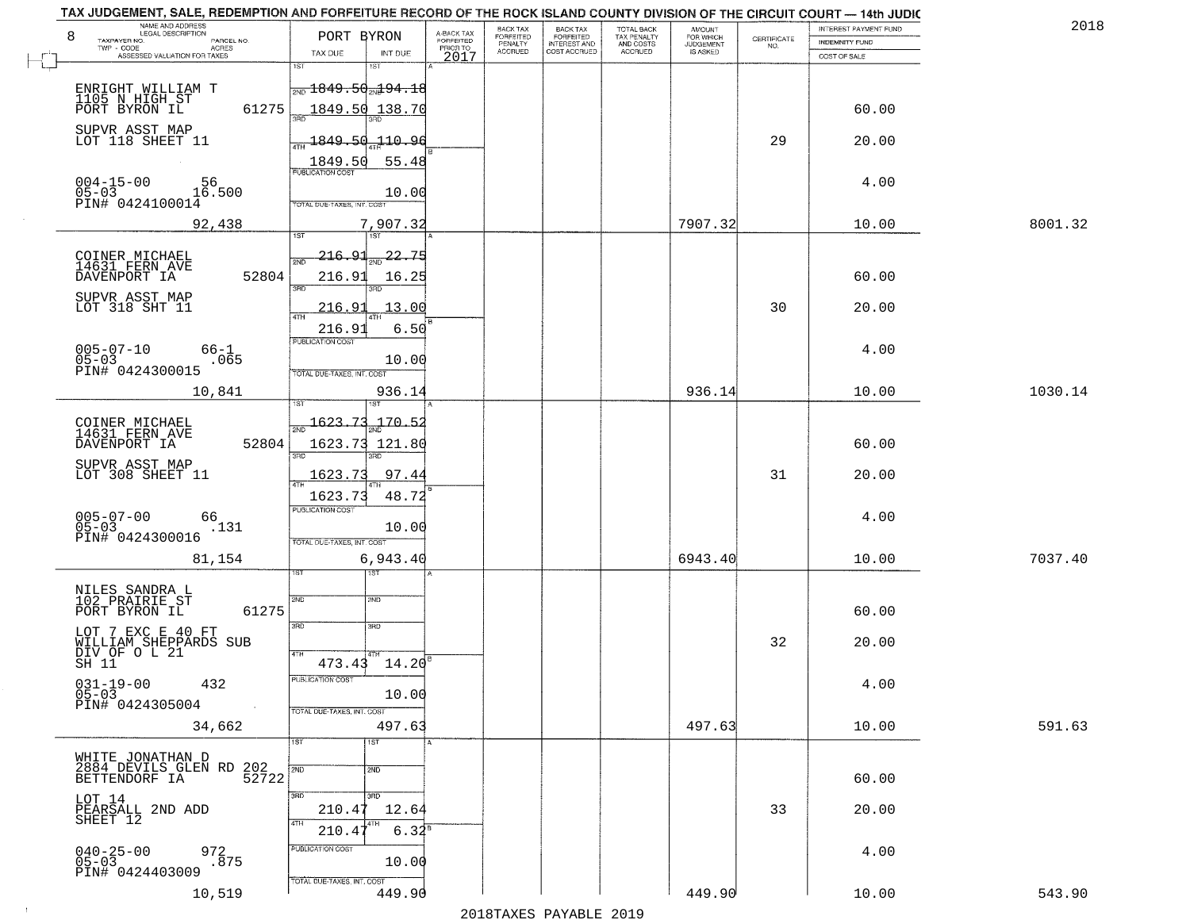| 8                                                 | NAME AND ADDRESS<br>LEGAL DESCRIPTION                              | PORT BYRON                                            | A-BACK TAX            | BACK TAX<br><b>FORFEITED</b> | <b>BACK TAX</b><br><b>FORFEITED</b> | TOTAL BACK                          | <b>AMOUNT</b><br>FOR WHICH |                                                                 | INTEREST PAYMENT FUND | 2018    |
|---------------------------------------------------|--------------------------------------------------------------------|-------------------------------------------------------|-----------------------|------------------------------|-------------------------------------|-------------------------------------|----------------------------|-----------------------------------------------------------------|-----------------------|---------|
| TAXPAYER NO.<br>TWP - CODE                        | PARCEL NO.<br><b>ACRES</b>                                         |                                                       | FORFEITED<br>PRIOR TO | PENALTY<br><b>ACCRUED</b>    | INTEREST AND<br>COST ACCRUED        | TAX PENALTY<br>AND COSTS<br>ACCRUED | JUDGEMENT                  | $\begin{array}{c} \text{CERTIFICATE} \\ \text{NO.} \end{array}$ | INDEMNITY FUND        |         |
|                                                   | ASSESSED VALUATION FOR TAXES                                       | TAX DUE<br>INT DUE<br>1ST<br>1ST                      | 2017                  |                              |                                     |                                     |                            |                                                                 | COST OF SALE          |         |
| ENRIGHT WILLIAM T                                 |                                                                    | <del> <sub>2ND</sub> 1849.50<sub>2N</sub>194.18</del> |                       |                              |                                     |                                     |                            |                                                                 |                       |         |
| 1105 N HIGH ST<br>PORT BYRON IL                   | 61275                                                              | 1849.50<br>138.70                                     |                       |                              |                                     |                                     |                            |                                                                 | 60.00                 |         |
| SUPVR ASST MAP<br>LOT 118 SHEET 11                |                                                                    | 1849.50<br><u> 110.96</u>                             |                       |                              |                                     |                                     |                            | 29                                                              | 20.00                 |         |
|                                                   |                                                                    | 55.48<br>1849.50                                      |                       |                              |                                     |                                     |                            |                                                                 |                       |         |
| $004 - 15 - 00$                                   | 56                                                                 | PUBLICATION COST                                      |                       |                              |                                     |                                     |                            |                                                                 | 4.00                  |         |
| $\check{\mathtt{PINH}}^{0.0424100014}$ 16.500     |                                                                    | 10.00<br>TOTAL DUE-TAXES, INT. COST                   |                       |                              |                                     |                                     |                            |                                                                 |                       |         |
|                                                   | 92,438                                                             | 7,907.32<br>1ST <sup>1</sup><br>1ST                   |                       |                              |                                     |                                     | 7907.32                    |                                                                 | 10.00                 | 8001.32 |
| COINER MICHAEL<br>14631 FERN AVE                  |                                                                    | 216.91<br>22<br>2ND                                   |                       |                              |                                     |                                     |                            |                                                                 |                       |         |
| DAVENPORT IA                                      | 52804                                                              | 216.93<br>16.25<br>उन्नठ                              |                       |                              |                                     |                                     |                            |                                                                 | 60.00                 |         |
| SUPVR ASST MAP<br>LOT 318 SHT 11                  |                                                                    | 216.91<br>13.00                                       |                       |                              |                                     |                                     |                            | 30                                                              | 20.00                 |         |
|                                                   |                                                                    | <b>ATH</b><br>216.91<br>6.50                          |                       |                              |                                     |                                     |                            |                                                                 |                       |         |
| $005 - 07 - 10$<br>$05 - 03$                      | 66-1<br>.065                                                       | PUBLICATION COST<br>10.00                             |                       |                              |                                     |                                     |                            |                                                                 | 4.00                  |         |
| PIN# 0424300015                                   |                                                                    | TOTAL DUE-TAXES, INT. COST                            |                       |                              |                                     |                                     |                            |                                                                 |                       |         |
|                                                   | 10,841                                                             | 936.14                                                |                       |                              |                                     |                                     | 936.14                     |                                                                 | 10.00                 | 1030.14 |
| COINER MICHAEL<br>14631 FERN AVE                  |                                                                    | $\frac{1623.73}{200}$<br>$-170 - 52$                  |                       |                              |                                     |                                     |                            |                                                                 |                       |         |
| DAVENPORT IA                                      | 52804                                                              | 1623.73 121.80<br>3BD<br>3RD                          |                       |                              |                                     |                                     |                            |                                                                 | 60.00                 |         |
| SUPVR ASST MAP<br>LOT 308 SHEET 11                |                                                                    | 1623.73<br>97.44                                      |                       |                              |                                     |                                     |                            | 31                                                              | 20.00                 |         |
|                                                   |                                                                    | 48.72<br>1623.73<br><b>PUBLICATION COST</b>           |                       |                              |                                     |                                     |                            |                                                                 |                       |         |
| $005 - 07 - 00$<br>05-03<br>PIN# 0424300016       | 66<br>.131                                                         | 10.00                                                 |                       |                              |                                     |                                     |                            |                                                                 | 4.00                  |         |
|                                                   | 81,154                                                             | TOTAL OUE-TAXES, INT. COST<br>6,943.40                |                       |                              |                                     |                                     | 6943.40                    |                                                                 | 10.00                 | 7037.40 |
|                                                   |                                                                    | ख़ा                                                   |                       |                              |                                     |                                     |                            |                                                                 |                       |         |
| NILES SANDRA L<br>102 PRAIRIE ST<br>PORT BYRON IL | 61275                                                              | SVD<br>SND                                            |                       |                              |                                     |                                     |                            |                                                                 | 60.00                 |         |
| LOT 7 EXC E 40 FT                                 |                                                                    | 3RD<br>3BD                                            |                       |                              |                                     |                                     |                            |                                                                 |                       |         |
| WILLIAM SHEPPARDS SUB<br>DIV OF O L 21<br>SH 11   |                                                                    | 4TH<br>$473.43 \quad 14.20^8$                         |                       |                              |                                     |                                     |                            | 32                                                              | 20.00                 |         |
|                                                   | 432                                                                | PUBLICATION COST                                      |                       |                              |                                     |                                     |                            |                                                                 | 4.00                  |         |
| $031 - 19 - 00$<br>05-03<br>PIN# 0424305004       |                                                                    | 10.00<br>TOTAL DUE-TAXES, INT. COST                   |                       |                              |                                     |                                     |                            |                                                                 |                       |         |
|                                                   | 34,662                                                             | 497.63                                                |                       |                              |                                     |                                     | 497.63                     |                                                                 | 10.00                 | 591.63  |
|                                                   |                                                                    | 1ST <sup>1</sup><br>1ST                               |                       |                              |                                     |                                     |                            |                                                                 |                       |         |
|                                                   | WHITE JONATHAN D<br>2884 DEVILS GLEN RD 202<br>CETTENDORE LA 52722 | 2ND<br>2ND                                            |                       |                              |                                     |                                     |                            |                                                                 | 60.00                 |         |
| LOT 14                                            |                                                                    | 3BD<br>उत्तर<br>210.47<br>12.64                       |                       |                              |                                     |                                     |                            | 33                                                              | 20.00                 |         |
| PEARSALL 2ND ADD<br>SHEET 12                      |                                                                    | 4TH<br>4TH<br>$6.34^{5}$<br>210.47                    |                       |                              |                                     |                                     |                            |                                                                 |                       |         |
| $040 - 25 - 00$<br>05-03                          | 972<br>.875                                                        | PUBLICATION COST<br>10.00                             |                       |                              |                                     |                                     |                            |                                                                 | 4.00                  |         |
| PIN# 0424403009                                   |                                                                    | TOTAL DUE-TAXES, INT. COST                            |                       |                              |                                     |                                     |                            |                                                                 |                       |         |
|                                                   | 10,519                                                             | 449.90                                                |                       |                              |                                     |                                     | 449.90                     |                                                                 | 10.00                 | 543.90  |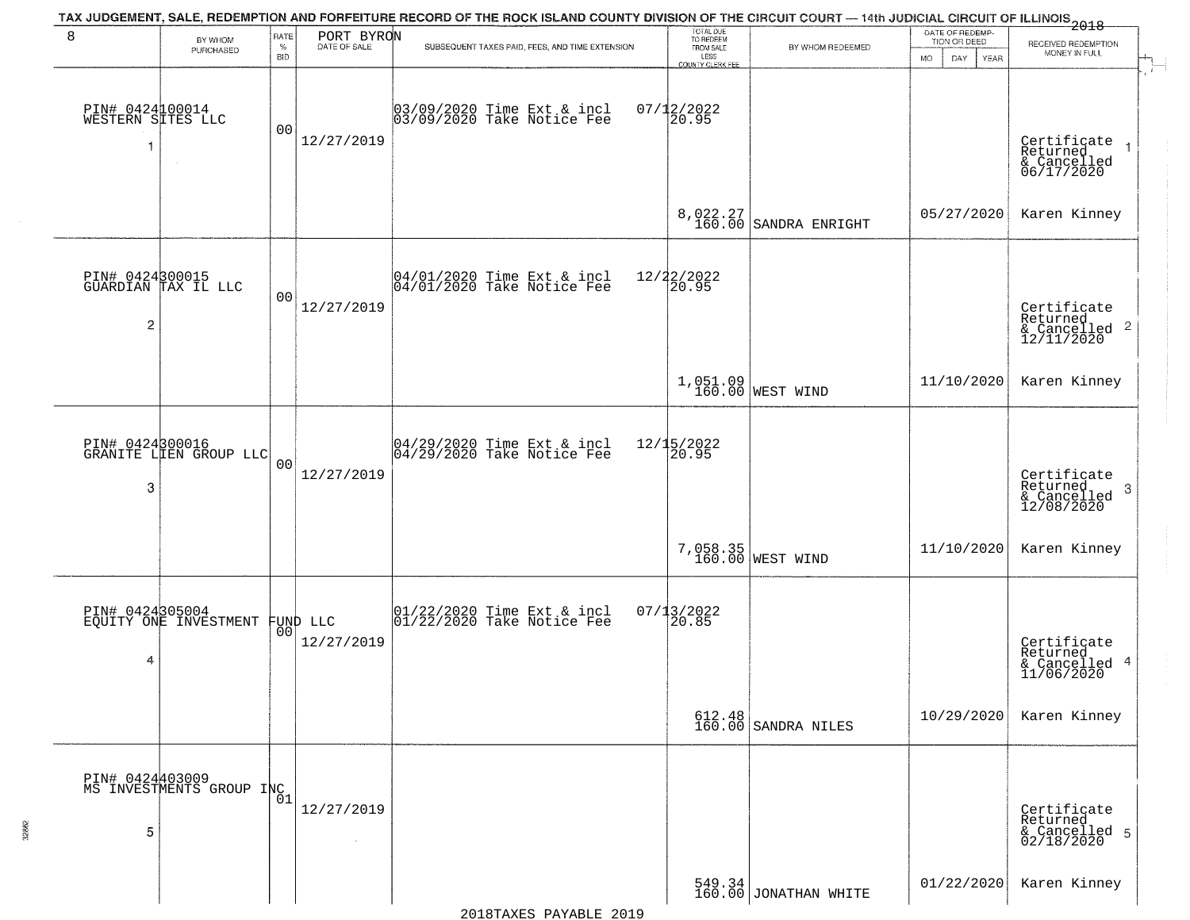|                                      |                                             |                            |                        | TAX JUDGEMENT, SALE, REDEMPTION AND FORFEITURE RECORD OF THE ROCK ISLAND COUNTY DIVISION OF THE CIRCUIT COURT — 14th JUDICIAL CIRCUIT OF ILLINOIS 2018 |                                                                 |                                                                            |                                                        |                                                                              |
|--------------------------------------|---------------------------------------------|----------------------------|------------------------|--------------------------------------------------------------------------------------------------------------------------------------------------------|-----------------------------------------------------------------|----------------------------------------------------------------------------|--------------------------------------------------------|------------------------------------------------------------------------------|
| 8                                    | BY WHOM<br>PURCHASED                        | RATE<br>$\%$<br><b>BID</b> | PORT BYRON             | SUBSEQUENT TAXES PAID, FEES, AND TIME EXTENSION                                                                                                        | TOTAL DUE<br>TO REDEEM<br>FROM SALE<br>LESS<br>COUNTY CLERK FEE | BY WHOM REDEEMED                                                           | DATE OF REDEMP-<br>TION OR DEED<br>MO.<br>DAY.<br>YEAR | RECEIVED REDEMPTION<br>MONEY IN FULL                                         |
| PIN# 0424100014<br>WESTERN SITES LLC |                                             | 00                         | 12/27/2019             | 03/09/2020 Time Ext & incl<br>03/09/2020 Take Notice Fee                                                                                               | $07/12/2022$<br>20.95                                           |                                                                            |                                                        | $\mathbf{r}$<br>Certificate<br>Returned<br>& Cancelled<br>06/17/2020         |
|                                      |                                             |                            |                        |                                                                                                                                                        |                                                                 | $8,022.27$<br>160.00 SANDRA ENRIGHT                                        | 05/27/2020                                             | Karen Kinney                                                                 |
| $\overline{c}$                       | PIN# 0424300015<br>GUARDIAN TAX IL LLC      | 00                         | 12/27/2019             | $ 04/01/2020$ Time Ext & incl<br>$ 04/01/2020$ Take Notice Fee                                                                                         | 12/22/2022<br>20.95                                             |                                                                            |                                                        | Certificate<br>Returned<br>$\frac{12}{2}$ Cancelled 2<br>12/11/2020          |
|                                      |                                             |                            |                        |                                                                                                                                                        |                                                                 | 1,051.09<br>160.00 WEST WIND                                               | 11/10/2020                                             | Karen Kinney                                                                 |
| 3                                    | PIN# 0424300016<br>GRANITE LIEN GROUP LLC   | 0 <sup>0</sup>             | 12/27/2019             | 04/29/2020 Time Ext & incl<br>04/29/2020 Take Notice Fee                                                                                               | 12/15/2022<br>20.95                                             |                                                                            |                                                        | Certificate<br>Returned<br>$\boldsymbol{\beta}$<br>& Cancelled<br>12/08/2020 |
|                                      |                                             |                            |                        |                                                                                                                                                        |                                                                 | 7,058.35<br>160.00 WEST WIND                                               | 11/10/2020                                             | Karen Kinney                                                                 |
| 4                                    | PIN# 0424305004<br>EQUITY ONE INVESTMENT    | 00 <sup>1</sup>            | FUND LLC<br>12/27/2019 | $ 01/22/2020$ Time Ext & incl<br>$ 01/22/2020$ Take Notice Fee                                                                                         | 07/13/2022<br>120.85                                            |                                                                            |                                                        | Certificate<br>Returned<br>& Cancelled 4<br>11/06/2020                       |
|                                      |                                             |                            |                        |                                                                                                                                                        |                                                                 | $612.48$ SANDRA NILES                                                      | 10/29/2020                                             | Karen Kinney                                                                 |
| 5                                    | PIN# 0424403009<br>MS INVESTMENTS GROUP INC | 01                         | 12/27/2019             |                                                                                                                                                        |                                                                 |                                                                            |                                                        | Certificate<br>Returned<br>& Cancelled 5<br>02/18/2020                       |
|                                      |                                             |                            |                        |                                                                                                                                                        |                                                                 | $\left[\begin{array}{c} 549.34\\ 160.00 \end{array}\right]$ JONATHAN WHITE | 01/22/2020                                             | Karen Kinney                                                                 |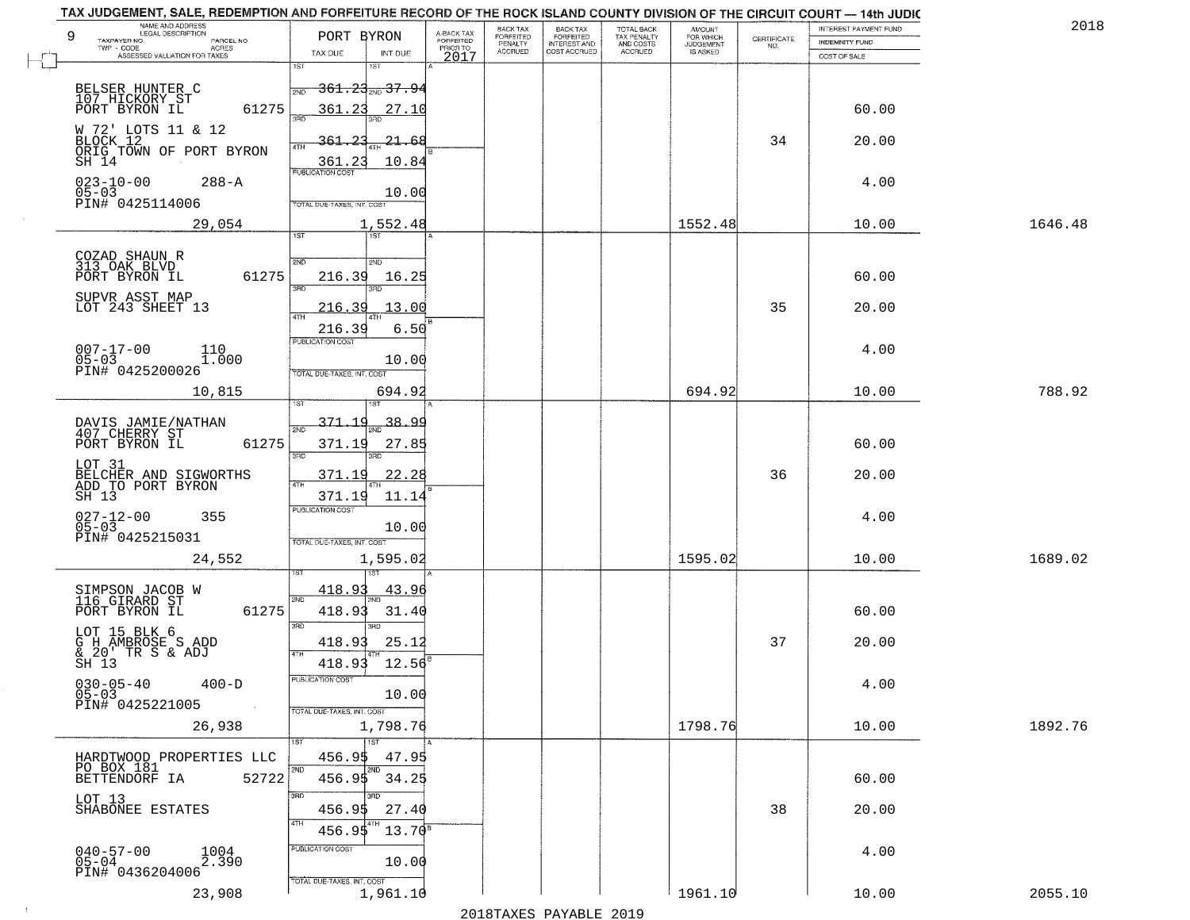| NAME AND ADDRESS<br>LEGAL DESCRIPTION<br>9<br>TAXPAYER NO.<br>PARCEL NO.<br>$TWP - CODE$<br>ACRES | PORT BYRON                                                                  | A-BACK TAX<br>FORFEITED<br>PRIOR TO | BACK TAX<br>FORFEITED<br>PENALTY | BACK TAX<br>FORFEITED<br>INTEREST AND<br>COST ACCRUED | TOTAL BACK<br>TAX PENALTY<br>AND COSTS | AMOUNT<br>FOR WHICH<br><b>JUDGEMENT</b> | $\begin{array}{c} \text{CERTIFICATE} \\ \text{NO.} \end{array}$ | <b>INTEREST PAYMENT FUND</b><br><b>INDEMNITY FUND</b> | 2018    |
|---------------------------------------------------------------------------------------------------|-----------------------------------------------------------------------------|-------------------------------------|----------------------------------|-------------------------------------------------------|----------------------------------------|-----------------------------------------|-----------------------------------------------------------------|-------------------------------------------------------|---------|
| ASSESSED VALUATION FOR TAXES                                                                      | TAX DUE<br>INT DUE<br>1ST<br>1ST                                            | 2017                                | <b>ACCRUED</b>                   |                                                       | <b>ACCRUED</b>                         | IS ASKED                                |                                                                 | COST OF SALE                                          |         |
| BELSER HUNTER C<br>107 HICKORY ST<br>PORT BYRON IL<br>61275                                       | <del>361.23<sub>210</sub> 37.9</del><br>361.23<br>27.10                     |                                     |                                  |                                                       |                                        |                                         |                                                                 | 60.00                                                 |         |
| W 72' LOTS 11 & 12<br>BLOCK 12<br>ORIG TOWN OF PORT BYRON<br>SH 14                                | าว<br>$-21 - 68$<br>4TH<br>10.84<br>361.23                                  |                                     |                                  |                                                       |                                        |                                         | 34                                                              | 20.00                                                 |         |
| $023 - 10 - 00$<br>$288 - A$<br>$05 - 03$<br>PIN# 0425114006                                      | <b>PUBLICATION COST</b><br>10.00<br>TOTAL DUE-TAXES, INT. COST              |                                     |                                  |                                                       |                                        |                                         |                                                                 | 4.00                                                  |         |
| 29,054                                                                                            | 1,552.48                                                                    |                                     |                                  |                                                       |                                        | 1552.48                                 |                                                                 | 10.00                                                 | 1646.48 |
| COZAD SHAUN R<br>313 OAK BLVD<br>61275<br>PORT BYRON IL<br>SUPVR ASST MAP                         | 1ST<br>1ST<br>2ND<br>2ND<br>216.39<br>16.25<br>$\overline{\text{R}}$<br>הוא |                                     |                                  |                                                       |                                        |                                         |                                                                 | 60.00                                                 |         |
| LOT 243 SHEET 13                                                                                  | <u> 216.39</u><br>13.00<br>47H                                              |                                     |                                  |                                                       |                                        |                                         | 35                                                              | 20.00                                                 |         |
| $007 - 17 - 00$<br>110<br>$05 - 03$<br>1.000<br>PIN# 0425200026                                   | 6.50<br>216.39<br>PUBLICATION COST<br>10.00<br>TOTAL DUE-TAXES, INT. COST   |                                     |                                  |                                                       |                                        |                                         |                                                                 | 4.00                                                  |         |
| 10,815                                                                                            | 694.92                                                                      |                                     |                                  |                                                       |                                        | 694.92                                  |                                                                 | 10.00                                                 | 788.92  |
| DAVIS JAMIE/NATHAN<br>407 CHERRY ST<br>PORT BYRON IL<br>61275                                     | 1ST<br><u>371.19</u><br><u>38.99</u><br>2ND<br>371.19<br>27.85              |                                     |                                  |                                                       |                                        |                                         |                                                                 | 60.00                                                 |         |
| LOT 31<br>BELCHER AND SIGWORTHS<br>ADD TO PORT BYRON<br>SH 13                                     | 3RD<br>3RD<br>22.28<br>371.19<br>371.19<br>11.14                            |                                     |                                  |                                                       |                                        |                                         | 36                                                              | 20.00                                                 |         |
| $027 - 12 - 00$<br>05-03<br>355<br>PIN# 0425215031                                                | <b>PUBLICATION COST</b><br>10.00<br>TOTAL OUE-TAXES, INT. COST              |                                     |                                  |                                                       |                                        |                                         |                                                                 | 4.00                                                  |         |
| 24,552                                                                                            | 1,595.02                                                                    |                                     |                                  |                                                       |                                        | 1595.02                                 |                                                                 | 10.00                                                 | 1689.02 |
| SIMPSON JACOB W<br>116 GIRARD ST<br>61275<br>PORT BYRON IL                                        | <u>418.93</u><br><u>43.9</u><br>2ND<br>418.93<br>31.40                      |                                     |                                  |                                                       |                                        |                                         |                                                                 | 60.00                                                 |         |
| LOT 15 BLK 6<br>G H AMBROSE S ADD<br>& 20' TR S & ADJ<br>SH 13                                    | 3BD<br>$\overline{3BD}$<br>25.12<br>418.93<br>4TH<br>12.56<br>418.93        |                                     |                                  |                                                       |                                        |                                         | 37                                                              | 20.00                                                 |         |
| $030 - 05 - 40$<br>$400-D$<br>$05 - 03$<br>PIN# 0425221005<br>$\sim 100$ km                       | PUBLICATION COST<br>10.00<br>TOTAL DUE-TAXES, INT. COST                     |                                     |                                  |                                                       |                                        |                                         |                                                                 | 4.00                                                  |         |
| 26,938                                                                                            | 1,798.76                                                                    |                                     |                                  |                                                       |                                        | 1798.76                                 |                                                                 | 10.00                                                 | 1892.76 |
| HARDTWOOD PROPERTIES LLC<br>PO BOX 181<br>BETTENDORF IA<br>52722                                  | 1ST<br>1ST<br>456.95<br>47.95<br>2ND<br>2ND<br>456.95<br>34.25              |                                     |                                  |                                                       |                                        |                                         |                                                                 | 60.00                                                 |         |
| LOT 13<br>SHABONEE ESTATES                                                                        | 3RD<br>अंग<br>27.40<br>456.9\$<br>4TH<br>456.95<br>$13.70^8$                |                                     |                                  |                                                       |                                        |                                         | 38                                                              | 20.00                                                 |         |
| $040 - 57 - 00$<br>05-04<br>1004<br>2.390<br>PIN# 0436204006                                      | PUBLICATION COST<br>10.00                                                   |                                     |                                  |                                                       |                                        |                                         |                                                                 | 4.00                                                  |         |
| 23,908                                                                                            | TOTAL DUE-TAXES, INT. COST<br>1,961.10                                      |                                     |                                  |                                                       |                                        | 1961.10                                 |                                                                 | 10.00                                                 | 2055.10 |

 $\sim 10^{-1}$ 

2018TAXES PAYABLE 2019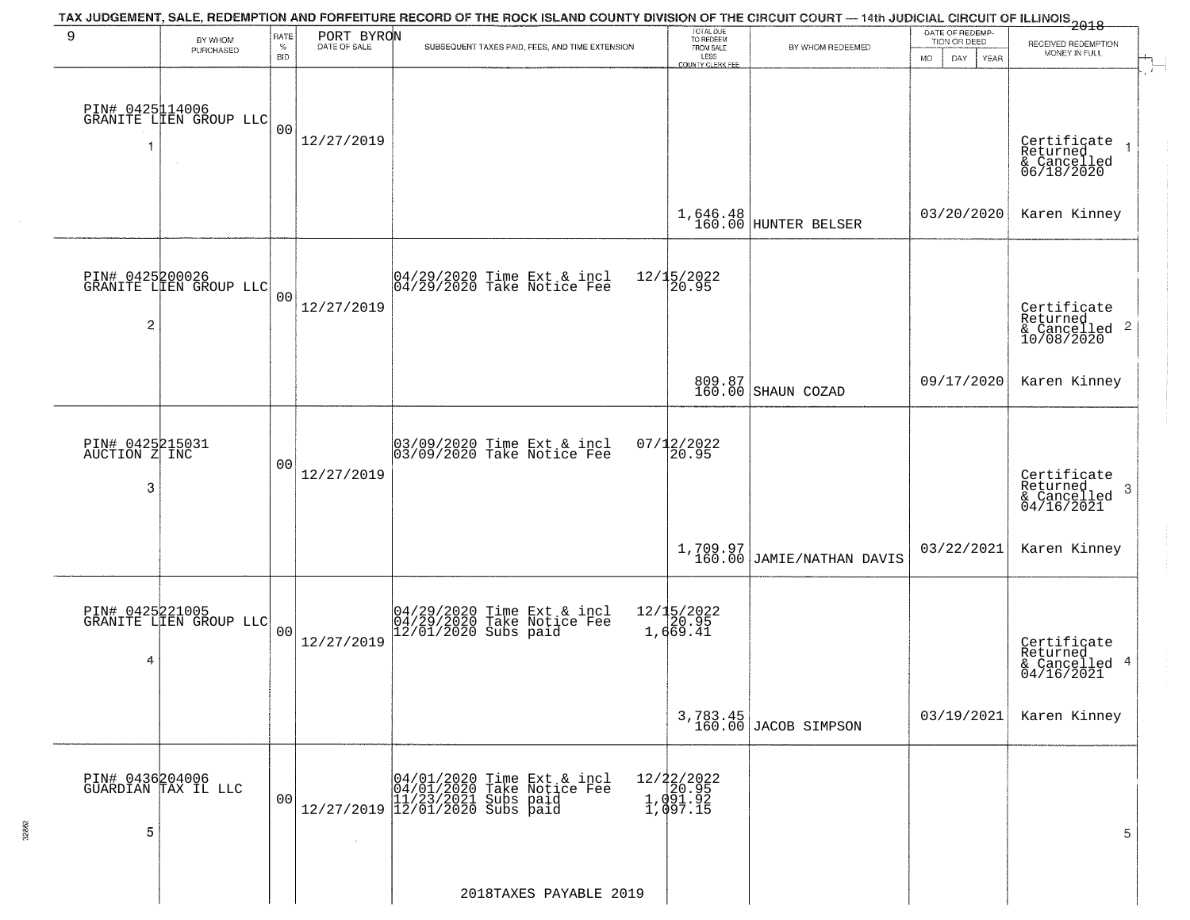|                                        |                                           |                            |                              | TAX JUDGEMENT, SALE, REDEMPTION AND FORFEITURE RECORD OF THE ROCK ISLAND COUNTY DIVISION OF THE CIRCUIT COURT — 14th JUDICIAL CIRCUIT OF ILLINOIS 2018   |                                                                 |                                         |                                                              |                                                           |
|----------------------------------------|-------------------------------------------|----------------------------|------------------------------|----------------------------------------------------------------------------------------------------------------------------------------------------------|-----------------------------------------------------------------|-----------------------------------------|--------------------------------------------------------------|-----------------------------------------------------------|
| 9                                      | BY WHOM<br>PURCHASED                      | RATE<br>$\%$<br><b>BID</b> | PORT BYRON                   | SUBSEQUENT TAXES PAID, FEES, AND TIME EXTENSION                                                                                                          | TOTAL DUE<br>TO REDEEM<br>FROM SALE<br>LESS<br>COUNTY CLERK FEE | BY WHOM REDEEMED                        | DATE OF REDEMP-<br>TION OR DEED<br>DAY.<br><b>MO</b><br>YEAR | RECEIVED REDEMPTION<br>MONEY IN FULL                      |
|                                        | PIN# 0425114006<br>GRANITE LLEN GROUP LLC | 0 <sub>0</sub>             | 12/27/2019                   |                                                                                                                                                          |                                                                 |                                         |                                                              | Certificate<br>Returned<br>& Cancelled<br>06/18/2020      |
|                                        |                                           |                            |                              |                                                                                                                                                          | 1,646.48<br>160.00                                              | HUNTER BELSER                           | 03/20/2020                                                   | Karen Kinney                                              |
| $\overline{\mathbf{c}}$                | PIN# 0425200026<br>GRANITE LIEN GROUP LLC | 0 <sub>0</sub>             | 12/27/2019                   | 04/29/2020 Time Ext & incl<br>04/29/2020 Take Notice Fee                                                                                                 | 12/15/2022<br>20.95                                             |                                         |                                                              | Certificate<br>Returned<br>& Cancelled 2<br>10/08/2020    |
|                                        |                                           |                            |                              |                                                                                                                                                          |                                                                 | 809.87<br>160.00 SHAUN COZAD            | 09/17/2020                                                   | Karen Kinney                                              |
| PIN# 0425215031<br>AUCTION Z INC<br>-3 |                                           | 0 <sub>0</sub>             | 12/27/2019                   | 03/09/2020 Time Ext & incl<br>03/09/2020 Take Notice Fee                                                                                                 | $07/12/2022$<br>20.95                                           |                                         |                                                              | Certificate<br>Returned<br>3<br>& Cancelled<br>04/16/2021 |
|                                        |                                           |                            |                              |                                                                                                                                                          |                                                                 | $1,709.97$<br>160.00 JAMIE/NATHAN DAVIS | 03/22/2021                                                   | Karen Kinney                                              |
| 4                                      | PIN# 0425221005<br>GRANITE LIEN GROUP LLC | 0 <sub>0</sub>             | 12/27/2019                   | 04/29/2020 Time Ext & incl<br>04/29/2020 Take Notice Fee<br>12/01/2020 Subs paid                                                                         | 12/15/2022<br>20.95<br>1,669.41                                 |                                         |                                                              | Certificate<br>Returned<br>4<br>& Cancelled<br>04/16/2021 |
|                                        |                                           |                            |                              |                                                                                                                                                          |                                                                 | 3,783.45<br>160.00 JACOB SIMPSON        | 03/19/2021                                                   | Karen Kinney                                              |
| 5                                      | PIN# 0436204006<br>GUARDIAN TAX IL LLC    | 00                         | 12/27/2019<br>$\sim 10^{-1}$ | 04/01/2020 Time Ext & incl<br>04/01/2020 Take Notice Fee<br>$\begin{matrix} 11/23/2021 & \text{Subs paid} \\ 12/01/2020 & \text{Subs paid} \end{matrix}$ | 12/22/2022<br>1,091.95<br>1,091.92<br>1,097.15                  |                                         |                                                              | 5                                                         |
|                                        |                                           |                            |                              | 2018TAXES PAYABLE 2019                                                                                                                                   |                                                                 |                                         |                                                              |                                                           |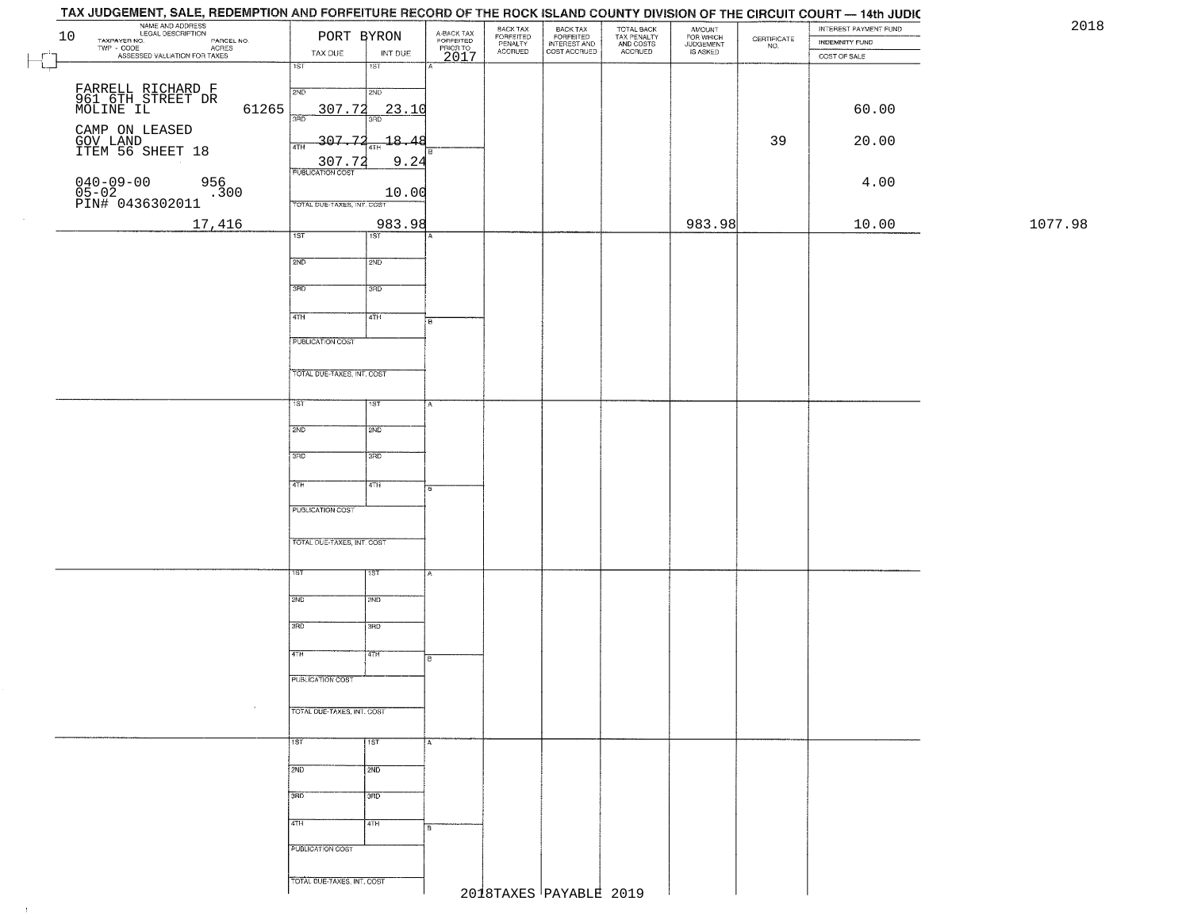# **DOOK IOL AND OOUS**

|        | NAME AND ADDRESS<br>LEGAL DESCRIPTION<br>TAXPAYER NO.<br>TWP - CODE<br>10                    |                            | PORT BYRON         | A-BACK TAX<br>FORFEITED<br>PRIOR TO<br>2017 | BACK TAX<br>FORFEITED<br>PENALTY | BACK TAX<br>FORFEITED<br>INTEREST AND<br>COST ACCRUED | TOTAL BACK<br>TAX PENALTY<br>AND COSTS<br>ACCRUED | AMOUNT<br>FOR WHICH<br>JUDGEMENT<br>IS ASKED | $\begin{array}{c} \text{CERTIFICATE} \\ \text{NO.} \end{array}$ | INTEREST PAYMENT FUND<br><b>INDEMNITY FUND</b> | 20      |
|--------|----------------------------------------------------------------------------------------------|----------------------------|--------------------|---------------------------------------------|----------------------------------|-------------------------------------------------------|---------------------------------------------------|----------------------------------------------|-----------------------------------------------------------------|------------------------------------------------|---------|
| $\Box$ | LEGAL DESCRIPTION PARCEL NO.<br>- CODE ACRES<br>- CODE ACRES<br>ASSESSED VALUATION FOR TAXES | TAX DUE                    | INT DUE            |                                             | <b>ACCRUED</b>                   |                                                       |                                                   |                                              |                                                                 | COST OF SALE                                   |         |
|        |                                                                                              | 1ST                        | 15T                |                                             |                                  |                                                       |                                                   |                                              |                                                                 |                                                |         |
|        | FARRELL RICHARD F<br>961 6TH STREET DR<br>MOLINE IL                                          | 2ND                        | 2ND                |                                             |                                  |                                                       |                                                   |                                              |                                                                 |                                                |         |
|        | 61265                                                                                        | 307.72<br>350              | 23.10              |                                             |                                  |                                                       |                                                   |                                              |                                                                 | 60.00                                          |         |
|        | CAMP ON LEASED<br>GOV LAND<br>ITEM 56 SHEET 18                                               | $-307.72$                  | $-18.48$           |                                             |                                  |                                                       |                                                   |                                              | 39                                                              | 20.00                                          |         |
|        |                                                                                              | 4TH                        | 9.24               |                                             |                                  |                                                       |                                                   |                                              |                                                                 |                                                |         |
|        | 956                                                                                          | 72                         |                    |                                             |                                  |                                                       |                                                   |                                              |                                                                 | 4.00                                           |         |
|        | 040-09-00<br>05-02<br>PIN# 0436302011<br>.300                                                | TOTAL DUE-TAXES, INT. COST | 10.00              |                                             |                                  |                                                       |                                                   |                                              |                                                                 |                                                |         |
|        | 17,416                                                                                       |                            | 983.98             |                                             |                                  |                                                       |                                                   | 983.98                                       |                                                                 | 10.00                                          | 1077.98 |
|        |                                                                                              | 1ST                        | 1ST                |                                             |                                  |                                                       |                                                   |                                              |                                                                 |                                                |         |
|        |                                                                                              | 2ND                        | 2ND                |                                             |                                  |                                                       |                                                   |                                              |                                                                 |                                                |         |
|        |                                                                                              | 3BD                        | 3RD                |                                             |                                  |                                                       |                                                   |                                              |                                                                 |                                                |         |
|        |                                                                                              |                            |                    |                                             |                                  |                                                       |                                                   |                                              |                                                                 |                                                |         |
|        |                                                                                              | $\sqrt{47H}$               | 4TH                | B                                           |                                  |                                                       |                                                   |                                              |                                                                 |                                                |         |
|        |                                                                                              | <b>PUBLICATION COST</b>    |                    |                                             |                                  |                                                       |                                                   |                                              |                                                                 |                                                |         |
|        |                                                                                              |                            |                    |                                             |                                  |                                                       |                                                   |                                              |                                                                 |                                                |         |
|        |                                                                                              | TOTAL DUE-TAXES, INT. COST |                    |                                             |                                  |                                                       |                                                   |                                              |                                                                 |                                                |         |
|        |                                                                                              | 1ST                        | 1ST                |                                             |                                  |                                                       |                                                   |                                              |                                                                 |                                                |         |
|        |                                                                                              | 2ND                        | 2ND                |                                             |                                  |                                                       |                                                   |                                              |                                                                 |                                                |         |
|        |                                                                                              |                            |                    |                                             |                                  |                                                       |                                                   |                                              |                                                                 |                                                |         |
|        |                                                                                              | 3BD                        | 3RD                |                                             |                                  |                                                       |                                                   |                                              |                                                                 |                                                |         |
|        |                                                                                              | 4TH                        | 4TH                |                                             |                                  |                                                       |                                                   |                                              |                                                                 |                                                |         |
|        |                                                                                              | <b>PUBLICATION COST</b>    |                    |                                             |                                  |                                                       |                                                   |                                              |                                                                 |                                                |         |
|        |                                                                                              |                            |                    |                                             |                                  |                                                       |                                                   |                                              |                                                                 |                                                |         |
|        |                                                                                              | TOTAL OUE-TAXES, INT. COST |                    |                                             |                                  |                                                       |                                                   |                                              |                                                                 |                                                |         |
|        |                                                                                              | 1ST                        | १९४                |                                             |                                  |                                                       |                                                   |                                              |                                                                 |                                                |         |
|        |                                                                                              |                            |                    |                                             |                                  |                                                       |                                                   |                                              |                                                                 |                                                |         |
|        |                                                                                              | 2ND                        | 2ND                |                                             |                                  |                                                       |                                                   |                                              |                                                                 |                                                |         |
|        |                                                                                              | 3RD                        | 3BD                |                                             |                                  |                                                       |                                                   |                                              |                                                                 |                                                |         |
|        |                                                                                              | 4TH                        | 4TH                |                                             |                                  |                                                       |                                                   |                                              |                                                                 |                                                |         |
|        |                                                                                              |                            |                    |                                             |                                  |                                                       |                                                   |                                              |                                                                 |                                                |         |
|        |                                                                                              | PUBLICATION COST           |                    |                                             |                                  |                                                       |                                                   |                                              |                                                                 |                                                |         |
|        |                                                                                              | TOTAL DUE-TAXES, INT. COST |                    |                                             |                                  |                                                       |                                                   |                                              |                                                                 |                                                |         |
|        |                                                                                              |                            |                    |                                             |                                  |                                                       |                                                   |                                              |                                                                 |                                                |         |
|        |                                                                                              | 11ST                       | $\overline{1}$ 1st |                                             |                                  |                                                       |                                                   |                                              |                                                                 |                                                |         |
|        |                                                                                              | 2ND                        | 2ND                |                                             |                                  |                                                       |                                                   |                                              |                                                                 |                                                |         |
|        |                                                                                              | 3BD                        | 3BD                |                                             |                                  |                                                       |                                                   |                                              |                                                                 |                                                |         |
|        |                                                                                              |                            |                    |                                             |                                  |                                                       |                                                   |                                              |                                                                 |                                                |         |
|        |                                                                                              | 4TH                        | 4TH                | Iв                                          |                                  |                                                       |                                                   |                                              |                                                                 |                                                |         |
|        |                                                                                              | PUBLICATION COST           |                    |                                             |                                  |                                                       |                                                   |                                              |                                                                 |                                                |         |
|        |                                                                                              |                            |                    |                                             |                                  |                                                       |                                                   |                                              |                                                                 |                                                |         |
|        |                                                                                              | TOTAL DUE-TAXES, INT. COST |                    |                                             |                                  | 2018TAXES PAYABLE 2019                                |                                                   |                                              |                                                                 |                                                |         |
|        |                                                                                              |                            |                    |                                             |                                  |                                                       |                                                   |                                              |                                                                 |                                                |         |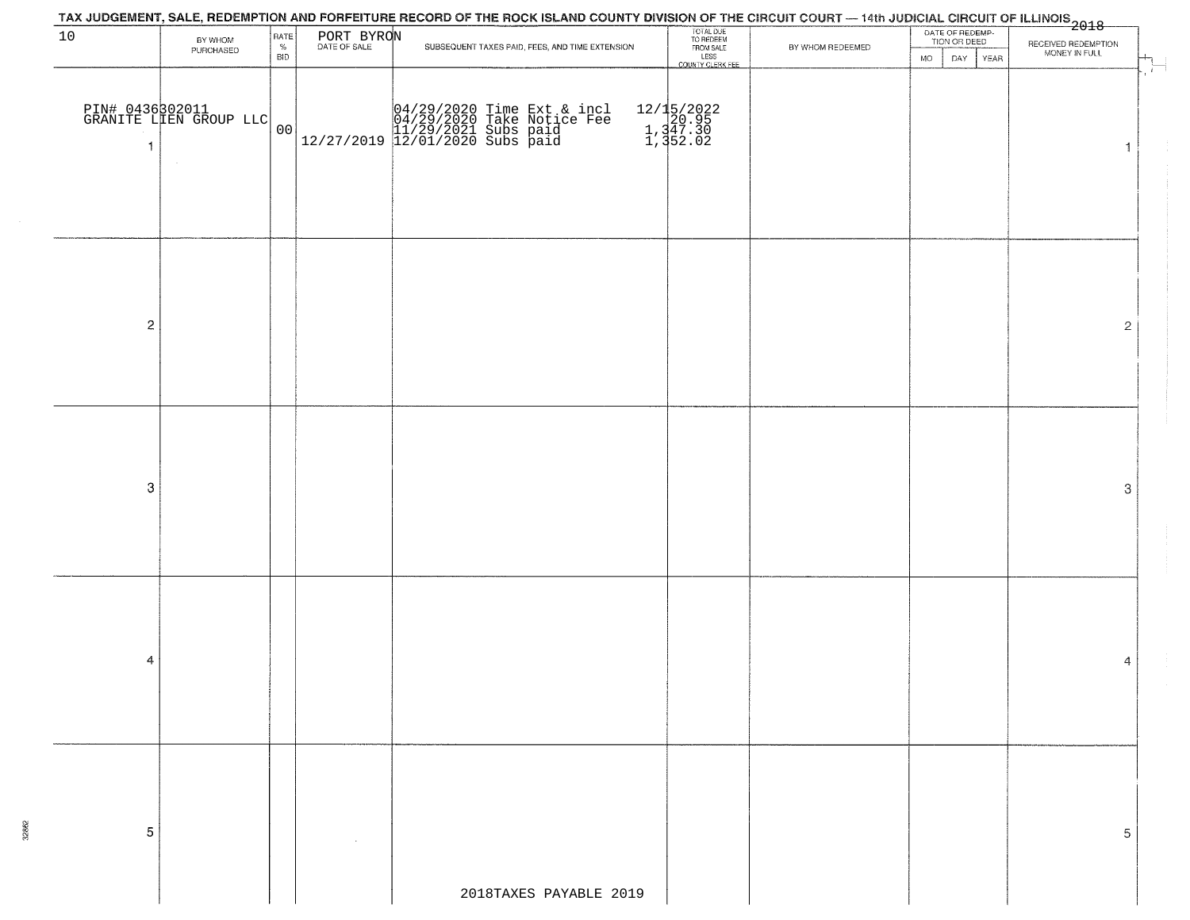| TAX JUDGEMENT, SALE, REDEMPTION AND FORFEITURE RECORD OF THE ROCK ISLAND COUNTY DIVISION OF THE CIRCUIT COURT — 14th JUDICIAL CIRCUIT OF ILLINOIS<br>The country of the construction of the 2018 |                                           |                    |            |                                                 |                                                |                  |                                 |                     |  |  |
|--------------------------------------------------------------------------------------------------------------------------------------------------------------------------------------------------|-------------------------------------------|--------------------|------------|-------------------------------------------------|------------------------------------------------|------------------|---------------------------------|---------------------|--|--|
| 10                                                                                                                                                                                               | BY WHOM                                   | RATE               | PORT BYRON |                                                 | TOTAL DUE<br>TO REDEEM<br>FROM SALE            |                  | DATE OF REDEMP-<br>TION OR DEED | RECEIVED REDEMPTION |  |  |
|                                                                                                                                                                                                  | PURCHASED                                 | $\%$<br><b>BID</b> |            | SUBSEQUENT TAXES PAID, FEES, AND TIME EXTENSION | LESS<br>COUNTY CLERK FEE                       | BY WHOM REDEEMED | <b>MO</b><br>DAY<br>YEAR        | MONEY IN FULL       |  |  |
| $\mathbf{1}$                                                                                                                                                                                     | PIN# 0436302011<br>GRANITE LLEN GROUP LLC | 00                 |            |                                                 | 12/15/2022<br>1,347.30<br>1,347.30<br>1,352.02 |                  |                                 | $\sim$<br>1         |  |  |
| $\overline{c}$                                                                                                                                                                                   |                                           |                    |            |                                                 |                                                |                  |                                 | $\mathbf{2}$        |  |  |
| 3                                                                                                                                                                                                |                                           |                    |            |                                                 |                                                |                  |                                 | 3                   |  |  |
| 4                                                                                                                                                                                                |                                           |                    |            |                                                 |                                                |                  |                                 | 4                   |  |  |
| 5                                                                                                                                                                                                |                                           |                    |            | 2018TAXES PAYABLE 2019                          |                                                |                  |                                 | 5                   |  |  |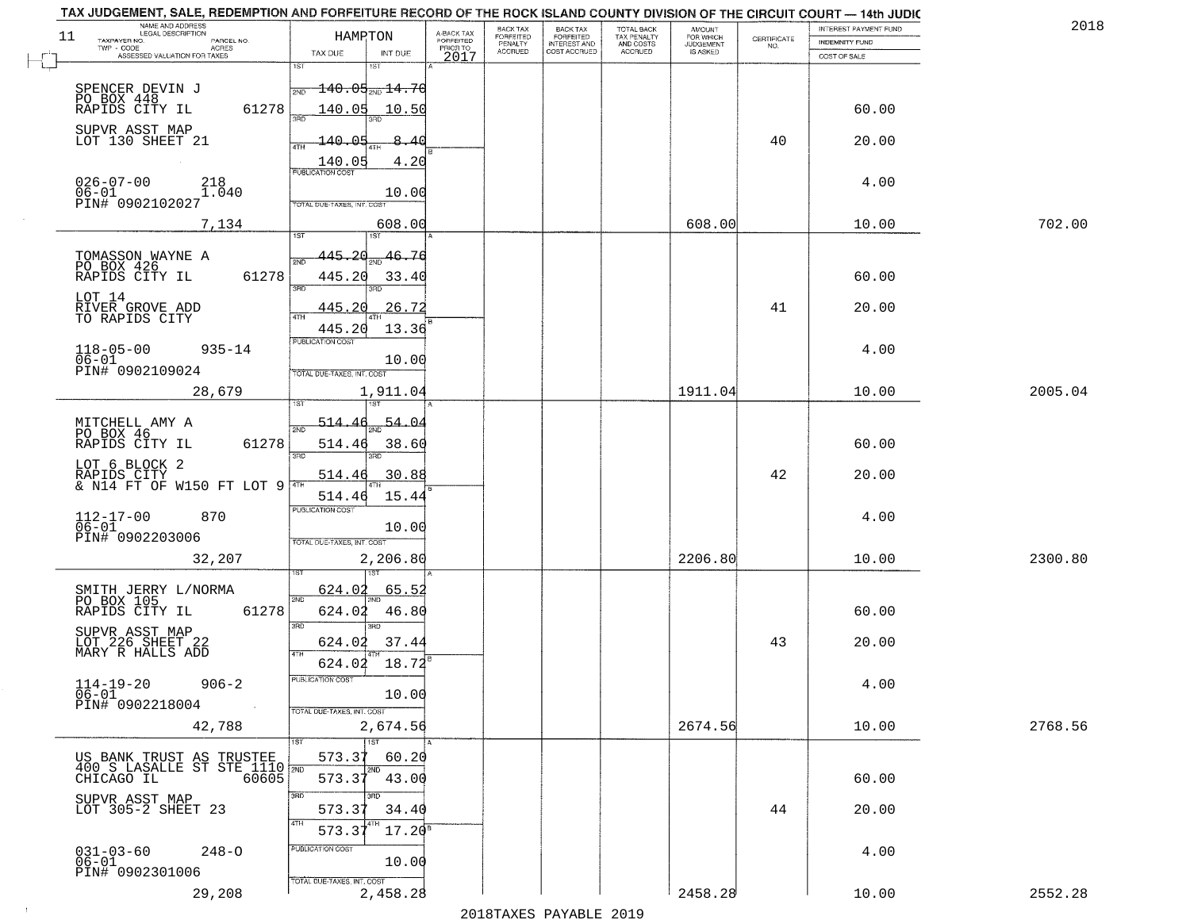| TAX JUDGEMENT, SALE, REDEMPTION AND FORFEITURE RECORD OF THE ROCK ISLAND COUNTY DIVISION OF THE CIRCUIT COURT - 14th JUDIC |                                            |                                     |                      |                                  |                                        |                     |                    |                       |         |
|----------------------------------------------------------------------------------------------------------------------------|--------------------------------------------|-------------------------------------|----------------------|----------------------------------|----------------------------------------|---------------------|--------------------|-----------------------|---------|
| NAME AND ADDRESS<br>LEGAL DESCRIPTION                                                                                      |                                            |                                     | <b>BACK TAX</b>      | <b>BACK TAX</b>                  |                                        | AMOUNT<br>FOR WHICH |                    | INTEREST PAYMENT FUND | 201     |
| 11<br>TAXPAYER NO.<br>PARCEL NO.<br>ACRES                                                                                  | HAMRTON                                    | A-BACK TAX<br>FORFEITED<br>PRIOR TO | FORFEITED<br>PENALTY | FORFEITED<br><b>INTEREST AND</b> | TOTAL BACK<br>TAX PENALTY<br>AND COSTS | <b>JUDGEMENT</b>    | CERTIFICATE<br>NO. | <b>INDEMNITY FUND</b> |         |
| ASSESSED VALUATION FOR TAXES                                                                                               | TAX DUE<br>INT DUE                         | 2017                                | <b>ACCRUED</b>       | COST ACCRUED                     | ACCRUED                                | IS ASKED            |                    | COST OF SALE          |         |
|                                                                                                                            | 1ST                                        |                                     |                      |                                  |                                        |                     |                    |                       |         |
| SPENCER DEVIN J                                                                                                            | $\pm 40.05$ <sub>avo</sub> $\pm 4.70$      |                                     |                      |                                  |                                        |                     |                    |                       |         |
|                                                                                                                            | 2ND                                        |                                     |                      |                                  |                                        |                     |                    |                       |         |
| PO BOX 448<br>61278                                                                                                        | $140.05$ 10.50                             |                                     |                      |                                  |                                        |                     |                    | 60.00                 |         |
| SUPVR ASST MAP                                                                                                             |                                            |                                     |                      |                                  |                                        |                     |                    |                       |         |
| LOT 130 SHEET 21                                                                                                           | $-140.05$<br>8.40                          |                                     |                      |                                  |                                        |                     | 40                 | 20.00                 |         |
|                                                                                                                            |                                            |                                     |                      |                                  |                                        |                     |                    |                       |         |
|                                                                                                                            | 4.20<br>140.05<br><b>PUBLICATION COST</b>  |                                     |                      |                                  |                                        |                     |                    |                       |         |
| $026 - 07 - 00$<br>218                                                                                                     |                                            |                                     |                      |                                  |                                        |                     |                    | 4.00                  |         |
| 1.040<br>$06 - 01$                                                                                                         | 10.00                                      |                                     |                      |                                  |                                        |                     |                    |                       |         |
| PIN# 0902102027                                                                                                            | TOTAL DUE-TAXES, INT. COST                 |                                     |                      |                                  |                                        |                     |                    |                       |         |
| 7,134                                                                                                                      | 608.00                                     |                                     |                      |                                  |                                        | 608.00              |                    | 10.00                 | 702.00  |
|                                                                                                                            |                                            |                                     |                      |                                  |                                        |                     |                    |                       |         |
|                                                                                                                            | 445.20<br>46.76                            |                                     |                      |                                  |                                        |                     |                    |                       |         |
| TOMASSON WAYNE A<br>PO BOX 426                                                                                             |                                            |                                     |                      |                                  |                                        |                     |                    |                       |         |
| 61278<br>RAPIDS CITY IL                                                                                                    | 445.20<br>33.40                            |                                     |                      |                                  |                                        |                     |                    | 60.00                 |         |
|                                                                                                                            | 3RD<br>3BD                                 |                                     |                      |                                  |                                        |                     |                    |                       |         |
| LOT 14                                                                                                                     | 26.72<br>445.20                            |                                     |                      |                                  |                                        |                     | 41                 | 20.00                 |         |
| RIVER GROVE ADD<br>TO RAPIDS CITY                                                                                          | 4TH                                        |                                     |                      |                                  |                                        |                     |                    |                       |         |
|                                                                                                                            | 13.36<br>445.20                            |                                     |                      |                                  |                                        |                     |                    |                       |         |
| $118 - 05 - 00$<br>$935 - 14$                                                                                              | PUBLICATION COST                           |                                     |                      |                                  |                                        |                     |                    | 4.00                  |         |
| $06 - 01$                                                                                                                  | 10.00                                      |                                     |                      |                                  |                                        |                     |                    |                       |         |
| PIN# 0902109024                                                                                                            | TOTAL DUE-TAXES, INT. COST                 |                                     |                      |                                  |                                        |                     |                    |                       |         |
| 28,679                                                                                                                     | 1,911.04                                   |                                     |                      |                                  |                                        | 1911.04             |                    | 10.00                 | 2005.04 |
|                                                                                                                            | 1ST                                        |                                     |                      |                                  |                                        |                     |                    |                       |         |
| MITCHELL AMY A                                                                                                             | 514.46<br>54.O                             |                                     |                      |                                  |                                        |                     |                    |                       |         |
| PO BOX 46                                                                                                                  | 2ND                                        |                                     |                      |                                  |                                        |                     |                    |                       |         |
| RAPIDS CITY IL<br>61278                                                                                                    | 514.46<br>38.60                            |                                     |                      |                                  |                                        |                     |                    | 60.00                 |         |
| LOT 6 BLOCK 2                                                                                                              | 3 <sub>BD</sub><br>3RD                     |                                     |                      |                                  |                                        |                     |                    |                       |         |
| RAPIDS CITY<br>& N14 FT OF W150 FT LOT 9                                                                                   | 514.46<br>30.88                            |                                     |                      |                                  |                                        |                     | 42                 | 20.00                 |         |
|                                                                                                                            |                                            |                                     |                      |                                  |                                        |                     |                    |                       |         |
|                                                                                                                            | 15.44<br>514.46<br><b>PUBLICATION COST</b> |                                     |                      |                                  |                                        |                     |                    |                       |         |
| $112 - 17 - 00$<br>$06 - 01$<br>870                                                                                        |                                            |                                     |                      |                                  |                                        |                     |                    | 4.00                  |         |
| PIN# 0902203006                                                                                                            | 10.00                                      |                                     |                      |                                  |                                        |                     |                    |                       |         |
|                                                                                                                            | TOTAL OUE-TAXES, INT. COST                 |                                     |                      |                                  |                                        |                     |                    |                       |         |
| 32,207                                                                                                                     | 2,206.80                                   |                                     |                      |                                  |                                        | 2206.80             |                    | 10.00                 | 2300.80 |
|                                                                                                                            |                                            |                                     |                      |                                  |                                        |                     |                    |                       |         |
| SMITH JERRY L/NORMA                                                                                                        | 624.02<br>65.52                            |                                     |                      |                                  |                                        |                     |                    |                       |         |
| PO BOX 105                                                                                                                 | 2ND                                        |                                     |                      |                                  |                                        |                     |                    |                       |         |
| RAPIDS CITY IL<br>61278                                                                                                    | 46.80<br>624.02                            |                                     |                      |                                  |                                        |                     |                    | 60.00                 |         |
| SUPVR ASST MAP<br>LOT 226 SHEET 22                                                                                         | 3RD<br>3BD                                 |                                     |                      |                                  |                                        |                     |                    |                       |         |
|                                                                                                                            | 37.44<br>624.02                            |                                     |                      |                                  |                                        |                     | 43                 | 20.00                 |         |
| MARY R HALLS ADD                                                                                                           | 4TH<br>18.72<br>624.02                     |                                     |                      |                                  |                                        |                     |                    |                       |         |
|                                                                                                                            | PUBLICATION COS                            |                                     |                      |                                  |                                        |                     |                    |                       |         |
| $114 - 19 - 20$<br>$906 - 2$                                                                                               |                                            |                                     |                      |                                  |                                        |                     |                    | 4.00                  |         |
| $06 - 01$<br>PIN# 0902218004<br>$\sim 100$                                                                                 | 10.00                                      |                                     |                      |                                  |                                        |                     |                    |                       |         |
|                                                                                                                            | TOTAL DUE-TAXES, INT. COST                 |                                     |                      |                                  |                                        |                     |                    |                       |         |
| 42,788                                                                                                                     | 2,674.56                                   |                                     |                      |                                  |                                        | 2674.56             |                    | 10.00                 | 2768.56 |
|                                                                                                                            | $\overline{1ST}$<br>1ST                    |                                     |                      |                                  |                                        |                     |                    |                       |         |
|                                                                                                                            | 573.37<br>60.20                            |                                     |                      |                                  |                                        |                     |                    |                       |         |
| US BANK TRUST AS TRUSTEE<br>400 S LASALLE ST STE 1110 7ND<br>CHICAGO IL 60605                                              | 2ND<br>43.00<br>573.37                     |                                     |                      |                                  |                                        |                     |                    | 60.00                 |         |
|                                                                                                                            |                                            |                                     |                      |                                  |                                        |                     |                    |                       |         |
| SUPVR ASST MAP<br>LOT 305-2 SHEET 23                                                                                       | 3RD                                        |                                     |                      |                                  |                                        |                     |                    |                       |         |
|                                                                                                                            | 573.3<br>34.40                             |                                     |                      |                                  |                                        |                     | 44                 | 20.00                 |         |
|                                                                                                                            | 4TH<br>$17.20^{\circ}$<br>573.3            |                                     |                      |                                  |                                        |                     |                    |                       |         |
|                                                                                                                            | PUBLICATION COST                           |                                     |                      |                                  |                                        |                     |                    |                       |         |
| $031 - 03 - 60$<br>$248 - 0$<br>06-01                                                                                      | 10.00                                      |                                     |                      |                                  |                                        |                     |                    | 4.00                  |         |
| PIN# 0902301006                                                                                                            | TOTAL DUE-TAXES, INT. COST                 |                                     |                      |                                  |                                        |                     |                    |                       |         |
| 29,208                                                                                                                     | 2,458.28                                   |                                     |                      |                                  |                                        | 2458.28             |                    | 10.00                 | 2552.28 |
|                                                                                                                            |                                            |                                     |                      |                                  |                                        |                     |                    |                       |         |

 $\sim 10$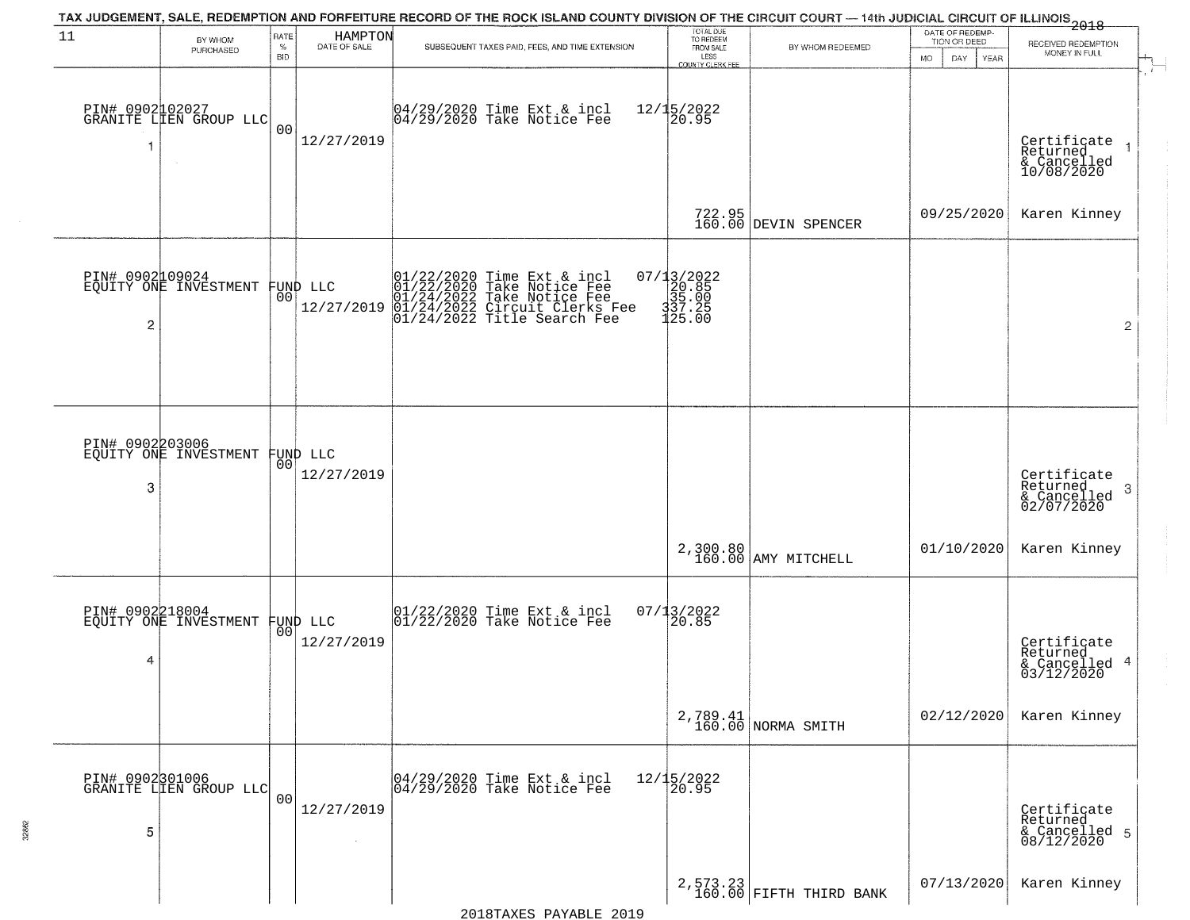|                                   |                                           |                            |                                | TAX JUDGEMENT, SALE, REDEMPTION AND FORFEITURE RECORD OF THE ROCK ISLAND COUNTY DIVISION OF THE CIRCUIT COURT — 14th JUDICIAL CIRCUIT OF ILLINOIS 2018                                                                            |                                                                              |                                       |                                                        |                                                            |
|-----------------------------------|-------------------------------------------|----------------------------|--------------------------------|-----------------------------------------------------------------------------------------------------------------------------------------------------------------------------------------------------------------------------------|------------------------------------------------------------------------------|---------------------------------------|--------------------------------------------------------|------------------------------------------------------------|
| 11                                | BY WHOM<br>PURCHASED                      | RATE<br>$\%$<br><b>BID</b> | HAMPTON<br>DATE OF SALE        | SUBSEQUENT TAXES PAID, FEES, AND TIME EXTENSION                                                                                                                                                                                   | TOTAL DUE<br>TO REDEEM<br>FROM SALE<br>LESS<br>COUNTY CLERK FEE              | BY WHOM REDEEMED                      | DATE OF REDEMP-<br>TION OR DEED<br>MO.<br>DAY.<br>YEAR | RECEIVED REDEMPTION<br>MONEY IN FULL<br>$\overline{1}$     |
| PIN# 0902102027<br>-1             | GRANITE LIEN GROUP LLC                    | 0 <sub>0</sub>             | 12/27/2019                     | 04/29/2020 Time Ext & incl<br>04/29/2020 Take Notice Fee                                                                                                                                                                          | 12/15/2022<br>20.95                                                          |                                       |                                                        | Certificate<br>Returned<br>& Cancelled<br>10/08/2020       |
|                                   |                                           |                            |                                |                                                                                                                                                                                                                                   |                                                                              | 722.95<br>160.00 DEVIN SPENCER        | 09/25/2020                                             | Karen Kinney                                               |
| PIN# 0902109024<br>$\overline{c}$ | EQUITY ONE INVESTMENT                     |                            | FUND LLC<br> 00 <br>12/27/2019 | $\begin{array}{ll} 01/22/2020 \text{ Time Ext & incl} \\ 01/22/2020 \text{ Take Notice Free} \\ 01/24/2022 \text{ Take Notice Free} \\ 01/24/2022 \text{ Circuit Clerks Free} \\ 01/24/2022 \text{ Title search See} \end{array}$ | $=\begin{array}{r} 07/13/2022\\ 20.85\\ 35.00\\ 337.25\\ 125.00 \end{array}$ |                                       |                                                        | $\overline{2}$                                             |
| PIN# 0902203006<br>3              | EQUITY ONE INVESTMENT                     |                            | FUND LLC<br> 00 <br>12/27/2019 |                                                                                                                                                                                                                                   |                                                                              |                                       |                                                        | Certificate<br>Returned<br>-3<br>& Cancelled<br>02/07/2020 |
|                                   |                                           |                            |                                |                                                                                                                                                                                                                                   |                                                                              | 2,300.80<br>160.00 AMY MITCHELL       | 01/10/2020                                             | Karen Kinney                                               |
| PIN# 0902218004<br>4              | EQUITY ONE INVESTMENT                     |                            | FUND LLC<br> 00 <br>12/27/2019 | $\begin{array}{cc} 01/22/2020 &$ Time Ext & incl<br>01/22/2020 Take Notice Fee                                                                                                                                                    | $07/13/2022$<br>20.85                                                        |                                       |                                                        | Certificate<br>Returned<br>& Cancelled 4<br>03/12/2020     |
|                                   |                                           |                            |                                |                                                                                                                                                                                                                                   |                                                                              | 2,789.41<br>160.00 NORMA SMITH        | 02/12/2020                                             | Karen Kinney                                               |
| 5                                 | PIN# 0902301006<br>GRANITE LIEN GROUP LLC | 0 <sub>0</sub>             | 12/27/2019                     | 04/29/2020 Time Ext & incl<br>04/29/2020 Take Notice Fee                                                                                                                                                                          | 12/15/2022<br>20.95                                                          |                                       |                                                        | Certificate<br>Returned<br>& Cancelled 5<br>08/12/2020     |
|                                   |                                           |                            |                                |                                                                                                                                                                                                                                   |                                                                              | $2,573.23$<br>160.00 FIFTH THIRD BANK | 07/13/2020                                             | Karen Kinney                                               |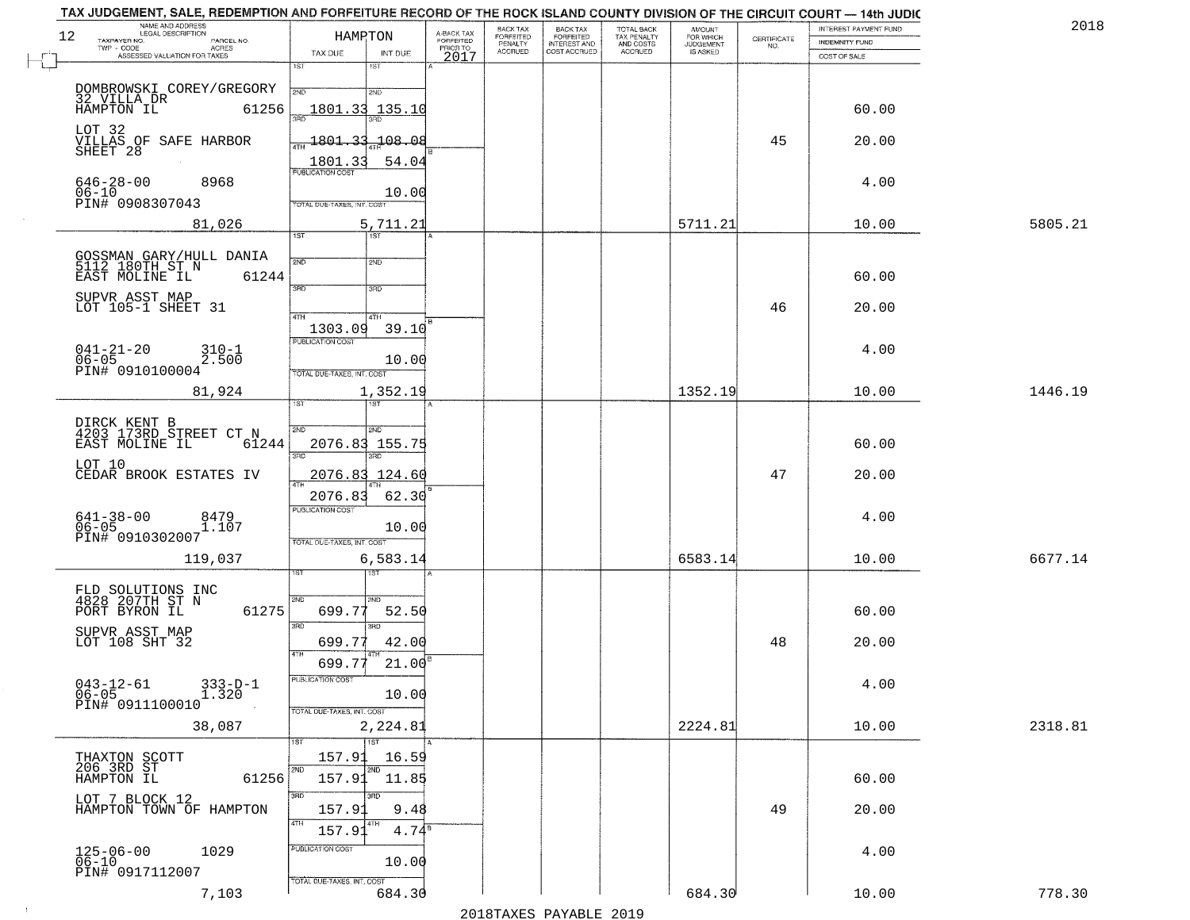| 12 | NAME AND ADDRESS<br>LEGAL DESCRIPTION                                 | HAMPTON                            |             | A-BACK TAX<br>FORFEITED | <b>BACK TAX</b>                        | <b>BACK TAX</b>                           | TOTAL BACK<br>TAX PENALTY<br>AND COSTS | <b>AMOUNT</b>                      |                    | <b>INTEREST PAYMENT FUND</b> | 2018    |
|----|-----------------------------------------------------------------------|------------------------------------|-------------|-------------------------|----------------------------------------|-------------------------------------------|----------------------------------------|------------------------------------|--------------------|------------------------------|---------|
|    | TAXPAYER NO.<br>PARCEL NO.<br>TWP - CODE<br><b>ACRES</b>              |                                    |             | PRIOR TO                | FORFEITED<br>PENALTY<br><b>ACCRUED</b> | FORFEITED<br>INTEREST AND<br>COST ACCRUED | ACCRUED                                | FOR WHICH<br>JUDGEMENT<br>IS ASKED | CERTIFICATE<br>NO. | INDEMNITY FUND               |         |
|    | ASSESSED VALUATION FOR TAXES                                          | TAX DUE<br>1ST<br>1ST              | INT DUE     | 2017                    |                                        |                                           |                                        |                                    |                    | COST OF SALE                 |         |
|    |                                                                       |                                    |             |                         |                                        |                                           |                                        |                                    |                    |                              |         |
|    | DOMBROWSKI COREY/GREGORY<br>32 VILLA DR                               | 2ND<br>2ND                         |             |                         |                                        |                                           |                                        |                                    |                    |                              |         |
|    | HAMPTON IL<br>61256                                                   | 1801.33 135.10                     |             |                         |                                        |                                           |                                        |                                    |                    | 60.00                        |         |
|    | LOT 32                                                                | <u> 1801.33</u>                    | 108.08      |                         |                                        |                                           |                                        |                                    | 45                 | 20.00                        |         |
|    | VILLAS OF SAFE HARBOR<br>SHEET 28                                     |                                    |             |                         |                                        |                                           |                                        |                                    |                    |                              |         |
|    |                                                                       | 1801.33<br><b>PUBLICATION COST</b> | 54.04       |                         |                                        |                                           |                                        |                                    |                    |                              |         |
|    | $646 - 28 - 00$<br>8968<br>$06 - 10$                                  |                                    | 10.00       |                         |                                        |                                           |                                        |                                    |                    | 4.00                         |         |
|    | PIN# 0908307043                                                       | TOTAL DUE-TAXES, INT. COST         |             |                         |                                        |                                           |                                        |                                    |                    |                              |         |
|    | 81,026                                                                |                                    | 5,711.21    |                         |                                        |                                           |                                        | 5711.21                            |                    | 10.00                        | 5805.21 |
|    |                                                                       | 1ST<br>1ST <sup></sup>             |             |                         |                                        |                                           |                                        |                                    |                    |                              |         |
|    | GOSSMAN GARY/HULL DANIA<br>5112 180TH ST N<br>EAST MOLINE IL 6124     | 2ND<br>2ND                         |             |                         |                                        |                                           |                                        |                                    |                    |                              |         |
|    | 61244                                                                 |                                    |             |                         |                                        |                                           |                                        |                                    |                    | 60.00                        |         |
|    | SUPVR ASST MAP<br>LOT 105-1 SHEET 31                                  | 3RD<br>3RD                         |             |                         |                                        |                                           |                                        |                                    |                    |                              |         |
|    |                                                                       | 4TH<br>4TH                         |             |                         |                                        |                                           |                                        |                                    | 46                 | 20.00                        |         |
|    |                                                                       | 1303.09                            | 39.10       |                         |                                        |                                           |                                        |                                    |                    |                              |         |
|    | $041 - 21 - 20$<br>$06 - 05$<br>$310 - 1$                             | PUBLICATION COST                   |             |                         |                                        |                                           |                                        |                                    |                    | 4.00                         |         |
|    | 2.500<br>PIN# 0910100004                                              | TOTAL DUE-TAXES, INT. COST         | 10.00       |                         |                                        |                                           |                                        |                                    |                    |                              |         |
|    | 81,924                                                                |                                    | 1,352.19    |                         |                                        |                                           |                                        | 1352.19                            |                    | 10.00                        | 1446.19 |
|    |                                                                       | ist.<br>ST                         |             |                         |                                        |                                           |                                        |                                    |                    |                              |         |
|    |                                                                       | 2ND                                |             |                         |                                        |                                           |                                        |                                    |                    |                              |         |
|    | DIRCK KENT B<br>4203 173RD STREET CT N<br>EAST MOLINE IL 612<br>61244 | SMD<br>2076.83 155.75              |             |                         |                                        |                                           |                                        |                                    |                    | 60.00                        |         |
|    |                                                                       | 3 <sub>3</sub><br>3RD              |             |                         |                                        |                                           |                                        |                                    |                    |                              |         |
|    | LOT 10<br>CEDAR BROOK ESTATES IV                                      | <u>2076.83 124.60</u>              |             |                         |                                        |                                           |                                        |                                    | 47                 | 20.00                        |         |
|    |                                                                       | 2076.83                            | 62.30       |                         |                                        |                                           |                                        |                                    |                    |                              |         |
|    | 8479                                                                  | <b>PUBLICATION COST</b>            |             |                         |                                        |                                           |                                        |                                    |                    | 4.00                         |         |
|    | $641 - 38 - 00$<br>06-05<br>1.107                                     |                                    | 10.00       |                         |                                        |                                           |                                        |                                    |                    |                              |         |
|    | PIN# 0910302007                                                       | TOTAL OUE-TAXES, INT. COST         |             |                         |                                        |                                           |                                        |                                    |                    |                              |         |
|    | 119,037                                                               |                                    | 6,583.14    |                         |                                        |                                           |                                        | 6583.14                            |                    | 10.00                        | 6677.14 |
|    |                                                                       | उड़ा                               |             |                         |                                        |                                           |                                        |                                    |                    |                              |         |
|    | FLD SOLUTIONS INC<br>4828 207TH ST N                                  | 2ND<br>2ND                         |             |                         |                                        |                                           |                                        |                                    |                    |                              |         |
|    | PORT BYRON IL<br>61275                                                | 699.77                             | 52.50       |                         |                                        |                                           |                                        |                                    |                    | 60.00                        |         |
|    | SUPVR ASST MAP<br>LOT 108 SHT 32                                      | 3RD<br>3 <sub>BD</sub><br>699.77   | 42.00       |                         |                                        |                                           |                                        |                                    | 48                 | 20.00                        |         |
|    |                                                                       | 4TH                                |             |                         |                                        |                                           |                                        |                                    |                    |                              |         |
|    |                                                                       | 699.77                             | $21.00^{8}$ |                         |                                        |                                           |                                        |                                    |                    |                              |         |
|    | $043 - 12 - 61$<br>$333 - D - 1$<br>ĭ.320<br>$06 - 05$                | PUBLICATION COST                   | 10.00       |                         |                                        |                                           |                                        |                                    |                    | 4.00                         |         |
|    | PIN# 0911100010<br><b>Contract</b>                                    | TOTAL DUE-TAXES, INT. COST         |             |                         |                                        |                                           |                                        |                                    |                    |                              |         |
|    | 38,087                                                                |                                    | 2,224.81    |                         |                                        |                                           |                                        | 2224.81                            |                    | 10.00                        | 2318.81 |
|    |                                                                       | $\overline{1}$ ST                  |             |                         |                                        |                                           |                                        |                                    |                    |                              |         |
|    | THAXTON SCOTT<br>206 3RD ST                                           | 157.91                             | 16.59       |                         |                                        |                                           |                                        |                                    |                    |                              |         |
|    | HAMPTON IL<br>61256                                                   | 2ND<br>2ND<br>157.91 11.85         |             |                         |                                        |                                           |                                        |                                    |                    | 60.00                        |         |
|    | LOT 7 BLOCK 12                                                        | 3RD<br>3RD                         |             |                         |                                        |                                           |                                        |                                    |                    |                              |         |
|    | HAMPTON TOWN OF HAMPTON                                               | 157.91                             | 9.48        |                         |                                        |                                           |                                        |                                    | 49                 | 20.00                        |         |
|    |                                                                       | 4TH<br>4TH<br>157.91               | $4.74^s$    |                         |                                        |                                           |                                        |                                    |                    |                              |         |
|    | $125 - 06 - 00$<br>1029                                               | PUBLICATION COST                   |             |                         |                                        |                                           |                                        |                                    |                    | 4.00                         |         |
|    | $06 - 10$<br>PIN# 0917112007                                          |                                    | 10.00       |                         |                                        |                                           |                                        |                                    |                    |                              |         |
|    | 7,103                                                                 | TOTAL DUE-TAXES, INT. COST         | 684.30      |                         |                                        |                                           |                                        | 684.30                             |                    | 10.00                        | 778.30  |
|    |                                                                       |                                    |             |                         |                                        |                                           |                                        |                                    |                    |                              |         |

 $\vdash$ 

 $\sim 10$ 

2018TAXES PAYABLE 2019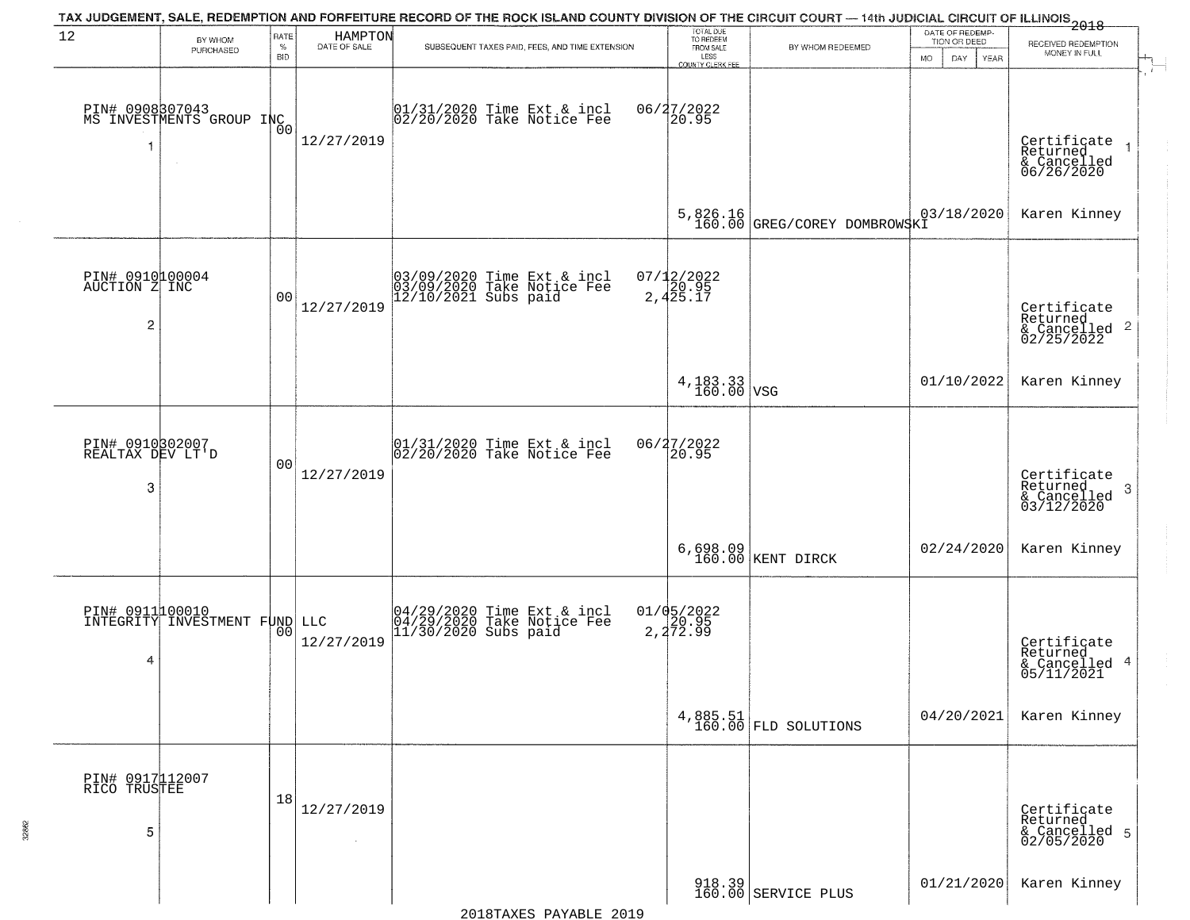|                                                    |                                                  |                            |                         | TAX JUDGEMENT, SALE, REDEMPTION AND FORFEITURE RECORD OF THE ROCK ISLAND COUNTY DIVISION OF THE CIRCUIT COURT — 14th JUDICIAL CIRCUIT OF ILLINOIS 2018 |                                                                 |                                          |                                                                    |                                                                                       |
|----------------------------------------------------|--------------------------------------------------|----------------------------|-------------------------|--------------------------------------------------------------------------------------------------------------------------------------------------------|-----------------------------------------------------------------|------------------------------------------|--------------------------------------------------------------------|---------------------------------------------------------------------------------------|
| 12                                                 | BY WHOM<br>PURCHASED                             | RATE<br>$\%$<br><b>BID</b> | HAMPTON<br>DATE OF SALE | SUBSEQUENT TAXES PAID, FEES, AND TIME EXTENSION                                                                                                        | TOTAL DUE<br>TO REDEEM<br>FROM SALE<br>LESS<br>COUNTY CLERK FEE | BY WHOM REDEEMED                         | DATE OF REDEMP-<br>TION OR DEED<br><b>MO</b><br>DAY<br><b>YEAR</b> | RECEIVED REDEMPTION<br>MONEY IN FULL                                                  |
| $\overline{\mathbf{1}}$                            | PIN# 0908307043<br>MS INVESTMENTS GROUP INC      | 0 <sub>0</sub>             | 12/27/2019              | $01/31/2020$ Time Ext & incl<br>$02/20/2020$ Take Notice Fee                                                                                           | 06/27/2022<br>20.95                                             |                                          |                                                                    | $\mathbf{r}$<br>Certificate<br>Returned<br>$\rightarrow$<br>& Cancelled<br>06/26/2020 |
|                                                    |                                                  |                            |                         |                                                                                                                                                        |                                                                 | 5,826.16<br>160.00 GREG/COREY DOMBROWSKI | 03/18/2020                                                         | Karen Kinney                                                                          |
| PIN# 0910100004<br>AUCTION Z INC<br>$\overline{c}$ |                                                  | 0 <sub>0</sub>             | 12/27/2019              | 03/09/2020 Time Ext & incl<br>03/09/2020 Take Notice Fee<br>12/10/2021 Subs paid                                                                       | $07/12/2022$<br>2,425.17                                        |                                          |                                                                    | Certificate<br>Returned<br>$\frac{1}{2}$ Cancelled 2<br>02/25/2022                    |
|                                                    |                                                  |                            |                         |                                                                                                                                                        | $4,183.33$ VSG                                                  |                                          | 01/10/2022                                                         | Karen Kinney                                                                          |
| PIN# 0910302007<br>REALTAX DEV LT'D<br>3           |                                                  | 0 <sub>0</sub>             | 12/27/2019              | $ 01/31/2020$ Time Ext & incl<br>$ 02/20/2020$ Take Notice Fee                                                                                         | 06/27/2022<br>20.95                                             |                                          |                                                                    | Certificate<br>Returned<br>3<br>$\frac{1}{6}$ Cancelled<br>03/12/2020                 |
|                                                    |                                                  |                            |                         |                                                                                                                                                        |                                                                 | 6,698.09<br>160.00 KENT DIRCK            | 02/24/2020                                                         | Karen Kinney                                                                          |
| 4                                                  | PIN# 0911100010<br>INTEGRITY INVESTMENT FUND LLC | 00                         | 12/27/2019              | 04/29/2020 Time Ext & incl<br>04/29/2020 Take Notice Fee<br>11/30/2020 Subs paid                                                                       | $01/05/2022$<br>20.95<br>2,272.99                               |                                          |                                                                    | Certificate<br>Returned<br>& Cancelled 4<br>05/11/2021                                |
|                                                    |                                                  |                            |                         |                                                                                                                                                        |                                                                 | $4,885.51$ FLD SOLUTIONS                 | 04/20/2021                                                         | Karen Kinney                                                                          |
| PIN# 0917112007<br>RICO TRUSTEE<br>5               |                                                  | 18                         | 12/27/2019              |                                                                                                                                                        |                                                                 |                                          |                                                                    | Certificate<br>Returned<br>& Cancelled 5<br>02/05/2020                                |
|                                                    |                                                  |                            |                         |                                                                                                                                                        |                                                                 | 918.39<br>160.00 SERVICE PLUS            | 01/21/2020                                                         | Karen Kinney                                                                          |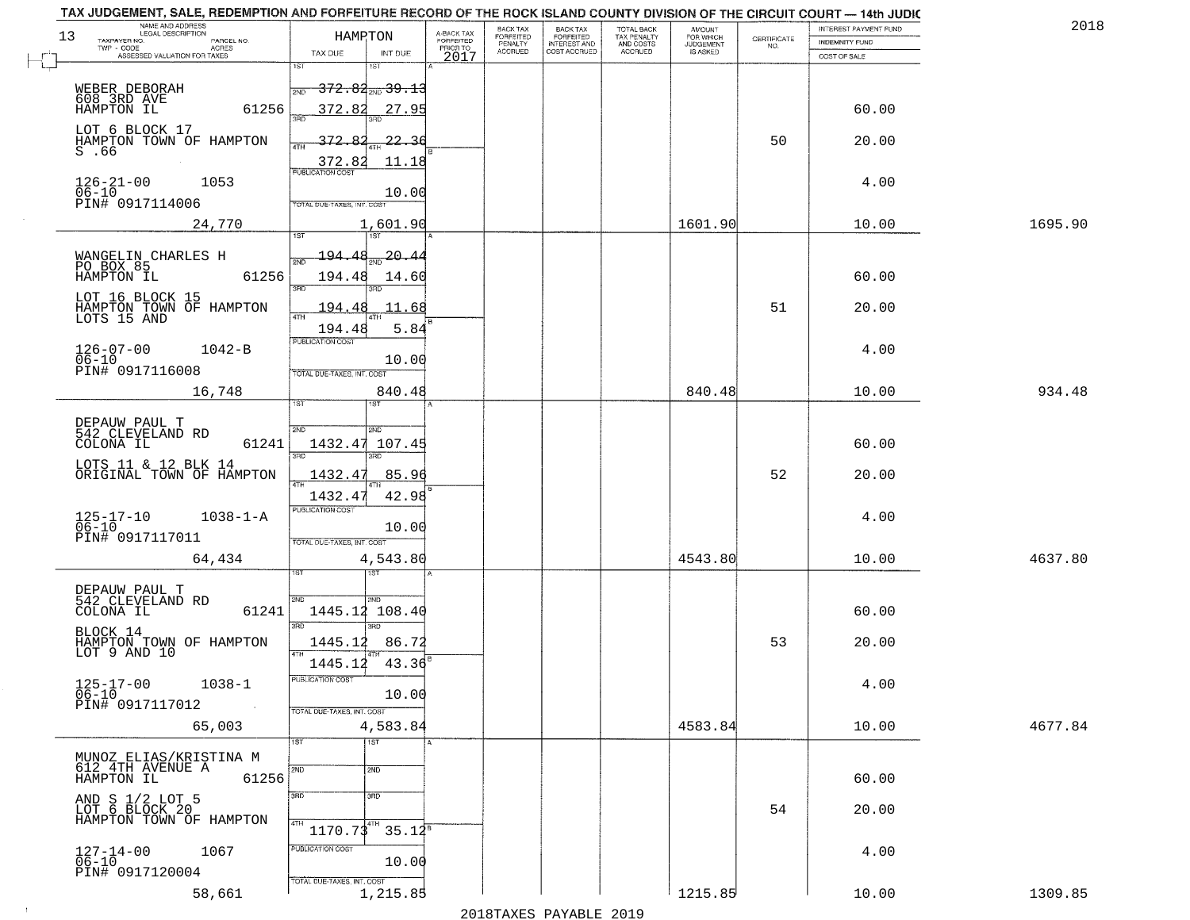| 13 | NAME AND ADDRESS<br>LEGAL DESCRIPTION<br>TAXPAYER NO.<br>PARCEL NO.<br>TWP - CODE<br><b>ACRES</b> | HAMPTON                                                         |                      | A-BACK TAX<br>FORFEITED<br>PRIOR TO | BACK TAX<br>FORFEITED<br>PENALTY | BACK TAX<br>FORFEITED<br>INTEREST AND | TOTAL BACK<br>TAX PENALTY<br>AND COSTS | <b>AMOUNT</b><br>FOR WHICH<br><b>JUDGEMENT</b> | $\begin{array}{c} \text{GETIFICATE} \\ \text{NO.} \end{array}$ | INTEREST PAYMENT FUND<br><b>INDEMNITY FUND</b> | 201     |
|----|---------------------------------------------------------------------------------------------------|-----------------------------------------------------------------|----------------------|-------------------------------------|----------------------------------|---------------------------------------|----------------------------------------|------------------------------------------------|----------------------------------------------------------------|------------------------------------------------|---------|
|    | ASSESSED VALUATION FOR TAXES                                                                      | TAX DUE<br>1ST<br>1ST                                           | INT DUE              | 2017                                | <b>ACCRUED</b>                   | COST ACCRUED                          | ACCRUED                                | IS ASKED                                       |                                                                | COST OF SALE                                   |         |
|    | WEBER DEBORAH<br>608 3RD AVE<br>HAMPTON IL<br>61256                                               | <del>372.82<sub>2ND</sub> 39.13</del><br>372.82                 | 27.95                |                                     |                                  |                                       |                                        |                                                |                                                                | 60.00                                          |         |
|    | LOT 6 BLOCK 17<br>HAMPTON TOWN OF HAMPTON<br>$S$ . $66$                                           | 372.                                                            | 22.36                |                                     |                                  |                                       |                                        |                                                | 50                                                             | 20.00                                          |         |
|    | $126 - 21 - 00$<br>1053<br>$06 - 10$<br>PIN# 0917114006                                           | 372.82<br><b>PUBLICATION COST</b><br>TOTAL DUE-TAXES, INT. COST | 11.18<br>10.00       |                                     |                                  |                                       |                                        |                                                |                                                                | 4.00                                           |         |
|    | 24,770                                                                                            |                                                                 | 1,601.90             |                                     |                                  |                                       |                                        | 1601.90                                        |                                                                | 10.00                                          | 1695.90 |
|    | WANGELIN CHARLES H<br>PO BOX 85<br>61256                                                          | 194.48<br>194.48<br><u>श्ला</u>                                 | -20 -<br>14.60       |                                     |                                  |                                       |                                        |                                                |                                                                | 60.00                                          |         |
|    | LOT 16 BLOCK 15<br>HAMPTON TOWN OF HAMPTON<br>LOTS 15 AND                                         | 194.4<br>47H                                                    | 11.68                |                                     |                                  |                                       |                                        |                                                | 51                                                             | 20.00                                          |         |
|    | $126 - 07 - 00$<br>$1042 - B$<br>$06 - 10$<br>PIN# 0917116008                                     | 194.48<br>PUBLICATION COST<br>TOTAL DUE-TAXES, INT. COST        | 5.84<br>10.00        |                                     |                                  |                                       |                                        |                                                |                                                                | 4.00                                           |         |
|    | 16,748                                                                                            | 1ST                                                             | 840.48               |                                     |                                  |                                       |                                        | 840.48                                         |                                                                | 10.00                                          | 934.48  |
|    | DEPAUW PAUL T<br>542 CLEVELAND RD<br>COLONA IL<br>61241                                           | 2ND<br>2ND<br>1432.47<br>3BD<br>3RD                             | 107.45               |                                     |                                  |                                       |                                        |                                                |                                                                | 60.00                                          |         |
|    | LOTS 11 & 12 BLK 14<br>ORIGINAL TOWN OF HAMPTON                                                   | 1432.4                                                          | 85.96                |                                     |                                  |                                       |                                        |                                                | 52                                                             | 20.00                                          |         |
|    | $1038 - 1 - A$<br>125-17-10<br>06-10<br>PIN# 0917117011                                           | 1432.4<br><b>PUBLICATION COST</b><br>TOTAL OUE-TAXES, INT. COST | 42.98<br>10.00       |                                     |                                  |                                       |                                        |                                                |                                                                | 4.00                                           |         |
|    | 64,434                                                                                            |                                                                 | 4,543.80             |                                     |                                  |                                       |                                        | 4543.80                                        |                                                                | 10.00                                          | 4637.80 |
|    | DEPAUW PAUL T<br>542 CLEVELAND RD<br>COLONA IL<br>61241                                           | 2ND<br>2ND<br>1445.12<br>3BD<br>$\overline{3BD}$                | 108.40               |                                     |                                  |                                       |                                        |                                                |                                                                | 60.00                                          |         |
|    | BLOCK 14<br>HAMPTON TOWN OF HAMPTON<br>LOT 9 AND 10                                               | 1445.12<br>4TH                                                  | 86.72                |                                     |                                  |                                       |                                        |                                                | 53                                                             | 20.00                                          |         |
|    | $125 - 17 - 00$<br>06-10<br>$1038 - 1$<br>PIN# 0917117012<br>$\sim 100$ km                        | 1445.12<br>PUBLICATION COST<br>TOTAL DUE-TAXES, INT. COST       | $43.36^{8}$<br>10.00 |                                     |                                  |                                       |                                        |                                                |                                                                | 4.00                                           |         |
|    | 65,003                                                                                            |                                                                 | 4,583.84             |                                     |                                  |                                       |                                        | 4583.84                                        |                                                                | 10.00                                          | 4677.84 |
|    | MUNOZ ELIAS/KRISTINA M<br>612 4TH AVENUE A<br>61256<br>HAMPTON IL                                 | 1ST<br>1ST<br>2ND<br>2ND                                        |                      |                                     |                                  |                                       |                                        |                                                |                                                                | 60.00                                          |         |
|    | AND S 1/2 LOT 5<br>LOT 6 BLOCK 20<br>HAMPTON TOWN OF HAMPTON                                      | 3BD<br>3 <sub>BD</sub><br>4TH<br>$1170.73^{4}$                  |                      |                                     |                                  |                                       |                                        |                                                | 54                                                             | 20.00                                          |         |
|    | $127 - 14 - 00$<br>06-10<br>1067<br>PIN# 0917120004                                               | PUBLICATION COST<br>TOTAL DUE-TAXES, INT. COST                  | $35.12^8$<br>10.00   |                                     |                                  |                                       |                                        |                                                |                                                                | 4.00                                           |         |
|    | 58,661                                                                                            |                                                                 | 1,215.85             |                                     |                                  |                                       |                                        | 1215.85                                        |                                                                | 10.00                                          | 1309.85 |

 $\sim 40$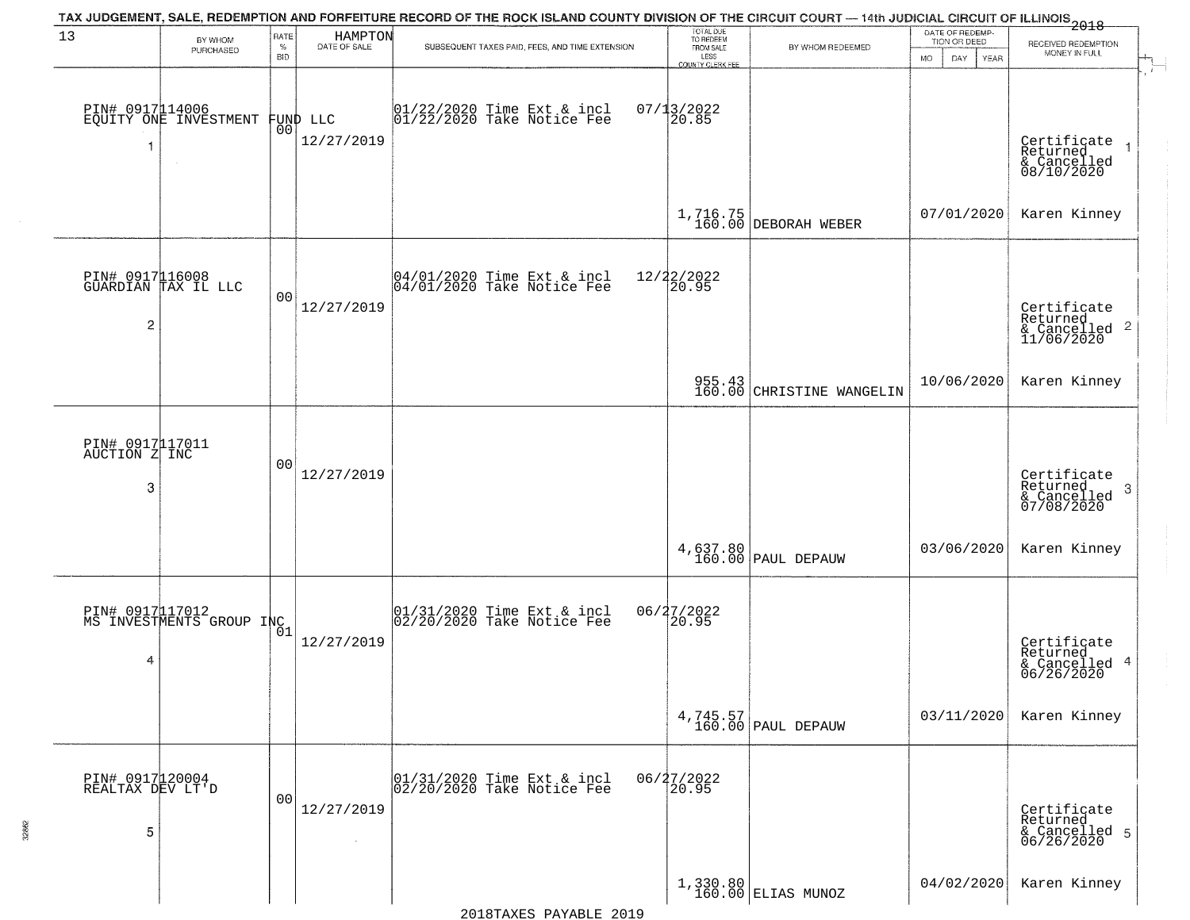|                                          |                                             |                            |                         | TAX JUDGEMENT, SALE, REDEMPTION AND FORFEITURE RECORD OF THE ROCK ISLAND COUNTY DIVISION OF THE CIRCUIT COURT — 14th JUDICIAL CIRCUIT OF ILLINOIS 2018 |                                                                 |                                                                 |                                                             |                                                                       |
|------------------------------------------|---------------------------------------------|----------------------------|-------------------------|--------------------------------------------------------------------------------------------------------------------------------------------------------|-----------------------------------------------------------------|-----------------------------------------------------------------|-------------------------------------------------------------|-----------------------------------------------------------------------|
| 13                                       | BY WHOM<br>PURCHASED                        | RATE<br>$\%$<br><b>BID</b> | HAMPTON<br>DATE OF SALE | SUBSEQUENT TAXES PAID, FEES, AND TIME EXTENSION                                                                                                        | TOTAL DUE<br>TO REDEEM<br>FROM SALE<br>LESS<br>COUNTY CLERK FEE | BY WHOM REDEEMED                                                | DATE OF REDEMP-<br>TION OR DEED<br><b>MO</b><br>DAY<br>YEAR | RECEIVED REDEMPTION<br>MONEY IN FULL                                  |
| -1                                       | PIN# 0917114006<br>EQUITY ONE INVESTMENT    | 00                         | FUND LLC<br>12/27/2019  | $01/22/2020$ Time Ext & incl<br>$01/22/2020$ Take Notice Fee                                                                                           | $07/13/2022$<br>20.85                                           |                                                                 |                                                             | Certificate<br>Returned<br>$\rightarrow$<br>& Cancelled<br>08/10/2020 |
|                                          |                                             |                            |                         |                                                                                                                                                        |                                                                 | 1,716.75<br>160.00 DEBORAH WEBER                                | 07/01/2020                                                  | Karen Kinney                                                          |
| $\overline{c}$                           | PIN# 0917116008<br>GUARDIAN TAX IL LLC      | 00                         | 12/27/2019              | 04/01/2020 Time Ext & incl<br>04/01/2020 Take Notice Fee                                                                                               | 12/22/2022<br>20.95                                             |                                                                 |                                                             | Certificate<br>Returned<br>& Cancelled 2<br>11/06/2020                |
|                                          |                                             |                            |                         |                                                                                                                                                        |                                                                 | 955.43<br>160.00 CHRISTINE WANGELIN                             | 10/06/2020                                                  | Karen Kinney                                                          |
| PIN# 0917117011<br>AUCTION Z INC<br>3    |                                             | 00                         | 12/27/2019              |                                                                                                                                                        |                                                                 |                                                                 |                                                             | Certificate<br>Returned<br>3<br>& Cancelled<br>07/08/2020             |
|                                          |                                             |                            |                         |                                                                                                                                                        |                                                                 | 4,637.80<br>160.00 PAUL DEPAUW                                  | 03/06/2020                                                  | Karen Kinney                                                          |
| 4                                        | PIN# 0917 17012<br>MS INVESTMENTS GROUP INC |                            | 12/27/2019              | 01/31/2020 Time Ext & incl<br>02/20/2020 Take Notice Fee                                                                                               | 06/27/2022<br>$\overline{20.95}$                                |                                                                 |                                                             | Certificate<br>Returned<br>& Cancelled 4<br>06/26/2020                |
|                                          |                                             |                            |                         |                                                                                                                                                        |                                                                 | $4,745.57$<br>160.00 PAUL DEPAUW                                | 03/11/2020                                                  | Karen Kinney                                                          |
| PIN# 0917120004<br>REALTAX DEV LT'D<br>5 |                                             | 0 <sub>0</sub>             | 12/27/2019              | 01/31/2020 Time Ext & incl<br>02/20/2020 Take Notice Fee                                                                                               | 06/27/2022<br>20.95                                             |                                                                 |                                                             | Certificate<br>Returned<br>& Cancelled 5<br>06/26/2020                |
|                                          |                                             |                            |                         |                                                                                                                                                        |                                                                 | $\begin{array}{c c} 1,330.80 \\ 160.00 \end{array}$ ELIAS MUNOZ | 04/02/2020                                                  | Karen Kinney                                                          |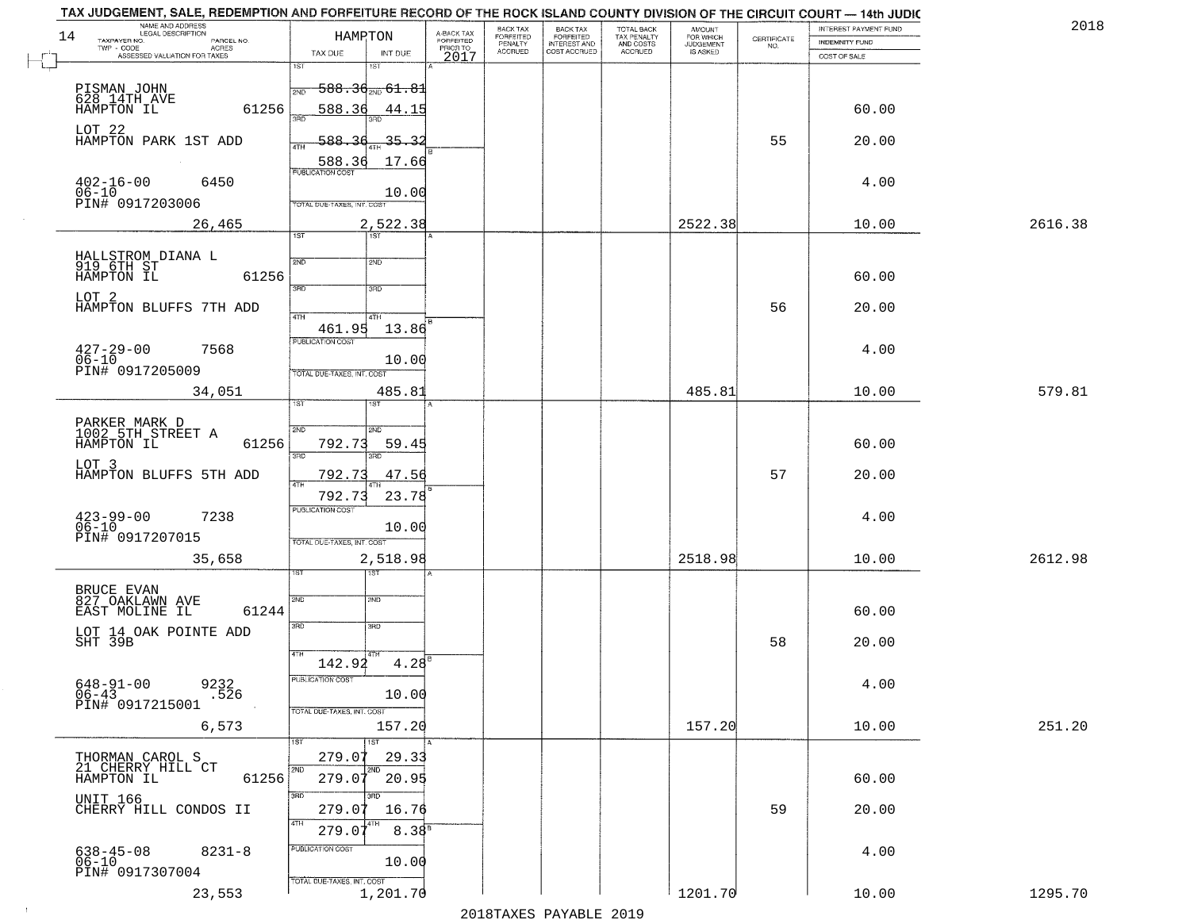| 2018    | INTEREST PAYMENT FUND |                                                                 | <b>AMOUNT</b><br>FOR WHICH |                                                   | <b>BACK TAX</b><br><b>FORFEITED</b> | BACK TAX<br><b>FORFEITED</b> | A-BACK TAX            | HAMPTON                                                                           | NAME AND ADDRESS<br>LEGAL DESCRIPTION<br>14                     |
|---------|-----------------------|-----------------------------------------------------------------|----------------------------|---------------------------------------------------|-------------------------------------|------------------------------|-----------------------|-----------------------------------------------------------------------------------|-----------------------------------------------------------------|
|         | <b>INDEMNITY FUND</b> | $\begin{array}{c} \text{CERTIFICATE} \\ \text{NO.} \end{array}$ | JUDGEMENT                  | TOTAL BACK<br>TAX PENALTY<br>AND COSTS<br>ACCRUED | INTEREST AND<br>COST ACCRUED        | PENALTY<br>ACCRUED           | FORFEITED<br>PRIOR TO |                                                                                   | TAXPAYER NO.<br>PARCEL NO.<br>TWP - CODE<br><b>ACRES</b>        |
|         | COST OF SALE          |                                                                 |                            |                                                   |                                     |                              | 2017                  | TAX DUE<br>INT DUE<br>1ST<br>នោ                                                   | ASSESSED VALUATION FOR TAXES                                    |
|         | 60.00                 |                                                                 |                            |                                                   |                                     |                              |                       | <del>588.30<sub>2ND</sub> 61.8</del> 1<br>2ND<br>588.36<br>44.15                  | PISMAN JOHN<br>628 14TH AVE<br>HAMPTON IL<br>61256              |
|         | 20.00                 | 55                                                              |                            |                                                   |                                     |                              |                       | 588.<br>$\overline{36}$<br>35.32<br>4TH                                           | LOT 22<br>HAMPTON PARK 1ST ADD                                  |
|         | 4.00                  |                                                                 |                            |                                                   |                                     |                              |                       | 588.36<br>17.66<br><b>PUBLICATION COST</b><br>10.00<br>TOTAL DUE-TAXES, INT. COST | $402 - 16 - 00$<br>6450<br>06-10<br>PIN# 0917203006             |
| 2616.38 | 10.00                 |                                                                 | 2522.38                    |                                                   |                                     |                              |                       | 2,522.38                                                                          | 26,465                                                          |
|         | 60.00                 |                                                                 |                            |                                                   |                                     |                              |                       | 1ST<br>1ST<br>2ND<br>2ND<br>3RD<br>3HD                                            | HALLSTROM DIANA L<br>919 6TH ST<br>61256<br>HAMPTON IL<br>LOT 2 |
|         | 20.00<br>4.00         | 56                                                              |                            |                                                   |                                     |                              |                       | 47H<br>4TH<br>461.95<br>13.86<br>PUBLICATION COST                                 | HAMPTON BLUFFS 7TH ADD<br>7568                                  |
| 579.81  | 10.00                 |                                                                 | 485.81                     |                                                   |                                     |                              |                       | 10.00<br>TOTAL DUE-TAXES, INT. COST<br>485.81                                     | $427 - 29 - 00$<br>$06 - 10$<br>PIN# 0917205009<br>34,051       |
|         | 60.00                 |                                                                 |                            |                                                   |                                     |                              |                       | ist.<br>IST<br>2ND<br><b>SMD</b><br>792.73<br>59.45<br>3BD<br>3RD                 | PARKER MARK D<br>1002 5TH STREET A<br>61256<br>HAMPTON IL       |
|         | 20.00                 | 57                                                              |                            |                                                   |                                     |                              |                       | 792.73<br>47.56<br>23.78<br>792.73                                                | LOT 3<br>HAMPTON BLUFFS 5TH ADD                                 |
|         | 4.00                  |                                                                 |                            |                                                   |                                     |                              |                       | <b>PUBLICATION COST</b><br>10.00<br>TOTAL OUE-TAXES, INT. COST                    | $423 - 99 - 00$<br>06-10<br>7238<br>PIN# 0917207015             |
| 2612.98 | 10.00                 |                                                                 | 2518.98                    |                                                   |                                     |                              |                       | 2,518.98<br>उड़ा                                                                  | 35,658                                                          |
|         | 60.00                 |                                                                 |                            |                                                   |                                     |                              |                       | SVD<br>SND<br>3RD<br>3BD                                                          | BRUCE EVAN<br>827 OAKLAWN AVE<br>61244<br>EAST MOLINE IL        |
|         | 20.00                 | 58                                                              |                            |                                                   |                                     |                              |                       | 4TH                                                                               | LOT 14 OAK POINTE ADD<br>SHT 39B                                |
|         | 4.00                  |                                                                 |                            |                                                   |                                     |                              |                       | $4.28^{6}$<br>142.92<br>PUBLICATION COST<br>10.00<br>TOTAL DUE-TAXES, INT. COST   | $648 - 91 - 00$<br>06-43<br>9232<br>.526<br>PIN# 0917215001     |
| 251.20  | 10.00                 |                                                                 | 157.20                     |                                                   |                                     |                              |                       | 157.20                                                                            | 6,573                                                           |
|         | 60.00                 |                                                                 |                            |                                                   |                                     |                              |                       | 1ST<br>1ST<br>279.07<br>29.33<br>2ND<br>2ND<br>20.95<br>279.07                    | THORMAN CAROL S<br>21 CHERRY HILL CT<br>HAMPTON IL<br>61256     |
|         | 20.00                 | 59                                                              |                            |                                                   |                                     |                              |                       | 3RD<br>का<br>279.07<br>16.76<br>4TH                                               | <b>UNIT 166</b><br>CHERRY HILL CONDOS II                        |
|         | 4.00                  |                                                                 |                            |                                                   |                                     |                              |                       | $8.38^{B}$<br>279.07<br>PUBLICATION COST<br>10.00                                 | 638-45-08<br>06-10<br>$8231 - 8$<br>PIN# 0917307004             |
|         |                       |                                                                 |                            |                                                   |                                     |                              |                       | TOTAL DUE-TAXES, INT. COST                                                        |                                                                 |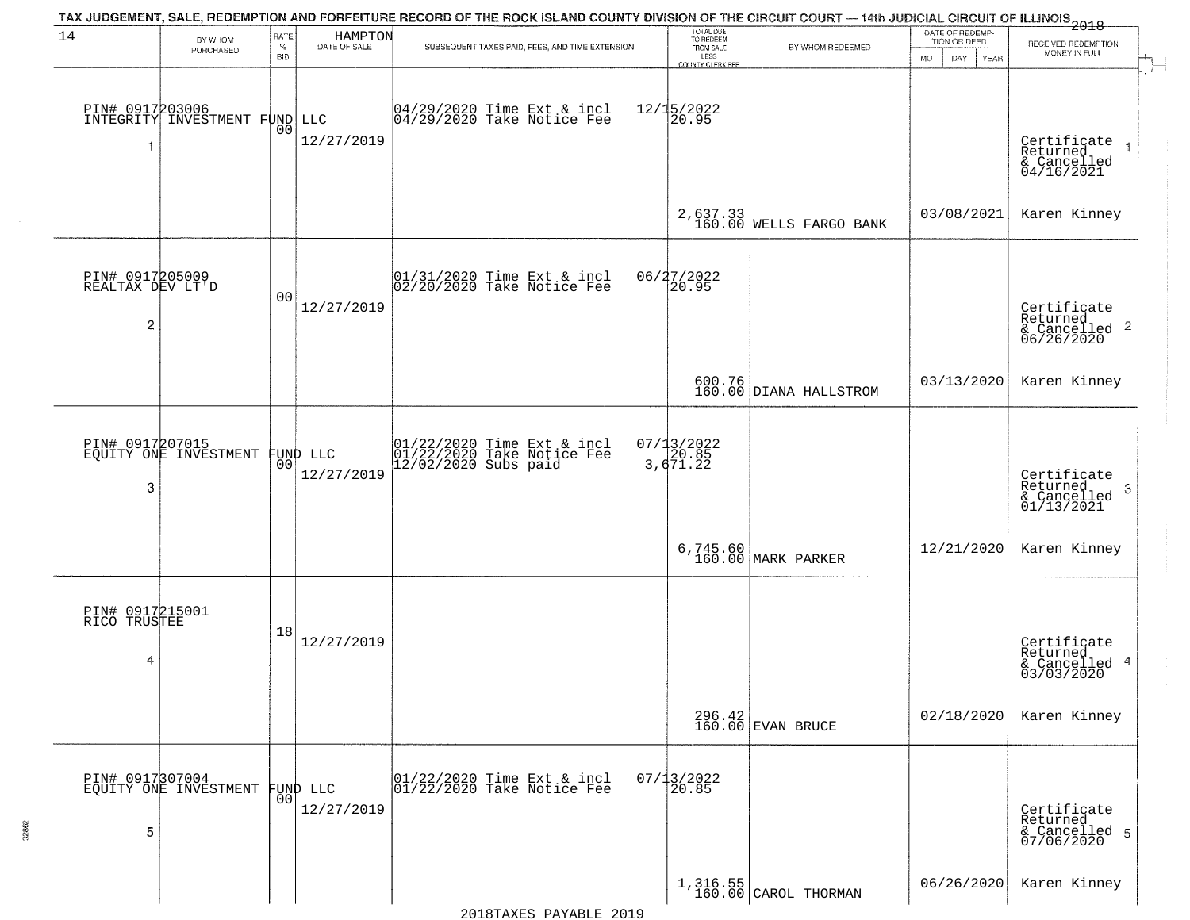| 14                                                    |                                              | RATE               |                         | TAX JUDGEMENT, SALE, REDEMPTION AND FORFEITURE RECORD OF THE ROCK ISLAND COUNTY DIVISION OF THE CIRCUIT COURT — 14th JUDICIAL CIRCUIT OF ILLINOIS 2018 | TOTAL DUE<br>TO REDEEM<br>FROM SALE       |                                       | DATE OF REDEMP-                                 |                                                                       |  |
|-------------------------------------------------------|----------------------------------------------|--------------------|-------------------------|--------------------------------------------------------------------------------------------------------------------------------------------------------|-------------------------------------------|---------------------------------------|-------------------------------------------------|-----------------------------------------------------------------------|--|
|                                                       | BY WHOM<br>PURCHASED                         | $\%$<br><b>BID</b> | HAMPTON<br>DATE OF SALE | SUBSEQUENT TAXES PAID, FEES, AND TIME EXTENSION                                                                                                        | LESS                                      | BY WHOM REDEEMED                      | TION OR DEED<br><b>MO</b><br>DAY<br><b>YEAR</b> | RECEIVED REDEMPTION<br>MONEY IN FULL                                  |  |
| $\overline{\mathbf{1}}$                               | PIN# 0917203006<br>INTEGRITY INVESTMENT FUND | 0 <sub>0</sub>     | LLC<br>12/27/2019       | 04/29/2020 Time Ext & incl<br>04/29/2020 Take Notice Fee                                                                                               | COUNTY CLERK FEE<br>$12/15/2022$<br>20.95 |                                       |                                                 | Certificate<br>Returned<br>$rac{6}{6}$ Cancelled<br>04/16/2021        |  |
|                                                       |                                              |                    |                         |                                                                                                                                                        |                                           | $2,637.33$<br>160.00 WELLS FARGO BANK | 03/08/2021                                      | Karen Kinney                                                          |  |
| PIN# 0917205009<br>REALTAX DEV LT'D<br>$\overline{c}$ |                                              | 0 <sub>0</sub>     | 12/27/2019              | $ 01/31/2020$ Time Ext & incl<br>$ 02/20/2020$ Take Notice Fee                                                                                         | 06/27/2022<br>20.95                       |                                       |                                                 | Certificate<br>Returned<br>$\frac{1}{6}$ Cancelled 2<br>06/26/2020    |  |
|                                                       |                                              |                    |                         |                                                                                                                                                        |                                           | 600.76<br>160.00 DIANA HALLSTROM      | 03/13/2020                                      | Karen Kinney                                                          |  |
| 3                                                     | PIN# 0917207015<br>EQUITY ONE INVESTMENT     | 00                 | FUND LLC<br>12/27/2019  | 01/22/2020 Time Ext & incl<br>01/22/2020 Take Notice Fee<br>12/02/2020 Subs paid                                                                       | $07/13/2022$<br>3,671.22                  |                                       |                                                 | Certificate<br>Returned<br>3<br>$\frac{1}{2}$ Cancelled<br>01/13/2021 |  |
|                                                       |                                              |                    |                         |                                                                                                                                                        |                                           | 6,745.60<br>160.00 MARK PARKER        | 12/21/2020                                      | Karen Kinney                                                          |  |
| PIN# 0917215001<br>RICO TRUSTEE<br>4                  |                                              | 18                 | 12/27/2019              |                                                                                                                                                        |                                           |                                       |                                                 | Certificate<br>Returned<br>& Cancelled 4<br>03/03/2020                |  |
|                                                       |                                              |                    |                         |                                                                                                                                                        |                                           | $296.42$<br>160.00 EVAN BRUCE         | 02/18/2020                                      | Karen Kinney                                                          |  |
| 5                                                     | PIN# 0917307004<br>EQUITY ONE INVESTMENT     | 0 <sup>0</sup>     | FUND LLC<br>12/27/2019  | 01/22/2020 Time Ext & incl<br>01/22/2020 Take Notice Fee                                                                                               | $07/13/2022$<br>20.85                     |                                       |                                                 | Certificate<br>Returned<br>& Cancelled 5<br>07/06/2020                |  |
|                                                       |                                              |                    |                         |                                                                                                                                                        |                                           | 1,316.55<br>160.00 CAROL THORMAN      | 06/26/2020                                      | Karen Kinney                                                          |  |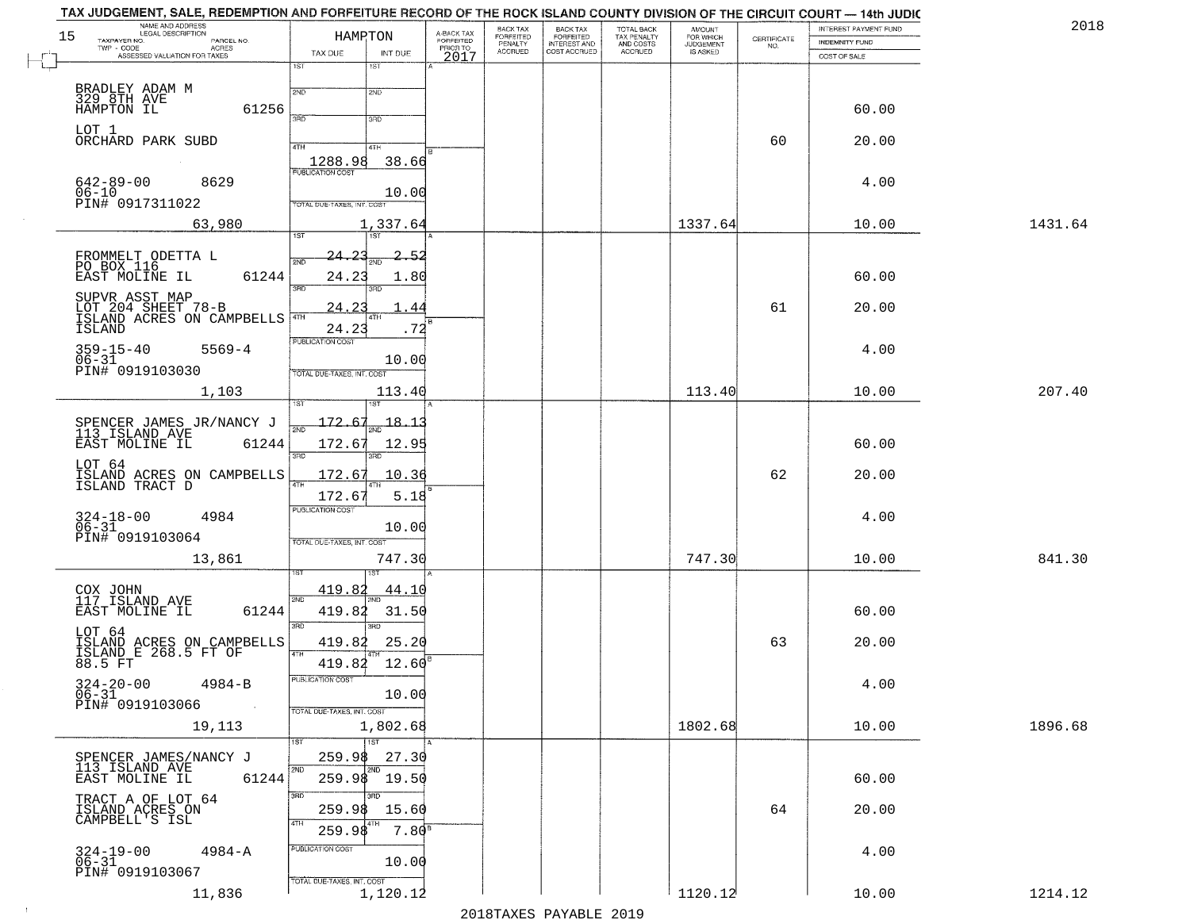|    | TAX JUDGEMENT, SALE, REDEMPTION AND FORFEITURE RECORD OF THE ROCK ISLAND COUNTY DIVISION OF THE CIRCUIT COURT — 14th JUDIC |                                       |                         |                       |                                                       |                                                   |                                                     |                    | INTEREST PAYMENT FUND | 2018    |
|----|----------------------------------------------------------------------------------------------------------------------------|---------------------------------------|-------------------------|-----------------------|-------------------------------------------------------|---------------------------------------------------|-----------------------------------------------------|--------------------|-----------------------|---------|
| 15 | NAME AND ADDRESS<br>LEGAL DESCRIPTION<br>TAXPAYER NO.<br>PARCEL NO.                                                        | HAMRTON                               | A-BACK TAX<br>FORFEITED | BACK TAX<br>FORFEITED | BACK TAX<br>FORFEITED<br>INTEREST AND<br>COST ACCRUED | TOTAL BACK<br>TAX PENALTY<br>AND COSTS<br>ACCRUED | <b>AMOUNT</b><br>FOR WHICH<br>JUDGEMENT<br>IS ASKED | CERTIFICATE<br>NO. | INDEMNITY FUND        |         |
|    | $TWP - CODE$<br><b>ACRES</b><br>ASSESSED VALUATION FOR TAXES                                                               | TAX DUE<br>INT DUE                    | PRIOR TO<br>2017        | PENALTY<br>ACCRUED    |                                                       |                                                   |                                                     |                    | COST OF SALE          |         |
|    |                                                                                                                            | 1ST<br>1ST                            |                         |                       |                                                       |                                                   |                                                     |                    |                       |         |
|    | BRADLEY ADAM M<br>329 8TH AVE                                                                                              | 2ND<br>2ND                            |                         |                       |                                                       |                                                   |                                                     |                    |                       |         |
|    | HAMPTON IL<br>61256                                                                                                        | san<br>3RD                            |                         |                       |                                                       |                                                   |                                                     |                    | 60.00                 |         |
|    | LOT 1                                                                                                                      |                                       |                         |                       |                                                       |                                                   |                                                     |                    |                       |         |
|    | ORCHARD PARK SUBD                                                                                                          | 4TH<br>4TH                            |                         |                       |                                                       |                                                   |                                                     | 60                 | 20.00                 |         |
|    | $\sim$                                                                                                                     | 1288.98<br>38.66<br>PUBLICATION COST  |                         |                       |                                                       |                                                   |                                                     |                    |                       |         |
|    | $642 - 89 - 00$<br>8629<br>$06 - 10$                                                                                       | 10.00                                 |                         |                       |                                                       |                                                   |                                                     |                    | 4.00                  |         |
|    | PIN# 0917311022                                                                                                            | TOTAL DUE-TAXES, INT. COST            |                         |                       |                                                       |                                                   |                                                     |                    |                       |         |
|    | 63,980                                                                                                                     | 1,337.64                              |                         |                       |                                                       |                                                   | 1337.64                                             |                    | 10.00                 | 1431.64 |
|    |                                                                                                                            | 1ST<br>1ST                            |                         |                       |                                                       |                                                   |                                                     |                    |                       |         |
|    | FROMMELT ODETTA L<br>PO BOX 116                                                                                            | 24.2<br>2ND                           | -52                     |                       |                                                       |                                                   |                                                     |                    |                       |         |
|    | EAST MOLINE IL<br>61244                                                                                                    | 24.23<br>1.80<br>3RD                  |                         |                       |                                                       |                                                   |                                                     |                    | 60.00                 |         |
|    | SUPVR ASST MAP<br>LOT 204 SHEET 78-B                                                                                       | 24.2                                  | 44                      |                       |                                                       |                                                   |                                                     | 61                 | 20.00                 |         |
|    | ISLAND ACRES ON CAMPBELLS <sup>4TH</sup><br>ISLAND                                                                         | 4TH<br>24.23                          | ŀв<br>.72               |                       |                                                       |                                                   |                                                     |                    |                       |         |
|    |                                                                                                                            | <b>PUBLICATION COST</b>               |                         |                       |                                                       |                                                   |                                                     |                    |                       |         |
|    | $359 - 15 - 40$<br>$5569 - 4$<br>$06 - 31$                                                                                 | 10.00                                 |                         |                       |                                                       |                                                   |                                                     |                    | 4.00                  |         |
|    | PIN# 0919103030                                                                                                            | TOTAL DUE-TAXES, INT. COST            |                         |                       |                                                       |                                                   |                                                     |                    |                       |         |
|    | 1,103                                                                                                                      | 113.40                                |                         |                       |                                                       |                                                   | 113.40                                              |                    | 10.00                 | 207.40  |
|    |                                                                                                                            | $172.67_{\text{2ND}}$ 18.13           |                         |                       |                                                       |                                                   |                                                     |                    |                       |         |
|    | SPENCER JAMES JR/NANCY J<br>113_ISLAND AVE<br>61244<br>EAST MOLINE IL                                                      | 172.67<br>12.95                       |                         |                       |                                                       |                                                   |                                                     |                    | 60.00                 |         |
|    | LOT 64                                                                                                                     | 3RD<br>3BD                            |                         |                       |                                                       |                                                   |                                                     |                    |                       |         |
|    | ISLAND ACRES ON CAMPBELLS<br>ISLAND TRACT D                                                                                | 172.67<br>10.36                       |                         |                       |                                                       |                                                   |                                                     | 62                 | 20.00                 |         |
|    |                                                                                                                            | 172.6<br>5.18                         |                         |                       |                                                       |                                                   |                                                     |                    |                       |         |
|    | $324 - 18 - 00$<br>06-31<br>4984                                                                                           | <b>PUBLICATION COST</b>               |                         |                       |                                                       |                                                   |                                                     |                    | 4.00                  |         |
|    | PIN# 0919103064                                                                                                            | 10.00<br>TOTAL OUE-TAXES, INT. COST   |                         |                       |                                                       |                                                   |                                                     |                    |                       |         |
|    | 13,861                                                                                                                     | 747.30                                |                         |                       |                                                       |                                                   | 747.30                                              |                    | 10.00                 | 841.30  |
|    |                                                                                                                            |                                       |                         |                       |                                                       |                                                   |                                                     |                    |                       |         |
|    | COX JOHN<br>117 ISLAND AVE                                                                                                 | 419.82<br><u>44.10</u><br>2ND         |                         |                       |                                                       |                                                   |                                                     |                    |                       |         |
|    | 61244<br>EAST MOLINE IL                                                                                                    | 419.82<br>31.50                       |                         |                       |                                                       |                                                   |                                                     |                    | 60.00                 |         |
|    | LOT 64                                                                                                                     | 3RD<br>3RD<br>25.20<br>419.82         |                         |                       |                                                       |                                                   |                                                     | 63                 | 20.00                 |         |
|    | ISLAND ACRES ON CAMPBELLS<br>ISLAND E 268.5 FT OF<br>88.5 FT                                                               | 4TH<br>419.82<br>12.60                |                         |                       |                                                       |                                                   |                                                     |                    |                       |         |
|    |                                                                                                                            | PUBLICATION COST                      |                         |                       |                                                       |                                                   |                                                     |                    |                       |         |
|    | $324 - 20 - 00$ 4984-B<br>06-31                                                                                            | 10.00                                 |                         |                       |                                                       |                                                   |                                                     |                    | 4.00                  |         |
|    | PIN# 0919103066                                                                                                            | TOTAL DUE-TAXES, INT. COST            |                         |                       |                                                       |                                                   |                                                     |                    |                       |         |
|    | 19,113                                                                                                                     | 1,802.68<br>$\overline{1}$ 1st<br>1ST |                         |                       |                                                       |                                                   | 1802.68                                             |                    | 10.00                 | 1896.68 |
|    | SPENCER JAMES/NANCY J                                                                                                      | 27.30<br>259.98                       |                         |                       |                                                       |                                                   |                                                     |                    |                       |         |
|    | 113 ISLAND AVE<br>EAST MOLINE IL<br>61244                                                                                  | 2ND<br>2ND<br>259.98 19.50            |                         |                       |                                                       |                                                   |                                                     |                    | 60.00                 |         |
|    | TRACT A OF LOT 64                                                                                                          | 3BD<br>उत्तर                          |                         |                       |                                                       |                                                   |                                                     |                    |                       |         |
|    | ISLAND ACRES ON<br>CAMPBELL'S ISL                                                                                          | 259.98<br>15.60                       |                         |                       |                                                       |                                                   |                                                     | 64                 | 20.00                 |         |
|    |                                                                                                                            | 4TH<br>259.98<br>7.80 <sup>s</sup>    |                         |                       |                                                       |                                                   |                                                     |                    |                       |         |
|    | 324-19-00<br>06-31<br>$4984 - A$                                                                                           | PUBLICATION COST                      |                         |                       |                                                       |                                                   |                                                     |                    | 4.00                  |         |
|    | PIN# 0919103067                                                                                                            | 10.00<br>TOTAL DUE-TAXES, INT. COST   |                         |                       |                                                       |                                                   |                                                     |                    |                       |         |
|    | 11,836                                                                                                                     | 1,120.12                              |                         |                       |                                                       |                                                   | 1120.12                                             |                    | 10.00                 | 1214.12 |

 $\sim 100$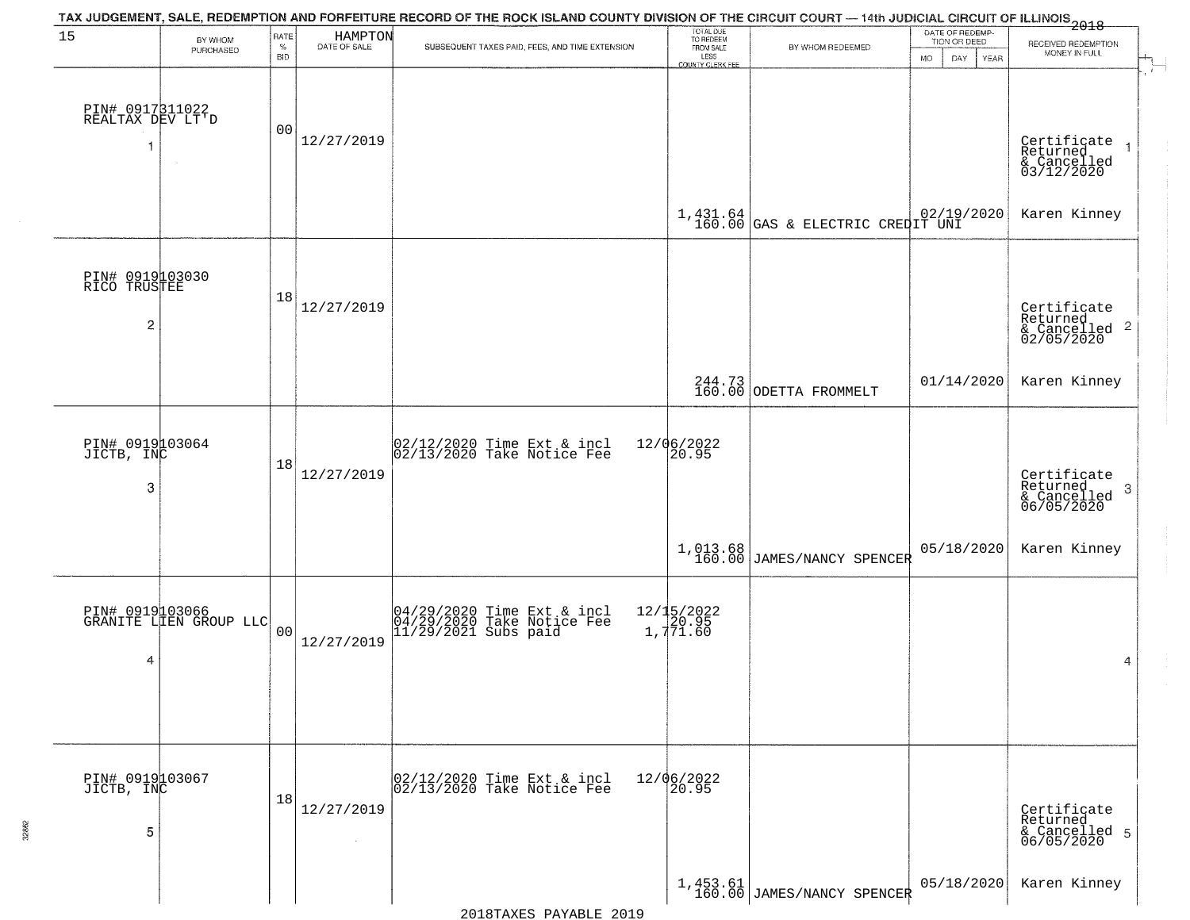|                                          |                                           |                     |                              | TAX JUDGEMENT, SALE, REDEMPTION AND FORFEITURE RECORD OF THE ROCK ISLAND COUNTY DIVISION OF THE CIRCUIT COURT — 14th JUDICIAL CIRCUIT OF ILLINOIS 2018 |                                                                 |                                          |                                                                    |                                                           |
|------------------------------------------|-------------------------------------------|---------------------|------------------------------|--------------------------------------------------------------------------------------------------------------------------------------------------------|-----------------------------------------------------------------|------------------------------------------|--------------------------------------------------------------------|-----------------------------------------------------------|
| 15                                       | BY WHOM<br>PURCHASED                      | RATE<br>$\%$<br>BID | HAMPTON<br>DATE OF SALE      | SUBSEQUENT TAXES PAID, FEES, AND TIME EXTENSION                                                                                                        | TOTAL DUE<br>TO REDEEM<br>FROM SALE<br>LESS<br>COUNTY CLERK FEE | BY WHOM REDEEMED                         | DATE OF REDEMP-<br>TION OR DEED<br><b>MO</b><br><b>DAY</b><br>YEAR | RECEIVED REDEMPTION<br>MONEY IN FULL                      |
| PIN# 0917311022<br>REALTAX DEV LT'D<br>1 | $\sim$                                    | 00                  | 12/27/2019                   |                                                                                                                                                        |                                                                 |                                          |                                                                    | Certificate<br>Returned<br>& Cancelled<br>03/12/2020      |
|                                          |                                           |                     |                              |                                                                                                                                                        |                                                                 | $1,431.64$ 02/19/2020                    |                                                                    | Karen Kinney                                              |
| PIN# 0919103030<br>RICO TRUSTEE<br>2     |                                           | 18                  | 12/27/2019                   |                                                                                                                                                        |                                                                 |                                          |                                                                    | Certificate<br>Returned<br>& Cancelled 2<br>02/05/2020    |
|                                          |                                           |                     |                              |                                                                                                                                                        |                                                                 | 244.73<br>160.00 ODETTA FROMMELT         | 01/14/2020                                                         | Karen Kinney                                              |
| PIN# 0919103064<br>JICTB, INC<br>3       |                                           | 18                  | 12/27/2019                   | $02/12/2020$ Time Ext & incl<br>$02/13/2020$ Take Notice Fee                                                                                           | 12/06/2022<br>20.95                                             |                                          |                                                                    | Certificate<br>Returned<br>3<br>& Cancelled<br>06/05/2020 |
|                                          |                                           |                     |                              |                                                                                                                                                        |                                                                 | 1,013.68<br>160.00 JAMES/NANCY SPENCER   | 05/18/2020                                                         | Karen Kinney                                              |
| 4                                        | PIN# 0919103066<br>GRANITE LIEN GROUP LLC | 0 <sub>0</sub>      | 12/27/2019                   | 04/29/2020 Time Ext & incl<br>04/29/2020 Take Notice Fee<br>11/29/2021 Subs paid                                                                       | 12/15/2022<br>1,771.60                                          |                                          |                                                                    | 4                                                         |
| PIN# 0919103067<br>JICTB, INC<br>5       |                                           | 18                  | 12/27/2019<br>$\sim 10^{-1}$ | 02/12/2020 Time Ext & incl<br>02/13/2020 Take Notice Fee                                                                                               | 12/06/2022<br>20.95                                             |                                          |                                                                    | Certificate<br>Returned<br>& Cancelled 5<br>06/05/2020    |
|                                          |                                           |                     |                              |                                                                                                                                                        |                                                                 | $1,453.61$<br>160.00 JAMES/NANCY SPENCER | 05/18/2020                                                         | Karen Kinney                                              |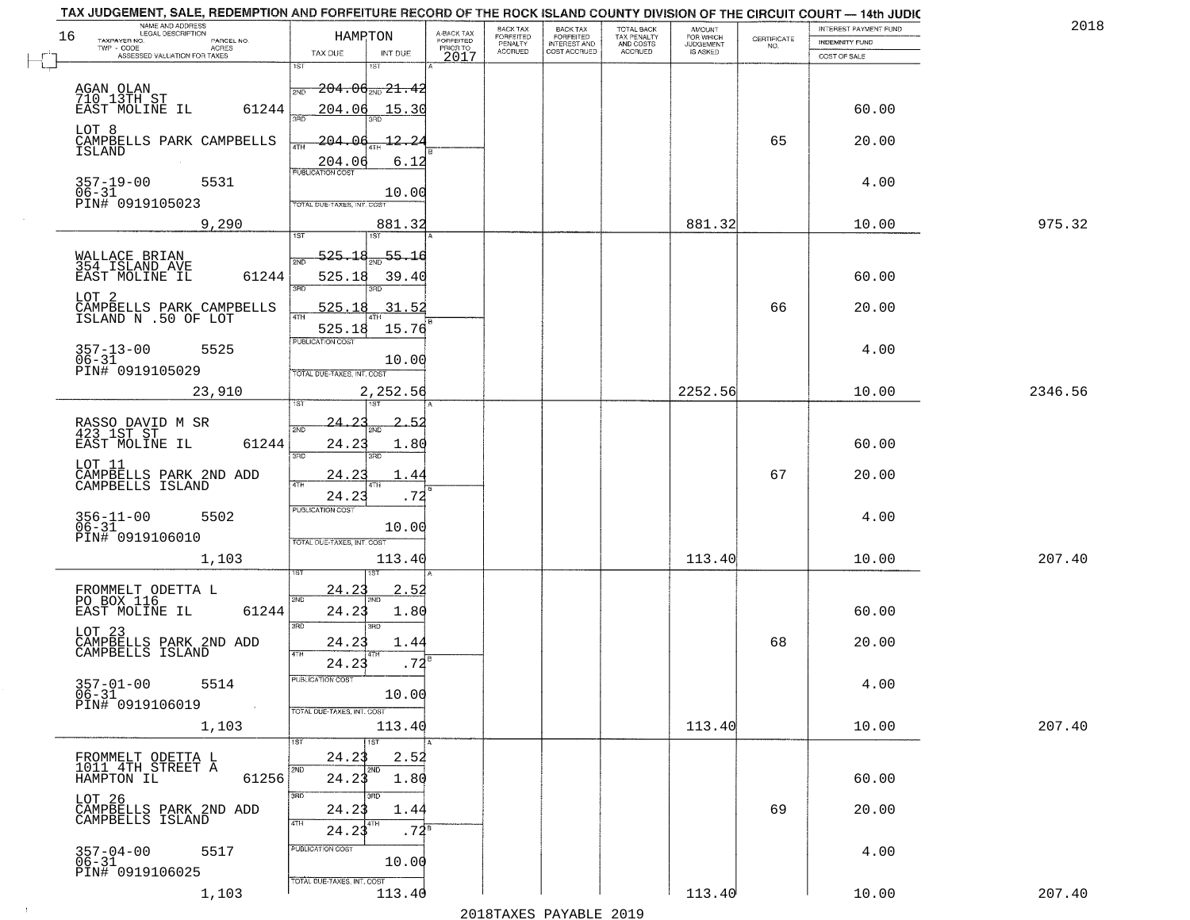| NAME AND ADDRESS<br>LEGAL DESCRIPTION<br>16<br>TAXPAYER NO.<br>PARCEL NO. | HAMRTON                                               | A-BACK TAX<br>FORFEITED<br>PRIOR TO | BACK TAX<br>FORFEITED     | BACK TAX<br>FORFEITED<br>INTEREST AND | TOTAL BACK<br>TAX PENALTY<br>AND COSTS | AMOUNT<br>FOR WHICH          | $\begin{array}{c} \text{CERTIFICATE} \\ \text{NO.} \end{array}$ | INTEREST PAYMENT FUND<br>INDEMNITY FUND | 2018    |
|---------------------------------------------------------------------------|-------------------------------------------------------|-------------------------------------|---------------------------|---------------------------------------|----------------------------------------|------------------------------|-----------------------------------------------------------------|-----------------------------------------|---------|
| $TWP - CODE$<br>ACRES<br>ASSESSED VALUATION FOR TAXES                     | TAX DUE<br>INT DUE                                    | 2017                                | PENALTY<br><b>ACCRUED</b> | COST ACCRUED                          | ACCRUED                                | <b>JUDGEMENT</b><br>IS ASKED |                                                                 | COST OF SALE                            |         |
|                                                                           | 1ST<br>1ST                                            |                                     |                           |                                       |                                        |                              |                                                                 |                                         |         |
| AGAN OLAN<br>710 13TH ST<br>EAST MOLINE IL                                | <del>204.06<sub>2ND</sub> 21.42</del><br>2ND          |                                     |                           |                                       |                                        |                              |                                                                 |                                         |         |
|                                                                           | 61244<br>204.06<br>15.30<br>3AD                       |                                     |                           |                                       |                                        |                              |                                                                 | 60.00                                   |         |
| LOT 8<br>CAMPBELLS PARK CAMPBELLS                                         | $-204.06$<br>-12.2                                    |                                     |                           |                                       |                                        |                              | 65                                                              | 20.00                                   |         |
| ISLAND                                                                    | 4TH<br>6.12                                           |                                     |                           |                                       |                                        |                              |                                                                 |                                         |         |
| $357 - 19 - 00$<br>5531                                                   | 204.06                                                |                                     |                           |                                       |                                        |                              |                                                                 | 4.00                                    |         |
| $06 - 31$<br>PIN# 0919105023                                              | 10.00<br>TOTAL DUE-TAXES, INT, COST                   |                                     |                           |                                       |                                        |                              |                                                                 |                                         |         |
| 9,290                                                                     | 881.32                                                |                                     |                           |                                       |                                        | 881.32                       |                                                                 | 10.00                                   | 975.32  |
|                                                                           | 1ST<br>1ST                                            |                                     |                           |                                       |                                        |                              |                                                                 |                                         |         |
| WALLACE BRIAN<br>354 ISLAND AVE                                           | 55.16<br>525.18<br>2ND                                |                                     |                           |                                       |                                        |                              |                                                                 |                                         |         |
| EAST MOLINE IL                                                            | 61244<br>525.18<br>39.40<br>3RD<br>חחי                |                                     |                           |                                       |                                        |                              |                                                                 | 60.00                                   |         |
| LOT <sub>2</sub><br>CAMPBELLS PARK CAMPBELLS<br>ISLAND N .50 OF LOT       | 31.52<br>525.18<br>47H                                |                                     |                           |                                       |                                        |                              | 66                                                              | 20.00                                   |         |
|                                                                           | 15.76<br>525.18                                       |                                     |                           |                                       |                                        |                              |                                                                 |                                         |         |
| $357 - 13 - 00$<br>5525<br>$06 - 31$                                      | PUBLICATION COST<br>10.00                             |                                     |                           |                                       |                                        |                              |                                                                 | 4.00                                    |         |
| PIN# 0919105029                                                           | TOTAL DUE-TAXES, INT. COST                            |                                     |                           |                                       |                                        |                              |                                                                 |                                         |         |
| 23,910                                                                    | 2,252.56<br>1ST                                       |                                     |                           |                                       |                                        | 2252.56                      |                                                                 | 10.00                                   | 2346.56 |
| RASSO DAVID M SR<br>423 1ST ST                                            | 24.2<br>2.<br>2ND                                     |                                     |                           |                                       |                                        |                              |                                                                 |                                         |         |
| EAST MOLINE IL                                                            | 61244<br>24.23<br>1.80                                |                                     |                           |                                       |                                        |                              |                                                                 | 60.00                                   |         |
| LOT 11                                                                    | 3BD<br>3BD                                            |                                     |                           |                                       |                                        |                              |                                                                 |                                         |         |
| CAMPBELLS PARK 2ND ADD<br>CAMPBELLS ISLAND                                | 24.2<br>4<br>4TH<br>24.23<br>.72                      |                                     |                           |                                       |                                        |                              | 67                                                              | 20.00                                   |         |
| 5502                                                                      | <b>PUBLICATION COST</b>                               |                                     |                           |                                       |                                        |                              |                                                                 | 4.00                                    |         |
| 356-11-00<br>06-31<br>PIN# 0919106010                                     | 10.00<br>TOTAL OUE-TAXES, INT. COST                   |                                     |                           |                                       |                                        |                              |                                                                 |                                         |         |
| 1,103                                                                     | 113.40                                                |                                     |                           |                                       |                                        | 113.40                       |                                                                 | 10.00                                   | 207.40  |
|                                                                           |                                                       |                                     |                           |                                       |                                        |                              |                                                                 |                                         |         |
| FROMMELT ODETTA L<br>PO BOX 116<br>EAST MOLINE IL                         | 24.23<br><u>2.5</u><br>2ND<br>'ND                     |                                     |                           |                                       |                                        |                              |                                                                 |                                         |         |
|                                                                           | 61244<br>24.23<br>1.80<br>3RD<br>3RD                  |                                     |                           |                                       |                                        |                              |                                                                 | 60.00                                   |         |
| LOT 23<br>CAMPBELLS PARK 2ND ADD<br>CAMPBELLS ISLAND                      | 24.23<br>1.44                                         |                                     |                           |                                       |                                        |                              | 68                                                              | 20.00                                   |         |
|                                                                           | 4TH<br>$.72^{B}$<br>24.23                             |                                     |                           |                                       |                                        |                              |                                                                 |                                         |         |
| $357 - 01 - 00$<br>5514<br>$06 - 31$                                      | PUBLICATION COST<br>10.00                             |                                     |                           |                                       |                                        |                              |                                                                 | 4.00                                    |         |
| PIN# 0919106019<br>$\sim 100$                                             | TOTAL DUE-TAXES, INT. COST                            |                                     |                           |                                       |                                        |                              |                                                                 |                                         |         |
| 1,103                                                                     | 113.40<br>1ST<br>1ST                                  |                                     |                           |                                       |                                        | 113.40                       |                                                                 | 10.00                                   | 207.40  |
| FROMMELT ODETTA L<br>1011 4TH STREET A                                    | 24.23<br>2.52                                         |                                     |                           |                                       |                                        |                              |                                                                 |                                         |         |
| HAMPTON IL                                                                | 2ND<br>2ND<br>61256<br>24.23<br>1.80                  |                                     |                           |                                       |                                        |                              |                                                                 | 60.00                                   |         |
| LOT 26                                                                    | 3RD<br>3RD                                            |                                     |                           |                                       |                                        |                              | 69                                                              | 20.00                                   |         |
| CAMPBELLS PARK 2ND ADD<br>CAMPBELLS ISLAND                                | 24.23<br>1.44<br>4TH<br>4TH<br>$.72^{\circ}$<br>24.23 |                                     |                           |                                       |                                        |                              |                                                                 |                                         |         |
| 5517                                                                      | PUBLICATION COST                                      |                                     |                           |                                       |                                        |                              |                                                                 | 4.00                                    |         |
| 357-04-00<br>06-31<br>PIN# 0919106025                                     | 10.00                                                 |                                     |                           |                                       |                                        |                              |                                                                 |                                         |         |
| 1,103                                                                     | TOTAL DUE-TAXES, INT. COST<br>113.40                  |                                     |                           |                                       |                                        | 113.40                       |                                                                 | 10.00                                   | 207.40  |

 $\sim 10^{-1}$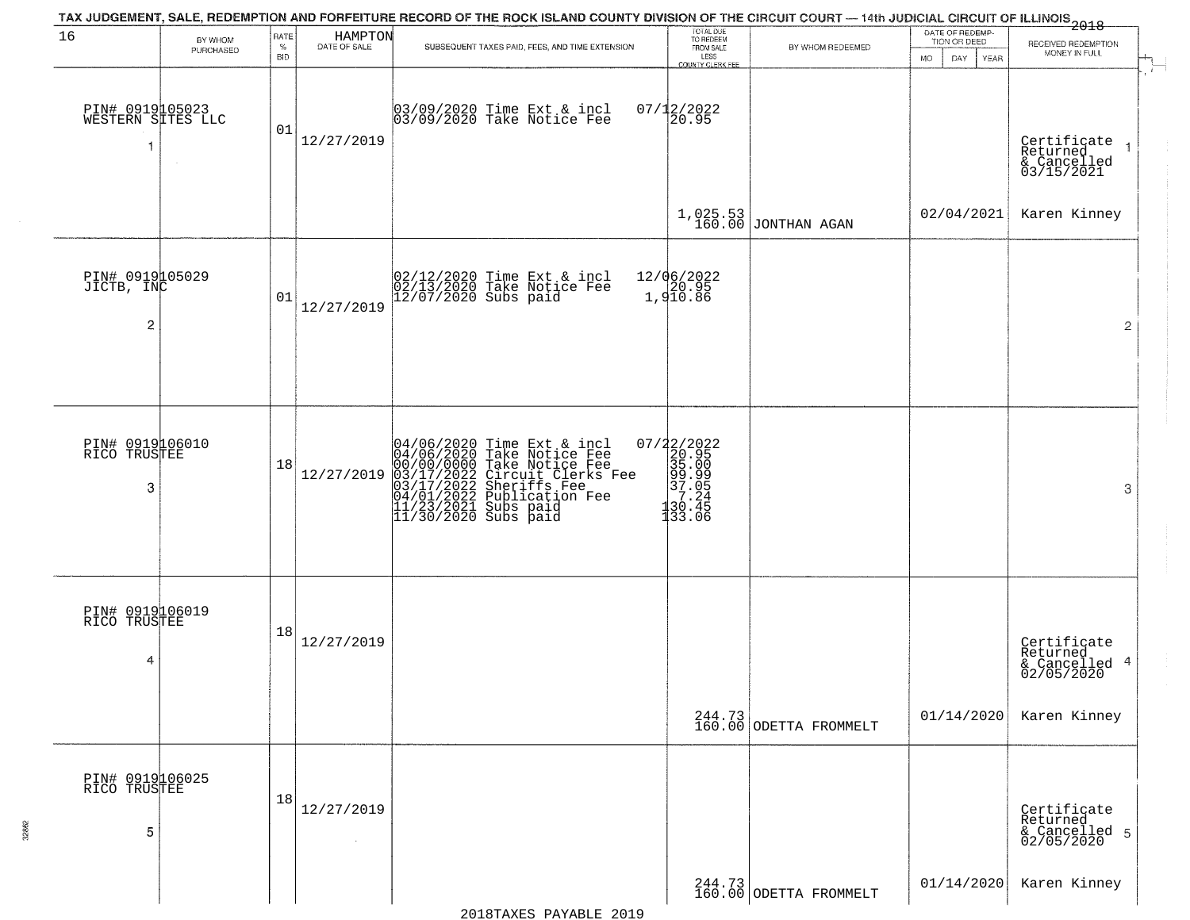|                                                 |                      |                            |                         | TAX JUDGEMENT, SALE, REDEMPTION AND FORFEITURE RECORD OF THE ROCK ISLAND COUNTY DIVISION OF THE CIRCUIT COURT — 14th JUDICIAL CIRCUIT OF ILLINOIS 2018                                                                             |                                                                                                     |                                  |                                                        |                                                        |
|-------------------------------------------------|----------------------|----------------------------|-------------------------|------------------------------------------------------------------------------------------------------------------------------------------------------------------------------------------------------------------------------------|-----------------------------------------------------------------------------------------------------|----------------------------------|--------------------------------------------------------|--------------------------------------------------------|
| 16                                              | BY WHOM<br>PURCHASED | RATE<br>$\%$<br><b>BID</b> | HAMPTON<br>DATE OF SALE | SUBSEQUENT TAXES PAID, FEES, AND TIME EXTENSION                                                                                                                                                                                    | TOTAL DUE<br>TO REDEEM<br>FROM SALE<br>LESS<br>COUNTY CLERK FEE                                     | BY WHOM REDEEMED                 | DATE OF REDEMP-<br>TION OR DEED<br>MO.<br>DAY.<br>YEAR | RECEIVED REDEMPTION<br>MONEY IN FULL                   |
| PIN# 0919105023<br>WESTERN SITES LLC            |                      | 01                         | 12/27/2019              | 03/09/2020 Time Ext & incl<br>03/09/2020 Take Notice Fee                                                                                                                                                                           | $07/12/2022$<br>20.95                                                                               |                                  |                                                        | Certificate<br>Returned<br>& Cancelled<br>03/15/2021   |
|                                                 |                      |                            |                         |                                                                                                                                                                                                                                    |                                                                                                     | $1,025.53$ JONTHAN AGAN          | 02/04/2021                                             | Karen Kinney                                           |
| PIN# 0919105029<br>JICTB, INC<br>$\overline{2}$ |                      | 01                         | 12/27/2019              | 02/12/2020 Time Ext & incl<br>02/13/2020 Take Notice Fee<br>12/07/2020 Subs paid                                                                                                                                                   | 12/06/2022<br>20.95<br>1,910.86                                                                     |                                  |                                                        | $\overline{2}$                                         |
|                                                 |                      |                            |                         |                                                                                                                                                                                                                                    |                                                                                                     |                                  |                                                        |                                                        |
| PIN# 0919106010<br>RICO TRUSTEE<br>3            |                      | 18                         | 12/27/2019              | 04/06/2020 Time Ext & incl<br>04/06/2020 Take Notice Fee<br>00/00/00/000 Take Notice Fee<br>03/17/2022 Circuit Clerks Fee<br>03/17/2022 Sheriffs Fee<br>04/01/2022 Publication Fee<br>11/23/2021 Subs paid<br>11/30/2020 Subs paid | $\begin{smallmatrix} 07/22/2022\\ 20.95\\ 35.00\\ 99.99\\ 7.24\\ 130.45\\ 133.06 \end{smallmatrix}$ |                                  |                                                        | 3                                                      |
| PIN# 0919106019<br>RICO TRUSTEE<br>4            |                      | 18                         | 12/27/2019              |                                                                                                                                                                                                                                    |                                                                                                     |                                  |                                                        | Certificate<br>Returned<br>& Cancelled 4<br>02/05/2020 |
|                                                 |                      |                            |                         |                                                                                                                                                                                                                                    |                                                                                                     | 244.73<br>160.00 ODETTA FROMMELT | 01/14/2020                                             | Karen Kinney                                           |
| PIN# 0919106025<br>RICO TRUSTEE<br>5            |                      | 18                         | 12/27/2019              |                                                                                                                                                                                                                                    |                                                                                                     |                                  |                                                        | Certificate<br>Returned<br>& Cancelled 5<br>02/05/2020 |
|                                                 |                      |                            |                         |                                                                                                                                                                                                                                    |                                                                                                     | 244.73<br>160.00 ODETTA FROMMELT | 01/14/2020                                             | Karen Kinney                                           |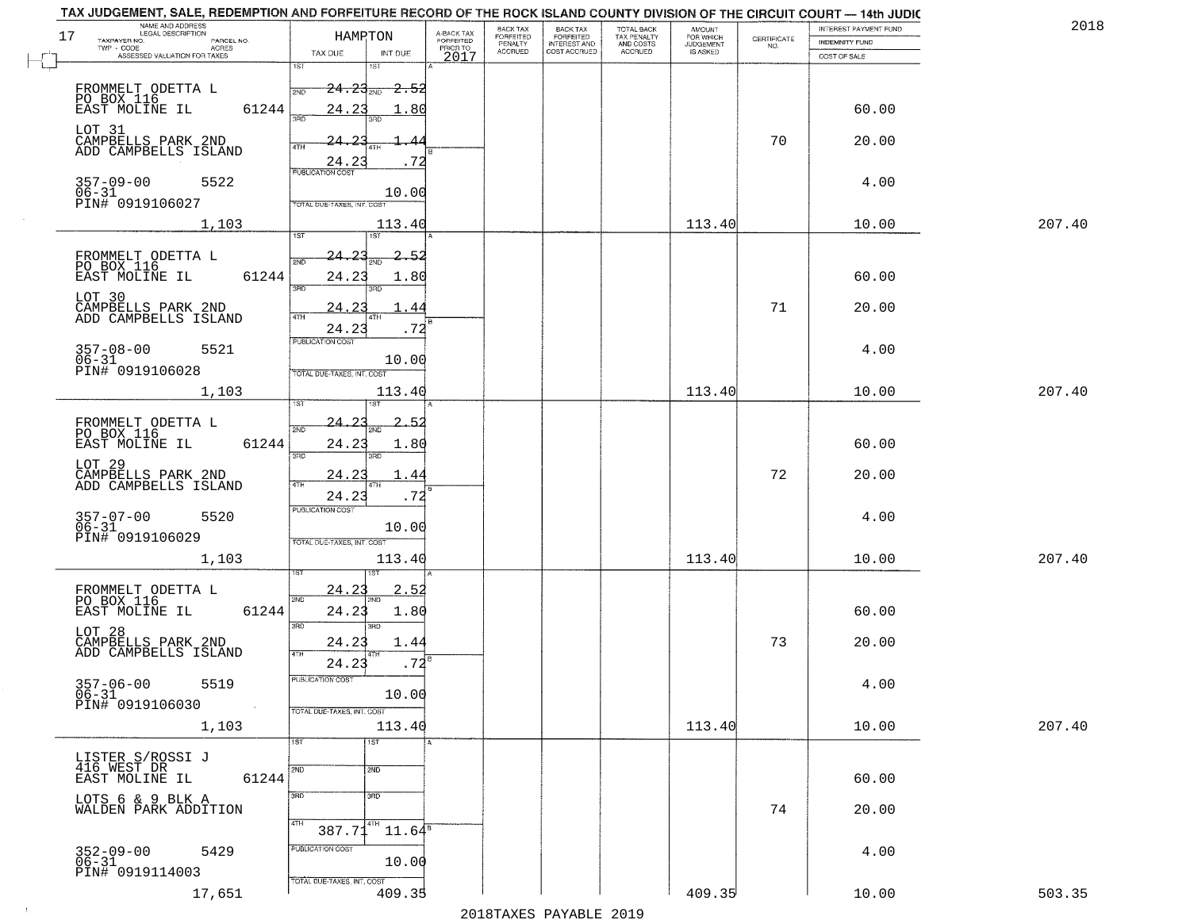| 17                           | NAME AND ADDRESS<br>LEGAL DESCRIPTION                      | HAMPTON                                     |                 | A-BACK TAX<br>FORFEITED | BACK TAX<br>FORFEITED | <b>BACK TAX</b><br><b>FORFEITED</b> | TOTAL BACK<br>TAX PENALTY<br>AND COSTS<br>ACCRUED | <b>AMOUNT</b>                      |                                                                 | INTEREST PAYMENT FUND | 2018   |
|------------------------------|------------------------------------------------------------|---------------------------------------------|-----------------|-------------------------|-----------------------|-------------------------------------|---------------------------------------------------|------------------------------------|-----------------------------------------------------------------|-----------------------|--------|
| TAXPAYER NO.<br>TWP - CODE   | PARCEL NO.<br><b>ACRES</b>                                 | TAX DUE                                     | INT DUE         | PRIOR TO                | PENALTY<br>ACCRUED    | INTEREST AND                        |                                                   | FOR WHICH<br>JUDGEMENT<br>IS ASKED | $\begin{array}{c} \text{CERTIFICATE} \\ \text{NO.} \end{array}$ | <b>INDEMNITY FUND</b> |        |
|                              | ASSESSED VALUATION FOR TAXES                               | 1ST                                         |                 | 2017                    |                       |                                     |                                                   |                                    |                                                                 | COST OF SALE          |        |
|                              |                                                            | $24.23_{\scriptscriptstyle \rm 200}$<br>2ND | -2.52           |                         |                       |                                     |                                                   |                                    |                                                                 |                       |        |
|                              | FROMMELT ODETTA L<br>PO BOX 116<br>EAST MOLINE IL<br>61244 | 24.23                                       | -80             |                         |                       |                                     |                                                   |                                    |                                                                 | 60.00                 |        |
|                              |                                                            | 3AD<br>3BD                                  |                 |                         |                       |                                     |                                                   |                                    |                                                                 |                       |        |
|                              | LOT 31<br>CAMPBELLS PARK 2ND<br>ADD CAMPBELLS ISLAND       | 24.<br>4TH                                  |                 |                         |                       |                                     |                                                   |                                    | 70                                                              | 20.00                 |        |
|                              |                                                            | 24.2<br><b>PUBLICATION COST</b>             | 72              |                         |                       |                                     |                                                   |                                    |                                                                 |                       |        |
| $357 - 09 - 00$              | 5522<br>06-31<br>PIN# 0919106027                           |                                             | 10.00           |                         |                       |                                     |                                                   |                                    |                                                                 | 4.00                  |        |
|                              |                                                            | TOTAL DUE-TAXES, INT. COST                  |                 |                         |                       |                                     |                                                   |                                    |                                                                 |                       |        |
|                              | 1,103                                                      | 1ST<br>1ST                                  | 113.40          |                         |                       |                                     |                                                   | 113.40                             |                                                                 | 10.00                 | 207.40 |
|                              | FROMMELT ODETTA L<br>PO BOX 116                            | 24.<br>$\mathcal{L}$                        | 2.52            |                         |                       |                                     |                                                   |                                    |                                                                 |                       |        |
|                              | EAST MOLINE IL<br>61244                                    | 24.23                                       | 1.80            |                         |                       |                                     |                                                   |                                    |                                                                 | 60.00                 |        |
| LOT 30                       |                                                            | 3RD<br>3RD                                  |                 |                         |                       |                                     |                                                   |                                    |                                                                 |                       |        |
|                              | CAMPBELLS PARK 2ND<br>ADD CAMPBELLS ISLAND                 | 24.2<br>$\sqrt{4}$<br>4TF                   | 44              |                         |                       |                                     |                                                   |                                    | 71                                                              | 20.00                 |        |
|                              |                                                            | 24.23<br>PUBLICATION COST                   | .72             |                         |                       |                                     |                                                   |                                    |                                                                 |                       |        |
| $357 - 08 - 00$<br>$06 - 31$ | 5521                                                       |                                             | 10.00           |                         |                       |                                     |                                                   |                                    |                                                                 | 4.00                  |        |
|                              | PIN# 0919106028                                            | TOTAL DUE-TAXES, INT. COST                  |                 |                         |                       |                                     |                                                   |                                    |                                                                 |                       |        |
|                              | 1,103                                                      | IST                                         | 113.40          |                         |                       |                                     |                                                   | 113.40                             |                                                                 | 10.00                 | 207.40 |
|                              | FROMMELT ODETTA L<br>PO BOX 116                            | 24.<br>2ND                                  |                 |                         |                       |                                     |                                                   |                                    |                                                                 |                       |        |
|                              | 61244<br>EAST MOLINE IL                                    | 24.23                                       | 1.80            |                         |                       |                                     |                                                   |                                    |                                                                 | 60.00                 |        |
|                              | LOT 29<br>CAMPBELLS PARK 2ND<br>ADD CAMPBELLS ISLAND       | 3RD<br>3RD<br><u>24.23</u>                  | . 44            |                         |                       |                                     |                                                   |                                    | 72                                                              | 20.00                 |        |
|                              |                                                            | 4TF<br>4TH<br>24.23                         | .72             |                         |                       |                                     |                                                   |                                    |                                                                 |                       |        |
|                              | 5520                                                       | <b>PUBLICATION COST</b>                     |                 |                         |                       |                                     |                                                   |                                    |                                                                 | 4.00                  |        |
| 357-07-00<br>06-31           | PIN# 0919106029                                            |                                             | 10.00           |                         |                       |                                     |                                                   |                                    |                                                                 |                       |        |
|                              | 1,103                                                      | TOTAL OUE-TAXES, INT. COST                  | 113.40          |                         |                       |                                     |                                                   | 113.40                             |                                                                 | 10.00                 | 207.40 |
|                              |                                                            |                                             |                 |                         |                       |                                     |                                                   |                                    |                                                                 |                       |        |
|                              | FROMMELT ODETTA L<br>PO BOX 116                            | 24.2<br>2ND                                 | 2.5             |                         |                       |                                     |                                                   |                                    |                                                                 |                       |        |
|                              | 61244<br>EAST MOLINE IL                                    | 24.23<br>3RD<br>3BD                         | 1.80            |                         |                       |                                     |                                                   |                                    |                                                                 | 60.00                 |        |
| LOT 28                       | CAMPBELLS PARK 2ND<br>ADD CAMPBELLS ISLAND                 | 24.23                                       | 1.44            |                         |                       |                                     |                                                   |                                    | 73                                                              | 20.00                 |        |
|                              |                                                            | 4TH<br>24.23                                | .72             |                         |                       |                                     |                                                   |                                    |                                                                 |                       |        |
| 357-06-00<br>06-31           | 5519                                                       | PUBLICATION COST                            |                 |                         |                       |                                     |                                                   |                                    |                                                                 | 4.00                  |        |
|                              | PIN# 0919106030<br>$\sim 100$                              | TOTAL DUE-TAXES, INT. COST                  | 10.00           |                         |                       |                                     |                                                   |                                    |                                                                 |                       |        |
|                              | 1,103                                                      |                                             | 113.40          |                         |                       |                                     |                                                   | 113.40                             |                                                                 | 10.00                 | 207.40 |
|                              |                                                            | 1ST<br>1ST                                  |                 |                         |                       |                                     |                                                   |                                    |                                                                 |                       |        |
| 416 WEST DR                  | LISTER S/ROSSI J                                           | 2ND<br>2ND                                  |                 |                         |                       |                                     |                                                   |                                    |                                                                 |                       |        |
|                              | EAST MOLINE IL<br>61244                                    | 3RD<br>3RD                                  |                 |                         |                       |                                     |                                                   |                                    |                                                                 | 60.00                 |        |
|                              | LOTS 6 & 9 BLK A<br>WALDEN PARK ADDITION                   |                                             |                 |                         |                       |                                     |                                                   |                                    | 74                                                              | 20.00                 |        |
|                              |                                                            | 4TH<br>4TH<br>387.71                        | $11.64^{\circ}$ |                         |                       |                                     |                                                   |                                    |                                                                 |                       |        |
| 352-09-00<br>06-31           | 5429                                                       | PUBLICATION COST                            |                 |                         |                       |                                     |                                                   |                                    |                                                                 | 4.00                  |        |
|                              | PIN# 0919114003                                            | TOTAL DUE-TAXES, INT. COST                  | 10.00           |                         |                       |                                     |                                                   |                                    |                                                                 |                       |        |
|                              | 17,651                                                     |                                             | 409.35          |                         |                       |                                     |                                                   | 409.35                             |                                                                 | 10.00                 | 503.35 |

 $\sim 100$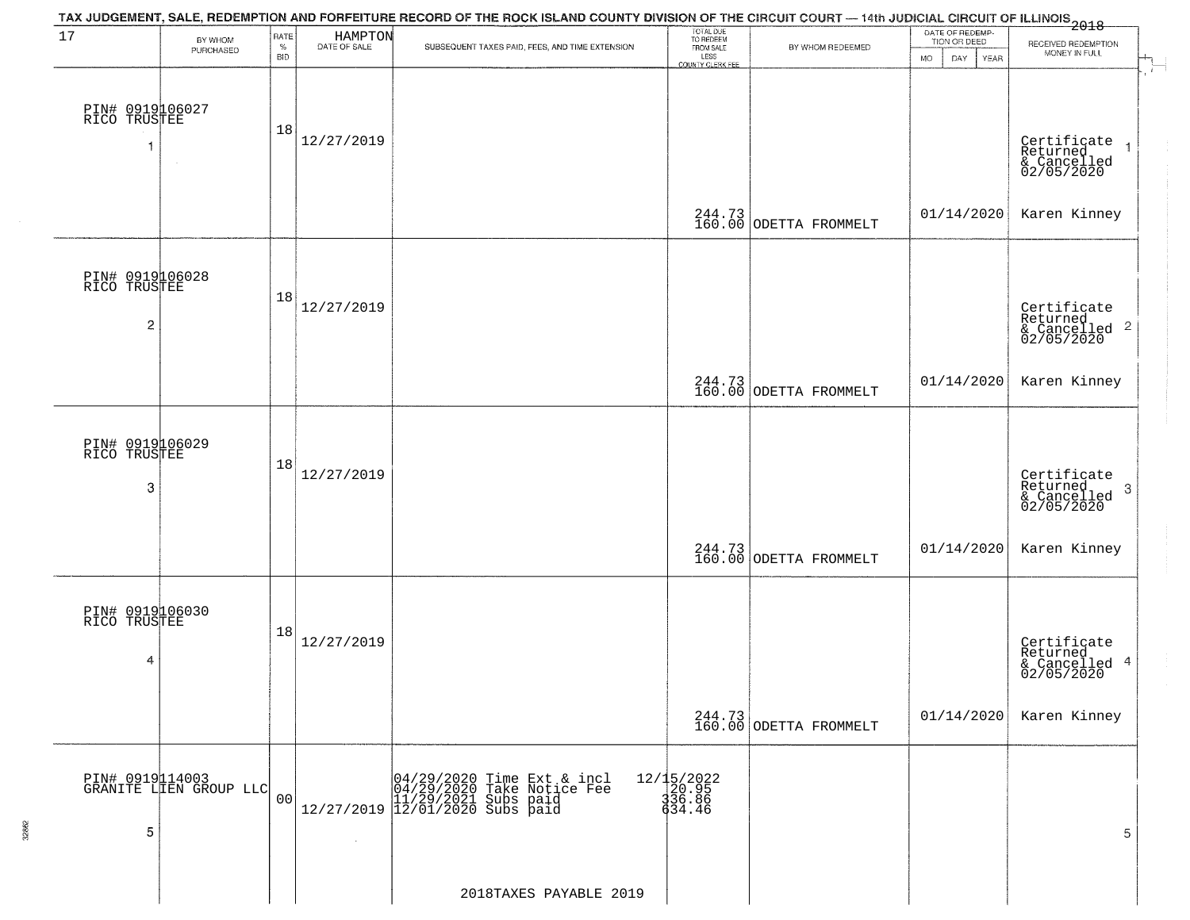|                                      |                                           |                |                         | TAX JUDGEMENT, SALE, REDEMPTION AND FORFEITURE RECORD OF THE ROCK ISLAND COUNTY DIVISION OF THE CIRCUIT COURT — 14th JUDICIAL CIRCUIT OF ILLINOIS 2018 |                                         |                                  |                                 |                                                                   |
|--------------------------------------|-------------------------------------------|----------------|-------------------------|--------------------------------------------------------------------------------------------------------------------------------------------------------|-----------------------------------------|----------------------------------|---------------------------------|-------------------------------------------------------------------|
| 17                                   | BY WHOM<br>PURCHASED                      | RATE<br>$\%$   | HAMPTON<br>DATE OF SALE | SUBSEQUENT TAXES PAID, FEES, AND TIME EXTENSION                                                                                                        | TOTAL DUE<br>TO REDEEM<br>FROM SALE     | BY WHOM REDEEMED                 | DATE OF REDEMP-<br>TION OR DEED | RECEIVED REDEMPTION                                               |
|                                      |                                           | <b>BID</b>     |                         |                                                                                                                                                        | LESS<br>COUNTY CLERK FEE                |                                  | <b>MO</b><br>DAY<br>YEAR        | MONEY IN FULL                                                     |
| PIN# 0919106027<br>RICO TRUSTEE<br>1 | $\sim$                                    | 18             | 12/27/2019              |                                                                                                                                                        |                                         |                                  |                                 | Certificate<br>Returned<br>& Cancelled<br>02/05/2020              |
|                                      |                                           |                |                         |                                                                                                                                                        |                                         | 244.73<br>160.00 ODETTA FROMMELT | 01/14/2020                      | Karen Kinney                                                      |
| PIN# 0919106028<br>RICO TRUSTEE<br>2 |                                           | 18             | 12/27/2019              |                                                                                                                                                        |                                         |                                  |                                 | Certificate<br>Returned<br>& Cancelled <sup>2</sup><br>02/05/2020 |
|                                      |                                           |                |                         |                                                                                                                                                        |                                         | 244.73<br>160.00 ODETTA FROMMELT | 01/14/2020                      | Karen Kinney                                                      |
| PIN# 0919106029<br>RICO TRUSTEE<br>3 |                                           | 18             | 12/27/2019              |                                                                                                                                                        |                                         |                                  |                                 | Certificate<br>Returned<br>3<br>& Cancelled<br>02/05/2020         |
|                                      |                                           |                |                         |                                                                                                                                                        | 244.73<br>160.00                        | ODETTA FROMMELT                  | 01/14/2020                      | Karen Kinney                                                      |
| PIN# 0919106030<br>RICO TRUSTEE<br>4 |                                           | 18             | 12/27/2019              |                                                                                                                                                        |                                         |                                  |                                 | Certificate<br>Returned<br>& Cancelled 4<br>02/05/2020            |
|                                      |                                           |                |                         |                                                                                                                                                        |                                         | 244.73<br>160.00 ODETTA FROMMELT | 01/14/2020                      | Karen Kinney                                                      |
| 5                                    | PIN# 0919114003<br>GRANITE LIEN GROUP LLC | 0 <sub>0</sub> | $\sim$                  | $[04/29/2020 \t\t Time Ext & incl 04/29/2020 \t\t Take Notice Free 11/29/2021 Subs paid 12/27/2019] 12/01/2020 Subs paid$                              | 12/15/2022<br>20.95<br>336.86<br>434.46 |                                  |                                 | 5                                                                 |
|                                      |                                           |                |                         | 2018TAXES PAYABLE 2019                                                                                                                                 |                                         |                                  |                                 |                                                                   |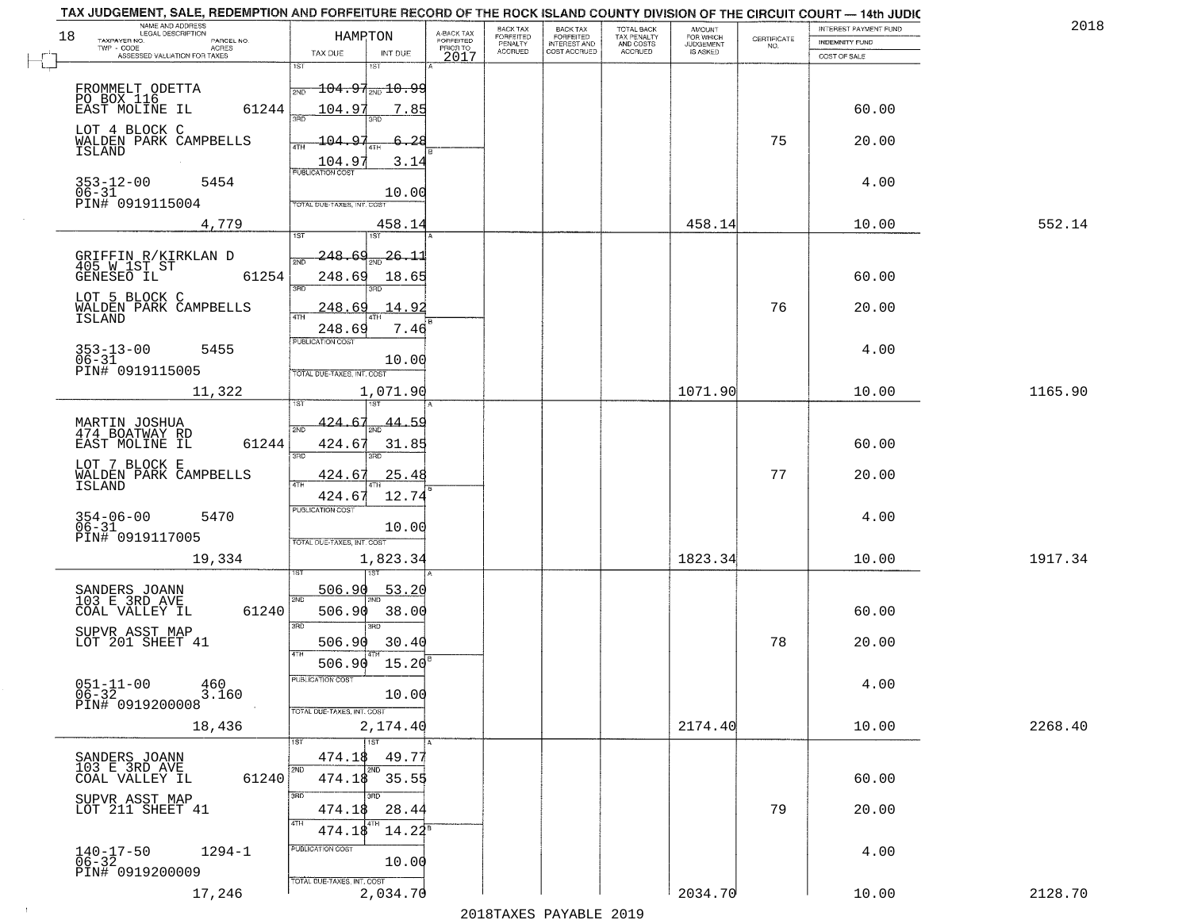| TAX JUDGEMENT, SALE, REDEMPTION AND FORFEITURE RECORD OF THE ROCK ISLAND COUNTY DIVISION OF THE CIRCUIT COURT - 14th JUDIC<br>NAME AND ADDRESS<br>LEGAL DESCRIPTION |                                                                                  |                                     | <b>BACK TAX</b>             | <b>BACK TAX</b>           |                                        |                                         |                    | INTEREST PAYMENT FUND | 201     |
|---------------------------------------------------------------------------------------------------------------------------------------------------------------------|----------------------------------------------------------------------------------|-------------------------------------|-----------------------------|---------------------------|----------------------------------------|-----------------------------------------|--------------------|-----------------------|---------|
| 18<br>TAXPAYER NO.<br>PARCEL NO.<br>TWP - CODE                                                                                                                      | HAMPTON                                                                          | A-BACK TAX<br>FORFEITED<br>PRIOR TO | <b>FORFEITED</b><br>PENALTY | FORFEITED<br>INTEREST AND | TOTAL BACK<br>TAX PENALTY<br>AND COSTS | AMOUNT<br>FOR WHICH<br><b>JUDGEMENT</b> | CERTIFICATE<br>NO. | <b>INDEMNITY FUND</b> |         |
| <b>ACRES</b><br>ASSESSED VALUATION FOR TAXES                                                                                                                        | TAX DUE<br>INT DUE                                                               | 2017                                | <b>ACCRUED</b>              | COST ACCRUED              | ACCRUED                                | <b>IS ASKED</b>                         |                    | COST OF SALE          |         |
|                                                                                                                                                                     | 1ST<br>18T                                                                       |                                     |                             |                           |                                        |                                         |                    |                       |         |
| FROMMELT ODETTA<br>PO BOX 116<br>EAST MOLINE IL                                                                                                                     | $\textcolor{red}{\textbf{-104.97}}_{\textcolor{red}{\textbf{2NO 10.99}}}$<br>2ND |                                     |                             |                           |                                        |                                         |                    |                       |         |
| 61244                                                                                                                                                               | 104.97<br>7.85                                                                   |                                     |                             |                           |                                        |                                         |                    | 60.00                 |         |
| LOT 4 BLOCK C<br>WALDEN PARK CAMPBELLS                                                                                                                              | $-104.97$<br>6.28                                                                |                                     |                             |                           |                                        |                                         | 75                 | 20.00                 |         |
| <b>ISLAND</b>                                                                                                                                                       | <b>ATH</b><br>104.9<br>3.14                                                      |                                     |                             |                           |                                        |                                         |                    |                       |         |
| $353 - 12 - 00$<br>5454                                                                                                                                             | <b>PUBLICATION COST</b>                                                          |                                     |                             |                           |                                        |                                         |                    | 4.00                  |         |
| $06 - 31$<br>PIN# 0919115004                                                                                                                                        | 10.00<br>TOTAL DUE-TAXES, INT. COST                                              |                                     |                             |                           |                                        |                                         |                    |                       |         |
| 4,779                                                                                                                                                               | 458.14                                                                           |                                     |                             |                           |                                        | 458.14                                  |                    | 10.00                 | 552.14  |
|                                                                                                                                                                     | 1ST<br>1ST                                                                       |                                     |                             |                           |                                        |                                         |                    |                       |         |
| GRIFFIN R/KIRKLAN D                                                                                                                                                 | <u> 248.69</u><br><u>26.11</u>                                                   |                                     |                             |                           |                                        |                                         |                    |                       |         |
| 405 W 1ST ST<br>GENESEO IL<br>61254                                                                                                                                 | 248.69<br>18.65                                                                  |                                     |                             |                           |                                        |                                         |                    | 60.00                 |         |
| LOT 5 BLOCK C                                                                                                                                                       | 3RD                                                                              |                                     |                             |                           |                                        |                                         |                    |                       |         |
| WALDEN PARK CAMPBELLS<br><b>ISLAND</b>                                                                                                                              | <u>248.69</u><br>14.92                                                           |                                     |                             |                           |                                        |                                         | 76                 | 20.00                 |         |
|                                                                                                                                                                     | 7.46<br>248.69<br>PUBLICATION COST                                               |                                     |                             |                           |                                        |                                         |                    |                       |         |
| $353 - 13 - 00$<br>5455<br>$06 - 31$                                                                                                                                | 10.00                                                                            |                                     |                             |                           |                                        |                                         |                    | 4.00                  |         |
| PIN# 0919115005                                                                                                                                                     | TOTAL DUE-TAXES, INT. COST                                                       |                                     |                             |                           |                                        |                                         |                    |                       |         |
| 11,322                                                                                                                                                              | 1,071.90                                                                         |                                     |                             |                           |                                        | 1071.90                                 |                    | 10.00                 | 1165.90 |
|                                                                                                                                                                     | 424.<br>-6.<br><u>44.59</u><br>2ND                                               |                                     |                             |                           |                                        |                                         |                    |                       |         |
| MARTIN JOSHUA<br>474 BOATWAY RD<br>EAST MOLINE IL<br>61244                                                                                                          | 424.67<br>31.85                                                                  |                                     |                             |                           |                                        |                                         |                    | 60.00                 |         |
| LOT 7 BLOCK E                                                                                                                                                       | 3RD<br>3RD                                                                       |                                     |                             |                           |                                        |                                         |                    |                       |         |
| WALDEN PARK CAMPBELLS<br>ISLAND                                                                                                                                     | 25.48<br>424.67<br>4TH                                                           |                                     |                             |                           |                                        |                                         | 77                 | 20.00                 |         |
|                                                                                                                                                                     | 12.74<br>424.67<br><b>PUBLICATION COST</b>                                       |                                     |                             |                           |                                        |                                         |                    |                       |         |
| $354 - 06 - 00$<br>06-31<br>5470                                                                                                                                    | 10.00                                                                            |                                     |                             |                           |                                        |                                         |                    | 4.00                  |         |
| PIN# 0919117005                                                                                                                                                     | TOTAL OUE-TAXES, INT. COST                                                       |                                     |                             |                           |                                        |                                         |                    |                       |         |
| 19,334                                                                                                                                                              | 1,823.34                                                                         |                                     |                             |                           |                                        | 1823.34                                 |                    | 10.00                 | 1917.34 |
| SANDERS JOANN<br>103 E 3RD AVE                                                                                                                                      | 506.90<br>53.2                                                                   |                                     |                             |                           |                                        |                                         |                    |                       |         |
| 61240<br>COAL VALLEY IL                                                                                                                                             | 2ND<br>506.90<br>38.00                                                           |                                     |                             |                           |                                        |                                         |                    | 60.00                 |         |
| SUPVR ASST MAP                                                                                                                                                      | 3RD<br>ਸਾ                                                                        |                                     |                             |                           |                                        |                                         |                    |                       |         |
| LOT 201 SHEET 41                                                                                                                                                    | 506.90<br>30.40<br>4TH                                                           |                                     |                             |                           |                                        |                                         | 78                 | 20.00                 |         |
|                                                                                                                                                                     | 506.90<br>15.20<br>PUBLICATION COST                                              |                                     |                             |                           |                                        |                                         |                    |                       |         |
| $051 - 11 - 00$<br>460<br>$06 - 32$<br>3.160                                                                                                                        | 10.00                                                                            |                                     |                             |                           |                                        |                                         |                    | 4.00                  |         |
| PIN# 0919200008                                                                                                                                                     | TOTAL DUE-TAXES, INT. COST                                                       |                                     |                             |                           |                                        |                                         |                    |                       |         |
| 18,436                                                                                                                                                              | 2,174.40<br>1ST<br>1ST                                                           |                                     |                             |                           |                                        | 2174.40                                 |                    | 10.00                 | 2268.40 |
| SANDERS JOANN<br>103 E 3RD AVE                                                                                                                                      | 474.18<br>49.77                                                                  |                                     |                             |                           |                                        |                                         |                    |                       |         |
| 61240<br>COAL VALLEY IL                                                                                                                                             | 2ND<br>2ND<br>474.18 35.55                                                       |                                     |                             |                           |                                        |                                         |                    | 60.00                 |         |
| SUPVR ASST MAP                                                                                                                                                      | 3RD<br>3RD                                                                       |                                     |                             |                           |                                        |                                         |                    |                       |         |
| LOT 211 SHEET 41                                                                                                                                                    | 28.44<br>474.18<br>4TH<br>4TH                                                    |                                     |                             |                           |                                        |                                         | 79                 | 20.00                 |         |
|                                                                                                                                                                     | $14.22^5$<br>474.18                                                              |                                     |                             |                           |                                        |                                         |                    |                       |         |
| $140 - 17 - 50$<br>$06 - 32$<br>$1294 - 1$                                                                                                                          | PUBLICATION COST<br>10.00                                                        |                                     |                             |                           |                                        |                                         |                    | 4.00                  |         |
| PIN# 0919200009                                                                                                                                                     | TOTAL DUE-TAXES, INT. COST                                                       |                                     |                             |                           |                                        |                                         |                    |                       |         |
| 17,246                                                                                                                                                              | 2,034.70                                                                         |                                     |                             |                           |                                        | 2034.70                                 |                    | 10.00                 | 2128.70 |

2018TAXES PAYABLE 2019

 $\sim 10$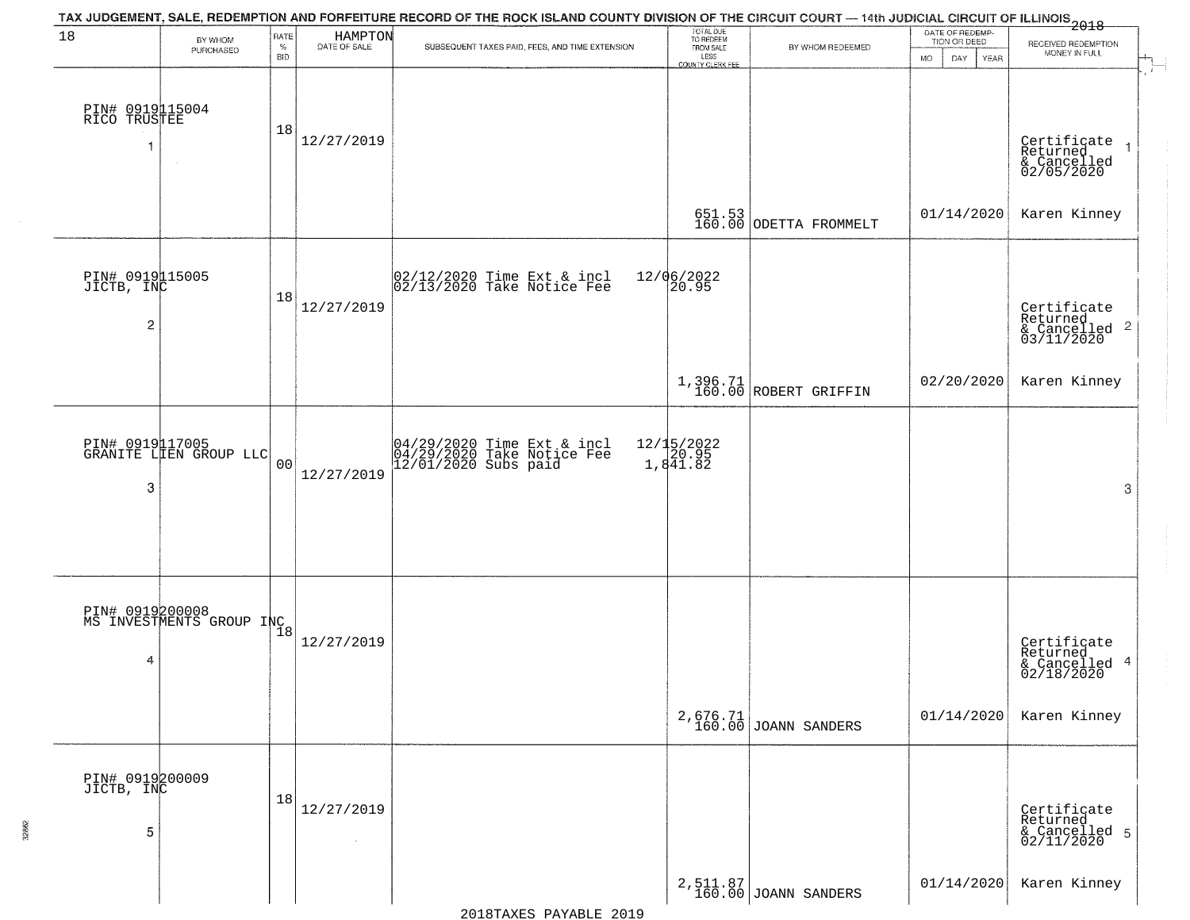| 18                                              | BY WHOM                                                  | RATE               | HAMPTON<br>DATE OF SALE | TAX JUDGEMENT, SALE, REDEMPTION AND FORFEITURE RECORD OF THE ROCK ISLAND COUNTY DIVISION OF THE CIRCUIT COURT — 14th JUDICIAL CIRCUIT OF ILLINOIS 2018 | TOTAL DUE<br>TO REDEEM<br>FROM SALE |                                   | DATE OF REDEMP-<br>TION OR DEED | RECEIVED REDEMPTION                                                |
|-------------------------------------------------|----------------------------------------------------------|--------------------|-------------------------|--------------------------------------------------------------------------------------------------------------------------------------------------------|-------------------------------------|-----------------------------------|---------------------------------|--------------------------------------------------------------------|
|                                                 | PURCHASED                                                | $\%$<br><b>BID</b> |                         | SUBSEQUENT TAXES PAID, FEES, AND TIME EXTENSION                                                                                                        | LESS<br><b>COUNTY CLERK FEE</b>     | BY WHOM REDEEMED                  | <b>MO</b><br>DAY<br>YEAR        | MONEY IN FULL                                                      |
| PIN# 0919115004<br>RICO TRUSTEE                 | $\sim$                                                   | 18                 | 12/27/2019              |                                                                                                                                                        |                                     |                                   |                                 | Certificate<br>Returned<br>& Cancelled<br>02/05/2020               |
|                                                 |                                                          |                    |                         |                                                                                                                                                        |                                     | 651.53<br>160.00 ODETTA FROMMELT  | 01/14/2020                      | Karen Kinney                                                       |
| PIN# 0919115005<br>JICTB, INC<br>$\overline{c}$ |                                                          | 18                 | 12/27/2019              | 02/12/2020 Time Ext & incl<br>02/13/2020 Take Notice Fee                                                                                               | 12/06/2022<br>20.95                 |                                   |                                 | Certificate<br>Returned<br>$\frac{1}{2}$ Cancelled 2<br>03/11/2020 |
|                                                 |                                                          |                    |                         |                                                                                                                                                        |                                     | 1,396.71<br>160.00 ROBERT GRIFFIN | 02/20/2020                      | Karen Kinney                                                       |
| 3                                               | PIN# 0919117005<br>GRANITE LIEN GROUP LLC                | 0 <sub>0</sub>     | 12/27/2019              | 04/29/2020 Time Ext & incl<br>04/29/2020 Take Notice Fee<br>12/01/2020 Subs paid                                                                       | 12/15/2022<br>20.95<br>1,841.82     |                                   |                                 | 3                                                                  |
| 4                                               | PIN# 0919200008<br>MS INVESTMENTS GROUP INC <sub>8</sub> |                    | 12/27/2019              |                                                                                                                                                        |                                     |                                   |                                 | Certificate<br>Returned<br>& Cancelled 4<br>02/18/2020             |
|                                                 |                                                          |                    |                         |                                                                                                                                                        |                                     | 2,676.71<br>160.00 JOANN SANDERS  | 01/14/2020                      | Karen Kinney                                                       |
| PIN# 0919200009<br>JICTB, INC<br>5              |                                                          | 18                 | 12/27/2019<br>$\sim$    |                                                                                                                                                        |                                     |                                   |                                 | Certificate<br>Returned<br>& Cancelled 5<br>02/11/2020             |
|                                                 |                                                          |                    |                         |                                                                                                                                                        |                                     | 2,511.87<br>160.00 JOANN SANDERS  | 01/14/2020                      | Karen Kinney                                                       |

32862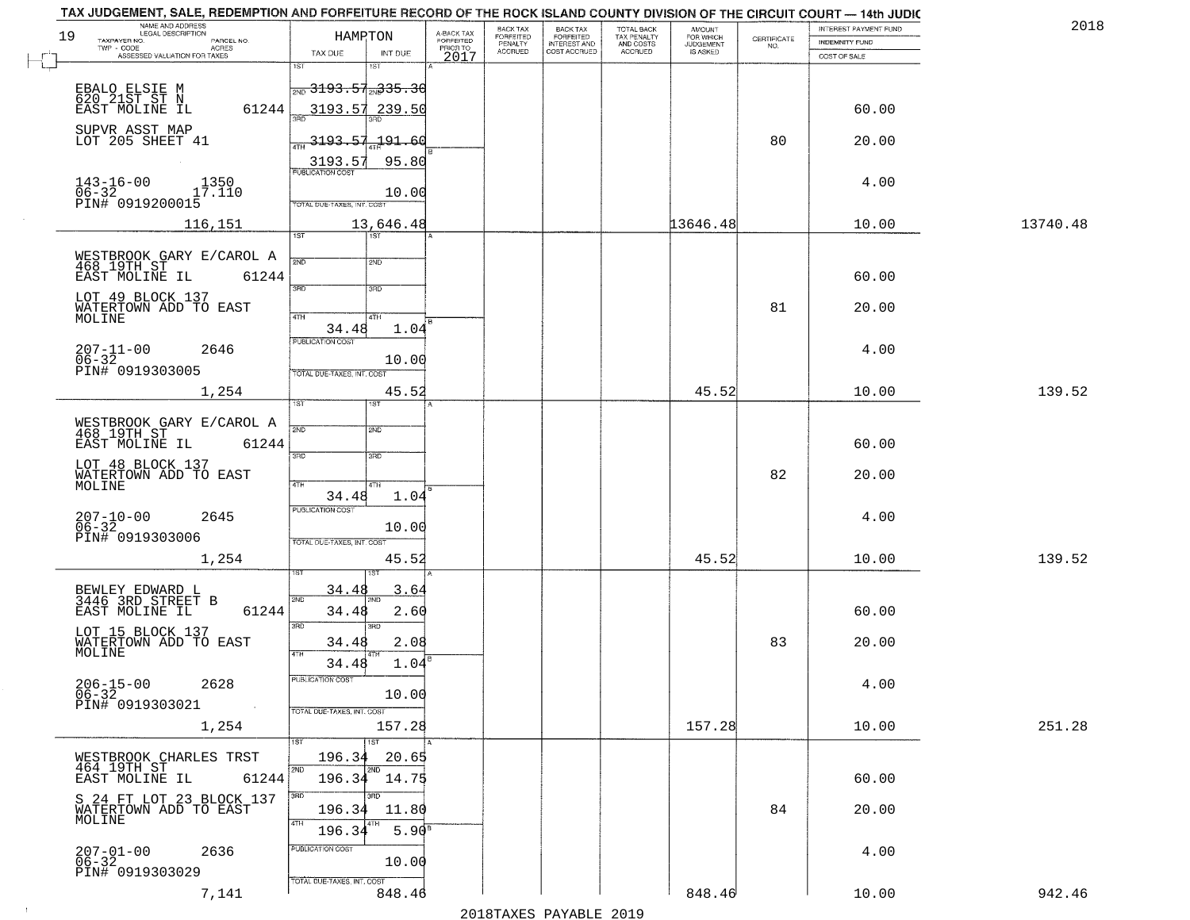| TAX JUDGEMENT, SALE, REDEMPTION AND FORFEITURE RECORD OF THE ROCK ISLAND COUNTY DIVISION OF THE CIRCUIT COURT — 14th JUDIC<br>NAME AND ADDRESS<br>LEGAL DESCRIPTION<br>19<br>TAXPAYER NO.<br>PARCEL NO.<br>$TWP - CODE$<br>- CODE AGRES<br>ASSESSED VALUATION FOR TAXES |                                              | HAMRTON                          | A-BACK TAX<br>FORFEITED<br>PRIOR TO | BACK TAX<br><b>FORFEITED</b><br>PENALTY<br>ACCRUED | BACK TAX<br>FORFEITED<br>INTEREST AND<br>COST ACCRUED | TOTAL BACK<br>TAX PENALTY<br>AND COSTS<br>ACCRUED | <b>AMOUNT</b><br>FOR WHICH<br>JUDGEMENT<br>IS ASKED | CERTIFICATE<br>NO. | INTEREST PAYMENT FUND<br><b>INDEMNITY FUND</b> | 2018     |
|-------------------------------------------------------------------------------------------------------------------------------------------------------------------------------------------------------------------------------------------------------------------------|----------------------------------------------|----------------------------------|-------------------------------------|----------------------------------------------------|-------------------------------------------------------|---------------------------------------------------|-----------------------------------------------------|--------------------|------------------------------------------------|----------|
|                                                                                                                                                                                                                                                                         | TAX DUE<br>1ST                               | INT DUE<br>1ST                   | 2017                                |                                                    |                                                       |                                                   |                                                     |                    | COST OF SALE                                   |          |
|                                                                                                                                                                                                                                                                         | $\frac{1}{2ND}$ 3193.57 <sub>2N</sub> 335.30 |                                  |                                     |                                                    |                                                       |                                                   |                                                     |                    |                                                |          |
| EBALO ELSIE M<br>620 21ST ST N<br>EĀŠT MÕLINĒ IL                                                                                                                                                                                                                        | 61244                                        | 3193.57 239.50                   |                                     |                                                    |                                                       |                                                   |                                                     |                    | 60.00                                          |          |
| SUPVR ASST MAP<br>LOT 205 SHEET 41                                                                                                                                                                                                                                      |                                              |                                  |                                     |                                                    |                                                       |                                                   |                                                     |                    |                                                |          |
|                                                                                                                                                                                                                                                                         | $\frac{1}{47}$ 3193.57.191.60                |                                  |                                     |                                                    |                                                       |                                                   |                                                     | 80                 | 20.00                                          |          |
| $143 - 16 - 00$<br>1350                                                                                                                                                                                                                                                 | 3193.57<br><b>PUBLICATION COST</b>           | 95.80                            |                                     |                                                    |                                                       |                                                   |                                                     |                    | 4.00                                           |          |
| 17.110<br>PIN# 0919200015<br>PIN# 0919200015                                                                                                                                                                                                                            | TOTAL DUE-TAXES, INT. COST                   | 10.00                            |                                     |                                                    |                                                       |                                                   |                                                     |                    |                                                |          |
| 116,151                                                                                                                                                                                                                                                                 |                                              | 13,646.48                        |                                     |                                                    |                                                       |                                                   | 13646.48                                            |                    | 10.00                                          | 13740.48 |
|                                                                                                                                                                                                                                                                         | $\overline{1ST}$                             | 1ST                              |                                     |                                                    |                                                       |                                                   |                                                     |                    |                                                |          |
| WESTBROOK GARY E/CAROL A<br>468 19TH ST                                                                                                                                                                                                                                 | 2ND                                          | 2ND                              |                                     |                                                    |                                                       |                                                   |                                                     |                    |                                                |          |
| EAST MOLINE IL                                                                                                                                                                                                                                                          | 61244<br>3RD                                 | 3RD                              |                                     |                                                    |                                                       |                                                   |                                                     |                    | 60.00                                          |          |
| LOT 49 BLOCK 137<br>WATERTOWN ADD TO EAST<br>MOLINE                                                                                                                                                                                                                     | 47H                                          | 4TH                              |                                     |                                                    |                                                       |                                                   |                                                     | 81                 | 20.00                                          |          |
|                                                                                                                                                                                                                                                                         | 34.48<br>PUBLICATION COST                    | 1.04                             |                                     |                                                    |                                                       |                                                   |                                                     |                    |                                                |          |
| $207 - 11 - 00$<br>2646<br>$06 - 32$                                                                                                                                                                                                                                    |                                              | 10.00                            |                                     |                                                    |                                                       |                                                   |                                                     |                    | 4.00                                           |          |
| PIN# 0919303005                                                                                                                                                                                                                                                         | TOTAL DUE-TAXES, INT. COST                   |                                  |                                     |                                                    |                                                       |                                                   |                                                     |                    |                                                |          |
| 1,254                                                                                                                                                                                                                                                                   | 1ST                                          | 45.52                            |                                     |                                                    |                                                       |                                                   | 45.52                                               |                    | 10.00                                          | 139.52   |
| WESTBROOK GARY E/CAROL A<br>468 19TH ST                                                                                                                                                                                                                                 | 2ND                                          | <b>SMD</b>                       |                                     |                                                    |                                                       |                                                   |                                                     |                    |                                                |          |
| EAST MOLINE IL                                                                                                                                                                                                                                                          | 61244                                        |                                  |                                     |                                                    |                                                       |                                                   |                                                     |                    | 60.00                                          |          |
| LOT 48 BLOCK 137<br>WATERTOWN ADD TO EAST                                                                                                                                                                                                                               | 3RD                                          | 3RD                              |                                     |                                                    |                                                       |                                                   |                                                     | 82                 | 20.00                                          |          |
| MOLINE                                                                                                                                                                                                                                                                  | 4TH<br>34.48                                 | 4TH<br>1.04                      |                                     |                                                    |                                                       |                                                   |                                                     |                    |                                                |          |
| $207 - 10 - 00$<br>06-32<br>2645                                                                                                                                                                                                                                        | <b>PUBLICATION COST</b>                      |                                  |                                     |                                                    |                                                       |                                                   |                                                     |                    | 4.00                                           |          |
| PIN# 0919303006                                                                                                                                                                                                                                                         | TOTAL OUE-TAXES, INT. COST                   | 10.00                            |                                     |                                                    |                                                       |                                                   |                                                     |                    |                                                |          |
| 1,254                                                                                                                                                                                                                                                                   |                                              | 45.52                            |                                     |                                                    |                                                       |                                                   | 45.52                                               |                    | 10.00                                          | 139.52   |
| BEWLEY EDWARD L                                                                                                                                                                                                                                                         | 34.4                                         | 3.64                             |                                     |                                                    |                                                       |                                                   |                                                     |                    |                                                |          |
| 3446 3RD STREET B<br>EAST MOLINE IL                                                                                                                                                                                                                                     | 2ND<br>61244<br>34.48                        | 2.60                             |                                     |                                                    |                                                       |                                                   |                                                     |                    | 60.00                                          |          |
| LOT 15 BLOCK 137                                                                                                                                                                                                                                                        | 3BD                                          | 3RD                              |                                     |                                                    |                                                       |                                                   |                                                     |                    |                                                |          |
| WATERTOWN ADD TO EAST<br>MOLINE                                                                                                                                                                                                                                         | 34.48<br>4TH                                 | 2.08<br>1.04                     |                                     |                                                    |                                                       |                                                   |                                                     | 83                 | 20.00                                          |          |
| $206 - 15 - 00$<br>2628                                                                                                                                                                                                                                                 | 34.48<br>PUBLICATION COST                    |                                  |                                     |                                                    |                                                       |                                                   |                                                     |                    | 4.00                                           |          |
| $06 - 32$<br>PIN# 0919303021                                                                                                                                                                                                                                            |                                              | 10.00                            |                                     |                                                    |                                                       |                                                   |                                                     |                    |                                                |          |
| 1,254                                                                                                                                                                                                                                                                   | TOTAL DUE-TAXES, INT. COST                   | 157.28                           |                                     |                                                    |                                                       |                                                   | 157.28                                              |                    | 10.00                                          | 251.28   |
|                                                                                                                                                                                                                                                                         |                                              | 1ST                              |                                     |                                                    |                                                       |                                                   |                                                     |                    |                                                |          |
| WESTBROOK CHARLES TRST<br>464 19TH ST                                                                                                                                                                                                                                   | 196.34<br>2ND                                | 20.65<br>2ND<br>$196.34$ $14.75$ |                                     |                                                    |                                                       |                                                   |                                                     |                    |                                                |          |
| EAST MOLINE IL<br>S 24 FT LOT 23 BLOCK 137                                                                                                                                                                                                                              | 61244<br>3BD                                 | 3RD                              |                                     |                                                    |                                                       |                                                   |                                                     |                    | 60.00                                          |          |
| WATERTOWN ADD TO EAST<br>MOLINE                                                                                                                                                                                                                                         | 196.34<br>4TH                                | 11.80                            |                                     |                                                    |                                                       |                                                   |                                                     | 84                 | 20.00                                          |          |
|                                                                                                                                                                                                                                                                         | 196.34                                       | $5.90^{B}$                       |                                     |                                                    |                                                       |                                                   |                                                     |                    |                                                |          |
| $207 - 01 - 00$<br>06-32<br>2636                                                                                                                                                                                                                                        | PUBLICATION COST                             | 10.00                            |                                     |                                                    |                                                       |                                                   |                                                     |                    | 4.00                                           |          |
| PIN# 0919303029                                                                                                                                                                                                                                                         | TOTAL DUE-TAXES, INT. COST                   |                                  |                                     |                                                    |                                                       |                                                   |                                                     |                    |                                                |          |
| 7,141                                                                                                                                                                                                                                                                   |                                              | 848.46                           |                                     |                                                    |                                                       |                                                   | 848.46                                              |                    | 10.00                                          | 942.46   |

 $\sim 10^6$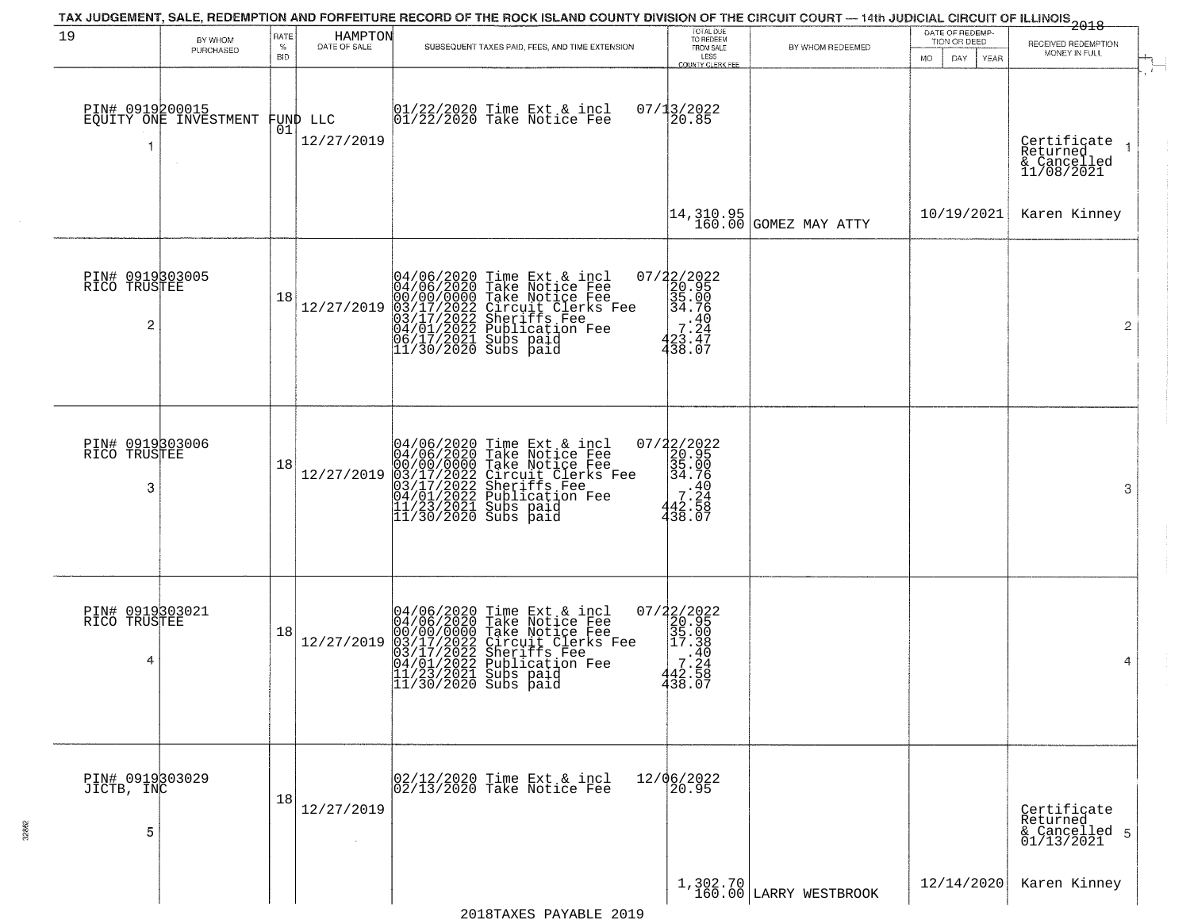|                                      |                       |                     |                                | TAX JUDGEMENT, SALE, REDEMPTION AND FORFEITURE RECORD OF THE ROCK ISLAND COUNTY DIVISION OF THE CIRCUIT COURT — 14th JUDICIAL CIRCUIT OF ILLINOIS<br>2018 - 1992                                                                                                                                         |                                                                                                         |                                                                          |                                                       |                                                             |
|--------------------------------------|-----------------------|---------------------|--------------------------------|----------------------------------------------------------------------------------------------------------------------------------------------------------------------------------------------------------------------------------------------------------------------------------------------------------|---------------------------------------------------------------------------------------------------------|--------------------------------------------------------------------------|-------------------------------------------------------|-------------------------------------------------------------|
| 19                                   | BY WHOM<br>PURCHASED  | RATE<br>$\%$<br>BID | HAMPTON<br>DATE OF SALE        | SUBSEQUENT TAXES PAID, FEES, AND TIME EXTENSION                                                                                                                                                                                                                                                          | TOTAL DUE<br>TO REDEEM<br>FROM SALE<br>LESS<br>COUNTY CLERK FEE                                         | BY WHOM REDEEMED                                                         | DATE OF REDEMP-<br>TION OR DEED<br>DAY<br>MO.<br>YEAR | RECEIVED REDEMPTION<br>MONEY IN FULL                        |
| PIN# 0919200015<br>-1                | EQUITY ONE INVESTMENT |                     | FUND LLC<br> 01 <br>12/27/2019 | 01/22/2020 Time Ext & incl<br>01/22/2020 Take Notice Fee                                                                                                                                                                                                                                                 | $07/13/2022$<br>20.85                                                                                   |                                                                          |                                                       | - 1<br>Certificate<br>Returned<br>& Cancelled<br>11/08/2021 |
|                                      |                       |                     |                                |                                                                                                                                                                                                                                                                                                          |                                                                                                         | $\begin{vmatrix} 14 & 310 & 95 \\ 160 & 00 \end{vmatrix}$ GOMEZ MAY ATTY | 10/19/2021                                            | Karen Kinney                                                |
| PIN# 0919303005<br>RICO TRUSTEE<br>2 |                       | 18                  | 12/27/2019                     | 04/06/2020 Time Ext & incl<br>04/06/2020 Take Notice Fee<br>00/00/00/000 Take Notice Fee<br>03/17/2022 Circuit Clerks Fee<br>03/17/2022 Sublication Fee<br>04/01/2022 Publication Fee<br>06/17/2021 Subs paid<br>11/30/2020 Subs paid                                                                    | 07/22/2022<br>20.95<br>35.00<br>34.76<br>$\begin{array}{r} 7.40 \\ 7.24 \\ 23.47 \end{array}$<br>438.07 |                                                                          |                                                       | $\overline{2}$                                              |
| PIN# 0919303006<br>RICO TRUSTEE<br>3 |                       | 18                  | 12/27/2019                     | 04/06/2020 Time Ext & incl<br>04/06/2020 Take Notice Fee<br>00/00/00000 Take Notice Fee<br>03/17/2022 Circuit Clerks Fee<br>03/17/2022 Sublication Fee<br>04/01/2022 Publication Fee<br>11/23/2021 Subs paid<br>11/30/2020 Subs paid                                                                     | $207/22/2022$<br>20.95<br>35.00<br>34.76<br>7:34<br>42.58<br>438.07                                     |                                                                          |                                                       | 3                                                           |
| PIN# 0919303021<br>RICO TRUSTEE<br>4 |                       | 18                  | 12/27/2019                     | 04/06/2020 Time Ext &<br>04/06/2020 Take Notic<br>00/00/0000 Take Notic<br>03/17/2022 Circuit Cl<br>04/01/2022 Sublicatic<br>11/23/2021 Subs paid<br>11/30/2020 Subs paid<br>Time Ext & incl<br>Take Notice Fee<br>Take Notice Fee<br>Circuit Clerks Fee<br>Sheriffs Fee<br>Publication Fee<br>Subs paid | 07/22/2022<br>20.95<br>35.00<br>35.00<br>20.38<br>.40<br>7.24<br>442.58<br>438.07                       |                                                                          |                                                       | 4                                                           |
| PIN# 0919303029<br>JICTB, INC<br>5   |                       | 18                  | 12/27/2019<br>$\sim 10^{-1}$   | 02/12/2020 Time Ext & incl<br>02/13/2020 Take Notice Fee                                                                                                                                                                                                                                                 | 12/06/2022<br>20.95                                                                                     |                                                                          |                                                       | Certificate<br>Returned<br>& Cancelled 5<br>01/13/2021      |
|                                      |                       |                     |                                |                                                                                                                                                                                                                                                                                                          |                                                                                                         | 1,302.70<br>160.00 LARRY WESTBROOK                                       | 12/14/2020                                            | Karen Kinney                                                |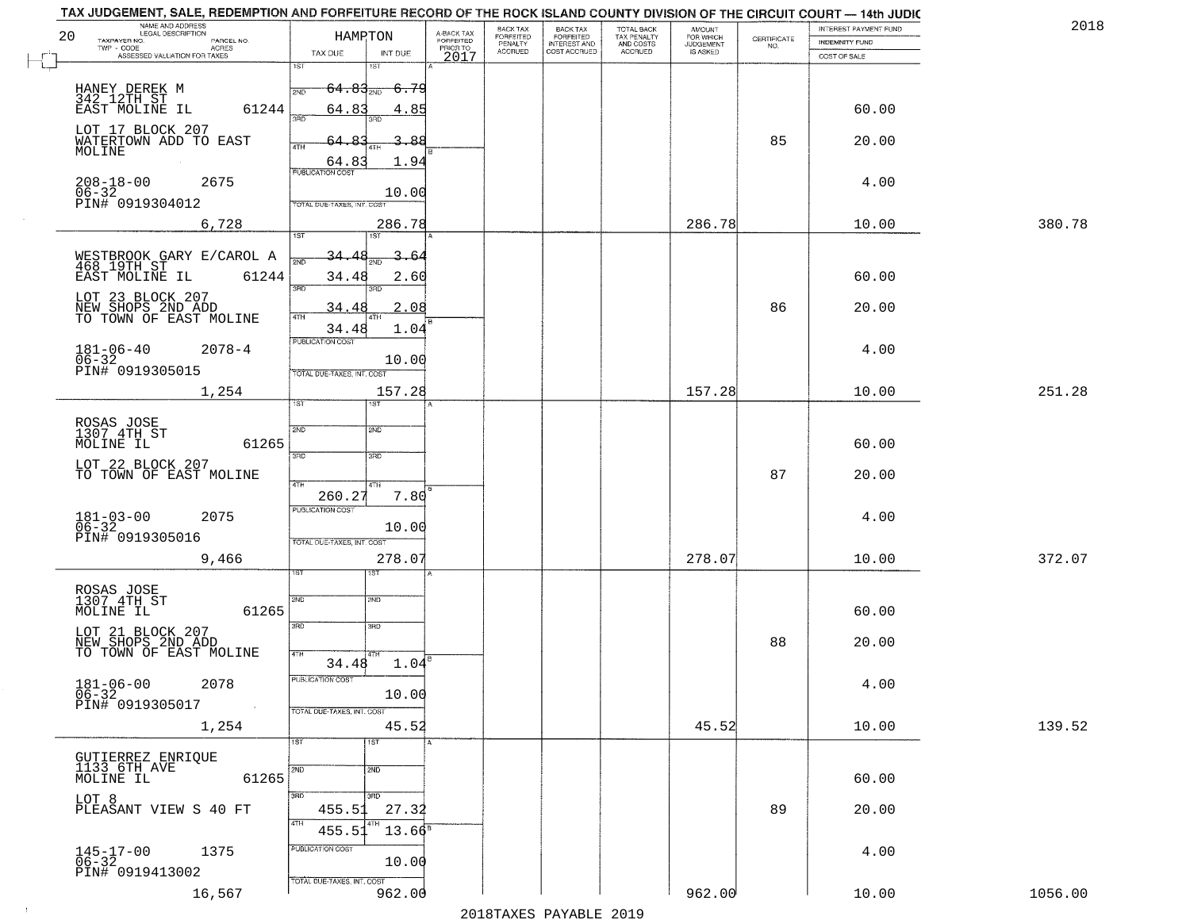|    | TAX JUDGEMENT, SALE, REDEMPTION AND FORFEITURE RECORD OF THE ROCK ISLAND COUNTY DIVISION OF THE CIRCUIT COURT — 14th JUDIC |                            |                           |                         |                              |                                                       |                                                   |                                                     |             |                                         | 201     |
|----|----------------------------------------------------------------------------------------------------------------------------|----------------------------|---------------------------|-------------------------|------------------------------|-------------------------------------------------------|---------------------------------------------------|-----------------------------------------------------|-------------|-----------------------------------------|---------|
| 20 | NAME AND ADDRESS<br>LEGAL DESCRIPTION<br>TAXPAYER NO.<br>PARCEL NO.                                                        |                            | HAMRTON                   | A-BACK TAX<br>FORFEITED | BACK TAX<br><b>FORFEITED</b> | BACK TAX<br>FORFEITED<br>INTEREST AND<br>COST ACCRUED | TOTAL BACK<br>TAX PENALTY<br>AND COSTS<br>ACCRUED | <b>AMOUNT</b><br>FOR WHICH<br>JUDGEMENT<br>IS ASKED | CERTIFICATE | INTEREST PAYMENT FUND<br>INDEMNITY FUND |         |
|    | TWP - CODE<br>ACRES<br>ASSESSED VALUATION FOR TAXES                                                                        | TAX DUE                    | INT DUE                   | PRIOR TO<br>2017        | PENALTY<br>ACCRUED           |                                                       |                                                   |                                                     | NO.         | COST OF SALE                            |         |
|    |                                                                                                                            | 1ST                        | $1S$ T                    |                         |                              |                                                       |                                                   |                                                     |             |                                         |         |
|    |                                                                                                                            | $64.83_{200}$<br>2ND       | <del>-6.79</del>          |                         |                              |                                                       |                                                   |                                                     |             |                                         |         |
|    | HANEY DEREK M<br>342 12TH ST<br>EAST MOLINE IL<br>61244                                                                    | 64.83                      | 4.85                      |                         |                              |                                                       |                                                   |                                                     |             | 60.00                                   |         |
|    |                                                                                                                            | san                        | 3BD                       |                         |                              |                                                       |                                                   |                                                     |             |                                         |         |
|    | LOT 17 BLOCK 207<br>WATERTOWN ADD TO EAST                                                                                  |                            | 3.88                      |                         |                              |                                                       |                                                   |                                                     | 85          | 20.00                                   |         |
|    | MOLINE                                                                                                                     | 4TH<br>64.8                | 1.94                      |                         |                              |                                                       |                                                   |                                                     |             |                                         |         |
|    |                                                                                                                            | <b>PUBLICATION COST</b>    |                           |                         |                              |                                                       |                                                   |                                                     |             |                                         |         |
|    | $208 - 18 - 00$<br>2675<br>06-32<br>PIN# 0919304012                                                                        |                            | 10.00                     |                         |                              |                                                       |                                                   |                                                     |             | 4.00                                    |         |
|    |                                                                                                                            | TOTAL DUE-TAXES, INT, COST |                           |                         |                              |                                                       |                                                   |                                                     |             |                                         |         |
|    | 6,728                                                                                                                      |                            | 286.78                    |                         |                              |                                                       |                                                   | 286.78                                              |             | 10.00                                   | 380.78  |
|    |                                                                                                                            | 1ST                        | ist                       |                         |                              |                                                       |                                                   |                                                     |             |                                         |         |
|    | WESTBROOK GARY E/CAROL A<br>468 19TH ST                                                                                    | <u>34.4</u>                | 3.64                      |                         |                              |                                                       |                                                   |                                                     |             |                                         |         |
|    | EAST MOLINE IL<br>61244                                                                                                    | 34.48<br>3RD               | 2.60                      |                         |                              |                                                       |                                                   |                                                     |             | 60.00                                   |         |
|    | LOT 23 BLOCK 207                                                                                                           |                            | 3RD                       |                         |                              |                                                       |                                                   |                                                     |             |                                         |         |
|    | NEW SHOPS 2ND ADD<br>TO TOWN OF EAST MOLINE                                                                                | 34.48<br>4TH               | 2.08<br>4T <sub>1</sub>   |                         |                              |                                                       |                                                   |                                                     | 86          | 20.00                                   |         |
|    |                                                                                                                            | 34.48<br>PUBLICATION COST  | 1.04                      |                         |                              |                                                       |                                                   |                                                     |             |                                         |         |
|    | $181 - 06 - 40$<br>$06 - 32$<br>$2078 - 4$                                                                                 |                            |                           |                         |                              |                                                       |                                                   |                                                     |             | 4.00                                    |         |
|    | PIN# 0919305015                                                                                                            | TOTAL DUE-TAXES, INT. COST | 10.00                     |                         |                              |                                                       |                                                   |                                                     |             |                                         |         |
|    | 1,254                                                                                                                      |                            | 157.28                    |                         |                              |                                                       |                                                   | 157.28                                              |             | 10.00                                   | 251.28  |
|    |                                                                                                                            | īST.                       | <b>ST</b>                 |                         |                              |                                                       |                                                   |                                                     |             |                                         |         |
|    | ROSAS JOSE<br>1307 4TH ST                                                                                                  | 2ND                        | 2ND                       |                         |                              |                                                       |                                                   |                                                     |             |                                         |         |
|    | 61265<br>MOLINE IL                                                                                                         |                            |                           |                         |                              |                                                       |                                                   |                                                     |             | 60.00                                   |         |
|    |                                                                                                                            | 3 <sub>BD</sub>            | 3RD                       |                         |                              |                                                       |                                                   |                                                     |             |                                         |         |
|    | LOT 22 BLOCK 207<br>TO TOWN OF EAST MOLINE                                                                                 | 4TH                        | 4TH                       |                         |                              |                                                       |                                                   |                                                     | 87          | 20.00                                   |         |
|    |                                                                                                                            | 260.27                     | 7.80                      |                         |                              |                                                       |                                                   |                                                     |             |                                         |         |
|    | $181 - 03 - 00$<br>06-32<br>2075                                                                                           | <b>PUBLICATION COST</b>    |                           |                         |                              |                                                       |                                                   |                                                     |             | 4.00                                    |         |
|    | PIN# 0919305016                                                                                                            |                            | 10.00                     |                         |                              |                                                       |                                                   |                                                     |             |                                         |         |
|    |                                                                                                                            | TOTAL OUE-TAXES, INT. COST |                           |                         |                              |                                                       |                                                   |                                                     |             |                                         |         |
|    | 9,466                                                                                                                      |                            | 278.07<br>ख़ा             |                         |                              |                                                       |                                                   | 278.07                                              |             | 10.00                                   | 372.07  |
|    |                                                                                                                            |                            |                           |                         |                              |                                                       |                                                   |                                                     |             |                                         |         |
|    | ROSAS JOSE<br>1307 4TH ST<br>61265<br>MOLINE IL                                                                            | 2ND                        | 2ND                       |                         |                              |                                                       |                                                   |                                                     |             | 60.00                                   |         |
|    |                                                                                                                            | 3RD                        | 3RD                       |                         |                              |                                                       |                                                   |                                                     |             |                                         |         |
|    | LOT 21 BLOCK 207<br>NEW SHOPS 2ND ADD<br>TO TOWN OF EAST MOLINE                                                            |                            |                           |                         |                              |                                                       |                                                   |                                                     | 88          | 20.00                                   |         |
|    |                                                                                                                            | 4TH<br>34.48               | 1.04                      |                         |                              |                                                       |                                                   |                                                     |             |                                         |         |
|    | $181 - 06 - 00$<br>2078                                                                                                    | PUBLICATION COST           |                           |                         |                              |                                                       |                                                   |                                                     |             | 4.00                                    |         |
|    | 06-32                                                                                                                      |                            | 10.00                     |                         |                              |                                                       |                                                   |                                                     |             |                                         |         |
|    | PIN# 0919305017                                                                                                            | TOTAL DUE-TAXES, INT. COST |                           |                         |                              |                                                       |                                                   |                                                     |             |                                         |         |
|    | 1,254                                                                                                                      |                            | 45.52                     |                         |                              |                                                       |                                                   | 45.52                                               |             | 10.00                                   | 139.52  |
|    |                                                                                                                            | 1ST                        | 1ST                       |                         |                              |                                                       |                                                   |                                                     |             |                                         |         |
|    | GUTIERREZ ENRIQUE<br>1133 6TH AVE                                                                                          | 2ND                        | 2ND                       |                         |                              |                                                       |                                                   |                                                     |             |                                         |         |
|    | MOLINE IL<br>61265                                                                                                         |                            |                           |                         |                              |                                                       |                                                   |                                                     |             | 60.00                                   |         |
|    | LOT 8<br>PLEASANT VIEW S 40 FT                                                                                             | 3BD<br>455.51              | $\overline{3BD}$<br>27.32 |                         |                              |                                                       |                                                   |                                                     | 89          | 20.00                                   |         |
|    |                                                                                                                            | 4TH<br>455.51              | $13.66^8$                 |                         |                              |                                                       |                                                   |                                                     |             |                                         |         |
|    |                                                                                                                            | PUBLICATION COST           |                           |                         |                              |                                                       |                                                   |                                                     |             |                                         |         |
|    | 145-17-00<br>06-32<br>1375                                                                                                 |                            | 10.00                     |                         |                              |                                                       |                                                   |                                                     |             | 4.00                                    |         |
|    | PIN# 0919413002                                                                                                            | TOTAL OUE-TAXES, INT. COST |                           |                         |                              |                                                       |                                                   |                                                     |             |                                         |         |
|    | 16,567                                                                                                                     |                            | 962.00                    |                         |                              |                                                       |                                                   | 962.00                                              |             | 10.00                                   | 1056.00 |

 $\sim 10^{-1}$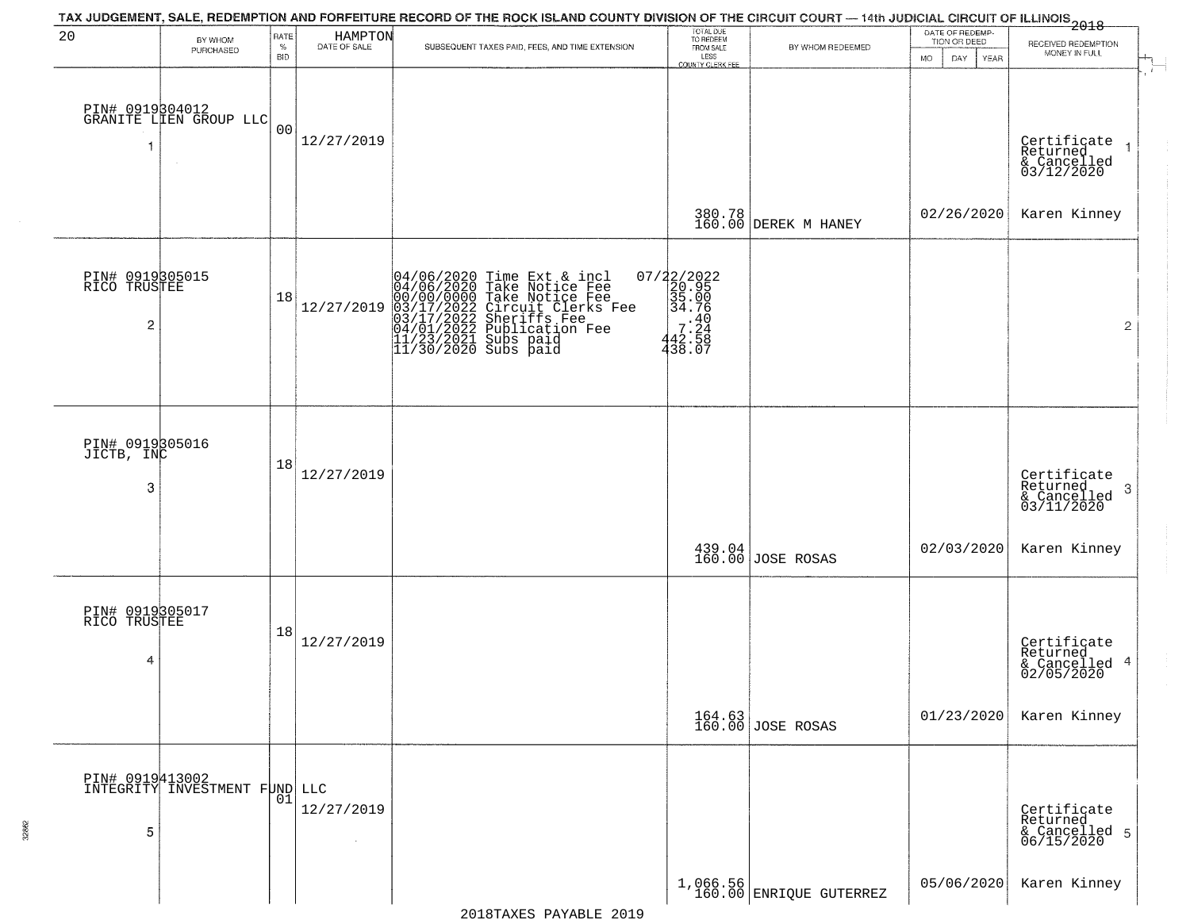|                                      |                                                     |                            |                         | TAX JUDGEMENT, SALE, REDEMPTION AND FORFEITURE RECORD OF THE ROCK ISLAND COUNTY DIVISION OF THE CIRCUIT COURT — 14th JUDICIAL CIRCUIT OF ILLINOIS<br>2018 - The Case of Many County of Management County of Management County of   |                                                                 |                                       | DATE OF REDEMP-     |                                                                              |
|--------------------------------------|-----------------------------------------------------|----------------------------|-------------------------|------------------------------------------------------------------------------------------------------------------------------------------------------------------------------------------------------------------------------------|-----------------------------------------------------------------|---------------------------------------|---------------------|------------------------------------------------------------------------------|
| 20                                   | BY WHOM<br>PURCHASED                                | RATE<br>$\%$<br><b>BID</b> | HAMPTON<br>DATE OF SALE | SUBSEQUENT TAXES PAID, FEES, AND TIME EXTENSION                                                                                                                                                                                    | TOTAL DUE<br>TO REDEEM<br>FROM SALE                             | BY WHOM REDEEMED                      | TION OR DEED        | RECEIVED REDEMPTION<br>MONEY IN FULL                                         |
| 1                                    | PIN# 0919304012<br>GRANITE LIEN GROUP LLC<br>$\sim$ | 0 <sub>0</sub>             | 12/27/2019              |                                                                                                                                                                                                                                    | LESS<br>COUNTY CLERK FEE                                        |                                       | MO.<br>DAY.<br>YEAR | $\frac{1}{\sqrt{2}}$<br>Certificate<br>Returned<br>& Cancelled<br>03/12/2020 |
|                                      |                                                     |                            |                         |                                                                                                                                                                                                                                    |                                                                 | 380.78<br>160.00 DEREK M HANEY        | 02/26/2020          | Karen Kinney                                                                 |
| PIN# 0919305015<br>RICO TRUSTEE<br>2 |                                                     | 18                         | 12/27/2019              | 04/06/2020 Time Ext & incl<br>04/06/2020 Take Notice Fee<br>00/00/00000 Take Notice Fee<br>03/17/2022 Circuit Clerks Fee<br>03/17/2022 Suberiffs Fee<br>04/01/2022 Publication Fee<br>11/23/2021 Subs paid<br>11/30/2020 Subs paid | $07/22/2022$<br>20.95<br>35.00<br>34.76<br>$442.58$<br>$438.07$ |                                       |                     | $\overline{2}$                                                               |
| PIN# 0919305016<br>JICTB, INC<br>3   |                                                     | 18                         | 12/27/2019              |                                                                                                                                                                                                                                    |                                                                 |                                       |                     | Certificate<br>Returned<br>3<br>& Cancelled<br>03/11/2020                    |
|                                      |                                                     |                            |                         |                                                                                                                                                                                                                                    |                                                                 | 439.04<br>160.00 JOSE ROSAS           | 02/03/2020          | Karen Kinney                                                                 |
| PIN# 0919305017<br>RICO TRUSTEE<br>4 |                                                     | 18                         | 12/27/2019              |                                                                                                                                                                                                                                    |                                                                 |                                       |                     | Certificate<br>Returned<br>& Cancelled 4<br>02/05/2020                       |
|                                      |                                                     |                            |                         |                                                                                                                                                                                                                                    |                                                                 | 164.63<br>160.00 JOSE ROSAS           | 01/23/2020          | Karen Kinney                                                                 |
| 5                                    | DIN# 0919413002<br>INTEGRITY INVESTMENT FUND LLC    | 01                         | 12/27/2019<br>$\sim$    |                                                                                                                                                                                                                                    |                                                                 |                                       |                     | Certificate<br>Returned<br>& Cancelled 5<br>06/15/2020                       |
|                                      |                                                     |                            |                         |                                                                                                                                                                                                                                    |                                                                 | $1,066.56$<br>160.00 ENRIQUE GUTERREZ | 05/06/2020          | Karen Kinney                                                                 |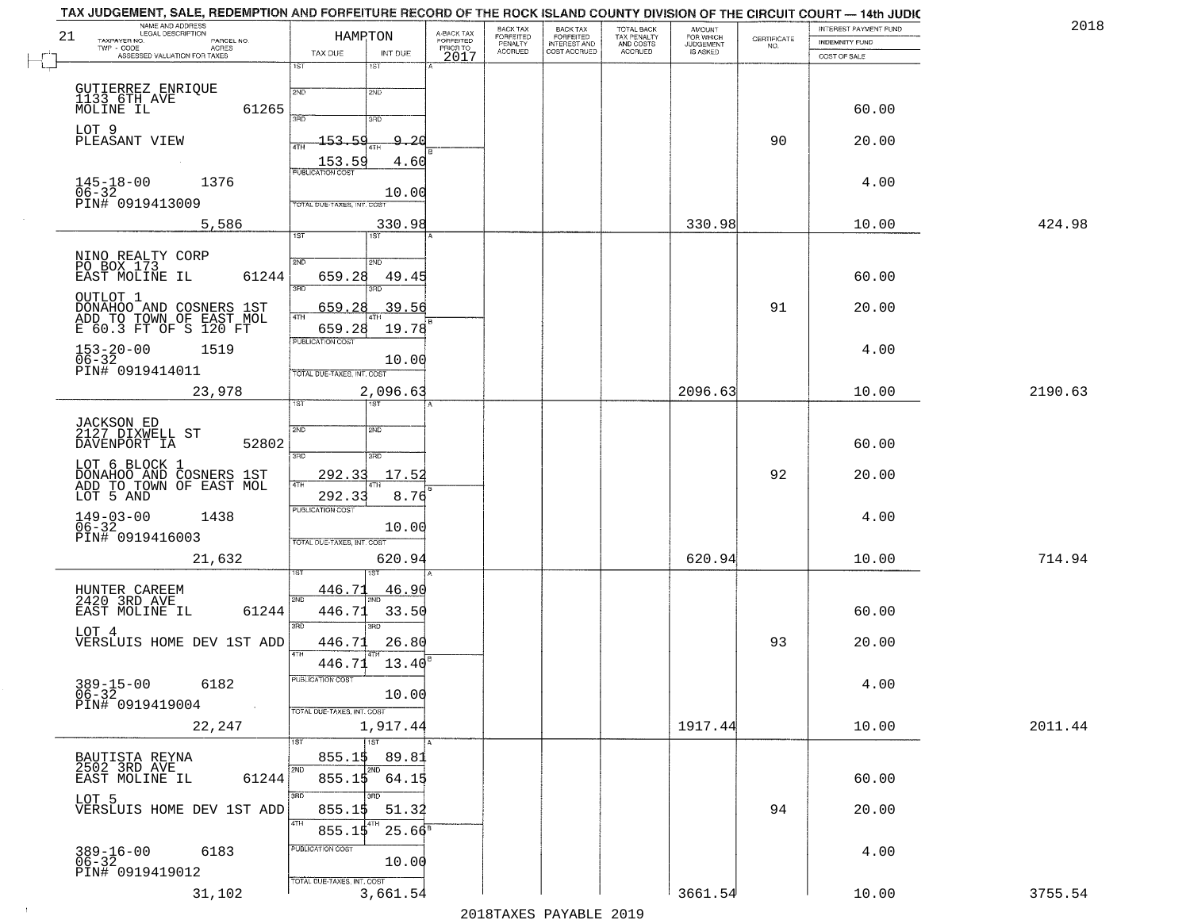| 21       | NAME AND ADDRESS<br>LEGAL DESCRIPTION<br>TAXPAYER NO.<br>PARCEL NO.                     | HAMPTON                                                       | A-BACK TAX<br>FORFEITED<br>PRIOR TO | BACK TAX<br>FORFEITED<br>PENALTY | BACK TAX<br>FORFEITED<br>INTEREST AND | TOTAL BACK<br>TAX PENALTY<br>AND COSTS | AMOUNT<br>FOR WHICH<br><b>JUDGEMENT</b> | $\begin{array}{c} \text{CEPTIFICATE} \\ \text{NO.} \end{array}$ | INTEREST PAYMENT FUND<br><b>INDEMNITY FUND</b> | 2018    |
|----------|-----------------------------------------------------------------------------------------|---------------------------------------------------------------|-------------------------------------|----------------------------------|---------------------------------------|----------------------------------------|-----------------------------------------|-----------------------------------------------------------------|------------------------------------------------|---------|
| $r^{-1}$ | $TWP - CODE$<br>ACRES<br>ASSESSED VALUATION FOR TAXES                                   | TAX DUE<br>INT DUE                                            | 2017                                | <b>ACCRUED</b>                   | COST ACCRUED                          | ACCRUED                                | IS ASKED                                |                                                                 | COST OF SALE                                   |         |
|          |                                                                                         | 1ST<br>18T                                                    |                                     |                                  |                                       |                                        |                                         |                                                                 |                                                |         |
|          | GUTIERREZ ENRIQUE<br>1133 6TH AVE<br>MOLINE IL<br>61265                                 | 2ND<br>2ND<br>370<br>3RD                                      |                                     |                                  |                                       |                                        |                                         |                                                                 | 60.00                                          |         |
|          | LOT 9<br>PLEASANT VIEW                                                                  | 153.59<br><u>9.20</u><br>4TH                                  |                                     |                                  |                                       |                                        |                                         | 90                                                              | 20.00                                          |         |
|          | $145 - 18 - 00$<br>1376                                                                 | 153.59<br>4.60                                                |                                     |                                  |                                       |                                        |                                         |                                                                 | 4.00                                           |         |
|          | 06-32<br>PIN# 0919413009                                                                | 10.00<br>TOTAL DUE-TAXES, INT. COST                           |                                     |                                  |                                       |                                        |                                         |                                                                 |                                                |         |
|          | 5,586                                                                                   | 330.98<br>IST<br>1ST                                          |                                     |                                  |                                       |                                        | 330.98                                  |                                                                 | 10.00                                          | 424.98  |
|          |                                                                                         |                                                               |                                     |                                  |                                       |                                        |                                         |                                                                 |                                                |         |
|          | NINO REALTY CORP<br>PO BOX 173<br>EAST MOLINE IL<br>61244                               | 2ND<br>2ND<br>659.28<br>49.45<br>$\overline{\text{R}}$<br>3RD |                                     |                                  |                                       |                                        |                                         |                                                                 | 60.00                                          |         |
|          | OUTLOT 1<br>DONAHOO AND COSNERS 1ST<br>ADD TO TOWN OF EAST MOL<br>E 60.3 FT OF S 120 FT | 39.56<br>659.<br>2.8                                          |                                     |                                  |                                       |                                        |                                         | 91                                                              | 20.00                                          |         |
|          | $153 - 20 - 00$<br>$06 - 32$<br>1519                                                    | 19.78<br>659.28<br>PUBLICATION COST                           |                                     |                                  |                                       |                                        |                                         |                                                                 | 4.00                                           |         |
|          | PIN# 0919414011                                                                         | 10.00<br>TOTAL DUE-TAXES, INT. COST                           |                                     |                                  |                                       |                                        |                                         |                                                                 |                                                |         |
|          | 23,978                                                                                  | 2,096.63<br>1ST                                               |                                     |                                  |                                       |                                        | 2096.63                                 |                                                                 | 10.00                                          | 2190.63 |
|          | JACKSON ED<br>2127 DIXWELL ST                                                           | 2ND<br>2ND                                                    |                                     |                                  |                                       |                                        |                                         |                                                                 |                                                |         |
|          | DAVENPORT IA<br>52802                                                                   | 3RD<br>3RD                                                    |                                     |                                  |                                       |                                        |                                         |                                                                 | 60.00                                          |         |
|          | LOT 6 BLOCK 1<br>DONAHOO AND COSNERS 1ST<br>ADD TO TOWN OF EAST MOL                     | 292.33<br>17.52<br>4TH                                        |                                     |                                  |                                       |                                        |                                         | 92                                                              | 20.00                                          |         |
|          | LOT 5 AND<br>1438                                                                       | 292.33<br>8.76<br><b>PUBLICATION COST</b>                     |                                     |                                  |                                       |                                        |                                         |                                                                 | 4.00                                           |         |
|          | $149 - 03 - 00$<br>06-32<br>PIN# 0919416003                                             | 10.00<br>TOTAL OUE-TAXES, INT. COST                           |                                     |                                  |                                       |                                        |                                         |                                                                 |                                                |         |
|          | 21,632                                                                                  | 620.94                                                        |                                     |                                  |                                       |                                        | 620.94                                  |                                                                 | 10.00                                          | 714.94  |
|          | HUNTER CAREEM<br>2420 3RD AVE                                                           | 446.71<br><u>46.90</u>                                        |                                     |                                  |                                       |                                        |                                         |                                                                 |                                                |         |
|          | EAST MOLINE IL<br>61244                                                                 | 2ND<br>446.71<br>33.50<br>3BD<br>$\overline{3BD}$             |                                     |                                  |                                       |                                        |                                         |                                                                 | 60.00                                          |         |
|          | LOT 4<br>VERSLUIS HOME DEV 1ST ADD                                                      | 26.80<br>446.71<br>4TH                                        |                                     |                                  |                                       |                                        |                                         | 93                                                              | 20.00                                          |         |
|          |                                                                                         | 446.71 13.40                                                  |                                     |                                  |                                       |                                        |                                         |                                                                 |                                                |         |
|          | $389 - 15 - 00$<br>06-32<br>6182<br>PIN# 0919419004<br>$\sim 100$ km $^{-1}$            | PUBLICATION COST<br>10.00                                     |                                     |                                  |                                       |                                        |                                         |                                                                 | 4.00                                           |         |
|          | 22,247                                                                                  | TOTAL DUE-TAXES, INT. COST<br>1,917.44                        |                                     |                                  |                                       |                                        | 1917.44                                 |                                                                 | 10.00                                          | 2011.44 |
|          |                                                                                         | 1ST<br>1ST<br>855.15<br>89.81                                 |                                     |                                  |                                       |                                        |                                         |                                                                 |                                                |         |
|          | BAUTISTA REYNA<br>2502 3RD AVE<br>61244<br>EAST MOLINE IL                               | 2ND<br>2ND<br>$855.1$ \$<br>64.15                             |                                     |                                  |                                       |                                        |                                         |                                                                 | 60.00                                          |         |
|          | LOT 5<br>VERSLUIS HOME DEV 1ST ADD                                                      | 3BD<br>3RD<br>855.15<br>51.32                                 |                                     |                                  |                                       |                                        |                                         | 94                                                              | 20.00                                          |         |
|          |                                                                                         | 4TH<br>$25.66^{\overline{5}}$<br>855.15                       |                                     |                                  |                                       |                                        |                                         |                                                                 |                                                |         |
|          | $389 - 16 - 00$<br>06-32<br>6183<br>PIN# 0919419012                                     | PUBLICATION COST<br>10.00                                     |                                     |                                  |                                       |                                        |                                         |                                                                 | 4.00                                           |         |
|          | 31,102                                                                                  | TOTAL DUE-TAXES, INT. COST<br>3,661.54                        |                                     |                                  |                                       |                                        | 3661.54                                 |                                                                 | 10.00                                          | 3755.54 |

 $\vdash$ 

 $\sim 10$ 

2018TAXES PAYABLE 2019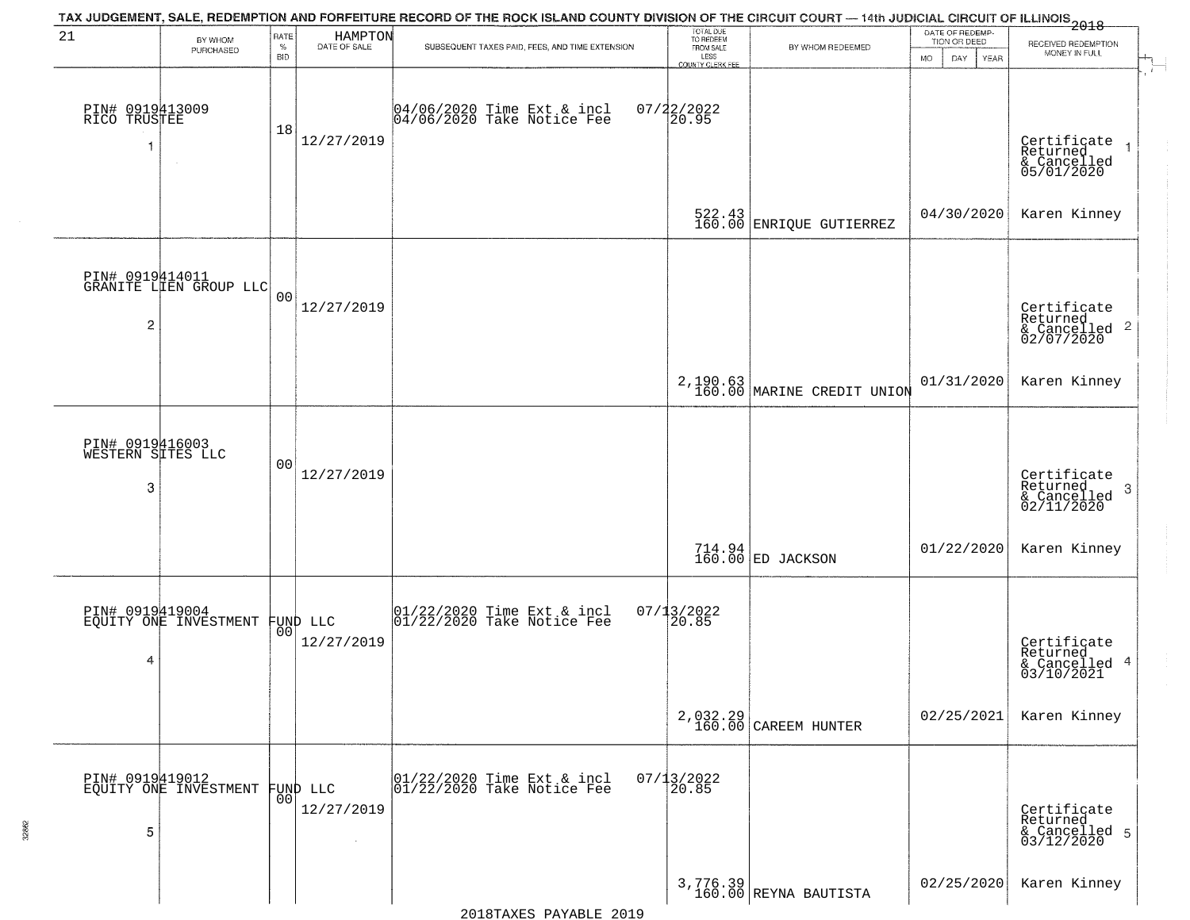| 21                                        | BY WHOM                                   | RATE               | HAMPTON<br>DATE OF SALE | TAX JUDGEMENT, SALE, REDEMPTION AND FORFEITURE RECORD OF THE ROCK ISLAND COUNTY DIVISION OF THE CIRCUIT COURT — 14th JUDICIAL CIRCUIT OF ILLINOIS 2018 | TOTAL DUE<br>TO REDEEM<br>FROM SALE |                                                                   | DATE OF REDEMP-<br>TION OR DEED | RECEIVED REDEMPTION                                                    |
|-------------------------------------------|-------------------------------------------|--------------------|-------------------------|--------------------------------------------------------------------------------------------------------------------------------------------------------|-------------------------------------|-------------------------------------------------------------------|---------------------------------|------------------------------------------------------------------------|
|                                           | PURCHASED                                 | $\%$<br><b>BID</b> |                         | SUBSEQUENT TAXES PAID, FEES, AND TIME EXTENSION                                                                                                        | LESS<br>COUNTY CLERK FEE            | BY WHOM REDEEMED                                                  | <b>MO</b><br>DAY<br>YEAR        | MONEY IN FULL                                                          |
| PIN# 0919413009<br>RICO TRUSTEE<br>1      |                                           | 18                 | 12/27/2019              | 04/06/2020 Time Ext & incl<br>04/06/2020 Take Notice Fee                                                                                               | $07/22/2022$<br>20.95               |                                                                   |                                 | Certificate<br>Returned<br>& Cancelled<br>05/01/2020                   |
|                                           |                                           |                    |                         |                                                                                                                                                        |                                     | $\begin{array}{c} 522.43 \\ 160.00 \end{array}$ ENRIQUE GUTIERREZ | 04/30/2020                      | Karen Kinney                                                           |
| $\overline{2}$                            | PIN# 0919414011<br>GRANITE LIEN GROUP LLC | 0 <sub>0</sub>     | 12/27/2019              |                                                                                                                                                        |                                     |                                                                   |                                 | Certificate<br>Returned<br>$\overline{c}$<br>& Cancelled<br>02/07/2020 |
|                                           |                                           |                    |                         |                                                                                                                                                        |                                     | 2,190.63 MARINE CREDIT UNION                                      | 01/31/2020                      | Karen Kinney                                                           |
| PIN# 0919416003<br>WESTERN SITES LLC<br>3 |                                           | 0 <sub>0</sub>     | 12/27/2019              |                                                                                                                                                        |                                     |                                                                   |                                 | Certificate<br>Returned<br>3<br>$\frac{1}{2}$ Cancelled<br>02/11/2020  |
|                                           |                                           |                    |                         |                                                                                                                                                        |                                     | $714.94$ $ ED$ JACKSON                                            | 01/22/2020                      | Karen Kinney                                                           |
| 4                                         | PIN# 0919419004<br>EQUITY ONE INVESTMENT  | 00 <sup>1</sup>    | FUND LLC<br>12/27/2019  | $\begin{bmatrix} 01/22/2020 \\ 01/22/2020 \\ 01 \end{bmatrix}$ Take Notice Fee                                                                         | $07/13/2022$<br>20.85               |                                                                   |                                 | Certificate<br>Returned<br>$\overline{4}$<br>& Cancelled<br>03/10/2021 |
|                                           |                                           |                    |                         |                                                                                                                                                        | 2,032.29<br>160.00                  | CAREEM HUNTER                                                     | 02/25/2021                      | Karen Kinney                                                           |
| 5                                         | PIN# 0919419012<br>EQUITY ONE INVESTMENT  | 00                 | FUND LLC<br>12/27/2019  | 01/22/2020 Time Ext & incl<br>01/22/2020 Take Notice Fee                                                                                               | $07/13/2022$<br>20.85               |                                                                   |                                 | Certificate<br>Returned<br>& Cancelled 5<br>03/12/2020                 |
|                                           |                                           |                    |                         |                                                                                                                                                        |                                     | $3,776.39$<br>160.00 REYNA BAUTISTA                               | 02/25/2020                      | Karen Kinney                                                           |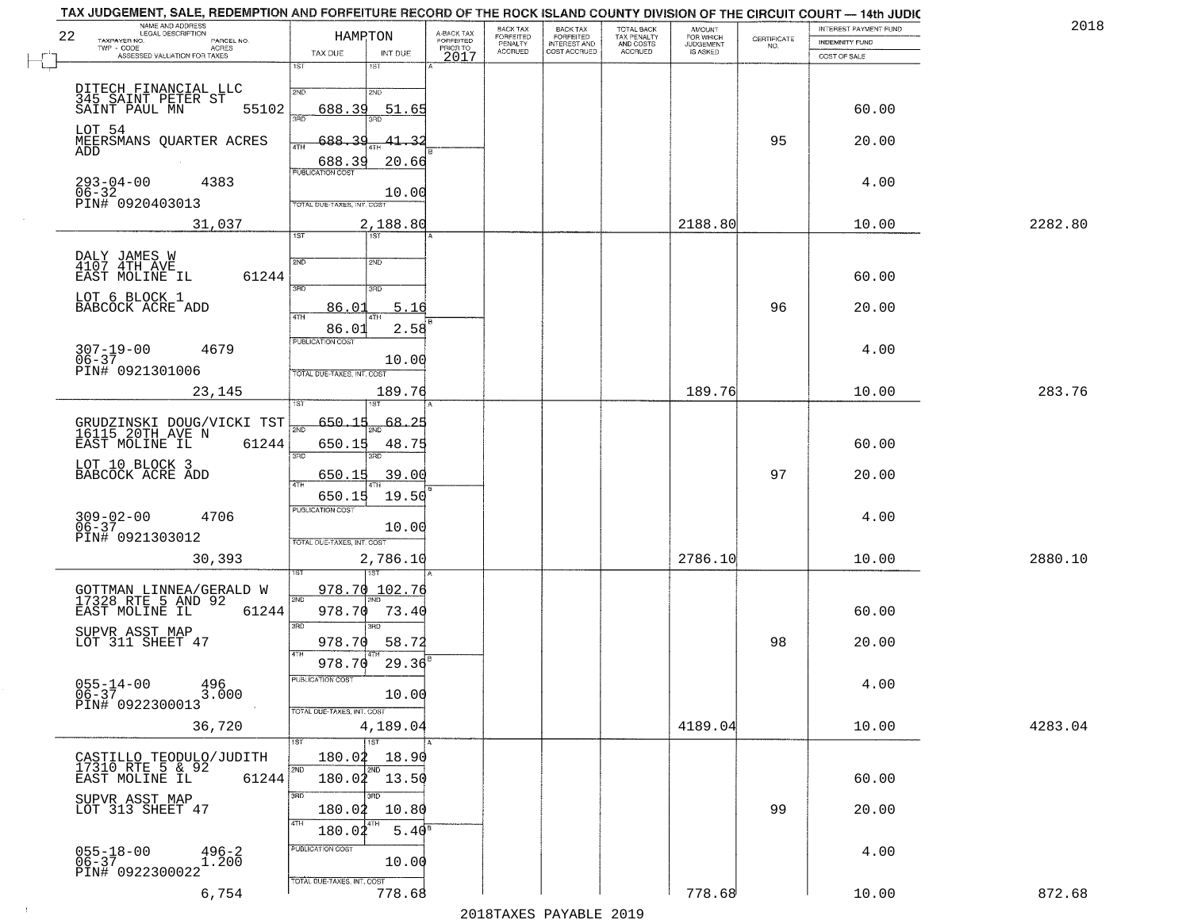| 22 | NAME AND ADDRESS<br>LEGAL DESCRIPTION<br>TAXPAYER NO.<br>PARCEL NO.        | HAMRTON                                                         |                                            | A-BACK TAX<br>FORFEITED | BACK TAX<br>FORFEITED | BACK TAX<br>FORFEITED<br>INTEREST AND<br>COST ACCRUED | TOTAL BACK<br>TAX PENALTY<br>AND COSTS<br>ACCRUED | <b>AMOUNT</b><br>FOR WHICH<br>JUDGEMENT<br>IS ASKED | CERTIFICATE | INTEREST PAYMENT FUND<br><b>INDEMNITY FUND</b> | 2018    |
|----|----------------------------------------------------------------------------|-----------------------------------------------------------------|--------------------------------------------|-------------------------|-----------------------|-------------------------------------------------------|---------------------------------------------------|-----------------------------------------------------|-------------|------------------------------------------------|---------|
|    | TWP - CODE AGRES<br>ASSESSED VALUATION FOR TAXES                           | TAX DUE<br>1ST                                                  | INT DUE<br>1ST                             | PRIOR TO<br>2017        | PENALTY<br>ACCRUED    |                                                       |                                                   |                                                     | NO.         | COST OF SALE                                   |         |
|    |                                                                            | 2ND                                                             |                                            |                         |                       |                                                       |                                                   |                                                     |             |                                                |         |
|    | DITECH FINANCIAL LLC<br>345 SAINT PETER ST<br>SAINT PAUL MN<br>55102       | 688.39<br>3AD                                                   | 2ND<br>51.65                               |                         |                       |                                                       |                                                   |                                                     |             | 60.00                                          |         |
|    | LOT 54<br>MEERSMANS QUARTER ACRES<br>ADD                                   | $-688-$<br>4TH                                                  | 3BD                                        |                         |                       |                                                       |                                                   |                                                     | 95          | 20.00                                          |         |
|    | $293 - 04 - 00$<br>4383                                                    | 688.39<br><b>PUBLICATION COST</b>                               | 20.66                                      |                         |                       |                                                       |                                                   |                                                     |             | 4.00                                           |         |
|    | 06-32<br>PIN# 0920403013                                                   | TOTAL DUE-TAXES, INT. COST                                      | 10.00                                      |                         |                       |                                                       |                                                   |                                                     |             |                                                |         |
|    | 31,037                                                                     | $\overline{1ST}$                                                | 2,188.80<br>1ST <sup>1</sup>               |                         |                       |                                                       |                                                   | 2188.80                                             |             | 10.00                                          | 2282.80 |
|    | DALY JAMES W<br>4107 4TH AVE<br>61244<br>EAST MOLINE IL                    | 2ND                                                             | 2ND                                        |                         |                       |                                                       |                                                   |                                                     |             | 60.00                                          |         |
|    | LOT 6 BLOCK 1<br>BABCOCK ACRE ADD                                          | 3BD<br>86.01<br>47H                                             | 3RD<br>5.16                                |                         |                       |                                                       |                                                   |                                                     | 96          | 20.00                                          |         |
|    | 4679<br>$307 - 19 - 00$<br>$06 - 37$<br>PIN# 0921301006                    | 86.01<br><b>PUBLICATION COST</b>                                | 2.58<br>10.00                              |                         |                       |                                                       |                                                   |                                                     |             | 4.00                                           |         |
|    | 23,145                                                                     | TOTAL DUE-TAXES, INT. COST                                      | 189.76                                     |                         |                       |                                                       |                                                   | 189.76                                              |             | 10.00                                          | 283.76  |
|    | GRUDZINSKI DOUG/VICKI TST<br>16115 20TH AVE N<br>EAST MOLINE IL<br>61244   | $-650.15$<br>काठ<br>650.15                                      | $\frac{68.25}{100}$<br>48.75               |                         |                       |                                                       |                                                   |                                                     |             | 60.00                                          |         |
|    | LOT 10 BLOCK 3<br>BABCOCK ACRE ADD                                         | 3RD<br>650.15<br>4TH                                            | 39.00                                      |                         |                       |                                                       |                                                   |                                                     | 97          | 20.00                                          |         |
|    | $309 - 02 - 00$<br>06-37<br>4706<br>PIN# 0921303012                        | 650.15<br><b>PUBLICATION COST</b><br>TOTAL OUE-TAXES, INT. COST | 19.50<br>10.00                             |                         |                       |                                                       |                                                   |                                                     |             | 4.00                                           |         |
|    | 30,393                                                                     |                                                                 | 2,786.10                                   |                         |                       |                                                       |                                                   | 2786.10                                             |             | 10.00                                          | 2880.10 |
|    | GOTTMAN LINNEA/GERALD W<br>17328 RTE 5 AND 92<br>EAST MOLINE IL<br>61244   | 978.70<br>2ND<br>978.70                                         | 102.76<br>73.40                            |                         |                       |                                                       |                                                   |                                                     |             | 60.00                                          |         |
|    | SUPVR ASST MAP<br>LOT 311 SHEET 47                                         | 3RD<br>978.70                                                   | 3RD<br>58.72<br>4TH                        |                         |                       |                                                       |                                                   |                                                     | 98          | 20.00                                          |         |
|    | $055 - 14 - 00$<br>$\frac{496}{3.000}$<br>$06 - 37$<br>PIN# 0922300013     | 978.70<br>PUBLICATION COST<br>TOTAL DUE-TAXES, INT. COST        | 29.36<br>10.00                             |                         |                       |                                                       |                                                   |                                                     |             | 4.00                                           |         |
|    | 36,720                                                                     |                                                                 | 4,189.04                                   |                         |                       |                                                       |                                                   | 4189.04                                             |             | 10.00                                          | 4283.04 |
|    | CASTILLO TEODULO/JUDITH<br>17310 RTE 5 & 92<br>EAST MOLINE IL 612<br>61244 | 2ND                                                             | 1ST<br>180.02 18.90<br>2ND<br>180.02 13.50 |                         |                       |                                                       |                                                   |                                                     |             | 60.00                                          |         |
|    | SUPVR ASST MAP<br>LOT 313 SHEET 47                                         | 3BD<br>180.02<br>4TH                                            | 3RD<br>10.80                               |                         |                       |                                                       |                                                   |                                                     | 99          | 20.00                                          |         |
|    | $055 - 18 - 00$<br>06-37<br>$^{496-2}_{1.200}$<br>PIN# 0922300022          | 180.02<br>PUBLICATION COST                                      | $5.40^{8}$<br>10.00                        |                         |                       |                                                       |                                                   |                                                     |             | 4.00                                           |         |
|    | 6,754                                                                      | TOTAL DUE-TAXES, INT. COST                                      | 778.68                                     |                         |                       |                                                       |                                                   | 778.68                                              |             | 10.00                                          | 872.68  |

 $\sim 10^6$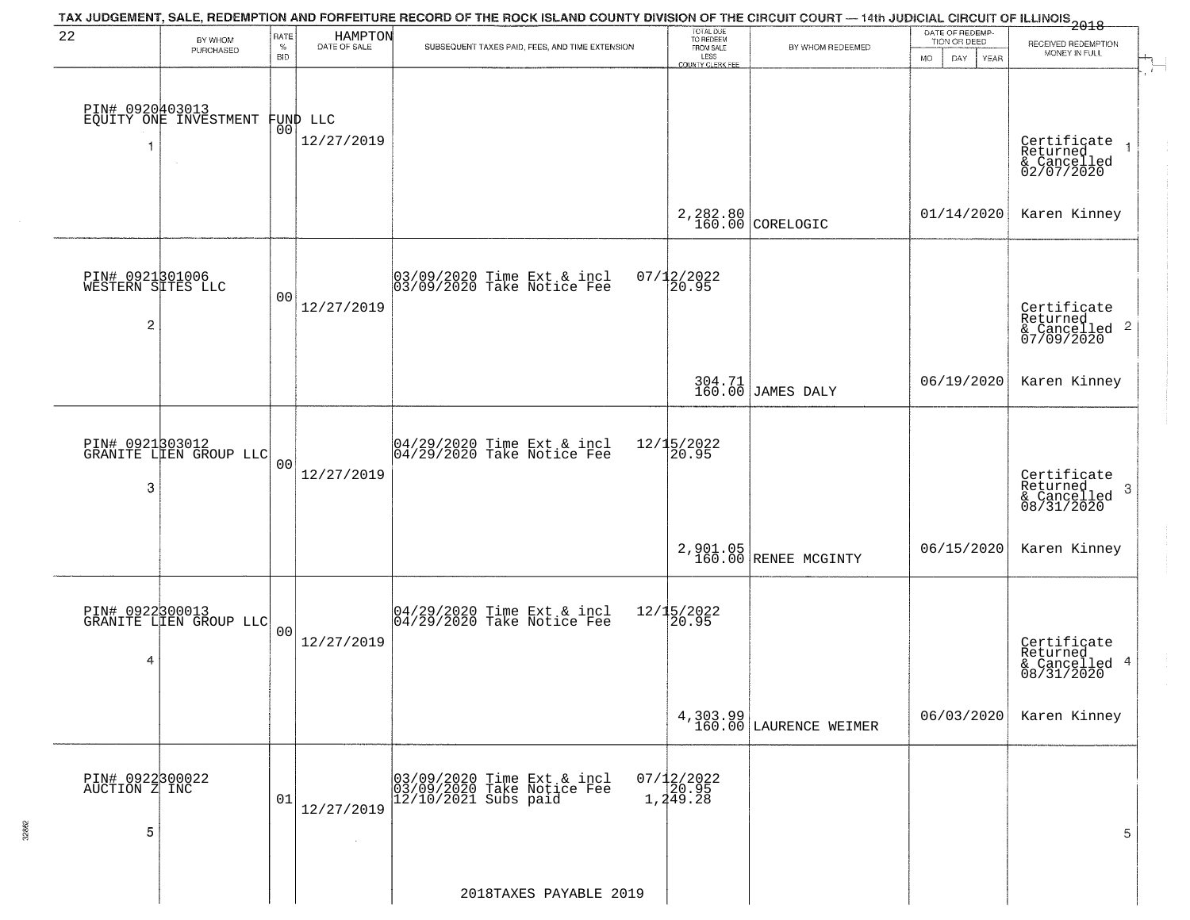|                                           |                                                    |                            |                                | TAX JUDGEMENT, SALE, REDEMPTION AND FORFEITURE RECORD OF THE ROCK ISLAND COUNTY DIVISION OF THE CIRCUIT COURT — 14th JUDICIAL CIRCUIT OF ILLINOIS<br>2018 - The Contract of December 1999 |                                                                 |                                     |                                                        |                                                                      |
|-------------------------------------------|----------------------------------------------------|----------------------------|--------------------------------|-------------------------------------------------------------------------------------------------------------------------------------------------------------------------------------------|-----------------------------------------------------------------|-------------------------------------|--------------------------------------------------------|----------------------------------------------------------------------|
| 22                                        | BY WHOM<br>PURCHASED                               | RATE<br>$\%$<br><b>BID</b> | HAMPTON<br>DATE OF SALE        | SUBSEQUENT TAXES PAID, FEES, AND TIME EXTENSION                                                                                                                                           | TOTAL DUE<br>TO REDEEM<br>FROM SALE<br>LESS<br>COUNTY CLERK FEE | BY WHOM REDEEMED                    | DATE OF REDEMP-<br>TION OR DEED<br>MO.<br>DAY.<br>YEAR | RECEIVED REDEMPTION<br>MONEY IN FULL<br>$\mathcal{A}^{\mathcal{A}'}$ |
| -1                                        | PIN# 0920403013<br>EQUITY ONE INVESTMENT<br>$\sim$ |                            | FUND LLC<br> 00 <br>12/27/2019 |                                                                                                                                                                                           |                                                                 |                                     |                                                        | Certificate<br>Returned<br>& Cancelled<br>02/07/2020                 |
|                                           |                                                    |                            |                                |                                                                                                                                                                                           |                                                                 | $2,282.80$ CORELOGIC                | 01/14/2020                                             | Karen Kinney                                                         |
| PIN# 0921301006<br>WESTERN SITES LLC<br>2 |                                                    | 00                         | 12/27/2019                     | 03/09/2020 Time Ext & incl<br>03/09/2020 Take Notice Fee                                                                                                                                  | $07/12/2022$<br>20.95                                           |                                     |                                                        | Certificate<br>Returned<br>& Cancelled <sup>2</sup><br>07/09/2020    |
|                                           |                                                    |                            |                                |                                                                                                                                                                                           |                                                                 | 304.71<br>160.00 JAMES DALY         | 06/19/2020                                             | Karen Kinney                                                         |
| 3                                         | PIN# 0921303012<br>GRANITE LIEN GROUP LLC          | 0 <sub>0</sub>             | 12/27/2019                     | 04/29/2020 Time Ext & incl<br>04/29/2020 Take Notice Fee                                                                                                                                  | 12/15/2022<br>20.95                                             |                                     |                                                        | Certificate<br>Returned<br>-3<br>& Cancelled<br>08/31/2020           |
|                                           |                                                    |                            |                                |                                                                                                                                                                                           |                                                                 | 2,901.05<br>160.00 RENEE MCGINTY    | 06/15/2020                                             | Karen Kinney                                                         |
| 4                                         | PIN# 0922300013<br>GRANITE LIEN GROUP LLC          | 0 <sub>0</sub>             | 12/27/2019                     | 04/29/2020 Time Ext & incl<br>04/29/2020 Take Notice Fee                                                                                                                                  | 12/15/2022<br>20.95                                             |                                     |                                                        | Certificate<br>Returned<br>& Cancelled 4<br>08/31/2020               |
|                                           |                                                    |                            |                                |                                                                                                                                                                                           |                                                                 | 4, 303.99<br>160.00 LAURENCE WEIMER | 06/03/2020                                             | Karen Kinney                                                         |
| PIN# 0922300022<br>AUCTION Z INC<br>5     |                                                    | 01                         | 12/27/2019<br>$\sim$           | 03/09/2020 Time Ext & incl<br>03/09/2020 Take Notice Fee<br>12/10/2021 Subs paid                                                                                                          | 07/12/2022<br>20.95<br>1,249.28                                 |                                     |                                                        | 5                                                                    |
|                                           |                                                    |                            |                                | 2018TAXES PAYABLE 2019                                                                                                                                                                    |                                                                 |                                     |                                                        |                                                                      |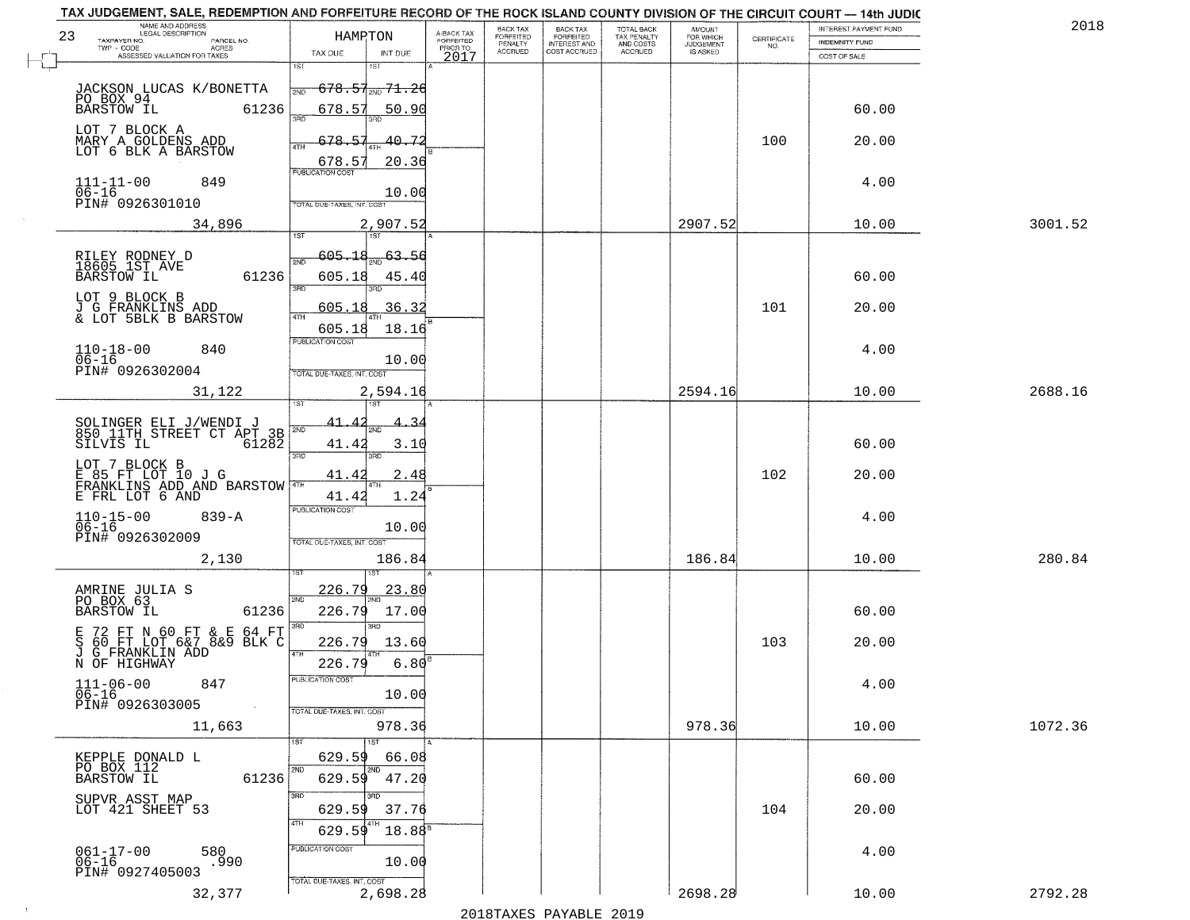| TAX JUDGEMENT, SALE, REDEMPTION AND FORFEITURE RECORD OF THE ROCK ISLAND COUNTY DIVISION OF THE CIRCUIT COURT - 14th JUDIC |                                              |                         |                       |                                     |                                     |                                              |             |                       |         |
|----------------------------------------------------------------------------------------------------------------------------|----------------------------------------------|-------------------------|-----------------------|-------------------------------------|-------------------------------------|----------------------------------------------|-------------|-----------------------|---------|
| NAME AND ADDRESS<br>LEGAL DESCRIPTION<br>23                                                                                | HAMRTON                                      | A-BACK TAX<br>FORFEITED | BACK TAX<br>FORFEITED | <b>BACK TAX</b><br><b>FORFEITED</b> | TOTAL BACK                          | AMOUNT<br>FOR WHICH<br>JUDGEMENT<br>IS ASKED | CERTIFICATE | INTEREST PAYMENT FUND | 2018    |
| TAXPAYER NO.<br>PARCEL NO.<br>TWP - CODE<br>ACRES                                                                          |                                              | PRIOR TO                | PENALTY<br>ACCRUED    | INTEREST AND<br>COST ACCRUED        | TAX PENALTY<br>AND COSTS<br>ACCRUED |                                              | NO.         | <b>INDEMNITY FUND</b> |         |
| ASSESSED VALUATION FOR TAXES                                                                                               | TAX DUE<br>INT DUE<br>1ST<br>18T             | 2017                    |                       |                                     |                                     |                                              |             | COST OF SALE          |         |
|                                                                                                                            |                                              |                         |                       |                                     |                                     |                                              |             |                       |         |
| JACKSON LUCAS K/BONETTA                                                                                                    | <del>678.57<sub>2ND</sub> 71.26</del><br>2ND |                         |                       |                                     |                                     |                                              |             |                       |         |
| PO BOX 94<br>61236                                                                                                         | 678.57<br><u>50.90</u>                       |                         |                       |                                     |                                     |                                              |             | 60.00                 |         |
|                                                                                                                            |                                              |                         |                       |                                     |                                     |                                              |             |                       |         |
| LOT 7 BLOCK A<br>MARY A GOLDENS ADD                                                                                        | 678.57<br>40.72                              |                         |                       |                                     |                                     |                                              | 100         | 20.00                 |         |
| LOT 6 BLK A BARSTOW                                                                                                        | 20.36<br>678.57                              |                         |                       |                                     |                                     |                                              |             |                       |         |
|                                                                                                                            | <b>PUBLICATION COST</b>                      |                         |                       |                                     |                                     |                                              |             |                       |         |
| 849<br>$111 - 11 - 00$<br>$06 - 16$                                                                                        | 10.00                                        |                         |                       |                                     |                                     |                                              |             | 4.00                  |         |
| PIN# 0926301010                                                                                                            | TOTAL DUE-TAXES, INT. COST                   |                         |                       |                                     |                                     |                                              |             |                       |         |
| 34,896                                                                                                                     | 2,907.52                                     |                         |                       |                                     |                                     | 2907.52                                      |             | 10.00                 | 3001.52 |
|                                                                                                                            | 1ST                                          |                         |                       |                                     |                                     |                                              |             |                       |         |
|                                                                                                                            | <u>605.18</u><br>$\frac{63.56}{200}$         |                         |                       |                                     |                                     |                                              |             |                       |         |
| RILEY RODNEY D<br>18605 1ST AVE                                                                                            | 2ND                                          |                         |                       |                                     |                                     |                                              |             |                       |         |
| 61236<br><b>BARSTOW IL</b>                                                                                                 | 605.18<br>45.40<br>3RD<br>חוז                |                         |                       |                                     |                                     |                                              |             | 60.00                 |         |
| LOT 9 BLOCK B<br><b>J G FRANKLINS ADD</b>                                                                                  |                                              |                         |                       |                                     |                                     |                                              |             |                       |         |
| & LOT 5BLK B BARSTOW                                                                                                       | 605.18<br>36.32<br>ৰাম                       |                         |                       |                                     |                                     |                                              | 101         | 20.00                 |         |
|                                                                                                                            | 605.18<br>18.16                              |                         |                       |                                     |                                     |                                              |             |                       |         |
| $110 - 18 - 00$<br>840                                                                                                     | PUBLICATION COST                             |                         |                       |                                     |                                     |                                              |             | 4.00                  |         |
| $06 - 16$<br>PIN# 0926302004                                                                                               | 10.00                                        |                         |                       |                                     |                                     |                                              |             |                       |         |
|                                                                                                                            | TOTAL DUE-TAXES, INT. COST                   |                         |                       |                                     |                                     |                                              |             |                       |         |
| 31,122                                                                                                                     | 2,594.16<br>1ST<br>1ST                       |                         |                       |                                     |                                     | 2594.16                                      |             | 10.00                 | 2688.16 |
|                                                                                                                            |                                              |                         |                       |                                     |                                     |                                              |             |                       |         |
| SOLINGER ELI J/WENDI J<br>850 11TH STREET CT APT 3B<br>SILVIS IL 61282                                                     | 2ND                                          |                         |                       |                                     |                                     |                                              |             |                       |         |
|                                                                                                                            | 41.42<br>3.10                                |                         |                       |                                     |                                     |                                              |             | 60.00                 |         |
| LOT 7 BLOCK B                                                                                                              | 3 <sub>BD</sub><br>3RD                       |                         |                       |                                     |                                     |                                              |             |                       |         |
| E 85 FT LOT 10 J G<br>FRANKLINS ADD AND BARSTOW                                                                            | 2.48<br>41.42                                |                         |                       |                                     |                                     |                                              | 102         | 20.00                 |         |
| E FRL LOT 6 AND                                                                                                            | 1.24<br>41.42                                |                         |                       |                                     |                                     |                                              |             |                       |         |
| $839 - A$                                                                                                                  | <b>PUBLICATION COST</b>                      |                         |                       |                                     |                                     |                                              |             | 4.00                  |         |
| $110 - 15 - 00$<br>06-16                                                                                                   | 10.00                                        |                         |                       |                                     |                                     |                                              |             |                       |         |
| PIN# 0926302009                                                                                                            | TOTAL OUE-TAXES, INT. COST                   |                         |                       |                                     |                                     |                                              |             |                       |         |
| 2,130                                                                                                                      | 186.84                                       |                         |                       |                                     |                                     | 186.84                                       |             | 10.00                 | 280.84  |
|                                                                                                                            |                                              |                         |                       |                                     |                                     |                                              |             |                       |         |
| AMRINE JULIA S<br>PO BOX 63                                                                                                | 226.79<br>23.80<br>2ND                       |                         |                       |                                     |                                     |                                              |             |                       |         |
| <b>BARSTOW IL</b><br>61236                                                                                                 | 226.79<br>17.00                              |                         |                       |                                     |                                     |                                              |             | 60.00                 |         |
|                                                                                                                            | 3BD                                          |                         |                       |                                     |                                     |                                              |             |                       |         |
| E 72 FT N 60 FT & E 64 FT<br>S 60 FT LOT 6&7 8&9 BLK C<br>J G FRANKLIN ADD                                                 | 226.79<br>13.60                              |                         |                       |                                     |                                     |                                              | 103         | 20.00                 |         |
| N OF HIGHWAY                                                                                                               | 226.79<br>6.80                               |                         |                       |                                     |                                     |                                              |             |                       |         |
|                                                                                                                            | PUBLICATION COS                              |                         |                       |                                     |                                     |                                              |             |                       |         |
| $111 - 06 - 00$<br>847<br>$06 - 16$                                                                                        | 10.00                                        |                         |                       |                                     |                                     |                                              |             | 4.00                  |         |
| PIN# 0926303005<br>$\sim 100$ km $^{-1}$                                                                                   | TOTAL DUE-TAXES, INT. COST                   |                         |                       |                                     |                                     |                                              |             |                       |         |
| 11,663                                                                                                                     | 978.36                                       |                         |                       |                                     |                                     | 978.36                                       |             | 10.00                 | 1072.36 |
|                                                                                                                            | 1ST                                          |                         |                       |                                     |                                     |                                              |             |                       |         |
| KEPPLE DONALD L                                                                                                            | 629.59<br>66.08                              |                         |                       |                                     |                                     |                                              |             |                       |         |
| PO BOX 112<br>61236<br><b>BARSTOW IL</b>                                                                                   | 2ND<br>629.59<br>47.20                       |                         |                       |                                     |                                     |                                              |             | 60.00                 |         |
|                                                                                                                            | 3BD                                          |                         |                       |                                     |                                     |                                              |             |                       |         |
| SUPVR ASST MAP<br>LOT 421 SHEET 53                                                                                         | 629.59<br>37.76                              |                         |                       |                                     |                                     |                                              | 104         | 20.00                 |         |
|                                                                                                                            | 629.59<br>18.88 <sup>B</sup>                 |                         |                       |                                     |                                     |                                              |             |                       |         |
|                                                                                                                            | PUBLICATION COST                             |                         |                       |                                     |                                     |                                              |             |                       |         |
| $061 - 17 - 00$<br>06-16<br>580<br>.990                                                                                    | 10.00                                        |                         |                       |                                     |                                     |                                              |             | 4.00                  |         |
| PIN# 0927405003                                                                                                            | TOTAL DUE-TAXES, INT. COST                   |                         |                       |                                     |                                     |                                              |             |                       |         |
| 32,377                                                                                                                     | 2,698.28                                     |                         |                       |                                     |                                     | 2698.28                                      |             | 10.00                 | 2792.28 |
|                                                                                                                            |                                              |                         |                       |                                     |                                     |                                              |             |                       |         |

 $\sim 10$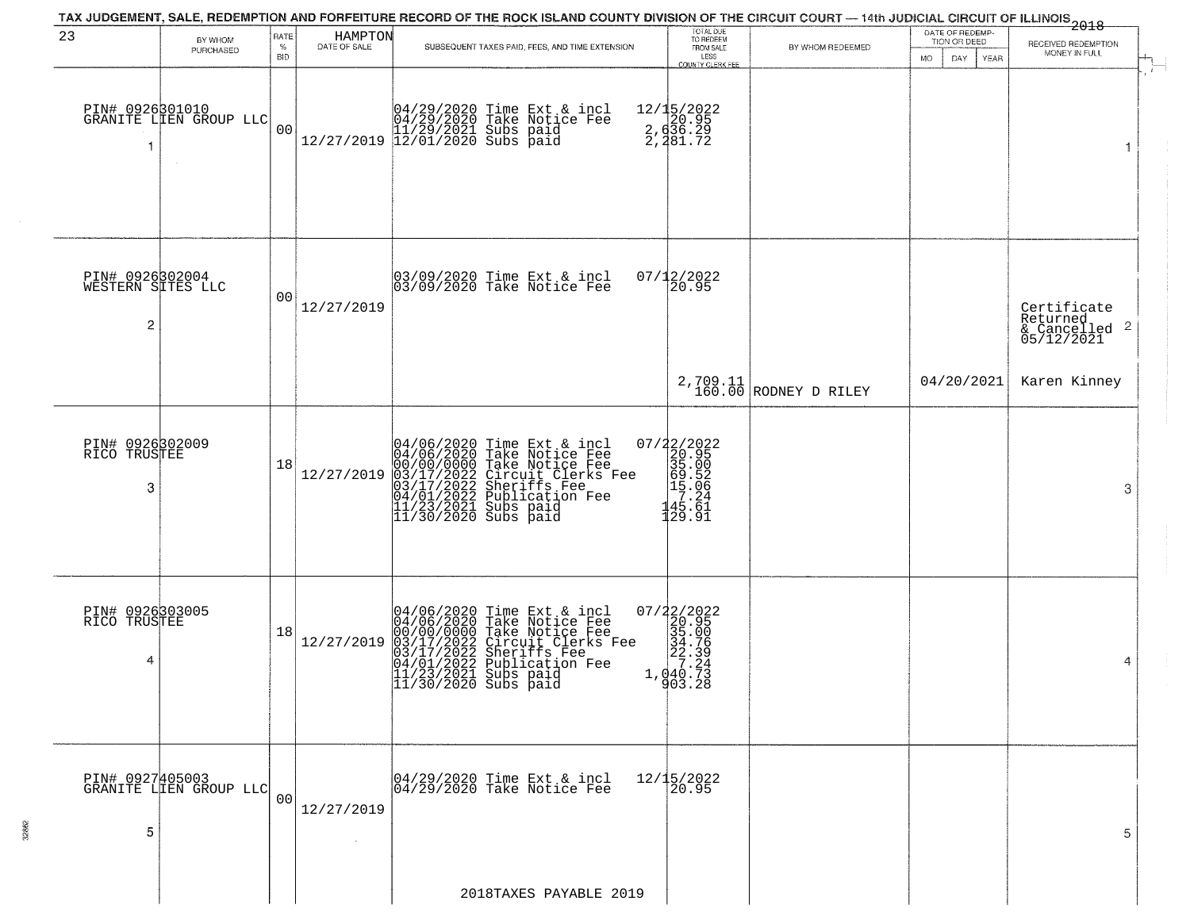|                                           |                                           |                         |                         | TAX JUDGEMENT, SALE, REDEMPTION AND FORFEITURE RECORD OF THE ROCK ISLAND COUNTY DIVISION OF THE CIRCUIT COURT — 14th JUDICIAL CIRCUIT OF ILLINOIS 2018                                                                               |                                                                                                                   |                                          |                                                        |                                                        |
|-------------------------------------------|-------------------------------------------|-------------------------|-------------------------|--------------------------------------------------------------------------------------------------------------------------------------------------------------------------------------------------------------------------------------|-------------------------------------------------------------------------------------------------------------------|------------------------------------------|--------------------------------------------------------|--------------------------------------------------------|
| 23                                        | BY WHOM<br>PURCHASED                      | RATE<br>%<br><b>BID</b> | HAMPTON<br>DATE OF SALE | SUBSEQUENT TAXES PAID, FEES, AND TIME EXTENSION                                                                                                                                                                                      | TOTAL DUE<br>TO REDEEM<br>FROM SALE<br>LESS                                                                       | BY WHOM REDEEMED                         | DATE OF REDEMP-<br>TION OR DEED<br>MO.<br>DAY.<br>YEAR | RECEIVED REDEMPTION<br>MONEY IN FULL                   |
| -1                                        | PIN# 0926301010<br>GRANITE LLEN GROUP LLC | 00                      |                         | $[04/29/2020 \t\t Time Ext & incl \\ 04/29/2020 \t\t Take Notice Free \\ 11/29/2021 \tSubs paid \\ 12/27/2019 \t\t 12/01/2020 \tSubs paid$                                                                                           | <b>COUNTY CLERK FEE</b><br>12/15/2022<br>20.95<br>2, d36.29<br>2, 481.72                                          |                                          |                                                        | - 1<br>1                                               |
| PIN# 0926302004<br>WESTERN SITES LLC<br>2 |                                           | 00                      | 12/27/2019              | 03/09/2020 Time Ext & incl<br>03/09/2020 Take Notice Fee                                                                                                                                                                             | 07/12/2022<br>20.95                                                                                               |                                          |                                                        | Certificate<br>Returned<br>& Cancelled 2<br>05/12/2021 |
|                                           |                                           |                         |                         |                                                                                                                                                                                                                                      |                                                                                                                   | $2,709.11$<br>$160.00$<br>RODNEY D RILEY | 04/20/2021                                             | Karen Kinney                                           |
| PIN# 0926302009<br>RICO TRUSTEE<br>3      |                                           | 18                      | 12/27/2019              | 04/06/2020 Time Ext & incl<br>04/06/2020 Take Notice Fee<br>00/00/00000 Take Notice Fee<br>03/17/2022 Circuit Clerks Fee<br>03/17/2022 Sublication Fee<br>04/01/2022 Publication Fee<br>11/23/2021 Subs paid<br>11/30/2020 Subs paid | 07/22/2022<br>$200.95$<br>$305.05$<br>$695.05$<br>$17.24$<br>$135.61$<br>129.91                                   |                                          |                                                        | 3                                                      |
| PIN# 0926303005<br>RICO TRUSTEE<br>4      |                                           | 18                      | 12/27/2019              | 04/06/2020 Time Ext & incl<br>04/06/2020 Take Notice Fee<br>00/00/00000 Take Notice Fee<br>03/17/2022 Circuit Clerks Fee<br>03/17/2022 Sublication Fee<br>04/01/2022 Publication Fee<br>11/23/2021 Subs paid<br>11/30/2020 Subs paid | $\begin{smallmatrix} 07/22/2022\\ 20.95\\ 320.95\\ 34.706\\ 22.39\\ 27.24\\ 1,040.73 \end{smallmatrix}$<br>903.28 |                                          |                                                        | 4                                                      |
| PIN# 0927405003<br>5                      | GRANITE LIEN GROUP LLC                    | 00 <sup>1</sup>         | 12/27/2019              | 04/29/2020 Time Ext & incl<br>04/29/2020 Take Notice Fee                                                                                                                                                                             | 12/15/2022<br>20.95                                                                                               |                                          |                                                        | 5                                                      |
|                                           |                                           |                         |                         | 2018TAXES PAYABLE 2019                                                                                                                                                                                                               |                                                                                                                   |                                          |                                                        |                                                        |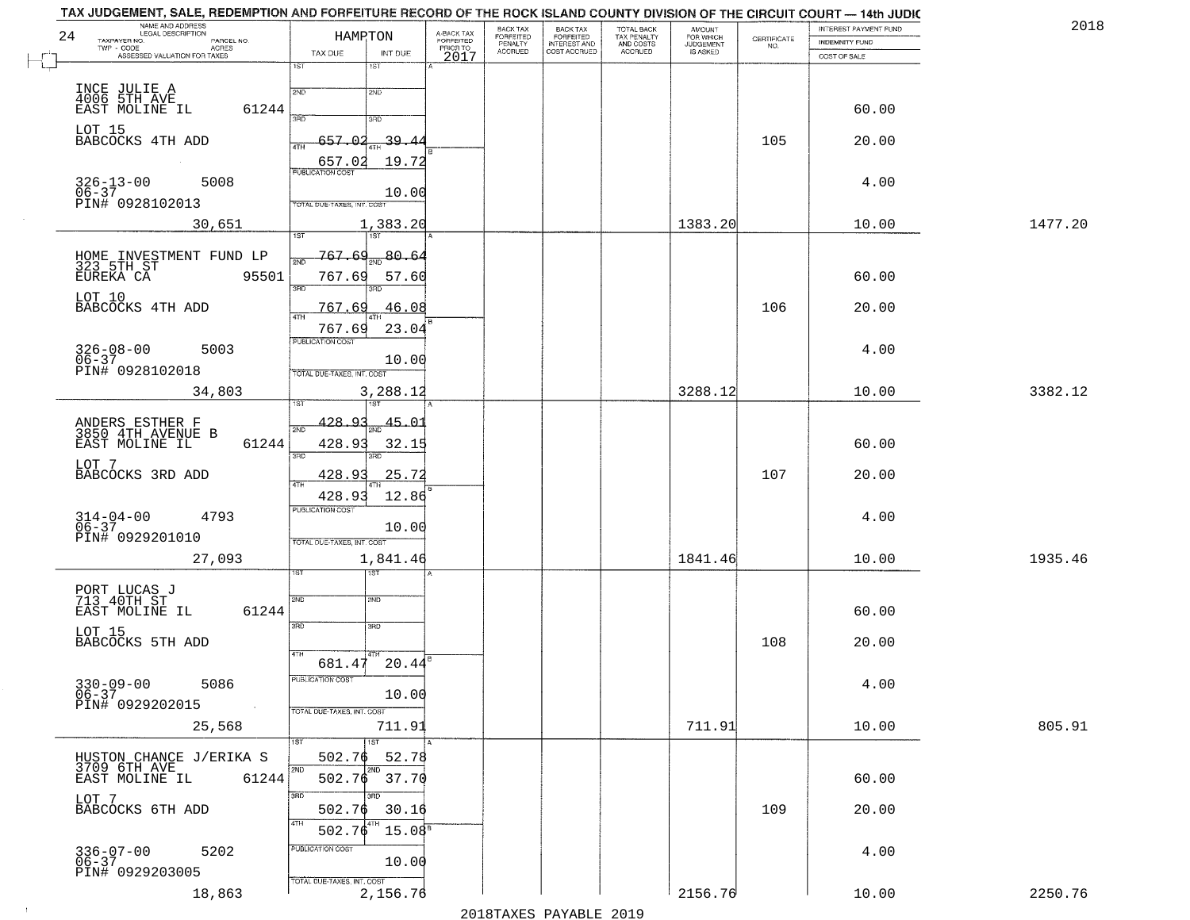| 24 | TAX JUDGEMENT, SALE, REDEMPTION AND FORFEITURE RECORD OF THE ROCK ISLAND COUNTY DIVISION OF THE CIRCUIT COURT — 14th JUDIC<br>NAME AND ADDRESS<br>LEGAL DESCRIPTION<br>TAXPAYER NO.<br>PARCEL NO. | HAMPTON                           |                                 | A-BACK TAX<br>FORFEITED | BACK TAX<br>FORFEITED<br>PENALTY<br>ACCRUED | BACK TAX<br>FORFEITED<br>INTEREST AND<br>COST ACCRUED | TOTAL BACK<br>TAX PENALTY<br>AND COSTS<br>ACCRUED | <b>AMOUNT</b><br>FOR WHICH<br>JUDGEMENT<br>IS ASKED | CERTIFICATE | INTEREST PAYMENT FUND<br>INDEMNITY FUND | 2018    |
|----|---------------------------------------------------------------------------------------------------------------------------------------------------------------------------------------------------|-----------------------------------|---------------------------------|-------------------------|---------------------------------------------|-------------------------------------------------------|---------------------------------------------------|-----------------------------------------------------|-------------|-----------------------------------------|---------|
|    | TWP - CODE<br>- CODE ACRES<br>ASSESSED VALUATION FOR TAXES                                                                                                                                        | TAX DUE<br>1ST                    | INT DUE<br>1ST                  | PRIORTO<br>2017         |                                             |                                                       |                                                   |                                                     | NO.         | COST OF SALE                            |         |
|    |                                                                                                                                                                                                   | 2ND                               | 2ND                             |                         |                                             |                                                       |                                                   |                                                     |             |                                         |         |
|    | INCE JULIE A<br>4006 5TH AVE<br>EAST MOLINE IL<br>61244                                                                                                                                           | 3AD                               | 3RD                             |                         |                                             |                                                       |                                                   |                                                     |             | 60.00                                   |         |
|    | LOT 15<br>BABCOCKS 4TH ADD                                                                                                                                                                        | -657<br>4TH                       | 39.                             |                         |                                             |                                                       |                                                   |                                                     | 105         | 20.00                                   |         |
|    | $\sim 100$                                                                                                                                                                                        | 657.02<br><b>PUBLICATION COST</b> | 19.72                           |                         |                                             |                                                       |                                                   |                                                     |             |                                         |         |
|    | 5008<br>$326 - 13 - 00$<br>$06 - 37$                                                                                                                                                              |                                   | 10.00                           |                         |                                             |                                                       |                                                   |                                                     |             | 4.00                                    |         |
|    | PIN# 0928102013<br>30,651                                                                                                                                                                         | TOTAL DUE-TAXES, INT. COST        | 1,383.20                        |                         |                                             |                                                       |                                                   | 1383.20                                             |             | 10.00                                   | 1477.20 |
|    |                                                                                                                                                                                                   | 1ST                               | <b>TST</b>                      |                         |                                             |                                                       |                                                   |                                                     |             |                                         |         |
|    | HOME INVESTMENT FUND LP<br>323 5TH ST<br>EUREKA CA<br>95501                                                                                                                                       | 767.69                            | $767.69_{200}80.64$<br>57.60    |                         |                                             |                                                       |                                                   |                                                     |             | 60.00                                   |         |
|    | LOT 10<br>BABCOCKS 4TH ADD                                                                                                                                                                        | 3RD<br>767.69                     | 3RD<br>46.08                    |                         |                                             |                                                       |                                                   |                                                     | 106         | 20.00                                   |         |
|    |                                                                                                                                                                                                   | 47H<br>767.69                     | 23.04                           |                         |                                             |                                                       |                                                   |                                                     |             |                                         |         |
|    | $326 - 08 - 00$<br>06-37<br>5003                                                                                                                                                                  | PUBLICATION COST                  | 10.00                           |                         |                                             |                                                       |                                                   |                                                     |             | 4.00                                    |         |
|    | PIN# 0928102018<br>34,803                                                                                                                                                                         | TOTAL DUE-TAXES, INT. COST        | 3,288.12                        |                         |                                             |                                                       |                                                   | 3288.12                                             |             | 10.00                                   | 3382.12 |
|    |                                                                                                                                                                                                   | ΞT                                |                                 |                         |                                             |                                                       |                                                   |                                                     |             |                                         |         |
|    | ANDERS ESTHER F<br>3850 4TH AVENUE B<br>61244<br>EAST MOLINE IL                                                                                                                                   | 428.93<br>$2N$ F<br>428.93        | $\frac{45.01}{200}$<br>32.15    |                         |                                             |                                                       |                                                   |                                                     |             | 60.00                                   |         |
|    | LOT 7                                                                                                                                                                                             | 3RD                               | 3RD                             |                         |                                             |                                                       |                                                   |                                                     |             |                                         |         |
|    | BABCOCKS 3RD ADD                                                                                                                                                                                  | 428.9<br>14TH<br>428.93           | 25.72<br>12.86                  |                         |                                             |                                                       |                                                   |                                                     | 107         | 20.00                                   |         |
|    | $314 - 04 - 00$<br>06-37<br>4793                                                                                                                                                                  | PUBLICATION COST                  | 10.00                           |                         |                                             |                                                       |                                                   |                                                     |             | 4.00                                    |         |
|    | PIN# 0929201010                                                                                                                                                                                   | TOTAL OUE-TAXES, INT. COST        |                                 |                         |                                             |                                                       |                                                   |                                                     |             |                                         |         |
|    | 27,093                                                                                                                                                                                            |                                   | 1,841.46                        |                         |                                             |                                                       |                                                   | 1841.46                                             |             | 10.00                                   | 1935.46 |
|    | PORT LUCAS J<br>713 40TH ST                                                                                                                                                                       | 2ND                               | 2ND                             |                         |                                             |                                                       |                                                   |                                                     |             |                                         |         |
|    | 61244<br>EAST MOLINE IL<br>LOT 15                                                                                                                                                                 | 3RD                               | 3RD                             |                         |                                             |                                                       |                                                   |                                                     |             | 60.00                                   |         |
|    | BABCOCKS 5TH ADD                                                                                                                                                                                  | 681.47                            | 20.44                           |                         |                                             |                                                       |                                                   |                                                     | 108         | 20.00                                   |         |
|    | $330 - 09 - 00$<br>06-37<br>5086                                                                                                                                                                  | PUBLICATION COST                  |                                 |                         |                                             |                                                       |                                                   |                                                     |             | 4.00                                    |         |
|    | PIN# 0929202015                                                                                                                                                                                   | TOTAL DUE-TAXES, INT. COST        | 10.00                           |                         |                                             |                                                       |                                                   |                                                     |             |                                         |         |
|    | 25,568                                                                                                                                                                                            | 1ST                               | 711.91<br>1ST                   |                         |                                             |                                                       |                                                   | 711.91                                              |             | 10.00                                   | 805.91  |
|    | HUSTON CHANCE J/ERIKA S<br>3709 6TH AVE                                                                                                                                                           | 502.76<br>2ND                     | 52.78                           |                         |                                             |                                                       |                                                   |                                                     |             |                                         |         |
|    | EAST MOLINE IL<br>61244                                                                                                                                                                           | 3RD                               | $502.76$ $37.70$<br>350         |                         |                                             |                                                       |                                                   |                                                     |             | 60.00                                   |         |
|    | LOT 7<br>BABCOCKS 6TH ADD                                                                                                                                                                         | 502.76<br>4TH                     | 30.16                           |                         |                                             |                                                       |                                                   |                                                     | 109         | 20.00                                   |         |
|    | 5202                                                                                                                                                                                              | PUBLICATION COST                  | $502.76^{4}$ 15.08 <sup>8</sup> |                         |                                             |                                                       |                                                   |                                                     |             | 4.00                                    |         |
|    | $336 - 07 - 00$<br>06-37<br>PIN# 0929203005                                                                                                                                                       | TOTAL DUE-TAXES, INT. COST        | 10.00                           |                         |                                             |                                                       |                                                   |                                                     |             |                                         |         |
|    | 18,863                                                                                                                                                                                            |                                   | 2,156.76                        |                         |                                             |                                                       |                                                   | 2156.76                                             |             | 10.00                                   | 2250.76 |
|    |                                                                                                                                                                                                   |                                   |                                 |                         |                                             | 2010                                                  |                                                   |                                                     |             |                                         |         |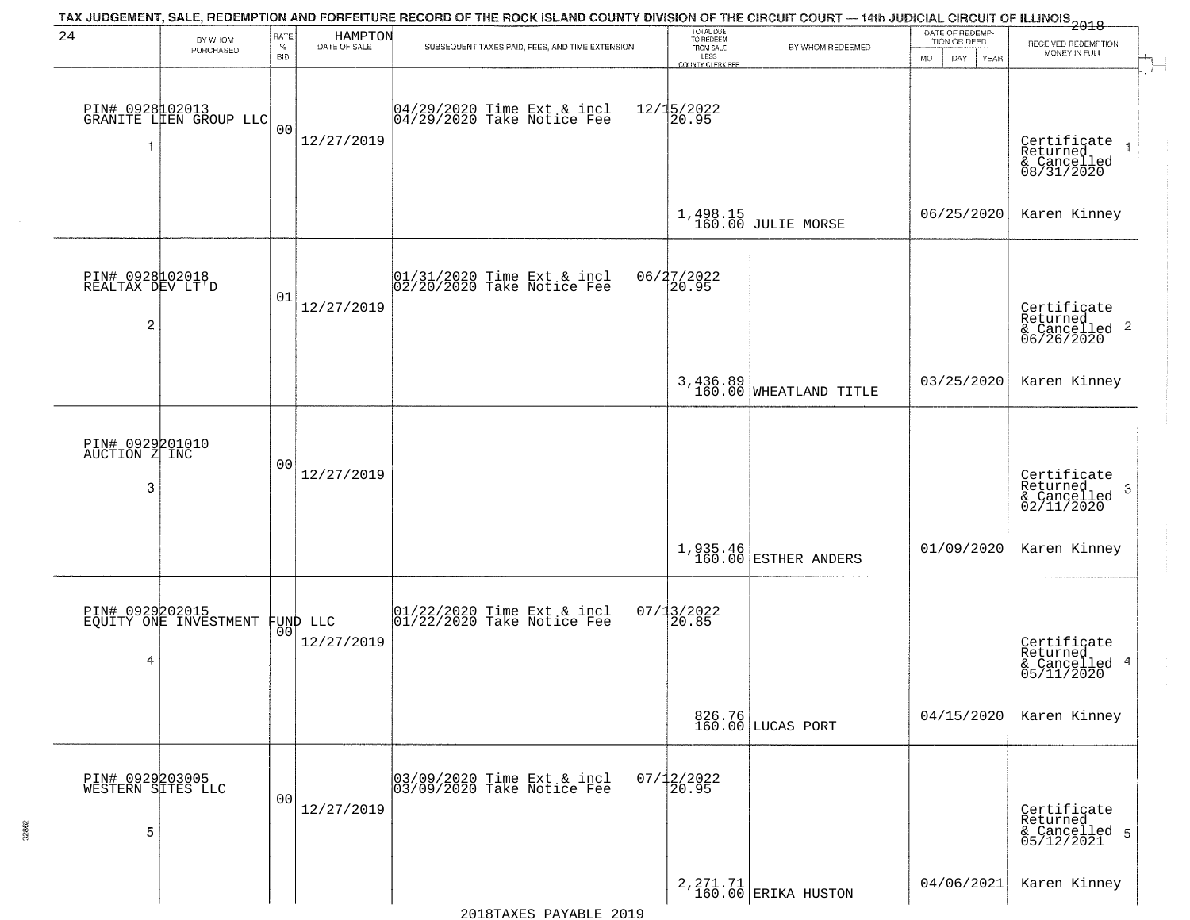|                                                       |                                           |                            |                                | TAX JUDGEMENT, SALE, REDEMPTION AND FORFEITURE RECORD OF THE ROCK ISLAND COUNTY DIVISION OF THE CIRCUIT COURT — 14th JUDICIAL CIRCUIT OF ILLINOIS 2018 |                                                                 |                                    |                                                             |                                                                        |
|-------------------------------------------------------|-------------------------------------------|----------------------------|--------------------------------|--------------------------------------------------------------------------------------------------------------------------------------------------------|-----------------------------------------------------------------|------------------------------------|-------------------------------------------------------------|------------------------------------------------------------------------|
| 24                                                    | BY WHOM<br>PURCHASED                      | RATE<br>$\%$<br><b>BID</b> | <b>HAMPTON</b><br>DATE OF SALE | SUBSEQUENT TAXES PAID, FEES, AND TIME EXTENSION                                                                                                        | TOTAL DUE<br>TO REDEEM<br>FROM SALE<br>LESS<br>COUNTY CLERK FEE | BY WHOM REDEEMED                   | DATE OF REDEMP-<br>TION OR DEED<br><b>MO</b><br>DAY<br>YEAR | RECEIVED REDEMPTION<br>MONEY IN FULL                                   |
| -1                                                    | PIN# 0928102013<br>GRANITE LIEN GROUP LLC | 0 <sub>0</sub>             | 12/27/2019                     | 04/29/2020 Time Ext & incl<br>04/29/2020 Take Notice Fee                                                                                               | $12/15/2022$<br>20.95                                           |                                    |                                                             | Certificate<br>Returned<br>$\rightarrow$<br>& Cancelled<br>08/31/2020  |
|                                                       |                                           |                            |                                |                                                                                                                                                        | 1,498.15<br>160.00                                              | <b>JULIE MORSE</b>                 | 06/25/2020                                                  | Karen Kinney                                                           |
| PIN# 0928102018<br>REALTAX DEV LT'D<br>$\overline{c}$ |                                           | 01                         | 12/27/2019                     | 01/31/2020 Time Ext & incl<br>02/20/2020 Take Notice Fee                                                                                               | 06/27/2022<br>20.95                                             |                                    |                                                             | Certificate<br>Returned<br>& Cancelled <sup>2</sup><br>06/26/2020      |
|                                                       |                                           |                            |                                |                                                                                                                                                        |                                                                 | 3,436.89<br>160.00 WHEATLAND TITLE | 03/25/2020                                                  | Karen Kinney                                                           |
| PIN# 0929201010<br>AUCTION Z INC<br>3                 |                                           | 00                         | 12/27/2019                     |                                                                                                                                                        |                                                                 |                                    |                                                             | Certificate<br>Returned<br>-3<br>$\frac{1}{2}$ Cancelled<br>02/11/2020 |
|                                                       |                                           |                            |                                |                                                                                                                                                        |                                                                 | 1,935.46<br>160.00 ESTHER ANDERS   | 01/09/2020                                                  | Karen Kinney                                                           |
| 4                                                     | PIN# 0929202015<br>EQUITY ONE INVESTMENT  |                            | FUND LLC<br> 00 <br>12/27/2019 | 01/22/2020 Time Ext & incl<br>01/22/2020 Take Notice Fee                                                                                               | 07/13/2022<br>20.85                                             |                                    |                                                             | Certificate<br>Returned<br>& Cancelled 4<br>05/11/2020                 |
|                                                       |                                           |                            |                                |                                                                                                                                                        |                                                                 | 826.76<br>160.00 LUCAS PORT        | 04/15/2020                                                  | Karen Kinney                                                           |
| PIN# 0929203005<br>WESTERN SITES LLC<br>5             |                                           | 00                         | 12/27/2019                     | 03/09/2020 Time Ext & incl<br>03/09/2020 Take Notice Fee                                                                                               | $07/12/2022$<br>20.95                                           |                                    |                                                             | Certificate<br>Returned<br>& Cancelled 5<br>05/12/2021                 |
|                                                       |                                           |                            |                                |                                                                                                                                                        |                                                                 | 2, 271.71<br>160.00 ERIKA HUSTON   | 04/06/2021                                                  | Karen Kinney                                                           |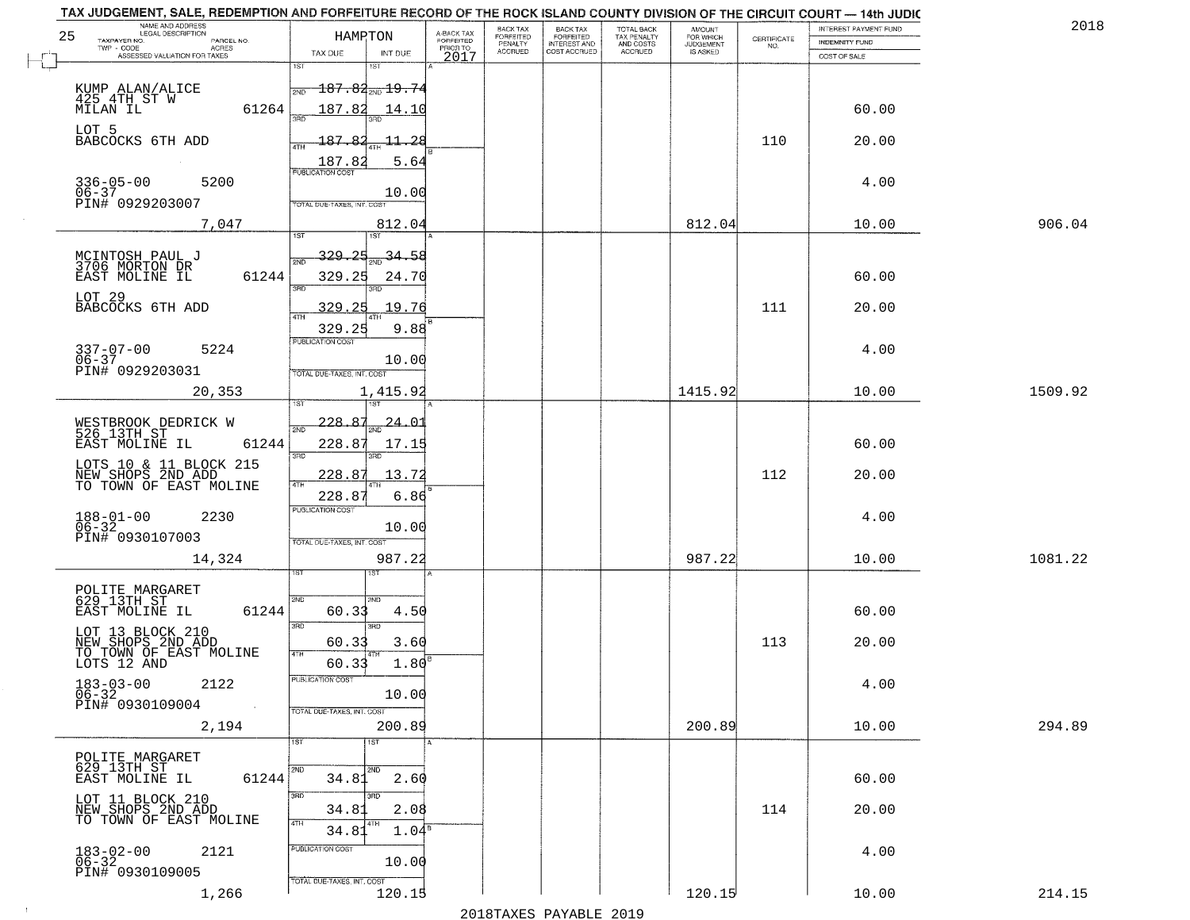| 25   | NAME AND ADDRESS<br>LEGAL DESCRIPTION<br>TAXPAYER NO.<br>PARCEL NO.<br>ACRES<br>TWP - CODE | HAMPTON                                                                 | A-BACK TAX<br>FORFEITED<br>PRIOR TO | <b>BACK TAX</b><br>FORFEITED<br>PENALTY<br><b>ACCRUED</b> | BACK TAX<br>FORFEITED<br>INTEREST AND<br>COST ACCRUED | TOTAL BACK<br>TAX PENALTY<br>AND COSTS<br>ACCRUED | AMOUNT<br>FOR WHICH<br><b>JUDGEMENT</b> | $\begin{array}{c} \text{CERTIFICATE} \\ \text{NO.} \end{array}$ | INTEREST PAYMENT FUND<br><b>INDEMNITY FUND</b> | 2018    |
|------|--------------------------------------------------------------------------------------------|-------------------------------------------------------------------------|-------------------------------------|-----------------------------------------------------------|-------------------------------------------------------|---------------------------------------------------|-----------------------------------------|-----------------------------------------------------------------|------------------------------------------------|---------|
|      | ASSESSED VALUATION FOR TAXES                                                               | TAX DUE<br>INT DUE<br>1ST<br>1ST                                        | 2017                                |                                                           |                                                       |                                                   | IS ASKED                                |                                                                 | COST OF SALE                                   |         |
|      | KUMP ALAN/ALICE<br>425 4TH ST W<br>MILAN IL<br>61264                                       | $187.84_{\text{\tiny 2ND}}$ 19.74<br>187.82<br>14.10                    |                                     |                                                           |                                                       |                                                   |                                         |                                                                 | 60.00                                          |         |
|      | LOT 5<br>BABCOCKS 6TH ADD                                                                  | 187.82<br><u> 11, 28</u><br>187.82<br>5.64                              |                                     |                                                           |                                                       |                                                   |                                         | 110                                                             | 20.00                                          |         |
|      | $336 - 05 - 00$<br>5200<br>$06 - 37$<br>PIN# 0929203007                                    | <b>PUBLICATION COST</b><br>10.00<br>TOTAL DUE-TAXES, INT, COST          |                                     |                                                           |                                                       |                                                   |                                         |                                                                 | 4.00                                           |         |
|      | 7,047                                                                                      | 812.04<br>IST.<br>1ST                                                   |                                     |                                                           |                                                       |                                                   | 812.04                                  |                                                                 | 10.00                                          | 906.04  |
|      | MCINTOSH PAUL J<br>3706 MORTON DR<br>EAST MOLINE IL<br>61244                               | 329.25<br>34.58<br>2ND<br>329.25<br>24.70<br>बन्ना                      |                                     |                                                           |                                                       |                                                   |                                         |                                                                 | 60.00                                          |         |
|      | LOT 29<br>BABCOCKS 6TH ADD                                                                 | 25<br>19.76<br>329.<br>9.88<br>329.25                                   |                                     |                                                           |                                                       |                                                   |                                         | 111                                                             | 20.00                                          |         |
|      | $337 - 07 - 00$<br>06-37<br>5224<br>PIN# 0929203031                                        | PUBLICATION COST<br>10.00<br>TOTAL DUE-TAXES, INT. COST                 |                                     |                                                           |                                                       |                                                   |                                         |                                                                 | 4.00                                           |         |
|      | 20,353                                                                                     | 1,415.92<br>'ST                                                         |                                     |                                                           |                                                       |                                                   | 1415.92                                 |                                                                 | 10.00                                          | 1509.92 |
|      | WESTBROOK DEDRICK W<br>526 13TH ST<br>EAST MOLINE IL<br>61244                              | 228.87<br><u> 24.01</u><br>2ND<br>228.87<br>17.15                       |                                     |                                                           |                                                       |                                                   |                                         |                                                                 | 60.00                                          |         |
|      | LOTS 10 & 11 BLOCK 215<br>NEW SHOPS 2ND ADD<br>TO TOWN OF EAST MOLINE                      | 3RD<br>3RD<br>228.87<br>13.72<br>228.8<br>6.86                          |                                     |                                                           |                                                       |                                                   |                                         | 112                                                             | 20.00                                          |         |
|      | $188 - 01 - 00$<br>$06 - 32$<br>2230<br>PIN# 0930107003                                    | <b>PUBLICATION COST</b><br>10.00<br>TOTAL OUE-TAXES, INT. COST          |                                     |                                                           |                                                       |                                                   |                                         |                                                                 | 4.00                                           |         |
|      | 14,324                                                                                     | 987.22                                                                  |                                     |                                                           |                                                       |                                                   | 987.22                                  |                                                                 | 10.00                                          | 1081.22 |
|      | POLITE MARGARET<br>629 13TH ST<br>EAST MOLINE IL<br>61244                                  | 2ND<br>2ND<br>60.3<br>4.50<br>3RD<br>3RD                                |                                     |                                                           |                                                       |                                                   |                                         |                                                                 | 60.00                                          |         |
|      | LOT 13 BLOCK 210<br>NEW SHOPS 2ND ADD<br>TO TOWN OF EAST MOLINE<br>LOTS 12 AND             | 60.33<br>3.60<br>4TH<br>1.80 <sup>B</sup><br>60.33                      |                                     |                                                           |                                                       |                                                   |                                         | 113                                                             | 20.00                                          |         |
|      | $183 - 03 - 00$<br>06-32<br>2122<br>PIN# 0930109004<br>$\sim 100$                          | PUBLICATION COST<br>10.00<br>TOTAL DUE-TAXES, INT. COST                 |                                     |                                                           |                                                       |                                                   |                                         |                                                                 | 4.00                                           |         |
|      | 2,194                                                                                      | 200.89<br>1ST<br>1ST                                                    |                                     |                                                           |                                                       |                                                   | 200.89                                  |                                                                 | 10.00                                          | 294.89  |
|      | POLITE MARGARET<br>629 13TH ST<br>61244<br>EAST MOLINE IL                                  | 2ND<br>2ND<br>34.81<br>2.60                                             |                                     |                                                           |                                                       |                                                   |                                         |                                                                 | 60.00                                          |         |
|      | LOT 11 BLOCK 210<br>NEW SHOPS 2ND ADD<br>TO TOWN OF EAST MOLINE                            | 3RD<br>зñп<br>34.81<br>2.08<br>4TH<br>4TH<br>34.81<br>1.04 <sup>s</sup> |                                     |                                                           |                                                       |                                                   |                                         | 114                                                             | 20.00                                          |         |
|      | $183 - 02 - 00$<br>$06 - 32$<br>2121<br>PIN# 0930109005                                    | PUBLICATION COST<br>10.00<br>TOTAL DUE-TAXES, INT. COST                 |                                     |                                                           |                                                       |                                                   |                                         |                                                                 | 4.00                                           |         |
| $+1$ | 1,266                                                                                      | 120.15                                                                  |                                     |                                                           |                                                       |                                                   | 120.15                                  |                                                                 | 10.00                                          | 214.15  |
|      |                                                                                            |                                                                         |                                     |                                                           | 0.10 הזמגזגת מהעגדות                                  |                                                   |                                         |                                                                 |                                                |         |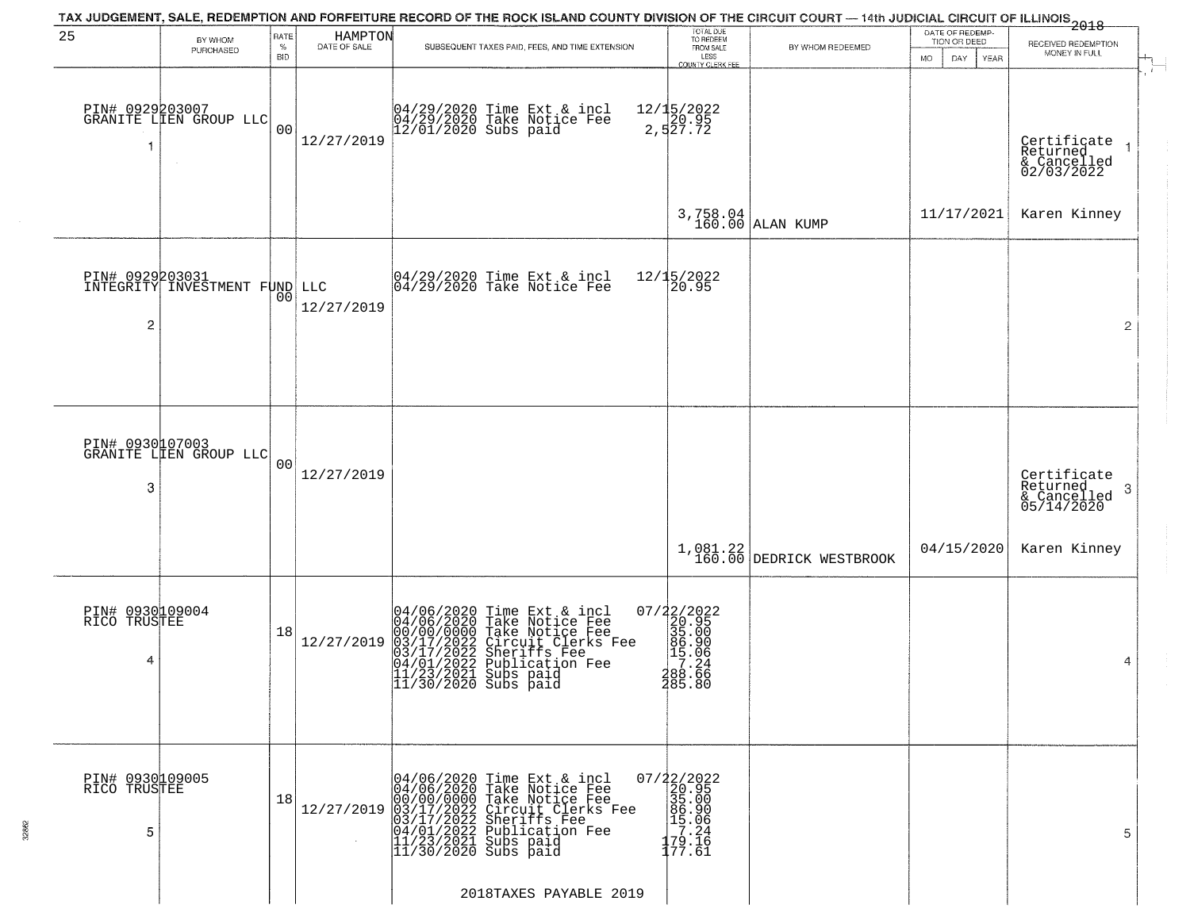|                                      |                                           |                            |                                | TAX JUDGEMENT, SALE, REDEMPTION AND FORFEITURE RECORD OF THE ROCK ISLAND COUNTY DIVISION OF THE CIRCUIT COURT — 14th JUDICIAL CIRCUIT OF ILLINOIS 2018                                                                              |                                                                                                                                                                                                                                                                                     |                                      |                                                        |                                                        |
|--------------------------------------|-------------------------------------------|----------------------------|--------------------------------|-------------------------------------------------------------------------------------------------------------------------------------------------------------------------------------------------------------------------------------|-------------------------------------------------------------------------------------------------------------------------------------------------------------------------------------------------------------------------------------------------------------------------------------|--------------------------------------|--------------------------------------------------------|--------------------------------------------------------|
| 25                                   | BY WHOM<br>PURCHASED                      | RATE<br>$\%$<br><b>BID</b> | <b>HAMPTON</b><br>DATE OF SALE | SUBSEQUENT TAXES PAID, FEES, AND TIME EXTENSION                                                                                                                                                                                     | TOTAL DUE<br>TO REDEEM<br>FROM SALE<br>LESS<br><b>COUNTY CLERK FEE</b>                                                                                                                                                                                                              | BY WHOM REDEEMED                     | DATE OF REDEMP-<br>TION OR DEED<br>MO.<br>DAY.<br>YEAR | RECEIVED REDEMPTION<br>MONEY IN FULL                   |
|                                      | PIN# 0929203007<br>GRANITE LIEN GROUP LLC | 00                         | 12/27/2019                     | 04/29/2020 Time Ext & incl<br>04/29/2020 Take Notice Fee<br>12/01/2020 Subs paid                                                                                                                                                    | 12/15/2022<br>20.95<br>2,527.72                                                                                                                                                                                                                                                     |                                      |                                                        | Certifiçate<br>Returned<br>& Cancelled<br>02/03/2022   |
|                                      |                                           |                            |                                |                                                                                                                                                                                                                                     |                                                                                                                                                                                                                                                                                     | $3,758.04$ ALAN KUMP                 | 11/17/2021                                             | Karen Kinney                                           |
| PIN# 0929203031<br>$\overline{c}$    | INTEGRITY INVESTMENT FUND LLC             | 00                         | 12/27/2019                     | $ 04/29/2020$ Time Ext & incl<br>$ 04/29/2020$ Take Notice Fee                                                                                                                                                                      | 12/15/2022<br>20.95                                                                                                                                                                                                                                                                 |                                      |                                                        | $\overline{2}$                                         |
| PIN# 0930107003                      |                                           |                            |                                |                                                                                                                                                                                                                                     |                                                                                                                                                                                                                                                                                     |                                      |                                                        |                                                        |
| 3                                    | GRANITE LLEN GROUP LLC                    | 00                         | 12/27/2019                     |                                                                                                                                                                                                                                     |                                                                                                                                                                                                                                                                                     |                                      |                                                        | Certificate<br>Returned<br>3<br>$\frac{2}{05/14/2020}$ |
|                                      |                                           |                            |                                |                                                                                                                                                                                                                                     |                                                                                                                                                                                                                                                                                     | 1,081.22<br>160.00 DEDRICK WESTBROOK | 04/15/2020                                             | Karen Kinney                                           |
| PIN# 0930109004<br>RICO TRUSTEE<br>4 |                                           | 18                         | 12/27/2019                     | 04/06/2020 Time Ext & incl<br>04/06/2020 Take Notice Fee<br>00/00/0000 Take Notice Fee<br>03/17/2022 Circuit Clerks Fee<br>03/17/2022 Suberiffs Fee<br>04/01/2022 Publication Fee<br>11/23/2021 Subs paid<br>11/30/2020 Subs paid   | 07/22/2022<br>20.95<br>35.00<br>86.90<br>5.06<br>78.24<br>288.66<br>285.80                                                                                                                                                                                                          |                                      |                                                        | 4                                                      |
| PIN# 0930109005<br>RICO TRUSTEE<br>5 |                                           | 18                         | 12/27/2019                     | 04/06/2020 Time Ext & incl<br>04/06/2020 Take Notice Fee<br>00/00/0000 Take Notice Fee<br>03/17/2022 Circuit Clerks Fee<br>03/17/2022 Sublication Fee<br>04/01/2022 Publication Fee<br>11/23/2021 Subs paid<br>11/30/2020 Subs paid | $\begin{array}{r} 07/22/2022\\20.95\\35.00\\19.96\\11.06\\17.24\\17.24\\17.24\\17.24\\17.24\\17.24\\17.24\\17.24\\17.24\\17.24\\17.24\\17.24\\17.24\\17.24\\17.24\\17.24\\17.24\\17.24\\17.24\\17.25\\17.25\\17.26\\17.27\\17.28\\17.29\\17.29\\17.29\\17.29\\17.29\\17.$<br>177.61 |                                      |                                                        | 5                                                      |
|                                      |                                           |                            |                                | 2018TAXES PAYABLE 2019                                                                                                                                                                                                              |                                                                                                                                                                                                                                                                                     |                                      |                                                        |                                                        |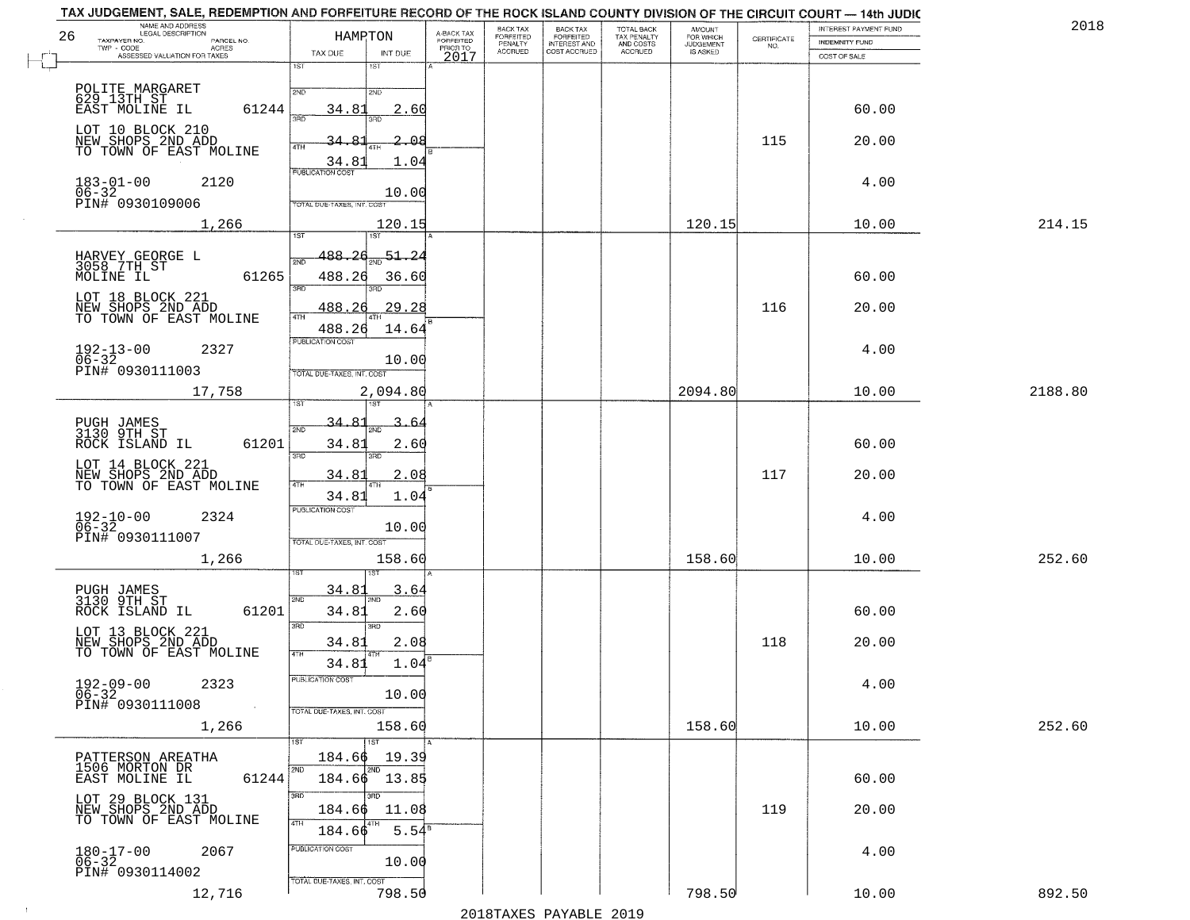|    | TAX JUDGEMENT, SALE, REDEMPTION AND FORFEITURE RECORD OF THE ROCK ISLAND COUNTY DIVISION OF THE CIRCUIT COURT — 14th JUDIC |                                      |                         |                                  |                                                       |                                        |                                         |                    | INTEREST PAYMENT FUND | 2018    |
|----|----------------------------------------------------------------------------------------------------------------------------|--------------------------------------|-------------------------|----------------------------------|-------------------------------------------------------|----------------------------------------|-----------------------------------------|--------------------|-----------------------|---------|
| 26 | NAME AND ADDRESS<br>TAXPAYER NO.<br>PARCEL NO.                                                                             | HAMRTON                              | A-BACK TAX<br>FORFEITED | BACK TAX<br>FORFEITED<br>PENALTY | BACK TAX<br>FORFEITED<br>INTEREST AND<br>COST ACCRUED | TOTAL BACK<br>TAX PENALTY<br>AND COSTS | <b>AMOUNT</b><br>FOR WHICH<br>JUDGEMENT | CERTIFICATE<br>NO. | INDEMNITY FUND        |         |
|    | $TWP - CODE$<br>- CODE AGRES<br>ASSESSED VALUATION FOR TAXES                                                               | TAX DUE<br>INT DUE                   | PRIOR TO<br>2017        | <b>ACCRUED</b>                   |                                                       | <b>ACCRUED</b>                         | IS ASKED                                |                    | COST OF SALE          |         |
|    |                                                                                                                            | 1ST<br>1ST                           |                         |                                  |                                                       |                                        |                                         |                    |                       |         |
|    | POLITE MARGARET<br>629 13TH ST                                                                                             | 2ND<br>2ND                           |                         |                                  |                                                       |                                        |                                         |                    |                       |         |
|    | EAST MOLINE IL<br>61244                                                                                                    | 34.81<br>2.60                        |                         |                                  |                                                       |                                        |                                         |                    | 60.00                 |         |
|    |                                                                                                                            | 370<br>3BD                           |                         |                                  |                                                       |                                        |                                         |                    |                       |         |
|    | LOT 10 BLOCK 210<br>NEW SHOPS 2ND ADD                                                                                      | 2.08                                 |                         |                                  |                                                       |                                        |                                         | 115                | 20.00                 |         |
|    | TO TOWN OF EAST MOLINE                                                                                                     | 34.81<br>1.04                        |                         |                                  |                                                       |                                        |                                         |                    |                       |         |
|    |                                                                                                                            | <b>PUBLICATION COST</b>              |                         |                                  |                                                       |                                        |                                         |                    |                       |         |
|    | $183 - 01 - 00$<br>2120                                                                                                    | 10.00                                |                         |                                  |                                                       |                                        |                                         |                    | 4.00                  |         |
|    | 06-32<br>PIN# 0930109006                                                                                                   | TOTAL DUE-TAXES, INT. COST           |                         |                                  |                                                       |                                        |                                         |                    |                       |         |
|    | 1,266                                                                                                                      | 120.15                               |                         |                                  |                                                       |                                        | 120.15                                  |                    | 10.00                 | 214.15  |
|    |                                                                                                                            | 1ST<br>iST.                          |                         |                                  |                                                       |                                        |                                         |                    |                       |         |
|    | HARVEY GEORGE L<br>3058 7TH ST                                                                                             | 488.26<br>51.24<br>2ND               |                         |                                  |                                                       |                                        |                                         |                    |                       |         |
|    | 61265<br>MOLINE IL                                                                                                         | 488.26<br>36.60                      |                         |                                  |                                                       |                                        |                                         |                    | 60.00                 |         |
|    | LOT 18 BLOCK 221                                                                                                           | 3RD                                  |                         |                                  |                                                       |                                        |                                         |                    |                       |         |
|    | NEW SHOPS 2ND ADD<br>TO TOWN OF EAST MOLINE                                                                                | 488.26<br>29.28<br>4TH               |                         |                                  |                                                       |                                        |                                         | 116                | 20.00                 |         |
|    |                                                                                                                            | 488.26<br>14.64                      |                         |                                  |                                                       |                                        |                                         |                    |                       |         |
|    | $192 - 13 - 00$<br>$06 - 32$<br>2327                                                                                       | PUBLICATION COST                     |                         |                                  |                                                       |                                        |                                         |                    | 4.00                  |         |
|    | PIN# 0930111003                                                                                                            | 10.00<br>TOTAL DUE-TAXES, INT. COST  |                         |                                  |                                                       |                                        |                                         |                    |                       |         |
|    | 17,758                                                                                                                     | 2,094.80                             |                         |                                  |                                                       |                                        | 2094.80                                 |                    | 10.00                 | 2188.80 |
|    |                                                                                                                            |                                      |                         |                                  |                                                       |                                        |                                         |                    |                       |         |
|    |                                                                                                                            | $\mathsf{R}1$<br>3<br>34.<br>.64     |                         |                                  |                                                       |                                        |                                         |                    |                       |         |
|    | PUGH JAMES<br>3130 9TH ST<br>61201<br>ROCK ISLAND IL                                                                       | 2ND<br>2.60<br>34.81                 |                         |                                  |                                                       |                                        |                                         |                    | 60.00                 |         |
|    |                                                                                                                            | 3RD<br>3RD                           |                         |                                  |                                                       |                                        |                                         |                    |                       |         |
|    | LOT 14 BLOCK 221<br>NEW SHOPS 2ND ADD<br>TO TOWN OF EAST MOLINE                                                            | 2.08<br><u>34.81</u>                 |                         |                                  |                                                       |                                        |                                         | 117                | 20.00                 |         |
|    |                                                                                                                            | 34.81<br>1.04                        |                         |                                  |                                                       |                                        |                                         |                    |                       |         |
|    | 2324                                                                                                                       | <b>PUBLICATION COST</b>              |                         |                                  |                                                       |                                        |                                         |                    | 4.00                  |         |
|    | $192 - 10 - 00$<br>06-32                                                                                                   | 10.00                                |                         |                                  |                                                       |                                        |                                         |                    |                       |         |
|    | PIN# 0930111007                                                                                                            | TOTAL OUE-TAXES, INT. COST           |                         |                                  |                                                       |                                        |                                         |                    |                       |         |
|    | 1,266                                                                                                                      | 158.60                               |                         |                                  |                                                       |                                        | 158.60                                  |                    | 10.00                 | 252.60  |
|    |                                                                                                                            |                                      |                         |                                  |                                                       |                                        |                                         |                    |                       |         |
|    | PUGH JAMES<br>3130 9TH ST                                                                                                  | 34.8<br><u>3.64</u><br>2ND           |                         |                                  |                                                       |                                        |                                         |                    |                       |         |
|    | ROCK ISLAND IL<br>61201                                                                                                    | 34.81<br>2.60                        |                         |                                  |                                                       |                                        |                                         |                    | 60.00                 |         |
|    | LOT 13 BLOCK 221                                                                                                           | 3RD<br>3RD                           |                         |                                  |                                                       |                                        |                                         |                    |                       |         |
|    | NEW SHOPS 2ND ADD<br>TO TOWN OF EAST MOLINE                                                                                | 34.81<br>2.08<br>4TH                 |                         |                                  |                                                       |                                        |                                         | 118                | 20.00                 |         |
|    |                                                                                                                            | 34.81<br>1.04<br>PUBLICATION COST    |                         |                                  |                                                       |                                        |                                         |                    |                       |         |
|    | 2323<br>192-09-00<br>$06 - 32$                                                                                             | 10.00                                |                         |                                  |                                                       |                                        |                                         |                    | 4.00                  |         |
|    | PIN# 0930111008                                                                                                            | TOTAL DUE-TAXES, INT. COST           |                         |                                  |                                                       |                                        |                                         |                    |                       |         |
|    | 1,266                                                                                                                      | 158.60                               |                         |                                  |                                                       |                                        | 158.60                                  |                    | 10.00                 | 252.60  |
|    |                                                                                                                            | 1ST<br>1ST                           |                         |                                  |                                                       |                                        |                                         |                    |                       |         |
|    | PATTERSON AREATHA                                                                                                          | 184.66 19.39                         |                         |                                  |                                                       |                                        |                                         |                    |                       |         |
|    | 1506 MORTON DR<br>EAST MOLINE IL<br>61244                                                                                  | 2ND<br>184.66 13.85                  |                         |                                  |                                                       |                                        |                                         |                    | 60.00                 |         |
|    | LOT 29 BLOCK 131                                                                                                           | 3RD<br>3RD                           |                         |                                  |                                                       |                                        |                                         |                    |                       |         |
|    | NEW SHOPS 2ND ADD<br>TO TOWN OF EAST MOLINE                                                                                | 184.66<br>11.08                      |                         |                                  |                                                       |                                        |                                         | 119                | 20.00                 |         |
|    |                                                                                                                            | 4TH<br>$5.54^8$<br>184.66            |                         |                                  |                                                       |                                        |                                         |                    |                       |         |
|    | $180 - 17 - 00$<br>$06 - 32$<br>2067                                                                                       | PUBLICATION COST                     |                         |                                  |                                                       |                                        |                                         |                    | 4.00                  |         |
|    | PIN# 0930114002                                                                                                            | 10.00                                |                         |                                  |                                                       |                                        |                                         |                    |                       |         |
|    | 12,716                                                                                                                     | TOTAL DUE-TAXES, INT. COST<br>798.50 |                         |                                  |                                                       |                                        | 798.50                                  |                    | 10.00                 | 892.50  |
|    |                                                                                                                            |                                      |                         |                                  |                                                       |                                        |                                         |                    |                       |         |

 $\sim 10^{-1}$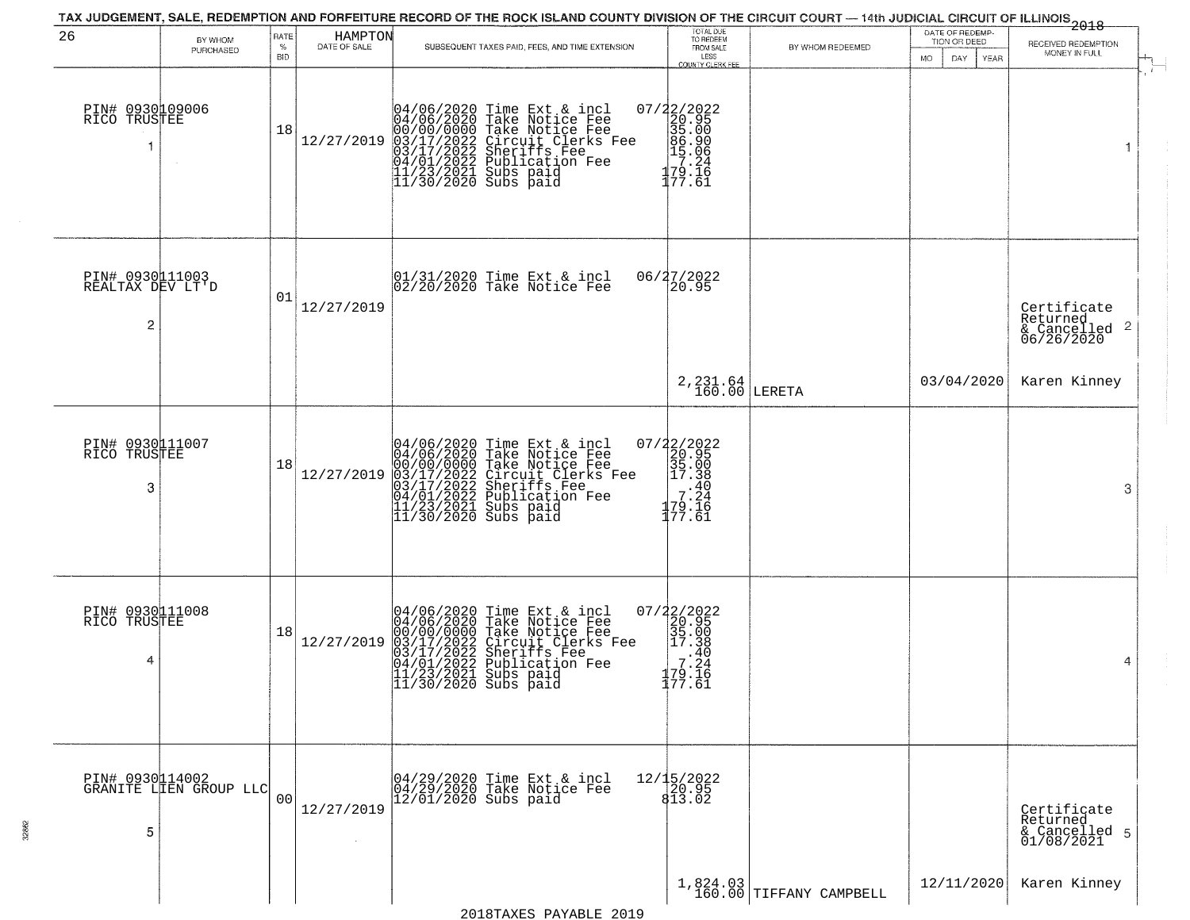|                                          |                                           |                         |                         | TAX JUDGEMENT, SALE, REDEMPTION AND FORFEITURE RECORD OF THE ROCK ISLAND COUNTY DIVISION OF THE CIRCUIT COURT — 14th JUDICIAL CIRCUIT OF ILLINOIS<br>2018 - 1992                                                                                                                                                                  |                                                                                                |                                       |                                                       |                                                                    |
|------------------------------------------|-------------------------------------------|-------------------------|-------------------------|-----------------------------------------------------------------------------------------------------------------------------------------------------------------------------------------------------------------------------------------------------------------------------------------------------------------------------------|------------------------------------------------------------------------------------------------|---------------------------------------|-------------------------------------------------------|--------------------------------------------------------------------|
| 26                                       | BY WHOM<br>PURCHASED                      | RATE<br>%<br><b>BID</b> | HAMPTON<br>DATE OF SALE | SUBSEQUENT TAXES PAID, FEES, AND TIME EXTENSION                                                                                                                                                                                                                                                                                   | TOTAL DUE<br>TO REDEEM<br>FROM SALE<br>LESS<br>COUNTY CLERK FEE                                | BY WHOM REDEEMED                      | DATE OF REDEMP-<br>TION OR DEED<br>DAY<br>MO.<br>YEAR | RECEIVED REDEMPTION<br>MONEY IN FULL                               |
| PIN# 0930109006<br>RICO TRUSTEE          |                                           | 18                      | 12/27/2019              | 04/06/2020 Time Ext & incl<br>04/06/2020 Take Notice Fee<br>00/00/00/000 Take Notice Fee<br>03/17/2022 Circuit Clerks Fee<br>03/17/2022 Sublication Fee<br>04/01/2022 Publication Fee<br>11/23/2021 Subs paid<br>11/30/2020 Subs paid                                                                                             | $\begin{array}{c} 07/22/2022\\20.95\\35.00\\86.90\\15.06\\17.24\\179.16\\177.61\\ \end{array}$ |                                       |                                                       | $\overline{1}$<br>1                                                |
| PIN# 0930111003<br>REALTAX DEV LT'D<br>2 |                                           | 01                      | 12/27/2019              | 01/31/2020 Time Ext & incl<br>02/20/2020 Take Notice Fee                                                                                                                                                                                                                                                                          | 06/27/2022<br>20.95                                                                            |                                       |                                                       | Certificate<br>Returned<br>$\frac{1}{6}$ Cancelled 2<br>06/26/2020 |
|                                          |                                           |                         |                         |                                                                                                                                                                                                                                                                                                                                   | $2,231.64$ LERETA                                                                              |                                       | 03/04/2020                                            | Karen Kinney                                                       |
| PIN# 0930111007<br>RICO TRUSTEE<br>3     |                                           | 18                      | 12/27/2019              | 04/06/2020 Time Ext & incl<br>04/06/2020 Take Notice Fee<br>00/00/00/000 Take Notice Fee<br>03/17/2022 Circuit Clerks Fee<br>03/17/2022 Sublication Fee<br>04/01/2022 Publication Fee<br>11/23/2021 Subs paid<br>11/30/2020 Subs paid                                                                                             | 07/22/2022<br>20.95<br>35.00<br>35.00<br>-38.24<br>70.24<br>179.īē<br>177.61                   |                                       |                                                       | 3                                                                  |
| PIN# 0930111008<br>RICO TRUSTEE<br>4     |                                           | 18                      | 12/27/2019              | 04/06/2020 Time Ext &<br>04/06/2020 Take Notic<br>00/00/0000 Take Notic<br>03/17/2022 Circuit Cl<br>04/01/2022 Publicatic<br>04/01/2022 Publicatic<br>11/23/2021 Subs paid<br>11/30/2020 Subs paid<br>Time Ext & incl<br>Take Notice Fee<br>Take Notice Fee<br>Circuit Clerks Fee<br>Sheriffs Fee<br>Publication Fee<br>Subs paid | 07/22/2022<br>20.95<br>35.00<br>2 17.38<br>.40<br>7.24<br>179.I6<br>177.61                     |                                       |                                                       | 4                                                                  |
| 5                                        | PIN# 0930114002<br>GRANITE LIEN GROUP LLC | 00 <sub>1</sub>         | 12/27/2019<br>$\sim$    | 04/29/2020 Time Ext & incl<br>04/29/2020 Take Notice Fee<br>12/01/2020 Subs paid                                                                                                                                                                                                                                                  | 12/15/2022<br>20.95<br>813.02                                                                  |                                       |                                                       | Certificate<br>Returned<br>& Cancelled 5<br>01/08/2021             |
|                                          |                                           |                         |                         |                                                                                                                                                                                                                                                                                                                                   |                                                                                                | $1,824.03$<br>160.00 TIFFANY CAMPBELL | 12/11/2020                                            | Karen Kinney                                                       |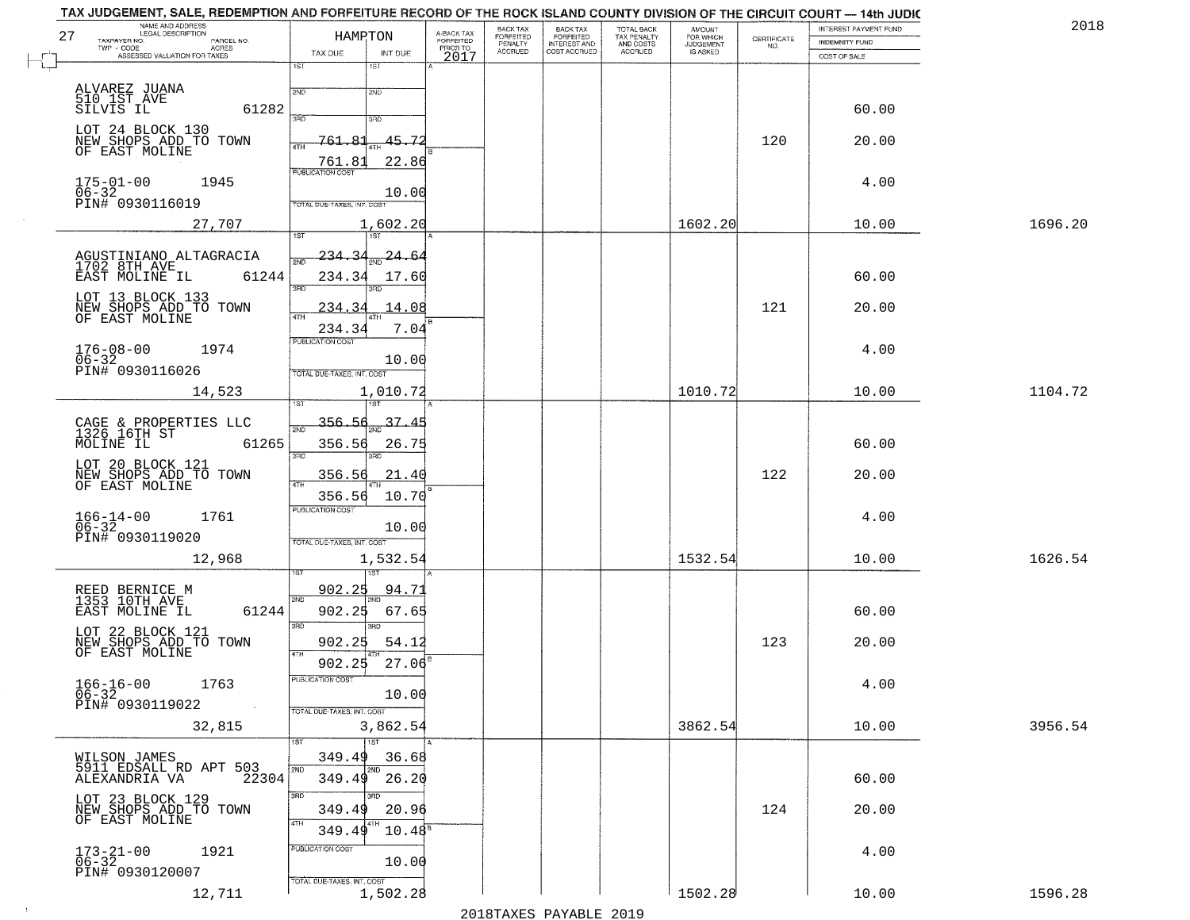|    | TAX JUDGEMENT, SALE, REDEMPTION AND FORFEITURE RECORD OF THE ROCK ISLAND COUNTY DIVISION OF THE CIRCUIT COURT — 14th JUDIC |                                   |                       |                                     |                      |                                                       |                                        |                        |                                                                 |                       |         |
|----|----------------------------------------------------------------------------------------------------------------------------|-----------------------------------|-----------------------|-------------------------------------|----------------------|-------------------------------------------------------|----------------------------------------|------------------------|-----------------------------------------------------------------|-----------------------|---------|
|    | NAME AND ADDRESS<br>LEGAL DESCRIPTION                                                                                      | HAMPTON                           |                       |                                     | BACK TAX             |                                                       | TOTAL BACK<br>TAX PENALTY<br>AND COSTS | <b>AMOUNT</b>          |                                                                 | INTEREST PAYMENT FUND | 2018    |
| 27 | TAXPAYER NO.<br>PARCEL NO.<br>$TWP + CODE$                                                                                 |                                   |                       | A-BACK TAX<br>FORFEITED<br>PRIOR TO | FORFEITED<br>PENALTY | BACK TAX<br>FORFEITED<br>INTEREST AND<br>COST ACCRUED |                                        | FOR WHICH<br>JUDGEMENT | $\begin{array}{c} \text{CERTIFICATE} \\ \text{NO.} \end{array}$ | <b>INDEMNITY FUND</b> |         |
|    | - CODE AGRES<br>ASSESSED VALUATION FOR TAXES                                                                               | TAX DUE                           | INT DUE               | 2017                                | <b>ACCRUED</b>       |                                                       | ACCRUED                                | IS ASKED               |                                                                 | COST OF SALE          |         |
|    |                                                                                                                            | $\overline{1ST}$                  | 1ST                   |                                     |                      |                                                       |                                        |                        |                                                                 |                       |         |
|    | ALVAREZ JUANA<br>510_1ST_AVE                                                                                               | 2ND                               | 2ND                   |                                     |                      |                                                       |                                        |                        |                                                                 |                       |         |
|    | 61282<br>SILVIS IL                                                                                                         |                                   |                       |                                     |                      |                                                       |                                        |                        |                                                                 | 60.00                 |         |
|    |                                                                                                                            | 3AD                               | 3RD                   |                                     |                      |                                                       |                                        |                        |                                                                 |                       |         |
|    | LOT 24 BLOCK 130                                                                                                           |                                   |                       |                                     |                      |                                                       |                                        |                        |                                                                 |                       |         |
|    | NEW SHOPS ADD TO TOWN<br>OF EAST MOLINE                                                                                    | 761.<br>4TH                       | 45.72                 |                                     |                      |                                                       |                                        |                        | 120                                                             | 20.00                 |         |
|    |                                                                                                                            | 761.8                             | 22.86                 |                                     |                      |                                                       |                                        |                        |                                                                 |                       |         |
|    | $175 - 01 - 00$<br>1945                                                                                                    | <b>PUBLICATION COST</b>           |                       |                                     |                      |                                                       |                                        |                        |                                                                 | 4.00                  |         |
|    | $06 - 32$                                                                                                                  |                                   | 10.00                 |                                     |                      |                                                       |                                        |                        |                                                                 |                       |         |
|    | PIN# 0930116019                                                                                                            | TOTAL DUE-TAXES, INT. COST        |                       |                                     |                      |                                                       |                                        |                        |                                                                 |                       |         |
|    | 27,707                                                                                                                     |                                   | 1,602.20              |                                     |                      |                                                       |                                        | 1602.20                |                                                                 | 10.00                 | 1696.20 |
|    |                                                                                                                            | 1ST                               | 1ST <sup>1</sup>      |                                     |                      |                                                       |                                        |                        |                                                                 |                       |         |
|    |                                                                                                                            | <u>234.34</u>                     | <u> 24.64</u>         |                                     |                      |                                                       |                                        |                        |                                                                 |                       |         |
|    | AGUSTINIANO ALTAGRACIA<br>1702 8TH AVE                                                                                     | 2ND                               |                       |                                     |                      |                                                       |                                        |                        |                                                                 |                       |         |
|    | 61244<br>EAST MOLINE IL                                                                                                    | 234.34<br>3RD                     | 17.60                 |                                     |                      |                                                       |                                        |                        |                                                                 | 60.00                 |         |
|    | LOT 13 BLOCK 133                                                                                                           |                                   |                       |                                     |                      |                                                       |                                        |                        |                                                                 |                       |         |
|    | NEW SHOPS ADD TO TOWN<br>OF EAST MOLINE                                                                                    | 234.34<br>47H                     | 14.08                 |                                     |                      |                                                       |                                        |                        | 121                                                             | 20.00                 |         |
|    |                                                                                                                            | 234.34                            | 7.04                  |                                     |                      |                                                       |                                        |                        |                                                                 |                       |         |
|    |                                                                                                                            | <b>PUBLICATION COST</b>           |                       |                                     |                      |                                                       |                                        |                        |                                                                 |                       |         |
|    | $176 - 08 - 00$<br>$06 - 32$<br>1974                                                                                       |                                   |                       |                                     |                      |                                                       |                                        |                        |                                                                 | 4.00                  |         |
|    | PIN# 0930116026                                                                                                            | TOTAL DUE-TAXES, INT. COST        | 10.00                 |                                     |                      |                                                       |                                        |                        |                                                                 |                       |         |
|    |                                                                                                                            |                                   |                       |                                     |                      |                                                       |                                        | 1010.72                |                                                                 |                       |         |
|    | 14,523                                                                                                                     |                                   | 1,010.72              |                                     |                      |                                                       |                                        |                        |                                                                 | 10.00                 | 1104.72 |
|    |                                                                                                                            |                                   |                       |                                     |                      |                                                       |                                        |                        |                                                                 |                       |         |
|    | CAGE & PROPERTIES LLC<br>1326 16TH ST                                                                                      | 356.56<br>সমা                     | $\frac{1}{2ND}$ 37.45 |                                     |                      |                                                       |                                        |                        |                                                                 |                       |         |
|    | 61265<br>MOLINE IL                                                                                                         | 356.56                            | 26.75                 |                                     |                      |                                                       |                                        |                        |                                                                 | 60.00                 |         |
|    | LOT 20 BLOCK 121                                                                                                           | 3RD                               | 3RD                   |                                     |                      |                                                       |                                        |                        |                                                                 |                       |         |
|    | NEW SHOPS ADD TO TOWN                                                                                                      | 356.56                            | 21.40                 |                                     |                      |                                                       |                                        |                        | 122                                                             | 20.00                 |         |
|    | OF EAST MOLINE                                                                                                             |                                   |                       |                                     |                      |                                                       |                                        |                        |                                                                 |                       |         |
|    |                                                                                                                            | 356.56<br><b>PUBLICATION COST</b> | 10.70                 |                                     |                      |                                                       |                                        |                        |                                                                 |                       |         |
|    | $166 - 14 - 00$<br>06-32<br>1761                                                                                           |                                   |                       |                                     |                      |                                                       |                                        |                        |                                                                 | 4.00                  |         |
|    | PIN# 0930119020                                                                                                            |                                   | 10.00                 |                                     |                      |                                                       |                                        |                        |                                                                 |                       |         |
|    |                                                                                                                            | TOTAL OUE-TAXES, INT. COST        |                       |                                     |                      |                                                       |                                        |                        |                                                                 |                       |         |
|    | 12,968                                                                                                                     |                                   | 1,532.54              |                                     |                      |                                                       |                                        | 1532.54                |                                                                 | 10.00                 | 1626.54 |
|    |                                                                                                                            |                                   |                       |                                     |                      |                                                       |                                        |                        |                                                                 |                       |         |
|    | REED BERNICE M<br>1353 10TH AVE                                                                                            | 902.25                            | <u>94.7</u>           |                                     |                      |                                                       |                                        |                        |                                                                 |                       |         |
|    | EAST MOLINE IL<br>61244                                                                                                    | 2ND<br>902.25                     | 67.65                 |                                     |                      |                                                       |                                        |                        |                                                                 | 60.00                 |         |
|    |                                                                                                                            | 3RD                               | $\overline{3BD}$      |                                     |                      |                                                       |                                        |                        |                                                                 |                       |         |
|    | LOT 22 BLOCK 121                                                                                                           | 902.25                            | 54.12                 |                                     |                      |                                                       |                                        |                        | 123                                                             | 20.00                 |         |
|    | NEW SHOPS ADD TO TOWN<br>OF EAST MOLINE                                                                                    | 4TH                               |                       |                                     |                      |                                                       |                                        |                        |                                                                 |                       |         |
|    |                                                                                                                            | 902.25                            | 27.06                 |                                     |                      |                                                       |                                        |                        |                                                                 |                       |         |
|    | 1763<br>$166 - 16 - 00$                                                                                                    | PUBLICATION COST                  |                       |                                     |                      |                                                       |                                        |                        |                                                                 | 4.00                  |         |
|    | $06 - 32$                                                                                                                  |                                   | 10.00                 |                                     |                      |                                                       |                                        |                        |                                                                 |                       |         |
|    | PIN# 0930119022                                                                                                            | TOTAL DUE-TAXES, INT. COST        |                       |                                     |                      |                                                       |                                        |                        |                                                                 |                       |         |
|    | 32,815                                                                                                                     |                                   | 3,862.54              |                                     |                      |                                                       |                                        | 3862.54                |                                                                 | 10.00                 | 3956.54 |
|    |                                                                                                                            | 1ST                               | 1ST                   |                                     |                      |                                                       |                                        |                        |                                                                 |                       |         |
|    |                                                                                                                            | 349.49                            | 36.68                 |                                     |                      |                                                       |                                        |                        |                                                                 |                       |         |
|    | WILSON JAMES<br>5911 EDSALL RD APT 503                                                                                     | 2ND                               |                       |                                     |                      |                                                       |                                        |                        |                                                                 |                       |         |
|    | ALEXANDRIA VA<br>22304                                                                                                     | 349.49                            | 26.20                 |                                     |                      |                                                       |                                        |                        |                                                                 | 60.00                 |         |
|    | LOT 23 BLOCK 129                                                                                                           | 3RD                               | 3HD                   |                                     |                      |                                                       |                                        |                        |                                                                 |                       |         |
|    | NEW SHOPS ADD TO TOWN                                                                                                      | 349.49                            | 20.96                 |                                     |                      |                                                       |                                        |                        | 124                                                             | 20.00                 |         |
|    | OF EAST MOLINE                                                                                                             | 4TH<br>349.49                     | $10.48^{\circ}$       |                                     |                      |                                                       |                                        |                        |                                                                 |                       |         |
|    |                                                                                                                            | PUBLICATION COST                  |                       |                                     |                      |                                                       |                                        |                        |                                                                 |                       |         |
|    | $173 - 21 - 00$<br>06-32<br>1921                                                                                           |                                   | 10.00                 |                                     |                      |                                                       |                                        |                        |                                                                 | 4.00                  |         |
|    | PIN# 0930120007                                                                                                            |                                   |                       |                                     |                      |                                                       |                                        |                        |                                                                 |                       |         |
|    | 12,711                                                                                                                     | TOTAL DUE-TAXES, INT. COST        | 1,502.28              |                                     |                      |                                                       |                                        | 1502.28                |                                                                 |                       | 1596.28 |
|    |                                                                                                                            |                                   |                       |                                     |                      |                                                       |                                        |                        |                                                                 | 10.00                 |         |

 $\sim 10^6$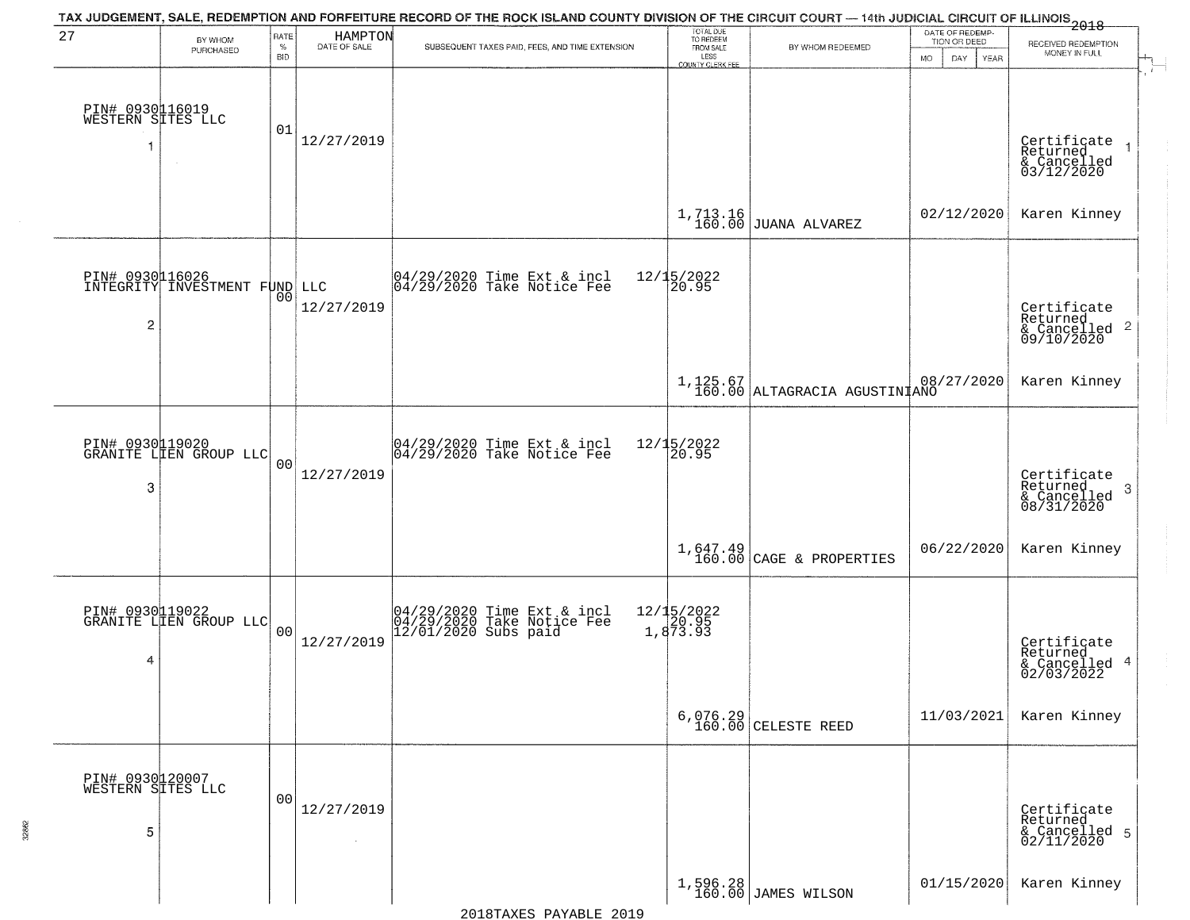|                                           |                                                  |                            |                         | TAX JUDGEMENT, SALE, REDEMPTION AND FORFEITURE RECORD OF THE ROCK ISLAND COUNTY DIVISION OF THE CIRCUIT COURT — 14th JUDICIAL CIRCUIT OF ILLINOIS 2018 |                                                                 |                                           |                                                               |                                                                    |  |
|-------------------------------------------|--------------------------------------------------|----------------------------|-------------------------|--------------------------------------------------------------------------------------------------------------------------------------------------------|-----------------------------------------------------------------|-------------------------------------------|---------------------------------------------------------------|--------------------------------------------------------------------|--|
| 27                                        | BY WHOM<br>PURCHASED                             | RATE<br>$\%$<br><b>BID</b> | HAMPTON<br>DATE OF SALE | SUBSEQUENT TAXES PAID, FEES, AND TIME EXTENSION                                                                                                        | TOTAL DUE<br>TO REDEEM<br>FROM SALE<br>LESS<br>COUNTY CLERK FEE | BY WHOM REDEEMED                          | DATE OF REDEMP-<br>TION OR DEED<br>DAY.<br><b>YEAR</b><br>MO. | RECEIVED REDEMPTION<br>MONEY IN FULL                               |  |
| PIN# 0930116019<br>WESTERN SITES LLC<br>1 | $\sim$                                           | 01                         | 12/27/2019              |                                                                                                                                                        |                                                                 |                                           |                                                               | Certificate<br>Returned<br>& Cancelled<br>03/12/2020               |  |
|                                           |                                                  |                            |                         |                                                                                                                                                        | 1,713.16<br>160.00                                              | JUANA ALVAREZ                             | 02/12/2020                                                    | Karen Kinney                                                       |  |
| $\overline{c}$                            | DIN# 0930116026<br>INTEGRITY INVESTMENT FUND LLC | 00 <sub>1</sub>            | 12/27/2019              | 04/29/2020 Time Ext & incl<br>04/29/2020 Take Notice Fee                                                                                               | 12/15/2022<br>20.95                                             |                                           |                                                               | Certificate<br>Returned<br>$\frac{1}{6}$ Cancelled 2<br>09/10/2020 |  |
|                                           |                                                  |                            |                         |                                                                                                                                                        |                                                                 | 1,125.67<br>160.00 ALTAGRACIA AGUSTINIANO | 08/27/2020                                                    | Karen Kinney                                                       |  |
| 3                                         | PIN# 0930119020<br>GRANITE LIEN GROUP LLC        | 0 <sub>0</sub>             | 12/27/2019              | 04/29/2020 Time Ext & incl<br>04/29/2020 Take Notice Fee                                                                                               | 12/15/2022<br>20.95                                             |                                           |                                                               | Certificate<br>Returned<br>3<br>& Cancelled<br>08/31/2020          |  |
|                                           |                                                  |                            |                         |                                                                                                                                                        |                                                                 | $1,647.49$<br>160.00 CAGE & PROPERTIES    | 06/22/2020                                                    | Karen Kinney                                                       |  |
| 4                                         | PIN# 0930119022<br>GRANITE LIEN GROUP LLC        | 0 <sub>0</sub>             | 12/27/2019              | 04/29/2020 Time Ext & incl<br>04/29/2020 Take Notice Fee<br>12/01/2020 Subs paid                                                                       | 12/15/2022<br>20.95<br>1,873.93                                 |                                           |                                                               | Certificate<br>Returned<br>& Cancelled 4<br>02/03/2022             |  |
|                                           |                                                  |                            |                         |                                                                                                                                                        |                                                                 | $6,076.29$ CELESTE REED                   | 11/03/2021                                                    | Karen Kinney                                                       |  |
| PIN# 0930120007<br>WESTERN SITES LLC<br>5 |                                                  | 0 <sub>0</sub>             | 12/27/2019<br>$\sim$    |                                                                                                                                                        |                                                                 |                                           |                                                               | Certificate<br>Returned<br>& Cancelled 5<br>02/11/2020             |  |
|                                           |                                                  |                            |                         |                                                                                                                                                        |                                                                 | $1,596.28$ JAMES WILSON                   | 01/15/2020                                                    | Karen Kinney                                                       |  |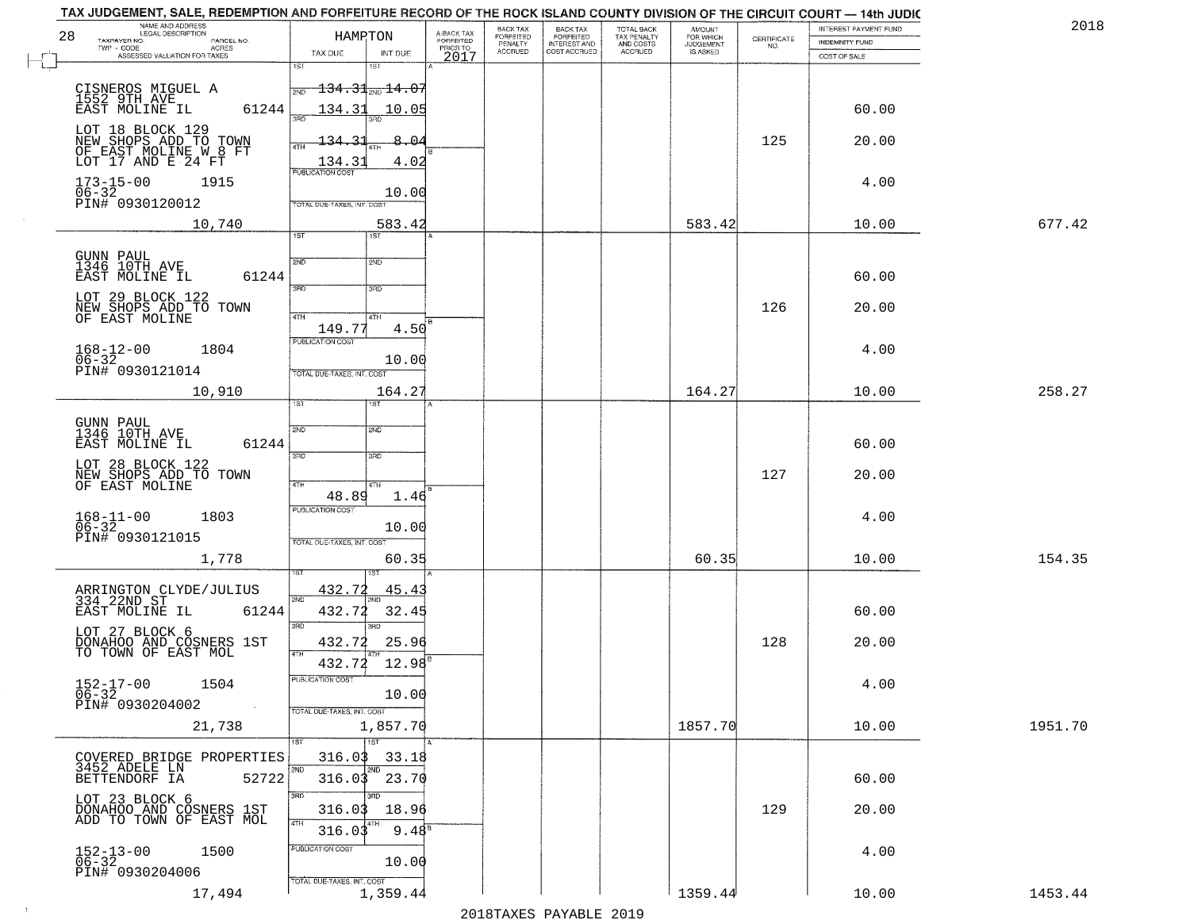| TAX JUDGEMENT, SALE, REDEMPTION AND FORFEITURE RECORD OF THE ROCK ISLAND COUNTY DIVISION OF THE CIRCUIT COURT - 14th JUDIC<br>NAME AND ADDRESS<br>LEGAL DESCRIPTION |                                                                |                                     | BACK TAX             |                                       |                                        |                                  |                                                                 | INTEREST PAYMENT FUND | 2018    |
|---------------------------------------------------------------------------------------------------------------------------------------------------------------------|----------------------------------------------------------------|-------------------------------------|----------------------|---------------------------------------|----------------------------------------|----------------------------------|-----------------------------------------------------------------|-----------------------|---------|
| 28<br>TAXPAYER NO.<br>PARCEL NO.<br>TWP - CODE<br>ACRES                                                                                                             | HAMRTON                                                        | A-BACK TAX<br>FORFEITED<br>PRIOR TO | FORFEITED<br>PENALTY | BACK TAX<br>FORFEITED<br>INTEREST AND | TOTAL BACK<br>TAX PENALTY<br>AND COSTS | AMOUNT<br>FOR WHICH<br>JUDGEMENT | $\begin{array}{c} \text{CERTIFICATE} \\ \text{NO.} \end{array}$ | <b>INDEMNITY FUND</b> |         |
| ASSESSED VALUATION FOR TAXES                                                                                                                                        | TAX DUE<br>INT DUE<br>1ST<br>1ST                               | 2017                                | <b>ACCRUED</b>       | COST ACCRUED                          | <b>ACCRUED</b>                         | IS ASKED                         |                                                                 | COST OF SALE          |         |
| CISNEROS MIGUEL A<br>1552 9TH AVE<br>EAST MOLINE IL                                                                                                                 | $\textcolor{blue}{\textbf{134.31}}$ 20'                        |                                     |                      |                                       |                                        |                                  |                                                                 |                       |         |
| 61244                                                                                                                                                               | 134.31<br>10.05                                                |                                     |                      |                                       |                                        |                                  |                                                                 | 60.00                 |         |
| LOT 18 BLOCK 129<br>NEW SHOPS ADD TO TOWN<br>OF EAST MOLINE W 8 FT<br>LOT 17 AND E 24 FT                                                                            | 31<br>$-8-$<br>≏<br>134<br>4TH<br>4.02<br>134.31               |                                     |                      |                                       |                                        |                                  | 125                                                             | 20.00                 |         |
| $173 - 15 - 00$<br>1915<br>06-32<br>PIN# 0930120012                                                                                                                 | <b>PUBLICATION COST</b><br>10.00<br>TOTAL DUE-TAXES, INT. COST |                                     |                      |                                       |                                        |                                  |                                                                 | 4.00                  |         |
| 10,740                                                                                                                                                              | 583.42<br>1ST<br>1ST                                           |                                     |                      |                                       |                                        | 583.42                           |                                                                 | 10.00                 | 677.42  |
|                                                                                                                                                                     |                                                                |                                     |                      |                                       |                                        |                                  |                                                                 |                       |         |
| GUNN PAUL<br>1346 10TH AVE<br>EAST MOLINE IL<br>61244                                                                                                               | 2ND<br>2ND<br>3RD<br>3RD                                       |                                     |                      |                                       |                                        |                                  |                                                                 | 60.00                 |         |
| LOT 29 BLOCK 122<br>NEW SHOPS ADD TO TOWN<br>OF EAST MOLINE                                                                                                         | 47H<br>4TH<br>4.50<br>149.77                                   |                                     |                      |                                       |                                        |                                  | 126                                                             | 20.00                 |         |
| $168 - 12 - 00$<br>1804<br>$06 - 32$<br>PIN# 0930121014                                                                                                             | PUBLICATION COST<br>10.00<br>TOTAL DUE-TAXES, INT. COST        |                                     |                      |                                       |                                        |                                  |                                                                 | 4.00                  |         |
| 10,910                                                                                                                                                              | 164.27<br>1ST<br>1ST.                                          |                                     |                      |                                       |                                        | 164.27                           |                                                                 | 10.00                 | 258.27  |
|                                                                                                                                                                     |                                                                |                                     |                      |                                       |                                        |                                  |                                                                 |                       |         |
| GUNN PAUL<br>1346 10TH AVE<br>61244<br>EAST MOLINE IL                                                                                                               | 2ND<br>SMD<br>3 <sub>BD</sub><br>3RD                           |                                     |                      |                                       |                                        |                                  |                                                                 | 60.00                 |         |
| LOT 28 BLOCK 122<br>NEW SHOPS ADD TO TOWN<br>OF EAST MOLINE                                                                                                         | 4TH<br>4TH                                                     |                                     |                      |                                       |                                        |                                  | 127                                                             | 20.00                 |         |
| $168 - 11 - 00$<br>06-32<br>1803                                                                                                                                    | 48.89<br>1.46<br><b>PUBLICATION COST</b>                       |                                     |                      |                                       |                                        |                                  |                                                                 | 4.00                  |         |
| PIN# 0930121015                                                                                                                                                     | 10.00<br>TOTAL OUE-TAXES, INT. COST                            |                                     |                      |                                       |                                        |                                  |                                                                 |                       |         |
| 1,778                                                                                                                                                               | 60.35                                                          |                                     |                      |                                       |                                        | 60.35                            |                                                                 | 10.00                 | 154.35  |
|                                                                                                                                                                     | <u>432.72</u><br>45.4                                          |                                     |                      |                                       |                                        |                                  |                                                                 |                       |         |
| ARRINGTON CLYDE/JULIUS<br>334 22ND ST<br>EAST MOLINE IL 61<br>61244                                                                                                 | 2ND<br>32.45<br>432.72<br>3RD<br>$\overline{3BD}$              |                                     |                      |                                       |                                        |                                  |                                                                 | 60.00                 |         |
| LOT 27 BLOCK 6<br>DONAHOO AND COSNERS 1ST<br>TO TOWN OF EAST MOL                                                                                                    | 432.72<br>25.96<br>4TH                                         |                                     |                      |                                       |                                        |                                  | 128                                                             | 20.00                 |         |
| $152 - 17 - 00$<br>1504<br>$06-32$<br>PIN# 0930204002                                                                                                               | 12.98<br>432.72<br>PUBLICATION COST<br>10.00                   |                                     |                      |                                       |                                        |                                  |                                                                 | 4.00                  |         |
| 21,738                                                                                                                                                              | TOTAL DUE-TAXES, INT. COST<br>1,857.70                         |                                     |                      |                                       |                                        | 1857.70                          |                                                                 | 10.00                 | 1951.70 |
| COVERED BRIDGE PROPERTIES                                                                                                                                           | 1ST<br>1ST<br>316.03<br>33.18                                  |                                     |                      |                                       |                                        |                                  |                                                                 |                       |         |
| 3452 ADELE LN<br>52722<br>BETTENDORF IA                                                                                                                             | 2ND<br>2ND<br>316.03<br>23.70                                  |                                     |                      |                                       |                                        |                                  |                                                                 | 60.00                 |         |
| LOT 23 BLOCK 6<br>DONAHOO AND COSNERS 1ST<br>ADD TO TOWN OF EAST MOL                                                                                                | 3RD <sup>-</sup><br>3RD<br>18.96<br>316.03<br>4TH<br>$9.48^8$  |                                     |                      |                                       |                                        |                                  | 129                                                             | 20.00                 |         |
| 1500<br>$152 - 13 - 00$<br>$06 - 32$<br>PIN# 0930204006                                                                                                             | 316.03<br>PUBLICATION COST<br>10.00                            |                                     |                      |                                       |                                        |                                  |                                                                 | 4.00                  |         |
| 17,494                                                                                                                                                              | TOTAL DUE-TAXES, INT. COST<br>1,359.44                         |                                     |                      |                                       |                                        | 1359.44                          |                                                                 | 10.00                 | 1453.44 |

 $\sim 10$ 

2018TAXES PAYABLE 2019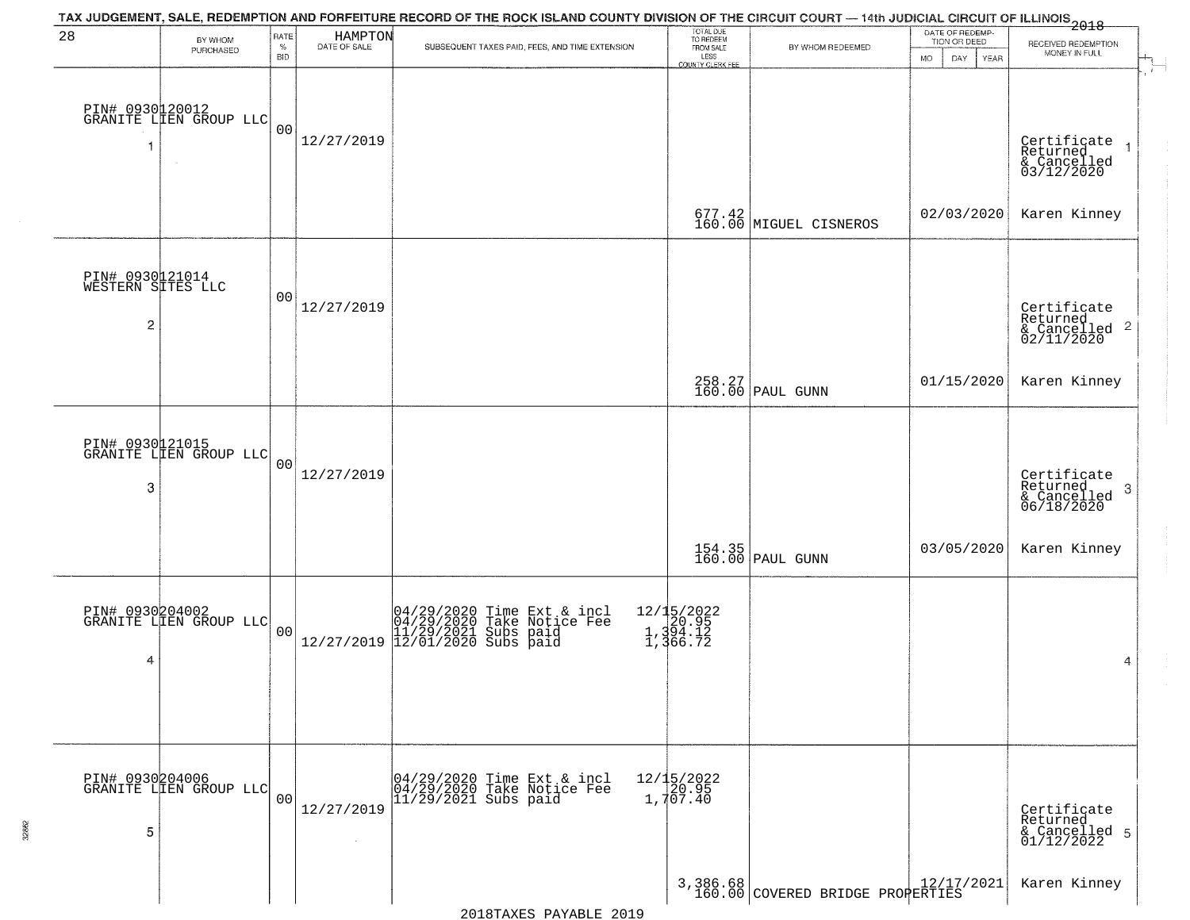| 28                                                     | BY WHOM                                   | RATE           | HAMPTON<br>DATE OF SALE | TAX JUDGEMENT, SALE, REDEMPTION AND FORFEITURE RECORD OF THE ROCK ISLAND COUNTY DIVISION OF THE CIRCUIT COURT — 14th JUDICIAL CIRCUIT OF ILLINOIS 2018 | TOTAL DUE<br>TO REDEEM<br>FROM SALE         |                                    | DATE OF REDEMP-<br>TION OR DEED | RECEIVED REDEMPTION                                                              |
|--------------------------------------------------------|-------------------------------------------|----------------|-------------------------|--------------------------------------------------------------------------------------------------------------------------------------------------------|---------------------------------------------|------------------------------------|---------------------------------|----------------------------------------------------------------------------------|
|                                                        | PURCHASED                                 | $\%$<br>BID    |                         | SUBSEQUENT TAXES PAID, FEES, AND TIME EXTENSION                                                                                                        | LESS<br>COUNTY CLERK FEE                    | BY WHOM REDEEMED                   | DAY.<br>YEAR<br>MO.             | MONEY IN FULL                                                                    |
| 1                                                      | PIN# 0930120012<br>GRANITE LIEN GROUP LLC | 00             | 12/27/2019              |                                                                                                                                                        |                                             |                                    |                                 | Certificate<br>Returned                                                          |
|                                                        |                                           |                |                         |                                                                                                                                                        |                                             | 677.42<br>160.00 MIGUEL CISNEROS   | 02/03/2020                      | & Cancelled<br>03/12/2020<br>Karen Kinney                                        |
| PIN# 0930121014<br>WESTERN SITES LLC<br>$\overline{c}$ |                                           | 00             | 12/27/2019              |                                                                                                                                                        |                                             |                                    |                                 | Certificate<br>Returned<br>& Cancelled <sup>2</sup><br>02/11/2020                |
|                                                        |                                           |                |                         |                                                                                                                                                        |                                             | 258.27<br>160.00 PAUL GUNN         | 01/15/2020                      | Karen Kinney                                                                     |
| 3                                                      | PIN# 0930121015<br>GRANITE LIEN GROUP LLC | 0 <sub>0</sub> | 12/27/2019              |                                                                                                                                                        |                                             |                                    |                                 | Certificate<br>Returned<br>$\mathbf{3}$<br>$\frac{1}{6}$ Cancelled<br>06/18/2020 |
|                                                        |                                           |                |                         |                                                                                                                                                        |                                             | 154.35<br>160.00 PAUL GUNN         | 03/05/2020                      | Karen Kinney                                                                     |
| PIN# 0930204002<br>4                                   | GRANITE LIEN GROUP LLC                    | 0 <sup>0</sup> |                         | $[04/29/2020 \t\t Time Ext & incl 04/29/2020 \t\t Take Notice Free 11/29/2021 Subs paid 12/27/2019 12/01/2020 Subs paid 13/201/2020$                   | 12/15/2022<br>20.95<br>1,394.12<br>1,366.72 |                                    |                                 | 4                                                                                |
| PIN# 0930204006<br>5                                   | GRANITE LIEN GROUP LLC                    | 0 <sub>0</sub> | 12/27/2019              | 04/29/2020 Time Ext & incl<br>04/29/2020 Take Notice Fee<br>$11/29/2021$ Subs paid                                                                     | 12/15/2022<br>1,707.40                      |                                    |                                 | Certificate<br>Returned<br>& Cancelled 5<br>01/12/2022                           |
|                                                        |                                           |                |                         |                                                                                                                                                        |                                             | 3,386.68 COVERED BRIDGE PROPERTIES |                                 | Karen Kinney                                                                     |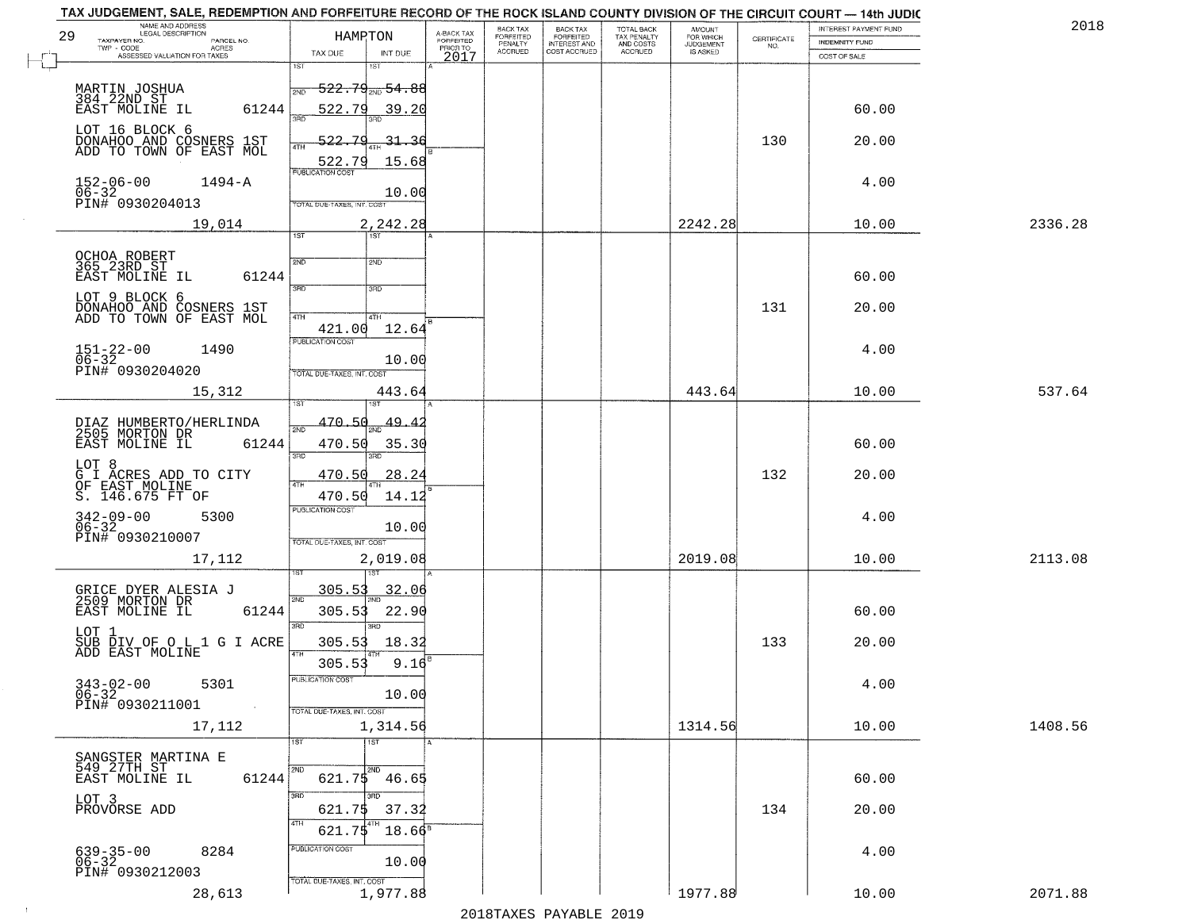| 29        | TAX JUDGEMENT, SALE, REDEMPTION AND FORFEITURE RECORD OF THE ROCK ISLAND COUNTY DIVISION OF THE CIRCUIT COURT — 14th JUDIC<br>NAME AND ADDRESS<br>LEGAL DESCRIPTION<br>TAXPAYER NO.<br>PARCEL NO. |                                   | HAMRTON                      | A-BACK TAX<br>FORFEITED | BACK TAX<br>FORFEITED | BACK TAX<br>FORFEITED<br>INTEREST AND<br>COST ACCRUED | TOTAL BACK<br>TAX PENALTY<br>AND COSTS<br>ACCRUED | <b>AMOUNT</b><br>FOR WHICH<br>JUDGEMENT<br>IS ASKED | CERTIFICATE<br>NO. | INTEREST PAYMENT FUND<br><b>INDEMNITY FUND</b> | 2018    |
|-----------|---------------------------------------------------------------------------------------------------------------------------------------------------------------------------------------------------|-----------------------------------|------------------------------|-------------------------|-----------------------|-------------------------------------------------------|---------------------------------------------------|-----------------------------------------------------|--------------------|------------------------------------------------|---------|
|           | TWP - CODE AGRES<br>ASSESSED VALUATION FOR TAXES                                                                                                                                                  | TAX DUE<br>1ST                    | INT DUE<br>1ST               | PRIOR TO<br>2017        | PENALTY<br>ACCRUED    |                                                       |                                                   |                                                     |                    | COST OF SALE                                   |         |
|           | MARTIN JOSHUA<br>384 22ND ST                                                                                                                                                                      | 2ND                               | $-522.79_{200}$ 54.88        |                         |                       |                                                       |                                                   |                                                     |                    |                                                |         |
|           | EAST MOLINE IL<br>61244                                                                                                                                                                           | 522.79<br>3AD                     | 39.20                        |                         |                       |                                                       |                                                   |                                                     |                    | 60.00                                          |         |
|           | LOT 16 BLOCK 6<br>DONAHOO AND COSNERS 1ST<br>ADD TO TOWN OF EAST MOL                                                                                                                              | $522 -$<br>7 C<br>4TH<br>522.79   | $-31-$<br>15.68              |                         |                       |                                                       |                                                   |                                                     | 130                | 20.00                                          |         |
| $06 - 32$ | 1494-A<br>$152 - 06 - 00$                                                                                                                                                                         | <b>PUBLICATION COST</b>           | 10.00                        |                         |                       |                                                       |                                                   |                                                     |                    | 4.00                                           |         |
|           | PIN# 0930204013<br>19,014                                                                                                                                                                         | TOTAL DUE-TAXES, INT. COST        | 2,242.28                     |                         |                       |                                                       |                                                   | 2242.28                                             |                    | 10.00                                          | 2336.28 |
|           | OCHOA ROBERT<br>365 23RD ST                                                                                                                                                                       | $\overline{1ST}$<br>2ND           | 1ST <sup>1</sup><br>2ND      |                         |                       |                                                       |                                                   |                                                     |                    |                                                |         |
|           | 61244<br>EAST MOLINE IL                                                                                                                                                                           | 3RD                               | 3HD                          |                         |                       |                                                       |                                                   |                                                     |                    | 60.00                                          |         |
|           | LOT 9 BLOCK 6<br>DONAHOO AND COSNERS 1ST<br>ADD TO TOWN OF EAST MOL                                                                                                                               | 41H<br>421.00                     | 4TH<br>12.64                 |                         |                       |                                                       |                                                   |                                                     | 131                | 20.00                                          |         |
|           | $151 - 22 - 00$<br>$06 - 32$<br>1490                                                                                                                                                              | PUBLICATION COST                  | 10.00                        |                         |                       |                                                       |                                                   |                                                     |                    | 4.00                                           |         |
|           | PIN# 0930204020<br>15,312                                                                                                                                                                         | TOTAL DUE-TAXES, INT. COST        | 443.64                       |                         |                       |                                                       |                                                   | 443.64                                              |                    | 10.00                                          | 537.64  |
|           | DIAZ HUMBERTO/HERLINDA<br>2505 MORTON DR<br>61244<br>EAST MOLINE IL                                                                                                                               | 470.50<br>470.50                  | $\frac{49.42}{200}$<br>35.30 |                         |                       |                                                       |                                                   |                                                     |                    | 60.00                                          |         |
| LOT 8     | G I ACRES ADD TO CITY<br>OF EAST MOLINE                                                                                                                                                           | 3RD<br>470.50<br>4TH              | 28.24                        |                         |                       |                                                       |                                                   |                                                     | 132                | 20.00                                          |         |
|           | S. 146.675 FT OF<br>$342 - 09 - 00$<br>06-32<br>5300<br>PIN# 0930210007                                                                                                                           | 470.50<br><b>PUBLICATION COST</b> | 14.12<br>10.00               |                         |                       |                                                       |                                                   |                                                     |                    | 4.00                                           |         |
|           | 17,112                                                                                                                                                                                            | TOTAL OUE-TAXES, INT. COST        | 2,019.08<br>उड़ा             |                         |                       |                                                       |                                                   | 2019.08                                             |                    | 10.00                                          | 2113.08 |
|           | GRICE DYER ALESIA J<br>2509 MORTON DR<br>EAST MOLINE IL<br>61244                                                                                                                                  | <u>305.53</u><br>2ND<br>305.53    | <u>32.06</u><br>22.90        |                         |                       |                                                       |                                                   |                                                     |                    | 60.00                                          |         |
| LOT 1     | SUB DIV OF O L 1 G I ACRE<br>ADD EAST MOLINE                                                                                                                                                      | 3RD<br>305.53<br>4TH              | 3BD<br>18.32                 |                         |                       |                                                       |                                                   |                                                     | 133                | 20.00                                          |         |
|           | $343-02-00$ 5301<br>06-32<br>06-32<br>PIN# 0930211001                                                                                                                                             | 305.53<br>PUBLICATION COST        | 9.16<br>10.00                |                         |                       |                                                       |                                                   |                                                     |                    | 4.00                                           |         |
|           | 17,112                                                                                                                                                                                            | TOTAL DUE-TAXES, INT. COST<br>1ST | 1,314.56<br>1ST              |                         |                       |                                                       |                                                   | 1314.56                                             |                    | 10.00                                          | 1408.56 |
|           | SANGSTER MARTINA E<br>549 27TH ST<br>EAST MOLINE IL<br>61244                                                                                                                                      | 2ND                               | 2ND<br>$621.75$ $46.65$      |                         |                       |                                                       |                                                   |                                                     |                    | 60.00                                          |         |
| LOT 3     | PROVORSE ADD                                                                                                                                                                                      | 3RD<br>621.75                     | 3RD<br>37.32                 |                         |                       |                                                       |                                                   |                                                     | 134                | 20.00                                          |         |
|           | 8284<br>639-35-00<br>06-32<br>PIN# 0930212003                                                                                                                                                     | 4TH<br>621.75<br>PUBLICATION COST | $18.66^8$<br>10.00           |                         |                       |                                                       |                                                   |                                                     |                    | 4.00                                           |         |
|           | 28,613                                                                                                                                                                                            | TOTAL DUE-TAXES, INT. COST        | 1,977.88                     |                         |                       |                                                       |                                                   | 1977.88                                             |                    | 10.00                                          | 2071.88 |

 $\sim 10^6$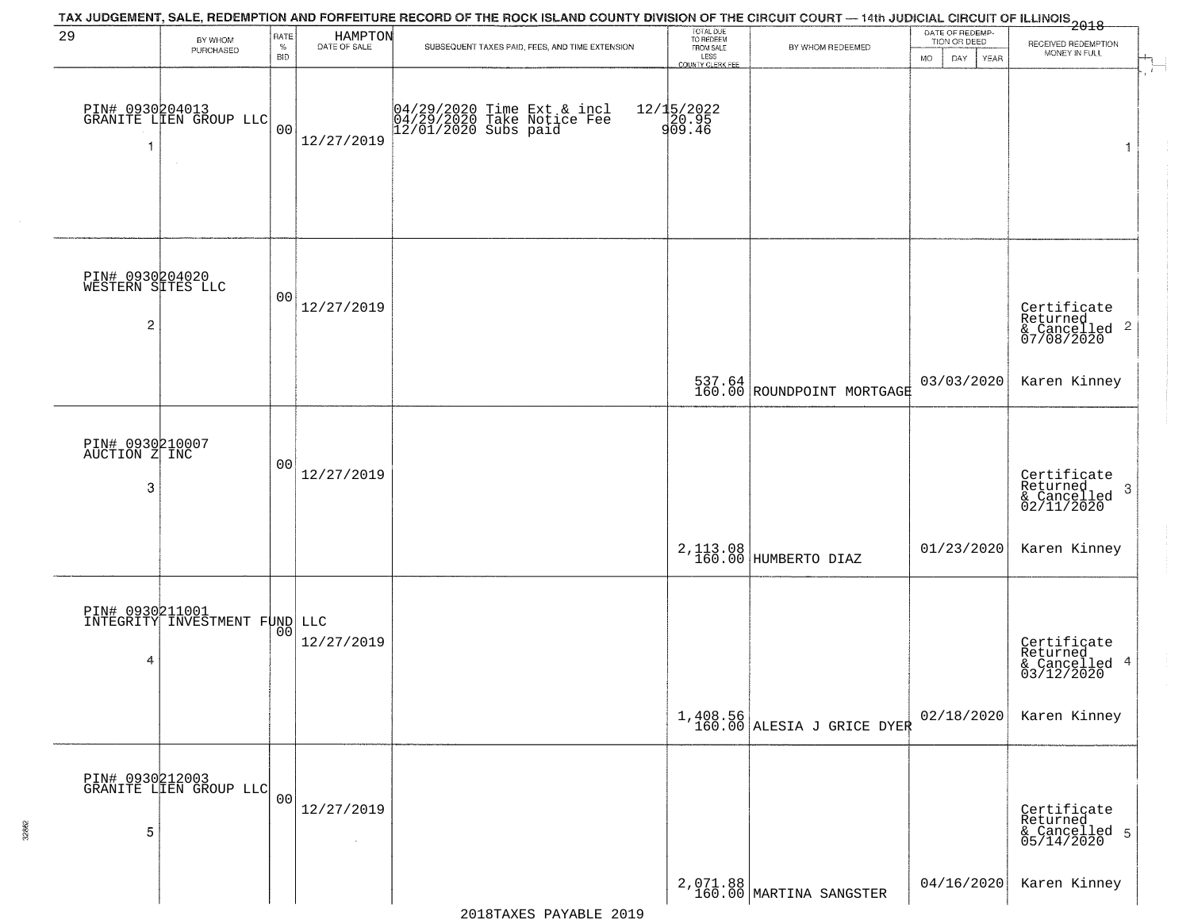|                                           |                                                  |                |                              | TAX JUDGEMENT, SALE, REDEMPTION AND FORFEITURE RECORD OF THE ROCK ISLAND COUNTY DIVISION OF THE CIRCUIT COURT — 14th JUDICIAL CIRCUIT OF ILLINOIS 2018 |                                     |                                        |                                 |                                                           |  |
|-------------------------------------------|--------------------------------------------------|----------------|------------------------------|--------------------------------------------------------------------------------------------------------------------------------------------------------|-------------------------------------|----------------------------------------|---------------------------------|-----------------------------------------------------------|--|
| 29                                        | BY WHOM                                          | RATE<br>$\%$   | HAMPTON<br>DATE OF SALE      | SUBSEQUENT TAXES PAID, FEES, AND TIME EXTENSION                                                                                                        | TOTAL DUE<br>TO REDEEM<br>FROM SALE | BY WHOM REDEEMED                       | DATE OF REDEMP-<br>TION OR DEED | RECEIVED REDEMPTION                                       |  |
|                                           | PURCHASED                                        | BID            |                              |                                                                                                                                                        | LESS<br>COUNTY CLERK FEE            |                                        | <b>MO</b><br>DAY<br>YEAR        | MONEY IN FULL                                             |  |
| 1                                         | PIN# 0930204013<br>GRANITE LIEN GROUP LLC        | 0 <sub>0</sub> | 12/27/2019                   | 04/29/2020 Time Ext & incl<br>04/29/2020 Take Notice Fee<br>12/01/2020 Subs paid                                                                       | 12/15/2022<br>20.95<br>909.46       |                                        |                                 | $\mathbf{1}$                                              |  |
| PIN# 0930204020<br>WESTERN SITES LLC<br>2 |                                                  | 00             | 12/27/2019                   |                                                                                                                                                        |                                     |                                        |                                 | Certificate<br>Returned<br>& Cancelled 2<br>07/08/2020    |  |
|                                           |                                                  |                |                              |                                                                                                                                                        |                                     | 537.64<br>160.00 ROUNDPOINT MORTGAGE   | 03/03/2020                      | Karen Kinney                                              |  |
| PIN# 0930210007<br>AUCTION Z INC<br>3     |                                                  | 00             | 12/27/2019                   |                                                                                                                                                        |                                     |                                        |                                 | Certificate<br>Returned<br>3<br>& Cancelled<br>02/11/2020 |  |
|                                           |                                                  |                |                              |                                                                                                                                                        |                                     | 2, 113.08<br>160.00 HUMBERTO DIAZ      | 01/23/2020                      | Karen Kinney                                              |  |
| 4                                         | PIN# 0930211001<br>INTEGRITY INVESTMENT FUND LLC | 00             | 12/27/2019                   |                                                                                                                                                        |                                     |                                        |                                 | Certificate<br>Returned<br>4<br>& Cancelled<br>03/12/2020 |  |
|                                           |                                                  |                |                              |                                                                                                                                                        |                                     | 1,408.56<br>160.00 ALESIA J GRICE DYER | 02/18/2020                      | Karen Kinney                                              |  |
| 5                                         | PIN# 0930212003<br>GRANITE LIEN GROUP LLC        | 0 <sub>0</sub> | 12/27/2019<br>$\sim 10^{-1}$ |                                                                                                                                                        |                                     |                                        |                                 | Certificate<br>Returned<br>& Cancelled 5<br>05/14/2020    |  |
|                                           |                                                  |                |                              |                                                                                                                                                        |                                     | 2,071.88<br>160.00 MARTINA SANGSTER    | 04/16/2020                      | Karen Kinney                                              |  |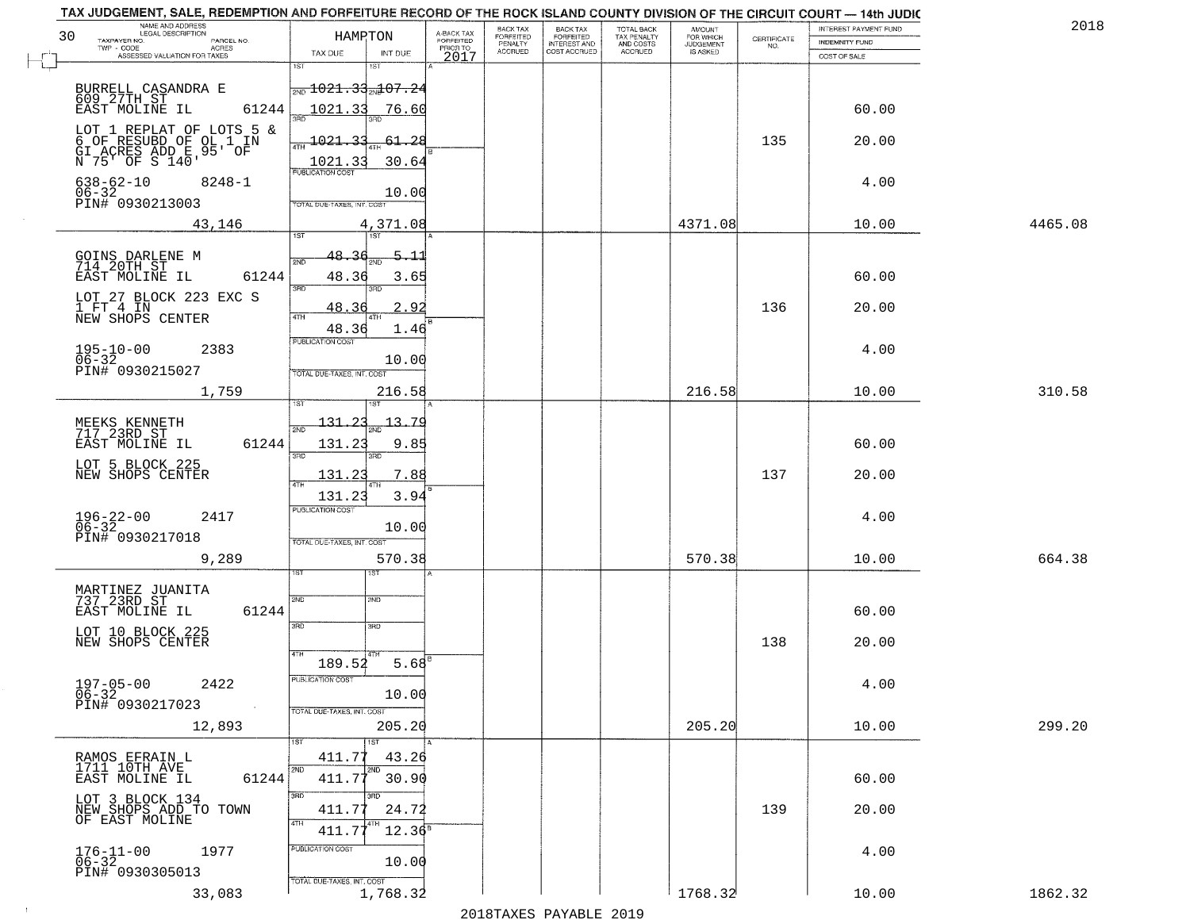| NAME AND ADDRESS<br>LEGAL DESCRIPTION<br>30<br>TAXPAYER NO.<br>PARCEL NO.                      | HAMRTON                                   | A-BACK TAX<br>FORFEITED<br>PRIOR TO | BACK TAX<br>FORFEITED     | BACK TAX<br>FORFEITED<br>INTEREST AND | TOTAL BACK<br>TAX PENALTY<br>AND COSTS | AMOUNT<br>FOR WHICH<br>JUDGEMENT | $\begin{array}{c} \text{CERTIFICATE} \\ \text{NO.} \end{array}$ | <b>INTEREST PAYMENT FUND</b><br><b>INDEMNITY FUND</b> | 2018    |
|------------------------------------------------------------------------------------------------|-------------------------------------------|-------------------------------------|---------------------------|---------------------------------------|----------------------------------------|----------------------------------|-----------------------------------------------------------------|-------------------------------------------------------|---------|
| TWP - CODE<br>ACRES<br>ASSESSED VALUATION FOR TAXES                                            | TAX DUE<br>INT DUE                        | 2017                                | PENALTY<br><b>ACCRUED</b> | COST ACCRUED                          | <b>ACCRUED</b>                         | IS ASKED                         |                                                                 | COST OF SALE                                          |         |
|                                                                                                | 1ST<br>1ST                                |                                     |                           |                                       |                                        |                                  |                                                                 |                                                       |         |
| BURRELL CASANDRA E<br>609 27TH ST<br>EAST MOLINE IL                                            | $\frac{1021.33}{107.24}$                  |                                     |                           |                                       |                                        |                                  |                                                                 |                                                       |         |
| 61244                                                                                          | 1021.33<br>76.60                          |                                     |                           |                                       |                                        |                                  |                                                                 | 60.00                                                 |         |
|                                                                                                | 1021.33<br>$-61 - 28$                     |                                     |                           |                                       |                                        |                                  | 135                                                             | 20.00                                                 |         |
| LOT 1 REPLAT OF LOTS 5 &<br>6 OF RESUBD OF OL 1 IN<br>GI ACRES ADD E 95' OF<br>N 75' OF S 140' | 4TH<br>1021.33<br>30.64                   |                                     |                           |                                       |                                        |                                  |                                                                 |                                                       |         |
| $638 - 62 - 10$<br>$8248 - 1$                                                                  | <b>PUBLICATION COST</b>                   |                                     |                           |                                       |                                        |                                  |                                                                 | 4.00                                                  |         |
| 06-32<br>PIN# 0930213003                                                                       | 10.00<br>TOTAL DUE-TAXES, INT. COST       |                                     |                           |                                       |                                        |                                  |                                                                 |                                                       |         |
| 43,146                                                                                         | 4,371.08                                  |                                     |                           |                                       |                                        | 4371.08                          |                                                                 | 10.00                                                 | 4465.08 |
|                                                                                                | 1ST<br>1ST                                |                                     |                           |                                       |                                        |                                  |                                                                 |                                                       |         |
| GOINS DARLENE M<br>714 20TH ST<br>EAST MOLINE IL                                               | $5 - 11$<br>48.36<br>2ND                  |                                     |                           |                                       |                                        |                                  |                                                                 |                                                       |         |
| 61244                                                                                          | 48.36<br>3.65<br>3RD<br>3RD               |                                     |                           |                                       |                                        |                                  |                                                                 | 60.00                                                 |         |
| LOT 27 BLOCK 223 EXC S<br>1 FT 4 IN                                                            | 48.36<br>$\overline{2}$ .                 | .92                                 |                           |                                       |                                        |                                  | 136                                                             | 20.00                                                 |         |
| NEW SHOPS CENTER                                                                               | 47H<br>48.36                              | 1.46                                |                           |                                       |                                        |                                  |                                                                 |                                                       |         |
| $195 - 10 - 00$<br>2383                                                                        | PUBLICATION COST                          |                                     |                           |                                       |                                        |                                  |                                                                 | 4.00                                                  |         |
| $06 - 32$<br>PIN# 0930215027                                                                   | 10.00<br>TOTAL DUE-TAXES, INT. COST       |                                     |                           |                                       |                                        |                                  |                                                                 |                                                       |         |
| 1,759                                                                                          | 216.58                                    |                                     |                           |                                       |                                        | 216.58                           |                                                                 | 10.00                                                 | 310.58  |
|                                                                                                | 1ST<br>$131 - 23$<br><u>13.79</u>         |                                     |                           |                                       |                                        |                                  |                                                                 |                                                       |         |
| MEEKS KENNETH<br>717 23RD ST<br>61244<br>EAST MOLINE IL                                        | 2ND<br>131.23<br>9.85                     |                                     |                           |                                       |                                        |                                  |                                                                 | 60.00                                                 |         |
|                                                                                                | 3RD<br>3RD                                |                                     |                           |                                       |                                        |                                  |                                                                 |                                                       |         |
| LOT 5 BLOCK 225<br>NEW SHOPS CENTER                                                            | 131.23<br>7.88<br><b>ATH</b>              |                                     |                           |                                       |                                        |                                  | 137                                                             | 20.00                                                 |         |
|                                                                                                | 131.23<br>3.94<br><b>PUBLICATION COST</b> |                                     |                           |                                       |                                        |                                  |                                                                 |                                                       |         |
| $196 - 22 - 00$<br>06-32<br>2417                                                               | 10.00                                     |                                     |                           |                                       |                                        |                                  |                                                                 | 4.00                                                  |         |
| PIN# 0930217018                                                                                | TOTAL OUE-TAXES, INT. COST                |                                     |                           |                                       |                                        |                                  |                                                                 |                                                       |         |
| 9,289                                                                                          | 570.38<br>ड़िंग<br>ISТ                    |                                     |                           |                                       |                                        | 570.38                           |                                                                 | 10.00                                                 | 664.38  |
| MARTINEZ JUANITA<br>737 23RD ST                                                                |                                           |                                     |                           |                                       |                                        |                                  |                                                                 |                                                       |         |
| EAST MOLINE IL<br>61244                                                                        | 2ND<br>2ND                                |                                     |                           |                                       |                                        |                                  |                                                                 | 60.00                                                 |         |
| LOT 10 BLOCK 225                                                                               | 3BD<br>3BD                                |                                     |                           |                                       |                                        |                                  |                                                                 |                                                       |         |
| NEW SHOPS CENTER                                                                               | 4TH                                       | $5.68^{6}$                          |                           |                                       |                                        |                                  | 138                                                             | 20.00                                                 |         |
| $197 - 05 - 00$                                                                                | 189.52<br>PUBLICATION COST                |                                     |                           |                                       |                                        |                                  |                                                                 |                                                       |         |
| 2422<br>$06 - 32$<br>PIN# 0930217023                                                           | 10.00                                     |                                     |                           |                                       |                                        |                                  |                                                                 | 4.00                                                  |         |
| $\sim$ $\sim$<br>12,893                                                                        | TOTAL DUE-TAXES, INT. COST<br>205.20      |                                     |                           |                                       |                                        | 205.20                           |                                                                 | 10.00                                                 | 299.20  |
|                                                                                                | 1ST<br>1ST                                |                                     |                           |                                       |                                        |                                  |                                                                 |                                                       |         |
| RAMOS EFRAIN L<br>1711 10TH AVE                                                                | 411.77<br>43.26<br>2ND<br>2ND             |                                     |                           |                                       |                                        |                                  |                                                                 |                                                       |         |
| 61244<br>EAST MOLINE IL                                                                        | 411.77<br>30.90                           |                                     |                           |                                       |                                        |                                  |                                                                 | 60.00                                                 |         |
| LOT 3 BLOCK 134<br>NEW SHOPS ADD TO TOWN                                                       | 3RD<br>3RD<br>24.72<br>411.77             |                                     |                           |                                       |                                        |                                  | 139                                                             | 20.00                                                 |         |
| OF EAST MOLINE                                                                                 | 4TH<br>$411.77^{4}$<br>$12.36^8$          |                                     |                           |                                       |                                        |                                  |                                                                 |                                                       |         |
| 1977<br>$176 - 11 - 00$<br>06-32                                                               | PUBLICATION COST                          |                                     |                           |                                       |                                        |                                  |                                                                 | 4.00                                                  |         |
| PIN# 0930305013                                                                                | 10.00                                     |                                     |                           |                                       |                                        |                                  |                                                                 |                                                       |         |
| 33,083                                                                                         | TOTAL DUE-TAXES, INT. COST<br>1,768.32    |                                     |                           |                                       |                                        | 1768.32                          |                                                                 | 10.00                                                 | 1862.32 |

 $\sim 40$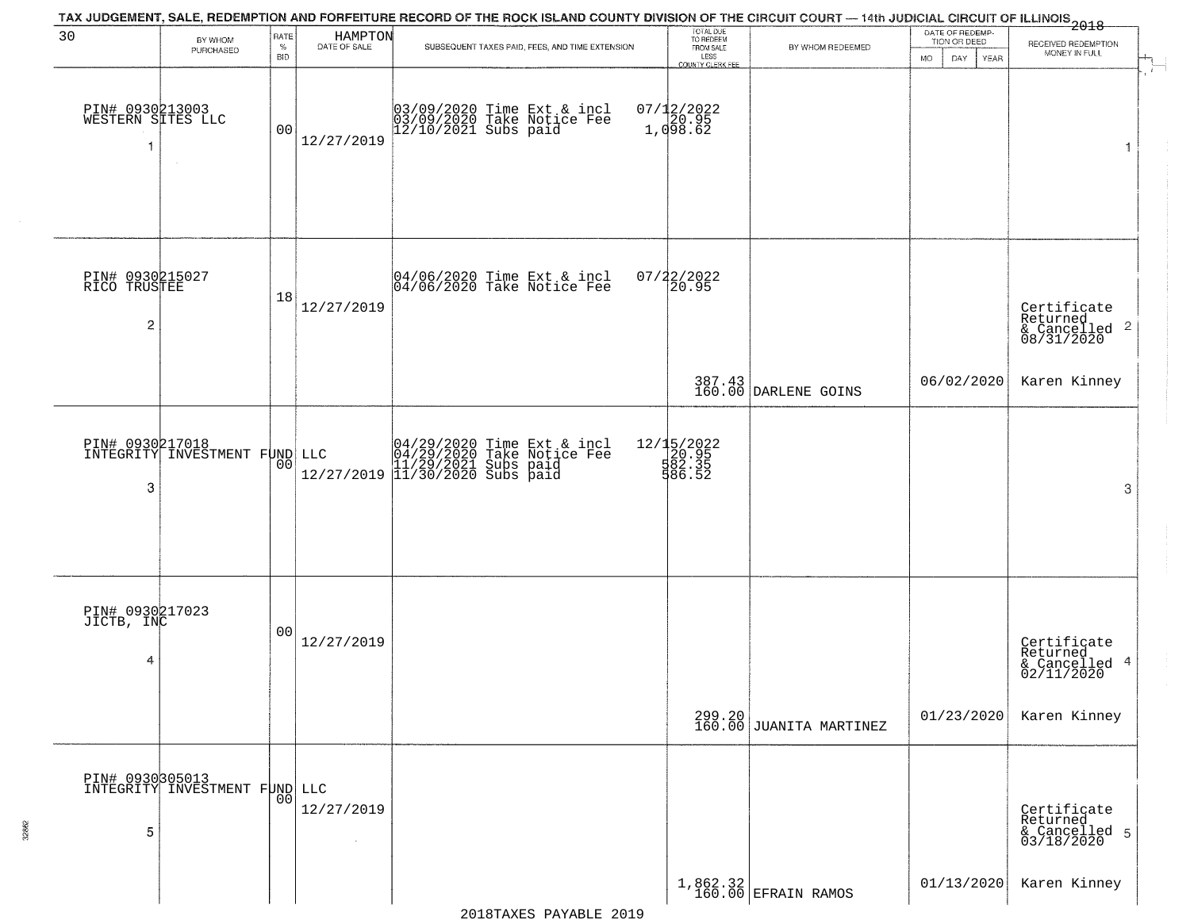|                                           |                                                  |                |                         | TAX JUDGEMENT, SALE, REDEMPTION AND FORFEITURE RECORD OF THE ROCK ISLAND COUNTY DIVISION OF THE CIRCUIT COURT — 14th JUDICIAL CIRCUIT OF ILLINOIS<br>2018 - The Contract of December 1999 |                                         |                                                                               |                                 |                                                                                                                                                                                                                                                                                                                                                                                                                                                                                                                                                                                                    |
|-------------------------------------------|--------------------------------------------------|----------------|-------------------------|-------------------------------------------------------------------------------------------------------------------------------------------------------------------------------------------|-----------------------------------------|-------------------------------------------------------------------------------|---------------------------------|----------------------------------------------------------------------------------------------------------------------------------------------------------------------------------------------------------------------------------------------------------------------------------------------------------------------------------------------------------------------------------------------------------------------------------------------------------------------------------------------------------------------------------------------------------------------------------------------------|
| 30                                        | BY WHOM<br>PURCHASED                             | RATE<br>$\%$   | HAMPTON<br>DATE OF SALE | SUBSEQUENT TAXES PAID, FEES, AND TIME EXTENSION                                                                                                                                           | TOTAL DUE<br>TO REDEEM<br>FROM SALE     | BY WHOM REDEEMED                                                              | DATE OF REDEMP-<br>TION OR DEED | RECEIVED REDEMPTION                                                                                                                                                                                                                                                                                                                                                                                                                                                                                                                                                                                |
|                                           |                                                  | <b>BID</b>     |                         |                                                                                                                                                                                           | LESS<br>COUNTY CLERK FEE                |                                                                               | MO.<br>DAY.<br>YEAR             | MONEY IN FULL<br>$\begin{array}{c}\n\stackrel{\text{def}}{=} \\ \stackrel{\text{def}}{=} \\ \stackrel{\text{def}}{=} \\ \stackrel{\text{def}}{=} \\ \stackrel{\text{def}}{=} \\ \stackrel{\text{def}}{=} \\ \stackrel{\text{def}}{=} \\ \stackrel{\text{def}}{=} \\ \stackrel{\text{def}}{=} \\ \stackrel{\text{def}}{=} \\ \stackrel{\text{def}}{=} \\ \stackrel{\text{def}}{=} \\ \stackrel{\text{def}}{=} \\ \stackrel{\text{def}}{=} \\ \stackrel{\text{def}}{=} \\ \stackrel{\text{def}}{=} \\ \stackrel{\text{def}}{=} \\ \stackrel{\text{def}}{=} \\ \stackrel{\text{def}}{=} \\ \stackrel$ |
| PIN# 0930213003<br>WESTERN SITES LLC<br>1 | $\sim$                                           | 0 <sub>0</sub> | 12/27/2019              | 03/09/2020 Time Ext & incl<br>03/09/2020 Take Notice Fee<br>12/10/2021 Subs paid                                                                                                          | $07/12/2022$<br>$20.95$<br>$1,098.62$   |                                                                               |                                 | 1                                                                                                                                                                                                                                                                                                                                                                                                                                                                                                                                                                                                  |
| PIN# 0930215027<br>RICO TRUSTEE<br>2      |                                                  | 18             | 12/27/2019              | 04/06/2020 Time Ext & incl<br>04/06/2020 Take Notice Fee                                                                                                                                  | $07/22/2022$<br>20.95                   |                                                                               |                                 | Certificate<br>Returned<br>& Cancelled <sup>2</sup><br>08/31/2020                                                                                                                                                                                                                                                                                                                                                                                                                                                                                                                                  |
|                                           |                                                  |                |                         |                                                                                                                                                                                           |                                         | 387.43<br>160.00 DARLENE GOINS                                                | 06/02/2020                      | Karen Kinney                                                                                                                                                                                                                                                                                                                                                                                                                                                                                                                                                                                       |
| 3                                         | PIN# 0930217018<br>INTEGRITY INVESTMENT FUND LLC | 0 <sub>0</sub> | 12/27/2019              | 04/29/2020 Time Ext & incl<br>04/29/2020 Take Notice Fee<br>11/29/2021 Subs paid<br>11/30/2020 Subs paid                                                                                  | 12/15/2022<br>20.95<br>582.35<br>586.52 |                                                                               |                                 | 3                                                                                                                                                                                                                                                                                                                                                                                                                                                                                                                                                                                                  |
| PIN# 0930217023<br>JICTB, INC<br>4        |                                                  | 0 <sub>0</sub> | 12/27/2019              |                                                                                                                                                                                           |                                         |                                                                               |                                 | Certificate<br>Returned<br>& Cancelled 4<br>02/11/2020                                                                                                                                                                                                                                                                                                                                                                                                                                                                                                                                             |
|                                           |                                                  |                |                         |                                                                                                                                                                                           |                                         | $299.20$<br>160.00 JUANITA MARTINEZ                                           | 01/23/2020                      | Karen Kinney                                                                                                                                                                                                                                                                                                                                                                                                                                                                                                                                                                                       |
| 5                                         | PIN# 0930305013<br>INTEGRITY INVESTMENT FUND LLC |                | 12/27/2019              |                                                                                                                                                                                           |                                         |                                                                               |                                 | Certificate<br>Returned<br>& Cancelled 5<br>03/18/2020                                                                                                                                                                                                                                                                                                                                                                                                                                                                                                                                             |
|                                           |                                                  |                |                         |                                                                                                                                                                                           |                                         | $\left[ \begin{array}{c} 1,862.32 \\ 160.00 \end{array} \right]$ EFRAIN RAMOS | 01/13/2020                      | Karen Kinney                                                                                                                                                                                                                                                                                                                                                                                                                                                                                                                                                                                       |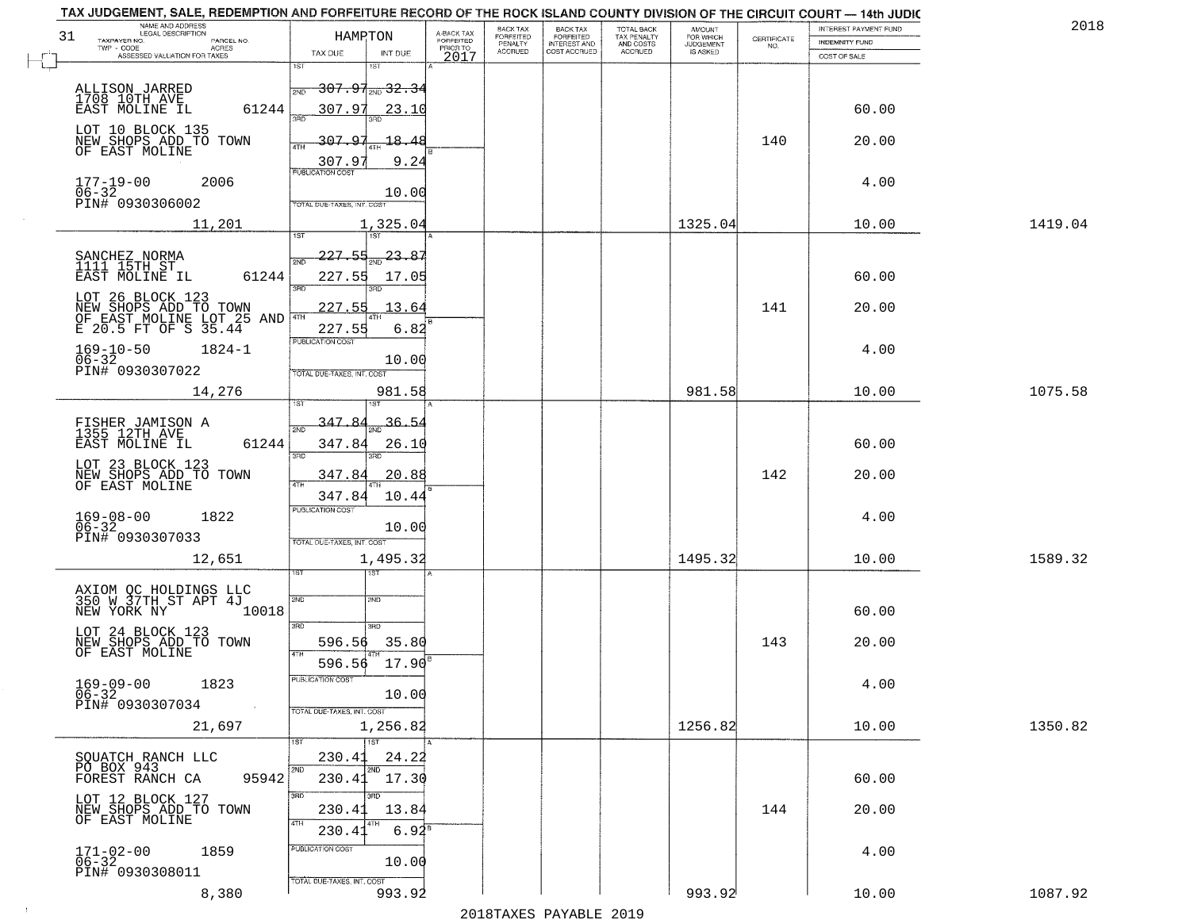| NAME AND ADDRESS<br>LEGAL DESCRIPTION<br>31                                                    | HAMRTON                                   |                                             | BACK TAX<br>FORFEITED     | BACK TAX<br>FORFEITED<br>INTEREST AND | TOTAL BACK<br>TAX PENALTY<br>AND COSTS | AMOUNT<br>FOR WHICH<br>JUDGEMENT |                                                                 | INTEREST PAYMENT FUND                 | 2018    |
|------------------------------------------------------------------------------------------------|-------------------------------------------|---------------------------------------------|---------------------------|---------------------------------------|----------------------------------------|----------------------------------|-----------------------------------------------------------------|---------------------------------------|---------|
| TAXPAYER NO.<br>PARCEL NO.<br>TWP - CODE<br>ACRES<br>ASSESSED VALUATION FOR TAXES              | TAX DUE<br>INT DUE                        | A-BACK TAX<br>FORFEITED<br>PRIOR TO<br>2017 | PENALTY<br><b>ACCRUED</b> | COST ACCRUED                          | <b>ACCRUED</b>                         | IS ASKED                         | $\begin{array}{c} \text{CERTIFICATE} \\ \text{NO.} \end{array}$ | <b>INDEMNITY FUND</b><br>COST OF SALE |         |
|                                                                                                | 1ST<br>1ST                                |                                             |                           |                                       |                                        |                                  |                                                                 |                                       |         |
| ALLISON JARRED<br>1708 10TH AVE                                                                | <del>307.91<sub>2ND</sub> 32.3</del>      |                                             |                           |                                       |                                        |                                  |                                                                 |                                       |         |
| 61244<br>EAST MOLINE IL                                                                        | 307.97<br>23.10                           |                                             |                           |                                       |                                        |                                  |                                                                 | 60.00                                 |         |
| LOT 10 BLOCK 135<br>NEW SHOPS ADD TO TOWN<br>OF EAST MOLINE                                    | 307.97<br>-18.<br>4<br>ATH                |                                             |                           |                                       |                                        |                                  | 140                                                             | 20.00                                 |         |
|                                                                                                | 307.9<br>9.24<br><b>PUBLICATION COST</b>  |                                             |                           |                                       |                                        |                                  |                                                                 |                                       |         |
| $177 - 19 - 00$<br>$06 - 32$<br>2006                                                           | 10.00                                     |                                             |                           |                                       |                                        |                                  |                                                                 | 4.00                                  |         |
| PIN# 0930306002<br>11,201                                                                      | TOTAL DUE-TAXES, INT. COST<br>1,325.04    |                                             |                           |                                       |                                        | 1325.04                          |                                                                 | 10.00                                 | 1419.04 |
|                                                                                                | 1ST<br>1ST                                |                                             |                           |                                       |                                        |                                  |                                                                 |                                       |         |
| SANCHEZ NORMA<br>1111 15TH ST<br>EAST MOLINE IL<br>61244                                       | 227.55<br>23.87<br>2ND<br>227.55<br>17.05 |                                             |                           |                                       |                                        |                                  |                                                                 | 60.00                                 |         |
|                                                                                                |                                           |                                             |                           |                                       |                                        |                                  |                                                                 |                                       |         |
| LOT 26 BLOCK 123<br>NEW SHOPS ADD TO TOWN<br>OF EAST MOLINE LOT 25 AND<br>E 20.5 FT OF S 35.44 | 227.55<br>13.64<br>227.55<br>6.82         |                                             |                           |                                       |                                        |                                  | 141                                                             | 20.00                                 |         |
| $169 - 10 - 50$<br>$1824 - 1$                                                                  | PUBLICATION COST                          |                                             |                           |                                       |                                        |                                  |                                                                 | 4.00                                  |         |
| $06 - 32$<br>PIN# 0930307022                                                                   | 10.00<br>TOTAL DUE-TAXES, INT. COST       |                                             |                           |                                       |                                        |                                  |                                                                 |                                       |         |
| 14,276                                                                                         | 981.58<br>1ST                             |                                             |                           |                                       |                                        | 981.58                           |                                                                 | 10.00                                 | 1075.58 |
| FISHER JAMISON A<br>1355 12TH AVE                                                              | 347.84<br><u>36.54</u><br>2ND             |                                             |                           |                                       |                                        |                                  |                                                                 |                                       |         |
| EAST MOLINE IL<br>61244                                                                        | 347.84<br>26.10<br>3RD<br>3RD             |                                             |                           |                                       |                                        |                                  |                                                                 | 60.00                                 |         |
| LOT 23 BLOCK 123<br>NEW SHOPS ADD TO TOWN<br>OF EAST MOLINE                                    | 347.84<br>20.88                           |                                             |                           |                                       |                                        |                                  | 142                                                             | 20.00                                 |         |
|                                                                                                | 347.84<br>10.44                           |                                             |                           |                                       |                                        |                                  |                                                                 |                                       |         |
| $169 - 08 - 00$<br>06-32<br>1822                                                               | <b>PUBLICATION COST</b><br>10.00          |                                             |                           |                                       |                                        |                                  |                                                                 | 4.00                                  |         |
| PIN# 0930307033                                                                                | TOTAL OUE-TAXES, INT. COST                |                                             |                           |                                       |                                        |                                  |                                                                 |                                       |         |
| 12,651                                                                                         | 1,495.32<br>१९४                           |                                             |                           |                                       |                                        | 1495.32                          |                                                                 | 10.00                                 | 1589.32 |
| AXIOM OC HOLDINGS LLC<br>350 W 37TH ST APT 4J                                                  | 2ND<br>2ND                                |                                             |                           |                                       |                                        |                                  |                                                                 |                                       |         |
| NEW YORK NY<br>10018                                                                           |                                           |                                             |                           |                                       |                                        |                                  |                                                                 | 60.00                                 |         |
| LOT 24 BLOCK 123<br>NEW SHOPS ADD TO TOWN<br>OF EAST MOLINE                                    | 3BD<br>3BD<br>596.56<br>35.80             |                                             |                           |                                       |                                        |                                  | 143                                                             | 20.00                                 |         |
|                                                                                                | 4TH<br>17.90<br>596.56                    |                                             |                           |                                       |                                        |                                  |                                                                 |                                       |         |
| $169 - 09 - 00$<br>1823<br>$06 - 32$                                                           | PUBLICATION COST<br>10.00                 |                                             |                           |                                       |                                        |                                  |                                                                 | 4.00                                  |         |
| PIN# 0930307034                                                                                | TOTAL DUE-TAXES, INT. COST                |                                             |                           |                                       |                                        |                                  |                                                                 |                                       |         |
| 21,697                                                                                         | 1,256.82<br>1ST<br>1ST                    |                                             |                           |                                       |                                        | 1256.82                          |                                                                 | 10.00                                 | 1350.82 |
| SQUATCH RANCH LLC<br>PO BOX 943                                                                | 230.41<br>24.22                           |                                             |                           |                                       |                                        |                                  |                                                                 |                                       |         |
| 95942<br>FOREST RANCH CA                                                                       | 2ND<br>2ND<br>17.30<br>230.41             |                                             |                           |                                       |                                        |                                  |                                                                 | 60.00                                 |         |
| LOT 12 BLOCK 127<br>NEW SHOPS ADD TO TOWN                                                      | अंग<br>3RD<br>230.41<br>13.84             |                                             |                           |                                       |                                        |                                  | 144                                                             | 20.00                                 |         |
| OF EAST MOLINE                                                                                 | 4TH<br>$6.94^8$<br>230.41                 |                                             |                           |                                       |                                        |                                  |                                                                 |                                       |         |
| 1859<br>$171 - 02 - 00$<br>06-32                                                               | PUBLICATION COST<br>10.00                 |                                             |                           |                                       |                                        |                                  |                                                                 | 4.00                                  |         |
| PIN# 0930308011                                                                                | TOTAL DUE-TAXES, INT. COST                |                                             |                           |                                       |                                        |                                  |                                                                 |                                       |         |
| 8,380                                                                                          | 993.92                                    |                                             |                           |                                       |                                        | 993.92                           |                                                                 | 10.00                                 | 1087.92 |

 $\sim 10$ 

2018TAXES PAYABLE 2019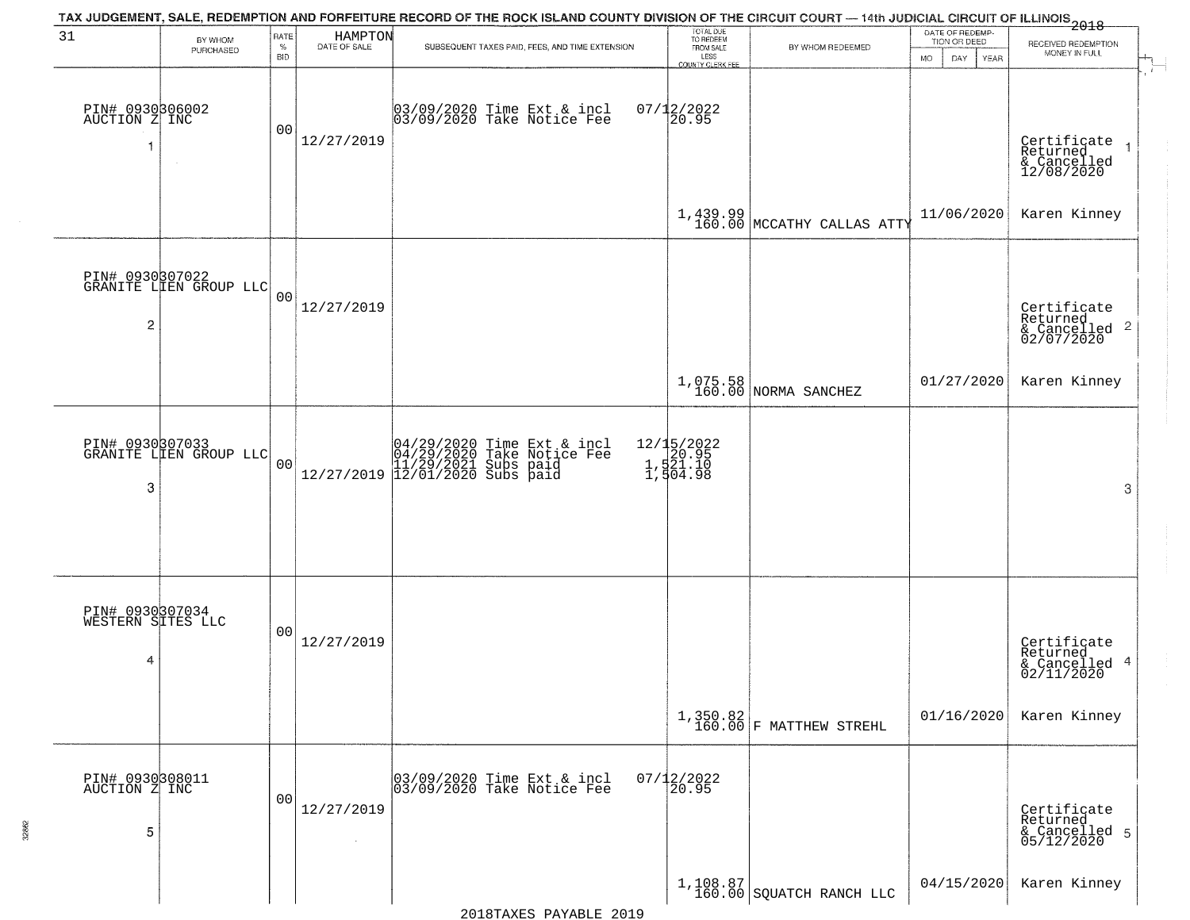|                                           |                                           |                     |                         | TAX JUDGEMENT, SALE, REDEMPTION AND FORFEITURE RECORD OF THE ROCK ISLAND COUNTY DIVISION OF THE CIRCUIT COURT — 14th JUDICIAL CIRCUIT OF ILLINOIS 2018 |                                                                        |                                                                                  |                                                             |                                                                                        |
|-------------------------------------------|-------------------------------------------|---------------------|-------------------------|--------------------------------------------------------------------------------------------------------------------------------------------------------|------------------------------------------------------------------------|----------------------------------------------------------------------------------|-------------------------------------------------------------|----------------------------------------------------------------------------------------|
| 31                                        | BY WHOM<br>PURCHASED                      | RATE<br>$\%$<br>BID | HAMPTON<br>DATE OF SALE | SUBSEQUENT TAXES PAID, FEES, AND TIME EXTENSION                                                                                                        | TOTAL DUE<br>TO REDEEM<br>FROM SALE<br>LESS<br><b>COUNTY CLERK FEE</b> | BY WHOM REDEEMED                                                                 | DATE OF REDEMP-<br>TION OR DEED<br><b>MO</b><br>DAY<br>YEAR | RECEIVED REDEMPTION<br>MONEY IN FULL                                                   |
| PIN# 0930306002<br>AUCTION Z INC<br>-1    |                                           | 00                  | 12/27/2019              | 03/09/2020 Time Ext & incl<br>03/09/2020 Take Notice Fee                                                                                               | $07/12/2022$<br>20.95                                                  |                                                                                  |                                                             | $\mathbf{r}$<br>Certificate<br>Returned<br>$\overline{1}$<br>& Cancelled<br>12/08/2020 |
|                                           |                                           |                     |                         |                                                                                                                                                        |                                                                        | $1,439.99$ MCCATHY CALLAS ATTY                                                   | 11/06/2020                                                  | Karen Kinney                                                                           |
| $\overline{2}$                            | PIN# 0930307022<br>GRANITE LIEN GROUP LLC | 0 <sub>0</sub>      | 12/27/2019              |                                                                                                                                                        |                                                                        |                                                                                  |                                                             | Certificate<br>Returned<br>$\overline{2}$<br>& Cancelled<br>02/07/2020                 |
|                                           |                                           |                     |                         |                                                                                                                                                        |                                                                        | 1,075.58<br>160.00 NORMA SANCHEZ                                                 | 01/27/2020                                                  | Karen Kinney                                                                           |
| 3                                         | PIN# 0930307033<br>GRANITE LIEN GROUP LLC | 0 <sub>0</sub>      |                         | $[04/29/2020 \t\t Time Ext & incl04/29/2020 Take Notice Free11/29/2021 Subs paid12/27/2019  12/01/2020 Subs paid$                                      | 12/15/2022<br>1,520.95<br>1,521.10<br>1,504.98                         |                                                                                  |                                                             | 3                                                                                      |
| PIN# 0930307034<br>WESTERN SITES LLC<br>4 |                                           | 00                  | 12/27/2019              |                                                                                                                                                        |                                                                        |                                                                                  |                                                             | Certificate<br>Returned<br>4<br>& Cancelled<br>02/11/2020                              |
|                                           |                                           |                     |                         |                                                                                                                                                        |                                                                        | $\left  \begin{array}{c} 1,350.82\\ 160.00 \end{array} \right $ F MATTHEW STREHL | 01/16/2020                                                  | Karen Kinney                                                                           |
| PIN# 0930308011<br>AUCTION Z INC<br>5     |                                           | 0 <sub>0</sub>      | 12/27/2019              | 03/09/2020 Time Ext & incl<br>03/09/2020 Take Notice Fee                                                                                               | $07/12/2022$<br>20.95                                                  |                                                                                  |                                                             | Certificate<br>Returned<br>& Cancelled 5<br>05/12/2020                                 |
|                                           |                                           |                     |                         |                                                                                                                                                        |                                                                        | $1,108.87$<br>160.00 SQUATCH RANCH LLC                                           | 04/15/2020                                                  | Karen Kinney                                                                           |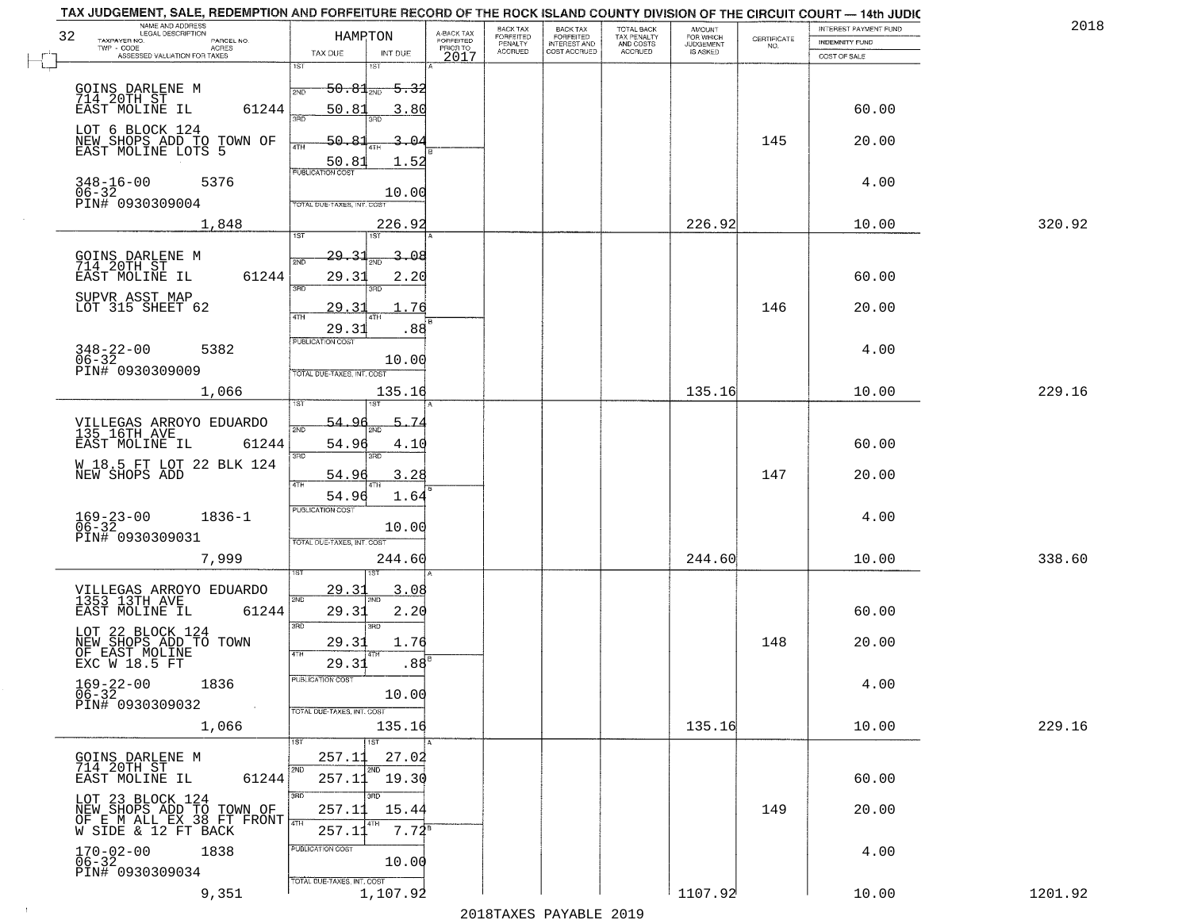| NAME AND ADDRESS<br>LEGAL DESCRIPTION<br>32<br>TAXPAYER NO.<br>PARCEL NO.<br>TWP - CODE<br>ACRES | HAMRTON                                                        | A-BACK TAX<br>FORFEITED<br>PRIOR TO | BACK TAX<br>FORFEITED<br>PENALTY | BACK TAX<br>FORFEITED<br>INTEREST AND | TOTAL BACK<br>TAX PENALTY<br>AND COSTS | AMOUNT<br>FOR WHICH<br>JUDGEMENT | $\begin{array}{c} \text{CERTIFICATE} \\ \text{NO.} \end{array}$ | INTEREST PAYMENT FUND<br><b>INDEMNITY FUND</b> | 2018    |
|--------------------------------------------------------------------------------------------------|----------------------------------------------------------------|-------------------------------------|----------------------------------|---------------------------------------|----------------------------------------|----------------------------------|-----------------------------------------------------------------|------------------------------------------------|---------|
| ASSESSED VALUATION FOR TAXES                                                                     | TAX DUE<br>INT DUE<br>1ST<br>1ST                               | 2017                                | <b>ACCRUED</b>                   | COST ACCRUED                          | <b>ACCRUED</b>                         | IS ASKED                         |                                                                 | COST OF SALE                                   |         |
| GOINS DARLENE M<br>714 20TH ST<br>EAST MOLINE IL<br>61244                                        | $50.81$ <sub>2ND</sub><br>50.81                                |                                     |                                  |                                       |                                        |                                  |                                                                 | 60.00                                          |         |
|                                                                                                  | 3.80<br>חחז                                                    |                                     |                                  |                                       |                                        |                                  |                                                                 |                                                |         |
| LOT 6 BLOCK 124<br>NEW SHOPS ADD TO TOWN OF<br>EAST MOLINE LOTS 5                                | 50.83<br>$3 -$<br>൧<br>4TH<br>50.81<br>1.52                    |                                     |                                  |                                       |                                        |                                  | 145                                                             | 20.00                                          |         |
| 348-16-00<br>06-32<br>PIN# 0930309004<br>5376                                                    | <b>PUBLICATION COST</b><br>10.00<br>TOTAL DUE-TAXES, INT. COST |                                     |                                  |                                       |                                        |                                  |                                                                 | 4.00                                           |         |
| 1,848                                                                                            | 226.92                                                         |                                     |                                  |                                       |                                        | 226.92                           |                                                                 | 10.00                                          | 320.92  |
|                                                                                                  | 1ST<br>1ST                                                     |                                     |                                  |                                       |                                        |                                  |                                                                 |                                                |         |
| GOINS DARLENE M<br>714 20TH ST<br>EAST MOLINE IL<br>61244                                        | 29.31<br>3.<br>൧൧<br>2ND<br>29.31<br>2.20<br>3RD<br>3RD        |                                     |                                  |                                       |                                        |                                  |                                                                 | 60.00                                          |         |
| SUPVR ASST MAP<br>LOT 315 SHEET 62                                                               | 76<br>29.31<br><b>ATH</b>                                      | ŀΒ                                  |                                  |                                       |                                        |                                  | 146                                                             | 20.00                                          |         |
|                                                                                                  | 29.31<br>.88<br>PUBLICATION COST                               |                                     |                                  |                                       |                                        |                                  |                                                                 |                                                |         |
| $348 - 22 - 00$<br>5382<br>$06 - 32$<br>PIN# 0930309009                                          | 10.00<br>TOTAL DUE-TAXES, INT. COST                            |                                     |                                  |                                       |                                        |                                  |                                                                 | 4.00                                           |         |
| 1,066                                                                                            | 135.16                                                         |                                     |                                  |                                       |                                        | 135.16                           |                                                                 | 10.00                                          | 229.16  |
| VILLEGAS ARROYO EDUARDO<br>135 16TH AVE                                                          | 54.96<br>-5<br>-74<br>2ND                                      |                                     |                                  |                                       |                                        |                                  |                                                                 |                                                |         |
| EAST MOLINE IL<br>61244                                                                          | 54.96<br>4.1(                                                  |                                     |                                  |                                       |                                        |                                  |                                                                 | 60.00                                          |         |
| W 18.5 FT LOT 22 BLK 124<br>NEW SHOPS ADD                                                        | 3RD<br>3RD<br>54.9<br>3.28                                     |                                     |                                  |                                       |                                        |                                  | 147                                                             | 20.00                                          |         |
|                                                                                                  | 4TH<br>54.96<br>1.64                                           |                                     |                                  |                                       |                                        |                                  |                                                                 |                                                |         |
| $169 - 23 - 00$<br>06-32<br>$1836 - 1$                                                           | <b>PUBLICATION COST</b><br>10.00                               |                                     |                                  |                                       |                                        |                                  |                                                                 | 4.00                                           |         |
| PIN# 0930309031<br>7,999                                                                         | TOTAL OUE-TAXES, INT. COST<br>244.60                           |                                     |                                  |                                       |                                        | 244.60                           |                                                                 | 10.00                                          | 338.60  |
|                                                                                                  | 29.31<br>3.08                                                  |                                     |                                  |                                       |                                        |                                  |                                                                 |                                                |         |
| VILLEGAS ARROYO EDUARDO<br>1353 13TH AVE<br>EAST MOLINE IL<br>61244                              | 2ND<br><b>ND</b><br>29.31<br>2.20                              |                                     |                                  |                                       |                                        |                                  |                                                                 | 60.00                                          |         |
| LOT 22 BLOCK 124<br>NEW SHOPS ADD TO TOWN<br>OF EAST MOLINE<br>EXC W 18.5 FT                     | 3BD<br>$\overline{3BD}$<br>29.31<br>1.76<br>4TH                |                                     |                                  |                                       |                                        |                                  | 148                                                             | 20.00                                          |         |
|                                                                                                  | 29.31<br>.88                                                   |                                     |                                  |                                       |                                        |                                  |                                                                 |                                                |         |
| $169 - 22 - 00$<br>06-32<br>1836                                                                 | PUBLICATION COST<br>10.00                                      |                                     |                                  |                                       |                                        |                                  |                                                                 | 4.00                                           |         |
| PIN# 0930309032<br>1,066                                                                         | TOTAL DUE-TAXES, INT. COST<br>135.16                           |                                     |                                  |                                       |                                        | 135.16                           |                                                                 | 10.00                                          | 229.16  |
|                                                                                                  | 1ST<br>1ST                                                     |                                     |                                  |                                       |                                        |                                  |                                                                 |                                                |         |
| GOINS DARLENE M<br>714 20TH ST                                                                   | 257.11<br>27.02<br>2ND<br>2ND                                  |                                     |                                  |                                       |                                        |                                  |                                                                 |                                                |         |
| 61244<br>EAST MOLINE IL<br>LOT 23 BLOCK 124                                                      | 257.11<br>19.30<br>उत्तर<br>3RD                                |                                     |                                  |                                       |                                        |                                  |                                                                 | 60.00                                          |         |
| NEW SHOPS ADD TO TOWN OF  <br>OF E M ALL EX 38 FT FRONT THE<br>W SIDE & 12 FT BACK               | 257.11<br>15.44<br>4TH<br>$7.72^8$<br>257.11                   |                                     |                                  |                                       |                                        |                                  | 149                                                             | 20.00                                          |         |
| $170 - 02 - 00$<br>$06 - 32$<br>1838<br>PIN# 0930309034                                          | PUBLICATION COST<br>10.00                                      |                                     |                                  |                                       |                                        |                                  |                                                                 | 4.00                                           |         |
| 9,351                                                                                            | TOTAL DUE-TAXES, INT. COST<br>1,107.92                         |                                     |                                  |                                       |                                        | 1107.92                          |                                                                 | 10.00                                          | 1201.92 |

 $\sim 40$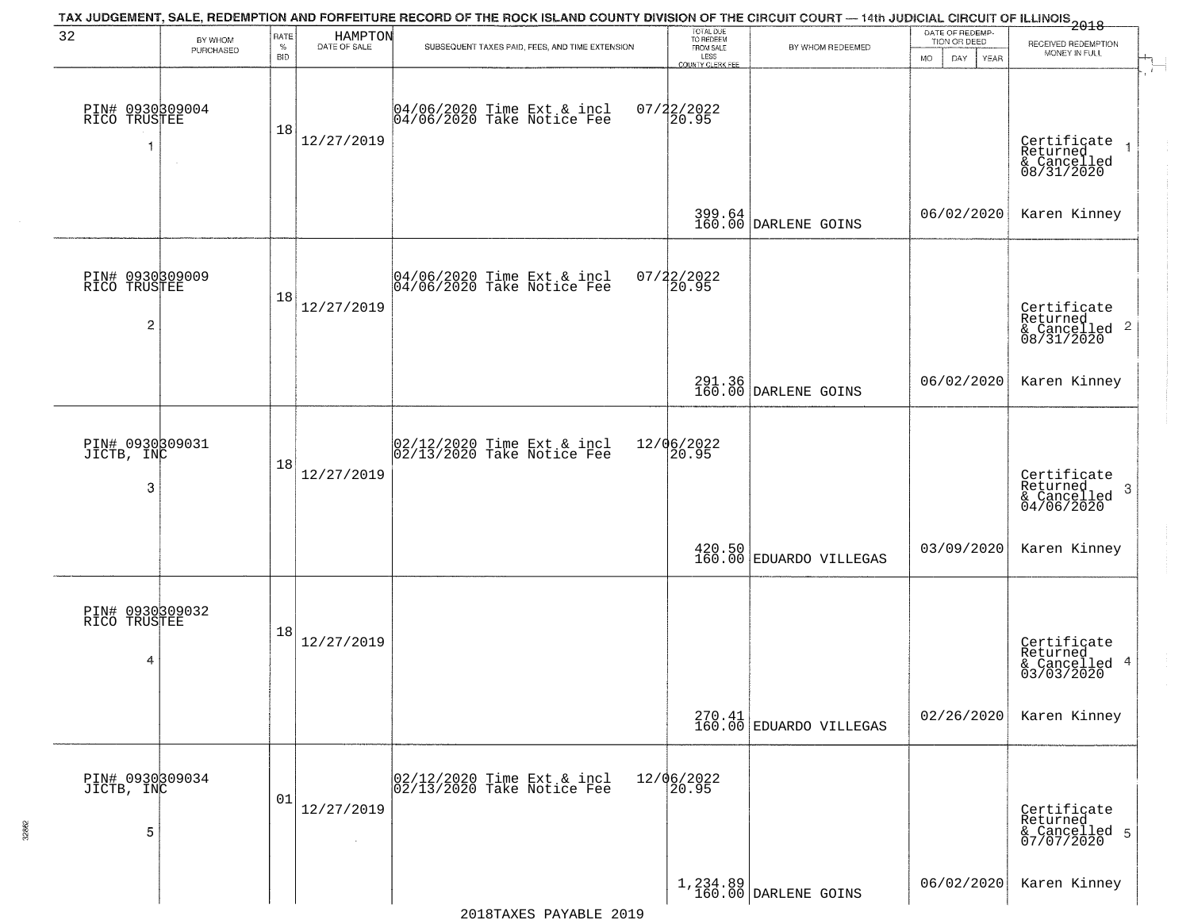|                                                   |                      |                  |                         | TAX JUDGEMENT, SALE, REDEMPTION AND FORFEITURE RECORD OF THE ROCK ISLAND COUNTY DIVISION OF THE CIRCUIT COURT — 14th JUDICIAL CIRCUIT OF ILLINOIS 2018 |                                                          |                                                                                 | DATE OF REDEMP-     |                                                                          |
|---------------------------------------------------|----------------------|------------------|-------------------------|--------------------------------------------------------------------------------------------------------------------------------------------------------|----------------------------------------------------------|---------------------------------------------------------------------------------|---------------------|--------------------------------------------------------------------------|
| 32                                                | BY WHOM<br>PURCHASED | RATE<br>$\%$     | HAMPTON<br>DATE OF SALE | SUBSEQUENT TAXES PAID, FEES, AND TIME EXTENSION                                                                                                        | TOTAL DUE<br>TO REDEEM<br>FROM SALE                      | BY WHOM REDEEMED                                                                | TION OR DEED        | RECEIVED REDEMPTION<br>MONEY IN FULL                                     |
| PIN# 0930309004<br>RICO TRUSTEE                   |                      | <b>BID</b><br>18 | 12/27/2019              | 04/06/2020 Time Ext & incl<br>04/06/2020 Take Notice Fee                                                                                               | LESS<br><b>COUNTY CLERK FEE</b><br>$07/22/2022$<br>20.95 |                                                                                 | MO.<br>DAY.<br>YEAR | <b>A</b> Service<br>Certificate<br>Returned<br>& Cancelled<br>08/31/2020 |
|                                                   |                      |                  |                         |                                                                                                                                                        |                                                          | 399.64<br>160.00 DARLENE GOINS                                                  | 06/02/2020          | Karen Kinney                                                             |
| PIN# 0930309009<br>RICO TRUSTEE<br>$\overline{c}$ |                      | 18               | 12/27/2019              | 04/06/2020 Time Ext & incl<br>04/06/2020 Take Notice Fee                                                                                               | 07/22/2022<br>20.95                                      |                                                                                 |                     | Certificate<br>Returned<br>$\frac{1}{6}$ Cancelled 2<br>08/31/2020       |
|                                                   |                      |                  |                         |                                                                                                                                                        |                                                          | 291.36<br>160.00 DARLENE GOINS                                                  | 06/02/2020          | Karen Kinney                                                             |
| PIN# 0930309031<br>JICTB, INC<br>3                |                      | 18               | 12/27/2019              | $\begin{bmatrix} 02/12/2020 \\ 02/13/2020 \\ 04 \end{bmatrix}$ Take Notice Fee                                                                         | 12/06/2022<br>20.95                                      |                                                                                 |                     | Certificate<br>Returned<br>-3<br>& Cancelled<br>04/06/2020               |
|                                                   |                      |                  |                         |                                                                                                                                                        |                                                          | $\left. \begin{array}{c} 420.50 \\ 160.00 \end{array} \right $ EDUARDO VILLEGAS | 03/09/2020          | Karen Kinney                                                             |
| PIN# 0930309032<br>RICO TRUSTEE<br>4              |                      | 18               | 12/27/2019              |                                                                                                                                                        |                                                          |                                                                                 |                     | Certificate<br>Returned<br>& Cancelled 4<br>03/03/2020                   |
|                                                   |                      |                  |                         |                                                                                                                                                        |                                                          | $270.41$ EDUARDO VILLEGAS                                                       | 02/26/2020          | Karen Kinney                                                             |
| PIN# 0930309034<br>JICTB, INC<br>5                |                      | 01               | 12/27/2019              | 02/12/2020 Time Ext & incl<br>02/13/2020 Take Notice Fee                                                                                               | 12/06/2022<br>20.95                                      |                                                                                 |                     | Certificate<br>Returned<br>& Cancelled 5<br>07/07/2020                   |
|                                                   |                      |                  |                         |                                                                                                                                                        |                                                          | 1,234.89<br>160.00 DARLENE GOINS                                                | 06/02/2020          | Karen Kinney                                                             |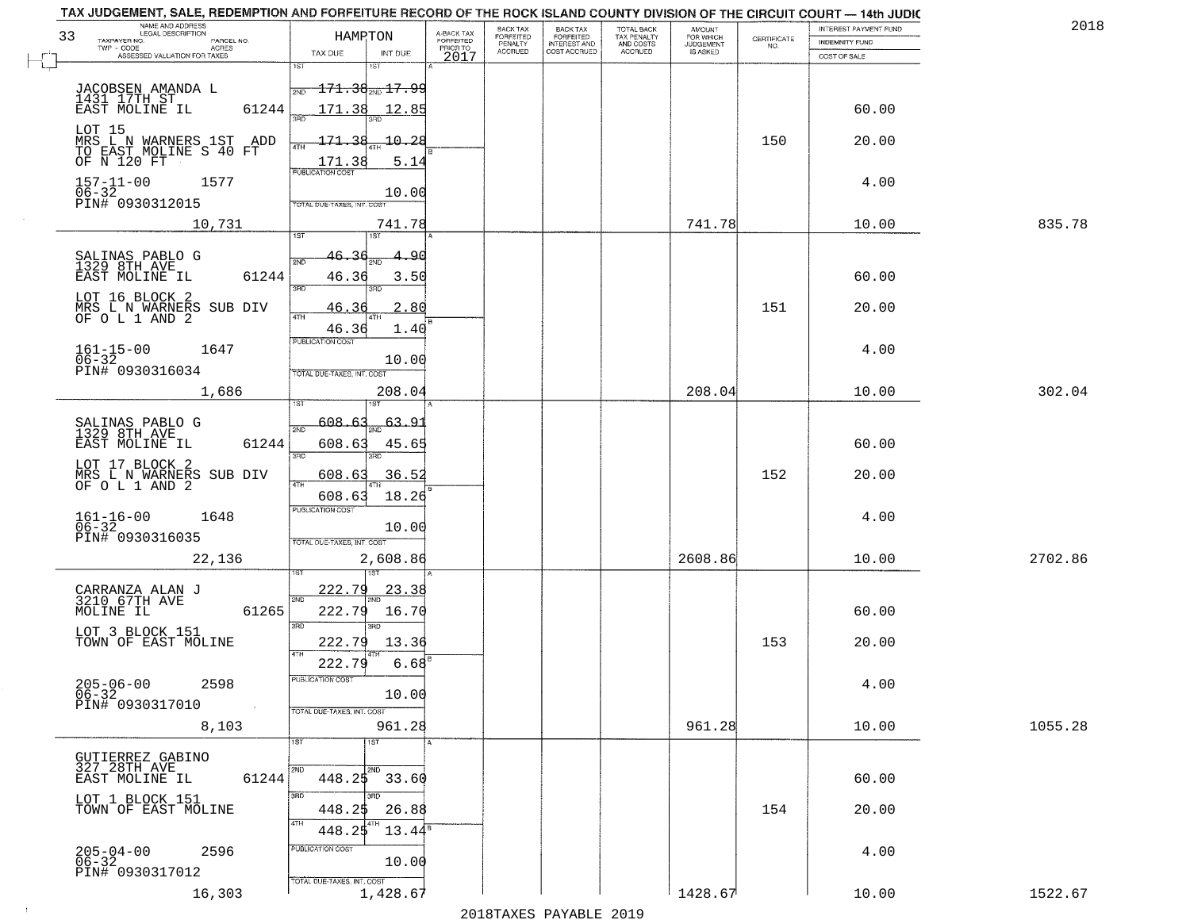| TAX JUDGEMENT, SALE, REDEMPTION AND FORFEITURE RECORD OF THE ROCK ISLAND COUNTY DIVISION OF THE CIRCUIT COURT — 14th JUDIC<br>NAME AND ADDRESS<br>LEGAL DESCRIPTION<br>33<br>TAXPAYER NO. |                            | HAMPTON                  | A-BACK TAX<br>FORFEITED | BACK TAX<br><b>FORFEITED</b> | <b>BACK TAX</b>                           | TOTAL BACK<br>TAX PENALTY<br>AND COSTS<br>ACCRUED | <b>AMOUNT</b>                      | CERTIFICATE | INTEREST PAYMENT FUND          | 2018    |
|-------------------------------------------------------------------------------------------------------------------------------------------------------------------------------------------|----------------------------|--------------------------|-------------------------|------------------------------|-------------------------------------------|---------------------------------------------------|------------------------------------|-------------|--------------------------------|---------|
| PARCEL NO.<br>TWP - CODE<br>ACRES<br>ASSESSED VALUATION FOR TAXES                                                                                                                         | TAX DUE                    | INT DUE                  | PRIOR TO<br>2017        | PENALTY<br>ACCRUED           | FORFEITED<br>INTEREST AND<br>COST ACCRUED |                                                   | FOR WHICH<br>JUDGEMENT<br>IS ASKED | NO.         | INDEMNITY FUND<br>COST OF SALE |         |
|                                                                                                                                                                                           | 1ST                        | 1ST                      |                         |                              |                                           |                                                   |                                    |             |                                |         |
| JACOBSEN AMANDA L<br>1431 17TH ST                                                                                                                                                         | 2ND                        | $-171.36_{200}$ 17.99    |                         |                              |                                           |                                                   |                                    |             |                                |         |
| EAST MOLINE IL                                                                                                                                                                            | 61244<br>171.38<br>3RD     | 12.85                    |                         |                              |                                           |                                                   |                                    |             | 60.00                          |         |
| LOT 15                                                                                                                                                                                    |                            |                          |                         |                              |                                           |                                                   |                                    |             |                                |         |
| MRS L N WARNERS 1ST ADD<br>TO EAST MOLINE S 40 FT<br>OF N 120 FT                                                                                                                          | 171.38<br>ATH              | $-10.28$                 |                         |                              |                                           |                                                   |                                    | 150         | 20.00                          |         |
|                                                                                                                                                                                           | 171.38<br>PUBLICATION COST | 5.14                     |                         |                              |                                           |                                                   |                                    |             |                                |         |
| $157 - 11 - 00$<br>1577<br>$\frac{06-32}{P1N#}$ 0930312015                                                                                                                                |                            | 10.00                    |                         |                              |                                           |                                                   |                                    |             | 4.00                           |         |
|                                                                                                                                                                                           | TOTAL DUE-TAXES, INT. COST |                          |                         |                              |                                           |                                                   |                                    |             |                                |         |
| 10,731                                                                                                                                                                                    | 1ST                        | 741.78<br>1ST            |                         |                              |                                           |                                                   | 741.78                             |             | 10.00                          | 835.78  |
| SALINAS PABLO G<br>1329 8TH AVE                                                                                                                                                           | 46.36<br>2ND               | 90.                      |                         |                              |                                           |                                                   |                                    |             |                                |         |
| EAST MOLINE IL                                                                                                                                                                            | 61244<br>46.36             | 3.50                     |                         |                              |                                           |                                                   |                                    |             | 60.00                          |         |
| LOT 16 BLOCK 2                                                                                                                                                                            | 3RD                        | łЯГ                      |                         |                              |                                           |                                                   |                                    |             |                                |         |
| MRS L N WARNERS SUB DIV<br>OF O L 1 AND 2                                                                                                                                                 | 46.36<br>47H               | 2.80                     |                         |                              |                                           |                                                   |                                    | 151         | 20.00                          |         |
|                                                                                                                                                                                           | 46.36<br>PUBLICATION COST  | 1.40                     |                         |                              |                                           |                                                   |                                    |             |                                |         |
| $161 - 15 - 00$<br>$06 - 32$<br>1647                                                                                                                                                      |                            | 10.00                    |                         |                              |                                           |                                                   |                                    |             | 4.00                           |         |
| PIN# 0930316034                                                                                                                                                                           | TOTAL DUE-TAXES, INT. COST |                          |                         |                              |                                           |                                                   |                                    |             |                                |         |
| 1,686                                                                                                                                                                                     |                            | 208.04                   |                         |                              |                                           |                                                   | 208.04                             |             | 10.00                          | 302.04  |
| SALINAS PABLO G<br>1329 8TH AVE                                                                                                                                                           | 608.63<br>2ND              | $-63.91$                 |                         |                              |                                           |                                                   |                                    |             |                                |         |
| EAST MOLINE IL                                                                                                                                                                            | 61244<br>608.63            | 45.65                    |                         |                              |                                           |                                                   |                                    |             | 60.00                          |         |
| LOT 17 BLOCK 2<br>MRS L N WARNERS SUB DIV                                                                                                                                                 | 3RD                        | 3 <sub>BD</sub><br>36.52 |                         |                              |                                           |                                                   |                                    | 152         | 20.00                          |         |
| OF O L 1 AND 2                                                                                                                                                                            | 608.63<br>4TH<br>608.63    | 18.26                    |                         |                              |                                           |                                                   |                                    |             |                                |         |
| 1648                                                                                                                                                                                      | <b>PUBLICATION COST</b>    |                          |                         |                              |                                           |                                                   |                                    |             | 4.00                           |         |
| $161 - 16 - 00$<br>06-32<br>PIN# 0930316035                                                                                                                                               |                            | 10.00                    |                         |                              |                                           |                                                   |                                    |             |                                |         |
| 22,136                                                                                                                                                                                    | TOTAL OUE-TAXES, INT. COST | 2,608.86                 |                         |                              |                                           |                                                   | 2608.86                            |             | 10.00                          | 2702.86 |
|                                                                                                                                                                                           |                            |                          |                         |                              |                                           |                                                   |                                    |             |                                |         |
| CARRANZA ALAN J<br>3210 67TH AVE                                                                                                                                                          | <u> 222.79</u><br>2ND      | <u>23.38</u>             |                         |                              |                                           |                                                   |                                    |             |                                |         |
| MOLINE IL                                                                                                                                                                                 | 61265<br>222.79            | 16.70                    |                         |                              |                                           |                                                   |                                    |             | 60.00                          |         |
| LOT 3 BLOCK 151<br>TOWN OF EAST MOLINE                                                                                                                                                    | 3BD<br>222.79              | 3BD<br>13.36             |                         |                              |                                           |                                                   |                                    | 153         | 20.00                          |         |
|                                                                                                                                                                                           | 222.79                     | 6.68                     |                         |                              |                                           |                                                   |                                    |             |                                |         |
| $205 - 06 - 00$<br>2598                                                                                                                                                                   | PUBLICATION COST           |                          |                         |                              |                                           |                                                   |                                    |             | 4.00                           |         |
| $06 - 32$<br>PIN# 0930317010                                                                                                                                                              |                            | 10.00                    |                         |                              |                                           |                                                   |                                    |             |                                |         |
| 8,103                                                                                                                                                                                     | TOTAL DUE-TAXES, INT. COST | 961.28                   |                         |                              |                                           |                                                   | 961.28                             |             | 10.00                          | 1055.28 |
|                                                                                                                                                                                           | 1ST                        | 1ST                      |                         |                              |                                           |                                                   |                                    |             |                                |         |
| GUTIERREZ GABINO<br>327 28TH AVE                                                                                                                                                          | 2ND                        | 2ND                      |                         |                              |                                           |                                                   |                                    |             |                                |         |
| EAST MOLINE IL                                                                                                                                                                            | 448.25<br>61244            | 33.60                    |                         |                              |                                           |                                                   |                                    |             | 60.00                          |         |
| LOT 1 BLOCK 151<br>TOWN OF EAST MOLINE                                                                                                                                                    | 3RD<br>448.25              | Lann<br>26.88            |                         |                              |                                           |                                                   |                                    | 154         | 20.00                          |         |
|                                                                                                                                                                                           | ATH<br>448.25              | $13.44^{\circ}$          |                         |                              |                                           |                                                   |                                    |             |                                |         |
| $205 - 04 - 00$<br>06-32<br>2596                                                                                                                                                          | PUBLICATION COST           |                          |                         |                              |                                           |                                                   |                                    |             | 4.00                           |         |
| PIN# 0930317012                                                                                                                                                                           | TOTAL DUE-TAXES, INT. COST | 10.00                    |                         |                              |                                           |                                                   |                                    |             |                                |         |
| 16,303                                                                                                                                                                                    |                            | 1,428.67                 |                         |                              |                                           |                                                   | 1428.67                            |             | 10.00                          | 1522.67 |

 $\sim 10$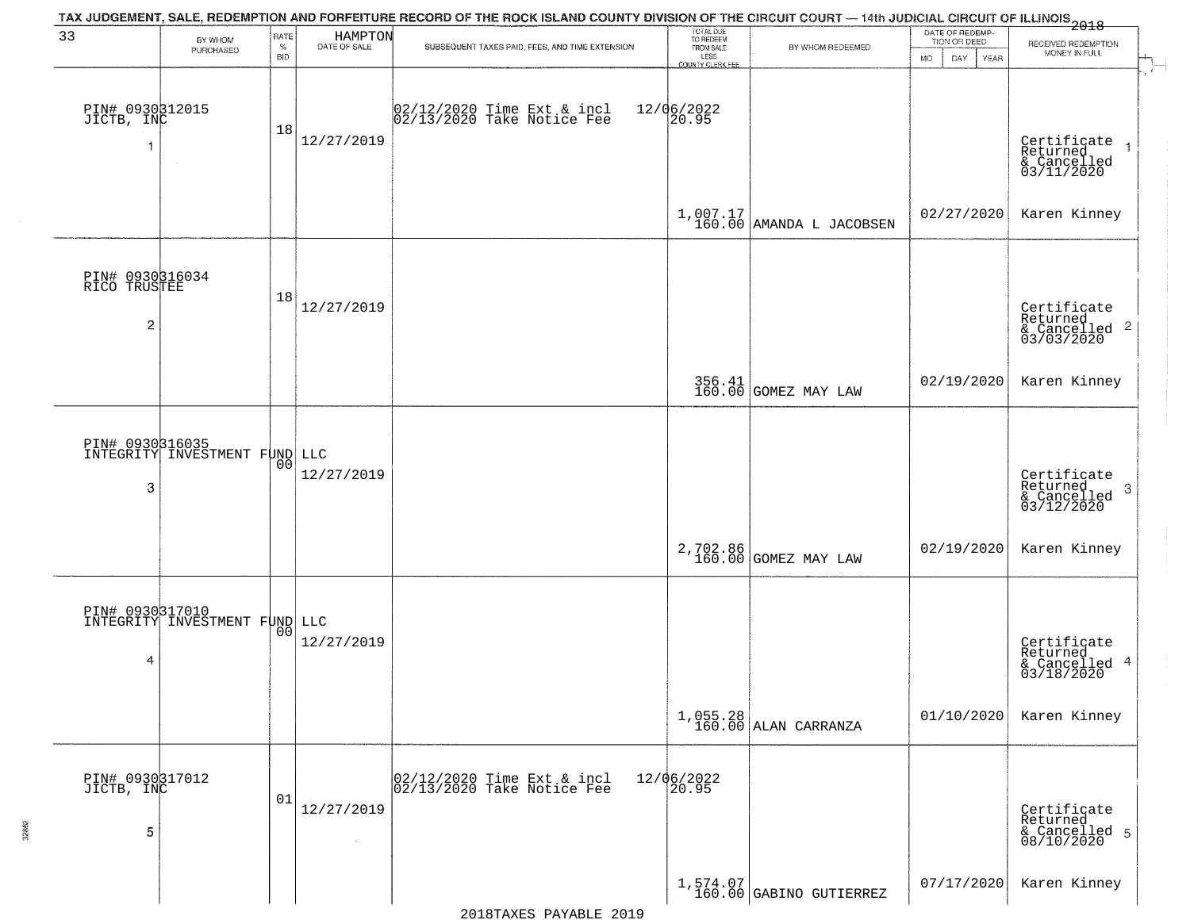| 33                                                | BY WHOM<br>PURCHASED                             | RATE<br>$\%$<br><b>BID</b> | HAMPTON<br>DATE OF SALE | TAX JUDGEMENT, SALE, REDEMPTION AND FORFEITURE RECORD OF THE ROCK ISLAND COUNTY DIVISION OF THE CIRCUIT COURT — 14th JUDICIAL CIRCUIT OF ILLINOIS 2018<br>SUBSEQUENT TAXES PAID, FEES, AND TIME EXTENSION | TOTAL DUE<br>TO REDEEM<br>FROM SALE<br>LESS<br>COUNTY CLERK FEE | BY WHOM REDEEMED                       | DATE OF REDEMP-<br>TION OR DEED<br><b>MO</b><br>DAY<br>YEAR | RECEIVED REDEMPTION<br>MONEY IN FULL                                  |
|---------------------------------------------------|--------------------------------------------------|----------------------------|-------------------------|-----------------------------------------------------------------------------------------------------------------------------------------------------------------------------------------------------------|-----------------------------------------------------------------|----------------------------------------|-------------------------------------------------------------|-----------------------------------------------------------------------|
| PIN# 0930312015<br>JICTB, INC<br>-1               | $\sim$                                           | 18                         | 12/27/2019              | 02/12/2020 Time Ext & incl<br>02/13/2020 Take Notice Fee                                                                                                                                                  | 12/06/2022<br>20.95                                             |                                        |                                                             | Certificate<br>Returned<br>$\rightarrow$<br>& Cancelled<br>03/11/2020 |
|                                                   |                                                  |                            |                         |                                                                                                                                                                                                           |                                                                 | $1,007.17$<br>160.00 AMANDA L JACOBSEN | 02/27/2020                                                  | Karen Kinney                                                          |
| PIN# 0930316034<br>RICO TRUSTEE<br>$\overline{2}$ |                                                  | 18                         | 12/27/2019              |                                                                                                                                                                                                           |                                                                 |                                        |                                                             | Certificate<br>Returned<br>& Cancelled 2<br>03/03/2020                |
|                                                   |                                                  |                            |                         |                                                                                                                                                                                                           |                                                                 | 356.41 GOMEZ MAY LAW                   | 02/19/2020                                                  | Karen Kinney                                                          |
| 3                                                 | PIN# 0930316035<br>INTEGRITY INVESTMENT FUND LLC | 00                         | 12/27/2019              |                                                                                                                                                                                                           |                                                                 |                                        |                                                             | Certificate<br>Returned<br>3<br>$\frac{1}{03/12/2020}$                |
|                                                   |                                                  |                            |                         |                                                                                                                                                                                                           |                                                                 | 2,702.86<br>160.00 GOMEZ MAY LAW       | 02/19/2020                                                  | Karen Kinney                                                          |
| 4                                                 | PIN# 0930317010<br>INTEGRITY INVESTMENT FUND LLC | 0 <sub>0</sub>             | 12/27/2019              |                                                                                                                                                                                                           |                                                                 |                                        |                                                             | Certificate<br>Returned<br>& Cancelled 4<br>03/18/2020                |
|                                                   |                                                  |                            |                         |                                                                                                                                                                                                           |                                                                 | $1,055.28$<br>160.00 ALAN CARRANZA     | 01/10/2020                                                  | Karen Kinney                                                          |
| PIN# 0930317012<br>JICTB, INC<br>5                |                                                  | 01                         | 12/27/2019              | 02/12/2020 Time Ext & incl<br>02/13/2020 Take Notice Fee                                                                                                                                                  | 12/06/2022<br>20.95                                             |                                        |                                                             | Certificate<br>Returned<br>& Cancelled 5<br>08/10/2020                |
|                                                   |                                                  |                            |                         |                                                                                                                                                                                                           |                                                                 | $1,574.07$<br>160.00 GABINO GUTIERREZ  | 07/17/2020                                                  | Karen Kinney                                                          |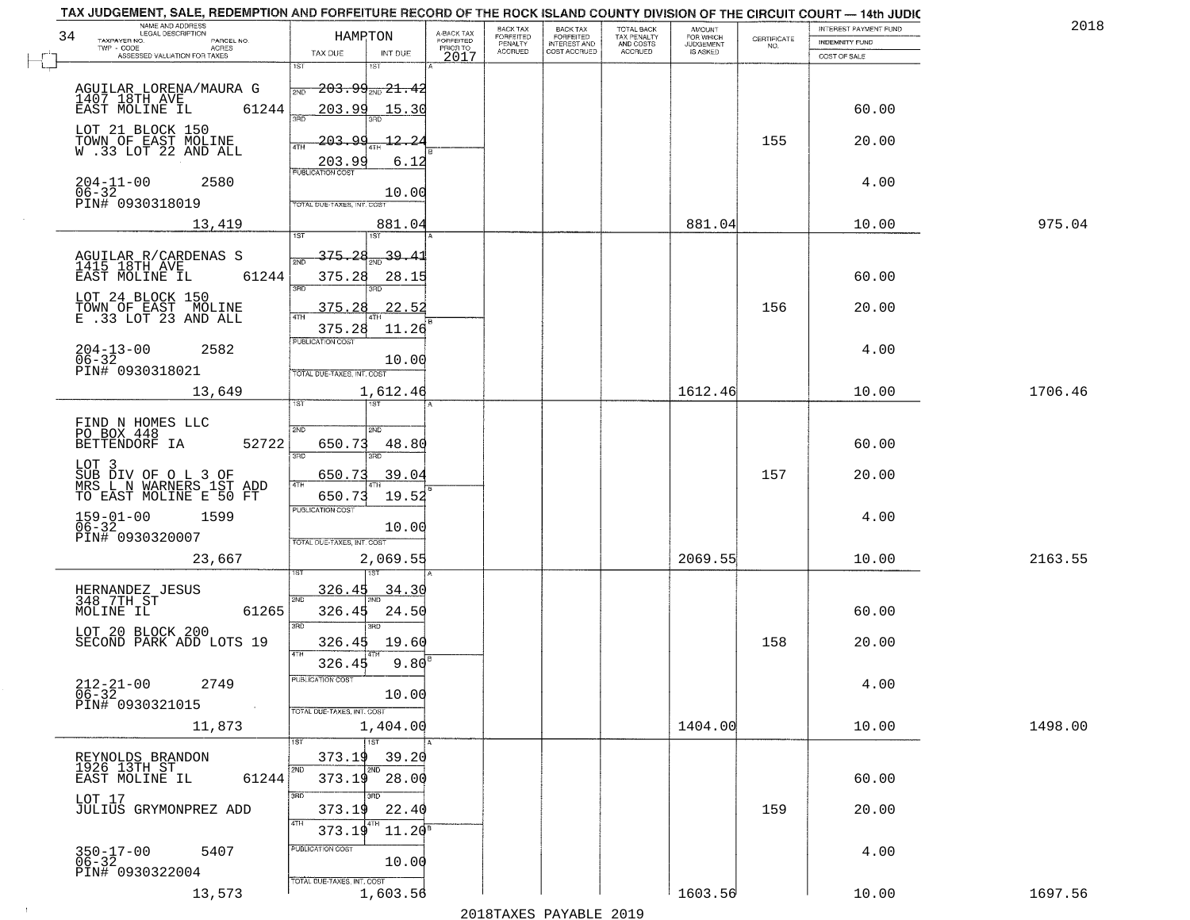| TAX JUDGEMENT, SALE, REDEMPTION AND FORFEITURE RECORD OF THE ROCK ISLAND COUNTY DIVISION OF THE CIRCUIT COURT - 14th JUDIC |                                            |                                     |                                 |                                           |                          |                                    |                                                                 |                       |         |
|----------------------------------------------------------------------------------------------------------------------------|--------------------------------------------|-------------------------------------|---------------------------------|-------------------------------------------|--------------------------|------------------------------------|-----------------------------------------------------------------|-----------------------|---------|
| NAME AND ADDRESS<br>LEGAL DESCRIPTION                                                                                      |                                            |                                     | <b>BACK TAX</b>                 | <b>BACK TAX</b>                           | <b>TOTAL BACK</b>        | <b>AMOUNT</b>                      |                                                                 | INTEREST PAYMENT FUND | 201     |
| 34<br>TAXPAYER NO.<br>PARCEL NO.<br>TWP - CODE<br>ACRES                                                                    | HAMRTON                                    | A-BACK TAX<br>FORFEITED<br>PRIOR TO | FORFEITED<br>PENALTY<br>ACCRUED | FORFEITED<br>INTEREST AND<br>COST ACCRUED | TAX PENALTY<br>AND COSTS | FOR WHICH<br>JUDGEMENT<br>IS ASKED | $\begin{array}{c} \text{CERTIFICATE} \\ \text{NO.} \end{array}$ | <b>INDEMNITY FUND</b> |         |
| ASSESSED VALUATION FOR TAXES                                                                                               | TAX DUE<br>INT DUE<br>1ST<br>1ST           | 2017                                |                                 |                                           | ACCRUED                  |                                    |                                                                 | COST OF SALE          |         |
|                                                                                                                            |                                            |                                     |                                 |                                           |                          |                                    |                                                                 |                       |         |
| AGUILAR LORENA/MAURA G                                                                                                     | $203.99_{200} 21.42$<br>2ND                |                                     |                                 |                                           |                          |                                    |                                                                 |                       |         |
| 1407 18TH AVE<br>EAST MOLINE IL<br>61244                                                                                   | 203.99<br>15.30                            |                                     |                                 |                                           |                          |                                    |                                                                 | 60.00                 |         |
|                                                                                                                            | 350                                        |                                     |                                 |                                           |                          |                                    |                                                                 |                       |         |
| LOT 21 BLOCK 150                                                                                                           | 203.99<br><u> 12.2</u>                     |                                     |                                 |                                           |                          |                                    | 155                                                             | 20.00                 |         |
| TOWN OF EAST MOLINE<br>W .33 LOT 22 AND ALL                                                                                | 4TH                                        |                                     |                                 |                                           |                          |                                    |                                                                 |                       |         |
|                                                                                                                            | 6.12<br>203.99<br><b>PUBLICATION COST</b>  |                                     |                                 |                                           |                          |                                    |                                                                 |                       |         |
| $204 - 11 - 00$<br>2580                                                                                                    |                                            |                                     |                                 |                                           |                          |                                    |                                                                 | 4.00                  |         |
| $06 - 32$<br>PIN# 0930318019                                                                                               | 10.00<br><b>TOTAL DUE-TAXES, INT. COST</b> |                                     |                                 |                                           |                          |                                    |                                                                 |                       |         |
|                                                                                                                            |                                            |                                     |                                 |                                           |                          | 881.04                             |                                                                 |                       | 975.04  |
| 13,419                                                                                                                     | 881.04<br>1ST<br>1ST                       |                                     |                                 |                                           |                          |                                    |                                                                 | 10.00                 |         |
|                                                                                                                            |                                            |                                     |                                 |                                           |                          |                                    |                                                                 |                       |         |
| AGUILAR R/CARDENAS S<br>1415 18TH AVE                                                                                      | <del>375.2</del> 8 <sub>2ND</sub> 39.41    |                                     |                                 |                                           |                          |                                    |                                                                 |                       |         |
| EAST MOLINE IL<br>61244                                                                                                    | 375.28<br>28.15<br>$\overline{3BD}$<br>3RD |                                     |                                 |                                           |                          |                                    |                                                                 | 60.00                 |         |
| LOT 24 BLOCK 150                                                                                                           |                                            |                                     |                                 |                                           |                          |                                    |                                                                 |                       |         |
| TOWN OF EAST MOLINE<br>E .33 LOT 23 AND ALL                                                                                | 22.52<br>375.28                            |                                     |                                 |                                           |                          |                                    | 156                                                             | 20.00                 |         |
|                                                                                                                            | 375.28<br>11.26                            |                                     |                                 |                                           |                          |                                    |                                                                 |                       |         |
| $204 - 13 - 00$<br>2582                                                                                                    | PUBLICATION COST                           |                                     |                                 |                                           |                          |                                    |                                                                 | 4.00                  |         |
| $06 - 32$                                                                                                                  | 10.00                                      |                                     |                                 |                                           |                          |                                    |                                                                 |                       |         |
| PIN# 0930318021                                                                                                            | TOTAL DUE-TAXES, INT. COST                 |                                     |                                 |                                           |                          |                                    |                                                                 |                       |         |
| 13,649                                                                                                                     | 1,612.46                                   |                                     |                                 |                                           |                          | 1612.46                            |                                                                 | 10.00                 | 1706.46 |
|                                                                                                                            | ist<br>1ST                                 |                                     |                                 |                                           |                          |                                    |                                                                 |                       |         |
| FIND N HOMES LLC<br>PO BOX 448<br>BETTENDORF IA                                                                            | 2ND<br>2ND                                 |                                     |                                 |                                           |                          |                                    |                                                                 |                       |         |
| 52722                                                                                                                      | 650.73<br>48.80                            |                                     |                                 |                                           |                          |                                    |                                                                 | 60.00                 |         |
| LOT 3                                                                                                                      | 3RD<br>3RD                                 |                                     |                                 |                                           |                          |                                    |                                                                 |                       |         |
|                                                                                                                            | 39.04<br>650.73                            |                                     |                                 |                                           |                          |                                    | 157                                                             | 20.00                 |         |
| SUB DIV OF O L 3 OF<br>MRS L N WARNERS 1ST ADD<br>TO EAST MOLINE E 50 FT                                                   | 4TH<br>650.73<br>19.52                     |                                     |                                 |                                           |                          |                                    |                                                                 |                       |         |
|                                                                                                                            | <b>PUBLICATION COST</b>                    |                                     |                                 |                                           |                          |                                    |                                                                 |                       |         |
| $159-01-00$<br>06-32<br>1599                                                                                               | 10.00                                      |                                     |                                 |                                           |                          |                                    |                                                                 | 4.00                  |         |
| PIN# 0930320007                                                                                                            | TOTAL OUE-TAXES, INT. COST                 |                                     |                                 |                                           |                          |                                    |                                                                 |                       |         |
| 23,667                                                                                                                     | 2,069.55                                   |                                     |                                 |                                           |                          | 2069.55                            |                                                                 | 10.00                 | 2163.55 |
|                                                                                                                            |                                            |                                     |                                 |                                           |                          |                                    |                                                                 |                       |         |
| HERNANDEZ JESUS<br>348_7TH_ST                                                                                              | <u>326.45</u><br>34.30<br>2ND              |                                     |                                 |                                           |                          |                                    |                                                                 |                       |         |
| MOLINE IL<br>61265                                                                                                         | 24.50<br>326.45                            |                                     |                                 |                                           |                          |                                    |                                                                 | 60.00                 |         |
|                                                                                                                            | 3RD<br>3RD                                 |                                     |                                 |                                           |                          |                                    |                                                                 |                       |         |
| LOT 20 BLOCK 200<br>SECOND PARK ADD LOTS 19                                                                                | 326.45<br>19.60                            |                                     |                                 |                                           |                          |                                    | 158                                                             | 20.00                 |         |
|                                                                                                                            | 9.80 <sup>B</sup><br>326.45                |                                     |                                 |                                           |                          |                                    |                                                                 |                       |         |
|                                                                                                                            | <b>PUBLICATION COS</b>                     |                                     |                                 |                                           |                          |                                    |                                                                 |                       |         |
| $212 - 21 - 00$<br>2749<br>$06 - 32$                                                                                       | 10.00                                      |                                     |                                 |                                           |                          |                                    |                                                                 | 4.00                  |         |
| PIN# 0930321015<br>$\sim 100$ km $^{-1}$                                                                                   | TOTAL DUE-TAXES, INT. COST                 |                                     |                                 |                                           |                          |                                    |                                                                 |                       |         |
| 11,873                                                                                                                     | 1,404.00                                   |                                     |                                 |                                           |                          | 1404.00                            |                                                                 | 10.00                 | 1498.00 |
|                                                                                                                            | $\overline{11ST}$                          |                                     |                                 |                                           |                          |                                    |                                                                 |                       |         |
|                                                                                                                            | 373.19<br>39.20                            |                                     |                                 |                                           |                          |                                    |                                                                 |                       |         |
| REYNOLDS BRANDON<br>1926 13TH ST                                                                                           | 2ND<br>2ND                                 |                                     |                                 |                                           |                          |                                    |                                                                 |                       |         |
| EAST MOLINE IL<br>61244                                                                                                    | 373.19<br>28.00                            |                                     |                                 |                                           |                          |                                    |                                                                 | 60.00                 |         |
| LOT 17<br>JULIUS GRYMONPREZ ADD                                                                                            | 3RD<br>3RD<br>22.40<br>373.19              |                                     |                                 |                                           |                          |                                    | 159                                                             | 20.00                 |         |
|                                                                                                                            | 4TH                                        |                                     |                                 |                                           |                          |                                    |                                                                 |                       |         |
|                                                                                                                            | 373.19<br>$11.20^8$                        |                                     |                                 |                                           |                          |                                    |                                                                 |                       |         |
| $350 - 17 - 00$<br>06-32<br>5407                                                                                           | PUBLICATION COST                           |                                     |                                 |                                           |                          |                                    |                                                                 | 4.00                  |         |
| PIN# 0930322004                                                                                                            | 10.00                                      |                                     |                                 |                                           |                          |                                    |                                                                 |                       |         |
|                                                                                                                            | TOTAL DUE-TAXES, INT. COST                 |                                     |                                 |                                           |                          |                                    |                                                                 |                       |         |
| 13,573                                                                                                                     | 1,603.56                                   |                                     |                                 |                                           |                          | 1603.56                            |                                                                 | 10.00                 | 1697.56 |

 $\sim 10$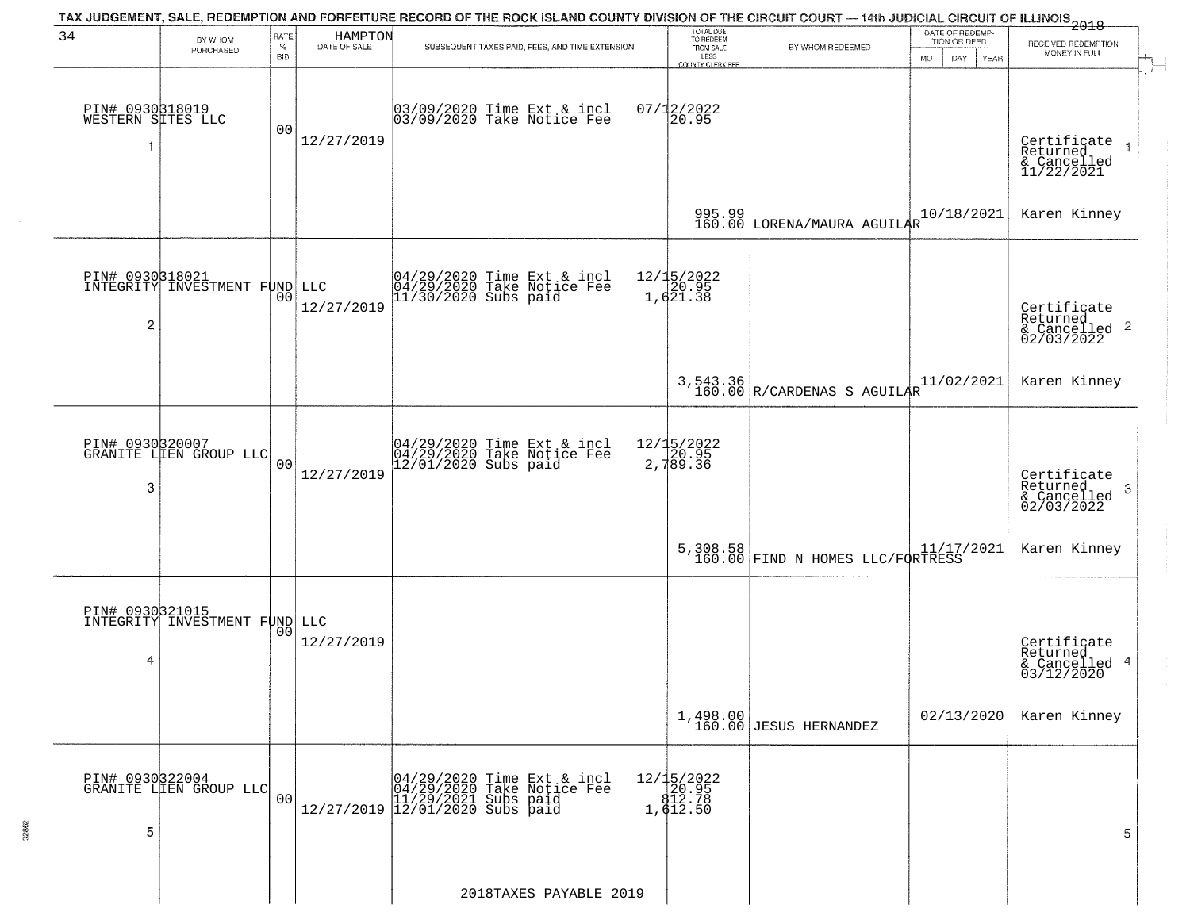|                                            |                                                         |                            |                         | TAX JUDGEMENT, SALE, REDEMPTION AND FORFEITURE RECORD OF THE ROCK ISLAND COUNTY DIVISION OF THE CIRCUIT COURT — 14th JUDICIAL CIRCUIT OF ILLINOIS 2018 |                                                                 |                                              |                                                             |                                                                    |
|--------------------------------------------|---------------------------------------------------------|----------------------------|-------------------------|--------------------------------------------------------------------------------------------------------------------------------------------------------|-----------------------------------------------------------------|----------------------------------------------|-------------------------------------------------------------|--------------------------------------------------------------------|
| 34                                         | BY WHOM<br>PURCHASED                                    | RATE<br>$\%$<br><b>BID</b> | HAMPTON<br>DATE OF SALE | SUBSEQUENT TAXES PAID, FEES, AND TIME EXTENSION                                                                                                        | TOTAL DUE<br>TO REDEEM<br>FROM SALE<br>LESS<br>COUNTY CLERK FEE | BY WHOM REDEEMED                             | DATE OF REDEMP-<br>TION OR DEED<br><b>MO</b><br>DAY<br>YEAR | RECEIVED REDEMPTION<br>MONEY IN FULL                               |
| PIN# 0930818019<br>WESTERN SITES LLC<br>-1 |                                                         | 00                         | 12/27/2019              | 03/09/2020 Time Ext & incl<br>03/09/2020 Take Notice Fee                                                                                               | $07/12/2022$<br>20.95                                           |                                              |                                                             | Certifiçate<br>Returned<br>& Cancelled<br>11/22/2021               |
|                                            |                                                         |                            |                         |                                                                                                                                                        |                                                                 | 995.99<br>160.00 LORENA/MAURA AGUILAR        | 10/18/2021                                                  | Karen Kinney                                                       |
| $\overline{2}$                             | <b>PIN# 0930318021</b><br>INTEGRITY INVESTMENT FUND LLC | 00                         | 12/27/2019              | 04/29/2020 Time Ext & incl<br>04/29/2020 Take Notice Fee<br>11/30/2020 Subs paid                                                                       | 12/15/2022<br>20.95<br>1,621.38                                 |                                              |                                                             | Certificate<br>Returned<br>$\frac{1}{2}$ Cancelled 2<br>02/03/2022 |
|                                            |                                                         |                            |                         |                                                                                                                                                        |                                                                 | 3,543.36<br>160.00 R/CARDENAS S AGUILAR      | 11/02/2021                                                  | Karen Kinney                                                       |
| 3                                          | PIN# 0930320007<br>GRANITE LIEN GROUP LLC               | 0 <sub>0</sub>             | 12/27/2019              | 04/29/2020 Time Ext & incl<br>04/29/2020 Take Notice Fee<br>12/01/2020 Subs paid                                                                       | 12/15/2022<br>20.95<br>2,789.36                                 |                                              |                                                             | Certificate<br>Returned<br>3<br>& Cancelled<br>02/03/2022          |
|                                            |                                                         |                            |                         |                                                                                                                                                        |                                                                 | 5,308.58<br>160.00 FIND N HOMES LLC/FORTRESS |                                                             | Karen Kinney                                                       |
| 4                                          | PIN# 0930321015<br>INTEGRITY INVESTMENT FUND LLC        | 0 <sub>0</sub>             | 12/27/2019              |                                                                                                                                                        |                                                                 |                                              |                                                             | Certificate<br>Returned<br>& Cancelled 4<br>03/12/2020             |
|                                            |                                                         |                            |                         |                                                                                                                                                        |                                                                 | $1,498.00$<br>160.00 JESUS HERNANDEZ         | 02/13/2020                                                  | Karen Kinney                                                       |
| PIN# 0930322004<br>5                       | GRANITE LIEN GROUP LLC                                  | 0 <sub>0</sub>             |                         | 04/29/2020 Time Ext & incl<br>04/29/2020 Take Notice Fee<br>11/29/2021 Subs paid<br>12/27/2019 12/01/2020 Subs paid                                    | 12/15/2022<br>20.95<br>212.78<br>1,612.50                       |                                              |                                                             | 5                                                                  |
|                                            |                                                         |                            |                         | 2018TAXES PAYABLE 2019                                                                                                                                 |                                                                 |                                              |                                                             |                                                                    |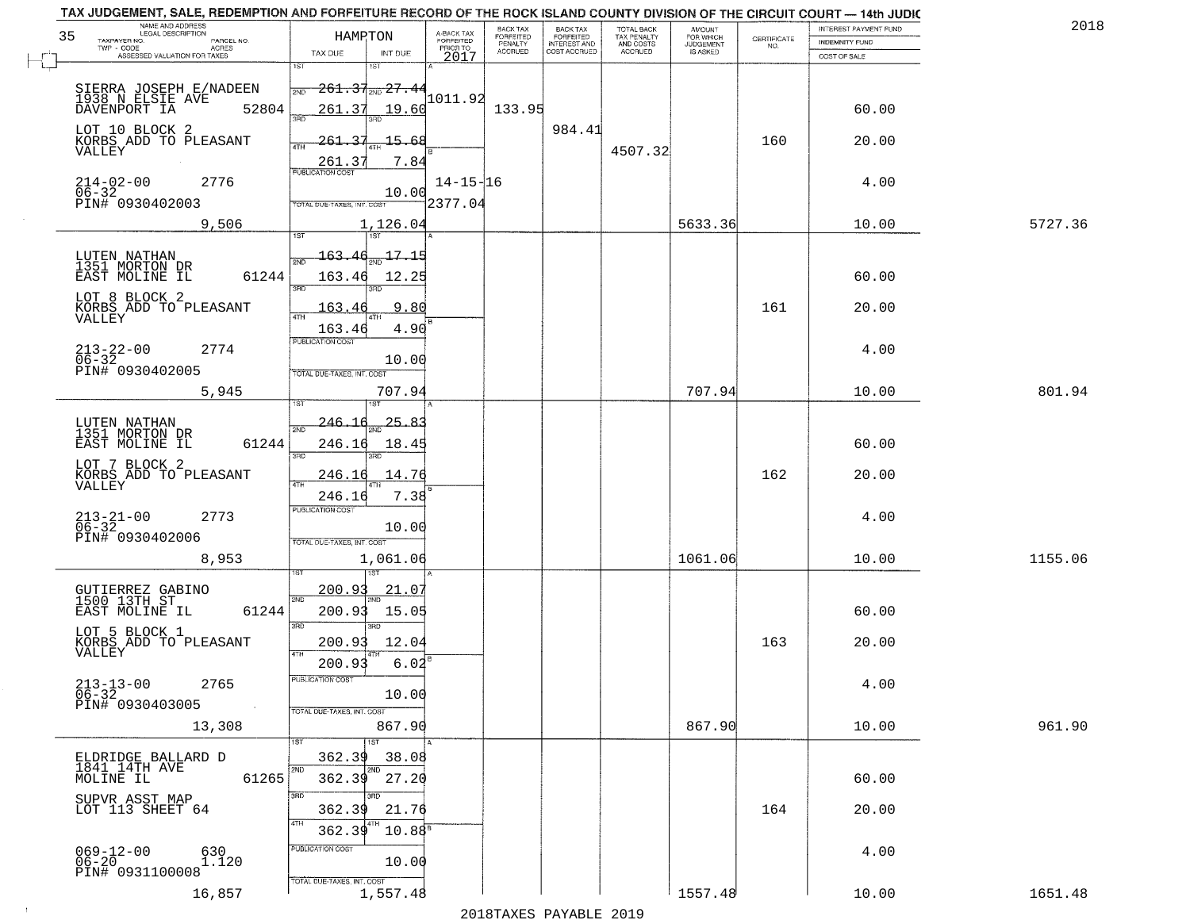|    | TAX JUDGEMENT, SALE, REDEMPTION AND FORFEITURE RECORD OF THE ROCK ISLAND COUNTY DIVISION OF THE CIRCUIT COURT - 14th JUDIC<br>NAME AND ADDRESS<br>LEGAL DESCRIPTION |                                           |                                     | BACK TAX                    | BACK TAX<br>FORFEITED |                                        | AMOUNT<br>FOR WHICH |                                                                 | INTEREST PAYMENT FUND | 2018    |
|----|---------------------------------------------------------------------------------------------------------------------------------------------------------------------|-------------------------------------------|-------------------------------------|-----------------------------|-----------------------|----------------------------------------|---------------------|-----------------------------------------------------------------|-----------------------|---------|
| 35 | TAXPAYER NO.<br>PARCEL NO.                                                                                                                                          | HAMPTON                                   | A-BACK TAX<br>FORFEITED<br>PRIOR TO | <b>FORFEITED</b><br>PENALTY | <b>INTEREST AND</b>   | TOTAL BACK<br>TAX PENALTY<br>AND COSTS | <b>JUDGEMENT</b>    | $\begin{array}{c} \text{CERTIFICATE} \\ \text{NO.} \end{array}$ | INDEMNITY FUND        |         |
|    | ACRES<br>ASSESSED VALUATION FOR TAXES                                                                                                                               | TAX DUE<br>INT DUE                        | 2017                                | <b>ACCRUED</b>              | COST ACCRUED          | <b>ACCRUED</b>                         | IS ASKED            |                                                                 | COST OF SALE          |         |
|    |                                                                                                                                                                     | 1ST<br><b>IST</b>                         |                                     |                             |                       |                                        |                     |                                                                 |                       |         |
|    | SIERRA JOSEPH E/NADEEN                                                                                                                                              | $-261.37_{200}$ 27.44<br>2ND              |                                     |                             |                       |                                        |                     |                                                                 |                       |         |
|    | 1938 N ELSIE AVE<br>52804<br>DAVENPORT IA                                                                                                                           | 261.37<br>19.60                           | 1011.92                             | 133.95                      |                       |                                        |                     |                                                                 | 60.00                 |         |
|    |                                                                                                                                                                     | 350                                       |                                     |                             |                       |                                        |                     |                                                                 |                       |         |
|    | LOT 10 BLOCK 2                                                                                                                                                      | -15.68<br>261.37                          |                                     |                             | 984.41                |                                        |                     | 160                                                             | 20.00                 |         |
|    | KORBS ADD TO PLEASANT<br>VALLEY                                                                                                                                     |                                           |                                     |                             |                       | 4507.32                                |                     |                                                                 |                       |         |
|    |                                                                                                                                                                     | 7.84<br>261.37<br><b>PUBLICATION COST</b> |                                     |                             |                       |                                        |                     |                                                                 |                       |         |
|    | $214 - 02 - 00$<br>06-32<br>2776                                                                                                                                    |                                           | $14 - 15 - 16$                      |                             |                       |                                        |                     |                                                                 | 4.00                  |         |
|    | PIN# 0930402003                                                                                                                                                     | 10.00<br>TOTAL DUE-TAXES, INT. COST       | 2377.04                             |                             |                       |                                        |                     |                                                                 |                       |         |
|    | 9,506                                                                                                                                                               |                                           |                                     |                             |                       |                                        | 5633.36             |                                                                 | 10.00                 | 5727.36 |
|    |                                                                                                                                                                     | 1,126.04                                  |                                     |                             |                       |                                        |                     |                                                                 |                       |         |
|    | LUTEN NATHAN                                                                                                                                                        | $163.46_{200}$ 17.15                      |                                     |                             |                       |                                        |                     |                                                                 |                       |         |
|    | 1351 MORTON DR                                                                                                                                                      |                                           |                                     |                             |                       |                                        |                     |                                                                 |                       |         |
|    | 61244<br>EAST MOLINE IL                                                                                                                                             | 163.46<br>12.25<br>3RD                    |                                     |                             |                       |                                        |                     |                                                                 | 60.00                 |         |
|    | LOT 8 BLOCK 2                                                                                                                                                       |                                           |                                     |                             |                       |                                        |                     |                                                                 |                       |         |
|    | $\tilde{\text{KORBS}}$ $\tilde{\text{ADD}}$ To $\tilde{\text{PLEASANT}}$ VALLEY                                                                                     | 9.80<br>163.46                            |                                     |                             |                       |                                        |                     | 161                                                             | 20.00                 |         |
|    |                                                                                                                                                                     | 4.90<br>163.46                            |                                     |                             |                       |                                        |                     |                                                                 |                       |         |
|    | $213 - 22 - 00$<br>2774                                                                                                                                             | PUBLICATION COST                          |                                     |                             |                       |                                        |                     |                                                                 | 4.00                  |         |
|    | $06 - 32$<br>PIN# 0930402005                                                                                                                                        | 10.00                                     |                                     |                             |                       |                                        |                     |                                                                 |                       |         |
|    |                                                                                                                                                                     | TOTAL DUE-TAXES, INT. COST                |                                     |                             |                       |                                        |                     |                                                                 |                       |         |
|    | 5,945                                                                                                                                                               | 707.94                                    |                                     |                             |                       |                                        | 707.94              |                                                                 | 10.00                 | 801.94  |
|    |                                                                                                                                                                     |                                           |                                     |                             |                       |                                        |                     |                                                                 |                       |         |
|    | LUTEN NATHAN<br>1351 MORTON DR                                                                                                                                      | 25.8.<br>-246.<br>2ND                     |                                     |                             |                       |                                        |                     |                                                                 |                       |         |
|    | EAST MOLINE IL<br>61244                                                                                                                                             | 246.16<br>18.45                           |                                     |                             |                       |                                        |                     |                                                                 | 60.00                 |         |
|    | LOT 7 BLOCK 2                                                                                                                                                       | 3RD<br>3RD                                |                                     |                             |                       |                                        |                     |                                                                 |                       |         |
|    | KORBS ADD TO PLEASANT<br>VALLEY                                                                                                                                     | 14.76<br><u>246.1</u><br><b>ATH</b>       |                                     |                             |                       |                                        |                     | 162                                                             | 20.00                 |         |
|    |                                                                                                                                                                     | 7.38<br>246.1                             |                                     |                             |                       |                                        |                     |                                                                 |                       |         |
|    | 2773                                                                                                                                                                | <b>PUBLICATION COST</b>                   |                                     |                             |                       |                                        |                     |                                                                 | 4.00                  |         |
|    | $213 - 21 - 00$<br>06-32                                                                                                                                            | 10.00                                     |                                     |                             |                       |                                        |                     |                                                                 |                       |         |
|    | PIN# 0930402006                                                                                                                                                     | TOTAL OUE-TAXES, INT. COST                |                                     |                             |                       |                                        |                     |                                                                 |                       |         |
|    | 8,953                                                                                                                                                               | 1,061.06                                  |                                     |                             |                       |                                        | 1061.06             |                                                                 | 10.00                 | 1155.06 |
|    |                                                                                                                                                                     |                                           |                                     |                             |                       |                                        |                     |                                                                 |                       |         |
|    | GUTIERREZ GABINO<br>1500 13TH ST                                                                                                                                    | 200.93<br><u>21.07</u><br>2ND             |                                     |                             |                       |                                        |                     |                                                                 |                       |         |
|    | EAST MOLINE IL<br>61244                                                                                                                                             | 200.93<br>15.05                           |                                     |                             |                       |                                        |                     |                                                                 | 60.00                 |         |
|    | LOT 5 BLOCK 1                                                                                                                                                       | 3BD<br>3RD                                |                                     |                             |                       |                                        |                     |                                                                 |                       |         |
|    | KORBS ADD TO PLEASANT                                                                                                                                               | 200.93<br>12.04                           |                                     |                             |                       |                                        |                     | 163                                                             | 20.00                 |         |
|    | VALLEY                                                                                                                                                              | 4TH<br>200.93<br>6.02                     |                                     |                             |                       |                                        |                     |                                                                 |                       |         |
|    | 2765                                                                                                                                                                | PUBLICATION COS-                          |                                     |                             |                       |                                        |                     |                                                                 | 4.00                  |         |
|    | $213 - 13 - 00$<br>06-32                                                                                                                                            | 10.00                                     |                                     |                             |                       |                                        |                     |                                                                 |                       |         |
|    | PIN# 0930403005<br>$\sim 10^{-1}$                                                                                                                                   | TOTAL DUE-TAXES, INT. COST                |                                     |                             |                       |                                        |                     |                                                                 |                       |         |
|    | 13,308                                                                                                                                                              | 867.90                                    |                                     |                             |                       |                                        | 867.90              |                                                                 | 10.00                 | 961.90  |
|    |                                                                                                                                                                     |                                           |                                     |                             |                       |                                        |                     |                                                                 |                       |         |
|    | ELDRIDGE BALLARD D                                                                                                                                                  | 362.39<br>38.08                           |                                     |                             |                       |                                        |                     |                                                                 |                       |         |
|    | 1841 14TH AVE<br>MOLINE IL<br>61265                                                                                                                                 | 362.39<br>27.20                           |                                     |                             |                       |                                        |                     |                                                                 | 60.00                 |         |
|    |                                                                                                                                                                     | 3RD                                       |                                     |                             |                       |                                        |                     |                                                                 |                       |         |
|    | SUPVR ASST MAP<br>LOT 113 SHEET 64                                                                                                                                  | 362.39<br>21.76                           |                                     |                             |                       |                                        |                     | 164                                                             | 20.00                 |         |
|    |                                                                                                                                                                     | $10.88^{\circ}$<br>362.39                 |                                     |                             |                       |                                        |                     |                                                                 |                       |         |
|    |                                                                                                                                                                     | PUBLICATION COST                          |                                     |                             |                       |                                        |                     |                                                                 |                       |         |
|    | $069 - 12 - 00$<br>06-20<br>630<br>1.120                                                                                                                            | 10.00                                     |                                     |                             |                       |                                        |                     |                                                                 | 4.00                  |         |
|    | PIN# 0931100008                                                                                                                                                     | TOTAL DUE-TAXES, INT. COST                |                                     |                             |                       |                                        |                     |                                                                 |                       |         |
|    | 16,857                                                                                                                                                              | 1,557.48                                  |                                     |                             |                       |                                        | 1557.48             |                                                                 | 10.00                 | 1651.48 |
|    |                                                                                                                                                                     |                                           |                                     |                             | 2010                  |                                        |                     |                                                                 |                       |         |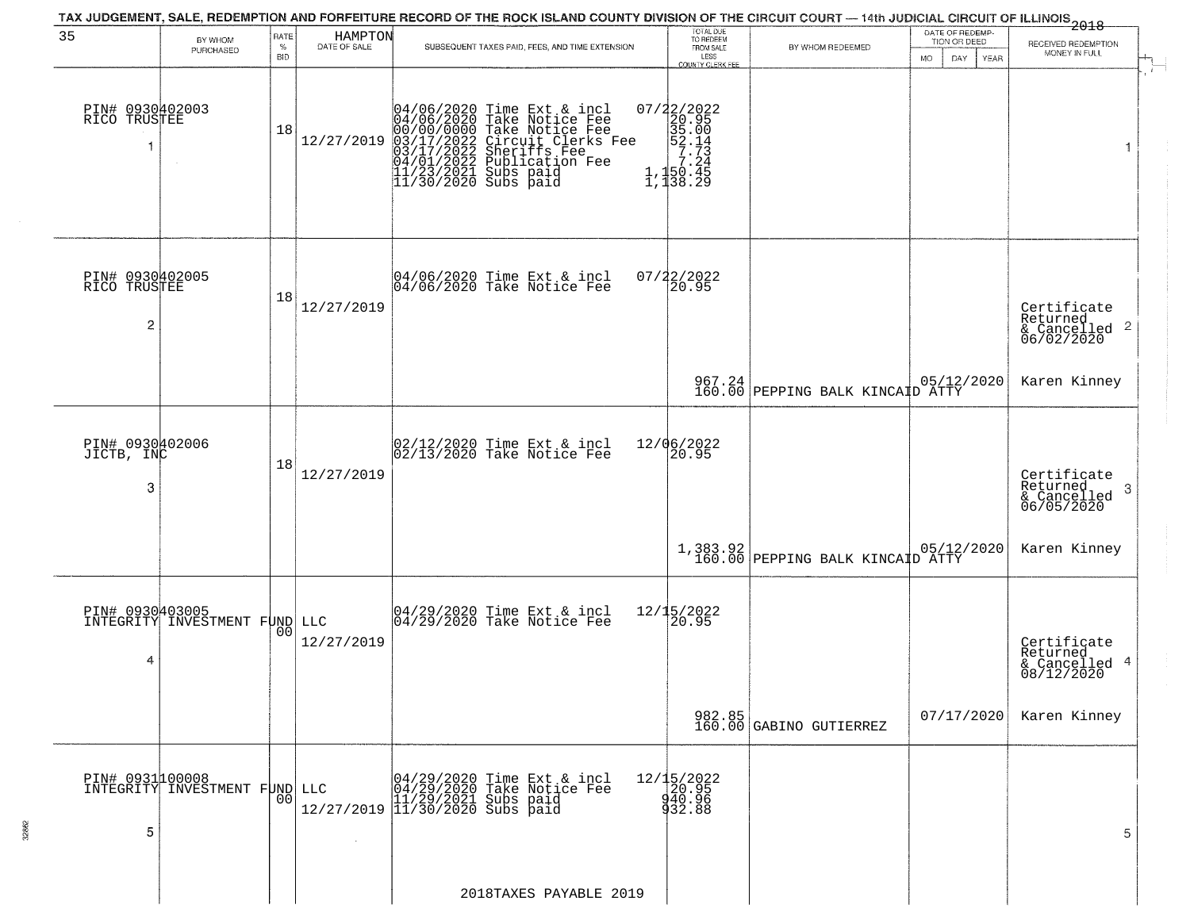|                                                   |                                                  |                            |                         | TAX JUDGEMENT, SALE, REDEMPTION AND FORFEITURE RECORD OF THE ROCK ISLAND COUNTY DIVISION OF THE CIRCUIT COURT — 14th JUDICIAL CIRCUIT OF ILLINOIS 2018                                                                               |                                                                                                    |                                                       |                                                        |                                                           |
|---------------------------------------------------|--------------------------------------------------|----------------------------|-------------------------|--------------------------------------------------------------------------------------------------------------------------------------------------------------------------------------------------------------------------------------|----------------------------------------------------------------------------------------------------|-------------------------------------------------------|--------------------------------------------------------|-----------------------------------------------------------|
| 35                                                | BY WHOM<br>PURCHASED                             | RATE<br>$\%$<br><b>BID</b> | HAMPTON<br>DATE OF SALE | SUBSEQUENT TAXES PAID, FEES, AND TIME EXTENSION                                                                                                                                                                                      | TOTAL DUE<br>TO REDEEM<br>FROM SALE<br>LESS<br>LESS<br>COUNTY CLERK FEE                            | BY WHOM REDEEMED                                      | DATE OF REDEMP-<br>TION OR DEED<br>MO.<br>DAY.<br>YEAR | RECEIVED REDEMPTION<br>MONEY IN FULL                      |
| PIN# 0930402003<br>RICO TRUSTEE<br>1              |                                                  | 18                         | 12/27/2019              | 04/06/2020 Time Ext & incl<br>04/06/2020 Take Notice Fee<br>00/00/00000 Take Notice Fee<br>03/17/2022 Circuit Clerks Fee<br>03/17/2022 Subrication Fee<br>04/01/2022 Publication Fee<br>11/23/2021 Subs paid<br>11/30/2020 Subs paid | 07/22/2022<br>20.95<br>35.00<br>52.14<br>7.24<br>7.24<br>7.24<br>$\frac{1}{1}, \frac{150}{138}.29$ |                                                       |                                                        |                                                           |
| PIN# 0930402005<br>RICO TRUSTEE<br>$\overline{c}$ |                                                  | 18                         | 12/27/2019              | 04/06/2020 Time Ext & incl<br>04/06/2020 Take Notice Fee                                                                                                                                                                             | 07/22/2022<br>20.95                                                                                |                                                       |                                                        | Certificate<br>Returned<br>& Cancelled 2<br>06/02/2020    |
|                                                   |                                                  |                            |                         |                                                                                                                                                                                                                                      |                                                                                                    | 967.24 05/12/2020<br>160.00 PEPPING BALK KINCAID ATTY |                                                        | Karen Kinney                                              |
| PIN# 0930402006<br>JICTB, INC<br>3                |                                                  | 18                         | 12/27/2019              | 02/12/2020 Time Ext & incl<br>02/13/2020 Take Notice Fee                                                                                                                                                                             | 12/06/2022<br>20.95                                                                                |                                                       |                                                        | Certificate<br>Returned<br>3<br>& Cancelled<br>06/05/2020 |
|                                                   |                                                  |                            |                         |                                                                                                                                                                                                                                      |                                                                                                    | 1,383.92<br>160.00 PEPPING BALK KINCAID ATTY          |                                                        | Karen Kinney                                              |
| 4                                                 | PIN# 0930403005<br>INTEGRITY INVESTMENT FUND LLC | 00                         | 12/27/2019              | 04/29/2020 Time Ext & incl<br>04/29/2020 Take Notice Fee                                                                                                                                                                             | 12/15/2022<br>20.95                                                                                |                                                       |                                                        | Certificate<br>Returned<br>& Cancelled 4<br>08/12/2020    |
|                                                   |                                                  |                            |                         |                                                                                                                                                                                                                                      |                                                                                                    | 982.85<br>160.00 GABINO GUTIERREZ                     | 07/17/2020                                             | Karen Kinney                                              |
| PIN# 0931100008<br>5                              | INTEGRITY INVESTMENT FUND LLC                    | 0 <sup>0</sup>             |                         | LLC 04/29/2020 Time Ext & incl<br>04/29/2020 Take Notice Fee<br>11/29/2021 Subs paid<br>12/27/2019 11/30/2020 Subs paid                                                                                                              | 12/15/2022<br>20.95<br>40.96<br>432.88                                                             |                                                       |                                                        | 5                                                         |
|                                                   |                                                  |                            |                         | 2018TAXES PAYABLE 2019                                                                                                                                                                                                               |                                                                                                    |                                                       |                                                        |                                                           |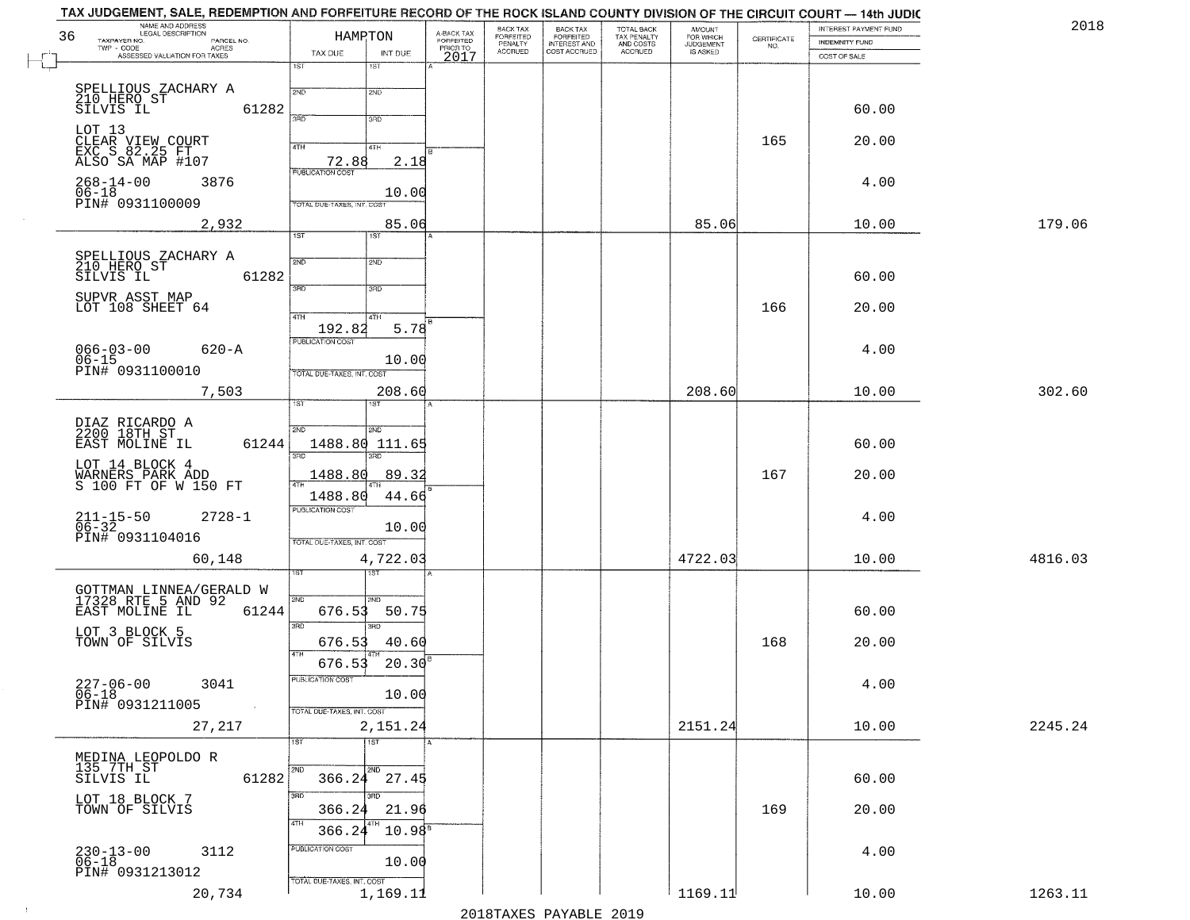| NAME AND ADDRESS<br>LEGAL DESCRIPTION<br>36<br>TAXPAYER NO.<br>PARCEL NO. | HAMRTON                                              | A-BACK TAX<br>FORFEITED<br>PRIOR TO | BACK TAX<br>BACK TAX<br>FORFEITED<br>INTEREST AND<br><b>FORFEITED</b> | TOTAL BACK<br>TAX PENALTY<br>AND COSTS | AMOUNT<br>FOR WHICH<br>JUDGEMENT |                    | INTEREST PAYMENT FUND          | 2018    |
|---------------------------------------------------------------------------|------------------------------------------------------|-------------------------------------|-----------------------------------------------------------------------|----------------------------------------|----------------------------------|--------------------|--------------------------------|---------|
| TWP - CODE<br>ACRES<br>ASSESSED VALUATION FOR TAXES                       | TAX DUE<br>INT DUE                                   |                                     | PENALTY<br><b>ACCRUED</b><br>COST ACCRUED                             | ACCRUED                                | IS ASKED                         | CERTIFICATE<br>NO. | INDEMNITY FUND<br>COST OF SALE |         |
|                                                                           | $1S$ T<br>1ST                                        | 2017                                |                                                                       |                                        |                                  |                    |                                |         |
| SPELLIOUS ZACHARY A                                                       | 2ND<br>2ND                                           |                                     |                                                                       |                                        |                                  |                    |                                |         |
| 210 HERO ST<br>SILVIS IL<br>61282                                         |                                                      |                                     |                                                                       |                                        |                                  |                    | 60.00                          |         |
|                                                                           | 39D<br>3RD                                           |                                     |                                                                       |                                        |                                  |                    |                                |         |
| LOT 13<br>CLEAR VIEW COURT<br>EXC S 82.25 FT                              | 4TH<br>4TH                                           |                                     |                                                                       |                                        |                                  | 165                | 20.00                          |         |
| ALSO SA MAP #107                                                          | 72.88<br>2.18                                        |                                     |                                                                       |                                        |                                  |                    |                                |         |
| $268 - 14 - 00$<br>3876                                                   | 10.00                                                |                                     |                                                                       |                                        |                                  |                    | 4.00                           |         |
| 06-18<br>PIN# 0931100009                                                  | TOTAL DUE-TAXES, INT. COST                           |                                     |                                                                       |                                        |                                  |                    |                                |         |
| 2,932                                                                     | 85.06<br>1ST<br>1ST                                  |                                     |                                                                       |                                        | 85.06                            |                    | 10.00                          | 179.06  |
|                                                                           |                                                      |                                     |                                                                       |                                        |                                  |                    |                                |         |
| SPELLIOUS ZACHARY A<br>210 HERO ST<br>SILVIS IL<br>61282                  | 2ND<br>2ND                                           |                                     |                                                                       |                                        |                                  |                    | 60.00                          |         |
|                                                                           | $\overline{3\overline{BD}}$<br>3RD                   |                                     |                                                                       |                                        |                                  |                    |                                |         |
| SUPVR ASST MAP<br>LOT 108 SHEET 64                                        | 47H<br>4TH                                           |                                     |                                                                       |                                        |                                  | 166                | 20.00                          |         |
|                                                                           | 5.78<br>192.82                                       |                                     |                                                                       |                                        |                                  |                    |                                |         |
| $066 - 03 - 00$<br>$620 - A$                                              | PUBLICATION COST                                     |                                     |                                                                       |                                        |                                  |                    | 4.00                           |         |
| 06-15<br>PIN# 0931100010                                                  | 10.00<br>TOTAL DUE-TAXES, INT. COST                  |                                     |                                                                       |                                        |                                  |                    |                                |         |
| 7,503                                                                     | 208.60                                               |                                     |                                                                       |                                        | 208.60                           |                    | 10.00                          | 302.60  |
|                                                                           | 1ST                                                  |                                     |                                                                       |                                        |                                  |                    |                                |         |
| DIAZ RICARDO A<br>2200 18TH ST                                            | 2ND<br>2ND                                           |                                     |                                                                       |                                        |                                  |                    |                                |         |
| EAST MOLINE IL<br>61244                                                   | 1488.80 111.65<br>3RD<br>3BD                         |                                     |                                                                       |                                        |                                  |                    | 60.00                          |         |
| LOT 14 BLOCK 4<br>WARNERS PARK ADD<br>S 100 FT OF W 150 FT                | 1488.80<br>89.32                                     |                                     |                                                                       |                                        |                                  | 167                | 20.00                          |         |
|                                                                           | 1488.80<br>44.66                                     |                                     |                                                                       |                                        |                                  |                    |                                |         |
| $2728 - 1$                                                                | <b>PUBLICATION COST</b>                              |                                     |                                                                       |                                        |                                  |                    | 4.00                           |         |
| $211 - 15 - 50$<br>06-32<br>PIN# 0931104016                               | 10.00<br>TOTAL OUE-TAXES, INT. COST                  |                                     |                                                                       |                                        |                                  |                    |                                |         |
| 60,148                                                                    | 4,722.03                                             |                                     |                                                                       |                                        | 4722.03                          |                    | 10.00                          | 4816.03 |
|                                                                           |                                                      |                                     |                                                                       |                                        |                                  |                    |                                |         |
| GOTTMAN LINNEA/GERALD W<br>17328 RTE 5 AND 92<br>EAST MOLINE IL 612       | 2ND<br>2ND                                           |                                     |                                                                       |                                        |                                  |                    |                                |         |
| 61244                                                                     | 676.53<br>50.75                                      |                                     |                                                                       |                                        |                                  |                    | 60.00                          |         |
| LOT 3 BLOCK 5<br>TOWN OF SILVIS                                           | 3RD<br>3BD<br>676.53<br>40.60                        |                                     |                                                                       |                                        |                                  | 168                | 20.00                          |         |
|                                                                           | 676.53<br>20.30                                      |                                     |                                                                       |                                        |                                  |                    |                                |         |
| 3041                                                                      | PUBLICATION COST                                     |                                     |                                                                       |                                        |                                  |                    | 4.00                           |         |
| $227 - 06 - 00$<br>06-18<br>PIN# 0931211005<br>$\sim$                     | 10.00                                                |                                     |                                                                       |                                        |                                  |                    |                                |         |
| 27,217                                                                    | TOTAL DUE-TAXES, INT. COST<br>2,151.24               |                                     |                                                                       |                                        | 2151.24                          |                    | 10.00                          | 2245.24 |
|                                                                           | 1ST<br>1ST                                           |                                     |                                                                       |                                        |                                  |                    |                                |         |
| MEDINA LEOPOLDO R<br>135 7TH ST                                           |                                                      |                                     |                                                                       |                                        |                                  |                    |                                |         |
| 61282<br>SILVIS IL                                                        | 2ND<br>$366.24$ $27.45$                              |                                     |                                                                       |                                        |                                  |                    | 60.00                          |         |
| LOT 18 BLOCK 7                                                            | sen<br>3RD                                           |                                     |                                                                       |                                        |                                  |                    |                                |         |
| TOWN OF SILVIS                                                            | 21.96<br>366.24<br>4TH                               |                                     |                                                                       |                                        |                                  | 169                | 20.00                          |         |
|                                                                           | $10.98^{\overline{8}}$<br>366.24<br>PUBLICATION COST |                                     |                                                                       |                                        |                                  |                    |                                |         |
| $230 - 13 - 00$<br>06-18<br>3112                                          | 10.00                                                |                                     |                                                                       |                                        |                                  |                    | 4.00                           |         |
| PIN# 0931213012                                                           | TOTAL DUE-TAXES, INT. COST                           |                                     |                                                                       |                                        |                                  |                    |                                |         |
| 20,734                                                                    | 1,169.11                                             |                                     |                                                                       |                                        | 1169.11                          |                    | 10.00                          | 1263.11 |

 $\sim 10$ 

2018TAXES PAYABLE 2019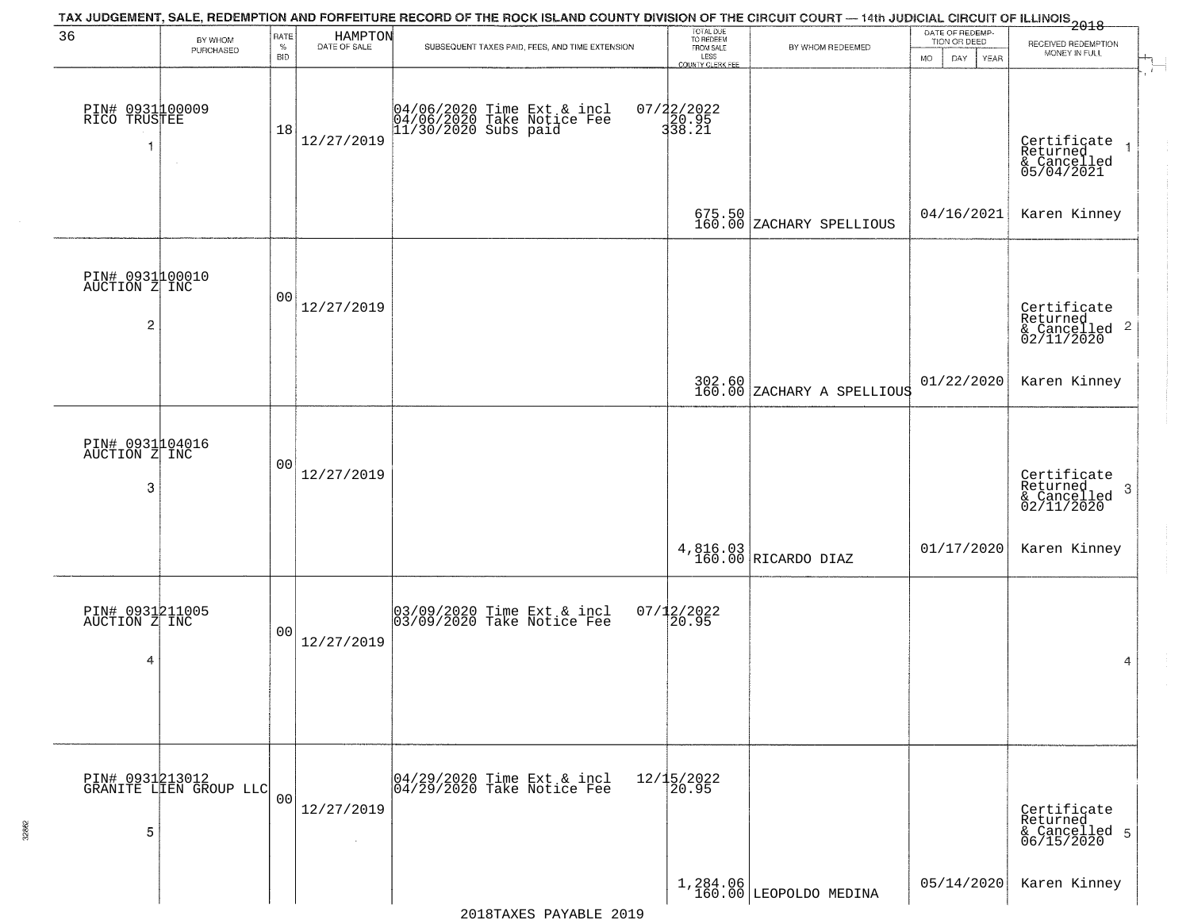|                                                    |                                           |                            |                         | TAX JUDGEMENT, SALE, REDEMPTION AND FORFEITURE RECORD OF THE ROCK ISLAND COUNTY DIVISION OF THE CIRCUIT COURT — 14th JUDICIAL CIRCUIT OF ILLINOIS 2018 |                                                                 |                                      |                                                             |                                                                               |
|----------------------------------------------------|-------------------------------------------|----------------------------|-------------------------|--------------------------------------------------------------------------------------------------------------------------------------------------------|-----------------------------------------------------------------|--------------------------------------|-------------------------------------------------------------|-------------------------------------------------------------------------------|
| 36                                                 | BY WHOM<br>PURCHASED                      | RATE<br>$\%$<br><b>BID</b> | HAMPTON<br>DATE OF SALE | SUBSEQUENT TAXES PAID, FEES, AND TIME EXTENSION                                                                                                        | TOTAL DUE<br>TO REDEEM<br>FROM SALE<br>LESS<br>COUNTY CLERK FEE | BY WHOM REDEEMED                     | DATE OF REDEMP-<br>TION OR DEED<br><b>MO</b><br>DAY<br>YEAR | RECEIVED REDEMPTION<br>MONEY IN FULL                                          |
| PIN# 0931100009<br>RICO TRUSTEE<br>-1              |                                           | 18                         | 12/27/2019              | 04/06/2020 Time Ext & incl<br>04/06/2020 Take Notice Fee<br>11/30/2020 Subs paid                                                                       | 07/22/2022<br>20.95<br>338.21                                   |                                      |                                                             | - 1<br>Certificate<br>Returned<br>$\overline{1}$<br>& Cancelled<br>05/04/2021 |
|                                                    |                                           |                            |                         |                                                                                                                                                        |                                                                 | 675.50<br>160.00 ZACHARY SPELLIOUS   | 04/16/2021                                                  | Karen Kinney                                                                  |
| PIN# 0931100010<br>AUCTION Z INC<br>$\overline{c}$ |                                           | 00                         | 12/27/2019              |                                                                                                                                                        |                                                                 |                                      |                                                             | Certificate<br>Returned<br>$\frac{1}{2}$ Cancelled 2<br>02/11/2020            |
|                                                    |                                           |                            |                         |                                                                                                                                                        |                                                                 | 302.60<br>160.00 ZACHARY A SPELLIOUS | 01/22/2020                                                  | Karen Kinney                                                                  |
| PIN# 0931104016<br>AUCTION Z INC<br>3              |                                           | 0 <sub>0</sub>             | 12/27/2019              |                                                                                                                                                        |                                                                 |                                      |                                                             | Certificate<br>Returned<br>$\boldsymbol{3}$<br>& Cancelled<br>02/11/2020      |
|                                                    |                                           |                            |                         |                                                                                                                                                        |                                                                 | 4,816.03<br>160.00 RICARDO DIAZ      | 01/17/2020                                                  | Karen Kinney                                                                  |
| PIN# 0931211005<br>AUCTION Z INC<br>4              |                                           | 00                         | 12/27/2019              | 03/09/2020 Time Ext & incl<br>03/09/2020 Take Notice Fee                                                                                               | $07/12/2022$<br>20.95                                           |                                      |                                                             | 4                                                                             |
| 5                                                  | PIN# 0931213012<br>GRANITE LIEN GROUP LLC | 0 <sub>0</sub>             | 12/27/2019              | 04/29/2020 Time Ext & incl<br>04/29/2020 Take Notice Fee                                                                                               | 12/15/2022<br>20.95                                             |                                      |                                                             | Certificate<br>Returned<br>& Cancelled 5<br>06/15/2020                        |
|                                                    |                                           |                            |                         |                                                                                                                                                        |                                                                 | 1,284.06<br>160.00 LEOPOLDO MEDINA   | 05/14/2020                                                  | Karen Kinney                                                                  |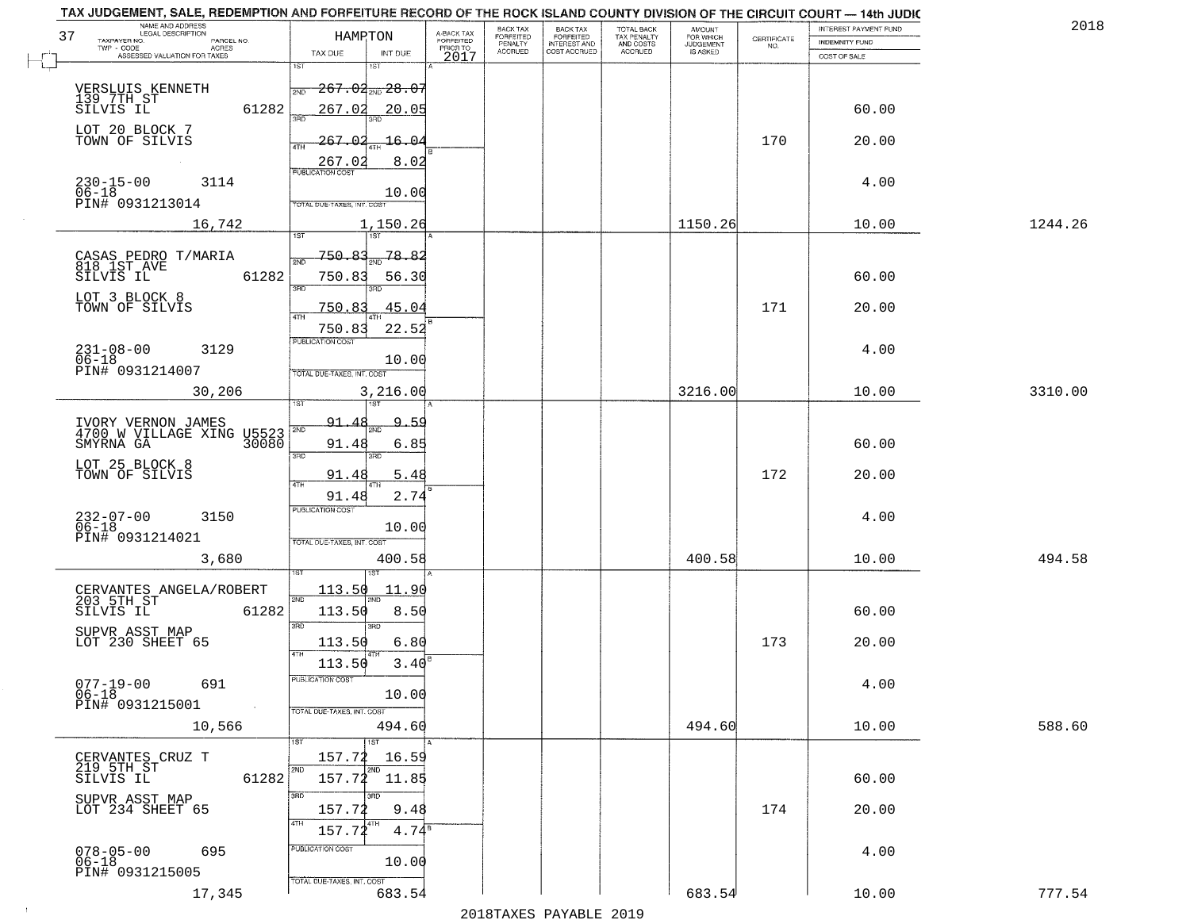| NAME AND ADDRESS<br>LEGAL DESCRIPTION<br>37<br>TAXPAYER NO.<br>PARCEL NO. | HAMRTON                                     | A-BACK TAX<br>FORFEITED<br>PRIOR TO | BACK TAX<br>FORFEITED     | BACK TAX<br>FORFEITED<br>INTEREST AND | TOTAL BACK<br>TAX PENALTY<br>AND COSTS | AMOUNT<br>FOR WHICH          | $\begin{array}{c} \text{CERTIFICATE} \\ \text{NO.} \end{array}$ | INTEREST PAYMENT FUND<br>INDEMNITY FUND | 2018    |
|---------------------------------------------------------------------------|---------------------------------------------|-------------------------------------|---------------------------|---------------------------------------|----------------------------------------|------------------------------|-----------------------------------------------------------------|-----------------------------------------|---------|
| $TWP - CODE$<br>ACRES<br>ASSESSED VALUATION FOR TAXES                     | TAX DUE<br>INT DUE                          | 2017                                | PENALTY<br><b>ACCRUED</b> | COST ACCRUED                          | <b>ACCRUED</b>                         | <b>JUDGEMENT</b><br>IS ASKED |                                                                 | COST OF SALE                            |         |
|                                                                           | 1ST<br>1ST                                  |                                     |                           |                                       |                                        |                              |                                                                 |                                         |         |
| VERSLUIS KENNETH<br>139 7TH ST<br>SILVIS IL                               | <del>267.02<sub>2ND</sub>28.07</del><br>2ND |                                     |                           |                                       |                                        |                              |                                                                 |                                         |         |
| 61282                                                                     | 267.02<br>20.05                             |                                     |                           |                                       |                                        |                              |                                                                 | 60.00                                   |         |
| LOT 20 BLOCK 7<br>TOWN OF SILVIS                                          | 267.02<br>-16.0<br>4TH                      |                                     |                           |                                       |                                        |                              | 170                                                             | 20.00                                   |         |
|                                                                           | 8.02<br>267.02<br><b>PUBLICATION COST</b>   |                                     |                           |                                       |                                        |                              |                                                                 |                                         |         |
| $230 - 15 - 00$<br>3114<br>$06 - 18$                                      | 10.00                                       |                                     |                           |                                       |                                        |                              |                                                                 | 4.00                                    |         |
| PIN# 0931213014                                                           | TOTAL DUE-TAXES, INT. COST                  |                                     |                           |                                       |                                        |                              |                                                                 |                                         |         |
| 16,742                                                                    | 1,150.26<br>1ST<br>151                      |                                     |                           |                                       |                                        | 1150.26                      |                                                                 | 10.00                                   | 1244.26 |
| CASAS PEDRO T/MARIA<br>818 IST AVE<br>SILVIS IL                           | 750.83<br>78.82<br><b>DND</b>               |                                     |                           |                                       |                                        |                              |                                                                 |                                         |         |
| 61282                                                                     | 750.83<br>56.30<br>3RD<br>חחי               |                                     |                           |                                       |                                        |                              |                                                                 | 60.00                                   |         |
| LOT 3 BLOCK 8<br>TOWN OF SILVIS                                           | 45.04<br>750.83                             |                                     |                           |                                       |                                        |                              | 171                                                             | 20.00                                   |         |
|                                                                           | 47H<br>22.52<br>750.83                      |                                     |                           |                                       |                                        |                              |                                                                 |                                         |         |
| $231 - 08 - 00$<br>3129<br>$06 - 18$                                      | PUBLICATION COST<br>10.00                   |                                     |                           |                                       |                                        |                              |                                                                 | 4.00                                    |         |
| PIN# 0931214007                                                           | TOTAL DUE-TAXES, INT. COST                  |                                     |                           |                                       |                                        |                              |                                                                 |                                         |         |
| 30,206                                                                    | 3,216.00<br>ist                             |                                     |                           |                                       |                                        | 3216.00                      |                                                                 | 10.00                                   | 3310.00 |
| IVORY VERNON JAMES<br>4700 W VILLAGE XING U5523                           | 91<br><u>٩</u><br>.5.S<br>2ND               |                                     |                           |                                       |                                        |                              |                                                                 |                                         |         |
|                                                                           | 91.48<br>6.85<br>3RD<br>3RD                 |                                     |                           |                                       |                                        |                              |                                                                 | 60.00                                   |         |
| LOT 25 BLOCK 8<br>TOWN OF SILVIS                                          | 91.48<br>5.48                               |                                     |                           |                                       |                                        |                              | 172                                                             | 20.00                                   |         |
|                                                                           | 4TH<br>2.74<br>91.48                        |                                     |                           |                                       |                                        |                              |                                                                 |                                         |         |
| 232-07-00<br>06-18<br>3150                                                | <b>PUBLICATION COST</b><br>10.00            |                                     |                           |                                       |                                        |                              |                                                                 | 4.00                                    |         |
| PIN# 0931214021                                                           | TOTAL OUE-TAXES, INT. COST                  |                                     |                           |                                       |                                        |                              |                                                                 |                                         |         |
| 3,680                                                                     | 400.58                                      |                                     |                           |                                       |                                        | 400.58                       |                                                                 | 10.00                                   | 494.58  |
| CERVANTES ANGELA/ROBERT<br>203 5TH ST                                     | <u>113.50</u><br>11.90                      |                                     |                           |                                       |                                        |                              |                                                                 |                                         |         |
| SILVIS IL<br>61282                                                        | 2ND<br><b>ND</b><br>113.50<br>8.50          |                                     |                           |                                       |                                        |                              |                                                                 | 60.00                                   |         |
| SUPVR ASST MAP<br>LOT 230 SHEET 65                                        | 3RD<br>3RD<br>113.50<br>6.80                |                                     |                           |                                       |                                        |                              | 173                                                             | 20.00                                   |         |
|                                                                           | 4TH<br>113.50<br>3.40                       |                                     |                           |                                       |                                        |                              |                                                                 |                                         |         |
| $077 - 19 - 00$<br>691                                                    | PUBLICATION COST                            |                                     |                           |                                       |                                        |                              |                                                                 | 4.00                                    |         |
| $06 - 18$<br>PIN# 0931215001                                              | 10.00<br>TOTAL DUE-TAXES, INT. COST         |                                     |                           |                                       |                                        |                              |                                                                 |                                         |         |
| 10,566                                                                    | 494.60                                      |                                     |                           |                                       |                                        | 494.60                       |                                                                 | 10.00                                   | 588.60  |
| CERVANTES CRUZ T<br>219 5TH ST                                            | 1ST<br>1ST<br>157.72<br>16.59               |                                     |                           |                                       |                                        |                              |                                                                 |                                         |         |
| 61282<br>SILVIS IL                                                        | 2ND<br>2ND<br>157.72<br>11.85               |                                     |                           |                                       |                                        |                              |                                                                 | 60.00                                   |         |
| SUPVR ASST MAP<br>LOT 234 SHEET 65                                        | 3RD<br>3RD<br>9.48<br>157.72                |                                     |                           |                                       |                                        |                              | 174                                                             | 20.00                                   |         |
|                                                                           | 4TH<br>4TH<br>157.72<br>$4.74^8$            |                                     |                           |                                       |                                        |                              |                                                                 |                                         |         |
| $078 - 05 - 00$<br>06-18<br>695                                           | PUBLICATION COST                            |                                     |                           |                                       |                                        |                              |                                                                 | 4.00                                    |         |
| PIN# 0931215005                                                           | 10.00<br>TOTAL DUE-TAXES, INT. COST         |                                     |                           |                                       |                                        |                              |                                                                 |                                         |         |
| 17,345                                                                    | 683.54                                      |                                     |                           |                                       |                                        | 683.54                       |                                                                 | 10.00                                   | 777.54  |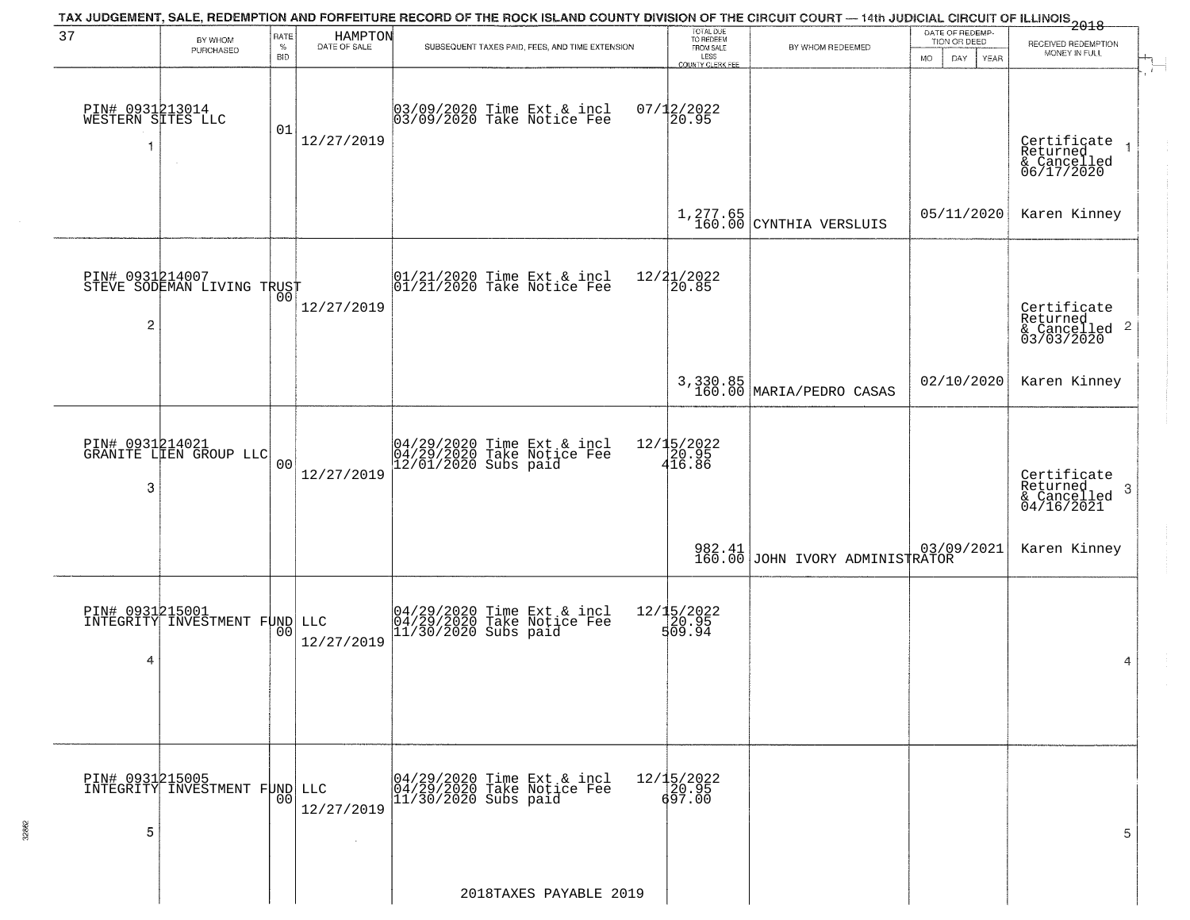|                                      |                                                  |                            |                         | TAX JUDGEMENT, SALE, REDEMPTION AND FORFEITURE RECORD OF THE ROCK ISLAND COUNTY DIVISION OF THE CIRCUIT COURT — 14th JUDICIAL CIRCUIT OF ILLINOIS 2018 |                                                                 |                                       |                                                        |                                                                      |
|--------------------------------------|--------------------------------------------------|----------------------------|-------------------------|--------------------------------------------------------------------------------------------------------------------------------------------------------|-----------------------------------------------------------------|---------------------------------------|--------------------------------------------------------|----------------------------------------------------------------------|
| 37                                   | BY WHOM<br>PURCHASED                             | RATE<br>$\%$<br><b>BID</b> | HAMPTON<br>DATE OF SALE | SUBSEQUENT TAXES PAID, FEES, AND TIME EXTENSION                                                                                                        | TOTAL DUE<br>TO REDEEM<br>FROM SALE<br>LESS<br>COUNTY CLERK FEE | BY WHOM REDEEMED                      | DATE OF REDEMP-<br>TION OR DEED<br>MO.<br>DAY.<br>YEAR | RECEIVED REDEMPTION<br>MONEY IN FULL                                 |
| PIN# 0931213014<br>WESTERN SITES LLC |                                                  | 01                         | 12/27/2019              | 03/09/2020 Time Ext & incl<br>03/09/2020 Take Notice Fee                                                                                               | $07/12/2022$<br>20.95                                           |                                       |                                                        | $\mathbf{r}$<br>Certificate<br>Returned<br>& Cancelled<br>06/17/2020 |
|                                      |                                                  |                            |                         |                                                                                                                                                        |                                                                 | $1,277.65$<br>160.00 CYNTHIA VERSLUIS | 05/11/2020                                             | Karen Kinney                                                         |
| $\overline{c}$                       | PIN# 0931214007<br>STEVE SODEMAN LIVING TRUST    |                            | 12/27/2019              | 01/21/2020 Time Ext & incl<br>01/21/2020 Take Notice Fee                                                                                               | 12/21/2022<br>20.85                                             |                                       |                                                        | Certificate<br>Returned<br>$\frac{1}{6}$ Cancelled 2<br>03/03/2020   |
|                                      |                                                  |                            |                         |                                                                                                                                                        |                                                                 | 3,330.85<br>160.00 MARIA/PEDRO CASAS  | 02/10/2020                                             | Karen Kinney                                                         |
| 3                                    | PIN# 0931214021<br>GRANITE LIEN GROUP LLC        | 0 <sup>0</sup>             | 12/27/2019              | 04/29/2020 Time Ext & incl<br>04/29/2020 Take Notice Fee<br>12/01/2020 Subs paid                                                                       | 12/15/2022<br>$\frac{20.95}{416.86}$                            |                                       |                                                        | Certificate<br>Returned<br>-3<br>& Cancelled<br>04/16/2021           |
|                                      |                                                  |                            |                         |                                                                                                                                                        |                                                                 | 982.41 JOHN IVORY ADMINISTRATOR       |                                                        | Karen Kinney                                                         |
| 4                                    | PIN# 0931215001<br>INTEGRITY INVESTMENT FUND LLC | 00                         | 12/27/2019              | 04/29/2020 Time Ext & incl<br>04/29/2020 Take Notice Fee<br>11/30/2020 Subs paid                                                                       | 12/15/2022<br>20.95<br>509.94                                   |                                       |                                                        | 4                                                                    |
| PIN# 0931215005<br>5                 | INTEGRITY INVESTMENT FUND                        | 00                         | LLC<br>12/27/2019       | 04/29/2020 Time Ext & incl<br>04/29/2020 Take Notice Fee<br>11/30/2020 Subs paid                                                                       | 12/15/2022<br>20.95<br>697.00                                   |                                       |                                                        | 5                                                                    |
|                                      |                                                  |                            |                         | 2018TAXES PAYABLE 2019                                                                                                                                 |                                                                 |                                       |                                                        |                                                                      |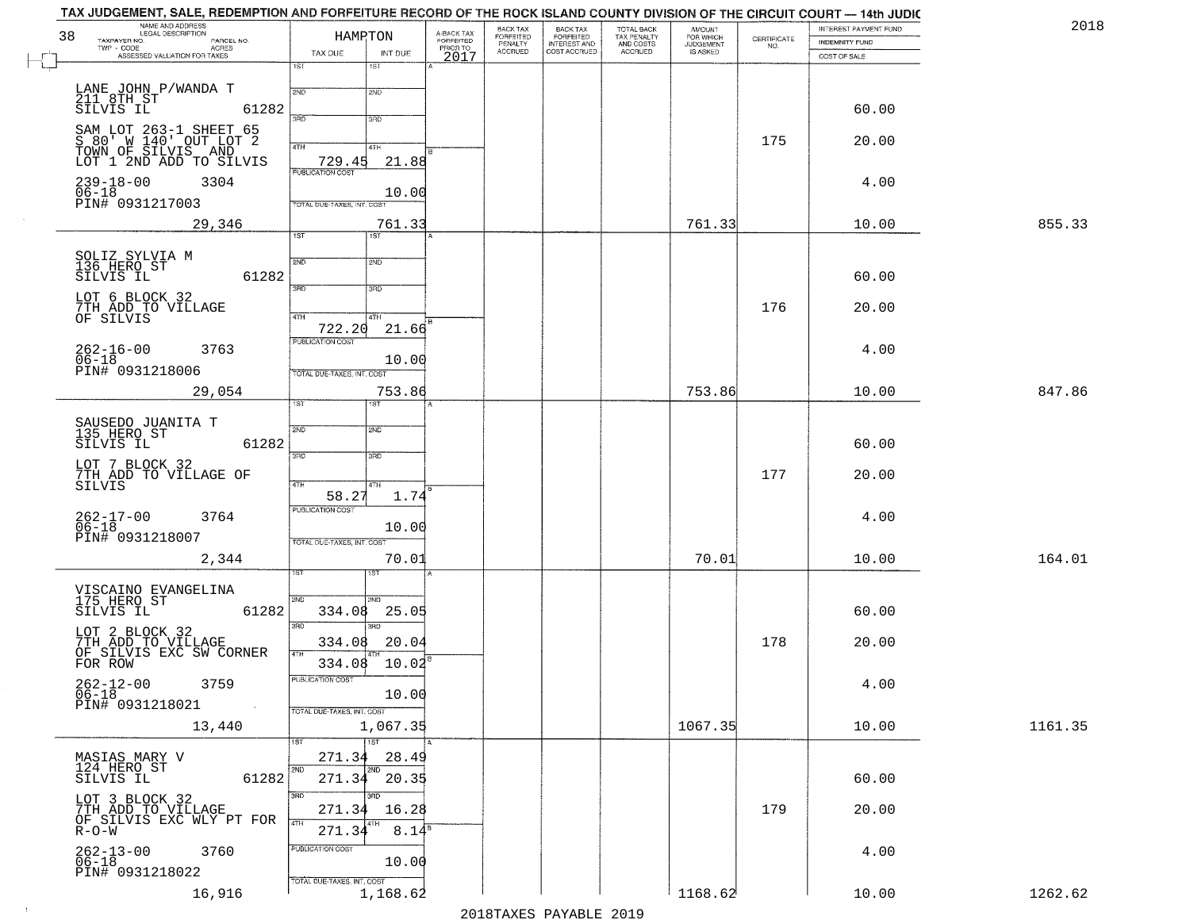| TAX JUDGEMENT, SALE, REDEMPTION AND FORFEITURE RECORD OF THE ROCK ISLAND COUNTY DIVISION OF THE CIRCUIT COURT - 14th JUDIC<br>NAME AND ADDRESS |                            |                               |                                     |                       |                              |                                        |                                    |                    |                                                | 201     |
|------------------------------------------------------------------------------------------------------------------------------------------------|----------------------------|-------------------------------|-------------------------------------|-----------------------|------------------------------|----------------------------------------|------------------------------------|--------------------|------------------------------------------------|---------|
| <b>LEGAL DESCRIPTION</b><br>38<br>TAXPAYER NO.<br>PARCEL NO.                                                                                   |                            | HAMRTON                       | A-BACK TAX<br>FORFEITED<br>PRIOR TO | BACK TAX<br>FORFEITED | BACK TAX<br>FORFEITED        | TOTAL BACK<br>TAX PENALTY<br>AND COSTS | <b>AMOUNT</b>                      | CERTIFICATE<br>NO. | INTEREST PAYMENT FUND<br><b>INDEMNITY FUND</b> |         |
| TWP - CODE<br><b>ACRES</b><br>ASSESSED VALUATION FOR TAXES                                                                                     | TAX DUE                    | INT DUE                       | 2017                                | PENALTY<br>ACCRUED    | INTEREST AND<br>COST ACCRUED | ACCRUED                                | FOR WHICH<br>JUDGEMENT<br>IS ASKED |                    | COST OF SALE                                   |         |
|                                                                                                                                                | 1ST                        | 1ST                           |                                     |                       |                              |                                        |                                    |                    |                                                |         |
| LANE JOHN P/WANDA T                                                                                                                            | 2ND                        | 2ND                           |                                     |                       |                              |                                        |                                    |                    |                                                |         |
| 211 8TH ST<br>SILVIS IL<br>61282                                                                                                               |                            |                               |                                     |                       |                              |                                        |                                    |                    | 60.00                                          |         |
| SAM LOT 263-1 SHEET 65                                                                                                                         | 3PD                        | 3RD                           |                                     |                       |                              |                                        |                                    |                    |                                                |         |
| S 80' W 140' OUT LOT 2<br>TOWN OF SILVIS AND                                                                                                   | 4TH                        | $4$ TH                        |                                     |                       |                              |                                        |                                    | 175                | 20.00                                          |         |
| LOT 1 2ND ADD TO SILVIS                                                                                                                        | 729.45                     | 21.88                         |                                     |                       |                              |                                        |                                    |                    |                                                |         |
| $239 - 18 - 00$<br>3304                                                                                                                        | <b>PUBLICATION COST</b>    |                               |                                     |                       |                              |                                        |                                    |                    | 4.00                                           |         |
| $06 - 18$                                                                                                                                      |                            | 10.00                         |                                     |                       |                              |                                        |                                    |                    |                                                |         |
| PIN# 0931217003                                                                                                                                | TOTAL DUE-TAXES, INT. COST |                               |                                     |                       |                              |                                        |                                    |                    |                                                |         |
| 29,346                                                                                                                                         | $\overline{1ST}$           | 761.33<br>1ST                 |                                     |                       |                              |                                        | 761.33                             |                    | 10.00                                          | 855.33  |
|                                                                                                                                                |                            |                               |                                     |                       |                              |                                        |                                    |                    |                                                |         |
| SOLIZ SYLVIA M<br>136 HERO ST                                                                                                                  | 2ND                        | 2ND                           |                                     |                       |                              |                                        |                                    |                    |                                                |         |
| 61282<br>SILVIS IL                                                                                                                             | उन्नठ                      | 3RD                           |                                     |                       |                              |                                        |                                    |                    | 60.00                                          |         |
| LOT 6 BLOCK 32                                                                                                                                 |                            |                               |                                     |                       |                              |                                        |                                    | 176                | 20.00                                          |         |
| 7TH ADD TO VILLAGE<br>OF SILVIS                                                                                                                | 47H                        | 4TH                           |                                     |                       |                              |                                        |                                    |                    |                                                |         |
|                                                                                                                                                | 722.20<br>PUBLICATION COST | 21.66                         |                                     |                       |                              |                                        |                                    |                    |                                                |         |
| $262 - 16 - 00$<br>3763<br>$06 - 18$                                                                                                           |                            | 10.00                         |                                     |                       |                              |                                        |                                    |                    | 4.00                                           |         |
| PIN# 0931218006                                                                                                                                | TOTAL DUE-TAXES, INT. COST |                               |                                     |                       |                              |                                        |                                    |                    |                                                |         |
| 29,054                                                                                                                                         |                            | 753.86                        |                                     |                       |                              |                                        | 753.86                             |                    | 10.00                                          | 847.86  |
|                                                                                                                                                | īst                        |                               |                                     |                       |                              |                                        |                                    |                    |                                                |         |
| SAUSEDO JUANITA T<br>135 HERO ST                                                                                                               | 2ND                        | 2ND                           |                                     |                       |                              |                                        |                                    |                    |                                                |         |
| SILVIS IL<br>61282                                                                                                                             |                            |                               |                                     |                       |                              |                                        |                                    |                    | 60.00                                          |         |
| LOT 7 BLOCK 32                                                                                                                                 | 3RD                        | 3 <sub>BD</sub>               |                                     |                       |                              |                                        |                                    |                    |                                                |         |
| 7TH ADD TO VILLAGE OF<br>SILVIS                                                                                                                | 4TH                        | 4TH                           |                                     |                       |                              |                                        |                                    | 177                | 20.00                                          |         |
|                                                                                                                                                | 58.27                      | 1.74                          |                                     |                       |                              |                                        |                                    |                    |                                                |         |
| 262-17-00<br>3764                                                                                                                              | PUBLICATION COST           |                               |                                     |                       |                              |                                        |                                    |                    | 4.00                                           |         |
| $06-18$<br>PIN# 0931218007                                                                                                                     | TOTAL OUE-TAXES, INT. COST | 10.00                         |                                     |                       |                              |                                        |                                    |                    |                                                |         |
| 2,344                                                                                                                                          |                            | 70.01                         |                                     |                       |                              |                                        | 70.01                              |                    | 10.00                                          | 164.01  |
|                                                                                                                                                |                            | 1S1                           |                                     |                       |                              |                                        |                                    |                    |                                                |         |
| VISCAINO EVANGELINA<br>175 HERO ST                                                                                                             |                            |                               |                                     |                       |                              |                                        |                                    |                    |                                                |         |
| 61282<br>SILVIS IL                                                                                                                             | 2ND<br>334.08              | 2ND<br>25.05                  |                                     |                       |                              |                                        |                                    |                    | 60.00                                          |         |
|                                                                                                                                                | 3RD                        | 3BD                           |                                     |                       |                              |                                        |                                    |                    |                                                |         |
| LOT 2 BLOCK 32<br>7TH ADD TO VILLAGE<br>OF SILVIS EXC SW CORNER                                                                                | 334.08                     | 20.04                         |                                     |                       |                              |                                        |                                    | 178                | 20.00                                          |         |
| FOR ROW                                                                                                                                        | 4TH                        | 334.08 10.02                  |                                     |                       |                              |                                        |                                    |                    |                                                |         |
| $262 - 12 - 00$<br>3759                                                                                                                        | PUBLICATION COST           |                               |                                     |                       |                              |                                        |                                    |                    | 4.00                                           |         |
| $06 - 18$<br>PIN# 0931218021                                                                                                                   |                            | 10.00                         |                                     |                       |                              |                                        |                                    |                    |                                                |         |
|                                                                                                                                                | TOTAL DUE-TAXES, INT. COST |                               |                                     |                       |                              |                                        |                                    |                    |                                                |         |
| 13,440                                                                                                                                         |                            | 1,067.35<br>$\overline{11ST}$ |                                     |                       |                              |                                        | 1067.35                            |                    | 10.00                                          | 1161.35 |
| MASIAS MARY V                                                                                                                                  | 271.34                     | 28.49                         |                                     |                       |                              |                                        |                                    |                    |                                                |         |
| 124 HERO ST<br>61282<br>SILVIS IL                                                                                                              | 2ND<br>271.34              | 2ND<br>20.35                  |                                     |                       |                              |                                        |                                    |                    | 60.00                                          |         |
|                                                                                                                                                | 3RD                        | 3RD                           |                                     |                       |                              |                                        |                                    |                    |                                                |         |
| LOT 3 BLOCK 32<br>7TH ADD TO VILLAGE                                                                                                           | 271.34                     | 16.28                         |                                     |                       |                              |                                        |                                    | 179                | 20.00                                          |         |
| OF SILVIS EXC WLY PT FOR<br>$R-O-W$                                                                                                            | 4TH<br>271.34              | 4TH<br>$8.14^{\overline{8}}$  |                                     |                       |                              |                                        |                                    |                    |                                                |         |
|                                                                                                                                                | PUBLICATION COST           |                               |                                     |                       |                              |                                        |                                    |                    |                                                |         |
| 262-13-00<br>06-18<br>3760                                                                                                                     |                            | 10.00                         |                                     |                       |                              |                                        |                                    |                    | 4.00                                           |         |
| PIN# 0931218022                                                                                                                                | TOTAL DUE-TAXES, INT. COST |                               |                                     |                       |                              |                                        |                                    |                    |                                                |         |
| 16,916                                                                                                                                         |                            | 1,168.62                      |                                     |                       |                              |                                        | 1168.62                            |                    | 10.00                                          | 1262.62 |

 $\sim 10^6$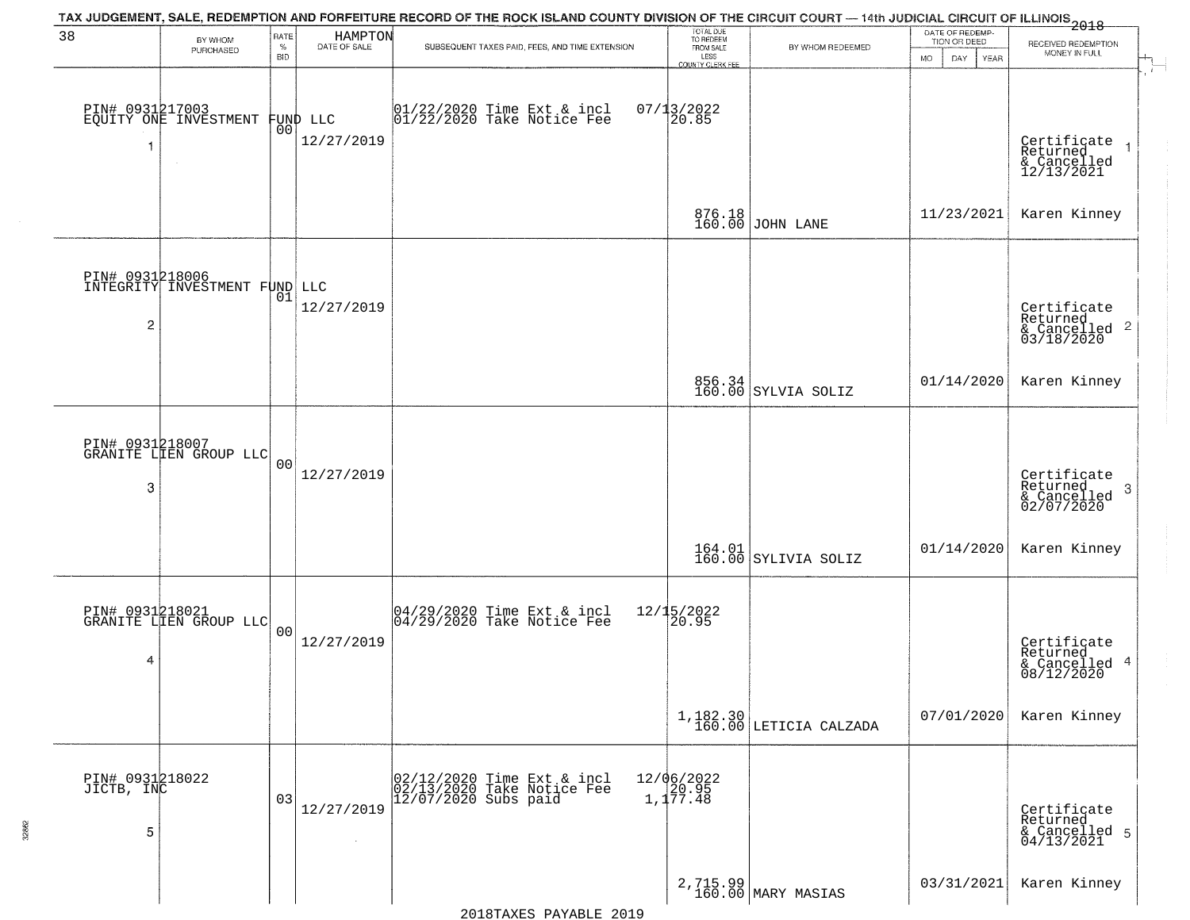|                                    |                                                  |                            |                         | TAX JUDGEMENT, SALE, REDEMPTION AND FORFEITURE RECORD OF THE ROCK ISLAND COUNTY DIVISION OF THE CIRCUIT COURT — 14th JUDICIAL CIRCUIT OF ILLINOIS 2018 |                                                                 |                                | DATE OF REDEMP-                          |                                                                    |
|------------------------------------|--------------------------------------------------|----------------------------|-------------------------|--------------------------------------------------------------------------------------------------------------------------------------------------------|-----------------------------------------------------------------|--------------------------------|------------------------------------------|--------------------------------------------------------------------|
| 38                                 | BY WHOM<br>PURCHASED                             | RATE<br>$\%$<br><b>BID</b> | HAMPTON<br>DATE OF SALE | SUBSEQUENT TAXES PAID, FEES, AND TIME EXTENSION                                                                                                        | TOTAL DUE<br>TO REDEEM<br>FROM SALE<br>LESS<br>COUNTY CLERK FEE | BY WHOM REDEEMED               | TION OR DEED<br><b>MO</b><br>DAY<br>YEAR | RECEIVED REDEMPTION<br>MONEY IN FULL                               |
| -1                                 | PIN# 0931217003<br>EQUITY ONE INVESTMENT         | 00                         | FUND LLC<br>12/27/2019  | 01/22/2020 Time Ext & incl<br>01/22/2020 Take Notice Fee                                                                                               | $07/13/2022$<br>20.85                                           |                                |                                          | Certificate<br>Returned<br>& Cancelled<br>12/13/2021               |
|                                    |                                                  |                            |                         |                                                                                                                                                        |                                                                 | 876.18<br>160.00 JOHN LANE     | 11/23/2021                               | Karen Kinney                                                       |
| $\overline{c}$                     | PIN# 0931218006<br>INTEGRITY INVESTMENT FUND LLC | 01                         | 12/27/2019              |                                                                                                                                                        |                                                                 |                                |                                          | Certificate<br>Returned<br>$\frac{1}{6}$ Cancelled 2<br>03/18/2020 |
|                                    |                                                  |                            |                         |                                                                                                                                                        |                                                                 | 856.34<br>160.00 SYLVIA SOLIZ  | 01/14/2020                               | Karen Kinney                                                       |
| 3                                  | PIN# 0931218007<br>GRANITE LIEN GROUP LLC        | 0 <sub>0</sub>             | 12/27/2019              |                                                                                                                                                        |                                                                 |                                |                                          | Certificate<br>Returned<br>3<br>& Cancelled<br>02/07/2020          |
|                                    |                                                  |                            |                         |                                                                                                                                                        |                                                                 | 164.01<br>160.00 SYLIVIA SOLIZ | 01/14/2020                               | Karen Kinney                                                       |
| 4                                  | PIN# 0931218021<br>GRANITE LIEN GROUP LLC        | 0 <sub>0</sub>             | 12/27/2019              | 04/29/2020 Time Ext & incl<br>04/29/2020 Take Notice Fee                                                                                               | 12/15/2022<br>20.95                                             |                                |                                          | Certificate<br>Returned<br>& Cancelled 4<br>08/12/2020             |
|                                    |                                                  |                            |                         |                                                                                                                                                        |                                                                 | $1,182.30$ LETICIA CALZADA     | 07/01/2020                               | Karen Kinney                                                       |
| PIN# 0931218022<br>JICTB, INC<br>5 |                                                  | 03                         | 12/27/2019              | 02/12/2020 Time Ext & incl<br>02/13/2020 Take Notice Fee<br>12/07/2020 Subs paid                                                                       | 12/06/2022<br>20.95<br>1,177.48                                 |                                |                                          | Certificate<br>Returned<br>& Cancelled 5<br>04/13/2021             |
|                                    |                                                  |                            |                         |                                                                                                                                                        |                                                                 | 2,715.99<br>160.00 MARY MASIAS | 03/31/2021                               | Karen Kinney                                                       |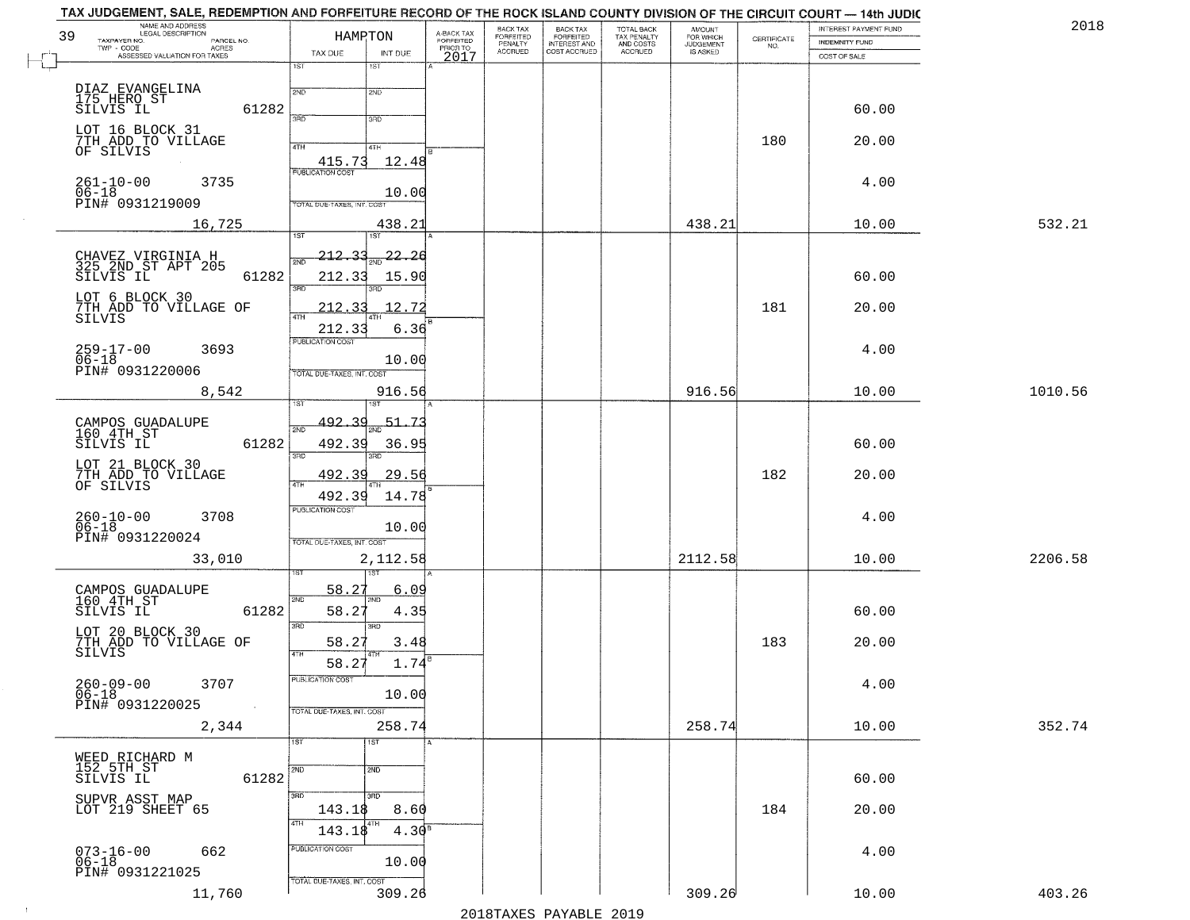| 39 | NAME AND ADDRESS                                                         | HAMRTON                           |                    |                                     | BACK TAX                        |                                                       |                                                   | <b>AMOUNT</b>                      |                                                                 | INTEREST PAYMENT FUND | 2018    |
|----|--------------------------------------------------------------------------|-----------------------------------|--------------------|-------------------------------------|---------------------------------|-------------------------------------------------------|---------------------------------------------------|------------------------------------|-----------------------------------------------------------------|-----------------------|---------|
|    | TAXPAYER NO.<br>PARCEL NO.<br>TWP - CODE<br>ASSESSED VALUATION FOR TAXES |                                   |                    | A-BACK TAX<br>FORFEITED<br>PRIOR TO | FORFEITED<br>PENALTY<br>ACCRUED | BACK TAX<br>FORFEITED<br>INTEREST AND<br>COST ACCRUED | TOTAL BACK<br>TAX PENALTY<br>AND COSTS<br>ACCRUED | FOR WHICH<br>JUDGEMENT<br>IS ASKED | $\begin{array}{c} \text{CERTIFICATE} \\ \text{NO.} \end{array}$ | <b>INDEMNITY FUND</b> |         |
|    |                                                                          | TAX DUE<br>1ST                    | INT DUE<br>1ST     | 2017                                |                                 |                                                       |                                                   |                                    |                                                                 | COST OF SALE          |         |
|    |                                                                          |                                   |                    |                                     |                                 |                                                       |                                                   |                                    |                                                                 |                       |         |
|    | DIAZ EVANGELINA<br>175 HERO ST                                           | 2ND                               | 2ND                |                                     |                                 |                                                       |                                                   |                                    |                                                                 |                       |         |
|    | 61282<br>SILVIS IL                                                       | 3PD                               | 3RD                |                                     |                                 |                                                       |                                                   |                                    |                                                                 | 60.00                 |         |
|    | LOT 16 BLOCK 31                                                          |                                   |                    |                                     |                                 |                                                       |                                                   |                                    |                                                                 |                       |         |
|    | 7TH ADD TO VILLAGE<br>OF SILVIS                                          | 4TH                               | 4TH                |                                     |                                 |                                                       |                                                   |                                    | 180                                                             | 20.00                 |         |
|    |                                                                          | 415.73                            | 12.48              |                                     |                                 |                                                       |                                                   |                                    |                                                                 |                       |         |
|    | $261 - 10 - 00$<br>3735                                                  | <b>PUBLICATION COST</b>           |                    |                                     |                                 |                                                       |                                                   |                                    |                                                                 | 4.00                  |         |
|    | $06 - 18$<br>PIN# 0931219009                                             | TOTAL DUE-TAXES, INT. COST        | 10.00              |                                     |                                 |                                                       |                                                   |                                    |                                                                 |                       |         |
|    |                                                                          |                                   |                    |                                     |                                 |                                                       |                                                   |                                    |                                                                 |                       |         |
|    | 16,725                                                                   | 1ST                               | 438.21<br>1ST      |                                     |                                 |                                                       |                                                   | 438.21                             |                                                                 | 10.00                 | 532.21  |
|    |                                                                          | 212.33                            | 22.<br>-26         |                                     |                                 |                                                       |                                                   |                                    |                                                                 |                       |         |
|    | CHAVEZ VIRGINIA H<br>325 2ND ST APT 205                                  | 2ND                               |                    |                                     |                                 |                                                       |                                                   |                                    |                                                                 |                       |         |
|    | 61282<br>SILVIS IL                                                       | 212.33<br>3RD                     | 15.90              |                                     |                                 |                                                       |                                                   |                                    |                                                                 | 60.00                 |         |
|    | LOT 6 BLOCK 30                                                           |                                   |                    |                                     |                                 |                                                       |                                                   |                                    | 181                                                             |                       |         |
|    | 7TH ADD TO VILLAGE OF<br>SILVIS                                          | 212.33<br>47H                     | 12.72              |                                     |                                 |                                                       |                                                   |                                    |                                                                 | 20.00                 |         |
|    |                                                                          | 212.33<br><b>PUBLICATION COST</b> | 6.36               |                                     |                                 |                                                       |                                                   |                                    |                                                                 |                       |         |
|    | 259-17-00<br>06-18<br>3693                                               |                                   |                    |                                     |                                 |                                                       |                                                   |                                    |                                                                 | 4.00                  |         |
|    | PIN# 0931220006                                                          | TOTAL DUE-TAXES, INT. COST        | 10.00              |                                     |                                 |                                                       |                                                   |                                    |                                                                 |                       |         |
|    | 8,542                                                                    |                                   | 916.56             |                                     |                                 |                                                       |                                                   | 916.56                             |                                                                 | 10.00                 | 1010.56 |
|    |                                                                          |                                   | 181                |                                     |                                 |                                                       |                                                   |                                    |                                                                 |                       |         |
|    | CAMPOS GUADALUPE                                                         | $492 - 39$<br>2ND                 | $-51.73$           |                                     |                                 |                                                       |                                                   |                                    |                                                                 |                       |         |
|    | 160 4TH ST<br>61282<br>SILVIS IL                                         | 492.39                            | 36.95              |                                     |                                 |                                                       |                                                   |                                    |                                                                 | 60.00                 |         |
|    |                                                                          | 3RD                               | 3RD                |                                     |                                 |                                                       |                                                   |                                    |                                                                 |                       |         |
|    | LOT 21 BLOCK 30                                                          | 492.39                            | 29.56              |                                     |                                 |                                                       |                                                   |                                    | 182                                                             | 20.00                 |         |
|    | 7TH ADD TO VILLAGE<br>OF SILVIS                                          | 4TH<br>492.39                     | 14.78              |                                     |                                 |                                                       |                                                   |                                    |                                                                 |                       |         |
|    |                                                                          | PUBLICATION COST                  |                    |                                     |                                 |                                                       |                                                   |                                    |                                                                 |                       |         |
|    | 260-10-00<br>06-18<br>3708                                               |                                   | 10.00              |                                     |                                 |                                                       |                                                   |                                    |                                                                 | 4.00                  |         |
|    | PIN# 0931220024                                                          | TOTAL OUE-TAXES, INT. COST        |                    |                                     |                                 |                                                       |                                                   |                                    |                                                                 |                       |         |
|    | 33,010                                                                   |                                   | 2,112.58           |                                     |                                 |                                                       |                                                   | 2112.58                            |                                                                 | 10.00                 | 2206.58 |
|    |                                                                          |                                   | ख                  |                                     |                                 |                                                       |                                                   |                                    |                                                                 |                       |         |
|    | CAMPOS GUADALUPE<br>160 4TH ST                                           | 58.27<br>2ND                      | <u>6.09</u><br>2ND |                                     |                                 |                                                       |                                                   |                                    |                                                                 |                       |         |
|    | SILVIS IL<br>61282                                                       | 58.27                             | 4.35               |                                     |                                 |                                                       |                                                   |                                    |                                                                 | 60.00                 |         |
|    | LOT 20 BLOCK 30                                                          | 3RD                               | 3BD                |                                     |                                 |                                                       |                                                   |                                    |                                                                 |                       |         |
|    | 7TH ADD TO VILLAGE OF                                                    | 58.27                             | 3.48               |                                     |                                 |                                                       |                                                   |                                    | 183                                                             | 20.00                 |         |
|    | SĪLVIS                                                                   | 4TH<br>58.27                      | 1.74               |                                     |                                 |                                                       |                                                   |                                    |                                                                 |                       |         |
|    | 3707<br>$260 - 09 - 00$                                                  | PUBLICATION COST                  |                    |                                     |                                 |                                                       |                                                   |                                    |                                                                 | 4.00                  |         |
|    | 06-18<br>PIN# 0931220025                                                 |                                   | 10.00              |                                     |                                 |                                                       |                                                   |                                    |                                                                 |                       |         |
|    |                                                                          | TOTAL DUE-TAXES, INT. COST        |                    |                                     |                                 |                                                       |                                                   |                                    |                                                                 |                       |         |
|    | 2,344                                                                    |                                   | 258.74             |                                     |                                 |                                                       |                                                   | 258.74                             |                                                                 | 10.00                 | 352.74  |
|    |                                                                          | 1ST                               | 1ST                |                                     |                                 |                                                       |                                                   |                                    |                                                                 |                       |         |
|    | WEED RICHARD M<br>152 5TH ST<br>SILVIS IL                                | 2ND                               | 2ND                |                                     |                                 |                                                       |                                                   |                                    |                                                                 |                       |         |
|    | 61282                                                                    |                                   |                    |                                     |                                 |                                                       |                                                   |                                    |                                                                 | 60.00                 |         |
|    | SUPVR ASST MAP<br>LOT 219 SHEET 65                                       | 3RD                               | 3RD                |                                     |                                 |                                                       |                                                   |                                    |                                                                 |                       |         |
|    |                                                                          | 143.18<br>4TH                     | 8.60               |                                     |                                 |                                                       |                                                   |                                    | 184                                                             | 20.00                 |         |
|    |                                                                          | 143.18                            | 4.30 <sup>s</sup>  |                                     |                                 |                                                       |                                                   |                                    |                                                                 |                       |         |
|    | $073 - 16 - 00$<br>662                                                   | PUBLICATION COST                  |                    |                                     |                                 |                                                       |                                                   |                                    |                                                                 | 4.00                  |         |
|    | $06 - 18$<br>PIN# 0931221025                                             |                                   | 10.00              |                                     |                                 |                                                       |                                                   |                                    |                                                                 |                       |         |
|    | 11,760                                                                   | TOTAL DUE-TAXES, INT. COST        | 309.26             |                                     |                                 |                                                       |                                                   | 309.26                             |                                                                 | 10.00                 | 403.26  |
|    |                                                                          |                                   |                    |                                     |                                 |                                                       |                                                   |                                    |                                                                 |                       |         |

 $\sim 10^6$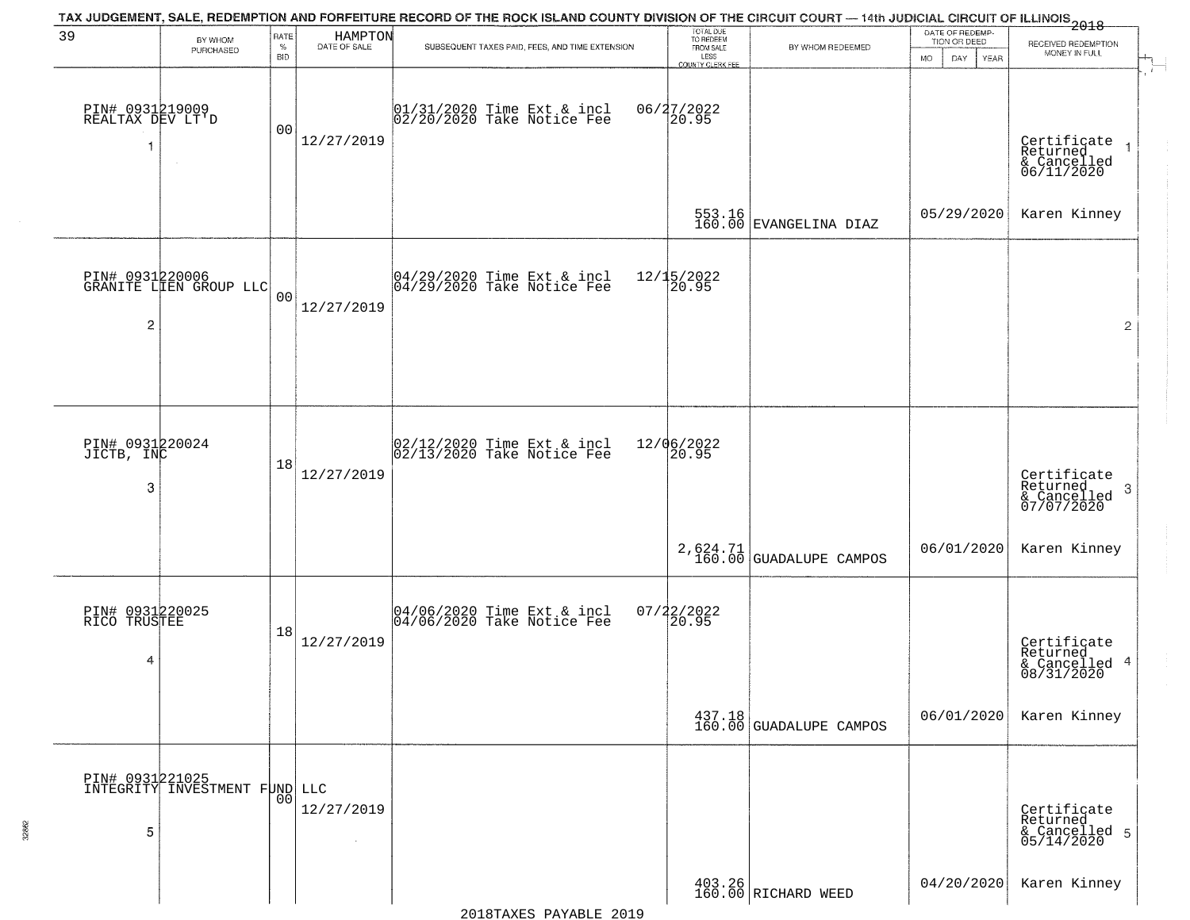| 39                                       | BY WHOM                                          | RATE               | HAMPTON<br>DATE OF SALE | TAX JUDGEMENT, SALE, REDEMPTION AND FORFEITURE RECORD OF THE ROCK ISLAND COUNTY DIVISION OF THE CIRCUIT COURT — 14th JUDICIAL CIRCUIT OF ILLINOIS 2018 | TOTAL DUE<br>TO REDEEM                |                                                                    | DATE OF REDEMP-<br>TION OR DEED | RECEIVED REDEMPTION                                        |
|------------------------------------------|--------------------------------------------------|--------------------|-------------------------|--------------------------------------------------------------------------------------------------------------------------------------------------------|---------------------------------------|--------------------------------------------------------------------|---------------------------------|------------------------------------------------------------|
|                                          | PURCHASED                                        | $\%$<br><b>BID</b> |                         | SUBSEQUENT TAXES PAID, FEES, AND TIME EXTENSION                                                                                                        | FROM SALE<br>LESS<br>COUNTY CLERK FEE | BY WHOM REDEEMED                                                   | <b>MO</b><br>DAY<br>YEAR        | MONEY IN FULL                                              |
| PIN# 0931219009<br>REALTAX DEV LT'D<br>1 |                                                  | 0 <sub>0</sub>     | 12/27/2019              | 01/31/2020 Time Ext & incl<br>02/20/2020 Take Notice Fee                                                                                               | 06/27/2022<br>20.95                   |                                                                    |                                 | Certificate<br>Returned<br>& Cancelled<br>06/11/2020       |
|                                          |                                                  |                    |                         |                                                                                                                                                        |                                       | 553.16<br>160.00 EVANGELINA DIAZ                                   | 05/29/2020                      | Karen Kinney                                               |
| $\overline{2}$                           | PIN# 0931220006<br>GRANITE LIEN GROUP LLC        | 0 <sub>0</sub>     | 12/27/2019              | 04/29/2020 Time Ext & incl<br>04/29/2020 Take Notice Fee                                                                                               | 12/15/2022<br>20.95                   |                                                                    |                                 | $\overline{2}$                                             |
| PIN# 0931220024<br>JICTB, INC            |                                                  |                    |                         | 02/12/2020 Time Ext & incl<br>02/13/2020 Take Notice Fee                                                                                               | 12/06/2022<br>20.95                   |                                                                    |                                 |                                                            |
| 3                                        |                                                  | 18                 | 12/27/2019              |                                                                                                                                                        |                                       |                                                                    |                                 | Certificate<br>Returned<br>-3<br>& Cancelled<br>07/07/2020 |
|                                          |                                                  |                    |                         |                                                                                                                                                        |                                       | $2,624.71$<br>160.00 GUADALUPE CAMPOS                              | 06/01/2020                      | Karen Kinney                                               |
| PIN# 0931220025<br>RICO TRUSTEE<br>4     |                                                  | 18                 | 12/27/2019              | 04/06/2020 Time Ext & incl<br>04/06/2020 Take Notice Fee                                                                                               | $07/22/2022$<br>20.95                 |                                                                    |                                 | Certificate<br>Returned<br>& Cancelled 4<br>08/31/2020     |
|                                          |                                                  |                    |                         |                                                                                                                                                        |                                       | $\begin{array}{c c} 437.18 \\ 160.00 \end{array}$ GUADALUPE CAMPOS | 06/01/2020                      | Karen Kinney                                               |
| 5                                        | PIN# 0931221025<br>INTEGRITY INVESTMENT FUND LLC | 00                 | 12/27/2019              |                                                                                                                                                        |                                       |                                                                    |                                 | Certificate<br>Returned<br>& Cancelled 5<br>05/14/2020     |
|                                          |                                                  |                    |                         |                                                                                                                                                        |                                       | $\begin{array}{c c} 403.26 \\ 160.00 \end{array}$ RICHARD WEED     | 04/20/2020                      | Karen Kinney                                               |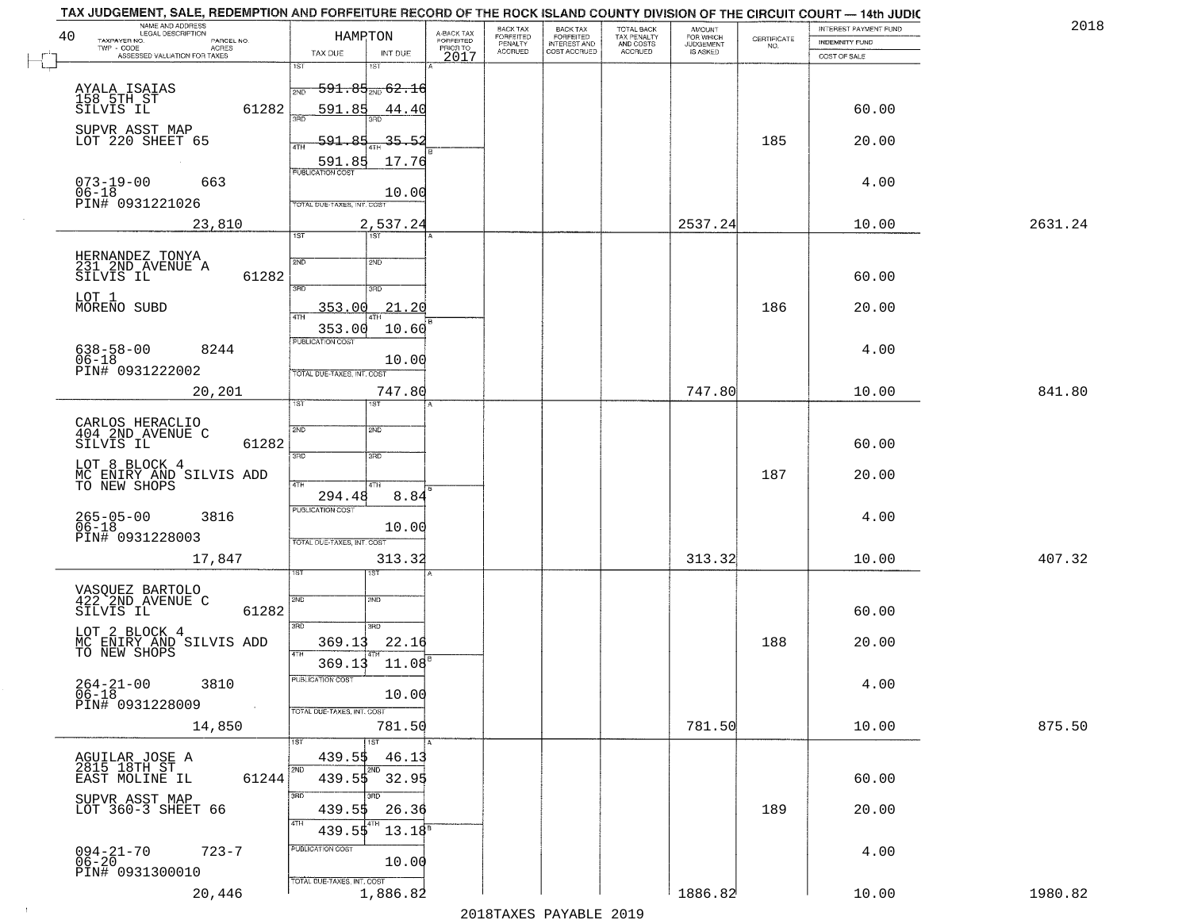| NAME AND ADDRESS<br>LEGAL DESCRIPTION<br>40               | HAMPTON                                      |                                     | BACK TAX<br>FORFEITED<br>PENALTY |                                                       | TOTAL BACK<br>TAX PENALTY<br>AND COSTS | AMOUNT<br>FOR WHICH |                    | INTEREST PAYMENT FUND | 2018    |
|-----------------------------------------------------------|----------------------------------------------|-------------------------------------|----------------------------------|-------------------------------------------------------|----------------------------------------|---------------------|--------------------|-----------------------|---------|
| TAXPAYER NO.<br>PARCEL NO.<br>ACRES<br>$TWP - CODE$       | TAX DUE<br>INT DUE                           | A-BACK TAX<br>FORFEITED<br>PRIOR TO | <b>ACCRUED</b>                   | BACK TAX<br>FORFEITED<br>INTEREST AND<br>COST ACCRUED | ACCRUED                                | <b>JUDGEMENT</b>    | CERTIFICATE<br>NO. | INDEMNITY FUND        |         |
| ASSESSED VALUATION FOR TAXES                              | 1ST<br>1ST                                   | 2017                                |                                  |                                                       |                                        |                     |                    | COST OF SALE          |         |
| AYALA ISAIAS                                              | $\frac{1}{200}$ 591.85 $\frac{1}{200}$ 62.16 |                                     |                                  |                                                       |                                        |                     |                    |                       |         |
| 158 5TH ST<br>SILVIS IL<br>61282                          | 591.85<br>44.40                              |                                     |                                  |                                                       |                                        |                     |                    | 60.00                 |         |
| SUPVR ASST MAP                                            | 390                                          |                                     |                                  |                                                       |                                        |                     |                    |                       |         |
| LOT 220 SHEET 65                                          | $-591.85$<br>$-35 - 52$<br>4TH               |                                     |                                  |                                                       |                                        |                     | 185                | 20.00                 |         |
|                                                           | 591.85<br>17.76<br><b>PUBLICATION COST</b>   |                                     |                                  |                                                       |                                        |                     |                    |                       |         |
| $073 - 19 - 00$<br>663<br>$06 - 18$                       | 10.00                                        |                                     |                                  |                                                       |                                        |                     |                    | 4.00                  |         |
| PIN# 0931221026                                           | TOTAL DUE-TAXES, INT. COST                   |                                     |                                  |                                                       |                                        |                     |                    |                       |         |
| 23,810                                                    | 2,537.24<br>1ST<br><b>TST</b>                |                                     |                                  |                                                       |                                        | 2537.24             |                    | 10.00                 | 2631.24 |
|                                                           |                                              |                                     |                                  |                                                       |                                        |                     |                    |                       |         |
| HERNANDEZ TONYA<br>231 2ND AVENUE A<br>61282<br>SILVIS IL | 2ND<br>5 <sub>MD</sub>                       |                                     |                                  |                                                       |                                        |                     |                    | 60.00                 |         |
| LOT 1                                                     | 3RD<br>3RD                                   |                                     |                                  |                                                       |                                        |                     |                    |                       |         |
| MORENO SUBD                                               | 21.20<br><u>353.00</u><br>47H                |                                     |                                  |                                                       |                                        |                     | 186                | 20.00                 |         |
|                                                           | 353.00<br>10.60<br><b>PUBLICATION COST</b>   |                                     |                                  |                                                       |                                        |                     |                    |                       |         |
| $638 - 58 - 00$<br>8244<br>$06 - 18$                      | 10.00                                        |                                     |                                  |                                                       |                                        |                     |                    | 4.00                  |         |
| PIN# 0931222002                                           | TOTAL DUE-TAXES, INT. COST                   |                                     |                                  |                                                       |                                        |                     |                    |                       |         |
| 20,201                                                    | 747.80<br>īst                                |                                     |                                  |                                                       |                                        | 747.80              |                    | 10.00                 | 841.80  |
|                                                           |                                              |                                     |                                  |                                                       |                                        |                     |                    |                       |         |
| CARLOS HERACLIO<br>404 2ND AVENUE C<br>SILVIS IL<br>61282 | 2ND<br>SMD                                   |                                     |                                  |                                                       |                                        |                     |                    | 60.00                 |         |
| LOT 8 BLOCK 4                                             | 3BD<br>3RD                                   |                                     |                                  |                                                       |                                        |                     |                    |                       |         |
| MC ENIRY AND SILVIS ADD<br>TO NEW SHOPS                   | 4TH<br>4TH                                   |                                     |                                  |                                                       |                                        |                     | 187                | 20.00                 |         |
|                                                           | 8.84<br>294.48<br><b>PUBLICATION COST</b>    |                                     |                                  |                                                       |                                        |                     |                    |                       |         |
| 265-05-00<br>06-18<br>3816                                | 10.00                                        |                                     |                                  |                                                       |                                        |                     |                    | 4.00                  |         |
| PIN# 0931228003                                           | TOTAL OUE-TAXES, INT. COST                   |                                     |                                  |                                                       |                                        |                     |                    |                       |         |
| 17,847                                                    | 313.32<br>1ST                                |                                     |                                  |                                                       |                                        | 313.32              |                    | 10.00                 | 407.32  |
|                                                           |                                              |                                     |                                  |                                                       |                                        |                     |                    |                       |         |
| VASQUEZ BARTOLO<br>422 2ND AVENUE C<br>61282<br>SILVIS IL | 2ND<br>2ND                                   |                                     |                                  |                                                       |                                        |                     |                    | 60.00                 |         |
| LOT 2 BLOCK 4                                             | 3RD<br>3RD                                   |                                     |                                  |                                                       |                                        |                     |                    |                       |         |
| MC ENIRY AND SILVIS ADD<br>TO NEW SHOPS                   | 369.13<br>22.16<br>4TH                       |                                     |                                  |                                                       |                                        |                     | 188                | 20.00                 |         |
|                                                           | 11.08<br>369.13<br>PUBLICATION COST          |                                     |                                  |                                                       |                                        |                     |                    |                       |         |
| 3810<br>$264 - 21 - 00$<br>$06 - 18$                      | 10.00                                        |                                     |                                  |                                                       |                                        |                     |                    | 4.00                  |         |
| PIN# 0931228009                                           | TOTAL DUE-TAXES, INT. COST                   |                                     |                                  |                                                       |                                        |                     |                    |                       |         |
| 14,850                                                    | 781.50<br>1ST                                |                                     |                                  |                                                       |                                        | 781.50              |                    | 10.00                 | 875.50  |
| AGUILAR JOSE A                                            | 439.55<br>46.13                              |                                     |                                  |                                                       |                                        |                     |                    |                       |         |
| 2815 18TH ST<br>EAST MOLINE IL<br>61244                   | 2ND<br>2ND<br>32.95<br>439.55                |                                     |                                  |                                                       |                                        |                     |                    | 60.00                 |         |
| SUPVR ASST MAP<br>LOT 360-3 SHEET 66                      | 3RD<br>3 <sub>BD</sub>                       |                                     |                                  |                                                       |                                        |                     |                    |                       |         |
|                                                           | 26.36<br>439.55<br>4TH                       |                                     |                                  |                                                       |                                        |                     | 189                | 20.00                 |         |
|                                                           | $13.18^{8}$<br>439.55                        |                                     |                                  |                                                       |                                        |                     |                    |                       |         |
| 094-21-70<br>06-20<br>$723 - 7$                           | PUBLICATION COST<br>10.00                    |                                     |                                  |                                                       |                                        |                     |                    | 4.00                  |         |
| PIN# 0931300010                                           | TOTAL DUE-TAXES, INT. COST                   |                                     |                                  |                                                       |                                        |                     |                    |                       |         |
| 20,446                                                    | 1,886.82                                     |                                     |                                  |                                                       |                                        | 1886.82             |                    | 10.00                 | 1980.82 |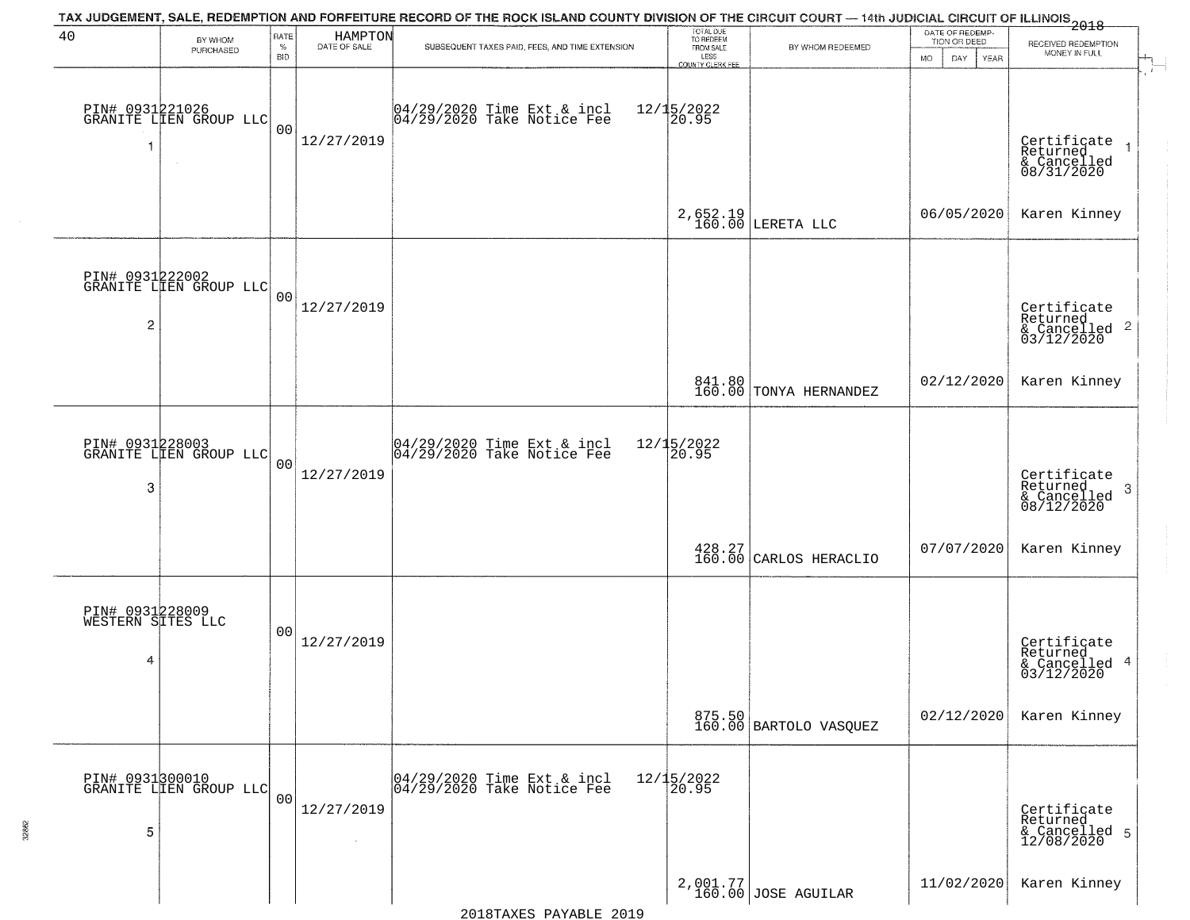| 40                                        | BY WHOM<br>PURCHASED                      | RATE<br>$\%$<br><b>BID</b> | HAMPTON<br>DATE OF SALE | TAX JUDGEMENT, SALE, REDEMPTION AND FORFEITURE RECORD OF THE ROCK ISLAND COUNTY DIVISION OF THE CIRCUIT COURT — 14th JUDICIAL CIRCUIT OF ILLINOIS 2018<br>SUBSEQUENT TAXES PAID, FEES, AND TIME EXTENSION | TOTAL DUE<br>TO REDEEM<br>FROM SALE<br>LESS<br>COUNTY CLERK FEE | BY WHOM REDEEMED                                     | DATE OF REDEMP-<br>TION OR DEED<br><b>MO</b><br>DAY<br>YEAR | RECEIVED REDEMPTION<br>MONEY IN FULL                                   |
|-------------------------------------------|-------------------------------------------|----------------------------|-------------------------|-----------------------------------------------------------------------------------------------------------------------------------------------------------------------------------------------------------|-----------------------------------------------------------------|------------------------------------------------------|-------------------------------------------------------------|------------------------------------------------------------------------|
|                                           | PIN# 0931221026<br>GRANITE LIEN GROUP LLC | 0 <sub>0</sub>             | 12/27/2019              | 04/29/2020 Time Ext & incl<br>04/29/2020 Take Notice Fee                                                                                                                                                  | $12/15/2022$<br>20.95                                           |                                                      |                                                             | Certificate<br>Returned<br>$\overline{1}$<br>& Cancelled<br>08/31/2020 |
|                                           |                                           |                            |                         |                                                                                                                                                                                                           |                                                                 | $2,652.19$ LERETA LLC                                | 06/05/2020                                                  | Karen Kinney                                                           |
| $\overline{c}$                            | PIN# 0931222002<br>GRANITE LIEN GROUP LLC | 00                         | 12/27/2019              |                                                                                                                                                                                                           |                                                                 |                                                      |                                                             | Certificate<br>Returned<br>$\frac{1}{2}$ Cancelled 2<br>03/12/2020     |
|                                           |                                           |                            |                         |                                                                                                                                                                                                           |                                                                 | 841.80<br>160.00 TONYA HERNANDEZ                     | 02/12/2020                                                  | Karen Kinney                                                           |
| 3                                         | PIN# 0931228003<br>GRANITE LIEN GROUP LLC | 0 <sub>0</sub>             | 12/27/2019              | 04/29/2020 Time Ext & incl<br>04/29/2020 Take Notice Fee                                                                                                                                                  | $12/15/2022$<br>20.95                                           |                                                      |                                                             | Certificate<br>Returned<br>3<br>& Cancelled<br>08/12/2020              |
|                                           |                                           |                            |                         |                                                                                                                                                                                                           |                                                                 | $\left.\frac{428.27}{160.00}\right $ CARLOS HERACLIO | 07/07/2020                                                  | Karen Kinney                                                           |
| PIN# 0931228009<br>WESTERN SITES LLC<br>4 |                                           | 0 <sub>0</sub>             | 12/27/2019              |                                                                                                                                                                                                           |                                                                 |                                                      |                                                             | Certificate<br>Returned<br>-4<br>& Cancelled<br>03/12/2020             |
|                                           |                                           |                            |                         |                                                                                                                                                                                                           |                                                                 | 875.50<br>160.00 BARTOLO VASQUEZ                     | 02/12/2020                                                  | Karen Kinney                                                           |
| 5                                         | PIN# 0931300010<br>GRANITE LIEN GROUP LLC | 0 <sub>0</sub>             | 12/27/2019              | 04/29/2020 Time Ext & incl<br>04/29/2020 Take Notice Fee                                                                                                                                                  | 12/15/2022<br>20.95                                             |                                                      |                                                             | Certificate<br>Returned<br>& Cancelled 5<br>12/08/2020                 |
|                                           |                                           |                            |                         |                                                                                                                                                                                                           |                                                                 | 2,001.77<br>160.00 JOSE AGUILAR                      | 11/02/2020                                                  | Karen Kinney                                                           |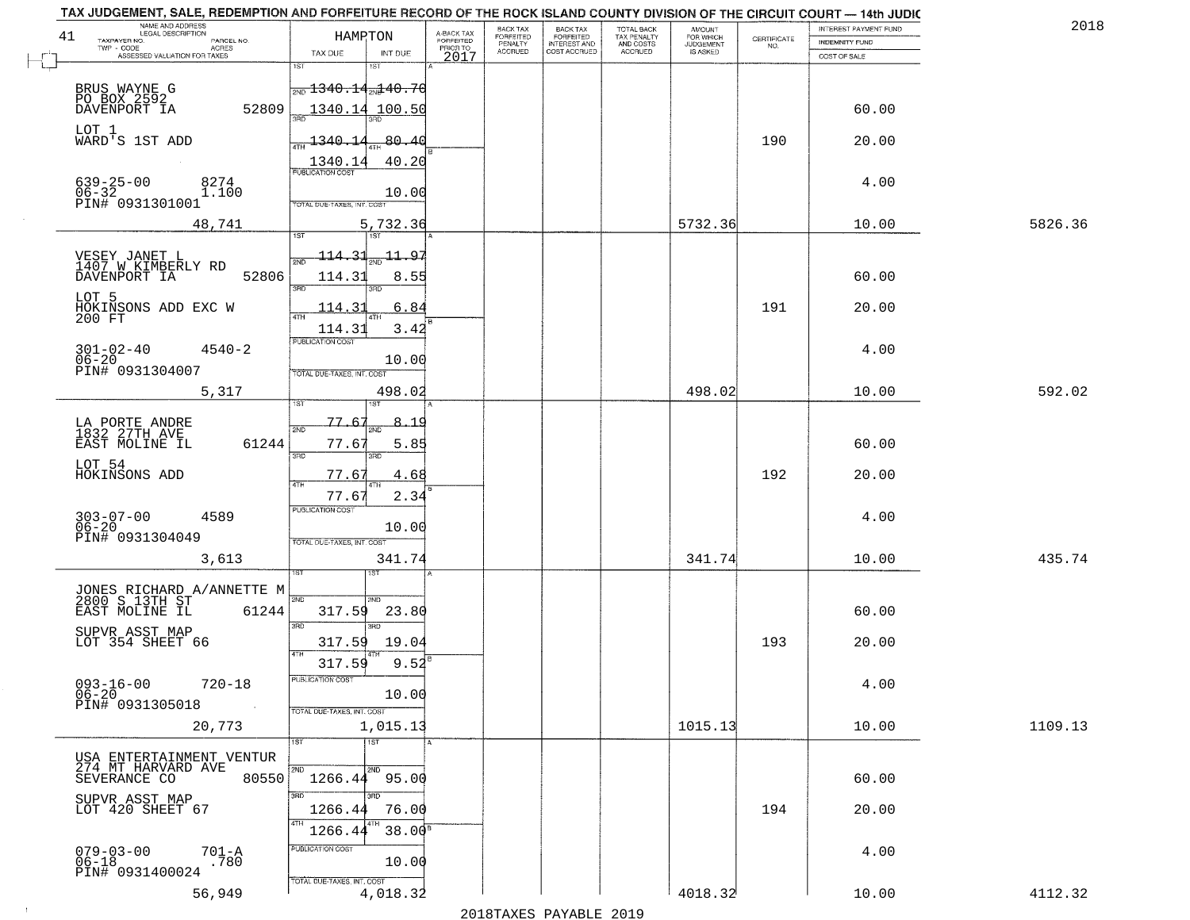|    | TAX JUDGEMENT, SALE, REDEMPTION AND FORFEITURE RECORD OF THE ROCK ISLAND COUNTY DIVISION OF THE CIRCUIT COURT — 14th JUDIC<br>NAME AND ADDRESS<br>LEGAL DESCRIPTION |                                               |                      |                                     | BACK TAX                        |                                                       |                                                   | <b>AMOUNT</b>                      |                    | INTEREST PAYMENT FUND          | 2018    |
|----|---------------------------------------------------------------------------------------------------------------------------------------------------------------------|-----------------------------------------------|----------------------|-------------------------------------|---------------------------------|-------------------------------------------------------|---------------------------------------------------|------------------------------------|--------------------|--------------------------------|---------|
| 41 | TAXPAYER NO.<br>PARCEL NO.<br>$TWP - CODE$<br>- CODE AGRES<br>ASSESSED VALUATION FOR TAXES                                                                          | HAMPTON<br>TAX DUE                            | INT DUE              | A-BACK TAX<br>FORFEITED<br>PRIOR TO | FORFEITED<br>PENALTY<br>ACCRUED | BACK TAX<br>FORFEITED<br>INTEREST AND<br>COST ACCRUED | TOTAL BACK<br>TAX PENALTY<br>AND COSTS<br>ACCRUED | FOR WHICH<br>JUDGEMENT<br>IS ASKED | CERTIFICATE<br>NO. | INDEMNITY FUND<br>COST OF SALE |         |
|    |                                                                                                                                                                     | 1ST                                           | 1ST                  | 2017                                |                                 |                                                       |                                                   |                                    |                    |                                |         |
|    | BRUS WAYNE G<br>PO BOX 2592                                                                                                                                         | $\frac{1}{2ND}$ 1340.14 $\frac{1}{2ND}$ 40.70 |                      |                                     |                                 |                                                       |                                                   |                                    |                    |                                |         |
|    | DAVENPORT IA<br>52809                                                                                                                                               | 1340.14 100.50<br>łЯÑ                         |                      |                                     |                                 |                                                       |                                                   |                                    |                    | 60.00                          |         |
|    | LOT 1                                                                                                                                                               |                                               |                      |                                     |                                 |                                                       |                                                   |                                    |                    |                                |         |
|    | WARD'S 1ST ADD                                                                                                                                                      | 1340.14<br><b>ATH</b>                         | 80.40                |                                     |                                 |                                                       |                                                   |                                    | 190                | 20.00                          |         |
|    | $639 - 25 - 00$<br>8274                                                                                                                                             | 1340.14<br><b>PUBLICATION COST</b>            | 40.20                |                                     |                                 |                                                       |                                                   |                                    |                    | 4.00                           |         |
|    | $06 - 32$<br>1.100<br>PIN# 0931301001                                                                                                                               | TOTAL DUE-TAXES, INT. COST                    | 10.00                |                                     |                                 |                                                       |                                                   |                                    |                    |                                |         |
|    | 48,741                                                                                                                                                              |                                               | 5,732.36             |                                     |                                 |                                                       |                                                   | 5732.36                            |                    | 10.00                          | 5826.36 |
|    |                                                                                                                                                                     | <b>IST</b>                                    | 1ST <sup>1</sup>     |                                     |                                 |                                                       |                                                   |                                    |                    |                                |         |
|    | VESEY JANET L<br>1407 W KIMBERLY RD                                                                                                                                 | <u> 114.31</u><br>2ND                         | <u> 11.97</u>        |                                     |                                 |                                                       |                                                   |                                    |                    |                                |         |
|    | 52806<br>DAVENPORT IA                                                                                                                                               | 114.31<br>3RD                                 | 8.55                 |                                     |                                 |                                                       |                                                   |                                    |                    | 60.00                          |         |
|    | LOT 5<br>HOKINSONS ADD EXC W                                                                                                                                        | 114.3                                         | 6.84                 |                                     |                                 |                                                       |                                                   |                                    | 191                | 20.00                          |         |
|    | 200 FT                                                                                                                                                              | ৰাম<br>114.31                                 | 3.42                 |                                     |                                 |                                                       |                                                   |                                    |                    |                                |         |
|    | $4540 - 2$                                                                                                                                                          | <b>PUBLICATION COST</b>                       |                      |                                     |                                 |                                                       |                                                   |                                    |                    | 4.00                           |         |
|    | $301 - 02 - 40$<br>06-20<br>PIN# 0931304007                                                                                                                         | TOTAL DUE-TAXES, INT. COST                    | 10.00                |                                     |                                 |                                                       |                                                   |                                    |                    |                                |         |
|    | 5,317                                                                                                                                                               |                                               | 498.02               |                                     |                                 |                                                       |                                                   | 498.02                             |                    | 10.00                          | 592.02  |
|    |                                                                                                                                                                     | ۱S٦                                           |                      |                                     |                                 |                                                       |                                                   |                                    |                    |                                |         |
|    | LA PORTE ANDRE<br>1832 27TH AVE                                                                                                                                     | 77.6'<br>2ND                                  | $8 - 1$<br><u>_q</u> |                                     |                                 |                                                       |                                                   |                                    |                    |                                |         |
|    | 61244<br>EAST MOLINE IL                                                                                                                                             | 77.6'<br>3RD                                  | 5.85<br>3BD          |                                     |                                 |                                                       |                                                   |                                    |                    | 60.00                          |         |
|    | LOT 54<br>HOKINSONS ADD                                                                                                                                             | 77.67<br>4TH                                  | 4.68<br>4TH          |                                     |                                 |                                                       |                                                   |                                    | 192                | 20.00                          |         |
|    |                                                                                                                                                                     | 77.67                                         | 2.34                 |                                     |                                 |                                                       |                                                   |                                    |                    |                                |         |
|    | 303-07-00<br>06-20<br>4589                                                                                                                                          | <b>PUBLICATION COST</b>                       | 10.00                |                                     |                                 |                                                       |                                                   |                                    |                    | 4.00                           |         |
|    | PIN# 0931304049                                                                                                                                                     | TOTAL OUE-TAXES, INT. COST                    |                      |                                     |                                 |                                                       |                                                   |                                    |                    |                                |         |
|    | 3,613                                                                                                                                                               |                                               | 341.74               |                                     |                                 |                                                       |                                                   | 341.74                             |                    | 10.00                          | 435.74  |
|    |                                                                                                                                                                     |                                               |                      |                                     |                                 |                                                       |                                                   |                                    |                    |                                |         |
|    | JONES RICHARD A/ANNETTE M<br>2800 S 13TH ST<br>61244<br>EAST MOLINE IL                                                                                              | 2ND<br>317.59                                 | 2ND<br>23.80         |                                     |                                 |                                                       |                                                   |                                    |                    | 60.00                          |         |
|    | SUPVR_ASST MAP                                                                                                                                                      | 3RD                                           | 3RD                  |                                     |                                 |                                                       |                                                   |                                    |                    |                                |         |
|    | LOT 354 SHEET 66                                                                                                                                                    | 317.59<br>4TH                                 | 19.04                |                                     |                                 |                                                       |                                                   |                                    | 193                | 20.00                          |         |
|    |                                                                                                                                                                     | 317.59<br><b>PUBLICATION COST</b>             | 9.52                 |                                     |                                 |                                                       |                                                   |                                    |                    |                                |         |
|    | $093 - 16 - 00$<br>$720 - 18$<br>06-20<br>PIN# 0931305018                                                                                                           |                                               | 10.00                |                                     |                                 |                                                       |                                                   |                                    |                    | 4.00                           |         |
|    |                                                                                                                                                                     | TOTAL DUE-TAXES, INT. COST                    |                      |                                     |                                 |                                                       |                                                   |                                    |                    |                                |         |
|    | 20,773                                                                                                                                                              | 1ST                                           | 1,015.13<br>1ST      |                                     |                                 |                                                       |                                                   | 1015.13                            |                    | 10.00                          | 1109.13 |
|    | USA ENTERTAINMENT VENTUR                                                                                                                                            |                                               |                      |                                     |                                 |                                                       |                                                   |                                    |                    |                                |         |
|    | 274 MT HARVARD AVE<br>SEVERANCE CO<br>80550                                                                                                                         | 2ND<br>1266.44 95.00                          | 2ND                  |                                     |                                 |                                                       |                                                   |                                    |                    | 60.00                          |         |
|    | SUPVR ASST MAP<br>LOT 420 SHEET 67                                                                                                                                  | 3RD<br>1266.44                                | 3RD<br>76.00         |                                     |                                 |                                                       |                                                   |                                    | 194                | 20.00                          |         |
|    |                                                                                                                                                                     | 4TH<br>1266.44                                | 38.00 <sup>B</sup>   |                                     |                                 |                                                       |                                                   |                                    |                    |                                |         |
|    | $079 - 03 - 00$                                                                                                                                                     | PUBLICATION COST                              |                      |                                     |                                 |                                                       |                                                   |                                    |                    | 4.00                           |         |
|    | $701 - A$<br>.780<br>06-18<br>PIN# 0931400024                                                                                                                       |                                               | 10.00                |                                     |                                 |                                                       |                                                   |                                    |                    |                                |         |
|    | 56,949                                                                                                                                                              | TOTAL DUE-TAXES, INT. COST                    | 4,018.32             |                                     |                                 |                                                       |                                                   | 4018.32                            |                    | 10.00                          | 4112.32 |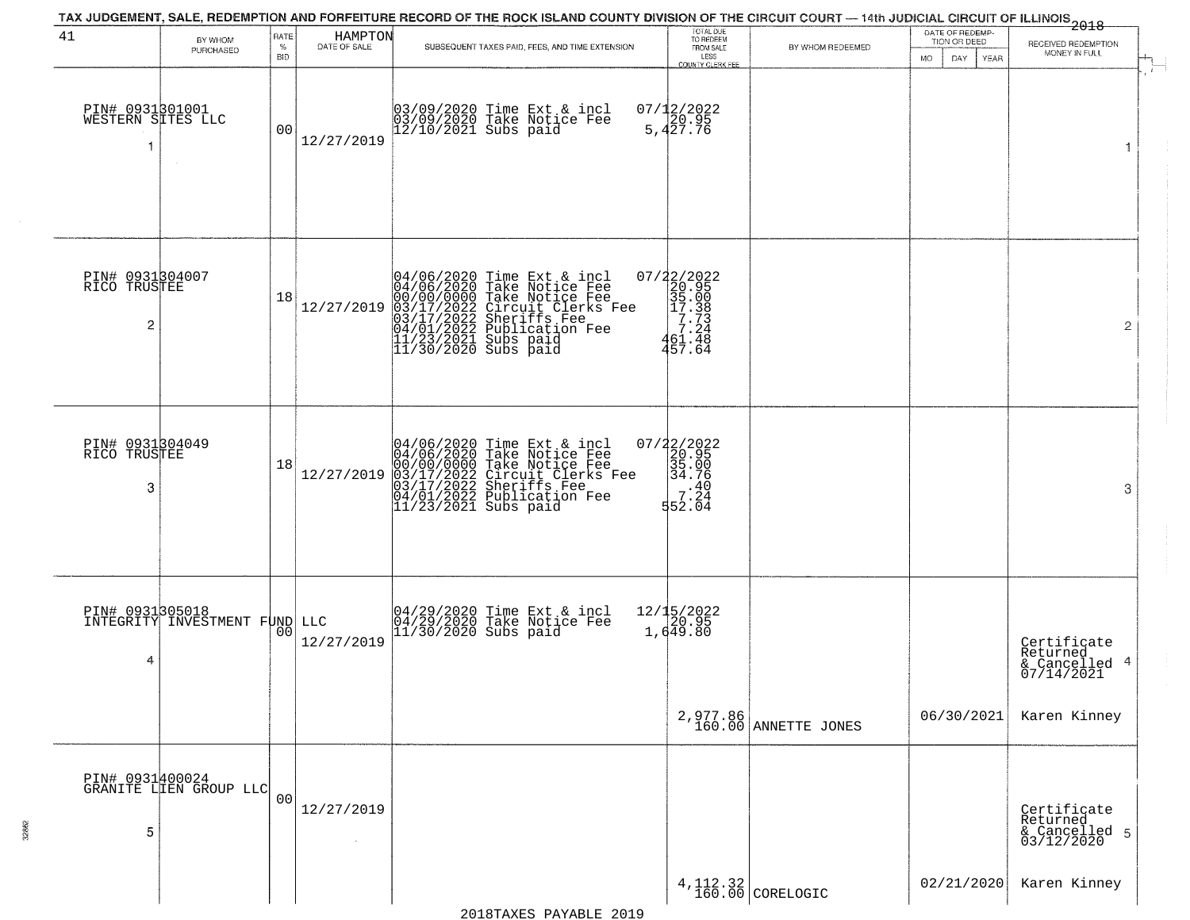|                                                   |                                                  |                |                         | TAX JUDGEMENT, SALE, REDEMPTION AND FORFEITURE RECORD OF THE ROCK ISLAND COUNTY DIVISION OF THE CIRCUIT COURT — 14th JUDICIAL CIRCUIT OF ILLINOIS 2018                                                                              |                                                                                                                      |                                  |                                 |                                                           |
|---------------------------------------------------|--------------------------------------------------|----------------|-------------------------|-------------------------------------------------------------------------------------------------------------------------------------------------------------------------------------------------------------------------------------|----------------------------------------------------------------------------------------------------------------------|----------------------------------|---------------------------------|-----------------------------------------------------------|
| 41                                                | BY WHOM<br>PURCHASED                             | RATE<br>$\%$   | HAMPTON<br>DATE OF SALE | SUBSEQUENT TAXES PAID, FEES, AND TIME EXTENSION                                                                                                                                                                                     | TOTAL DUE<br>TO REDEEM<br>FROM SALE                                                                                  | BY WHOM REDEEMED                 | DATE OF REDEMP-<br>TION OR DEED | RECEIVED REDEMPTION                                       |
|                                                   |                                                  | <b>BID</b>     |                         |                                                                                                                                                                                                                                     | LESS<br><b>COUNTY CLERK FEE</b>                                                                                      |                                  | <b>MO</b><br>DAY<br>YEAR        | MONEY IN FULL<br>$\mathbf{r}$                             |
| PIN# 0931301001<br>WESTERN SITES LLC<br>-1        |                                                  | 0 <sub>0</sub> | 12/27/2019              | 03/09/2020 Time Ext & incl<br>03/09/2020 Take Notice Fee<br>12/10/2021 Subs paid                                                                                                                                                    | $07/12/2022$<br>5,427.76                                                                                             |                                  |                                 | 1                                                         |
| PIN# 0931304007<br>RICO TRUSTEE<br>$\overline{2}$ |                                                  | 18             | 12/27/2019              | 04/06/2020 Time Ext & incl<br>04/06/2020 Take Notice Fee<br>00/00/0000 Take Notice Fee<br>03/17/2022 Circuit Clerks Fee<br>03/17/2022 Sublication Fee<br>04/01/2022 Publication Fee<br>11/23/2021 Subs paid<br>11/30/2020 Subs paid | 07/22/2022<br>20.95<br>35.00<br>35.00<br>7.33<br>7.24<br>46.7.448<br>457.64                                          |                                  |                                 | 2                                                         |
| PIN# 0931304049<br>RICO TRUSTEE<br>3              |                                                  | 18             | 12/27/2019              | 04/06/2020 Time Ext & incl<br>04/06/2020 Take Notice Fee<br>00/00/00/000 Take Notice Fee<br>03/17/2022 Circuit Clerks Fee<br>03/17/2022 Sheriffs Fee<br>04/01/2022 Publication Fee<br>11/23/2021 Subs paid                          | 07/22/2022<br>20.95<br>35.00<br>34.76<br>$\begin{bmatrix} 3 & 1 & 4 & 0 \\ 7 & 2 & 4 \\ 5 & 2 & 0 & 4 \end{bmatrix}$ |                                  |                                 | 3                                                         |
| 4                                                 | PIN# 0931305018<br>INTEGRITY INVESTMENT FUND LLC | 00             | 12/27/2019              | 04/29/2020 Time Ext & incl<br>04/29/2020 Take Notice Fee<br>11/30/2020 Subs paid                                                                                                                                                    | 12/15/2022<br>20.95<br>1,649.80                                                                                      |                                  |                                 | Certificate<br>Returned<br>4<br>& Cancelled<br>07/14/2021 |
|                                                   |                                                  |                |                         |                                                                                                                                                                                                                                     |                                                                                                                      | 2,977.86<br>160.00 ANNETTE JONES | 06/30/2021                      | Karen Kinney                                              |
| 5                                                 | PIN# 0931400024<br>GRANITE LIEN GROUP LLC        | 0 <sub>0</sub> | 12/27/2019              |                                                                                                                                                                                                                                     |                                                                                                                      |                                  |                                 | Certificate<br>Returned<br>& Cancelled 5<br>03/12/2020    |
|                                                   |                                                  |                |                         |                                                                                                                                                                                                                                     |                                                                                                                      | $4,112.32$<br>160.00 CORELOGIC   | 02/21/2020                      | Karen Kinney                                              |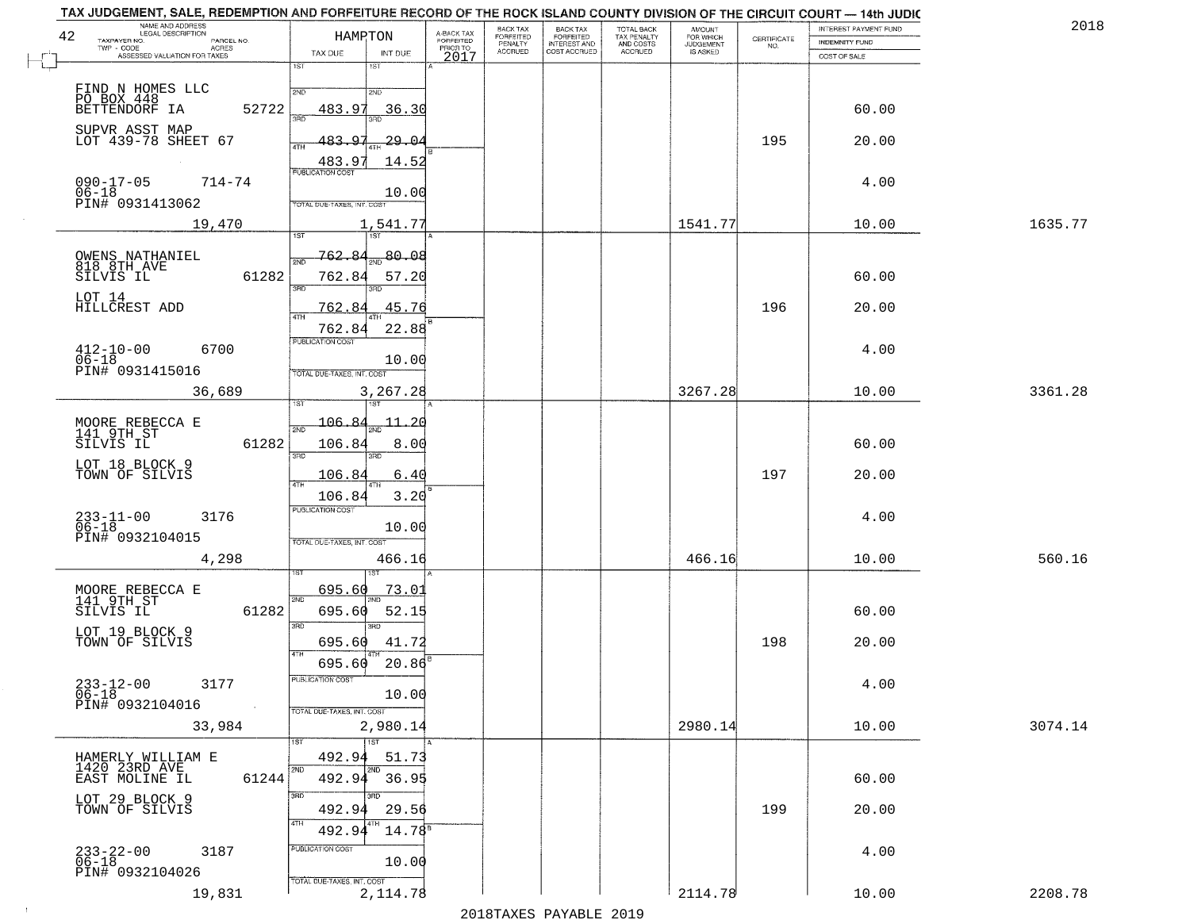| TAX JUDGEMENT, SALE, REDEMPTION AND FORFEITURE RECORD OF THE ROCK ISLAND COUNTY DIVISION OF THE CIRCUIT COURT — 14th JUDIC<br>NAME AND ADDRESS<br>LEGAL DESCRIPTION<br>42 | HAMPTON                           |                                | A-BACK TAX<br>FORFEITED | BACK TAX<br><b>FORFEITED</b> |                                                       | TOTAL BACK<br>TAX PENALTY<br>AND COSTS<br>ACCRUED | <b>AMOUNT</b>                      | CERTIFICATE | INTEREST PAYMENT FUND                 | 201     |
|---------------------------------------------------------------------------------------------------------------------------------------------------------------------------|-----------------------------------|--------------------------------|-------------------------|------------------------------|-------------------------------------------------------|---------------------------------------------------|------------------------------------|-------------|---------------------------------------|---------|
| TAXPAYER NO.<br>PARCEL NO.<br>$TWP - CODE$<br>ACRES<br>ASSESSED VALUATION FOR TAXES                                                                                       | TAX DUE                           | INT DUE                        | PRIOR TO<br>2017        | PENALTY<br>ACCRUED           | BACK TAX<br>FORFEITED<br>INTEREST AND<br>COST ACCRUED |                                                   | FOR WHICH<br>JUDGEMENT<br>IS ASKED | NO.         | <b>INDEMNITY FUND</b><br>COST OF SALE |         |
|                                                                                                                                                                           | 1ST                               | 1ST                            |                         |                              |                                                       |                                                   |                                    |             |                                       |         |
| FIND N HOMES LLC<br>PO BOX 448                                                                                                                                            | 2ND                               | 2ND                            |                         |                              |                                                       |                                                   |                                    |             |                                       |         |
| BETTENDORF IA<br>52722                                                                                                                                                    | 483.97                            | <u>36.30</u><br>3BD            |                         |                              |                                                       |                                                   |                                    |             | 60.00                                 |         |
| SUPVR ASST MAP<br>LOT 439-78 SHEET 67                                                                                                                                     | 483.<br>ATH                       | -29.04                         |                         |                              |                                                       |                                                   |                                    | 195         | 20.00                                 |         |
|                                                                                                                                                                           | 483.97                            | 14.52                          |                         |                              |                                                       |                                                   |                                    |             |                                       |         |
| $090 - 17 - 05$<br>$714 - 74$                                                                                                                                             | PUBLICATION COST                  |                                |                         |                              |                                                       |                                                   |                                    |             | 4.00                                  |         |
| 06-18<br>PIN# 0931413062                                                                                                                                                  | TOTAL DUE-TAXES, INT. COST        | 10.00                          |                         |                              |                                                       |                                                   |                                    |             |                                       |         |
| 19,470                                                                                                                                                                    |                                   | 1,541.77                       |                         |                              |                                                       |                                                   | 1541.77                            |             | 10.00                                 | 1635.77 |
|                                                                                                                                                                           | 1ST                               | 1ST                            |                         |                              |                                                       |                                                   |                                    |             |                                       |         |
| OWENS NATHANIEL<br>818 8TH AVE<br>SILVIS IL<br>61282                                                                                                                      | <u>762.84</u><br>762.84           | -80.08<br>57.20                |                         |                              |                                                       |                                                   |                                    |             | 60.00                                 |         |
| LOT 14                                                                                                                                                                    | 3RD                               |                                |                         |                              |                                                       |                                                   |                                    |             |                                       |         |
| HILLCREST ADD                                                                                                                                                             | 762.84<br>4TH                     | 45.76                          |                         |                              |                                                       |                                                   |                                    | 196         | 20.00                                 |         |
|                                                                                                                                                                           | 762.84<br>PUBLICATION COST        | 22.88                          |                         |                              |                                                       |                                                   |                                    |             |                                       |         |
| $412 - 10 - 00$<br>$06 - 18$<br>6700                                                                                                                                      |                                   | 10.00                          |                         |                              |                                                       |                                                   |                                    |             | 4.00                                  |         |
| PIN# 0931415016                                                                                                                                                           | TOTAL DUE-TAXES, INT. COST        |                                |                         |                              |                                                       |                                                   |                                    |             |                                       |         |
| 36,689                                                                                                                                                                    |                                   | 3,267.28                       |                         |                              |                                                       |                                                   | 3267.28                            |             | 10.00                                 | 3361.28 |
|                                                                                                                                                                           | 106.84                            | $\mathbf{\overline{11}}$<br>20 |                         |                              |                                                       |                                                   |                                    |             |                                       |         |
| MOORE REBECCA E<br>141 9TH ST<br>61282<br>SILVIS IL                                                                                                                       | 2ND<br>106.84                     | 8.00                           |                         |                              |                                                       |                                                   |                                    |             | 60.00                                 |         |
| LOT 18 BLOCK 9                                                                                                                                                            | 3RD                               | 3RD                            |                         |                              |                                                       |                                                   |                                    |             |                                       |         |
| TOWN OF SILVIS                                                                                                                                                            | 106.84<br>4TH                     | 6.40                           |                         |                              |                                                       |                                                   |                                    | 197         | 20.00                                 |         |
|                                                                                                                                                                           | 106.84<br><b>PUBLICATION COST</b> | 3.20                           |                         |                              |                                                       |                                                   |                                    |             |                                       |         |
| $233 - 11 - 00$<br>06-18<br>3176                                                                                                                                          |                                   | 10.00                          |                         |                              |                                                       |                                                   |                                    |             | 4.00                                  |         |
| PIN# 0932104015                                                                                                                                                           | TOTAL OUE-TAXES, INT. COST        |                                |                         |                              |                                                       |                                                   |                                    |             |                                       |         |
| 4,298                                                                                                                                                                     |                                   | 466.16                         |                         |                              |                                                       |                                                   | 466.16                             |             | 10.00                                 | 560.16  |
| MOORE REBECCA E<br>141 9TH ST                                                                                                                                             | 695.60<br>2ND                     | <u>73.01</u>                   |                         |                              |                                                       |                                                   |                                    |             |                                       |         |
| SILVIS IL<br>61282                                                                                                                                                        | 695.60                            | 52.15                          |                         |                              |                                                       |                                                   |                                    |             | 60.00                                 |         |
| LOT 19 BLOCK 9<br>TOWN OF SILVIS                                                                                                                                          | 3RD<br>695.60                     | 3BD<br>41.72                   |                         |                              |                                                       |                                                   |                                    | 198         | 20.00                                 |         |
|                                                                                                                                                                           | 4TH<br>695.60                     | 20.86                          |                         |                              |                                                       |                                                   |                                    |             |                                       |         |
| $233 - 12 - 00$<br>06-18<br>3177                                                                                                                                          | PUBLICATION COST                  |                                |                         |                              |                                                       |                                                   |                                    |             | 4.00                                  |         |
| PIN# 0932104016                                                                                                                                                           | TOTAL DUE-TAXES, INT. COST        | 10.00                          |                         |                              |                                                       |                                                   |                                    |             |                                       |         |
| 33,984                                                                                                                                                                    |                                   | 2,980.14                       |                         |                              |                                                       |                                                   | 2980.14                            |             | 10.00                                 | 3074.14 |
|                                                                                                                                                                           | 1ST                               | 1ST                            |                         |                              |                                                       |                                                   |                                    |             |                                       |         |
| HAMERLY WILLIAM E<br>1420 23RD AVE                                                                                                                                        | 492.94<br>2ND                     | 51.73                          |                         |                              |                                                       |                                                   |                                    |             |                                       |         |
| EAST MOLINE IL<br>61244                                                                                                                                                   | 492.94<br>3RD                     | 36.95<br>3HD                   |                         |                              |                                                       |                                                   |                                    |             | 60.00                                 |         |
| LOT 29 BLOCK 9<br>TOWN OF SILVIS                                                                                                                                          | 492.94                            | 29.56                          |                         |                              |                                                       |                                                   |                                    | 199         | 20.00                                 |         |
|                                                                                                                                                                           | 4TH<br>492.94                     | $14.78^{8}$                    |                         |                              |                                                       |                                                   |                                    |             |                                       |         |
| 233-22-00<br>06-18<br>3187                                                                                                                                                | PUBLICATION COST                  | 10.00                          |                         |                              |                                                       |                                                   |                                    |             | 4.00                                  |         |
| PIN# 0932104026                                                                                                                                                           | TOTAL DUE-TAXES, INT. COST        |                                |                         |                              |                                                       |                                                   |                                    |             |                                       |         |
| 19,831                                                                                                                                                                    |                                   | 2,114.78                       |                         |                              |                                                       |                                                   | 2114.78                            |             | 10.00                                 | 2208.78 |

 $\sim 100$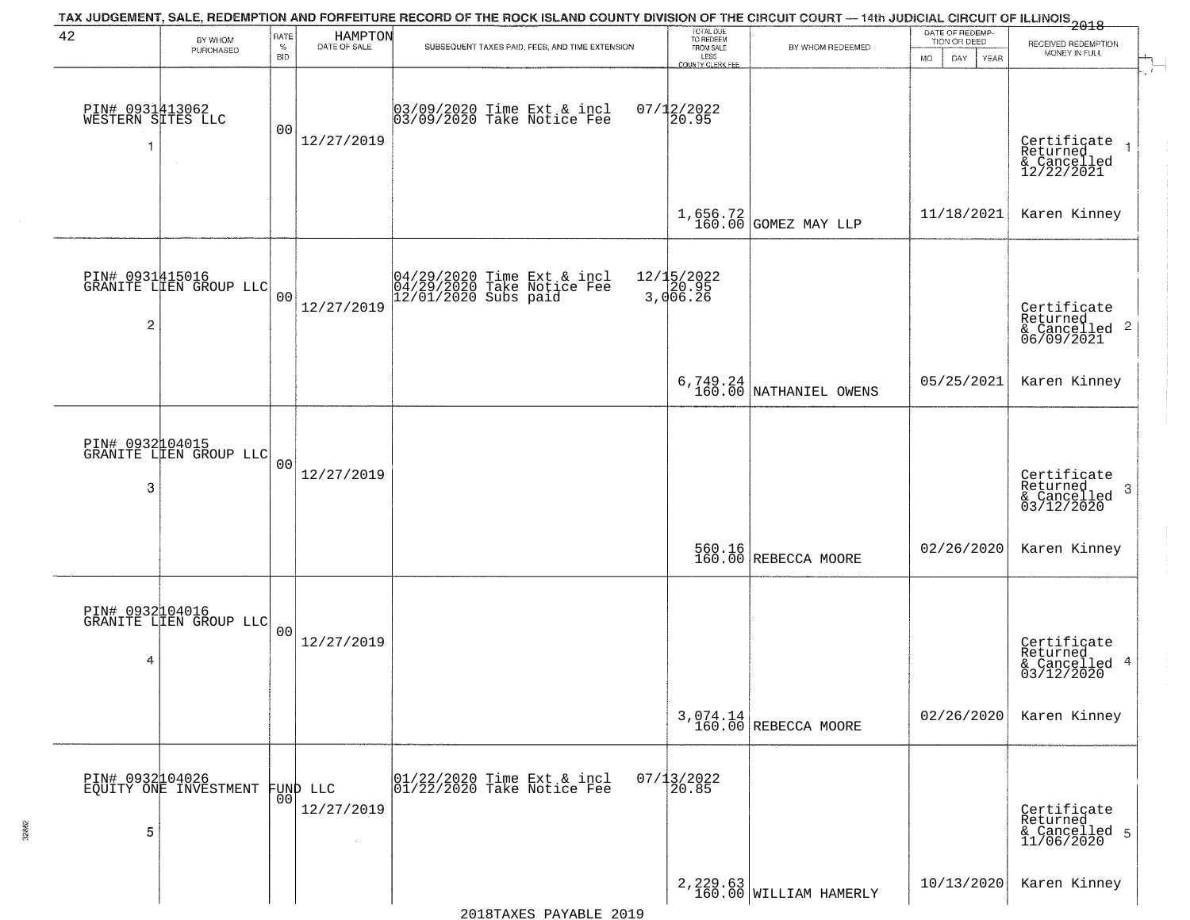|                                      |                                           |                            |                                  | TAX JUDGEMENT, SALE, REDEMPTION AND FORFEITURE RECORD OF THE ROCK ISLAND COUNTY DIVISION OF THE CIRCUIT COURT — 14th JUDICIAL CIRCUIT OF ILLINOIS 2018 |                                                                 |                                      |                                                              |                                                           |
|--------------------------------------|-------------------------------------------|----------------------------|----------------------------------|--------------------------------------------------------------------------------------------------------------------------------------------------------|-----------------------------------------------------------------|--------------------------------------|--------------------------------------------------------------|-----------------------------------------------------------|
| 42                                   | BY WHOM<br>PURCHASED                      | RATE<br>$\%$<br><b>BID</b> | HAMPTON<br>DATE OF SALE          | SUBSEQUENT TAXES PAID, FEES, AND TIME EXTENSION                                                                                                        | TOTAL DUE<br>TO REDEEM<br>FROM SALE<br>LESS<br>COUNTY CLERK FEE | BY WHOM REDEEMED                     | DATE OF REDEMP-<br>TION OR DEED<br>DAY.<br><b>MO</b><br>YEAR | RECEIVED REDEMPTION<br>MONEY IN FULL                      |
| PIN# 0931413062<br>WESTERN SITES LLC |                                           | 0 <sub>0</sub>             | 12/27/2019                       | 03/09/2020 Time Ext & incl<br>03/09/2020 Take Notice Fee                                                                                               | $07/12/2022$<br>20.95                                           |                                      |                                                              | Certificate<br>Returned<br>& Cancelled<br>12/22/2021      |
|                                      |                                           |                            |                                  |                                                                                                                                                        |                                                                 | $1,656.72$ GOMEZ MAY LLP             | 11/18/2021                                                   | Karen Kinney                                              |
| $\overline{\mathbf{c}}$              | PIN# 0931415016<br>GRANITE LIEN GROUP LLC | 0 <sub>0</sub>             | 12/27/2019                       | 04/29/2020 Time Ext & incl<br>04/29/2020 Take Notice Fee<br>12/01/2020 Subs paid                                                                       | 12/15/2022<br>20.95<br>3,006.26                                 |                                      |                                                              | Certificate<br>Returned<br>& Cancelled 2<br>06/09/2021    |
|                                      |                                           |                            |                                  |                                                                                                                                                        |                                                                 | $6,749.24$<br>160.00 NATHANIEL OWENS | 05/25/2021                                                   | Karen Kinney                                              |
| 3                                    | PIN# 0932104015<br>GRANITE LIEN GROUP LLC | 0 <sub>0</sub>             | 12/27/2019                       |                                                                                                                                                        |                                                                 |                                      |                                                              | Certificate<br>Returned<br>3<br>& Cancelled<br>03/12/2020 |
|                                      |                                           |                            |                                  |                                                                                                                                                        |                                                                 | 560.16<br>160.00 REBECCA MOORE       | 02/26/2020                                                   | Karen Kinney                                              |
| 4                                    | PIN# 0932104016<br>GRANITE LIEN GROUP LLC | 0 <sub>0</sub>             | 12/27/2019                       |                                                                                                                                                        |                                                                 |                                      |                                                              | Certificate<br>Returned<br>4<br>& Cancelled<br>03/12/2020 |
|                                      |                                           |                            |                                  |                                                                                                                                                        |                                                                 | $3,074.14$ REBECCA MOORE             | 02/26/2020                                                   | Karen Kinney                                              |
| 5                                    | PIN# 0932104026<br>EQUITY ONE INVESTMENT  | 00 <sub>1</sub>            | FUND LLC<br>12/27/2019<br>$\sim$ | 01/22/2020 Time Ext & incl<br>01/22/2020 Take Notice Fee                                                                                               | $07/13/2022$<br>20.85                                           |                                      |                                                              | Certificate<br>Returned<br>& Cancelled 5<br>11/06/2020    |
|                                      |                                           |                            |                                  |                                                                                                                                                        |                                                                 | 2, 229.63<br>160.00 WILLIAM HAMERLY  | 10/13/2020                                                   | Karen Kinney                                              |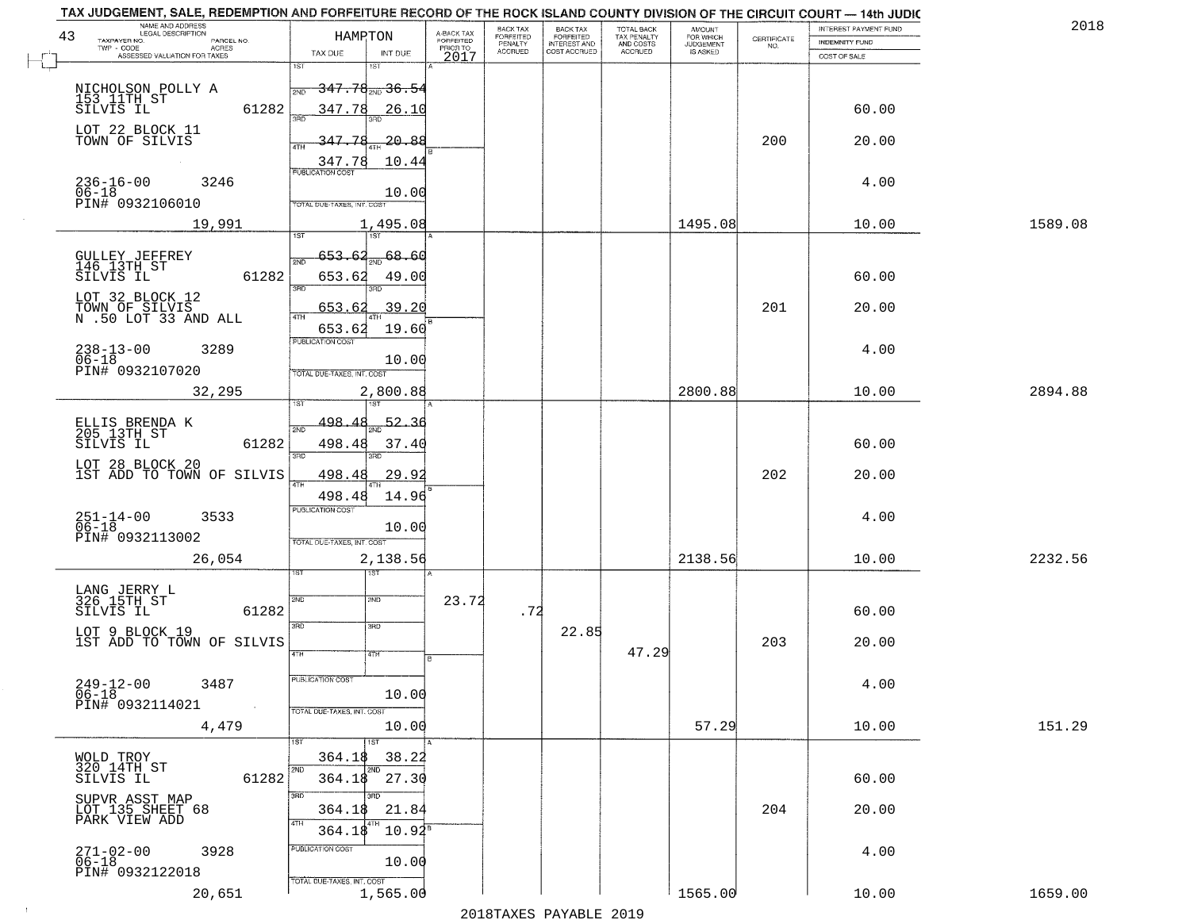| TAX JUDGEMENT, SALE, REDEMPTION AND FORFEITURE RECORD OF THE ROCK ISLAND COUNTY DIVISION OF THE CIRCUIT COURT - 14th JUDIC |                                                                                          |                                     |                              |                              |                                        |                     |                                                                 |                       |         |
|----------------------------------------------------------------------------------------------------------------------------|------------------------------------------------------------------------------------------|-------------------------------------|------------------------------|------------------------------|----------------------------------------|---------------------|-----------------------------------------------------------------|-----------------------|---------|
| NAME AND ADDRESS<br>LEGAL DESCRIPTION<br>43                                                                                | HAMPTON                                                                                  |                                     | BACK TAX<br><b>FORFEITED</b> | <b>BACK TAX</b><br>FORFEITED | TOTAL BACK<br>TAX PENALTY<br>AND COSTS | AMOUNT<br>FOR WHICH |                                                                 | INTEREST PAYMENT FUND | 2018    |
| TAXPAYER NO.<br>PARCEL NO.<br>ACRES                                                                                        |                                                                                          | A-BACK TAX<br>FORFEITED<br>PRIOR TO | PENALTY                      | <b>INTEREST AND</b>          |                                        | <b>JUDGEMENT</b>    | $\begin{array}{c} \text{CERTIFICATE} \\ \text{NO.} \end{array}$ | <b>INDEMNITY FUND</b> |         |
| ASSESSED VALUATION FOR TAXES                                                                                               | TAX DUE<br>INT DUE<br>1ST                                                                | 2017                                | <b>ACCRUED</b>               | COST ACCRUED                 | ACCRUED                                | <b>IS ASKED</b>     |                                                                 | COST OF SALE          |         |
| NICHOLSON POLLY A<br>153 11TH ST<br>SILVIS IL<br>61282                                                                     | 1ST<br><del>347.78<sub>2ND</sub>36.54</del><br>2ND<br>347.78<br>26.10                    |                                     |                              |                              |                                        |                     |                                                                 | 60.00                 |         |
| LOT 22 BLOCK 11<br>TOWN OF SILVIS                                                                                          | 347.78<br>20.88<br>10.44<br>$\frac{347.78}{FUBLICATION COST}$                            |                                     |                              |                              |                                        |                     | 200                                                             | 20.00                 |         |
| $236 - 16 - 00$<br>06-18<br>3246<br>PIN# 0932106010                                                                        | 10.00<br>TOTAL DUE-TAXES, INT, COST                                                      |                                     |                              |                              |                                        |                     |                                                                 | 4.00                  |         |
| 19,991                                                                                                                     | 1,495.08                                                                                 |                                     |                              |                              |                                        | 1495.08             |                                                                 | 10.00                 | 1589.08 |
| GULLEY JEFFREY<br>146 13TH ST<br>61282<br>SILVIS IL                                                                        | 68.60<br>653.62<br>2ND<br>653.62<br>49.00                                                |                                     |                              |                              |                                        |                     |                                                                 | 60.00                 |         |
| LOT 32 BLOCK 12<br>TOWN OF SILVIS<br>N .50 LOT 33 AND ALL                                                                  | 3RD<br>.39.20<br>653.62<br>47H<br>653.62<br>19.60                                        |                                     |                              |                              |                                        |                     | 201                                                             | 20.00                 |         |
| $238 - 13 - 00$<br>06-18<br>3289<br>PIN# 0932107020                                                                        | PUBLICATION COST<br>10.00<br>TOTAL DUE-TAXES, INT. COST                                  |                                     |                              |                              |                                        |                     |                                                                 | 4.00                  |         |
| 32,295                                                                                                                     | 2,800.88<br>1ST                                                                          |                                     |                              |                              |                                        | 2800.88             |                                                                 | 10.00                 | 2894.88 |
| ELLIS BRENDA K<br>205 13TH ST<br>SILVIS IL<br>61282<br>LOT 28 BLOCK 20<br>1ST ADD TO TOWN OF SILVIS                        | 498.<br>52.36<br>2ND<br>498.48<br>37.40<br>3RD<br>3BD<br>498.48<br><u>29.9</u>           |                                     |                              |                              |                                        |                     | 202                                                             | 60.00<br>20.00        |         |
| $251 - 14 - 00$<br>06-18<br>3533<br>PIN# 0932113002<br>26,054                                                              | 4TH<br>498.48<br>14.96<br><b>PUBLICATION COST</b><br>10.00<br>TOTAL OUE-TAXES, INT. COST |                                     |                              |                              |                                        | 2138.56             |                                                                 | 4.00<br>10.00         | 2232.56 |
|                                                                                                                            | 2,138.56<br>उड़ा                                                                         |                                     |                              |                              |                                        |                     |                                                                 |                       |         |
| LANG JERRY L<br>326 15TH ST<br>SILVIS IL<br>61282<br>LOT 9 BLOCK 19<br>1ST ADD TO TOWN OF SILVIS                           | 2ND<br>SVD<br>3RD<br>3BD                                                                 | 23.72                               | .72                          | 22.85                        |                                        |                     | 203                                                             | 60.00<br>20.00        |         |
| $249-12-00$<br>06-18<br>3487<br>PIN# 0932114021<br>$\sim$                                                                  | 4TH<br>47H<br>PUBLICATION COST<br>10.00<br>TOTAL DUE-TAXES, INT. COST                    |                                     |                              |                              | 47.29                                  |                     |                                                                 | 4.00                  |         |
| 4,479                                                                                                                      | 10.00                                                                                    |                                     |                              |                              |                                        | 57.29               |                                                                 | 10.00                 | 151.29  |
| WOLD TROY<br>320 14TH ST<br>61282<br>SILVIS IL                                                                             | 38.22<br>364.18<br>2ND<br>364.18<br>27.30                                                |                                     |                              |                              |                                        |                     |                                                                 | 60.00                 |         |
| SUPVR ASST MAP<br>LOT 135 SHEET 68<br>PARK VIEW ADD                                                                        | 3BD<br>3RD<br>21.84<br>364.18<br>4TH<br>$10.92^8$<br>364.18                              |                                     |                              |                              |                                        |                     | 204                                                             | 20.00                 |         |
| $271 - 02 - 00$<br>3928<br>$06 - 18$<br>PIN# 0932122018                                                                    | PUBLICATION COST<br>10.00<br>TOTAL DUE-TAXES, INT. COST                                  |                                     |                              |                              |                                        |                     |                                                                 | 4.00                  |         |
| 20,651                                                                                                                     | 1,565.00                                                                                 |                                     |                              |                              |                                        | 1565.00             |                                                                 | 10.00                 | 1659.00 |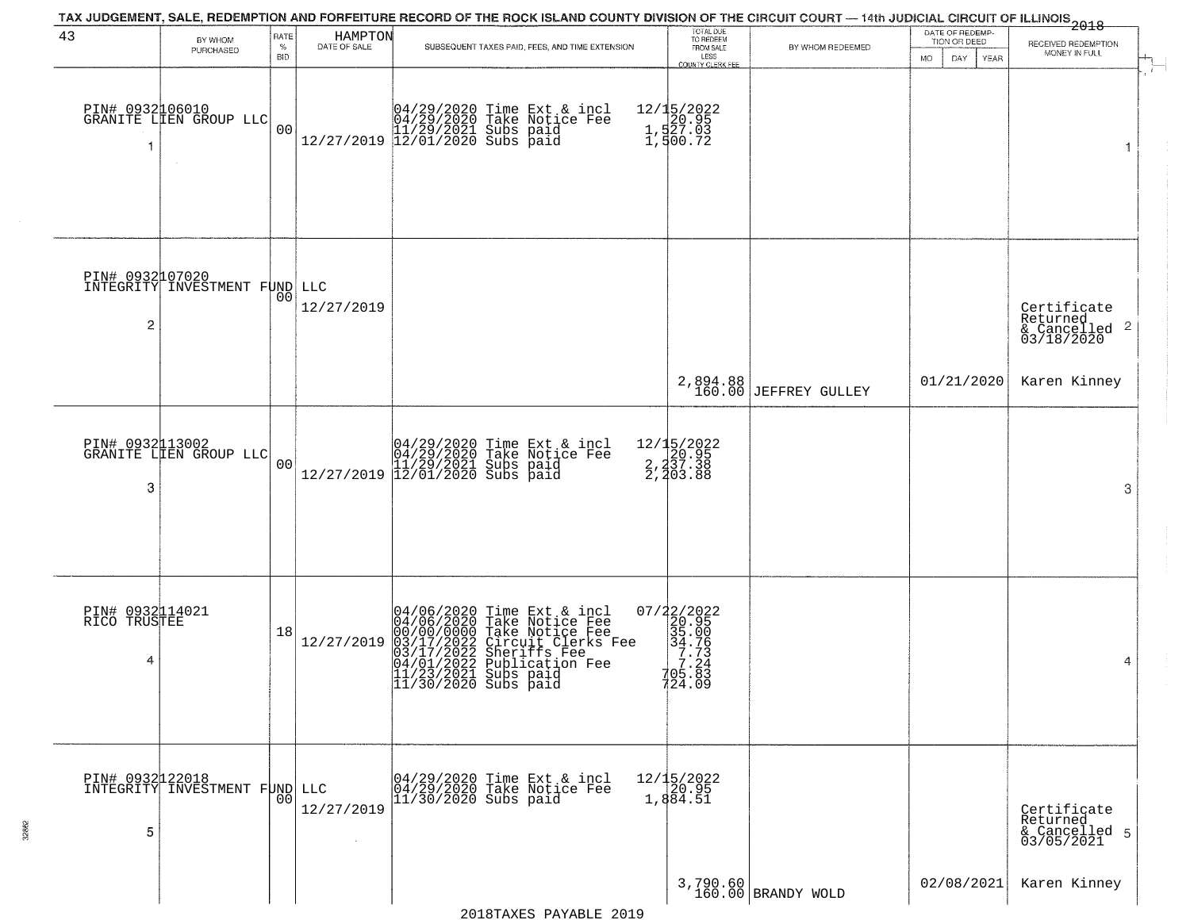|                                      |                                                  |                |                         | TAX JUDGEMENT, SALE, REDEMPTION AND FORFEITURE RECORD OF THE ROCK ISLAND COUNTY DIVISION OF THE CIRCUIT COURT — 14th JUDICIAL CIRCUIT OF ILLINOIS 2018                                                                              |                                                                                                  |                                   |                                 |                                                                        |
|--------------------------------------|--------------------------------------------------|----------------|-------------------------|-------------------------------------------------------------------------------------------------------------------------------------------------------------------------------------------------------------------------------------|--------------------------------------------------------------------------------------------------|-----------------------------------|---------------------------------|------------------------------------------------------------------------|
| 43                                   | BY WHOM<br>PURCHASED                             | RATE<br>$\%$   | HAMPTON<br>DATE OF SALE | SUBSEQUENT TAXES PAID, FEES, AND TIME EXTENSION                                                                                                                                                                                     | TOTAL DUE<br>TO REDEEM<br>FROM SALE                                                              | BY WHOM REDEEMED                  | DATE OF REDEMP-<br>TION OR DEED | RECEIVED REDEMPTION                                                    |
|                                      |                                                  | BID            |                         |                                                                                                                                                                                                                                     | LESS<br>COUNTY CLERK FEE                                                                         |                                   | <b>MO</b><br>DAY<br><b>YEAR</b> | MONEY IN FULL<br>$\mathbf{r}$                                          |
| -1                                   | PIN# 0932106010<br>GRANITE LLEN GROUP LLC        | 00             |                         | $[04/29/2020 \t\t Time Ext & incl 04/29/2020 \t\t Take Notice Free 11/29/2021 Subs paid 12/27/2019 12/01/2020 Subs paid 12/01/2020$                                                                                                 | 12/15/2022<br>120.95<br>1,527.03<br>1,500.72                                                     |                                   |                                 | 1                                                                      |
| PIN# 0932107020<br>$\overline{2}$    | INTEGRITY INVESTMENT FUND LLC                    | 00             | 12/27/2019              |                                                                                                                                                                                                                                     |                                                                                                  |                                   |                                 | Certificate<br>Returned<br>$\overline{2}$<br>& Cancelled<br>03/18/2020 |
|                                      |                                                  |                |                         |                                                                                                                                                                                                                                     |                                                                                                  | 2,894.88<br>160.00 JEFFREY GULLEY | 01/21/2020                      | Karen Kinney                                                           |
| 3                                    | PIN# 0932113002<br>GRANITE LIEN GROUP LLC        | 0 <sub>0</sub> |                         | $[04/29/2020 \t\t Time Ext & incl 04/29/2020 \t\t Take Notice Free 11/29/2021 Subs paid 12/27/2019 12/01/2020 Subs paid 13/2019]$                                                                                                   | 12/15/2022<br>20.95<br>2,237.38<br>2,203.88                                                      |                                   |                                 | 3                                                                      |
| PIN# 0932114021<br>RICO TRUSTEE<br>4 |                                                  | 18             | 12/27/2019              | 04/06/2020 Time Ext & incl<br>04/06/2020 Take Notice Fee<br>00/00/00000 Take Notice Fee<br>03/17/2022 Circuit Clerks Fee<br>03/17/2022 Sheriffs Fee<br>04/01/2022 Bublication Fee<br>11/23/2021 Subs paid<br>$11/30/2020$ Subs paid | $\begin{array}{r} 07/22/2022\\220.95\\355.00\\34.76\\77.24\\79.8\\79.8\\8 \end{array}$<br>724.09 |                                   |                                 | 4                                                                      |
| 5                                    | PIN# 0932122018<br>INTEGRITY INVESTMENT FUND LLC | 0 <sub>0</sub> | 12/27/2019              | 04/29/2020 Time Ext & incl<br>04/29/2020 Take Notice Fee<br>11/30/2020 Subs paid                                                                                                                                                    | $12/15/2022$<br>20.95<br>1,884.51                                                                |                                   |                                 | Certificate<br>Returned<br>& Cancelled 5<br>03/05/2021                 |
|                                      |                                                  |                |                         |                                                                                                                                                                                                                                     |                                                                                                  | 3,790.60<br>160.00 BRANDY WOLD    | 02/08/2021                      | Karen Kinney                                                           |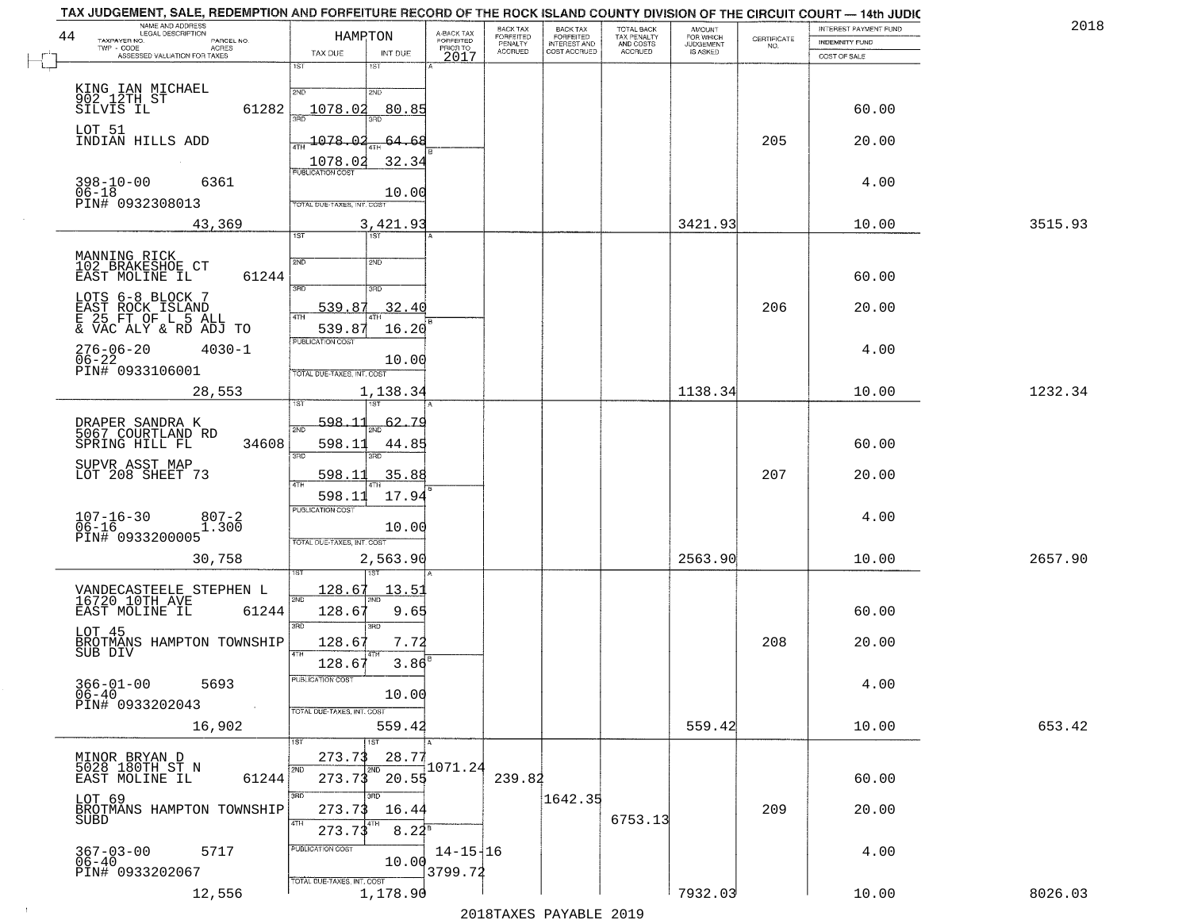| 2018    | INTEREST PAYMENT FUND |                                                                 | <b>AMOUNT</b><br>FOR WHICH | TOTAL BACK                          | <b>BACK TAX</b><br><b>FORFEITED</b> | BACK TAX<br><b>FORFEITED</b> | A-BACK TAX                   | HAMPTON                                                             | NAME AND ADDRESS<br>LEGAL DESCRIPTION                                               |
|---------|-----------------------|-----------------------------------------------------------------|----------------------------|-------------------------------------|-------------------------------------|------------------------------|------------------------------|---------------------------------------------------------------------|-------------------------------------------------------------------------------------|
|         | INDEMNITY FUND        | $\begin{array}{c} \text{CERTIFICATE} \\ \text{NO.} \end{array}$ | JUDGEMENT                  | TAX PENALTY<br>AND COSTS<br>ACCRUED | INTEREST AND<br>COST ACCRUED        | PENALTY<br>ACCRUED           | <b>FORFEITED</b><br>PRIOR TO |                                                                     | TAXPAYER NO.<br>PARCEL NO.<br>TWP - CODE<br><b>ACRES</b>                            |
|         | COST OF SALE          |                                                                 |                            |                                     |                                     |                              | 2017                         | TAX DUE<br>INT DUE                                                  | ASSESSED VALUATION FOR TAXES                                                        |
|         | 60.00                 |                                                                 |                            |                                     |                                     |                              |                              | 1ST<br>1ST<br>2ND<br>2ND<br>1078.02<br>80.85                        | KING IAN MICHAEL<br>902_12TH_ST<br>SILVIS IL<br>61282                               |
|         | 20.00                 | 205                                                             |                            |                                     |                                     |                              |                              | 1078.02<br><u>64.68</u><br>1078.02<br>32.34                         | LOT 51<br>INDIAN HILLS ADD                                                          |
|         | 4.00                  |                                                                 |                            |                                     |                                     |                              |                              | PUBLICATION COST<br>10.00<br>TOTAL DUE-TAXES, INT. COST             | 6361<br>$398 - 10 - 00$<br>$06 - 18$<br>PIN# 0932308013                             |
| 3515.93 | 10.00                 |                                                                 | 3421.93                    |                                     |                                     |                              |                              | 3,421.93                                                            | 43,369                                                                              |
|         | 60.00                 |                                                                 |                            |                                     |                                     |                              |                              | 1ST <sup>-</sup><br>1ST<br>2ND<br>2ND                               | MANNING RICK<br>102 BRAKESHOE CT<br>61244<br>EAST MOLINE IL                         |
|         | 20.00                 | 206                                                             |                            |                                     |                                     |                              |                              | 3RD<br>3RD<br>539.8<br>32.40<br>16.20<br>539.8                      | LOTS 6-8 BLOCK 7<br>EAST ROCK ISLAND<br>E 25 FT OF L 5 ALL<br>& VAC ALY & RD ADJ TO |
|         | 4.00                  |                                                                 |                            |                                     |                                     |                              |                              | PUBLICATION COST<br>10.00<br>TOTAL DUE-TAXES, INT. COST             | 276-06-20<br>06-22<br>$4030 - 1$<br>PIN# 0933106001                                 |
| 1232.34 | 10.00                 |                                                                 | 1138.34                    |                                     |                                     |                              |                              | 1,138.34                                                            | 28,553                                                                              |
|         | 60.00                 |                                                                 |                            |                                     |                                     |                              |                              | 598.11<br>62.<br>-79<br>2ND<br>598.11<br>44.8!<br>3RD<br>3RD        | DRAPER SANDRA K<br>5067 COURTLAND RD<br>34608<br>SPRING HILL FL                     |
|         | 20.00                 | 207                                                             |                            |                                     |                                     |                              |                              | 598.1<br>35.88<br>17.94<br>598.11                                   | SUPVR ASST MAP<br>LOT 208 SHEET 73                                                  |
|         | 4.00                  |                                                                 |                            |                                     |                                     |                              |                              | <b>PUBLICATION COST</b><br>10.00<br>TOTAL OUE-TAXES, INT. COST      | $107 - 16 - 30$<br>06-16<br>$807 - 2$<br>1.300<br>PIN# 0933200005                   |
| 2657.90 | 10.00                 |                                                                 | 2563.90                    |                                     |                                     |                              |                              | 2,563.90                                                            | 30,758                                                                              |
|         | 60.00                 |                                                                 |                            |                                     |                                     |                              |                              | <u> 128.67</u><br>13.5<br>2ND<br>128.6<br>9.65<br>3RD<br>3RD        | VANDECASTEELE STEPHEN L<br>16720 10TH AVE<br>EAST MOLINE IL<br>61244                |
|         | 20.00                 | 208                                                             |                            |                                     |                                     |                              |                              | 128.67<br>7.72<br>128.67<br>3.86                                    | LOT 45<br>BROTMANS HAMPTON TOWNSHIP<br>SUB DIV                                      |
|         | 4.00                  |                                                                 |                            |                                     |                                     |                              |                              | PUBLICATION COST<br>10.00<br>TOTAL DUE-TAXES, INT. COST             | $366 - 01 - 00$<br>06-40<br>5693<br>PIN# 0933202043                                 |
| 653.42  | 10.00                 |                                                                 | 559.42                     |                                     |                                     |                              |                              | 559.4<br>1ST<br>1ST                                                 | 16,902                                                                              |
|         | 60.00                 |                                                                 |                            |                                     |                                     | 239.82                       | 1071.24                      | 28.77<br>273.73<br>2ND<br>2ND<br>20.55<br>273.73                    | MINOR BRYAN D<br>5028 180TH ST N<br>EAST MOLINE IL<br>61244                         |
|         | 20.00                 | 209                                                             |                            | 6753.13                             | 1642.35                             |                              |                              | 3RD<br>अँग<br>273.73<br>16.44<br>4TH<br>4TH<br>$8.22^{B}$<br>273.73 | LOT 69<br>BROTMANS HAMPTON TOWNSHIP<br>SUBD                                         |
|         | 4.00                  |                                                                 |                            |                                     |                                     |                              | $14 - 15 + 16$<br>3799.72    | PUBLICATION COST<br>10.00                                           | 5717<br>367-03-00<br>06-40<br>PIN# 0933202067                                       |
|         |                       |                                                                 |                            |                                     |                                     |                              |                              | TOTAL DUE-TAXES, INT. COST                                          |                                                                                     |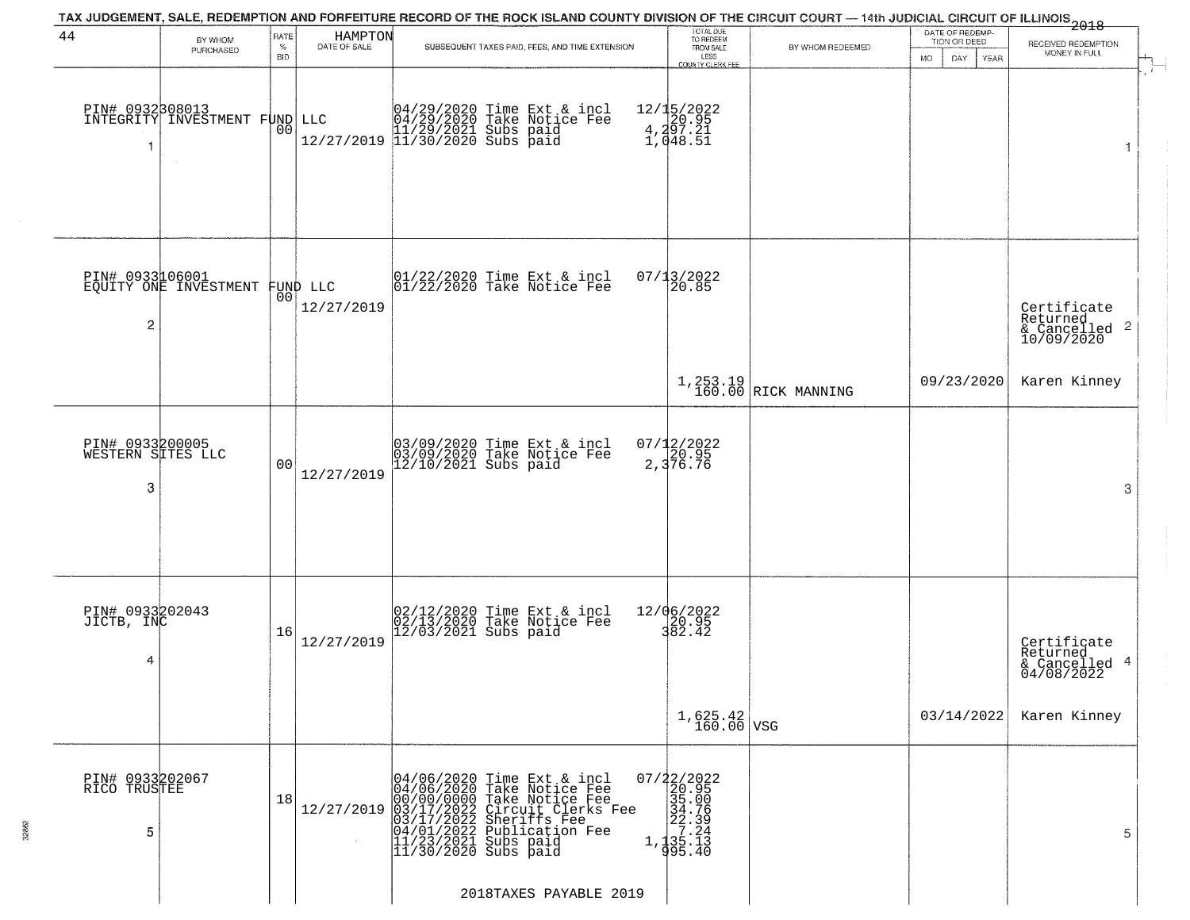| 44                                        |                                                   | RATE               | HAMPTON      | TAX JUDGEMENT, SALE, REDEMPTION AND FORFEITURE RECORD OF THE ROCK ISLAND COUNTY DIVISION OF THE CIRCUIT COURT — 14th JUDICIAL CIRCUIT OF ILLINOIS 2018                                                                           | TOTAL DUE                                                                                                |                                 | DATE OF REDEMP-                          |                                                        |
|-------------------------------------------|---------------------------------------------------|--------------------|--------------|----------------------------------------------------------------------------------------------------------------------------------------------------------------------------------------------------------------------------------|----------------------------------------------------------------------------------------------------------|---------------------------------|------------------------------------------|--------------------------------------------------------|
|                                           | BY WHOM<br>PURCHASED                              | $\%$<br><b>BID</b> | DATE OF SALE | SUBSEQUENT TAXES PAID, FEES, AND TIME EXTENSION                                                                                                                                                                                  | TO REDEEM<br>FROM SALE<br>LESS                                                                           | BY WHOM REDEEMED                | TION OR DEED<br><b>MO</b><br>DAY<br>YEAR | RECEIVED REDEMPTION<br>MONEY IN FULL                   |
| 1                                         | PIN# 0932808013<br>INTEGRITY INVESTMENT FUND LLC  | 0 <sub>0</sub>     |              | LLC $04/29/2020$ Time Ext & incl<br>04/29/2020 Take Notice Fee<br>11/29/2021 Subs paid<br>12/27/2019 11/30/2020 Subs paid                                                                                                        | COUNTY CLERK FEE<br>12/15/2022<br>20.95<br>4,297.21<br>1,048.51                                          |                                 |                                          |                                                        |
| 2                                         | PIN# 0933106001<br>EQUITY ONE INVESTMENT FUND LLC |                    | 12/27/2019   | 01/22/2020 Time Ext & incl<br>01/22/2020 Take Notice Fee                                                                                                                                                                         | 07/13/2022<br>20.85                                                                                      |                                 |                                          | Certificate<br>Returned<br>& Cancelled 2<br>10/09/2020 |
|                                           |                                                   |                    |              |                                                                                                                                                                                                                                  |                                                                                                          | 1,253.19<br>160.00 RICK MANNING | 09/23/2020                               | Karen Kinney                                           |
| PIN# 0933200005<br>WESTERN SITES LLC<br>3 |                                                   | 0 <sub>0</sub>     | 12/27/2019   | 03/09/2020 Time Ext & incl<br>03/09/2020 Take Notice Fee<br>12/10/2021 Subs paid                                                                                                                                                 | 07/12/2022<br>2,376.76                                                                                   |                                 |                                          | 3                                                      |
| PIN# 0933202043<br>JICTB, INC<br>4        |                                                   | 16                 | 12/27/2019   | 02/12/2020 Time Ext & incl<br>02/13/2020 Take Notice Fee<br>12/03/2021 Subs paid                                                                                                                                                 | 12/06/2022<br>20.95<br>382.42                                                                            |                                 |                                          | Certificate<br>Returned<br>& Cancelled 4<br>04/08/2022 |
|                                           |                                                   |                    |              |                                                                                                                                                                                                                                  | $1,625.42$ VSG                                                                                           |                                 | 03/14/2022                               | Karen Kinney                                           |
| PIN# 0933202067<br>RICO TRUSTEE<br>5      |                                                   | 18                 | 12/27/2019   | 04/06/2020 Time Ext & incl<br>04/06/2020 Take Notice Fee<br>00/00/0000 Take Notice Fee<br>03/17/2022 Circuit Clerks Fee<br>03/17/2022 Subritis Fee<br>04/01/2022 Publication Fee<br>11/23/2021 Subs paid<br>11/30/2020 Subs paid | $\begin{smallmatrix} 07/22/2022\\ 20.95\\ 35.00\\ 34.75\\ 22.39\\ 1\\ 135.13\\ 995.40 \end{smallmatrix}$ |                                 |                                          | 5                                                      |
|                                           |                                                   |                    |              | 2018TAXES PAYABLE 2019                                                                                                                                                                                                           |                                                                                                          |                                 |                                          |                                                        |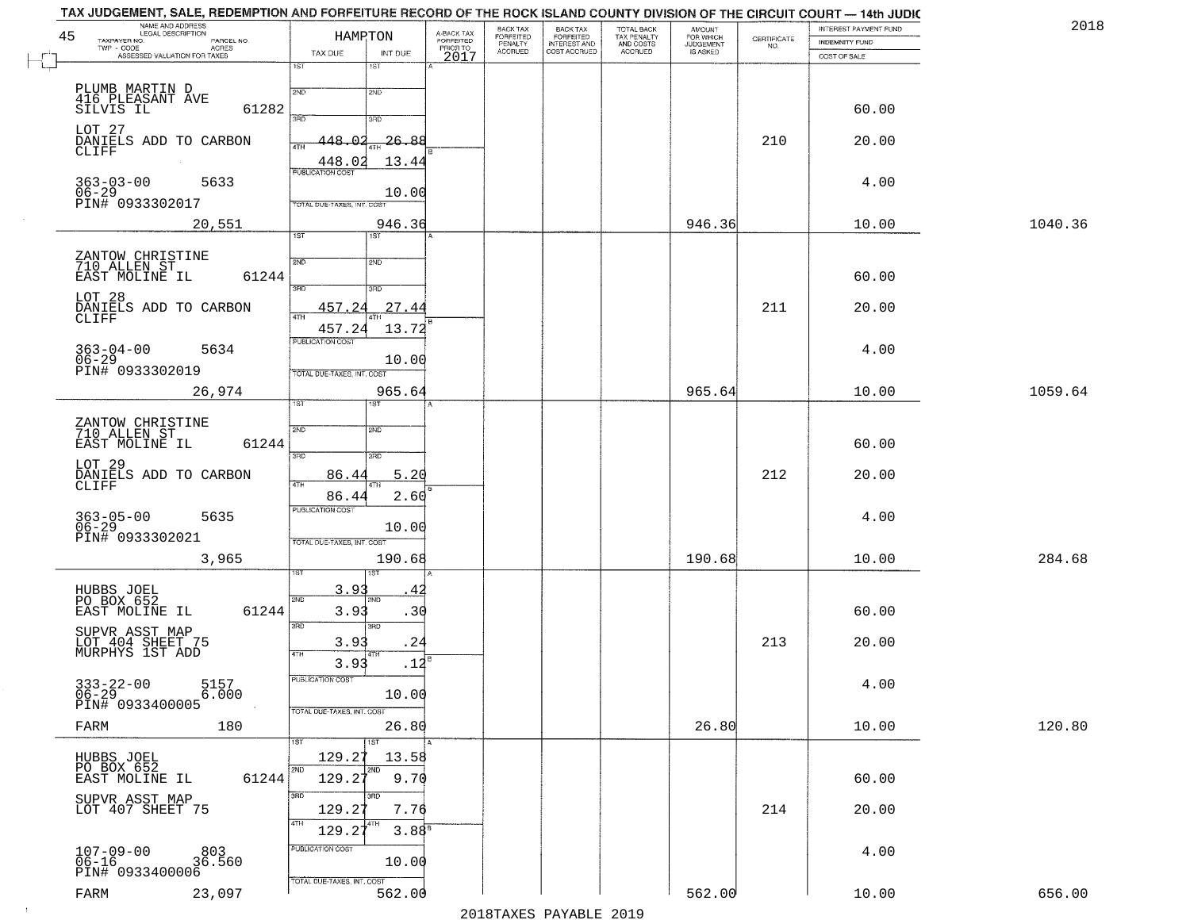|         | INTEREST PAYMENT FUND                 |                                                                 | AMOUNT<br>FOR WHICH<br>JUDGEMENT | TOTAL BACK<br>TAX PENALTY<br>AND COSTS | BACK TAX<br>FORFEITED<br>INTEREST AND | BACK TAX<br>FORFEITED<br>PENALTY |                                             |               | HAMPTON                           | PARCEL NO.    | <b>LEGAL DESCRIPTION</b><br>TAXPAYER NO.                                 |
|---------|---------------------------------------|-----------------------------------------------------------------|----------------------------------|----------------------------------------|---------------------------------------|----------------------------------|---------------------------------------------|---------------|-----------------------------------|---------------|--------------------------------------------------------------------------|
|         | <b>INDEMNITY FUND</b><br>COST OF SALE | $\begin{array}{c} \text{CERTIFICATE} \\ \text{NO.} \end{array}$ | IS ASKED                         | ACCRUED                                | COST ACCRUED                          | <b>ACCRUED</b>                   | A-BACK TAX<br>FORFEITED<br>PRIOR TO<br>2017 | INT DUE       | TAX DUE                           |               | - CODE<br>- CODE ACRES<br>- ASSESSED VALUATION FOR TAXES<br>$TWP - CODE$ |
|         |                                       |                                                                 |                                  |                                        |                                       |                                  |                                             | 18T           | 1ST                               |               |                                                                          |
|         |                                       |                                                                 |                                  |                                        |                                       |                                  |                                             | 2ND           | 2ND                               |               | PLUMB MARTIN D                                                           |
|         | 60.00                                 |                                                                 |                                  |                                        |                                       |                                  |                                             |               |                                   | 61282         | 416 PLEASANT AVE<br>SILVIS IL                                            |
|         |                                       |                                                                 |                                  |                                        |                                       |                                  |                                             | 3RD           | 3RD                               |               | LOT 27                                                                   |
|         | 20.00                                 | 210                                                             |                                  |                                        |                                       |                                  |                                             | -26.88        | 448<br>ഥ<br>4TH                   |               | DANIELS ADD TO CARBON<br>CLIFF                                           |
|         |                                       |                                                                 |                                  |                                        |                                       |                                  |                                             | 13.44         | 448.02<br><b>PUBLICATION COST</b> |               |                                                                          |
|         | 4.00                                  |                                                                 |                                  |                                        |                                       |                                  |                                             | 10.00         |                                   | 5633          | $363 - 03 - 00$<br>06-29                                                 |
|         |                                       |                                                                 |                                  |                                        |                                       |                                  |                                             |               | TOTAL DUE-TAXES, INT. COST        |               | PIN# 0933302017                                                          |
| 1040.36 | 10.00                                 |                                                                 | 946.36                           |                                        |                                       |                                  |                                             | 946.36<br>1ST | 1ST                               | 20,551        |                                                                          |
|         |                                       |                                                                 |                                  |                                        |                                       |                                  |                                             |               |                                   |               |                                                                          |
|         | 60.00                                 |                                                                 |                                  |                                        |                                       |                                  |                                             | 2ND           | 2ND                               | 61244         | ZANTOW CHRISTINE<br>710 ALLEN ST<br>EAST MOLINE IL                       |
|         |                                       |                                                                 |                                  |                                        |                                       |                                  |                                             | 3RD           | $3\overline{BD}^-$                |               | LOT 28                                                                   |
|         | 20.00                                 | 211                                                             |                                  |                                        |                                       |                                  |                                             | 27.44         | 457.24<br>47H                     |               | DANIELS ADD TO CARBON<br><b>CLIFF</b>                                    |
|         |                                       |                                                                 |                                  |                                        |                                       |                                  |                                             | 13.72         | 457.24                            |               |                                                                          |
|         | 4.00                                  |                                                                 |                                  |                                        |                                       |                                  |                                             |               | PUBLICATION COST                  | 5634          | $363 - 04 - 00$                                                          |
|         |                                       |                                                                 |                                  |                                        |                                       |                                  |                                             | 10.00         | TOTAL DUE-TAXES, INT. COST        |               | $06 - 29$<br>PIN# 0933302019                                             |
| 1059.64 | 10.00                                 |                                                                 | 965.64                           |                                        |                                       |                                  |                                             | 965.64        |                                   | 26,974        |                                                                          |
|         |                                       |                                                                 |                                  |                                        |                                       |                                  |                                             |               | īst                               |               |                                                                          |
|         |                                       |                                                                 |                                  |                                        |                                       |                                  |                                             | 2ND           | 2ND                               |               | ZANTOW CHRISTINE<br>710 ALLEN ST                                         |
|         | 60.00                                 |                                                                 |                                  |                                        |                                       |                                  |                                             | 3RD           | 3RD                               | 61244         | EAST MOLINE IL                                                           |
|         | 20.00                                 | 212                                                             |                                  |                                        |                                       |                                  |                                             | 5.20          | 86.44                             |               | LOT 29<br>DANIELS ADD TO CARBON                                          |
|         |                                       |                                                                 |                                  |                                        |                                       |                                  |                                             | 2.60          | 4TH<br>86.44                      |               | CLIFF                                                                    |
|         | 4.00                                  |                                                                 |                                  |                                        |                                       |                                  |                                             |               | <b>PUBLICATION COST</b>           | 5635          |                                                                          |
|         |                                       |                                                                 |                                  |                                        |                                       |                                  |                                             | 10.00         |                                   |               | 363-05-00<br>06-29<br>PIN# 0933302021                                    |
| 284.68  | 10.00                                 |                                                                 | 190.68                           |                                        |                                       |                                  |                                             | 190.68        | TOTAL OUE-TAXES, INT. COST        | 3,965         |                                                                          |
|         |                                       |                                                                 |                                  |                                        |                                       |                                  |                                             |               |                                   |               |                                                                          |
|         |                                       |                                                                 |                                  |                                        |                                       |                                  |                                             | <b>IND</b>    | 3.9<br>2ND                        |               | HUBBS JOEL                                                               |
|         | 60.00                                 |                                                                 |                                  |                                        |                                       |                                  |                                             | .30           | 3.9                               | 61244         | PO BOX 652<br>EAST MOLINE IL                                             |
|         |                                       |                                                                 |                                  |                                        |                                       |                                  |                                             | 3BD           | 3RD                               |               | SUPVR ASST MAP                                                           |
|         | 20.00                                 | 213                                                             |                                  |                                        |                                       |                                  |                                             | .24<br>41 P   | 3.93<br><b>4TH</b>                |               | LOT 404 SHEET 75<br>MURPHYS 1ST ADD                                      |
|         |                                       |                                                                 |                                  |                                        |                                       |                                  |                                             | .12           | 3.93<br>PUBLICATION COST          |               |                                                                          |
|         | 4.00                                  |                                                                 |                                  |                                        |                                       |                                  |                                             | 10.00         |                                   | 5157<br>6.000 | $333 - 22 - 00$<br>$06 - 29$                                             |
|         |                                       |                                                                 |                                  |                                        |                                       |                                  |                                             |               | TOTAL DUE-TAXES, INT. COST        |               | PIN# 0933400005                                                          |
| 120.80  | 10.00                                 |                                                                 | 26.80                            |                                        |                                       |                                  |                                             | 26.80         |                                   | 180           | FARM                                                                     |
|         |                                       |                                                                 |                                  |                                        |                                       |                                  |                                             | ١S٦<br>13.58  | 129.27                            |               | HUBBS JOEL                                                               |
|         | 60.00                                 |                                                                 |                                  |                                        |                                       |                                  |                                             | 9.70          | 2ND<br>129.2                      | 61244         | PO BOX 652<br>EAST MOLINE IL                                             |
|         |                                       |                                                                 |                                  |                                        |                                       |                                  |                                             | 3RD           | 3RD                               |               |                                                                          |
|         | 20.00                                 | 214                                                             |                                  |                                        |                                       |                                  |                                             | 7.76          | 129.27                            |               | SUPVR ASST MAP<br>LOT 407 SHEET 75                                       |
|         |                                       |                                                                 |                                  |                                        |                                       |                                  |                                             | $3.88^{8}$    | 4TH<br>129.27                     |               |                                                                          |
|         | 4.00                                  |                                                                 |                                  |                                        |                                       |                                  |                                             |               | PUBLICATION COST                  | 803<br>36.560 | $107 - 09 - 00$<br>06-16                                                 |
|         |                                       |                                                                 |                                  |                                        |                                       |                                  |                                             | 10.00         |                                   |               | PIN# 0933400006                                                          |
|         | 10.00                                 |                                                                 | 562.00                           |                                        |                                       |                                  |                                             | 562.00        | TOTAL DUE-TAXES, INT. COST        |               |                                                                          |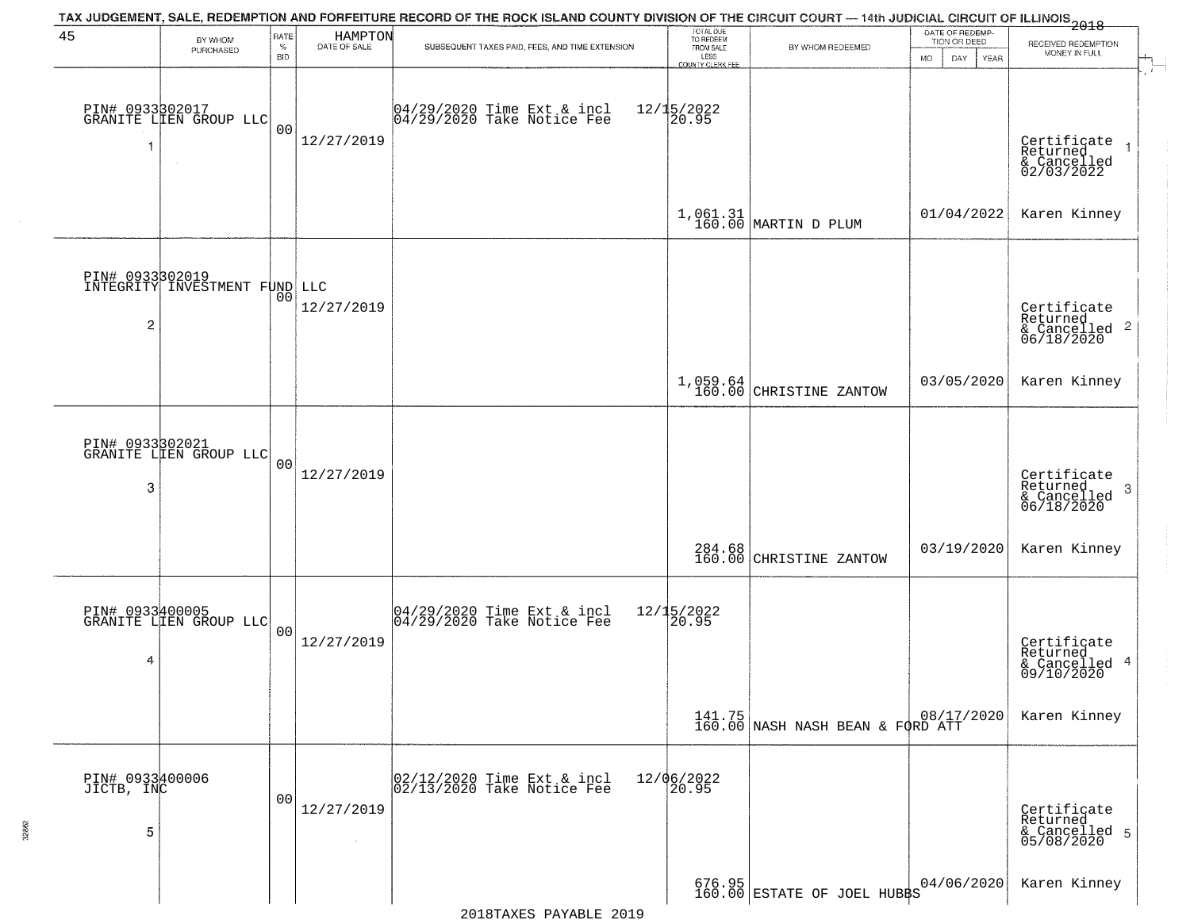| 45                                 | BY WHOM                                   | RATE               | HAMPTON<br>DATE OF SALE | TAX JUDGEMENT, SALE, REDEMPTION AND FORFEITURE RECORD OF THE ROCK ISLAND COUNTY DIVISION OF THE CIRCUIT COURT — 14th JUDICIAL CIRCUIT OF ILLINOIS 2018 | TOTAL DUE<br>TO REDEEM                |                                                                        | DATE OF REDEMP-<br>TION OR DEED | RECEIVED REDEMPTION                                                    |
|------------------------------------|-------------------------------------------|--------------------|-------------------------|--------------------------------------------------------------------------------------------------------------------------------------------------------|---------------------------------------|------------------------------------------------------------------------|---------------------------------|------------------------------------------------------------------------|
|                                    | PURCHASED                                 | $\%$<br><b>BID</b> |                         | SUBSEQUENT TAXES PAID, FEES, AND TIME EXTENSION                                                                                                        | FROM SALE<br>LESS<br>COUNTY CLERK FEE | BY WHOM REDEEMED                                                       | <b>MO</b><br>DAY<br>YEAR        | MONEY IN FULL                                                          |
|                                    | PIN# 0933302017<br>GRANITE LIEN GROUP LLC | 0 <sub>0</sub>     | 12/27/2019              | 04/29/2020 Time Ext & incl<br>04/29/2020 Take Notice Fee                                                                                               | $12/15/2022$<br>20.95                 |                                                                        |                                 | Certificate<br>Returned<br>& Cancelled<br>02/03/2022                   |
|                                    |                                           |                    |                         |                                                                                                                                                        |                                       | $1,061.31$ MARTIN D PLUM                                               | 01/04/2022                      | Karen Kinney                                                           |
| PIN# 0933302019<br>$\overline{2}$  | INTEGRITY INVESTMENT FUND LLC             | 00                 | 12/27/2019              |                                                                                                                                                        |                                       |                                                                        |                                 | Certificate<br>Returned<br>$\overline{c}$<br>& Cancelled<br>06/18/2020 |
|                                    |                                           |                    |                         |                                                                                                                                                        |                                       | $1,059.64$<br>160.00 CHRISTINE ZANTOW                                  | 03/05/2020                      | Karen Kinney                                                           |
| 3                                  | PIN# 0933302021<br>GRANITE LIEN GROUP LLC | 0 <sub>0</sub>     | 12/27/2019              |                                                                                                                                                        |                                       |                                                                        |                                 | Certificate<br>Returned<br>3<br>& Cancelled<br>06/18/2020              |
|                                    |                                           |                    |                         |                                                                                                                                                        |                                       | 284.68<br>160.00 CHRISTINE ZANTOW                                      | 03/19/2020                      | Karen Kinney                                                           |
| 4                                  | PIN# 0933400005<br>GRANITE LIEN GROUP LLC | 0 <sub>0</sub>     | 12/27/2019              | 04/29/2020 Time Ext & incl<br>04/29/2020 Take Notice Fee                                                                                               | 12/15/2022<br>$\overline{20.95}$      |                                                                        |                                 | Certificate<br>Returned<br>4<br>& Cancelled<br>09/10/2020              |
|                                    |                                           |                    |                         |                                                                                                                                                        |                                       | $141.75$<br>160.00 NASH NASH BEAN & FORD ATT                           |                                 | Karen Kinney                                                           |
| PIN# 0933400006<br>JICTB, INC<br>5 |                                           | 0 <sub>0</sub>     | 12/27/2019              | 02/12/2020 Time Ext & incl<br>02/13/2020 Take Notice Fee                                                                                               | 12/06/2022<br>20.95                   |                                                                        |                                 | Certificate<br>Returned<br>& Cancelled 5<br>05/08/2020                 |
|                                    |                                           |                    |                         |                                                                                                                                                        |                                       | $\begin{array}{c c} 676.95 \\ 160.00 \end{array}$ ESTATE OF JOEL HUBBS | 04/06/2020                      | Karen Kinney                                                           |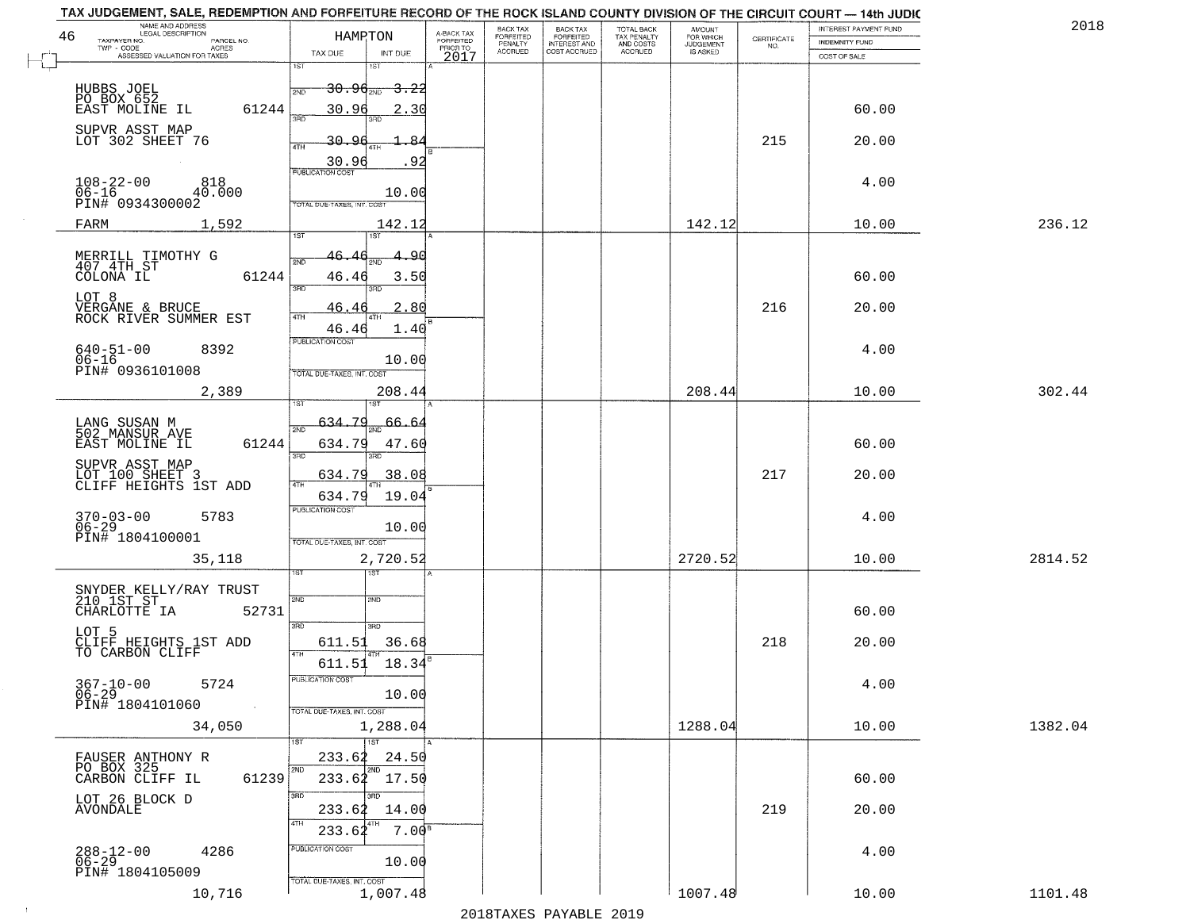| NAME AND ADDRESS<br>LEGAL DESCRIPTION<br>46<br>TAXPAYER NO.<br>PARCEL NO. | HAMPTON                                                 | A-BACK TAX<br><b>FORFEITED</b> | <b>BACK TAX</b><br>FORFEITED | <b>BACK TAX</b><br><b>FORFEITED</b> | TOTAL BACK                          | <b>AMOUNT</b>                      | CERTIFICATE | INTEREST PAYMENT FUND                 | 201     |
|---------------------------------------------------------------------------|---------------------------------------------------------|--------------------------------|------------------------------|-------------------------------------|-------------------------------------|------------------------------------|-------------|---------------------------------------|---------|
| TWP - CODE<br><b>ACRES</b><br>ASSESSED VALUATION FOR TAXES                | TAX DUE<br>INT DUE                                      | PRIOR TO<br>2017               | PENALTY<br><b>ACCRUED</b>    | INTEREST AND<br>COST ACCRUED        | TAX PENALTY<br>AND COSTS<br>ACCRUED | FOR WHICH<br>JUDGEMENT<br>IS ASKED | NO.         | <b>INDEMNITY FUND</b><br>COST OF SALE |         |
|                                                                           | 1ST<br>181                                              |                                |                              |                                     |                                     |                                    |             |                                       |         |
| HUBBS JOEL<br>PO BOX 652                                                  | <del>30.96<sub>2ND</sub> 3.22</del><br>2ND              |                                |                              |                                     |                                     |                                    |             |                                       |         |
| EAST MOLINE IL<br>61244                                                   | 30.96<br>2.30<br>ïЯñ<br>3BD                             |                                |                              |                                     |                                     |                                    |             | 60.00                                 |         |
| SUPVR ASST MAP<br>LOT 302 SHEET 76                                        | $30 -$                                                  |                                |                              |                                     |                                     |                                    | 215         | 20.00                                 |         |
|                                                                           | 4TH<br>30.96<br>92                                      |                                |                              |                                     |                                     |                                    |             |                                       |         |
| $108 - 22 - 00$<br>818<br>$06 - 16$<br>40.000<br>PIN# 0934300002          | PUBLICATION COST<br>10.00<br>TOTAL DUE-TAXES, INT. COST |                                |                              |                                     |                                     |                                    |             | 4.00                                  |         |
| 1,592<br>FARM                                                             | 142.12                                                  |                                |                              |                                     |                                     | 142.12                             |             | 10.00                                 | 236.12  |
|                                                                           | 1ST<br>1ST                                              |                                |                              |                                     |                                     |                                    |             |                                       |         |
| MERRILL TIMOTHY G<br>407 4TH ST<br>COLONA IL<br>61244                     | 46.4<br><u>مو</u><br>2ND<br>46.46<br>3.50<br>3BD        |                                |                              |                                     |                                     |                                    |             | 60.00                                 |         |
| LOT 8<br>VERGANE & BRUCE                                                  | 2.80<br>46.4                                            |                                |                              |                                     |                                     |                                    | 216         | 20.00                                 |         |
| ROCK RIVER SUMMER EST                                                     | 47H<br>46.46<br>1.40                                    |                                |                              |                                     |                                     |                                    |             |                                       |         |
| $640 - 51 - 00$<br>8392<br>$06 - 16$                                      | PUBLICATION COST<br>10.00                               |                                |                              |                                     |                                     |                                    |             | 4.00                                  |         |
| PIN# 0936101008                                                           | TOTAL DUE-TAXES, INT. COST                              |                                |                              |                                     |                                     |                                    |             |                                       |         |
| 2,389                                                                     | 208.44                                                  |                                |                              |                                     |                                     | 208.44                             |             | 10.00                                 | 302.44  |
| LANG SUSAN M<br>502 MANSUR AVE                                            | <u>634.79</u><br>66.64<br>2ND                           |                                |                              |                                     |                                     |                                    |             |                                       |         |
| 61244<br>EAST MOLINE IL                                                   | 634.79<br>47.60                                         |                                |                              |                                     |                                     |                                    |             | 60.00                                 |         |
| SUPVR ASST MAP<br>LOT 100 SHEET 3<br>CLIFF HEIGHTS 1ST ADD                | 3RD<br>3RD<br>634.79<br>38.08                           |                                |                              |                                     |                                     |                                    | 217         | 20.00                                 |         |
|                                                                           | 4TH<br>19.04<br>634.79                                  |                                |                              |                                     |                                     |                                    |             |                                       |         |
| 5783                                                                      | <b>PUBLICATION COST</b>                                 |                                |                              |                                     |                                     |                                    |             | 4.00                                  |         |
| $370 - 03 - 00$<br>06-29<br>PIN# 1804100001                               | 10.00<br>TOTAL OUE-TAXES, INT. COST                     |                                |                              |                                     |                                     |                                    |             |                                       |         |
| 35,118                                                                    | 2,720.52                                                |                                |                              |                                     |                                     | 2720.52                            |             | 10.00                                 | 2814.52 |
|                                                                           |                                                         |                                |                              |                                     |                                     |                                    |             |                                       |         |
| SNYDER KELLY/RAY TRUST<br>210 1ST ST<br>52731<br>CHARLOTTE IA             | 2ND<br>2ND                                              |                                |                              |                                     |                                     |                                    |             | 60.00                                 |         |
| LOT 5                                                                     | 3RD<br>3RD                                              |                                |                              |                                     |                                     |                                    |             |                                       |         |
| CLIFF HEIGHTS 1ST ADD<br>TO CARBON CLIFF                                  | 36.68<br>611.51                                         |                                |                              |                                     |                                     |                                    | 218         | 20.00                                 |         |
| $367 - 10 - 00$<br>5724                                                   | $611.51$ $18.34$ <sup>B</sup><br>PUBLICATION COST       |                                |                              |                                     |                                     |                                    |             | 4.00                                  |         |
| $06 - 29$<br>PIN# 1804101060<br>$\sim 10^{-1}$                            | 10.00                                                   |                                |                              |                                     |                                     |                                    |             |                                       |         |
| 34,050                                                                    | TOTAL DUE-TAXES, INT. COST<br>1,288.04                  |                                |                              |                                     |                                     | 1288.04                            |             | 10.00                                 | 1382.04 |
|                                                                           | $\overline{1}$ st<br><b>1ST</b>                         |                                |                              |                                     |                                     |                                    |             |                                       |         |
| FAUSER ANTHONY R<br>PO BOX 325<br>CARBON CLIFF IL<br>61239                | 233.62<br>24.50<br>$233.62^{2ND}$ 17.50<br>2ND          |                                |                              |                                     |                                     |                                    |             | 60.00                                 |         |
| LOT 26 BLOCK D                                                            | 3RD                                                     |                                |                              |                                     |                                     |                                    |             |                                       |         |
| AVONDALE                                                                  | 233.62<br>14.00<br>4TH                                  |                                |                              |                                     |                                     |                                    | 219         | 20.00                                 |         |
| 4286                                                                      | 7.00 <sup>B</sup><br>233.62<br>PUBLICATION COST         |                                |                              |                                     |                                     |                                    |             | 4.00                                  |         |
| 288-12-00<br>06-29<br>PIN# 1804105009                                     | 10.00                                                   |                                |                              |                                     |                                     |                                    |             |                                       |         |
| 10,716                                                                    | TOTAL DUE-TAXES, INT. COST<br>1,007.48                  |                                |                              |                                     |                                     | 1007.48                            |             | 10.00                                 | 1101.48 |

 $\sim 100$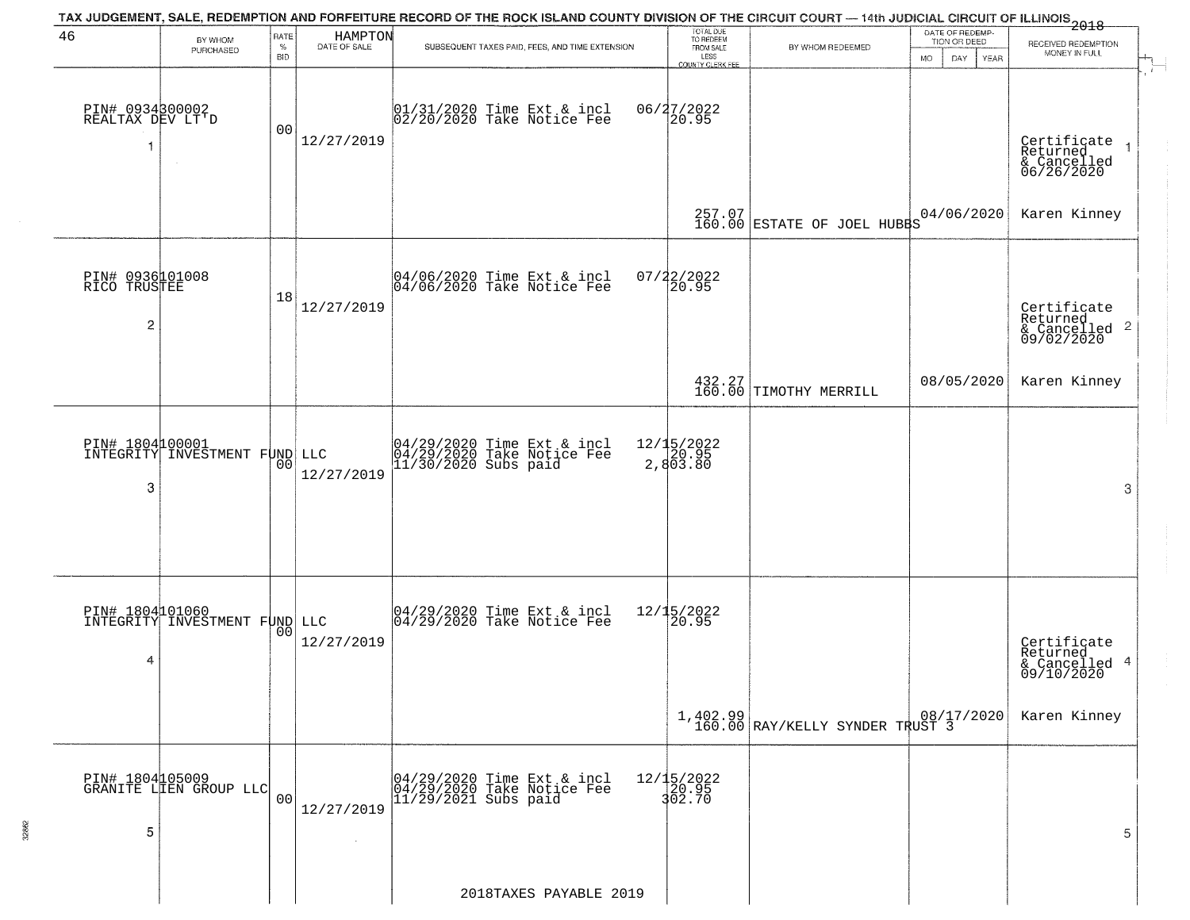|                                                   |                                                  |                            |                         | TAX JUDGEMENT, SALE, REDEMPTION AND FORFEITURE RECORD OF THE ROCK ISLAND COUNTY DIVISION OF THE CIRCUIT COURT — 14th JUDICIAL CIRCUIT OF ILLINOIS 2018 |                                                                        |                                                            |                                                        |                                                                    |
|---------------------------------------------------|--------------------------------------------------|----------------------------|-------------------------|--------------------------------------------------------------------------------------------------------------------------------------------------------|------------------------------------------------------------------------|------------------------------------------------------------|--------------------------------------------------------|--------------------------------------------------------------------|
| 46                                                | BY WHOM<br>PURCHASED                             | RATE<br>$\%$<br><b>BID</b> | HAMPTON<br>DATE OF SALE | SUBSEQUENT TAXES PAID, FEES, AND TIME EXTENSION                                                                                                        | TOTAL DUE<br>TO REDEEM<br>FROM SALE<br>LESS<br><b>COUNTY CLERK FEE</b> | BY WHOM REDEEMED                                           | DATE OF REDEMP-<br>TION OR DEED<br>MO.<br>DAY.<br>YEAR | RECEIVED REDEMPTION<br>MONEY IN FULL                               |
| PIN# 0934800002<br>REALTAX DEV LT'D               |                                                  | 00                         | 12/27/2019              | 01/31/2020 Time Ext & incl<br>02/20/2020 Take Notice Fee                                                                                               | 06/27/2022                                                             |                                                            |                                                        | Certificate<br>Returned<br>& Cancelled<br>06/26/2020               |
|                                                   |                                                  |                            |                         |                                                                                                                                                        |                                                                        | $257.07$ ESTATE OF JOEL HUBBS                              | 04/06/2020                                             | Karen Kinney                                                       |
| PIN# 0936101008<br>RICO TRUSTEE<br>$\overline{c}$ |                                                  | 18                         | 12/27/2019              | 04/06/2020 Time Ext & incl<br>04/06/2020 Take Notice Fee                                                                                               | 07/22/2022<br>20.95                                                    |                                                            |                                                        | Certificate<br>Returned<br>$\frac{1}{6}$ Cancelled 2<br>09/02/2020 |
|                                                   |                                                  |                            |                         |                                                                                                                                                        |                                                                        | 432.27<br>160.00 TIMOTHY MERRILL                           | 08/05/2020                                             | Karen Kinney                                                       |
| PIN# 1804000001<br>3                              | INTEGRITY INVESTMENT FUND LLC                    | 00                         | 12/27/2019              | 04/29/2020 Time Ext & incl<br>04/29/2020 Take Notice Fee<br>11/30/2020 Subs paid                                                                       | 12/15/2022<br>20.95<br>2,803.80                                        |                                                            |                                                        | 3                                                                  |
| 4                                                 | PIN# 1804101060<br>INTEGRITY INVESTMENT FUND LLC | 00                         | 12/27/2019              | $\begin{bmatrix} 04/29/2020 \\ 04/29/2020 \\ 04 \end{bmatrix}$ Take Notice Fee                                                                         | 12/15/2022<br>20.95                                                    |                                                            |                                                        | Certificate<br>Returned<br>& Cancelled 4<br>09/10/2020             |
|                                                   |                                                  |                            |                         |                                                                                                                                                        |                                                                        | $1,402.99$ $08/17/2020$<br>160.00 RAY/KELLY SYNDER TRUST 3 |                                                        | Karen Kinney                                                       |
| 5                                                 | PIN# 1804105009<br>GRANITE LIEN GROUP LLC        | 00                         | 12/27/2019              | 04/29/2020 Time Ext & incl<br>04/29/2020 Take Notice Fee<br>$11/29/2021$ Subs paid                                                                     | 12/15/2022<br>20.95<br>302.70                                          |                                                            |                                                        | 5                                                                  |
|                                                   |                                                  |                            |                         | 2018TAXES PAYABLE 2019                                                                                                                                 |                                                                        |                                                            |                                                        |                                                                    |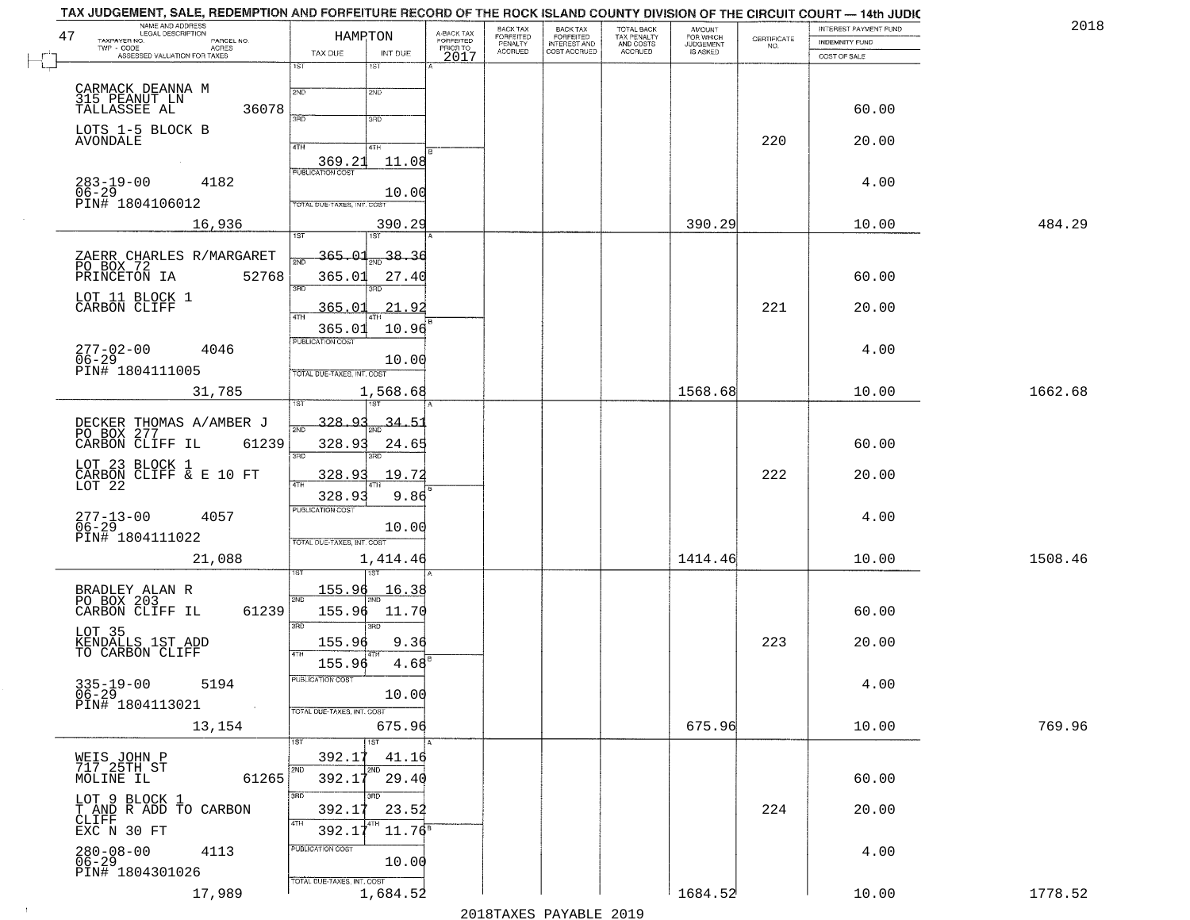|                                        | A-BACK TAX                                                                                                                                                                                                                                                                                                                                                                                                                                             | BACK TAX<br>FORFEITED          | <b>BACK TAX</b><br><b>FORFEITED</b> | TOTAL BACK<br>TAX PENALTY    | <b>AMOUNT</b>        |                                                                     | INTEREST PAYMENT FUND                   | 2018                                                                                                                                                                                                                                                                 |
|----------------------------------------|--------------------------------------------------------------------------------------------------------------------------------------------------------------------------------------------------------------------------------------------------------------------------------------------------------------------------------------------------------------------------------------------------------------------------------------------------------|--------------------------------|-------------------------------------|------------------------------|----------------------|---------------------------------------------------------------------|-----------------------------------------|----------------------------------------------------------------------------------------------------------------------------------------------------------------------------------------------------------------------------------------------------------------------|
|                                        | PRIOR TO                                                                                                                                                                                                                                                                                                                                                                                                                                               |                                |                                     |                              |                      | NO.                                                                 |                                         |                                                                                                                                                                                                                                                                      |
| 1ST<br>1ST                             |                                                                                                                                                                                                                                                                                                                                                                                                                                                        |                                |                                     |                              |                      |                                                                     |                                         |                                                                                                                                                                                                                                                                      |
| 2ND<br>2ND                             |                                                                                                                                                                                                                                                                                                                                                                                                                                                        |                                |                                     |                              |                      |                                                                     |                                         |                                                                                                                                                                                                                                                                      |
| 370<br>3RD                             |                                                                                                                                                                                                                                                                                                                                                                                                                                                        |                                |                                     |                              |                      |                                                                     | 60.00                                   |                                                                                                                                                                                                                                                                      |
|                                        |                                                                                                                                                                                                                                                                                                                                                                                                                                                        |                                |                                     |                              |                      |                                                                     |                                         |                                                                                                                                                                                                                                                                      |
| 369.21<br>11.08                        |                                                                                                                                                                                                                                                                                                                                                                                                                                                        |                                |                                     |                              |                      |                                                                     |                                         |                                                                                                                                                                                                                                                                      |
|                                        |                                                                                                                                                                                                                                                                                                                                                                                                                                                        |                                |                                     |                              |                      |                                                                     | 4.00                                    |                                                                                                                                                                                                                                                                      |
| TOTAL DUE-TAXES, INT. COS              |                                                                                                                                                                                                                                                                                                                                                                                                                                                        |                                |                                     |                              |                      |                                                                     |                                         |                                                                                                                                                                                                                                                                      |
| 390.29                                 |                                                                                                                                                                                                                                                                                                                                                                                                                                                        |                                |                                     |                              | 390.29               |                                                                     | 10.00                                   | 484.29                                                                                                                                                                                                                                                               |
|                                        |                                                                                                                                                                                                                                                                                                                                                                                                                                                        |                                |                                     |                              |                      |                                                                     |                                         |                                                                                                                                                                                                                                                                      |
|                                        |                                                                                                                                                                                                                                                                                                                                                                                                                                                        |                                |                                     |                              |                      |                                                                     |                                         |                                                                                                                                                                                                                                                                      |
| 3RD                                    |                                                                                                                                                                                                                                                                                                                                                                                                                                                        |                                |                                     |                              |                      |                                                                     |                                         |                                                                                                                                                                                                                                                                      |
| 47H                                    |                                                                                                                                                                                                                                                                                                                                                                                                                                                        |                                |                                     |                              |                      |                                                                     |                                         |                                                                                                                                                                                                                                                                      |
| PUBLICATION COST                       |                                                                                                                                                                                                                                                                                                                                                                                                                                                        |                                |                                     |                              |                      |                                                                     |                                         |                                                                                                                                                                                                                                                                      |
| 10.00                                  |                                                                                                                                                                                                                                                                                                                                                                                                                                                        |                                |                                     |                              |                      |                                                                     |                                         |                                                                                                                                                                                                                                                                      |
|                                        |                                                                                                                                                                                                                                                                                                                                                                                                                                                        |                                |                                     |                              |                      |                                                                     |                                         | 1662.68                                                                                                                                                                                                                                                              |
|                                        |                                                                                                                                                                                                                                                                                                                                                                                                                                                        |                                |                                     |                              |                      |                                                                     |                                         |                                                                                                                                                                                                                                                                      |
| 34.51                                  |                                                                                                                                                                                                                                                                                                                                                                                                                                                        |                                |                                     |                              |                      |                                                                     |                                         |                                                                                                                                                                                                                                                                      |
| 3RD<br>3RD                             |                                                                                                                                                                                                                                                                                                                                                                                                                                                        |                                |                                     |                              |                      |                                                                     |                                         |                                                                                                                                                                                                                                                                      |
| 19.72<br>328.93                        |                                                                                                                                                                                                                                                                                                                                                                                                                                                        |                                |                                     |                              |                      | 222                                                                 | 20.00                                   |                                                                                                                                                                                                                                                                      |
| 328.93<br>9.86                         |                                                                                                                                                                                                                                                                                                                                                                                                                                                        |                                |                                     |                              |                      |                                                                     |                                         |                                                                                                                                                                                                                                                                      |
|                                        |                                                                                                                                                                                                                                                                                                                                                                                                                                                        |                                |                                     |                              |                      |                                                                     | 4.00                                    |                                                                                                                                                                                                                                                                      |
| TOTAL OUE-TAXES, INT. COST             |                                                                                                                                                                                                                                                                                                                                                                                                                                                        |                                |                                     |                              |                      |                                                                     |                                         |                                                                                                                                                                                                                                                                      |
|                                        |                                                                                                                                                                                                                                                                                                                                                                                                                                                        |                                |                                     |                              |                      |                                                                     |                                         | 1508.46                                                                                                                                                                                                                                                              |
| <u> 155.96</u><br><u> 16.38</u>        |                                                                                                                                                                                                                                                                                                                                                                                                                                                        |                                |                                     |                              |                      |                                                                     |                                         |                                                                                                                                                                                                                                                                      |
| 155.96<br>11.70                        |                                                                                                                                                                                                                                                                                                                                                                                                                                                        |                                |                                     |                              |                      |                                                                     | 60.00                                   |                                                                                                                                                                                                                                                                      |
|                                        |                                                                                                                                                                                                                                                                                                                                                                                                                                                        |                                |                                     |                              |                      |                                                                     |                                         |                                                                                                                                                                                                                                                                      |
|                                        |                                                                                                                                                                                                                                                                                                                                                                                                                                                        |                                |                                     |                              |                      |                                                                     |                                         |                                                                                                                                                                                                                                                                      |
| PUBLICATION COST                       |                                                                                                                                                                                                                                                                                                                                                                                                                                                        |                                |                                     |                              |                      |                                                                     | 4.00                                    |                                                                                                                                                                                                                                                                      |
|                                        |                                                                                                                                                                                                                                                                                                                                                                                                                                                        |                                |                                     |                              |                      |                                                                     |                                         |                                                                                                                                                                                                                                                                      |
| 675.96                                 |                                                                                                                                                                                                                                                                                                                                                                                                                                                        |                                |                                     |                              | 675.96               |                                                                     | 10.00                                   | 769.96                                                                                                                                                                                                                                                               |
| 1ST<br>1ST                             |                                                                                                                                                                                                                                                                                                                                                                                                                                                        |                                |                                     |                              |                      |                                                                     |                                         |                                                                                                                                                                                                                                                                      |
| 2ND<br>2ND<br>29.40<br>392.17          |                                                                                                                                                                                                                                                                                                                                                                                                                                                        |                                |                                     |                              |                      |                                                                     | 60.00                                   |                                                                                                                                                                                                                                                                      |
| 3RD                                    |                                                                                                                                                                                                                                                                                                                                                                                                                                                        |                                |                                     |                              |                      |                                                                     |                                         |                                                                                                                                                                                                                                                                      |
| 4TH                                    |                                                                                                                                                                                                                                                                                                                                                                                                                                                        |                                |                                     |                              |                      |                                                                     |                                         |                                                                                                                                                                                                                                                                      |
| PUBLICATION COST                       |                                                                                                                                                                                                                                                                                                                                                                                                                                                        |                                |                                     |                              |                      |                                                                     |                                         |                                                                                                                                                                                                                                                                      |
| 10.00                                  |                                                                                                                                                                                                                                                                                                                                                                                                                                                        |                                |                                     |                              |                      |                                                                     |                                         |                                                                                                                                                                                                                                                                      |
| TOTAL DUE-TAXES, INT. COST<br>1,684.52 |                                                                                                                                                                                                                                                                                                                                                                                                                                                        |                                |                                     |                              |                      |                                                                     |                                         | 1778.52                                                                                                                                                                                                                                                              |
|                                        | HAMPTON<br>TAX DUE<br>INT DUE<br>4TH<br>4TH<br><b>PUBLICATION COST</b><br>10.00<br>1ST<br>1ST<br><u>365.01</u><br>38.36<br>365.01<br>27.40<br>365.01<br>21.92<br>10.96<br>365.01<br>TOTAL DUE-TAXES, INT. COST<br>1,568.68<br>328.93<br>328.93<br>24.6<br><b>PUBLICATION COST</b><br>10.00<br>1,414.46<br>2ND<br>3RD<br>3RD<br>155.96<br>9.36<br>155.96<br>4.68<br>10.00<br>TOTAL DUE-TAXES, INT. COST<br>392.17<br>41.16<br>392.17<br>23.52<br>392.17 | FORFEITED<br>2017<br>$11.76^8$ | PENALTY<br>ACCRUED                  | INTEREST AND<br>COST ACCRUED | AND COSTS<br>ACCRUED | FOR WHICH<br>JUDGEMENT<br>IS ASKED<br>1568.68<br>1414.46<br>1684.52 | CERTIFICATE<br>220<br>221<br>223<br>224 | TAX JUDGEMENT, SALE, REDEMPTION AND FORFEITURE RECORD OF THE ROCK ISLAND COUNTY DIVISION OF THE CIRCUIT COURT - 14th JUDIC<br><b>INDEMNITY FUND</b><br>COST OF SALE<br>20.00<br>60.00<br>20.00<br>4.00<br>10.00<br>60.00<br>10.00<br>20.00<br>20.00<br>4.00<br>10.00 |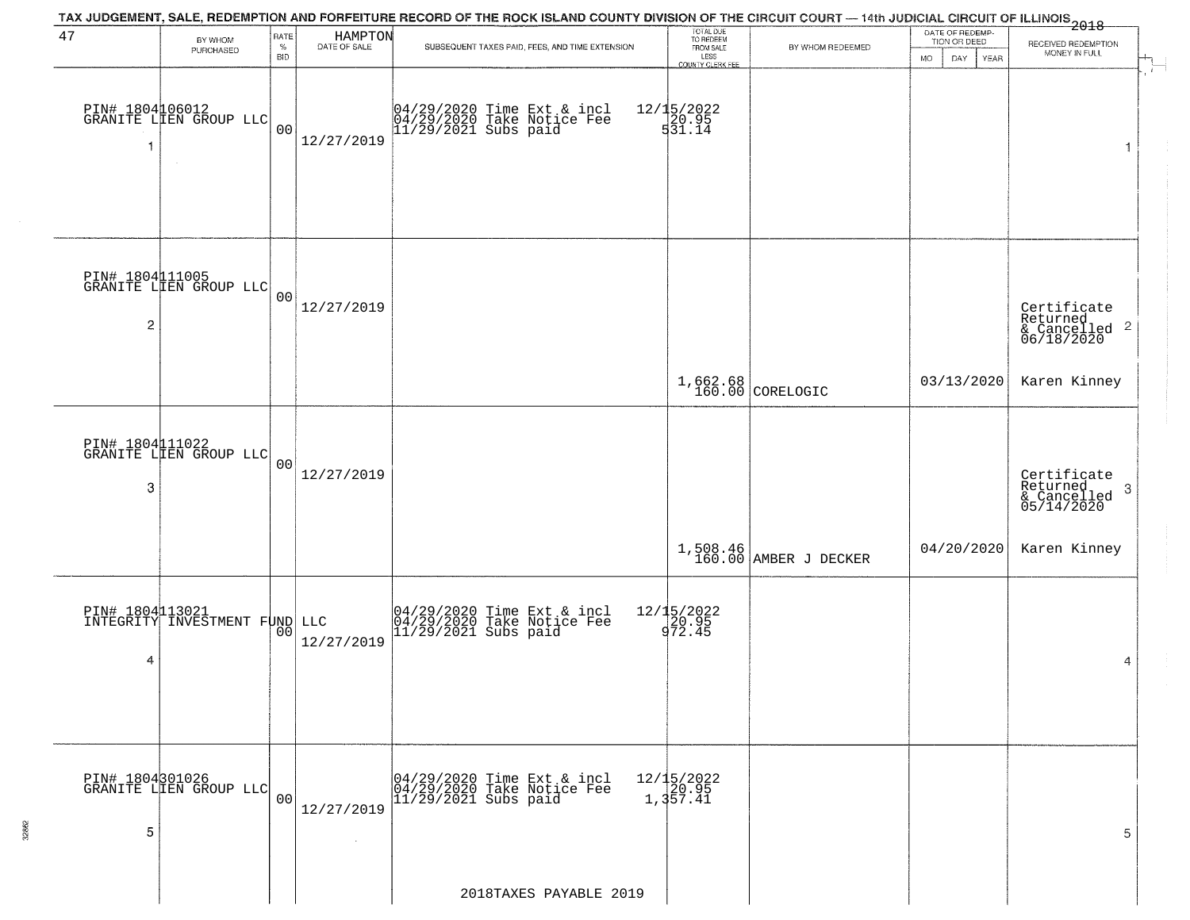|                      |                                                  |                |                         | TAX JUDGEMENT, SALE, REDEMPTION AND FORFEITURE RECORD OF THE ROCK ISLAND COUNTY DIVISION OF THE CIRCUIT COURT — 14th JUDICIAL CIRCUIT OF ILLINOIS 2018 |                                     |                                   |                                 |                                                               |  |
|----------------------|--------------------------------------------------|----------------|-------------------------|--------------------------------------------------------------------------------------------------------------------------------------------------------|-------------------------------------|-----------------------------------|---------------------------------|---------------------------------------------------------------|--|
| 47                   | BY WHOM<br>PURCHASED                             | RATE<br>$\%$   | HAMPTON<br>DATE OF SALE | SUBSEQUENT TAXES PAID, FEES, AND TIME EXTENSION                                                                                                        | TOTAL DUE<br>TO REDEEM<br>FROM SALE | BY WHOM REDEEMED                  | DATE OF REDEMP-<br>TION OR DEED | RECEIVED REDEMPTION                                           |  |
|                      |                                                  | <b>BID</b>     |                         |                                                                                                                                                        | LESS<br><b>COUNTY CLERK FEE</b>     |                                   | DAY<br>YEAR<br>MO               | MONEY IN FULL                                                 |  |
| -1                   | PIN# 1804106012<br>GRANITE LIEN GROUP LLC        | 00             | 12/27/2019              | 04/29/2020 Time Ext & incl<br>04/29/2020 Take Notice Fee<br>11/29/2021 Subs paid                                                                       | 12/15/2022<br>20.95<br>531.14       |                                   |                                 | 1                                                             |  |
| $\overline{c}$       | PIN# 1804 11005<br>GRANITE LIEN GROUP LLC        | 00             | 12/27/2019              |                                                                                                                                                        |                                     |                                   |                                 | Certificate<br>Returned<br>& Cancelled 2<br>06/18/2020        |  |
|                      |                                                  |                |                         |                                                                                                                                                        |                                     | 1,662.68<br>160.00 CORELOGIC      | 03/13/2020                      | Karen Kinney                                                  |  |
| PIN# 1804111022<br>3 | GRANITE LIEN GROUP LLC                           | 0 <sup>0</sup> | 12/27/2019              |                                                                                                                                                        |                                     |                                   |                                 | Certificate<br>Returned<br>3<br>$&$ Cancelled<br>$05/14/2020$ |  |
|                      |                                                  |                |                         |                                                                                                                                                        |                                     | 1,508.46<br>160.00 AMBER J DECKER | 04/20/2020                      | Karen Kinney                                                  |  |
| 4                    | PIN# 1804113021<br>INTEGRITY INVESTMENT FUND LLC | 00             | 12/27/2019              | 04/29/2020 Time Ext & incl<br>04/29/2020 Take Notice Fee<br>11/29/2021 Subs paid                                                                       | 12/15/2022<br>20.95<br>972.45       |                                   |                                 | 4                                                             |  |
| PIN# 1804301026<br>5 | GRANITE LIEN GROUP LLC                           | 00             | 12/27/2019              | 04/29/2020 Time Ext & incl<br>04/29/2020 Take Notice Fee<br>$11/29/2021$ Subs paid                                                                     | 12/15/2022<br>20.95<br>1,357.41     |                                   |                                 | 5                                                             |  |
|                      |                                                  |                |                         | 2018TAXES PAYABLE 2019                                                                                                                                 |                                     |                                   |                                 |                                                               |  |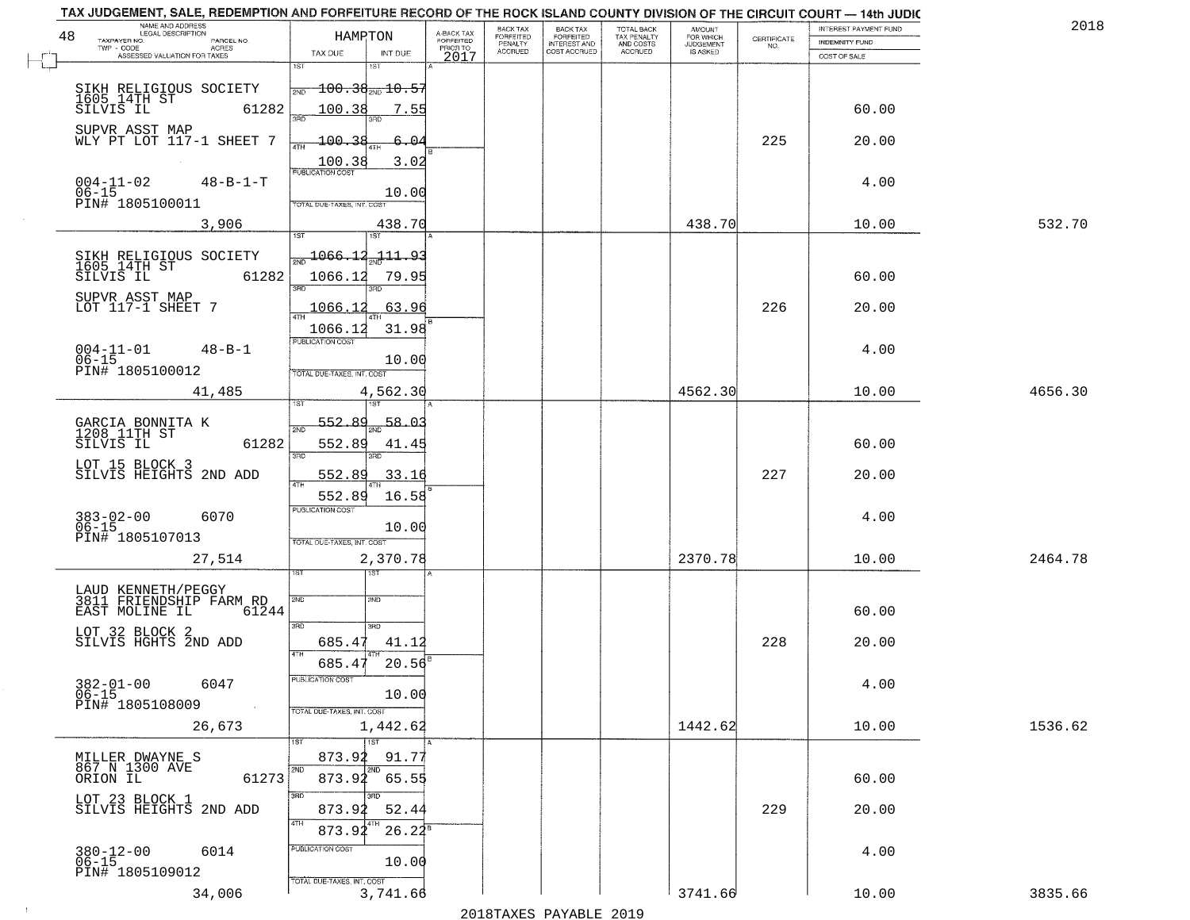| NAME AND ADDRESS<br>LEGAL DESCRIPTION<br>48             | HAMPTON                                   |                                     | BACK TAX<br>FORFEITED | BACK TAX<br>FORFEITED | <b>TOTAL BACK</b>                          | AMOUNT<br>FOR WHICH          |                                                                 | INTEREST PAYMENT FUND | 2018    |
|---------------------------------------------------------|-------------------------------------------|-------------------------------------|-----------------------|-----------------------|--------------------------------------------|------------------------------|-----------------------------------------------------------------|-----------------------|---------|
| TAXPAYER NO.<br>PARCEL NO.<br>TWP - CODE<br>ACRES       |                                           | A-BACK TAX<br>FORFEITED<br>PRIOR TO | PENALTY               | <b>INTEREST AND</b>   | TAX PENALTY<br>AND COSTS<br><b>ACCRUED</b> | <b>JUDGEMENT</b><br>IS ASKED | $\begin{array}{c} \text{CEPTIFICATE} \\ \text{NO.} \end{array}$ | <b>INDEMNITY FUND</b> |         |
| ASSESSED VALUATION FOR TAXES                            | TAX DUE<br>INT DUE<br>1ST<br>1ST          | 2017                                | <b>ACCRUED</b>        | COST ACCRUED          |                                            |                              |                                                                 | COST OF SALE          |         |
|                                                         |                                           |                                     |                       |                       |                                            |                              |                                                                 |                       |         |
| SIKH RELIGIOUS SOCIETY<br>1605 14TH ST<br>SILVIS IL 61: | $-100.38_{\text{2ND}}$ $10.55$<br>2ND     |                                     |                       |                       |                                            |                              |                                                                 |                       |         |
| 61282                                                   | 100.38<br>7.55                            |                                     |                       |                       |                                            |                              |                                                                 | 60.00                 |         |
| SUPVR ASST MAP                                          |                                           |                                     |                       |                       |                                            |                              |                                                                 |                       |         |
| WLY PT LOT 117-1 SHEET 7                                | 100.38<br>6.04<br>ATH                     |                                     |                       |                       |                                            |                              | 225                                                             | 20.00                 |         |
|                                                         | 3.02<br>100.38<br><b>PUBLICATION COST</b> |                                     |                       |                       |                                            |                              |                                                                 |                       |         |
| $004 - 11 - 02$<br>$48 - B - 1 - T$<br>$06 - 15$        | 10.00                                     |                                     |                       |                       |                                            |                              |                                                                 | 4.00                  |         |
| PIN# 1805100011                                         | TOTAL DUE-TAXES, INT. COST                |                                     |                       |                       |                                            |                              |                                                                 |                       |         |
| 3,906                                                   | 438.70                                    |                                     |                       |                       |                                            | 438.70                       |                                                                 | 10.00                 | 532.70  |
|                                                         | 1ST                                       |                                     |                       |                       |                                            |                              |                                                                 |                       |         |
| SIKH RELIGIOUS SOCIETY<br>1605 14TH ST<br>SILVIS IL 612 | $\frac{1066.12}{200}$<br><u>111.93</u>    |                                     |                       |                       |                                            |                              |                                                                 |                       |         |
| 61282                                                   | 1066.12<br>79.95                          |                                     |                       |                       |                                            |                              |                                                                 | 60.00                 |         |
| SUPVR ASST MAP                                          | 3BD                                       |                                     |                       |                       |                                            |                              |                                                                 |                       |         |
| LOT 117-1 SHEET 7                                       | 63.96<br>1066.12                          |                                     |                       |                       |                                            |                              | 226                                                             | 20.00                 |         |
|                                                         | 31.98<br>1066.12<br>PUBLICATION COST      |                                     |                       |                       |                                            |                              |                                                                 |                       |         |
| $004 - 11 - 01$<br>$48 - B - 1$                         |                                           |                                     |                       |                       |                                            |                              |                                                                 | 4.00                  |         |
| $06 - 15$<br>PIN# 1805100012                            | 10.00<br>TOTAL DUE-TAXES, INT. COST       |                                     |                       |                       |                                            |                              |                                                                 |                       |         |
| 41,485                                                  | 4,562.30                                  |                                     |                       |                       |                                            | 4562.30                      |                                                                 | 10.00                 | 4656.30 |
|                                                         | i ST                                      |                                     |                       |                       |                                            |                              |                                                                 |                       |         |
| GARCIA BONNITA K<br>1208 11TH ST                        | 552.89<br>58.0.<br>2ND                    |                                     |                       |                       |                                            |                              |                                                                 |                       |         |
| 61282<br>SILVIS IL                                      | 552.89<br>41.45                           |                                     |                       |                       |                                            |                              |                                                                 | 60.00                 |         |
| LOT 15 BLOCK 3                                          | 3BD<br>3RD                                |                                     |                       |                       |                                            |                              |                                                                 |                       |         |
| SILVIS HEIGHTS 2ND ADD                                  | 552.89<br>33.16<br><b>ATH</b>             |                                     |                       |                       |                                            |                              | 227                                                             | 20.00                 |         |
|                                                         | 552.89<br>16.58                           |                                     |                       |                       |                                            |                              |                                                                 |                       |         |
| $383 - 02 - 00$<br>06-15<br>6070                        | <b>PUBLICATION COST</b>                   |                                     |                       |                       |                                            |                              |                                                                 | 4.00                  |         |
| PIN# 1805107013                                         | 10.00<br>TOTAL OUE-TAXES, INT. COST       |                                     |                       |                       |                                            |                              |                                                                 |                       |         |
| 27,514                                                  | 2,370.78                                  |                                     |                       |                       |                                            | 2370.78                      |                                                                 | 10.00                 | 2464.78 |
|                                                         | ৰৱা                                       |                                     |                       |                       |                                            |                              |                                                                 |                       |         |
| LAUD KENNETH/PEGGY<br>3811 FRIENDSHIP FARM RD           |                                           |                                     |                       |                       |                                            |                              |                                                                 |                       |         |
| EAST MOLINE IL<br>61244                                 | 2ND<br>2ND                                |                                     |                       |                       |                                            |                              |                                                                 | 60.00                 |         |
|                                                         | 3RD<br>3RD                                |                                     |                       |                       |                                            |                              |                                                                 |                       |         |
| LOT 32 BLOCK 2<br>SILVIS HGHTS 2ND ADD                  | 685.47<br>41.12<br>4TH                    |                                     |                       |                       |                                            |                              | 228                                                             | 20.00                 |         |
|                                                         | 20.56<br>685.47                           |                                     |                       |                       |                                            |                              |                                                                 |                       |         |
| $382 - 01 - 00$<br>6047                                 | UBLICA HUN COS-                           |                                     |                       |                       |                                            |                              |                                                                 | 4.00                  |         |
| 06-15<br>PIN# 1805108009<br>$\sim 100$ km $^{-1}$       | 10.00                                     |                                     |                       |                       |                                            |                              |                                                                 |                       |         |
| 26,673                                                  | TOTAL DUE-TAXES, INT. COST<br>1,442.62    |                                     |                       |                       |                                            | 1442.62                      |                                                                 | 10.00                 | 1536.62 |
|                                                         | 1ST                                       |                                     |                       |                       |                                            |                              |                                                                 |                       |         |
| MILLER DWAYNE S                                         | 873.92<br>91.77                           |                                     |                       |                       |                                            |                              |                                                                 |                       |         |
| 867 N 1300 AVE<br>61273<br>ORION IL                     | 2ND<br>2ND<br>873.92 65.55                |                                     |                       |                       |                                            |                              |                                                                 | 60.00                 |         |
|                                                         | 3RD                                       |                                     |                       |                       |                                            |                              |                                                                 |                       |         |
| LOT 23 BLOCK 1<br>SILVIS HEIGHTS 2ND ADD                | 52.44<br>873.92                           |                                     |                       |                       |                                            |                              | 229                                                             | 20.00                 |         |
|                                                         | 4TH<br>873.92<br>$26.22^{8}$              |                                     |                       |                       |                                            |                              |                                                                 |                       |         |
| $380 - 12 - 00$<br>06-15<br>6014                        | PUBLICATION COST                          |                                     |                       |                       |                                            |                              |                                                                 | 4.00                  |         |
| PIN# 1805109012                                         | 10.00                                     |                                     |                       |                       |                                            |                              |                                                                 |                       |         |
| 34,006                                                  | TOTAL DUE-TAXES, INT. COST<br>3,741.66    |                                     |                       |                       |                                            | 3741.66                      |                                                                 | 10.00                 | 3835.66 |
|                                                         |                                           |                                     |                       |                       |                                            |                              |                                                                 |                       |         |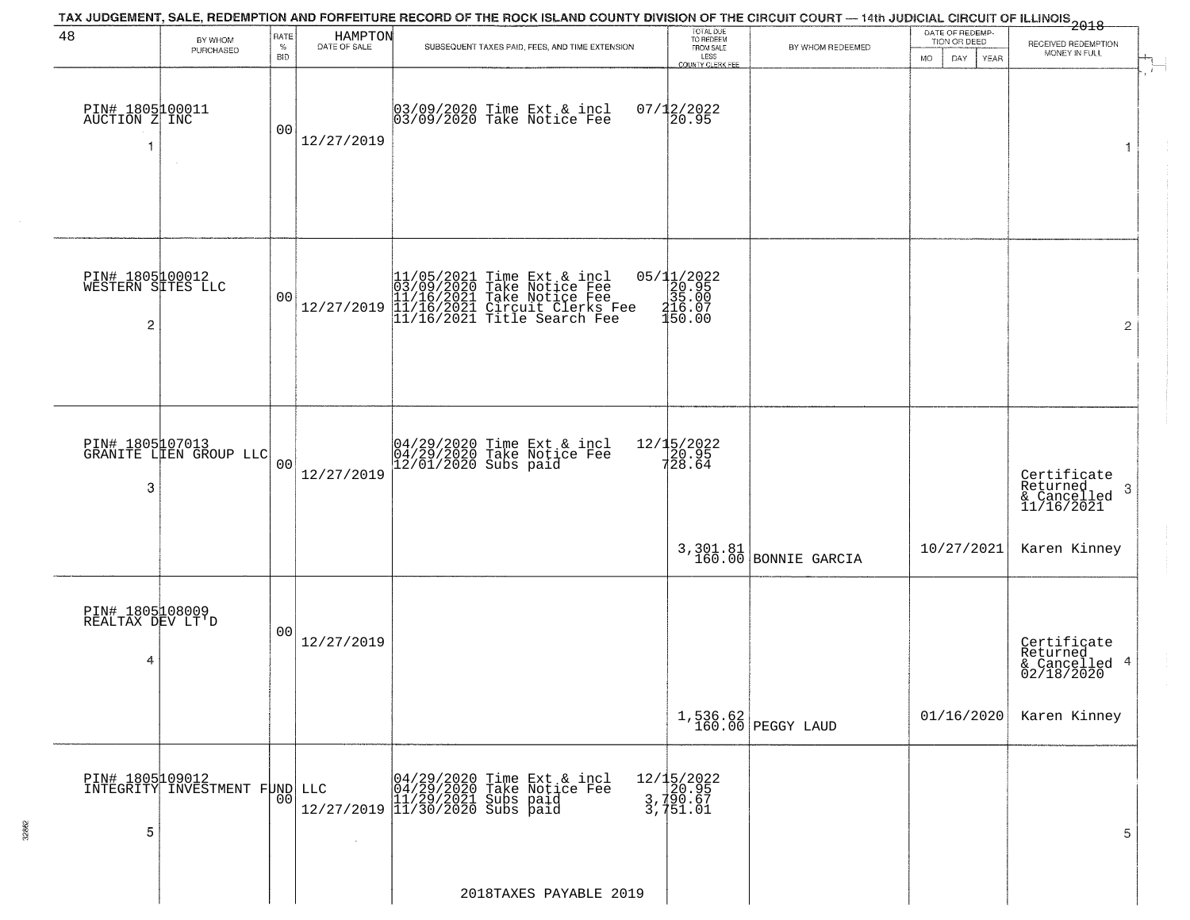| 48                                                     | BY WHOM                                   | RATE               | HAMPTON<br>DATE OF SALE | TAX JUDGEMENT, SALE, REDEMPTION AND FORFEITURE RECORD OF THE ROCK ISLAND COUNTY DIVISION OF THE CIRCUIT COURT — 14th JUDICIAL CIRCUIT OF ILLINOIS 2018   | TOTAL DUE<br>TO REDEEM                                  |                                   | DATE OF REDEMP-<br>TION OR DEED | RECEIVED REDEMPTION                                     |  |
|--------------------------------------------------------|-------------------------------------------|--------------------|-------------------------|----------------------------------------------------------------------------------------------------------------------------------------------------------|---------------------------------------------------------|-----------------------------------|---------------------------------|---------------------------------------------------------|--|
|                                                        | PURCHASED                                 | $\%$<br><b>BID</b> |                         | SUBSEQUENT TAXES PAID, FEES, AND TIME EXTENSION                                                                                                          | FROM SALE<br>LESS<br>COUNTY CLERK FEE                   | BY WHOM REDEEMED                  | <b>MO</b><br>DAY<br><b>YEAR</b> | MONEY IN FULL                                           |  |
| PIN# 1805100011<br>AUCTION Z INC<br>1                  |                                           | 0 <sub>0</sub>     | 12/27/2019              | 03/09/2020 Time Ext & incl<br>03/09/2020 Take Notice Fee                                                                                                 | $07/12/2022$<br>20.95                                   |                                   |                                 | 1                                                       |  |
| PIN# 1805100012<br>WESTERN SITES LLC<br>$\overline{2}$ |                                           | 0 <sub>0</sub>     | 12/27/2019              | $11/05/2021$ Time Ext & incl<br>03/09/2020 Take Notice Fee<br>11/16/2021 Take Notice Fee<br>11/16/2021 Circuit Clerks Fee<br>11/16/2021 Title Search Fee | 05/11/2022<br>20.95<br>35.00<br>$316.07$<br>$150.00$    |                                   |                                 | $\overline{2}$                                          |  |
| 3                                                      | PIN# 1805107013<br>GRANITE LIEN GROUP LLC | 0 <sub>0</sub>     | 12/27/2019              | 04/29/2020 Time Ext & incl<br>04/29/2020 Take Notice Fee<br>12/01/2020 Subs paid                                                                         | 12/15/2022<br>20.95<br>728.64                           |                                   |                                 | Certificate<br>Returned<br>-3<br>$\frac{6}{11/16/2021}$ |  |
|                                                        |                                           |                    |                         |                                                                                                                                                          |                                                         | 3, 301.81<br>160.00 BONNIE GARCIA | 10/27/2021                      | Karen Kinney                                            |  |
| PIN# 1805108009<br>REALTAX DEV LT'D<br>4               |                                           | 0 <sub>0</sub>     | 12/27/2019              |                                                                                                                                                          |                                                         |                                   |                                 | Certificate<br>Returned<br>& Cancelled 4<br>02/18/2020  |  |
|                                                        |                                           |                    |                         |                                                                                                                                                          |                                                         | $1,536.62$<br>160.00 PEGGY LAUD   | 01/16/2020                      | Karen Kinney                                            |  |
| PIN# 1805109012<br>5                                   | INTEGRITY INVESTMENT FUND LLC             | 00                 |                         | LLC 04/29/2020 Time Ext & incl<br>04/29/2020 Take Notice Fee<br>11/29/2021 Subs paid<br>12/27/2019 11/30/2020 Subs paid                                  | 12/15/2022<br>20.95<br>3,790.67<br>3,790.67<br>3,751.01 |                                   |                                 | 5                                                       |  |
|                                                        |                                           |                    |                         | 2018TAXES PAYABLE 2019                                                                                                                                   |                                                         |                                   |                                 |                                                         |  |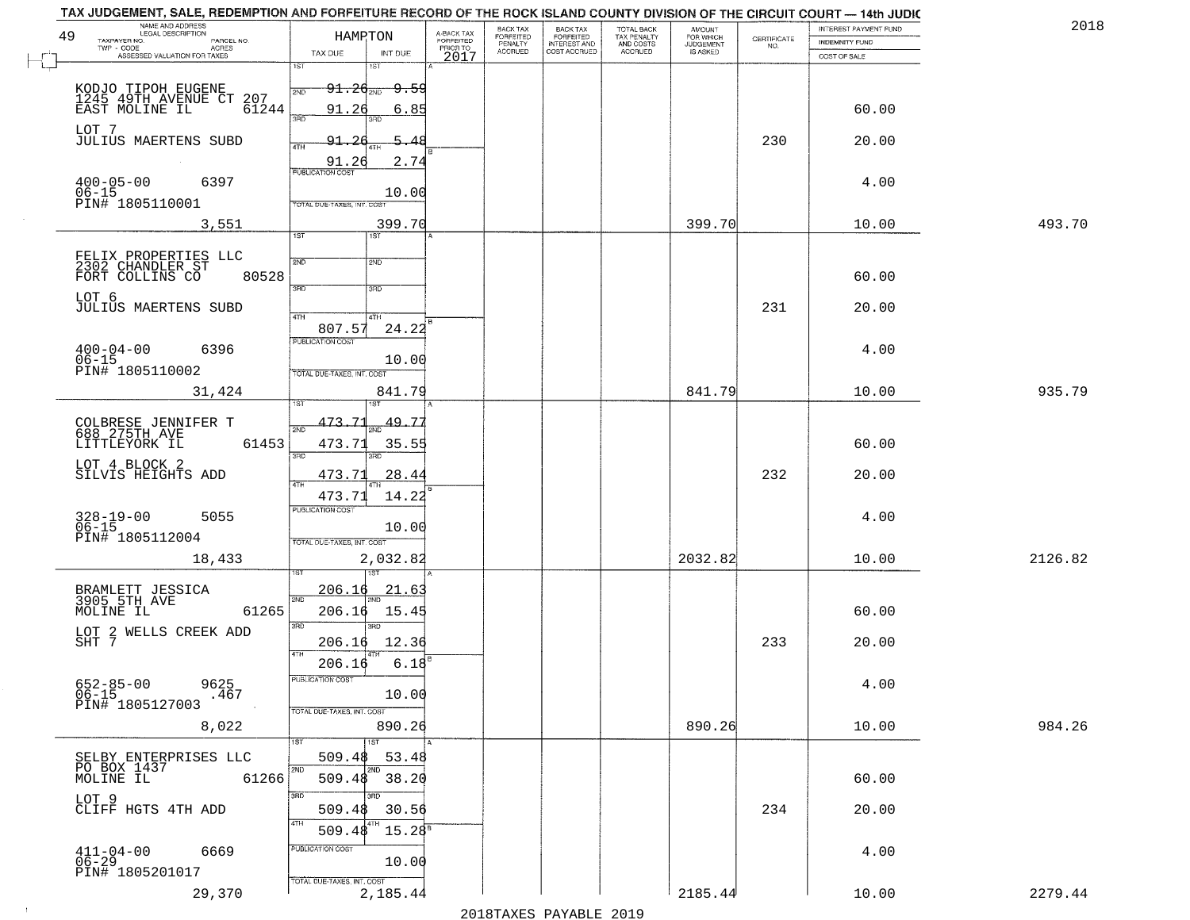| 49<br>TAXPAYER NO.       | NAME AND ADDRESS<br>LEGAL DESCRIPTION<br>PARCEL NO.                   | HAMRTON                                                                   | A-BACK TAX<br>FORFEITED | BACK TAX<br>FORFEITED<br>PENALTY | <b>BACK TAX</b><br><b>FORFEITED</b> | TOTAL BACK<br>TAX PENALTY<br>AND COSTS<br>ACCRUED | <b>AMOUNT</b><br>FOR WHICH<br>JUDGEMENT<br>IS ASKED | $\begin{array}{c} \text{CERTIFICATE} \\ \text{NO.} \end{array}$ | INTEREST PAYMENT FUND<br><b>INDEMNITY FUND</b> | 201     |
|--------------------------|-----------------------------------------------------------------------|---------------------------------------------------------------------------|-------------------------|----------------------------------|-------------------------------------|---------------------------------------------------|-----------------------------------------------------|-----------------------------------------------------------------|------------------------------------------------|---------|
| TWP - CODE               | <b>ACRES</b><br>ASSESSED VALUATION FOR TAXES                          | TAX DUE<br>INT DUE                                                        | PRIOR TO<br>2017        | <b>ACCRUED</b>                   | INTEREST AND<br>COST ACCRUED        |                                                   |                                                     |                                                                 | COST OF SALE                                   |         |
|                          |                                                                       | 1ST<br>181                                                                |                         |                                  |                                     |                                                   |                                                     |                                                                 |                                                |         |
|                          | KODJO TIPOH EUGENE<br>1245 49TH AVENUE CT 207<br>EAST MOLINE IL 61244 | <del>91.20<sub>2ND</sub> 9.59</del><br>2ND<br>91.26<br>6.85               |                         |                                  |                                     |                                                   |                                                     |                                                                 | 60.00                                          |         |
| LOT 7                    |                                                                       | 3RD<br>3RD                                                                |                         |                                  |                                     |                                                   |                                                     |                                                                 |                                                |         |
|                          | <b>JULIUS MAERTENS SUBD</b>                                           | 91.<br>5.48<br>4TH                                                        |                         |                                  |                                     |                                                   |                                                     | 230                                                             | 20.00                                          |         |
| $400 - 05 - 00$          | 6397                                                                  | 91.26<br>2.74<br><b>PUBLICATION COST</b>                                  |                         |                                  |                                     |                                                   |                                                     |                                                                 | 4.00                                           |         |
| $06 - 15$                | PIN# 1805110001                                                       | 10.00<br>TOTAL DUE-TAXES, INT. COST                                       |                         |                                  |                                     |                                                   |                                                     |                                                                 |                                                |         |
|                          | 3,551                                                                 | 399.70                                                                    |                         |                                  |                                     |                                                   | 399.70                                              |                                                                 | 10.00                                          | 493.70  |
|                          |                                                                       | $\overline{1ST}$<br>1ST                                                   |                         |                                  |                                     |                                                   |                                                     |                                                                 |                                                |         |
|                          | FELIX PROPERTIES LLC<br>2302 CHANDLER ST<br>FORT COLLINS CO<br>80528  | 2ND<br>2ND                                                                |                         |                                  |                                     |                                                   |                                                     |                                                                 | 60.00                                          |         |
| LOT 6                    |                                                                       | 3BD<br>3HD                                                                |                         |                                  |                                     |                                                   |                                                     |                                                                 |                                                |         |
|                          | <b>JULIUS MAERTENS SUBD</b>                                           | 47H<br>4TH<br>24.22<br>807.57                                             |                         |                                  |                                     |                                                   |                                                     | 231                                                             | 20.00                                          |         |
| $400 - 04 - 00$          | 6396                                                                  | PUBLICATION COST                                                          |                         |                                  |                                     |                                                   |                                                     |                                                                 | 4.00                                           |         |
| $06 - 15$                | PIN# 1805110002                                                       | 10.00<br>TOTAL DUE-TAXES, INT. COST                                       |                         |                                  |                                     |                                                   |                                                     |                                                                 |                                                |         |
|                          | 31,424                                                                | 841.79                                                                    |                         |                                  |                                     |                                                   | 841.79                                              |                                                                 | 10.00                                          | 935.79  |
|                          | COLBRESE JENNIFER T<br>688 275TH AVE                                  | 473.71<br>49.77                                                           |                         |                                  |                                     |                                                   |                                                     |                                                                 |                                                |         |
| LITTLEYORK IL            | 61453                                                                 | 473.71<br>35.55<br>3BD<br>3RD                                             |                         |                                  |                                     |                                                   |                                                     |                                                                 | 60.00                                          |         |
| LOT 4 BLOCK 2            | SILVIS HEIGHTS ADD                                                    | 473.73<br>28.44                                                           |                         |                                  |                                     |                                                   |                                                     | 232                                                             | 20.00                                          |         |
|                          |                                                                       | 4TH<br>473.71<br>14.22                                                    |                         |                                  |                                     |                                                   |                                                     |                                                                 |                                                |         |
| 328-19-00<br>06-15       | 5055                                                                  | <b>PUBLICATION COST</b><br>10.00                                          |                         |                                  |                                     |                                                   |                                                     |                                                                 | 4.00                                           |         |
|                          | PIN# 1805112004                                                       | TOTAL OUE-TAXES, INT. COST                                                |                         |                                  |                                     |                                                   |                                                     |                                                                 |                                                |         |
|                          | 18,433                                                                | 2,032.82                                                                  |                         |                                  |                                     |                                                   | 2032.82                                             |                                                                 | 10.00                                          | 2126.82 |
|                          | BRAMLETT JESSICA<br>3905 5TH AVE                                      | 206.16<br>21.6<br>2ND                                                     |                         |                                  |                                     |                                                   |                                                     |                                                                 |                                                |         |
| MOLINE IL                | 61265                                                                 | 206.16<br>15.45<br>3RD<br>3RD                                             |                         |                                  |                                     |                                                   |                                                     |                                                                 | 60.00                                          |         |
| SHT 7                    | LOT 2 WELLS CREEK ADD                                                 | 12.36<br>206.16<br>4TH                                                    |                         |                                  |                                     |                                                   |                                                     | 233                                                             | 20.00                                          |         |
|                          |                                                                       | 206.16<br>6.18<br>PUBLICATION COST                                        |                         |                                  |                                     |                                                   |                                                     |                                                                 |                                                |         |
| 652-85-00<br>06-15       | 9625<br>.467<br>PIN# 1805127003                                       | 10.00                                                                     |                         |                                  |                                     |                                                   |                                                     |                                                                 | 4.00                                           |         |
|                          | 8,022                                                                 | TOTAL DUE-TAXES, INT. COST<br>890.26                                      |                         |                                  |                                     |                                                   | 890.26                                              |                                                                 | 10.00                                          | 984.26  |
|                          |                                                                       | 1ST<br>1ST                                                                |                         |                                  |                                     |                                                   |                                                     |                                                                 |                                                |         |
| MOLINE IL                | SELBY ENTERPRISES LLC<br>PO BOX 1437<br>61266                         | 509.48<br>53.48<br>2ND<br>2ND<br>$\overline{\phantom{1}}$ 38.20<br>509.48 |                         |                                  |                                     |                                                   |                                                     |                                                                 | 60.00                                          |         |
| LOT 9                    |                                                                       | 3RD                                                                       |                         |                                  |                                     |                                                   |                                                     |                                                                 |                                                |         |
|                          | CLIFF HGTS 4TH ADD                                                    | 509.48<br>30.56<br>4TH<br>$15.28^{8}$<br>509.48                           |                         |                                  |                                     |                                                   |                                                     | 234                                                             | 20.00                                          |         |
| $411 - 04 - 00$<br>06-29 | 6669                                                                  | PUBLICATION COST                                                          |                         |                                  |                                     |                                                   |                                                     |                                                                 | 4.00                                           |         |
|                          | PIN# 1805201017                                                       | 10.00<br>TOTAL DUE-TAXES, INT. COST                                       |                         |                                  |                                     |                                                   |                                                     |                                                                 |                                                |         |
|                          | 29,370                                                                | 2,185.44                                                                  |                         |                                  |                                     |                                                   | 2185.44                                             |                                                                 | 10.00                                          | 2279.44 |

 $\sim 100$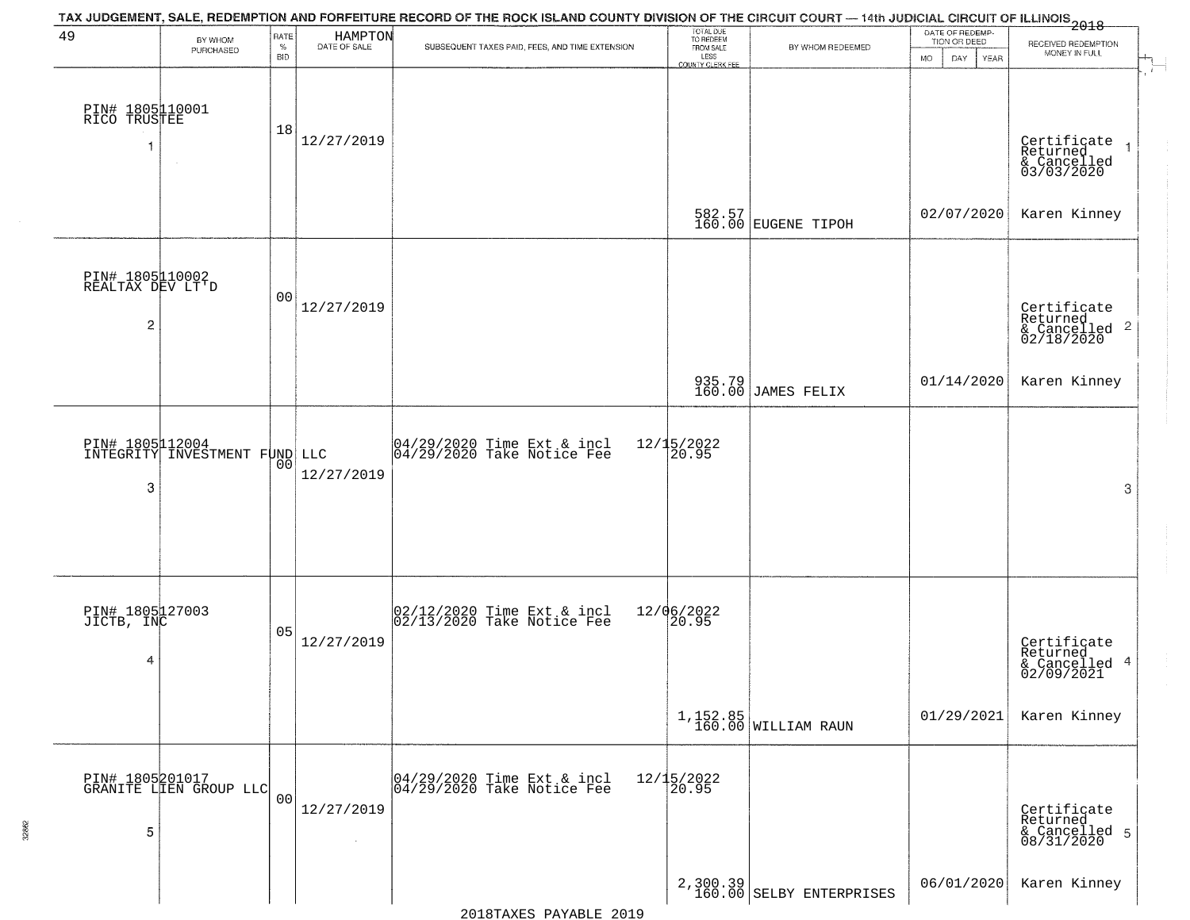| 49                                                    | BY WHOM<br>PURCHASED                             | RATE<br>$\%$<br><b>BID</b> | HAMPTON<br>DATE OF SALE | TAX JUDGEMENT, SALE, REDEMPTION AND FORFEITURE RECORD OF THE ROCK ISLAND COUNTY DIVISION OF THE CIRCUIT COURT — 14th JUDICIAL CIRCUIT OF ILLINOIS 2018<br>SUBSEQUENT TAXES PAID, FEES, AND TIME EXTENSION | TOTAL DUE<br>TO REDEEM<br>FROM SALE<br>LESS<br>COUNTY CLERK FEE | BY WHOM REDEEMED                     | DATE OF REDEMP-<br>TION OR DEED<br><b>MO</b><br>DAY<br>YEAR | RECEIVED REDEMPTION<br>MONEY IN FULL                               |
|-------------------------------------------------------|--------------------------------------------------|----------------------------|-------------------------|-----------------------------------------------------------------------------------------------------------------------------------------------------------------------------------------------------------|-----------------------------------------------------------------|--------------------------------------|-------------------------------------------------------------|--------------------------------------------------------------------|
| PIN# 1805110001<br>RICO TRUSTEE<br>-1                 | $\sim$                                           | 18                         | 12/27/2019              |                                                                                                                                                                                                           |                                                                 |                                      |                                                             | Certificate<br>Returned<br>& Cancelled<br>03/03/2020               |
|                                                       |                                                  |                            |                         |                                                                                                                                                                                                           |                                                                 | 582.57<br>160.00 EUGENE TIPOH        | 02/07/2020                                                  | Karen Kinney                                                       |
| PIN# 1805110002<br>REALTAX DEV LT'D<br>$\overline{c}$ |                                                  | 0 <sub>0</sub>             | 12/27/2019              |                                                                                                                                                                                                           |                                                                 |                                      |                                                             | Certificate<br>Returned<br>$\frac{1}{2}$ Cancelled 2<br>02/18/2020 |
|                                                       |                                                  |                            |                         |                                                                                                                                                                                                           |                                                                 | 935.79<br>160.00 JAMES FELIX         | 01/14/2020                                                  | Karen Kinney                                                       |
| 3                                                     | PIN# 1805112004<br>INTEGRITY INVESTMENT FUND LLC | 00                         | 12/27/2019              | 04/29/2020 Time Ext & incl<br>04/29/2020 Take Notice Fee                                                                                                                                                  | 12/15/2022<br>20.95                                             |                                      |                                                             | 3                                                                  |
| PIN# 1805127003<br>JICTB, INC<br>4                    |                                                  | 05                         | 12/27/2019              | 02/12/2020 Time Ext & incl<br>02/13/2020 Take Notice Fee                                                                                                                                                  | 12/06/2022<br>20.95                                             |                                      |                                                             | Certificate<br>Returned<br>& Cancelled 4<br>02/09/2021             |
|                                                       |                                                  |                            |                         |                                                                                                                                                                                                           |                                                                 | $1,152.85$ WILLIAM RAUN              | 01/29/2021                                                  | Karen Kinney                                                       |
| 5                                                     | PIN# 1805201017<br>GRANITE LIEN GROUP LLC        | 00                         | 12/27/2019              | 04/29/2020 Time Ext & incl<br>04/29/2020 Take Notice Fee                                                                                                                                                  | 12/15/2022<br>20.95                                             |                                      |                                                             | Certificate<br>Returned<br>& Cancelled 5<br>08/31/2020             |
|                                                       |                                                  |                            |                         |                                                                                                                                                                                                           |                                                                 | 2,300.39<br>160.00 SELBY ENTERPRISES | 06/01/2020                                                  | Karen Kinney                                                       |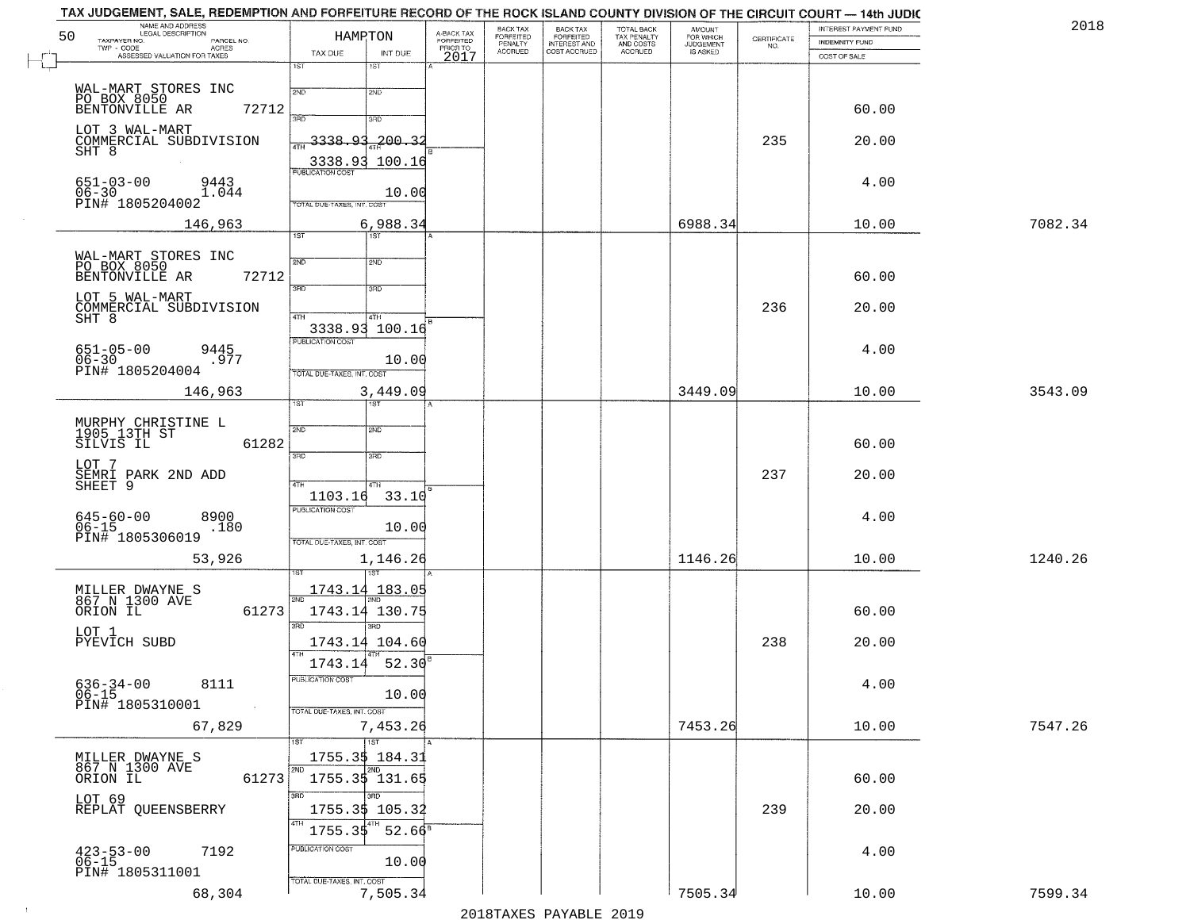| NAME AND ADDRESS<br>LEGAL DESCRIPTION<br>50<br>TAXPAYER NO.<br>PARCEL NO. | HAMRTON                             | A-BACK TAX<br>FORFEITED<br>PRIOR TO | BACK TAX<br>FORFEITED<br>PENALTY | BACK TAX<br>FORFEITED<br>INTEREST AND | TOTAL BACK<br>TAX PENALTY<br>AND COSTS | AMOUNT<br>FOR WHICH<br>JUDGEMENT | $\begin{array}{c} \text{CERTIFICATE} \\ \text{NO.} \end{array}$ | INTEREST PAYMENT FUND<br><b>INDEMNITY FUND</b> | 2018    |
|---------------------------------------------------------------------------|-------------------------------------|-------------------------------------|----------------------------------|---------------------------------------|----------------------------------------|----------------------------------|-----------------------------------------------------------------|------------------------------------------------|---------|
| TWP - CODE<br>ACRES<br>ASSESSED VALUATION FOR TAXES                       | TAX DUE<br>INT DUE                  | 2017                                | <b>ACCRUED</b>                   | COST ACCRUED                          | <b>ACCRUED</b>                         | IS ASKED                         |                                                                 | COST OF SALE                                   |         |
|                                                                           | 1ST<br>1ST                          |                                     |                                  |                                       |                                        |                                  |                                                                 |                                                |         |
| WAL-MART STORES INC<br>PO BOX 8050<br>BENTONVILLE AR                      | 2ND<br>2ND                          |                                     |                                  |                                       |                                        |                                  |                                                                 |                                                |         |
| 72712                                                                     | 3RD<br>3RD                          |                                     |                                  |                                       |                                        |                                  |                                                                 | 60.00                                          |         |
| LOT 3 WAL-MART<br>COMMERCIAL SUBDIVISION                                  | $3338.93 - 200.3$<br>4TH            |                                     |                                  |                                       |                                        |                                  | 235                                                             | 20.00                                          |         |
| SHT 8                                                                     | 3338.93 100.16                      |                                     |                                  |                                       |                                        |                                  |                                                                 |                                                |         |
| $651 - 03 - 00$<br>9443                                                   | <b>PUBLICATION COST</b>             |                                     |                                  |                                       |                                        |                                  |                                                                 | 4.00                                           |         |
| $06 - 30$<br>1.044<br>PIN# 1805204002                                     | 10.00<br>TOTAL DUE-TAXES, INT. COST |                                     |                                  |                                       |                                        |                                  |                                                                 |                                                |         |
| 146,963                                                                   | 6,988.34                            |                                     |                                  |                                       |                                        | 6988.34                          |                                                                 | 10.00                                          | 7082.34 |
|                                                                           | 1ST<br>1ST                          |                                     |                                  |                                       |                                        |                                  |                                                                 |                                                |         |
| WAL-MART STORES INC<br>PO BOX 8050                                        | 2ND<br>2ND                          |                                     |                                  |                                       |                                        |                                  |                                                                 |                                                |         |
| 72712<br>BENTONVILLE AR                                                   | 3RD<br>3RD                          |                                     |                                  |                                       |                                        |                                  |                                                                 | 60.00                                          |         |
| LOT 5 WAL-MART<br>COMMERCIAL SUBDIVISION                                  |                                     |                                     |                                  |                                       |                                        |                                  | 236                                                             | 20.00                                          |         |
| SHT 8                                                                     | 47H<br>4TH<br>3338.93 100.16        |                                     |                                  |                                       |                                        |                                  |                                                                 |                                                |         |
| 9445<br>$651 - 05 - 00$                                                   | PUBLICATION COST                    |                                     |                                  |                                       |                                        |                                  |                                                                 | 4.00                                           |         |
| 06-30<br>PIN# 1805204004<br>.977                                          | 10.00<br>TOTAL DUE-TAXES, INT. COST |                                     |                                  |                                       |                                        |                                  |                                                                 |                                                |         |
| 146,963                                                                   | 3,449.09                            |                                     |                                  |                                       |                                        | 3449.09                          |                                                                 | 10.00                                          | 3543.09 |
|                                                                           | <b>IST</b><br>1ST.                  |                                     |                                  |                                       |                                        |                                  |                                                                 |                                                |         |
| MURPHY CHRISTINE L<br>1905 13TH ST<br>SILVIS IL                           | 2ND<br>2ND                          |                                     |                                  |                                       |                                        |                                  |                                                                 |                                                |         |
| 61282<br>LOT 7                                                            | 3BD<br>3 <sub>BD</sub>              |                                     |                                  |                                       |                                        |                                  |                                                                 | 60.00                                          |         |
| SEMRI PARK 2ND ADD<br>SHEET 9                                             | 4TH<br>4TH                          |                                     |                                  |                                       |                                        |                                  | 237                                                             | 20.00                                          |         |
|                                                                           | 1103.16<br>33.10                    |                                     |                                  |                                       |                                        |                                  |                                                                 |                                                |         |
| $645 - 60 - 00$<br>8900<br>$06 - 15$<br>.180                              | <b>PUBLICATION COST</b><br>10.00    |                                     |                                  |                                       |                                        |                                  |                                                                 | 4.00                                           |         |
| PIN# 1805306019                                                           | TOTAL OUE-TAXES, INT. COST          |                                     |                                  |                                       |                                        |                                  |                                                                 |                                                |         |
| 53,926                                                                    | 1,146.26                            |                                     |                                  |                                       |                                        | 1146.26                          |                                                                 | 10.00                                          | 1240.26 |
|                                                                           | <u>1743.14 183.05</u>               |                                     |                                  |                                       |                                        |                                  |                                                                 |                                                |         |
| MILLER DWAYNE S<br>867 N 1300 AVE<br>ORION IL<br>61273                    | 2ND<br>1743.14 130.75               |                                     |                                  |                                       |                                        |                                  |                                                                 | 60.00                                          |         |
| LOT 1                                                                     | 3RD<br>3BD                          |                                     |                                  |                                       |                                        |                                  |                                                                 |                                                |         |
| PYEVICH SUBD                                                              | 1743.14 104.60<br>4TH               |                                     |                                  |                                       |                                        |                                  | 238                                                             | 20.00                                          |         |
|                                                                           | 1743.14 52.30                       |                                     |                                  |                                       |                                        |                                  |                                                                 |                                                |         |
| $636 - 34 - 00$<br>8111<br>$06-15$                                        | PUBLICATION COST<br>10.00           |                                     |                                  |                                       |                                        |                                  |                                                                 | 4.00                                           |         |
| PIN# 1805310001<br>$\sim$ $\sim$                                          | TOTAL DUE-TAXES, INT. COST          |                                     |                                  |                                       |                                        |                                  |                                                                 |                                                |         |
| 67,829                                                                    | 7,453.26                            |                                     |                                  |                                       |                                        | 7453.26                          |                                                                 | 10.00                                          | 7547.26 |
|                                                                           | 1ST<br>1ST<br>1755.35 184.31        |                                     |                                  |                                       |                                        |                                  |                                                                 |                                                |         |
| MILLER DWAYNE S<br>867 N 1300 AVE<br>61273<br>ORION IL                    | 2ND<br>2ND<br>1755.3\$ 131.65       |                                     |                                  |                                       |                                        |                                  |                                                                 | 60.00                                          |         |
| LOT 69                                                                    | अंग                                 |                                     |                                  |                                       |                                        |                                  |                                                                 |                                                |         |
| REPLAT QUEENSBERRY                                                        | 1755.3\$ 105.32                     |                                     |                                  |                                       |                                        |                                  | 239                                                             | 20.00                                          |         |
|                                                                           | $52.66^8$<br>1755.35                |                                     |                                  |                                       |                                        |                                  |                                                                 |                                                |         |
| $423 - 53 - 00$<br>06-15<br>7192                                          | PUBLICATION COST<br>10.00           |                                     |                                  |                                       |                                        |                                  |                                                                 | 4.00                                           |         |
| PIN# 1805311001                                                           | TOTAL DUE-TAXES, INT. COST          |                                     |                                  |                                       |                                        |                                  |                                                                 |                                                |         |
| 68,304                                                                    | 7,505.34                            |                                     |                                  |                                       |                                        | 7505.34                          |                                                                 | 10.00                                          | 7599.34 |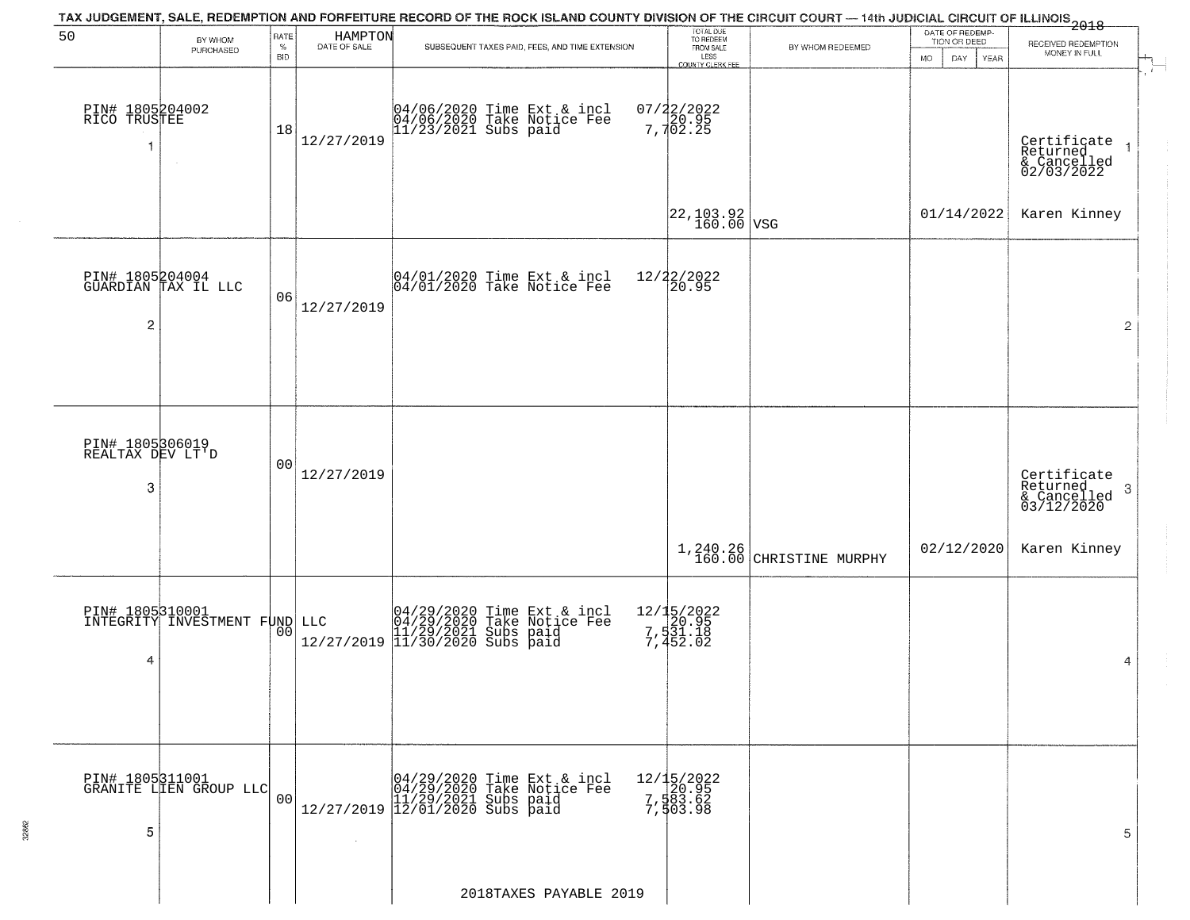|                                                 |                                                  |                            |                         | TAX JUDGEMENT, SALE, REDEMPTION AND FORFEITURE RECORD OF THE ROCK ISLAND COUNTY DIVISION OF THE CIRCUIT COURT — 14th JUDICIAL CIRCUIT OF ILLINOIS<br>2018 - The Contract of December 1999 |                                                                 |                             |                                                                     |                                                                        |
|-------------------------------------------------|--------------------------------------------------|----------------------------|-------------------------|-------------------------------------------------------------------------------------------------------------------------------------------------------------------------------------------|-----------------------------------------------------------------|-----------------------------|---------------------------------------------------------------------|------------------------------------------------------------------------|
| 50                                              | BY WHOM<br>PURCHASED                             | RATE<br>$\%$<br><b>BID</b> | HAMPTON<br>DATE OF SALE | SUBSEQUENT TAXES PAID, FEES, AND TIME EXTENSION                                                                                                                                           | TOTAL DUE<br>TO REDEEM<br>FROM SALE<br>LESS<br>COUNTY CLERK FEE | BY WHOM REDEEMED            | DATE OF REDEMP-<br>TION OR DEED<br><b>MO</b><br><b>YEAR</b><br>DAY. | RECEIVED REDEMPTION<br>MONEY IN FULL<br>$\overleftarrow{ }$            |
| PIN# 1805204002<br>RICO TRUSTEE<br>$\mathbf{1}$ |                                                  | 18                         | 12/27/2019              | 04/06/2020 Time Ext & incl<br>04/06/2020 Take Notice Fee<br>11/23/2021 Subs paid                                                                                                          | 07/22/2022<br>20.95<br>7,702.25                                 |                             |                                                                     | Certificate<br>Returned<br>& Cancelled<br>02/03/2022<br>$\overline{1}$ |
|                                                 |                                                  |                            |                         |                                                                                                                                                                                           | $\left  \frac{22,103.92}{160.00} \right $ VSG                   |                             | 01/14/2022                                                          | Karen Kinney                                                           |
| $\overline{\mathbf{c}}$                         | PIN# 1805204004<br>GUARDIAN TAX IL LLC           | 06                         | 12/27/2019              | 04/01/2020 Time Ext & incl<br>04/01/2020 Take Notice Fee                                                                                                                                  | 12/22/2022<br>20.95                                             |                             |                                                                     | $\overline{2}$                                                         |
|                                                 |                                                  |                            |                         |                                                                                                                                                                                           |                                                                 |                             |                                                                     |                                                                        |
| PIN# 1805306019<br>REALTAX DEV LT'D<br>3        |                                                  | 00                         | 12/27/2019              |                                                                                                                                                                                           |                                                                 |                             |                                                                     | Certificate<br>Returned<br>3<br>& Cancelled<br>03/12/2020              |
|                                                 |                                                  |                            |                         |                                                                                                                                                                                           |                                                                 | $1,240.26$ CHRISTINE MURPHY | 02/12/2020                                                          | Karen Kinney                                                           |
| 4                                               | PIN# 1805310001<br>INTEGRITY INVESTMENT FUND LLC | 00                         |                         | LLC $04/29/2020$ Time Ext & incl<br>04/29/2020 Take Notice Fee<br>11/29/2021 Subs paid<br>12/27/2019 11/30/2020 Subs paid                                                                 | 12/15/2022<br>20.95<br>7,531.18<br>7,452.02                     |                             |                                                                     | 4                                                                      |
|                                                 |                                                  |                            |                         |                                                                                                                                                                                           |                                                                 |                             |                                                                     |                                                                        |
| 5                                               | PIN# 1805311001<br>GRANITE LIEN GROUP LLC        | 00                         | $\sim$                  | $[04/29/2020 \t\t Time Ext & incl 04/29/2020 \t\t Take Notice Free 11/29/2021 Subs paid 12/27/2019 12/01/2020 Subs paid 13/2019]$                                                         | 12/15/2022<br>7,583.62<br>7,583.62<br>7,503.98                  |                             |                                                                     | 5                                                                      |
|                                                 |                                                  |                            |                         | 2018TAXES PAYABLE 2019                                                                                                                                                                    |                                                                 |                             |                                                                     |                                                                        |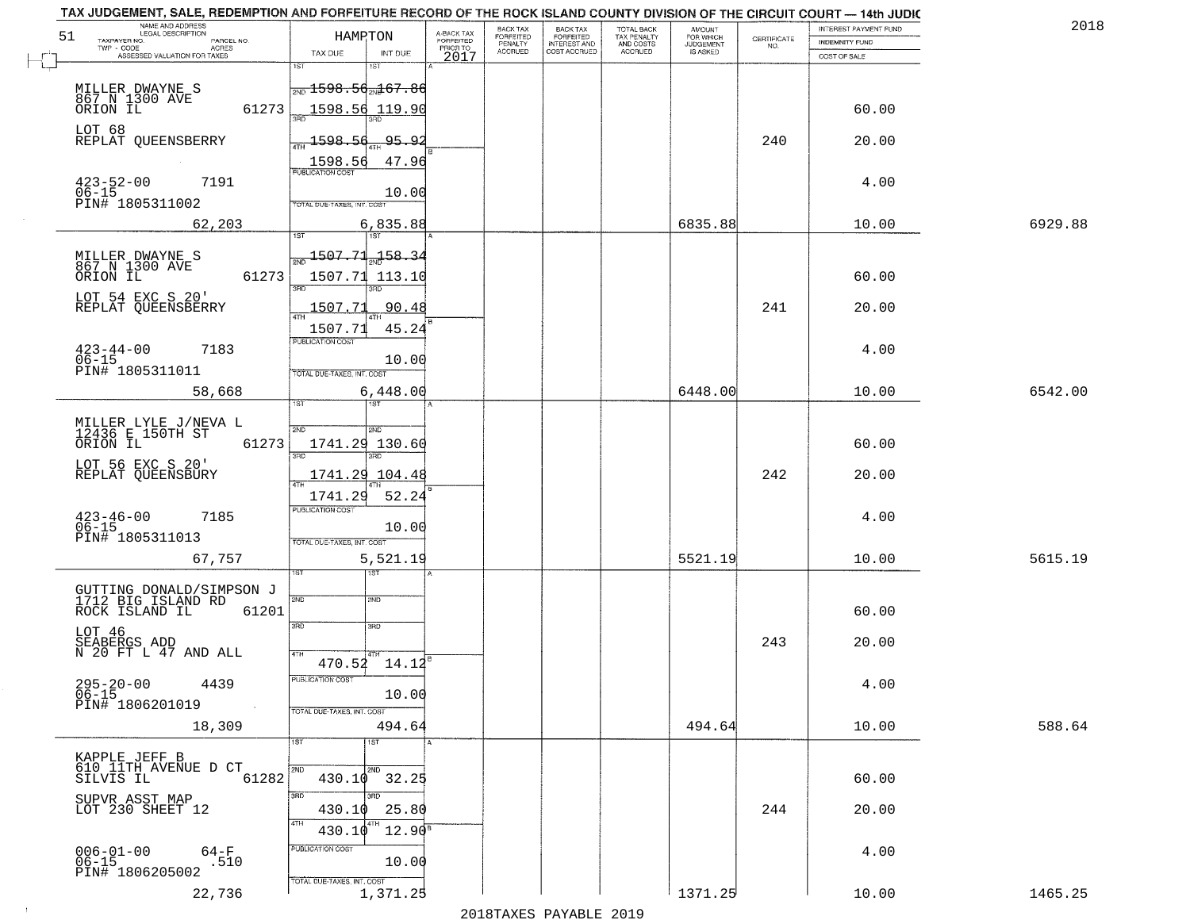| NAME AND ADDRESS<br>LEGAL DESCRIPTION<br>51<br>TAXPAYER NO.<br>PARCEL NO. | HAMRTON                                       | A-BACK TAX<br>FORFEITED | BACK TAX<br>FORFEITED<br>PENALTY | <b>BACK TAX</b><br><b>FORFEITED</b> | TOTAL BACK<br>TAX PENALTY | <b>AMOUNT</b>                      | CERTIFICATE | INTEREST PAYMENT FUND<br>INDEMNITY FUND | 2018    |
|---------------------------------------------------------------------------|-----------------------------------------------|-------------------------|----------------------------------|-------------------------------------|---------------------------|------------------------------------|-------------|-----------------------------------------|---------|
| $TWP - CODE$<br><b>ACRES</b><br>ASSESSED VALUATION FOR TAXES              | TAX DUE<br>INT DUE                            | PRIOR TO<br>2017        | <b>ACCRUED</b>                   | INTEREST AND                        | AND COSTS<br>ACCRUED      | FOR WHICH<br>JUDGEMENT<br>IS ASKED | NO.         | COST OF SALE                            |         |
|                                                                           | 1ST                                           |                         |                                  |                                     |                           |                                    |             |                                         |         |
| MILLER DWAYNE S<br>867 N 1300 AVE                                         | $\frac{1}{200}$ 1598.56 $\frac{1}{200}$ 67.86 |                         |                                  |                                     |                           |                                    |             |                                         |         |
| ORION IL<br>61273                                                         | 1598.56<br>119.90                             |                         |                                  |                                     |                           |                                    |             | 60.00                                   |         |
| LOT 68<br>REPLAT QUEENSBERRY                                              | $-1598.56$<br><u>95.92</u>                    |                         |                                  |                                     |                           |                                    | 240         | 20.00                                   |         |
|                                                                           | 1598.56<br>47.96<br><b>PUBLICATION COST</b>   |                         |                                  |                                     |                           |                                    |             |                                         |         |
| $423 - 52 - 00$<br>7191<br>$06 - 15$                                      | 10.00                                         |                         |                                  |                                     |                           |                                    |             | 4.00                                    |         |
| PIN# 1805311002                                                           | TOTAL DUE-TAXES, INT. COST                    |                         |                                  |                                     |                           |                                    |             |                                         |         |
| 62,203                                                                    | 6,835.88<br><b>TST</b><br>1ST                 |                         |                                  |                                     |                           | 6835.88                            |             | 10.00                                   | 6929.88 |
| MILLER DWAYNE S<br>867 N 1300 AVE                                         | 1507.71<br>158.34                             |                         |                                  |                                     |                           |                                    |             |                                         |         |
| ORION IL<br>61273                                                         | 1507.71<br>113.10<br>3BD                      |                         |                                  |                                     |                           |                                    |             | 60.00                                   |         |
| LOT 54 EXC S 20'<br>REPLAT QUEENSBERRY                                    | 1507.73<br>90.48                              |                         |                                  |                                     |                           |                                    | 241         | 20.00                                   |         |
|                                                                           | 1507.71<br>45.24                              |                         |                                  |                                     |                           |                                    |             |                                         |         |
| $423 - 44 - 00$<br>7183                                                   | PUBLICATION COST                              |                         |                                  |                                     |                           |                                    |             | 4.00                                    |         |
| $06 - 15$<br>PIN# 1805311011                                              | 10.00<br>TOTAL DUE-TAXES, INT. COST           |                         |                                  |                                     |                           |                                    |             |                                         |         |
| 58,668                                                                    | 6,448.00<br>1ST                               |                         |                                  |                                     |                           | 6448.00                            |             | 10.00                                   | 6542.00 |
| MILLER LYLE J/NEVA L<br>12436 E 150TH ST                                  | 2ND<br><b>SMD</b>                             |                         |                                  |                                     |                           |                                    |             |                                         |         |
| ORION IL<br>61273                                                         | 1741.29<br>130.60                             |                         |                                  |                                     |                           |                                    |             | 60.00                                   |         |
| LOT 56 EXC S 20'<br>REPLAT QUEENSBURY                                     | 3BD<br>3RD<br>1741.29 104.48                  |                         |                                  |                                     |                           |                                    | 242         | 20.00                                   |         |
|                                                                           | 52.24<br>1741.29                              |                         |                                  |                                     |                           |                                    |             |                                         |         |
| $423 - 46 - 00$<br>06-15<br>7185                                          | <b>PUBLICATION COST</b>                       |                         |                                  |                                     |                           |                                    |             | 4.00                                    |         |
| PIN# 1805311013                                                           | 10.00<br>TOTAL OUE-TAXES, INT. COST           |                         |                                  |                                     |                           |                                    |             |                                         |         |
| 67,757                                                                    | 5,521.19                                      |                         |                                  |                                     |                           | 5521.19                            |             | 10.00                                   | 5615.19 |
|                                                                           | इङ                                            |                         |                                  |                                     |                           |                                    |             |                                         |         |
| GUTTING DONALD/SIMPSON J<br>1712 BIG ISLAND RD<br>61201<br>ROCK ISLAND IL | 2ND<br>2ND                                    |                         |                                  |                                     |                           |                                    |             | 60.00                                   |         |
| LOT 46                                                                    | 3RD<br>3BD                                    |                         |                                  |                                     |                           |                                    |             |                                         |         |
| SEABERGS ADD<br>N 20 FT L 47 AND ALL                                      | 4TH<br>$470.52$ $14.12^8$                     |                         |                                  |                                     |                           |                                    | 243         | 20.00                                   |         |
| 4439                                                                      | PUBLICATION COST                              |                         |                                  |                                     |                           |                                    |             | 4.00                                    |         |
| $295 - 20 - 00$<br>06-15<br>PIN# 1806201019<br>$\sim 100$ km $^{-1}$      | 10.00                                         |                         |                                  |                                     |                           |                                    |             |                                         |         |
| 18,309                                                                    | TOTAL DUE-TAXES, INT. COST<br>494.64          |                         |                                  |                                     |                           | 494.64                             |             | 10.00                                   | 588.64  |
|                                                                           | 1ST<br>1ST                                    |                         |                                  |                                     |                           |                                    |             |                                         |         |
| KAPPLE JEFF B<br>610 IITH AVENUE D CT<br>61282<br>SILVIS IL               | 2ND<br>2ND<br>$430.10$ $32.25$                |                         |                                  |                                     |                           |                                    |             | 60.00                                   |         |
| SUPVR ASST MAP                                                            | 3RD<br>3RD                                    |                         |                                  |                                     |                           |                                    |             |                                         |         |
| LOT 230 SHEET 12                                                          | 430.10<br>25.80<br>4TH                        |                         |                                  |                                     |                           |                                    | 244         | 20.00                                   |         |
|                                                                           | $12.90^8$<br>430.10<br>PUBLICATION COST       |                         |                                  |                                     |                           |                                    |             |                                         |         |
| $006 - 01 - 00$<br>$64-F$<br>$06 - 15$<br>.510<br>PIN# 1806205002         | 10.00                                         |                         |                                  |                                     |                           |                                    |             | 4.00                                    |         |
| 22,736                                                                    | TOTAL DUE-TAXES, INT. COST<br>1,371.25        |                         |                                  |                                     |                           | 1371.25                            |             | 10.00                                   | 1465.25 |
|                                                                           |                                               |                         |                                  |                                     |                           |                                    |             |                                         |         |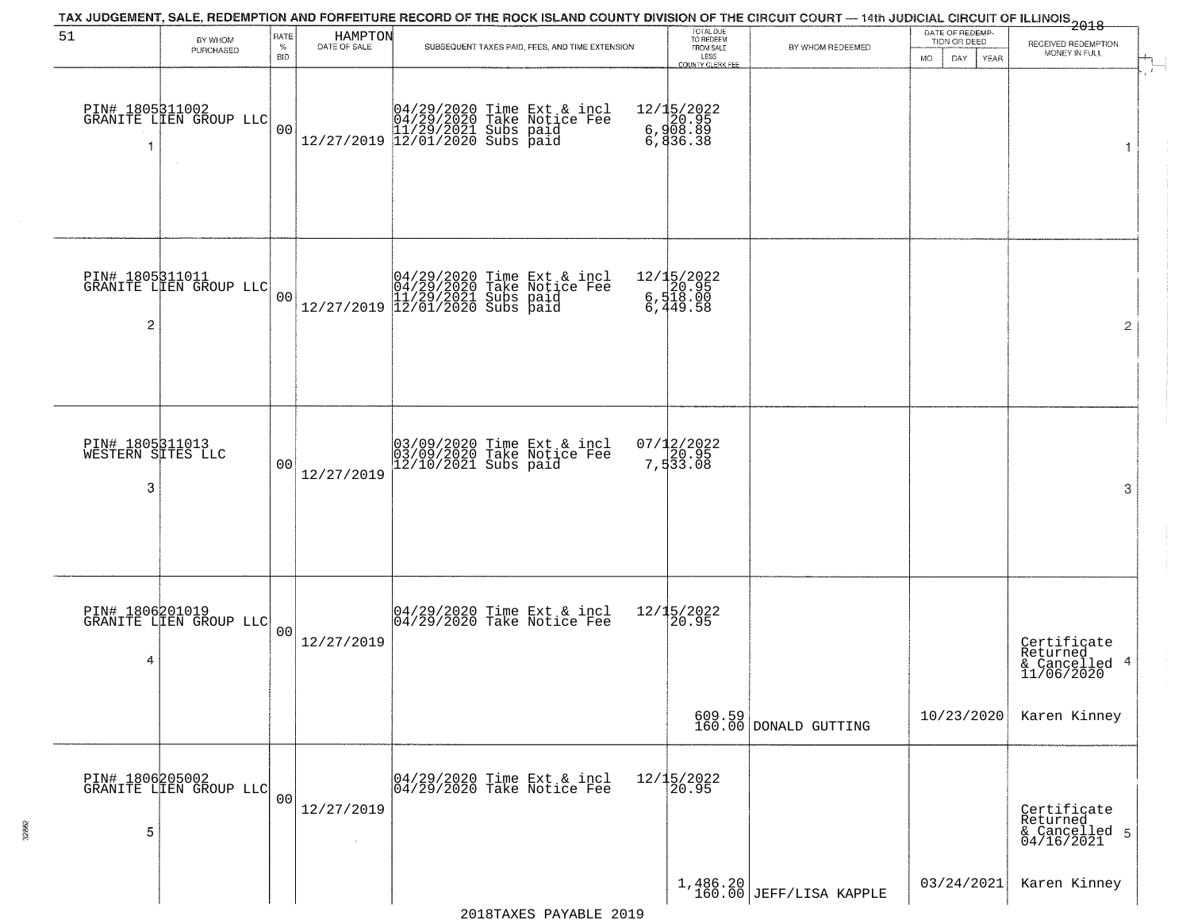|                                           |                                           |                |                         | TAX JUDGEMENT, SALE, REDEMPTION AND FORFEITURE RECORD OF THE ROCK ISLAND COUNTY DIVISION OF THE CIRCUIT COURT — 14th JUDICIAL CIRCUIT OF ILLINOIS 2018      |                                                |                                   |                                 |                                                           |
|-------------------------------------------|-------------------------------------------|----------------|-------------------------|-------------------------------------------------------------------------------------------------------------------------------------------------------------|------------------------------------------------|-----------------------------------|---------------------------------|-----------------------------------------------------------|
| 51                                        | BY WHOM<br>PURCHASED                      | RATE<br>$\%$   | HAMPTON<br>DATE OF SALE | SUBSEQUENT TAXES PAID, FEES, AND TIME EXTENSION                                                                                                             | TOTAL DUE<br>TO REDEEM<br>FROM SALE            | BY WHOM REDEEMED                  | DATE OF REDEMP-<br>TION OR DEED | RECEIVED REDEMPTION<br>MONEY IN FULL                      |
|                                           |                                           | <b>BID</b>     |                         |                                                                                                                                                             | LESS<br>COUNTY CLERK FEE                       |                                   | <b>MO</b><br>DAY<br>YEAR        | $\mathbf{r}$                                              |
| -1                                        | PIN# 1805311002<br>GRANITE LLEN GROUP LLC | 0 <sub>0</sub> |                         | $[04/29/2020 \t\t Time \t\t Ext & incl \\ 04/29/2020 \t\t Take \t Notice \tFe \\ 11/29/2021 \tSubs \t paid \\ 12/27/2019 \t\t 12/01/2020 \tSubs \t paid \\$ | 12/15/2022<br>6,908.89<br>6,908.89<br>6,836.38 |                                   |                                 | 1                                                         |
| $\overline{c}$                            | PIN# 1805311011<br>GRANITE LIEN GROUP LLC | 00             |                         | $[04/29/2020 \t\t Time \t\t Ext & incl \\ 04/29/2020 \t\t Take \t Notice \tFe \\ 11/29/2021 \tSubs \t paid \\ 12/27/2019 \t\t 12/01/2020 \tSubs \t paid \\$ | 12/15/2022<br>6,520.95<br>6,518.00<br>6,449.58 |                                   |                                 | 2                                                         |
| PIN# 1805311013<br>WESTERN SITES LLC<br>3 |                                           | 0 <sub>0</sub> | 12/27/2019              | 03/09/2020 Time Ext & incl<br>03/09/2020 Take Notice Fee<br>12/10/2021 Subs paid                                                                            | 07/12/2022<br>7,533.08                         |                                   |                                 | 3                                                         |
| PIN# 1806201019<br>4                      | GRANITE LIEN GROUP LLC                    | 00             | 12/27/2019              | 04/29/2020 Time Ext & incl<br>04/29/2020 Take Notice Fee                                                                                                    | 12/15/2022<br>120.95                           |                                   |                                 | Certificate<br>Returned<br>4<br>& Cancelled<br>11/06/2020 |
|                                           |                                           |                |                         |                                                                                                                                                             |                                                | $609.59$<br>160.00 DONALD GUTTING | 10/23/2020                      | Karen Kinney                                              |
| 5                                         | PIN# 1806205002<br>GRANITE LIEN GROUP LLC | 0 <sub>0</sub> | 12/27/2019              | 04/29/2020 Time Ext & incl<br>04/29/2020 Take Notice Fee                                                                                                    | 12/15/2022<br>20.95                            |                                   |                                 | Certificate<br>Returned<br>& Cancelled 5<br>04/16/2021    |
|                                           |                                           |                |                         |                                                                                                                                                             |                                                | $1,486.20$ JEFF/LISA KAPPLE       | 03/24/2021                      | Karen Kinney                                              |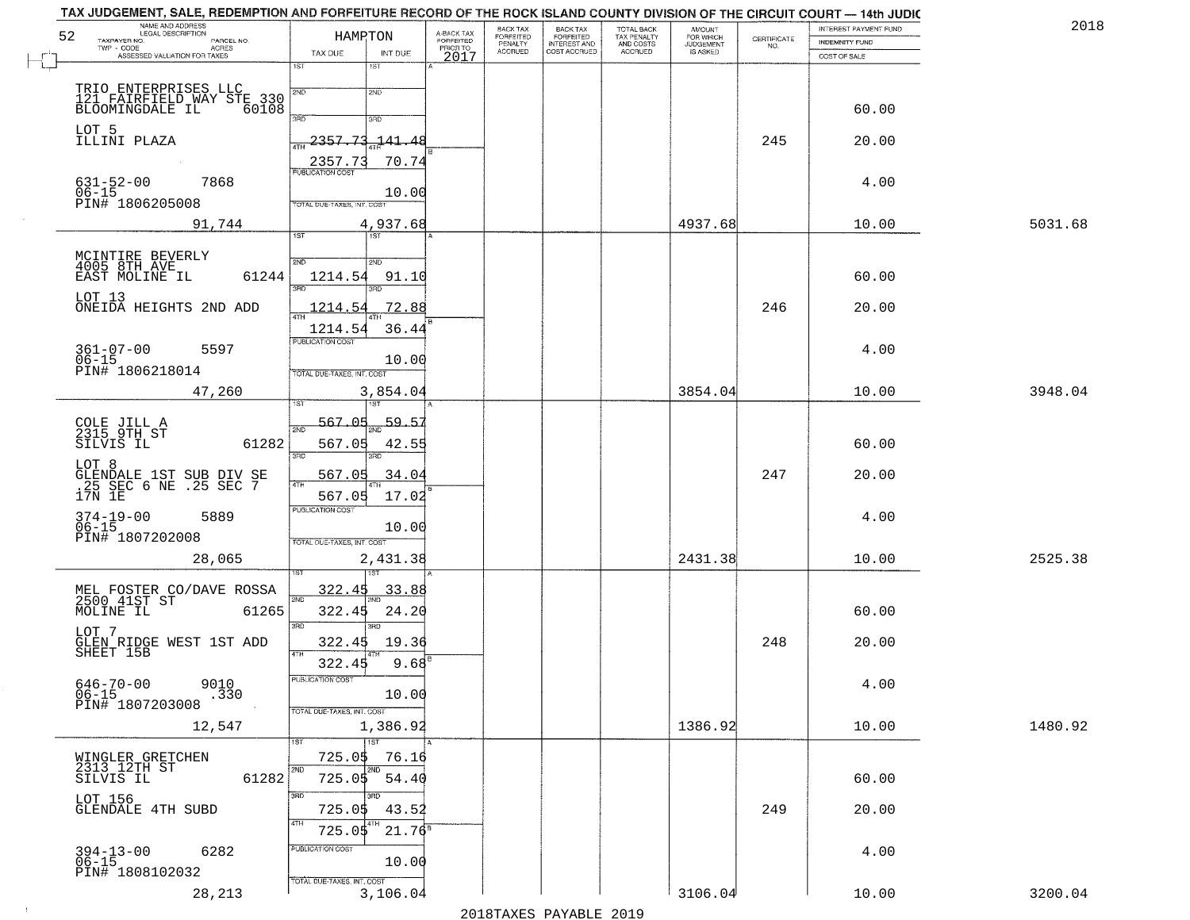| 52        | NAME AND ADDRESS<br>LEGAL DESCRIPTION<br>TAXPAYER NO.<br>PARCEL NO.        | HAMRTON                                | A-BACK TAX<br>FORFEITED | BACK TAX<br>FORFEITED | <b>BACK TAX</b><br><b>FORFEITED</b> | TOTAL BACK<br>TAX PENALTY | <b>AMOUNT</b>                      | $\begin{array}{c} \text{CERTIFICATE} \\ \text{NO.} \end{array}$ | INTEREST PAYMENT FUND<br>INDEMNITY FUND | 2018    |
|-----------|----------------------------------------------------------------------------|----------------------------------------|-------------------------|-----------------------|-------------------------------------|---------------------------|------------------------------------|-----------------------------------------------------------------|-----------------------------------------|---------|
|           | TWP - CODE<br><b>ACRES</b><br>ASSESSED VALUATION FOR TAXES                 | TAX DUE<br>INT DUE                     | PRIOR TO<br>2017        | PENALTY<br>ACCRUED    | INTEREST AND<br>COST ACCRUED        | AND COSTS<br>ACCRUED      | FOR WHICH<br>JUDGEMENT<br>IS ASKED |                                                                 | COST OF SALE                            |         |
|           |                                                                            | 1ST<br>$1S$ T                          |                         |                       |                                     |                           |                                    |                                                                 |                                         |         |
|           | TRIO ENTERPRISES LLC<br>121 FAIRFIELD WAY STE 330<br>BLOOMINGDALE IL 60108 | 2ND<br>2ND                             |                         |                       |                                     |                           |                                    |                                                                 |                                         |         |
|           |                                                                            | 3RD<br>3BD                             |                         |                       |                                     |                           |                                    |                                                                 | 60.00                                   |         |
|           | LOT 5<br>ILLINI PLAZA                                                      | 2357.73<br>-141.48<br><b>ATH</b>       |                         |                       |                                     |                           |                                    | 245                                                             | 20.00                                   |         |
|           |                                                                            | 2357.73                                | 70.74                   |                       |                                     |                           |                                    |                                                                 |                                         |         |
| $06 - 15$ | $631 - 52 - 00$<br>7868                                                    | PUBLICATION COST                       | 10.00                   |                       |                                     |                           |                                    |                                                                 | 4.00                                    |         |
|           | PIN# 1806205008                                                            | TOTAL DUE-TAXES, INT. COST             |                         |                       |                                     |                           |                                    |                                                                 |                                         |         |
|           | 91,744                                                                     | 4,937.68<br><b>TST</b><br>1ST          |                         |                       |                                     |                           | 4937.68                            |                                                                 | 10.00                                   | 5031.68 |
|           |                                                                            |                                        |                         |                       |                                     |                           |                                    |                                                                 |                                         |         |
|           | MCINTIRE BEVERLY<br>4005 8TH AVE<br>EAST MOLINE IL<br>61244                | 2ND<br>2ND<br>1214.54                  | 91.10                   |                       |                                     |                           |                                    |                                                                 | 60.00                                   |         |
|           | LOT 13                                                                     | 3RD<br>3RD                             |                         |                       |                                     |                           |                                    |                                                                 |                                         |         |
|           | ONEIDA HEIGHTS 2ND ADD                                                     | 1214.54                                | 72.88                   |                       |                                     |                           |                                    | 246                                                             | 20.00                                   |         |
|           | $361 - 07 - 00$<br>5597                                                    | 1214.54<br>PUBLICATION COST            | 36.44                   |                       |                                     |                           |                                    |                                                                 | 4.00                                    |         |
| $06 - 15$ | PIN# 1806218014                                                            | TOTAL DUE-TAXES, INT. COST             | 10.00                   |                       |                                     |                           |                                    |                                                                 |                                         |         |
|           | 47,260                                                                     | 3,854.04                               |                         |                       |                                     |                           | 3854.04                            |                                                                 | 10.00                                   | 3948.04 |
|           |                                                                            |                                        |                         |                       |                                     |                           |                                    |                                                                 |                                         |         |
|           | COLE JILL A<br>2315 9TH ST                                                 | 567.05<br>2ND                          | 59.57                   |                       |                                     |                           |                                    |                                                                 |                                         |         |
|           | 61282<br>SILVIS IL                                                         | 567.05<br>3RD<br>3RD                   | 42.55                   |                       |                                     |                           |                                    |                                                                 | 60.00                                   |         |
| LOT 8     |                                                                            | 567.05<br>4TF                          | 34.04                   |                       |                                     |                           |                                    | 247                                                             | 20.00                                   |         |
|           | GLENDALE 1ST SUB DIV SE<br>.25 SEC 6 NE .25 SEC 7<br>17N 1E                | 567.05                                 | 17.02                   |                       |                                     |                           |                                    |                                                                 |                                         |         |
|           | 374-19-00<br>06-15<br>5889                                                 | <b>PUBLICATION COST</b>                | 10.00                   |                       |                                     |                           |                                    |                                                                 | 4.00                                    |         |
|           | PIN# 1807202008                                                            | TOTAL OUE-TAXES, INT. COST             |                         |                       |                                     |                           |                                    |                                                                 |                                         |         |
|           | 28,065                                                                     | 2,431.38                               |                         |                       |                                     |                           | 2431.38                            |                                                                 | 10.00                                   | 2525.38 |
|           | MEL FOSTER CO/DAVE ROSSA<br>2500 41ST ST                                   | <u>322.45</u>                          | <u>33.88</u>            |                       |                                     |                           |                                    |                                                                 |                                         |         |
|           | 61265<br>MOLINE IL                                                         | 2ND<br>322.45                          | 24.20                   |                       |                                     |                           |                                    |                                                                 | 60.00                                   |         |
| LOT 7     |                                                                            | 3RD<br>3RD                             |                         |                       |                                     |                           |                                    |                                                                 |                                         |         |
|           | GLEN RIDGE WEST 1ST ADD<br>SHEET 15B                                       | 322.45<br>4TH<br>322.45                | 19.36<br>$9.68^{B}$     |                       |                                     |                           |                                    | 248                                                             | 20.00                                   |         |
|           | 9010                                                                       | PUBLICATION COST                       |                         |                       |                                     |                           |                                    |                                                                 | 4.00                                    |         |
|           | 646-70-00<br>06-15<br>.330<br>PIN# 1807203008                              |                                        | 10.00                   |                       |                                     |                           |                                    |                                                                 |                                         |         |
|           | 12,547                                                                     | TOTAL DUE-TAXES, INT. COST<br>1,386.92 |                         |                       |                                     |                           | 1386.92                            |                                                                 | 10.00                                   | 1480.92 |
|           |                                                                            | 1ST<br>1ST                             |                         |                       |                                     |                           |                                    |                                                                 |                                         |         |
|           | WINGLER GRETCHEN<br>2313 12TH ST                                           | 725.0\$<br>2ND<br>2ND                  | 76.16                   |                       |                                     |                           |                                    |                                                                 |                                         |         |
|           | 61282<br>SILVIS IL                                                         | 725.05<br>3RD<br>अंक                   | 54.40                   |                       |                                     |                           |                                    |                                                                 | 60.00                                   |         |
|           | LOT 156<br><b>GLENDALE 4TH SUBD</b>                                        | 725.0\$                                | 43.52                   |                       |                                     |                           |                                    | 249                                                             | 20.00                                   |         |
|           |                                                                            | 4TH<br>725.05                          | $21.76^8$               |                       |                                     |                           |                                    |                                                                 |                                         |         |
|           | 6282<br>394-13-00<br>06-15                                                 | PUBLICATION COST                       | 10.00                   |                       |                                     |                           |                                    |                                                                 | 4.00                                    |         |
|           | PIN# 1808102032                                                            | TOTAL DUE-TAXES, INT. COST             |                         |                       |                                     |                           |                                    |                                                                 |                                         |         |
|           | 28,213                                                                     | 3,106.04                               |                         |                       |                                     |                           | 3106.04                            |                                                                 | 10.00                                   | 3200.04 |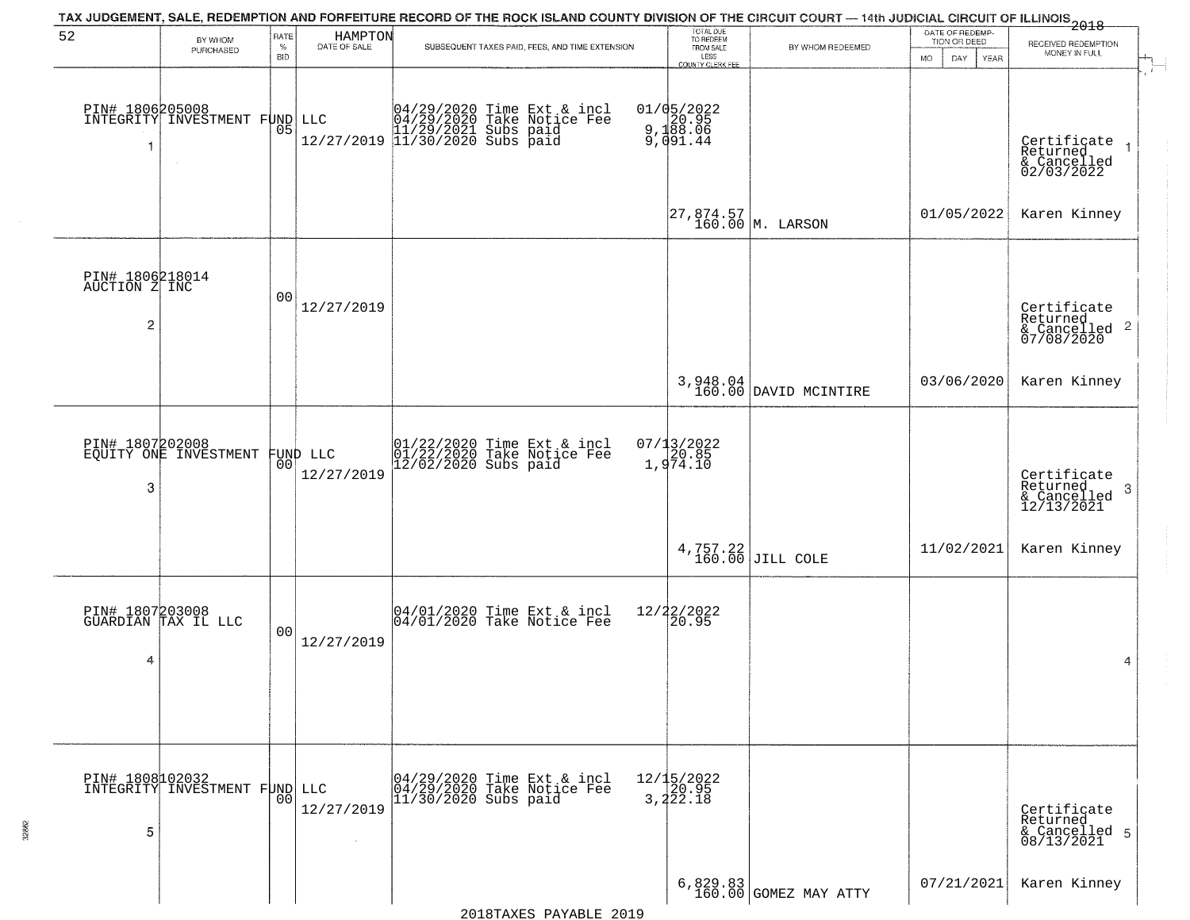|                                                    |                                              |                            |                         | TAX JUDGEMENT, SALE, REDEMPTION AND FORFEITURE RECORD OF THE ROCK ISLAND COUNTY DIVISION OF THE CIRCUIT COURT — 14th JUDICIAL CIRCUIT OF ILLINOIS 2018 |                                                                 |                                                               |                                                        |                                                                   |
|----------------------------------------------------|----------------------------------------------|----------------------------|-------------------------|--------------------------------------------------------------------------------------------------------------------------------------------------------|-----------------------------------------------------------------|---------------------------------------------------------------|--------------------------------------------------------|-------------------------------------------------------------------|
| 52                                                 | BY WHOM<br>PURCHASED                         | RATE<br>$\%$<br><b>BID</b> | HAMPTON<br>DATE OF SALE | SUBSEQUENT TAXES PAID, FEES, AND TIME EXTENSION                                                                                                        | TOTAL DUE<br>TO REDEEM<br>FROM SALE<br>LESS<br>COUNTY CLERK FEE | BY WHOM REDEEMED                                              | DATE OF REDEMP-<br>TION OR DEED<br>YEAR<br>MO.<br>DAY. | RECEIVED REDEMPTION<br>MONEY IN FULL<br>$\overline{1}$            |
| PIN# 1806205008<br>-1                              | INTEGRITY INVESTMENT FUND                    | 05                         |                         | LLC $04/29/2020$ Time Ext & incl<br>04/29/2020 Take Notice Fee<br>11/29/2021 Subs paid<br>12/27/2019 11/30/2020 Subs paid                              | 01/05/2022<br>9,188.06<br>9,188.06<br>9,091.44                  |                                                               |                                                        | Certificate<br>Returned<br>& Cancelled<br>02/03/2022              |
|                                                    |                                              |                            |                         |                                                                                                                                                        |                                                                 | $\begin{vmatrix} 27,874.57 \\ 160.00 \end{vmatrix}$ M. LARSON | 01/05/2022                                             | Karen Kinney                                                      |
| PIN# 1806218014<br>AUCTION Z INC<br>$\overline{c}$ |                                              | 0 <sub>0</sub>             | 12/27/2019              |                                                                                                                                                        |                                                                 |                                                               |                                                        | Certificate<br>Returned<br>$\frac{12241164}{67/08/2020}$ 2        |
|                                                    |                                              |                            |                         |                                                                                                                                                        |                                                                 | 3,948.04<br>160.00 DAVID MCINTIRE                             | 03/06/2020                                             | Karen Kinney                                                      |
| PIN# 1807202008<br>3                               | EQUITY ONE INVESTMENT                        | 00                         | FUND LLC<br>12/27/2019  | 01/22/2020 Time Ext & incl<br>01/22/2020 Take Notice Fee<br>12/02/2020 Subs paid                                                                       | $07/13/2022$<br>$20.85$<br>$1,974.10$                           |                                                               |                                                        | Certificate<br>Returned<br>$\cdot$ 3<br>& Cancelled<br>12/13/2021 |
|                                                    |                                              |                            |                         |                                                                                                                                                        |                                                                 | $4,757.22$ JILL COLE                                          | 11/02/2021                                             | Karen Kinney                                                      |
| PIN# 1807203008<br>4                               | GUARDIAN TAX IL LLC                          | 0 <sub>0</sub>             | 12/27/2019              | 04/01/2020 Time Ext & incl<br>04/01/2020 Take Notice Fee                                                                                               | 12/22/2022<br>20.95                                             |                                                               |                                                        | 4                                                                 |
| 5                                                  | PIN# 1808102032<br>INTEGRITY INVESTMENT FUND | 0 <sub>0</sub>             | LLC<br>12/27/2019       | 04/29/2020 Time Ext & incl<br>04/29/2020 Take Notice Fee<br>11/30/2020 Subs paid                                                                       | $12/15/2022$<br>20.95<br>3, 222.18                              |                                                               |                                                        | Certificate<br>Returned<br>& Cancelled 5<br>08/13/2021            |
|                                                    |                                              |                            |                         |                                                                                                                                                        |                                                                 | $6,829.83$<br>160.00 GOMEZ MAY ATTY                           | 07/21/2021                                             | Karen Kinney                                                      |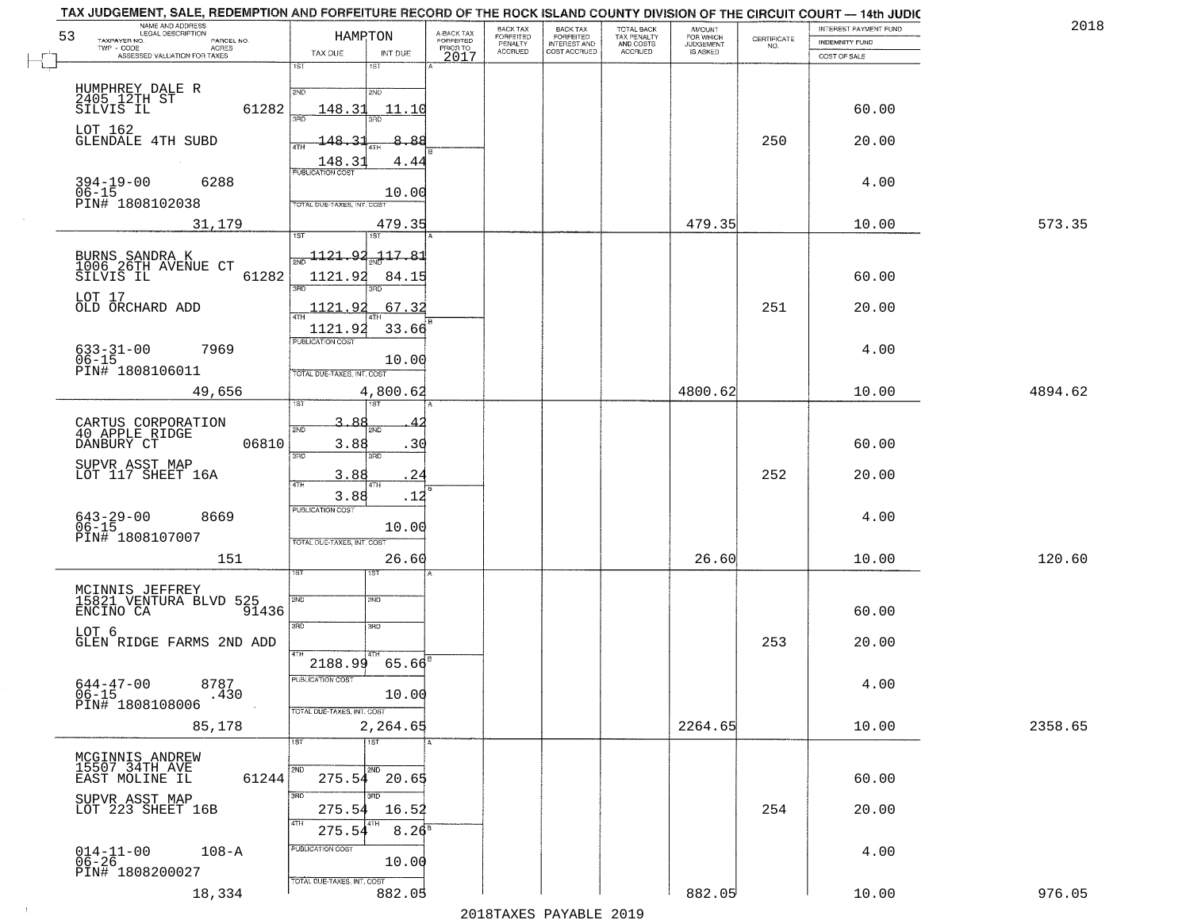| NAME AND ADDRESS<br>LEGAL DESCRIPTION<br>53<br>TAXPAYER NO.<br>PARCEL NO.<br>TWP - CODE AGRES<br>ASSESSED VALUATION FOR TAXES | HAMRTON<br>TAX DUE<br>INT DUE                                                  | A-BACK TAX<br>FORFEITED<br>PRIOR TO<br>2017 | BACK TAX<br>BACK TAX<br>FORFEITED<br>INTEREST AND<br>COST ACCRUED<br>FORFEITED<br>PENALTY<br>ACCRUED | TOTAL BACK<br>TAX PENALTY<br>AND COSTS<br>ACCRUED | <b>AMOUNT</b><br>FOR WHICH<br>JUDGEMENT<br>IS ASKED | CERTIFICATE<br>NO. | INTEREST PAYMENT FUND<br><b>INDEMNITY FUND</b><br>COST OF SALE | 2018    |
|-------------------------------------------------------------------------------------------------------------------------------|--------------------------------------------------------------------------------|---------------------------------------------|------------------------------------------------------------------------------------------------------|---------------------------------------------------|-----------------------------------------------------|--------------------|----------------------------------------------------------------|---------|
|                                                                                                                               | 1ST<br>1ST                                                                     |                                             |                                                                                                      |                                                   |                                                     |                    |                                                                |         |
| HUMPHREY DALE R<br>2405 12TH ST<br>SILVIS IL<br>61282                                                                         | 2ND<br>2ND<br>148.31<br>11.10<br>រគក<br>3BD                                    |                                             |                                                                                                      |                                                   |                                                     |                    | 60.00                                                          |         |
| LOT 162<br><b>GLENDALE 4TH SUBD</b>                                                                                           | $-148.3$<br>8.88<br>4TH<br>148.3<br>4.44                                       |                                             |                                                                                                      |                                                   |                                                     | 250                | 20.00                                                          |         |
| $394 - 19 - 00$<br>6288<br>$06 - 15$                                                                                          | <b>PUBLICATION COST</b><br>10.00                                               |                                             |                                                                                                      |                                                   |                                                     |                    | 4.00                                                           |         |
| PIN# 1808102038<br>31,179                                                                                                     | TOTAL DUE-TAXES, INT. COST<br>479.35<br>1ST<br>1ST <sup></sup>                 |                                             |                                                                                                      |                                                   | 479.35                                              |                    | 10.00                                                          | 573.35  |
| BURNS SANDRA K<br>1006 26TH AVENUE CT<br>61282<br>SILVIS IL                                                                   | $\frac{1121.92}{200}$<br>$-117.81$<br>1121.92<br>84.15                         |                                             |                                                                                                      |                                                   |                                                     |                    | 60.00                                                          |         |
| LOT 17<br>OLD ORCHARD ADD                                                                                                     | 3RD<br>1121.92<br>.67.32<br>47H                                                |                                             |                                                                                                      |                                                   |                                                     | 251                | 20.00                                                          |         |
| $633 - 31 - 00$<br>$06 - 15$<br>7969<br>PIN# 1808106011                                                                       | 1121.92<br>33.66<br>PUBLICATION COST<br>10.00                                  |                                             |                                                                                                      |                                                   |                                                     |                    | 4.00                                                           |         |
| 49,656                                                                                                                        | TOTAL DUE-TAXES, INT. COST<br>4,800.62                                         |                                             |                                                                                                      |                                                   | 4800.62                                             |                    | 10.00                                                          | 4894.62 |
| CARTUS CORPORATION<br>40 APPLE RIDGE<br>DANBURY CT<br>06810                                                                   | 3.88<br>2ND<br>2ND.<br>3.88<br>.30<br>3RD<br>3RD                               |                                             |                                                                                                      |                                                   |                                                     |                    | 60.00                                                          |         |
| SUPVR ASST MAP<br>LOT 117 SHEET 16A                                                                                           | 24<br>3.88<br>4TH<br>4TH                                                       |                                             |                                                                                                      |                                                   |                                                     | 252                | 20.00                                                          |         |
| $643 - 29 - 00$<br>06-15<br>8669<br>PIN# 1808107007                                                                           | 3.88<br>. 12<br><b>PUBLICATION COST</b><br>10.00<br>TOTAL OUE-TAXES, INT. COST |                                             |                                                                                                      |                                                   |                                                     |                    | 4.00                                                           |         |
| 151                                                                                                                           | 26.60<br>उड़ा<br>sT                                                            |                                             |                                                                                                      |                                                   | 26.60                                               |                    | 10.00                                                          | 120.60  |
| MCINNIS JEFFREY<br>15821 VENTURA BLVD 525<br>ENCINO CA<br>91436                                                               | 2ND<br>2ND                                                                     |                                             |                                                                                                      |                                                   |                                                     |                    | 60.00                                                          |         |
| LOT 6<br>GLEN RIDGE FARMS 2ND ADD                                                                                             | 3RD<br>3RD                                                                     |                                             |                                                                                                      |                                                   |                                                     | 253                | 20.00                                                          |         |
| $644 - 47 - 00$<br>8787<br>06-15<br>PIN# 1808108006<br>.430                                                                   | $65.66^{B}$<br>2188.99<br>PUBLICATION COST<br>10.00                            |                                             |                                                                                                      |                                                   |                                                     |                    | 4.00                                                           |         |
| 85,178                                                                                                                        | TOTAL DUE-TAXES, INT. COST<br>2,264.65<br>$\overline{1}$ ST<br>1ST             |                                             |                                                                                                      |                                                   | 2264.65                                             |                    | 10.00                                                          | 2358.65 |
| MCGINNIS ANDREW<br>15507 34TH AVE<br>EAST MOLINE IL<br>61244                                                                  | 2ND<br>2ND<br>20.65<br>275.54                                                  |                                             |                                                                                                      |                                                   |                                                     |                    | 60.00                                                          |         |
| SUPVR ASST MAP<br>LOT 223 SHEET 16B                                                                                           | 3BD<br>$\overline{3}$ RD<br>275.54<br>16.52<br>4TH                             |                                             |                                                                                                      |                                                   |                                                     | 254                | 20.00                                                          |         |
| $014-11-00$<br>06-26<br>$108 - A$<br>PIN# 1808200027                                                                          | $8.26^{8}$<br>275.54<br>PUBLICATION COST<br>10.00                              |                                             |                                                                                                      |                                                   |                                                     |                    | 4.00                                                           |         |
| 18,334                                                                                                                        | TOTAL DUE-TAXES, INT. COST<br>882.05                                           |                                             |                                                                                                      |                                                   | 882.05                                              |                    | 10.00                                                          | 976.05  |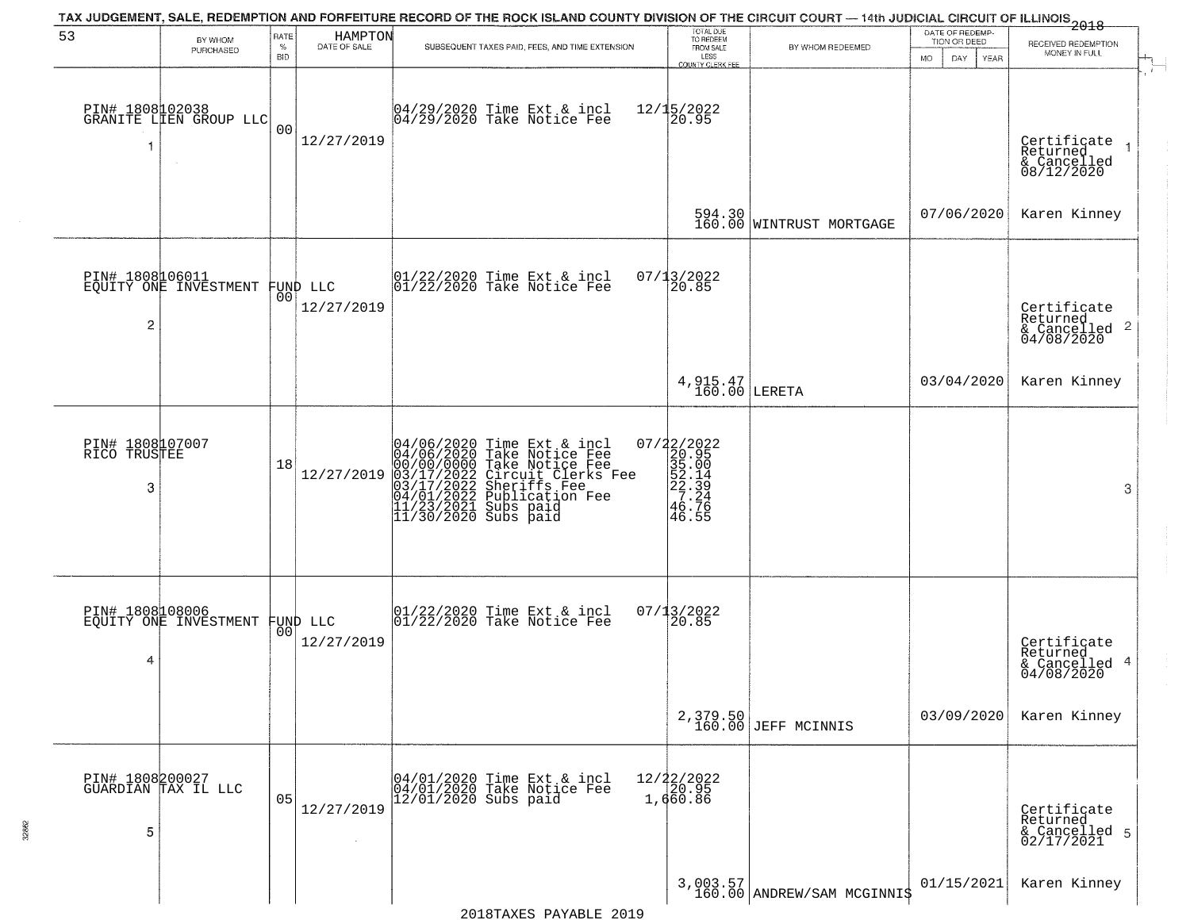|                                      |                                                   |                            |                                | TAX JUDGEMENT, SALE, REDEMPTION AND FORFEITURE RECORD OF THE ROCK ISLAND COUNTY DIVISION OF THE CIRCUIT COURT — 14th JUDICIAL CIRCUIT OF ILLINOIS 2018                                                                            |                                                                                |                                        |                                                                     |                                                                                        |
|--------------------------------------|---------------------------------------------------|----------------------------|--------------------------------|-----------------------------------------------------------------------------------------------------------------------------------------------------------------------------------------------------------------------------------|--------------------------------------------------------------------------------|----------------------------------------|---------------------------------------------------------------------|----------------------------------------------------------------------------------------|
| 53                                   | BY WHOM<br>PURCHASED                              | RATE<br>$\%$<br><b>BID</b> | HAMPTON<br>DATE OF SALE        | SUBSEQUENT TAXES PAID, FEES, AND TIME EXTENSION                                                                                                                                                                                   | TOTAL DUE<br>TO REDEEM<br>FROM SALE<br>LESS<br>COUNTY CLERK FEE                | BY WHOM REDEEMED                       | DATE OF REDEMP-<br>TION OR DEED<br><b>MO</b><br>DAY.<br><b>YEAR</b> | RECEIVED REDEMPTION<br>MONEY IN FULL                                                   |
| -1                                   | PIN# 1808102038<br>GRANITE LIEN GROUP LLC         | 0 <sub>0</sub>             | 12/27/2019                     | $04/29/2020$ Time Ext & incl<br>$04/29/2020$ Take Notice Fee                                                                                                                                                                      | $12/15/2022$<br>20.95                                                          |                                        |                                                                     | $\mathbf{r}$<br>Certificate<br>Returned<br>$\overline{1}$<br>& Cancelled<br>08/12/2020 |
|                                      |                                                   |                            |                                |                                                                                                                                                                                                                                   |                                                                                | 594.30<br>160.00 WINTRUST MORTGAGE     | 07/06/2020                                                          | Karen Kinney                                                                           |
| $\overline{c}$                       | PIN# 1808106011<br>EQUITY ONE INVESTMENT          |                            | FUND LLC<br> 00 <br>12/27/2019 | $ 01/22/2020$ Time Ext & incl<br>$ 01/22/2020$ Take Notice Fee                                                                                                                                                                    | 07/13/2022<br>20.85                                                            |                                        |                                                                     | Certificate<br>Returned<br>$\frac{1}{6}$ Cancelled 2<br>04/08/2020                     |
|                                      |                                                   |                            |                                |                                                                                                                                                                                                                                   | $4,915.47$<br>160.00 LERETA                                                    |                                        | 03/04/2020                                                          | Karen Kinney                                                                           |
| PIN# 1808107007<br>RICO TRUSTEE<br>3 |                                                   | 18                         | 12/27/2019                     | 04/06/2020 Time Ext & incl<br>04/06/2020 Take Notice Fee<br>00/00/00000 Take Notice Fee<br>03/17/2022 Circuit Clerks Fee<br>03/17/2022 Sheriffs Fee<br>04/01/2022 Publication Fee<br>11/23/2021 Subs paid<br>11/30/2020 Subs paid | $\begin{array}{r} 07/22/2022\\20.95\\35.00\\52.14\\27.24\\46.76\\ \end{array}$ |                                        |                                                                     | 3                                                                                      |
| 4                                    | PIN# 1808108006<br>EQUITY ONE INVESTMENT FUND LLC |                            | 12/27/2019                     | $\begin{bmatrix} 01/22/2020 \\ 01/22/2020 \\ 01 \end{bmatrix}$ Take Notice Fee                                                                                                                                                    | 07/13/2022<br>20.85                                                            |                                        |                                                                     | Certificate<br>Returned<br>4<br>& Cancelled<br>04/08/2020                              |
|                                      |                                                   |                            |                                |                                                                                                                                                                                                                                   |                                                                                | 2,379.50<br>160.00 JEFF MCINNIS        | 03/09/2020                                                          | Karen Kinney                                                                           |
| 5                                    | PIN# 1808200027<br>GUARDIAN TAX IL LLC            | 05                         | 12/27/2019                     | 04/01/2020 Time Ext & incl<br>04/01/2020 Take Notice Fee<br>12/01/2020 Subs paid                                                                                                                                                  | 12/22/2022<br>20.95<br>1,660.86                                                |                                        |                                                                     | Certificate<br>Returned<br>& Cancelled 5<br>02/17/2021                                 |
|                                      |                                                   |                            |                                |                                                                                                                                                                                                                                   |                                                                                | 3,003.57<br>160.00 ANDREW/SAM MCGINNIS | 01/15/2021                                                          | Karen Kinney                                                                           |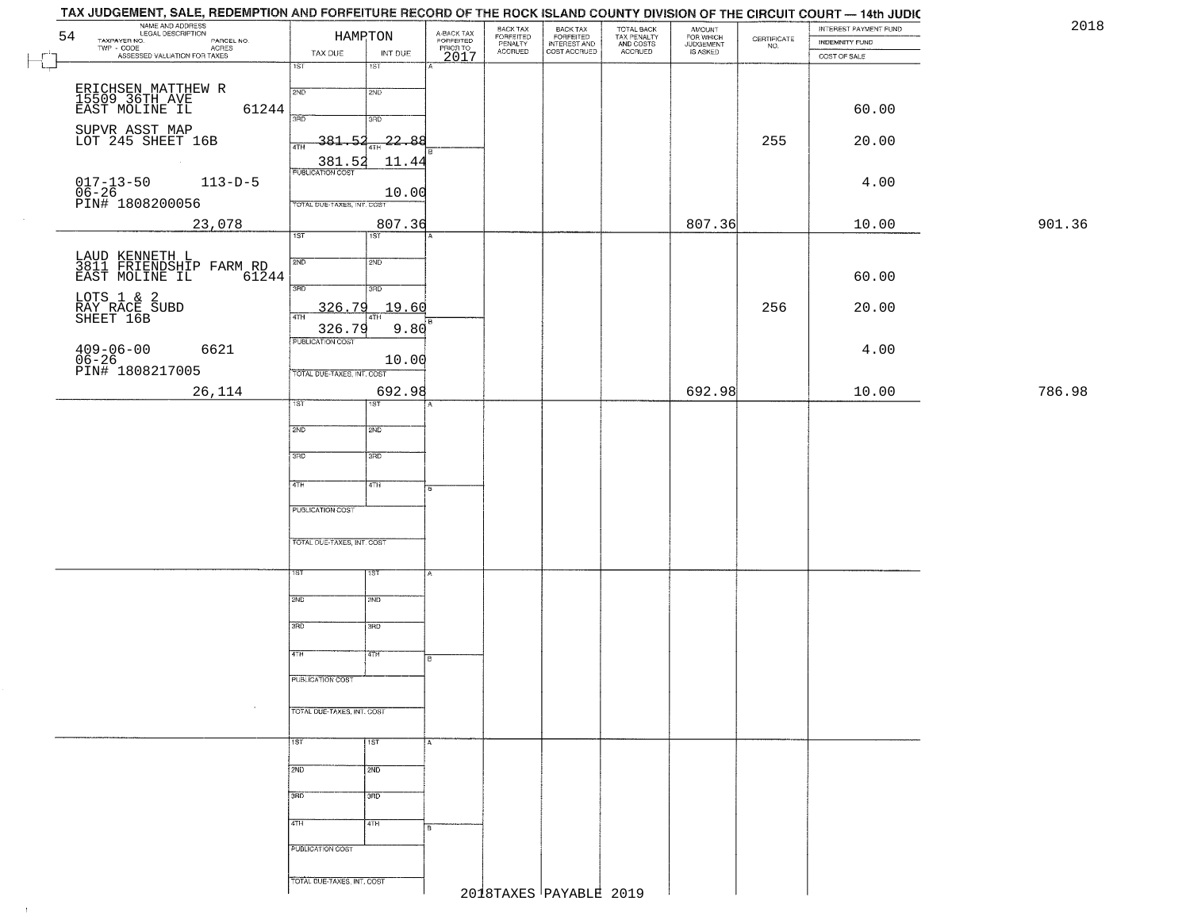| TAX JUDGEMENT, SALE, REDEMPTION AND FORFEITURE RECORD OF THE ROCK ISLAND COUNTY DIVISION OF THE CIRCUIT COURT — 14th JUDIC<br>NAME AND ADDRESS<br>LEGAL DESCRIPTION<br>TAXPAYER NO. |                             |                            |                                             | BACK TAX                        |                                                       |                                                   |                                              |                                                                 | INTEREST PAYMENT FUND | 2018   |
|-------------------------------------------------------------------------------------------------------------------------------------------------------------------------------------|-----------------------------|----------------------------|---------------------------------------------|---------------------------------|-------------------------------------------------------|---------------------------------------------------|----------------------------------------------|-----------------------------------------------------------------|-----------------------|--------|
| 54<br>PARCEL NO.                                                                                                                                                                    | HAMPTON                     |                            |                                             | FORFEITED<br>PENALTY<br>ACCRUED | BACK TAX<br>FORFEITED<br>INTEREST AND<br>COST ACCRUED | TOTAL BACK<br>TAX PENALTY<br>AND COSTS<br>ACCRUED | AMOUNT<br>FOR WHICH<br>JUDGEMENT<br>IS ASKED | $\begin{array}{c} \text{CERTIFICATE} \\ \text{NO.} \end{array}$ | INDEMNITY FUND        |        |
| TWP - CODE ASSESSED VALUATION FOR TAXES                                                                                                                                             | TAX DUE<br>$\overline{1ST}$ | INT DUE                    | A-BACK TAX<br>FORFEITED<br>PRIOR TO<br>2017 |                                 |                                                       |                                                   |                                              |                                                                 | COST OF SALE          |        |
|                                                                                                                                                                                     |                             | $\overline{181}$           |                                             |                                 |                                                       |                                                   |                                              |                                                                 |                       |        |
| ERICHSEN MATTHEW R<br>15509 36TH AVE                                                                                                                                                | 2ND                         | 2ND                        |                                             |                                 |                                                       |                                                   |                                              |                                                                 |                       |        |
| EAST MOLINE IL<br>61244                                                                                                                                                             |                             |                            |                                             |                                 |                                                       |                                                   |                                              |                                                                 | 60.00                 |        |
|                                                                                                                                                                                     | 370                         | 3RD                        |                                             |                                 |                                                       |                                                   |                                              |                                                                 |                       |        |
| SUPVR ASST MAP<br>LOT 245 SHEET 16B                                                                                                                                                 | $-381.52$<br>4TH            | -22.88                     |                                             |                                 |                                                       |                                                   |                                              | 255                                                             | 20.00                 |        |
| <b>College</b>                                                                                                                                                                      | 381.52                      | 11.44                      |                                             |                                 |                                                       |                                                   |                                              |                                                                 |                       |        |
| $113 - D - 5$                                                                                                                                                                       | <b>PUBLICATION COST</b>     |                            |                                             |                                 |                                                       |                                                   |                                              |                                                                 | 4.00                  |        |
| 017-13-50<br>06-26<br>PIN# 1808200056                                                                                                                                               |                             | 10.00                      |                                             |                                 |                                                       |                                                   |                                              |                                                                 |                       |        |
|                                                                                                                                                                                     | TOTAL DUE-TAXES, INT. COST  |                            |                                             |                                 |                                                       |                                                   |                                              |                                                                 |                       |        |
| 23,078                                                                                                                                                                              | 1ST                         | 807.36<br>$\overline{1ST}$ |                                             |                                 |                                                       |                                                   | 807.36                                       |                                                                 | 10.00                 | 901.36 |
|                                                                                                                                                                                     |                             |                            |                                             |                                 |                                                       |                                                   |                                              |                                                                 |                       |        |
| LAUD KENNETH L<br>3811 FRIENDSHIP FARM RD                                                                                                                                           | 2ND                         | 2ND                        |                                             |                                 |                                                       |                                                   |                                              |                                                                 |                       |        |
| EAST MOLINE IL<br>61244                                                                                                                                                             | 3RD                         | 3RD                        |                                             |                                 |                                                       |                                                   |                                              |                                                                 | 60.00                 |        |
|                                                                                                                                                                                     |                             |                            |                                             |                                 |                                                       |                                                   |                                              |                                                                 |                       |        |
| LOTS 1 & 2<br>RAY RACE SUBD<br>SHEET 16B                                                                                                                                            | 326.79<br>$\overline{47H}$  | 19.60<br>4TH               | i B                                         |                                 |                                                       |                                                   |                                              | 256                                                             | 20.00                 |        |
|                                                                                                                                                                                     | 326.79                      | 9.80                       |                                             |                                 |                                                       |                                                   |                                              |                                                                 |                       |        |
| $409 - 06 - 00$<br>$06 - 26$<br>6621                                                                                                                                                | PUBLICATION COST            |                            |                                             |                                 |                                                       |                                                   |                                              |                                                                 | 4.00                  |        |
| PIN# 1808217005                                                                                                                                                                     | TOTAL DUE-TAXES, INT. COST  | 10.00                      |                                             |                                 |                                                       |                                                   |                                              |                                                                 |                       |        |
| 26,114                                                                                                                                                                              |                             | 692.98                     |                                             |                                 |                                                       |                                                   | 692.98                                       |                                                                 | 10.00                 | 786.98 |
|                                                                                                                                                                                     | 1ST                         | 1ST                        |                                             |                                 |                                                       |                                                   |                                              |                                                                 |                       |        |
|                                                                                                                                                                                     |                             |                            |                                             |                                 |                                                       |                                                   |                                              |                                                                 |                       |        |
|                                                                                                                                                                                     | 2ND                         | <b>2ND</b>                 |                                             |                                 |                                                       |                                                   |                                              |                                                                 |                       |        |
|                                                                                                                                                                                     | 3RD                         | 3BD                        |                                             |                                 |                                                       |                                                   |                                              |                                                                 |                       |        |
|                                                                                                                                                                                     |                             |                            |                                             |                                 |                                                       |                                                   |                                              |                                                                 |                       |        |
|                                                                                                                                                                                     | 4TH                         | 4TH                        | 15                                          |                                 |                                                       |                                                   |                                              |                                                                 |                       |        |
|                                                                                                                                                                                     | <b>PUBLICATION COST</b>     |                            |                                             |                                 |                                                       |                                                   |                                              |                                                                 |                       |        |
|                                                                                                                                                                                     |                             |                            |                                             |                                 |                                                       |                                                   |                                              |                                                                 |                       |        |
|                                                                                                                                                                                     | TOTAL OUE-TAXES, INT. COST  |                            |                                             |                                 |                                                       |                                                   |                                              |                                                                 |                       |        |
|                                                                                                                                                                                     |                             |                            |                                             |                                 |                                                       |                                                   |                                              |                                                                 |                       |        |
|                                                                                                                                                                                     |                             | 1ST                        |                                             |                                 |                                                       |                                                   |                                              |                                                                 |                       |        |
|                                                                                                                                                                                     | 2ND                         | 2ND                        |                                             |                                 |                                                       |                                                   |                                              |                                                                 |                       |        |
|                                                                                                                                                                                     |                             |                            |                                             |                                 |                                                       |                                                   |                                              |                                                                 |                       |        |
|                                                                                                                                                                                     | 3RD                         | 3BD                        |                                             |                                 |                                                       |                                                   |                                              |                                                                 |                       |        |
|                                                                                                                                                                                     |                             |                            |                                             |                                 |                                                       |                                                   |                                              |                                                                 |                       |        |
|                                                                                                                                                                                     | 4TH                         | 4TH                        | B.                                          |                                 |                                                       |                                                   |                                              |                                                                 |                       |        |
|                                                                                                                                                                                     | PUBLICATION COST            |                            |                                             |                                 |                                                       |                                                   |                                              |                                                                 |                       |        |
|                                                                                                                                                                                     |                             |                            |                                             |                                 |                                                       |                                                   |                                              |                                                                 |                       |        |
|                                                                                                                                                                                     | TOTAL DUE-TAXES, INT. COST  |                            |                                             |                                 |                                                       |                                                   |                                              |                                                                 |                       |        |
|                                                                                                                                                                                     |                             |                            |                                             |                                 |                                                       |                                                   |                                              |                                                                 |                       |        |
|                                                                                                                                                                                     | 1ST                         | <b>TST</b>                 |                                             |                                 |                                                       |                                                   |                                              |                                                                 |                       |        |
|                                                                                                                                                                                     | 2ND                         | 2ND                        |                                             |                                 |                                                       |                                                   |                                              |                                                                 |                       |        |
|                                                                                                                                                                                     |                             |                            |                                             |                                 |                                                       |                                                   |                                              |                                                                 |                       |        |
|                                                                                                                                                                                     | 3RD                         | उत्तर                      |                                             |                                 |                                                       |                                                   |                                              |                                                                 |                       |        |
|                                                                                                                                                                                     |                             |                            |                                             |                                 |                                                       |                                                   |                                              |                                                                 |                       |        |
|                                                                                                                                                                                     | 4TH                         | 4TH                        |                                             |                                 |                                                       |                                                   |                                              |                                                                 |                       |        |
|                                                                                                                                                                                     | PUBLICATION COST            |                            |                                             |                                 |                                                       |                                                   |                                              |                                                                 |                       |        |
|                                                                                                                                                                                     |                             |                            |                                             |                                 |                                                       |                                                   |                                              |                                                                 |                       |        |
|                                                                                                                                                                                     | TOTAL DUE-TAXES, INT. COST  |                            |                                             |                                 |                                                       |                                                   |                                              |                                                                 |                       |        |
|                                                                                                                                                                                     |                             |                            |                                             |                                 | 2018TAXES PAYABLE 2019                                |                                                   |                                              |                                                                 |                       |        |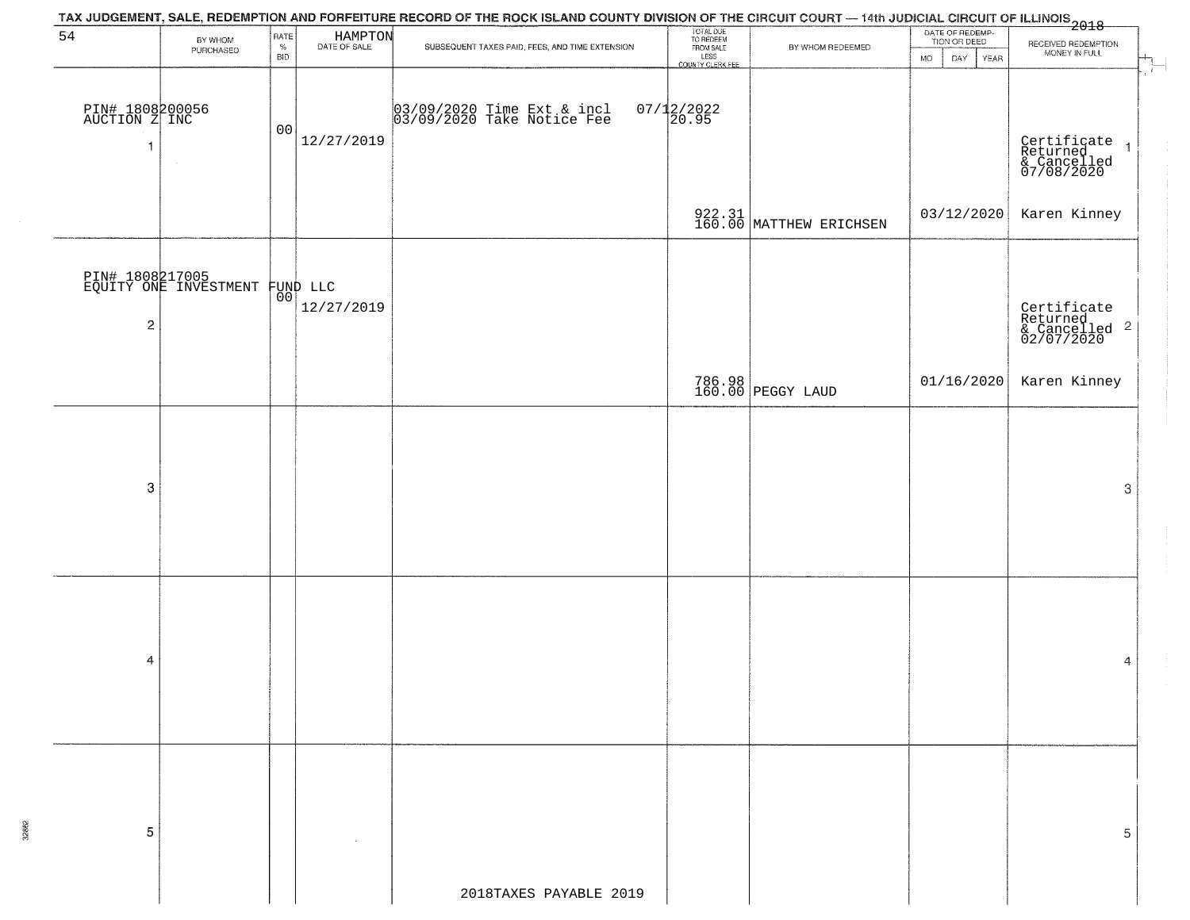|                                                  |                                                   |                            |                         | TAX JUDGEMENT, SALE, REDEMPTION AND FORFEITURE RECORD OF THE ROCK ISLAND COUNTY DIVISION OF THE CIRCUIT COURT — 14th JUDICIAL CIRCUIT OF ILLINOIS<br>2018 - The Contract of December 1999 |                                                                 |                                   |                                                          |                                                                             |
|--------------------------------------------------|---------------------------------------------------|----------------------------|-------------------------|-------------------------------------------------------------------------------------------------------------------------------------------------------------------------------------------|-----------------------------------------------------------------|-----------------------------------|----------------------------------------------------------|-----------------------------------------------------------------------------|
| 54                                               | BY WHOM<br>PURCHASED                              | RATE<br>$\%$<br><b>BID</b> | HAMPTON<br>DATE OF SALE | SUBSEQUENT TAXES PAID, FEES, AND TIME EXTENSION                                                                                                                                           | TOTAL DUE<br>TO REDEEM<br>FROM SALE<br>LESS<br>COUNTY CLERK FEE | BY WHOM REDEEMED                  | DATE OF REDEMP-<br>TION OR DEED<br>DAY YEAR<br><b>MO</b> | RECEIVED REDEMPTION<br>MONEY IN FULL                                        |
| PIN# 1808200056<br>AUCTION Z INC<br>$\mathbf{1}$ |                                                   | 00                         | 12/27/2019              | 03/09/2020 Time Ext & incl<br>03/09/2020 Take Notice Fee                                                                                                                                  | $07/12/2022$<br>20.95                                           |                                   |                                                          | ÷<br>Certificate<br>Returned<br>& Cancelled<br>07/08/2020<br>$\overline{1}$ |
|                                                  |                                                   |                            |                         |                                                                                                                                                                                           |                                                                 | 922.31<br>160.00 MATTHEW ERICHSEN | 03/12/2020                                               | Karen Kinney                                                                |
| $\overline{\mathbf{c}}$                          | PIN# 1808217005<br>EQUITY ONE INVESTMENT FUND LLC |                            | 12/27/2019              |                                                                                                                                                                                           |                                                                 |                                   |                                                          | Certificate<br>Returned<br>& Cancelled <sup>2</sup><br>02/07/2020           |
|                                                  |                                                   |                            |                         |                                                                                                                                                                                           |                                                                 | 786.98<br>160.00 PEGGY LAUD       | 01/16/2020                                               | Karen Kinney                                                                |
| 3                                                |                                                   |                            |                         |                                                                                                                                                                                           |                                                                 |                                   |                                                          | 3                                                                           |
| 4                                                |                                                   |                            |                         |                                                                                                                                                                                           |                                                                 |                                   |                                                          | 4                                                                           |
| 5                                                |                                                   |                            |                         | 2018TAXES PAYABLE 2019                                                                                                                                                                    |                                                                 |                                   |                                                          | 5                                                                           |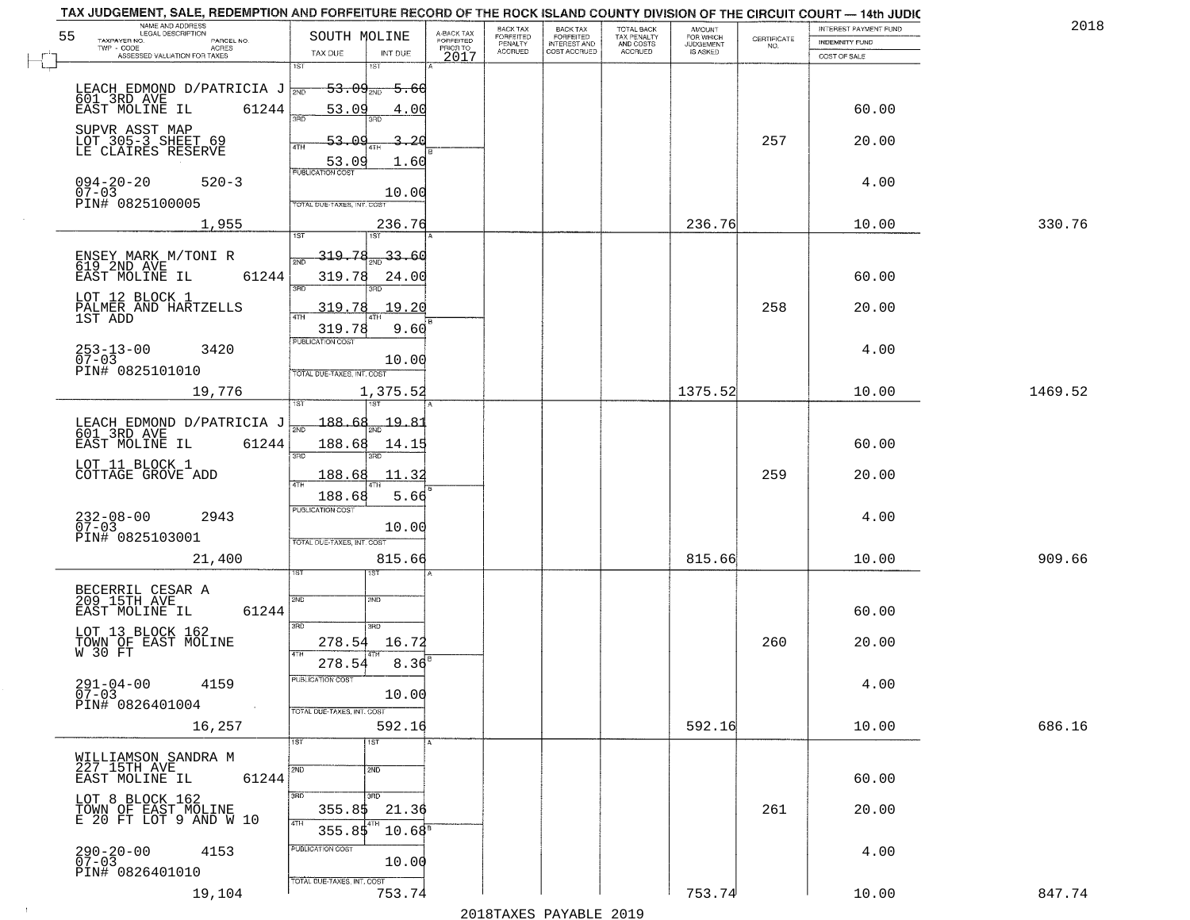| NAME AND ADDRESS<br>LEGAL DESCRIPTION                                           |                                                                 |                                  |                                     | BACK TAX             | <b>BACK TAX</b>                  |                                        | AMOUNT<br>FOR WHICH |                    | INTEREST PAYMENT FUND | 2018    |
|---------------------------------------------------------------------------------|-----------------------------------------------------------------|----------------------------------|-------------------------------------|----------------------|----------------------------------|----------------------------------------|---------------------|--------------------|-----------------------|---------|
| 55<br>TAXPAYER NO.<br>PARCEL NO.<br>ACRES                                       | SOUTH MOLINE                                                    |                                  | A-BACK TAX<br>FORFEITED<br>PRIOR TO | FORFEITED<br>PENALTY | FORFEITED<br><b>INTEREST AND</b> | TOTAL BACK<br>TAX PENALTY<br>AND COSTS | <b>JUDGEMENT</b>    | CERTIFICATE<br>NO. | <b>INDEMNITY FUND</b> |         |
| ASSESSED VALUATION FOR TAXES                                                    | TAX DUE                                                         | INT DUE                          | 2017                                | <b>ACCRUED</b>       | COST ACCRUED                     | <b>ACCRUED</b>                         | IS ASKED            |                    | COST OF SALE          |         |
| LEACH EDMOND D/PATRICIA J<br>601 3RD AVE<br>EAST MOLINE IL 61244                | 1ST<br>$-53.09_{\scriptscriptstyle{\rm 2ND}}$<br>53.09          | 1ST<br><del>5.60</del><br>4.00   |                                     |                      |                                  |                                        |                     |                    | 60.00                 |         |
| SUPVR ASST MAP<br>LOT 305-3 SHEET 69<br>LE CLAIRES RESERVE                      | 53.09<br>53.09                                                  | -20<br>1.60                      |                                     |                      |                                  |                                        |                     | 257                | 20.00                 |         |
| $094 - 20 - 20$<br>$520 - 3$<br>$07 - 03$<br>PIN# 0825100005                    | <b>PUBLICATION COST</b><br>TOTAL DUE-TAXES, INT. COST           | 10.00                            |                                     |                      |                                  |                                        |                     |                    | 4.00                  |         |
| 1,955                                                                           |                                                                 | 236.76                           |                                     |                      |                                  |                                        | 236.76              |                    | 10.00                 | 330.76  |
| ENSEY MARK M/TONI R<br>619 2ND AVE<br>61244<br>EAST MOLINE IL<br>LOT 12 BLOCK 1 | 319.78<br>319.78<br>3RD                                         | $\frac{33.60}{200}$<br>24.00     |                                     |                      |                                  |                                        |                     |                    | 60.00                 |         |
| PALMER AND HARTZELLS<br>1ST ADD                                                 | 319.78<br>319.78                                                | 19.20<br>9.60                    |                                     |                      |                                  |                                        |                     | 258                | 20.00                 |         |
| $253 - 13 - 00$<br>07-03<br>3420<br>PIN# 0825101010                             | PUBLICATION COST<br>TOTAL DUE-TAXES, INT. COST                  | 10.00                            |                                     |                      |                                  |                                        |                     |                    | 4.00                  |         |
| 19,776                                                                          | isT                                                             | 1,375.52                         |                                     |                      |                                  |                                        | 1375.52             |                    | 10.00                 | 1469.52 |
| LEACH EDMOND D/PATRICIA J<br>601_3RD AVE<br>EAST MOLINE IL<br>61244             | $-188.68$<br>$\overline{2ND}$<br>188.68<br>3RD                  | <u> 19.8</u><br>14.19<br>3RD     |                                     |                      |                                  |                                        |                     |                    | 60.00                 |         |
| LOT 11 BLOCK 1<br>COTTAGE GROVE ADD                                             | 188.68<br>4TH                                                   | 11.3                             |                                     |                      |                                  |                                        |                     | 259                | 20.00                 |         |
| $232 - 08 - 00$<br>07-03<br>2943<br>PIN# 0825103001                             | 188.68<br><b>PUBLICATION COST</b><br>TOTAL OUE-TAXES, INT. COST | 5.66<br>10.00                    |                                     |                      |                                  |                                        |                     |                    | 4.00                  |         |
| 21,400                                                                          |                                                                 | 815.66                           |                                     |                      |                                  |                                        | 815.66              |                    | 10.00                 | 909.66  |
| BECERRIL CESAR A<br>209 15TH AVE<br>EAST MOLINE IL<br>61244                     | 2ND<br>3BD                                                      | 15T<br>2ND<br>3 <sub>BD</sub>    |                                     |                      |                                  |                                        |                     |                    | 60.00                 |         |
| LOT 13 BLOCK 162<br>TOWN OF EAST MOLINE<br>W 30 FT                              | 278.54<br>4TH                                                   | 16.72                            |                                     |                      |                                  |                                        |                     | 260                | 20.00                 |         |
| $291 - 04 - 00$<br>4159<br>$07 - 03$<br>PIN# 0826401004<br>$\sim 100$           | 278.54<br>"UBLICA HUN CUS<br>TOTAL DUE-TAXES, INT. COST         | 8.36<br>10.00                    |                                     |                      |                                  |                                        |                     |                    | 4.00                  |         |
| 16,257                                                                          | 1ST                                                             | 592.16<br>1ST                    |                                     |                      |                                  |                                        | 592.16              |                    | 10.00                 | 686.16  |
| WILLIAMSON SANDRA M<br>227 15TH AVE<br>61244<br>EAST MOLINE IL                  | 2ND                                                             | 2ND                              |                                     |                      |                                  |                                        |                     |                    | 60.00                 |         |
| LOT 8 BLOCK 162<br>TOWN OF EAST MOLINE<br>E 20 FT LOT 9 AND W 10                | 3RD<br>355.8\$<br>4TH<br>355.85                                 | 3RD<br>21.36<br>4TH<br>$10.68^8$ |                                     |                      |                                  |                                        |                     | 261                | 20.00                 |         |
| $290 - 20 - 00$<br>4153<br>$07 - 03$<br>PIN# 0826401010                         | PUBLICATION COST<br>TOTAL DUE-TAXES, INT. COST                  | 10.00                            |                                     |                      |                                  |                                        |                     |                    | 4.00                  |         |
| 19,104                                                                          |                                                                 | 753.74                           |                                     |                      |                                  |                                        | 753.74              |                    | 10.00                 | 847.74  |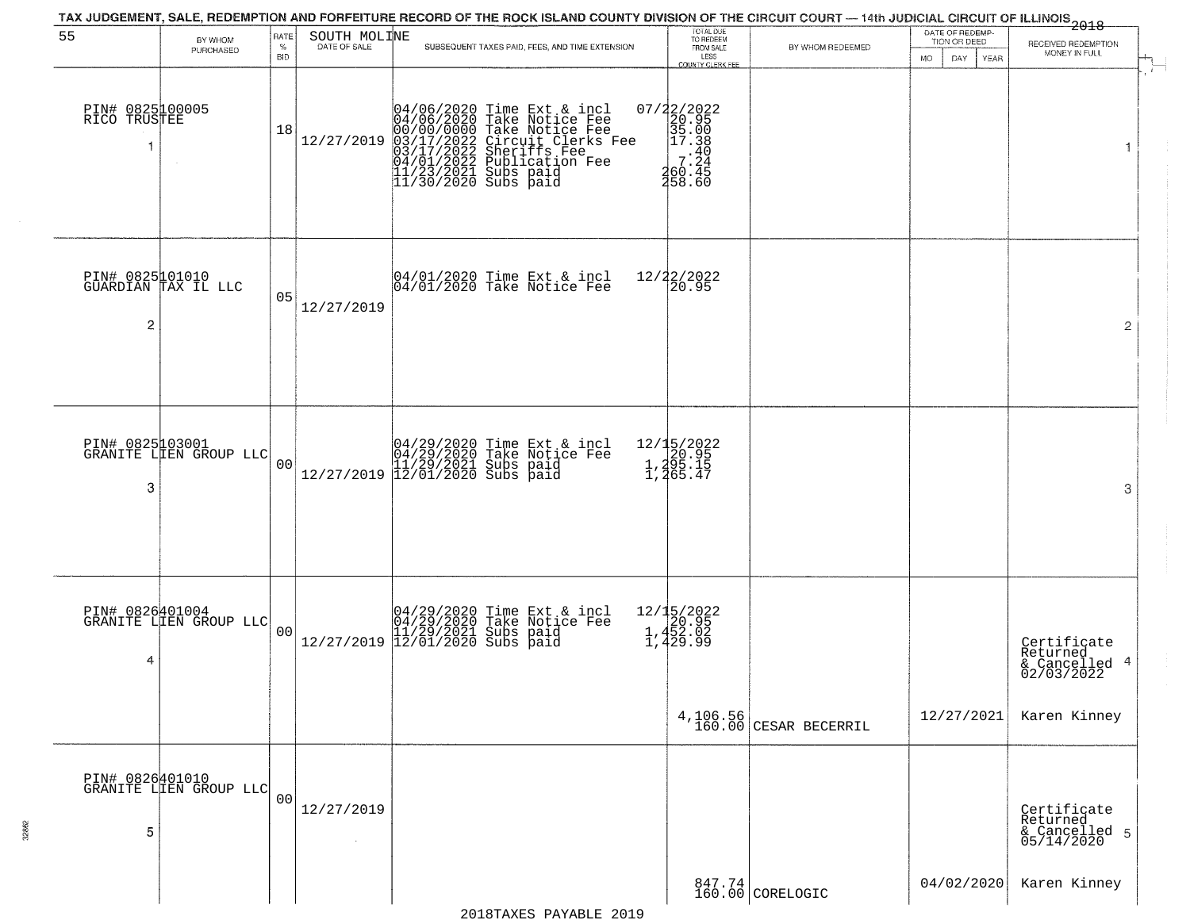| 55                              | BY WHOM                                   | <b>RATE</b>        | SOUTH MOLINE | TAX JUDGEMENT, SALE, REDEMPTION AND FORFEITURE RECORD OF THE ROCK ISLAND COUNTY DIVISION OF THE CIRCUIT COURT — 14th JUDICIAL CIRCUIT OF ILLINOIS 2018                                                                               | TOTAL DUE<br>TO REDEEM                                                                 |                            | DATE OF REDEMP-<br>TION OR DEED | RECEIVED REDEMPTION                                    |
|---------------------------------|-------------------------------------------|--------------------|--------------|--------------------------------------------------------------------------------------------------------------------------------------------------------------------------------------------------------------------------------------|----------------------------------------------------------------------------------------|----------------------------|---------------------------------|--------------------------------------------------------|
|                                 | PURCHASED                                 | $\%$<br><b>BID</b> | DATE OF SALE | SUBSEQUENT TAXES PAID, FEES, AND TIME EXTENSION                                                                                                                                                                                      | FROM SALE<br>LESS<br>COUNTY CLERK FEE                                                  | BY WHOM REDEEMED           | MO.<br>DAY.<br>YEAR             | MONEY IN FULL                                          |
| PIN# 0825100005<br>RICO TRUSTEE |                                           | 18                 | 12/27/2019   | 04/06/2020 Time Ext & incl<br>04/06/2020 Take Notice Fee<br>00/00/00000 Take Notice Fee<br>03/17/2022 Circuit Clerks Fee<br>03/17/2022 Subrication Fee<br>04/01/2022 Publication Fee<br>11/23/2021 Subs paid<br>11/30/2020 Subs paid | 07/22/2022<br>20.95<br>35.00<br>e 17.38<br>7.24<br>160.44<br>260.45<br>258.60          |                            |                                 | $\mathbf{1}$                                           |
| $\overline{c}$                  | PIN# 0825101010<br>GUARDIAN TAX IL LLC    | 05                 | 12/27/2019   | $ 04/01/2020$ Time Ext & incl<br>$ 04/01/2020$ Take Notice Fee                                                                                                                                                                       | 12/22/2022<br>20.95                                                                    |                            |                                 | $\overline{2}$                                         |
| 3                               | PIN# 0825103001<br>GRANITE LIEN GROUP LLC | 0 <sub>0</sub>     | 12/27/2019   | 04/29/2020 Time Ext & incl<br>04/29/2020 Take Notice Fee<br>11/29/2021 Subs paid<br>12/01/2020 Subs paid                                                                                                                             | 12/15/2022<br>20.95<br>1,295.15<br>1,265.47                                            |                            |                                 | 3                                                      |
| PIN# 0826401004<br>4            | GRANITE LIEN GROUP LLC                    | 0 <sub>0</sub>     | 12/27/2019   | 04/29/2020 Time Ext & incl<br>04/29/2020 Take Notice Fee<br>11/29/2021 Subs paid<br>12/01/2020 Subs paid                                                                                                                             | $\begin{array}{r} 12/15/2022 \\ 20.95 \\ 1.452.02 \end{array}$<br>1,452.02<br>1,429.99 |                            |                                 | Certificate<br>Returned<br>& Cancelled 4<br>02/03/2022 |
|                                 |                                           |                    |              |                                                                                                                                                                                                                                      | 4,106.56<br>160.00                                                                     | CESAR BECERRIL             | 12/27/2021                      | Karen Kinney                                           |
| 5                               | PIN# 0826401010<br>GRANITE LIEN GROUP LLC | 00                 | 12/27/2019   |                                                                                                                                                                                                                                      |                                                                                        |                            |                                 | Certificate<br>Returned<br>& Cancelled 5<br>05/14/2020 |
|                                 |                                           |                    |              |                                                                                                                                                                                                                                      |                                                                                        | 847.74<br>160.00 CORELOGIC | 04/02/2020                      | Karen Kinney                                           |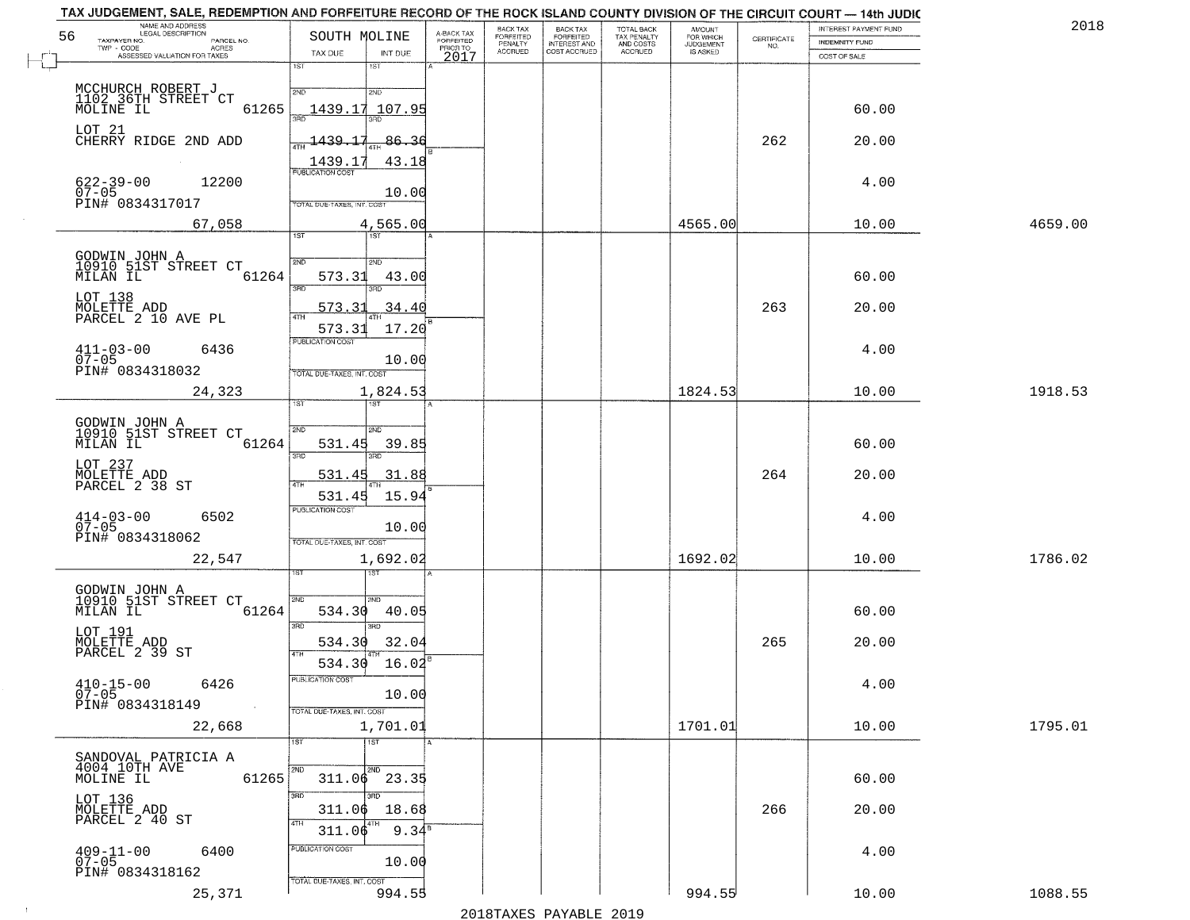| 56                       | NAME AND ADDRESS<br>LEGAL DESCRIPTION          | SOUTH MOLINE               |                                           |                                     | BACK TAX                               | <b>BACK TAX</b>                           | TOTAL BACK                                 | AMOUNT<br>FOR WHICH<br>JUDGEMENT |                    | INTEREST PAYMENT FUND | 2018    |
|--------------------------|------------------------------------------------|----------------------------|-------------------------------------------|-------------------------------------|----------------------------------------|-------------------------------------------|--------------------------------------------|----------------------------------|--------------------|-----------------------|---------|
| TAXPAYER NO.<br>TWP CODE | PARCEL NO.<br>ACRES                            |                            |                                           | A-BACK TAX<br>FORFEITED<br>PRIOR TO | FORFEITED<br>PENALTY<br><b>ACCRUED</b> | FORFEITED<br>INTEREST AND<br>COST ACCRUED | TAX PENALTY<br>AND COSTS<br><b>ACCRUED</b> | IS ASKED                         | CERTIFICATE<br>NO. | <b>INDEMNITY FUND</b> |         |
|                          | ASSESSED VALUATION FOR TAXES                   | TAX DUE<br>1ST             | INT DUE<br>18T                            | 2017                                |                                        |                                           |                                            |                                  |                    | COST OF SALE          |         |
|                          | MCCHURCH ROBERT J                              |                            |                                           |                                     |                                        |                                           |                                            |                                  |                    |                       |         |
|                          | 1102 36TH STREET CT                            | 2ND                        | 2ND                                       |                                     |                                        |                                           |                                            |                                  |                    |                       |         |
| MOLINE IL                | 61265                                          | 1439.17<br>350             | 107.95                                    |                                     |                                        |                                           |                                            |                                  |                    | 60.00                 |         |
| LOT 21                   | CHERRY RIDGE 2ND ADD                           | 1439.17                    | 86.36                                     |                                     |                                        |                                           |                                            |                                  | 262                | 20.00                 |         |
|                          |                                                | 1439.17                    | 43.18                                     |                                     |                                        |                                           |                                            |                                  |                    |                       |         |
|                          |                                                | <b>PUBLICATION COST</b>    |                                           |                                     |                                        |                                           |                                            |                                  |                    |                       |         |
| $622 - 39 - 00$<br>07-05 | 12200                                          |                            | 10.00                                     |                                     |                                        |                                           |                                            |                                  |                    | 4.00                  |         |
|                          | PIN# 0834317017                                | TOTAL DUE-TAXES, INT. COST |                                           |                                     |                                        |                                           |                                            |                                  |                    |                       |         |
|                          | 67,058                                         | 1ST                        | 4,565.00                                  |                                     |                                        |                                           |                                            | 4565.00                          |                    | 10.00                 | 4659.00 |
|                          |                                                |                            |                                           |                                     |                                        |                                           |                                            |                                  |                    |                       |         |
|                          | GODWIN JOHN A<br>10910 51ST STREET CT          | 2ND                        | 2ND                                       |                                     |                                        |                                           |                                            |                                  |                    |                       |         |
| MILAN IL                 | 61264                                          | 573.31<br>3RD              | 43.00<br>3RD                              |                                     |                                        |                                           |                                            |                                  |                    | 60.00                 |         |
| LOT 138                  |                                                | <u>573.31</u>              | .34.40                                    |                                     |                                        |                                           |                                            |                                  | 263                | 20.00                 |         |
|                          | MOLETTE ADD<br>PARCEL 2 10 AVE PL              | ৰাম<br>573.31              | 17.20                                     |                                     |                                        |                                           |                                            |                                  |                    |                       |         |
|                          |                                                | PUBLICATION COST           |                                           |                                     |                                        |                                           |                                            |                                  |                    |                       |         |
| $411 - 03 - 00$<br>07-05 | 6436                                           |                            | 10.00                                     |                                     |                                        |                                           |                                            |                                  |                    | 4.00                  |         |
|                          | PIN# 0834318032                                | TOTAL DUE-TAXES, INT. COST |                                           |                                     |                                        |                                           |                                            |                                  |                    |                       |         |
|                          | 24,323                                         | 1ST.                       | 1,824.53<br>1ST                           |                                     |                                        |                                           |                                            | 1824.53                          |                    | 10.00                 | 1918.53 |
|                          |                                                |                            |                                           |                                     |                                        |                                           |                                            |                                  |                    |                       |         |
|                          | GODWIN JOHN A<br>10910 51ST STREET CT          | S/ID                       | SMD                                       |                                     |                                        |                                           |                                            |                                  |                    |                       |         |
| MILAN IL                 | 61264                                          | 531.45<br>3BD              | 39.85<br>3RD                              |                                     |                                        |                                           |                                            |                                  |                    | 60.00                 |         |
| LOT 237                  | MOLETTE ADD<br>PARCEL 2 38 ST                  | 531.45                     | 31.88                                     |                                     |                                        |                                           |                                            |                                  | 264                | 20.00                 |         |
|                          |                                                | 4TH<br>531.45              | 15.94                                     |                                     |                                        |                                           |                                            |                                  |                    |                       |         |
|                          | 6502                                           | <b>PUBLICATION COST</b>    |                                           |                                     |                                        |                                           |                                            |                                  |                    | 4.00                  |         |
| $414 - 03 - 00$<br>07-05 |                                                |                            | 10.00                                     |                                     |                                        |                                           |                                            |                                  |                    |                       |         |
|                          | PIN# 0834318062                                | TOTAL OUE-TAXES, INT. COST |                                           |                                     |                                        |                                           |                                            |                                  |                    |                       |         |
|                          | 22,547                                         |                            | 1,692.02<br>नङ्ग                          |                                     |                                        |                                           |                                            | 1692.02                          |                    | 10.00                 | 1786.02 |
|                          |                                                |                            |                                           |                                     |                                        |                                           |                                            |                                  |                    |                       |         |
| MILAN IL                 | GODWIN JOHN A<br>10910 51ST STREET CT<br>61264 | 2ND<br>534.30              | 2ND.<br>40.05                             |                                     |                                        |                                           |                                            |                                  |                    | 60.00                 |         |
|                          |                                                | 3RD                        | 3RD                                       |                                     |                                        |                                           |                                            |                                  |                    |                       |         |
| LOT 191                  | MOLETTE ADD<br>PARCEL 2 39 ST                  | 534.30                     | 32.04                                     |                                     |                                        |                                           |                                            |                                  | 265                | 20.00                 |         |
|                          |                                                | 4TH<br>534.30              | 16.02                                     |                                     |                                        |                                           |                                            |                                  |                    |                       |         |
| $410 - 15 - 00$          | 6426                                           | "UBLICA HUN CUS            |                                           |                                     |                                        |                                           |                                            |                                  |                    | 4.00                  |         |
| $07 - 05$                | PIN# 0834318149<br>$\sim 100$                  |                            | 10.00                                     |                                     |                                        |                                           |                                            |                                  |                    |                       |         |
|                          |                                                | TOTAL DUE-TAXES, INT. COST |                                           |                                     |                                        |                                           |                                            |                                  |                    |                       |         |
|                          | 22,668                                         | 1ST                        | 1,701.01<br>1ST                           |                                     |                                        |                                           |                                            | 1701.01                          |                    | 10.00                 | 1795.01 |
|                          | SANDOVAL PATRICIA A                            |                            |                                           |                                     |                                        |                                           |                                            |                                  |                    |                       |         |
| MOLINE IL                | 4004 10TH AVE<br>61265                         |                            | 2ND<br>$311.06$ $23.35$                   |                                     |                                        |                                           |                                            |                                  |                    | 60.00                 |         |
|                          |                                                | 3RD                        | 3RF                                       |                                     |                                        |                                           |                                            |                                  |                    |                       |         |
|                          | LOT 136<br>MOLETTE ADD<br>PARCEL 2 40 ST       | 311.06                     | 18.68                                     |                                     |                                        |                                           |                                            |                                  | 266                | 20.00                 |         |
|                          |                                                | 4TH<br>311.06              | 9.34 <sup><math>\overline{3}</math></sup> |                                     |                                        |                                           |                                            |                                  |                    |                       |         |
|                          | 6400                                           | PUBLICATION COST           |                                           |                                     |                                        |                                           |                                            |                                  |                    | 4.00                  |         |
| $409 - 11 - 00$<br>07-05 | PIN# 0834318162                                |                            | 10.00                                     |                                     |                                        |                                           |                                            |                                  |                    |                       |         |
|                          | 25,371                                         | TOTAL DUE-TAXES, INT. COST | 994.55                                    |                                     |                                        |                                           |                                            | 994.55                           |                    | 10.00                 | 1088.55 |
|                          |                                                |                            |                                           |                                     |                                        |                                           |                                            |                                  |                    |                       |         |

 $\sim 10^{-1}$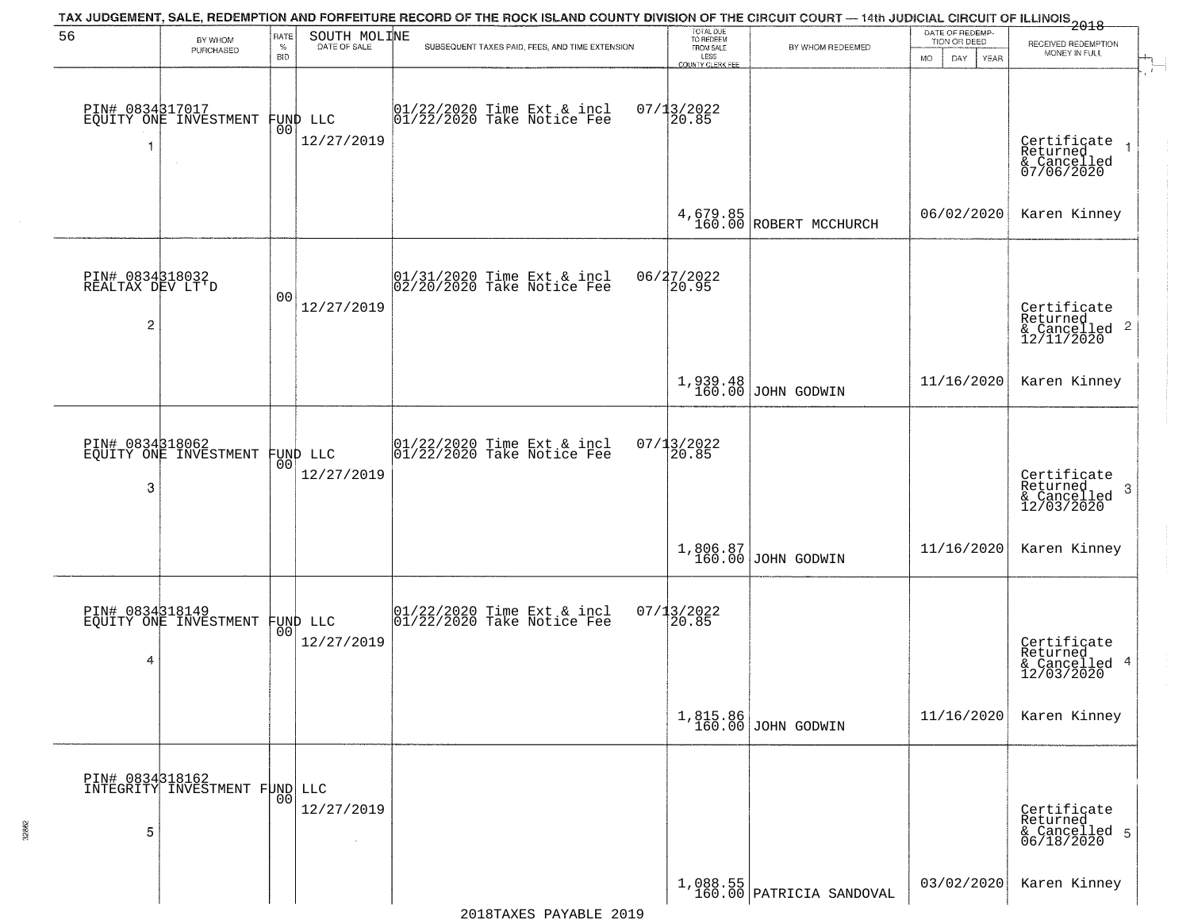|                                                       |                                          |                            |                                | TAX JUDGEMENT, SALE, REDEMPTION AND FORFEITURE RECORD OF THE ROCK ISLAND COUNTY DIVISION OF THE CIRCUIT COURT — 14th JUDICIAL CIRCUIT OF ILLINOIS 2018 |                                                                        |                                        |                                                              |                                                                     |
|-------------------------------------------------------|------------------------------------------|----------------------------|--------------------------------|--------------------------------------------------------------------------------------------------------------------------------------------------------|------------------------------------------------------------------------|----------------------------------------|--------------------------------------------------------------|---------------------------------------------------------------------|
| 56                                                    | BY WHOM<br>PURCHASED                     | RATE<br>$\%$<br><b>BID</b> | SOUTH MOLINE<br>DATE OF SALE   | SUBSEQUENT TAXES PAID, FEES, AND TIME EXTENSION                                                                                                        | TOTAL DUE<br>TO REDEEM<br>FROM SALE<br>LESS<br><b>COUNTY CLERK FEE</b> | BY WHOM REDEEMED                       | DATE OF REDEMP-<br>TION OR DEED<br><b>MO</b><br>DAY.<br>YEAR | RECEIVED REDEMPTION<br>MONEY IN FULL<br>$\mathbf{r}$                |
|                                                       | PIN# 0834317017<br>EQUITY ONE INVESTMENT | 0O                         | FUND LLC<br>12/27/2019         | 01/22/2020 Time Ext & incl<br>01/22/2020 Take Notice Fee                                                                                               | $07/13/2022$<br>20.85                                                  |                                        |                                                              | Certificate<br>Returned<br>& Cancelled<br>07/06/2020                |
|                                                       |                                          |                            |                                |                                                                                                                                                        |                                                                        | 4,679.85<br>160.00 ROBERT MCCHURCH     | 06/02/2020                                                   | Karen Kinney                                                        |
| PIN# 0834318032<br>REALTAX DEV LT'D<br>$\overline{c}$ |                                          | 0 <sub>0</sub>             | 12/27/2019                     | $ 01/31/2020$ Time Ext & incl<br>$ 02/20/2020$ Take Notice Fee                                                                                         | 06/27/2022<br>20.95                                                    |                                        |                                                              | Certificate<br>Returned<br>$\frac{12}{2}$ Cancelled 2<br>12/11/2020 |
|                                                       |                                          |                            |                                |                                                                                                                                                        |                                                                        | 1,939.48<br>160.00 JOHN GODWIN         | 11/16/2020                                                   | Karen Kinney                                                        |
| PIN# 0834318062<br>3                                  | EQUITY ONE INVESTMENT                    | 00                         | FUND LLC<br>12/27/2019         | $ 01/22/2020$ Time Ext & incl<br>$ 01/22/2020$ Take Notice Fee                                                                                         | 07/13/2022<br>20.85                                                    |                                        |                                                              | Certificate<br>Returned<br>3<br>& Cancelled<br>12/03/2020           |
|                                                       |                                          |                            |                                |                                                                                                                                                        |                                                                        | $1,806.87$ JOHN GODWIN                 | 11/16/2020                                                   | Karen Kinney                                                        |
| 4                                                     | PIN# 0834318149<br>EQUITY ONE INVESTMENT |                            | FUND LLC<br> 00 <br>12/27/2019 | 01/22/2020 Time Ext & incl<br>01/22/2020 Take Notice Fee                                                                                               | $07/13/2022$<br>20.85                                                  |                                        |                                                              | Certificate<br>Returned<br>& Cancelled 4<br>12/03/2020              |
|                                                       |                                          |                            |                                |                                                                                                                                                        |                                                                        | 1,815.86<br>160.00 JOHN GODWIN         | 11/16/2020                                                   | Karen Kinney                                                        |
| PIN# 0834318162<br>5                                  | INTEGRITY INVESTMENT FUND LLC            | 00                         | 12/27/2019                     |                                                                                                                                                        |                                                                        |                                        |                                                              | Certificate<br>Returned<br>& Cancelled 5<br>06/18/2020              |
|                                                       |                                          |                            |                                |                                                                                                                                                        |                                                                        | $1,088.55$<br>160.00 PATRICIA SANDOVAL | 03/02/2020                                                   | Karen Kinney                                                        |

32862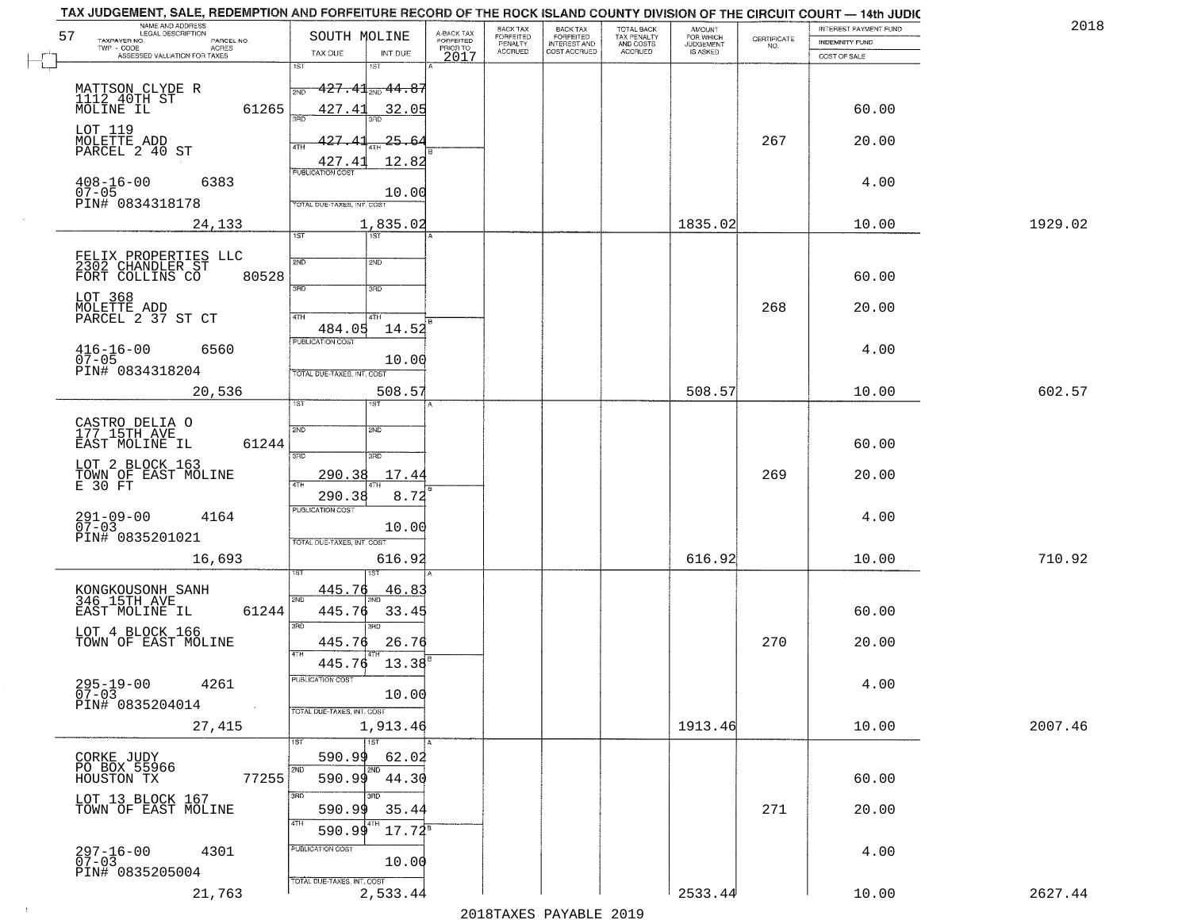| NAME AND ADDRESS<br>LEGAL DESCRIPTION<br>57<br>TAXPAYER NO.              | SOUTH MOLINE                                          | A-BACK TAX            | BACK TAX<br>FORFEITED | <b>BACK TAX</b><br><b>FORFEITED</b> | TOTAL BACK<br>TAX PENALTY | <b>AMOUNT</b>                      | CERTIFICATE | INTEREST PAYMENT FUND                 | 2018    |
|--------------------------------------------------------------------------|-------------------------------------------------------|-----------------------|-----------------------|-------------------------------------|---------------------------|------------------------------------|-------------|---------------------------------------|---------|
| PARCEL NO.<br>TWP - CODE<br>- CODE ACRES<br>ASSESSED VALUATION FOR TAXES | TAX DUE<br>INT DUE                                    | FORFEITED<br>PRIOR TO | PENALTY<br>ACCRUED    | INTEREST AND<br>COST ACCRUED        | AND COSTS<br>ACCRUED      | FOR WHICH<br>JUDGEMENT<br>IS ASKED | NO.         | <b>INDEMNITY FUND</b><br>COST OF SALE |         |
|                                                                          | 1ST<br>1ST                                            | 2017                  |                       |                                     |                           |                                    |             |                                       |         |
| MATTSON CLYDE R<br>1112_40TH ST                                          | $427$ , $41_{\tiny{\textrm{2ND}}}$ $44$ , $85$<br>2ND |                       |                       |                                     |                           |                                    |             |                                       |         |
| 61265<br>MOLINE IL                                                       | 427.41<br>32.05                                       |                       |                       |                                     |                           |                                    |             | 60.00                                 |         |
| LOT 119<br>MOLETTE ADD<br>PARCEL 2 40 ST                                 | $427 -$<br>$25 - 64$                                  |                       |                       |                                     |                           |                                    | 267         | 20.00                                 |         |
|                                                                          | 4TH<br>427.41<br>12.82                                |                       |                       |                                     |                           |                                    |             |                                       |         |
| $408 - 16 - 00$<br>6383                                                  | <b>PUBLICATION COST</b>                               |                       |                       |                                     |                           |                                    |             | 4.00                                  |         |
| $07 - 05$<br>PIN# 0834318178                                             | 10.00<br>TOTAL DUE-TAXES, INT. COST                   |                       |                       |                                     |                           |                                    |             |                                       |         |
| 24,133                                                                   | 1,835.02                                              |                       |                       |                                     |                           | 1835.02                            |             | 10.00                                 | 1929.02 |
|                                                                          | <b>TST</b><br>1ST                                     |                       |                       |                                     |                           |                                    |             |                                       |         |
| FELIX PROPERTIES LLC<br>2302 CHANDLER ST<br>FORT COLLINS CO<br>80528     | 2ND<br>2ND                                            |                       |                       |                                     |                           |                                    |             | 60.00                                 |         |
| LOT 368                                                                  | 3RD<br>3RD                                            |                       |                       |                                     |                           |                                    |             |                                       |         |
| MOLETTE ADD<br>PARCEL 2 37 ST CT                                         | 47H<br>4TH                                            |                       |                       |                                     |                           |                                    | 268         | 20.00                                 |         |
|                                                                          | 14.52<br>484.05<br>PUBLICATION COST                   |                       |                       |                                     |                           |                                    |             |                                       |         |
| $416 - 16 - 00$<br>6560<br>$07 - 05$                                     | 10.00                                                 |                       |                       |                                     |                           |                                    |             | 4.00                                  |         |
| PIN# 0834318204                                                          | TOTAL DUE-TAXES, INT. COST                            |                       |                       |                                     |                           | 508.57                             |             | 10.00                                 | 602.57  |
| 20,536                                                                   | 508.5<br>1ST.<br>ST                                   |                       |                       |                                     |                           |                                    |             |                                       |         |
| CASTRO DELIA O<br>177 15TH AVE                                           | 2ND<br>2ND                                            |                       |                       |                                     |                           |                                    |             |                                       |         |
| 61244<br>EAST MOLINE IL                                                  | 3 <sub>BD</sub><br>3RD                                |                       |                       |                                     |                           |                                    |             | 60.00                                 |         |
| LOT 2 BLOCK 163<br>TOWN OF EAST MOLINE<br>E 30 FT                        | 290.38<br>17.44                                       |                       |                       |                                     |                           |                                    | 269         | 20.00                                 |         |
|                                                                          | 4TH<br>8.72<br>290.38                                 |                       |                       |                                     |                           |                                    |             |                                       |         |
| $291 - 09 - 00$<br>07-03<br>4164                                         | <b>PUBLICATION COST</b><br>10.00                      |                       |                       |                                     |                           |                                    |             | 4.00                                  |         |
| PIN# 0835201021                                                          | TOTAL OUE-TAXES, INT. COST                            |                       |                       |                                     |                           |                                    |             |                                       |         |
| 16,693                                                                   | 616.92                                                |                       |                       |                                     |                           | 616.92                             |             | 10.00                                 | 710.92  |
|                                                                          | 445.76<br><u>46.8</u>                                 |                       |                       |                                     |                           |                                    |             |                                       |         |
| KONGKOUSONH SANH<br>346 15TH AVE<br>61244<br>EAST MOLINE IL              | 2ND<br>445.76<br>33.45                                |                       |                       |                                     |                           |                                    |             | 60.00                                 |         |
| LOT 4 BLOCK 166                                                          | 3RD<br>3RD                                            |                       |                       |                                     |                           |                                    |             |                                       |         |
| TOWN OF EAST MOLINE                                                      | 445.76<br>26.76<br>4TH<br>13.38<br>445.76             |                       |                       |                                     |                           |                                    | 270         | 20.00                                 |         |
| 4261                                                                     | PUBLICATION COST                                      |                       |                       |                                     |                           |                                    |             | 4.00                                  |         |
| $295 - 19 - 00$<br>07-03<br>PIN# 0835204014<br>$\sim 100$ km             | 10.00                                                 |                       |                       |                                     |                           |                                    |             |                                       |         |
| 27,415                                                                   | TOTAL DUE-TAXES, INT. COST<br>1,913.46                |                       |                       |                                     |                           | 1913.46                            |             | 10.00                                 | 2007.46 |
|                                                                          | 1ST<br>1ST                                            |                       |                       |                                     |                           |                                    |             |                                       |         |
| CORKE JUDY<br>PO BOX 55966                                               | 590.99<br>62.02<br>2ND<br>2ND                         |                       |                       |                                     |                           |                                    |             |                                       |         |
| 77255<br>HOUSTON TX<br>LOT 13 BLOCK 167                                  | 590.99<br>44.30<br>3RD                                |                       |                       |                                     |                           |                                    |             | 60.00                                 |         |
| TOWN OF EAST MOLINE                                                      | 35.44<br>590.99<br>4TH                                |                       |                       |                                     |                           |                                    | 271         | 20.00                                 |         |
|                                                                          | $17.72^8$<br>590.99                                   |                       |                       |                                     |                           |                                    |             |                                       |         |
| $297 - 16 - 00$<br>07-03<br>4301                                         | PUBLICATION COST<br>10.00                             |                       |                       |                                     |                           |                                    |             | 4.00                                  |         |
| PIN# 0835205004                                                          | TOTAL DUE-TAXES, INT. COST                            |                       |                       |                                     |                           |                                    |             |                                       |         |
| 21,763                                                                   | 2,533.44                                              |                       |                       |                                     |                           | 2533.44                            |             | 10.00                                 | 2627.44 |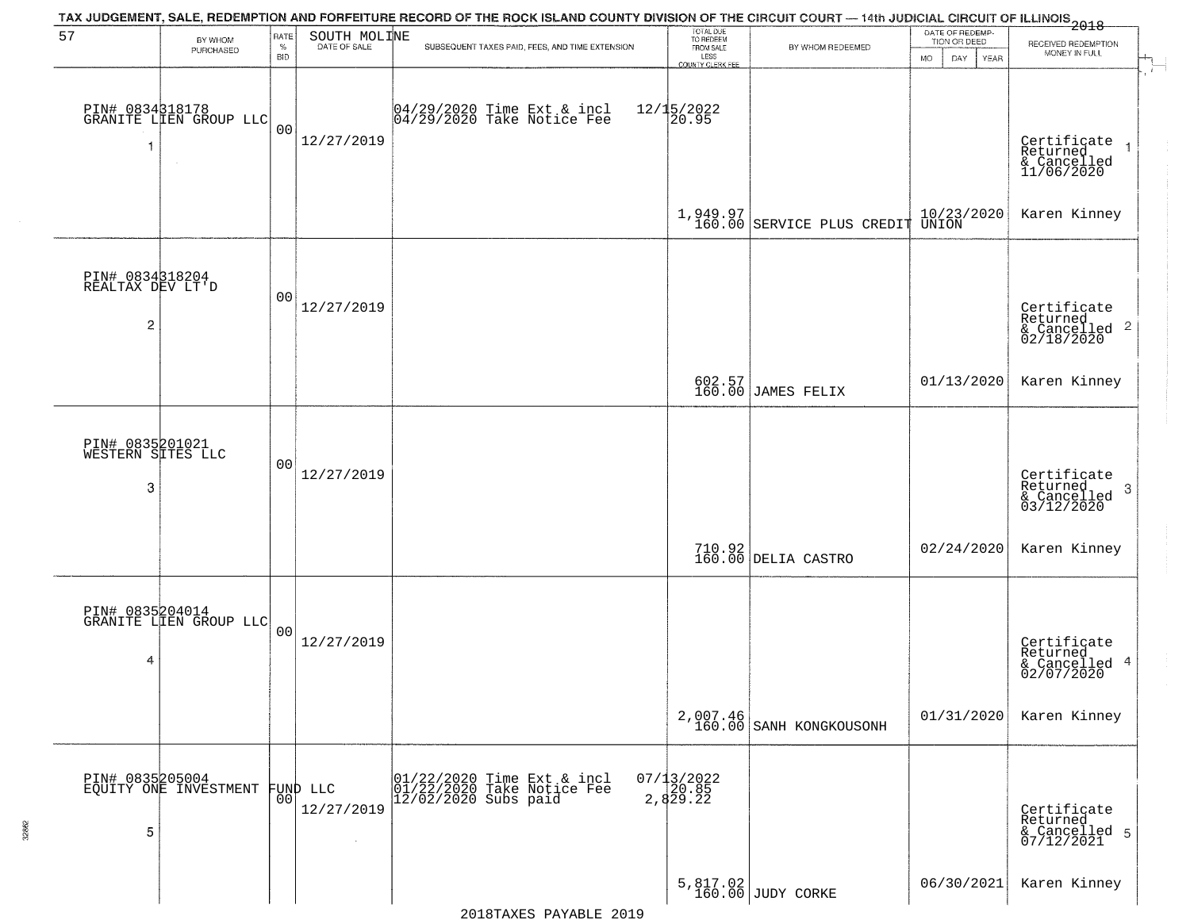|                                                       |                                           |                            |                                  | TAX JUDGEMENT, SALE, REDEMPTION AND FORFEITURE RECORD OF THE ROCK ISLAND COUNTY DIVISION OF THE CIRCUIT COURT — 14th JUDICIAL CIRCUIT OF ILLINOIS 2018 |                                                                        |                                     |                                                        |                                                                      |
|-------------------------------------------------------|-------------------------------------------|----------------------------|----------------------------------|--------------------------------------------------------------------------------------------------------------------------------------------------------|------------------------------------------------------------------------|-------------------------------------|--------------------------------------------------------|----------------------------------------------------------------------|
| 57                                                    | BY WHOM<br>PURCHASED                      | RATE<br>$\%$<br><b>BID</b> | SOUTH MOLINE<br>DATE OF SALE     | SUBSEQUENT TAXES PAID, FEES, AND TIME EXTENSION                                                                                                        | TOTAL DUE<br>TO REDEEM<br>FROM SALE<br>LESS<br><b>COUNTY CLERK FEE</b> | BY WHOM REDEEMED                    | DATE OF REDEMP-<br>TION OR DEED<br>MO.<br>DAY.<br>YEAR | RECEIVED REDEMPTION<br>MONEY IN FULL                                 |
| 1                                                     | PIN# 0834318178<br>GRANITE LIEN GROUP LLC | 0 <sub>0</sub>             | 12/27/2019                       | 04/29/2020 Time Ext & incl<br>04/29/2020 Take Notice Fee                                                                                               | $12/15/2022$<br>20.95                                                  |                                     |                                                        | $\mathbf{r}$<br>Certificate<br>Returned<br>& Cancelled<br>11/06/2020 |
|                                                       |                                           |                            |                                  |                                                                                                                                                        |                                                                        | 1,949.97 SERVICE PLUS CREDIT        | 10/23/2020<br>UNION                                    | Karen Kinney                                                         |
| PIN# 0834318204<br>REALTAX DEV LT'D<br>$\overline{c}$ |                                           | 00                         | 12/27/2019                       |                                                                                                                                                        |                                                                        |                                     |                                                        | Certificate<br>Returned<br>& Cancelled 2<br>02/18/2020               |
|                                                       |                                           |                            |                                  |                                                                                                                                                        |                                                                        | 602.57<br>160.00 JAMES FELIX        | 01/13/2020                                             | Karen Kinney                                                         |
| PIN# 0835201021<br>WESTERN SITES LLC<br>3             |                                           | 00                         | 12/27/2019                       |                                                                                                                                                        |                                                                        |                                     |                                                        | Certificate<br>Returned<br>3<br>& Cancelled<br>03/12/2020            |
|                                                       |                                           |                            |                                  |                                                                                                                                                        |                                                                        | 710.92<br>160.00 DELIA CASTRO       | 02/24/2020                                             | Karen Kinney                                                         |
| 4                                                     | PIN# 0835204014<br>GRANITE LIEN GROUP LLC | 0 <sup>0</sup>             | 12/27/2019                       |                                                                                                                                                        |                                                                        |                                     |                                                        | Certificate<br>Returned<br>& Cancelled 4<br>02/07/2020               |
|                                                       |                                           |                            |                                  |                                                                                                                                                        |                                                                        | 2,007.46<br>160.00 SANH KONGKOUSONH | 01/31/2020                                             | Karen Kinney                                                         |
| 5                                                     | PIN# 0835205004<br>EQUITY ONE INVESTMENT  | 00                         | FUND LLC<br>12/27/2019<br>$\sim$ | 01/22/2020 Time Ext &<br>01/22/2020 Take Notic<br>12/02/2020 Subs paid<br>Time Ext & incl<br>Take Notice Fee                                           | $07/13/2022$<br>2,85<br>2,829.22                                       |                                     |                                                        | Certificate<br>Returned<br>& Cancelled 5<br>07/12/2021               |
|                                                       |                                           |                            |                                  | 2018 ELVANTE 2019                                                                                                                                      |                                                                        | 5,817.02<br>160.00 JUDY CORKE       | 06/30/2021                                             | Karen Kinney                                                         |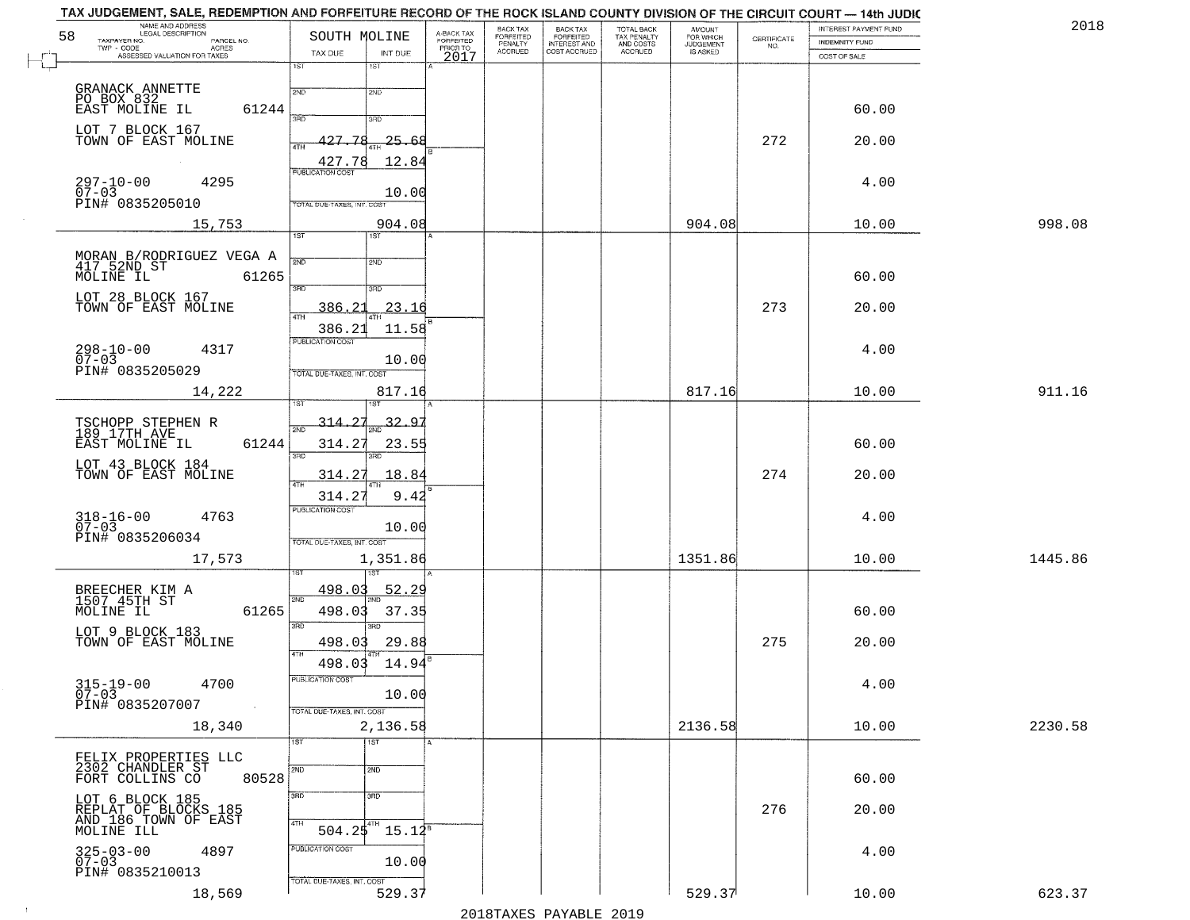| NAME AND ADDRESS<br>LEGAL DESCRIPTION<br>58<br>TAXPAYER NO.<br>PARCEL NO. | SOUTH MOLINE                             | A-BACK TAX<br>FORFEITED | BACK TAX<br>FORFEITED     | <b>BACK TAX</b><br><b>FORFEITED</b> | TOTAL BACK<br>TAX PENALTY | <b>AMOUNT</b>                      | CERTIFICATE | INTEREST PAYMENT FUND<br>INDEMNITY FUND | 2018    |
|---------------------------------------------------------------------------|------------------------------------------|-------------------------|---------------------------|-------------------------------------|---------------------------|------------------------------------|-------------|-----------------------------------------|---------|
| $TWP - CODE$<br><b>ACRES</b><br>ASSESSED VALUATION FOR TAXES              | TAX DUE<br>INT DUE                       | PRIOR TO<br>2017        | PENALTY<br><b>ACCRUED</b> | INTEREST AND                        | AND COSTS<br>ACCRUED      | FOR WHICH<br>JUDGEMENT<br>IS ASKED | NO.         | COST OF SALE                            |         |
|                                                                           | 1ST<br>1ST                               |                         |                           |                                     |                           |                                    |             |                                         |         |
| GRANACK ANNETTE<br>PO_BOX_832                                             | 2ND<br>2ND                               |                         |                           |                                     |                           |                                    |             |                                         |         |
| EAST MOLINE IL<br>61244                                                   | 350<br>3RD                               |                         |                           |                                     |                           |                                    |             | 60.00                                   |         |
| LOT 7 BLOCK 167<br>TOWN OF EAST MOLINE                                    | 427.78<br>$-25.68$<br>4TH                |                         |                           |                                     |                           |                                    | 272         | 20.00                                   |         |
|                                                                           | 12.84<br>427.78                          |                         |                           |                                     |                           |                                    |             |                                         |         |
| $297 - 10 - 00$<br>4295<br>$07 - 03$                                      | <b>PUBLICATION COST</b>                  |                         |                           |                                     |                           |                                    |             | 4.00                                    |         |
| PIN# 0835205010                                                           | 10.00<br>TOTAL DUE-TAXES, INT. COST      |                         |                           |                                     |                           |                                    |             |                                         |         |
| 15,753                                                                    | 904.08<br>1ST<br>1ST                     |                         |                           |                                     |                           | 904.08                             |             | 10.00                                   | 998.08  |
|                                                                           |                                          |                         |                           |                                     |                           |                                    |             |                                         |         |
| MORAN B/RODRIGUEZ VEGA A<br>417 52ND ST<br>MOLINE IL 61265<br>61265       | 2ND<br>2ND                               |                         |                           |                                     |                           |                                    |             | 60.00                                   |         |
| LOT 28 BLOCK 167                                                          | 3BD<br>3RD                               |                         |                           |                                     |                           |                                    |             |                                         |         |
| TOWN OF EAST MOLINE                                                       | 23.16<br>386.21<br><b>ATH</b>            |                         |                           |                                     |                           |                                    | 273         | 20.00                                   |         |
| $298 - 10 - 00$<br>4317                                                   | 386.21<br>11.58<br>PUBLICATION COST      |                         |                           |                                     |                           |                                    |             | 4.00                                    |         |
| $07 - 03$<br>PIN# 0835205029                                              | 10.00<br>TOTAL DUE-TAXES, INT. COST      |                         |                           |                                     |                           |                                    |             |                                         |         |
| 14,222                                                                    | 817.16                                   |                         |                           |                                     |                           | 817.16                             |             | 10.00                                   | 911.16  |
|                                                                           |                                          |                         |                           |                                     |                           |                                    |             |                                         |         |
| TSCHOPP STEPHEN R<br>189 17TH AVE                                         | 314.27<br>32.97<br>$\overline{2ND}$      |                         |                           |                                     |                           |                                    |             |                                         |         |
| EAST MOLINE IL<br>61244                                                   | 314.27<br>23.55<br>3RD<br>3RD            |                         |                           |                                     |                           |                                    |             | 60.00                                   |         |
| LOT 43 BLOCK 184<br>TOWN OF EAST MOLINE                                   | <u>314</u> .27<br>18.84<br>4TH           |                         |                           |                                     |                           |                                    | 274         | 20.00                                   |         |
|                                                                           | 314.2<br>9.42<br><b>PUBLICATION COST</b> |                         |                           |                                     |                           |                                    |             |                                         |         |
| 318-16-00<br>07-03<br>4763                                                | 10.00                                    |                         |                           |                                     |                           |                                    |             | 4.00                                    |         |
| PIN# 0835206034                                                           | TOTAL OUE-TAXES, INT. COST               |                         |                           |                                     |                           |                                    |             |                                         |         |
| 17,573                                                                    | 1,351.86                                 |                         |                           |                                     |                           | 1351.86                            |             | 10.00                                   | 1445.86 |
| BREECHER KIM A<br>1507.45TH ST                                            | 498.03<br><u>52.29</u><br>2ND            |                         |                           |                                     |                           |                                    |             |                                         |         |
| 61265<br>MOLINE IL                                                        | 498.03<br>37.35<br>3RD<br>3RD            |                         |                           |                                     |                           |                                    |             | 60.00                                   |         |
| LOT 9 BLOCK 183<br>TOWN OF EAST MOLINE                                    | 29.88<br>498.03                          |                         |                           |                                     |                           |                                    | 275         | 20.00                                   |         |
|                                                                           | 4TH<br>498.03<br>14.94                   |                         |                           |                                     |                           |                                    |             |                                         |         |
| $315 - 19 - 00$<br>07-03<br>4700                                          | PUBLICATION COST<br>10.00                |                         |                           |                                     |                           |                                    |             | 4.00                                    |         |
| PIN# 0835207007<br>$\sim 100$ km                                          | TOTAL DUE-TAXES, INT. COST               |                         |                           |                                     |                           |                                    |             |                                         |         |
| 18,340                                                                    | 2,136.58                                 |                         |                           |                                     |                           | 2136.58                            |             | 10.00                                   | 2230.58 |
| FELIX PROPERTIES LLC<br>2302 CHANDLER ST                                  | $\overline{1}$ st<br>1ST                 |                         |                           |                                     |                           |                                    |             |                                         |         |
| 80528<br>FORT COLLINS CO                                                  | 2ND<br>2ND                               |                         |                           |                                     |                           |                                    |             | 60.00                                   |         |
| LOT 6 BLOCK 185                                                           | 3RD<br>3 <sub>BD</sub>                   |                         |                           |                                     |                           |                                    |             |                                         |         |
| REPLAT OF BLOCKS 185<br>AND 186 TOWN OF EAST<br>MOLINE ILL                | 4TH<br>$504.25^{4}$<br>$15.12^5$         |                         |                           |                                     |                           |                                    | 276         | 20.00                                   |         |
| 4897                                                                      | PUBLICATION COST                         |                         |                           |                                     |                           |                                    |             | 4.00                                    |         |
| $325 - 03 - 00$<br>07-03<br>PIN# 0835210013                               | 10.00                                    |                         |                           |                                     |                           |                                    |             |                                         |         |
| 18,569                                                                    | TOTAL DUE-TAXES, INT. COST<br>529.37     |                         |                           |                                     |                           | 529.37                             |             | 10.00                                   | 623.37  |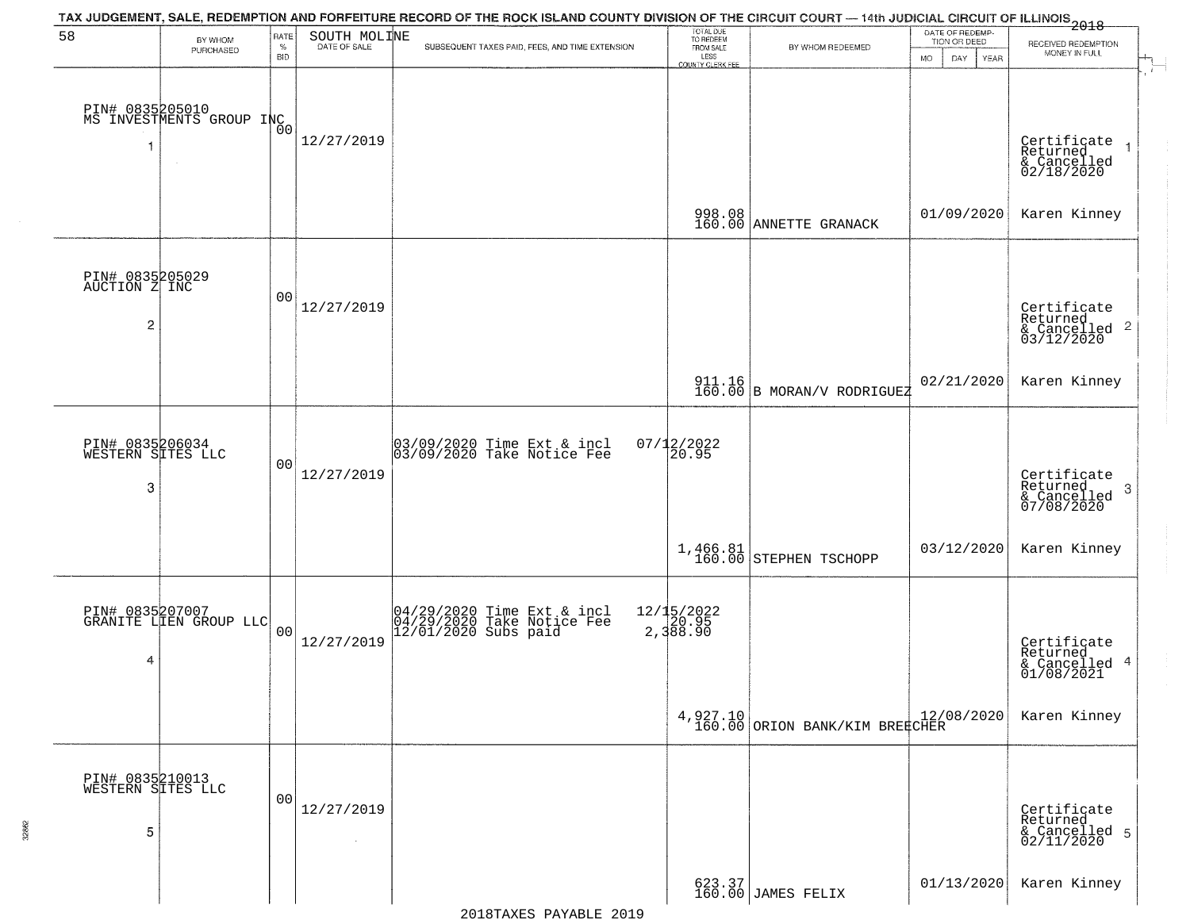|                                           |                                                       |                            |                              | TAX JUDGEMENT, SALE, REDEMPTION AND FORFEITURE RECORD OF THE ROCK ISLAND COUNTY DIVISION OF THE CIRCUIT COURT — 14th JUDICIAL CIRCUIT OF ILLINOIS 2018 |                                                                 |                                                                       |                                                             |                                                                    |
|-------------------------------------------|-------------------------------------------------------|----------------------------|------------------------------|--------------------------------------------------------------------------------------------------------------------------------------------------------|-----------------------------------------------------------------|-----------------------------------------------------------------------|-------------------------------------------------------------|--------------------------------------------------------------------|
| 58                                        | BY WHOM<br>PURCHASED                                  | RATE<br>$\%$<br><b>BID</b> | SOUTH MOLINE<br>DATE OF SALE | SUBSEQUENT TAXES PAID, FEES, AND TIME EXTENSION                                                                                                        | TOTAL DUE<br>TO REDEEM<br>FROM SALE<br>LESS<br>COUNTY CLERK FEE | BY WHOM REDEEMED                                                      | DATE OF REDEMP-<br>TION OR DEED<br><b>MO</b><br>DAY<br>YEAR | RECEIVED REDEMPTION<br>MONEY IN FULL                               |
| 1                                         | PIN# 0835205010<br>MS INVESTMENTS GROUP INC<br>$\sim$ |                            | 12/27/2019                   |                                                                                                                                                        |                                                                 |                                                                       |                                                             | Certificate<br>Returned<br>& Cancelled<br>02/18/2020               |
|                                           |                                                       |                            |                              |                                                                                                                                                        |                                                                 | 998.08<br>160.00 ANNETTE GRANACK                                      | 01/09/2020                                                  | Karen Kinney                                                       |
| PIN# 0835205029<br>AUCTION Z INC<br>2     |                                                       | 0 <sub>0</sub>             | 12/27/2019                   |                                                                                                                                                        |                                                                 |                                                                       |                                                             | Certificate<br>Returned<br>$\frac{1}{6}$ Cancelled 2<br>03/12/2020 |
|                                           |                                                       |                            |                              |                                                                                                                                                        |                                                                 | $\begin{array}{c c} 911.16 \\ 160.00 \end{array}$ B MORAN/V RODRIGUEZ | 02/21/2020                                                  | Karen Kinney                                                       |
| PIN# 0835206034<br>WESTERN SITES LLC<br>3 |                                                       | 0 <sub>0</sub>             | 12/27/2019                   | 03/09/2020 Time Ext & incl<br>03/09/2020 Take Notice Fee                                                                                               | $07/12/2022$<br>20.95                                           |                                                                       |                                                             | Certificate<br>Returned<br>3<br>& Cancelled<br>07/08/2020          |
|                                           |                                                       |                            |                              |                                                                                                                                                        | 1,466.81<br>160.00                                              | STEPHEN TSCHOPP                                                       | 03/12/2020                                                  | Karen Kinney                                                       |
| 4                                         | PIN# 0835207007<br>GRANITE LIEN GROUP LLC             | 0 <sub>0</sub>             | 12/27/2019                   | 04/29/2020 Time Ext & incl<br>04/29/2020 Take Notice Fee<br>12/01/2020 Subs paid                                                                       | 12/15/2022<br>2,388.90                                          |                                                                       |                                                             | Certificate<br>Returned<br>& Cancelled 4<br>01/08/2021             |
|                                           |                                                       |                            |                              |                                                                                                                                                        |                                                                 | $4,927.10$ $12/($<br>160.00 ORION BANK/KIM BREECHER                   | 12/08/2020                                                  | Karen Kinney                                                       |
| PIN# 0835210013<br>WESTERN SITES LLC<br>5 |                                                       | 0 <sub>0</sub>             | 12/27/2019<br>$\sim$         |                                                                                                                                                        |                                                                 |                                                                       |                                                             | Certificate<br>Returned<br>& Cancelled 5<br>02/11/2020             |
|                                           |                                                       |                            |                              |                                                                                                                                                        |                                                                 | 623.37<br>160.00 JAMES FELIX                                          | 01/13/2020                                                  | Karen Kinney                                                       |

32862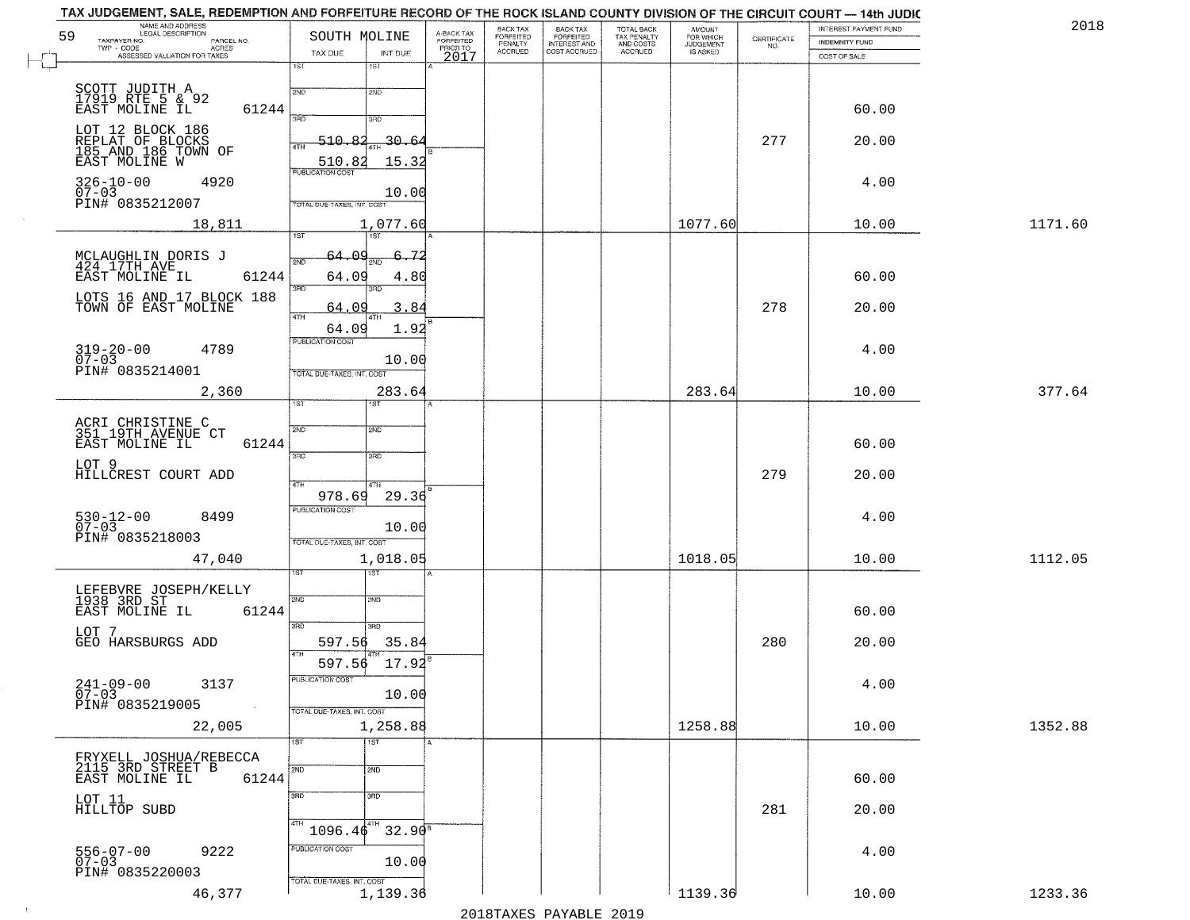|    | NAME AND ADDRESS<br>LEGAL DESCRIPTION                             |                                  |                       |                                     | BACK TAX<br>FORFEITED     |                                                       |                                                   | AMOUNT<br>FOR WHICH |                                                                 | INTEREST PAYMENT FUND | 2018    |
|----|-------------------------------------------------------------------|----------------------------------|-----------------------|-------------------------------------|---------------------------|-------------------------------------------------------|---------------------------------------------------|---------------------|-----------------------------------------------------------------|-----------------------|---------|
| 59 | TAXPAYER NO.<br>PARCEL NO.<br>ACRES<br>$TWP - CODE$               | SOUTH MOLINE                     |                       | A-BACK TAX<br>FORFEITED<br>PRIOR TO | PENALTY<br><b>ACCRUED</b> | BACK TAX<br>FORFEITED<br>INTEREST AND<br>COST ACCRUED | TOTAL BACK<br>TAX PENALTY<br>AND COSTS<br>ACCRUED | <b>JUDGEMENT</b>    | $\begin{array}{c} \text{CERTIFICATE} \\ \text{NO.} \end{array}$ | <b>INDEMNITY FUND</b> |         |
|    | ASSESSED VALUATION FOR TAXES                                      | TAX DUE<br>1ST                   | INT DUE<br>1ST        | 2017                                |                           |                                                       |                                                   |                     |                                                                 | COST OF SALE          |         |
|    |                                                                   |                                  |                       |                                     |                           |                                                       |                                                   |                     |                                                                 |                       |         |
|    | SCOTT JUDITH A<br>17919 RTE 5 & 92<br>EAST MOLINE IL              | 2ND                              | 2ND                   |                                     |                           |                                                       |                                                   |                     |                                                                 |                       |         |
|    | 61244                                                             | 3AD                              | 3RD                   |                                     |                           |                                                       |                                                   |                     |                                                                 | 60.00                 |         |
|    | LOT 12 BLOCK 186                                                  | $-510.82$                        | 30.6                  |                                     |                           |                                                       |                                                   |                     | 277                                                             | 20.00                 |         |
|    | REPLAT OF BLOCKS<br>185_AND_186_TOWN OF<br>EAST MOLINE W          | 4TH<br>510.82                    | 15.32                 |                                     |                           |                                                       |                                                   |                     |                                                                 |                       |         |
|    |                                                                   | <b>PUBLICATION COST</b>          |                       |                                     |                           |                                                       |                                                   |                     |                                                                 |                       |         |
|    | $326 - 10 - 00$<br>07-03<br>4920                                  |                                  | 10.00                 |                                     |                           |                                                       |                                                   |                     |                                                                 | 4.00                  |         |
|    | PIN# 0835212007                                                   | TOTAL DUE-TAXES, INT. COST       |                       |                                     |                           |                                                       |                                                   |                     |                                                                 |                       |         |
|    | 18,811                                                            | 1ST                              | 1,077.60<br>1ST       |                                     |                           |                                                       |                                                   | 1077.60             |                                                                 | 10.00                 | 1171.60 |
|    |                                                                   | 64.O9                            | 6.72                  |                                     |                           |                                                       |                                                   |                     |                                                                 |                       |         |
|    | MCLAUGHLIN DORIS J<br>424 17TH AVE                                | 2ND                              | OND                   |                                     |                           |                                                       |                                                   |                     |                                                                 |                       |         |
|    | 61244<br>EAST MOLINE IL                                           | 64.09<br>$\overline{3\text{RD}}$ | 4.80<br>3BD.          |                                     |                           |                                                       |                                                   |                     |                                                                 | 60.00                 |         |
|    | LOTS 16 AND 17 BLOCK 188<br>TOWN OF EAST MOLINE                   | 64.09                            | 3.84                  |                                     |                           |                                                       |                                                   |                     | 278                                                             | 20.00                 |         |
|    |                                                                   | 47H<br>64.09                     | 1.92                  |                                     |                           |                                                       |                                                   |                     |                                                                 |                       |         |
|    | 4789                                                              | <b>PUBLICATION COST</b>          |                       |                                     |                           |                                                       |                                                   |                     |                                                                 | 4.00                  |         |
|    | $319 - 20 - 00$<br>07-03                                          |                                  | 10.00                 |                                     |                           |                                                       |                                                   |                     |                                                                 |                       |         |
|    | PIN# 0835214001                                                   | TOTAL DUE-TAXES, INT. COST       |                       |                                     |                           |                                                       |                                                   |                     |                                                                 |                       |         |
|    | 2,360                                                             | 1ST.                             | 283.64                |                                     |                           |                                                       |                                                   | 283.64              |                                                                 | 10.00                 | 377.64  |
|    |                                                                   |                                  |                       |                                     |                           |                                                       |                                                   |                     |                                                                 |                       |         |
|    | ACRI CHRISTINE C<br>351 19TH AVENUE CT<br>EAST MOLINE IL<br>61244 | 2ND                              | <b>2MD</b>            |                                     |                           |                                                       |                                                   |                     |                                                                 | 60.00                 |         |
|    | LOT 9                                                             | $\overline{3BD}$                 | 3 <sub>3</sub>        |                                     |                           |                                                       |                                                   |                     |                                                                 |                       |         |
|    | HILLCREST COURT ADD                                               |                                  |                       |                                     |                           |                                                       |                                                   |                     | 279                                                             | 20.00                 |         |
|    |                                                                   | 4TH<br>978.69                    | 4TH<br>29.36          |                                     |                           |                                                       |                                                   |                     |                                                                 |                       |         |
|    | $530 - 12 - 00$<br>07-03<br>8499                                  | <b>PUBLICATION COST</b>          |                       |                                     |                           |                                                       |                                                   |                     |                                                                 | 4.00                  |         |
|    | PIN# 0835218003                                                   | TOTAL OUE-TAXES, INT. COST       | 10.00                 |                                     |                           |                                                       |                                                   |                     |                                                                 |                       |         |
|    | 47,040                                                            |                                  | 1,018.05              |                                     |                           |                                                       |                                                   | 1018.05             |                                                                 | 10.00                 | 1112.05 |
|    |                                                                   | 1ST                              |                       |                                     |                           |                                                       |                                                   |                     |                                                                 |                       |         |
|    | LEFEBVRE JOSEPH/KELLY<br>1938 3RD ST                              | 2ND                              | 2ND                   |                                     |                           |                                                       |                                                   |                     |                                                                 |                       |         |
|    | EAST MOLINE IL<br>61244                                           |                                  |                       |                                     |                           |                                                       |                                                   |                     |                                                                 | 60.00                 |         |
|    | LOT 7                                                             | 3BD                              | 3RD                   |                                     |                           |                                                       |                                                   |                     |                                                                 |                       |         |
|    | GEO HARSBURGS ADD                                                 | 597.56<br>4TH                    | 35.84<br>4TH          |                                     |                           |                                                       |                                                   |                     | 280                                                             | 20.00                 |         |
|    |                                                                   | 597.56                           | 17.92                 |                                     |                           |                                                       |                                                   |                     |                                                                 |                       |         |
|    | 3137<br>$241 - 09 - 00$                                           | PUBLICATION COST                 |                       |                                     |                           |                                                       |                                                   |                     |                                                                 | 4.00                  |         |
|    | $\overline{0}7 - 03$<br>PIN# 0835219005<br>$\sim 100$             | TOTAL DUE-TAXES, INT. COST       | 10.00                 |                                     |                           |                                                       |                                                   |                     |                                                                 |                       |         |
|    | 22,005                                                            |                                  | 1,258.88              |                                     |                           |                                                       |                                                   | 1258.88             |                                                                 | 10.00                 | 1352.88 |
|    |                                                                   | 1ST                              | $\overline{1}$ ST     |                                     |                           |                                                       |                                                   |                     |                                                                 |                       |         |
|    | FRYXELL JOSHUA/REBECCA                                            | 2ND                              | 2ND                   |                                     |                           |                                                       |                                                   |                     |                                                                 |                       |         |
|    | 2115 3RD STREET B<br>EAST MOLINE IL<br>61244                      |                                  |                       |                                     |                           |                                                       |                                                   |                     |                                                                 | 60.00                 |         |
|    | LOT 11                                                            | 3BD                              | 3 <sub>BD</sub>       |                                     |                           |                                                       |                                                   |                     |                                                                 |                       |         |
|    | HILLTOP SUBD                                                      | 4TH                              | 4TH                   |                                     |                           |                                                       |                                                   |                     | 281                                                             | 20.00                 |         |
|    |                                                                   | 1096.46                          | $32.90^{\frac{1}{8}}$ |                                     |                           |                                                       |                                                   |                     |                                                                 |                       |         |
|    | 556-07-00<br>07-03<br>9222                                        | PUBLICATION COST                 | 10.00                 |                                     |                           |                                                       |                                                   |                     |                                                                 | 4.00                  |         |
|    | PIN# 0835220003                                                   | TOTAL DUE-TAXES, INT. COST       |                       |                                     |                           |                                                       |                                                   |                     |                                                                 |                       |         |
|    | 46,377                                                            |                                  | 1,139.36              |                                     |                           |                                                       |                                                   | 1139.36             |                                                                 | 10.00                 | 1233.36 |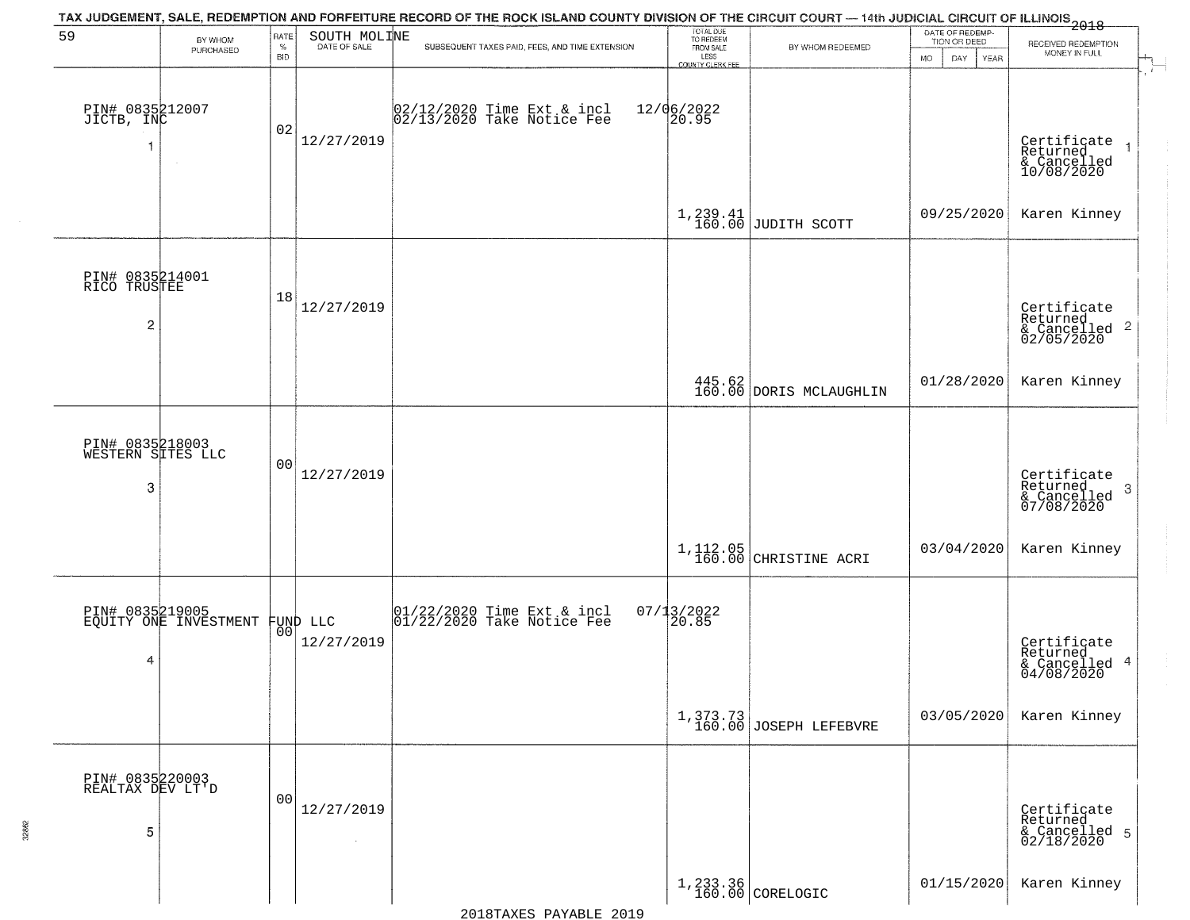| 59                                                | BY WHOM                                  | RATE               | SOUTH MOLINE                   | TAX JUDGEMENT, SALE, REDEMPTION AND FORFEITURE RECORD OF THE ROCK ISLAND COUNTY DIVISION OF THE CIRCUIT COURT — 14th JUDICIAL CIRCUIT OF ILLINOIS 2018 | TOTAL DUE<br>TO REDEEM<br>FROM SALE     |                                                                               | DATE OF REDEMP-<br>TION OR DEED |                                                                        |
|---------------------------------------------------|------------------------------------------|--------------------|--------------------------------|--------------------------------------------------------------------------------------------------------------------------------------------------------|-----------------------------------------|-------------------------------------------------------------------------------|---------------------------------|------------------------------------------------------------------------|
|                                                   | PURCHASED                                | $\%$<br><b>BID</b> | DATE OF SALE                   | SUBSEQUENT TAXES PAID, FEES, AND TIME EXTENSION                                                                                                        | LESS                                    | BY WHOM REDEEMED                                                              | <b>MO</b><br>DAY<br>YEAR        | RECEIVED REDEMPTION<br>MONEY IN FULL                                   |
| PIN# 0835212007<br>JICTB, INC<br>-1               | $\sim$                                   | 02                 | 12/27/2019                     | 02/12/2020 Time Ext & incl<br>02/13/2020 Take Notice Fee                                                                                               | COUNTY CLERK FEE<br>12/06/2022<br>20.95 |                                                                               |                                 | Certificate<br>Returned<br>& Cancelled<br>10/08/2020                   |
|                                                   |                                          |                    |                                |                                                                                                                                                        |                                         | $1,239.41$ JUDITH SCOTT                                                       | 09/25/2020                      | Karen Kinney                                                           |
| PIN# 0835214001<br>RICO TRUSTEE<br>$\overline{c}$ |                                          | 18                 | 12/27/2019                     |                                                                                                                                                        |                                         |                                                                               |                                 | Certificate<br>Returned<br>$\overline{2}$<br>& Cancelled<br>02/05/2020 |
|                                                   |                                          |                    |                                |                                                                                                                                                        |                                         | $\left[\begin{array}{c} 445.62 \\ 160.00 \end{array}\right]$ DORIS MCLAUGHLIN | 01/28/2020                      | Karen Kinney                                                           |
| PIN# 0835218003<br>WESTERN SITES LLC<br>3         |                                          | 0 <sub>0</sub>     | 12/27/2019                     |                                                                                                                                                        |                                         |                                                                               |                                 | Certificate<br>Returned<br>3<br>& Cancelled<br>07/08/2020              |
|                                                   |                                          |                    |                                |                                                                                                                                                        |                                         | 1,112.05<br>160.00 CHRISTINE ACRI                                             | 03/04/2020                      | Karen Kinney                                                           |
| 4                                                 | PIN# 0835219005<br>EQUITY ONE INVESTMENT |                    | FUND LLC<br> 00 <br>12/27/2019 | 01/22/2020 Time Ext & incl<br>01/22/2020 Take Notice Fee                                                                                               | $07/13/2022$<br>20.85                   |                                                                               |                                 | Certificate<br>Returned<br>& Cancelled 4<br>04/08/2020                 |
|                                                   |                                          |                    |                                |                                                                                                                                                        | 1,373.73<br>160.00                      | JOSEPH LEFEBVRE                                                               | 03/05/2020                      | Karen Kinney                                                           |
| PIN# 0835220003<br>REALTAX DEV LT'D<br>5          |                                          | 0 <sub>0</sub>     | 12/27/2019                     |                                                                                                                                                        |                                         |                                                                               |                                 | Certificate<br>Returned<br>& Cancelled 5<br>02/18/2020                 |
|                                                   |                                          |                    |                                |                                                                                                                                                        |                                         | 1,233.36<br>160.00 CORELOGIC                                                  | 01/15/2020                      | Karen Kinney                                                           |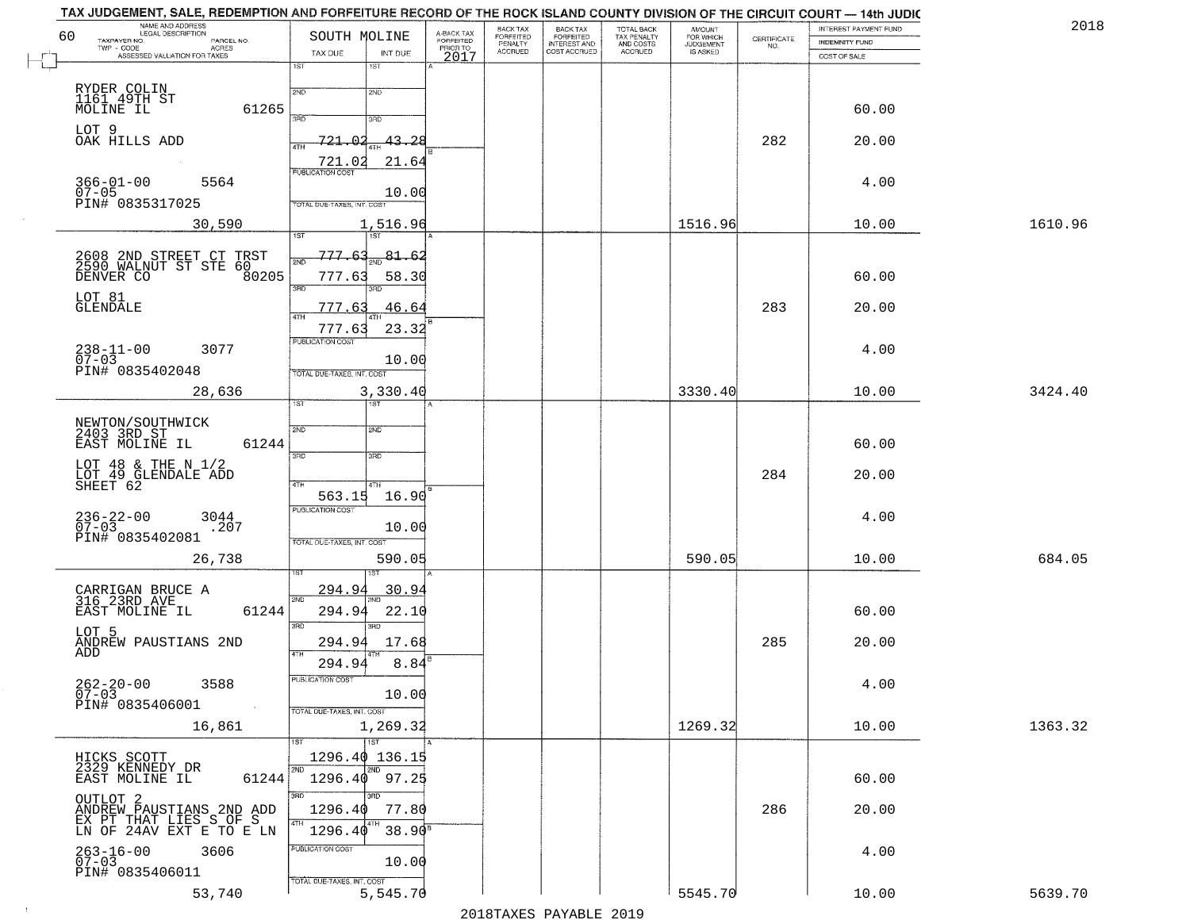| TAX JUDGEMENT, SALE, REDEMPTION AND FORFEITURE RECORD OF THE ROCK ISLAND COUNTY DIVISION OF THE CIRCUIT COURT — 14th JUDIC<br>NAME AND ADDRESS<br>LEGAL DESCRIPTION |                                   |                          |                                     | BACK TAX                        |                                                       |                                                   | <b>AMOUNT</b>                      |                    | INTEREST PAYMENT FUND | 2018    |
|---------------------------------------------------------------------------------------------------------------------------------------------------------------------|-----------------------------------|--------------------------|-------------------------------------|---------------------------------|-------------------------------------------------------|---------------------------------------------------|------------------------------------|--------------------|-----------------------|---------|
| 60<br>TAXPAYER NO.<br>PARCEL NO.<br>$TWP - CODE$<br>ACRES                                                                                                           | SOUTH MOLINE                      |                          | A-BACK TAX<br>FORFEITED<br>PRIOR TO | FORFEITED<br>PENALTY<br>ACCRUED | BACK TAX<br>FORFEITED<br>INTEREST AND<br>COST ACCRUED | TOTAL BACK<br>TAX PENALTY<br>AND COSTS<br>ACCRUED | FOR WHICH<br>JUDGEMENT<br>IS ASKED | CERTIFICATE<br>NO. | <b>INDEMNITY FUND</b> |         |
| ASSESSED VALUATION FOR TAXES                                                                                                                                        | TAX DUE<br>1ST                    | INT DUE<br>1ST           | 2017                                |                                 |                                                       |                                                   |                                    |                    | COST OF SALE          |         |
|                                                                                                                                                                     |                                   |                          |                                     |                                 |                                                       |                                                   |                                    |                    |                       |         |
| RYDER COLIN<br>1161 49TH ST                                                                                                                                         | 2ND                               | 2ND                      |                                     |                                 |                                                       |                                                   |                                    |                    |                       |         |
| MOLINE IL<br>61265                                                                                                                                                  | 3AD                               | 3BD                      |                                     |                                 |                                                       |                                                   |                                    |                    | 60.00                 |         |
| LOT 9<br>OAK HILLS ADD                                                                                                                                              | 721.<br>ഹ                         | <u>43.28</u>             |                                     |                                 |                                                       |                                                   |                                    | 282                | 20.00                 |         |
|                                                                                                                                                                     | 4TH                               |                          |                                     |                                 |                                                       |                                                   |                                    |                    |                       |         |
|                                                                                                                                                                     | 721.02<br><b>PUBLICATION COST</b> | 21.64                    |                                     |                                 |                                                       |                                                   |                                    |                    |                       |         |
| $366 - 01 - 00$<br>5564<br>07-05<br>PIN# 0835317025                                                                                                                 |                                   | 10.00                    |                                     |                                 |                                                       |                                                   |                                    |                    | 4.00                  |         |
|                                                                                                                                                                     | TOTAL DUE-TAXES, INT. COST        |                          |                                     |                                 |                                                       |                                                   |                                    |                    |                       |         |
| 30,590                                                                                                                                                              | 1ST                               | 1,516.96<br>1ST          |                                     |                                 |                                                       |                                                   | 1516.96                            |                    | 10.00                 | 1610.96 |
|                                                                                                                                                                     | 777.63                            | 81.62                    |                                     |                                 |                                                       |                                                   |                                    |                    |                       |         |
| 2608 2ND STREET CT TRST<br>2590 WALNUT ST STE 60                                                                                                                    | 2ND                               |                          |                                     |                                 |                                                       |                                                   |                                    |                    |                       |         |
| 80205<br>DENVER CO                                                                                                                                                  | 777.63<br>3BD                     | 58.30<br>3RD             |                                     |                                 |                                                       |                                                   |                                    |                    | 60.00                 |         |
| LOT 81<br><b>GLENDALE</b>                                                                                                                                           | 777.63                            | 46.64                    |                                     |                                 |                                                       |                                                   |                                    | 283                | 20.00                 |         |
|                                                                                                                                                                     | $\sqrt{4}$<br>777.63              | 23.32                    |                                     |                                 |                                                       |                                                   |                                    |                    |                       |         |
| 3077                                                                                                                                                                | <b>PUBLICATION COST</b>           |                          |                                     |                                 |                                                       |                                                   |                                    |                    | 4.00                  |         |
| $238 - 11 - 00$<br>07-03<br>PIN# 0835402048                                                                                                                         |                                   | 10.00                    |                                     |                                 |                                                       |                                                   |                                    |                    |                       |         |
|                                                                                                                                                                     | TOTAL DUE-TAXES, INT. COST        | 3,330.40                 |                                     |                                 |                                                       |                                                   | 3330.40                            |                    | 10.00                 | 3424.40 |
| 28,636                                                                                                                                                              | 1ST                               |                          |                                     |                                 |                                                       |                                                   |                                    |                    |                       |         |
| NEWTON/SOUTHWICK<br>2403 3RD ST                                                                                                                                     | 2ND                               | SMD <sub>1</sub>         |                                     |                                 |                                                       |                                                   |                                    |                    |                       |         |
| EAST MOLINE IL<br>61244                                                                                                                                             |                                   |                          |                                     |                                 |                                                       |                                                   |                                    |                    | 60.00                 |         |
| LOT 48 & THE N $1/2$                                                                                                                                                | 3RD                               | 3RD                      |                                     |                                 |                                                       |                                                   |                                    |                    |                       |         |
| LOT 49 GLENDALE ADD<br>SHEET 62                                                                                                                                     | 4TH                               | 4TH                      |                                     |                                 |                                                       |                                                   |                                    | 284                | 20.00                 |         |
|                                                                                                                                                                     | 563.15<br><b>PUBLICATION COST</b> | 16.90                    |                                     |                                 |                                                       |                                                   |                                    |                    |                       |         |
| $236 - 22 - 00$<br>07-03<br>3044<br>.207                                                                                                                            |                                   | 10.00                    |                                     |                                 |                                                       |                                                   |                                    |                    | 4.00                  |         |
| PIN# 0835402081                                                                                                                                                     | TOTAL OUE-TAXES, INT. COST        |                          |                                     |                                 |                                                       |                                                   |                                    |                    |                       |         |
| 26,738                                                                                                                                                              |                                   | 590.05                   |                                     |                                 |                                                       |                                                   | 590.05                             |                    | 10.00                 | 684.05  |
|                                                                                                                                                                     |                                   | ख़ा                      |                                     |                                 |                                                       |                                                   |                                    |                    |                       |         |
| CARRIGAN BRUCE A<br>316 23RD AVE                                                                                                                                    | 294.9<br>2ND                      | <u>30.94</u>             |                                     |                                 |                                                       |                                                   |                                    |                    |                       |         |
| 61244<br>EAST MOLINE IL                                                                                                                                             | 294.94<br>3RD                     | 22.10<br>3RD             |                                     |                                 |                                                       |                                                   |                                    |                    | 60.00                 |         |
| LOT 5<br>ANDREW PAUSTIANS 2ND                                                                                                                                       | 294.94                            | 17.68                    |                                     |                                 |                                                       |                                                   |                                    | 285                | 20.00                 |         |
| ADD                                                                                                                                                                 | 4TH<br>294.94                     | 8.84                     |                                     |                                 |                                                       |                                                   |                                    |                    |                       |         |
| $262 - 20 - 00$<br>3588                                                                                                                                             | PUBLICATION COST                  |                          |                                     |                                 |                                                       |                                                   |                                    |                    | 4.00                  |         |
| $07 - 03$<br>PIN# 0835406001                                                                                                                                        |                                   | 10.00                    |                                     |                                 |                                                       |                                                   |                                    |                    |                       |         |
| 16,861                                                                                                                                                              | TOTAL DUE-TAXES, INT. COST        | 1,269.32                 |                                     |                                 |                                                       |                                                   | 1269.32                            |                    | 10.00                 | 1363.32 |
|                                                                                                                                                                     |                                   | 1ST                      |                                     |                                 |                                                       |                                                   |                                    |                    |                       |         |
| HICKS SCOTT<br>2329 KENNEDY DR                                                                                                                                      |                                   | 1296.40 136.15           |                                     |                                 |                                                       |                                                   |                                    |                    |                       |         |
| EAST MOLINE IL<br>61244                                                                                                                                             | 2ND                               | 2ND<br>$1296.40$ $97.25$ |                                     |                                 |                                                       |                                                   |                                    |                    | 60.00                 |         |
| OUTLOT <sub>2</sub>                                                                                                                                                 | 3RD                               | 3RD                      |                                     |                                 |                                                       |                                                   |                                    |                    |                       |         |
| ANDREW PAUSTIANS 2ND ADD<br>EX PT THAT LIES S OF S                                                                                                                  | 1296.40<br>4TH                    | 77.80                    |                                     |                                 |                                                       |                                                   |                                    | 286                | 20.00                 |         |
| LN OF 24AV EXT E TO E LN                                                                                                                                            | 1296.40                           | $38.90^8$                |                                     |                                 |                                                       |                                                   |                                    |                    |                       |         |
| $263 - 16 - 00$<br>07-03<br>3606                                                                                                                                    | PUBLICATION COST                  | 10.00                    |                                     |                                 |                                                       |                                                   |                                    |                    | 4.00                  |         |
| PIN# 0835406011                                                                                                                                                     | TOTAL DUE-TAXES, INT. COST        |                          |                                     |                                 |                                                       |                                                   |                                    |                    |                       |         |
| 53,740                                                                                                                                                              |                                   | 5,545.70                 |                                     |                                 |                                                       |                                                   | 5545.70                            |                    | 10.00                 | 5639.70 |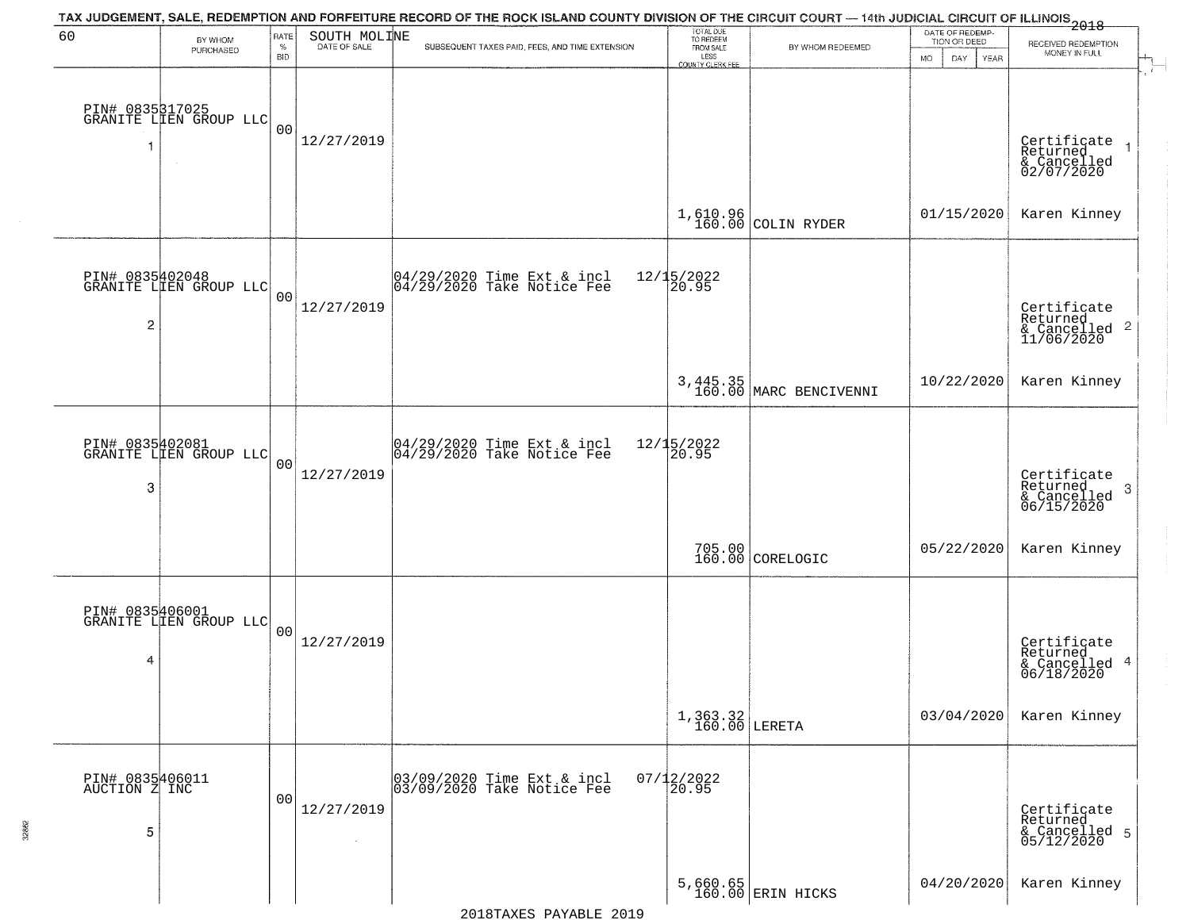| 60                               |                                           | RATE               | SOUTH MOLINE | TAX JUDGEMENT, SALE, REDEMPTION AND FORFEITURE RECORD OF THE ROCK ISLAND COUNTY DIVISION OF THE CIRCUIT COURT — 14th JUDICIAL CIRCUIT OF ILLINOIS 2018 | TOTAL DUE<br>TO REDEEM  |                                    | DATE OF REDEMP-           |                                                                      |
|----------------------------------|-------------------------------------------|--------------------|--------------|--------------------------------------------------------------------------------------------------------------------------------------------------------|-------------------------|------------------------------------|---------------------------|----------------------------------------------------------------------|
|                                  | BY WHOM<br>PURCHASED                      | $\%$<br><b>BID</b> | DATE OF SALE | SUBSEQUENT TAXES PAID, FEES, AND TIME EXTENSION                                                                                                        | FROM SALE<br>LESS       | BY WHOM REDEEMED                   | TION OR DEED<br><b>MO</b> | RECEIVED REDEMPTION<br>MONEY IN FULL                                 |
|                                  | PIN# 0835317025<br>GRANITE LLEN GROUP LLC |                    |              |                                                                                                                                                        | <b>COUNTY CLERK FEE</b> |                                    | DAY<br>YEAR               |                                                                      |
| -1                               | $\sim$                                    | 0 <sub>0</sub>     | 12/27/2019   |                                                                                                                                                        |                         |                                    |                           | Certificate<br>Returned<br>& Cancelled<br>02/07/2020                 |
|                                  |                                           |                    |              |                                                                                                                                                        |                         | 1,610.96<br>160.00 COLIN RYDER     | 01/15/2020                | Karen Kinney                                                         |
|                                  | PIN# 0835402048<br>GRANITE LIEN GROUP LLC | 0 <sup>0</sup>     |              | 04/29/2020 Time Ext & incl<br>04/29/2020 Take Notice Fee                                                                                               | 12/15/2022<br>20.95     |                                    |                           |                                                                      |
| $\overline{c}$                   |                                           |                    | 12/27/2019   |                                                                                                                                                        |                         |                                    |                           | Certificate<br>Returned<br>$\mathbf{2}$<br>& Cancelled<br>11/06/2020 |
|                                  |                                           |                    |              |                                                                                                                                                        |                         | 3,445.35<br>160.00 MARC BENCIVENNI | 10/22/2020                | Karen Kinney                                                         |
|                                  | PIN# 0835402081<br>GRANITE LIEN GROUP LLC | 0 <sub>0</sub>     |              | 04/29/2020 Time Ext & incl<br>04/29/2020 Take Notice Fee                                                                                               | 12/15/2022<br>20.95     |                                    |                           |                                                                      |
| 3                                |                                           |                    | 12/27/2019   |                                                                                                                                                        |                         |                                    |                           | Certificate<br>Returned<br>3<br>& Cancelled<br>06/15/2020            |
|                                  |                                           |                    |              |                                                                                                                                                        |                         | 705.00 CORELOGIC                   | 05/22/2020                | Karen Kinney                                                         |
|                                  | PIN# 0835406001<br>GRANITE LIEN GROUP LLC | 00                 |              |                                                                                                                                                        |                         |                                    |                           |                                                                      |
| 4                                |                                           |                    | 12/27/2019   |                                                                                                                                                        |                         |                                    |                           | Certificate<br>Returned<br>4<br>& Cancelled<br>06/18/2020            |
|                                  |                                           |                    |              |                                                                                                                                                        | $1,363.32$ LERETA       |                                    | 03/04/2020                | Karen Kinney                                                         |
| PIN# 0835406011<br>AUCTION Z INC |                                           | 0 <sub>0</sub>     |              | 03/09/2020 Time Ext & incl<br>03/09/2020 Take Notice Fee                                                                                               | $07/12/2022$<br>20.95   |                                    |                           |                                                                      |
| 5                                |                                           |                    | 12/27/2019   |                                                                                                                                                        |                         |                                    |                           | Certificate<br>Returned<br>& Cancelled 5<br>05/12/2020               |
|                                  |                                           |                    |              |                                                                                                                                                        |                         | 5,660.65<br>160.00 ERIN HICKS      | 04/20/2020                | Karen Kinney                                                         |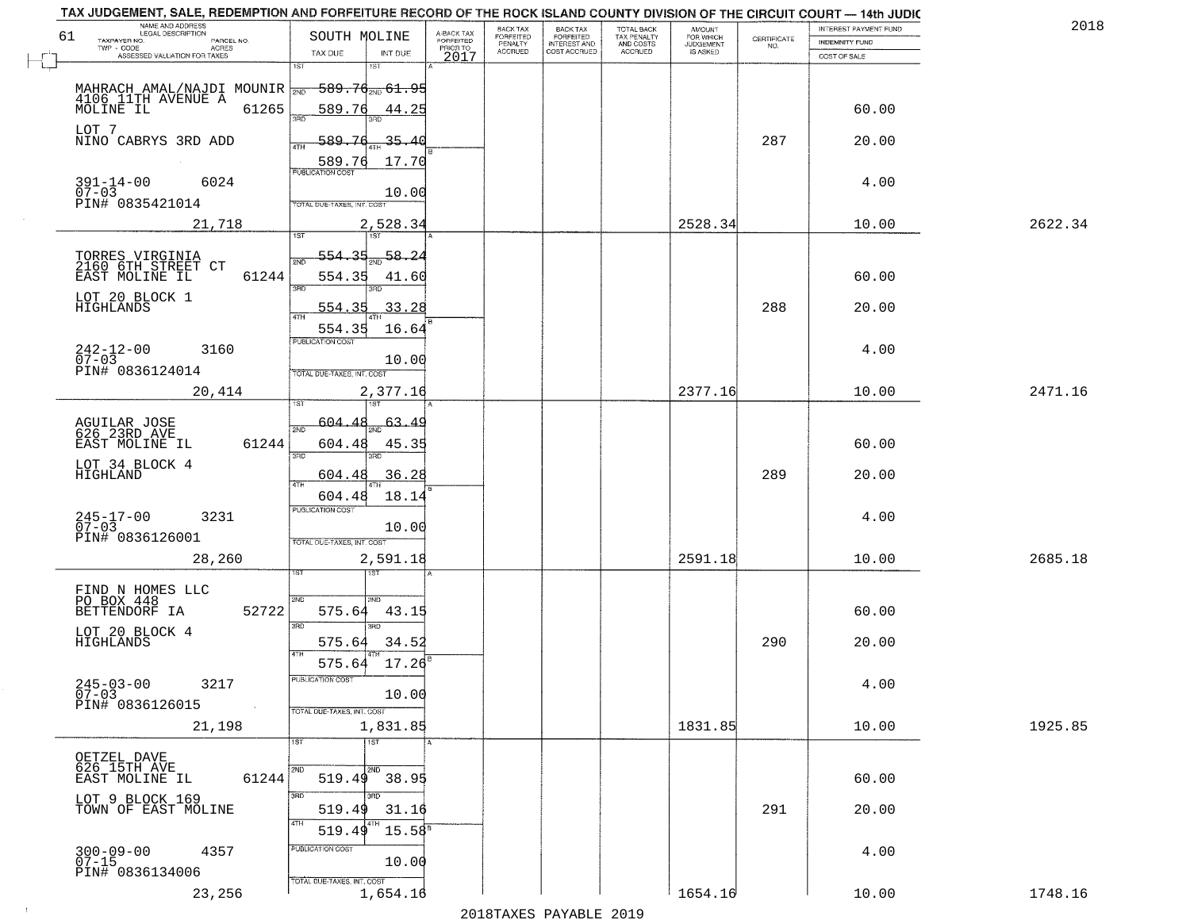| NAME AND ADDRESS<br>LEGAL DESCRIPTION<br>61                   | SOUTH MOLINE                               |                                     | BACK TAX                               | <b>BACK TAX</b>                           | TOTAL BACK<br>TAX PENALTY<br>AND COSTS | AMOUNT<br>FOR WHICH                 |                    | INTEREST PAYMENT FUND | 2018    |
|---------------------------------------------------------------|--------------------------------------------|-------------------------------------|----------------------------------------|-------------------------------------------|----------------------------------------|-------------------------------------|--------------------|-----------------------|---------|
| TAXPAYER NO.<br>PARCEL NO.<br>ACRES                           |                                            | A-BACK TAX<br>FORFEITED<br>PRIOR TO | FORFEITED<br>PENALTY<br><b>ACCRUED</b> | FORFEITED<br>INTEREST AND<br>COST ACCRUED | ACCRUED                                | <b>JUDGEMENT</b><br><b>IS ASKED</b> | CERTIFICATE<br>NO. | <b>INDEMNITY FUND</b> |         |
| ASSESSED VALUATION FOR TAXES                                  | TAX DUE<br>INT DUE<br>1ST<br>1ST           | 2017                                |                                        |                                           |                                        |                                     |                    | COST OF SALE          |         |
| MAHRACH AMAL/NAJDI MOUNIR                                     | $-589.76_{200}$ 61.95                      |                                     |                                        |                                           |                                        |                                     |                    |                       |         |
| 4106 11TH AVENUE A<br>61265<br>MOLINE IL                      | 589.76<br>44.25<br>3RD                     |                                     |                                        |                                           |                                        |                                     |                    | 60.00                 |         |
| LOT 7<br>NINO CABRYS 3RD ADD                                  | 589.76<br>35.40                            |                                     |                                        |                                           |                                        |                                     | 287                | 20.00                 |         |
|                                                               | ATH<br>17.70<br>589.76                     |                                     |                                        |                                           |                                        |                                     |                    |                       |         |
| $391 - 14 - 00$<br>6024<br>$07 - 03$                          | <b>PUBLICATION COST</b><br>10.00           |                                     |                                        |                                           |                                        |                                     |                    | 4.00                  |         |
| PIN# 0835421014                                               | TOTAL DUE-TAXES, INT. COST                 |                                     |                                        |                                           |                                        |                                     |                    |                       |         |
| 21,718                                                        | 2,528.34                                   |                                     |                                        |                                           |                                        | 2528.34                             |                    | 10.00                 | 2622.34 |
| TORRES VIRGINIA<br>2160 6TH STREET CT                         | 554.35<br>58.24<br><b>DND</b>              |                                     |                                        |                                           |                                        |                                     |                    |                       |         |
| EAST MOLINE IL<br>61244                                       | 554.35<br>41.60<br>त्रसा                   |                                     |                                        |                                           |                                        |                                     |                    | 60.00                 |         |
| LOT 20 BLOCK 1<br>HIGHLANDS                                   | 33.28<br><u>554.35</u><br>47H              |                                     |                                        |                                           |                                        |                                     | 288                | 20.00                 |         |
|                                                               | 554.35<br>16.64<br>PUBLICATION COST        |                                     |                                        |                                           |                                        |                                     |                    |                       |         |
| $242 - 12 - 00$<br>3160<br>$07 - 03$<br>PIN# 0836124014       | 10.00                                      |                                     |                                        |                                           |                                        |                                     |                    | 4.00                  |         |
| 20,414                                                        | TOTAL DUE-TAXES, INT. COST<br>2,377.16     |                                     |                                        |                                           |                                        | 2377.16                             |                    | 10.00                 | 2471.16 |
|                                                               | $1S$ T<br>604.48<br><u>63.49</u>           |                                     |                                        |                                           |                                        |                                     |                    |                       |         |
| AGUILAR JOSE<br>626 23RD AVE<br>EAST MOLINE IL<br>61244       | 2ND<br>604.48<br>45.35                     |                                     |                                        |                                           |                                        |                                     |                    | 60.00                 |         |
| LOT 34 BLOCK 4<br>HIGHLAND                                    | 3BD<br>3RD<br>36.28<br>604.48              |                                     |                                        |                                           |                                        |                                     | 289                | 20.00                 |         |
|                                                               | 4TH<br>18.14<br>604.48                     |                                     |                                        |                                           |                                        |                                     |                    |                       |         |
| $245 - 17 - 00$<br>07-03<br>3231                              | <b>PUBLICATION COST</b><br>10.00           |                                     |                                        |                                           |                                        |                                     |                    | 4.00                  |         |
| PIN# 0836126001                                               | TOTAL OUE-TAXES, INT. COST                 |                                     |                                        |                                           |                                        |                                     |                    |                       |         |
| 28,260                                                        | 2,591.18<br>ख़ा                            |                                     |                                        |                                           |                                        | 2591.18                             |                    | 10.00                 | 2685.18 |
| FIND N HOMES LLC<br>PO BOX 448                                | 2ND<br>2ND.                                |                                     |                                        |                                           |                                        |                                     |                    |                       |         |
| BETTENDORF IA<br>52722                                        | 575.64<br>43.15<br>3RD<br>$\overline{3BD}$ |                                     |                                        |                                           |                                        |                                     |                    | 60.00                 |         |
| LOT 20 BLOCK 4<br>HIGHLANDS                                   | 575.64<br>34.52                            |                                     |                                        |                                           |                                        |                                     | 290                | 20.00                 |         |
| $245 - 03 - 00$                                               | 575.64<br>17.26<br>"UBLICA HUN CUS"        |                                     |                                        |                                           |                                        |                                     |                    |                       |         |
| 3217<br>$07 - 03$<br>PIN# 0836126015<br>$\sim 100$ km $^{-1}$ | 10.00                                      |                                     |                                        |                                           |                                        |                                     |                    | 4.00                  |         |
| 21,198                                                        | TOTAL DUE-TAXES, INT. COST<br>1,831.85     |                                     |                                        |                                           |                                        | 1831.85                             |                    | 10.00                 | 1925.85 |
| OETZEL DAVE                                                   | १डा<br>$\overline{11}$                     |                                     |                                        |                                           |                                        |                                     |                    |                       |         |
| 626 15TH AVE<br>61244<br>EAST MOLINE IL                       | 2ND<br>$519.49$ $38.95$                    |                                     |                                        |                                           |                                        |                                     |                    | 60.00                 |         |
| LOT 9 BLOCK 169<br>TOWN OF EAST MOLINE                        | 3BD<br>519.49<br>31.16                     |                                     |                                        |                                           |                                        |                                     | 291                | 20.00                 |         |
|                                                               | 4TH<br>4TH<br>519.49<br>$15.58^{\circ}$    |                                     |                                        |                                           |                                        |                                     |                    |                       |         |
| $300 - 09 - 00$<br>07-15<br>4357                              | PUBLICATION COST<br>10.00                  |                                     |                                        |                                           |                                        |                                     |                    | 4.00                  |         |
| PIN# 0836134006                                               | TOTAL DUE-TAXES, INT. COST                 |                                     |                                        |                                           |                                        | 1654.16                             |                    |                       |         |
| 23,256                                                        | 1,654.16                                   |                                     |                                        |                                           |                                        |                                     |                    | 10.00                 | 1748.16 |

 $\pm 4$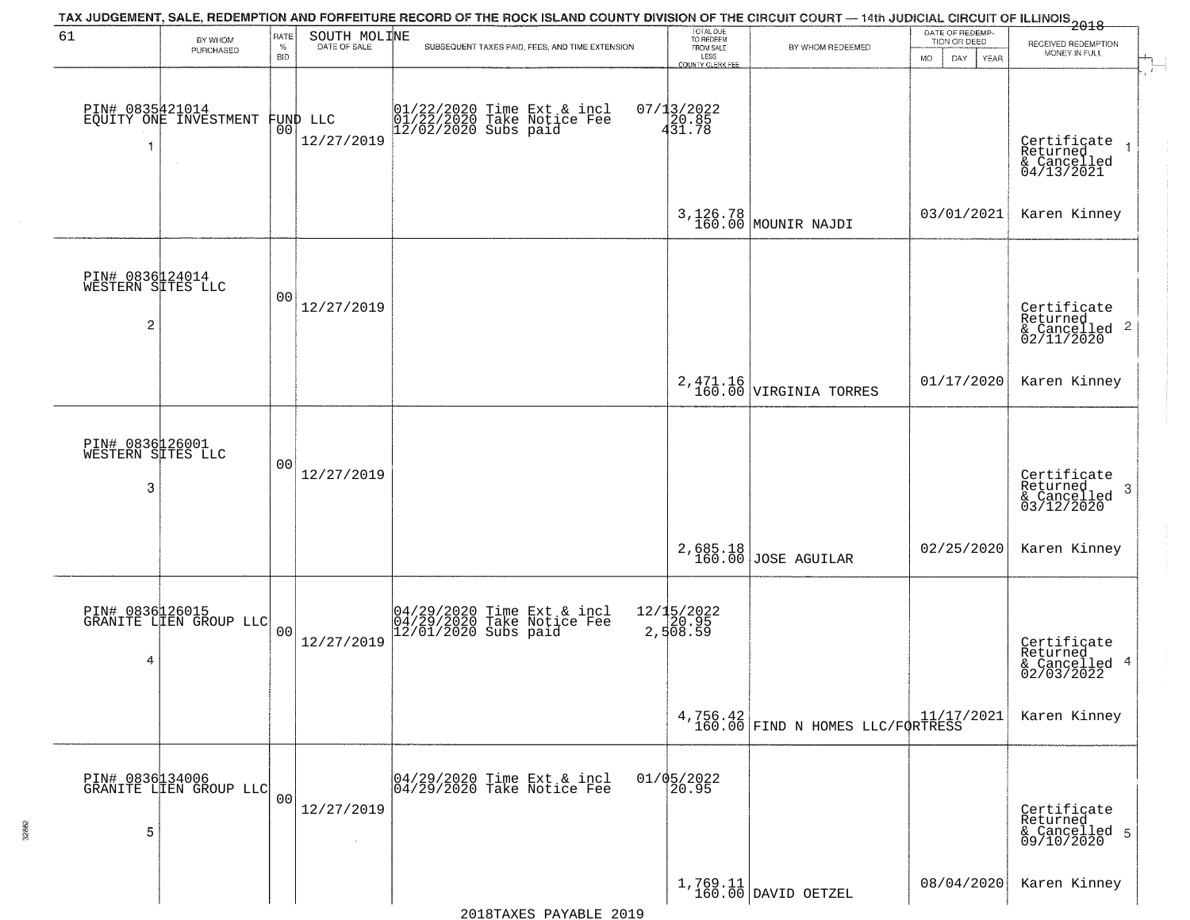| 61                                                     | BY WHOM                                   | RATE               | SOUTH MOLINE           | TAX JUDGEMENT, SALE, REDEMPTION AND FORFEITURE RECORD OF THE ROCK ISLAND COUNTY DIVISION OF THE CIRCUIT COURT — 14th JUDICIAL CIRCUIT OF ILLINOIS 2018 | TOTAL DUE<br>TO REDEEM                |                                              | DATE OF REDEMP-<br>TION OR DEED  | RECEIVED REDEMPTION                                                   |  |
|--------------------------------------------------------|-------------------------------------------|--------------------|------------------------|--------------------------------------------------------------------------------------------------------------------------------------------------------|---------------------------------------|----------------------------------------------|----------------------------------|-----------------------------------------------------------------------|--|
|                                                        | PURCHASED                                 | $\%$<br><b>BID</b> |                        | SUBSEQUENT TAXES PAID, FEES, AND TIME EXTENSION                                                                                                        | FROM SALE<br>LESS<br>COUNTY CLERK FEE | BY WHOM REDEEMED                             | <b>MO</b><br>DAY.<br><b>YEAR</b> | MONEY IN FULL                                                         |  |
| PIN# 0835421014<br>-1                                  | EQUITY ONE INVESTMENT                     | 00                 | FUND LLC<br>12/27/2019 | 01/22/2020 Time Ext & incl<br>01/22/2020 Take Notice Fee<br>12/02/2020 Subs paid                                                                       | $07/13/2022$<br>$431.78$              |                                              |                                  | Certificate<br>Returned<br>$\rightarrow$<br>& Cancelled<br>04/13/2021 |  |
|                                                        |                                           |                    |                        |                                                                                                                                                        |                                       | 3,126.78<br>160.00 MOUNIR NAJDI              | 03/01/2021                       | Karen Kinney                                                          |  |
| PIN# 0836124014<br>WESTERN SITES LLC<br>$\overline{c}$ |                                           | 0 <sub>0</sub>     | 12/27/2019             |                                                                                                                                                        |                                       |                                              |                                  | Certificate<br>Returned<br>$\frac{1}{6}$ Cancelled 2<br>02/11/2020    |  |
|                                                        |                                           |                    |                        |                                                                                                                                                        |                                       | $2,471.16$ VIRGINIA TORRES                   | 01/17/2020                       | Karen Kinney                                                          |  |
| PIN# 0836126001<br>WESTERN SITES LLC<br>3              |                                           | 0 <sub>0</sub>     | 12/27/2019             |                                                                                                                                                        |                                       |                                              |                                  | Certificate<br>Returned<br>3<br>& Cancelled<br>03/12/2020             |  |
|                                                        |                                           |                    |                        |                                                                                                                                                        |                                       | 2,685.18<br>160.00 JOSE AGUILAR              | 02/25/2020                       | Karen Kinney                                                          |  |
| PIN# 0836126015<br>4                                   | GRANITE LIEN GROUP LLC                    | 0 <sub>0</sub>     | 12/27/2019             | 04/29/2020 Time Ext & incl<br>04/29/2020 Take Notice Fee<br>12/01/2020 Subs paid                                                                       | 12/15/2022<br>20.95<br>2,508.59       |                                              |                                  | Certificate<br>Returned<br>& Cancelled 4<br>02/03/2022                |  |
|                                                        |                                           |                    |                        |                                                                                                                                                        |                                       | 4,756.42<br>160.00 FIND N HOMES LLC/FORTRESS |                                  | Karen Kinney                                                          |  |
| 5                                                      | PIN# 0836134006<br>GRANITE LIEN GROUP LLC | 00                 | 12/27/2019             | 04/29/2020 Time Ext & incl<br>04/29/2020 Take Notice Fee                                                                                               | 01/05/2022<br>20.95                   |                                              |                                  | Certificate<br>Returned<br>& Cancelled 5<br>09/10/2020                |  |
|                                                        |                                           |                    |                        |                                                                                                                                                        |                                       | $1,769.11$ DAVID OETZEL                      | 08/04/2020                       | Karen Kinney                                                          |  |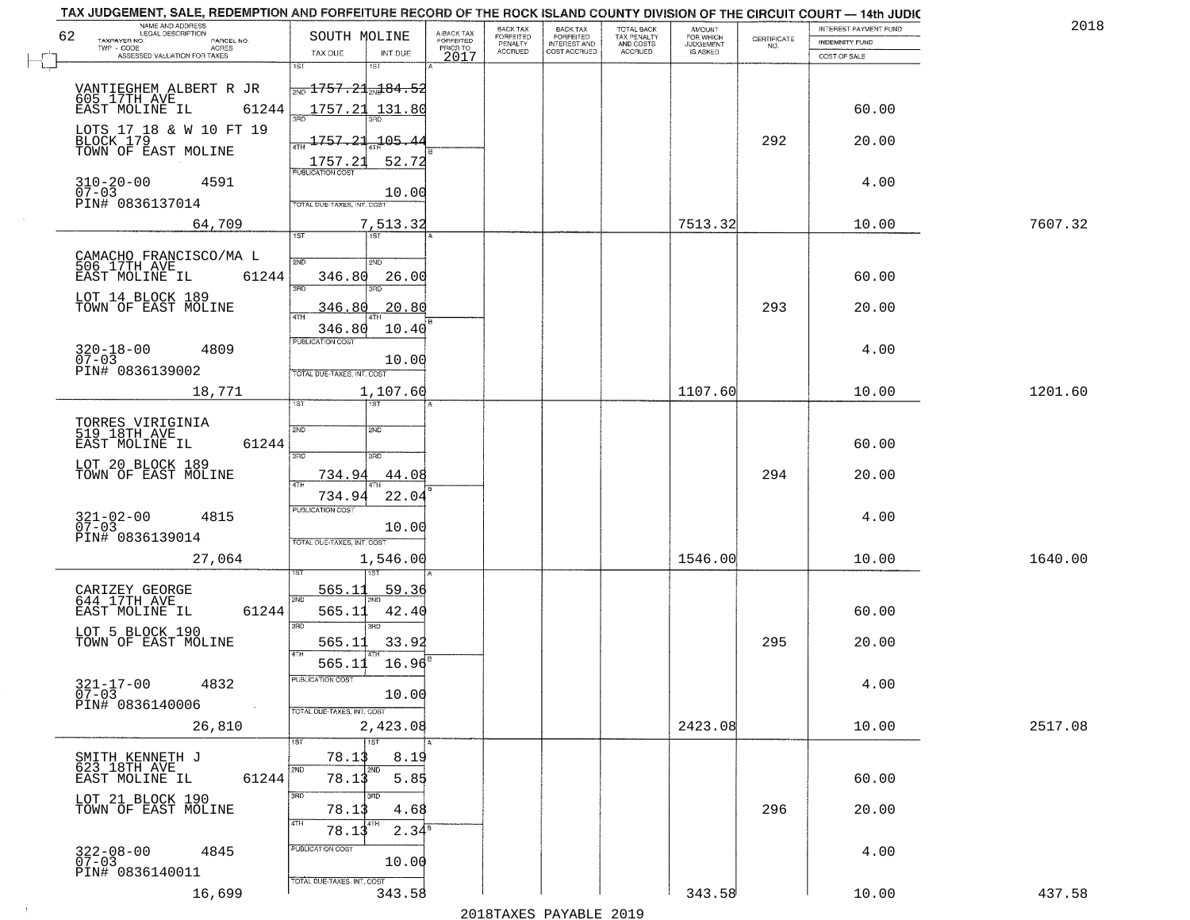| TAX JUDGEMENT, SALE, REDEMPTION AND FORFEITURE RECORD OF THE ROCK ISLAND COUNTY DIVISION OF THE CIRCUIT COURT - 14th JUDIC<br>NAME AND ADDRESS<br>LEGAL DESCRIPTION |                                               |                 |                                     | <b>BACK TAX</b>      |                                     |                                        |                                         |                                                                 | <b>INTEREST PAYMENT FUND</b> | 201     |
|---------------------------------------------------------------------------------------------------------------------------------------------------------------------|-----------------------------------------------|-----------------|-------------------------------------|----------------------|-------------------------------------|----------------------------------------|-----------------------------------------|-----------------------------------------------------------------|------------------------------|---------|
| 62<br>PARCEL NO.                                                                                                                                                    | SOUTH MOLINE                                  |                 | A-BACK TAX<br>FORFEITED<br>PRIOR TO | FORFEITED<br>PENALTY | BACK TAX<br>FORFEITED               | TOTAL BACK<br>TAX PENALTY<br>AND COSTS | AMOUNT<br>FOR WHICH<br><b>JUDGEMENT</b> | $\begin{array}{c} \text{CERTIFICATE} \\ \text{NO.} \end{array}$ | <b>INDEMNITY FUND</b>        |         |
| TAXPAYER NO.<br>ACRES<br>ASSESSED VALUATION FOR TAXES                                                                                                               | TAX DUE                                       | INT DUE         | 2017                                | <b>ACCRUED</b>       | <b>INTEREST AND</b><br>COST ACCRUED | <b>ACCRUED</b>                         | <b>IS ASKED</b>                         |                                                                 | COST OF SALE                 |         |
|                                                                                                                                                                     | 1ST                                           | 1ST             |                                     |                      |                                     |                                        |                                         |                                                                 |                              |         |
|                                                                                                                                                                     | $\frac{1}{200}$ 1757.21 $\frac{1}{200}$ 84.52 |                 |                                     |                      |                                     |                                        |                                         |                                                                 |                              |         |
|                                                                                                                                                                     |                                               |                 |                                     |                      |                                     |                                        |                                         |                                                                 |                              |         |
| EAST MOLINE IL                                                                                                                                                      | 61244                                         | 1757.21 131.80  |                                     |                      |                                     |                                        |                                         |                                                                 | 60.00                        |         |
| LOTS 17 18 & W 10 FT 19                                                                                                                                             |                                               |                 |                                     |                      |                                     |                                        |                                         |                                                                 |                              |         |
| BLOCK 179<br>TOWN OF EAST MOLINE                                                                                                                                    | 1757.21                                       | $-105.4$        |                                     |                      |                                     |                                        |                                         | 292                                                             | 20.00                        |         |
|                                                                                                                                                                     | <u> 1757.21</u><br>PUBLICATION COST           | 52.72           |                                     |                      |                                     |                                        |                                         |                                                                 |                              |         |
| $310 - 20 - 00$<br>07-03<br>4591                                                                                                                                    |                                               |                 |                                     |                      |                                     |                                        |                                         |                                                                 | 4.00                         |         |
| PIN# 0836137014                                                                                                                                                     | TOTAL DUE-TAXES, INT. COST                    | 10.00           |                                     |                      |                                     |                                        |                                         |                                                                 |                              |         |
|                                                                                                                                                                     |                                               |                 |                                     |                      |                                     |                                        |                                         |                                                                 |                              |         |
| 64,709                                                                                                                                                              | 1ST                                           | 7,513.32        |                                     |                      |                                     |                                        | 7513.32                                 |                                                                 | 10.00                        | 7607.32 |
|                                                                                                                                                                     |                                               |                 |                                     |                      |                                     |                                        |                                         |                                                                 |                              |         |
| CAMACHO FRANCISCO/MA L<br>506 17TH AVE                                                                                                                              | 2ND                                           | 2ND             |                                     |                      |                                     |                                        |                                         |                                                                 |                              |         |
| EAST MOLINE IL                                                                                                                                                      | 61244<br>346.80<br>उन्नठ                      | 26.00           |                                     |                      |                                     |                                        |                                         |                                                                 | 60.00                        |         |
| LOT 14 BLOCK 189                                                                                                                                                    |                                               |                 |                                     |                      |                                     |                                        |                                         |                                                                 |                              |         |
| TOWN OF EAST MOLINE                                                                                                                                                 | 346.80<br>ৰাম                                 | 20.80           |                                     |                      |                                     |                                        |                                         | 293                                                             | 20.00                        |         |
|                                                                                                                                                                     | 346.80                                        | 10.40           |                                     |                      |                                     |                                        |                                         |                                                                 |                              |         |
| $320 - 18 - 00$<br>4809                                                                                                                                             | PUBLICATION COST                              |                 |                                     |                      |                                     |                                        |                                         |                                                                 | 4.00                         |         |
| $07 - 03$<br>PIN# 0836139002                                                                                                                                        | TOTAL DUE-TAXES, INT. COST                    | 10.00           |                                     |                      |                                     |                                        |                                         |                                                                 |                              |         |
| 18,771                                                                                                                                                              |                                               |                 |                                     |                      |                                     |                                        | 1107.60                                 |                                                                 | 10.00                        | 1201.60 |
|                                                                                                                                                                     | TST                                           | 1,107.60<br>1ST |                                     |                      |                                     |                                        |                                         |                                                                 |                              |         |
|                                                                                                                                                                     |                                               |                 |                                     |                      |                                     |                                        |                                         |                                                                 |                              |         |
| TORRES VIRIGINIA<br>519 18TH AVE                                                                                                                                    | 2ND                                           | <b>SMD</b>      |                                     |                      |                                     |                                        |                                         |                                                                 |                              |         |
| EAST MOLINE IL                                                                                                                                                      | 61244<br>3RD                                  | 3 <sub>BD</sub> |                                     |                      |                                     |                                        |                                         |                                                                 | 60.00                        |         |
| LOT 20 BLOCK 189<br>TOWN OF EAST MOLINE                                                                                                                             | 734.94                                        | 44.08           |                                     |                      |                                     |                                        |                                         | 294                                                             | 20.00                        |         |
|                                                                                                                                                                     | 4TH                                           |                 |                                     |                      |                                     |                                        |                                         |                                                                 |                              |         |
|                                                                                                                                                                     | 734.94<br><b>PUBLICATION COST</b>             | 22.04           |                                     |                      |                                     |                                        |                                         |                                                                 |                              |         |
| $321 - 02 - 00$<br>07-03<br>4815                                                                                                                                    |                                               | 10.00           |                                     |                      |                                     |                                        |                                         |                                                                 | 4.00                         |         |
| PIN# 0836139014                                                                                                                                                     | TOTAL OUE-TAXES, INT. COST                    |                 |                                     |                      |                                     |                                        |                                         |                                                                 |                              |         |
| 27,064                                                                                                                                                              |                                               | 1,546.00        |                                     |                      |                                     |                                        | 1546.00                                 |                                                                 | 10.00                        | 1640.00 |
|                                                                                                                                                                     |                                               |                 |                                     |                      |                                     |                                        |                                         |                                                                 |                              |         |
| CARIZEY GEORGE<br>644 17TH AVE                                                                                                                                      | 565.1                                         | 59.36           |                                     |                      |                                     |                                        |                                         |                                                                 |                              |         |
| EAST MOLINE IL                                                                                                                                                      | 2ND<br>61244<br>565.11                        | 42.40           |                                     |                      |                                     |                                        |                                         |                                                                 | 60.00                        |         |
|                                                                                                                                                                     | 3BD                                           | 3RD             |                                     |                      |                                     |                                        |                                         |                                                                 |                              |         |
| LOT 5 BLOCK 190<br>TOWN OF EAST MOLINE                                                                                                                              | 565.11                                        | 33.92           |                                     |                      |                                     |                                        |                                         | 295                                                             | 20.00                        |         |
|                                                                                                                                                                     | 4TH<br>565.11                                 | 16.96           |                                     |                      |                                     |                                        |                                         |                                                                 |                              |         |
|                                                                                                                                                                     | PUBLICATION COS'                              |                 |                                     |                      |                                     |                                        |                                         |                                                                 |                              |         |
| $321 - 17 - 00$<br>07-03<br>4832                                                                                                                                    |                                               | 10.00           |                                     |                      |                                     |                                        |                                         |                                                                 | 4.00                         |         |
| PIN# 0836140006<br>$\sim 100$                                                                                                                                       | TOTAL DUE-TAXES, INT. COST                    |                 |                                     |                      |                                     |                                        |                                         |                                                                 |                              |         |
| 26,810                                                                                                                                                              |                                               | 2,423.08        |                                     |                      |                                     |                                        | 2423.08                                 |                                                                 | 10.00                        | 2517.08 |
|                                                                                                                                                                     |                                               | 1ST             |                                     |                      |                                     |                                        |                                         |                                                                 |                              |         |
| SMITH KENNETH J<br>623 18TH AVE                                                                                                                                     | 78.13                                         | 8.19            |                                     |                      |                                     |                                        |                                         |                                                                 |                              |         |
| EAST MOLINE IL                                                                                                                                                      | 2ND<br>61244<br>78.13                         | 2ND<br>5.85     |                                     |                      |                                     |                                        |                                         |                                                                 | 60.00                        |         |
| LOT 21 BLOCK 190                                                                                                                                                    | 3RD                                           | तका             |                                     |                      |                                     |                                        |                                         |                                                                 |                              |         |
| TOWN OF EAST MOLINE                                                                                                                                                 | 78.13                                         | 4.68            |                                     |                      |                                     |                                        |                                         | 296                                                             | 20.00                        |         |
|                                                                                                                                                                     | 4TH<br>78.13                                  | $2.34^8$        |                                     |                      |                                     |                                        |                                         |                                                                 |                              |         |
| 4845                                                                                                                                                                | PUBLICATION COST                              |                 |                                     |                      |                                     |                                        |                                         |                                                                 | 4.00                         |         |
| 322-08-00<br>07-03<br>PIN# 0836140011                                                                                                                               |                                               | 10.00           |                                     |                      |                                     |                                        |                                         |                                                                 |                              |         |
|                                                                                                                                                                     | TOTAL DUE-TAXES, INT. COST                    |                 |                                     |                      |                                     |                                        |                                         |                                                                 |                              |         |
| 16,699                                                                                                                                                              |                                               | 343.58          |                                     |                      |                                     |                                        | 343.58                                  |                                                                 | 10.00                        | 437.58  |

 $\sim 10^{-1}$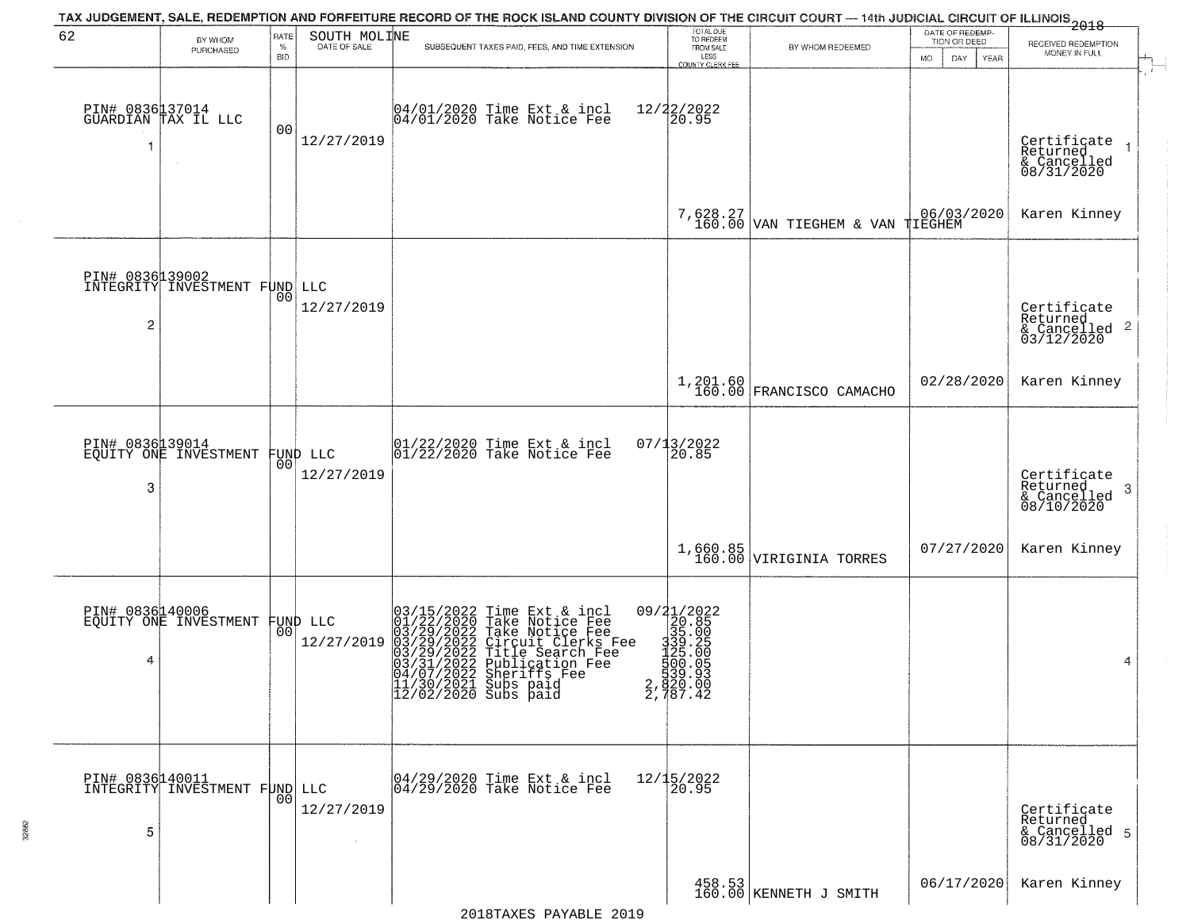| 62              |                                                   | RATE               | SOUTH MOLINE | TAX JUDGEMENT, SALE, REDEMPTION AND FORFEITURE RECORD OF THE ROCK ISLAND COUNTY DIVISION OF THE CIRCUIT COURT — 14th JUDICIAL CIRCUIT OF ILLINOIS 2018                                                                               | TOTAL DUE<br>TO REDEEM                                                                                                           |                                       | DATE OF REDEMP-                 |                                           |
|-----------------|---------------------------------------------------|--------------------|--------------|--------------------------------------------------------------------------------------------------------------------------------------------------------------------------------------------------------------------------------------|----------------------------------------------------------------------------------------------------------------------------------|---------------------------------------|---------------------------------|-------------------------------------------|
|                 | BY WHOM<br>PURCHASED                              | $\%$<br><b>BID</b> | DATE OF SALE | SUBSEQUENT TAXES PAID, FEES, AND TIME EXTENSION                                                                                                                                                                                      | FROM SALE<br>LESS                                                                                                                | BY WHOM REDEEMED                      | TION OR DEED                    | RECEIVED REDEMPTION<br>MONEY IN FULL      |
|                 |                                                   |                    |              |                                                                                                                                                                                                                                      | COUNTY CLERK FEE                                                                                                                 |                                       | <b>MO</b><br>DAY<br><b>YEAR</b> |                                           |
|                 | PIN# 0836137014<br>GUARDIAN TAX IL LLC            |                    |              | 04/01/2020 Time Ext & incl<br>04/01/2020 Take Notice Fee                                                                                                                                                                             | 12/22/2022<br>20.95                                                                                                              |                                       |                                 |                                           |
| -1              |                                                   | 00                 | 12/27/2019   |                                                                                                                                                                                                                                      |                                                                                                                                  |                                       |                                 | Certificate<br>Returned<br>$\rightarrow$  |
|                 |                                                   |                    |              |                                                                                                                                                                                                                                      |                                                                                                                                  |                                       |                                 | & Cancelled<br>08/31/2020                 |
|                 |                                                   |                    |              |                                                                                                                                                                                                                                      |                                                                                                                                  | 7,628.27 VAN TIEGHEM & VAN TIEGHEM    | 06/03/2020                      | Karen Kinney                              |
|                 |                                                   |                    |              |                                                                                                                                                                                                                                      |                                                                                                                                  |                                       |                                 |                                           |
| PIN# 0836139002 | INTEGRITY INVESTMENT FUND LLC                     |                    |              |                                                                                                                                                                                                                                      |                                                                                                                                  |                                       |                                 |                                           |
| $\overline{c}$  |                                                   | 00                 | 12/27/2019   |                                                                                                                                                                                                                                      |                                                                                                                                  |                                       |                                 | Certificate<br>Returned<br>$\overline{2}$ |
|                 |                                                   |                    |              |                                                                                                                                                                                                                                      |                                                                                                                                  |                                       |                                 | & Cancelled<br>03/12/2020                 |
|                 |                                                   |                    |              |                                                                                                                                                                                                                                      |                                                                                                                                  | 1,201.60<br>160.00 FRANCISCO CAMACHO  | 02/28/2020                      | Karen Kinney                              |
|                 |                                                   |                    |              |                                                                                                                                                                                                                                      |                                                                                                                                  |                                       |                                 |                                           |
|                 | PIN# 0836139014<br>EQUITY ONE INVESTMENT          |                    | FUND LLC     | $01/22/2020$ Time Ext & incl<br>$01/22/2020$ Take Notice Fee                                                                                                                                                                         | 07/13/2022<br>20.85                                                                                                              |                                       |                                 |                                           |
| 3               |                                                   | 00                 | 12/27/2019   |                                                                                                                                                                                                                                      |                                                                                                                                  |                                       |                                 | Certificate<br>Returned<br>3              |
|                 |                                                   |                    |              |                                                                                                                                                                                                                                      |                                                                                                                                  |                                       |                                 | $\frac{6}{08/10/2020}$                    |
|                 |                                                   |                    |              |                                                                                                                                                                                                                                      |                                                                                                                                  | $1,660.85$<br>160.00 VIRIGINIA TORRES | 07/27/2020                      | Karen Kinney                              |
|                 |                                                   |                    |              |                                                                                                                                                                                                                                      |                                                                                                                                  |                                       |                                 |                                           |
|                 | PIN# 0836140006<br>EQUITY ONE INVESTMENT FUND LLC |                    |              |                                                                                                                                                                                                                                      |                                                                                                                                  |                                       |                                 |                                           |
| 4               |                                                   |                    | 12/27/2019   | 03/15/2022 Time Ext & incl<br>01/22/2020 Take Notice Fee<br>03/29/2022 Take Notice Fee<br>03/29/2022 Circuit Clerks Fee<br>03/29/2022 Title Search Fee<br>03/31/2022 Sheriffs Fee<br>04/07/2022 Sheriffs Fee<br>04/07/2021 Subs paid | $\begin{smallmatrix} 09/21/2022\\220.85\\335\ .005\\1339\ .205\\1125\ .005\\125\ .005\\1920\ .03\\2,1487\ .42 \end{smallmatrix}$ |                                       |                                 |                                           |
|                 |                                                   |                    |              |                                                                                                                                                                                                                                      |                                                                                                                                  |                                       |                                 | 4                                         |
|                 |                                                   |                    |              | 11/30/2021 Subs paid<br>12/02/2020 Subs paid                                                                                                                                                                                         |                                                                                                                                  |                                       |                                 |                                           |
|                 |                                                   |                    |              |                                                                                                                                                                                                                                      |                                                                                                                                  |                                       |                                 |                                           |
|                 | PIN# 0836140011<br>INTEGRITY INVESTMENT FUND LLC  |                    |              | 04/29/2020 Time Ext & incl<br>04/29/2020 Take Notice Fee                                                                                                                                                                             | 12/15/2022<br>20.95                                                                                                              |                                       |                                 |                                           |
|                 |                                                   | 00                 | 12/27/2019   |                                                                                                                                                                                                                                      |                                                                                                                                  |                                       |                                 | Certificate<br>Returned                   |
| 5               |                                                   |                    |              |                                                                                                                                                                                                                                      |                                                                                                                                  |                                       |                                 | & Cancelled 5<br>08/31/2020               |
|                 |                                                   |                    |              |                                                                                                                                                                                                                                      |                                                                                                                                  |                                       | 06/17/2020                      | Karen Kinney                              |
|                 |                                                   |                    |              |                                                                                                                                                                                                                                      |                                                                                                                                  | 458.53<br>160.00 KENNETH J SMITH      |                                 |                                           |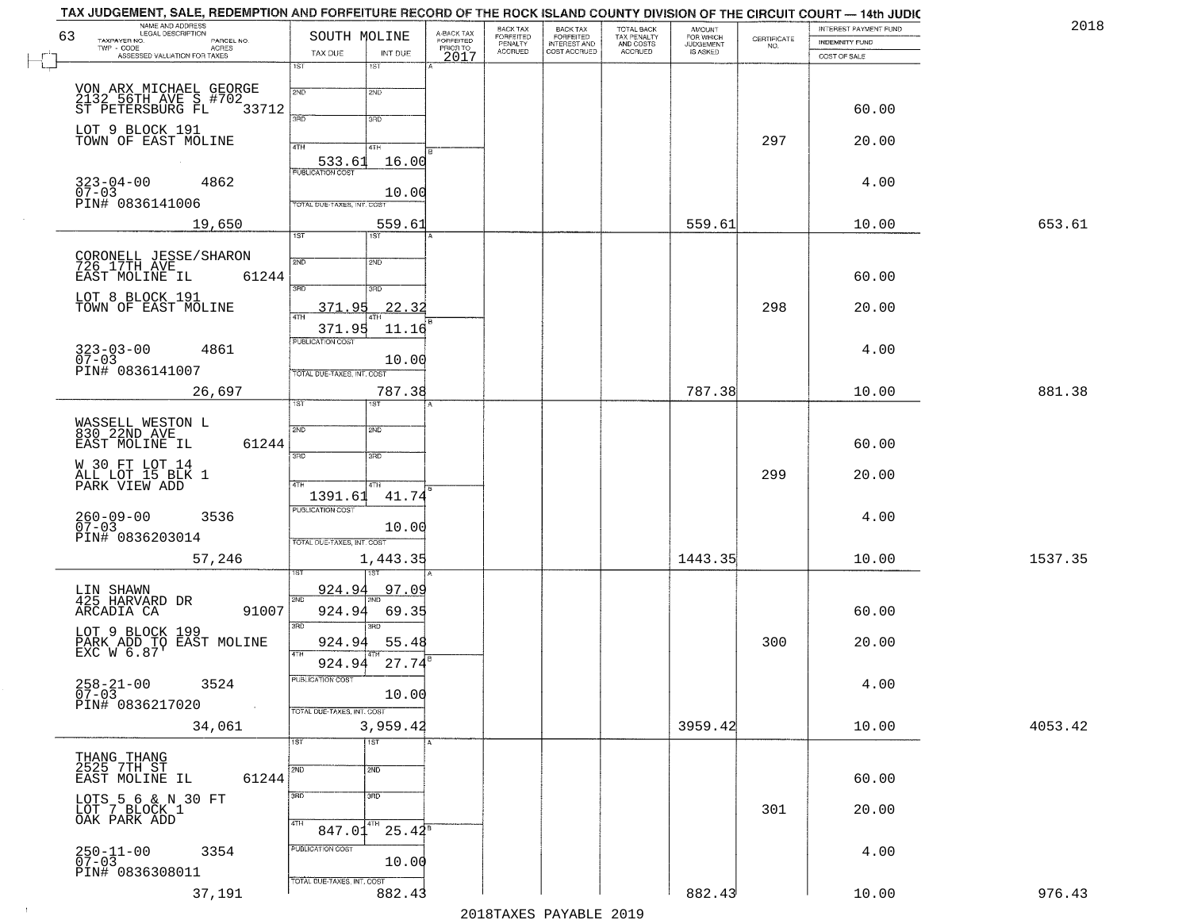| 63 | NAME AND ADDRESS<br>LEGAL DESCRIPTION<br>TAXPAYER NO.<br>PARCEL NO.            | SOUTH MOLINE                                | A-BACK TAX<br>FORFEITED<br>PRIOR TO | BACK TAX<br>FORFEITED     | BACK TAX<br>FORFEITED<br>INTEREST AND | TOTAL BACK<br>TAX PENALTY<br>AND COSTS | AMOUNT<br>FOR WHICH<br>JUDGEMENT |                                                                 | INTEREST PAYMENT FUND                 | 2018    |
|----|--------------------------------------------------------------------------------|---------------------------------------------|-------------------------------------|---------------------------|---------------------------------------|----------------------------------------|----------------------------------|-----------------------------------------------------------------|---------------------------------------|---------|
|    | TWP - CODE<br>ACRES<br>ASSESSED VALUATION FOR TAXES                            | TAX DUE<br>INT DUE                          |                                     | PENALTY<br><b>ACCRUED</b> | COST ACCRUED                          | <b>ACCRUED</b>                         | IS ASKED                         | $\begin{array}{c} \text{CERTIFICATE} \\ \text{NO.} \end{array}$ | <b>INDEMNITY FUND</b><br>COST OF SALE |         |
|    |                                                                                | 1ST<br>1ST                                  | 2017                                |                           |                                       |                                        |                                  |                                                                 |                                       |         |
|    |                                                                                | 2ND<br>2ND                                  |                                     |                           |                                       |                                        |                                  |                                                                 |                                       |         |
|    | VON ARX MICHAEL GEORGE<br>2132 56TH AVE S #702<br>ST PETERSBURG FL 33<br>33712 |                                             |                                     |                           |                                       |                                        |                                  |                                                                 | 60.00                                 |         |
|    | LOT 9 BLOCK 191<br>TOWN OF EAST MOLINE                                         | 3RD<br>3RD                                  |                                     |                           |                                       |                                        |                                  |                                                                 |                                       |         |
|    |                                                                                | 4TH<br>4TH                                  |                                     |                           |                                       |                                        |                                  | 297                                                             | 20.00                                 |         |
|    |                                                                                | 533.61<br>16.00                             |                                     |                           |                                       |                                        |                                  |                                                                 |                                       |         |
|    | $323 - 04 - 00$<br>4862<br>$07 - 03$                                           | 10.00                                       |                                     |                           |                                       |                                        |                                  |                                                                 | 4.00                                  |         |
|    | PIN# 0836141006                                                                | TOTAL DUE-TAXES, INT. COST                  |                                     |                           |                                       |                                        |                                  |                                                                 |                                       |         |
|    | 19,650                                                                         | 559.61<br>1ST<br>1ST                        |                                     |                           |                                       |                                        | 559.61                           |                                                                 | 10.00                                 | 653.61  |
|    |                                                                                | 2ND<br>2ND                                  |                                     |                           |                                       |                                        |                                  |                                                                 |                                       |         |
|    | CORONELL JESSE/SHARON<br>726 17TH AVE<br>EAST MOLINE IL 6<br>61244             |                                             |                                     |                           |                                       |                                        |                                  |                                                                 | 60.00                                 |         |
|    | LOT 8 BLOCK 191                                                                | $\overline{3BD}$<br>3RD                     |                                     |                           |                                       |                                        |                                  |                                                                 |                                       |         |
|    | TOWN OF EAST MOLINE                                                            | 22.32<br>371.95                             |                                     |                           |                                       |                                        |                                  | 298                                                             | 20.00                                 |         |
|    |                                                                                | 371.95<br>11.16<br>PUBLICATION COST         |                                     |                           |                                       |                                        |                                  |                                                                 |                                       |         |
|    | $323 - 03 - 00$<br>4861<br>$07 - 03$                                           | 10.00                                       |                                     |                           |                                       |                                        |                                  |                                                                 | 4.00                                  |         |
|    | PIN# 0836141007                                                                | TOTAL DUE-TAXES, INT. COST                  |                                     |                           |                                       |                                        |                                  |                                                                 |                                       |         |
|    | 26,697                                                                         | 787.38<br>1ST.<br><b>IST</b>                |                                     |                           |                                       |                                        | 787.38                           |                                                                 | 10.00                                 | 881.38  |
|    | WASSELL WESTON L<br>830 22ND AVE                                               | 2ND<br>SMD                                  |                                     |                           |                                       |                                        |                                  |                                                                 |                                       |         |
|    | EAST MOLINE IL<br>61244                                                        |                                             |                                     |                           |                                       |                                        |                                  |                                                                 | 60.00                                 |         |
|    |                                                                                | 3 <sub>BD</sub><br>3RD                      |                                     |                           |                                       |                                        |                                  |                                                                 |                                       |         |
|    | W 30 FT LOT 14<br>ALL LOT 15 BLK 1<br>PARK VIEW ADD                            | 4TH<br>4TH                                  |                                     |                           |                                       |                                        |                                  | 299                                                             | 20.00                                 |         |
|    |                                                                                | 41.74<br>1391.61<br><b>PUBLICATION COST</b> |                                     |                           |                                       |                                        |                                  |                                                                 |                                       |         |
|    | $260 - 09 - 00$<br>3536<br>$07 - 03$                                           | 10.00                                       |                                     |                           |                                       |                                        |                                  |                                                                 | 4.00                                  |         |
|    | PIN# 0836203014                                                                | TOTAL OUE-TAXES, INT. COST                  |                                     |                           |                                       |                                        |                                  |                                                                 |                                       |         |
|    | 57,246                                                                         | 1,443.35                                    |                                     |                           |                                       |                                        | 1443.35                          |                                                                 | 10.00                                 | 1537.35 |
|    | LIN SHAWN<br>425 HARVARD DR                                                    | 924.94<br>97.09<br>2ND                      |                                     |                           |                                       |                                        |                                  |                                                                 |                                       |         |
|    | 91007<br>ARCADIA CA                                                            | 924.94<br>69.35                             |                                     |                           |                                       |                                        |                                  |                                                                 | 60.00                                 |         |
|    |                                                                                | 3RD<br>3RD                                  |                                     |                           |                                       |                                        |                                  |                                                                 |                                       |         |
|    | LOT 9 BLOCK 199<br>PARK ADD TO EAST MOLINE<br>EXC W 6.87'                      | 924.94<br>55.48<br>4TH                      |                                     |                           |                                       |                                        |                                  | 300                                                             | 20.00                                 |         |
|    |                                                                                | 27.74<br>924.94<br>PUBLICATION COST         |                                     |                           |                                       |                                        |                                  |                                                                 |                                       |         |
|    | $258 - 21 - 00$<br>07-03<br>3524                                               | 10.00                                       |                                     |                           |                                       |                                        |                                  |                                                                 | 4.00                                  |         |
|    | PIN# 0836217020<br>$\sim 100$                                                  | TOTAL DUE-TAXES, INT. COST                  |                                     |                           |                                       |                                        |                                  |                                                                 |                                       |         |
|    | 34,061                                                                         | 3,959.42<br>$\overline{1ST}$<br>1ST         |                                     |                           |                                       |                                        | 3959.42                          |                                                                 | 10.00                                 | 4053.42 |
|    | THANG THANG<br>2525 7TH ST                                                     |                                             |                                     |                           |                                       |                                        |                                  |                                                                 |                                       |         |
|    | 61244<br>EAST MOLINE IL                                                        | 2ND<br>2ND                                  |                                     |                           |                                       |                                        |                                  |                                                                 | 60.00                                 |         |
|    | LOTS 5 6 & N 30 FT<br>LOT 7 BLOCK 1                                            | 3 <sub>BD</sub><br>3RD                      |                                     |                           |                                       |                                        |                                  |                                                                 |                                       |         |
|    | OAK PARK ADD                                                                   | 4TH<br>  4TH                                |                                     |                           |                                       |                                        |                                  | 301                                                             | 20.00                                 |         |
|    |                                                                                | 847.01<br>$25.42^s$<br>PUBLICATION COST     |                                     |                           |                                       |                                        |                                  |                                                                 |                                       |         |
|    | $250 - 11 - 00$<br>07-03<br>3354                                               | 10.00                                       |                                     |                           |                                       |                                        |                                  |                                                                 | 4.00                                  |         |
|    | PIN# 0836308011                                                                | TOTAL DUE-TAXES, INT. COST                  |                                     |                           |                                       |                                        |                                  |                                                                 |                                       |         |
|    | 37,191                                                                         | 882.43                                      |                                     |                           |                                       |                                        | 882.43                           |                                                                 | 10.00                                 | 976.43  |

 $\sim 10$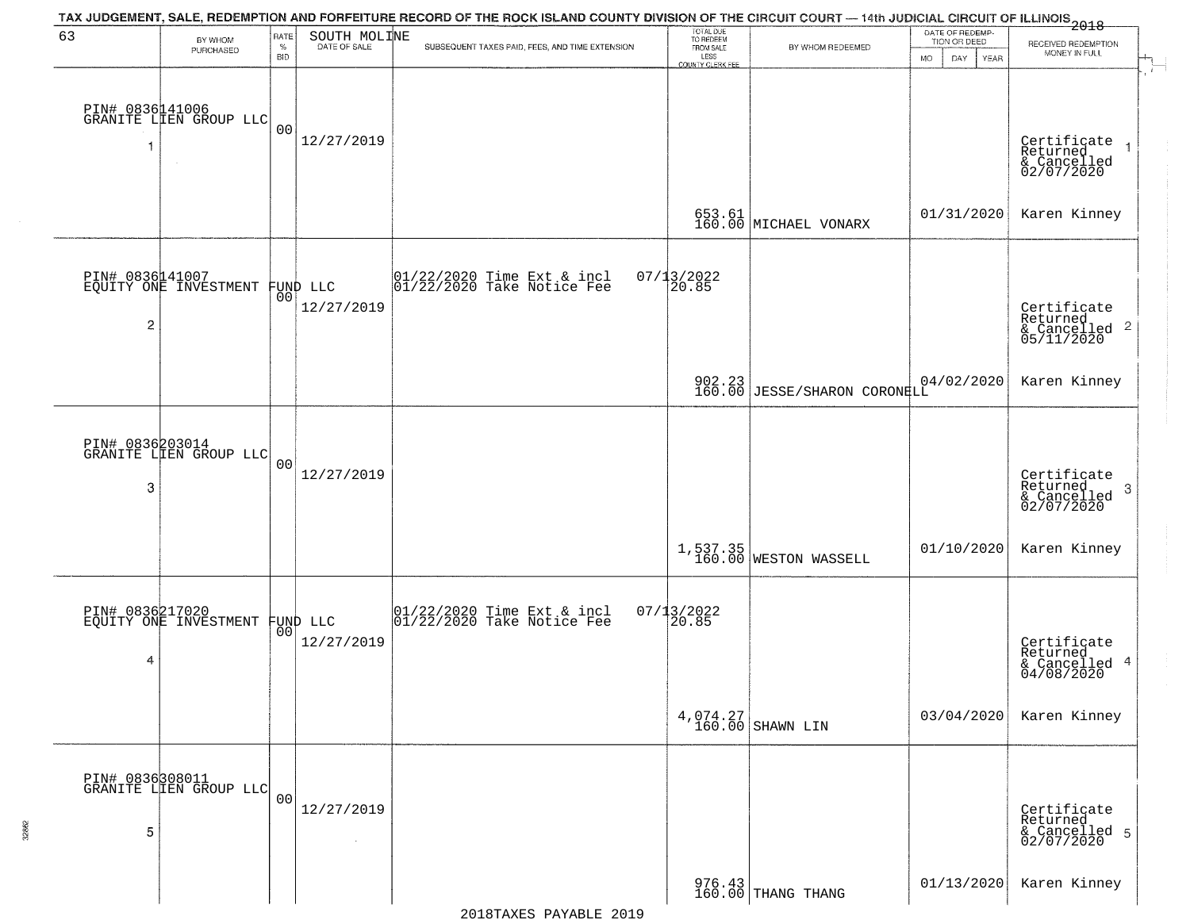| 63             | BY WHOM                                   | RATE               | SOUTH MOLINE           | TAX JUDGEMENT, SALE, REDEMPTION AND FORFEITURE RECORD OF THE ROCK ISLAND COUNTY DIVISION OF THE CIRCUIT COURT — 14th JUDICIAL CIRCUIT OF ILLINOIS 2018 | TOTAL DUE<br>TO REDEEM<br>FROM SALE |                                                             | DATE OF REDEMP-<br>TION OR DEED | RECEIVED REDEMPTION                                                |
|----------------|-------------------------------------------|--------------------|------------------------|--------------------------------------------------------------------------------------------------------------------------------------------------------|-------------------------------------|-------------------------------------------------------------|---------------------------------|--------------------------------------------------------------------|
|                | PURCHASED                                 | $\%$<br><b>BID</b> | DATE OF SALE           | SUBSEQUENT TAXES PAID, FEES, AND TIME EXTENSION                                                                                                        | LESS<br>COUNTY CLERK FEE            | BY WHOM REDEEMED                                            | <b>MO</b><br>DAY<br>YEAR        | MONEY IN FULL                                                      |
|                | PIN# 0836141006<br>GRANITE LIEN GROUP LLC | 0 <sub>0</sub>     | 12/27/2019             |                                                                                                                                                        |                                     |                                                             |                                 | Certificate<br>Returned<br>& Cancelled<br>02/07/2020               |
|                |                                           |                    |                        |                                                                                                                                                        |                                     | 653.61<br>160.00 MICHAEL VONARX                             | 01/31/2020                      | Karen Kinney                                                       |
| $\overline{2}$ | PIN# 0836141007<br>EQUITY ONE INVESTMENT  | 00 <sub>1</sub>    | FUND LLC<br>12/27/2019 | 01/22/2020 Time Ext & incl<br>01/22/2020 Take Notice Fee                                                                                               | $07/13/2022$<br>20.85               |                                                             |                                 | Certificate<br>Returned<br>$\frac{1}{2}$ Cancelled 2<br>05/11/2020 |
|                |                                           |                    |                        |                                                                                                                                                        |                                     | 902.23 JESSE/SHARON CORONELL                                | 04/02/2020                      | Karen Kinney                                                       |
| 3              | PIN# 0836203014<br>GRANITE LIEN GROUP LLC | 0 <sub>0</sub>     | 12/27/2019             |                                                                                                                                                        |                                     |                                                             |                                 | Certificate<br>Returned<br>3<br>& Cancelled<br>02/07/2020          |
|                |                                           |                    |                        |                                                                                                                                                        |                                     | 1,537.35<br>160.00 WESTON WASSELL                           | 01/10/2020                      | Karen Kinney                                                       |
| 4              | PIN# 0836217020<br>EQUITY ONE INVESTMENT  | 00                 | FUND LLC<br>12/27/2019 | 01/22/2020 Time Ext & incl<br>01/22/2020 Take Notice Fee                                                                                               | $07/13/2022$<br>20.85               |                                                             |                                 | Certificate<br>Returned<br>& Cancelled 4<br>04/08/2020             |
|                |                                           |                    |                        |                                                                                                                                                        |                                     | $4,074.27$<br>160.00 SHAWN LIN                              | 03/04/2020                      | Karen Kinney                                                       |
| 5              | PIN# 0836308011<br>GRANITE LIEN GROUP LLC | 0 <sub>0</sub>     | 12/27/2019<br>$\sim$   |                                                                                                                                                        |                                     |                                                             |                                 | Certificate<br>Returned<br>& Cancelled 5<br>02/07/2020             |
|                |                                           |                    |                        |                                                                                                                                                        |                                     | $\begin{array}{c} 976.43 \\ 160.00 \end{array}$ THANG THANG | 01/13/2020                      | Karen Kinney                                                       |

32862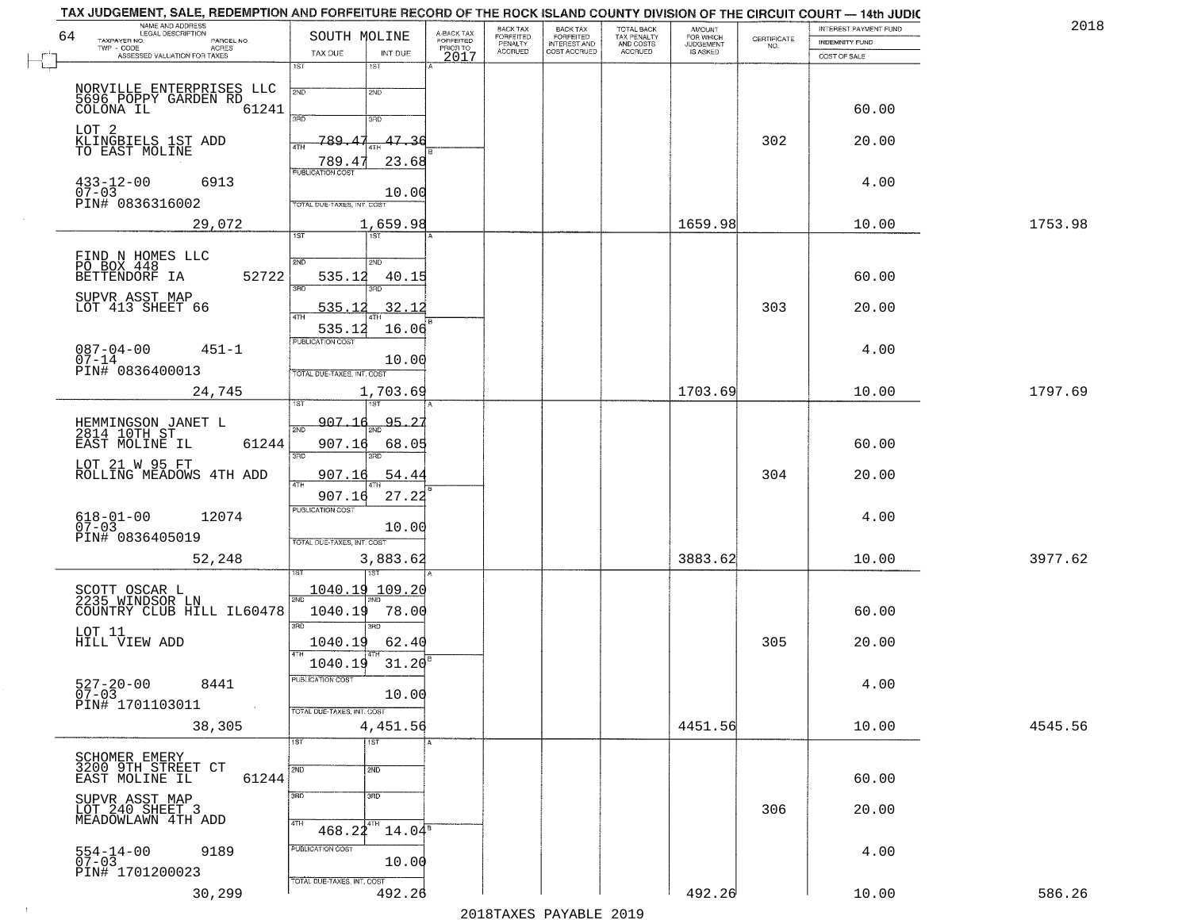| BACK TAX<br>FORFEITED<br>INTEREST AND<br>TOTAL BACK<br>TAX PENALTY<br>AND COSTS<br>AMOUNT<br>FOR WHICH<br>JUDGEMENT<br>A-BACK TAX<br>FORFEITED<br>PRIOR TO<br>SOUTH MOLINE<br>$\begin{array}{c} \text{CERTIFICATE} \\ \text{NO.} \end{array}$<br>TAXPAYER NO.<br>PARCEL NO.<br><b>INDEMNITY FUND</b><br>PENALTY<br>TWP - CODE<br>ACRES<br><b>ACCRUED</b><br>COST ACCRUED<br><b>ACCRUED</b><br>IS ASKED<br>TAX DUE<br>INT DUE<br>ASSESSED VALUATION FOR TAXES<br>2017<br>COST OF SALE<br>1ST<br>1ST<br>NORVILLE ENTERPRISES LLC<br>2ND<br>2ND<br>5696 POPPY GARDEN RD<br>61241<br>60.00<br>3RD<br>3RD<br>LOT 2<br><u>K</u> LINGBIELS 1ST ADD<br>789.<br>47.36<br>302<br>20.00<br>47<br>4TH<br>TO EAST MOLINE<br>789.4<br>23.68 |         |
|-------------------------------------------------------------------------------------------------------------------------------------------------------------------------------------------------------------------------------------------------------------------------------------------------------------------------------------------------------------------------------------------------------------------------------------------------------------------------------------------------------------------------------------------------------------------------------------------------------------------------------------------------------------------------------------------------------------------------------|---------|
|                                                                                                                                                                                                                                                                                                                                                                                                                                                                                                                                                                                                                                                                                                                               |         |
|                                                                                                                                                                                                                                                                                                                                                                                                                                                                                                                                                                                                                                                                                                                               |         |
|                                                                                                                                                                                                                                                                                                                                                                                                                                                                                                                                                                                                                                                                                                                               |         |
|                                                                                                                                                                                                                                                                                                                                                                                                                                                                                                                                                                                                                                                                                                                               |         |
|                                                                                                                                                                                                                                                                                                                                                                                                                                                                                                                                                                                                                                                                                                                               |         |
|                                                                                                                                                                                                                                                                                                                                                                                                                                                                                                                                                                                                                                                                                                                               |         |
| <b>PUBLICATION COST</b><br>$433 - 12 - 00$<br>6913<br>4.00                                                                                                                                                                                                                                                                                                                                                                                                                                                                                                                                                                                                                                                                    |         |
| $07 - 03$<br>10.00<br>PIN# 0836316002<br>TOTAL DUE-TAXES, INT. COST                                                                                                                                                                                                                                                                                                                                                                                                                                                                                                                                                                                                                                                           |         |
| 1659.98<br>29,072<br>1,659.98<br>10.00                                                                                                                                                                                                                                                                                                                                                                                                                                                                                                                                                                                                                                                                                        | 1753.98 |
| 1ST<br>1ST                                                                                                                                                                                                                                                                                                                                                                                                                                                                                                                                                                                                                                                                                                                    |         |
| FIND N HOMES LLC<br>PO BOX 448<br>BETTENDORF IA<br>2ND<br>2ND                                                                                                                                                                                                                                                                                                                                                                                                                                                                                                                                                                                                                                                                 |         |
| 52722<br>535.12<br>60.00<br>40.15<br>$\overline{\text{R}}$<br>3RD                                                                                                                                                                                                                                                                                                                                                                                                                                                                                                                                                                                                                                                             |         |
| SUPVR ASST MAP<br>LOT 413 SHEET 66<br>303<br>32.12<br>20.00<br>535.12                                                                                                                                                                                                                                                                                                                                                                                                                                                                                                                                                                                                                                                         |         |
| 16.06<br>535.12                                                                                                                                                                                                                                                                                                                                                                                                                                                                                                                                                                                                                                                                                                               |         |
| PUBLICATION COST<br>$087 - 04 - 00$<br>$451 - 1$<br>4.00                                                                                                                                                                                                                                                                                                                                                                                                                                                                                                                                                                                                                                                                      |         |
| $07 - 14$<br>10.00<br>PIN# 0836400013<br>TOTAL DUE-TAXES, INT. COST                                                                                                                                                                                                                                                                                                                                                                                                                                                                                                                                                                                                                                                           |         |
| 1703.69<br>1,703.69<br>10.00<br>24,745                                                                                                                                                                                                                                                                                                                                                                                                                                                                                                                                                                                                                                                                                        | 1797.69 |
| 1ST<br>907.16<br><u>95.25</u>                                                                                                                                                                                                                                                                                                                                                                                                                                                                                                                                                                                                                                                                                                 |         |
| HEMMINGSON JANET L<br>2814 10TH ST<br>2ND<br>EAST MOLINE IL<br>61244<br>907.16<br>68.05<br>60.00                                                                                                                                                                                                                                                                                                                                                                                                                                                                                                                                                                                                                              |         |
| 3RD<br>3RD<br>LOT 21 W 95 FT                                                                                                                                                                                                                                                                                                                                                                                                                                                                                                                                                                                                                                                                                                  |         |
| ROLLING MEADOWS 4TH ADD<br>54.44<br>304<br>20.00<br>907.16<br><b>ATH</b>                                                                                                                                                                                                                                                                                                                                                                                                                                                                                                                                                                                                                                                      |         |
| 907.16<br>27.22<br><b>PUBLICATION COST</b>                                                                                                                                                                                                                                                                                                                                                                                                                                                                                                                                                                                                                                                                                    |         |
| $618 - 01 - 00$<br>12074<br>4.00<br>$07 - 03$<br>10.00                                                                                                                                                                                                                                                                                                                                                                                                                                                                                                                                                                                                                                                                        |         |
| PIN# 0836405019<br>TOTAL OUE-TAXES, INT. COST                                                                                                                                                                                                                                                                                                                                                                                                                                                                                                                                                                                                                                                                                 |         |
| 3883.62<br>52,248<br>3,883.62<br>10.00<br>বরস                                                                                                                                                                                                                                                                                                                                                                                                                                                                                                                                                                                                                                                                                 | 3977.62 |
| <u>1040.19 109.20</u><br>SCOTT OSCAR L<br>2235 WINDSOR LN                                                                                                                                                                                                                                                                                                                                                                                                                                                                                                                                                                                                                                                                     |         |
| 2ND<br>COUNTRY CLUB HILL IL60478<br>1040.19<br>78.00<br>60.00                                                                                                                                                                                                                                                                                                                                                                                                                                                                                                                                                                                                                                                                 |         |
| 3BD<br>$\overline{3BD}$<br>LOT 11                                                                                                                                                                                                                                                                                                                                                                                                                                                                                                                                                                                                                                                                                             |         |
| 305<br>HILL VIEW ADD<br>1040.19<br>62.40<br>20.00<br>4TH                                                                                                                                                                                                                                                                                                                                                                                                                                                                                                                                                                                                                                                                      |         |
| 1040.19<br>31.20<br>PUBLICATION COST                                                                                                                                                                                                                                                                                                                                                                                                                                                                                                                                                                                                                                                                                          |         |
| $527 - 20 - 00$<br>07-03<br>8441<br>4.00<br>10.00<br>PIN# 1701103011                                                                                                                                                                                                                                                                                                                                                                                                                                                                                                                                                                                                                                                          |         |
| $\sim 100$<br>TOTAL DUE-TAXES, INT. COST<br>4451.56<br>38,305<br>4,451.56<br>10.00                                                                                                                                                                                                                                                                                                                                                                                                                                                                                                                                                                                                                                            | 4545.56 |
| 1ST<br>1ST                                                                                                                                                                                                                                                                                                                                                                                                                                                                                                                                                                                                                                                                                                                    |         |
| SCHOMER EMERY<br>3200 9TH STREET CT<br>2ND<br>2ND                                                                                                                                                                                                                                                                                                                                                                                                                                                                                                                                                                                                                                                                             |         |
| 61244<br>60.00<br>EAST MOLINE IL                                                                                                                                                                                                                                                                                                                                                                                                                                                                                                                                                                                                                                                                                              |         |
| 3 <sub>BD</sub><br>3RD<br>SUPVR ASST MAP<br>LOT 240 SHEET 3<br>306<br>20.00                                                                                                                                                                                                                                                                                                                                                                                                                                                                                                                                                                                                                                                   |         |
| MEADOWLAWN 4TH ADD<br>4TH<br>$468.24^{4}$<br>$14.04^5$                                                                                                                                                                                                                                                                                                                                                                                                                                                                                                                                                                                                                                                                        |         |
| PUBLICATION COST<br>9189<br>4.00<br>$554 - 14 - 00$<br>07-03                                                                                                                                                                                                                                                                                                                                                                                                                                                                                                                                                                                                                                                                  |         |
| 10.00<br>PIN# 1701200023                                                                                                                                                                                                                                                                                                                                                                                                                                                                                                                                                                                                                                                                                                      |         |
| TOTAL DUE-TAXES, INT. COST<br>492.26<br>492.26<br>30,299<br>10.00                                                                                                                                                                                                                                                                                                                                                                                                                                                                                                                                                                                                                                                             | 586.26  |

 $\sim 10$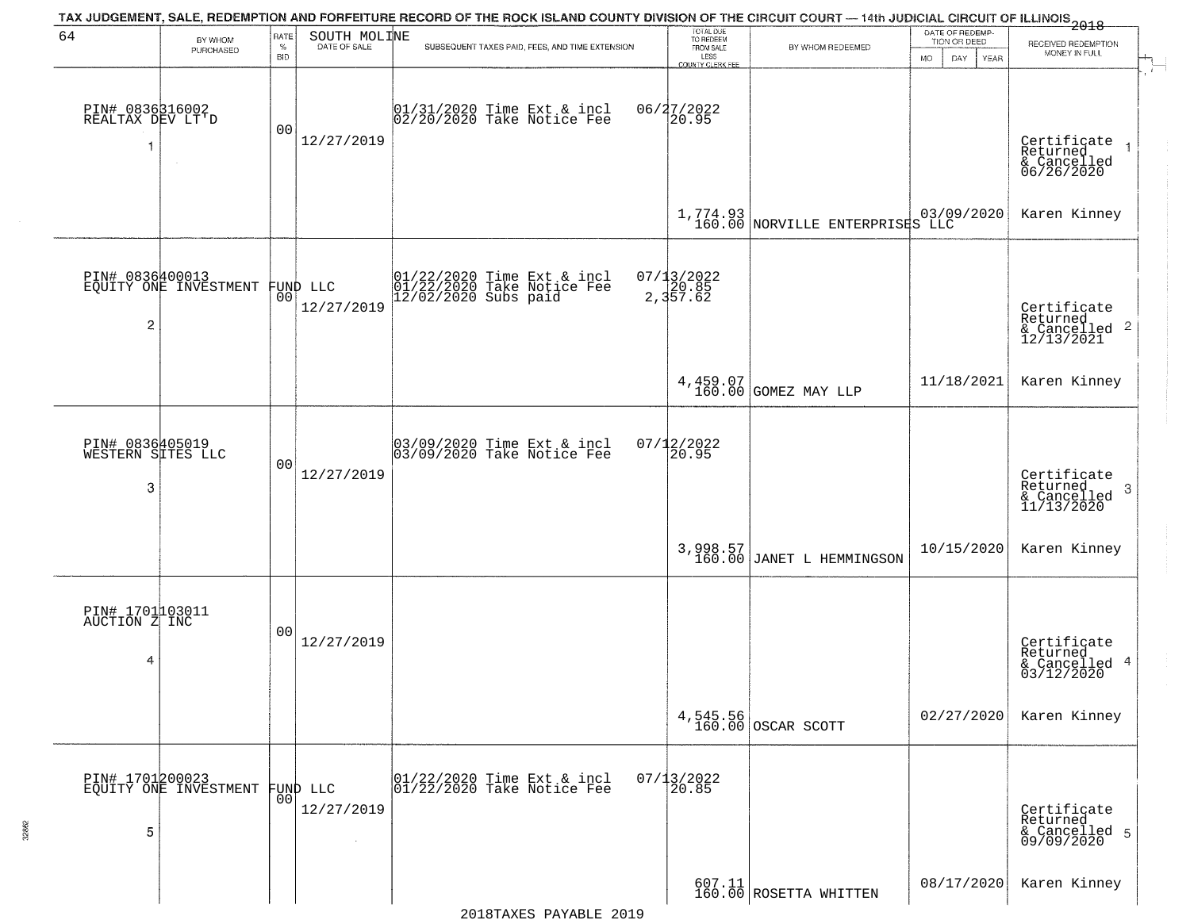|                                           |                                          |                         |                               | TAX JUDGEMENT, SALE, REDEMPTION AND FORFEITURE RECORD OF THE ROCK ISLAND COUNTY DIVISION OF THE CIRCUIT COURT — 14th JUDICIAL CIRCUIT OF ILLINOIS 2018 |                                                                 |                                                                 |                                                             |                                                                       |
|-------------------------------------------|------------------------------------------|-------------------------|-------------------------------|--------------------------------------------------------------------------------------------------------------------------------------------------------|-----------------------------------------------------------------|-----------------------------------------------------------------|-------------------------------------------------------------|-----------------------------------------------------------------------|
| 64                                        | BY WHOM<br>PURCHASED                     | RATE<br>%<br><b>BID</b> | SOUTH MOLINE<br>DATE OF SALE  | SUBSEQUENT TAXES PAID, FEES, AND TIME EXTENSION                                                                                                        | TOTAL DUE<br>TO REDEEM<br>FROM SALE<br>LESS<br>COUNTY CLERK FEE | BY WHOM REDEEMED                                                | DATE OF REDEMP-<br>TION OR DEED<br><b>MO</b><br>DAY<br>YEAR | RECEIVED REDEMPTION<br>MONEY IN FULL                                  |
| PIN# 0836316002<br>REALTAX DEV LT'D<br>-1 |                                          | 0 <sub>0</sub>          | 12/27/2019                    | $01/31/2020$ Time Ext & incl<br>$02/20/2020$ Take Notice Fee                                                                                           | 06/27/2022<br>20.95                                             |                                                                 |                                                             | Certificate<br>Returned<br>$\rightarrow$<br>& Cancelled<br>06/26/2020 |
|                                           |                                          |                         |                               |                                                                                                                                                        |                                                                 | $1,774.93$ NORVILLE ENTERPRISES LLC                             |                                                             | Karen Kinney                                                          |
| $\overline{2}$                            | PIN# 0836400013<br>EQUITY ONE INVESTMENT |                         | FUND LLC<br> 00<br>12/27/2019 | 01/22/2020 Time Ext & incl<br>01/22/2020 Take Notice Fee<br>12/02/2020 Subs paid                                                                       | $07/13/2022$<br>2,357.62                                        |                                                                 |                                                             | Certificate<br>Returned<br>& Cancelled 2<br>12/13/2021                |
|                                           |                                          |                         |                               |                                                                                                                                                        |                                                                 | 4,459.07<br>160.00 GOMEZ MAY LLP                                | 11/18/2021                                                  | Karen Kinney                                                          |
| PIN# 0836405019<br>WESTERN SITES LLC<br>3 |                                          | 0 <sub>0</sub>          | 12/27/2019                    | 03/09/2020 Time Ext & incl<br>03/09/2020 Take Notice Fee                                                                                               | $07/12/2022$<br>20.95                                           |                                                                 |                                                             | Certificate<br>Returned<br>-3<br>$\frac{6}{11/13/2020}$               |
|                                           |                                          |                         |                               |                                                                                                                                                        |                                                                 | 3,998.57<br>160.00 JANET L HEMMINGSON                           | 10/15/2020                                                  | Karen Kinney                                                          |
| PIN# 1701103011<br>AUCTION Z INC<br>4     |                                          | 0 <sub>0</sub>          | 12/27/2019                    |                                                                                                                                                        |                                                                 |                                                                 |                                                             | Certificate<br>Returned<br>-4<br>& Cancelled<br>03/12/2020            |
|                                           |                                          |                         |                               |                                                                                                                                                        |                                                                 | 4,545.56<br>160.00 OSCAR SCOTT                                  | 02/27/2020                                                  | Karen Kinney                                                          |
| 5                                         | PIN# 1701200023<br>EQUITY ONE INVESTMENT | 00                      | FUND LLC<br>12/27/2019        | 01/22/2020 Time Ext & incl<br>01/22/2020 Take Notice Fee                                                                                               | $07/13/2022$<br>20.85                                           |                                                                 |                                                             | Certificate<br>Returned<br>& Cancelled 5<br>09/09/2020                |
|                                           |                                          |                         |                               |                                                                                                                                                        |                                                                 | $\begin{array}{c} 607.11 \\ 160.00 \end{array}$ ROSETTA WHITTEN | 08/17/2020                                                  | Karen Kinney                                                          |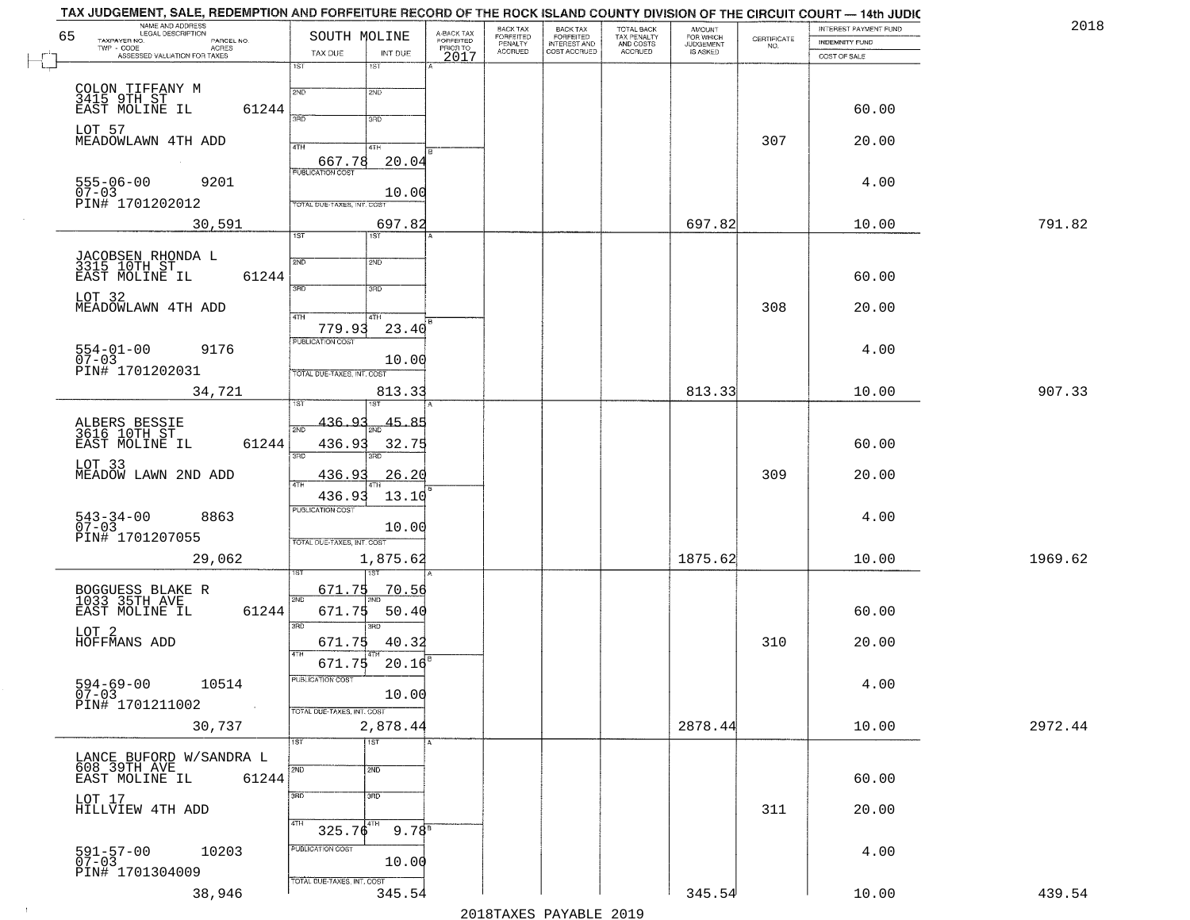| NAME AND ADDRESS<br>LEGAL DESCRIPTION<br>65                  | SOUTH MOLINE                               | A-BACK TAX<br>FORFEITED | BACK TAX<br><b>FORFEITED</b> | BACK TAX<br>FORFEITED        | TOTAL BACK<br>TAX PENALTY<br>AND COSTS<br>ACCRUED | <b>AMOUNT</b>                      |                                                                 | INTEREST PAYMENT FUND | 2018    |
|--------------------------------------------------------------|--------------------------------------------|-------------------------|------------------------------|------------------------------|---------------------------------------------------|------------------------------------|-----------------------------------------------------------------|-----------------------|---------|
| TAXPAYER NO.<br>PARCEL NO.<br>TWP - CODE<br><b>ACRES</b>     |                                            | PRIOR TO                | PENALTY<br>ACCRUED           | INTEREST AND<br>COST ACCRUED |                                                   | FOR WHICH<br>JUDGEMENT<br>IS ASKED | $\begin{array}{c} \text{CERTIFICATE} \\ \text{NO.} \end{array}$ | INDEMNITY FUND        |         |
| ASSESSED VALUATION FOR TAXES                                 | TAX DUE<br>INT DUE<br>1ST<br>18T           | 2017                    |                              |                              |                                                   |                                    |                                                                 | COST OF SALE          |         |
| COLON TIFFANY M<br>3415 9TH ST                               | 2ND<br>2ND                                 |                         |                              |                              |                                                   |                                    |                                                                 |                       |         |
| EAST MOLINE IL<br>61244                                      | 370<br>3RD                                 |                         |                              |                              |                                                   |                                    |                                                                 | 60.00                 |         |
| LOT 57<br>MEADOWLAWN 4TH ADD                                 | 4TH<br>41H<br>20.04<br>667.78              |                         |                              |                              |                                                   |                                    | 307                                                             | 20.00                 |         |
| $555 - 06 - 00$<br>9201<br>07-03<br>PIN# 1701202012          | <b>PUBLICATION COST</b><br>10.00           |                         |                              |                              |                                                   |                                    |                                                                 | 4.00                  |         |
| 30,591                                                       | TOTAL DUE-TAXES, INT. COST<br>697.82       |                         |                              |                              |                                                   | 697.82                             |                                                                 | 10.00                 | 791.82  |
|                                                              | 1ST<br>1ST                                 |                         |                              |                              |                                                   |                                    |                                                                 |                       |         |
| JACOBSEN RHONDA L<br>3315 10TH ST<br>EAST MOLINE IL<br>61244 | 2ND<br>2ND                                 |                         |                              |                              |                                                   |                                    |                                                                 | 60.00                 |         |
| LOT 32<br>MEADOWLAWN 4TH ADD                                 | 3RD<br>3RD                                 |                         |                              |                              |                                                   |                                    | 308                                                             | 20.00                 |         |
|                                                              | 47H<br>4TH<br>779.93<br>23.40              |                         |                              |                              |                                                   |                                    |                                                                 |                       |         |
| $554-01-00$<br>07-03<br>9176                                 | PUBLICATION COST<br>10.00                  |                         |                              |                              |                                                   |                                    |                                                                 | 4.00                  |         |
| PIN# 1701202031<br>34,721                                    | TOTAL DUE-TAXES, INT. COST<br>813.33       |                         |                              |                              |                                                   | 813.33                             |                                                                 | 10.00                 | 907.33  |
|                                                              | <u>436.93</u><br>45.85                     |                         |                              |                              |                                                   |                                    |                                                                 |                       |         |
| ALBERS BESSIE<br>3616 10TH ST<br>61244<br>EAST MOLINE IL     | 436.93<br>32.75<br>3BD<br>3RD              |                         |                              |                              |                                                   |                                    |                                                                 | 60.00                 |         |
| LOT 33<br>MEADOW LAWN 2ND ADD                                | 26.20<br>436.93                            |                         |                              |                              |                                                   |                                    | 309                                                             | 20.00                 |         |
| 8863                                                         | 436.93<br>13.10<br><b>PUBLICATION COST</b> |                         |                              |                              |                                                   |                                    |                                                                 | 4.00                  |         |
| $543 - 34 - 00$<br>07-03<br>PIN# 1701207055                  | 10.00<br>TOTAL OUE-TAXES, INT. COST        |                         |                              |                              |                                                   |                                    |                                                                 |                       |         |
| 29,062                                                       | 1,875.62                                   |                         |                              |                              |                                                   | 1875.62                            |                                                                 | 10.00                 | 1969.62 |
| BOGGUESS BLAKE R<br>1033 35TH_AVE_                           | 671.75<br><u>70.56</u>                     |                         |                              |                              |                                                   |                                    |                                                                 |                       |         |
| EAST MOLINE IL<br>61244                                      | 2ND<br>671.75<br>50.40<br>3RD<br>3BD       |                         |                              |                              |                                                   |                                    |                                                                 | 60.00                 |         |
| LOT <sub>2</sub><br>HOFFMANS ADD                             | 671.75<br>40.32<br>4TH                     |                         |                              |                              |                                                   |                                    | 310                                                             | 20.00                 |         |
| $594 - 69 - 00$<br>07-03<br>10514                            | 20.16<br>671.75<br>PUBLICATION COST        |                         |                              |                              |                                                   |                                    |                                                                 | 4.00                  |         |
| PIN# 1701211002                                              | 10.00<br>TOTAL DUE-TAXES, INT. COST        |                         |                              |                              |                                                   |                                    |                                                                 |                       |         |
| 30,737                                                       | 2,878.44<br>$\overline{1ST}$<br>1ST        |                         |                              |                              |                                                   | 2878.44                            |                                                                 | 10.00                 | 2972.44 |
| LANCE BUFORD W/SANDRA L<br>608 39TH AVE                      | 2ND<br>2ND                                 |                         |                              |                              |                                                   |                                    |                                                                 |                       |         |
| EAST MOLINE IL<br>61244                                      | 3RD<br>3RD                                 |                         |                              |                              |                                                   |                                    |                                                                 | 60.00                 |         |
| LOT 17<br>HILLVIEW 4TH ADD                                   | 4TH<br>$325.76^{4TH}$                      |                         |                              |                              |                                                   |                                    | 311                                                             | 20.00                 |         |
| 10203<br>591-57-00<br>07-03                                  | $9.78^{8}$<br>PUBLICATION COST<br>10.00    |                         |                              |                              |                                                   |                                    |                                                                 | 4.00                  |         |
| PIN# 1701304009                                              | TOTAL DUE-TAXES, INT. COST                 |                         |                              |                              |                                                   |                                    |                                                                 |                       |         |
| 38,946                                                       | 345.54                                     |                         |                              |                              |                                                   | 345.54                             |                                                                 | 10.00                 | 439.54  |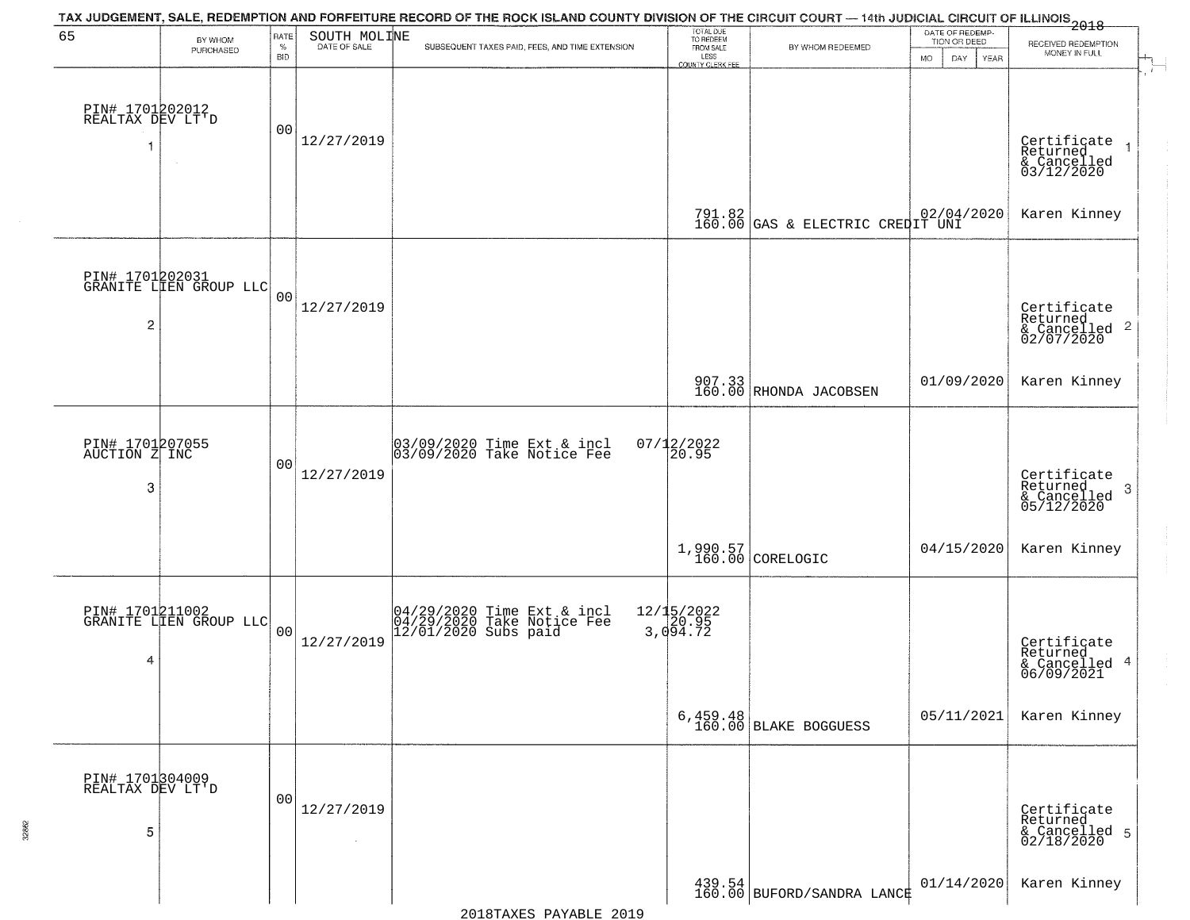| 65                                       | BY WHOM<br>PURCHASED                      | RATE<br>$\%$<br><b>BID</b> | SOUTH MOLINE<br>DATE OF SALE | TAX JUDGEMENT, SALE, REDEMPTION AND FORFEITURE RECORD OF THE ROCK ISLAND COUNTY DIVISION OF THE CIRCUIT COURT — 14th JUDICIAL CIRCUIT OF ILLINOIS 2018<br>SUBSEQUENT TAXES PAID, FEES, AND TIME EXTENSION | TOTAL DUE<br>TO REDEEM<br>FROM SALE<br>LESS<br>COUNTY CLERK FEE | BY WHOM REDEEMED                                                   | DATE OF REDEMP-<br>TION OR DEED<br><b>MO</b><br>DAY<br>YEAR | RECEIVED REDEMPTION<br>MONEY IN FULL                      |
|------------------------------------------|-------------------------------------------|----------------------------|------------------------------|-----------------------------------------------------------------------------------------------------------------------------------------------------------------------------------------------------------|-----------------------------------------------------------------|--------------------------------------------------------------------|-------------------------------------------------------------|-----------------------------------------------------------|
| PIN# 1701202012<br>REALTAX DEV LT'D      |                                           | 00                         | 12/27/2019                   |                                                                                                                                                                                                           |                                                                 |                                                                    |                                                             | Certificate<br>Returned<br>& Cancelled<br>03/12/2020      |
|                                          |                                           |                            |                              |                                                                                                                                                                                                           |                                                                 | 791.82 GAS & ELECTRIC CREDIT UNI                                   |                                                             | Karen Kinney                                              |
| $\overline{c}$                           | PIN# 1701202031<br>GRANITE LIEN GROUP LLC | 0 <sub>0</sub>             | 12/27/2019                   |                                                                                                                                                                                                           |                                                                 |                                                                    |                                                             | Certificate<br>Returned<br>& Cancelled 2<br>02/07/2020    |
|                                          |                                           |                            |                              |                                                                                                                                                                                                           |                                                                 | 907.33 RHONDA JACOBSEN                                             | 01/09/2020                                                  | Karen Kinney                                              |
| PIN# 1701207055<br>AUCTION Z INC<br>3    |                                           | 00                         | 12/27/2019                   | 03/09/2020 Time Ext & incl<br>03/09/2020 Take Notice Fee                                                                                                                                                  | $07/12/2022$<br>20.95                                           |                                                                    |                                                             | Certificate<br>Returned<br>3<br>& Cancelled<br>05/12/2020 |
|                                          |                                           |                            |                              |                                                                                                                                                                                                           | 1,990.57<br>160.00                                              | CORELOGIC                                                          | 04/15/2020                                                  | Karen Kinney                                              |
| 4                                        | PIN# 1701211002<br>GRANITE LIEN GROUP LLC | 00                         | 12/27/2019                   | 04/29/2020 Time Ext & incl<br>04/29/2020 Take Notice Fee<br>12/01/2020 Subs paid                                                                                                                          | 12/15/2022<br>3,094.72                                          |                                                                    |                                                             | Certificate<br>Returned<br>& Cancelled 4<br>06/09/2021    |
|                                          |                                           |                            |                              |                                                                                                                                                                                                           |                                                                 | 6,459.48<br>160.00 BLAKE BOGGUESS                                  | 05/11/2021                                                  | Karen Kinney                                              |
| PIN# 1701304009<br>REALTAX DEV LT'D<br>5 |                                           | 0 <sup>0</sup>             | 12/27/2019                   |                                                                                                                                                                                                           |                                                                 |                                                                    |                                                             | Certificate<br>Returned<br>& Cancelled 5<br>02/18/2020    |
|                                          |                                           |                            |                              |                                                                                                                                                                                                           |                                                                 | $\begin{array}{c} 439.54 \ 160.00 \end{array}$ BUFORD/SANDRA LANCE | 01/14/2020                                                  | Karen Kinney                                              |

32862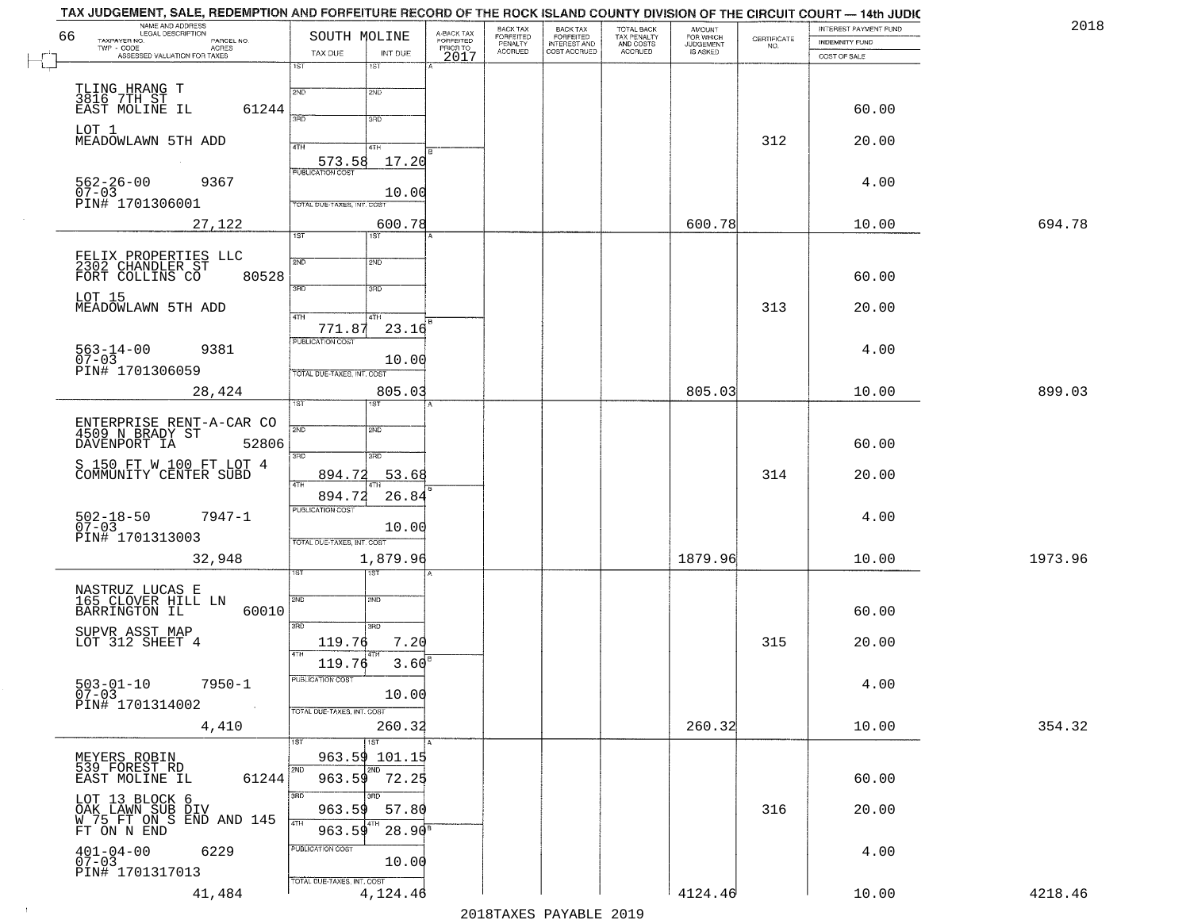| TAX JUDGEMENT, SALE, REDEMPTION AND FORFEITURE RECORD OF THE ROCK ISLAND COUNTY DIVISION OF THE CIRCUIT COURT — 14th JUDIC<br>NAME AND ADDRESS<br>LEGAL DESCRIPTION |                                        |                                     | BACK TAX                        |                                                       | TOTAL BACK<br>TAX PENALTY<br>AND COSTS | AMOUNT<br>FOR WHICH<br>JUDGEMENT |                                                                 | INTEREST PAYMENT FUND | 2018    |
|---------------------------------------------------------------------------------------------------------------------------------------------------------------------|----------------------------------------|-------------------------------------|---------------------------------|-------------------------------------------------------|----------------------------------------|----------------------------------|-----------------------------------------------------------------|-----------------------|---------|
| 66<br>TAXPAYER NO.<br>PARCEL NO.<br>TWP - CODE<br>ASSESSED VALUATION FOR TAXES                                                                                      | SOUTH MOLINE<br>TAX DUE<br>INT DUE     | A-BACK TAX<br>FORFEITED<br>PRIOR TO | FORFEITED<br>PENALTY<br>ACCRUED | BACK TAX<br>FORFEITED<br>INTEREST AND<br>COST ACCRUED | ACCRUED                                | IS ASKED                         | $\begin{array}{c} \text{CERTIFICATE} \\ \text{NO.} \end{array}$ | <b>INDEMNITY FUND</b> |         |
|                                                                                                                                                                     | 1ST<br>1ST                             | 2017                                |                                 |                                                       |                                        |                                  |                                                                 | COST OF SALE          |         |
|                                                                                                                                                                     | 2ND<br>2ND                             |                                     |                                 |                                                       |                                        |                                  |                                                                 |                       |         |
| TLING HRANG T<br>3816 7TH ST<br>EAST MOLINE IL<br>61244                                                                                                             |                                        |                                     |                                 |                                                       |                                        |                                  |                                                                 | 60.00                 |         |
| LOT 1                                                                                                                                                               | 3AD<br>3RD                             |                                     |                                 |                                                       |                                        |                                  |                                                                 |                       |         |
| MEADOWLAWN 5TH ADD                                                                                                                                                  | 4TH<br>4TH                             |                                     |                                 |                                                       |                                        |                                  | 312                                                             | 20.00                 |         |
|                                                                                                                                                                     | 17.20<br>573.58                        |                                     |                                 |                                                       |                                        |                                  |                                                                 |                       |         |
| $562 - 26 - 00$<br>07-03<br>9367                                                                                                                                    | <b>PUBLICATION COST</b>                |                                     |                                 |                                                       |                                        |                                  |                                                                 | 4.00                  |         |
| PIN# 1701306001                                                                                                                                                     | 10.00<br>TOTAL DUE-TAXES, INT. COST    |                                     |                                 |                                                       |                                        |                                  |                                                                 |                       |         |
| 27,122                                                                                                                                                              | 600.78                                 |                                     |                                 |                                                       |                                        | 600.78                           |                                                                 | 10.00                 | 694.78  |
|                                                                                                                                                                     | $\overline{1ST}$<br>1ST <sup>1</sup>   |                                     |                                 |                                                       |                                        |                                  |                                                                 |                       |         |
| FELIX PROPERTIES LLC<br>2302 CHANDLER ST                                                                                                                            | 2ND<br>2ND                             |                                     |                                 |                                                       |                                        |                                  |                                                                 |                       |         |
| 80528<br>FORT COLLINS CO                                                                                                                                            | 3RD<br>3RD                             |                                     |                                 |                                                       |                                        |                                  |                                                                 | 60.00                 |         |
| LOT 15<br>MEADOWLAWN 5TH ADD                                                                                                                                        |                                        |                                     |                                 |                                                       |                                        |                                  | 313                                                             | 20.00                 |         |
|                                                                                                                                                                     | 47H<br>4TH<br>23.16<br>771.87          |                                     |                                 |                                                       |                                        |                                  |                                                                 |                       |         |
| $563 - 14 - 00$<br>9381                                                                                                                                             | PUBLICATION COST                       |                                     |                                 |                                                       |                                        |                                  |                                                                 | 4.00                  |         |
| $07 - 03$<br>PIN# 1701306059                                                                                                                                        | 10.00<br>TOTAL DUE-TAXES, INT. COST    |                                     |                                 |                                                       |                                        |                                  |                                                                 |                       |         |
| 28,424                                                                                                                                                              | 805.03                                 |                                     |                                 |                                                       |                                        | 805.03                           |                                                                 | 10.00                 | 899.03  |
|                                                                                                                                                                     | 1ST                                    |                                     |                                 |                                                       |                                        |                                  |                                                                 |                       |         |
| ENTERPRISE RENT-A-CAR CO<br>4509 N BRADY ST                                                                                                                         | 2ND<br>2ND                             |                                     |                                 |                                                       |                                        |                                  |                                                                 |                       |         |
| DAVENPORT IA<br>52806                                                                                                                                               | 3BD<br>3RD                             |                                     |                                 |                                                       |                                        |                                  |                                                                 | 60.00                 |         |
| S 150 FT W 100 FT LOT 4<br>COMMUNITY CENTER SUBD                                                                                                                    | 894.72<br>53.68                        |                                     |                                 |                                                       |                                        |                                  | 314                                                             | 20.00                 |         |
|                                                                                                                                                                     | 4TH<br>894.72<br>26.84                 |                                     |                                 |                                                       |                                        |                                  |                                                                 |                       |         |
| $7947 - 1$                                                                                                                                                          | <b>PUBLICATION COST</b>                |                                     |                                 |                                                       |                                        |                                  |                                                                 | 4.00                  |         |
| $502 - 18 - 50$<br>07-03<br>PIN# 1701313003                                                                                                                         | 10.00                                  |                                     |                                 |                                                       |                                        |                                  |                                                                 |                       |         |
|                                                                                                                                                                     | TOTAL OUE-TAXES, INT. COST<br>1,879.96 |                                     |                                 |                                                       |                                        | 1879.96                          |                                                                 | 10.00                 | 1973.96 |
| 32,948                                                                                                                                                              |                                        |                                     |                                 |                                                       |                                        |                                  |                                                                 |                       |         |
| NASTRUZ LUCAS E<br>165 CLOVER HILL LN                                                                                                                               | 2ND<br>2ND                             |                                     |                                 |                                                       |                                        |                                  |                                                                 |                       |         |
| BARRINGTON IL<br>60010                                                                                                                                              |                                        |                                     |                                 |                                                       |                                        |                                  |                                                                 | 60.00                 |         |
| SUPVR ASST MAP                                                                                                                                                      | 3RD<br>$\overline{3BD}$                |                                     |                                 |                                                       |                                        |                                  |                                                                 |                       |         |
| LOT 312 SHEET 4                                                                                                                                                     | 119.76<br>7.20                         |                                     |                                 |                                                       |                                        |                                  | 315                                                             | 20.00                 |         |
|                                                                                                                                                                     | 3.60<br>119.76<br>PUBLICATION COST     |                                     |                                 |                                                       |                                        |                                  |                                                                 |                       |         |
| $7950 - 1$<br>$503 - 01 - 10$<br>$07 - 03$                                                                                                                          | 10.00                                  |                                     |                                 |                                                       |                                        |                                  |                                                                 | 4.00                  |         |
| PIN# 1701314002                                                                                                                                                     | TOTAL DUE-TAXES, INT. COST             |                                     |                                 |                                                       |                                        |                                  |                                                                 |                       |         |
| 4,410                                                                                                                                                               | 260.32<br>1ST<br>1ST                   |                                     |                                 |                                                       |                                        | 260.32                           |                                                                 | 10.00                 | 354.32  |
| MEYERS ROBIN<br>539 FOREST RD                                                                                                                                       | 963.59 101.15                          |                                     |                                 |                                                       |                                        |                                  |                                                                 |                       |         |
| EAST MOLINE IL<br>61244                                                                                                                                             | 2ND<br>72.25<br>963.59                 |                                     |                                 |                                                       |                                        |                                  |                                                                 | 60.00                 |         |
| LOT 13 BLOCK 6                                                                                                                                                      | 3BD<br>3 <sub>HD</sub>                 |                                     |                                 |                                                       |                                        |                                  |                                                                 |                       |         |
| OAK LAWN SUB DIV<br>W 75 FT ON S END AND 145<br>FT ON N END                                                                                                         | 963.59<br>57.80<br>4TH                 |                                     |                                 |                                                       |                                        |                                  | 316                                                             | 20.00                 |         |
|                                                                                                                                                                     | $28.90$ <sup>B</sup><br>963.59         |                                     |                                 |                                                       |                                        |                                  |                                                                 |                       |         |
| $401 - 04 - 00$<br>6229<br>$07 - 03$                                                                                                                                | PUBLICATION COST<br>10.00              |                                     |                                 |                                                       |                                        |                                  |                                                                 | 4.00                  |         |
| PIN# 1701317013                                                                                                                                                     | TOTAL DUE-TAXES, INT. COST             |                                     |                                 |                                                       |                                        |                                  |                                                                 |                       |         |
| 41,484                                                                                                                                                              | 4,124.46                               |                                     |                                 |                                                       |                                        | 4124.46                          |                                                                 | 10.00                 | 4218.46 |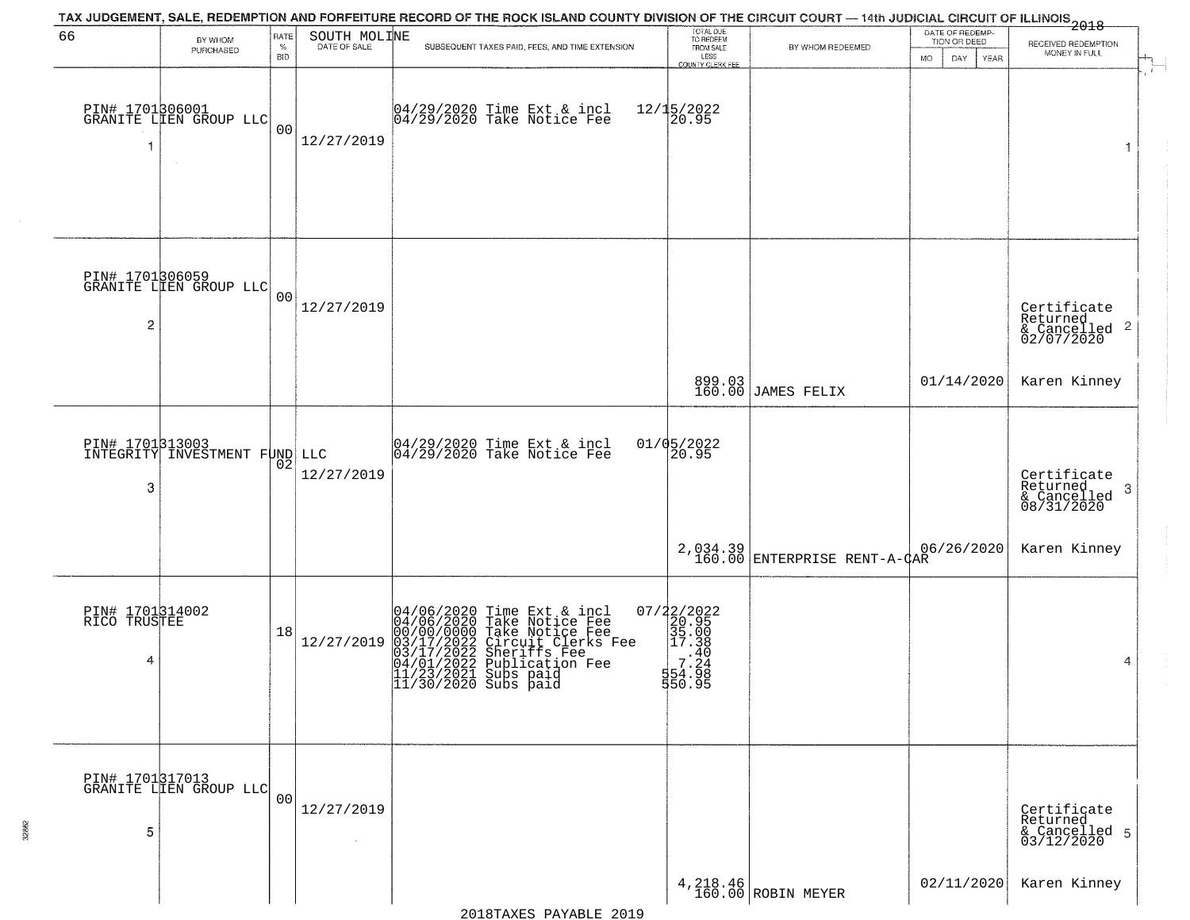|                                      |                                                         |                     |                      | TAX JUDGEMENT, SALE, REDEMPTION AND FORFEITURE RECORD OF THE ROCK ISLAND COUNTY DIVISION OF THE CIRCUIT COURT — 14th JUDICIAL CIRCUIT OF ILLINOIS 2018                                                                           |                                                                            |                                          |                                                              |                                                                    |
|--------------------------------------|---------------------------------------------------------|---------------------|----------------------|----------------------------------------------------------------------------------------------------------------------------------------------------------------------------------------------------------------------------------|----------------------------------------------------------------------------|------------------------------------------|--------------------------------------------------------------|--------------------------------------------------------------------|
| 66                                   | BY WHOM<br>PURCHASED                                    | RATE<br>$\%$<br>BID | SOUTH MOLINE         | SUBSEQUENT TAXES PAID, FEES, AND TIME EXTENSION                                                                                                                                                                                  | TOTAL DUE<br>TO REDEEM<br>FROM SALE<br>LESS<br>COUNTY CLERK FEE            | BY WHOM REDEEMED                         | DATE OF REDEMP-<br>TION OR DEED<br><b>DAY</b><br>YEAR<br>MO. | RECEIVED REDEMPTION<br>MONEY IN FULL                               |
| 1                                    | PIN# 1701306001<br>GRANITE LIEN GROUP LLC               | 0 <sub>0</sub>      | 12/27/2019           | 04/29/2020 Time Ext & incl<br>04/29/2020 Take Notice Fee                                                                                                                                                                         | $12/15/2022$<br>20.95                                                      |                                          |                                                              | $\overline{1}$                                                     |
| 2                                    | PIN# 1701306059<br>GRANITE LIEN GROUP LLC               | 0 <sub>0</sub>      | 12/27/2019           |                                                                                                                                                                                                                                  |                                                                            |                                          |                                                              | Certificate<br>Returned<br>$\frac{1}{2}$ Cancelled 2<br>02/07/2020 |
|                                      |                                                         |                     |                      |                                                                                                                                                                                                                                  |                                                                            | 899.03<br>160.00 JAMES FELIX             | 01/14/2020                                                   | Karen Kinney                                                       |
| 3                                    | <b>PIN# 1701313003</b><br>INTEGRITY INVESTMENT FUND LLC | 02                  | 12/27/2019           | $04/29/2020$ Time Ext & incl<br>$04/29/2020$ Take Notice Fee                                                                                                                                                                     | $01/05/2022$<br>20.95                                                      |                                          |                                                              | Certificate<br>Returned<br>3<br>& Cancelled<br>08/31/2020          |
|                                      |                                                         |                     |                      |                                                                                                                                                                                                                                  |                                                                            | 2,034.39<br>160.00 ENTERPRISE RENT-A-CAR | 06/26/2020                                                   | Karen Kinney                                                       |
| PIN# 1701314002<br>RICO TRUSTEE<br>4 |                                                         | 18                  | 12/27/2019           | 04/06/2020 Time Ext & incl<br>04/06/2020 Take Notice Fee<br>00/00/0000 Take Notice Fee<br>03/17/2022 Circuit Clerks Fee<br>03/17/2022 Sheriffs Fee<br>04/01/2022 Publication Fee<br>11/23/2021 Subs paid<br>11/30/2020 Subs paid | 07/22/2022<br>20.95<br>35.00<br>2 17.38<br>.40<br>7.24<br>554.98<br>550.95 |                                          |                                                              | 4                                                                  |
| 5                                    | PIN# 1701317013<br>GRANITE LIEN GROUP LLC               | 0 <sub>0</sub>      | 12/27/2019<br>$\sim$ |                                                                                                                                                                                                                                  |                                                                            |                                          |                                                              | Certificate<br>Returned<br>& Cancelled 5<br>03/12/2020             |
|                                      |                                                         |                     |                      |                                                                                                                                                                                                                                  |                                                                            | $4,218.46$ ROBIN MEYER                   | 02/11/2020                                                   | Karen Kinney                                                       |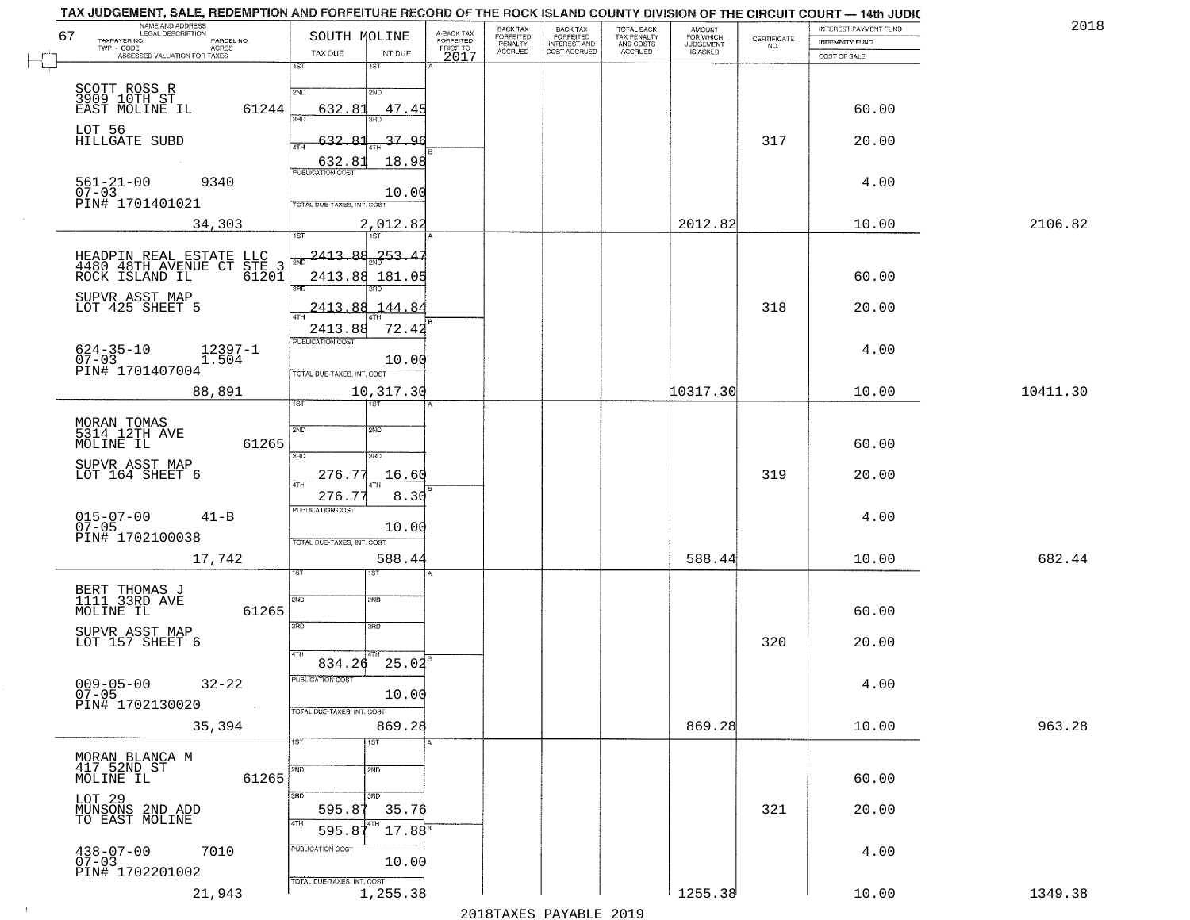| NAME AND ADDRESS<br>LEGAL DESCRIPTION<br>67<br>TAXPAYER NO.<br>PARCEL NO.             | SOUTH MOLINE                                | A-BACK TAX<br>FORFEITED | BACK TAX<br>FORFEITED | <b>BACK TAX</b><br><b>FORFEITED</b> | TOTAL BACK<br>TAX PENALTY | <b>AMOUNT</b><br>FOR WHICH<br>JUDGEMENT<br>IS ASKED | $\begin{array}{c} \text{CERTIFICATE} \\ \text{NO.} \end{array}$ | INTEREST PAYMENT FUND<br>INDEMNITY FUND | 2018     |
|---------------------------------------------------------------------------------------|---------------------------------------------|-------------------------|-----------------------|-------------------------------------|---------------------------|-----------------------------------------------------|-----------------------------------------------------------------|-----------------------------------------|----------|
| $TWP - CODE$<br><b>ACRES</b><br>ASSESSED VALUATION FOR TAXES                          | TAX DUE<br>INT DUE<br>1ST<br>1ST            | PRIOR TO<br>2017        | PENALTY<br>ACCRUED    | INTEREST AND                        | AND COSTS<br>ACCRUED      |                                                     |                                                                 | COST OF SALE                            |          |
|                                                                                       | 2ND<br>2ND                                  |                         |                       |                                     |                           |                                                     |                                                                 |                                         |          |
| SCOTT ROSS R<br>3909 10TH ST<br>EAST MOLINE IL<br>61244                               | 632.81<br>47.45<br>วรที<br>3BD              |                         |                       |                                     |                           |                                                     |                                                                 | 60.00                                   |          |
| LOT 56<br>HILLGATE SUBD                                                               | 37.96<br>-632<br>4TH                        |                         |                       |                                     |                           |                                                     | 317                                                             | 20.00                                   |          |
|                                                                                       | 18.98<br>632.81<br><b>PUBLICATION COST</b>  |                         |                       |                                     |                           |                                                     |                                                                 |                                         |          |
| $561 - 21 - 00$<br>9340<br>$07-03$<br>PIN# 1701401021                                 | 10.00<br>TOTAL DUE-TAXES, INT. COST         |                         |                       |                                     |                           |                                                     |                                                                 | 4.00                                    |          |
| 34,303                                                                                | 2,012.82                                    |                         |                       |                                     |                           | 2012.82                                             |                                                                 | 10.00                                   | 2106.82  |
|                                                                                       | <b>TST</b><br>1ST<br><u> 2413.88</u><br>253 |                         |                       |                                     |                           |                                                     |                                                                 |                                         |          |
| HEADPIN REAL ESTATE<br>4480 48TH AVENUE CT<br>LLC<br>STE 3<br>ROCK ISLAND IL<br>61201 | 2413.88 181.05                              |                         |                       |                                     |                           |                                                     |                                                                 | 60.00                                   |          |
| SUPVR ASST MAP<br>LOT 425 SHEET 5                                                     | 3RD<br>2413.88<br>144.84                    |                         |                       |                                     |                           |                                                     | 318                                                             | 20.00                                   |          |
|                                                                                       | 2413.88<br>72.42                            |                         |                       |                                     |                           |                                                     |                                                                 |                                         |          |
| $624 - 35 - 10$<br>07-03<br>12397-1<br>1.504                                          | PUBLICATION COST<br>10.00                   |                         |                       |                                     |                           |                                                     |                                                                 | 4.00                                    |          |
| PIN# 1701407004                                                                       | TOTAL DUE-TAXES, INT. COST                  |                         |                       |                                     |                           |                                                     |                                                                 |                                         |          |
| 88,891                                                                                | 10,317.30<br>1ST<br>1ST                     |                         |                       |                                     |                           | 10317.30                                            |                                                                 | 10.00                                   | 10411.30 |
| MORAN TOMAS<br>5314 12TH AVE                                                          | 2ND<br>2ND                                  |                         |                       |                                     |                           |                                                     |                                                                 |                                         |          |
| 61265<br>MOLINE IL                                                                    | 3 <sub>BD</sub><br>3RD                      |                         |                       |                                     |                           |                                                     |                                                                 | 60.00                                   |          |
| SUPVR ASST MAP<br>LOT 164 SHEET 6                                                     | 276.77<br>16.60<br>4TH                      |                         |                       |                                     |                           |                                                     | 319                                                             | 20.00                                   |          |
|                                                                                       | 276.77<br>8.30<br><b>PUBLICATION COST</b>   |                         |                       |                                     |                           |                                                     |                                                                 |                                         |          |
| $015 - 07 - 00$<br>07-05<br>$41 - B$<br>PIN# 1702100038                               | 10.00                                       |                         |                       |                                     |                           |                                                     |                                                                 | 4.00                                    |          |
| 17,742                                                                                | TOTAL OUE-TAXES, INT. COST<br>588.44        |                         |                       |                                     |                           | 588.44                                              |                                                                 | 10.00                                   | 682.44   |
|                                                                                       | ड़िंग                                       |                         |                       |                                     |                           |                                                     |                                                                 |                                         |          |
| BERT THOMAS J<br>1111 33RD AVE<br>61265<br>MOLINE IL                                  | 2ND<br>2ND                                  |                         |                       |                                     |                           |                                                     |                                                                 | 60.00                                   |          |
| SUPVR ASST MAP<br>LOT 157 SHEET 6                                                     | 3RD<br>3BD                                  |                         |                       |                                     |                           |                                                     | 320                                                             | 20.00                                   |          |
|                                                                                       | 4TH<br>$834.26$ $25.02^8$                   |                         |                       |                                     |                           |                                                     |                                                                 |                                         |          |
| $009 - 05 - 00$<br>07-05<br>$32 - 22$                                                 | PUBLICATION COST<br>10.00                   |                         |                       |                                     |                           |                                                     |                                                                 | 4.00                                    |          |
| PIN# 1702130020<br>$\sim 100$                                                         | TOTAL DUE-TAXES, INT. COST                  |                         |                       |                                     |                           |                                                     |                                                                 |                                         |          |
| 35,394                                                                                | 869.28<br>1ST<br>1ST                        |                         |                       |                                     |                           | 869.28                                              |                                                                 | 10.00                                   | 963.28   |
| MORAN BLANCA M<br>417 52ND ST<br>MOLINE IL                                            | 2ND<br>2ND                                  |                         |                       |                                     |                           |                                                     |                                                                 |                                         |          |
| 61265                                                                                 | 3RD<br>350                                  |                         |                       |                                     |                           |                                                     |                                                                 | 60.00                                   |          |
| LOT 29<br>MUNSONS 2ND ADD<br>TO EAST MOLINE                                           | 595.87<br>35.76<br>4TH                      |                         |                       |                                     |                           |                                                     | 321                                                             | 20.00                                   |          |
| 7010                                                                                  | $17.88^{5}$<br>595.8<br>PUBLICATION COST    |                         |                       |                                     |                           |                                                     |                                                                 | 4.00                                    |          |
| $438 - 07 - 00$<br>07-03<br>PIN# 1702201002                                           | 10.00                                       |                         |                       |                                     |                           |                                                     |                                                                 |                                         |          |
| 21,943                                                                                | TOTAL DUE-TAXES, INT. COST<br>1,255.38      |                         |                       |                                     |                           | 1255.38                                             |                                                                 | 10.00                                   | 1349.38  |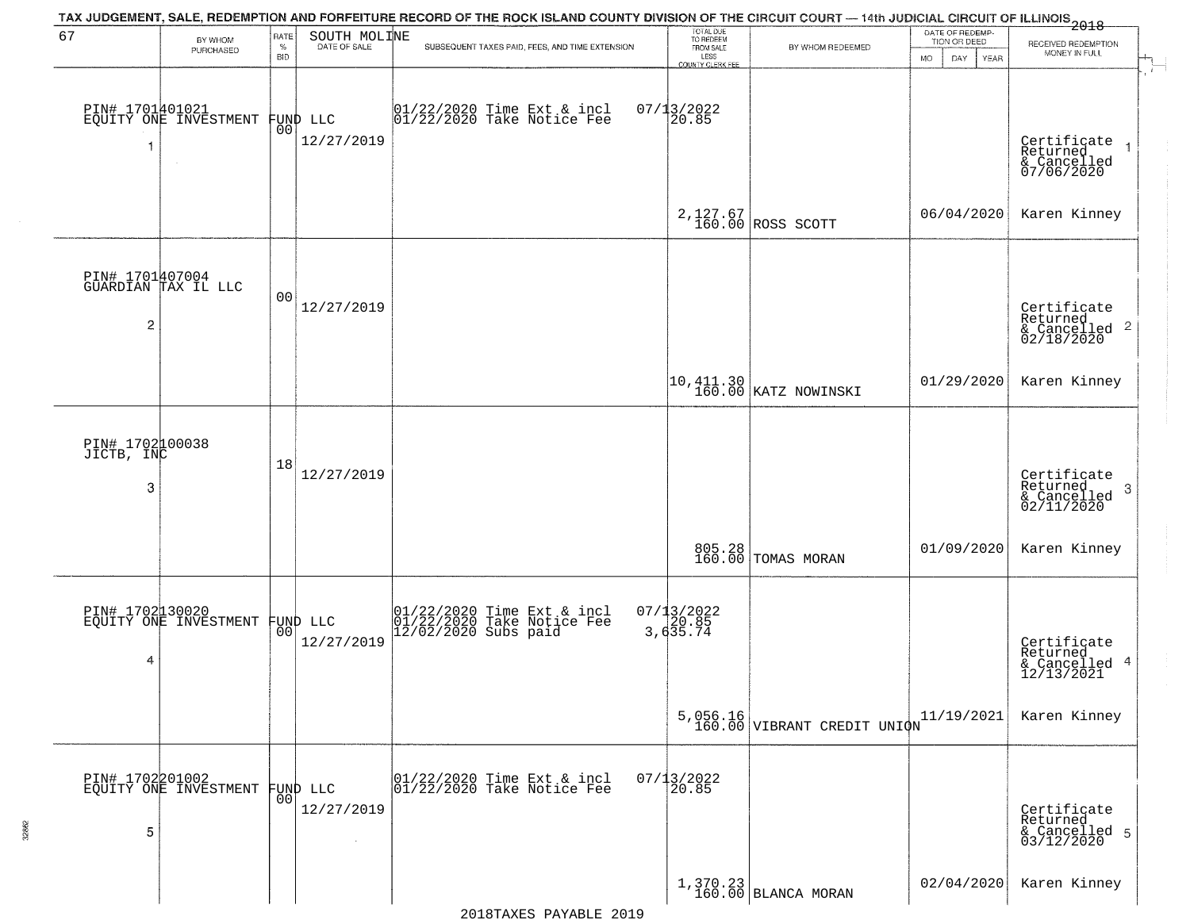|                                    |                                          |                            |                                | TAX JUDGEMENT, SALE, REDEMPTION AND FORFEITURE RECORD OF THE ROCK ISLAND COUNTY DIVISION OF THE CIRCUIT COURT — 14th JUDICIAL CIRCUIT OF ILLINOIS 2018 |                                                                 |                                                                                          |                                                       |                                                                        |
|------------------------------------|------------------------------------------|----------------------------|--------------------------------|--------------------------------------------------------------------------------------------------------------------------------------------------------|-----------------------------------------------------------------|------------------------------------------------------------------------------------------|-------------------------------------------------------|------------------------------------------------------------------------|
| 67                                 | BY WHOM<br>PURCHASED                     | RATE<br>$\%$<br><b>BID</b> | SOUTH MOLINE<br>DATE OF SALE   | SUBSEQUENT TAXES PAID, FEES, AND TIME EXTENSION                                                                                                        | TOTAL DUE<br>TO REDEEM<br>FROM SALE<br>LESS<br>COUNTY CLERK FEE | BY WHOM REDEEMED                                                                         | DATE OF REDEMP-<br>TION OR DEED<br>DAY<br>YEAR<br>MO. | RECEIVED REDEMPTION<br>MONEY IN FULL                                   |
| -1                                 | PIN# 1701401021<br>EQUITY ONE INVESTMENT | 00                         | FUND LLC<br>12/27/2019         | 01/22/2020 Time Ext & incl<br>01/22/2020 Take Notice Fee                                                                                               | $07/13/2022$<br>20.85                                           |                                                                                          |                                                       | Certificate<br>Returned<br>$\rightarrow$<br>& Cancelled<br>07/06/2020  |
|                                    |                                          |                            |                                |                                                                                                                                                        |                                                                 | 2,127.67<br>160.00 ROSS SCOTT                                                            | 06/04/2020                                            | Karen Kinney                                                           |
| $\overline{c}$                     | PIN# 1701407004<br>GUARDIAN TAX IL LLC   | 00                         | 12/27/2019                     |                                                                                                                                                        |                                                                 |                                                                                          |                                                       | Certificate<br>Returned<br>$\overline{2}$<br>& Cancelled<br>02/18/2020 |
|                                    |                                          |                            |                                |                                                                                                                                                        |                                                                 | $\left  \begin{smallmatrix} 10,411.30 \\ 160.00 \end{smallmatrix} \right $ KATZ NOWINSKI | 01/29/2020                                            | Karen Kinney                                                           |
| PIN# 1702000038<br>JICTB, INC<br>3 |                                          | 18                         | 12/27/2019                     |                                                                                                                                                        |                                                                 |                                                                                          |                                                       | Certificate<br>Returned<br>3<br>$\frac{1}{02/11/2020}$                 |
|                                    |                                          |                            |                                |                                                                                                                                                        |                                                                 | 805.28<br>160.00 TOMAS MORAN                                                             | 01/09/2020                                            | Karen Kinney                                                           |
| 4                                  | PIN# 1702130020<br>EQUITY ONE INVESTMENT |                            | FUND LLC<br> 00 <br>12/27/2019 | 01/22/2020 Time Ext & incl<br>01/22/2020 Take Notice Fee<br>12/02/2020 Subs paid                                                                       | $07/13/2022$<br>3,635.74                                        |                                                                                          |                                                       | Certificate<br>Returned<br>4<br>& Cancelled<br>12/13/2021              |
|                                    |                                          |                            |                                |                                                                                                                                                        |                                                                 | $5,056.16$<br>160.00 VIBRANT CREDIT UNIQN                                                | 11/19/2021                                            | Karen Kinney                                                           |
| 5                                  | PIN# 1702201002<br>EQUITY ONE INVESTMENT | 00                         | FUND LLC<br>12/27/2019         | 01/22/2020 Time Ext & incl<br>01/22/2020 Take Notice Fee                                                                                               | $07/13/2022$<br>20.85                                           |                                                                                          |                                                       | Certificate<br>Returned<br>& Cancelled 5<br>03/12/2020                 |
|                                    |                                          |                            |                                |                                                                                                                                                        |                                                                 | $\begin{array}{c c} 1,370.23 \\ 160.00 \end{array}$ BLANCA MORAN                         | 02/04/2020                                            | Karen Kinney                                                           |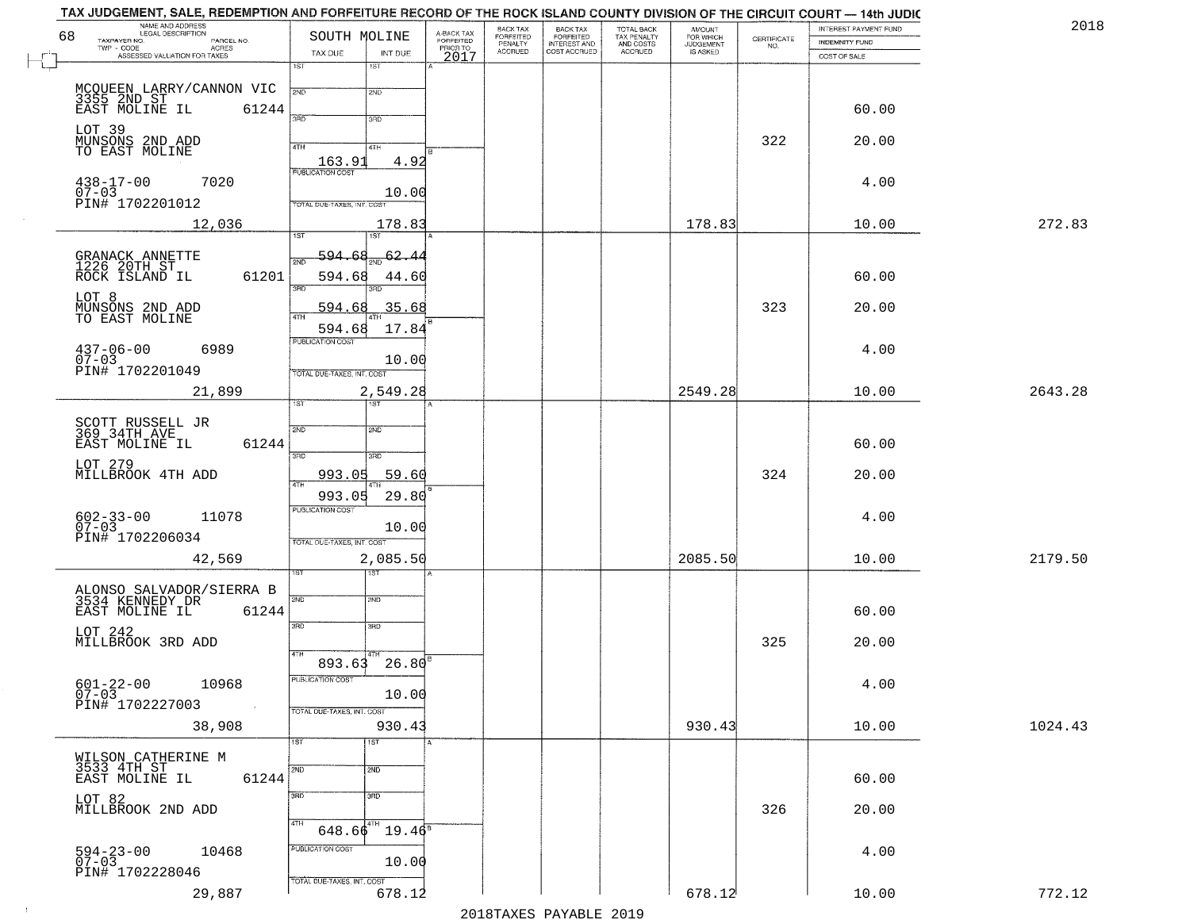| NAME AND ADDRESS<br>LEGAL DESCRIPTION<br>68<br>TAXPAYER NO.<br>PARCEL NO. | SOUTH MOLINE                  | A-BACK TAX<br>FORFEITED<br>PRIOR TO | BACK TAX<br>FORFEITED     | BACK TAX<br>FORFEITED<br>INTEREST AND | TOTAL BACK<br>TAX PENALTY<br>AND COSTS | AMOUNT<br>FOR WHICH<br>JUDGEMENT | $\begin{array}{c} \text{CERTIFICATE} \\ \text{NO.} \end{array}$ | INTEREST PAYMENT FUND<br><b>INDEMNITY FUND</b> | 2018    |
|---------------------------------------------------------------------------|-------------------------------|-------------------------------------|---------------------------|---------------------------------------|----------------------------------------|----------------------------------|-----------------------------------------------------------------|------------------------------------------------|---------|
| TWP - CODE<br>ACRES<br>ASSESSED VALUATION FOR TAXES                       | TAX DUE                       | INT DUE<br>2017                     | PENALTY<br><b>ACCRUED</b> | COST ACCRUED                          | <b>ACCRUED</b>                         | IS ASKED                         |                                                                 | COST OF SALE                                   |         |
|                                                                           | 1ST<br>1ST                    |                                     |                           |                                       |                                        |                                  |                                                                 |                                                |         |
| MCOUEEN LARRY/CANNON VIC<br>3355 2ND ST<br>EAST MOLINE IL 6124            | 2ND<br>2ND                    |                                     |                           |                                       |                                        |                                  |                                                                 |                                                |         |
|                                                                           | 61244<br>3RD<br>3RD           |                                     |                           |                                       |                                        |                                  |                                                                 | 60.00                                          |         |
| LOT 39<br>MUNSONS 2ND ADD<br>TO EAST MOLINE                               |                               |                                     |                           |                                       |                                        |                                  | 322                                                             | 20.00                                          |         |
|                                                                           | 4TH<br>4TH                    | 4.92                                |                           |                                       |                                        |                                  |                                                                 |                                                |         |
| $438 - 17 - 00$<br>7020                                                   |                               |                                     |                           |                                       |                                        |                                  |                                                                 | 4.00                                           |         |
| $07 - 03$<br>PIN# 1702201012                                              | TOTAL DUE-TAXES, INT. COST    | 10.00                               |                           |                                       |                                        |                                  |                                                                 |                                                |         |
| 12,036                                                                    |                               | 178.83                              |                           |                                       |                                        | 178.83                           |                                                                 | 10.00                                          | 272.83  |
|                                                                           | 1ST<br>1ST                    |                                     |                           |                                       |                                        |                                  |                                                                 |                                                |         |
| GRANACK ANNETTE<br>1226 20TH ST                                           | 594.68<br>2ND                 | 62.4                                |                           |                                       |                                        |                                  |                                                                 |                                                |         |
| ROCK ISLAND IL                                                            | 61201<br>594.68<br>3RD<br>חוז | 44.60                               |                           |                                       |                                        |                                  |                                                                 | 60.00                                          |         |
| LOT 8                                                                     | 594.68                        | .35.68                              |                           |                                       |                                        |                                  | 323                                                             | 20.00                                          |         |
| MUNSONS 2ND ADD<br>TO EAST MOLINE                                         | 47H<br>594.68                 | 17.84                               |                           |                                       |                                        |                                  |                                                                 |                                                |         |
| 6989<br>$437 - 06 - 00$                                                   | PUBLICATION COST              |                                     |                           |                                       |                                        |                                  |                                                                 | 4.00                                           |         |
| $07 - 03$<br>PIN# 1702201049                                              | TOTAL DUE-TAXES, INT. COST    | 10.00                               |                           |                                       |                                        |                                  |                                                                 |                                                |         |
| 21,899                                                                    |                               | 2,549.28                            |                           |                                       |                                        | 2549.28                          |                                                                 | 10.00                                          | 2643.28 |
|                                                                           | 1ST.                          |                                     |                           |                                       |                                        |                                  |                                                                 |                                                |         |
| SCOTT RUSSELL JR<br>369 34TH AVE                                          | 2ND<br>SMD                    |                                     |                           |                                       |                                        |                                  |                                                                 |                                                |         |
| EAST MOLINE IL                                                            | 61244<br>3BD<br>3RD           |                                     |                           |                                       |                                        |                                  |                                                                 | 60.00                                          |         |
| LOT 279<br>MILLBROOK 4TH ADD                                              | 993.05                        | 59.60                               |                           |                                       |                                        |                                  | 324                                                             | 20.00                                          |         |
|                                                                           | 993.05                        | 29.80                               |                           |                                       |                                        |                                  |                                                                 |                                                |         |
| 11078<br>602-33-00<br>07-03                                               | <b>PUBLICATION COST</b>       |                                     |                           |                                       |                                        |                                  |                                                                 | 4.00                                           |         |
| PIN# 1702206034                                                           | TOTAL OUE-TAXES, INT. COST    | 10.00                               |                           |                                       |                                        |                                  |                                                                 |                                                |         |
| 42,569                                                                    |                               | 2,085.50                            |                           |                                       |                                        | 2085.50                          |                                                                 | 10.00                                          | 2179.50 |
|                                                                           | १९४<br>1ST                    |                                     |                           |                                       |                                        |                                  |                                                                 |                                                |         |
| ALONSO SALVADOR/SIERRA B<br>3534 KENNEDY DR                               | 2ND<br>2ND                    |                                     |                           |                                       |                                        |                                  |                                                                 |                                                |         |
| EAST MOLINE IL                                                            | 61244<br>3RD<br>3BD           |                                     |                           |                                       |                                        |                                  |                                                                 | 60.00                                          |         |
| LOT 242<br>MILLBROOK 3RD ADD                                              |                               |                                     |                           |                                       |                                        |                                  | 325                                                             | 20.00                                          |         |
|                                                                           | 4TH<br>893.63                 | 26.80                               |                           |                                       |                                        |                                  |                                                                 |                                                |         |
| $601 - 22 - 00$<br>10968<br>$07 - 03$                                     | PUBLICATION COST              | 10.00                               |                           |                                       |                                        |                                  |                                                                 | 4.00                                           |         |
| PIN# 1702227003<br>$\sim 100$ km                                          | TOTAL DUE-TAXES, INT. COST    |                                     |                           |                                       |                                        |                                  |                                                                 |                                                |         |
| 38,908                                                                    |                               | 930.43                              |                           |                                       |                                        | 930.43                           |                                                                 | 10.00                                          | 1024.43 |
|                                                                           | 1ST<br>1ST                    |                                     |                           |                                       |                                        |                                  |                                                                 |                                                |         |
| WILSON CATHERINE M<br>3533 4TH ST<br>EAST MOLINE IL                       | 2ND<br>2ND<br>61244           |                                     |                           |                                       |                                        |                                  |                                                                 | 60.00                                          |         |
| LOT 82                                                                    | 3 <sub>BD</sub><br>3RD        |                                     |                           |                                       |                                        |                                  |                                                                 |                                                |         |
| MILLBROOK 2ND ADD                                                         |                               |                                     |                           |                                       |                                        |                                  | 326                                                             | 20.00                                          |         |
|                                                                           | 4TH<br>$648.66^{4}$           | $19.46^{\circ}$                     |                           |                                       |                                        |                                  |                                                                 |                                                |         |
| $594 - 23 - 00$<br>07-03<br>10468                                         | PUBLICATION COST              | 10.00                               |                           |                                       |                                        |                                  |                                                                 | 4.00                                           |         |
| PIN# 1702228046                                                           | TOTAL DUE-TAXES, INT. COST    |                                     |                           |                                       |                                        |                                  |                                                                 |                                                |         |
| 29,887                                                                    |                               | 678.12                              |                           |                                       |                                        | 678.12                           |                                                                 | 10.00                                          | 772.12  |

 $\sim 10^{-1}$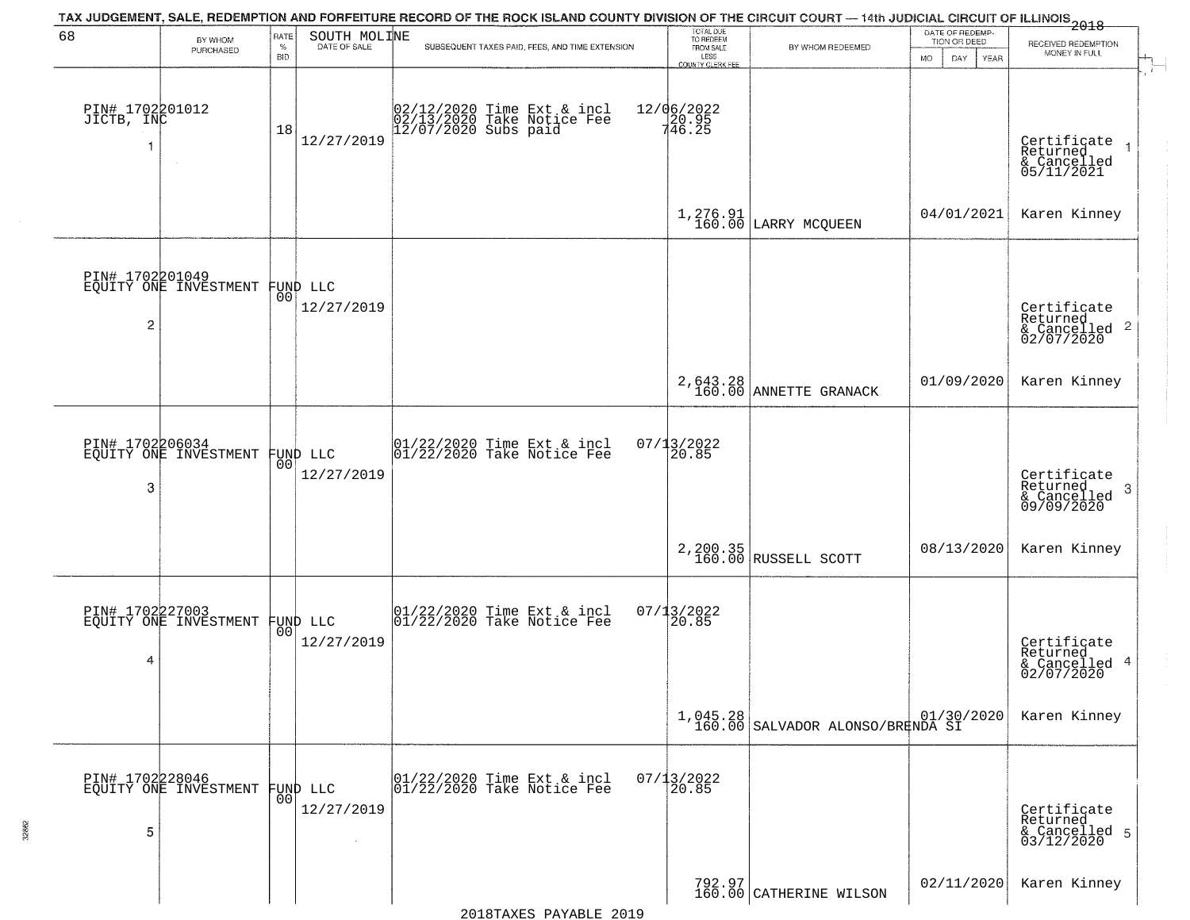|                               |                                          |                |                                | TAX JUDGEMENT, SALE, REDEMPTION AND FORFEITURE RECORD OF THE ROCK ISLAND COUNTY DIVISION OF THE CIRCUIT COURT — 14th JUDICIAL CIRCUIT OF ILLINOIS 2018 |                                     |                                                             | DATE OF REDEMP-          |                                                                        |
|-------------------------------|------------------------------------------|----------------|--------------------------------|--------------------------------------------------------------------------------------------------------------------------------------------------------|-------------------------------------|-------------------------------------------------------------|--------------------------|------------------------------------------------------------------------|
| 68                            | BY WHOM<br>PURCHASED                     | RATE<br>$\%$   | SOUTH MOLINE<br>DATE OF SALE   | SUBSEQUENT TAXES PAID, FEES, AND TIME EXTENSION                                                                                                        | TOTAL DUE<br>TO REDEEM<br>FROM SALE | BY WHOM REDEEMED                                            | TION OR DEED             | RECEIVED REDEMPTION                                                    |
|                               |                                          | <b>BID</b>     |                                |                                                                                                                                                        | LESS<br>COUNTY CLERK FEE            |                                                             | <b>MO</b><br>DAY<br>YEAR | MONEY IN FULL<br>$\mathbf{r}$                                          |
| PIN# 1702201012<br>JICTB, INC |                                          | 18             | 12/27/2019                     | 02/12/2020 Time Ext & incl<br>02/13/2020 Take Notice Fee<br>12/07/2020 Subs paid                                                                       | 12/06/2022<br>20.95<br>746.25       |                                                             |                          | Certificate<br>Returned<br>$\overline{1}$<br>& Cancelled<br>05/11/2021 |
|                               |                                          |                |                                |                                                                                                                                                        |                                     | 1,276.91<br>160.00 LARRY MCQUEEN                            | 04/01/2021               | Karen Kinney                                                           |
| $\overline{2}$                | PIN# 1702201049<br>EQUITY ONE INVESTMENT |                | FUND LLC<br> 00 <br>12/27/2019 |                                                                                                                                                        |                                     |                                                             |                          | Certificate<br>Returned<br>$\overline{c}$<br>& Cancelled<br>02/07/2020 |
|                               |                                          |                |                                |                                                                                                                                                        |                                     | 2,643.28<br>160.00 ANNETTE GRANACK                          | 01/09/2020               | Karen Kinney                                                           |
| 3                             | PIN# 1702206034<br>EQUITY ONE INVESTMENT |                | FUND LLC<br> 00 <br>12/27/2019 | $\begin{array}{c} 01/22/2020 \\ 01/22/2020 \\ 01 \end{array}$ Take Notice Fee                                                                          | $07/13/2022$<br>20.85               |                                                             |                          | Certificate<br>Returned<br>3<br>& Cancelled<br>09/09/2020              |
|                               |                                          |                |                                |                                                                                                                                                        |                                     | 2, 200.35<br>160.00 RUSSELL SCOTT                           | 08/13/2020               | Karen Kinney                                                           |
| PIN# 1702227003<br>4          | EQUITY ONE INVESTMENT                    |                | FUND LLC<br> 00 <br>12/27/2019 | $\begin{array}{c} 01/22/2020 \\ 01/22/2020 \\ 01 \end{array}$ Take Notice Fee                                                                          | 07/13/2022<br>120.85                |                                                             |                          | Certificate<br>Returned<br>4<br>& Cancelled<br>02/07/2020              |
|                               |                                          |                |                                |                                                                                                                                                        |                                     | $1,045.28$ $01/30/2020$<br>160.00 SALVADOR ALONSO/BRENDA SI |                          | Karen Kinney                                                           |
| 5                             | PIN# 1702228046<br>EQUITY ONE INVESTMENT | 0 <sub>0</sub> | FUND LLC<br>12/27/2019         | 01/22/2020 Time Ext & incl<br>01/22/2020 Take Notice Fee                                                                                               | $07/13/2022$<br>20.85               |                                                             |                          | Certificate<br>Returned<br>& Cancelled 5<br>03/12/2020                 |
|                               |                                          |                |                                |                                                                                                                                                        |                                     | 792.97<br>160.00 CATHERINE WILSON                           | 02/11/2020               | Karen Kinney                                                           |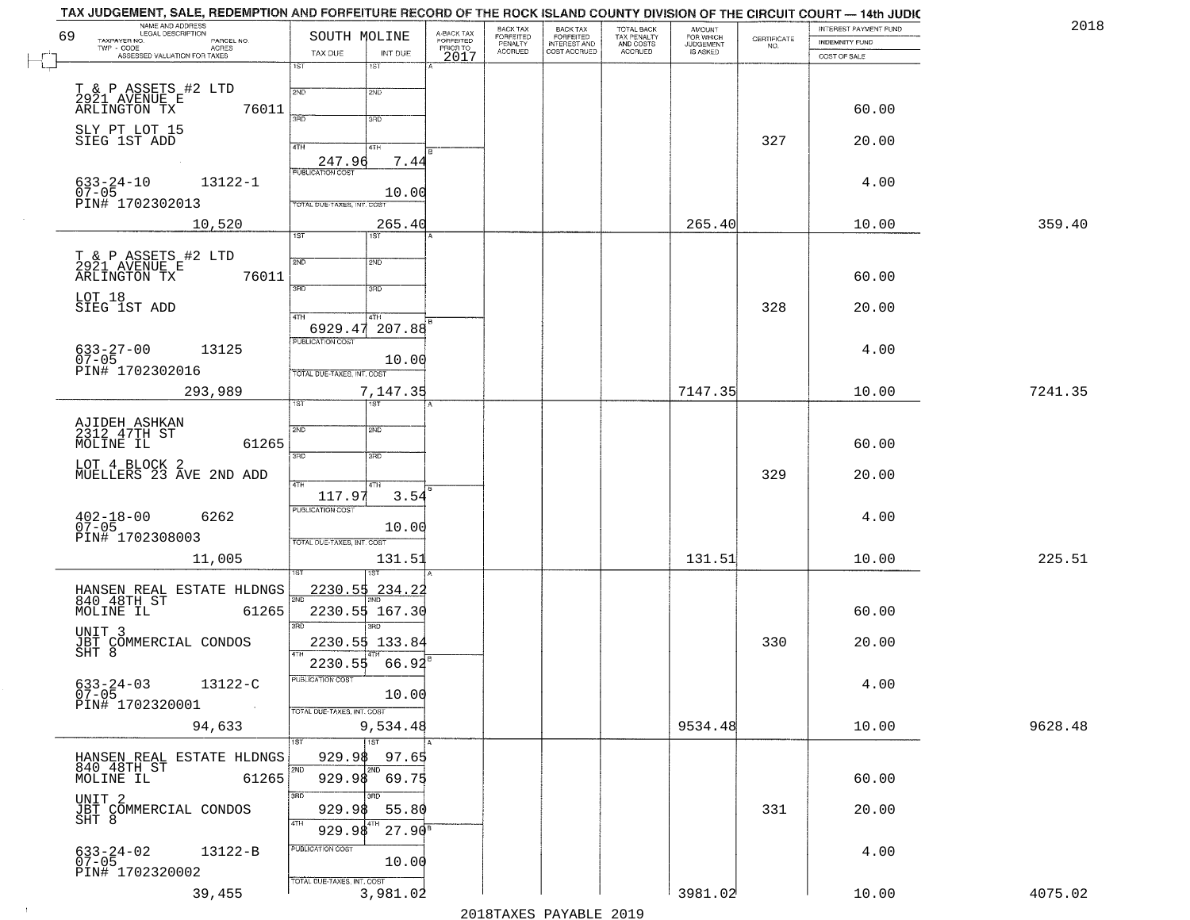|    | TAX JUDGEMENT, SALE, REDEMPTION AND FORFEITURE RECORD OF THE ROCK ISLAND COUNTY DIVISION OF THE CIRCUIT COURT — 14th JUDIC<br>NAME AND ADDRESS |                                   |                  |                                     | BACK TAX                        |                                                       |                                                   |                                              |                                                                 | INTEREST PAYMENT FUND | 2018    |
|----|------------------------------------------------------------------------------------------------------------------------------------------------|-----------------------------------|------------------|-------------------------------------|---------------------------------|-------------------------------------------------------|---------------------------------------------------|----------------------------------------------|-----------------------------------------------------------------|-----------------------|---------|
| 69 | TAXPAYER NO.<br>PARCEL NO.<br>TWP - CODE<br>ASSESSED VALUATION FOR TAXES                                                                       | SOUTH MOLINE                      |                  | A-BACK TAX<br>FORFEITED<br>PRIOR TO | FORFEITED<br>PENALTY<br>ACCRUED | BACK TAX<br>FORFEITED<br>INTEREST AND<br>COST ACCRUED | TOTAL BACK<br>TAX PENALTY<br>AND COSTS<br>ACCRUED | AMOUNT<br>FOR WHICH<br>JUDGEMENT<br>IS ASKED | $\begin{array}{c} \text{CERTIFICATE} \\ \text{NO.} \end{array}$ | INDEMNITY FUND        |         |
|    |                                                                                                                                                | TAX DUE<br>1ST                    | INT DUE<br>1ST   | 2017                                |                                 |                                                       |                                                   |                                              |                                                                 | COST OF SALE          |         |
|    |                                                                                                                                                |                                   |                  |                                     |                                 |                                                       |                                                   |                                              |                                                                 |                       |         |
|    | T & P ASSETS #2 LTD<br>2921 AVENUE E                                                                                                           | 2ND                               | 2ND              |                                     |                                 |                                                       |                                                   |                                              |                                                                 |                       |         |
|    | 76011<br>ARLINGTON TX                                                                                                                          | 3PD                               | 3RD              |                                     |                                 |                                                       |                                                   |                                              |                                                                 | 60.00                 |         |
|    | SLY PT LOT 15                                                                                                                                  |                                   |                  |                                     |                                 |                                                       |                                                   |                                              |                                                                 |                       |         |
|    | SIEG 1ST ADD                                                                                                                                   | 4TH                               | 4TH              |                                     |                                 |                                                       |                                                   |                                              | 327                                                             | 20.00                 |         |
|    |                                                                                                                                                | 247.96<br><b>PUBLICATION COST</b> | 7.44             |                                     |                                 |                                                       |                                                   |                                              |                                                                 |                       |         |
|    | $633 - 24 - 10$<br>07-05<br>13122-1                                                                                                            |                                   |                  |                                     |                                 |                                                       |                                                   |                                              |                                                                 | 4.00                  |         |
|    | PIN# 1702302013                                                                                                                                | TOTAL DUE-TAXES, INT. COST        | 10.00            |                                     |                                 |                                                       |                                                   |                                              |                                                                 |                       |         |
|    | 10,520                                                                                                                                         |                                   | 265.40           |                                     |                                 |                                                       |                                                   | 265.40                                       |                                                                 | 10.00                 | 359.40  |
|    |                                                                                                                                                | 1ST                               | 1ST <sup>1</sup> |                                     |                                 |                                                       |                                                   |                                              |                                                                 |                       |         |
|    | T & P ASSETS #2 LTD<br>2921 AVENUE E                                                                                                           | 2ND                               | 2ND              |                                     |                                 |                                                       |                                                   |                                              |                                                                 |                       |         |
|    | 76011<br>ARLINGTON TX                                                                                                                          |                                   |                  |                                     |                                 |                                                       |                                                   |                                              |                                                                 | 60.00                 |         |
|    | LOT 18                                                                                                                                         | 3BD                               | 3RD              |                                     |                                 |                                                       |                                                   |                                              |                                                                 |                       |         |
|    | SIEG 1ST ADD                                                                                                                                   | i 47H                             | 4TH              |                                     |                                 |                                                       |                                                   |                                              | 328                                                             | 20.00                 |         |
|    |                                                                                                                                                |                                   | 6929.47 207.88   |                                     |                                 |                                                       |                                                   |                                              |                                                                 |                       |         |
|    | 13125                                                                                                                                          | PUBLICATION COST                  |                  |                                     |                                 |                                                       |                                                   |                                              |                                                                 | 4.00                  |         |
|    | $633 - 27 - 00$<br>07-05<br>PIN# 1702302016                                                                                                    |                                   | 10.00            |                                     |                                 |                                                       |                                                   |                                              |                                                                 |                       |         |
|    |                                                                                                                                                | TOTAL DUE-TAXES, INT. COST        |                  |                                     |                                 |                                                       |                                                   |                                              |                                                                 |                       |         |
|    | 293,989                                                                                                                                        | TST                               | 7,147.35<br>1ST  |                                     |                                 |                                                       |                                                   | 7147.35                                      |                                                                 | 10.00                 | 7241.35 |
|    |                                                                                                                                                |                                   |                  |                                     |                                 |                                                       |                                                   |                                              |                                                                 |                       |         |
|    | AJIDEH ASHKAN<br>2312 47TH ST                                                                                                                  | 2ND                               | <b>2ND</b>       |                                     |                                 |                                                       |                                                   |                                              |                                                                 |                       |         |
|    | 61265<br>MOLINE IL                                                                                                                             | 3RD                               | 3RD              |                                     |                                 |                                                       |                                                   |                                              |                                                                 | 60.00                 |         |
|    | LOT 4 BLOCK 2<br>MUELLERS 23 AVE 2ND ADD                                                                                                       |                                   |                  |                                     |                                 |                                                       |                                                   |                                              | 329                                                             | 20.00                 |         |
|    |                                                                                                                                                | 4TH<br>117.97                     | 4TH<br>3.54      |                                     |                                 |                                                       |                                                   |                                              |                                                                 |                       |         |
|    |                                                                                                                                                | PUBLICATION COST                  |                  |                                     |                                 |                                                       |                                                   |                                              |                                                                 |                       |         |
|    | $402 - 18 - 00$<br>07-05<br>6262                                                                                                               |                                   | 10.00            |                                     |                                 |                                                       |                                                   |                                              |                                                                 | 4.00                  |         |
|    | PIN# 1702308003                                                                                                                                | TOTAL OUE-TAXES, INT. COST        |                  |                                     |                                 |                                                       |                                                   |                                              |                                                                 |                       |         |
|    | 11,005                                                                                                                                         |                                   | 131.51           |                                     |                                 |                                                       |                                                   | 131.51                                       |                                                                 | 10.00                 | 225.51  |
|    |                                                                                                                                                |                                   | ख़ा              |                                     |                                 |                                                       |                                                   |                                              |                                                                 |                       |         |
|    | HANSEN REAL ESTATE HLDNGS<br>840 48TH ST                                                                                                       | <u>2230.55</u>                    | <u>234.22</u>    |                                     |                                 |                                                       |                                                   |                                              |                                                                 |                       |         |
|    | MOLINE IL<br>61265                                                                                                                             |                                   | 2230.55 167.30   |                                     |                                 |                                                       |                                                   |                                              |                                                                 | 60.00                 |         |
|    | UNIT <sub>3</sub>                                                                                                                              | 3RD                               | 3BD              |                                     |                                 |                                                       |                                                   |                                              |                                                                 |                       |         |
|    | JBT COMMERCIAL CONDOS<br>SHT 8                                                                                                                 |                                   | 2230.55 133.84   |                                     |                                 |                                                       |                                                   |                                              | 330                                                             | 20.00                 |         |
|    |                                                                                                                                                | 2230.55                           | 66.92            |                                     |                                 |                                                       |                                                   |                                              |                                                                 |                       |         |
|    | 13122-C<br>$633 - 24 - 03$                                                                                                                     | PUBLICATION COST                  |                  |                                     |                                 |                                                       |                                                   |                                              |                                                                 | 4.00                  |         |
|    | $07 - 05$<br>PIN# 1702320001                                                                                                                   |                                   | 10.00            |                                     |                                 |                                                       |                                                   |                                              |                                                                 |                       |         |
|    | 94,633                                                                                                                                         | TOTAL DUE-TAXES, INT. COST        | 9,534.48         |                                     |                                 |                                                       |                                                   | 9534.48                                      |                                                                 | 10.00                 | 9628.48 |
|    |                                                                                                                                                | 1ST                               | 1ST              |                                     |                                 |                                                       |                                                   |                                              |                                                                 |                       |         |
|    |                                                                                                                                                | 929.98                            | 97.65            |                                     |                                 |                                                       |                                                   |                                              |                                                                 |                       |         |
|    | HANSEN REAL ESTATE HLDNGS<br>840 48TH ST<br>MOLINE IL<br>61265                                                                                 | 2ND<br>929.98                     | 69.75            |                                     |                                 |                                                       |                                                   |                                              |                                                                 | 60.00                 |         |
|    |                                                                                                                                                | 3RD                               | 3RD              |                                     |                                 |                                                       |                                                   |                                              |                                                                 |                       |         |
|    | UNIT 2                                                                                                                                         | 929.98                            | 55.80            |                                     |                                 |                                                       |                                                   |                                              | 331                                                             | 20.00                 |         |
|    | JBT COMMERCIAL CONDOS<br>SHT 8                                                                                                                 | 4TH<br>929.98                     | $27.90^8$        |                                     |                                 |                                                       |                                                   |                                              |                                                                 |                       |         |
|    |                                                                                                                                                | PUBLICATION COST                  |                  |                                     |                                 |                                                       |                                                   |                                              |                                                                 |                       |         |
|    | 13122-B<br>633-24-02<br>07-05                                                                                                                  |                                   | 10.00            |                                     |                                 |                                                       |                                                   |                                              |                                                                 | 4.00                  |         |
|    | PIN# 1702320002                                                                                                                                | TOTAL DUE-TAXES, INT. COST        |                  |                                     |                                 |                                                       |                                                   |                                              |                                                                 |                       |         |
|    | 39,455                                                                                                                                         |                                   | 3,981.02         |                                     |                                 |                                                       |                                                   | 3981.02                                      |                                                                 | 10.00                 | 4075.02 |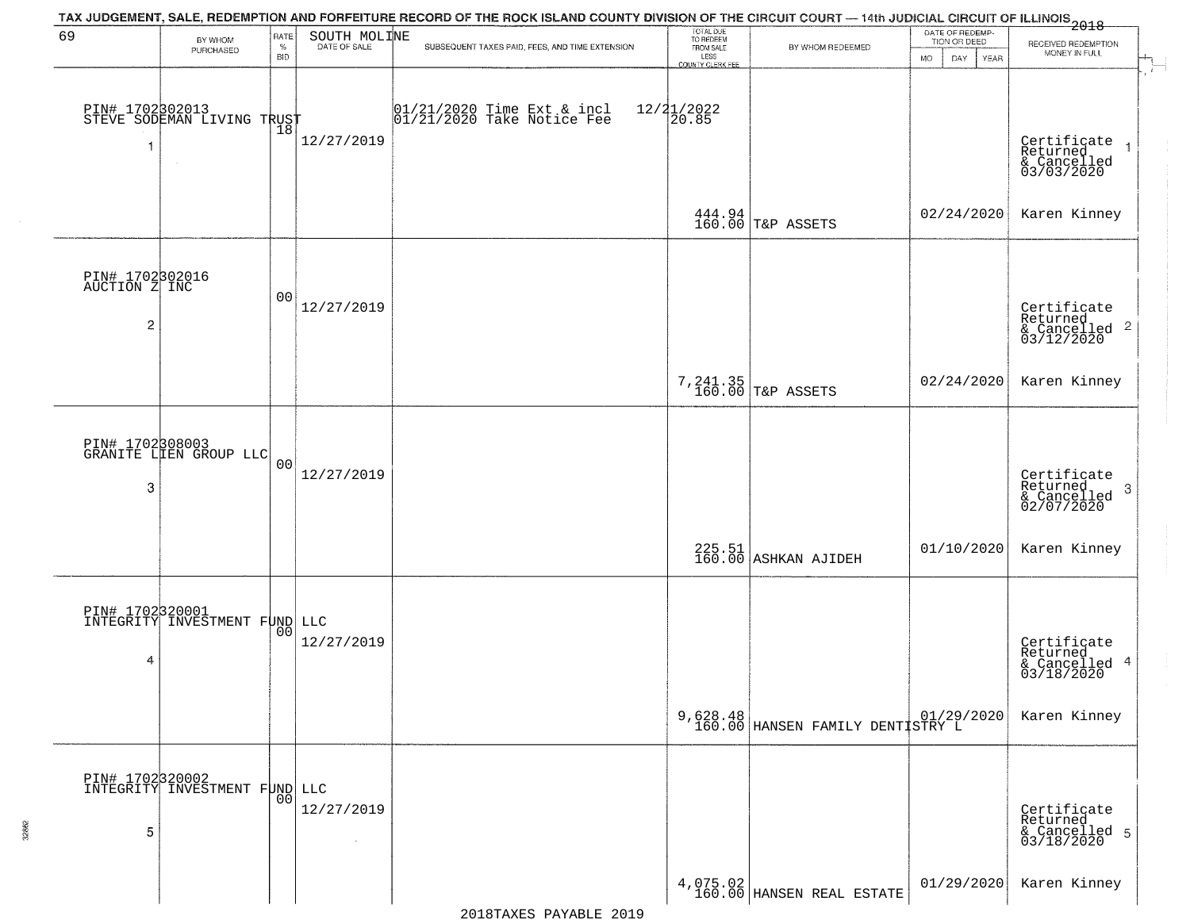|                                       |                                                         |                            |                      | TAX JUDGEMENT, SALE, REDEMPTION AND FORFEITURE RECORD OF THE ROCK ISLAND COUNTY DIVISION OF THE CIRCUIT COURT — 14th JUDICIAL CIRCUIT OF ILLINOIS<br>2018 - 1990 - 1991 - 1992 - 1992 - 1993 - 1994 - 1994 - 1994 - 1995 - 1996 |                                                                 |                                              |                                                             |                                                                       |
|---------------------------------------|---------------------------------------------------------|----------------------------|----------------------|---------------------------------------------------------------------------------------------------------------------------------------------------------------------------------------------------------------------------------|-----------------------------------------------------------------|----------------------------------------------|-------------------------------------------------------------|-----------------------------------------------------------------------|
| 69                                    | BY WHOM<br>PURCHASED                                    | RATE<br>$\%$<br><b>BID</b> | SOUTH MOLINE         | SUBSEQUENT TAXES PAID, FEES, AND TIME EXTENSION                                                                                                                                                                                 | TOTAL DUE<br>TO REDEEM<br>FROM SALE<br>LESS<br>COUNTY CLERK FEE | BY WHOM REDEEMED                             | DATE OF REDEMP-<br>TION OR DEED<br><b>MO</b><br>DAY<br>YEAR | RECEIVED REDEMPTION<br>MONEY IN FULL<br>$\mathcal{A}_{\mathbb{L}}$    |
| 1                                     | PIN# 1702802013<br>STEVE SODEMAN LIVING TRUST<br>$\sim$ |                            | 12/27/2019           | 01/21/2020 Time Ext & incl<br>01/21/2020 Take Notice Fee                                                                                                                                                                        | 12/21/2022<br>20.85                                             |                                              |                                                             | $\rightarrow$<br>Certificate<br>Returned<br>& Cancelled<br>03/03/2020 |
|                                       |                                                         |                            |                      |                                                                                                                                                                                                                                 |                                                                 | $444.94$ $\sqrt{160.00}$ T&P ASSETS          | 02/24/2020                                                  | Karen Kinney                                                          |
| PIN# 1702302016<br>AUCTION Z INC<br>2 |                                                         | 00                         | 12/27/2019           |                                                                                                                                                                                                                                 |                                                                 |                                              |                                                             | Certificate<br>Returned<br>$\frac{1}{2}$ Cancelled 2<br>03/12/2020    |
|                                       |                                                         |                            |                      |                                                                                                                                                                                                                                 |                                                                 | 7, 241.35<br>160.00 T&P ASSETS               | 02/24/2020                                                  | Karen Kinney                                                          |
| 3                                     | PIN# 1702308003<br>GRANITE LIEN GROUP LLC               | 0 <sub>0</sub>             | 12/27/2019           |                                                                                                                                                                                                                                 |                                                                 |                                              |                                                             | Certificate<br>Returned<br>3<br>& Cancelled<br>02/07/2020             |
|                                       |                                                         |                            |                      |                                                                                                                                                                                                                                 |                                                                 | 225.51<br>160.00 ASHKAN AJIDEH               | 01/10/2020                                                  | Karen Kinney                                                          |
| 4                                     | PIN# 1702320001<br>INTEGRITY INVESTMENT FUND LLC        | 00                         | 12/27/2019           |                                                                                                                                                                                                                                 |                                                                 |                                              |                                                             | Certificate<br>Returned<br>& Cancelled 4<br>03/18/2020                |
|                                       |                                                         |                            |                      |                                                                                                                                                                                                                                 |                                                                 | 9,628.48<br>160.00 HANSEN FAMILY DENTISTRY L |                                                             | Karen Kinney                                                          |
| 5                                     | PIN# 1702320002<br>INTEGRITY INVESTMENT FOND LLC        |                            | 12/27/2019<br>$\sim$ |                                                                                                                                                                                                                                 |                                                                 |                                              |                                                             | Certificate<br>Returned<br>& Cancelled 5<br>03/18/2020                |
|                                       |                                                         |                            |                      |                                                                                                                                                                                                                                 |                                                                 | $4,075.02$ HANSEN REAL ESTATE                | 01/29/2020                                                  | Karen Kinney                                                          |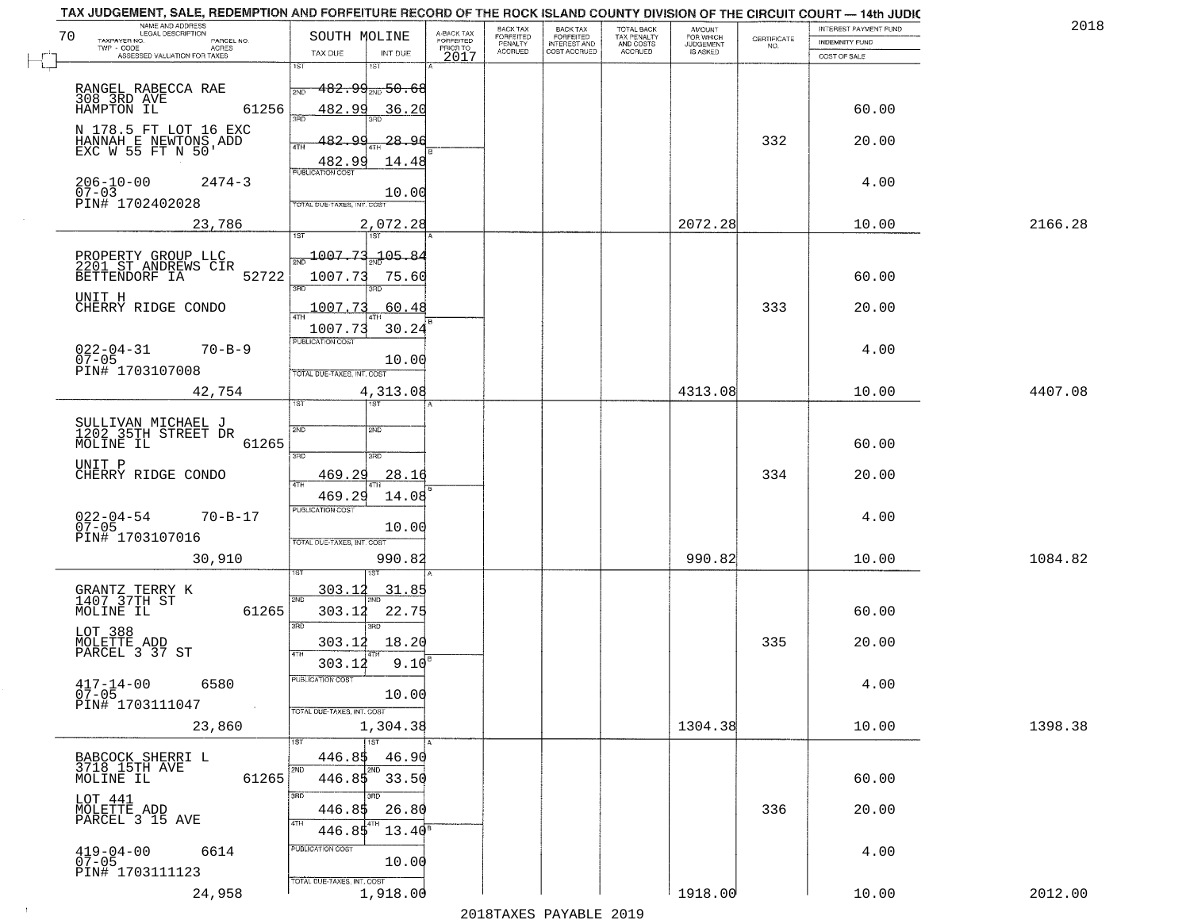| NAME AND ADDRESS<br>LEGAL DESCRIPTION<br>70<br>TAXPAYER NO.<br>PARCEL NO.<br>TWP - CODE<br>ACRES | SOUTH MOLINE                                                                      | A-BACK TAX<br>FORFEITED<br>PRIOR TO | BACK TAX<br>FORFEITED<br>PENALTY | BACK TAX<br>FORFEITED<br>INTEREST AND | TOTAL BACK<br>TAX PENALTY<br>AND COSTS | AMOUNT<br>FOR WHICH<br><b>JUDGEMENT</b> | $\begin{array}{c} \text{CERTIFICATE} \\ \text{NO.} \end{array}$ | <b>INTEREST PAYMENT FUND</b><br><b>INDEMNITY FUND</b> | 2018    |
|--------------------------------------------------------------------------------------------------|-----------------------------------------------------------------------------------|-------------------------------------|----------------------------------|---------------------------------------|----------------------------------------|-----------------------------------------|-----------------------------------------------------------------|-------------------------------------------------------|---------|
| ASSESSED VALUATION FOR TAXES                                                                     | TAX DUE<br>INT DUE<br>1ST<br>1ST                                                  | 2017                                | <b>ACCRUED</b>                   | COST ACCRUED                          | <b>ACCRUED</b>                         | IS ASKED                                |                                                                 | COST OF SALE                                          |         |
| RANGEL RABECCA RAE<br>308 3RD AVE<br>HAMPTON IL<br>61256                                         | <del>182․99<sub>2№</sub>50․68</del><br>2ND<br>482.99<br>36.20                     |                                     |                                  |                                       |                                        |                                         |                                                                 | 60.00                                                 |         |
| N 178.5 FT LOT 16 EXC<br>HANNAH E NEWTONS ADD<br>EXC W 55 FT N 50'                               | 3HD<br><u>482.99</u><br>$-28-$<br>96<br>4TH                                       |                                     |                                  |                                       |                                        |                                         | 332                                                             | 20.00                                                 |         |
| $206 - 10 - 00$<br>$2474 - 3$<br>$07 - 03$<br>PIN# 1702402028                                    | 482.99<br>14.48<br><b>PUBLICATION COST</b><br>10.00<br>TOTAL DUE-TAXES, INT. COST |                                     |                                  |                                       |                                        |                                         |                                                                 | 4.00                                                  |         |
| 23,786                                                                                           | 2,072.28<br>1ST                                                                   |                                     |                                  |                                       |                                        | 2072.28                                 |                                                                 | 10.00                                                 | 2166.28 |
| PROPERTY GROUP LLC<br>2201 ST ANDREWS CIR<br>52722<br>BETTENDORF IA<br>UNIT H                    | 1007.73<br>$-105.84$<br>1007.73<br>75.60<br><u>रुप्त</u><br>חוז                   |                                     |                                  |                                       |                                        |                                         |                                                                 | 60.00                                                 |         |
| CHERRY RIDGE CONDO                                                                               | 1007.73<br>60.48                                                                  |                                     |                                  |                                       |                                        |                                         | 333                                                             | 20.00                                                 |         |
| $022 - 04 - 31$<br>$70 - B - 9$<br>07-05<br>PIN# 1703107008                                      | 30.24<br>1007.73<br>PUBLICATION COST<br>10.00<br>TOTAL DUE-TAXES, INT. COST       |                                     |                                  |                                       |                                        |                                         |                                                                 | 4.00                                                  |         |
| 42,754                                                                                           | 4,313.08<br>1ST.                                                                  |                                     |                                  |                                       |                                        | 4313.08                                 |                                                                 | 10.00                                                 | 4407.08 |
| SULLIVAN MICHAEL J<br>1202 35TH STREET DR<br>MOLINE IL<br>61265                                  | <b>2VD</b><br>2ND<br>3BD<br>3BD                                                   |                                     |                                  |                                       |                                        |                                         |                                                                 | 60.00                                                 |         |
| UNIT P<br>CHERRY RIDGE CONDO                                                                     | 469.29<br>28.16<br>4TH                                                            |                                     |                                  |                                       |                                        |                                         | 334                                                             | 20.00                                                 |         |
| $022 - 04 - 54$<br>07-05<br>$70 - B - 17$<br>PIN# 1703107016                                     | 469.29<br>14.08<br><b>PUBLICATION COST</b><br>10.00<br>TOTAL OUE-TAXES, INT. COST |                                     |                                  |                                       |                                        |                                         |                                                                 | 4.00                                                  |         |
| 30,910                                                                                           | 990.82                                                                            |                                     |                                  |                                       |                                        | 990.82                                  |                                                                 | 10.00                                                 | 1084.82 |
| GRANTZ TERRY K<br>1407 37TH ST<br>MOLINE IL<br>61265                                             | 303.12<br>31.85<br>2ND<br>22.75<br>303.12<br>3BD<br>$\overline{3BD}$              |                                     |                                  |                                       |                                        |                                         |                                                                 | 60.00                                                 |         |
| LOT 388<br>MOLETTE ADD<br>PARCEL 3 37 ST                                                         | 18.20<br>303.12<br>4TH                                                            |                                     |                                  |                                       |                                        |                                         | 335                                                             | 20.00                                                 |         |
| $417 - 14 - 00$<br>6580<br>$07 - 05$<br>PIN# 1703111047<br>$\sim 100$                            | 9.10<br>303.12<br>PUBLICATION COST<br>10.00<br>TOTAL DUE-TAXES, INT. COST         |                                     |                                  |                                       |                                        |                                         |                                                                 | 4.00                                                  |         |
| 23,860                                                                                           | 1,304.38<br>1ST<br>1ST                                                            |                                     |                                  |                                       |                                        | 1304.38                                 |                                                                 | 10.00                                                 | 1398.38 |
| BABCOCK SHERRI L<br>3718 15TH AVE<br>61265<br>MOLINE IL                                          | 446.85<br>46.90<br>2ND<br>2ND<br>446.85<br>33.50                                  |                                     |                                  |                                       |                                        |                                         |                                                                 | 60.00                                                 |         |
| LOT 441<br>MOLETTE ADD<br>PARCEL 3 15 AVE                                                        | 3BD<br><u>श्मक</u><br>446.85<br>26.80<br>4TH                                      |                                     |                                  |                                       |                                        |                                         | 336                                                             | 20.00                                                 |         |
| $419-04-00$<br>07-05<br>6614<br>PIN# 1703111123                                                  | $13.40^5$<br>446.85<br>PUBLICATION COST<br>10.00<br>TOTAL DUE-TAXES, INT. COST    |                                     |                                  |                                       |                                        |                                         |                                                                 | 4.00                                                  |         |
| 24,958                                                                                           | 1,918.00                                                                          |                                     |                                  |                                       |                                        | 1918.00                                 |                                                                 | 10.00                                                 | 2012.00 |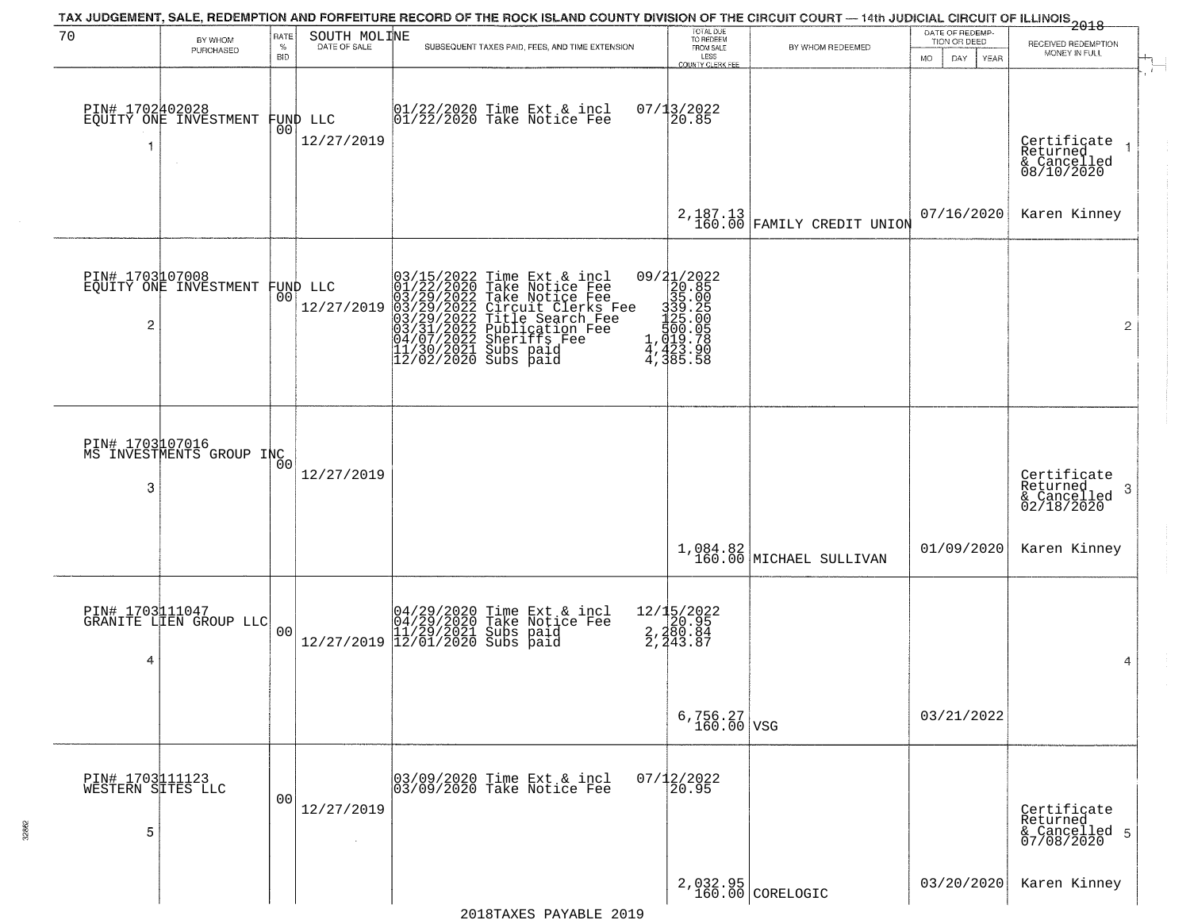| 70                                        | BY WHOM<br>PURCHASED                         | RATE<br>$\%$<br><b>BID</b> | SOUTH MOLINE                   | TAX JUDGEMENT, SALE, REDEMPTION AND FORFEITURE RECORD OF THE ROCK ISLAND COUNTY DIVISION OF THE CIRCUIT COURT — 14th JUDICIAL CIRCUIT OF ILLINOIS 2018<br>SUBSEQUENT TAXES PAID, FEES, AND TIME EXTENSION                                             | TOTAL DUE<br>TO REDEEM<br>FROM SALE<br>LESS<br>COUNTY CLERK FEE               | BY WHOM REDEEMED                                                                                                                                                  | DATE OF REDEMP-<br>TION OR DEED<br>YEAR<br>MO.<br>DAY. | RECEIVED REDEMPTION<br>MONEY IN FULL                       |
|-------------------------------------------|----------------------------------------------|----------------------------|--------------------------------|-------------------------------------------------------------------------------------------------------------------------------------------------------------------------------------------------------------------------------------------------------|-------------------------------------------------------------------------------|-------------------------------------------------------------------------------------------------------------------------------------------------------------------|--------------------------------------------------------|------------------------------------------------------------|
| PIN# 1702402028<br>1                      | EQUITY ONE INVESTMENT                        | 0 <sub>0</sub>             | FUND LLC<br>12/27/2019         | 01/22/2020 Time Ext & incl<br>01/22/2020 Take Notice Fee                                                                                                                                                                                              | 07/13/2022<br>20.85                                                           |                                                                                                                                                                   |                                                        | Certificate<br>Returned<br>& Cancelled<br>08/10/2020       |
|                                           |                                              |                            |                                |                                                                                                                                                                                                                                                       |                                                                               | $2,187.13$ FAMILY CREDIT UNION                                                                                                                                    | 07/16/2020                                             | Karen Kinney                                               |
| 2                                         | PIN# 1703107008<br>EQUITY ONE INVESTMENT     |                            | FUND LLC<br> 00 <br>12/27/2019 | 03/15/2022 Time Ext & incl<br>01/22/2020 Take Notice Fee<br>03/29/2022 Take Notice Fee<br>03/29/2022 Tircuit Clerks Fee<br>03/29/2022 Title Search Fee<br>03/31/2022 Publication Fee<br>04/07/2022 Sheriffs Fee<br>11/30/2021 Subs paid<br>12/02/2020 | 09/21/2022<br>9<br>12088<br>1335 000<br>1339 000<br>14, 423 000<br>4, 385 .58 |                                                                                                                                                                   |                                                        | $\overline{2}$                                             |
| 3                                         | PIN# 1703 107016<br>MS INVESTMENTS GROUP INC |                            | 12/27/2019                     |                                                                                                                                                                                                                                                       |                                                                               |                                                                                                                                                                   |                                                        | Certificate<br>Returned<br>-3<br>& Cancelled<br>02/18/2020 |
|                                           |                                              |                            |                                |                                                                                                                                                                                                                                                       |                                                                               | $\begin{array}{c} \texttt{1,084.82}\text{ \textcolor{red}{\big)} \texttt{160.00}\text{ \textcolor{red}{\big)} \texttt{MICHAEL} \texttt{ SULLI VAN} } \end{array}$ | 01/09/2020                                             | Karen Kinney                                               |
| 4                                         | PIN# 1703111047<br>GRANITE LIEN GROUP LLC    | 00                         | 12/27/2019                     | 04/29/2020 Time Ext & incl<br>04/29/2020 Take Notice Fee<br>11/29/2021 Subs paid<br>12/01/2020 Subs paid                                                                                                                                              | 12/15/2022<br>2, 20.95<br>2, 280.84<br>2, 243.87                              |                                                                                                                                                                   |                                                        | 4                                                          |
|                                           |                                              |                            |                                |                                                                                                                                                                                                                                                       | $6,756.27$ VSG                                                                |                                                                                                                                                                   | 03/21/2022                                             |                                                            |
| PIN# 1703111123<br>WESTERN SITES LLC<br>5 |                                              | 00                         | 12/27/2019<br>$\sim$           | 03/09/2020 Time Ext & incl<br>03/09/2020 Take Notice Fee                                                                                                                                                                                              | $07/12/2022$<br>20.95                                                         |                                                                                                                                                                   |                                                        | Certificate<br>Returned<br>& Cancelled 5<br>07/08/2020     |
|                                           |                                              |                            |                                |                                                                                                                                                                                                                                                       |                                                                               | 2,032.95<br>160.00 CORELOGIC                                                                                                                                      | 03/20/2020                                             | Karen Kinney                                               |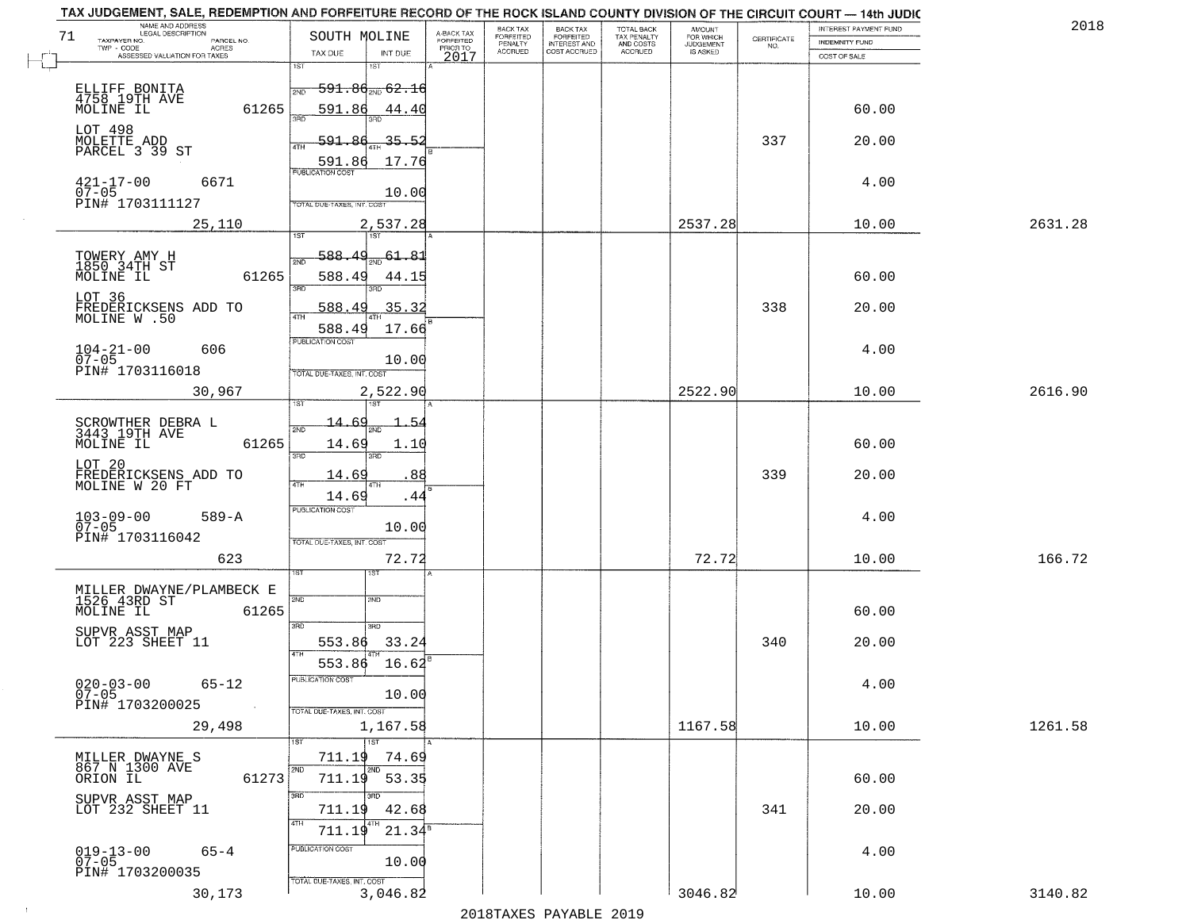| NAME AND ADDRESS<br>LEGAL DESCRIPTION                              |                                                                                   | BACK TAX                                                    |                                       |                                        |                                  |                    | INTEREST PAYMENT FUND | 2018    |
|--------------------------------------------------------------------|-----------------------------------------------------------------------------------|-------------------------------------------------------------|---------------------------------------|----------------------------------------|----------------------------------|--------------------|-----------------------|---------|
| 71<br>TAXPAYER NO.<br>PARCEL NO.<br>ACRES                          | SOUTH MOLINE                                                                      | A-BACK TAX<br>FORFEITED<br>PRIOR TO<br>FORFEITED<br>PENALTY | BACK TAX<br>FORFEITED<br>INTEREST AND | TOTAL BACK<br>TAX PENALTY<br>AND COSTS | AMOUNT<br>FOR WHICH<br>JUDGEMENT | CERTIFICATE<br>NO. | <b>INDEMNITY FUND</b> |         |
| ASSESSED VALUATION FOR TAXES                                       | TAX DUE<br>INT DUE                                                                | <b>ACCRUED</b><br>2017                                      | COST ACCRUED                          | <b>ACCRUED</b>                         | IS ASKED                         |                    | COST OF SALE          |         |
| ELLIFF BONITA<br>4758 19TH AVE<br>MOLINE IL<br>61265               | 1ST<br>1ST<br>$591.86_{200}62.16$<br>2ND                                          |                                                             |                                       |                                        |                                  |                    |                       |         |
| LOT 498<br>MOLETTE ADD<br>PARCEL 3 39 ST                           | 591.86<br>44.40<br>591.86<br>35.52<br>ATH                                         |                                                             |                                       |                                        |                                  | 337                | 60.00<br>20.00        |         |
| $421 - 17 - 00$<br>07-05<br>6671<br>PIN# 1703111127                | 17.76<br>591.86<br><b>PUBLICATION COST</b><br>10.00<br>TOTAL DUE-TAXES, INT. COST |                                                             |                                       |                                        |                                  |                    | 4.00                  |         |
| 25,110                                                             | 2,537.28                                                                          |                                                             |                                       |                                        | 2537.28                          |                    | 10.00                 | 2631.28 |
| TOWERY AMY H<br>1850 34TH ST<br>61265<br>MOLINE IL<br>LOT 36       | 588.49<br>$\frac{61.81}{200}$<br>2ND<br>588.49<br>44.15<br>3RD                    |                                                             |                                       |                                        |                                  |                    | 60.00                 |         |
| FREDERICKSENS ADD TO<br>MOLINE W.50                                | 35.32<br>588.49<br>17.66<br>588.49<br>PUBLICATION COST                            |                                                             |                                       |                                        |                                  | 338                | 20.00                 |         |
| $104 - 21 - 00$<br>07-05<br>606<br>PIN# 1703116018                 | 10.00<br>TOTAL DUE-TAXES, INT. COST                                               |                                                             |                                       |                                        |                                  |                    | 4.00                  |         |
| 30,967                                                             | 2,522.90<br>١S٦<br>i ST                                                           |                                                             |                                       |                                        | 2522.90                          |                    | 10.00                 | 2616.90 |
| SCROWTHER DEBRA L<br>3443 19TH AVE<br>MOLINE IL<br>61265           | 14.<br>.54<br>2ND<br>14.69<br>1.1(<br>3BD<br>3RD                                  |                                                             |                                       |                                        |                                  |                    | 60.00                 |         |
| LOT 20<br>FREDERICKSENS ADD TO<br>MOLINE W 20 FT                   | 14.69<br>88<br>4TH<br>4TH<br>14.69<br>.44                                         |                                                             |                                       |                                        |                                  | 339                | 20.00                 |         |
| $103 - 09 - 00$<br>07-05<br>$589 - A$<br>PIN# 1703116042           | <b>PUBLICATION COST</b><br>10.00<br>TOTAL OUE-TAXES, INT. COST                    |                                                             |                                       |                                        |                                  |                    | 4.00                  |         |
| 623                                                                | 72.72                                                                             |                                                             |                                       |                                        | 72.72                            |                    | 10.00                 | 166.72  |
| MILLER DWAYNE/PLAMBECK E<br>1526 43RD ST<br>MOLINE IL<br>61265     | 1ST<br>2ND<br>2ND<br>3BD<br>3 <sub>BD</sub>                                       |                                                             |                                       |                                        |                                  |                    | 60.00                 |         |
| SUPVR ASST MAP<br>LOT 223 SHEET 11                                 | 553.86<br>33.24<br><b>ATH</b><br>553.86<br>16.62                                  |                                                             |                                       |                                        |                                  | 340                | 20.00                 |         |
| $020 - 03 - 00$<br>07-05<br>65-12<br>PIN# 1703200025<br>$\sim 100$ | -usuca i un cus-<br>10.00<br>TOTAL DUE-TAXES, INT. COST                           |                                                             |                                       |                                        |                                  |                    | 4.00                  |         |
| 29,498                                                             | 1,167.58                                                                          |                                                             |                                       |                                        | 1167.58                          |                    | 10.00                 | 1261.58 |
| MILLER DWAYNE S<br>867 N 1300 AVE<br>61273<br>ORION IL             | 1ST<br>711.19<br>74.69<br>2ND<br>2ND<br>711.19 53.35                              |                                                             |                                       |                                        |                                  |                    | 60.00                 |         |
| SUPVR ASST MAP<br>LOT 232 SHEET 11                                 | 3RD<br>42.68<br>711.19<br>4TH<br>4TH<br>711.19<br>21.34 <sup>B</sup>              |                                                             |                                       |                                        |                                  | 341                | 20.00                 |         |
| $019 - 13 - 00$<br>07-05<br>$65 - 4$<br>PIN# 1703200035            | PUBLICATION COST<br>10.00<br>TOTAL DUE-TAXES, INT. COST                           |                                                             |                                       |                                        |                                  |                    | 4.00                  |         |
| 30,173                                                             | 3,046.82                                                                          |                                                             |                                       |                                        | 3046.82                          |                    | 10.00                 | 3140.82 |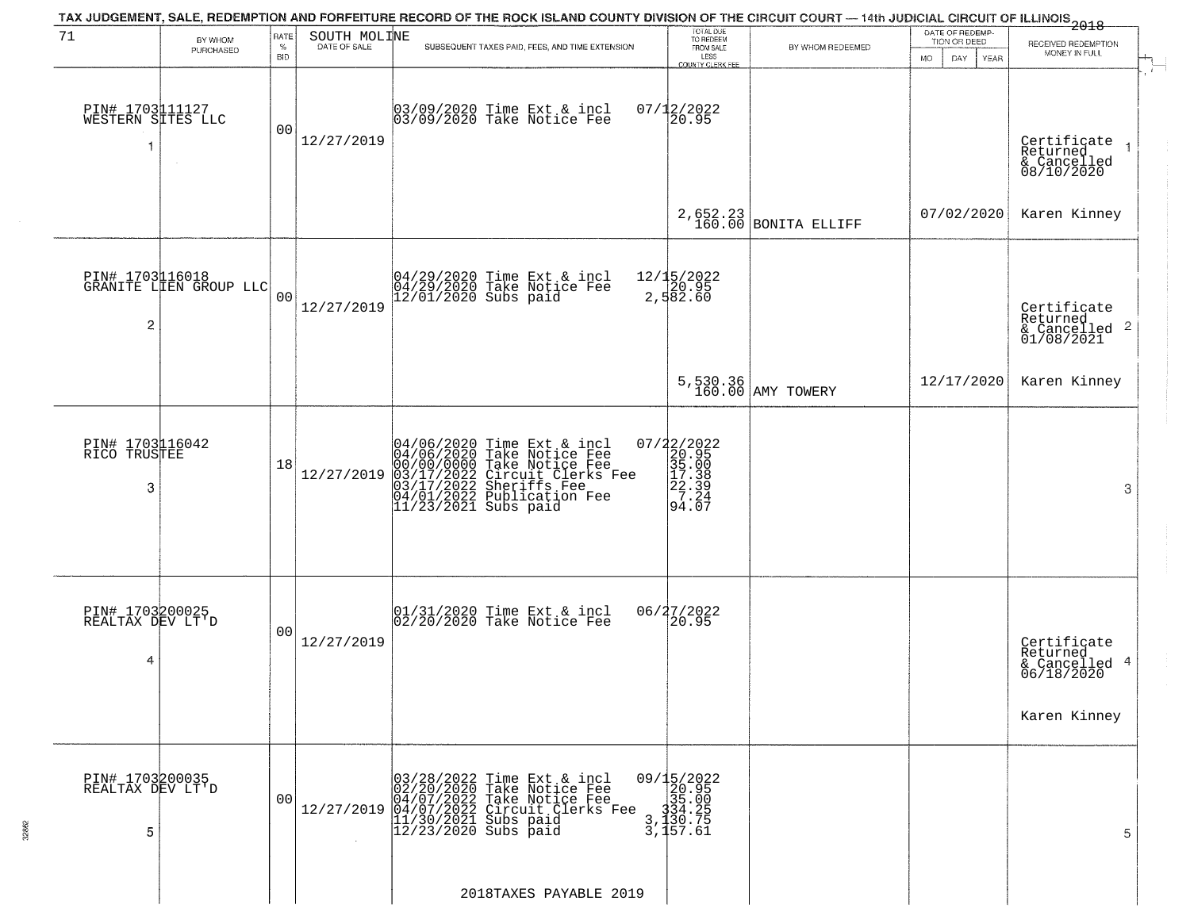|                                           |                                           |                                   |                              | TAX JUDGEMENT, SALE, REDEMPTION AND FORFEITURE RECORD OF THE ROCK ISLAND COUNTY DIVISION OF THE CIRCUIT COURT — 14th JUDICIAL CIRCUIT OF ILLINOIS 2018                                                    |                                                                                                   |                               |                                                                     |                                                                        |
|-------------------------------------------|-------------------------------------------|-----------------------------------|------------------------------|-----------------------------------------------------------------------------------------------------------------------------------------------------------------------------------------------------------|---------------------------------------------------------------------------------------------------|-------------------------------|---------------------------------------------------------------------|------------------------------------------------------------------------|
| 71                                        | BY WHOM<br>PURCHASED                      | <b>RATE</b><br>$\%$<br><b>BID</b> | SOUTH MOLINE<br>DATE OF SALE | SUBSEQUENT TAXES PAID, FEES, AND TIME EXTENSION                                                                                                                                                           | TOTAL DUE<br>TO REDEEM<br>FROM SALE<br>LESS<br>COUNTY CLERK FEE                                   | BY WHOM REDEEMED              | DATE OF REDEMP-<br>TION OR DEED<br><b>MO</b><br>DAY.<br><b>YEAR</b> | RECEIVED REDEMPTION<br>MONEY IN FULL                                   |
| PIN# 1703111127<br>WESTERN SITES LLC<br>1 |                                           | 0 <sub>0</sub>                    | 12/27/2019                   | 03/09/2020 Time Ext & incl<br>03/09/2020 Take Notice Fee                                                                                                                                                  | $07/12/2022$<br>20.95                                                                             |                               |                                                                     | Certificate<br>Returned<br>& Cancelled<br>08/10/2020                   |
|                                           |                                           |                                   |                              |                                                                                                                                                                                                           |                                                                                                   | $2,652.23$ BONITA ELLIFF      | 07/02/2020                                                          | Karen Kinney                                                           |
| $\overline{2}$                            | PIN# 1703116018<br>GRANITE LIEN GROUP LLC | 0 <sub>0</sub>                    | 12/27/2019                   | 04/29/2020 Time Ext & incl<br>04/29/2020 Take Notice Fee<br>12/01/2020 Subs paid                                                                                                                          | 12/15/2022<br>20.95<br>2,582.60                                                                   |                               |                                                                     | Certificate<br>Returned<br>& Cancelled 2<br>01/08/2021                 |
|                                           |                                           |                                   |                              |                                                                                                                                                                                                           |                                                                                                   | 5,530.36<br>160.00 AMY TOWERY | 12/17/2020                                                          | Karen Kinney                                                           |
| PIN# 1703116042<br>RICO TRUSTEE<br>3      |                                           | 18                                | 12/27/2019                   | 04/06/2020 Time Ext & incl<br>04/06/2020 Take Notice Fee<br>00/00/00000 Take Notice Fee<br>03/17/2022 Circuit Clerks Fee<br>03/17/2022 Sheriffs Fee<br>04/01/2022 Publication Fee<br>11/23/2021 Subs paid | $=\begin{bmatrix} 07/22/2022\\ 20.95\\ 35.00\\ 17.38\\ 22.39\\ 7.24\\ 94.07 \end{bmatrix}$        |                               |                                                                     | 3                                                                      |
| PIN# 1703200025<br>REALTAX DEV LT'D<br>4  |                                           | 0 <sub>0</sub>                    | 12/27/2019                   | 01/31/2020 Time Ext & incl<br>02/20/2020 Take Notice Fee                                                                                                                                                  | 06/27/2022<br>20.95                                                                               |                               |                                                                     | Certificate<br>Returned<br>& Cancelled 4<br>06/18/2020<br>Karen Kinney |
| PIN# 1703200035<br>REALTAX DEV LT'D<br>5  |                                           | 00                                | 12/27/2019                   | 03/28/2022 Time Ext & incl<br>02/20/2020 Take Notice Fee<br>04/07/2022 Take Notice Fee<br>04/07/2022 Take Notice Fee<br>04/07/2022 Circuit Clerks Fee<br>11/30/2021 Subs paid<br>12/23/2020 Subs paid     | $\begin{smallmatrix} 09/15/2022\\ 20.95\\ 35.00\\ 334.25\\ 3,130.75\\ 3,157.61 \end{smallmatrix}$ |                               |                                                                     | 5                                                                      |
|                                           |                                           |                                   |                              | 2018TAXES PAYABLE 2019                                                                                                                                                                                    |                                                                                                   |                               |                                                                     |                                                                        |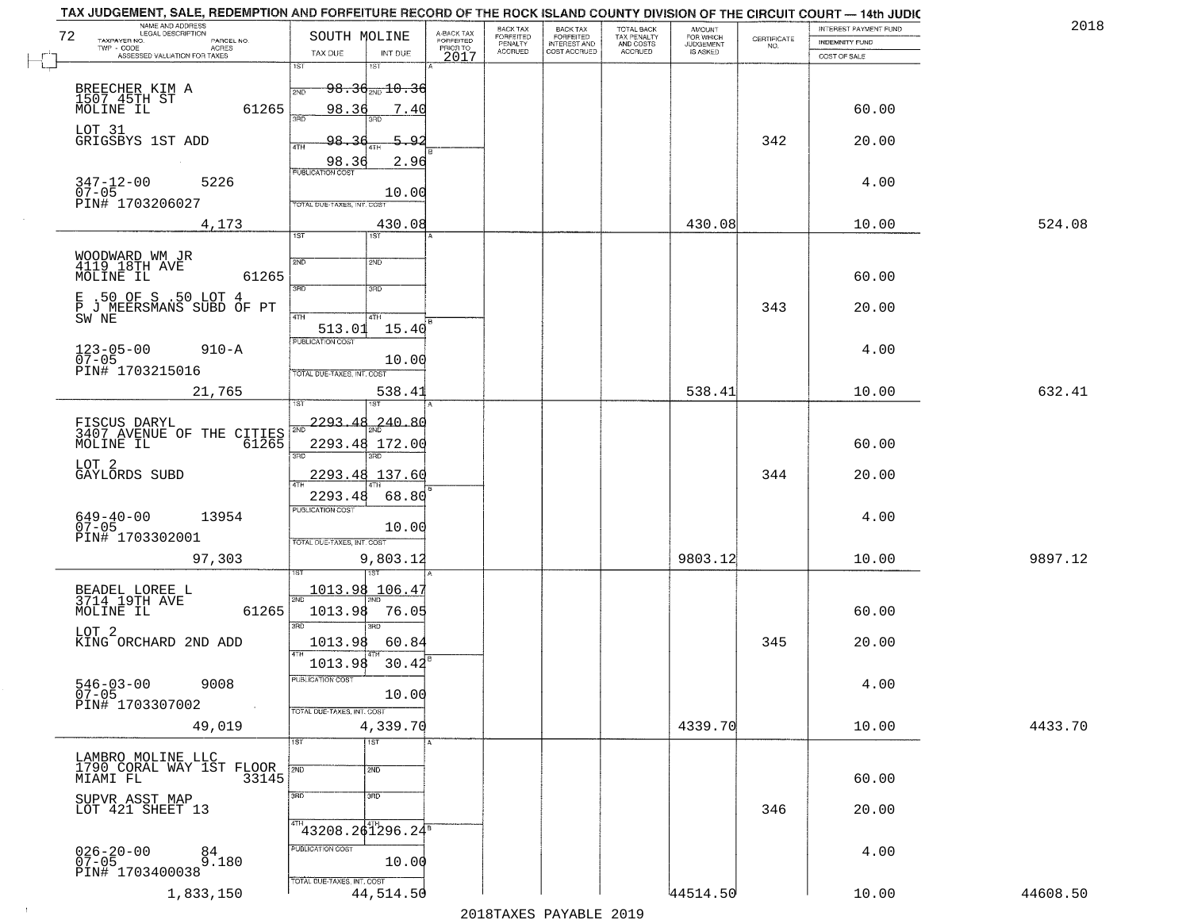| NAME AND ADDRESS<br>LEGAL DESCRIPTION<br>72<br>TAXPAYER NO.<br>PARCEL NO.<br>TWP - CODE<br>ACRES<br>ASSESSED VALUATION FOR TAXES<br>BREECHER KIM A<br>1507.45TH ST<br>61265<br>MOLINE IL<br>LOT 31<br>GRIGSBYS 1ST ADD<br>$347 - 12 - 00$<br>07-05<br>5226<br>PIN# 1703206027<br>4,173<br>WOODWARD WM JR<br>4119 18TH AVE | SOUTH MOLINE<br>INT DUE<br>TAX DUE<br>1ST<br>1ST<br><del>98.30 20.36</del><br>2ND<br>98.36<br>7.40<br>98.36<br>5.92<br>2.96<br>98.36<br>PUBLICATION COST<br>10.00<br>TOTAL DUE-TAXES, INT. COST<br>430.08 | A-BACK TAX<br>FORFEITED<br>PRIOR TO<br>2017 | FORFEITED<br>PENALTY<br><b>ACCRUED</b> | BACK TAX<br>FORFEITED<br>INTEREST AND<br>COST ACCRUED | TOTAL BACK<br>TAX PENALTY<br>AND COSTS<br>ACCRUED | AMOUNT<br>FOR WHICH<br>JUDGEMENT<br>IS ASKED | $\begin{array}{c} \text{CERTIFICATE} \\ \text{NO.} \end{array}$ | INDEMNITY FUND<br>COST OF SALE |          |
|---------------------------------------------------------------------------------------------------------------------------------------------------------------------------------------------------------------------------------------------------------------------------------------------------------------------------|-----------------------------------------------------------------------------------------------------------------------------------------------------------------------------------------------------------|---------------------------------------------|----------------------------------------|-------------------------------------------------------|---------------------------------------------------|----------------------------------------------|-----------------------------------------------------------------|--------------------------------|----------|
|                                                                                                                                                                                                                                                                                                                           |                                                                                                                                                                                                           |                                             |                                        |                                                       |                                                   |                                              |                                                                 |                                |          |
|                                                                                                                                                                                                                                                                                                                           |                                                                                                                                                                                                           |                                             |                                        |                                                       |                                                   |                                              |                                                                 |                                |          |
|                                                                                                                                                                                                                                                                                                                           |                                                                                                                                                                                                           |                                             |                                        |                                                       |                                                   |                                              |                                                                 |                                |          |
|                                                                                                                                                                                                                                                                                                                           |                                                                                                                                                                                                           |                                             |                                        |                                                       |                                                   |                                              |                                                                 |                                |          |
|                                                                                                                                                                                                                                                                                                                           |                                                                                                                                                                                                           |                                             |                                        |                                                       |                                                   |                                              |                                                                 |                                |          |
|                                                                                                                                                                                                                                                                                                                           |                                                                                                                                                                                                           |                                             |                                        |                                                       |                                                   |                                              |                                                                 | 60.00                          |          |
|                                                                                                                                                                                                                                                                                                                           |                                                                                                                                                                                                           |                                             |                                        |                                                       |                                                   |                                              |                                                                 |                                |          |
|                                                                                                                                                                                                                                                                                                                           |                                                                                                                                                                                                           |                                             |                                        |                                                       |                                                   |                                              | 342                                                             | 20.00                          |          |
|                                                                                                                                                                                                                                                                                                                           |                                                                                                                                                                                                           |                                             |                                        |                                                       |                                                   |                                              |                                                                 |                                |          |
|                                                                                                                                                                                                                                                                                                                           |                                                                                                                                                                                                           |                                             |                                        |                                                       |                                                   |                                              |                                                                 |                                |          |
|                                                                                                                                                                                                                                                                                                                           |                                                                                                                                                                                                           |                                             |                                        |                                                       |                                                   |                                              |                                                                 | 4.00                           |          |
|                                                                                                                                                                                                                                                                                                                           |                                                                                                                                                                                                           |                                             |                                        |                                                       |                                                   |                                              |                                                                 |                                |          |
|                                                                                                                                                                                                                                                                                                                           |                                                                                                                                                                                                           |                                             |                                        |                                                       |                                                   | 430.08                                       |                                                                 | 10.00                          | 524.08   |
|                                                                                                                                                                                                                                                                                                                           | 1ST                                                                                                                                                                                                       |                                             |                                        |                                                       |                                                   |                                              |                                                                 |                                |          |
|                                                                                                                                                                                                                                                                                                                           |                                                                                                                                                                                                           |                                             |                                        |                                                       |                                                   |                                              |                                                                 |                                |          |
|                                                                                                                                                                                                                                                                                                                           | 2ND<br>2ND                                                                                                                                                                                                |                                             |                                        |                                                       |                                                   |                                              |                                                                 |                                |          |
| MOLINE IL<br>61265                                                                                                                                                                                                                                                                                                        | 3RD<br>3RD                                                                                                                                                                                                |                                             |                                        |                                                       |                                                   |                                              |                                                                 | 60.00                          |          |
| E .50 OF S .50 LOT 4                                                                                                                                                                                                                                                                                                      |                                                                                                                                                                                                           |                                             |                                        |                                                       |                                                   |                                              |                                                                 |                                |          |
| P J MEERSMANS SUBD OF PT<br>SW NE                                                                                                                                                                                                                                                                                         | 4TH<br>4TH                                                                                                                                                                                                |                                             |                                        |                                                       |                                                   |                                              | 343                                                             | 20.00                          |          |
|                                                                                                                                                                                                                                                                                                                           | 15.40<br>513.01                                                                                                                                                                                           |                                             |                                        |                                                       |                                                   |                                              |                                                                 |                                |          |
| $123 - 05 - 00$<br>$910 - A$                                                                                                                                                                                                                                                                                              | PUBLICATION COST                                                                                                                                                                                          |                                             |                                        |                                                       |                                                   |                                              |                                                                 | 4.00                           |          |
| $07 - 05$                                                                                                                                                                                                                                                                                                                 | 10.00                                                                                                                                                                                                     |                                             |                                        |                                                       |                                                   |                                              |                                                                 |                                |          |
| PIN# 1703215016                                                                                                                                                                                                                                                                                                           | TOTAL DUE-TAXES, INT. COST                                                                                                                                                                                |                                             |                                        |                                                       |                                                   |                                              |                                                                 |                                |          |
| 21,765                                                                                                                                                                                                                                                                                                                    | 538.41                                                                                                                                                                                                    |                                             |                                        |                                                       |                                                   | 538.41                                       |                                                                 | 10.00                          | 632.41   |
|                                                                                                                                                                                                                                                                                                                           | ST                                                                                                                                                                                                        |                                             |                                        |                                                       |                                                   |                                              |                                                                 |                                |          |
|                                                                                                                                                                                                                                                                                                                           | 2293.48<br>240.80                                                                                                                                                                                         |                                             |                                        |                                                       |                                                   |                                              |                                                                 |                                |          |
| FISCUS DARYL<br>3407 AVENUE OF THE CITIES                                                                                                                                                                                                                                                                                 |                                                                                                                                                                                                           |                                             |                                        |                                                       |                                                   |                                              |                                                                 |                                |          |
| MOLINE IL<br>61265                                                                                                                                                                                                                                                                                                        | 2293.48 172.00<br>3RD<br>3BD                                                                                                                                                                              |                                             |                                        |                                                       |                                                   |                                              |                                                                 | 60.00                          |          |
| LOT 2                                                                                                                                                                                                                                                                                                                     |                                                                                                                                                                                                           |                                             |                                        |                                                       |                                                   |                                              |                                                                 |                                |          |
| GAYLORDS SUBD                                                                                                                                                                                                                                                                                                             | 2293.48<br>137.60                                                                                                                                                                                         |                                             |                                        |                                                       |                                                   |                                              | 344                                                             | 20.00                          |          |
|                                                                                                                                                                                                                                                                                                                           | 2293.48<br>68.80                                                                                                                                                                                          |                                             |                                        |                                                       |                                                   |                                              |                                                                 |                                |          |
| 13954                                                                                                                                                                                                                                                                                                                     | <b>PUBLICATION COST</b>                                                                                                                                                                                   |                                             |                                        |                                                       |                                                   |                                              |                                                                 | 4.00                           |          |
| $649 - 40 - 00$<br>07-05                                                                                                                                                                                                                                                                                                  | 10.00                                                                                                                                                                                                     |                                             |                                        |                                                       |                                                   |                                              |                                                                 |                                |          |
| PIN# 1703302001                                                                                                                                                                                                                                                                                                           | TOTAL OUE-TAXES, INT. COST                                                                                                                                                                                |                                             |                                        |                                                       |                                                   |                                              |                                                                 |                                |          |
| 97,303                                                                                                                                                                                                                                                                                                                    | 9,803.12                                                                                                                                                                                                  |                                             |                                        |                                                       |                                                   | 9803.12                                      |                                                                 | 10.00                          | 9897.12  |
|                                                                                                                                                                                                                                                                                                                           |                                                                                                                                                                                                           |                                             |                                        |                                                       |                                                   |                                              |                                                                 |                                |          |
| BEADEL LOREE L<br>3714 19TH AVE                                                                                                                                                                                                                                                                                           | 1013.98 106.47                                                                                                                                                                                            |                                             |                                        |                                                       |                                                   |                                              |                                                                 |                                |          |
| MOLINE IL<br>61265                                                                                                                                                                                                                                                                                                        | 2ND<br>1013.98<br>76.05                                                                                                                                                                                   |                                             |                                        |                                                       |                                                   |                                              |                                                                 | 60.00                          |          |
|                                                                                                                                                                                                                                                                                                                           | 3RT<br>3BD                                                                                                                                                                                                |                                             |                                        |                                                       |                                                   |                                              |                                                                 |                                |          |
| LOT <sub>2</sub><br>KING ORCHARD 2ND ADD                                                                                                                                                                                                                                                                                  | 1013.98<br>60.84                                                                                                                                                                                          |                                             |                                        |                                                       |                                                   |                                              | 345                                                             | 20.00                          |          |
|                                                                                                                                                                                                                                                                                                                           | 4TH                                                                                                                                                                                                       |                                             |                                        |                                                       |                                                   |                                              |                                                                 |                                |          |
|                                                                                                                                                                                                                                                                                                                           | 1013.98<br>30.42                                                                                                                                                                                          |                                             |                                        |                                                       |                                                   |                                              |                                                                 |                                |          |
| $546 - 03 - 00$<br>9008                                                                                                                                                                                                                                                                                                   | PUBLICA HUN COS-                                                                                                                                                                                          |                                             |                                        |                                                       |                                                   |                                              |                                                                 | 4.00                           |          |
| $07 - 05$                                                                                                                                                                                                                                                                                                                 | 10.00                                                                                                                                                                                                     |                                             |                                        |                                                       |                                                   |                                              |                                                                 |                                |          |
| PIN# 1703307002<br>$\sim$                                                                                                                                                                                                                                                                                                 | TOTAL DUE-TAXES, INT. COST                                                                                                                                                                                |                                             |                                        |                                                       |                                                   |                                              |                                                                 |                                |          |
| 49,019                                                                                                                                                                                                                                                                                                                    | 4,339.70                                                                                                                                                                                                  |                                             |                                        |                                                       |                                                   | 4339.70                                      |                                                                 | 10.00                          | 4433.70  |
|                                                                                                                                                                                                                                                                                                                           | 1ST<br>1ST                                                                                                                                                                                                |                                             |                                        |                                                       |                                                   |                                              |                                                                 |                                |          |
| LAMBRO MOLINE LLC<br>1790 CORAL WAY 1ST FLOOR 2ND                                                                                                                                                                                                                                                                         |                                                                                                                                                                                                           |                                             |                                        |                                                       |                                                   |                                              |                                                                 |                                |          |
| 33145<br>MIAMI FL                                                                                                                                                                                                                                                                                                         | 2ND                                                                                                                                                                                                       |                                             |                                        |                                                       |                                                   |                                              |                                                                 | 60.00                          |          |
|                                                                                                                                                                                                                                                                                                                           | 3RD                                                                                                                                                                                                       |                                             |                                        |                                                       |                                                   |                                              |                                                                 |                                |          |
| SUPVR ASST MAP<br>LOT 421 SHEET 13                                                                                                                                                                                                                                                                                        | 3BD                                                                                                                                                                                                       |                                             |                                        |                                                       |                                                   |                                              | 346                                                             | 20.00                          |          |
|                                                                                                                                                                                                                                                                                                                           |                                                                                                                                                                                                           |                                             |                                        |                                                       |                                                   |                                              |                                                                 |                                |          |
|                                                                                                                                                                                                                                                                                                                           | $\frac{143208.261296.24^8}{$                                                                                                                                                                              |                                             |                                        |                                                       |                                                   |                                              |                                                                 |                                |          |
| $026 - 20 - 00$<br>07-05                                                                                                                                                                                                                                                                                                  | PUBLICATION COST                                                                                                                                                                                          |                                             |                                        |                                                       |                                                   |                                              |                                                                 | 4.00                           |          |
| PIN# 1703400038                                                                                                                                                                                                                                                                                                           | 10.00                                                                                                                                                                                                     |                                             |                                        |                                                       |                                                   |                                              |                                                                 |                                |          |
|                                                                                                                                                                                                                                                                                                                           | TOTAL DUE-TAXES, INT. COST                                                                                                                                                                                |                                             |                                        |                                                       |                                                   |                                              |                                                                 |                                |          |
| 1,833,150                                                                                                                                                                                                                                                                                                                 | 44,514.50                                                                                                                                                                                                 |                                             |                                        |                                                       |                                                   | 44514.50                                     |                                                                 | 10.00                          | 44608.50 |
| 9.180                                                                                                                                                                                                                                                                                                                     |                                                                                                                                                                                                           |                                             | 0.01.0mm                               | $\mathbf{D}$                                          | 0010                                              |                                              |                                                                 |                                |          |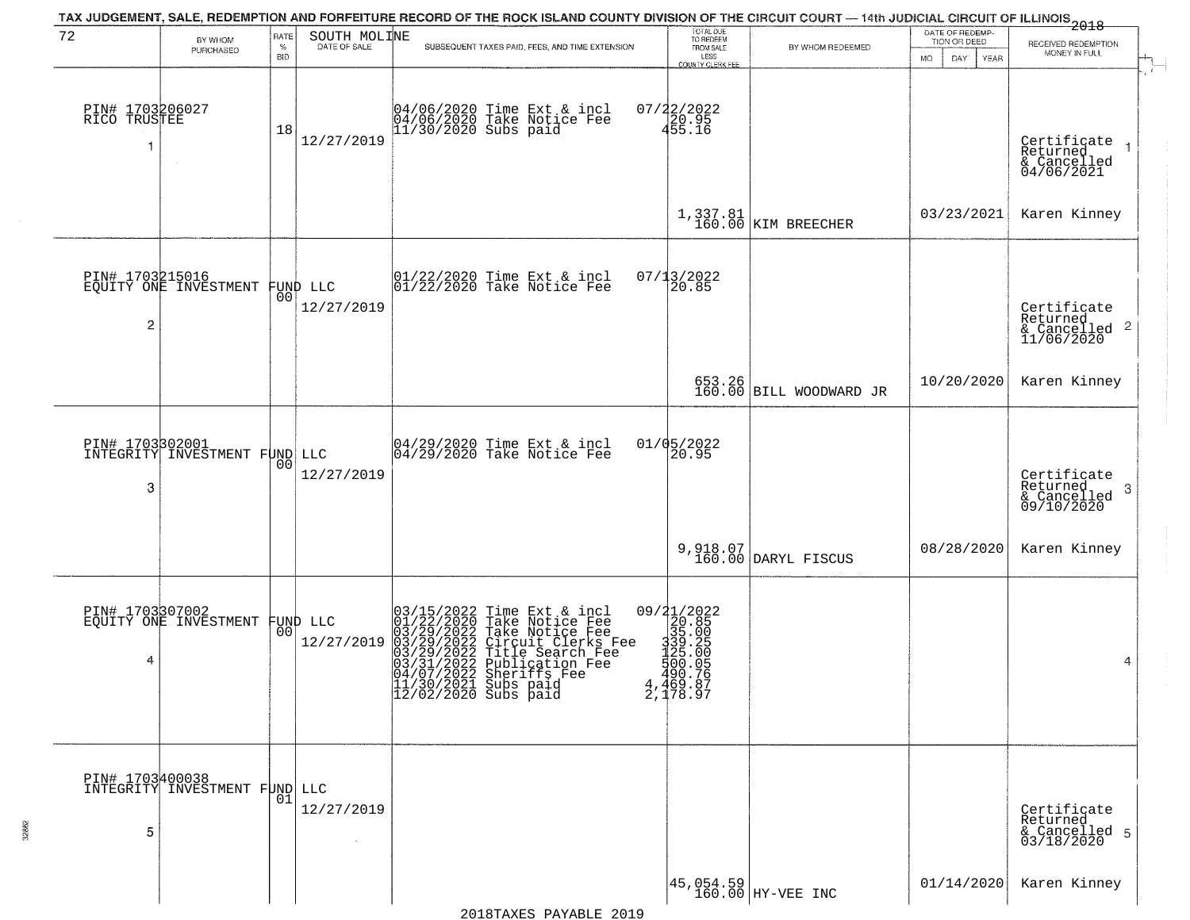| 72                              | BY WHOM<br>PURCHASED                             | RATE<br>$\%$<br><b>BID</b> | SOUTH MOLINE<br>DATE OF SALE | TAX JUDGEMENT, SALE, REDEMPTION AND FORFEITURE RECORD OF THE ROCK ISLAND COUNTY DIVISION OF THE CIRCUIT COURT — 14th JUDICIAL CIRCUIT OF ILLINOIS 2018<br>SUBSEQUENT TAXES PAID, FEES, AND TIME EXTENSION                                                                                        | TOTAL DUE<br>TO REDEEM<br>FROM SALE<br>LESS<br>COUNTY CLERK FEE                          | BY WHOM REDEEMED                                     | DATE OF REDEMP-<br>TION OR DEED<br>DAY<br>MO.<br>YEAR | RECEIVED REDEMPTION<br>MONEY IN FULL                                   |
|---------------------------------|--------------------------------------------------|----------------------------|------------------------------|--------------------------------------------------------------------------------------------------------------------------------------------------------------------------------------------------------------------------------------------------------------------------------------------------|------------------------------------------------------------------------------------------|------------------------------------------------------|-------------------------------------------------------|------------------------------------------------------------------------|
| PIN# 1703206027<br>RICO TRUSTEE |                                                  | 18                         | 12/27/2019                   | 04/06/2020 Time Ext & incl<br>04/06/2020 Take Notice Fee<br>11/30/2020 Subs paid                                                                                                                                                                                                                 | $07/22/2022$<br>$455.16$                                                                 |                                                      |                                                       | Certificate<br>Returned<br>$\mathbf{1}$<br>& Cancelled<br>04/06/2021   |
|                                 |                                                  |                            |                              |                                                                                                                                                                                                                                                                                                  |                                                                                          | $1,337.81$ KIM BREECHER                              | 03/23/2021                                            | Karen Kinney                                                           |
| $\overline{c}$                  | PIN# 1703215016<br>EQUITY ONE INVESTMENT         | 00                         | FUND LLC<br>12/27/2019       | 01/22/2020 Time Ext & incl<br>01/22/2020 Take Notice Fee                                                                                                                                                                                                                                         | 07/13/2022<br>20.85                                                                      |                                                      |                                                       | Certificate<br>Returned<br>$\overline{2}$<br>& Cancelled<br>11/06/2020 |
|                                 |                                                  |                            |                              |                                                                                                                                                                                                                                                                                                  |                                                                                          | 653.26<br>160.00 BILL WOODWARD JR                    | 10/20/2020                                            | Karen Kinney                                                           |
| 3                               | PIN# 1703302001<br>INTEGRITY INVESTMENT FUND LLC | 0 <sub>0</sub>             | 12/27/2019                   | $\begin{array}{c}  04/29/2020 \text{ Time} \text{ Ext} & \text{incl} \\  04/29/2020 \text{ Take Notice } \text{Fe} \end{array}$                                                                                                                                                                  | 01/05/2022<br>20.95                                                                      |                                                      |                                                       | Certificate<br>Returned<br>3<br>$\frac{1}{09/10/2020}$                 |
|                                 |                                                  |                            |                              |                                                                                                                                                                                                                                                                                                  |                                                                                          | 9,918.07<br>160.00 DARYL FISCUS                      | 08/28/2020                                            | Karen Kinney                                                           |
| 4                               | PIN# 1703307002<br>EQUITY ONE INVESTMENT         | 00 <sup>1</sup>            | FUND LLC<br>12/27/2019       | 03/15/2022 Time Ext & incl<br>01/22/2020 Take Notice Fee<br>03/29/2022 Take Notice Fee<br>03/29/2022 Circuit Clerks Fee<br>03/29/2022 Title Search Fee<br>03/31/2022 Sublication Fee<br>04/07/2021 Substriffs Fee<br>04/07/2021 Substriffs Fee<br> 11/30/2021 Subs paid<br> 12/02/2020 Subs paid | 09/21/2022<br>20.85<br>335.005<br>335.005<br>339.0056<br>500.756<br>4,469.87<br>2,178.97 |                                                      |                                                       | 4                                                                      |
| PIN# 1703400038<br>5            | INTEGRITY INVESTMENT FUND LLC                    | 01                         | 12/27/2019                   |                                                                                                                                                                                                                                                                                                  |                                                                                          |                                                      |                                                       | Certificate<br>Returned<br>& Cancelled 5<br>03/18/2020                 |
|                                 |                                                  |                            |                              |                                                                                                                                                                                                                                                                                                  |                                                                                          | $\left  \frac{45,054.59}{160.00} \right $ HY-VEE INC | 01/14/2020                                            | Karen Kinney                                                           |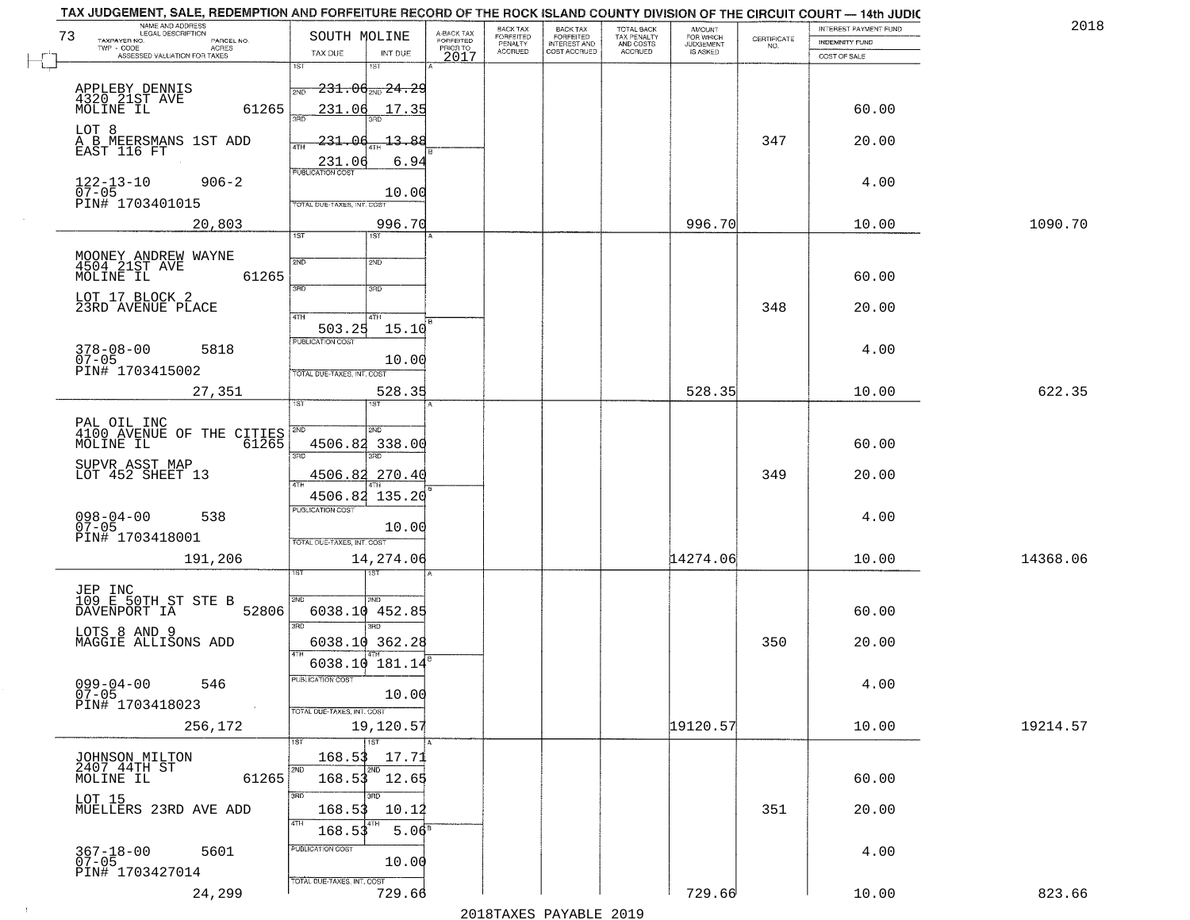| NAME AND ADDRESS<br>LEGAL DESCRIPTION<br>73             | SOUTH MOLINE                                          |                                     | BACK TAX             | <b>BACK TAX</b>           | TOTAL BACK<br>TAX PENALTY<br>AND COSTS | AMOUNT<br>FOR WHICH |                    | INTEREST PAYMENT FUND | 2018     |
|---------------------------------------------------------|-------------------------------------------------------|-------------------------------------|----------------------|---------------------------|----------------------------------------|---------------------|--------------------|-----------------------|----------|
| TAXPAYER NO.<br>PARCEL NO.<br>ACRES                     |                                                       | A-BACK TAX<br>FORFEITED<br>PRIOR TO | FORFEITED<br>PENALTY | FORFEITED<br>INTEREST AND |                                        | <b>JUDGEMENT</b>    | CERTIFICATE<br>NO. | <b>INDEMNITY FUND</b> |          |
| ASSESSED VALUATION FOR TAXES                            | TAX DUE<br>1ST<br>1ST                                 | INT DUE<br>2017                     | <b>ACCRUED</b>       | COST ACCRUED              | ACCRUED                                | <b>IS ASKED</b>     |                    | COST OF SALE          |          |
|                                                         |                                                       |                                     |                      |                           |                                        |                     |                    |                       |          |
| APPLEBY DENNIS<br>4320 21ST AVE                         | $231.06_{\text{\tiny 2ND}}24.29$<br>2ND               |                                     |                      |                           |                                        |                     |                    |                       |          |
| MOLINE IL                                               | 61265<br>231.06<br>300                                | 17.35                               |                      |                           |                                        |                     |                    | 60.00                 |          |
| LOT 8                                                   |                                                       |                                     |                      |                           |                                        |                     |                    |                       |          |
| A B MEERSMANS 1ST ADD<br>EAST 116 FT                    | 231.06<br>ATH                                         | 13.88                               |                      |                           |                                        |                     | 347                | 20.00                 |          |
|                                                         | 231.06                                                | 6.94                                |                      |                           |                                        |                     |                    |                       |          |
| $122 - 13 - 10$<br>07-05<br>$906 - 2$                   |                                                       |                                     |                      |                           |                                        |                     |                    | 4.00                  |          |
| PIN# 1703401015                                         | TOTAL DUE-TAXES, INT. COST                            | 10.00                               |                      |                           |                                        |                     |                    |                       |          |
| 20,803                                                  |                                                       | 996.70                              |                      |                           |                                        | 996.70              |                    | 10.00                 | 1090.70  |
|                                                         | 1ST                                                   |                                     |                      |                           |                                        |                     |                    |                       |          |
| MOONEY ANDREW WAYNE<br>4504 21ST AVE                    | 2ND<br>2ND                                            |                                     |                      |                           |                                        |                     |                    |                       |          |
| MOLINE IL                                               | 61265                                                 |                                     |                      |                           |                                        |                     |                    | 60.00                 |          |
| LOT 17 BLOCK 2                                          | 3RD<br>3RD                                            |                                     |                      |                           |                                        |                     |                    |                       |          |
| 23RD AVENUE PLACE                                       | 47H<br>4TH                                            |                                     |                      |                           |                                        |                     | 348                | 20.00                 |          |
|                                                         | 503.25                                                | 15.10                               |                      |                           |                                        |                     |                    |                       |          |
| $378 - 08 - 00$<br>5818                                 | PUBLICATION COST                                      |                                     |                      |                           |                                        |                     |                    | 4.00                  |          |
| $07 - 05$<br>PIN# 1703415002                            | TOTAL DUE-TAXES, INT. COST                            | 10.00                               |                      |                           |                                        |                     |                    |                       |          |
| 27,351                                                  |                                                       | 528.35                              |                      |                           |                                        | 528.35              |                    | 10.00                 | 622.35   |
|                                                         | 1ST<br>is T                                           |                                     |                      |                           |                                        |                     |                    |                       |          |
| PAL OIL INC<br>4100 AVENUE OF THE CITIES<br>111 PALL TL |                                                       |                                     |                      |                           |                                        |                     |                    |                       |          |
|                                                         | <b>SMD</b><br>2ND<br>4506.82 338.00                   |                                     |                      |                           |                                        |                     |                    | 60.00                 |          |
| SUPVR ASST MAP                                          | 3 <sub>BD</sub><br>3RD                                |                                     |                      |                           |                                        |                     |                    |                       |          |
| LOT 452 SHEET 13                                        | 4506.82 270.40                                        |                                     |                      |                           |                                        |                     | 349                | 20.00                 |          |
|                                                         | 4506.82 135.20                                        |                                     |                      |                           |                                        |                     |                    |                       |          |
| 538                                                     | <b>PUBLICATION COST</b>                               |                                     |                      |                           |                                        |                     |                    | 4.00                  |          |
| $098 - 04 - 00$<br>07-05<br>PIN# 1703418001             |                                                       | 10.00                               |                      |                           |                                        |                     |                    |                       |          |
|                                                         | TOTAL OUE-TAXES, INT. COST                            |                                     |                      |                           |                                        |                     |                    |                       |          |
| 191,206                                                 |                                                       | 14,274.06                           |                      |                           |                                        | 14274.06            |                    | 10.00                 | 14368.06 |
|                                                         |                                                       |                                     |                      |                           |                                        |                     |                    |                       |          |
| JEP INC<br>109 E 50TH ST STE B                          | 2ND<br>2ND.<br>52806<br>6038.10 452.85                |                                     |                      |                           |                                        |                     |                    |                       |          |
| DAVENPORT IA                                            | $\overline{3BD}$                                      |                                     |                      |                           |                                        |                     |                    | 60.00                 |          |
| LOTS 8 AND 9<br>MAGGIE ALLISONS ADD                     | 6038.10 362.28                                        |                                     |                      |                           |                                        |                     | 350                | 20.00                 |          |
|                                                         | 6038.10 181.14                                        |                                     |                      |                           |                                        |                     |                    |                       |          |
| $099 - 04 - 00$                                         | "UBLICA HUN CUS"                                      |                                     |                      |                           |                                        |                     |                    |                       |          |
| 546<br>$07 - 05$                                        |                                                       | 10.00                               |                      |                           |                                        |                     |                    | 4.00                  |          |
| PIN# 1703418023                                         | $\sim 100$ km s $^{-1}$<br>TOTAL DUE-TAXES, INT. COST |                                     |                      |                           |                                        |                     |                    |                       |          |
| 256,172                                                 |                                                       | 19,120.57                           |                      |                           |                                        | 19120.57            |                    | 10.00                 | 19214.57 |
|                                                         | <b>TST</b>                                            |                                     |                      |                           |                                        |                     |                    |                       |          |
| JOHNSON MILTON<br>2407 44TH ST                          | 168.53<br>2ND                                         | 17.71                               |                      |                           |                                        |                     |                    |                       |          |
| MOLINE IL                                               | $168.53$ $12.65$<br>61265                             |                                     |                      |                           |                                        |                     |                    | 60.00                 |          |
| LOT 15<br>MUELLERS 23RD AVE ADD                         | 3RD                                                   | 10.12                               |                      |                           |                                        |                     | 351                | 20.00                 |          |
|                                                         | 168.53<br>4TH                                         |                                     |                      |                           |                                        |                     |                    |                       |          |
|                                                         | 168.53                                                | 5.06 <sup>8</sup>                   |                      |                           |                                        |                     |                    |                       |          |
| 367-18-00<br>07-05<br>5601                              | PUBLICATION COST                                      | 10.00                               |                      |                           |                                        |                     |                    | 4.00                  |          |
| PIN# 1703427014                                         | TOTAL DUE-TAXES, INT. COST                            |                                     |                      |                           |                                        |                     |                    |                       |          |
| 24,299                                                  |                                                       | 729.66                              |                      |                           |                                        | 729.66              |                    | 10.00                 | 823.66   |
|                                                         |                                                       |                                     |                      |                           |                                        |                     |                    |                       |          |

 $\sim$  1  $^{\circ}$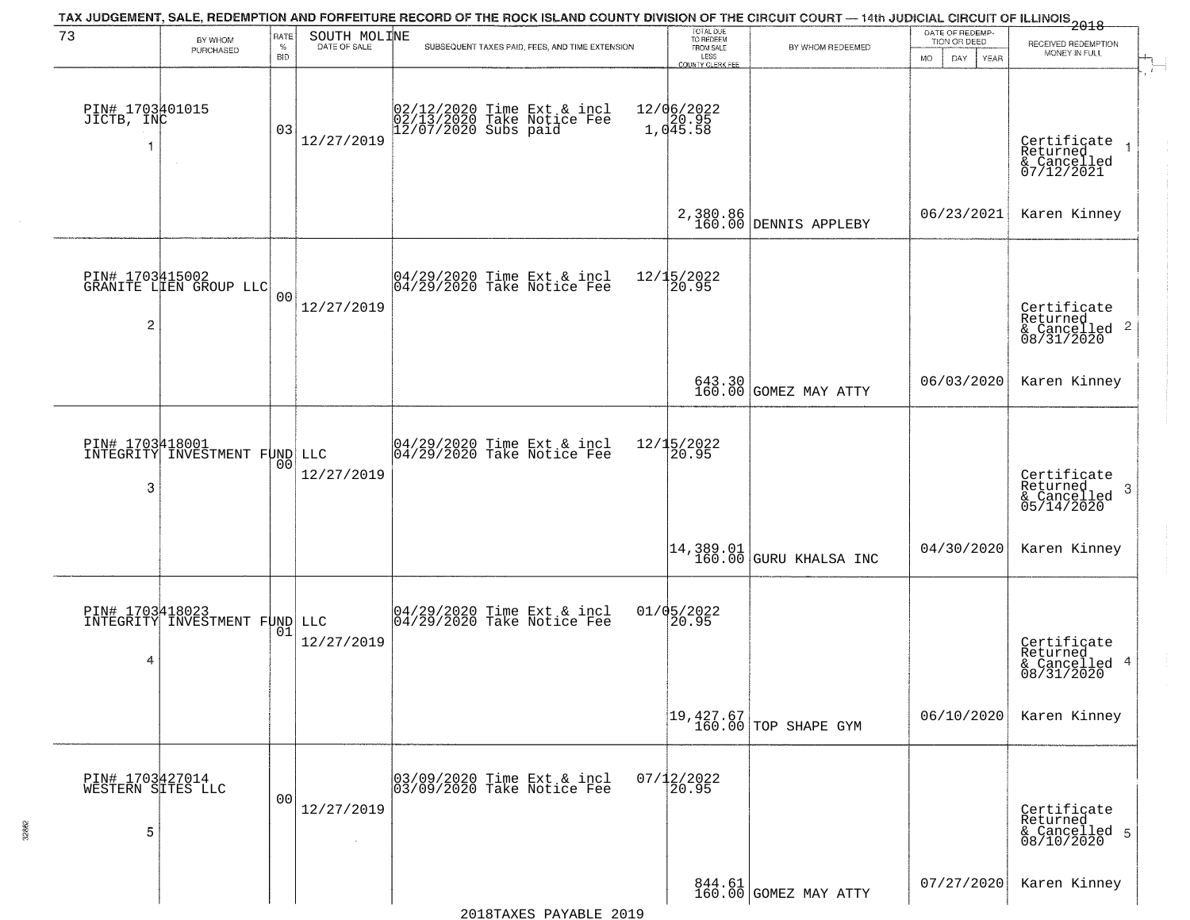|                                           |                                                         |                            |                              | TAX JUDGEMENT, SALE, REDEMPTION AND FORFEITURE RECORD OF THE ROCK ISLAND COUNTY DIVISION OF THE CIRCUIT COURT — 14th JUDICIAL CIRCUIT OF ILLINOIS 2018 |                                                                        |                                                                           | DATE OF REDEMP-                          |                                                                      |
|-------------------------------------------|---------------------------------------------------------|----------------------------|------------------------------|--------------------------------------------------------------------------------------------------------------------------------------------------------|------------------------------------------------------------------------|---------------------------------------------------------------------------|------------------------------------------|----------------------------------------------------------------------|
| 73                                        | BY WHOM<br>PURCHASED                                    | RATE<br>$\%$<br><b>BID</b> | SOUTH MOLINE<br>DATE OF SALE | SUBSEQUENT TAXES PAID, FEES, AND TIME EXTENSION                                                                                                        | TOTAL DUE<br>TO REDEEM<br>FROM SALE<br>LESS<br><b>COUNTY CLERK FEE</b> | BY WHOM REDEEMED                                                          | TION OR DEED<br><b>MO</b><br>DAY<br>YEAR | RECEIVED REDEMPTION<br>MONEY IN FULL                                 |
| PIN# 1703401015<br>JICTB, INC<br>-1       |                                                         | 03                         | 12/27/2019                   | 02/12/2020 Time Ext & incl<br>02/13/2020 Take Notice Fee<br>12/07/2020 Subs paid                                                                       | 12/06/2022<br>1,045.58                                                 |                                                                           |                                          | $\mathbf{r}$<br>Certificate<br>Returned<br>& Cancelled<br>07/12/2021 |
|                                           |                                                         |                            |                              |                                                                                                                                                        |                                                                        | 2,380.86<br>160.00 DENNIS APPLEBY                                         | 06/23/2021                               | Karen Kinney                                                         |
| $\overline{c}$                            | PIN# 1703415002<br>GRANITE LIEN GROUP LLC               | 0 <sub>0</sub>             | 12/27/2019                   | $ 04/29/2020$ Time Ext & incl<br>$ 04/29/2020$ Take Notice Fee                                                                                         | 12/15/2022<br>20.95                                                    |                                                                           |                                          | Certificate<br>Returned<br>$\frac{1}{6}$ Cancelled 2<br>08/31/2020   |
|                                           |                                                         |                            |                              |                                                                                                                                                        |                                                                        | 643.30<br>160.00 GOMEZ MAY ATTY                                           | 06/03/2020                               | Karen Kinney                                                         |
| 3                                         | PIN# 1703418001<br>INTEGRITY INVESTMENT FUND LLC        | 00                         | 12/27/2019                   | 04/29/2020 Time Ext & incl<br>04/29/2020 Take Notice Fee                                                                                               | 12/15/2022<br>20.95                                                    |                                                                           |                                          | Certificate<br>Returned<br>3<br>$&$ Cancelled<br>$05/14/2020$        |
|                                           |                                                         |                            |                              |                                                                                                                                                        |                                                                        | $\begin{bmatrix} 14 & 389 & 01 \\ 160 & 00 \end{bmatrix}$ GURU KHALSA INC | 04/30/2020                               | Karen Kinney                                                         |
| 4                                         | <b>PIN# 1703418023</b><br>INTEGRITY INVESTMENT FUND LLC | 01                         | 12/27/2019                   | 04/29/2020 Time Ext & incl<br>04/29/2020 Take Notice Fee                                                                                               | $01/05/2022$<br>20.95                                                  |                                                                           |                                          | Certificate<br>Returned<br>& Cancelled 4<br>08/31/2020               |
|                                           |                                                         |                            |                              |                                                                                                                                                        |                                                                        | $\begin{bmatrix} 19,427.67 \\ 160.00 \end{bmatrix}$ TOP SHAPE GYM         | 06/10/2020                               | Karen Kinney                                                         |
| PIN# 1703427014<br>WESTERN SITES LLC<br>5 |                                                         | 0 <sub>0</sub>             | 12/27/2019                   | 03/09/2020 Time Ext & incl<br>03/09/2020 Take Notice Fee                                                                                               | $07/12/2022$<br>20.95                                                  |                                                                           |                                          | Certificate<br>Returned<br>& Cancelled 5<br>08/10/2020               |
|                                           |                                                         |                            |                              |                                                                                                                                                        |                                                                        | $\begin{array}{c c} 844.61 \\ 160.00 \end{array}$ COMEZ MAY ATTY          | 07/27/2020                               | Karen Kinney                                                         |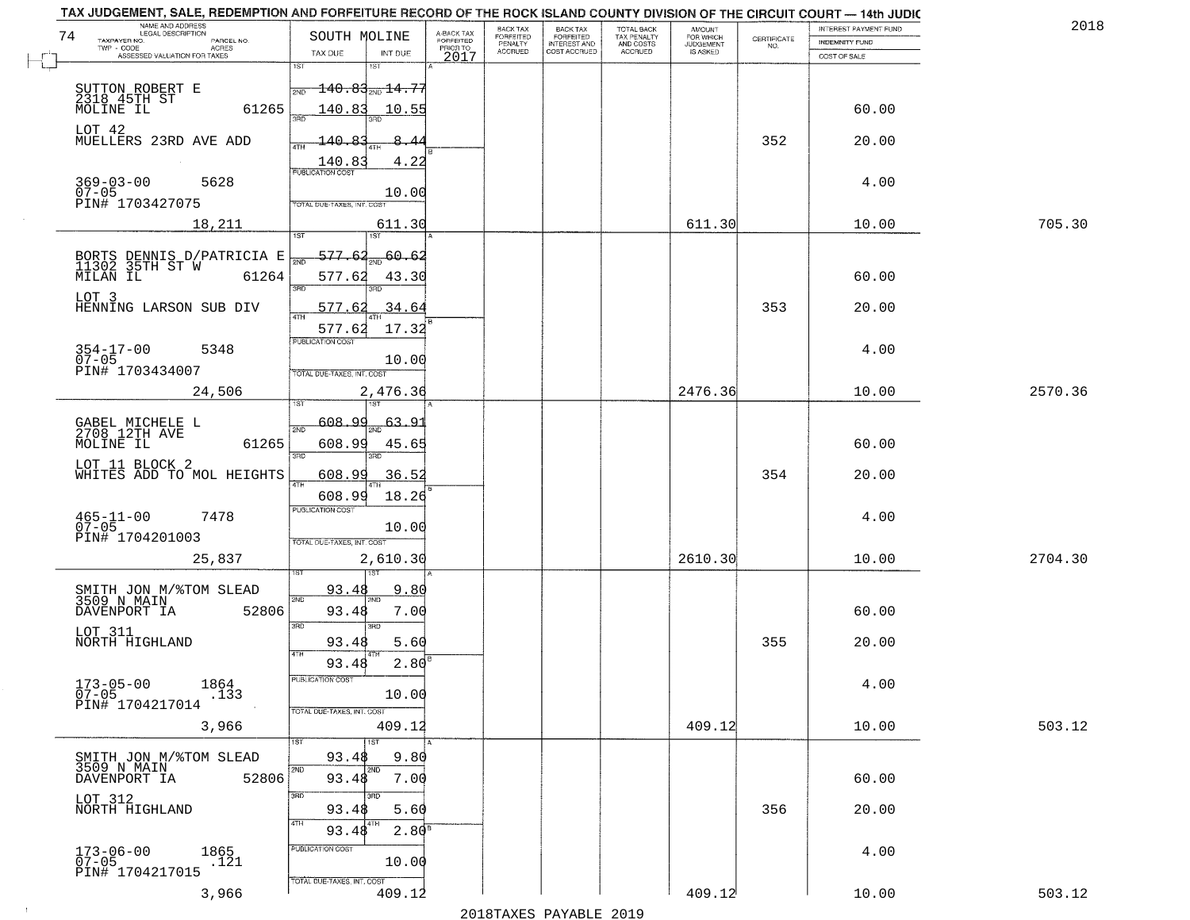| NAME AND ADDRESS<br>LEGAL DESCRIPTION<br>74                     | SOUTH MOLINE                                                                         |                                     | BACK TAX<br>FORFEITED     | <b>BACK TAX</b>                           | TOTAL BACK<br>TAX PENALTY<br>AND COSTS | AMOUNT<br>FOR WHICH<br>JUDGEMENT |                                                                 | INTEREST PAYMENT FUND | 2018    |
|-----------------------------------------------------------------|--------------------------------------------------------------------------------------|-------------------------------------|---------------------------|-------------------------------------------|----------------------------------------|----------------------------------|-----------------------------------------------------------------|-----------------------|---------|
| TAXPAYER NO.<br>PARCEL NO.<br>ACRES                             |                                                                                      | A-BACK TAX<br>FORFEITED<br>PRIOR TO | PENALTY<br><b>ACCRUED</b> | FORFEITED<br>INTEREST AND<br>COST ACCRUED | ACCRUED                                | IS ASKED                         | $\begin{array}{c} \text{CERTIFICATE} \\ \text{NO.} \end{array}$ | INDEMNITY FUND        |         |
| ASSESSED VALUATION FOR TAXES                                    | TAX DUE<br>INT DUE<br>1ST<br>18T                                                     | 2017                                |                           |                                           |                                        |                                  |                                                                 | COST OF SALE          |         |
| SUTTON ROBERT E<br>2318 45TH ST<br>MOLINE IL                    | $-140.83_{\text{2ND}}$ 14.77<br>2ND                                                  |                                     |                           |                                           |                                        |                                  |                                                                 |                       |         |
| 61265<br>LOT 42                                                 | 140.83<br>10.55                                                                      |                                     |                           |                                           |                                        |                                  |                                                                 | 60.00                 |         |
| MUELLERS 23RD AVE ADD                                           | 140.83<br>4.22<br>$\frac{140.83}{FUBUCATONCGST}$                                     |                                     |                           |                                           |                                        |                                  | 352                                                             | 20.00                 |         |
| $369 - 03 - 00$<br>5628<br>$07 - 05$<br>PIN# 1703427075         | 10.00<br>TOTAL DUE-TAXES, INT, COST                                                  |                                     |                           |                                           |                                        |                                  |                                                                 | 4.00                  |         |
| 18,211                                                          | 611.30                                                                               |                                     |                           |                                           |                                        | 611.30                           |                                                                 | 10.00                 | 705.30  |
|                                                                 |                                                                                      |                                     |                           |                                           |                                        |                                  |                                                                 |                       |         |
| BORTS DENNIS D/PATRICIA E<br>11302 35TH ST W 61264              | $-577.62_{\rm sm}$ 60.62<br>$\overline{\text{NN}}$<br>577.62<br>43.30<br>3RD<br>3BD. |                                     |                           |                                           |                                        |                                  |                                                                 | 60.00                 |         |
| LOT 3<br>HENNING LARSON SUB DIV                                 | 577.62<br>34.64                                                                      |                                     |                           |                                           |                                        |                                  | 353                                                             | 20.00                 |         |
| $354 - 17 - 00$<br>5348                                         | 577.62<br>17.32<br>PUBLICATION COST                                                  |                                     |                           |                                           |                                        |                                  |                                                                 | 4.00                  |         |
| $07 - 05$<br>PIN# 1703434007                                    | 10.00<br>TOTAL DUE-TAXES, INT. COST                                                  |                                     |                           |                                           |                                        |                                  |                                                                 |                       |         |
| 24,506                                                          | 2,476.36                                                                             |                                     |                           |                                           |                                        | 2476.36                          |                                                                 | 10.00                 | 2570.36 |
| GABEL MICHELE L<br>2708 12TH AVE                                | 608.99<br>63.9<br>2ND                                                                |                                     |                           |                                           |                                        |                                  |                                                                 |                       |         |
| MOLINE IL<br>61265                                              | 608.99<br>45.65                                                                      |                                     |                           |                                           |                                        |                                  |                                                                 | 60.00                 |         |
| LOT 11 BLOCK 2<br>WHITES ADD TO MOL HEIGHTS                     | 3RD<br>3RD<br>608.99<br>36.5                                                         |                                     |                           |                                           |                                        |                                  | 354                                                             | 20.00                 |         |
|                                                                 | ATH<br>18.26<br>608.99                                                               |                                     |                           |                                           |                                        |                                  |                                                                 |                       |         |
| $465 - 11 - 00$<br>07-05<br>7478                                | <b>PUBLICATION COST</b><br>10.00                                                     |                                     |                           |                                           |                                        |                                  |                                                                 | 4.00                  |         |
| PIN# 1704201003<br>25,837                                       | TOTAL OUE-TAXES, INT. COST<br>2,610.30                                               |                                     |                           |                                           |                                        | 2610.30                          |                                                                 | 10.00                 | 2704.30 |
| SMITH JON M/%TOM SLEAD                                          | 9.80<br>93.48                                                                        |                                     |                           |                                           |                                        |                                  |                                                                 |                       |         |
| 3509 N MAIN<br>DAVENPORT IA<br>52806                            | 2ND<br>7.00<br>93.48                                                                 |                                     |                           |                                           |                                        |                                  |                                                                 | 60.00                 |         |
| LOT 311<br>NORTH HIGHLAND                                       | 3RD<br>3RD<br>93.48<br>5.60<br>4TH                                                   |                                     |                           |                                           |                                        |                                  | 355                                                             | 20.00                 |         |
|                                                                 | 2.80<br>93.48<br>PUBLICATION COS-                                                    |                                     |                           |                                           |                                        |                                  |                                                                 |                       |         |
| $173 - 05 - 00$<br>1864<br>$07 - 05$<br>.133<br>PIN# 1704217014 | 10.00                                                                                |                                     |                           |                                           |                                        |                                  |                                                                 | 4.00                  |         |
| 3,966                                                           | TOTAL DUE-TAXES, INT. COST<br>409.12                                                 |                                     |                           |                                           |                                        | 409.12                           |                                                                 | 10.00                 | 503.12  |
| SMITH JON M/%TOM SLEAD                                          | 1ST<br>93.48<br>9.80                                                                 |                                     |                           |                                           |                                        |                                  |                                                                 |                       |         |
| 3509 N MAIN<br>52806<br>DAVENPORT IA                            | 2ND<br>2ND<br>93.48<br>7.00                                                          |                                     |                           |                                           |                                        |                                  |                                                                 | 60.00                 |         |
| LOT 312<br>NORTH HIGHLAND                                       | 3RD<br>38D<br>93.48<br>5.60                                                          |                                     |                           |                                           |                                        |                                  | 356                                                             | 20.00                 |         |
|                                                                 | 4TH<br>$2.80^{8}$<br>93.48                                                           |                                     |                           |                                           |                                        |                                  |                                                                 |                       |         |
| $173 - 06 - 00$<br>1865<br>$07 - 05$<br>.121<br>PIN# 1704217015 | PUBLICATION COST<br>10.00                                                            |                                     |                           |                                           |                                        |                                  |                                                                 | 4.00                  |         |
| 3,966                                                           | TOTAL DUE-TAXES, INT. COST<br>409.12                                                 |                                     |                           |                                           |                                        | 409.12                           |                                                                 | 10.00                 | 503.12  |

 $\sim 10^{-1}$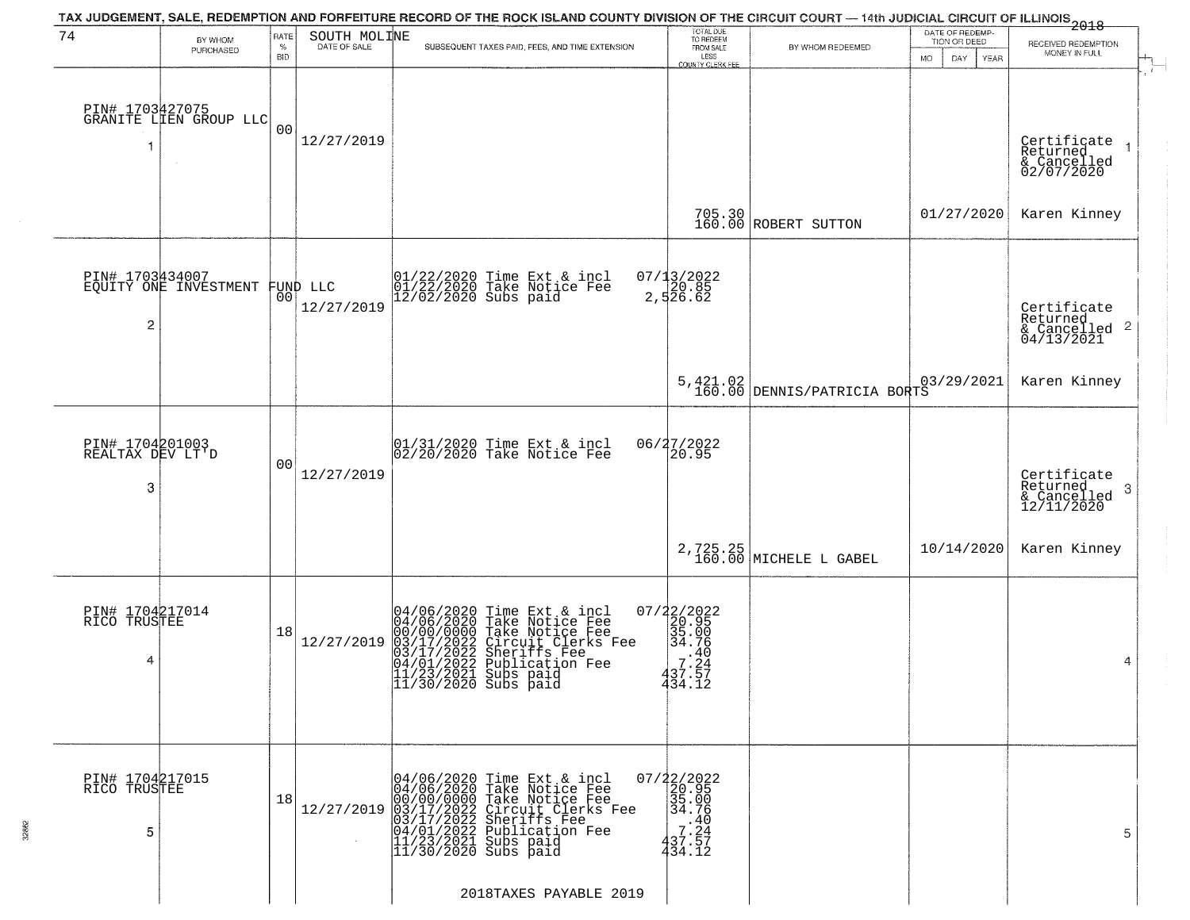|                                          |                                           |                            |                                | TAX JUDGEMENT, SALE, REDEMPTION AND FORFEITURE RECORD OF THE ROCK ISLAND COUNTY DIVISION OF THE CIRCUIT COURT — 14th JUDICIAL CIRCUIT OF ILLINOIS<br>2018 - The Contemporary of the Carolina County of the Circuit County of the                                                                         |                                                                                                         |                                          |                                                        |                                                                    |
|------------------------------------------|-------------------------------------------|----------------------------|--------------------------------|----------------------------------------------------------------------------------------------------------------------------------------------------------------------------------------------------------------------------------------------------------------------------------------------------------|---------------------------------------------------------------------------------------------------------|------------------------------------------|--------------------------------------------------------|--------------------------------------------------------------------|
| 74                                       | BY WHOM<br>PURCHASED                      | RATE<br>$\%$<br><b>BID</b> | SOUTH MOLINE                   | SUBSEQUENT TAXES PAID, FEES, AND TIME EXTENSION                                                                                                                                                                                                                                                          | TOTAL DUE<br>TO REDEEM<br>FROM SALE<br>LESS<br>COUNTY CLERK FEE                                         | BY WHOM REDEEMED                         | DATE OF REDEMP-<br>TION OR DEED<br>MO.<br>DAY.<br>YEAR | RECEIVED REDEMPTION<br>MONEY IN FULL                               |
| -1                                       | PIN# 1703427075<br>GRANITE LIEN GROUP LLC | 0 <sub>0</sub>             | 12/27/2019                     |                                                                                                                                                                                                                                                                                                          |                                                                                                         |                                          |                                                        | Certificate<br>Returned<br>& Cancelled<br>02/07/2020               |
|                                          |                                           |                            |                                |                                                                                                                                                                                                                                                                                                          |                                                                                                         | 705.30<br>160.00 ROBERT SUTTON           | 01/27/2020                                             | Karen Kinney                                                       |
| 2                                        | PIN# 1703434007<br>EQUITY ONE INVESTMENT  |                            | FUND LLC<br> 00 <br>12/27/2019 | 01/22/2020 Time Ext & incl<br>01/22/2020 Take Notice Fee<br>12/02/2020 Subs paid                                                                                                                                                                                                                         | 07/13/2022<br>20.85<br>2,526.62                                                                         |                                          |                                                        | Certificate<br>Returned<br>$\frac{1}{2}$ Cancelled 2<br>04/13/2021 |
|                                          |                                           |                            |                                |                                                                                                                                                                                                                                                                                                          |                                                                                                         | 5,421.02<br>160.00 DENNIS/PATRICIA BORTS | 03/29/2021                                             | Karen Kinney                                                       |
| PIN# 1704201003<br>REALTAX DEV LT'D<br>3 |                                           | 00                         | 12/27/2019                     | 01/31/2020 Time Ext & incl<br>02/20/2020 Take Notice Fee                                                                                                                                                                                                                                                 | 06/27/2022<br>20.95                                                                                     |                                          |                                                        | Certificate<br>Returned<br>3<br>& Cancelled<br>12/11/2020          |
|                                          |                                           |                            |                                |                                                                                                                                                                                                                                                                                                          |                                                                                                         | 2,725.25<br>160.00 MICHELE L GABEL       | 10/14/2020                                             | Karen Kinney                                                       |
| PIN# 1704217014<br>RICO TRUSTEE<br>4     |                                           | 18                         | 12/27/2019                     | 04/06/2020 Time Ext &<br>04/06/2020 Take Notic<br>00/00/0000 Take Notic<br>03/17/2022 Circuit Cl<br>04/01/2022 Publicatic<br>11/23/2021 Subs paid<br>11/30/2020 Subs paid<br>Time Ext & incl<br>Take Notice Fee<br>Take Notice Fee<br>Circuit Clerks Fee<br>Sheriffs Fee<br>Publication Fee<br>Subs paid | 07/22/2022<br>20.95<br>35.00<br>34.76<br>.40<br>7.24<br>437.57<br>434.12                                |                                          |                                                        | 4                                                                  |
| PIN# 1704217015<br>RICO TRUSTEE<br>5     |                                           | 18                         | 12/27/2019                     | 04/06/2020 Time Ext & incl<br>04/06/2020 Take Notice Fee<br>00/00/00000 Take Notice Fee<br>03/17/2022 Circuit Clerks Fee<br>03/17/2022 Sheriffs Fee<br>04/01/2022 Publication Fee<br>11/23/2021 Subs paid<br>11/30/2020 Subs paid                                                                        | 07/22/2022<br>20.95<br>35.00<br>34.76<br>$\begin{matrix} 21.40 \\ 7.24 \\ 37.57 \end{matrix}$<br>434.12 |                                          |                                                        | 5                                                                  |
|                                          |                                           |                            |                                | 2018TAXES PAYABLE 2019                                                                                                                                                                                                                                                                                   |                                                                                                         |                                          |                                                        |                                                                    |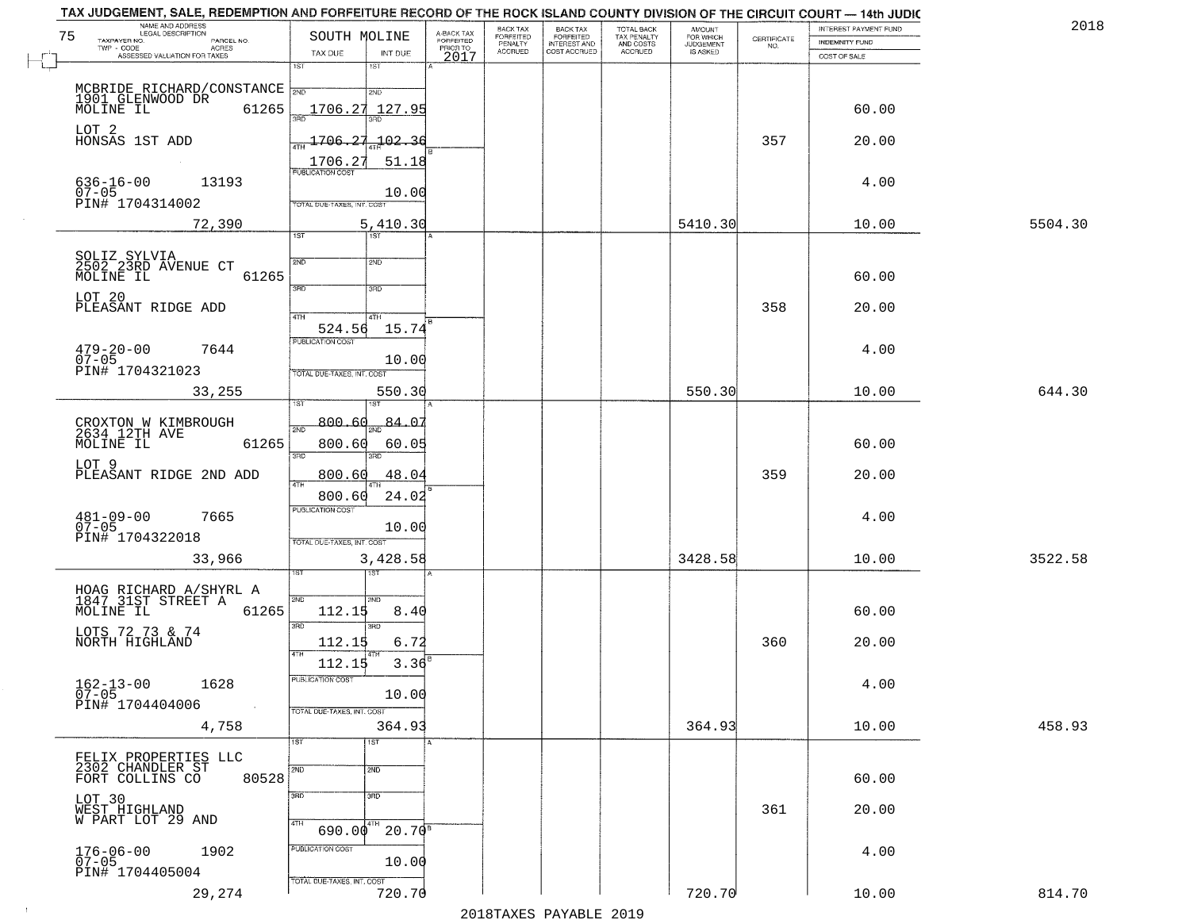| NAME AND ADDRESS<br>LEGAL DESCRIPTION<br>75                          | SOUTH MOLINE                                           | A-BACK TAX                   | BACK TAX<br><b>FORFEITED</b> | <b>BACK TAX</b><br><b>FORFEITED</b> | TOTAL BACK                          | <b>AMOUNT</b><br>FOR WHICH |                                                                 | INTEREST PAYMENT FUND | 2018    |
|----------------------------------------------------------------------|--------------------------------------------------------|------------------------------|------------------------------|-------------------------------------|-------------------------------------|----------------------------|-----------------------------------------------------------------|-----------------------|---------|
| TAXPAYER NO.<br>PARCEL NO.<br>TWP - CODE<br><b>ACRES</b>             |                                                        | <b>FORFEITED</b><br>PRIOR TO | PENALTY<br>ACCRUED           | INTEREST AND<br>COST ACCRUED        | TAX PENALTY<br>AND COSTS<br>ACCRUED | JUDGEMENT                  | $\begin{array}{c} \text{CERTIFICATE} \\ \text{NO.} \end{array}$ | INDEMNITY FUND        |         |
| ASSESSED VALUATION FOR TAXES                                         | TAX DUE<br>INT DUE<br>1ST<br>1ST                       | 2017                         |                              |                                     |                                     |                            |                                                                 | COST OF SALE          |         |
| MCBRIDE RICHARD/CONSTANCE <sub>2ND</sub>                             | 2ND                                                    |                              |                              |                                     |                                     |                            |                                                                 |                       |         |
| 1901 GLENWOOD DR<br>MOLINE IL<br>61265                               | 1706.27<br>127.9!                                      |                              |                              |                                     |                                     |                            |                                                                 | 60.00                 |         |
| LOT 2<br>HONSAS 1ST ADD                                              | 1706.27<br>$-102.36$                                   |                              |                              |                                     |                                     |                            | 357                                                             | 20.00                 |         |
| $636 - 16 - 00$<br>13193                                             | 1706.27<br>51.18<br>PUBLICATION COST                   |                              |                              |                                     |                                     |                            |                                                                 | 4.00                  |         |
| 07-05<br>PIN# 1704314002                                             | 10.00<br>TOTAL DUE-TAXES, INT. COST                    |                              |                              |                                     |                                     |                            |                                                                 |                       |         |
| 72,390                                                               | 5,410.30<br>$\overline{1ST}$<br>1ST                    |                              |                              |                                     |                                     | 5410.30                    |                                                                 | 10.00                 | 5504.30 |
| SOLIZ SYLVIA<br>2502 23RD AVENUE CT<br>MOLINE IL<br>61265            | 2ND<br>2ND                                             |                              |                              |                                     |                                     |                            |                                                                 | 60.00                 |         |
| LOT 20                                                               | 3RD<br>3RD                                             |                              |                              |                                     |                                     |                            | 358                                                             |                       |         |
| PLEASANT RIDGE ADD                                                   | ৰাম<br>4TH<br>524.56<br>15.74                          |                              |                              |                                     |                                     |                            |                                                                 | 20.00                 |         |
| $479 - 20 - 00$<br>07-05<br>7644                                     | PUBLICATION COST<br>10.00                              |                              |                              |                                     |                                     |                            |                                                                 | 4.00                  |         |
| PIN# 1704321023<br>33,255                                            | TOTAL DUE-TAXES, INT. COST<br>550.30                   |                              |                              |                                     |                                     | 550.30                     |                                                                 | 10.00                 | 644.30  |
| CROXTON W KIMBROUGH<br>2634 12TH AVE                                 | 800.60<br>84.07<br>$\overline{2ND}$                    |                              |                              |                                     |                                     |                            |                                                                 |                       |         |
| MOLINE IL<br>61265                                                   | 800.60<br>60.05<br>3RD<br>3RD                          |                              |                              |                                     |                                     |                            |                                                                 | 60.00                 |         |
| LOT 9<br>PLEASANT RIDGE 2ND ADD                                      | 48.04<br>800.60                                        |                              |                              |                                     |                                     |                            | 359                                                             | 20.00                 |         |
| $481 - 09 - 00$<br>07-05<br>7665                                     | 24.02<br>800.60<br><b>PUBLICATION COST</b>             |                              |                              |                                     |                                     |                            |                                                                 | 4.00                  |         |
| PIN# 1704322018                                                      | 10.00<br>TOTAL OUE-TAXES, INT. COST                    |                              |                              |                                     |                                     |                            |                                                                 |                       |         |
| 33,966                                                               | 3,428.58                                               |                              |                              |                                     |                                     | 3428.58                    |                                                                 | 10.00                 | 3522.58 |
| HOAG RICHARD A/SHYRL A<br>1847 31ST STREET A                         | 2ND<br>2ND                                             |                              |                              |                                     |                                     |                            |                                                                 |                       |         |
| 61265<br>MOLINE IL<br>LOTS 72 73 & 74                                | 112.15<br>8.40<br>3RD<br>3RD                           |                              |                              |                                     |                                     |                            |                                                                 | 60.00                 |         |
| NORTH HIGHLAND                                                       | 6.72<br>112.15<br>$3.36^{B}$<br>112.15                 |                              |                              |                                     |                                     |                            | 360                                                             | 20.00                 |         |
| $162 - 13 - 00$<br>1628<br>$07 - 05$                                 | PUBLICATION COST<br>10.00                              |                              |                              |                                     |                                     |                            |                                                                 | 4.00                  |         |
| PIN# 1704404006<br>4,758                                             | TOTAL DUE-TAXES, INT. COST<br>364.93                   |                              |                              |                                     |                                     | 364.93                     |                                                                 | 10.00                 | 458.93  |
|                                                                      | 1ST<br>1ST                                             |                              |                              |                                     |                                     |                            |                                                                 |                       |         |
| FELIX PROPERTIES LLC<br>2302 CHANDLER ST<br>80528<br>FORT COLLINS CO | 2ND<br>2ND                                             |                              |                              |                                     |                                     |                            |                                                                 | 60.00                 |         |
| LOT 30<br>WEST HIGHLAND<br>W PART LOT 29 AND                         | 3RD<br>3 <sub>BD</sub>                                 |                              |                              |                                     |                                     |                            | 361                                                             | 20.00                 |         |
|                                                                      | 4TH<br>$690.00^{4}$<br>$20.70^{8}$<br>PUBLICATION COST |                              |                              |                                     |                                     |                            |                                                                 |                       |         |
| 176-06-00<br>07-05<br>1902<br>PIN# 1704405004                        | 10.00<br>TOTAL DUE-TAXES, INT. COST                    |                              |                              |                                     |                                     |                            |                                                                 | 4.00                  |         |
| 29,274                                                               | 720.70                                                 |                              |                              |                                     |                                     | 720.70                     |                                                                 | 10.00                 | 814.70  |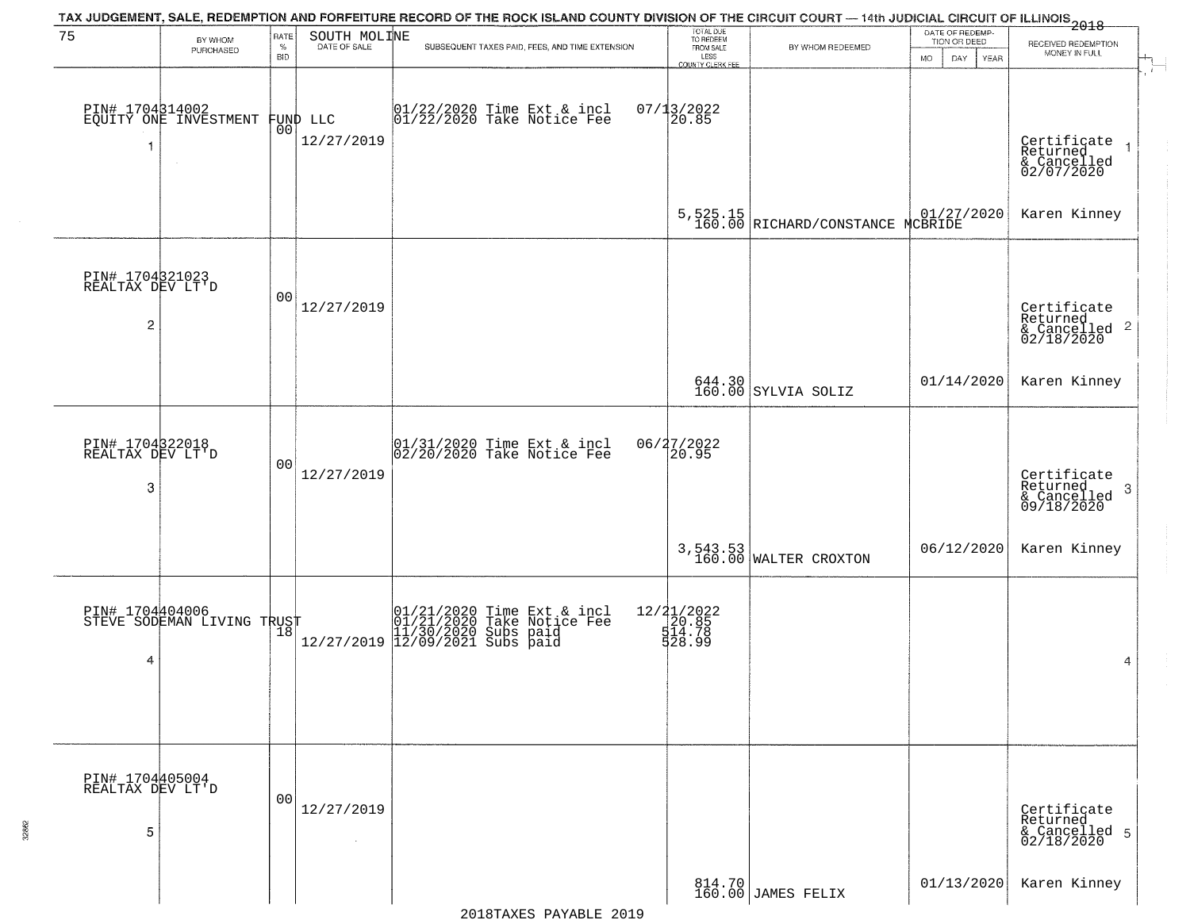|                                          |                                               |                            |                                | TAX JUDGEMENT, SALE, REDEMPTION AND FORFEITURE RECORD OF THE ROCK ISLAND COUNTY DIVISION OF THE CIRCUIT COURT — 14th JUDICIAL CIRCUIT OF ILLINOIS<br>2018 - 1992 |                                                                 |                                              |                                                       |                                                           |
|------------------------------------------|-----------------------------------------------|----------------------------|--------------------------------|------------------------------------------------------------------------------------------------------------------------------------------------------------------|-----------------------------------------------------------------|----------------------------------------------|-------------------------------------------------------|-----------------------------------------------------------|
| 75                                       | BY WHOM<br>PURCHASED                          | RATE<br>$\%$<br><b>BID</b> | SOUTH MOLINE                   | SUBSEQUENT TAXES PAID, FEES, AND TIME EXTENSION                                                                                                                  | TOTAL DUE<br>TO REDEEM<br>FROM SALE<br>LESS<br>COUNTY CLERK FEE | BY WHOM REDEEMED                             | DATE OF REDEMP-<br>TION OR DEED<br>DAY<br>MO.<br>YEAR | RECEIVED REDEMPTION<br>MONEY IN FULL<br>$\pm$<br>ान       |
| 1                                        | PIN# 1704314002<br>EQUITY ONE INVESTMENT      |                            | FUND LLC<br> 00 <br>12/27/2019 | 01/22/2020 Time Ext & incl<br>01/22/2020 Take Notice Fee                                                                                                         | $07/13/2022$<br>20.85                                           |                                              |                                                       | Certificate<br>Returned<br>& Cancelled<br>02/07/2020      |
|                                          |                                               |                            |                                |                                                                                                                                                                  |                                                                 | 5,525.15<br>160.00 RICHARD/CONSTANCE MCBRIDE |                                                       | Karen Kinney                                              |
| PIN# 1704321023<br>REALTAX DEV LT'D<br>2 |                                               | 00                         | 12/27/2019                     |                                                                                                                                                                  |                                                                 |                                              |                                                       | Certificate<br>Returned<br>& Cancelled 2<br>02/18/2020    |
|                                          |                                               |                            |                                |                                                                                                                                                                  |                                                                 | $644.30$ SYLVIA SOLIZ                        | 01/14/2020                                            | Karen Kinney                                              |
| PIN# 1704322018<br>REALTAX DEV LT'D<br>3 |                                               | 0 <sub>0</sub>             | 12/27/2019                     | 01/31/2020 Time Ext & incl<br>02/20/2020 Take Notice Fee                                                                                                         | 06/27/2022<br>20.95                                             |                                              |                                                       | Certificate<br>Returned<br>3<br>& Cancelled<br>09/18/2020 |
|                                          |                                               |                            |                                |                                                                                                                                                                  |                                                                 | 3,543.53<br>160.00 WALTER CROXTON            | 06/12/2020                                            | Karen Kinney                                              |
| 4                                        | PIN# 1704404006<br>STEVE SODEMAN LIVING TRUST |                            |                                | 01/21/2020 Time Ext & incl<br>01/21/2020 Take Notice Fee<br>11/30/2020 Subs paid<br>12/27/2019 12/09/2021 Subs paid                                              | 12/21/2022<br>20.85<br>514.78<br>528.99                         |                                              |                                                       | 4                                                         |
| PIN# 1704405004<br>REALTAX DEV LT'D<br>5 |                                               | 0 <sub>0</sub>             | 12/27/2019<br>$\sim 10^{-1}$   |                                                                                                                                                                  |                                                                 |                                              |                                                       | Certificate<br>Returned<br>& Cancelled 5<br>02/18/2020    |
|                                          |                                               |                            |                                |                                                                                                                                                                  |                                                                 | 814.70 JAMES FELIX                           | 01/13/2020                                            | Karen Kinney                                              |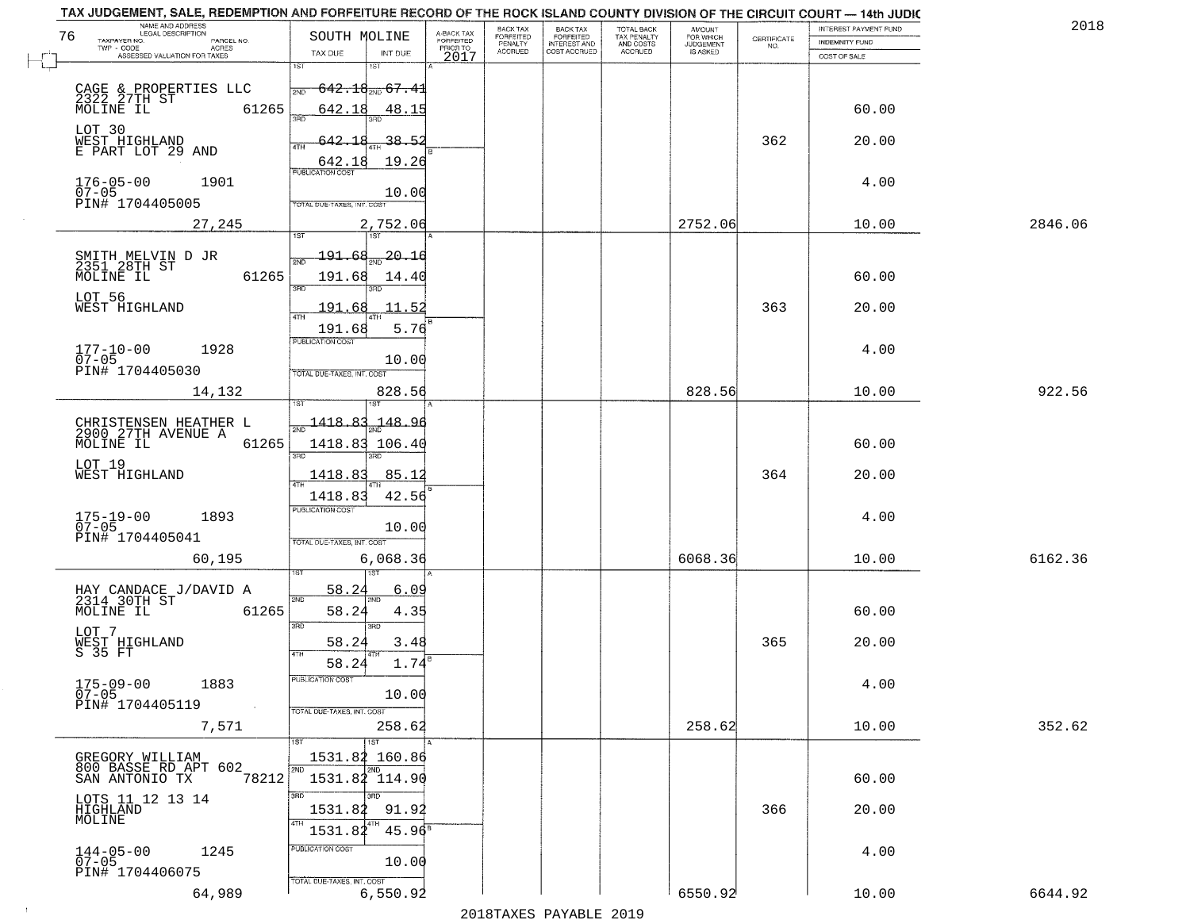| TAX JUDGEMENT, SALE, REDEMPTION AND FORFEITURE RECORD OF THE ROCK ISLAND COUNTY DIVISION OF THE CIRCUIT COURT - 14th JUDIC<br>NAME AND ADDRESS<br>LEGAL DESCRIPTION |                                             |                                     | BACK TAX             | <b>BACK TAX</b>                  |                                        |                                  |                    | INTEREST PAYMENT FUND | 201     |
|---------------------------------------------------------------------------------------------------------------------------------------------------------------------|---------------------------------------------|-------------------------------------|----------------------|----------------------------------|----------------------------------------|----------------------------------|--------------------|-----------------------|---------|
| 76<br>TAXPAYER NO.<br>PARCEL NO.                                                                                                                                    | SOUTH MOLINE                                | A-BACK TAX<br>FORFEITED<br>PRIOR TO | FORFEITED<br>PENALTY | FORFEITED<br><b>INTEREST AND</b> | TOTAL BACK<br>TAX PENALTY<br>AND COSTS | AMOUNT<br>FOR WHICH<br>JUDGEMENT | CERTIFICATE<br>NO. | <b>INDEMNITY FUND</b> |         |
| ACRES<br>ASSESSED VALUATION FOR TAXES                                                                                                                               | TAX DUE<br>INT DUE                          | 2017                                | <b>ACCRUED</b>       | COST ACCRUED                     | ACCRUED                                | IS ASKED                         |                    | COST OF SALE          |         |
|                                                                                                                                                                     | 1ST<br>1ST                                  |                                     |                      |                                  |                                        |                                  |                    |                       |         |
|                                                                                                                                                                     | $642.18_{200}$ 67.41<br>2ND                 |                                     |                      |                                  |                                        |                                  |                    |                       |         |
| CAGE & PROPERTIES LLC<br>2322 27TH ST<br>61265<br>MOLINE IL                                                                                                         | 642.18<br>48.15                             |                                     |                      |                                  |                                        |                                  |                    | 60.00                 |         |
|                                                                                                                                                                     | $3 - 5$                                     |                                     |                      |                                  |                                        |                                  |                    |                       |         |
| LOT 30<br>WEST HIGHLAND                                                                                                                                             | 642.18<br>38.52                             |                                     |                      |                                  |                                        |                                  | 362                | 20.00                 |         |
| E PART LOT 29 AND                                                                                                                                                   | <b>ATH</b>                                  |                                     |                      |                                  |                                        |                                  |                    |                       |         |
|                                                                                                                                                                     | 642.18<br>19.26                             |                                     |                      |                                  |                                        |                                  |                    |                       |         |
| $176 - 05 - 00$<br>07-05<br>1901                                                                                                                                    | 10.00                                       |                                     |                      |                                  |                                        |                                  |                    | 4.00                  |         |
| PIN# 1704405005                                                                                                                                                     | TOTAL DUE-TAXES, INT. COST                  |                                     |                      |                                  |                                        |                                  |                    |                       |         |
| 27,245                                                                                                                                                              | 2,752.06                                    |                                     |                      |                                  |                                        | 2752.06                          |                    | 10.00                 | 2846.06 |
|                                                                                                                                                                     |                                             |                                     |                      |                                  |                                        |                                  |                    |                       |         |
| SMITH MELVIN D JR<br>2351 28TH ST                                                                                                                                   | $-20.16$<br><u> 191.68</u>                  |                                     |                      |                                  |                                        |                                  |                    |                       |         |
| 61265<br>MOLINE IL                                                                                                                                                  | 191.68<br>14.40                             |                                     |                      |                                  |                                        |                                  |                    | 60.00                 |         |
| LOT 56                                                                                                                                                              | उन्नत                                       |                                     |                      |                                  |                                        |                                  |                    |                       |         |
| WEST HIGHLAND                                                                                                                                                       | 11.52<br>191.68                             |                                     |                      |                                  |                                        |                                  | 363                | 20.00                 |         |
|                                                                                                                                                                     | 5.76<br>191.68                              |                                     |                      |                                  |                                        |                                  |                    |                       |         |
| $177 - 10 - 00$<br>1928                                                                                                                                             | PUBLICATION COST                            |                                     |                      |                                  |                                        |                                  |                    | 4.00                  |         |
| $07 - 05$                                                                                                                                                           | 10.00                                       |                                     |                      |                                  |                                        |                                  |                    |                       |         |
| PIN# 1704405030                                                                                                                                                     | TOTAL DUE-TAXES, INT. COST                  |                                     |                      |                                  |                                        |                                  |                    |                       |         |
| 14,132                                                                                                                                                              | 828.56                                      |                                     |                      |                                  |                                        | 828.56                           |                    | 10.00                 | 922.56  |
|                                                                                                                                                                     | 1418.83<br><u> 148.96</u>                   |                                     |                      |                                  |                                        |                                  |                    |                       |         |
| CHRISTENSEN HEATHER L<br>2900 27TH AVENUE A                                                                                                                         |                                             |                                     |                      |                                  |                                        |                                  |                    |                       |         |
| 61265<br>MOLINE IL                                                                                                                                                  | 1418.83 106.40<br>3RD<br>3RD                |                                     |                      |                                  |                                        |                                  |                    | 60.00                 |         |
| LOT 19<br>WEST HIGHLAND                                                                                                                                             | 1418.83<br>85.1                             |                                     |                      |                                  |                                        |                                  | 364                | 20.00                 |         |
|                                                                                                                                                                     |                                             |                                     |                      |                                  |                                        |                                  |                    |                       |         |
|                                                                                                                                                                     | 42.56<br>1418.83<br><b>PUBLICATION COST</b> |                                     |                      |                                  |                                        |                                  |                    |                       |         |
| $175 - 19 - 00$<br>07-05<br>1893                                                                                                                                    | 10.00                                       |                                     |                      |                                  |                                        |                                  |                    | 4.00                  |         |
| PIN# 1704405041                                                                                                                                                     | TOTAL OUE-TAXES, INT. COST                  |                                     |                      |                                  |                                        |                                  |                    |                       |         |
| 60,195                                                                                                                                                              | 6,068.36                                    |                                     |                      |                                  |                                        | 6068.36                          |                    | 10.00                 | 6162.36 |
|                                                                                                                                                                     |                                             |                                     |                      |                                  |                                        |                                  |                    |                       |         |
| HAY CANDACE J/DAVID A<br>2314 30TH ST                                                                                                                               | 58.2<br>6.09<br>2ND                         |                                     |                      |                                  |                                        |                                  |                    |                       |         |
| MOLINE IL<br>61265                                                                                                                                                  | 58.24<br>4.35                               |                                     |                      |                                  |                                        |                                  |                    | 60.00                 |         |
| LOT 7                                                                                                                                                               | 3RD<br>3BD                                  |                                     |                      |                                  |                                        |                                  |                    |                       |         |
| WEST HIGHLAND<br>S 35 FT                                                                                                                                            | 3.48<br>58.24<br>4TH                        |                                     |                      |                                  |                                        |                                  | 365                | 20.00                 |         |
|                                                                                                                                                                     | 1.74<br>58.24                               |                                     |                      |                                  |                                        |                                  |                    |                       |         |
| $175 - 09 - 00$<br>1883                                                                                                                                             | PUBLICATION COS                             |                                     |                      |                                  |                                        |                                  |                    | 4.00                  |         |
| $07 - 05$<br>PIN# 1704405119<br>$\sim 100$                                                                                                                          | 10.00                                       |                                     |                      |                                  |                                        |                                  |                    |                       |         |
|                                                                                                                                                                     | TOTAL DUE-TAXES, INT. COST                  |                                     |                      |                                  |                                        |                                  |                    |                       |         |
| 7,571                                                                                                                                                               | 258.62<br>1ST                               |                                     |                      |                                  |                                        | 258.62                           |                    | 10.00                 | 352.62  |
| GREGORY WILLIAM                                                                                                                                                     | 1531.82 160.86                              |                                     |                      |                                  |                                        |                                  |                    |                       |         |
| 800 BASSE RD APT 602                                                                                                                                                | 2ND<br>2ND                                  |                                     |                      |                                  |                                        |                                  |                    |                       |         |
| 78212<br>SAN ANTONIO TX                                                                                                                                             | 1531.82 114.90<br>3RD<br>3BD                |                                     |                      |                                  |                                        |                                  |                    | 60.00                 |         |
| LOTS 11 12 13 14<br><b>HIGHLAND</b>                                                                                                                                 | 1531.82<br>91.92                            |                                     |                      |                                  |                                        |                                  | 366                | 20.00                 |         |
| MOLINE                                                                                                                                                              | 4TH<br>1531.82<br>$45.96^{\circ}$           |                                     |                      |                                  |                                        |                                  |                    |                       |         |
|                                                                                                                                                                     | PUBLICATION COST                            |                                     |                      |                                  |                                        |                                  |                    |                       |         |
| $144 - 05 - 00$<br>07-05<br>1245                                                                                                                                    | 10.00                                       |                                     |                      |                                  |                                        |                                  |                    | 4.00                  |         |
| PIN# 1704406075                                                                                                                                                     | TOTAL DUE-TAXES, INT. COST                  |                                     |                      |                                  |                                        |                                  |                    |                       |         |
| 64,989                                                                                                                                                              | 6,550.92                                    |                                     |                      |                                  |                                        | 6550.92                          |                    | 10.00                 | 6644.92 |

 $\sim 10$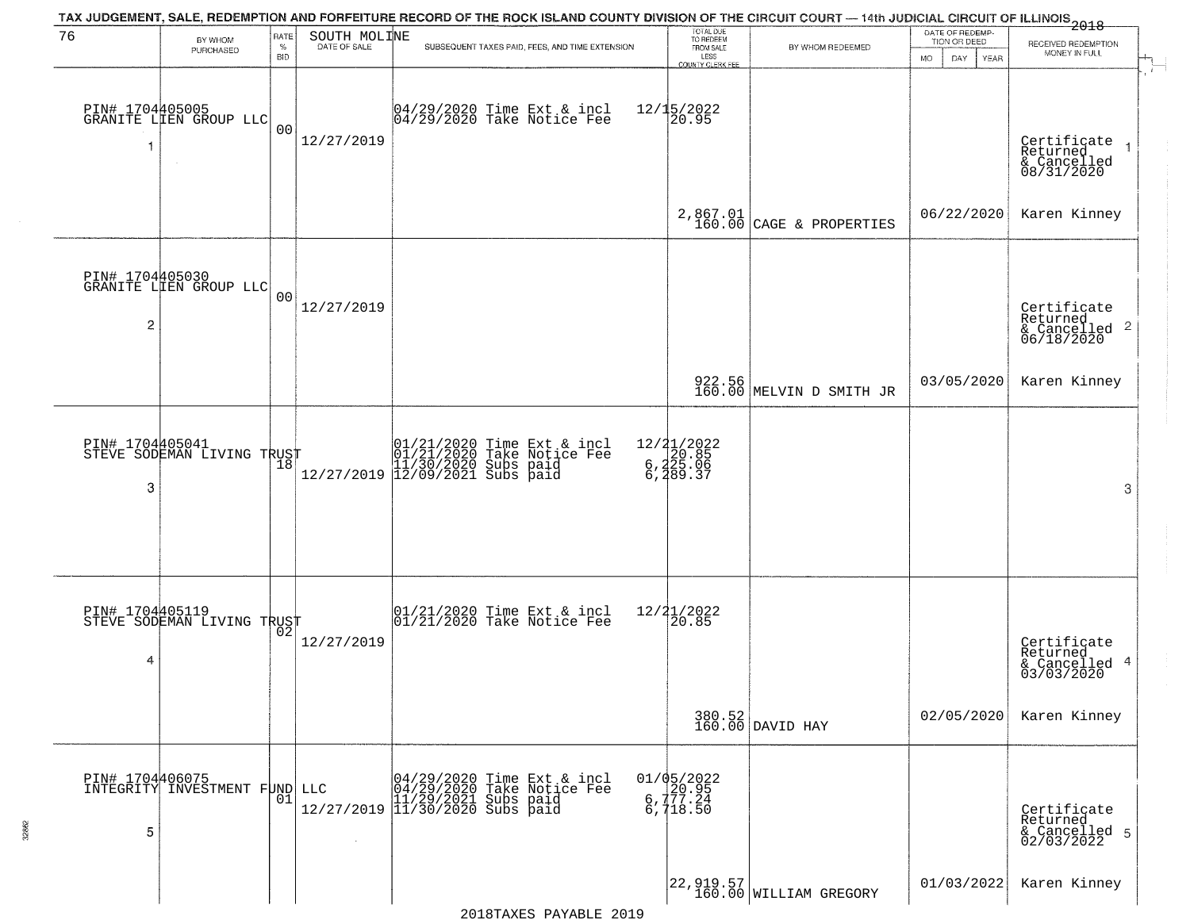|                      |                                               |                            |                              | TAX JUDGEMENT, SALE, REDEMPTION AND FORFEITURE RECORD OF THE ROCK ISLAND COUNTY DIVISION OF THE CIRCUIT COURT — 14th JUDICIAL CIRCUIT OF ILLINOIS 2018                                                 |                                                                               |                                                                                           |                                                             |                                                                                        |
|----------------------|-----------------------------------------------|----------------------------|------------------------------|--------------------------------------------------------------------------------------------------------------------------------------------------------------------------------------------------------|-------------------------------------------------------------------------------|-------------------------------------------------------------------------------------------|-------------------------------------------------------------|----------------------------------------------------------------------------------------|
| 76                   | BY WHOM<br>PURCHASED                          | RATE<br>$\%$<br><b>BID</b> | SOUTH MOLINE<br>DATE OF SALE | SUBSEQUENT TAXES PAID, FEES, AND TIME EXTENSION                                                                                                                                                        | TOTAL DUE<br>TO REDEEM<br>FROM SALE<br>LESS<br>COUNTY CLERK FEE               | BY WHOM REDEEMED                                                                          | DATE OF REDEMP-<br>TION OR DEED<br><b>MO</b><br>DAY<br>YEAR | RECEIVED REDEMPTION<br>MONEY IN FULL                                                   |
| -1                   | PIN# 1704405005<br>GRANITE LIEN GROUP LLC     | 0 <sub>0</sub>             | 12/27/2019                   | 04/29/2020 Time Ext & incl<br>04/29/2020 Take Notice Fee                                                                                                                                               | $12/15/2022$<br>20.95                                                         |                                                                                           |                                                             | $\mathbf{r}$<br>Certificate<br>Returned<br>$\overline{1}$<br>& Cancelled<br>08/31/2020 |
|                      |                                               |                            |                              |                                                                                                                                                                                                        |                                                                               | $2,867.01$<br>160.00 CAGE & PROPERTIES                                                    | 06/22/2020                                                  | Karen Kinney                                                                           |
| $\overline{2}$       | PIN# 1704405030<br>GRANITE LIEN GROUP LLC     | 00                         | 12/27/2019                   |                                                                                                                                                                                                        |                                                                               |                                                                                           |                                                             | Certificate<br>Returned<br>$\overline{c}$<br>& Cancelled<br>06/18/2020                 |
|                      |                                               |                            |                              |                                                                                                                                                                                                        |                                                                               | 922.56<br>160.00 MELVIN D SMITH JR                                                        | 03/05/2020                                                  | Karen Kinney                                                                           |
| PIN# 1704405041<br>3 | STEVE SODEMAN LIVING TRUST                    |                            |                              | $[ \begin{array}{c} 01/21/2020 \text{ Time Ext & incl} \\ 01/21/2020 \text{ Take Notice } \text{Fe} \\ 11/30/2020 \text{ Subs paid} \\ 12/27/2019 \text{ }   12/09/2021 \text{ Subs paid} \end{array}$ | 12/21/2022<br>$\begin{array}{c} 2,420.85 \\ 6,425.06 \\ 6,489.37 \end{array}$ |                                                                                           |                                                             | 3                                                                                      |
| 4                    | PIN# 1704405119<br>STEVE SODEMAN LIVING TRUST |                            | 12/27/2019                   | $\begin{array}{c} 01/21/2020 \\ 01/21/2020 \\ \end{array}$ Take Notice Fee                                                                                                                             | 12/21/2022<br>120.85                                                          |                                                                                           |                                                             | Certificate<br>Returned<br>4<br>& Cancelled<br>03/03/2020                              |
|                      |                                               |                            |                              |                                                                                                                                                                                                        |                                                                               | 380.52<br>160.00 DAVID HAY                                                                | 02/05/2020                                                  | Karen Kinney                                                                           |
| PIN# 1704406075<br>5 | INTEGRITY INVESTMENT FUND                     | 01                         |                              | LLC 04/29/2020 Time Ext & incl<br>04/29/2020 Take Notice Fee<br>11/29/2021 Subs paid<br>12/27/2019 11/30/2020 Subs paid                                                                                | 01/05/2022<br>6.177.24<br>6,718.50                                            |                                                                                           |                                                             | Certificate<br>Returned<br>& Cancelled 5<br>02/03/2022                                 |
|                      |                                               |                            |                              |                                                                                                                                                                                                        |                                                                               | $\left  \begin{smallmatrix} 22,919.57 \ 160.00 \end{smallmatrix} \right $ WILLIAM GREGORY | 01/03/2022                                                  | Karen Kinney                                                                           |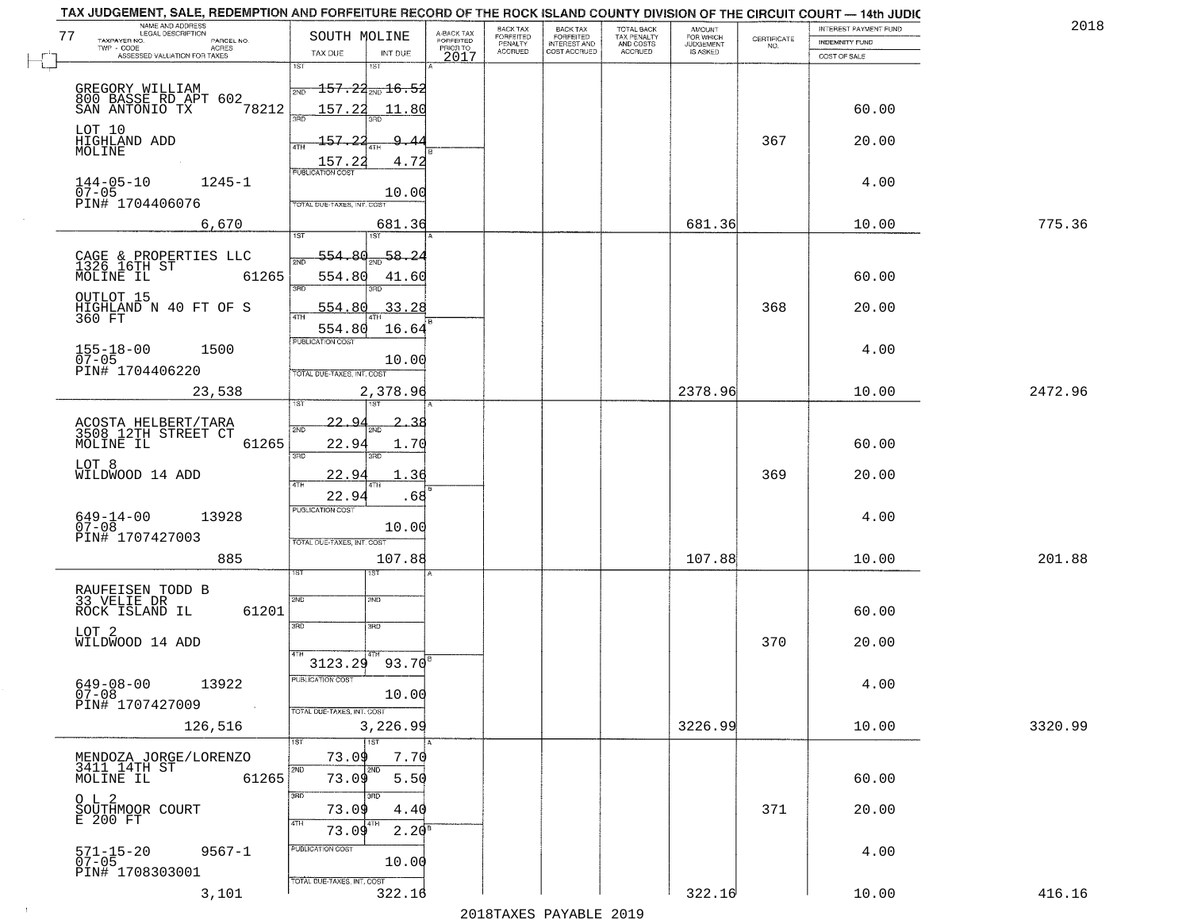| NAME AND ADDRESS<br>LEGAL DESCRIPTION<br>77<br>TAXPAYER NO.<br>PARCEL NO. | SOUTH MOLINE                           | A-BACK TAX<br>FORFEITED<br>PRIOR TO | BACK TAX<br>FORFEITED     | BACK TAX<br>FORFEITED<br>INTEREST AND | TOTAL BACK<br>TAX PENALTY<br>AND COSTS | AMOUNT<br>FOR WHICH<br>JUDGEMENT | $\begin{array}{c} \text{CERTIFICATE} \\ \text{NO.} \end{array}$ | <b>INTEREST PAYMENT FUND</b><br><b>INDEMNITY FUND</b> | 2018    |
|---------------------------------------------------------------------------|----------------------------------------|-------------------------------------|---------------------------|---------------------------------------|----------------------------------------|----------------------------------|-----------------------------------------------------------------|-------------------------------------------------------|---------|
| TWP - CODE<br>ACRES<br>ASSESSED VALUATION FOR TAXES                       | TAX DUE                                | INT DUE<br>2017                     | PENALTY<br><b>ACCRUED</b> | COST ACCRUED                          | <b>ACCRUED</b>                         | IS ASKED                         |                                                                 | COST OF SALE                                          |         |
|                                                                           | 1ST<br>1ST                             |                                     |                           |                                       |                                        |                                  |                                                                 |                                                       |         |
| GREGORY WILLIAM                                                           | $157.24_{\text{\tiny 2ND}}$ 16.5       |                                     |                           |                                       |                                        |                                  |                                                                 |                                                       |         |
| 800 BASSE RD APT 602.<br>SAN ANTONIO TX<br>78212                          | 157.22<br>3RD                          | 11.80                               |                           |                                       |                                        |                                  |                                                                 | 60.00                                                 |         |
| LOT 10<br>HIGHLAND ADD                                                    | $-157.22$                              | $\mathbf{Q}$                        |                           |                                       |                                        |                                  | 367                                                             | 20.00                                                 |         |
| MOLINE                                                                    | 4TH<br>157.22                          | 4.72                                |                           |                                       |                                        |                                  |                                                                 |                                                       |         |
| $144 - 05 - 10$<br>$1245 - 1$                                             | <b>PUBLICATION COST</b>                |                                     |                           |                                       |                                        |                                  |                                                                 | 4.00                                                  |         |
| $07 - 05$<br>PIN# 1704406076                                              | TOTAL DUE-TAXES, INT. COST             | 10.00                               |                           |                                       |                                        |                                  |                                                                 |                                                       |         |
| 6,670                                                                     | 1ST                                    | 681.36                              |                           |                                       |                                        | 681.36                           |                                                                 | 10.00                                                 | 775.36  |
|                                                                           | 1ST<br>554.80                          | 58.24                               |                           |                                       |                                        |                                  |                                                                 |                                                       |         |
| CAGE & PROPERTIES LLC<br>1326 16TH ST<br>MOLINE IL<br>61265               | 554.80                                 | 41.60                               |                           |                                       |                                        |                                  |                                                                 | 60.00                                                 |         |
| OUTLOT 15                                                                 | 3RD<br>חוז                             |                                     |                           |                                       |                                        |                                  |                                                                 |                                                       |         |
| HIGHLAND N 40 FT OF S<br>360 FT                                           | 554.80                                 | 33.28                               |                           |                                       |                                        |                                  | 368                                                             | 20.00                                                 |         |
|                                                                           | 554.80<br>PUBLICATION COST             | 16.64                               |                           |                                       |                                        |                                  |                                                                 |                                                       |         |
| $155 - 18 - 00$<br>1500<br>$07 - 05$                                      |                                        | 10.00                               |                           |                                       |                                        |                                  |                                                                 | 4.00                                                  |         |
| PIN# 1704406220                                                           | TOTAL DUE-TAXES, INT. COST<br>2,378.96 |                                     |                           |                                       |                                        | 2378.96                          |                                                                 | 10.00                                                 | 2472.96 |
| 23,538                                                                    | 1ST                                    |                                     |                           |                                       |                                        |                                  |                                                                 |                                                       |         |
| ACOSTA HELBERT/TARA<br>3508 12TH STREET CT                                | <u>22.9.</u><br>2ND                    | 2.38                                |                           |                                       |                                        |                                  |                                                                 |                                                       |         |
| MOLINE IL<br>61265                                                        | 22.94<br>3RD<br>3RD                    | 1.70                                |                           |                                       |                                        |                                  |                                                                 | 60.00                                                 |         |
| LOT 8<br>WILDWOOD 14 ADD                                                  | 22.94                                  | 1.36                                |                           |                                       |                                        |                                  | 369                                                             | 20.00                                                 |         |
|                                                                           | 4TH<br>22.94                           | .68                                 |                           |                                       |                                        |                                  |                                                                 |                                                       |         |
| 13928<br>649-14-00<br>07-08                                               | <b>PUBLICATION COST</b>                | 10.00                               |                           |                                       |                                        |                                  |                                                                 | 4.00                                                  |         |
| PIN# 1707427003                                                           | TOTAL OUE-TAXES, INT. COST             |                                     |                           |                                       |                                        |                                  |                                                                 |                                                       |         |
| 885                                                                       | १९४                                    | 107.88                              |                           |                                       |                                        | 107.88                           |                                                                 | 10.00                                                 | 201.88  |
| RAUFEISEN TODD B<br>33 VELIE DR                                           |                                        |                                     |                           |                                       |                                        |                                  |                                                                 |                                                       |         |
| ROCK ISLAND IL<br>61201                                                   | 2ND<br>2ND                             |                                     |                           |                                       |                                        |                                  |                                                                 | 60.00                                                 |         |
| LOT 2                                                                     | 3BD<br>3BD                             |                                     |                           |                                       |                                        |                                  |                                                                 |                                                       |         |
| WILDWOOD 14 ADD                                                           | $3123.29$ 93.70 <sup>8</sup>           |                                     |                           |                                       |                                        |                                  | 370                                                             | 20.00                                                 |         |
| $649 - 08 - 00$<br>13922                                                  | PUBLICATION COST                       |                                     |                           |                                       |                                        |                                  |                                                                 | 4.00                                                  |         |
| $07 - 08$<br>PIN# 1707427009<br>$\sim 100$                                |                                        | 10.00                               |                           |                                       |                                        |                                  |                                                                 |                                                       |         |
| 126,516                                                                   | TOTAL DUE-TAXES, INT. COST<br>3,226.99 |                                     |                           |                                       |                                        | 3226.99                          |                                                                 | 10.00                                                 | 3320.99 |
|                                                                           | 1ST<br>1ST                             |                                     |                           |                                       |                                        |                                  |                                                                 |                                                       |         |
| MENDOZA JORGE/LORENZO<br>3411 14TH ST                                     | 73.09<br>2ND<br>2ND                    | 7.70                                |                           |                                       |                                        |                                  |                                                                 |                                                       |         |
| 61265<br>MOLINE IL<br>$O$ L $2$                                           | 73.09<br>3RD<br>3RD                    | 5.50                                |                           |                                       |                                        |                                  |                                                                 | 60.00                                                 |         |
| SOUTHMOOR COURT<br>E 200 FT                                               | 73.09                                  | 4.40                                |                           |                                       |                                        |                                  | 371                                                             | 20.00                                                 |         |
|                                                                           | 4TH<br>4TH<br>73.09                    | $2.20^{\circ}$                      |                           |                                       |                                        |                                  |                                                                 |                                                       |         |
| $9567 - 1$<br>571-15-20<br>07-05                                          | PUBLICATION COST                       | 10.00                               |                           |                                       |                                        |                                  |                                                                 | 4.00                                                  |         |
| PIN# 1708303001                                                           | TOTAL DUE-TAXES, INT. COST             |                                     |                           |                                       |                                        |                                  |                                                                 |                                                       |         |
| 3,101                                                                     |                                        | 322.16                              |                           |                                       |                                        | 322.16                           |                                                                 | 10.00                                                 | 416.16  |

 $\sim 10$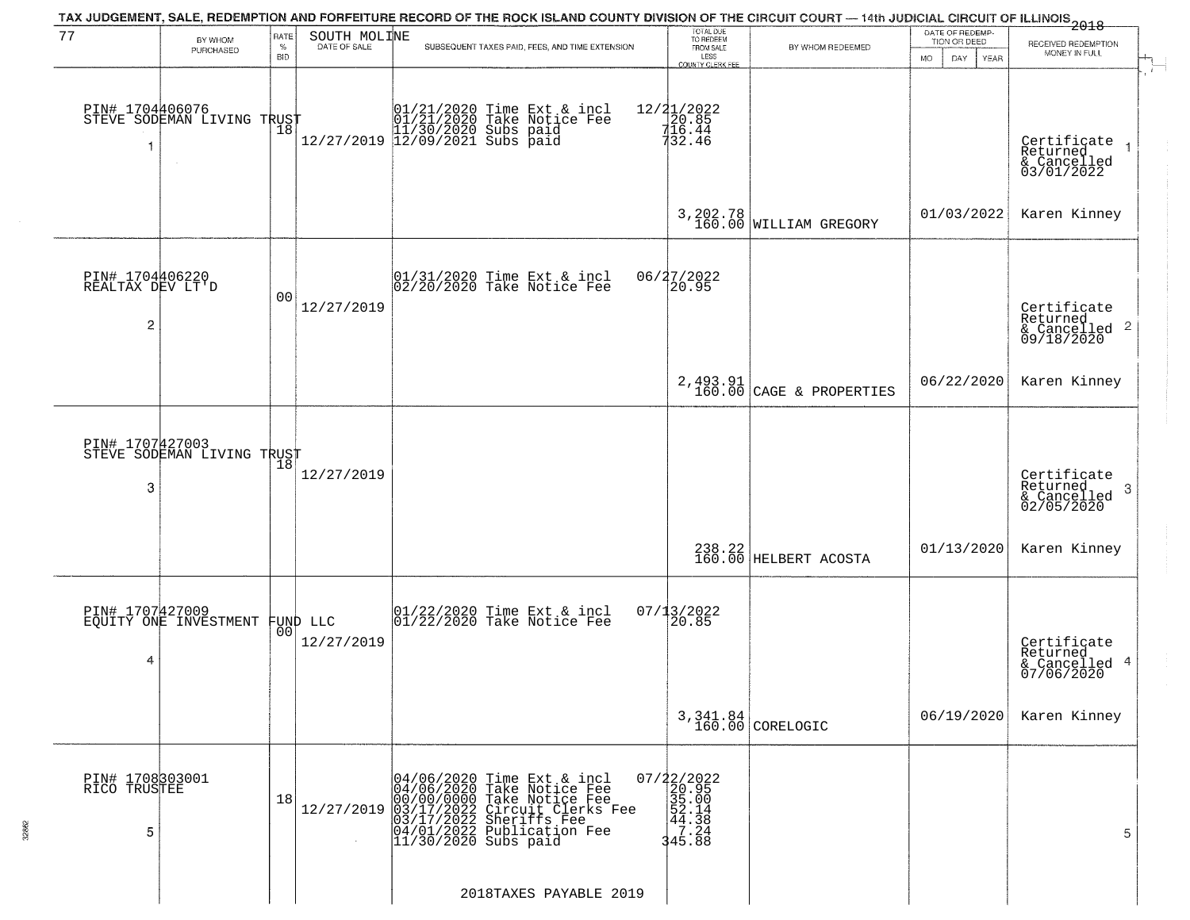|                                          |                                          |                            |                                | TAX JUDGEMENT, SALE, REDEMPTION AND FORFEITURE RECORD OF THE ROCK ISLAND COUNTY DIVISION OF THE CIRCUIT COURT — 14th JUDICIAL CIRCUIT OF ILLINOIS 2018                                                   |                                                                          |                                     |                                                        |                                                                    |
|------------------------------------------|------------------------------------------|----------------------------|--------------------------------|----------------------------------------------------------------------------------------------------------------------------------------------------------------------------------------------------------|--------------------------------------------------------------------------|-------------------------------------|--------------------------------------------------------|--------------------------------------------------------------------|
| 77                                       | BY WHOM<br>PURCHASED                     | RATE<br>$\%$<br><b>BID</b> | SOUTH MOLINE<br>DATE OF SALE   | SUBSEQUENT TAXES PAID, FEES, AND TIME EXTENSION                                                                                                                                                          | TOTAL DUE<br>TO REDEEM<br>FROM SALE<br>LESS<br>COUNTY CLERK FEE          | BY WHOM REDEEMED                    | DATE OF REDEMP-<br>TION OR DEED<br>MO.<br>DAY.<br>YEAR | RECEIVED REDEMPTION<br>MONEY IN FULL                               |
| PIN# 1704406076<br>1                     | STEVE SODEMAN LIVING TRUST               | Ίõ                         |                                |                                                                                                                                                                                                          | $\begin{array}{r} 12/21/2022 \\ 20.85 \\ 716.44 \\ 732.46 \end{array}$   |                                     |                                                        | Certificate<br>Returned<br>& Cancelled<br>03/01/2022               |
|                                          |                                          |                            |                                |                                                                                                                                                                                                          |                                                                          | 3, 202.78<br>160.00 WILLIAM GREGORY | 01/03/2022                                             | Karen Kinney                                                       |
| PIN# 1704406220<br>REALTAX DEV LT'D<br>2 |                                          | 0 <sub>0</sub>             | 12/27/2019                     | $ 01/31/2020$ Time Ext & incl<br>$ 02/20/2020$ Take Notice Fee                                                                                                                                           | 06/27/2022<br>20.95                                                      |                                     |                                                        | Certificate<br>Returned<br>$\frac{1}{6}$ Cancelled 2<br>09/18/2020 |
|                                          |                                          |                            |                                |                                                                                                                                                                                                          | $2, 493.91$<br>$160.00$                                                  | CAGE & PROPERTIES                   | 06/22/2020                                             | Karen Kinney                                                       |
| PIN# 1707427003<br>3                     | STEVE SODEMAN LIVING TRUST               | 18                         | 12/27/2019                     |                                                                                                                                                                                                          |                                                                          |                                     |                                                        | Certificate<br>Returned<br>3<br>& Cancelled<br>02/05/2020          |
|                                          |                                          |                            |                                |                                                                                                                                                                                                          |                                                                          | $238.22$<br>160.00 HELBERT ACOSTA   | 01/13/2020                                             | Karen Kinney                                                       |
| 4                                        | PIN# 1707427009<br>EQUITY ONE INVESTMENT |                            | FUND LLC<br> 00 <br>12/27/2019 | $\begin{bmatrix} 01/22/2020 \\ 01/22/2020 \\ 01 \end{bmatrix}$ Take Notice Fee                                                                                                                           | 07/13/2022<br>120.85                                                     |                                     |                                                        | Certificate<br>Returned<br>4<br>& Cancelled<br>07/06/2020          |
|                                          |                                          |                            |                                |                                                                                                                                                                                                          |                                                                          | 3,341.84<br>160.00 CORELOGIC        | 06/19/2020                                             | Karen Kinney                                                       |
| PIN# 1708303001<br>RICÖ TRUSTEE<br>5     |                                          | 18                         | 12/27/2019                     | 04/06/2020 Time Ext & incl<br>04/06/2020 Take Notice Fee<br>00/00/0000 Take Notice Fee<br>03/17/2022 Circuit Clerks Fee<br>03/17/2022 Sheriffs Fee<br>04/01/2022 Publication Fee<br>11/30/2020 Subs paid | 07/22/2022<br>20.95<br>35.00<br>35.00<br>44.38<br>7.24<br>7.24<br>345.88 |                                     |                                                        | 5                                                                  |
|                                          |                                          |                            |                                | 2018TAXES PAYABLE 2019                                                                                                                                                                                   |                                                                          |                                     |                                                        |                                                                    |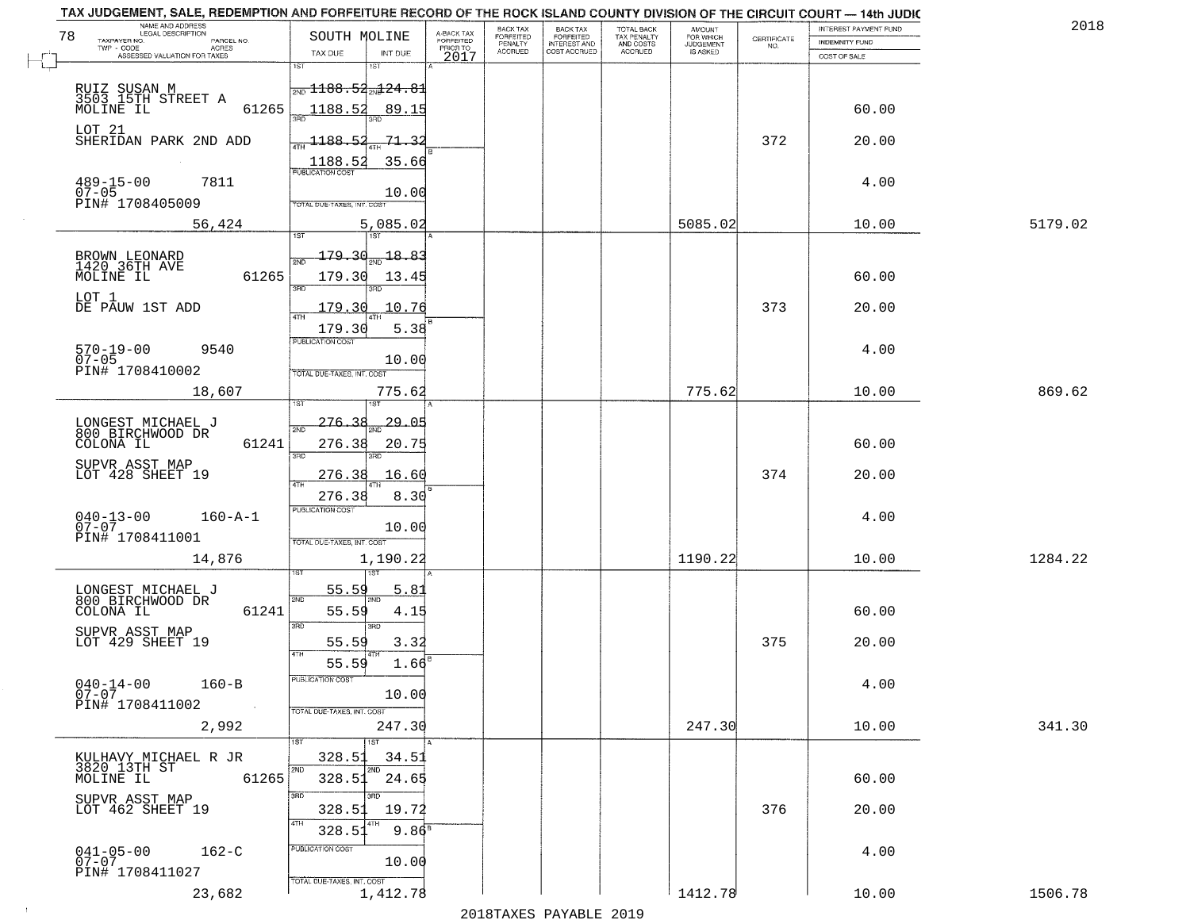| TAX JUDGEMENT, SALE, REDEMPTION AND FORFEITURE RECORD OF THE ROCK ISLAND COUNTY DIVISION OF THE CIRCUIT COURT - 14th JUDIC<br>NAME AND ADDRESS<br>LEGAL DESCRIPTION |                                                                                  |                                     | <b>BACK TAX</b>      | BACK TAX<br>FORFEITED |                                        |                                  |                                                                 | INTEREST PAYMENT FUND | 201     |
|---------------------------------------------------------------------------------------------------------------------------------------------------------------------|----------------------------------------------------------------------------------|-------------------------------------|----------------------|-----------------------|----------------------------------------|----------------------------------|-----------------------------------------------------------------|-----------------------|---------|
| 78<br>TAXPAYER NO.<br>PARCEL NO.<br>ACRES                                                                                                                           | SOUTH MOLINE                                                                     | A-BACK TAX<br>FORFEITED<br>PRIOR TO | FORFEITED<br>PENALTY | <b>INTEREST AND</b>   | TOTAL BACK<br>TAX PENALTY<br>AND COSTS | AMOUNT<br>FOR WHICH<br>JUDGEMENT | $\begin{array}{c} \text{CERTIFICATE} \\ \text{NO.} \end{array}$ | INDEMNITY FUND        |         |
| ASSESSED VALUATION FOR TAXES                                                                                                                                        | TAX DUE<br>INT DUE                                                               | 2017                                | <b>ACCRUED</b>       | COST ACCRUED          | ACCRUED                                | <b>IS ASKED</b>                  |                                                                 | COST OF SALE          |         |
| RUIZ SUSAN M<br>3503 15TH STREET A<br>61265<br>MOLINE IL                                                                                                            | 1ST<br>$\frac{1}{2ND}$ 1188.52 $\frac{1}{2ND}$ 24.81<br>1188.52<br>89.15         |                                     |                      |                       |                                        |                                  |                                                                 | 60.00                 |         |
| LOT 21<br>SHERIDAN PARK 2ND ADD                                                                                                                                     | $-1188.52$<br>-71 - 32                                                           |                                     |                      |                       |                                        |                                  | 372                                                             | 20.00                 |         |
|                                                                                                                                                                     | 35.66<br>1188.52<br><b>PUBLICATION COST</b>                                      |                                     |                      |                       |                                        |                                  |                                                                 |                       |         |
| $489 - 15 - 00$<br>07-05<br>7811<br>PIN# 1708405009                                                                                                                 | 10.00<br>TOTAL DUE-TAXES, INT. COST                                              |                                     |                      |                       |                                        |                                  |                                                                 | 4.00                  |         |
| 56,424                                                                                                                                                              | 5,085.02                                                                         |                                     |                      |                       |                                        | 5085.02                          |                                                                 | 10.00                 | 5179.02 |
| BROWN LEONARD<br>1420 36TH AVE<br>61265<br>MOLINE IL                                                                                                                | 179.30<br>$-18.83$<br>179.30<br>13.45<br>3BD                                     |                                     |                      |                       |                                        |                                  |                                                                 | 60.00                 |         |
| LOT 1<br>DE PAUW 1ST ADD                                                                                                                                            | 10.76<br>179.30<br>179.30<br>5.38                                                |                                     |                      |                       |                                        |                                  | 373                                                             | 20.00                 |         |
| $570 - 19 - 00$<br>9540<br>$07 - 05$<br>PIN# 1708410002                                                                                                             | PUBLICATION COST<br>10.00<br>TOTAL DUE-TAXES, INT. COST                          |                                     |                      |                       |                                        |                                  |                                                                 | 4.00                  |         |
| 18,607                                                                                                                                                              | 775.62<br>1ST                                                                    |                                     |                      |                       |                                        | 775.62                           |                                                                 | 10.00                 | 869.62  |
| LONGEST MICHAEL J<br>800 BIRCHWOOD DR                                                                                                                               | 276.38<br>29.05<br>2ND                                                           |                                     |                      |                       |                                        |                                  |                                                                 |                       |         |
| COLONA IL<br>61241                                                                                                                                                  | 276.38<br>20.75<br>3RD<br>3RD                                                    |                                     |                      |                       |                                        |                                  |                                                                 | 60.00                 |         |
| SUPVR ASST MAP<br>LOT 428 SHEET 19                                                                                                                                  | 16.60<br>276.38<br>4TH                                                           |                                     |                      |                       |                                        |                                  | 374                                                             | 20.00                 |         |
| $040 - 13 - 00$<br>07-07<br>$160 - A - 1$<br>PIN# 1708411001                                                                                                        | 8.30<br>276.38<br><b>PUBLICATION COST</b><br>10.00<br>TOTAL OUE-TAXES, INT. COST |                                     |                      |                       |                                        |                                  |                                                                 | 4.00                  |         |
| 14,876                                                                                                                                                              | 1,190.22                                                                         |                                     |                      |                       |                                        | 1190.22                          |                                                                 | 10.00                 | 1284.22 |
| LONGEST MICHAEL J<br>800 BIRCHWOOD DR                                                                                                                               | 55.59<br>5.81<br>2ND                                                             |                                     |                      |                       |                                        |                                  |                                                                 |                       |         |
| COLONA IL<br>61241                                                                                                                                                  | 55.59<br>4.15<br>3BD<br>3BD                                                      |                                     |                      |                       |                                        |                                  |                                                                 | 60.00                 |         |
| SUPVR ASST MAP<br>LOT 429 SHEET 19                                                                                                                                  | 3.32<br>55.59<br>4TH<br>55.59<br>1.66                                            |                                     |                      |                       |                                        |                                  | 375                                                             | 20.00                 |         |
| $040 - 14 - 00$<br>$160 - B$<br>Ŏ7-07<br>PIN# 1708411002<br>$\sim 100$                                                                                              | PUBLICATION COS<br>10.00<br>TOTAL DUE-TAXES, INT. COST                           |                                     |                      |                       |                                        |                                  |                                                                 | 4.00                  |         |
| 2,992                                                                                                                                                               | 247.30                                                                           |                                     |                      |                       |                                        | 247.30                           |                                                                 | 10.00                 | 341.30  |
| KULHAVY MICHAEL R JR<br>3820 13TH ST                                                                                                                                | 1ST<br>1ST<br>328.53<br>34.51<br>2ND<br>2ND                                      |                                     |                      |                       |                                        |                                  |                                                                 |                       |         |
| 61265<br>MOLINE IL<br>SUPVR ASST MAP                                                                                                                                | 328.51<br>24.65<br>3RD<br>חחי                                                    |                                     |                      |                       |                                        |                                  |                                                                 | 60.00                 |         |
| LOT 462 SHEET 19                                                                                                                                                    | 328.53<br>19.72<br>4TH<br>$9.86^8$<br>328.51                                     |                                     |                      |                       |                                        |                                  | 376                                                             | 20.00                 |         |
| $041 - 05 - 00$<br>07-07<br>$162 - C$<br>PIN# 1708411027                                                                                                            | PUBLICATION COST<br>10.00                                                        |                                     |                      |                       |                                        |                                  |                                                                 | 4.00                  |         |
| 23,682                                                                                                                                                              | TOTAL DUE-TAXES, INT. COST<br>1,412.78                                           |                                     |                      |                       |                                        | 1412.78                          |                                                                 | 10.00                 | 1506.78 |

 $\sim 10^{-1}$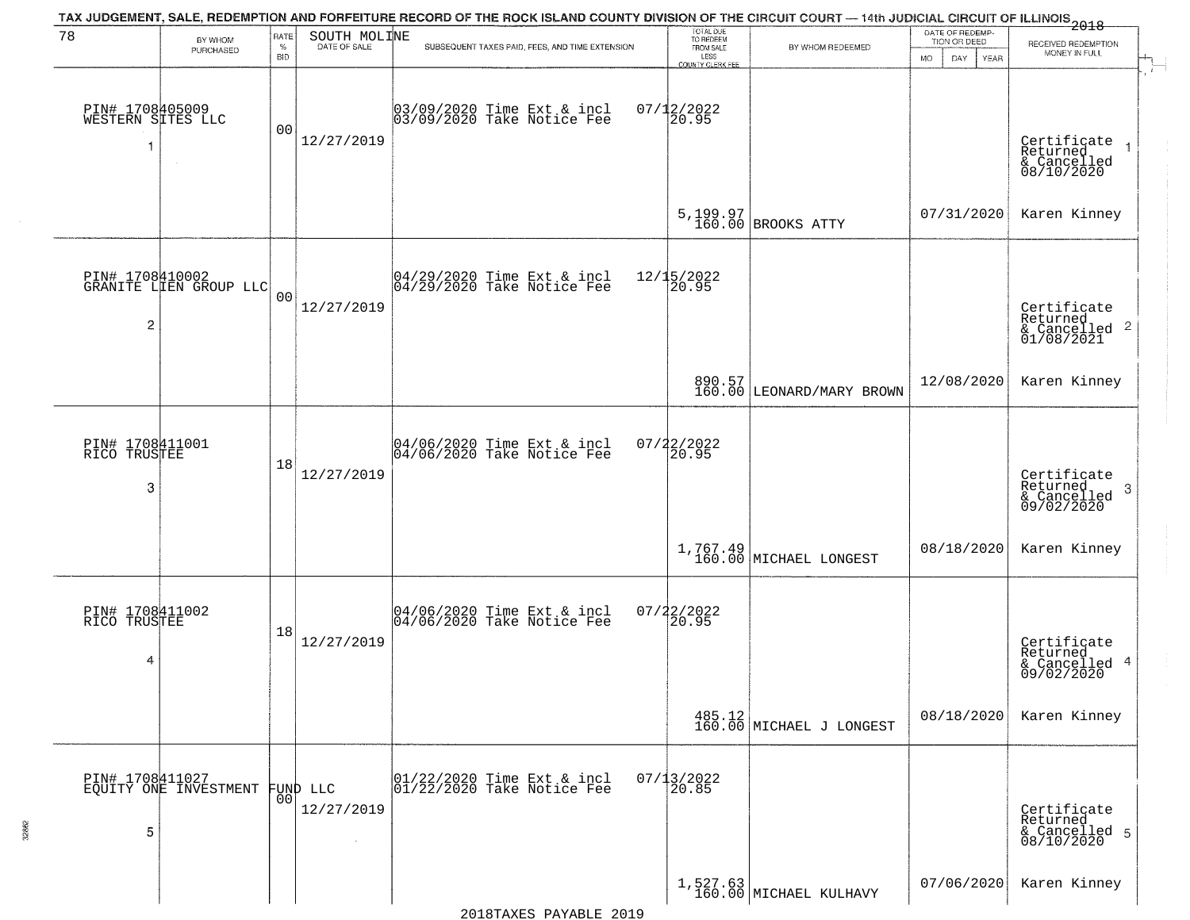| 78                                   | BY WHOM<br>PURCHASED                      | RATE<br>$\%$<br><b>BID</b> | SOUTH MOLINE<br>DATE OF SALE | TAX JUDGEMENT, SALE, REDEMPTION AND FORFEITURE RECORD OF THE ROCK ISLAND COUNTY DIVISION OF THE CIRCUIT COURT — 14th JUDICIAL CIRCUIT OF ILLINOIS 2018<br>SUBSEQUENT TAXES PAID, FEES, AND TIME EXTENSION | TOTAL DUE<br>TO REDEEM<br>FROM SALE<br>LESS<br>COUNTY CLERK FEE | BY WHOM REDEEMED                                                               | DATE OF REDEMP-<br>TION OR DEED<br><b>MO</b><br>DAY<br>YEAR | RECEIVED REDEMPTION<br>MONEY IN FULL                                  |
|--------------------------------------|-------------------------------------------|----------------------------|------------------------------|-----------------------------------------------------------------------------------------------------------------------------------------------------------------------------------------------------------|-----------------------------------------------------------------|--------------------------------------------------------------------------------|-------------------------------------------------------------|-----------------------------------------------------------------------|
| PIN# 1708405009<br>WESTERN SITES LLC |                                           | 00                         | 12/27/2019                   | 03/09/2020 Time Ext & incl<br>03/09/2020 Take Notice Fee                                                                                                                                                  | $07/12/2022$<br>20.95                                           |                                                                                |                                                             | Certificate<br>Returned<br>$\rightarrow$<br>& Cancelled<br>08/10/2020 |
|                                      |                                           |                            |                              |                                                                                                                                                                                                           |                                                                 | $5,199.97$ BROOKS ATTY                                                         | 07/31/2020                                                  | Karen Kinney                                                          |
| $\overline{c}$                       | PIN# 1708410002<br>GRANITE LIEN GROUP LLC | 00                         | 12/27/2019                   | 04/29/2020 Time Ext & incl<br>04/29/2020 Take Notice Fee                                                                                                                                                  | 12/15/2022<br>20.95                                             |                                                                                |                                                             | Certificate<br>Returned<br>& Cancelled 2<br>01/08/2021                |
|                                      |                                           |                            |                              |                                                                                                                                                                                                           |                                                                 | 890.57<br>160.00 LEONARD/MARY BROWN                                            | 12/08/2020                                                  | Karen Kinney                                                          |
| PIN# 1708411001<br>RICO TRUSTEE<br>3 |                                           | 18                         | 12/27/2019                   | 04/06/2020 Time Ext & incl<br>04/06/2020 Take Notice Fee                                                                                                                                                  | $07/22/2022$<br>20.95                                           |                                                                                |                                                             | Certificate<br>Returned<br>3<br>& Cancelled<br>09/02/2020             |
|                                      |                                           |                            |                              |                                                                                                                                                                                                           |                                                                 | $1,767.49$ MICHAEL LONGEST                                                     | 08/18/2020                                                  | Karen Kinney                                                          |
| PIN# 1708411002<br>RICO TRUSTEE<br>4 |                                           | 18                         | 12/27/2019                   | 04/06/2020 Time Ext & incl<br>04/06/2020 Take Notice Fee                                                                                                                                                  | $07/22/2022$<br>20.95                                           |                                                                                |                                                             | Certificate<br>Returned<br>& Cancelled 4<br>09/02/2020                |
|                                      |                                           |                            |                              |                                                                                                                                                                                                           |                                                                 | $\left.\begin{array}{c} 485.12 \\ 160.00 \end{array}\right $ MICHAEL J LONGEST | 08/18/2020                                                  | Karen Kinney                                                          |
| 5                                    | PIN# 1708411027<br>EQUITY ONE INVESTMENT  | 00                         | FUND LLC<br>12/27/2019       | 01/22/2020 Time Ext & incl<br>01/22/2020 Take Notice Fee                                                                                                                                                  | $07/13/2022$<br>20.85                                           |                                                                                |                                                             | Certificate<br>Returned<br>& Cancelled 5<br>08/10/2020                |
|                                      |                                           |                            |                              |                                                                                                                                                                                                           |                                                                 | 1,527.63<br>160.00 MICHAEL KULHAVY                                             | 07/06/2020                                                  | Karen Kinney                                                          |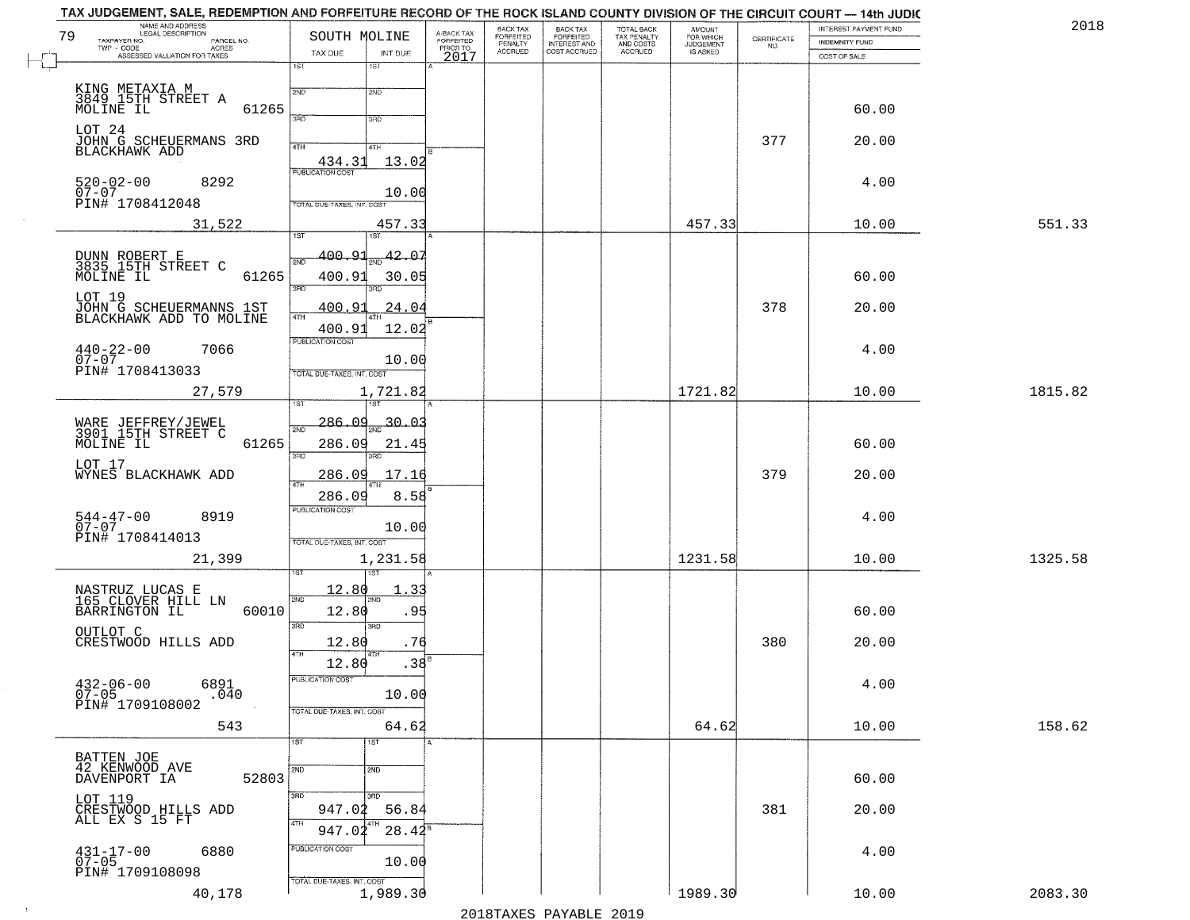|    | TAX JUDGEMENT, SALE, REDEMPTION AND FORFEITURE RECORD OF THE ROCK ISLAND COUNTY DIVISION OF THE CIRCUIT COURT — 14th JUDIC<br>NAME AND ADDRESS |                                   |                       |                                     |                                  |                                       |                                        |                                  |                                                                 | INTEREST PAYMENT FUND | 2018    |
|----|------------------------------------------------------------------------------------------------------------------------------------------------|-----------------------------------|-----------------------|-------------------------------------|----------------------------------|---------------------------------------|----------------------------------------|----------------------------------|-----------------------------------------------------------------|-----------------------|---------|
| 79 | LEGAL DESCRIPTION<br>TAXPAYER NO.<br>PARCEL NO.                                                                                                | SOUTH MOLINE                      |                       | A-BACK TAX<br>FORFEITED<br>PRIOR TO | BACK TAX<br>FORFEITED<br>PENALTY | BACK TAX<br>FORFEITED<br>INTEREST AND | TOTAL BACK<br>TAX PENALTY<br>AND COSTS | AMOUNT<br>FOR WHICH<br>JUDGEMENT | $\begin{array}{c} \text{CERTIFICATE} \\ \text{NO.} \end{array}$ | INDEMNITY FUND        |         |
|    | ACRES<br>TWP - CODE<br>ASSESSED VALUATION FOR TAXES                                                                                            | TAX DUE                           | INT DUE               | 2017                                | <b>ACCRUED</b>                   | COST ACCRUED                          | ACCRUED                                | <b>IS ASKED</b>                  |                                                                 | COST OF SALE          |         |
|    |                                                                                                                                                | 1ST                               | 1ST                   |                                     |                                  |                                       |                                        |                                  |                                                                 |                       |         |
|    | KING METAXIA M<br>3849 15TH STREET A                                                                                                           | 2ND                               | 2ND                   |                                     |                                  |                                       |                                        |                                  |                                                                 |                       |         |
|    | <b>MŎĹÍNĒ ĨÜ</b><br>61265                                                                                                                      | 3RD                               | 3RD                   |                                     |                                  |                                       |                                        |                                  |                                                                 | 60.00                 |         |
|    | LOT 24                                                                                                                                         |                                   |                       |                                     |                                  |                                       |                                        |                                  |                                                                 |                       |         |
|    | JOHN G SCHEUERMANS 3RD<br>BLACKHAWK ADD                                                                                                        | 4TH                               | 4TH                   |                                     |                                  |                                       |                                        |                                  | 377                                                             | 20.00                 |         |
|    |                                                                                                                                                | 434.31                            | 13.02                 |                                     |                                  |                                       |                                        |                                  |                                                                 |                       |         |
|    | $520 - 02 - 00$<br>07-07<br>8292                                                                                                               |                                   |                       |                                     |                                  |                                       |                                        |                                  |                                                                 | 4.00                  |         |
|    | PIN# 1708412048                                                                                                                                | TOTAL DUE-TAXES, INT. COST        | 10.00                 |                                     |                                  |                                       |                                        |                                  |                                                                 |                       |         |
|    | 31,522                                                                                                                                         |                                   | 457.33                |                                     |                                  |                                       |                                        | 457.33                           |                                                                 | 10.00                 | 551.33  |
|    |                                                                                                                                                | 1ST                               | 1ST                   |                                     |                                  |                                       |                                        |                                  |                                                                 |                       |         |
|    | DUNN ROBERT E<br>3835 15TH STREET C                                                                                                            | 400.91<br>2ND                     | 42.07                 |                                     |                                  |                                       |                                        |                                  |                                                                 |                       |         |
|    | MOLINE IL<br>61265                                                                                                                             | 400.91                            | 30.05                 |                                     |                                  |                                       |                                        |                                  |                                                                 | 60.00                 |         |
|    | LOT 19                                                                                                                                         | 3RD                               | 3HD                   |                                     |                                  |                                       |                                        |                                  |                                                                 |                       |         |
|    | JOHN G SCHEUERMANNS 1ST<br>BLACKHAWK ADD TO MOLINE                                                                                             | 400.91<br>$\sqrt{41H}$            | <u>24.04</u>          |                                     |                                  |                                       |                                        |                                  | 378                                                             | 20.00                 |         |
|    |                                                                                                                                                | 400.91<br><b>PUBLICATION COST</b> | 12.02                 |                                     |                                  |                                       |                                        |                                  |                                                                 |                       |         |
|    | $440 - 22 - 00$<br>7066<br>$07 - 07$                                                                                                           |                                   | 10.00                 |                                     |                                  |                                       |                                        |                                  |                                                                 | 4.00                  |         |
|    | PIN# 1708413033                                                                                                                                | TOTAL DUE-TAXES, INT. COST        |                       |                                     |                                  |                                       |                                        |                                  |                                                                 |                       |         |
|    | 27,579                                                                                                                                         |                                   | 1,721.82              |                                     |                                  |                                       |                                        | 1721.82                          |                                                                 | 10.00                 | 1815.82 |
|    |                                                                                                                                                | TST                               |                       |                                     |                                  |                                       |                                        |                                  |                                                                 |                       |         |
|    | WARE JEFFREY/JEWEL<br>3901 15TH STREET C                                                                                                       | $-286.09$<br>2ND                  | $\frac{1}{200}$ 30.03 |                                     |                                  |                                       |                                        |                                  |                                                                 |                       |         |
|    | MOLINE IL<br>61265                                                                                                                             | 286.09<br>3RD                     | 21.45<br>3RD          |                                     |                                  |                                       |                                        |                                  |                                                                 | 60.00                 |         |
|    | LOT 17                                                                                                                                         |                                   |                       |                                     |                                  |                                       |                                        |                                  |                                                                 |                       |         |
|    | WYNES BLACKHAWK ADD                                                                                                                            | 286.09<br>4TH                     | 17.16                 |                                     |                                  |                                       |                                        |                                  | 379                                                             | 20.00                 |         |
|    |                                                                                                                                                | 286.09<br><b>PUBLICATION COST</b> | 8.58                  |                                     |                                  |                                       |                                        |                                  |                                                                 |                       |         |
|    | 544-47-00<br>07-07<br>8919                                                                                                                     |                                   | 10.00                 |                                     |                                  |                                       |                                        |                                  |                                                                 | 4.00                  |         |
|    | PIN# 1708414013                                                                                                                                | TOTAL OUE-TAXES, INT. COST        |                       |                                     |                                  |                                       |                                        |                                  |                                                                 |                       |         |
|    | 21,399                                                                                                                                         |                                   | 1,231.58              |                                     |                                  |                                       |                                        | 1231.58                          |                                                                 | 10.00                 | 1325.58 |
|    |                                                                                                                                                |                                   |                       |                                     |                                  |                                       |                                        |                                  |                                                                 |                       |         |
|    | NASTRUZ LUCAS E<br>165 CLOVER HILL LN                                                                                                          | 12.80<br>2ND                      |                       |                                     |                                  |                                       |                                        |                                  |                                                                 |                       |         |
|    | BARRINGTON IL<br>60010                                                                                                                         | 12.80<br>3RD                      | .95                   |                                     |                                  |                                       |                                        |                                  |                                                                 | 60.00                 |         |
|    | OUTLOT C<br>CRESTWOOD HILLS ADD                                                                                                                | 12.80                             | 3RD<br>.76            |                                     |                                  |                                       |                                        |                                  | 380                                                             | 20.00                 |         |
|    |                                                                                                                                                | 4TH<br>12.80                      | .38                   |                                     |                                  |                                       |                                        |                                  |                                                                 |                       |         |
|    |                                                                                                                                                | PUBLICATION COST                  |                       |                                     |                                  |                                       |                                        |                                  |                                                                 |                       |         |
|    | $432 - 06 - 00$<br>6891<br>$07 - 05$<br>.040                                                                                                   |                                   | 10.00                 |                                     |                                  |                                       |                                        |                                  |                                                                 | 4.00                  |         |
|    | PIN# 1709108002                                                                                                                                | TOTAL DUE-TAXES, INT. COST        |                       |                                     |                                  |                                       |                                        |                                  |                                                                 |                       |         |
|    | 543                                                                                                                                            |                                   | 64.62                 |                                     |                                  |                                       |                                        | 64.62                            |                                                                 | 10.00                 | 158.62  |
|    |                                                                                                                                                | 1ST                               | $\overline{1}$ ST     |                                     |                                  |                                       |                                        |                                  |                                                                 |                       |         |
|    | BATTEN JOE<br>42 KENWOOD AVE                                                                                                                   | 2ND                               | 2ND                   |                                     |                                  |                                       |                                        |                                  |                                                                 |                       |         |
|    | 52803<br>DAVENPORT IA                                                                                                                          |                                   |                       |                                     |                                  |                                       |                                        |                                  |                                                                 | 60.00                 |         |
|    | LOT 119<br>CRESTWOOD HILLS ADD<br>ALL EX S 15 FT                                                                                               | 3RD<br>947.02                     | 3RD.<br>56.84         |                                     |                                  |                                       |                                        |                                  | 381                                                             | 20.00                 |         |
|    |                                                                                                                                                | 4TH<br>947.02                     | $28.42^8$             |                                     |                                  |                                       |                                        |                                  |                                                                 |                       |         |
|    | 6880                                                                                                                                           | PUBLICATION COST                  |                       |                                     |                                  |                                       |                                        |                                  |                                                                 | 4.00                  |         |
|    | $431 - 17 - 00$<br>07-05                                                                                                                       |                                   | 10.00                 |                                     |                                  |                                       |                                        |                                  |                                                                 |                       |         |
|    | PIN# 1709108098                                                                                                                                | TOTAL DUE-TAXES, INT. COST        |                       |                                     |                                  |                                       |                                        |                                  |                                                                 |                       |         |
|    | 40,178                                                                                                                                         |                                   | 1,989.30              |                                     |                                  |                                       |                                        | 1989.30                          |                                                                 | 10.00                 | 2083.30 |

 $\mathbb{R}$ 

 $\sim 10$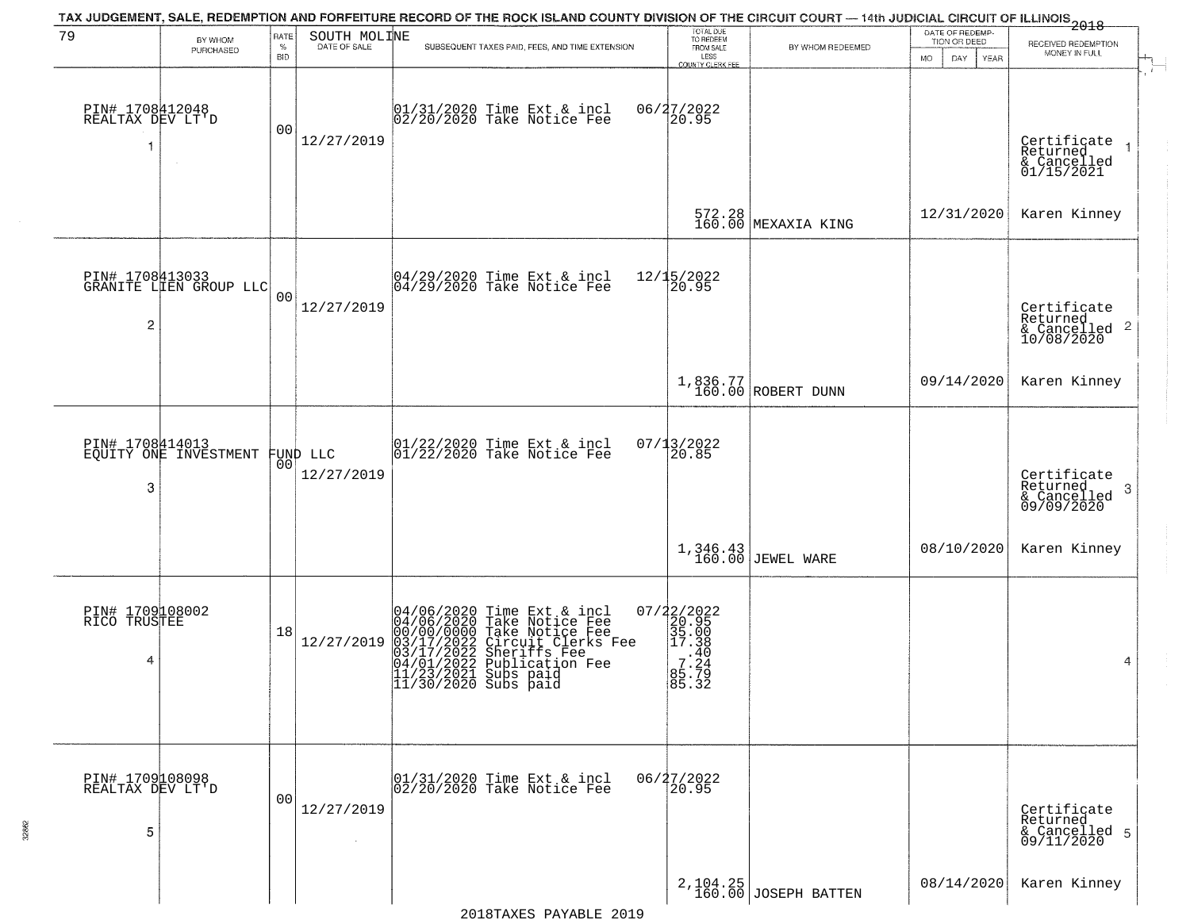| 79                                        |                                                   | <b>RATE</b>        | SOUTH MOLINE | TAX JUDGEMENT, SALE, REDEMPTION AND FORFEITURE RECORD OF THE ROCK ISLAND COUNTY DIVISION OF THE CIRCUIT COURT — 14th JUDICIAL CIRCUIT OF ILLINOIS 2018                                                                            | TOTAL DUE<br>TO REDEEM                                                                           |                                  | DATE OF REDEMP-                           |                                                                                  |
|-------------------------------------------|---------------------------------------------------|--------------------|--------------|-----------------------------------------------------------------------------------------------------------------------------------------------------------------------------------------------------------------------------------|--------------------------------------------------------------------------------------------------|----------------------------------|-------------------------------------------|----------------------------------------------------------------------------------|
|                                           | BY WHOM<br>PURCHASED                              | $\%$<br><b>BID</b> | DATE OF SALE | SUBSEQUENT TAXES PAID, FEES, AND TIME EXTENSION                                                                                                                                                                                   | FROM SALE<br>LESS                                                                                | BY WHOM REDEEMED                 | TION OR DEED<br><b>MO</b><br>DAY.<br>YEAR | RECEIVED REDEMPTION<br>MONEY IN FULL                                             |
| PIN# 1708412048<br>REALTAX DEV LT'D<br>-1 |                                                   | 0 <sub>0</sub>     | 12/27/2019   | 01/31/2020 Time Ext & incl<br>02/20/2020 Take Notice Fee                                                                                                                                                                          | COUNTY CLERK FEE<br>06/27/2022                                                                   |                                  |                                           | Certificate<br>Returned<br>$\overline{\phantom{a}}$<br>& Cancelled<br>01/15/2021 |
|                                           |                                                   |                    |              |                                                                                                                                                                                                                                   |                                                                                                  | 572.28<br>160.00 MEXAXIA KING    | 12/31/2020                                | Karen Kinney                                                                     |
| $\overline{c}$                            | PIN# 1708413033<br>GRANITE LIEN GROUP LLC         | 0 <sub>0</sub>     | 12/27/2019   | 04/29/2020 Time Ext & incl<br>04/29/2020 Take Notice Fee                                                                                                                                                                          | 12/15/2022<br>20.95                                                                              |                                  |                                           | Certificate<br>Returned<br>& Cancelled 2<br>10/08/2020                           |
|                                           |                                                   |                    |              |                                                                                                                                                                                                                                   |                                                                                                  | 1,836.77<br>160.00 ROBERT DUNN   | 09/14/2020                                | Karen Kinney                                                                     |
| 3                                         | PIN# 1708414013<br>EQUITY ONE INVESTMENT FUND LLC | 00 <sup>o</sup>    | 12/27/2019   | $ 01/22/2020$ Time Ext & incl<br>$ 01/22/2020$ Take Notice Fee                                                                                                                                                                    | 07/13/2022<br>20.85                                                                              |                                  |                                           | Certificate<br>Returned<br>3<br>& Cancelled<br>09/09/2020                        |
|                                           |                                                   |                    |              |                                                                                                                                                                                                                                   |                                                                                                  | 1,346.43<br>160.00 JEWEL WARE    | 08/10/2020                                | Karen Kinney                                                                     |
| PIN# 1709108002<br>RICO TRUSTEE<br>4      |                                                   | 18                 | 12/27/2019   | 04/06/2020 Time Ext & incl<br>04/06/2020 Take Notice Fee<br>00/00/00000 Take Notice Fee<br>03/17/2022 Circuit Clerks Fee<br>03/17/2022 Sheriffs Fee<br>04/01/2022 Publication Fee<br>11/23/2021 Subs paid<br>11/30/2020 Subs paid | $\begin{array}{r} 07/22/2022\\20.95\\35.00\\17.38\\-7.240\\35.724\\85.72\\ \end{array}$<br>85.32 |                                  |                                           | 4                                                                                |
| PIN# 1709108098<br>REALTAX DEV LT'D<br>5  |                                                   | 0 <sub>0</sub>     | 12/27/2019   | 01/31/2020 Time Ext & incl<br>02/20/2020 Take Notice Fee                                                                                                                                                                          | 06/27/2022<br>20.95                                                                              |                                  |                                           | Certificate<br>Returned<br>& Cancelled 5<br>09/11/2020                           |
|                                           |                                                   |                    |              |                                                                                                                                                                                                                                   |                                                                                                  | 2,104.25<br>160.00 JOSEPH BATTEN | 08/14/2020                                | Karen Kinney                                                                     |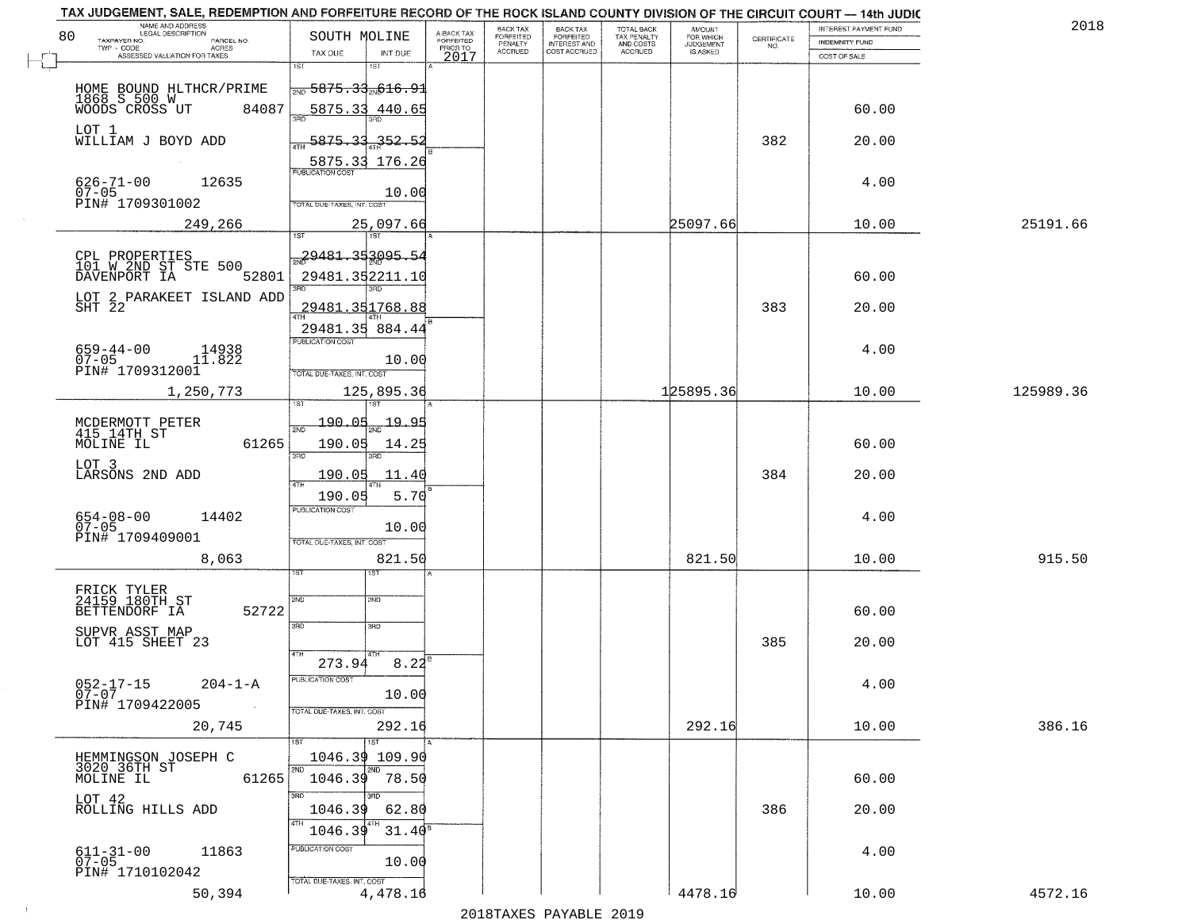| TAX JUDGEMENT, SALE, REDEMPTION AND FORFEITURE RECORD OF THE ROCK ISLAND COUNTY DIVISION OF THE CIRCUIT COURT - 14th JUDIC<br>NAME AND ADDRESS<br>LEGAL DESCRIPTION |                                                                                  |                                     | BACK TAX             | <b>BACK TAX</b>                  | <b>TOTAL BACK</b>        | AMOUNT<br>FOR WHICH |                    | INTEREST PAYMENT FUND | 2018      |
|---------------------------------------------------------------------------------------------------------------------------------------------------------------------|----------------------------------------------------------------------------------|-------------------------------------|----------------------|----------------------------------|--------------------------|---------------------|--------------------|-----------------------|-----------|
| 80<br>TAXPAYER NO.<br>PARCEL NO.<br>ACRES                                                                                                                           | SOUTH MOLINE                                                                     | A-BACK TAX<br>FORFEITED<br>PRIOR TO | FORFEITED<br>PENALTY | FORFEITED<br><b>INTEREST AND</b> | TAX PENALTY<br>AND COSTS | <b>JUDGEMENT</b>    | CERTIFICATE<br>NO. | <b>INDEMNITY FUND</b> |           |
| ASSESSED VALUATION FOR TAXES                                                                                                                                        | TAX DUE<br>INT DUE                                                               | 2017                                | <b>ACCRUED</b>       | COST ACCRUED                     | <b>ACCRUED</b>           | IS ASKED            |                    | COST OF SALE          |           |
| HOME BOUND HLTHCR/PRIME<br>1868 S 500 W<br>WOODS CROSS UT 8408<br>84087                                                                                             | 1ST<br>1ST<br>$\frac{1}{2000}$ 5875.33 $\frac{1}{200}$ 616.91<br>5875.33 440.65  |                                     |                      |                                  |                          |                     |                    | 60.00                 |           |
| LOT 1<br>WILLIAM J BOYD ADD                                                                                                                                         | 5875.33<br>352.53                                                                |                                     |                      |                                  |                          |                     | 382                | 20.00                 |           |
| $626 - 71 - 00$<br>12635<br>$07 - 05$<br>PIN# 1709301002                                                                                                            | 5875.33 176.26<br><b>PUBLICATION COST</b><br>10.00<br>TOTAL DUE-TAXES, INT. COST |                                     |                      |                                  |                          |                     |                    | 4.00                  |           |
| 249,266                                                                                                                                                             | 25,097.66<br>1ST                                                                 |                                     |                      |                                  |                          | 25097.66            |                    | 10.00                 | 25191.66  |
| CPL PROPERTIES<br>101 W 2ND ST STE 500<br>DAVENPORT IA<br>52801                                                                                                     | 29481.353095.54<br>29481.352211.10                                               |                                     |                      |                                  |                          |                     |                    | 60.00                 |           |
| LOT 2 PARAKEET ISLAND ADD<br>SHT 22                                                                                                                                 | <u>29481.351768.88</u><br>29481.35 884.44                                        |                                     |                      |                                  |                          |                     | 383                | 20.00                 |           |
| 659-44-00<br>07-05<br>14938<br>11.822<br>PIN# 1709312001                                                                                                            | PUBLICATION COST<br>10.00<br>TOTAL DUE-TAXES, INT. COST                          |                                     |                      |                                  |                          |                     |                    | 4.00                  |           |
| 1,250,773                                                                                                                                                           | 125,895.36<br>isT<br>1ST                                                         |                                     |                      |                                  |                          | 125895.36           |                    | 10.00                 | 125989.36 |
| MCDERMOTT PETER<br>415 14TH ST<br>MOLINE IL<br>61265                                                                                                                | 190.05<br><u> 19.95</u><br>2ND<br>190.05<br>14.25<br>3 <sub>BD</sub><br>3RD      |                                     |                      |                                  |                          |                     |                    | 60.00                 |           |
| LOT 3<br>LARSONS 2ND ADD                                                                                                                                            | 190.05<br>11.40<br>4TH<br>5.70<br>190.05                                         |                                     |                      |                                  |                          |                     | 384                | 20.00                 |           |
| $654 - 08 - 00$<br>07-05<br>14402<br>PIN# 1709409001                                                                                                                | <b>PUBLICATION COST</b><br>10.00<br>TOTAL OUE-TAXES, INT. COST                   |                                     |                      |                                  |                          |                     |                    | 4.00                  |           |
| 8,063                                                                                                                                                               | 821.50<br>15T                                                                    |                                     |                      |                                  |                          | 821.50              |                    | 10.00                 | 915.50    |
| FRICK TYLER<br>24159 180TH ST<br>52722<br>BETTENDORF IA                                                                                                             | 2ND<br>2ND<br>3BD<br>3RD                                                         |                                     |                      |                                  |                          |                     |                    | 60.00                 |           |
| SUPVR ASST MAP<br>LOT 415 SHEET 23                                                                                                                                  | 4TH                                                                              |                                     |                      |                                  |                          |                     | 385                | 20.00                 |           |
| 052-17-15<br>07-07<br>$204 - 1 - A$<br>PIN# 1709422005<br>$\sim 100$                                                                                                | 273.94<br>8.22<br>'usuca hun cus<br>10.00<br>TOTAL DUE-TAXES, INT. COST          |                                     |                      |                                  |                          |                     |                    | 4.00                  |           |
| 20,745                                                                                                                                                              | 292.16                                                                           |                                     |                      |                                  |                          | 292.16              |                    | 10.00                 | 386.16    |
| HEMMINGSON JOSEPH C<br>3020 36TH ST<br>61265<br>MOLINE IL                                                                                                           | 1ST<br>1046.39 109.90<br>2ND<br>2ND<br>1046.39 78.50                             |                                     |                      |                                  |                          |                     |                    | 60.00                 |           |
| LOT 42<br>ROLLING HILLS ADD                                                                                                                                         | 3RD<br>62.80<br>1046.39<br>1046.39<br>$31.40^8$                                  |                                     |                      |                                  |                          |                     | 386                | 20.00                 |           |
| $611 - 31 - 00$<br>07-05<br>11863<br>PIN# 1710102042                                                                                                                | PUBLICATION COST<br>10.00<br>TOTAL DUE-TAXES, INT. COST                          |                                     |                      |                                  |                          |                     |                    | 4.00                  |           |
| 50,394                                                                                                                                                              | 4,478.16                                                                         |                                     |                      |                                  |                          | 4478.16             |                    | 10.00                 | 4572.16   |

 $\sim 10$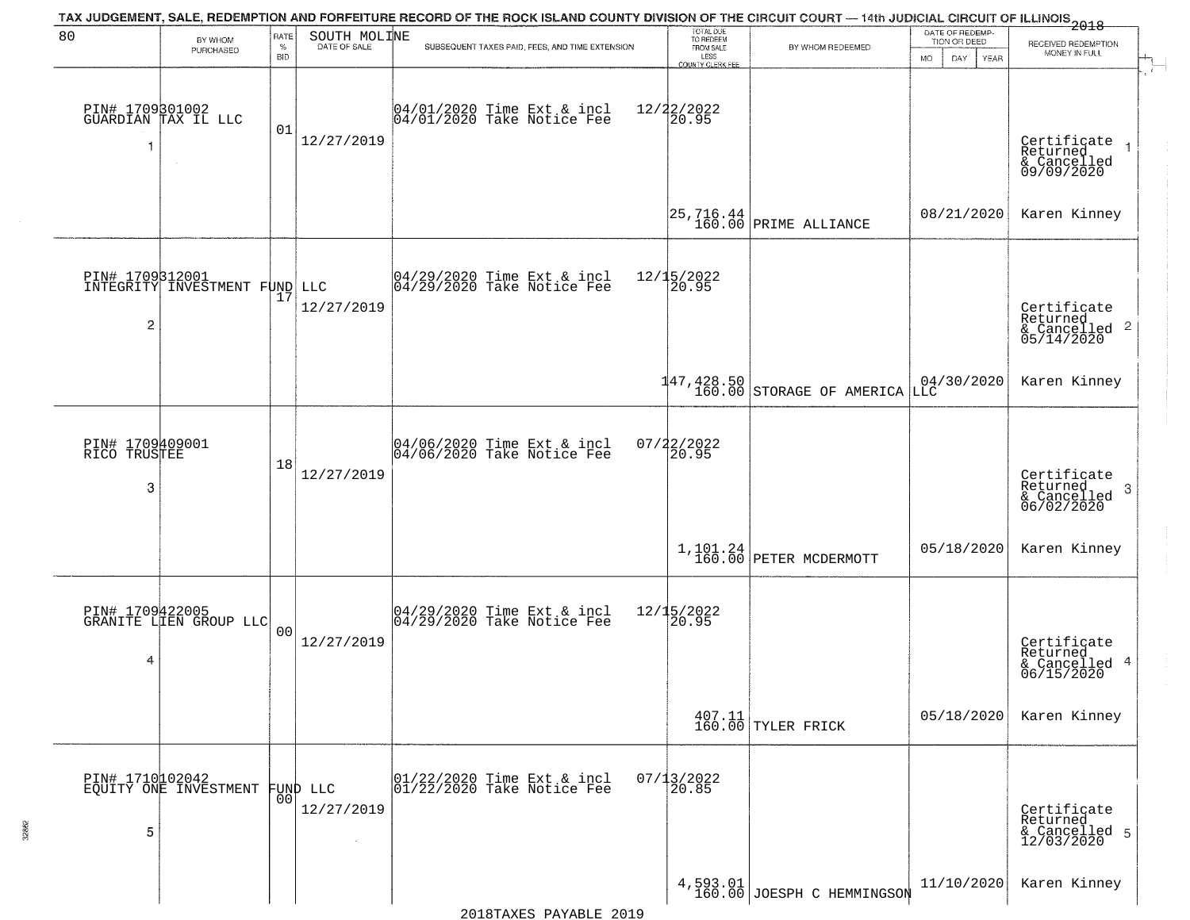|                                 |                                                  |                |                              | TAX JUDGEMENT, SALE, REDEMPTION AND FORFEITURE RECORD OF THE ROCK ISLAND COUNTY DIVISION OF THE CIRCUIT COURT — 14th JUDICIAL CIRCUIT OF ILLINOIS 2018 | TOTAL DUE<br>TO REDEEM          |                                                                     | DATE OF REDEMP-          |                                                                    |
|---------------------------------|--------------------------------------------------|----------------|------------------------------|--------------------------------------------------------------------------------------------------------------------------------------------------------|---------------------------------|---------------------------------------------------------------------|--------------------------|--------------------------------------------------------------------|
| 80                              | BY WHOM<br>PURCHASED                             | RATE<br>$\%$   | SOUTH MOLINE<br>DATE OF SALE | SUBSEQUENT TAXES PAID, FEES, AND TIME EXTENSION                                                                                                        | FROM SALE                       | BY WHOM REDEEMED                                                    | TION OR DEED             | RECEIVED REDEMPTION<br>MONEY IN FULL                               |
|                                 |                                                  | <b>BID</b>     |                              |                                                                                                                                                        | LESS<br><b>COUNTY CLERK FEE</b> |                                                                     | <b>MO</b><br>DAY<br>YEAR |                                                                    |
| -1                              | PIN# 1709301002<br>GUARDIAN TAX IL LLC           | 01             | 12/27/2019                   | 04/01/2020 Time Ext & incl<br>04/01/2020 Take Notice Fee                                                                                               | 12/22/2022<br>20.95             |                                                                     |                          | Certificate<br>Returned                                            |
|                                 |                                                  |                |                              |                                                                                                                                                        |                                 |                                                                     |                          | & Cancelled<br>09/09/2020                                          |
|                                 |                                                  |                |                              |                                                                                                                                                        |                                 | $\begin{vmatrix} 25, 716.44 \\ 160.00 \end{vmatrix}$ PRIME ALLIANCE | 08/21/2020               | Karen Kinney                                                       |
|                                 | PIN# 1709312001<br>INTEGRITY INVESTMENT FUND LLC |                |                              | $ 04/29/2020$ Time Ext & incl<br>$ 04/29/2020$ Take Notice Fee                                                                                         | 12/15/2022<br>20.95             |                                                                     |                          |                                                                    |
| $\overline{c}$                  |                                                  | 17             | 12/27/2019                   |                                                                                                                                                        |                                 |                                                                     |                          | Certificate<br>Returned<br>$\frac{1}{6}$ Cancelled 2<br>05/14/2020 |
|                                 |                                                  |                |                              |                                                                                                                                                        |                                 | $147, 428.50$ STORAGE OF AMERICA                                    | $04/30/2020$<br>LLC      | Karen Kinney                                                       |
| PIN# 1709409001<br>RICO TRUSTEE |                                                  |                |                              | 04/06/2020 Time Ext & incl<br>04/06/2020 Take Notice Fee                                                                                               | $07/22/2022$<br>20.95           |                                                                     |                          |                                                                    |
| 3                               |                                                  | 18             | 12/27/2019                   |                                                                                                                                                        |                                 |                                                                     |                          | Certificate<br>Returned<br>3<br>& Cancelled<br>06/02/2020          |
|                                 |                                                  |                |                              |                                                                                                                                                        |                                 | $1,101.24$ PETER MCDERMOTT                                          | 05/18/2020               | Karen Kinney                                                       |
|                                 | PIN# 1709422005<br>GRANITE LIEN GROUP LLC        |                |                              | 04/29/2020 Time Ext & incl<br>04/29/2020 Take Notice Fee                                                                                               | 12/15/2022<br>120.95            |                                                                     |                          |                                                                    |
| 4                               |                                                  | 0 <sup>0</sup> | 12/27/2019                   |                                                                                                                                                        |                                 |                                                                     |                          | Certificate<br>Returned<br>& Cancelled 4<br>06/15/2020             |
|                                 |                                                  |                |                              |                                                                                                                                                        |                                 | $\begin{array}{c c} 407.11 \\ 160.00 \end{array}$ TYLER FRICK       | 05/18/2020               | Karen Kinney                                                       |
|                                 | PIN# 1710102042<br>EQUITY ONE INVESTMENT         |                | FUND LLC                     | 01/22/2020 Time Ext & incl<br>01/22/2020 Take Notice Fee                                                                                               | $07/13/2022$<br>20.85           |                                                                     |                          |                                                                    |
| 5                               |                                                  | 0 <sub>0</sub> | 12/27/2019                   |                                                                                                                                                        |                                 |                                                                     |                          | Certificate<br>Returned<br>& Cancelled 5<br>12/03/2020             |
|                                 |                                                  |                |                              |                                                                                                                                                        |                                 | 4,593.01<br>160.00 JOESPH C HEMMINGSON                              | 11/10/2020               | Karen Kinney                                                       |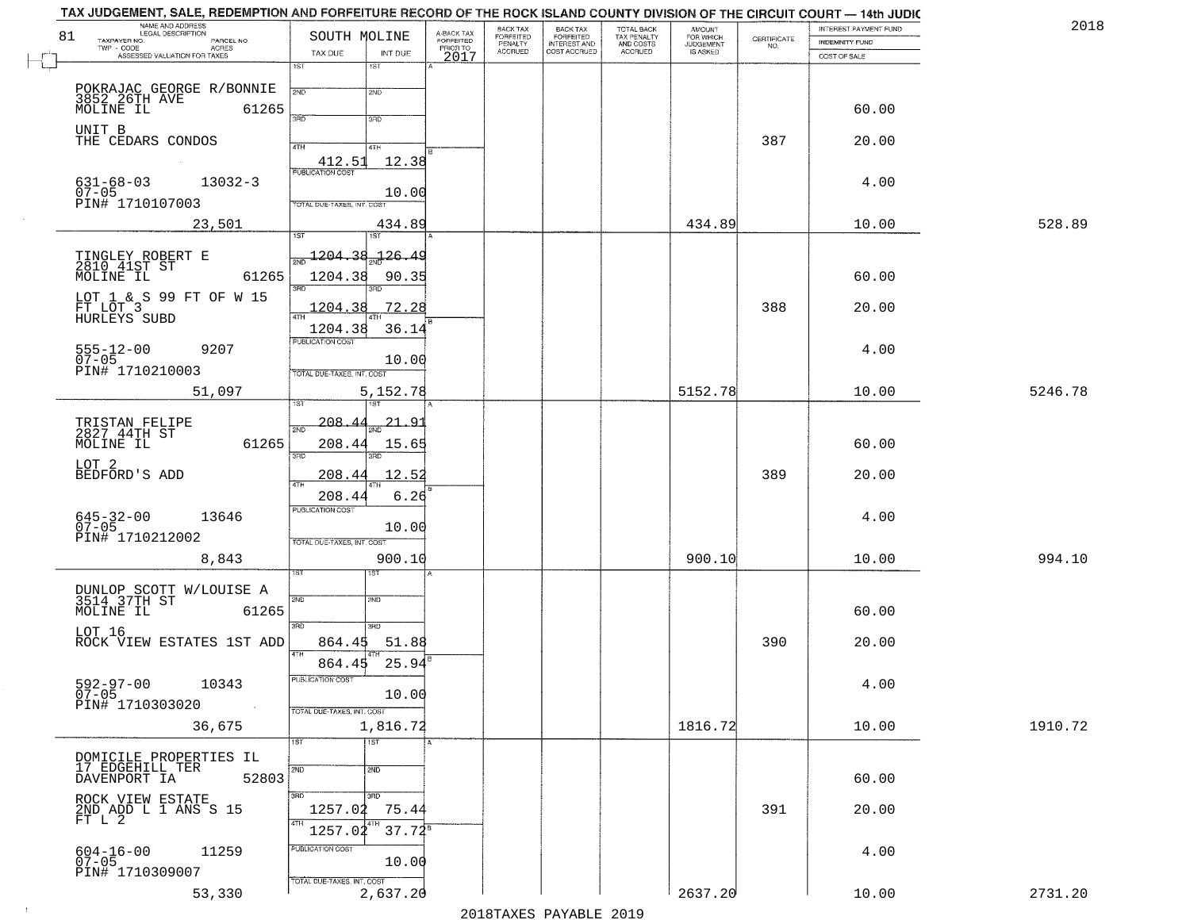| 81     | NAME AND ADDRESS<br>LEGAL DESCRIPTION<br>TAXPAYER NO.<br>PARCEL NO. | SOUTH MOLINE                              | A-BACK TAX<br>FORFEITED | BACK TAX<br>FORFEITED     | BACK TAX<br>FORFEITED<br>INTEREST AND | TOTAL BACK<br>TAX PENALTY<br>AND COSTS | AMOUNT<br>FOR WHICH          | $\begin{array}{c} \text{GETIFICATE} \\ \text{NO.} \end{array}$ | INTEREST PAYMENT FUND<br><b>INDEMNITY FUND</b> | 2018    |
|--------|---------------------------------------------------------------------|-------------------------------------------|-------------------------|---------------------------|---------------------------------------|----------------------------------------|------------------------------|----------------------------------------------------------------|------------------------------------------------|---------|
| $\Box$ | $TWP - CODE$<br>ACRES<br>ASSESSED VALUATION FOR TAXES               | TAX DUE<br>INT DUE                        | PRIOR TO<br>2017        | PENALTY<br><b>ACCRUED</b> | COST ACCRUED                          | ACCRUED                                | <b>JUDGEMENT</b><br>IS ASKED |                                                                | COST OF SALE                                   |         |
|        |                                                                     | 1ST<br>$1S$ T                             |                         |                           |                                       |                                        |                              |                                                                |                                                |         |
|        | POKRAJAC GEORGE R/BONNIE<br>3852 26TH AVE 126!<br>MOLINE IL 6126!   | 2ND<br>2ND                                |                         |                           |                                       |                                        |                              |                                                                |                                                |         |
|        | 61265                                                               | 3AD<br>3RD                                |                         |                           |                                       |                                        |                              |                                                                | 60.00                                          |         |
|        | UNIT B<br>THE CEDARS CONDOS                                         |                                           |                         |                           |                                       |                                        |                              | 387                                                            | 20.00                                          |         |
|        |                                                                     | 4TH<br>4TH<br>412.51<br>12.38             |                         |                           |                                       |                                        |                              |                                                                |                                                |         |
|        | $631 - 68 - 03$<br>$13032 - 3$                                      | <b>PUBLICATION COST</b>                   |                         |                           |                                       |                                        |                              |                                                                | 4.00                                           |         |
|        | $07 - 05$<br>PIN# 1710107003                                        | 10.00                                     |                         |                           |                                       |                                        |                              |                                                                |                                                |         |
|        | 23,501                                                              | TOTAL DUE-TAXES, INT. COST<br>434.89      |                         |                           |                                       |                                        | 434.89                       |                                                                | 10.00                                          | 528.89  |
|        |                                                                     | 1ST<br>1ST                                |                         |                           |                                       |                                        |                              |                                                                |                                                |         |
|        | TINGLEY ROBERT E<br>2810 41ST ST                                    | <u> 126.49</u><br>1204.38                 |                         |                           |                                       |                                        |                              |                                                                |                                                |         |
|        | MOLINE IL<br>61265                                                  | 1204.38<br>90.35                          |                         |                           |                                       |                                        |                              |                                                                | 60.00                                          |         |
|        | LOT $1 \& S$ 99 FT OF W 15<br>FT LOT $3$                            |                                           |                         |                           |                                       |                                        |                              |                                                                |                                                |         |
|        | HURLEYS SUBD                                                        | 72.28<br>1204                             |                         |                           |                                       |                                        |                              | 388                                                            | 20.00                                          |         |
|        |                                                                     | 36.14<br>1204.38<br>PUBLICATION COST      |                         |                           |                                       |                                        |                              |                                                                |                                                |         |
|        | $555 - 12 - 00$<br>9207<br>$07-05$<br>PIN# 1710210003               | 10.00                                     |                         |                           |                                       |                                        |                              |                                                                | 4.00                                           |         |
|        |                                                                     | TOTAL DUE-TAXES, INT. COST                |                         |                           |                                       |                                        |                              |                                                                |                                                |         |
|        | 51,097                                                              | 5,152.78<br><b>ST</b>                     |                         |                           |                                       |                                        | 5152.78                      |                                                                | 10.00                                          | 5246.78 |
|        | TRISTAN FELIPE<br>2827 44TH ST                                      | 208.<br><u>21.91</u><br>2ND               |                         |                           |                                       |                                        |                              |                                                                |                                                |         |
|        | 61265<br>MOLINE IL                                                  | 208.44<br>15.65                           |                         |                           |                                       |                                        |                              |                                                                | 60.00                                          |         |
|        | LOT 2                                                               | 3RD<br>3RD                                |                         |                           |                                       |                                        |                              |                                                                |                                                |         |
|        | BEDFORD'S ADD                                                       | 12.52<br>208.44<br>$\overline{AT}$        |                         |                           |                                       |                                        |                              | 389                                                            | 20.00                                          |         |
|        |                                                                     | 208.44<br>6.26<br><b>PUBLICATION COST</b> |                         |                           |                                       |                                        |                              |                                                                |                                                |         |
|        | 645-32-00<br>07-05<br>13646                                         | 10.00                                     |                         |                           |                                       |                                        |                              |                                                                | 4.00                                           |         |
|        | PIN# 1710212002                                                     | TOTAL OUE-TAXES, INT. COST                |                         |                           |                                       |                                        |                              |                                                                |                                                |         |
|        | 8,843                                                               | 900.10<br>1ST                             |                         |                           |                                       |                                        | 900.10                       |                                                                | 10.00                                          | 994.10  |
|        |                                                                     |                                           |                         |                           |                                       |                                        |                              |                                                                |                                                |         |
|        | DUNLOP SCOTT W/LOUISE A<br>3514 37TH ST<br>MOLINE IL 6126<br>61265  | 2ND<br> SMD                               |                         |                           |                                       |                                        |                              |                                                                | 60.00                                          |         |
|        | LOT 16                                                              | 3RD<br>3RD                                |                         |                           |                                       |                                        |                              |                                                                |                                                |         |
|        | ROCK VIEW ESTATES 1ST ADD                                           | 864.45<br>51.88<br>4TH                    |                         |                           |                                       |                                        |                              | 390                                                            | 20.00                                          |         |
|        |                                                                     | 25.94<br>864.45<br>PUBLICATION COST       |                         |                           |                                       |                                        |                              |                                                                |                                                |         |
|        | $592 - 97 - 00$<br>10343<br>$07 - 05$                               | 10.00                                     |                         |                           |                                       |                                        |                              |                                                                | 4.00                                           |         |
|        | PIN# 1710303020<br>$\sim 100$ km                                    | TOTAL DUE-TAXES, INT. COST                |                         |                           |                                       |                                        |                              |                                                                |                                                |         |
|        | 36,675                                                              | 1,816.72<br>1ST<br><b>TST</b>             |                         |                           |                                       |                                        | 1816.72                      |                                                                | 10.00                                          | 1910.72 |
|        | DOMICILE PROPERTIES IL<br>17 EDGEHILL TER                           |                                           |                         |                           |                                       |                                        |                              |                                                                |                                                |         |
|        | DAVENPORT IA<br>52803                                               | 2ND<br>2ND                                |                         |                           |                                       |                                        |                              |                                                                | 60.00                                          |         |
|        | ROCK VIEW ESTATE                                                    | 3RD<br>3BD                                |                         |                           |                                       |                                        |                              |                                                                |                                                |         |
|        | 2ND ADD L 1 ANS S 15<br>FT L 2                                      | 75.44<br>1257.02<br>4TH<br>4TH            |                         |                           |                                       |                                        |                              | 391                                                            | 20.00                                          |         |
|        |                                                                     | $37.72^8$<br>1257.02<br>PUBLICATION COST  |                         |                           |                                       |                                        |                              |                                                                |                                                |         |
|        | 604-16-00<br>07-05<br>11259                                         | 10.00                                     |                         |                           |                                       |                                        |                              |                                                                | 4.00                                           |         |
|        | PIN# 1710309007                                                     | TOTAL DUE-TAXES, INT. COST                |                         |                           |                                       |                                        |                              |                                                                |                                                |         |
|        | 53,330                                                              | 2,637.20                                  |                         |                           |                                       |                                        | 2637.20                      |                                                                | 10.00                                          | 2731.20 |

 $\vdash$ 

 $\sim 10$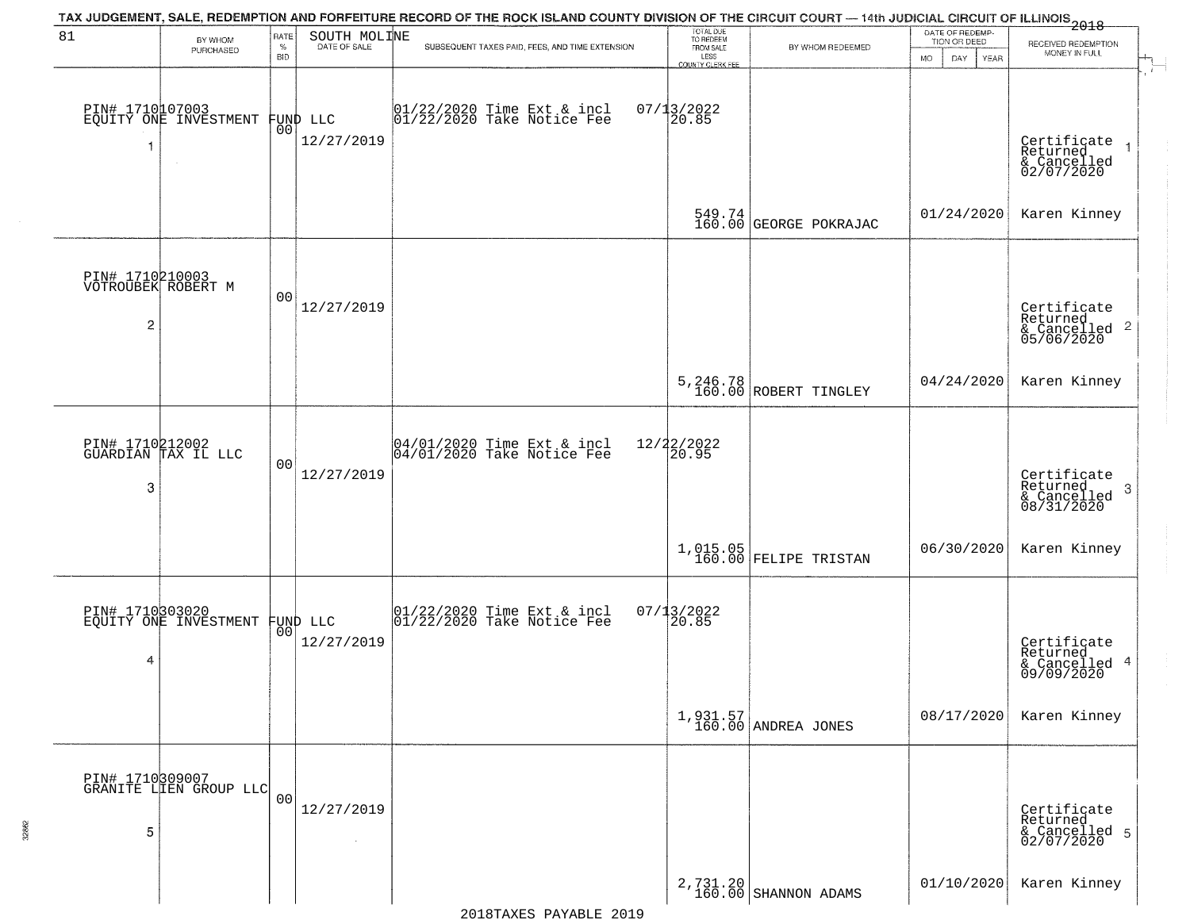|                                            |                                                   |                            |                                | TAX JUDGEMENT, SALE, REDEMPTION AND FORFEITURE RECORD OF THE ROCK ISLAND COUNTY DIVISION OF THE CIRCUIT COURT — 14th JUDICIAL CIRCUIT OF ILLINOIS<br>The contract of the contract of the contract of the contract of the contract |                                                                 |                                    |                                                             |                                                                    |
|--------------------------------------------|---------------------------------------------------|----------------------------|--------------------------------|-----------------------------------------------------------------------------------------------------------------------------------------------------------------------------------------------------------------------------------|-----------------------------------------------------------------|------------------------------------|-------------------------------------------------------------|--------------------------------------------------------------------|
| 81                                         | BY WHOM<br>PURCHASED                              | RATE<br>$\%$<br><b>BID</b> | SOUTH MOLINE                   | SUBSEQUENT TAXES PAID, FEES, AND TIME EXTENSION                                                                                                                                                                                   | TOTAL DUE<br>TO REDEEM<br>FROM SALE<br>LESS<br>COUNTY CLERK FEE | BY WHOM REDEEMED                   | DATE OF REDEMP-<br>TION OR DEED<br>DAY<br><b>MO</b><br>YEAR | RECEIVED REDEMPTION<br>MONEY IN FULL<br>$\mathcal{A}_{\mathbb{L}}$ |
| 1                                          | PIN# 1710107003<br>EQUITY ONE INVESTMENT          |                            | FUND LLC<br> 00 <br>12/27/2019 | 01/22/2020 Time Ext & incl<br>01/22/2020 Take Notice Fee                                                                                                                                                                          | $07/13/2022$<br>20.85                                           |                                    |                                                             | Certificate<br>Returned<br>& Cancelled<br>02/07/2020               |
|                                            |                                                   |                            |                                |                                                                                                                                                                                                                                   |                                                                 | 549.74<br>160.00 GEORGE POKRAJAC   | 01/24/2020                                                  | Karen Kinney                                                       |
| PIN# 1710210003<br>VOTROUBEK ROBERT M<br>2 |                                                   | 0 <sub>0</sub>             | 12/27/2019                     |                                                                                                                                                                                                                                   |                                                                 |                                    |                                                             | Certificate<br>Returned<br>$\frac{1}{6}$ Cancelled 2<br>05/06/2020 |
|                                            |                                                   |                            |                                |                                                                                                                                                                                                                                   |                                                                 | 5, 246.78<br>160.00 ROBERT TINGLEY | 04/24/2020                                                  | Karen Kinney                                                       |
| 3                                          | PIN# 1710212002<br>GUARDIAN TAX IL LLC            | 0 <sub>0</sub>             | 12/27/2019                     | $04/01/2020$ Time Ext & incl<br>04/01/2020 Take Notice Fee                                                                                                                                                                        | 12/22/2022<br>20.95                                             |                                    |                                                             | Certificate<br>Returned<br>3<br>& Cancelled<br>08/31/2020          |
|                                            |                                                   |                            |                                |                                                                                                                                                                                                                                   |                                                                 | $1,015.05$ FELIPE TRISTAN          | 06/30/2020                                                  | Karen Kinney                                                       |
| 4                                          | PIN# 1710303020<br>EQUITY ONE INVESTMENT FUND LLC |                            | 12/27/2019                     | $\begin{array}{cc} 01/22/2020 &$ Time Ext & incl<br>01/22/2020 Take Notice Fee                                                                                                                                                    | $07/13/2022$<br>20.85                                           |                                    |                                                             | Certificate<br>Returned<br>& Cancelled 4<br>09/09/2020             |
|                                            |                                                   |                            |                                |                                                                                                                                                                                                                                   |                                                                 | $1,931.57$<br>160.00 ANDREA JONES  | 08/17/2020                                                  | Karen Kinney                                                       |
| 5                                          | PIN# 1710309007<br>GRANITE LIEN GROUP LLC         | 0 <sub>0</sub>             | 12/27/2019<br>$\sim$           |                                                                                                                                                                                                                                   |                                                                 |                                    |                                                             | Certificate<br>Returned<br>& Cancelled 5<br>02/07/2020             |
|                                            |                                                   |                            |                                |                                                                                                                                                                                                                                   |                                                                 | 2,731.20<br>160.00 SHANNON ADAMS   | 01/10/2020                                                  | Karen Kinney                                                       |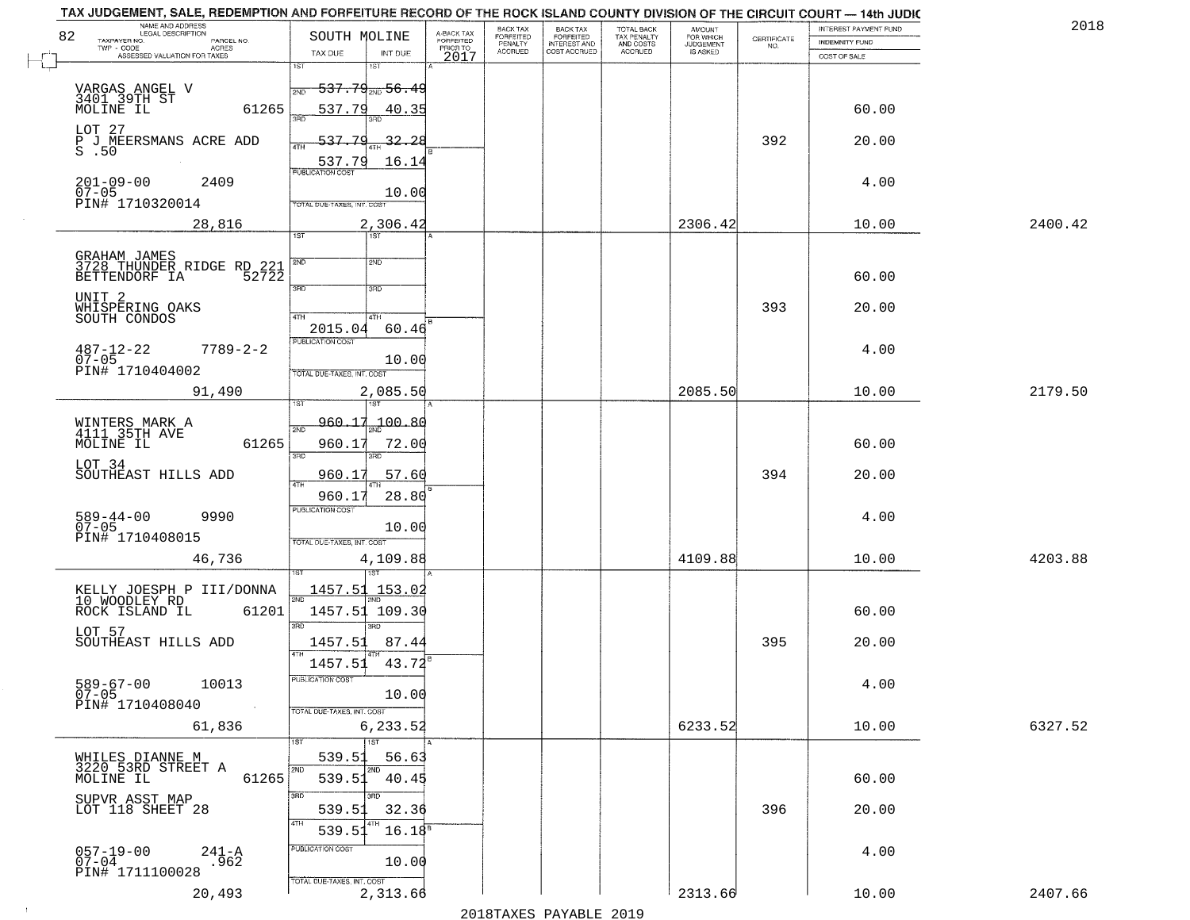| NAME AND ADDRESS<br>LEGAL DESCRIPTION<br>82<br>TAXPAYER NO.<br>PARCEL NO.<br>$TWP - CODE$<br>ACRES               | SOUTH MOLINE                                                                      | A-BACK TAX<br>FORFEITED<br>PRIOR TO | BACK TAX<br>FORFEITED<br>PENALTY | BACK TAX<br>FORFEITED<br>INTEREST AND | TOTAL BACK<br>TAX PENALTY<br>AND COSTS | AMOUNT<br>FOR WHICH<br>JUDGEMENT | $\begin{array}{c} \text{CEPTIFICATE} \\ \text{NO.} \end{array}$ | INTEREST PAYMENT FUND<br><b>INDEMNITY FUND</b> | 2018    |
|------------------------------------------------------------------------------------------------------------------|-----------------------------------------------------------------------------------|-------------------------------------|----------------------------------|---------------------------------------|----------------------------------------|----------------------------------|-----------------------------------------------------------------|------------------------------------------------|---------|
| ASSESSED VALUATION FOR TAXES                                                                                     | TAX DUE<br>INT DUE<br>1ST<br>1ST                                                  | 2017                                | <b>ACCRUED</b>                   | COST ACCRUED                          | <b>ACCRUED</b>                         | IS ASKED                         |                                                                 | COST OF SALE                                   |         |
| VARGAS ANGEL V<br>3401 39TH ST<br>MOLINE IL<br>61265                                                             | $537.79_{200}$ 56.49<br>537.79<br>40.35                                           |                                     |                                  |                                       |                                        |                                  |                                                                 | 60.00                                          |         |
| LOT 27<br>P J MEERSMANS ACRE ADD<br>S .50                                                                        | 537.79<br>32.28<br>ATH<br>16.14<br>537.79                                         |                                     |                                  |                                       |                                        |                                  | 392                                                             | 20.00                                          |         |
| $201 - 09 - 00$<br>2409<br>$07 - 05$<br>PIN# 1710320014                                                          | <b>PUBLICATION COST</b><br>10.00<br>TOTAL DUE-TAXES, INT. COST                    |                                     |                                  |                                       |                                        |                                  |                                                                 | 4.00                                           |         |
| 28,816                                                                                                           | 2,306.42                                                                          |                                     |                                  |                                       |                                        | 2306.42                          |                                                                 | 10.00                                          | 2400.42 |
| GRAHAM JAMES<br>3728_THUNDER_RIDGE RD_221<br>BETTENDORF IA<br>52722<br>UNIT 2<br>WHISPERING OAKS<br>SOUTH CONDOS | 1ST<br>1ST<br>2ND<br>2ND<br>3RD<br>3RD<br>47H<br>4TH<br>60.46<br>2015.04          |                                     |                                  |                                       |                                        |                                  | 393                                                             | 60.00<br>20.00                                 |         |
| $7789 - 2 - 2$<br>$487 - 12 - 22$<br>$07 - 05$<br>PIN# 1710404002                                                | PUBLICATION COST<br>10.00<br>TOTAL DUE-TAXES, INT. COST                           |                                     |                                  |                                       |                                        |                                  |                                                                 | 4.00                                           |         |
| 91,490                                                                                                           | 2,085.50<br>1ST                                                                   |                                     |                                  |                                       |                                        | 2085.50                          |                                                                 | 10.00                                          | 2179.50 |
| WINTERS MARK A<br>4111 35TH AVE<br>61265<br>MOLINE IL<br>LOT 34                                                  | 960.17<br>$-100.80$<br>2ND<br>960.17<br>72.00<br>3BD<br>3RD                       |                                     |                                  |                                       |                                        |                                  |                                                                 | 60.00                                          |         |
| SOUTHEAST HILLS ADD                                                                                              | 960.17<br>57.60<br><b>ATH</b>                                                     |                                     |                                  |                                       |                                        |                                  | 394                                                             | 20.00                                          |         |
| 9990<br>589-44-00<br>$07 - 05$<br>PIN# 1710408015                                                                | 960.17<br>28.80<br><b>PUBLICATION COST</b><br>10.00<br>TOTAL OUE-TAXES, INT. COST |                                     |                                  |                                       |                                        | 4109.88                          |                                                                 | 4.00<br>10.00                                  | 4203.88 |
| 46,736                                                                                                           | 4,109.88                                                                          |                                     |                                  |                                       |                                        |                                  |                                                                 |                                                |         |
| KELLY JOESPH P III/DONNA<br>10 WOODLEY RD<br>ROCK ISLAND IL<br>61201<br>LOT 57                                   | 1457.51 153.02<br>2ND<br>1457.51 109.30<br>3BD<br>$\overline{3BD}$                |                                     |                                  |                                       |                                        |                                  |                                                                 | 60.00                                          |         |
| SOUTHEAST HILLS ADD                                                                                              | 1457.51<br>87.44<br>4TH                                                           |                                     |                                  |                                       |                                        |                                  | 395                                                             | 20.00                                          |         |
| $589 - 67 - 00$<br>10013<br>$07 - 05$<br>PIN# 1710408040                                                         | 1457.51<br>43.72<br>PUBLICATION COST<br>10.00<br>TOTAL DUE-TAXES, INT. COST       |                                     |                                  |                                       |                                        |                                  |                                                                 | 4.00                                           |         |
| 61,836                                                                                                           | 6,233.52                                                                          |                                     |                                  |                                       |                                        | 6233.52                          |                                                                 | 10.00                                          | 6327.52 |
| WHILES DIANNE M<br>3220 53RD STREET A<br>MOLINE IL<br>61265                                                      | 1ST<br>1ST<br>539.51<br>56.63<br>2ND<br>2ND<br>539.51<br>40.45                    |                                     |                                  |                                       |                                        |                                  |                                                                 | 60.00                                          |         |
| SUPVR ASST MAP<br>LOT 118 SHEET 28                                                                               | उत्तर<br>3RD<br>539.51<br>32.36<br>4TH<br>$16.18^{5}$<br>539.51                   |                                     |                                  |                                       |                                        |                                  | 396                                                             | 20.00                                          |         |
| $057 - 19 - 00$<br>07-04<br>$241 - A$<br>962<br>PIN# 1711100028                                                  | PUBLICATION COST<br>10.00<br>TOTAL DUE-TAXES, INT. COST                           |                                     |                                  |                                       |                                        |                                  |                                                                 | 4.00                                           |         |
| 20,493                                                                                                           | 2,313.66                                                                          |                                     |                                  |                                       |                                        | 2313.66                          |                                                                 | 10.00                                          | 2407.66 |

 $\sim 10$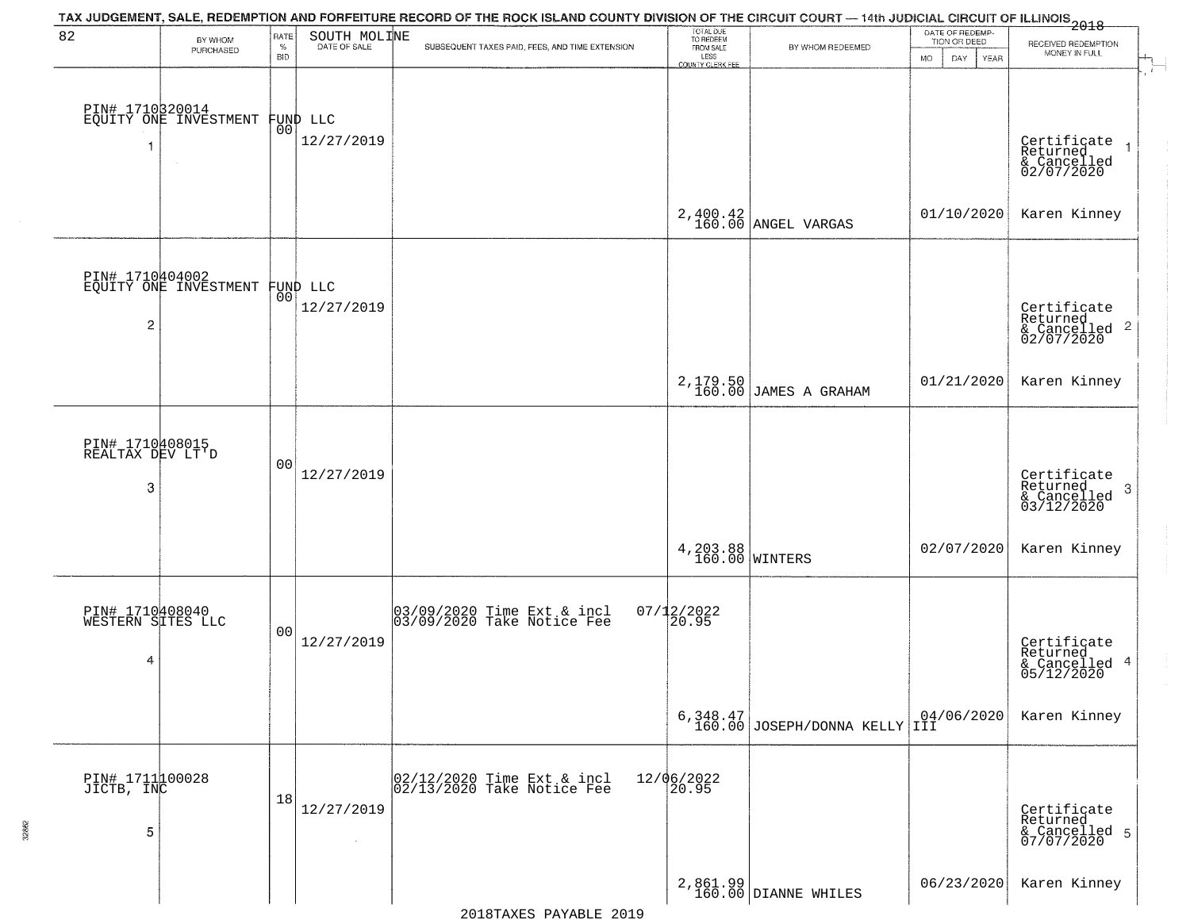|                                           |                                                   |                            |                                | TAX JUDGEMENT, SALE, REDEMPTION AND FORFEITURE RECORD OF THE ROCK ISLAND COUNTY DIVISION OF THE CIRCUIT COURT — 14th JUDICIAL CIRCUIT OF ILLINOIS 2018 |                                                                 |                                           |                                                                    |                                                                   |
|-------------------------------------------|---------------------------------------------------|----------------------------|--------------------------------|--------------------------------------------------------------------------------------------------------------------------------------------------------|-----------------------------------------------------------------|-------------------------------------------|--------------------------------------------------------------------|-------------------------------------------------------------------|
| 82                                        | BY WHOM<br>PURCHASED                              | RATE<br>$\%$<br><b>BID</b> | SOUTH MOLINE                   | SUBSEQUENT TAXES PAID, FEES, AND TIME EXTENSION                                                                                                        | TOTAL DUE<br>TO REDEEM<br>FROM SALE<br>LESS<br>COUNTY CLERK FEE | BY WHOM REDEEMED                          | DATE OF REDEMP-<br>TION OR DEED<br><b>DAY</b><br>YEAR<br><b>MO</b> | RECEIVED REDEMPTION<br>MONEY IN FULL                              |
|                                           | PIN# 1710320014<br>EQUITY ONE INVESTMENT          |                            | FUND LLC<br> 00 <br>12/27/2019 |                                                                                                                                                        |                                                                 |                                           |                                                                    | Certificate<br>Returned<br>& Cancelled<br>02/07/2020              |
|                                           |                                                   |                            |                                |                                                                                                                                                        |                                                                 | $2,400.42$ ANGEL VARGAS                   | 01/10/2020                                                         | Karen Kinney                                                      |
| 2                                         | PIN# 1710404002<br>EQUITY ONE INVESTMENT FUND LLC | 00 l                       | 12/27/2019                     |                                                                                                                                                        |                                                                 |                                           |                                                                    | Certificate<br>Returned<br>& Cancelled <sup>2</sup><br>02/07/2020 |
|                                           |                                                   |                            |                                |                                                                                                                                                        |                                                                 | 2,179.50<br>160.00 JAMES A GRAHAM         | 01/21/2020                                                         | Karen Kinney                                                      |
| PIN# 1710408015<br>REALTAX DEV LT'D<br>3  |                                                   | 00                         | 12/27/2019                     |                                                                                                                                                        |                                                                 |                                           |                                                                    | Certificate<br>Returned<br>3<br>& Cancelled<br>03/12/2020         |
|                                           |                                                   |                            |                                |                                                                                                                                                        | 4, 203.88<br>160.00 WINTERS                                     |                                           | 02/07/2020                                                         | Karen Kinney                                                      |
| PIN# 1710408040<br>WESTERN SITES LLC<br>4 |                                                   | 00                         | 12/27/2019                     | 03/09/2020 Time Ext & incl<br>03/09/2020 Take Notice Fee                                                                                               | $07/12/2022$<br>20.95                                           |                                           |                                                                    | Certificate<br>Returned<br>& Cancelled 4<br>05/12/2020            |
|                                           |                                                   |                            |                                |                                                                                                                                                        |                                                                 | 6,348.47<br>160.00 JOSEPH/DONNA KELLY III |                                                                    | Karen Kinney                                                      |
| PIN# 1711100028<br>JICTB, INC<br>5        |                                                   | 18                         | 12/27/2019<br>$\sim$           | 02/12/2020 Time Ext & incl<br>02/13/2020 Take Notice Fee                                                                                               | 12/06/2022<br>20.95                                             |                                           |                                                                    | Certificate<br>Returned<br>& Cancelled 5<br>07/07/2020            |
|                                           |                                                   |                            |                                |                                                                                                                                                        |                                                                 | 2,861.99<br>160.00 DIANNE WHILES          | 06/23/2020                                                         | Karen Kinney                                                      |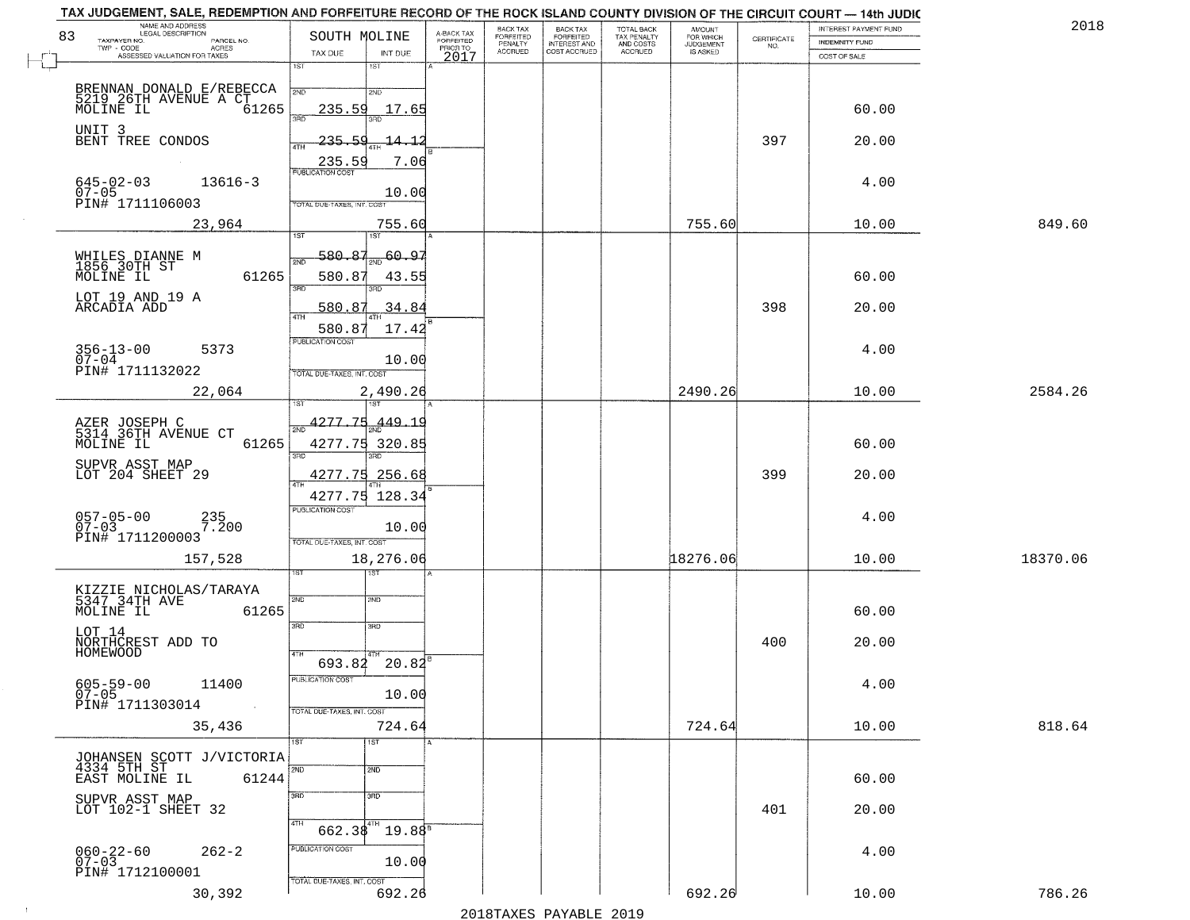| NAME AND ADDRESS<br>LEGAL DESCRIPTION<br>83<br>TAXPAYER NO.<br>PARCEL NO. | SOUTH MOLINE                                      | A-BACK TAX<br>FORFEITED<br>PRIOR TO | BACK TAX<br>FORFEITED     | BACK TAX<br>FORFEITED<br>INTEREST AND | TOTAL BACK<br>TAX PENALTY<br>AND COSTS | AMOUNT<br>FOR WHICH<br>JUDGEMENT | $\begin{array}{c} \text{CERTIFICATE} \\ \text{NO.} \end{array}$ | INTEREST PAYMENT FUND<br><b>INDEMNITY FUND</b> | 2018     |
|---------------------------------------------------------------------------|---------------------------------------------------|-------------------------------------|---------------------------|---------------------------------------|----------------------------------------|----------------------------------|-----------------------------------------------------------------|------------------------------------------------|----------|
| TWP - CODE<br>ACRES<br>ASSESSED VALUATION FOR TAXES                       | TAX DUE<br>INT DUE                                | 2017                                | PENALTY<br><b>ACCRUED</b> | COST ACCRUED                          | <b>ACCRUED</b>                         | IS ASKED                         |                                                                 | COST OF SALE                                   |          |
|                                                                           | 1ST<br>1ST                                        |                                     |                           |                                       |                                        |                                  |                                                                 |                                                |          |
| BRENNAN DONALD E/REBECCA                                                  | 2ND<br>2ND                                        |                                     |                           |                                       |                                        |                                  |                                                                 |                                                |          |
| 5219 26TH AVENUE A CT<br>MOLINE IL 61265                                  | 235.59<br>17.65<br>3HD                            |                                     |                           |                                       |                                        |                                  |                                                                 | 60.00                                          |          |
| UNIT 3<br>BENT TREE CONDOS                                                | 235.59<br>$-14$<br>-1                             |                                     |                           |                                       |                                        |                                  | 397                                                             | 20.00                                          |          |
|                                                                           | 4TH<br>7.06                                       |                                     |                           |                                       |                                        |                                  |                                                                 |                                                |          |
| $645 - 02 - 03$<br>$13616 - 3$                                            | 235.59                                            |                                     |                           |                                       |                                        |                                  |                                                                 | 4.00                                           |          |
| $07 - 05$<br>PIN# 1711106003                                              | 10.00<br>TOTAL DUE-TAXES, INT. COST               |                                     |                           |                                       |                                        |                                  |                                                                 |                                                |          |
| 23,964                                                                    | 755.60                                            |                                     |                           |                                       |                                        | 755.60                           |                                                                 | 10.00                                          | 849.60   |
|                                                                           | 1ST<br>1ST                                        |                                     |                           |                                       |                                        |                                  |                                                                 |                                                |          |
| WHILES DIANNE M<br>1856 30TH ST<br>MOLINE IL                              | 580.87<br>60.97<br>2ND                            |                                     |                           |                                       |                                        |                                  |                                                                 |                                                |          |
| 61265                                                                     | 580.87<br>43.55<br>$\overline{\text{3BD}}$        |                                     |                           |                                       |                                        |                                  |                                                                 | 60.00                                          |          |
| LOT 19 AND 19 A<br>ARCADIA ADD                                            | 580.87<br>.34.84                                  |                                     |                           |                                       |                                        |                                  | 398                                                             | 20.00                                          |          |
|                                                                           | 47H<br>17.42<br>580.87                            |                                     |                           |                                       |                                        |                                  |                                                                 |                                                |          |
| $356 - 13 - 00$<br>5373                                                   | PUBLICATION COST                                  |                                     |                           |                                       |                                        |                                  |                                                                 | 4.00                                           |          |
| $07 - 04$<br>PIN# 1711132022                                              | 10.00<br>TOTAL DUE-TAXES, INT. COST               |                                     |                           |                                       |                                        |                                  |                                                                 |                                                |          |
| 22,064                                                                    | 2,490.26                                          |                                     |                           |                                       |                                        | 2490.26                          |                                                                 | 10.00                                          | 2584.26  |
|                                                                           | 4277.75<br>.449.19                                |                                     |                           |                                       |                                        |                                  |                                                                 |                                                |          |
| AZER JOSEPH C<br>5314 36TH AVENUE CT<br>MOLINE IL<br>61265                | 2ND<br>4277.75 320.85                             |                                     |                           |                                       |                                        |                                  |                                                                 | 60.00                                          |          |
| SUPVR ASST MAP                                                            | 3RD<br>3RD                                        |                                     |                           |                                       |                                        |                                  |                                                                 |                                                |          |
| LOT 204 SHEET 29                                                          | 4277.75 256.68                                    |                                     |                           |                                       |                                        |                                  | 399                                                             | 20.00                                          |          |
|                                                                           | 128.34<br>4277.75<br><b>PUBLICATION COST</b>      |                                     |                           |                                       |                                        |                                  |                                                                 |                                                |          |
| $057 - 05 - 00$<br>07-03<br>235<br>7.200                                  | 10.00                                             |                                     |                           |                                       |                                        |                                  |                                                                 | 4.00                                           |          |
| PIN# 1711200003                                                           | TOTAL OUE-TAXES, INT. COST                        |                                     |                           |                                       |                                        |                                  |                                                                 |                                                |          |
| 157,528                                                                   | 18,276.06<br>डिक                                  |                                     |                           |                                       |                                        | 18276.06                         |                                                                 | 10.00                                          | 18370.06 |
| KIZZIE NICHOLAS/TARAYA<br>5347 34TH AVE                                   |                                                   |                                     |                           |                                       |                                        |                                  |                                                                 |                                                |          |
| MOLINE IL<br>61265                                                        | 2ND<br>2ND                                        |                                     |                           |                                       |                                        |                                  |                                                                 | 60.00                                          |          |
| LOT 14                                                                    | 3RD<br>3BD                                        |                                     |                           |                                       |                                        |                                  |                                                                 |                                                |          |
| NORTHCREST ADD TO<br>HOMEWOOD                                             | 4TH                                               |                                     |                           |                                       |                                        |                                  | 400                                                             | 20.00                                          |          |
|                                                                           | $693.82$ $20.82$ <sup>B</sup><br>PUBLICATION COST |                                     |                           |                                       |                                        |                                  |                                                                 |                                                |          |
| $605 - 59 - 00$<br>11400<br>$07 - 05$<br>PIN# 1711303014                  | 10.00                                             |                                     |                           |                                       |                                        |                                  |                                                                 | 4.00                                           |          |
| $\sim 100$ km<br>35,436                                                   | TOTAL DUE-TAXES, INT. COST<br>724.64              |                                     |                           |                                       |                                        | 724.64                           |                                                                 | 10.00                                          | 818.64   |
|                                                                           | 1ST<br>1ST                                        |                                     |                           |                                       |                                        |                                  |                                                                 |                                                |          |
| JOHANSEN SCOTT J/VICTORIA<br>4334 5TH ST                                  | 2ND<br>2ND                                        |                                     |                           |                                       |                                        |                                  |                                                                 |                                                |          |
| EAST MOLINE IL<br>61244                                                   |                                                   |                                     |                           |                                       |                                        |                                  |                                                                 | 60.00                                          |          |
| SUPVR ASST MAP<br>LOT 102-1 SHEET 32                                      | 3 <sub>BD</sub><br>3RD                            |                                     |                           |                                       |                                        |                                  | 401                                                             | 20.00                                          |          |
|                                                                           | 4TH<br>$662.38^{4TH}$<br>$19.88^{\circ}$          |                                     |                           |                                       |                                        |                                  |                                                                 |                                                |          |
| 060-22-60<br>07-03<br>$262 - 2$                                           | PUBLICATION COST                                  |                                     |                           |                                       |                                        |                                  |                                                                 | 4.00                                           |          |
| PIN# 1712100001                                                           | 10.00                                             |                                     |                           |                                       |                                        |                                  |                                                                 |                                                |          |
| 30,392                                                                    | TOTAL DUE-TAXES, INT. COST<br>692.26              |                                     |                           |                                       |                                        | 692.26                           |                                                                 | 10.00                                          | 786.26   |

 $\sim 10$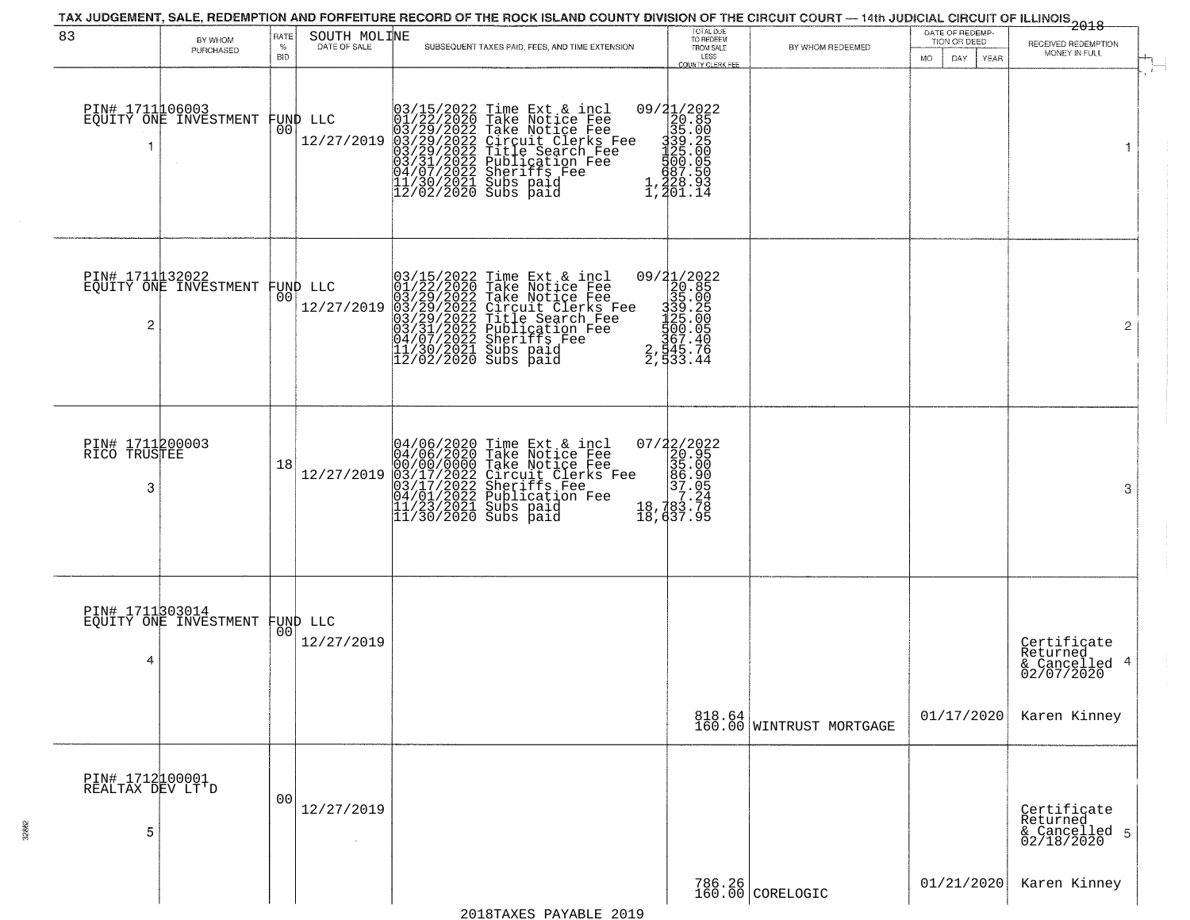| 83                                       | BY WHOM                                           | RATE               | SOUTH MOLINE                   | TAX JUDGEMENT, SALE, REDEMPTION AND FORFEITURE RECORD OF THE ROCK ISLAND COUNTY DIVISION OF THE CIRCUIT COURT — 14th JUDICIAL CIRCUIT OF ILLINOIS 2018                                                                                                | TOTAL DUE<br>TO REDEEM<br>FROM SALE                                                                                |                                    | DATE OF REDEMP-<br>TION OR DEED | RECEIVED REDEMPTION                                       |
|------------------------------------------|---------------------------------------------------|--------------------|--------------------------------|-------------------------------------------------------------------------------------------------------------------------------------------------------------------------------------------------------------------------------------------------------|--------------------------------------------------------------------------------------------------------------------|------------------------------------|---------------------------------|-----------------------------------------------------------|
|                                          | PURCHASED                                         | $\%$<br><b>BID</b> | DATE OF SALE                   | SUBSEQUENT TAXES PAID, FEES, AND TIME EXTENSION                                                                                                                                                                                                       | LESS<br>COUNTY CLERK FFF                                                                                           | BY WHOM REDEEMED                   | MO.<br>DAY.<br><b>YEAR</b>      | MONEY IN FULL                                             |
|                                          | PIN# 1711106003<br>EQUITY ONE INVESTMENT          | 00                 | FUND LLC<br>12/27/2019         | 03/15/2022 Time Ext & incl<br>01/22/2020 Take Notice Fee<br>03/29/2022 Take Notice Fee<br>03/29/2022 Tircuit Clerks Fee<br>03/29/2022 Title Search Fee<br>03/29/2022 Publication Fee<br>04/07/2022 Sheriffs Fee<br>11/30/2021 Subs paid<br>12/02/2020 | 09/21/2022<br>20.850<br>335.005<br>339.205<br>339.205<br>325.005<br>500.50<br>428.93<br>1,201.14                   |                                    |                                 | 1                                                         |
| 2                                        | PIN# 1711 32022<br>EQUITY ONE INVESTMENT FUND LLC |                    | 12/27/2019                     | 03/15/2022 Time Ext & incl<br>01/22/2020 Take Notice Fee<br>03/29/2022 Take Notice Fee<br>03/29/2022 Tircuit Clerks Fee<br>03/29/2022 Title Search Fee<br>03/31/2022 Dublication Fee<br>04/07/2022 Sheriffs Fee<br>11/30/2021 Subs paid<br>12/02/2020 | 09/21/2022<br>20.85<br>35.00<br>$\begin{array}{r} 339.255 \\ 339.255 \\ 1400.05 \\ 545.76 \\ 2,533.44 \end{array}$ |                                    |                                 | 2                                                         |
| PIN# 1711200003<br>RICO TRUSTEE<br>3     |                                                   | 18                 | 12/27/2019                     | 04/06/2020 Time Ext & incl<br>04/06/2020 Take Notice Fee<br>00/00/00/000 Take Notice Fee<br>03/17/2022 Circuit Clerks Fee<br>03/17/2022 Dublication Fee<br>04/01/2022 Publication Fee<br>11/23/2021 Subs paid<br>11/30/2020 Subs paid                 | $\begin{smallmatrix} 07/22/2022\\ 20.95\\ 35.00\\ 96.90\\ 7.24\\ 18,783.78\\ 18,437.95 \end{smallmatrix}$          |                                    |                                 | 3                                                         |
| 4                                        | PIN# 1711303014<br>EQUITY ONE INVESTMENT          |                    | FUND LLC<br> 00 <br>12/27/2019 |                                                                                                                                                                                                                                                       |                                                                                                                    |                                    |                                 | Certificate<br>Returned<br>4<br>& Cancelled<br>02/07/2020 |
|                                          |                                                   |                    |                                |                                                                                                                                                                                                                                                       |                                                                                                                    | 818.64<br>160.00 WINTRUST MORTGAGE | 01/17/2020                      | Karen Kinney                                              |
| PIN# 1712100001<br>REALTAX DEV LT'D<br>5 |                                                   | 00                 | 12/27/2019                     |                                                                                                                                                                                                                                                       |                                                                                                                    |                                    |                                 | Certificate<br>Returned<br>& Cancelled 5<br>02/18/2020    |
|                                          |                                                   |                    |                                |                                                                                                                                                                                                                                                       |                                                                                                                    | 786.26<br>160.00 CORELOGIC         | 01/21/2020                      | Karen Kinney                                              |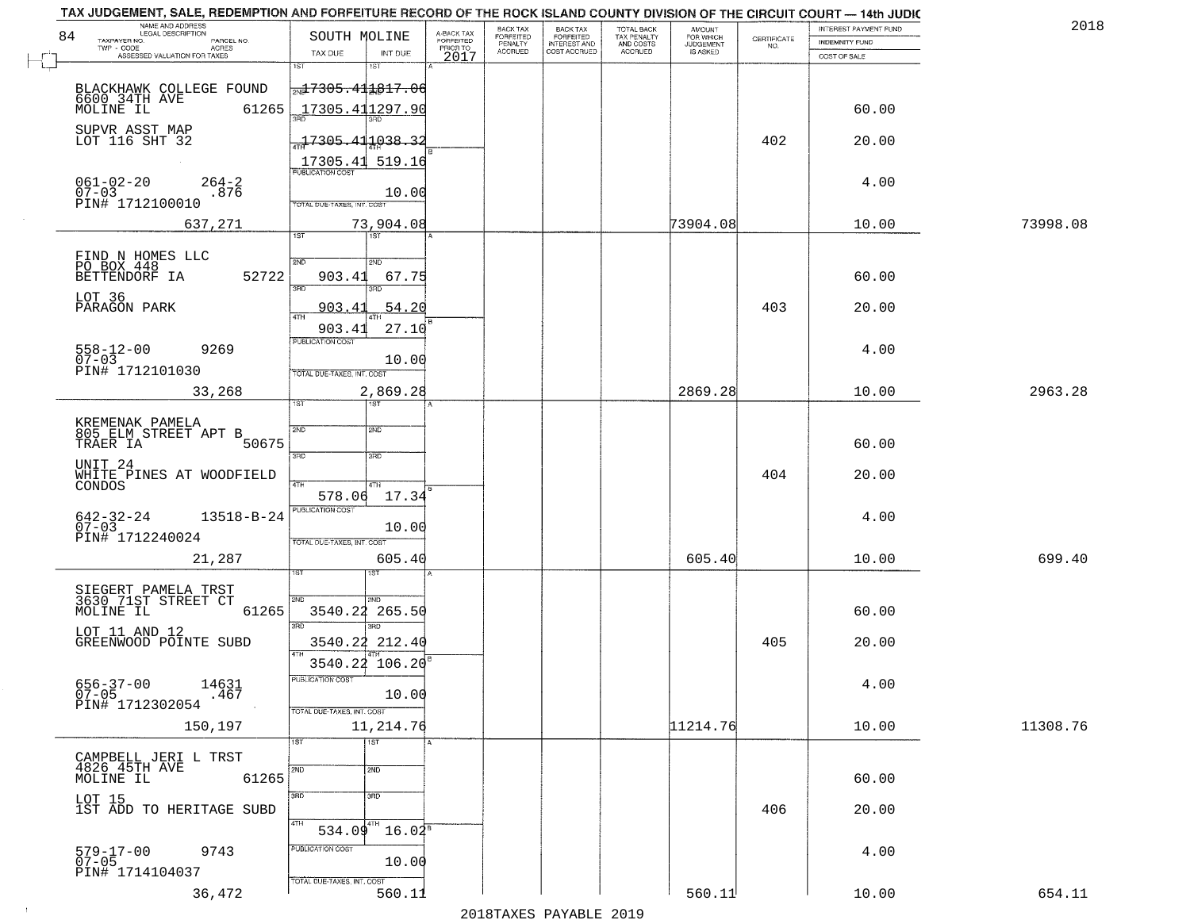| 84 | NAME AND ADDRESS<br>LEGAL DESCRIPTION<br>TAXPAYER NO.<br>PARCEL NO.<br>ACRES<br>TWP - CODE | SOUTH MOLINE                                                               | A-BACK TAX<br>FORFEITED<br>PRIOR TO | <b>BACK TAX</b><br>FORFEITED<br>PENALTY | BACK TAX<br>FORFEITED<br>INTEREST AND | TOTAL BACK<br>TAX PENALTY<br>AND COSTS | AMOUNT<br>FOR WHICH<br><b>JUDGEMENT</b> | $\begin{array}{c} \text{CERTIFICATE} \\ \text{NO.} \end{array}$ | INTEREST PAYMENT FUND<br><b>INDEMNITY FUND</b> | 2018     |
|----|--------------------------------------------------------------------------------------------|----------------------------------------------------------------------------|-------------------------------------|-----------------------------------------|---------------------------------------|----------------------------------------|-----------------------------------------|-----------------------------------------------------------------|------------------------------------------------|----------|
|    | ASSESSED VALUATION FOR TAXES                                                               | TAX DUE<br>INT DUE<br>1ST<br>1ST                                           | 2017                                | <b>ACCRUED</b>                          | COST ACCRUED                          | ACCRUED                                | IS ASKED                                |                                                                 | COST OF SALE                                   |          |
|    | BLACKHAWK COLLEGE FOUND<br>6600 34TH AVE<br>MOLINE IL<br>61265                             | <del>ml7305.411817.06</del><br>17305.411297.90                             |                                     |                                         |                                       |                                        |                                         |                                                                 | 60.00                                          |          |
|    | SUPVR ASST MAP<br>LOT 116 SHT 32                                                           | $-17305.411038.32$<br>17305.41<br>519.16                                   |                                     |                                         |                                       |                                        |                                         | 402                                                             | 20.00                                          |          |
|    | $061 - 02 - 20$<br>$264 - 2$<br>$07 - 03$<br>.876<br>PIN# 1712100010                       | <b>PUBLICATION COST</b><br>10.00<br>TOTAL DUE-TAXES, INT. COST             |                                     |                                         |                                       |                                        |                                         |                                                                 | 4.00                                           |          |
|    | 637,271                                                                                    | 73,904.08                                                                  |                                     |                                         |                                       |                                        | 73904.08                                |                                                                 | 10.00                                          | 73998.08 |
|    | FIND N HOMES LLC<br>PO BOX 448<br>BETTENDORF IA<br>52722                                   | 1ST<br>1ST<br>2ND<br>2ND<br>903.41<br>67.75<br>बन्ना                       |                                     |                                         |                                       |                                        |                                         |                                                                 | 60.00                                          |          |
|    | LOT 36<br>PARAGON PARK                                                                     | 54.20<br>903.41                                                            |                                     |                                         |                                       |                                        |                                         | 403                                                             | 20.00                                          |          |
|    | $558 - 12 - 00$<br>07-03<br>9269<br>PIN# 1712101030                                        | 27.10<br>903.41<br>PUBLICATION COST<br>10.00<br>TOTAL DUE-TAXES, INT. COST |                                     |                                         |                                       |                                        |                                         |                                                                 | 4.00                                           |          |
|    | 33,268                                                                                     | 2,869.28                                                                   |                                     |                                         |                                       |                                        | 2869.28                                 |                                                                 | 10.00                                          | 2963.28  |
|    | KREMENAK PAMELA<br>805 ELM STREET APT B<br>TRAER IA<br>50675                               | ist.<br>1ST<br>SVD<br>SMD<br>3RD<br>3 <sub>BD</sub>                        |                                     |                                         |                                       |                                        |                                         |                                                                 | 60.00                                          |          |
|    | UNIT <sub>24</sub><br>WHITE PINES AT WOODFIELD<br>CONDOS                                   | 4TH<br>578.06<br>17.34                                                     |                                     |                                         |                                       |                                        |                                         | 404                                                             | 20.00                                          |          |
|    | $642 - 32 - 24$<br>07-03<br>13518-B-24<br>PIN# 1712240024                                  | <b>PUBLICATION COST</b><br>10.00<br>TOTAL OUE-TAXES, INT. COST             |                                     |                                         |                                       |                                        |                                         |                                                                 | 4.00                                           |          |
|    | 21,287                                                                                     | 605.40                                                                     |                                     |                                         |                                       |                                        | 605.40                                  |                                                                 | 10.00                                          | 699.40   |
|    | SIEGERT PAMELA TRST<br>3630 71ST STREET CT<br>MOLINE IL<br>61265<br>LOT 11 AND 12          | 2ND<br>2ND.<br>3540.22<br>265.50<br>3RD<br>3BD                             |                                     |                                         |                                       |                                        |                                         |                                                                 | 60.00                                          |          |
|    | GREENWOOD POINTE SUBD                                                                      | 3540.22 212.40<br>4TH                                                      |                                     |                                         |                                       |                                        |                                         | 405                                                             | 20.00                                          |          |
|    | $656 - 37 - 00$<br>07-05<br>14631<br>.467<br>PIN# 1712302054                               | 3540.22 106.20<br>PUBLICATION COST<br>10.00<br>TOTAL DUE-TAXES, INT. COST  |                                     |                                         |                                       |                                        |                                         |                                                                 | 4.00                                           |          |
|    | 150,197                                                                                    | 11,214.76                                                                  |                                     |                                         |                                       |                                        | 11214.76                                |                                                                 | 10.00                                          | 11308.76 |
|    | CAMPBELL JERI L TRST<br>4826 45TH AVE<br>61265<br>MOLINE IL                                | 1ST<br>1ST<br>2ND<br>2ND                                                   |                                     |                                         |                                       |                                        |                                         |                                                                 | 60.00                                          |          |
|    | LOT 15<br>1ST ADD TO HERITAGE SUBD                                                         | 3 <sub>RD</sub><br>3RD                                                     |                                     |                                         |                                       |                                        |                                         | 406                                                             | 20.00                                          |          |
|    | 579-17-00<br>07-05<br>9743<br>PIN# 1714104037                                              | 4TH<br>$9^{4}$ 16.02 <sup>8</sup><br>534.09<br>PUBLICATION COST<br>10.00   |                                     |                                         |                                       |                                        |                                         |                                                                 | 4.00                                           |          |
|    | 36,472                                                                                     | TOTAL DUE-TAXES, INT. COST<br>560.11                                       |                                     |                                         |                                       |                                        | 560.11                                  |                                                                 | 10.00                                          | 654.11   |
|    |                                                                                            |                                                                            |                                     |                                         | מרמכ הזתגעות מהעגד ממכ                |                                        |                                         |                                                                 |                                                |          |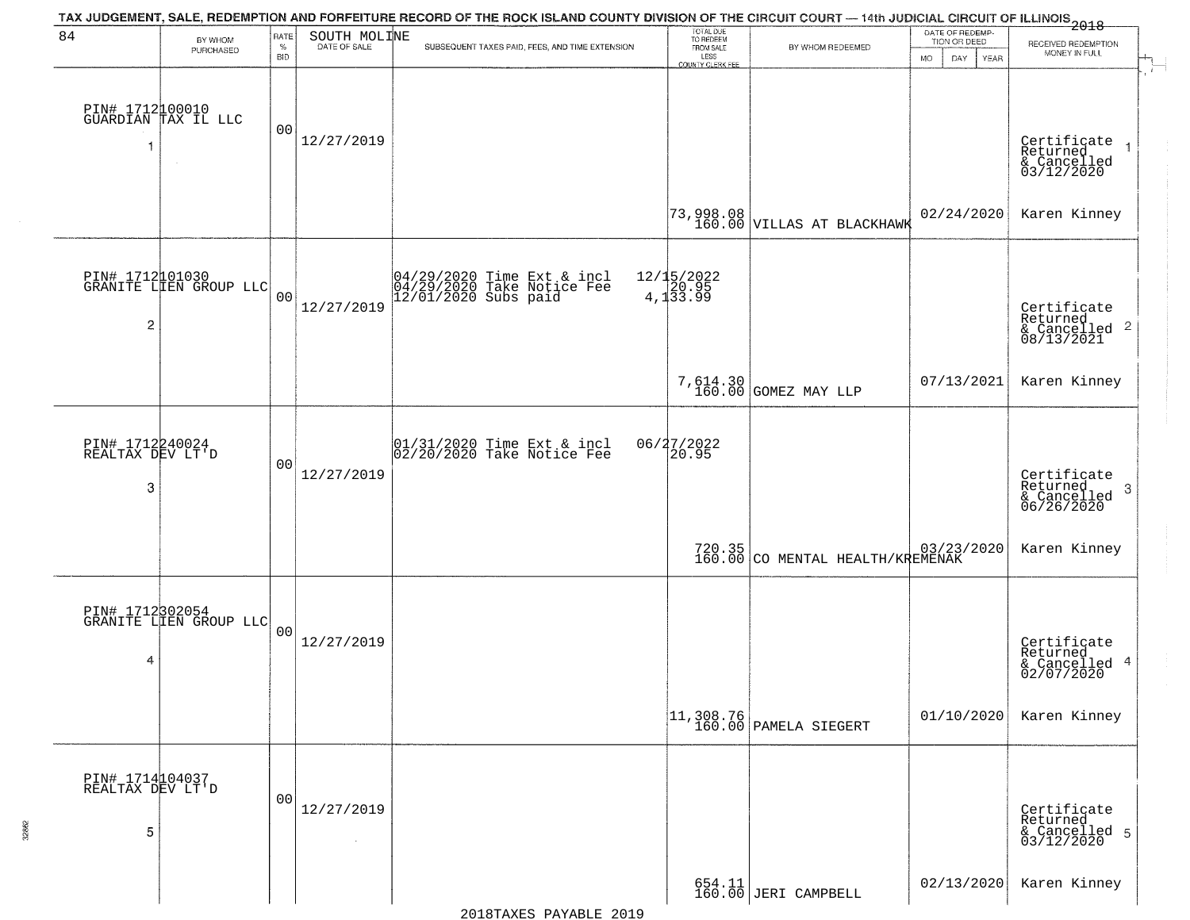| 84                                       | BY WHOM                                   | RATE               | SOUTH MOLINE         | TAX JUDGEMENT, SALE, REDEMPTION AND FORFEITURE RECORD OF THE ROCK ISLAND COUNTY DIVISION OF THE CIRCUIT COURT — 14th JUDICIAL CIRCUIT OF ILLINOIS 2018 | TOTAL DUE<br>TO REDEEM<br>FROM SALE |                                                                         | DATE OF REDEMP-<br>TION OR DEED | RECEIVED REDEMPTION                                                                      |
|------------------------------------------|-------------------------------------------|--------------------|----------------------|--------------------------------------------------------------------------------------------------------------------------------------------------------|-------------------------------------|-------------------------------------------------------------------------|---------------------------------|------------------------------------------------------------------------------------------|
|                                          | PURCHASED                                 | $\%$<br><b>BID</b> | DATE OF SALE         | SUBSEQUENT TAXES PAID, FEES, AND TIME EXTENSION                                                                                                        | LESS<br>COUNTY CLERK FEE            | BY WHOM REDEEMED                                                        | <b>MO</b><br>DAY<br>YEAR        | MONEY IN FULL                                                                            |
|                                          | PIN# 1712100010<br>GUARDIAN TAX IL LLC    | 00                 | 12/27/2019           |                                                                                                                                                        |                                     |                                                                         |                                 | Certificate<br>Returned<br>& Cancelled<br>03/12/2020                                     |
|                                          |                                           |                    |                      |                                                                                                                                                        |                                     | $\begin{bmatrix} 73,998.08 \\ 160.00 \end{bmatrix}$ VILLAS AT BLACKHAWK | 02/24/2020                      | Karen Kinney                                                                             |
| $\overline{2}$                           | PIN# 1712101030<br>GRANITE LIEN GROUP LLC | 0 <sub>0</sub>     | 12/27/2019           | 04/29/2020 Time Ext & incl<br>04/29/2020 Take Notice Fee<br>12/01/2020 Subs paid                                                                       | 12/15/2022<br>4,133.99              |                                                                         |                                 | Certificate<br>Returned<br>$\begin{array}{c}\text{``Cancelled }2\\08/13/2021\end{array}$ |
|                                          |                                           |                    |                      |                                                                                                                                                        |                                     | 7,614.30<br>160.00 GOMEZ MAY LLP                                        | 07/13/2021                      | Karen Kinney                                                                             |
| PIN# 1712240024<br>REALTAX DEV LT'D<br>3 |                                           | 00                 | 12/27/2019           | 01/31/2020 Time Ext & incl<br>02/20/2020 Take Notice Fee                                                                                               | 06/27/2022<br>20.95                 |                                                                         |                                 | Certificate<br>Returned<br>3<br>& Cancelled<br>06/26/2020                                |
|                                          |                                           |                    |                      |                                                                                                                                                        |                                     | 720.35 CO MENTAL HEALTH/KREMENAK                                        |                                 | Karen Kinney                                                                             |
| 4                                        | PIN# 1712302054<br>GRANITE LIEN GROUP LLC | 0 <sub>0</sub>     | 12/27/2019           |                                                                                                                                                        |                                     |                                                                         |                                 | Certificate<br>Returned<br>& Cancelled 4<br>02/07/2020                                   |
|                                          |                                           |                    |                      |                                                                                                                                                        |                                     | $11,308.76$<br>160.00 PAMELA SIEGERT                                    | 01/10/2020                      | Karen Kinney                                                                             |
| PIN# 1714104037<br>REALTAX DEV LT'D<br>5 |                                           | 00                 | 12/27/2019<br>$\sim$ |                                                                                                                                                        |                                     |                                                                         |                                 | Certificate<br>Returned<br>& Cancelled 5<br>03/12/2020                                   |
|                                          |                                           |                    |                      |                                                                                                                                                        |                                     | 654.11<br>160.00 JERI CAMPBELL                                          | 02/13/2020                      | Karen Kinney                                                                             |

32862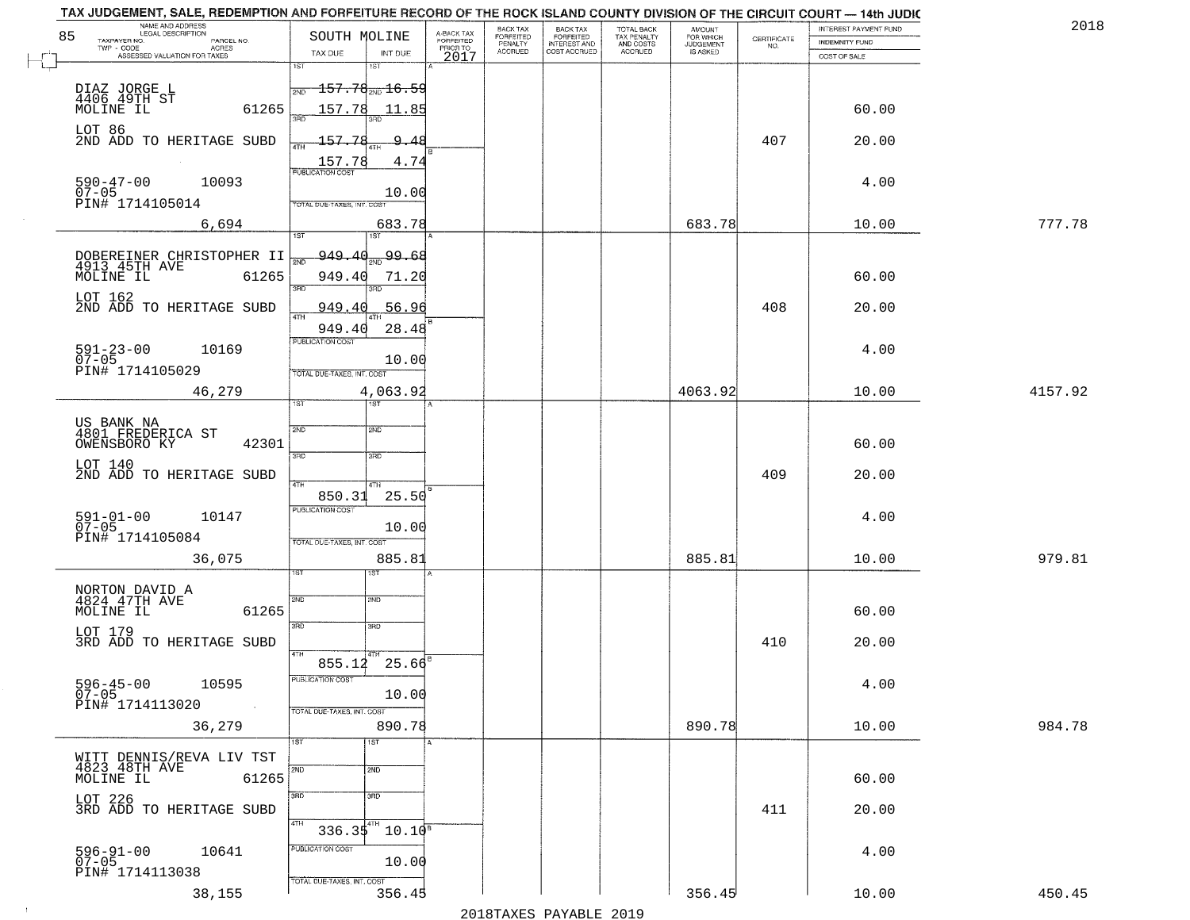| 2018    | INTEREST PAYMENT FUND |                                                                 | <b>AMOUNT</b><br>FOR WHICH | TOTAL BACK                          | <b>BACK TAX</b><br><b>FORFEITED</b> | BACK TAX<br><b>FORFEITED</b> | A-BACK TAX                   | SOUTH MOLINE                                                                 | NAME AND ADDRESS<br>LEGAL DESCRIPTION                            |
|---------|-----------------------|-----------------------------------------------------------------|----------------------------|-------------------------------------|-------------------------------------|------------------------------|------------------------------|------------------------------------------------------------------------------|------------------------------------------------------------------|
|         | INDEMNITY FUND        | $\begin{array}{c} \text{CERTIFICATE} \\ \text{NO.} \end{array}$ | JUDGEMENT                  | TAX PENALTY<br>AND COSTS<br>ACCRUED | INTEREST AND<br>COST ACCRUED        | PENALTY<br>ACCRUED           | <b>FORFEITED</b><br>PRIOR TO |                                                                              | TAXPAYER NO.<br>PARCEL NO.<br>TWP - CODE<br><b>ACRES</b>         |
|         | COST OF SALE          |                                                                 |                            |                                     |                                     |                              | 2017                         | TAX DUE<br>INT DUE<br>1ST                                                    | ASSESSED VALUATION FOR TAXES                                     |
|         | 60.00                 |                                                                 |                            |                                     |                                     |                              |                              | 1ST<br><del>157.78<sub>2ND</sub>16.59</del><br><b>PND</b><br>157.78<br>11.85 | DIAZ JORGE L<br>4406 49TH ST<br>MOLINE IL<br>61265               |
|         | 20.00                 | 407                                                             |                            |                                     |                                     |                              |                              | 157.78<br>-9                                                                 | LOT 86<br>2ND ADD TO HERITAGE SUBD                               |
|         |                       |                                                                 |                            |                                     |                                     |                              |                              | 4TH<br>157.78<br>4.74<br><b>PUBLICATION COST</b>                             |                                                                  |
|         | 4.00                  |                                                                 |                            |                                     |                                     |                              |                              | 10.00<br>TOTAL DUE-TAXES, INT. COST                                          | $590 - 47 - 00$<br>10093<br>07-05<br>PIN# 1714105014             |
| 777.78  | 10.00                 |                                                                 | 683.78                     |                                     |                                     |                              |                              | 683.78<br>1ST<br>1ST.                                                        | 6,694                                                            |
|         |                       |                                                                 |                            |                                     |                                     |                              |                              | 99.68<br><u>949.40</u><br>সাঁচ                                               |                                                                  |
|         | 60.00                 |                                                                 |                            |                                     |                                     |                              |                              | 949.40<br>71.20<br>3RD                                                       | DOBEREINER CHRISTOPHER II<br>4913 45TH AVE<br>MOLINE IL<br>61265 |
|         | 20.00                 | 408                                                             |                            |                                     |                                     |                              |                              | 949.40<br>56.96                                                              | LOT 162<br>2ND ADD TO HERITAGE SUBD                              |
|         | 4.00                  |                                                                 |                            |                                     |                                     |                              |                              | 28.48<br>949.40<br>PUBLICATION COST<br>10.00<br>TOTAL DUE-TAXES, INT. COST   | $591 - 23 - 00$<br>07-05<br>10169<br>PIN# 1714105029             |
| 4157.92 | 10.00                 |                                                                 | 4063.92                    |                                     |                                     |                              |                              | 4,063.92<br>ist.<br>181                                                      | 46,279                                                           |
|         | 60.00                 |                                                                 |                            |                                     |                                     |                              |                              | 2ND<br>2ND                                                                   | US BANK NA<br>4801 FREDERICA ST<br>42301<br>OWENSBORO KY         |
|         | 20.00                 | 409                                                             |                            |                                     |                                     |                              |                              | 3BD<br>3 <sub>3</sub><br>4TH<br>4TH<br>850.31<br>25.50                       | LOT 140<br>2ND ADD TO HERITAGE SUBD                              |
|         | 4.00                  |                                                                 |                            |                                     |                                     |                              |                              | <b>PUBLICATION COST</b><br>10.00<br>TOTAL OUE-TAXES, INT. COST               | 591-01-00<br>07-05<br>10147<br>PIN# 1714105084                   |
| 979.81  | 10.00                 |                                                                 | 885.81                     |                                     |                                     |                              |                              | 885.81<br>IST                                                                | 36,075                                                           |
|         | 60.00                 |                                                                 |                            |                                     |                                     |                              |                              | SVD<br>SND                                                                   | NORTON DAVID A<br>4824 47TH AVE<br>MOLINE IL<br>61265            |
|         | 20.00                 | 410                                                             |                            |                                     |                                     |                              |                              | 3BD<br>3RD<br>4TH                                                            | LOT 179<br>3RD ADD TO HERITAGE SUBD                              |
|         | 4.00                  |                                                                 |                            |                                     |                                     |                              |                              | $855.12 \quad 25.66^8$<br>PUBLICATION COST<br>10.00                          | 596-45-00<br>07-05<br>10595<br>PIN# 1714113020                   |
| 984.78  | 10.00                 |                                                                 | 890.78                     |                                     |                                     |                              |                              | TOTAL DUE-TAXES, INT. COST<br>890.78                                         | 36,279                                                           |
|         | 60.00                 |                                                                 |                            |                                     |                                     |                              |                              | $\overline{1ST}$<br>1ST<br>2ND<br>2ND                                        | WITT DENNIS/REVA LIV TST<br>4823 48TH AVE<br>MOLINE IL<br>61265  |
|         | 20.00                 | 411                                                             |                            |                                     |                                     |                              |                              | 3RD<br>$\overline{3}$ RD<br>4TH                                              | LOT 226<br>3RD ADD TO HERITAGE SUBD                              |
|         | 4.00                  |                                                                 |                            |                                     |                                     |                              |                              | $336.35^{4}$ 10.10 <sup>8</sup><br>PUBLICATION COST<br>10.00                 | 596-91-00<br>07-05<br>10641<br>PIN# 1714113038                   |
|         | 10.00                 |                                                                 | 356.45                     |                                     |                                     |                              |                              | TOTAL DUE-TAXES, INT. COST<br>356.45                                         | 38,155                                                           |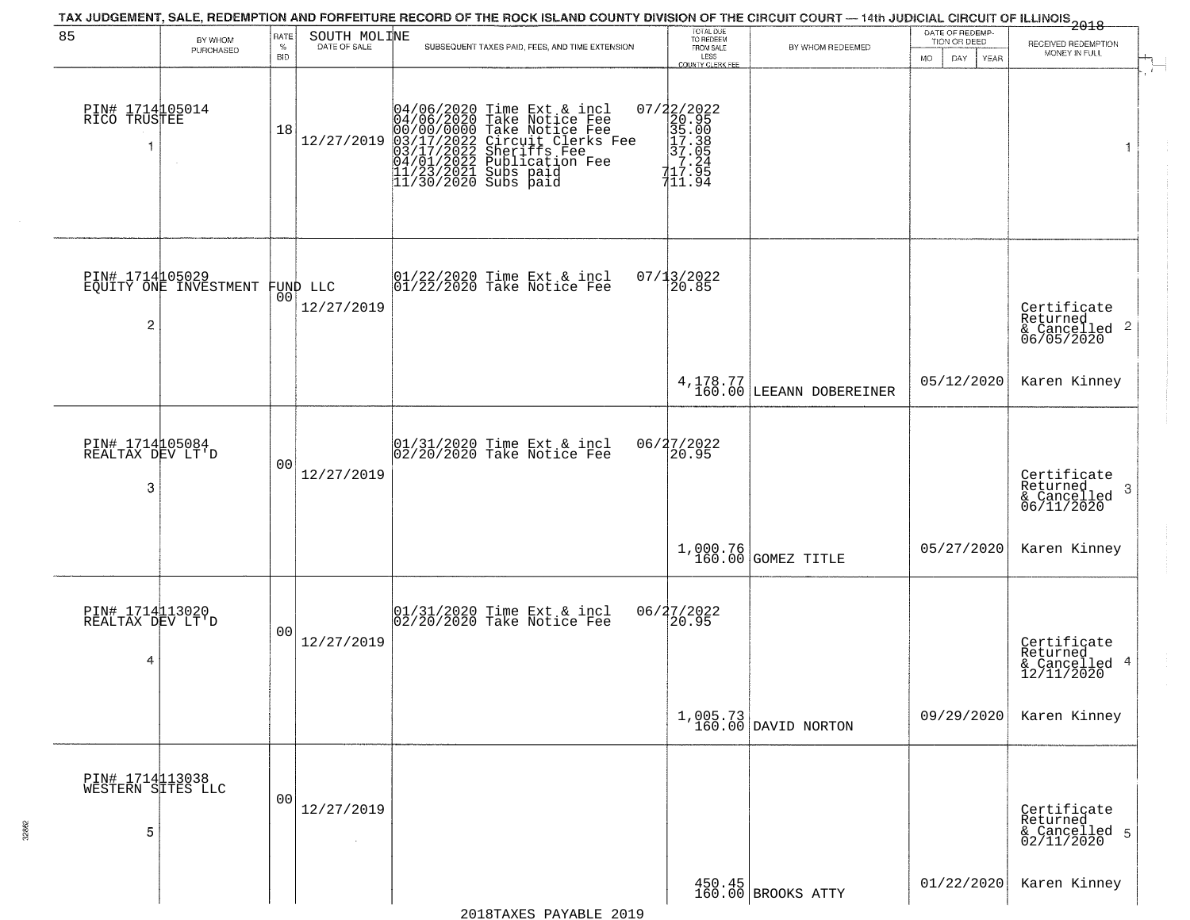|                                           |                                          |                  |                                | TAX JUDGEMENT, SALE, REDEMPTION AND FORFEITURE RECORD OF THE ROCK ISLAND COUNTY DIVISION OF THE CIRCUIT COURT — 14th JUDICIAL CIRCUIT OF ILLINOIS 2018                                                                                | TOTAL DUE<br>TO REDEEM                                                                                                                                                   |                                        | DATE OF REDEMP-                  |                                                                        |
|-------------------------------------------|------------------------------------------|------------------|--------------------------------|---------------------------------------------------------------------------------------------------------------------------------------------------------------------------------------------------------------------------------------|--------------------------------------------------------------------------------------------------------------------------------------------------------------------------|----------------------------------------|----------------------------------|------------------------------------------------------------------------|
| 85                                        | BY WHOM<br>PURCHASED                     | RATE<br>$\%$     | SOUTH MOLINE<br>DATE OF SALE   | SUBSEQUENT TAXES PAID, FEES, AND TIME EXTENSION                                                                                                                                                                                       | FROM SALE                                                                                                                                                                | BY WHOM REDEEMED                       | TION OR DEED                     | RECEIVED REDEMPTION<br>MONEY IN FULL                                   |
| PIN# 1714105014<br>RICO TRUSTEE<br>-1     | $\sim$                                   | <b>BID</b><br>18 | 12/27/2019                     | 04/06/2020 Time Ext & incl<br>04/06/2020 Take Notice Fee<br>00/00/00/000 Take Notice Fee<br>03/17/2022 Circuit Clerks Fee<br>03/17/2022 Sublication Fee<br>04/01/2022 Publication Fee<br>11/23/2021 Subs paid<br>11/30/2020 Subs paid | LESS<br><b>COUNTY CLERK FEE</b><br>$\begin{array}{c}\n 07/22/2022 \\  20.95 \\  35.00 \\  17.38 \\  37.05 \\  17.24 \\  17.26\n \end{array}$<br>117.95<br>$7\bar{1}1.94$ |                                        | <b>MO</b><br>DAY.<br><b>YEAR</b> | $\mathbf{r}$<br>1                                                      |
| $\overline{c}$                            | PIN# 1714105029<br>EQUITY ONE INVESTMENT |                  | FUND LLC<br> 00 <br>12/27/2019 | 01/22/2020 Time Ext & incl<br>01/22/2020 Take Notice Fee                                                                                                                                                                              | 07/13/2022<br>20.85                                                                                                                                                      |                                        |                                  | Certificate<br>Returned<br>$\overline{2}$<br>& Cancelled<br>06/05/2020 |
|                                           |                                          |                  |                                |                                                                                                                                                                                                                                       |                                                                                                                                                                          | $4,178.77$<br>160.00 LEEANN DOBEREINER | 05/12/2020                       | Karen Kinney                                                           |
| PIN# 1714105084<br>REALTAX DEV LT'D<br>3  |                                          | 00               | 12/27/2019                     | 01/31/2020 Time Ext & incl<br>02/20/2020 Take Notice Fee                                                                                                                                                                              | 06/27/2022<br>20.95                                                                                                                                                      |                                        |                                  | Certificate<br>Returned<br>3<br>$\frac{1}{06/11/2020}$                 |
|                                           |                                          |                  |                                |                                                                                                                                                                                                                                       |                                                                                                                                                                          | 1,000.76 GOMEZ TITLE                   | 05/27/2020                       | Karen Kinney                                                           |
| PIN# 1714113020<br>REALTAX DEV LT'D<br>4  |                                          | 00               | 12/27/2019                     | 01/31/2020 Time Ext & incl<br>02/20/2020 Take Notice Fee                                                                                                                                                                              | 06/27/2022<br>20.95                                                                                                                                                      |                                        |                                  | Certificate<br>Returned<br>4<br>& Cancelled<br>12/11/2020              |
|                                           |                                          |                  |                                |                                                                                                                                                                                                                                       |                                                                                                                                                                          | 1,005.73<br>160.00 DAVID NORTON        | 09/29/2020                       | Karen Kinney                                                           |
| PIN# 1714113038<br>WESTERN SITES LLC<br>5 |                                          | 0 <sub>0</sub>   | 12/27/2019                     |                                                                                                                                                                                                                                       |                                                                                                                                                                          |                                        |                                  | Certificate<br>Returned<br>& Cancelled 5<br>02/11/2020                 |
|                                           |                                          |                  |                                |                                                                                                                                                                                                                                       |                                                                                                                                                                          | 450.45<br>160.00 BROOKS ATTY           | 01/22/2020                       | Karen Kinney                                                           |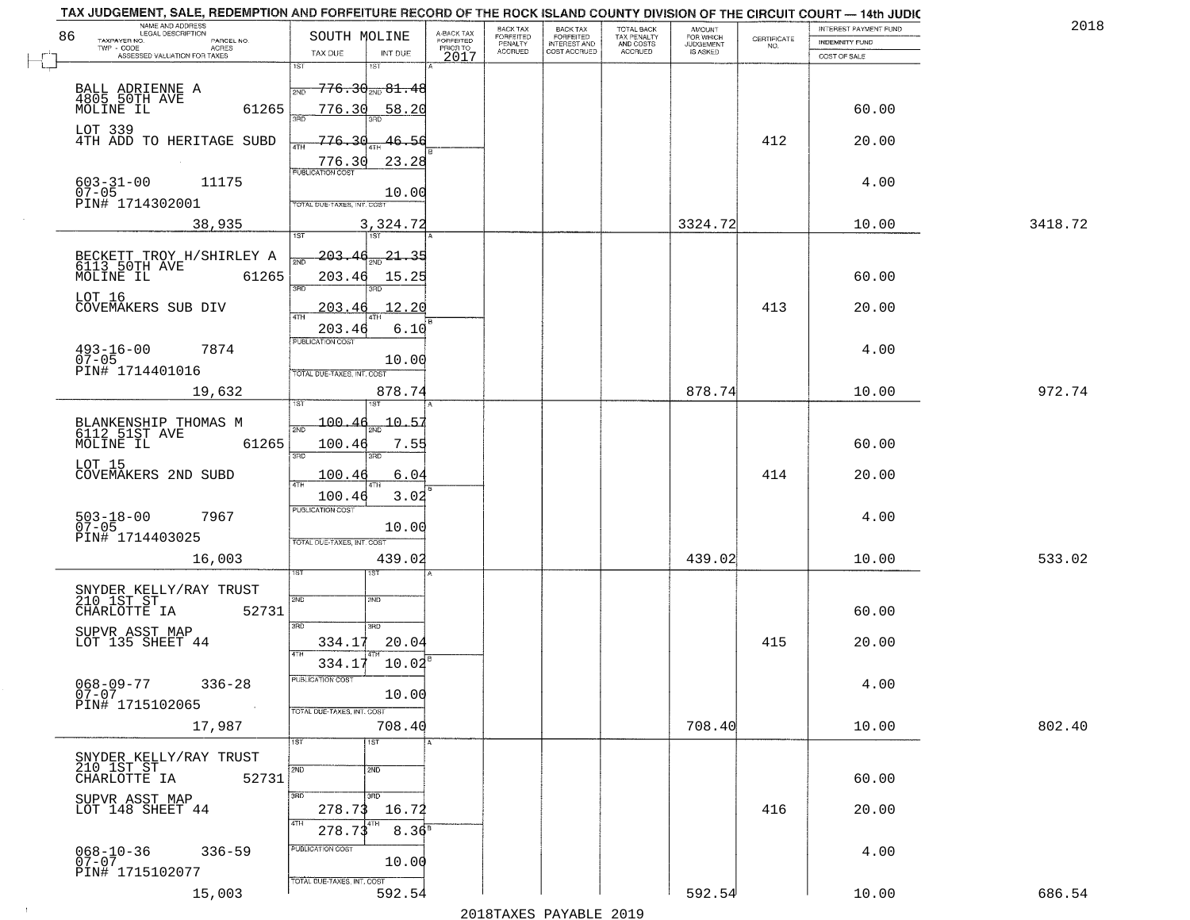| 201     | INTEREST PAYMENT FUND                 | CERTIFICATE | <b>AMOUNT</b>                      | TOTAL BACK<br>TAX PENALTY<br>AND COSTS<br>ACCRUED | <b>BACK TAX</b><br><b>FORFEITED</b> | BACK TAX<br>FORFEITED | A-BACK TAX<br>FORFEITED | SOUTH MOLINE                                   | NAME AND ADDRESS<br>LEGAL DESCRIPTION<br>86                                       |
|---------|---------------------------------------|-------------|------------------------------------|---------------------------------------------------|-------------------------------------|-----------------------|-------------------------|------------------------------------------------|-----------------------------------------------------------------------------------|
|         | <b>INDEMNITY FUND</b><br>COST OF SALE | NO.         | FOR WHICH<br>JUDGEMENT<br>IS ASKED |                                                   | INTEREST AND<br>COST ACCRUED        | PENALTY<br>ACCRUED    | PRIOR TO                | TAX DUE<br>INT DUE                             | TAXPAYER NO.<br>PARCEL NO.<br>TWP - CODE<br>ACRES<br>ASSESSED VALUATION FOR TAXES |
|         |                                       |             |                                    |                                                   |                                     |                       | 2017                    | 1ST<br>1ST                                     |                                                                                   |
|         |                                       |             |                                    |                                                   |                                     |                       |                         | <del>776.30<sub>2ND</sub> 81.48</del><br>2ND   | BALL ADRIENNE A<br>4805 50TH AVE                                                  |
|         | 60.00                                 |             |                                    |                                                   |                                     |                       |                         | 776.30<br>58.20<br>san                         | MOLINE IL<br>61265                                                                |
|         | 20.00                                 | 412         |                                    |                                                   |                                     |                       |                         | 776.<br>46.56<br>4TH                           | LOT 339<br>4TH ADD TO HERITAGE SUBD                                               |
|         |                                       |             |                                    |                                                   |                                     |                       |                         | 23.28<br>776.30                                |                                                                                   |
|         | 4.00                                  |             |                                    |                                                   |                                     |                       |                         | <b>PUBLICATION COST</b><br>10.00               | $603 - 31 - 00$<br>11175                                                          |
|         |                                       |             |                                    |                                                   |                                     |                       |                         | TOTAL DUE-TAXES, INT. COST                     | 07-05<br>PIN# 1714302001                                                          |
| 3418.72 | 10.00                                 |             | 3324.72                            |                                                   |                                     |                       |                         | 3,324.72<br>1ST<br>1ST                         | 38,935                                                                            |
|         |                                       |             |                                    |                                                   |                                     |                       |                         | 203.4<br>-21 - 35                              | BECKETT TROY H/SHIRLEY A<br>6113 50TH AVE                                         |
|         | 60.00                                 |             |                                    |                                                   |                                     |                       |                         | 203.46<br>15.25                                | MOLINE IL<br>61265                                                                |
|         | 20.00                                 | 413         |                                    |                                                   |                                     |                       |                         | 3RD<br>12.20<br>203.<br>46                     | LOT 16<br>COVEMAKERS SUB DIV                                                      |
|         |                                       |             |                                    |                                                   |                                     |                       |                         | <b>ATH</b><br>203.46<br>6.10                   |                                                                                   |
|         | 4.00                                  |             |                                    |                                                   |                                     |                       |                         | PUBLICATION COST                               | $493 - 16 - 00$<br>07-05<br>7874                                                  |
|         |                                       |             |                                    |                                                   |                                     |                       |                         | 10.00<br>TOTAL DUE-TAXES, INT. COST            | PIN# 1714401016                                                                   |
| 972.74  | 10.00                                 |             | 878.74                             |                                                   |                                     |                       |                         | 878.74                                         | 19,632                                                                            |
|         |                                       |             |                                    |                                                   |                                     |                       |                         | 100.<br>$-10 - 57$                             |                                                                                   |
|         | 60.00                                 |             |                                    |                                                   |                                     |                       |                         | 100.46<br>7.55                                 | BLANKENSHIP THOMAS M<br>6112 51ST AVE<br>MOLINE IL<br>61265                       |
|         | 20.00                                 | 414         |                                    |                                                   |                                     |                       |                         | 3RD<br>3RD<br>100.46<br>6.04                   | LOT 15<br>COVEMAKERS 2ND SUBD                                                     |
|         |                                       |             |                                    |                                                   |                                     |                       |                         | 3.02<br>100.46                                 |                                                                                   |
|         | 4.00                                  |             |                                    |                                                   |                                     |                       |                         | <b>PUBLICATION COST</b>                        | 503-18-00<br>07-05<br>7967                                                        |
|         |                                       |             |                                    |                                                   |                                     |                       |                         | 10.00<br>TOTAL OUE-TAXES, INT. COST            | PIN# 1714403025                                                                   |
| 533.02  | 10.00                                 |             | 439.02                             |                                                   |                                     |                       |                         | 439.02                                         | 16,003                                                                            |
|         |                                       |             |                                    |                                                   |                                     |                       |                         |                                                |                                                                                   |
|         | 60.00                                 |             |                                    |                                                   |                                     |                       |                         | 2ND<br>SMD                                     | SNYDER KELLY/RAY TRUST<br>210 1ST ST<br>52731<br>CHARLOTTE IA                     |
|         |                                       |             |                                    |                                                   |                                     |                       |                         | 3RD<br>3BD                                     | SUPVR ASST MAP                                                                    |
|         | 20.00                                 | 415         |                                    |                                                   |                                     |                       |                         | 20.04<br>334.17<br>$10.02^8$<br>334.17         | LOT 135 SHEET 44                                                                  |
|         | 4.00                                  |             |                                    |                                                   |                                     |                       |                         | PUBLICATION COST                               | $068 - 09 - 77$<br>$336 - 28$                                                     |
|         |                                       |             |                                    |                                                   |                                     |                       |                         | 10.00<br>TOTAL DUE-TAXES, INT. COST            | $07 - 07$<br>PIN# 1715102065                                                      |
| 802.40  | 10.00                                 |             | 708.40                             |                                                   |                                     |                       |                         | 708.40                                         | 17,987                                                                            |
|         |                                       |             |                                    |                                                   |                                     |                       |                         | 1ST<br>1ST                                     |                                                                                   |
|         | 60.00                                 |             |                                    |                                                   |                                     |                       |                         | 2ND<br>2ND                                     | SNYDER KELLY/RAY TRUST<br>210 IST ST<br>CHARLOTTE IA 527<br>52731                 |
|         |                                       | 416         |                                    |                                                   |                                     |                       |                         | 3RD<br>3RD                                     | SUPVR ASST MAP                                                                    |
|         | 20.00                                 |             |                                    |                                                   |                                     |                       |                         | 278.73<br>16.72<br>4TH<br>$8.36^{B}$<br>278.73 | LOT 148 SHEET 44                                                                  |
|         | 4.00                                  |             |                                    |                                                   |                                     |                       |                         | PUBLICATION COST                               | 068-10-36<br>07-07<br>$336 - 59$                                                  |
|         |                                       |             |                                    |                                                   |                                     |                       |                         | 10.00                                          | PIN# 1715102077                                                                   |
|         |                                       |             |                                    |                                                   |                                     |                       |                         | TOTAL DUE-TAXES, INT. COST                     |                                                                                   |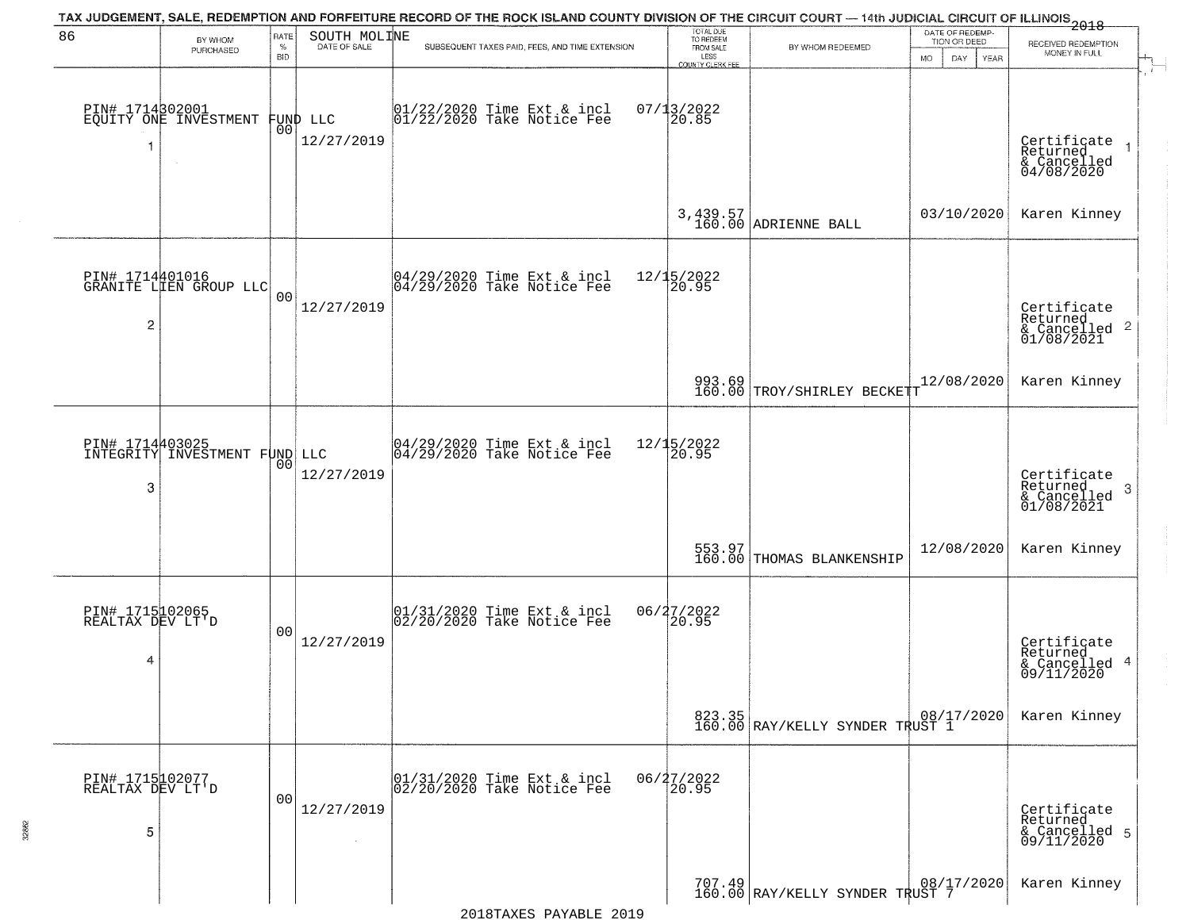|                                          |                                                  |                            |                              | TAX JUDGEMENT, SALE, REDEMPTION AND FORFEITURE RECORD OF THE ROCK ISLAND COUNTY DIVISION OF THE CIRCUIT COURT — 14th JUDICIAL CIRCUIT OF ILLINOIS 2018 |                                                                        |                                           | DATE OF REDEMP-                                 |                                                                      |
|------------------------------------------|--------------------------------------------------|----------------------------|------------------------------|--------------------------------------------------------------------------------------------------------------------------------------------------------|------------------------------------------------------------------------|-------------------------------------------|-------------------------------------------------|----------------------------------------------------------------------|
| 86                                       | BY WHOM<br>PURCHASED                             | RATE<br>$\%$<br><b>BID</b> | SOUTH MOLINE<br>DATE OF SALE | SUBSEQUENT TAXES PAID, FEES, AND TIME EXTENSION                                                                                                        | TOTAL DUE<br>TO REDEEM<br>FROM SALE<br>LESS<br><b>COUNTY CLERK FEE</b> | BY WHOM REDEEMED                          | TION OR DEED<br><b>MO</b><br>DAY<br><b>YEAR</b> | RECEIVED REDEMPTION<br>MONEY IN FULL                                 |
| -1                                       | PIN# 1714302001<br>EQUITY ONE INVESTMENT         | 00                         | FUND LLC<br>12/27/2019       | 01/22/2020 Time Ext & incl<br>01/22/2020 Take Notice Fee                                                                                               | $07/13/2022$<br>20.85                                                  |                                           |                                                 | $\mathbf{r}$<br>Certificate<br>Returned<br>& Cancelled<br>04/08/2020 |
|                                          |                                                  |                            |                              |                                                                                                                                                        |                                                                        | $3,439.57$ ADRIENNE BALL                  | 03/10/2020                                      | Karen Kinney                                                         |
| $\overline{c}$                           | PIN# 1714401016<br>GRANITE LIEN GROUP LLC        | 0 <sub>0</sub>             | 12/27/2019                   | $ 04/29/2020$ Time Ext & incl<br>$ 04/29/2020$ Take Notice Fee                                                                                         | 12/15/2022<br>20.95                                                    |                                           |                                                 | Certificate<br>Returned<br>$\frac{1}{2}$ Cancelled 2<br>01/08/2021   |
|                                          |                                                  |                            |                              |                                                                                                                                                        |                                                                        | 993.69<br>160.00 TROY/SHIRLEY BECKETT     | 12/08/2020                                      | Karen Kinney                                                         |
| 3                                        | PIN# 1714403025<br>INTEGRITY INVESTMENT FUND LLC | 00                         | 12/27/2019                   | $\begin{array}{c}  04/29/2020 \text{ Time} \text{ Ext} & \text{incl} \\  04/29/2020 \text{ Take Notice } \text{Fe} \end{array}$                        | 12/15/2022<br>20.95                                                    |                                           |                                                 | Certificate<br>Returned<br>3<br>& Cancelled<br>01/08/2021            |
|                                          |                                                  |                            |                              |                                                                                                                                                        |                                                                        | 553.97<br>160.00 THOMAS BLANKENSHIP       | 12/08/2020                                      | Karen Kinney                                                         |
| PIN# 1715102065<br>REALTAX DEV LT'D<br>4 |                                                  | 00                         | 12/27/2019                   | $01/31/2020$ Time Ext & incl<br>$02/20/2020$ Take Notice Fee                                                                                           | 06/27/2022<br>$\left[20.95\right]$                                     |                                           |                                                 | Certificate<br>Returned<br>& Cancelled 4<br>09/11/2020               |
|                                          |                                                  |                            |                              |                                                                                                                                                        |                                                                        | 823.35<br>160.00 RAY/KELLY SYNDER TRUST 1 |                                                 | Karen Kinney                                                         |
| PIN# 1715102077<br>REALTAX DEV LT'D<br>5 |                                                  | 0 <sub>0</sub>             | 12/27/2019                   | 01/31/2020 Time Ext & incl<br>02/20/2020 Take Notice Fee                                                                                               | 06/27/2022<br>20.95                                                    |                                           |                                                 | Certificate<br>Returned<br>& Cancelled 5<br>09/11/2020               |
|                                          |                                                  |                            |                              |                                                                                                                                                        |                                                                        | 707.49 RAY/KELLY SYNDER TRUST 7           |                                                 | Karen Kinney                                                         |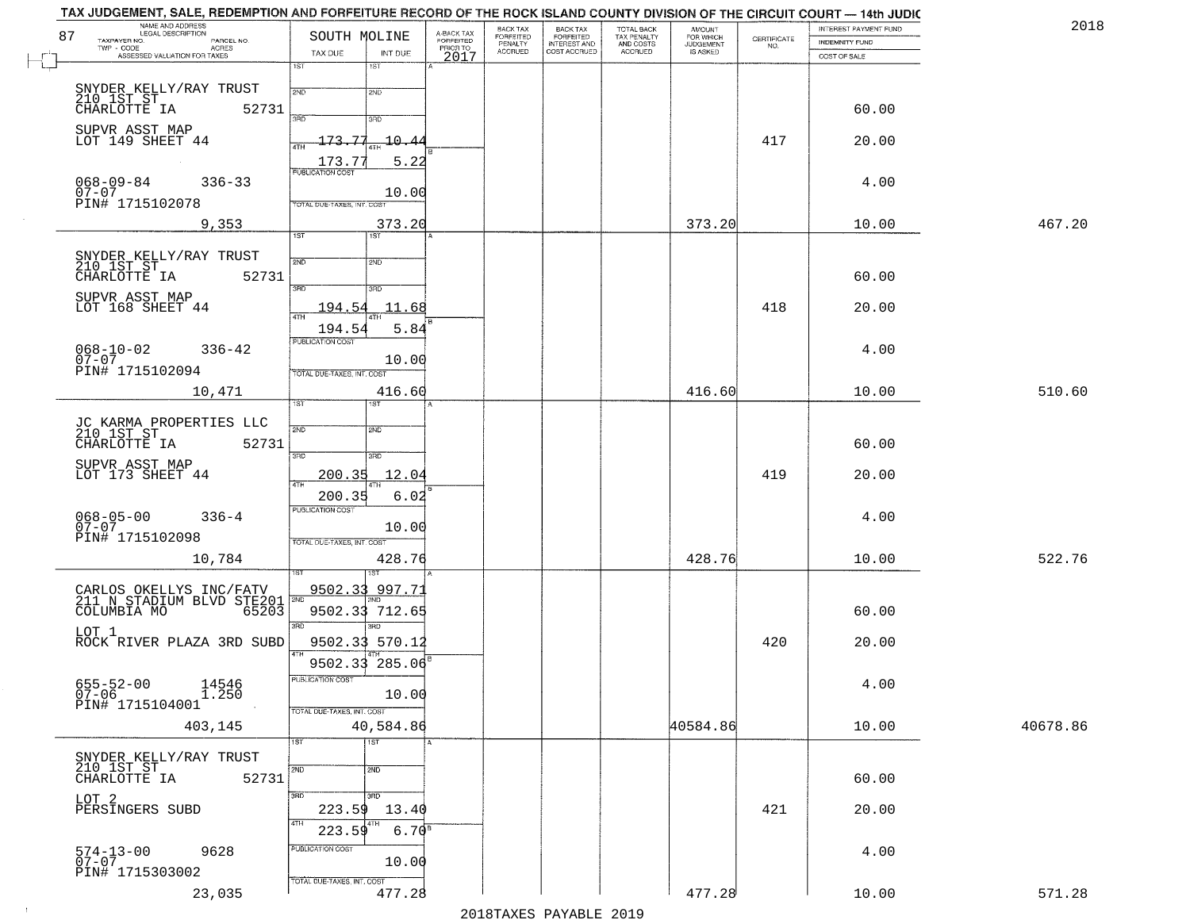| 87 | TAX JUDGEMENT, SALE, REDEMPTION AND FORFEITURE RECORD OF THE ROCK ISLAND COUNTY DIVISION OF THE CIRCUIT COURT — 14th JUDIC<br>NAME AND ADDRESS<br>LEGAL DESCRIPTION | SOUTH MOLINE                     |                                   | A-BACK TAX<br>FORFEITED | BACK TAX<br><b>FORFEITED</b> | <b>BACK TAX</b>                           |                                                   | <b>AMOUNT</b>                      |                    | INTEREST PAYMENT FUND | 201      |
|----|---------------------------------------------------------------------------------------------------------------------------------------------------------------------|----------------------------------|-----------------------------------|-------------------------|------------------------------|-------------------------------------------|---------------------------------------------------|------------------------------------|--------------------|-----------------------|----------|
|    | TAXPAYER NO.<br>PARCEL NO.<br>TWP - CODE<br><b>ACRES</b><br>ASSESSED VALUATION FOR TAXES                                                                            | TAX DUE                          | INT DUE                           | PRIOR TO                | PENALTY<br>ACCRUED           | FORFEITED<br>INTEREST AND<br>COST ACCRUED | TOTAL BACK<br>TAX PENALTY<br>AND COSTS<br>ACCRUED | FOR WHICH<br>JUDGEMENT<br>IS ASKED | CERTIFICATE<br>NO. | <b>INDEMNITY FUND</b> |          |
|    |                                                                                                                                                                     | 1ST                              | 1ST                               | 2017                    |                              |                                           |                                                   |                                    |                    | COST OF SALE          |          |
|    | SNYDER KELLY/RAY TRUST                                                                                                                                              | 2ND                              | 2ND                               |                         |                              |                                           |                                                   |                                    |                    |                       |          |
|    | 210 1ST ST<br>CHARLOTTE IA<br>52731                                                                                                                                 |                                  |                                   |                         |                              |                                           |                                                   |                                    |                    | 60.00                 |          |
|    | SUPVR ASST MAP                                                                                                                                                      | 39D                              | 3BD                               |                         |                              |                                           |                                                   |                                    |                    |                       |          |
|    | LOT 149 SHEET 44                                                                                                                                                    | $-173.$<br>-77<br>4TH            | $-10 - 4$                         |                         |                              |                                           |                                                   |                                    | 417                | 20.00                 |          |
|    |                                                                                                                                                                     | 173.7<br><b>PUBLICATION COST</b> | 5.22                              |                         |                              |                                           |                                                   |                                    |                    |                       |          |
|    | $068 - 09 - 84$<br>$336 - 33$<br>$07 - 07$                                                                                                                          |                                  | 10.00                             |                         |                              |                                           |                                                   |                                    |                    | 4.00                  |          |
|    | PIN# 1715102078                                                                                                                                                     | TOTAL DUE-TAXES, INT. COST       |                                   |                         |                              |                                           |                                                   |                                    |                    |                       |          |
|    | 9,353                                                                                                                                                               | 1ST                              | 373.20<br>1ST                     |                         |                              |                                           |                                                   | 373.20                             |                    | 10.00                 | 467.20   |
|    |                                                                                                                                                                     |                                  |                                   |                         |                              |                                           |                                                   |                                    |                    |                       |          |
|    | SNYDER KELLY/RAY TRUST<br>210 1ST ST<br>52731<br>CHARLOTTE IA                                                                                                       | 2ND                              | 2ND                               |                         |                              |                                           |                                                   |                                    |                    | 60.00                 |          |
|    | SUPVR ASST MAP                                                                                                                                                      | 3RD                              | 3BD                               |                         |                              |                                           |                                                   |                                    |                    |                       |          |
|    | LOT 168 SHEET 44                                                                                                                                                    | 194.54<br>47H                    | 11.68                             |                         |                              |                                           |                                                   |                                    | 418                | 20.00                 |          |
|    |                                                                                                                                                                     | 194.54                           | 5.84                              |                         |                              |                                           |                                                   |                                    |                    |                       |          |
|    | $068 - 10 - 02$<br>$336 - 42$<br>$07 - 07$                                                                                                                          | PUBLICATION COST                 |                                   |                         |                              |                                           |                                                   |                                    |                    | 4.00                  |          |
|    | PIN# 1715102094                                                                                                                                                     | TOTAL DUE-TAXES, INT. COST       | 10.00                             |                         |                              |                                           |                                                   |                                    |                    |                       |          |
|    | 10,471                                                                                                                                                              |                                  | 416.60                            |                         |                              |                                           |                                                   | 416.60                             |                    | 10.00                 | 510.60   |
|    |                                                                                                                                                                     | 1ST                              |                                   |                         |                              |                                           |                                                   |                                    |                    |                       |          |
|    | JC KARMA PROPERTIES LLC<br>210 1ST ST                                                                                                                               | 2ND                              | 2ND                               |                         |                              |                                           |                                                   |                                    |                    |                       |          |
|    | 52731<br>CHARLOTTE IA                                                                                                                                               | 3 <sub>BD</sub>                  | 3RD                               |                         |                              |                                           |                                                   |                                    |                    | 60.00                 |          |
|    | SUPVR ASST MAP<br>LOT 173 SHEET 44                                                                                                                                  | 200.35                           | 12.04                             |                         |                              |                                           |                                                   |                                    | 419                | 20.00                 |          |
|    |                                                                                                                                                                     | 4TH<br>200.35                    | 6.02                              |                         |                              |                                           |                                                   |                                    |                    |                       |          |
|    | 068-05-00<br>07-07<br>$336 - 4$                                                                                                                                     | <b>PUBLICATION COST</b>          |                                   |                         |                              |                                           |                                                   |                                    |                    | 4.00                  |          |
|    | PIN# 1715102098                                                                                                                                                     | TOTAL OUE-TAXES, INT. COST       | 10.00                             |                         |                              |                                           |                                                   |                                    |                    |                       |          |
|    | 10,784                                                                                                                                                              |                                  | 428.76                            |                         |                              |                                           |                                                   | 428.76                             |                    | 10.00                 | 522.76   |
|    |                                                                                                                                                                     |                                  |                                   |                         |                              |                                           |                                                   |                                    |                    |                       |          |
|    | CARLOS OKELLYS INC/FATV<br>211 N STADIUM BLVD STE201                                                                                                                | <u>9502.33</u><br>2ND            | 997.73                            |                         |                              |                                           |                                                   |                                    |                    |                       |          |
|    | COLUMBIA MO<br>65203                                                                                                                                                | 3RD                              | 9502.33 712.65<br>3 <sub>BD</sub> |                         |                              |                                           |                                                   |                                    |                    | 60.00                 |          |
|    | LOT 1<br>ROCK RIVER PLAZA 3RD SUBD                                                                                                                                  |                                  | 9502.33 570.12                    |                         |                              |                                           |                                                   |                                    | 420                | 20.00                 |          |
|    |                                                                                                                                                                     |                                  | 9502.33 285.06                    |                         |                              |                                           |                                                   |                                    |                    |                       |          |
|    | $655 - 52 - 00$<br>$14546$<br>1.250                                                                                                                                 | <b>PUBLICATION COST</b>          |                                   |                         |                              |                                           |                                                   |                                    |                    | 4.00                  |          |
|    | $07 - 06$<br>PIN# 1715104001                                                                                                                                        | TOTAL DUE-TAXES, INT. COST       | 10.00                             |                         |                              |                                           |                                                   |                                    |                    |                       |          |
|    | 403,145                                                                                                                                                             |                                  | 40,584.86                         |                         |                              |                                           |                                                   | 40584.86                           |                    | 10.00                 | 40678.86 |
|    |                                                                                                                                                                     | 1ST                              | 1ST                               |                         |                              |                                           |                                                   |                                    |                    |                       |          |
|    | SNYDER KELLY/RAY TRUST<br>210 IST ST                                                                                                                                | 2ND                              | 2ND                               |                         |                              |                                           |                                                   |                                    |                    |                       |          |
|    | CHARLOTTE IA<br>52731                                                                                                                                               |                                  |                                   |                         |                              |                                           |                                                   |                                    |                    | 60.00                 |          |
|    | LOT 2<br>PERSINGERS SUBD                                                                                                                                            | 3RD<br>223.59                    | 3 <sub>BD</sub><br>13.40          |                         |                              |                                           |                                                   |                                    | 421                | 20.00                 |          |
|    |                                                                                                                                                                     | 4TH<br>223.59                    | $6.70^{8}$                        |                         |                              |                                           |                                                   |                                    |                    |                       |          |
|    | 9628                                                                                                                                                                | PUBLICATION COST                 |                                   |                         |                              |                                           |                                                   |                                    |                    | 4.00                  |          |
|    | 574-13-00<br>07-07<br>PIN# 1715303002                                                                                                                               |                                  | 10.00                             |                         |                              |                                           |                                                   |                                    |                    |                       |          |
|    | 23,035                                                                                                                                                              | TOTAL DUE-TAXES, INT. COST       | 477.28                            |                         |                              |                                           |                                                   | 477.28                             |                    | 10.00                 | 571.28   |
|    |                                                                                                                                                                     |                                  |                                   |                         |                              |                                           |                                                   |                                    |                    |                       |          |

 $\sim 10^{-1}$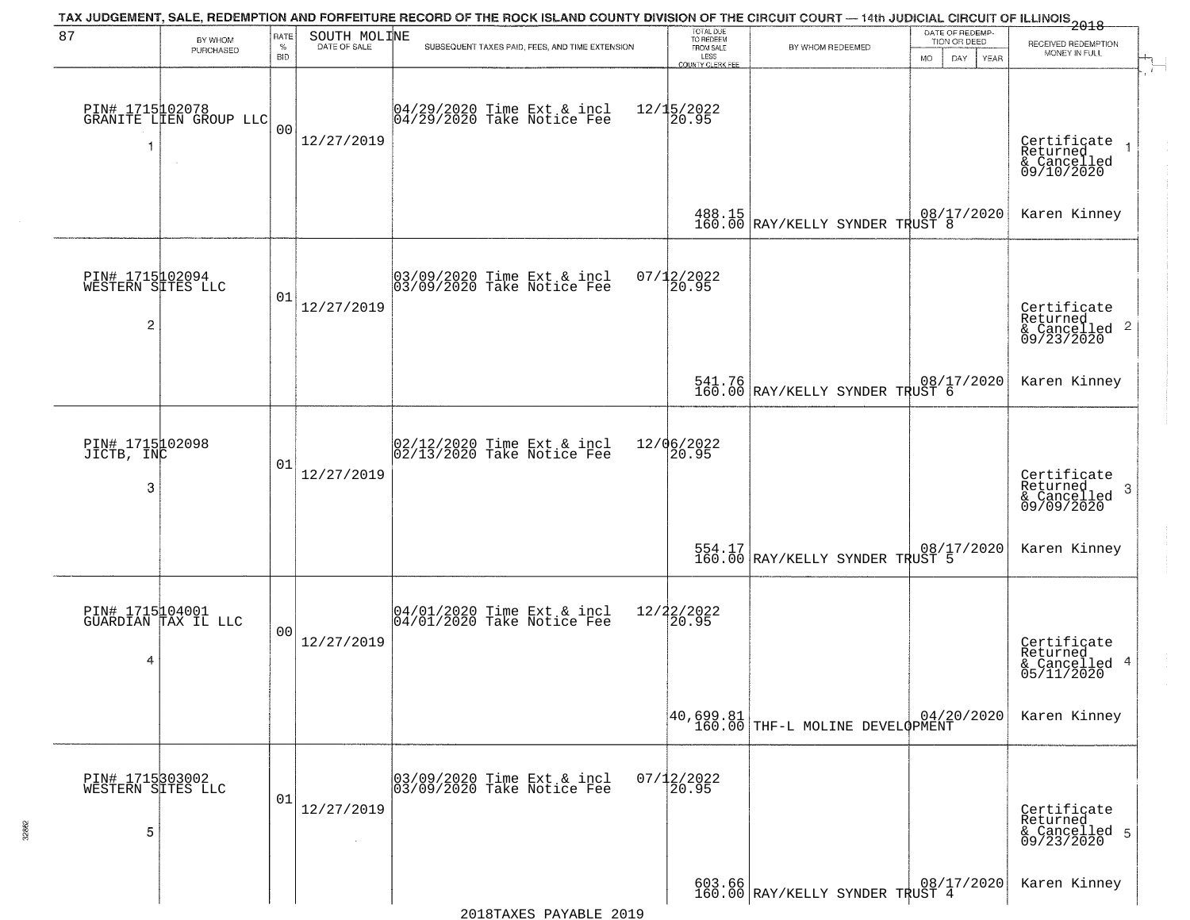|                                                        |                                           |                            |                              | TAX JUDGEMENT, SALE, REDEMPTION AND FORFEITURE RECORD OF THE ROCK ISLAND COUNTY DIVISION OF THE CIRCUIT COURT — 14th JUDICIAL CIRCUIT OF ILLINOIS 2018 |                                                                        |                                                                                                                                       |                                                                     |                                                                      |
|--------------------------------------------------------|-------------------------------------------|----------------------------|------------------------------|--------------------------------------------------------------------------------------------------------------------------------------------------------|------------------------------------------------------------------------|---------------------------------------------------------------------------------------------------------------------------------------|---------------------------------------------------------------------|----------------------------------------------------------------------|
| 87                                                     | BY WHOM<br>PURCHASED                      | RATE<br>$\%$<br><b>BID</b> | SOUTH MOLINE<br>DATE OF SALE | SUBSEQUENT TAXES PAID, FEES, AND TIME EXTENSION                                                                                                        | TOTAL DUE<br>TO REDEEM<br>FROM SALE<br>LESS<br><b>COUNTY CLERK FEE</b> | BY WHOM REDEEMED                                                                                                                      | DATE OF REDEMP-<br>TION OR DEED<br><b>MO</b><br>DAY.<br><b>YEAR</b> | RECEIVED REDEMPTION<br>MONEY IN FULL                                 |
| -1                                                     | PIN# 1715102078<br>GRANITE LIEN GROUP LLC | 0 <sub>0</sub>             | 12/27/2019                   | 04/29/2020 Time Ext & incl<br>04/29/2020 Take Notice Fee                                                                                               | 12/15/2022<br>20.95                                                    |                                                                                                                                       |                                                                     | $\mathbf{r}$<br>Certificate<br>Returned<br>& Cancelled<br>09/10/2020 |
|                                                        |                                           |                            |                              |                                                                                                                                                        |                                                                        | 488.15<br>160.00 RAY/KELLY SYNDER TRUST 8                                                                                             |                                                                     | Karen Kinney                                                         |
| PIN# 1715102094<br>WESTERN SITES LLC<br>$\overline{c}$ |                                           | 01                         | 12/27/2019                   | 03/09/2020 Time Ext & incl<br>03/09/2020 Take Notice Fee                                                                                               | 07/12/2022<br>20.95                                                    |                                                                                                                                       |                                                                     | Certificate<br>Returned<br>$\frac{1}{6}$ Cancelled 2<br>09/23/2020   |
|                                                        |                                           |                            |                              |                                                                                                                                                        |                                                                        | 541.76 08/17/2020<br>160.00 RAY/KELLY SYNDER TRUST 6                                                                                  |                                                                     | Karen Kinney                                                         |
| PIN# 1715102098<br>JICTB, INC<br>3                     |                                           | 01                         | 12/27/2019                   | $\begin{bmatrix} 02/12/2020 \\ 02/13/2020 \end{bmatrix}$ Time Ext & incl                                                                               | 12/06/2022<br>20.95                                                    |                                                                                                                                       |                                                                     | Certificate<br>Returned<br>3<br>& Cancelled<br>09/09/2020            |
|                                                        |                                           |                            |                              |                                                                                                                                                        |                                                                        | 554.17 RAY/KELLY SYNDER TRUST 5                                                                                                       |                                                                     | Karen Kinney                                                         |
| 4                                                      | PIN# 1715104001<br>GUARDIAN TAX IL LLC    | 00                         | 12/27/2019                   | 04/01/2020 Time Ext & incl<br>04/01/2020 Take Notice Fee                                                                                               | 12/22/2022<br>20.95                                                    |                                                                                                                                       |                                                                     | Certificate<br>Returned<br>& Cancelled 4<br>05/11/2020               |
|                                                        |                                           |                            |                              |                                                                                                                                                        |                                                                        | $\begin{array}{ c c c c c c } \hline 40,699.81 & & 04/20/2020 \ \hline 160.00 & \text{THF-L} & \text{MOLINE DEVELQPMENT} \end{array}$ |                                                                     | Karen Kinney                                                         |
| PIN# 1715303002<br>WESTERN SITES LLC<br>5              |                                           | 01                         | 12/27/2019                   | 03/09/2020 Time Ext & incl<br>03/09/2020 Take Notice Fee                                                                                               | $07/12/2022$<br>20.95                                                  |                                                                                                                                       |                                                                     | Certificate<br>Returned<br>& Cancelled 5<br>09/23/2020               |
|                                                        |                                           |                            |                              |                                                                                                                                                        |                                                                        | $\begin{array}{c c c c c c} 603.66 & 08/17/2020 \\ 160.00 & \text{RAY/KELLY SYNDER TRUST 4} \end{array}$                              |                                                                     | Karen Kinney                                                         |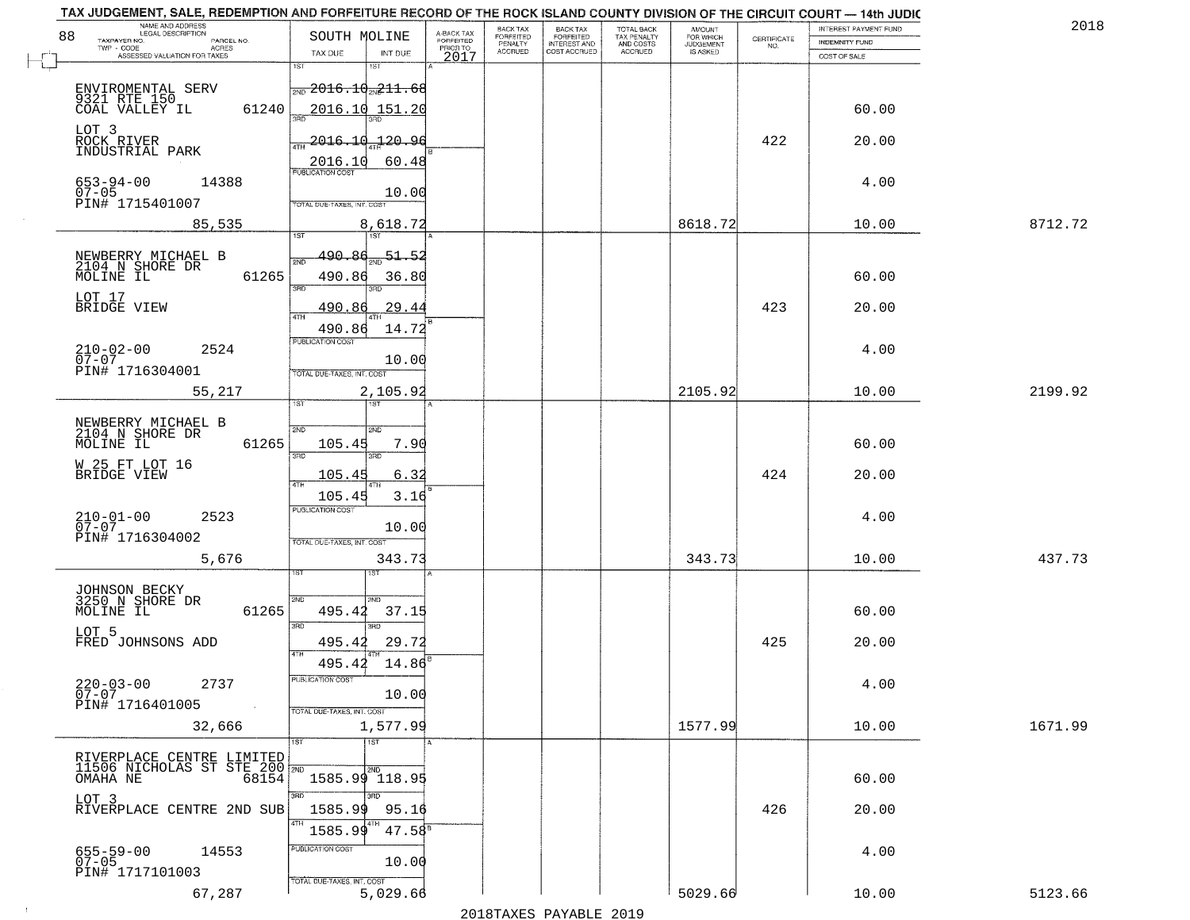| 88 | NAME AND ADDRESS<br>LEGAL DESCRIPTION<br>TAXPAYER NO.        | SOUTH MOLINE                                 |                    | A-BACK TAX<br>FORFEITED | BACK TAX<br>FORFEITED | <b>BACK TAX</b><br><b>FORFEITED</b> | TOTAL BACK<br>TAX PENALTY | <b>AMOUNT</b>                      |                                                                 | INTEREST PAYMENT FUND | 2018    |
|----|--------------------------------------------------------------|----------------------------------------------|--------------------|-------------------------|-----------------------|-------------------------------------|---------------------------|------------------------------------|-----------------------------------------------------------------|-----------------------|---------|
|    | PARCEL NO.<br>TWP - CODE<br>ACRES                            | TAX DUE                                      | INT DUE            | PRIOR TO                | PENALTY<br>ACCRUED    | INTEREST AND<br>COST ACCRUED        | AND COSTS<br>ACCRUED      | FOR WHICH<br>JUDGEMENT<br>IS ASKED | $\begin{array}{c} \text{CERTIFICATE} \\ \text{NO.} \end{array}$ | <b>INDEMNITY FUND</b> |         |
|    | ASSESSED VALUATION FOR TAXES                                 | 1ST                                          | 181                | 2017                    |                       |                                     |                           |                                    |                                                                 | COST OF SALE          |         |
|    |                                                              | $\frac{1}{200}$ 2016.10 $\frac{211}{21}$ .68 |                    |                         |                       |                                     |                           |                                    |                                                                 |                       |         |
|    | ENVIROMENTAL SERV<br>9321 RTE 150<br>COAL VALLEY IL<br>61240 |                                              | 2016.10 151.20     |                         |                       |                                     |                           |                                    |                                                                 | 60.00                 |         |
|    | LOT 3<br>ROCK RIVER                                          |                                              |                    |                         |                       |                                     |                           |                                    |                                                                 |                       |         |
|    | INDUSTRIAL PARK                                              | 4TH                                          | $-2016.10 - 20.96$ |                         |                       |                                     |                           |                                    | 422                                                             | 20.00                 |         |
|    |                                                              | 2016.10<br><b>PUBLICATION COST</b>           | 60.48              |                         |                       |                                     |                           |                                    |                                                                 |                       |         |
|    | $653 - 94 - 00$<br>14388<br>$07 - 05$<br>PIN# 1715401007     | TOTAL DUE-TAXES, INT. COST                   | 10.00              |                         |                       |                                     |                           |                                    |                                                                 | 4.00                  |         |
|    | 85,535                                                       |                                              | 8,618.72           |                         |                       |                                     |                           | 8618.72                            |                                                                 | 10.00                 | 8712.72 |
|    |                                                              | 1ST                                          | 1ST                |                         |                       |                                     |                           |                                    |                                                                 |                       |         |
|    | NEWBERRY MICHAEL B<br>2104 N SHORE DR                        | 490.86                                       | $51 - 52$          |                         |                       |                                     |                           |                                    |                                                                 |                       |         |
|    | MOLINE IL<br>61265                                           | 490.86<br>3BD                                | 36.80              |                         |                       |                                     |                           |                                    |                                                                 | 60.00                 |         |
|    | LOT 17<br>BRIDGE VIEW                                        | 490.86<br>$\sqrt{4}$ TH                      | 29.44              |                         |                       |                                     |                           |                                    | 423                                                             | 20.00                 |         |
|    |                                                              | 490.86                                       | 14.72              |                         |                       |                                     |                           |                                    |                                                                 |                       |         |
|    | $210 - 02 - 00$<br>07-07<br>2524                             | PUBLICATION COST                             | 10.00              |                         |                       |                                     |                           |                                    |                                                                 | 4.00                  |         |
|    | PIN# 1716304001                                              | TOTAL DUE-TAXES, INT. COST                   |                    |                         |                       |                                     |                           |                                    |                                                                 |                       |         |
|    | 55,217                                                       | 1ST                                          | 2,105.92           |                         |                       |                                     |                           | 2105.92                            |                                                                 | 10.00                 | 2199.92 |
|    | NEWBERRY MICHAEL B<br>2104 N SHORE DR                        | 2ND                                          | 2ND                |                         |                       |                                     |                           |                                    |                                                                 |                       |         |
|    | MOLINE IL<br>61265                                           | 105.45                                       | 7.90               |                         |                       |                                     |                           |                                    |                                                                 | 60.00                 |         |
|    | W 25 FT LOT 16<br>BRIDGE VIEW                                | 3RD                                          | 3RD                |                         |                       |                                     |                           |                                    | 424                                                             | 20.00                 |         |
|    |                                                              | 105.45<br>4TH<br>105.45                      | 6.32<br>3.16       |                         |                       |                                     |                           |                                    |                                                                 |                       |         |
|    | 2523                                                         | PUBLICATION COST                             |                    |                         |                       |                                     |                           |                                    |                                                                 | 4.00                  |         |
|    | $210 - 01 - 00$<br>07-07<br>PIN# 1716304002                  | TOTAL OUE-TAXES, INT. COST                   | 10.00              |                         |                       |                                     |                           |                                    |                                                                 |                       |         |
|    | 5,676                                                        |                                              | 343.73             |                         |                       |                                     |                           | 343.73                             |                                                                 | 10.00                 | 437.73  |
|    |                                                              |                                              | ख़ा                |                         |                       |                                     |                           |                                    |                                                                 |                       |         |
|    | JOHNSON BECKY<br>3250 N SHORE DR<br>61265                    | 2ND                                          | <b>CIMS</b>        |                         |                       |                                     |                           |                                    |                                                                 |                       |         |
|    | MOLINE IL<br>LOT 5                                           | 495.42<br>3RD                                | 37.15<br>3RD       |                         |                       |                                     |                           |                                    |                                                                 | 60.00                 |         |
|    | FRED JOHNSONS ADD                                            | 495.42<br>4TH                                | 29.72              |                         |                       |                                     |                           |                                    | 425                                                             | 20.00                 |         |
|    |                                                              | 495.42                                       | $14.80^{8}$        |                         |                       |                                     |                           |                                    |                                                                 |                       |         |
|    | $220 - 03 - 00$<br>07-07<br>2737                             | PUBLICATION COST                             | 10.00              |                         |                       |                                     |                           |                                    |                                                                 | 4.00                  |         |
|    | PIN# 1716401005<br>$\sim 100$                                | TOTAL DUE-TAXES, INT. COST                   |                    |                         |                       |                                     |                           |                                    |                                                                 |                       |         |
|    | 32,666                                                       | 1ST                                          | 1,577.99<br>1ST    |                         |                       |                                     |                           | 1577.99                            |                                                                 | 10.00                 | 1671.99 |
|    | RIVERPLACE CENTRE LIMITED<br>11506 NICHOLAS ST STE 200 2ND   |                                              | 2ND                |                         |                       |                                     |                           |                                    |                                                                 |                       |         |
|    | 68154<br>OMAHA NE                                            |                                              | 1585.99 118.95     |                         |                       |                                     |                           |                                    |                                                                 | 60.00                 |         |
|    | LOT <sub>3</sub><br>RIVERPLACE CENTRE 2ND SUB                | 3RD<br>1585.99                               | 95.16              |                         |                       |                                     |                           |                                    | 426                                                             | 20.00                 |         |
|    |                                                              | 4TH<br>1585.99                               | $47.58^{8}$        |                         |                       |                                     |                           |                                    |                                                                 |                       |         |
|    | 655-59-00<br>07-05<br>14553                                  | PUBLICATION COST                             |                    |                         |                       |                                     |                           |                                    |                                                                 | 4.00                  |         |
|    | PIN# 1717101003                                              | TOTAL DUE-TAXES, INT. COST                   | 10.00              |                         |                       |                                     |                           |                                    |                                                                 |                       |         |
|    | 67,287                                                       |                                              | 5,029.66           |                         |                       |                                     |                           | 5029.66                            |                                                                 | 10.00                 | 5123.66 |

 $\sim 100$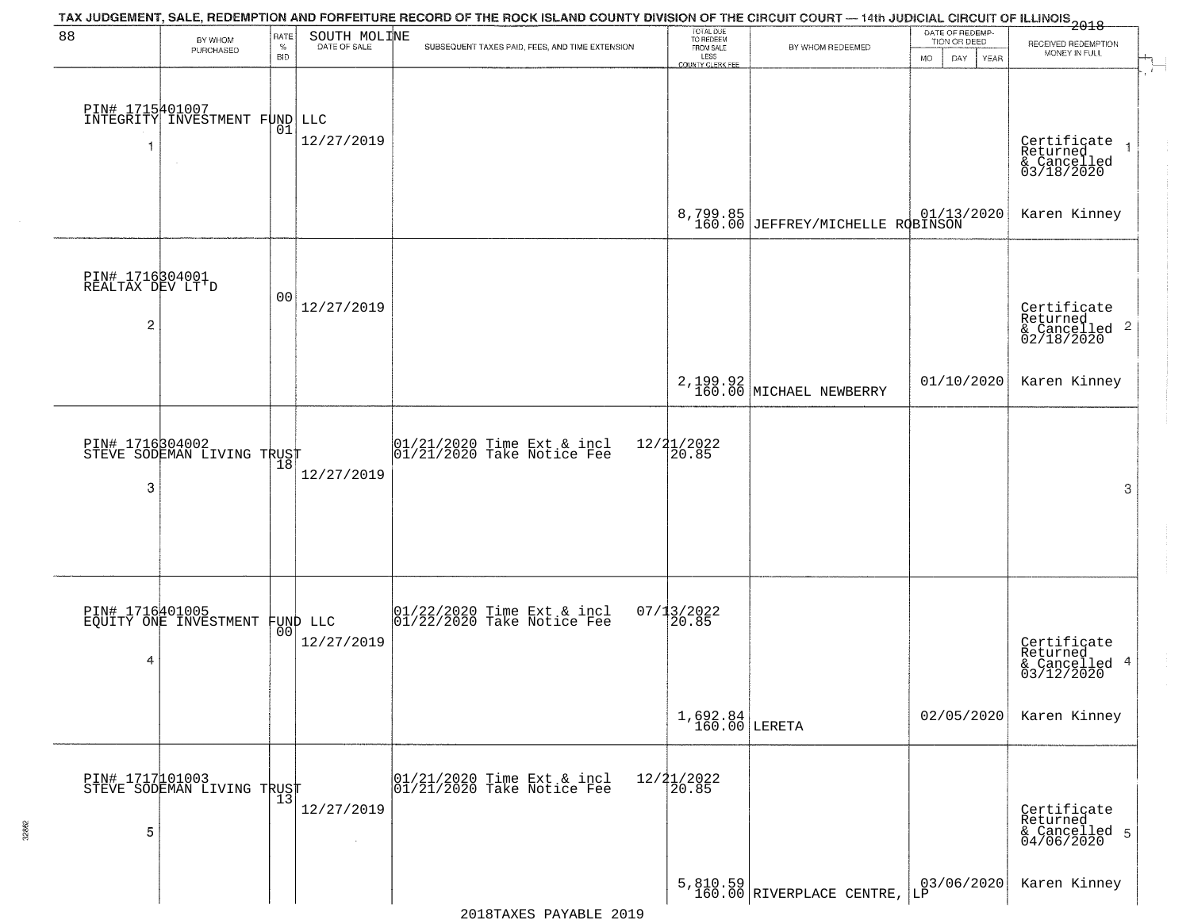| 88                                                    | BY WHOM<br>PURCHASED                              | RATE<br>$\%$<br><b>BID</b> | SOUTH MOLINE<br>DATE OF SALE              | TAX JUDGEMENT, SALE, REDEMPTION AND FORFEITURE RECORD OF THE ROCK ISLAND COUNTY DIVISION OF THE CIRCUIT COURT — 14th JUDICIAL CIRCUIT OF ILLINOIS 2018<br>SUBSEQUENT TAXES PAID, FEES, AND TIME EXTENSION | TOTAL DUE<br>TO REDEEM<br>FROM SALE<br>LESS<br>COUNTY CLERK FEE | BY WHOM REDEEMED                                                                  | DATE OF REDEMP-<br>TION OR DEED<br><b>MO</b><br>DAY<br>YEAR | RECEIVED REDEMPTION<br>MONEY IN FULL                   |
|-------------------------------------------------------|---------------------------------------------------|----------------------------|-------------------------------------------|-----------------------------------------------------------------------------------------------------------------------------------------------------------------------------------------------------------|-----------------------------------------------------------------|-----------------------------------------------------------------------------------|-------------------------------------------------------------|--------------------------------------------------------|
|                                                       | DIN# 1715401007<br>INTEGRITY INVESTMENT FUND LLC  | 01                         | 12/27/2019                                |                                                                                                                                                                                                           |                                                                 |                                                                                   |                                                             | Certificate<br>Returned<br>& Cancelled<br>03/18/2020   |
|                                                       |                                                   |                            |                                           |                                                                                                                                                                                                           | 8,799.85<br>160.00                                              | $\begin{array}{c c} & 01/13/2020 \\ \text{JEFFREV/MICHELLE RQBINSON} \end{array}$ |                                                             | Karen Kinney                                           |
| PIN# 1716304001<br>REALTAX DEV LT'D<br>$\overline{c}$ |                                                   | 00                         | 12/27/2019                                |                                                                                                                                                                                                           |                                                                 |                                                                                   |                                                             | Certificate<br>Returned<br>& Cancelled 2<br>02/18/2020 |
|                                                       |                                                   |                            |                                           |                                                                                                                                                                                                           |                                                                 | 2, 199.92<br>160.00 MICHAEL NEWBERRY                                              | 01/10/2020                                                  | Karen Kinney                                           |
| 3                                                     | PIN# 1716304002<br>STEVE SODEMAN LIVING TRUST     | 18                         | 12/27/2019                                | 01/21/2020 Time Ext & incl<br>01/21/2020 Take Notice Fee                                                                                                                                                  | $\frac{12}{2}$ $\frac{21}{20.85}$                               |                                                                                   |                                                             | 3                                                      |
| 4                                                     | PIN# 1716401005<br>EQUITY ONE INVESTMENT FUND LLC | 00                         | 12/27/2019                                | $\begin{bmatrix} 01/22/2020 \\ 01/22/2020 \\ 01 \end{bmatrix}$ Take Notice Fee                                                                                                                            | $07/13/2022$<br>20.85                                           |                                                                                   |                                                             | Certificate<br>Returned<br>& Cancelled 4<br>03/12/2020 |
|                                                       |                                                   |                            |                                           |                                                                                                                                                                                                           | $1,692.84$ LERETA                                               |                                                                                   | 02/05/2020                                                  | Karen Kinney                                           |
| 5                                                     | PIN# 1717 101003<br>STEVE SODEMAN LIVING TRUST    |                            | 12/27/2019<br>$\mathcal{L}_{\mathcal{A}}$ | 01/21/2020 Time Ext & incl<br>01/21/2020 Take Notice Fee                                                                                                                                                  | $12/21/2022$<br>20.85                                           |                                                                                   |                                                             | Certificate<br>Returned<br>& Cancelled 5<br>04/06/2020 |
|                                                       |                                                   |                            |                                           |                                                                                                                                                                                                           |                                                                 | 5,810.59<br>160.00 RIVERPLACE CENTRE,                                             | 03/06/2020<br>LP                                            | Karen Kinney                                           |

32862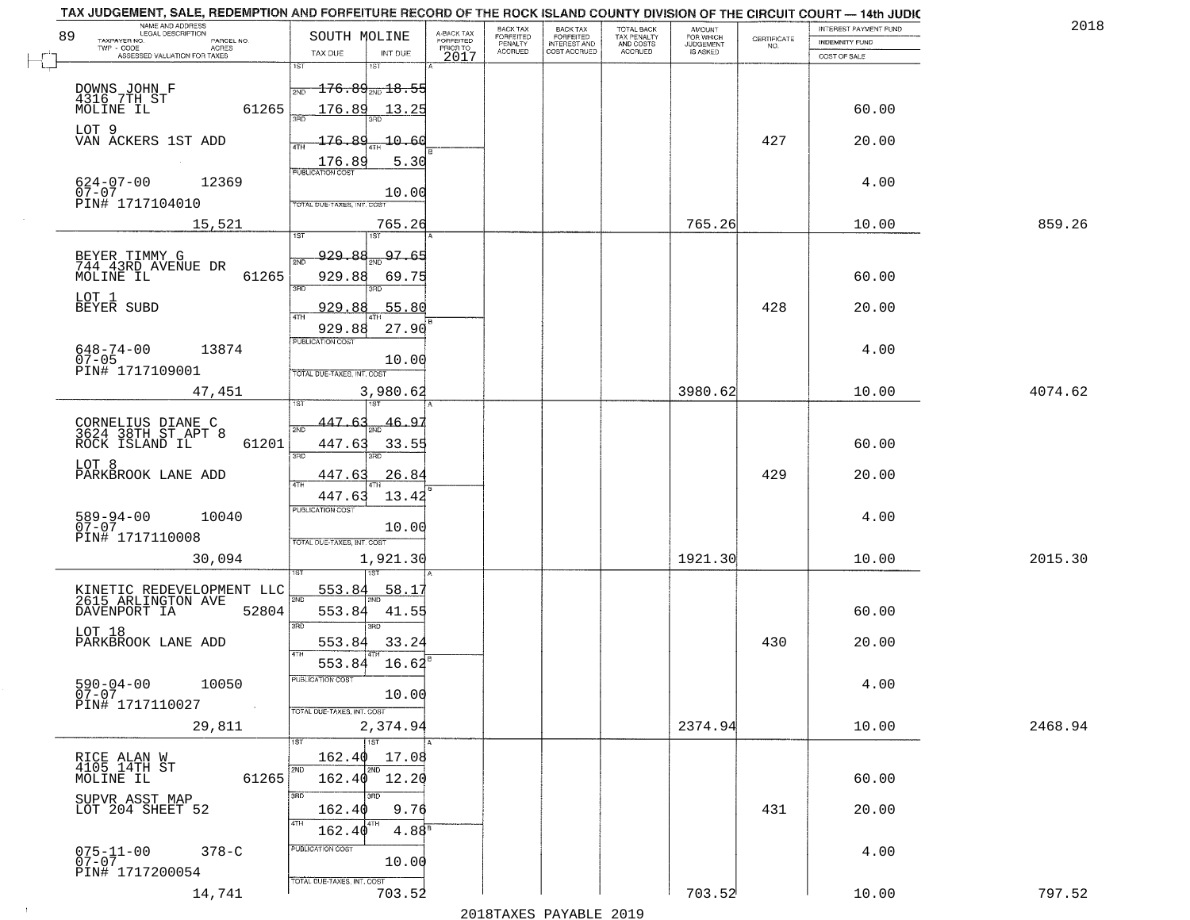| NAME AND ADDRESS<br>LEGAL DESCRIPTION<br>89                              | SOUTH MOLINE                            |                                     | BACK TAX<br>FORFEITED     | BACK TAX<br>FORFEITED               | TOTAL BACK<br>TAX PENALTY<br>AND COSTS | AMOUNT<br>FOR WHICH          |                                                                 | INTEREST PAYMENT FUND | 2018    |
|--------------------------------------------------------------------------|-----------------------------------------|-------------------------------------|---------------------------|-------------------------------------|----------------------------------------|------------------------------|-----------------------------------------------------------------|-----------------------|---------|
| TAXPAYER NO.<br>PARCEL NO.<br>ACRES                                      |                                         | A-BACK TAX<br>FORFEITED<br>PRIOR TO | PENALTY<br><b>ACCRUED</b> | <b>INTEREST AND</b><br>COST ACCRUED | <b>ACCRUED</b>                         | <b>JUDGEMENT</b><br>IS ASKED | $\begin{array}{c} \text{CERTIFICATE} \\ \text{NO.} \end{array}$ | <b>INDEMNITY FUND</b> |         |
| ASSESSED VALUATION FOR TAXES                                             | TAX DUE<br>1ST<br>1ST                   | INT DUE                             | 2017                      |                                     |                                        |                              |                                                                 | COST OF SALE          |         |
|                                                                          |                                         |                                     |                           |                                     |                                        |                              |                                                                 |                       |         |
| DOWNS JOHN F<br>4316 7TH ST                                              | $176.89_{\text{\tiny 2ND}}18.55$<br>2ND |                                     |                           |                                     |                                        |                              |                                                                 |                       |         |
| 61265<br>MOLINE IL                                                       | 176.89                                  | 13.25                               |                           |                                     |                                        |                              |                                                                 | 60.00                 |         |
| LOT 9                                                                    |                                         |                                     |                           |                                     |                                        |                              |                                                                 |                       |         |
| VAN ACKERS 1ST ADD                                                       | 176.89                                  | 10.60                               |                           |                                     |                                        |                              | 427                                                             | 20.00                 |         |
|                                                                          | 176.89<br><b>PUBLICATION COST</b>       | 5.30                                |                           |                                     |                                        |                              |                                                                 |                       |         |
| $624 - 07 - 00$<br>07-07<br>12369                                        |                                         | 10.00                               |                           |                                     |                                        |                              |                                                                 | 4.00                  |         |
| PIN# 1717104010                                                          | TOTAL DUE-TAXES, INT. COST              |                                     |                           |                                     |                                        |                              |                                                                 |                       |         |
| 15,521                                                                   |                                         | 765.26                              |                           |                                     |                                        | 765.26                       |                                                                 | 10.00                 | 859.26  |
|                                                                          |                                         |                                     |                           |                                     |                                        |                              |                                                                 |                       |         |
| BEYER TIMMY G<br>744 43RD AVENUE DR                                      | <u>929.88</u><br>2ND                    | 97.65                               |                           |                                     |                                        |                              |                                                                 |                       |         |
| MOLINE IL<br>61265                                                       | 929.88                                  | 69.75                               |                           |                                     |                                        |                              |                                                                 | 60.00                 |         |
| LOT 1                                                                    | 3RD                                     |                                     |                           |                                     |                                        |                              |                                                                 |                       |         |
| BEYER SUBD                                                               | 929.88<br>$\overline{ATH}$              | 55.80                               |                           |                                     |                                        |                              | 428                                                             | 20.00                 |         |
|                                                                          | 929.88                                  | 27.90                               |                           |                                     |                                        |                              |                                                                 |                       |         |
| $648 - 74 - 00$<br>13874                                                 | PUBLICATION COST                        |                                     |                           |                                     |                                        |                              |                                                                 | 4.00                  |         |
| $07 - 05$<br>PIN# 1717109001                                             | TOTAL DUE-TAXES, INT. COST              | 10.00                               |                           |                                     |                                        |                              |                                                                 |                       |         |
| 47,451                                                                   |                                         | 3,980.62                            |                           |                                     |                                        | 3980.62                      |                                                                 | 10.00                 | 4074.62 |
|                                                                          | i ST                                    |                                     |                           |                                     |                                        |                              |                                                                 |                       |         |
| CORNELIUS DIANE C<br>3624 38TH ST APT 8                                  | 447.63<br>2ND                           | <u>46.9</u>                         |                           |                                     |                                        |                              |                                                                 |                       |         |
| ROCK ISLAND IL<br>61201                                                  | 447.63                                  | 33.55                               |                           |                                     |                                        |                              |                                                                 | 60.00                 |         |
| LOT 8                                                                    | 3 <sub>BD</sub><br>3RD                  |                                     |                           |                                     |                                        |                              |                                                                 |                       |         |
| PARKBROOK LANE ADD                                                       | 447.63<br>4TH                           | 26.84                               |                           |                                     |                                        |                              | 429                                                             | 20.00                 |         |
|                                                                          | 447.63                                  | 13.42                               |                           |                                     |                                        |                              |                                                                 |                       |         |
| 10040                                                                    | <b>PUBLICATION COST</b>                 |                                     |                           |                                     |                                        |                              |                                                                 | 4.00                  |         |
| $589 - 94 - 00$<br>07-07<br>PIN# 1717110008                              |                                         | 10.00                               |                           |                                     |                                        |                              |                                                                 |                       |         |
|                                                                          | TOTAL OUE-TAXES, INT. COST              |                                     |                           |                                     |                                        |                              |                                                                 |                       |         |
| 30,094                                                                   |                                         | 1,921.30                            |                           |                                     |                                        | 1921.30                      |                                                                 | 10.00                 | 2015.30 |
|                                                                          | 553.84                                  | 58.1'                               |                           |                                     |                                        |                              |                                                                 |                       |         |
| KINETIC REDEVELOPMENT LLC<br>2615 ARLINGTON AVE<br>DAVENPORT IA<br>52804 | 2ND<br>553.84                           | 41.55                               |                           |                                     |                                        |                              |                                                                 | 60.00                 |         |
|                                                                          | 3 <sub>BD</sub><br>$\overline{3BD}$     |                                     |                           |                                     |                                        |                              |                                                                 |                       |         |
| LOT 18<br>PARKBROOK LANE ADD                                             | 553.84                                  | 33.24                               |                           |                                     |                                        |                              | 430                                                             | 20.00                 |         |
|                                                                          | 4TH<br>553.84                           | 16.62                               |                           |                                     |                                        |                              |                                                                 |                       |         |
| $590 - 04 - 00$<br>10050                                                 | UBLICA HUN COS-                         |                                     |                           |                                     |                                        |                              |                                                                 | 4.00                  |         |
| Ŏ7-07                                                                    |                                         | 10.00                               |                           |                                     |                                        |                              |                                                                 |                       |         |
| PIN# 1717110027<br><b>Contractor</b>                                     | TOTAL DUE-TAXES, INT. COST              |                                     |                           |                                     |                                        |                              |                                                                 |                       |         |
| 29,811                                                                   |                                         | 2,374.94                            |                           |                                     |                                        | 2374.94                      |                                                                 | 10.00                 | 2468.94 |
|                                                                          | 1ST<br>162.40                           | 17.08                               |                           |                                     |                                        |                              |                                                                 |                       |         |
| RICE ALAN W<br>4105 14TH ST                                              | 2ND<br>2ND                              |                                     |                           |                                     |                                        |                              |                                                                 |                       |         |
| 61265<br>MOLINE IL                                                       | 162.40 12.20                            |                                     |                           |                                     |                                        |                              |                                                                 | 60.00                 |         |
| SUPVR ASST MAP<br>LOT 204 SHEET 52                                       | 3RD <sup>-</sup><br>3RC<br>162.40       | 9.76                                |                           |                                     |                                        |                              | 431                                                             | 20.00                 |         |
|                                                                          | 4TH<br>162.40                           | 4.88 <sup>8</sup>                   |                           |                                     |                                        |                              |                                                                 |                       |         |
|                                                                          | PUBLICATION COST                        |                                     |                           |                                     |                                        |                              |                                                                 |                       |         |
| $075 - 11 - 00$<br>07-07<br>$378 - C$                                    |                                         | 10.00                               |                           |                                     |                                        |                              |                                                                 | 4.00                  |         |
| PIN# 1717200054                                                          | TOTAL DUE-TAXES, INT. COST              |                                     |                           |                                     |                                        |                              |                                                                 |                       |         |
| 14,741                                                                   |                                         | 703.52                              |                           |                                     |                                        | 703.52                       |                                                                 | 10.00                 | 797.52  |

 $\sim 100$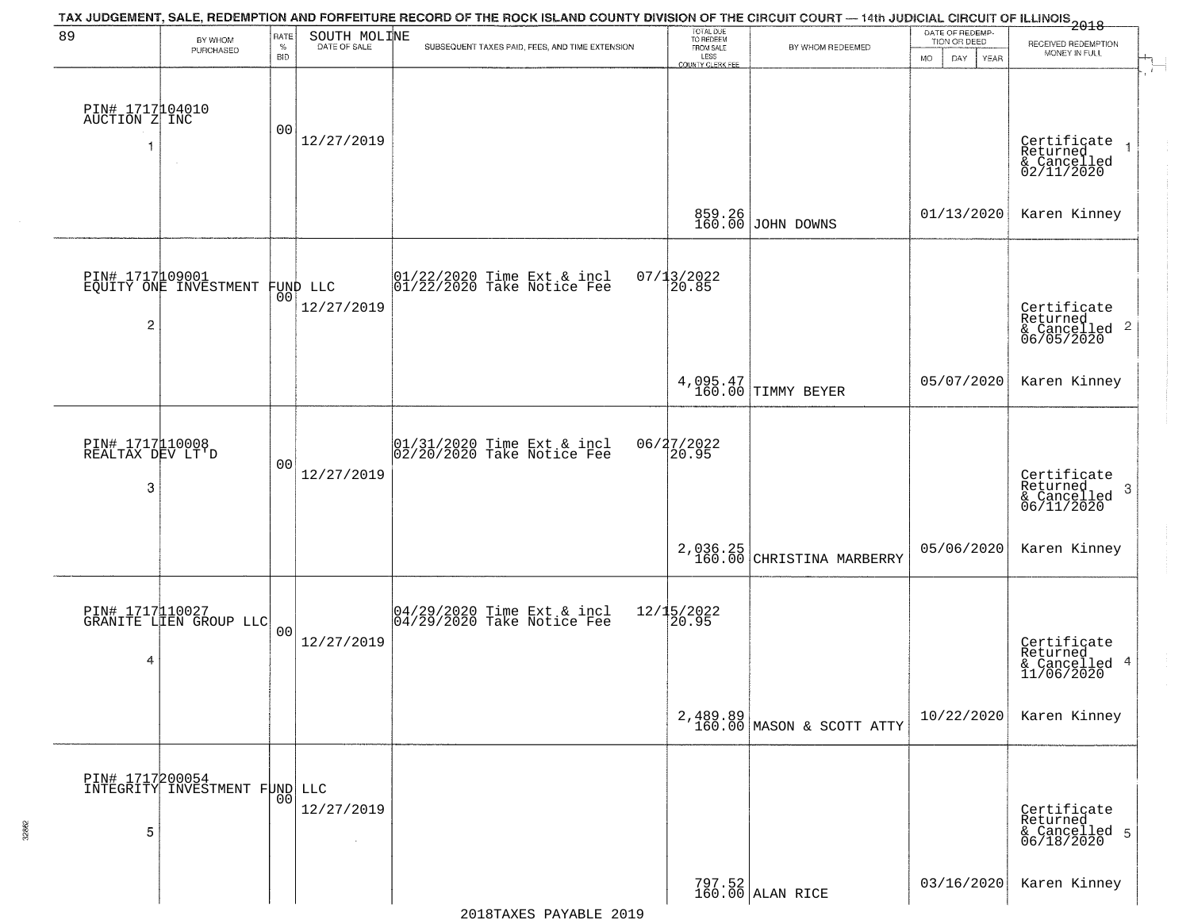| 89                                       | BY WHOM                                   | RATE               | SOUTH MOLINE                   | TAX JUDGEMENT, SALE, REDEMPTION AND FORFEITURE RECORD OF THE ROCK ISLAND COUNTY DIVISION OF THE CIRCUIT COURT — 14th JUDICIAL CIRCUIT OF ILLINOIS 2018 | TOTAL DUE<br>TO REDEEM<br>FROM SALE |                                       | DATE OF REDEMP-<br>TION OR DEED | RECEIVED REDEMPTION                                                |
|------------------------------------------|-------------------------------------------|--------------------|--------------------------------|--------------------------------------------------------------------------------------------------------------------------------------------------------|-------------------------------------|---------------------------------------|---------------------------------|--------------------------------------------------------------------|
|                                          | PURCHASED                                 | $\%$<br><b>BID</b> | DATE OF SALE                   | SUBSEQUENT TAXES PAID, FEES, AND TIME EXTENSION                                                                                                        | LESS<br>COUNTY CLERK FEE            | BY WHOM REDEEMED                      | <b>MO</b><br>DAY<br>YEAR        | MONEY IN FULL                                                      |
| PIN# 1717104010<br>AUCTION Z INC         | $\sim$                                    | 00                 | 12/27/2019                     |                                                                                                                                                        |                                     |                                       |                                 | Certificate<br>Returned<br>& Cancelled<br>02/11/2020               |
|                                          |                                           |                    |                                |                                                                                                                                                        | 859.26<br>160.00                    | JOHN DOWNS                            | 01/13/2020                      | Karen Kinney                                                       |
| $\overline{c}$                           | PIN# 1717109001<br>EQUITY ONE INVESTMENT  |                    | FUND LLC<br> 00 <br>12/27/2019 | $ 01/22/2020$ Time Ext & incl<br>$ 01/22/2020$ Take Notice Fee                                                                                         | $07/13/2022$<br>20.85               |                                       |                                 | Certificate<br>Returned<br>$\frac{1}{6}$ Cancelled 2<br>06/05/2020 |
|                                          |                                           |                    |                                |                                                                                                                                                        |                                     | 4,095.47<br>160.00 TIMMY BEYER        | 05/07/2020                      | Karen Kinney                                                       |
| PIN# 1717110008<br>REALTAX DEV LT'D<br>3 |                                           | 00                 | 12/27/2019                     | 01/31/2020 Time Ext & incl<br>02/20/2020 Take Notice Fee                                                                                               | 06/27/2022<br>20.95                 |                                       |                                 | Certificate<br>Returned<br>3<br>$\frac{1}{06/11/2020}$             |
|                                          |                                           |                    |                                |                                                                                                                                                        | 2,036.25<br>160.00                  | CHRISTINA MARBERRY                    | 05/06/2020                      | Karen Kinney                                                       |
| 4                                        | PIN# 1717110027<br>GRANITE LIEN GROUP LLC | 00                 | 12/27/2019                     | 04/29/2020 Time Ext & incl<br>04/29/2020 Take Notice Fee                                                                                               | $12/15/2022$<br>20.95               |                                       |                                 | Certificate<br>Returned<br>& Cancelled 4<br>11/06/2020             |
|                                          |                                           |                    |                                |                                                                                                                                                        |                                     | 2,489.89<br>160.00 MASON & SCOTT ATTY | 10/22/2020                      | Karen Kinney                                                       |
| PIN# 1717200054<br>5                     | INTEGRITY INVESTMENT FUND LLC             | 00                 | 12/27/2019<br>$\sim$           |                                                                                                                                                        |                                     |                                       |                                 | Certificate<br>Returned<br>& Cancelled 5<br>06/18/2020             |
|                                          |                                           |                    |                                |                                                                                                                                                        |                                     | 797.52<br>160.00 ALAN RICE            | 03/16/2020                      | Karen Kinney                                                       |

32862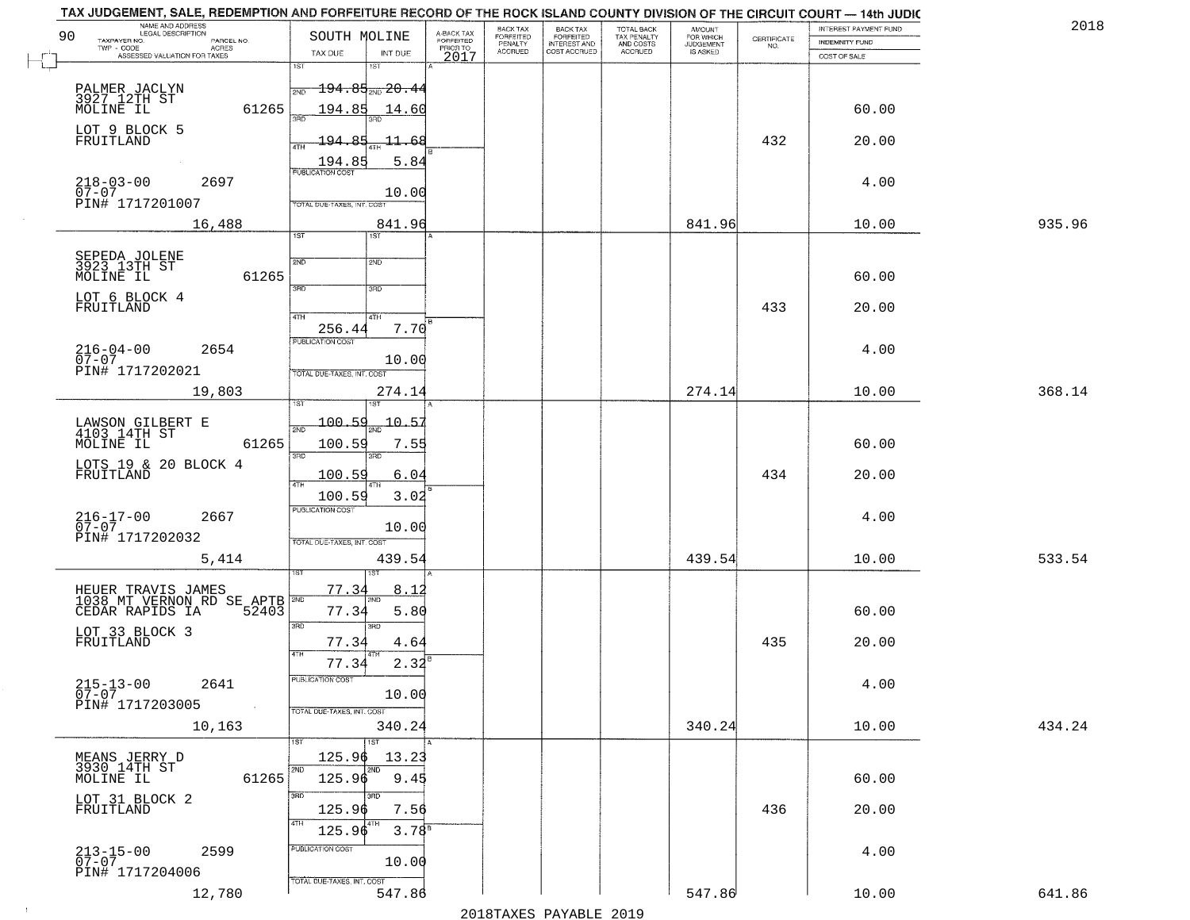| NAME AND ADDRESS<br>LEGAL DESCRIPTION<br>90                        |                                                                        |                                     | BACK TAX             | <b>BACK TAX</b>           | TOTAL BACK<br>TAX PENALTY<br>AND COSTS | AMOUNT<br>FOR WHICH<br>JUDGEMENT |                                                                 | INTEREST PAYMENT FUND | 2018   |
|--------------------------------------------------------------------|------------------------------------------------------------------------|-------------------------------------|----------------------|---------------------------|----------------------------------------|----------------------------------|-----------------------------------------------------------------|-----------------------|--------|
| TAXPAYER NO.<br>PARCEL NO.<br>ACRES                                | SOUTH MOLINE                                                           | A-BACK TAX<br>FORFEITED<br>PRIOR TO | FORFEITED<br>PENALTY | FORFEITED<br>INTEREST AND |                                        |                                  | $\begin{array}{c} \text{CERTIFICATE} \\ \text{NO.} \end{array}$ | INDEMNITY FUND        |        |
| ASSESSED VALUATION FOR TAXES                                       | TAX DUE<br>INT DUE<br>1ST<br>18T                                       | 2017                                | <b>ACCRUED</b>       | COST ACCRUED              | ACCRUED                                | IS ASKED                         |                                                                 | COST OF SALE          |        |
| PALMER JACLYN<br>3927 12TH ST<br>MOLINE IL                         | <del>194.85<sub>2N0</sub>20.44</del><br>2ND                            |                                     |                      |                           |                                        |                                  |                                                                 |                       |        |
| 61265<br>LOT 9 BLOCK 5                                             | 194.85 14.60                                                           |                                     |                      |                           |                                        |                                  |                                                                 | 60.00                 |        |
| FRUITLAND                                                          | 194.85<br><del>-11.6</del> 8<br>5.84<br>$\frac{194.85}{FUBUCATONCGST}$ |                                     |                      |                           |                                        |                                  | 432                                                             | 20.00                 |        |
| $218 - 03 - 00$<br>07-07<br>2697                                   | 10.00                                                                  |                                     |                      |                           |                                        |                                  |                                                                 | 4.00                  |        |
| PIN# 1717201007<br>16,488                                          | TOTAL DUE-TAXES, INT. COST<br>841.96<br>1ST<br>ist                     |                                     |                      |                           |                                        | 841.96                           |                                                                 | 10.00                 | 935.96 |
|                                                                    |                                                                        |                                     |                      |                           |                                        |                                  |                                                                 |                       |        |
| SEPEDA JOLENE<br>3923 13TH ST<br>61265<br>MOLINE IL                | 2ND<br>2ND<br>3RD<br>3RD                                               |                                     |                      |                           |                                        |                                  |                                                                 | 60.00                 |        |
| LOT 6 BLOCK 4<br>FRUITLAND                                         | 47H<br>4TH                                                             |                                     |                      |                           |                                        |                                  | 433                                                             | 20.00                 |        |
| $216 - 04 - 00$<br>2654<br>$07 - 07$                               | 256.44<br>7.70<br>PUBLICATION COST                                     |                                     |                      |                           |                                        |                                  |                                                                 | 4.00                  |        |
| PIN# 1717202021<br>19,803                                          | 10.00<br>TOTAL DUE-TAXES, INT. COST<br>274.14                          |                                     |                      |                           |                                        | 274.14                           |                                                                 | 10.00                 | 368.14 |
|                                                                    | isT<br>187                                                             |                                     |                      |                           |                                        |                                  |                                                                 |                       |        |
| LAWSON GILBERT E<br>4103 14TH ST                                   | $-100.59$<br>$-10 - 5$<br>2ND                                          |                                     |                      |                           |                                        |                                  |                                                                 |                       |        |
| 61265<br>MOLINE IL                                                 | 100.59<br>7.55                                                         |                                     |                      |                           |                                        |                                  |                                                                 | 60.00                 |        |
| LOTS 19 & 20 BLOCK 4<br>FRUITLAND                                  | 3RD<br>3RD<br>100.59<br>6.04<br>4TH                                    |                                     |                      |                           |                                        |                                  | 434                                                             | 20.00                 |        |
|                                                                    | 3.02<br>100.59<br><b>PUBLICATION COST</b>                              |                                     |                      |                           |                                        |                                  |                                                                 |                       |        |
| $216 - 17 - 00$<br>07-07<br>2667<br>PIN# 1717202032                | 10.00<br>TOTAL OUE-TAXES, INT. COST                                    |                                     |                      |                           |                                        |                                  |                                                                 | 4.00                  |        |
| 5,414                                                              | 439.54                                                                 |                                     |                      |                           |                                        | 439.54                           |                                                                 | 10.00                 | 533.54 |
| HEUER TRAVIS JAMES<br>1038 MT VERNON RD SE APTB                    | 77.34<br>8.12                                                          |                                     |                      |                           |                                        |                                  |                                                                 |                       |        |
| CEDAR RAPIDS IA<br>52403                                           | 77.34<br>5.80<br>3RD<br>3RD                                            |                                     |                      |                           |                                        |                                  |                                                                 | 60.00                 |        |
| LOT 33 BLOCK 3<br>FRUITLAND                                        | 77.34<br>4.64<br>4TH<br>$2.32^{8}$<br>77.34                            |                                     |                      |                           |                                        |                                  | 435                                                             | 20.00                 |        |
| $215 - 13 - 00$<br>2641<br>$\overline{0}7 - 07$<br>PIN# 1717203005 | PUBLICATION COS-<br>10.00                                              |                                     |                      |                           |                                        |                                  |                                                                 | 4.00                  |        |
| $\sim 100$ km $^{-1}$<br>10,163                                    | TOTAL DUE-TAXES, INT. COST<br>340.24                                   |                                     |                      |                           |                                        | 340.24                           |                                                                 | 10.00                 | 434.24 |
|                                                                    | 1ST<br>125.96<br>13.23                                                 |                                     |                      |                           |                                        |                                  |                                                                 |                       |        |
| MEANS JERRY D<br>3930 14TH ST<br>MOLINE IL<br>61265                | 2ND<br>2ND<br>125.96<br>9.45                                           |                                     |                      |                           |                                        |                                  |                                                                 | 60.00                 |        |
| LOT 31 BLOCK 2<br>FRUITLAND                                        | 3RD<br>חתו?<br>125.96<br>7.56<br>4TH                                   |                                     |                      |                           |                                        |                                  | 436                                                             | 20.00                 |        |
| $213 - 15 - 00$<br>07-07<br>2599                                   | $3.78^{B}$<br>125.96<br>PUBLICATION COST                               |                                     |                      |                           |                                        |                                  |                                                                 | 4.00                  |        |
| PIN# 1717204006                                                    | 10.00<br>TOTAL DUE-TAXES, INT. COST                                    |                                     |                      |                           |                                        |                                  |                                                                 |                       |        |
| 12,780                                                             | 547.86                                                                 |                                     |                      |                           |                                        | 547.86                           |                                                                 | 10.00                 | 641.86 |

 $\sim 100$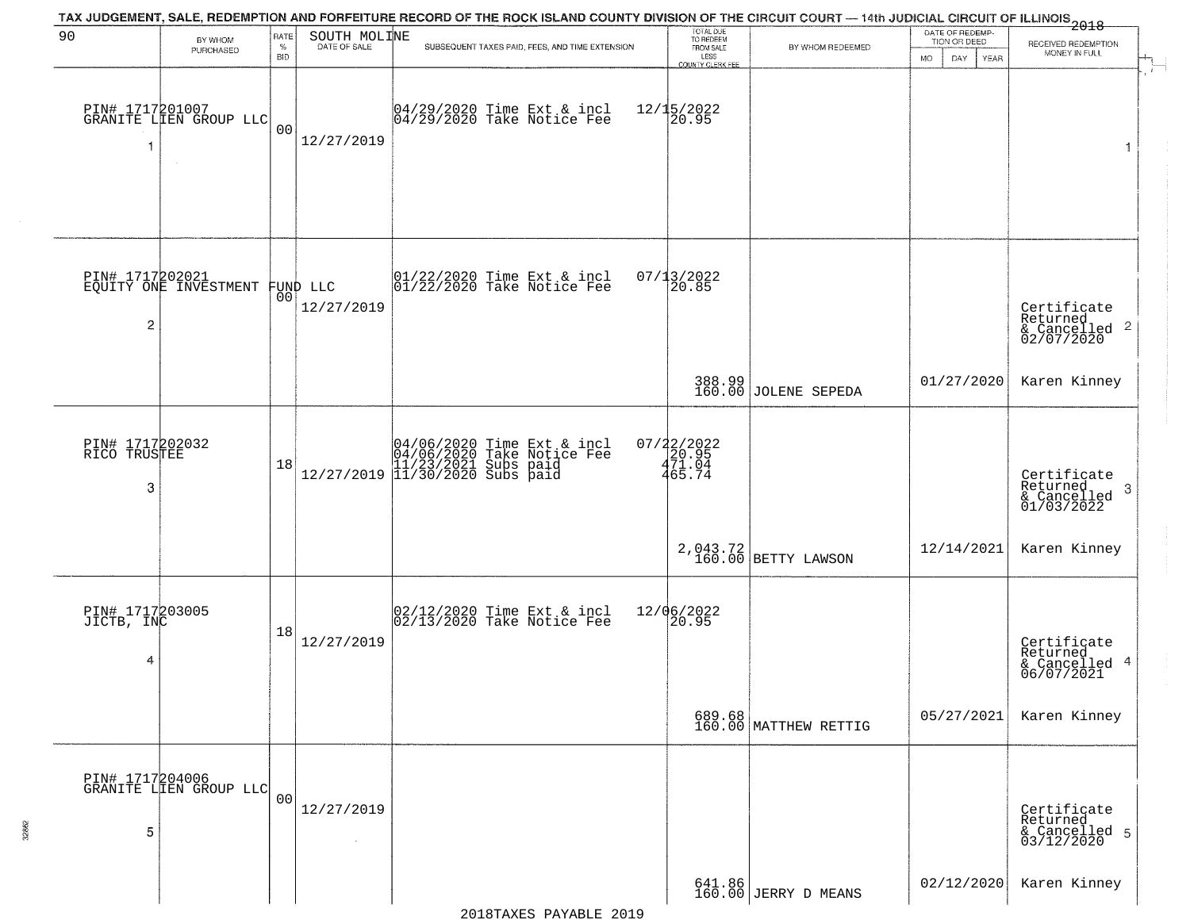| 90                                   | BY WHOM                                   | RATE               | SOUTH MOLINE                   | TAX JUDGEMENT, SALE, REDEMPTION AND FORFEITURE RECORD OF THE ROCK ISLAND COUNTY DIVISION OF THE CIRCUIT COURT — 14th JUDICIAL CIRCUIT OF ILLINOIS 2018 | TOTAL DUE<br>TO REDEEM<br>FROM SALE  |                                 | DATE OF REDEMP-<br>TION OR DEED | RECEIVED REDEMPTION                                                    |  |  |
|--------------------------------------|-------------------------------------------|--------------------|--------------------------------|--------------------------------------------------------------------------------------------------------------------------------------------------------|--------------------------------------|---------------------------------|---------------------------------|------------------------------------------------------------------------|--|--|
|                                      | PURCHASED                                 | $\%$<br><b>BID</b> | DATE OF SALE                   | SUBSEQUENT TAXES PAID, FEES, AND TIME EXTENSION                                                                                                        | LESS<br>COUNTY CLERK FEE             | BY WHOM REDEEMED                | <b>MO</b><br>DAY<br>YEAR        | MONEY IN FULL                                                          |  |  |
| 1                                    | PIN# 1717201007<br>GRANITE LLEN GROUP LLC | 0 <sub>0</sub>     | 12/27/2019                     | 04/29/2020 Time Ext & incl<br>04/29/2020 Take Notice Fee                                                                                               | $12/15/2022$<br>20.95                |                                 |                                 | 1                                                                      |  |  |
| $\overline{2}$                       | PIN# 1717202021<br>EQUITY ONE INVESTMENT  |                    | FUND LLC<br> 00 <br>12/27/2019 | 01/22/2020 Time Ext & incl<br>01/22/2020 Take Notice Fee                                                                                               | 07/13/2022<br>20.85                  |                                 |                                 | Certificate<br>Returned<br>$\overline{c}$<br>& Cancelled<br>02/07/2020 |  |  |
|                                      |                                           |                    |                                |                                                                                                                                                        |                                      | 388.99<br>160.00 JOLENE SEPEDA  | 01/27/2020                      | Karen Kinney                                                           |  |  |
| PIN# 1717202032<br>RICO TRUSTEE<br>3 |                                           | 18                 |                                | $[04/06/2020 \t\t Time Ext & incl04/06/2020 Take Notice Free11/23/2021 Subs paid12/27/2019 11/30/2020 Subs paid$                                       | $07/22/2022$<br>$471.04$<br>$465.74$ |                                 |                                 | Certificate<br>Returned<br>-3<br>& Cancelled<br>01/03/2022             |  |  |
|                                      |                                           |                    |                                |                                                                                                                                                        |                                      | 2,043.72<br>160.00 BETTY LAWSON | 12/14/2021                      | Karen Kinney                                                           |  |  |
| PIN# 1717203005<br>JICTB, INC<br>4   |                                           | 18                 | 12/27/2019                     | 02/12/2020 Time Ext & incl<br>02/13/2020 Take Notice Fee                                                                                               | 12/06/2022<br> 20.95                 |                                 |                                 | Certificate<br>Returned<br>& Cancelled 4<br>06/07/2021                 |  |  |
|                                      |                                           |                    |                                |                                                                                                                                                        |                                      | 689.68<br>160.00 MATTHEW RETTIG | 05/27/2021                      | Karen Kinney                                                           |  |  |
| 5                                    | PIN# 1717204006<br>GRANITE LIEN GROUP LLC | 0 <sub>0</sub>     | 12/27/2019                     |                                                                                                                                                        |                                      |                                 |                                 | Certificate<br>Returned<br>& Cancelled 5<br>03/12/2020                 |  |  |
|                                      |                                           |                    |                                |                                                                                                                                                        |                                      | 641.86<br>160.00 JERRY D MEANS  | 02/12/2020                      | Karen Kinney                                                           |  |  |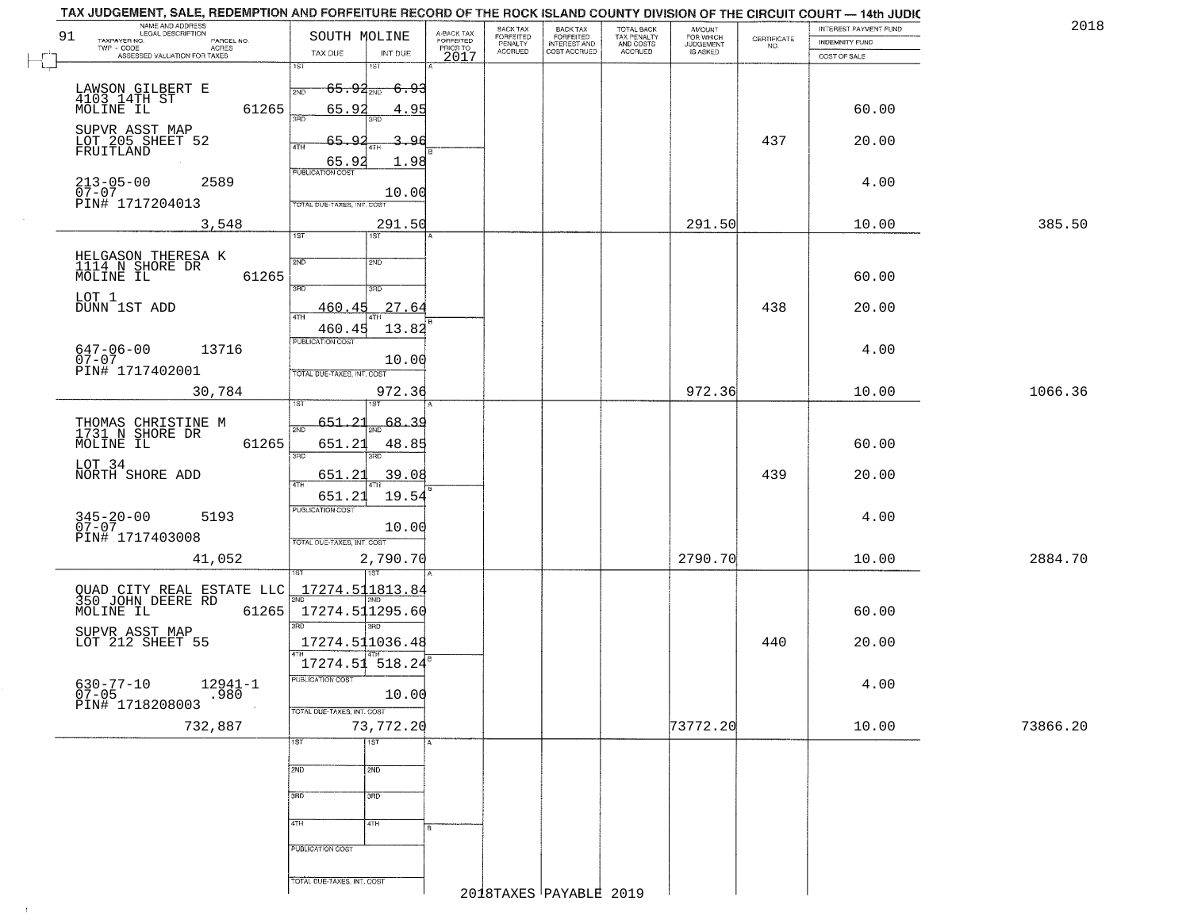| 2018     | INTEREST PAYMENT FUND          |                    | AMOUNT<br>FOR WHICH<br>JUDGEMENT | TOTAL BACK<br>TAX PENALTY<br>AND COSTS | BACK TAX<br>FORFEITED<br>INTEREST AND | BACK TAX<br><b>FORFEITED</b> |                                     |                   | SOUTH MOLINE               |                     | NAME AND ADDRESS<br>LEGAL DESCRIPTION<br>TAXPAYER NO. |
|----------|--------------------------------|--------------------|----------------------------------|----------------------------------------|---------------------------------------|------------------------------|-------------------------------------|-------------------|----------------------------|---------------------|-------------------------------------------------------|
|          | INDEMNITY FUND<br>COST OF SALE | CERTIFICATE<br>NO. | IS ASKED                         | ACCRUED                                | COST ACCRUED                          | PENALTY<br><b>ACCRUED</b>    | A-BACK TAX<br>FORFEITED<br>PRIOR TO | INT DUE           | TAX DUE                    | PARCEL NO.<br>ACRES | TWP - CODE<br>ASSESSED VALUATION FOR TAXES            |
|          |                                |                    |                                  |                                        |                                       |                              | 2017                                | $1S$ T            | 1ST                        |                     |                                                       |
|          |                                |                    |                                  |                                        |                                       |                              |                                     | - <del>6.93</del> | <del>65.92</del> ap        |                     |                                                       |
|          | 60.00                          |                    |                                  |                                        |                                       |                              |                                     | 4.95              | 65.92                      | 61265               | LAWSON GILBERT E<br>4103 14TH ST<br>MOLINE IL         |
|          |                                |                    |                                  |                                        |                                       |                              |                                     |                   |                            |                     |                                                       |
|          | 20.00                          | 437                |                                  |                                        |                                       |                              |                                     | -96               | 65.92<br><b>ATH</b>        |                     | SUPVR ASST MAP<br>LOT 205 SHEET 52<br>FRUITLAND       |
|          |                                |                    |                                  |                                        |                                       |                              |                                     | 1.98              | EUBLICATION COST           |                     |                                                       |
|          | 4.00                           |                    |                                  |                                        |                                       |                              |                                     | 10.00             |                            | 2589                | $213 - 05 - 00$<br>$07 - 07$                          |
|          |                                |                    |                                  |                                        |                                       |                              |                                     |                   | TOTAL DUE-TAXES, INT. COST |                     | PIN# 1717204013                                       |
| 385.50   | 10.00                          |                    | 291.50                           |                                        |                                       |                              |                                     | 291.50<br>1ST     | 1ST                        | 3,548               |                                                       |
|          |                                |                    |                                  |                                        |                                       |                              |                                     | 2ND               | 2ND                        |                     | HELGASON THERESA K<br>1114 N SHORE DR                 |
|          | 60.00                          |                    |                                  |                                        |                                       |                              |                                     |                   |                            | 61265               | MOLINE IL                                             |
|          |                                |                    |                                  |                                        |                                       |                              |                                     | 3RD               | $\overline{3\text{RD}}$    |                     | LOT 1                                                 |
|          | 20.00                          | 438                |                                  |                                        |                                       |                              |                                     | 27.64             | <u>460.45</u>              |                     | DUNN 1ST ADD                                          |
|          |                                |                    |                                  |                                        |                                       |                              |                                     | 13.82             | 460.45<br>PUBLICATION COST | 13716               | $647 - 06 - 00$                                       |
|          | 4.00                           |                    |                                  |                                        |                                       |                              |                                     | 10.00             |                            |                     | $07 - 07$<br>PIN# 1717402001                          |
| 1066.36  | 10.00                          |                    | 972.36                           |                                        |                                       |                              |                                     | 972.36            | TOTAL DUE-TAXES, INT. COST | 30,784              |                                                       |
|          |                                |                    |                                  |                                        |                                       |                              |                                     |                   |                            |                     |                                                       |
|          |                                |                    |                                  |                                        |                                       |                              |                                     | 68.39             | 651.21<br>2ND              |                     | THOMAS CHRISTINE M<br>1731 N SHORE DR                 |
|          | 60.00                          |                    |                                  |                                        |                                       |                              |                                     | 48.85<br>3RD      | 651.21<br>3 <sub>BD</sub>  | 61265               | MOLINE IL                                             |
|          | 20.00                          | 439                |                                  |                                        |                                       |                              |                                     | 39.08             | 651.21                     |                     | LOT 34<br>NORTH SHORE ADD                             |
|          |                                |                    |                                  |                                        |                                       |                              |                                     | 19.54             | 4TH<br>651.21              |                     |                                                       |
|          | 4.00                           |                    |                                  |                                        |                                       |                              |                                     |                   | PUBLICATION COST           | 5193                | $345 - 20 - 00$<br>07-07                              |
|          |                                |                    |                                  |                                        |                                       |                              |                                     | 10.00             | TOTAL OUE-TAXES, INT. COST |                     | PIN# 1717403008                                       |
| 2884.70  | 10.00                          |                    | 2790.70                          |                                        |                                       |                              |                                     | 2,790.70          |                            | 41,052              |                                                       |
|          |                                |                    |                                  |                                        |                                       |                              |                                     |                   |                            |                     |                                                       |
|          |                                |                    |                                  |                                        |                                       |                              |                                     |                   | 17274.511813.84<br>2ND     |                     | QUAD CITY REAL ESTATE LLC<br>350 JOHN DEERE RD        |
|          | 60.00                          |                    |                                  |                                        |                                       |                              |                                     | 3RD               | 17274.511295.60<br>3RD     | 61265               | MOLINE IL                                             |
|          | 20.00                          | 440                |                                  |                                        |                                       |                              |                                     |                   | 17274.511036.48            |                     | SUPVR ASST MAP<br>LOT 212 SHEET 55                    |
|          |                                |                    |                                  |                                        |                                       |                              |                                     |                   | 17274.51 518.24            |                     |                                                       |
|          | 4.00                           |                    |                                  |                                        |                                       |                              |                                     | 10.00             | PUBLICATION COST           | $12941 - 1$<br>.980 | $630 - 77 - 10$<br>07-05                              |
|          |                                |                    |                                  |                                        |                                       |                              |                                     |                   | TOTAL DUE-TAXES, INT. COST |                     | PIN# 1718208003                                       |
| 73866.20 | 10.00                          |                    | 73772.20                         |                                        |                                       |                              |                                     | 73,772.20         |                            |                     | 732,887                                               |
|          |                                |                    |                                  |                                        |                                       |                              |                                     | 1ST               | 1ST                        |                     |                                                       |
|          |                                |                    |                                  |                                        |                                       |                              |                                     | 2ND               | 2ND                        |                     |                                                       |
|          |                                |                    |                                  |                                        |                                       |                              |                                     | 3RD               | 3RD                        |                     |                                                       |
|          |                                |                    |                                  |                                        |                                       |                              |                                     | 4TH               | 4TH                        |                     |                                                       |
|          |                                |                    |                                  |                                        |                                       |                              | l B                                 |                   |                            |                     |                                                       |
|          |                                |                    |                                  |                                        |                                       |                              |                                     |                   | PUBLICATION COST           |                     |                                                       |
|          |                                |                    |                                  |                                        |                                       |                              |                                     |                   |                            |                     |                                                       |

 $\sim 10$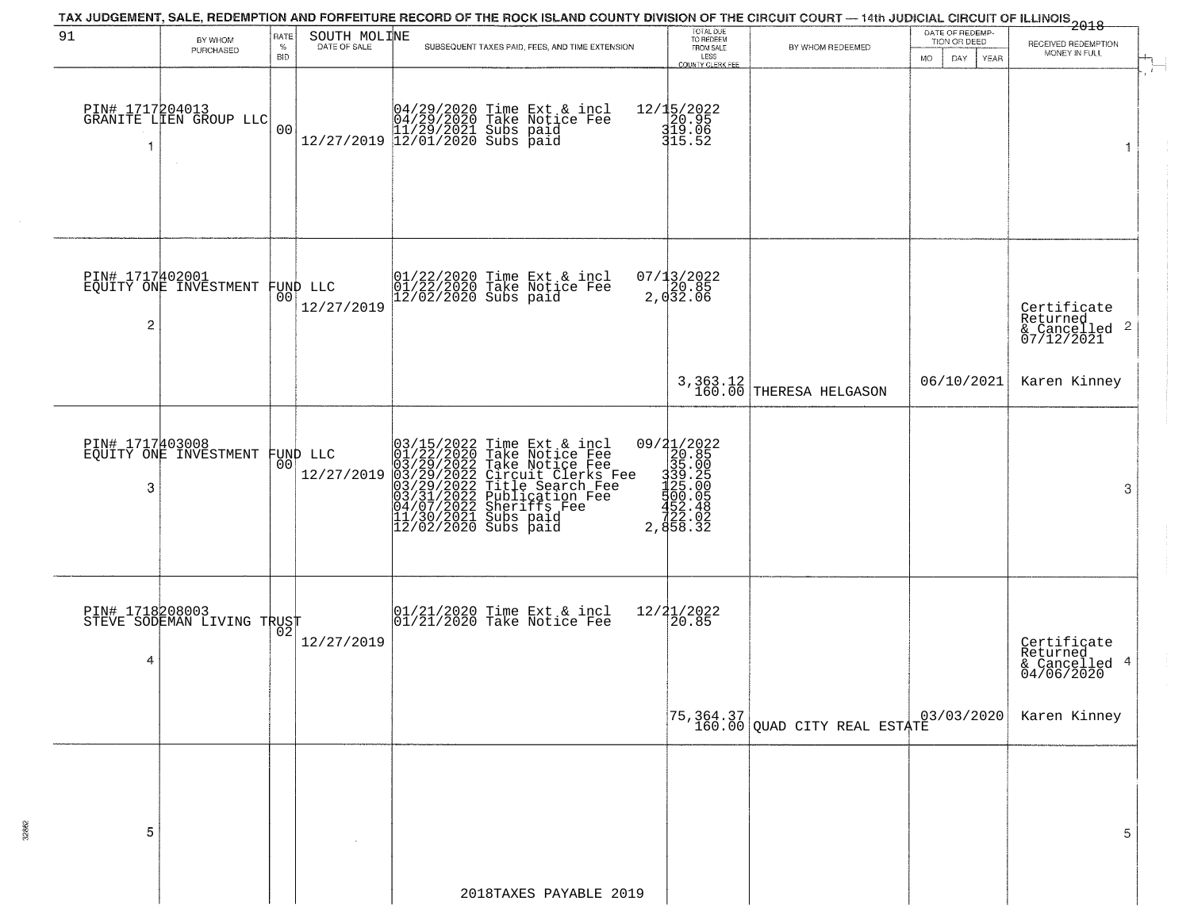|                |                                                   |                  |                              | TAX JUDGEMENT, SALE, REDEMPTION AND FORFEITURE RECORD OF THE ROCK ISLAND COUNTY DIVISION OF THE CIRCUIT COURT — 14th JUDICIAL CIRCUIT OF ILLINOIS 2018                                                                                                |                                                                                     |                                                                           |                                                        |                                                                    |
|----------------|---------------------------------------------------|------------------|------------------------------|-------------------------------------------------------------------------------------------------------------------------------------------------------------------------------------------------------------------------------------------------------|-------------------------------------------------------------------------------------|---------------------------------------------------------------------------|--------------------------------------------------------|--------------------------------------------------------------------|
| 91             | BY WHOM<br>PURCHASED                              | RATE<br>%<br>BID | SOUTH MOLINE<br>DATE OF SALE | SUBSEQUENT TAXES PAID, FEES, AND TIME EXTENSION                                                                                                                                                                                                       | TOTAL DUE<br>TO REDEEM<br>FROM SALE<br>LESS<br><b>COUNTY CLERK FEE</b>              | BY WHOM REDEEMED                                                          | DATE OF REDEMP-<br>TION OR DEED<br>DAY.<br>YEAR<br>MO. | RECEIVED REDEMPTION<br>MONEY IN FULL                               |
|                | PIN# 1717204013<br>GRANITE LIEN GROUP LLC         | 0 <sub>0</sub>   |                              |                                                                                                                                                                                                                                                       | 12/15/2022<br>20.95<br>319.06<br>315.52                                             |                                                                           |                                                        | $\pm$<br>1                                                         |
| $\overline{2}$ | PIN# 1717402001<br>EQUITY ONE INVESTMENT FUND LLC | 00               | 12/27/2019                   | 01/22/2020 Time Ext & incl<br>01/22/2020 Take Notice Fee<br>12/02/2020 Subs paid                                                                                                                                                                      | 07/13/2022<br>20.85<br>2,032.06                                                     |                                                                           |                                                        | Certificate<br>Returned<br>$\frac{1}{6}$ Cancelled 2<br>07/12/2021 |
|                |                                                   |                  |                              |                                                                                                                                                                                                                                                       |                                                                                     | 3, 363.12<br>160.00 THERESA HELGASON                                      | 06/10/2021                                             | Karen Kinney                                                       |
| 3              | PIN# 1717403008<br>EQUITY ONE INVESTMENT          | 00               | FUND LLC<br>12/27/2019       | 03/15/2022 Time Ext & incl<br>01/22/2020 Take Notice Fee<br>03/29/2022 Take Notice Fee<br>03/29/2022 Tircuit Clerks Fee<br>03/29/2022 Title Search Fee<br>03/31/2022 Publication Fee<br>04/07/2022 Sheriffs Fee<br>11/30/2021 Subs paid<br>12/02/2020 | 09/21/2022<br>20.85<br>335.005<br>335.005<br>325.005<br>452025<br>2,058.32<br>33.32 |                                                                           |                                                        | 3                                                                  |
| 4              | PIN# 1718208003<br>STEVE SODEMAN LIVING TRUST     |                  | 12/27/2019                   | $\begin{array}{cc}  01/21/2020 \rangle \\  01/21/2020 \rangle \rangle \end{array}$ Take Notice Fee                                                                                                                                                    | 12/21/2022<br>120.85                                                                |                                                                           |                                                        | Certificate<br>Returned<br>& Cancelled 4<br>04/06/2020             |
|                |                                                   |                  |                              |                                                                                                                                                                                                                                                       |                                                                                     | $\begin{bmatrix} 75,364.37 \\ 160.00 \end{bmatrix}$ QUAD CITY REAL ESTATE |                                                        | Karen Kinney                                                       |
| 5              |                                                   |                  |                              |                                                                                                                                                                                                                                                       |                                                                                     |                                                                           |                                                        | 5                                                                  |
|                |                                                   |                  |                              | 2018TAXES PAYABLE 2019                                                                                                                                                                                                                                |                                                                                     |                                                                           |                                                        |                                                                    |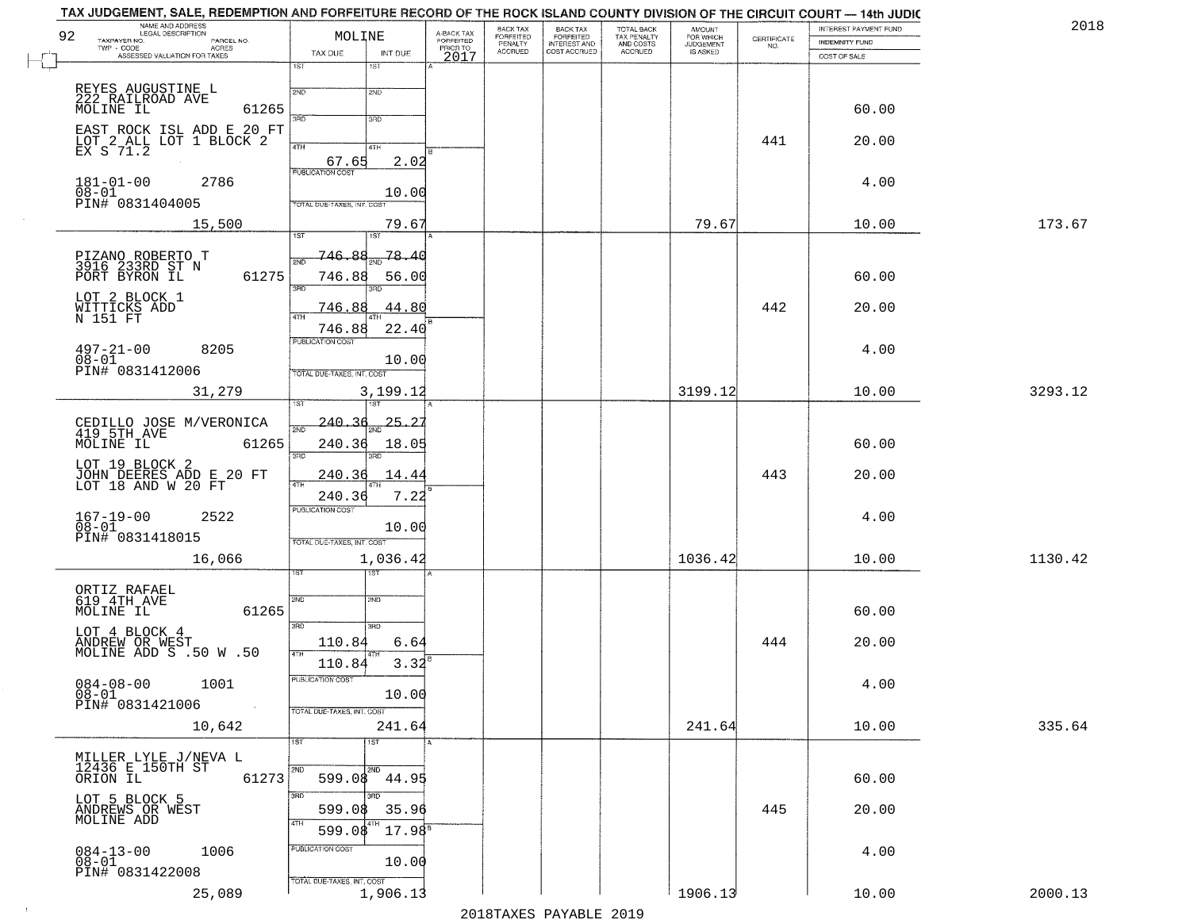| NAME AND ADDRESS<br>LEGAL DESCRIPTION<br>92<br>TAXPAYER NO.<br>PARCEL NO.<br>TWP - CODE | MOLINE                                          | A-BACK TAX<br>FORFEITED<br>PRIOR TO | BACK TAX<br>FORFEITED<br>PENALTY | BACK TAX<br>FORFEITED<br>INTEREST AND | TOTAL BACK<br>TAX PENALTY<br>AND COSTS | AMOUNT<br>FOR WHICH<br>JUDGEMENT | $\begin{array}{c} \text{CERTIFICATE} \\ \text{NO.} \end{array}$ | INTEREST PAYMENT FUND<br><b>INDEMNITY FUND</b> | 2018    |
|-----------------------------------------------------------------------------------------|-------------------------------------------------|-------------------------------------|----------------------------------|---------------------------------------|----------------------------------------|----------------------------------|-----------------------------------------------------------------|------------------------------------------------|---------|
| ACRES<br>ASSESSED VALUATION FOR TAXES                                                   | INT DUE<br>TAX DUE<br>1ST<br>1ST                | 2017                                | <b>ACCRUED</b>                   | COST ACCRUED                          | <b>ACCRUED</b>                         | IS ASKED                         |                                                                 | COST OF SALE                                   |         |
| REYES AUGUSTINE L                                                                       | 2ND<br>2ND                                      |                                     |                                  |                                       |                                        |                                  |                                                                 |                                                |         |
| 222 RAILROAD AVE<br>MOLINE IL<br>61265                                                  | 350<br>3RD                                      |                                     |                                  |                                       |                                        |                                  |                                                                 | 60.00                                          |         |
| EAST ROCK ISL ADD E 20 FT<br>LOT 2 ALL LOT 1 BLOCK 2<br>EX S 71.2                       | 4TH<br>4TH                                      |                                     |                                  |                                       |                                        |                                  | 441                                                             | 20.00                                          |         |
| $181 - 01 - 00$<br>2786<br>$08 - 01$                                                    | 67.65<br><b>PUBLICATION COST</b>                | 2.02<br>10.00                       |                                  |                                       |                                        |                                  |                                                                 | 4.00                                           |         |
| PIN# 0831404005                                                                         | TOTAL DUE-TAXES, INT. COST                      |                                     |                                  |                                       |                                        |                                  |                                                                 |                                                |         |
| 15,500                                                                                  | 1ST<br>iST                                      | 79.67                               |                                  |                                       |                                        | 79.67                            |                                                                 | 10.00                                          | 173.67  |
| PIZANO ROBERTO T<br>3916 233RD ST N<br>PORT BYRON IL<br>61275                           | 78.<br>746.88<br>2ND<br>746.88                  | -4 C<br>56.00                       |                                  |                                       |                                        |                                  |                                                                 | 60.00                                          |         |
| LOT 2 BLOCK 1<br>WITTICKS ADD<br>$N$ 151 $FT$                                           | $\overline{\text{3BD}}$<br>חוז<br>746.88<br>47H | 44.80                               |                                  |                                       |                                        |                                  | 442                                                             | 20.00                                          |         |
| 8205<br>$497 - 21 - 00$<br>$08 - 01$                                                    | 746.88<br>PUBLICATION COST                      | 22.40<br>10.00                      |                                  |                                       |                                        |                                  |                                                                 | 4.00                                           |         |
| PIN# 0831412006<br>31,279                                                               | TOTAL DUE-TAXES, INT. COST<br>3,199.12<br>1ST   |                                     |                                  |                                       |                                        | 3199.12                          |                                                                 | 10.00                                          | 3293.12 |
| CEDILLO JOSE M/VERONICA<br>419 5TH_AVE                                                  | 240.36<br>2ND                                   | <u> 25. 25</u>                      |                                  |                                       |                                        |                                  |                                                                 |                                                |         |
| MOLINE IL<br>61265                                                                      | 240.36<br>3BD<br>3RD                            | 18.05                               |                                  |                                       |                                        |                                  |                                                                 | 60.00                                          |         |
| LOT 19 BLOCK 2<br>JOHN DEERES ADD E 20 FT<br>LOT 18 AND W 20 FT                         | 240.36<br>4TH                                   | 14.44                               |                                  |                                       |                                        |                                  | 443                                                             | 20.00                                          |         |
| 2522                                                                                    | 240.36<br>PUBLICATION COST                      | 7.22                                |                                  |                                       |                                        |                                  |                                                                 | 4.00                                           |         |
| 167-19-00<br>08-01<br>PIN# 0831418015                                                   | TOTAL OUE-TAXES, INT. COST                      | 10.00                               |                                  |                                       |                                        |                                  |                                                                 |                                                |         |
| 16,066                                                                                  | 1,036.42<br>१९४                                 |                                     |                                  |                                       |                                        | 1036.42                          |                                                                 | 10.00                                          | 1130.42 |
| ORTIZ RAFAEL<br>619 4TH AVE                                                             | 2ND<br>2ND                                      |                                     |                                  |                                       |                                        |                                  |                                                                 |                                                |         |
| MOLINE IL<br>61265<br>LOT 4 BLOCK 4                                                     | 3RD<br>3RD                                      |                                     |                                  |                                       |                                        |                                  |                                                                 | 60.00                                          |         |
| ANDREW OR WEST<br>MOLINE ADD S .50 W .50                                                | 110.84<br>4TH                                   | 6.64                                |                                  |                                       |                                        |                                  | 444                                                             | 20.00                                          |         |
| $084 - 08 - 00$<br>1001<br>$08 - 01$                                                    | 110.84<br>PUBLICATION COST                      | 3.32<br>10.00                       |                                  |                                       |                                        |                                  |                                                                 | 4.00                                           |         |
| PIN# 0831421006<br>$\sim$ $\sim$<br>10,642                                              | TOTAL DUE-TAXES, INT. COST<br>241.64            |                                     |                                  |                                       |                                        | 241.64                           |                                                                 | 10.00                                          | 335.64  |
| MILLER LYLE J/NEVA L<br>12436 E 150TH ST                                                | 1ST<br>1ST                                      |                                     |                                  |                                       |                                        |                                  |                                                                 |                                                |         |
| 61273<br>ORION IL                                                                       | 2ND<br>2ND<br>599.08<br>44.95                   |                                     |                                  |                                       |                                        |                                  |                                                                 | 60.00                                          |         |
| LOT 5 BLOCK 5<br>ANDREWS OR WEST<br>MOLINE ADD                                          | 3BD<br>3RD.<br>599.08<br>4TH                    | 35.96                               |                                  |                                       |                                        |                                  | 445                                                             | 20.00                                          |         |
|                                                                                         | 599.08<br>PUBLICATION COST                      | $17.98^8$                           |                                  |                                       |                                        |                                  |                                                                 |                                                |         |
| $084 - 13 - 00$<br>$08 - 01$<br>1006<br>PIN# 0831422008                                 | TOTAL DUE-TAXES, INT. COST                      | 10.00                               |                                  |                                       |                                        |                                  |                                                                 | 4.00                                           |         |
| 25,089                                                                                  | 1,906.13                                        |                                     |                                  |                                       |                                        | 1906.13                          |                                                                 | 10.00                                          | 2000.13 |

2018TAXES PAYABLE 2019

 $\sim 10^{-1}$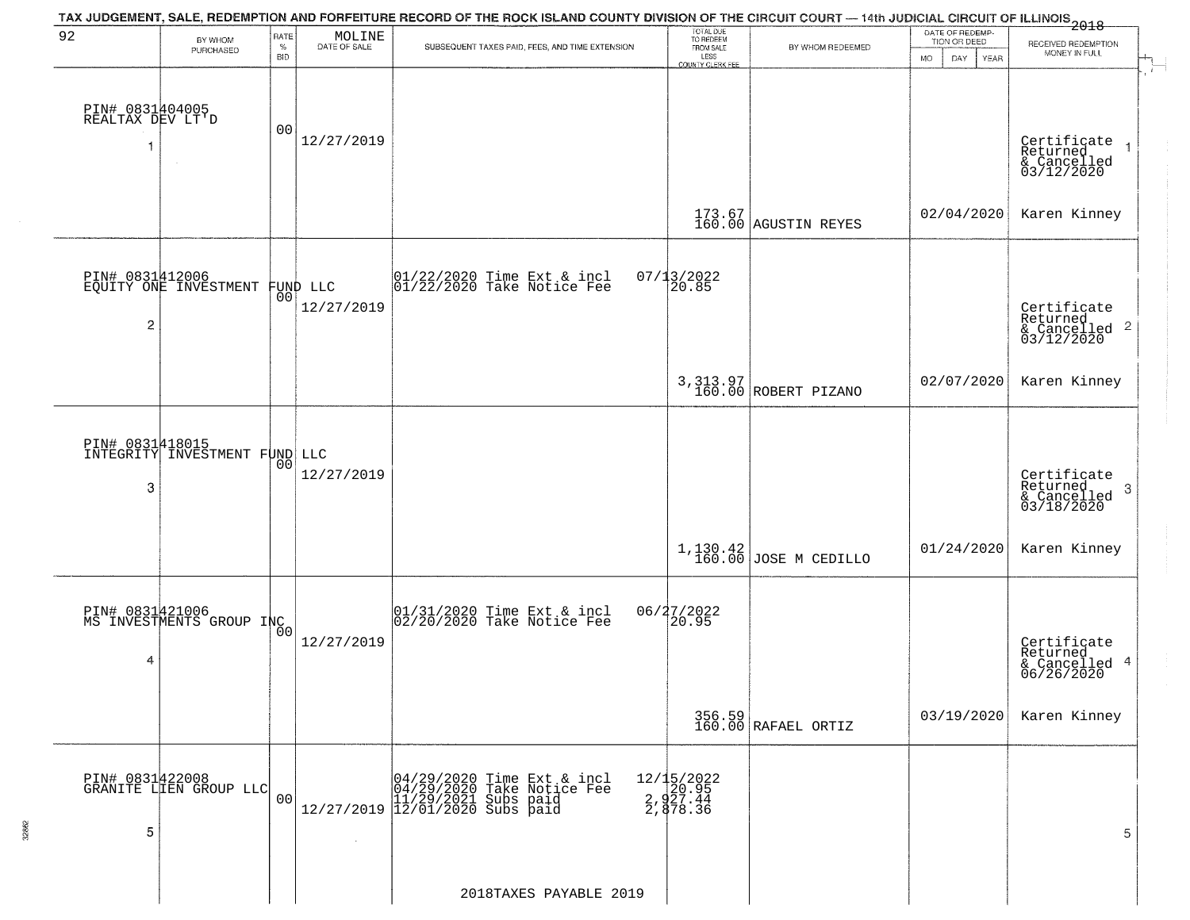| 92                                  | BY WHOM<br>PURCHASED                             | RATE<br>$\%$ | MOLINE<br>DATE OF SALE         | TAX JUDGEMENT, SALE, REDEMPTION AND FORFEITURE RECORD OF THE ROCK ISLAND COUNTY DIVISION OF THE CIRCUIT COURT — 14th JUDICIAL CIRCUIT OF ILLINOIS 2018<br>SUBSEQUENT TAXES PAID, FEES, AND TIME EXTENSION | TOTAL DUE<br>TO REDEEM<br>FROM SALE         | BY WHOM REDEEMED                                              | DATE OF REDEMP-<br>TION OR DEED | RECEIVED REDEMPTION<br>MONEY IN FULL                        |
|-------------------------------------|--------------------------------------------------|--------------|--------------------------------|-----------------------------------------------------------------------------------------------------------------------------------------------------------------------------------------------------------|---------------------------------------------|---------------------------------------------------------------|---------------------------------|-------------------------------------------------------------|
|                                     |                                                  | <b>BID</b>   |                                |                                                                                                                                                                                                           | LESS<br>COUNTY CLERK FEE                    |                                                               | <b>MO</b><br>DAY<br>YEAR        |                                                             |
| PIN# 0831404005<br>REALTAX DEV LT'D |                                                  | 00           | 12/27/2019                     |                                                                                                                                                                                                           |                                             |                                                               |                                 | Certificate<br>Returned                                     |
|                                     |                                                  |              |                                |                                                                                                                                                                                                           |                                             |                                                               |                                 | & Cancelled<br>03/12/2020                                   |
|                                     |                                                  |              |                                |                                                                                                                                                                                                           |                                             | $\begin{array}{c} 173.67 \\ 160.00 \end{array}$ AGUSTIN REYES | 02/04/2020                      | Karen Kinney                                                |
|                                     | PIN# 0831412006<br>EQUITY ONE INVESTMENT         |              |                                | $ 01/22/2020$ Time Ext & incl<br>$ 01/22/2020$ Take Notice Fee                                                                                                                                            | $07/13/2022$<br>20.85                       |                                                               |                                 |                                                             |
| $\overline{c}$                      |                                                  |              | FUND LLC<br> 00 <br>12/27/2019 |                                                                                                                                                                                                           |                                             |                                                               |                                 | Certificate<br>Returned<br>$\frac{12241164}{603/12/2020}$ 2 |
|                                     |                                                  |              |                                |                                                                                                                                                                                                           |                                             | 3,313.97<br>160.00 ROBERT PIZANO                              | 02/07/2020                      | Karen Kinney                                                |
|                                     | PIN# 0831418015<br>INTEGRITY INVESTMENT FUND LLC |              |                                |                                                                                                                                                                                                           |                                             |                                                               |                                 |                                                             |
| 3                                   |                                                  | 00           | 12/27/2019                     |                                                                                                                                                                                                           |                                             |                                                               |                                 | Certificate<br>Returned<br>3<br>$\frac{1}{03/18/2020}$      |
|                                     |                                                  |              |                                |                                                                                                                                                                                                           | 1,130.42<br>160.00                          | JOSE M CEDILLO                                                | 01/24/2020                      | Karen Kinney                                                |
|                                     | PIN# 0831421006<br>MS INVESTMENTS GROUP INC      |              |                                | $01/31/2020$ Time Ext & incl<br>$02/20/2020$ Take Notice Fee                                                                                                                                              | 06/27/2022<br>$\overline{20.95}$            |                                                               |                                 |                                                             |
| 4                                   |                                                  |              | 12/27/2019                     |                                                                                                                                                                                                           |                                             |                                                               |                                 | Certificate<br>Returned<br>& Cancelled 4<br>06/26/2020      |
|                                     |                                                  |              |                                |                                                                                                                                                                                                           |                                             | 356.59<br>160.00 RAFAEL ORTIZ                                 | 03/19/2020                      | Karen Kinney                                                |
|                                     | PIN# 0831422008<br>GRANITE LIEN GROUP LLC        |              |                                |                                                                                                                                                                                                           |                                             |                                                               |                                 |                                                             |
| 5                                   |                                                  | 00           |                                |                                                                                                                                                                                                           | 12/15/2022<br>20.95<br>2,927.44<br>2,878.36 |                                                               |                                 | 5                                                           |
|                                     |                                                  |              |                                |                                                                                                                                                                                                           |                                             |                                                               |                                 |                                                             |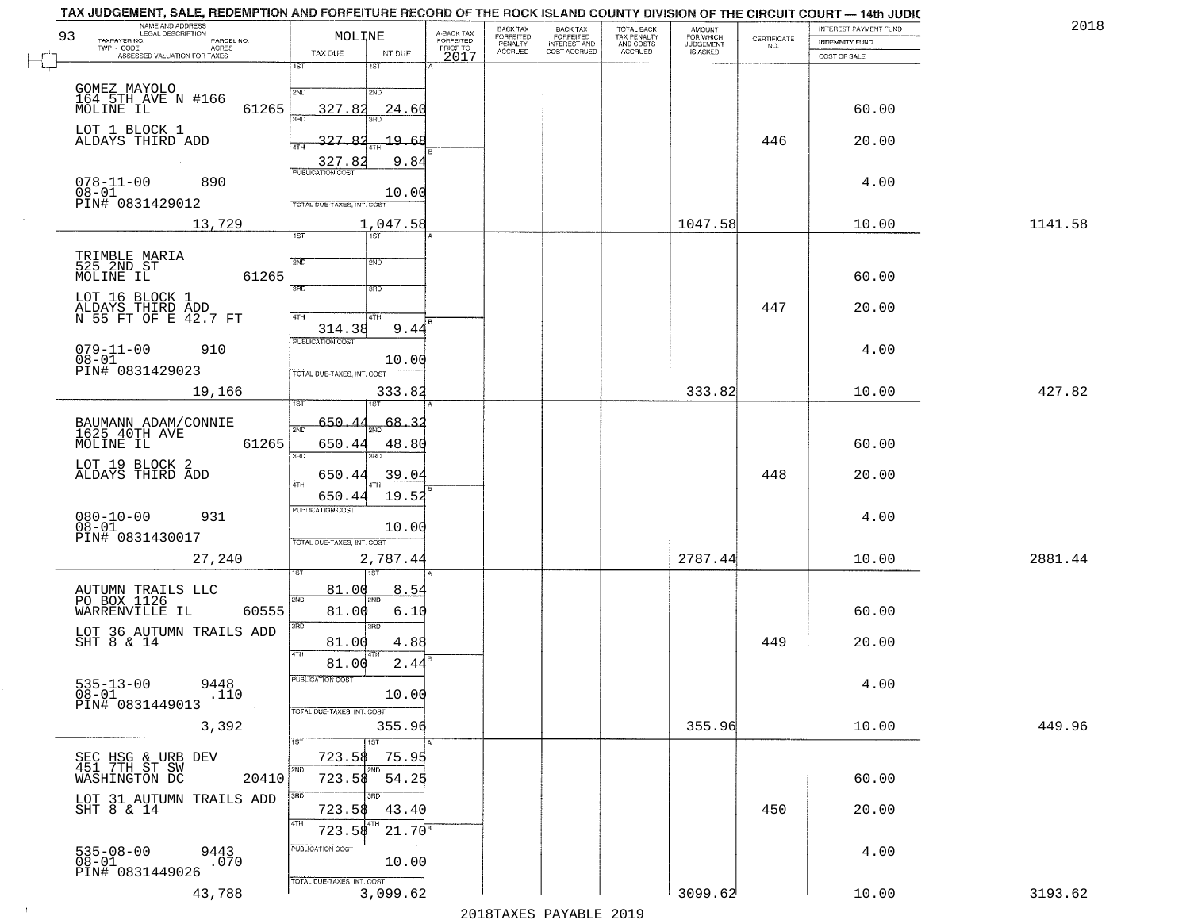|    | TAX JUDGEMENT, SALE, REDEMPTION AND FORFEITURE RECORD OF THE ROCK ISLAND COUNTY DIVISION OF THE CIRCUIT COURT — 14th JUDIC |                            |                       |                                     |                                 |                                                       |                                        |                                  |                                                                 |                       |         |
|----|----------------------------------------------------------------------------------------------------------------------------|----------------------------|-----------------------|-------------------------------------|---------------------------------|-------------------------------------------------------|----------------------------------------|----------------------------------|-----------------------------------------------------------------|-----------------------|---------|
| 93 | NAME AND ADDRESS<br>LEGAL DESCRIPTION                                                                                      | MOLINE                     |                       |                                     | BACK TAX                        | BACK TAX<br>FORFEITED<br>INTEREST AND<br>COST ACCRUED | TOTAL BACK<br>TAX PENALTY<br>AND COSTS | AMOUNT<br>FOR WHICH<br>JUDGEMENT |                                                                 | INTEREST PAYMENT FUND | 2018    |
|    | TAXPAYER NO.<br>PARCEL NO.<br>$TWP - CODE$                                                                                 |                            |                       | A-BACK TAX<br>FORFEITED<br>PRIOR TO | FORFEITED<br>PENALTY<br>ACCRUED |                                                       |                                        |                                  | $\begin{array}{c} \text{CERTIFICATE} \\ \text{NO.} \end{array}$ | <b>INDEMNITY FUND</b> |         |
|    | - CODE<br>ASSESSED VALUATION FOR TAXES                                                                                     | TAX DUE                    | INT DUE               | 2017                                |                                 |                                                       | ACCRUED                                | IS ASKED                         |                                                                 | COST OF SALE          |         |
|    |                                                                                                                            | $\overline{1ST}$           | 1ST                   |                                     |                                 |                                                       |                                        |                                  |                                                                 |                       |         |
|    | GOMEZ MAYOLO<br>164 5TH AVE N #166                                                                                         | 2ND                        | 2ND                   |                                     |                                 |                                                       |                                        |                                  |                                                                 |                       |         |
|    |                                                                                                                            |                            |                       |                                     |                                 |                                                       |                                        |                                  |                                                                 |                       |         |
|    | 61265<br>MOLINE IL                                                                                                         | 327.82<br>3AD              | 24.60                 |                                     |                                 |                                                       |                                        |                                  |                                                                 | 60.00                 |         |
|    | LOT 1 BLOCK 1                                                                                                              |                            |                       |                                     |                                 |                                                       |                                        |                                  |                                                                 |                       |         |
|    | ALDAYS THIRD ADD                                                                                                           | $-327.82$<br>4TH           | 19.68                 |                                     |                                 |                                                       |                                        |                                  | 446                                                             | 20.00                 |         |
|    |                                                                                                                            | 327.82                     | 9.84                  |                                     |                                 |                                                       |                                        |                                  |                                                                 |                       |         |
|    |                                                                                                                            | <b>PUBLICATION COST</b>    |                       |                                     |                                 |                                                       |                                        |                                  |                                                                 |                       |         |
|    | $078 - 11 - 00$<br>890                                                                                                     |                            |                       |                                     |                                 |                                                       |                                        |                                  |                                                                 | 4.00                  |         |
|    | $08-01$<br>PIN# 0831429012                                                                                                 | TOTAL DUE-TAXES, INT. COST | 10.00                 |                                     |                                 |                                                       |                                        |                                  |                                                                 |                       |         |
|    |                                                                                                                            |                            |                       |                                     |                                 |                                                       |                                        |                                  |                                                                 |                       |         |
|    | 13,729                                                                                                                     | 1ST                        | 1,047.58<br>1ST       |                                     |                                 |                                                       |                                        | 1047.58                          |                                                                 | 10.00                 | 1141.58 |
|    |                                                                                                                            |                            |                       |                                     |                                 |                                                       |                                        |                                  |                                                                 |                       |         |
|    | TRIMBLE MARIA<br>525_2ND_ST                                                                                                | 2ND                        | 2ND                   |                                     |                                 |                                                       |                                        |                                  |                                                                 |                       |         |
|    | 61265<br>MOLINE IL                                                                                                         |                            |                       |                                     |                                 |                                                       |                                        |                                  |                                                                 | 60.00                 |         |
|    |                                                                                                                            | 3RD                        | 3RD                   |                                     |                                 |                                                       |                                        |                                  |                                                                 |                       |         |
|    | LOT 16 BLOCK 1                                                                                                             |                            |                       |                                     |                                 |                                                       |                                        |                                  |                                                                 |                       |         |
|    | ALDAYS THIRD ADD<br>N 55 FT OF E 42.7 FT                                                                                   | 47H                        | 4TH                   |                                     |                                 |                                                       |                                        |                                  | 447                                                             | 20.00                 |         |
|    |                                                                                                                            | 314.38                     | 9.44                  |                                     |                                 |                                                       |                                        |                                  |                                                                 |                       |         |
|    | 910                                                                                                                        | <b>PUBLICATION COST</b>    |                       |                                     |                                 |                                                       |                                        |                                  |                                                                 |                       |         |
|    | $079 - 11 - 00$<br>$08 - 01$                                                                                               |                            | 10.00                 |                                     |                                 |                                                       |                                        |                                  |                                                                 | 4.00                  |         |
|    | PIN# 0831429023                                                                                                            | TOTAL DUE-TAXES, INT. COST |                       |                                     |                                 |                                                       |                                        |                                  |                                                                 |                       |         |
|    | 19,166                                                                                                                     |                            | 333.82                |                                     |                                 |                                                       |                                        | 333.82                           |                                                                 | 10.00                 | 427.82  |
|    |                                                                                                                            | 'S'I                       |                       |                                     |                                 |                                                       |                                        |                                  |                                                                 |                       |         |
|    |                                                                                                                            |                            |                       |                                     |                                 |                                                       |                                        |                                  |                                                                 |                       |         |
|    | BAUMANN ADAM/CONNIE<br>1625 40TH AVE                                                                                       | 650.44<br>2ND              | $\frac{1}{2ND}$ 68.32 |                                     |                                 |                                                       |                                        |                                  |                                                                 |                       |         |
|    | 61265<br>MOLINE IL                                                                                                         | 650.44                     | 48.80                 |                                     |                                 |                                                       |                                        |                                  |                                                                 | 60.00                 |         |
|    |                                                                                                                            | $\overline{3BD}$           | 3RD                   |                                     |                                 |                                                       |                                        |                                  |                                                                 |                       |         |
|    | LOT 19 BLOCK 2<br>ALDAYS THIRD ADD                                                                                         | 650.44                     | 39.04                 |                                     |                                 |                                                       |                                        |                                  | 448                                                             | 20.00                 |         |
|    |                                                                                                                            | 4TH                        |                       |                                     |                                 |                                                       |                                        |                                  |                                                                 |                       |         |
|    |                                                                                                                            | 650.44                     | 19.52                 |                                     |                                 |                                                       |                                        |                                  |                                                                 |                       |         |
|    | $080 - 10 - 00$<br>931                                                                                                     | <b>PUBLICATION COST</b>    |                       |                                     |                                 |                                                       |                                        |                                  |                                                                 | 4.00                  |         |
|    | $08 - 01$                                                                                                                  |                            | 10.00                 |                                     |                                 |                                                       |                                        |                                  |                                                                 |                       |         |
|    | PIN# 0831430017                                                                                                            | TOTAL OUE-TAXES, INT. COST |                       |                                     |                                 |                                                       |                                        |                                  |                                                                 |                       |         |
|    | 27,240                                                                                                                     |                            | 2,787.44              |                                     |                                 |                                                       |                                        | 2787.44                          |                                                                 | 10.00                 | 2881.44 |
|    |                                                                                                                            |                            |                       |                                     |                                 |                                                       |                                        |                                  |                                                                 |                       |         |
|    |                                                                                                                            | 81.00                      | 8.54                  |                                     |                                 |                                                       |                                        |                                  |                                                                 |                       |         |
|    | AUTUMN TRAILS LLC<br>PO BOX 1126                                                                                           | 2ND                        |                       |                                     |                                 |                                                       |                                        |                                  |                                                                 |                       |         |
|    | WARRENVILLE IL<br>60555                                                                                                    | 81.00                      | 6.10                  |                                     |                                 |                                                       |                                        |                                  |                                                                 | 60.00                 |         |
|    |                                                                                                                            | 3BD                        | $\overline{3BD}$      |                                     |                                 |                                                       |                                        |                                  |                                                                 |                       |         |
|    | LOT 36 AUTUMN TRAILS ADD SHT 8 $\&$ 14                                                                                     | 81.00                      | 4.88                  |                                     |                                 |                                                       |                                        |                                  | 449                                                             | 20.00                 |         |
|    |                                                                                                                            | 4TH<br>81.00               | 2.44                  |                                     |                                 |                                                       |                                        |                                  |                                                                 |                       |         |
|    |                                                                                                                            | PUBLICATION COST           |                       |                                     |                                 |                                                       |                                        |                                  |                                                                 |                       |         |
|    | 9448<br>$535 - 13 - 00$                                                                                                    |                            |                       |                                     |                                 |                                                       |                                        |                                  |                                                                 | 4.00                  |         |
|    | 08-01<br>PIN# 0831449013<br>$.1\bar{1}0$                                                                                   |                            | 10.00                 |                                     |                                 |                                                       |                                        |                                  |                                                                 |                       |         |
|    |                                                                                                                            | TOTAL DUE-TAXES, INT. COST |                       |                                     |                                 |                                                       |                                        |                                  |                                                                 |                       |         |
|    | 3,392                                                                                                                      |                            | 355.96                |                                     |                                 |                                                       |                                        | 355.96                           |                                                                 | 10.00                 | 449.96  |
|    |                                                                                                                            | 1ST                        | 1ST                   |                                     |                                 |                                                       |                                        |                                  |                                                                 |                       |         |
|    | SEC HSG & URB DEV<br>451 7TH ST SW                                                                                         | 723.58                     | 75.95                 |                                     |                                 |                                                       |                                        |                                  |                                                                 |                       |         |
|    | WASHINGTON DC<br>20410                                                                                                     | 2ND<br>723.58              | 54.25                 |                                     |                                 |                                                       |                                        |                                  |                                                                 | 60.00                 |         |
|    |                                                                                                                            |                            |                       |                                     |                                 |                                                       |                                        |                                  |                                                                 |                       |         |
|    | LOT 31 AUTUMN TRAILS ADD                                                                                                   | 3RD                        | 3 <sub>BD</sub>       |                                     |                                 |                                                       |                                        |                                  |                                                                 |                       |         |
|    | SHT 8 & 14                                                                                                                 | 723.58<br>4TH              | 43.40                 |                                     |                                 |                                                       |                                        |                                  | 450                                                             | 20.00                 |         |
|    |                                                                                                                            | 723.58                     | $21.70^{8}$           |                                     |                                 |                                                       |                                        |                                  |                                                                 |                       |         |
|    | $535 - 08 - 00$                                                                                                            | PUBLICATION COST           |                       |                                     |                                 |                                                       |                                        |                                  |                                                                 | 4.00                  |         |
|    | 9443<br>.070<br>$08 - 01$                                                                                                  |                            | 10.00                 |                                     |                                 |                                                       |                                        |                                  |                                                                 |                       |         |
|    | PIN# 0831449026                                                                                                            | TOTAL DUE-TAXES, INT. COST |                       |                                     |                                 |                                                       |                                        |                                  |                                                                 |                       |         |
|    | 43,788                                                                                                                     |                            | 3,099.62              |                                     |                                 |                                                       |                                        | 3099.62                          |                                                                 | 10.00                 | 3193.62 |

 $\sim 100$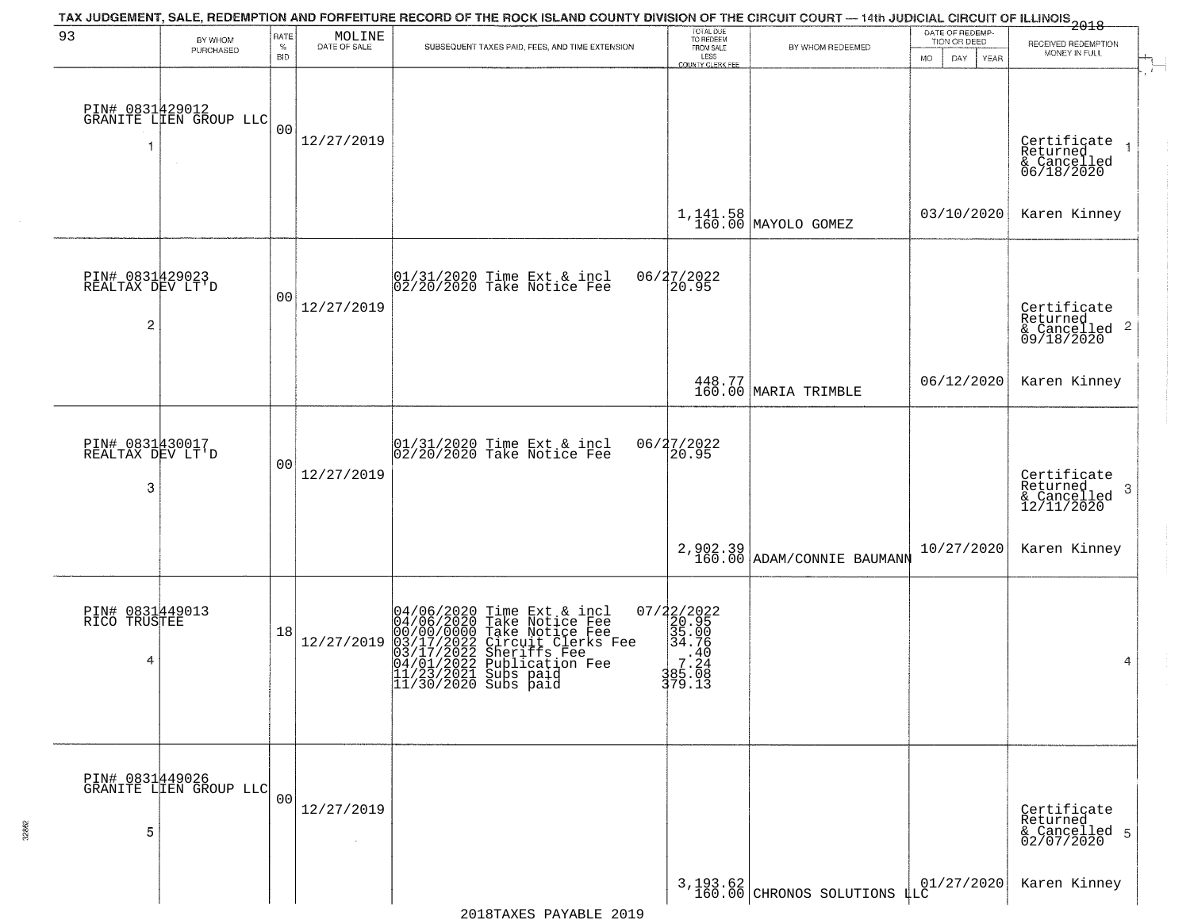| 93                                       |                                           | RATE           |                        | TAX JUDGEMENT, SALE, REDEMPTION AND FORFEITURE RECORD OF THE ROCK ISLAND COUNTY DIVISION OF THE CIRCUIT COURT — 14th JUDICIAL CIRCUIT OF ILLINOIS 2018                                                                               |                                                                                                           |                                              | DATE OF REDEMP-<br>TION OR DEED |                                                        |
|------------------------------------------|-------------------------------------------|----------------|------------------------|--------------------------------------------------------------------------------------------------------------------------------------------------------------------------------------------------------------------------------------|-----------------------------------------------------------------------------------------------------------|----------------------------------------------|---------------------------------|--------------------------------------------------------|
|                                          | BY WHOM<br>PURCHASED                      | $\%$           | MOLINE<br>DATE OF SALE | SUBSEQUENT TAXES PAID, FEES, AND TIME EXTENSION                                                                                                                                                                                      | TOTAL DUE<br>TO REDEEM<br>FROM SALE                                                                       | BY WHOM REDEEMED                             |                                 | RECEIVED REDEMPTION<br>MONEY IN FULL                   |
|                                          |                                           | <b>BID</b>     |                        |                                                                                                                                                                                                                                      | LESS<br>COUNTY CLERK FEE                                                                                  |                                              | <b>MO</b><br>DAY<br>YEAR        |                                                        |
| -1                                       | PIN# 0831429012<br>GRANITE LIEN GROUP LLC | 0 <sub>0</sub> | 12/27/2019             |                                                                                                                                                                                                                                      |                                                                                                           |                                              |                                 | Certificate<br>Returned<br>& Cancelled<br>06/18/2020   |
|                                          |                                           |                |                        |                                                                                                                                                                                                                                      |                                                                                                           | $1,141.58$ MAYOLO GOMEZ                      | 03/10/2020                      | Karen Kinney                                           |
| PIN# 0831429023<br>REALTAX DEV LT'D<br>2 |                                           | 00             | 12/27/2019             | 01/31/2020 Time Ext & incl<br>02/20/2020 Take Notice Fee                                                                                                                                                                             | 06/27/2022<br>20.95                                                                                       |                                              |                                 | Certificate<br>Returned<br>& Cancelled 2<br>09/18/2020 |
|                                          |                                           |                |                        |                                                                                                                                                                                                                                      |                                                                                                           | 448.77<br>160.00 MARIA TRIMBLE               | 06/12/2020                      | Karen Kinney                                           |
| PIN# 0831430017<br>REALTAX DEV LT'D<br>3 |                                           | 00             | 12/27/2019             | 01/31/2020 Time Ext & incl<br>02/20/2020 Take Notice Fee                                                                                                                                                                             | 06/27/2022<br>20.95                                                                                       |                                              |                                 | Certificate<br>Returned<br>3<br>$\frac{6}{12/11/2020}$ |
|                                          |                                           |                |                        |                                                                                                                                                                                                                                      | 2,902.39<br>160.00                                                                                        | ADAM/CONNIE BAUMANN                          | 10/27/2020                      | Karen Kinney                                           |
| PIN# 0831449013<br>RICO TRUSTEE<br>4     |                                           | 18             | 12/27/2019             | 04/06/2020 Time Ext & incl<br>04/06/2020 Take Notice Fee<br>00/00/00000 Take Notice Fee<br>03/17/2022 Circuit Clerks Fee<br>03/17/2022 Sublication Fee<br>04/01/2022 Publication Fee<br>11/23/2021 Subs paid<br>11/30/2020 Subs paid | 07/22/2022<br>20.95<br>35.00<br>34.76<br>$\begin{array}{rr} 7.40 \\ 7.24 \\ 385.08 \end{array}$<br>379.13 |                                              |                                 | 4                                                      |
| 5                                        | PIN# 0831449026<br>GRANITE LIEN GROUP LLC | 00             | 12/27/2019             |                                                                                                                                                                                                                                      |                                                                                                           |                                              |                                 | Certificate<br>Returned<br>& Cancelled 5<br>02/07/2020 |
|                                          |                                           |                |                        |                                                                                                                                                                                                                                      |                                                                                                           | $3,193.62$ CHRONOS SOLUTIONS $\frac{100}{4}$ | 01/27/2020                      | Karen Kinney                                           |

32862

2018TAXES PAYABLE 2019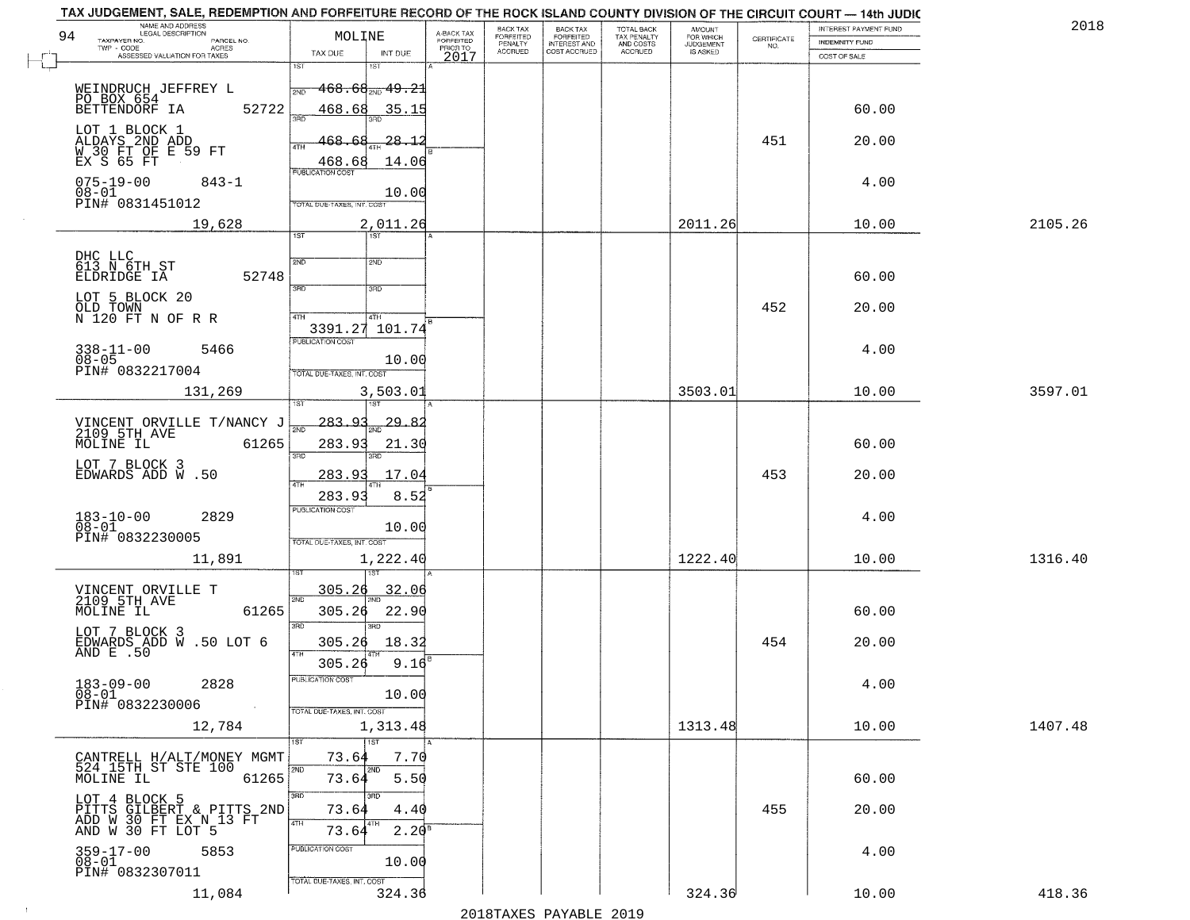| NAME AND ADDRESS<br>LEGAL DESCRIPTION<br>94                                               | MOLINE                                                           |                                     | BACK TAX             | <b>BACK TAX</b>           | TOTAL BACK<br>TAX PENALTY<br>AND COSTS | AMOUNT<br>FOR WHICH |                    | INTEREST PAYMENT FUND | 2018    |
|-------------------------------------------------------------------------------------------|------------------------------------------------------------------|-------------------------------------|----------------------|---------------------------|----------------------------------------|---------------------|--------------------|-----------------------|---------|
| TAXPAYER NO.<br>PARCEL NO.<br>ACRES                                                       |                                                                  | A-BACK TAX<br>FORFEITED<br>PRIOR TO | FORFEITED<br>PENALTY | FORFEITED<br>INTEREST AND |                                        | <b>JUDGEMENT</b>    | CERTIFICATE<br>NO. | <b>INDEMNITY FUND</b> |         |
| ASSESSED VALUATION FOR TAXES                                                              | TAX DUE<br>INT DUE<br>1ST<br>1ST                                 | 2017                                | <b>ACCRUED</b>       | COST ACCRUED              | ACCRUED                                | <b>IS ASKED</b>     |                    | COST OF SALE          |         |
| WEINDRUCH JEFFREY L                                                                       | $468.68_{\tiny\rm NID}$ $49.21$<br>2ND                           |                                     |                      |                           |                                        |                     |                    |                       |         |
| PO BOX 654<br>BETTENDORF IA<br>52722<br>LOT 1 BLOCK 1                                     | 468.68<br>35.15<br>300                                           |                                     |                      |                           |                                        |                     |                    | 60.00                 |         |
| ALDAYS 2ND ADD<br>W 30 FT OF E 59 FT<br>EX S 65 FT                                        | 468.68<br>28.12<br>468.68<br>14.06<br><b>PUBLICATION COST</b>    |                                     |                      |                           |                                        |                     | 451                | 20.00                 |         |
| $075 - 19 - 00$<br>$843 - 1$<br>$08 - 01$<br>PIN# 0831451012                              | 10.00<br>TOTAL DUE-TAXES, INT. COST                              |                                     |                      |                           |                                        |                     |                    | 4.00                  |         |
| 19,628                                                                                    | 2,011.26<br>1ST                                                  |                                     |                      |                           |                                        | 2011.26             |                    | 10.00                 | 2105.26 |
|                                                                                           |                                                                  |                                     |                      |                           |                                        |                     |                    |                       |         |
| DHC LLC<br>613 N 6TH ST<br>52748<br>ELDRIDGE IA                                           | 2ND<br>2ND<br>3RD<br>3RD                                         |                                     |                      |                           |                                        |                     |                    | 60.00                 |         |
| LOT 5 BLOCK 20<br>OLD TOWN<br>N 120 FT N OF R R                                           | 47H<br>4TH                                                       |                                     |                      |                           |                                        |                     | 452                | 20.00                 |         |
| $338 - 11 - 00$<br>5466<br>$08 - 05$<br>PIN# 0832217004                                   | 3391.27 101.74<br>PUBLICATION COST<br>10.00                      |                                     |                      |                           |                                        |                     |                    | 4.00                  |         |
| 131,269                                                                                   | TOTAL DUE-TAXES, INT. COST<br>3,503.01<br>1ST                    |                                     |                      |                           |                                        | 3503.01             |                    | 10.00                 | 3597.01 |
|                                                                                           | $\frac{29.82}{100}$                                              |                                     |                      |                           |                                        |                     |                    |                       |         |
| VINCENT ORVILLE T/NANCY J<br>2109 5TH AVE<br>MOLINE IL<br>61265                           | $-283.93$<br>2ND<br>283.93<br>21.30<br>3RD<br>3RD                |                                     |                      |                           |                                        |                     |                    | 60.00                 |         |
| LOT 7 BLOCK 3<br>EDWARDS ADD W.50                                                         | 283.93<br>17.04<br>4TH                                           |                                     |                      |                           |                                        |                     | 453                | 20.00                 |         |
| $183 - 10 - 00$<br>2829                                                                   | 283.93<br>8.52<br><b>PUBLICATION COST</b>                        |                                     |                      |                           |                                        |                     |                    | 4.00                  |         |
| $08 - 01$<br>PIN# 0832230005                                                              | 10.00<br>TOTAL OUE-TAXES, INT. COST                              |                                     |                      |                           |                                        |                     |                    |                       |         |
| 11,891                                                                                    | 1,222.40                                                         |                                     |                      |                           |                                        | 1222.40             |                    | 10.00                 | 1316.40 |
| VINCENT ORVILLE T<br>2109 5TH AVE                                                         | 305.26<br>32.06<br>2ND                                           |                                     |                      |                           |                                        |                     |                    |                       |         |
| MOLINE IL<br>61265<br>LOT 7 BLOCK 3                                                       | 305.26<br>22.90<br>3BD<br>$\overline{3BD}$                       |                                     |                      |                           |                                        |                     |                    | 60.00                 |         |
| EDWARDS ADD W.50 LOT 6<br>AND E.50                                                        | 305.26<br>18.32<br><b>ATH</b><br>305.26<br>9.16                  |                                     |                      |                           |                                        |                     | 454                | 20.00                 |         |
| $183 - 09 - 00$<br>2828<br>$08 - 01$<br>PIN# 0832230006<br>$\sim 100$ km s $^{-1}$        | PUBLICATION COS<br>10.00                                         |                                     |                      |                           |                                        |                     |                    | 4.00                  |         |
| 12,784                                                                                    | TOTAL DUE-TAXES, INT. COST<br>1,313.48<br><b>TST</b>             |                                     |                      |                           |                                        | 1313.48             |                    | 10.00                 | 1407.48 |
| CANTRELL H/ALT/MONEY MGMT                                                                 | 73.64<br>7.70                                                    |                                     |                      |                           |                                        |                     |                    |                       |         |
| 524 15TH ST STE 100<br>61265<br>MOLINE IL                                                 | 2ND<br>2ND<br>5.50<br>73.64                                      |                                     |                      |                           |                                        |                     |                    | 60.00                 |         |
| LOT 4 BLOCK 5<br>PITTS GILBERT & PITTS 2ND<br>ADD W 30 FT EX N 13 FT<br>AND W 30 FT LOT 5 | 3BD<br>73.64<br>4.40<br>4TH<br>4TH<br>2.20 <sup>B</sup><br>73.64 |                                     |                      |                           |                                        |                     | 455                | 20.00                 |         |
| $359 - 17 - 00$<br>5853<br>$08-01$<br>PIN# 0832307011                                     | PUBLICATION COST<br>10.00                                        |                                     |                      |                           |                                        |                     |                    | 4.00                  |         |
| 11,084                                                                                    | TOTAL DUE-TAXES, INT. COST<br>324.36                             |                                     |                      |                           |                                        | 324.36              |                    | 10.00                 | 418.36  |

 $\pm 4$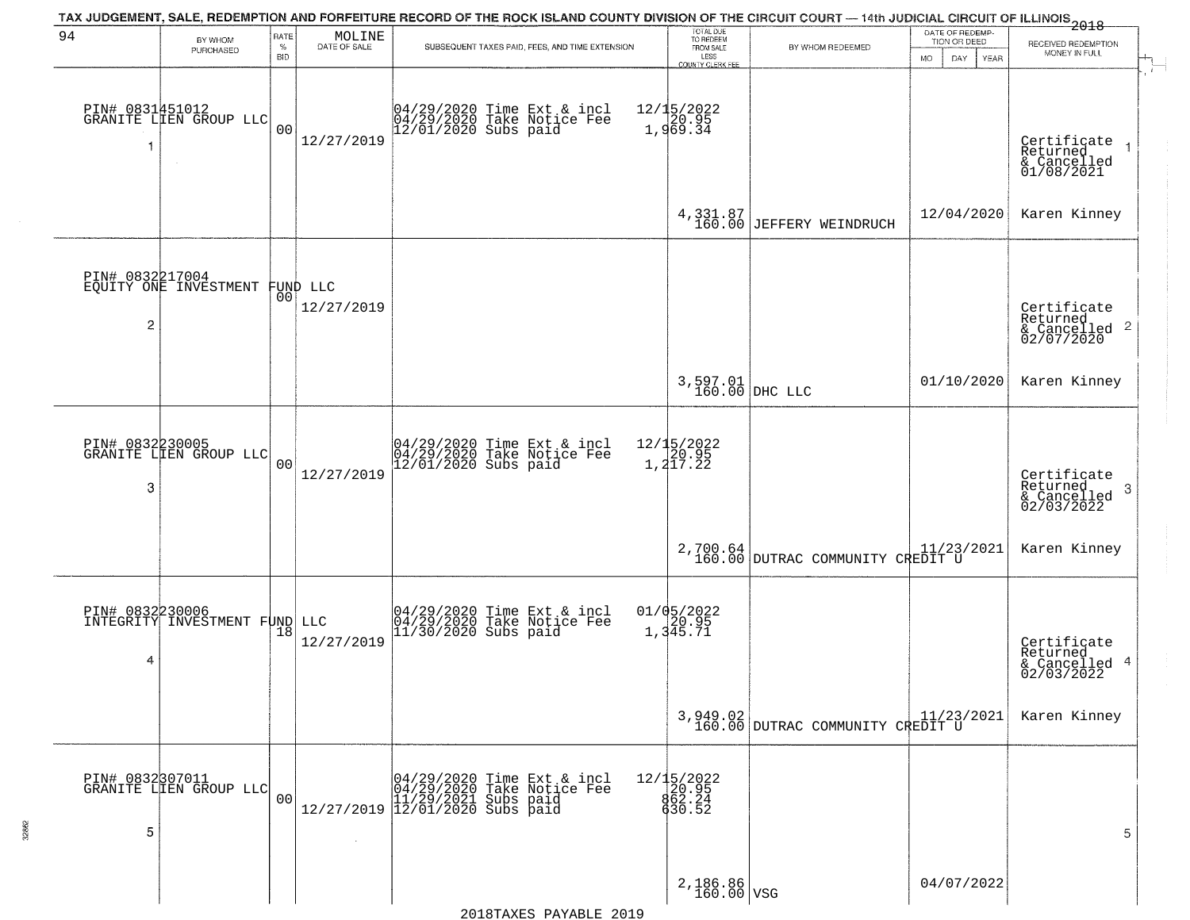| 94                   | BY WHOM<br>PURCHASED                      | RATE<br>%<br><b>BID</b> | $\begin{array}{c} \text{MOLINE} \\ \text{DATE of SALE} \end{array}$ | TAX JUDGEMENT, SALE, REDEMPTION AND FORFEITURE RECORD OF THE ROCK ISLAND COUNTY DIVISION OF THE CIRCUIT COURT — 14th JUDICIAL CIRCUIT OF ILLINOIS 2018<br>SUBSEQUENT TAXES PAID, FEES, AND TIME EXTENSION | TOTAL DUE<br>TO REDEEM<br>FROM SALE                | BY WHOM REDEEMED                               | DATE OF REDEMP-<br>TION OR DEED | RECEIVED REDEMPTION<br>MONEY IN FULL                               |
|----------------------|-------------------------------------------|-------------------------|---------------------------------------------------------------------|-----------------------------------------------------------------------------------------------------------------------------------------------------------------------------------------------------------|----------------------------------------------------|------------------------------------------------|---------------------------------|--------------------------------------------------------------------|
|                      | PIN# 0831451012<br>GRANITE LIEN GROUP LLC | 0 <sub>0</sub>          | 12/27/2019                                                          | 04/29/2020 Time Ext & incl<br>04/29/2020 Take Notice Fee<br>12/01/2020 Subs paid                                                                                                                          | LESS<br>COUNTY CLERK FEE<br>12/15/2022<br>1,969.34 |                                                | MO.<br>DAY<br>YEAR              | Certificate<br>Returned<br>& Cancelled<br>01/08/2021               |
|                      |                                           |                         |                                                                     |                                                                                                                                                                                                           |                                                    | $4,331.87$<br>160.00 JEFFERY WEINDRUCH         | 12/04/2020                      | Karen Kinney                                                       |
| PIN# 0832217004<br>2 | EQUITY ONE INVESTMENT                     | 00                      | FUND LLC<br>12/27/2019                                              |                                                                                                                                                                                                           |                                                    |                                                |                                 | Certificate<br>Returned<br>$\frac{1}{2}$ Cancelled 2<br>02/07/2020 |
|                      |                                           |                         |                                                                     |                                                                                                                                                                                                           |                                                    | 3,597.01<br>160.00 DHC LLC                     | 01/10/2020                      | Karen Kinney                                                       |
| PIN# 0832230005<br>3 | GRANITE LIEN GROUP LLC                    | 0 <sub>0</sub>          | 12/27/2019                                                          | 04/29/2020 Time Ext & incl<br>04/29/2020 Take Notice Fee<br>12/01/2020 Subs paid                                                                                                                          | 12/15/2022<br>20.95<br>1,217.22                    |                                                |                                 | Certificate<br>Returned<br>-3<br>& Cancelled<br>02/03/2022         |
|                      |                                           |                         |                                                                     |                                                                                                                                                                                                           |                                                    | 2,700.64<br>160.00 DUTRAC COMMUNITY CREDIT U   |                                 | Karen Kinney                                                       |
| PIN# 0832230006<br>4 | INTEGRITY INVESTMENT FUND                 |                         | LLC<br>12/27/2019                                                   | 04/29/2020 Time Ext & incl<br>04/29/2020 Take Notice Fee<br>11/30/2020 Subs paid                                                                                                                          | 01/05/2022<br>1,345.71                             |                                                |                                 | Certificate<br>Returned<br>& Cancelled 4<br>02/03/2022             |
|                      |                                           |                         |                                                                     |                                                                                                                                                                                                           |                                                    | $3,949.02$<br>160.00 DUTRAC COMMUNITY CREDIT U |                                 | Karen Kinney                                                       |
| 5                    | PIN# 0832307011<br>GRANITE LIEN GROUP LLC | 00                      |                                                                     | Time Ext & incl<br>Take Notice Fee<br>04/29/2020 Time Ext 8<br>04/29/2020 Take Notic<br>11/29/2021 Subs paid<br>12/27/2019 12/01/2020 Subs paid                                                           | 12/15/2022<br>20.95<br>862.24<br>630.52            |                                                |                                 | 5                                                                  |
|                      |                                           |                         |                                                                     |                                                                                                                                                                                                           | $2,186.86 \n\overline{)160.00}$ VSG                |                                                | 04/07/2022                      |                                                                    |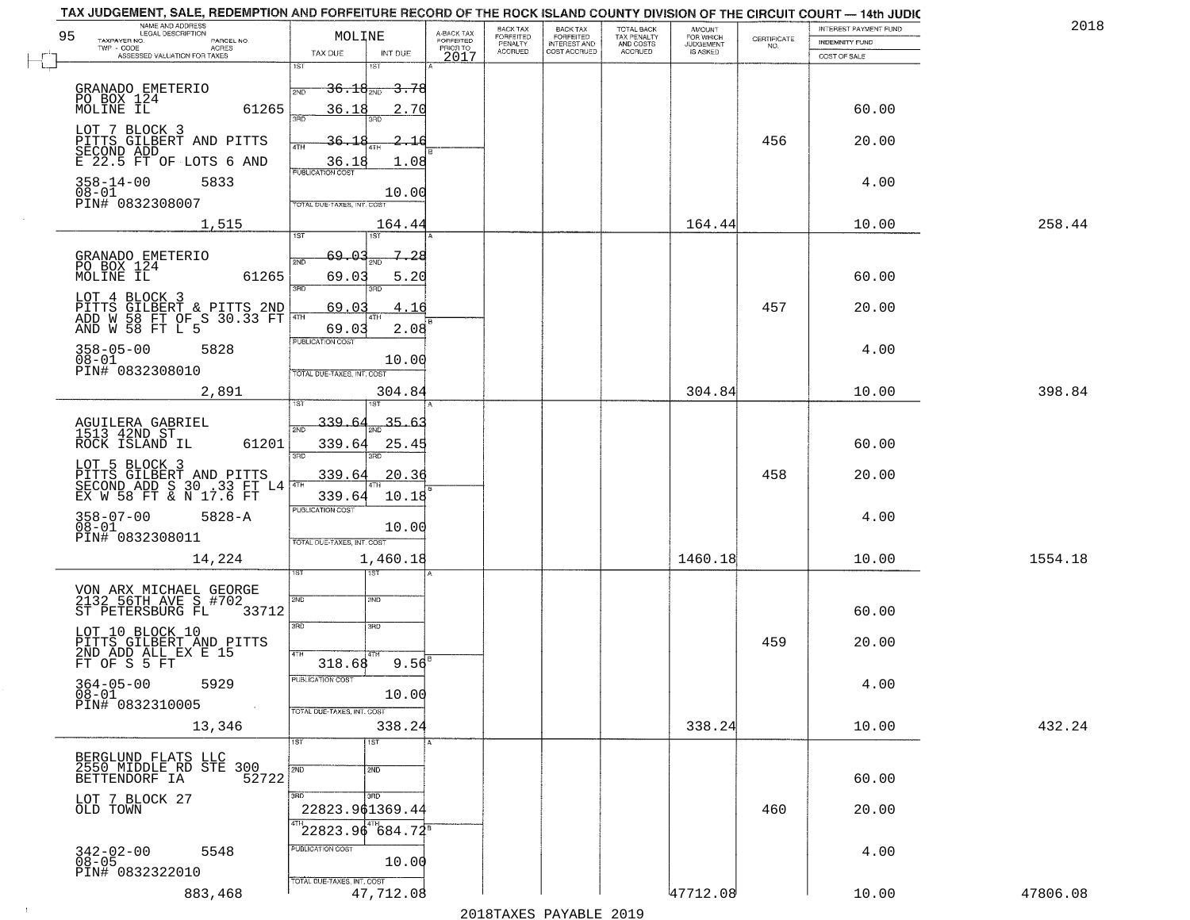| NAME AND ADDRESS<br>LEGAL DESCRIPTION<br>95<br>TAXPAYER NO.<br>PARCEL NO.                  | MOLINE                                     | A-BACK TAX<br>FORFEITED<br>PRIOR TO | BACK TAX<br>BACK TAX<br>FORFEITED<br>INTEREST AND<br>FORFEITED<br>PENALTY | TOTAL BACK<br>TAX PENALTY | AMOUNT<br>FOR WHICH                 | $\begin{array}{c} \text{CERTIFICATE} \\ \text{NO.} \end{array}$ | INTEREST PAYMENT FUND<br><b>INDEMNITY FUND</b> | 2018     |
|--------------------------------------------------------------------------------------------|--------------------------------------------|-------------------------------------|---------------------------------------------------------------------------|---------------------------|-------------------------------------|-----------------------------------------------------------------|------------------------------------------------|----------|
| $TWP - CODE$<br>ACRES<br>ASSESSED VALUATION FOR TAXES                                      | TAX DUE<br>INT DUE                         | 2017                                | <b>ACCRUED</b><br>COST ACCRUED                                            | AND COSTS<br>ACCRUED      | <b>JUDGEMENT</b><br><b>IS ASKED</b> |                                                                 | COST OF SALE                                   |          |
|                                                                                            | 1ST<br>1ST                                 |                                     |                                                                           |                           |                                     |                                                                 |                                                |          |
| GRANADO EMETERIO                                                                           | $-36.18_{200}$<br><del>3.78 -</del><br>2ND |                                     |                                                                           |                           |                                     |                                                                 |                                                |          |
| PO BOX 124<br>MOLINE IL<br>61265                                                           | 36.18<br>2.70<br>3BD                       |                                     |                                                                           |                           |                                     |                                                                 | 60.00                                          |          |
| LOT 7 BLOCK 3<br>PITTS GILBERT AND PITTS                                                   | 36.18<br><u>2.16</u><br>4TH                |                                     |                                                                           |                           |                                     | 456                                                             | 20.00                                          |          |
| SECOND ADD<br>E 22.5 FT OF LOTS 6 AND                                                      | <u>36.18</u><br>1.08                       |                                     |                                                                           |                           |                                     |                                                                 |                                                |          |
| $358 - 14 - 00$<br>5833                                                                    | <b>PUBLICATION COST</b>                    |                                     |                                                                           |                           |                                     |                                                                 | 4.00                                           |          |
| $08 - 01$<br>PIN# 0832308007                                                               | 10.00<br>TOTAL DUE-TAXES, INT. COST        |                                     |                                                                           |                           |                                     |                                                                 |                                                |          |
| 1,515                                                                                      | 164.44                                     |                                     |                                                                           |                           | 164.44                              |                                                                 | 10.00                                          | 258.44   |
|                                                                                            | 1ST<br>197                                 |                                     |                                                                           |                           |                                     |                                                                 |                                                |          |
| GRANADO EMETERIO<br>PO BOX 124                                                             | 69.03<br>7.28<br>2ND                       |                                     |                                                                           |                           |                                     |                                                                 |                                                |          |
| 61265                                                                                      | 69.03<br>5.20<br>$\overline{3BD}$<br>3RD   |                                     |                                                                           |                           |                                     |                                                                 | 60.00                                          |          |
| LOT 4 BLOCK 3<br>PITTS GILBERT & PITTS 2ND<br>ADD W 58 FT OF S 30.33 FT<br>AND W 58 FT L 5 | 69.03<br>4.16<br>1 4 TH                    |                                     |                                                                           |                           |                                     | 457                                                             | 20.00                                          |          |
|                                                                                            | 2.08<br>69.03                              |                                     |                                                                           |                           |                                     |                                                                 |                                                |          |
| $358 - 05 - 00$<br>5828                                                                    | PUBLICATION COST                           |                                     |                                                                           |                           |                                     |                                                                 | 4.00                                           |          |
| $08 - 01$<br>PIN# 0832308010                                                               | 10.00<br>TOTAL DUE-TAXES, INT. COST        |                                     |                                                                           |                           |                                     |                                                                 |                                                |          |
| 2,891                                                                                      | 304.84                                     |                                     |                                                                           |                           | 304.84                              |                                                                 | 10.00                                          | 398.84   |
|                                                                                            | 339.64<br>35.63                            |                                     |                                                                           |                           |                                     |                                                                 |                                                |          |
| AGUILERA GABRIEL<br>1513 42ND ST<br>ROCK ISLAND IL<br>61201                                | 2ND<br>339.64<br>25.4!                     |                                     |                                                                           |                           |                                     |                                                                 | 60.00                                          |          |
|                                                                                            | 3 <sub>BD</sub><br>3RD                     |                                     |                                                                           |                           |                                     |                                                                 |                                                |          |
| LOT 5 BLOCK 3<br>BITTS GILBERT AND PITTS<br>SECOND ADD S 30 .33 FT L4                      | 339.64<br>20.36                            |                                     |                                                                           |                           |                                     | 458                                                             | 20.00                                          |          |
|                                                                                            | 339.64<br>10.18<br><b>PUBLICATION COST</b> |                                     |                                                                           |                           |                                     |                                                                 |                                                |          |
| 358-07-00<br>08-01<br>$5828 - A$                                                           | 10.00                                      |                                     |                                                                           |                           |                                     |                                                                 | 4.00                                           |          |
| PIN# 0832308011                                                                            | TOTAL OUE-TAXES, INT. COST                 |                                     |                                                                           |                           |                                     |                                                                 |                                                |          |
| 14,224                                                                                     | 1,460.18<br>1ST                            |                                     |                                                                           |                           | 1460.18                             |                                                                 | 10.00                                          | 1554.18  |
| VON ARX MICHAEL GEORGE<br>2132 56TH AVE S #702                                             |                                            |                                     |                                                                           |                           |                                     |                                                                 |                                                |          |
| ST PETERSBURG FL<br>33712                                                                  | 2ND<br>2ND                                 |                                     |                                                                           |                           |                                     |                                                                 | 60.00                                          |          |
| LOT 10 BLOCK 10                                                                            | 3RD<br>3BD                                 |                                     |                                                                           |                           |                                     |                                                                 |                                                |          |
| PITTS GILBERT AND PITTS<br>2ND ADD ALL EX E 15<br>FT OF S 5 FT                             | 4TH                                        |                                     |                                                                           |                           |                                     | 459                                                             | 20.00                                          |          |
|                                                                                            | $9.56^{B}$<br>318.68<br>PUBLICATION COST   |                                     |                                                                           |                           |                                     |                                                                 |                                                |          |
| $364 - 05 - 00$<br>5929<br>$08 - 01$                                                       | 10.00                                      |                                     |                                                                           |                           |                                     |                                                                 | 4.00                                           |          |
| PIN# 0832310005<br>$\sim 10^{-1}$                                                          | TOTAL DUE-TAXES, INT. COST                 |                                     |                                                                           |                           |                                     |                                                                 |                                                |          |
| 13,346                                                                                     | 338.24<br>1ST<br>1ST                       |                                     |                                                                           |                           | 338.24                              |                                                                 | 10.00                                          | 432.24   |
| BERGLUND FLATS LLC<br>2550 MIDDLE RD STE 300                                               |                                            |                                     |                                                                           |                           |                                     |                                                                 |                                                |          |
| BETTENDORF IA<br>52722                                                                     | 2ND<br>2ND                                 |                                     |                                                                           |                           |                                     |                                                                 | 60.00                                          |          |
| LOT 7 BLOCK 27<br>OLD TOWN                                                                 | 3BD<br>3HD<br>22823.961369.44              |                                     |                                                                           |                           |                                     | 460                                                             | 20.00                                          |          |
|                                                                                            | $22823.96^{4}$ 684.72 <sup>8</sup>         |                                     |                                                                           |                           |                                     |                                                                 |                                                |          |
| 5548                                                                                       | PUBLICATION COST                           |                                     |                                                                           |                           |                                     |                                                                 | 4.00                                           |          |
| $342 - 02 - 00$<br>$08 - 05$<br>PIN# 0832322010                                            | 10.00                                      |                                     |                                                                           |                           |                                     |                                                                 |                                                |          |
| 883,468                                                                                    | TOTAL DUE-TAXES, INT. COST<br>47,712.08    |                                     |                                                                           |                           | 47712.08                            |                                                                 | 10.00                                          | 47806.08 |
|                                                                                            |                                            |                                     |                                                                           |                           |                                     |                                                                 |                                                |          |

 $\sim 10$ 

2018TAXES PAYABLE 2019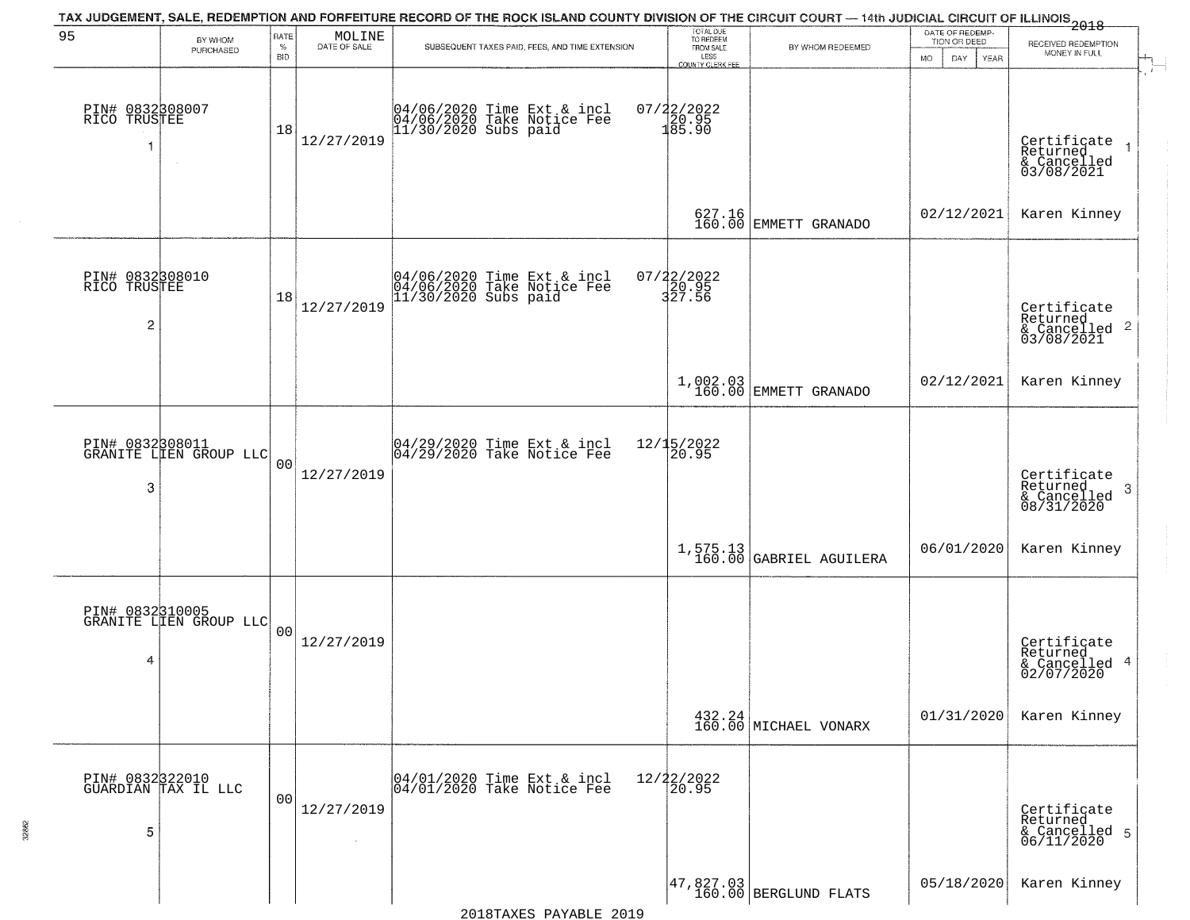|                                                   |                                           |                            |                                                                     | TAX JUDGEMENT, SALE, REDEMPTION AND FORFEITURE RECORD OF THE ROCK ISLAND COUNTY DIVISION OF THE CIRCUIT COURT — 14th JUDICIAL CIRCUIT OF ILLINOIS 2018 |                                                                        |                                      |                                                             |                                                                                        |
|---------------------------------------------------|-------------------------------------------|----------------------------|---------------------------------------------------------------------|--------------------------------------------------------------------------------------------------------------------------------------------------------|------------------------------------------------------------------------|--------------------------------------|-------------------------------------------------------------|----------------------------------------------------------------------------------------|
| 95                                                | BY WHOM<br>PURCHASED                      | RATE<br>$\%$<br><b>BID</b> | $\begin{array}{c} \text{MOLINE} \\ \text{DATE of SALE} \end{array}$ | SUBSEQUENT TAXES PAID, FEES, AND TIME EXTENSION                                                                                                        | TOTAL DUE<br>TO REDEEM<br>FROM SALE<br>LESS<br><b>COUNTY CLERK FEE</b> | BY WHOM REDEEMED                     | DATE OF REDEMP-<br>TION OR DEED<br><b>MO</b><br>DAY<br>YEAR | RECEIVED REDEMPTION<br>MONEY IN FULL                                                   |
| PIN# 0832308007<br>RICO TRUSTEE<br>-1             |                                           | 18                         | 12/27/2019                                                          | 04/06/2020 Time Ext & incl<br>04/06/2020 Take Notice Fee<br>11/30/2020 Subs paid                                                                       | 07/22/2022<br>20.95<br>185.90                                          |                                      |                                                             | $\mathbf{r}$<br>Certificate<br>Returned<br>$\overline{1}$<br>& Cancelled<br>03/08/2021 |
|                                                   |                                           |                            |                                                                     |                                                                                                                                                        |                                                                        | 627.16<br>160.00 EMMETT GRANADO      | 02/12/2021                                                  | Karen Kinney                                                                           |
| PIN# 0832308010<br>RICO TRUSTEE<br>$\overline{c}$ |                                           | 18                         | 12/27/2019                                                          | 04/06/2020 Time Ext & incl<br>04/06/2020 Take Notice Fee<br>11/30/2020 Subs paid                                                                       | 07/22/2022<br>20.95<br>327.56                                          |                                      |                                                             | Certificate<br>Returned<br>$\overline{2}$<br>& Cancelled<br>03/08/2021                 |
|                                                   |                                           |                            |                                                                     |                                                                                                                                                        |                                                                        | 1,002.03<br>160.00 EMMETT GRANADO    | 02/12/2021                                                  | Karen Kinney                                                                           |
| 3                                                 | PIN# 0832308011<br>GRANITE LIEN GROUP LLC | 0 <sub>0</sub>             | 12/27/2019                                                          | 04/29/2020 Time Ext & incl<br>04/29/2020 Take Notice Fee                                                                                               | 12/15/2022<br>20.95                                                    |                                      |                                                             | Certificate<br>Returned<br>3<br>& Cancelled<br>08/31/2020                              |
|                                                   |                                           |                            |                                                                     |                                                                                                                                                        |                                                                        | 1,575.13<br>160.00 GABRIEL AGUILERA  | 06/01/2020                                                  | Karen Kinney                                                                           |
| PIN# 0832310005<br>4                              | GRANITE LIEN GROUP LLC                    | 00                         | 12/27/2019                                                          |                                                                                                                                                        |                                                                        |                                      |                                                             | Certificate<br>Returned<br>4<br>& Cancelled<br>02/07/2020                              |
|                                                   |                                           |                            |                                                                     |                                                                                                                                                        |                                                                        | $432.24$ MICHAEL VONARX              | 01/31/2020                                                  | Karen Kinney                                                                           |
| 5                                                 | PIN# 0832322010<br>GUARDIAN TAX IL LLC    | 0 <sub>0</sub>             | 12/27/2019                                                          | 04/01/2020 Time Ext & incl<br>04/01/2020 Take Notice Fee                                                                                               | 12/22/2022<br>20.95                                                    |                                      |                                                             | Certificate<br>Returned<br>& Cancelled 5<br>06/11/2020                                 |
|                                                   |                                           |                            |                                                                     |                                                                                                                                                        |                                                                        | 47,827.03<br>  160.00 BERGLUND FLATS | 05/18/2020                                                  | Karen Kinney                                                                           |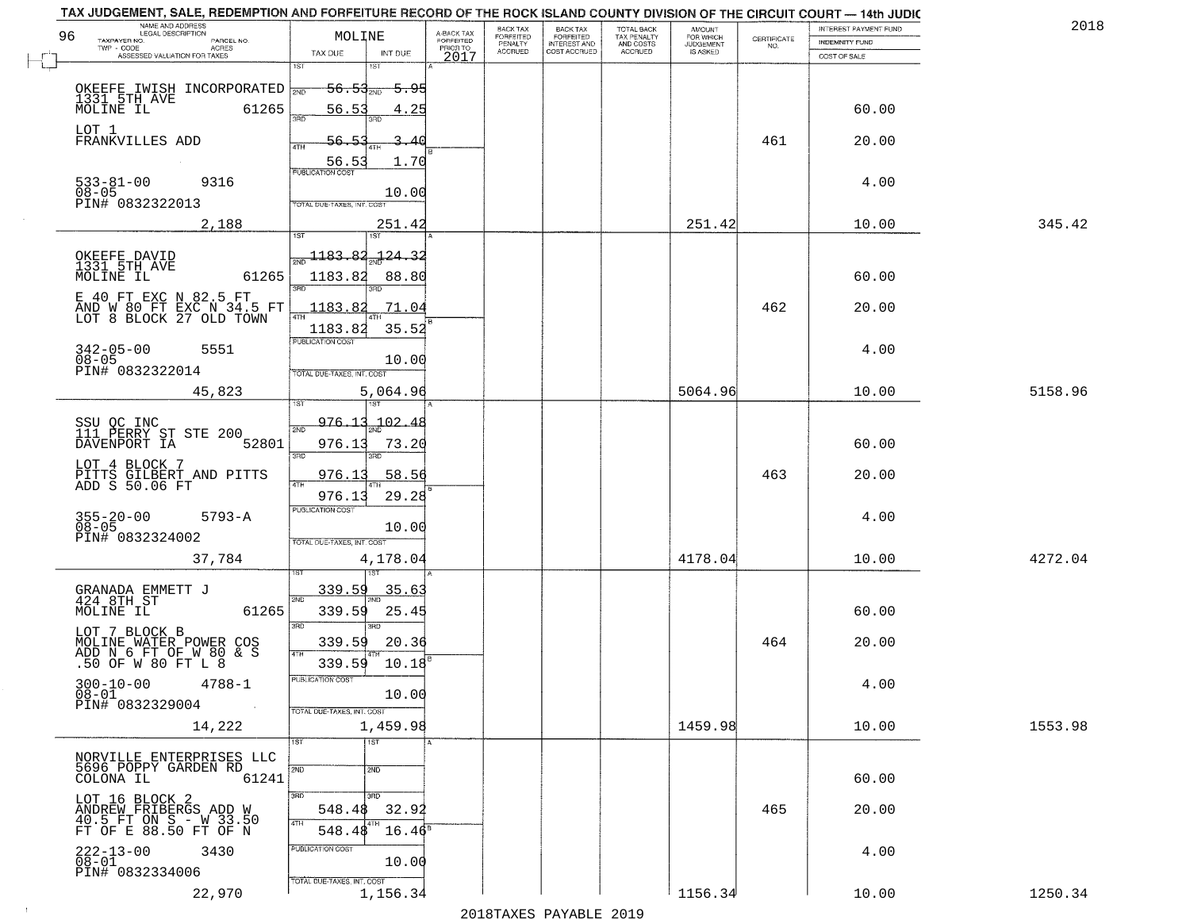|    | TAX JUDGEMENT, SALE, REDEMPTION AND PORPEITURE RECORD OF THE RUCK ISLAND COUNTY DIVISION OF THE CIRCUIT COURT — 14th JUDIC |                                                  |                         |                    |                                                       |                                     |                                    |                                                                 |                       |         |
|----|----------------------------------------------------------------------------------------------------------------------------|--------------------------------------------------|-------------------------|--------------------|-------------------------------------------------------|-------------------------------------|------------------------------------|-----------------------------------------------------------------|-----------------------|---------|
|    | NAME AND ADDRESS<br>LEGAL DESCRIPTION                                                                                      |                                                  |                         | <b>BACK TAX</b>    | BACK TAX<br>FORFEITED<br>INTEREST AND<br>COST ACCRUED | TOTAL BACK                          | <b>AMOUNT</b>                      |                                                                 | INTEREST PAYMENT FUND | 201     |
| 96 | TAXPAYER NO.<br>PARCEL NO.                                                                                                 | MOLINE                                           | A-BACK TAX<br>FORFEITED | FORFEITED          |                                                       |                                     |                                    | $\begin{array}{c} \text{CERTIFICATE} \\ \text{NO.} \end{array}$ | INDEMNITY FUND        |         |
|    | TWP - CODE ACRES<br>ASSESSED VALUATION FOR TAXES<br>ACRES                                                                  | TAX DUE<br>INT DUE                               | PRIOR TO                | PENALTY<br>ACCRUED |                                                       | TAX PENALTY<br>AND COSTS<br>ACCRUED | FOR WHICH<br>JUDGEMENT<br>IS ASKED |                                                                 | COST OF SALE          |         |
|    |                                                                                                                            | 1ST<br>18T                                       | 2017                    |                    |                                                       |                                     |                                    |                                                                 |                       |         |
|    |                                                                                                                            |                                                  |                         |                    |                                                       |                                     |                                    |                                                                 |                       |         |
|    | OKEEFE IWISH INCORPORATED                                                                                                  | <del>56.53<sub>2№</sub></del><br><del>5.95</del> |                         |                    |                                                       |                                     |                                    |                                                                 |                       |         |
|    | 1331 5TH AVE                                                                                                               |                                                  |                         |                    |                                                       |                                     |                                    |                                                                 |                       |         |
|    | MOLINE IL<br>61265                                                                                                         | 56.53<br>4.25                                    |                         |                    |                                                       |                                     |                                    |                                                                 | 60.00                 |         |
|    |                                                                                                                            | 300                                              |                         |                    |                                                       |                                     |                                    |                                                                 |                       |         |
|    | LOT 1                                                                                                                      |                                                  |                         |                    |                                                       |                                     |                                    |                                                                 |                       |         |
|    | FRANKVILLES ADD                                                                                                            | 56.5<br>40                                       |                         |                    |                                                       |                                     |                                    | 461                                                             | 20.00                 |         |
|    |                                                                                                                            |                                                  |                         |                    |                                                       |                                     |                                    |                                                                 |                       |         |
|    |                                                                                                                            | 1.70<br>56.5<br><b>PUBLICATION COST</b>          |                         |                    |                                                       |                                     |                                    |                                                                 |                       |         |
|    | $533 - 81 - 00$<br>9316                                                                                                    |                                                  |                         |                    |                                                       |                                     |                                    |                                                                 | 4.00                  |         |
|    | $08 - 05$                                                                                                                  | 10.00                                            |                         |                    |                                                       |                                     |                                    |                                                                 |                       |         |
|    | PIN# 0832322013                                                                                                            | TOTAL DUE-TAXES, INT. COST                       |                         |                    |                                                       |                                     |                                    |                                                                 |                       |         |
|    |                                                                                                                            |                                                  |                         |                    |                                                       |                                     |                                    |                                                                 |                       |         |
|    | 2,188                                                                                                                      | 251.42                                           |                         |                    |                                                       |                                     | 251.42                             |                                                                 | 10.00                 | 345.42  |
|    |                                                                                                                            | 187                                              |                         |                    |                                                       |                                     |                                    |                                                                 |                       |         |
|    |                                                                                                                            |                                                  |                         |                    |                                                       |                                     |                                    |                                                                 |                       |         |
|    | OKEEFE DAVID<br>1331 5TH AVE                                                                                               | $\frac{1183.82}{1}$<br><u> 124.32</u>            |                         |                    |                                                       |                                     |                                    |                                                                 |                       |         |
|    |                                                                                                                            |                                                  |                         |                    |                                                       |                                     |                                    |                                                                 |                       |         |
|    | MOLINE IL<br>61265                                                                                                         | 1183.82<br>88.80<br>3RD                          |                         |                    |                                                       |                                     |                                    |                                                                 | 60.00                 |         |
|    | E 40 FT EXC N 82.5 FT                                                                                                      |                                                  |                         |                    |                                                       |                                     |                                    |                                                                 |                       |         |
|    |                                                                                                                            | 1183.8<br>71.04                                  |                         |                    |                                                       |                                     |                                    | 462                                                             | 20.00                 |         |
|    | AND W 80 FT EXC N 34.5 FT<br>LOT 8 BLOCK 27 OLD TOWN                                                                       |                                                  |                         |                    |                                                       |                                     |                                    |                                                                 |                       |         |
|    |                                                                                                                            | 35.52<br>1183.82                                 |                         |                    |                                                       |                                     |                                    |                                                                 |                       |         |
|    |                                                                                                                            | PUBLICATION COST                                 |                         |                    |                                                       |                                     |                                    |                                                                 |                       |         |
|    | $342 - 05 - 00$<br>$08 - 05$<br>5551                                                                                       |                                                  |                         |                    |                                                       |                                     |                                    |                                                                 | 4.00                  |         |
|    |                                                                                                                            | 10.00                                            |                         |                    |                                                       |                                     |                                    |                                                                 |                       |         |
|    | PIN# 0832322014                                                                                                            | TOTAL DUE-TAXES, INT. COST                       |                         |                    |                                                       |                                     |                                    |                                                                 |                       |         |
|    | 45,823                                                                                                                     | 5,064.96                                         |                         |                    |                                                       |                                     | 5064.96                            |                                                                 | 10.00                 | 5158.96 |
|    |                                                                                                                            |                                                  |                         |                    |                                                       |                                     |                                    |                                                                 |                       |         |
|    |                                                                                                                            |                                                  |                         |                    |                                                       |                                     |                                    |                                                                 |                       |         |
|    |                                                                                                                            | 976.13<br>$-102.48$                              |                         |                    |                                                       |                                     |                                    |                                                                 |                       |         |
|    | SSU OC INC<br>111 PERRY ST STE 200<br>DAVENPORT IA                                                                         | 2ND                                              |                         |                    |                                                       |                                     |                                    |                                                                 |                       |         |
|    | 52801                                                                                                                      | 976.13<br>73.20                                  |                         |                    |                                                       |                                     |                                    |                                                                 | 60.00                 |         |
|    |                                                                                                                            | 3RD<br>3RD                                       |                         |                    |                                                       |                                     |                                    |                                                                 |                       |         |
|    | LOT 4 BLOCK 7<br>PITTS GILBERT AND PITTS<br>ADD S 50.06 FT                                                                 |                                                  |                         |                    |                                                       |                                     |                                    |                                                                 |                       |         |
|    |                                                                                                                            | <u>976.13</u><br>58.56<br>4TH                    |                         |                    |                                                       |                                     |                                    | 463                                                             | 20.00                 |         |
|    |                                                                                                                            | 29.28<br>976.13                                  |                         |                    |                                                       |                                     |                                    |                                                                 |                       |         |
|    |                                                                                                                            | <b>PUBLICATION COST</b>                          |                         |                    |                                                       |                                     |                                    |                                                                 |                       |         |
|    | $5793 - A$                                                                                                                 |                                                  |                         |                    |                                                       |                                     |                                    |                                                                 | 4.00                  |         |
|    | $355 - 20 - 00$<br>08-05                                                                                                   | 10.00                                            |                         |                    |                                                       |                                     |                                    |                                                                 |                       |         |
|    | PIN# 0832324002                                                                                                            | TOTAL OUE-TAXES, INT. COST                       |                         |                    |                                                       |                                     |                                    |                                                                 |                       |         |
|    |                                                                                                                            |                                                  |                         |                    |                                                       |                                     |                                    |                                                                 |                       |         |
|    | 37,784                                                                                                                     | 4,178.04                                         |                         |                    |                                                       |                                     | 4178.04                            |                                                                 | 10.00                 | 4272.04 |
|    |                                                                                                                            | ख                                                |                         |                    |                                                       |                                     |                                    |                                                                 |                       |         |
|    |                                                                                                                            | 339.59<br>35.63                                  |                         |                    |                                                       |                                     |                                    |                                                                 |                       |         |
|    | GRANADA EMMETT J<br>424 8TH ST                                                                                             | 2ND                                              |                         |                    |                                                       |                                     |                                    |                                                                 |                       |         |
|    | MOLINE IL<br>61265                                                                                                         | 25.45<br>339.59                                  |                         |                    |                                                       |                                     |                                    |                                                                 | 60.00                 |         |
|    |                                                                                                                            |                                                  |                         |                    |                                                       |                                     |                                    |                                                                 |                       |         |
|    | LOT 7 BLOCK B                                                                                                              | 3RD<br>3RD.                                      |                         |                    |                                                       |                                     |                                    |                                                                 |                       |         |
|    |                                                                                                                            | 339.59<br>20.36                                  |                         |                    |                                                       |                                     |                                    | 464                                                             | 20.00                 |         |
|    | MOLINE WATER POWER COS<br>ADD N 6 FT OF W 80 & S<br>.50 OF W 80 FT L 8                                                     | 4TH                                              |                         |                    |                                                       |                                     |                                    |                                                                 |                       |         |
|    |                                                                                                                            | 10.18<br>339.59                                  |                         |                    |                                                       |                                     |                                    |                                                                 |                       |         |
|    |                                                                                                                            | PUBLICATION COST                                 |                         |                    |                                                       |                                     |                                    |                                                                 |                       |         |
|    | $\begin{array}{cc} 300-10-00 & \quad & 4788-1 \\ 08-01 & \quad & \end{array}$                                              | 10.00                                            |                         |                    |                                                       |                                     |                                    |                                                                 | 4.00                  |         |
|    | PIN# 0832329004                                                                                                            |                                                  |                         |                    |                                                       |                                     |                                    |                                                                 |                       |         |
|    |                                                                                                                            | TOTAL DUE-TAXES, INT. COST                       |                         |                    |                                                       |                                     |                                    |                                                                 |                       |         |
|    | 14,222                                                                                                                     | 1,459.98                                         |                         |                    |                                                       |                                     | 1459.98                            |                                                                 | 10.00                 | 1553.98 |
|    |                                                                                                                            |                                                  |                         |                    |                                                       |                                     |                                    |                                                                 |                       |         |
|    |                                                                                                                            | $\overline{1}$ ST<br>1ST                         |                         |                    |                                                       |                                     |                                    |                                                                 |                       |         |
|    | NORVILLE ENTERPRISES LLC                                                                                                   |                                                  |                         |                    |                                                       |                                     |                                    |                                                                 |                       |         |
|    | 5696 POPPY GARDEN RD                                                                                                       | 2ND<br>2ND                                       |                         |                    |                                                       |                                     |                                    |                                                                 |                       |         |
|    | COLONA IL<br>61241                                                                                                         |                                                  |                         |                    |                                                       |                                     |                                    |                                                                 | 60.00                 |         |
|    |                                                                                                                            | 3RD<br><b>RD</b>                                 |                         |                    |                                                       |                                     |                                    |                                                                 |                       |         |
|    | LOT 16 BLOCK 2                                                                                                             |                                                  |                         |                    |                                                       |                                     |                                    |                                                                 |                       |         |
|    | ANDREW FRIBERGS ADD W<br>$40.5$ FT $\overline{ON}$ S - W 33.50                                                             | 32.92<br>548.48                                  |                         |                    |                                                       |                                     |                                    | 465                                                             | 20.00                 |         |
|    | FT OF E 88.50 FT OF N                                                                                                      | 4TH<br>$16.46^s$<br>548.48                       |                         |                    |                                                       |                                     |                                    |                                                                 |                       |         |
|    |                                                                                                                            |                                                  |                         |                    |                                                       |                                     |                                    |                                                                 |                       |         |
|    | $222 - 13 - 00$<br>08-01<br>3430                                                                                           | PUBLICATION COST                                 |                         |                    |                                                       |                                     |                                    |                                                                 | 4.00                  |         |
|    |                                                                                                                            | 10.00                                            |                         |                    |                                                       |                                     |                                    |                                                                 |                       |         |
|    | PIN# 0832334006                                                                                                            |                                                  |                         |                    |                                                       |                                     |                                    |                                                                 |                       |         |
|    |                                                                                                                            | TOTAL DUE-TAXES, INT. COST                       |                         |                    |                                                       |                                     |                                    |                                                                 |                       |         |
|    | 22,970                                                                                                                     | 1,156.34                                         |                         |                    |                                                       |                                     | 1156.34                            |                                                                 | 10.00                 | 1250.34 |
|    |                                                                                                                            |                                                  |                         |                    |                                                       |                                     |                                    |                                                                 |                       |         |

 $\sim 10$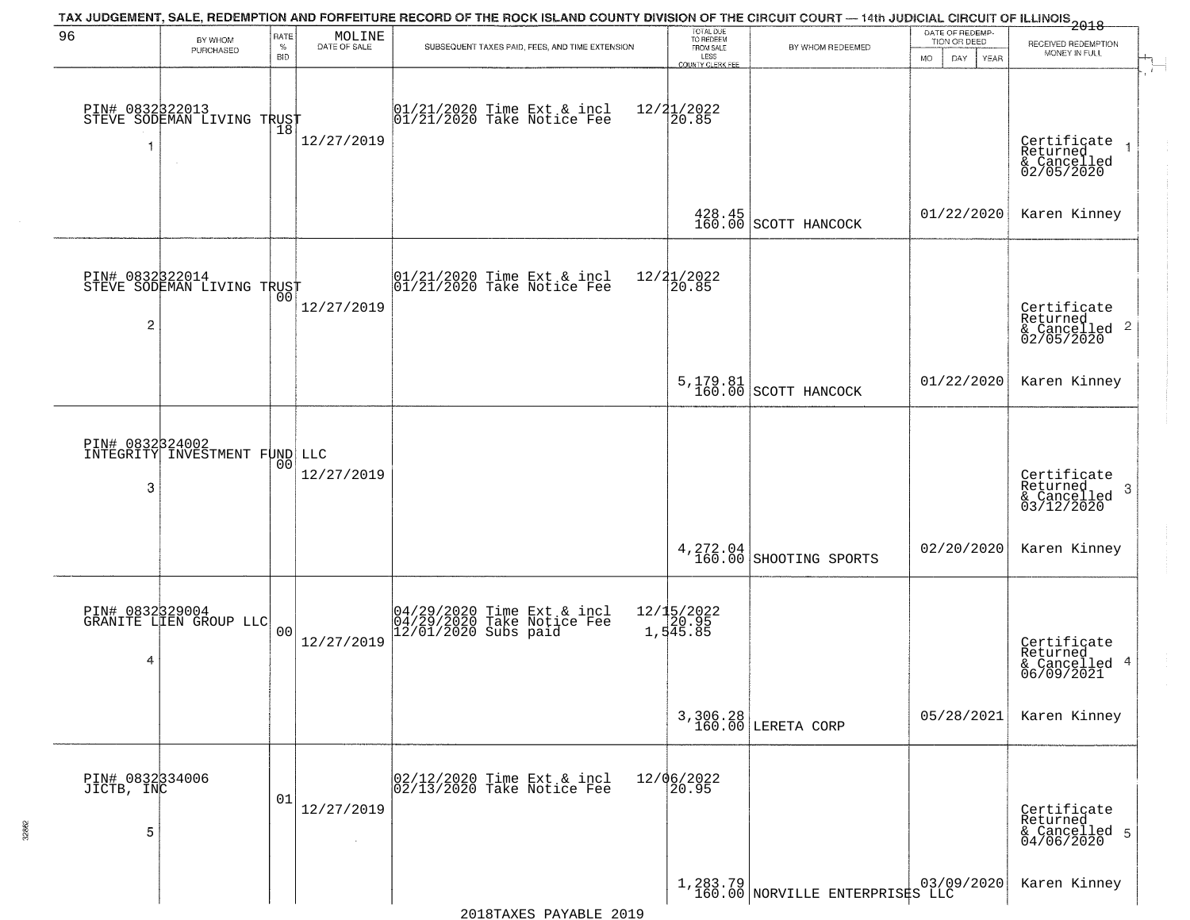|                                    |                                              |                            |                        | TAX JUDGEMENT, SALE, REDEMPTION AND FORFEITURE RECORD OF THE ROCK ISLAND COUNTY DIVISION OF THE CIRCUIT COURT — 14th JUDICIAL CIRCUIT OF ILLINOIS 2018 |                                                  |                                                    |                                 |                                                                        |
|------------------------------------|----------------------------------------------|----------------------------|------------------------|--------------------------------------------------------------------------------------------------------------------------------------------------------|--------------------------------------------------|----------------------------------------------------|---------------------------------|------------------------------------------------------------------------|
| 96                                 | BY WHOM<br>PURCHASED                         | RATE<br>$\%$<br><b>BID</b> | MOLINE<br>DATE OF SALE | SUBSEQUENT TAXES PAID, FEES, AND TIME EXTENSION                                                                                                        | TOTAL DUE<br>TO REDEEM<br>FROM SALE<br>LESS      | BY WHOM REDEEMED                                   | DATE OF REDEMP-<br>TION OR DEED | RECEIVED REDEMPTION<br>MONEY IN FULL                                   |
| -1                                 | PIN# 083232013<br>STEVE SODEMAN LIVING TRUST | 18                         | 12/27/2019             | $01/21/2020$ Time Ext & incl<br>$01/21/2020$ Take Notice Fee                                                                                           | <b>COUNTY CLERK FEE</b><br>$12/21/2022$<br>20.85 |                                                    | <b>MO</b><br>DAY<br><b>YEAR</b> | $\mathbf{F}$<br>Certificate<br>Returned<br>& Cancelled<br>02/05/2020   |
|                                    |                                              |                            |                        |                                                                                                                                                        |                                                  | $\left.\frac{428.45}{160.00}\right $ SCOTT HANCOCK | 01/22/2020                      | Karen Kinney                                                           |
| PIN# 0832322014<br>$\overline{c}$  | STEVE SODEMAN LIVING TRUST                   |                            | 12/27/2019             | 01/21/2020 Time Ext & incl<br>01/21/2020 Take Notice Fee                                                                                               | 12/21/2022<br>20.85                              |                                                    |                                 | Certificate<br>Returned<br>$\overline{2}$<br>& Cancelled<br>02/05/2020 |
|                                    |                                              |                            |                        |                                                                                                                                                        |                                                  | 5, 179.81<br>160.00 SCOTT HANCOCK                  | 01/22/2020                      | Karen Kinney                                                           |
| PIN# 0832324002<br>3               | INTEGRITY INVESTMENT FUND LLC                | 00                         | 12/27/2019             |                                                                                                                                                        |                                                  |                                                    |                                 | Certificate<br>Returned<br>3<br>& Cancelled<br>03/12/2020              |
|                                    |                                              |                            |                        |                                                                                                                                                        |                                                  | $\left.\frac{4}{160.00}\right $ SHOOTING SPORTS    | 02/20/2020                      | Karen Kinney                                                           |
| 4                                  | PIN# 0832329004<br>GRANITE LIEN GROUP LLC    | 00                         | 12/27/2019             | 04/29/2020 Time Ext & incl<br>04/29/2020 Take Notice Fee<br>12/01/2020 Subs paid                                                                       | 12/15/2022<br>20.95<br>1,545.85                  |                                                    |                                 | Certificate<br>Returned<br>4<br>& Cancelled<br>06/09/2021              |
|                                    |                                              |                            |                        |                                                                                                                                                        | 3,306.28<br>160.00                               | LERETA CORP                                        | 05/28/2021                      | Karen Kinney                                                           |
| PIN# 0832334006<br>JICTB, INC<br>5 |                                              | 01                         | 12/27/2019             | 02/12/2020 Time Ext & incl<br>02/13/2020 Take Notice Fee                                                                                               | 12/06/2022<br>20.95                              |                                                    |                                 | Certificate<br>Returned<br>& Cancelled 5<br>04/06/2020                 |
|                                    |                                              |                            |                        |                                                                                                                                                        |                                                  | 1,283.79 NORVILLE ENTERPRISES LLC                  |                                 | Karen Kinney                                                           |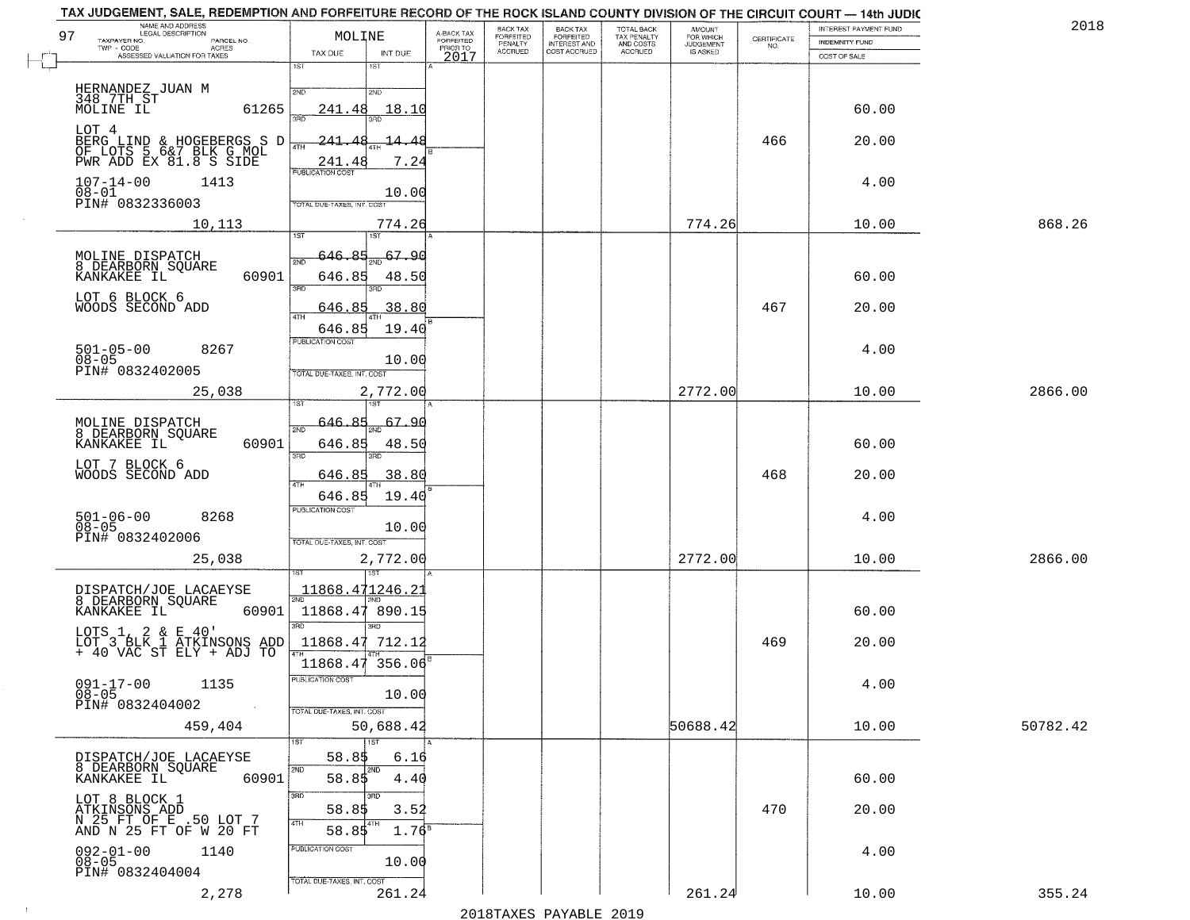| 97<br>TAXPAYER NO.                              | NAME AND ADDRESS<br>LEGAL DESCRIPTION<br>PARCEL NO.<br>TWP - CODE AGRES<br>ASSESSED VALUATION FOR TAXES |       | MOLINE<br>TAX DUE                                               | INT DUE                       | A-BACK TAX<br>FORFEITED<br>PRIOR TO<br>2017 | BACK TAX<br>FORFEITED<br>PENALTY<br>ACCRUED | BACK TAX<br>FORFEITED<br>INTEREST AND<br>COST ACCRUED | TOTAL BACK<br>TAX PENALTY<br>AND COSTS<br>ACCRUED | <b>AMOUNT</b><br>FOR WHICH<br>JUDGEMENT<br>IS ASKED | CERTIFICATE<br>NO. | TAX JUDGEMENT, SALE, REDEMPTION AND FORFEITURE RECORD OF THE ROCK ISLAND COUNTY DIVISION OF THE CIRCUIT COURT — 14th JUDIC<br>INTEREST PAYMENT FUND<br><b>INDEMNITY FUND</b><br>COST OF SALE | 2018     |
|-------------------------------------------------|---------------------------------------------------------------------------------------------------------|-------|-----------------------------------------------------------------|-------------------------------|---------------------------------------------|---------------------------------------------|-------------------------------------------------------|---------------------------------------------------|-----------------------------------------------------|--------------------|----------------------------------------------------------------------------------------------------------------------------------------------------------------------------------------------|----------|
|                                                 |                                                                                                         |       | 1ST                                                             | 1ST                           |                                             |                                             |                                                       |                                                   |                                                     |                    |                                                                                                                                                                                              |          |
| HERNANDEZ JUAN M<br>348 7TH ST<br>MOLINE IL     |                                                                                                         | 61265 | 2ND<br>241.48<br>ះគក                                            | 2ND<br>18.10<br>3BD.          |                                             |                                             |                                                       |                                                   |                                                     |                    | 60.00                                                                                                                                                                                        |          |
|                                                 | LOT 4<br>BERG LIND & HOGEBERGS S D<br>OF LOTS 5 6&7 BLK G MOL<br>PWR ADD EX 81.8 S SIDE                 |       | -241.4<br>241.4                                                 | <u> 14.48</u><br>7.24         |                                             |                                             |                                                       |                                                   |                                                     | 466                | 20.00                                                                                                                                                                                        |          |
| $107 - 14 - 00$<br>$08-01$<br>PIN# 0832336003   | 1413                                                                                                    |       | PUBLICATION COST                                                | 10.00                         |                                             |                                             |                                                       |                                                   |                                                     |                    | 4.00                                                                                                                                                                                         |          |
|                                                 | 10,113                                                                                                  |       | TOTAL DUE-TAXES, INT. COST<br>1ST                               | 774.26<br>1ST <sup></sup>     |                                             |                                             |                                                       |                                                   | 774.26                                              |                    | 10.00                                                                                                                                                                                        | 868.26   |
| KANKAKEE IL                                     | MOLINE DISPATCH<br>8 DEARBORN SQUARE                                                                    | 60901 | 646.85<br>2ND<br>646.85                                         | 67.90<br>48.50                |                                             |                                             |                                                       |                                                   |                                                     |                    | 60.00                                                                                                                                                                                        |          |
| LOT 6 BLOCK 6<br>WOODS SECOND ADD               |                                                                                                         |       | 3RD<br>646.85<br>47H<br>646.85                                  | 38.80<br>19.40                |                                             |                                             |                                                       |                                                   |                                                     | 467                | 20.00                                                                                                                                                                                        |          |
| $501 - 05 - 00$<br>$08 - 05$<br>PIN# 0832402005 | 8267                                                                                                    |       | PUBLICATION COST<br>TOTAL DUE-TAXES, INT. COST                  | 10.00                         |                                             |                                             |                                                       |                                                   |                                                     |                    | 4.00                                                                                                                                                                                         |          |
|                                                 | 25,038                                                                                                  |       |                                                                 | 2,772.00                      |                                             |                                             |                                                       |                                                   | 2772.00                                             |                    | 10.00                                                                                                                                                                                        | 2866.00  |
| MOLINE DISPATCH                                 | 8 DEARBORN SQUARE<br>KANKAKEE IL                                                                        | 60901 | 646.85<br>2ND<br>646.85<br>3RD                                  | 67.96<br>48.50                |                                             |                                             |                                                       |                                                   |                                                     |                    | 60.00                                                                                                                                                                                        |          |
| LOT 7 BLOCK 6<br>WOODS SECOND ADD               |                                                                                                         |       | 646.85<br>4TH                                                   | 38.80                         |                                             |                                             |                                                       |                                                   |                                                     | 468                | 20.00                                                                                                                                                                                        |          |
| $501 - 06 - 00$<br>$08 - 05$<br>PIN# 0832402006 | 8268                                                                                                    |       | 646.85<br><b>PUBLICATION COST</b><br>TOTAL OUE-TAXES, INT. COST | 19.40<br>10.00                |                                             |                                             |                                                       |                                                   |                                                     |                    | 4.00                                                                                                                                                                                         |          |
|                                                 | 25,038                                                                                                  |       |                                                                 | 2,772.00<br>उड़ा              |                                             |                                             |                                                       |                                                   | 2772.00                                             |                    | 10.00                                                                                                                                                                                        | 2866.00  |
| KANKAKEE IL                                     | DISPATCH/JOE LACAEYSE<br>8 DEARBORN SQUARE                                                              | 60901 | 11868.471246.2<br>11868.47 890.15<br>3 <sub>3</sub>             | 3RD                           |                                             |                                             |                                                       |                                                   |                                                     |                    | 60.00                                                                                                                                                                                        |          |
| LOTS $1, 2 \& E 40'$                            | LOT 3 BLK 1 ATKINSONS ADD<br>+ 40 VAC ST ELY + ADJ TO                                                   |       | 11868.47 712.12<br>4TH                                          |                               |                                             |                                             |                                                       |                                                   |                                                     | 469                | 20.00                                                                                                                                                                                        |          |
| $08 - 05$<br>PIN# 0832404002                    | $091 - 17 - 00$ 1135                                                                                    |       | 11868.47 356.06<br>PUBLICATION COST                             | 10.00                         |                                             |                                             |                                                       |                                                   |                                                     |                    | 4.00                                                                                                                                                                                         |          |
|                                                 | 459,404                                                                                                 |       | TOTAL DUE-TAXES, INT. COST                                      | 50,688.42                     |                                             |                                             |                                                       |                                                   | 50688.42                                            |                    | 10.00                                                                                                                                                                                        | 50782.42 |
| KANKAKEE IL                                     | DISPATCH/JOE LACAEYSE<br>8 DEARBORN SQUARE                                                              | 60901 | 58.85<br>2ND<br>58.85                                           | 1ST<br>6.16<br>2ND<br>4.40    |                                             |                                             |                                                       |                                                   |                                                     |                    | 60.00                                                                                                                                                                                        |          |
| LOT 8 BLOCK 1                                   | ATKINSONS ADD<br>N 25 FT OF E .50 LOT 7<br>AND N 25 FT OF W 20 FT                                       |       | 3BD<br>58.85<br>4TH<br>58.85                                    | 3RD<br>3.52<br>$1.76^{\circ}$ |                                             |                                             |                                                       |                                                   |                                                     | 470                | 20.00                                                                                                                                                                                        |          |
| $092 - 01 - 00$<br>08-05<br>PIN# 0832404004     | 1140                                                                                                    |       | PUBLICATION COST                                                | 10.00                         |                                             |                                             |                                                       |                                                   |                                                     |                    | 4.00                                                                                                                                                                                         |          |
|                                                 | 2,278                                                                                                   |       | TOTAL DUE-TAXES, INT. COST                                      | 261.24                        |                                             |                                             |                                                       |                                                   | 261.24                                              |                    | 10.00                                                                                                                                                                                        | 355.24   |

 $\sim 100$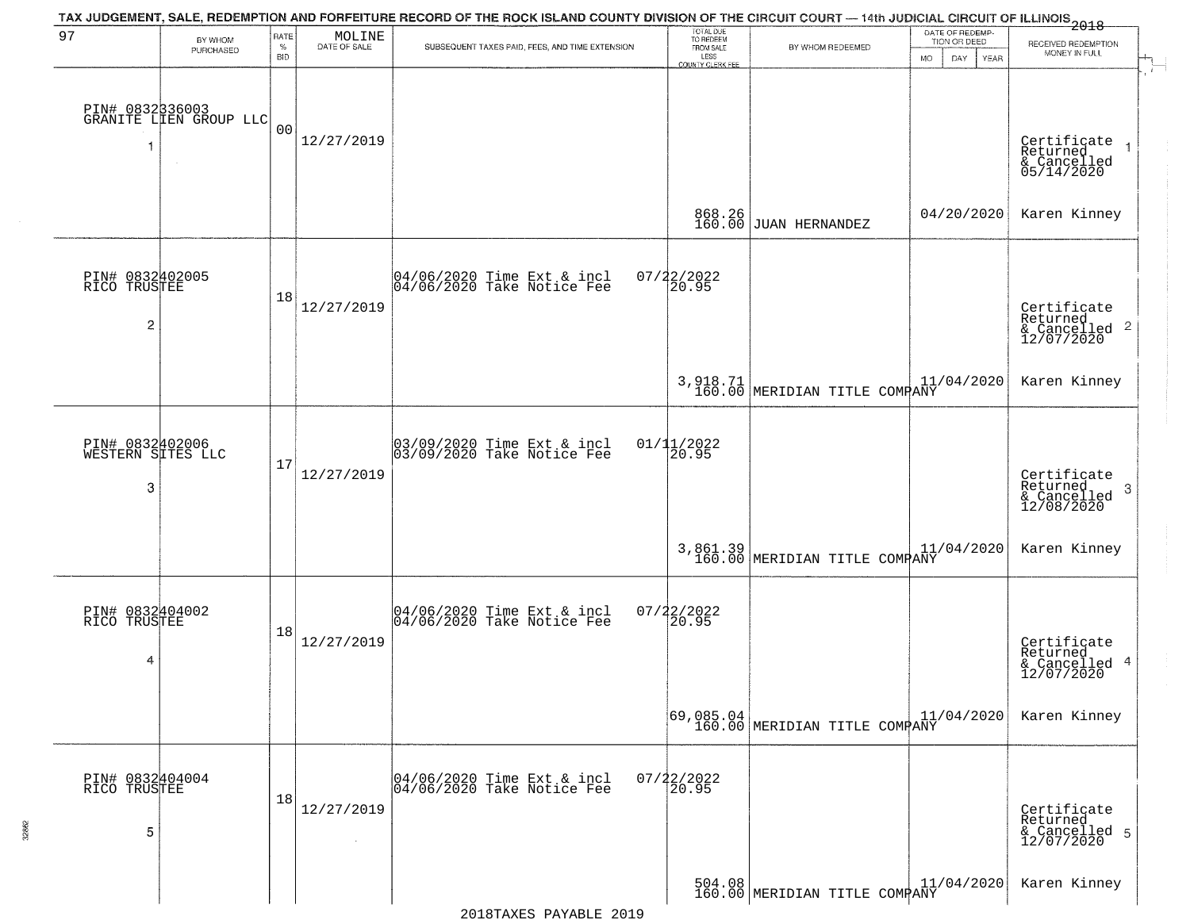|                                                   |                                           |                            |                        | TAX JUDGEMENT, SALE, REDEMPTION AND FORFEITURE RECORD OF THE ROCK ISLAND COUNTY DIVISION OF THE CIRCUIT COURT — 14th JUDICIAL CIRCUIT OF ILLINOIS 2018 |                                                                 |                                                                                                                                                |                                                             |                                                                       |
|---------------------------------------------------|-------------------------------------------|----------------------------|------------------------|--------------------------------------------------------------------------------------------------------------------------------------------------------|-----------------------------------------------------------------|------------------------------------------------------------------------------------------------------------------------------------------------|-------------------------------------------------------------|-----------------------------------------------------------------------|
| 97                                                | BY WHOM<br>PURCHASED                      | RATE<br>$\%$<br><b>BID</b> | MOLINE<br>DATE OF SALE | SUBSEQUENT TAXES PAID, FEES, AND TIME EXTENSION                                                                                                        | TOTAL DUE<br>TO REDEEM<br>FROM SALE<br>LESS<br>COUNTY CLERK FEE | BY WHOM REDEEMED                                                                                                                               | DATE OF REDEMP-<br>TION OR DEED<br><b>MO</b><br>DAY<br>YEAR | RECEIVED REDEMPTION<br>MONEY IN FULL                                  |
| -1                                                | PIN# 0832336003<br>GRANITE LLEN GROUP LLC | 0 <sub>0</sub>             | 12/27/2019             |                                                                                                                                                        |                                                                 |                                                                                                                                                |                                                             | Certificate<br>Returned<br>$\rightarrow$<br>& Cancelled<br>05/14/2020 |
|                                                   |                                           |                            |                        |                                                                                                                                                        | 868.26<br>160.00                                                | <b>JUAN HERNANDEZ</b>                                                                                                                          | 04/20/2020                                                  | Karen Kinney                                                          |
| PIN# 0832402005<br>RICO TRUSTEE<br>$\overline{2}$ |                                           | 18                         | 12/27/2019             | 04/06/2020 Time Ext & incl<br>04/06/2020 Take Notice Fee                                                                                               | $07/22/2022$<br>20.95                                           |                                                                                                                                                |                                                             | Certificate<br>Returned<br>$\frac{12}{2}$ Cancelled 2<br>12/07/2020   |
|                                                   |                                           |                            |                        |                                                                                                                                                        |                                                                 | 3,918.71<br>160.00 MERIDIAN TITLE COMPANY                                                                                                      | 11/04/2020                                                  | Karen Kinney                                                          |
| PIN# 0832402006<br>WESTERN SITES LLC<br>3         |                                           | 17                         | 12/27/2019             | 03/09/2020 Time Ext & incl<br>03/09/2020 Take Notice Fee                                                                                               | 01/11/2022<br>20.95                                             |                                                                                                                                                |                                                             | Certificate<br>Returned<br>3<br>& Cancelled<br>12/08/2020             |
|                                                   |                                           |                            |                        |                                                                                                                                                        |                                                                 | 3,861.39<br>160.00 MERIDIAN TITLE COMPANY                                                                                                      | 11/04/2020                                                  | Karen Kinney                                                          |
| PIN# 0832404002<br>RICO TRUSTEE<br>4              |                                           | 18                         | 12/27/2019             | 04/06/2020 Time Ext & incl<br>04/06/2020 Take Notice Fee                                                                                               | $07/22/2022$<br>20.95                                           |                                                                                                                                                |                                                             | Certificate<br>Returned<br>-4<br>& Cancelled<br>12/07/2020            |
|                                                   |                                           |                            |                        |                                                                                                                                                        |                                                                 | $\begin{array}{c c c c c c} \hline \texttt{69,085.04} & & & 11, \\ \hline \texttt{160.00} & \texttt{MERIDIAN TITLE COMPANY} & & & \end{array}$ | 11/04/2020                                                  | Karen Kinney                                                          |
| PIN# 0832404004<br>RICO TRUSTEE<br>5              |                                           | 18                         | 12/27/2019             | 04/06/2020 Time Ext & incl<br>04/06/2020 Take Notice Fee                                                                                               | 07/22/2022<br>20.95                                             |                                                                                                                                                |                                                             | Certificate<br>Returned<br>& Cancelled 5<br>12/07/2020                |
|                                                   |                                           |                            |                        |                                                                                                                                                        |                                                                 | $\begin{bmatrix} 504.08 \\ 160.00 \end{bmatrix}$ MERIDIAN TITLE COMPANY                                                                        |                                                             | Karen Kinney                                                          |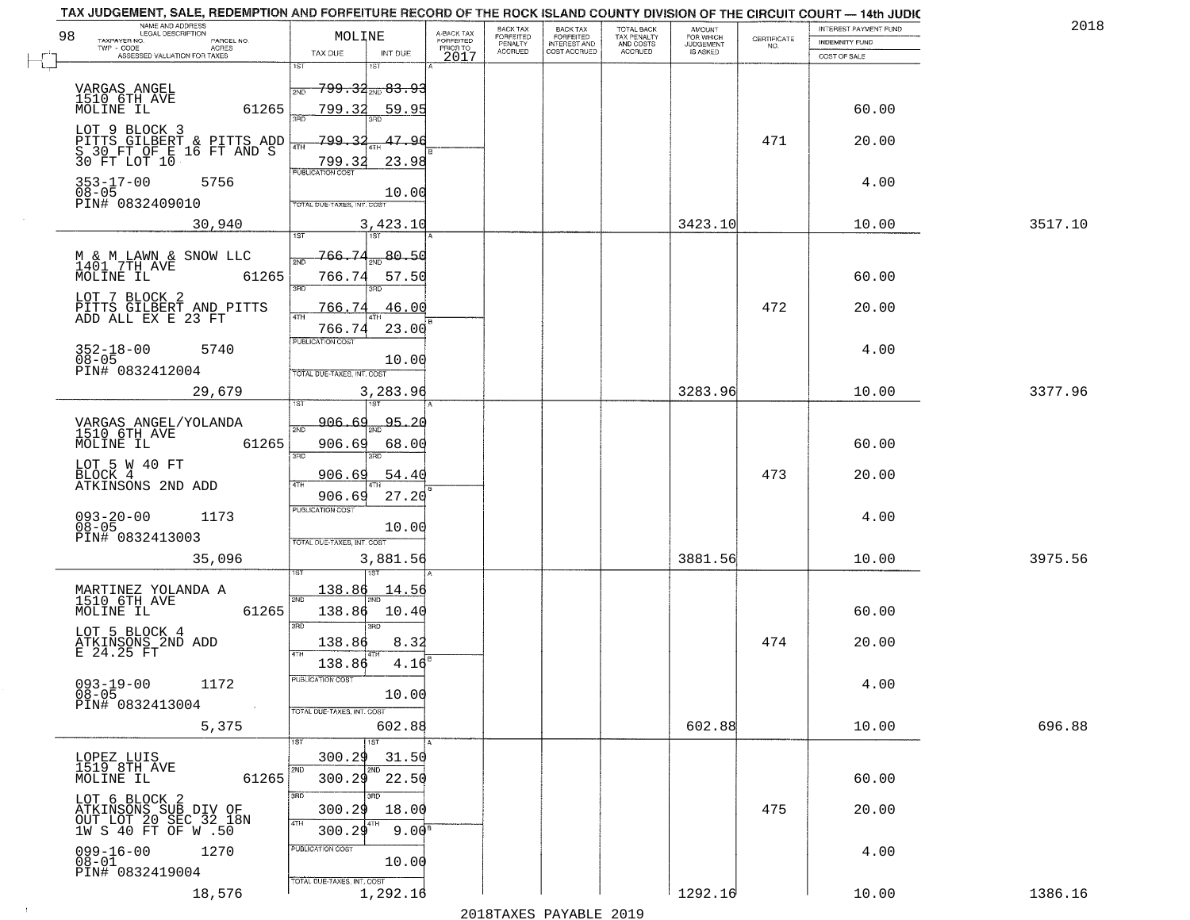| NAME AND ADDRESS<br>LEGAL DESCRIPTION<br>98                            | MOLINE                                     |                                     | BACK TAX<br>FORFEITED     | BACK TAX<br>FORFEITED<br>INTEREST AND | TOTAL BACK<br>TAX PENALTY<br>AND COSTS | AMOUNT<br>FOR WHICH          |                                                                 | INTEREST PAYMENT FUND | 2018    |
|------------------------------------------------------------------------|--------------------------------------------|-------------------------------------|---------------------------|---------------------------------------|----------------------------------------|------------------------------|-----------------------------------------------------------------|-----------------------|---------|
| TAXPAYER NO.<br>PARCEL NO.<br>$TWP - CODE$<br>ACRES                    | TAX DUE<br>INT DUE                         | A-BACK TAX<br>FORFEITED<br>PRIOR TO | PENALTY<br><b>ACCRUED</b> | COST ACCRUED                          | <b>ACCRUED</b>                         | <b>JUDGEMENT</b><br>IS ASKED | $\begin{array}{c} \text{CERTIFICATE} \\ \text{NO.} \end{array}$ | <b>INDEMNITY FUND</b> |         |
| ASSESSED VALUATION FOR TAXES                                           | 1ST<br>1ST                                 | 2017                                |                           |                                       |                                        |                              |                                                                 | COST OF SALE          |         |
| VARGAS ANGEL                                                           | <del>799.32<sub>2ND</sub> 83.9</del>       |                                     |                           |                                       |                                        |                              |                                                                 |                       |         |
| 1510 6TH AVE<br>MOLINE IL<br>61265                                     | 799.32<br>59.95                            |                                     |                           |                                       |                                        |                              |                                                                 | 60.00                 |         |
|                                                                        |                                            |                                     |                           |                                       |                                        |                              |                                                                 |                       |         |
| LOT 9 BLOCK 3<br>PITTS GILBERT & PITTS ADD<br>S 30 FT OF E 16 FT AND S | 799<br>47.96<br>$\mathcal{D}$<br>4TH       |                                     |                           |                                       |                                        |                              | 471                                                             | 20.00                 |         |
| 30 FT LOT 10                                                           | 799.32<br>23.98<br><b>PUBLICATION COST</b> |                                     |                           |                                       |                                        |                              |                                                                 |                       |         |
| 353-17-00<br>5756<br>$08 - 05$                                         | 10.00                                      |                                     |                           |                                       |                                        |                              |                                                                 | 4.00                  |         |
| PIN# 0832409010                                                        | TOTAL DUE-TAXES, INT. COST                 |                                     |                           |                                       |                                        |                              |                                                                 |                       |         |
| 30,940                                                                 | 3,423.10<br>1ST<br>1ST                     |                                     |                           |                                       |                                        | 3423.10                      |                                                                 | 10.00                 | 3517.10 |
|                                                                        | $766 - 74$<br>80.50                        |                                     |                           |                                       |                                        |                              |                                                                 |                       |         |
| M & M LAWN & SNOW LLC<br>1401 7TH AVE<br>MOLINE IL 61<br>61265         | 766.74<br>57.50<br>3RD                     |                                     |                           |                                       |                                        |                              |                                                                 | 60.00                 |         |
| LOT 7 BLOCK 2<br>PITTS GILBERT AND PITTS<br>ADD ALL EX E 23 FT         | 766.74<br>46.00                            |                                     |                           |                                       |                                        |                              | 472                                                             | 20.00                 |         |
|                                                                        | 47H<br>23.00<br>766.74                     |                                     |                           |                                       |                                        |                              |                                                                 |                       |         |
| $352 - 18 - 00$<br>5740                                                | PUBLICATION COST                           |                                     |                           |                                       |                                        |                              |                                                                 | 4.00                  |         |
| $08 - 05$<br>PIN# 0832412004                                           | 10.00<br>TOTAL DUE-TAXES, INT. COST        |                                     |                           |                                       |                                        |                              |                                                                 |                       |         |
| 29,679                                                                 | 3,283.96                                   |                                     |                           |                                       |                                        | 3283.96                      |                                                                 | 10.00                 | 3377.96 |
|                                                                        | 1ST                                        |                                     |                           |                                       |                                        |                              |                                                                 |                       |         |
| VARGAS ANGEL/YOLANDA<br>1510 6TH AVE                                   | 906.69<br>95.20<br>2ND                     |                                     |                           |                                       |                                        |                              |                                                                 |                       |         |
| MOLINE IL<br>61265                                                     | 906.69<br>68.00<br>3RD<br>3RD              |                                     |                           |                                       |                                        |                              |                                                                 | 60.00                 |         |
| LOT 5 W 40 FT<br>BLOCK 4<br>ATKINSONS 2ND ADD                          | 54.40<br>906.69                            |                                     |                           |                                       |                                        |                              | 473                                                             | 20.00                 |         |
|                                                                        | 906.69<br>27.20                            |                                     |                           |                                       |                                        |                              |                                                                 |                       |         |
| $093 - 20 - 00$<br>$08 - 05$<br>1173                                   | <b>PUBLICATION COST</b><br>10.00           |                                     |                           |                                       |                                        |                              |                                                                 | 4.00                  |         |
| PIN# 0832413003                                                        | TOTAL OUE-TAXES, INT. COST                 |                                     |                           |                                       |                                        |                              |                                                                 |                       |         |
| 35,096                                                                 | 3,881.56                                   |                                     |                           |                                       |                                        | 3881.56                      |                                                                 | 10.00                 | 3975.56 |
| MARTINEZ YOLANDA A<br>1510 6TH AVE                                     | <u> 138.86</u><br>14.56                    |                                     |                           |                                       |                                        |                              |                                                                 |                       |         |
| MOLINE IL<br>61265                                                     | 2ND<br>138.86<br>10.40                     |                                     |                           |                                       |                                        |                              |                                                                 | 60.00                 |         |
| LOT 5 BLOCK 4                                                          | 3BD<br>$\overline{3BD}$                    |                                     |                           |                                       |                                        |                              |                                                                 |                       |         |
| ATKINSONS 2ND ADD<br>E 24.25 FT                                        | 8.32<br>138.86<br>4TH                      |                                     |                           |                                       |                                        |                              | 474                                                             | 20.00                 |         |
| $093 - 19 - 00$<br>1172                                                | 4.16<br>138.86<br>PUBLICATION COST         |                                     |                           |                                       |                                        |                              |                                                                 | 4.00                  |         |
| $08 - 05$<br>PIN# 0832413004                                           | 10.00                                      |                                     |                           |                                       |                                        |                              |                                                                 |                       |         |
| $\sim$ $\sim$<br>5,375                                                 | TOTAL DUE-TAXES, INT. COST<br>602.88       |                                     |                           |                                       |                                        | 602.88                       |                                                                 | 10.00                 | 696.88  |
|                                                                        | 1ST<br>1ST                                 |                                     |                           |                                       |                                        |                              |                                                                 |                       |         |
| LOPEZ LUIS<br>1519 8TH AVE                                             | 300.29<br>31.50<br>2ND<br>2ND              |                                     |                           |                                       |                                        |                              |                                                                 |                       |         |
| 61265<br>MOLINE IL                                                     | 300.29<br>22.50                            |                                     |                           |                                       |                                        |                              |                                                                 | 60.00                 |         |
| LOT 6 BLOCK 2<br>ATKINSONS SUB DIV OF<br>QUT LOT 20 SEC 32 18N         | 3RD<br>3RD.<br>300.29<br>18.00             |                                     |                           |                                       |                                        |                              | 475                                                             | 20.00                 |         |
| 1W S 40 FT OF W .50                                                    | 4TH<br>9.0 $\sqrt{5}$<br>300.29            |                                     |                           |                                       |                                        |                              |                                                                 |                       |         |
| 099-16-00<br>08-01<br>1270                                             | PUBLICATION COST                           |                                     |                           |                                       |                                        |                              |                                                                 | 4.00                  |         |
| PIN# 0832419004                                                        | 10.00<br>TOTAL DUE-TAXES, INT. COST        |                                     |                           |                                       |                                        |                              |                                                                 |                       |         |
| 18,576                                                                 | 1,292.16                                   |                                     |                           |                                       |                                        | 1292.16                      |                                                                 | 10.00                 | 1386.16 |

 $\sim 40$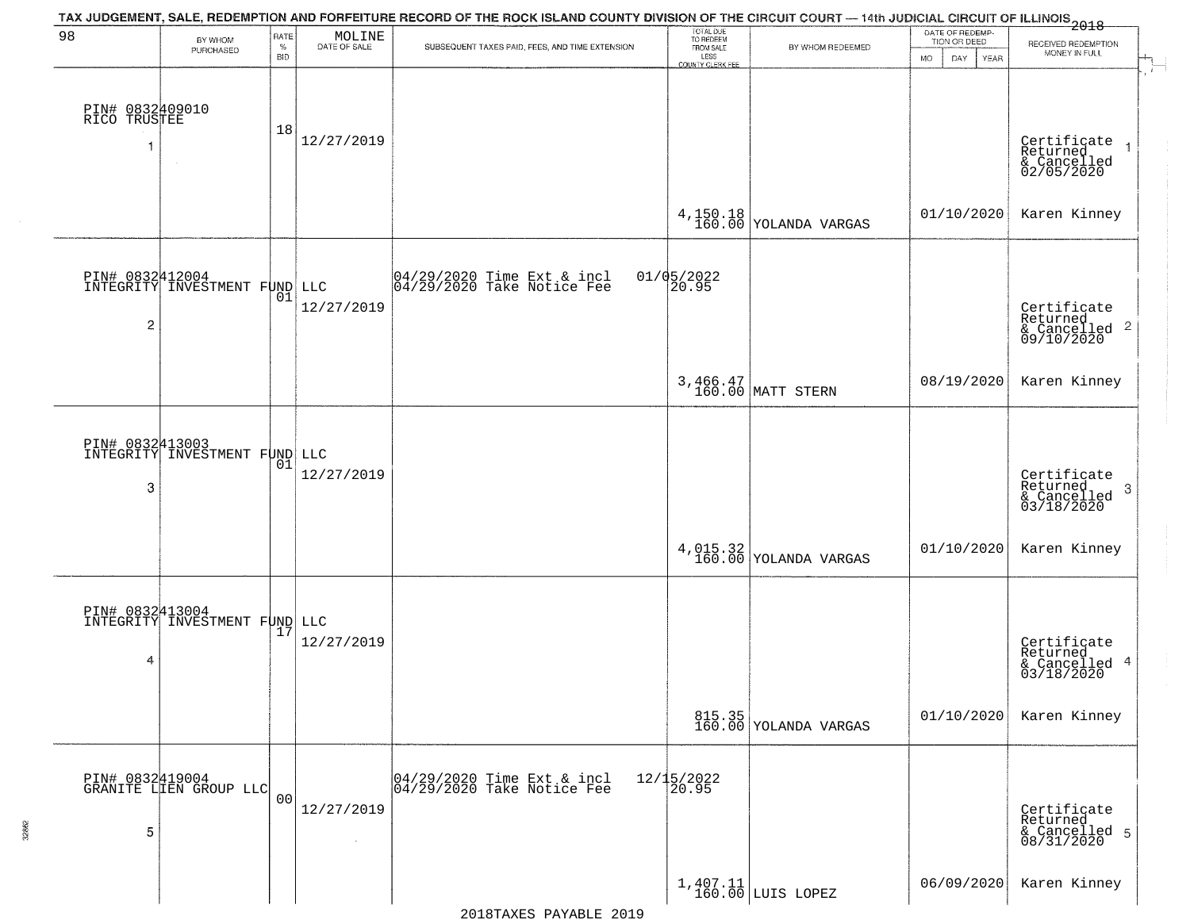| 98                                   | BY WHOM                                          | RATE               | MOLINE               | TAX JUDGEMENT, SALE, REDEMPTION AND FORFEITURE RECORD OF THE ROCK ISLAND COUNTY DIVISION OF THE CIRCUIT COURT — 14th JUDICIAL CIRCUIT OF ILLINOIS 2018 | TOTAL DUE<br>TO REDEEM                       |                                                                | DATE OF REDEMP-<br>TION OR DEED | RECEIVED REDEMPTION                                       |
|--------------------------------------|--------------------------------------------------|--------------------|----------------------|--------------------------------------------------------------------------------------------------------------------------------------------------------|----------------------------------------------|----------------------------------------------------------------|---------------------------------|-----------------------------------------------------------|
|                                      | PURCHASED                                        | $\%$<br><b>BID</b> | DATE OF SALE         | SUBSEQUENT TAXES PAID, FEES, AND TIME EXTENSION                                                                                                        | FROM SALE<br>LESS<br><b>COUNTY CLERK FEE</b> | BY WHOM REDEEMED                                               | MO.<br>DAY.<br>YEAR             | MONEY IN FULL                                             |
| PIN# 0832409010<br>RICO TRUSTEE<br>1 | $\sim$                                           | 18                 | 12/27/2019           |                                                                                                                                                        |                                              |                                                                |                                 | Certificate<br>Returned<br>& Cancelled<br>02/05/2020      |
|                                      |                                                  |                    |                      |                                                                                                                                                        |                                              | $4,150.18$ YOLANDA VARGAS                                      | 01/10/2020                      | Karen Kinney                                              |
| PIN# 0832412004<br>2                 | INTEGRITY INVESTMENT FUND LLC                    | 01                 | 12/27/2019           | 04/29/2020 Time Ext & incl<br>04/29/2020 Take Notice Fee                                                                                               | 01/05/2022<br>20.95                          |                                                                |                                 | Certificate<br>Returned<br>& Cancelled 2<br>09/10/2020    |
|                                      |                                                  |                    |                      |                                                                                                                                                        |                                              | 3,466.47<br>160.00 MATT STERN                                  | 08/19/2020                      | Karen Kinney                                              |
| 3                                    | INTEGRITY INVESTMENT FUND LLC                    | 01                 | 12/27/2019           |                                                                                                                                                        |                                              |                                                                |                                 | Certificate<br>Returned<br>3<br>& Cancelled<br>03/18/2020 |
|                                      |                                                  |                    |                      |                                                                                                                                                        |                                              | $4,015.32 \mid 160.00 \mid$ YOLANDA VARGAS                     | 01/10/2020                      | Karen Kinney                                              |
| 4                                    | PIN# 0832413004<br>INTEGRITY INVESTMENT FUND LLC |                    | 12/27/2019           |                                                                                                                                                        |                                              |                                                                |                                 | Certificate<br>Returned<br>& Cancelled 4<br>03/18/2020    |
|                                      |                                                  |                    |                      |                                                                                                                                                        |                                              | 815.35<br>160.00 YOLANDA VARGAS                                | 01/10/2020                      | Karen Kinney                                              |
| 5                                    | PIN# 0832419004<br>GRANITE LIEN GROUP LLC        | 0 <sub>0</sub>     | 12/27/2019<br>$\sim$ | 04/29/2020 Time Ext & incl<br>04/29/2020 Take Notice Fee                                                                                               | 12/15/2022<br>20.95                          |                                                                |                                 | Certificate<br>Returned<br>& Cancelled 5<br>08/31/2020    |
|                                      |                                                  |                    |                      |                                                                                                                                                        |                                              | $\begin{array}{c c} 1,407.11 \\ 160.00 \end{array}$ LUIS LOPEZ | 06/09/2020                      | Karen Kinney                                              |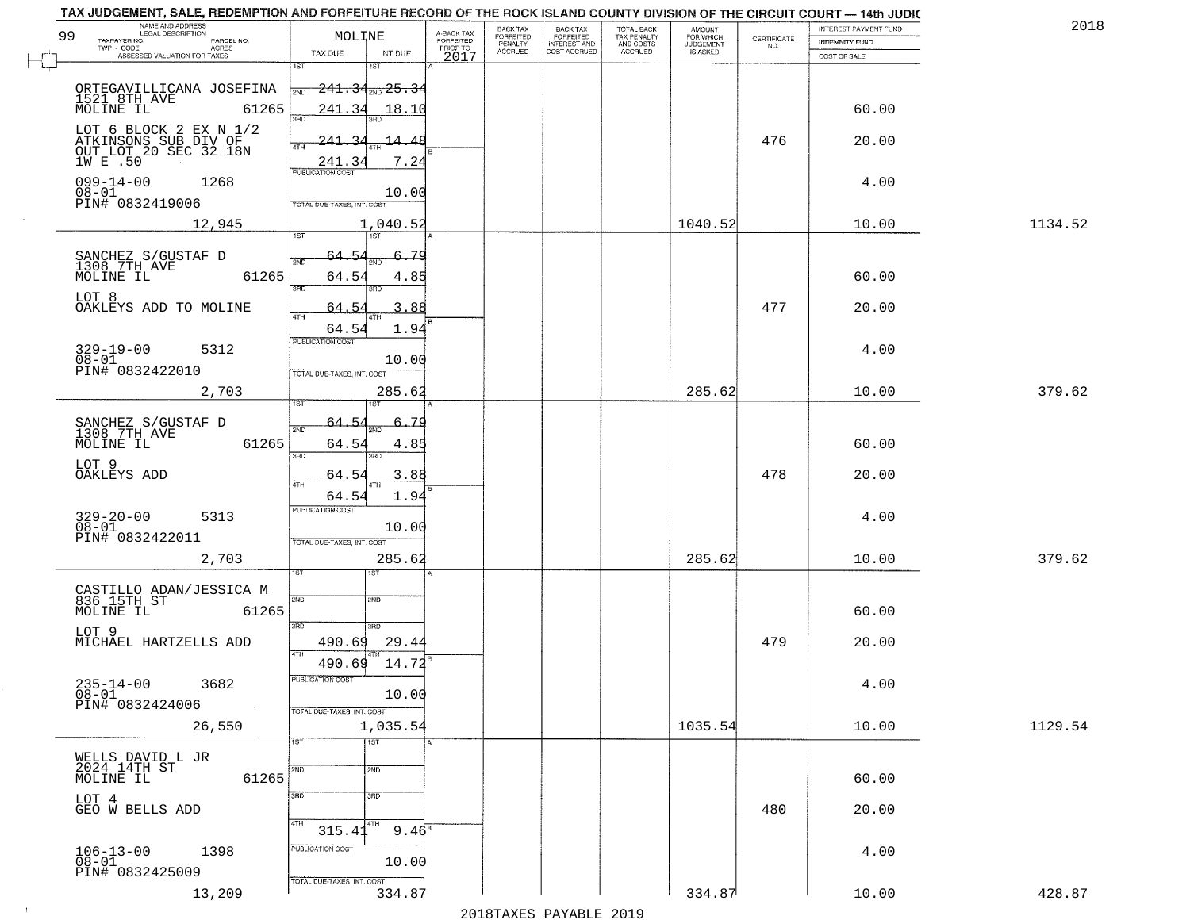| NAME AND ADDRESS<br>LEGAL DESCRIPTION<br>99<br>TAXPAYER NO.<br>PARCEL NO.                   | MOLINE                                                         |                             | A-BACK TAX<br>FORFEITED<br>PRIOR TO | BACK TAX<br>FORFEITED<br>PENALTY | BACK TAX<br>FORFEITED<br>INTEREST AND | TOTAL BACK<br>TAX PENALTY<br>AND COSTS | AMOUNT<br>FOR WHICH<br>JUDGEMENT | $\begin{array}{c} \text{CERTIFICATE} \\ \text{NO.} \end{array}$ | INTEREST PAYMENT FUND<br><b>INDEMNITY FUND</b> | 2018    |
|---------------------------------------------------------------------------------------------|----------------------------------------------------------------|-----------------------------|-------------------------------------|----------------------------------|---------------------------------------|----------------------------------------|----------------------------------|-----------------------------------------------------------------|------------------------------------------------|---------|
| TWP - CODE<br>ACRES<br>ASSESSED VALUATION FOR TAXES                                         | TAX DUE                                                        | INT DUE                     | 2017                                | <b>ACCRUED</b>                   | COST ACCRUED                          | <b>ACCRUED</b>                         | IS ASKED                         |                                                                 | COST OF SALE                                   |         |
| ORTEGAVILLICANA JOSEFINA                                                                    | 1ST<br><del>241.34<sub>2ND</sub> 25.3</del><br>2ND             | 1ST                         |                                     |                                  |                                       |                                        |                                  |                                                                 |                                                |         |
| 1521 8TH AVE<br>MOLINE IL<br>61265                                                          | 241.34<br>350                                                  | 18.10                       |                                     |                                  |                                       |                                        |                                  |                                                                 | 60.00                                          |         |
| LOT 6 BLOCK 2 EX N $1/2$<br>ATKINSONS SUB DIV OF<br>OUT LOT 20 SEC 32 18N<br>1W E .50       | 241<br>2,<br>4TH<br>241.34                                     | $\frac{14}{1}$<br>4<br>7.24 |                                     |                                  |                                       |                                        |                                  | 476                                                             | 20.00                                          |         |
| $099 - 14 - 00$<br>1268<br>$08 - 01$<br>PIN# 0832419006                                     | <b>PUBLICATION COST</b><br>TOTAL DUE-TAXES, INT. COST          | 10.00                       |                                     |                                  |                                       |                                        |                                  |                                                                 | 4.00                                           |         |
| 12,945                                                                                      | 1ST<br>1ST                                                     | 1,040.52                    |                                     |                                  |                                       |                                        | 1040.52                          |                                                                 | 10.00                                          | 1134.52 |
| SANCHEZ S/GUSTAF D<br>1308 7TH AVE<br>MOLINE IL<br>61265                                    | 64.54<br>2ND<br>64.54<br>3RD<br>חוז                            | 79<br>4.85                  |                                     |                                  |                                       |                                        |                                  |                                                                 | 60.00                                          |         |
| LOT 8<br>OAKLEYS ADD TO MOLINE                                                              | 64.54<br>47H<br>64.54                                          | 3.88<br>1.94                |                                     |                                  |                                       |                                        |                                  | 477                                                             | 20.00                                          |         |
| 329-19-00<br>5312<br>$08 - 01$<br>PIN# 0832422010                                           | PUBLICATION COST<br>TOTAL DUE-TAXES, INT. COST                 | 10.00                       |                                     |                                  |                                       |                                        |                                  |                                                                 | 4.00                                           |         |
| 2,703                                                                                       | 1ST                                                            | 285.62                      |                                     |                                  |                                       |                                        | 285.62                           |                                                                 | 10.00                                          | 379.62  |
| SANCHEZ S/GUSTAF D<br>1308 7TH AVE<br>MOLINE IL<br>61265                                    | 64.5.<br>2ND<br>64.54                                          | <u>.79</u><br>4.85          |                                     |                                  |                                       |                                        |                                  |                                                                 | 60.00                                          |         |
| LOT 9<br>OAKLEYS ADD                                                                        | 3RD<br>3RD<br>64.54<br>4TH                                     | 3.88                        |                                     |                                  |                                       |                                        |                                  | 478                                                             | 20.00                                          |         |
| $329 - 20 - 00$<br>$08 - 01$<br>5313<br>PIN# 0832422011                                     | 64.54<br><b>PUBLICATION COST</b><br>TOTAL OUE-TAXES, INT. COST | 1.94<br>10.00               |                                     |                                  |                                       |                                        |                                  |                                                                 | 4.00                                           |         |
| 2,703                                                                                       | ाङ्ग<br>ΙSΤ                                                    | 285.62                      |                                     |                                  |                                       |                                        | 285.62                           |                                                                 | 10.00                                          | 379.62  |
| CASTILLO ADAN/JESSICA M<br>836 15TH ST<br>MOLINE IL<br>61265                                | 2ND<br>2ND<br>3RD<br>3BD                                       |                             |                                     |                                  |                                       |                                        |                                  |                                                                 | 60.00                                          |         |
| LOT 9<br>MICHAEL HARTZELLS ADD                                                              | 490.69<br>4TH<br>490.69                                        | 29.4<br>14.72               |                                     |                                  |                                       |                                        |                                  | 479                                                             | 20.00                                          |         |
| $235 - 14 - 00$<br>3682<br>$\overline{08} - 0\overline{1}$<br>PIN# 0832424006<br>$\sim 100$ | PUBLICATION COST<br>TOTAL DUE-TAXES, INT. COST                 | 10.00                       |                                     |                                  |                                       |                                        |                                  |                                                                 | 4.00                                           |         |
| 26,550                                                                                      |                                                                | 1,035.54                    |                                     |                                  |                                       |                                        | 1035.54                          |                                                                 | 10.00                                          | 1129.54 |
| WELLS DAVID L JR<br>2024 14TH ST<br>MOLINE IL<br>61265                                      | 1ST<br>1ST<br>2ND<br>2ND                                       |                             |                                     |                                  |                                       |                                        |                                  |                                                                 | 60.00                                          |         |
| LOT 4<br>GEO W BELLS ADD                                                                    | 3 <sub>BD</sub><br>3RD<br>4TH<br>  4TH<br>315.41               | $9.46^8$                    |                                     |                                  |                                       |                                        |                                  | 480                                                             | 20.00                                          |         |
| $106 - 13 - 00$<br>$08 - 01$<br>1398<br>PIN# 0832425009                                     | PUBLICATION COST<br>TOTAL DUE-TAXES, INT. COST                 | 10.00                       |                                     |                                  |                                       |                                        |                                  |                                                                 | 4.00                                           |         |
| 13,209                                                                                      |                                                                | 334.87                      |                                     |                                  |                                       |                                        | 334.87                           |                                                                 | 10.00                                          | 428.87  |

 $\sim 10$ 

2018TAXES PAYABLE 2019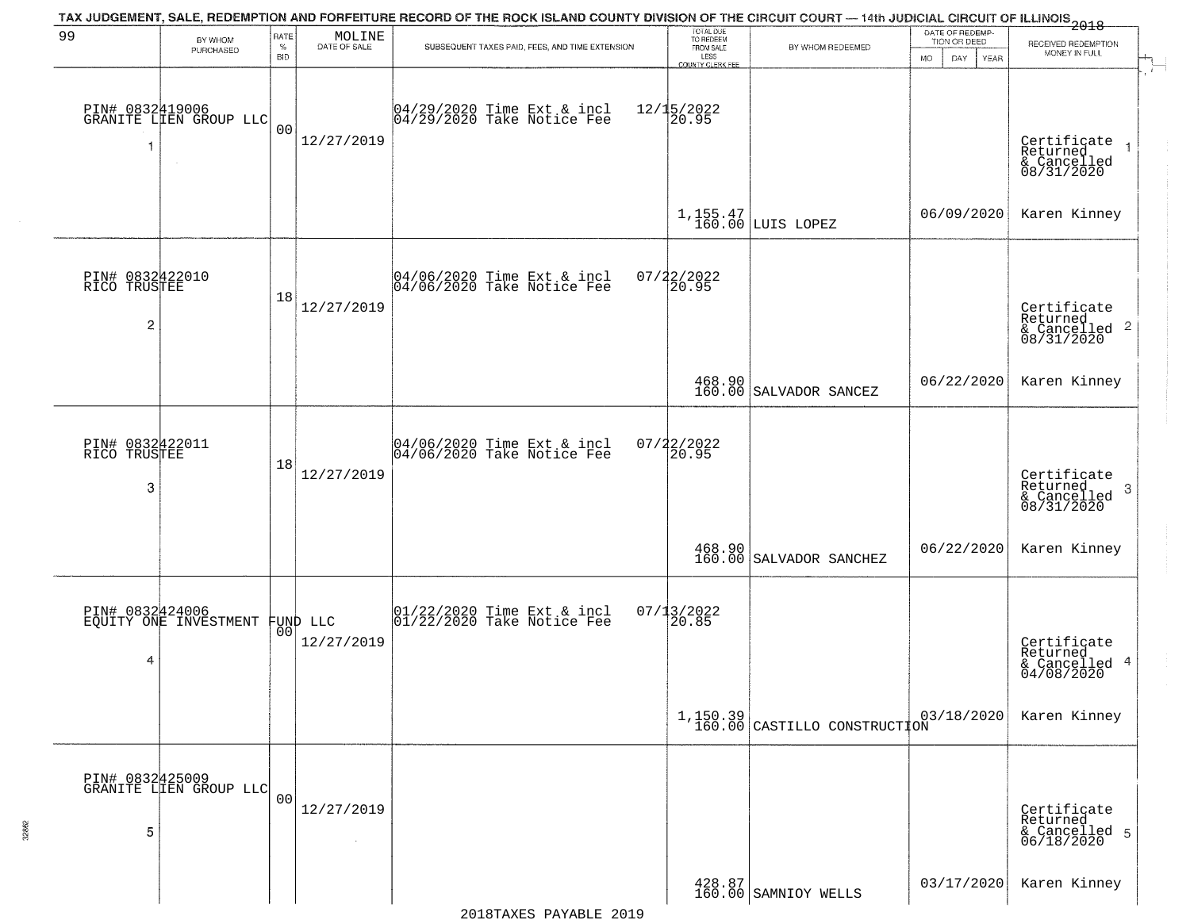|                                       |                                                   |                         |                                                                     | TAX JUDGEMENT, SALE, REDEMPTION AND FORFEITURE RECORD OF THE ROCK ISLAND COUNTY DIVISION OF THE CIRCUIT COURT — 14th JUDICIAL CIRCUIT OF ILLINOIS<br>2018 - 1992 |                                                                 |                                                                                        |                                                       |                                                                    |
|---------------------------------------|---------------------------------------------------|-------------------------|---------------------------------------------------------------------|------------------------------------------------------------------------------------------------------------------------------------------------------------------|-----------------------------------------------------------------|----------------------------------------------------------------------------------------|-------------------------------------------------------|--------------------------------------------------------------------|
| 99                                    | BY WHOM<br>PURCHASED                              | RATE<br>%<br><b>BID</b> | $\begin{array}{c} \text{MOLINE} \\ \text{DATE of SALE} \end{array}$ | SUBSEQUENT TAXES PAID, FEES, AND TIME EXTENSION                                                                                                                  | TOTAL DUE<br>TO REDEEM<br>FROM SALE<br>LESS<br>COUNTY CLERK FEE | BY WHOM REDEEMED                                                                       | DATE OF REDEMP-<br>TION OR DEED<br>DAY<br>MO.<br>YEAR | RECEIVED REDEMPTION<br>MONEY IN FULL<br>$+$<br>$\overline{a}$      |
| 1                                     | PIN# 0832419006<br>GRANITE LIEN GROUP LLC         | 00                      | 12/27/2019                                                          | 04/29/2020 Time Ext & incl<br>04/29/2020 Take Notice Fee                                                                                                         | $12/15/2022$<br>20.95                                           |                                                                                        |                                                       | Certificate<br>Returned<br>& Cancelled<br>08/31/2020               |
|                                       |                                                   |                         |                                                                     |                                                                                                                                                                  |                                                                 | $1, 155.47$ LUIS LOPEZ                                                                 | 06/09/2020                                            | Karen Kinney                                                       |
| PIN# 0832422010<br>RICO TRUSTEE<br>2  |                                                   | 18                      | 12/27/2019                                                          | 04/06/2020 Time Ext & incl<br>04/06/2020 Take Notice Fee                                                                                                         | $07/22/2022$<br>20.95                                           |                                                                                        |                                                       | Certificate<br>Returned<br>$\frac{1}{6}$ Cancelled 2<br>08/31/2020 |
|                                       |                                                   |                         |                                                                     |                                                                                                                                                                  |                                                                 | 468.90<br>160.00 SALVADOR SANCEZ                                                       | 06/22/2020                                            | Karen Kinney                                                       |
| PIN# 0832422011<br>RICO TRUSTEE<br>-3 |                                                   | 18                      | 12/27/2019                                                          | 04/06/2020 Time Ext & incl<br>04/06/2020 Take Notice Fee                                                                                                         | $07/22/2022$<br>20.95                                           |                                                                                        |                                                       | Certificate<br>Returned<br>3<br>& Cancelled<br>08/31/2020          |
|                                       |                                                   |                         |                                                                     |                                                                                                                                                                  |                                                                 | $\begin{array}{c c} 468.90 & \\ 160.00 & \text{SALVADOR} & \text{SANCHEZ} \end{array}$ | 06/22/2020                                            | Karen Kinney                                                       |
| 4                                     | PIN# 0832424006<br>EQUITY ONE INVESTMENT FUND LLC |                         | 12/27/2019                                                          | 01/22/2020 Time Ext & incl<br>01/22/2020 Take Notice Fee                                                                                                         | $07/13/2022$<br>20.85                                           |                                                                                        |                                                       | Certificate<br>Returned<br>& Cancelled 4<br>04/08/2020             |
|                                       |                                                   |                         |                                                                     |                                                                                                                                                                  |                                                                 | $1,150.39$<br>160.00 CASTILLO CONSTRUCTION                                             | 03/18/2020                                            | Karen Kinney                                                       |
| 5                                     | PIN# 0832425009<br>GRANITE LIEN GROUP LLC         | 00                      | 12/27/2019                                                          |                                                                                                                                                                  |                                                                 |                                                                                        |                                                       | Certificate<br>Returned<br>& Cancelled 5<br>06/18/2020             |
|                                       |                                                   |                         |                                                                     |                                                                                                                                                                  |                                                                 | 428.87<br>160.00 SAMNIOY WELLS                                                         | 03/17/2020                                            | Karen Kinney                                                       |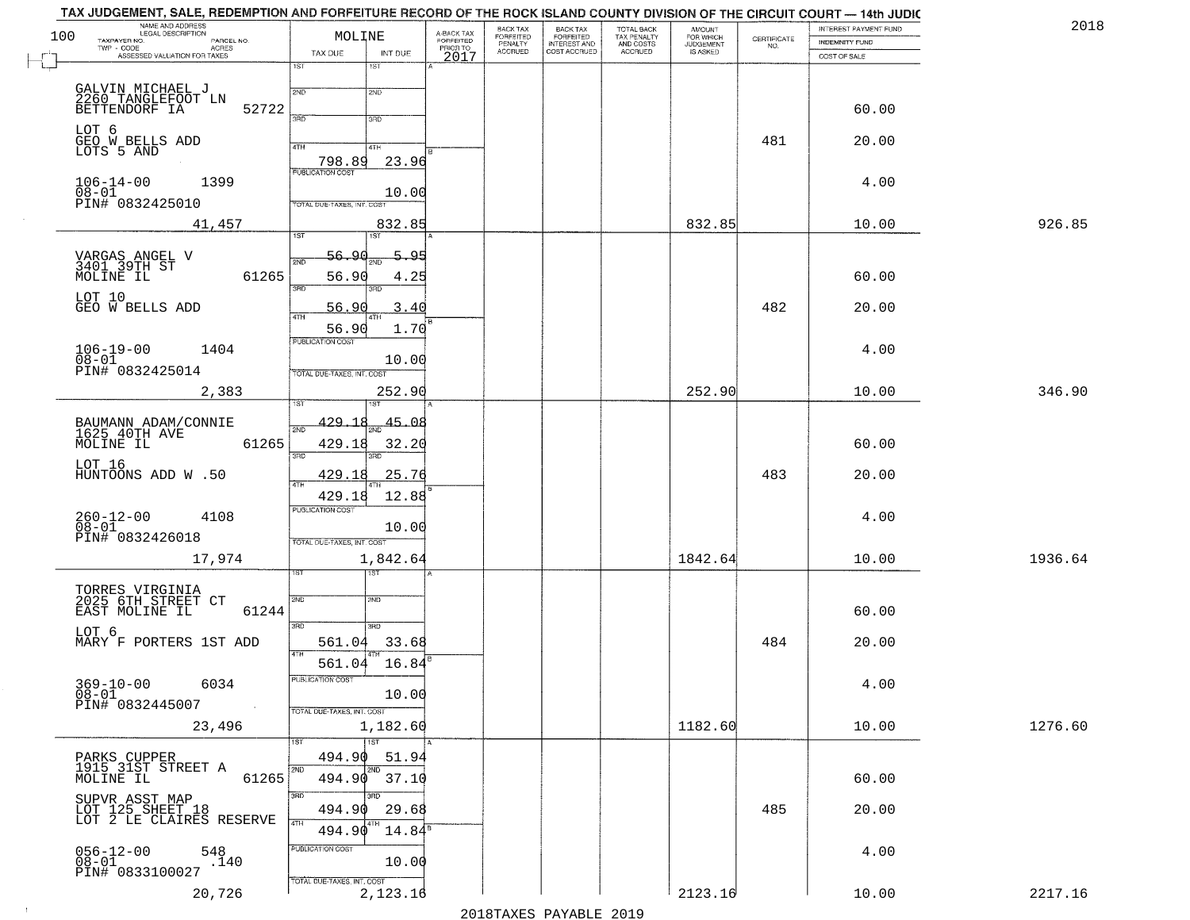| 100 | TAX JUDGEMENT, SALE, REDEMPTION AND FORFEITURE RECORD OF THE ROCK ISLAND COUNTY DIVISION OF THE CIRCUIT COURT — 14th JUDIC<br>NAME AND ADDRESS<br>LEGAL DESCRIPTION<br>TAXPAYER NO.<br>PARCEL NO.<br>TWP - CODE AGRES<br>ASSESSED VALUATION FOR TAXES | MOLINE<br>TAX DUE                                        | INT DUE                         | A-BACK TAX<br>FORFEITED<br>PRIOR TO<br>2017 | BACK TAX<br>FORFEITED<br>PENALTY<br>ACCRUED | BACK TAX<br>FORFEITED<br>INTEREST AND<br>COST ACCRUED | TOTAL BACK<br>TAX PENALTY<br>AND COSTS<br>ACCRUED | <b>AMOUNT</b><br>FOR WHICH<br>JUDGEMENT<br>IS ASKED | CERTIFICATE<br>NO. | INTEREST PAYMENT FUND<br><b>INDEMNITY FUND</b><br>COST OF SALE | 2018    |
|-----|-------------------------------------------------------------------------------------------------------------------------------------------------------------------------------------------------------------------------------------------------------|----------------------------------------------------------|---------------------------------|---------------------------------------------|---------------------------------------------|-------------------------------------------------------|---------------------------------------------------|-----------------------------------------------------|--------------------|----------------------------------------------------------------|---------|
|     | GALVIN MICHAEL J<br>2260 TANGLEFOOT LN                                                                                                                                                                                                                | 1ST<br>2ND                                               | 1ST<br>2ND                      |                                             |                                             |                                                       |                                                   |                                                     |                    |                                                                |         |
|     | BETTENDORF IA<br>52722                                                                                                                                                                                                                                | <b>SAD</b>                                               | 3RD                             |                                             |                                             |                                                       |                                                   |                                                     |                    | 60.00                                                          |         |
|     | LOT 6<br>GEO W_BELLS ADD<br>LOTS 5 AND                                                                                                                                                                                                                | 4TH<br>798.89                                            | 4TH<br>23.96                    |                                             |                                             |                                                       |                                                   |                                                     | 481                | 20.00                                                          |         |
|     | $106 - 14 - 00$<br>1399<br>$08-01$<br>PIN# 0832425010                                                                                                                                                                                                 | <b>PUBLICATION COST</b>                                  | 10.00                           |                                             |                                             |                                                       |                                                   |                                                     |                    | 4.00                                                           |         |
|     | 41,457                                                                                                                                                                                                                                                | TOTAL DUE-TAXES, INT. COST<br>1ST                        | 832.85<br>1ST <sup></sup>       |                                             |                                             |                                                       |                                                   | 832.85                                              |                    | 10.00                                                          | 926.85  |
|     | VARGAS ANGEL V<br>3401 39TH ST<br>61265<br>MOLINE IL                                                                                                                                                                                                  | <u>56.90</u><br>2ND<br>56.90                             | 5.95<br>4.25                    |                                             |                                             |                                                       |                                                   |                                                     |                    | 60.00                                                          |         |
|     | LOT 10<br>GEO W BELLS ADD                                                                                                                                                                                                                             | 3RD<br>56.90<br>47H                                      | 3RD<br>3.40                     |                                             |                                             |                                                       |                                                   |                                                     | 482                | 20.00                                                          |         |
|     | $106 - 19 - 00$<br>$08 - 01$<br>1404<br>PIN# 0832425014                                                                                                                                                                                               | 56.90<br>PUBLICATION COST<br>TOTAL DUE-TAXES, INT. COST  | 1.70<br>10.00                   |                                             |                                             |                                                       |                                                   |                                                     |                    | 4.00                                                           |         |
|     | 2,383                                                                                                                                                                                                                                                 |                                                          | 252.90                          |                                             |                                             |                                                       |                                                   | 252.90                                              |                    | 10.00                                                          | 346.90  |
|     | BAUMANN ADAM/CONNIE<br>1625 40TH AVE<br>61265<br>MOLINE IL                                                                                                                                                                                            | 429.18<br>429.18<br>3RD                                  | $\frac{45.08}{200}$<br>32.20    |                                             |                                             |                                                       |                                                   |                                                     |                    | 60.00                                                          |         |
|     | LOT 16<br>HUNTOONS ADD W.50                                                                                                                                                                                                                           | 429.18<br>4TH<br>429.18                                  | 25.76<br>12.88                  |                                             |                                             |                                                       |                                                   |                                                     | 483                | 20.00                                                          |         |
|     | $260 - 12 - 00$<br>$08 - 01$<br>4108<br>PIN# 0832426018                                                                                                                                                                                               | <b>PUBLICATION COST</b><br>TOTAL OUE-TAXES, INT. COST    | 10.00                           |                                             |                                             |                                                       |                                                   |                                                     |                    | 4.00                                                           |         |
|     | 17,974                                                                                                                                                                                                                                                |                                                          | 1,842.64<br>उड़ा                |                                             |                                             |                                                       |                                                   | 1842.64                                             |                    | 10.00                                                          | 1936.64 |
|     | TORRES VIRGINIA<br>2025 6TH STREET CT<br>61244<br>EAST MOLINE IL                                                                                                                                                                                      | 2ND<br>3RD                                               | 2ND<br>3RD                      |                                             |                                             |                                                       |                                                   |                                                     |                    | 60.00                                                          |         |
|     | LOT 6<br>MARY F PORTERS 1ST ADD                                                                                                                                                                                                                       | 561.04<br>4TH                                            | 33.68                           |                                             |                                             |                                                       |                                                   |                                                     | 484                | 20.00                                                          |         |
|     | $369 - 10 - 00$ 6034<br>$08 - 01$<br>PIN# 0832445007                                                                                                                                                                                                  | 561.04<br>PUBLICATION COST<br>TOTAL DUE-TAXES, INT. COST | 16.84<br>10.00                  |                                             |                                             |                                                       |                                                   |                                                     |                    | 4.00                                                           |         |
|     | 23,496                                                                                                                                                                                                                                                |                                                          | 1,182.60<br>1ST                 |                                             |                                             |                                                       |                                                   | 1182.60                                             |                    | 10.00                                                          | 1276.60 |
|     | PARKS CUPPER<br>1915 31ST STREET A<br>MOLINE IL<br>61265                                                                                                                                                                                              | 494.90<br>2ND<br>494.90                                  | 51.94<br>2ND<br>37.10           |                                             |                                             |                                                       |                                                   |                                                     |                    | 60.00                                                          |         |
|     | SUPVR ASST MAP<br>LOT 125 SHEET 18<br>LOT 2 LE CLAIRES RESERVE                                                                                                                                                                                        | 3BD<br>494.90<br>4TH<br>494.90                           | 3RD<br>29.68<br>$14.84^{\rm s}$ |                                             |                                             |                                                       |                                                   |                                                     | 485                | 20.00                                                          |         |
|     | $056 - 12 - 00$<br>548<br>$\tilde{.}$ 140<br>$08 - 01$<br>PIN# 0833100027                                                                                                                                                                             | PUBLICATION COST                                         | 10.00                           |                                             |                                             |                                                       |                                                   |                                                     |                    | 4.00                                                           |         |
|     | 20,726                                                                                                                                                                                                                                                | TOTAL DUE-TAXES, INT. COST                               | 2,123.16                        |                                             |                                             |                                                       |                                                   | 2123.16                                             |                    | 10.00                                                          | 2217.16 |

 $\sim 10^6$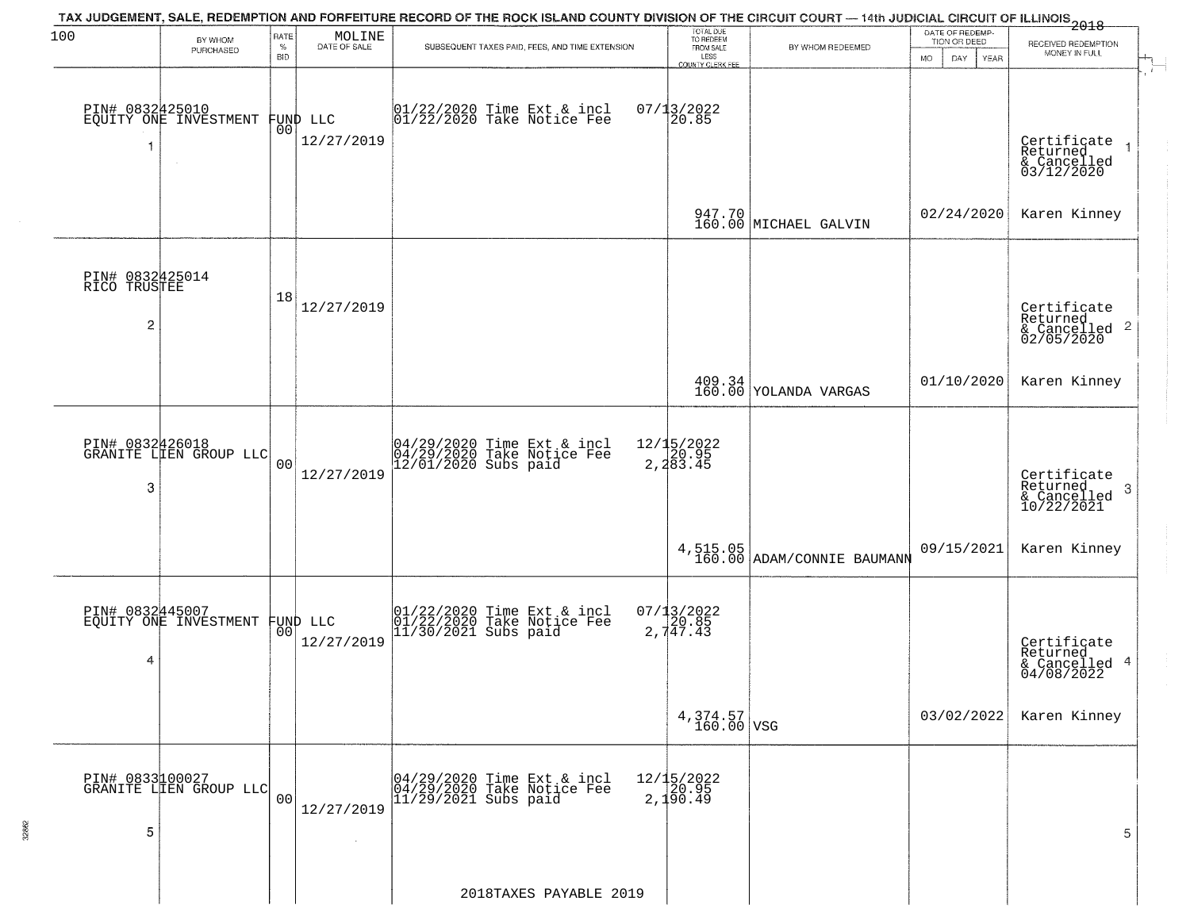| 100                                  | BY WHOM<br>PURCHASED                      | RATE<br>$\%$   | MOLINE<br>DATE OF SALE | TAX JUDGEMENT, SALE, REDEMPTION AND FORFEITURE RECORD OF THE ROCK ISLAND COUNTY DIVISION OF THE CIRCUIT COURT — 14th JUDICIAL CIRCUIT OF ILLINOIS 2018<br>SUBSEQUENT TAXES PAID, FEES, AND TIME EXTENSION | TOTAL DUE<br>TO REDEEM<br>FROM SALE | BY WHOM REDEEMED                                               | DATE OF REDEMP-<br>TION OR DEED | RECEIVED REDEMPTION                                                                                             |
|--------------------------------------|-------------------------------------------|----------------|------------------------|-----------------------------------------------------------------------------------------------------------------------------------------------------------------------------------------------------------|-------------------------------------|----------------------------------------------------------------|---------------------------------|-----------------------------------------------------------------------------------------------------------------|
|                                      |                                           | <b>BID</b>     |                        |                                                                                                                                                                                                           | LESS<br>COUNTY CLERK FEE            |                                                                | <b>MO</b><br>DAY<br>YEAR        | MONEY IN FULL                                                                                                   |
|                                      | PIN# 0832425010<br>EQUITY ONE INVESTMENT  | 00             | FUND LLC<br>12/27/2019 | 01/22/2020 Time Ext & incl<br>01/22/2020 Take Notice Fee                                                                                                                                                  | $07/13/2022$<br>20.85               |                                                                |                                 | Certificate<br>Returned<br>& Cancelled<br>03/12/2020                                                            |
|                                      |                                           |                |                        |                                                                                                                                                                                                           |                                     | 947.70<br>160.00 MICHAEL GALVIN                                | 02/24/2020                      | Karen Kinney                                                                                                    |
| PIN# 0832425014<br>RICO TRUSTEE<br>2 |                                           | 18             | 12/27/2019             |                                                                                                                                                                                                           |                                     |                                                                |                                 | Certificate<br>Returned<br>$\begin{array}{c}\text{cosum} \\ \text{6} \text{Cancelled} \\ 02/05/2020\end{array}$ |
|                                      |                                           |                |                        |                                                                                                                                                                                                           |                                     | $\begin{array}{c} 409.34 \\ 160.00 \end{array}$ YOLANDA VARGAS | 01/10/2020                      | Karen Kinney                                                                                                    |
| 3                                    | PIN# 0832426018<br>GRANITE LIEN GROUP LLC | 0 <sub>0</sub> | 12/27/2019             | 04/29/2020 Time Ext & incl<br>04/29/2020 Take Notice Fee<br>12/01/2020 Subs paid                                                                                                                          | 12/15/2022<br>20.95<br>2,283.45     |                                                                |                                 | Certificate<br>Returned<br>3<br>$\frac{6}{10/22/2021}$                                                          |
|                                      |                                           |                |                        |                                                                                                                                                                                                           | 4,515.05<br>160.00                  | ADAM/CONNIE BAUMANN                                            | 09/15/2021                      | Karen Kinney                                                                                                    |
| PIN# 0832445007<br>4                 | EQUITY ONE INVESTMENT                     | 00             | FUND LLC<br>12/27/2019 | $01/22/2020$ Time Ext & incl<br>$01/22/2020$ Take Notice Fee<br>$11/30/2021$ Subs paid                                                                                                                    | $07/13/2022$<br>20.85<br>2,747.43   |                                                                |                                 | Certificate<br>Returned<br>& Cancelled 4<br>04/08/2022                                                          |
|                                      |                                           |                |                        |                                                                                                                                                                                                           | $4,374.57$ VSG                      |                                                                | 03/02/2022                      | Karen Kinney                                                                                                    |
| 5                                    | PIN# 0833100027<br>GRANITE LIEN GROUP LLC | 0 <sub>0</sub> | 12/27/2019             | 04/29/2020 Time Ext & incl<br>04/29/2020 Take Notice Fee<br>11/29/2021 Subs paid                                                                                                                          | 12/15/2022<br>20.95<br>2,150.49     |                                                                |                                 | 5                                                                                                               |
|                                      |                                           |                |                        | 2018TAXES PAYABLE 2019                                                                                                                                                                                    |                                     |                                                                |                                 |                                                                                                                 |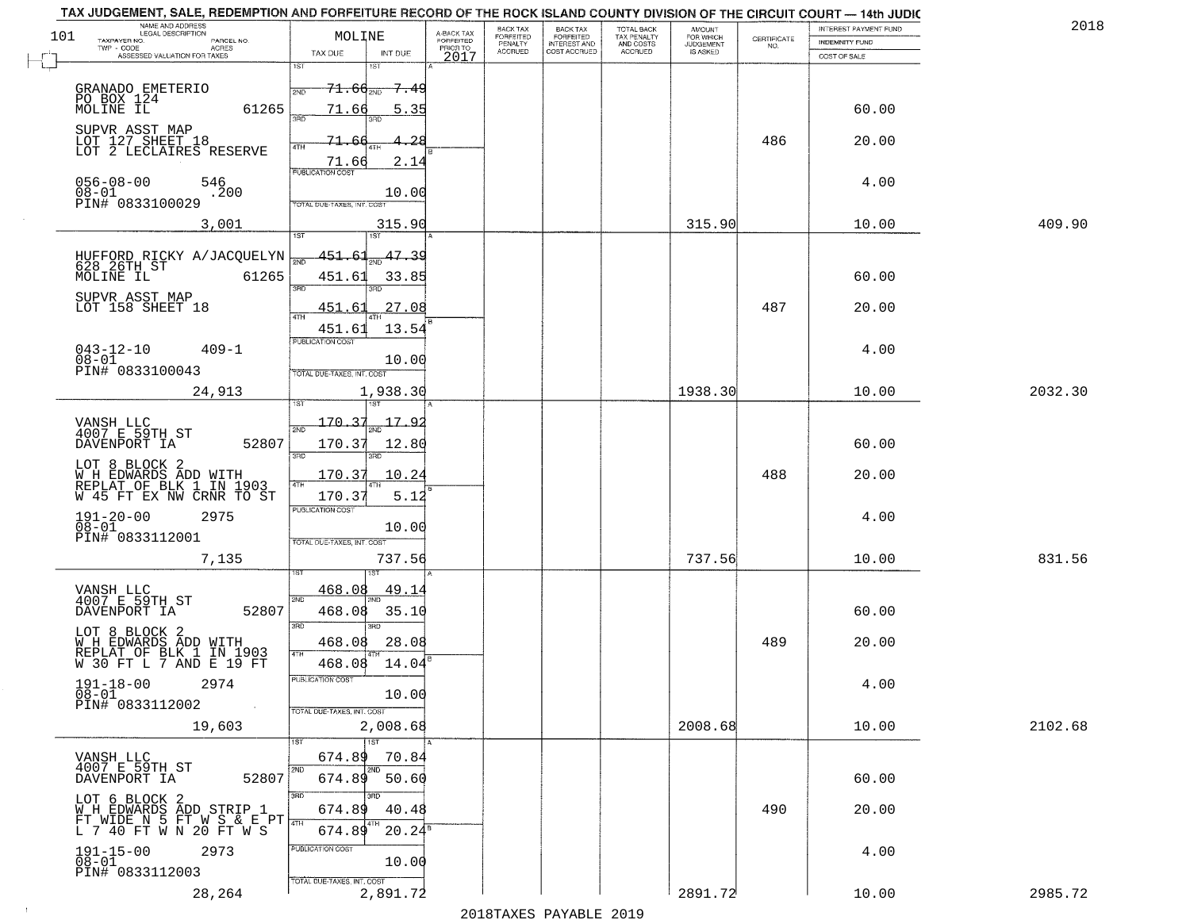|                   | TAX JUDGEMENT, SALE, REDEMPTION AND FORFEITURE RECORD OF THE ROCK ISLAND COUNTY DIVISION OF THE CIRCUIT COURT - 14th JUDIC |                                                     |                         |                              |                                       |                                        |                              |             |                                |         |
|-------------------|----------------------------------------------------------------------------------------------------------------------------|-----------------------------------------------------|-------------------------|------------------------------|---------------------------------------|----------------------------------------|------------------------------|-------------|--------------------------------|---------|
| 101               | NAME AND ADDRESS<br>LEGAL DESCRIPTION<br>TAXPAYER NO.<br>PARCEL NO.                                                        | MOLINE                                              | A-BACK TAX<br>FORFEITED | <b>BACK TAX</b><br>FORFEITED | BACK TAX<br>FORFEITED<br>INTEREST AND | TOTAL BACK<br>TAX PENALTY<br>AND COSTS | AMOUNT<br>FOR WHICH          | CERTIFICATE | <b>INTEREST PAYMENT FUND</b>   | 2018    |
|                   | TWP - CODE<br><b>ACRES</b><br>ASSESSED VALUATION FOR TAXES                                                                 | TAX DUE<br>INT DUE                                  | PRIOR TO<br>2017        | PENALTY<br><b>ACCRUED</b>    | COST ACCRUED                          | ACCRUED                                | <b>JUDGEMENT</b><br>IS ASKED | NO.         | INDEMNITY FUND<br>COST OF SALE |         |
| $\overline{\Box}$ |                                                                                                                            | 1ST<br>18T                                          |                         |                              |                                       |                                        |                              |             |                                |         |
|                   | GRANADO EMETERIO                                                                                                           | 71.66 <sub>2ND</sub><br><del>7.4</del> 9            |                         |                              |                                       |                                        |                              |             |                                |         |
|                   | PO BOX 124<br>MOLINE IL<br>61265                                                                                           | 71.66<br>5.35                                       |                         |                              |                                       |                                        |                              |             | 60.00                          |         |
|                   |                                                                                                                            | 3BD                                                 |                         |                              |                                       |                                        |                              |             |                                |         |
|                   | SUPVR ASST MAP<br>LOT 127 SHEET 18<br>LOT 2 LECLAIRES RESERVE                                                              | 71                                                  |                         |                              |                                       |                                        |                              | 486         | 20.00                          |         |
|                   |                                                                                                                            | 2.14<br>71.66                                       |                         |                              |                                       |                                        |                              |             |                                |         |
|                   | $056 - 08 - 00$<br>546                                                                                                     |                                                     |                         |                              |                                       |                                        |                              |             | 4.00                           |         |
|                   | 08-01<br>PIN# 0833100029<br>.200                                                                                           | 10.00<br>TOTAL DUE-TAXES, INT. COST                 |                         |                              |                                       |                                        |                              |             |                                |         |
|                   |                                                                                                                            |                                                     |                         |                              |                                       |                                        |                              |             |                                |         |
|                   | 3,001                                                                                                                      | 315.90<br>1ST<br>ist                                |                         |                              |                                       |                                        | 315.90                       |             | 10.00                          | 409.90  |
|                   | HUFFORD RICKY A/JACQUELYN<br>628 26TH ST                                                                                   | 47.39<br><u>451.61</u>                              |                         |                              |                                       |                                        |                              |             |                                |         |
|                   | MOLINE IL<br>61265                                                                                                         | 33.85<br>451.61                                     |                         |                              |                                       |                                        |                              |             | 60.00                          |         |
|                   | SUPVR_ASST MAP                                                                                                             | 3RD                                                 |                         |                              |                                       |                                        |                              |             |                                |         |
|                   | LOT 158 SHEET 18                                                                                                           | 27.08<br>451.<br>. 61                               |                         |                              |                                       |                                        |                              | 487         | 20.00                          |         |
|                   |                                                                                                                            | 13.54<br>451.61                                     |                         |                              |                                       |                                        |                              |             |                                |         |
|                   | $043 - 12 - 10$<br>$409 - 1$                                                                                               | PUBLICATION COST                                    |                         |                              |                                       |                                        |                              |             | 4.00                           |         |
|                   | 08-01<br>PIN# 0833100043                                                                                                   | 10.00<br>TOTAL DUE-TAXES, INT. COST                 |                         |                              |                                       |                                        |                              |             |                                |         |
|                   | 24,913                                                                                                                     | 1,938.30                                            |                         |                              |                                       |                                        | 1938.30                      |             | 10.00                          | 2032.30 |
|                   |                                                                                                                            |                                                     |                         |                              |                                       |                                        |                              |             |                                |         |
|                   | VANSH LLC<br>4007 E 59TH ST                                                                                                | 170<br>17.92<br>2ND                                 |                         |                              |                                       |                                        |                              |             |                                |         |
|                   | DAVENPORT IA<br>52807                                                                                                      | 170.37<br>12.80                                     |                         |                              |                                       |                                        |                              |             | 60.00                          |         |
|                   | LOT 8 BLOCK 2                                                                                                              | 3RD<br>3RD                                          |                         |                              |                                       |                                        |                              |             |                                |         |
|                   | WH EDWARDS ADD WITH<br>REPLAT OF BLK 1 IN 1903<br>W 45 FT EX NW CRNR TO ST                                                 | 170.37<br>10.24<br>4TH                              |                         |                              |                                       |                                        |                              | 488         | 20.00                          |         |
|                   |                                                                                                                            | 170.37<br>5.12                                      |                         |                              |                                       |                                        |                              |             |                                |         |
|                   | $191 - 20 - 00$<br>$08 - 01$<br>2975                                                                                       | <b>PUBLICATION COST</b>                             |                         |                              |                                       |                                        |                              |             | 4.00                           |         |
|                   | PIN# 0833112001                                                                                                            | 10.00<br>TOTAL OUE-TAXES, INT. COST                 |                         |                              |                                       |                                        |                              |             |                                |         |
|                   | 7,135                                                                                                                      | 737.56                                              |                         |                              |                                       |                                        | 737.56                       |             | 10.00                          | 831.56  |
|                   |                                                                                                                            |                                                     |                         |                              |                                       |                                        |                              |             |                                |         |
|                   | VANSH LLC<br>4007 E 59TH ST                                                                                                | 468.08<br><u>49.14</u><br>2ND                       |                         |                              |                                       |                                        |                              |             |                                |         |
|                   | 52807<br>DAVENPORT IA                                                                                                      | 468.08<br>35.10                                     |                         |                              |                                       |                                        |                              |             | 60.00                          |         |
|                   |                                                                                                                            | 3RD<br>3BD                                          |                         |                              |                                       |                                        |                              |             |                                |         |
|                   | LOT 8 BLOCK 2<br>W H EDWARDS ADD WITH<br>REPLAT OF BLK 1 IN 1903<br>W 30 FT L 7 AND E 19 FT                                | 468.08<br>28.08<br>4TH                              |                         |                              |                                       |                                        |                              | 489         | 20.00                          |         |
|                   |                                                                                                                            | 468.08 14.04                                        |                         |                              |                                       |                                        |                              |             |                                |         |
|                   | $191 - 18 - 00$<br>2974<br>$\overline{0}8\overline{-}0\overline{1}$                                                        | PUBLICATION COST<br>10.00                           |                         |                              |                                       |                                        |                              |             | 4.00                           |         |
|                   | PIN# 0833112002<br>$\sim 100$                                                                                              | TOTAL DUE-TAXES, INT. COST                          |                         |                              |                                       |                                        |                              |             |                                |         |
|                   | 19,603                                                                                                                     | 2,008.68                                            |                         |                              |                                       |                                        | 2008.68                      |             | 10.00                          | 2102.68 |
|                   |                                                                                                                            | $\overline{1}$ $\overline{5}$ $\overline{1}$<br>IST |                         |                              |                                       |                                        |                              |             |                                |         |
|                   | VANSH LLC<br>4007 E 59TH ST                                                                                                | 674.89<br>70.84<br>2ND<br>l 2ND                     |                         |                              |                                       |                                        |                              |             |                                |         |
|                   | 52807<br>DAVENPORT IA                                                                                                      | 674.89<br>50.60                                     |                         |                              |                                       |                                        |                              |             | 60.00                          |         |
|                   | LOT 6 BLOCK 2<br>W H EDWARDS ADD STRIP 1                                                                                   | 3RD<br>3BD<br>674.89<br>40.48                       |                         |                              |                                       |                                        |                              | 490         | 20.00                          |         |
|                   | FT WIDE N 5 FT W S & E PT TH<br>L 7 40 FT W N 20 FT W S                                                                    | 4TH<br>$20.24^s$<br>674.89                          |                         |                              |                                       |                                        |                              |             |                                |         |
|                   |                                                                                                                            | PUBLICATION COST                                    |                         |                              |                                       |                                        |                              |             |                                |         |
|                   | $191 - 15 - 00$<br>$08 - 01$<br>2973                                                                                       | 10.00                                               |                         |                              |                                       |                                        |                              |             | 4.00                           |         |
|                   | PIN# 0833112003                                                                                                            | TOTAL DUE-TAXES, INT. COST                          |                         |                              |                                       |                                        |                              |             |                                |         |
|                   | 28,264                                                                                                                     | 2,891.72                                            |                         |                              |                                       |                                        | 2891.72                      |             | 10.00                          | 2985.72 |

 $\vdash$ 

 $\sim 10$ 

2018TAXES PAYABLE 2019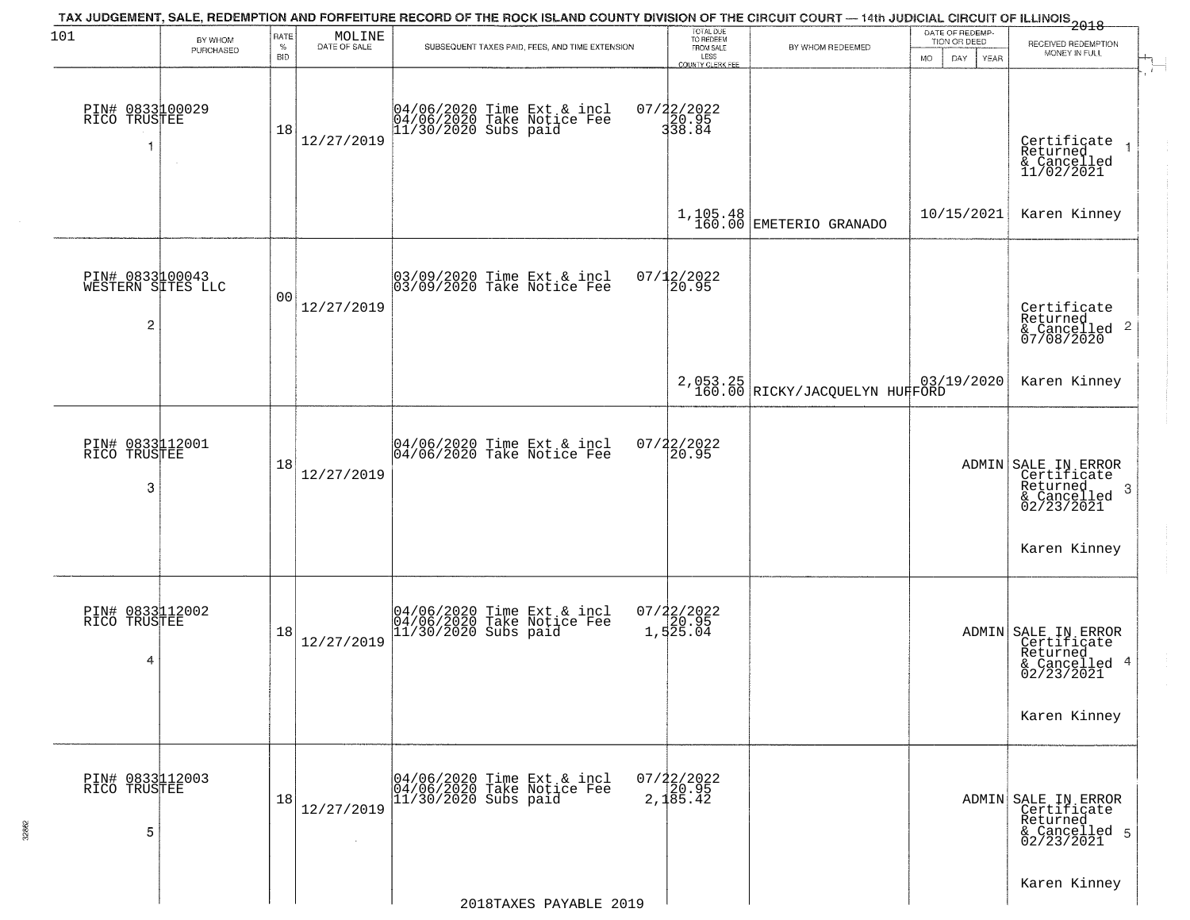| 101                                                    | BY WHOM   | RATE<br>$\%$   | MOLINE<br>DATE OF SALE | TAX JUDGEMENT, SALE, REDEMPTION AND FORFEITURE RECORD OF THE ROCK ISLAND COUNTY DIVISION OF THE CIRCUIT COURT — 14th JUDICIAL CIRCUIT OF ILLINOIS 2018<br>SUBSEQUENT TAXES PAID, FEES, AND TIME EXTENSION | TOTAL DUE<br>TO REDEEM<br>FROM SALE | BY WHOM REDEEMED                           | DATE OF REDEMP-<br>TION OR DEED | RECEIVED REDEMPTION                                                              |
|--------------------------------------------------------|-----------|----------------|------------------------|-----------------------------------------------------------------------------------------------------------------------------------------------------------------------------------------------------------|-------------------------------------|--------------------------------------------|---------------------------------|----------------------------------------------------------------------------------|
|                                                        | PURCHASED | <b>BID</b>     |                        |                                                                                                                                                                                                           | LESS<br><b>COUNTY CLERK FEE</b>     |                                            | MO.<br>DAY.<br>YEAR             | MONEY IN FULL                                                                    |
| PIN# 0833100029<br>RICO TRUSTEE<br>f.                  | $\sim$    | 18             | 12/27/2019             | 04/06/2020 Time Ext & incl<br>04/06/2020 Take Notice Fee<br>11/30/2020 Subs paid                                                                                                                          | 07/22/2022<br>20.95<br>338.84       |                                            |                                 | Certificate<br>Returned<br>& Cancelled<br>11/02/2021                             |
|                                                        |           |                |                        |                                                                                                                                                                                                           |                                     | $1,105.48$ EMETERIO GRANADO                | 10/15/2021                      | Karen Kinney                                                                     |
| PIN# 0833100043<br>WESTERN SITES LLC<br>$\overline{c}$ |           | 0 <sub>0</sub> | 12/27/2019             | 03/09/2020 Time Ext & incl<br>03/09/2020 Take Notice Fee                                                                                                                                                  | 07/12/2022<br>20.95                 |                                            |                                 | Certificate<br>Returned<br>& Cancelled 2<br>07/08/2020                           |
|                                                        |           |                |                        |                                                                                                                                                                                                           |                                     | 2,053.25<br>160.00 RICKY/JACQUELYN HUHFORD | 03/19/2020                      | Karen Kinney                                                                     |
| PIN# 0833112001<br>RICO TRUSTEE<br>3                   |           | 18             | 12/27/2019             | 04/06/2020 Time Ext & incl<br>04/06/2020 Take Notice Fee                                                                                                                                                  | 07/22/2022<br>20.95                 |                                            |                                 | ADMIN SALE IN ERROR<br>Certificate<br>Returned<br>3<br>& Cancelled<br>02/23/2021 |
|                                                        |           |                |                        |                                                                                                                                                                                                           |                                     |                                            |                                 | Karen Kinney                                                                     |
| PIN# 0833112002<br>RICO TRUSTEE<br>4                   |           | 18             | 12/27/2019             | 04/06/2020 Time Ext & incl<br>04/06/2020 Take Notice Fee<br>11/30/2020 Subs paid                                                                                                                          | 07/22/2022<br>20.95<br>1,525.04     |                                            |                                 | ADMIN SALE IN ERROR<br>Certificate<br>Returned<br>& Cancelled 4<br>02/23/2021    |
|                                                        |           |                |                        |                                                                                                                                                                                                           |                                     |                                            |                                 | Karen Kinney                                                                     |
| PIN# 0833112003<br>RICO TRUSTEE<br>5                   |           | 18             | 12/27/2019<br>$\sim$   | 04/06/2020 Time Ext & incl<br>04/06/2020 Take Notice Fee<br>$11/30/2020$ Subs paid                                                                                                                        | $07/22/2022$<br>20.95<br>2,185.42   |                                            |                                 | ADMIN SALE IN ERROR<br>Certificate<br>Returned<br>& Cancelled 5<br>02/23/2021    |
|                                                        |           |                |                        | 2018TAXES PAYABLE 2019                                                                                                                                                                                    |                                     |                                            |                                 | Karen Kinney                                                                     |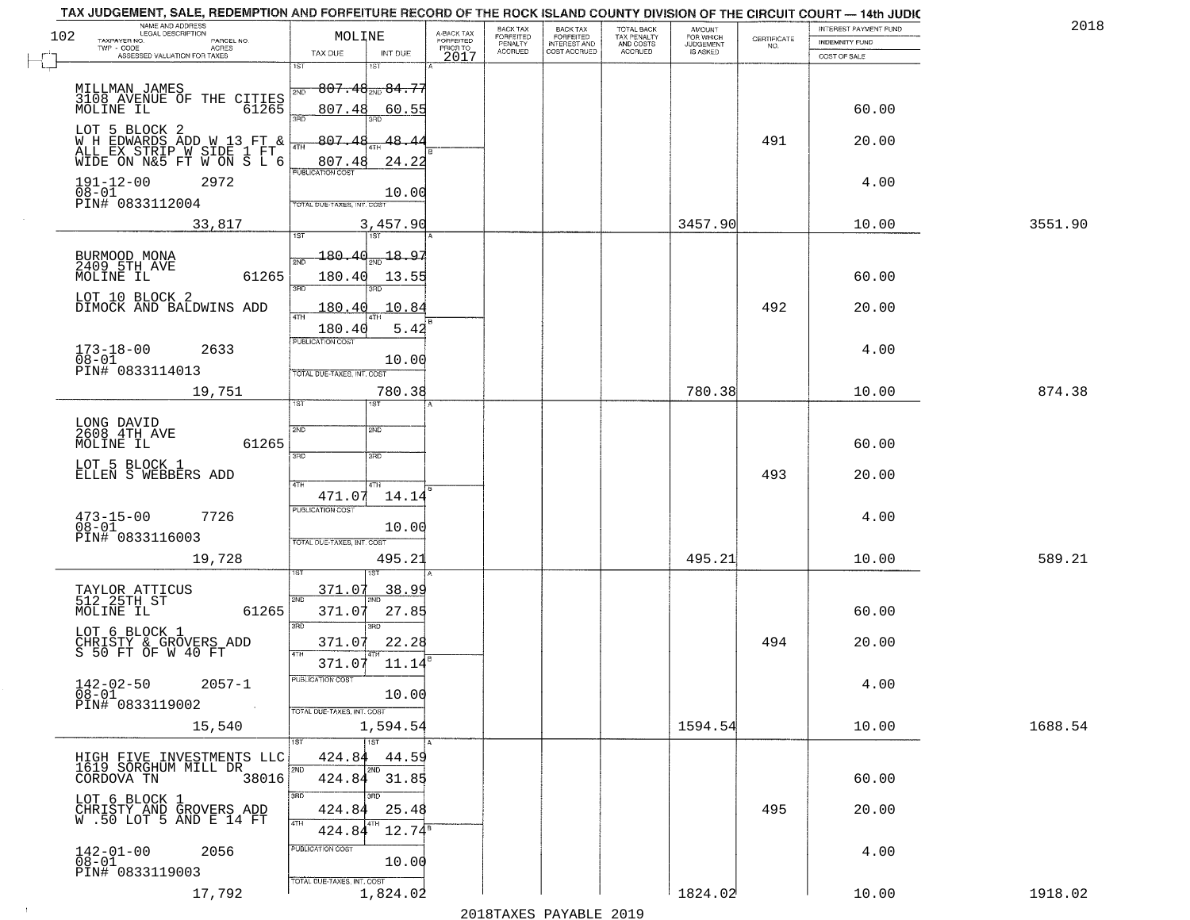|     | TAX JUDGEMENT, SALE, REDEMPTION AND FORFEITURE RECORD OF THE ROCK ISLAND COUNTY DIVISION OF THE CIRCUIT COURT — 14th JUDIC |                                   |                                   |                                     |                                 |                                                       |                                        |                                  |                                                                 |                       |         |
|-----|----------------------------------------------------------------------------------------------------------------------------|-----------------------------------|-----------------------------------|-------------------------------------|---------------------------------|-------------------------------------------------------|----------------------------------------|----------------------------------|-----------------------------------------------------------------|-----------------------|---------|
| 102 | NAME AND ADDRESS<br>LEGAL DESCRIPTION<br>TAXPAYER NO.<br>PARCEL NO.                                                        | MOLINE                            |                                   | A-BACK TAX<br>FORFEITED<br>PRIOR TO | BACK TAX                        |                                                       | TOTAL BACK<br>TAX PENALTY<br>AND COSTS | AMOUNT<br>FOR WHICH<br>JUDGEMENT |                                                                 | INTEREST PAYMENT FUND | 2018    |
|     | CODE AGRES<br>ASSESSED VALUATION FOR TAXES<br>$TWP - CODE$                                                                 | TAX DUE                           | INT DUE                           |                                     | FORFEITED<br>PENALTY<br>ACCRUED | BACK TAX<br>FORFEITED<br>INTEREST AND<br>COST ACCRUED | ACCRUED                                | IS ASKED                         | $\begin{array}{c} \text{CERTIFICATE} \\ \text{NO.} \end{array}$ | <b>INDEMNITY FUND</b> |         |
|     |                                                                                                                            | $\overline{1ST}$                  | 15T                               | 2017                                |                                 |                                                       |                                        |                                  |                                                                 | COST OF SALE          |         |
|     |                                                                                                                            |                                   |                                   |                                     |                                 |                                                       |                                        |                                  |                                                                 |                       |         |
|     | MILLMAN JAMES                                                                                                              | 2ND                               | $-807.48_{\text{\tiny 2ND}}84.77$ |                                     |                                 |                                                       |                                        |                                  |                                                                 |                       |         |
|     | 3108 AVENUE OF THE CITIES<br>MOLINE IL 61265<br>MOLINE IL                                                                  | 807.48<br>3AD                     | 60.55                             |                                     |                                 |                                                       |                                        |                                  |                                                                 | 60.00                 |         |
|     | LOT 5 BLOCK 2                                                                                                              |                                   |                                   |                                     |                                 |                                                       |                                        |                                  |                                                                 |                       |         |
|     |                                                                                                                            | 807.48<br>4TH                     | 48.4                              |                                     |                                 |                                                       |                                        |                                  | 491                                                             | 20.00                 |         |
|     | WH EDWARDS ADD W 13 FT &<br>ALL EX STRIP W SIDE 1 FT<br>WIDE ON N&5 FT W ON S L 6                                          | 807.48                            | 24.22                             |                                     |                                 |                                                       |                                        |                                  |                                                                 |                       |         |
|     | 2972                                                                                                                       | PUBLICATION COST                  |                                   |                                     |                                 |                                                       |                                        |                                  |                                                                 | 4.00                  |         |
|     | $191 - 12 - 00$<br>$08 - 01$                                                                                               |                                   | 10.00                             |                                     |                                 |                                                       |                                        |                                  |                                                                 |                       |         |
|     | PIN# 0833112004                                                                                                            | TOTAL DUE-TAXES, INT. COST        |                                   |                                     |                                 |                                                       |                                        |                                  |                                                                 |                       |         |
|     | 33,817                                                                                                                     |                                   | 3,457.90                          |                                     |                                 |                                                       |                                        | 3457.90                          |                                                                 | 10.00                 | 3551.90 |
|     |                                                                                                                            | 1ST                               | 1ST                               |                                     |                                 |                                                       |                                        |                                  |                                                                 |                       |         |
|     | BURMOOD MONA<br>2409 5TH AVE                                                                                               | 180.40<br>2ND                     | -18.97                            |                                     |                                 |                                                       |                                        |                                  |                                                                 |                       |         |
|     | 61265<br>MOLINE IL                                                                                                         | 180.40                            | 13.55                             |                                     |                                 |                                                       |                                        |                                  |                                                                 | 60.00                 |         |
|     |                                                                                                                            | <b>BRC</b>                        |                                   |                                     |                                 |                                                       |                                        |                                  |                                                                 |                       |         |
|     | LOT 10 BLOCK 2<br>DIMOCK AND BALDWINS ADD                                                                                  | 180.40                            | 10.84                             |                                     |                                 |                                                       |                                        |                                  | 492                                                             | 20.00                 |         |
|     |                                                                                                                            | 47H                               |                                   |                                     |                                 |                                                       |                                        |                                  |                                                                 |                       |         |
|     |                                                                                                                            | 180.40<br><b>PUBLICATION COST</b> | 5.42                              |                                     |                                 |                                                       |                                        |                                  |                                                                 |                       |         |
|     | $173 - 18 - 00$<br>$08 - 01$<br>2633                                                                                       |                                   |                                   |                                     |                                 |                                                       |                                        |                                  |                                                                 | 4.00                  |         |
|     | PIN# 0833114013                                                                                                            | TOTAL DUE-TAXES, INT. COST        | 10.00                             |                                     |                                 |                                                       |                                        |                                  |                                                                 |                       |         |
|     |                                                                                                                            |                                   |                                   |                                     |                                 |                                                       |                                        |                                  |                                                                 |                       |         |
|     | 19,751                                                                                                                     | īst                               | 780.38                            |                                     |                                 |                                                       |                                        | 780.38                           |                                                                 | 10.00                 | 874.38  |
|     |                                                                                                                            |                                   |                                   |                                     |                                 |                                                       |                                        |                                  |                                                                 |                       |         |
|     | LONG DAVID<br>2608 4TH AVE                                                                                                 | 2ND                               | <b>2MD</b>                        |                                     |                                 |                                                       |                                        |                                  |                                                                 |                       |         |
|     | 61265<br>MOLINE IL                                                                                                         |                                   |                                   |                                     |                                 |                                                       |                                        |                                  |                                                                 | 60.00                 |         |
|     | LOT 5 BLOCK 1                                                                                                              | 3BD                               | 3 <sub>3</sub>                    |                                     |                                 |                                                       |                                        |                                  |                                                                 |                       |         |
|     | ELLEN S WEBBERS ADD                                                                                                        | 4TH                               | 4TH                               |                                     |                                 |                                                       |                                        |                                  | 493                                                             | 20.00                 |         |
|     |                                                                                                                            | 471.07                            | 14.14                             |                                     |                                 |                                                       |                                        |                                  |                                                                 |                       |         |
|     | $473 - 15 - 00$<br>7726                                                                                                    | <b>PUBLICATION COST</b>           |                                   |                                     |                                 |                                                       |                                        |                                  |                                                                 | 4.00                  |         |
|     | 08-01                                                                                                                      |                                   | 10.00                             |                                     |                                 |                                                       |                                        |                                  |                                                                 |                       |         |
|     | PIN# 0833116003                                                                                                            | TOTAL OUE-TAXES, INT. COST        |                                   |                                     |                                 |                                                       |                                        |                                  |                                                                 |                       |         |
|     | 19,728                                                                                                                     |                                   | 495.21                            |                                     |                                 |                                                       |                                        | 495.21                           |                                                                 | 10.00                 | 589.21  |
|     |                                                                                                                            |                                   |                                   |                                     |                                 |                                                       |                                        |                                  |                                                                 |                       |         |
|     | TAYLOR ATTICUS<br>512 25TH ST                                                                                              | 371.07<br>2ND                     | <u>38.99</u>                      |                                     |                                 |                                                       |                                        |                                  |                                                                 |                       |         |
|     | MOLINE IL<br>61265                                                                                                         | 371.07                            | 27.85                             |                                     |                                 |                                                       |                                        |                                  |                                                                 | 60.00                 |         |
|     |                                                                                                                            | 3RD                               | $\overline{3BD}$                  |                                     |                                 |                                                       |                                        |                                  |                                                                 |                       |         |
|     | LOT 6 BLOCK 1                                                                                                              | 371.07                            | 22.28                             |                                     |                                 |                                                       |                                        |                                  | 494                                                             | 20.00                 |         |
|     | CHRISTY & GROVERS ADD<br>S 50 FT OF W 40 FT                                                                                | 4TH<br>371.07                     |                                   |                                     |                                 |                                                       |                                        |                                  |                                                                 |                       |         |
|     |                                                                                                                            | PUBLICATION COST                  | 11.14                             |                                     |                                 |                                                       |                                        |                                  |                                                                 |                       |         |
|     | $2057 - 1$<br>142-02-50<br>$08 - 01$                                                                                       |                                   | 10.00                             |                                     |                                 |                                                       |                                        |                                  |                                                                 | 4.00                  |         |
|     | PIN# 0833119002                                                                                                            | TOTAL DUE-TAXES, INT. COST        |                                   |                                     |                                 |                                                       |                                        |                                  |                                                                 |                       |         |
|     | 15,540                                                                                                                     |                                   | 1,594.54                          |                                     |                                 |                                                       |                                        | 1594.54                          |                                                                 | 10.00                 | 1688.54 |
|     |                                                                                                                            | 1ST                               | 1ST                               |                                     |                                 |                                                       |                                        |                                  |                                                                 |                       |         |
|     |                                                                                                                            | 424.84                            | 44.59                             |                                     |                                 |                                                       |                                        |                                  |                                                                 |                       |         |
|     | HIGH FIVE INVESTMENTS LLC<br>1619 SORGHUM MILL DR                                                                          | 2ND                               |                                   |                                     |                                 |                                                       |                                        |                                  |                                                                 |                       |         |
|     | 38016<br>CORDOVA TN                                                                                                        | 424.84                            | 31.85                             |                                     |                                 |                                                       |                                        |                                  |                                                                 | 60.00                 |         |
|     | LOT 6 BLOCK 1                                                                                                              | 3RD                               | 3BD                               |                                     |                                 |                                                       |                                        |                                  |                                                                 |                       |         |
|     | CHRISTY AND GROVERS ADD<br>W.50 LOT 5 AND E 14 FT                                                                          | 424.84<br>4TH                     | 25.48                             |                                     |                                 |                                                       |                                        |                                  | 495                                                             | 20.00                 |         |
|     |                                                                                                                            | 424.84                            | $12.74^{\circ}$                   |                                     |                                 |                                                       |                                        |                                  |                                                                 |                       |         |
|     | 2056                                                                                                                       | PUBLICATION COST                  |                                   |                                     |                                 |                                                       |                                        |                                  |                                                                 | 4.00                  |         |
|     | $142 - 01 - 00$<br>$08 - 01$<br>PIN# 0833119003                                                                            |                                   | 10.00                             |                                     |                                 |                                                       |                                        |                                  |                                                                 |                       |         |
|     |                                                                                                                            | TOTAL DUE-TAXES, INT, COST        |                                   |                                     |                                 |                                                       |                                        |                                  |                                                                 |                       |         |
|     | 17,792                                                                                                                     |                                   | 1,824.02                          |                                     |                                 |                                                       |                                        | 1824.02                          |                                                                 | 10.00                 | 1918.02 |
|     |                                                                                                                            |                                   |                                   |                                     |                                 | 2010 ELITATIO DI VIDI E 2010                          |                                        |                                  |                                                                 |                       |         |

 $\sim 10^{-1}$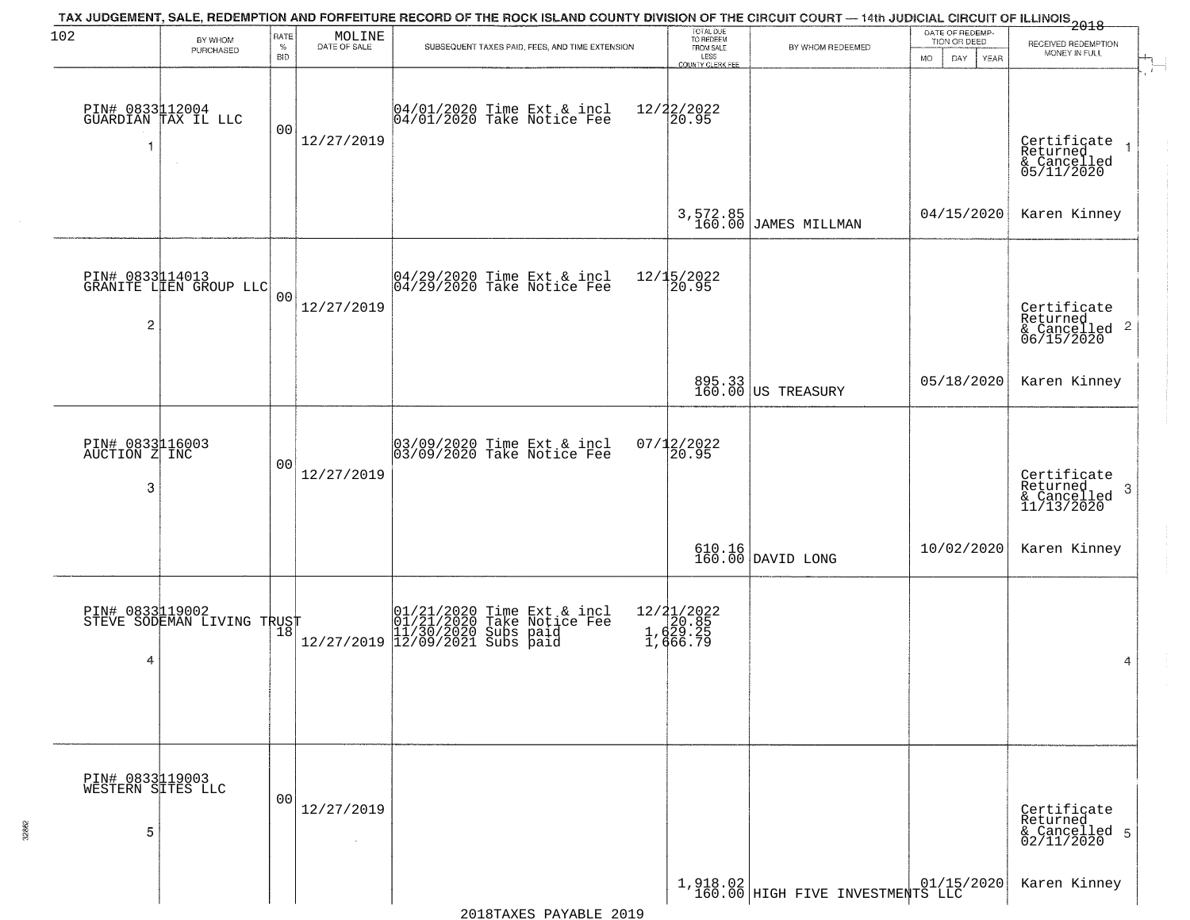| 102                                       | BY WHOM                                       | RATE               | MOLINE       | TAX JUDGEMENT, SALE, REDEMPTION AND FORFEITURE RECORD OF THE ROCK ISLAND COUNTY DIVISION OF THE CIRCUIT COURT — 14th JUDICIAL CIRCUIT OF ILLINOIS 2018                                                    | TOTAL DUE<br>TO REDEEM                         |                                    | DATE OF REDEMP-<br>TION OR DEED | RECEIVED REDEMPTION                                                    |
|-------------------------------------------|-----------------------------------------------|--------------------|--------------|-----------------------------------------------------------------------------------------------------------------------------------------------------------------------------------------------------------|------------------------------------------------|------------------------------------|---------------------------------|------------------------------------------------------------------------|
|                                           | PURCHASED                                     | $\%$<br><b>BID</b> | DATE OF SALE | SUBSEQUENT TAXES PAID, FEES, AND TIME EXTENSION                                                                                                                                                           | FROM SALE<br>LESS<br>COUNTY CLERK FEE          | BY WHOM REDEEMED                   | <b>MO</b><br>DAY<br>YEAR        | MONEY IN FULL                                                          |
| -1                                        | PIN# 0833112004<br>GUARDIAN TAX IL LLC        | 00                 | 12/27/2019   | 04/01/2020 Time Ext & incl<br>04/01/2020 Take Notice Fee                                                                                                                                                  | 12/22/2022<br>20.95                            |                                    |                                 | Certificate<br>Returned<br>& Cancelled<br>05/11/2020                   |
|                                           |                                               |                    |              |                                                                                                                                                                                                           |                                                | 3,572.85<br>160.00 JAMES MILLMAN   | 04/15/2020                      | Karen Kinney                                                           |
| $\overline{c}$                            | PIN# 0833114013<br>GRANITE LIEN GROUP LLC     | 0 <sup>0</sup>     | 12/27/2019   | 04/29/2020 Time Ext & incl<br>04/29/2020 Take Notice Fee                                                                                                                                                  | 12/15/2022<br>20.95                            |                                    |                                 | Certificate<br>Returned<br>$\overline{2}$<br>& Cancelled<br>06/15/2020 |
|                                           |                                               |                    |              |                                                                                                                                                                                                           |                                                | 895.33<br>160.00 US TREASURY       | 05/18/2020                      | Karen Kinney                                                           |
| PIN# 0833116003<br>AUCTION Z INC<br>3     |                                               | 00                 | 12/27/2019   | 03/09/2020 Time Ext & incl<br>03/09/2020 Take Notice Fee                                                                                                                                                  | $07/12/2022$<br>20.95                          |                                    |                                 | Certificate<br>Returned<br>3<br>& Cancelled<br>11/13/2020              |
|                                           |                                               |                    |              |                                                                                                                                                                                                           |                                                | $610.16$ DAVID LONG                | 10/02/2020                      | Karen Kinney                                                           |
| 4                                         | PIN# 0833119002<br>STEVE SODEMAN LIVING TRUST |                    |              | $\Gamma = \begin{array}{c}  01/21/2020 \text{ Time Ext & incl} \\  01/21/2020 \text{ Take Notice Fee} \\  11/30/2020 \text{ Subs paid} \\  12/27/2019 \text{ }  12/09/2021 \text{ Subs paid} \end{array}$ | 12/21/2022<br>1,629.85<br>1,629.25<br>1,666.79 |                                    |                                 | 4                                                                      |
| PIN# 0833119003<br>WESTERN SITES LLC<br>5 |                                               | 0 <sub>0</sub>     | 12/27/2019   |                                                                                                                                                                                                           |                                                |                                    |                                 | Certificate<br>Returned<br>& Cancelled 5<br>02/11/2020                 |
|                                           |                                               |                    |              |                                                                                                                                                                                                           |                                                | 1,918.02 HIGH FIVE INVESTMENTS LLC |                                 | Karen Kinney                                                           |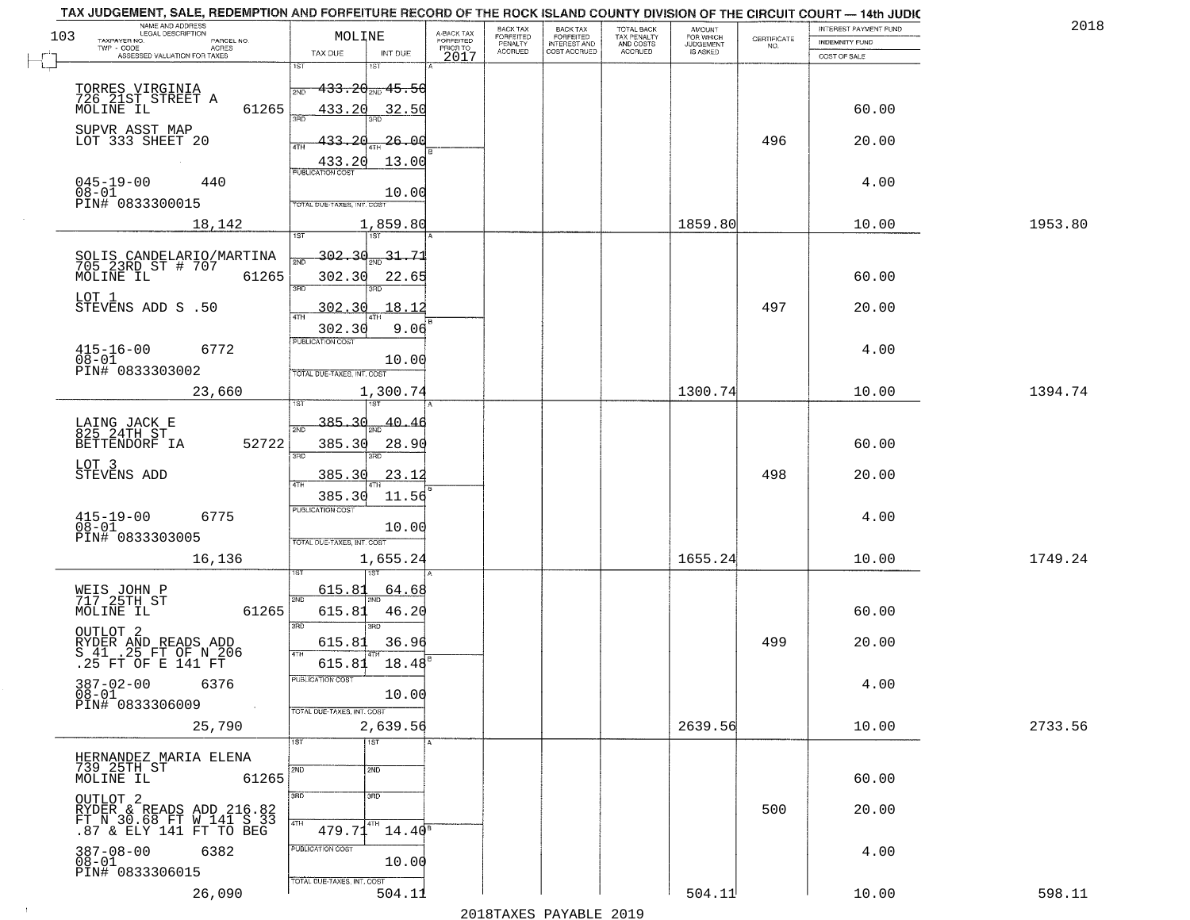|     | TAX JUDGEMENT, SALE, REDEMPTION AND FORFEITURE RECORD OF THE ROCK ISLAND COUNTY DIVISION OF THE CIRCUIT COURT - 14th JUDIC<br>NAME AND ADDRESS<br>LEGAL DESCRIPTION |                                      |                                     | BACK TAX                    |                                              |                                        |                                         |                                                                 | INTEREST PAYMENT FUND | 2018    |
|-----|---------------------------------------------------------------------------------------------------------------------------------------------------------------------|--------------------------------------|-------------------------------------|-----------------------------|----------------------------------------------|----------------------------------------|-----------------------------------------|-----------------------------------------------------------------|-----------------------|---------|
| 103 | TAXPAYER NO.<br>PARCEL NO.                                                                                                                                          | MOLINE                               | A-BACK TAX<br>FORFEITED<br>PRIOR TO | <b>FORFEITED</b><br>PENALTY | BACK TAX<br>FORFEITED<br><b>INTEREST AND</b> | TOTAL BACK<br>TAX PENALTY<br>AND COSTS | AMOUNT<br>FOR WHICH<br><b>JUDGEMENT</b> | $\begin{array}{c} \text{CERTIFICATE} \\ \text{NO.} \end{array}$ | INDEMNITY FUND        |         |
|     | ACRES<br>ASSESSED VALUATION FOR TAXES                                                                                                                               | INT DUE<br>TAX DUE                   | 2017                                | <b>ACCRUED</b>              | COST ACCRUED                                 | <b>ACCRUED</b>                         | IS ASKED                                |                                                                 | COST OF SALE          |         |
|     |                                                                                                                                                                     | 1ST<br>۱ST                           |                                     |                             |                                              |                                        |                                         |                                                                 |                       |         |
|     |                                                                                                                                                                     | <del>133.20 mg 15.5</del> 0<br>2ND   |                                     |                             |                                              |                                        |                                         |                                                                 |                       |         |
|     | TORRES VIRGINIA<br>726 21ST STREET A                                                                                                                                |                                      |                                     |                             |                                              |                                        |                                         |                                                                 |                       |         |
|     | 61265<br>MOLINE IL                                                                                                                                                  | 433.20<br>32.50                      |                                     |                             |                                              |                                        |                                         |                                                                 | 60.00                 |         |
|     | SUPVR ASST MAP                                                                                                                                                      |                                      |                                     |                             |                                              |                                        |                                         |                                                                 |                       |         |
|     | LOT 333 SHEET 20                                                                                                                                                    | 433.20<br>-26.00                     |                                     |                             |                                              |                                        |                                         | 496                                                             | 20.00                 |         |
|     |                                                                                                                                                                     | 13.00<br>433.20                      |                                     |                             |                                              |                                        |                                         |                                                                 |                       |         |
|     | $045 - 19 - 00$<br>440                                                                                                                                              |                                      |                                     |                             |                                              |                                        |                                         |                                                                 | 4.00                  |         |
|     | $08 - 01$                                                                                                                                                           | 10.00                                |                                     |                             |                                              |                                        |                                         |                                                                 |                       |         |
|     | PIN# 0833300015                                                                                                                                                     | TOTAL DUE-TAXES, INT. COST           |                                     |                             |                                              |                                        |                                         |                                                                 |                       |         |
|     | 18,142                                                                                                                                                              | 1,859.80                             |                                     |                             |                                              |                                        | 1859.80                                 |                                                                 | 10.00                 | 1953.80 |
|     |                                                                                                                                                                     |                                      |                                     |                             |                                              |                                        |                                         |                                                                 |                       |         |
|     |                                                                                                                                                                     | <u>302.30</u><br>$\frac{31.71}{200}$ |                                     |                             |                                              |                                        |                                         |                                                                 |                       |         |
|     | SOLIS CANDELARIO/MARTINA<br>705 23RD ST # 707<br>MOLINE IL 6126!<br>61265                                                                                           | 302.30<br>22.65                      |                                     |                             |                                              |                                        |                                         |                                                                 | 60.00                 |         |
|     |                                                                                                                                                                     | 3RD<br>बन्ना                         |                                     |                             |                                              |                                        |                                         |                                                                 |                       |         |
|     | LOT 1<br>STEVENS ADD S .50                                                                                                                                          | 302.30<br>18.12                      |                                     |                             |                                              |                                        |                                         | 497                                                             | 20.00                 |         |
|     |                                                                                                                                                                     |                                      |                                     |                             |                                              |                                        |                                         |                                                                 |                       |         |
|     |                                                                                                                                                                     | 302.30<br>9.06<br>PUBLICATION COST   |                                     |                             |                                              |                                        |                                         |                                                                 |                       |         |
|     | $415 - 16 - 00$<br>6772                                                                                                                                             |                                      |                                     |                             |                                              |                                        |                                         |                                                                 | 4.00                  |         |
|     | $08 - 01$<br>PIN# 0833303002                                                                                                                                        | 10.00                                |                                     |                             |                                              |                                        |                                         |                                                                 |                       |         |
|     |                                                                                                                                                                     | TOTAL DUE-TAXES, INT. COST           |                                     |                             |                                              |                                        |                                         |                                                                 |                       |         |
|     | 23,660                                                                                                                                                              | 1,300.74<br>1ST                      |                                     |                             |                                              |                                        | 1300.74                                 |                                                                 | 10.00                 | 1394.74 |
|     |                                                                                                                                                                     |                                      |                                     |                             |                                              |                                        |                                         |                                                                 |                       |         |
|     | LAING JACK E<br>825 24TH ST                                                                                                                                         | 385.30<br>40.46<br>2ND               |                                     |                             |                                              |                                        |                                         |                                                                 |                       |         |
|     | 52722<br>BETTENDORF IA                                                                                                                                              | 385.30<br>28.90                      |                                     |                             |                                              |                                        |                                         |                                                                 | 60.00                 |         |
|     |                                                                                                                                                                     | 3RD<br>3RD                           |                                     |                             |                                              |                                        |                                         |                                                                 |                       |         |
|     | LOT 3<br>STEVENS ADD                                                                                                                                                | 385.30<br><u>23.12</u>               |                                     |                             |                                              |                                        |                                         | 498                                                             | 20.00                 |         |
|     |                                                                                                                                                                     | 4TH<br>385.30<br>11.56               |                                     |                             |                                              |                                        |                                         |                                                                 |                       |         |
|     |                                                                                                                                                                     | <b>PUBLICATION COST</b>              |                                     |                             |                                              |                                        |                                         |                                                                 |                       |         |
|     | $415 - 19 - 00$<br>$08 - 01$<br>6775                                                                                                                                | 10.00                                |                                     |                             |                                              |                                        |                                         |                                                                 | 4.00                  |         |
|     | PIN# 0833303005                                                                                                                                                     | TOTAL OUE-TAXES, INT. COST           |                                     |                             |                                              |                                        |                                         |                                                                 |                       |         |
|     | 16,136                                                                                                                                                              | 1,655.24                             |                                     |                             |                                              |                                        | 1655.24                                 |                                                                 | 10.00                 | 1749.24 |
|     |                                                                                                                                                                     |                                      |                                     |                             |                                              |                                        |                                         |                                                                 |                       |         |
|     |                                                                                                                                                                     | 615.81<br>64.68                      |                                     |                             |                                              |                                        |                                         |                                                                 |                       |         |
|     | WEIS JOHN P<br>717 25TH ST                                                                                                                                          | 2ND                                  |                                     |                             |                                              |                                        |                                         |                                                                 |                       |         |
|     | MOLINE IL<br>61265                                                                                                                                                  | 615.81<br>46.20                      |                                     |                             |                                              |                                        |                                         |                                                                 | 60.00                 |         |
|     | OUTLOT <sub>2</sub>                                                                                                                                                 | 3RD<br>3BD                           |                                     |                             |                                              |                                        |                                         |                                                                 |                       |         |
|     |                                                                                                                                                                     | 615.81<br>36.96<br>4TH               |                                     |                             |                                              |                                        |                                         | 499                                                             | 20.00                 |         |
|     | RYDER AND READS ADD<br>S 41 .25 FT OF N 206<br>.25 FT OF E 141 FT                                                                                                   | 615.81<br>18.48                      |                                     |                             |                                              |                                        |                                         |                                                                 |                       |         |
|     | $387 - 02 - 00$<br>6376                                                                                                                                             | PUBLICATION COST                     |                                     |                             |                                              |                                        |                                         |                                                                 | 4.00                  |         |
|     | $08 - 01$                                                                                                                                                           | 10.00                                |                                     |                             |                                              |                                        |                                         |                                                                 |                       |         |
|     | PIN# 0833306009<br>$\sim 10$                                                                                                                                        | TOTAL DUE-TAXES, INT. COST           |                                     |                             |                                              |                                        |                                         |                                                                 |                       |         |
|     | 25,790                                                                                                                                                              | 2,639.56                             |                                     |                             |                                              |                                        | 2639.56                                 |                                                                 | 10.00                 | 2733.56 |
|     |                                                                                                                                                                     | 1ST<br>1ST                           |                                     |                             |                                              |                                        |                                         |                                                                 |                       |         |
|     | HERNANDEZ MARIA ELENA                                                                                                                                               |                                      |                                     |                             |                                              |                                        |                                         |                                                                 |                       |         |
|     | 739 25TH ST<br>61265<br>MOLINE IL                                                                                                                                   | 2ND<br>2ND                           |                                     |                             |                                              |                                        |                                         |                                                                 | 60.00                 |         |
|     |                                                                                                                                                                     | 3BD<br>3RD                           |                                     |                             |                                              |                                        |                                         |                                                                 |                       |         |
|     | OUTLOT <sub>2</sub>                                                                                                                                                 |                                      |                                     |                             |                                              |                                        |                                         | 500                                                             | 20.00                 |         |
|     | RYDER & READS ADD 216.82<br>FT N 30.68 FT W 141 S 33                                                                                                                | 4TH                                  |                                     |                             |                                              |                                        |                                         |                                                                 |                       |         |
|     | .87 & ELY 141 FT TO BEG                                                                                                                                             | 479.71<br>$14.40^8$                  |                                     |                             |                                              |                                        |                                         |                                                                 |                       |         |
|     | $387 - 08 - 00$<br>6382                                                                                                                                             | PUBLICATION COST                     |                                     |                             |                                              |                                        |                                         |                                                                 | 4.00                  |         |
|     | $08-01$<br>PIN# 0833306015                                                                                                                                          | 10.00                                |                                     |                             |                                              |                                        |                                         |                                                                 |                       |         |
|     |                                                                                                                                                                     | TOTAL DUE-TAXES, INT. COST           |                                     |                             |                                              |                                        |                                         |                                                                 |                       |         |
|     | 26,090                                                                                                                                                              | 504.11                               |                                     |                             |                                              |                                        | 504.11                                  |                                                                 | 10.00                 | 598.11  |
|     |                                                                                                                                                                     |                                      |                                     |                             | 2010                                         |                                        |                                         |                                                                 |                       |         |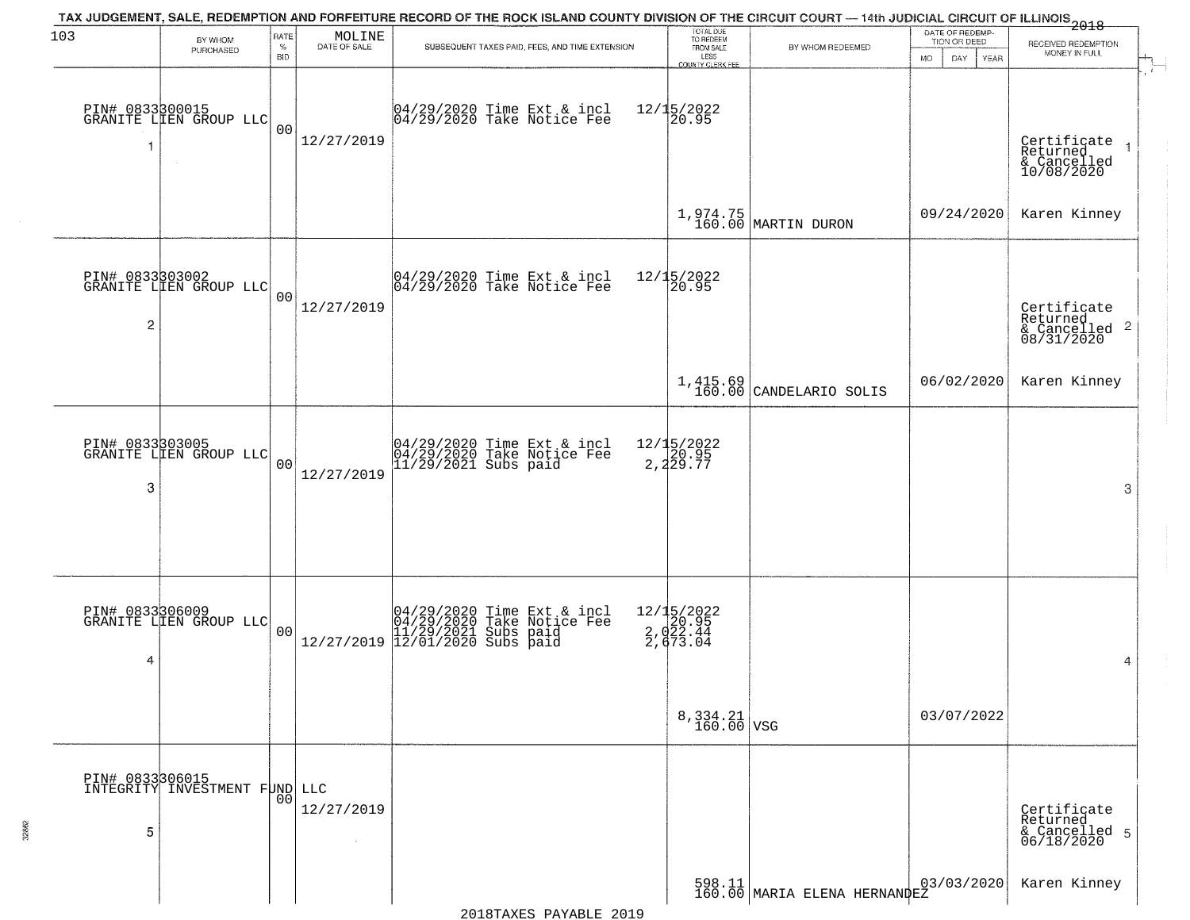| 103             | BY WHOM<br>PURCHASED                                | RATE<br>$\%$   | MOLINE<br>DATE OF SALE | TAX JUDGEMENT, SALE, REDEMPTION AND FORFEITURE RECORD OF THE ROCK ISLAND COUNTY DIVISION OF THE CIRCUIT COURT — 14th JUDICIAL CIRCUIT OF ILLINOIS 2018<br>SUBSEQUENT TAXES PAID, FEES, AND TIME EXTENSION | TOTAL DUE<br>TO REDEEM<br>FROM SALE         | BY WHOM REDEEMED                                                                        | DATE OF REDEMP-<br>TION OR DEED | RECEIVED REDEMPTION<br>MONEY IN FULL                   |
|-----------------|-----------------------------------------------------|----------------|------------------------|-----------------------------------------------------------------------------------------------------------------------------------------------------------------------------------------------------------|---------------------------------------------|-----------------------------------------------------------------------------------------|---------------------------------|--------------------------------------------------------|
|                 |                                                     | <b>BID</b>     |                        |                                                                                                                                                                                                           | LESS<br>COUNTY CLERK FEE                    |                                                                                         | <b>MO</b><br>DAY<br>YEAR        |                                                        |
| 1               | PIN# 0833300015<br>GRANITE LIEN GROUP LLC<br>$\sim$ | 0 <sub>0</sub> | 12/27/2019             | 04/29/2020 Time Ext & incl<br>04/29/2020 Take Notice Fee                                                                                                                                                  | $12/15/2022$<br>20.95                       |                                                                                         |                                 | Certificate<br>Returned<br>& Cancelled<br>10/08/2020   |
|                 |                                                     |                |                        |                                                                                                                                                                                                           |                                             | $1,974.75$ MARTIN DURON                                                                 | 09/24/2020                      | Karen Kinney                                           |
| PIN# 0833303002 | GRANITE LIEN GROUP LLC                              | 0 <sub>0</sub> | 12/27/2019             | 04/29/2020 Time Ext & incl<br>04/29/2020 Take Notice Fee                                                                                                                                                  | 12/15/2022<br>20.95                         |                                                                                         |                                 | Certificate<br>Returned                                |
| 2               |                                                     |                |                        |                                                                                                                                                                                                           |                                             |                                                                                         |                                 | $\overline{2}$<br>& Cancelled<br>08/31/2020            |
|                 |                                                     |                |                        |                                                                                                                                                                                                           |                                             | $1,415.69$ CANDELARIO SOLIS                                                             | 06/02/2020                      | Karen Kinney                                           |
| 3               | PIN# 0833303005<br>GRANITE LIEN GROUP LLC           | 0 <sub>0</sub> | 12/27/2019             | 04/29/2020 Time Ext & incl<br>04/29/2020 Take Notice Fee<br>11/29/2021 Subs paid                                                                                                                          | 12/15/2022<br>20.95<br>2,229.77             |                                                                                         |                                 | 3                                                      |
|                 |                                                     |                |                        |                                                                                                                                                                                                           |                                             |                                                                                         |                                 |                                                        |
|                 | PIN# 0833306009<br>GRANITE LIEN GROUP LLC           | 0 <sub>0</sub> |                        | $[04/29/2020 \t\t Time Ext & incl 04/29/2020 \t\t Take Notice Free 11/29/2021 Subs paid 12/27/2019 12/01/2020 Subs paid 13/2019]$                                                                         | 12/15/2022<br>20.95<br>2,022.44<br>2,673.04 |                                                                                         |                                 |                                                        |
| 4               |                                                     |                |                        |                                                                                                                                                                                                           |                                             |                                                                                         |                                 | 4                                                      |
|                 |                                                     |                |                        |                                                                                                                                                                                                           | $8,334.21$ VSG                              |                                                                                         | 03/07/2022                      |                                                        |
|                 | PIN# 0833306015<br>INTEGRITY INVESTMENT FUND LLC    | 0 <sub>0</sub> |                        |                                                                                                                                                                                                           |                                             |                                                                                         |                                 |                                                        |
| 5               |                                                     |                | 12/27/2019             |                                                                                                                                                                                                           |                                             |                                                                                         |                                 | Certificate<br>Returned<br>& Cancelled 5<br>06/18/2020 |
|                 |                                                     |                |                        |                                                                                                                                                                                                           |                                             | $\begin{array}{c c} 598.11 & 0.10 \\ 160.00 & \text{MARIA ELENA HERNANPEZ} \end{array}$ | 03/03/2020                      | Karen Kinney                                           |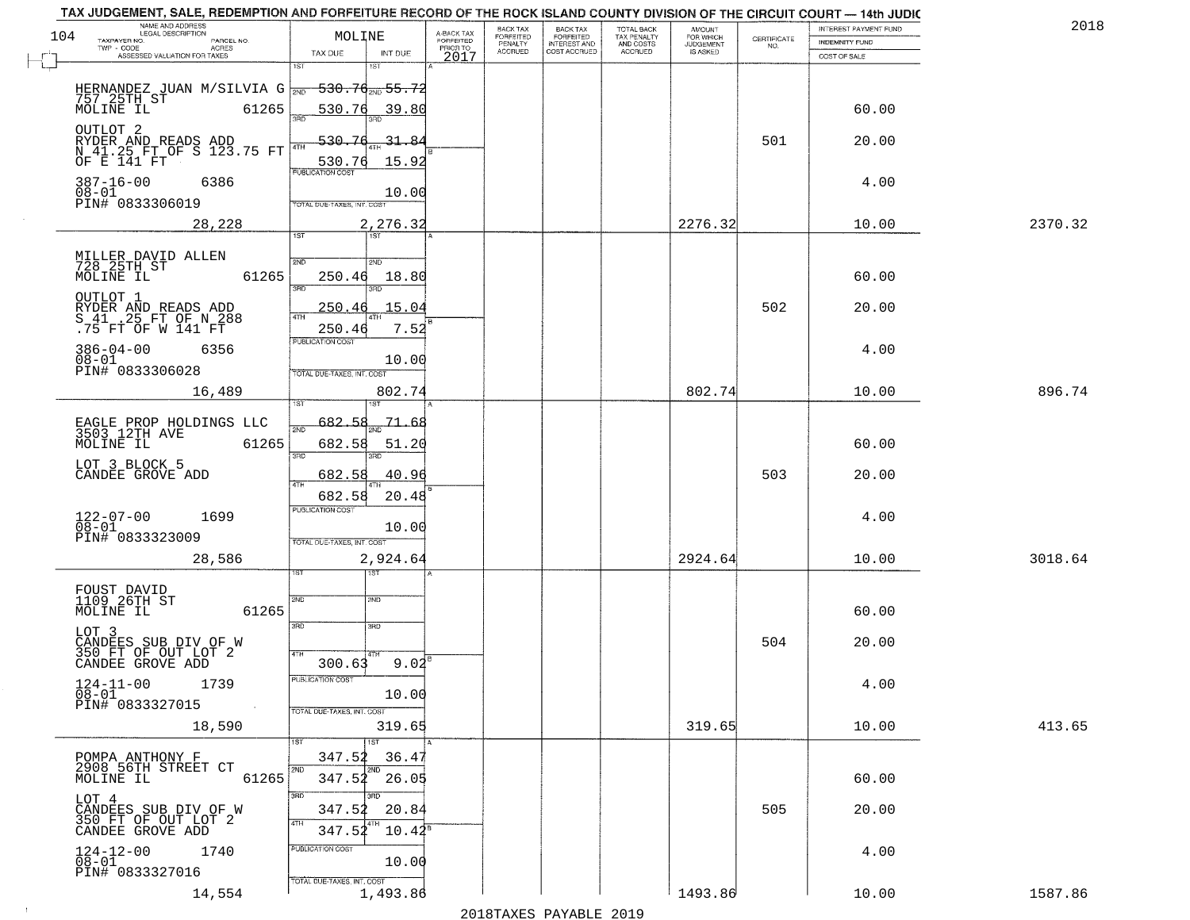|     | TAX JUDGEMENT, SALE, REDEMPTION AND FORFEITURE RECORD OF THE ROCK ISLAND COUNTY DIVISION OF THE CIRCUIT COURT - 14th JUDIC<br>NAME AND ADDRESS<br>LEGAL DESCRIPTION |                                        |                                     | BACK TAX                               | BACK TAX<br>FORFEITED<br>INTEREST AND | TOTAL BACK<br>TAX PENALTY<br>AND COSTS | AMOUNT<br>FOR WHICH          |                                                                 | INTEREST PAYMENT FUND | 2018    |
|-----|---------------------------------------------------------------------------------------------------------------------------------------------------------------------|----------------------------------------|-------------------------------------|----------------------------------------|---------------------------------------|----------------------------------------|------------------------------|-----------------------------------------------------------------|-----------------------|---------|
| 104 | TAXPAYER NO.<br>PARCEL NO.<br>TWP - CODE<br>ACRES                                                                                                                   | MOLINE                                 | A-BACK TAX<br>FORFEITED<br>PRIOR TO | FORFEITED<br>PENALTY<br><b>ACCRUED</b> | COST ACCRUED                          | <b>ACCRUED</b>                         | <b>JUDGEMENT</b><br>IS ASKED | $\begin{array}{c} \text{CERTIFICATE} \\ \text{NO.} \end{array}$ | <b>INDEMNITY FUND</b> |         |
|     | ASSESSED VALUATION FOR TAXES                                                                                                                                        | TAX DUE<br>INT DUE<br>1ST<br>1ST       | 2017                                |                                        |                                       |                                        |                              |                                                                 | COST OF SALE          |         |
|     | HERNANDEZ JUAN M/SILVIA G $_{2ND}$                                                                                                                                  | <del>530.70<sub>2ND</sub> 55.7</del>   |                                     |                                        |                                       |                                        |                              |                                                                 |                       |         |
|     | 757 25TH ST<br>MOLINE IL                                                                                                                                            |                                        |                                     |                                        |                                       |                                        |                              |                                                                 |                       |         |
|     | 61265                                                                                                                                                               | 530.76<br><u>39.80</u>                 |                                     |                                        |                                       |                                        |                              |                                                                 | 60.00                 |         |
|     | OUTLOT <sub>2</sub><br>RYDER AND READS ADD<br>N_41.25 FT OF S 123.75 FT                                                                                             | 530.76<br>-31 -<br>₽                   |                                     |                                        |                                       |                                        |                              | 501                                                             | 20.00                 |         |
|     | OF E 141 FT                                                                                                                                                         | 15.92<br>530.76                        |                                     |                                        |                                       |                                        |                              |                                                                 |                       |         |
|     | $387 - 16 - 00$<br>6386                                                                                                                                             | <b>PUBLICATION COST</b>                |                                     |                                        |                                       |                                        |                              |                                                                 | 4.00                  |         |
|     | $08 - 01$<br>PIN# 0833306019                                                                                                                                        | 10.00<br>TOTAL DUE-TAXES, INT. COST    |                                     |                                        |                                       |                                        |                              |                                                                 |                       |         |
|     | 28,228                                                                                                                                                              | 2,276.32                               |                                     |                                        |                                       |                                        | 2276.32                      |                                                                 | 10.00                 | 2370.32 |
|     |                                                                                                                                                                     | 1ST<br>1ST                             |                                     |                                        |                                       |                                        |                              |                                                                 |                       |         |
|     |                                                                                                                                                                     | 2ND<br>2ND                             |                                     |                                        |                                       |                                        |                              |                                                                 |                       |         |
|     | MILLER DAVID ALLEN<br>728 25TH ST<br>MOLINE IL<br>61265                                                                                                             | 250.46<br>18.80                        |                                     |                                        |                                       |                                        |                              |                                                                 | 60.00                 |         |
|     | OUTLOT 1                                                                                                                                                            | $\overline{\text{3BD}}$                |                                     |                                        |                                       |                                        |                              |                                                                 |                       |         |
|     | RYDER AND READS ADD<br>S 41 .25 FT OF N 288<br>.75 FT OF W 141 FT                                                                                                   | 15.04<br>250.46                        |                                     |                                        |                                       |                                        |                              | 502                                                             | 20.00                 |         |
|     |                                                                                                                                                                     | 7.52<br>250.46<br>PUBLICATION COST     |                                     |                                        |                                       |                                        |                              |                                                                 |                       |         |
|     | $386 - 04 - 00$<br>6356<br>$08 - 01$                                                                                                                                | 10.00                                  |                                     |                                        |                                       |                                        |                              |                                                                 | 4.00                  |         |
|     | PIN# 0833306028                                                                                                                                                     | TOTAL DUE-TAXES, INT. COST             |                                     |                                        |                                       |                                        |                              |                                                                 |                       |         |
|     | 16,489                                                                                                                                                              | 802.74<br>1ST                          |                                     |                                        |                                       |                                        | 802.74                       |                                                                 | 10.00                 | 896.74  |
|     |                                                                                                                                                                     | 682.58<br>71.68                        |                                     |                                        |                                       |                                        |                              |                                                                 |                       |         |
|     | EAGLE PROP HOLDINGS LLC<br>3503 12TH AVE<br>MOLINE IL<br>61265                                                                                                      | 2ND<br>682.58<br>51.20                 |                                     |                                        |                                       |                                        |                              |                                                                 | 60.00                 |         |
|     | LOT 3 BLOCK 5                                                                                                                                                       | 3BD<br>3RD                             |                                     |                                        |                                       |                                        |                              |                                                                 |                       |         |
|     | CANDEE GROVE ADD                                                                                                                                                    | 682.58<br>40.96<br>4TH                 |                                     |                                        |                                       |                                        |                              | 503                                                             | 20.00                 |         |
|     |                                                                                                                                                                     | 682.58<br>20.48                        |                                     |                                        |                                       |                                        |                              |                                                                 |                       |         |
|     | $122 - 07 - 00$<br>1699<br>$08 - 01$                                                                                                                                | <b>PUBLICATION COST</b><br>10.00       |                                     |                                        |                                       |                                        |                              |                                                                 | 4.00                  |         |
|     | PIN# 0833323009                                                                                                                                                     | TOTAL OUE-TAXES, INT. COST             |                                     |                                        |                                       |                                        |                              |                                                                 |                       |         |
|     | 28,586                                                                                                                                                              | 2,924.64                               |                                     |                                        |                                       |                                        | 2924.64                      |                                                                 | 10.00                 | 3018.64 |
|     |                                                                                                                                                                     | १९४                                    |                                     |                                        |                                       |                                        |                              |                                                                 |                       |         |
|     | FOUST DAVID<br>1109 26TH ST<br>MOLINE IL                                                                                                                            | 2ND<br>2ND                             |                                     |                                        |                                       |                                        |                              |                                                                 |                       |         |
|     | 61265                                                                                                                                                               | 3RD<br>3BD                             |                                     |                                        |                                       |                                        |                              |                                                                 | 60.00                 |         |
|     | LOT 3                                                                                                                                                               |                                        |                                     |                                        |                                       |                                        |                              | 504                                                             | 20.00                 |         |
|     | CANDEES SUB DIV OF W<br>350 FT OF OUT LOT 2<br>CANDEE GROVE ADD                                                                                                     | 4TH<br>$9.04^8$<br>300.63              |                                     |                                        |                                       |                                        |                              |                                                                 |                       |         |
|     | $124 - 11 - 00$<br>1739                                                                                                                                             | PUBLICATION COST                       |                                     |                                        |                                       |                                        |                              |                                                                 | 4.00                  |         |
|     | $\overline{08}$ - $0\overline{1}$<br>PIN# 0833327015<br>$\sim 100$                                                                                                  | 10.00<br>TOTAL DUE-TAXES, INT. COST    |                                     |                                        |                                       |                                        |                              |                                                                 |                       |         |
|     | 18,590                                                                                                                                                              | 319.65                                 |                                     |                                        |                                       |                                        | 319.65                       |                                                                 | 10.00                 | 413.65  |
|     |                                                                                                                                                                     | 1ST<br>1ST                             |                                     |                                        |                                       |                                        |                              |                                                                 |                       |         |
|     | POMPA ANTHONY F<br>2908 56TH STREET CT                                                                                                                              | 347.52<br>36.47<br>2ND<br>2ND          |                                     |                                        |                                       |                                        |                              |                                                                 |                       |         |
|     | 61265<br>MOLINE IL                                                                                                                                                  | 347.52<br>26.05                        |                                     |                                        |                                       |                                        |                              |                                                                 | 60.00                 |         |
|     | LOT 4<br>CANDEES SUB DIV OF W                                                                                                                                       | 3RD<br>3RD.<br>347.52<br>20.84         |                                     |                                        |                                       |                                        |                              | 505                                                             | 20.00                 |         |
|     | 350 FT OF OUT LOT 2<br>CANDEE GROVE ADD                                                                                                                             | 4TH<br>$347.52^{4}$<br>$10.42^8$       |                                     |                                        |                                       |                                        |                              |                                                                 |                       |         |
|     | 1740                                                                                                                                                                | PUBLICATION COST                       |                                     |                                        |                                       |                                        |                              |                                                                 | 4.00                  |         |
|     | $124 - 12 - 00$<br>$08 - 01$<br>PIN# 0833327016                                                                                                                     | 10.00                                  |                                     |                                        |                                       |                                        |                              |                                                                 |                       |         |
|     | 14,554                                                                                                                                                              | TOTAL DUE-TAXES, INT. COST<br>1,493.86 |                                     |                                        |                                       |                                        | 1493.86                      |                                                                 | 10.00                 | 1587.86 |
|     |                                                                                                                                                                     |                                        |                                     |                                        |                                       |                                        |                              |                                                                 |                       |         |

 $\sim 10$ 

2018TAXES PAYABLE 2019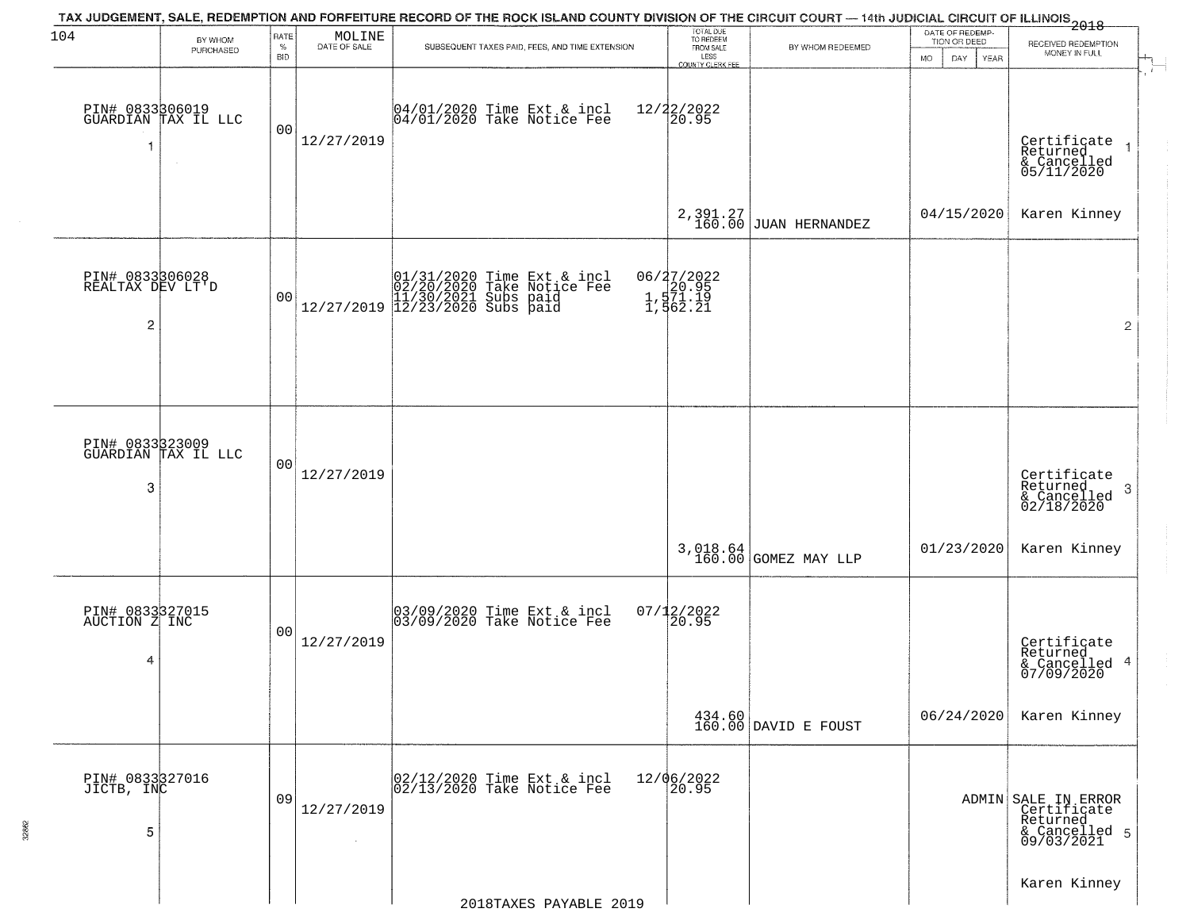| 104                                      | BY WHOM                                | RATE               | $\begin{array}{c} \text{MOLINE} \\ \text{DATE of SALE} \end{array}$ | TAX JUDGEMENT, SALE, REDEMPTION AND FORFEITURE RECORD OF THE ROCK ISLAND COUNTY DIVISION OF THE CIRCUIT COURT — 14th JUDICIAL CIRCUIT OF ILLINOIS 2018 | TOTAL DUE<br>TO REDEEM                      |                                | DATE OF REDEMP-<br>TION OR DEED | RECEIVED REDEMPTION                                                           |
|------------------------------------------|----------------------------------------|--------------------|---------------------------------------------------------------------|--------------------------------------------------------------------------------------------------------------------------------------------------------|---------------------------------------------|--------------------------------|---------------------------------|-------------------------------------------------------------------------------|
|                                          | PURCHASED                              | $\%$<br><b>BID</b> |                                                                     | SUBSEQUENT TAXES PAID, FEES, AND TIME EXTENSION                                                                                                        | FROM SALE<br>LESS<br>COUNTY CLERK FEE       | BY WHOM REDEEMED               | <b>MO</b><br>DAY<br><b>YEAR</b> | MONEY IN FULL                                                                 |
| PIN# 0833306019<br>1                     | GUARDIAN TAX IL LLC                    | 00                 | 12/27/2019                                                          | 04/01/2020 Time Ext & incl<br>04/01/2020 Take Notice Fee                                                                                               | 12/22/2022<br>20.95                         |                                |                                 | Certificate<br>Returned<br>& Cancelled<br>05/11/2020                          |
|                                          |                                        |                    |                                                                     |                                                                                                                                                        |                                             | $2,391.27$ JUAN HERNANDEZ      | 04/15/2020                      | Karen Kinney                                                                  |
| PIN# 0833306028<br>REALTAX DEV LT'D<br>2 |                                        | 00                 |                                                                     | $[01/31/2020 \t\t Time Ext & incl \\ 02/20/2020 \t\t Take Notice Free \\ 11/30/2021 \tSubs paid \\ 12/27/2019 \t\t 12/23/2020 \tSubs paid$             | 06/27/2022<br>20.95<br>1,571.19<br>1,562.21 |                                |                                 | $\overline{2}$                                                                |
|                                          | PIN# 0833323009<br>GUARDIAN TAX IL LLC |                    |                                                                     |                                                                                                                                                        |                                             |                                |                                 |                                                                               |
| 3                                        |                                        | 00                 | 12/27/2019                                                          |                                                                                                                                                        |                                             |                                |                                 | Certificate<br>Returned<br>$\cdot$ 3<br>& Cancelled<br>02/18/2020             |
|                                          |                                        |                    |                                                                     |                                                                                                                                                        | 3,018.64<br>160.00                          | GOMEZ MAY LLP                  | 01/23/2020                      | Karen Kinney                                                                  |
| PIN# 0833327015<br>AUCTION Z INC<br>4    |                                        | 00                 | 12/27/2019                                                          | 03/09/2020 Time Ext & incl<br>03/09/2020 Take Notice Fee                                                                                               | $07/12/2022$<br>20.95                       |                                |                                 | Certificate<br>Returned<br>& Cancelled 4<br>07/09/2020                        |
|                                          |                                        |                    |                                                                     |                                                                                                                                                        |                                             | 434.60<br>160.00 DAVID E FOUST | 06/24/2020                      | Karen Kinney                                                                  |
| PIN# 0833327016<br>JICTB, INC<br>5       |                                        | 09                 | 12/27/2019<br>$\sim$                                                | 02/12/2020 Time Ext & incl<br>02/13/2020 Take Notice Fee                                                                                               | 12/06/2022<br>20.95                         |                                |                                 | ADMIN SALE IN ERROR<br>Certificate<br>Returned<br>& Cancelled 5<br>09/03/2021 |
|                                          |                                        |                    |                                                                     | 2018TAXES PAYABLE 2019                                                                                                                                 |                                             |                                |                                 | Karen Kinney                                                                  |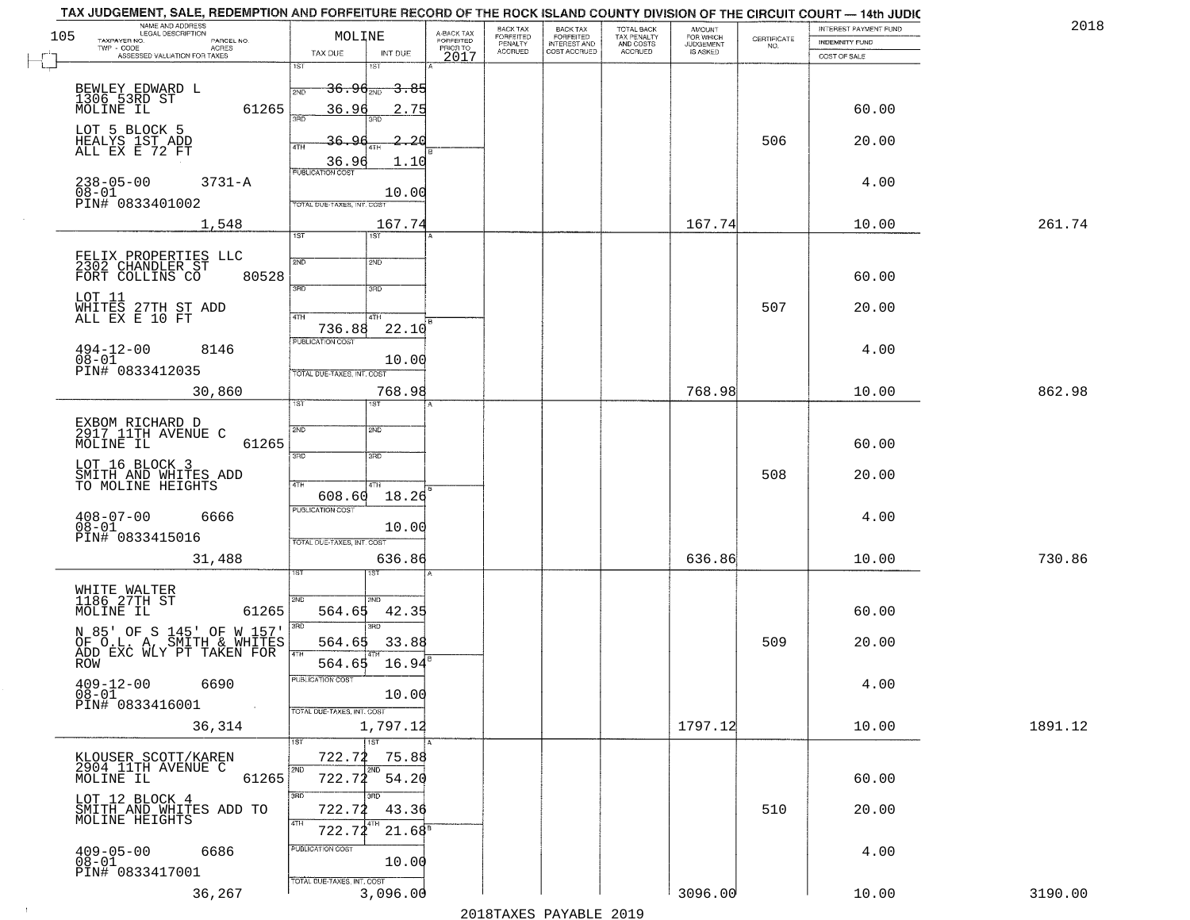| NAME AND ADDRESS<br>ILEGAL DESCRIPTION<br>TAXPAYER NO.<br>BACK TAX<br>FORFEITED<br>INTEREST AND<br>COST ACCRUED<br>TOTAL BACK<br>TAX PENALTY<br>AND COSTS<br>ACCRUED<br>105<br>MOLINE<br>FORFEITED<br>FOR WHICH<br>JUDGEMENT<br>IS ASKED<br>$\begin{array}{c} \text{CEPTIFICATE} \\ \text{NO.} \end{array}$<br>PARCEL NO.<br><b>INDEMNITY FUND</b><br>PENALTY<br>ACCRUED<br>$TWP - CODE$<br>- CODE AGRES<br>ASSESSED VALUATION FOR TAXES<br>PRIOR TO<br>TAX DUE<br>INT DUE<br>2017<br>COST OF SALE<br>1ST<br>18T<br>BEWLEY EDWARD L<br>1306 53RD ST<br><del>36.96<sub>2ND</sub> 3.85</del><br>2ND<br>MOLINE IL<br>61265<br>36.96<br>60.00<br>2.75<br>3AD<br>3RD<br>LOT 5 BLOCK 5<br>HEALYS 1ST ADD<br>ALL EX E 72 FT<br>2.26<br>506<br>20.00<br>36.<br>4TH<br>36.96<br>1.10<br><b>PUBLICATION COST</b><br>$238 - 05 - 00$<br>$3731 - A$<br>4.00<br>08-01<br>PIN# 0833401002<br>10.00<br>TOTAL DUE-TAXES, INT. COST<br>167.74<br>167.74<br>261.74<br>1,548<br>10.00<br>1ST<br>1ST<br>FELIX PROPERTIES LLC<br>2302 CHANDLER ST<br>2ND<br>2ND<br>80528<br>FORT COLLINS CO<br>60.00<br>3RD<br>3RD<br>LOT 11<br>507<br>WHITES 27TH ST ADD<br>ALL EX E 10 FT<br>20.00<br>47H<br>4TH<br>736.88<br>22.10<br>PUBLICATION COST<br>$494 - 12 - 00$<br>4.00<br>8146<br>$08 - 01$<br>10.00<br>PIN# 0833412035<br>TOTAL DUE-TAXES, INT. COST<br>768.98<br>768.98<br>862.98<br>30,860<br>10.00<br>TST<br>EXBOM RICHARD D<br>2917 11TH AVENUE C<br>2ND<br>2ND<br>61265<br>MOLINE IL<br>60.00<br>3RD<br>3RD<br>LOT 16 BLOCK 3<br>508<br>SMITH AND WHITES ADD<br>20.00<br>TO MOLINE HEIGHTS<br>4TH<br>4TH<br>608.60<br>18.26<br><b>PUBLICATION COST</b><br>$408 - 07 - 00$<br>6666<br>4.00<br>Ōĕ≚oĭ<br>10.00<br>PIN# 0833415016<br>TOTAL OUE-TAXES, INT. COST<br>636.86<br>730.86<br>31,488<br>636.86<br>10.00<br>ख़<br>WHITE WALTER<br>1186 27TH ST<br>2ND<br><b>CIMS</b><br>61265<br>42.35<br>60.00<br>MOLINE IL<br>564.65<br>3RD<br>3RD<br>N 85' OF S 145' OF W 157'<br>OF O.L. A, SMITH & WHITES<br>ADD EXC WLY PT TAKEN FOR<br>509<br>564.65<br>33.88<br>20.00<br>564.65<br>16.94<br><b>ROW</b><br>PUBLICATION COST<br>$409 - 12 - 00$<br>6690<br>4.00<br>10.00<br>08-01<br>PIN# 0833416001<br>TOTAL DUE-TAXES, INT. COST<br>1797.12<br>1891.12<br>36,314<br>1,797.12<br>10.00<br>1ST<br>1ST<br>722.72<br>75.88<br>KLOUSER SCOTT/KAREN<br>2904 11TH AVENUE C<br>2ND<br>2ND<br>54.20<br>722.72<br>MOLINE IL<br>61265<br>60.00<br>3RD<br>3RD<br>LOT 12 BLOCK 4 | TAX JUDGEMENT, SALE, REDEMPTION AND FORFEITURE RECORD OF THE ROCK ISLAND COUNTY DIVISION OF THE CIRCUIT COURT — 14th JUDIC |                         | BACK TAX |  | <b>AMOUNT</b> | INTEREST PAYMENT FUND | 2018    |
|-------------------------------------------------------------------------------------------------------------------------------------------------------------------------------------------------------------------------------------------------------------------------------------------------------------------------------------------------------------------------------------------------------------------------------------------------------------------------------------------------------------------------------------------------------------------------------------------------------------------------------------------------------------------------------------------------------------------------------------------------------------------------------------------------------------------------------------------------------------------------------------------------------------------------------------------------------------------------------------------------------------------------------------------------------------------------------------------------------------------------------------------------------------------------------------------------------------------------------------------------------------------------------------------------------------------------------------------------------------------------------------------------------------------------------------------------------------------------------------------------------------------------------------------------------------------------------------------------------------------------------------------------------------------------------------------------------------------------------------------------------------------------------------------------------------------------------------------------------------------------------------------------------------------------------------------------------------------------------------------------------------------------------------------------------------------------------------------------------------------------------------------------------------------------------------------------------------------------------------------------------------------------------------------------------------------------------------------------------------------------------------------------------------------------------------------------|----------------------------------------------------------------------------------------------------------------------------|-------------------------|----------|--|---------------|-----------------------|---------|
|                                                                                                                                                                                                                                                                                                                                                                                                                                                                                                                                                                                                                                                                                                                                                                                                                                                                                                                                                                                                                                                                                                                                                                                                                                                                                                                                                                                                                                                                                                                                                                                                                                                                                                                                                                                                                                                                                                                                                                                                                                                                                                                                                                                                                                                                                                                                                                                                                                                 |                                                                                                                            | A-BACK TAX<br>FORFEITED |          |  |               |                       |         |
|                                                                                                                                                                                                                                                                                                                                                                                                                                                                                                                                                                                                                                                                                                                                                                                                                                                                                                                                                                                                                                                                                                                                                                                                                                                                                                                                                                                                                                                                                                                                                                                                                                                                                                                                                                                                                                                                                                                                                                                                                                                                                                                                                                                                                                                                                                                                                                                                                                                 |                                                                                                                            |                         |          |  |               |                       |         |
|                                                                                                                                                                                                                                                                                                                                                                                                                                                                                                                                                                                                                                                                                                                                                                                                                                                                                                                                                                                                                                                                                                                                                                                                                                                                                                                                                                                                                                                                                                                                                                                                                                                                                                                                                                                                                                                                                                                                                                                                                                                                                                                                                                                                                                                                                                                                                                                                                                                 |                                                                                                                            |                         |          |  |               |                       |         |
|                                                                                                                                                                                                                                                                                                                                                                                                                                                                                                                                                                                                                                                                                                                                                                                                                                                                                                                                                                                                                                                                                                                                                                                                                                                                                                                                                                                                                                                                                                                                                                                                                                                                                                                                                                                                                                                                                                                                                                                                                                                                                                                                                                                                                                                                                                                                                                                                                                                 |                                                                                                                            |                         |          |  |               |                       |         |
|                                                                                                                                                                                                                                                                                                                                                                                                                                                                                                                                                                                                                                                                                                                                                                                                                                                                                                                                                                                                                                                                                                                                                                                                                                                                                                                                                                                                                                                                                                                                                                                                                                                                                                                                                                                                                                                                                                                                                                                                                                                                                                                                                                                                                                                                                                                                                                                                                                                 |                                                                                                                            |                         |          |  |               |                       |         |
|                                                                                                                                                                                                                                                                                                                                                                                                                                                                                                                                                                                                                                                                                                                                                                                                                                                                                                                                                                                                                                                                                                                                                                                                                                                                                                                                                                                                                                                                                                                                                                                                                                                                                                                                                                                                                                                                                                                                                                                                                                                                                                                                                                                                                                                                                                                                                                                                                                                 |                                                                                                                            |                         |          |  |               |                       |         |
|                                                                                                                                                                                                                                                                                                                                                                                                                                                                                                                                                                                                                                                                                                                                                                                                                                                                                                                                                                                                                                                                                                                                                                                                                                                                                                                                                                                                                                                                                                                                                                                                                                                                                                                                                                                                                                                                                                                                                                                                                                                                                                                                                                                                                                                                                                                                                                                                                                                 |                                                                                                                            |                         |          |  |               |                       |         |
|                                                                                                                                                                                                                                                                                                                                                                                                                                                                                                                                                                                                                                                                                                                                                                                                                                                                                                                                                                                                                                                                                                                                                                                                                                                                                                                                                                                                                                                                                                                                                                                                                                                                                                                                                                                                                                                                                                                                                                                                                                                                                                                                                                                                                                                                                                                                                                                                                                                 |                                                                                                                            |                         |          |  |               |                       |         |
|                                                                                                                                                                                                                                                                                                                                                                                                                                                                                                                                                                                                                                                                                                                                                                                                                                                                                                                                                                                                                                                                                                                                                                                                                                                                                                                                                                                                                                                                                                                                                                                                                                                                                                                                                                                                                                                                                                                                                                                                                                                                                                                                                                                                                                                                                                                                                                                                                                                 |                                                                                                                            |                         |          |  |               |                       |         |
|                                                                                                                                                                                                                                                                                                                                                                                                                                                                                                                                                                                                                                                                                                                                                                                                                                                                                                                                                                                                                                                                                                                                                                                                                                                                                                                                                                                                                                                                                                                                                                                                                                                                                                                                                                                                                                                                                                                                                                                                                                                                                                                                                                                                                                                                                                                                                                                                                                                 |                                                                                                                            |                         |          |  |               |                       |         |
|                                                                                                                                                                                                                                                                                                                                                                                                                                                                                                                                                                                                                                                                                                                                                                                                                                                                                                                                                                                                                                                                                                                                                                                                                                                                                                                                                                                                                                                                                                                                                                                                                                                                                                                                                                                                                                                                                                                                                                                                                                                                                                                                                                                                                                                                                                                                                                                                                                                 |                                                                                                                            |                         |          |  |               |                       |         |
|                                                                                                                                                                                                                                                                                                                                                                                                                                                                                                                                                                                                                                                                                                                                                                                                                                                                                                                                                                                                                                                                                                                                                                                                                                                                                                                                                                                                                                                                                                                                                                                                                                                                                                                                                                                                                                                                                                                                                                                                                                                                                                                                                                                                                                                                                                                                                                                                                                                 |                                                                                                                            |                         |          |  |               |                       |         |
|                                                                                                                                                                                                                                                                                                                                                                                                                                                                                                                                                                                                                                                                                                                                                                                                                                                                                                                                                                                                                                                                                                                                                                                                                                                                                                                                                                                                                                                                                                                                                                                                                                                                                                                                                                                                                                                                                                                                                                                                                                                                                                                                                                                                                                                                                                                                                                                                                                                 |                                                                                                                            |                         |          |  |               |                       |         |
|                                                                                                                                                                                                                                                                                                                                                                                                                                                                                                                                                                                                                                                                                                                                                                                                                                                                                                                                                                                                                                                                                                                                                                                                                                                                                                                                                                                                                                                                                                                                                                                                                                                                                                                                                                                                                                                                                                                                                                                                                                                                                                                                                                                                                                                                                                                                                                                                                                                 |                                                                                                                            |                         |          |  |               |                       |         |
|                                                                                                                                                                                                                                                                                                                                                                                                                                                                                                                                                                                                                                                                                                                                                                                                                                                                                                                                                                                                                                                                                                                                                                                                                                                                                                                                                                                                                                                                                                                                                                                                                                                                                                                                                                                                                                                                                                                                                                                                                                                                                                                                                                                                                                                                                                                                                                                                                                                 |                                                                                                                            |                         |          |  |               |                       |         |
|                                                                                                                                                                                                                                                                                                                                                                                                                                                                                                                                                                                                                                                                                                                                                                                                                                                                                                                                                                                                                                                                                                                                                                                                                                                                                                                                                                                                                                                                                                                                                                                                                                                                                                                                                                                                                                                                                                                                                                                                                                                                                                                                                                                                                                                                                                                                                                                                                                                 |                                                                                                                            |                         |          |  |               |                       |         |
|                                                                                                                                                                                                                                                                                                                                                                                                                                                                                                                                                                                                                                                                                                                                                                                                                                                                                                                                                                                                                                                                                                                                                                                                                                                                                                                                                                                                                                                                                                                                                                                                                                                                                                                                                                                                                                                                                                                                                                                                                                                                                                                                                                                                                                                                                                                                                                                                                                                 |                                                                                                                            |                         |          |  |               |                       |         |
|                                                                                                                                                                                                                                                                                                                                                                                                                                                                                                                                                                                                                                                                                                                                                                                                                                                                                                                                                                                                                                                                                                                                                                                                                                                                                                                                                                                                                                                                                                                                                                                                                                                                                                                                                                                                                                                                                                                                                                                                                                                                                                                                                                                                                                                                                                                                                                                                                                                 |                                                                                                                            |                         |          |  |               |                       |         |
|                                                                                                                                                                                                                                                                                                                                                                                                                                                                                                                                                                                                                                                                                                                                                                                                                                                                                                                                                                                                                                                                                                                                                                                                                                                                                                                                                                                                                                                                                                                                                                                                                                                                                                                                                                                                                                                                                                                                                                                                                                                                                                                                                                                                                                                                                                                                                                                                                                                 |                                                                                                                            |                         |          |  |               |                       |         |
|                                                                                                                                                                                                                                                                                                                                                                                                                                                                                                                                                                                                                                                                                                                                                                                                                                                                                                                                                                                                                                                                                                                                                                                                                                                                                                                                                                                                                                                                                                                                                                                                                                                                                                                                                                                                                                                                                                                                                                                                                                                                                                                                                                                                                                                                                                                                                                                                                                                 |                                                                                                                            |                         |          |  |               |                       |         |
|                                                                                                                                                                                                                                                                                                                                                                                                                                                                                                                                                                                                                                                                                                                                                                                                                                                                                                                                                                                                                                                                                                                                                                                                                                                                                                                                                                                                                                                                                                                                                                                                                                                                                                                                                                                                                                                                                                                                                                                                                                                                                                                                                                                                                                                                                                                                                                                                                                                 |                                                                                                                            |                         |          |  |               |                       |         |
|                                                                                                                                                                                                                                                                                                                                                                                                                                                                                                                                                                                                                                                                                                                                                                                                                                                                                                                                                                                                                                                                                                                                                                                                                                                                                                                                                                                                                                                                                                                                                                                                                                                                                                                                                                                                                                                                                                                                                                                                                                                                                                                                                                                                                                                                                                                                                                                                                                                 |                                                                                                                            |                         |          |  |               |                       |         |
|                                                                                                                                                                                                                                                                                                                                                                                                                                                                                                                                                                                                                                                                                                                                                                                                                                                                                                                                                                                                                                                                                                                                                                                                                                                                                                                                                                                                                                                                                                                                                                                                                                                                                                                                                                                                                                                                                                                                                                                                                                                                                                                                                                                                                                                                                                                                                                                                                                                 |                                                                                                                            |                         |          |  |               |                       |         |
|                                                                                                                                                                                                                                                                                                                                                                                                                                                                                                                                                                                                                                                                                                                                                                                                                                                                                                                                                                                                                                                                                                                                                                                                                                                                                                                                                                                                                                                                                                                                                                                                                                                                                                                                                                                                                                                                                                                                                                                                                                                                                                                                                                                                                                                                                                                                                                                                                                                 |                                                                                                                            |                         |          |  |               |                       |         |
|                                                                                                                                                                                                                                                                                                                                                                                                                                                                                                                                                                                                                                                                                                                                                                                                                                                                                                                                                                                                                                                                                                                                                                                                                                                                                                                                                                                                                                                                                                                                                                                                                                                                                                                                                                                                                                                                                                                                                                                                                                                                                                                                                                                                                                                                                                                                                                                                                                                 |                                                                                                                            |                         |          |  |               |                       |         |
|                                                                                                                                                                                                                                                                                                                                                                                                                                                                                                                                                                                                                                                                                                                                                                                                                                                                                                                                                                                                                                                                                                                                                                                                                                                                                                                                                                                                                                                                                                                                                                                                                                                                                                                                                                                                                                                                                                                                                                                                                                                                                                                                                                                                                                                                                                                                                                                                                                                 |                                                                                                                            |                         |          |  |               |                       |         |
|                                                                                                                                                                                                                                                                                                                                                                                                                                                                                                                                                                                                                                                                                                                                                                                                                                                                                                                                                                                                                                                                                                                                                                                                                                                                                                                                                                                                                                                                                                                                                                                                                                                                                                                                                                                                                                                                                                                                                                                                                                                                                                                                                                                                                                                                                                                                                                                                                                                 |                                                                                                                            |                         |          |  |               |                       |         |
|                                                                                                                                                                                                                                                                                                                                                                                                                                                                                                                                                                                                                                                                                                                                                                                                                                                                                                                                                                                                                                                                                                                                                                                                                                                                                                                                                                                                                                                                                                                                                                                                                                                                                                                                                                                                                                                                                                                                                                                                                                                                                                                                                                                                                                                                                                                                                                                                                                                 |                                                                                                                            |                         |          |  |               |                       |         |
|                                                                                                                                                                                                                                                                                                                                                                                                                                                                                                                                                                                                                                                                                                                                                                                                                                                                                                                                                                                                                                                                                                                                                                                                                                                                                                                                                                                                                                                                                                                                                                                                                                                                                                                                                                                                                                                                                                                                                                                                                                                                                                                                                                                                                                                                                                                                                                                                                                                 |                                                                                                                            |                         |          |  |               |                       |         |
|                                                                                                                                                                                                                                                                                                                                                                                                                                                                                                                                                                                                                                                                                                                                                                                                                                                                                                                                                                                                                                                                                                                                                                                                                                                                                                                                                                                                                                                                                                                                                                                                                                                                                                                                                                                                                                                                                                                                                                                                                                                                                                                                                                                                                                                                                                                                                                                                                                                 |                                                                                                                            |                         |          |  |               |                       |         |
|                                                                                                                                                                                                                                                                                                                                                                                                                                                                                                                                                                                                                                                                                                                                                                                                                                                                                                                                                                                                                                                                                                                                                                                                                                                                                                                                                                                                                                                                                                                                                                                                                                                                                                                                                                                                                                                                                                                                                                                                                                                                                                                                                                                                                                                                                                                                                                                                                                                 |                                                                                                                            |                         |          |  |               |                       |         |
|                                                                                                                                                                                                                                                                                                                                                                                                                                                                                                                                                                                                                                                                                                                                                                                                                                                                                                                                                                                                                                                                                                                                                                                                                                                                                                                                                                                                                                                                                                                                                                                                                                                                                                                                                                                                                                                                                                                                                                                                                                                                                                                                                                                                                                                                                                                                                                                                                                                 |                                                                                                                            |                         |          |  |               |                       |         |
|                                                                                                                                                                                                                                                                                                                                                                                                                                                                                                                                                                                                                                                                                                                                                                                                                                                                                                                                                                                                                                                                                                                                                                                                                                                                                                                                                                                                                                                                                                                                                                                                                                                                                                                                                                                                                                                                                                                                                                                                                                                                                                                                                                                                                                                                                                                                                                                                                                                 |                                                                                                                            |                         |          |  |               |                       |         |
|                                                                                                                                                                                                                                                                                                                                                                                                                                                                                                                                                                                                                                                                                                                                                                                                                                                                                                                                                                                                                                                                                                                                                                                                                                                                                                                                                                                                                                                                                                                                                                                                                                                                                                                                                                                                                                                                                                                                                                                                                                                                                                                                                                                                                                                                                                                                                                                                                                                 |                                                                                                                            |                         |          |  |               |                       |         |
|                                                                                                                                                                                                                                                                                                                                                                                                                                                                                                                                                                                                                                                                                                                                                                                                                                                                                                                                                                                                                                                                                                                                                                                                                                                                                                                                                                                                                                                                                                                                                                                                                                                                                                                                                                                                                                                                                                                                                                                                                                                                                                                                                                                                                                                                                                                                                                                                                                                 |                                                                                                                            |                         |          |  |               |                       |         |
|                                                                                                                                                                                                                                                                                                                                                                                                                                                                                                                                                                                                                                                                                                                                                                                                                                                                                                                                                                                                                                                                                                                                                                                                                                                                                                                                                                                                                                                                                                                                                                                                                                                                                                                                                                                                                                                                                                                                                                                                                                                                                                                                                                                                                                                                                                                                                                                                                                                 |                                                                                                                            |                         |          |  |               |                       |         |
|                                                                                                                                                                                                                                                                                                                                                                                                                                                                                                                                                                                                                                                                                                                                                                                                                                                                                                                                                                                                                                                                                                                                                                                                                                                                                                                                                                                                                                                                                                                                                                                                                                                                                                                                                                                                                                                                                                                                                                                                                                                                                                                                                                                                                                                                                                                                                                                                                                                 |                                                                                                                            |                         |          |  |               |                       |         |
|                                                                                                                                                                                                                                                                                                                                                                                                                                                                                                                                                                                                                                                                                                                                                                                                                                                                                                                                                                                                                                                                                                                                                                                                                                                                                                                                                                                                                                                                                                                                                                                                                                                                                                                                                                                                                                                                                                                                                                                                                                                                                                                                                                                                                                                                                                                                                                                                                                                 |                                                                                                                            |                         |          |  |               |                       |         |
|                                                                                                                                                                                                                                                                                                                                                                                                                                                                                                                                                                                                                                                                                                                                                                                                                                                                                                                                                                                                                                                                                                                                                                                                                                                                                                                                                                                                                                                                                                                                                                                                                                                                                                                                                                                                                                                                                                                                                                                                                                                                                                                                                                                                                                                                                                                                                                                                                                                 |                                                                                                                            |                         |          |  |               |                       |         |
|                                                                                                                                                                                                                                                                                                                                                                                                                                                                                                                                                                                                                                                                                                                                                                                                                                                                                                                                                                                                                                                                                                                                                                                                                                                                                                                                                                                                                                                                                                                                                                                                                                                                                                                                                                                                                                                                                                                                                                                                                                                                                                                                                                                                                                                                                                                                                                                                                                                 |                                                                                                                            |                         |          |  |               |                       |         |
|                                                                                                                                                                                                                                                                                                                                                                                                                                                                                                                                                                                                                                                                                                                                                                                                                                                                                                                                                                                                                                                                                                                                                                                                                                                                                                                                                                                                                                                                                                                                                                                                                                                                                                                                                                                                                                                                                                                                                                                                                                                                                                                                                                                                                                                                                                                                                                                                                                                 |                                                                                                                            |                         |          |  |               |                       |         |
|                                                                                                                                                                                                                                                                                                                                                                                                                                                                                                                                                                                                                                                                                                                                                                                                                                                                                                                                                                                                                                                                                                                                                                                                                                                                                                                                                                                                                                                                                                                                                                                                                                                                                                                                                                                                                                                                                                                                                                                                                                                                                                                                                                                                                                                                                                                                                                                                                                                 |                                                                                                                            |                         |          |  |               |                       |         |
| 510<br>SMITH AND WHITES ADD TO<br>MOLINE HEIGHTS<br>722.72<br>43.36<br>20.00                                                                                                                                                                                                                                                                                                                                                                                                                                                                                                                                                                                                                                                                                                                                                                                                                                                                                                                                                                                                                                                                                                                                                                                                                                                                                                                                                                                                                                                                                                                                                                                                                                                                                                                                                                                                                                                                                                                                                                                                                                                                                                                                                                                                                                                                                                                                                                    |                                                                                                                            |                         |          |  |               |                       |         |
| 4TH<br>722.72<br>$21.68^s$                                                                                                                                                                                                                                                                                                                                                                                                                                                                                                                                                                                                                                                                                                                                                                                                                                                                                                                                                                                                                                                                                                                                                                                                                                                                                                                                                                                                                                                                                                                                                                                                                                                                                                                                                                                                                                                                                                                                                                                                                                                                                                                                                                                                                                                                                                                                                                                                                      |                                                                                                                            |                         |          |  |               |                       |         |
| PUBLICATION COST<br>$409 - 05 - 00$<br>6686<br>4.00                                                                                                                                                                                                                                                                                                                                                                                                                                                                                                                                                                                                                                                                                                                                                                                                                                                                                                                                                                                                                                                                                                                                                                                                                                                                                                                                                                                                                                                                                                                                                                                                                                                                                                                                                                                                                                                                                                                                                                                                                                                                                                                                                                                                                                                                                                                                                                                             |                                                                                                                            |                         |          |  |               |                       |         |
| $08 - 01$<br>10.00<br>PIN# 0833417001                                                                                                                                                                                                                                                                                                                                                                                                                                                                                                                                                                                                                                                                                                                                                                                                                                                                                                                                                                                                                                                                                                                                                                                                                                                                                                                                                                                                                                                                                                                                                                                                                                                                                                                                                                                                                                                                                                                                                                                                                                                                                                                                                                                                                                                                                                                                                                                                           |                                                                                                                            |                         |          |  |               |                       |         |
| TOTAL DUE-TAXES, INT. COST<br>3096.00<br>3,096.00<br>36,267<br>10.00                                                                                                                                                                                                                                                                                                                                                                                                                                                                                                                                                                                                                                                                                                                                                                                                                                                                                                                                                                                                                                                                                                                                                                                                                                                                                                                                                                                                                                                                                                                                                                                                                                                                                                                                                                                                                                                                                                                                                                                                                                                                                                                                                                                                                                                                                                                                                                            |                                                                                                                            |                         |          |  |               |                       | 3190.00 |

 $\sim 100$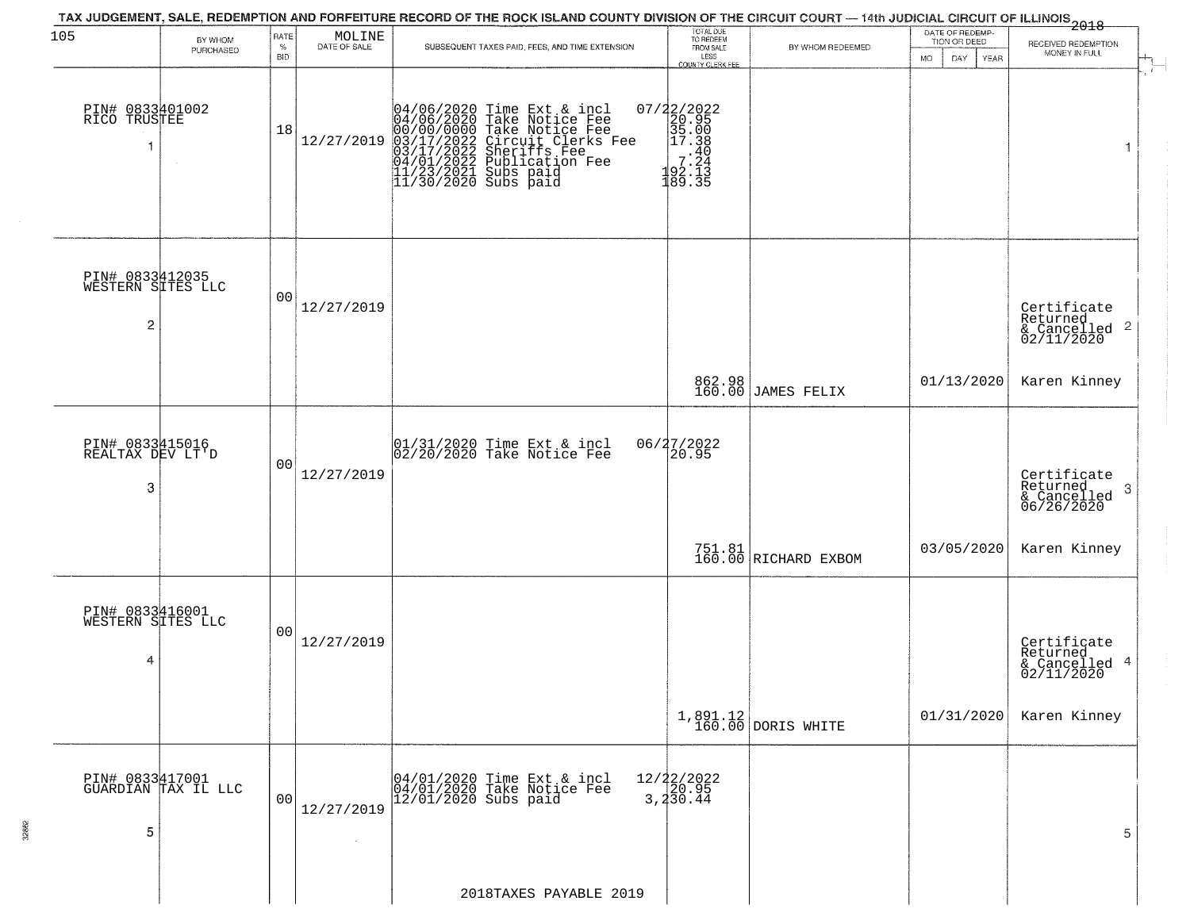| 105                                                    | BY WHOM             | RATE               | MOLINE<br>DATE OF SALE | TAX JUDGEMENT, SALE, REDEMPTION AND FORFEITURE RECORD OF THE ROCK ISLAND COUNTY DIVISION OF THE CIRCUIT COURT — 14th JUDICIAL CIRCUIT OF ILLINOIS 2018                                                                               | TOTAL DUE<br>TO REDEEM<br>FROM SALE                                                                       |                                                                 | DATE OF REDEMP-<br>TION OR DEED  | RECEIVED REDEMPTION                                        |
|--------------------------------------------------------|---------------------|--------------------|------------------------|--------------------------------------------------------------------------------------------------------------------------------------------------------------------------------------------------------------------------------------|-----------------------------------------------------------------------------------------------------------|-----------------------------------------------------------------|----------------------------------|------------------------------------------------------------|
|                                                        | PURCHASED           | $\%$<br><b>BID</b> |                        | SUBSEQUENT TAXES PAID, FEES, AND TIME EXTENSION                                                                                                                                                                                      | LESS<br>COUNTY CLERK FEE                                                                                  | BY WHOM REDEEMED                                                | <b>MO</b><br>DAY.<br><b>YEAR</b> | MONEY IN FULL                                              |
| PIN# 0833401002<br>RICO TRUSTEE                        |                     | 18                 | 12/27/2019             | 04/06/2020 Time Ext & incl<br>04/06/2020 Take Notice Fee<br>00/00/00000 Take Notice Fee<br>03/17/2022 Circuit Clerks Fee<br>03/17/2022 Sublication Fee<br>04/01/2022 Publication Fee<br>11/23/2021 Subs paid<br>11/30/2020 Subs paid | 07/22/2022<br>20.95<br>35.00<br>35.00<br>$\begin{bmatrix} -7.30 \\ 7.24 \\ 92.13 \end{bmatrix}$<br>189.35 |                                                                 |                                  |                                                            |
| PIN# 0833412035<br>WESTERN SITES LLC<br>$\overline{c}$ |                     | 00                 | 12/27/2019             |                                                                                                                                                                                                                                      |                                                                                                           |                                                                 |                                  | Certificate<br>Returned<br>$\frac{12241164}{62/11/2020}$ 2 |
|                                                        |                     |                    |                        |                                                                                                                                                                                                                                      | 862.98<br>160.00                                                                                          | JAMES FELIX                                                     | 01/13/2020                       | Karen Kinney                                               |
| PIN# 0833415016<br>REALTAX DEV LT'D<br>3               |                     | 00                 | 12/27/2019             | 01/31/2020 Time Ext & incl<br>02/20/2020 Take Notice Fee                                                                                                                                                                             | 06/27/2022<br>20.95                                                                                       |                                                                 |                                  | Certificate<br>Returned<br>3<br>& Cancelled<br>06/26/2020  |
|                                                        |                     |                    |                        |                                                                                                                                                                                                                                      |                                                                                                           | 751.81<br>160.00 RICHARD EXBOM                                  | 03/05/2020                       | Karen Kinney                                               |
| PIN# 0833416001<br>WESTERN SITES LLC<br>4              |                     | 00                 | 12/27/2019             |                                                                                                                                                                                                                                      |                                                                                                           |                                                                 |                                  | Certificate<br>Returned<br>& Cancelled 4<br>02/11/2020     |
|                                                        |                     |                    |                        |                                                                                                                                                                                                                                      |                                                                                                           | $\begin{array}{c c} 1,891.12 \\ 160.00 \end{array}$ DORIS WHITE | 01/31/2020                       | Karen Kinney                                               |
| PIN# 0833417001<br>5                                   | GUARDIAN TAX IL LLC | 0 <sub>0</sub>     | 12/27/2019             | 04/01/2020 Time Ext & incl<br>04/01/2020 Take Notice Fee<br>12/01/2020 Subs paid                                                                                                                                                     | $12/22/2022$<br>$20.95$<br>$3, 4\overline{30}.4\overline{4}$                                              |                                                                 |                                  | 5                                                          |
|                                                        |                     |                    |                        | 2018TAXES PAYABLE 2019                                                                                                                                                                                                               |                                                                                                           |                                                                 |                                  |                                                            |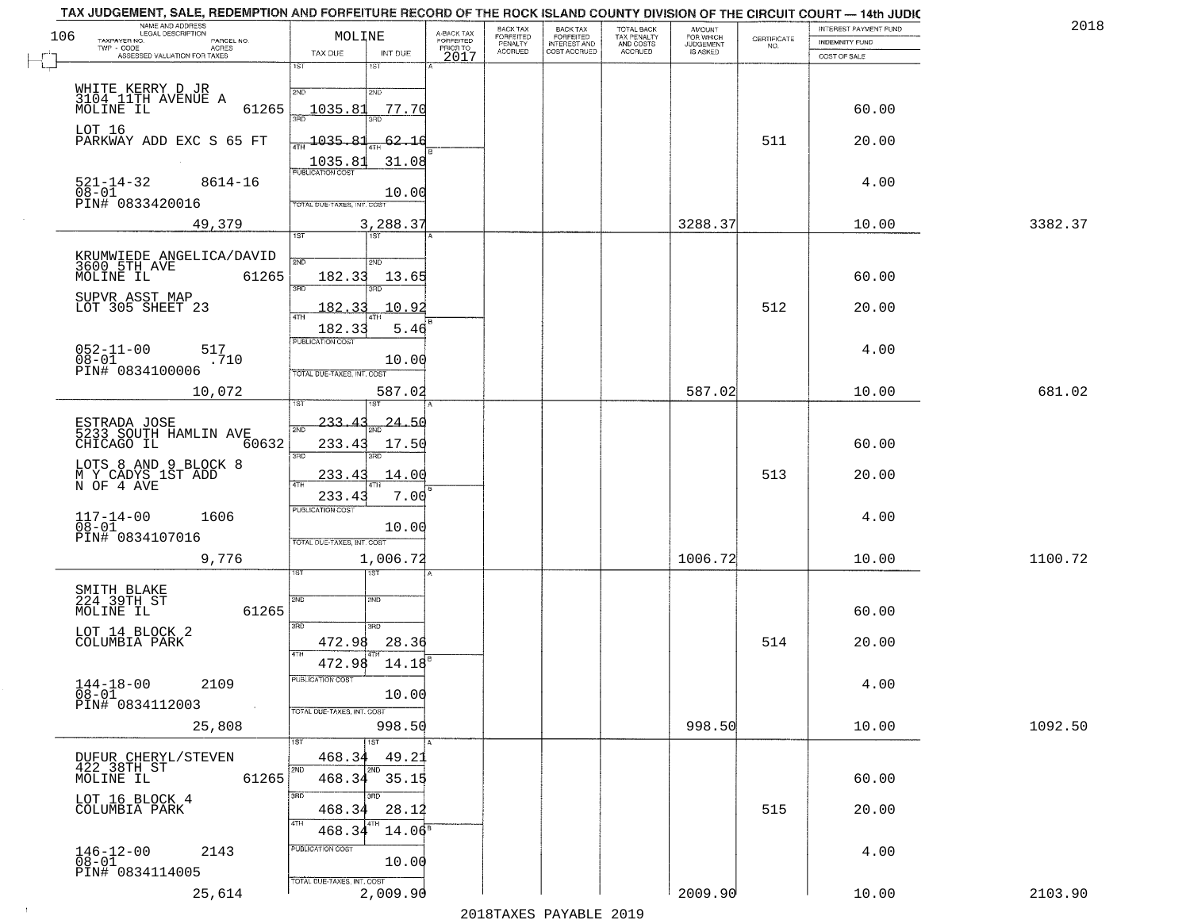|     | TAX JUDGEMENT, SALE, REDEMPTION AND FORFEITURE RECORD OF THE ROCK ISLAND COUNTY DIVISION OF THE CIRCUIT COURT — 14th JUDIC |                                   |                 |                         |                       |                                                       |                                                   |                                              |                    |                       |         |
|-----|----------------------------------------------------------------------------------------------------------------------------|-----------------------------------|-----------------|-------------------------|-----------------------|-------------------------------------------------------|---------------------------------------------------|----------------------------------------------|--------------------|-----------------------|---------|
| 106 | NAME AND ADDRESS<br>LEGAL DESCRIPTION                                                                                      | MOLINE                            |                 | A-BACK TAX<br>FORFEITED | BACK TAX<br>FORFEITED | BACK TAX<br>FORFEITED<br>INTEREST AND<br>COST ACCRUED | TOTAL BACK<br>TAX PENALTY<br>AND COSTS<br>ACCRUED | AMOUNT<br>FOR WHICH<br>JUDGEMENT<br>IS ASKED |                    | INTEREST PAYMENT FUND | 2018    |
|     | TAXPAYER NO.<br>PARCEL NO.<br>$TWP - CODE$<br>- CODE AGRES<br>ASSESSED VALUATION FOR TAXES                                 |                                   |                 | PRIOR TO                | PENALTY<br>ACCRUED    |                                                       |                                                   |                                              | CERTIFICATE<br>NO. | <b>INDEMNITY FUND</b> |         |
|     |                                                                                                                            | TAX DUE<br>1ST                    | INT DUE<br>1ST  | 2017                    |                       |                                                       |                                                   |                                              |                    | COST OF SALE          |         |
|     |                                                                                                                            |                                   |                 |                         |                       |                                                       |                                                   |                                              |                    |                       |         |
|     | WHITE KERRY D JR<br>3104 11TH AVENUE A<br>MOLINE IL                                                                        | 2ND                               | 2ND             |                         |                       |                                                       |                                                   |                                              |                    |                       |         |
|     | 61265                                                                                                                      | 1035.81                           | 77.70           |                         |                       |                                                       |                                                   |                                              |                    | 60.00                 |         |
|     |                                                                                                                            | 390                               | 3BD             |                         |                       |                                                       |                                                   |                                              |                    |                       |         |
|     | LOT 16<br>PARKWAY ADD EXC S 65 FT                                                                                          | $\frac{1}{47H}$ 1035.81           | 62.16           |                         |                       |                                                       |                                                   |                                              | 511                | 20.00                 |         |
|     |                                                                                                                            |                                   |                 |                         |                       |                                                       |                                                   |                                              |                    |                       |         |
|     |                                                                                                                            | 1035.81<br>PUBLICATION COST       | 31.08           |                         |                       |                                                       |                                                   |                                              |                    |                       |         |
|     | 521-14-32<br>8614-16                                                                                                       |                                   |                 |                         |                       |                                                       |                                                   |                                              |                    | 4.00                  |         |
|     | 08-01<br>PIN# 0833420016                                                                                                   | TOTAL DUE-TAXES, INT. COST        | 10.00           |                         |                       |                                                       |                                                   |                                              |                    |                       |         |
|     |                                                                                                                            |                                   |                 |                         |                       |                                                       |                                                   |                                              |                    |                       |         |
|     | 49,379                                                                                                                     |                                   | 3,288.37        |                         |                       |                                                       |                                                   | 3288.37                                      |                    | 10.00                 | 3382.37 |
|     |                                                                                                                            | 1ST                               | 1ST             |                         |                       |                                                       |                                                   |                                              |                    |                       |         |
|     | KRUMWIEDE ANGELICA/DAVID<br>3600 5TH AVE                                                                                   | 2ND                               | 2ND             |                         |                       |                                                       |                                                   |                                              |                    |                       |         |
|     | MOLINE IL<br>61265                                                                                                         | 182.33                            | 13.65           |                         |                       |                                                       |                                                   |                                              |                    | 60.00                 |         |
|     |                                                                                                                            | 3RD                               |                 |                         |                       |                                                       |                                                   |                                              |                    |                       |         |
|     | SUPVR ASST MAP<br>LOT 305 SHEET 23                                                                                         | 182.33                            | 10.9            |                         |                       |                                                       |                                                   |                                              | 512                | 20.00                 |         |
|     |                                                                                                                            | 47H                               |                 |                         |                       |                                                       |                                                   |                                              |                    |                       |         |
|     |                                                                                                                            | 182.33<br>PUBLICATION COST        | 5.46            |                         |                       |                                                       |                                                   |                                              |                    |                       |         |
|     | $052 - 11 - 00$<br>517                                                                                                     |                                   |                 |                         |                       |                                                       |                                                   |                                              |                    | 4.00                  |         |
|     | $08 - 01$<br>.710<br>PIN# 0834100006                                                                                       |                                   | 10.00           |                         |                       |                                                       |                                                   |                                              |                    |                       |         |
|     |                                                                                                                            | TOTAL DUE-TAXES, INT. COST        |                 |                         |                       |                                                       |                                                   |                                              |                    |                       |         |
|     | 10,072                                                                                                                     |                                   | 587.02          |                         |                       |                                                       |                                                   | 587.02                                       |                    | 10.00                 | 681.02  |
|     |                                                                                                                            |                                   |                 |                         |                       |                                                       |                                                   |                                              |                    |                       |         |
|     |                                                                                                                            | 233.43<br>2ND                     | <u> 24.50</u>   |                         |                       |                                                       |                                                   |                                              |                    |                       |         |
|     | 60632                                                                                                                      | 233.43                            | 17.50           |                         |                       |                                                       |                                                   |                                              |                    | 60.00                 |         |
|     |                                                                                                                            | 3 <sub>BD</sub>                   | 3RD             |                         |                       |                                                       |                                                   |                                              |                    |                       |         |
|     | LOTS 8 AND 9 BLOCK 8                                                                                                       | 233.43                            | 14.00           |                         |                       |                                                       |                                                   |                                              | 513                | 20.00                 |         |
|     | M Y CADYS 1ST ADD<br>N OF 4 AVE                                                                                            |                                   |                 |                         |                       |                                                       |                                                   |                                              |                    |                       |         |
|     |                                                                                                                            | 233.43<br><b>PUBLICATION COST</b> | 7.00            |                         |                       |                                                       |                                                   |                                              |                    |                       |         |
|     | $117 - 14 - 00$<br>$08 - 01$<br>1606                                                                                       |                                   |                 |                         |                       |                                                       |                                                   |                                              |                    | 4.00                  |         |
|     | PIN# 0834107016                                                                                                            | TOTAL OUE-TAXES, INT. COST        | 10.00           |                         |                       |                                                       |                                                   |                                              |                    |                       |         |
|     |                                                                                                                            |                                   |                 |                         |                       |                                                       |                                                   |                                              |                    |                       |         |
|     | 9,776                                                                                                                      |                                   | 1,006.72<br>१९४ |                         |                       |                                                       |                                                   | 1006.72                                      |                    | 10.00                 | 1100.72 |
|     |                                                                                                                            |                                   |                 |                         |                       |                                                       |                                                   |                                              |                    |                       |         |
|     | SMITH BLAKE<br>224 39TH ST                                                                                                 | 2ND                               | 2ND             |                         |                       |                                                       |                                                   |                                              |                    |                       |         |
|     | 61265<br>MOLINE IL                                                                                                         |                                   |                 |                         |                       |                                                       |                                                   |                                              |                    | 60.00                 |         |
|     | LOT 14 BLOCK 2                                                                                                             | 3RD                               | 3 <sub>BD</sub> |                         |                       |                                                       |                                                   |                                              |                    |                       |         |
|     | COLUMBIA PARK                                                                                                              | 472.98                            | 28.36           |                         |                       |                                                       |                                                   |                                              | 514                | 20.00                 |         |
|     |                                                                                                                            | 4TH<br>472.98                     | 14.18           |                         |                       |                                                       |                                                   |                                              |                    |                       |         |
|     |                                                                                                                            | PUBLICATION COST                  |                 |                         |                       |                                                       |                                                   |                                              |                    |                       |         |
|     | $144 - 18 - 00$ 2109<br>08-01                                                                                              |                                   | 10.00           |                         |                       |                                                       |                                                   |                                              |                    | 4.00                  |         |
|     | PIN# 0834112003                                                                                                            | TOTAL DUE-TAXES, INT. COST        |                 |                         |                       |                                                       |                                                   |                                              |                    |                       |         |
|     | 25,808                                                                                                                     |                                   | 998.50          |                         |                       |                                                       |                                                   | 998.50                                       |                    | 10.00                 | 1092.50 |
|     |                                                                                                                            | 1ST                               | 1ST             |                         |                       |                                                       |                                                   |                                              |                    |                       |         |
|     |                                                                                                                            | 468.34                            | 49.21           |                         |                       |                                                       |                                                   |                                              |                    |                       |         |
|     | DUFUR CHERYL/STEVEN<br>422 38TH ST                                                                                         | 2ND                               |                 |                         |                       |                                                       |                                                   |                                              |                    |                       |         |
|     | 61265<br>MOLINE IL                                                                                                         | 468.34                            | 35.15           |                         |                       |                                                       |                                                   |                                              |                    | 60.00                 |         |
|     | LOT 16 BLOCK 4                                                                                                             | 3RD                               | उनेट            |                         |                       |                                                       |                                                   |                                              |                    |                       |         |
|     | COLUMBIA PARK                                                                                                              | 468.34                            | 28.12           |                         |                       |                                                       |                                                   |                                              | 515                | 20.00                 |         |
|     |                                                                                                                            | 4TH<br>468.34                     | $14.06^5$       |                         |                       |                                                       |                                                   |                                              |                    |                       |         |
|     |                                                                                                                            | PUBLICATION COST                  |                 |                         |                       |                                                       |                                                   |                                              |                    |                       |         |
|     | $146 - 12 - 00$<br>2143<br>08-01                                                                                           |                                   | 10.00           |                         |                       |                                                       |                                                   |                                              |                    | 4.00                  |         |
|     | PIN# 0834114005                                                                                                            | TOTAL DUE-TAXES, INT. COST        |                 |                         |                       |                                                       |                                                   |                                              |                    |                       |         |
|     | 25,614                                                                                                                     |                                   | 2,009.90        |                         |                       |                                                       |                                                   | 2009.90                                      |                    | 10.00                 | 2103.90 |
|     |                                                                                                                            |                                   |                 |                         |                       |                                                       |                                                   |                                              |                    |                       |         |

 $\sim 100$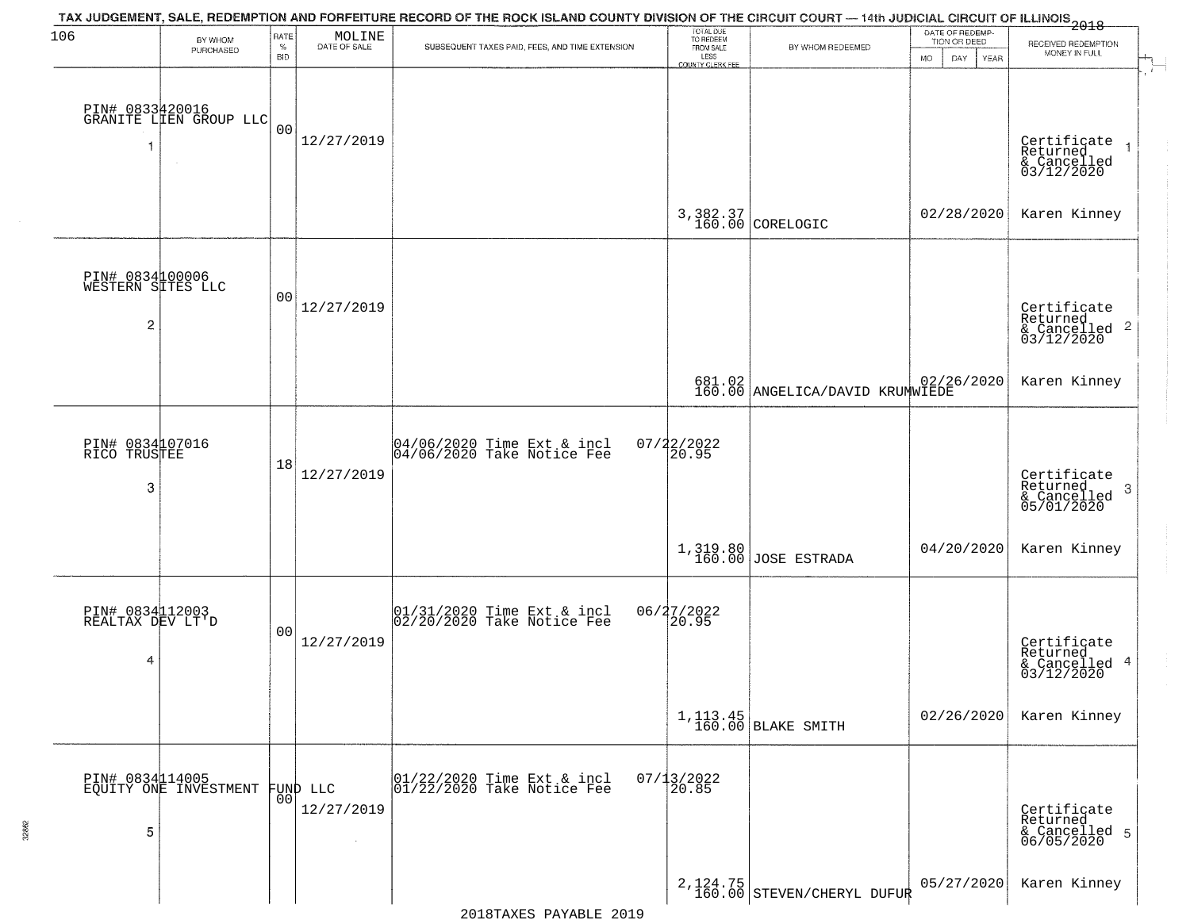| 106                                  | BY WHOM                                   | RATE<br>$\%$   | $\begin{array}{c} \text{MOLINE} \\ \text{DATE of sale} \end{array}$ | TAX JUDGEMENT, SALE, REDEMPTION AND FORFEITURE RECORD OF THE ROCK ISLAND COUNTY DIVISION OF THE CIRCUIT COURT — 14th JUDICIAL CIRCUIT OF ILLINOIS 2018<br>SUBSEQUENT TAXES PAID, FEES, AND TIME EXTENSION | TOTAL DUE<br>TO REDEEM<br>FROM SALE | BY WHOM REDEEMED                  | DATE OF REDEMP-<br>TION OR DEED | RECEIVED REDEMPTION                                                  |
|--------------------------------------|-------------------------------------------|----------------|---------------------------------------------------------------------|-----------------------------------------------------------------------------------------------------------------------------------------------------------------------------------------------------------|-------------------------------------|-----------------------------------|---------------------------------|----------------------------------------------------------------------|
|                                      | PURCHASED                                 | <b>BID</b>     |                                                                     |                                                                                                                                                                                                           | LESS<br>COUNTY CLERK FEE            |                                   | DAY.<br>YEAR<br>MO.             | MONEY IN FULL                                                        |
|                                      |                                           |                |                                                                     |                                                                                                                                                                                                           |                                     |                                   |                                 |                                                                      |
|                                      | PIN# 0833420016<br>GRANITE LIEN GROUP LLC | 0 <sub>0</sub> | 12/27/2019                                                          |                                                                                                                                                                                                           |                                     |                                   |                                 |                                                                      |
| 1                                    |                                           |                |                                                                     |                                                                                                                                                                                                           |                                     |                                   |                                 | Certificate<br>Returned<br>& Cancelled<br>03/12/2020                 |
|                                      |                                           |                |                                                                     |                                                                                                                                                                                                           |                                     |                                   |                                 |                                                                      |
|                                      |                                           |                |                                                                     |                                                                                                                                                                                                           |                                     | 3,382.37<br>160.00 CORELOGIC      | 02/28/2020                      | Karen Kinney                                                         |
|                                      |                                           |                |                                                                     |                                                                                                                                                                                                           |                                     |                                   |                                 |                                                                      |
| PIN# 0834100006<br>WESTERN SITES LLC |                                           | 0 <sub>0</sub> |                                                                     |                                                                                                                                                                                                           |                                     |                                   |                                 |                                                                      |
| 2                                    |                                           |                | 12/27/2019                                                          |                                                                                                                                                                                                           |                                     |                                   |                                 | Certificate<br>Returned<br>& Cancelled 2<br>03/12/2020               |
|                                      |                                           |                |                                                                     |                                                                                                                                                                                                           |                                     |                                   |                                 |                                                                      |
|                                      |                                           |                |                                                                     |                                                                                                                                                                                                           |                                     | 681.02 ANGELICA/DAVID KRUMWIEDE   |                                 | Karen Kinney                                                         |
|                                      |                                           |                |                                                                     |                                                                                                                                                                                                           |                                     |                                   |                                 |                                                                      |
| PIN# 0834107016<br>RICO TRUSTEE      |                                           | 18             |                                                                     | 04/06/2020 Time Ext & incl<br>04/06/2020 Take Notice Fee                                                                                                                                                  | $07/22/2022$<br>20.95               |                                   |                                 |                                                                      |
| 3                                    |                                           |                | 12/27/2019                                                          |                                                                                                                                                                                                           |                                     |                                   |                                 | Certificate<br>Returned<br>$\mathbf{3}$<br>& Cancelled<br>05/01/2020 |
|                                      |                                           |                |                                                                     |                                                                                                                                                                                                           |                                     |                                   |                                 |                                                                      |
|                                      |                                           |                |                                                                     |                                                                                                                                                                                                           |                                     | $1,319.80$ JOSE ESTRADA           | 04/20/2020                      | Karen Kinney                                                         |
|                                      |                                           |                |                                                                     |                                                                                                                                                                                                           |                                     |                                   |                                 |                                                                      |
| PIN# 0834112003<br>REALTAX DEV LT'D  |                                           | 0 <sub>0</sub> |                                                                     | $\begin{array}{c}  01/31/2020 \text{ Time} \text{ Ext} & \text{incl} \\  02/20/2020 \text{ Take Notice } \text{Fe} \end{array}$                                                                           | 06/27/2022                          |                                   |                                 |                                                                      |
| 4                                    |                                           |                | 12/27/2019                                                          |                                                                                                                                                                                                           |                                     |                                   |                                 | Certificate<br>Returned                                              |
|                                      |                                           |                |                                                                     |                                                                                                                                                                                                           |                                     |                                   |                                 | & Cancelled 4<br>03/12/2020                                          |
|                                      |                                           |                |                                                                     |                                                                                                                                                                                                           |                                     | $1, 113.45$<br>160.00 BLAKE SMITH | 02/26/2020                      | Karen Kinney                                                         |
|                                      |                                           |                |                                                                     |                                                                                                                                                                                                           |                                     |                                   |                                 |                                                                      |
|                                      | PIN# 0834114005<br>EQUITY ONE INVESTMENT  |                | FUND LLC                                                            | 01/22/2020 Time Ext & incl<br>01/22/2020 Take Notice Fee                                                                                                                                                  | $07/13/2022$<br>20.85               |                                   |                                 |                                                                      |
|                                      |                                           | 00             | 12/27/2019                                                          |                                                                                                                                                                                                           |                                     |                                   |                                 | Certificate<br>Returned                                              |
| 5                                    |                                           |                |                                                                     |                                                                                                                                                                                                           |                                     |                                   |                                 | & Cancelled 5<br>06/05/2020                                          |
|                                      |                                           |                |                                                                     |                                                                                                                                                                                                           |                                     | $2,124.75$ STEVEN/CHERYL DUFUR    | 05/27/2020                      | Karen Kinney                                                         |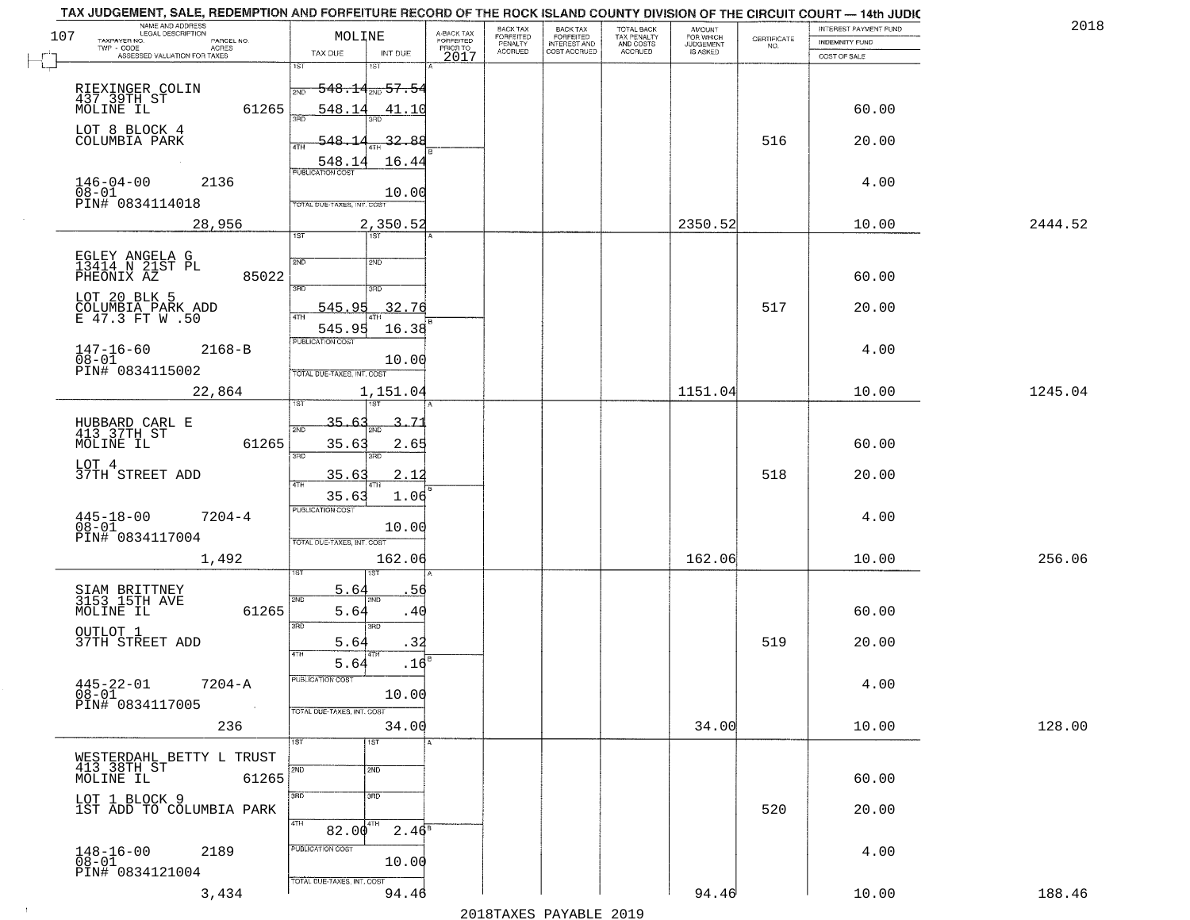| 107  | NAME AND ADDRESS<br>LEGAL DESCRIPTION<br>TAXPAYER NO.<br>PARCEL NO.<br>ACRES<br>TWP - CODE | MOLINE                                                         | A-BACK TAX<br>FORFEITED<br>PRIOR TO | <b>BACK TAX</b><br>FORFEITED<br>PENALTY | BACK TAX<br>FORFEITED<br>INTEREST AND | TOTAL BACK<br>TAX PENALTY<br>AND COSTS | AMOUNT<br>FOR WHICH<br><b>JUDGEMENT</b> | $\begin{array}{c} \text{CERTIFICATE} \\ \text{NO.} \end{array}$ | <b>INTEREST PAYMENT FUND</b><br><b>INDEMNITY FUND</b> | 2018    |
|------|--------------------------------------------------------------------------------------------|----------------------------------------------------------------|-------------------------------------|-----------------------------------------|---------------------------------------|----------------------------------------|-----------------------------------------|-----------------------------------------------------------------|-------------------------------------------------------|---------|
|      | ASSESSED VALUATION FOR TAXES                                                               | INT DUE<br>TAX DUE<br>1ST                                      | 2017                                | <b>ACCRUED</b>                          | COST ACCRUED                          | ACCRUED                                | IS ASKED                                |                                                                 | COST OF SALE                                          |         |
|      | RIEXINGER COLIN<br>437 39TH ST<br>MOLINE IL                                                | 1ST<br><del>548.14<sub>2ND</sub> 57.54</del>                   |                                     |                                         |                                       |                                        |                                         |                                                                 | 60.00                                                 |         |
|      | 61265<br>LOT 8 BLOCK 4<br>COLUMBIA PARK                                                    | 548.14<br>41.10<br><u>548.1</u><br>32.88                       |                                     |                                         |                                       |                                        |                                         | 516                                                             | 20.00                                                 |         |
|      | $146 - 04 - 00$<br>2136                                                                    | 4TH<br>16.44<br>548.14<br>PUBLICATION COST                     |                                     |                                         |                                       |                                        |                                         |                                                                 | 4.00                                                  |         |
|      | 08-01<br>PIN# 0834114018                                                                   | 10.00<br>TOTAL DUE-TAXES, INT. COST                            |                                     |                                         |                                       |                                        |                                         |                                                                 |                                                       |         |
|      | 28,956                                                                                     | 2,350.52<br>1ST<br>1ST                                         |                                     |                                         |                                       |                                        | 2350.52                                 |                                                                 | 10.00                                                 | 2444.52 |
|      | EGLEY ANGELA G<br>13414 N 21ST PL<br>85022<br>PHEONIX AZ                                   | 2ND<br>2ND<br>$\overline{3BD}$<br>3RD                          |                                     |                                         |                                       |                                        |                                         |                                                                 | 60.00                                                 |         |
|      | LOT 20 BLK 5<br>COLUMBIA PARK ADD<br>E 47.3 FT W .50                                       | 545.95<br>32.76<br>16.38<br>545.95                             |                                     |                                         |                                       |                                        |                                         | 517                                                             | 20.00                                                 |         |
|      | $147 - 16 - 60$<br>$2168 - B$<br>$08-01$<br>PIN# 0834115002                                | PUBLICATION COST<br>10.00<br>TOTAL DUE-TAXES, INT. COST        |                                     |                                         |                                       |                                        |                                         |                                                                 | 4.00                                                  |         |
|      | 22,864                                                                                     | 1,151.04<br>1ST.<br>1ST                                        |                                     |                                         |                                       |                                        | 1151.04                                 |                                                                 | 10.00                                                 | 1245.04 |
|      | HUBBARD CARL E<br>413 37TH ST<br>61265<br>MOLINE IL                                        | 35.6<br>3.<br>-71<br>2ND<br>2ND<br>35.63<br>2.65<br>3BD<br>3BD |                                     |                                         |                                       |                                        |                                         |                                                                 | 60.00                                                 |         |
|      | LOT 4<br>37TH STREET ADD                                                                   | 35.63<br>2.12<br>4TH<br>35.63<br>1.06                          |                                     |                                         |                                       |                                        |                                         | 518                                                             | 20.00                                                 |         |
|      | $7204 - 4$<br>$445 - 18 - 00$<br>$08 - 01$<br>PIN# 0834117004                              | <b>PUBLICATION COST</b><br>10.00<br>TOTAL OUE-TAXES, INT. COST |                                     |                                         |                                       |                                        |                                         |                                                                 | 4.00                                                  |         |
|      | 1,492                                                                                      | 162.06                                                         |                                     |                                         |                                       |                                        | 162.06                                  |                                                                 | 10.00                                                 | 256.06  |
|      | SIAM BRITTNEY<br>3153 15TH AVE<br>MOLINE IL<br>61265                                       | 5.64<br>2ND<br>'ND<br>5.64<br>.40<br>3RD<br>$\overline{3BD}$   |                                     |                                         |                                       |                                        |                                         |                                                                 | 60.00                                                 |         |
|      | OUTLOT 1<br>37TH STREET ADD                                                                | .32<br>5.64<br>5.64<br>.16                                     |                                     |                                         |                                       |                                        |                                         | 519                                                             | 20.00                                                 |         |
|      | $445 - 22 - 01$<br>7204-A<br>$08 - 01$<br>PIN# 0834117005                                  | PUBLICATION COST<br>10.00<br>TOTAL DUE-TAXES, INT. COST        |                                     |                                         |                                       |                                        |                                         |                                                                 | 4.00                                                  |         |
|      | 236                                                                                        | 34.00<br>1ST<br>1ST                                            |                                     |                                         |                                       |                                        | 34.00                                   |                                                                 | 10.00                                                 | 128.00  |
|      | WESTERDAHL BETTY L TRUST<br>413 38TH ST<br>MOLINE IL<br>61265                              | 2ND<br>2ND                                                     |                                     |                                         |                                       |                                        |                                         |                                                                 | 60.00                                                 |         |
|      | LOT 1 BLOCK 9<br>1ST ADD TO COLUMBIA PARK                                                  | 3RD<br>3 <sub>RD</sub><br>4TH<br>4TH<br>$2.46^8$<br>82.00      |                                     |                                         |                                       |                                        |                                         | 520                                                             | 20.00                                                 |         |
|      | $148 - 16 - 00$<br>$08 - 01$<br>2189<br>PIN# 0834121004                                    | PUBLICATION COST<br>10.00<br>TOTAL DUE-TAXES, INT. COST        |                                     |                                         |                                       |                                        |                                         |                                                                 | 4.00                                                  |         |
| $+1$ | 3,434                                                                                      | 94.46                                                          |                                     |                                         | 0.10 הזמגזגת מהעגדות                  |                                        | 94.46                                   |                                                                 | 10.00                                                 | 188.46  |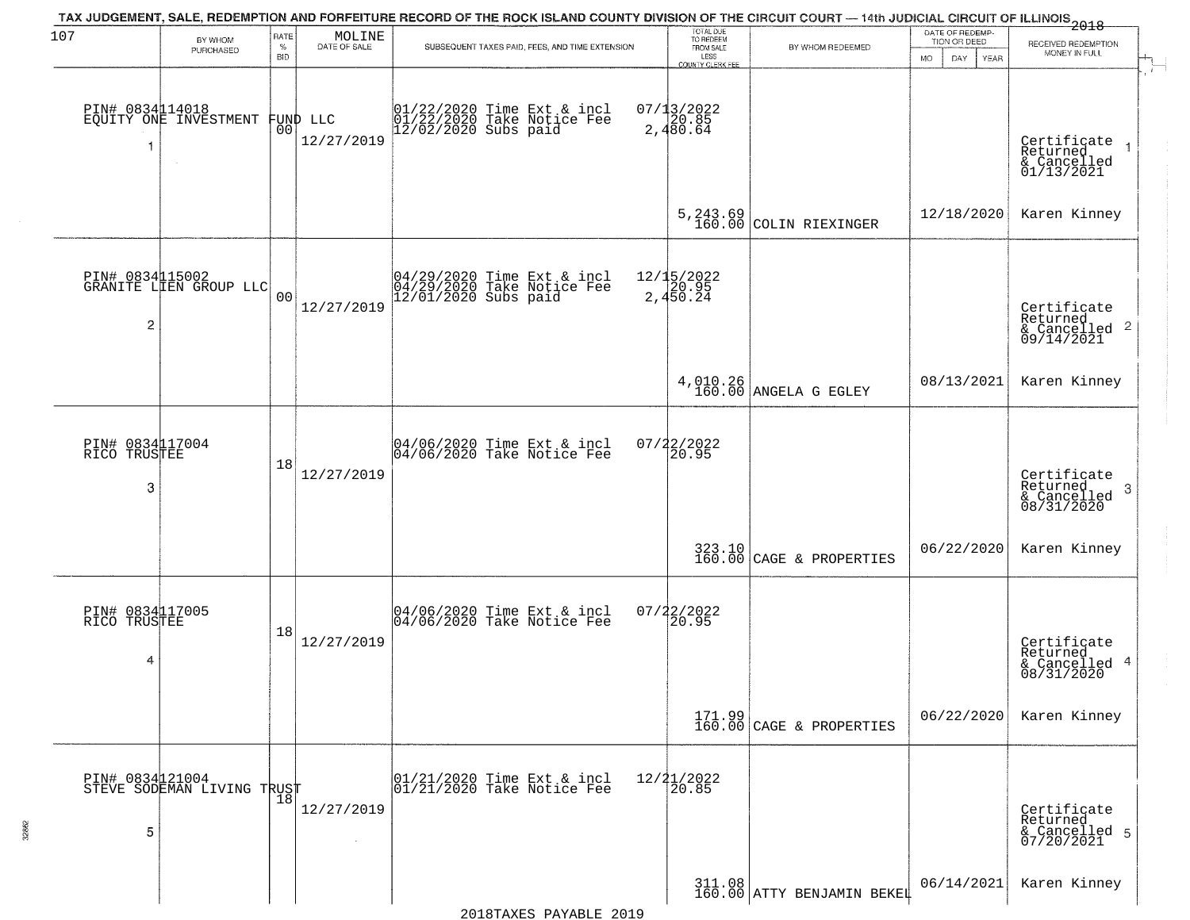| 107                                  | BY WHOM                                           | RATE               | MOLINE                         | TAX JUDGEMENT, SALE, REDEMPTION AND FORFEITURE RECORD OF THE ROCK ISLAND COUNTY DIVISION OF THE CIRCUIT COURT — 14th JUDICIAL CIRCUIT OF ILLINOIS 2018 | TOTAL DUE<br>TO REDEEM                       |                                                                   | DATE OF REDEMP-<br>TION OR DEED | RECEIVED REDEMPTION                                                    |
|--------------------------------------|---------------------------------------------------|--------------------|--------------------------------|--------------------------------------------------------------------------------------------------------------------------------------------------------|----------------------------------------------|-------------------------------------------------------------------|---------------------------------|------------------------------------------------------------------------|
|                                      | PURCHASED                                         | $\%$<br><b>BID</b> | DATE OF SALE                   | SUBSEQUENT TAXES PAID, FEES, AND TIME EXTENSION                                                                                                        | FROM SALE<br>LESS<br><b>COUNTY CLERK FEE</b> | BY WHOM REDEEMED                                                  | <b>MO</b><br>DAY<br><b>YEAR</b> | MONEY IN FULL                                                          |
| -1                                   | PIN# 0834114018<br>EQUITY ONE INVESTMENT          |                    | FUND LLC<br> 00 <br>12/27/2019 | 01/22/2020 Time Ext & incl<br>01/22/2020 Take Notice Fee<br>12/02/2020 Subs paid                                                                       | $07/13/2022$<br>2,480.64                     |                                                                   |                                 | Certificate<br>Returned<br>& Cancelled<br>01/13/2021                   |
|                                      |                                                   |                    |                                |                                                                                                                                                        |                                              | $5, 243.69$ COLIN RIEXINGER                                       | 12/18/2020                      | Karen Kinney                                                           |
| $\overline{c}$                       | PIN# 0834115002<br>GRANITE LIEN GROUP LLC         | 0 <sub>0</sub>     | 12/27/2019                     | 04/29/2020 Time Ext & incl<br>04/29/2020 Take Notice Fee<br>12/01/2020 Subs paid                                                                       | 12/15/2022<br>2,450.24                       |                                                                   |                                 | Certificate<br>Returned<br>$\overline{2}$<br>& Cancelled<br>09/14/2021 |
|                                      |                                                   |                    |                                |                                                                                                                                                        |                                              | $4,010.26$ ANGELA G EGLEY                                         | 08/13/2021                      | Karen Kinney                                                           |
| PIN# 0834117004<br>RICO TRUSTEE<br>3 |                                                   | 18                 | 12/27/2019                     | 04/06/2020 Time Ext & incl<br>04/06/2020 Take Notice Fee                                                                                               | $07/22/2022$<br>20.95                        |                                                                   |                                 | Certificate<br>Returned<br>3<br>$\frac{6}{08/31/2020}$                 |
|                                      |                                                   |                    |                                |                                                                                                                                                        |                                              | $323.10$ CAGE & PROPERTIES                                        | 06/22/2020                      | Karen Kinney                                                           |
| PIN# 0834117005<br>RICO TRUSTEE<br>4 |                                                   | 18                 | 12/27/2019                     | 04/06/2020 Time Ext & incl<br>04/06/2020 Take Notice Fee                                                                                               | $07/22/2022$<br>20.95                        |                                                                   |                                 | Certificate<br>Returned<br>4<br>& Cancelled<br>08/31/2020              |
|                                      |                                                   |                    |                                |                                                                                                                                                        |                                              | $\begin{array}{c} 171.99 \\ 160.00 \end{array}$ CAGE & PROPERTIES | 06/22/2020                      | Karen Kinney                                                           |
| 5                                    | PIN# 0834121004    <br>STEVE SODEMAN LIVING TRUST | 18                 | 12/27/2019                     | 01/21/2020 Time Ext & incl<br>01/21/2020 Take Notice Fee                                                                                               | $12/21/2022$<br>$20.85$                      |                                                                   |                                 | Certificate<br>Returned<br>& Cancelled 5<br>07/20/2021                 |
|                                      |                                                   |                    |                                |                                                                                                                                                        |                                              | $311.08$ ATTY BENJAMIN BEKEL                                      | 06/14/2021                      | Karen Kinney                                                           |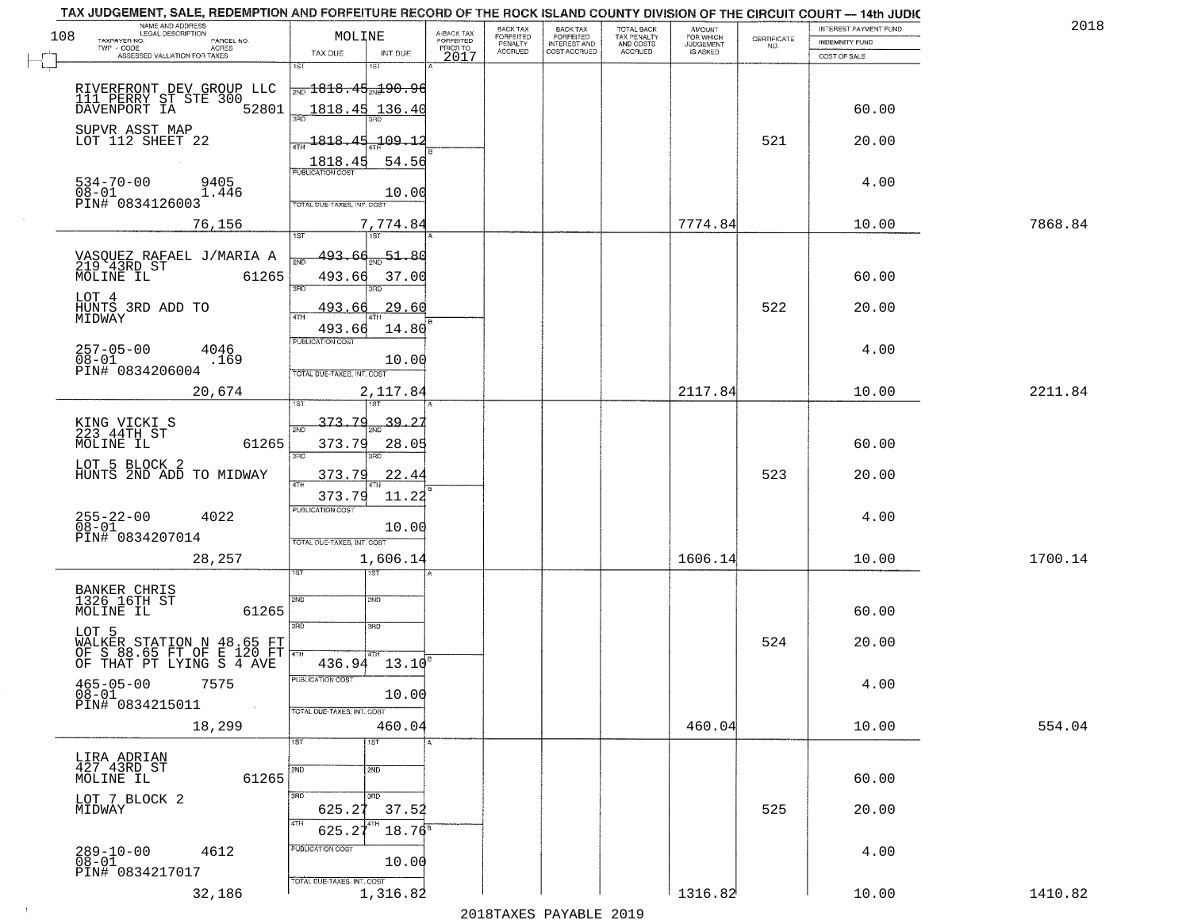| 108 | NAME AND ADDRESS<br>LEGAL DESCRIPTION<br>TAXPAYER NO.<br>PARCEL NO.                | MOLINE                                        | A-BACK TAX<br>FORFEITED | BACK TAX<br>FORFEITED     | <b>BACK TAX</b><br><b>FORFEITED</b> | TOTAL BACK<br>TAX PENALTY | <b>AMOUNT</b>                      | CERTIFICATE | INTEREST PAYMENT FUND<br>INDEMNITY FUND | 2018    |
|-----|------------------------------------------------------------------------------------|-----------------------------------------------|-------------------------|---------------------------|-------------------------------------|---------------------------|------------------------------------|-------------|-----------------------------------------|---------|
|     | $TWP - CODE$<br><b>ACRES</b><br>ASSESSED VALUATION FOR TAXES                       | TAX DUE<br>INT DUE                            | PRIOR TO<br>2017        | PENALTY<br><b>ACCRUED</b> | INTEREST AND                        | AND COSTS<br>ACCRUED      | FOR WHICH<br>JUDGEMENT<br>IS ASKED | NO.         | COST OF SALE                            |         |
|     |                                                                                    | 1ST                                           |                         |                           |                                     |                           |                                    |             |                                         |         |
|     | RIVERFRONT DEV GROUP LLC<br>111 PERRY ST STE 300<br>DAVENPORT IA 5280              | $\frac{1}{2ND}$ 1818.45 $\frac{1}{2ND}$ 90.96 |                         |                           |                                     |                           |                                    |             |                                         |         |
|     | 52801                                                                              | 1818.45<br>136.40<br>san                      |                         |                           |                                     |                           |                                    |             | 60.00                                   |         |
|     | SUPVR ASST MAP<br>LOT 112 SHEET 22                                                 | $-109.1$<br>1818.45                           |                         |                           |                                     |                           |                                    | 521         | 20.00                                   |         |
|     |                                                                                    | 1818.45<br>54.56<br><b>PUBLICATION COST</b>   |                         |                           |                                     |                           |                                    |             |                                         |         |
|     | $534 - 70 - 00$<br>9405<br>1.446                                                   | 10.00                                         |                         |                           |                                     |                           |                                    |             | 4.00                                    |         |
|     | 08-01<br>PIN# 0834126003                                                           | TOTAL DUE-TAXES, INT. COST                    |                         |                           |                                     |                           |                                    |             |                                         |         |
|     | 76,156                                                                             | 7,774.84<br>Tst<br>1ST                        |                         |                           |                                     |                           | 7774.84                            |             | 10.00                                   | 7868.84 |
|     | VASQUEZ RAFAEL J/MARIA A<br>219 43RD ST                                            | $-51 - 80$<br><u>493.66</u>                   |                         |                           |                                     |                           |                                    |             |                                         |         |
|     | MOLINE IL<br>61265                                                                 | 493.66<br>37.00<br>3BD<br>3RD                 |                         |                           |                                     |                           |                                    |             | 60.00                                   |         |
|     | LOT 4<br>HUNTS 3RD ADD TO                                                          | 29.60<br>493.66                               |                         |                           |                                     |                           |                                    | 522         | 20.00                                   |         |
|     | MIDWAY                                                                             | ATH<br>14.80<br>493.66                        |                         |                           |                                     |                           |                                    |             |                                         |         |
|     | $257 - 05 - 00$<br>4046<br>$08 - 01$<br>.169                                       | PUBLICATION COST<br>10.00                     |                         |                           |                                     |                           |                                    |             | 4.00                                    |         |
|     | PIN# 0834206004                                                                    | TOTAL DUE-TAXES, INT. COST                    |                         |                           |                                     |                           |                                    |             |                                         |         |
|     | 20,674                                                                             | 2,117.84                                      |                         |                           |                                     |                           | 2117.84                            |             | 10.00                                   | 2211.84 |
|     | KING VICKI S<br>223 44TH ST                                                        | 373.79<br>39.<br>2ND                          |                         |                           |                                     |                           |                                    |             |                                         |         |
|     | 61265<br>MOLINE IL                                                                 | 373.79<br>28.05<br>3RD<br>3RD                 |                         |                           |                                     |                           |                                    |             | 60.00                                   |         |
|     | LOT 5 BLOCK 2<br>HUNTS 2ND ADD TO MIDWAY                                           | 22.4<br>373.79                                |                         |                           |                                     |                           |                                    | 523         | 20.00                                   |         |
|     |                                                                                    | 4TH<br>373.79<br>11.22                        |                         |                           |                                     |                           |                                    |             |                                         |         |
|     | 255-22-00<br>08-01<br>4022                                                         | <b>PUBLICATION COST</b><br>10.00              |                         |                           |                                     |                           |                                    |             | 4.00                                    |         |
|     | PIN# 0834207014                                                                    | TOTAL OUE-TAXES, INT. COST                    |                         |                           |                                     |                           |                                    |             |                                         |         |
|     | 28,257                                                                             | 1,606.14<br>गड़ा                              |                         |                           |                                     |                           | 1606.14                            |             | 10.00                                   | 1700.14 |
|     | BANKER CHRIS<br>1326 16TH ST                                                       |                                               |                         |                           |                                     |                           |                                    |             |                                         |         |
|     | 61265<br>MOLINE IL                                                                 | 2ND<br>2ND                                    |                         |                           |                                     |                           |                                    |             | 60.00                                   |         |
|     | LOT 5                                                                              | 3RD<br>3RD                                    |                         |                           |                                     |                           |                                    | 524         | 20.00                                   |         |
|     | WALKER STATION N 48.65 FT<br>OF S 88.65 FT OF E 120 FT<br>OF THAT PT LYING S 4 AVE | 4TH<br>$436.94$ 13.10 <sup>8</sup>            |                         |                           |                                     |                           |                                    |             |                                         |         |
|     | $465 - 05 - 00$<br>7575                                                            | PUBLICATION COST                              |                         |                           |                                     |                           |                                    |             | 4.00                                    |         |
|     | 08-01<br>PIN# 0834215011<br>$\sim 100$                                             | 10.00<br>TOTAL DUE-TAXES, INT. COST           |                         |                           |                                     |                           |                                    |             |                                         |         |
|     | 18,299                                                                             | 460.04                                        |                         |                           |                                     |                           | 460.04                             |             | 10.00                                   | 554.04  |
|     |                                                                                    | 1ST<br>1ST                                    |                         |                           |                                     |                           |                                    |             |                                         |         |
|     | LIRA ADRIAN<br>427 43RD ST<br>MOLINE IL<br>61265                                   | 2ND<br>2ND                                    |                         |                           |                                     |                           |                                    |             | 60.00                                   |         |
|     | LOT 7 BLOCK 2<br>MIDWAY                                                            | 3RD<br>350<br>625.27<br>37.52                 |                         |                           |                                     |                           |                                    | 525         | 20.00                                   |         |
|     |                                                                                    | 4TH<br>$18.76^8$<br>625.2                     |                         |                           |                                     |                           |                                    |             |                                         |         |
|     | 4612<br>289-10-00<br>08-01                                                         | PUBLICATION COST                              |                         |                           |                                     |                           |                                    |             | 4.00                                    |         |
|     | PIN# 0834217017                                                                    | 10.00<br>TOTAL DUE-TAXES, INT. COST           |                         |                           |                                     |                           |                                    |             |                                         |         |
|     | 32,186                                                                             | 1,316.82                                      |                         |                           |                                     |                           | 1316.82                            |             | 10.00                                   | 1410.82 |

 $\sim 100$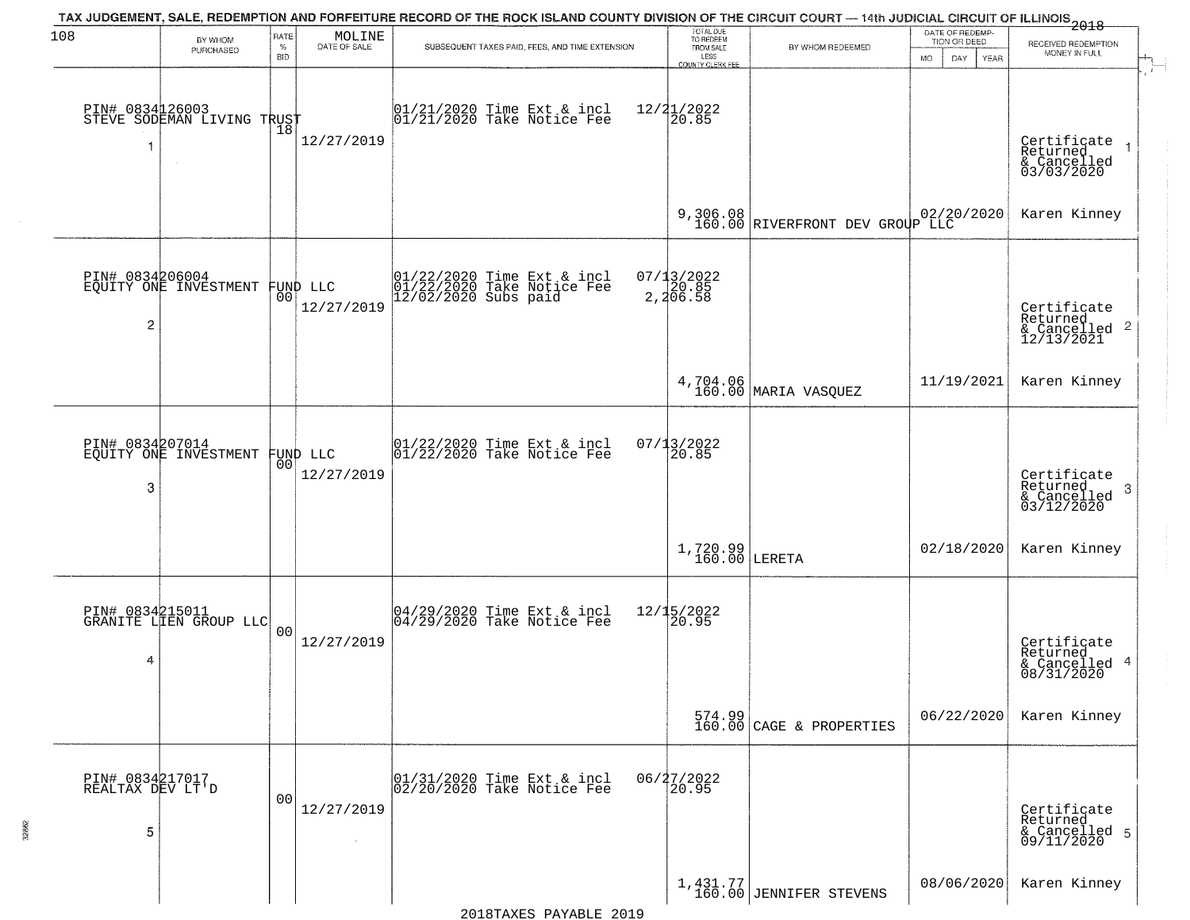| 108                                      | BY WHOM                                       | RATE               | MOLINE                         | TAX JUDGEMENT, SALE, REDEMPTION AND FORFEITURE RECORD OF THE ROCK ISLAND COUNTY DIVISION OF THE CIRCUIT COURT — 14th JUDICIAL CIRCUIT OF ILLINOIS 2018 | TOTAL DUE<br>TO REDEEM                       |                                                                   | DATE OF REDEMP-                                 |                                                                        |
|------------------------------------------|-----------------------------------------------|--------------------|--------------------------------|--------------------------------------------------------------------------------------------------------------------------------------------------------|----------------------------------------------|-------------------------------------------------------------------|-------------------------------------------------|------------------------------------------------------------------------|
|                                          | PURCHASED                                     | $\%$<br><b>BID</b> | DATE OF SALE                   | SUBSEQUENT TAXES PAID, FEES, AND TIME EXTENSION                                                                                                        | FROM SALE<br>LESS<br><b>COUNTY CLERK FEE</b> | BY WHOM REDEEMED                                                  | TION OR DEED<br><b>MO</b><br>DAY<br><b>YEAR</b> | RECEIVED REDEMPTION<br>MONEY IN FULL                                   |
| -1                                       | PIN# 0834126003<br>STEVE SODEMAN LIVING TRUST | 18                 | 12/27/2019                     | $01/21/2020$ Time Ext & incl<br>$01/21/2020$ Take Notice Fee                                                                                           | $12/21/2022$<br>20.85                        |                                                                   |                                                 | Certificate<br>Returned<br>& Cancelled<br>03/03/2020                   |
|                                          |                                               |                    |                                |                                                                                                                                                        |                                              | 9,306.08 02/20/2020<br>160.00 RIVERFRONT DEV GROUP LLC            |                                                 | Karen Kinney                                                           |
| PIN# 0834206004<br>$\overline{c}$        | EOUITY ONE INVESTMENT                         |                    | FUND LLC<br> 00 <br>12/27/2019 | 01/22/2020 Time Ext & incl<br>01/22/2020 Take Notice Fee<br>12/02/2020 Subs paid                                                                       | 07/13/2022<br>20.85<br>2,206.58              |                                                                   |                                                 | Certificate<br>Returned<br>$\overline{2}$<br>& Cancelled<br>12/13/2021 |
|                                          |                                               |                    |                                |                                                                                                                                                        |                                              | 4,704.06<br>160.00 MARIA VASQUEZ                                  | 11/19/2021                                      | Karen Kinney                                                           |
| PIN# 0834207014<br>3                     | EQUITY ONE INVESTMENT                         | 00                 | FUND LLC<br>12/27/2019         | $01/22/2020$ Time Ext & incl<br>$01/22/2020$ Take Notice Fee                                                                                           | 07/13/2022<br>20.85                          |                                                                   |                                                 | Certificate<br>Returned<br>3<br>$\frac{1}{03/12/2020}$                 |
|                                          |                                               |                    |                                |                                                                                                                                                        | $1,720.99$ LERETA                            |                                                                   | 02/18/2020                                      | Karen Kinney                                                           |
| PIN# 0834215011<br>4                     | GRANITE LIEN GROUP LLC                        | 00                 | 12/27/2019                     | 04/29/2020 Time Ext & incl<br>04/29/2020 Take Notice Fee                                                                                               | 12/15/2022<br>120.95                         |                                                                   |                                                 | Certificate<br>Returned<br>4<br>& Cancelled<br>08/31/2020              |
|                                          |                                               |                    |                                |                                                                                                                                                        |                                              | $\begin{array}{c} 574.99 \\ 160.00 \end{array}$ CAGE & PROPERTIES | 06/22/2020                                      | Karen Kinney                                                           |
| PIN# 0834217017<br>REALTAX DEV LT'D<br>5 |                                               | 0 <sub>0</sub>     | 12/27/2019<br>$\sim 10^{-1}$   | 01/31/2020 Time Ext & incl<br>02/20/2020 Take Notice Fee                                                                                               | 06/27/2022<br>20.95                          |                                                                   |                                                 | Certificate<br>Returned<br>& Cancelled 5<br>09/11/2020                 |
|                                          |                                               |                    |                                |                                                                                                                                                        |                                              | $1,431.77$<br>160.00 JENNIFER STEVENS                             | 08/06/2020                                      | Karen Kinney                                                           |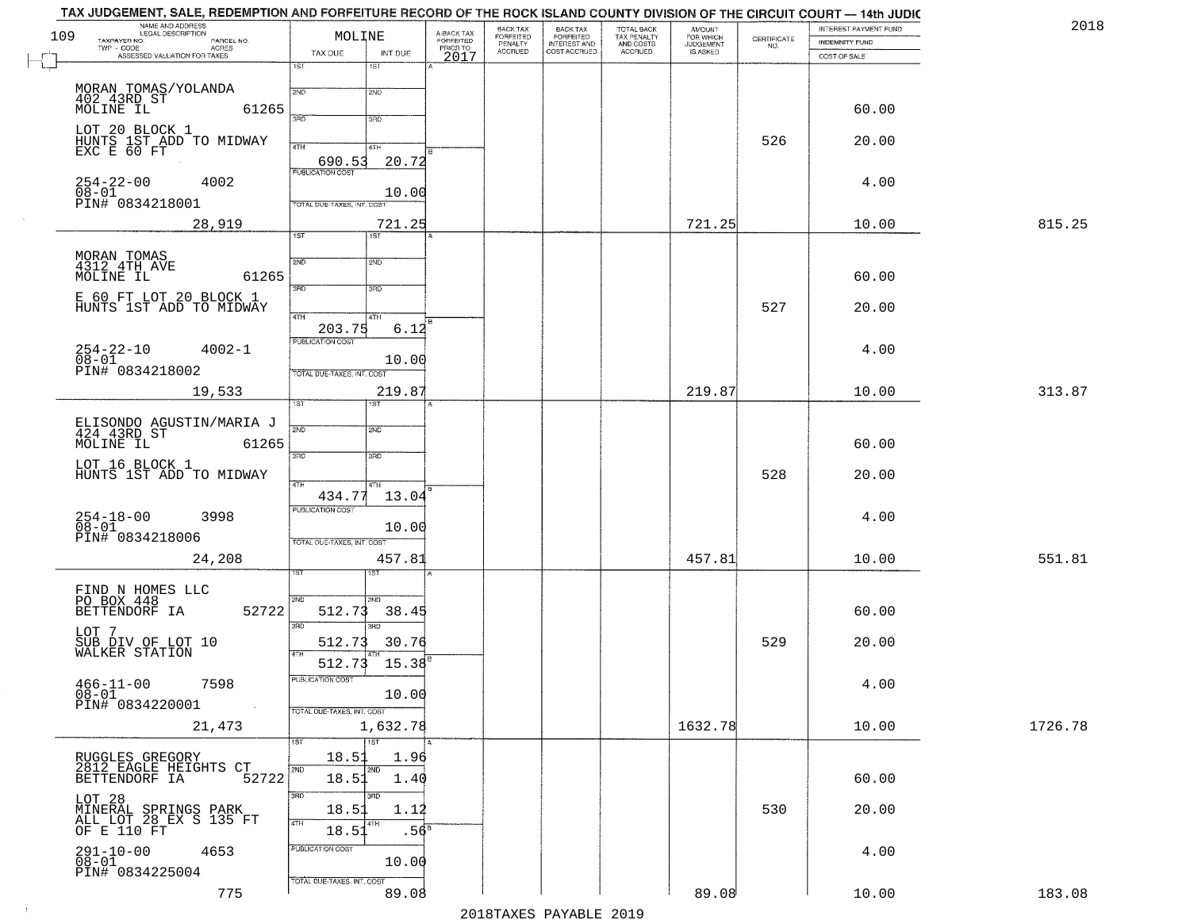|     | TAX JUDGEMENT, SALE, REDEMPTION AND FORFEITURE RECORD OF THE ROCK ISLAND COUNTY DIVISION OF THE CIRCUIT COURT — 14th JUDIC<br>NAME AND ADDRESS<br>LEGAL DESCRIPTION |                                            |                         | BACK TAX           |                                                       |                                                   | <b>AMOUNT</b>                      |                    | INTEREST PAYMENT FUND | 2018    |
|-----|---------------------------------------------------------------------------------------------------------------------------------------------------------------------|--------------------------------------------|-------------------------|--------------------|-------------------------------------------------------|---------------------------------------------------|------------------------------------|--------------------|-----------------------|---------|
| 109 | TAXPAYER NO.<br>PARCEL NO.                                                                                                                                          | MOLINE                                     | A-BACK TAX<br>FORFEITED | FORFEITED          | BACK TAX<br>FORFEITED<br>INTEREST AND<br>COST ACCRUED | TOTAL BACK<br>TAX PENALTY<br>AND COSTS<br>ACCRUED | FOR WHICH<br>JUDGEMENT<br>IS ASKED | CERTIFICATE<br>NO. | INDEMNITY FUND        |         |
|     | $TWP - CODE$<br>- CODE AGRES<br>ASSESSED VALUATION FOR TAXES                                                                                                        | TAX DUE<br>INT DUE                         | PRIOR TO<br>2017        | PENALTY<br>ACCRUED |                                                       |                                                   |                                    |                    | COST OF SALE          |         |
|     |                                                                                                                                                                     | 1ST<br>1ST                                 |                         |                    |                                                       |                                                   |                                    |                    |                       |         |
|     |                                                                                                                                                                     | 2ND<br>2ND                                 |                         |                    |                                                       |                                                   |                                    |                    |                       |         |
|     | MORAN TOMAS/YOLANDA<br>402 43RD ST<br>MOLINE IL                                                                                                                     |                                            |                         |                    |                                                       |                                                   |                                    |                    |                       |         |
|     | 61265                                                                                                                                                               | 3RD<br>3RD                                 |                         |                    |                                                       |                                                   |                                    |                    | 60.00                 |         |
|     | LOT 20 BLOCK 1                                                                                                                                                      |                                            |                         |                    |                                                       |                                                   |                                    |                    |                       |         |
|     | HUNTS 1ST ADD TO MIDWAY<br>EXC E 60 FT                                                                                                                              | 4TH<br>4TH                                 |                         |                    |                                                       |                                                   |                                    | 526                | 20.00                 |         |
|     |                                                                                                                                                                     | 20.72<br>690.53<br><b>PUBLICATION COST</b> |                         |                    |                                                       |                                                   |                                    |                    |                       |         |
|     | $254 - 22 - 00$<br>4002                                                                                                                                             |                                            |                         |                    |                                                       |                                                   |                                    |                    | 4.00                  |         |
|     | $\overline{0}$ $\overline{8}$ $\overline{-}$ $\overline{0}$ $\overline{1}$<br>PIN# 0834218001                                                                       | 10.00<br>TOTAL DUE-TAXES, INT. COST        |                         |                    |                                                       |                                                   |                                    |                    |                       |         |
|     |                                                                                                                                                                     |                                            |                         |                    |                                                       |                                                   |                                    |                    |                       |         |
|     | 28,919                                                                                                                                                              | 721.25<br>1ST<br>IST <sup>.</sup>          |                         |                    |                                                       |                                                   | 721.25                             |                    | 10.00                 | 815.25  |
|     |                                                                                                                                                                     |                                            |                         |                    |                                                       |                                                   |                                    |                    |                       |         |
|     | MORAN TOMAS<br>4312 4TH AVE                                                                                                                                         | 2ND<br>2ND                                 |                         |                    |                                                       |                                                   |                                    |                    |                       |         |
|     | MOLINE IL<br>61265                                                                                                                                                  | 3RD<br>3RD                                 |                         |                    |                                                       |                                                   |                                    |                    | 60.00                 |         |
|     | E 60 FT LOT 20 BLOCK 1                                                                                                                                              |                                            |                         |                    |                                                       |                                                   |                                    |                    |                       |         |
|     | HUNTS 1ST ADD TO MIDWAY                                                                                                                                             | $\sqrt{47H}$<br>4TH                        |                         |                    |                                                       |                                                   |                                    | 527                | 20.00                 |         |
|     |                                                                                                                                                                     | 203.75                                     | 6.12                    |                    |                                                       |                                                   |                                    |                    |                       |         |
|     | $4002 - 1$                                                                                                                                                          | PUBLICATION COST                           |                         |                    |                                                       |                                                   |                                    |                    | 4.00                  |         |
|     | $254 - 22 - 10$<br>$08 - 01$                                                                                                                                        | 10.00                                      |                         |                    |                                                       |                                                   |                                    |                    |                       |         |
|     | PIN# 0834218002                                                                                                                                                     | TOTAL DUE-TAXES, INT. COST                 |                         |                    |                                                       |                                                   |                                    |                    |                       |         |
|     | 19,533                                                                                                                                                              | 219.87<br>1ST<br>IST.                      |                         |                    |                                                       |                                                   | 219.87                             |                    | 10.00                 | 313.87  |
|     |                                                                                                                                                                     |                                            |                         |                    |                                                       |                                                   |                                    |                    |                       |         |
|     | ELISONDO AGUSTIN/MARIA J<br>424 43RD ST                                                                                                                             | 2ND<br>2ND                                 |                         |                    |                                                       |                                                   |                                    |                    |                       |         |
|     | MOLINE IL<br>61265                                                                                                                                                  |                                            |                         |                    |                                                       |                                                   |                                    |                    | 60.00                 |         |
|     | LOT 16 BLOCK 1                                                                                                                                                      | 3RD<br>3RD                                 |                         |                    |                                                       |                                                   |                                    |                    |                       |         |
|     | HUNTS 1ST ADD TO MIDWAY                                                                                                                                             | 4TH<br>4TH                                 |                         |                    |                                                       |                                                   |                                    | 528                | 20.00                 |         |
|     |                                                                                                                                                                     | 434.77<br>13.04                            |                         |                    |                                                       |                                                   |                                    |                    |                       |         |
|     | 3998                                                                                                                                                                | <b>PUBLICATION COST</b>                    |                         |                    |                                                       |                                                   |                                    |                    | 4.00                  |         |
|     | $254-18-00$<br>$08-01$                                                                                                                                              | 10.00                                      |                         |                    |                                                       |                                                   |                                    |                    |                       |         |
|     | PIN# 0834218006                                                                                                                                                     | TOTAL OUE-TAXES, INT. COST                 |                         |                    |                                                       |                                                   |                                    |                    |                       |         |
|     | 24,208                                                                                                                                                              | 457.81                                     |                         |                    |                                                       |                                                   | 457.81                             |                    | 10.00                 | 551.81  |
|     |                                                                                                                                                                     | डिक                                        |                         |                    |                                                       |                                                   |                                    |                    |                       |         |
|     | FIND N HOMES LLC<br>PO BOX 448                                                                                                                                      | 2ND<br>CMS                                 |                         |                    |                                                       |                                                   |                                    |                    |                       |         |
|     | 52722<br>BETTENDORF IA                                                                                                                                              | 512.73<br>38.45                            |                         |                    |                                                       |                                                   |                                    |                    | 60.00                 |         |
|     | LOT 7                                                                                                                                                               | 3RD<br>3RD                                 |                         |                    |                                                       |                                                   |                                    |                    |                       |         |
|     | SUB DIV OF LOT 10<br>WALKER STATION                                                                                                                                 | 512.73<br>30.76                            |                         |                    |                                                       |                                                   |                                    | 529                | 20.00                 |         |
|     |                                                                                                                                                                     | 512.73<br>15.38                            |                         |                    |                                                       |                                                   |                                    |                    |                       |         |
|     | $466 - 11 - 00$<br>7598                                                                                                                                             | PUBLICATION COST                           |                         |                    |                                                       |                                                   |                                    |                    | 4.00                  |         |
|     | $08 - 01$<br>PIN# 0834220001                                                                                                                                        | 10.00                                      |                         |                    |                                                       |                                                   |                                    |                    |                       |         |
|     |                                                                                                                                                                     | TOTAL DUE-TAXES, INT. COST                 |                         |                    |                                                       |                                                   |                                    |                    |                       |         |
|     | 21,473                                                                                                                                                              | 1,632.78                                   |                         |                    |                                                       |                                                   | 1632.78                            |                    | 10.00                 | 1726.78 |
|     |                                                                                                                                                                     | <b>TIST</b><br>18.51                       | 1.96                    |                    |                                                       |                                                   |                                    |                    |                       |         |
|     | RUGGLES GREGORY<br>2812 EAGLE HEIGHTS CT<br>COMMERTIA 52722                                                                                                         | 2ND<br>2ND                                 |                         |                    |                                                       |                                                   |                                    |                    |                       |         |
|     |                                                                                                                                                                     | 18.51                                      | 1.40                    |                    |                                                       |                                                   |                                    |                    | 60.00                 |         |
|     | LOT 28                                                                                                                                                              | 3RD<br>3RD                                 |                         |                    |                                                       |                                                   |                                    |                    |                       |         |
|     | MINERAL SPRINGS PARK<br>ALL LOT 28 EX S 135 FT<br>OF E 110 FT                                                                                                       | 18.51<br>4TH<br>4TH                        | 1.12                    |                    |                                                       |                                                   |                                    | 530                | 20.00                 |         |
|     |                                                                                                                                                                     | 18.51                                      | .56 <sup>B</sup>        |                    |                                                       |                                                   |                                    |                    |                       |         |
|     | 291-10-00<br>08-01<br>4653                                                                                                                                          | PUBLICATION COST                           |                         |                    |                                                       |                                                   |                                    |                    | 4.00                  |         |
|     | PIN# 0834225004                                                                                                                                                     | 10.00                                      |                         |                    |                                                       |                                                   |                                    |                    |                       |         |
|     | 775                                                                                                                                                                 | TOTAL OUE-TAXES, INT. COST<br>89.08        |                         |                    |                                                       |                                                   | 89.08                              |                    | 10.00                 | 183.08  |
|     |                                                                                                                                                                     |                                            |                         |                    |                                                       |                                                   |                                    |                    |                       |         |

 $\sim 100$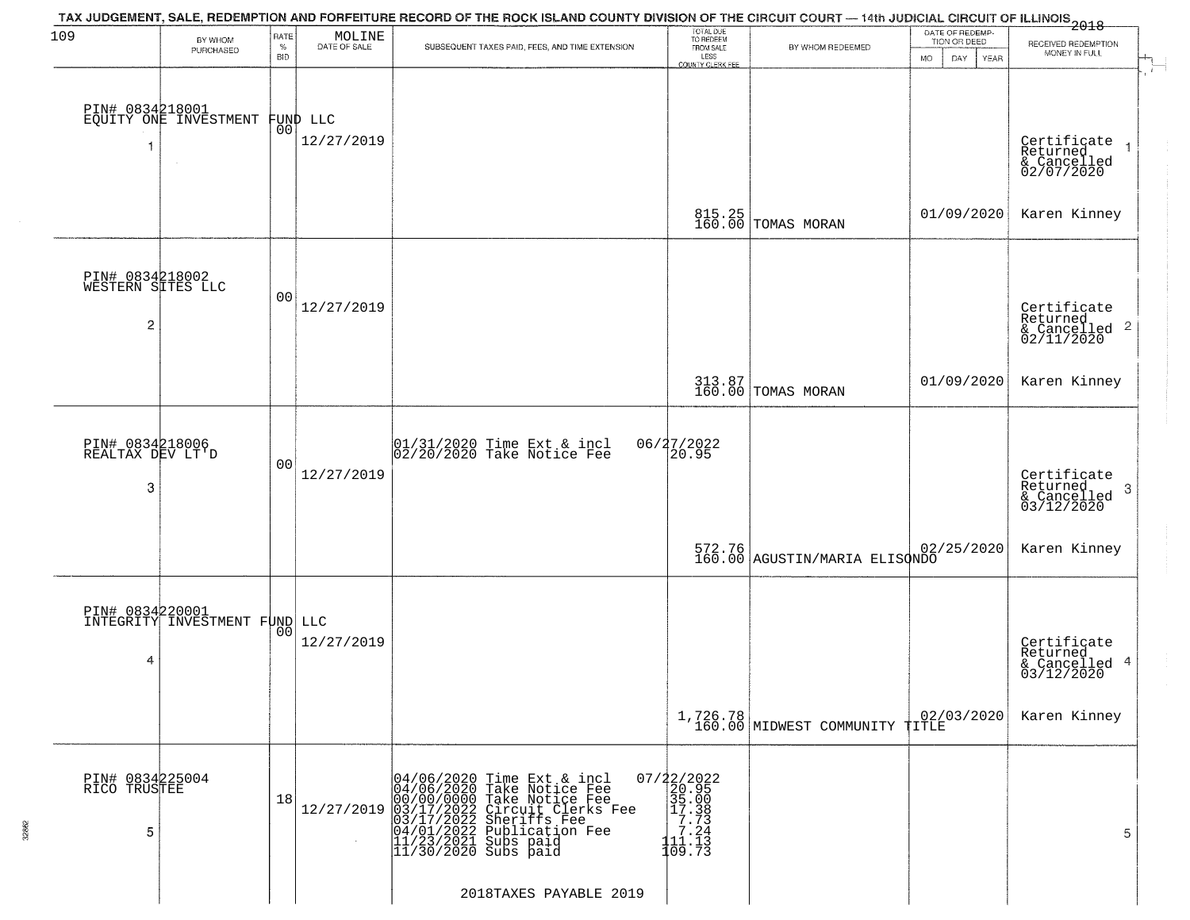| 109                                       | BY WHOM                                          | RATE               | MOLINE                 | TAX JUDGEMENT, SALE, REDEMPTION AND FORFEITURE RECORD OF THE ROCK ISLAND COUNTY DIVISION OF THE CIRCUIT COURT — 14th JUDICIAL CIRCUIT OF ILLINOIS 2018                                                                              | TOTAL DUE<br>TO REDEEM<br>FROM SALE                                                                       |                                            | DATE OF REDEMP-<br>TION OR DEED | RECEIVED REDEMPTION                                    |
|-------------------------------------------|--------------------------------------------------|--------------------|------------------------|-------------------------------------------------------------------------------------------------------------------------------------------------------------------------------------------------------------------------------------|-----------------------------------------------------------------------------------------------------------|--------------------------------------------|---------------------------------|--------------------------------------------------------|
|                                           | PURCHASED                                        | $\%$<br><b>BID</b> | DATE OF SALE           | SUBSEQUENT TAXES PAID, FEES, AND TIME EXTENSION                                                                                                                                                                                     | LESS<br>COUNTY CLERK FEE                                                                                  | BY WHOM REDEEMED                           | <b>MO</b><br>DAY<br><b>YEAR</b> | MONEY IN FULL                                          |
|                                           | PIN# 0834218001<br>EQUITY ONE INVESTMENT         | 00                 | FUND LLC<br>12/27/2019 |                                                                                                                                                                                                                                     |                                                                                                           |                                            |                                 | Certificate<br>Returned<br>& Cancelled<br>02/07/2020   |
|                                           |                                                  |                    |                        |                                                                                                                                                                                                                                     |                                                                                                           | 815.25<br>160.00 TOMAS MORAN               | 01/09/2020                      | Karen Kinney                                           |
| PIN# 0834218002<br>WESTERN SITES LLC<br>2 |                                                  | 00                 | 12/27/2019             |                                                                                                                                                                                                                                     |                                                                                                           |                                            |                                 | Certificate<br>Returned<br>& Cancelled 2<br>02/11/2020 |
|                                           |                                                  |                    |                        |                                                                                                                                                                                                                                     |                                                                                                           | 313.87<br>160.00 TOMAS MORAN               | 01/09/2020                      | Karen Kinney                                           |
| PIN# 0834218006<br>REALTAX DEV LT'D<br>3  |                                                  | 00                 | 12/27/2019             | 01/31/2020 Time Ext & incl<br>02/20/2020 Take Notice Fee                                                                                                                                                                            | 06/27/2022<br>20.95                                                                                       |                                            |                                 | Certificate<br>Returned<br>3<br>$\frac{1}{03/12/2020}$ |
|                                           |                                                  |                    |                        |                                                                                                                                                                                                                                     |                                                                                                           | 572.76<br>160.00 AGUSTIN/MARIA ELISONDO    | 02/25/2020                      | Karen Kinney                                           |
| 4                                         | PIN# 0834220001<br>INTEGRITY INVESTMENT FUND LLC | 00                 | 12/27/2019             |                                                                                                                                                                                                                                     |                                                                                                           |                                            |                                 | Certificate<br>Returned<br>& Cancelled 4<br>03/12/2020 |
|                                           |                                                  |                    |                        |                                                                                                                                                                                                                                     |                                                                                                           | 1,726.78<br>160.00 MIDWEST COMMUNITY TITLE | 02/03/2020                      | Karen Kinney                                           |
| PIN# 0834225004<br>RICO TRUSTEE<br>5      |                                                  | 18                 | 12/27/2019             | 04/06/2020 Time Ext & incl<br>04/06/2020 Take Notice Fee<br>00/00/0000 Take Notice Fee<br>03/17/2022 Circuit Clerks Fee<br>03/17/2022 Sublication Fee<br>04/01/2022 Sublication Fee<br>11/23/2021 Subs paid<br>11/30/2020 Subs paid | 07/22/2022<br>20.95<br>$\begin{array}{r} 35.00 \\ 35.08 \\ 17.38 \\ 7.744 \\ 11.13 \\ 109.73 \end{array}$ |                                            |                                 | 5                                                      |
|                                           |                                                  |                    |                        | 2018TAXES PAYABLE 2019                                                                                                                                                                                                              |                                                                                                           |                                            |                                 |                                                        |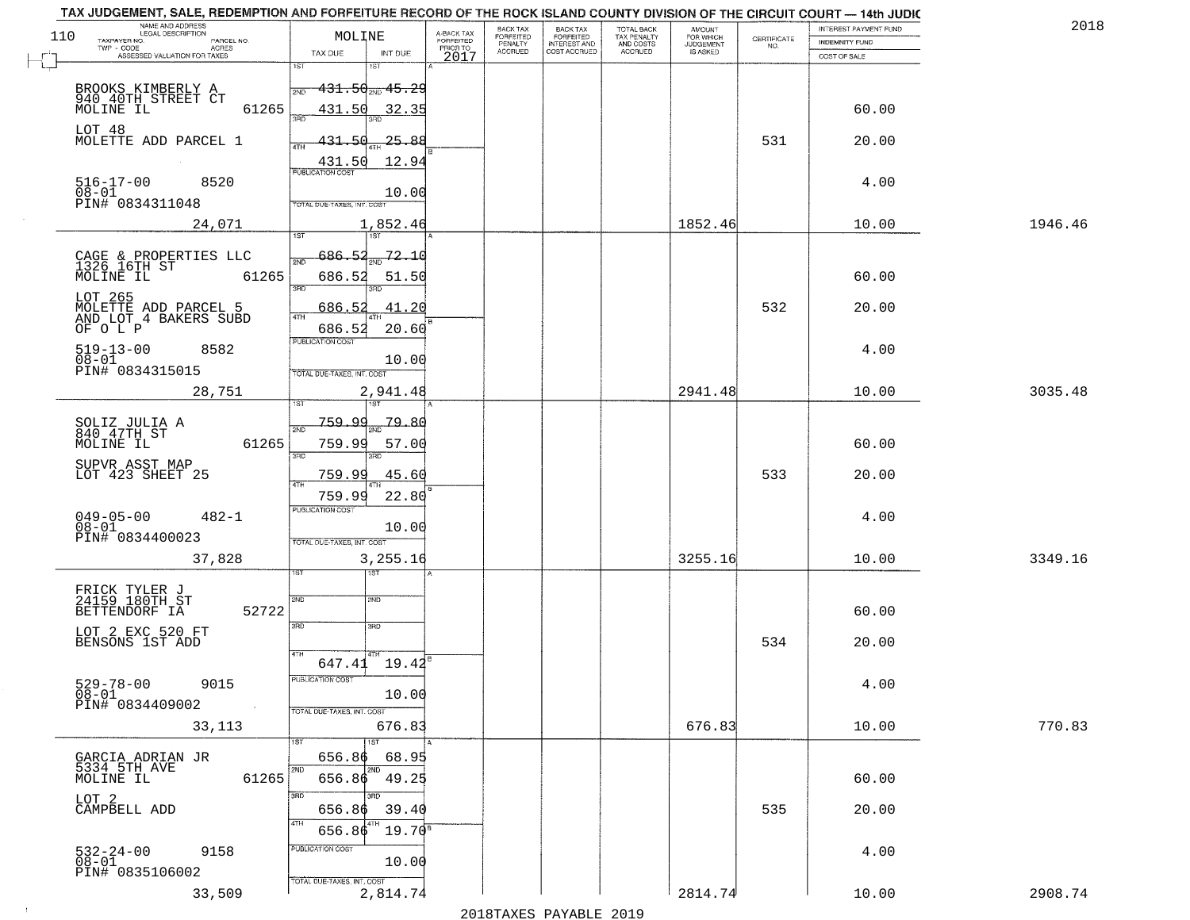| NAME AND ADDRESS<br>LEGAL DESCRIPTION<br>110<br>TAXPAYER NO.             | MOLINE                                          | A-BACK TAX<br>FORFEITED | BACK TAX<br>FORFEITED | <b>BACK TAX</b><br><b>FORFEITED</b> | TOTAL BACK<br>TAX PENALTY | <b>AMOUNT</b>                      | CERTIFICATE | INTEREST PAYMENT FUND          | 2018    |
|--------------------------------------------------------------------------|-------------------------------------------------|-------------------------|-----------------------|-------------------------------------|---------------------------|------------------------------------|-------------|--------------------------------|---------|
| PARCEL NO.<br>TWP - CODE<br><b>ACRES</b><br>ASSESSED VALUATION FOR TAXES | TAX DUE<br>INT DUE                              | PRIOR TO                | PENALTY<br>ACCRUED    | INTEREST AND                        | AND COSTS<br>ACCRUED      | FOR WHICH<br>JUDGEMENT<br>IS ASKED | NO.         | INDEMNITY FUND<br>COST OF SALE |         |
|                                                                          | 1ST                                             | 2017                    |                       |                                     |                           |                                    |             |                                |         |
| BROOKS KIMBERLY A<br>940_40TH_STREET CT                                  | <del>131.50<sub>2ND</sub> 45.2</del> 9<br>2ND   |                         |                       |                                     |                           |                                    |             |                                |         |
| MOLINE IL<br>61265                                                       | 431.50<br>32.35<br>355<br>3BD                   |                         |                       |                                     |                           |                                    |             | 60.00                          |         |
| LOT 48                                                                   |                                                 |                         |                       |                                     |                           |                                    |             |                                |         |
| MOLETTE ADD PARCEL 1                                                     | 431.50<br>$-25 - 88$<br>431.50<br>12.94         |                         |                       |                                     |                           |                                    | 531         | 20.00                          |         |
| $516 - 17 - 00$<br>8520                                                  | <b>PUBLICATION COST</b>                         |                         |                       |                                     |                           |                                    |             | 4.00                           |         |
| $08 - 01$<br>PIN# 0834311048                                             | 10.00<br>TOTAL DUE-TAXES, INT. COST             |                         |                       |                                     |                           |                                    |             |                                |         |
| 24,071                                                                   | 1,852.46                                        |                         |                       |                                     |                           | 1852.46                            |             | 10.00                          | 1946.46 |
|                                                                          | <b>TST</b><br>1ST                               |                         |                       |                                     |                           |                                    |             |                                |         |
| CAGE & PROPERTIES LLC<br>1326 16TH ST                                    | 686.52<br>72.10<br>সমূ                          |                         |                       |                                     |                           |                                    |             |                                |         |
| MOLINE IL<br>61265                                                       | 686.52<br>51.50<br>3RD                          |                         |                       |                                     |                           |                                    |             | 60.00                          |         |
| LOT 265<br>MOLETTE ADD PARCEL 5                                          | 686.5<br>41.20<br>47H                           |                         |                       |                                     |                           |                                    | 532         | 20.00                          |         |
| AND LOT 4 BAKERS SUBD<br>OF O L P                                        | 20.60<br>686.52                                 |                         |                       |                                     |                           |                                    |             |                                |         |
| $519 - 13 - 00$<br>8582<br>$08 - 01$                                     | PUBLICATION COST                                |                         |                       |                                     |                           |                                    |             | 4.00                           |         |
| PIN# 0834315015                                                          | 10.00<br>TOTAL DUE-TAXES, INT. COST             |                         |                       |                                     |                           |                                    |             |                                |         |
| 28,751                                                                   | 2,941.48<br>1ST                                 |                         |                       |                                     |                           | 2941.48                            |             | 10.00                          | 3035.48 |
|                                                                          | 759.99<br>-79.80                                |                         |                       |                                     |                           |                                    |             |                                |         |
| SOLIZ JULIA A<br>840 47TH ST<br>61265<br>MOLINE IL                       | 2ND<br>759.99<br>57.00                          |                         |                       |                                     |                           |                                    |             | 60.00                          |         |
| SUPVR ASST MAP<br>LOT 423 SHEET 25                                       | 3RD<br>3RD                                      |                         |                       |                                     |                           |                                    |             |                                |         |
|                                                                          | 45.60<br>759.99<br>4TH                          |                         |                       |                                     |                           |                                    | 533         | 20.00                          |         |
|                                                                          | 759.99<br>22.80<br><b>PUBLICATION COST</b>      |                         |                       |                                     |                           |                                    |             |                                |         |
| 049-05-00<br>08-01<br>$482 - 1$<br>PIN# 0834400023                       | 10.00                                           |                         |                       |                                     |                           |                                    |             | 4.00                           |         |
| 37,828                                                                   | TOTAL OUE-TAXES, INT. COST<br>3,255.16          |                         |                       |                                     |                           | 3255.16                            |             | 10.00                          | 3349.16 |
|                                                                          | गड़ा                                            |                         |                       |                                     |                           |                                    |             |                                |         |
| FRICK TYLER J<br>24159 180TH ST                                          | 2ND<br>2ND                                      |                         |                       |                                     |                           |                                    |             |                                |         |
| 52722<br>BETTENDORF IA                                                   | 3RD<br>3BD                                      |                         |                       |                                     |                           |                                    |             | 60.00                          |         |
| LOT 2 EXC 520 FT<br>BENSONS 1ST ADD                                      |                                                 |                         |                       |                                     |                           |                                    | 534         | 20.00                          |         |
|                                                                          | 4TH<br>$647.41$ 19.42 <sup>8</sup>              |                         |                       |                                     |                           |                                    |             |                                |         |
| 529-78-00<br>08-01<br>9015                                               | PUBLICATION COST<br>10.00                       |                         |                       |                                     |                           |                                    |             | 4.00                           |         |
| PIN# 0834409002<br>$\sim 100$ km $^{-1}$                                 | TOTAL DUE-TAXES, INT. COST                      |                         |                       |                                     |                           |                                    |             |                                |         |
| 33,113                                                                   | 676.83                                          |                         |                       |                                     |                           | 676.83                             |             | 10.00                          | 770.83  |
|                                                                          | 1ST<br>656.86<br>68.95                          |                         |                       |                                     |                           |                                    |             |                                |         |
| GARCIA ADRIAN JR<br>5334 5TH AVE<br>MOLINE IL<br>61265                   | 2ND<br><b>PND</b><br>656.86 49.25               |                         |                       |                                     |                           |                                    |             | 60.00                          |         |
| LOT <sub>2</sub>                                                         | 3RD<br>3RD                                      |                         |                       |                                     |                           |                                    |             |                                |         |
| CAMPBELL ADD                                                             | 656.86<br>39.40<br>4TH<br>$19.70^{8}$<br>656.86 |                         |                       |                                     |                           |                                    | 535         | 20.00                          |         |
| 9158                                                                     | PUBLICATION COST                                |                         |                       |                                     |                           |                                    |             | 4.00                           |         |
| 532-24-00<br>08-01<br>PIN# 0835106002                                    | 10.00                                           |                         |                       |                                     |                           |                                    |             |                                |         |
| 33,509                                                                   | TOTAL DUE-TAXES, INT. COST<br>2,814.74          |                         |                       |                                     |                           | 2814.74                            |             | 10.00                          | 2908.74 |

 $\sim 100$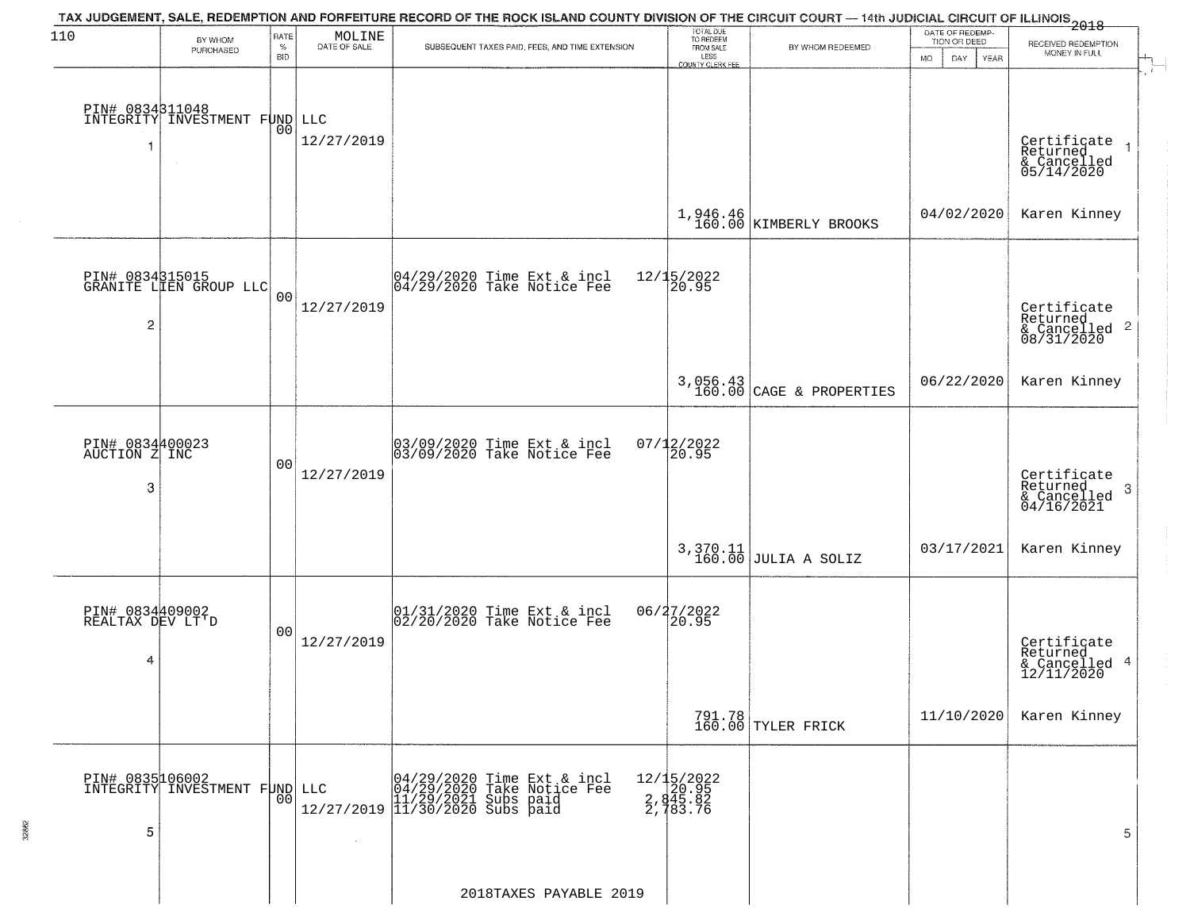| 110                                      | BY WHOM                                                           | RATE<br>$\%$   | $\begin{array}{c} \text{MOLINE} \\ \text{DATE of SALE} \end{array}$ | TAX JUDGEMENT, SALE, REDEMPTION AND FORFEITURE RECORD OF THE ROCK ISLAND COUNTY DIVISION OF THE CIRCUIT COURT — 14th JUDICIAL CIRCUIT OF ILLINOIS<br>2018 - The Case of Many County of Management County of Management County of<br>SUBSEQUENT TAXES PAID, FEES, AND TIME EXTENSION | TOTAL DUE<br>TO REDEEM<br>FROM SALE           | BY WHOM REDEEMED                       | DATE OF REDEMP-<br>TION OR DEED | RECEIVED REDEMPTION                                                |
|------------------------------------------|-------------------------------------------------------------------|----------------|---------------------------------------------------------------------|-------------------------------------------------------------------------------------------------------------------------------------------------------------------------------------------------------------------------------------------------------------------------------------|-----------------------------------------------|----------------------------------------|---------------------------------|--------------------------------------------------------------------|
|                                          | PURCHASED                                                         | <b>BID</b>     |                                                                     |                                                                                                                                                                                                                                                                                     | LESS<br>COUNTY CLERK FEE                      |                                        | MO.<br>DAY.<br>YEAR             | MONEY IN FULL                                                      |
| 1                                        | PIN# 0834311048<br>INTEGRITY INVESTMENT FOND LLC<br>$\sim$ $\sim$ |                | 12/27/2019                                                          |                                                                                                                                                                                                                                                                                     |                                               |                                        |                                 | Certificate<br>Returned<br>& Cancelled<br>05/14/2020               |
|                                          |                                                                   |                |                                                                     |                                                                                                                                                                                                                                                                                     |                                               | $1,946.46$<br>160.00 KIMBERLY BROOKS   | 04/02/2020                      | Karen Kinney                                                       |
| 2                                        | PIN# 0834315015<br>GRANITE LIEN GROUP LLC                         | 0 <sub>0</sub> | 12/27/2019                                                          | $ 04/29/2020$ Time Ext & incl<br>$ 04/29/2020$ Take Notice Fee                                                                                                                                                                                                                      | 12/15/2022<br>20.95                           |                                        |                                 | Certificate<br>Returned<br>$\frac{1}{6}$ Cancelled 2<br>08/31/2020 |
|                                          |                                                                   |                |                                                                     |                                                                                                                                                                                                                                                                                     |                                               | $3,056.43$<br>160.00 CAGE & PROPERTIES | 06/22/2020                      | Karen Kinney                                                       |
| PIN# 0834400023<br>AUCTION Z INC<br>3    |                                                                   | 00             | 12/27/2019                                                          | 03/09/2020 Time Ext & incl<br>03/09/2020 Take Notice Fee                                                                                                                                                                                                                            | $07/12/2022$<br>20.95                         |                                        |                                 | Certificate<br>Returned<br>3<br>& Cancelled<br>04/16/2021          |
|                                          |                                                                   |                |                                                                     |                                                                                                                                                                                                                                                                                     |                                               | $3,370.11$ JULIA A SOLIZ               | 03/17/2021                      | Karen Kinney                                                       |
| PIN# 0834409002<br>REALTAX DEV LT'D<br>4 |                                                                   | 0 <sub>0</sub> | 12/27/2019                                                          | $[01/31/2020$ Time Ext & incl<br>$[02/20/2020$ Take Notice Fee                                                                                                                                                                                                                      | 06/27/2022<br>20.95                           |                                        |                                 | Certificate<br>Returned<br>& Cancelled 4<br>12/11/2020             |
|                                          |                                                                   |                |                                                                     |                                                                                                                                                                                                                                                                                     |                                               | 791.78<br>160.00 TYLER FRICK           | 11/10/2020                      | Karen Kinney                                                       |
| 5                                        | PIN# 0835106002<br>INTEGRITY INVESTMENT FUND LLC                  | 00             | 12/27/2019                                                          | 04/29/2020 Time Ext & incl<br>04/29/2020 Take Notice Fee<br>11/29/2021 Subs paid<br>11/30/2020 Subs paid                                                                                                                                                                            | 12/15/2022<br>20.95<br>2, 845.82<br>2, 783.76 |                                        |                                 | 5                                                                  |
|                                          |                                                                   |                |                                                                     | 2018TAXES PAYABLE 2019                                                                                                                                                                                                                                                              |                                               |                                        |                                 |                                                                    |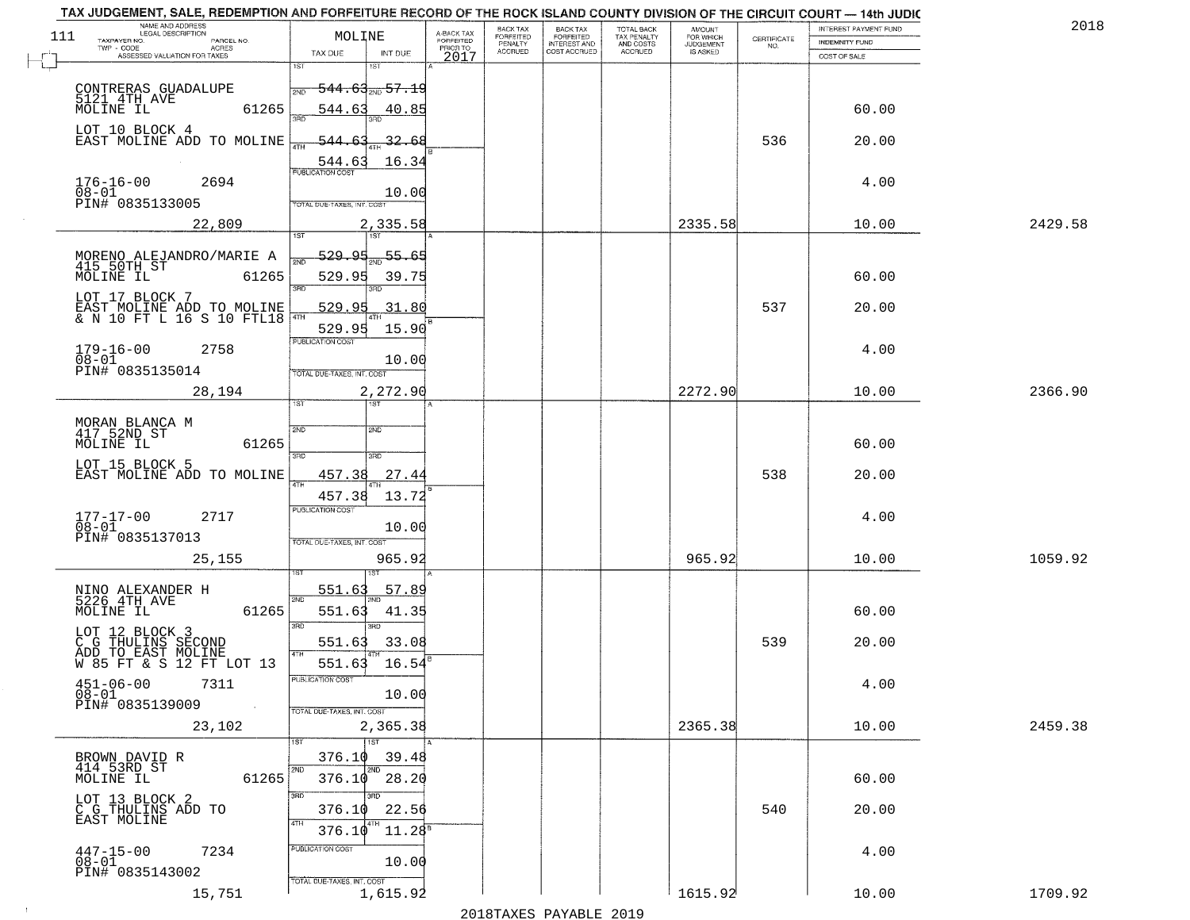|     | TAX JUDGEMENT, SALE, REDEMPTION AND FORFEITURE RECORD OF THE ROCK ISLAND COUNTY DIVISION OF THE CIRCUIT COURT - 14th JUDIC<br>NAME AND ADDRESS<br>LEGAL DESCRIPTION |                                             |                                     | BACK TAX             | <b>BACK TAX</b>                  |                                        |                                  |                                                                 | INTEREST PAYMENT FUND | 2018    |
|-----|---------------------------------------------------------------------------------------------------------------------------------------------------------------------|---------------------------------------------|-------------------------------------|----------------------|----------------------------------|----------------------------------------|----------------------------------|-----------------------------------------------------------------|-----------------------|---------|
| 111 | TAXPAYER NO.<br>PARCEL NO.                                                                                                                                          | MOLINE                                      | A-BACK TAX<br>FORFEITED<br>PRIOR TO | FORFEITED<br>PENALTY | FORFEITED<br><b>INTEREST AND</b> | TOTAL BACK<br>TAX PENALTY<br>AND COSTS | AMOUNT<br>FOR WHICH<br>JUDGEMENT | $\begin{array}{c} \text{CERTIFICATE} \\ \text{NO.} \end{array}$ | <b>INDEMNITY FUND</b> |         |
|     | ACRES<br>ASSESSED VALUATION FOR TAXES                                                                                                                               | TAX DUE<br>INT DUE                          | 2017                                | <b>ACCRUED</b>       | COST ACCRUED                     | ACCRUED                                | IS ASKED                         |                                                                 | COST OF SALE          |         |
|     |                                                                                                                                                                     | 1ST<br>1ST                                  |                                     |                      |                                  |                                        |                                  |                                                                 |                       |         |
|     | CONTRERAS GUADALUPE<br>5121 4TH AVE                                                                                                                                 | <del>544.63<sub>Տ№</sub> 57.19</del><br>2ND |                                     |                      |                                  |                                        |                                  |                                                                 |                       |         |
|     | 61265<br>MOLINE IL                                                                                                                                                  | 544.63                                      | 40.85                               |                      |                                  |                                        |                                  |                                                                 | 60.00                 |         |
|     | LOT 10 BLOCK 4                                                                                                                                                      |                                             |                                     |                      |                                  |                                        |                                  |                                                                 |                       |         |
|     | EAST MOLINE ADD TO MOLINE                                                                                                                                           | <u>544.63</u>                               | 32.68                               |                      |                                  |                                        |                                  | 536                                                             | 20.00                 |         |
|     |                                                                                                                                                                     | 544.63                                      | 16.34                               |                      |                                  |                                        |                                  |                                                                 |                       |         |
|     | $176 - 16 - 00$<br>2694                                                                                                                                             |                                             |                                     |                      |                                  |                                        |                                  |                                                                 | 4.00                  |         |
|     | $08 - 01$<br>PIN# <sup>-0835133005</sup>                                                                                                                            | TOTAL DUE-TAXES, INT. COST                  | 10.00                               |                      |                                  |                                        |                                  |                                                                 |                       |         |
|     | 22,809                                                                                                                                                              | 2,335.58                                    |                                     |                      |                                  |                                        | 2335.58                          |                                                                 | 10.00                 | 2429.58 |
|     |                                                                                                                                                                     |                                             |                                     |                      |                                  |                                        |                                  |                                                                 |                       |         |
|     | MORENO ALEJANDRO/MARIE A<br>415 50TH ST                                                                                                                             | <u>529.95</u><br>$-55.65$                   |                                     |                      |                                  |                                        |                                  |                                                                 |                       |         |
|     | MOLINE IL<br>61265                                                                                                                                                  | 529.95                                      | 39.75                               |                      |                                  |                                        |                                  |                                                                 | 60.00                 |         |
|     | LOT 17 BLOCK 7                                                                                                                                                      | 3RD                                         |                                     |                      |                                  |                                        |                                  |                                                                 |                       |         |
|     | EAST MOLINE ADD TO MOLINE $\frac{1}{40}$ & N 10 FT L 16 S 10 FTL18 $\frac{1}{40}$                                                                                   | 529.95                                      | 31.80                               |                      |                                  |                                        |                                  | 537                                                             | 20.00                 |         |
|     |                                                                                                                                                                     | 529.95                                      | 15.90                               |                      |                                  |                                        |                                  |                                                                 |                       |         |
|     | $179 - 16 - 00$<br>2758                                                                                                                                             | PUBLICATION COST                            |                                     |                      |                                  |                                        |                                  |                                                                 | 4.00                  |         |
|     | $08 - 01$<br>PIN# 0835135014                                                                                                                                        | TOTAL DUE-TAXES, INT. COST                  | 10.00                               |                      |                                  |                                        |                                  |                                                                 |                       |         |
|     | 28,194                                                                                                                                                              | 2,272.90                                    |                                     |                      |                                  |                                        | 2272.90                          |                                                                 | 10.00                 | 2366.90 |
|     |                                                                                                                                                                     | ist                                         |                                     |                      |                                  |                                        |                                  |                                                                 |                       |         |
|     | MORAN BLANCA M<br>417 52ND ST                                                                                                                                       | 2ND<br>2ND                                  |                                     |                      |                                  |                                        |                                  |                                                                 |                       |         |
|     | MOLINE IL<br>61265                                                                                                                                                  |                                             |                                     |                      |                                  |                                        |                                  |                                                                 | 60.00                 |         |
|     | LOT 15 BLOCK 5                                                                                                                                                      | 3RD<br>3RD                                  |                                     |                      |                                  |                                        |                                  |                                                                 |                       |         |
|     | EAST MOLINE ADD TO MOLINE                                                                                                                                           | 457.38<br>4TH                               | 27.44                               |                      |                                  |                                        |                                  | 538                                                             | 20.00                 |         |
|     |                                                                                                                                                                     | 457.38                                      | 13.72                               |                      |                                  |                                        |                                  |                                                                 |                       |         |
|     | $177 - 17 - 00$<br>2717                                                                                                                                             | <b>PUBLICATION COST</b>                     |                                     |                      |                                  |                                        |                                  |                                                                 | 4.00                  |         |
|     | $08 - 01$<br>PIN# 0835137013                                                                                                                                        | TOTAL OUE-TAXES, INT. COST                  | 10.00                               |                      |                                  |                                        |                                  |                                                                 |                       |         |
|     | 25,155                                                                                                                                                              | 965.92                                      |                                     |                      |                                  |                                        | 965.92                           |                                                                 | 10.00                 | 1059.92 |
|     |                                                                                                                                                                     | IST.                                        |                                     |                      |                                  |                                        |                                  |                                                                 |                       |         |
|     | NINO ALEXANDER H<br>5226 4TH AVE                                                                                                                                    | 551.63<br>2ND                               | 57.89                               |                      |                                  |                                        |                                  |                                                                 |                       |         |
|     | MOLINE IL<br>61265                                                                                                                                                  | 551.63                                      | 41.35                               |                      |                                  |                                        |                                  |                                                                 | 60.00                 |         |
|     | LOT 12 BLOCK 3                                                                                                                                                      | 3RD<br>3RD                                  |                                     |                      |                                  |                                        |                                  |                                                                 |                       |         |
|     | C G THULINS SECOND<br>ADD TO EAST MOLINE                                                                                                                            | 551.63<br>4TH                               | 33.08                               |                      |                                  |                                        |                                  | 539                                                             | 20.00                 |         |
|     | W 85 FT & S 12 FT LOT 13                                                                                                                                            | 551.63                                      | 16.54                               |                      |                                  |                                        |                                  |                                                                 |                       |         |
|     | $451 - 06 - 00$<br>7311                                                                                                                                             | PUBLICATION COS'                            | 10.00                               |                      |                                  |                                        |                                  |                                                                 | 4.00                  |         |
|     | 08-01<br>PIN# 0835139009<br>$\sim 100$                                                                                                                              | TOTAL DUE-TAXES, INT. COST                  |                                     |                      |                                  |                                        |                                  |                                                                 |                       |         |
|     | 23,102                                                                                                                                                              | 2,365.38                                    |                                     |                      |                                  |                                        | 2365.38                          |                                                                 | 10.00                 | 2459.38 |
|     |                                                                                                                                                                     | 1ST<br>1ST                                  |                                     |                      |                                  |                                        |                                  |                                                                 |                       |         |
|     | BROWN DAVID R<br>414 53RD ST                                                                                                                                        | 376.10<br>2ND<br>2ND                        | 39.48                               |                      |                                  |                                        |                                  |                                                                 |                       |         |
|     | 61265<br>MOLINE IL                                                                                                                                                  | 376.10                                      | 28.20                               |                      |                                  |                                        |                                  |                                                                 | 60.00                 |         |
|     | LOT 13 BLOCK 2                                                                                                                                                      | 3RD<br>उत्तर                                |                                     |                      |                                  |                                        |                                  |                                                                 |                       |         |
|     | C G THULINS ADD TO<br>EAST MOLINE                                                                                                                                   | 376.10<br>4TH                               | 22.56                               |                      |                                  |                                        |                                  | 540                                                             | 20.00                 |         |
|     |                                                                                                                                                                     | 376.10                                      | $11.28^{\circ}$                     |                      |                                  |                                        |                                  |                                                                 |                       |         |
|     | $447 - 15 - 00$<br>7234<br>$08 - 01$                                                                                                                                | PUBLICATION COST                            | 10.00                               |                      |                                  |                                        |                                  |                                                                 | 4.00                  |         |
|     | PIN# 0835143002                                                                                                                                                     | TOTAL DUE-TAXES, INT. COST                  |                                     |                      |                                  |                                        |                                  |                                                                 |                       |         |
|     | 15,751                                                                                                                                                              | 1,615.92                                    |                                     |                      |                                  |                                        | 1615.92                          |                                                                 | 10.00                 | 1709.92 |

 $\sim 10$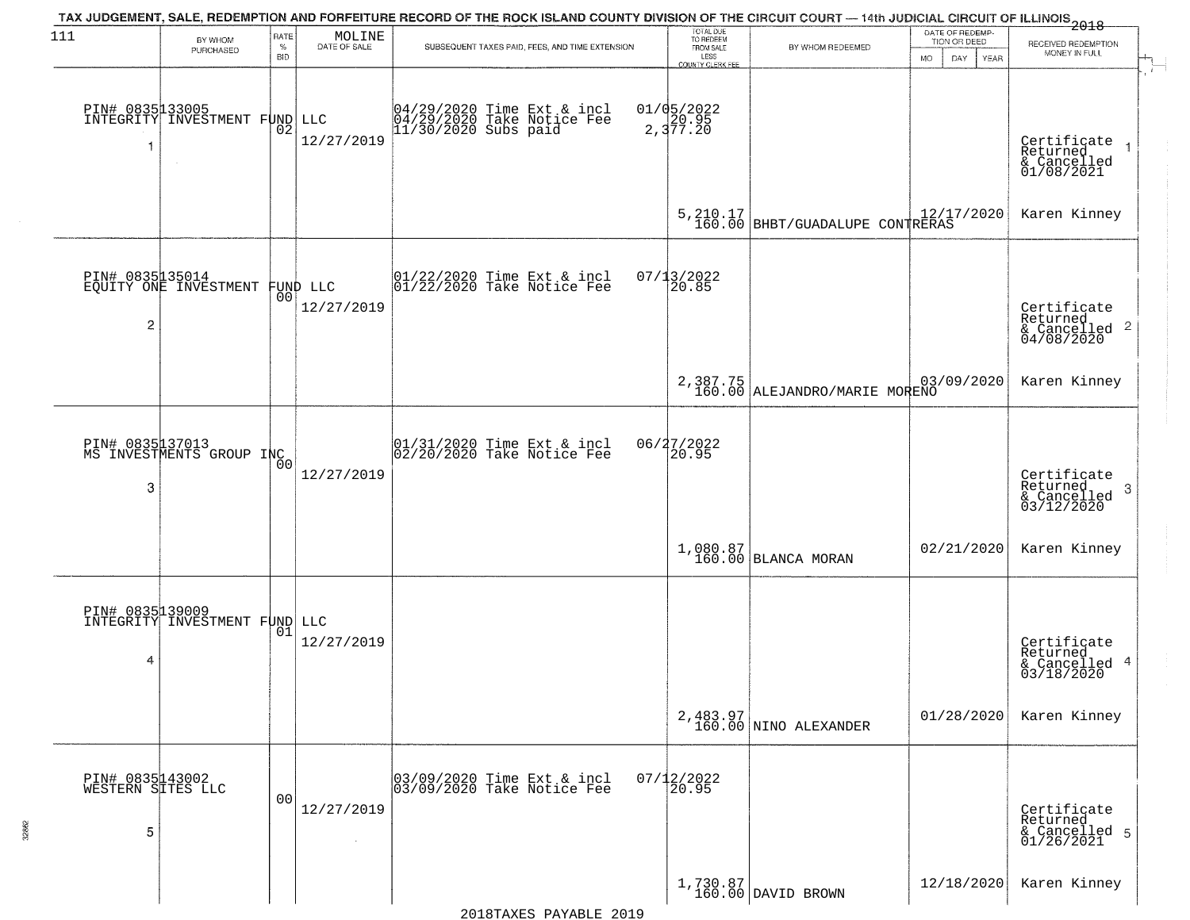| 111                                       | BY WHOM<br>PURCHASED                                       | RATE<br>$\%$<br><b>BID</b> | MOLINE<br>DATE OF SALE | TAX JUDGEMENT, SALE, REDEMPTION AND FORFEITURE RECORD OF THE ROCK ISLAND COUNTY DIVISION OF THE CIRCUIT COURT — 14th JUDICIAL CIRCUIT OF ILLINOIS 2018<br>SUBSEQUENT TAXES PAID, FEES, AND TIME EXTENSION | TOTAL DUE<br>TO REDEEM<br>FROM SALE<br>LESS<br>COUNTY CLERK FEE | BY WHOM REDEEMED                             | DATE OF REDEMP<br>TION OR DEED<br>DAY.<br><b>MO</b><br>YEAR | RECEIVED REDEMPTION<br>MONEY IN FULL                               |
|-------------------------------------------|------------------------------------------------------------|----------------------------|------------------------|-----------------------------------------------------------------------------------------------------------------------------------------------------------------------------------------------------------|-----------------------------------------------------------------|----------------------------------------------|-------------------------------------------------------------|--------------------------------------------------------------------|
| 1                                         | PIN# 0835133005<br>INTEGRITY INVESTMENT FUND LLC<br>$\sim$ | 02                         | 12/27/2019             | 04/29/2020 Time Ext & incl<br>04/29/2020 Take Notice Fee<br>11/30/2020 Subs paid                                                                                                                          | $01/05/2022$<br>2, 377.20                                       |                                              |                                                             | Certificate<br>Returned<br>& Cancelled<br>01/08/2021               |
|                                           |                                                            |                            |                        |                                                                                                                                                                                                           |                                                                 | 5, 210.17<br>160.00 BHBT/GUADALUPE CONTRERAS |                                                             | Karen Kinney                                                       |
| $\overline{c}$                            | PIN# 0835 135014<br>EQUITY ONE INVESTMENT FUND LLC         |                            | 12/27/2019             | 01/22/2020 Time Ext & incl<br>01/22/2020 Take Notice Fee                                                                                                                                                  | $07/13/2022$<br>20.85                                           |                                              |                                                             | Certificate<br>Returned<br>$\frac{1}{6}$ Cancelled 2<br>04/08/2020 |
|                                           |                                                            |                            |                        |                                                                                                                                                                                                           |                                                                 | 2,387.75<br>160.00 ALEJANDRO/MARIE MORENO    | 03/09/2020                                                  | Karen Kinney                                                       |
| 3                                         | PIN# 0835137013<br>MS INVESTMENTS GROUP INC                | 00                         | 12/27/2019             | 01/31/2020 Time Ext & incl<br>02/20/2020 Take Notice Fee                                                                                                                                                  | 06/27/2022<br>20.95                                             |                                              |                                                             | Certificate<br>Returned<br>-3<br>$\frac{1}{03/12/2020}$            |
|                                           |                                                            |                            |                        |                                                                                                                                                                                                           |                                                                 | $1,080.87$ BLANCA MORAN                      | 02/21/2020                                                  | Karen Kinney                                                       |
| PIN# 0835139009<br>4                      | INTEGRITY INVESTMENT FUND LLC                              | 01                         | 12/27/2019             |                                                                                                                                                                                                           |                                                                 |                                              |                                                             | Certificate<br>Returned<br>& Cancelled 4<br>03/18/2020             |
|                                           |                                                            |                            |                        |                                                                                                                                                                                                           |                                                                 | 2,483.97<br>160.00 NINO ALEXANDER            | 01/28/2020                                                  | Karen Kinney                                                       |
| PIN# 0835143002<br>WESTERN SITES LLC<br>5 |                                                            | 00                         | 12/27/2019             | 03/09/2020 Time Ext & incl<br>03/09/2020 Take Notice Fee                                                                                                                                                  | $07/12/2022$<br>20.95                                           |                                              |                                                             | Certificate<br>Returned<br>& Cancelled 5<br>01/26/2021             |
|                                           |                                                            |                            |                        |                                                                                                                                                                                                           |                                                                 | $1,730.87$ DAVID BROWN                       | 12/18/2020                                                  | Karen Kinney                                                       |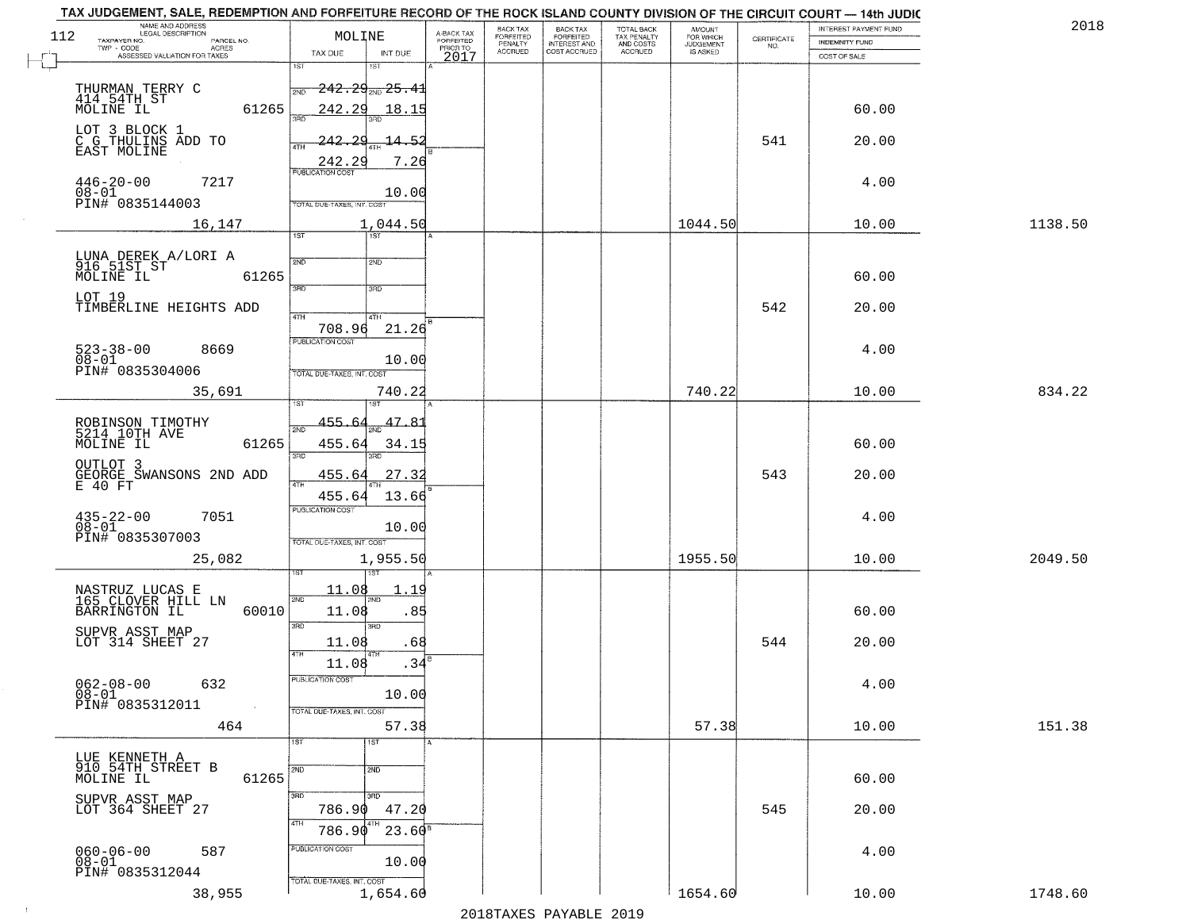| 112 | NAME AND ADDRESS<br>LEGAL DESCRIPTION<br>TAXPAYER NO.<br>PARCEL NO.<br>ACRES<br>TWP - CODE            | MOLINE                                                                         | A-BACK TAX<br>FORFEITED<br>PRIOR TO | <b>BACK TAX</b><br>FORFEITED<br>PENALTY | BACK TAX<br>FORFEITED<br>INTEREST AND | TOTAL BACK<br>TAX PENALTY<br>AND COSTS | AMOUNT<br>FOR WHICH<br><b>JUDGEMENT</b> | $\begin{array}{c} \text{CERTIFICATE} \\ \text{NO.} \end{array}$ | <b>INTEREST PAYMENT FUND</b><br><b>INDEMNITY FUND</b> | 2018    |
|-----|-------------------------------------------------------------------------------------------------------|--------------------------------------------------------------------------------|-------------------------------------|-----------------------------------------|---------------------------------------|----------------------------------------|-----------------------------------------|-----------------------------------------------------------------|-------------------------------------------------------|---------|
|     | ASSESSED VALUATION FOR TAXES                                                                          | TAX DUE<br>INT DUE<br>1ST<br>1ST                                               | 2017                                | <b>ACCRUED</b>                          | COST ACCRUED                          | ACCRUED                                | IS ASKED                                |                                                                 | COST OF SALE                                          |         |
|     | THURMAN TERRY C<br>414 54TH ST<br>MOLINE IL<br>61265                                                  | <del>242.29<sub>210</sub>25.4</del> 1<br>242.29<br>18.15                       |                                     |                                         |                                       |                                        |                                         |                                                                 | 60.00                                                 |         |
|     | LOT 3 BLOCK 1<br>C G THULINS ADD TO<br>EAST MOLINE                                                    | sañ<br>-242.<br>$\Omega$<br>14.52<br>ATH<br>7.26<br>242.29                     |                                     |                                         |                                       |                                        |                                         | 541                                                             | 20.00                                                 |         |
|     | $446 - 20 - 00$<br>7217<br>08-01<br>PIN# 0835144003                                                   | PUBLICATION COST<br>10.00<br>TOTAL DUE-TAXES, INT. COST                        |                                     |                                         |                                       |                                        |                                         |                                                                 | 4.00                                                  |         |
|     | 16,147                                                                                                | 1,044.50                                                                       |                                     |                                         |                                       |                                        | 1044.50                                 |                                                                 | 10.00                                                 | 1138.50 |
|     | LUNA DEREK A/LORI A<br>916 51ST ST<br>MOLINE IL<br>61265<br>LOT 19                                    | 1ST<br>1ST<br>2ND<br>2ND<br>$\overline{3BD}$<br>3RD                            |                                     |                                         |                                       |                                        |                                         |                                                                 | 60.00                                                 |         |
|     | TIMBERLINE HEIGHTS ADD                                                                                | 47H<br>4TH                                                                     |                                     |                                         |                                       |                                        |                                         | 542                                                             | 20.00                                                 |         |
|     | $523 - 38 - 00$<br>$08 - 01$<br>8669<br>PIN# 0835304006                                               | 21.26<br>708.96<br>PUBLICATION COST<br>10.00<br>TOTAL DUE-TAXES, INT. COST     |                                     |                                         |                                       |                                        |                                         |                                                                 | 4.00                                                  |         |
|     | 35,691                                                                                                | 740.22                                                                         |                                     |                                         |                                       |                                        | 740.22                                  |                                                                 | 10.00                                                 | 834.22  |
|     | ROBINSON TIMOTHY<br>5214 10TH AVE<br>MOLINE IL<br>61265                                               | 1ST.<br>455.6<br>47.81<br>2ND<br>455.64<br>34.15<br>3RD<br>3RD                 |                                     |                                         |                                       |                                        |                                         |                                                                 | 60.00                                                 |         |
|     | OUTLOT 3<br>GEORGE SWANSONS 2ND ADD<br>E 40 FT                                                        | 455.64<br>27.32<br>13.66<br>455.64                                             |                                     |                                         |                                       |                                        |                                         | 543                                                             | 20.00                                                 |         |
|     | 7051<br>$435 - 22 - 00$<br>$08 - 01$<br>PIN# 0835307003                                               | <b>PUBLICATION COST</b><br>10.00<br>TOTAL OUE-TAXES, INT. COST                 |                                     |                                         |                                       |                                        |                                         |                                                                 | 4.00                                                  |         |
|     | 25,082                                                                                                | 1,955.50                                                                       |                                     |                                         |                                       |                                        | 1955.50                                 |                                                                 | 10.00                                                 | 2049.50 |
|     | NASTRUZ LUCAS E<br>165 CLOVER HILL LN<br>BARRINGTON IL<br>60010<br>SUPVR ASST MAP<br>LOT 314 SHEET 27 | 11.08<br>11<br>2ND<br>2ND<br>11.08<br>.85<br>3RD<br>3BD<br>11.08<br>.68<br>4TH |                                     |                                         |                                       |                                        |                                         | 544                                                             | 60.00<br>20.00                                        |         |
|     | $062 - 08 - 00$<br>$08 - 01$<br>632<br>PIN# 0835312011                                                | 11.08<br>.34<br>PUBLICATION COST<br>10.00<br>TOTAL DUE-TAXES, INT. COST        |                                     |                                         |                                       |                                        |                                         |                                                                 | 4.00                                                  |         |
|     | 464                                                                                                   | 57.38<br>1ST<br>1ST                                                            |                                     |                                         |                                       |                                        | 57.38                                   |                                                                 | 10.00                                                 | 151.38  |
|     | LUE KENNETH A<br>910 54TH STREET B<br>MOLINE IL<br>61265                                              | 2ND<br>2ND<br>3RD<br>अप्र                                                      |                                     |                                         |                                       |                                        |                                         |                                                                 | 60.00                                                 |         |
|     | SUPVR ASST MAP<br>LOT 364 SHEET 27                                                                    | 786.90<br>47.20                                                                |                                     |                                         |                                       |                                        |                                         | 545                                                             | 20.00                                                 |         |
|     | 060-06-00<br>08-01<br>587                                                                             | 4TH<br>$23.60^8$<br>786.90<br>PUBLICATION COST<br>10.00                        |                                     |                                         |                                       |                                        |                                         |                                                                 | 4.00                                                  |         |
|     | PIN# 0835312044<br>38,955                                                                             | TOTAL DUE-TAXES, INT. COST<br>1,654.60                                         |                                     |                                         | מרמפ הדתגעונת מהעושפומפ               |                                        | 1654.60                                 |                                                                 | 10.00                                                 | 1748.60 |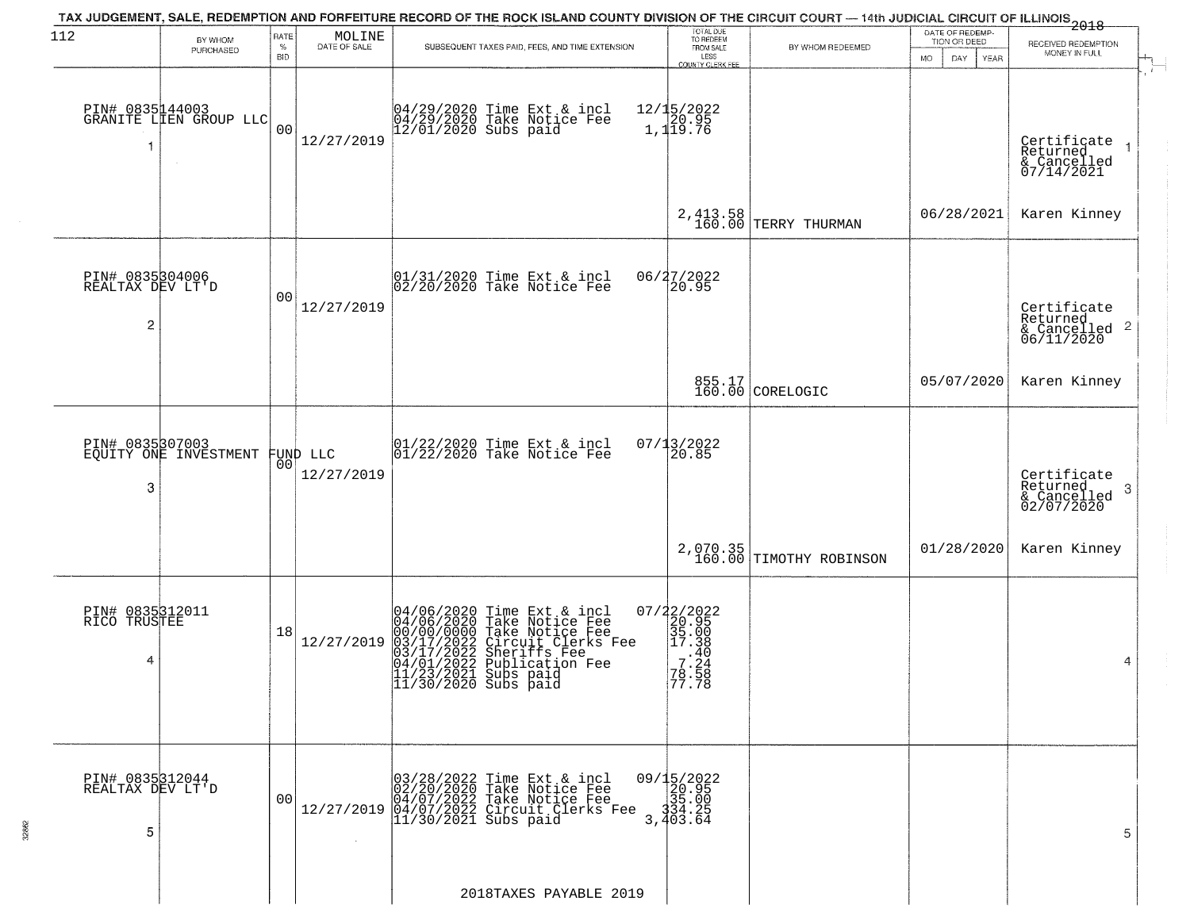| 112                                      | BY WHOM                                             | RATE               |                                                                     | TAX JUDGEMENT, SALE, REDEMPTION AND FORFEITURE RECORD OF THE ROCK ISLAND COUNTY DIVISION OF THE CIRCUIT COURT — 14th JUDICIAL CIRCUIT OF ILLINOIS<br>2018 - The Contract of December 1999                                                                                                                | TOTAL DUE<br>TO REDEEM                                                                |                                     | DATE OF REDEMP-                     |                                                                    |
|------------------------------------------|-----------------------------------------------------|--------------------|---------------------------------------------------------------------|----------------------------------------------------------------------------------------------------------------------------------------------------------------------------------------------------------------------------------------------------------------------------------------------------------|---------------------------------------------------------------------------------------|-------------------------------------|-------------------------------------|--------------------------------------------------------------------|
|                                          | PURCHASED                                           | $\%$<br><b>BID</b> | $\begin{array}{c} \text{MOLINE} \\ \text{DATE of SALE} \end{array}$ | SUBSEQUENT TAXES PAID, FEES, AND TIME EXTENSION                                                                                                                                                                                                                                                          | FROM SALE<br>LESS<br>COUNTY CLERK FEE                                                 | BY WHOM REDEEMED                    | TION OR DEED<br>MO.<br>DAY.<br>YEAR | RECEIVED REDEMPTION<br>MONEY IN FULL                               |
| -1                                       | PIN# 0835144003<br>GRANITE LIEN GROUP LLC<br>$\sim$ | 0 <sub>0</sub>     | 12/27/2019                                                          | 04/29/2020 Time Ext & incl<br>04/29/2020 Take Notice Fee<br>12/01/2020 Subs paid                                                                                                                                                                                                                         | 12/15/2022<br>20.95<br>1,119.76                                                       |                                     |                                     | Certificate<br>Returned<br>& Cancelled<br>07/14/2021               |
|                                          |                                                     |                    |                                                                     |                                                                                                                                                                                                                                                                                                          | 2, 413.58<br>160.00                                                                   | TERRY THURMAN                       | 06/28/2021                          | Karen Kinney                                                       |
| PIN# 0835304006<br>REALTAX DEV LT'D<br>2 |                                                     | 00                 | 12/27/2019                                                          | 01/31/2020 Time Ext & incl<br>02/20/2020 Take Notice Fee                                                                                                                                                                                                                                                 | 06/27/2022<br>20.95                                                                   |                                     |                                     | Certificate<br>Returned<br>$\frac{1}{6}$ Cancelled 2<br>06/11/2020 |
|                                          |                                                     |                    |                                                                     |                                                                                                                                                                                                                                                                                                          |                                                                                       | 855.17<br>160.00 CORELOGIC          | 05/07/2020                          | Karen Kinney                                                       |
| 3                                        | PIN# 0835307003<br>EQUITY ONE INVESTMENT            | 00 <sup>o</sup>    | FUND LLC<br>12/27/2019                                              | 01/22/2020 Time Ext & incl<br>01/22/2020 Take Notice Fee                                                                                                                                                                                                                                                 | $07/13/2022$<br>20.85                                                                 |                                     |                                     | Certificate<br>Returned<br>3<br>& Cancelled<br>02/07/2020          |
|                                          |                                                     |                    |                                                                     |                                                                                                                                                                                                                                                                                                          |                                                                                       | 2,070.35<br>160.00 TIMOTHY ROBINSON | 01/28/2020                          | Karen Kinney                                                       |
| PIN# 0835312011<br>RICO TRUSTEE<br>4     |                                                     | 18                 | 12/27/2019                                                          | 04/06/2020 Time Ext &<br>04/06/2020 Take Notic<br>00/00/0000 Take Notic<br>03/17/2022 Circuit Cl<br>04/01/2022 Sublicatic<br>11/23/2021 Subs paid<br>11/30/2020 Subs paid<br>Time Ext & incl<br>Take Notice Fee<br>Take Notice Fee<br>Circuit Clerks Fee<br>Sheriffs Fee<br>Publication Fee<br>Subs paid | 07/22/2022<br>20.95<br>35.00<br>35.00<br>35.00<br>49.<br>7.24<br>78.58<br>77.78       |                                     |                                     | 4                                                                  |
| PIN# 0835312044<br>REALTAX DEV LT'D<br>5 |                                                     | 00                 |                                                                     | $12/27/2019 \begin{array}{l} 03/28/2022 \text{ Time Ext & incl} \\ 02/20/2020 \text{ Take Notice Free} \\ 04/07/2022 \text{ Take Notice Free} \\ 14/107/2022 \text{ Circuit Clerks Free} \\ 11/30/2021 \text{ Subs paid} \end{array}$                                                                    | $\begin{smallmatrix} 09/15/2022\\ 20.95\\ 35.00\\ 34.25\\ 3.403.64 \end{smallmatrix}$ |                                     |                                     | 5                                                                  |
|                                          |                                                     |                    |                                                                     | 2018TAXES PAYABLE 2019                                                                                                                                                                                                                                                                                   |                                                                                       |                                     |                                     |                                                                    |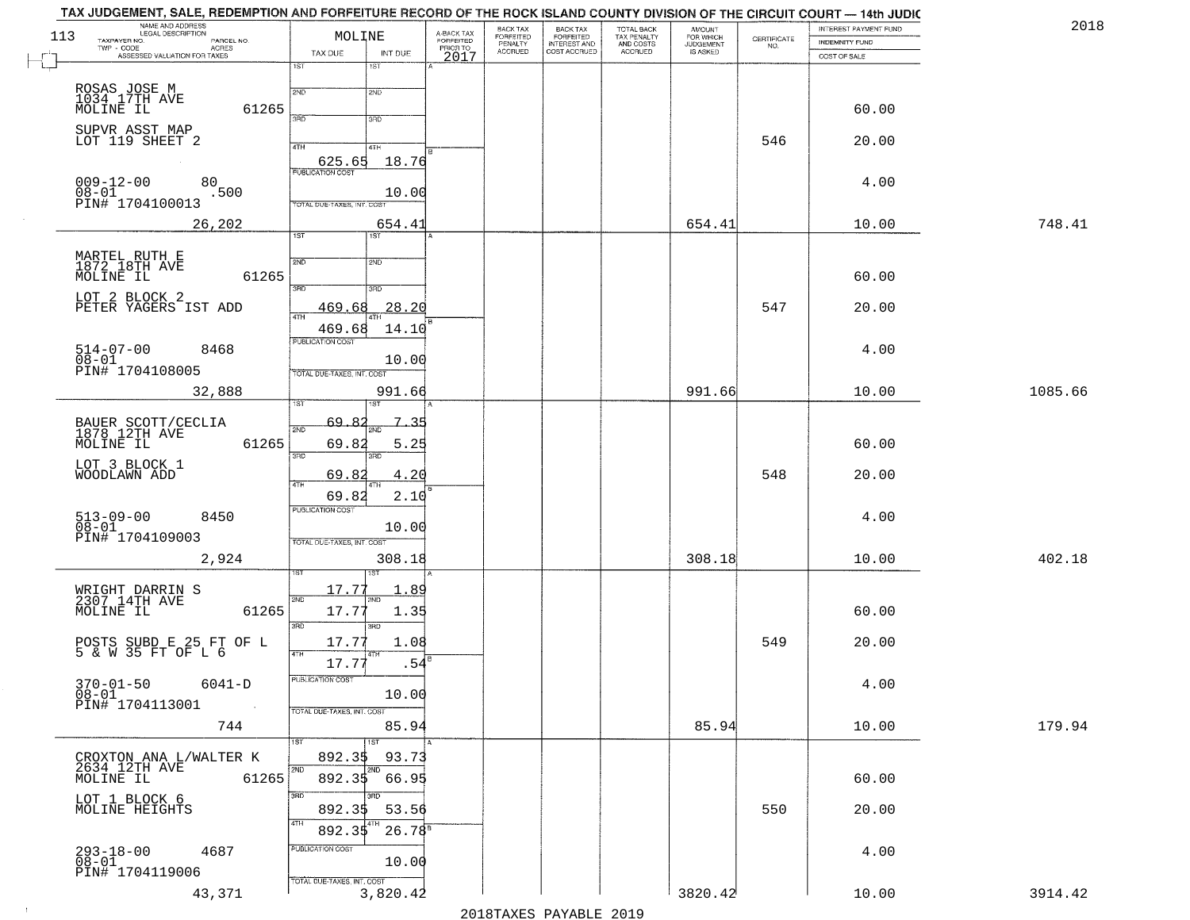| 2018    | INTEREST PAYMENT FUND                 | CERTIFICATE | <b>AMOUNT</b>                      |                                                   |                                                       |                                             | A-BACK TAX<br>FORFEITED | MOLINE                                     | TAX JUDGEMENT, SALE, REDEMPTION AND FORFEITURE RECORD OF THE ROCK ISLAND COUNTY DIVISION OF THE CIRCUIT COURT — 14th JUDIC<br>NAME AND ADDRESS<br>LEGAL DESCRIPTION | 113 |
|---------|---------------------------------------|-------------|------------------------------------|---------------------------------------------------|-------------------------------------------------------|---------------------------------------------|-------------------------|--------------------------------------------|---------------------------------------------------------------------------------------------------------------------------------------------------------------------|-----|
|         | <b>INDEMNITY FUND</b><br>COST OF SALE | NO.         | FOR WHICH<br>JUDGEMENT<br>IS ASKED | TOTAL BACK<br>TAX PENALTY<br>AND COSTS<br>ACCRUED | BACK TAX<br>FORFEITED<br>INTEREST AND<br>COST ACCRUED | BACK TAX<br>FORFEITED<br>PENALTY<br>ACCRUED | PRIORTO<br>2017         | TAX DUE<br>INT DUE                         | TAXPAYER NO.<br>PARCEL NO.<br>TWP - CODE<br>- CODE ACRES<br>ASSESSED VALUATION FOR TAXES                                                                            |     |
|         |                                       |             |                                    |                                                   |                                                       |                                             |                         | 1ST<br>1ST                                 |                                                                                                                                                                     |     |
|         |                                       |             |                                    |                                                   |                                                       |                                             |                         | 2ND<br>2ND                                 | ROSAS JOSE M<br>1034_17TH AVE                                                                                                                                       |     |
|         | 60.00                                 |             |                                    |                                                   |                                                       |                                             |                         | 3AD<br>3RD                                 | MOLINE IL<br>61265                                                                                                                                                  |     |
|         | 20.00                                 | 546         |                                    |                                                   |                                                       |                                             |                         | 4TH<br>4TH                                 | SUPVR ASST MAP<br>LOT 119 SHEET 2                                                                                                                                   |     |
|         |                                       |             |                                    |                                                   |                                                       |                                             |                         | 625.65<br>18.76<br><b>PUBLICATION COST</b> |                                                                                                                                                                     |     |
|         | 4.00                                  |             |                                    |                                                   |                                                       |                                             |                         | 10.00                                      | $009 - 12 - 00$<br>80<br>$08 - 01$<br>.500                                                                                                                          |     |
|         |                                       |             |                                    |                                                   |                                                       |                                             |                         | TOTAL DUE-TAXES, INT. COST                 | PIN# <sup>-1704100013</sup>                                                                                                                                         |     |
| 748.41  | 10.00                                 |             | 654.41                             |                                                   |                                                       |                                             |                         | 654.41<br>$\overline{\text{1ST}}$<br>1ST   | 26,202                                                                                                                                                              |     |
|         |                                       |             |                                    |                                                   |                                                       |                                             |                         | 2ND<br>2ND                                 | MARTEL RUTH E<br>1872 18TH AVE                                                                                                                                      |     |
|         | 60.00                                 |             |                                    |                                                   |                                                       |                                             |                         | $\overline{3\text{RD}}$<br>3RD             | MOLINE IL<br>61265                                                                                                                                                  |     |
|         | 20.00                                 | 547         |                                    |                                                   |                                                       |                                             |                         | 28.20<br>469.68                            | LOT 2 BLOCK 2<br>PETER YAGERS IST ADD                                                                                                                               |     |
|         |                                       |             |                                    |                                                   |                                                       |                                             |                         | $\overline{ATH}$<br>469.68<br>14.10        |                                                                                                                                                                     |     |
|         | 4.00                                  |             |                                    |                                                   |                                                       |                                             |                         | PUBLICATION COST                           | $514 - 07 - 00$<br>8468                                                                                                                                             |     |
|         |                                       |             |                                    |                                                   |                                                       |                                             |                         | 10.00<br><b>TOTAL DUE-TAXES, INT. COST</b> | $08 - 01$<br>PIN# 1704108005                                                                                                                                        |     |
| 1085.66 | 10.00                                 |             | 991.66                             |                                                   |                                                       |                                             |                         | 991.66                                     | 32,888                                                                                                                                                              |     |
|         |                                       |             |                                    |                                                   |                                                       |                                             |                         | ist<br>69,82<br>7<br>-35                   |                                                                                                                                                                     |     |
|         | 60.00                                 |             |                                    |                                                   |                                                       |                                             |                         | 2ND<br>2ND<br>69.82<br>5.25                | BAUER SCOTT/CECLIA<br>1878 12TH AVE<br>MOLINE IL<br>61265                                                                                                           |     |
|         |                                       |             |                                    |                                                   |                                                       |                                             |                         | 3RD<br>3RD                                 | LOT 3 BLOCK 1                                                                                                                                                       |     |
|         | 20.00                                 | 548         |                                    |                                                   |                                                       |                                             |                         | 4.20<br>69.82<br>4TH                       | WOODLAWN ADD                                                                                                                                                        |     |
|         | 4.00                                  |             |                                    |                                                   |                                                       |                                             |                         | 69.82<br>2.10<br><b>PUBLICATION COST</b>   |                                                                                                                                                                     |     |
|         |                                       |             |                                    |                                                   |                                                       |                                             |                         | 10.00                                      | 513-09-00<br>08-01<br>8450<br>PIN# 1704109003                                                                                                                       |     |
| 402.18  | 10.00                                 |             | 308.18                             |                                                   |                                                       |                                             |                         | TOTAL OUE-TAXES, INT. COST<br>308.18       | 2,924                                                                                                                                                               |     |
|         |                                       |             |                                    |                                                   |                                                       |                                             |                         |                                            |                                                                                                                                                                     |     |
|         |                                       |             |                                    |                                                   |                                                       |                                             |                         | 17.77<br>.89<br>2ND<br>'ND                 | WRIGHT DARRIN S<br>2307 14TH AVE                                                                                                                                    |     |
|         | 60.00                                 |             |                                    |                                                   |                                                       |                                             |                         | 17.77<br>1.35<br>3RD<br>3BD                | 61265<br>MOLINE IL                                                                                                                                                  |     |
|         | 20.00                                 | 549         |                                    |                                                   |                                                       |                                             |                         | 17.77<br>1.08                              | POSTS SUBD E 25 FT OF L<br>5 & W 35 FT OF L 6                                                                                                                       |     |
|         |                                       |             |                                    |                                                   |                                                       |                                             |                         | 17.77<br>.54                               |                                                                                                                                                                     |     |
|         | 4.00                                  |             |                                    |                                                   |                                                       |                                             |                         | PUBLICATION COST<br>10.00                  | $370 - 01 - 50$ 6041-D<br>$08 - 01$                                                                                                                                 |     |
|         |                                       |             |                                    |                                                   |                                                       |                                             |                         | TOTAL DUE-TAXES, INT. COST                 | PIN# 1704113001                                                                                                                                                     |     |
| 179.94  | 10.00                                 |             | 85.94                              |                                                   |                                                       |                                             |                         | 85.94<br>1ST<br>1ST                        | 744                                                                                                                                                                 |     |
|         |                                       |             |                                    |                                                   |                                                       |                                             |                         | 93.73<br>892.35<br>2ND                     | CROXTON ANA L/WALTER K<br>2634 12TH AVE                                                                                                                             |     |
|         | 60.00                                 |             |                                    |                                                   |                                                       |                                             |                         | 892.35<br>66.95                            | MOLINE IL<br>61265                                                                                                                                                  |     |
|         | 20.00                                 | 550         |                                    |                                                   |                                                       |                                             |                         | 3RD<br>3RD<br>892.35<br>53.56              | LOT 1 BLOCK 6<br>MOLINE HEIGHTS                                                                                                                                     |     |
|         |                                       |             |                                    |                                                   |                                                       |                                             |                         | 4TH<br>$26.78^s$<br>892.35                 |                                                                                                                                                                     |     |
|         | 4.00                                  |             |                                    |                                                   |                                                       |                                             |                         | PUBLICATION COST                           | 4687<br>$293 - 18 - 00$<br>$08 - 01$                                                                                                                                |     |
|         |                                       |             |                                    |                                                   |                                                       |                                             |                         | 10.00<br>TOTAL DUE-TAXES, INT. COST        | PIN# 1704119006                                                                                                                                                     |     |
| 3914.42 | 10.00                                 |             | 3820.42                            |                                                   |                                                       |                                             |                         | 3,820.42                                   | 43,371                                                                                                                                                              |     |
|         |                                       |             |                                    |                                                   | 2010 ELITATIO DIVIDI POLO                             |                                             |                         |                                            |                                                                                                                                                                     |     |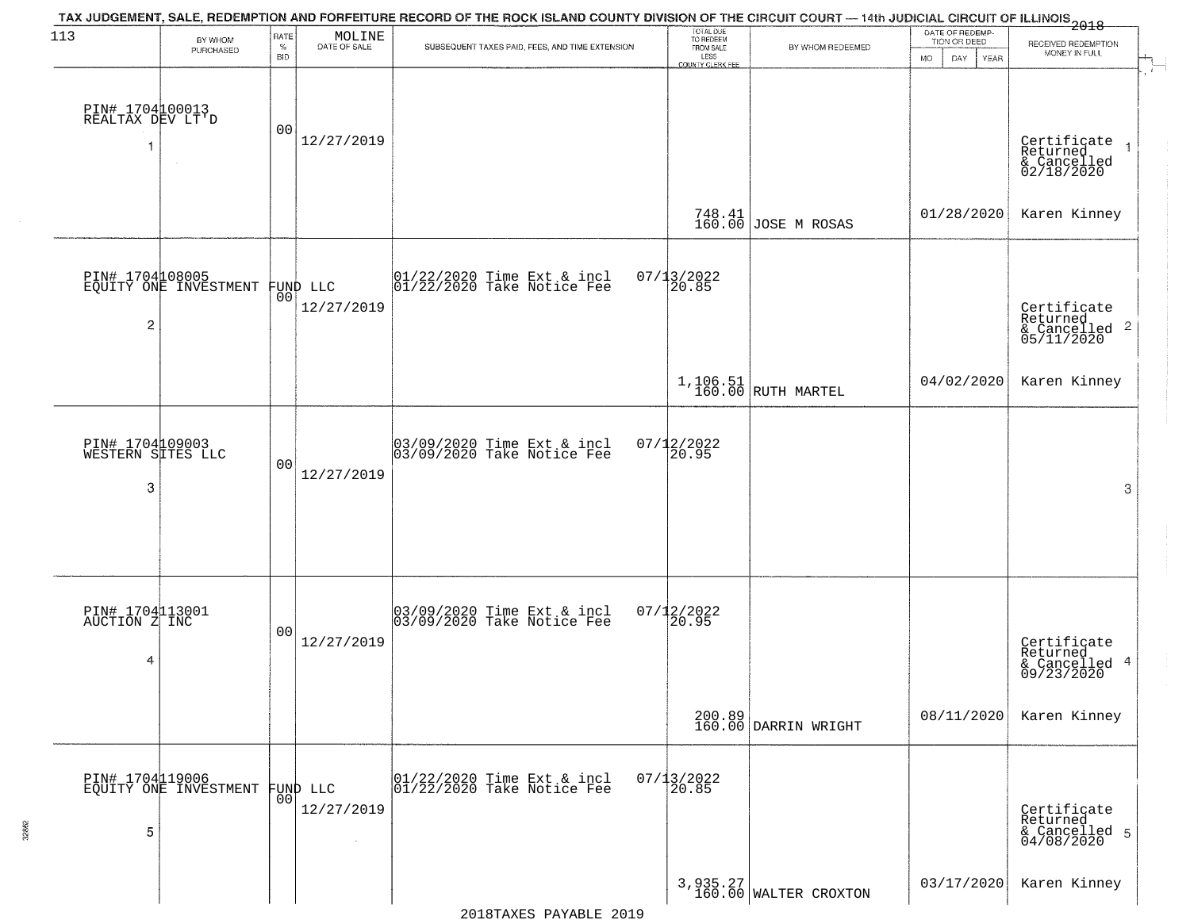| 113                                       | BY WHOM<br>PURCHASED                              | RATE<br>$\%$<br><b>BID</b> | MOLINE<br>DATE OF SALE | TAX JUDGEMENT, SALE, REDEMPTION AND FORFEITURE RECORD OF THE ROCK ISLAND COUNTY DIVISION OF THE CIRCUIT COURT — 14th JUDICIAL CIRCUIT OF ILLINOIS 2018<br>SUBSEQUENT TAXES PAID, FEES, AND TIME EXTENSION | TOTAL DUE<br>TO REDEEM<br>FROM SALE<br>LESS<br>COUNTY CLERK FEE | BY WHOM REDEEMED                   | DATE OF REDEMP-<br>TION OR DEED<br>DAY.<br>YEAR<br><b>MO</b> | RECEIVED REDEMPTION<br>MONEY IN FULL                   |
|-------------------------------------------|---------------------------------------------------|----------------------------|------------------------|-----------------------------------------------------------------------------------------------------------------------------------------------------------------------------------------------------------|-----------------------------------------------------------------|------------------------------------|--------------------------------------------------------------|--------------------------------------------------------|
| PIN# 1704100013<br>REALTAX DEV LT'D       | $\sim$                                            | 00                         | 12/27/2019             |                                                                                                                                                                                                           |                                                                 |                                    |                                                              | Certificate<br>Returned<br>& Cancelled<br>02/18/2020   |
|                                           |                                                   |                            |                        |                                                                                                                                                                                                           | $748.41$<br>160.00                                              | JOSE M ROSAS                       | 01/28/2020                                                   | Karen Kinney                                           |
| $\overline{c}$                            | PIN# 1704108005<br>EQUITY ONE INVESTMENT FUND LLC |                            | 12/27/2019             | 01/22/2020 Time Ext & incl<br>01/22/2020 Take Notice Fee                                                                                                                                                  | $07/13/2022$<br>20.85                                           |                                    |                                                              | Certificate<br>Returned<br>& Cancelled 2<br>05/11/2020 |
|                                           |                                                   |                            |                        |                                                                                                                                                                                                           |                                                                 | $1,106.51$<br>160.00 RUTH MARTEL   | 04/02/2020                                                   | Karen Kinney                                           |
| PIN# 1704109003<br>WESTERN SITES LLC<br>3 |                                                   | 00                         | 12/27/2019             | 03/09/2020 Time Ext & incl<br>03/09/2020 Take Notice Fee                                                                                                                                                  | $07/12/2022$<br>20.95                                           |                                    |                                                              | 3                                                      |
| PIN# 1704113001<br>AUCTION Z INC<br>4     |                                                   | 00                         | 12/27/2019             | 03/09/2020 Time Ext & incl<br>03/09/2020 Take Notice Fee                                                                                                                                                  | $07/12/2022$<br>20.95                                           |                                    |                                                              | Certificate<br>Returned<br>& Cancelled 4<br>09/23/2020 |
|                                           |                                                   |                            |                        |                                                                                                                                                                                                           |                                                                 | 200.89<br>160.00 DARRIN WRIGHT     | 08/11/2020                                                   | Karen Kinney                                           |
| 5                                         | PIN# 1704119006<br>EQUITY ONE INVESTMENT          | 0 <sup>0</sup>             | FUND LLC<br>12/27/2019 | 01/22/2020 Time Ext & incl<br>01/22/2020 Take Notice Fee                                                                                                                                                  | $07/13/2022$<br>20.85                                           |                                    |                                                              | Certificate<br>Returned<br>& Cancelled 5<br>04/08/2020 |
|                                           |                                                   |                            |                        |                                                                                                                                                                                                           |                                                                 | 3, 935.27<br>160.00 WALTER CROXTON | 03/17/2020                                                   | Karen Kinney                                           |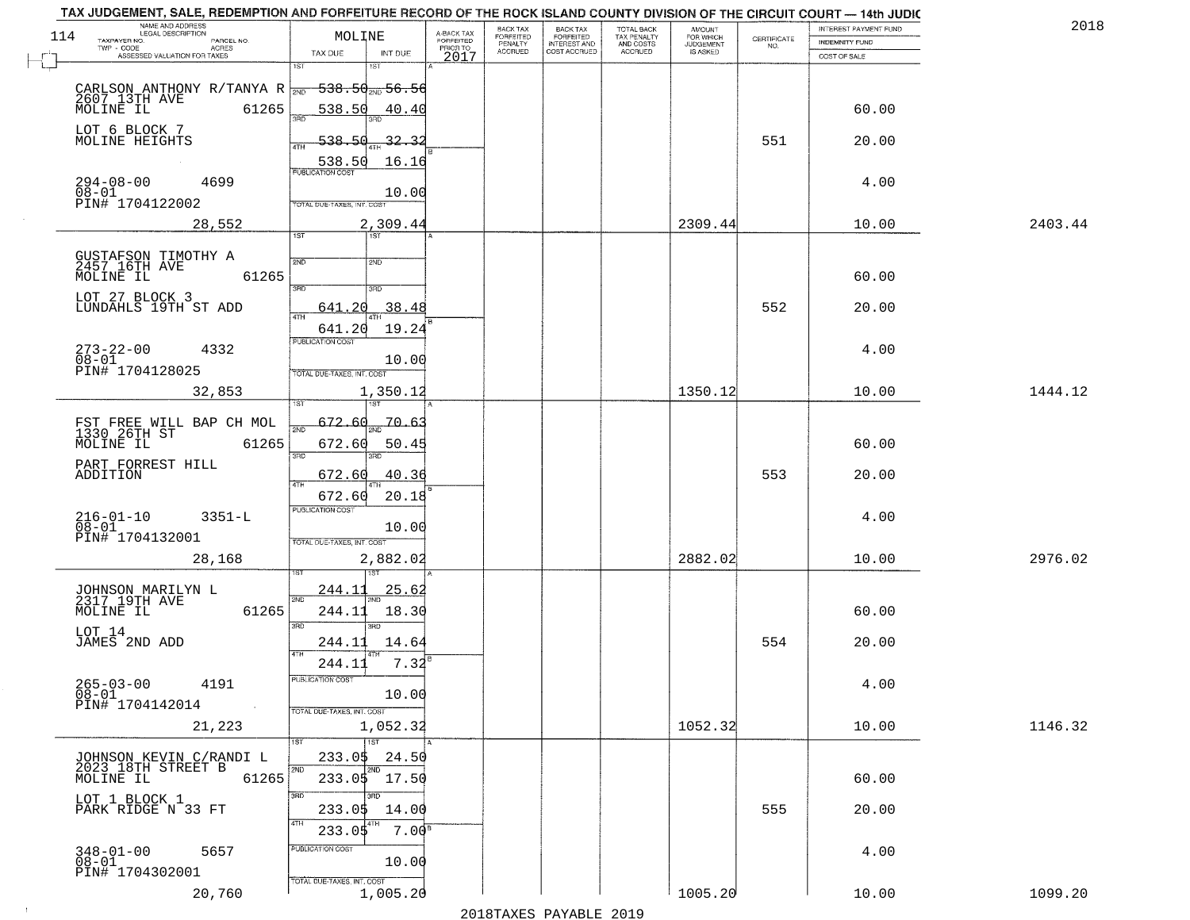|     | TAX JUDGEMENT, SALE, REDEMPTION AND FORFEITURE RECORD OF THE ROCK ISLAND COUNTY DIVISION OF THE CIRCUIT COURT - 14th JUDIC<br>NAME AND ADDRESS<br>LEGAL DESCRIPTION |                            |                                     | BACK TAX                  | <b>BACK TAX</b>                     |                                        |                                  |                                                                 | INTEREST PAYMENT FUND | 2018    |  |
|-----|---------------------------------------------------------------------------------------------------------------------------------------------------------------------|----------------------------|-------------------------------------|---------------------------|-------------------------------------|----------------------------------------|----------------------------------|-----------------------------------------------------------------|-----------------------|---------|--|
| 114 |                                                                                                                                                                     | MOLINE                     | A-BACK TAX<br>FORFEITED<br>PRIOR TO | FORFEITED                 | FORFEITED                           | TOTAL BACK<br>TAX PENALTY<br>AND COSTS | AMOUNT<br>FOR WHICH<br>JUDGEMENT | $\begin{array}{c} \text{CERTIFICATE} \\ \text{NO.} \end{array}$ | INDEMNITY FUND        |         |  |
|     | TAXPAYER NO.<br>PARCEL NO.<br>ACRES<br>ASSESSED VALUATION FOR TAXES                                                                                                 | TAX DUE<br>INT DUE         | 2017                                | PENALTY<br><b>ACCRUED</b> | <b>INTEREST AND</b><br>COST ACCRUED | ACCRUED                                | IS ASKED                         |                                                                 | COST OF SALE          |         |  |
|     |                                                                                                                                                                     | 1ST<br>1ST                 |                                     |                           |                                     |                                        |                                  |                                                                 |                       |         |  |
|     |                                                                                                                                                                     | <del>538.50, 56.56</del>   |                                     |                           |                                     |                                        |                                  |                                                                 |                       |         |  |
|     | CARLSON ANTHONY R/TANYA R $\frac{1}{200}$<br>2607 13TH AVE 61265                                                                                                    |                            |                                     |                           |                                     |                                        |                                  |                                                                 |                       |         |  |
|     |                                                                                                                                                                     | 538.50                     | 40.40                               |                           |                                     |                                        |                                  |                                                                 | 60.00                 |         |  |
|     | LOT 6 BLOCK 7                                                                                                                                                       | 538.50                     |                                     |                           |                                     |                                        |                                  | 551                                                             |                       |         |  |
|     | MOLINE HEIGHTS                                                                                                                                                      |                            | 32.32                               |                           |                                     |                                        |                                  |                                                                 | 20.00                 |         |  |
|     |                                                                                                                                                                     | 538.50                     | 16.16                               |                           |                                     |                                        |                                  |                                                                 |                       |         |  |
|     | $294 - 08 - 00$<br>$08 - 01$<br>4699                                                                                                                                |                            |                                     |                           |                                     |                                        |                                  |                                                                 | 4.00                  |         |  |
|     | PIN# 1704122002                                                                                                                                                     | TOTAL DUE-TAXES, INT. COST | 10.00                               |                           |                                     |                                        |                                  |                                                                 |                       |         |  |
|     |                                                                                                                                                                     |                            |                                     |                           |                                     |                                        |                                  |                                                                 |                       |         |  |
|     | 28,552                                                                                                                                                              | 2,309.44<br>1ST            |                                     |                           |                                     |                                        | 2309.44                          |                                                                 | 10.00                 | 2403.44 |  |
|     |                                                                                                                                                                     |                            |                                     |                           |                                     |                                        |                                  |                                                                 |                       |         |  |
|     | GUSTAFSON TIMOTHY A<br>2457 16TH AVE                                                                                                                                | 2ND<br>2ND                 |                                     |                           |                                     |                                        |                                  |                                                                 |                       |         |  |
|     | MOLINE IL<br>61265                                                                                                                                                  |                            |                                     |                           |                                     |                                        |                                  |                                                                 | 60.00                 |         |  |
|     | LOT 27 BLOCK 3                                                                                                                                                      | 3RD<br>3RD                 |                                     |                           |                                     |                                        |                                  |                                                                 |                       |         |  |
|     | LUNDAHLS 19TH ST ADD                                                                                                                                                | 641.20<br>ৰাম              | 38.48                               |                           |                                     |                                        |                                  | 552                                                             | 20.00                 |         |  |
|     |                                                                                                                                                                     | 641.20                     | 19.24                               |                           |                                     |                                        |                                  |                                                                 |                       |         |  |
|     | $273 - 22 - 00$<br>4332                                                                                                                                             | PUBLICATION COST           |                                     |                           |                                     |                                        |                                  |                                                                 | 4.00                  |         |  |
|     | $08 - 01$                                                                                                                                                           |                            | 10.00                               |                           |                                     |                                        |                                  |                                                                 |                       |         |  |
|     | PIN# 1704128025                                                                                                                                                     | TOTAL DUE-TAXES, INT. COST |                                     |                           |                                     |                                        |                                  |                                                                 |                       |         |  |
|     | 32,853                                                                                                                                                              | 1,350.12                   |                                     |                           |                                     |                                        | 1350.12                          |                                                                 | 10.00                 | 1444.12 |  |
|     |                                                                                                                                                                     | ist                        |                                     |                           |                                     |                                        |                                  |                                                                 |                       |         |  |
|     | FST FREE WILL BAP CH MOL<br>1330 26TH ST                                                                                                                            | 672.60<br>2ND              | -70.63                              |                           |                                     |                                        |                                  |                                                                 |                       |         |  |
|     | MOLINE IL<br>61265                                                                                                                                                  | 672.60                     | 50.45                               |                           |                                     |                                        |                                  |                                                                 | 60.00                 |         |  |
|     | PART FORREST HILL                                                                                                                                                   | 3RD<br>3RD                 |                                     |                           |                                     |                                        |                                  |                                                                 |                       |         |  |
|     | ADDITION                                                                                                                                                            | 672.60                     | 40.36                               |                           |                                     |                                        |                                  | 553                                                             | 20.00                 |         |  |
|     |                                                                                                                                                                     | 4TH<br>672.60              | 20.18                               |                           |                                     |                                        |                                  |                                                                 |                       |         |  |
|     |                                                                                                                                                                     | <b>PUBLICATION COST</b>    |                                     |                           |                                     |                                        |                                  |                                                                 |                       |         |  |
|     | $216 - 01 - 10$<br>$08 - 01$<br>$3351 - L$                                                                                                                          |                            | 10.00                               |                           |                                     |                                        |                                  |                                                                 | 4.00                  |         |  |
|     | PIN# 1704132001                                                                                                                                                     | TOTAL OUE-TAXES, INT. COST |                                     |                           |                                     |                                        |                                  |                                                                 |                       |         |  |
|     | 28,168                                                                                                                                                              | 2,882.02                   |                                     |                           |                                     |                                        | 2882.02                          |                                                                 | 10.00                 | 2976.02 |  |
|     |                                                                                                                                                                     |                            |                                     |                           |                                     |                                        |                                  |                                                                 |                       |         |  |
|     | JOHNSON MARILYN L<br>2317 19TH AVE                                                                                                                                  | 244.11                     | <u>25.62</u>                        |                           |                                     |                                        |                                  |                                                                 |                       |         |  |
|     | MOLINE IL<br>61265                                                                                                                                                  | 2ND<br>244.11              | 18.30                               |                           |                                     |                                        |                                  |                                                                 | 60.00                 |         |  |
|     |                                                                                                                                                                     | 3RD<br>3BD                 |                                     |                           |                                     |                                        |                                  |                                                                 |                       |         |  |
|     | LOT 14<br>JAMES 2ND ADD                                                                                                                                             | 244.11                     | 14.64                               |                           |                                     |                                        |                                  | 554                                                             | 20.00                 |         |  |
|     |                                                                                                                                                                     | 4TH                        |                                     |                           |                                     |                                        |                                  |                                                                 |                       |         |  |
|     |                                                                                                                                                                     | 244.11                     | 7.32                                |                           |                                     |                                        |                                  |                                                                 |                       |         |  |
|     | $265 - 03 - 00$<br>4191<br>$\overline{0}\,\overline{8}-0\overline{1}$                                                                                               | UBLICA HUN CUS             | 10.00                               |                           |                                     |                                        |                                  |                                                                 | 4.00                  |         |  |
|     | PIN# 1704142014<br>$\sim 100$                                                                                                                                       | TOTAL DUE-TAXES, INT. COST |                                     |                           |                                     |                                        |                                  |                                                                 |                       |         |  |
|     | 21,223                                                                                                                                                              | 1,052.32                   |                                     |                           |                                     |                                        | 1052.32                          |                                                                 | 10.00                 | 1146.32 |  |
|     |                                                                                                                                                                     | 1ST<br>1ST                 |                                     |                           |                                     |                                        |                                  |                                                                 |                       |         |  |
|     |                                                                                                                                                                     | 233.05                     | 24.50                               |                           |                                     |                                        |                                  |                                                                 |                       |         |  |
|     | JOHNSON KEVIN C/RANDI L<br>2023 18TH STREET B                                                                                                                       | 2ND<br>2ND                 |                                     |                           |                                     |                                        |                                  |                                                                 |                       |         |  |
|     | 61265<br>MOLINE IL                                                                                                                                                  | 233.05 17.50               |                                     |                           |                                     |                                        |                                  |                                                                 | 60.00                 |         |  |
|     | LOT 1 BLOCK 1                                                                                                                                                       | 3RD<br>3BD                 |                                     |                           |                                     |                                        |                                  |                                                                 |                       |         |  |
|     | PARK RIDGE N 33 FT                                                                                                                                                  | 233.05<br>4TH              | 14.00                               |                           |                                     |                                        |                                  | 555                                                             | 20.00                 |         |  |
|     |                                                                                                                                                                     | 233.05                     | 7.00 <sup>8</sup>                   |                           |                                     |                                        |                                  |                                                                 |                       |         |  |
|     | $348 - 01 - 00$<br>5657                                                                                                                                             | PUBLICATION COST           |                                     |                           |                                     |                                        |                                  |                                                                 | 4.00                  |         |  |
|     | $08 - 01$<br>PIN# 1704302001                                                                                                                                        |                            | 10.00                               |                           |                                     |                                        |                                  |                                                                 |                       |         |  |
|     |                                                                                                                                                                     | TOTAL DUE-TAXES, INT. COST |                                     |                           |                                     |                                        | 1005.20                          |                                                                 |                       | 1099.20 |  |
|     | 20,760                                                                                                                                                              | 1,005.20                   |                                     |                           |                                     |                                        |                                  |                                                                 | 10.00                 |         |  |

 $\sim$  1  $^\circ$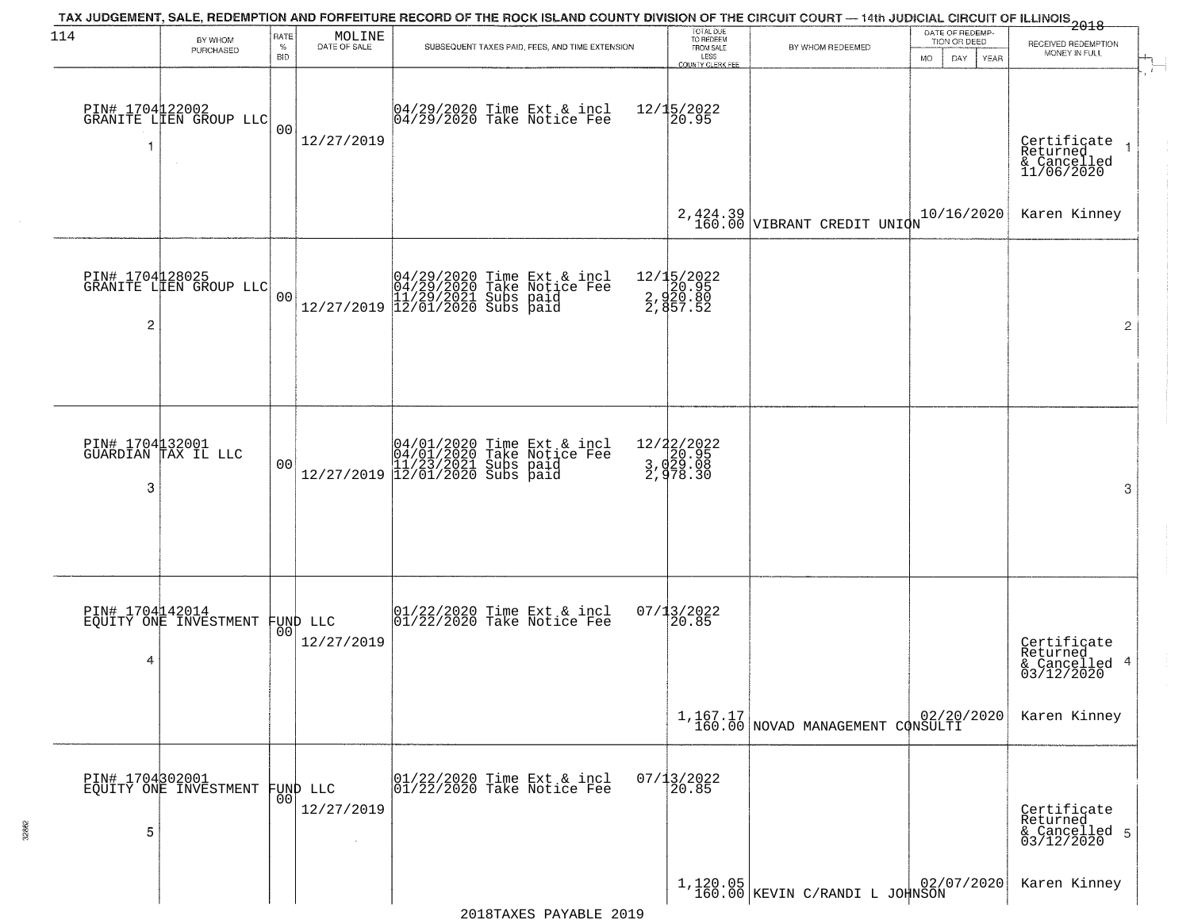| 114 | BY WHOM<br>PURCHASED                                | RATE<br>$\%$<br><b>BID</b> | MOLINE<br>DATE OF SALE         | TAX JUDGEMENT, SALE, REDEMPTION AND FORFEITURE RECORD OF THE ROCK ISLAND COUNTY DIVISION OF THE CIRCUIT COURT — 14th JUDICIAL CIRCUIT OF ILLINOIS 2018<br>SUBSEQUENT TAXES PAID, FEES, AND TIME EXTENSION | TOTAL DUE<br>TO REDEEM<br>FROM SALE<br>LESS<br>COUNTY CLERK FEE | BY WHOM REDEEMED                               | DATE OF REDEMP-<br>TION OR DEED<br><b>MO</b><br>DAY<br>YEAR | RECEIVED REDEMPTION<br>MONEY IN FULL                      |
|-----|-----------------------------------------------------|----------------------------|--------------------------------|-----------------------------------------------------------------------------------------------------------------------------------------------------------------------------------------------------------|-----------------------------------------------------------------|------------------------------------------------|-------------------------------------------------------------|-----------------------------------------------------------|
| 1   | PIN# 1704122002<br>GRANITE LIEN GROUP LLC<br>$\sim$ | 0 <sub>0</sub>             | 12/27/2019                     | 04/29/2020 Time Ext & incl<br>04/29/2020 Take Notice Fee                                                                                                                                                  | $12/15/2022$<br>20.95                                           |                                                |                                                             | Certificate<br>Returned<br>& Cancelled<br>11/06/2020      |
|     |                                                     |                            |                                |                                                                                                                                                                                                           |                                                                 | 2,424.39<br>160.00 VIBRANT CREDIT UNION        | 10/16/2020                                                  | Karen Kinney                                              |
| 2   | PIN# 1704128025<br>GRANITE LIEN GROUP LLC           | 0 <sub>0</sub>             |                                | $[04/29/2020 \t\t Time \t\t Ext & incl \\ 04/29/2020 \t\t Take \t Notice \tFe \\ 11/29/2021 \tSubs \t paid \\ 12/27/2019 \t\t 12/01/2020 \tSubs \t paid \\$                                               | 12/15/2022<br>2,920.95<br>2,920.80<br>2,857.52                  |                                                |                                                             | $\overline{2}$                                            |
| 3   | PIN# 1704132001<br>GUARDIAN TAX IL LLC              | 0 <sub>0</sub>             | 12/27/2019                     | 04/01/2020 Time Ext & incl<br>04/01/2020 Take Notice Fee<br>11/23/2021 Subs paid<br>12/01/2020 Subs paid                                                                                                  | 12/22/2022<br>3, d29.95<br>3, d29.08<br>2, d78.30               |                                                |                                                             | 3                                                         |
| 4   | PIN# 1704142014<br>EQUITY ONE INVESTMENT            |                            | FUND LLC<br> 00 <br>12/27/2019 | 01/22/2020 Time Ext & incl<br>01/22/2020 Take Notice Fee                                                                                                                                                  | 07/13/2022<br>120.85                                            |                                                |                                                             | Certificate<br>Returned<br>4<br>& Cancelled<br>03/12/2020 |
|     |                                                     |                            |                                |                                                                                                                                                                                                           |                                                                 | $1,167.17$<br>160.00 NOVAD MANAGEMENT CONSULTI | 02/20/2020                                                  | Karen Kinney                                              |
| 5   | PIN# 1704302001<br>EQUITY ONE INVESTMENT            | 0 <sup>0</sup>             | FUND LLC<br>12/27/2019         | 01/22/2020 Time Ext & incl<br>01/22/2020 Take Notice Fee                                                                                                                                                  | $07/13/2022$<br>20.85                                           |                                                |                                                             | Certificate<br>Returned<br>& Cancelled 5<br>03/12/2020    |
|     |                                                     |                            |                                |                                                                                                                                                                                                           |                                                                 | $1,120.05$ KEVIN C/RANDI L JOHNSON             | 02/07/2020                                                  | Karen Kinney                                              |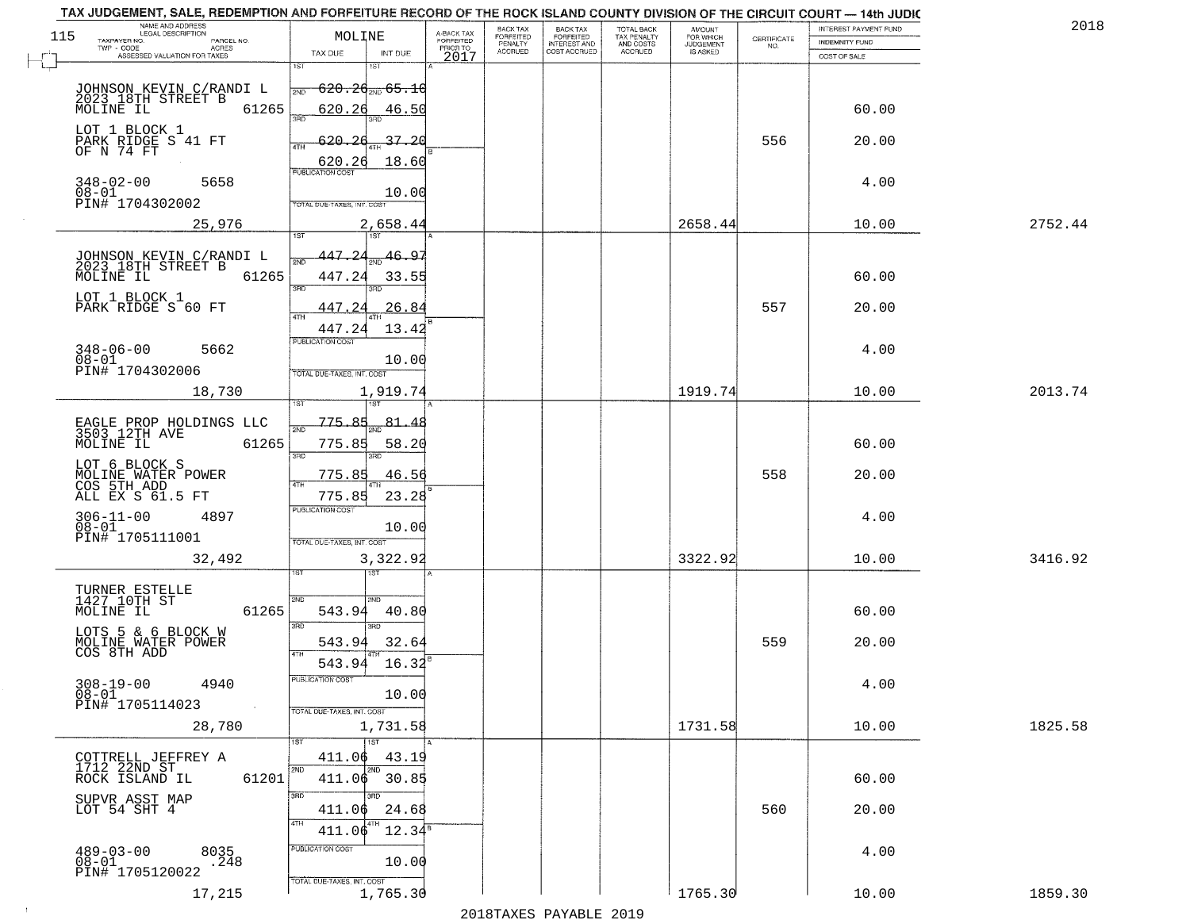|     | TAX JUDGEMENT, SALE, REDEMPTION AND FORFEITURE RECORD OF THE ROCK ISLAND COUNTY DIVISION OF THE CIRCUIT COURT - 14th JUDIC<br>NAME AND ADDRESS<br>LEGAL DESCRIPTION |                                              |                 |                                     | BACK TAX                  | <b>BACK TAX</b>                     |                                        |                                  |                                                                 | INTEREST PAYMENT FUND |         | 2018 |
|-----|---------------------------------------------------------------------------------------------------------------------------------------------------------------------|----------------------------------------------|-----------------|-------------------------------------|---------------------------|-------------------------------------|----------------------------------------|----------------------------------|-----------------------------------------------------------------|-----------------------|---------|------|
| 115 |                                                                                                                                                                     | MOLINE                                       |                 | A-BACK TAX<br>FORFEITED<br>PRIOR TO | FORFEITED                 | FORFEITED                           | TOTAL BACK<br>TAX PENALTY<br>AND COSTS | AMOUNT<br>FOR WHICH<br>JUDGEMENT | $\begin{array}{c} \text{CERTIFICATE} \\ \text{NO.} \end{array}$ | INDEMNITY FUND        |         |      |
|     | TAXPAYER NO.<br>PARCEL NO.<br>ACRES<br>ASSESSED VALUATION FOR TAXES                                                                                                 | TAX DUE                                      | INT DUE         | 2017                                | PENALTY<br><b>ACCRUED</b> | <b>INTEREST AND</b><br>COST ACCRUED | ACCRUED                                | IS ASKED                         |                                                                 | COST OF SALE          |         |      |
|     |                                                                                                                                                                     | 1ST                                          | $1S$ T          |                                     |                           |                                     |                                        |                                  |                                                                 |                       |         |      |
|     |                                                                                                                                                                     | <del>620.26<sub>2ND</sub> 65.10</del><br>2ND |                 |                                     |                           |                                     |                                        |                                  |                                                                 |                       |         |      |
|     | JOHNSON KEVIN C/RANDI L<br>2023 18TH STREET B<br>61265                                                                                                              |                                              |                 |                                     |                           |                                     |                                        |                                  |                                                                 |                       |         |      |
|     | MOLINE IL                                                                                                                                                           | 620.26<br>3RD                                | 46.50           |                                     |                           |                                     |                                        |                                  |                                                                 | 60.00                 |         |      |
|     | LOT 1 BLOCK 1                                                                                                                                                       | 620.26                                       | 37.20           |                                     |                           |                                     |                                        |                                  | 556                                                             | 20.00                 |         |      |
|     | PARK RIDGE S 41 FT<br>OF N 74 FT                                                                                                                                    | ATH                                          |                 |                                     |                           |                                     |                                        |                                  |                                                                 |                       |         |      |
|     |                                                                                                                                                                     | 620.26                                       | 18.60           |                                     |                           |                                     |                                        |                                  |                                                                 |                       |         |      |
|     | $348 - 02 - 00$<br>5658                                                                                                                                             |                                              |                 |                                     |                           |                                     |                                        |                                  |                                                                 | 4.00                  |         |      |
|     | $08 - 01$<br>PIN# <sup>-1704302002</sup>                                                                                                                            | TOTAL DUE-TAXES, INT. COST                   | 10.00           |                                     |                           |                                     |                                        |                                  |                                                                 |                       |         |      |
|     | 25,976                                                                                                                                                              |                                              | 2,658.44        |                                     |                           |                                     |                                        | 2658.44                          |                                                                 | 10.00                 | 2752.44 |      |
|     |                                                                                                                                                                     |                                              |                 |                                     |                           |                                     |                                        |                                  |                                                                 |                       |         |      |
|     |                                                                                                                                                                     | 447.24                                       | 46.97           |                                     |                           |                                     |                                        |                                  |                                                                 |                       |         |      |
|     | JOHNSON KEVIN C/RANDI L<br>2023 18TH STREET B                                                                                                                       | সঁচ                                          |                 |                                     |                           |                                     |                                        |                                  |                                                                 |                       |         |      |
|     | MOLINE IL<br>61265                                                                                                                                                  | 447.24<br>3RD                                | 33.55           |                                     |                           |                                     |                                        |                                  |                                                                 | 60.00                 |         |      |
|     | LOT 1 BLOCK 1<br>PARK RIDGE S 60 FT                                                                                                                                 | 447.24                                       | 26.84           |                                     |                           |                                     |                                        |                                  | 557                                                             | 20.00                 |         |      |
|     |                                                                                                                                                                     | ৰাম                                          |                 |                                     |                           |                                     |                                        |                                  |                                                                 |                       |         |      |
|     |                                                                                                                                                                     | 447.24<br>PUBLICATION COST                   | 13.42           |                                     |                           |                                     |                                        |                                  |                                                                 |                       |         |      |
|     | $348 - 06 - 00$<br>5662                                                                                                                                             |                                              |                 |                                     |                           |                                     |                                        |                                  |                                                                 | 4.00                  |         |      |
|     | $08 - 01$<br>PIN# 1704302006                                                                                                                                        | TOTAL DUE-TAXES, INT. COST                   | 10.00           |                                     |                           |                                     |                                        |                                  |                                                                 |                       |         |      |
|     | 18,730                                                                                                                                                              |                                              | 1,919.74        |                                     |                           |                                     |                                        | 1919.74                          |                                                                 | 10.00                 | 2013.74 |      |
|     |                                                                                                                                                                     | ist                                          |                 |                                     |                           |                                     |                                        |                                  |                                                                 |                       |         |      |
|     | EAGLE PROP HOLDINGS LLC<br>3503 12TH AVE                                                                                                                            | 775.85<br>2ND                                | 81              |                                     |                           |                                     |                                        |                                  |                                                                 |                       |         |      |
|     | MOLINE IL<br>61265                                                                                                                                                  | 775.85                                       | 58.20           |                                     |                           |                                     |                                        |                                  |                                                                 | 60.00                 |         |      |
|     |                                                                                                                                                                     | 3RD                                          | 3RD             |                                     |                           |                                     |                                        |                                  |                                                                 |                       |         |      |
|     | LOT 6 BLOCK S                                                                                                                                                       | 775.85                                       | 46.56           |                                     |                           |                                     |                                        |                                  | 558                                                             | 20.00                 |         |      |
|     | MOLINE WATER POWER<br>COS 5TH ADD<br>ALL EX S 61.5 FT                                                                                                               | 4TH<br>775.85                                | 23.28           |                                     |                           |                                     |                                        |                                  |                                                                 |                       |         |      |
|     |                                                                                                                                                                     | <b>PUBLICATION COST</b>                      |                 |                                     |                           |                                     |                                        |                                  |                                                                 |                       |         |      |
|     | $306 - 11 - 00$<br>4897<br>$08 - 01$                                                                                                                                |                                              | 10.00           |                                     |                           |                                     |                                        |                                  |                                                                 | 4.00                  |         |      |
|     | PIN# 1705111001                                                                                                                                                     | TOTAL OUE-TAXES, INT. COST                   |                 |                                     |                           |                                     |                                        |                                  |                                                                 |                       |         |      |
|     | 32,492                                                                                                                                                              |                                              | 3,322.92        |                                     |                           |                                     |                                        | 3322.92                          |                                                                 | 10.00                 | 3416.92 |      |
|     |                                                                                                                                                                     |                                              | 1ST             |                                     |                           |                                     |                                        |                                  |                                                                 |                       |         |      |
|     | TURNER ESTELLE<br>1427 10TH ST                                                                                                                                      | 2ND                                          | 2ND             |                                     |                           |                                     |                                        |                                  |                                                                 |                       |         |      |
|     | MOLINE IL<br>61265                                                                                                                                                  | 543.94                                       | 40.80           |                                     |                           |                                     |                                        |                                  |                                                                 | 60.00                 |         |      |
|     | LOTS 5 & 6 BLOCK W                                                                                                                                                  | 3RD                                          | 3BD             |                                     |                           |                                     |                                        |                                  |                                                                 |                       |         |      |
|     | MOLINE WATER POWER<br>COS 8TH ADD                                                                                                                                   | 543.94                                       | 32.64           |                                     |                           |                                     |                                        |                                  | 559                                                             | 20.00                 |         |      |
|     |                                                                                                                                                                     | 4TH<br>543.94                                | 16.32           |                                     |                           |                                     |                                        |                                  |                                                                 |                       |         |      |
|     |                                                                                                                                                                     | UBLICA HUN CUS                               |                 |                                     |                           |                                     |                                        |                                  |                                                                 |                       |         |      |
|     | $308 - 19 - 00$<br>$08 - 01$<br>4940                                                                                                                                |                                              | 10.00           |                                     |                           |                                     |                                        |                                  |                                                                 | 4.00                  |         |      |
|     | PIN# 1705114023<br>$\sim 100$ km $^{-1}$                                                                                                                            | TOTAL DUE-TAXES, INT. COST                   |                 |                                     |                           |                                     |                                        |                                  |                                                                 |                       |         |      |
|     | 28,780                                                                                                                                                              |                                              | 1,731.58        |                                     |                           |                                     |                                        | 1731.58                          |                                                                 | 10.00                 | 1825.58 |      |
|     |                                                                                                                                                                     | 1ST<br>$\overline{1}$ st                     |                 |                                     |                           |                                     |                                        |                                  |                                                                 |                       |         |      |
|     | COTTRELL JEFFREY A<br>1712 22ND ST                                                                                                                                  | 411.06<br>2ND                                | 43.19<br>2ND    |                                     |                           |                                     |                                        |                                  |                                                                 |                       |         |      |
|     | 61201<br>ROCK ISLAND IL                                                                                                                                             | 411.06 30.85                                 |                 |                                     |                           |                                     |                                        |                                  |                                                                 | 60.00                 |         |      |
|     |                                                                                                                                                                     | 3RD                                          | 3BD             |                                     |                           |                                     |                                        |                                  |                                                                 |                       |         |      |
|     | SUPVR ASST MAP<br>LOT 54 SHT 4                                                                                                                                      | 411.06                                       | 24.68           |                                     |                           |                                     |                                        |                                  | 560                                                             | 20.00                 |         |      |
|     |                                                                                                                                                                     | 4TH<br>411.06                                | $12.34^{\circ}$ |                                     |                           |                                     |                                        |                                  |                                                                 |                       |         |      |
|     | $489 - 03 - 00$<br>8035                                                                                                                                             | PUBLICATION COST                             |                 |                                     |                           |                                     |                                        |                                  |                                                                 | 4.00                  |         |      |
|     | .248<br>$08 - 01$<br>PIN# 1705120022                                                                                                                                |                                              | 10.00           |                                     |                           |                                     |                                        |                                  |                                                                 |                       |         |      |
|     |                                                                                                                                                                     | TOTAL DUE-TAXES, INT. COST                   |                 |                                     |                           |                                     |                                        |                                  |                                                                 |                       |         |      |
|     | 17,215                                                                                                                                                              |                                              | 1,765.30        |                                     |                           |                                     |                                        | 1765.30                          |                                                                 | 10.00                 | 1859.30 |      |

 $\sim 10$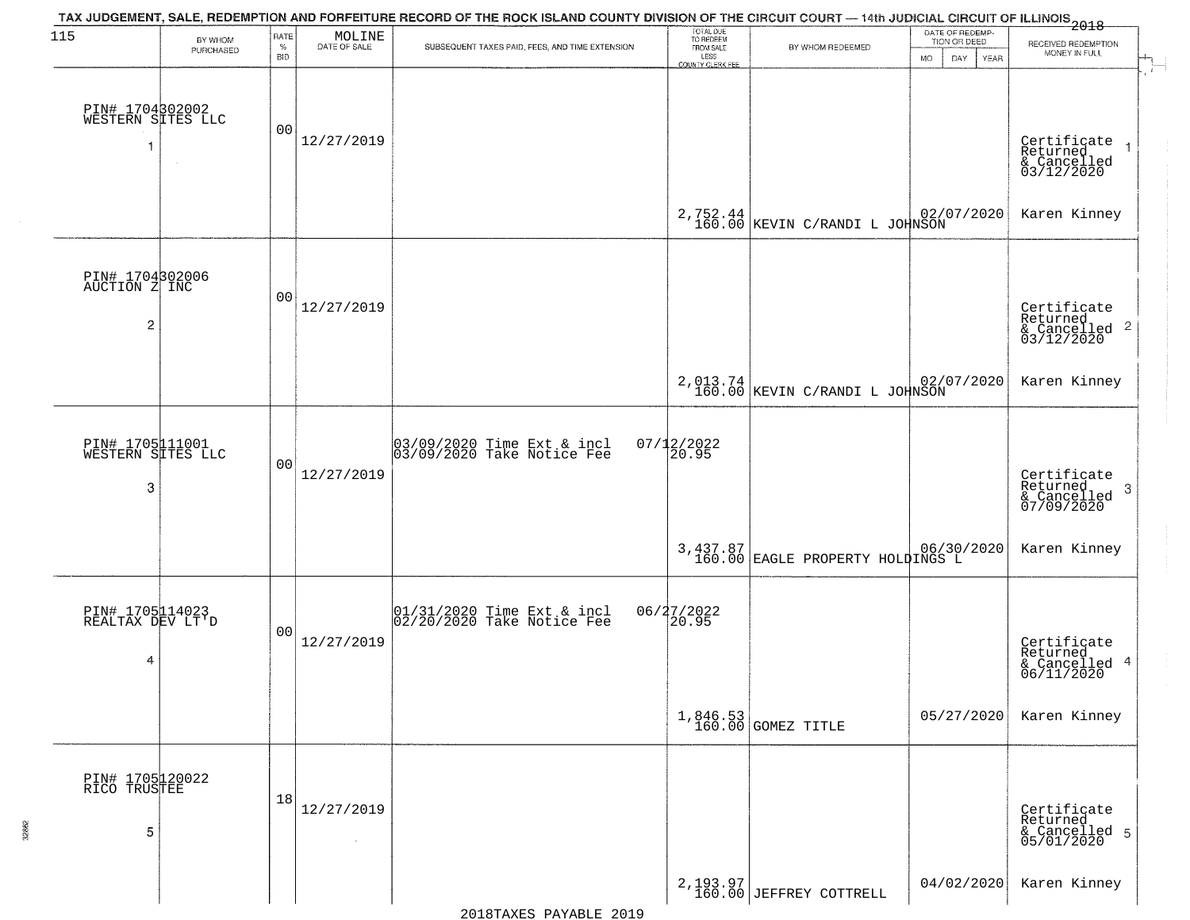| 115                                                | BY WHOM<br>PURCHASED | RATE<br>$\%$<br><b>BID</b> | $\begin{array}{c} \text{MOLINE} \\ \text{DATE of SALE} \end{array}$ | TAX JUDGEMENT, SALE, REDEMPTION AND FORFEITURE RECORD OF THE ROCK ISLAND COUNTY DIVISION OF THE CIRCUIT COURT — 14th JUDICIAL CIRCUIT OF ILLINOIS 2018<br>SUBSEQUENT TAXES PAID, FEES, AND TIME EXTENSION | TOTAL DUE<br>TO REDEEM<br>FROM SALE<br>LESS | BY WHOM REDEEMED                                | DATE OF REDEMP-<br>TION OR DEED<br><b>MO</b><br>DAY<br>YEAR | RECEIVED REDEMPTION<br>MONEY IN FULL                                 |
|----------------------------------------------------|----------------------|----------------------------|---------------------------------------------------------------------|-----------------------------------------------------------------------------------------------------------------------------------------------------------------------------------------------------------|---------------------------------------------|-------------------------------------------------|-------------------------------------------------------------|----------------------------------------------------------------------|
| PIN# 1704302002<br>WESTERN SITES LLC               |                      | 00                         | 12/27/2019                                                          |                                                                                                                                                                                                           | COUNTY CLERK FEE                            |                                                 |                                                             | Certificate<br>Returned<br>& Cancelled<br>03/12/2020                 |
|                                                    |                      |                            |                                                                     |                                                                                                                                                                                                           |                                             | $2,752.44$ 02/(160.00 KEVIN C/RANDI L JOHNSON   | 02/07/2020                                                  | Karen Kinney                                                         |
| PIN# 1704302006<br>AUCTION Z INC<br>$\overline{2}$ |                      | 00                         | 12/27/2019                                                          |                                                                                                                                                                                                           |                                             |                                                 |                                                             | Certificate<br>Returned<br>$\frac{1}{2}$ Cancelled 2<br>03/12/2020   |
|                                                    |                      |                            |                                                                     |                                                                                                                                                                                                           |                                             | $2,013.74$ $02/(160.00$ KEVIN C/RANDI L JOHNSON | 02/07/2020                                                  | Karen Kinney                                                         |
| PIN# 1705111001<br>WESTERN SITES LLC<br>3          |                      | 00                         | 12/27/2019                                                          | 03/09/2020 Time Ext & incl<br>03/09/2020 Take Notice Fee                                                                                                                                                  | 07/12/2022<br>20.95                         |                                                 |                                                             | Certificate<br>Returned<br>$\mathbf{3}$<br>& Cancelled<br>07/09/2020 |
|                                                    |                      |                            |                                                                     |                                                                                                                                                                                                           |                                             | 3,437.87<br>160.00 EAGLE PROPERTY HOLDINGS L    |                                                             | Karen Kinney                                                         |
| PIN# 1705114023<br>REALTAX DEV LT'D<br>4           |                      | 00                         | 12/27/2019                                                          | 01/31/2020 Time Ext & incl<br>02/20/2020 Take Notice Fee                                                                                                                                                  | 06/27/2022<br>20.95                         |                                                 |                                                             | Certificate<br>Returned<br>& Cancelled 4<br>06/11/2020               |
|                                                    |                      |                            |                                                                     |                                                                                                                                                                                                           |                                             | 1,846.53<br>160.00 GOMEZ TITLE                  | 05/27/2020                                                  | Karen Kinney                                                         |
| PIN# 1705120022<br>RICO TRUSTEE<br>5               |                      | 18                         | 12/27/2019<br>$\sim$                                                |                                                                                                                                                                                                           |                                             |                                                 |                                                             | Certificate<br>Returned<br>& Cancelled 5<br>05/01/2020               |
|                                                    |                      |                            |                                                                     |                                                                                                                                                                                                           |                                             | $2,193.97$<br>160.00 JEFFREY COTTRELL           | 04/02/2020                                                  | Karen Kinney                                                         |

32862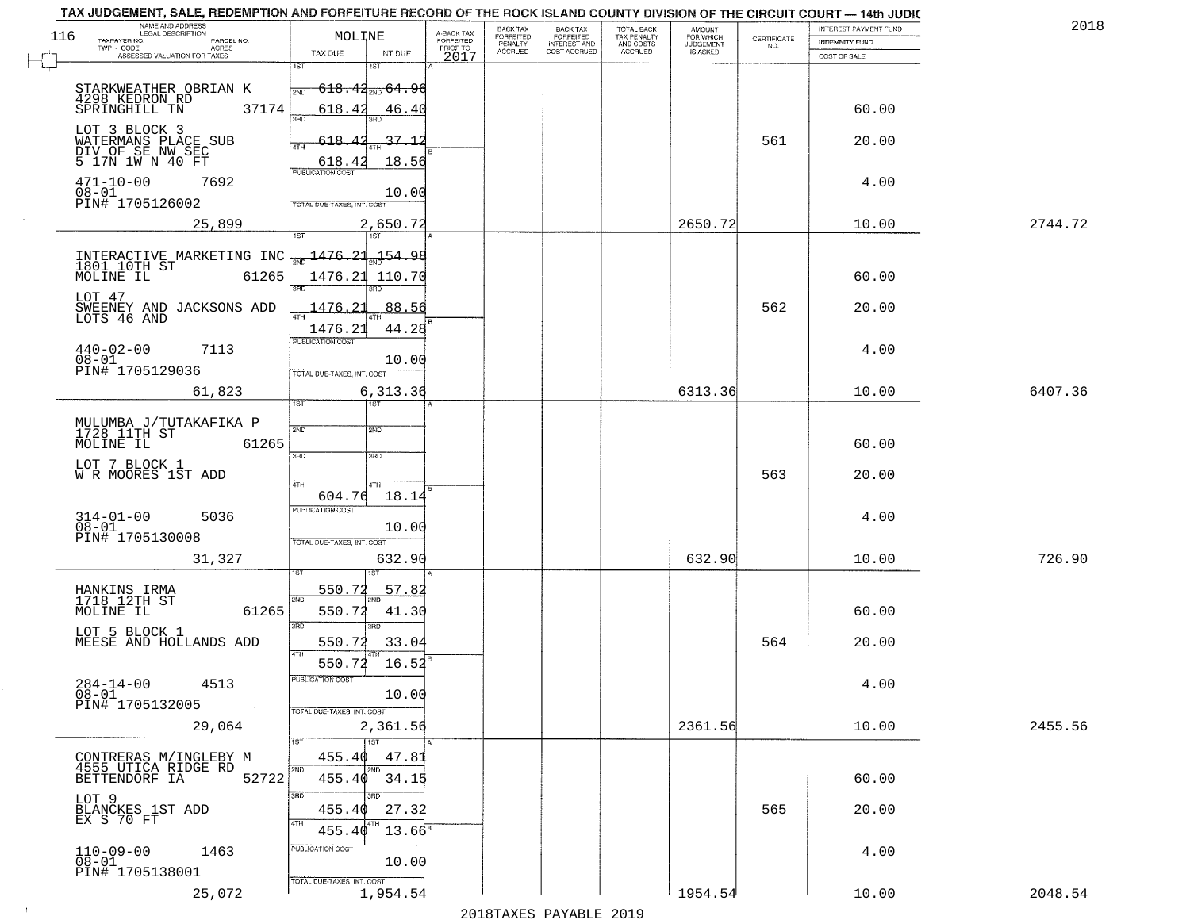| TAX JUDGEMENT, SALE, REDEMPTION AND FORFEITURE RECORD OF THE ROCK ISLAND COUNTY DIVISION OF THE CIRCUIT COURT - 14th JUDIC<br>NAME AND ADDRESS<br>LEGAL DESCRIPTION |                              |                                                                        |                                                       |                                     | BACK TAX             |                                       |                                        |                                         |                                                                 | INTEREST PAYMENT FUND | 2018    |
|---------------------------------------------------------------------------------------------------------------------------------------------------------------------|------------------------------|------------------------------------------------------------------------|-------------------------------------------------------|-------------------------------------|----------------------|---------------------------------------|----------------------------------------|-----------------------------------------|-----------------------------------------------------------------|-----------------------|---------|
| 116<br>TAXPAYER NO.<br>$TWP - CODE$                                                                                                                                 | PARCEL NO.<br>ACRES          | MOLINE                                                                 |                                                       | A-BACK TAX<br>FORFEITED<br>PRIOR TO | FORFEITED<br>PENALTY | BACK TAX<br>FORFEITED<br>INTEREST AND | TOTAL BACK<br>TAX PENALTY<br>AND COSTS | AMOUNT<br>FOR WHICH<br><b>JUDGEMENT</b> | $\begin{array}{c} \text{CERTIFICATE} \\ \text{NO.} \end{array}$ | <b>INDEMNITY FUND</b> |         |
| ASSESSED VALUATION FOR TAXES                                                                                                                                        |                              | TAX DUE                                                                | INT DUE                                               | 2017                                | <b>ACCRUED</b>       | COST ACCRUED                          | <b>ACCRUED</b>                         | IS ASKED                                |                                                                 | COST OF SALE          |         |
| STARKWEATHER OBRIAN K<br>4298 KEDRON RD<br>SPRINGHILL TN                                                                                                            | 37174                        | 1ST<br>618.42                                                          | 18T<br><del>618․42<sub>ଆ</sub>, 64․</del> 9।<br>46.40 |                                     |                      |                                       |                                        |                                         |                                                                 | 60.00                 |         |
| LOT 3 BLOCK 3<br>WATERMANS PLACE SUB<br>DIV OF SE NW SEC                                                                                                            |                              | 350<br>$618 -$<br>4TH                                                  | $-37 - 1$                                             |                                     |                      |                                       |                                        |                                         | 561                                                             | 20.00                 |         |
| 5 17N 1W N 40 FT<br>$471 - 10 - 00$<br>$08 - 01$<br>PIN# 1705126002                                                                                                 | 7692                         | 618.42<br><b>PUBLICATION COST</b><br>TOTAL DUE-TAXES, INT. COST        | 18.56<br>10.00                                        |                                     |                      |                                       |                                        |                                         |                                                                 | 4.00                  |         |
|                                                                                                                                                                     | 25,899                       |                                                                        | 2,650.72                                              |                                     |                      |                                       |                                        | 2650.72                                 |                                                                 | 10.00                 | 2744.72 |
| INTERACTIVE MARKETING INC<br>1801 10TH ST<br>MOLINE IL<br>LOT 47                                                                                                    | 61265                        | 1476.21                                                                | 1ST<br>154.98<br>1476.21 110.70                       |                                     |                      |                                       |                                        |                                         |                                                                 | 60.00                 |         |
| SWEENEY AND JACKSONS ADD<br>LOTS 46 AND<br>$440 - 02 - 00$<br>08-01<br>PIN# 1705129036                                                                              | 7113                         | 1476.21<br>1476.21<br>PUBLICATION COST<br>TOTAL DUE-TAXES, INT. COST   | 88.56<br>44.28<br>10.00                               |                                     |                      |                                       |                                        |                                         | 562                                                             | 20.00<br>4.00         |         |
|                                                                                                                                                                     | 61,823                       |                                                                        | 6,313.36                                              |                                     |                      |                                       |                                        | 6313.36                                 |                                                                 | 10.00                 | 6407.36 |
| MULUMBA J/TUTAKAFIKA P<br>1728 11TH ST<br>MOLINE IL<br>LOT 7 BLOCK 1<br>W R MOORES 1ST ADD                                                                          | 61265                        | 1ST.<br>2ND<br>3BD                                                     | 2ND<br>3 <sub>3</sub>                                 |                                     |                      |                                       |                                        |                                         | 563                                                             | 60.00<br>20.00        |         |
| $314 - 01 - 00$<br>$08 - 01$<br>PIN# 1705130008                                                                                                                     | 5036<br>31,327               | 4TH<br>604.76<br><b>PUBLICATION COST</b><br>TOTAL OUE-TAXES, INT. COST | 4TH<br>18.14<br>10.00<br>632.90                       |                                     |                      |                                       |                                        | 632.90                                  |                                                                 | 4.00<br>10.00         | 726.90  |
| HANKINS IRMA<br>1718 12TH ST<br>MOLINE IL<br>LOT 5 BLOCK 1<br>MEESE AND HOLLANDS ADD                                                                                | 61265                        | <u>550.72</u><br>2ND<br>550.72<br>3RD                                  | 57.82<br>41.30<br>$\overline{3BD}$<br>550.72 33.04    |                                     |                      |                                       |                                        |                                         | 564                                                             | 60.00<br>20.00        |         |
| $284 - 14 - 00$<br>$08 - 01$<br>PIN# 1705132005                                                                                                                     | 4513<br>$\sim 100$<br>29,064 | 4TH<br>PUBLICATION COST<br>TOTAL DUE-TAXES, INT. COST                  | 550.72 16.52<br>10.00<br>2,361.56                     |                                     |                      |                                       |                                        | 2361.56                                 |                                                                 | 4.00<br>10.00         | 2455.56 |
| CONTRERAS M/INGLEBY M<br>4555 UTICA RIDGE RD<br>BETTENDORF IA                                                                                                       | 52722                        | 1ST<br>455.40<br>2ND<br>455.40<br>3RD                                  | 1ST<br>47.81<br>2ND<br>34.15<br>3RD.                  |                                     |                      |                                       |                                        |                                         |                                                                 | 60.00                 |         |
| LOT 9<br>BLANCKES 1ST ADD<br>EX S 70 FT                                                                                                                             |                              | 455.40<br>4TH<br>455.40<br>PUBLICATION COST                            | 27.32<br>$13.66^8$                                    |                                     |                      |                                       |                                        |                                         | 565                                                             | 20.00                 |         |
| $110 - 09 - 00$<br>$08 - 01$<br>PIN# 1705138001                                                                                                                     | 1463<br>25,072               | TOTAL DUE-TAXES, INT. COST                                             | 10.00<br>1,954.54                                     |                                     |                      |                                       |                                        | 1954.54                                 |                                                                 | 4.00<br>10.00         | 2048.54 |

 $\sim 10$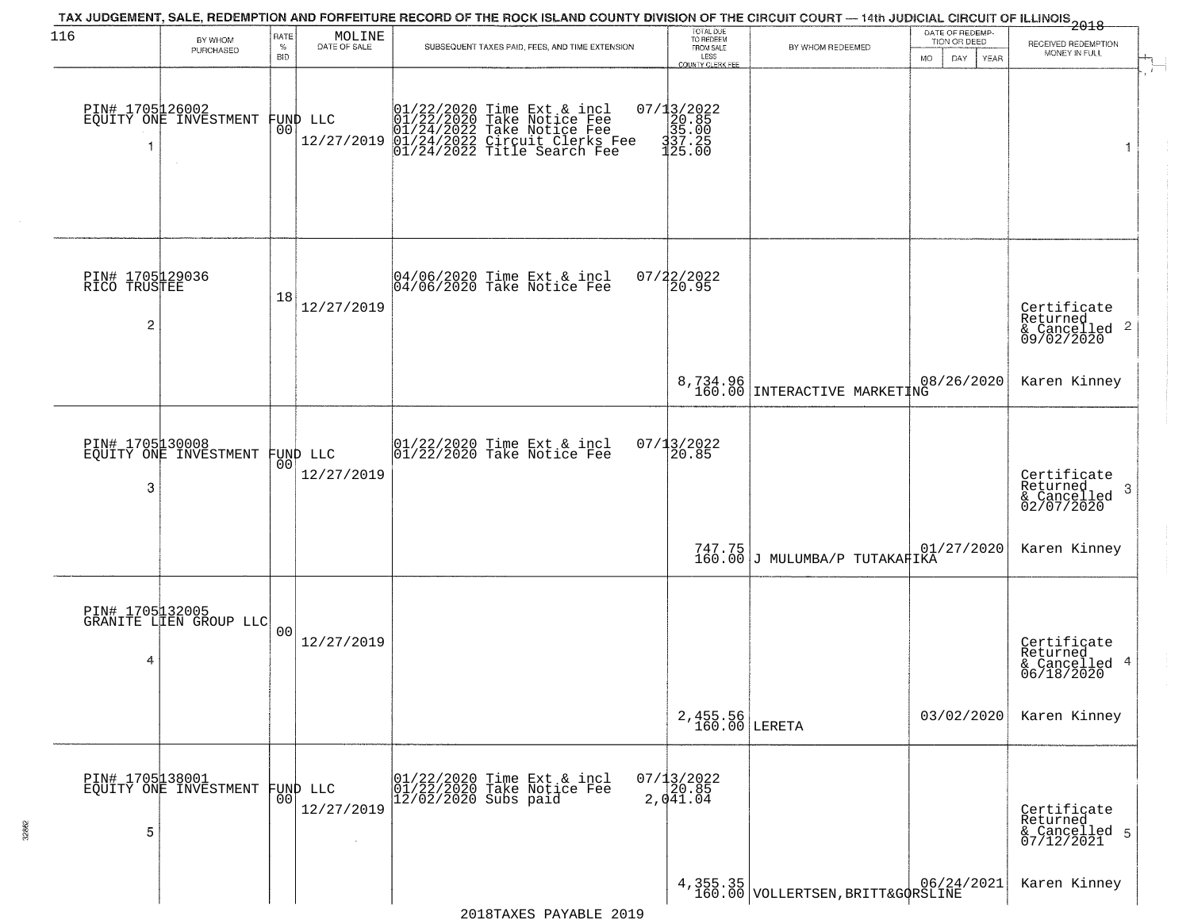| 116                                               | BY WHOM                                   | RATE<br>$\%$   | MOLINE<br>DATE OF SALE         | TAX JUDGEMENT, SALE, REDEMPTION AND FORFEITURE RECORD OF THE ROCK ISLAND COUNTY DIVISION OF THE CIRCUIT COURT — 14th JUDICIAL CIRCUIT OF ILLINOIS 2018<br>SUBSEQUENT TAXES PAID, FEES, AND TIME EXTENSION | TOTAL DUE<br>TO REDEEM<br>FROM SALE                                           | BY WHOM REDEEMED                                                            | DATE OF REDEMP<br>TION OR DEED | RECEIVED REDEMPTION                                                |
|---------------------------------------------------|-------------------------------------------|----------------|--------------------------------|-----------------------------------------------------------------------------------------------------------------------------------------------------------------------------------------------------------|-------------------------------------------------------------------------------|-----------------------------------------------------------------------------|--------------------------------|--------------------------------------------------------------------|
|                                                   | PURCHASED                                 | BID            |                                |                                                                                                                                                                                                           | LESS<br>COUNTY CLERK FEE                                                      |                                                                             | <b>MO</b><br>DAY<br>YEAR       | MONEY IN FULL                                                      |
| PIN# 1705126002                                   | EQUITY ONE INVESTMENT                     |                | FUND LLC<br> 00 <br>12/27/2019 | $01/22/2020$ Time Ext & incl<br>$01/22/2020$ Take Notice Fee<br>$01/24/2022$ Take Notice Fee<br>$01/24/2022$ Circuit Clerks Fee<br>$01/24/2022$ Title Search Fee                                          | $=\begin{bmatrix} 07/13/2022\\ 20.85\\ 35.00\\ 337.25\\ 125.00 \end{bmatrix}$ |                                                                             |                                |                                                                    |
| PIN# 1705129036<br>RICO TRUSTEE<br>$\overline{c}$ |                                           | 18             | 12/27/2019                     | 04/06/2020 Time Ext & incl<br>04/06/2020 Take Notice Fee                                                                                                                                                  | 07/22/2022<br>20.95                                                           |                                                                             |                                | Certificate<br>Returned<br>$\frac{1}{6}$ Cancelled 2<br>09/02/2020 |
|                                                   |                                           |                |                                |                                                                                                                                                                                                           |                                                                               | 8,734.96<br>160.00 INTERACTIVE MARKETING                                    | 08/26/2020                     | Karen Kinney                                                       |
| PIN# 1705130008<br>3                              | EQUITY ONE INVESTMENT                     | 0 <sup>0</sup> | FUND LLC<br>12/27/2019         | 01/22/2020 Time Ext & incl<br>01/22/2020 Take Notice Fee                                                                                                                                                  | 07/13/2022<br>20.85                                                           |                                                                             |                                | Certificate<br>Returned<br>3<br>& Cancelled<br>02/07/2020          |
|                                                   |                                           |                |                                |                                                                                                                                                                                                           |                                                                               | $\begin{array}{c c} 747.75 & \text{U1} \\ 160.00 & \text{J} \\ \end{array}$ | 01/27/2020                     | Karen Kinney                                                       |
| 4                                                 | PIN# 1705132005<br>GRANITE LIEN GROUP LLC | 0 <sub>0</sub> | 12/27/2019                     |                                                                                                                                                                                                           |                                                                               |                                                                             |                                | Certificate<br>Returned<br>& Cancelled 4<br>06/18/2020             |
|                                                   |                                           |                |                                |                                                                                                                                                                                                           | 2,455.56<br>160.00 LERETA                                                     |                                                                             | 03/02/2020                     | Karen Kinney                                                       |
| PIN# 1705138001<br>5                              | EQUITY ONE INVESTMENT                     | 0 <sup>0</sup> | FUND LLC<br>12/27/2019         | 01/22/2020 Time Ext & incl<br>01/22/2020 Take Notice Fee<br>$12/02/2020$ Subs paid                                                                                                                        | $07/13/2022$<br>20.85<br>2,041.04                                             |                                                                             |                                | Certificate<br>Returned<br>& Cancelled 5<br>07/12/2021             |
|                                                   |                                           |                |                                |                                                                                                                                                                                                           |                                                                               | $4,355.35$<br>160.00 VOLLERTSEN, BRITT&GQRSLINE                             |                                | Karen Kinney                                                       |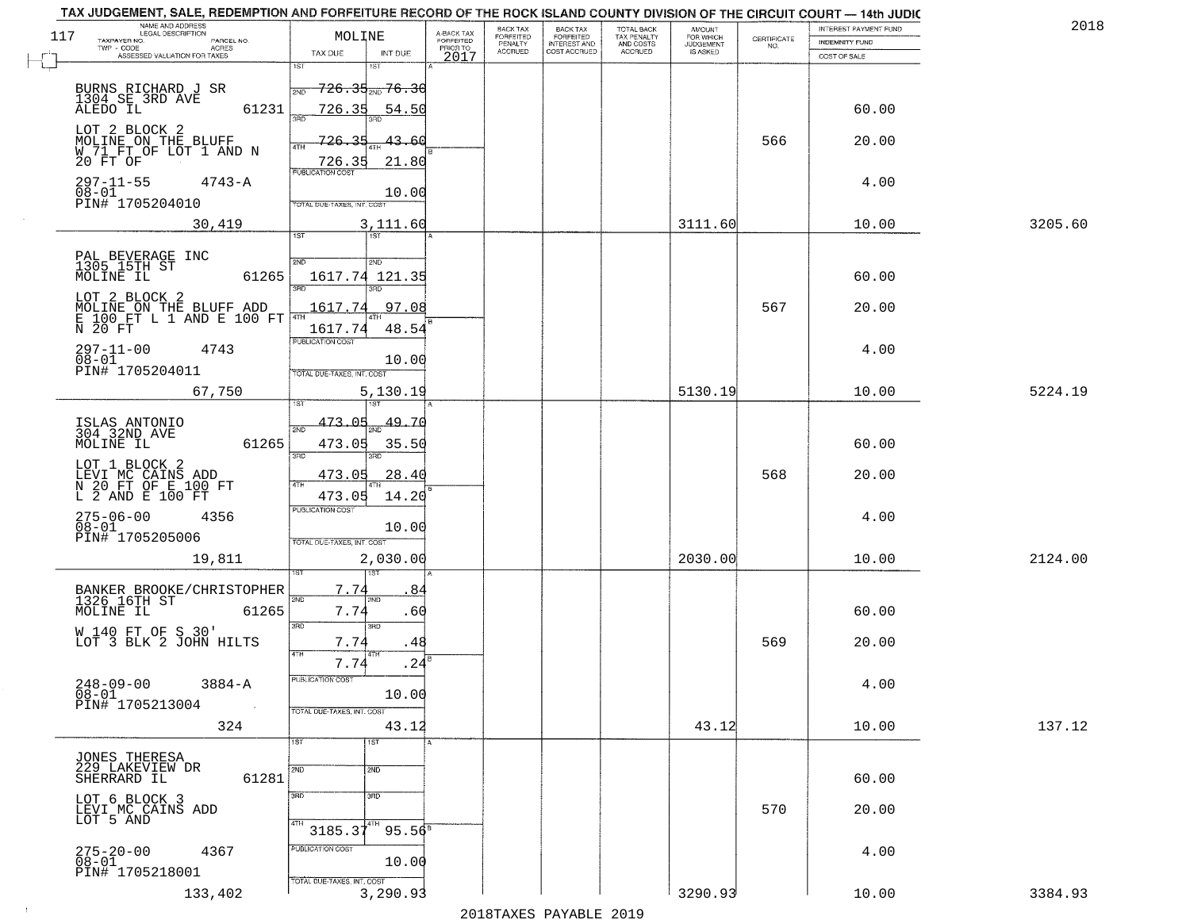|     | TAX JUDGEMENT, SALE, REDEMPTION AND FORFEITURE RECORD OF THE ROCK ISLAND COUNTY DIVISION OF THE CIRCUIT COURT — 14th JUDIC<br>NAME AND ADDRESS<br>LEGAL DESCRIPTION |                             |                           |                                     | BACK TAX                        |                                                       |                                                   | <b>AMOUNT</b>                      |                    | INTEREST PAYMENT FUND | 2018    |
|-----|---------------------------------------------------------------------------------------------------------------------------------------------------------------------|-----------------------------|---------------------------|-------------------------------------|---------------------------------|-------------------------------------------------------|---------------------------------------------------|------------------------------------|--------------------|-----------------------|---------|
| 117 | TAXPAYER NO.<br>PARCEL NO.<br>$TWP - CODE$<br><b>ACRES</b><br>ASSESSED VALUATION FOR TAXES                                                                          | MOLINE<br>TAX DUE           | INT DUE                   | A-BACK TAX<br>FORFEITED<br>PRIOR TO | FORFEITED<br>PENALTY<br>ACCRUED | BACK TAX<br>FORFEITED<br>INTEREST AND<br>COST ACCRUED | TOTAL BACK<br>TAX PENALTY<br>AND COSTS<br>ACCRUED | FOR WHICH<br>JUDGEMENT<br>IS ASKED | CERTIFICATE<br>NO. | INDEMNITY FUND        |         |
|     |                                                                                                                                                                     | $\overline{1ST}$            | 1ST                       | 2017                                |                                 |                                                       |                                                   |                                    |                    | COST OF SALE          |         |
|     | BURNS RICHARD J SR<br>1304 SE 3RD AVE                                                                                                                               | 2ND                         | <del>726.35,,,76.30</del> |                                     |                                 |                                                       |                                                   |                                    |                    |                       |         |
|     | ALEDO IL<br>61231                                                                                                                                                   | 726.35<br>san               | 54.50                     |                                     |                                 |                                                       |                                                   |                                    |                    | 60.00                 |         |
|     | LOT 2 BLOCK 2<br>MOLINE ON THE BLUFF                                                                                                                                | 726<br>35                   | 43.<br>-61                |                                     |                                 |                                                       |                                                   |                                    | 566                | 20.00                 |         |
|     | W 71 FT OF LOT 1 AND N<br>20 FT OF                                                                                                                                  | 4TH<br>726.35               | 21.80                     |                                     |                                 |                                                       |                                                   |                                    |                    |                       |         |
|     | $297 - 11 - 55$<br>$4743 - A$                                                                                                                                       | <b>PUBLICATION COST</b>     |                           |                                     |                                 |                                                       |                                                   |                                    |                    | 4.00                  |         |
|     | $08 - 01$<br>PIN# 1705204010                                                                                                                                        | TOTAL DUE-TAXES, INT, COST  | 10.00                     |                                     |                                 |                                                       |                                                   |                                    |                    |                       |         |
|     | 30,419                                                                                                                                                              |                             | 3,111.60                  |                                     |                                 |                                                       |                                                   | 3111.60                            |                    | 10.00                 | 3205.60 |
|     |                                                                                                                                                                     | 1ST                         | 1ST <sup>1</sup>          |                                     |                                 |                                                       |                                                   |                                    |                    |                       |         |
|     | PAL BEVERAGE INC<br>1305 15TH ST<br>MOLINE IL<br>61265                                                                                                              | 2ND                         | 2ND<br>1617.74 121.35     |                                     |                                 |                                                       |                                                   |                                    |                    | 60.00                 |         |
|     | LOT 2 BLOCK 2                                                                                                                                                       | ब्रह्म                      |                           |                                     |                                 |                                                       |                                                   |                                    |                    |                       |         |
|     | MOLINE ON THE BLUFF ADD<br>E 100 FT L 1 AND E 100 FT                                                                                                                | 1617.74                     | 97.08                     |                                     |                                 |                                                       |                                                   |                                    | 567                | 20.00                 |         |
|     | $\overline{N}$ 20 $\overline{FT}$                                                                                                                                   | 1617.74<br>PUBLICATION COST | 48.54                     |                                     |                                 |                                                       |                                                   |                                    |                    |                       |         |
|     | 297-11-00<br>4743<br>$08 - 01$                                                                                                                                      |                             | 10.00                     |                                     |                                 |                                                       |                                                   |                                    |                    | 4.00                  |         |
|     | PIN# 1705204011                                                                                                                                                     | TOTAL DUE-TAXES, INT. COST  |                           |                                     |                                 |                                                       |                                                   |                                    |                    |                       |         |
|     | 67,750                                                                                                                                                              |                             | 5,130.19                  |                                     |                                 |                                                       |                                                   | 5130.19                            |                    | 10.00                 | 5224.19 |
|     | ISLAS ANTONIO<br>304 32ND AVE                                                                                                                                       | 473.05<br>2ND               | $\frac{49.70}{200}$       |                                     |                                 |                                                       |                                                   |                                    |                    |                       |         |
|     | 61265<br>MOLINE IL                                                                                                                                                  | 473.05<br>3RD               | 35.50<br>3RD              |                                     |                                 |                                                       |                                                   |                                    |                    | 60.00                 |         |
|     | LOT 1 BLOCK 2                                                                                                                                                       | 473.05                      | 28.40                     |                                     |                                 |                                                       |                                                   |                                    | 568                | 20.00                 |         |
|     | LEVI MC CAINS ADD<br>N 20 FT OF E 100 FT<br>L 2 AND E 100 FT                                                                                                        | 4TH<br>473.05               | 14.20                     |                                     |                                 |                                                       |                                                   |                                    |                    |                       |         |
|     | 275-06-00<br>08-01<br>4356                                                                                                                                          | <b>PUBLICATION COST</b>     |                           |                                     |                                 |                                                       |                                                   |                                    |                    | 4.00                  |         |
|     | PIN# 1705205006                                                                                                                                                     | TOTAL OUE-TAXES, INT. COST  | 10.00                     |                                     |                                 |                                                       |                                                   |                                    |                    |                       |         |
|     | 19,811                                                                                                                                                              |                             | 2,030.00                  |                                     |                                 |                                                       |                                                   | 2030.00                            |                    | 10.00                 | 2124.00 |
|     |                                                                                                                                                                     | 7.74                        | 84                        |                                     |                                 |                                                       |                                                   |                                    |                    |                       |         |
|     | BANKER BROOKE/CHRISTOPHER<br>1326 16TH ST<br>61265<br>MOLINE IL                                                                                                     | 2ND<br>7.74                 | 2MD<br>.60                |                                     |                                 |                                                       |                                                   |                                    |                    | 60.00                 |         |
|     | W 140 FT OF S 30'                                                                                                                                                   | 3RD                         | 3RD                       |                                     |                                 |                                                       |                                                   |                                    |                    |                       |         |
|     | LOT 3 BLK 2 JOHN HILTS                                                                                                                                              | 7.74<br>4TH                 | . 48                      |                                     |                                 |                                                       |                                                   |                                    | 569                | 20.00                 |         |
|     |                                                                                                                                                                     | 7.74<br>PUBLICATION COST    | .24                       |                                     |                                 |                                                       |                                                   |                                    |                    |                       |         |
|     | $248 - 09 - 00$<br>$08 - 01$<br>$3884 - A$                                                                                                                          |                             | 10.00                     |                                     |                                 |                                                       |                                                   |                                    |                    | 4.00                  |         |
|     | PIN# 1705213004                                                                                                                                                     | TOTAL DUE-TAXES, INT. COST  |                           |                                     |                                 |                                                       |                                                   |                                    |                    |                       | 137.12  |
|     | 324                                                                                                                                                                 | 1ST                         | 43.12<br>1ST              |                                     |                                 |                                                       |                                                   | 43.12                              |                    | 10.00                 |         |
|     | JONES THERESA<br>229 LAKEVIEW DR                                                                                                                                    | 2ND                         | 2ND                       |                                     |                                 |                                                       |                                                   |                                    |                    |                       |         |
|     | 61281<br>SHERRARD IL                                                                                                                                                |                             |                           |                                     |                                 |                                                       |                                                   |                                    |                    | 60.00                 |         |
|     | LOT 6 BLOCK 3                                                                                                                                                       | 3BD                         | 3 <sub>BD</sub>           |                                     |                                 |                                                       |                                                   |                                    | 570                | 20.00                 |         |
|     | LEVI MC CAINS ADD<br>LOT 5 AND                                                                                                                                      | 4TH<br>$3185.37^{4}$        | $95.56^{\circ}$           |                                     |                                 |                                                       |                                                   |                                    |                    |                       |         |
|     | $275 - 20 - 00$<br>4367                                                                                                                                             | PUBLICATION COST            |                           |                                     |                                 |                                                       |                                                   |                                    |                    | 4.00                  |         |
|     | $08 - 01$<br>PIN# 1705218001                                                                                                                                        | TOTAL DUE-TAXES, INT. COST  | 10.00                     |                                     |                                 |                                                       |                                                   |                                    |                    |                       |         |
|     | 133,402                                                                                                                                                             |                             | 3,290.93                  |                                     |                                 |                                                       |                                                   | 3290.93                            |                    | 10.00                 | 3384.93 |

 $\sim 100$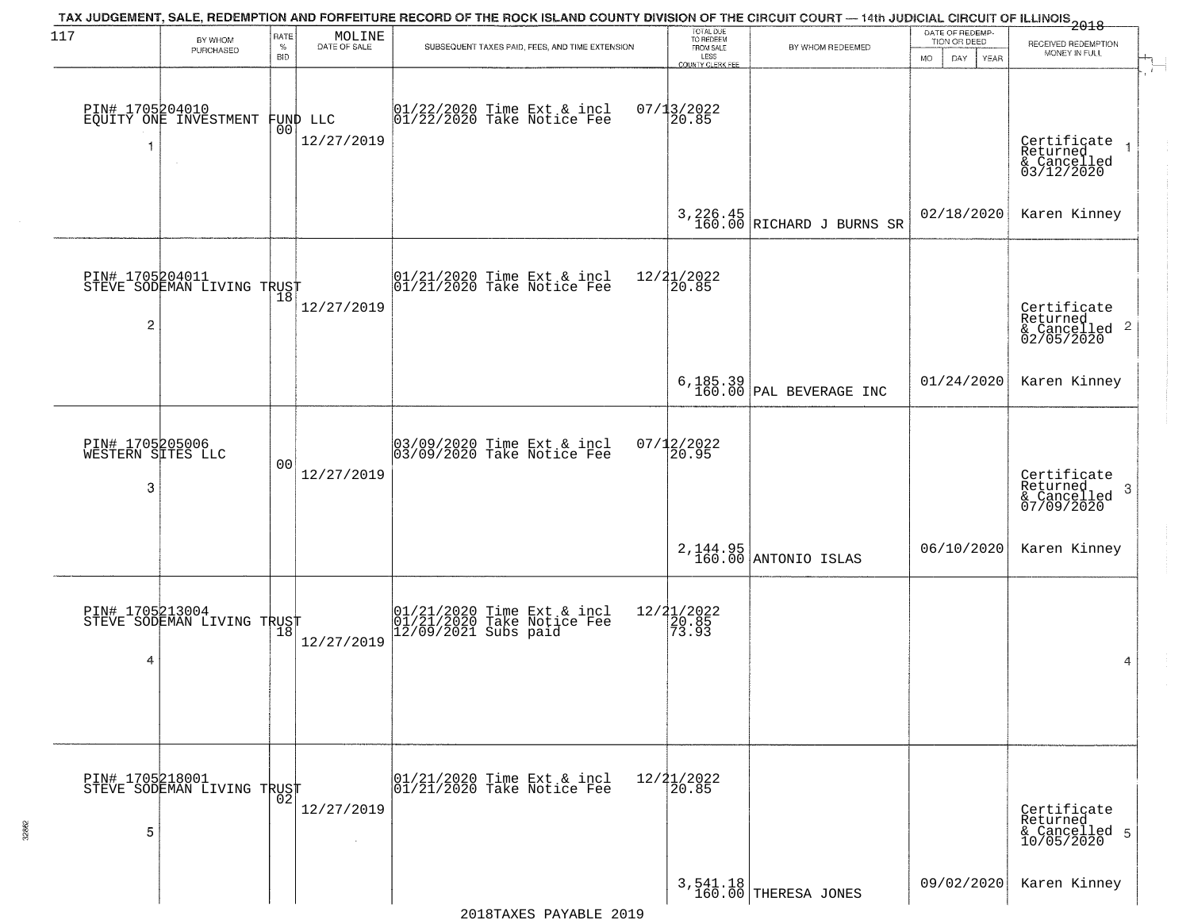| 117                                       | BY WHOM                                           | RATE               | MOLINE                 | TAX JUDGEMENT, SALE, REDEMPTION AND FORFEITURE RECORD OF THE ROCK ISLAND COUNTY DIVISION OF THE CIRCUIT COURT — 14th JUDICIAL CIRCUIT OF ILLINOIS 2018 | TOTAL DUE<br>TO REDEEM                                       |                                         | DATE OF REDEMP<br>TION OR DEED |                                                                      |
|-------------------------------------------|---------------------------------------------------|--------------------|------------------------|--------------------------------------------------------------------------------------------------------------------------------------------------------|--------------------------------------------------------------|-----------------------------------------|--------------------------------|----------------------------------------------------------------------|
|                                           | PURCHASED                                         | $\%$<br><b>BID</b> | DATE OF SALE           | SUBSEQUENT TAXES PAID, FEES, AND TIME EXTENSION                                                                                                        | FROM SALE<br>LESS<br><b>COUNTY CLERK FEE</b>                 | BY WHOM REDEEMED                        | DAY.<br><b>YEAR</b><br>MO.     | RECEIVED REDEMPTION<br>MONEY IN FULL                                 |
| -1                                        | PIN# 1705204010<br>EQUITY ONE INVESTMENT          | 00                 | FUND LLC<br>12/27/2019 | 01/22/2020 Time Ext & incl<br>01/22/2020 Take Notice Fee                                                                                               | $07/13/2022$<br>20.85                                        |                                         |                                | Certificate<br>Returned<br>& Cancelled<br>03/12/2020                 |
|                                           |                                                   |                    |                        |                                                                                                                                                        |                                                              | $3,226.45$<br>160.00 RICHARD J BURNS SR | 02/18/2020                     | Karen Kinney                                                         |
| 2                                         | PIN# 1705204011<br>STEVE SODEMAN LIVING TRUST     |                    | 12/27/2019             | 01/21/2020 Time Ext & incl<br>01/21/2020 Take Notice Fee                                                                                               | 12/21/2022<br>20.85                                          |                                         |                                | Certificate<br>Returned<br>$\frac{1}{6}$ Cancelled 2<br>02/05/2020   |
|                                           |                                                   |                    |                        |                                                                                                                                                        |                                                              | $6,185.39$<br>160.00 PAL BEVERAGE INC   | 01/24/2020                     | Karen Kinney                                                         |
| PIN# 1705205006<br>WESTERN SITES LLC<br>3 |                                                   | 00                 | 12/27/2019             | 03/09/2020 Time Ext & incl<br>03/09/2020 Take Notice Fee                                                                                               | 07/12/2022<br>20.95                                          |                                         |                                | Certificate<br>Returned<br>$\mathbf{3}$<br>& Cancelled<br>07/09/2020 |
|                                           |                                                   |                    |                        |                                                                                                                                                        |                                                              | 2,144.95<br>160.00 ANTONIO ISLAS        | 06/10/2020                     | Karen Kinney                                                         |
| 4                                         | PIN# 1705213004<br>STEVE SODEMAN LIVING TRUST     |                    | 12/27/2019             | 01/21/2020 Time Ext & incl<br>01/21/2020 Take Notice Fee<br>12/09/2021 Subs paid                                                                       | 12/21/2022<br>$\left[\frac{26}{7}\right.\right.^85$<br>73.93 |                                         |                                | 4                                                                    |
| 5                                         | PIN# 1705218001    <br>STEVE SODEMAN LIVING TRUST | 02                 | 12/27/2019             | 01/21/2020 Time Ext & incl<br>01/21/2020 Take Notice Fee                                                                                               | $12/21/2022$<br>20.85                                        |                                         |                                | Certificate<br>Returned<br>& Cancelled 5<br>10/05/2020               |
|                                           |                                                   |                    |                        |                                                                                                                                                        |                                                              | 3,541.18<br>160.00 THERESA JONES        | 09/02/2020                     | Karen Kinney                                                         |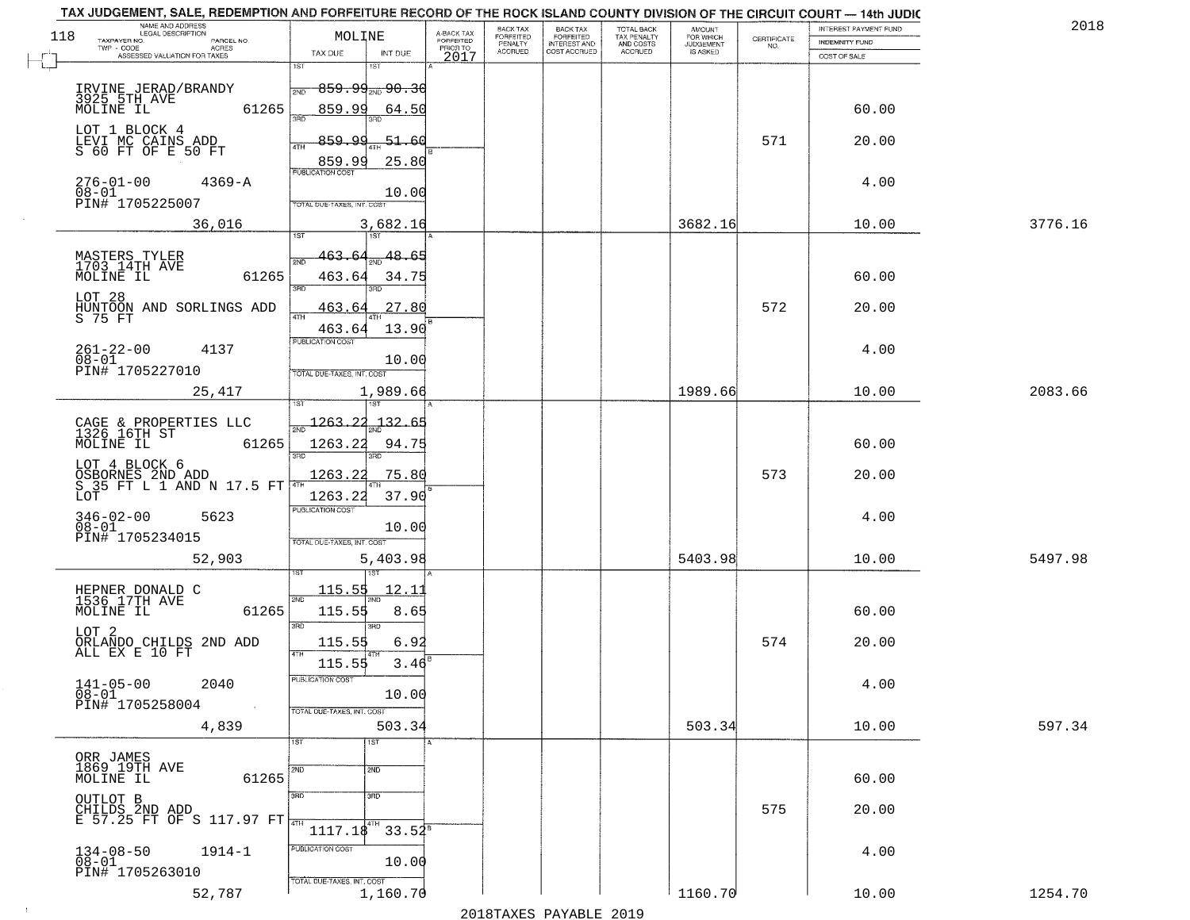| 118 | NAME AND ADDRESS<br>LEGAL DESCRIPTION<br>TAXPAYER NO.             | MOLINE                      |                                       | A-BACK TAX            | BACK TAX<br>FORFEITED | <b>BACK TAX</b><br><b>FORFEITED</b> | TOTAL BACK<br>TAX PENALTY | <b>AMOUNT</b>                      | CERTIFICATE | INTEREST PAYMENT FUND | 2018    |
|-----|-------------------------------------------------------------------|-----------------------------|---------------------------------------|-----------------------|-----------------------|-------------------------------------|---------------------------|------------------------------------|-------------|-----------------------|---------|
|     | PARCEL NO.<br>TWP - CODE<br>ACRES<br>ASSESSED VALUATION FOR TAXES | TAX DUE                     | INT DUE                               | FORFEITED<br>PRIOR TO | PENALTY<br>ACCRUED    | INTEREST AND<br>COST ACCRUED        | AND COSTS<br>ACCRUED      | FOR WHICH<br>JUDGEMENT<br>IS ASKED | NO.         | <b>INDEMNITY FUND</b> |         |
|     |                                                                   | 1ST                         | 181                                   | 2017                  |                       |                                     |                           |                                    |             | COST OF SALE          |         |
|     | IRVINE JERAD/BRANDY<br>3925 5TH AVE                               | 2ND                         | <del>859.99<sub>2ND</sub> 90.30</del> |                       |                       |                                     |                           |                                    |             |                       |         |
|     | MOLINE IL<br>61265                                                | 859.99<br>29F)              | 64.50<br>3BD                          |                       |                       |                                     |                           |                                    |             | 60.00                 |         |
|     | LOT 1 BLOCK 4                                                     | <u>859.99</u>               | $-51.60$                              |                       |                       |                                     |                           |                                    | 571         | 20.00                 |         |
|     | LEVI MC CAINS ADD<br>S 60 FT OF E 50 FT                           | 4TH<br>859.99               | 25.80                                 |                       |                       |                                     |                           |                                    |             |                       |         |
|     | $276 - 01 - 00$<br>$4369 - A$                                     | PUBLICATION COST            |                                       |                       |                       |                                     |                           |                                    |             | 4.00                  |         |
|     | $08 - 01$<br>PIN# 1705225007                                      | TOTAL DUE-TAXES, INT. COS   | 10.00                                 |                       |                       |                                     |                           |                                    |             |                       |         |
|     | 36,016                                                            | 1ST                         | 3,682.16<br>$\overline{151}$          |                       |                       |                                     |                           | 3682.16                            |             | 10.00                 | 3776.16 |
|     |                                                                   | 463.<br>64<br>2ND           | 48.65                                 |                       |                       |                                     |                           |                                    |             |                       |         |
|     | MASTERS TYLER<br>1703 14TH AVE<br>MOLINE IL<br>61265              | 463.64                      | 34.75                                 |                       |                       |                                     |                           |                                    |             | 60.00                 |         |
|     | LOT 28                                                            | 3RD<br>463                  | 27.80                                 |                       |                       |                                     |                           |                                    | 572         | 20.00                 |         |
|     | HUNTOON AND SORLINGS ADD<br>S 75 FT                               | 47H<br>463.64               | 13.90                                 |                       |                       |                                     |                           |                                    |             |                       |         |
|     | $261 - 22 - 00$<br>4137                                           | PUBLICATION COST            |                                       |                       |                       |                                     |                           |                                    |             | 4.00                  |         |
|     | $\overline{08} - \overline{01}$<br>PIN# 1705227010                | TOTAL DUE-TAXES, INT. COST  | 10.00                                 |                       |                       |                                     |                           |                                    |             |                       |         |
|     | 25,417                                                            |                             | 1,989.66                              |                       |                       |                                     |                           | 1989.66                            |             | 10.00                 | 2083.66 |
|     |                                                                   | 1263.22                     | . 1. 3. 2<br><u>آ کا</u>              |                       |                       |                                     |                           |                                    |             |                       |         |
|     | CAGE & PROPERTIES LLC<br>1326 16TH ST<br>61265<br>MOLINE IL       | 1263.22                     | 94.75                                 |                       |                       |                                     |                           |                                    |             | 60.00                 |         |
|     | LOT 4 BLOCK 6                                                     | 3BD                         |                                       |                       |                       |                                     |                           |                                    |             |                       |         |
|     | OSBORNES 2ND ADD<br>S 35 FT L 1 AND N 17.5 FT<br>LOT              | 1263.22<br>1263.22          | 75.80<br>37.90                        |                       |                       |                                     |                           |                                    | 573         | 20.00                 |         |
|     | 5623                                                              | <b>PUBLICATION COST</b>     |                                       |                       |                       |                                     |                           |                                    |             | 4.00                  |         |
|     | $346 - 02 - 00$<br>$08 - 01$<br>PIN# 1705234015                   | TOTAL OUE-TAXES, INT. COST  | 10.00                                 |                       |                       |                                     |                           |                                    |             |                       |         |
|     | 52,903                                                            |                             | 5,403.98                              |                       |                       |                                     |                           | 5403.98                            |             | 10.00                 | 5497.98 |
|     |                                                                   | 115.55                      | <u> 12.1</u>                          |                       |                       |                                     |                           |                                    |             |                       |         |
|     | HEPNER DONALD C<br>1536 17TH AVE<br>MOLINE IL<br>61265            | 2ND<br>115.55               | 8.65                                  |                       |                       |                                     |                           |                                    |             | 60.00                 |         |
|     | LOT <sub>2</sub>                                                  | 3RD                         | 3RD                                   |                       |                       |                                     |                           |                                    |             |                       |         |
|     | ORLANDO CHILDS 2ND ADD<br>ALL EX E 10 FT                          | 115.55<br>4TH               | 6.92                                  |                       |                       |                                     |                           |                                    | 574         | 20.00                 |         |
|     | $141 - 05 - 00$<br>2040                                           | 115.55<br>PUBLICATION COST  | 3.46                                  |                       |                       |                                     |                           |                                    |             | 4.00                  |         |
|     | 08-01<br>PIN# 1705258004<br>$\sim 10$                             | TOTAL DUE-TAXES, INT. COST  | 10.00                                 |                       |                       |                                     |                           |                                    |             |                       |         |
|     | 4,839                                                             |                             | 503.34                                |                       |                       |                                     |                           | 503.34                             |             | 10.00                 | 597.34  |
|     |                                                                   | 1ST                         | 1ST                                   |                       |                       |                                     |                           |                                    |             |                       |         |
|     | ORR JAMES<br>1869 19TH AVE<br>MOLINE IL<br>61265                  | 2ND                         | 2ND                                   |                       |                       |                                     |                           |                                    |             | 60.00                 |         |
|     | OUTLOT B                                                          | 3RD                         | 3 <sub>BD</sub>                       |                       |                       |                                     |                           |                                    |             |                       |         |
|     | CHILDS 2ND ADD<br>E 57.25 FT OF S 117.97 FT                       |                             | l4ТH                                  |                       |                       |                                     |                           |                                    | 575         | 20.00                 |         |
|     | $134 - 08 - 50$<br>$1914 - 1$                                     | 1117.18<br>PUBLICATION COST | $33.54^8$                             |                       |                       |                                     |                           |                                    |             | 4.00                  |         |
|     | $08 - 01$<br>PIN# 1705263010                                      |                             | 10.00                                 |                       |                       |                                     |                           |                                    |             |                       |         |
|     | 52,787                                                            | TOTAL DUE-TAXES, INT. COST  | 1,160.70                              |                       |                       |                                     |                           | 1160.70                            |             | 10.00                 | 1254.70 |

 $\sim 100$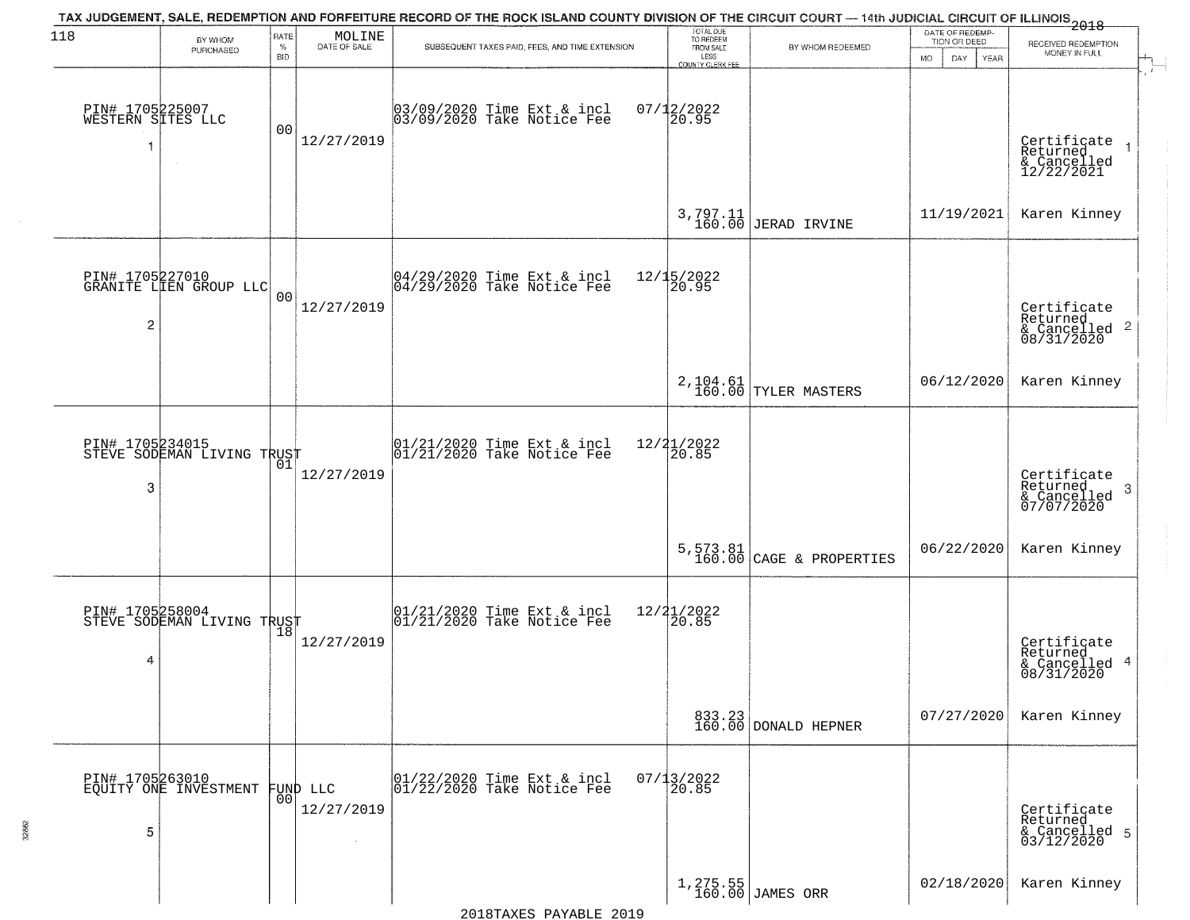| 118                                       | BY WHOM<br>PURCHASED                      | RATE<br>$\%$<br><b>BID</b> | MOLINE<br>DATE OF SALE         | TAX JUDGEMENT, SALE, REDEMPTION AND FORFEITURE RECORD OF THE ROCK ISLAND COUNTY DIVISION OF THE CIRCUIT COURT — 14th JUDICIAL CIRCUIT OF ILLINOIS 2018<br>SUBSEQUENT TAXES PAID, FEES, AND TIME EXTENSION | TOTAL DUE<br>TO REDEEM<br>FROM SALE<br>LESS      | BY WHOM REDEEMED                  | DATE OF REDEMP-<br>TION OR DEED<br><b>MO</b><br>DAY<br>YEAR | RECEIVED REDEMPTION<br>MONEY IN FULL                               |
|-------------------------------------------|-------------------------------------------|----------------------------|--------------------------------|-----------------------------------------------------------------------------------------------------------------------------------------------------------------------------------------------------------|--------------------------------------------------|-----------------------------------|-------------------------------------------------------------|--------------------------------------------------------------------|
| PIN# 1705225007<br>WESTERN SITES LLC<br>1 | $\sim$                                    | 00                         | 12/27/2019                     | 03/09/2020 Time Ext & incl<br>03/09/2020 Take Notice Fee                                                                                                                                                  | <b>COUNTY CLERK FEE</b><br>$07/12/2022$<br>20.95 |                                   |                                                             | Certificate<br>Returned<br>& Cancelled<br>12/22/2021               |
|                                           |                                           |                            |                                |                                                                                                                                                                                                           | $3,797.11$<br>$160.00$                           | JERAD IRVINE                      | 11/19/2021                                                  | Karen Kinney                                                       |
| 2                                         | PIN# 1705227010<br>GRANITE LIEN GROUP LLC | 0 <sub>0</sub>             | 12/27/2019                     | 04/29/2020 Time Ext & incl<br>04/29/2020 Take Notice Fee                                                                                                                                                  | 12/15/2022<br>20.95                              |                                   |                                                             | Certificate<br>Returned<br>$\frac{1}{6}$ Cancelled 2<br>08/31/2020 |
|                                           |                                           |                            |                                |                                                                                                                                                                                                           |                                                  | 2, 104.61<br>160.00 TYLER MASTERS | 06/12/2020                                                  | Karen Kinney                                                       |
| PIN# 1705234015<br>3                      | STEVE SODEMAN LIVING TRUST                | 01                         | 12/27/2019                     | $01/21/2020$ Time Ext & incl<br>$01/21/2020$ Take Notice Fee                                                                                                                                              | 12/21/2022<br>20.85                              |                                   |                                                             | Certificate<br>Returned<br>3<br>& Cancelled<br>07/07/2020          |
|                                           |                                           |                            |                                |                                                                                                                                                                                                           |                                                  | $5,573.81$ (CAGE & PROPERTIES     | 06/22/2020                                                  | Karen Kinney                                                       |
| PIN# 1705258004<br>4                      | STEVE SODEMAN LIVING TRUST                |                            | 12/27/2019                     | 01/21/2020 Time Ext & incl<br>01/21/2020 Take Notice Fee                                                                                                                                                  | 12/21/2022<br>20.85                              |                                   |                                                             | Certificate<br>Returned<br>& Cancelled 4<br>08/31/2020             |
|                                           |                                           |                            |                                |                                                                                                                                                                                                           |                                                  | 833.23<br>160.00 DONALD HEPNER    | 07/27/2020                                                  | Karen Kinney                                                       |
| 5                                         | PIN# 1705263010<br>EQUITY ONE INVESTMENT  |                            | FUND LLC<br> 00 <br>12/27/2019 | 01/22/2020 Time Ext & incl<br>01/22/2020 Take Notice Fee                                                                                                                                                  | $07/13/2022$<br>20.85                            |                                   |                                                             | Certificate<br>Returned<br>& Cancelled 5<br>03/12/2020             |
|                                           |                                           |                            |                                |                                                                                                                                                                                                           |                                                  | 1,275.55<br>160.00 JAMES ORR      | 02/18/2020                                                  | Karen Kinney                                                       |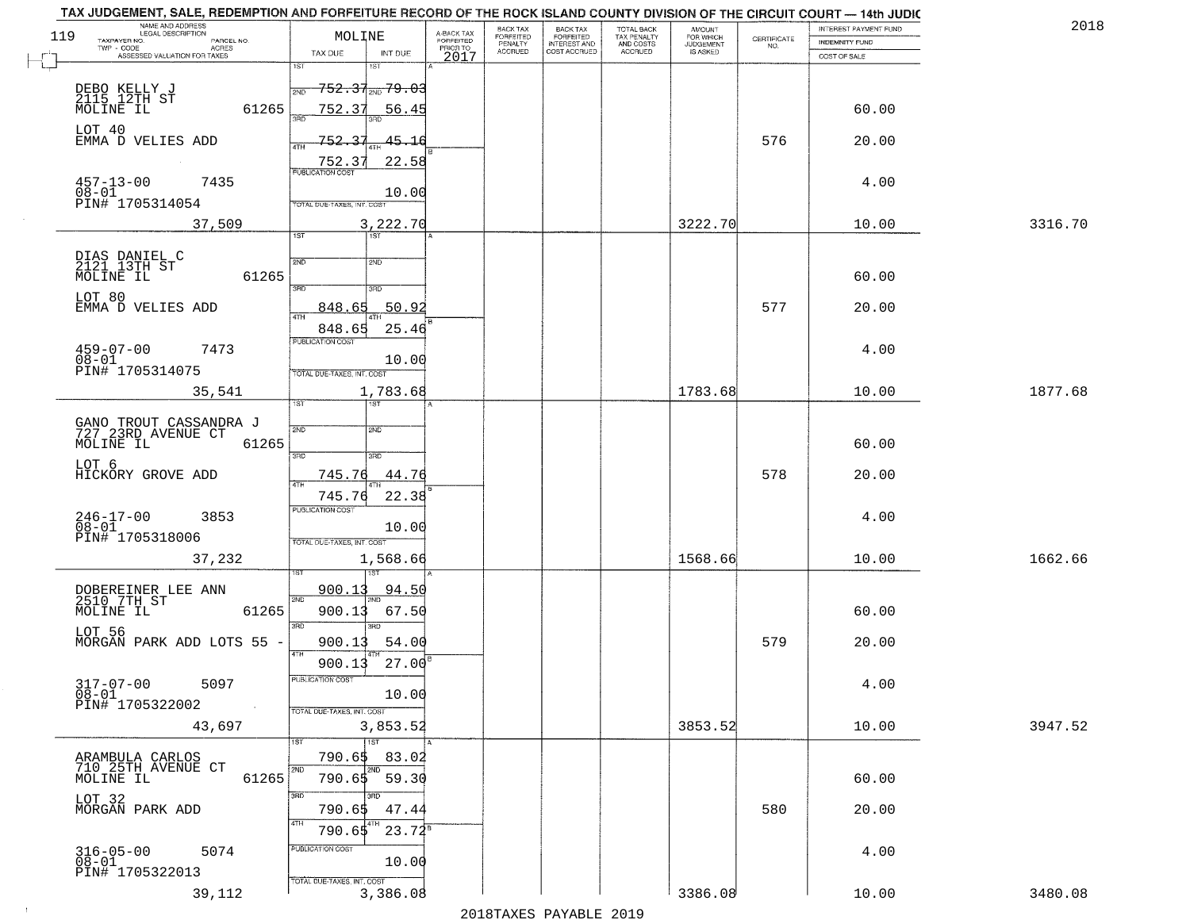| 119 | NAME AND ADDRESS<br>LEGAL DESCRIPTION<br>TAXPAYER NO.<br>PARCEL NO.<br>ACRES<br>TWP - CODE | MOLINE                                                         | A-BACK TAX<br>FORFEITED | <b>BACK TAX</b><br>FORFEITED<br>PENALTY | BACK TAX<br>FORFEITED<br>INTEREST AND | TOTAL BACK<br>TAX PENALTY<br>AND COSTS | AMOUNT<br>FOR WHICH<br><b>JUDGEMENT</b> | $\begin{array}{c} \text{CERTIFICATE} \\ \text{NO.} \end{array}$ | INTEREST PAYMENT FUND<br><b>INDEMNITY FUND</b> | 2018    |
|-----|--------------------------------------------------------------------------------------------|----------------------------------------------------------------|-------------------------|-----------------------------------------|---------------------------------------|----------------------------------------|-----------------------------------------|-----------------------------------------------------------------|------------------------------------------------|---------|
|     | ASSESSED VALUATION FOR TAXES                                                               | TAX DUE<br>INT DUE                                             | PRIOR TO<br>2017        | <b>ACCRUED</b>                          | COST ACCRUED                          | ACCRUED                                | IS ASKED                                |                                                                 | COST OF SALE                                   |         |
|     | DEBO KELLY J<br>2115 12TH ST<br>MOLINE IL                                                  | 1ST<br>1ST<br><del>752.37<sub>2ND</sub> 79.03</del>            |                         |                                         |                                       |                                        |                                         |                                                                 |                                                |         |
|     | 61265                                                                                      | 752.37<br>56.45                                                |                         |                                         |                                       |                                        |                                         |                                                                 | 60.00                                          |         |
|     | LOT 40<br>EMMA D VELIES ADD                                                                | 752.37<br><u>45.16</u><br><b>ATH</b><br>22.58<br><u>752.37</u> |                         |                                         |                                       |                                        |                                         | 576                                                             | 20.00                                          |         |
|     | $457 - 13 - 00$<br>7435<br>08-01<br>PIN# 1705314054                                        | <b>PUBLICATION COST</b><br>10.00<br>TOTAL DUE-TAXES, INT. COST |                         |                                         |                                       |                                        |                                         |                                                                 | 4.00                                           |         |
|     | 37,509                                                                                     | 3,222.70<br>1ST<br>1ST                                         |                         |                                         |                                       |                                        | 3222.70                                 |                                                                 | 10.00                                          | 3316.70 |
|     |                                                                                            |                                                                |                         |                                         |                                       |                                        |                                         |                                                                 |                                                |         |
|     | DIAS DANIEL C<br>2121 13TH ST<br>MOLINE IL<br>61265                                        | 2ND<br>2ND<br>उन्नत<br>3RD                                     |                         |                                         |                                       |                                        |                                         |                                                                 | 60.00                                          |         |
|     | LOT 80<br>EMMA D VELIES ADD                                                                | 50.92<br>848.65                                                |                         |                                         |                                       |                                        |                                         | 577                                                             | 20.00                                          |         |
|     |                                                                                            | 25.46<br>848.65                                                |                         |                                         |                                       |                                        |                                         |                                                                 |                                                |         |
|     | $459 - 07 - 00$<br>7473<br>$08 - 01$<br>PIN# 1705314075                                    | PUBLICATION COST<br>10.00                                      |                         |                                         |                                       |                                        |                                         |                                                                 | 4.00                                           |         |
|     | 35,541                                                                                     | TOTAL DUE-TAXES, INT. COST<br>1,783.68<br>ist.<br><b>IST</b>   |                         |                                         |                                       |                                        | 1783.68                                 |                                                                 | 10.00                                          | 1877.68 |
|     | GANO TROUT CASSANDRA J<br>727 23RD AVENUE CT                                               | 2ND<br>SMD                                                     |                         |                                         |                                       |                                        |                                         |                                                                 |                                                |         |
|     | MOLINE IL<br>61265                                                                         | 3RD<br>3BD                                                     |                         |                                         |                                       |                                        |                                         |                                                                 | 60.00                                          |         |
|     | LOT 6<br>HICKORY GROVE ADD                                                                 | 745.76<br>44.76                                                |                         |                                         |                                       |                                        |                                         | 578                                                             | 20.00                                          |         |
|     | $246 - 17 - 00$<br>3853                                                                    | 745.76<br>22.38<br><b>PUBLICATION COST</b>                     |                         |                                         |                                       |                                        |                                         |                                                                 | 4.00                                           |         |
|     | $08 - 01$<br>PIN# 1705318006                                                               | 10.00<br>TOTAL OUE-TAXES, INT. COST                            |                         |                                         |                                       |                                        |                                         |                                                                 |                                                |         |
|     | 37,232                                                                                     | 1,568.66                                                       |                         |                                         |                                       |                                        | 1568.66                                 |                                                                 | 10.00                                          | 1662.66 |
|     | DOBEREINER LEE ANN<br>2510 7TH ST<br>MOLINE IL                                             | <u>900.13</u><br>94.50<br>2ND                                  |                         |                                         |                                       |                                        |                                         |                                                                 |                                                |         |
|     | 61265                                                                                      | 900.13<br>67.50<br>3RD<br>3BD                                  |                         |                                         |                                       |                                        |                                         |                                                                 | 60.00                                          |         |
|     | LOT 56<br>MORGAN PARK ADD LOTS 55 -                                                        | 900.13<br>54.00<br>4TH<br>27.00<br>900.13                      |                         |                                         |                                       |                                        |                                         | 579                                                             | 20.00                                          |         |
|     | $317 - 07 - 00$<br>5097                                                                    | PUBLICATION COST                                               |                         |                                         |                                       |                                        |                                         |                                                                 | 4.00                                           |         |
|     | $08 - 01$<br>PIN# 1705322002                                                               | 10.00<br>TOTAL DUE-TAXES, INT. COST                            |                         |                                         |                                       |                                        |                                         |                                                                 |                                                |         |
|     | 43,697                                                                                     | 3,853.52<br>1ST                                                |                         |                                         |                                       |                                        | 3853.52                                 |                                                                 | 10.00                                          | 3947.52 |
|     | ARAMBULA CARLOS<br>710 25TH AVENUE CT<br>MOLINE IL<br>61265                                | 790.65<br>83.02<br>2ND<br>2ND<br>$790.65$ 59.30                |                         |                                         |                                       |                                        |                                         |                                                                 | 60.00                                          |         |
|     | LOT 32<br>MORGAN PARK ADD                                                                  | 3RD<br>अंगर<br>790.65<br>47.44                                 |                         |                                         |                                       |                                        |                                         | 580                                                             | 20.00                                          |         |
|     |                                                                                            | 4TH<br>$23.72^8$<br>790.65                                     |                         |                                         |                                       |                                        |                                         |                                                                 |                                                |         |
|     | $316 - 05 - 00$<br>$08 - 01$<br>5074<br>PIN# 1705322013                                    | PUBLICATION COST<br>10.00                                      |                         |                                         |                                       |                                        |                                         |                                                                 | 4.00                                           |         |
|     | 39,112                                                                                     | TOTAL DUE-TAXES, INT. COST<br>3,386.08                         |                         |                                         |                                       |                                        | 3386.08                                 |                                                                 | 10.00                                          | 3480.08 |
|     |                                                                                            |                                                                |                         |                                         | מרמפ הדתגעונת מהעושפומפ               |                                        |                                         |                                                                 |                                                |         |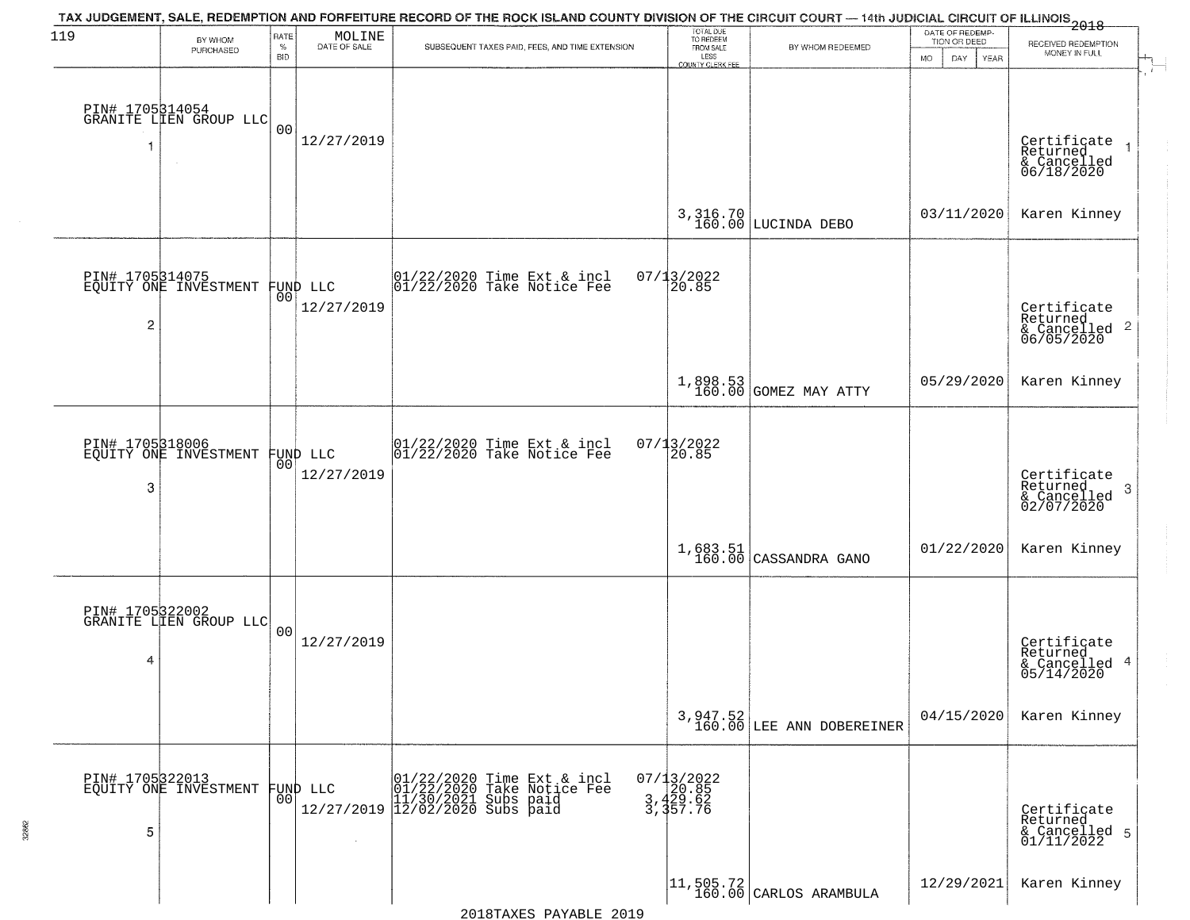| 119             |                                                   | RATE               | MOLINE                 | TAX JUDGEMENT, SALE, REDEMPTION AND FORFEITURE RECORD OF THE ROCK ISLAND COUNTY DIVISION OF THE CIRCUIT COURT — 14th JUDICIAL CIRCUIT OF ILLINOIS 2018 | TOTAL DUE<br>TO REDEEM                        |                                                                     | DATE OF REDEMP-     |                                                      |
|-----------------|---------------------------------------------------|--------------------|------------------------|--------------------------------------------------------------------------------------------------------------------------------------------------------|-----------------------------------------------|---------------------------------------------------------------------|---------------------|------------------------------------------------------|
|                 | BY WHOM<br>PURCHASED                              | $\%$<br><b>BID</b> | DATE OF SALE           | SUBSEQUENT TAXES PAID, FEES, AND TIME EXTENSION                                                                                                        | FROM SALE<br>LESS                             | BY WHOM REDEEMED                                                    | TION OR DEED<br>MO. | RECEIVED REDEMPTION<br>MONEY IN FULL                 |
|                 |                                                   |                    |                        |                                                                                                                                                        | <b>COUNTY CLERK FEE</b>                       |                                                                     | DAY<br><b>YEAR</b>  |                                                      |
|                 |                                                   |                    |                        |                                                                                                                                                        |                                               |                                                                     |                     |                                                      |
|                 | PIN# 1705314054<br>GRANITE LIEN GROUP LLC         |                    |                        |                                                                                                                                                        |                                               |                                                                     |                     |                                                      |
|                 |                                                   | 0 <sub>0</sub>     | 12/27/2019             |                                                                                                                                                        |                                               |                                                                     |                     |                                                      |
|                 |                                                   |                    |                        |                                                                                                                                                        |                                               |                                                                     |                     | Certificate<br>Returned<br>& Cancelled<br>06/18/2020 |
|                 |                                                   |                    |                        |                                                                                                                                                        |                                               |                                                                     |                     |                                                      |
|                 |                                                   |                    |                        |                                                                                                                                                        |                                               |                                                                     | 03/11/2020          | Karen Kinney                                         |
|                 |                                                   |                    |                        |                                                                                                                                                        |                                               | 3, 316.70<br>160.00 LUCINDA DEBO                                    |                     |                                                      |
|                 |                                                   |                    |                        |                                                                                                                                                        |                                               |                                                                     |                     |                                                      |
|                 | PIN# 1705314075<br>EQUITY ONE INVESTMENT FUND LLC |                    |                        | $ 01/22/2020$ Time Ext & incl<br>$ 01/22/2020$ Take Notice Fee                                                                                         | 07/13/2022<br>20.85                           |                                                                     |                     |                                                      |
|                 |                                                   | 00                 | 12/27/2019             |                                                                                                                                                        |                                               |                                                                     |                     |                                                      |
| 2               |                                                   |                    |                        |                                                                                                                                                        |                                               |                                                                     |                     | Certificate<br>Returned<br>$\mathbf{2}$              |
|                 |                                                   |                    |                        |                                                                                                                                                        |                                               |                                                                     |                     | & Cancelled<br>06/05/2020                            |
|                 |                                                   |                    |                        |                                                                                                                                                        |                                               |                                                                     |                     |                                                      |
|                 |                                                   |                    |                        |                                                                                                                                                        |                                               | 1,898.53<br>160.00 GOMEZ MAY ATTY                                   | 05/29/2020          | Karen Kinney                                         |
|                 |                                                   |                    |                        |                                                                                                                                                        |                                               |                                                                     |                     |                                                      |
| PIN# 1705318006 |                                                   |                    |                        | $\begin{array}{cc}  01/22/2020 \rangle \\  01/22/2020 \rangle \rangle \end{array}$ Take Notice Fee                                                     | $07/13/2022$<br>20.85                         |                                                                     |                     |                                                      |
|                 | EQUITY ONE INVESTMENT                             | 00                 | FUND LLC<br>12/27/2019 |                                                                                                                                                        |                                               |                                                                     |                     |                                                      |
| 3               |                                                   |                    |                        |                                                                                                                                                        |                                               |                                                                     |                     | Certificate<br>Returned<br>3                         |
|                 |                                                   |                    |                        |                                                                                                                                                        |                                               |                                                                     |                     | & Cancelled<br>02/07/2020                            |
|                 |                                                   |                    |                        |                                                                                                                                                        |                                               |                                                                     |                     |                                                      |
|                 |                                                   |                    |                        |                                                                                                                                                        |                                               | $1,683.51$ (CASSANDRA GANO                                          | 01/22/2020          | Karen Kinney                                         |
|                 |                                                   |                    |                        |                                                                                                                                                        |                                               |                                                                     |                     |                                                      |
|                 | PIN# 1705322002<br>GRANITE LIEN GROUP LLC         |                    |                        |                                                                                                                                                        |                                               |                                                                     |                     |                                                      |
|                 |                                                   | 00                 |                        |                                                                                                                                                        |                                               |                                                                     |                     |                                                      |
| 4               |                                                   |                    | 12/27/2019             |                                                                                                                                                        |                                               |                                                                     |                     | Certificate<br>Returned<br>4                         |
|                 |                                                   |                    |                        |                                                                                                                                                        |                                               |                                                                     |                     | & Cancelled<br>05/14/2020                            |
|                 |                                                   |                    |                        |                                                                                                                                                        |                                               |                                                                     |                     |                                                      |
|                 |                                                   |                    |                        |                                                                                                                                                        |                                               | $3,947.52$<br>160.00 LEE ANN DOBEREINER                             | 04/15/2020          | Karen Kinney                                         |
|                 |                                                   |                    |                        |                                                                                                                                                        |                                               |                                                                     |                     |                                                      |
|                 | PIN# 1705322013<br>EQUITY ONE INVESTMENT          |                    |                        |                                                                                                                                                        |                                               |                                                                     |                     |                                                      |
|                 |                                                   | 00                 | FUND LLC               | D LLC 01/22/2020 Time Ext & incl<br>01/22/2020 Take Notice Fee<br>12/27/2019 12/02/2021 Subs paid<br>12/27/2019 12/02/2020 Subs paid                   | 07/13/2022<br>20.85<br>3, 429.62<br>3, 357.76 |                                                                     |                     |                                                      |
|                 |                                                   |                    |                        |                                                                                                                                                        |                                               |                                                                     |                     | Certificate<br>Returned                              |
| 5               |                                                   |                    | $\sim 10^{-1}$         |                                                                                                                                                        |                                               |                                                                     |                     | & Cancelled 5<br>01/11/2022                          |
|                 |                                                   |                    |                        |                                                                                                                                                        |                                               |                                                                     |                     |                                                      |
|                 |                                                   |                    |                        |                                                                                                                                                        |                                               | $\begin{vmatrix} 11,505.72 \\ 160.00 \end{vmatrix}$ CARLOS ARAMBULA | 12/29/2021          | Karen Kinney                                         |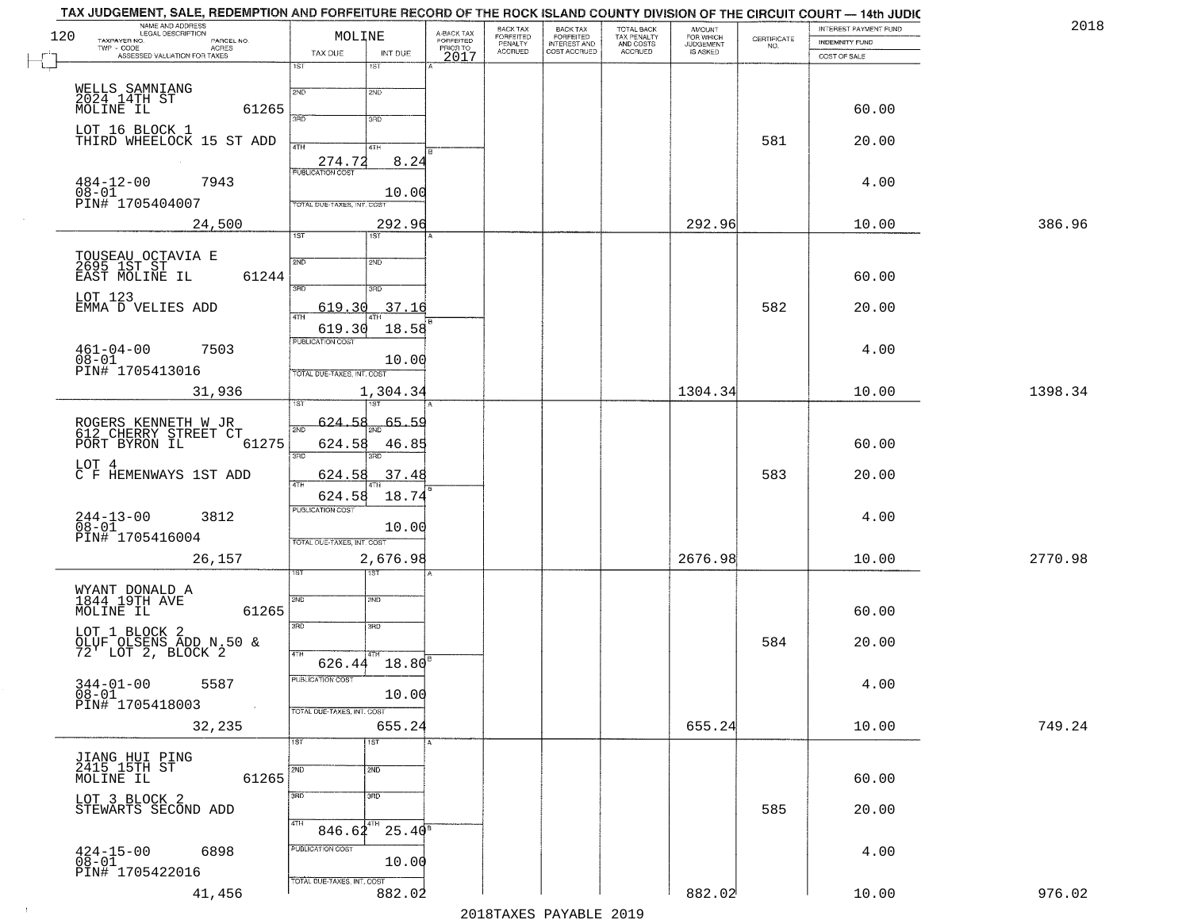|     | TAX JUDGEMENT, SALE, REDEMPTION AND FORFEITURE RECORD OF THE ROCK ISLAND COUNTY DIVISION OF THE CIRCUIT COURT — 14th JUDIC<br>NAME AND ADDRESS<br>LEGAL DESCRIPTION |                            |                 |                         |                                             |                                                       |                                                   | <b>AMOUNT</b>                      |                    | INTEREST PAYMENT FUND | 2018    |
|-----|---------------------------------------------------------------------------------------------------------------------------------------------------------------------|----------------------------|-----------------|-------------------------|---------------------------------------------|-------------------------------------------------------|---------------------------------------------------|------------------------------------|--------------------|-----------------------|---------|
| 120 | TAXPAYER NO.<br>PARCEL NO.<br>TWP - CODE<br>- CODE ACRES<br>ASSESSED VALUATION FOR TAXES                                                                            | MOLINE<br>TAX DUE          |                 | A-BACK TAX<br>FORFEITED | BACK TAX<br>FORFEITED<br>PENALTY<br>ACCRUED | BACK TAX<br>FORFEITED<br>INTEREST AND<br>COST ACCRUED | TOTAL BACK<br>TAX PENALTY<br>AND COSTS<br>ACCRUED | FOR WHICH<br>JUDGEMENT<br>IS ASKED | CERTIFICATE<br>NO. | <b>INDEMNITY FUND</b> |         |
|     |                                                                                                                                                                     | 1ST                        | INT DUE<br>1ST  | PRIORTO<br>2017         |                                             |                                                       |                                                   |                                    |                    | COST OF SALE          |         |
|     | WELLS SAMNIANG<br>2024.14TH ST                                                                                                                                      | 2ND                        | 2ND             |                         |                                             |                                                       |                                                   |                                    |                    |                       |         |
|     | MOLINE IL<br>61265                                                                                                                                                  | 370                        | 3RD             |                         |                                             |                                                       |                                                   |                                    |                    | 60.00                 |         |
|     | LOT 16 BLOCK 1<br>THIRD WHEELOCK 15 ST ADD                                                                                                                          |                            |                 |                         |                                             |                                                       |                                                   |                                    | 581                | 20.00                 |         |
|     |                                                                                                                                                                     | 4TH<br>274.72              | 4TH<br>8.24     |                         |                                             |                                                       |                                                   |                                    |                    |                       |         |
|     | $484 - 12 - 00$<br>7943                                                                                                                                             | <b>PUBLICATION COST</b>    |                 |                         |                                             |                                                       |                                                   |                                    |                    | 4.00                  |         |
|     | $08 - 01$<br>PIN# 1705404007                                                                                                                                        | TOTAL DUE-TAXES, INT. COST | 10.00           |                         |                                             |                                                       |                                                   |                                    |                    |                       |         |
|     | 24,500                                                                                                                                                              |                            | 292.96          |                         |                                             |                                                       |                                                   | 292.96                             |                    | 10.00                 | 386.96  |
|     |                                                                                                                                                                     | $\overline{1ST}$           | 1ST             |                         |                                             |                                                       |                                                   |                                    |                    |                       |         |
|     | TOUSEAU OCTAVIA E<br>2695 1ST ST --<br>EAST MOLINE IL<br>61244                                                                                                      | 2ND                        | 2ND             |                         |                                             |                                                       |                                                   |                                    |                    | 60.00                 |         |
|     | LOT 123                                                                                                                                                             | $\overline{3\text{RD}}$    | 3RD             |                         |                                             |                                                       |                                                   |                                    |                    |                       |         |
|     | EMMA D VELIES ADD                                                                                                                                                   | 619.30<br>47H              | 37.16           |                         |                                             |                                                       |                                                   |                                    | 582                | 20.00                 |         |
|     |                                                                                                                                                                     | 619.30<br>PUBLICATION COST | 18.58           |                         |                                             |                                                       |                                                   |                                    |                    |                       |         |
|     | $461 - 04 - 00$<br>7503<br>$08 - 01$                                                                                                                                |                            | 10.00           |                         |                                             |                                                       |                                                   |                                    |                    | 4.00                  |         |
|     | PIN# 1705413016<br>31,936                                                                                                                                           | TOTAL DUE-TAXES, INT. COST | 1,304.34        |                         |                                             |                                                       |                                                   | 1304.34                            |                    | 10.00                 | 1398.34 |
|     |                                                                                                                                                                     | ST                         |                 |                         |                                             |                                                       |                                                   |                                    |                    |                       |         |
|     | ROGERS KENNETH W JR<br>612 CHERRY STREET CT<br>PORT BYRON IL                                                                                                        | 624.58<br>$2N$ F           | $-65.59$        |                         |                                             |                                                       |                                                   |                                    |                    |                       |         |
|     | 61275                                                                                                                                                               | 624.58<br>3RD              | 46.85<br>3RD    |                         |                                             |                                                       |                                                   |                                    |                    | 60.00                 |         |
|     | LOT 4<br>C F HEMENWAYS 1ST ADD                                                                                                                                      | 624.58<br>4TH              | 37.48           |                         |                                             |                                                       |                                                   |                                    | 583                | 20.00                 |         |
|     |                                                                                                                                                                     | 624.58                     | 18.74           |                         |                                             |                                                       |                                                   |                                    |                    |                       |         |
|     | $244 - 13 - 00$<br>$08 - 01$<br>3812                                                                                                                                | PUBLICATION COST           | 10.00           |                         |                                             |                                                       |                                                   |                                    |                    | 4.00                  |         |
|     | PIN# 1705416004                                                                                                                                                     | TOTAL OUE-TAXES, INT. COST |                 |                         |                                             |                                                       |                                                   |                                    |                    |                       |         |
|     | 26,157                                                                                                                                                              |                            | 2,676.98        |                         |                                             |                                                       |                                                   | 2676.98                            |                    | 10.00                 | 2770.98 |
|     | WYANT DONALD A<br>1844.19TH AVE                                                                                                                                     | 2ND                        | 2ND             |                         |                                             |                                                       |                                                   |                                    |                    |                       |         |
|     | MOLINE IL<br>61265                                                                                                                                                  |                            |                 |                         |                                             |                                                       |                                                   |                                    |                    | 60.00                 |         |
|     | LOT 1 BLOCK 2                                                                                                                                                       | 3RD                        | 3RD             |                         |                                             |                                                       |                                                   |                                    | 584                | 20.00                 |         |
|     | OLUF OLSENS ADD N.50 &<br>72' LOT 2, BLOCK 2                                                                                                                        | 4TH                        | 626.44 18.80    |                         |                                             |                                                       |                                                   |                                    |                    |                       |         |
|     | $344 - 01 - 00$ 5587                                                                                                                                                | PUBLICATION COST           |                 |                         |                                             |                                                       |                                                   |                                    |                    | 4.00                  |         |
|     | $08 - 01$<br>PIN# 1705418003                                                                                                                                        | TOTAL DUE-TAXES, INT. COST | 10.00           |                         |                                             |                                                       |                                                   |                                    |                    |                       |         |
|     | 32,235                                                                                                                                                              |                            | 655.24          |                         |                                             |                                                       |                                                   | 655.24                             |                    | 10.00                 | 749.24  |
|     |                                                                                                                                                                     | 1ST                        | 1ST             |                         |                                             |                                                       |                                                   |                                    |                    |                       |         |
|     | JIANG HUI PING<br>2415 15TH ST<br>MOLINE IL<br>61265                                                                                                                | 2ND                        | 2ND             |                         |                                             |                                                       |                                                   |                                    |                    | 60.00                 |         |
|     | LOT 3 BLOCK 2                                                                                                                                                       | 3RD                        | 3 <sub>RD</sub> |                         |                                             |                                                       |                                                   |                                    |                    |                       |         |
|     | STEWARTS SECOND ADD                                                                                                                                                 | 4TH<br>$846.62^{4TH}$      | $25.40^8$       |                         |                                             |                                                       |                                                   |                                    | 585                | 20.00                 |         |
|     | 6898                                                                                                                                                                | PUBLICATION COST           |                 |                         |                                             |                                                       |                                                   |                                    |                    | 4.00                  |         |
|     | $424 - 15 - 00$<br>$08 - 01$<br>PIN# 1705422016                                                                                                                     |                            | 10.00           |                         |                                             |                                                       |                                                   |                                    |                    |                       |         |
|     | 41,456                                                                                                                                                              | TOTAL DUE-TAXES, INT. COST | 882.02          |                         |                                             |                                                       |                                                   | 882.02                             |                    | 10.00                 | 976.02  |
|     |                                                                                                                                                                     |                            |                 |                         |                                             | 2010 ELITATIO DIVIDI POLO                             |                                                   |                                    |                    |                       |         |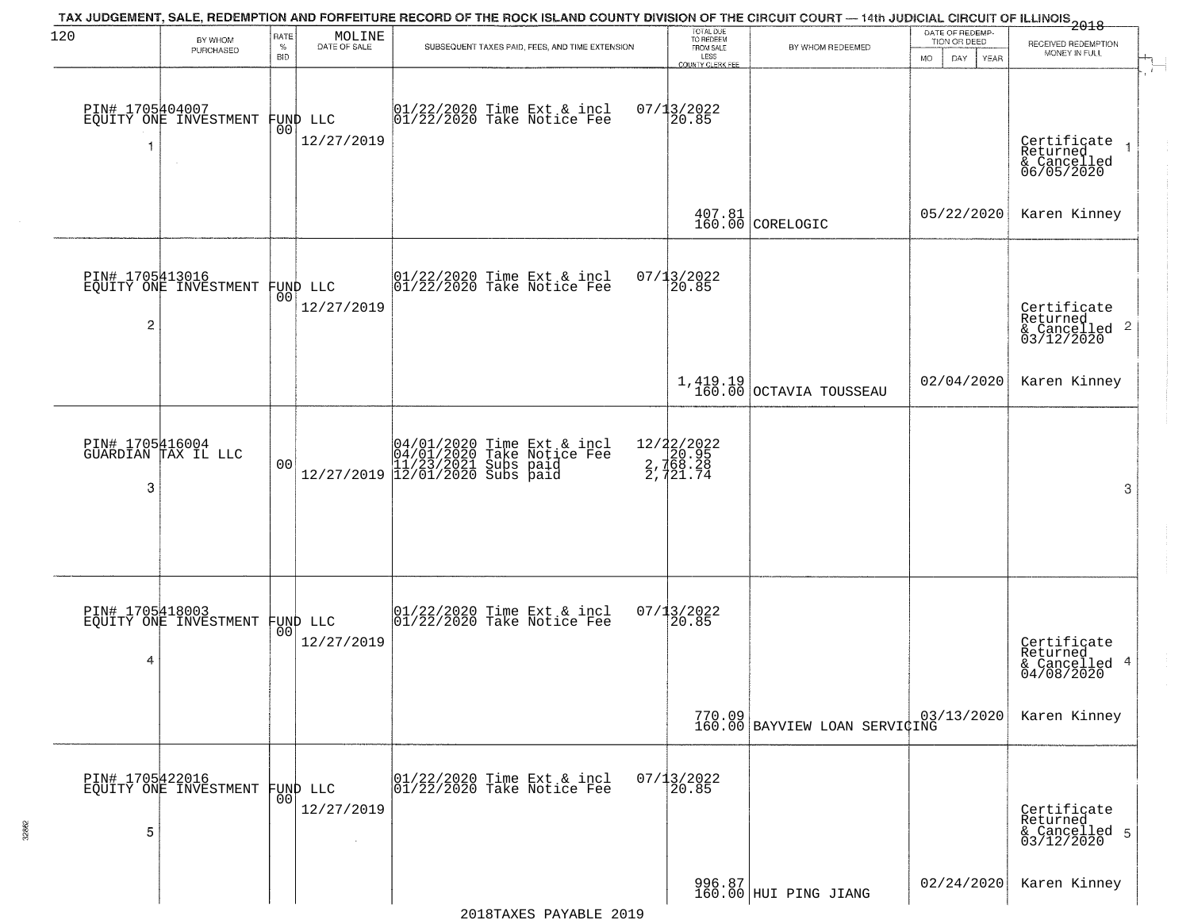| 120             | BY WHOM<br>PURCHASED                              | <b>RATE</b><br>$\%$ | MOLINE<br>DATE OF SALE | TAX JUDGEMENT, SALE, REDEMPTION AND FORFEITURE RECORD OF THE ROCK ISLAND COUNTY DIVISION OF THE CIRCUIT COURT — 14th JUDICIAL CIRCUIT OF ILLINOIS 2018<br>SUBSEQUENT TAXES PAID, FEES, AND TIME EXTENSION | TOTAL DUE<br>TO REDEEM<br>FROM SALE               | BY WHOM REDEEMED                                                           | DATE OF REDEMP-<br>TION OR DEED | RECEIVED REDEMPTION<br>MONEY IN FULL                   |
|-----------------|---------------------------------------------------|---------------------|------------------------|-----------------------------------------------------------------------------------------------------------------------------------------------------------------------------------------------------------|---------------------------------------------------|----------------------------------------------------------------------------|---------------------------------|--------------------------------------------------------|
|                 | PIN# 1705404007<br>EQUITY ONE INVESTMENT          | <b>BID</b><br>00    | FUND LLC               | 01/22/2020 Time Ext & incl<br>01/22/2020 Take Notice Fee                                                                                                                                                  | LESS<br>COUNTY CLERK FEE<br>$07/13/2022$<br>20.85 |                                                                            | <b>MO</b><br>DAY<br>YEAR        |                                                        |
| -1              |                                                   |                     | 12/27/2019             |                                                                                                                                                                                                           |                                                   |                                                                            |                                 | Certificate<br>Returned<br>& Cancelled<br>06/05/2020   |
|                 |                                                   |                     |                        |                                                                                                                                                                                                           |                                                   | $\begin{array}{c c} 407.81 \ \hline 160.00 \ \hline \end{array}$ CORELOGIC | 05/22/2020                      | Karen Kinney                                           |
|                 | PIN# 1705413016<br>EQUITY ONE INVESTMENT FUND LLC | 00                  | 12/27/2019             | 01/22/2020 Time Ext & incl<br>01/22/2020 Take Notice Fee                                                                                                                                                  | 07/13/2022<br>20.85                               |                                                                            |                                 | Certificate<br>Returned                                |
| $\overline{c}$  |                                                   |                     |                        |                                                                                                                                                                                                           |                                                   |                                                                            |                                 | $\frac{1}{6}$ Cancelled 2<br>03/12/2020                |
|                 |                                                   |                     |                        |                                                                                                                                                                                                           |                                                   | $1,419.19$<br>$160.00$ OCTAVIA TOUSSEAU                                    | 02/04/2020                      | Karen Kinney                                           |
|                 | PIN# 1705416004<br>GUARDIAN TAX IL LLC            | 0 <sub>0</sub>      |                        | $[04/01/2020 \t\t Time Ext & incl04/01/2020 Take Notice Free11/23/2021 Subs paid12/27/2019  12/01/2020 Subs paid$                                                                                         | 12/22/2022<br>2, 768.28<br>2, 768.28<br>2, 721.74 |                                                                            |                                 |                                                        |
| 3               |                                                   |                     |                        |                                                                                                                                                                                                           |                                                   |                                                                            |                                 | 3                                                      |
| PIN# 1705418003 |                                                   |                     |                        | 01/22/2020 Time Ext & incl<br>01/22/2020 Take Notice Fee                                                                                                                                                  | 07/13/2022                                        |                                                                            |                                 |                                                        |
| 4               | EQUITY ONE INVESTMENT                             | 00 <sup>1</sup>     | FUND LLC<br>12/27/2019 |                                                                                                                                                                                                           | 120.85                                            |                                                                            |                                 | Certificate<br>Returned<br>& Cancelled 4<br>04/08/2020 |
|                 |                                                   |                     |                        |                                                                                                                                                                                                           |                                                   | 770.09 03,<br>160.00 BAYVIEW LOAN SERVIÇING                                | 03/13/2020                      | Karen Kinney                                           |
|                 | PIN# 1705422016<br>EQUITY ONE INVESTMENT          | 00                  | FUND LLC               | 01/22/2020 Time Ext & incl<br>01/22/2020 Take Notice Fee                                                                                                                                                  | $07/13/2022$<br>20.85                             |                                                                            |                                 |                                                        |
| 5               |                                                   |                     | 12/27/2019             |                                                                                                                                                                                                           |                                                   |                                                                            |                                 | Certificate<br>Returned<br>& Cancelled 5<br>03/12/2020 |
|                 |                                                   |                     |                        |                                                                                                                                                                                                           |                                                   | 996.87<br>160.00 HUI PING JIANG                                            | 02/24/2020                      | Karen Kinney                                           |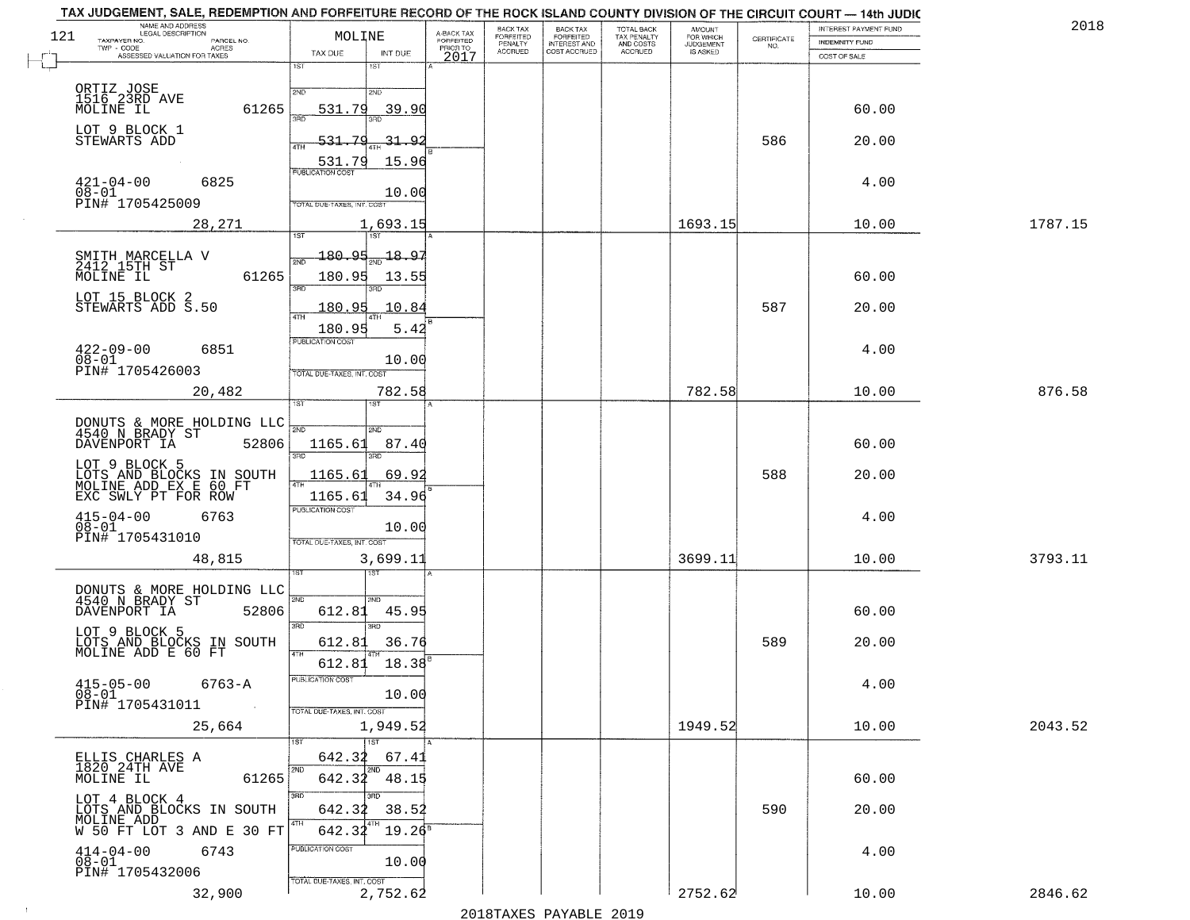|     | TAX JUDGEMENT, SALE, REDEMPTION AND FORFEITURE RECORD OF THE ROCK ISLAND COUNTY DIVISION OF THE CIRCUIT COURT — 14th JUDIC |                                   |                 |                         |                              |                                           |                                                   |                                    |             |                                                | 201     |
|-----|----------------------------------------------------------------------------------------------------------------------------|-----------------------------------|-----------------|-------------------------|------------------------------|-------------------------------------------|---------------------------------------------------|------------------------------------|-------------|------------------------------------------------|---------|
| 121 | NAME AND ADDRESS<br>LEGAL DESCRIPTION<br>TAXPAYER NO.<br>PARCEL NO.                                                        | MOLINE                            |                 | A-BACK TAX<br>FORFEITED | BACK TAX<br><b>FORFEITED</b> | <b>BACK TAX</b>                           | TOTAL BACK<br>TAX PENALTY<br>AND COSTS<br>ACCRUED | <b>AMOUNT</b>                      | CERTIFICATE | INTEREST PAYMENT FUND<br><b>INDEMNITY FUND</b> |         |
|     | TWP - CODE<br><b>ACRES</b><br>ASSESSED VALUATION FOR TAXES                                                                 | TAX DUE                           | INT DUE         | PRIOR TO<br>2017        | PENALTY<br>ACCRUED           | FORFEITED<br>INTEREST AND<br>COST ACCRUED |                                                   | FOR WHICH<br>JUDGEMENT<br>IS ASKED | NO.         | COST OF SALE                                   |         |
|     |                                                                                                                            | 1ST                               | 15T             |                         |                              |                                           |                                                   |                                    |             |                                                |         |
|     |                                                                                                                            |                                   |                 |                         |                              |                                           |                                                   |                                    |             |                                                |         |
|     | ORTIZ JOSE<br>1516 23RD AVE                                                                                                | 2ND                               | 2ND             |                         |                              |                                           |                                                   |                                    |             |                                                |         |
|     | 61265<br>MOLINE IL                                                                                                         | 531.79<br>38D                     | 39.90           |                         |                              |                                           |                                                   |                                    |             | 60.00                                          |         |
|     | LOT 9 BLOCK 1                                                                                                              | 7                                 |                 |                         |                              |                                           |                                                   |                                    |             |                                                |         |
|     | STEWARTS ADD                                                                                                               | 531<br>4TH                        | 31.92           |                         |                              |                                           |                                                   |                                    | 586         | 20.00                                          |         |
|     |                                                                                                                            | 531.79<br><b>PUBLICATION COST</b> | 15.96           |                         |                              |                                           |                                                   |                                    |             |                                                |         |
|     | $421 - 04 - 00$<br>6825                                                                                                    |                                   |                 |                         |                              |                                           |                                                   |                                    |             | 4.00                                           |         |
|     | 08-01<br>PIN# 1705425009                                                                                                   | TOTAL DUE-TAXES, INT. COST        | 10.00           |                         |                              |                                           |                                                   |                                    |             |                                                |         |
|     |                                                                                                                            |                                   |                 |                         |                              |                                           |                                                   |                                    |             |                                                |         |
|     | 28,271                                                                                                                     | 1ST                               | 1,693.15<br>1ST |                         |                              |                                           |                                                   | 1693.15                            |             | 10.00                                          | 1787.15 |
|     |                                                                                                                            | 180.95                            | 18.97           |                         |                              |                                           |                                                   |                                    |             |                                                |         |
|     | SMITH MARCELLA V<br>2412 15TH ST                                                                                           | 2ND                               |                 |                         |                              |                                           |                                                   |                                    |             |                                                |         |
|     | 61265<br>MOLINE IL                                                                                                         | 180.95<br>3RD                     | 13.55           |                         |                              |                                           |                                                   |                                    |             | 60.00                                          |         |
|     | LOT 15 BLOCK 2                                                                                                             |                                   |                 |                         |                              |                                           |                                                   |                                    |             |                                                |         |
|     | STEWARTS ADD S.50                                                                                                          | 180.95<br>47H                     | 10.84           |                         |                              |                                           |                                                   |                                    | 587         | 20.00                                          |         |
|     |                                                                                                                            | 180.95                            | 5.42            |                         |                              |                                           |                                                   |                                    |             |                                                |         |
|     | $422 - 09 - 00$<br>6851                                                                                                    | PUBLICATION COST                  |                 |                         |                              |                                           |                                                   |                                    |             | 4.00                                           |         |
|     | $08 - 01$<br>PIN# 1705426003                                                                                               |                                   | 10.00           |                         |                              |                                           |                                                   |                                    |             |                                                |         |
|     |                                                                                                                            | TOTAL DUE-TAXES, INT. COST        |                 |                         |                              |                                           |                                                   |                                    |             |                                                |         |
|     | 20,482                                                                                                                     | 1ST                               | 782.58          |                         |                              |                                           |                                                   | 782.58                             |             | 10.00                                          | 876.58  |
|     |                                                                                                                            |                                   |                 |                         |                              |                                           |                                                   |                                    |             |                                                |         |
|     | DONUTS & MORE HOLDING LLC 4540 N BRADY ST                                                                                  | 2ND                               | 2ND             |                         |                              |                                           |                                                   |                                    |             |                                                |         |
|     | DAVENPORT IA<br>52806                                                                                                      | 1165.61<br>3RD                    | 87.40<br>3RD    |                         |                              |                                           |                                                   |                                    |             | 60.00                                          |         |
|     | LOT 9 BLOCK 5                                                                                                              |                                   |                 |                         |                              |                                           |                                                   |                                    |             |                                                |         |
|     | LOTS AND BLOCKS IN SOUTH<br>MOLINE ADD EX E 60 FT                                                                          | 1165.61<br>4TH                    | 69.92           |                         |                              |                                           |                                                   |                                    | 588         | 20.00                                          |         |
|     | EXC SWLY PT FOR ROW                                                                                                        | 1165.61                           | 34.96           |                         |                              |                                           |                                                   |                                    |             |                                                |         |
|     | $415 - 04 - 00$<br>6763                                                                                                    | <b>PUBLICATION COST</b>           |                 |                         |                              |                                           |                                                   |                                    |             | 4.00                                           |         |
|     | $08 - 01$<br>PIN# 1705431010                                                                                               | TOTAL OUE-TAXES, INT. COST        | 10.00           |                         |                              |                                           |                                                   |                                    |             |                                                |         |
|     | 48,815                                                                                                                     |                                   | 3,699.11        |                         |                              |                                           |                                                   | 3699.11                            |             | 10.00                                          | 3793.11 |
|     |                                                                                                                            |                                   |                 |                         |                              |                                           |                                                   |                                    |             |                                                |         |
|     |                                                                                                                            |                                   |                 |                         |                              |                                           |                                                   |                                    |             |                                                |         |
|     | DONUTS & MORE HOLDING LLC<br>4540 N BRADY ST<br>52806                                                                      | 2ND                               | 2ND.            |                         |                              |                                           |                                                   |                                    |             | 60.00                                          |         |
|     | DAVENPORT IA                                                                                                               | 612.81<br>3RD                     | 45.95<br>3RD    |                         |                              |                                           |                                                   |                                    |             |                                                |         |
|     | LOT 9 BLOCK 5                                                                                                              | 612.81                            | 36.76           |                         |                              |                                           |                                                   |                                    | 589         | 20.00                                          |         |
|     | LOTS AND BLOCKS IN SOUTH<br>MOLINE ADD E 60 FT                                                                             | 4TH                               |                 |                         |                              |                                           |                                                   |                                    |             |                                                |         |
|     |                                                                                                                            | 612.81<br>PUBLICATION COST        | 18.38           |                         |                              |                                           |                                                   |                                    |             |                                                |         |
|     | $415 - 05 - 00$<br>$6763 - A$<br>$08 - 01$                                                                                 |                                   | 10.00           |                         |                              |                                           |                                                   |                                    |             | 4.00                                           |         |
|     | PIN# 1705431011                                                                                                            | TOTAL DUE-TAXES, INT. COST        |                 |                         |                              |                                           |                                                   |                                    |             |                                                |         |
|     | 25,664                                                                                                                     |                                   | 1,949.52        |                         |                              |                                           |                                                   | 1949.52                            |             | 10.00                                          | 2043.52 |
|     |                                                                                                                            | 1ST                               | 1ST             |                         |                              |                                           |                                                   |                                    |             |                                                |         |
|     | ELLIS CHARLES A<br>1820 24TH AVE                                                                                           | 642.32                            | 67.41           |                         |                              |                                           |                                                   |                                    |             |                                                |         |
|     | MOLINE IL<br>61265                                                                                                         | 2ND<br>642.32                     | 48.15           |                         |                              |                                           |                                                   |                                    |             | 60.00                                          |         |
|     | LOT 4 BLOCK 4                                                                                                              | 3RD                               | 3RD             |                         |                              |                                           |                                                   |                                    |             |                                                |         |
|     | LOTS AND BLOCKS IN SOUTH<br>MOLINE ADD                                                                                     | 642.32                            | 38.52           |                         |                              |                                           |                                                   |                                    | 590         | 20.00                                          |         |
|     | W 50 FT LOT 3 AND E 30 FT                                                                                                  | 4TH<br>642.32                     | $19.26^8$       |                         |                              |                                           |                                                   |                                    |             |                                                |         |
|     |                                                                                                                            | PUBLICATION COST                  |                 |                         |                              |                                           |                                                   |                                    |             |                                                |         |
|     | $414 - 04 - 00$<br>6743<br>$08 - 01$                                                                                       |                                   | 10.00           |                         |                              |                                           |                                                   |                                    |             | 4.00                                           |         |
|     | PIN# 1705432006                                                                                                            | TOTAL DUE-TAXES, INT. COST        |                 |                         |                              |                                           |                                                   |                                    |             |                                                |         |
|     | 32,900                                                                                                                     |                                   | 2,752.62        |                         |                              |                                           |                                                   | 2752.62                            |             | 10.00                                          | 2846.62 |
|     |                                                                                                                            |                                   |                 |                         |                              |                                           |                                                   |                                    |             |                                                |         |

 $\sim 10^{-1}$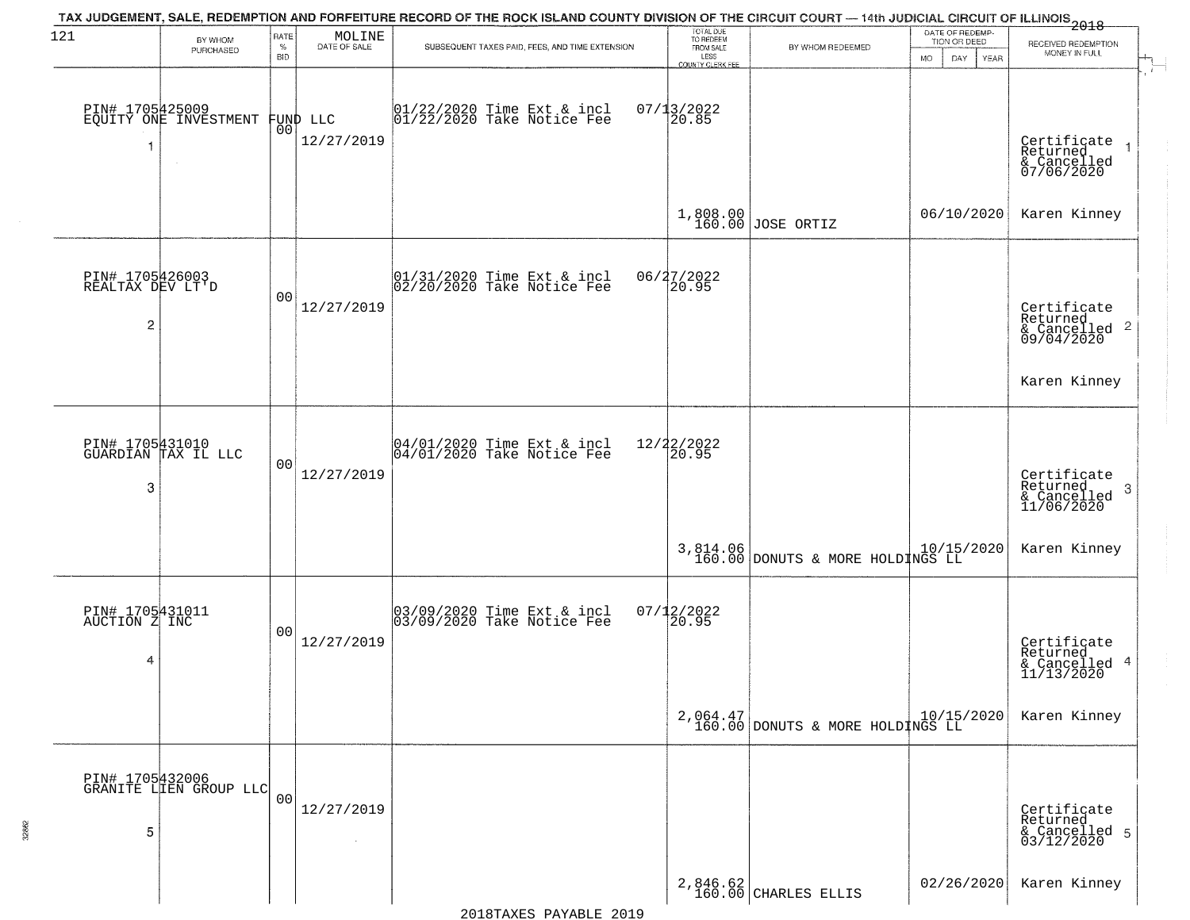| 121                                      | BY WHOM                                            | RATE<br>$\%$   | $\begin{array}{c} \text{MOLINE} \\ \text{DATE of SALE} \end{array}$ | TAX JUDGEMENT, SALE, REDEMPTION AND FORFEITURE RECORD OF THE ROCK ISLAND COUNTY DIVISION OF THE CIRCUIT COURT — 14th JUDICIAL CIRCUIT OF ILLINOIS<br>2018 - 1990 - 1991 - 1992 - 1992 - 1993 - 1994 - 1994 - 1994 - 1995 - 1996<br>SUBSEQUENT TAXES PAID, FEES, AND TIME EXTENSION | TOTAL DUE<br>TO REDEEM                |                                                             | DATE OF REDEMP-<br>TION OR DEED | RECEIVED REDEMPTION                                                |
|------------------------------------------|----------------------------------------------------|----------------|---------------------------------------------------------------------|------------------------------------------------------------------------------------------------------------------------------------------------------------------------------------------------------------------------------------------------------------------------------------|---------------------------------------|-------------------------------------------------------------|---------------------------------|--------------------------------------------------------------------|
|                                          | PURCHASED                                          | <b>BID</b>     |                                                                     |                                                                                                                                                                                                                                                                                    | FROM SALE<br>LESS<br>COUNTY CLERK FEE | BY WHOM REDEEMED                                            | DAY<br><b>MO</b><br>YEAR        | MONEY IN FULL                                                      |
| 1                                        | PIN# 1705425009<br>EQUITY ONE INVESTMENT<br>$\sim$ |                | FUND LLC<br> 00 <br>12/27/2019                                      | 01/22/2020 Time Ext & incl<br>01/22/2020 Take Notice Fee                                                                                                                                                                                                                           | $07/13/2022$<br>20.85                 |                                                             |                                 | Certificate<br>Returned<br>& Cancelled<br>07/06/2020               |
|                                          |                                                    |                |                                                                     |                                                                                                                                                                                                                                                                                    |                                       | 1,808.00<br>160.00 JOSE ORTIZ                               | 06/10/2020                      | Karen Kinney                                                       |
| PIN# 1705426003<br>REALTAX DEV LT'D<br>2 |                                                    | 0 <sub>0</sub> | 12/27/2019                                                          | $ 01/31/2020$ Time Ext & incl<br>$ 02/20/2020$ Take Notice Fee                                                                                                                                                                                                                     | 06/27/2022<br>20.95                   |                                                             |                                 | Certificate<br>Returned<br>$\frac{1}{6}$ Cancelled 2<br>09/04/2020 |
|                                          |                                                    |                |                                                                     |                                                                                                                                                                                                                                                                                    |                                       |                                                             |                                 | Karen Kinney                                                       |
| 3                                        | PIN# 1705431010<br>GUARDIAN TAX IL LLC             | 0 <sub>0</sub> | 12/27/2019                                                          | $04/01/2020$ Time Ext & incl<br>$04/01/2020$ Take Notice Fee                                                                                                                                                                                                                       | 12/22/2022<br>20.95                   |                                                             |                                 | Certificate<br>Returned<br>3<br>& Cancelled<br>11/06/2020          |
|                                          |                                                    |                |                                                                     |                                                                                                                                                                                                                                                                                    |                                       | 3,814.06 DONUTS & MORE HOLDINGS LL 10/15/2020               |                                 | Karen Kinney                                                       |
| PIN# 1705431011<br>AUCTION Z INC<br>4    |                                                    | 0 <sub>0</sub> | 12/27/2019                                                          | 03/09/2020 Time Ext & incl<br>03/09/2020 Take Notice Fee                                                                                                                                                                                                                           | $07/12/2022$<br>20.95                 |                                                             |                                 | Certificate<br>Returned<br>& Cancelled 4<br>11/13/2020             |
|                                          |                                                    |                |                                                                     |                                                                                                                                                                                                                                                                                    |                                       | $2,064.47$ $10/15/2020$<br>160.00 DONUTS & MORE HOLDINGS LL |                                 | Karen Kinney                                                       |
| 5                                        | PIN# 1705432006<br>GRANITE LIEN GROUP LLC          | 0 <sub>0</sub> | 12/27/2019<br>$\sim 10^{-1}$                                        |                                                                                                                                                                                                                                                                                    |                                       |                                                             |                                 | Certificate<br>Returned<br>& Cancelled 5<br>03/12/2020             |
|                                          |                                                    |                |                                                                     |                                                                                                                                                                                                                                                                                    |                                       | $2,846.62$ CHARLES ELLIS                                    | 02/26/2020                      | Karen Kinney                                                       |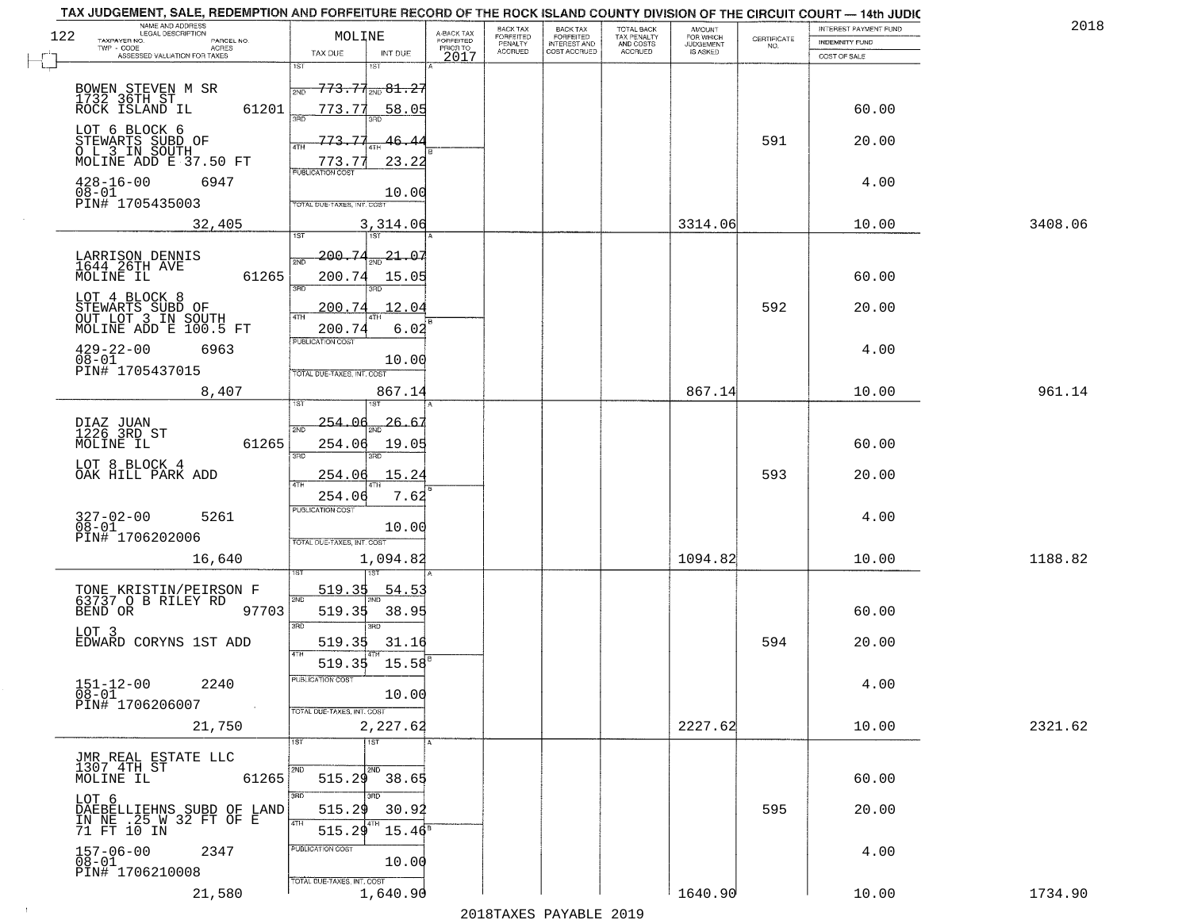| 122 | NAME AND ADDRESS<br>LEGAL DESCRIPTION<br>TAXPAYER NO.<br>PARCEL NO.<br>TWP - CODE<br>ACRES | MOLINE                                                                        |                                                     | A-BACK TAX<br>FORFEITED<br>PRIOR TO | BACK TAX<br>FORFEITED<br>PENALTY | BACK TAX<br>FORFEITED<br>INTEREST AND<br>COST ACCRUED | TOTAL BACK<br>TAX PENALTY<br>AND COSTS | AMOUNT<br>FOR WHICH<br><b>JUDGEMENT</b> | $\begin{array}{c} \text{CEPTIFICATE} \\ \text{NO.} \end{array}$ | INTEREST PAYMENT FUND<br><b>INDEMNITY FUND</b> | 2018    |
|-----|--------------------------------------------------------------------------------------------|-------------------------------------------------------------------------------|-----------------------------------------------------|-------------------------------------|----------------------------------|-------------------------------------------------------|----------------------------------------|-----------------------------------------|-----------------------------------------------------------------|------------------------------------------------|---------|
|     | ASSESSED VALUATION FOR TAXES                                                               | TAX DUE<br>1ST                                                                | INT DUE<br>1ST                                      | 2017                                | <b>ACCRUED</b>                   |                                                       | <b>ACCRUED</b>                         | IS ASKED                                |                                                                 | COST OF SALE                                   |         |
|     | BOWEN STEVEN M SR<br>1732 36TH ST<br>ROCK ISLAND IL<br>61201                               | 2ND<br>773.77                                                                 | <del>773.71<sub>2ND</sub>81.2</del><br><u>58.05</u> |                                     |                                  |                                                       |                                        |                                         |                                                                 | 60.00                                          |         |
|     | LOT 6 BLOCK 6<br>STEWARTS SUBD OF<br>O L 3 IN SOUTH<br>MOLINE ADD E 37.50 FT               | 773.77<br>4TH<br>773.77                                                       | 46.<br>4<br>23.22                                   |                                     |                                  |                                                       |                                        |                                         | 591                                                             | 20.00                                          |         |
|     | $428 - 16 - 00$<br>6947<br>$08 - 01$<br>PIN# 1705435003                                    | <b>PUBLICATION COST</b><br>TOTAL DUE-TAXES, INT. COST                         | 10.00                                               |                                     |                                  |                                                       |                                        |                                         |                                                                 | 4.00                                           |         |
|     | 32,405                                                                                     | 1ST                                                                           | 3,314.06<br>1ST                                     |                                     |                                  |                                                       |                                        | 3314.06                                 |                                                                 | 10.00                                          | 3408.06 |
|     | LARRISON DENNIS<br>1644 26TH AVE<br>MOLINE IL<br>61265                                     | 200.74<br>2ND<br>200.74<br>$\overline{\text{3BD}}$                            | $-21 - 07$<br>15.05                                 |                                     |                                  |                                                       |                                        |                                         |                                                                 | 60.00                                          |         |
|     | LOT 4 BLOCK 8<br>STEWARTS SUBD OF<br>OUT LOT 3 IN SOUTH                                    | 200.74<br>47H                                                                 | 12.04                                               |                                     |                                  |                                                       |                                        |                                         | 592                                                             | 20.00                                          |         |
|     | MOLINE ADD E 100.5 FT<br>$429 - 22 - 00$<br>6963<br>$08 - 01$<br>PIN# 1705437015           | 200.74<br>PUBLICATION COST<br>TOTAL DUE-TAXES, INT. COST                      | 6.02<br>10.00                                       |                                     |                                  |                                                       |                                        |                                         |                                                                 | 4.00                                           |         |
|     | 8,407                                                                                      |                                                                               | 867.14                                              |                                     |                                  |                                                       |                                        | 867.14                                  |                                                                 | 10.00                                          | 961.14  |
|     | DIAZ JUAN<br>1226 3RD ST<br>61265<br>MOLINE IL                                             | 1ST<br>254.06<br>2ND<br>254.06<br>3RD                                         | 26.6'<br>19.05<br>3RD                               |                                     |                                  |                                                       |                                        |                                         |                                                                 | 60.00                                          |         |
|     | LOT 8 BLOCK 4<br>OAK HILL PARK ADD                                                         | 254.06                                                                        | 15.24                                               |                                     |                                  |                                                       |                                        |                                         | 593                                                             | 20.00                                          |         |
|     | 327-02-00<br>08-01<br>5261<br>PIN# 1706202006                                              | <b>ATH</b><br>254.06<br><b>PUBLICATION COST</b><br>TOTAL OUE-TAXES, INT. COST | 7.62<br>10.00                                       |                                     |                                  |                                                       |                                        |                                         |                                                                 | 4.00                                           |         |
|     | 16,640                                                                                     |                                                                               | 1,094.82                                            |                                     |                                  |                                                       |                                        | 1094.82                                 |                                                                 | 10.00                                          | 1188.82 |
|     | TONE KRISTIN/PEIRSON F<br>63737 O B RILEY RD<br>BEND OR 97<br>97703<br>LOT 3               | 519.35<br>2ND<br>519.35<br>3RD                                                | <u>54.5</u><br>38.95<br>3BD                         |                                     |                                  |                                                       |                                        |                                         |                                                                 | 60.00                                          |         |
|     | EDWARD CORYNS 1ST ADD                                                                      | 4TH                                                                           | 519.35 31.16                                        |                                     |                                  |                                                       |                                        |                                         | 594                                                             | 20.00                                          |         |
|     | $151 - 12 - 00$<br>2240<br>$08 - 01$<br>PIN# 1706206007<br>$\sim 100$                      | PUBLICATION COST<br>TOTAL DUE-TAXES, INT. COST                                | 519.35 15.58<br>10.00                               |                                     |                                  |                                                       |                                        |                                         |                                                                 | 4.00                                           |         |
|     | 21,750                                                                                     |                                                                               | 2,227.62                                            |                                     |                                  |                                                       |                                        | 2227.62                                 |                                                                 | 10.00                                          | 2321.62 |
|     | JMR REAL ESTATE LLC<br>1307 4TH ST<br>61265<br>MOLINE IL                                   | 1ST<br>515.29                                                                 | $\overline{1ST}$<br>2ND<br>38.65                    |                                     |                                  |                                                       |                                        |                                         |                                                                 | 60.00                                          |         |
|     | LOT 6<br>DAEBELLIEHNS SUBD OF LAND<br>IN NE : 25 M 32 FT OF E<br>71 FT 10 IN               | 3BD<br>515.29<br>4TH<br>515.29                                                | 3BD<br>30.92<br>$15.46^8$                           |                                     |                                  |                                                       |                                        |                                         | 595                                                             | 20.00                                          |         |
|     | 157-06-00<br>08-01<br>2347<br>PIN# 1706210008                                              | PUBLICATION COST<br>TOTAL DUE-TAXES, INT. COST                                | 10.00                                               |                                     |                                  |                                                       |                                        |                                         |                                                                 | 4.00                                           |         |
|     | 21,580                                                                                     |                                                                               | 1,640.90                                            |                                     |                                  |                                                       |                                        | 1640.90                                 |                                                                 | 10.00                                          | 1734.90 |

 $\sim 10$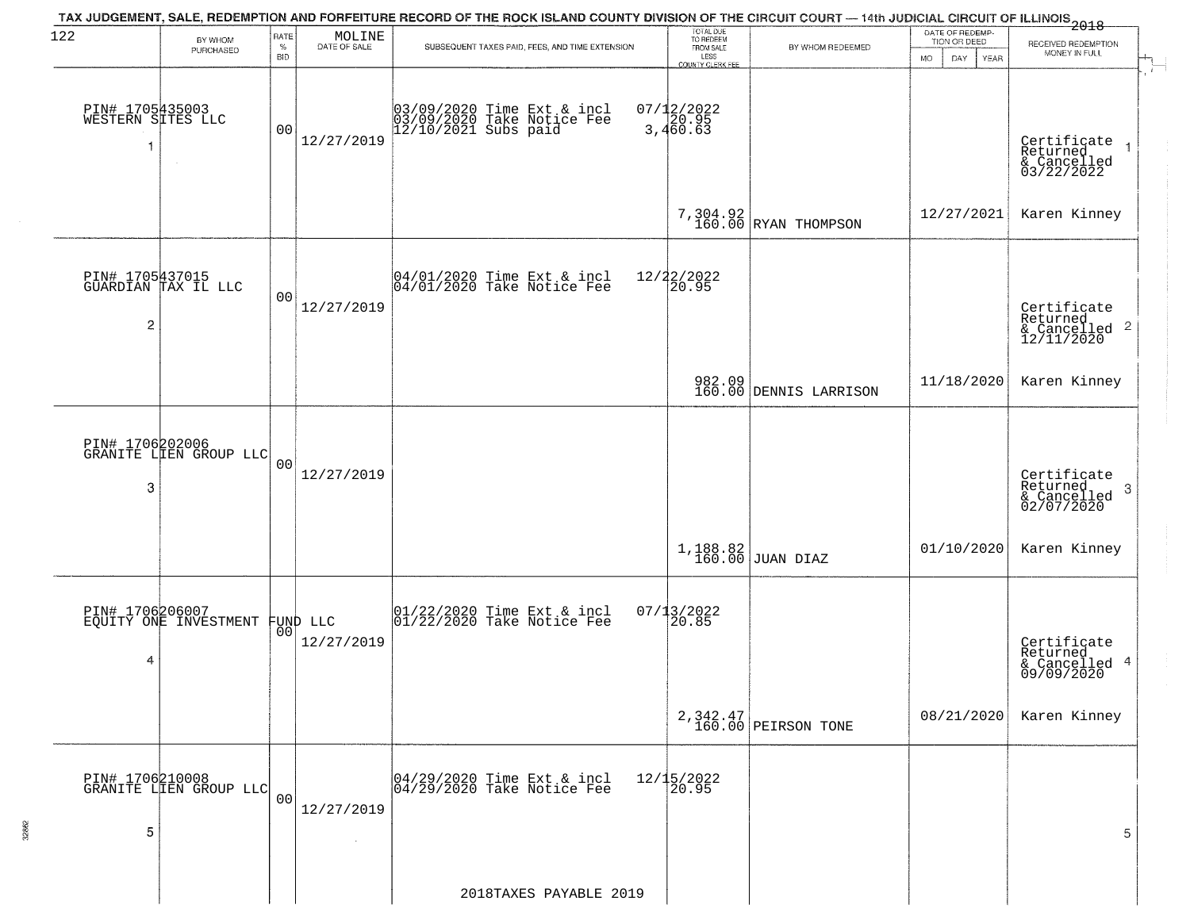| 122                                       | BY WHOM<br>PURCHASED                              | RATE<br>$\%$<br><b>BID</b> | MOLINE<br>DATE OF SALE | TAX JUDGEMENT, SALE, REDEMPTION AND FORFEITURE RECORD OF THE ROCK ISLAND COUNTY DIVISION OF THE CIRCUIT COURT — 14th JUDICIAL CIRCUIT OF ILLINOIS 2018<br>SUBSEQUENT TAXES PAID, FEES, AND TIME EXTENSION | TOTAL DUE<br>TO REDEEM<br>FROM SALE<br>LESS<br>COUNTY CLERK FEE | BY WHOM REDEEMED                 | DATE OF REDEMP-<br>TION OR DEED<br><b>MO</b><br>DAY<br>YEAR | RECEIVED REDEMPTION<br>MONEY IN FULL                                |
|-------------------------------------------|---------------------------------------------------|----------------------------|------------------------|-----------------------------------------------------------------------------------------------------------------------------------------------------------------------------------------------------------|-----------------------------------------------------------------|----------------------------------|-------------------------------------------------------------|---------------------------------------------------------------------|
| PIN# 1705435003<br>WESTERN SITES LLC<br>1 | $\sim$                                            | 0 <sub>0</sub>             | 12/27/2019             | 03/09/2020 Time Ext & incl<br>03/09/2020 Take Notice Fee<br>12/10/2021 Subs paid                                                                                                                          | $07/12/2022$<br>3,460.63                                        |                                  |                                                             | Certificate<br>Returned<br>& Cancelled<br>03/22/2022                |
|                                           |                                                   |                            |                        |                                                                                                                                                                                                           |                                                                 | $7,304.92$ RYAN THOMPSON         | 12/27/2021                                                  | Karen Kinney                                                        |
| 2                                         | PIN# 1705437015<br>GUARDIAN TAX IL LLC            | 0 <sub>0</sub>             | 12/27/2019             | 04/01/2020 Time Ext & incl<br>04/01/2020 Take Notice Fee                                                                                                                                                  | 12/22/2022<br>20.95                                             |                                  |                                                             | Certificate<br>Returned<br>$\frac{12}{2}$ Cancelled 2<br>12/11/2020 |
|                                           |                                                   |                            |                        |                                                                                                                                                                                                           |                                                                 | 982.09<br>160.00 DENNIS LARRISON | 11/18/2020                                                  | Karen Kinney                                                        |
| 3                                         | PIN# 1706202006<br>GRANITE LIEN GROUP LLC         | 0 <sub>0</sub>             | 12/27/2019             |                                                                                                                                                                                                           |                                                                 |                                  |                                                             | Certificate<br>Returned<br>3<br>& Cancelled<br>02/07/2020           |
|                                           |                                                   |                            |                        |                                                                                                                                                                                                           | 1,188.82<br>160.00                                              | JUAN DIAZ                        | 01/10/2020                                                  | Karen Kinney                                                        |
| 4                                         | PIN# 1706206007<br>EQUITY ONE INVESTMENT FUND LLC |                            | 12/27/2019             | 01/22/2020 Time Ext & incl<br>01/22/2020 Take Notice Fee                                                                                                                                                  | $07/13/2022$<br>20.85                                           |                                  |                                                             | Certificate<br>Returned<br>& Cancelled 4<br>09/09/2020              |
|                                           |                                                   |                            |                        |                                                                                                                                                                                                           |                                                                 | 2,342.47<br>160.00 PEIRSON TONE  | 08/21/2020                                                  | Karen Kinney                                                        |
| 5                                         | PIN# 1706210008<br>GRANITE LIEN GROUP LLC         | 0 <sub>0</sub>             | 12/27/2019             | 04/29/2020 Time Ext & incl<br>04/29/2020 Take Notice Fee                                                                                                                                                  | 12/15/2022<br>20.95                                             |                                  |                                                             | 5                                                                   |
|                                           |                                                   |                            |                        | 2018TAXES PAYABLE 2019                                                                                                                                                                                    |                                                                 |                                  |                                                             |                                                                     |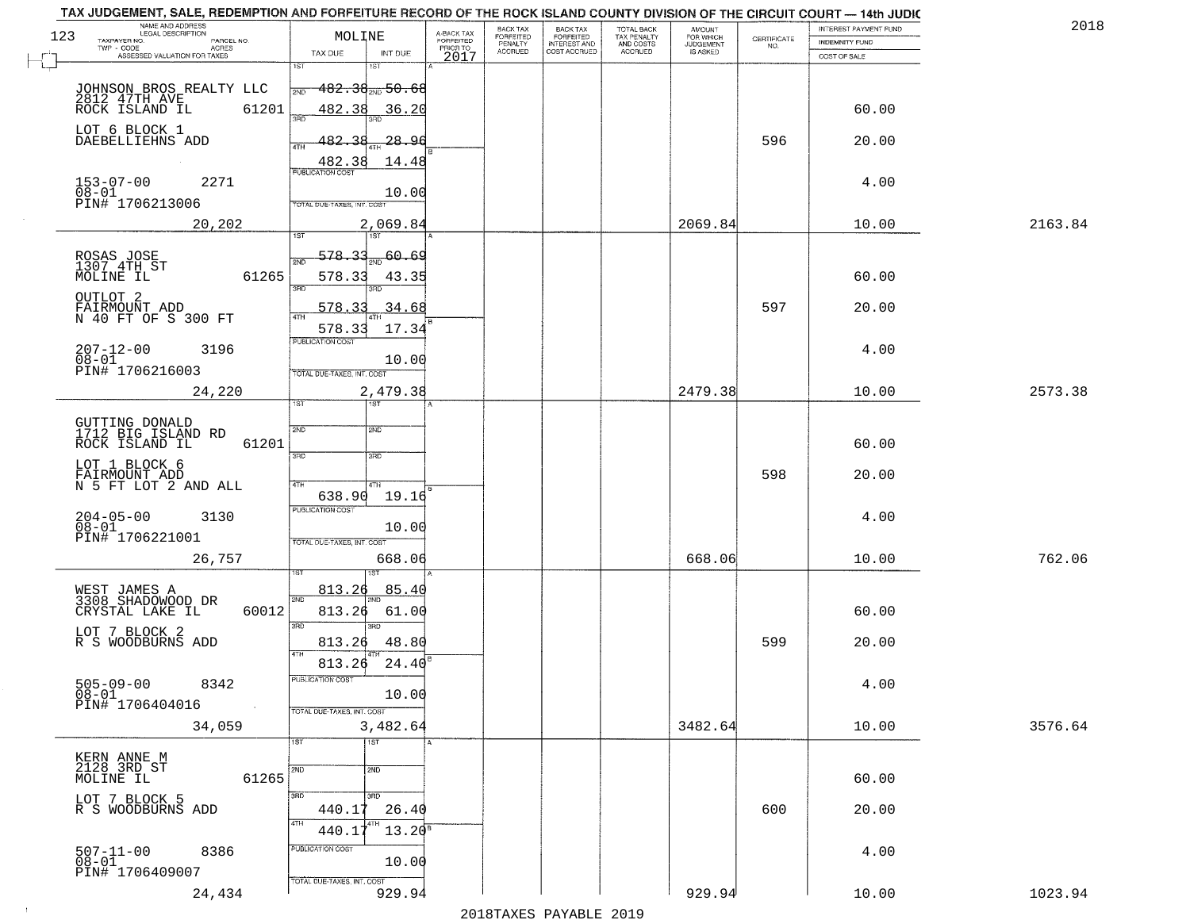|     | TAX JUDGEMENT, SALE, REDEMPTION AND FORFEITURE RECORD OF THE ROCK ISLAND COUNTY DIVISION OF THE CIRCUIT COURT - 14th JUDIC<br>NAME AND ADDRESS<br>LEGAL DESCRIPTION |                                     |                                     | BACK TAX                    |                                              |                                        |                                         |                                                                 | INTEREST PAYMENT FUND | 2018    |
|-----|---------------------------------------------------------------------------------------------------------------------------------------------------------------------|-------------------------------------|-------------------------------------|-----------------------------|----------------------------------------------|----------------------------------------|-----------------------------------------|-----------------------------------------------------------------|-----------------------|---------|
| 123 | TAXPAYER NO.<br>PARCEL NO.                                                                                                                                          | MOLINE                              | A-BACK TAX<br>FORFEITED<br>PRIOR TO | <b>FORFEITED</b><br>PENALTY | BACK TAX<br>FORFEITED<br><b>INTEREST AND</b> | TOTAL BACK<br>TAX PENALTY<br>AND COSTS | AMOUNT<br>FOR WHICH<br><b>JUDGEMENT</b> | $\begin{array}{c} \text{CERTIFICATE} \\ \text{NO.} \end{array}$ | INDEMNITY FUND        |         |
|     | ACRES<br>ASSESSED VALUATION FOR TAXES                                                                                                                               | TAX DUE<br>INT DUE                  | 2017                                | <b>ACCRUED</b>              | COST ACCRUED                                 | <b>ACCRUED</b>                         | IS ASKED                                |                                                                 | COST OF SALE          |         |
|     |                                                                                                                                                                     | 1ST<br>۱ST                          |                                     |                             |                                              |                                        |                                         |                                                                 |                       |         |
|     | JOHNSON BROS REALTY LLC                                                                                                                                             | <del>182.38 mg 50.68</del><br>2ND   |                                     |                             |                                              |                                        |                                         |                                                                 |                       |         |
|     | 2812 47TH AVE<br>61201<br>ROCK ISLAND IL                                                                                                                            | 482.38<br>36.20                     |                                     |                             |                                              |                                        |                                         |                                                                 | 60.00                 |         |
|     |                                                                                                                                                                     | 350                                 |                                     |                             |                                              |                                        |                                         |                                                                 |                       |         |
|     | LOT 6 BLOCK 1<br>DAEBELLIEHNS ADD                                                                                                                                   | 482.38<br>28.96                     |                                     |                             |                                              |                                        |                                         | 596                                                             | 20.00                 |         |
|     |                                                                                                                                                                     |                                     |                                     |                             |                                              |                                        |                                         |                                                                 |                       |         |
|     |                                                                                                                                                                     | 482.38<br>14.48                     |                                     |                             |                                              |                                        |                                         |                                                                 |                       |         |
|     | $153 - 07 - 00$<br>$08 - 01$<br>2271                                                                                                                                | 10.00                               |                                     |                             |                                              |                                        |                                         |                                                                 | 4.00                  |         |
|     | PIN# 1706213006                                                                                                                                                     | TOTAL DUE-TAXES, INT. COST          |                                     |                             |                                              |                                        |                                         |                                                                 |                       |         |
|     | 20,202                                                                                                                                                              | 2,069.84                            |                                     |                             |                                              |                                        | 2069.84                                 |                                                                 | 10.00                 | 2163.84 |
|     |                                                                                                                                                                     |                                     |                                     |                             |                                              |                                        |                                         |                                                                 |                       |         |
|     | ROSAS JOSE<br>1307 4TH ST                                                                                                                                           | <u>578.33</u><br>20.69<br>2ND       |                                     |                             |                                              |                                        |                                         |                                                                 |                       |         |
|     | 61265<br>MOLINE IL                                                                                                                                                  | 578.33<br>43.35                     |                                     |                             |                                              |                                        |                                         |                                                                 | 60.00                 |         |
|     |                                                                                                                                                                     | त्रहा<br>3RD                        |                                     |                             |                                              |                                        |                                         |                                                                 |                       |         |
|     | OUTLOT <sub>2</sub>                                                                                                                                                 | 578.33<br>.34.68                    |                                     |                             |                                              |                                        |                                         | 597                                                             | 20.00                 |         |
|     | FAIRMOUNT ADD<br>N 40 FT OF S 300 FT                                                                                                                                |                                     |                                     |                             |                                              |                                        |                                         |                                                                 |                       |         |
|     |                                                                                                                                                                     | 17.34<br>578.33<br>PUBLICATION COST |                                     |                             |                                              |                                        |                                         |                                                                 |                       |         |
|     | $207 - 12 - 00$<br>3196<br>$08 - 01$                                                                                                                                | 10.00                               |                                     |                             |                                              |                                        |                                         |                                                                 | 4.00                  |         |
|     | PIN# 1706216003                                                                                                                                                     | TOTAL DUE-TAXES, INT. COST          |                                     |                             |                                              |                                        |                                         |                                                                 |                       |         |
|     | 24,220                                                                                                                                                              | 2,479.38                            |                                     |                             |                                              |                                        | 2479.38                                 |                                                                 | 10.00                 | 2573.38 |
|     |                                                                                                                                                                     | IST<br>1ST                          |                                     |                             |                                              |                                        |                                         |                                                                 |                       |         |
|     | GUTTING DONALD<br>1712 BIG ISLAND RD                                                                                                                                | SVD<br>2ND                          |                                     |                             |                                              |                                        |                                         |                                                                 |                       |         |
|     | ROCK ISLAND IL<br>61201                                                                                                                                             |                                     |                                     |                             |                                              |                                        |                                         |                                                                 | 60.00                 |         |
|     |                                                                                                                                                                     | 3RD<br>3RD                          |                                     |                             |                                              |                                        |                                         |                                                                 |                       |         |
|     | LOT 1 BLOCK 6                                                                                                                                                       |                                     |                                     |                             |                                              |                                        |                                         | 598                                                             | 20.00                 |         |
|     | FAIRMOUNT ADD<br>N 5 FT LOT 2 AND ALL                                                                                                                               | 4TH<br>4TH<br>19.16<br>638.90       |                                     |                             |                                              |                                        |                                         |                                                                 |                       |         |
|     |                                                                                                                                                                     | <b>PUBLICATION COST</b>             |                                     |                             |                                              |                                        |                                         |                                                                 |                       |         |
|     | $204 - 05 - 00$<br>$08 - 01$<br>3130                                                                                                                                | 10.00                               |                                     |                             |                                              |                                        |                                         |                                                                 | 4.00                  |         |
|     | PIN# 1706221001                                                                                                                                                     | TOTAL OUE-TAXES, INT. COST          |                                     |                             |                                              |                                        |                                         |                                                                 |                       |         |
|     | 26,757                                                                                                                                                              | 668.06                              |                                     |                             |                                              |                                        | 668.06                                  |                                                                 | 10.00                 | 762.06  |
|     |                                                                                                                                                                     |                                     |                                     |                             |                                              |                                        |                                         |                                                                 |                       |         |
|     | WEST JAMES A<br>3308 SHADOWOOD DR                                                                                                                                   | 813.26<br>85.40<br>2ND              |                                     |                             |                                              |                                        |                                         |                                                                 |                       |         |
|     | 60012<br>CRYSTAL LAKE IL                                                                                                                                            | 813.26<br>61.00                     |                                     |                             |                                              |                                        |                                         |                                                                 | 60.00                 |         |
|     | LOT 7 BLOCK 2                                                                                                                                                       | 3RD<br>3BD                          |                                     |                             |                                              |                                        |                                         |                                                                 |                       |         |
|     | R S WOODBURNS ADD                                                                                                                                                   | 813.26<br>48.80                     |                                     |                             |                                              |                                        |                                         | 599                                                             | 20.00                 |         |
|     |                                                                                                                                                                     | 4TH<br>813.26<br>24.40              |                                     |                             |                                              |                                        |                                         |                                                                 |                       |         |
|     |                                                                                                                                                                     | PUBLICATION COST                    |                                     |                             |                                              |                                        |                                         |                                                                 |                       |         |
|     | $505 - 09 - 00$<br>8342<br>$08 - 01$                                                                                                                                | 10.00                               |                                     |                             |                                              |                                        |                                         |                                                                 | 4.00                  |         |
|     | PIN# 1706404016<br>$\sim 100$                                                                                                                                       | TOTAL DUE-TAXES, INT. COST          |                                     |                             |                                              |                                        |                                         |                                                                 |                       |         |
|     | 34,059                                                                                                                                                              | 3,482.64                            |                                     |                             |                                              |                                        | 3482.64                                 |                                                                 | 10.00                 | 3576.64 |
|     |                                                                                                                                                                     | 1ST<br>$\overline{1}$ 1ST           |                                     |                             |                                              |                                        |                                         |                                                                 |                       |         |
|     | KERN ANNE M<br>2128 3RD ST                                                                                                                                          | 2ND                                 |                                     |                             |                                              |                                        |                                         |                                                                 |                       |         |
|     | 61265<br>MOLINE IL                                                                                                                                                  | 2ND.                                |                                     |                             |                                              |                                        |                                         |                                                                 | 60.00                 |         |
|     |                                                                                                                                                                     | 3RD<br>3RD                          |                                     |                             |                                              |                                        |                                         |                                                                 |                       |         |
|     | LOT 7 BLOCK 5<br>R S WOODBURNS ADD                                                                                                                                  | 440.1<br>26.40                      |                                     |                             |                                              |                                        |                                         | 600                                                             | 20.00                 |         |
|     |                                                                                                                                                                     | 4TH<br>$13.20^8$<br>440.1           |                                     |                             |                                              |                                        |                                         |                                                                 |                       |         |
|     | $507 - 11 - 00$<br>8386                                                                                                                                             | PUBLICATION COST                    |                                     |                             |                                              |                                        |                                         |                                                                 | 4.00                  |         |
|     | $08 - 01$                                                                                                                                                           | 10.00                               |                                     |                             |                                              |                                        |                                         |                                                                 |                       |         |
|     | PIN# 1706409007                                                                                                                                                     | TOTAL DUE-TAXES, INT. COST          |                                     |                             |                                              |                                        |                                         |                                                                 |                       |         |
|     | 24,434                                                                                                                                                              | 929.94                              |                                     |                             |                                              |                                        | 929.94                                  |                                                                 | 10.00                 | 1023.94 |
|     |                                                                                                                                                                     |                                     |                                     |                             | 2010                                         |                                        |                                         |                                                                 |                       |         |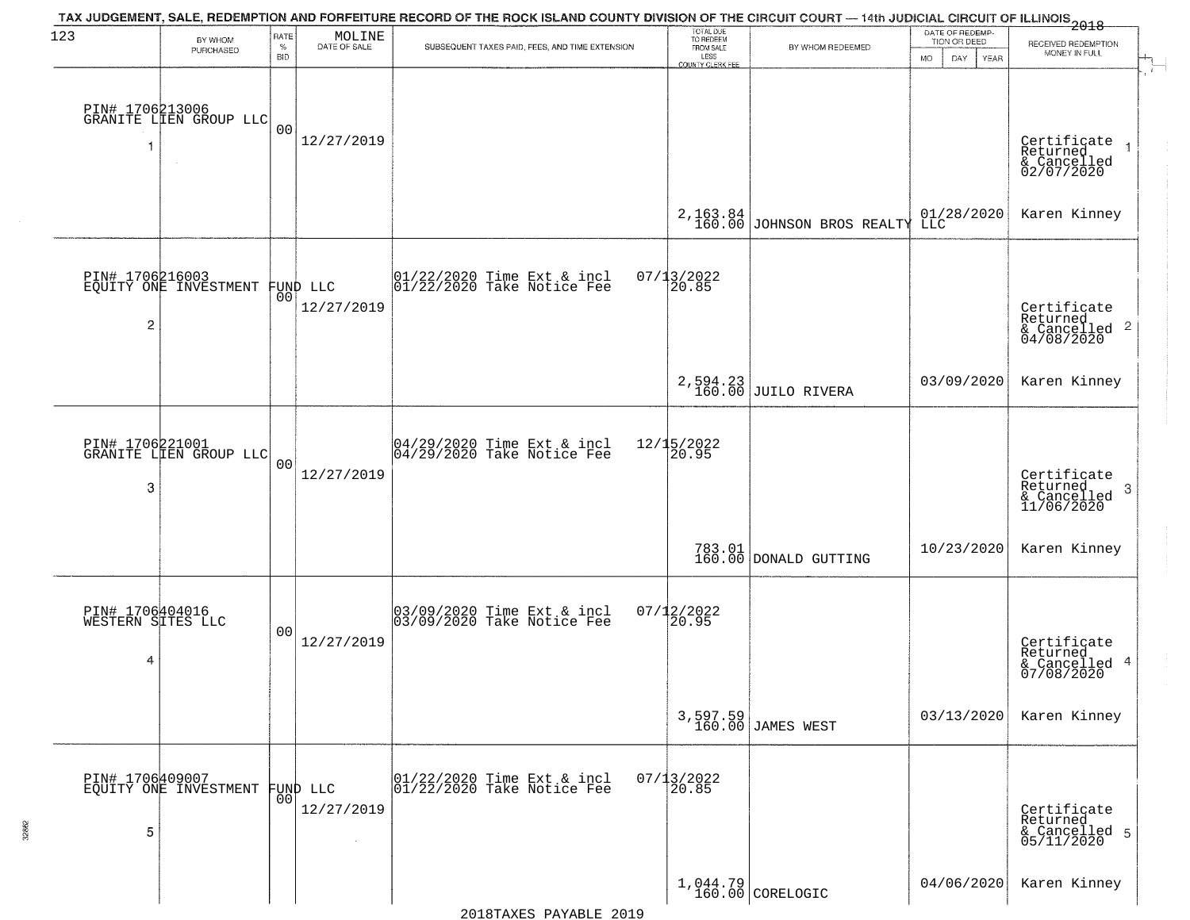| 123            | BY WHOM                                           | RATE               | MOLINE                 | TAX JUDGEMENT, SALE, REDEMPTION AND FORFEITURE RECORD OF THE ROCK ISLAND COUNTY DIVISION OF THE CIRCUIT COURT — 14th JUDICIAL CIRCUIT OF ILLINOIS 2018 | TOTAL DUE<br>TO REDEEM                |                                 | DATE OF REDEMP-<br>TION OR DEED |                                                                       |
|----------------|---------------------------------------------------|--------------------|------------------------|--------------------------------------------------------------------------------------------------------------------------------------------------------|---------------------------------------|---------------------------------|---------------------------------|-----------------------------------------------------------------------|
|                | PURCHASED                                         | $\%$<br><b>BID</b> | DATE OF SALE           | SUBSEQUENT TAXES PAID, FEES, AND TIME EXTENSION                                                                                                        | FROM SALE<br>LESS<br>COUNTY CLERK FEE | BY WHOM REDEEMED                | <b>MO</b><br>DAY<br>YEAR        | RECEIVED REDEMPTION<br>MONEY IN FULL                                  |
|                | PIN# 1706213006<br>GRANITE LIEN GROUP LLC         | 0 <sub>0</sub>     | 12/27/2019             |                                                                                                                                                        |                                       |                                 |                                 | Certificate<br>Returned<br>$\rightarrow$<br>& Cancelled<br>02/07/2020 |
|                |                                                   |                    |                        |                                                                                                                                                        | 2,163.84<br>160.00                    | JOHNSON BROS REALTY             | 01/28/2020<br>LLC               | Karen Kinney                                                          |
| $\overline{c}$ | PIN# 1706216003<br>EQUITY ONE INVESTMENT FUND LLC |                    | 12/27/2019             | $ 01/22/2020$ Time Ext & incl<br>$ 01/22/2020$ Take Notice Fee                                                                                         | $07/13/2022$<br>20.85                 |                                 |                                 | Certificate<br>Returned<br>$\frac{1}{6}$ Cancelled 2<br>04/08/2020    |
|                |                                                   |                    |                        |                                                                                                                                                        |                                       | 2,594.23<br>160.00 JUILO RIVERA | 03/09/2020                      | Karen Kinney                                                          |
| 3              | PIN# 1706221001<br>GRANITE LIEN GROUP LLC         | 0 <sub>0</sub>     | 12/27/2019             | $\begin{array}{c}  04/29/2020 \text{ Time} \text{ Ext} & \text{incl} \\  04/29/2020 \text{ Take Notice } \text{Fe} \end{array}$                        | 12/15/2022<br>20.95                   |                                 |                                 | Certificate<br>Returned<br>3<br>& Cancelled<br>11/06/2020             |
|                |                                                   |                    |                        |                                                                                                                                                        |                                       | 783.01<br>160.00 DONALD GUTTING | 10/23/2020                      | Karen Kinney                                                          |
| 4              | PIN# 1706404016<br>WESTERN SITES LLC              | 0 <sub>0</sub>     | 12/27/2019             | 03/09/2020 Time Ext & incl<br>03/09/2020 Take Notice Fee                                                                                               | $07/12/2022$<br>20.95                 |                                 |                                 | Certificate<br>Returned<br>& Cancelled 4<br>07/08/2020                |
|                |                                                   |                    |                        |                                                                                                                                                        |                                       | 3,597.59<br>160.00 JAMES WEST   | 03/13/2020                      | Karen Kinney                                                          |
| 5              | PIN# 1706409007<br>EQUITY ONE INVESTMENT          | 0 <sup>0</sup>     | FUND LLC<br>12/27/2019 | 01/22/2020 Time Ext & incl<br>01/22/2020 Take Notice Fee                                                                                               | $07/13/2022$<br>20.85                 |                                 |                                 | Certificate<br>Returned<br>& Cancelled 5<br>05/11/2020                |
|                |                                                   |                    |                        |                                                                                                                                                        |                                       | $1,044.79$ CORELOGIC            | 04/06/2020                      | Karen Kinney                                                          |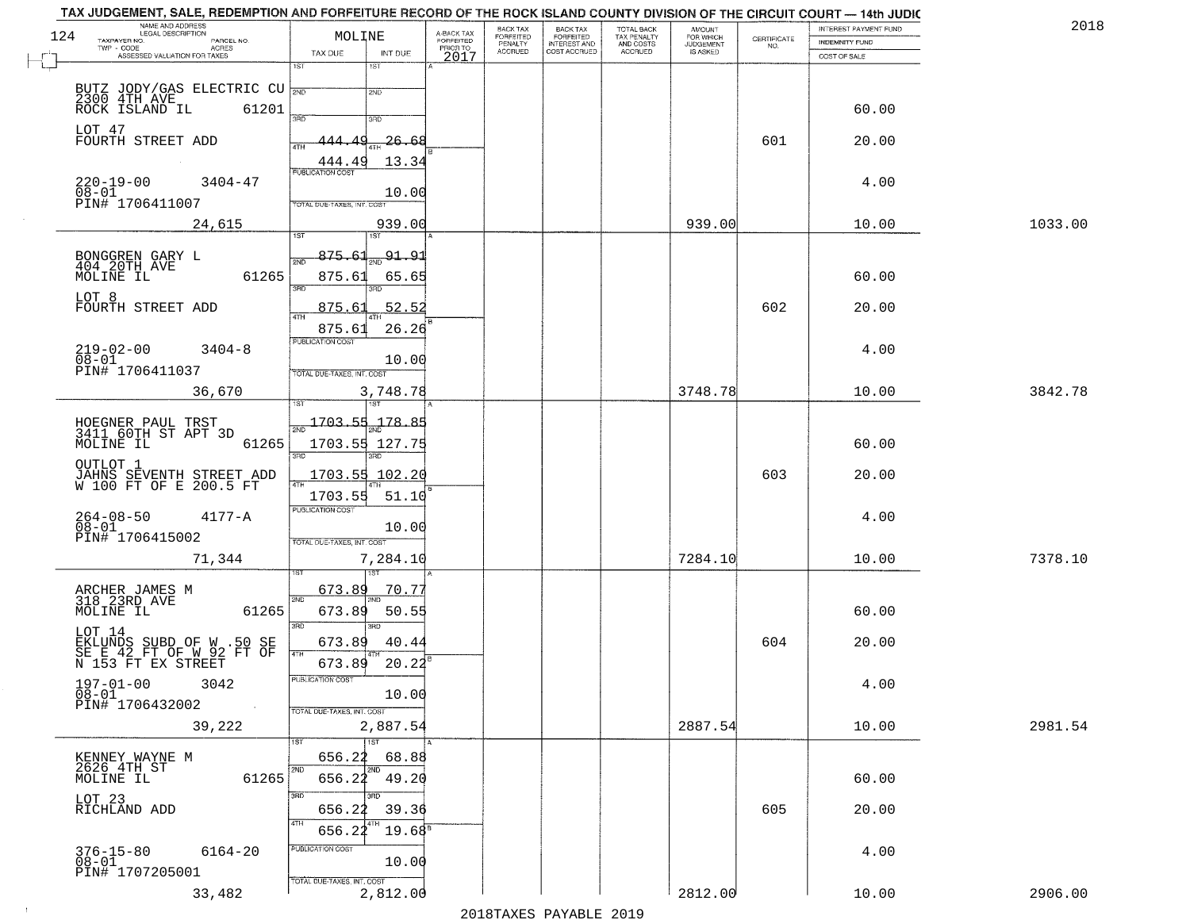| NAME AND ADDRESS<br>LEGAL DESCRIPTION                             |                                            |                                     | BACK TAX<br>FORFEITED | BACK TAX<br>FORFEITED | <b>TOTAL BACK</b>        | AMOUNT<br>FOR WHICH |                                                                 | INTEREST PAYMENT FUND | 2018    |
|-------------------------------------------------------------------|--------------------------------------------|-------------------------------------|-----------------------|-----------------------|--------------------------|---------------------|-----------------------------------------------------------------|-----------------------|---------|
| 124<br>TAXPAYER NO.<br>PARCEL NO.<br>ACRES                        | MOLINE                                     | A-BACK TAX<br>FORFEITED<br>PRIOR TO | PENALTY               | <b>INTEREST AND</b>   | TAX PENALTY<br>AND COSTS | <b>JUDGEMENT</b>    | $\begin{array}{c} \text{CERTIFICATE} \\ \text{NO.} \end{array}$ | <b>INDEMNITY FUND</b> |         |
| ASSESSED VALUATION FOR TAXES                                      | TAX DUE<br>INT DUE<br>1ST<br>1ST           | 2017                                | <b>ACCRUED</b>        | COST ACCRUED          | <b>ACCRUED</b>           | IS ASKED            |                                                                 | COST OF SALE          |         |
|                                                                   |                                            |                                     |                       |                       |                          |                     |                                                                 |                       |         |
| BUTZ JODY/GAS ELECTRIC CU<br>2300 4TH AVE                         | 2ND                                        |                                     |                       |                       |                          |                     |                                                                 |                       |         |
| 61201<br>ROCK ISLAND IL                                           | 3RD<br>3RD                                 |                                     |                       |                       |                          |                     |                                                                 | 60.00                 |         |
| LOT 47                                                            |                                            |                                     |                       |                       |                          |                     | 601                                                             |                       |         |
| FOURTH STREET ADD                                                 | <u> 26.68</u><br>444.49<br>ATH             |                                     |                       |                       |                          |                     |                                                                 | 20.00                 |         |
|                                                                   | 13.34<br>444.49<br><b>PUBLICATION COST</b> |                                     |                       |                       |                          |                     |                                                                 |                       |         |
| $220 - 19 - 00$<br>$3404 - 47$<br>$\overline{08} - 0\overline{1}$ | 10.00                                      |                                     |                       |                       |                          |                     |                                                                 | 4.00                  |         |
| PIN# 1706411007                                                   | TOTAL DUE-TAXES, INT. COST                 |                                     |                       |                       |                          |                     |                                                                 |                       |         |
| 24,615                                                            | 939.00                                     |                                     |                       |                       |                          | 939.00              |                                                                 | 10.00                 | 1033.00 |
|                                                                   | 1ST                                        |                                     |                       |                       |                          |                     |                                                                 |                       |         |
| BONGGREN GARY L<br>404 20TH AVE                                   | 875.61<br><u>91.91</u><br>2ND              |                                     |                       |                       |                          |                     |                                                                 |                       |         |
| 61265<br>MOLINE IL                                                | 875.61<br>65.65<br>3RD                     |                                     |                       |                       |                          |                     |                                                                 | 60.00                 |         |
| LOT 8                                                             | 3RD                                        |                                     |                       |                       |                          |                     |                                                                 |                       |         |
| FOURTH STREET ADD                                                 | 52.52<br>875.61<br>$\overline{ATH}$        |                                     |                       |                       |                          |                     | 602                                                             | 20.00                 |         |
|                                                                   | 26.26<br>875.61<br>PUBLICATION COST        |                                     |                       |                       |                          |                     |                                                                 |                       |         |
| $219 - 02 - 00$<br>$3404 - 8$<br>$08 - 01$                        | 10.00                                      |                                     |                       |                       |                          |                     |                                                                 | 4.00                  |         |
| PIN# 1706411037                                                   | TOTAL DUE-TAXES, INT. COST                 |                                     |                       |                       |                          |                     |                                                                 |                       |         |
| 36,670                                                            | 3,748.78                                   |                                     |                       |                       |                          | 3748.78             |                                                                 | 10.00                 | 3842.78 |
|                                                                   | 187                                        |                                     |                       |                       |                          |                     |                                                                 |                       |         |
| HOEGNER PAUL TRST<br>3411 60TH ST APT 3D                          | 1703.55<br>$-178.$<br>$\overline{2ND}$     |                                     |                       |                       |                          |                     |                                                                 |                       |         |
| MOLINE IL<br>61265                                                | 1703.55 127.75                             |                                     |                       |                       |                          |                     |                                                                 | 60.00                 |         |
| OUTLOT 1                                                          | 3 <sub>BD</sub><br>3RD                     |                                     |                       |                       |                          |                     |                                                                 |                       |         |
| JAHNS SEVENTH STREET ADD<br>W 100 FT OF E 200.5 FT                | 1703.55 102.20                             |                                     |                       |                       |                          |                     | 603                                                             | 20.00                 |         |
|                                                                   | 1703.55<br>51.10                           |                                     |                       |                       |                          |                     |                                                                 |                       |         |
| $264 - 08 - 50$<br>$4177 - A$                                     | <b>PUBLICATION COST</b>                    |                                     |                       |                       |                          |                     |                                                                 | 4.00                  |         |
| $08 - 01$<br>PIN# 1706415002                                      | 10.00<br>TOTAL OUE-TAXES, INT. COST        |                                     |                       |                       |                          |                     |                                                                 |                       |         |
| 71,344                                                            | 7,284.10                                   |                                     |                       |                       |                          | 7284.10             |                                                                 | 10.00                 | 7378.10 |
|                                                                   | 151                                        |                                     |                       |                       |                          |                     |                                                                 |                       |         |
| ARCHER JAMES M<br>318 23RD AVE                                    | 673.89<br>70.75<br>2ND                     |                                     |                       |                       |                          |                     |                                                                 |                       |         |
| MOLINE IL<br>61265                                                | 673.89<br>50.55                            |                                     |                       |                       |                          |                     |                                                                 | 60.00                 |         |
| LOT 14                                                            | 3RD<br>3RD                                 |                                     |                       |                       |                          |                     |                                                                 |                       |         |
| EKLUNDS SUBD OF W .50 SE<br>SE E 42 FT OF W 92 FT OF              | 40.44<br>673.89<br>4TH                     |                                     |                       |                       |                          |                     | 604                                                             | 20.00                 |         |
| N 153 FT EX STREET                                                | 20.22<br>673.89                            |                                     |                       |                       |                          |                     |                                                                 |                       |         |
| $197 - 01 - 00$<br>3042                                           | UBLICA HUN COS-                            |                                     |                       |                       |                          |                     |                                                                 | 4.00                  |         |
| 08-01<br>PIN# 1706432002<br>$\sim 100$ km $^{-1}$                 | 10.00<br>TOTAL DUE-TAXES, INT. COST        |                                     |                       |                       |                          |                     |                                                                 |                       |         |
| 39,222                                                            | 2,887.54                                   |                                     |                       |                       |                          | 2887.54             |                                                                 | 10.00                 | 2981.54 |
|                                                                   | 1ST                                        |                                     |                       |                       |                          |                     |                                                                 |                       |         |
| KENNEY WAYNE M                                                    | 656.22<br>68.88                            |                                     |                       |                       |                          |                     |                                                                 |                       |         |
| 2626 4TH ST<br>61265<br>MOLINE IL                                 | 2ND<br>656.22 49.20                        |                                     |                       |                       |                          |                     |                                                                 | 60.00                 |         |
|                                                                   | 3RD                                        |                                     |                       |                       |                          |                     |                                                                 |                       |         |
| LOT 23<br>RICHLAND ADD                                            | 656.22<br>39.36                            |                                     |                       |                       |                          |                     | 605                                                             | 20.00                 |         |
|                                                                   | 656.22<br>$19.68^8$                        |                                     |                       |                       |                          |                     |                                                                 |                       |         |
| $376 - 15 - 80$<br>6164-20                                        | PUBLICATION COST                           |                                     |                       |                       |                          |                     |                                                                 | 4.00                  |         |
| $08 - 01$<br>PIN# 1707205001                                      | 10.00                                      |                                     |                       |                       |                          |                     |                                                                 |                       |         |
| 33,482                                                            | TOTAL DUE-TAXES, INT. COST<br>2,812.00     |                                     |                       |                       |                          | 2812.00             |                                                                 | 10.00                 | 2906.00 |
|                                                                   |                                            |                                     |                       |                       |                          |                     |                                                                 |                       |         |

 $\sim 10^{-1}$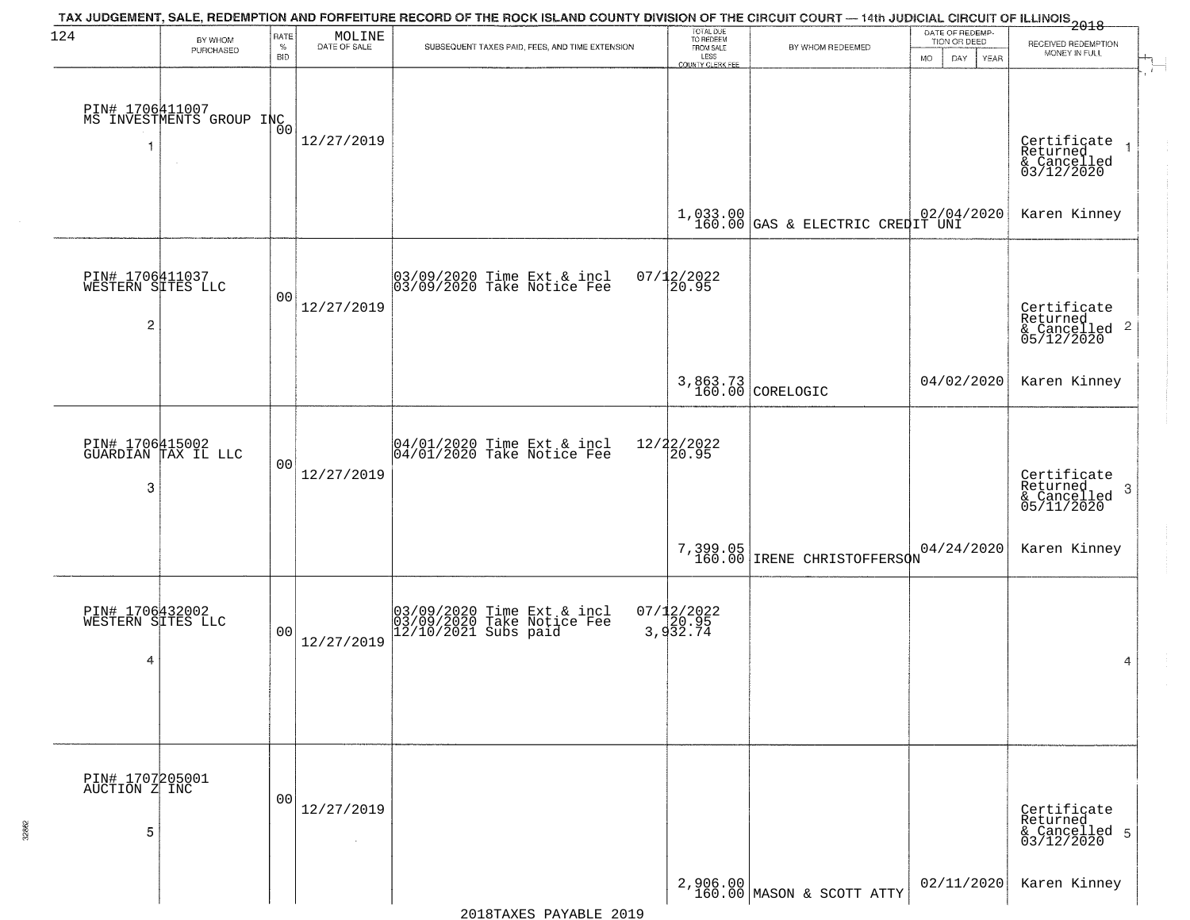| 124                              | BY WHOM<br>PURCHASED                        | RATE<br>$\%$<br><b>BID</b> | $\begin{array}{c} \text{MOLINE} \\ \text{DATE of SALE} \end{array}$ | TAX JUDGEMENT, SALE, REDEMPTION AND FORFEITURE RECORD OF THE ROCK ISLAND COUNTY DIVISION OF THE CIRCUIT COURT — 14th JUDICIAL CIRCUIT OF ILLINOIS<br>2018<br>SUBSEQUENT TAXES PAID, FEES, AND TIME EXTENSION | TOTAL DUE<br>TO REDEEM<br>FROM SALE<br>LESS<br>COUNTY CLERK FEE | BY WHOM REDEEMED                                       | DATE OF REDEMP<br>TION OR DEED<br><b>MO</b><br>DAY.<br>YEAR | RECEIVED REDEMPTION<br>MONEY IN FULL                                  |
|----------------------------------|---------------------------------------------|----------------------------|---------------------------------------------------------------------|--------------------------------------------------------------------------------------------------------------------------------------------------------------------------------------------------------------|-----------------------------------------------------------------|--------------------------------------------------------|-------------------------------------------------------------|-----------------------------------------------------------------------|
|                                  | PIN# 1706411007<br>MS INVESTMENTS GROUP INC |                            | 12/27/2019                                                          |                                                                                                                                                                                                              |                                                                 |                                                        |                                                             | Certificate<br>Returned<br>& Cancelled<br>03/12/2020                  |
|                                  |                                             |                            |                                                                     |                                                                                                                                                                                                              |                                                                 | $1,033.00$ $02/04$<br>160.00 GAS & ELECTRIC CREDIT UNI | 02/04/2020                                                  | Karen Kinney                                                          |
| $\overline{c}$                   | PIN# 1706411037<br>WESTERN SITES LLC        | 00                         | 12/27/2019                                                          | 03/09/2020 Time Ext & incl<br>03/09/2020 Take Notice Fee                                                                                                                                                     | 07/12/2022<br>20.95                                             |                                                        |                                                             | Certificate<br>Returned<br>& Cancelled 2<br>05/12/2020                |
|                                  |                                             |                            |                                                                     |                                                                                                                                                                                                              |                                                                 | 3,863.73<br>160.00 CORELOGIC                           | 04/02/2020                                                  | Karen Kinney                                                          |
| 3                                | PIN# 1706415002<br>GUARDIAN TAX IL LLC      | 00                         | 12/27/2019                                                          | 04/01/2020 Time Ext & incl<br>04/01/2020 Take Notice Fee                                                                                                                                                     | 12/22/2022<br>20.95                                             |                                                        |                                                             | Certificate<br>Returned<br>3<br>$\frac{1}{2}$ Cancelled<br>05/11/2020 |
|                                  |                                             |                            |                                                                     |                                                                                                                                                                                                              | 7,399.05<br>160.00                                              | IRENE CHRISTOFFERSON                                   | 04/24/2020                                                  | Karen Kinney                                                          |
| 4                                | PIN# 1706432002<br>WESTERN SITES LLC        | 0 <sup>0</sup>             | 12/27/2019                                                          | 03/09/2020 Time Ext & incl<br>03/09/2020 Take Notice Fee<br>12/10/2021 Subs paid                                                                                                                             | $07/12/2022$<br>3,932.74                                        |                                                        |                                                             | 4                                                                     |
| PIN# 1707205001<br>AUCTION Z INC |                                             | 00                         | 12/27/2019                                                          |                                                                                                                                                                                                              |                                                                 |                                                        |                                                             | Certificate<br>Returned                                               |
| 5                                |                                             |                            | $\sim$                                                              |                                                                                                                                                                                                              |                                                                 | $2,906.00 \textrm{ $ \$}$ 160.00 MASON & SCOTT ATTY    | 02/11/2020                                                  | & Cancelled 5<br>03/12/2020<br>Karen Kinney                           |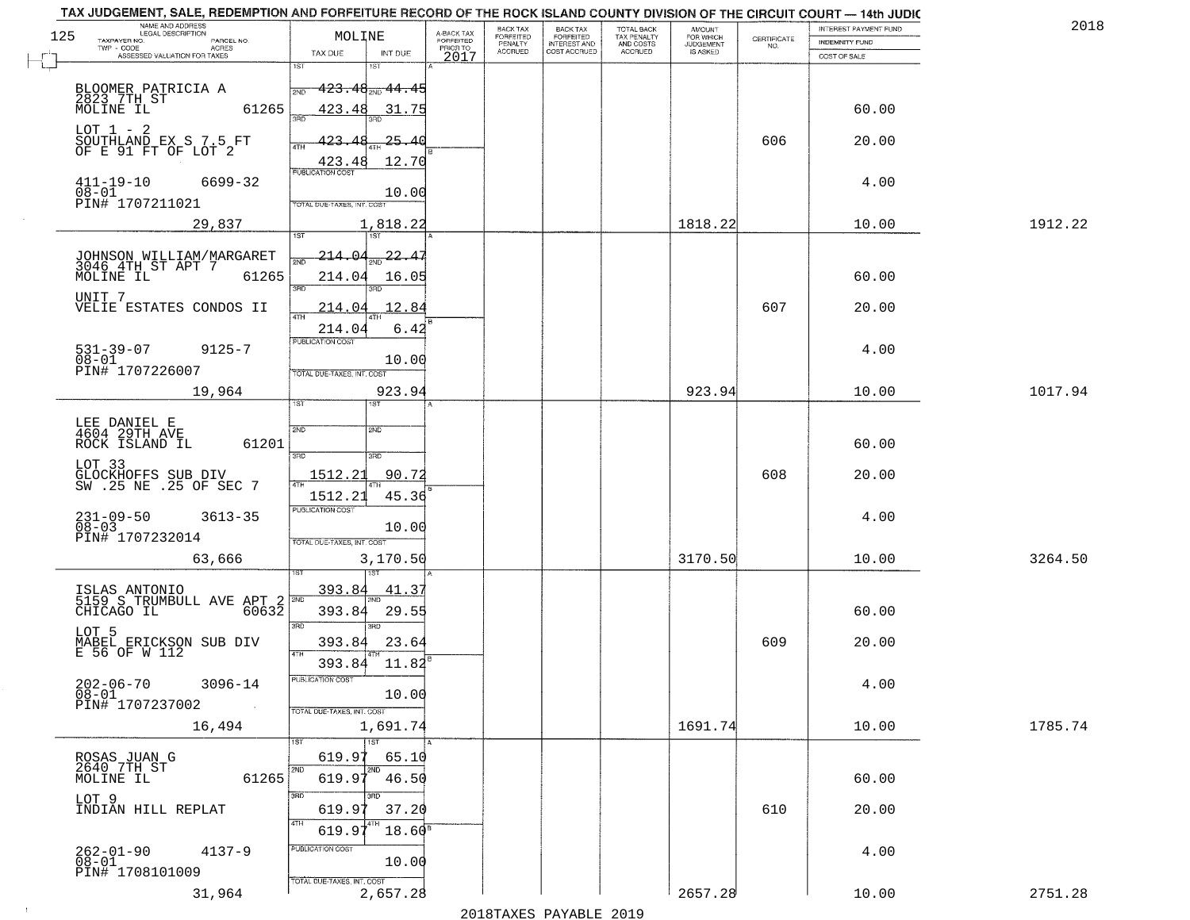|     | NAME AND ADDRESS<br>LEGAL DESCRIPTION             |                            |                     |                                     | BACK TAX             |                                       | <b>TOTAL BACK</b>        |                                  |                    | INTEREST PAYMENT FUND | 2018    |
|-----|---------------------------------------------------|----------------------------|---------------------|-------------------------------------|----------------------|---------------------------------------|--------------------------|----------------------------------|--------------------|-----------------------|---------|
| 125 | TAXPAYER NO.<br>PARCEL NO.<br>TWP - CODE<br>ACRES | MOLINE                     |                     | A-BACK TAX<br>FORFEITED<br>PRIOR TO | FORFEITED<br>PENALTY | BACK TAX<br>FORFEITED<br>INTEREST AND | TAX PENALTY<br>AND COSTS | AMOUNT<br>FOR WHICH<br>JUDGEMENT | CERTIFICATE<br>NO. | <b>INDEMNITY FUND</b> |         |
|     | ASSESSED VALUATION FOR TAXES                      | TAX DUE<br>1ST             | INT DUE<br>181      | 2017                                | <b>ACCRUED</b>       | COST ACCRUED                          | <b>ACCRUED</b>           | IS ASKED                         |                    | COST OF SALE          |         |
|     |                                                   |                            |                     |                                     |                      |                                       |                          |                                  |                    |                       |         |
|     | BLOOMER PATRICIA A<br>2823.7TH_ST                 | 2ND                        | $423.48_{200}44.45$ |                                     |                      |                                       |                          |                                  |                    |                       |         |
|     | 61265<br>MOLINE IL                                | 423.48<br>355              | 31.75               |                                     |                      |                                       |                          |                                  |                    | 60.00                 |         |
|     | $LOT 1 - 2$                                       |                            |                     |                                     |                      |                                       |                          |                                  |                    |                       |         |
|     | SOUTHLAND EX S 7.5 FT<br>OF E 91 FT OF LOT 2      | 423.48<br>ATH              | <u> 25.40</u>       |                                     |                      |                                       |                          |                                  | 606                | 20.00                 |         |
|     |                                                   | 423.48                     | 12.70               |                                     |                      |                                       |                          |                                  |                    |                       |         |
|     | $411 - 19 - 10$<br>6699-32<br>$08 - 01$           |                            |                     |                                     |                      |                                       |                          |                                  |                    | 4.00                  |         |
|     | PIN# 1707211021                                   | TOTAL DUE-TAXES, INT. COST | 10.00               |                                     |                      |                                       |                          |                                  |                    |                       |         |
|     | 29,837                                            |                            | 1,818.22            |                                     |                      |                                       |                          | 1818.22                          |                    | 10.00                 | 1912.22 |
|     |                                                   |                            |                     |                                     |                      |                                       |                          |                                  |                    |                       |         |
|     | JOHNSON WILLIAM/MARGARET<br>3046 4TH ST APT 7     | 214.04                     | $\frac{22.47}{200}$ |                                     |                      |                                       |                          |                                  |                    |                       |         |
|     | 61265<br>MOLINE IL                                | 214.04                     | 16.05               |                                     |                      |                                       |                          |                                  |                    | 60.00                 |         |
|     | UNIT 7                                            | 3RD                        |                     |                                     |                      |                                       |                          |                                  |                    |                       |         |
|     | VELIE ESTATES CONDOS II                           | 214.04                     | 12.84               |                                     |                      |                                       |                          |                                  | 607                | 20.00                 |         |
|     |                                                   | 214.04                     | 6.42                |                                     |                      |                                       |                          |                                  |                    |                       |         |
|     | $531 - 39 - 07$<br>$9125 - 7$                     | PUBLICATION COST           |                     |                                     |                      |                                       |                          |                                  |                    | 4.00                  |         |
|     | $08 - 01$<br>PIN# 1707226007                      | TOTAL DUE-TAXES, INT. COST | 10.00               |                                     |                      |                                       |                          |                                  |                    |                       |         |
|     | 19,964                                            |                            | 923.94              |                                     |                      |                                       |                          | 923.94                           |                    | 10.00                 | 1017.94 |
|     |                                                   | TST"                       | <b>IST</b>          |                                     |                      |                                       |                          |                                  |                    |                       |         |
|     | LEE DANIEL E                                      | 2ND                        | 2ND                 |                                     |                      |                                       |                          |                                  |                    |                       |         |
|     | 4604 29TH AVE<br>ROCK ISLAND IL<br>61201          |                            |                     |                                     |                      |                                       |                          |                                  |                    | 60.00                 |         |
|     | LOT 33                                            | 3 <sub>BD</sub>            | 3BD                 |                                     |                      |                                       |                          |                                  |                    |                       |         |
|     | GLOCKHOFFS SUB DIV<br>SW .25 NE .25 OF SEC 7      | 1512.21                    | 90.72               |                                     |                      |                                       |                          |                                  | 608                | 20.00                 |         |
|     |                                                   | 1512.21                    | 45.36               |                                     |                      |                                       |                          |                                  |                    |                       |         |
|     | $231 - 09 - 50$<br>08-03<br>$3613 - 35$           | <b>PUBLICATION COST</b>    |                     |                                     |                      |                                       |                          |                                  |                    | 4.00                  |         |
|     | PIN# 1707232014                                   |                            | 10.00               |                                     |                      |                                       |                          |                                  |                    |                       |         |
|     |                                                   | TOTAL OUE-TAXES, INT. COST |                     |                                     |                      |                                       |                          | 3170.50                          |                    | 10.00                 | 3264.50 |
|     | 63,666                                            |                            | 3,170.50<br>757     |                                     |                      |                                       |                          |                                  |                    |                       |         |
|     | ISLAS ANTONIO<br>5159 S TRUMBULL AVE APT 2        | 393.84                     | 41.37               |                                     |                      |                                       |                          |                                  |                    |                       |         |
|     | CHICAGO IL<br>60632                               | 393.84                     | 29.55               |                                     |                      |                                       |                          |                                  |                    | 60.00                 |         |
|     | LOT 5                                             | 3BD                        | $\overline{3BD}$    |                                     |                      |                                       |                          |                                  |                    |                       |         |
|     | MABEL ERICKSON SUB DIV<br>E 56 OF W 112           | 393.84                     | 23.64               |                                     |                      |                                       |                          |                                  | 609                | 20.00                 |         |
|     |                                                   | 4TH<br>393.84              | 11.82               |                                     |                      |                                       |                          |                                  |                    |                       |         |
|     | $202 - 06 - 70$<br>3096-14                        | -usuca i un cus-           |                     |                                     |                      |                                       |                          |                                  |                    | 4.00                  |         |
|     | $08 - 01$<br>PIN# 1707237002                      |                            | 10.00               |                                     |                      |                                       |                          |                                  |                    |                       |         |
|     | $\sim 100$                                        | TOTAL DUE-TAXES, INT. COST |                     |                                     |                      |                                       |                          |                                  |                    |                       |         |
|     | 16,494                                            |                            | 1,691.74<br>1ST     |                                     |                      |                                       |                          | 1691.74                          |                    | 10.00                 | 1785.74 |
|     |                                                   | 619.97                     | 65.10               |                                     |                      |                                       |                          |                                  |                    |                       |         |
|     | ROSAS JUAN G<br>2640 7TH ST<br>61265<br>MOLINE IL | 619.97                     | 2ND<br>46.50        |                                     |                      |                                       |                          |                                  |                    | 60.00                 |         |
|     |                                                   | 3RD                        |                     |                                     |                      |                                       |                          |                                  |                    |                       |         |
|     | LOT 9<br>INDIAN HILL REPLAT                       | 619.97                     | 37.20               |                                     |                      |                                       |                          |                                  | 610                | 20.00                 |         |
|     |                                                   | 4TH<br>619.97              | $18.60^8$           |                                     |                      |                                       |                          |                                  |                    |                       |         |
|     | $262 - 01 - 90$<br>$4137 - 9$                     | PUBLICATION COST           |                     |                                     |                      |                                       |                          |                                  |                    | 4.00                  |         |
|     | 08-01                                             |                            | 10.00               |                                     |                      |                                       |                          |                                  |                    |                       |         |
|     | PIN# 1708101009                                   | TOTAL DUE-TAXES, INT. COST |                     |                                     |                      |                                       |                          |                                  |                    |                       |         |
|     | 31,964                                            |                            | 2,657.28            |                                     |                      |                                       |                          | 2657.28                          |                    | 10.00                 | 2751.28 |

 $\sim 10^{-1}$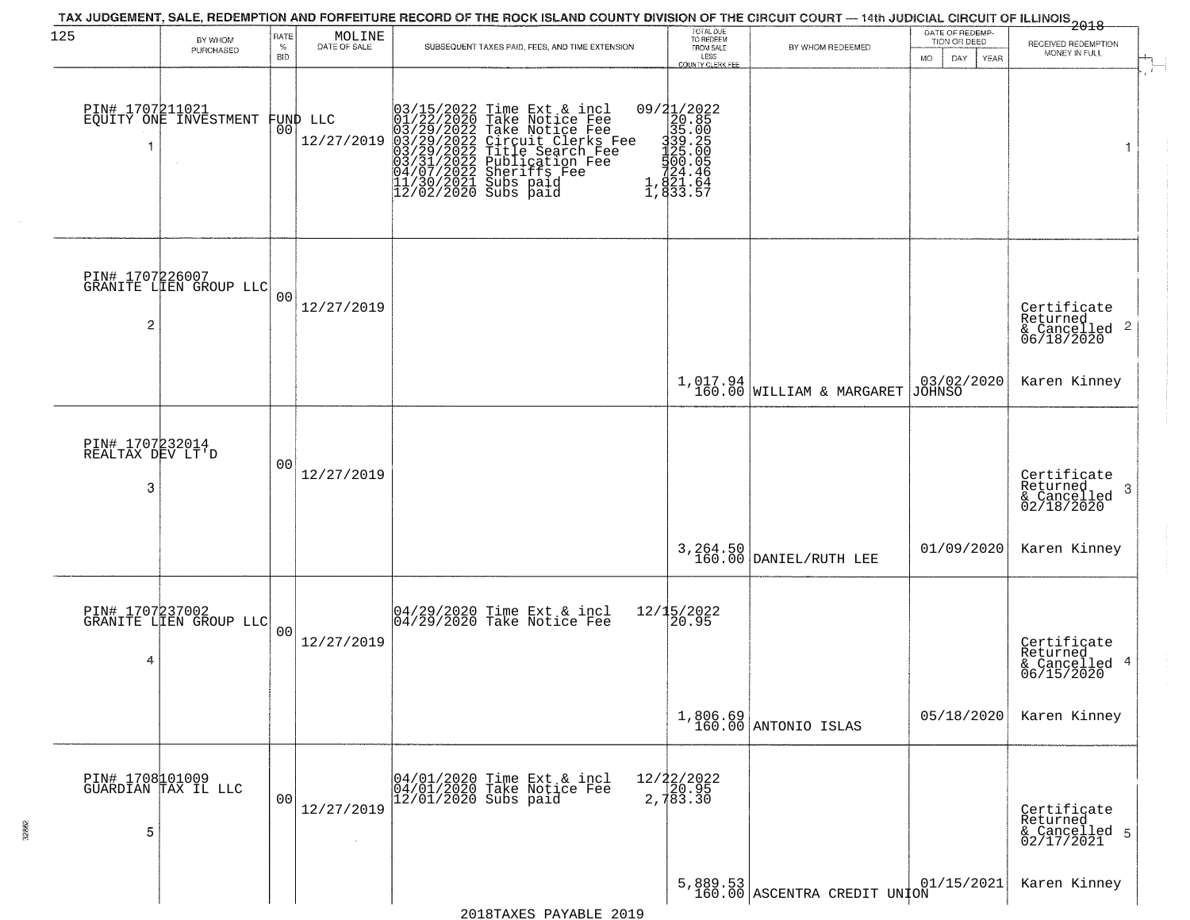| 125                                      |                                           | RATE               |                                                                     | TAX JUDGEMENT, SALE, REDEMPTION AND FORFEITURE RECORD OF THE ROCK ISLAND COUNTY DIVISION OF THE CIRCUIT COURT — 14th JUDICIAL CIRCUIT OF ILLINOIS 2018                                                                                                | TOTAL DUE<br>TO REDEEM                                                                  |                                          | DATE OF REDEMP-                                                       |                                                                    |
|------------------------------------------|-------------------------------------------|--------------------|---------------------------------------------------------------------|-------------------------------------------------------------------------------------------------------------------------------------------------------------------------------------------------------------------------------------------------------|-----------------------------------------------------------------------------------------|------------------------------------------|-----------------------------------------------------------------------|--------------------------------------------------------------------|
|                                          | BY WHOM<br>PURCHASED                      | $\%$<br><b>BID</b> | $\begin{array}{c} \text{MOLINE} \\ \text{DATE of SALE} \end{array}$ | SUBSEQUENT TAXES PAID, FEES, AND TIME EXTENSION                                                                                                                                                                                                       | FROM SALE<br>LESS<br>COUNTY CLERK FEE                                                   | BY WHOM REDEEMED                         | TION OR DEED<br>DAY.<br>MO.<br>YEAR                                   | RECEIVED REDEMPTION<br>MONEY IN FULL                               |
|                                          | PIN# 1707211021<br>EQUITY ONE INVESTMENT  | 00                 | FUND LLC<br>12/27/2019                                              | 03/15/2022 Time Ext & incl<br>01/22/2020 Take Notice Fee<br>03/29/2022 Take Notice Fee<br>03/29/2022 Circuit Clerks Fee<br>03/29/2022 Title Search Fee<br>03/29/2022 Fublication Fee<br>04/07/2022 Sheriffs Fee<br>11/30/2021 Subs paid<br>12/02/2020 | 09/21/2022<br>20.85<br>335.005<br>339.005<br>325.005<br>524.466<br>1,821.64<br>1,833.57 |                                          |                                                                       | $\mathbf{1}$                                                       |
| 2                                        | PIN# 1707226007<br>GRANITE LIEN GROUP LLC | 0 <sup>0</sup>     | 12/27/2019                                                          |                                                                                                                                                                                                                                                       |                                                                                         |                                          |                                                                       | Certificate<br>Returned<br>$\frac{1}{6}$ Cancelled 2<br>06/18/2020 |
|                                          |                                           |                    |                                                                     |                                                                                                                                                                                                                                                       |                                                                                         | $1,017.94$<br>160.00 WILLIAM & MARGARET  | $\begin{array}{ c c c c }\n03/02/2020 \\ \hline\nJOHNSO\n\end{array}$ | Karen Kinney                                                       |
| PIN# 1707232014<br>REALTAX DEV LT'D<br>3 |                                           | 00                 | 12/27/2019                                                          |                                                                                                                                                                                                                                                       |                                                                                         |                                          |                                                                       | Certificate<br>Returned<br>3<br>& Cancelled<br>02/18/2020          |
|                                          |                                           |                    |                                                                     |                                                                                                                                                                                                                                                       |                                                                                         | 3, 264.50<br>160.00 DANIEL/RUTH LEE      | 01/09/2020                                                            | Karen Kinney                                                       |
| 4                                        | PIN# 1707237002<br>GRANITE LIEN GROUP LLC | 0 <sub>0</sub>     | 12/27/2019                                                          | 04/29/2020 Time Ext & incl<br>04/29/2020 Take Notice Fee                                                                                                                                                                                              | 12/15/2022<br>20.95                                                                     |                                          |                                                                       | Certificate<br>Returned<br>& Cancelled 4<br>06/15/2020             |
|                                          |                                           |                    |                                                                     |                                                                                                                                                                                                                                                       |                                                                                         | 1,806.69<br>160.00 ANTONIO ISLAS         | 05/18/2020                                                            | Karen Kinney                                                       |
| 5                                        | PIN# 1708101009<br>GUARDIAN TAX IL LLC    | 00                 | 12/27/2019<br>$\sim$                                                | 04/01/2020 Time Ext & incl<br>04/01/2020 Take Notice Fee<br>$12/01/2020$ Subs paid                                                                                                                                                                    | $12/22/2022$<br>$20.95$<br>2,783.30                                                     |                                          |                                                                       | Certificate<br>Returned<br>& Cancelled 5<br>02/17/2021             |
|                                          |                                           |                    |                                                                     |                                                                                                                                                                                                                                                       |                                                                                         | 5,889.53<br>160.00 ASCENTRA CREDIT UNION | 01/15/2021                                                            | Karen Kinney                                                       |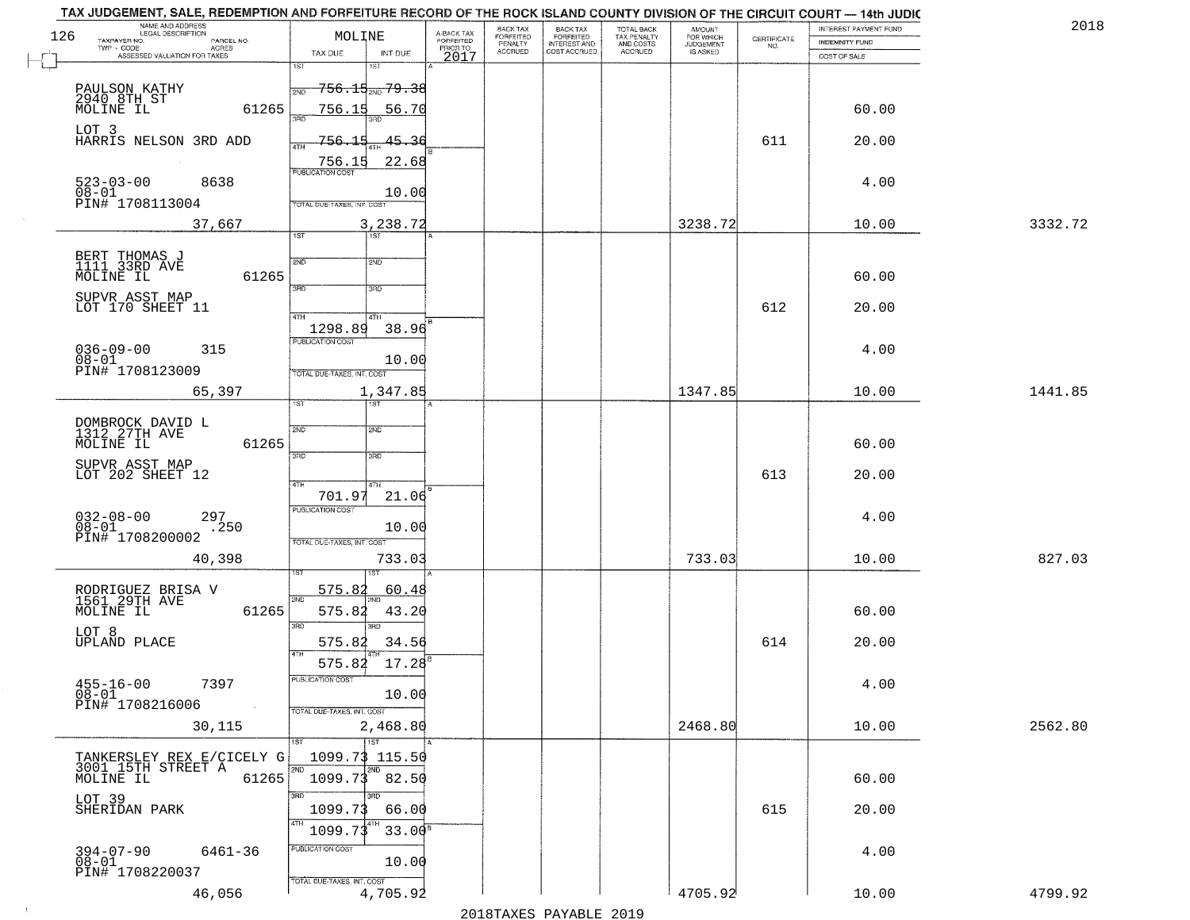| NO.<br>$TWP - CODE$<br>$\sf ACRES$<br>PRIOR TO<br><b>ACCRUED</b><br>COST ACCRUED<br>ACCRUED<br>IS ASKED<br>TAX DUE<br>INT DUE<br>ASSESSED VALUATION FOR TAXES<br>2017<br>COST OF SALE<br>1ST<br>18T<br><del>756.15<sub>200</sub>79.38</del><br>PAULSON KATHY<br>2940 8TH ST<br>MOLINE IL<br>2ND<br>61265<br>756.15<br>60.00<br>56.70<br>3AD<br>LOT 3<br>HARRIS NELSON 3RD ADD<br>756.15<br>45.36<br>611<br>20.00<br>4TH<br>22.68<br>756.15<br><b>PUBLICATION COST</b><br>$523 - 03 - 00$<br>8638<br>4.00<br>$08 - 01$<br>10.00<br>PIN# 1708113004<br>TOTAL DUE-TAXES, INT. COST<br>37,667<br>3,238.72<br>3238.72<br>10.00<br>1ST<br>1ST<br>BERT THOMAS J<br>1111 33RD AVE<br>2ND<br>2ND<br>61265<br>MOLINE IL<br>60.00<br>उन्नठ<br>3RD<br>SUPVR ASST MAP | 3332.72 |
|----------------------------------------------------------------------------------------------------------------------------------------------------------------------------------------------------------------------------------------------------------------------------------------------------------------------------------------------------------------------------------------------------------------------------------------------------------------------------------------------------------------------------------------------------------------------------------------------------------------------------------------------------------------------------------------------------------------------------------------------------------|---------|
|                                                                                                                                                                                                                                                                                                                                                                                                                                                                                                                                                                                                                                                                                                                                                          |         |
|                                                                                                                                                                                                                                                                                                                                                                                                                                                                                                                                                                                                                                                                                                                                                          |         |
|                                                                                                                                                                                                                                                                                                                                                                                                                                                                                                                                                                                                                                                                                                                                                          |         |
|                                                                                                                                                                                                                                                                                                                                                                                                                                                                                                                                                                                                                                                                                                                                                          |         |
|                                                                                                                                                                                                                                                                                                                                                                                                                                                                                                                                                                                                                                                                                                                                                          |         |
|                                                                                                                                                                                                                                                                                                                                                                                                                                                                                                                                                                                                                                                                                                                                                          |         |
| LOT 170 SHEET 11<br>612<br>20.00<br>47H<br>4TH                                                                                                                                                                                                                                                                                                                                                                                                                                                                                                                                                                                                                                                                                                           |         |
| 1298.89<br>38.96<br>PUBLICATION COST<br>$036 - 09 - 00$<br>4.00<br>315<br>08-01<br>PIN# 1708123009<br>10.00<br>TOTAL DUE-TAXES, INT. COST                                                                                                                                                                                                                                                                                                                                                                                                                                                                                                                                                                                                                |         |
| 1347.85<br>65,397<br>1,347.85<br>10.00                                                                                                                                                                                                                                                                                                                                                                                                                                                                                                                                                                                                                                                                                                                   | 1441.85 |
| ist<br>1ST<br>DOMBROCK DAVID L<br>1312 27TH AVE<br>2ND<br>2ND<br>61265<br>MOLINE IL<br>60.00<br>3RD<br>3RD                                                                                                                                                                                                                                                                                                                                                                                                                                                                                                                                                                                                                                               |         |
| SUPVR ASST MAP<br>LOT 202 SHEET 12<br>613<br>20.00<br>4TH<br>4TH<br>701.97<br>21.06                                                                                                                                                                                                                                                                                                                                                                                                                                                                                                                                                                                                                                                                      |         |
| PUBLICATION COST<br>$032 - 08 - 00$<br>297<br>4.00<br>$08 - 01$<br>.250<br>10.00<br>PIN# 1708200002<br>TOTAL OUE-TAXES, INT. COST                                                                                                                                                                                                                                                                                                                                                                                                                                                                                                                                                                                                                        |         |
| 733.03<br>40,398<br>733.03<br>10.00                                                                                                                                                                                                                                                                                                                                                                                                                                                                                                                                                                                                                                                                                                                      | 827.03  |
| 575.82<br>60.48<br>RODRIGUEZ BRISA V<br>1561 29TH AVE<br>MOLINE IL<br>2ND<br>61265<br>575.82<br>60.00<br>43.20                                                                                                                                                                                                                                                                                                                                                                                                                                                                                                                                                                                                                                           |         |
| 3RD<br>3RD<br>LOT 8<br><b>UPLAND PLACE</b><br>575.82<br>614<br>20.00<br>34.56<br>$575.84$ 17.28                                                                                                                                                                                                                                                                                                                                                                                                                                                                                                                                                                                                                                                          |         |
| PUBLICATION COST<br>$455 - 16 - 00$<br>7397<br>4.00<br>$08 - 01$<br>10.00<br>PIN# 1708216006<br>TOTAL DUE-TAXES, INT. COST                                                                                                                                                                                                                                                                                                                                                                                                                                                                                                                                                                                                                               |         |
| 2468.80<br>30,115<br>2,468.80<br>10.00                                                                                                                                                                                                                                                                                                                                                                                                                                                                                                                                                                                                                                                                                                                   | 2562.80 |
| 1ST<br>1ST<br>TANKERSLEY REX E/CICELY G<br>3001_15TH STREET A<br>1099.73 115.50<br>2ND<br>2ND<br>61265<br>1099.73 82.50<br>60.00<br>MOLINE IL                                                                                                                                                                                                                                                                                                                                                                                                                                                                                                                                                                                                            |         |
| 3RD<br>3RD<br>LOT 39<br>1099.73<br>66.00<br>615<br>20.00<br>SHERIDAN PARK<br>4TH<br>33.00 <sup>s</sup><br>1099.73                                                                                                                                                                                                                                                                                                                                                                                                                                                                                                                                                                                                                                        |         |
| <b>PUBLICATION COST</b><br>394-07-90<br>08-01<br>6461-36<br>4.00<br>10.00<br>PIN# 1708220037<br>TOTAL DUE-TAXES, INT. COST                                                                                                                                                                                                                                                                                                                                                                                                                                                                                                                                                                                                                               |         |
| 4705.92<br>4,705.92<br>46,056<br>10.00                                                                                                                                                                                                                                                                                                                                                                                                                                                                                                                                                                                                                                                                                                                   | 4799.92 |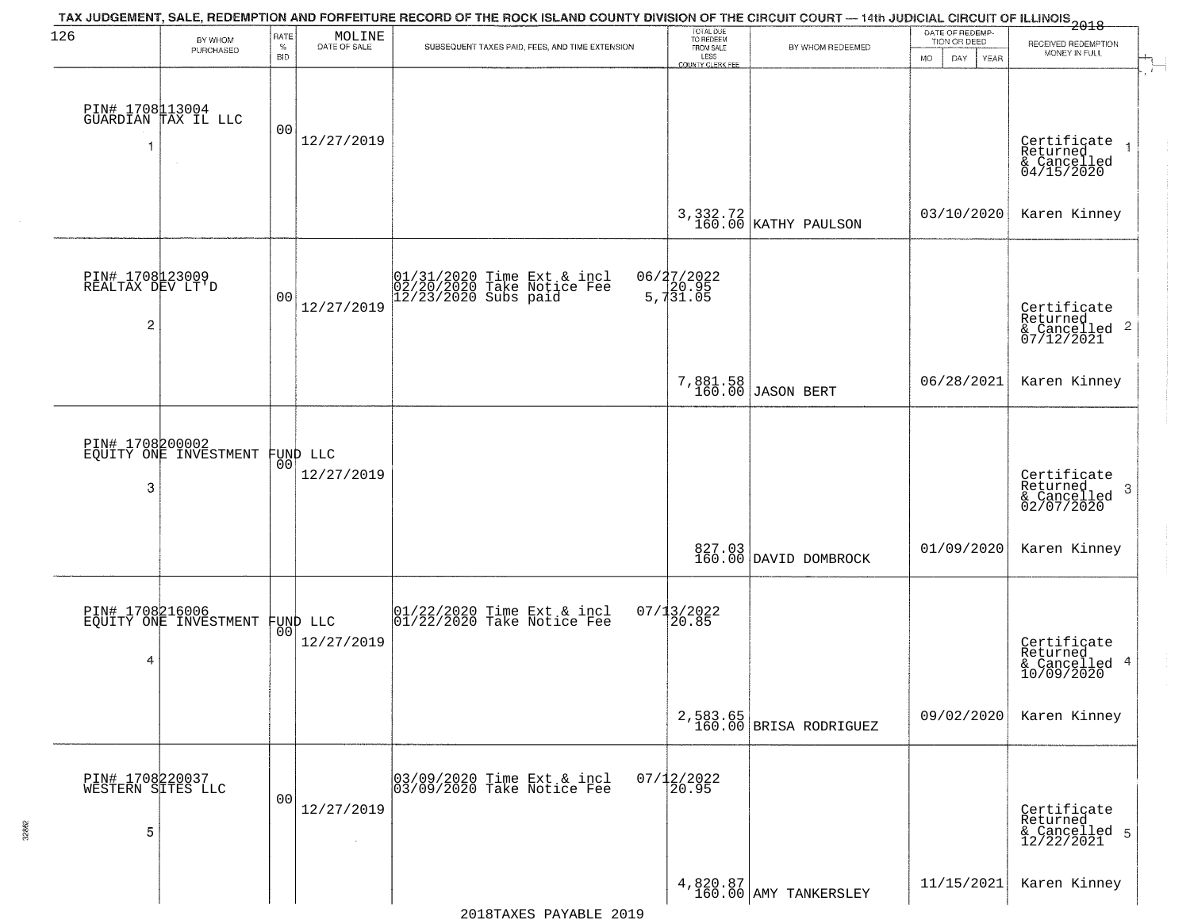| 126                                       | BY WHOM<br>PURCHASED                     | RATE<br>$\%$<br><b>BID</b> | $\begin{array}{c} \text{MOLINE} \\ \text{DATE of SALE} \end{array}$ | TAX JUDGEMENT, SALE, REDEMPTION AND FORFEITURE RECORD OF THE ROCK ISLAND COUNTY DIVISION OF THE CIRCUIT COURT — 14th JUDICIAL CIRCUIT OF ILLINOIS 2018<br>SUBSEQUENT TAXES PAID, FEES, AND TIME EXTENSION | TOTAL DUE<br>TO REDEEM<br>FROM SALE<br>LESS<br><b>COUNTY CLERK FEE</b> | BY WHOM REDEEMED                   | DATE OF REDEMP-<br>TION OR DEED<br>MO.<br>DAY<br>YEAR | RECEIVED REDEMPTION<br>MONEY IN FULL                                         |
|-------------------------------------------|------------------------------------------|----------------------------|---------------------------------------------------------------------|-----------------------------------------------------------------------------------------------------------------------------------------------------------------------------------------------------------|------------------------------------------------------------------------|------------------------------------|-------------------------------------------------------|------------------------------------------------------------------------------|
|                                           | PIN# 1708113004<br>GUARDIAN TAX IL LLC   | 0 <sub>0</sub>             | 12/27/2019                                                          |                                                                                                                                                                                                           |                                                                        |                                    |                                                       | Certificate<br>Returned<br>& Cancelled<br>04/15/2020                         |
|                                           |                                          |                            |                                                                     |                                                                                                                                                                                                           |                                                                        | 3, 332.72<br>160.00 KATHY PAULSON  | 03/10/2020                                            | Karen Kinney                                                                 |
| PIN# 1708123009<br>REALTAX DEV LT'D<br>2  |                                          | 0 <sub>0</sub>             | 12/27/2019                                                          | $01/31/2020$ Time Ext & incl<br>$02/20/2020$ Take Notice Fee<br>$12/23/2020$ Subs paid                                                                                                                    | 06/27/2022<br>5,731.05                                                 |                                    |                                                       | Certificate<br>Returned<br>$\mathbf{2}$<br>& Cancelled<br>07/12/2021         |
|                                           |                                          |                            |                                                                     |                                                                                                                                                                                                           |                                                                        | 7,881.58<br>160.00 JASON BERT      | 06/28/2021                                            | Karen Kinney                                                                 |
| 3                                         | PIN# 1708200002<br>EQUITY ONE INVESTMENT | 00                         | FUND LLC<br>12/27/2019                                              |                                                                                                                                                                                                           |                                                                        |                                    |                                                       | Certificate<br>Returned<br>$\boldsymbol{\beta}$<br>& Cancelled<br>02/07/2020 |
|                                           |                                          |                            |                                                                     |                                                                                                                                                                                                           |                                                                        | 827.03<br>160.00 DAVID DOMBROCK    | 01/09/2020                                            | Karen Kinney                                                                 |
| PIN# 1708216006<br>4                      | EQUITY ONE INVESTMENT                    | 00                         | FUND LLC<br>12/27/2019                                              | $\begin{bmatrix} 01/22/2020 \\ 01/22/2020 \end{bmatrix}$ Time Ext & incl                                                                                                                                  | $07/13/2022$<br>20.85                                                  |                                    |                                                       | Certificate<br>Returned<br>$\overline{4}$<br>& Cancelled<br>10/09/2020       |
|                                           |                                          |                            |                                                                     |                                                                                                                                                                                                           |                                                                        | 2,583.65<br>160.00 BRISA RODRIGUEZ | 09/02/2020                                            | Karen Kinney                                                                 |
| PIN# 1708220037<br>WESTERN SITES LLC<br>5 |                                          | 0 <sub>0</sub>             | 12/27/2019<br>$\sim$                                                | 03/09/2020 Time Ext & incl<br>03/09/2020 Take Notice Fee                                                                                                                                                  | $07/12/2022$<br>20.95                                                  |                                    |                                                       | Certificate<br>Returned<br>& Cancelled 5<br>12/22/2021                       |
|                                           |                                          |                            |                                                                     |                                                                                                                                                                                                           |                                                                        | 4,820.87<br>160.00 AMY TANKERSLEY  | 11/15/2021                                            | Karen Kinney                                                                 |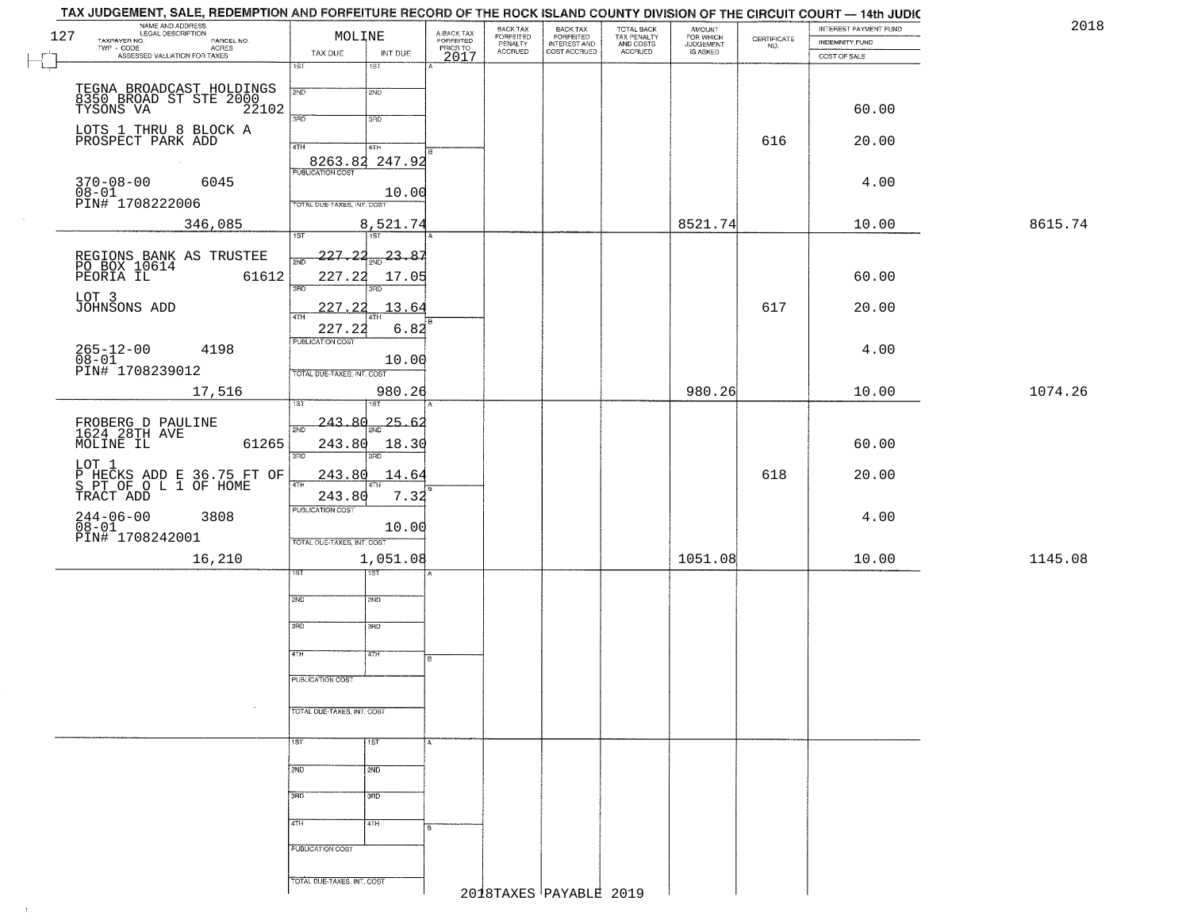|        | TAX JUDGEMENT, SALE, REDEMPTION AND FORFEITURE RECORD OF THE ROCK ISLAND COUNTY DIVISION OF THE CIRCUIT COURT - 14th JUDIC |                                   |                             |                         |                                 |                                                       |                                        |                                    |                    |                       |         |
|--------|----------------------------------------------------------------------------------------------------------------------------|-----------------------------------|-----------------------------|-------------------------|---------------------------------|-------------------------------------------------------|----------------------------------------|------------------------------------|--------------------|-----------------------|---------|
| 127    | NAME AND ADDRESS<br>LEGAL DESCRIPTION                                                                                      | MOLINE                            |                             | A-BACK TAX<br>FORFEITED | BACK TAX                        | BACK TAX<br>FORFEITED<br>INTEREST AND<br>COST ACCRUED | TOTAL BACK<br>TAX PENALTY<br>AND COSTS | <b>AMOUNT</b>                      |                    | INTEREST PAYMENT FUND | 2018    |
|        | TAXPAYER NO.<br>PARCEL NO.<br><b>ACRES</b>                                                                                 |                                   |                             | PRIOR TO                | FORFEITED<br>PENALTY<br>ACCRUED |                                                       |                                        | FOR WHICH<br>JUDGEMENT<br>IS ASKED | CERTIFICATE<br>NO. | INDEMNITY FUND        |         |
| $\Box$ | TWP - CODE<br>ASSESSED VALUATION FOR TAXES                                                                                 | TAX DUE<br>खा                     | INT DUE<br>$\overline{1ST}$ | 2017                    |                                 |                                                       | ACCRUED                                |                                    |                    | COST OF SALE          |         |
|        |                                                                                                                            |                                   |                             |                         |                                 |                                                       |                                        |                                    |                    |                       |         |
|        |                                                                                                                            | 2ND                               | 2ND                         |                         |                                 |                                                       |                                        |                                    |                    |                       |         |
|        | TEGNA BROADCAST HOLDINGS<br>8350 BROAD ST STE 2000<br>TYSONS VA 22102                                                      |                                   |                             |                         |                                 |                                                       |                                        |                                    |                    | 60.00                 |         |
|        |                                                                                                                            | 3BD                               | 3 <sub>BD</sub>             |                         |                                 |                                                       |                                        |                                    |                    |                       |         |
|        | LOTS 1 THRU 8 BLOCK A<br>PROSPECT PARK ADD                                                                                 |                                   |                             |                         |                                 |                                                       |                                        |                                    | 616                | 20.00                 |         |
|        |                                                                                                                            | 4TH                               | 4TH                         |                         |                                 |                                                       |                                        |                                    |                    |                       |         |
|        |                                                                                                                            | <b>PUBLICATION COST</b>           | 8263.82 247.92              |                         |                                 |                                                       |                                        |                                    |                    |                       |         |
|        | 6045<br>$370 - 08 - 00$                                                                                                    |                                   |                             |                         |                                 |                                                       |                                        |                                    |                    | 4.00                  |         |
|        | 08-01<br>PIN# 1708222006                                                                                                   |                                   | 10.00                       |                         |                                 |                                                       |                                        |                                    |                    |                       |         |
|        |                                                                                                                            | TOTAL DUE-TAXES, INT. COST        |                             |                         |                                 |                                                       |                                        |                                    |                    |                       |         |
|        | 346,085                                                                                                                    |                                   | 8,521.74                    |                         |                                 |                                                       |                                        | 8521.74                            |                    | 10.00                 | 8615.74 |
|        |                                                                                                                            | $\overline{1ST}$                  | 1ST                         |                         |                                 |                                                       |                                        |                                    |                    |                       |         |
|        | REGIONS BANK AS TRUSTEE<br>PO BOX 10614<br>PEORIA IL 616                                                                   | 227.22<br>2ND                     | $\frac{23.87}{280}$         |                         |                                 |                                                       |                                        |                                    |                    |                       |         |
|        | 61612                                                                                                                      | 227.22                            | 17.05                       |                         |                                 |                                                       |                                        |                                    |                    | 60.00                 |         |
|        |                                                                                                                            | 3RD                               | 3RD                         |                         |                                 |                                                       |                                        |                                    |                    |                       |         |
|        | LOT 3<br>JOHNSONS ADD                                                                                                      | 227<br>. 22                       | 13.64                       |                         |                                 |                                                       |                                        |                                    | 617                | 20.00                 |         |
|        |                                                                                                                            | ৰাম                               |                             |                         |                                 |                                                       |                                        |                                    |                    |                       |         |
|        |                                                                                                                            | 227.22                            | 6.82                        |                         |                                 |                                                       |                                        |                                    |                    |                       |         |
|        | $265 - 12 - 00$<br>4198                                                                                                    | PUBLICATION COST                  |                             |                         |                                 |                                                       |                                        |                                    |                    | 4.00                  |         |
|        | $08 - 01$<br>PIN# 1708239012                                                                                               |                                   | 10.00                       |                         |                                 |                                                       |                                        |                                    |                    |                       |         |
|        |                                                                                                                            | TOTAL DUE-TAXES, INT. COST        |                             |                         |                                 |                                                       |                                        |                                    |                    |                       |         |
|        | 17,516                                                                                                                     |                                   | 980.26                      |                         |                                 |                                                       |                                        | 980.26                             |                    | 10.00                 | 1074.26 |
|        |                                                                                                                            |                                   | <b>ST</b>                   |                         |                                 |                                                       |                                        |                                    |                    |                       |         |
|        | FROBERG D PAULINE<br>1624 28TH AVE<br>MOLINE IL                                                                            | 243.80<br>2ND                     | 25.62                       |                         |                                 |                                                       |                                        |                                    |                    |                       |         |
|        | 61265                                                                                                                      | 243.80                            | 18.30                       |                         |                                 |                                                       |                                        |                                    |                    | 60.00                 |         |
|        |                                                                                                                            | 3RD                               |                             |                         |                                 |                                                       |                                        |                                    |                    |                       |         |
|        | LOT 1                                                                                                                      | 243.80                            | 14.64                       |                         |                                 |                                                       |                                        |                                    | 618                | 20.00                 |         |
|        | P HECKS ADD E 36.75 FT OF<br>S PT OF O L 1 OF HOME<br>TRACT ADD                                                            | 4TH                               |                             |                         |                                 |                                                       |                                        |                                    |                    |                       |         |
|        |                                                                                                                            | 243.80<br><b>PUBLICATION COST</b> | 7.32                        |                         |                                 |                                                       |                                        |                                    |                    |                       |         |
|        | $244 - 06 - 00$<br>$08 - 01$<br>3808                                                                                       |                                   |                             |                         |                                 |                                                       |                                        |                                    |                    | 4.00                  |         |
|        | PIN# 1708242001                                                                                                            |                                   | 10.00                       |                         |                                 |                                                       |                                        |                                    |                    |                       |         |
|        |                                                                                                                            | TOTAL OUE-TAXES, INT. COST        |                             |                         |                                 |                                                       |                                        |                                    |                    |                       |         |
|        | 16,210                                                                                                                     |                                   | 1,051.08                    |                         |                                 |                                                       |                                        | 1051.08                            |                    | 10.00                 | 1145.08 |
|        |                                                                                                                            |                                   | ৰৱা                         |                         |                                 |                                                       |                                        |                                    |                    |                       |         |
|        |                                                                                                                            | 2ND                               | 2ND                         |                         |                                 |                                                       |                                        |                                    |                    |                       |         |
|        |                                                                                                                            |                                   |                             |                         |                                 |                                                       |                                        |                                    |                    |                       |         |
|        |                                                                                                                            | 3RD                               | 3BD                         |                         |                                 |                                                       |                                        |                                    |                    |                       |         |
|        |                                                                                                                            |                                   |                             |                         |                                 |                                                       |                                        |                                    |                    |                       |         |
|        |                                                                                                                            | 4TH                               | 47H                         | R                       |                                 |                                                       |                                        |                                    |                    |                       |         |
|        |                                                                                                                            |                                   |                             |                         |                                 |                                                       |                                        |                                    |                    |                       |         |
|        |                                                                                                                            | PUBLICATION COST                  |                             |                         |                                 |                                                       |                                        |                                    |                    |                       |         |
|        |                                                                                                                            |                                   |                             |                         |                                 |                                                       |                                        |                                    |                    |                       |         |
|        |                                                                                                                            | TOTAL DUE-TAXES, INT. COST        |                             |                         |                                 |                                                       |                                        |                                    |                    |                       |         |
|        |                                                                                                                            |                                   |                             |                         |                                 |                                                       |                                        |                                    |                    |                       |         |
|        |                                                                                                                            | 1ST                               | 1ST                         | A                       |                                 |                                                       |                                        |                                    |                    |                       |         |
|        |                                                                                                                            | 2ND                               | 2ND                         |                         |                                 |                                                       |                                        |                                    |                    |                       |         |
|        |                                                                                                                            |                                   |                             |                         |                                 |                                                       |                                        |                                    |                    |                       |         |
|        |                                                                                                                            | 3BD                               | 3RD                         |                         |                                 |                                                       |                                        |                                    |                    |                       |         |
|        |                                                                                                                            |                                   |                             |                         |                                 |                                                       |                                        |                                    |                    |                       |         |
|        |                                                                                                                            | 4TH                               | 4TH                         | в.                      |                                 |                                                       |                                        |                                    |                    |                       |         |
|        |                                                                                                                            |                                   |                             |                         |                                 |                                                       |                                        |                                    |                    |                       |         |
|        |                                                                                                                            | PUBLICATION COST                  |                             |                         |                                 |                                                       |                                        |                                    |                    |                       |         |
|        |                                                                                                                            |                                   |                             |                         |                                 |                                                       |                                        |                                    |                    |                       |         |
|        |                                                                                                                            | TOTAL DUE-TAXES, INT. COST        |                             |                         |                                 | 2018TAXES PAYABLE 2019                                |                                        |                                    |                    |                       |         |
|        |                                                                                                                            |                                   |                             |                         |                                 |                                                       |                                        |                                    |                    |                       |         |

 $\sim 10^4$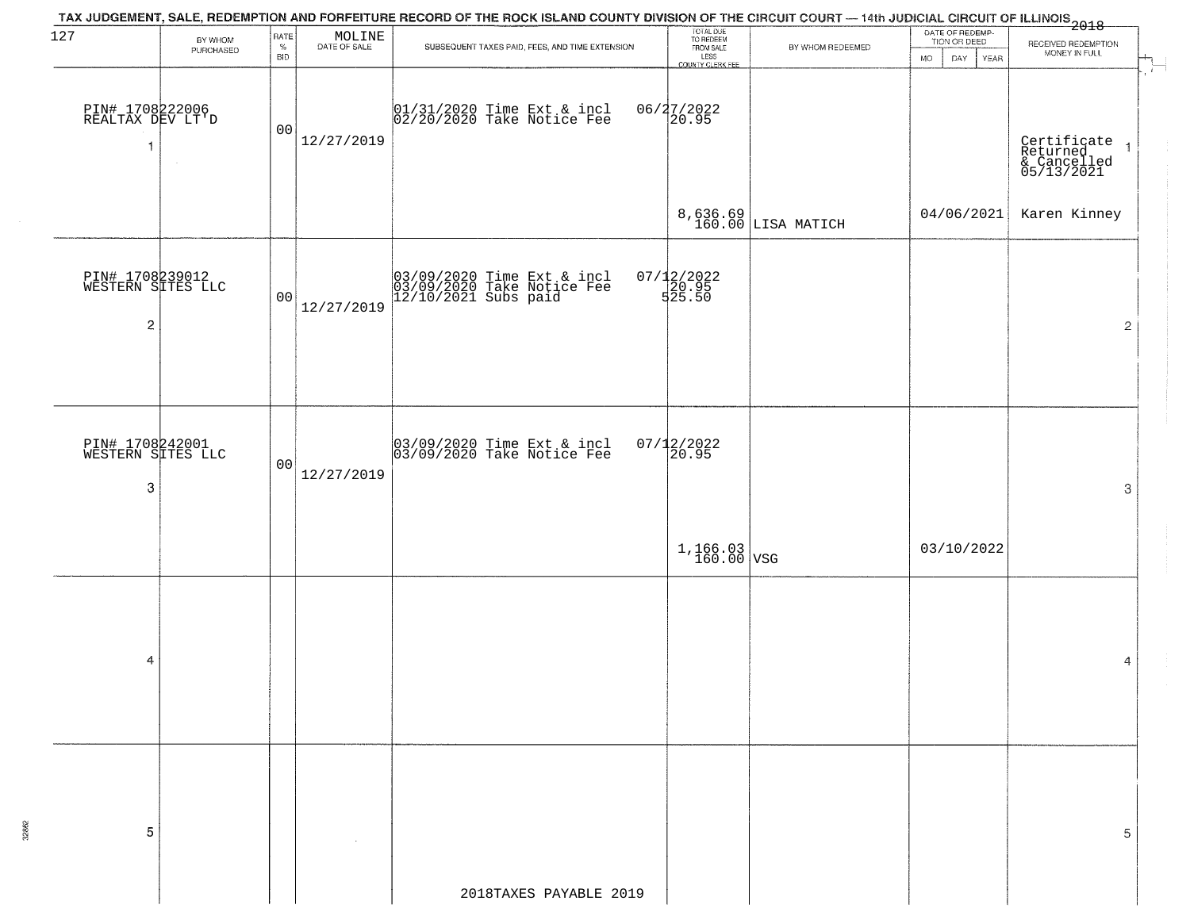| 127                                                    | BY WHOM<br>PURCHASED | RATE<br>$\%$<br><b>BID</b> | $\begin{array}{c} \text{MOLINE} \\ \text{DATE of sale} \end{array}$ | TAX JUDGEMENT, SALE, REDEMPTION AND FORFEITURE RECORD OF THE ROCK ISLAND COUNTY DIVISION OF THE CIRCUIT COURT — 14th JUDICIAL CIRCUIT OF ILLINOIS 2018<br>SUBSEQUENT TAXES PAID, FEES, AND TIME EXTENSION | TOTAL DUE<br>TO REDEEM<br>FROM SALE<br>LESS<br>COUNTY CLERK FEE | BY WHOM REDEEMED       | DATE OF REDEMP-<br>TION OR DEED<br>MO.<br>DAY<br>YEAR | RECEIVED REDEMPTION<br>MONEY IN FULL                   |
|--------------------------------------------------------|----------------------|----------------------------|---------------------------------------------------------------------|-----------------------------------------------------------------------------------------------------------------------------------------------------------------------------------------------------------|-----------------------------------------------------------------|------------------------|-------------------------------------------------------|--------------------------------------------------------|
| PIN# 1708222006<br>REALTAX DEV LT'D<br>$\overline{1}$  |                      | 00                         | 12/27/2019                                                          | 01/31/2020 Time Ext & incl<br>02/20/2020 Take Notice Fee                                                                                                                                                  | 06/27/2022<br>20.95                                             |                        |                                                       | Certificate<br>Returned 1<br>& Cancelled<br>05/13/2021 |
|                                                        |                      |                            |                                                                     |                                                                                                                                                                                                           |                                                                 | $8,636.69$ LISA MATICH | 04/06/2021                                            | Karen Kinney                                           |
| PIN# 1708239012<br>WESTERN SITES LLC<br>$\overline{c}$ |                      | 00                         | 12/27/2019                                                          | 03/09/2020 Time Ext & incl<br>03/09/2020 Take Notice Fee<br>12/10/2021 Subs paid                                                                                                                          | 07/12/2022<br>20.95<br>525.50                                   |                        |                                                       | $\overline{2}$                                         |
|                                                        |                      |                            |                                                                     |                                                                                                                                                                                                           |                                                                 |                        |                                                       |                                                        |
| PIN# 1708242001<br>WESTERN SITES LLC<br>3              |                      | 00                         | 12/27/2019                                                          | 03/09/2020 Time Ext & incl<br>03/09/2020 Take Notice Fee                                                                                                                                                  | $07/12/2022$<br>20.95                                           |                        |                                                       | 3                                                      |
|                                                        |                      |                            |                                                                     |                                                                                                                                                                                                           | $1,166.03$ VSG                                                  |                        | 03/10/2022                                            |                                                        |
|                                                        |                      |                            |                                                                     |                                                                                                                                                                                                           |                                                                 |                        |                                                       |                                                        |
| 4                                                      |                      |                            |                                                                     |                                                                                                                                                                                                           |                                                                 |                        |                                                       | 4                                                      |
|                                                        |                      |                            |                                                                     |                                                                                                                                                                                                           |                                                                 |                        |                                                       |                                                        |
| 5                                                      |                      |                            |                                                                     |                                                                                                                                                                                                           |                                                                 |                        |                                                       | 5                                                      |
|                                                        |                      |                            |                                                                     | 2018TAXES PAYABLE 2019                                                                                                                                                                                    |                                                                 |                        |                                                       |                                                        |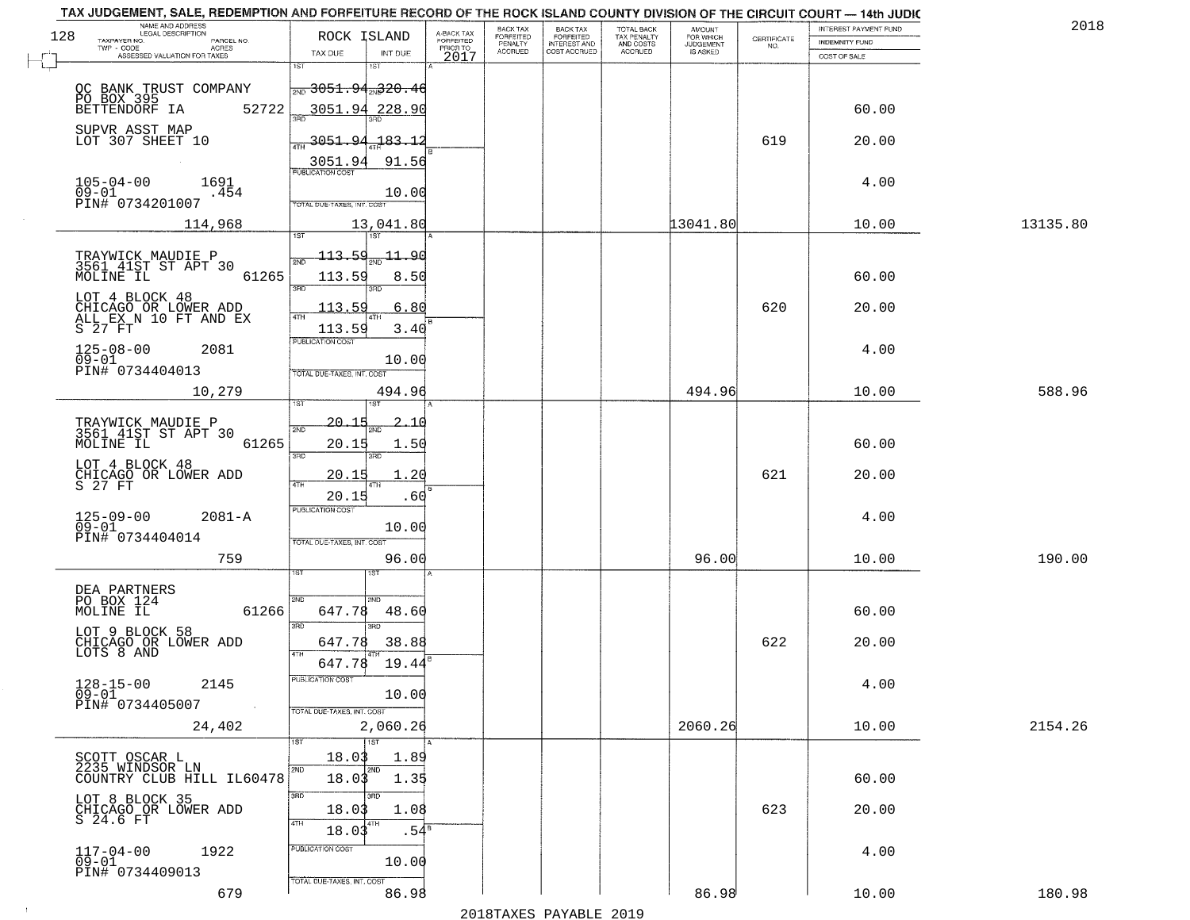| TAX JUDGEMENT, SALE, REDEMPTION AND FORFEITURE RECORD OF THE ROCK ISLAND COUNTY DIVISION OF THE CIRCUIT COURT - 14th JUDIC<br>NAME AND ADDRESS<br>LEGAL DESCRIPTION |                                                                             |                                     | BACK TAX             | <b>BACK TAX</b>           |                                        | AMOUNT<br>FOR WHICH |                    | INTEREST PAYMENT FUND | 2018     |
|---------------------------------------------------------------------------------------------------------------------------------------------------------------------|-----------------------------------------------------------------------------|-------------------------------------|----------------------|---------------------------|----------------------------------------|---------------------|--------------------|-----------------------|----------|
| 128<br>TAXPAYER NO.<br>PARCEL NO.<br>ACRES                                                                                                                          | ROCK ISLAND                                                                 | A-BACK TAX<br>FORFEITED<br>PRIOR TO | FORFEITED<br>PENALTY | FORFEITED<br>INTEREST AND | TOTAL BACK<br>TAX PENALTY<br>AND COSTS | <b>JUDGEMENT</b>    | CERTIFICATE<br>NO. | <b>INDEMNITY FUND</b> |          |
| ASSESSED VALUATION FOR TAXES                                                                                                                                        | TAX DUE<br>INT DUE                                                          | 2017                                | <b>ACCRUED</b>       | COST ACCRUED              | ACCRUED                                | <b>IS ASKED</b>     |                    | COST OF SALE          |          |
|                                                                                                                                                                     | 1ST<br>1ST<br>$\frac{1}{200}3051.94$ <sub>2N</sub> 320.46                   |                                     |                      |                           |                                        |                     |                    |                       |          |
| OC BANK TRUST COMPANY<br>PO BOX 395<br>BETTENDORF IA 52<br>52722                                                                                                    | 3051.94 228.90                                                              |                                     |                      |                           |                                        |                     |                    | 60.00                 |          |
| SUPVR ASST MAP<br>LOT 307 SHEET 10                                                                                                                                  | <u>3051.94</u><br>$-183, 12$                                                |                                     |                      |                           |                                        |                     | 619                | 20.00                 |          |
| $105 - 04 - 00$<br>1691                                                                                                                                             | 3051.94<br>91.56<br><b>PUBLICATION COST</b>                                 |                                     |                      |                           |                                        |                     |                    | 4.00                  |          |
| $\overline{0}\overline{9}-0\overline{1}$<br>.454<br>PIN# 0734201007                                                                                                 | 10.00<br>TOTAL DUE-TAXES, INT. COST                                         |                                     |                      |                           |                                        |                     |                    |                       |          |
| 114,968                                                                                                                                                             | 13,041.80                                                                   |                                     |                      |                           |                                        | 13041.80            |                    | 10.00                 | 13135.80 |
| TRAYWICK MAUDIE P<br>3561 41ST ST APT 30<br>MOLINE IL<br>61265                                                                                                      | 113.59<br>-11.90<br>113.59<br>8.50<br>3RD<br>3RD                            |                                     |                      |                           |                                        |                     |                    | 60.00                 |          |
| LOT 4 BLOCK 48<br>CHICAGO OR LOWER ADD<br>ALL_EX N 10 FT AND EX<br>S 27 FT                                                                                          | 6.80<br>113.59<br>113.59<br>3.40                                            |                                     |                      |                           |                                        |                     | 620                | 20.00                 |          |
| $125 - 08 - 00$<br>2081<br>$09 - 01$<br>PIN# 0734404013                                                                                                             | PUBLICATION COST<br>10.00<br>TOTAL DUE-TAXES, INT. COST                     |                                     |                      |                           |                                        |                     |                    | 4.00                  |          |
| 10,279                                                                                                                                                              | 494.96<br>1ST                                                               |                                     |                      |                           |                                        | 494.96              |                    | 10.00                 | 588.96   |
| TRAYWICK MAUDIE P<br>3561 41ST ST APT 30<br>MOLINE IL<br>61265                                                                                                      | $-20 - 15$<br><u>2.16</u><br>2ND<br>20.15<br>1.50                           |                                     |                      |                           |                                        |                     |                    | 60.00                 |          |
| LOT 4 BLOCK 48<br>CHICAGO OR LOWER ADD<br>S 27 FT                                                                                                                   | 3BD<br>3RD<br>1.20<br><u> 20.15</u><br>4TH<br>20.15<br>.60                  |                                     |                      |                           |                                        |                     | 621                | 20.00                 |          |
| 125-09-00<br>09-01<br>$2081 - A$<br>PIN# 0734404014                                                                                                                 | <b>PUBLICATION COST</b><br>10.00<br>TOTAL OUE-TAXES, INT. COST              |                                     |                      |                           |                                        |                     |                    | 4.00                  |          |
| 759                                                                                                                                                                 | 96.00<br>1ST                                                                |                                     |                      |                           |                                        | 96.00               |                    | 10.00                 | 190.00   |
| DEA PARTNERS<br>PO BOX 124<br>MOLINE IL<br>61266                                                                                                                    | 2ND<br>2ND.<br>647.78<br>48.60                                              |                                     |                      |                           |                                        |                     |                    | 60.00                 |          |
| LOT 9 BLOCK 58<br>CHICAGO OR LOWER ADD<br>LOTS 8 AND                                                                                                                | 3BD<br>$\overline{3BD}$<br>38.88<br>647.78<br><b>ATH</b><br>647.78<br>19.44 |                                     |                      |                           |                                        |                     | 622                | 20.00                 |          |
| $128 - 15 - 00$<br>2145<br>09-01<br>PIN# 0734405007<br><b>Contract</b>                                                                                              | "UBLICA HUN CUS<br>10.00<br>TOTAL DUE-TAXES, INT. COST                      |                                     |                      |                           |                                        |                     |                    | 4.00                  |          |
| 24,402                                                                                                                                                              | 2,060.26<br><b>TST</b>                                                      |                                     |                      |                           |                                        | 2060.26             |                    | 10.00                 | 2154.26  |
| SCOTT OSCAR L<br>2235 WINDSOR LN<br>COUNTRY CLUB HILL IL60478                                                                                                       | 18.03<br>1.89<br>2ND<br>2ND<br>18.03<br>1.35                                |                                     |                      |                           |                                        |                     |                    | 60.00                 |          |
| LOT 8 BLOCK 35<br>CHICAGO OR LOWER ADD<br>S 24.6 FT                                                                                                                 | 3RD<br>зRD<br>1.08<br>18.03<br>4TH<br>4TH<br>18.03<br>$.54^{\circ}$         |                                     |                      |                           |                                        |                     | 623                | 20.00                 |          |
| $117 - 04 - 00$<br>1922<br>09-01<br>PIN# 0734409013                                                                                                                 | PUBLICATION COST<br>10.00                                                   |                                     |                      |                           |                                        |                     |                    | 4.00                  |          |
| 679                                                                                                                                                                 | TOTAL DUE-TAXES, INT. COST<br>86.98                                         |                                     |                      |                           |                                        | 86.98               |                    | 10.00                 | 180.98   |

 $\sim 10$ 

2018TAXES PAYABLE 2019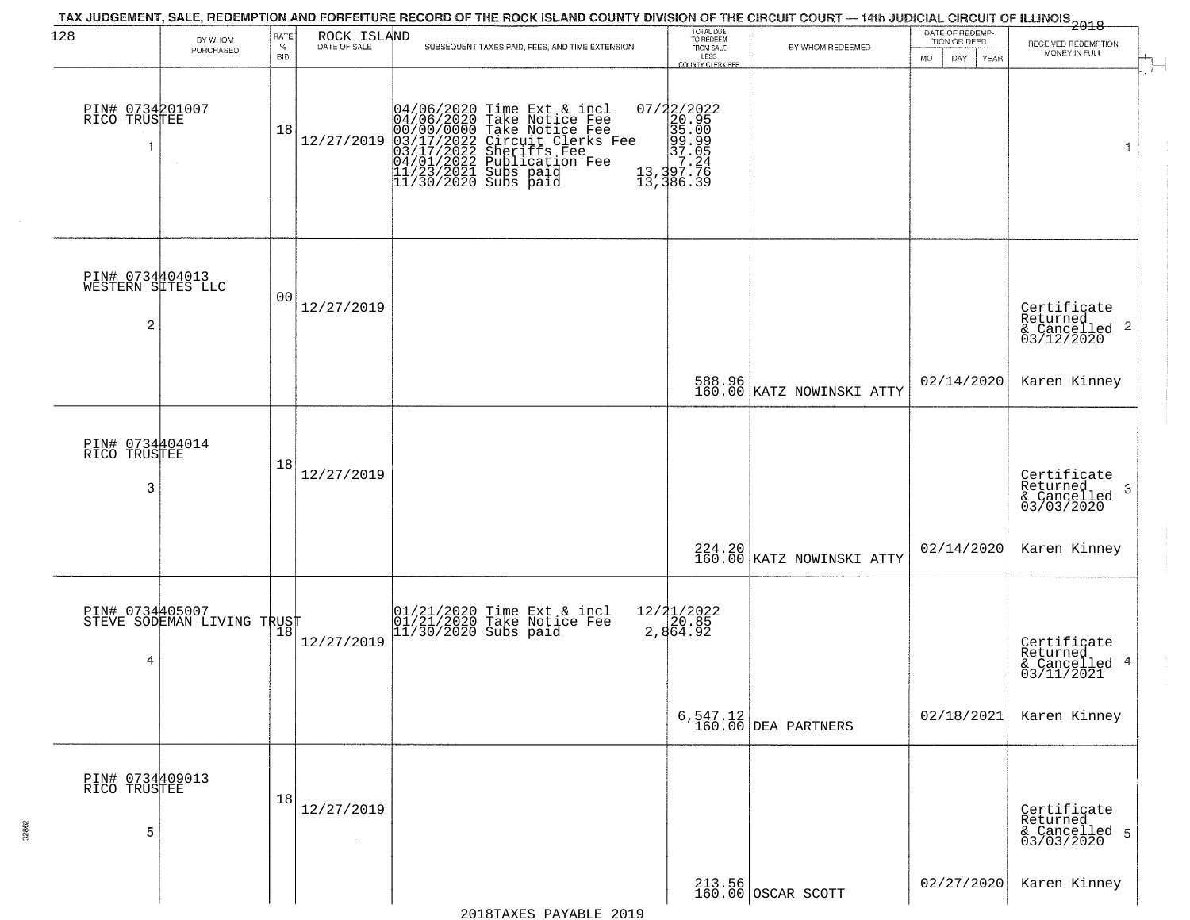| 128                                       | BY WHOM                    | RATE               | ROCK ISLAND<br>DATE OF SALE | TAX JUDGEMENT, SALE, REDEMPTION AND FORFEITURE RECORD OF THE ROCK ISLAND COUNTY DIVISION OF THE CIRCUIT COURT — 14th JUDICIAL CIRCUIT OF ILLINOIS 2018                                                                             | TOTAL DUE<br>TO REDEEM<br>FROM SALE      |                                         | DATE OF REDEMP-<br>TION OR DEED |                                                                    |
|-------------------------------------------|----------------------------|--------------------|-----------------------------|------------------------------------------------------------------------------------------------------------------------------------------------------------------------------------------------------------------------------------|------------------------------------------|-----------------------------------------|---------------------------------|--------------------------------------------------------------------|
|                                           | PURCHASED                  | $\%$<br><b>BID</b> |                             | SUBSEQUENT TAXES PAID, FEES, AND TIME EXTENSION                                                                                                                                                                                    | LESS<br>COUNTY CLERK FEE                 | BY WHOM REDEEMED                        | MO.<br>DAY.<br>YEAR             | RECEIVED REDEMPTION<br>MONEY IN FULL                               |
| PIN# 0734201007<br>RICO TRUSTEE           |                            | 18                 | 12/27/2019                  | 04/06/2020 Time Ext & incl<br>04/06/2020 Take Notice Fee<br>00/00/00000 Take Notice Fee<br>03/17/2022 Circuit Clerks Fee<br>03/17/2022 Suberiffs Fee<br>04/01/2022 Publication Fee<br>11/23/2021 Subs paid<br>11/30/2020 Subs paid |                                          |                                         |                                 | $\mathbf{1}$                                                       |
| PIN# 0734404013<br>WESTERN SITES LLC<br>2 |                            | 00                 | 12/27/2019                  |                                                                                                                                                                                                                                    |                                          |                                         |                                 | Certificate<br>Returned<br>$\frac{1}{6}$ Cancelled 2<br>03/12/2020 |
|                                           |                            |                    |                             |                                                                                                                                                                                                                                    |                                          | 588.96<br>160.00 KATZ NOWINSKI ATTY     | 02/14/2020                      | Karen Kinney                                                       |
| PIN# 0734404014<br>RICO TRUSTEE<br>3      |                            | 18                 | 12/27/2019                  |                                                                                                                                                                                                                                    |                                          |                                         |                                 | Certificate<br>Returned<br>3<br>& Cancelled<br>03/03/2020          |
|                                           |                            |                    |                             |                                                                                                                                                                                                                                    |                                          | 224.20  <br>160.00   KATZ NOWINSKI ATTY | 02/14/2020                      | Karen Kinney                                                       |
| PIN# 0734405007<br>4                      | STEVE SODEMAN LIVING TRUST |                    | 12/27/2019                  | 01/21/2020 Time Ext & incl<br>01/21/2020 Take Notice Fee<br>11/30/2020 Subs paid                                                                                                                                                   | 12/ <b>2</b> 1/2022<br>20.85<br>2,864.92 |                                         |                                 | Certificate<br>Returned<br>4<br>& Cancelled<br>03/11/2021          |
|                                           |                            |                    |                             |                                                                                                                                                                                                                                    |                                          | $6, 547.12$ DEA PARTNERS                | 02/18/2021                      | Karen Kinney                                                       |
| PIN# 0734409013<br>RICO TRUSTEE<br>5      |                            | 18                 | 12/27/2019<br>$\sim$        |                                                                                                                                                                                                                                    |                                          |                                         |                                 | Certificate<br>Returned<br>& Cancelled 5<br>03/03/2020             |
|                                           |                            |                    |                             |                                                                                                                                                                                                                                    |                                          | 213.56<br>160.00 OSCAR SCOTT            | 02/27/2020                      | Karen Kinney                                                       |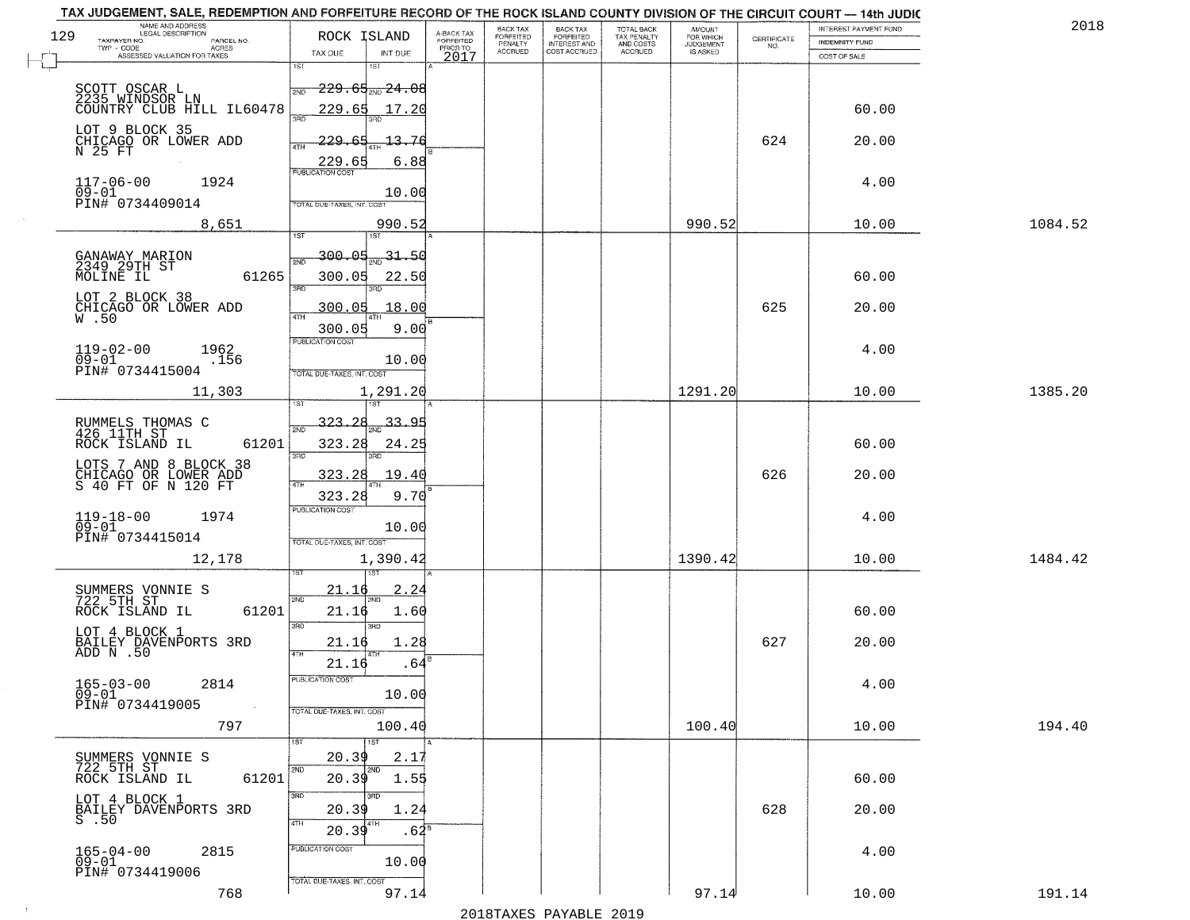| NAME AND ADDRESS<br>LEGAL DESCRIPTION<br>129                        | ROCK ISLAND                                 |                                     | BACK TAX             | <b>BACK TAX</b>           | TOTAL BACK<br>TAX PENALTY<br>AND COSTS | AMOUNT<br>FOR WHICH |                    | INTEREST PAYMENT FUND | 2018    |
|---------------------------------------------------------------------|---------------------------------------------|-------------------------------------|----------------------|---------------------------|----------------------------------------|---------------------|--------------------|-----------------------|---------|
| TAXPAYER NO.<br>PARCEL NO.<br>ACRES                                 |                                             | A-BACK TAX<br>FORFEITED<br>PRIOR TO | FORFEITED<br>PENALTY | FORFEITED<br>INTEREST AND |                                        | <b>JUDGEMENT</b>    | CERTIFICATE<br>NO. | <b>INDEMNITY FUND</b> |         |
| ASSESSED VALUATION FOR TAXES                                        | TAX DUE<br>INT DUE<br>1ST<br>1ST            | 2017                                | <b>ACCRUED</b>       | COST ACCRUED              | ACCRUED                                | <b>IS ASKED</b>     |                    | COST OF SALE          |         |
|                                                                     |                                             |                                     |                      |                           |                                        |                     |                    |                       |         |
| SCOTT OSCAR L<br>2235 WINDSOR LN                                    | <del>229.65<sub>2ND</sub>24.08</del><br>2ND |                                     |                      |                           |                                        |                     |                    |                       |         |
| COUNTRY CLUB HILL IL60478                                           | 229.65<br>17.20                             |                                     |                      |                           |                                        |                     |                    | 60.00                 |         |
| LOT 9 BLOCK 35                                                      | 229.65<br>13.76                             |                                     |                      |                           |                                        |                     | 624                | 20.00                 |         |
| CHICAGO OR LOWER ADD<br>N 25 FT                                     | ATH<br>6.88                                 |                                     |                      |                           |                                        |                     |                    |                       |         |
|                                                                     | 229.65                                      |                                     |                      |                           |                                        |                     |                    |                       |         |
| $117 - 06 - 00$<br>1924<br>$\overline{0}\overline{9}-0\overline{1}$ | 10.00                                       |                                     |                      |                           |                                        |                     |                    | 4.00                  |         |
| PIN# 0734409014                                                     | TOTAL DUE-TAXES, INT. COST                  |                                     |                      |                           |                                        |                     |                    |                       |         |
| 8,651                                                               | 990.52                                      |                                     |                      |                           |                                        | 990.52              |                    | 10.00                 | 1084.52 |
|                                                                     |                                             |                                     |                      |                           |                                        |                     |                    |                       |         |
| GANAWAY MARION<br>2349 29TH ST                                      | 300.05<br>$-31 - 50$<br>সাঁচ                |                                     |                      |                           |                                        |                     |                    |                       |         |
| 61265<br>MOLINE IL                                                  | 300.05<br>22.50<br>3RD<br>3RD               |                                     |                      |                           |                                        |                     |                    | 60.00                 |         |
| LOT 2 BLOCK 38                                                      | 18.00<br>300.05                             |                                     |                      |                           |                                        |                     | 625                | 20.00                 |         |
| CHICAGO OR LOWER ADD W.50                                           | ৰাম                                         |                                     |                      |                           |                                        |                     |                    |                       |         |
|                                                                     | 300.05<br>9.00<br>PUBLICATION COST          |                                     |                      |                           |                                        |                     |                    |                       |         |
| $119 - 02 - 00$<br>1962<br>$09 - 01$<br>.156                        | 10.00                                       |                                     |                      |                           |                                        |                     |                    | 4.00                  |         |
| PIN# 0734415004                                                     | TOTAL DUE-TAXES, INT. COST                  |                                     |                      |                           |                                        |                     |                    |                       |         |
| 11,303                                                              | 1,291.20<br>1ST                             |                                     |                      |                           |                                        | 1291.20             |                    | 10.00                 | 1385.20 |
|                                                                     |                                             |                                     |                      |                           |                                        |                     |                    |                       |         |
| RUMMELS THOMAS C<br>426 11TH ST                                     | $-323 - 28$<br>33.95<br>2ND                 |                                     |                      |                           |                                        |                     |                    |                       |         |
| ROCK ISLAND IL<br>61201                                             | 323.28<br>24.25<br>3BD<br>3RD               |                                     |                      |                           |                                        |                     |                    | 60.00                 |         |
| LOTS 7 AND 8 BLOCK 38                                               | 323.28<br>19.40                             |                                     |                      |                           |                                        |                     | 626                | 20.00                 |         |
| CHICAGO OR LOWER ADD<br>S 40 FT OF N 120 FT                         | ATH<br>323.28<br>9.70                       |                                     |                      |                           |                                        |                     |                    |                       |         |
|                                                                     | <b>PUBLICATION COST</b>                     |                                     |                      |                           |                                        |                     |                    |                       |         |
| $119 - 18 - 00$<br>1974<br>$09 - 01$                                | 10.00                                       |                                     |                      |                           |                                        |                     |                    | 4.00                  |         |
| PIN# 0734415014                                                     | TOTAL OUE-TAXES, INT. COST                  |                                     |                      |                           |                                        |                     |                    |                       |         |
| 12,178                                                              | 1,390.42                                    |                                     |                      |                           |                                        | 1390.42             |                    | 10.00                 | 1484.42 |
|                                                                     |                                             |                                     |                      |                           |                                        |                     |                    |                       |         |
| SUMMERS VONNIE S<br>722 5TH ST                                      | 21.16<br><u>2.24</u><br>2ND                 |                                     |                      |                           |                                        |                     |                    |                       |         |
| ROCK ISLAND IL<br>61201                                             | 21.16<br>1.60<br>3RD<br>3RD                 |                                     |                      |                           |                                        |                     |                    | 60.00                 |         |
| LOT 4 BLOCK 1                                                       | 1.28<br>21.16                               |                                     |                      |                           |                                        |                     | 627                | 20.00                 |         |
| BAILEY DAVENPORTS 3RD<br>ADD N .50                                  | <b>ATH</b>                                  |                                     |                      |                           |                                        |                     |                    |                       |         |
|                                                                     | 21.16<br>.64<br>PUBLICATION CUS             |                                     |                      |                           |                                        |                     |                    |                       |         |
| $165 - 03 - 00$<br>2814<br>$09 - 01$                                | 10.00                                       |                                     |                      |                           |                                        |                     |                    | 4.00                  |         |
| PIN# 0734419005<br>$\sim 100$                                       | TOTAL DUE-TAXES, INT. COST                  |                                     |                      |                           |                                        |                     |                    |                       |         |
| 797                                                                 | 100.40                                      |                                     |                      |                           |                                        | 100.40              |                    | 10.00                 | 194.40  |
|                                                                     | 1ST                                         |                                     |                      |                           |                                        |                     |                    |                       |         |
| SUMMERS VONNIE S<br>722 5TH ST                                      | 20.39<br>2.17<br>2ND<br>2ND                 |                                     |                      |                           |                                        |                     |                    |                       |         |
| ROCK ISLAND IL<br>61201                                             | 20.39<br>1.55                               |                                     |                      |                           |                                        |                     |                    | 60.00                 |         |
| LOT 4 BLOCK 1<br>BAILEY DAVENPORTS 3RD                              | 3RD<br>1.24<br>20.39                        |                                     |                      |                           |                                        |                     | 628                | 20.00                 |         |
| $S$ .50                                                             | 4TH<br>  4TH<br>20.39                       | $.62^{\circ}$                       |                      |                           |                                        |                     |                    |                       |         |
|                                                                     | PUBLICATION COST                            |                                     |                      |                           |                                        |                     |                    |                       |         |
| $165 - 04 - 00$<br>2815<br>09-01                                    | 10.00                                       |                                     |                      |                           |                                        |                     |                    | 4.00                  |         |
| PIN# 0734419006                                                     | TOTAL DUE-TAXES, INT. COST                  |                                     |                      |                           |                                        |                     |                    |                       |         |
| 768                                                                 | 97.14                                       |                                     |                      |                           |                                        | 97.14               |                    | 10.00                 | 191.14  |

 $\pm 4$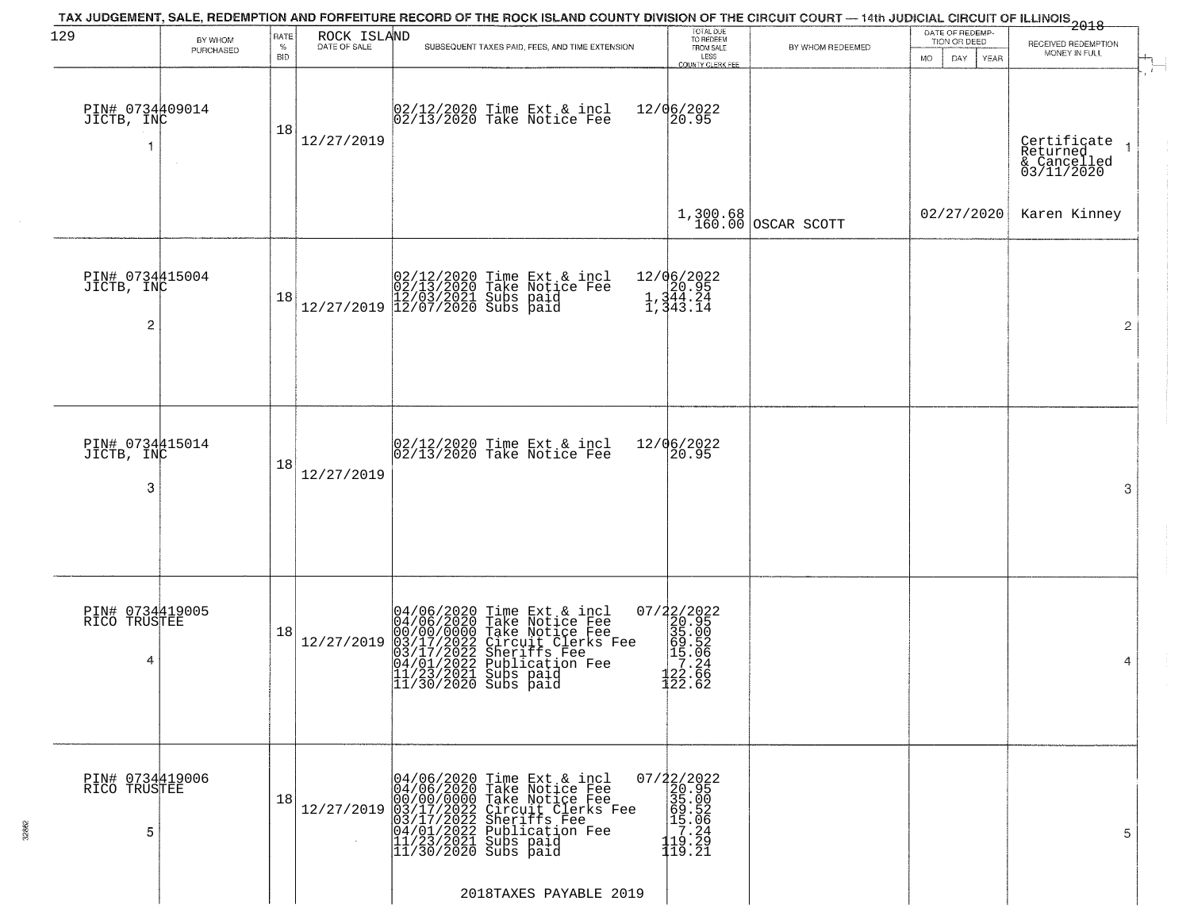| 129                                             | BY WHOM   | RATE               | ROCK ISLAND  | TAX JUDGEMENT, SALE, REDEMPTION AND FORFEITURE RECORD OF THE ROCK ISLAND COUNTY DIVISION OF THE CIRCUIT COURT — 14th JUDICIAL CIRCUIT OF ILLINOIS 2018                                                                                                                                                                                                                                                     | TOTAL DUE<br>TO REDEEM<br>FROM SALE                                                                  |                        | DATE OF REDEMP<br>TION OR DEED |                                                      |
|-------------------------------------------------|-----------|--------------------|--------------|------------------------------------------------------------------------------------------------------------------------------------------------------------------------------------------------------------------------------------------------------------------------------------------------------------------------------------------------------------------------------------------------------------|------------------------------------------------------------------------------------------------------|------------------------|--------------------------------|------------------------------------------------------|
|                                                 | PURCHASED | $\%$<br><b>BID</b> | DATE OF SALE | SUBSEQUENT TAXES PAID, FEES, AND TIME EXTENSION                                                                                                                                                                                                                                                                                                                                                            | LESS<br><b>COUNTY CLERK FEE</b>                                                                      | BY WHOM REDEEMED       | MO.<br>DAY.<br>YEAR            | RECEIVED REDEMPTION<br>MONEY IN FULL                 |
| PIN# 0734409014<br>JICTB, INC                   |           | 18                 | 12/27/2019   | 02/12/2020 Time Ext & incl<br>02/13/2020 Take Notice Fee                                                                                                                                                                                                                                                                                                                                                   | 12/06/2022<br>20.95                                                                                  |                        |                                | Certificate<br>Returned<br>& Cancelled<br>03/11/2020 |
|                                                 |           |                    |              |                                                                                                                                                                                                                                                                                                                                                                                                            |                                                                                                      | $1,300.68$ OSCAR SCOTT | 02/27/2020                     | Karen Kinney                                         |
| PIN# 0734415004<br>JICTB, INC<br>$\overline{a}$ |           | 18                 |              | $[02/12/2020 \t\t Time Ext & incl 02/13/2020 \t\t Take Notice Free 12/27/2019] 12/03/2021 \tSubs paid 12/27/2019]$                                                                                                                                                                                                                                                                                         | 12/06/2022<br>20.95<br>1,344.24<br>1,343.14                                                          |                        |                                | $\overline{2}$                                       |
| PIN# 0734415014<br>JICTB, INC<br>3              |           | 18                 | 12/27/2019   | $02/12/2020$ Time Ext & incl<br>$02/13/2020$ Take Notice Fee                                                                                                                                                                                                                                                                                                                                               | 12/06/2022<br>20.95                                                                                  |                        |                                | 3                                                    |
| PIN# 0734419005<br>RICO TRUSTEE<br>4            |           | 18                 | 12/27/2019   | 04/06/2020 Time Ext & incl<br>04/06/2020 Take Notice Fee<br>00/00/00000 Take Notice Fee<br>03/17/2022 Circuit Clerks Fee<br>03/17/2022 Sheriffs Fee<br>04/01/2022 Publication Fee<br>11/23/2021 Subs paid<br>11/30/2020 Subs paid                                                                                                                                                                          | 07/22/2022<br>20.95<br>35.00<br>59.52<br>15.06<br>12.24<br>$\frac{122}{122}.$ 66<br>122.62           |                        |                                | 4                                                    |
| PIN# 0734419006<br>RICÖ TRUSTEE<br>5            |           | 18                 |              | $[12/27/2019] \begin{tabular}{ c c c c } \hline & 04/06/2020 & Time \text{ Ext } & \text{incl} & 0 \\ \hline 04/06/2020 & Take \text{ Notice Free} & 00/00/0000 & Take \text{ Notice Free} \\ 00/00/00000 & Take \text{ Notice Free} & 03/17/2022 & Circuit \text{Clerks Free} \\ 03/17/2022 & Siberif \text{S} & 04/01/2022 & \text{Publication} & \text{Free} \\ 11/23/2021 & Subs \text{ paid} & 11/30$ | $\begin{smallmatrix} 07/22/2022\\ 20.95\\ 35.00\\ 99.52\\ 19.26\\ 119.29\\ 119.21 \end{smallmatrix}$ |                        |                                | 5                                                    |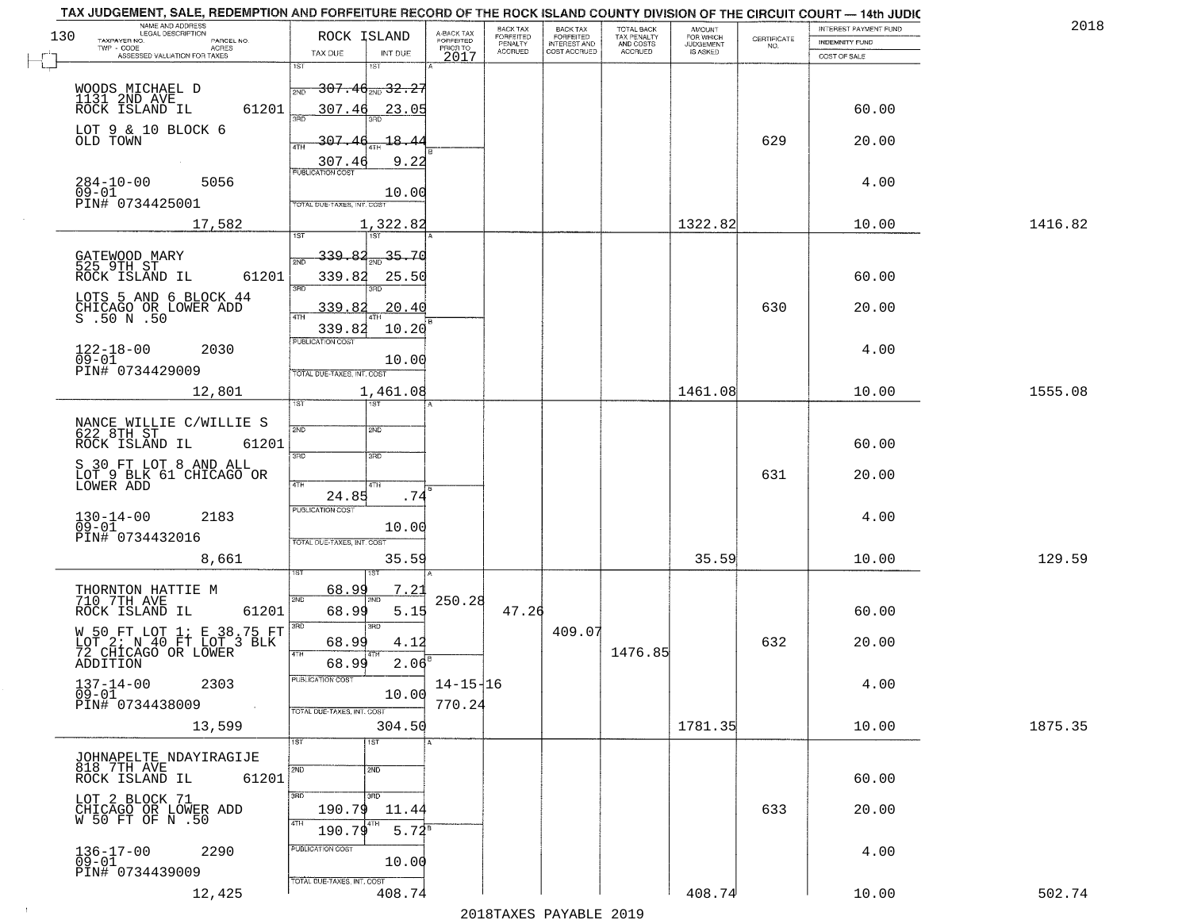|     | TAX JUDGEMENT, SALE, REDEMPTION AND FORFEITURE RECORD OF THE ROCK ISLAND COUNTY DIVISION OF THE CIRCUIT COURT - 14th JUDIC |                                                                            |                          |                              |                                       |                                        |                     |                                                                 |                       |         |
|-----|----------------------------------------------------------------------------------------------------------------------------|----------------------------------------------------------------------------|--------------------------|------------------------------|---------------------------------------|----------------------------------------|---------------------|-----------------------------------------------------------------|-----------------------|---------|
| 130 | NAME AND ADDRESS<br><b>LEGAL DESCRIPTION</b>                                                                               | ROCK ISLAND                                                                | A-BACK TAX<br>FORFEITED  | BACK TAX<br><b>FORFEITED</b> | BACK TAX<br>FORFEITED<br>INTEREST AND | TOTAL BACK<br>TAX PENALTY<br>AND COSTS | AMOUNT<br>FOR WHICH |                                                                 | INTEREST PAYMENT FUND | 2018    |
|     | TAXPAYER NO.<br>PARCEL NO.<br>TWP - CODE<br>ACRES                                                                          |                                                                            | PRIOR TO                 | PENALTY                      |                                       |                                        | <b>JUDGEMENT</b>    | $\begin{array}{c} \text{CERTIFICATE} \\ \text{NO.} \end{array}$ | <b>INDEMNITY FUND</b> |         |
|     | ASSESSED VALUATION FOR TAXES                                                                                               | INT DUE<br>TAX DUE                                                         | 2017                     | <b>ACCRUED</b>               | COST ACCRUED                          | ACCRUED                                | IS ASKED            |                                                                 | COST OF SALE          |         |
|     | WOODS MICHAEL D<br>1131 2ND AVE<br>ROCK ISLAND IL                                                                          | 1ST<br>1ST<br>$\frac{1}{200}$ 307.46 $_{\text{200}}$ 32.27                 |                          |                              |                                       |                                        |                     |                                                                 |                       |         |
|     | 61201<br>LOT 9 & 10 BLOCK 6                                                                                                | 307.46<br>23.05                                                            |                          |                              |                                       |                                        |                     |                                                                 | 60.00                 |         |
|     | OLD TOWN                                                                                                                   | 307<br>18.44<br>9.22<br>307.46                                             |                          |                              |                                       |                                        |                     | 629                                                             | 20.00                 |         |
|     | $284 - 10 - 00$<br>5056<br>$09 - 01$<br>PIN# 0734425001                                                                    | <b>PUBLICATION COST</b><br>10.00<br><b>TOTAL DUE-TAXES, INT. COST</b>      |                          |                              |                                       |                                        |                     |                                                                 | 4.00                  |         |
|     | 17,582                                                                                                                     | 1,322.82                                                                   |                          |                              |                                       |                                        | 1322.82             |                                                                 | 10.00                 | 1416.82 |
|     |                                                                                                                            |                                                                            |                          |                              |                                       |                                        |                     |                                                                 |                       |         |
|     | GATEWOOD MARY<br>525 9TH ST<br>61201<br>ROCK ISLAND IL                                                                     | 339.82<br>35,70<br>339.82<br>25.50<br><b>3RD</b>                           |                          |                              |                                       |                                        |                     |                                                                 | 60.00                 |         |
|     | LOTS 5 AND 6 BLOCK 44<br>CHICAGO OR LOWER ADD<br>S .50 N .50                                                               | 20.40<br>339.82                                                            |                          |                              |                                       |                                        |                     | 630                                                             | 20.00                 |         |
|     | $122 - 18 - 00$<br>2030<br>$09 - 01$<br>PIN# 0734429009                                                                    | 339.82<br>10.20<br>PUBLICATION COST<br>10.00<br>TOTAL DUE-TAXES, INT. COST |                          |                              |                                       |                                        |                     |                                                                 | 4.00                  |         |
|     | 12,801                                                                                                                     | 1,461.08<br>ist.<br><b>IST</b>                                             |                          |                              |                                       |                                        | 1461.08             |                                                                 | 10.00                 | 1555.08 |
|     | NANCE WILLIE C/WILLIE S<br>622 8TH ST<br>ROCK ISLAND IL<br>61201                                                           | 2ND<br><b>SMD</b>                                                          |                          |                              |                                       |                                        |                     |                                                                 | 60.00                 |         |
|     | S 30 FT LOT 8 AND ALL<br>LOT 9 BLK 61 CHICAGO OR<br>LOWER ADD                                                              | 3RD<br>3RD<br>4TH<br>4TH<br>24.85<br>.74                                   |                          |                              |                                       |                                        |                     | 631                                                             | 20.00                 |         |
|     | $130 - 14 - 00$<br>09-01<br>2183<br>PIN# 0734432016                                                                        | <b>PUBLICATION COST</b><br>10.00<br>TOTAL OUE-TAXES, INT. COST             |                          |                              |                                       |                                        |                     |                                                                 | 4.00                  |         |
|     | 8,661                                                                                                                      | 35.59                                                                      |                          |                              |                                       |                                        | 35.59               |                                                                 | 10.00                 | 129.59  |
|     | THORNTON HATTIE M<br>710 7TH AVE<br>ROCK ISLAND IL<br>61201                                                                | 7.21<br>68.99<br>2ND<br>68.99<br>5.15                                      | 250.28                   | 47.26                        |                                       |                                        |                     |                                                                 | 60.00                 |         |
|     | W 50 FT LOT 1; E 38.75 FT<br>LOT 2; N 40 FT LOT 3 BLK<br>72 CHICAGO OR LOWER<br>ADDITION                                   | 3RD<br>3RD<br>68.99<br>4.12<br>4TH<br>$2.06^{B}$<br>68.99                  |                          |                              | 409.07                                | 1476.85                                |                     | 632                                                             | 20.00                 |         |
|     | $137 - 14 - 00$<br>2303<br>$09 - 01$<br>PIN# 0734438009                                                                    | ruslica i IUN COS<br>10.00<br>TOTAL DUE-TAXES, INT. COST                   | $14 - 15 - 16$<br>770.24 |                              |                                       |                                        |                     |                                                                 | 4.00                  |         |
|     | 13,599                                                                                                                     | 304.50                                                                     |                          |                              |                                       |                                        | 1781.35             |                                                                 | 10.00                 | 1875.35 |
|     | JOHNAPELTE NDAYIRAGIJE<br>818 7TH AVE<br>61201<br>ROCK ISLAND IL                                                           | 1ST<br>1ST<br>2ND<br>2ND                                                   |                          |                              |                                       |                                        |                     |                                                                 | 60.00                 |         |
|     | LOT 2 BLOCK 71<br>CHICAGO OR LOWER ADD<br>W 50 FT OF N .50                                                                 | 3RD<br>3RD<br>190.79<br>11.44<br>4TH<br>4TH<br>$5.72^8$<br>190.79          |                          |                              |                                       |                                        |                     | 633                                                             | 20.00                 |         |
|     | $136 - 17 - 00$<br>2290<br>$09 - 01$<br>PIN# 0734439009                                                                    | PUBLICATION COST<br>10.00<br>TOTAL DUE-TAXES, INT. COST                    |                          |                              |                                       |                                        |                     |                                                                 | 4.00                  |         |
|     | 12,425                                                                                                                     | 408.74                                                                     |                          |                              | 2010 ELITATIO DI VIDI E 2010          |                                        | 408.74              |                                                                 | 10.00                 | 502.74  |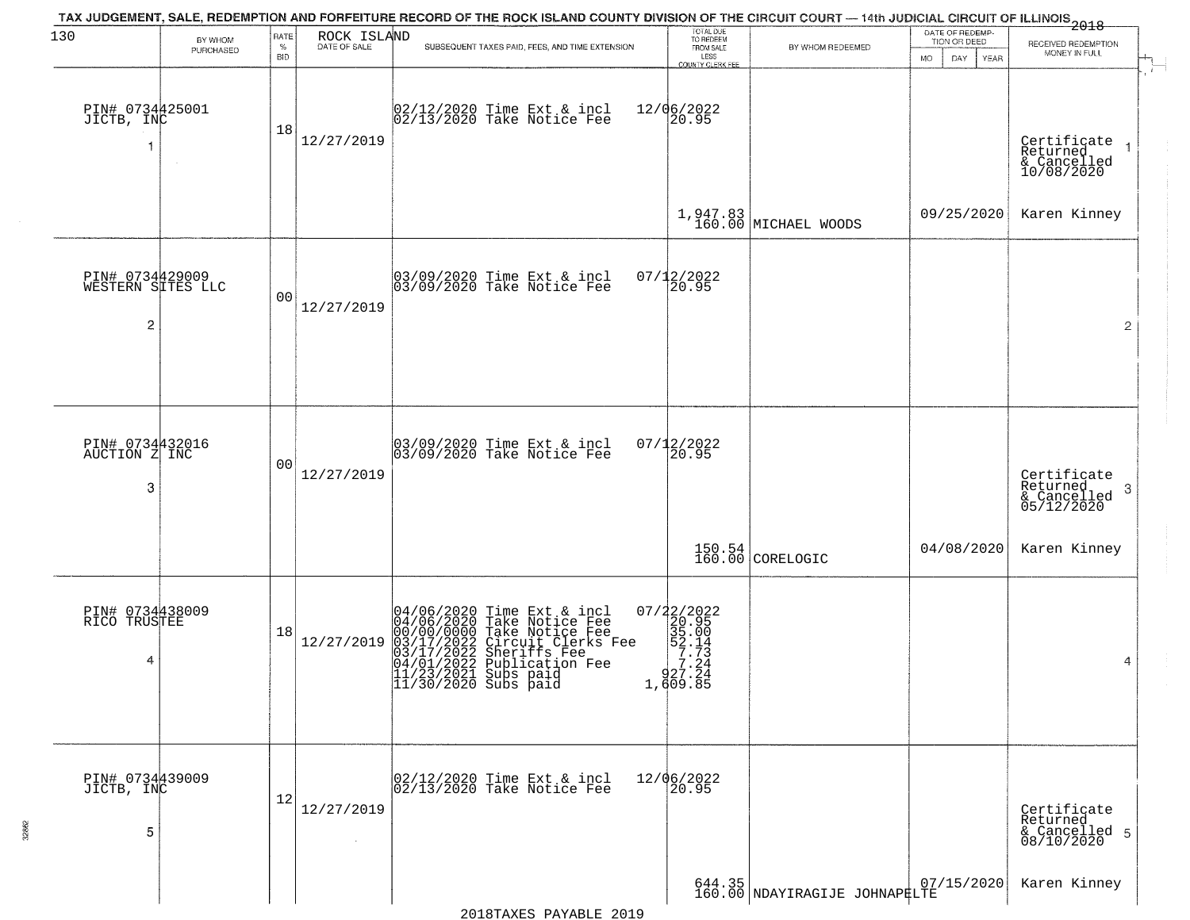| 130                                       | BY WHOM   | RATE               | ROCK ISLAND<br>DATE OF SALE | TAX JUDGEMENT, SALE, REDEMPTION AND FORFEITURE RECORD OF THE ROCK ISLAND COUNTY DIVISION OF THE CIRCUIT COURT — 14th JUDICIAL CIRCUIT OF ILLINOIS 2018                                                                                | TOTAL DUE<br>TO REDEEM                                                                                |                                                                  | DATE OF REDEMP-<br>TION OR DEED | RECEIVED REDEMPTION                                    |
|-------------------------------------------|-----------|--------------------|-----------------------------|---------------------------------------------------------------------------------------------------------------------------------------------------------------------------------------------------------------------------------------|-------------------------------------------------------------------------------------------------------|------------------------------------------------------------------|---------------------------------|--------------------------------------------------------|
|                                           | PURCHASED | $\%$<br><b>BID</b> |                             | SUBSEQUENT TAXES PAID, FEES, AND TIME EXTENSION                                                                                                                                                                                       | FROM SALE<br>LESS<br><b>COUNTY CLERK FEE</b>                                                          | BY WHOM REDEEMED                                                 | <b>MO</b><br>DAY<br><b>YEAR</b> | MONEY IN FULL                                          |
| PIN# 0734425001<br>JICTB, INC             | $\sim$    | 18                 | 12/27/2019                  | 02/12/2020 Time Ext & incl<br>02/13/2020 Take Notice Fee                                                                                                                                                                              | 12/06/2022<br>20.95                                                                                   |                                                                  |                                 | Certificate<br>Returned<br>& Cancelled<br>10/08/2020   |
|                                           |           |                    |                             |                                                                                                                                                                                                                                       |                                                                                                       | 1,947.83<br>160.00 MICHAEL WOODS                                 | 09/25/2020                      | Karen Kinney                                           |
| PIN# 0734429009<br>WESTERN SITES LLC<br>2 |           | 0 <sub>0</sub>     | 12/27/2019                  | 03/09/2020 Time Ext & incl<br>03/09/2020 Take Notice Fee                                                                                                                                                                              | 07/12/2022<br>20.95                                                                                   |                                                                  |                                 | $\overline{2}$                                         |
| PIN# 0734432016<br>AUCTION Z INC          |           | 0 <sub>0</sub>     | 12/27/2019                  | 03/09/2020 Time Ext & incl<br>03/09/2020 Take Notice Fee                                                                                                                                                                              | $07/12/2022$<br>20.95                                                                                 |                                                                  |                                 | Certificate<br>Returned                                |
| 3                                         |           |                    |                             |                                                                                                                                                                                                                                       |                                                                                                       | $\begin{array}{ c c c }\n150.54 & \text{CORELOGIC}\n\end{array}$ | 04/08/2020                      | 3<br>$& \text{Cancelled} \ 05/12/2020$<br>Karen Kinney |
| PIN# 0734438009<br>RICO TRUSTEE<br>4      |           | 18                 | 12/27/2019                  | 04/06/2020 Time Ext & incl<br>04/06/2020 Take Notice Fee<br>00/00/00/000 Take Notice Fee<br>03/17/2022 Circuit Clerks Fee<br>03/17/2022 Sublication Fee<br>04/01/2022 Publication Fee<br>11/23/2021 Subs paid<br>11/30/2020 Subs paid | $\begin{smallmatrix} 07/22/2022\\ 20.95\\ 35.00\\ 52.14\\ -7.24\\ 27.24\\ 1,609.85 \end{smallmatrix}$ |                                                                  |                                 | 4                                                      |
| PIN# 0734439009<br>JICTB, INC<br>5        |           | 12                 | 12/27/2019                  | 02/12/2020 Time Ext & incl<br>02/13/2020 Take Notice Fee                                                                                                                                                                              | 12/06/2022<br>20.95                                                                                   |                                                                  |                                 | Certificate<br>Returned<br>& Cancelled 5<br>08/10/2020 |
|                                           |           |                    |                             |                                                                                                                                                                                                                                       |                                                                                                       | 644.35<br>160.00 NDAYIRAGIJE JOHNAP#LTE                          |                                 | Karen Kinney                                           |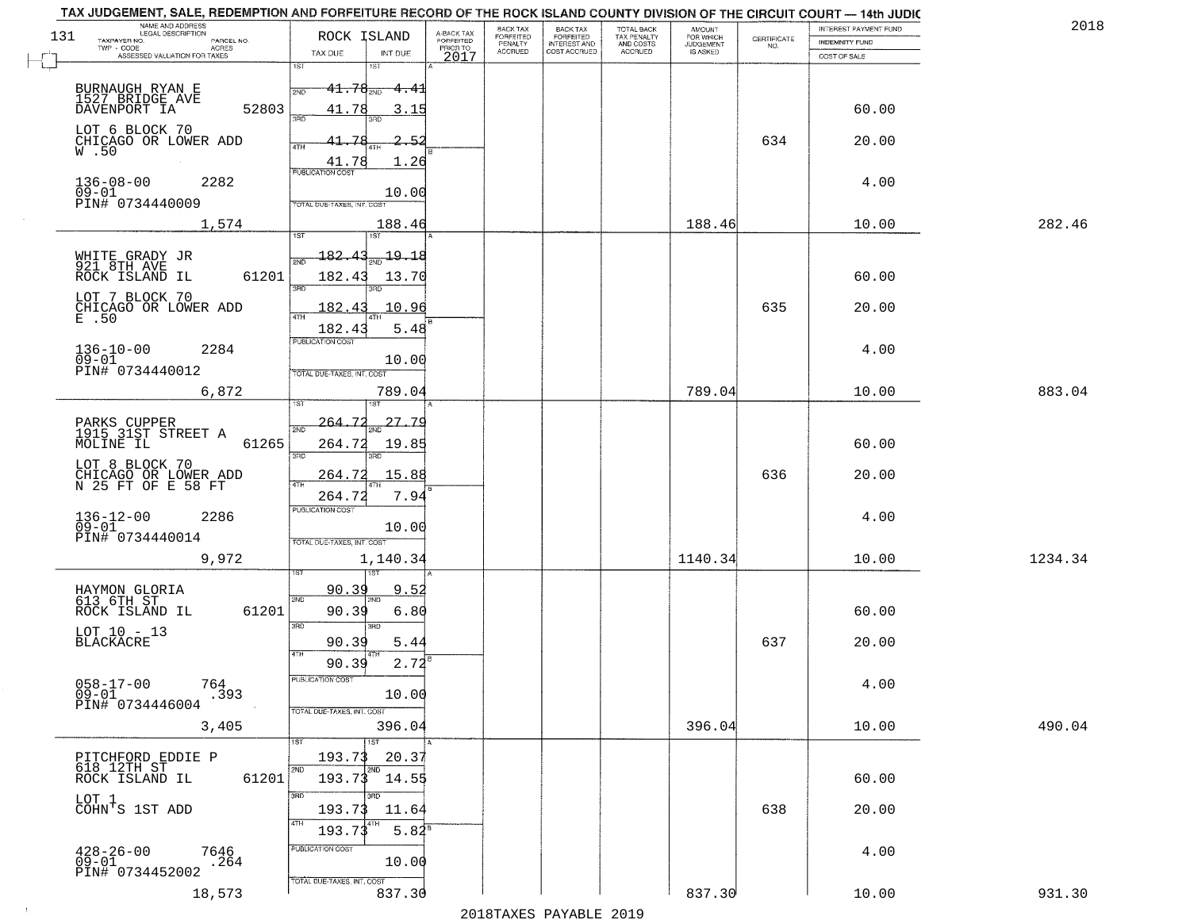|         | INTEREST PAYMENT FUND |                    |                                  |                                        |                                       | BACK TAX             |                                     |                              |                                                  | NAME AND ADDRESS<br>LEGAL DESCRIPTION                          |
|---------|-----------------------|--------------------|----------------------------------|----------------------------------------|---------------------------------------|----------------------|-------------------------------------|------------------------------|--------------------------------------------------|----------------------------------------------------------------|
|         | <b>INDEMNITY FUND</b> | CERTIFICATE<br>NO. | AMOUNT<br>FOR WHICH<br>JUDGEMENT | TOTAL BACK<br>TAX PENALTY<br>AND COSTS | BACK TAX<br>FORFEITED<br>INTEREST AND | FORFEITED<br>PENALTY | A-BACK TAX<br>FORFEITED<br>PRIOR TO |                              | ROCK ISLAND                                      | 131<br>TAXPAYER NO.<br>PARCEL NO.<br>TWP - CODE<br>ACRES       |
|         | COST OF SALE          |                    | IS ASKED                         | <b>ACCRUED</b>                         | COST ACCRUED                          | <b>ACCRUED</b>       | 2017                                | INT DUE                      | TAX DUE                                          | ASSESSED VALUATION FOR TAXES                                   |
|         |                       |                    |                                  |                                        |                                       |                      |                                     | 1ST<br><del>4.4</del> 1      | 1ST<br>$41.76_{200}$<br>2ND                      | BURNAUGH RYAN E<br>1527 BRIDGE AVE                             |
|         | 60.00                 |                    |                                  |                                        |                                       |                      |                                     | 3.15                         | 41.78<br>3RD                                     | 52803<br>DAVENPORT IA<br>LOT 6 BLOCK 70                        |
|         | 20.00                 | 634                |                                  |                                        |                                       |                      |                                     | -5.<br>1.26                  | 41.78<br>4TH<br>41.78<br><b>PUBLICATION COST</b> | CHICAGO OR LOWER ADD<br>W.50                                   |
|         | 4.00                  |                    |                                  |                                        |                                       |                      |                                     | 10.00                        | TOTAL DUE-TAXES, INT. COST                       | $136 - 08 - 00$<br>2282<br>$09 - 01$<br>PIN# 0734440009        |
| 282.46  | 10.00                 |                    | 188.46                           |                                        |                                       |                      |                                     | 188.46<br>ist                |                                                  | 1,574                                                          |
|         | 60.00                 |                    |                                  |                                        |                                       |                      |                                     | $\frac{19.18}{200}$<br>13.70 | <u> 182.43</u><br>182.43<br>3RD                  | WHITE GRADY JR<br>921 8TH AVE<br>61201<br>ROCK ISLAND IL       |
|         | 20.00                 | 635                |                                  |                                        |                                       |                      |                                     | 10.96<br>5.48                | 182.43<br>182.43                                 | LOT 7 BLOCK 70<br>CHICAGO OR LOWER ADD<br>E .50                |
|         | 4.00                  |                    |                                  |                                        |                                       |                      |                                     | 10.00                        | PUBLICATION COST<br>TOTAL DUE-TAXES, INT. COST   | $136 - 10 - 00$<br>2284<br>$09 - 01$<br>PIN# 0734440012        |
| 883.04  | 10.00                 |                    | 789.04                           |                                        |                                       |                      |                                     | 789.04                       | i ST                                             | 6,872                                                          |
|         | 60.00                 |                    |                                  |                                        |                                       |                      |                                     | 27.79<br>19.85               | 264.72<br>2ND<br>264.72                          | PARKS CUPPER<br>1915 31ST STREET A<br>MOLINE IL<br>61265       |
|         | 20.00                 | 636                |                                  |                                        |                                       |                      |                                     | 3RD<br>15.88                 | 3 <sub>BD</sub><br>264.72                        | LOT 8 BLOCK 70                                                 |
|         |                       |                    |                                  |                                        |                                       |                      |                                     | 7.94                         | 4TH<br>264.72<br><b>PUBLICATION COST</b>         | CHICAGO OR LOWER ADD<br>N 25 FT OF E 58 FT                     |
|         | 4.00                  |                    |                                  |                                        |                                       |                      |                                     | 10.00                        | TOTAL OUE-TAXES, INT. COST                       | $136 - 12 - 00$<br>09-01<br>2286<br>PIN# 0734440014            |
| 1234.34 | 10.00                 |                    | 1140.34                          |                                        |                                       |                      |                                     | 1,140.34<br>151              |                                                  | 9,972                                                          |
|         | 60.00                 |                    |                                  |                                        |                                       |                      |                                     | 9.5<br>6.80                  | 90.39<br>2ND<br>90.39                            | HAYMON GLORIA<br>613 6TH ST<br>ROCK ISLAND IL<br>61201         |
|         | 20.00                 | 637                |                                  |                                        |                                       |                      |                                     | 3RD<br>5.44                  | 3 <sub>BD</sub><br>90.39<br>4TH                  | LOT 10 - 13<br><b>BLACKACRE</b>                                |
|         | 4.00                  |                    |                                  |                                        |                                       |                      |                                     | 2.72<br>10.00                | 90.39<br>"UBLICA HUN CUS                         | $058 - 17 - 00$<br>764<br>$09 - 01$<br>.393<br>PIN# 0734446004 |
| 490.04  | 10.00                 |                    | 396.04                           |                                        |                                       |                      |                                     | 396.04<br>1ST                | TOTAL DUE-TAXES, INT. COST                       | 3,405                                                          |
|         | 60.00                 |                    |                                  |                                        |                                       |                      |                                     | 20.37<br>2ND<br>193.73 14.55 | 193.73<br>2ND                                    | PITCHFORD EDDIE P<br>618 12TH ST<br>61201<br>ROCK ISLAND IL    |
|         | 20.00                 | 638                |                                  |                                        |                                       |                      |                                     | 11.64                        | 3RD<br>193.73                                    | LOT 1<br>COHN'S 1ST ADD                                        |
|         | 4.00                  |                    |                                  |                                        |                                       |                      |                                     | $5.82^8$                     | 4TH<br>193.73<br>PUBLICATION COST                | $428 - 26 - 00$<br>09-01<br>7646                               |
| 931.30  | 10.00                 |                    | 837.30                           |                                        |                                       |                      |                                     | 10.00<br>837.30              | TOTAL DUE-TAXES, INT. COST                       | .264<br>PIN# 0734452002<br>18,573                              |
|         |                       |                    |                                  |                                        |                                       |                      |                                     |                              |                                                  |                                                                |

 $\sim 10^{-1}$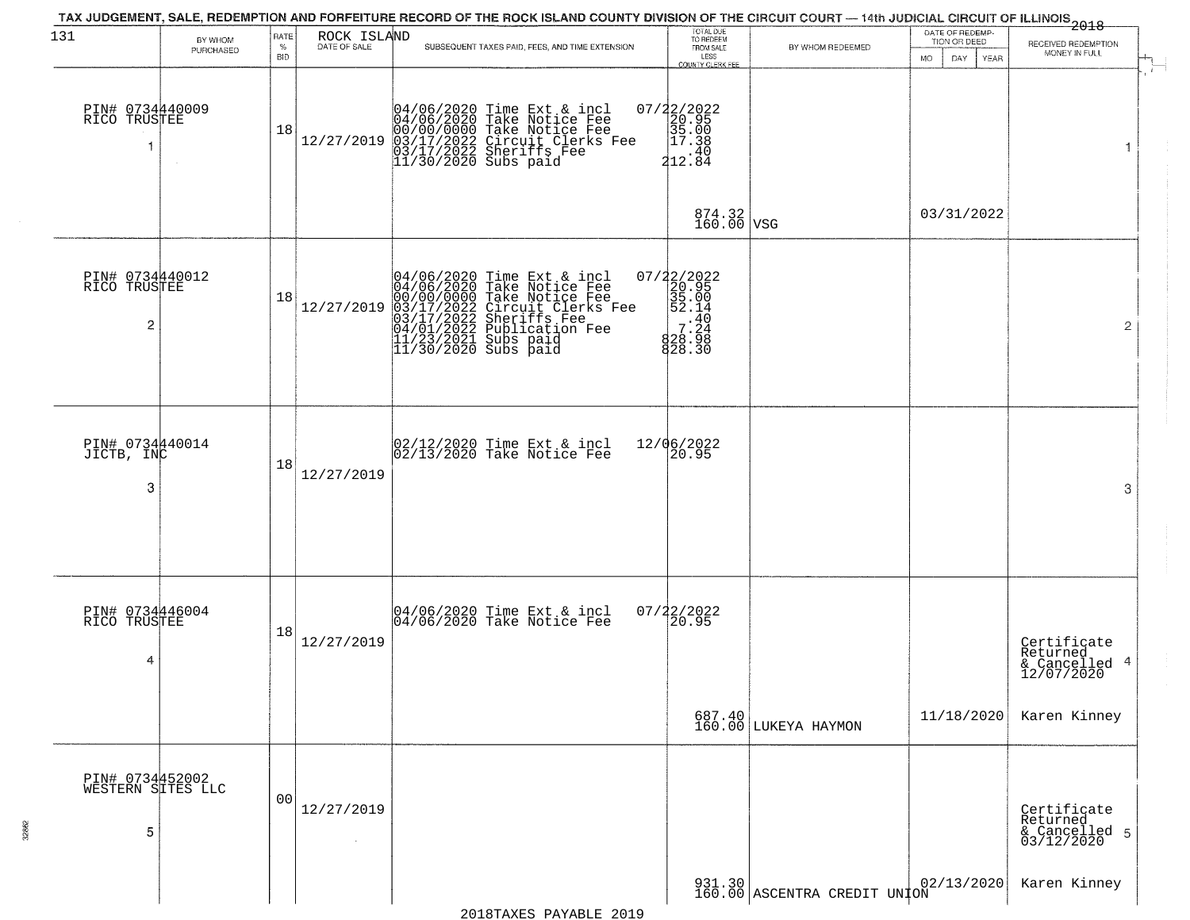| 131                                       | BY WHOM   | RATE               | ROCK ISLAND  | TAX JUDGEMENT, SALE, REDEMPTION AND FORFEITURE RECORD OF THE ROCK ISLAND COUNTY DIVISION OF THE CIRCUIT COURT — 14th JUDICIAL CIRCUIT OF ILLINOIS 2018                                                                               | TOTAL DUE<br>TO REDEEM<br>FROM SALE                                                    |                                | DATE OF REDEMP-<br>TION OR DEED |                                                        |
|-------------------------------------------|-----------|--------------------|--------------|--------------------------------------------------------------------------------------------------------------------------------------------------------------------------------------------------------------------------------------|----------------------------------------------------------------------------------------|--------------------------------|---------------------------------|--------------------------------------------------------|
|                                           | PURCHASED | $\%$<br><b>BID</b> | DATE OF SALE | SUBSEQUENT TAXES PAID, FEES, AND TIME EXTENSION                                                                                                                                                                                      | LESS                                                                                   | BY WHOM REDEEMED               | MO.<br>DAY.<br>YEAR             | RECEIVED REDEMPTION<br>MONEY IN FULL                   |
| PIN# 0734440009<br>RICO TRUSTEE<br>1      | $\sim$    | 18                 | 12/27/2019   | 04/06/2020 Time Ext & incl<br>04/06/2020 Take Notice Fee<br>00/00/0000 Take Notice Fee<br>00/00/0000 Take Notice Fee<br>03/17/2022 Sheriffs Fee<br>11/30/2020 Subs paid                                                              | <b>COUNTY CLERK FEE</b><br>07/22/2022<br>20.95<br>35.00<br>2017.38<br>410.49<br>212.84 |                                |                                 | $\mathbf{1}$                                           |
|                                           |           |                    |              |                                                                                                                                                                                                                                      | 874.32<br>160.00 VSG                                                                   |                                | 03/31/2022                      |                                                        |
| PIN# 0734440012<br>RICO TRUSTEE<br>2      |           | 18                 | 12/27/2019   | 04/06/2020 Time Ext & incl<br>04/06/2020 Take Notice Fee<br>00/00/00000 Take Notice Fee<br>03/17/2022 Circuit Clerks Fee<br>03/17/2022 Sublication Fee<br>04/01/2022 Publication Fee<br>11/23/2021 Subs paid<br>11/30/2020 Subs paid | 07/22/2022<br>20.95<br>35.00<br>35.14<br>828.30                                        |                                |                                 | $\overline{2}$                                         |
| PIN# 0734440014<br>JICTB, INC<br>3        |           | 18                 | 12/27/2019   | 02/12/2020 Time Ext & incl<br>02/13/2020 Take Notice Fee                                                                                                                                                                             | 12/06/2022<br>20.95                                                                    |                                |                                 | 3                                                      |
| PIN# 0734446004<br>RICO TRUSTEE<br>4      |           | 18                 | 12/27/2019   | 04/06/2020 Time Ext & incl<br>04/06/2020 Take Notice Fee                                                                                                                                                                             | 07/22/2022<br>I20.95                                                                   |                                |                                 | Certificate<br>Returned<br>& Cancelled 4<br>12/07/2020 |
|                                           |           |                    |              |                                                                                                                                                                                                                                      |                                                                                        | 687.40<br>160.00 LUKEYA HAYMON | 11/18/2020                      | Karen Kinney                                           |
| PIN# 0734452002<br>WESTERN SITES LLC<br>5 |           | 00                 | 12/27/2019   |                                                                                                                                                                                                                                      |                                                                                        |                                |                                 | Certificate<br>Returned<br>& Cancelled 5<br>03/12/2020 |
|                                           |           |                    |              |                                                                                                                                                                                                                                      |                                                                                        | 931.30 ASCENTRA CREDIT UNION   | 02/13/2020                      | Karen Kinney                                           |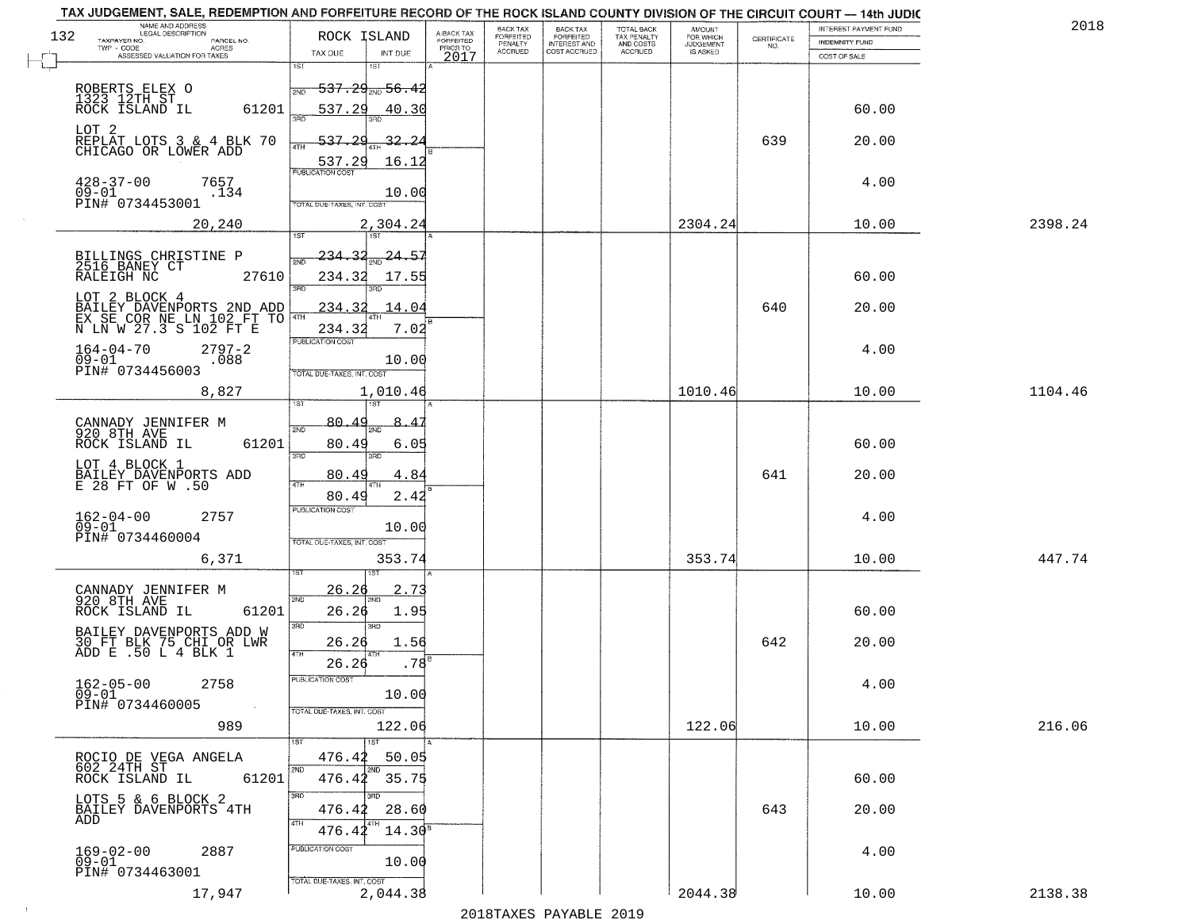| TAX JUDGEMENT, SALE, REDEMPTION AND FORFEITURE RECORD OF THE ROCK ISLAND COUNTY DIVISION OF THE CIRCUIT COURT — 14th JUDIC |                            |                                       |                                     |                                        |                                       |                                        |                                  |                                                                 |                       |         |
|----------------------------------------------------------------------------------------------------------------------------|----------------------------|---------------------------------------|-------------------------------------|----------------------------------------|---------------------------------------|----------------------------------------|----------------------------------|-----------------------------------------------------------------|-----------------------|---------|
| NAME AND ADDRESS<br>LEGAL DESCRIPTION<br>132                                                                               | ROCK ISLAND                |                                       |                                     | BACK TAX                               | BACK TAX<br>FORFEITED<br>INTEREST AND | TOTAL BACK<br>TAX PENALTY<br>AND COSTS | AMOUNT<br>FOR WHICH<br>JUDGEMENT |                                                                 | INTEREST PAYMENT FUND | 2018    |
| TAXPAYER NO.<br>PARCEL NO.<br>ACRES<br>$TWP - CODE$                                                                        |                            |                                       | A-BACK TAX<br>FORFEITED<br>PRIOR TO | FORFEITED<br>PENALTY<br><b>ACCRUED</b> | COST ACCRUED                          | ACCRUED                                | IS ASKED                         | $\begin{array}{c} \text{CERTIFICATE} \\ \text{NO.} \end{array}$ | <b>INDEMNITY FUND</b> |         |
| ASSESSED VALUATION FOR TAXES                                                                                               | TAX DUE<br>1ST             | INT DUE<br>1ST                        | 2017                                |                                        |                                       |                                        |                                  |                                                                 | COST OF SALE          |         |
|                                                                                                                            |                            |                                       |                                     |                                        |                                       |                                        |                                  |                                                                 |                       |         |
|                                                                                                                            |                            | <del>537.29<sub>2ND</sub> 56.42</del> |                                     |                                        |                                       |                                        |                                  |                                                                 |                       |         |
| ROBERTS ELEX O<br>1323 12TH ST<br>ROCK ISLAND IL                                                                           |                            |                                       |                                     |                                        |                                       |                                        |                                  |                                                                 |                       |         |
| 61201                                                                                                                      | 537.29                     | 40.30                                 |                                     |                                        |                                       |                                        |                                  |                                                                 | 60.00                 |         |
|                                                                                                                            |                            |                                       |                                     |                                        |                                       |                                        |                                  |                                                                 |                       |         |
| LOT 2<br>REPLAT LOTS 3 & 4 BLK 70<br>CHICAGO OR LOWER ADD                                                                  | <del>537.2</del> 9<br>ATH  | 32.24                                 |                                     |                                        |                                       |                                        |                                  | 639                                                             | 20.00                 |         |
|                                                                                                                            | 537.29                     | 16.12                                 |                                     |                                        |                                       |                                        |                                  |                                                                 |                       |         |
|                                                                                                                            | PUBLICATION COST           |                                       |                                     |                                        |                                       |                                        |                                  |                                                                 |                       |         |
| $428 - 37 - 00$<br>7657                                                                                                    |                            |                                       |                                     |                                        |                                       |                                        |                                  |                                                                 | 4.00                  |         |
| 09-01<br>.134<br>PIN# 0734453001                                                                                           | TOTAL DUE-TAXES, INT. COST | 10.00                                 |                                     |                                        |                                       |                                        |                                  |                                                                 |                       |         |
|                                                                                                                            |                            |                                       |                                     |                                        |                                       |                                        |                                  |                                                                 |                       |         |
| 20,240                                                                                                                     |                            | 2,304.24                              |                                     |                                        |                                       |                                        | 2304.24                          |                                                                 | 10.00                 | 2398.24 |
|                                                                                                                            |                            |                                       |                                     |                                        |                                       |                                        |                                  |                                                                 |                       |         |
| BILLINGS CHRISTINE P<br>2516 BANEY CT                                                                                      | 234.32<br>সাঁচ             | 24.57                                 |                                     |                                        |                                       |                                        |                                  |                                                                 |                       |         |
| RALEIGH NC<br>27610                                                                                                        |                            |                                       |                                     |                                        |                                       |                                        |                                  |                                                                 | 60.00                 |         |
|                                                                                                                            | 234.32<br>3RD              | 17.55                                 |                                     |                                        |                                       |                                        |                                  |                                                                 |                       |         |
| LOT 2 BLOCK 4<br>BAILEY DAVENPORTS 2ND ADD<br>EX_SE_COR_NE_LN_102_FT_TO 4TH                                                |                            |                                       |                                     |                                        |                                       |                                        |                                  |                                                                 |                       |         |
|                                                                                                                            | 234.32                     | 14.04                                 |                                     |                                        |                                       |                                        |                                  | 640                                                             | 20.00                 |         |
| N LN W 27.3 S 102 FT E                                                                                                     | 234.32                     | 7.02                                  |                                     |                                        |                                       |                                        |                                  |                                                                 |                       |         |
|                                                                                                                            | PUBLICATION COST           |                                       |                                     |                                        |                                       |                                        |                                  |                                                                 |                       |         |
| $164 - 04 - 70$<br>$2797 - 2$<br>$09 - 01$<br>.088                                                                         |                            | 10.00                                 |                                     |                                        |                                       |                                        |                                  |                                                                 | 4.00                  |         |
| PIN# 0734456003                                                                                                            | TOTAL DUE-TAXES, INT. COST |                                       |                                     |                                        |                                       |                                        |                                  |                                                                 |                       |         |
|                                                                                                                            |                            |                                       |                                     |                                        |                                       |                                        |                                  |                                                                 |                       |         |
| 8,827                                                                                                                      |                            | 1,010.46                              |                                     |                                        |                                       |                                        | 1010.46                          |                                                                 | 10.00                 | 1104.46 |
|                                                                                                                            |                            |                                       |                                     |                                        |                                       |                                        |                                  |                                                                 |                       |         |
| CANNADY JENNIFER M<br>920 8TH AVE                                                                                          | 80.49<br>2ND               | 8.47<br>m                             |                                     |                                        |                                       |                                        |                                  |                                                                 |                       |         |
| 61201<br>ROCK ISLAND IL                                                                                                    | 80.49                      | 6.05                                  |                                     |                                        |                                       |                                        |                                  |                                                                 | 60.00                 |         |
|                                                                                                                            | 3 <sub>BD</sub>            | 3RD                                   |                                     |                                        |                                       |                                        |                                  |                                                                 |                       |         |
| LOT 4 BLOCK 1<br>BAILEY DAVENPORTS ADD                                                                                     |                            |                                       |                                     |                                        |                                       |                                        |                                  |                                                                 |                       |         |
| E 28 FT OF W.50                                                                                                            | 80.49<br>4TH               | 4.84                                  |                                     |                                        |                                       |                                        |                                  | 641                                                             | 20.00                 |         |
|                                                                                                                            | 80.49                      | 2.42                                  |                                     |                                        |                                       |                                        |                                  |                                                                 |                       |         |
|                                                                                                                            | <b>PUBLICATION COST</b>    |                                       |                                     |                                        |                                       |                                        |                                  |                                                                 |                       |         |
| $162 - 04 - 00$<br>2757<br>$\bar{0}9 - 01$                                                                                 |                            | 10.00                                 |                                     |                                        |                                       |                                        |                                  |                                                                 | 4.00                  |         |
| PIN# 0734460004                                                                                                            | TOTAL OUE-TAXES, INT. COST |                                       |                                     |                                        |                                       |                                        |                                  |                                                                 |                       |         |
| 6,371                                                                                                                      |                            | 353.74                                |                                     |                                        |                                       |                                        | 353.74                           |                                                                 | 10.00                 | 447.74  |
|                                                                                                                            |                            | ड़ा                                   |                                     |                                        |                                       |                                        |                                  |                                                                 |                       |         |
|                                                                                                                            |                            |                                       |                                     |                                        |                                       |                                        |                                  |                                                                 |                       |         |
| CANNADY JENNIFER M<br>920 8TH AVE                                                                                          | 26.26<br>2ND               | 2.73                                  |                                     |                                        |                                       |                                        |                                  |                                                                 |                       |         |
| ROCK ISLAND IL<br>61201                                                                                                    | 26.26                      | 1.95                                  |                                     |                                        |                                       |                                        |                                  |                                                                 | 60.00                 |         |
|                                                                                                                            | 3BD                        | 3RD                                   |                                     |                                        |                                       |                                        |                                  |                                                                 |                       |         |
| BAILEY DAVENPORTS ADD W                                                                                                    |                            |                                       |                                     |                                        |                                       |                                        |                                  | 642                                                             | 20.00                 |         |
| 30 FT BLK 75 CHI OR LWR<br>ADD E .50 L 4 BLK 1                                                                             | 26.26                      | 1.56                                  |                                     |                                        |                                       |                                        |                                  |                                                                 |                       |         |
|                                                                                                                            | 26.26                      | .78                                   |                                     |                                        |                                       |                                        |                                  |                                                                 |                       |         |
| 2758                                                                                                                       | PUBLICATION COST           |                                       |                                     |                                        |                                       |                                        |                                  |                                                                 |                       |         |
| $162 - 05 - 00$<br>09-01                                                                                                   |                            | 10.00                                 |                                     |                                        |                                       |                                        |                                  |                                                                 | 4.00                  |         |
| PIN# 0734460005                                                                                                            | TOTAL DUE-TAXES, INT. COST |                                       |                                     |                                        |                                       |                                        |                                  |                                                                 |                       |         |
| 989                                                                                                                        |                            | 122.06                                |                                     |                                        |                                       |                                        | 122.06                           |                                                                 | 10.00                 | 216.06  |
|                                                                                                                            |                            |                                       |                                     |                                        |                                       |                                        |                                  |                                                                 |                       |         |
|                                                                                                                            |                            | $\overline{1}$ 1st                    |                                     |                                        |                                       |                                        |                                  |                                                                 |                       |         |
|                                                                                                                            | 476.42<br>2ND              | 50.05<br>2ND                          |                                     |                                        |                                       |                                        |                                  |                                                                 |                       |         |
| 61201                                                                                                                      |                            | 476.42 35.75                          |                                     |                                        |                                       |                                        |                                  |                                                                 | 60.00                 |         |
|                                                                                                                            | 3RD                        | 3RD                                   |                                     |                                        |                                       |                                        |                                  |                                                                 |                       |         |
| LOTS 5 & 6 BLOCK 2<br>BAILEY DAVENPORTS 4TH                                                                                | 476.42                     | 28.60                                 |                                     |                                        |                                       |                                        |                                  | 643                                                             | 20.00                 |         |
| ADD                                                                                                                        | 4TH                        |                                       |                                     |                                        |                                       |                                        |                                  |                                                                 |                       |         |
|                                                                                                                            | $476.44^{4}$               | $14.30^5$                             |                                     |                                        |                                       |                                        |                                  |                                                                 |                       |         |
| 2887                                                                                                                       | PUBLICATION COST           |                                       |                                     |                                        |                                       |                                        |                                  |                                                                 | 4.00                  |         |
| 169-02-00<br>09-01                                                                                                         |                            | 10.00                                 |                                     |                                        |                                       |                                        |                                  |                                                                 |                       |         |
| PIN# 0734463001                                                                                                            | TOTAL DUE-TAXES, INT. COST |                                       |                                     |                                        |                                       |                                        |                                  |                                                                 |                       |         |
| 17,947                                                                                                                     |                            | 2,044.38                              |                                     |                                        |                                       |                                        | 2044.38                          |                                                                 | 10.00                 | 2138.38 |
|                                                                                                                            |                            |                                       |                                     |                                        |                                       |                                        |                                  |                                                                 |                       |         |

 $\sim 10$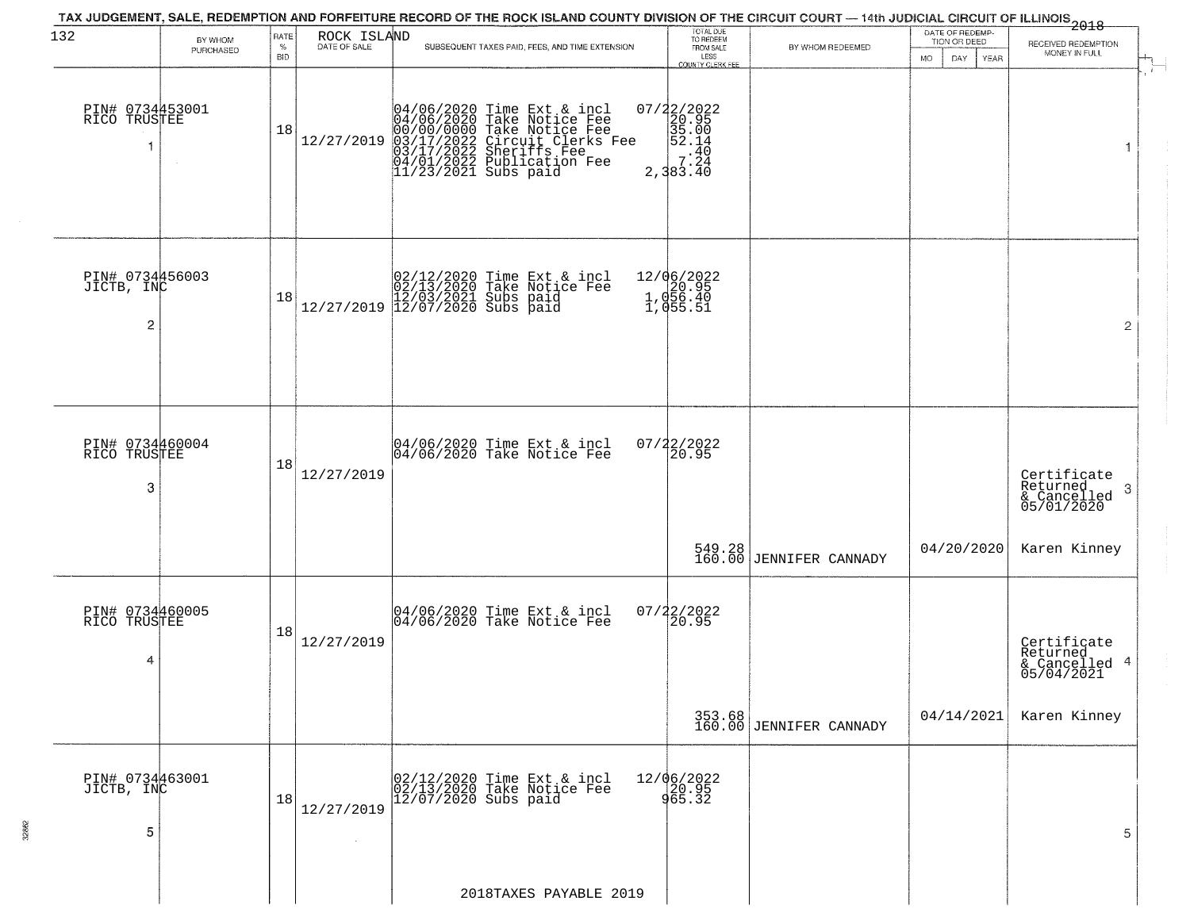| 132                                             | BY WHOM<br>PURCHASED | RATE<br>$\%$<br><b>BID</b> | ROCK ISLAND<br>DATE OF SALE | TAX JUDGEMENT, SALE, REDEMPTION AND FORFEITURE RECORD OF THE ROCK ISLAND COUNTY DIVISION OF THE CIRCUIT COURT — 14th JUDICIAL CIRCUIT OF ILLINOIS 2018<br>SUBSEQUENT TAXES PAID, FEES, AND TIME EXTENSION | TOTAL DUE<br>TO REDEEM<br>FROM SALE<br>LESS<br><b>COUNTY CLERK FEE</b>      | BY WHOM REDEEMED                  | DATE OF REDEMP-<br>TION OR DEED<br>MO.<br>DAY<br>YEAR | RECEIVED REDEMPTION<br>MONEY IN FULL                      |
|-------------------------------------------------|----------------------|----------------------------|-----------------------------|-----------------------------------------------------------------------------------------------------------------------------------------------------------------------------------------------------------|-----------------------------------------------------------------------------|-----------------------------------|-------------------------------------------------------|-----------------------------------------------------------|
| PIN# 0734453001<br>RICO TRUSTEE                 |                      | 18                         | 12/27/2019                  | 04/06/2020 Time Ext & incl<br>04/06/2020 Take Notice Fee<br>00/00/00000 Take Notice Fee<br>03/17/2022 Circuit Clerks Fee<br>03/17/2022 Sheriffs Fee<br>04/01/2022 Publication Fee<br>11/23/2021 Subs paid | $2,383.\overline{40}$                                                       |                                   |                                                       | $\mathbf{1}$                                              |
| PIN# 0734456003<br>JICTB, INC<br>$\overline{c}$ |                      | 18                         |                             | $[02/12/2020 \t\t Time \t\t Ext & incl \\ [02/13/2020 \t\t Take \t Notice \tFe \\ [12/03/2021 \t\ Subs \t paid \\ [12/07/2020 \t\ Subs \t paid \\$                                                        | 12/06/2022<br>1.020.95<br>1.056.40<br>$\overline{1}$ , $\overline{0}$ 55.51 |                                   |                                                       | $\overline{2}$                                            |
| PIN# 0734460004<br>RICO TRUSTEE<br>3            |                      | 18                         | 12/27/2019                  | 04/06/2020 Time Ext & incl<br>04/06/2020 Take Notice Fee                                                                                                                                                  | 07/22/2022<br>20.95                                                         |                                   |                                                       | Certificate<br>Returned<br>3<br>& Cancelled<br>05/01/2020 |
|                                                 |                      |                            |                             |                                                                                                                                                                                                           |                                                                             | 549.28<br>160.00 JENNIFER CANNADY | 04/20/2020                                            | Karen Kinney                                              |
| PIN# 0734460005<br>RICO TRUSTEE<br>4            |                      | 18                         | 12/27/2019                  | 04/06/2020 Time Ext & incl<br>04/06/2020 Take Notice Fee                                                                                                                                                  | 07/22/2022<br>20.95                                                         |                                   |                                                       | Certificate<br>Returned<br>& Cancelled 4<br>05/04/2021    |
|                                                 |                      |                            |                             |                                                                                                                                                                                                           |                                                                             | 353.68<br>160.00 JENNIFER CANNADY | 04/14/2021                                            | Karen Kinney                                              |
| PIN# 0734463001<br>JICTB, INC<br>5              |                      | 18                         | 12/27/2019                  | 02/12/2020 Time Ext & incl<br>02/13/2020 Take Notice Fee<br>12/07/2020 Subs paid                                                                                                                          | 12/06/2022<br>20.95<br>965.32                                               |                                   |                                                       | 5                                                         |
|                                                 |                      |                            |                             | 2018TAXES PAYABLE 2019                                                                                                                                                                                    |                                                                             |                                   |                                                       |                                                           |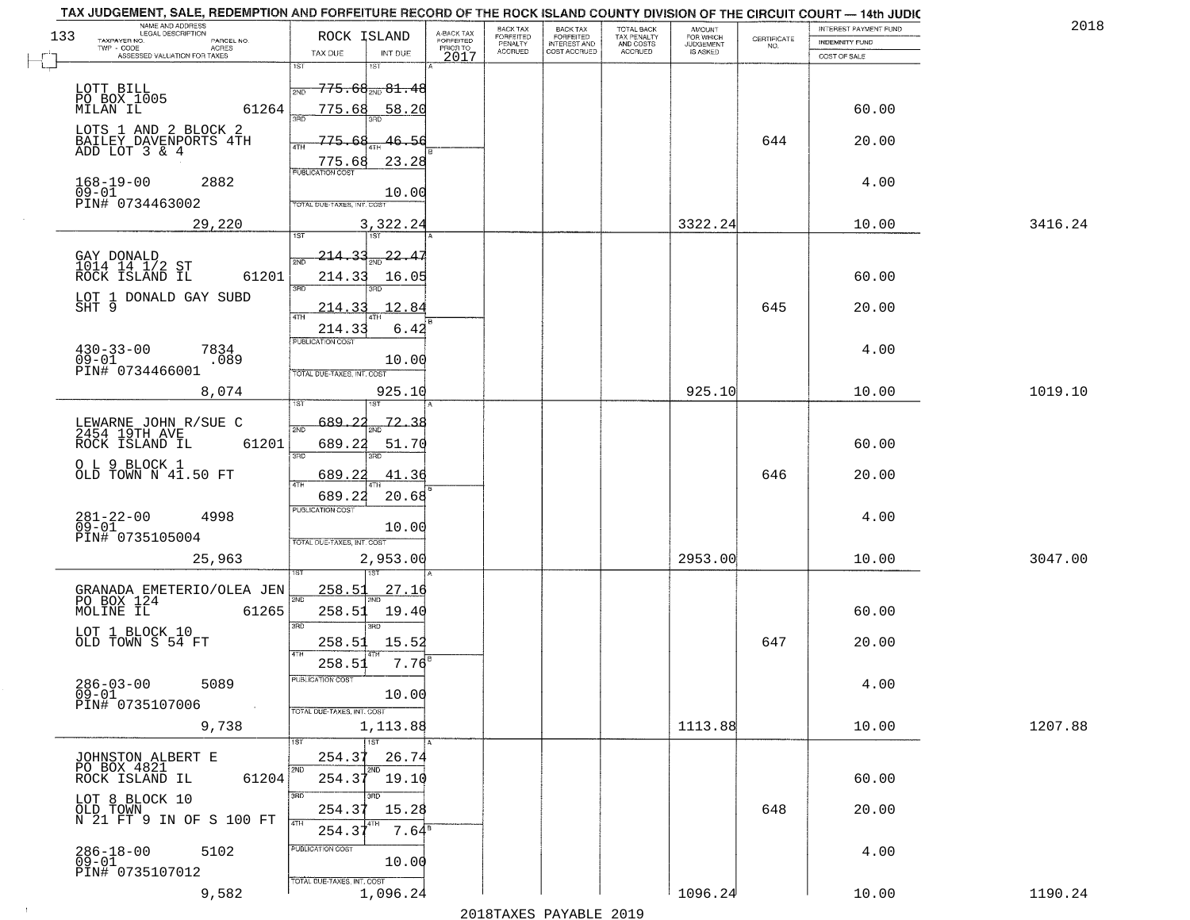|     | TAX JUDGEMENT, SALE, REDEMPTION AND FORFEITURE RECORD OF THE ROCK ISLAND COUNTY DIVISION OF THE CIRCUIT COURT - 14th JUDIC<br>NAME AND ADDRESS<br>LEGAL DESCRIPTION |                                                       |                                              |                                     | BACK TAX             |                                       |                                        | AMOUNT<br>FOR WHICH |                    | INTEREST PAYMENT FUND | 2018    |
|-----|---------------------------------------------------------------------------------------------------------------------------------------------------------------------|-------------------------------------------------------|----------------------------------------------|-------------------------------------|----------------------|---------------------------------------|----------------------------------------|---------------------|--------------------|-----------------------|---------|
| 133 | TAXPAYER NO.<br>PARCEL NO.<br>TWP - CODE<br>ACRES                                                                                                                   | ROCK ISLAND                                           |                                              | A-BACK TAX<br>FORFEITED<br>PRIOR TO | FORFEITED<br>PENALTY | BACK TAX<br>FORFEITED<br>INTEREST AND | TOTAL BACK<br>TAX PENALTY<br>AND COSTS | <b>JUDGEMENT</b>    | CERTIFICATE<br>NO. | <b>INDEMNITY FUND</b> |         |
|     | ASSESSED VALUATION FOR TAXES                                                                                                                                        | TAX DUE                                               | INT DUE                                      | 2017                                | <b>ACCRUED</b>       | COST ACCRUED                          | <b>ACCRUED</b>                         | IS ASKED            |                    | COST OF SALE          |         |
|     | LOTT BILL<br>PO BOX 1005                                                                                                                                            | 1ST<br>2ND                                            | 1ST<br>$\overline{775.68}_{\text{2ND}}81.48$ |                                     |                      |                                       |                                        |                     |                    |                       |         |
|     | 61264<br>MILAN IL<br>LOTS 1 AND 2 BLOCK 2                                                                                                                           | 775.68                                                | 58.20                                        |                                     |                      |                                       |                                        |                     |                    | 60.00                 |         |
|     | BAILEY DAVENPORTS 4TH<br>ADD LOT 3 & 4                                                                                                                              | 775.68<br>ATH<br>775.68<br><b>PUBLICATION COST</b>    | 46.56<br>23.28                               |                                     |                      |                                       |                                        |                     | 644                | 20.00                 |         |
|     | $168 - 19 - 00$<br>2882<br>$09 - 01$<br>PIN# 0734463002                                                                                                             | TOTAL DUE-TAXES, INT. COST                            | 10.00                                        |                                     |                      |                                       |                                        |                     |                    | 4.00                  |         |
|     | 29,220                                                                                                                                                              |                                                       | 3,322.24                                     |                                     |                      |                                       |                                        | 3322.24             |                    | 10.00                 | 3416.24 |
|     | GAY DONALD<br>1014 14 1/2 ST<br>ROCK ISLAND IL<br>61201                                                                                                             | <u>214.33</u><br>2ND<br>214.33<br>3RD                 | $\frac{22}{2ND}$<br>16.05                    |                                     |                      |                                       |                                        |                     |                    | 60.00                 |         |
|     | LOT 1 DONALD GAY SUBD<br>SHT 9                                                                                                                                      | 214.33<br>214.33                                      | 12.84<br>6.42                                |                                     |                      |                                       |                                        |                     | 645                | 20.00                 |         |
|     | $430 - 33 - 00$<br>7834<br>$09 - 01$<br>.089<br>PIN# 0734466001                                                                                                     | PUBLICATION COST<br>TOTAL DUE-TAXES, INT. COST        | 10.00                                        |                                     |                      |                                       |                                        |                     |                    | 4.00                  |         |
|     | 8,074                                                                                                                                                               | 1ST                                                   | 925.10                                       |                                     |                      |                                       |                                        | 925.10              |                    | 10.00                 | 1019.10 |
|     | LEWARNE JOHN R/SUE C<br>2454 19TH AVE<br>ROCK ISLAND IL<br>61201                                                                                                    | 689.<br>2ND<br>689.22<br>3 <sub>BD</sub>              | 72.<br>51.70<br>3RD                          |                                     |                      |                                       |                                        |                     |                    | 60.00                 |         |
|     | O L 9 BLOCK 1<br>OLD TOWN N 41.50 FT                                                                                                                                | 689.22<br>4TH<br>689.22                               | 41.36<br>20.68                               |                                     |                      |                                       |                                        |                     | 646                | 20.00                 |         |
|     | $281 - 22 - 00$<br>09-01<br>4998<br>PIN# 0735105004                                                                                                                 | <b>PUBLICATION COST</b><br>TOTAL OUE-TAXES, INT. COST | 10.00                                        |                                     |                      |                                       |                                        |                     |                    | 4.00                  |         |
|     | 25,963                                                                                                                                                              |                                                       | 2,953.00                                     |                                     |                      |                                       |                                        | 2953.00             |                    | 10.00                 | 3047.00 |
|     | GRANADA EMETERIO/OLEA JEN<br>PO BOX 124<br>MOLINE IL<br>61265                                                                                                       | 258.51<br>258.51<br>3 <sub>BD</sub>                   | 27.16<br>19.40<br>3RD                        |                                     |                      |                                       |                                        |                     |                    | 60.00                 |         |
|     | LOT 1 BLOCK 10<br>OLD TOWN S 54 FT                                                                                                                                  | 258.51<br>4TH<br>258.51                               | 15.52<br>7.76                                |                                     |                      |                                       |                                        |                     | 647                | 20.00                 |         |
|     | $286 - 03 - 00$<br>5089<br>$09 - 01$<br>PIN# 0735107006<br>$\sim 100$ km $^{-1}$                                                                                    | UBLICA HUN COS-<br>TOTAL DUE-TAXES, INT. COST         | 10.00                                        |                                     |                      |                                       |                                        |                     |                    | 4.00                  |         |
|     | 9,738                                                                                                                                                               |                                                       | 1,113.88<br>1ST                              |                                     |                      |                                       |                                        | 1113.88             |                    | 10.00                 | 1207.88 |
|     | JOHNSTON ALBERT E<br>PO BOX 4821<br>61204<br>ROCK ISLAND IL                                                                                                         | 254.37<br>2ND<br>254.37                               | 26.74<br>2ND<br>19.10                        |                                     |                      |                                       |                                        |                     |                    | 60.00                 |         |
|     | LOT 8 BLOCK 10<br>OLD TOWN<br>N 21 FT 9 IN OF S 100 FT                                                                                                              | 3RD<br>254.37<br>4TH<br>254.37                        | 15.28<br>$7.64^s$                            |                                     |                      |                                       |                                        |                     | 648                | 20.00                 |         |
|     | $286 - 18 - 00$<br>5102<br>09-01<br>PIN# 0735107012                                                                                                                 | PUBLICATION COST                                      | 10.00                                        |                                     |                      |                                       |                                        |                     |                    | 4.00                  |         |
|     | 9,582                                                                                                                                                               | TOTAL DUE-TAXES, INT. COST                            | 1,096.24                                     |                                     |                      |                                       |                                        | 1096.24             |                    | 10.00                 | 1190.24 |

 $\sim 10^{-1}$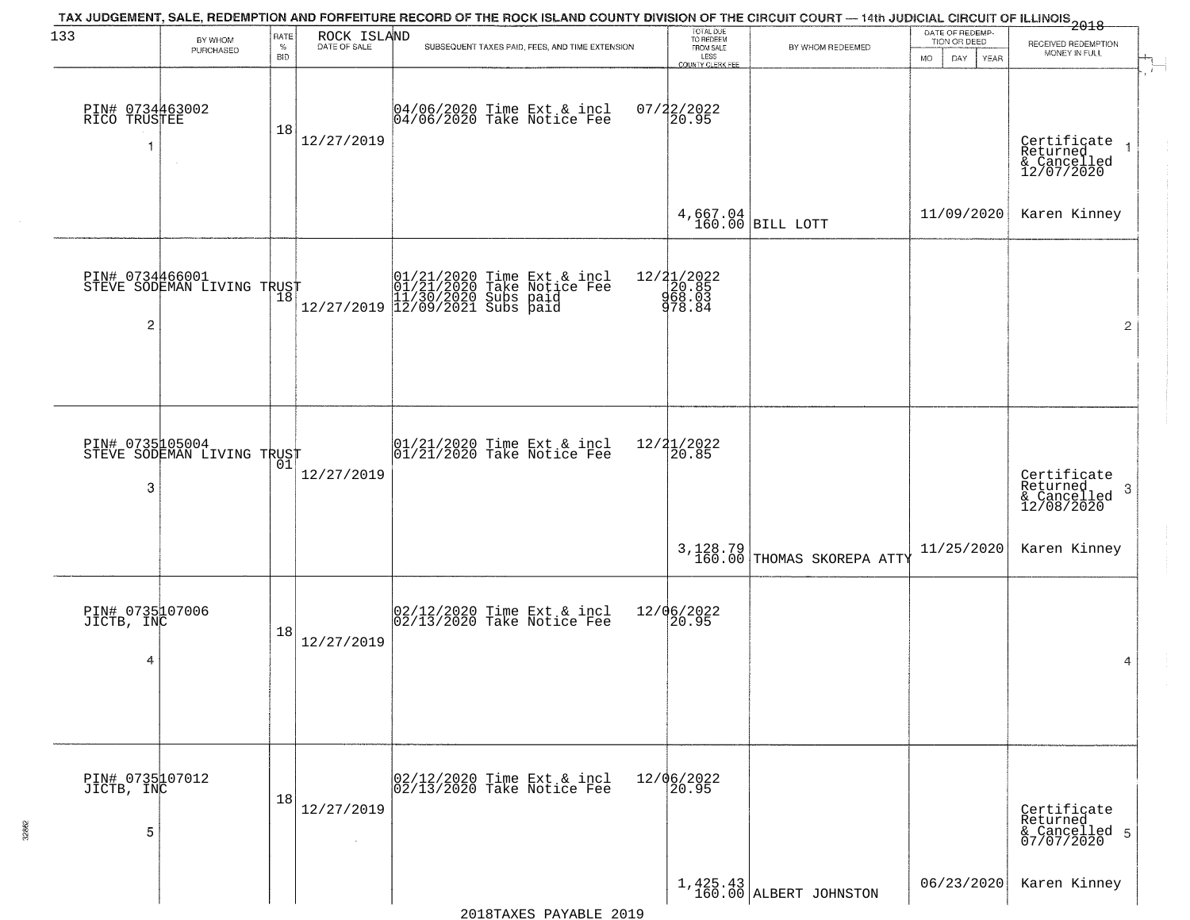| 133                                | BY WHOM                                       | RATE               |                             | TAX JUDGEMENT, SALE, REDEMPTION AND FORFEITURE RECORD OF THE ROCK ISLAND COUNTY DIVISION OF THE CIRCUIT COURT — 14th JUDICIAL CIRCUIT OF ILLINOIS 2018 | TOTAL DUE<br>TO REDEEM                           |                                        | DATE OF REDEMP-<br>TION OR DEED |                                                           |
|------------------------------------|-----------------------------------------------|--------------------|-----------------------------|--------------------------------------------------------------------------------------------------------------------------------------------------------|--------------------------------------------------|----------------------------------------|---------------------------------|-----------------------------------------------------------|
|                                    | PURCHASED                                     | $\%$<br><b>BID</b> | ROCK ISLAND<br>DATE OF SALE | SUBSEQUENT TAXES PAID, FEES, AND TIME EXTENSION                                                                                                        | FROM SALE<br>LESS                                | BY WHOM REDEEMED                       | MO.<br>DAY.<br>YEAR             | RECEIVED REDEMPTION<br>MONEY IN FULL                      |
| PIN# 0734463002<br>RICO TRUSTEE    | $\sim$                                        | 18                 | 12/27/2019                  | 04/06/2020 Time Ext & incl<br>04/06/2020 Take Notice Fee                                                                                               | <b>COUNTY CLERK FEE</b><br>$07/22/2022$<br>20.95 |                                        |                                 | Certificate<br>Returned<br>& Cancelled<br>12/07/2020      |
|                                    |                                               |                    |                             |                                                                                                                                                        |                                                  | $4,667.04$ BILL LOTT                   | 11/09/2020                      | Karen Kinney                                              |
| $\overline{c}$                     | PIN# 0734466001<br>STEVE SODEMAN LIVING TRUST |                    |                             | $[01/21/2020 \t\t Time Ext & incl 01/21/2020 \t\t Take Notice Free 11/30/2020 Subs paid 12/27/2019] 12/09/2021 Subs paid 13/209/2021$                  | 12/21/2022<br>20.85<br>968.03<br>978.84          |                                        |                                 | $\overline{c}$                                            |
| 3                                  | PIN# 0735105004<br>STEVE SODEMAN LIVING TRUST | 01                 | 12/27/2019                  | $ 01/21/2020$ Time Ext & incl<br>$ 01/21/2020$ Take Notice Fee                                                                                         | 12/21/2022<br>20.85                              |                                        |                                 | Certificate<br>Returned<br>3<br>& Cancelled<br>12/08/2020 |
|                                    |                                               |                    |                             |                                                                                                                                                        |                                                  | 3,128.79<br>160.00 THOMAS SKOREPA ATTY | 11/25/2020                      | Karen Kinney                                              |
| PIN# 0735107006<br>JICTB, INC<br>4 |                                               | 18                 | 12/27/2019                  | $02/12/2020$ Time Ext & incl<br>$02/13/2020$ Take Notice Fee                                                                                           | 12/06/2022<br> 20.95                             |                                        |                                 | 4                                                         |
| PIN# 0735107012<br>JICTB, INC<br>5 |                                               | 18                 | 12/27/2019<br>$\sim$        | 02/12/2020 Time Ext & incl<br>02/13/2020 Take Notice Fee                                                                                               | 12/06/2022<br>20.95                              |                                        |                                 | Certificate<br>Returned<br>& Cancelled 5<br>07/07/2020    |
|                                    |                                               |                    |                             |                                                                                                                                                        |                                                  | $1,425.43$<br>160.00 ALBERT JOHNSTON   | 06/23/2020                      | Karen Kinney                                              |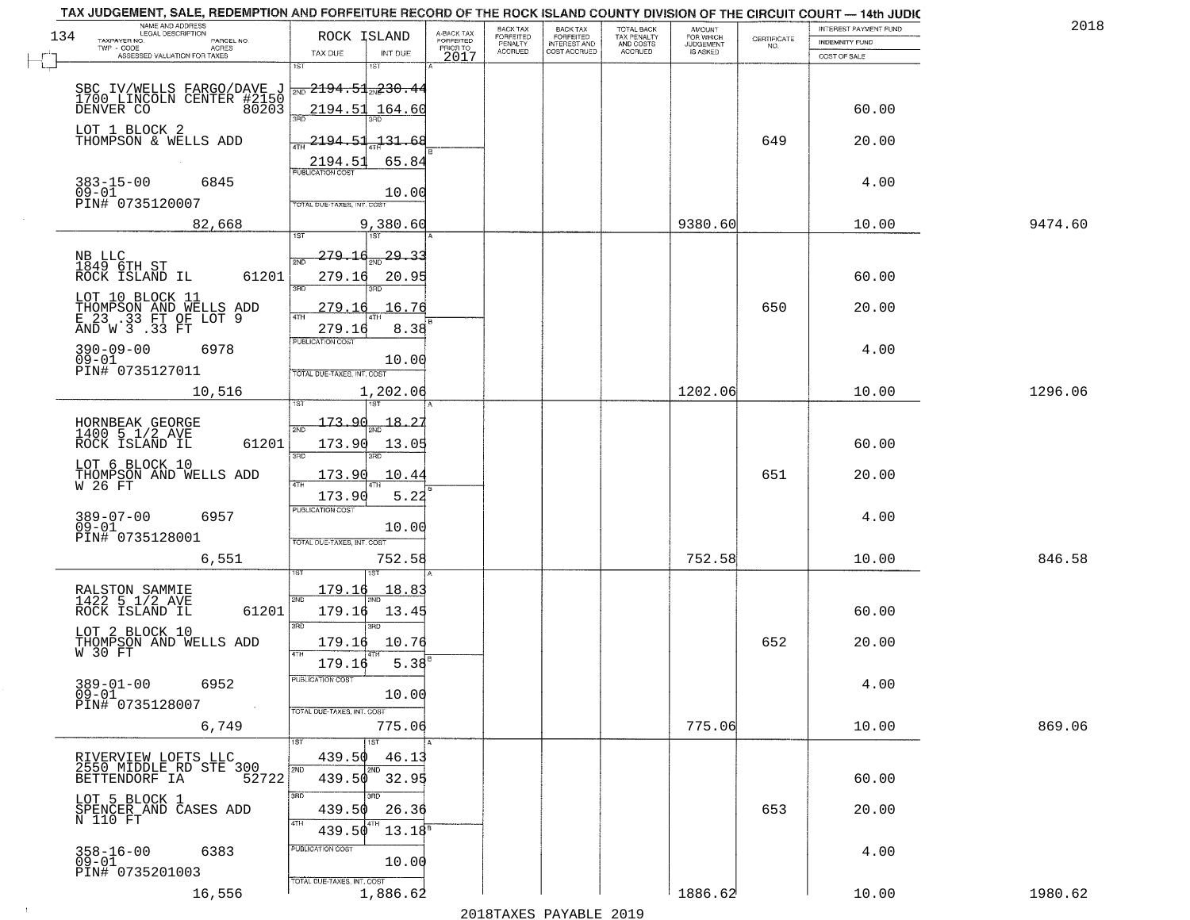| NAME AND ADDRESS<br>LEGAL DESCRIPTION<br>134                                           | ROCK ISLAND                                                                |                                     | BACK TAX                               | <b>BACK TAX</b>                           | TOTAL BACK<br>TAX PENALTY<br>AND COSTS | AMOUNT<br>FOR WHICH                 |                                                                 | INTEREST PAYMENT FUND | 2018    |
|----------------------------------------------------------------------------------------|----------------------------------------------------------------------------|-------------------------------------|----------------------------------------|-------------------------------------------|----------------------------------------|-------------------------------------|-----------------------------------------------------------------|-----------------------|---------|
| TAXPAYER NO.<br>PARCEL NO.<br>ACRES                                                    |                                                                            | A-BACK TAX<br>FORFEITED<br>PRIOR TO | FORFEITED<br>PENALTY<br><b>ACCRUED</b> | FORFEITED<br>INTEREST AND<br>COST ACCRUED | ACCRUED                                | <b>JUDGEMENT</b><br><b>IS ASKED</b> | $\begin{array}{c} \text{CERTIFICATE} \\ \text{NO.} \end{array}$ | <b>INDEMNITY FUND</b> |         |
| ASSESSED VALUATION FOR TAXES                                                           | TAX DUE<br>INT DUE<br>1ST<br>1ST                                           | 2017                                |                                        |                                           |                                        |                                     |                                                                 | COST OF SALE          |         |
| SBC IV/WELLS FARGO/DAVE J<br>1700 LINCOLN CENTER #2150<br>DENVER CO 80203              | $\frac{1}{2ND}$ 2194.51 $\frac{1}{2N}$ 230.44                              |                                     |                                        |                                           |                                        |                                     |                                                                 |                       |         |
|                                                                                        | 2194.51<br>164.60                                                          |                                     |                                        |                                           |                                        |                                     |                                                                 | 60.00                 |         |
| LOT 1 BLOCK 2<br>THOMPSON & WELLS ADD                                                  | 2194.51<br>$-131 - 68$<br>65.84<br>2194.51                                 |                                     |                                        |                                           |                                        |                                     | 649                                                             | 20.00                 |         |
| $383 - 15 - 00$<br>09-01<br>6845<br>PIN# 0735120007                                    | <b>PUBLICATION COST</b><br>10.00                                           |                                     |                                        |                                           |                                        |                                     |                                                                 | 4.00                  |         |
| 82,668                                                                                 | TOTAL DUE-TAXES, INT. COST<br>9,380.60                                     |                                     |                                        |                                           |                                        | 9380.60                             |                                                                 | 10.00                 | 9474.60 |
| NB LLC<br>1849 6TH ST<br>61201<br>ROCK ISLAND IL                                       | 29.33<br>279.16<br>2ND<br>279.16<br>20.95                                  |                                     |                                        |                                           |                                        |                                     |                                                                 | 60.00                 |         |
| LOT 10 BLOCK 11<br>THOMPSON AND WELLS ADD<br>E 23 .33 FT OF LOT 9<br>AND W 3 .33 FT    | 3RD<br>3BD.<br>16.76<br>279.16                                             |                                     |                                        |                                           |                                        |                                     | 650                                                             | 20.00                 |         |
| $390 - 09 - 00$<br>6978<br>$09 - 01$<br>PIN# 0735127011                                | 279.16<br>8.38<br>PUBLICATION COST<br>10.00                                |                                     |                                        |                                           |                                        |                                     |                                                                 | 4.00                  |         |
| 10,516                                                                                 | TOTAL DUE-TAXES, INT. COST<br>1,202.06<br>1ST                              |                                     |                                        |                                           |                                        | 1202.06                             |                                                                 | 10.00                 | 1296.06 |
| HORNBEAK GEORGE<br>1400 5 1/2 AVE<br>ROCK ISLAND IL<br>61201                           | 173.90<br>18.27<br>2ND<br>173.90<br>13.05                                  |                                     |                                        |                                           |                                        |                                     |                                                                 | 60.00                 |         |
| LOT 6 BLOCK 10<br>THOMPSON AND WELLS ADD<br>W 26 FT                                    | 3 <sub>BD</sub><br>3RD<br>173.90<br>10.44                                  |                                     |                                        |                                           |                                        |                                     | 651                                                             | 20.00                 |         |
| $389 - 07 - 00$<br>6957<br>$09 - 01$<br>PIN# 0735128001                                | 173.90<br>5.22<br><b>PUBLICATION COST</b><br>10.00                         |                                     |                                        |                                           |                                        |                                     |                                                                 | 4.00                  |         |
| 6,551                                                                                  | TOTAL OUE-TAXES, INT. COST<br>752.58                                       |                                     |                                        |                                           |                                        | 752.58                              |                                                                 | 10.00                 | 846.58  |
| RALSTON SAMMIE<br>1422 5 1/2 AVE<br>ROCK ISLAND IL<br>61201                            | 179.16<br>18.83<br>2ND<br>$179.16$ $13.45$                                 |                                     |                                        |                                           |                                        |                                     |                                                                 | 60.00                 |         |
| LOT 2 BLOCK 10<br>THOMPSON AND WELLS ADD<br>W 30 FT                                    | 3BD<br>$\overline{3BD}$<br>10.76<br>179.16<br><b>ATH</b><br>5.38<br>179.16 |                                     |                                        |                                           |                                        |                                     | 652                                                             | 20.00                 |         |
| $389 - 01 - 00$<br>6952<br>$09 - 01$<br>PIN# 0735128007<br>$\sim 10^{11}$ km s $^{-1}$ | "UBLICA HUN CUS<br>10.00<br>TOTAL DUE-TAXES, INT. COST                     |                                     |                                        |                                           |                                        |                                     |                                                                 | 4.00                  |         |
| 6,749                                                                                  | 775.06<br>11ST                                                             |                                     |                                        |                                           |                                        | 775.06                              |                                                                 | 10.00                 | 869.06  |
| RIVERVIEW LOFTS LLC<br>2550 MIDDLE RD STE 300<br>52722<br>BETTENDORF IA                | 439.50<br>46.13<br>2ND<br>2ND<br>439.50 32.95                              |                                     |                                        |                                           |                                        |                                     |                                                                 | 60.00                 |         |
| LOT 5 BLOCK 1<br>SPENCER AND CASES ADD<br>N 110 FT                                     | 3RD<br>439.50<br>26.36<br>4TH<br>4TH<br>439.50                             |                                     |                                        |                                           |                                        |                                     | 653                                                             | 20.00                 |         |
| 6383<br>$358 - 16 - 00$<br>$09 - 01$<br>PIN# 0735201003                                | $13.18^8$<br>PUBLICATION COST<br>10.00                                     |                                     |                                        |                                           |                                        |                                     |                                                                 | 4.00                  |         |
| 16,556                                                                                 | TOTAL DUE-TAXES, INT. COST<br>1,886.62                                     |                                     |                                        |                                           |                                        | 1886.62                             |                                                                 | 10.00                 | 1980.62 |

 $\pm 4$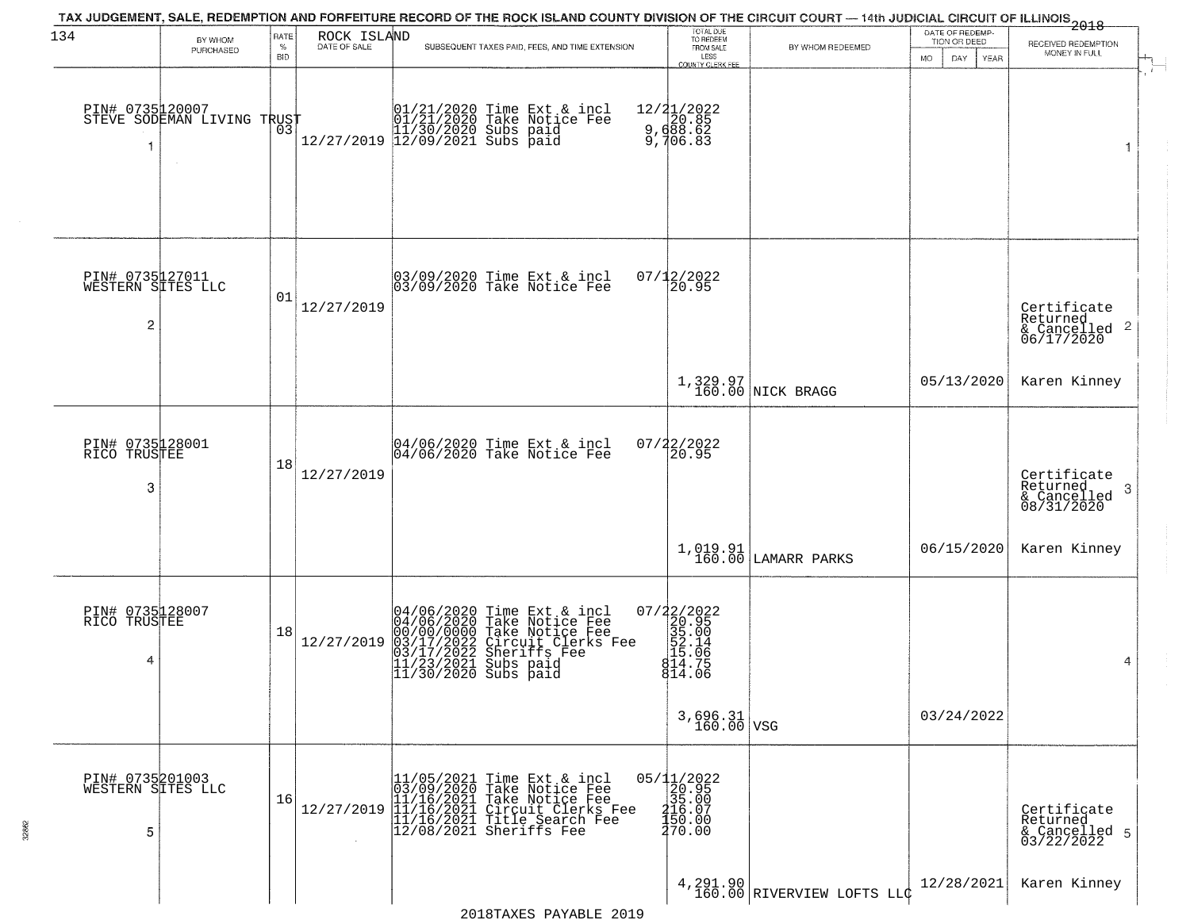|                                           |                                                   |              |                             | TAX JUDGEMENT, SALE, REDEMPTION AND FORFEITURE RECORD OF THE ROCK ISLAND COUNTY DIVISION OF THE CIRCUIT COURT — 14th JUDICIAL CIRCUIT OF ILLINOIS 2018                                              |                                                                                                     |                                                    | DATE OF REDEMP-    |                                                         |
|-------------------------------------------|---------------------------------------------------|--------------|-----------------------------|-----------------------------------------------------------------------------------------------------------------------------------------------------------------------------------------------------|-----------------------------------------------------------------------------------------------------|----------------------------------------------------|--------------------|---------------------------------------------------------|
| 134                                       | BY WHOM<br>PURCHASED                              | RATE<br>$\%$ | ROCK ISLAND<br>DATE OF SALE | SUBSEQUENT TAXES PAID, FEES, AND TIME EXTENSION                                                                                                                                                     | TOTAL DUE<br>TO REDEEM<br>FROM SALE                                                                 | BY WHOM REDEEMED                                   | TION OR DEED       | RECEIVED REDEMPTION<br>MONEY IN FULL                    |
|                                           | PIN# 0735120007    <br>STEVE SODEMAN LIVING TRUST | BID<br>03    |                             |                                                                                                                                                                                                     | LESS<br>COUNTY CLERK FEE<br>12/21/2022<br>20.85<br>9,688.62<br>9,706.83                             |                                                    | DAY<br>MO.<br>YEAR | 1                                                       |
| PIN# 0735127011<br>WESTERN SITES LLC<br>2 |                                                   | 01           | 12/27/2019                  | 03/09/2020 Time Ext & incl<br>03/09/2020 Take Notice Fee                                                                                                                                            | 07/12/2022<br>20.95                                                                                 |                                                    |                    | Certificate<br>Returned                                 |
|                                           |                                                   |              |                             |                                                                                                                                                                                                     |                                                                                                     | 1,329.97<br>160.00 NICK BRAGG                      | 05/13/2020         | $\frac{1}{6}$ Cancelled 2<br>06/17/2020<br>Karen Kinney |
| PIN# 0735128001<br>RICO TRUSTEE<br>3      |                                                   | 18           | 12/27/2019                  | 04/06/2020 Time Ext & incl<br>04/06/2020 Take Notice Fee                                                                                                                                            | 07/22/2022<br>20.95                                                                                 |                                                    |                    | Certificate<br>Returned<br>3<br>$\frac{1}{08/31/2020}$  |
|                                           |                                                   |              |                             |                                                                                                                                                                                                     |                                                                                                     | $\left[1, 019.91 \atop 160.00\right]$ LAMARR PARKS | 06/15/2020         | Karen Kinney                                            |
| PIN# 0735128007<br>RICO TRUSTEE<br>4      |                                                   | 18           | 12/27/2019                  | 04/06/2020 Time Ext & incl<br>04/06/2020 Take Notice Fee<br>00/00/00000 Take Notice Fee<br>03/17/2022 Circuit Clerks Fee<br>03/17/2022 Sheriffs Fee<br>11/23/2021 Subs paid<br>11/30/2020 Subs paid | $=\begin{smallmatrix} 07/22/2022\\ 20.95\\ 35.00\\ 55.00\\ 15.14\\ 14.75\\ 14.06 \end{smallmatrix}$ |                                                    |                    | 4                                                       |
|                                           |                                                   |              |                             |                                                                                                                                                                                                     | $3,696.31$ VSG                                                                                      |                                                    | 03/24/2022         |                                                         |
| PIN# 0735201003<br>WESTERN SITES LLC<br>5 |                                                   | 16           | 12/27/2019                  |                                                                                                                                                                                                     | $\begin{array}{r} 05/11/2022 \\ 20.95 \\ 35.00 \\ 416.07 \\ 150.00 \\ 470.00 \end{array}$           |                                                    |                    | Certificate<br>Returned<br>& Cancelled 5<br>03/22/2022  |
|                                           |                                                   |              |                             | 2018TAXES PAYABLE 2019                                                                                                                                                                              |                                                                                                     | 4,291.90<br>160.00 RIVERVIEW LOFTS LLC             | 12/28/2021         | Karen Kinney                                            |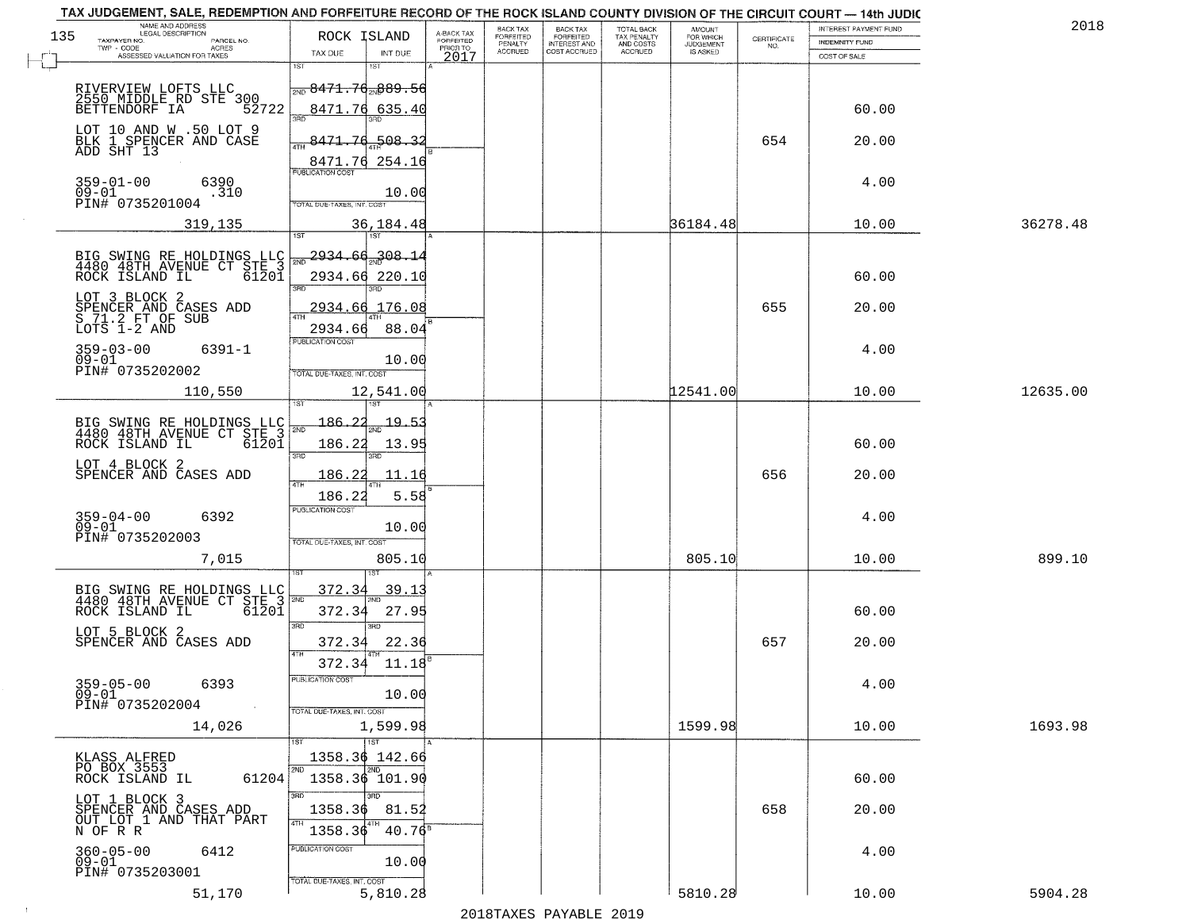| 201      | INTEREST PAYMENT FUND |                                                                 |                                         | <b>TOTAL BACK</b>        | <b>BACK TAX</b>                         | BACK TAX                    |                                     |                          |                                                              | TAX JUDGEMENT, SALE, REDEMPTION AND FORFEITURE RECORD OF THE ROCK ISLAND COUNTY DIVISION OF THE CIRCUIT COURT - 14th JUDIC<br>NAME AND ADDRESS<br>LEGAL DESCRIPTION |
|----------|-----------------------|-----------------------------------------------------------------|-----------------------------------------|--------------------------|-----------------------------------------|-----------------------------|-------------------------------------|--------------------------|--------------------------------------------------------------|---------------------------------------------------------------------------------------------------------------------------------------------------------------------|
|          | <b>INDEMNITY FUND</b> | $\begin{array}{c} \text{CERTIFICATE} \\ \text{NO.} \end{array}$ | AMOUNT<br>FOR WHICH<br><b>JUDGEMENT</b> | TAX PENALTY<br>AND COSTS | <b>FORFEITED</b><br><b>INTEREST AND</b> | <b>FORFEITED</b><br>PENALTY | A-BACK TAX<br>FORFEITED<br>PRIOR TO |                          | ROCK ISLAND                                                  | 135<br>TAXPAYER NO.<br>PARCEL NO.                                                                                                                                   |
|          | COST OF SALE          |                                                                 | IS ASKED                                | <b>ACCRUED</b>           | COST ACCRUED                            | <b>ACCRUED</b>              | 2017                                | INT DUE                  | TAX DUE                                                      | $\textsf{TWP} + \textsf{CODE}$<br>ACRES<br>ASSESSED VALUATION FOR TAXES                                                                                             |
|          |                       |                                                                 |                                         |                          |                                         |                             |                                     | 18T                      | 1ST<br><del> <sub>avo</sub> 8471.76<sub>av</sub>889.56</del> | RIVERVIEW LOFTS LLC<br>2550 MIDDLE RD STE 300<br>BETTENDORF IA 52                                                                                                   |
|          | 60.00                 |                                                                 |                                         |                          |                                         |                             |                                     |                          | 8471.76 635.40<br>350                                        | 52722<br>LOT 10 AND W .50 LOT 9                                                                                                                                     |
|          | 20.00                 | 654                                                             |                                         |                          |                                         |                             |                                     | -508.<br>8471.76 254.16  | 8471.74<br><b>PUBLICATION COST</b>                           | BLK 1 SPENCER AND CASE<br>ADD SHT 13                                                                                                                                |
|          | 4.00                  |                                                                 |                                         |                          |                                         |                             |                                     | 10.00                    | TOTAL DUE-TAXES, INT. COST                                   | 359-01-00<br>09-01<br>6390<br>.310<br>PIN# 0735201004                                                                                                               |
| 36278.48 | 10.00                 |                                                                 | 36184.48                                |                          |                                         |                             |                                     | 36,184.48                |                                                              | 319,135                                                                                                                                                             |
|          | 60.00                 |                                                                 |                                         |                          |                                         |                             |                                     | 308.14<br>2934.66 220.10 | 2934.66                                                      | BIG SWING RE HOLDINGS LLC<br>4480 48TH AVENUE CT STE 3<br>61201<br>ROCK ISLAND IL                                                                                   |
|          | 20.00                 | 655                                                             |                                         |                          |                                         |                             |                                     | 2934.66 176.08<br>88.04  | 2934.66                                                      | LOT 3 BLOCK 2<br>SPENCER AND CASES ADD<br>S 71.2 FT OF SUB<br>LOTS 1-2 AND                                                                                          |
|          | 4.00                  |                                                                 |                                         |                          |                                         |                             |                                     | 10.00                    | PUBLICATION COST<br>TOTAL DUE-TAXES, INT. COST               | $359 - 03 - 00$<br>$6391 - 1$<br>$09 - 01$<br>PIN# 0735202002                                                                                                       |
| 12635.00 | 10.00                 |                                                                 | 12541.00                                |                          |                                         |                             |                                     | 12,541.00<br>١S٦         | is T                                                         | 110,550                                                                                                                                                             |
|          |                       |                                                                 |                                         |                          |                                         |                             |                                     | <u> 19.5</u>             | 186.22<br>2ND                                                | BIG SWING RE HOLDINGS LLC<br>4480 48TH AVENUE CT STE 3                                                                                                              |
|          | 60.00                 |                                                                 |                                         |                          |                                         |                             |                                     | 13.95<br>3RD             | 186.22<br>3RD                                                | ROCK ISLAND IL<br>61201                                                                                                                                             |
|          | 20.00                 | 656                                                             |                                         |                          |                                         |                             |                                     | 11.16                    | <u> 186.22</u><br>4TH                                        | LOT 4 BLOCK 2<br>SPENCER AND CASES ADD                                                                                                                              |
|          | 4.00                  |                                                                 |                                         |                          |                                         |                             |                                     | 5.58                     | 186.22<br><b>PUBLICATION COST</b>                            | 359-04-00<br>09-01<br>6392                                                                                                                                          |
| 899.10   | 10.00                 |                                                                 | 805.10                                  |                          |                                         |                             |                                     | 10.00<br>805.10          | TOTAL OUE-TAXES, INT. COST                                   | PIN# 0735202003<br>7,015                                                                                                                                            |
|          |                       |                                                                 |                                         |                          |                                         |                             |                                     | 39.1                     | 372.34                                                       |                                                                                                                                                                     |
|          | 60.00                 |                                                                 |                                         |                          |                                         |                             |                                     | 27.95                    | 372.34                                                       | BIG SWING RE HOLDINGS LLC FOR 4480 48TH AVENUE CT STE 3<br>ROCK ISLAND IL<br>$61\overline{2}0\overline{1}$                                                          |
|          | 20.00                 | 657                                                             |                                         |                          |                                         |                             |                                     | 3BD<br>22.36             | 3BD<br>372.34<br>4TH                                         | LOT 5 BLOCK 2<br>SPENCER AND CASES ADD                                                                                                                              |
|          | 4.00                  |                                                                 |                                         |                          |                                         |                             |                                     | 11.18<br>10.00           | 372.34<br>PUBLICATION CUS                                    | $359 - 05 - 00$<br>6393<br>$09 - 01$<br>PIN# 0735202004                                                                                                             |
| 1693.98  | 10.00                 |                                                                 | 1599.98                                 |                          |                                         |                             |                                     | 1,599.98<br>1ST          | TOTAL DUE-TAXES, INT. COST                                   | $\sim 10^{-1}$<br>14,026                                                                                                                                            |
|          |                       |                                                                 |                                         |                          |                                         |                             |                                     | 1358.36 142.66<br>2ND    | 2ND                                                          | KLASS ALFRED<br>PO BOX 3553                                                                                                                                         |
|          | 60.00                 |                                                                 |                                         |                          |                                         |                             |                                     |                          | 1358.36 101.90<br>3RD                                        | 61204<br>ROCK ISLAND IL                                                                                                                                             |
|          | 20.00                 | 658                                                             |                                         |                          |                                         |                             |                                     | 81.52<br>$40.76^8$       | 1358.36<br>1358.36                                           | LOT 1 BLOCK 3<br>SPENCER AND CASES ADD<br>OUT LOT 1 AND THAT PART<br>N OF R R                                                                                       |
|          | 4.00                  |                                                                 |                                         |                          |                                         |                             |                                     | 10.00                    | PUBLICATION COST<br>TOTAL DUE-TAXES, INT. COST               | $360 - 05 - 00$<br>6412<br>$09-01$<br>PIN# 0735203001                                                                                                               |
| 5904.28  | 10.00                 |                                                                 | 5810.28                                 |                          |                                         |                             |                                     | 5,810.28                 |                                                              | 51,170                                                                                                                                                              |

 $\sim 10$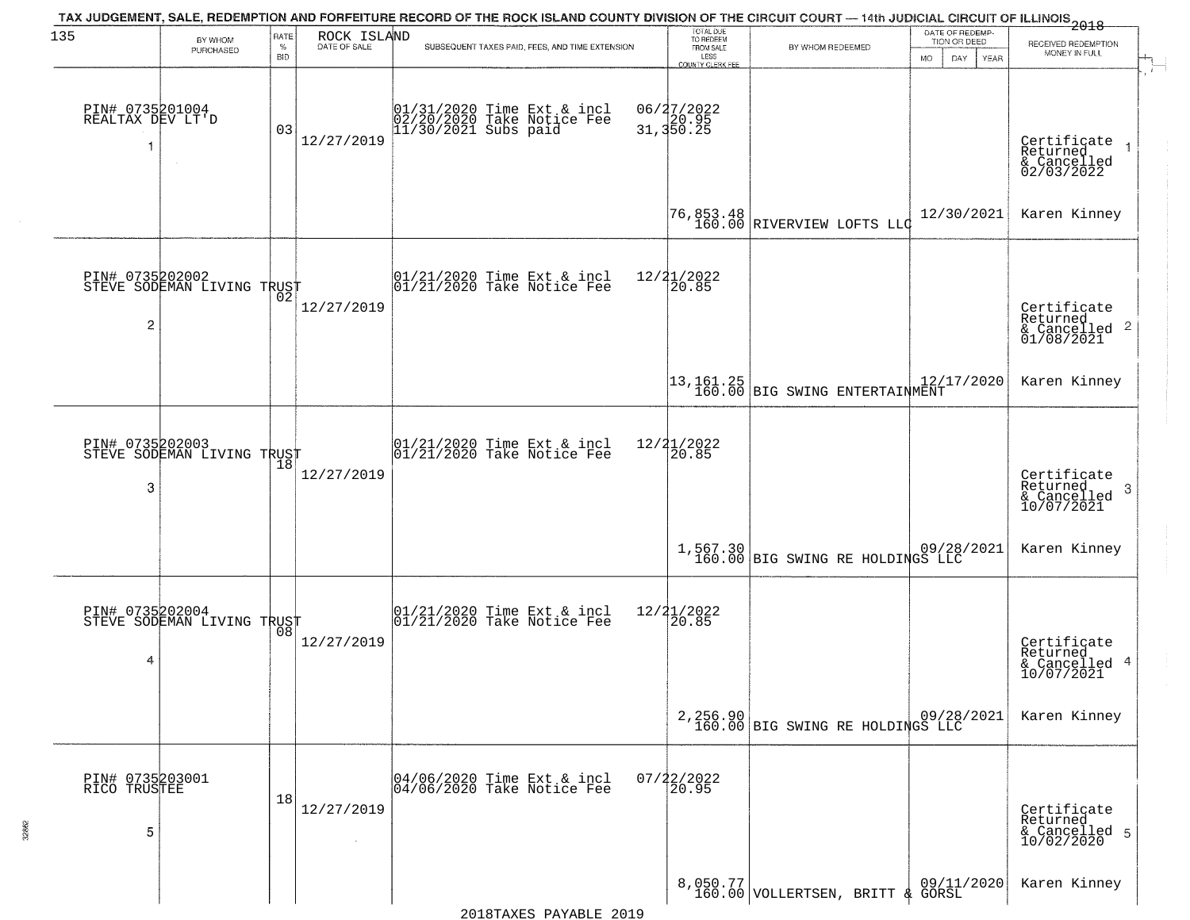| 135                                  | BY WHOM<br>PURCHASED                          | RATE<br>$\%$<br><b>BID</b> | ROCK ISLAND<br>DATE OF SALE | TAX JUDGEMENT, SALE, REDEMPTION AND FORFEITURE RECORD OF THE ROCK ISLAND COUNTY DIVISION OF THE CIRCUIT COURT — 14th JUDICIAL CIRCUIT OF ILLINOIS 2018<br>SUBSEQUENT TAXES PAID, FEES, AND TIME EXTENSION | TOTAL DUE<br>TO REDEEM<br>FROM SALE<br>LESS<br>COUNTY CLERK FEE | BY WHOM REDEEMED                                                                        | DATE OF REDEMP-<br>TION OR DEED<br>MO.<br>DAY.<br><b>YEAR</b> | RECEIVED REDEMPTION<br>MONEY IN FULL                                   |
|--------------------------------------|-----------------------------------------------|----------------------------|-----------------------------|-----------------------------------------------------------------------------------------------------------------------------------------------------------------------------------------------------------|-----------------------------------------------------------------|-----------------------------------------------------------------------------------------|---------------------------------------------------------------|------------------------------------------------------------------------|
| PIN# 0735201004<br>REALTAX DEV LT'D  |                                               | 03                         | 12/27/2019                  | 01/31/2020 Time Ext & incl<br>02/20/2020 Take Notice Fee<br>11/30/2021 Subs paid                                                                                                                          | 06/27/2022<br>31,350.25                                         |                                                                                         |                                                               | Certificate<br>Returned<br>& Cancelled<br>02/03/2022                   |
|                                      |                                               |                            |                             |                                                                                                                                                                                                           |                                                                 | 76,853.48<br>160.00 RIVERVIEW LOFTS LLC                                                 | 12/30/2021                                                    | Karen Kinney                                                           |
| $\overline{c}$                       | PIN# 0735202002<br>STEVE SODEMAN LIVING TRUST |                            | 12/27/2019                  | $ 01/21/2020$ Time Ext & incl<br>$ 01/21/2020$ Take Notice Fee                                                                                                                                            | 12/21/2022<br>20.85                                             |                                                                                         |                                                               | Certificate<br>Returned<br>$\overline{2}$<br>& Cancelled<br>01/08/2021 |
|                                      |                                               |                            |                             |                                                                                                                                                                                                           |                                                                 | $\begin{array}{ c c c c c }\n 13,161.25 & \text{BIG SWING ENTERTAIMMENT}\n \end{array}$ | 12/17/2020                                                    | Karen Kinney                                                           |
| PIN# 0735202003<br>3                 | STEVE SODEMAN LIVING TRUST                    | 18                         | 12/27/2019                  | $ 01/21/2020$ Time Ext & incl<br>$ 01/21/2020$ Take Notice Fee                                                                                                                                            | 12/21/2022<br>20.85                                             |                                                                                         |                                                               | Certificate<br>Returned<br>-3<br>$\frac{6}{10/07/2021}$                |
|                                      |                                               |                            |                             |                                                                                                                                                                                                           |                                                                 | 1,567.30 09/28/2021<br>160.00 BIG SWING RE HOLDINGS LLC                                 |                                                               | Karen Kinney                                                           |
| PIN# 0735202004<br>4                 | STEVE SODEMAN LIVING TRUST                    | 08                         | 12/27/2019                  | $\begin{array}{c} 01/21/2020 \\ 01/21/2020 \\ 01 \end{array}$ Take Notice Fee                                                                                                                             | 12/21/2022<br>120.85                                            |                                                                                         |                                                               | Certificate<br>Returned<br>4<br>& Cancelled<br>10/07/2021              |
|                                      |                                               |                            |                             |                                                                                                                                                                                                           |                                                                 | 2,256.90<br>160.00 BIG SWING RE HOLDINGS LLC                                            |                                                               | Karen Kinney                                                           |
| PIN# 0735203001<br>RICO TRUSTEE<br>5 |                                               | 18                         | 12/27/2019                  | 04/06/2020 Time Ext & incl<br>04/06/2020 Take Notice Fee                                                                                                                                                  | $07/22/2022$<br>20.95                                           |                                                                                         |                                                               | Certificate<br>Returned<br>& Cancelled 5<br>10/02/2020                 |
|                                      |                                               |                            |                             |                                                                                                                                                                                                           |                                                                 | 8,050.77 VOLLERTSEN, BRITT & GORSL                                                      |                                                               | Karen Kinney                                                           |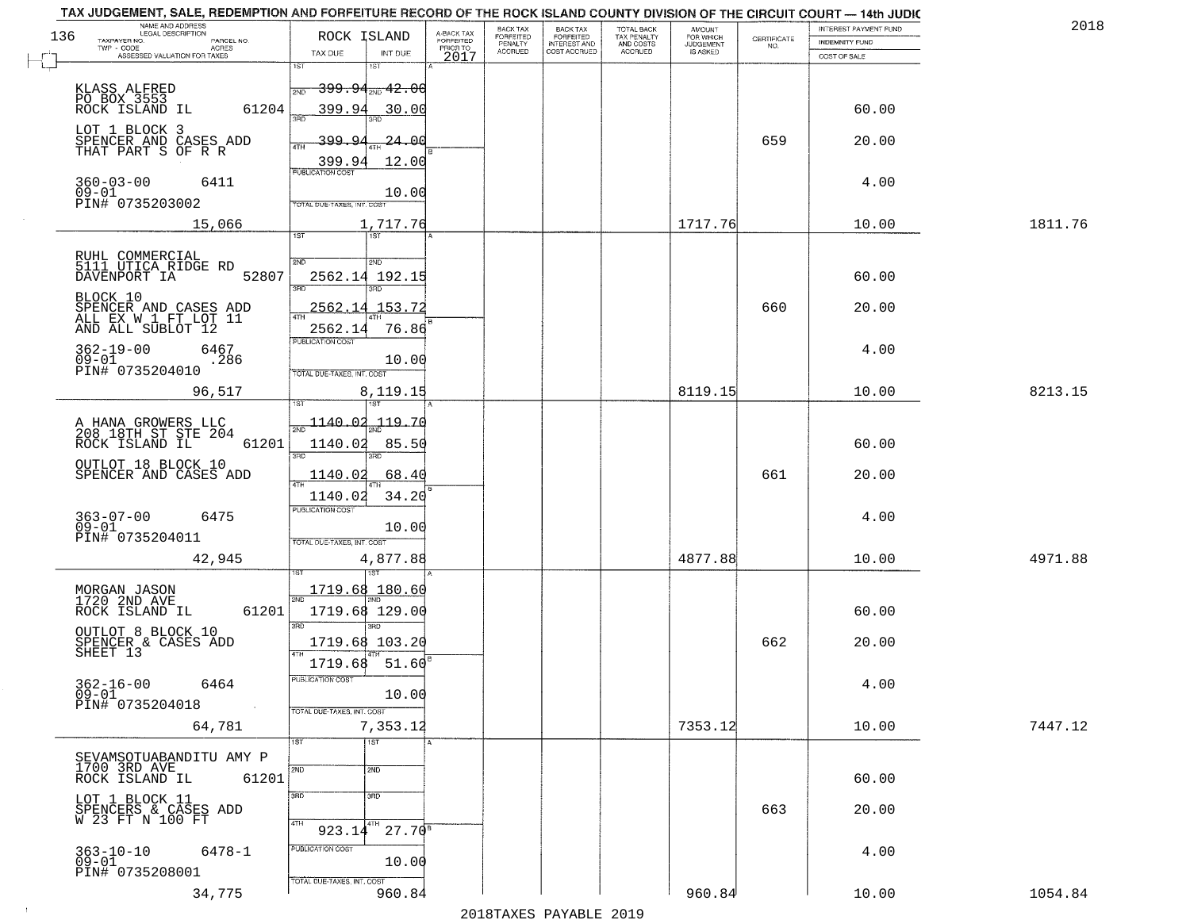| TAX JUDGEMENT, SALE, REDEMPTION AND FORFEITURE RECORD OF THE ROCK ISLAND COUNTY DIVISION OF THE CIRCUIT COURT - 14th JUDIC<br>NAME AND ADDRESS<br>LEGAL DESCRIPTION |                                             |                         | BACK TAX             | <b>BACK TAX</b>           | TOTAL BACK               |                                         |                                                                 | INTEREST PAYMENT FUND | 2018    |
|---------------------------------------------------------------------------------------------------------------------------------------------------------------------|---------------------------------------------|-------------------------|----------------------|---------------------------|--------------------------|-----------------------------------------|-----------------------------------------------------------------|-----------------------|---------|
| 136<br>TAXPAYER NO.<br>PARCEL NO.                                                                                                                                   | ROCK ISLAND                                 | A-BACK TAX<br>FORFEITED | FORFEITED<br>PENALTY | FORFEITED<br>INTEREST AND | TAX PENALTY<br>AND COSTS | AMOUNT<br>FOR WHICH<br><b>JUDGEMENT</b> | $\begin{array}{c} \text{CERTIFICATE} \\ \text{NO.} \end{array}$ | <b>INDEMNITY FUND</b> |         |
| ACRES<br>ASSESSED VALUATION FOR TAXES                                                                                                                               | TAX DUE<br>INT DUE                          | PRIOR TO<br>2017        | <b>ACCRUED</b>       | COST ACCRUED              | <b>ACCRUED</b>           | IS ASKED                                |                                                                 | COST OF SALE          |         |
|                                                                                                                                                                     | 1ST<br>18T                                  |                         |                      |                           |                          |                                         |                                                                 |                       |         |
| KLASS ALFRED                                                                                                                                                        | <del>399.94<sub>210</sub>42.00</del><br>2ND |                         |                      |                           |                          |                                         |                                                                 |                       |         |
| PO BOX 3553<br>61204<br>ROCK ISLAND IL                                                                                                                              | 399.94<br>30.00                             |                         |                      |                           |                          |                                         |                                                                 | 60.00                 |         |
|                                                                                                                                                                     |                                             |                         |                      |                           |                          |                                         |                                                                 |                       |         |
| LOT 1 BLOCK 3<br>SPENCER AND CASES ADD                                                                                                                              | 399.94<br><u> 24.00</u>                     |                         |                      |                           |                          |                                         | 659                                                             | 20.00                 |         |
| THAT PART S OF R R                                                                                                                                                  |                                             |                         |                      |                           |                          |                                         |                                                                 |                       |         |
|                                                                                                                                                                     | 399.94<br>12.00<br><b>PUBLICATION COST</b>  |                         |                      |                           |                          |                                         |                                                                 |                       |         |
| $360 - 03 - 00$<br>6411<br>$09 - 01$                                                                                                                                |                                             |                         |                      |                           |                          |                                         |                                                                 | 4.00                  |         |
| PIN# 0735203002                                                                                                                                                     | 10.00<br>TOTAL DUE-TAXES, INT. COST         |                         |                      |                           |                          |                                         |                                                                 |                       |         |
| 15,066                                                                                                                                                              | 1,717.76                                    |                         |                      |                           |                          | 1717.76                                 |                                                                 | 10.00                 | 1811.76 |
|                                                                                                                                                                     | 1ST                                         |                         |                      |                           |                          |                                         |                                                                 |                       |         |
|                                                                                                                                                                     |                                             |                         |                      |                           |                          |                                         |                                                                 |                       |         |
| RUHL COMMERCIAL<br>5111 UTICA RIDGE RD<br>52807<br>DAVENPORT IA                                                                                                     | 2ND<br>2ND<br>2562.14                       |                         |                      |                           |                          |                                         |                                                                 | 60.00                 |         |
|                                                                                                                                                                     | 192.15<br>$\overline{3BD}$<br>3RD           |                         |                      |                           |                          |                                         |                                                                 |                       |         |
| BLOCK 10                                                                                                                                                            | 2562.14<br>153.72                           |                         |                      |                           |                          |                                         | 660                                                             | 20.00                 |         |
| SPENCER AND CASES ADD<br>ALL EX W 1 FT LOT 11                                                                                                                       |                                             |                         |                      |                           |                          |                                         |                                                                 |                       |         |
| AND ALL SUBLOT 12                                                                                                                                                   | 2562.14<br>76.86<br>PUBLICATION COST        |                         |                      |                           |                          |                                         |                                                                 |                       |         |
| $362 - 19 - 00$<br>6467<br>$09 - 01$<br>.286                                                                                                                        | 10.00                                       |                         |                      |                           |                          |                                         |                                                                 | 4.00                  |         |
| PIN# 0735204010                                                                                                                                                     | TOTAL DUE-TAXES, INT. COST                  |                         |                      |                           |                          |                                         |                                                                 |                       |         |
| 96,517                                                                                                                                                              | 8,119.15                                    |                         |                      |                           |                          | 8119.15                                 |                                                                 | 10.00                 | 8213.15 |
|                                                                                                                                                                     | īsT                                         |                         |                      |                           |                          |                                         |                                                                 |                       |         |
| A HANA GROWERS LLC<br>208 18TH ST STE 204                                                                                                                           | $\frac{1140.02}{200}$<br>119.70             |                         |                      |                           |                          |                                         |                                                                 |                       |         |
| ROCK ISLAND IL<br>61201                                                                                                                                             | 1140.02<br>85.50                            |                         |                      |                           |                          |                                         |                                                                 | 60.00                 |         |
| OUTLOT 18 BLOCK 10                                                                                                                                                  | 3RD<br>3RD                                  |                         |                      |                           |                          |                                         |                                                                 |                       |         |
| SPENCER AND CASES ADD                                                                                                                                               | 1140.02<br>68.40                            |                         |                      |                           |                          |                                         | 661                                                             | 20.00                 |         |
|                                                                                                                                                                     | 1140.02<br>34.20                            |                         |                      |                           |                          |                                         |                                                                 |                       |         |
| $363 - 07 - 00$<br>6475                                                                                                                                             | <b>PUBLICATION COST</b>                     |                         |                      |                           |                          |                                         |                                                                 | 4.00                  |         |
| $09 - 01$                                                                                                                                                           | 10.00                                       |                         |                      |                           |                          |                                         |                                                                 |                       |         |
| PIN# 0735204011                                                                                                                                                     | TOTAL OUE-TAXES, INT. COST                  |                         |                      |                           |                          |                                         |                                                                 |                       |         |
| 42,945                                                                                                                                                              | 4,877.88                                    |                         |                      |                           |                          | 4877.88                                 |                                                                 | 10.00                 | 4971.88 |
|                                                                                                                                                                     |                                             |                         |                      |                           |                          |                                         |                                                                 |                       |         |
| MORGAN JASON<br>1720 2ND AVE                                                                                                                                        | 1719.68 180.60                              |                         |                      |                           |                          |                                         |                                                                 |                       |         |
| ROCK ISLAND IL<br>61201                                                                                                                                             | 1719.68 129.00                              |                         |                      |                           |                          |                                         |                                                                 | 60.00                 |         |
| OUTLOT 8 BLOCK 10                                                                                                                                                   | 3RD<br>3BD.                                 |                         |                      |                           |                          |                                         |                                                                 |                       |         |
| SPENCER & CASES ADD<br>SHEET 13                                                                                                                                     | 1719.68 103.20                              |                         |                      |                           |                          |                                         | 662                                                             | 20.00                 |         |
|                                                                                                                                                                     | 1719.68<br>51.60                            |                         |                      |                           |                          |                                         |                                                                 |                       |         |
| $362 - 16 - 00$<br>6464                                                                                                                                             | -usuca i un cus-                            |                         |                      |                           |                          |                                         |                                                                 | 4.00                  |         |
| 09-01<br>PIN# 0735204018<br>$\sim 100$ km $^{-1}$                                                                                                                   | 10.00                                       |                         |                      |                           |                          |                                         |                                                                 |                       |         |
| 64,781                                                                                                                                                              | TOTAL DUE-TAXES, INT. COST<br>7,353.12      |                         |                      |                           |                          | 7353.12                                 |                                                                 | 10.00                 | 7447.12 |
|                                                                                                                                                                     | 1ST<br>1ST                                  |                         |                      |                           |                          |                                         |                                                                 |                       |         |
| SEVAMSOTUABANDITU AMY P                                                                                                                                             |                                             |                         |                      |                           |                          |                                         |                                                                 |                       |         |
| 1700 3RD AVE<br>ROCK ISLAND IL<br>61201                                                                                                                             | 2ND<br>2ND                                  |                         |                      |                           |                          |                                         |                                                                 | 60.00                 |         |
|                                                                                                                                                                     | 3RD<br>$\overline{3}$ RD                    |                         |                      |                           |                          |                                         |                                                                 |                       |         |
| LOT 1 BLOCK 11                                                                                                                                                      |                                             |                         |                      |                           |                          |                                         | 663                                                             | 20.00                 |         |
| SPENCERS & CASES ADD<br>W 23 FT N 100 FT                                                                                                                            | 4TH<br>4TH<br>$27.70^{8}$<br>923.14         |                         |                      |                           |                          |                                         |                                                                 |                       |         |
|                                                                                                                                                                     | PUBLICATION COST                            |                         |                      |                           |                          |                                         |                                                                 |                       |         |
| $363 - 10 - 10$<br>6478-1<br>$09 - 01$                                                                                                                              | 10.00                                       |                         |                      |                           |                          |                                         |                                                                 | 4.00                  |         |
| PIN# 0735208001                                                                                                                                                     | TOTAL DUE-TAXES, INT. COST                  |                         |                      |                           |                          |                                         |                                                                 |                       |         |
| 34,775                                                                                                                                                              | 960.84                                      |                         |                      |                           |                          | 960.84                                  |                                                                 | 10.00                 | 1054.84 |

 $\sim 10^{-1}$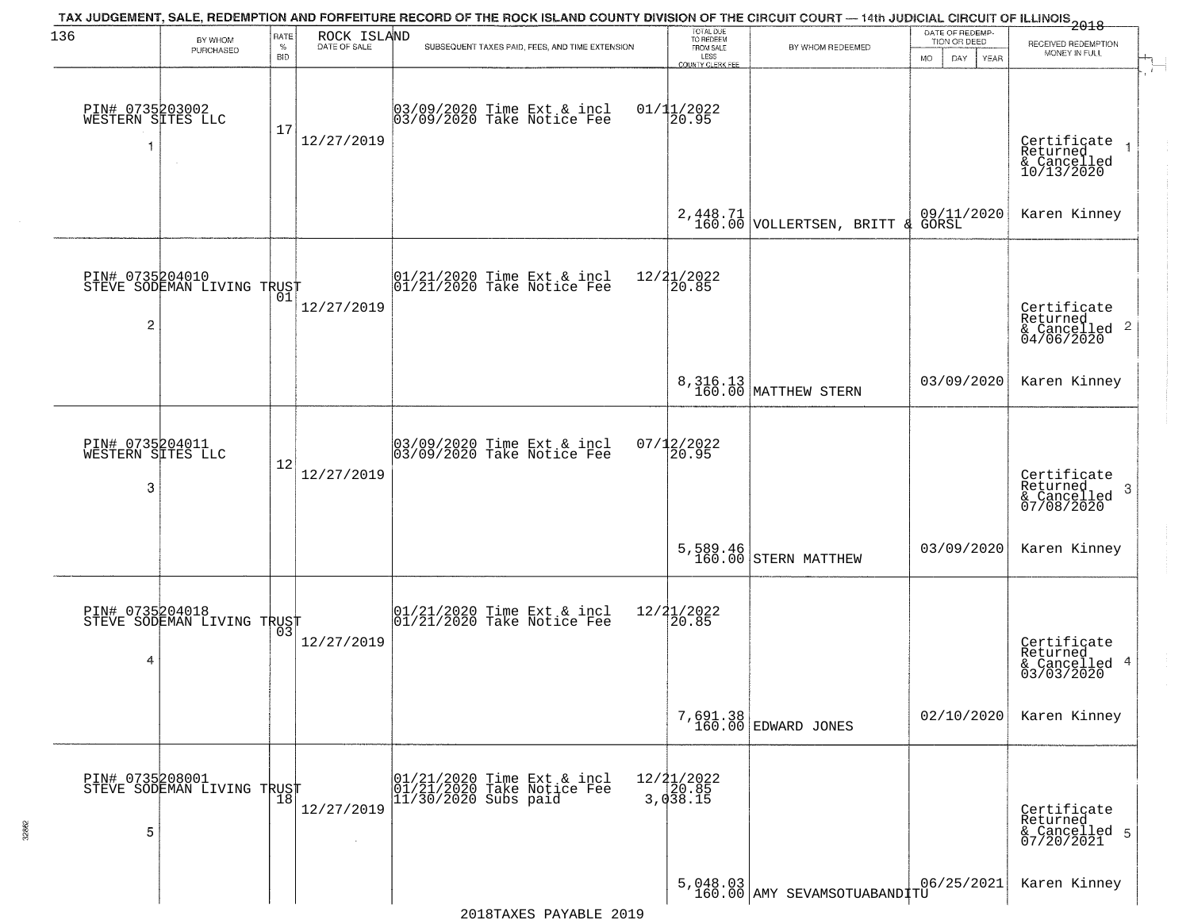| 136                                       |                                               | <b>RATE</b>        | ROCK ISLAND  | TAX JUDGEMENT, SALE, REDEMPTION AND FORFEITURE RECORD OF THE ROCK ISLAND COUNTY DIVISION OF THE CIRCUIT COURT — 14th JUDICIAL CIRCUIT OF ILLINOIS 2018 | TOTAL DUE<br>TO REDEEM                       |                                                     | DATE OF REDEMP                             |                                                                    |
|-------------------------------------------|-----------------------------------------------|--------------------|--------------|--------------------------------------------------------------------------------------------------------------------------------------------------------|----------------------------------------------|-----------------------------------------------------|--------------------------------------------|--------------------------------------------------------------------|
|                                           | BY WHOM<br>PURCHASED                          | $\%$<br><b>BID</b> | DATE OF SALE | SUBSEQUENT TAXES PAID, FEES, AND TIME EXTENSION                                                                                                        | FROM SALE<br>LESS<br><b>COUNTY CLERK FEE</b> | BY WHOM REDEEMED                                    | TION OR DEED<br>DAY.<br><b>YEAR</b><br>MO. | RECEIVED REDEMPTION<br>MONEY IN FULL                               |
| PIN# 0735203002<br>WESTERN SITES LLC<br>1 |                                               | 17                 | 12/27/2019   | 03/09/2020 Time Ext & incl<br>03/09/2020 Take Notice Fee                                                                                               | $01/11/2022$<br>20.95                        |                                                     |                                            | Certificate<br>Returned<br>& Cancelled<br>10/13/2020               |
|                                           |                                               |                    |              |                                                                                                                                                        |                                              | $2,448.71$<br>160.00 VOLLERTSEN, BRITT<br>୍ୟ        | 09/11/2020<br>GORSL                        | Karen Kinney                                                       |
| 2                                         | PIN# 0735204010<br>STEVE SODEMAN LIVING TRUST |                    | 12/27/2019   | 01/21/2020 Time Ext & incl<br>01/21/2020 Take Notice Fee                                                                                               | 12/21/2022<br> 20.85                         |                                                     |                                            | Certificate<br>Returned<br>$\frac{1}{6}$ Cancelled 2<br>04/06/2020 |
|                                           |                                               |                    |              |                                                                                                                                                        |                                              | 8, 316.13<br>160.00 MATTHEW STERN                   | 03/09/2020                                 | Karen Kinney                                                       |
| PIN# 0735204011<br>WESTERN SITES LLC<br>3 |                                               | 12                 | 12/27/2019   | 03/09/2020 Time Ext & incl<br>03/09/2020 Take Notice Fee                                                                                               | 07/12/2022<br>20.95                          |                                                     |                                            | Certificate<br>Returned<br>-3<br>& Cancelled<br>07/08/2020         |
|                                           |                                               |                    |              |                                                                                                                                                        |                                              | 5,589.46<br>160.00 STERN MATTHEW                    | 03/09/2020                                 | Karen Kinney                                                       |
| PIN# 0735204018<br>4                      | STEVE SODEMAN LIVING TRUST                    |                    | 12/27/2019   | $01/21/2020$ Time Ext & incl<br>$01/21/2020$ Take Notice Fee                                                                                           | 12/21/2022<br>20.85                          |                                                     |                                            | Certificate<br>Returned<br>& Cancelled 4<br>03/03/2020             |
|                                           |                                               |                    |              |                                                                                                                                                        |                                              | 7,691.38<br>160.00 EDWARD JONES                     | 02/10/2020                                 | Karen Kinney                                                       |
| 5                                         | PIN# 0735208001<br>STEVE SODEMAN LIVING TRUST |                    | 12/27/2019   | 01/21/2020 Time Ext & incl<br>01/21/2020 Take Notice Fee<br>$11/30/2020$ Subs paid                                                                     | $12/21/2022$<br>20.85<br>3,038.15            |                                                     |                                            | Certificate<br>Returned<br>& Cancelled 5<br>07/20/2021             |
|                                           |                                               |                    |              |                                                                                                                                                        |                                              | $5,048.03$<br>$160.00$<br><br>AMY SEVAMSOTUABAND TU | 06/25/2021                                 | Karen Kinney                                                       |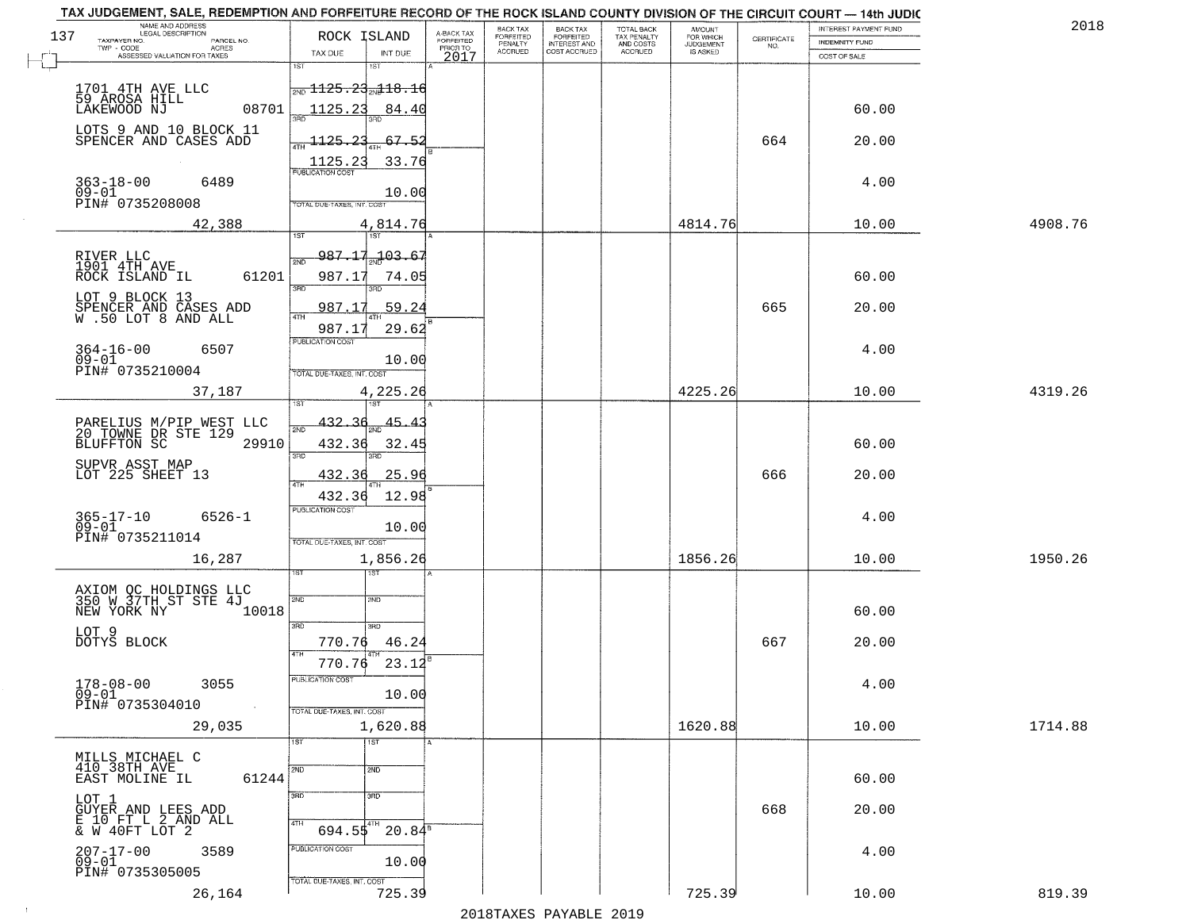|     | TAX JUDGEMENT, SALE, REDEMPTION AND FORFEITURE RECORD OF THE ROCK ISLAND COUNTY DIVISION OF THE CIRCUIT COURT - 14th JUDIC<br>NAME AND ADDRESS<br>LEGAL DESCRIPTION |                                            |                                     | BACK TAX                    | BACK TAX<br>FORFEITED |                                        | AMOUNT<br>FOR WHICH |                                                                 | INTEREST PAYMENT FUND | 2018    |
|-----|---------------------------------------------------------------------------------------------------------------------------------------------------------------------|--------------------------------------------|-------------------------------------|-----------------------------|-----------------------|----------------------------------------|---------------------|-----------------------------------------------------------------|-----------------------|---------|
| 137 | TAXPAYER NO.<br>PARCEL NO.                                                                                                                                          | ROCK ISLAND                                | A-BACK TAX<br>FORFEITED<br>PRIOR TO | <b>FORFEITED</b><br>PENALTY | <b>INTEREST AND</b>   | TOTAL BACK<br>TAX PENALTY<br>AND COSTS | <b>JUDGEMENT</b>    | $\begin{array}{c} \text{CERTIFICATE} \\ \text{NO.} \end{array}$ | <b>INDEMNITY FUND</b> |         |
|     | ACRES<br>ASSESSED VALUATION FOR TAXES                                                                                                                               | TAX DUE<br>INT DUE                         | 2017                                | <b>ACCRUED</b>              | COST ACCRUED          | <b>ACCRUED</b>                         | IS ASKED            |                                                                 | COST OF SALE          |         |
|     |                                                                                                                                                                     | 1ST<br>1ST                                 |                                     |                             |                       |                                        |                     |                                                                 |                       |         |
|     | 1701 4TH AVE LLC                                                                                                                                                    | $\frac{1125.23}{1131.18.16}$               |                                     |                             |                       |                                        |                     |                                                                 |                       |         |
|     | 59 AROSA HILL<br>08701<br>LAKEWOOD NJ                                                                                                                               | 1125.23<br>84.40                           |                                     |                             |                       |                                        |                     |                                                                 | 60.00                 |         |
|     |                                                                                                                                                                     |                                            |                                     |                             |                       |                                        |                     |                                                                 |                       |         |
|     | LOTS 9 AND 10 BLOCK 11<br>SPENCER AND CASES ADD                                                                                                                     | $-1125 - 23$<br>67.52                      |                                     |                             |                       |                                        |                     | 664                                                             | 20.00                 |         |
|     |                                                                                                                                                                     | 33.76                                      |                                     |                             |                       |                                        |                     |                                                                 |                       |         |
|     |                                                                                                                                                                     |                                            |                                     |                             |                       |                                        |                     |                                                                 |                       |         |
|     | 363-18-00<br>09-01<br>6489                                                                                                                                          | 10.00                                      |                                     |                             |                       |                                        |                     |                                                                 | 4.00                  |         |
|     | PIN# 0735208008                                                                                                                                                     | TOTAL DUE-TAXES, INT. COST                 |                                     |                             |                       |                                        |                     |                                                                 |                       |         |
|     | 42,388                                                                                                                                                              | 4,814.76                                   |                                     |                             |                       |                                        | 4814.76             |                                                                 | 10.00                 | 4908.76 |
|     |                                                                                                                                                                     |                                            |                                     |                             |                       |                                        |                     |                                                                 |                       |         |
|     | RIVER LLC<br>1901 4TH AVE                                                                                                                                           | 987.17 <sub>3.1</sub> 03.67<br>2ND         |                                     |                             |                       |                                        |                     |                                                                 |                       |         |
|     | 61201<br>ROCK ISLAND IL                                                                                                                                             | 987.17<br>74.05                            |                                     |                             |                       |                                        |                     |                                                                 | 60.00                 |         |
|     |                                                                                                                                                                     | उन्नत<br>3RD                               |                                     |                             |                       |                                        |                     |                                                                 |                       |         |
|     | LOT 9 BLOCK 13                                                                                                                                                      | 987.17<br>59.24                            |                                     |                             |                       |                                        |                     | 665                                                             | 20.00                 |         |
|     | SPENCER AND CASES ADD<br>W .50 LOT 8 AND ALL                                                                                                                        |                                            |                                     |                             |                       |                                        |                     |                                                                 |                       |         |
|     |                                                                                                                                                                     | 29.62<br>987.17<br>PUBLICATION COST        |                                     |                             |                       |                                        |                     |                                                                 |                       |         |
|     | $364 - 16 - 00$<br>6507                                                                                                                                             |                                            |                                     |                             |                       |                                        |                     |                                                                 | 4.00                  |         |
|     | $09 - 01$<br>PIN# 0735210004                                                                                                                                        | 10.00<br>TOTAL DUE-TAXES, INT. COST        |                                     |                             |                       |                                        |                     |                                                                 |                       |         |
|     | 37,187                                                                                                                                                              | 4,225.26                                   |                                     |                             |                       |                                        | 4225.26             |                                                                 | 10.00                 | 4319.26 |
|     |                                                                                                                                                                     | 1ST                                        |                                     |                             |                       |                                        |                     |                                                                 |                       |         |
|     |                                                                                                                                                                     | <u>432.36</u><br>45.4                      |                                     |                             |                       |                                        |                     |                                                                 |                       |         |
|     | PARELIUS M/PIP WEST LLC<br>20 TOWNE DR STE 129<br><b>BLUFFTON SC</b><br>29910                                                                                       | 2ND                                        |                                     |                             |                       |                                        |                     |                                                                 |                       |         |
|     |                                                                                                                                                                     | 432.36<br>32.45<br>3RD<br>3RD              |                                     |                             |                       |                                        |                     |                                                                 | 60.00                 |         |
|     | SUPVR ASST MAP<br>LOT 225 SHEET 13                                                                                                                                  | 432.3<br><u>25.96</u>                      |                                     |                             |                       |                                        |                     | 666                                                             | 20.00                 |         |
|     |                                                                                                                                                                     | <b>ATH</b>                                 |                                     |                             |                       |                                        |                     |                                                                 |                       |         |
|     |                                                                                                                                                                     | 12.98<br>432.36<br><b>PUBLICATION COST</b> |                                     |                             |                       |                                        |                     |                                                                 |                       |         |
|     | 365-17-10<br>09-01<br>$6526 - 1$                                                                                                                                    |                                            |                                     |                             |                       |                                        |                     |                                                                 | 4.00                  |         |
|     | PIN# 0735211014                                                                                                                                                     | 10.00<br>TOTAL OUE-TAXES, INT. COST        |                                     |                             |                       |                                        |                     |                                                                 |                       |         |
|     | 16,287                                                                                                                                                              | 1,856.26                                   |                                     |                             |                       |                                        | 1856.26             |                                                                 | 10.00                 | 1950.26 |
|     |                                                                                                                                                                     | 1ST                                        |                                     |                             |                       |                                        |                     |                                                                 |                       |         |
|     |                                                                                                                                                                     |                                            |                                     |                             |                       |                                        |                     |                                                                 |                       |         |
|     | AXIOM OC HOLDINGS LLC<br>350 W 37TH ST STE 4J                                                                                                                       | 2ND<br>2ND                                 |                                     |                             |                       |                                        |                     |                                                                 |                       |         |
|     | NEW YORK NY<br>10018                                                                                                                                                | 3RD<br>3HD                                 |                                     |                             |                       |                                        |                     |                                                                 | 60.00                 |         |
|     | LOT 9<br>DOTYS BLOCK                                                                                                                                                | 770.76<br>46.24                            |                                     |                             |                       |                                        |                     | 667                                                             | 20.00                 |         |
|     |                                                                                                                                                                     | 4TH                                        |                                     |                             |                       |                                        |                     |                                                                 |                       |         |
|     |                                                                                                                                                                     | 770.76<br>23.12                            |                                     |                             |                       |                                        |                     |                                                                 |                       |         |
|     | $178 - 08 - 00$<br>3055                                                                                                                                             | <b>PUBLICATION COS-</b><br>10.00           |                                     |                             |                       |                                        |                     |                                                                 | 4.00                  |         |
|     | $09 - 01$<br>PIN# 0735304010<br>$\sim 10$                                                                                                                           | TOTAL DUE-TAXES, INT. COST                 |                                     |                             |                       |                                        |                     |                                                                 |                       |         |
|     | 29,035                                                                                                                                                              | 1,620.88                                   |                                     |                             |                       |                                        | 1620.88             |                                                                 | 10.00                 | 1714.88 |
|     |                                                                                                                                                                     | 1ST<br>$\overline{1}$ 1ST                  |                                     |                             |                       |                                        |                     |                                                                 |                       |         |
|     | MILLS MICHAEL C                                                                                                                                                     |                                            |                                     |                             |                       |                                        |                     |                                                                 |                       |         |
|     | 410 38TH AVE<br>61244<br>EAST MOLINE IL                                                                                                                             | 2ND<br>2ND.                                |                                     |                             |                       |                                        |                     |                                                                 | 60.00                 |         |
|     |                                                                                                                                                                     | 3RD                                        |                                     |                             |                       |                                        |                     |                                                                 |                       |         |
|     | LOT 1                                                                                                                                                               | 3RD                                        |                                     |                             |                       |                                        |                     | 668                                                             | 20.00                 |         |
|     | GUYER AND LEES ADD<br>E 10 FT L 2 AND ALL                                                                                                                           | 4TH                                        |                                     |                             |                       |                                        |                     |                                                                 |                       |         |
|     | & W 40FT LOT 2                                                                                                                                                      | $20.84^5$<br>694.55                        |                                     |                             |                       |                                        |                     |                                                                 |                       |         |
|     | 207-17-00<br>09-01<br>3589                                                                                                                                          | PUBLICATION COST<br>10.00                  |                                     |                             |                       |                                        |                     |                                                                 | 4.00                  |         |
|     | PIN# 0735305005                                                                                                                                                     |                                            |                                     |                             |                       |                                        |                     |                                                                 |                       |         |
|     | 26,164                                                                                                                                                              | TOTAL DUE-TAXES, INT. COST<br>725.39       |                                     |                             |                       |                                        | 725.39              |                                                                 | 10.00                 | 819.39  |
|     |                                                                                                                                                                     |                                            |                                     |                             | 2010                  |                                        |                     |                                                                 |                       |         |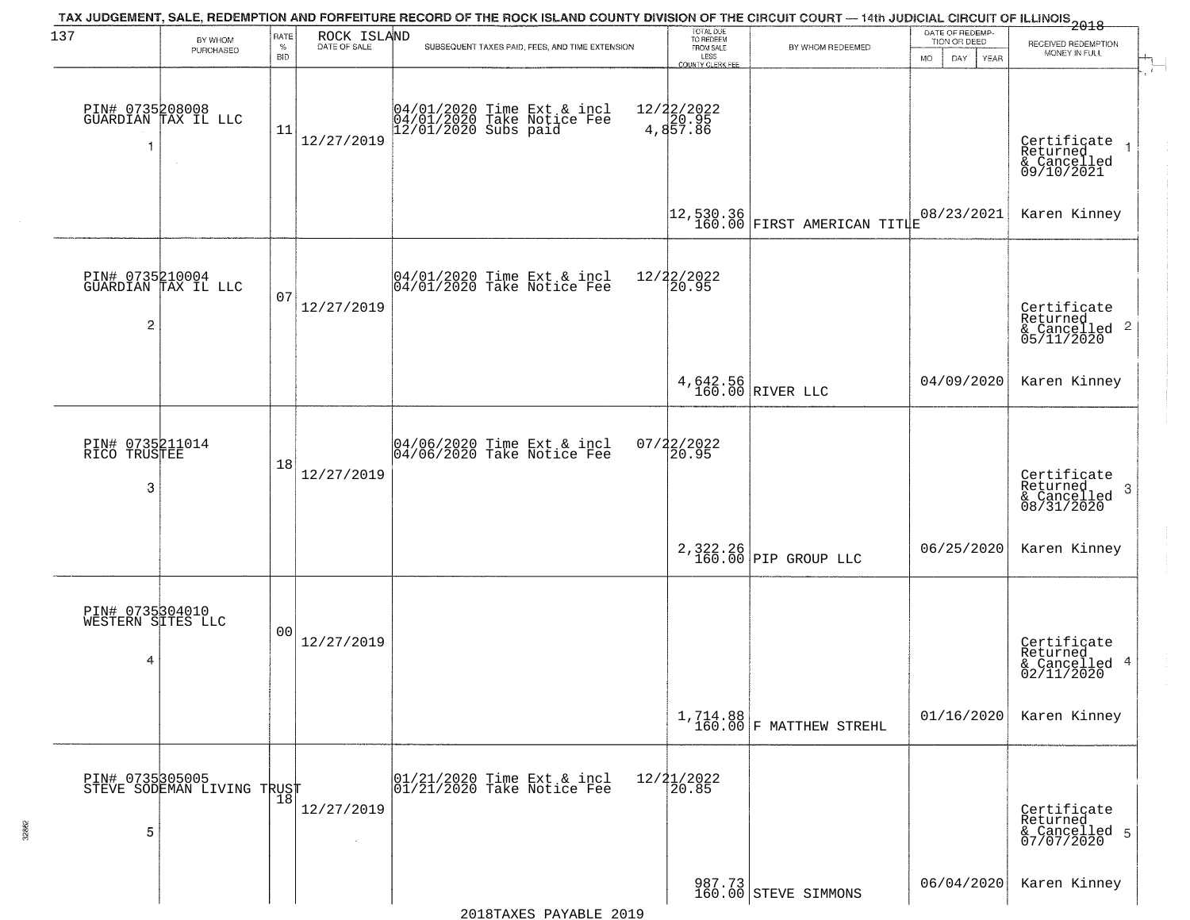| 137                                       | BY WHOM                                       | <b>RATE</b>        | ROCK ISLAND  | TAX JUDGEMENT, SALE, REDEMPTION AND FORFEITURE RECORD OF THE ROCK ISLAND COUNTY DIVISION OF THE CIRCUIT COURT — 14th JUDICIAL CIRCUIT OF ILLINOIS 2018 | TOTAL DUE<br>TO REDEEM                       |                                                                                       | DATE OF REDEMP<br>TION OR DEED |                                                                      |
|-------------------------------------------|-----------------------------------------------|--------------------|--------------|--------------------------------------------------------------------------------------------------------------------------------------------------------|----------------------------------------------|---------------------------------------------------------------------------------------|--------------------------------|----------------------------------------------------------------------|
|                                           | PURCHASED                                     | $\%$<br><b>BID</b> | DATE OF SALE | SUBSEQUENT TAXES PAID, FEES, AND TIME EXTENSION                                                                                                        | FROM SALE<br>LESS<br><b>COUNTY CLERK FEE</b> | BY WHOM REDEEMED                                                                      | DAY.<br><b>YEAR</b><br>MO.     | RECEIVED REDEMPTION<br>MONEY IN FULL                                 |
| 1                                         | PIN# 0735208008<br>GUARDIAN TAX IL LLC        | 11                 | 12/27/2019   | 04/01/2020 Time Ext & incl<br>04/01/2020 Take Notice Fee<br>12/01/2020 Subs paid                                                                       | 12/22/2022<br>4,857.86                       |                                                                                       |                                | Certificate<br>Returned<br>& Cancelled<br>09/10/2021                 |
|                                           |                                               |                    |              |                                                                                                                                                        |                                              | $\left  \begin{matrix} 12,530.36 \\ 160.00 \end{matrix} \right $ FIRST AMERICAN TITLE | 08/23/2021                     | Karen Kinney                                                         |
| $\overline{c}$                            | PIN# 0735210004<br>GUARDIAN TAX IL LLC        | 07                 | 12/27/2019   | $ 04/01/2020$ Time Ext & incl<br>$ 04/01/2020$ Take Notice Fee                                                                                         | 12/22/2022<br>20.95                          |                                                                                       |                                | Certificate<br>Returned<br>$\frac{1}{6}$ Cancelled 2<br>05/11/2020   |
|                                           |                                               |                    |              |                                                                                                                                                        |                                              | 4,642.56<br>160.00 RIVER LLC                                                          | 04/09/2020                     | Karen Kinney                                                         |
| PIN# 0735211014<br>RICO TRUSTEE<br>3      |                                               | 18                 | 12/27/2019   | 04/06/2020 Time Ext & incl<br>04/06/2020 Take Notice Fee                                                                                               | 07/22/2022<br>20.95                          |                                                                                       |                                | Certificate<br>Returned<br>$\mathbf{3}$<br>& Cancelled<br>08/31/2020 |
|                                           |                                               |                    |              |                                                                                                                                                        |                                              | 2,322.26<br>160.00 PIP GROUP LLC                                                      | 06/25/2020                     | Karen Kinney                                                         |
| PIN# 0735304010<br>WESTERN SITES LLC<br>4 |                                               | 0 <sub>0</sub>     | 12/27/2019   |                                                                                                                                                        |                                              |                                                                                       |                                | Certificate<br>Returned<br>& Cancelled 4<br>02/11/2020               |
|                                           |                                               |                    |              |                                                                                                                                                        |                                              | $1, 714.88$<br>$160.00$ F MATTHEW STREHL                                              | 01/16/2020                     | Karen Kinney                                                         |
| 5                                         | PIN# 0735305005<br>STEVE SODEMAN LIVING TRUST |                    | 12/27/2019   | 01/21/2020 Time Ext & incl<br>01/21/2020 Take Notice Fee                                                                                               | $12/21/2022$<br>20.85                        |                                                                                       |                                | Certificate<br>Returned<br>& Cancelled 5<br>07/07/2020               |
|                                           |                                               |                    |              |                                                                                                                                                        |                                              | 987.73<br>160.00 STEVE SIMMONS                                                        | 06/04/2020                     | Karen Kinney                                                         |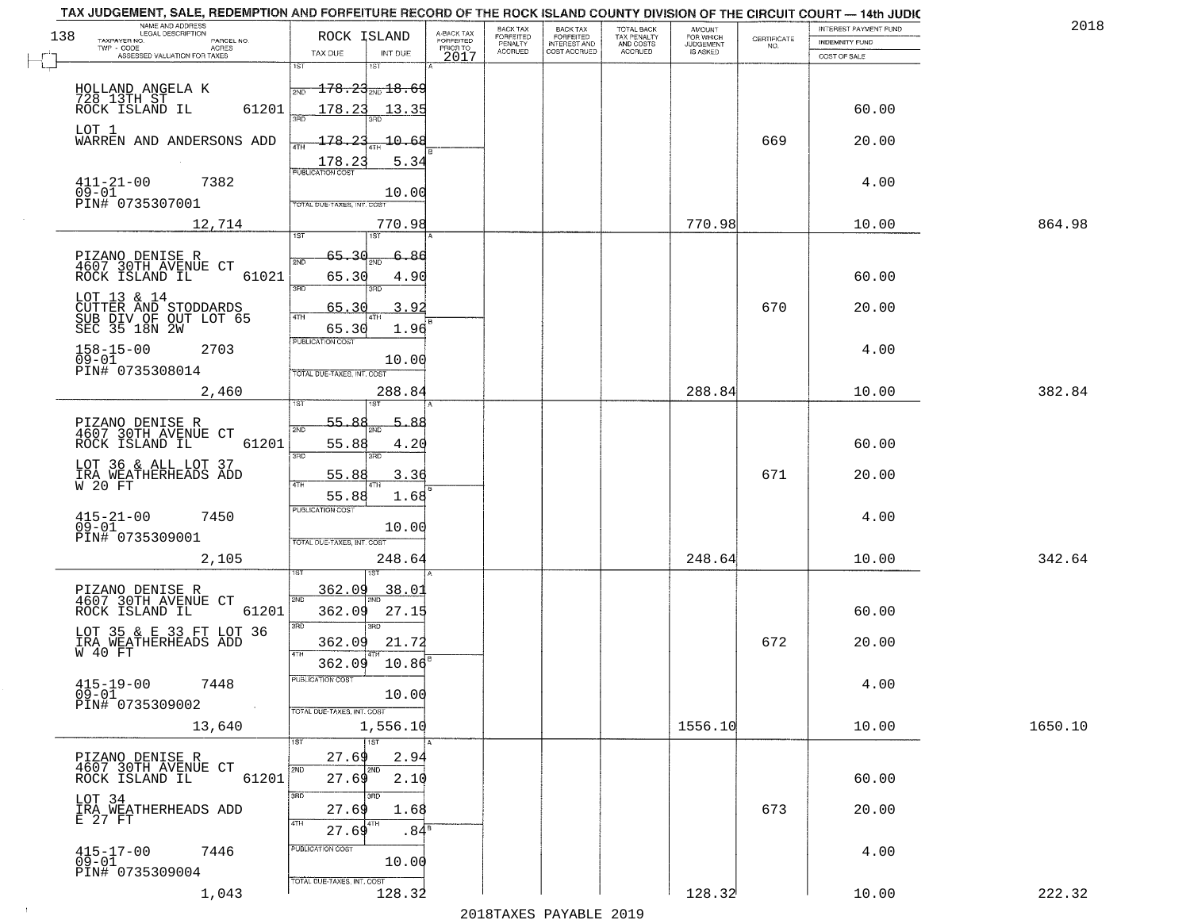| 138 | NAME AND ADDRESS<br>LEGAL DESCRIPTION                          | ROCK ISLAND                          |                                     | BACK TAX             | <b>BACK TAX</b>           | TOTAL BACK<br>TAX PENALTY<br>AND COSTS | AMOUNT<br>FOR WHICH |                    | INTEREST PAYMENT FUND | 2018    |
|-----|----------------------------------------------------------------|--------------------------------------|-------------------------------------|----------------------|---------------------------|----------------------------------------|---------------------|--------------------|-----------------------|---------|
|     | TAXPAYER NO.<br>PARCEL NO.<br>ACRES                            |                                      | A-BACK TAX<br>FORFEITED<br>PRIOR TO | FORFEITED<br>PENALTY | FORFEITED<br>INTEREST AND |                                        | <b>JUDGEMENT</b>    | CERTIFICATE<br>NO. | <b>INDEMNITY FUND</b> |         |
|     | ASSESSED VALUATION FOR TAXES                                   | TAX DUE<br>INT DUE<br>1ST<br>1ST     | 2017                                | <b>ACCRUED</b>       | COST ACCRUED              | ACCRUED                                | <b>IS ASKED</b>     |                    | COST OF SALE          |         |
|     | HOLLAND ANGELA K                                               | $-178.23_{\text{2ND}} 18.69$         |                                     |                      |                           |                                        |                     |                    |                       |         |
|     | 728 13TH ST<br>ROCK ISLAND IL                                  | 2ND                                  |                                     |                      |                           |                                        |                     |                    |                       |         |
|     | 61201                                                          | 178.23<br>13.35                      |                                     |                      |                           |                                        |                     |                    | 60.00                 |         |
|     | LOT 1<br>WARREN AND ANDERSONS ADD                              | 178.23<br>10.68                      |                                     |                      |                           |                                        |                     | 669                | 20.00                 |         |
|     |                                                                | 5.34<br>178.23                       |                                     |                      |                           |                                        |                     |                    |                       |         |
|     | $411 - 21 - 00$<br>7382                                        | <b>PUBLICATION COST</b>              |                                     |                      |                           |                                        |                     |                    | 4.00                  |         |
|     | $09 - 01$<br>PIN# 0735307001                                   | 10.00<br>TOTAL DUE-TAXES, INT. COST  |                                     |                      |                           |                                        |                     |                    |                       |         |
|     | 12,714                                                         | 770.98                               |                                     |                      |                           |                                        | 770.98              |                    | 10.00                 | 864.98  |
|     |                                                                |                                      |                                     |                      |                           |                                        |                     |                    |                       |         |
|     | PIZANO DENISE R<br>4607 30TH AVENUE CT                         | 65.30<br>2ND                         | 86                                  |                      |                           |                                        |                     |                    |                       |         |
|     | 61021<br>ROCK ISLAND IL                                        | 65.30<br>4.90                        |                                     |                      |                           |                                        |                     |                    | 60.00                 |         |
|     | LOT 13 & 14                                                    | $\overline{3BD}$<br>חוז              |                                     |                      |                           |                                        |                     |                    |                       |         |
|     | CUTTER AND STODDARDS<br>SUB DIV OF OUT LOT 65<br>SEC 35 18N 2W | 3.92<br>65.30<br>ৰাম                 |                                     |                      |                           |                                        |                     | 670                | 20.00                 |         |
|     |                                                                | 65.30<br>1.96<br>PUBLICATION COST    |                                     |                      |                           |                                        |                     |                    |                       |         |
|     | $158 - 15 - 00$<br>2703<br>$09 - 01$                           | 10.00                                |                                     |                      |                           |                                        |                     |                    | 4.00                  |         |
|     | PIN# 0735308014                                                | TOTAL DUE-TAXES, INT. COST           |                                     |                      |                           |                                        |                     |                    |                       |         |
|     | 2,460                                                          | 288.84<br>1ST                        |                                     |                      |                           |                                        | 288.84              |                    | 10.00                 | 382.84  |
|     |                                                                | 55.88<br>5.88                        |                                     |                      |                           |                                        |                     |                    |                       |         |
|     | PIZANO DENISE R<br>4607 30TH AVENUE CT                         | 2ND                                  |                                     |                      |                           |                                        |                     |                    |                       |         |
|     | ROCK ISLAND IL<br>61201                                        | 55.88<br>4.20<br>3RD<br>3RD          |                                     |                      |                           |                                        |                     |                    | 60.00                 |         |
|     | LOT 36 & ALL LOT 37<br>IRA WEATHERHEADS ADD<br>W 20 FT         | 55.88<br>3.36                        |                                     |                      |                           |                                        |                     | 671                | 20.00                 |         |
|     |                                                                | 55.88<br>1.68                        |                                     |                      |                           |                                        |                     |                    |                       |         |
|     | $415 - 21 - 00$<br>7450                                        | <b>PUBLICATION COST</b>              |                                     |                      |                           |                                        |                     |                    | 4.00                  |         |
|     | $09 - 01$<br>PIN# 0735309001                                   | 10.00                                |                                     |                      |                           |                                        |                     |                    |                       |         |
|     | 2,105                                                          | TOTAL OUE-TAXES, INT. COST<br>248.64 |                                     |                      |                           |                                        | 248.64              |                    | 10.00                 | 342.64  |
|     |                                                                |                                      |                                     |                      |                           |                                        |                     |                    |                       |         |
|     | PIZANO DENISE R<br>4607 30TH AVENUE CT                         | 362.09<br>38.01<br>2ND               |                                     |                      |                           |                                        |                     |                    |                       |         |
|     | ROCK ISLAND IL<br>61201                                        | 362.09<br>27.15                      |                                     |                      |                           |                                        |                     |                    | 60.00                 |         |
|     | LOT 35 & E 33 FT LOT 36                                        | 3BD<br>3RD                           |                                     |                      |                           |                                        |                     |                    |                       |         |
|     | IRA WEATHERHEADS ADD<br>W 40 FT                                | 362.09<br>21.72<br>4TH               |                                     |                      |                           |                                        |                     | 672                | 20.00                 |         |
|     |                                                                | 362.09<br>10.86                      |                                     |                      |                           |                                        |                     |                    |                       |         |
|     | $415 - 19 - 00$<br>7448<br>$09 - 01$                           | "UBLICA HUN CUS<br>10.00             |                                     |                      |                           |                                        |                     |                    | 4.00                  |         |
|     | PIN# 0735309002<br><b>Contract</b>                             | TOTAL DUE-TAXES, INT. COST           |                                     |                      |                           |                                        |                     |                    |                       |         |
|     | 13,640                                                         | 1,556.10                             |                                     |                      |                           |                                        | 1556.10             |                    | 10.00                 | 1650.10 |
|     | PIZANO DENISE R                                                | $\overline{11}$<br>27.69<br>2.94     |                                     |                      |                           |                                        |                     |                    |                       |         |
|     | 4607 30TH AVENUE CT<br>61201<br>ROCK ISLAND IL                 | 2ND<br>2ND<br>27.69<br>2.10          |                                     |                      |                           |                                        |                     |                    | 60.00                 |         |
|     |                                                                | 3RD                                  |                                     |                      |                           |                                        |                     |                    |                       |         |
|     | LOT 34<br>$\tilde{\texttt{IRA}}$ WEATHERHEADS ADD E 27 FT      | 27.69<br>1.68                        |                                     |                      |                           |                                        |                     | 673                | 20.00                 |         |
|     |                                                                | 4TH<br>  4TH<br>27.69                | .84 <sup>s</sup>                    |                      |                           |                                        |                     |                    |                       |         |
|     | $415 - 17 - 00$<br>7446                                        | PUBLICATION COST                     |                                     |                      |                           |                                        |                     |                    | 4.00                  |         |
|     | 09-01<br>PIN# 0735309004                                       | 10.00                                |                                     |                      |                           |                                        |                     |                    |                       |         |
|     | 1,043                                                          | TOTAL DUE-TAXES, INT. COST<br>128.32 |                                     |                      |                           |                                        | 128.32              |                    | 10.00                 | 222.32  |

 $\sim 10$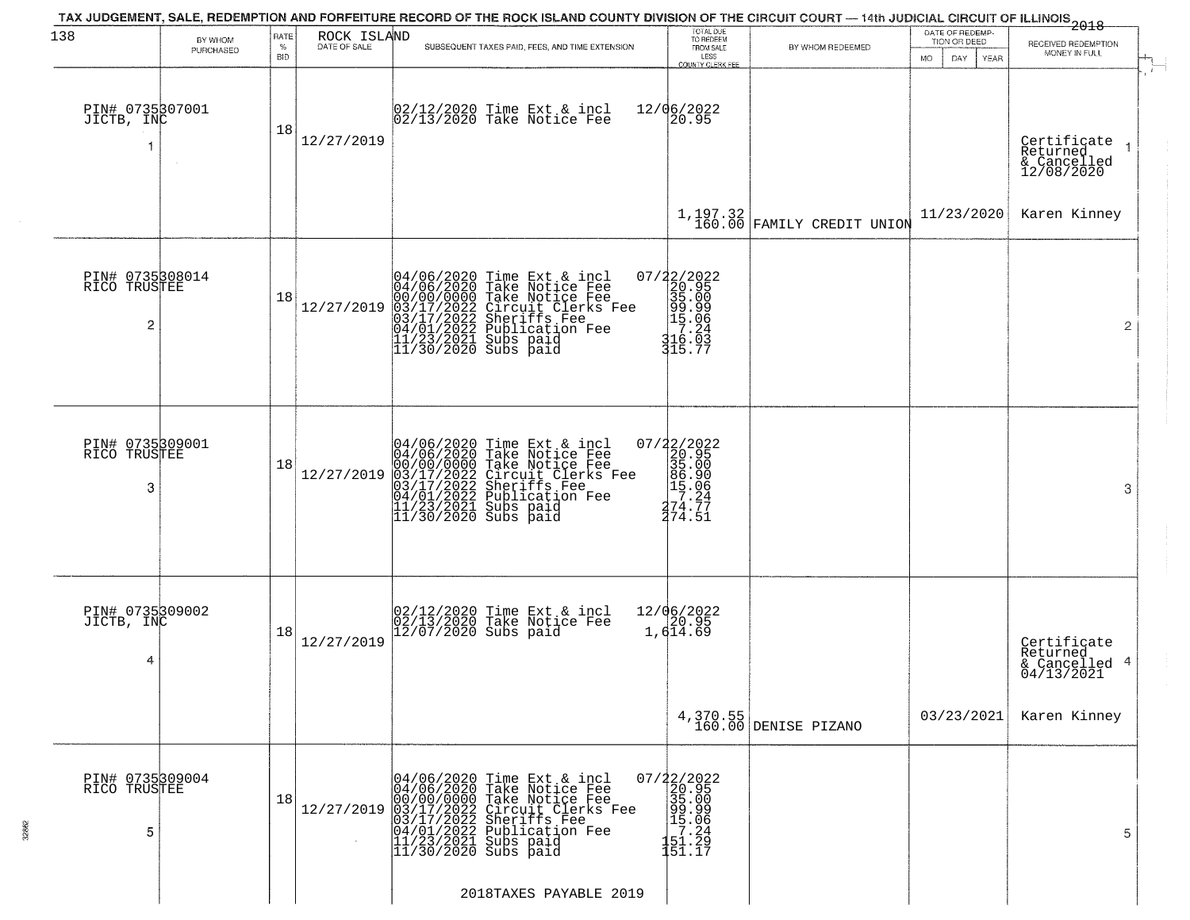| 138                                               | BY WHOM   | RATE               | ROCK ISLAND  | TAX JUDGEMENT, SALE, REDEMPTION AND FORFEITURE RECORD OF THE ROCK ISLAND COUNTY DIVISION OF THE CIRCUIT COURT — 14th JUDICIAL CIRCUIT OF ILLINOIS 2018                                                                                                                                                                                                                 | TOTAL DUE<br>TO REDEEM<br>FROM SALE                                                                                        |                                  | DATE OF REDEMP-<br>TION OR DEED  | RECEIVED REDEMPTION                                    |
|---------------------------------------------------|-----------|--------------------|--------------|------------------------------------------------------------------------------------------------------------------------------------------------------------------------------------------------------------------------------------------------------------------------------------------------------------------------------------------------------------------------|----------------------------------------------------------------------------------------------------------------------------|----------------------------------|----------------------------------|--------------------------------------------------------|
|                                                   | PURCHASED | $\%$<br><b>BID</b> | DATE OF SALE | SUBSEQUENT TAXES PAID, FEES, AND TIME EXTENSION                                                                                                                                                                                                                                                                                                                        | LESS<br><b>COUNTY CLERK FEE</b>                                                                                            | BY WHOM REDEEMED                 | <b>MO</b><br>DAY.<br><b>YEAR</b> | MONEY IN FULL                                          |
| PIN# 0735307001<br>JICTB, INC                     |           | 18                 | 12/27/2019   | 02/12/2020 Time Ext & incl<br>02/13/2020 Take Notice Fee                                                                                                                                                                                                                                                                                                               | 12/06/2022<br>20.95                                                                                                        |                                  |                                  | Certifiçate<br>Returned<br>& Cancelled<br>12/08/2020   |
|                                                   |           |                    |              |                                                                                                                                                                                                                                                                                                                                                                        |                                                                                                                            | $1,197.32$ FAMILY CREDIT UNION   | 11/23/2020                       | Karen Kinney                                           |
| PIN# 0735308014<br>RICO TRUSTEE<br>$\overline{c}$ |           | 18                 | 12/27/2019   | $04/06/2020$ Time Ext & incl<br>04/06/2020 Take Notice Fee<br>00/00/00000 Take Notice Fee<br>03/17/2022 Circuit Clerks Fee<br>03/17/2022 Subritist Fee<br>04/01/2022 Publication Fee<br>11/23/2021 Subs paid<br>11/30/2020 Subs paid                                                                                                                                   | $\begin{smallmatrix} 07/22/2022\\ 20.95\\ 35.00\\ 99.99\\ 15.06\\ 17.24\\ 16.03\\ 11.70\\ 11.70\\ 11.77 \end{smallmatrix}$ |                                  |                                  | 2                                                      |
| PIN# 0735309001<br>RICO TRUSTEE<br>3              |           | 18                 | 12/27/2019   | 04/06/2020 Time Ext & incl<br>04/06/2020 Take Notice Fee<br>00/00/0000 Take Notice Fee<br>03/17/2022 Circuit Clerks Fee<br>03/17/2022 Sublication Fee<br>04/01/2022 Publication Fee<br>11/23/2021 Subs paid<br>11/30/2020 Subs paid                                                                                                                                    | $\begin{smallmatrix} 07/22/2022\\ 20.95\\ 35.00\\ 86.90\\ 15.06\\ 17.24\\ 274.77\\ 274.51 \end{smallmatrix}$               |                                  |                                  | 3                                                      |
| PIN# 0735309002<br>JICTB, INC<br>4                |           | 18                 | 12/27/2019   | 02/12/2020 Time Ext & incl<br>02/13/2020 Take Notice Fee<br>12/07/2020 Subs paid                                                                                                                                                                                                                                                                                       | 12/06/2022<br>20.95<br>1,614.69                                                                                            |                                  |                                  | Certificate<br>Returned<br>& Cancelled 4<br>04/13/2021 |
|                                                   |           |                    |              |                                                                                                                                                                                                                                                                                                                                                                        |                                                                                                                            | 4,370.55<br>160.00 DENISE PIZANO | 03/23/2021                       | Karen Kinney                                           |
| PIN# 0735309004<br>RICO TRUSTEE<br>5              |           | 18                 |              | $[04/06/2020 \text{ Time Ext & incl} \quad 04/06/2020 \text{ Take Notice Free} \quad 00/00/00000 \text{ Take Notice Free} \quad 00/00/00000 \text{ Take Notice Free} \quad 03/17/2022 \text{ Circuit Clers Free} \quad 03/17/2022 \text{ Sheriffs See} \quad 04/01/2022 \text{ Publishing Tree} \quad 11/23/2021 \text{ Subs paid} \quad 11/30/2020 \text{ Subs paid}$ | 151.17                                                                                                                     |                                  |                                  | 5                                                      |
|                                                   |           |                    |              | 2018TAXES PAYABLE 2019                                                                                                                                                                                                                                                                                                                                                 |                                                                                                                            |                                  |                                  |                                                        |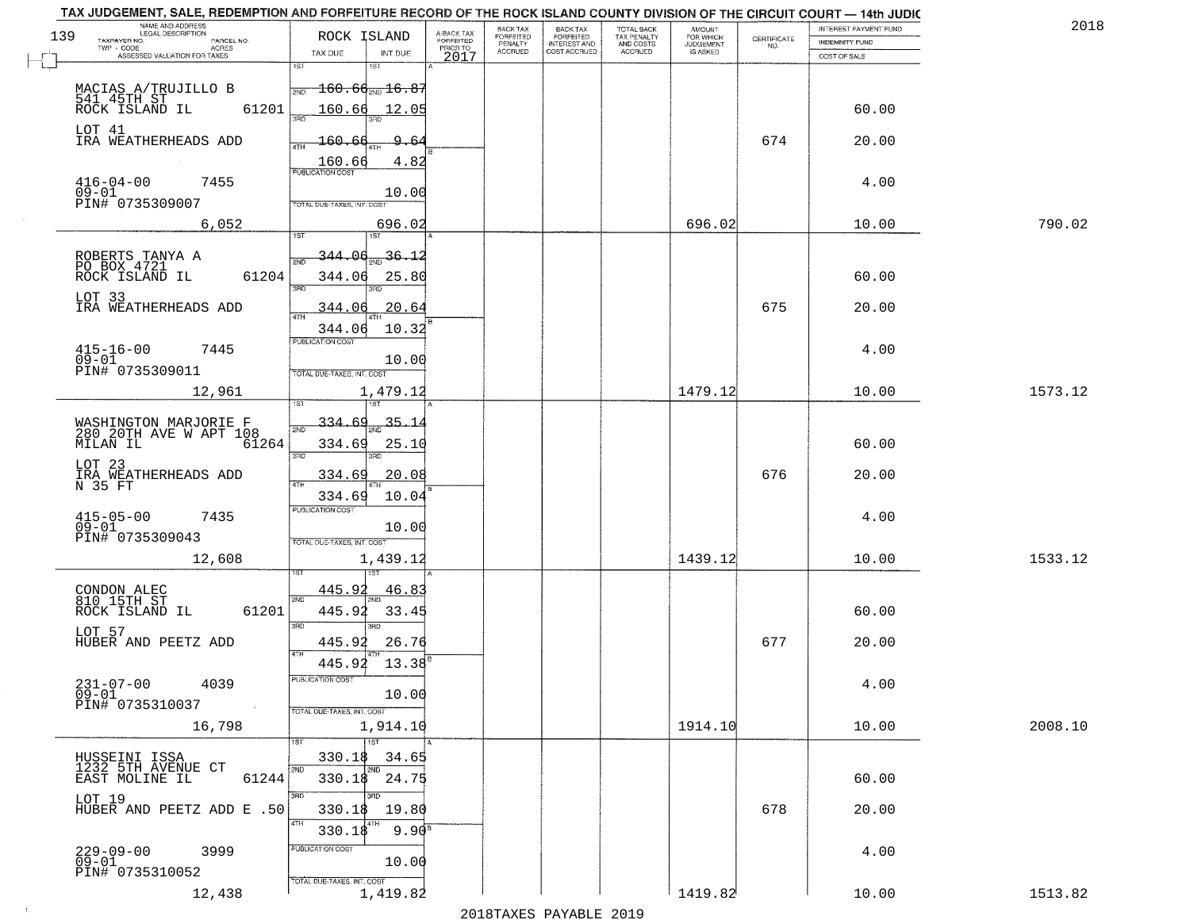|     | TAX JUDGEMENT, SALE, REDEMPTION AND FORFEITURE RECORD OF THE ROCK ISLAND COUNTY DIVISION OF THE CIRCUIT COURT - 14th JUDIC |                                   |                                                                      |                                     |                      |                       |                                        |                     |                    |                              |         |
|-----|----------------------------------------------------------------------------------------------------------------------------|-----------------------------------|----------------------------------------------------------------------|-------------------------------------|----------------------|-----------------------|----------------------------------------|---------------------|--------------------|------------------------------|---------|
|     | NAME AND ADDRESS<br>LEGAL DESCRIPTION                                                                                      |                                   |                                                                      |                                     | <b>BACK TAX</b>      | BACK TAX<br>FORFEITED |                                        | AMOUNT<br>FOR WHICH |                    | <b>INTEREST PAYMENT FUND</b> | 201     |
| 139 | TAXPAYER NO.<br>PARCEL NO.<br>ACRES                                                                                        | ROCK ISLAND                       |                                                                      | A-BACK TAX<br>FORFEITED<br>PRIOR TO | FORFEITED<br>PENALTY | <b>INTEREST AND</b>   | TOTAL BACK<br>TAX PENALTY<br>AND COSTS | <b>JUDGEMENT</b>    | CERTIFICATE<br>NO. | <b>INDEMNITY FUND</b>        |         |
|     | ASSESSED VALUATION FOR TAXES                                                                                               | TAX DUE                           | INT DUE                                                              | 2017                                | <b>ACCRUED</b>       | COST ACCRUED          | ACCRUED                                | IS ASKED            |                    | COST OF SALE                 |         |
|     |                                                                                                                            | 1ST                               |                                                                      |                                     |                      |                       |                                        |                     |                    |                              |         |
|     |                                                                                                                            | 2ND                               | $\textcolor{red}{\textbf{160.66}}\textcolor{black}{\textbf{m16.87}}$ |                                     |                      |                       |                                        |                     |                    |                              |         |
|     | MACIAS A/TRUJILLO B<br>541 45TH ST<br>ROCK ISLAND IL                                                                       |                                   |                                                                      |                                     |                      |                       |                                        |                     |                    |                              |         |
|     | 61201                                                                                                                      | 160.66                            | 12.05                                                                |                                     |                      |                       |                                        |                     |                    | 60.00                        |         |
|     | LOT 41                                                                                                                     |                                   |                                                                      |                                     |                      |                       |                                        |                     |                    |                              |         |
|     | IRA WEATHERHEADS ADD                                                                                                       | <u> 160.66</u>                    | $-6$                                                                 |                                     |                      |                       |                                        |                     | 674                | 20.00                        |         |
|     |                                                                                                                            |                                   |                                                                      |                                     |                      |                       |                                        |                     |                    |                              |         |
|     |                                                                                                                            | $\frac{160.66}{FUBUCATON COST}$   | 4.82                                                                 |                                     |                      |                       |                                        |                     |                    |                              |         |
|     | $416 - 04 - 00$<br>7455                                                                                                    |                                   |                                                                      |                                     |                      |                       |                                        |                     |                    | 4.00                         |         |
|     | $09-01$                                                                                                                    |                                   | 10.00                                                                |                                     |                      |                       |                                        |                     |                    |                              |         |
|     | PIN# 0735309007                                                                                                            | TOTAL DUE-TAXES, INT. COST        |                                                                      |                                     |                      |                       |                                        |                     |                    |                              |         |
|     | 6,052                                                                                                                      |                                   | 696.02                                                               |                                     |                      |                       |                                        | 696.02              |                    | 10.00                        | 790.02  |
|     |                                                                                                                            |                                   |                                                                      |                                     |                      |                       |                                        |                     |                    |                              |         |
|     |                                                                                                                            | TU P<br>344                       | 36.12                                                                |                                     |                      |                       |                                        |                     |                    |                              |         |
|     | ROBERTS TANYA A PO BOX 4721                                                                                                |                                   |                                                                      |                                     |                      |                       |                                        |                     |                    |                              |         |
|     | 61204<br>ROCK ISLAND IL                                                                                                    | 344.06                            | 25.80                                                                |                                     |                      |                       |                                        |                     |                    | 60.00                        |         |
|     |                                                                                                                            | $\overline{3BD}$                  |                                                                      |                                     |                      |                       |                                        |                     |                    |                              |         |
|     | LOT 33<br>IRA WEATHERHEADS ADD                                                                                             | 344.06                            | 20.64                                                                |                                     |                      |                       |                                        |                     | 675                | 20.00                        |         |
|     |                                                                                                                            |                                   |                                                                      |                                     |                      |                       |                                        |                     |                    |                              |         |
|     |                                                                                                                            | 344.06<br><b>PUBLICATION COST</b> | 10.32                                                                |                                     |                      |                       |                                        |                     |                    |                              |         |
|     | $415 - 16 - 00$<br>7445                                                                                                    |                                   |                                                                      |                                     |                      |                       |                                        |                     |                    | 4.00                         |         |
|     | $09 - 01$                                                                                                                  |                                   | 10.00                                                                |                                     |                      |                       |                                        |                     |                    |                              |         |
|     | PIN# 0735309011                                                                                                            | TOTAL DUE-TAXES, INT. COST        |                                                                      |                                     |                      |                       |                                        |                     |                    |                              |         |
|     | 12,961                                                                                                                     |                                   | 1,479.12                                                             |                                     |                      |                       |                                        | 1479.12             |                    | 10.00                        | 1573.12 |
|     |                                                                                                                            | īST                               |                                                                      |                                     |                      |                       |                                        |                     |                    |                              |         |
|     |                                                                                                                            | 334.69                            | $35 - 1$                                                             |                                     |                      |                       |                                        |                     |                    |                              |         |
|     | WASHINGTON MARJORIE F<br>280 20TH AVE W APT 108                                                                            | 2ND                               |                                                                      |                                     |                      |                       |                                        |                     |                    |                              |         |
|     | MILAN IL<br>61264                                                                                                          | 334.69<br>3BD                     | 25.10                                                                |                                     |                      |                       |                                        |                     |                    | 60.00                        |         |
|     | LOT 23                                                                                                                     |                                   | 3RD                                                                  |                                     |                      |                       |                                        |                     |                    |                              |         |
|     | IRA WEATHERHEADS ADD<br>N 35 FT                                                                                            | 334.69<br>4TH                     | 20.08                                                                |                                     |                      |                       |                                        |                     | 676                | 20.00                        |         |
|     |                                                                                                                            | 334.69                            | 10.04                                                                |                                     |                      |                       |                                        |                     |                    |                              |         |
|     |                                                                                                                            | <b>PUBLICATION COST</b>           |                                                                      |                                     |                      |                       |                                        |                     |                    |                              |         |
|     | $415 - 05 - 00$<br>7435                                                                                                    |                                   |                                                                      |                                     |                      |                       |                                        |                     |                    | 4.00                         |         |
|     | $09 - 01$<br>PIN# 0735309043                                                                                               |                                   | 10.00                                                                |                                     |                      |                       |                                        |                     |                    |                              |         |
|     |                                                                                                                            | TOTAL OUE-TAXES, INT. COST        |                                                                      |                                     |                      |                       |                                        |                     |                    |                              |         |
|     | 12,608                                                                                                                     |                                   | 1,439.12                                                             |                                     |                      |                       |                                        | 1439.12             |                    | 10.00                        | 1533.12 |
|     |                                                                                                                            |                                   |                                                                      |                                     |                      |                       |                                        |                     |                    |                              |         |
|     | CONDON ALEC<br>810 15TH ST                                                                                                 | 445.92                            | 46.83                                                                |                                     |                      |                       |                                        |                     |                    |                              |         |
|     | ROCK ISLAND IL<br>61201                                                                                                    | 2ND<br>445.92                     | 33.45                                                                |                                     |                      |                       |                                        |                     |                    | 60.00                        |         |
|     |                                                                                                                            | 3 <sub>BD</sub>                   | 3BD.                                                                 |                                     |                      |                       |                                        |                     |                    |                              |         |
|     | LOT 57                                                                                                                     |                                   |                                                                      |                                     |                      |                       |                                        |                     |                    |                              |         |
|     | HUBER AND PEETZ ADD                                                                                                        | 445.92<br>4TH                     | 26.76                                                                |                                     |                      |                       |                                        |                     | 677                | 20.00                        |         |
|     |                                                                                                                            | 445.92                            | 13.38                                                                |                                     |                      |                       |                                        |                     |                    |                              |         |
|     |                                                                                                                            | PUBLICATION COS                   |                                                                      |                                     |                      |                       |                                        |                     |                    |                              |         |
|     | $231 - 07 - 00$<br>4039<br>$09 - 01$                                                                                       |                                   | 10.00                                                                |                                     |                      |                       |                                        |                     |                    | 4.00                         |         |
|     | PIN# 0735310037<br>$\sim 10^{11}$ km $^{-1}$                                                                               | TOTAL DUE-TAXES, INT. COST        |                                                                      |                                     |                      |                       |                                        |                     |                    |                              |         |
|     |                                                                                                                            |                                   |                                                                      |                                     |                      |                       |                                        |                     |                    |                              |         |
|     | 16,798                                                                                                                     |                                   | 1,914.10                                                             |                                     |                      |                       |                                        | 1914.10             |                    | 10.00                        | 2008.10 |
|     |                                                                                                                            |                                   | 1ST                                                                  |                                     |                      |                       |                                        |                     |                    |                              |         |
|     | HUSSEINI ISSA<br>1232 5TH AVENUE CT                                                                                        | 330.18                            | 34.65                                                                |                                     |                      |                       |                                        |                     |                    |                              |         |
|     | 61244<br>EAST MOLINE IL                                                                                                    | 2ND                               | 2ND<br>$330.18$ 24.75                                                |                                     |                      |                       |                                        |                     |                    | 60.00                        |         |
|     |                                                                                                                            | 3RD                               | 3RD                                                                  |                                     |                      |                       |                                        |                     |                    |                              |         |
|     | LOT 19<br>HUBER AND PEETZ ADD E .50                                                                                        | 330.18                            | 19.80                                                                |                                     |                      |                       |                                        |                     | 678                | 20.00                        |         |
|     |                                                                                                                            | 4TH                               |                                                                      |                                     |                      |                       |                                        |                     |                    |                              |         |
|     |                                                                                                                            | 330.18                            | 9.90 <sup>B</sup>                                                    |                                     |                      |                       |                                        |                     |                    |                              |         |
|     | 3999                                                                                                                       | PUBLICATION COST                  |                                                                      |                                     |                      |                       |                                        |                     |                    | 4.00                         |         |
|     | 229-09-00<br>09-01                                                                                                         |                                   | 10.00                                                                |                                     |                      |                       |                                        |                     |                    |                              |         |
|     | PIN# 0735310052                                                                                                            | TOTAL DUE-TAXES, INT. COST        |                                                                      |                                     |                      |                       |                                        |                     |                    |                              |         |
|     | 12,438                                                                                                                     |                                   | 1,419.82                                                             |                                     |                      |                       |                                        | 1419.82             |                    | 10.00                        | 1513.82 |

 $\sim 10^{-1}$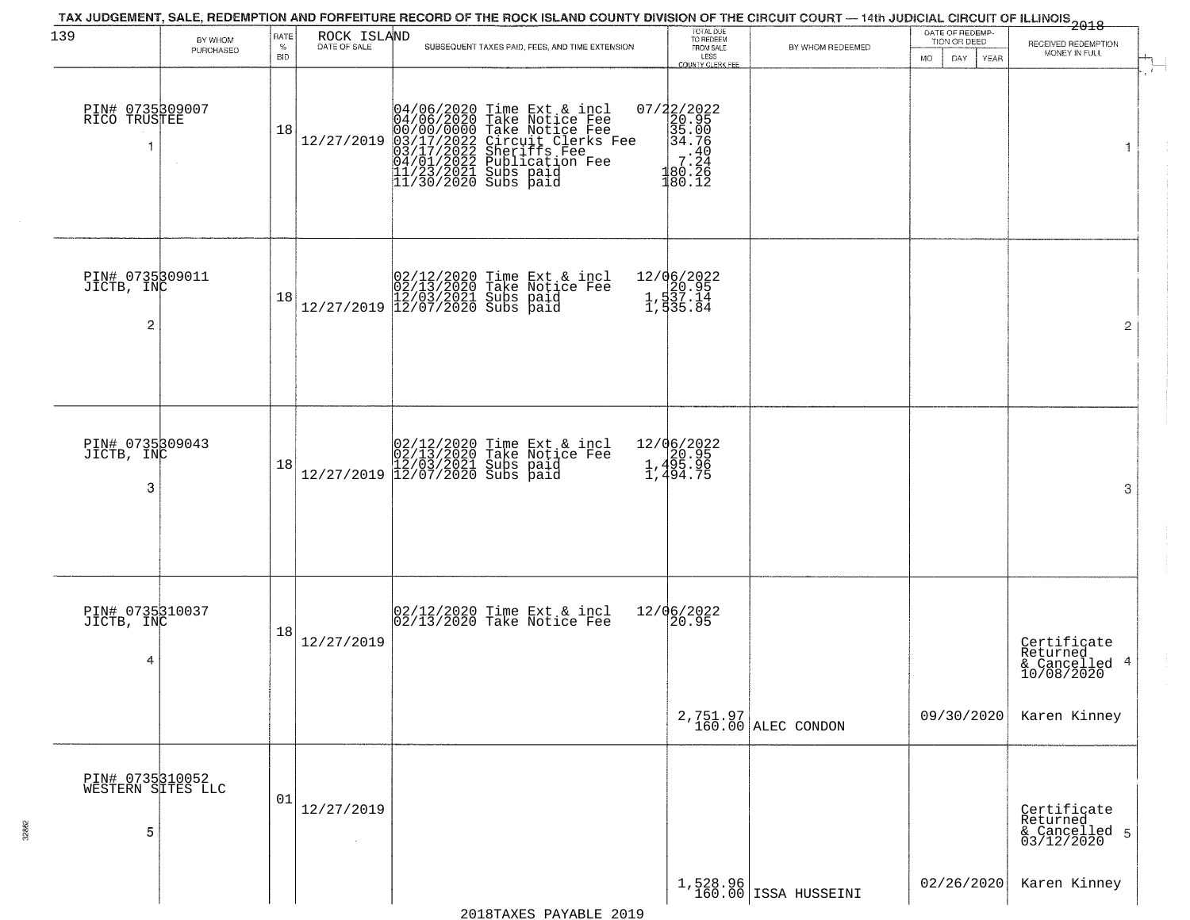| 139                                             | BY WHOM   | RATE               | ROCK ISLAND                  | TAX JUDGEMENT, SALE, REDEMPTION AND FORFEITURE RECORD OF THE ROCK ISLAND COUNTY DIVISION OF THE CIRCUIT COURT — 14th JUDICIAL CIRCUIT OF ILLINOIS 2018                                                                              | TOTAL DUE<br>TO REDEEM                                                                                        |                                  | DATE OF REDEMP-<br>TION OR DEED  |                                                        |
|-------------------------------------------------|-----------|--------------------|------------------------------|-------------------------------------------------------------------------------------------------------------------------------------------------------------------------------------------------------------------------------------|---------------------------------------------------------------------------------------------------------------|----------------------------------|----------------------------------|--------------------------------------------------------|
|                                                 | PURCHASED | $\%$<br><b>BID</b> | DATE OF SALE                 | SUBSEQUENT TAXES PAID, FEES, AND TIME EXTENSION                                                                                                                                                                                     | FROM SALE<br>LESS<br>COUNTY CLERK FEE                                                                         | BY WHOM REDEEMED                 | <b>YEAR</b><br><b>MO</b><br>DAY. | RECEIVED REDEMPTION<br>MONEY IN FULL                   |
| PIN# 0735309007<br>RICO TRUSTEE                 |           | 18                 | 12/27/2019                   | 04/06/2020 Time Ext & incl<br>04/06/2020 Take Notice Fee<br>00/00/0000 Take Notice Fee<br>03/17/2022 Circuit Clerks Fee<br>03/17/2022 Sublication Fee<br>04/01/2022 Publication Fee<br>11/23/2021 Subs paid<br>11/30/2020 Subs paid | 07/22/2022<br>20.95<br>35.00<br>34.76<br>$\begin{array}{rr} & -40 \\ & -7.24 \\ 180.26 \\ 180.12 \end{array}$ |                                  |                                  | $\mathbf{1}$                                           |
| PIN# 0735309011<br>JICTB, INC<br>$\overline{2}$ |           | 18                 |                              | $[02/12/2020 \t\t Time \t\t Ext & incl \\ 02/13/2020 \t\t Take \t Notice \tFe \\ 12/27/2019 \t\t 12/07/2020 \tSubs \t paid \\$                                                                                                      | 12/06/2022<br>1,537.14<br>1,537.14<br>1,535.84                                                                |                                  |                                  | $\overline{2}$                                         |
| PIN# 0735309043<br>JICTB, INC<br>3              |           | 18                 |                              | $[02/12/2020 \t\t Time Ext & incl 02/13/2020 \t\t Take Notice Free 12/27/2019] 12/03/2021 \tSubs paid 12/27/2019]$                                                                                                                  | 12/06/2022<br>$\begin{array}{r} 2,4820.95 \\ 1,495.96 \\ 1,494.75 \end{array}$                                |                                  |                                  | 3                                                      |
| PIN# 0735310037<br>JICTB, INC<br>4              |           | 18                 | 12/27/2019                   | 02/12/2020 Time Ext & incl<br>02/13/2020 Take Notice Fee                                                                                                                                                                            | 12/06/2022<br>$\frac{20.95}{ }$                                                                               |                                  |                                  | Certificate<br>Returned<br>& Cancelled 4<br>10/08/2020 |
|                                                 |           |                    |                              |                                                                                                                                                                                                                                     |                                                                                                               | 2,751.97<br>160.00 ALEC CONDON   | 09/30/2020                       | Karen Kinney                                           |
| PIN# 0735310052<br>WESTERN SITES LLC<br>5       |           | 01                 | 12/27/2019<br>$\sim 10^{-1}$ |                                                                                                                                                                                                                                     |                                                                                                               |                                  |                                  | Certificate<br>Returned<br>& Cancelled 5<br>03/12/2020 |
|                                                 |           |                    |                              |                                                                                                                                                                                                                                     |                                                                                                               | 1,528.96<br>160.00 ISSA HUSSEINI | 02/26/2020                       | Karen Kinney                                           |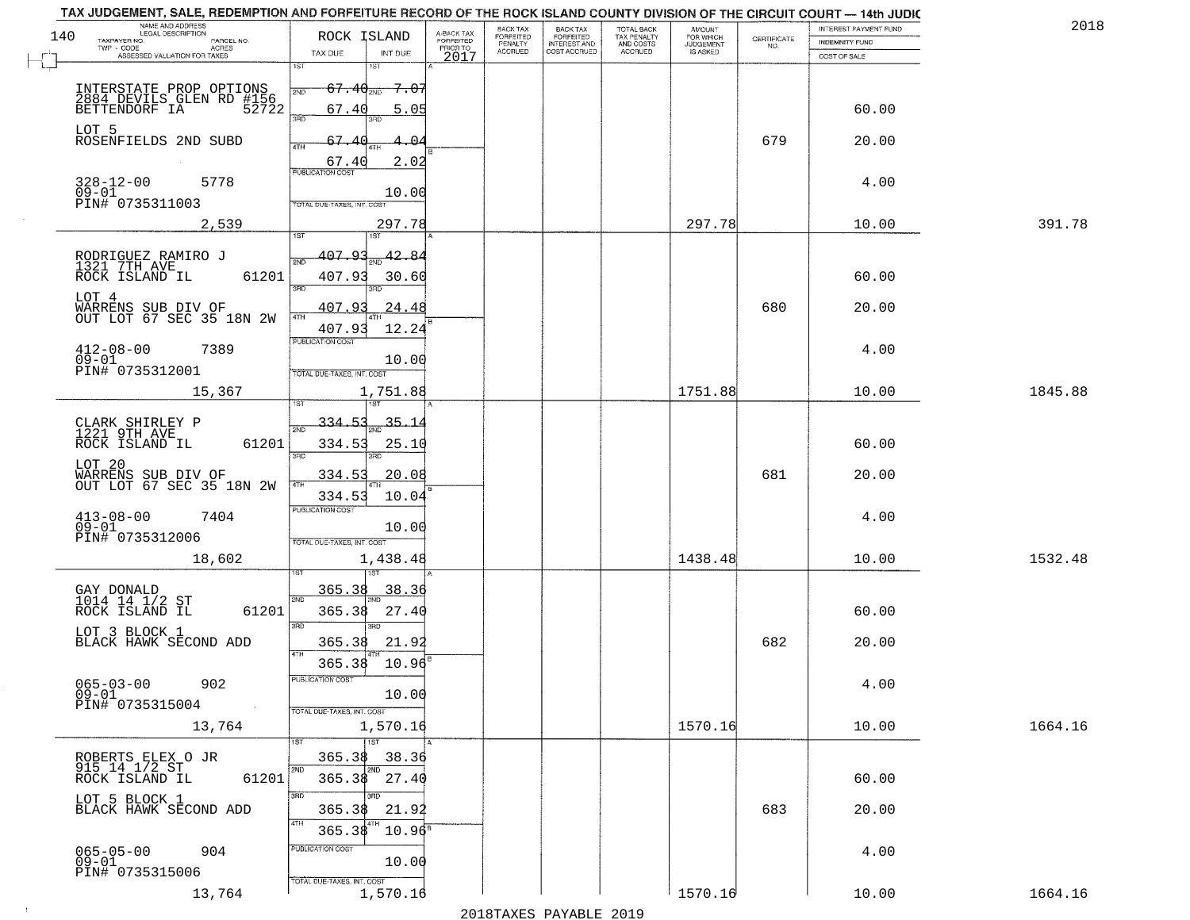| TAX JUDGEMENT, SALE, REDEMPTION AND FORFEITURE RECORD OF THE ROCK ISLAND COUNTY DIVISION OF THE CIRCUIT COURT - 14th JUDIC |                                                                       |                         |                       |                                     |                          |                                              |                    |                       |         |
|----------------------------------------------------------------------------------------------------------------------------|-----------------------------------------------------------------------|-------------------------|-----------------------|-------------------------------------|--------------------------|----------------------------------------------|--------------------|-----------------------|---------|
| NAME AND ADDRESS<br>LEGAL DESCRIPTION<br>140                                                                               | ROCK ISLAND                                                           | A-BACK TAX<br>FORFEITED | BACK TAX<br>FORFEITED | <b>BACK TAX</b><br><b>FORFEITED</b> | TOTAL BACK               | AMOUNT<br>FOR WHICH<br>JUDGEMENT<br>IS ASKED |                    | INTEREST PAYMENT FUND | 2018    |
| TAXPAYER NO.<br>PARCEL NO.<br>TWP - CODE<br>ACRES                                                                          |                                                                       | PRIOR TO                | PENALTY<br>ACCRUED    | INTEREST AND<br>COST ACCRUED        | TAX PENALTY<br>AND COSTS |                                              | CERTIFICATE<br>NO. | <b>INDEMNITY FUND</b> |         |
| ASSESSED VALUATION FOR TAXES                                                                                               | TAX DUE<br>INT DUE<br>1ST<br>18T                                      | 2017                    |                       |                                     | ACCRUED                  |                                              |                    | COST OF SALE          |         |
| INTERSTATE PROP OPTIONS<br>2884 DEVILS GLEN RD #156<br>BETTENDORF IA 52722                                                 | $67.40_{200}$<br><del>7.07</del><br>2ND<br>67.40                      |                         |                       |                                     |                          |                                              |                    | 60.00                 |         |
| LOT 5<br>ROSENFIELDS 2ND SUBD                                                                                              | 5.05<br>370<br>67.40<br>-04                                           |                         |                       |                                     |                          |                                              | 679                | 20.00                 |         |
| $328 - 12 - 00$<br>5778<br>$09 - 01$                                                                                       | 2.02<br>67.40<br><b>PUBLICATION COST</b><br>10.00                     |                         |                       |                                     |                          |                                              |                    | 4.00                  |         |
| PIN# 0735311003<br>2,539                                                                                                   | TOTAL DUE-TAXES, INT. COST<br>297.78<br>1ST<br>1ST <sup></sup>        |                         |                       |                                     |                          | 297.78                                       |                    | 10.00                 | 391.78  |
| RODRIGUEZ RAMIRO J<br>1321 7TH AVE<br>ROCK ISLAND IL<br>61201                                                              | $407.93_{\text{2ND}}$ $42.84$<br>2ND<br>407.93<br>30.60<br>3RD<br>3RD |                         |                       |                                     |                          |                                              |                    | 60.00                 |         |
| LOT 4<br>WARRENS SUB DIV OF<br>OUT LOT 67 SEC 35 18N 2W                                                                    | 407.93<br>24.48<br>47H<br>407.93<br>12.24                             |                         |                       |                                     |                          |                                              | 680                | 20.00                 |         |
| $412 - 08 - 00$<br>7389<br>$\overline{09}$ - $\overline{01}$<br>PIN# 0735312001                                            | PUBLICATION COST<br>10.00<br>TOTAL DUE-TAXES, INT. COST               |                         |                       |                                     |                          |                                              |                    | 4.00                  |         |
| 15,367                                                                                                                     | 1,751.88<br>1ST                                                       |                         |                       |                                     |                          | 1751.88                                      |                    | 10.00                 | 1845.88 |
| CLARK SHIRLEY P<br>1221 9TH AVE<br>61201<br>ROCK ISLAND IL                                                                 | 334.53<br>35.1<br>2ND<br>334.53<br>25.10<br>3RD<br>3RD                |                         |                       |                                     |                          |                                              |                    | 60.00                 |         |
| LOT 20<br>WARRENS SUB DIV OF<br>OUT LOT 67 SEC 35 18N 2W                                                                   | 334.53<br>20.08<br>334.53<br>10.04                                    |                         |                       |                                     |                          |                                              | 681                | 20.00                 |         |
| $413 - 08 - 00$<br>09-01<br>7404<br>PIN# 0735312006                                                                        | <b>PUBLICATION COST</b><br>10.00<br>TOTAL OUE-TAXES, INT. COST        |                         |                       |                                     |                          |                                              |                    | 4.00                  |         |
| 18,602                                                                                                                     | 1,438.48                                                              |                         |                       |                                     |                          | 1438.48                                      |                    | 10.00                 | 1532.48 |
| GAY DONALD<br>1014 14 1/2 ST<br>61201<br>ROCK ISLAND IL                                                                    | 365.38<br>38.36<br>2ND<br>365.38<br>27.40<br>3RD<br>3RD               |                         |                       |                                     |                          |                                              |                    | 60.00                 |         |
| LOT 3 BLOCK 1<br>BLACK HAWK SECOND ADD                                                                                     | 365.38<br>21.92<br>365.38<br>10.96                                    |                         |                       |                                     |                          |                                              | 682                | 20.00                 |         |
| $065 - 03 - 00$<br>902<br>$09 - 01$<br>PIN# 0735315004<br>$\sim 100$                                                       | PUBLICATION COS<br>10.00<br>TOTAL DUE-TAXES, INT. COST                |                         |                       |                                     |                          |                                              |                    | 4.00                  |         |
| 13,764                                                                                                                     | 1,570.16<br>$\overline{1ST}$                                          |                         |                       |                                     |                          | 1570.16                                      |                    | 10.00                 | 1664.16 |
| ROBERTS ELEX O JR<br>915 14 1/2 ST<br>61201<br>ROCK ISLAND IL                                                              | 365.38<br>38.36<br>2ND<br>2ND<br>365.38<br>27.40<br>3RD<br>3RD        |                         |                       |                                     |                          |                                              |                    | 60.00                 |         |
| LOT 5 BLOCK 1<br>BLACK HAWK SECOND ADD                                                                                     | 365.38<br>21.92<br>4TH<br>365.38<br>$10.96^{\circ}$                   |                         |                       |                                     |                          |                                              | 683                | 20.00                 |         |
| $065 - 05 - 00$<br>904<br>$09 - 01$<br>PIN# 0735315006                                                                     | PUBLICATION COST<br>10.00                                             |                         |                       |                                     |                          |                                              |                    | 4.00                  |         |
| 13,764                                                                                                                     | TOTAL DUE-TAXES, INT. COST<br>1,570.16                                |                         |                       |                                     |                          | 1570.16                                      |                    | 10.00                 | 1664.16 |

 $\sim 10$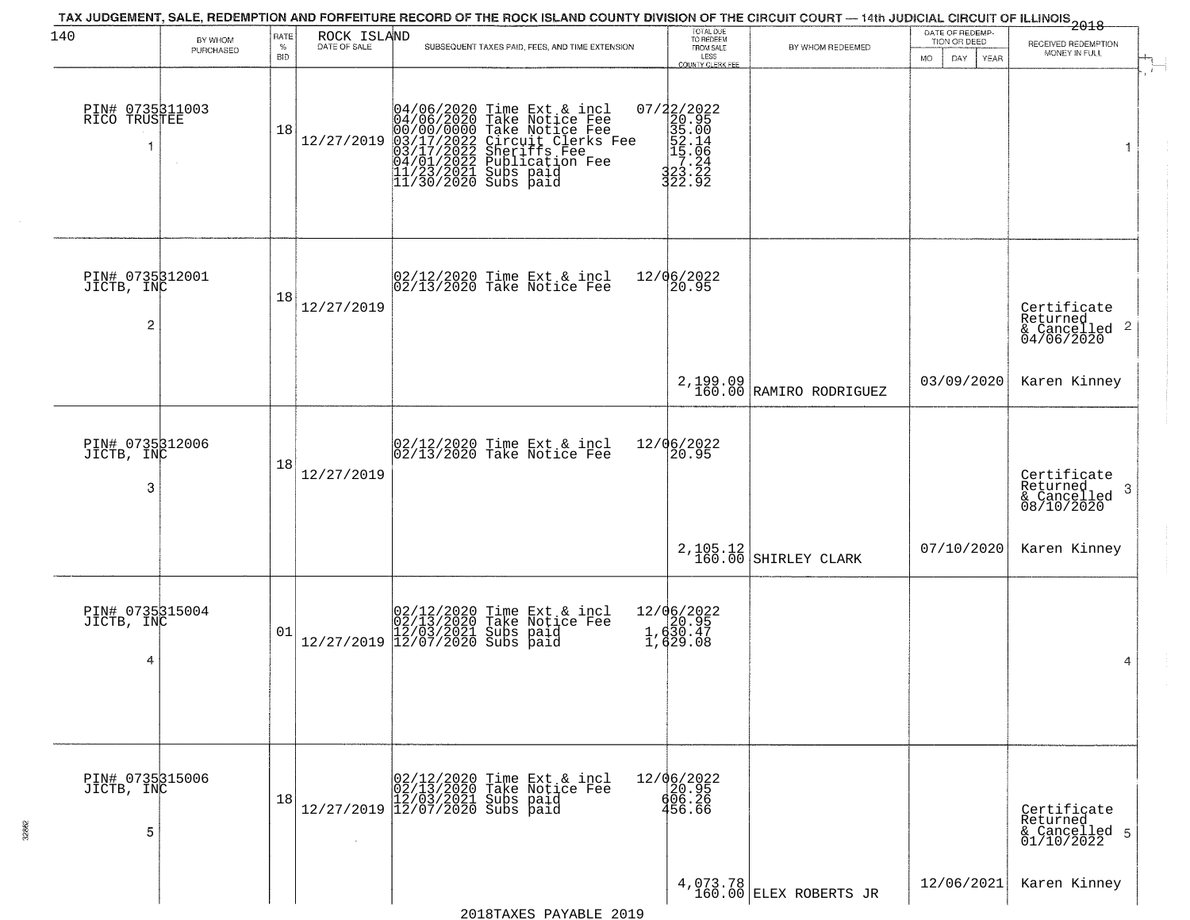| 140                                             | BY WHOM   | RATE               | ROCK ISLAND  | TAX JUDGEMENT, SALE, REDEMPTION AND FORFEITURE RECORD OF THE ROCK ISLAND COUNTY DIVISION OF THE CIRCUIT COURT — 14th JUDICIAL CIRCUIT OF ILLINOIS 2018                                                                               | TOTAL DUE<br>TO REDEEM                                                                                       |                                     | DATE OF REDEMP-<br>TION OR DEED |                                                                    |
|-------------------------------------------------|-----------|--------------------|--------------|--------------------------------------------------------------------------------------------------------------------------------------------------------------------------------------------------------------------------------------|--------------------------------------------------------------------------------------------------------------|-------------------------------------|---------------------------------|--------------------------------------------------------------------|
|                                                 | PURCHASED | $\%$<br><b>BID</b> | DATE OF SALE | SUBSEQUENT TAXES PAID, FEES, AND TIME EXTENSION                                                                                                                                                                                      | FROM SALE<br>LESS<br>COUNTY CLERK FEE                                                                        | BY WHOM REDEEMED                    | MO.<br>DAY.<br>YEAR             | RECEIVED REDEMPTION<br>MONEY IN FULL                               |
| PIN# 0735311003<br>RICO TRUSTEE                 |           | 18                 | 12/27/2019   | 04/06/2020 Time Ext & incl<br>04/06/2020 Take Notice Fee<br>00/00/00000 Take Notice Fee<br>03/17/2022 Circuit Clerks Fee<br>03/17/2022 Sublication Fee<br>04/01/2022 Publication Fee<br>11/23/2021 Subs paid<br>11/30/2020 Subs paid | $\begin{smallmatrix} 07/22/2022\\ 20.95\\ 35.00\\ 52.14\\ 52.16\\ 7.264\\ 323.22\\ 322.92 \end{smallmatrix}$ |                                     |                                 |                                                                    |
| PIN# 0735312001<br>JICTB, INC<br>$\overline{2}$ |           | 18                 | 12/27/2019   | 02/12/2020 Time Ext & incl<br>02/13/2020 Take Notice Fee                                                                                                                                                                             | 12/06/2022<br>20.95                                                                                          |                                     |                                 | Certificate<br>Returned<br>$\frac{1}{6}$ Cancelled 2<br>04/06/2020 |
|                                                 |           |                    |              |                                                                                                                                                                                                                                      |                                                                                                              | 2,199.09<br>160.00 RAMIRO RODRIGUEZ | 03/09/2020                      | Karen Kinney                                                       |
| PIN# 0735312006<br>JICTB, INC<br>3              |           | 18                 | 12/27/2019   | 02/12/2020 Time Ext & incl<br>02/13/2020 Take Notice Fee                                                                                                                                                                             | 12/06/2022<br>20.95                                                                                          |                                     |                                 | Certificate<br>Returned<br>-3<br>$\frac{1}{08/10/2020}$            |
|                                                 |           |                    |              |                                                                                                                                                                                                                                      | $2, 105.12$<br>160.00                                                                                        | SHIRLEY CLARK                       | 07/10/2020                      | Karen Kinney                                                       |
| PIN# 0735315004<br>JICTB, INC<br>4              |           | 01                 |              | $[02/12/2020 \t\t Time Ext & incl02/13/2020 \tTake Notice Free12/27/2019 \t\t 12/03/2021 \tSubs paid12/27/2019 \t\t 12/07/2020 \tSubs paid$                                                                                          | 12/06/2022<br>1, d20.95<br>1, d30.47<br>1, d29.08                                                            |                                     |                                 | 4                                                                  |
| PIN# 0735315006<br>JICTB, INC<br>5              |           | 18                 | $\sim$       | $[02/12/2020 \t\t Time Ext & incl02/13/2020 \tTake Notice Free12/27/2019 \t\t 12/03/2021 \tSubs paid12/27/2019 \t\t 12/07/2020 \tSubs paid$                                                                                          | 12/06/2022<br>20.95<br>606.26<br>456.66                                                                      |                                     |                                 | Certificate<br>Returned<br>& Cancelled 5<br>01/10/2022             |
|                                                 |           |                    |              |                                                                                                                                                                                                                                      |                                                                                                              | $4,073.78$ ELEX ROBERTS JR          | 12/06/2021                      | Karen Kinney                                                       |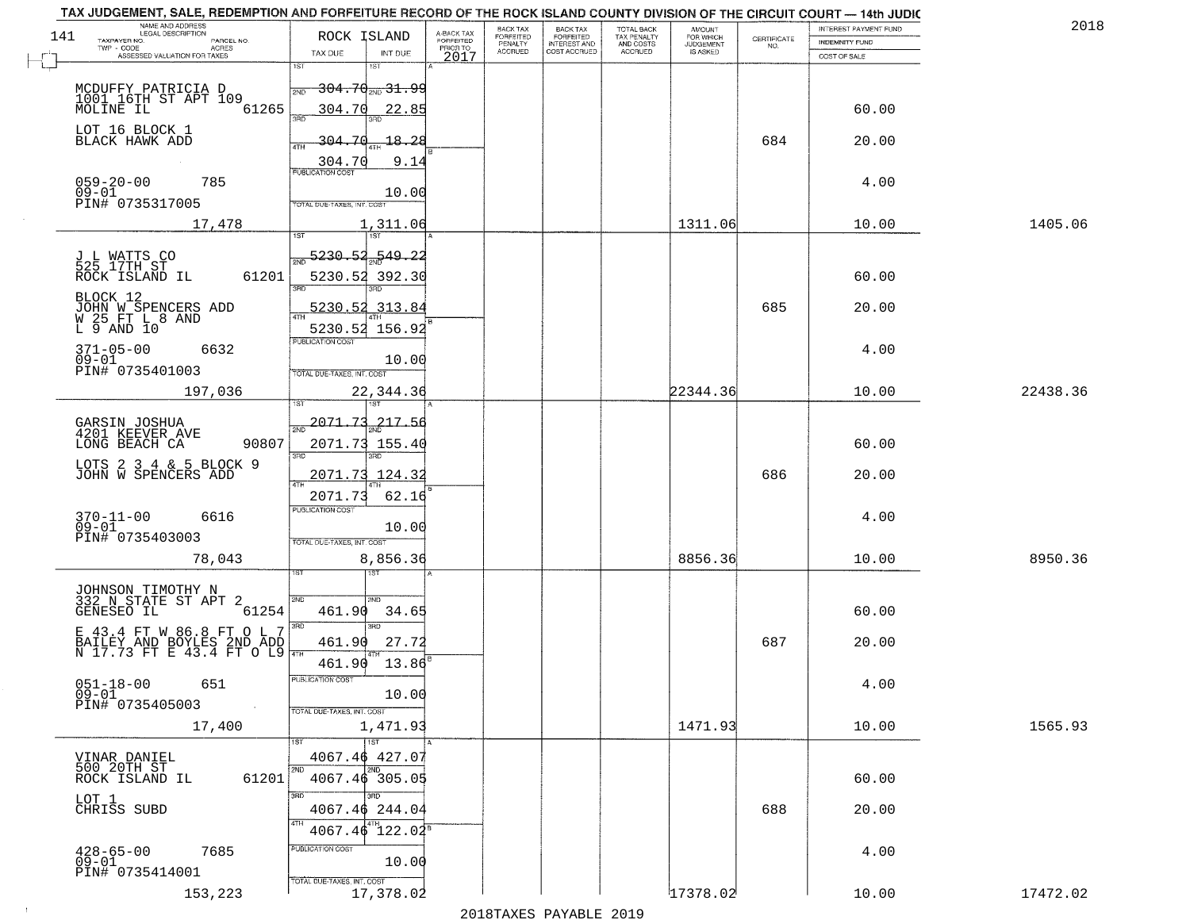| NAME AND ADDRESS<br>LEGAL DESCRIPTION<br>141            | ROCK ISLAND                           |                                     | BACK TAX<br><b>FORFEITED</b> | <b>BACK TAX</b>                           | TOTAL BACK<br>TAX PENALTY<br>AND COSTS | AMOUNT<br>FOR WHICH                 |                                                                 | INTEREST PAYMENT FUND | 2018     |
|---------------------------------------------------------|---------------------------------------|-------------------------------------|------------------------------|-------------------------------------------|----------------------------------------|-------------------------------------|-----------------------------------------------------------------|-----------------------|----------|
| TAXPAYER NO.<br>PARCEL NO.<br>ACRES                     |                                       | A-BACK TAX<br>FORFEITED<br>PRIOR TO | PENALTY<br><b>ACCRUED</b>    | FORFEITED<br>INTEREST AND<br>COST ACCRUED | ACCRUED                                | <b>JUDGEMENT</b><br><b>IS ASKED</b> | $\begin{array}{c} \text{CERTIFICATE} \\ \text{NO.} \end{array}$ | <b>INDEMNITY FUND</b> |          |
| ASSESSED VALUATION FOR TAXES                            | TAX DUE<br>1ST<br>1ST                 | INT DUE<br>2017                     |                              |                                           |                                        |                                     |                                                                 | COST OF SALE          |          |
| MCDUFFY PATRICIA D                                      | <del>304.70 2ND 31.99</del>           |                                     |                              |                                           |                                        |                                     |                                                                 |                       |          |
| 1001 16TH ST APT 109                                    | 2ND                                   |                                     |                              |                                           |                                        |                                     |                                                                 |                       |          |
| 61265<br>MOLINE IL                                      | 304.70<br>355                         | 22.85                               |                              |                                           |                                        |                                     |                                                                 | 60.00                 |          |
| LOT 16 BLOCK 1<br>BLACK HAWK ADD                        | 304.70                                | 18.28                               |                              |                                           |                                        |                                     | 684                                                             | 20.00                 |          |
|                                                         | 304.70                                | 9.14                                |                              |                                           |                                        |                                     |                                                                 |                       |          |
|                                                         | <b>PUBLICATION COST</b>               |                                     |                              |                                           |                                        |                                     |                                                                 |                       |          |
| $059 - 20 - 00$<br>785<br>$09 - 01$                     |                                       | 10.00                               |                              |                                           |                                        |                                     |                                                                 | 4.00                  |          |
| PIN# 0735317005                                         | TOTAL DUE-TAXES, INT. COST            |                                     |                              |                                           |                                        |                                     |                                                                 |                       |          |
| 17,478                                                  |                                       | 1,311.06                            |                              |                                           |                                        | 1311.06                             |                                                                 | 10.00                 | 1405.06  |
|                                                         |                                       |                                     |                              |                                           |                                        |                                     |                                                                 |                       |          |
| J L WATTS CO<br>525 17TH ST                             | $-5230.52 - 549.22$                   |                                     |                              |                                           |                                        |                                     |                                                                 |                       |          |
| 61201<br>ROCK ISLAND IL                                 | 5230.52 392.30                        |                                     |                              |                                           |                                        |                                     |                                                                 | 60.00                 |          |
| BLOCK 12                                                | 5230.52 313.84                        |                                     |                              |                                           |                                        |                                     |                                                                 |                       |          |
| JOHN W SPENCERS ADD<br>W 25 FT L 8 AND<br>L 9 AND 10    |                                       |                                     |                              |                                           |                                        |                                     | 685                                                             | 20.00                 |          |
|                                                         | 5230.52 156.92<br>PUBLICATION COST    |                                     |                              |                                           |                                        |                                     |                                                                 |                       |          |
| $371 - 05 - 00$<br>6632<br>$09 - 01$                    |                                       | 10.00                               |                              |                                           |                                        |                                     |                                                                 | 4.00                  |          |
| PIN# 0735401003                                         | TOTAL DUE-TAXES, INT. COST            |                                     |                              |                                           |                                        |                                     |                                                                 |                       |          |
| 197,036                                                 |                                       | 22,344.36                           |                              |                                           |                                        | 22344.36                            |                                                                 | 10.00                 | 22438.36 |
|                                                         | 1ST                                   |                                     |                              |                                           |                                        |                                     |                                                                 |                       |          |
| GARSIN JOSHUA<br>4201 KEEVER AVE                        | $\frac{2071.73}{ }$                   | 217.56                              |                              |                                           |                                        |                                     |                                                                 |                       |          |
| 90807<br>LONG BEACH CA                                  | 2071.73 155.40                        |                                     |                              |                                           |                                        |                                     |                                                                 | 60.00                 |          |
| LOTS 2 3 4 & 5 BLOCK 9                                  | 3RD<br>3RD                            |                                     |                              |                                           |                                        |                                     |                                                                 |                       |          |
| JOHN W SPENCERS ADD                                     | 2071.73 124.32                        |                                     |                              |                                           |                                        |                                     | 686                                                             | 20.00                 |          |
|                                                         | 2071.73                               | 62.16                               |                              |                                           |                                        |                                     |                                                                 |                       |          |
| $370 - 11 - 00$<br>6616                                 | <b>PUBLICATION COST</b>               |                                     |                              |                                           |                                        |                                     |                                                                 | 4.00                  |          |
| $09 - 01$<br>PIN# 0735403003                            | TOTAL OUE-TAXES, INT. COST            | 10.00                               |                              |                                           |                                        |                                     |                                                                 |                       |          |
| 78,043                                                  |                                       | 8,856.36                            |                              |                                           |                                        | 8856.36                             |                                                                 | 10.00                 | 8950.36  |
|                                                         | ख़ा                                   |                                     |                              |                                           |                                        |                                     |                                                                 |                       |          |
| JOHNSON TIMOTHY N                                       | 2ND<br>2ND.                           |                                     |                              |                                           |                                        |                                     |                                                                 |                       |          |
| 332 N STATE ST APT 2<br>GENESEO IL<br>61254             | 461.90                                | 34.65                               |                              |                                           |                                        |                                     |                                                                 | 60.00                 |          |
|                                                         | $\overline{3BD}$<br>3RD               |                                     |                              |                                           |                                        |                                     |                                                                 |                       |          |
|                                                         | 461.90                                | 27.72                               |                              |                                           |                                        |                                     | 687                                                             | 20.00                 |          |
|                                                         | 461.90                                | 13.86                               |                              |                                           |                                        |                                     |                                                                 |                       |          |
| $051 - 18 - 00$<br>651                                  | PUBLICATION COS'                      |                                     |                              |                                           |                                        |                                     |                                                                 | 4.00                  |          |
| $09 - 01$<br>PIN# 0735405003<br>$\sim 100$ km s $^{-1}$ |                                       | 10.00                               |                              |                                           |                                        |                                     |                                                                 |                       |          |
| 17,400                                                  | TOTAL DUE-TAXES, INT. COST            | 1,471.93                            |                              |                                           |                                        | 1471.93                             |                                                                 | 10.00                 | 1565.93  |
|                                                         | <b>TST</b>                            |                                     |                              |                                           |                                        |                                     |                                                                 |                       |          |
|                                                         | 4067.46 427.07                        |                                     |                              |                                           |                                        |                                     |                                                                 |                       |          |
| VINAR DANIEL<br>500 20TH ST<br>61201<br>ROCK ISLAND IL  | 2ND<br>$4067.46$ 305.05               |                                     |                              |                                           |                                        |                                     |                                                                 | 60.00                 |          |
|                                                         | 3RD<br>3RD                            |                                     |                              |                                           |                                        |                                     |                                                                 |                       |          |
| LOT 1<br>CHRISS SUBD                                    | 4067.46 244.04                        |                                     |                              |                                           |                                        |                                     | 688                                                             | 20.00                 |          |
|                                                         | 14TH<br>$4067.46$ 122.02 <sup>8</sup> |                                     |                              |                                           |                                        |                                     |                                                                 |                       |          |
| $428 - 65 - 00$<br>7685                                 | PUBLICATION COST                      |                                     |                              |                                           |                                        |                                     |                                                                 | 4.00                  |          |
| $09 - 01$                                               |                                       | 10.00                               |                              |                                           |                                        |                                     |                                                                 |                       |          |
| PIN# 0735414001                                         | TOTAL DUE-TAXES, INT. COST            |                                     |                              |                                           |                                        |                                     |                                                                 |                       |          |
| 153,223                                                 |                                       | 17,378.02                           |                              |                                           |                                        | 17378.02                            |                                                                 | 10.00                 | 17472.02 |

 $\sim$  1  $^{\circ}$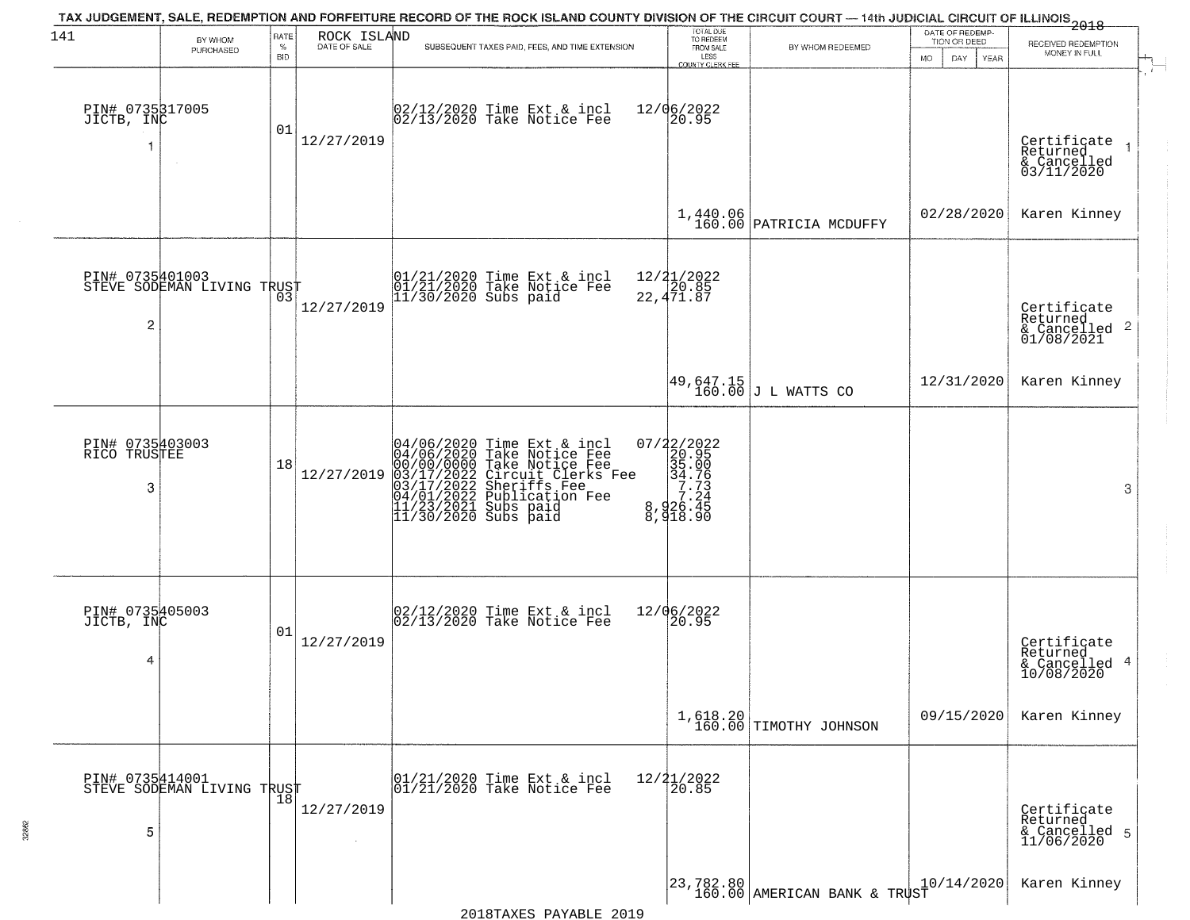| 141                                  | BY WHOM<br>PURCHASED       | RATE<br>$\%$     | ROCK ISLAND<br>DATE OF SALE | TAX JUDGEMENT, SALE, REDEMPTION AND FORFEITURE RECORD OF THE ROCK ISLAND COUNTY DIVISION OF THE CIRCUIT COURT — 14th JUDICIAL CIRCUIT OF ILLINOIS 2018<br>SUBSEQUENT TAXES PAID, FEES, AND TIME EXTENSION                             | TOTAL DUE<br>TO REDEEM<br>FROM SALE                                                                | BY WHOM REDEEMED                                                                | DATE OF REDEMP-<br>TION OR DEED | RECEIVED REDEMPTION<br>MONEY IN FULL                                   |
|--------------------------------------|----------------------------|------------------|-----------------------------|---------------------------------------------------------------------------------------------------------------------------------------------------------------------------------------------------------------------------------------|----------------------------------------------------------------------------------------------------|---------------------------------------------------------------------------------|---------------------------------|------------------------------------------------------------------------|
| PIN# 0735317005<br>JICTB, INC        | $\sim$                     | <b>BID</b><br>01 | 12/27/2019                  | 02/12/2020 Time Ext & incl<br>02/13/2020 Take Notice Fee                                                                                                                                                                              | LESS<br>COUNTY CLERK FER<br>12/06/2022<br>20.95                                                    |                                                                                 | MO.<br>DAY<br><b>YEAR</b>       | Certificate<br>Returned<br>& Cancelled<br>03/11/2020                   |
|                                      |                            |                  |                             |                                                                                                                                                                                                                                       |                                                                                                    | 1,440.06<br>160.00 PATRICIA MCDUFFY                                             | 02/28/2020                      | Karen Kinney                                                           |
| PIN# 0735401003<br>2                 | STEVE SODEMAN LIVING TRUST |                  | 12/27/2019                  | 01/21/2020 Time Ext & incl<br>01/21/2020 Take Notice Fee<br>11/30/2020 Subs paid                                                                                                                                                      | 12/21/2022<br>20.85<br>22,471.87                                                                   |                                                                                 |                                 | Certificate<br>Returned<br>$\overline{c}$<br>& Cancelled<br>01/08/2021 |
|                                      |                            |                  |                             |                                                                                                                                                                                                                                       |                                                                                                    | $\begin{vmatrix} 49,647.15 \\ 160.00 \end{vmatrix}$ J L WATTS CO                | 12/31/2020                      | Karen Kinney                                                           |
| PIN# 0735403003<br>RICO TRUSTEE<br>3 |                            | 18               | 12/27/2019                  | 04/06/2020 Time Ext & incl<br>04/06/2020 Take Notice Fee<br>00/00/00/000 Take Notice Fee<br>03/17/2022 Circuit Clerks Fee<br>03/17/2022 Sublication Fee<br>04/01/2022 Publication Fee<br>11/23/2021 Subs paid<br>11/30/2020 Subs paid | $\begin{smallmatrix} 07/22/2022\\20.95\\35.00\\34.76\\ 7.24\\8,926.45\\8,918.90 \end{smallmatrix}$ |                                                                                 |                                 | 3                                                                      |
| PIN# 0735405003<br>JICTB, INC<br>4   |                            | 01               | 12/27/2019                  | 02/12/2020 Time Ext & incl<br>02/13/2020 Take Notice Fee                                                                                                                                                                              | 12/06/2022<br>120.95                                                                               |                                                                                 |                                 | Certificate<br>Returned<br>4<br>& Cancelled<br>10/08/2020              |
|                                      |                            |                  |                             |                                                                                                                                                                                                                                       |                                                                                                    | $1,618.20$ TIMOTHY JOHNSON                                                      | 09/15/2020                      | Karen Kinney                                                           |
| PIN# 0735414001<br>5                 | STEVE SODEMAN LIVING TRUST | 18               | 12/27/2019                  | 01/21/2020 Time Ext & incl<br>01/21/2020 Take Notice Fee                                                                                                                                                                              | $12/21/2022$<br>20.85                                                                              |                                                                                 |                                 | Certificate<br>Returned<br>& Cancelled 5<br>11/06/2020                 |
|                                      |                            |                  |                             |                                                                                                                                                                                                                                       |                                                                                                    | $\begin{vmatrix} 23 & 782 & 80 \\ 160 & 00 \end{vmatrix}$ AMERICAN BANK & TRUST |                                 | Karen Kinney                                                           |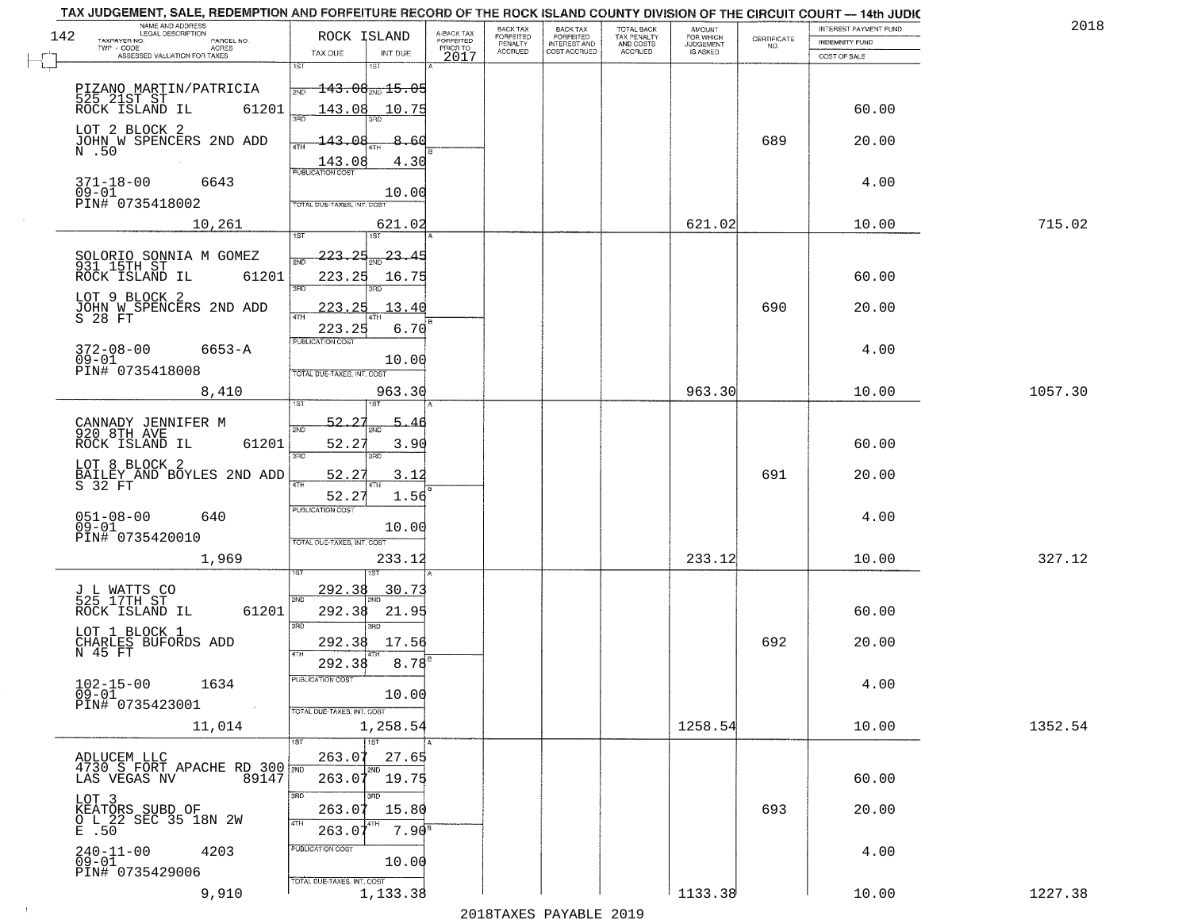| NAME AND ADDRESS<br>LEGAL DESCRIPTION<br>142                          | ROCK ISLAND                            | A-BACK TAX<br>FORFEITED | <b>BACK TAX</b><br><b>FORFEITED</b> | <b>BACK TAX</b>                           | TOTAL BACK<br>TAX PENALTY<br>AND COSTS<br>ACCRUED | <b>AMOUNT</b>                      |                    | INTEREST PAYMENT FUND | 2018    |
|-----------------------------------------------------------------------|----------------------------------------|-------------------------|-------------------------------------|-------------------------------------------|---------------------------------------------------|------------------------------------|--------------------|-----------------------|---------|
| TAXPAYER NO.<br>PARCEL NO.<br>TWP - CODE<br><b>ACRES</b>              |                                        | PRIOR TO                | PENALTY                             | FORFEITED<br>INTEREST AND<br>COST ACCRUED |                                                   | FOR WHICH<br>JUDGEMENT<br>IS ASKED | CERTIFICATE<br>NO. | <b>INDEMNITY FUND</b> |         |
| ASSESSED VALUATION FOR TAXES                                          | TAX DUE<br>INT DUE                     | 2017                    | ACCRUED                             |                                           |                                                   |                                    |                    | COST OF SALE          |         |
|                                                                       | 151                                    |                         |                                     |                                           |                                                   |                                    |                    |                       |         |
| PIZANO MARTIN/PATRICIA                                                | $143.08_{\rm 200}$ 15.05<br>2ND        |                         |                                     |                                           |                                                   |                                    |                    |                       |         |
| 525 21ST ST<br>ROCK ISLAND IL<br>61201                                | 143.08<br>10.75                        |                         |                                     |                                           |                                                   |                                    |                    | 60.00                 |         |
| LOT 2 BLOCK 2                                                         |                                        |                         |                                     |                                           |                                                   |                                    |                    |                       |         |
| JOHN W SPENCERS 2ND ADD                                               | 143.08<br>8.60                         |                         |                                     |                                           |                                                   |                                    | 689                | 20.00                 |         |
| N .50                                                                 | 4.30<br>143.08                         |                         |                                     |                                           |                                                   |                                    |                    |                       |         |
|                                                                       | <b>PUBLICATION COST</b>                |                         |                                     |                                           |                                                   |                                    |                    |                       |         |
| $371 - 18 - 00$<br>6643<br>$09 - 01$                                  | 10.00                                  |                         |                                     |                                           |                                                   |                                    |                    | 4.00                  |         |
| PIN# 0735418002                                                       | TOTAL DUE-TAXES, INT. COST             |                         |                                     |                                           |                                                   |                                    |                    |                       |         |
| 10,261                                                                | 621.02                                 |                         |                                     |                                           |                                                   | 621.02                             |                    | 10.00                 | 715.02  |
|                                                                       | 1ST<br>1ST                             |                         |                                     |                                           |                                                   |                                    |                    |                       |         |
| SOLORIO SONNIA M GOMEZ<br>931 15TH ST                                 | 223.25<br>$\frac{23.45}{200}$          |                         |                                     |                                           |                                                   |                                    |                    |                       |         |
| ROCK ISLAND IL<br>61201                                               | 223.25<br>16.75                        |                         |                                     |                                           |                                                   |                                    |                    | 60.00                 |         |
| LOT 9 BLOCK 2                                                         | 3RD<br>3PD                             |                         |                                     |                                           |                                                   |                                    |                    |                       |         |
| JOHN W SPENCERS 2ND ADD                                               | 223.25<br>13.40                        |                         |                                     |                                           |                                                   |                                    | 690                | 20.00                 |         |
| S 28 FT                                                               | 6.70<br>223.25                         |                         |                                     |                                           |                                                   |                                    |                    |                       |         |
| $372 - 08 - 00$<br>$6653 - A$                                         | PUBLICATION COST                       |                         |                                     |                                           |                                                   |                                    |                    | 4.00                  |         |
| $09-01$                                                               | 10.00                                  |                         |                                     |                                           |                                                   |                                    |                    |                       |         |
| PIN# 0735418008                                                       | TOTAL DUE-TAXES, INT. COST             |                         |                                     |                                           |                                                   |                                    |                    |                       |         |
| 8,410                                                                 | 963.30                                 |                         |                                     |                                           |                                                   | 963.30                             |                    | 10.00                 | 1057.30 |
|                                                                       | <b>IST</b>                             |                         |                                     |                                           |                                                   |                                    |                    |                       |         |
| CANNADY JENNIFER M<br>920 8TH AVE<br>ROCK ISLAND IL                   | 52.27<br>2ND                           |                         |                                     |                                           |                                                   |                                    |                    |                       |         |
| 61201                                                                 | 52.27<br>3.90                          |                         |                                     |                                           |                                                   |                                    |                    | 60.00                 |         |
| LOT 8 BLOCK 2                                                         | 3 <sub>BD</sub><br>3RD                 |                         |                                     |                                           |                                                   |                                    |                    |                       |         |
| BAILEY AND BOYLES 2ND ADD<br>S 32 FT                                  | 52.27<br>3.12<br>4TH                   |                         |                                     |                                           |                                                   |                                    | 691                | 20.00                 |         |
|                                                                       | 52.27<br>1.56                          |                         |                                     |                                           |                                                   |                                    |                    |                       |         |
| 051-08-00<br>09-01<br>640                                             | <b>PUBLICATION COST</b>                |                         |                                     |                                           |                                                   |                                    |                    | 4.00                  |         |
| PIN# 0735420010                                                       | 10.00                                  |                         |                                     |                                           |                                                   |                                    |                    |                       |         |
|                                                                       | TOTAL OUE-TAXES, INT. COST             |                         |                                     |                                           |                                                   |                                    |                    |                       |         |
| 1,969                                                                 | 233.12                                 |                         |                                     |                                           |                                                   | 233.12                             |                    | 10.00                 | 327.12  |
|                                                                       | 292.38                                 |                         |                                     |                                           |                                                   |                                    |                    |                       |         |
| J L WATTS CO<br>525 17TH ST                                           | 30.73<br>2ND                           |                         |                                     |                                           |                                                   |                                    |                    |                       |         |
| 61201<br>ROCK ISLAND IL                                               | 292.38<br>21.95                        |                         |                                     |                                           |                                                   |                                    |                    | 60.00                 |         |
| LOT 1 BLOCK 1                                                         | 3RD<br>3RD                             |                         |                                     |                                           |                                                   |                                    |                    |                       |         |
| CHARLES BUFORDS ADD<br>N 45 FT                                        | 292.38<br>17.56                        |                         |                                     |                                           |                                                   |                                    | 692                | 20.00                 |         |
|                                                                       | 292.38<br>8.78                         |                         |                                     |                                           |                                                   |                                    |                    |                       |         |
| $102 - 15 - 00$<br>09-01<br>1634                                      | PUBLICATION COST                       |                         |                                     |                                           |                                                   |                                    |                    | 4.00                  |         |
| PIN# 0735423001<br>$\sim 100$                                         | 10.00                                  |                         |                                     |                                           |                                                   |                                    |                    |                       |         |
| 11,014                                                                | TOTAL DUE-TAXES, INT. COST<br>1,258.54 |                         |                                     |                                           |                                                   | 1258.54                            |                    | 10.00                 | 1352.54 |
|                                                                       | <b>TST</b>                             |                         |                                     |                                           |                                                   |                                    |                    |                       |         |
|                                                                       | 263.07<br>27.65                        |                         |                                     |                                           |                                                   |                                    |                    |                       |         |
| ADLUCEM LLC<br>4730 S FORT APACHE RD 300 2ND<br>89147<br>LAS VEGAS NV | 2ND<br>263.07<br>19.75                 |                         |                                     |                                           |                                                   |                                    |                    | 60.00                 |         |
|                                                                       | 3RD                                    |                         |                                     |                                           |                                                   |                                    |                    |                       |         |
| LOT 3                                                                 | 3RD<br>263.07<br>15.80                 |                         |                                     |                                           |                                                   |                                    | 693                | 20.00                 |         |
| KEATORS SUBD OF<br>O L_22 SEC 35 18N 2W                               | 4TH                                    |                         |                                     |                                           |                                                   |                                    |                    |                       |         |
| $E$ .50                                                               | 263.0                                  | 7.90 <sup>s</sup>       |                                     |                                           |                                                   |                                    |                    |                       |         |
| $240 - 11 - 00$<br>09-01<br>4203                                      | PUBLICATION COST<br>10.00              |                         |                                     |                                           |                                                   |                                    |                    | 4.00                  |         |
| PIN# 0735429006                                                       | TOTAL DUE-TAXES, INT. COST             |                         |                                     |                                           |                                                   |                                    |                    |                       |         |
| 9,910                                                                 | 1,133.38                               |                         |                                     |                                           |                                                   | 1133.38                            |                    | 10.00                 | 1227.38 |
|                                                                       |                                        |                         |                                     |                                           |                                                   |                                    |                    |                       |         |

 $\sim 10$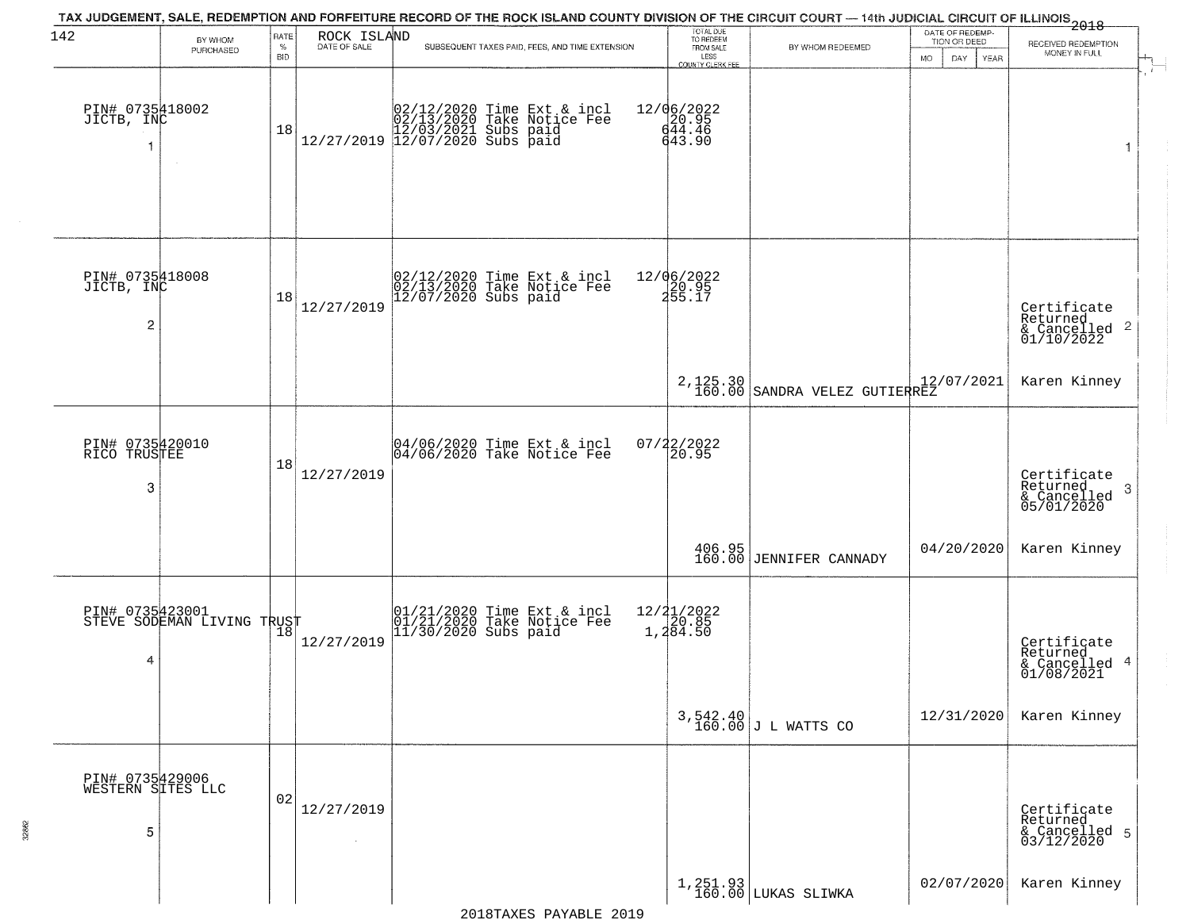| 142                                       | BY WHOM                                       | RATE               |                              | TAX JUDGEMENT, SALE, REDEMPTION AND FORFEITURE RECORD OF THE ROCK ISLAND COUNTY DIVISION OF THE CIRCUIT COURT — 14th JUDICIAL CIRCUIT OF ILLINOIS 2018 | TOTAL DUE<br>TO REDEEM                  |                                        | DATE OF REDEMP-                           |                                                           |
|-------------------------------------------|-----------------------------------------------|--------------------|------------------------------|--------------------------------------------------------------------------------------------------------------------------------------------------------|-----------------------------------------|----------------------------------------|-------------------------------------------|-----------------------------------------------------------|
|                                           | PURCHASED                                     | $\%$<br><b>BID</b> | ROCK ISLAND<br>DATE OF SALE  | SUBSEQUENT TAXES PAID, FEES, AND TIME EXTENSION                                                                                                        | FROM SALE<br>LESS<br>COUNTY CLERK FEE   | BY WHOM REDEEMED                       | TION OR DEED<br><b>DAY</b><br>MO.<br>YEAR | RECEIVED REDEMPTION<br>MONEY IN FULL                      |
| PIN# 0735418002<br>JICTB, INC             | $\sim$                                        | 18                 |                              | $[02/12/2020 \t\t Time Ext & incl \\ 02/13/2020 \t\t Take Notice Free \\ 12/27/2019 \t\t 12/03/2021 \tSubs paid \\ 12/07/2020 \tSubs paid$             | 12/06/2022<br>20.95<br>644.46<br>643.90 |                                        |                                           | $\mathbf{1}$                                              |
| PIN# 0735418008<br>JICTB, INC<br>2        |                                               | 18                 | 12/27/2019                   | 02/12/2020 Time Ext & incl<br>02/13/2020 Take Notice Fee<br>12/07/2020 Subs paid                                                                       | 12/06/2022<br>20.95<br>255.17           |                                        |                                           | Certificate<br>Returned                                   |
|                                           |                                               |                    |                              |                                                                                                                                                        |                                         | 2,125.30 160.00 SANDRA VELEZ GUTIERREZ |                                           | Karen Kinney                                              |
| PIN# 0735420010<br>RICO TRUSTEE<br>3      |                                               | 18                 | 12/27/2019                   | 04/06/2020 Time Ext & incl<br>04/06/2020 Take Notice Fee                                                                                               | 07/22/2022<br>20.95                     |                                        |                                           | Certificate<br>Returned<br>3<br>& Cancelled<br>05/01/2020 |
|                                           |                                               |                    |                              |                                                                                                                                                        |                                         | 406.95<br>160.00 JENNIFER CANNADY      | 04/20/2020                                | Karen Kinney                                              |
| 4                                         | PIN# 0735423001<br>STEVE SODEMAN LIVING TRUST |                    | 12/27/2019                   | 01/21/2020 Time Ext & incl<br>01/21/2020 Take Notice Fee<br>11/30/2020 Subs paid                                                                       | 12/21/2022<br>1,20.85<br>1,284.50       |                                        |                                           | Certificate<br>Returned<br>& Cancelled 4<br>01/08/2021    |
|                                           |                                               |                    |                              |                                                                                                                                                        |                                         | $3,542.40$ J L WATTS CO                | 12/31/2020                                | Karen Kinney                                              |
| PIN# 0735429006<br>WESTERN SITES LLC<br>5 |                                               | 02                 | 12/27/2019<br>$\sim 10^{-1}$ |                                                                                                                                                        |                                         |                                        |                                           | Certificate<br>Returned<br>& Cancelled 5<br>03/12/2020    |
|                                           |                                               |                    |                              |                                                                                                                                                        |                                         | 1,251.93<br>160.00 LUKAS SLIWKA        | 02/07/2020                                | Karen Kinney                                              |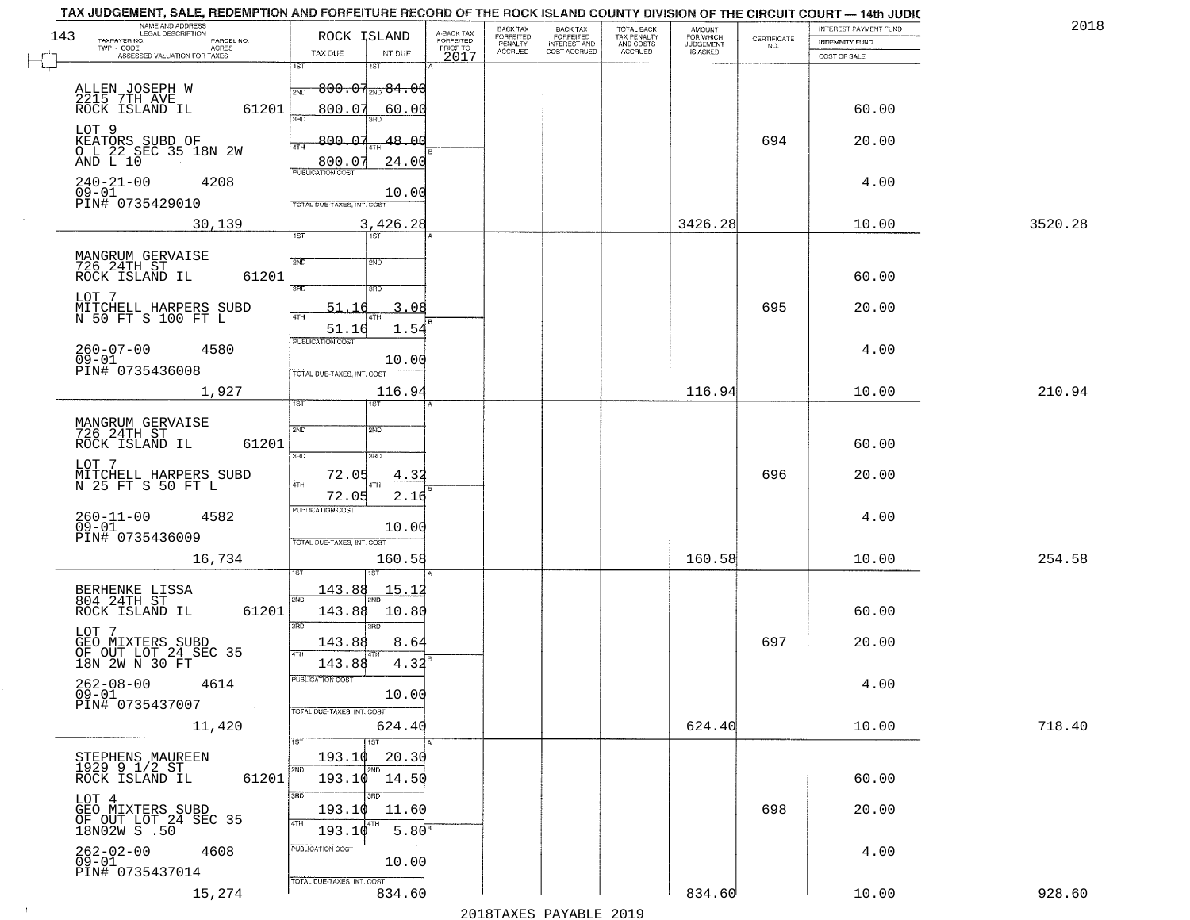| TAX JUDGEMENT, SALE, REDEMPTION AND FORFEITURE RECORD OF THE ROCK ISLAND COUNTY DIVISION OF THE CIRCUIT COURT - 14th JUDIC<br>NAME AND ADDRESS<br>LEGAL DESCRIPTION |                                                       |                               |                                     | BACK TAX             | <b>BACK TAX</b>           | TOTAL BACK               |                                  |                    | INTEREST PAYMENT FUND | 2018    |
|---------------------------------------------------------------------------------------------------------------------------------------------------------------------|-------------------------------------------------------|-------------------------------|-------------------------------------|----------------------|---------------------------|--------------------------|----------------------------------|--------------------|-----------------------|---------|
| 143<br>TAXPAYER NO.<br>PARCEL NO.<br>$TWP - CODE$<br>ACRES                                                                                                          | ROCK ISLAND                                           |                               | A-BACK TAX<br>FORFEITED<br>PRIOR TO | FORFEITED<br>PENALTY | FORFEITED<br>INTEREST AND | TAX PENALTY<br>AND COSTS | AMOUNT<br>FOR WHICH<br>JUDGEMENT | CERTIFICATE<br>NO. | <b>INDEMNITY FUND</b> |         |
| ASSESSED VALUATION FOR TAXES                                                                                                                                        | TAX DUE                                               | INT DUE                       | 2017                                | <b>ACCRUED</b>       | COST ACCRUED              | <b>ACCRUED</b>           | IS ASKED                         |                    | COST OF SALE          |         |
| ALLEN JOSEPH W<br>2215 7TH AVE<br>ROCK ISLAND IL                                                                                                                    | 1ST<br>2ND                                            | 1ST<br>$800.07_{200}84.00$    |                                     |                      |                           |                          |                                  |                    |                       |         |
| 61201<br>LOT 9                                                                                                                                                      | 800.07<br>350                                         | 60.00                         |                                     |                      |                           |                          |                                  |                    | 60.00                 |         |
| KEATORS SUBD OF<br>O L 22 SEC 35 18N 2W<br>AND L 10                                                                                                                 | 800.07<br>4TH<br>800.07<br><b>PUBLICATION COST</b>    | 48.00<br>24.00                |                                     |                      |                           |                          |                                  | 694                | 20.00                 |         |
| $240 - 21 - 00$<br>4208<br>$09 - 01$<br>PIN# 0735429010                                                                                                             | TOTAL DUE-TAXES, INT. COST                            | 10.00                         |                                     |                      |                           |                          |                                  |                    | 4.00                  |         |
| 30,139                                                                                                                                                              | 1ST                                                   | 3,426.28<br>1ST               |                                     |                      |                           |                          | 3426.28                          |                    | 10.00                 | 3520.28 |
| MANGRUM GERVAISE<br>726 24TH ST<br>61201<br>ROCK ISLAND IL                                                                                                          | 2ND<br>$\overline{3BD}$                               | 2ND<br>3RD                    |                                     |                      |                           |                          |                                  |                    | 60.00                 |         |
| LOT 7<br>MITCHELL HARPERS SUBD<br>N 50 FT S 100 FT L                                                                                                                | 51.16<br>51.16                                        | 3.08<br>1.54                  |                                     |                      |                           |                          |                                  | 695                | 20.00                 |         |
| $260 - 07 - 00$<br>4580<br>$09 - 01$<br>PIN# 0735436008                                                                                                             | PUBLICATION COST<br>TOTAL DUE-TAXES, INT. COST        | 10.00                         |                                     |                      |                           |                          |                                  |                    | 4.00                  |         |
| 1,927                                                                                                                                                               | TST"                                                  | 116.94<br>1ST                 |                                     |                      |                           |                          | 116.94                           |                    | 10.00                 | 210.94  |
| MANGRUM GERVAISE<br>726 24TH ST<br>ROCK ISLAND IL<br>61201                                                                                                          | 2ND<br>3 <sub>BD</sub>                                | 2ND<br>3BD                    |                                     |                      |                           |                          |                                  |                    | 60.00                 |         |
| LOT 7<br>MITCHELL HARPERS SUBD<br>N 25 FT S 50 FT L                                                                                                                 | 72.05<br>4TH<br>72.05                                 | 4.3<br>2.16                   |                                     |                      |                           |                          |                                  | 696                | 20.00                 |         |
| $260 - 11 - 00$<br>09-01<br>4582<br>PIN# 0735436009                                                                                                                 | <b>PUBLICATION COST</b><br>TOTAL OUE-TAXES, INT. COST | 10.00                         |                                     |                      |                           |                          |                                  |                    | 4.00                  |         |
| 16,734                                                                                                                                                              |                                                       | 160.58<br>1ST                 |                                     |                      |                           |                          | 160.58                           |                    | 10.00                 | 254.58  |
| BERHENKE LISSA<br>804 24TH ST<br>ROCK ISLAND IL<br>61201                                                                                                            | 143.88<br>2ND<br>143.88<br>3RD                        | <u> 15.1;</u><br>10.80<br>3RD |                                     |                      |                           |                          |                                  |                    | 60.00                 |         |
| LOT 7<br>GEO MIXTERS SUBD<br>OF OUT LOT 24 SEC 35<br>18N 2W N 30 FT                                                                                                 | 143.88<br>4TH<br>143.88                               | 8.64<br>4.32                  |                                     |                      |                           |                          |                                  | 697                | 20.00                 |         |
| $262 - 08 - 00$<br>4614<br>$09 - 01$<br>PIN# 0735437007<br>$\sim 100$ km $^{-1}$                                                                                    | PUBLICATION COS<br>TOTAL DUE-TAXES, INT. COST         | 10.00                         |                                     |                      |                           |                          |                                  |                    | 4.00                  |         |
| 11,420                                                                                                                                                              |                                                       | 624.40<br>1ST                 |                                     |                      |                           |                          | 624.40                           |                    | 10.00                 | 718.40  |
| STEPHENS MAUREEN<br>1929 9 1/2 ST<br>61201<br>ROCK ISLAND IL                                                                                                        | 193.10<br>2ND                                         | 20.30<br>2ND<br>193.10 14.50  |                                     |                      |                           |                          |                                  |                    | 60.00                 |         |
| LOT 4<br>GEO MIXTERS SUBD<br>OF OUT LOT 24 SEC 35<br>18N02W S .50                                                                                                   | 3RD<br>193.10<br>4TH<br>193.10                        | 11.60<br>5.80 <sup>s</sup>    |                                     |                      |                           |                          |                                  | 698                | 20.00                 |         |
| $262 - 02 - 00$<br>4608<br>09-01<br>PIN# 0735437014                                                                                                                 | PUBLICATION COST<br>TOTAL DUE-TAXES, INT. COST        | 10.00                         |                                     |                      |                           |                          |                                  |                    | 4.00                  |         |
| 15,274                                                                                                                                                              |                                                       | 834.60                        |                                     |                      |                           |                          | 834.60                           |                    | 10.00                 | 928.60  |

 $\sim 10$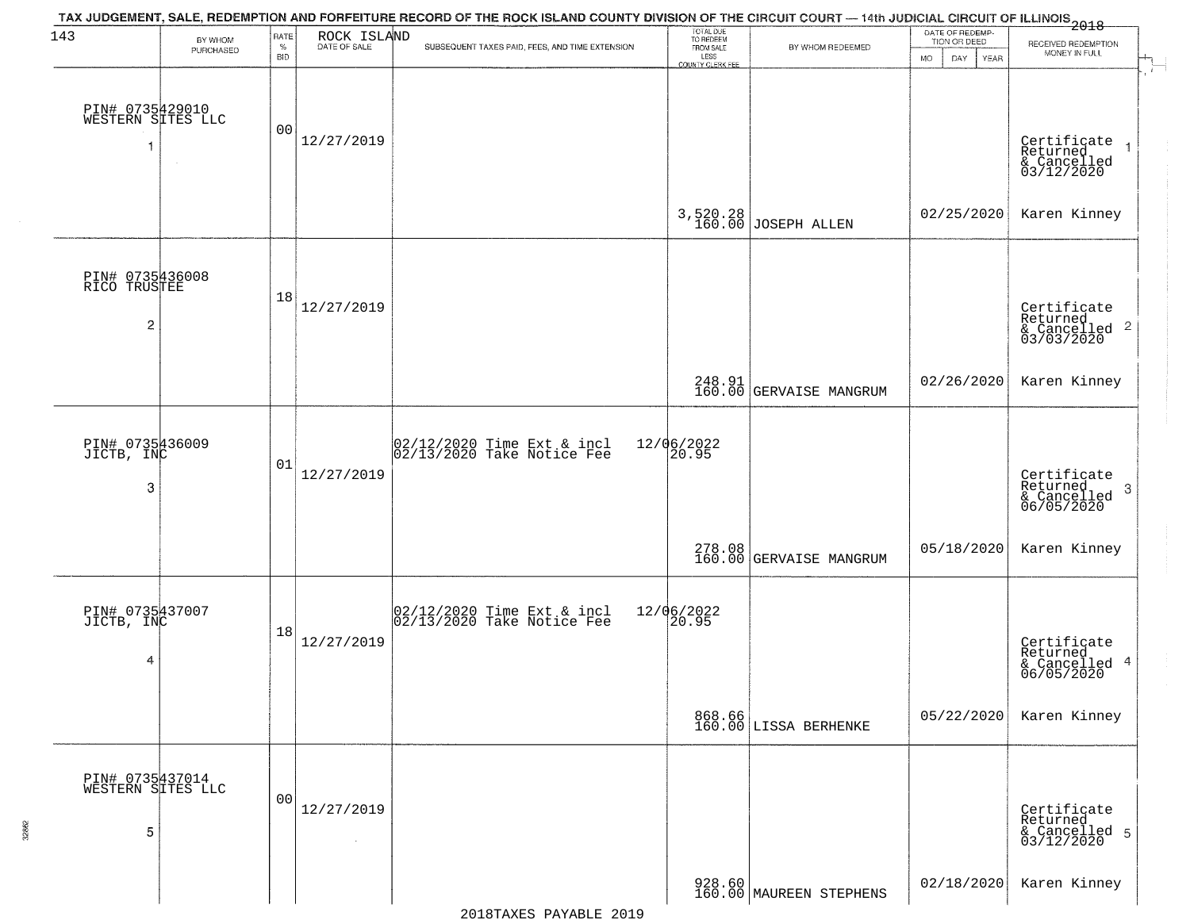| 143                                               | BY WHOM   | RATE<br>$\%$ | ROCK ISLAND<br>DATE OF SALE | TAX JUDGEMENT, SALE, REDEMPTION AND FORFEITURE RECORD OF THE ROCK ISLAND COUNTY DIVISION OF THE CIRCUIT COURT — 14th JUDICIAL CIRCUIT OF ILLINOIS 2018<br>SUBSEQUENT TAXES PAID, FEES, AND TIME EXTENSION | TOTAL DUE<br>TO REDEEM<br>FROM SALE | BY WHOM REDEEMED                  | DATE OF REDEMP-<br>TION OR DEED | RECEIVED REDEMPTION                                                |
|---------------------------------------------------|-----------|--------------|-----------------------------|-----------------------------------------------------------------------------------------------------------------------------------------------------------------------------------------------------------|-------------------------------------|-----------------------------------|---------------------------------|--------------------------------------------------------------------|
|                                                   | PURCHASED | <b>BID</b>   |                             |                                                                                                                                                                                                           | LESS<br>LESS<br>COUNTY CLERK FEE    |                                   | <b>MO</b><br>DAY<br>YEAR        | MONEY IN FULL                                                      |
| PIN# 0735429010<br>WESTERN SITES LLC              |           | 00           | 12/27/2019                  |                                                                                                                                                                                                           |                                     |                                   |                                 | Certificate<br>Returned<br>& Cancelled<br>03/12/2020               |
|                                                   |           |              |                             |                                                                                                                                                                                                           |                                     | 3,520.28<br>160.00 JOSEPH ALLEN   | 02/25/2020                      | Karen Kinney                                                       |
| PIN# 0735436008<br>RICO TRUSTEE<br>$\overline{2}$ |           | 18           | 12/27/2019                  |                                                                                                                                                                                                           |                                     |                                   |                                 | Certificate<br>Returned<br>$\frac{1}{2}$ Cancelled 2<br>03/03/2020 |
|                                                   |           |              |                             |                                                                                                                                                                                                           |                                     | 248.91<br>160.00 GERVAISE MANGRUM | 02/26/2020                      | Karen Kinney                                                       |
| PIN# 0735436009<br>JICTB, INC<br>3                |           | 01           | 12/27/2019                  | 02/12/2020 Time Ext & incl<br>02/13/2020 Take Notice Fee                                                                                                                                                  | 12/06/2022<br>20.95                 |                                   |                                 | Certificate<br>Returned<br>3<br>& Cancelled<br>06/05/2020          |
|                                                   |           |              |                             |                                                                                                                                                                                                           |                                     | 278.08<br>160.00 GERVAISE MANGRUM | 05/18/2020                      | Karen Kinney                                                       |
| PIN# 0735437007<br>JICTB, INC<br>4                |           | 18           | 12/27/2019                  | 02/12/2020 Time Ext & incl<br>02/13/2020 Take Notice Fee                                                                                                                                                  | 12/06/2022<br>20.95                 |                                   |                                 | Certificate<br>Returned<br>& Cancelled 4<br>06/05/2020             |
|                                                   |           |              |                             |                                                                                                                                                                                                           |                                     | 868.66<br>160.00 LISSA BERHENKE   | 05/22/2020                      | Karen Kinney                                                       |
| PIN# 0735437014<br>WESTERN SITES LLC<br>5         |           | 00           | 12/27/2019<br>$\sim$        |                                                                                                                                                                                                           |                                     |                                   |                                 | Certificate<br>Returned<br>& Cancelled 5<br>03/12/2020             |
|                                                   |           |              |                             |                                                                                                                                                                                                           |                                     | 928.60<br>160.00 MAUREEN STEPHENS | 02/18/2020                      | Karen Kinney                                                       |

32862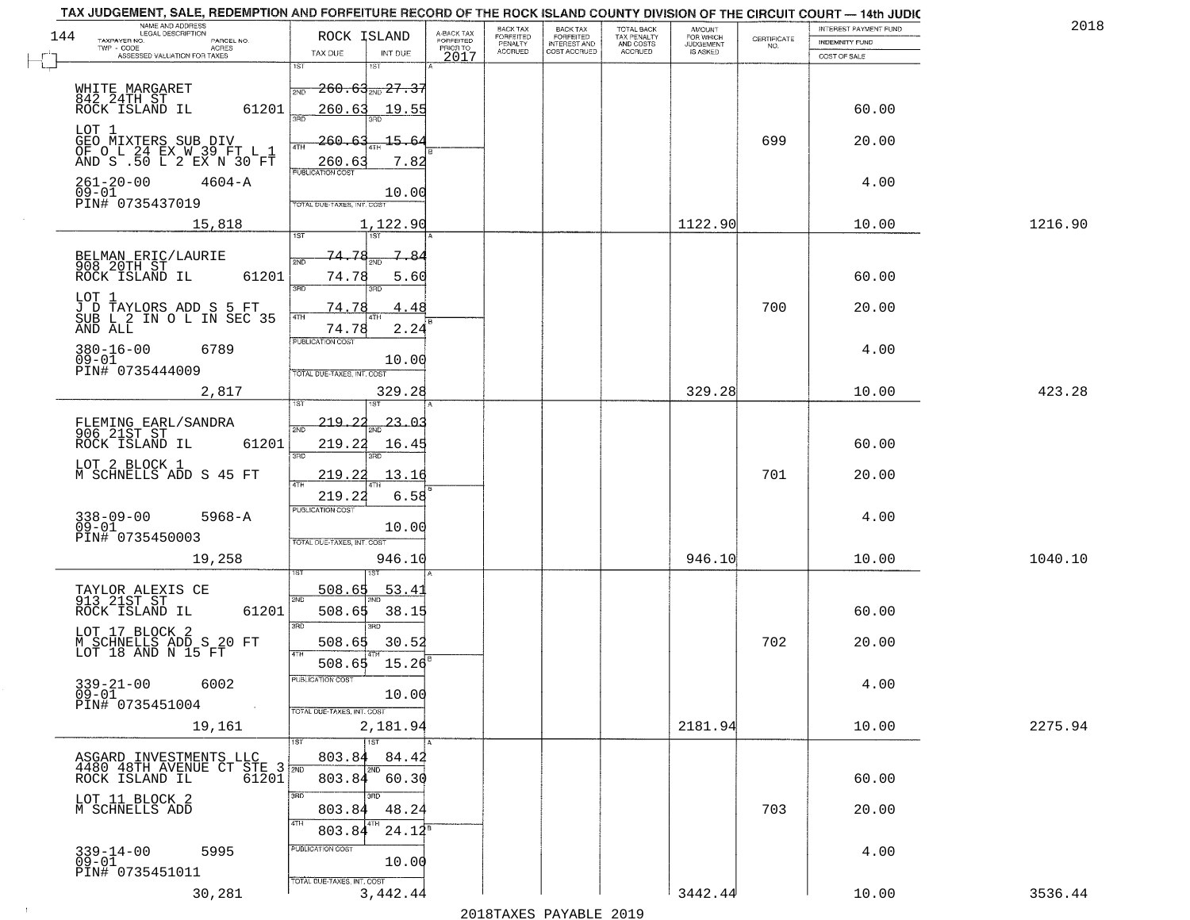| BACK TAX<br>FORFEITED<br>INTEREST AND<br>TOTAL BACK<br>TAX PENALTY<br>AND COSTS<br>AMOUNT<br>FOR WHICH<br>JUDGEMENT<br>A-BACK TAX<br>FORFEITED<br>PRIOR TO<br>144<br>ROCK ISLAND<br>FORFEITED<br>PENALTY<br>$\begin{array}{c} \text{CERTIFICATE} \\ \text{NO.} \end{array}$<br>TAXPAYER NO.<br>PARCEL NO.<br><b>INDEMNITY FUND</b><br>ACRES<br>$TWP - CODE$<br><b>ACCRUED</b><br>COST ACCRUED<br>ACCRUED<br>IS ASKED<br>TAX DUE<br>INT DUE<br>ASSESSED VALUATION FOR TAXES<br>2017<br>COST OF SALE<br>1ST<br>1ST<br><del>260.63<sub>2ND</sub>27.37</del><br>WHITE MARGARET<br>2ND<br>842 24TH ST<br>ROCK ISLAND IL<br>61201<br>260.63<br>60.00<br>19.55<br>350<br>LOT 1<br>GEO MIXTERS SUB DIV<br>QF O L 24 EX W 32 F 10 L L<br>699<br>20.00<br>260.<br>15.<br>64<br>4TH<br>AND S .50 L 2 EX N 30 FT<br>260.63<br>7.82<br><b>PUBLICATION COST</b><br>$261 - 20 - 00$<br>$4604 - A$<br>4.00<br>$09 - 01$<br>10.00<br>PIN# 0735437019<br>TOTAL DUE-TAXES, INT. COST<br>1122.90<br>15,818<br>1,122.90<br>10.00<br>1216.90<br>197<br>74.78<br>BELMAN ERIC/LAURIE<br>908 20TH ST<br>ROCK ISLAND IL<br>-84<br>2ND<br>61201<br>74.78<br>5.60<br>60.00<br>3RD<br>₹AD<br>LOT 1<br>J D TAYLORS ADD S 5 FT<br>SUB L 2 IN O L IN SEC 35<br>700<br>74.78<br>4.48<br>20.00<br>4TH<br>AND ALL<br>74.78<br>2.24<br>PUBLICATION COST<br>$380 - 16 - 00$<br>6789<br>4.00<br>$09 - 01$<br>10.00<br>PIN# 0735444009<br>TOTAL DUE-TAXES, INT. COST<br>2,817<br>329.28<br>329.28<br>10.00<br>423.28<br>$219.24_{\text{2ND}}$ 23.03<br>FLEMING EARL/SANDRA<br>906 21ST ST<br>$\overline{2ND}$<br>ROCK ISLAND IL<br>61201<br>219.22<br>60.00<br>16.45<br>3 <sub>BD</sub><br>3RD<br>LOT 2 BLOCK 1<br>M SCHNELLS ADD S 45 FT<br>219.22<br>701<br>20.00<br>13.16<br>219.22<br>6.58<br><b>PUBLICATION COST</b><br>$338 - 09 - 00$<br>$5968 - A$<br>4.00<br>$09 - 01$<br>10.00<br>PIN# 0735450003<br>TOTAL OUE-TAXES, INT. COST<br>946.10<br>19,258<br>946.10<br>10.00<br>1040.10<br>डिक<br>508.65<br>TAYLOR ALEXIS CE<br>913 21ST ST<br><u>53.41</u><br>2ND<br>ROCK ISLAND IL<br>61201<br>508.65<br>38.15<br>60.00<br>3BD<br>3RD<br>LOT 17 BLOCK 2<br>702<br>M SCHNELLS ADD S 20 FT<br>508.65<br>30.52<br>20.00<br>LOT 18 AND N 15 FT<br>15.26<br>508.65<br>PUBLICATION COST<br>$339-21-00$ 6002<br>09-01<br>4.00<br>10.00<br>PIN# 0735451004<br>TOTAL DUE-TAXES, INT. COST<br>2181.94<br>10.00<br>2275.94<br>19,161<br>2,181.94<br><b>TST</b><br>1ST<br>803.84<br>84.42<br>ASGARD INVESTMENTS LLC<br>4480 48TH AVENUE CT STE 3 2ND<br>ROCK ISLAND IL 61201<br>2ND<br>803.84<br>60.30<br>60.00<br>3RD<br>3RD<br>LOT 11 BLOCK 2<br>48.24<br>703<br>803.84<br>20.00<br>M SCHNELLS ADD<br>4TH<br>$24.12^8$<br>803.84<br>PUBLICATION COST<br>339-14-00<br>09-01<br>5995<br>4.00<br>10.00<br>PIN# 0735451011<br>TOTAL DUE-TAXES, INT. COST<br>3442.44<br>3536.44<br>30,281<br>3,442.44<br>10.00 | TAX JUDGEMENT, SALE, REDEMPTION AND FORFEITURE RECORD OF THE ROCK ISLAND COUNTY DIVISION OF THE CIRCUIT COURT — 14th JUDIC |  |          |  |  |                       | 2018 |
|----------------------------------------------------------------------------------------------------------------------------------------------------------------------------------------------------------------------------------------------------------------------------------------------------------------------------------------------------------------------------------------------------------------------------------------------------------------------------------------------------------------------------------------------------------------------------------------------------------------------------------------------------------------------------------------------------------------------------------------------------------------------------------------------------------------------------------------------------------------------------------------------------------------------------------------------------------------------------------------------------------------------------------------------------------------------------------------------------------------------------------------------------------------------------------------------------------------------------------------------------------------------------------------------------------------------------------------------------------------------------------------------------------------------------------------------------------------------------------------------------------------------------------------------------------------------------------------------------------------------------------------------------------------------------------------------------------------------------------------------------------------------------------------------------------------------------------------------------------------------------------------------------------------------------------------------------------------------------------------------------------------------------------------------------------------------------------------------------------------------------------------------------------------------------------------------------------------------------------------------------------------------------------------------------------------------------------------------------------------------------------------------------------------------------------------------------------------------------------------------------------------------------------------------------------------------------------------------------------------------------------------------------------------------------------------------------------------------------------------------------------------------------------------------------------------------------------------------------------------|----------------------------------------------------------------------------------------------------------------------------|--|----------|--|--|-----------------------|------|
|                                                                                                                                                                                                                                                                                                                                                                                                                                                                                                                                                                                                                                                                                                                                                                                                                                                                                                                                                                                                                                                                                                                                                                                                                                                                                                                                                                                                                                                                                                                                                                                                                                                                                                                                                                                                                                                                                                                                                                                                                                                                                                                                                                                                                                                                                                                                                                                                                                                                                                                                                                                                                                                                                                                                                                                                                                                                | NAME AND ADDRESS<br>LEGAL DESCRIPTION                                                                                      |  | BACK TAX |  |  | INTEREST PAYMENT FUND |      |
|                                                                                                                                                                                                                                                                                                                                                                                                                                                                                                                                                                                                                                                                                                                                                                                                                                                                                                                                                                                                                                                                                                                                                                                                                                                                                                                                                                                                                                                                                                                                                                                                                                                                                                                                                                                                                                                                                                                                                                                                                                                                                                                                                                                                                                                                                                                                                                                                                                                                                                                                                                                                                                                                                                                                                                                                                                                                |                                                                                                                            |  |          |  |  |                       |      |
|                                                                                                                                                                                                                                                                                                                                                                                                                                                                                                                                                                                                                                                                                                                                                                                                                                                                                                                                                                                                                                                                                                                                                                                                                                                                                                                                                                                                                                                                                                                                                                                                                                                                                                                                                                                                                                                                                                                                                                                                                                                                                                                                                                                                                                                                                                                                                                                                                                                                                                                                                                                                                                                                                                                                                                                                                                                                |                                                                                                                            |  |          |  |  |                       |      |
|                                                                                                                                                                                                                                                                                                                                                                                                                                                                                                                                                                                                                                                                                                                                                                                                                                                                                                                                                                                                                                                                                                                                                                                                                                                                                                                                                                                                                                                                                                                                                                                                                                                                                                                                                                                                                                                                                                                                                                                                                                                                                                                                                                                                                                                                                                                                                                                                                                                                                                                                                                                                                                                                                                                                                                                                                                                                |                                                                                                                            |  |          |  |  |                       |      |
|                                                                                                                                                                                                                                                                                                                                                                                                                                                                                                                                                                                                                                                                                                                                                                                                                                                                                                                                                                                                                                                                                                                                                                                                                                                                                                                                                                                                                                                                                                                                                                                                                                                                                                                                                                                                                                                                                                                                                                                                                                                                                                                                                                                                                                                                                                                                                                                                                                                                                                                                                                                                                                                                                                                                                                                                                                                                |                                                                                                                            |  |          |  |  |                       |      |
|                                                                                                                                                                                                                                                                                                                                                                                                                                                                                                                                                                                                                                                                                                                                                                                                                                                                                                                                                                                                                                                                                                                                                                                                                                                                                                                                                                                                                                                                                                                                                                                                                                                                                                                                                                                                                                                                                                                                                                                                                                                                                                                                                                                                                                                                                                                                                                                                                                                                                                                                                                                                                                                                                                                                                                                                                                                                |                                                                                                                            |  |          |  |  |                       |      |
|                                                                                                                                                                                                                                                                                                                                                                                                                                                                                                                                                                                                                                                                                                                                                                                                                                                                                                                                                                                                                                                                                                                                                                                                                                                                                                                                                                                                                                                                                                                                                                                                                                                                                                                                                                                                                                                                                                                                                                                                                                                                                                                                                                                                                                                                                                                                                                                                                                                                                                                                                                                                                                                                                                                                                                                                                                                                |                                                                                                                            |  |          |  |  |                       |      |
|                                                                                                                                                                                                                                                                                                                                                                                                                                                                                                                                                                                                                                                                                                                                                                                                                                                                                                                                                                                                                                                                                                                                                                                                                                                                                                                                                                                                                                                                                                                                                                                                                                                                                                                                                                                                                                                                                                                                                                                                                                                                                                                                                                                                                                                                                                                                                                                                                                                                                                                                                                                                                                                                                                                                                                                                                                                                |                                                                                                                            |  |          |  |  |                       |      |
|                                                                                                                                                                                                                                                                                                                                                                                                                                                                                                                                                                                                                                                                                                                                                                                                                                                                                                                                                                                                                                                                                                                                                                                                                                                                                                                                                                                                                                                                                                                                                                                                                                                                                                                                                                                                                                                                                                                                                                                                                                                                                                                                                                                                                                                                                                                                                                                                                                                                                                                                                                                                                                                                                                                                                                                                                                                                |                                                                                                                            |  |          |  |  |                       |      |
|                                                                                                                                                                                                                                                                                                                                                                                                                                                                                                                                                                                                                                                                                                                                                                                                                                                                                                                                                                                                                                                                                                                                                                                                                                                                                                                                                                                                                                                                                                                                                                                                                                                                                                                                                                                                                                                                                                                                                                                                                                                                                                                                                                                                                                                                                                                                                                                                                                                                                                                                                                                                                                                                                                                                                                                                                                                                |                                                                                                                            |  |          |  |  |                       |      |
|                                                                                                                                                                                                                                                                                                                                                                                                                                                                                                                                                                                                                                                                                                                                                                                                                                                                                                                                                                                                                                                                                                                                                                                                                                                                                                                                                                                                                                                                                                                                                                                                                                                                                                                                                                                                                                                                                                                                                                                                                                                                                                                                                                                                                                                                                                                                                                                                                                                                                                                                                                                                                                                                                                                                                                                                                                                                |                                                                                                                            |  |          |  |  |                       |      |
|                                                                                                                                                                                                                                                                                                                                                                                                                                                                                                                                                                                                                                                                                                                                                                                                                                                                                                                                                                                                                                                                                                                                                                                                                                                                                                                                                                                                                                                                                                                                                                                                                                                                                                                                                                                                                                                                                                                                                                                                                                                                                                                                                                                                                                                                                                                                                                                                                                                                                                                                                                                                                                                                                                                                                                                                                                                                |                                                                                                                            |  |          |  |  |                       |      |
|                                                                                                                                                                                                                                                                                                                                                                                                                                                                                                                                                                                                                                                                                                                                                                                                                                                                                                                                                                                                                                                                                                                                                                                                                                                                                                                                                                                                                                                                                                                                                                                                                                                                                                                                                                                                                                                                                                                                                                                                                                                                                                                                                                                                                                                                                                                                                                                                                                                                                                                                                                                                                                                                                                                                                                                                                                                                |                                                                                                                            |  |          |  |  |                       |      |
|                                                                                                                                                                                                                                                                                                                                                                                                                                                                                                                                                                                                                                                                                                                                                                                                                                                                                                                                                                                                                                                                                                                                                                                                                                                                                                                                                                                                                                                                                                                                                                                                                                                                                                                                                                                                                                                                                                                                                                                                                                                                                                                                                                                                                                                                                                                                                                                                                                                                                                                                                                                                                                                                                                                                                                                                                                                                |                                                                                                                            |  |          |  |  |                       |      |
|                                                                                                                                                                                                                                                                                                                                                                                                                                                                                                                                                                                                                                                                                                                                                                                                                                                                                                                                                                                                                                                                                                                                                                                                                                                                                                                                                                                                                                                                                                                                                                                                                                                                                                                                                                                                                                                                                                                                                                                                                                                                                                                                                                                                                                                                                                                                                                                                                                                                                                                                                                                                                                                                                                                                                                                                                                                                |                                                                                                                            |  |          |  |  |                       |      |
|                                                                                                                                                                                                                                                                                                                                                                                                                                                                                                                                                                                                                                                                                                                                                                                                                                                                                                                                                                                                                                                                                                                                                                                                                                                                                                                                                                                                                                                                                                                                                                                                                                                                                                                                                                                                                                                                                                                                                                                                                                                                                                                                                                                                                                                                                                                                                                                                                                                                                                                                                                                                                                                                                                                                                                                                                                                                |                                                                                                                            |  |          |  |  |                       |      |
|                                                                                                                                                                                                                                                                                                                                                                                                                                                                                                                                                                                                                                                                                                                                                                                                                                                                                                                                                                                                                                                                                                                                                                                                                                                                                                                                                                                                                                                                                                                                                                                                                                                                                                                                                                                                                                                                                                                                                                                                                                                                                                                                                                                                                                                                                                                                                                                                                                                                                                                                                                                                                                                                                                                                                                                                                                                                |                                                                                                                            |  |          |  |  |                       |      |
|                                                                                                                                                                                                                                                                                                                                                                                                                                                                                                                                                                                                                                                                                                                                                                                                                                                                                                                                                                                                                                                                                                                                                                                                                                                                                                                                                                                                                                                                                                                                                                                                                                                                                                                                                                                                                                                                                                                                                                                                                                                                                                                                                                                                                                                                                                                                                                                                                                                                                                                                                                                                                                                                                                                                                                                                                                                                |                                                                                                                            |  |          |  |  |                       |      |
|                                                                                                                                                                                                                                                                                                                                                                                                                                                                                                                                                                                                                                                                                                                                                                                                                                                                                                                                                                                                                                                                                                                                                                                                                                                                                                                                                                                                                                                                                                                                                                                                                                                                                                                                                                                                                                                                                                                                                                                                                                                                                                                                                                                                                                                                                                                                                                                                                                                                                                                                                                                                                                                                                                                                                                                                                                                                |                                                                                                                            |  |          |  |  |                       |      |
|                                                                                                                                                                                                                                                                                                                                                                                                                                                                                                                                                                                                                                                                                                                                                                                                                                                                                                                                                                                                                                                                                                                                                                                                                                                                                                                                                                                                                                                                                                                                                                                                                                                                                                                                                                                                                                                                                                                                                                                                                                                                                                                                                                                                                                                                                                                                                                                                                                                                                                                                                                                                                                                                                                                                                                                                                                                                |                                                                                                                            |  |          |  |  |                       |      |
|                                                                                                                                                                                                                                                                                                                                                                                                                                                                                                                                                                                                                                                                                                                                                                                                                                                                                                                                                                                                                                                                                                                                                                                                                                                                                                                                                                                                                                                                                                                                                                                                                                                                                                                                                                                                                                                                                                                                                                                                                                                                                                                                                                                                                                                                                                                                                                                                                                                                                                                                                                                                                                                                                                                                                                                                                                                                |                                                                                                                            |  |          |  |  |                       |      |
|                                                                                                                                                                                                                                                                                                                                                                                                                                                                                                                                                                                                                                                                                                                                                                                                                                                                                                                                                                                                                                                                                                                                                                                                                                                                                                                                                                                                                                                                                                                                                                                                                                                                                                                                                                                                                                                                                                                                                                                                                                                                                                                                                                                                                                                                                                                                                                                                                                                                                                                                                                                                                                                                                                                                                                                                                                                                |                                                                                                                            |  |          |  |  |                       |      |
|                                                                                                                                                                                                                                                                                                                                                                                                                                                                                                                                                                                                                                                                                                                                                                                                                                                                                                                                                                                                                                                                                                                                                                                                                                                                                                                                                                                                                                                                                                                                                                                                                                                                                                                                                                                                                                                                                                                                                                                                                                                                                                                                                                                                                                                                                                                                                                                                                                                                                                                                                                                                                                                                                                                                                                                                                                                                |                                                                                                                            |  |          |  |  |                       |      |
|                                                                                                                                                                                                                                                                                                                                                                                                                                                                                                                                                                                                                                                                                                                                                                                                                                                                                                                                                                                                                                                                                                                                                                                                                                                                                                                                                                                                                                                                                                                                                                                                                                                                                                                                                                                                                                                                                                                                                                                                                                                                                                                                                                                                                                                                                                                                                                                                                                                                                                                                                                                                                                                                                                                                                                                                                                                                |                                                                                                                            |  |          |  |  |                       |      |
|                                                                                                                                                                                                                                                                                                                                                                                                                                                                                                                                                                                                                                                                                                                                                                                                                                                                                                                                                                                                                                                                                                                                                                                                                                                                                                                                                                                                                                                                                                                                                                                                                                                                                                                                                                                                                                                                                                                                                                                                                                                                                                                                                                                                                                                                                                                                                                                                                                                                                                                                                                                                                                                                                                                                                                                                                                                                |                                                                                                                            |  |          |  |  |                       |      |
|                                                                                                                                                                                                                                                                                                                                                                                                                                                                                                                                                                                                                                                                                                                                                                                                                                                                                                                                                                                                                                                                                                                                                                                                                                                                                                                                                                                                                                                                                                                                                                                                                                                                                                                                                                                                                                                                                                                                                                                                                                                                                                                                                                                                                                                                                                                                                                                                                                                                                                                                                                                                                                                                                                                                                                                                                                                                |                                                                                                                            |  |          |  |  |                       |      |
|                                                                                                                                                                                                                                                                                                                                                                                                                                                                                                                                                                                                                                                                                                                                                                                                                                                                                                                                                                                                                                                                                                                                                                                                                                                                                                                                                                                                                                                                                                                                                                                                                                                                                                                                                                                                                                                                                                                                                                                                                                                                                                                                                                                                                                                                                                                                                                                                                                                                                                                                                                                                                                                                                                                                                                                                                                                                |                                                                                                                            |  |          |  |  |                       |      |
|                                                                                                                                                                                                                                                                                                                                                                                                                                                                                                                                                                                                                                                                                                                                                                                                                                                                                                                                                                                                                                                                                                                                                                                                                                                                                                                                                                                                                                                                                                                                                                                                                                                                                                                                                                                                                                                                                                                                                                                                                                                                                                                                                                                                                                                                                                                                                                                                                                                                                                                                                                                                                                                                                                                                                                                                                                                                |                                                                                                                            |  |          |  |  |                       |      |
|                                                                                                                                                                                                                                                                                                                                                                                                                                                                                                                                                                                                                                                                                                                                                                                                                                                                                                                                                                                                                                                                                                                                                                                                                                                                                                                                                                                                                                                                                                                                                                                                                                                                                                                                                                                                                                                                                                                                                                                                                                                                                                                                                                                                                                                                                                                                                                                                                                                                                                                                                                                                                                                                                                                                                                                                                                                                |                                                                                                                            |  |          |  |  |                       |      |
|                                                                                                                                                                                                                                                                                                                                                                                                                                                                                                                                                                                                                                                                                                                                                                                                                                                                                                                                                                                                                                                                                                                                                                                                                                                                                                                                                                                                                                                                                                                                                                                                                                                                                                                                                                                                                                                                                                                                                                                                                                                                                                                                                                                                                                                                                                                                                                                                                                                                                                                                                                                                                                                                                                                                                                                                                                                                |                                                                                                                            |  |          |  |  |                       |      |
|                                                                                                                                                                                                                                                                                                                                                                                                                                                                                                                                                                                                                                                                                                                                                                                                                                                                                                                                                                                                                                                                                                                                                                                                                                                                                                                                                                                                                                                                                                                                                                                                                                                                                                                                                                                                                                                                                                                                                                                                                                                                                                                                                                                                                                                                                                                                                                                                                                                                                                                                                                                                                                                                                                                                                                                                                                                                |                                                                                                                            |  |          |  |  |                       |      |
|                                                                                                                                                                                                                                                                                                                                                                                                                                                                                                                                                                                                                                                                                                                                                                                                                                                                                                                                                                                                                                                                                                                                                                                                                                                                                                                                                                                                                                                                                                                                                                                                                                                                                                                                                                                                                                                                                                                                                                                                                                                                                                                                                                                                                                                                                                                                                                                                                                                                                                                                                                                                                                                                                                                                                                                                                                                                |                                                                                                                            |  |          |  |  |                       |      |
|                                                                                                                                                                                                                                                                                                                                                                                                                                                                                                                                                                                                                                                                                                                                                                                                                                                                                                                                                                                                                                                                                                                                                                                                                                                                                                                                                                                                                                                                                                                                                                                                                                                                                                                                                                                                                                                                                                                                                                                                                                                                                                                                                                                                                                                                                                                                                                                                                                                                                                                                                                                                                                                                                                                                                                                                                                                                |                                                                                                                            |  |          |  |  |                       |      |
|                                                                                                                                                                                                                                                                                                                                                                                                                                                                                                                                                                                                                                                                                                                                                                                                                                                                                                                                                                                                                                                                                                                                                                                                                                                                                                                                                                                                                                                                                                                                                                                                                                                                                                                                                                                                                                                                                                                                                                                                                                                                                                                                                                                                                                                                                                                                                                                                                                                                                                                                                                                                                                                                                                                                                                                                                                                                |                                                                                                                            |  |          |  |  |                       |      |
|                                                                                                                                                                                                                                                                                                                                                                                                                                                                                                                                                                                                                                                                                                                                                                                                                                                                                                                                                                                                                                                                                                                                                                                                                                                                                                                                                                                                                                                                                                                                                                                                                                                                                                                                                                                                                                                                                                                                                                                                                                                                                                                                                                                                                                                                                                                                                                                                                                                                                                                                                                                                                                                                                                                                                                                                                                                                |                                                                                                                            |  |          |  |  |                       |      |
|                                                                                                                                                                                                                                                                                                                                                                                                                                                                                                                                                                                                                                                                                                                                                                                                                                                                                                                                                                                                                                                                                                                                                                                                                                                                                                                                                                                                                                                                                                                                                                                                                                                                                                                                                                                                                                                                                                                                                                                                                                                                                                                                                                                                                                                                                                                                                                                                                                                                                                                                                                                                                                                                                                                                                                                                                                                                |                                                                                                                            |  |          |  |  |                       |      |
|                                                                                                                                                                                                                                                                                                                                                                                                                                                                                                                                                                                                                                                                                                                                                                                                                                                                                                                                                                                                                                                                                                                                                                                                                                                                                                                                                                                                                                                                                                                                                                                                                                                                                                                                                                                                                                                                                                                                                                                                                                                                                                                                                                                                                                                                                                                                                                                                                                                                                                                                                                                                                                                                                                                                                                                                                                                                |                                                                                                                            |  |          |  |  |                       |      |
|                                                                                                                                                                                                                                                                                                                                                                                                                                                                                                                                                                                                                                                                                                                                                                                                                                                                                                                                                                                                                                                                                                                                                                                                                                                                                                                                                                                                                                                                                                                                                                                                                                                                                                                                                                                                                                                                                                                                                                                                                                                                                                                                                                                                                                                                                                                                                                                                                                                                                                                                                                                                                                                                                                                                                                                                                                                                |                                                                                                                            |  |          |  |  |                       |      |
|                                                                                                                                                                                                                                                                                                                                                                                                                                                                                                                                                                                                                                                                                                                                                                                                                                                                                                                                                                                                                                                                                                                                                                                                                                                                                                                                                                                                                                                                                                                                                                                                                                                                                                                                                                                                                                                                                                                                                                                                                                                                                                                                                                                                                                                                                                                                                                                                                                                                                                                                                                                                                                                                                                                                                                                                                                                                |                                                                                                                            |  |          |  |  |                       |      |
|                                                                                                                                                                                                                                                                                                                                                                                                                                                                                                                                                                                                                                                                                                                                                                                                                                                                                                                                                                                                                                                                                                                                                                                                                                                                                                                                                                                                                                                                                                                                                                                                                                                                                                                                                                                                                                                                                                                                                                                                                                                                                                                                                                                                                                                                                                                                                                                                                                                                                                                                                                                                                                                                                                                                                                                                                                                                |                                                                                                                            |  |          |  |  |                       |      |
|                                                                                                                                                                                                                                                                                                                                                                                                                                                                                                                                                                                                                                                                                                                                                                                                                                                                                                                                                                                                                                                                                                                                                                                                                                                                                                                                                                                                                                                                                                                                                                                                                                                                                                                                                                                                                                                                                                                                                                                                                                                                                                                                                                                                                                                                                                                                                                                                                                                                                                                                                                                                                                                                                                                                                                                                                                                                |                                                                                                                            |  |          |  |  |                       |      |
|                                                                                                                                                                                                                                                                                                                                                                                                                                                                                                                                                                                                                                                                                                                                                                                                                                                                                                                                                                                                                                                                                                                                                                                                                                                                                                                                                                                                                                                                                                                                                                                                                                                                                                                                                                                                                                                                                                                                                                                                                                                                                                                                                                                                                                                                                                                                                                                                                                                                                                                                                                                                                                                                                                                                                                                                                                                                |                                                                                                                            |  |          |  |  |                       |      |
|                                                                                                                                                                                                                                                                                                                                                                                                                                                                                                                                                                                                                                                                                                                                                                                                                                                                                                                                                                                                                                                                                                                                                                                                                                                                                                                                                                                                                                                                                                                                                                                                                                                                                                                                                                                                                                                                                                                                                                                                                                                                                                                                                                                                                                                                                                                                                                                                                                                                                                                                                                                                                                                                                                                                                                                                                                                                |                                                                                                                            |  |          |  |  |                       |      |
|                                                                                                                                                                                                                                                                                                                                                                                                                                                                                                                                                                                                                                                                                                                                                                                                                                                                                                                                                                                                                                                                                                                                                                                                                                                                                                                                                                                                                                                                                                                                                                                                                                                                                                                                                                                                                                                                                                                                                                                                                                                                                                                                                                                                                                                                                                                                                                                                                                                                                                                                                                                                                                                                                                                                                                                                                                                                |                                                                                                                            |  |          |  |  |                       |      |
|                                                                                                                                                                                                                                                                                                                                                                                                                                                                                                                                                                                                                                                                                                                                                                                                                                                                                                                                                                                                                                                                                                                                                                                                                                                                                                                                                                                                                                                                                                                                                                                                                                                                                                                                                                                                                                                                                                                                                                                                                                                                                                                                                                                                                                                                                                                                                                                                                                                                                                                                                                                                                                                                                                                                                                                                                                                                |                                                                                                                            |  |          |  |  |                       |      |
|                                                                                                                                                                                                                                                                                                                                                                                                                                                                                                                                                                                                                                                                                                                                                                                                                                                                                                                                                                                                                                                                                                                                                                                                                                                                                                                                                                                                                                                                                                                                                                                                                                                                                                                                                                                                                                                                                                                                                                                                                                                                                                                                                                                                                                                                                                                                                                                                                                                                                                                                                                                                                                                                                                                                                                                                                                                                |                                                                                                                            |  |          |  |  |                       |      |
|                                                                                                                                                                                                                                                                                                                                                                                                                                                                                                                                                                                                                                                                                                                                                                                                                                                                                                                                                                                                                                                                                                                                                                                                                                                                                                                                                                                                                                                                                                                                                                                                                                                                                                                                                                                                                                                                                                                                                                                                                                                                                                                                                                                                                                                                                                                                                                                                                                                                                                                                                                                                                                                                                                                                                                                                                                                                |                                                                                                                            |  |          |  |  |                       |      |
|                                                                                                                                                                                                                                                                                                                                                                                                                                                                                                                                                                                                                                                                                                                                                                                                                                                                                                                                                                                                                                                                                                                                                                                                                                                                                                                                                                                                                                                                                                                                                                                                                                                                                                                                                                                                                                                                                                                                                                                                                                                                                                                                                                                                                                                                                                                                                                                                                                                                                                                                                                                                                                                                                                                                                                                                                                                                |                                                                                                                            |  |          |  |  |                       |      |
|                                                                                                                                                                                                                                                                                                                                                                                                                                                                                                                                                                                                                                                                                                                                                                                                                                                                                                                                                                                                                                                                                                                                                                                                                                                                                                                                                                                                                                                                                                                                                                                                                                                                                                                                                                                                                                                                                                                                                                                                                                                                                                                                                                                                                                                                                                                                                                                                                                                                                                                                                                                                                                                                                                                                                                                                                                                                |                                                                                                                            |  |          |  |  |                       |      |
|                                                                                                                                                                                                                                                                                                                                                                                                                                                                                                                                                                                                                                                                                                                                                                                                                                                                                                                                                                                                                                                                                                                                                                                                                                                                                                                                                                                                                                                                                                                                                                                                                                                                                                                                                                                                                                                                                                                                                                                                                                                                                                                                                                                                                                                                                                                                                                                                                                                                                                                                                                                                                                                                                                                                                                                                                                                                |                                                                                                                            |  |          |  |  |                       |      |
|                                                                                                                                                                                                                                                                                                                                                                                                                                                                                                                                                                                                                                                                                                                                                                                                                                                                                                                                                                                                                                                                                                                                                                                                                                                                                                                                                                                                                                                                                                                                                                                                                                                                                                                                                                                                                                                                                                                                                                                                                                                                                                                                                                                                                                                                                                                                                                                                                                                                                                                                                                                                                                                                                                                                                                                                                                                                |                                                                                                                            |  |          |  |  |                       |      |
|                                                                                                                                                                                                                                                                                                                                                                                                                                                                                                                                                                                                                                                                                                                                                                                                                                                                                                                                                                                                                                                                                                                                                                                                                                                                                                                                                                                                                                                                                                                                                                                                                                                                                                                                                                                                                                                                                                                                                                                                                                                                                                                                                                                                                                                                                                                                                                                                                                                                                                                                                                                                                                                                                                                                                                                                                                                                |                                                                                                                            |  |          |  |  |                       |      |
|                                                                                                                                                                                                                                                                                                                                                                                                                                                                                                                                                                                                                                                                                                                                                                                                                                                                                                                                                                                                                                                                                                                                                                                                                                                                                                                                                                                                                                                                                                                                                                                                                                                                                                                                                                                                                                                                                                                                                                                                                                                                                                                                                                                                                                                                                                                                                                                                                                                                                                                                                                                                                                                                                                                                                                                                                                                                |                                                                                                                            |  |          |  |  |                       |      |
|                                                                                                                                                                                                                                                                                                                                                                                                                                                                                                                                                                                                                                                                                                                                                                                                                                                                                                                                                                                                                                                                                                                                                                                                                                                                                                                                                                                                                                                                                                                                                                                                                                                                                                                                                                                                                                                                                                                                                                                                                                                                                                                                                                                                                                                                                                                                                                                                                                                                                                                                                                                                                                                                                                                                                                                                                                                                |                                                                                                                            |  |          |  |  |                       |      |
|                                                                                                                                                                                                                                                                                                                                                                                                                                                                                                                                                                                                                                                                                                                                                                                                                                                                                                                                                                                                                                                                                                                                                                                                                                                                                                                                                                                                                                                                                                                                                                                                                                                                                                                                                                                                                                                                                                                                                                                                                                                                                                                                                                                                                                                                                                                                                                                                                                                                                                                                                                                                                                                                                                                                                                                                                                                                |                                                                                                                            |  |          |  |  |                       |      |
|                                                                                                                                                                                                                                                                                                                                                                                                                                                                                                                                                                                                                                                                                                                                                                                                                                                                                                                                                                                                                                                                                                                                                                                                                                                                                                                                                                                                                                                                                                                                                                                                                                                                                                                                                                                                                                                                                                                                                                                                                                                                                                                                                                                                                                                                                                                                                                                                                                                                                                                                                                                                                                                                                                                                                                                                                                                                |                                                                                                                            |  |          |  |  |                       |      |
|                                                                                                                                                                                                                                                                                                                                                                                                                                                                                                                                                                                                                                                                                                                                                                                                                                                                                                                                                                                                                                                                                                                                                                                                                                                                                                                                                                                                                                                                                                                                                                                                                                                                                                                                                                                                                                                                                                                                                                                                                                                                                                                                                                                                                                                                                                                                                                                                                                                                                                                                                                                                                                                                                                                                                                                                                                                                |                                                                                                                            |  |          |  |  |                       |      |

 $\sim 100$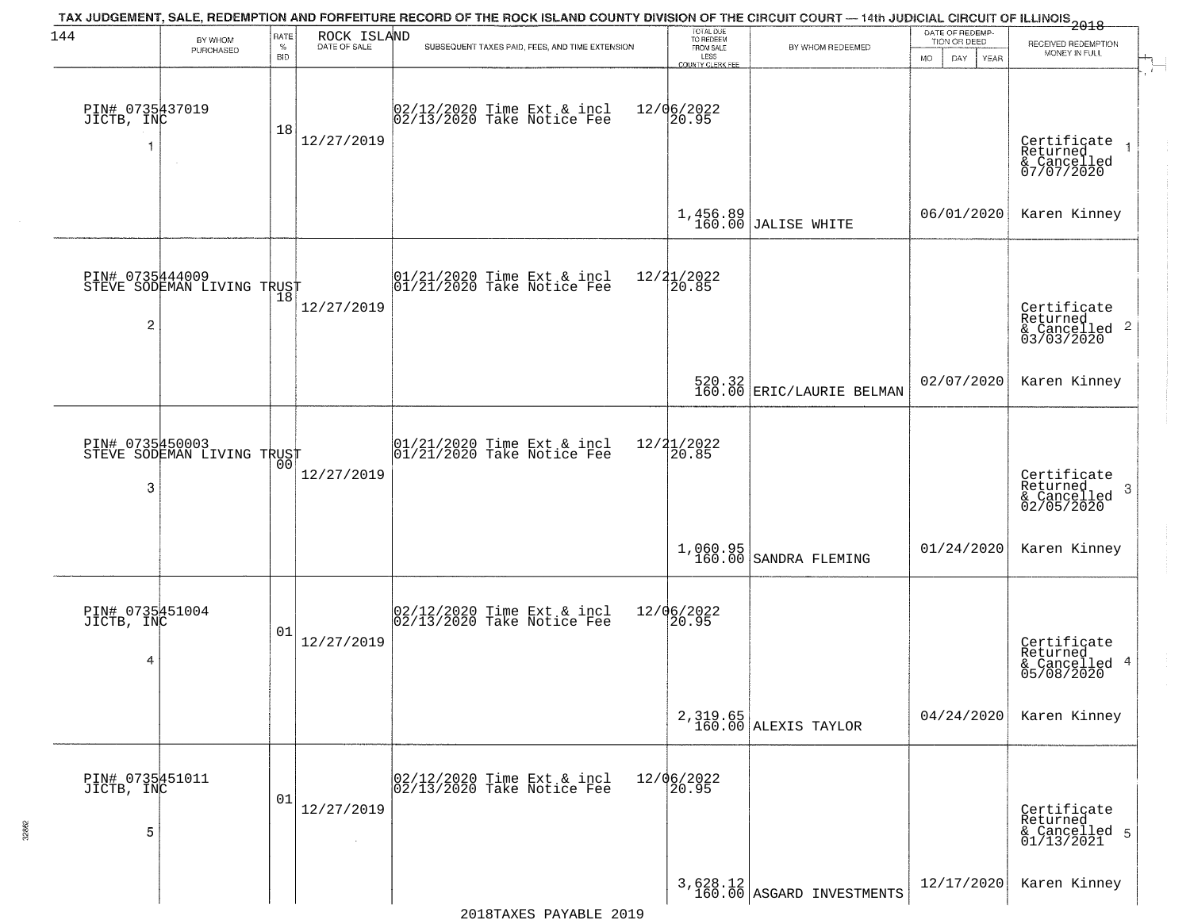| 144                                | BY WHOM                                       | RATE               | ROCK ISLAND  | TAX JUDGEMENT, SALE, REDEMPTION AND FORFEITURE RECORD OF THE ROCK ISLAND COUNTY DIVISION OF THE CIRCUIT COURT — 14th JUDICIAL CIRCUIT OF ILLINOIS 2018 | TOTAL DUE<br>TO REDEEM                  |                                         | DATE OF REDEMP-                          |                                                                    |
|------------------------------------|-----------------------------------------------|--------------------|--------------|--------------------------------------------------------------------------------------------------------------------------------------------------------|-----------------------------------------|-----------------------------------------|------------------------------------------|--------------------------------------------------------------------|
|                                    | PURCHASED                                     | $\%$<br><b>BID</b> | DATE OF SALE | SUBSEQUENT TAXES PAID, FEES, AND TIME EXTENSION                                                                                                        | FROM SALE<br>LESS                       | BY WHOM REDEEMED                        | TION OR DEED<br><b>MO</b><br>DAY<br>YEAR | RECEIVED REDEMPTION<br>MONEY IN FULL                               |
| PIN# 0735437019<br>JICTB, INC      | $\sim$                                        | 18                 | 12/27/2019   | 02/12/2020 Time Ext & incl<br>02/13/2020 Take Notice Fee                                                                                               | COUNTY CLERK FEE<br>12/06/2022<br>20.95 |                                         |                                          | Certificate<br>Returned<br>& Cancelled<br>07/07/2020               |
|                                    |                                               |                    |              |                                                                                                                                                        |                                         | $1,456.89$ JALISE WHITE                 | 06/01/2020                               | Karen Kinney                                                       |
| $\overline{c}$                     | PIN# 0735444009<br>STEVE SODEMAN LIVING TRUST |                    | 12/27/2019   | $ 01/21/2020$ Time Ext & incl<br>$ 01/21/2020$ Take Notice Fee                                                                                         | 12/21/2022<br>20.85                     |                                         |                                          | Certificate<br>Returned<br>$\frac{1}{6}$ Cancelled 2<br>03/03/2020 |
|                                    |                                               |                    |              |                                                                                                                                                        |                                         | 520.32<br>160.00 ERIC/LAURIE BELMAN     | 02/07/2020                               | Karen Kinney                                                       |
| PIN# 0735450003<br>3               | STEVE SODEMAN LIVING TRUST                    | 00                 | 12/27/2019   | $ 01/21/2020$ Time Ext & incl<br>$ 01/21/2020$ Take Notice Fee                                                                                         | 12/21/2022<br>20.85                     |                                         |                                          | Certificate<br>Returned<br>3<br>& Cancelled<br>02/05/2020          |
|                                    |                                               |                    |              |                                                                                                                                                        |                                         | 1,060.95<br>160.00 SANDRA FLEMING       | 01/24/2020                               | Karen Kinney                                                       |
| PIN# 0735451004<br>JICTB, INC<br>4 |                                               | 01                 | 12/27/2019   | 02/12/2020 Time Ext & incl<br>02/13/2020 Take Notice Fee                                                                                               | 12/06/2022<br> 20.95                    |                                         |                                          | Certificate<br>Returned<br>& Cancelled 4<br>05/08/2020             |
|                                    |                                               |                    |              |                                                                                                                                                        |                                         | 2,319.65<br>160.00 ALEXIS TAYLOR        | 04/24/2020                               | Karen Kinney                                                       |
| PIN# 0735451011<br>JICTB, INC<br>5 |                                               | 01                 | 12/27/2019   | 02/12/2020 Time Ext & incl<br>02/13/2020 Take Notice Fee                                                                                               | 12/06/2022<br>20.95                     |                                         |                                          | Certificate<br>Returned<br>& Cancelled 5<br>01/13/2021             |
|                                    |                                               |                    |              |                                                                                                                                                        |                                         | $3,628.12$<br>160.00 ASGARD INVESTMENTS | 12/17/2020                               | Karen Kinney                                                       |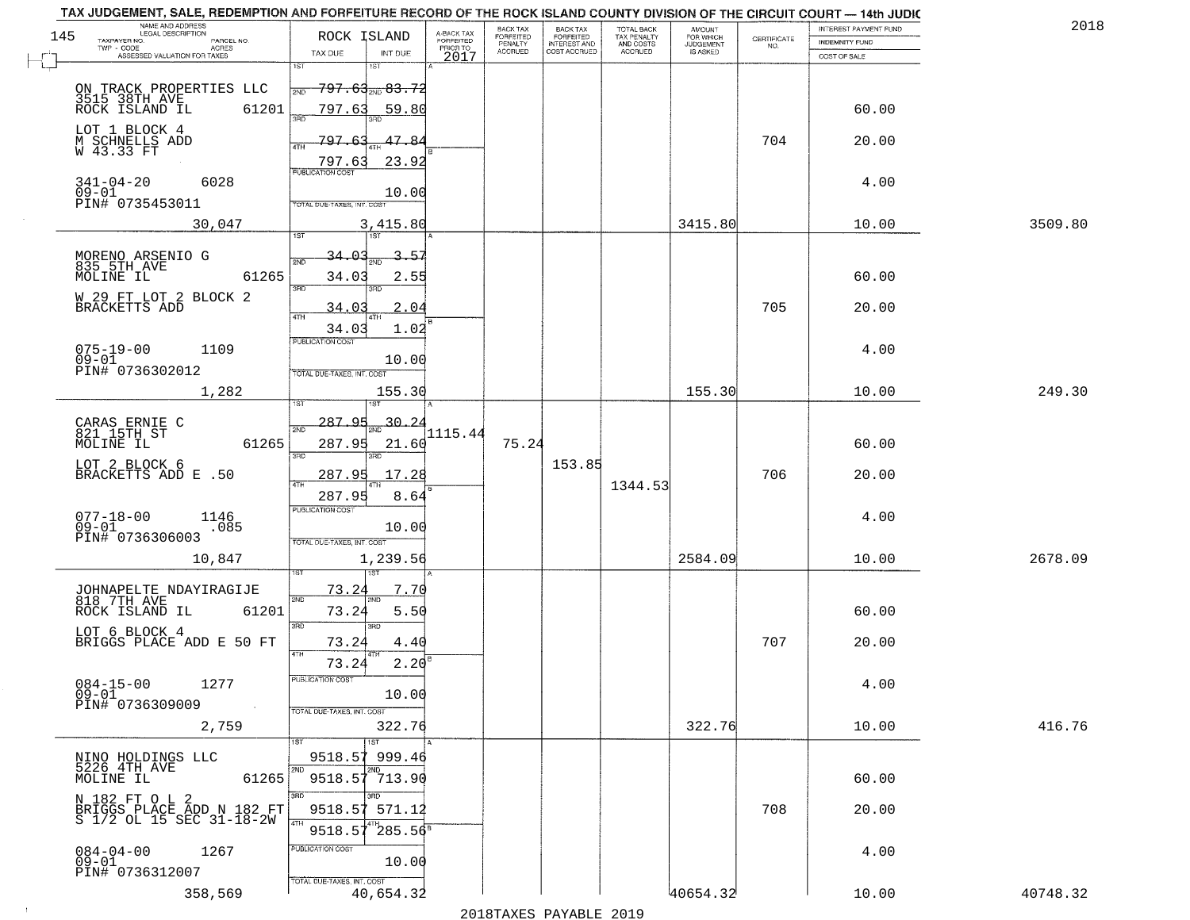| TAX JUDGEMENT, SALE, REDEMPTION AND FORFEITURE RECORD OF THE ROCK ISLAND COUNTY DIVISION OF THE CIRCUIT COURT - 14th JUDIC<br>NAME AND ADDRESS<br>LEGAL DESCRIPTION |                     |                                                               |                                                      |                                     | BACK TAX             | BACK TAX<br>FORFEITED |                                        | AMOUNT<br>FOR WHICH |                    | INTEREST PAYMENT FUND | 2018     |
|---------------------------------------------------------------------------------------------------------------------------------------------------------------------|---------------------|---------------------------------------------------------------|------------------------------------------------------|-------------------------------------|----------------------|-----------------------|----------------------------------------|---------------------|--------------------|-----------------------|----------|
| 145<br>TAXPAYER NO.<br>TWP - CODE                                                                                                                                   | PARCEL NO.<br>ACRES | ROCK ISLAND                                                   |                                                      | A-BACK TAX<br>FORFEITED<br>PRIOR TO | FORFEITED<br>PENALTY | <b>INTEREST AND</b>   | TOTAL BACK<br>TAX PENALTY<br>AND COSTS | <b>JUDGEMENT</b>    | CERTIFICATE<br>NO. | <b>INDEMNITY FUND</b> |          |
| ASSESSED VALUATION FOR TAXES                                                                                                                                        |                     | TAX DUE                                                       | INT DUE                                              | 2017                                | <b>ACCRUED</b>       | COST ACCRUED          | <b>ACCRUED</b>                         | IS ASKED            |                    | COST OF SALE          |          |
| ON TRACK PROPERTIES LLC<br>3515 38TH AVE<br>ROCK ISLAND IL 6120                                                                                                     | 61201               | 1ST<br>2ND<br>797.63                                          | 1ST<br><del>797.63<sub>200</sub>83.72</del><br>59.80 |                                     |                      |                       |                                        |                     |                    | 60.00                 |          |
| LOT 1 BLOCK 4<br>M SCHNELLS ADD<br>W 43.33 FT                                                                                                                       |                     | 797.63<br>4TH<br>797.63                                       | 47.8.<br>23.92                                       |                                     |                      |                       |                                        |                     | 704                | 20.00                 |          |
| 341-04-20<br>$09 - 01$<br>PIN# 0735453011                                                                                                                           | 6028                | <b>PUBLICATION COST</b><br>TOTAL DUE-TAXES, INT. COST         | 10.00                                                |                                     |                      |                       |                                        |                     |                    | 4.00                  |          |
|                                                                                                                                                                     | 30,047              |                                                               | 3,415.80                                             |                                     |                      |                       |                                        | 3415.80             |                    | 10.00                 | 3509.80  |
| MORENO ARSENIO G<br>835 5TH AVE<br>MOLINE IL<br>W 29 FT LOT 2 BLOCK 2<br>BRACKETTS ADD                                                                              | 61265               | 34.03<br>2ND<br>34.03<br>3RD<br>34.03<br>34.03                | -57<br>2.55<br>3RD<br>2.04<br>1.02                   |                                     |                      |                       |                                        |                     | 705                | 60.00<br>20.00        |          |
| $075 - 19 - 00$<br>$09 - 01$<br>PIN# 0736302012                                                                                                                     | 1109                | PUBLICATION COST<br>TOTAL DUE-TAXES, INT. COST                | 10.00                                                |                                     |                      |                       |                                        |                     |                    | 4.00                  |          |
|                                                                                                                                                                     | 1,282               | isT                                                           | 155.30<br>1ST                                        |                                     |                      |                       |                                        | 155.30              |                    | 10.00                 | 249.30   |
| CARAS ERNIE C<br>821 15TH ST<br>MOLINE IL                                                                                                                           | 61265               | 287.95<br>2ND<br>287.95<br>3 <sub>BD</sub>                    | 30.24<br>21.60<br>3RD                                | 1115.44                             | 75.24                |                       |                                        |                     |                    | 60.00                 |          |
| LOT 2 BLOCK 6<br>BRACKETTS ADD E .50                                                                                                                                |                     | 287.95<br>4TH<br>287.95                                       | 17.28<br>8.64                                        |                                     |                      | 153.85                | 1344.53                                |                     | 706                | 20.00                 |          |
| $077 - 18 - 00$<br>09-01<br>PIN# 0736306003                                                                                                                         | 1146<br>.085        | <b>PUBLICATION COST</b><br>TOTAL OUE-TAXES, INT. COST         | 10.00                                                |                                     |                      |                       |                                        |                     |                    | 4.00                  |          |
|                                                                                                                                                                     | 10,847              |                                                               | 1,239.56                                             |                                     |                      |                       |                                        | 2584.09             |                    | 10.00                 | 2678.09  |
| JOHNAPELTE NDAYIRAGIJE<br>818 7TH AVE<br>ROCK ISLAND IL                                                                                                             | 61201               | 73.24<br>2ND<br>73.24<br>3RD                                  | 7.70<br>5.50<br>3BD                                  |                                     |                      |                       |                                        |                     |                    | 60.00                 |          |
| LOT 6 BLOCK 4<br>BRIGGS PLACE ADD E 50 FT                                                                                                                           |                     | 73.24                                                         | 4.4(                                                 |                                     |                      |                       |                                        |                     | 707                | 20.00                 |          |
| $084 - 15 - 00$<br>$09 - 01$<br>PIN# 0736309009                                                                                                                     | 1277<br>$\sim 100$  | 4TH<br>73.24<br>"UBLICA HUN CUS<br>TOTAL DUE-TAXES, INT. COST | 2.20<br>10.00                                        |                                     |                      |                       |                                        |                     |                    | 4.00                  |          |
|                                                                                                                                                                     | 2,759               |                                                               | 322.76                                               |                                     |                      |                       |                                        | 322.76              |                    | 10.00                 | 416.76   |
| NINO HOLDINGS LLC<br>5226 4TH AVE<br>MOLINE IL                                                                                                                      | 61265               |                                                               | 1ST<br>9518.57 999.46<br>2ND.<br>9518.57 713.90      |                                     |                      |                       |                                        |                     |                    | 60.00                 |          |
| N 182 FT O L 2<br>BRIGGS PLACE ADD N 182 FT<br>S 1/2 OL 15 SEC 31-18-2W                                                                                             |                     | 3BD<br>9518.57<br>4TH<br>9518.57                              | 571.12<br>$^{4}$ $285.56^8$                          |                                     |                      |                       |                                        |                     | 708                | 20.00                 |          |
| $084 - 04 - 00$<br>$09 - 01$<br>PIN# 0736312007                                                                                                                     | 1267                | PUBLICATION COST<br>TOTAL DUE-TAXES, INT. COST                | 10.00                                                |                                     |                      |                       |                                        |                     |                    | 4.00                  |          |
|                                                                                                                                                                     | 358,569             |                                                               | 40,654.32                                            |                                     |                      |                       |                                        | 40654.32            |                    | 10.00                 | 40748.32 |

2018TAXES PAYABLE 2019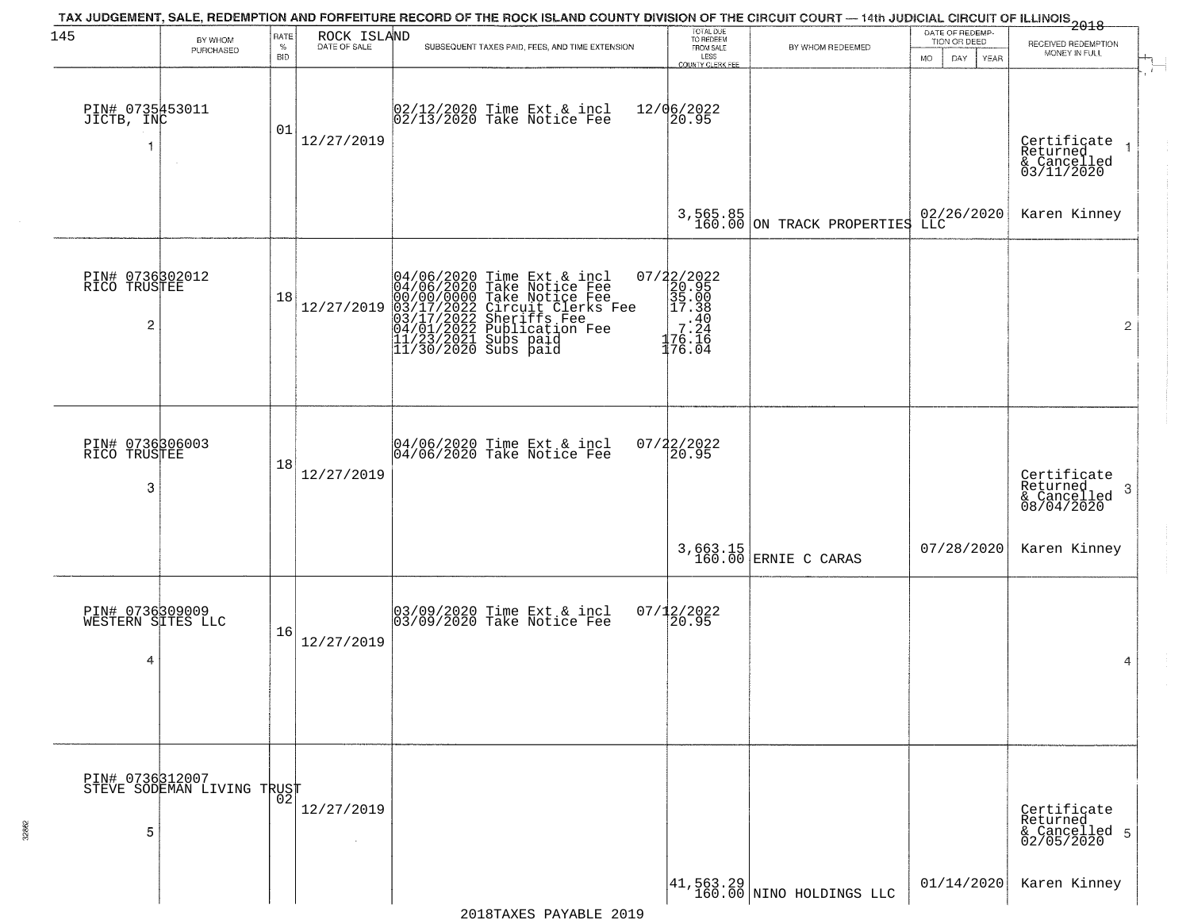| 145                                       | BY WHOM                                       | RATE        | ROCK ISLAND  | TAX JUDGEMENT, SALE, REDEMPTION AND FORFEITURE RECORD OF THE ROCK ISLAND COUNTY DIVISION OF THE CIRCUIT COURT — 14th JUDICIAL CIRCUIT OF ILLINOIS 2018                                                                              | TOTAL DUE<br>TO REDEEM<br>FROM SALE                                                  |                                                                       | DATE OF REDEMP-<br>TION OR DEED | RECEIVED REDEMPTION                                       |  |
|-------------------------------------------|-----------------------------------------------|-------------|--------------|-------------------------------------------------------------------------------------------------------------------------------------------------------------------------------------------------------------------------------------|--------------------------------------------------------------------------------------|-----------------------------------------------------------------------|---------------------------------|-----------------------------------------------------------|--|
|                                           | PURCHASED                                     | $\%$<br>BID | DATE OF SALE | SUBSEQUENT TAXES PAID, FEES, AND TIME EXTENSION                                                                                                                                                                                     | LESS<br><b>COUNTY CLERK FEE</b>                                                      | BY WHOM REDEEMED                                                      | <b>MO</b><br>DAY<br>YEAR        | MONEY IN FULL                                             |  |
| PIN# 0735453011<br>JICTB, INC             | $\sim$                                        | 01          | 12/27/2019   | 02/12/2020 Time Ext & incl<br>02/13/2020 Take Notice Fee                                                                                                                                                                            | 12/06/2022<br>20.95                                                                  |                                                                       |                                 | Certificate<br>Returned<br>& Cancelled<br>03/11/2020      |  |
|                                           |                                               |             |              |                                                                                                                                                                                                                                     |                                                                                      | $3,565.85$<br>160.00 ON TRACK PROPERTIES                              | 02/26/2020<br>LLC               | Karen Kinney                                              |  |
| PIN# 0736302012<br>RICO TRUSTEE<br>2      |                                               | 18          | 12/27/2019   | 04/06/2020 Time Ext & incl<br>04/06/2020 Take Notice Fee<br>00/00/0000 Take Notice Fee<br>03/17/2022 Circuit Clerks Fee<br>03/17/2022 Sublication Fee<br>04/01/2022 Publication Fee<br>11/23/2021 Subs paid<br>11/30/2020 Subs paid | $\begin{array}{c} 07/22/2022\\20.95\\35.00\\17.38\\7.24\\176.16\\176.04 \end{array}$ |                                                                       |                                 | $\overline{2}$                                            |  |
| PIN# 0736306003<br>RICO TRUSTEE<br>3      |                                               | 18          | 12/27/2019   | 04/06/2020 Time Ext & incl<br>04/06/2020 Take Notice Fee                                                                                                                                                                            | $07/22/2022$<br>20.95                                                                |                                                                       |                                 | Certificate<br>Returned<br>3<br>& Cancelled<br>08/04/2020 |  |
|                                           |                                               |             |              |                                                                                                                                                                                                                                     |                                                                                      | 3,663.15<br>160.00 ERNIE C CARAS                                      | 07/28/2020                      | Karen Kinney                                              |  |
| PIN# 0736309009<br>WESTERN SITES LLC<br>4 |                                               | 16          | 12/27/2019   | 03/09/2020 Time Ext & incl<br>03/09/2020 Take Notice Fee                                                                                                                                                                            | $07/12/2022$<br>20.95                                                                |                                                                       |                                 | 4                                                         |  |
|                                           | PIN# 0736312007<br>STEVE SODEMAN LIVING TRUST | 02          |              |                                                                                                                                                                                                                                     |                                                                                      |                                                                       |                                 |                                                           |  |
| 5                                         |                                               |             | 12/27/2019   |                                                                                                                                                                                                                                     |                                                                                      |                                                                       |                                 | Certificate<br>Returned<br>& Cancelled 5<br>02/05/2020    |  |
|                                           |                                               |             |              |                                                                                                                                                                                                                                     |                                                                                      | $\begin{vmatrix} 41,563.29 \\ 160.00 \end{vmatrix}$ NINO HOLDINGS LLC | 01/14/2020                      | Karen Kinney                                              |  |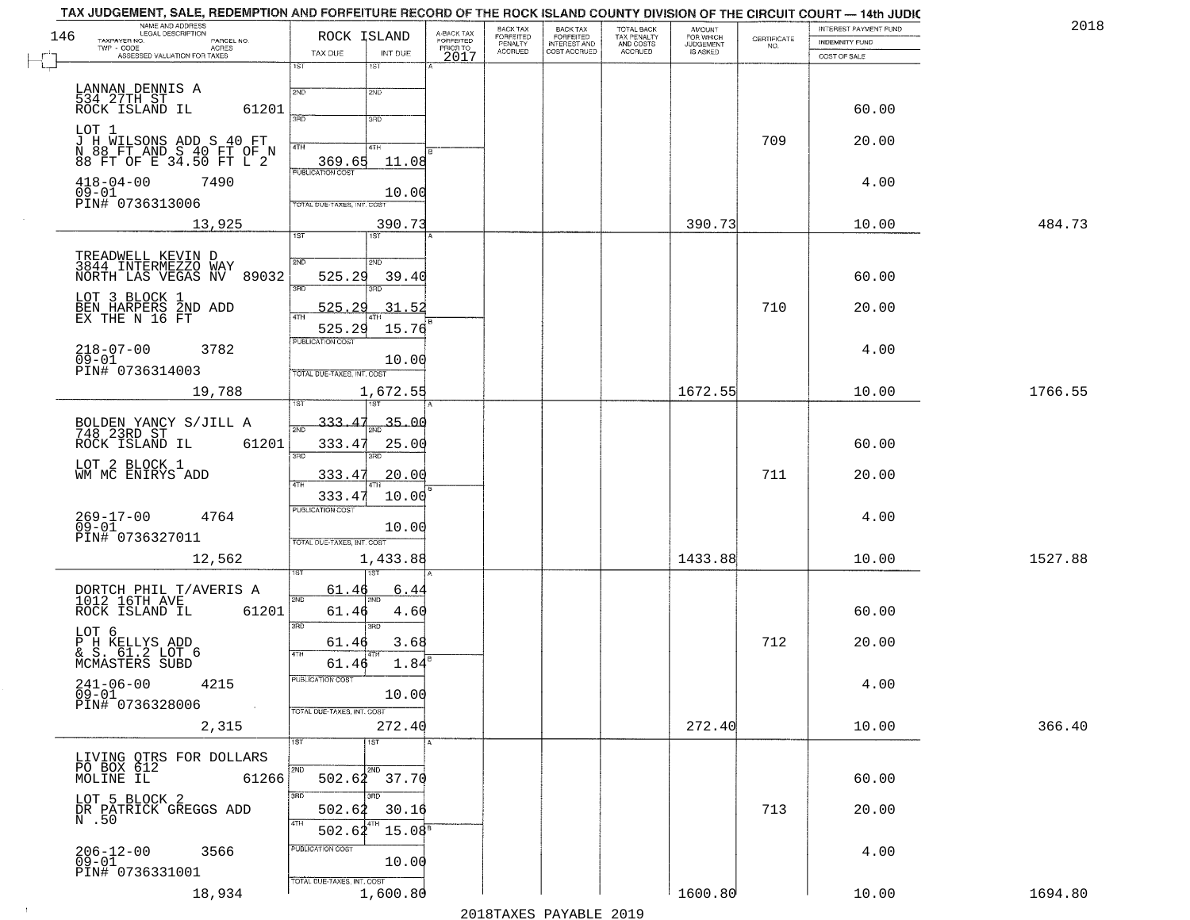| NAME AND ADDRESS<br>LEGAL DESCRIPTION<br>146<br>TAXPAYER NO.                            | ROCK ISLAND                                      | A-BACK TAX<br>FORFEITED | BACK TAX<br>FORFEITED     | <b>BACK TAX</b><br><b>FORFEITED</b> | TOTAL BACK<br>TAX PENALTY | <b>AMOUNT</b>                      | CERTIFICATE | INTEREST PAYMENT FUND | 2018    |
|-----------------------------------------------------------------------------------------|--------------------------------------------------|-------------------------|---------------------------|-------------------------------------|---------------------------|------------------------------------|-------------|-----------------------|---------|
| PARCEL NO.<br>TWP - CODE<br><b>ACRES</b><br>ASSESSED VALUATION FOR TAXES                | TAX DUE<br>INT DUE                               | PRIOR TO                | PENALTY<br><b>ACCRUED</b> | INTEREST AND                        | AND COSTS<br>ACCRUED      | FOR WHICH<br>JUDGEMENT<br>IS ASKED | NO.         | INDEMNITY FUND        |         |
|                                                                                         | 1ST<br>1ST                                       | 2017                    |                           |                                     |                           |                                    |             | COST OF SALE          |         |
|                                                                                         | 2ND<br>2ND                                       |                         |                           |                                     |                           |                                    |             |                       |         |
| LANNAN DENNIS A<br>534 27TH ST<br>ROCK ISLAND IL<br>61201                               |                                                  |                         |                           |                                     |                           |                                    |             | 60.00                 |         |
|                                                                                         | 3RD<br>3RD                                       |                         |                           |                                     |                           |                                    |             |                       |         |
| LOT 1<br>J H WILSONS ADD S 40 FT<br>N 88 FT AND S 40 FT OF N<br>88 FT OF E 34.50 FT L 2 | 4TH<br>4TH                                       |                         |                           |                                     |                           |                                    | 709         | 20.00                 |         |
|                                                                                         | 369.65<br>11.08<br><b>PUBLICATION COST</b>       |                         |                           |                                     |                           |                                    |             |                       |         |
| $418 - 04 - 00$<br>7490<br>$09 - 01$                                                    | 10.00                                            |                         |                           |                                     |                           |                                    |             | 4.00                  |         |
| PIN# 0736313006                                                                         | TOTAL DUE-TAXES, INT. COST                       |                         |                           |                                     |                           |                                    |             |                       |         |
| 13,925                                                                                  | 390.73<br>1ST<br>1ST                             |                         |                           |                                     |                           | 390.73                             |             | 10.00                 | 484.73  |
| TREADWELL KEVIN D<br>3844 INTERMEZZO WAY                                                | 2ND<br>5AD.                                      |                         |                           |                                     |                           |                                    |             |                       |         |
| NORTH LAS VEGAS NV 89032                                                                | 525.29<br>39.40                                  |                         |                           |                                     |                           |                                    |             | 60.00                 |         |
|                                                                                         | 3BD<br>3RD                                       |                         |                           |                                     |                           |                                    |             |                       |         |
| LOT 3 BLOCK 1<br>BEN HARPERS 2ND ADD<br>EX THE N 16 FT                                  | 525.29<br>31.52<br><b>ATH</b>                    |                         |                           |                                     |                           |                                    | 710         | 20.00                 |         |
|                                                                                         | 525.29<br>15.76<br>PUBLICATION COST              |                         |                           |                                     |                           |                                    |             |                       |         |
| $218 - 07 - 00$<br>09-01<br>3782                                                        | 10.00                                            |                         |                           |                                     |                           |                                    |             | 4.00                  |         |
| PIN# 0736314003                                                                         | TOTAL DUE-TAXES, INT. COST                       |                         |                           |                                     |                           |                                    |             |                       |         |
| 19,788                                                                                  | 1,672.55                                         |                         |                           |                                     |                           | 1672.55                            |             | 10.00                 | 1766.55 |
| BOLDEN YANCY S/JILL A<br>748 23RD ST                                                    | 333.<br>35.00<br>$\overline{2ND}$                |                         |                           |                                     |                           |                                    |             |                       |         |
| ROCK ISLAND IL<br>61201                                                                 | 333.47<br>25.00                                  |                         |                           |                                     |                           |                                    |             | 60.00                 |         |
| LOT 2 BLOCK 1                                                                           | 3RD<br>3RD                                       |                         |                           |                                     |                           |                                    |             |                       |         |
| WM MC ENIRYS ADD                                                                        | 333.47<br>20.00                                  |                         |                           |                                     |                           |                                    | 711         | 20.00                 |         |
|                                                                                         | 333.47<br>10.00<br><b>PUBLICATION COST</b>       |                         |                           |                                     |                           |                                    |             |                       |         |
| 269-17-00<br>09-01<br>4764                                                              | 10.00                                            |                         |                           |                                     |                           |                                    |             | 4.00                  |         |
| PIN# 0736327011                                                                         | TOTAL OUE-TAXES, INT. COST                       |                         |                           |                                     |                           |                                    |             |                       |         |
| 12,562                                                                                  | 1,433.88                                         |                         |                           |                                     |                           | 1433.88                            |             | 10.00                 | 1527.88 |
| DORTCH PHIL T/AVERIS A<br>1012 16TH AVE                                                 | 61.46<br><u>6.4</u><br>2ND                       |                         |                           |                                     |                           |                                    |             |                       |         |
| 61201<br>ROCK ISLAND IL                                                                 | 61.46<br>4.60                                    |                         |                           |                                     |                           |                                    |             | 60.00                 |         |
| LOT 6                                                                                   | 3RD<br>3RD                                       |                         |                           |                                     |                           |                                    |             |                       |         |
| P H KELLYS ADD<br>& S. 61.2 LOT 6<br>MCMASTERS SUBD                                     | 3.68<br>61.46<br>4TH                             |                         |                           |                                     |                           |                                    | 712         | 20.00                 |         |
|                                                                                         | 1.84<br>61.46<br>PUBLICATION COST                |                         |                           |                                     |                           |                                    |             |                       |         |
| $241 - 06 - 00$<br>09-01<br>4215                                                        | 10.00                                            |                         |                           |                                     |                           |                                    |             | 4.00                  |         |
| PIN# 0736328006<br>$\sim 100$                                                           | TOTAL DUE-TAXES, INT. COST                       |                         |                           |                                     |                           |                                    |             |                       |         |
| 2,315                                                                                   | 272.40<br>1ST<br>1ST                             |                         |                           |                                     |                           | 272.40                             |             | 10.00                 | 366.40  |
| LIVING OTRS FOR DOLLARS<br>PO BOX 612                                                   |                                                  |                         |                           |                                     |                           |                                    |             |                       |         |
| MOLINE IL<br>61266                                                                      | 2ND<br>2ND<br>$502.64$ $37.70$                   |                         |                           |                                     |                           |                                    |             | 60.00                 |         |
| LOT 5 BLOCK 2                                                                           | 3RD<br>उनक                                       |                         |                           |                                     |                           |                                    |             |                       |         |
| DR PATRICK GREGGS ADD<br>N.50                                                           | 502.62<br>30.16<br>4TH                           |                         |                           |                                     |                           |                                    | 713         | 20.00                 |         |
|                                                                                         | 15.08 <sup>5</sup><br>502.62<br>PUBLICATION COST |                         |                           |                                     |                           |                                    |             |                       |         |
| 206-12-00<br>09-01<br>3566                                                              | 10.00                                            |                         |                           |                                     |                           |                                    |             | 4.00                  |         |
| PIN# 0736331001<br>18,934                                                               | TOTAL DUE-TAXES, INT. COST<br>1,600.80           |                         |                           |                                     |                           | 1600.80                            |             | 10.00                 | 1694.80 |
|                                                                                         |                                                  |                         |                           |                                     |                           |                                    |             |                       |         |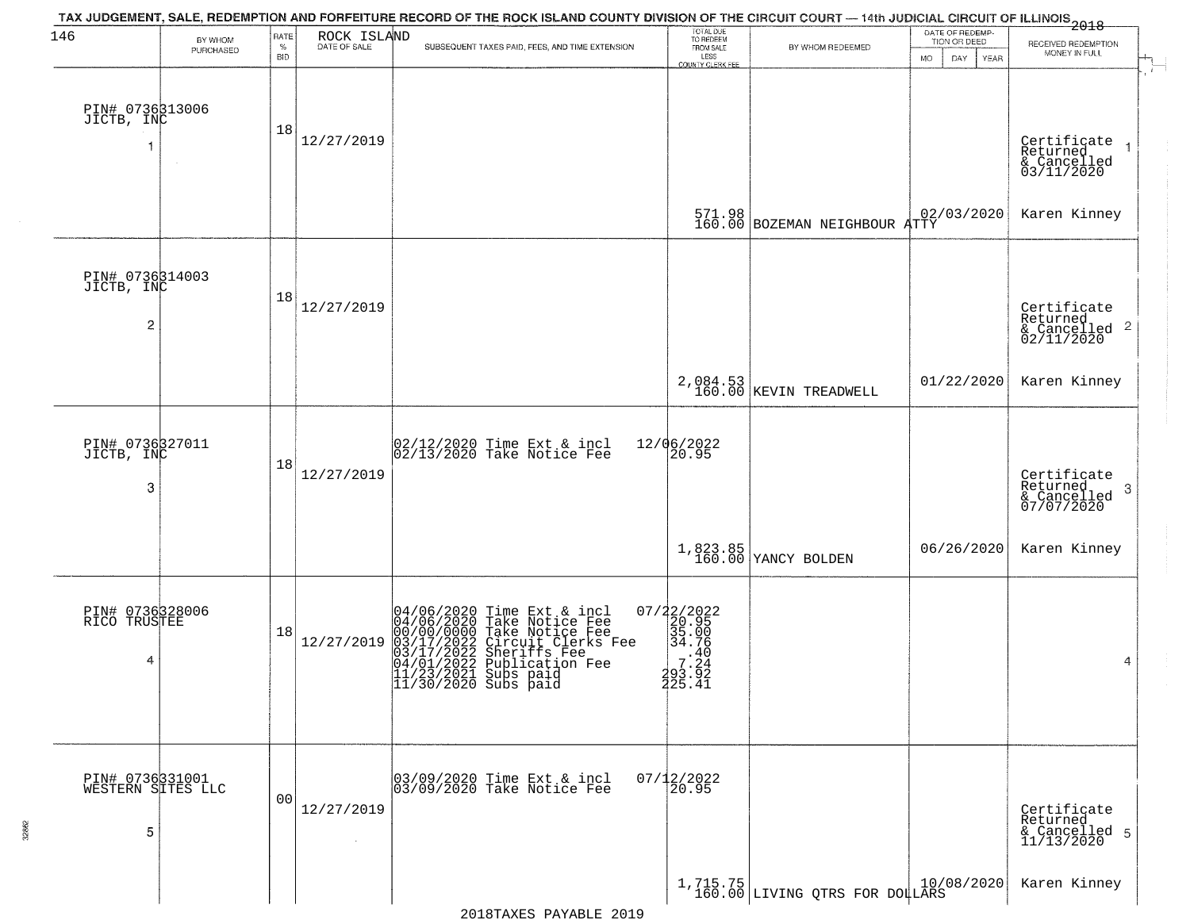| 146                                             |                      | RATE               |             | TAX JUDGEMENT, SALE, REDEMPTION AND FORFEITURE RECORD OF THE ROCK ISLAND COUNTY DIVISION OF THE CIRCUIT COURT — 14th JUDICIAL CIRCUIT OF ILLINOIS 2018                                                                                                                                                                          | TOTAL DUE<br>TO REDEEM<br>FROM SALE                                                        |                                                                                         | DATE OF REDEMP-                    |                                                                        |
|-------------------------------------------------|----------------------|--------------------|-------------|---------------------------------------------------------------------------------------------------------------------------------------------------------------------------------------------------------------------------------------------------------------------------------------------------------------------------------|--------------------------------------------------------------------------------------------|-----------------------------------------------------------------------------------------|------------------------------------|------------------------------------------------------------------------|
|                                                 | BY WHOM<br>PURCHASED | $\%$<br><b>BID</b> | ROCK ISLAND | SUBSEQUENT TAXES PAID, FEES, AND TIME EXTENSION                                                                                                                                                                                                                                                                                 | LESS                                                                                       | BY WHOM REDEEMED                                                                        | TION OR DEED<br>MO.<br>DAY<br>YEAR | RECEIVED REDEMPTION<br>MONEY IN FULL                                   |
| PIN# 0736313006<br>JICTB, INC                   |                      | 18                 | 12/27/2019  |                                                                                                                                                                                                                                                                                                                                 | <b>COUNTY CLERK FEE</b>                                                                    |                                                                                         |                                    | Certificate<br>Returned<br>$\overline{1}$<br>& Cancelled<br>03/11/2020 |
|                                                 |                      |                    |             |                                                                                                                                                                                                                                                                                                                                 |                                                                                            | $\begin{array}{c c} 571.98 & 02, \\ 160.00 & \text{BOZEMAN NEIGHBOUR ATTY} \end{array}$ | 02/03/2020                         | Karen Kinney                                                           |
| PIN# 0736314003<br>JICTB, INC<br>$\overline{c}$ |                      | 18                 | 12/27/2019  |                                                                                                                                                                                                                                                                                                                                 |                                                                                            |                                                                                         |                                    | Certificate<br>Returned<br>$\frac{1}{6}$ Cancelled 2<br>02/11/2020     |
|                                                 |                      |                    |             |                                                                                                                                                                                                                                                                                                                                 |                                                                                            | 2,084.53<br>160.00 KEVIN TREADWELL                                                      | 01/22/2020                         | Karen Kinney                                                           |
| PIN# 0736327011<br>JICTB, INC<br>3              |                      | 18                 | 12/27/2019  | $ 02/12/2020$ Time Ext & incl<br>$ 02/13/2020$ Take Notice Fee                                                                                                                                                                                                                                                                  | 12/06/2022<br>20.95                                                                        |                                                                                         |                                    | Certificate<br>Returned<br>3<br>& Cancelled<br>07/07/2020              |
|                                                 |                      |                    |             |                                                                                                                                                                                                                                                                                                                                 |                                                                                            | 1,823.85<br>160.00 YANCY BOLDEN                                                         | 06/26/2020                         | Karen Kinney                                                           |
| PIN# 0736328006<br>RICO TRUSTEE<br>4            |                      | 18                 | 12/27/2019  | 04/06/2020 Time Ext &<br>04/06/2020 Take Notic<br>00/00/0000 Take Notic<br>03/17/2022 Circuit Cl<br>03/17/2022 Sheriffs<br>04/01/2022 Publicatio<br>11/23/2021 Subs paid<br>11/30/2020 Subs paid<br>Time Ext & incl<br>Take Notice Fee<br>Take Notice Fee<br>Circuit Clerks Fee<br>Sheriffs Fee<br>Publication Fee<br>Subs paid | $\begin{array}{c} 07/22/2022\\20.95\\35.00\\34.76\\7.24\\293.92\\7.24\\225.41 \end{array}$ |                                                                                         |                                    | 4                                                                      |
| PIN# 0736331001<br>WESTERN SITES LLC<br>5       |                      | 0 <sub>0</sub>     | 12/27/2019  | 03/09/2020 Time Ext & incl<br>03/09/2020 Take Notice Fee                                                                                                                                                                                                                                                                        | $07/12/2022$<br>$20.95$                                                                    |                                                                                         |                                    | Certificate<br>Returned<br>& Cancelled 5<br>11/13/2020                 |
|                                                 |                      |                    |             |                                                                                                                                                                                                                                                                                                                                 |                                                                                            | $1,715.75$ LIVING QTRS FOR DOLLARS                                                      |                                    | Karen Kinney                                                           |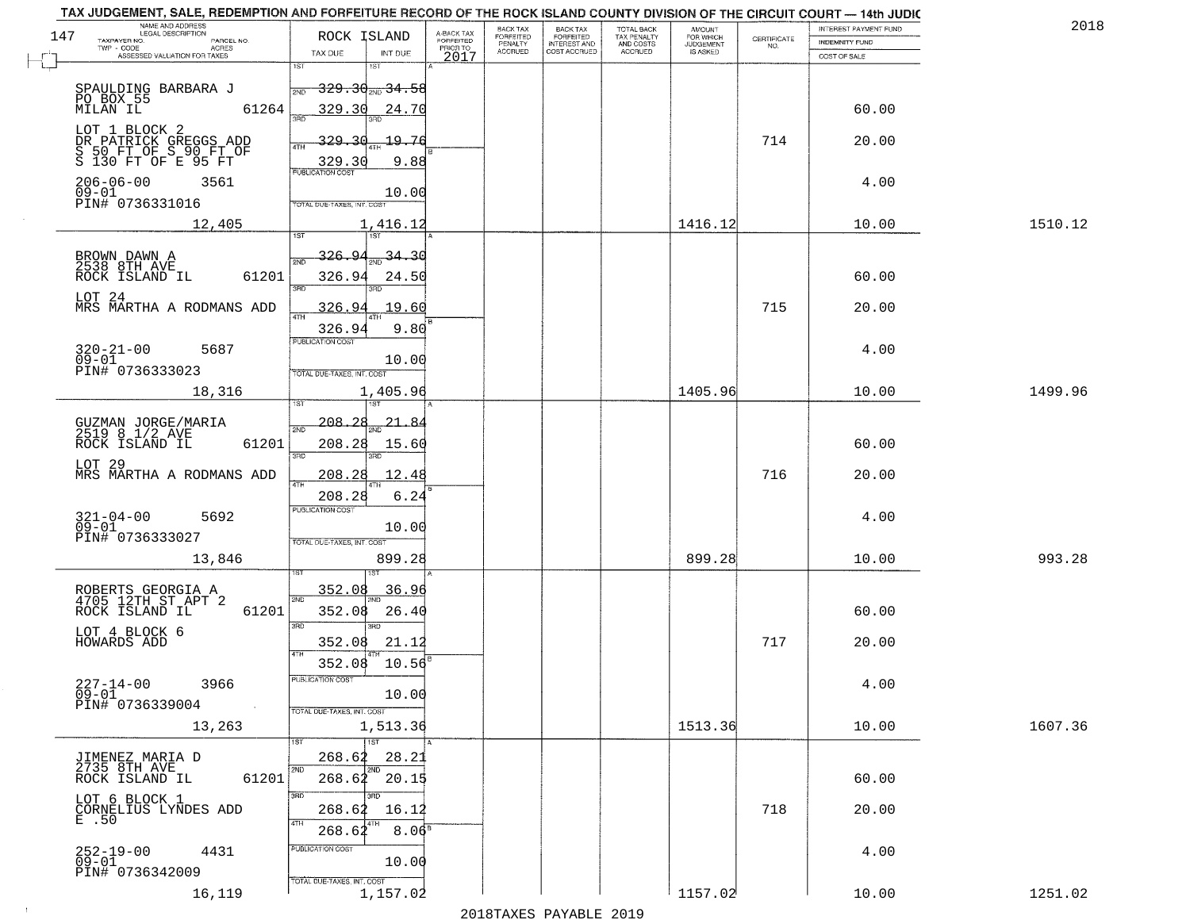|     | TAX JUDGEMENT, SALE, REDEMPTION AND FORFEITURE RECORD OF THE ROCK ISLAND COUNTY DIVISION OF THE CIRCUIT COURT - 14th JUDIC<br>NAME AND ADDRESS<br>LEGAL DESCRIPTION |                                                       |                                    |                                     | BACK TAX             |                                              |                                        |                                         |                                                                 | INTEREST PAYMENT FUND | 2018    |
|-----|---------------------------------------------------------------------------------------------------------------------------------------------------------------------|-------------------------------------------------------|------------------------------------|-------------------------------------|----------------------|----------------------------------------------|----------------------------------------|-----------------------------------------|-----------------------------------------------------------------|-----------------------|---------|
| 147 | TAXPAYER NO.<br>PARCEL NO.                                                                                                                                          | ROCK ISLAND                                           |                                    | A-BACK TAX<br>FORFEITED<br>PRIOR TO | FORFEITED<br>PENALTY | BACK TAX<br>FORFEITED<br><b>INTEREST AND</b> | TOTAL BACK<br>TAX PENALTY<br>AND COSTS | AMOUNT<br>FOR WHICH<br><b>JUDGEMENT</b> | $\begin{array}{c} \text{CEPTIFICATE} \\ \text{NO.} \end{array}$ | <b>INDEMNITY FUND</b> |         |
|     | TWP CODE<br><b>ACRES</b><br>ASSESSED VALUATION FOR TAXES                                                                                                            | TAX DUE                                               | INT DUE                            | 2017                                | <b>ACCRUED</b>       | COST ACCRUED                                 | <b>ACCRUED</b>                         | IS ASKED                                |                                                                 | COST OF SALE          |         |
|     | SPAULDING BARBARA J                                                                                                                                                 | 1ST<br>2ND                                            | 1ST<br>$329.30_{200}34.58$         |                                     |                      |                                              |                                        |                                         |                                                                 |                       |         |
|     | PO BOX 55<br>MILAN IL<br>61264<br>LOT 1 BLOCK 2                                                                                                                     | 329.30<br>350                                         | 24.70                              |                                     |                      |                                              |                                        |                                         |                                                                 | 60.00                 |         |
|     | DR PATRICK GREGGS ADD<br>S 50 FT OF S 90 FT OF<br>S 130 FT OF E 95 FT                                                                                               | <u>329.3d</u><br>ATH<br>329.30                        | 19.76<br>9.88                      |                                     |                      |                                              |                                        |                                         | 714                                                             | 20.00                 |         |
|     | $206 - 06 - 00$<br>3561<br>$09 - 01$<br>PIN# 0736331016                                                                                                             | TOTAL DUE-TAXES, INT. COST                            | 10.00                              |                                     |                      |                                              |                                        |                                         |                                                                 | 4.00                  |         |
|     | 12,405                                                                                                                                                              |                                                       | 1,416.12                           |                                     |                      |                                              |                                        | 1416.12                                 |                                                                 | 10.00                 | 1510.12 |
|     | BROWN DAWN A<br>2538 8TH AVE<br>ROCK ISLAND IL<br>61201                                                                                                             | <u>326.94</u><br>2ND<br>326.94<br>3RD                 | -34.30<br>24.50                    |                                     |                      |                                              |                                        |                                         |                                                                 | 60.00                 |         |
|     | LOT 24<br>MRS MARTHA A RODMANS ADD                                                                                                                                  | 326.94<br>47H<br>326.94                               | 19.60<br>9.80                      |                                     |                      |                                              |                                        |                                         | 715                                                             | 20.00                 |         |
|     | $320 - 21 - 00$<br>5687<br>$09 - 01$<br>PIN# 0736333023                                                                                                             | PUBLICATION COST<br>TOTAL DUE-TAXES, INT. COST        | 10.00                              |                                     |                      |                                              |                                        |                                         |                                                                 | 4.00                  |         |
|     | 18,316                                                                                                                                                              | is T                                                  | 1,405.96                           |                                     |                      |                                              |                                        | 1405.96                                 |                                                                 | 10.00                 | 1499.96 |
|     | GUZMAN JORGE/MARIA<br>2519 8 1/2 AVE<br>ROCK ISLAND IL<br>61201                                                                                                     | $-208 - 28$<br>2ND<br>208.28<br>3BD                   | 21.<br>-8<br>15.60<br>3RD          |                                     |                      |                                              |                                        |                                         |                                                                 | 60.00                 |         |
|     | LOT 29<br>MRS MARTHA A RODMANS ADD                                                                                                                                  | 208.28<br>4TH<br>208.28                               | 12.4<br>6.24                       |                                     |                      |                                              |                                        |                                         | 716                                                             | 20.00                 |         |
|     | $321 - 04 - 00$<br>09-01<br>5692<br>PIN# 0736333027                                                                                                                 | <b>PUBLICATION COST</b><br>TOTAL OUE-TAXES, INT. COST | 10.00                              |                                     |                      |                                              |                                        |                                         |                                                                 | 4.00                  |         |
|     | 13,846                                                                                                                                                              |                                                       | 899.28                             |                                     |                      |                                              |                                        | 899.28                                  |                                                                 | 10.00                 | 993.28  |
|     | ROBERTS GEORGIA A<br>4705 12TH ST APT 2<br>ROCK ISLAND IL<br>61201                                                                                                  | 352.08<br>2ND<br>352.08<br>3RD                        | 36.96<br>26.40<br>$\overline{3BD}$ |                                     |                      |                                              |                                        |                                         |                                                                 | 60.00                 |         |
|     | LOT 4 BLOCK 6<br>HOWARDS ADD                                                                                                                                        | 352.08<br>4TH<br>352.08                               | 21.12<br>10.56                     |                                     |                      |                                              |                                        |                                         | 717                                                             | 20.00                 |         |
|     | $227 - 14 - 00$<br>3966<br>$09 - 01$<br>PIN# 0736339004<br>$\sim 100$ km $^{-1}$                                                                                    | "UBLICA HUN CUS<br>TOTAL DUE-TAXES, INT. COST         | 10.00                              |                                     |                      |                                              |                                        |                                         |                                                                 | 4.00                  |         |
|     | 13,263                                                                                                                                                              |                                                       | 1,513.36<br>1ST                    |                                     |                      |                                              |                                        | 1513.36                                 |                                                                 | 10.00                 | 1607.36 |
|     | JIMENEZ MARIA D<br>2735 8TH AVE<br>61201<br>ROCK ISLAND IL                                                                                                          | 268.62<br>2ND                                         | 28.21<br>2ND<br>268.62 20.15       |                                     |                      |                                              |                                        |                                         |                                                                 | 60.00                 |         |
|     | LOT 6 BLOCK 1<br>CORNELIUS LYNDES ADD<br>E.50                                                                                                                       | 3RD<br>268.62<br>4TH<br>268.62                        | 16.12<br>8.06 <sup>s</sup>         |                                     |                      |                                              |                                        |                                         | 718                                                             | 20.00                 |         |
|     | $252 - 19 - 00$<br>09-01<br>4431<br>PIN# 0736342009                                                                                                                 | PUBLICATION COST<br>TOTAL DUE-TAXES, INT. COST        | 10.00                              |                                     |                      |                                              |                                        |                                         |                                                                 | 4.00                  |         |
|     | 16,119                                                                                                                                                              |                                                       | 1,157.02                           |                                     |                      |                                              |                                        | 1157.02                                 |                                                                 | 10.00                 | 1251.02 |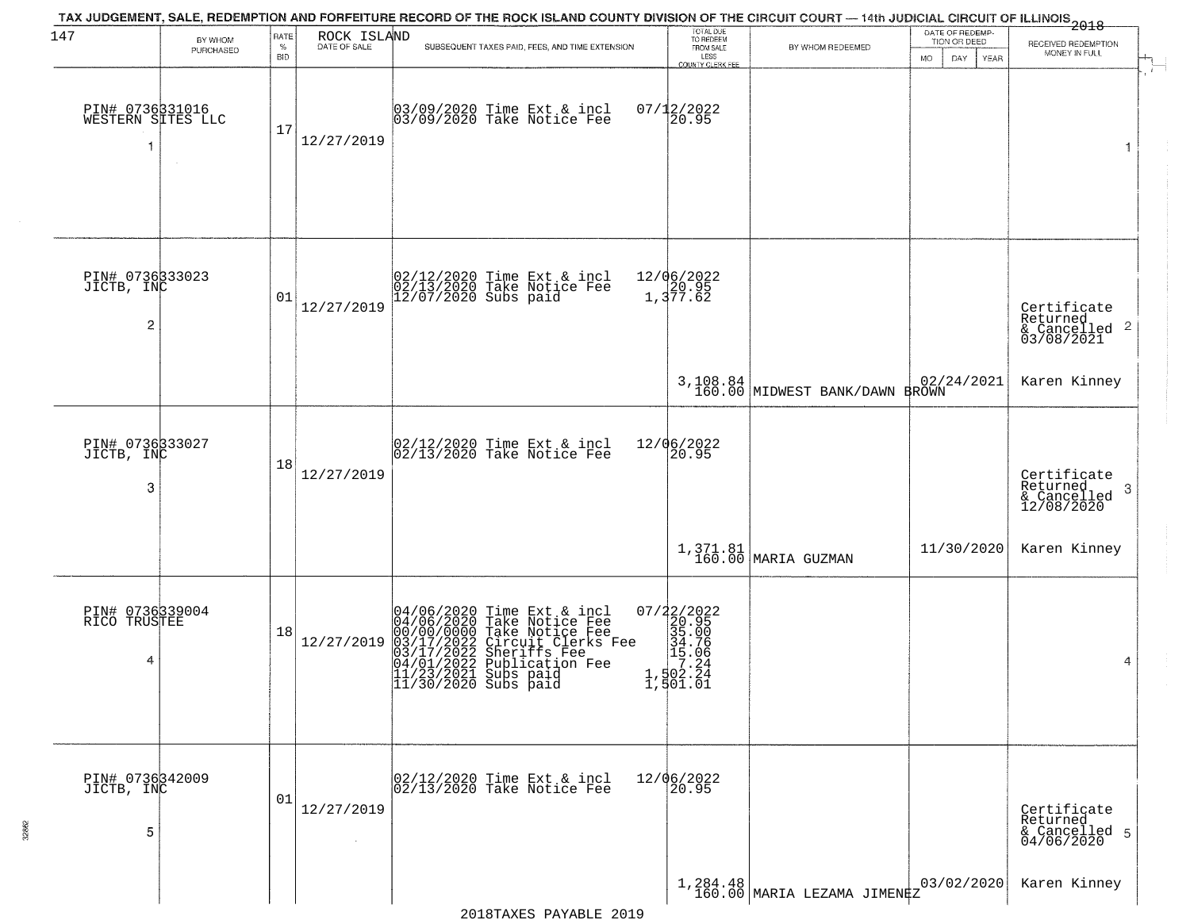| 147                                             | BY WHOM<br>PURCHASED | RATE<br>$\%$<br><b>BID</b> | ROCK ISLAND<br>DATE OF SALE | TAX JUDGEMENT, SALE, REDEMPTION AND FORFEITURE RECORD OF THE ROCK ISLAND COUNTY DIVISION OF THE CIRCUIT COURT — 14th JUDICIAL CIRCUIT OF ILLINOIS 2018<br>SUBSEQUENT TAXES PAID, FEES, AND TIME EXTENSION                                                                                                | TOTAL DUE<br>TO REDEEM<br>FROM SALE<br>LESS<br><b>COUNTY CLERK FEE</b>                                           | BY WHOM REDEEMED                           | DATE OF REDEMP-<br>TION OR DEED<br>MO.<br>DAY.<br><b>YEAR</b> | RECEIVED REDEMPTION<br>MONEY IN FULL                                   |
|-------------------------------------------------|----------------------|----------------------------|-----------------------------|----------------------------------------------------------------------------------------------------------------------------------------------------------------------------------------------------------------------------------------------------------------------------------------------------------|------------------------------------------------------------------------------------------------------------------|--------------------------------------------|---------------------------------------------------------------|------------------------------------------------------------------------|
| PIN# 0736331016<br>WESTERN SITES LLC            |                      | 17                         | 12/27/2019                  | 03/09/2020 Time Ext & incl<br>03/09/2020 Take Notice Fee                                                                                                                                                                                                                                                 | $07/12/2022$<br>20.95                                                                                            |                                            |                                                               | 1                                                                      |
| PIN# 0736333023<br>JICTB, INC<br>$\overline{c}$ |                      | 01                         | 12/27/2019                  | 02/12/2020 Time Ext & incl<br>02/13/2020 Take Notice Fee<br>12/07/2020 Subs paid                                                                                                                                                                                                                         | 12/06/2022<br>20.95<br>1,377.62                                                                                  |                                            |                                                               | Certificate<br>Returned<br>$\overline{2}$<br>& Cancelled<br>03/08/2021 |
|                                                 |                      |                            |                             |                                                                                                                                                                                                                                                                                                          |                                                                                                                  | 3,108.84<br>160.00 MIDWEST BANK/DAWN BROWN | 02/24/2021                                                    | Karen Kinney                                                           |
| PIN# 0736333027<br>JICTB, INC<br>3              |                      | 18                         | 12/27/2019                  | $ 02/12/2020$ Time Ext & incl<br>$ 02/13/2020$ Take Notice Fee                                                                                                                                                                                                                                           | 12/06/2022<br>20.95                                                                                              |                                            |                                                               | Certificate<br>Returned<br>-3<br>& Cancelled<br>12/08/2020             |
|                                                 |                      |                            |                             |                                                                                                                                                                                                                                                                                                          |                                                                                                                  | 1,371.81<br>160.00 MARIA GUZMAN            | 11/30/2020                                                    | Karen Kinney                                                           |
| PIN# 0736339004<br>RICO TRUSTEE<br>4            |                      | 18                         | 12/27/2019                  | 04/06/2020 Time Ext &<br>04/06/2020 Take Notic<br>00/00/0000 Take Notic<br>03/17/2022 Circuit Cl<br>04/01/2022 Sublicatic<br>11/23/2021 Subs paid<br>11/30/2020 Subs paid<br>Time Ext & incl<br>Take Notice Fee<br>Take Notice Fee<br>Circuit Clerks Fee<br>Sheriffs Fee<br>Publication Fee<br>Subs paid | $\begin{smallmatrix} 07/22/2022\\ 20.95\\ 35.00\\ 34.76\\ 15.06\\ 15.04\\ 1,502.24\\ 1,501.01 \end{smallmatrix}$ |                                            |                                                               | 4                                                                      |
| PIN# 0736342009<br>JICTB, INC<br>5              |                      | 01                         | 12/27/2019<br>$\sim$        | 02/12/2020 Time Ext & incl<br>02/13/2020 Take Notice Fee                                                                                                                                                                                                                                                 | 12/06/2022<br>20.95                                                                                              |                                            |                                                               | Certificate<br>Returned<br>& Cancelled 5<br>04/06/2020                 |
|                                                 |                      |                            |                             |                                                                                                                                                                                                                                                                                                          |                                                                                                                  | 1,284.48<br>160.00 MARIA LEZAMA JIMENEZ    | 03/02/2020                                                    | Karen Kinney                                                           |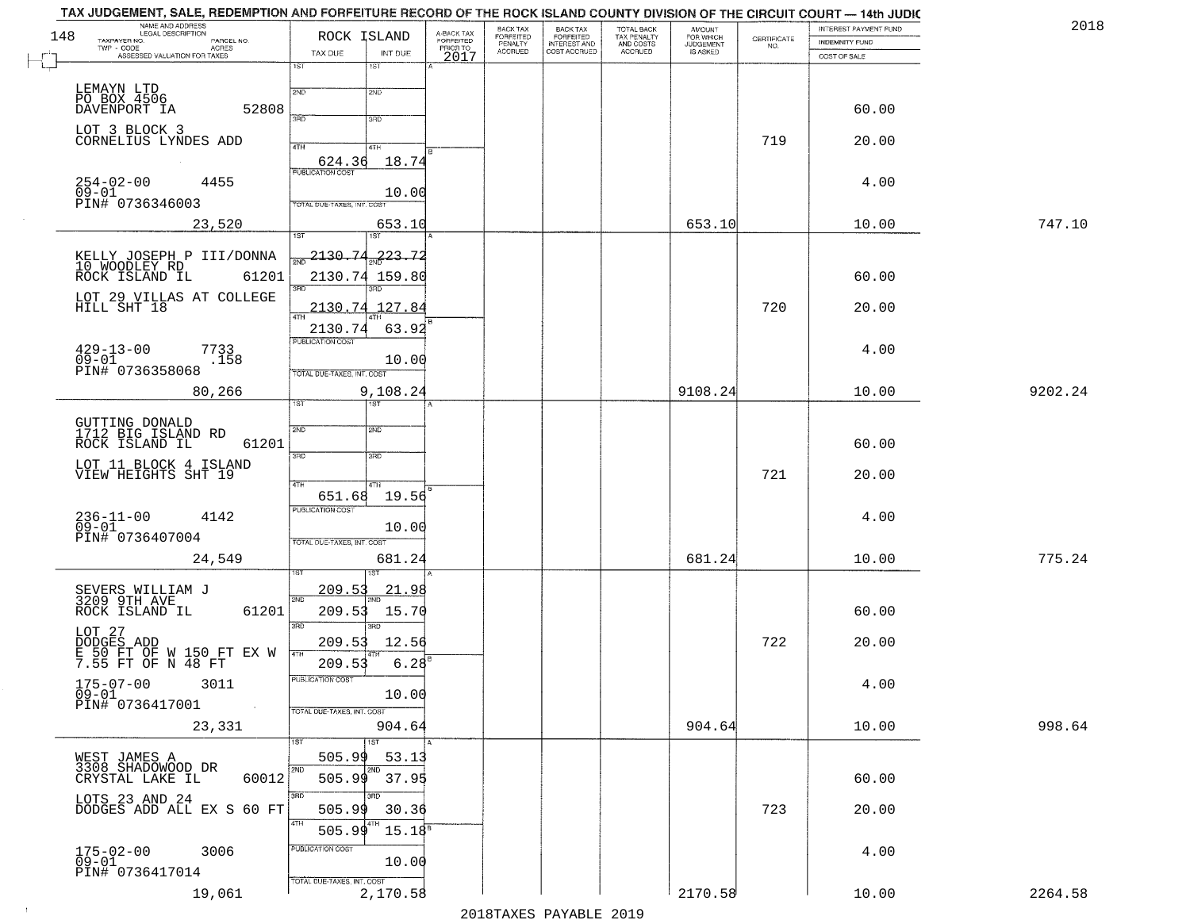| 148 | NAME AND ADDRESS<br>LEGAL DESCRIPTION<br>TAXPAYER NO.<br>PARCEL NO. | ROCK ISLAND                                | A-BACK TAX<br>FORFEITED<br>PRIOR TO | BACK TAX<br>FORFEITED     | BACK TAX<br>FORFEITED<br>INTEREST AND | TOTAL BACK<br>TAX PENALTY<br>AND COSTS | AMOUNT<br>FOR WHICH<br>JUDGEMENT | $\begin{array}{c} \text{CERTIFICATE} \\ \text{NO.} \end{array}$ | INTEREST PAYMENT FUND<br><b>INDEMNITY FUND</b> | 2018    |
|-----|---------------------------------------------------------------------|--------------------------------------------|-------------------------------------|---------------------------|---------------------------------------|----------------------------------------|----------------------------------|-----------------------------------------------------------------|------------------------------------------------|---------|
|     | TWP - CODE<br>ACRES<br>ASSESSED VALUATION FOR TAXES                 | TAX DUE<br>INT DUE                         | 2017                                | PENALTY<br><b>ACCRUED</b> | COST ACCRUED                          | <b>ACCRUED</b>                         | IS ASKED                         |                                                                 | COST OF SALE                                   |         |
|     |                                                                     | 1ST<br>1ST                                 |                                     |                           |                                       |                                        |                                  |                                                                 |                                                |         |
|     | LEMAYN LTD<br>PO BOX 4506<br>DAVENPORT IA                           | 2ND<br>2ND                                 |                                     |                           |                                       |                                        |                                  |                                                                 |                                                |         |
|     | 52808                                                               | 3RD<br>3RD                                 |                                     |                           |                                       |                                        |                                  |                                                                 | 60.00                                          |         |
|     | LOT 3 BLOCK 3<br>CORNELIUS LYNDES ADD                               | 4TH<br>4TH                                 |                                     |                           |                                       |                                        |                                  | 719                                                             | 20.00                                          |         |
|     |                                                                     | 18.74<br>624.36<br><b>PUBLICATION COST</b> |                                     |                           |                                       |                                        |                                  |                                                                 |                                                |         |
|     | $254 - 02 - 00$<br>4455<br>$09 - 01$                                | 10.00                                      |                                     |                           |                                       |                                        |                                  |                                                                 | 4.00                                           |         |
|     | PIN# 0736346003                                                     | TOTAL DUE-TAXES, INT. COST                 |                                     |                           |                                       |                                        |                                  |                                                                 |                                                |         |
|     | 23,520                                                              | 653.10<br>1ST                              |                                     |                           |                                       |                                        | 653.10                           |                                                                 | 10.00                                          | 747.10  |
|     | KELLY JOSEPH P III/DONNA<br>10 WOODLEY RD                           | 2130.74<br><u> 223.72</u>                  |                                     |                           |                                       |                                        |                                  |                                                                 |                                                |         |
|     | ROCK ISLAND IL<br>61201                                             | 2130.74 159.80                             |                                     |                           |                                       |                                        |                                  |                                                                 | 60.00                                          |         |
|     | LOT 29 VILLAS AT COLLEGE HILL SHT 18                                | 2130.74 127.84                             |                                     |                           |                                       |                                        |                                  | 720                                                             | 20.00                                          |         |
|     |                                                                     | 63.92<br>2130.74<br>PUBLICATION COST       |                                     |                           |                                       |                                        |                                  |                                                                 |                                                |         |
|     | $429 - 13 - 00$<br>7733<br>$09 - 01$<br>.158                        | 10.00                                      |                                     |                           |                                       |                                        |                                  |                                                                 | 4.00                                           |         |
|     | PIN# 0736358068                                                     | TOTAL DUE-TAXES, INT. COST                 |                                     |                           |                                       |                                        |                                  |                                                                 |                                                |         |
|     | 80,266                                                              | 9,108.24<br>1ST.<br><b>IST</b>             |                                     |                           |                                       |                                        | 9108.24                          |                                                                 | 10.00                                          | 9202.24 |
|     | GUTTING DONALD<br>1712 BIG ISLAND RD                                | 2ND<br>SMD                                 |                                     |                           |                                       |                                        |                                  |                                                                 |                                                |         |
|     | ROCK ISLAND IL<br>61201                                             | 3BD<br>3 <sub>BD</sub>                     |                                     |                           |                                       |                                        |                                  |                                                                 | 60.00                                          |         |
|     | LOT 11 BLOCK 4 ISLAND<br>VIEW HEIGHTS SHT 19                        |                                            |                                     |                           |                                       |                                        |                                  | 721                                                             | 20.00                                          |         |
|     |                                                                     | 4TH<br>4TH<br>19.56<br>651.68              |                                     |                           |                                       |                                        |                                  |                                                                 |                                                |         |
|     | 236-11-00<br>09-01<br>4142                                          | <b>PUBLICATION COST</b><br>10.00           |                                     |                           |                                       |                                        |                                  |                                                                 | 4.00                                           |         |
|     | PIN# 0736407004                                                     | TOTAL OUE-TAXES, INT. COST                 |                                     |                           |                                       |                                        |                                  |                                                                 |                                                |         |
|     | 24,549                                                              | 681.24                                     |                                     |                           |                                       |                                        | 681.24                           |                                                                 | 10.00                                          | 775.24  |
|     | SEVERS WILLIAM J<br>3209 9TH AVE                                    | 209.53<br><u> 21.98</u><br>2ND             |                                     |                           |                                       |                                        |                                  |                                                                 |                                                |         |
|     | ROCK ISLAND IL<br>61201                                             | 209.53<br>15.70                            |                                     |                           |                                       |                                        |                                  |                                                                 | 60.00                                          |         |
|     | LOT 27<br>DODGES ADD                                                | 3RD<br>$\overline{3BD}$<br>209.53<br>12.56 |                                     |                           |                                       |                                        |                                  | 722                                                             | 20.00                                          |         |
|     | E 50 FT OF W 150 FT EX W<br>7.55 FT OF N 48 FT                      | 4TH<br>6.28<br>209.53                      |                                     |                           |                                       |                                        |                                  |                                                                 |                                                |         |
|     | $175 - 07 - 00$<br>3011<br>$\overline{0}9\overline{-}01$            | PUBLICATION COST<br>10.00                  |                                     |                           |                                       |                                        |                                  |                                                                 | 4.00                                           |         |
|     | PIN# 0736417001<br>$\sim 100$                                       | TOTAL DUE-TAXES, INT. COST                 |                                     |                           |                                       |                                        |                                  |                                                                 |                                                |         |
|     | 23,331                                                              | 904.64<br>1ST<br>1ST                       |                                     |                           |                                       |                                        | 904.64                           |                                                                 | 10.00                                          | 998.64  |
|     | WEST JAMES A<br>3308 SHADOWOOD DR                                   | 505.99<br>53.13                            |                                     |                           |                                       |                                        |                                  |                                                                 |                                                |         |
|     | 60012<br>CRYSTAL LAKE IL                                            | 2ND<br>2ND<br>505.99<br>37.95              |                                     |                           |                                       |                                        |                                  |                                                                 | 60.00                                          |         |
|     | LOTS 23 AND 24<br>DODGES ADD ALL EX S 60 FT                         | חחו<br>505.99<br>30.36                     |                                     |                           |                                       |                                        |                                  | 723                                                             | 20.00                                          |         |
|     |                                                                     | 4TH<br>$15.18^{5}$<br>505.99               |                                     |                           |                                       |                                        |                                  |                                                                 |                                                |         |
|     | 175-02-00<br>09-01<br>3006                                          | PUBLICATION COST<br>10.00                  |                                     |                           |                                       |                                        |                                  |                                                                 | 4.00                                           |         |
|     | PIN# 0736417014                                                     | TOTAL DUE-TAXES, INT. COST                 |                                     |                           |                                       |                                        |                                  |                                                                 |                                                |         |
|     | 19,061                                                              | 2,170.58                                   |                                     |                           |                                       |                                        | 2170.58                          |                                                                 | 10.00                                          | 2264.58 |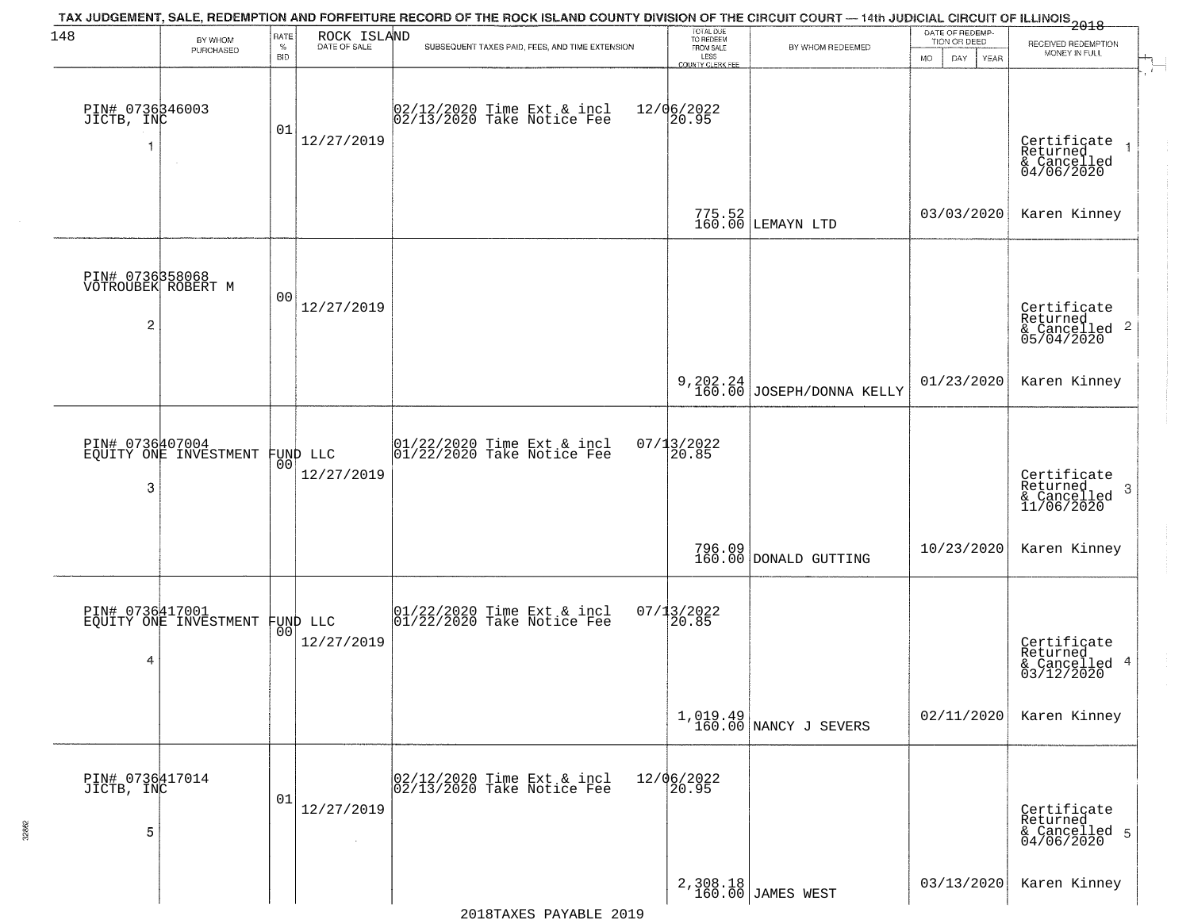| 148                                | BY WHOM                                           | RATE               | ROCK ISLAND  | TAX JUDGEMENT, SALE, REDEMPTION AND FORFEITURE RECORD OF THE ROCK ISLAND COUNTY DIVISION OF THE CIRCUIT COURT — 14th JUDICIAL CIRCUIT OF ILLINOIS 2018 | TOTAL DUE<br>TO REDEEM                         |                                   | DATE OF REDEMP-<br>TION OR DEED |                                                                    |  |
|------------------------------------|---------------------------------------------------|--------------------|--------------|--------------------------------------------------------------------------------------------------------------------------------------------------------|------------------------------------------------|-----------------------------------|---------------------------------|--------------------------------------------------------------------|--|
|                                    | PURCHASED                                         | $\%$<br><b>BID</b> | DATE OF SALE | SUBSEQUENT TAXES PAID, FEES, AND TIME EXTENSION                                                                                                        | FROM SALE<br>LESS                              | BY WHOM REDEEMED                  | <b>MO</b><br>DAY<br>YEAR        | RECEIVED REDEMPTION<br>MONEY IN FULL                               |  |
| PIN# 0736346003<br>JICTB, INC      | $\sim$                                            | 01                 | 12/27/2019   | 02/12/2020 Time Ext & incl<br>02/13/2020 Take Notice Fee                                                                                               | <b>COUNTY CLERK FEE</b><br>12/06/2022<br>20.95 |                                   |                                 | Certificate<br>Returned<br>& Cancelled<br>04/06/2020               |  |
|                                    |                                                   |                    |              |                                                                                                                                                        |                                                | 775.52<br>160.00 LEMAYN LTD       | 03/03/2020                      | Karen Kinney                                                       |  |
| $\overline{c}$                     | PIN# 0736358068<br>VOTROUBEK ROBERT M             | 0 <sub>0</sub>     | 12/27/2019   |                                                                                                                                                        |                                                |                                   |                                 | Certificate<br>Returned<br>$\frac{1}{6}$ Cancelled 2<br>05/04/2020 |  |
|                                    |                                                   |                    |              |                                                                                                                                                        |                                                | 9, 202.24 JOSEPH/DONNA KELLY      | 01/23/2020                      | Karen Kinney                                                       |  |
| 3                                  | PIN# 0736407004<br>EQUITY ONE INVESTMENT FUND LLC | 00                 | 12/27/2019   | $ 01/22/2020$ Time Ext & incl<br>$ 01/22/2020$ Take Notice Fee                                                                                         | 07/13/2022<br>20.85                            |                                   |                                 | Certificate<br>Returned<br>3<br>& Cancelled<br>11/06/2020          |  |
|                                    |                                                   |                    |              |                                                                                                                                                        |                                                | 796.09<br>160.00 DONALD GUTTING   | 10/23/2020                      | Karen Kinney                                                       |  |
| PIN# 0736417001<br>4               | EQUITY ONE INVESTMENT FUND LLC                    |                    | 12/27/2019   | $\begin{bmatrix} 01/22/2020 \\ 01/22/2020 \\ 01 \end{bmatrix}$ Take Notice Fee                                                                         | $07/13/2022$<br>20.85                          |                                   |                                 | Certificate<br>Returned<br>& Cancelled 4<br>03/12/2020             |  |
|                                    |                                                   |                    |              |                                                                                                                                                        |                                                | 1,019.49<br>160.00 NANCY J SEVERS | 02/11/2020                      | Karen Kinney                                                       |  |
| PIN# 0736417014<br>JICTB, INC<br>5 |                                                   | 01                 | 12/27/2019   | 02/12/2020 Time Ext & incl<br>02/13/2020 Take Notice Fee                                                                                               | 12/06/2022<br>20.95                            |                                   |                                 | Certificate<br>Returned<br>& Cancelled 5<br>04/06/2020             |  |
|                                    |                                                   |                    |              |                                                                                                                                                        |                                                | 2,308.18<br>160.00 JAMES WEST     | 03/13/2020                      | Karen Kinney                                                       |  |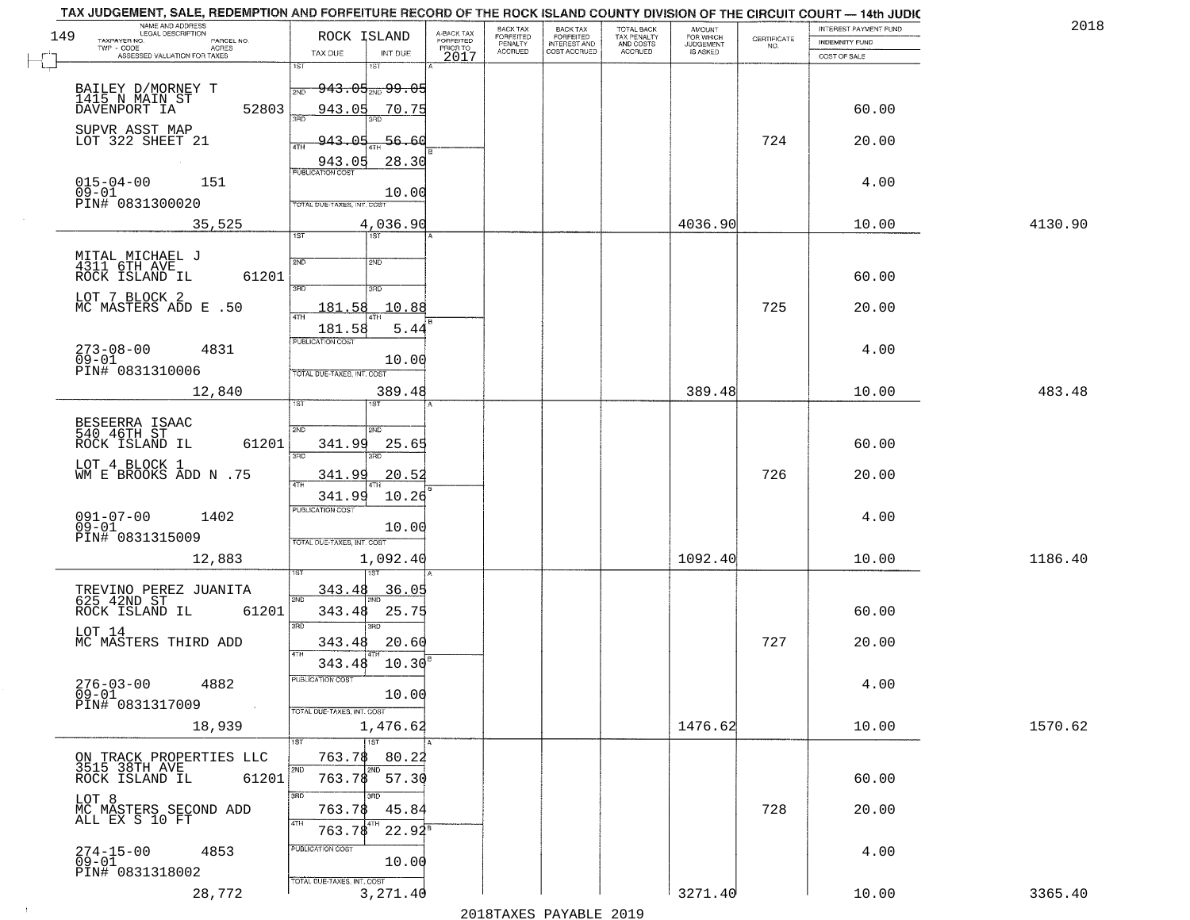| 4130.90<br>483.48 |
|-------------------|
|                   |
|                   |
|                   |
|                   |
|                   |
|                   |
|                   |
|                   |
|                   |
|                   |
|                   |
|                   |
|                   |
|                   |
|                   |
|                   |
|                   |
|                   |
|                   |
|                   |
|                   |
|                   |
|                   |
|                   |
|                   |
|                   |
|                   |
|                   |
|                   |
|                   |
|                   |
|                   |
| 1186.40           |
|                   |
|                   |
|                   |
|                   |
|                   |
|                   |
|                   |
|                   |
|                   |
| 1570.62           |
|                   |
|                   |
|                   |
|                   |
|                   |
|                   |
|                   |
|                   |
|                   |
|                   |
| 3365.40           |
|                   |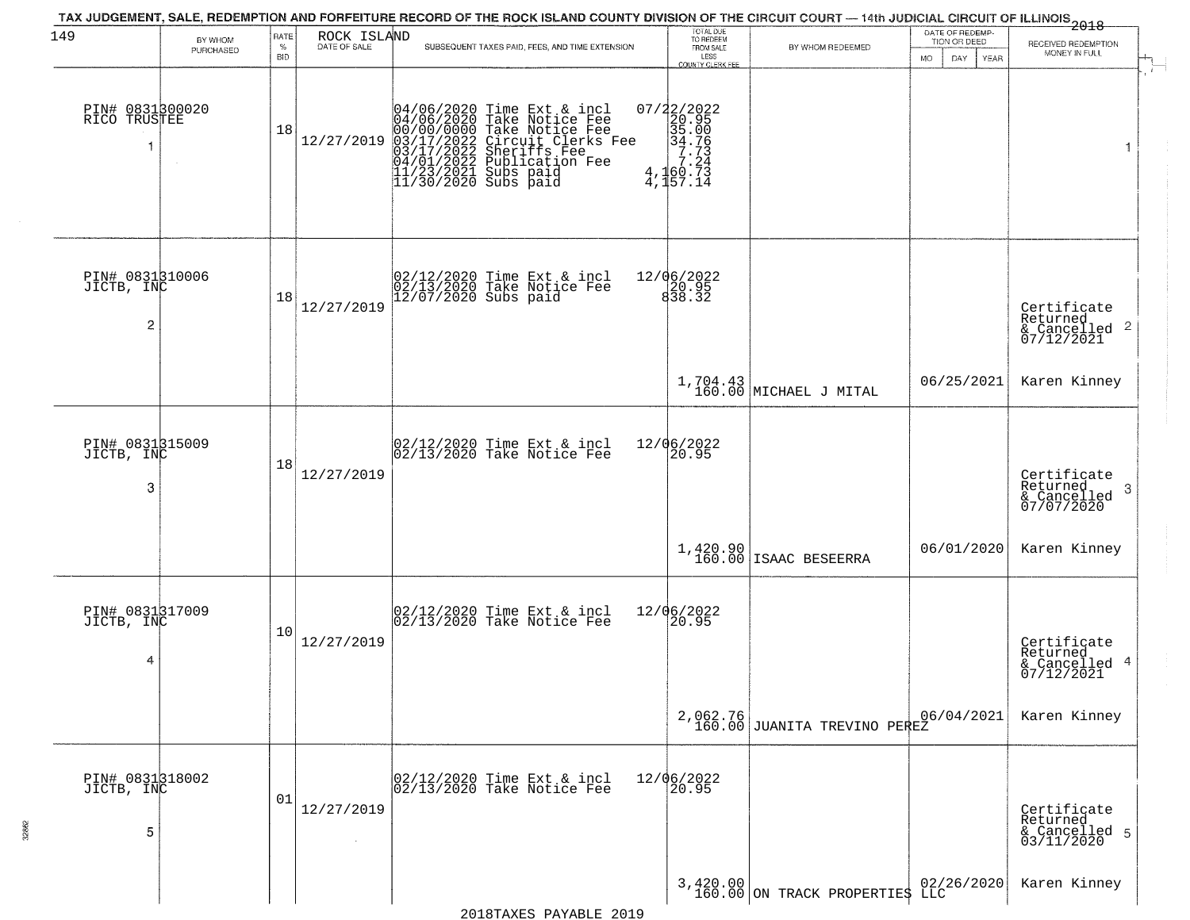| 149                                | BY WHOM   | RATE               | ROCK ISLAND          | TAX JUDGEMENT, SALE, REDEMPTION AND FORFEITURE RECORD OF THE ROCK ISLAND COUNTY DIVISION OF THE CIRCUIT COURT — 14th JUDICIAL CIRCUIT OF ILLINOIS 2018                                                                               | TOTAL DUE<br>TO REDEEM                                                                                                                                                                            |                                     | DATE OF REDEMP-<br>TION OR DEED |                                                                    |
|------------------------------------|-----------|--------------------|----------------------|--------------------------------------------------------------------------------------------------------------------------------------------------------------------------------------------------------------------------------------|---------------------------------------------------------------------------------------------------------------------------------------------------------------------------------------------------|-------------------------------------|---------------------------------|--------------------------------------------------------------------|
|                                    | PURCHASED | $\%$<br><b>BID</b> | DATE OF SALE         | SUBSEQUENT TAXES PAID, FEES, AND TIME EXTENSION                                                                                                                                                                                      | FROM SALE<br>LESS<br>COUNTY CLERK FEE                                                                                                                                                             | BY WHOM REDEEMED                    | MO.<br>DAY.<br>YEAR             | RECEIVED REDEMPTION<br>MONEY IN FULL                               |
| PIN# 0831300020<br>RICO TRUSTEE    |           | 18                 | 12/27/2019           | 04/06/2020 Time Ext & incl<br>04/06/2020 Take Notice Fee<br>00/00/00000 Take Notice Fee<br>03/17/2022 Circuit Clerks Fee<br>03/17/2022 Sublication Fee<br>04/01/2022 Publication Fee<br>11/23/2021 Subs paid<br>11/30/2020 Subs paid | $\begin{smallmatrix} 07/2 & 2/2 & 0 & 2 & 2 \\ 2 & 2 & 9 & 5 & 5 \\ 3 & 5 & 0 & 0 & 6 \\ 3 & 4 & 7 & 7 & 3 \\ 7 & 2 & 4 & 7 & 2 \\ 4 & 1 & 6 & 0 & 7 & 3 \\ 4 & 1 & 5 & 7 & 14 \end{smallmatrix}$ |                                     |                                 | $\mathbf{1}$                                                       |
| PIN# 0831310006<br>JICTB, INC<br>2 |           | 18                 | 12/27/2019           | 02/12/2020 Time Ext & incl<br>02/13/2020 Take Notice Fee<br>12/07/2020 Subs paid                                                                                                                                                     | 12/06/2022<br>$\begin{array}{c} 20.95 \\ 838.32 \end{array}$                                                                                                                                      |                                     |                                 | Certificate<br>Returned<br>$\frac{1}{2}$ Cancelled 2<br>07/12/2021 |
|                                    |           |                    |                      |                                                                                                                                                                                                                                      |                                                                                                                                                                                                   | $1,704.43$ MICHAEL J MITAL          | 06/25/2021                      | Karen Kinney                                                       |
| PIN# 0831315009<br>JICTB, INC<br>3 |           | 18                 | 12/27/2019           | 02/12/2020 Time Ext & incl<br>02/13/2020 Take Notice Fee                                                                                                                                                                             | 12/06/2022<br>20.95                                                                                                                                                                               |                                     |                                 | Certificate<br>Returned<br>3<br>& Cancelled<br>07/07/2020          |
|                                    |           |                    |                      |                                                                                                                                                                                                                                      |                                                                                                                                                                                                   | $1,420.90$<br>160.00 ISAAC BESEERRA | 06/01/2020                      | Karen Kinney                                                       |
| PIN# 0831317009<br>JICTB, INC<br>4 |           | 10                 | 12/27/2019           | 02/12/2020 Time Ext & incl<br>02/13/2020 Take Notice Fee                                                                                                                                                                             | 12/06/2022<br>20.95                                                                                                                                                                               |                                     |                                 | Certificate<br>Returned<br>& Cancelled 4<br>07/12/2021             |
|                                    |           |                    |                      |                                                                                                                                                                                                                                      | 2,062.76<br>160.00                                                                                                                                                                                | JUANITA TREVINO PEREZ               | 06/04/2021                      | Karen Kinney                                                       |
| PIN# 0831318002<br>JICTB, INC<br>5 |           | 01                 | 12/27/2019<br>$\sim$ | 02/12/2020 Time Ext & incl<br>02/13/2020 Take Notice Fee                                                                                                                                                                             | 12/06/2022<br>20.95                                                                                                                                                                               |                                     |                                 | Certificate<br>Returned<br>& Cancelled 5<br>03/11/2020             |
|                                    |           |                    |                      |                                                                                                                                                                                                                                      |                                                                                                                                                                                                   | 3,420.00 ON TRACK PROPERTIES LLC    |                                 | Karen Kinney                                                       |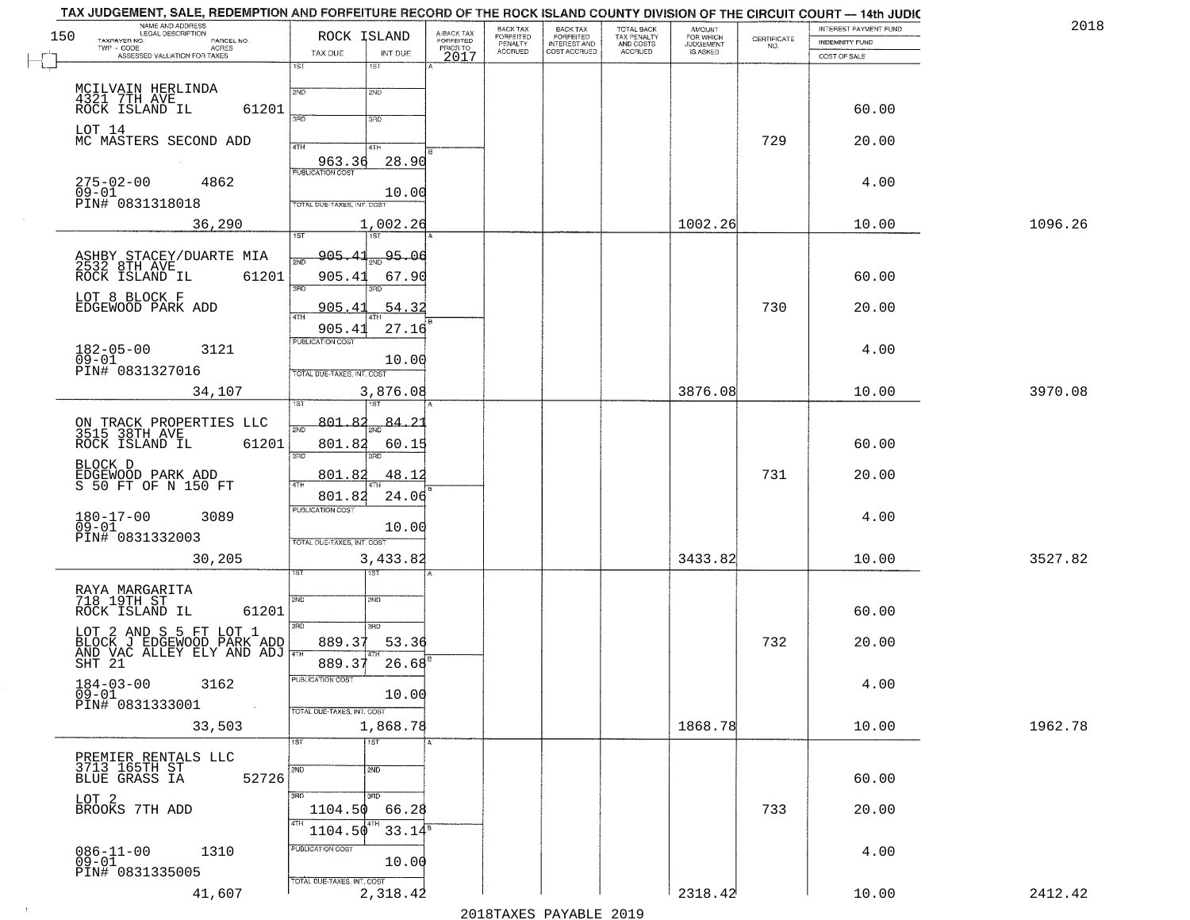| NAME AND ADDRESS<br>LEGAL DESCRIPTION<br>150<br>TAXPAYER NO.<br>PARCEL NO.                                                                   | ROCK ISLAND                              | A-BACK TAX<br>FORFEITED<br>PRIOR TO | BACK TAX<br>FORFEITED     | BACK TAX<br>FORFEITED<br>INTEREST AND | TOTAL BACK<br>TAX PENALTY | AMOUNT<br>FOR WHICH                 |                                                                 | INTEREST PAYMENT FUND                 | 2018    |
|----------------------------------------------------------------------------------------------------------------------------------------------|------------------------------------------|-------------------------------------|---------------------------|---------------------------------------|---------------------------|-------------------------------------|-----------------------------------------------------------------|---------------------------------------|---------|
| $TWP - CODE$<br><b>ACRES</b><br>ASSESSED VALUATION FOR TAXES                                                                                 | TAX DUE<br>INT DUE                       | 2017                                | PENALTY<br><b>ACCRUED</b> | COST ACCRUED                          | AND COSTS<br>ACCRUED      | <b>JUDGEMENT</b><br><b>IS ASKED</b> | $\begin{array}{c} \text{CERTIFICATE} \\ \text{NO.} \end{array}$ | <b>INDEMNITY FUND</b><br>COST OF SALE |         |
|                                                                                                                                              | 1ST<br>1ST                               |                                     |                           |                                       |                           |                                     |                                                                 |                                       |         |
| MCILVAIN HERLINDA                                                                                                                            | 2ND<br>2ND                               |                                     |                           |                                       |                           |                                     |                                                                 |                                       |         |
| 4321 7TH AVE ROCK ISLAND IL<br>61201                                                                                                         | 370<br>3RD                               |                                     |                           |                                       |                           |                                     |                                                                 | 60.00                                 |         |
| LOT 14<br>MC MASTERS SECOND ADD                                                                                                              |                                          |                                     |                           |                                       |                           |                                     | 729                                                             | 20.00                                 |         |
|                                                                                                                                              | 4TH<br>4TH<br>28.90<br>963.36            |                                     |                           |                                       |                           |                                     |                                                                 |                                       |         |
| $275 - 02 - 00$<br>4862                                                                                                                      | PUBLICATION COST                         |                                     |                           |                                       |                           |                                     |                                                                 | 4.00                                  |         |
| $09 - 01$<br>PIN# 0831318018                                                                                                                 | 10.00<br>TOTAL DUE-TAXES, INT. COST      |                                     |                           |                                       |                           |                                     |                                                                 |                                       |         |
| 36,290                                                                                                                                       | 1,002.26                                 |                                     |                           |                                       |                           | 1002.26                             |                                                                 | 10.00                                 | 1096.26 |
|                                                                                                                                              | 1ST<br>1ST                               |                                     |                           |                                       |                           |                                     |                                                                 |                                       |         |
| ASHBY STACEY/DUARTE MIA<br>2532 8TH AVE<br>ROCK ISLAND IL 6120                                                                               | <u>905.41</u><br>95.06<br><u>মূল</u>     |                                     |                           |                                       |                           |                                     |                                                                 |                                       |         |
| 61201                                                                                                                                        | 905.41<br>67.90<br>3RD                   |                                     |                           |                                       |                           |                                     |                                                                 | 60.00                                 |         |
| LOT 8 BLOCK F<br>EDGEWOOD PARK ADD                                                                                                           | 54.32<br><u>905.41</u>                   |                                     |                           |                                       |                           |                                     | 730                                                             | 20.00                                 |         |
|                                                                                                                                              | 27.16<br>905.41                          |                                     |                           |                                       |                           |                                     |                                                                 |                                       |         |
| $182 - 05 - 00$<br>3121                                                                                                                      | PUBLICATION COST                         |                                     |                           |                                       |                           |                                     |                                                                 | 4.00                                  |         |
| $09 - 01$<br>PIN# 0831327016                                                                                                                 | 10.00<br>TOTAL DUE-TAXES, INT. COST      |                                     |                           |                                       |                           |                                     |                                                                 |                                       |         |
| 34,107                                                                                                                                       | 3,876.08                                 |                                     |                           |                                       |                           | 3876.08                             |                                                                 | 10.00                                 | 3970.08 |
|                                                                                                                                              |                                          |                                     |                           |                                       |                           |                                     |                                                                 |                                       |         |
| ON TRACK PROPERTIES LLC<br>3515 38TH AVE                                                                                                     | $801.84_{\text{2ND}}84.21$<br>2ND        |                                     |                           |                                       |                           |                                     |                                                                 |                                       |         |
| ROCK ISLAND IL<br>61201                                                                                                                      | 801.82<br>60.15<br>3BD<br>3BD            |                                     |                           |                                       |                           |                                     |                                                                 | 60.00                                 |         |
| BLOCK D<br>EDGEWOOD PARK ADD<br>S 50 FT OF N 150 FT                                                                                          | 801.82<br>48.12                          |                                     |                           |                                       |                           |                                     | 731                                                             | 20.00                                 |         |
|                                                                                                                                              | 4TH<br>801.82<br>24.06                   |                                     |                           |                                       |                           |                                     |                                                                 |                                       |         |
| 180-17-00<br>09-01<br>3089                                                                                                                   | <b>PUBLICATION COST</b>                  |                                     |                           |                                       |                           |                                     |                                                                 | 4.00                                  |         |
| PIN# 0831332003                                                                                                                              | 10.00<br>TOTAL OUE-TAXES, INT. COST      |                                     |                           |                                       |                           |                                     |                                                                 |                                       |         |
| 30,205                                                                                                                                       | 3,433.82                                 |                                     |                           |                                       |                           | 3433.82                             |                                                                 | 10.00                                 | 3527.82 |
|                                                                                                                                              | 1ST                                      |                                     |                           |                                       |                           |                                     |                                                                 |                                       |         |
| RAYA MARGARITA<br>718 19TH ST                                                                                                                | 2ND<br>2ND                               |                                     |                           |                                       |                           |                                     |                                                                 |                                       |         |
| ROCK ISLAND IL<br>61201                                                                                                                      | 3BD<br>3RD                               |                                     |                           |                                       |                           |                                     |                                                                 | 60.00                                 |         |
| LOT 2 AND S 5 FT LOT 1<br>BLOCK J EDGEWOOD PARK ADD<br>AND VAC ALLEY ELY AND ADJ $\begin{bmatrix} 3^{96} \\ 471 \\ 5111 \\ 21 \end{bmatrix}$ | 889.37<br>53.36                          |                                     |                           |                                       |                           |                                     | 732                                                             | 20.00                                 |         |
|                                                                                                                                              | 889.37<br>26.68                          |                                     |                           |                                       |                           |                                     |                                                                 |                                       |         |
| $184 - 03 - 00$<br>3162                                                                                                                      | PUBLICATION COST                         |                                     |                           |                                       |                           |                                     |                                                                 | 4.00                                  |         |
| $09 - 01$<br>PIN# 0831333001<br>$\sim$ $\sim$                                                                                                | 10.00<br>TOTAL DUE-TAXES, INT. COST      |                                     |                           |                                       |                           |                                     |                                                                 |                                       |         |
| 33,503                                                                                                                                       | 1,868.78                                 |                                     |                           |                                       |                           | 1868.78                             |                                                                 | 10.00                                 | 1962.78 |
|                                                                                                                                              | $\overline{1}$ 1st<br>1ST                |                                     |                           |                                       |                           |                                     |                                                                 |                                       |         |
| PREMIER RENTALS LLC<br>3713 165TH ST                                                                                                         | 2ND<br>2ND                               |                                     |                           |                                       |                           |                                     |                                                                 |                                       |         |
| BLUE GRASS IA<br>52726                                                                                                                       | 3HD                                      |                                     |                           |                                       |                           |                                     |                                                                 | 60.00                                 |         |
| LOT 2<br>BROOKS 7TH ADD                                                                                                                      | 1104.50<br>66.28                         |                                     |                           |                                       |                           |                                     | 733                                                             | 20.00                                 |         |
|                                                                                                                                              | 4TH<br>4TH<br>1104.50<br>$33.14^{\circ}$ |                                     |                           |                                       |                           |                                     |                                                                 |                                       |         |
| 086-11-00<br>09-01<br>1310                                                                                                                   | PUBLICATION COST<br>10.00                |                                     |                           |                                       |                           |                                     |                                                                 | 4.00                                  |         |
| PIN# 0831335005                                                                                                                              | TOTAL DUE-TAXES, INT. COST               |                                     |                           |                                       |                           |                                     |                                                                 |                                       |         |
| 41,607                                                                                                                                       | 2,318.42                                 |                                     |                           |                                       |                           | 2318.42                             |                                                                 | 10.00                                 | 2412.42 |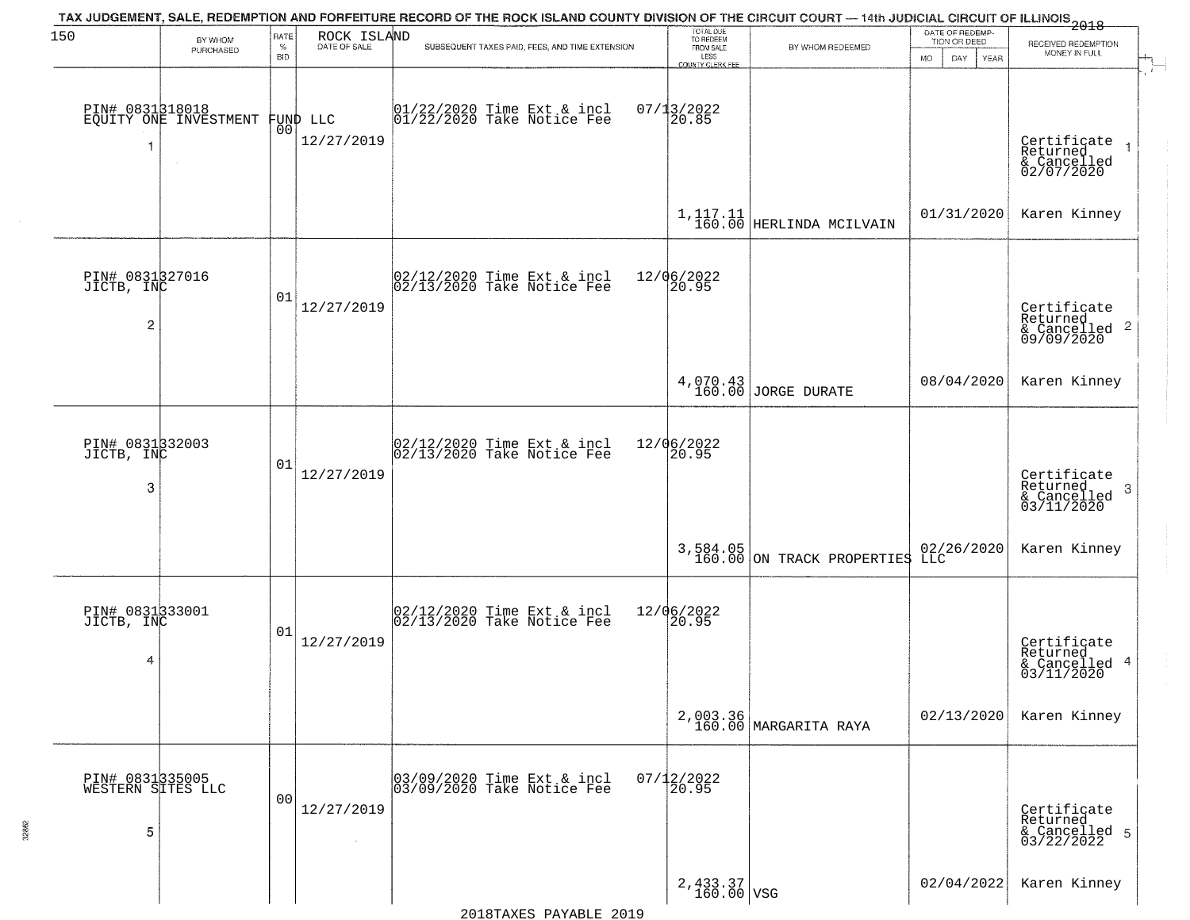| 150                                       |                                          | RATE               | ROCK ISLAND                    | TAX JUDGEMENT, SALE, REDEMPTION AND FORFEITURE RECORD OF THE ROCK ISLAND COUNTY DIVISION OF THE CIRCUIT COURT — 14th JUDICIAL CIRCUIT OF ILLINOIS 2018 | TOTAL DUE<br>TO REDEEM                           |                                          | DATE OF REDEMP-                          |                                                                    |
|-------------------------------------------|------------------------------------------|--------------------|--------------------------------|--------------------------------------------------------------------------------------------------------------------------------------------------------|--------------------------------------------------|------------------------------------------|------------------------------------------|--------------------------------------------------------------------|
|                                           | BY WHOM<br>PURCHASED                     | $\%$<br><b>BID</b> | DATE OF SALE                   | SUBSEQUENT TAXES PAID, FEES, AND TIME EXTENSION                                                                                                        | FROM SALE<br>LESS                                | BY WHOM REDEEMED                         | TION OR DEED<br><b>MO</b><br>DAY<br>YEAR | RECEIVED REDEMPTION<br>MONEY IN FULL                               |
| 1                                         | PIN# 0831318018<br>EQUITY ONE INVESTMENT |                    | FUND LLC<br> 00 <br>12/27/2019 | $01/22/2020$ Time Ext & incl<br>$01/22/2020$ Take Notice Fee                                                                                           | <b>COUNTY CLERK FEE</b><br>$07/13/2022$<br>20.85 |                                          |                                          | Certificate<br>Returned<br>& Cancelled<br>02/07/2020               |
|                                           |                                          |                    |                                |                                                                                                                                                        |                                                  | $1,117.11$ HERLINDA MCILVAIN             | 01/31/2020                               | Karen Kinney                                                       |
| PIN# 0831327016<br>JICTB, INC<br>2        |                                          | 01                 | 12/27/2019                     | 02/12/2020 Time Ext & incl<br>02/13/2020 Take Notice Fee                                                                                               | 12/06/2022<br>20.95                              |                                          |                                          | Certificate<br>Returned<br>$\frac{1}{6}$ Cancelled 2<br>09/09/2020 |
|                                           |                                          |                    |                                |                                                                                                                                                        |                                                  | 4,070.43<br>160.00 JORGE DURATE          | 08/04/2020                               | Karen Kinney                                                       |
| PIN# 0831332003<br>JICTB, INC<br>3        |                                          | 01                 | 12/27/2019                     | 02/12/2020 Time Ext & incl<br>02/13/2020 Take Notice Fee                                                                                               | 12/06/2022<br>20.95                              |                                          |                                          | Certificate<br>Returned<br>3<br>$\frac{1}{03/11/2020}$             |
|                                           |                                          |                    |                                |                                                                                                                                                        |                                                  | $3,584.05$<br>160.00 ON TRACK PROPERTIES | 02/26/2020<br>LLC                        | Karen Kinney                                                       |
| PIN# 0831333001<br>JICTB, INC<br>4        |                                          | 01                 | 12/27/2019                     | 02/12/2020 Time Ext & incl<br>02/13/2020 Take Notice Fee                                                                                               | 12/06/2022<br>20.95                              |                                          |                                          | Certificate<br>Returned<br>& Cancelled 4<br>03/11/2020             |
|                                           |                                          |                    |                                |                                                                                                                                                        |                                                  | 2,003.36<br>160.00 MARGARITA RAYA        | 02/13/2020                               | Karen Kinney                                                       |
| PIN# 0831335005<br>WESTERN SITES LLC<br>5 |                                          | 00                 | 12/27/2019                     | 03/09/2020 Time Ext & incl<br>03/09/2020 Take Notice Fee                                                                                               | $07/12/2022$<br>20.95                            |                                          |                                          | Certificate<br>Returned<br>& Cancelled 5<br>03/22/2022             |
|                                           |                                          |                    |                                |                                                                                                                                                        | $2,433.37$ VSG                                   |                                          | 02/04/2022                               | Karen Kinney                                                       |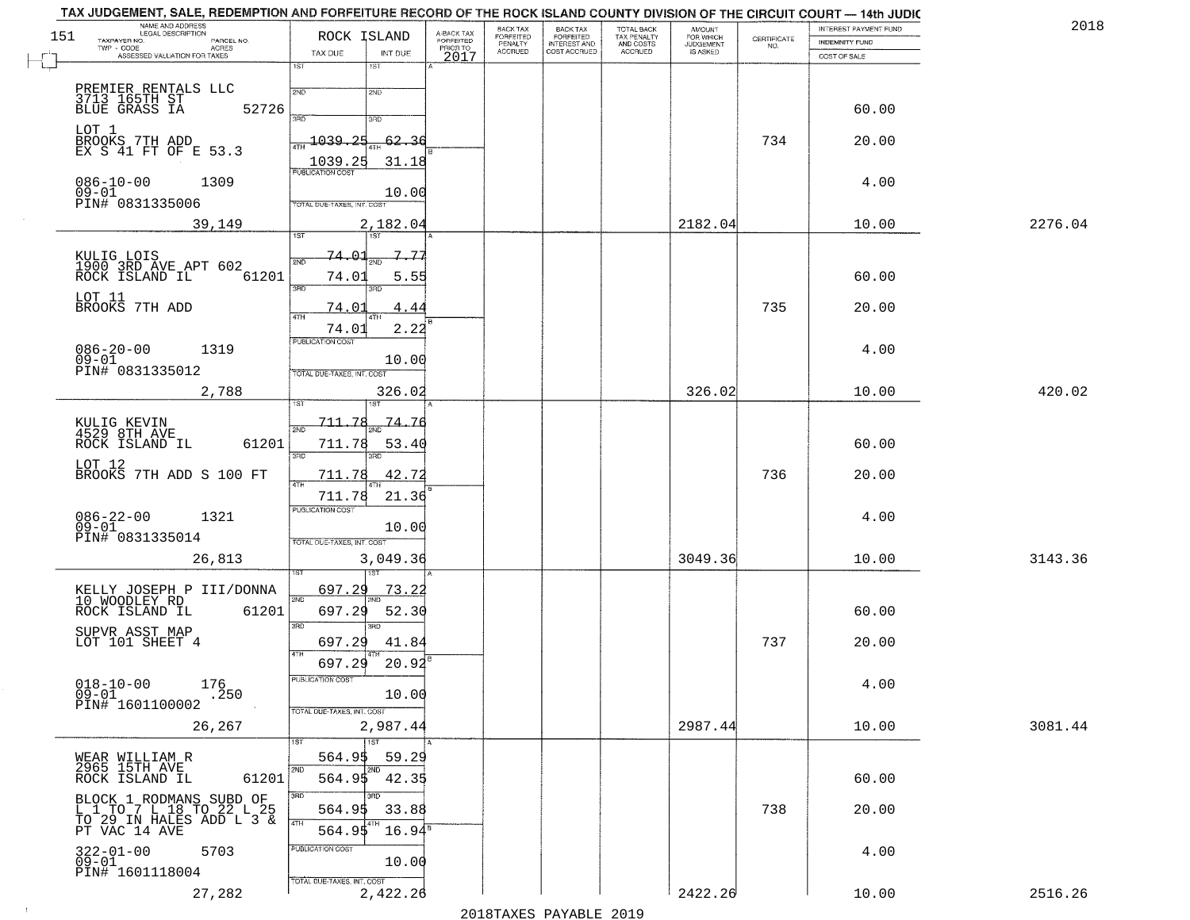| 151 | NAME AND ADDRESS<br>LEGAL DESCRIPTION<br>TAXPAYER NO.<br>PARCEL NO.                     | ROCK ISLAND                          | A-BACK TAX<br>FORFEITED | BACK TAX<br>FORFEITED<br>PENALTY | BACK TAX<br>FORFEITED<br>INTEREST AND | TOTAL BACK<br>TAX PENALTY<br>AND COSTS | AMOUNT<br>FOR WHICH<br><b>JUDGEMENT</b> | $\begin{array}{c} \text{CERTIFICATE} \\ \text{NO.} \end{array}$ | INTEREST PAYMENT FUND<br><b>INDEMNITY FUND</b> | 2018    |
|-----|-----------------------------------------------------------------------------------------|--------------------------------------|-------------------------|----------------------------------|---------------------------------------|----------------------------------------|-----------------------------------------|-----------------------------------------------------------------|------------------------------------------------|---------|
|     | TWP - CODE<br><b>ACRES</b><br>ASSESSED VALUATION FOR TAXES                              | TAX DUE<br>INT DUE                   | PRIOR TO<br>2017        | <b>ACCRUED</b>                   | COST ACCRUED                          | ACCRUED                                | IS ASKED                                |                                                                 | COST OF SALE                                   |         |
|     |                                                                                         | 1ST<br>1ST                           |                         |                                  |                                       |                                        |                                         |                                                                 |                                                |         |
|     | PREMIER RENTALS LLC<br>3713 165TH ST<br>BLUE GRASS IA                                   | 2ND<br>2ND                           |                         |                                  |                                       |                                        |                                         |                                                                 |                                                |         |
|     | 52726                                                                                   | 350<br>3RD                           |                         |                                  |                                       |                                        |                                         |                                                                 | 60.00                                          |         |
|     | LOT 1<br>BROOKS 7TH ADD<br>EX S 41 FT OF E 53.3                                         | 1039.25<br>-62.36                    |                         |                                  |                                       |                                        |                                         | 734                                                             | 20.00                                          |         |
|     |                                                                                         | 1039.25<br>PUBLICATION COST<br>31.18 |                         |                                  |                                       |                                        |                                         |                                                                 |                                                |         |
|     | $086 - 10 - 00$<br>1309<br>$09 - 01$                                                    |                                      |                         |                                  |                                       |                                        |                                         |                                                                 | 4.00                                           |         |
|     | PIN# 0831335006                                                                         | 10.00<br>TOTAL DUE-TAXES, INT. COST  |                         |                                  |                                       |                                        |                                         |                                                                 |                                                |         |
|     | 39,149                                                                                  | 2,182.04<br>1ST<br>1ST               |                         |                                  |                                       |                                        | 2182.04                                 |                                                                 | 10.00                                          | 2276.04 |
|     |                                                                                         | 74.01<br>$7 - 77$                    |                         |                                  |                                       |                                        |                                         |                                                                 |                                                |         |
|     | KULIG LOIS<br>1900 3RD AVE APT 602<br>ROCK ISLAND IL<br>61201                           | 2ND<br>74.01<br>5.55                 |                         |                                  |                                       |                                        |                                         |                                                                 | 60.00                                          |         |
|     |                                                                                         | <b>3RD</b><br>3BD                    |                         |                                  |                                       |                                        |                                         |                                                                 |                                                |         |
|     | LOT 11<br>BROOKS 7TH ADD                                                                | 74.01<br>4.44<br><b>ATH</b>          |                         |                                  |                                       |                                        |                                         | 735                                                             | 20.00                                          |         |
|     |                                                                                         | 2.22<br>74.01<br>PUBLICATION COST    |                         |                                  |                                       |                                        |                                         |                                                                 |                                                |         |
|     | $086 - 20 - 00$<br>1319<br>$09 - 01$                                                    | 10.00                                |                         |                                  |                                       |                                        |                                         |                                                                 | 4.00                                           |         |
|     | PIN# 0831335012                                                                         | TOTAL DUE-TAXES, INT. COST           |                         |                                  |                                       |                                        |                                         |                                                                 |                                                |         |
|     | 2,788                                                                                   | 326.02<br>ïЗT                        |                         |                                  |                                       |                                        | 326.02                                  |                                                                 | 10.00                                          | 420.02  |
|     | KULIG KEVIN<br>4529 8TH AVE                                                             | 711.78<br>74.76<br>2ND               |                         |                                  |                                       |                                        |                                         |                                                                 |                                                |         |
|     | 61201<br>ROCK ISLAND IL                                                                 | 711.78<br>53.40                      |                         |                                  |                                       |                                        |                                         |                                                                 | 60.00                                          |         |
|     | LOT 12<br>BROOKS 7TH ADD S 100 FT                                                       | 3RD<br>3RD<br>711.78<br>42.72        |                         |                                  |                                       |                                        |                                         | 736                                                             | 20.00                                          |         |
|     |                                                                                         | 711.78<br>21.36                      |                         |                                  |                                       |                                        |                                         |                                                                 |                                                |         |
|     | 1321                                                                                    | <b>PUBLICATION COST</b>              |                         |                                  |                                       |                                        |                                         |                                                                 | 4.00                                           |         |
|     | $086 - 22 - 00$<br>09-01<br>PIN# 0831335014                                             | 10.00<br>TOTAL OUE-TAXES, INT. COST  |                         |                                  |                                       |                                        |                                         |                                                                 |                                                |         |
|     | 26,813                                                                                  | 3,049.36                             |                         |                                  |                                       |                                        | 3049.36                                 |                                                                 | 10.00                                          | 3143.36 |
|     |                                                                                         |                                      |                         |                                  |                                       |                                        |                                         |                                                                 |                                                |         |
|     | KELLY JOSEPH P III/DONNA<br>10 WOODLEY RD                                               | 697.29<br>73.2<br>2ND                |                         |                                  |                                       |                                        |                                         |                                                                 |                                                |         |
|     | ROCK ISLAND IL<br>61201                                                                 | 697.29<br>52.30<br>3RD               |                         |                                  |                                       |                                        |                                         |                                                                 | 60.00                                          |         |
|     | SUPVR ASST MAP<br>LOT 101 SHEET 4                                                       | 697.29<br>41.84                      |                         |                                  |                                       |                                        |                                         | 737                                                             | 20.00                                          |         |
|     |                                                                                         | 4TH<br>697.29<br>20.92               |                         |                                  |                                       |                                        |                                         |                                                                 |                                                |         |
|     | $018 - 10 - 00$<br>176<br>$09 - 01$<br>.250                                             | PUBLICATION COST<br>10.00            |                         |                                  |                                       |                                        |                                         |                                                                 | 4.00                                           |         |
|     | PIN# 1601100002                                                                         | TOTAL DUE-TAXES, INT. COST           |                         |                                  |                                       |                                        |                                         |                                                                 |                                                |         |
|     | 26,267                                                                                  | 2,987.44                             |                         |                                  |                                       |                                        | 2987.44                                 |                                                                 | 10.00                                          | 3081.44 |
|     |                                                                                         | 1ST<br>564.95<br>59.29               |                         |                                  |                                       |                                        |                                         |                                                                 |                                                |         |
|     | WEAR WILLIAM R<br>2965 15TH AVE<br>61201<br>ROCK ISLAND IL                              | 2ND<br>2ND<br>564.95<br>42.35        |                         |                                  |                                       |                                        |                                         |                                                                 | 60.00                                          |         |
|     |                                                                                         | 3RD<br>3RD.                          |                         |                                  |                                       |                                        |                                         |                                                                 |                                                |         |
|     | BLOCK 1 RODMANS SUBD OF L 1 TO 7 L 18 TO 22 L 25 TO 29 IN HALES ADD L 3 & PT VAC 14 AVE | 33.88<br>564.95<br>4TH               |                         |                                  |                                       |                                        |                                         | 738                                                             | 20.00                                          |         |
|     |                                                                                         | $16.94^{\circ}$<br>564.95            |                         |                                  |                                       |                                        |                                         |                                                                 |                                                |         |
|     | 322-01-00<br>09-01<br>5703                                                              | PUBLICATION COST<br>10.00            |                         |                                  |                                       |                                        |                                         |                                                                 | 4.00                                           |         |
|     | PIN# 1601118004                                                                         | TOTAL DUE-TAXES, INT. COST           |                         |                                  |                                       |                                        |                                         |                                                                 |                                                |         |
|     | 27,282                                                                                  | 2,422.26                             |                         |                                  | 0.10 הזמגזגת מהעגדות                  |                                        | 2422.26                                 |                                                                 | 10.00                                          | 2516.26 |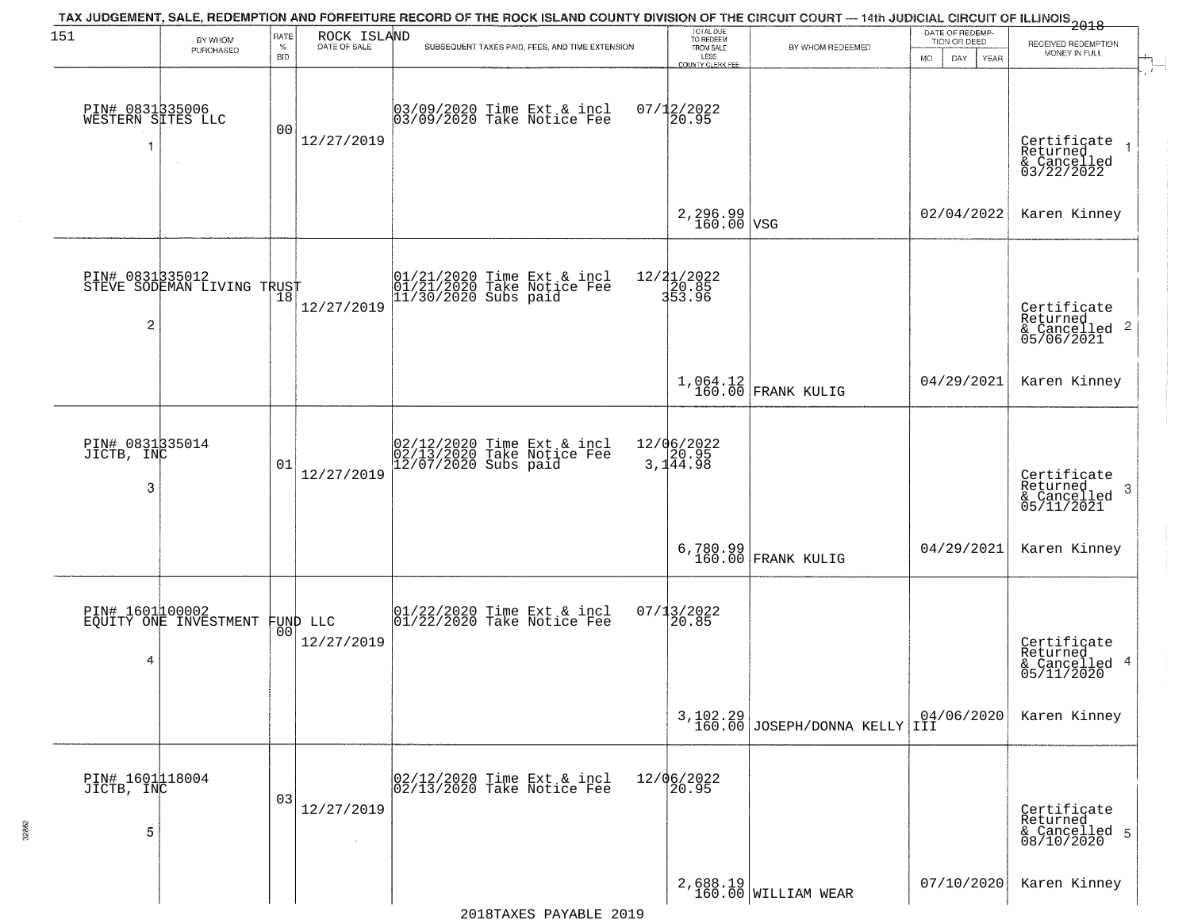| 151                                  | BY WHOM<br>PURCHASED                          | RATE<br>$\%$<br><b>BID</b> | ROCK ISLAND<br>DATE OF SALE    | TAX JUDGEMENT, SALE, REDEMPTION AND FORFEITURE RECORD OF THE ROCK ISLAND COUNTY DIVISION OF THE CIRCUIT COURT — 14th JUDICIAL CIRCUIT OF ILLINOIS 2018<br>SUBSEQUENT TAXES PAID, FEES, AND TIME EXTENSION | TOTAL DUE<br>TO REDEEM<br>FROM SALE               | BY WHOM REDEEMED                        | DATE OF REDEMP.<br>TION OR DEED<br>MO.<br>DAY.<br>YEAR   | RECEIVED REDEMPTION<br>MONEY IN FULL                               |
|--------------------------------------|-----------------------------------------------|----------------------------|--------------------------------|-----------------------------------------------------------------------------------------------------------------------------------------------------------------------------------------------------------|---------------------------------------------------|-----------------------------------------|----------------------------------------------------------|--------------------------------------------------------------------|
| PIN# 0831335006<br>WESTERN SITES LLC | $\sim$                                        | 00                         | 12/27/2019                     | 03/09/2020 Time Ext & incl<br>03/09/2020 Take Notice Fee                                                                                                                                                  | LESS<br>COUNTY CLERK FEE<br>$07/12/2022$<br>20.95 |                                         |                                                          | Certificate<br>Returned<br>& Cancelled<br>03/22/2022               |
|                                      |                                               |                            |                                |                                                                                                                                                                                                           | $2,296.99$ vsg                                    |                                         | 02/04/2022                                               | Karen Kinney                                                       |
| 2                                    | PIN# 0831335012<br>STEVE SODEMAN LIVING TRUST |                            | 12/27/2019                     | 01/21/2020 Time Ext & incl<br>01/21/2020 Take Notice Fee<br>11/30/2020 Subs paid                                                                                                                          | 12/21/2022<br>20.85<br>353.96                     |                                         |                                                          | Certificate<br>Returned<br>$\frac{1}{6}$ Cancelled 2<br>05/06/2021 |
|                                      |                                               |                            |                                |                                                                                                                                                                                                           |                                                   | $1,064.12$ FRANK KULIG                  | 04/29/2021                                               | Karen Kinney                                                       |
| PIN# 0831335014<br>JICTB, INC<br>3   |                                               | 01                         | 12/27/2019                     | 02/12/2020 Time Ext & incl<br>02/13/2020 Take Notice Fee<br>12/07/2020 Subs paid                                                                                                                          | 12/06/2022<br>3,144.98                            |                                         |                                                          | Certificate<br>Returned<br>& Cancelled<br>05/11/2021<br>-3         |
|                                      |                                               |                            |                                |                                                                                                                                                                                                           |                                                   | 6,780.99<br>160.00 FRANK KULIG          | 04/29/2021                                               | Karen Kinney                                                       |
| PIN# 1601100002<br>4                 | EQUITY ONE INVESTMENT                         |                            | FUND LLC<br> 00 <br>12/27/2019 | $\begin{array}{c}  01/22/2020 \text{ Time} \text{ Ext} & \text{incl} \\ 01/22/2020 \text{ Take Notice } \text{Fe} \end{array}$                                                                            | $07/13/2022$<br>20.85                             |                                         |                                                          | Certificate<br>Returned<br>& Cancelled 4<br>05/11/2020             |
|                                      |                                               |                            |                                |                                                                                                                                                                                                           |                                                   | $3,102.29$<br>160.00 JOSEPH/DONNA KELLY | $\begin{bmatrix} 04/06/2020 \\ \text{III} \end{bmatrix}$ | Karen Kinney                                                       |
| PIN# 1601118004<br>JICTB, INC<br>5   |                                               | 03                         | 12/27/2019                     | 02/12/2020 Time Ext & incl<br>02/13/2020 Take Notice Fee                                                                                                                                                  | 12/06/2022<br>20.95                               |                                         |                                                          | Certificate<br>Returned<br>& Cancelled 5<br>08/10/2020             |
|                                      |                                               |                            |                                |                                                                                                                                                                                                           |                                                   | $2,688.19$ WILLIAM WEAR                 | 07/10/2020                                               | Karen Kinney                                                       |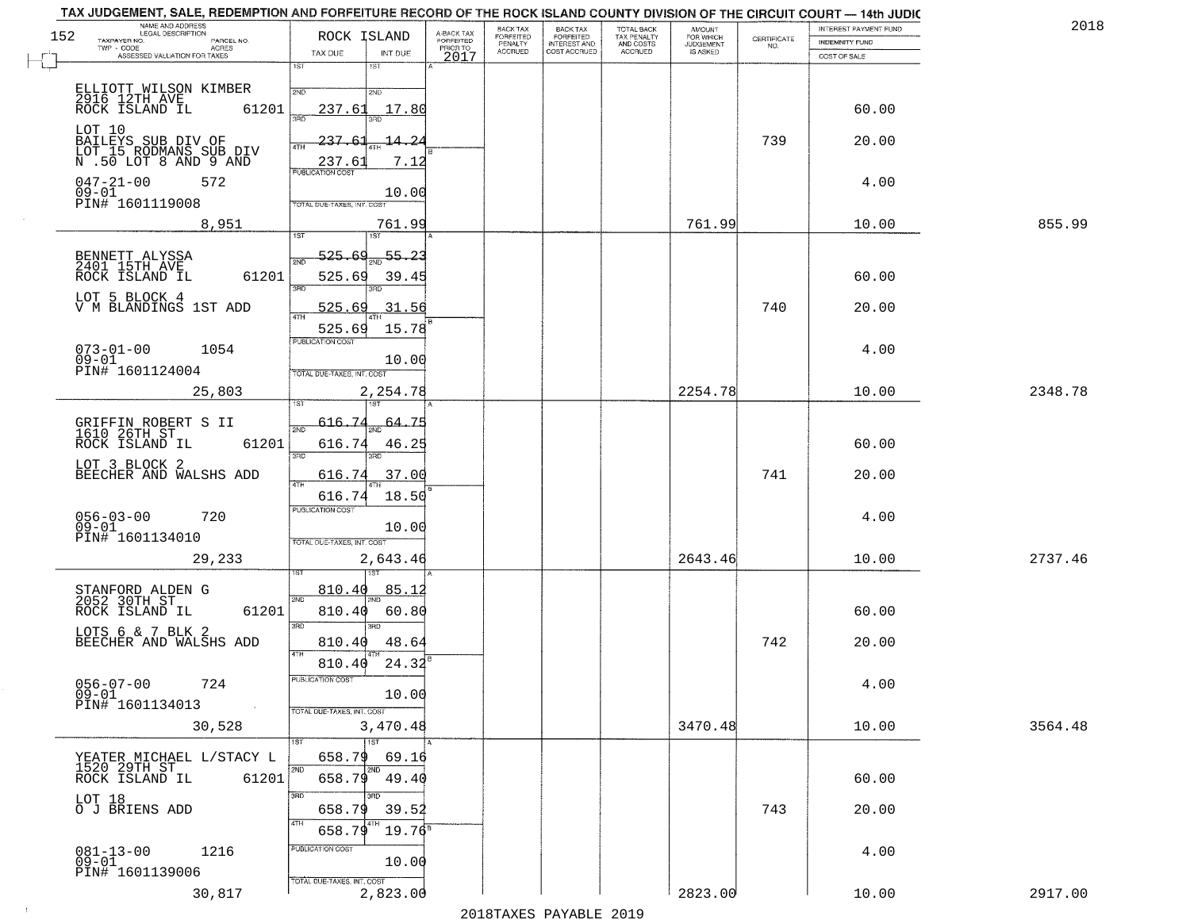| 152 | NAME AND ADDRESS<br>LEGAL DESCRIPTION                                | ROCK ISLAND                                        | A-BACK TAX<br>FORFEITED | BACK TAX<br>FORFEITED     | BACK TAX<br>FORFEITED<br>INTEREST AND | TOTAL BACK<br>TAX PENALTY<br>AND COSTS | AMOUNT<br>FOR WHICH          |                                                                 | INTEREST PAYMENT FUND | 2018    |
|-----|----------------------------------------------------------------------|----------------------------------------------------|-------------------------|---------------------------|---------------------------------------|----------------------------------------|------------------------------|-----------------------------------------------------------------|-----------------------|---------|
|     | TAXPAYER NO.<br>PARCEL NO.<br>$TWP - CODE$<br>ACRES                  | TAX DUE<br>INT DUE                                 | PRIOR TO                | PENALTY<br><b>ACCRUED</b> | COST ACCRUED                          | <b>ACCRUED</b>                         | <b>JUDGEMENT</b><br>IS ASKED | $\begin{array}{c} \text{CEPTIFICATE} \\ \text{NO.} \end{array}$ | <b>INDEMNITY FUND</b> |         |
|     | ASSESSED VALUATION FOR TAXES                                         | 1ST<br>1ST                                         | 2017                    |                           |                                       |                                        |                              |                                                                 | COST OF SALE          |         |
|     |                                                                      | 2ND<br>2ND                                         |                         |                           |                                       |                                        |                              |                                                                 |                       |         |
|     | ELLIOTT WILSON KIMBER<br>2916 12TH AVE<br>ROCK ISLAND IL 6:<br>61201 | 17.80<br>237.61<br>बन्नल                           |                         |                           |                                       |                                        |                              |                                                                 | 60.00                 |         |
|     | LOT 10<br>BAILEYS SUB DIV OF<br>LOT_15_RODMANS_SUB_DIV               | 237.61<br>-14.2<br>4TH                             |                         |                           |                                       |                                        |                              | 739                                                             | 20.00                 |         |
|     | N .50 LOT 8 AND 9 AND<br>$047 - 21 - 00$<br>572<br>09-01             | 7.12<br>237.61<br><b>PUBLICATION COST</b><br>10.00 |                         |                           |                                       |                                        |                              |                                                                 | 4.00                  |         |
|     | PIN# 1601119008<br>8,951                                             | TOTAL DUE-TAXES, INT. COST<br>761.99               |                         |                           |                                       |                                        | 761.99                       |                                                                 | 10.00                 | 855.99  |
|     |                                                                      | 1ST<br>1ST                                         |                         |                           |                                       |                                        |                              |                                                                 |                       |         |
|     | BENNETT ALYSSA<br>2401 15TH AVE<br>ROCK ISLAND IL<br>61201           | 525.69<br>55.23<br>2ND<br>525.69<br>39.45<br>3RD   |                         |                           |                                       |                                        |                              |                                                                 | 60.00                 |         |
|     | LOT 5 BLOCK 4<br>V M BLANDINGS 1ST ADD                               | 525.69<br>31.56                                    |                         |                           |                                       |                                        |                              | 740                                                             | 20.00                 |         |
|     |                                                                      | 525.69<br>15.78<br>PUBLICATION COST                |                         |                           |                                       |                                        |                              |                                                                 |                       |         |
|     | $073 - 01 - 00$<br>1054<br>$09 - 01$<br>PIN# 1601124004              | 10.00<br>TOTAL DUE-TAXES, INT. COST                |                         |                           |                                       |                                        |                              |                                                                 | 4.00                  |         |
|     | 25,803                                                               | 2,254.78<br>1ST                                    |                         |                           |                                       |                                        | 2254.78                      |                                                                 | 10.00                 | 2348.78 |
|     |                                                                      | 616.74<br>64.75                                    |                         |                           |                                       |                                        |                              |                                                                 |                       |         |
|     | GRIFFIN ROBERT S II<br>1610 26TH ST<br>ROCK ISLAND IL<br>61201       | 2ND<br>616.74<br>46.25<br>3BD<br>3RD               |                         |                           |                                       |                                        |                              |                                                                 | 60.00                 |         |
|     | LOT 3 BLOCK 2<br>BEECHER AND WALSHS ADD                              | 616.74<br>37.00                                    |                         |                           |                                       |                                        |                              | 741                                                             | 20.00                 |         |
|     |                                                                      | 4TH<br>616.74<br>18.50                             |                         |                           |                                       |                                        |                              |                                                                 |                       |         |
|     | $056 - 03 - 00$<br>720                                               | <b>PUBLICATION COST</b>                            |                         |                           |                                       |                                        |                              |                                                                 | 4.00                  |         |
|     | $09 - 01$<br>PIN# 1601134010                                         | 10.00<br>TOTAL OUE-TAXES, INT. COST                |                         |                           |                                       |                                        |                              |                                                                 |                       |         |
|     | 29,233                                                               | 2,643.46<br>াজা                                    |                         |                           |                                       |                                        | 2643.46                      |                                                                 | 10.00                 | 2737.46 |
|     | STANFORD ALDEN G<br>2052 30TH ST                                     | 85.1<br>810.40<br>2ND                              |                         |                           |                                       |                                        |                              |                                                                 |                       |         |
|     | ROCK ISLAND IL<br>61201                                              | 810.40<br>60.80                                    |                         |                           |                                       |                                        |                              |                                                                 | 60.00                 |         |
|     | LOTS 6 & 7 BLK 2<br>BEECHER AND WALSHS ADD                           | 3RD<br>$\overline{3BD}$<br>48.6<br>810.40          |                         |                           |                                       |                                        |                              | 742                                                             | 20.00                 |         |
|     |                                                                      | 4TH<br>24.32<br>810.40                             |                         |                           |                                       |                                        |                              |                                                                 |                       |         |
|     | $056 - 07 - 00$<br>724<br>$09-01$                                    | PUBLICATION COST<br>10.00                          |                         |                           |                                       |                                        |                              |                                                                 | 4.00                  |         |
|     | PIN# 1601134013<br>$\sim 100$                                        | TOTAL DUE-TAXES, INT. COST                         |                         |                           |                                       |                                        |                              |                                                                 |                       |         |
|     | 30,528                                                               | 3,470.48                                           |                         |                           |                                       |                                        | 3470.48                      |                                                                 | 10.00                 | 3564.48 |
|     | YEATER MICHAEL L/STACY L<br>1520 29TH ST                             | 1ST<br>1ST<br>658.79<br>69.16                      |                         |                           |                                       |                                        |                              |                                                                 |                       |         |
|     | 61201<br>ROCK ISLAND IL                                              | 2ND<br>2ND<br>658.79<br>49.40                      |                         |                           |                                       |                                        |                              |                                                                 | 60.00                 |         |
|     | LOT 18                                                               | 3RD<br>3RD                                         |                         |                           |                                       |                                        |                              |                                                                 |                       |         |
|     | O J BRIENS ADD                                                       | 658.79<br>39.52<br>4TH<br>$19.76^8$<br>658.79      |                         |                           |                                       |                                        |                              | 743                                                             | 20.00                 |         |
|     | $081 - 13 - 00$<br>09-01<br>1216                                     | PUBLICATION COST<br>10.00                          |                         |                           |                                       |                                        |                              |                                                                 | 4.00                  |         |
|     | PIN# 1601139006                                                      | TOTAL DUE-TAXES, INT. COST                         |                         |                           |                                       |                                        |                              |                                                                 |                       |         |
|     | 30,817                                                               | 2,823.00                                           |                         |                           |                                       |                                        | 2823.00                      |                                                                 | 10.00                 | 2917.00 |

2018TAXES PAYABLE 2019

 $\sim 10^{-1}$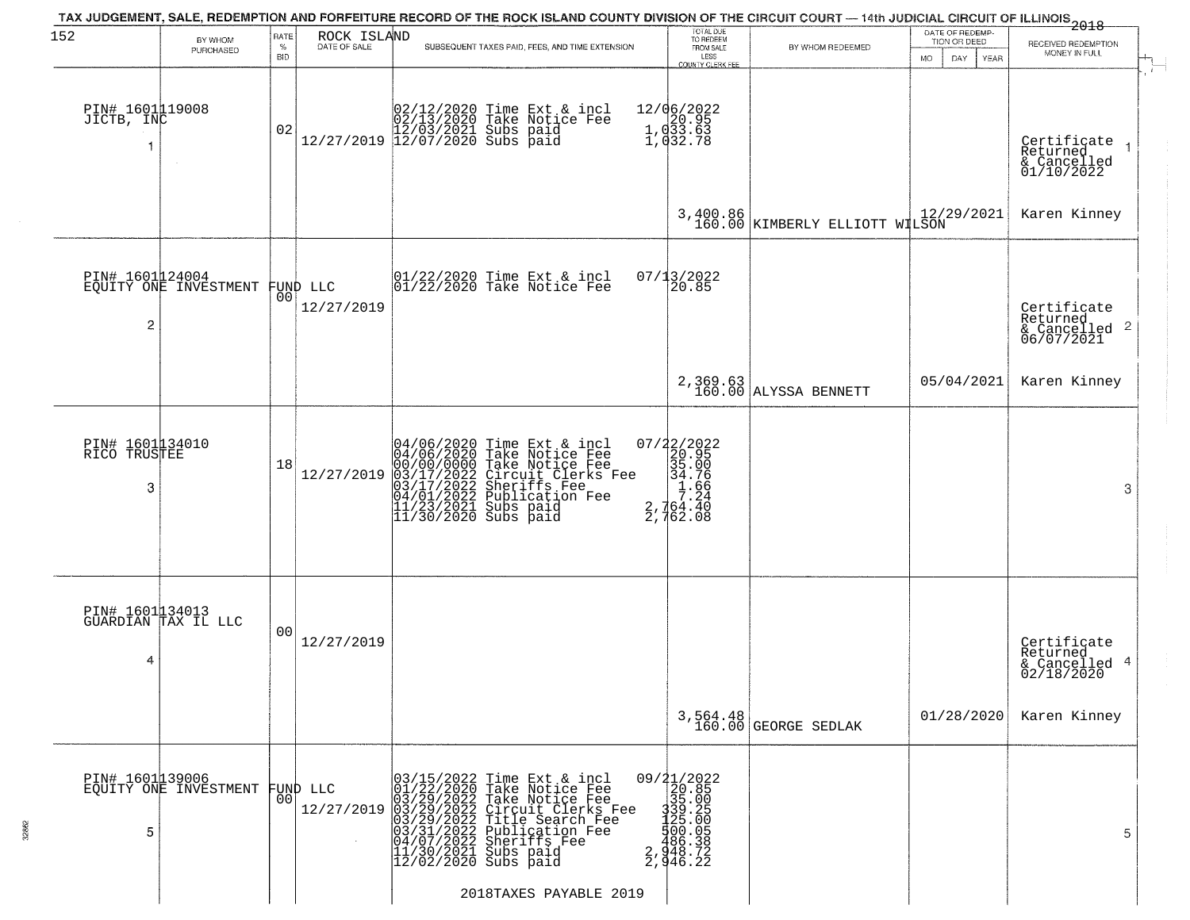| 152                                  | BY WHOM                                           | RATE<br>$\%$   | ROCK ISLAND<br>DATE OF SALE |                                                                                                                                             | TAX JUDGEMENT, SALE, REDEMPTION AND FORFEITURE RECORD OF THE ROCK ISLAND COUNTY DIVISION OF THE CIRCUIT COURT — 14th JUDICIAL CIRCUIT OF ILLINOIS 2018<br>SUBSEQUENT TAXES PAID, FEES, AND TIME EXTENSION                           | TOTAL DUE<br>TO REDEEM<br>FROM SALE                                                         | BY WHOM REDEEMED                           | DATE OF REDEMP-<br>TION OR DEED | RECEIVED REDEMPTION                                                  |
|--------------------------------------|---------------------------------------------------|----------------|-----------------------------|---------------------------------------------------------------------------------------------------------------------------------------------|-------------------------------------------------------------------------------------------------------------------------------------------------------------------------------------------------------------------------------------|---------------------------------------------------------------------------------------------|--------------------------------------------|---------------------------------|----------------------------------------------------------------------|
|                                      | PURCHASED                                         | <b>BID</b>     |                             |                                                                                                                                             |                                                                                                                                                                                                                                     | LESS<br><b>COUNTY CLERK FEE</b>                                                             |                                            | DAY.<br><b>YEAR</b><br>MO.      | MONEY IN FULL                                                        |
| PIN# 1601119008<br>JICTB, INC        |                                                   | 02             |                             |                                                                                                                                             | $[02/12/2020 \t\t Time \t\t Ext & incl \\ 02/13/2020 \t\t Take \tNotice \tFe \\ 12/27/2019 \t\t 12/07/2020 \tSubs \t paid \\$                                                                                                       | 12/06/2022<br>1, 033.63<br>1, 033.63<br>1, 032.78                                           |                                            |                                 | Certificate<br>Returned<br>& Cancelled<br>01/10/2022                 |
|                                      |                                                   |                |                             |                                                                                                                                             |                                                                                                                                                                                                                                     |                                                                                             | 3,400.86<br>160.00 KIMBERLY ELLIOTT WILSON |                                 | Karen Kinney                                                         |
| $\overline{c}$                       | PIN# 1601124004<br>EQUITY ONE INVESTMENT FUND LLC |                | 12/27/2019                  |                                                                                                                                             | $ 01/22/2020$ Time Ext & incl<br>$ 01/22/2020$ Take Notice Fee                                                                                                                                                                      | 07/13/2022<br>20.85                                                                         |                                            |                                 | Certificate<br>Returned<br>$\mathbf{2}$<br>& Cancelled<br>06/07/2021 |
|                                      |                                                   |                |                             |                                                                                                                                             |                                                                                                                                                                                                                                     |                                                                                             | 2,369.63<br>160.00 ALYSSA BENNETT          | 05/04/2021                      | Karen Kinney                                                         |
| PIN# 1601134010<br>RICO TRUSTEE<br>3 |                                                   | 18             | 12/27/2019                  |                                                                                                                                             | 04/06/2020 Time Ext & incl<br>04/06/2020 Take Notice Fee<br>00/00/0000 Take Notice Fee<br>03/17/2022 Circuit Clerks Fee<br>03/17/2022 Sublication Fee<br>04/01/2022 Publication Fee<br>11/23/2021 Subs paid<br>11/30/2020 Subs paid | $\begin{array}{c} 07/22/2022\\20.95\\35.00\\34.76\\2.764.40\\2.762.08 \end{array}$          |                                            |                                 | 3                                                                    |
| 4                                    | PIN# 1601134013<br>GUARDIAN TAX IL LLC            | 00             | 12/27/2019                  |                                                                                                                                             |                                                                                                                                                                                                                                     |                                                                                             |                                            |                                 | Certificate<br>Returned<br>4<br>& Cancelled<br>02/18/2020            |
|                                      |                                                   |                |                             |                                                                                                                                             |                                                                                                                                                                                                                                     |                                                                                             | 3,564.48<br>160.00 GEORGE SEDLAK           | 01/28/2020                      | Karen Kinney                                                         |
| PIN# 1601139006<br>5                 | EQUITY ONE INVESTMENT                             | 0 <sub>0</sub> | FUND LLC<br>12/27/2019      | $\begin{smallmatrix} 03/15/2022\\01/22/20222\\03/29/20222\\03/29/20222\\03/27/20222\\04/07/20222\\11/30/2021\\12/02/2020 \end{smallmatrix}$ | Time Ext & incl<br>Take Notice Fee<br>Take Notice Fee<br>Circuit Clerks Fee<br>Title Search Fee<br>Sublication Fee<br>Sheriffs Fee<br>Subs paid<br>Subs paid                                                                        | 09/21/2022<br>20.85<br>35.00<br>1399.255<br>1205.005<br>1486.382<br>446.22<br>$\frac{2}{2}$ |                                            |                                 | 5                                                                    |
|                                      |                                                   |                |                             |                                                                                                                                             | 2018TAXES PAYABLE 2019                                                                                                                                                                                                              |                                                                                             |                                            |                                 |                                                                      |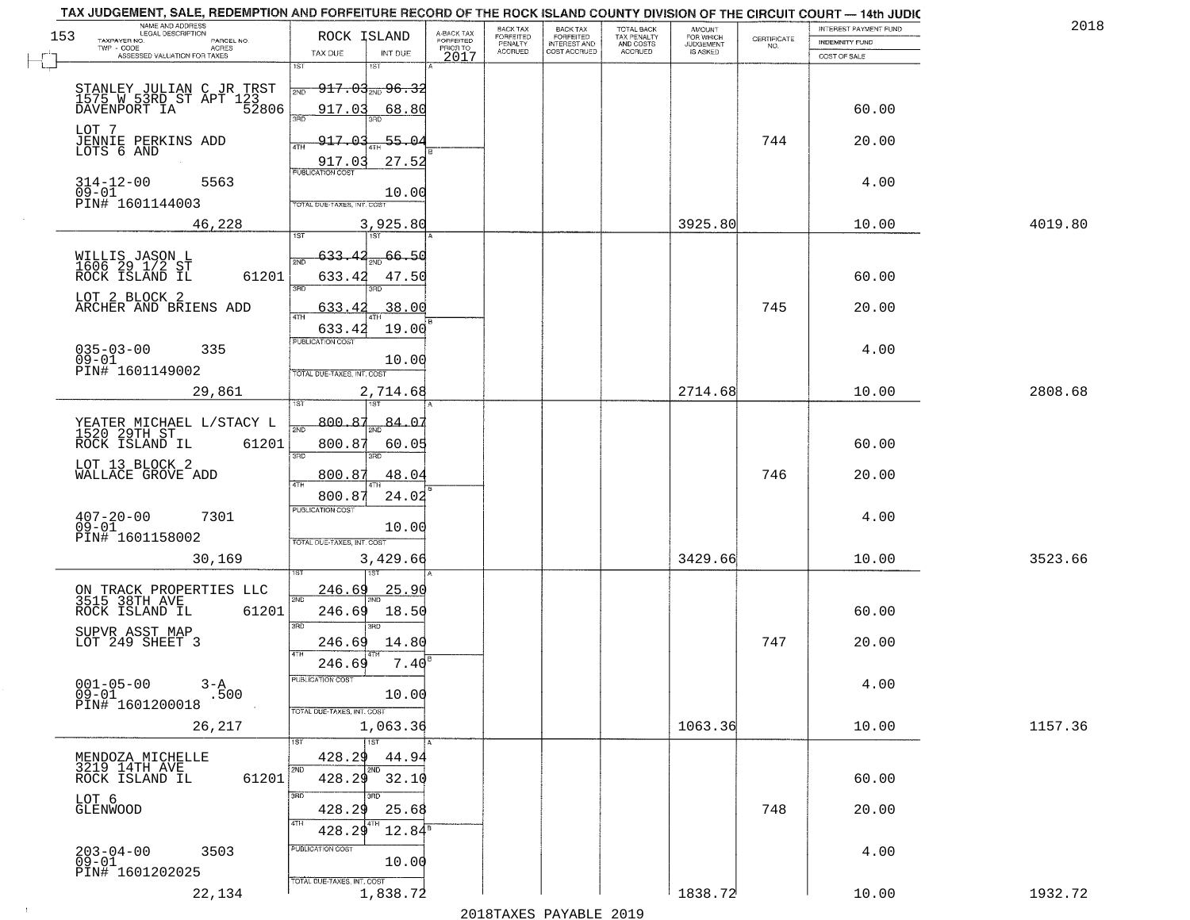| TAX JUDGEMENT, SALE, REDEMPTION AND FORFEITURE RECORD OF THE ROCK ISLAND COUNTY DIVISION OF THE CIRCUIT COURT - 14th JUDIC<br>NAME AND ADDRESS<br>LEGAL DESCRIPTION |                                                                                   |                                     | BACK TAX             |                                       |                                        | AMOUNT<br>FOR WHICH |                    | INTEREST PAYMENT FUND | 2018    |
|---------------------------------------------------------------------------------------------------------------------------------------------------------------------|-----------------------------------------------------------------------------------|-------------------------------------|----------------------|---------------------------------------|----------------------------------------|---------------------|--------------------|-----------------------|---------|
| 153<br>TAXPAYER NO.<br>PARCEL NO.<br>$TWP - CODE$<br>ACRES                                                                                                          | ROCK ISLAND                                                                       | A-BACK TAX<br>FORFEITED<br>PRIOR TO | FORFEITED<br>PENALTY | BACK TAX<br>FORFEITED<br>INTEREST AND | TOTAL BACK<br>TAX PENALTY<br>AND COSTS | <b>JUDGEMENT</b>    | CERTIFICATE<br>NO. | <b>INDEMNITY FUND</b> |         |
| ASSESSED VALUATION FOR TAXES                                                                                                                                        | TAX DUE<br>INT DUE<br>1ST                                                         | 2017                                | <b>ACCRUED</b>       | COST ACCRUED                          | <b>ACCRUED</b>                         | IS ASKED            |                    | COST OF SALE          |         |
| STANLEY JULIAN C JR TRST<br>1575 W 53RD ST APT 123<br>DAVENPORT IA 52806                                                                                            | 1ST<br><del>917.03,,,,96.3</del> 2<br>2ND<br>917.03<br>68.80                      |                                     |                      |                                       |                                        |                     |                    | 60.00                 |         |
| LOT 7<br>JENNIE PERKINS ADD<br>LOTS 6 AND                                                                                                                           | 3RD<br>917.03<br>55.04<br>4TH<br>27.52<br>917.03                                  |                                     |                      |                                       |                                        |                     | 744                | 20.00                 |         |
| $314 - 12 - 00$<br>5563<br>$09 - 01$<br>PIN# 1601144003                                                                                                             | <b>PUBLICATION COST</b><br>10.00<br>TOTAL DUE-TAXES, INT, COST                    |                                     |                      |                                       |                                        |                     |                    | 4.00                  |         |
| 46,228                                                                                                                                                              | 3,925.80                                                                          |                                     |                      |                                       |                                        | 3925.80             |                    | 10.00                 | 4019.80 |
| WILLIS JASON L<br>1606 29 1/2 ST<br>ROCK ISLAND IL<br>61201<br>LOT 2 BLOCK 2<br>ARCHER AND BRIENS ADD                                                               | 66.50<br>633.42<br>2ND<br>633.42<br>47.50<br>3RD<br>.38.00<br>633.42              |                                     |                      |                                       |                                        |                     | 745                | 60.00<br>20.00        |         |
| $035 - 03 - 00$<br>335<br>$09 - 01$<br>PIN# 1601149002                                                                                                              | 19.00<br>633.42<br>PUBLICATION COST<br>10.00<br>TOTAL DUE-TAXES, INT. COST        |                                     |                      |                                       |                                        |                     |                    | 4.00                  |         |
| 29,861                                                                                                                                                              | 2,714.68<br>isT<br>١S٦                                                            |                                     |                      |                                       |                                        | 2714.68             |                    | 10.00                 | 2808.68 |
| YEATER MICHAEL L/STACY L<br>1520 29TH ST<br>ROCK ISLAND IL<br>61201<br>LOT 13 BLOCK 2                                                                               | 800.87<br>84.0<br>2ND<br>800.87<br>60.05<br>3BD<br>3RD                            |                                     |                      |                                       |                                        |                     |                    | 60.00                 |         |
| WALLACE GROVE ADD                                                                                                                                                   | 800.87<br>48.04<br>4TH                                                            |                                     |                      |                                       |                                        |                     | 746                | 20.00                 |         |
| $407 - 20 - 00$<br>09-01<br>7301<br>PIN# 1601158002                                                                                                                 | 800.87<br>24.02<br><b>PUBLICATION COST</b><br>10.00<br>TOTAL OUE-TAXES, INT. COST |                                     |                      |                                       |                                        | 3429.66             |                    | 4.00                  |         |
| 30,169                                                                                                                                                              | 3,429.66                                                                          |                                     |                      |                                       |                                        |                     |                    | 10.00                 | 3523.66 |
| ON TRACK PROPERTIES LLC<br>3515 38TH AVE<br>ROCK ISLAND IL<br>61201                                                                                                 | <u>246.69</u><br><u>25.90</u><br>2ND<br>246.69<br>18.50<br>3 <sub>BD</sub><br>3RD |                                     |                      |                                       |                                        |                     |                    | 60.00                 |         |
| SUPVR ASST MAP<br>LOT 249 SHEET 3                                                                                                                                   | 14.80<br>246.69<br>4TH                                                            |                                     |                      |                                       |                                        |                     | 747                | 20.00                 |         |
| $001 - 05 - 00$<br>$3 - A$<br>$09 - 01$<br>.500<br>PIN# 1601200018                                                                                                  | 7.40<br>246.69<br>-usuca i un cus-<br>10.00<br>TOTAL DUE-TAXES, INT. COST         |                                     |                      |                                       |                                        |                     |                    | 4.00                  |         |
| 26,217                                                                                                                                                              | 1,063.36                                                                          |                                     |                      |                                       |                                        | 1063.36             |                    | 10.00                 | 1157.36 |
| MENDOZA MICHELLE<br>3219 14TH AVE<br>61201<br>ROCK ISLAND IL                                                                                                        | 1ST<br>428.29<br>44.94<br>2ND<br>2ND<br>428.29<br>32.10                           |                                     |                      |                                       |                                        |                     |                    | 60.00                 |         |
| LOT 6<br>GLENWOOD                                                                                                                                                   | 3RD<br>428.29<br>25.68<br>4TH<br>428.29<br>$12.84^{\circ}$                        |                                     |                      |                                       |                                        |                     | 748                | 20.00                 |         |
| $203 - 04 - 00$<br>3503<br>$09 - 01$<br>PIN# 1601202025                                                                                                             | PUBLICATION COST<br>10.00<br>TOTAL DUE-TAXES, INT. COST                           |                                     |                      |                                       |                                        |                     |                    | 4.00                  |         |
| 22,134                                                                                                                                                              | 1,838.72                                                                          |                                     |                      |                                       |                                        | 1838.72             |                    | 10.00                 | 1932.72 |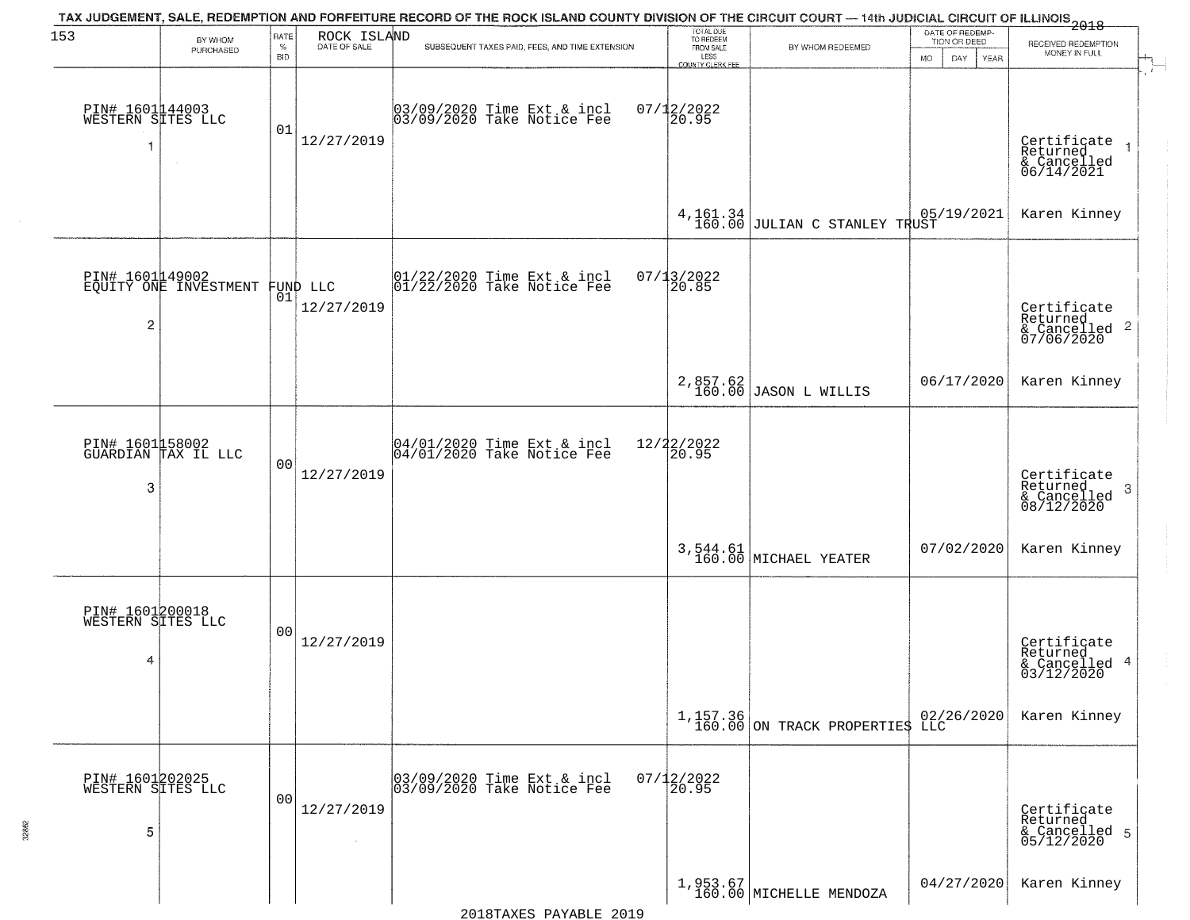| 153                                       | BY WHOM                                           | RATE               | ROCK ISLAND  | TAX JUDGEMENT, SALE, REDEMPTION AND FORFEITURE RECORD OF THE ROCK ISLAND COUNTY DIVISION OF THE CIRCUIT COURT — 14th JUDICIAL CIRCUIT OF ILLINOIS 2018 | TOTAL DUE<br>TO REDEEM                |                                                         | DATE OF REDEMP<br>TION OR DEED   | RECEIVED REDEMPTION                                                |
|-------------------------------------------|---------------------------------------------------|--------------------|--------------|--------------------------------------------------------------------------------------------------------------------------------------------------------|---------------------------------------|---------------------------------------------------------|----------------------------------|--------------------------------------------------------------------|
|                                           | PURCHASED                                         | $\%$<br><b>BID</b> | DATE OF SALE | SUBSEQUENT TAXES PAID, FEES, AND TIME EXTENSION                                                                                                        | FROM SALE<br>LESS<br>COUNTY CLERK FEE | BY WHOM REDEEMED                                        | <b>MO</b><br>DAY.<br><b>YEAR</b> | MONEY IN FULL                                                      |
| PIN# 1601144003<br>WESTERN SITES LLC<br>1 | $\sim$                                            | 01                 | 12/27/2019   | 03/09/2020 Time Ext & incl<br>03/09/2020 Take Notice Fee                                                                                               | $07/12/2022$<br>20.95                 |                                                         |                                  | Certificate<br>Returned<br>& Cancelled<br>06/14/2021               |
|                                           |                                                   |                    |              |                                                                                                                                                        | $4,161.34$<br>$160.00$                | JULIAN C STANLEY TRUST<br>-----------                   |                                  | Karen Kinney                                                       |
| $\overline{c}$                            | PIN# 1601149002<br>EQUITY ONE INVESTMENT FUND LLC |                    | 12/27/2019   | 01/22/2020 Time Ext & incl<br>01/22/2020 Take Notice Fee                                                                                               | 07/13/2022<br>20.85                   |                                                         |                                  | Certificate<br>Returned<br>$\frac{1}{2}$ Cancelled 2<br>07/06/2020 |
|                                           |                                                   |                    |              |                                                                                                                                                        |                                       | 2,857.62<br>160.00 JASON L WILLIS                       | 06/17/2020                       | Karen Kinney                                                       |
| 3                                         | PIN# 1601158002<br>GUARDIAN TAX IL LLC            | 0 <sub>0</sub>     | 12/27/2019   | 04/01/2020 Time Ext & incl<br>04/01/2020 Take Notice Fee                                                                                               | 12/22/2022<br>20.95                   |                                                         |                                  | Certificate<br>Returned<br>-3<br>& Cancelled<br>08/12/2020         |
|                                           |                                                   |                    |              |                                                                                                                                                        |                                       | 3,544.61<br>160.00 MICHAEL YEATER                       | 07/02/2020                       | Karen Kinney                                                       |
| PIN# 1601200018<br>WESTERN SITES LLC<br>4 |                                                   | 00                 | 12/27/2019   |                                                                                                                                                        |                                       |                                                         |                                  | Certificate<br>Returned<br>& Cancelled 4<br>03/12/2020             |
|                                           |                                                   |                    |              |                                                                                                                                                        |                                       | $1,157.36$ 02/26/2020<br>160.00 ON TRACK PROPERTIES LLC |                                  | Karen Kinney                                                       |
| PIN# 1601202025<br>WESTERN SITES LLC<br>5 |                                                   | 00                 | 12/27/2019   | 03/09/2020 Time Ext & incl<br>03/09/2020 Take Notice Fee                                                                                               | $07/12/2022$<br>20.95                 |                                                         |                                  | Certificate<br>Returned<br>& Cancelled 5<br>05/12/2020             |
|                                           |                                                   |                    |              |                                                                                                                                                        |                                       | $1,953.67$ MICHELLE MENDOZA                             | 04/27/2020                       | Karen Kinney                                                       |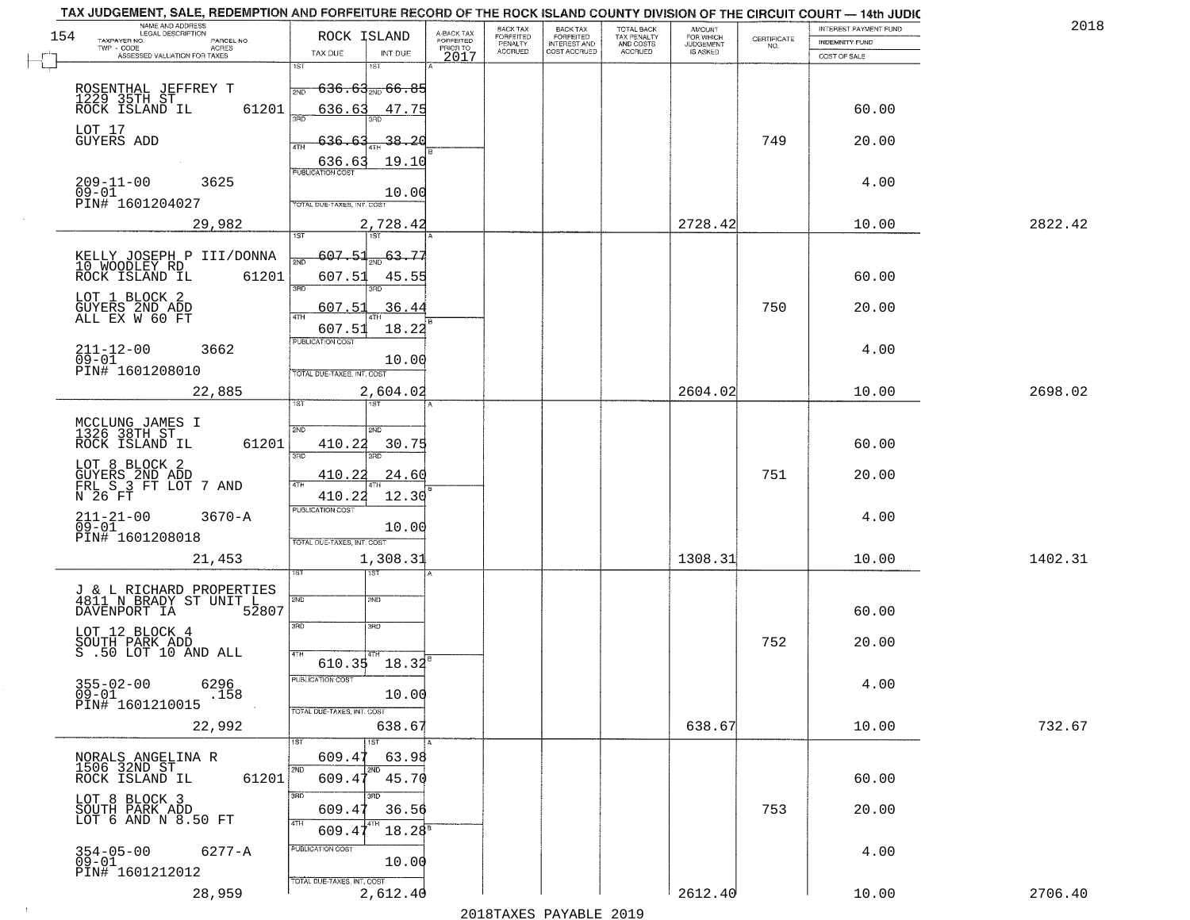| BACK TAX<br>FORFEITED<br>TOTAL BACK<br>TAX PENALTY<br>AND COSTS<br>AMOUNT<br>FOR WHICH<br>A-BACK TAX<br>FORFEITED<br>154<br>ROCK ISLAND<br><b>FORFEITED</b><br>$\begin{array}{c} \text{CERTIFICATE} \\ \text{NO.} \end{array}$<br>TAXPAYER NO.<br>PARCEL NO.<br>INDEMNITY FUND<br>PENALTY<br><b>INTEREST AND</b><br><b>JUDGEMENT</b><br>PRIOR TO<br><b>ACRES</b><br><b>ACCRUED</b><br>COST ACCRUED<br><b>ACCRUED</b><br>IS ASKED<br>TAX DUE<br>INT DUE<br>ASSESSED VALUATION FOR TAXES<br>2017<br>COST OF SALE<br>1ST<br>18T<br><del>636.63,,,66.85</del><br>ROSENTHAL JEFFREY T<br>1229 35TH ST<br>ROCK ISLAND IL<br>2ND<br>60.00<br>61201<br>636.63<br>47.75<br>350<br>LOT 17<br><b>GUYERS ADD</b><br>749<br>-38.20<br>636.63<br>20.00<br>19.10<br>$\frac{636.63}{FUBUCATONCGST}$<br>209-11-00<br>09-01<br>3625<br>4.00<br>10.00<br>PIN# 1601204027<br>TOTAL DUE-TAXES, INT. COST<br>2728.42<br>2822.42<br>29,982<br>2,728.42<br>10.00<br>607.51<br>$\frac{63.77}{200}$<br>KELLY JOSEPH P III/DONNA<br>মঁচ<br>10 WOODLEY RD<br>ROCK ISLAND IL<br>61201<br>607.51<br>60.00<br>45.55<br>तका<br>3RD<br>LOT 1 BLOCK 2<br>750<br>.36.44<br>20.00<br>GUYERS 2ND ADD<br>ALL EX W 60 FT<br>607.51<br>ৰাম<br>607.51<br>18.22<br>PUBLICATION COST<br>4.00<br>$211 - 12 - 00$<br>3662<br>$09 - 01$<br>10.00<br>PIN# 1601208010<br>TOTAL DUE-TAXES, INT. COST<br>22,885<br>2,604.02<br>2604.02<br>10.00<br>2698.02<br><b>ST</b><br>i ST<br>MCCLUNG JAMES I<br>1326 38TH ST<br>SVD<br>SMD<br>ROCK ISLAND IL<br>61201<br>410.22<br>30.75<br>60.00<br>3BD<br>3RD<br>LOT 8 BLOCK 2<br>751<br>GUYERS 2ND ADD<br>FRL S 3 FT LOT 7 AND<br>410.22<br>24.60<br>20.00<br>N 26 FT<br>410.22<br>12.30<br><b>PUBLICATION COST</b><br>$211 - 21 - 00$<br>09-01<br>$3670 - A$<br>4.00<br>10.00<br>PIN# 1601208018<br>TOTAL OUE-TAXES, INT. COST<br>1308.31<br>1402.31<br>21,453<br>1,308.31<br>10.00<br>१९४<br>J & L RICHARD PROPERTIES<br>4811 N BRADY ST UNIT L<br>2ND<br>2ND<br>DAVENPORT IA<br>52807<br>60.00<br>3RD<br>3BD<br>LOT 12 BLOCK 4<br>SOUTH PARK ADD<br>S .50 LOT 10 AND ALL<br>752<br>20.00<br>4TH<br>610.35 18.32<br>PUBLICATION COS-<br>$355 - 02 - 00$<br>6296<br>4.00<br>$09 - 01$<br>.158<br>10.00<br>PIN# 1601210015<br>TOTAL DUE-TAXES, INT. COST<br>638.67<br>638.67<br>732.67<br>22,992<br>10.00<br>609.4<br>63.98<br>NORALS ANGELINA R<br>1506 32ND ST<br>ROCK ISLAND IL<br>2ND<br>61201<br>609.47<br>45.70<br>60.00<br>3RD<br>LOT 8 BLOCK 3<br>SOUTH PARK ADD<br>LOT 6 AND N 8.50 FT<br>753<br>20.00<br>609.4<br>36.56<br>4TH<br>$18.28^s$<br>609.4<br>PUBLICATION COST<br>354-05-00<br>09-01<br>$6277 - A$<br>4.00<br>10.00<br>PIN# 1601212012<br>TOTAL DUE-TAXES, INT. COST<br>2,612.40<br>2612.40<br>28,959<br>2706.40<br>10.00 | TAX JUDGEMENT, SALE, REDEMPTION AND FORFEITURE RECORD OF THE ROCK ISLAND COUNTY DIVISION OF THE CIRCUIT COURT - 14th JUDIC<br>NAME AND ADDRESS<br>LEGAL DESCRIPTION |  | BACK TAX |  |  | INTEREST PAYMENT FUND | 2018 |
|--------------------------------------------------------------------------------------------------------------------------------------------------------------------------------------------------------------------------------------------------------------------------------------------------------------------------------------------------------------------------------------------------------------------------------------------------------------------------------------------------------------------------------------------------------------------------------------------------------------------------------------------------------------------------------------------------------------------------------------------------------------------------------------------------------------------------------------------------------------------------------------------------------------------------------------------------------------------------------------------------------------------------------------------------------------------------------------------------------------------------------------------------------------------------------------------------------------------------------------------------------------------------------------------------------------------------------------------------------------------------------------------------------------------------------------------------------------------------------------------------------------------------------------------------------------------------------------------------------------------------------------------------------------------------------------------------------------------------------------------------------------------------------------------------------------------------------------------------------------------------------------------------------------------------------------------------------------------------------------------------------------------------------------------------------------------------------------------------------------------------------------------------------------------------------------------------------------------------------------------------------------------------------------------------------------------------------------------------------------------------------------------------------------------------------------------------------------------------------------------------------------------------------------------------------------------------------------------------------------------------------------------------------------------------------------------------------------------------------------|---------------------------------------------------------------------------------------------------------------------------------------------------------------------|--|----------|--|--|-----------------------|------|
|                                                                                                                                                                                                                                                                                                                                                                                                                                                                                                                                                                                                                                                                                                                                                                                                                                                                                                                                                                                                                                                                                                                                                                                                                                                                                                                                                                                                                                                                                                                                                                                                                                                                                                                                                                                                                                                                                                                                                                                                                                                                                                                                                                                                                                                                                                                                                                                                                                                                                                                                                                                                                                                                                                                                      |                                                                                                                                                                     |  |          |  |  |                       |      |
|                                                                                                                                                                                                                                                                                                                                                                                                                                                                                                                                                                                                                                                                                                                                                                                                                                                                                                                                                                                                                                                                                                                                                                                                                                                                                                                                                                                                                                                                                                                                                                                                                                                                                                                                                                                                                                                                                                                                                                                                                                                                                                                                                                                                                                                                                                                                                                                                                                                                                                                                                                                                                                                                                                                                      |                                                                                                                                                                     |  |          |  |  |                       |      |
|                                                                                                                                                                                                                                                                                                                                                                                                                                                                                                                                                                                                                                                                                                                                                                                                                                                                                                                                                                                                                                                                                                                                                                                                                                                                                                                                                                                                                                                                                                                                                                                                                                                                                                                                                                                                                                                                                                                                                                                                                                                                                                                                                                                                                                                                                                                                                                                                                                                                                                                                                                                                                                                                                                                                      |                                                                                                                                                                     |  |          |  |  |                       |      |
|                                                                                                                                                                                                                                                                                                                                                                                                                                                                                                                                                                                                                                                                                                                                                                                                                                                                                                                                                                                                                                                                                                                                                                                                                                                                                                                                                                                                                                                                                                                                                                                                                                                                                                                                                                                                                                                                                                                                                                                                                                                                                                                                                                                                                                                                                                                                                                                                                                                                                                                                                                                                                                                                                                                                      |                                                                                                                                                                     |  |          |  |  |                       |      |
|                                                                                                                                                                                                                                                                                                                                                                                                                                                                                                                                                                                                                                                                                                                                                                                                                                                                                                                                                                                                                                                                                                                                                                                                                                                                                                                                                                                                                                                                                                                                                                                                                                                                                                                                                                                                                                                                                                                                                                                                                                                                                                                                                                                                                                                                                                                                                                                                                                                                                                                                                                                                                                                                                                                                      |                                                                                                                                                                     |  |          |  |  |                       |      |
|                                                                                                                                                                                                                                                                                                                                                                                                                                                                                                                                                                                                                                                                                                                                                                                                                                                                                                                                                                                                                                                                                                                                                                                                                                                                                                                                                                                                                                                                                                                                                                                                                                                                                                                                                                                                                                                                                                                                                                                                                                                                                                                                                                                                                                                                                                                                                                                                                                                                                                                                                                                                                                                                                                                                      |                                                                                                                                                                     |  |          |  |  |                       |      |
|                                                                                                                                                                                                                                                                                                                                                                                                                                                                                                                                                                                                                                                                                                                                                                                                                                                                                                                                                                                                                                                                                                                                                                                                                                                                                                                                                                                                                                                                                                                                                                                                                                                                                                                                                                                                                                                                                                                                                                                                                                                                                                                                                                                                                                                                                                                                                                                                                                                                                                                                                                                                                                                                                                                                      |                                                                                                                                                                     |  |          |  |  |                       |      |
|                                                                                                                                                                                                                                                                                                                                                                                                                                                                                                                                                                                                                                                                                                                                                                                                                                                                                                                                                                                                                                                                                                                                                                                                                                                                                                                                                                                                                                                                                                                                                                                                                                                                                                                                                                                                                                                                                                                                                                                                                                                                                                                                                                                                                                                                                                                                                                                                                                                                                                                                                                                                                                                                                                                                      |                                                                                                                                                                     |  |          |  |  |                       |      |
|                                                                                                                                                                                                                                                                                                                                                                                                                                                                                                                                                                                                                                                                                                                                                                                                                                                                                                                                                                                                                                                                                                                                                                                                                                                                                                                                                                                                                                                                                                                                                                                                                                                                                                                                                                                                                                                                                                                                                                                                                                                                                                                                                                                                                                                                                                                                                                                                                                                                                                                                                                                                                                                                                                                                      |                                                                                                                                                                     |  |          |  |  |                       |      |
|                                                                                                                                                                                                                                                                                                                                                                                                                                                                                                                                                                                                                                                                                                                                                                                                                                                                                                                                                                                                                                                                                                                                                                                                                                                                                                                                                                                                                                                                                                                                                                                                                                                                                                                                                                                                                                                                                                                                                                                                                                                                                                                                                                                                                                                                                                                                                                                                                                                                                                                                                                                                                                                                                                                                      |                                                                                                                                                                     |  |          |  |  |                       |      |
|                                                                                                                                                                                                                                                                                                                                                                                                                                                                                                                                                                                                                                                                                                                                                                                                                                                                                                                                                                                                                                                                                                                                                                                                                                                                                                                                                                                                                                                                                                                                                                                                                                                                                                                                                                                                                                                                                                                                                                                                                                                                                                                                                                                                                                                                                                                                                                                                                                                                                                                                                                                                                                                                                                                                      |                                                                                                                                                                     |  |          |  |  |                       |      |
|                                                                                                                                                                                                                                                                                                                                                                                                                                                                                                                                                                                                                                                                                                                                                                                                                                                                                                                                                                                                                                                                                                                                                                                                                                                                                                                                                                                                                                                                                                                                                                                                                                                                                                                                                                                                                                                                                                                                                                                                                                                                                                                                                                                                                                                                                                                                                                                                                                                                                                                                                                                                                                                                                                                                      |                                                                                                                                                                     |  |          |  |  |                       |      |
|                                                                                                                                                                                                                                                                                                                                                                                                                                                                                                                                                                                                                                                                                                                                                                                                                                                                                                                                                                                                                                                                                                                                                                                                                                                                                                                                                                                                                                                                                                                                                                                                                                                                                                                                                                                                                                                                                                                                                                                                                                                                                                                                                                                                                                                                                                                                                                                                                                                                                                                                                                                                                                                                                                                                      |                                                                                                                                                                     |  |          |  |  |                       |      |
|                                                                                                                                                                                                                                                                                                                                                                                                                                                                                                                                                                                                                                                                                                                                                                                                                                                                                                                                                                                                                                                                                                                                                                                                                                                                                                                                                                                                                                                                                                                                                                                                                                                                                                                                                                                                                                                                                                                                                                                                                                                                                                                                                                                                                                                                                                                                                                                                                                                                                                                                                                                                                                                                                                                                      |                                                                                                                                                                     |  |          |  |  |                       |      |
|                                                                                                                                                                                                                                                                                                                                                                                                                                                                                                                                                                                                                                                                                                                                                                                                                                                                                                                                                                                                                                                                                                                                                                                                                                                                                                                                                                                                                                                                                                                                                                                                                                                                                                                                                                                                                                                                                                                                                                                                                                                                                                                                                                                                                                                                                                                                                                                                                                                                                                                                                                                                                                                                                                                                      |                                                                                                                                                                     |  |          |  |  |                       |      |
|                                                                                                                                                                                                                                                                                                                                                                                                                                                                                                                                                                                                                                                                                                                                                                                                                                                                                                                                                                                                                                                                                                                                                                                                                                                                                                                                                                                                                                                                                                                                                                                                                                                                                                                                                                                                                                                                                                                                                                                                                                                                                                                                                                                                                                                                                                                                                                                                                                                                                                                                                                                                                                                                                                                                      |                                                                                                                                                                     |  |          |  |  |                       |      |
|                                                                                                                                                                                                                                                                                                                                                                                                                                                                                                                                                                                                                                                                                                                                                                                                                                                                                                                                                                                                                                                                                                                                                                                                                                                                                                                                                                                                                                                                                                                                                                                                                                                                                                                                                                                                                                                                                                                                                                                                                                                                                                                                                                                                                                                                                                                                                                                                                                                                                                                                                                                                                                                                                                                                      |                                                                                                                                                                     |  |          |  |  |                       |      |
|                                                                                                                                                                                                                                                                                                                                                                                                                                                                                                                                                                                                                                                                                                                                                                                                                                                                                                                                                                                                                                                                                                                                                                                                                                                                                                                                                                                                                                                                                                                                                                                                                                                                                                                                                                                                                                                                                                                                                                                                                                                                                                                                                                                                                                                                                                                                                                                                                                                                                                                                                                                                                                                                                                                                      |                                                                                                                                                                     |  |          |  |  |                       |      |
|                                                                                                                                                                                                                                                                                                                                                                                                                                                                                                                                                                                                                                                                                                                                                                                                                                                                                                                                                                                                                                                                                                                                                                                                                                                                                                                                                                                                                                                                                                                                                                                                                                                                                                                                                                                                                                                                                                                                                                                                                                                                                                                                                                                                                                                                                                                                                                                                                                                                                                                                                                                                                                                                                                                                      |                                                                                                                                                                     |  |          |  |  |                       |      |
|                                                                                                                                                                                                                                                                                                                                                                                                                                                                                                                                                                                                                                                                                                                                                                                                                                                                                                                                                                                                                                                                                                                                                                                                                                                                                                                                                                                                                                                                                                                                                                                                                                                                                                                                                                                                                                                                                                                                                                                                                                                                                                                                                                                                                                                                                                                                                                                                                                                                                                                                                                                                                                                                                                                                      |                                                                                                                                                                     |  |          |  |  |                       |      |
|                                                                                                                                                                                                                                                                                                                                                                                                                                                                                                                                                                                                                                                                                                                                                                                                                                                                                                                                                                                                                                                                                                                                                                                                                                                                                                                                                                                                                                                                                                                                                                                                                                                                                                                                                                                                                                                                                                                                                                                                                                                                                                                                                                                                                                                                                                                                                                                                                                                                                                                                                                                                                                                                                                                                      |                                                                                                                                                                     |  |          |  |  |                       |      |
|                                                                                                                                                                                                                                                                                                                                                                                                                                                                                                                                                                                                                                                                                                                                                                                                                                                                                                                                                                                                                                                                                                                                                                                                                                                                                                                                                                                                                                                                                                                                                                                                                                                                                                                                                                                                                                                                                                                                                                                                                                                                                                                                                                                                                                                                                                                                                                                                                                                                                                                                                                                                                                                                                                                                      |                                                                                                                                                                     |  |          |  |  |                       |      |
|                                                                                                                                                                                                                                                                                                                                                                                                                                                                                                                                                                                                                                                                                                                                                                                                                                                                                                                                                                                                                                                                                                                                                                                                                                                                                                                                                                                                                                                                                                                                                                                                                                                                                                                                                                                                                                                                                                                                                                                                                                                                                                                                                                                                                                                                                                                                                                                                                                                                                                                                                                                                                                                                                                                                      |                                                                                                                                                                     |  |          |  |  |                       |      |
|                                                                                                                                                                                                                                                                                                                                                                                                                                                                                                                                                                                                                                                                                                                                                                                                                                                                                                                                                                                                                                                                                                                                                                                                                                                                                                                                                                                                                                                                                                                                                                                                                                                                                                                                                                                                                                                                                                                                                                                                                                                                                                                                                                                                                                                                                                                                                                                                                                                                                                                                                                                                                                                                                                                                      |                                                                                                                                                                     |  |          |  |  |                       |      |
|                                                                                                                                                                                                                                                                                                                                                                                                                                                                                                                                                                                                                                                                                                                                                                                                                                                                                                                                                                                                                                                                                                                                                                                                                                                                                                                                                                                                                                                                                                                                                                                                                                                                                                                                                                                                                                                                                                                                                                                                                                                                                                                                                                                                                                                                                                                                                                                                                                                                                                                                                                                                                                                                                                                                      |                                                                                                                                                                     |  |          |  |  |                       |      |
|                                                                                                                                                                                                                                                                                                                                                                                                                                                                                                                                                                                                                                                                                                                                                                                                                                                                                                                                                                                                                                                                                                                                                                                                                                                                                                                                                                                                                                                                                                                                                                                                                                                                                                                                                                                                                                                                                                                                                                                                                                                                                                                                                                                                                                                                                                                                                                                                                                                                                                                                                                                                                                                                                                                                      |                                                                                                                                                                     |  |          |  |  |                       |      |
|                                                                                                                                                                                                                                                                                                                                                                                                                                                                                                                                                                                                                                                                                                                                                                                                                                                                                                                                                                                                                                                                                                                                                                                                                                                                                                                                                                                                                                                                                                                                                                                                                                                                                                                                                                                                                                                                                                                                                                                                                                                                                                                                                                                                                                                                                                                                                                                                                                                                                                                                                                                                                                                                                                                                      |                                                                                                                                                                     |  |          |  |  |                       |      |
|                                                                                                                                                                                                                                                                                                                                                                                                                                                                                                                                                                                                                                                                                                                                                                                                                                                                                                                                                                                                                                                                                                                                                                                                                                                                                                                                                                                                                                                                                                                                                                                                                                                                                                                                                                                                                                                                                                                                                                                                                                                                                                                                                                                                                                                                                                                                                                                                                                                                                                                                                                                                                                                                                                                                      |                                                                                                                                                                     |  |          |  |  |                       |      |
|                                                                                                                                                                                                                                                                                                                                                                                                                                                                                                                                                                                                                                                                                                                                                                                                                                                                                                                                                                                                                                                                                                                                                                                                                                                                                                                                                                                                                                                                                                                                                                                                                                                                                                                                                                                                                                                                                                                                                                                                                                                                                                                                                                                                                                                                                                                                                                                                                                                                                                                                                                                                                                                                                                                                      |                                                                                                                                                                     |  |          |  |  |                       |      |
|                                                                                                                                                                                                                                                                                                                                                                                                                                                                                                                                                                                                                                                                                                                                                                                                                                                                                                                                                                                                                                                                                                                                                                                                                                                                                                                                                                                                                                                                                                                                                                                                                                                                                                                                                                                                                                                                                                                                                                                                                                                                                                                                                                                                                                                                                                                                                                                                                                                                                                                                                                                                                                                                                                                                      |                                                                                                                                                                     |  |          |  |  |                       |      |
|                                                                                                                                                                                                                                                                                                                                                                                                                                                                                                                                                                                                                                                                                                                                                                                                                                                                                                                                                                                                                                                                                                                                                                                                                                                                                                                                                                                                                                                                                                                                                                                                                                                                                                                                                                                                                                                                                                                                                                                                                                                                                                                                                                                                                                                                                                                                                                                                                                                                                                                                                                                                                                                                                                                                      |                                                                                                                                                                     |  |          |  |  |                       |      |
|                                                                                                                                                                                                                                                                                                                                                                                                                                                                                                                                                                                                                                                                                                                                                                                                                                                                                                                                                                                                                                                                                                                                                                                                                                                                                                                                                                                                                                                                                                                                                                                                                                                                                                                                                                                                                                                                                                                                                                                                                                                                                                                                                                                                                                                                                                                                                                                                                                                                                                                                                                                                                                                                                                                                      |                                                                                                                                                                     |  |          |  |  |                       |      |
|                                                                                                                                                                                                                                                                                                                                                                                                                                                                                                                                                                                                                                                                                                                                                                                                                                                                                                                                                                                                                                                                                                                                                                                                                                                                                                                                                                                                                                                                                                                                                                                                                                                                                                                                                                                                                                                                                                                                                                                                                                                                                                                                                                                                                                                                                                                                                                                                                                                                                                                                                                                                                                                                                                                                      |                                                                                                                                                                     |  |          |  |  |                       |      |
|                                                                                                                                                                                                                                                                                                                                                                                                                                                                                                                                                                                                                                                                                                                                                                                                                                                                                                                                                                                                                                                                                                                                                                                                                                                                                                                                                                                                                                                                                                                                                                                                                                                                                                                                                                                                                                                                                                                                                                                                                                                                                                                                                                                                                                                                                                                                                                                                                                                                                                                                                                                                                                                                                                                                      |                                                                                                                                                                     |  |          |  |  |                       |      |
|                                                                                                                                                                                                                                                                                                                                                                                                                                                                                                                                                                                                                                                                                                                                                                                                                                                                                                                                                                                                                                                                                                                                                                                                                                                                                                                                                                                                                                                                                                                                                                                                                                                                                                                                                                                                                                                                                                                                                                                                                                                                                                                                                                                                                                                                                                                                                                                                                                                                                                                                                                                                                                                                                                                                      |                                                                                                                                                                     |  |          |  |  |                       |      |
|                                                                                                                                                                                                                                                                                                                                                                                                                                                                                                                                                                                                                                                                                                                                                                                                                                                                                                                                                                                                                                                                                                                                                                                                                                                                                                                                                                                                                                                                                                                                                                                                                                                                                                                                                                                                                                                                                                                                                                                                                                                                                                                                                                                                                                                                                                                                                                                                                                                                                                                                                                                                                                                                                                                                      |                                                                                                                                                                     |  |          |  |  |                       |      |
|                                                                                                                                                                                                                                                                                                                                                                                                                                                                                                                                                                                                                                                                                                                                                                                                                                                                                                                                                                                                                                                                                                                                                                                                                                                                                                                                                                                                                                                                                                                                                                                                                                                                                                                                                                                                                                                                                                                                                                                                                                                                                                                                                                                                                                                                                                                                                                                                                                                                                                                                                                                                                                                                                                                                      |                                                                                                                                                                     |  |          |  |  |                       |      |
|                                                                                                                                                                                                                                                                                                                                                                                                                                                                                                                                                                                                                                                                                                                                                                                                                                                                                                                                                                                                                                                                                                                                                                                                                                                                                                                                                                                                                                                                                                                                                                                                                                                                                                                                                                                                                                                                                                                                                                                                                                                                                                                                                                                                                                                                                                                                                                                                                                                                                                                                                                                                                                                                                                                                      |                                                                                                                                                                     |  |          |  |  |                       |      |
|                                                                                                                                                                                                                                                                                                                                                                                                                                                                                                                                                                                                                                                                                                                                                                                                                                                                                                                                                                                                                                                                                                                                                                                                                                                                                                                                                                                                                                                                                                                                                                                                                                                                                                                                                                                                                                                                                                                                                                                                                                                                                                                                                                                                                                                                                                                                                                                                                                                                                                                                                                                                                                                                                                                                      |                                                                                                                                                                     |  |          |  |  |                       |      |
|                                                                                                                                                                                                                                                                                                                                                                                                                                                                                                                                                                                                                                                                                                                                                                                                                                                                                                                                                                                                                                                                                                                                                                                                                                                                                                                                                                                                                                                                                                                                                                                                                                                                                                                                                                                                                                                                                                                                                                                                                                                                                                                                                                                                                                                                                                                                                                                                                                                                                                                                                                                                                                                                                                                                      |                                                                                                                                                                     |  |          |  |  |                       |      |
|                                                                                                                                                                                                                                                                                                                                                                                                                                                                                                                                                                                                                                                                                                                                                                                                                                                                                                                                                                                                                                                                                                                                                                                                                                                                                                                                                                                                                                                                                                                                                                                                                                                                                                                                                                                                                                                                                                                                                                                                                                                                                                                                                                                                                                                                                                                                                                                                                                                                                                                                                                                                                                                                                                                                      |                                                                                                                                                                     |  |          |  |  |                       |      |
|                                                                                                                                                                                                                                                                                                                                                                                                                                                                                                                                                                                                                                                                                                                                                                                                                                                                                                                                                                                                                                                                                                                                                                                                                                                                                                                                                                                                                                                                                                                                                                                                                                                                                                                                                                                                                                                                                                                                                                                                                                                                                                                                                                                                                                                                                                                                                                                                                                                                                                                                                                                                                                                                                                                                      |                                                                                                                                                                     |  |          |  |  |                       |      |
|                                                                                                                                                                                                                                                                                                                                                                                                                                                                                                                                                                                                                                                                                                                                                                                                                                                                                                                                                                                                                                                                                                                                                                                                                                                                                                                                                                                                                                                                                                                                                                                                                                                                                                                                                                                                                                                                                                                                                                                                                                                                                                                                                                                                                                                                                                                                                                                                                                                                                                                                                                                                                                                                                                                                      |                                                                                                                                                                     |  |          |  |  |                       |      |
|                                                                                                                                                                                                                                                                                                                                                                                                                                                                                                                                                                                                                                                                                                                                                                                                                                                                                                                                                                                                                                                                                                                                                                                                                                                                                                                                                                                                                                                                                                                                                                                                                                                                                                                                                                                                                                                                                                                                                                                                                                                                                                                                                                                                                                                                                                                                                                                                                                                                                                                                                                                                                                                                                                                                      |                                                                                                                                                                     |  |          |  |  |                       |      |
|                                                                                                                                                                                                                                                                                                                                                                                                                                                                                                                                                                                                                                                                                                                                                                                                                                                                                                                                                                                                                                                                                                                                                                                                                                                                                                                                                                                                                                                                                                                                                                                                                                                                                                                                                                                                                                                                                                                                                                                                                                                                                                                                                                                                                                                                                                                                                                                                                                                                                                                                                                                                                                                                                                                                      |                                                                                                                                                                     |  |          |  |  |                       |      |
|                                                                                                                                                                                                                                                                                                                                                                                                                                                                                                                                                                                                                                                                                                                                                                                                                                                                                                                                                                                                                                                                                                                                                                                                                                                                                                                                                                                                                                                                                                                                                                                                                                                                                                                                                                                                                                                                                                                                                                                                                                                                                                                                                                                                                                                                                                                                                                                                                                                                                                                                                                                                                                                                                                                                      |                                                                                                                                                                     |  |          |  |  |                       |      |
|                                                                                                                                                                                                                                                                                                                                                                                                                                                                                                                                                                                                                                                                                                                                                                                                                                                                                                                                                                                                                                                                                                                                                                                                                                                                                                                                                                                                                                                                                                                                                                                                                                                                                                                                                                                                                                                                                                                                                                                                                                                                                                                                                                                                                                                                                                                                                                                                                                                                                                                                                                                                                                                                                                                                      |                                                                                                                                                                     |  |          |  |  |                       |      |
|                                                                                                                                                                                                                                                                                                                                                                                                                                                                                                                                                                                                                                                                                                                                                                                                                                                                                                                                                                                                                                                                                                                                                                                                                                                                                                                                                                                                                                                                                                                                                                                                                                                                                                                                                                                                                                                                                                                                                                                                                                                                                                                                                                                                                                                                                                                                                                                                                                                                                                                                                                                                                                                                                                                                      |                                                                                                                                                                     |  |          |  |  |                       |      |
|                                                                                                                                                                                                                                                                                                                                                                                                                                                                                                                                                                                                                                                                                                                                                                                                                                                                                                                                                                                                                                                                                                                                                                                                                                                                                                                                                                                                                                                                                                                                                                                                                                                                                                                                                                                                                                                                                                                                                                                                                                                                                                                                                                                                                                                                                                                                                                                                                                                                                                                                                                                                                                                                                                                                      |                                                                                                                                                                     |  |          |  |  |                       |      |
|                                                                                                                                                                                                                                                                                                                                                                                                                                                                                                                                                                                                                                                                                                                                                                                                                                                                                                                                                                                                                                                                                                                                                                                                                                                                                                                                                                                                                                                                                                                                                                                                                                                                                                                                                                                                                                                                                                                                                                                                                                                                                                                                                                                                                                                                                                                                                                                                                                                                                                                                                                                                                                                                                                                                      |                                                                                                                                                                     |  |          |  |  |                       |      |
|                                                                                                                                                                                                                                                                                                                                                                                                                                                                                                                                                                                                                                                                                                                                                                                                                                                                                                                                                                                                                                                                                                                                                                                                                                                                                                                                                                                                                                                                                                                                                                                                                                                                                                                                                                                                                                                                                                                                                                                                                                                                                                                                                                                                                                                                                                                                                                                                                                                                                                                                                                                                                                                                                                                                      |                                                                                                                                                                     |  |          |  |  |                       |      |
|                                                                                                                                                                                                                                                                                                                                                                                                                                                                                                                                                                                                                                                                                                                                                                                                                                                                                                                                                                                                                                                                                                                                                                                                                                                                                                                                                                                                                                                                                                                                                                                                                                                                                                                                                                                                                                                                                                                                                                                                                                                                                                                                                                                                                                                                                                                                                                                                                                                                                                                                                                                                                                                                                                                                      |                                                                                                                                                                     |  |          |  |  |                       |      |
|                                                                                                                                                                                                                                                                                                                                                                                                                                                                                                                                                                                                                                                                                                                                                                                                                                                                                                                                                                                                                                                                                                                                                                                                                                                                                                                                                                                                                                                                                                                                                                                                                                                                                                                                                                                                                                                                                                                                                                                                                                                                                                                                                                                                                                                                                                                                                                                                                                                                                                                                                                                                                                                                                                                                      |                                                                                                                                                                     |  |          |  |  |                       |      |
|                                                                                                                                                                                                                                                                                                                                                                                                                                                                                                                                                                                                                                                                                                                                                                                                                                                                                                                                                                                                                                                                                                                                                                                                                                                                                                                                                                                                                                                                                                                                                                                                                                                                                                                                                                                                                                                                                                                                                                                                                                                                                                                                                                                                                                                                                                                                                                                                                                                                                                                                                                                                                                                                                                                                      |                                                                                                                                                                     |  |          |  |  |                       |      |
|                                                                                                                                                                                                                                                                                                                                                                                                                                                                                                                                                                                                                                                                                                                                                                                                                                                                                                                                                                                                                                                                                                                                                                                                                                                                                                                                                                                                                                                                                                                                                                                                                                                                                                                                                                                                                                                                                                                                                                                                                                                                                                                                                                                                                                                                                                                                                                                                                                                                                                                                                                                                                                                                                                                                      |                                                                                                                                                                     |  |          |  |  |                       |      |
| 2010                                                                                                                                                                                                                                                                                                                                                                                                                                                                                                                                                                                                                                                                                                                                                                                                                                                                                                                                                                                                                                                                                                                                                                                                                                                                                                                                                                                                                                                                                                                                                                                                                                                                                                                                                                                                                                                                                                                                                                                                                                                                                                                                                                                                                                                                                                                                                                                                                                                                                                                                                                                                                                                                                                                                 |                                                                                                                                                                     |  |          |  |  |                       |      |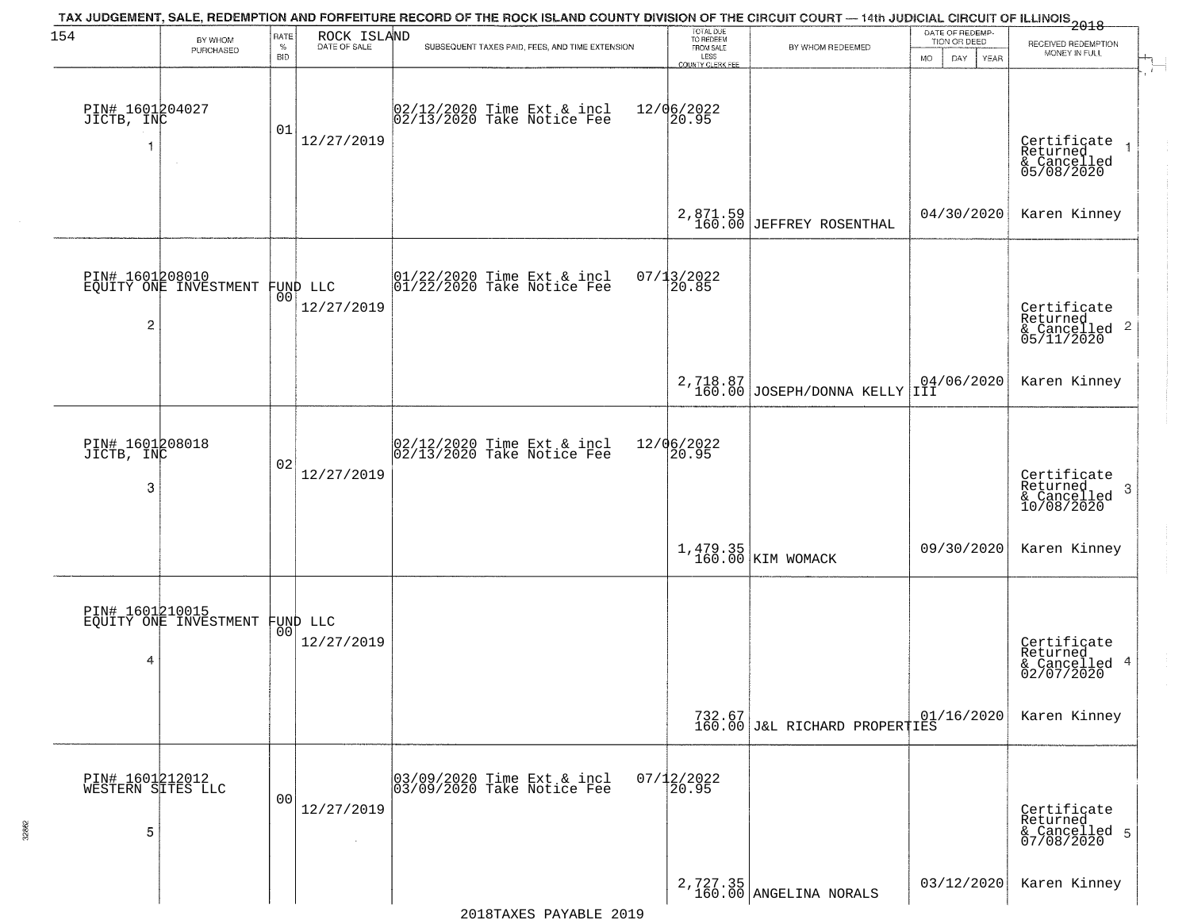| 154                                       | BY WHOM<br>PURCHASED                     | <b>RATE</b><br>$\%$<br>BID | ROCK ISLAND<br>DATE OF SALE    | TAX JUDGEMENT, SALE, REDEMPTION AND FORFEITURE RECORD OF THE ROCK ISLAND COUNTY DIVISION OF THE CIRCUIT COURT — 14th JUDICIAL CIRCUIT OF ILLINOIS 2018<br>SUBSEQUENT TAXES PAID, FEES, AND TIME EXTENSION | TOTAL DUE<br>TO REDEEM<br>FROM SALE<br>LESS<br>COUNTY CLERK FEE | BY WHOM REDEEMED                          | DATE OF REDEMP-<br>TION OR DEED<br>DAY.<br><b>YEAR</b><br>MO. | RECEIVED REDEMPTION<br>MONEY IN FULL                                 |
|-------------------------------------------|------------------------------------------|----------------------------|--------------------------------|-----------------------------------------------------------------------------------------------------------------------------------------------------------------------------------------------------------|-----------------------------------------------------------------|-------------------------------------------|---------------------------------------------------------------|----------------------------------------------------------------------|
| PIN# 1601204027<br>JICTB, INC<br>1        |                                          | 01                         | 12/27/2019                     | $ 02/12/2020$ Time Ext & incl<br>$ 02/13/2020$ Take Notice Fee                                                                                                                                            | 12/06/2022<br>20.95                                             |                                           |                                                               | Certificate<br>Returned<br>& Cancelled<br>05/08/2020                 |
|                                           |                                          |                            |                                |                                                                                                                                                                                                           |                                                                 | $2,871.59$<br>160.00 JEFFREY ROSENTHAL    | 04/30/2020                                                    | Karen Kinney                                                         |
| $\overline{c}$                            | PIN# 1601208010<br>EQUITY ONE INVESTMENT |                            | FUND LLC<br> 00 <br>12/27/2019 | 01/22/2020 Time Ext & incl<br>01/22/2020 Take Notice Fee                                                                                                                                                  | $07/13/2022$<br>20.85                                           |                                           |                                                               | Certificate<br>Returned<br>& Cancelled <sup>2</sup><br>05/11/2020    |
|                                           |                                          |                            |                                |                                                                                                                                                                                                           |                                                                 | 2,718.87<br>160.00 JOSEPH/DONNA KELLY III | 04/06/2020                                                    | Karen Kinney                                                         |
| PIN# 1601208018<br>JICTB, INC<br>3        |                                          | 02                         | 12/27/2019                     | $ 02/12/2020$ Time Ext & incl<br>$ 02/13/2020$ Take Notice Fee                                                                                                                                            | 12/06/2022<br>20.95                                             |                                           |                                                               | Certificate<br>Returned<br>$\mathbf{3}$<br>& Cancelled<br>10/08/2020 |
|                                           |                                          |                            |                                |                                                                                                                                                                                                           |                                                                 | 1,479.35<br>160.00 KIM WOMACK             | 09/30/2020                                                    | Karen Kinney                                                         |
| PIN# 1601210015<br>4                      | EQUITY ONE INVESTMENT                    |                            | FUND LLC<br> 00 <br>12/27/2019 |                                                                                                                                                                                                           |                                                                 |                                           |                                                               | Certificate<br>Returned<br>& Cancelled 4<br>02/07/2020               |
|                                           |                                          |                            |                                |                                                                                                                                                                                                           |                                                                 | 732.67<br>160.00 J&L RICHARD PROPERTIES   | 01/16/2020                                                    | Karen Kinney                                                         |
| PIN# 1601212012<br>WESTERN SITES LLC<br>5 |                                          | 00                         | 12/27/2019                     | 03/09/2020 Time Ext & incl<br>03/09/2020 Take Notice Fee                                                                                                                                                  | $07/12/2022$<br>20.95                                           |                                           |                                                               | Certificate<br>Returned<br>& Cancelled 5<br>07/08/2020               |
|                                           |                                          |                            |                                |                                                                                                                                                                                                           |                                                                 | $2,727.35$<br>160.00 ANGELINA NORALS      | 03/12/2020                                                    | Karen Kinney                                                         |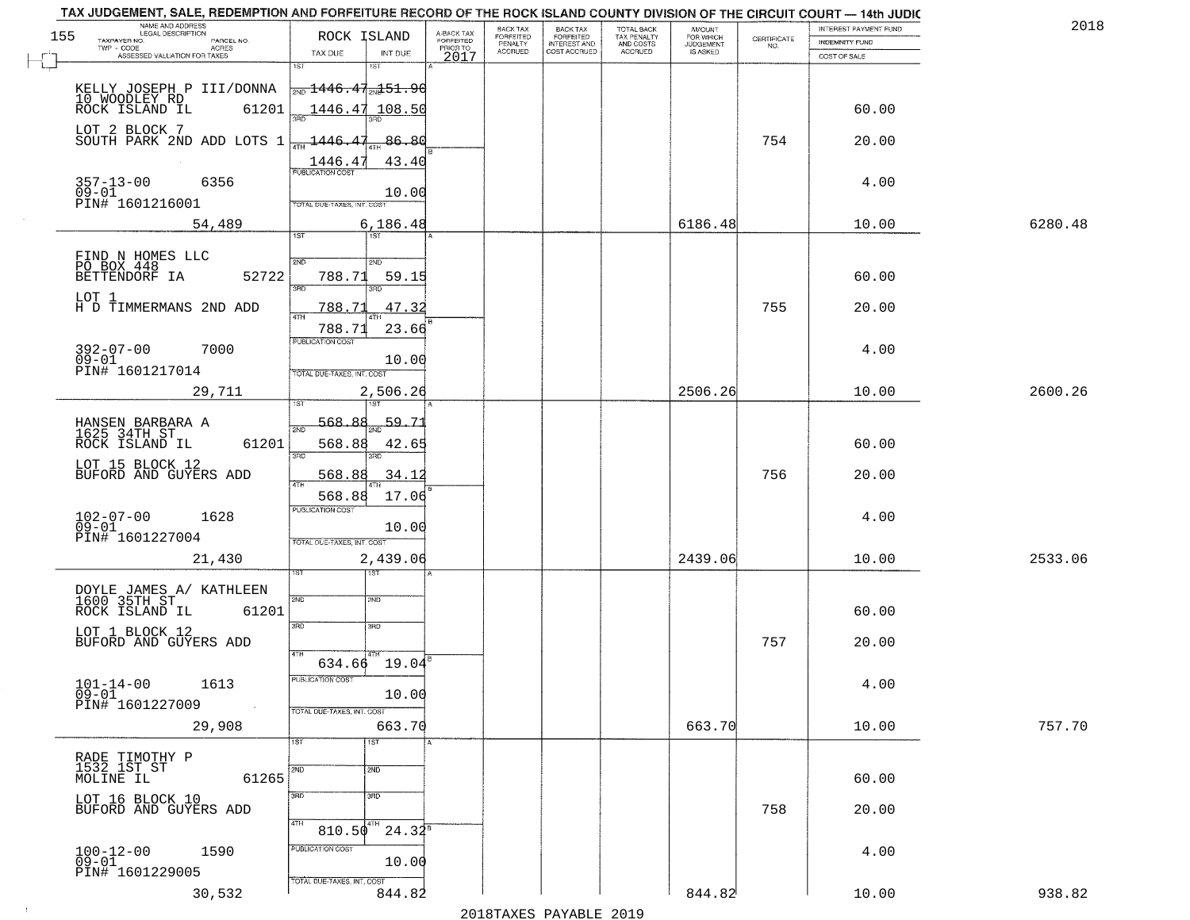|     | NAME AND ADDRESS<br>LEGAL DESCRIPTION               |                                           |                                     | BACK TAX             |                                       | TAX JUDGEMENT, SALE, REDEMPTION AND FORFEITURE RECORD OF THE ROCK ISLAND COUNTY DIVISION OF THE CIRCUIT COURT - 14th JUDIC | AMOUNT<br>FOR WHICH |                                                                 | INTEREST PAYMENT FUND | 2018    |
|-----|-----------------------------------------------------|-------------------------------------------|-------------------------------------|----------------------|---------------------------------------|----------------------------------------------------------------------------------------------------------------------------|---------------------|-----------------------------------------------------------------|-----------------------|---------|
| 155 | TAXPAYER NO.<br>PARCEL NO.                          | ROCK ISLAND                               | A-BACK TAX<br>FORFEITED<br>PRIOR TO | FORFEITED<br>PENALTY | BACK TAX<br>FORFEITED<br>INTEREST AND | TOTAL BACK<br>TAX PENALTY<br>AND COSTS                                                                                     | <b>JUDGEMENT</b>    | $\begin{array}{c} \text{CERTIFICATE} \\ \text{NO.} \end{array}$ | INDEMNITY FUND        |         |
|     | TWP - CODE<br>ACRES<br>ASSESSED VALUATION FOR TAXES | TAX DUE<br>INT DUE                        | 2017                                | <b>ACCRUED</b>       | COST ACCRUED                          | ACCRUED                                                                                                                    | IS ASKED            |                                                                 | COST OF SALE          |         |
|     |                                                     | 1ST<br>1ST                                |                                     |                      |                                       |                                                                                                                            |                     |                                                                 |                       |         |
|     |                                                     | <del>2ND 1446.47.Nd 51.90</del>           |                                     |                      |                                       |                                                                                                                            |                     |                                                                 |                       |         |
|     | KELLY JOSEPH P III/DONNA                            |                                           |                                     |                      |                                       |                                                                                                                            |                     |                                                                 |                       |         |
|     | 10 WOODLEY RD<br>ROCK ISLAND IL<br>61201            | 1446.47 108.50                            |                                     |                      |                                       |                                                                                                                            |                     |                                                                 | 60.00                 |         |
|     | LOT 2 BLOCK 7                                       |                                           |                                     |                      |                                       |                                                                                                                            |                     |                                                                 |                       |         |
|     | SOUTH PARK 2ND ADD LOTS 1                           | 1446.47<br>86.80                          |                                     |                      |                                       |                                                                                                                            |                     | 754                                                             | 20.00                 |         |
|     |                                                     |                                           |                                     |                      |                                       |                                                                                                                            |                     |                                                                 |                       |         |
|     |                                                     | $\frac{1446.47}{FUBUCATON COST}$<br>43.40 |                                     |                      |                                       |                                                                                                                            |                     |                                                                 |                       |         |
|     | $357 - 13 - 00$<br>09-01<br>6356                    |                                           |                                     |                      |                                       |                                                                                                                            |                     |                                                                 | 4.00                  |         |
|     | PIN# 1601216001                                     | 10.00                                     |                                     |                      |                                       |                                                                                                                            |                     |                                                                 |                       |         |
|     |                                                     | TOTAL DUE-TAXES, INT. COST                |                                     |                      |                                       |                                                                                                                            |                     |                                                                 |                       |         |
|     | 54,489                                              | 6, 186.48                                 |                                     |                      |                                       |                                                                                                                            | 6186.48             |                                                                 | 10.00                 | 6280.48 |
|     |                                                     |                                           |                                     |                      |                                       |                                                                                                                            |                     |                                                                 |                       |         |
|     | FIND N HOMES LLC                                    | 2ND<br>2ND                                |                                     |                      |                                       |                                                                                                                            |                     |                                                                 |                       |         |
|     | PO BOX 448                                          |                                           |                                     |                      |                                       |                                                                                                                            |                     |                                                                 |                       |         |
|     | 52722<br>BETTENDORF IA                              | 59.15<br>788.71<br><b>उस</b> र्<br>Ë      |                                     |                      |                                       |                                                                                                                            |                     |                                                                 | 60.00                 |         |
|     | LOT 1                                               |                                           |                                     |                      |                                       |                                                                                                                            |                     |                                                                 |                       |         |
|     | H D TIMMERMANS 2ND ADD                              | 47.32<br>788.71                           |                                     |                      |                                       |                                                                                                                            |                     | 755                                                             | 20.00                 |         |
|     |                                                     | 788.71<br>23.66                           |                                     |                      |                                       |                                                                                                                            |                     |                                                                 |                       |         |
|     |                                                     | PUBLICATION COST                          |                                     |                      |                                       |                                                                                                                            |                     |                                                                 |                       |         |
|     | $392 - 07 - 00$<br>7000<br>$09 - 01$                | 10.00                                     |                                     |                      |                                       |                                                                                                                            |                     |                                                                 | 4.00                  |         |
|     | PIN# 1601217014                                     | TOTAL DUE-TAXES, INT. COST                |                                     |                      |                                       |                                                                                                                            |                     |                                                                 |                       |         |
|     |                                                     |                                           |                                     |                      |                                       |                                                                                                                            |                     |                                                                 |                       |         |
|     | 29,711                                              | 2,506.26<br>187                           |                                     |                      |                                       |                                                                                                                            | 2506.26             |                                                                 | 10.00                 | 2600.26 |
|     |                                                     |                                           |                                     |                      |                                       |                                                                                                                            |                     |                                                                 |                       |         |
|     | HANSEN BARBARA A<br>1625 34TH ST                    | -568-<br>R R<br>59.71<br>2ND              |                                     |                      |                                       |                                                                                                                            |                     |                                                                 |                       |         |
|     | ROCK ISLAND IL<br>61201                             | 568.88<br>42.65                           |                                     |                      |                                       |                                                                                                                            |                     |                                                                 | 60.00                 |         |
|     |                                                     | 3BD<br>3RD                                |                                     |                      |                                       |                                                                                                                            |                     |                                                                 |                       |         |
|     | LOT 15 BLOCK 12<br>BUFORD AND GUYERS ADD            | 568.88<br>34.12                           |                                     |                      |                                       |                                                                                                                            |                     | 756                                                             | 20.00                 |         |
|     |                                                     |                                           |                                     |                      |                                       |                                                                                                                            |                     |                                                                 |                       |         |
|     |                                                     | 568.88<br>17.06                           |                                     |                      |                                       |                                                                                                                            |                     |                                                                 |                       |         |
|     | 1628                                                | <b>PUBLICATION COST</b>                   |                                     |                      |                                       |                                                                                                                            |                     |                                                                 | 4.00                  |         |
|     | $102 - 07 - 00$<br>09-01                            | 10.00                                     |                                     |                      |                                       |                                                                                                                            |                     |                                                                 |                       |         |
|     | PIN# 1601227004                                     | TOTAL OUE-TAXES, INT. COST                |                                     |                      |                                       |                                                                                                                            |                     |                                                                 |                       |         |
|     | 21,430                                              | 2,439.06                                  |                                     |                      |                                       |                                                                                                                            | 2439.06             |                                                                 | 10.00                 | 2533.06 |
|     |                                                     | उड़ा                                      |                                     |                      |                                       |                                                                                                                            |                     |                                                                 |                       |         |
|     |                                                     |                                           |                                     |                      |                                       |                                                                                                                            |                     |                                                                 |                       |         |
|     | DOYLE JAMES A/ KATHLEEN<br>1600 35TH ST             | 2ND<br>2ND                                |                                     |                      |                                       |                                                                                                                            |                     |                                                                 |                       |         |
|     | ROCK ISLAND IL<br>61201                             |                                           |                                     |                      |                                       |                                                                                                                            |                     |                                                                 | 60.00                 |         |
|     | LOT 1 BLOCK 12                                      | 3RD<br>3BD                                |                                     |                      |                                       |                                                                                                                            |                     |                                                                 |                       |         |
|     | BUFORD AND GUYERS ADD                               |                                           |                                     |                      |                                       |                                                                                                                            |                     | 757                                                             | 20.00                 |         |
|     |                                                     | 4TH<br>634.66 19.04                       |                                     |                      |                                       |                                                                                                                            |                     |                                                                 |                       |         |
|     |                                                     | PUBLICATION COST                          |                                     |                      |                                       |                                                                                                                            |                     |                                                                 |                       |         |
|     | $101 - 14 - 00$<br>1613                             |                                           |                                     |                      |                                       |                                                                                                                            |                     |                                                                 | 4.00                  |         |
|     | $09 - 01$<br>PIN# 1601227009<br>$\sim 10$           | 10.00                                     |                                     |                      |                                       |                                                                                                                            |                     |                                                                 |                       |         |
|     |                                                     | TOTAL DUE-TAXES, INT. COST                |                                     |                      |                                       |                                                                                                                            |                     |                                                                 |                       |         |
|     | 29,908                                              | 663.70                                    |                                     |                      |                                       |                                                                                                                            | 663.70              |                                                                 | 10.00                 | 757.70  |
|     |                                                     | 1ST<br>1ST                                |                                     |                      |                                       |                                                                                                                            |                     |                                                                 |                       |         |
|     | RADE TIMOTHY P<br>1532 1ST ST                       |                                           |                                     |                      |                                       |                                                                                                                            |                     |                                                                 |                       |         |
|     | 61265<br>MOLINE IL                                  | 2ND<br>2ND                                |                                     |                      |                                       |                                                                                                                            |                     |                                                                 | 60.00                 |         |
|     |                                                     | 3RD                                       |                                     |                      |                                       |                                                                                                                            |                     |                                                                 |                       |         |
|     | LOT 16 BLOCK 10<br>BUFORD AND GUYERS ADD            | 3RD                                       |                                     |                      |                                       |                                                                                                                            |                     | 758                                                             |                       |         |
|     |                                                     | 4TH<br>4TH                                |                                     |                      |                                       |                                                                                                                            |                     |                                                                 | 20.00                 |         |
|     |                                                     | $24.32^8$<br>810.50                       |                                     |                      |                                       |                                                                                                                            |                     |                                                                 |                       |         |
|     | 1590                                                | PUBLICATION COST                          |                                     |                      |                                       |                                                                                                                            |                     |                                                                 | 4.00                  |         |
|     | $100 - 12 - 00$<br>09-01                            | 10.00                                     |                                     |                      |                                       |                                                                                                                            |                     |                                                                 |                       |         |
|     | PIN# 1601229005                                     | TOTAL DUE-TAXES, INT. COST                |                                     |                      |                                       |                                                                                                                            |                     |                                                                 |                       |         |
|     |                                                     |                                           |                                     |                      |                                       |                                                                                                                            | 844.82              |                                                                 |                       | 938.82  |
|     | 30,532                                              | 844.82                                    |                                     |                      |                                       |                                                                                                                            |                     |                                                                 | 10.00                 |         |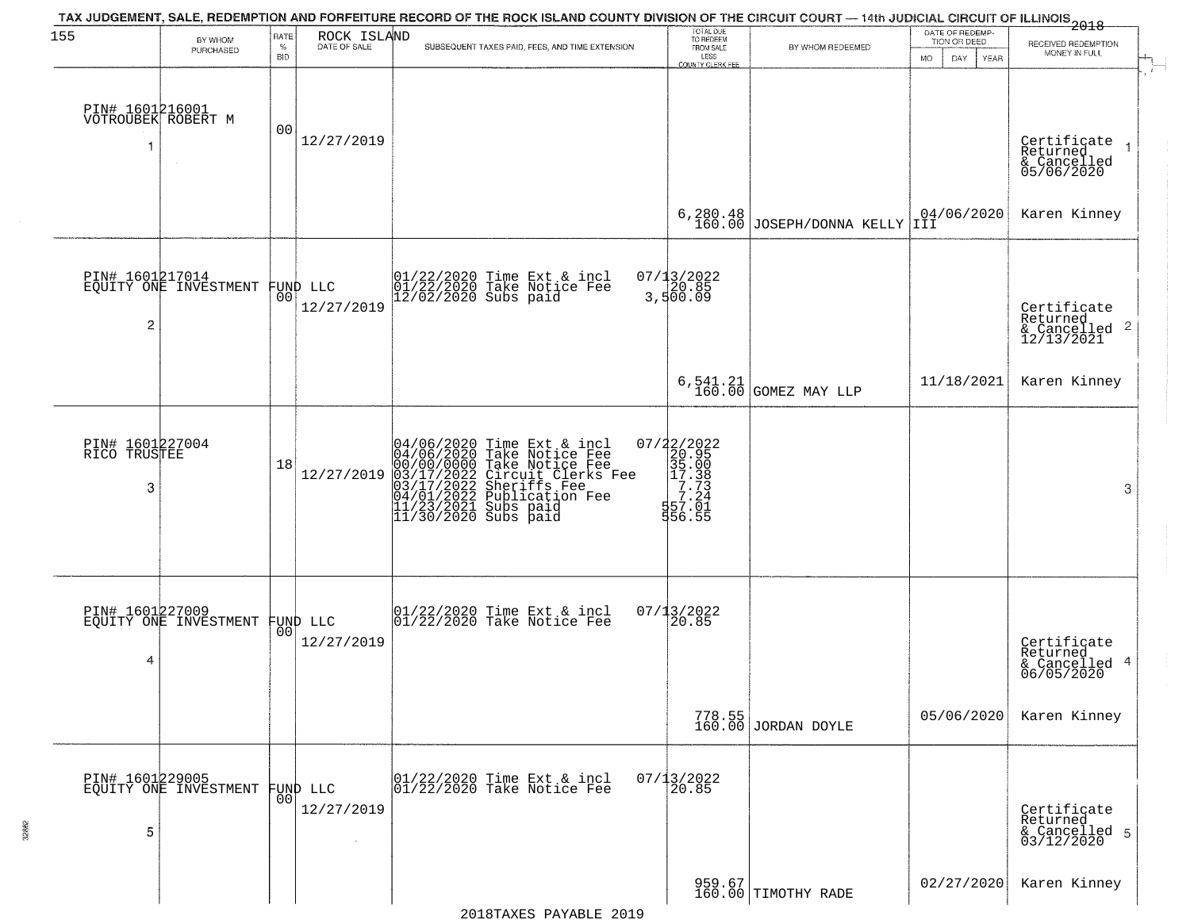| 155                                   |                                                   | RATE               | ROCK ISLAND            | TAX JUDGEMENT, SALE, REDEMPTION AND FORFEITURE RECORD OF THE ROCK ISLAND COUNTY DIVISION OF THE CIRCUIT COURT — 14th JUDICIAL CIRCUIT OF ILLINOIS 2018                                                                                | TOTAL DUE<br>TO REDEEM                                                     |                               | DATE OF REDEMP             |                                                                        |
|---------------------------------------|---------------------------------------------------|--------------------|------------------------|---------------------------------------------------------------------------------------------------------------------------------------------------------------------------------------------------------------------------------------|----------------------------------------------------------------------------|-------------------------------|----------------------------|------------------------------------------------------------------------|
|                                       | BY WHOM<br>PURCHASED                              | $\%$<br><b>BID</b> | DATE OF SALE           | SUBSEQUENT TAXES PAID, FEES, AND TIME EXTENSION                                                                                                                                                                                       | FROM SALE<br>LESS                                                          | BY WHOM REDEEMED              | TION OR DEED<br>MO.<br>DAY | RECEIVED REDEMPTION<br>MONEY IN FULL                                   |
| PIN# 1601216001<br>VOTROUBEK ROBERT M |                                                   | 0 <sub>0</sub>     | 12/27/2019             |                                                                                                                                                                                                                                       | <b>COUNTY CLERK FEE</b>                                                    |                               | YEAR                       | Certificate<br>Returned<br>$\overline{1}$<br>& Cancelled<br>05/06/2020 |
|                                       |                                                   |                    |                        |                                                                                                                                                                                                                                       | 6,280.48<br>160.00                                                         | JOSEPH/DONNA KELLY III        | 04/06/2020                 | Karen Kinney                                                           |
| $\overline{c}$                        | PIN# 1601217014<br>EQUITY ONE INVESTMENT FUND LLC |                    | 12/27/2019             | 01/22/2020 Time Ext & incl<br>01/22/2020 Take Notice Fee<br>12/02/2020 Subs paid                                                                                                                                                      | 07/13/2022<br>20.85<br>3,500.09                                            |                               |                            | Certificate<br>Returned<br>$\frac{12}{2}$ Cancelled 2<br>12/13/2021    |
|                                       |                                                   |                    |                        |                                                                                                                                                                                                                                       |                                                                            | $6,541.21$ GOMEZ MAY LLP      | 11/18/2021                 | Karen Kinney                                                           |
| PIN# 1601227004<br>RICO TRUSTEE<br>3  |                                                   | 18                 | 12/27/2019             | 04/06/2020 Time Ext & incl<br>04/06/2020 Take Notice Fee<br>00/00/00/000 Take Notice Fee<br>03/17/2022 Circuit Clerks Fee<br>03/17/2022 Sublication Fee<br>04/01/2022 Publication Fee<br>11/23/2021 Subs paid<br>11/30/2020 Subs paid | 07/22/2022<br>20.95<br>35.00<br>17.33<br>57.24<br>56.00<br>56.00<br>556.55 |                               |                            | 3                                                                      |
| PIN# 1601227009<br>4                  | EQUITY ONE INVESTMENT FUND LLC                    |                    | 12/27/2019             | 01/22/2020 Time Ext & incl<br>01/22/2020 Take Notice Fee                                                                                                                                                                              | 07/13/2022<br>$\overline{20.85}$                                           |                               |                            | Certificate<br>Returned<br>4<br>& Cancelled<br>06/05/2020              |
|                                       |                                                   |                    |                        |                                                                                                                                                                                                                                       |                                                                            | 778.55<br>160.00 JORDAN DOYLE | 05/06/2020                 | Karen Kinney                                                           |
| 5                                     | PIN# 1601229005<br>EQUITY ONE INVESTMENT          | 0 <sup>0</sup>     | FUND LLC<br>12/27/2019 | 01/22/2020 Time Ext & incl<br>01/22/2020 Take Notice Fee                                                                                                                                                                              | $07/13/2022$<br>20.85                                                      |                               |                            | Certificate<br>Returned<br>& Cancelled 5<br>03/12/2020                 |
|                                       |                                                   |                    |                        |                                                                                                                                                                                                                                       |                                                                            | 959.67<br>160.00 TIMOTHY RADE | 02/27/2020                 | Karen Kinney                                                           |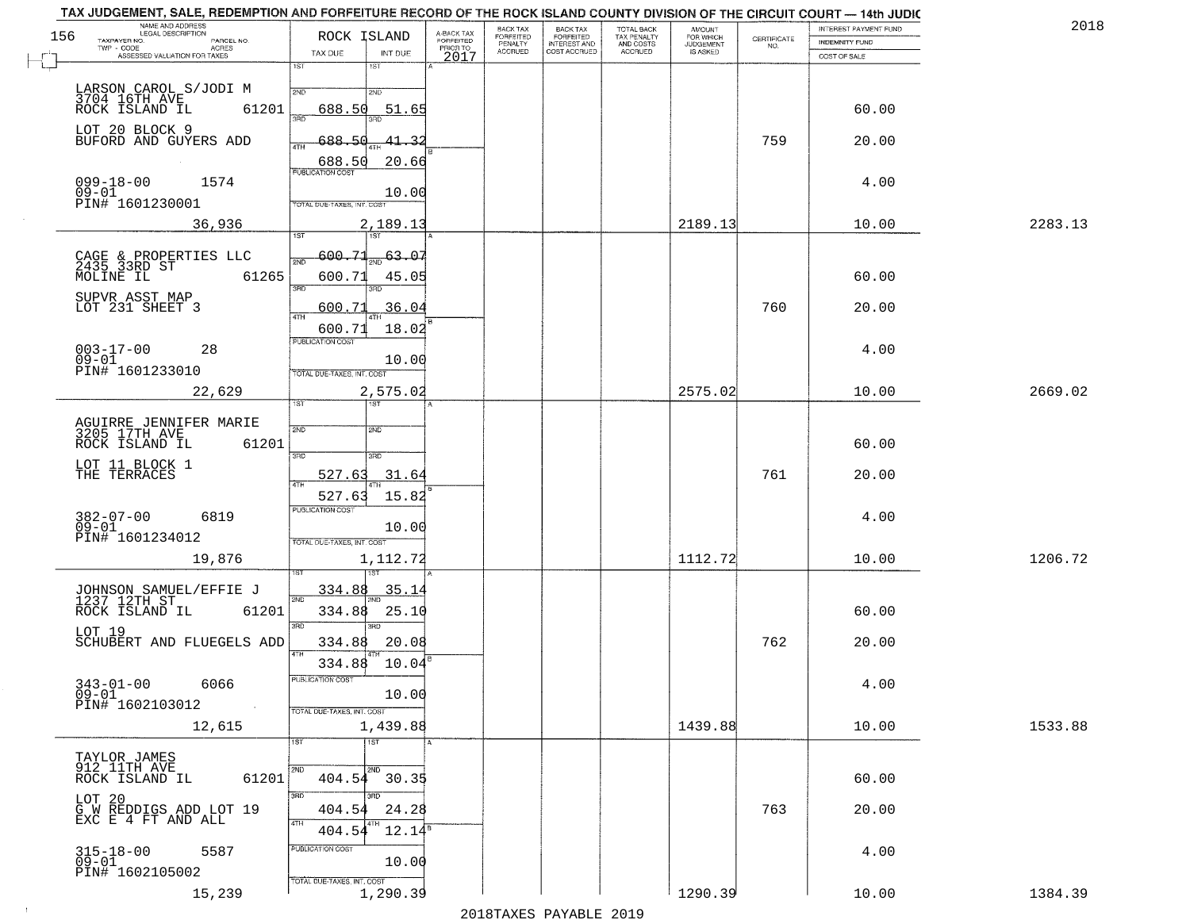|     | TAX JUDGEMENT, SALE, REDEMPTION AND FORFEITURE RECORD OF THE ROCK ISLAND COUNTY DIVISION OF THE CIRCUIT COURT - 14th JUDIC<br>NAME AND ADDRESS<br>LEGAL DESCRIPTION |                                                                 |                       |                                     | BACK TAX             | BACK TAX<br>FORFEITED | <b>TOTAL BACK</b>        | AMOUNT<br>FOR WHICH |                                                                 | INTEREST PAYMENT FUND | 2018    |
|-----|---------------------------------------------------------------------------------------------------------------------------------------------------------------------|-----------------------------------------------------------------|-----------------------|-------------------------------------|----------------------|-----------------------|--------------------------|---------------------|-----------------------------------------------------------------|-----------------------|---------|
| 156 | TAXPAYER NO.<br>PARCEL NO.<br>$TWP - CODE$<br>ACRES                                                                                                                 | ROCK ISLAND                                                     |                       | A-BACK TAX<br>FORFEITED<br>PRIOR TO | FORFEITED<br>PENALTY | <b>INTEREST AND</b>   | TAX PENALTY<br>AND COSTS | <b>JUDGEMENT</b>    | $\begin{array}{c} \text{CEPTIFICATE} \\ \text{NO.} \end{array}$ | <b>INDEMNITY FUND</b> |         |
|     | ASSESSED VALUATION FOR TAXES                                                                                                                                        | TAX DUE                                                         | INT DUE               | 2017                                | <b>ACCRUED</b>       | COST ACCRUED          | <b>ACCRUED</b>           | IS ASKED            |                                                                 | COST OF SALE          |         |
|     | LARSON CAROL S/JODI M<br>3704 16TH AVE<br>ROCK ISLAND IL 63                                                                                                         | 1ST<br>2ND                                                      | 18T<br>2ND            |                                     |                      |                       |                          |                     |                                                                 |                       |         |
|     | 61201<br>LOT 20 BLOCK 9                                                                                                                                             | 688.50<br>350                                                   | 51.65                 |                                     |                      |                       |                          |                     |                                                                 | 60.00                 |         |
|     | BUFORD AND GUYERS ADD                                                                                                                                               | 688.50<br>ATH<br>688.50                                         | 41.3<br>20.66         |                                     |                      |                       |                          |                     | 759                                                             | 20.00                 |         |
|     | $099 - 18 - 00$<br>1574<br>$09 - 01$<br>PIN# 1601230001                                                                                                             | <b>PUBLICATION COST</b><br>TOTAL DUE-TAXES, INT. COST           | 10.00                 |                                     |                      |                       |                          |                     |                                                                 | 4.00                  |         |
|     | 36,936                                                                                                                                                              |                                                                 | 2,189.13<br>1ST       |                                     |                      |                       |                          | 2189.13             |                                                                 | 10.00                 | 2283.13 |
|     | CAGE & PROPERTIES LLC<br>2435 33RD ST<br>61265<br>MOLINE IL                                                                                                         | $-600.71$<br>সাঁচ<br>600.71<br>$\overline{3BD}$                 | 63.07<br>45.05<br>3RD |                                     |                      |                       |                          |                     |                                                                 | 60.00                 |         |
|     | SUPVR ASST MAP<br>LOT 231 SHEET 3                                                                                                                                   | 600.71<br>ৰাম<br>600.71                                         | 36.04<br>18.02        |                                     |                      |                       |                          |                     | 760                                                             | 20.00                 |         |
|     | $003 - 17 - 00$<br>28<br>$09 - 01$<br>PIN# 1601233010                                                                                                               | PUBLICATION COST<br>TOTAL DUE-TAXES, INT. COST                  | 10.00                 |                                     |                      |                       |                          |                     |                                                                 | 4.00                  |         |
|     | 22,629                                                                                                                                                              | TST"                                                            | 2,575.02<br>1ST       |                                     |                      |                       |                          | 2575.02             |                                                                 | 10.00                 | 2669.02 |
|     | AGUIRRE JENNIFER MARIE<br>3205 17TH AVE<br>ROCK ISLAND IL<br>61201                                                                                                  | 2ND                                                             | 2ND                   |                                     |                      |                       |                          |                     |                                                                 | 60.00                 |         |
|     | LOT 11 BLOCK 1<br>THE TERRACES                                                                                                                                      | 3 <sub>BD</sub><br>527.63<br><b>ATH</b>                         | 3RD<br>31.64          |                                     |                      |                       |                          |                     | 761                                                             | 20.00                 |         |
|     | $382 - 07 - 00$<br>6819<br>$09 - 01$<br>PIN# 1601234012                                                                                                             | 527.63<br><b>PUBLICATION COST</b><br>TOTAL OUE-TAXES, INT. COST | 15.82<br>10.00        |                                     |                      |                       |                          |                     |                                                                 | 4.00                  |         |
|     | 19,876                                                                                                                                                              |                                                                 | 1,112.72              |                                     |                      |                       |                          | 1112.72             |                                                                 | 10.00                 | 1206.72 |
|     | JOHNSON SAMUEL/EFFIE J<br>1237 12TH ST<br>ROCK ISLAND IL<br>61201                                                                                                   | 334.88<br>2ND<br>334.88<br>3RD                                  | 35.14<br>25.10<br>3RD |                                     |                      |                       |                          |                     |                                                                 | 60.00                 |         |
|     | LOT 19<br>SCHUBERT AND FLUEGELS ADD                                                                                                                                 | 334.88<br>4TH<br>334.88                                         | 20.08<br>10.04        |                                     |                      |                       |                          |                     | 762                                                             | 20.00                 |         |
|     | $343 - 01 - 00$<br>6066<br>$09 - 01$<br>PIN# 1602103012<br>$\sim 100$                                                                                               | "UBLICA HUN CUS<br>TOTAL DUE-TAXES, INT. COST                   | 10.00                 |                                     |                      |                       |                          |                     |                                                                 | 4.00                  |         |
|     | 12,615                                                                                                                                                              | 1ST                                                             | 1,439.88<br>1ST       |                                     |                      |                       |                          | 1439.88             |                                                                 | 10.00                 | 1533.88 |
|     | TAYLOR JAMES<br>912 11TH AVE<br>61201<br>ROCK ISLAND IL                                                                                                             |                                                                 | 2ND<br>404.54 30.35   |                                     |                      |                       |                          |                     |                                                                 | 60.00                 |         |
|     | LOT 20<br>G W REDDIGS ADD LOT 19<br>EXC E 4 FT AND ALL                                                                                                              | 3RD<br>404.54<br>4TH                                            | חחו<br>24.28<br>4TH   |                                     |                      |                       |                          |                     | 763                                                             | 20.00                 |         |
|     | 315-18-00<br>5587<br>$09-01$<br>PIN# 1602105002                                                                                                                     | 404.54<br>PUBLICATION COST<br>TOTAL DUE-TAXES, INT. COST        | $12.14^s$<br>10.00    |                                     |                      |                       |                          |                     |                                                                 | 4.00                  |         |
|     | 15,239                                                                                                                                                              |                                                                 | 1,290.39              |                                     |                      |                       |                          | 1290.39             |                                                                 | 10.00                 | 1384.39 |

 $\sim 10^{-1}$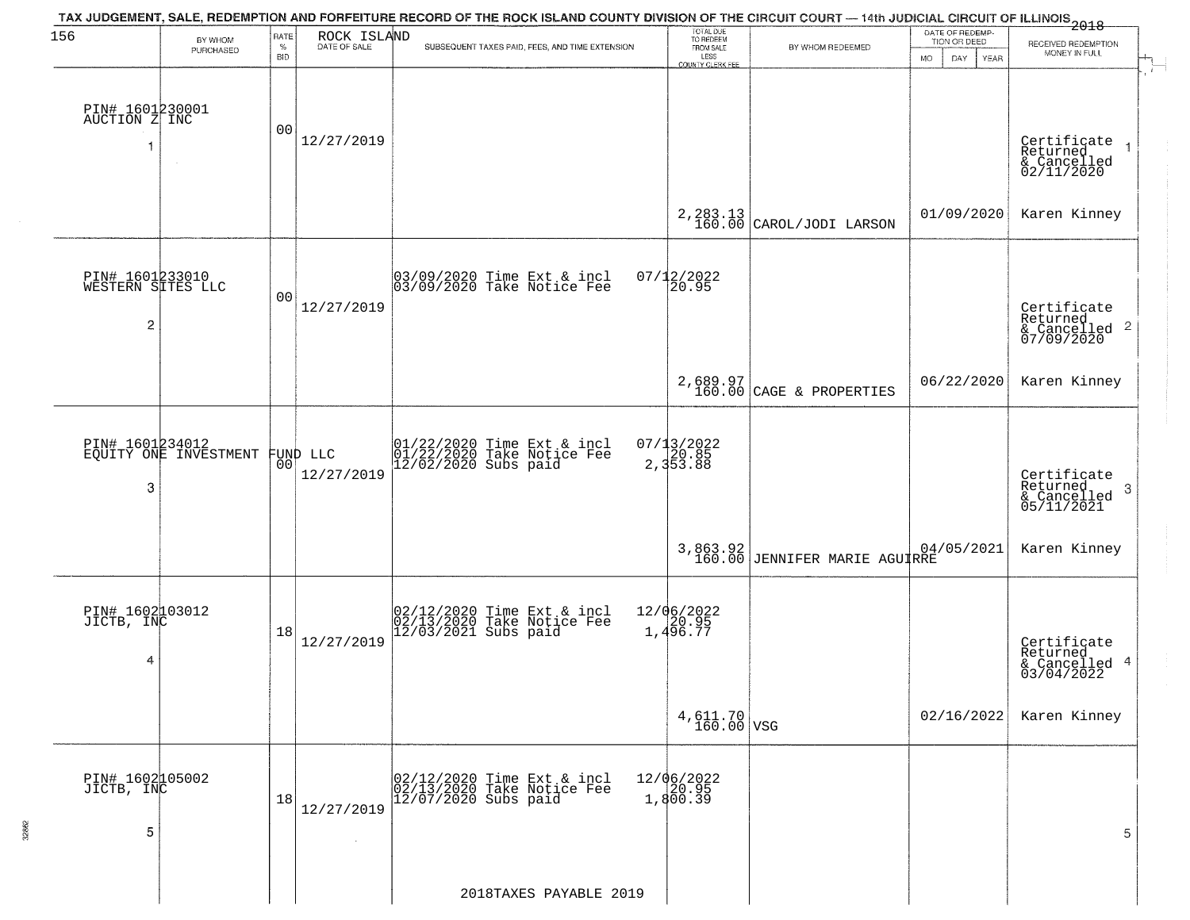| 156                                  | BY WHOM                                  | RATE               | ROCK ISLAND<br>DATE OF SALE | TAX JUDGEMENT, SALE, REDEMPTION AND FORFEITURE RECORD OF THE ROCK ISLAND COUNTY DIVISION OF THE CIRCUIT COURT — 14th JUDICIAL CIRCUIT OF ILLINOIS<br>2018 - 1990 - 1991 - 1992 - 1992 - 1993 - 1994 - 1994 - 1994 - 1995 - 1996 | TOTAL DUE<br>TO REDEEM                |                                           | DATE OF REDEMP-<br>TION OR DEED  | RECEIVED REDEMPTION                                               |
|--------------------------------------|------------------------------------------|--------------------|-----------------------------|---------------------------------------------------------------------------------------------------------------------------------------------------------------------------------------------------------------------------------|---------------------------------------|-------------------------------------------|----------------------------------|-------------------------------------------------------------------|
|                                      | PURCHASED                                | $\%$<br><b>BID</b> |                             | SUBSEQUENT TAXES PAID, FEES, AND TIME EXTENSION                                                                                                                                                                                 | FROM SALE<br>LESS<br>COUNTY CLERK FEE | BY WHOM REDEEMED                          | <b>MO</b><br>DAY.<br><b>YEAR</b> | MONEY IN FULL                                                     |
| PIN# 1601230001<br>AUCTION Z INC     |                                          | 0 <sub>0</sub>     | 12/27/2019                  |                                                                                                                                                                                                                                 |                                       |                                           |                                  | $\overline{1}$                                                    |
|                                      |                                          |                    |                             |                                                                                                                                                                                                                                 |                                       |                                           |                                  | Certificate<br>Returned<br>& Cancelled<br>02/11/2020              |
|                                      |                                          |                    |                             |                                                                                                                                                                                                                                 |                                       | $2,283.13$<br>160.00 CAROL/JODI LARSON    | 01/09/2020                       | Karen Kinney                                                      |
| PIN# 1601233010<br>WESTERN SITES LLC |                                          | 0 <sub>0</sub>     |                             | 03/09/2020 Time Ext & incl<br>03/09/2020 Take Notice Fee                                                                                                                                                                        | $07/12/2022$<br>20.95                 |                                           |                                  |                                                                   |
| 2                                    |                                          |                    | 12/27/2019                  |                                                                                                                                                                                                                                 |                                       |                                           |                                  | Certificate<br>Returned<br>& Cancelled <sup>2</sup><br>07/09/2020 |
|                                      |                                          |                    |                             |                                                                                                                                                                                                                                 |                                       | 2,689.97<br>160.00 CAGE & PROPERTIES      | 06/22/2020                       | Karen Kinney                                                      |
|                                      | PIN# 1601234012<br>EQUITY ONE INVESTMENT | 0 <sub>0</sub>     | FUND LLC<br>12/27/2019      | 01/22/2020 Time Ext & incl<br>01/22/2020 Take Notice Fee<br>12/02/2020 Subs paid                                                                                                                                                | 07/13/2022<br>2,353.88                |                                           |                                  |                                                                   |
| 3                                    |                                          |                    |                             |                                                                                                                                                                                                                                 |                                       |                                           |                                  | Certificate<br>Returned<br>3<br>& Cancelled<br>05/11/2021         |
|                                      |                                          |                    |                             |                                                                                                                                                                                                                                 |                                       | 3,863.92<br>160.00 JENNIFER MARIE AGUIRRE | 04/05/2021                       | Karen Kinney                                                      |
| PIN# 1602103012<br>JICTB, INC        |                                          | 18                 |                             | 02/12/2020 Time Ext & incl<br>02/13/2020 Take Notice Fee<br>12/03/2021 Subs paid                                                                                                                                                | 12/06/2022<br>1,496.77                |                                           |                                  |                                                                   |
| 4                                    |                                          |                    | 12/27/2019                  |                                                                                                                                                                                                                                 |                                       |                                           |                                  | Certificate<br>Returned<br>& Cancelled<br>03/04/2022<br>4         |
|                                      |                                          |                    |                             |                                                                                                                                                                                                                                 | $4,611.70$ VSG                        |                                           | 02/16/2022                       | Karen Kinney                                                      |
| PIN# 1602105002<br>JICTB, INC        |                                          | 18                 |                             | 02/12/2020 Time Ext & incl<br>02/13/2020 Take Notice Fee<br>12/07/2020 Subs paid                                                                                                                                                | 12/06/2022<br>20.95<br>1,800.39       |                                           |                                  |                                                                   |
| 5                                    |                                          |                    | 12/27/2019<br>$\sim$        |                                                                                                                                                                                                                                 |                                       |                                           |                                  | 5                                                                 |
|                                      |                                          |                    |                             | 2018TAXES PAYABLE 2019                                                                                                                                                                                                          |                                       |                                           |                                  |                                                                   |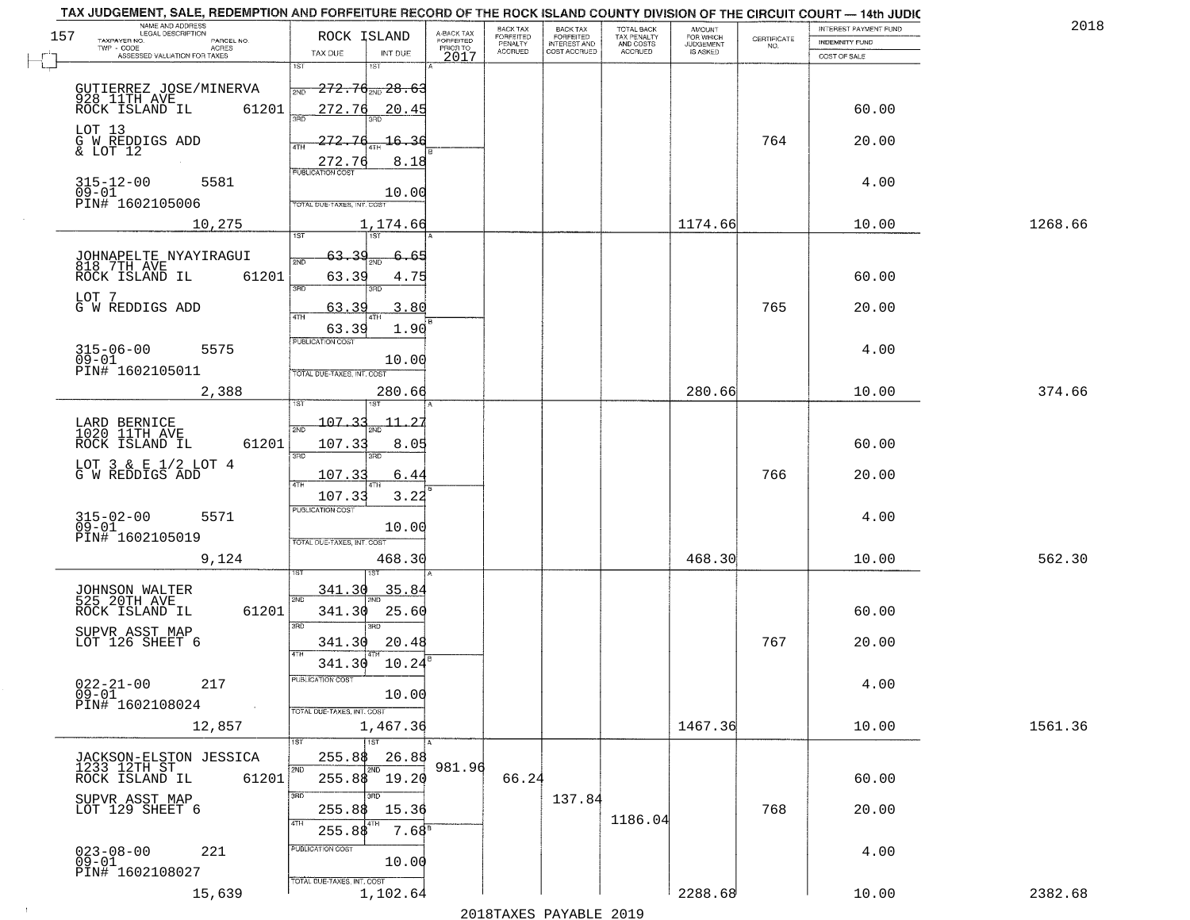| NAME AND ADDRESS<br>LEGAL DESCRIPTION<br><b>BACK TAX</b><br>TOTAL BACK<br>TAX PENALTY<br>AND COSTS<br>AMOUNT<br>FOR WHICH<br>JUDGEMENT<br>A-BACK TAX<br>FORFEITED<br>PRIOR TO<br>157<br>ROCK ISLAND<br>FORFEITED<br>FORFEITED<br>INTEREST AND<br>$\begin{array}{c} \text{CERTIFICATE} \\ \text{NO.} \end{array}$<br>TAXPAYER NO.<br>PARCEL NO.<br>INDEMNITY FUND<br>PENALTY<br>ACRES<br><b>ACCRUED</b><br>COST ACCRUED<br><b>ACCRUED</b><br>IS ASKED<br>TAX DUE<br>INT DUE<br>ASSESSED VALUATION FOR TAXES<br>2017<br>COST OF SALE<br>1ST<br>18T |         |
|--------------------------------------------------------------------------------------------------------------------------------------------------------------------------------------------------------------------------------------------------------------------------------------------------------------------------------------------------------------------------------------------------------------------------------------------------------------------------------------------------------------------------------------------------|---------|
|                                                                                                                                                                                                                                                                                                                                                                                                                                                                                                                                                  |         |
|                                                                                                                                                                                                                                                                                                                                                                                                                                                                                                                                                  |         |
| 272.76 28.63<br>GUTIERREZ JOSE/MINERVA<br>2ND<br>928 11TH AVE<br>ROCK ISLAND IL<br>61201<br>272.76<br>20.45<br>60.00                                                                                                                                                                                                                                                                                                                                                                                                                             |         |
| LOT 13<br>764<br>G W REDDIGS ADD<br>& LOT 12<br>272.7<br>16.36<br>20.00<br>$\frac{272.76}{PUBUCATONCGST}$<br>8.18                                                                                                                                                                                                                                                                                                                                                                                                                                |         |
| 315-12-00<br>09-01<br>5581<br>4.00<br>10.00<br>PIN# 1602105006<br>TOTAL DUE-TAXES, INT. COST                                                                                                                                                                                                                                                                                                                                                                                                                                                     |         |
| 1174.66<br>10,275<br>10.00<br>1,174.66                                                                                                                                                                                                                                                                                                                                                                                                                                                                                                           | 1268.66 |
| JOHNAPELTE NYAYIRAGUI<br>818 7TH AVE<br>63<br>2ND<br>61201<br>63.39<br>60.00<br>ROCK ISLAND IL<br>4.75<br>3RD<br>3RD<br>LOT 7<br>765<br>G W REDDIGS ADD<br>3.80<br>20.00<br>63.39<br>47H<br>63.39<br>1.90                                                                                                                                                                                                                                                                                                                                        |         |
| PUBLICATION COST<br>$315 - 06 - 00$<br>4.00<br>5575<br>$09 - 01$<br>10.00<br>PIN# 1602105011<br>TOTAL DUE-TAXES, INT. COST                                                                                                                                                                                                                                                                                                                                                                                                                       |         |
| 280.66<br>2,388<br>280.66<br>10.00<br>isT                                                                                                                                                                                                                                                                                                                                                                                                                                                                                                        | 374.66  |
| $-107.35$<br>LARD BERNICE<br>1020 11TH AVE<br>2ND<br>ROCK ISLAND IL<br>61201<br>107.33<br>8.05<br>60.00<br>3RD<br>3RD<br>LOT $3 \& E 1/2$ LOT $4$ G W REDDIGS ADD<br>766<br>107.33<br>6.4<br>20.00<br>4TH<br>107.33<br>3.22                                                                                                                                                                                                                                                                                                                      |         |
| <b>PUBLICATION COST</b><br>$315 - 02 - 00$<br>09-01<br>4.00<br>5571<br>10.00<br>PIN# 1602105019<br>TOTAL OUE-TAXES, INT. COST<br>468.30<br>9,124<br>468.30<br>10.00                                                                                                                                                                                                                                                                                                                                                                              | 562.30  |
| 35.84<br>341.30<br>JOHNSON WALTER<br>525 20TH AVE<br>2ND<br>ROCK ISLAND IL<br>341.30<br>25.60<br>61201<br>60.00<br>3RD<br>m<br>SUPVR ASST MAP<br>LOT 126 SHEET 6<br>767<br>20.48<br>20.00<br>341.30<br>4TH<br>10.24<br>341.30                                                                                                                                                                                                                                                                                                                    |         |
| $022 - 21 - 00$<br>UBLICA HUN COS-<br>217<br>4.00<br>$09 - 01$<br>10.00<br>PIN# 1602108024<br>$\sim 100$<br>TOTAL DUE-TAXES, INT. COST<br>1467.36<br>12,857<br>1,467.36<br>10.00                                                                                                                                                                                                                                                                                                                                                                 | 1561.36 |
| 1ST<br>26.88<br>255.88<br>JACKSON-ELSTON JESSICA<br>981.96<br>1233 12TH ST<br>2ND<br>2ND<br>$255.88$ 19.20<br>66.24<br>61201<br>60.00<br>ROCK ISLAND IL                                                                                                                                                                                                                                                                                                                                                                                          |         |
| 3RD<br>חחו<br>137.84<br>SUPVR ASST MAP<br>LOT 129 SHEET 6<br>768<br>15.36<br>20.00<br>255.88<br>1186.04<br>4TH<br>7.68 <sup>8</sup><br>255.8\$                                                                                                                                                                                                                                                                                                                                                                                                   |         |
| PUBLICATION COST<br>023-08-00<br>09-01<br>221<br>4.00<br>10.00<br>PIN# 1602108027<br>TOTAL DUE-TAXES, INT. COST<br>2288.68<br>1,102.64<br>15,639<br>10.00                                                                                                                                                                                                                                                                                                                                                                                        | 2382.68 |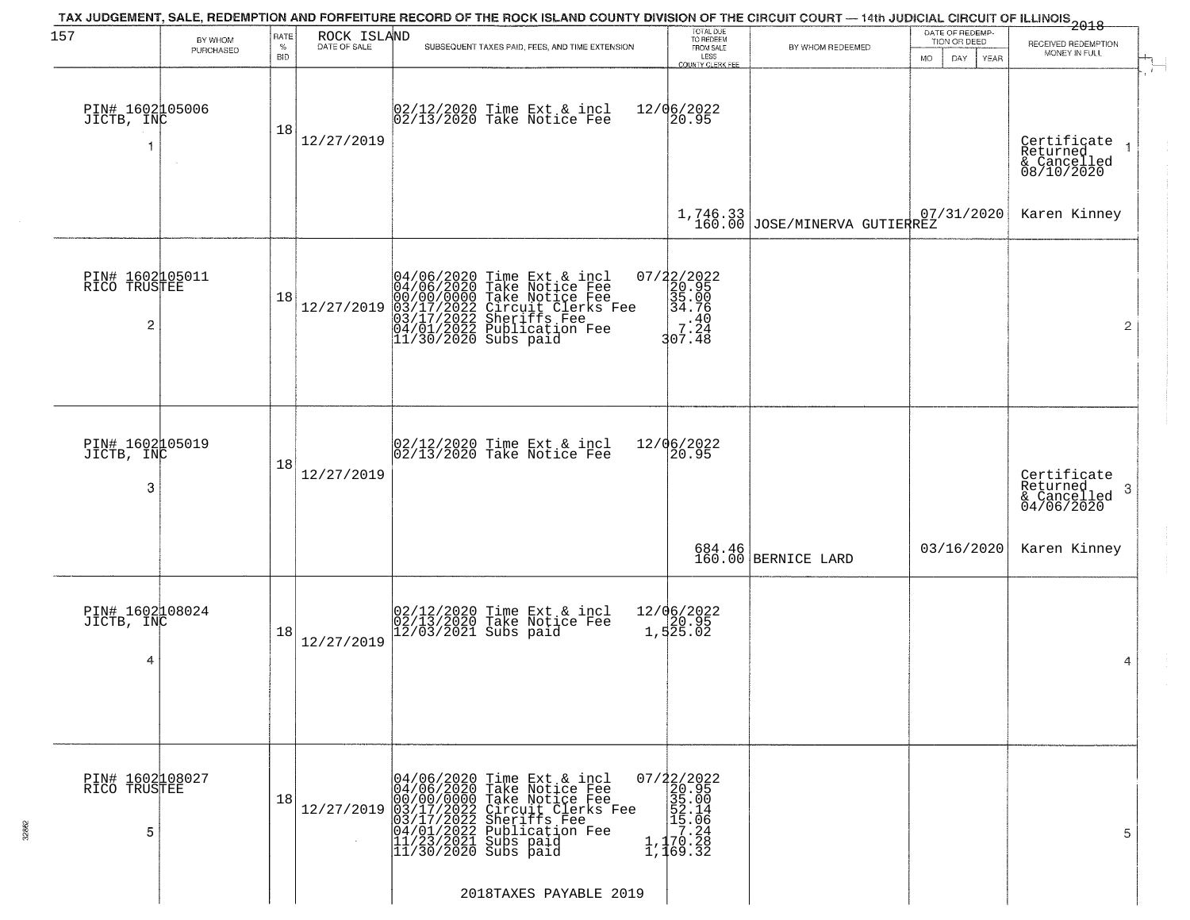| PIN# 1602105006<br>JICTB, INC<br>PIN# 1602105011<br>RICO TRUSTEE | 18 | 12/27/2019 | 02/12/2020 Time Ext & incl<br>02/13/2020 Take Notice Fee                                                                                                                                                   | 12/06/2022<br>20.95                                                                                                                                                                                                                                                                                                                                                               |                                                                                                                                                                 |                               | Certificate<br>Returned                                               |
|------------------------------------------------------------------|----|------------|------------------------------------------------------------------------------------------------------------------------------------------------------------------------------------------------------------|-----------------------------------------------------------------------------------------------------------------------------------------------------------------------------------------------------------------------------------------------------------------------------------------------------------------------------------------------------------------------------------|-----------------------------------------------------------------------------------------------------------------------------------------------------------------|-------------------------------|-----------------------------------------------------------------------|
|                                                                  |    |            |                                                                                                                                                                                                            |                                                                                                                                                                                                                                                                                                                                                                                   |                                                                                                                                                                 |                               | & Cancelled<br>08/10/2020                                             |
|                                                                  |    |            |                                                                                                                                                                                                            |                                                                                                                                                                                                                                                                                                                                                                                   | $\begin{array}{c c} 1,746.33 & 0 \\ 160.00 & JOSE/MINERVA & GUTIERREZ \end{array}$                                                                              | 07/31/2020                    | Karen Kinney                                                          |
|                                                                  | 18 | 12/27/2019 | 04/06/2020 Time Ext & incl<br>04/06/2020 Take Notice Fee<br>00/00/00/000 Take Notice Fee<br>03/17/2022 Circuit Clerks Fee<br>03/17/2022 Sheriffs Fee<br>04/01/2022 Publication Fee<br>11/30/2020 Subs paid | $=\begin{smallmatrix} 07/22/2022\\ 20.95\\ 35.00\\ 34.76\\ 7.24\\ 107.48 \end{smallmatrix}$                                                                                                                                                                                                                                                                                       |                                                                                                                                                                 |                               | $\overline{2}$                                                        |
| PIN# 1602005019<br>JICTB, INC                                    | 18 | 12/27/2019 |                                                                                                                                                                                                            | 20.95                                                                                                                                                                                                                                                                                                                                                                             |                                                                                                                                                                 |                               | Certificate<br>Returned<br>3<br>$\frac{1}{2}$ Cancelled<br>04/06/2020 |
|                                                                  |    |            |                                                                                                                                                                                                            |                                                                                                                                                                                                                                                                                                                                                                                   |                                                                                                                                                                 | 03/16/2020                    | Karen Kinney                                                          |
| PIN# 1602108024<br>JICTB, INC                                    | 18 | 12/27/2019 |                                                                                                                                                                                                            |                                                                                                                                                                                                                                                                                                                                                                                   |                                                                                                                                                                 |                               | 4                                                                     |
| PIN# 1602108027<br>RICO TRUSTEE                                  | 18 | 12/27/2019 |                                                                                                                                                                                                            |                                                                                                                                                                                                                                                                                                                                                                                   |                                                                                                                                                                 |                               | 5                                                                     |
|                                                                  |    |            |                                                                                                                                                                                                            | 02/12/2020 Time Ext & incl<br>02/13/2020 Take Notice Fee<br>02/12/2020 Time Ext & incl<br>02/13/2020 Take Notice Fee<br>12/03/2021 Subs paid<br>04/06/2020 Time Ext & incl<br>04/06/2020 Take Notice Fee<br>00/00/00000 Take Notice Fee<br>03/17/2022 Circuit Clerks Fee<br>03/17/2022 Sheriffs Fee<br>04/01/2022 Publication Fee<br>11/23/2021 Subs paid<br>11/30/2020 Subs paid | 12/06/2022<br>12/06/2022<br>1,525.02<br>$07/22/2022$<br>20.95<br>$\begin{array}{r} 25.00 \\ 35.00 \\ 52.14 \\ 1.1 \\ 70.24 \\ 1,170.28 \\ 1,169.32 \end{array}$ | 684.46<br>160.00 BERNICE LARD | 2018TAXES PAYABLE 2019                                                |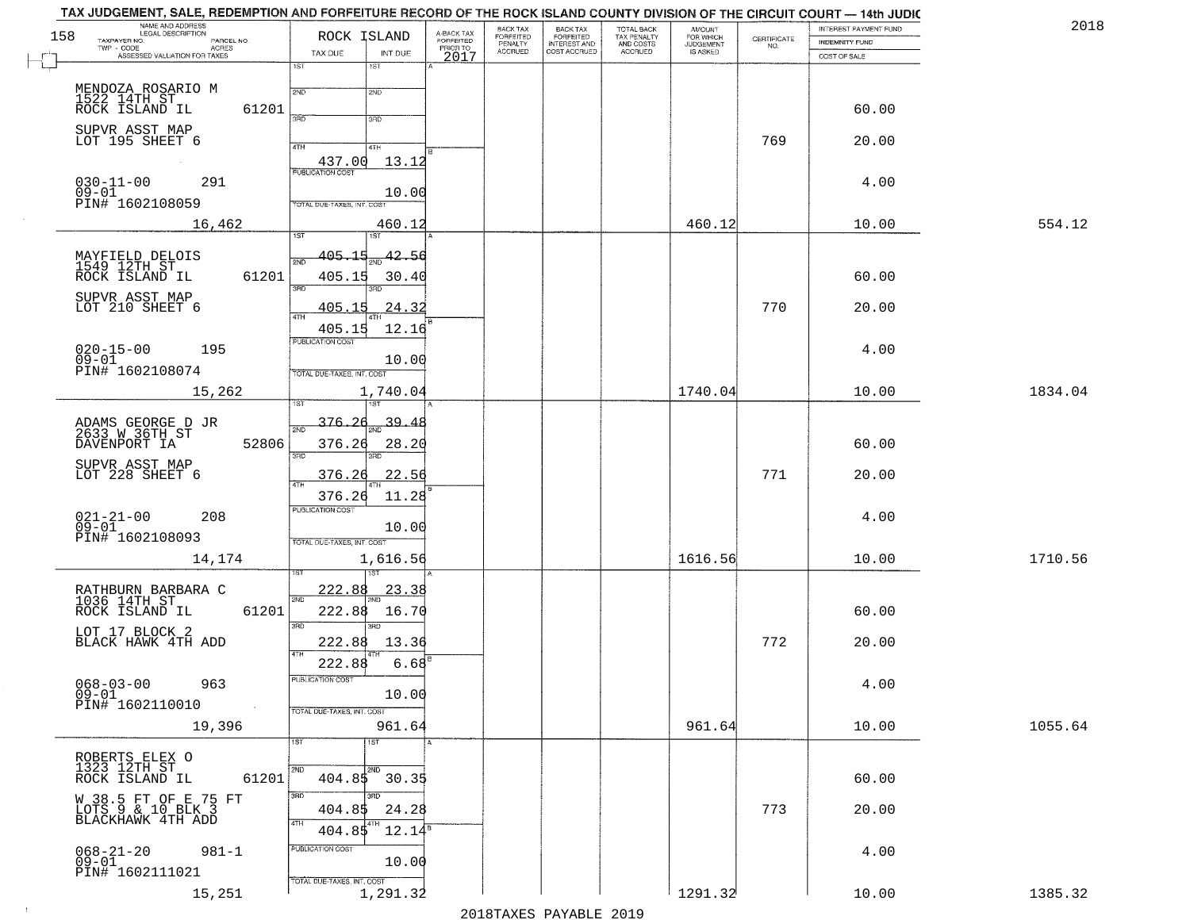| 158 | NAME AND ADDRESS<br>LEGAL DESCRIPTION<br>TAXPAYER NO.<br>PARCEL NO. |              | ROCK ISLAND                |                             | A-BACK TAX<br>FORFEITED | BACK TAX<br>FORFEITED | <b>BACK TAX</b><br><b>FORFEITED</b> | <b>TOTAL BACK</b><br>TAX PENALTY | <b>AMOUNT</b>                      | CERTIFICATE | INTEREST PAYMENT FUND                 | 2018    |
|-----|---------------------------------------------------------------------|--------------|----------------------------|-----------------------------|-------------------------|-----------------------|-------------------------------------|----------------------------------|------------------------------------|-------------|---------------------------------------|---------|
|     | TWP - CODE<br>- CODE ACRES<br>ASSESSED VALUATION FOR TAXES          |              | TAX DUE                    | INT DUE                     | PRIOR TO<br>2017        | PENALTY<br>ACCRUED    | INTEREST AND<br>COST ACCRUED        | AND COSTS<br>ACCRUED             | FOR WHICH<br>JUDGEMENT<br>IS ASKED | NO.         | <b>INDEMNITY FUND</b><br>COST OF SALE |         |
|     |                                                                     | 1ST          |                            | 1ST                         |                         |                       |                                     |                                  |                                    |             |                                       |         |
|     | MENDOZA ROSARIO M<br>1522 14TH ST                                   | 2ND          |                            | 2ND                         |                         |                       |                                     |                                  |                                    |             |                                       |         |
|     | ROCK ISLAND IL                                                      | 61201<br>370 |                            | 3RD                         |                         |                       |                                     |                                  |                                    |             | 60.00                                 |         |
|     | SUPVR ASST MAP<br>LOT 195 SHEET 6                                   | 4TH          |                            | 4TH                         |                         |                       |                                     |                                  |                                    | 769         | 20.00                                 |         |
|     |                                                                     |              | 437.00                     | 13.12                       |                         |                       |                                     |                                  |                                    |             |                                       |         |
|     | $030 - 11 - 00$<br>291<br>$09 - 01$                                 |              | <b>PUBLICATION COST</b>    | 10.00                       |                         |                       |                                     |                                  |                                    |             | 4.00                                  |         |
|     | PIN# 1602108059                                                     |              | TOTAL DUE-TAXES, INT. COS  |                             |                         |                       |                                     |                                  |                                    |             |                                       |         |
|     | 16,462                                                              | 1ST          |                            | 460.12<br>1ST               |                         |                       |                                     |                                  | 460.12                             |             | 10.00                                 | 554.12  |
|     | MAYFIELD DELOIS<br>1549 12TH ST                                     | 2ND          | 405.15                     | 42.56                       |                         |                       |                                     |                                  |                                    |             |                                       |         |
|     | ROCK ISLAND IL                                                      | 61201        | 405.15                     | 30.40                       |                         |                       |                                     |                                  |                                    |             | 60.00                                 |         |
|     | SUPVR ASST MAP<br>LOT 210 SHEET 6                                   | 3BD          | <u>405.15</u>              | 24.32                       |                         |                       |                                     |                                  |                                    | 770         | 20.00                                 |         |
|     |                                                                     | 47H          | 405.15                     | 12.16                       |                         |                       |                                     |                                  |                                    |             |                                       |         |
|     | $020 - 15 - 00$<br>195                                              |              | PUBLICATION COST           |                             |                         |                       |                                     |                                  |                                    |             | 4.00                                  |         |
|     | $09 - 01$<br>PIN# 1602108074                                        |              | TOTAL DUE-TAXES, INT. COST | 10.00                       |                         |                       |                                     |                                  |                                    |             |                                       |         |
|     | 15,262                                                              |              |                            | 1,740.04                    |                         |                       |                                     |                                  | 1740.04                            |             | 10.00                                 | 1834.04 |
|     |                                                                     |              | $376 - 26$                 | 39<br>4                     |                         |                       |                                     |                                  |                                    |             |                                       |         |
|     | ADAMS GEORGE D JR<br>2633 W 36TH ST<br>DAVENPORT IA                 | 52806        | 376.26                     | 28.20                       |                         |                       |                                     |                                  |                                    |             | 60.00                                 |         |
|     | SUPVR ASST MAP<br>LOT 228 SHEET 6                                   | 3RD          | 376.26                     | 22.56                       |                         |                       |                                     |                                  |                                    | 771         | 20.00                                 |         |
|     |                                                                     |              | 376.26                     | 11.28                       |                         |                       |                                     |                                  |                                    |             |                                       |         |
|     | $021 - 21 - 00$<br>09-01<br>208                                     |              | <b>PUBLICATION COST</b>    |                             |                         |                       |                                     |                                  |                                    |             | 4.00                                  |         |
|     | PIN# 1602108093                                                     |              | TOTAL OUE-TAXES, INT. COST | 10.00                       |                         |                       |                                     |                                  |                                    |             |                                       |         |
|     | 14,174                                                              |              |                            | 1,616.56                    |                         |                       |                                     |                                  | 1616.56                            |             | 10.00                                 | 1710.56 |
|     |                                                                     |              | 222.88                     | <u>23.38</u>                |                         |                       |                                     |                                  |                                    |             |                                       |         |
|     | RATHBURN BARBARA C<br>1036 14TH ST<br>ROCK ISLAND IL                | 2ND<br>61201 | 222.88                     | 16.70                       |                         |                       |                                     |                                  |                                    |             | 60.00                                 |         |
|     | LOT 17 BLOCK 2                                                      | 3RD          |                            | 3RD                         |                         |                       |                                     |                                  |                                    |             |                                       |         |
|     | BLACK HAWK 4TH ADD                                                  | 4TH          | 222.88<br>222.88           | 13.36<br>6.68               |                         |                       |                                     |                                  |                                    | 772         | 20.00                                 |         |
|     | $068 - 03 - 00$<br>963                                              |              | PUBLICATION COST           |                             |                         |                       |                                     |                                  |                                    |             | 4.00                                  |         |
|     | $09 - 01$<br>PIN# 1602110010<br>$\sim 10$                           |              | TOTAL DUE-TAXES, INT. COST | 10.00                       |                         |                       |                                     |                                  |                                    |             |                                       |         |
|     | 19,396                                                              |              |                            | 961.64                      |                         |                       |                                     |                                  | 961.64                             |             | 10.00                                 | 1055.64 |
|     |                                                                     | 1ST          |                            | 1ST                         |                         |                       |                                     |                                  |                                    |             |                                       |         |
|     | ROBERTS ELEX O<br>1323 12TH ST<br>ROCK ISLAND IL                    | 2ND<br>61201 | 404.85                     | 2ND<br>30.35                |                         |                       |                                     |                                  |                                    |             | 60.00                                 |         |
|     | W 38.5 FT OF E 75 FT                                                | 3RD          |                            |                             |                         |                       |                                     |                                  |                                    |             |                                       |         |
|     | LOTS 9 & 10 BLK 3<br>BLACKHAWK 4TH ADD                              | 4TH          | 404.85<br>404.85           | 24.28<br>l 4TH<br>$12.14^5$ |                         |                       |                                     |                                  |                                    | 773         | 20.00                                 |         |
|     | $981 - 1$                                                           |              | PUBLICATION COST           |                             |                         |                       |                                     |                                  |                                    |             | 4.00                                  |         |
|     | $068 - 21 - 20$<br>09-01<br>PIN# 1602111021                         |              |                            | 10.00                       |                         |                       |                                     |                                  |                                    |             |                                       |         |
|     | 15,251                                                              |              | TOTAL DUE-TAXES, INT. COST | 1,291.32                    |                         |                       |                                     |                                  | 1291.32                            |             | 10.00                                 | 1385.32 |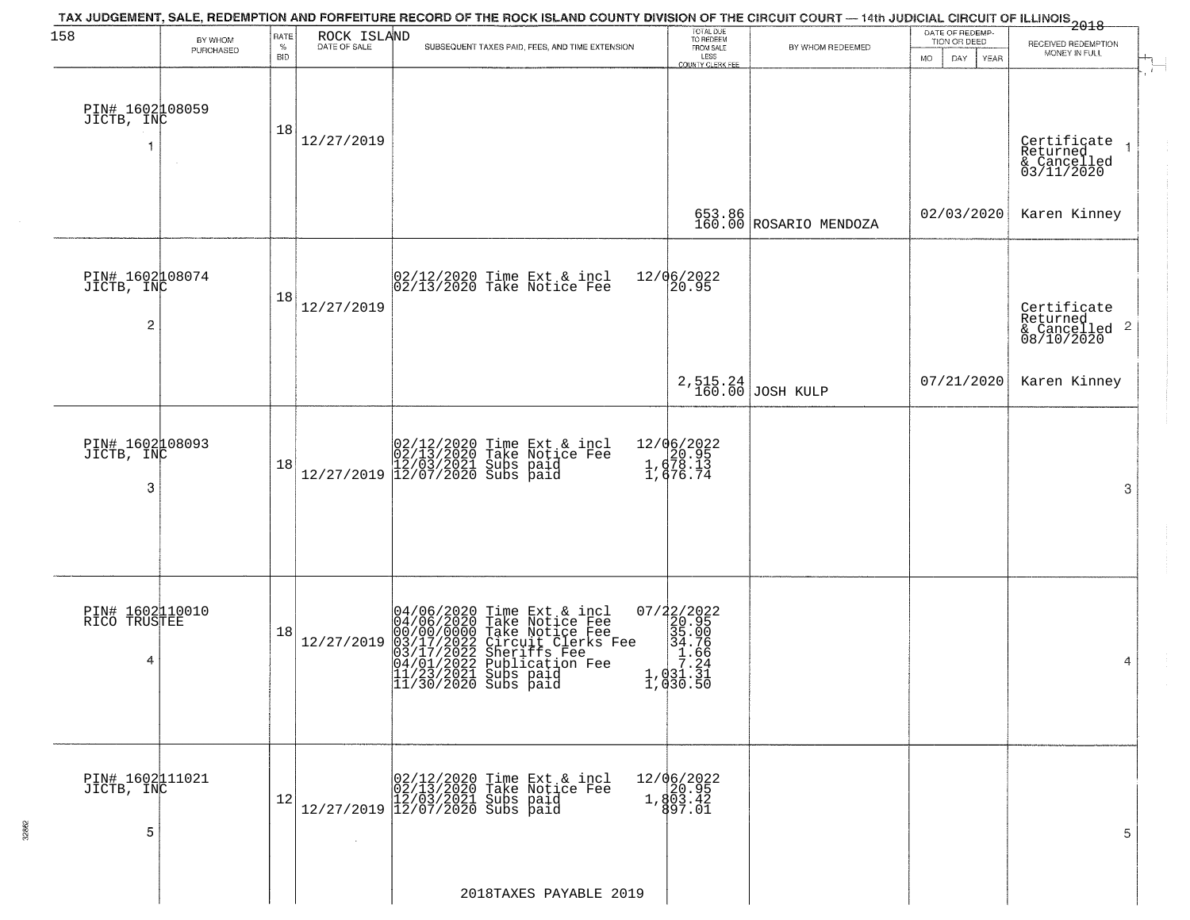|                                      |                      |                            |                             | TAX JUDGEMENT, SALE, REDEMPTION AND FORFEITURE RECORD OF THE ROCK ISLAND COUNTY DIVISION OF THE CIRCUIT COURT — 14th JUDICIAL CIRCUIT OF ILLINOIS 2018                                                                               |                                                                                                              |                                  |                                                       |                                                                                                                                                        |
|--------------------------------------|----------------------|----------------------------|-----------------------------|--------------------------------------------------------------------------------------------------------------------------------------------------------------------------------------------------------------------------------------|--------------------------------------------------------------------------------------------------------------|----------------------------------|-------------------------------------------------------|--------------------------------------------------------------------------------------------------------------------------------------------------------|
| 158                                  | BY WHOM<br>PURCHASED | RATE<br>$\%$<br><b>BID</b> | ROCK ISLAND<br>DATE OF SALE | SUBSEQUENT TAXES PAID, FEES, AND TIME EXTENSION                                                                                                                                                                                      | TOTAL DUE<br>TO REDEEM<br>FROM SALE<br>LESS<br>COUNTY CLERK FEE                                              | BY WHOM REDEEMED                 | DATE OF REDEMP-<br>TION OR DEED<br>DAY<br>YEAR<br>MO. | RECEIVED REDEMPTION<br>MONEY IN FULL                                                                                                                   |
| PIN# 1602108059<br>JICTB, INC        |                      | 18                         | 12/27/2019                  |                                                                                                                                                                                                                                      |                                                                                                              |                                  |                                                       | Certificate<br>Returned<br>$\overline{1}$<br>$\begin{array}{c}\n\text{accantice} \\ \text{A} \quad \text{Cancelled} \\ \text{03/11/2020}\n\end{array}$ |
|                                      |                      |                            |                             |                                                                                                                                                                                                                                      |                                                                                                              | 653.86<br>160.00 ROSARIO MENDOZA | 02/03/2020                                            | Karen Kinney                                                                                                                                           |
| PIN# 1602108074<br>JICTB, INC<br>2   |                      | 18                         | 12/27/2019                  | 02/12/2020 Time Ext & incl<br>02/13/2020 Take Notice Fee                                                                                                                                                                             | 12/06/2022<br>20.95                                                                                          |                                  |                                                       | Certificate<br>Returned<br>$\frac{1}{6}$ Cancelled 2<br>08/10/2020                                                                                     |
|                                      |                      |                            |                             |                                                                                                                                                                                                                                      | 2,515.24<br>160.00                                                                                           | <b>JOSH KULP</b>                 | 07/21/2020                                            | Karen Kinney                                                                                                                                           |
| PIN# 1602108093<br>JICTB, INC<br>3   |                      | 18                         |                             | $[02/12/2020 \t\t Time \t\t Ext & incl \\ [02/13/2020 \t\t Take \t Notice \tFe \\ [12/03/2021 \t\ Subs \t paid \\ [12/07/2020 \t\ Subs \t paid \t]$                                                                                  | 12/06/2022<br>1, 678.13<br>1, 678.13                                                                         |                                  |                                                       | 3                                                                                                                                                      |
| PIN# 1602110010<br>RICO TRUSTEE<br>4 |                      | 18                         | 12/27/2019                  | 04/06/2020 Time Ext & incl<br>04/06/2020 Take Notice Fee<br>00/00/00000 Take Notice Fee<br>03/17/2022 Circuit Clerks Fee<br>03/17/2022 Sublication Fee<br>04/01/2022 Publication Fee<br>11/23/2021 Subs paid<br>11/30/2020 Subs paid | $\begin{smallmatrix} 07/22/2022\\ 20.95\\ 35.00\\ 34.76\\ -1.031.31\\ 1,031.31\\ 1,030.50 \end{smallmatrix}$ |                                  |                                                       | 4                                                                                                                                                      |
| PIN# 1602111021<br>JICTB, INC<br>5   |                      | 12                         | $\sim$                      | 02/12/2020 Time Ext & incl<br>02/13/2020 Take Notice Fee<br>$\frac{12}{27/2019}$ $\frac{12}{0.03}$ $\frac{12021}{2020}$ subs paid                                                                                                    | 12/06/2022<br>20.95<br>1,803.42<br>997.01                                                                    |                                  |                                                       | 5                                                                                                                                                      |
|                                      |                      |                            |                             | 2018TAXES PAYABLE 2019                                                                                                                                                                                                               |                                                                                                              |                                  |                                                       |                                                                                                                                                        |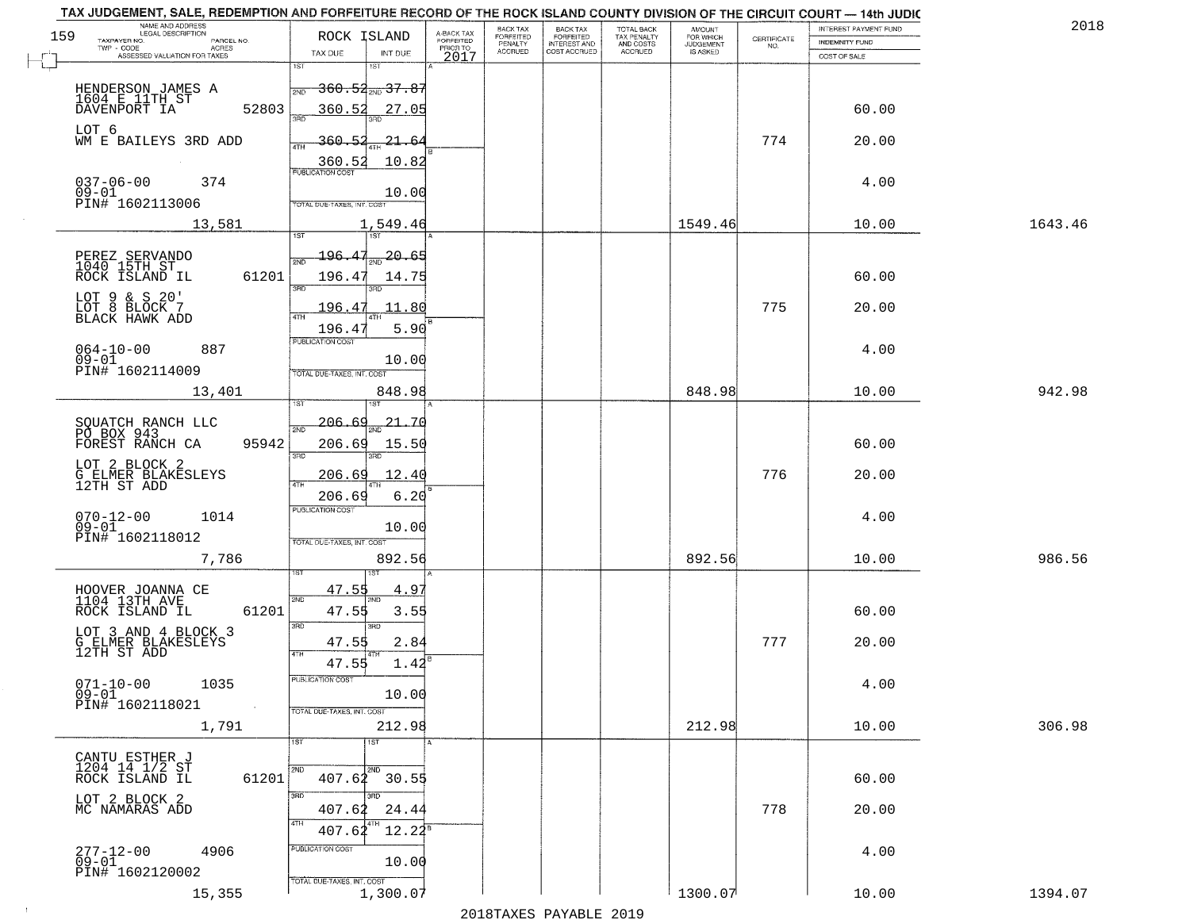|     | TAX JUDGEMENT, SALE, REDEMPTION AND FORFEITURE RECORD OF THE ROCK ISLAND COUNTY DIVISION OF THE CIRCUIT COURT - 14th JUDIC<br>NAME AND ADDRESS<br>LEGAL DESCRIPTION |                                   |                         | BACK TAX                    |                                       |                                        | AMOUNT<br>FOR WHICH |                                                                 | INTEREST PAYMENT FUND | 2018    |
|-----|---------------------------------------------------------------------------------------------------------------------------------------------------------------------|-----------------------------------|-------------------------|-----------------------------|---------------------------------------|----------------------------------------|---------------------|-----------------------------------------------------------------|-----------------------|---------|
| 159 | TAXPAYER NO.<br>PARCEL NO.                                                                                                                                          | ROCK ISLAND                       | A-BACK TAX<br>FORFEITED | <b>FORFEITED</b><br>PENALTY | BACK TAX<br>FORFEITED<br>INTEREST AND | TOTAL BACK<br>TAX PENALTY<br>AND COSTS | <b>JUDGEMENT</b>    | $\begin{array}{c} \text{CERTIFICATE} \\ \text{NO.} \end{array}$ | <b>INDEMNITY FUND</b> |         |
|     | TWP - CODE<br>ACRES<br>ASSESSED VALUATION FOR TAXES                                                                                                                 | INT DUE<br>TAX DUE                | PRIOR TO<br>2017        | <b>ACCRUED</b>              | COST ACCRUED                          | ACCRUED                                | IS ASKED            |                                                                 | COST OF SALE          |         |
|     |                                                                                                                                                                     | 1ST<br>1ST                        |                         |                             |                                       |                                        |                     |                                                                 |                       |         |
|     | HENDERSON JAMES A                                                                                                                                                   | <del>360.52,,,37.87</del><br>2ND  |                         |                             |                                       |                                        |                     |                                                                 |                       |         |
|     | 1604 E 11TH ST                                                                                                                                                      |                                   |                         |                             |                                       |                                        |                     |                                                                 |                       |         |
|     | 52803<br>DAVENPORT IA                                                                                                                                               | 360.52<br>27.05                   |                         |                             |                                       |                                        |                     |                                                                 | 60.00                 |         |
|     | LOT 6                                                                                                                                                               |                                   |                         |                             |                                       |                                        |                     |                                                                 |                       |         |
|     | WM E BAILEYS 3RD ADD                                                                                                                                                | 360.52<br>21.64                   |                         |                             |                                       |                                        |                     | 774                                                             | 20.00                 |         |
|     |                                                                                                                                                                     | 10.82<br>360.52                   |                         |                             |                                       |                                        |                     |                                                                 |                       |         |
|     | 374                                                                                                                                                                 |                                   |                         |                             |                                       |                                        |                     |                                                                 |                       |         |
|     | $037 - 06 - 00$<br>09-01                                                                                                                                            | 10.00                             |                         |                             |                                       |                                        |                     |                                                                 | 4.00                  |         |
|     | PIN# 1602113006                                                                                                                                                     | <b>TOTAL DUE-TAXES, INT. COST</b> |                         |                             |                                       |                                        |                     |                                                                 |                       |         |
|     | 13,581                                                                                                                                                              | 1,549.46                          |                         |                             |                                       |                                        | 1549.46             |                                                                 | 10.00                 | 1643.46 |
|     |                                                                                                                                                                     |                                   |                         |                             |                                       |                                        |                     |                                                                 |                       |         |
|     |                                                                                                                                                                     | 20.65<br>196.47                   |                         |                             |                                       |                                        |                     |                                                                 |                       |         |
|     | PEREZ SERVANDO<br>1040 15TH ST                                                                                                                                      |                                   |                         |                             |                                       |                                        |                     |                                                                 |                       |         |
|     | 61201<br>ROCK ISLAND IL                                                                                                                                             | 196.47<br>14.75<br>बन्ना          |                         |                             |                                       |                                        |                     |                                                                 | 60.00                 |         |
|     |                                                                                                                                                                     |                                   |                         |                             |                                       |                                        |                     |                                                                 |                       |         |
|     | LOT 9 & S 20'<br>LOT 8 BLOCK 7<br>BLACK HAWK ADD                                                                                                                    | 11.80<br>196.47                   |                         |                             |                                       |                                        |                     | 775                                                             | 20.00                 |         |
|     |                                                                                                                                                                     | 5.90<br>196.4                     |                         |                             |                                       |                                        |                     |                                                                 |                       |         |
|     |                                                                                                                                                                     | PUBLICATION COST                  |                         |                             |                                       |                                        |                     |                                                                 |                       |         |
|     | $064 - 10 - 00$<br>887<br>$09 - 01$                                                                                                                                 | 10.00                             |                         |                             |                                       |                                        |                     |                                                                 | 4.00                  |         |
|     | PIN# 1602114009                                                                                                                                                     | TOTAL DUE-TAXES, INT. COST        |                         |                             |                                       |                                        |                     |                                                                 |                       |         |
|     | 13,401                                                                                                                                                              | 848.98                            |                         |                             |                                       |                                        | 848.98              |                                                                 | 10.00                 | 942.98  |
|     |                                                                                                                                                                     | 1ST<br>'ST                        |                         |                             |                                       |                                        |                     |                                                                 |                       |         |
|     |                                                                                                                                                                     | -206.<br>21.7(                    |                         |                             |                                       |                                        |                     |                                                                 |                       |         |
|     | SQUATCH RANCH LLC<br>PÔ BOX 943                                                                                                                                     | 2ND                               |                         |                             |                                       |                                        |                     |                                                                 |                       |         |
|     | FOREST RANCH CA<br>95942                                                                                                                                            | 206.69<br>15.50<br>3RD<br>3RD     |                         |                             |                                       |                                        |                     |                                                                 | 60.00                 |         |
|     | LOT 2 BLOCK 2                                                                                                                                                       |                                   |                         |                             |                                       |                                        |                     |                                                                 |                       |         |
|     | G ELMER BLAKESLEYS<br>12TH ST ADD                                                                                                                                   | 12.40<br><u> 206.69</u><br>ATH    |                         |                             |                                       |                                        |                     | 776                                                             | 20.00                 |         |
|     |                                                                                                                                                                     | 206.69<br>6.20                    |                         |                             |                                       |                                        |                     |                                                                 |                       |         |
|     |                                                                                                                                                                     | PUBLICATION COST                  |                         |                             |                                       |                                        |                     |                                                                 |                       |         |
|     | $070 - 12 - 00$<br>1014<br>$09 - 01$                                                                                                                                | 10.00                             |                         |                             |                                       |                                        |                     |                                                                 | 4.00                  |         |
|     | PIN# 1602118012                                                                                                                                                     | TOTAL OUE-TAXES, INT. COST        |                         |                             |                                       |                                        |                     |                                                                 |                       |         |
|     | 7,786                                                                                                                                                               | 892.56                            |                         |                             |                                       |                                        | 892.56              |                                                                 | 10.00                 | 986.56  |
|     |                                                                                                                                                                     |                                   |                         |                             |                                       |                                        |                     |                                                                 |                       |         |
|     | HOOVER JOANNA CE                                                                                                                                                    | 47.55<br>4.97                     |                         |                             |                                       |                                        |                     |                                                                 |                       |         |
|     | 1104 13TH AVE                                                                                                                                                       | 2ND                               |                         |                             |                                       |                                        |                     |                                                                 |                       |         |
|     | ROCK ISLAND IL<br>61201                                                                                                                                             | 47.55<br>3.55                     |                         |                             |                                       |                                        |                     |                                                                 | 60.00                 |         |
|     | LOT 3 AND 4 BLOCK 3                                                                                                                                                 | 3BD<br>3RD                        |                         |                             |                                       |                                        |                     |                                                                 |                       |         |
|     | G ELMER BLAKESLEYS<br>12TH ST ADD                                                                                                                                   | 2.84<br>47.55                     |                         |                             |                                       |                                        |                     | 777                                                             | 20.00                 |         |
|     |                                                                                                                                                                     | 4TH<br>47.55<br>$1.42^{E}$        |                         |                             |                                       |                                        |                     |                                                                 |                       |         |
|     | $071 - 10 - 00$                                                                                                                                                     | ruslica i IUN COS                 |                         |                             |                                       |                                        |                     |                                                                 |                       |         |
|     | 1035<br>$09 - 01$                                                                                                                                                   | 10.00                             |                         |                             |                                       |                                        |                     |                                                                 | 4.00                  |         |
|     | PIN# 1602118021<br>$\sim 100$                                                                                                                                       | TOTAL DUE-TAXES, INT. COST        |                         |                             |                                       |                                        |                     |                                                                 |                       |         |
|     | 1,791                                                                                                                                                               | 212.98                            |                         |                             |                                       |                                        | 212.98              |                                                                 | 10.00                 | 306.98  |
|     |                                                                                                                                                                     | 1ST<br>1ST                        |                         |                             |                                       |                                        |                     |                                                                 |                       |         |
|     |                                                                                                                                                                     |                                   |                         |                             |                                       |                                        |                     |                                                                 |                       |         |
|     | CANTU ESTHER J<br>1204 14 1/2 ST<br>ROCK ISLAND IL                                                                                                                  | 2ND                               |                         |                             |                                       |                                        |                     |                                                                 |                       |         |
|     | 61201                                                                                                                                                               | $407.62$ 30.55                    |                         |                             |                                       |                                        |                     |                                                                 | 60.00                 |         |
|     | LOT 2 BLOCK 2<br>MC NAMARAS ADD                                                                                                                                     | 3RD                               |                         |                             |                                       |                                        |                     |                                                                 |                       |         |
|     |                                                                                                                                                                     | 24.44<br>407.62                   |                         |                             |                                       |                                        |                     | 778                                                             | 20.00                 |         |
|     |                                                                                                                                                                     | 4TH<br>$12.22^5$<br>407.62        |                         |                             |                                       |                                        |                     |                                                                 |                       |         |
|     |                                                                                                                                                                     | PUBLICATION COST                  |                         |                             |                                       |                                        |                     |                                                                 |                       |         |
|     | $277 - 12 - 00$<br>4906<br>$09 - 01$                                                                                                                                | 10.00                             |                         |                             |                                       |                                        |                     |                                                                 | 4.00                  |         |
|     | PIN# 1602120002                                                                                                                                                     | TOTAL DUE-TAXES, INT. COST        |                         |                             |                                       |                                        |                     |                                                                 |                       |         |
|     | 15,355                                                                                                                                                              | 1,300.07                          |                         |                             |                                       |                                        | 1300.07             |                                                                 | 10.00                 | 1394.07 |
|     |                                                                                                                                                                     |                                   |                         |                             | 2010 ELITATIO DI VIDI E 2010          |                                        |                     |                                                                 |                       |         |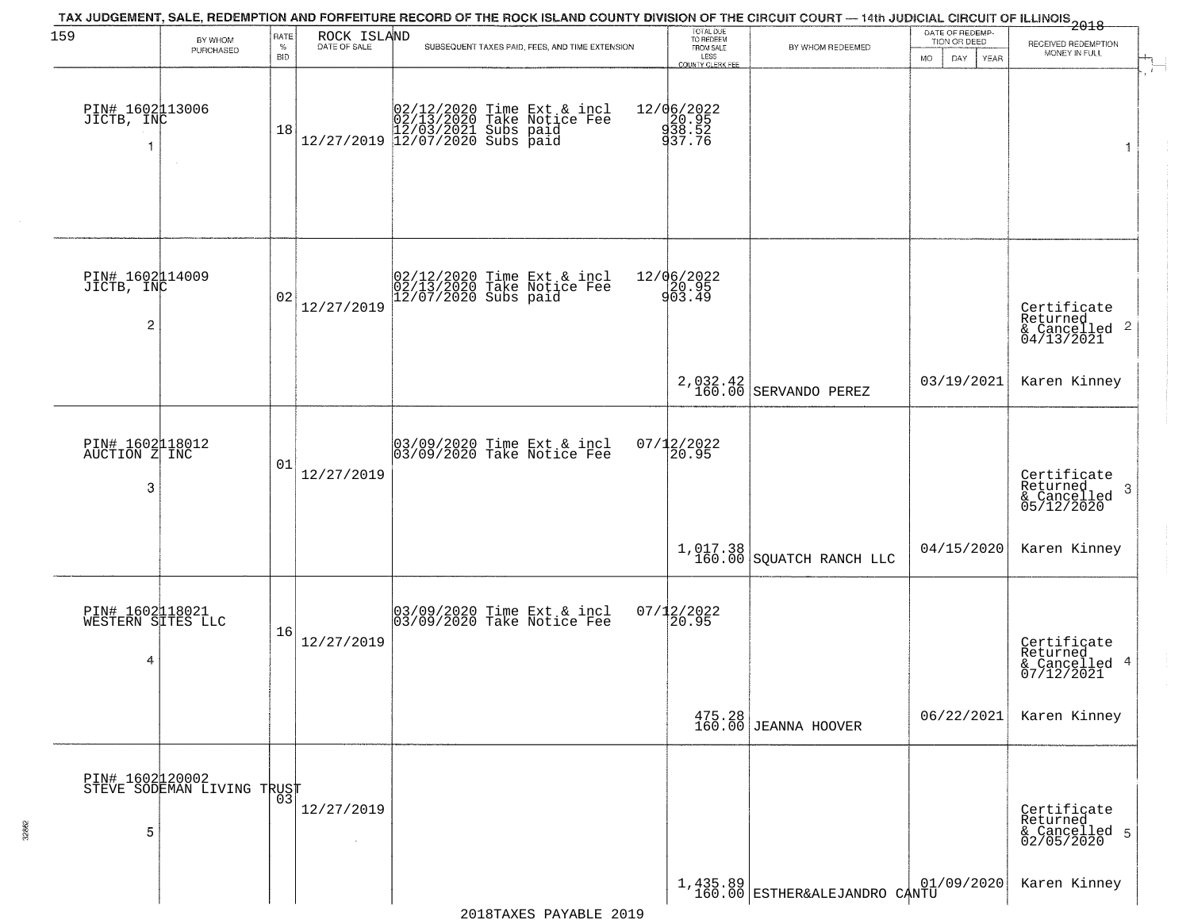| 159                                       | BY WHOM                                       | RATE               | ROCK ISLAND<br>DATE OF SALE | TAX JUDGEMENT, SALE, REDEMPTION AND FORFEITURE RECORD OF THE ROCK ISLAND COUNTY DIVISION OF THE CIRCUIT COURT — 14th JUDICIAL CIRCUIT OF ILLINOIS<br>2018 - The Contract of December 1999 | TOTAL DUE<br>TO REDEEM                 |                                           | DATE OF REDEMP-<br>TION OR DEED |                                                                                              |  |
|-------------------------------------------|-----------------------------------------------|--------------------|-----------------------------|-------------------------------------------------------------------------------------------------------------------------------------------------------------------------------------------|----------------------------------------|-------------------------------------------|---------------------------------|----------------------------------------------------------------------------------------------|--|
|                                           | PURCHASED                                     | $\%$<br><b>BID</b> |                             | SUBSEQUENT TAXES PAID, FEES, AND TIME EXTENSION                                                                                                                                           | FROM SALE<br>LESS<br>COUNTY CLERK FEE  | BY WHOM REDEEMED                          | <b>MO</b><br>DAY<br><b>YEAR</b> | RECEIVED REDEMPTION<br>MONEY IN FULL                                                         |  |
| PIN# 1602113006<br>JICTB, INC             | $\sim$ $\sim$                                 | 18                 |                             | $[02/12/2020 \t\t Time Ext & incl \\ 02/13/2020 \t\t Take Notice Free \\ 12/27/2019 \t\t 12/03/2021 \t\ Subs paid \\ 12/07/2020 \t\ Subs paid$                                            | 12/06/2022<br>20.95<br>28.52<br>237.76 |                                           |                                 | $\overline{1}$                                                                               |  |
| PIN# 1602114009<br>JICTB, INC<br>2        |                                               | 02                 | 12/27/2019                  | 02/12/2020 Time Ext & incl<br>02/13/2020 Take Notice Fee<br>12/07/2020 Subs paid                                                                                                          | 12/06/2022<br>20.95<br>903.49          |                                           |                                 | Certificate<br>Returned<br>$\begin{array}{c}\n 0.11160 \\  \text{for 13/2021}\n \end{array}$ |  |
|                                           |                                               |                    |                             |                                                                                                                                                                                           |                                        | 2,032.42<br>160.00 SERVANDO PEREZ         | 03/19/2021                      | Karen Kinney                                                                                 |  |
| PIN# 1602118012<br>AUCTION Z INC<br>3     |                                               | 01                 | 12/27/2019                  | 03/09/2020 Time Ext & incl<br>03/09/2020 Take Notice Fee                                                                                                                                  | $07/12/2022$<br>20.95                  |                                           |                                 | Certificate<br>Returned<br>3<br>& Cancelled<br>05/12/2020                                    |  |
|                                           |                                               |                    |                             |                                                                                                                                                                                           |                                        | $1,017.38$<br>160.00 SQUATCH RANCH LLC    | 04/15/2020                      | Karen Kinney                                                                                 |  |
| PIN# 1602118021<br>WESTERN SITES LLC<br>4 |                                               | 16                 | 12/27/2019                  | 03/09/2020 Time Ext & incl<br>03/09/2020 Take Notice Fee                                                                                                                                  | $07/12/2022$<br>20.95                  |                                           |                                 | Certificate<br>Returned<br>& Cancelled 4<br>07/12/2021                                       |  |
|                                           |                                               |                    |                             |                                                                                                                                                                                           |                                        | 475.28<br>160.00 JEANNA HOOVER            | 06/22/2021                      | Karen Kinney                                                                                 |  |
| 5                                         | PIN# 1602120002<br>STEVE SODEMAN LIVING TRUST |                    | 12/27/2019<br>$\sim$        |                                                                                                                                                                                           |                                        |                                           |                                 | Certificate<br>Returned<br>& Cancelled 5<br>02/05/2020                                       |  |
|                                           |                                               |                    |                             |                                                                                                                                                                                           |                                        | 1,435.89<br>160.00 ESTHER&ALEJANDRO CANTU | 01/09/2020                      | Karen Kinney                                                                                 |  |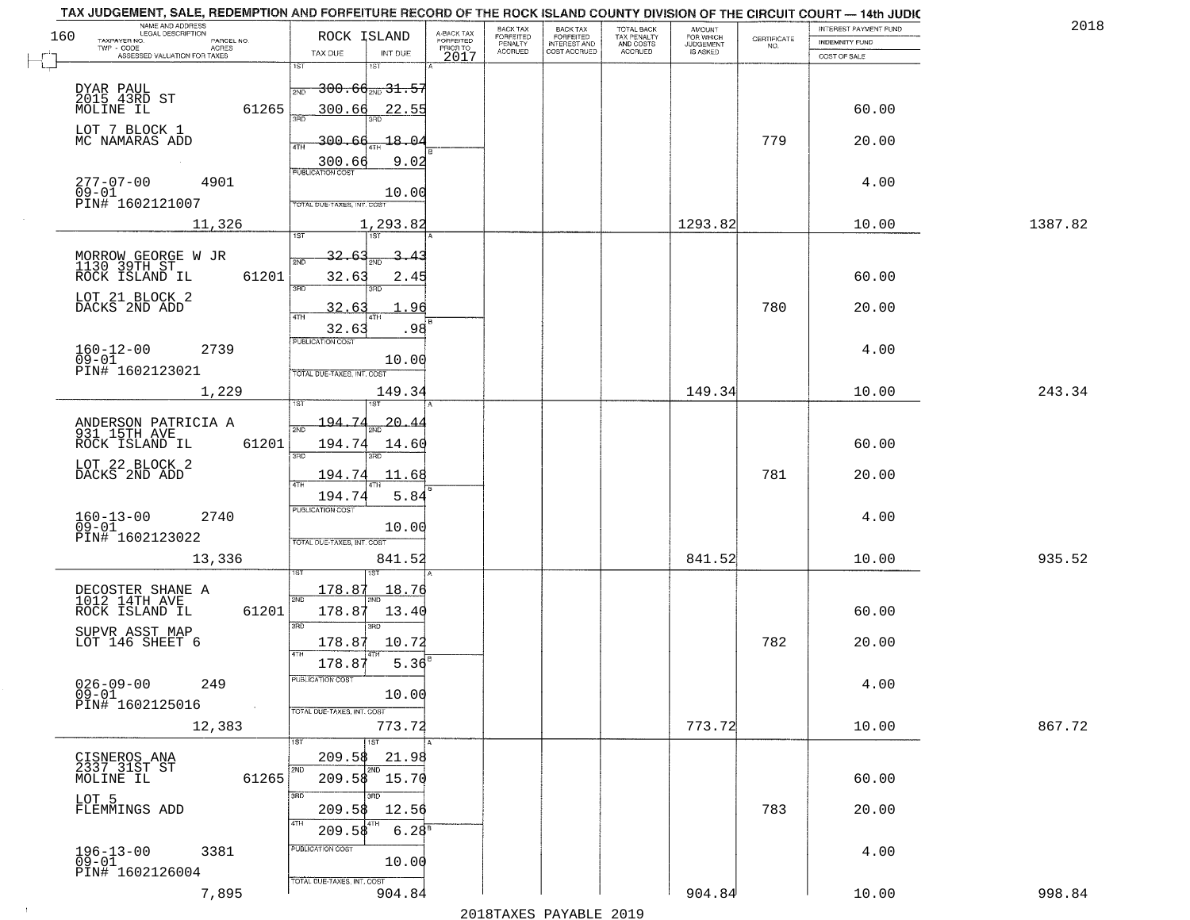| NAME AND ADDRESS<br>LEGAL DESCRIPTION<br>160 |                     | ROCK ISLAND                       |                             |                                     | BACK TAX             | BACK TAX<br>FORFEITED<br>INTEREST AND | TOTAL BACK<br>TAX PENALTY<br>AND COSTS | AMOUNT<br>FOR WHICH<br>JUDGEMENT |                    | INTEREST PAYMENT FUND | 2018    |
|----------------------------------------------|---------------------|-----------------------------------|-----------------------------|-------------------------------------|----------------------|---------------------------------------|----------------------------------------|----------------------------------|--------------------|-----------------------|---------|
| TAXPAYER NO.                                 | PARCEL NO.<br>ACRES |                                   |                             | A-BACK TAX<br>FORFEITED<br>PRIOR TO | FORFEITED<br>PENALTY |                                       | <b>ACCRUED</b>                         | IS ASKED                         | CERTIFICATE<br>NO. | <b>INDEMNITY FUND</b> |         |
| ASSESSED VALUATION FOR TAXES                 |                     | TAX DUE<br>1ST                    | INT DUE<br>1ST              | 2017                                | <b>ACCRUED</b>       | COST ACCRUED                          |                                        |                                  |                    | COST OF SALE          |         |
|                                              |                     |                                   |                             |                                     |                      |                                       |                                        |                                  |                    |                       |         |
| DYAR PAUL<br>2015 43RD ST<br>MOLINE IL       |                     | 2ND                               | <del>300.60 avg 31.55</del> |                                     |                      |                                       |                                        |                                  |                    |                       |         |
|                                              | 61265               | 300.66                            | 22.55                       |                                     |                      |                                       |                                        |                                  |                    | 60.00                 |         |
| LOT 7 BLOCK 1<br>MC NAMARAS ADD              |                     | 300.66                            | 18.04                       |                                     |                      |                                       |                                        |                                  | 779                | 20.00                 |         |
|                                              |                     | ATH                               |                             |                                     |                      |                                       |                                        |                                  |                    |                       |         |
|                                              |                     | 300.66<br><b>PUBLICATION COST</b> | 9.02                        |                                     |                      |                                       |                                        |                                  |                    |                       |         |
| $277 - 07 - 00$<br>$09 - 01$                 | 4901                |                                   | 10.00                       |                                     |                      |                                       |                                        |                                  |                    | 4.00                  |         |
| PIN# 1602121007                              |                     | TOTAL DUE-TAXES, INT. COST        |                             |                                     |                      |                                       |                                        |                                  |                    |                       |         |
|                                              | 11,326              |                                   | 1,293.82                    |                                     |                      |                                       |                                        | 1293.82                          |                    | 10.00                 | 1387.82 |
|                                              |                     |                                   |                             |                                     |                      |                                       |                                        |                                  |                    |                       |         |
| MORROW GEORGE W JR<br>1130 39TH ST           |                     | 32.63<br>সাঁচ                     |                             |                                     |                      |                                       |                                        |                                  |                    |                       |         |
| ROCK ISLAND IL                               | 61201               | 32.63<br>3RD                      | 2.45<br>3RD                 |                                     |                      |                                       |                                        |                                  |                    | 60.00                 |         |
| LOT 21 BLOCK 2                               |                     |                                   | . 96                        |                                     |                      |                                       |                                        |                                  | 780                |                       |         |
| DACKS 2ND ADD                                |                     | 32.63                             |                             |                                     |                      |                                       |                                        |                                  |                    | 20.00                 |         |
|                                              |                     | 32.63<br>PUBLICATION COST         | .98                         |                                     |                      |                                       |                                        |                                  |                    |                       |         |
| $160 - 12 - 00$<br>$09 - 01$                 | 2739                |                                   | 10.00                       |                                     |                      |                                       |                                        |                                  |                    | 4.00                  |         |
| PIN# 1602123021                              |                     | TOTAL DUE-TAXES, INT. COST        |                             |                                     |                      |                                       |                                        |                                  |                    |                       |         |
|                                              | 1,229               |                                   | 149.34                      |                                     |                      |                                       |                                        | 149.34                           |                    | 10.00                 | 243.34  |
|                                              |                     | isT                               |                             |                                     |                      |                                       |                                        |                                  |                    |                       |         |
| ANDERSON PATRICIA A<br>931 15TH AVE          |                     | 194.74<br>2ND                     | 20.4                        |                                     |                      |                                       |                                        |                                  |                    |                       |         |
| ROCK ISLAND IL                               | 61201               | 194.74                            | 14.60                       |                                     |                      |                                       |                                        |                                  |                    | 60.00                 |         |
| LOT 22 BLOCK 2<br>DACKS 2ND ADD              |                     | 3BD                               | 3RD                         |                                     |                      |                                       |                                        |                                  |                    |                       |         |
|                                              |                     | 194.74<br>4TH                     | 11.68                       |                                     |                      |                                       |                                        |                                  | 781                | 20.00                 |         |
|                                              |                     | 194.74<br><b>PUBLICATION COST</b> | 5.84                        |                                     |                      |                                       |                                        |                                  |                    |                       |         |
| $160 - 13 - 00$<br>09-01                     | 2740                |                                   | 10.00                       |                                     |                      |                                       |                                        |                                  |                    | 4.00                  |         |
| PIN# 1602123022                              |                     | TOTAL OUE-TAXES, INT. COST        |                             |                                     |                      |                                       |                                        |                                  |                    |                       |         |
|                                              | 13,336              |                                   | 841.52                      |                                     |                      |                                       |                                        | 841.52                           |                    | 10.00                 | 935.52  |
|                                              |                     |                                   |                             |                                     |                      |                                       |                                        |                                  |                    |                       |         |
| DECOSTER SHANE A<br>1012 14TH AVE            |                     | 178.87<br>2ND                     | 18.76                       |                                     |                      |                                       |                                        |                                  |                    |                       |         |
| ROCK ISLAND IL                               | 61201               | 178.87                            | 13.40                       |                                     |                      |                                       |                                        |                                  |                    | 60.00                 |         |
| SUPVR ASST MAP<br>LOT 146 SHEET 6            |                     | 3RD                               | 3RD                         |                                     |                      |                                       |                                        |                                  |                    |                       |         |
|                                              |                     | 178.87<br>4TH                     | 10.72                       |                                     |                      |                                       |                                        |                                  | 782                | 20.00                 |         |
|                                              |                     | 178.87                            | 5.36                        |                                     |                      |                                       |                                        |                                  |                    |                       |         |
| $026 - 09 - 00$<br>09-01                     | 249                 | UBLICA HUN COS-                   |                             |                                     |                      |                                       |                                        |                                  |                    | 4.00                  |         |
| PIN# 1602125016                              | $\sim 100$          | TOTAL DUE-TAXES, INT. COST        | 10.00                       |                                     |                      |                                       |                                        |                                  |                    |                       |         |
|                                              | 12,383              |                                   | 773.72                      |                                     |                      |                                       |                                        | 773.72                           |                    | 10.00                 | 867.72  |
|                                              |                     |                                   | 1ST                         |                                     |                      |                                       |                                        |                                  |                    |                       |         |
|                                              |                     | 209.58                            | 21.98                       |                                     |                      |                                       |                                        |                                  |                    |                       |         |
| CISNEROS ANA<br>2337 31ST ST<br>MOLINE IL    | 61265               |                                   | 2ND<br>209.58 15.70         |                                     |                      |                                       |                                        |                                  |                    | 60.00                 |         |
| LOT 5                                        |                     | 3RD                               |                             |                                     |                      |                                       |                                        |                                  |                    |                       |         |
| FLEMMINGS ADD                                |                     | 209.58                            | 12.56                       |                                     |                      |                                       |                                        |                                  | 783                | 20.00                 |         |
|                                              |                     | 4TH<br>209.58                     | 6.28 <sup>8</sup>           |                                     |                      |                                       |                                        |                                  |                    |                       |         |
| 196-13-00<br>09-01                           | 3381                | PUBLICATION COST                  |                             |                                     |                      |                                       |                                        |                                  |                    | 4.00                  |         |
| PIN# 1602126004                              |                     |                                   | 10.00                       |                                     |                      |                                       |                                        |                                  |                    |                       |         |
|                                              | 7,895               | TOTAL DUE-TAXES, INT. COST        | 904.84                      |                                     |                      |                                       |                                        | 904.84                           |                    | 10.00                 | 998.84  |
|                                              |                     |                                   |                             |                                     |                      |                                       |                                        |                                  |                    |                       |         |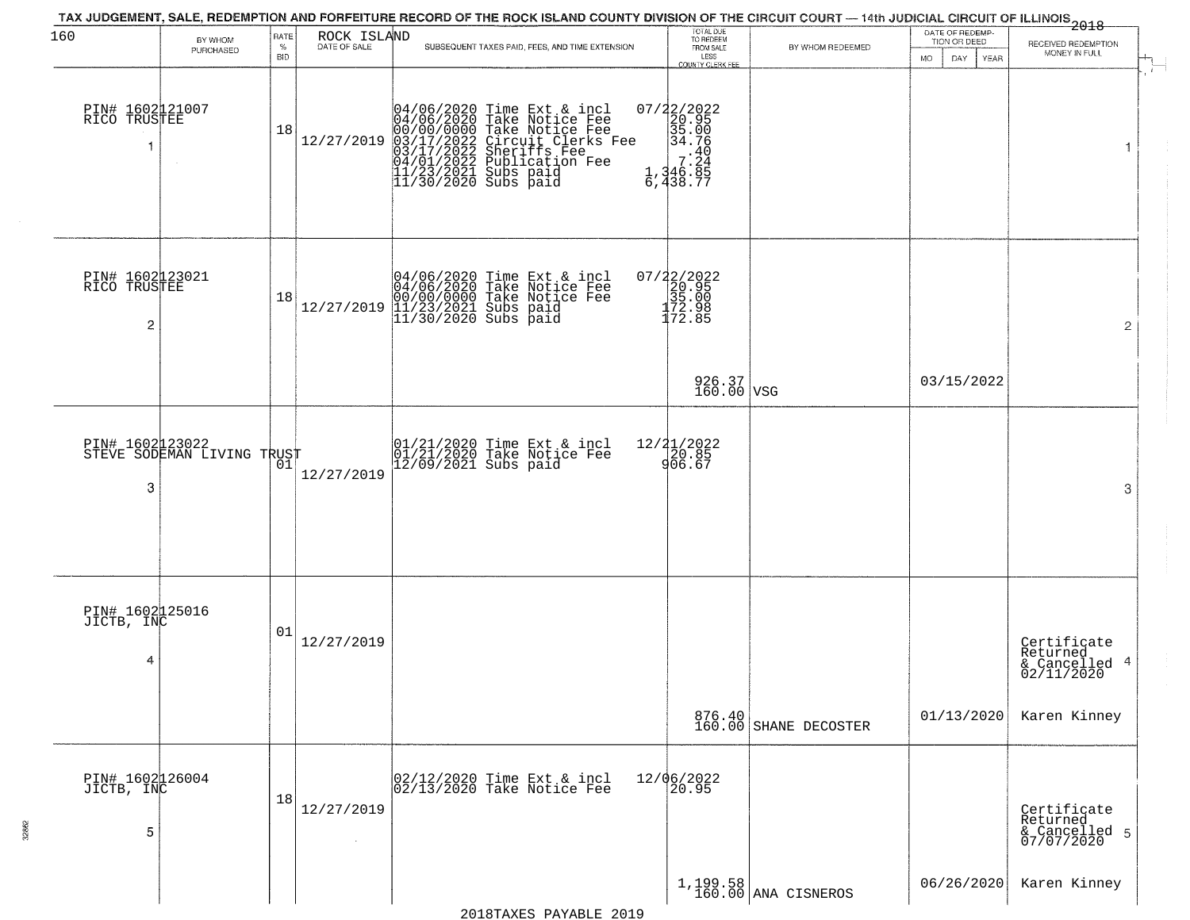| 160                                  | BY WHOM                    | RATE               | ROCK ISLAND  | TAX JUDGEMENT, SALE, REDEMPTION AND FORFEITURE RECORD OF THE ROCK ISLAND COUNTY DIVISION OF THE CIRCUIT COURT — 14th JUDICIAL CIRCUIT OF ILLINOIS 2018                                                                                | TOTAL DUE<br>TO REDEEM<br>FROM SALE                                                                                                                                                                                                                                                                                                                                                                                                                     |                                 | DATE OF REDEMP-<br>TION OR DEED |                                                        |
|--------------------------------------|----------------------------|--------------------|--------------|---------------------------------------------------------------------------------------------------------------------------------------------------------------------------------------------------------------------------------------|---------------------------------------------------------------------------------------------------------------------------------------------------------------------------------------------------------------------------------------------------------------------------------------------------------------------------------------------------------------------------------------------------------------------------------------------------------|---------------------------------|---------------------------------|--------------------------------------------------------|
|                                      | PURCHASED                  | $\%$<br><b>BID</b> | DATE OF SALE | SUBSEQUENT TAXES PAID, FEES, AND TIME EXTENSION                                                                                                                                                                                       | LESS<br>COUNTY CLERK FEE                                                                                                                                                                                                                                                                                                                                                                                                                                | BY WHOM REDEEMED                | MO.<br>DAY.<br>YEAR             | RECEIVED REDEMPTION<br>MONEY IN FULL                   |
| PIN# 1602121007<br>RICO TRUSTEE      |                            | 18                 | 12/27/2019   | 04/06/2020 Time Ext & incl<br>04/06/2020 Take Notice Fee<br>00/00/00/000 Take Notice Fee<br>03/17/2022 Circuit Clerks Fee<br>03/17/2022 Sublication Fee<br>04/01/2022 Publication Fee<br>11/23/2021 Subs paid<br>11/30/2020 Subs paid | 07/22/2022<br>20.95<br>35.00<br>34.76<br>$\begin{array}{@{}c@{\hspace{1em}}c@{\hspace{1em}}c@{\hspace{1em}}c@{\hspace{1em}}c@{\hspace{1em}}c@{\hspace{1em}}c@{\hspace{1em}}c@{\hspace{1em}}c@{\hspace{1em}}c@{\hspace{1em}}c@{\hspace{1em}}c@{\hspace{1em}}c@{\hspace{1em}}c@{\hspace{1em}}c@{\hspace{1em}}c@{\hspace{1em}}c@{\hspace{1em}}c@{\hspace{1em}}c@{\hspace{1em}}c@{\hspace{1em}}c@{\hspace{1em}}c@{\hspace{1em}}c@{\hspace{1em}}c@{\hspace{$ |                                 |                                 | 1                                                      |
| PIN# 1602123021<br>RICO TRUSTEE<br>2 |                            | 18                 | 12/27/2019   | 04/06/2020 Time Ext & incl<br>04/06/2020 Take Notice Fee<br>00/00/0000 Take Notice Fee<br>11/23/2021 Subs paid<br>11/30/2020 Subs paid                                                                                                | $07/22/2022$<br>20.95<br>35.00<br>$\frac{172.98}{172.85}$                                                                                                                                                                                                                                                                                                                                                                                               |                                 |                                 | $\overline{c}$                                         |
|                                      |                            |                    |              |                                                                                                                                                                                                                                       | 926.37<br>160.00 VSG                                                                                                                                                                                                                                                                                                                                                                                                                                    |                                 | 03/15/2022                      |                                                        |
| PIN# 1602123022<br>3                 | STEVE SODEMAN LIVING TRUST | 01                 | 12/27/2019   | 01/21/2020 Time Ext & incl<br>01/21/2020 Take Notice Fee<br>12/09/2021 Subs paid                                                                                                                                                      | 12/ <b>2</b> 1/2022<br>20.85<br>906.67                                                                                                                                                                                                                                                                                                                                                                                                                  |                                 |                                 | 3                                                      |
| PIN# 1602125016<br>JICTB, INC<br>4   |                            | 01                 | 12/27/2019   |                                                                                                                                                                                                                                       |                                                                                                                                                                                                                                                                                                                                                                                                                                                         |                                 |                                 | Certificate<br>Returned<br>& Cancelled 4<br>02/11/2020 |
|                                      |                            |                    |              |                                                                                                                                                                                                                                       |                                                                                                                                                                                                                                                                                                                                                                                                                                                         | 876.40<br>160.00 SHANE DECOSTER | 01/13/2020                      | Karen Kinney                                           |
| PIN# 1602126004<br>JICTB, INC<br>5   |                            | 18                 | 12/27/2019   | 02/12/2020 Time Ext & incl<br>02/13/2020 Take Notice Fee                                                                                                                                                                              | 12/06/2022<br>20.95                                                                                                                                                                                                                                                                                                                                                                                                                                     |                                 |                                 | Certificate<br>Returned<br>& Cancelled 5<br>07/07/2020 |
|                                      |                            |                    |              |                                                                                                                                                                                                                                       |                                                                                                                                                                                                                                                                                                                                                                                                                                                         | 1,199.58<br>160.00 ANA CISNEROS | 06/26/2020                      | Karen Kinney                                           |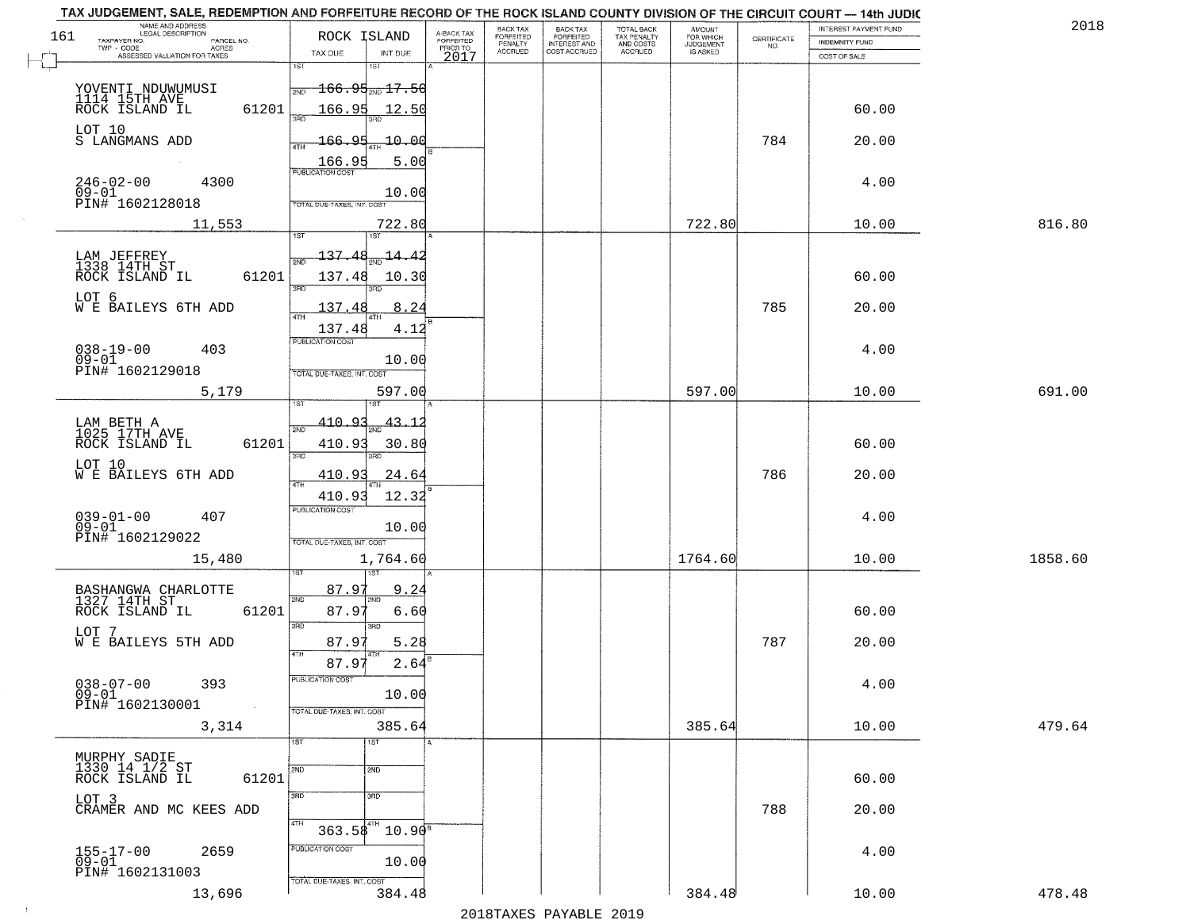| TAX JUDGEMENT, SALE, REDEMPTION AND FORFEITURE RECORD OF THE ROCK ISLAND COUNTY DIVISION OF THE CIRCUIT COURT - 14th JUDIC<br>NAME AND ADDRESS<br>LEGAL DESCRIPTION |                                             |                                     | BACK TAX             |                                       |                                        | AMOUNT<br>FOR WHICH |                                                                 | INTEREST PAYMENT FUND | 2018    |
|---------------------------------------------------------------------------------------------------------------------------------------------------------------------|---------------------------------------------|-------------------------------------|----------------------|---------------------------------------|----------------------------------------|---------------------|-----------------------------------------------------------------|-----------------------|---------|
| 161<br>TAXPAYER NO.<br>PARCEL NO.                                                                                                                                   | ROCK ISLAND                                 | A-BACK TAX<br>FORFEITED<br>PRIOR TO | FORFEITED<br>PENALTY | BACK TAX<br>FORFEITED<br>INTEREST AND | TOTAL BACK<br>TAX PENALTY<br>AND COSTS | <b>JUDGEMENT</b>    | $\begin{array}{c} \text{CERTIFICATE} \\ \text{NO.} \end{array}$ | INDEMNITY FUND        |         |
| TWP - CODE<br>ACRES<br>ASSESSED VALUATION FOR TAXES                                                                                                                 | INT DUE<br>TAX DUE                          | 2017                                | <b>ACCRUED</b>       | COST ACCRUED                          | ACCRUED                                | IS ASKED            |                                                                 | COST OF SALE          |         |
|                                                                                                                                                                     | 1ST<br>1ST                                  |                                     |                      |                                       |                                        |                     |                                                                 |                       |         |
|                                                                                                                                                                     | <del>166.95<sub>2ND</sub>17.50</del><br>2ND |                                     |                      |                                       |                                        |                     |                                                                 |                       |         |
| YOVENTI NDUWUMUSI<br>1114 15TH AVE<br>ROCK ISLAND IL                                                                                                                |                                             |                                     |                      |                                       |                                        |                     |                                                                 |                       |         |
| 61201                                                                                                                                                               | 166.95<br>12.50                             |                                     |                      |                                       |                                        |                     |                                                                 | 60.00                 |         |
| LOT 10                                                                                                                                                              |                                             |                                     |                      |                                       |                                        |                     |                                                                 |                       |         |
| S LANGMANS ADD                                                                                                                                                      | 166.95<br>10.00                             |                                     |                      |                                       |                                        |                     | 784                                                             | 20.00                 |         |
|                                                                                                                                                                     | 5.00                                        |                                     |                      |                                       |                                        |                     |                                                                 |                       |         |
| $246 - 02 - 00$<br>4300                                                                                                                                             |                                             |                                     |                      |                                       |                                        |                     |                                                                 | 4.00                  |         |
| $09 - 01$<br>PIN# 1602128018                                                                                                                                        | 10.00<br>TOTAL DUE-TAXES, INT. COST         |                                     |                      |                                       |                                        |                     |                                                                 |                       |         |
|                                                                                                                                                                     |                                             |                                     |                      |                                       |                                        |                     |                                                                 |                       |         |
| 11,553                                                                                                                                                              | 722.80                                      |                                     |                      |                                       |                                        | 722.80              |                                                                 | 10.00                 | 816.80  |
|                                                                                                                                                                     |                                             |                                     |                      |                                       |                                        |                     |                                                                 |                       |         |
| LAM JEFFREY<br>1338 14TH ST                                                                                                                                         | 137.48<br>-14.42                            |                                     |                      |                                       |                                        |                     |                                                                 |                       |         |
| 61201<br>ROCK ISLAND IL                                                                                                                                             | 137.48<br>10.30                             |                                     |                      |                                       |                                        |                     |                                                                 | 60.00                 |         |
|                                                                                                                                                                     | 3RD<br>Ë                                    |                                     |                      |                                       |                                        |                     |                                                                 |                       |         |
| LOT 6<br>W E BAILEYS 6TH ADD                                                                                                                                        | 137.48<br>8.24                              |                                     |                      |                                       |                                        |                     | 785                                                             | 20.00                 |         |
|                                                                                                                                                                     | 137.48<br>4.12                              |                                     |                      |                                       |                                        |                     |                                                                 |                       |         |
|                                                                                                                                                                     | PUBLICATION COST                            |                                     |                      |                                       |                                        |                     |                                                                 |                       |         |
| $038 - 19 - 00$<br>403<br>$09 - 01$                                                                                                                                 | 10.00                                       |                                     |                      |                                       |                                        |                     |                                                                 | 4.00                  |         |
| PIN# 1602129018                                                                                                                                                     | TOTAL DUE-TAXES, INT. COST                  |                                     |                      |                                       |                                        |                     |                                                                 |                       |         |
| 5,179                                                                                                                                                               | 597.00                                      |                                     |                      |                                       |                                        | 597.00              |                                                                 | 10.00                 | 691.00  |
|                                                                                                                                                                     | IST.                                        |                                     |                      |                                       |                                        |                     |                                                                 |                       |         |
| LAM BETH A<br>1025 17TH AVE                                                                                                                                         | 410.93<br>43.1<br>2ND                       |                                     |                      |                                       |                                        |                     |                                                                 |                       |         |
| ROCK ISLAND IL<br>61201                                                                                                                                             | 410.93<br>30.80                             |                                     |                      |                                       |                                        |                     |                                                                 | 60.00                 |         |
|                                                                                                                                                                     | 3RD<br>3RD                                  |                                     |                      |                                       |                                        |                     |                                                                 |                       |         |
| LOT 10<br>W E BAILEYS 6TH ADD                                                                                                                                       | 410.9<br>24.64                              |                                     |                      |                                       |                                        |                     | 786                                                             | 20.00                 |         |
|                                                                                                                                                                     |                                             |                                     |                      |                                       |                                        |                     |                                                                 |                       |         |
|                                                                                                                                                                     | 410.93<br>12.32                             |                                     |                      |                                       |                                        |                     |                                                                 |                       |         |
| $039 - 01 - 00$<br>09-01<br>407                                                                                                                                     | <b>PUBLICATION COST</b>                     |                                     |                      |                                       |                                        |                     |                                                                 | 4.00                  |         |
| PIN# 1602129022                                                                                                                                                     | 10.00                                       |                                     |                      |                                       |                                        |                     |                                                                 |                       |         |
|                                                                                                                                                                     | TOTAL OUE-TAXES, INT. COST                  |                                     |                      |                                       |                                        |                     |                                                                 |                       |         |
| 15,480                                                                                                                                                              | 1,764.60                                    |                                     |                      |                                       |                                        | 1764.60             |                                                                 | 10.00                 | 1858.60 |
|                                                                                                                                                                     |                                             |                                     |                      |                                       |                                        |                     |                                                                 |                       |         |
| BASHANGWA CHARLOTTE<br>1327 14TH ST                                                                                                                                 | 87.97<br>9.24<br>2ND<br>2ND                 |                                     |                      |                                       |                                        |                     |                                                                 |                       |         |
| ROCK ISLAND IL<br>61201                                                                                                                                             | 87.97<br>6.60                               |                                     |                      |                                       |                                        |                     |                                                                 | 60.00                 |         |
| LOT 7                                                                                                                                                               | 3BD<br>3RD                                  |                                     |                      |                                       |                                        |                     |                                                                 |                       |         |
| WE BAILEYS 5TH ADD                                                                                                                                                  | 87.97<br>5.28<br>4TH                        |                                     |                      |                                       |                                        |                     | 787                                                             | 20.00                 |         |
|                                                                                                                                                                     | 87.97<br>2.64                               |                                     |                      |                                       |                                        |                     |                                                                 |                       |         |
| $038 - 07 - 00$<br>393                                                                                                                                              | PUBLICATION COS-                            |                                     |                      |                                       |                                        |                     |                                                                 | 4.00                  |         |
| $09 - 01$                                                                                                                                                           | 10.00                                       |                                     |                      |                                       |                                        |                     |                                                                 |                       |         |
| PIN# 1602130001<br>$\sim 100$                                                                                                                                       | TOTAL DUE-TAXES, INT. COST                  |                                     |                      |                                       |                                        |                     |                                                                 |                       |         |
| 3,314                                                                                                                                                               | 385.64                                      |                                     |                      |                                       |                                        | 385.64              |                                                                 | 10.00                 | 479.64  |
|                                                                                                                                                                     | 1ST<br>1ST                                  |                                     |                      |                                       |                                        |                     |                                                                 |                       |         |
| MURPHY SADIE<br>1330 14 1/2 ST                                                                                                                                      |                                             |                                     |                      |                                       |                                        |                     |                                                                 |                       |         |
| 61201<br>ROCK ISLAND IL                                                                                                                                             | 2ND<br>2ND                                  |                                     |                      |                                       |                                        |                     |                                                                 | 60.00                 |         |
|                                                                                                                                                                     | 3RD<br>3RD                                  |                                     |                      |                                       |                                        |                     |                                                                 |                       |         |
| LOT 3<br>CRAMER AND MC KEES ADD                                                                                                                                     |                                             |                                     |                      |                                       |                                        |                     | 788                                                             | 20.00                 |         |
|                                                                                                                                                                     | 4TH                                         |                                     |                      |                                       |                                        |                     |                                                                 |                       |         |
|                                                                                                                                                                     | $363.58^{4}$<br>$10.90^8$                   |                                     |                      |                                       |                                        |                     |                                                                 |                       |         |
| 155-17-00<br>09-01<br>2659                                                                                                                                          | PUBLICATION COST                            |                                     |                      |                                       |                                        |                     |                                                                 | 4.00                  |         |
| PIN# 1602131003                                                                                                                                                     | 10.00                                       |                                     |                      |                                       |                                        |                     |                                                                 |                       |         |
|                                                                                                                                                                     | TOTAL DUE-TAXES, INT. COST                  |                                     |                      |                                       |                                        |                     |                                                                 |                       |         |
| 13,696                                                                                                                                                              | 384.48                                      |                                     |                      |                                       |                                        | 384.48              |                                                                 | 10.00                 | 478.48  |
|                                                                                                                                                                     |                                             |                                     | 0.01.0mm             | $\mathbf{D}$                          | 0.01                                   |                     |                                                                 |                       |         |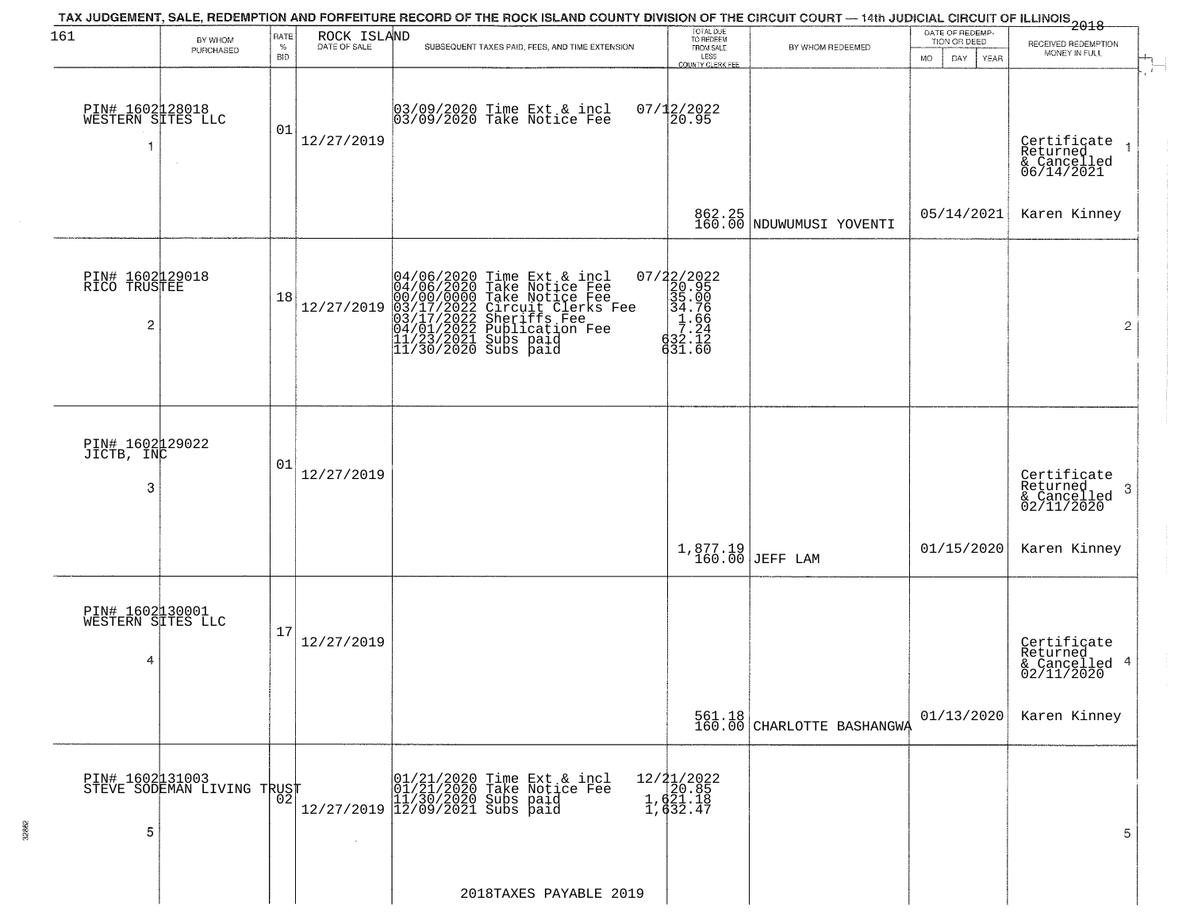| 161                                       |                            | RATE               |             | TAX JUDGEMENT, SALE, REDEMPTION AND FORFEITURE RECORD OF THE ROCK ISLAND COUNTY DIVISION OF THE CIRCUIT COURT — 14th JUDICIAL CIRCUIT OF ILLINOIS 2018                                                                               |                                                                                                             |                                      | DATE OF REDEMP-                 |                                                        |
|-------------------------------------------|----------------------------|--------------------|-------------|--------------------------------------------------------------------------------------------------------------------------------------------------------------------------------------------------------------------------------------|-------------------------------------------------------------------------------------------------------------|--------------------------------------|---------------------------------|--------------------------------------------------------|
|                                           | BY WHOM<br>PURCHASED       | $\%$<br><b>BID</b> | ROCK ISLAND | SUBSEQUENT TAXES PAID, FEES, AND TIME EXTENSION                                                                                                                                                                                      | TOTAL DUE<br>TO REDEEM<br>FROM SALE<br>LESS                                                                 | BY WHOM REDEEMED                     | TION OR DEED                    | RECEIVED REDEMPTION<br>MONEY IN FULL                   |
|                                           |                            |                    |             |                                                                                                                                                                                                                                      | COUNTY CLERK FEE                                                                                            |                                      | <b>MO</b><br>DAY<br><b>YEAR</b> |                                                        |
| PIN# 1602128018<br>WESTERN SITES LLC<br>1 |                            | 01                 | 12/27/2019  | 03/09/2020 Time Ext & incl<br>03/09/2020 Take Notice Fee                                                                                                                                                                             | $07/12/2022$<br>20.95                                                                                       |                                      |                                 | Certificate<br>Returned<br>& Cancelled<br>06/14/2021   |
|                                           |                            |                    |             |                                                                                                                                                                                                                                      |                                                                                                             | 862.25<br>160.00 NDUWUMUSI YOVENTI   | 05/14/2021                      | Karen Kinney                                           |
| PIN# 1602129018<br>RICO TRUSTEE<br>2      |                            | 18                 | 12/27/2019  | $04/06/2020$ Time Ext & incl<br>04/06/2020 Take Notice Fee<br>00/00/00000 Take Notice Fee<br>03/17/2022 Circuit Clerks Fee<br>03/17/2022 Suberiffs Fee<br>04/01/2022 Publication Fee<br>11/23/2021 Subs paid<br>11/30/2020 Subs paid | $\begin{smallmatrix} 07/22/2022\\ 20.95\\ 35.00\\ 34.76\\ 1.264\\ 7.24\\ 632.12\\ 631.60 \end{smallmatrix}$ |                                      |                                 | $\overline{2}$                                         |
| PIN# 1602129022<br>JICTB, INC<br>3        |                            | 01                 | 12/27/2019  |                                                                                                                                                                                                                                      |                                                                                                             |                                      |                                 | Certificate<br>Returned<br>3                           |
|                                           |                            |                    |             |                                                                                                                                                                                                                                      |                                                                                                             | 1,877.19<br>160.00 JEFF LAM          | 01/15/2020                      | $\frac{1}{02/11/2020}$<br>Karen Kinney                 |
| PIN# 1602130001<br>WESTERN SITES LLC<br>4 |                            | 17                 | 12/27/2019  |                                                                                                                                                                                                                                      |                                                                                                             |                                      |                                 | Certificate<br>Returned<br>& Cancelled 4<br>02/11/2020 |
|                                           |                            |                    |             |                                                                                                                                                                                                                                      |                                                                                                             | 561.18<br>160.00 CHARLOTTE BASHANGWA | 01/13/2020                      | Karen Kinney                                           |
| PIN# 1602131003<br>5                      | STEVE SODEMAN LIVING TRUST | 02                 |             | 01/21/2020 Time Ext & incl<br>01/21/2020 Take Notice Fee<br>11/30/2020 Subs paid<br>12/27/2019 12/09/2021 Subs paid                                                                                                                  | 12/21/2022<br>20.85<br>1,621.18<br>1,632.47                                                                 |                                      |                                 | 5                                                      |
|                                           |                            |                    |             | 2018TAXES PAYABLE 2019                                                                                                                                                                                                               |                                                                                                             |                                      |                                 |                                                        |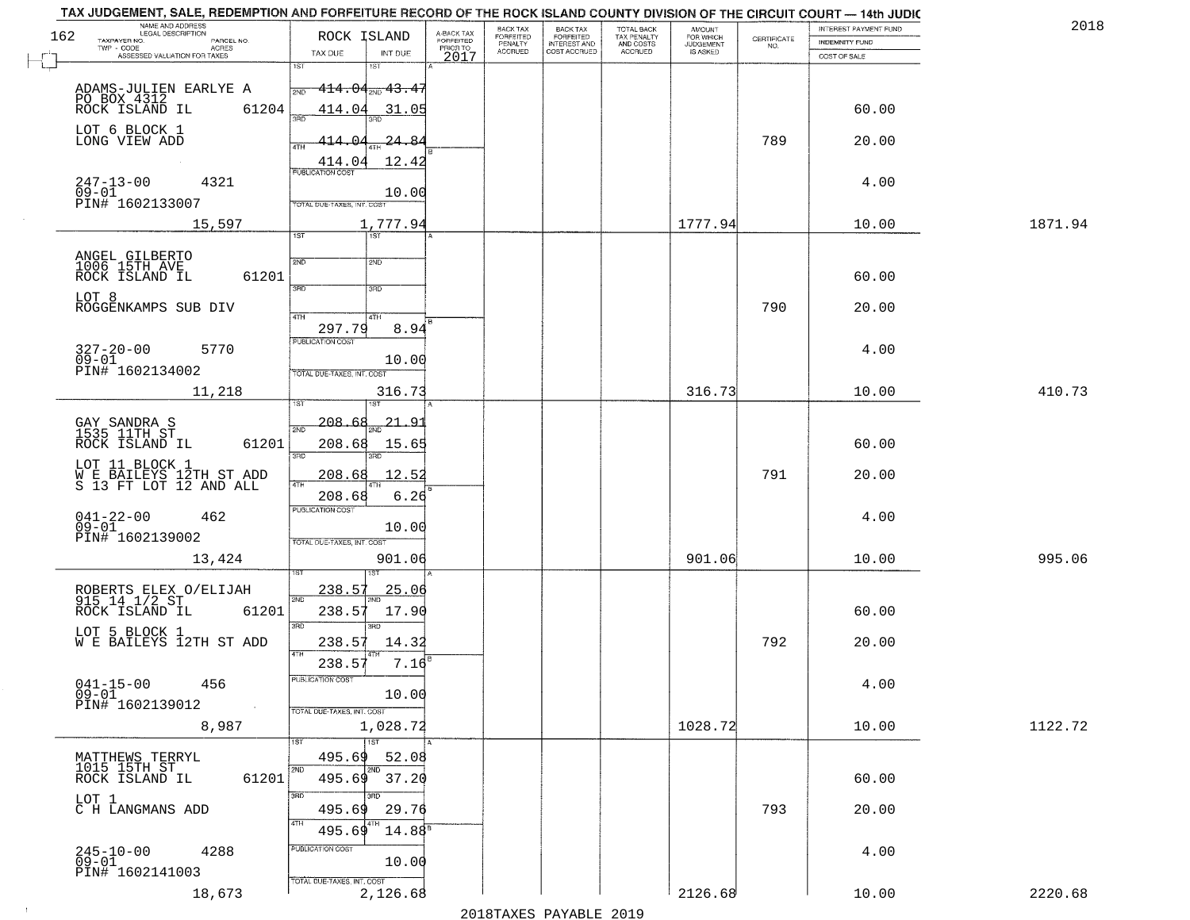| 2018    | INTEREST PAYMENT FUND |                                                                 | <b>AMOUNT</b><br>FOR WHICH | TOTAL BACK                          | <b>BACK TAX</b><br><b>FORFEITED</b> | BACK TAX<br><b>FORFEITED</b> | A-BACK TAX            | ROCK ISLAND                               | NAME AND ADDRESS<br>LEGAL DESCRIPTION                             |
|---------|-----------------------|-----------------------------------------------------------------|----------------------------|-------------------------------------|-------------------------------------|------------------------------|-----------------------|-------------------------------------------|-------------------------------------------------------------------|
|         | INDEMNITY FUND        | $\begin{array}{c} \text{CERTIFICATE} \\ \text{NO.} \end{array}$ | JUDGEMENT                  | TAX PENALTY<br>AND COSTS<br>ACCRUED | INTEREST AND<br>COST ACCRUED        | PENALTY<br>ACCRUED           | FORFEITED<br>PRIOR TO | TAX DUE<br>INT DUE                        | TAXPAYER NO.<br>PARCEL NO.<br>TWP - CODE<br><b>ACRES</b>          |
|         | COST OF SALE          |                                                                 |                            |                                     |                                     |                              | 2017                  | 1ST<br>1ST                                | ASSESSED VALUATION FOR TAXES                                      |
|         |                       |                                                                 |                            |                                     |                                     |                              |                       | $414.04_{200}$ $43.45$<br>2ND             | ADAMS-JULIEN EARLYE A                                             |
|         | 60.00                 |                                                                 |                            |                                     |                                     |                              |                       | 414.04<br>31.05                           | PO BOX 4312<br>ROCK ISLAND IL<br>61204                            |
|         |                       |                                                                 |                            |                                     |                                     |                              |                       |                                           |                                                                   |
|         | 20.00                 | 789                                                             |                            |                                     |                                     |                              |                       | 24.84<br>414.<br><u>Ω∠</u><br>4TH         | LOT 6 BLOCK 1<br>LONG VIEW ADD                                    |
|         |                       |                                                                 |                            |                                     |                                     |                              |                       | 414.04<br>12.42                           |                                                                   |
|         | 4.00                  |                                                                 |                            |                                     |                                     |                              |                       | <b>PUBLICATION COST</b>                   | $247 - 13 - 00$<br>4321                                           |
|         |                       |                                                                 |                            |                                     |                                     |                              |                       | 10.00<br>TOTAL DUE-TAXES, INT. COST       | $09 - 01$<br>PIN# 1602133007                                      |
| 1871.94 | 10.00                 |                                                                 | 1777.94                    |                                     |                                     |                              |                       | 1,777.94                                  | 15,597                                                            |
|         |                       |                                                                 |                            |                                     |                                     |                              |                       | $\overline{1ST}$<br>1ST                   |                                                                   |
|         |                       |                                                                 |                            |                                     |                                     |                              |                       | 2ND<br>2ND                                | ANGEL GILBERTO<br>1006 15TH AVE                                   |
|         | 60.00                 |                                                                 |                            |                                     |                                     |                              |                       |                                           | ROCK ISLAND IL<br>61201                                           |
|         |                       |                                                                 |                            |                                     |                                     |                              |                       | 3RD<br>3RD                                | LOT 8                                                             |
|         | 20.00                 | 790                                                             |                            |                                     |                                     |                              |                       | 47H<br>4TH                                | ROGGENKAMPS SUB DIV                                               |
|         |                       |                                                                 |                            |                                     |                                     |                              |                       | 297.79<br>8.94                            |                                                                   |
|         | 4.00                  |                                                                 |                            |                                     |                                     |                              |                       | PUBLICATION COST                          | $327 - 20 - 00$<br>09-01<br>5770                                  |
|         |                       |                                                                 |                            |                                     |                                     |                              |                       | 10.00<br>TOTAL DUE-TAXES, INT. COST       | PIN# 1602134002                                                   |
| 410.73  | 10.00                 |                                                                 | 316.73                     |                                     |                                     |                              |                       | 316.73                                    | 11,218                                                            |
|         |                       |                                                                 |                            |                                     |                                     |                              |                       |                                           |                                                                   |
|         |                       |                                                                 |                            |                                     |                                     |                              |                       | 208.68<br><u>21.91</u><br>2ND             | GAY SANDRA S<br>1535 11TH ST                                      |
|         | 60.00                 |                                                                 |                            |                                     |                                     |                              |                       | 208.68<br>15.65<br>3BD<br>3RD             | 61201<br>ROCK ISLAND IL                                           |
|         | 20.00                 | 791                                                             |                            |                                     |                                     |                              |                       | 208.68<br>12.52                           | LOT 11 BLOCK 1                                                    |
|         |                       |                                                                 |                            |                                     |                                     |                              |                       |                                           | W E BAILEYS 12TH ST ADD<br>S 13 FT LOT 12 AND ALL                 |
|         |                       |                                                                 |                            |                                     |                                     |                              |                       | 6.26<br>208.68<br><b>PUBLICATION COST</b> |                                                                   |
|         | 4.00                  |                                                                 |                            |                                     |                                     |                              |                       | 10.00                                     | $041 - 22 - 00$<br>09-01<br>462                                   |
|         |                       |                                                                 |                            |                                     |                                     |                              |                       | TOTAL OUE-TAXES, INT. COST                | PIN# 1602139002                                                   |
| 995.06  | 10.00                 |                                                                 | 901.06                     |                                     |                                     |                              |                       | 901.06                                    | 13,424                                                            |
|         |                       |                                                                 |                            |                                     |                                     |                              |                       | 238.57<br><u> 25.06</u>                   |                                                                   |
|         | 60.00                 |                                                                 |                            |                                     |                                     |                              |                       | 2ND<br>238.5<br>17.90                     | ROBERTS ELEX O/ELIJAH<br>915 14 1/2 ST<br>61201<br>ROCK ISLAND IL |
|         |                       |                                                                 |                            |                                     |                                     |                              |                       | 3RD<br>3RD                                |                                                                   |
|         | 20.00                 | 792                                                             |                            |                                     |                                     |                              |                       | 238.57<br>14.32                           | LOT 5 BLOCK 1<br>W E BAILEYS 12TH ST ADD                          |
|         |                       |                                                                 |                            |                                     |                                     |                              |                       | 4TH<br>238.57<br>7.16                     |                                                                   |
|         | 4.00                  |                                                                 |                            |                                     |                                     |                              |                       | PUBLICATION COST                          | $041 - 15 - 00$<br>456                                            |
|         |                       |                                                                 |                            |                                     |                                     |                              |                       | 10.00                                     | $09 - 01$<br>PIN# 1602139012                                      |
| 1122.72 | 10.00                 |                                                                 | 1028.72                    |                                     |                                     |                              |                       | TOTAL DUE-TAXES, INT. COST<br>1,028.72    | 8,987                                                             |
|         |                       |                                                                 |                            |                                     |                                     |                              |                       | $\overline{1ST}$<br>1ST                   |                                                                   |
|         |                       |                                                                 |                            |                                     |                                     |                              |                       | 495.69<br>52.08                           | MATTHEWS TERRYL<br>1015 15TH ST                                   |
|         | 60.00                 |                                                                 |                            |                                     |                                     |                              |                       | 2ND<br>2ND<br>37.20<br>495.69             | ROCK ISLAND IL<br>61201                                           |
|         |                       |                                                                 |                            |                                     |                                     |                              |                       | 3RD<br>iRD                                | LOT 1                                                             |
|         | 20.00                 | 793                                                             |                            |                                     |                                     |                              |                       | 495.69<br>29.76<br>4TH                    | C H LANGMANS ADD                                                  |
|         |                       |                                                                 |                            |                                     |                                     |                              |                       | $14.88^8$<br>495.69                       |                                                                   |
|         | 4.00                  |                                                                 |                            |                                     |                                     |                              |                       | PUBLICATION COST<br>10.00                 | $245 - 10 - 00$<br>09-01<br>4288                                  |
|         |                       |                                                                 |                            |                                     |                                     |                              |                       |                                           | PIN# 1602141003                                                   |
|         |                       |                                                                 |                            |                                     |                                     |                              |                       | TOTAL DUE-TAXES, INT. COST                |                                                                   |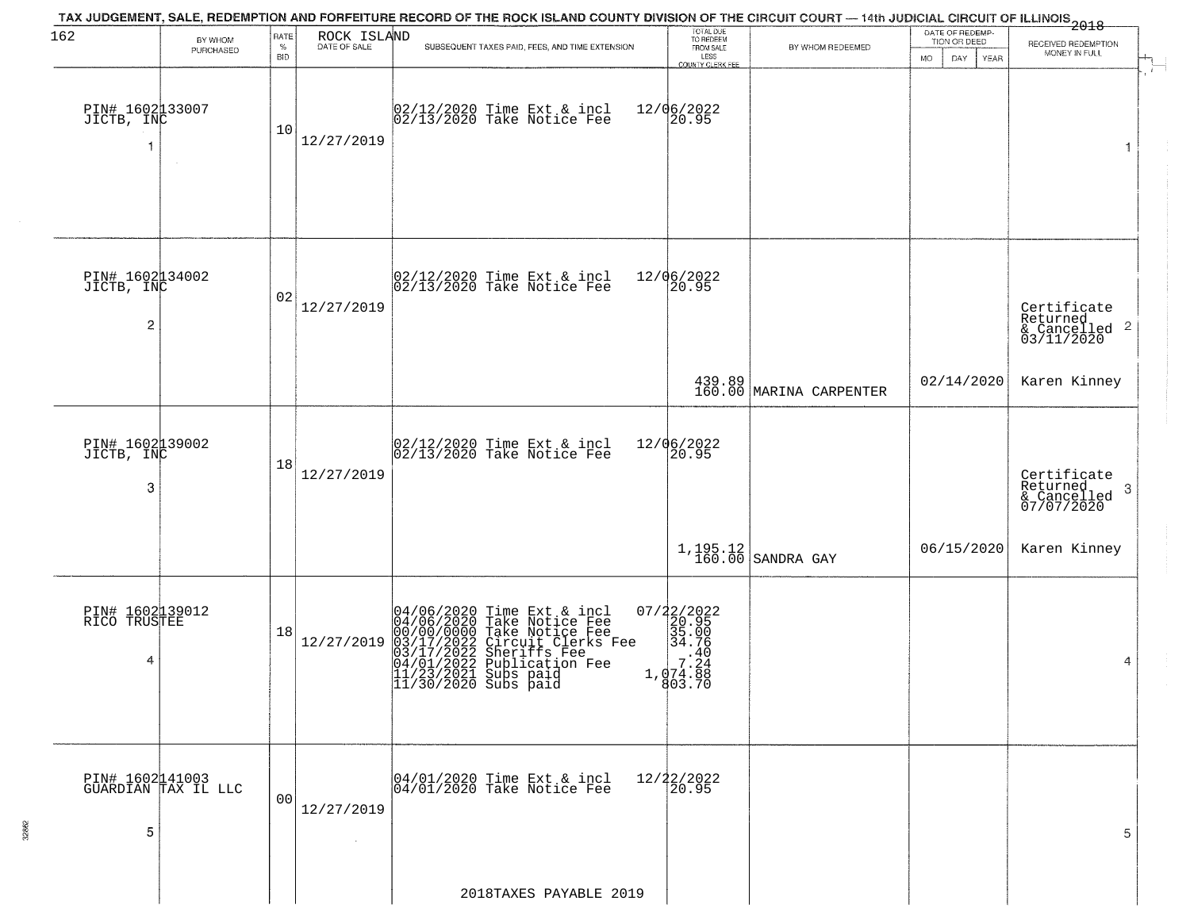| 162                                  | BY WHOM                                | RATE               | ROCK ISLAND<br>DATE OF SALE  | TAX JUDGEMENT, SALE, REDEMPTION AND FORFEITURE RECORD OF THE ROCK ISLAND COUNTY DIVISION OF THE CIRCUIT COURT — 14th JUDICIAL CIRCUIT OF ILLINOIS 2018                                                                              | TOTAL DUE<br>TO REDEEM                                                     |                                   | DATE OF REDEMP-<br>TION OR DEED | RECEIVED REDEMPTION<br>ے<br>پ                                      |
|--------------------------------------|----------------------------------------|--------------------|------------------------------|-------------------------------------------------------------------------------------------------------------------------------------------------------------------------------------------------------------------------------------|----------------------------------------------------------------------------|-----------------------------------|---------------------------------|--------------------------------------------------------------------|
|                                      | PURCHASED                              | $\%$<br><b>BID</b> |                              | SUBSEQUENT TAXES PAID, FEES, AND TIME EXTENSION                                                                                                                                                                                     | FROM SALE<br>LESS<br>COUNTY CLERK FEE                                      | BY WHOM REDEEMED                  | DAY.<br>MO.<br>YEAR             | MONEY IN FULL                                                      |
| PIN# 1602133007<br>JICTB, INC        | $\sim$                                 | 10                 | 12/27/2019                   | 02/12/2020 Time Ext & incl<br>02/13/2020 Take Notice Fee                                                                                                                                                                            | 12/06/2022<br>20.95                                                        |                                   |                                 | 1                                                                  |
| PIN# 1602134002<br>JICTB, INC<br>2   |                                        | 02                 | 12/27/2019                   | $\begin{bmatrix} 02/12/2020 \\ 02/13/2020 \end{bmatrix}$ Take Notice Fee                                                                                                                                                            | 12/06/2022<br>20.95                                                        |                                   |                                 | Certificate<br>Returned<br>$\frac{1}{6}$ Cancelled 2<br>03/11/2020 |
|                                      |                                        |                    |                              |                                                                                                                                                                                                                                     |                                                                            | 439.89<br>160.00 MARINA CARPENTER | 02/14/2020                      | Karen Kinney                                                       |
| PIN# 1602139002<br>JICTB, INC<br>3   |                                        | 18                 | 12/27/2019                   | $\begin{array}{c} 02/12/2020 \\ 02/13/2020 \\ 04 \end{array}$ Take Notice Fee                                                                                                                                                       | 12/06/2022<br>20.95                                                        |                                   |                                 | Certificate<br>Returned<br>3<br>& Cancelled<br>07/07/2020          |
|                                      |                                        |                    |                              |                                                                                                                                                                                                                                     |                                                                            | $1, 195.12$<br>160.00 SANDRA GAY  | 06/15/2020                      | Karen Kinney                                                       |
| PIN# 1602139012<br>RICO TRUSTEE<br>4 |                                        | 18                 | 12/27/2019                   | $04/06/2020$ Time Ext & incl<br>04/06/2020 Take Notice Fee<br>00/00/0000 Take Notice Fee<br>03/17/2022 Circuit Clerks Fee<br>03/17/2022 Suberiffs Fee<br>04/01/2022 Publication Fee<br>11/23/2021 Subs paid<br>11/30/2020 Subs paid | 07/22/2022<br>20.95<br>35.00<br>34.76<br>.40<br>7.24<br>1,074.88<br>803.70 |                                   |                                 | 4                                                                  |
| 5                                    | PIN# 1602141003<br>GUARDIAN TAX IL LLC | 00                 | 12/27/2019<br>$\sim 10^{-1}$ | 04/01/2020 Time Ext & incl<br>04/01/2020 Take Notice Fee                                                                                                                                                                            | 12/22/2022<br>20.95                                                        |                                   |                                 | 5                                                                  |
|                                      |                                        |                    |                              | 2018TAXES PAYABLE 2019                                                                                                                                                                                                              |                                                                            |                                   |                                 |                                                                    |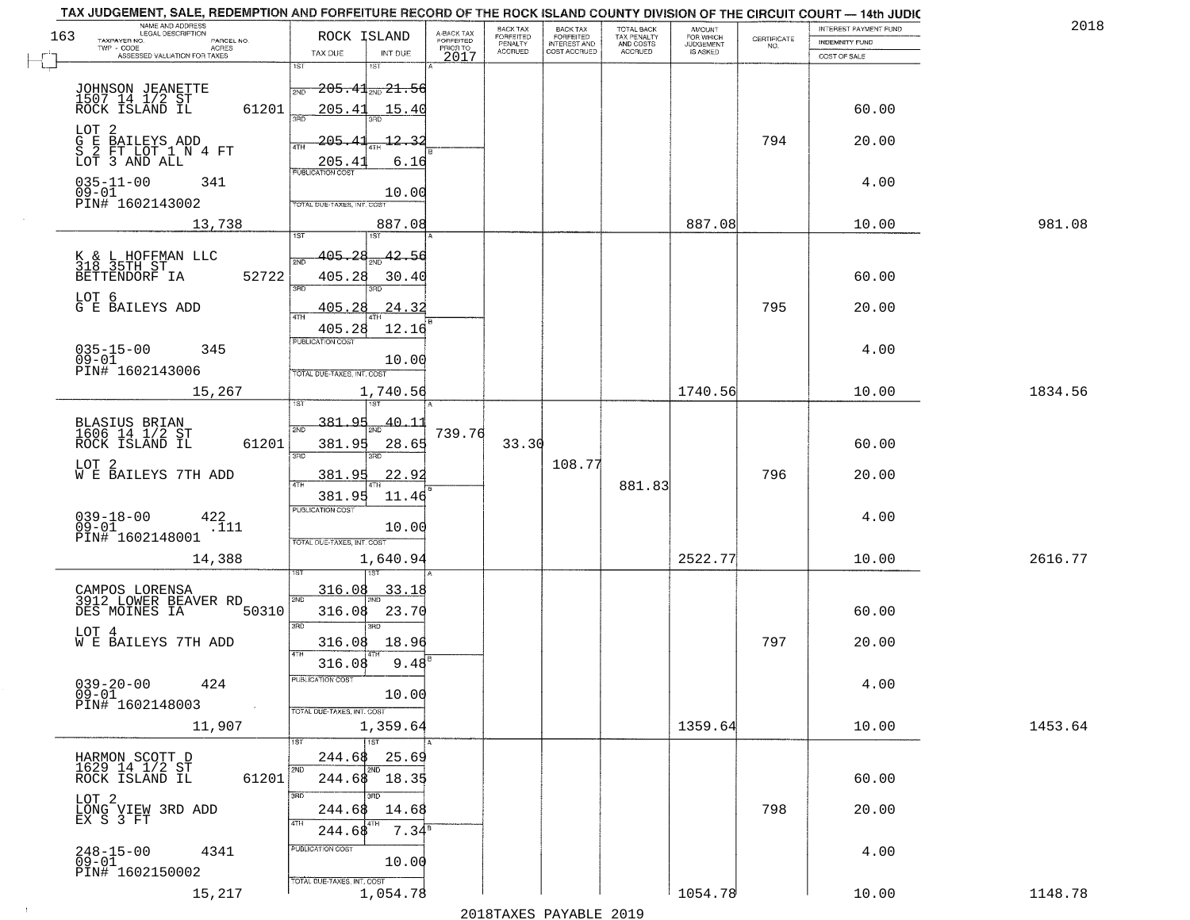|                                                      | NAME AND ADDRESS<br>LEGAL DESCRIPTION | TAX JUDGEMENT, SALE, REDEMPTION AND FORFEITURE RECORD OF THE ROCK ISLAND COUNTY DIVISION OF THE CIRCUIT COURT - 14th JUDIC |                                     | BACK TAX             |                                       |                                        | AMOUNT<br>FOR WHICH |                                                                 | INTEREST PAYMENT FUND | 2018    |
|------------------------------------------------------|---------------------------------------|----------------------------------------------------------------------------------------------------------------------------|-------------------------------------|----------------------|---------------------------------------|----------------------------------------|---------------------|-----------------------------------------------------------------|-----------------------|---------|
| 163<br>TAXPAYER NO.                                  | PARCEL NO.                            | ROCK ISLAND                                                                                                                | A-BACK TAX<br>FORFEITED<br>PRIOR TO | FORFEITED<br>PENALTY | BACK TAX<br>FORFEITED<br>INTEREST AND | TOTAL BACK<br>TAX PENALTY<br>AND COSTS | <b>JUDGEMENT</b>    | $\begin{array}{c} \text{CERTIFICATE} \\ \text{NO.} \end{array}$ | INDEMNITY FUND        |         |
| TWP - CODE                                           | ACRES<br>ASSESSED VALUATION FOR TAXES | TAX DUE<br>INT DUE                                                                                                         | 2017                                | <b>ACCRUED</b>       | COST ACCRUED                          | ACCRUED                                | IS ASKED            |                                                                 | COST OF SALE          |         |
|                                                      |                                       | 1ST<br>18T                                                                                                                 |                                     |                      |                                       |                                        |                     |                                                                 |                       |         |
|                                                      |                                       | <del>205.41<sub>2ND</sub> 21.56</del><br>2ND                                                                               |                                     |                      |                                       |                                        |                     |                                                                 |                       |         |
| JOHNSON JEANETTE<br>1507 14 1/2 ST<br>ROCK ISLAND IL | 61201                                 | 205.41<br>15.40                                                                                                            |                                     |                      |                                       |                                        |                     |                                                                 | 60.00                 |         |
|                                                      |                                       | 350                                                                                                                        |                                     |                      |                                       |                                        |                     |                                                                 |                       |         |
| LOT <sub>2</sub>                                     |                                       | 205.4<br>12.32                                                                                                             |                                     |                      |                                       |                                        |                     | 794                                                             | 20.00                 |         |
| G E BAILEYS ADD<br>S 2 FT LOT 1 N 4 FT               |                                       |                                                                                                                            |                                     |                      |                                       |                                        |                     |                                                                 |                       |         |
| LOT 3 AND ALL                                        |                                       | <u>205.4</u><br>6.16<br><b>PUBLICATION COST</b>                                                                            |                                     |                      |                                       |                                        |                     |                                                                 |                       |         |
| $035 - 11 - 00$<br>$09 - 01$                         | 341                                   | 10.00                                                                                                                      |                                     |                      |                                       |                                        |                     |                                                                 | 4.00                  |         |
| PIN# 1602143002                                      |                                       | TOTAL DUE-TAXES, INT. COST                                                                                                 |                                     |                      |                                       |                                        |                     |                                                                 |                       |         |
|                                                      | 13,738                                | 887.08                                                                                                                     |                                     |                      |                                       |                                        | 887.08              |                                                                 | 10.00                 | 981.08  |
|                                                      |                                       |                                                                                                                            |                                     |                      |                                       |                                        |                     |                                                                 |                       |         |
|                                                      |                                       | 405.28<br>42.56                                                                                                            |                                     |                      |                                       |                                        |                     |                                                                 |                       |         |
| K & L HOFFMAN LLC<br>318 35TH ST<br>BETTENDORF IA    | 52722                                 | 405.28<br>30.40                                                                                                            |                                     |                      |                                       |                                        |                     |                                                                 | 60.00                 |         |
|                                                      |                                       | 3BD<br>Ë                                                                                                                   |                                     |                      |                                       |                                        |                     |                                                                 |                       |         |
| LOT 6<br>G E BAILEYS ADD                             |                                       | 24.32<br><u>405.28</u>                                                                                                     |                                     |                      |                                       |                                        |                     | 795                                                             | 20.00                 |         |
|                                                      |                                       |                                                                                                                            |                                     |                      |                                       |                                        |                     |                                                                 |                       |         |
|                                                      |                                       | 12.16<br>405.28<br>PUBLICATION COST                                                                                        |                                     |                      |                                       |                                        |                     |                                                                 |                       |         |
| $035 - 15 - 00$<br>$09 - 01$                         | 345                                   | 10.00                                                                                                                      |                                     |                      |                                       |                                        |                     |                                                                 | 4.00                  |         |
| PIN# 1602143006                                      |                                       | TOTAL DUE-TAXES, INT. COST                                                                                                 |                                     |                      |                                       |                                        |                     |                                                                 |                       |         |
|                                                      | 15,267                                | 1,740.56                                                                                                                   |                                     |                      |                                       |                                        | 1740.56             |                                                                 | 10.00                 | 1834.56 |
|                                                      |                                       | 1ST                                                                                                                        |                                     |                      |                                       |                                        |                     |                                                                 |                       |         |
| BLASIUS BRIAN<br>1606 14 1/2 ST                      |                                       | 381.<br>QH<br>40.11<br>2ND                                                                                                 |                                     |                      |                                       |                                        |                     |                                                                 |                       |         |
| ROCK ISLAND IL                                       | 61201                                 | 381.95<br>28.65                                                                                                            | 739.76                              | 33.30                |                                       |                                        |                     |                                                                 | 60.00                 |         |
|                                                      |                                       | 3RD<br>3RD                                                                                                                 |                                     |                      |                                       |                                        |                     |                                                                 |                       |         |
| LOT <sub>2</sub><br>W E BAILEYS 7TH ADD              |                                       | 381.95<br><u>22.92</u>                                                                                                     |                                     |                      | 108.77                                |                                        |                     | 796                                                             | 20.00                 |         |
|                                                      |                                       | 381.95<br>11.46                                                                                                            |                                     |                      |                                       | 881.83                                 |                     |                                                                 |                       |         |
|                                                      |                                       | <b>PUBLICATION COST</b>                                                                                                    |                                     |                      |                                       |                                        |                     |                                                                 |                       |         |
| $039 - 18 - 00$<br>09-01                             | 422<br>.111                           | 10.00                                                                                                                      |                                     |                      |                                       |                                        |                     |                                                                 | 4.00                  |         |
| PIN# 1602148001                                      |                                       | TOTAL OUE-TAXES, INT. COST                                                                                                 |                                     |                      |                                       |                                        |                     |                                                                 |                       |         |
|                                                      | 14,388                                | 1,640.94                                                                                                                   |                                     |                      |                                       |                                        | 2522.77             |                                                                 | 10.00                 | 2616.77 |
|                                                      |                                       |                                                                                                                            |                                     |                      |                                       |                                        |                     |                                                                 |                       |         |
| CAMPOS LORENSA<br>3912 LOWER BEAVER RD               |                                       | 316.08<br><u>33.18</u><br>2ND                                                                                              |                                     |                      |                                       |                                        |                     |                                                                 |                       |         |
| DES MOINES IA                                        | 50310                                 | 23.70<br>316.08                                                                                                            |                                     |                      |                                       |                                        |                     |                                                                 | 60.00                 |         |
| LOT 4                                                |                                       | 3RD<br>3BD                                                                                                                 |                                     |                      |                                       |                                        |                     |                                                                 |                       |         |
| <b>W E BAILEYS 7TH ADD</b>                           |                                       | 18.96<br>316.08                                                                                                            |                                     |                      |                                       |                                        |                     | 797                                                             | 20.00                 |         |
|                                                      |                                       | 4TH<br>9.48<br>316.08                                                                                                      |                                     |                      |                                       |                                        |                     |                                                                 |                       |         |
| $039 - 20 - 00$                                      |                                       | PUBLICATION COST                                                                                                           |                                     |                      |                                       |                                        |                     |                                                                 |                       |         |
| $09 - 01$                                            | 424                                   | 10.00                                                                                                                      |                                     |                      |                                       |                                        |                     |                                                                 | 4.00                  |         |
| PIN# 1602148003                                      | $\sim 100$                            | TOTAL DUE-TAXES, INT. COST                                                                                                 |                                     |                      |                                       |                                        |                     |                                                                 |                       |         |
|                                                      | 11,907                                | 1,359.64                                                                                                                   |                                     |                      |                                       |                                        | 1359.64             |                                                                 | 10.00                 | 1453.64 |
|                                                      |                                       | 1ST                                                                                                                        |                                     |                      |                                       |                                        |                     |                                                                 |                       |         |
| HARMON SCOTT D<br>1629 14 1/2 ST                     |                                       | 25.69<br>244.68<br>2ND<br>2ND                                                                                              |                                     |                      |                                       |                                        |                     |                                                                 |                       |         |
| ROCK ISLAND IL                                       | 61201                                 | 244.68 18.35                                                                                                               |                                     |                      |                                       |                                        |                     |                                                                 | 60.00                 |         |
|                                                      |                                       | 3RD<br>חחי                                                                                                                 |                                     |                      |                                       |                                        |                     |                                                                 |                       |         |
| LOT 2<br>LONG VIEW 3RD ADD<br>EX S 3 FT              |                                       | 244.68<br>14.68                                                                                                            |                                     |                      |                                       |                                        |                     | 798                                                             | 20.00                 |         |
|                                                      |                                       | 4TH<br>$7.34^8$<br>244.68                                                                                                  |                                     |                      |                                       |                                        |                     |                                                                 |                       |         |
|                                                      | 4341                                  | PUBLICATION COST                                                                                                           |                                     |                      |                                       |                                        |                     |                                                                 | 4.00                  |         |
| 248-15-00<br>09-01                                   |                                       | 10.00                                                                                                                      |                                     |                      |                                       |                                        |                     |                                                                 |                       |         |
| PIN# 1602150002                                      |                                       | TOTAL DUE-TAXES, INT. COST                                                                                                 |                                     |                      |                                       |                                        |                     |                                                                 |                       |         |
|                                                      | 15,217                                | 1,054.78                                                                                                                   |                                     |                      |                                       |                                        | 1054.78             |                                                                 | 10.00                 | 1148.78 |
|                                                      |                                       |                                                                                                                            |                                     | 0.01.0mm             | $\mathbf{D}$                          | 0.016                                  |                     |                                                                 |                       |         |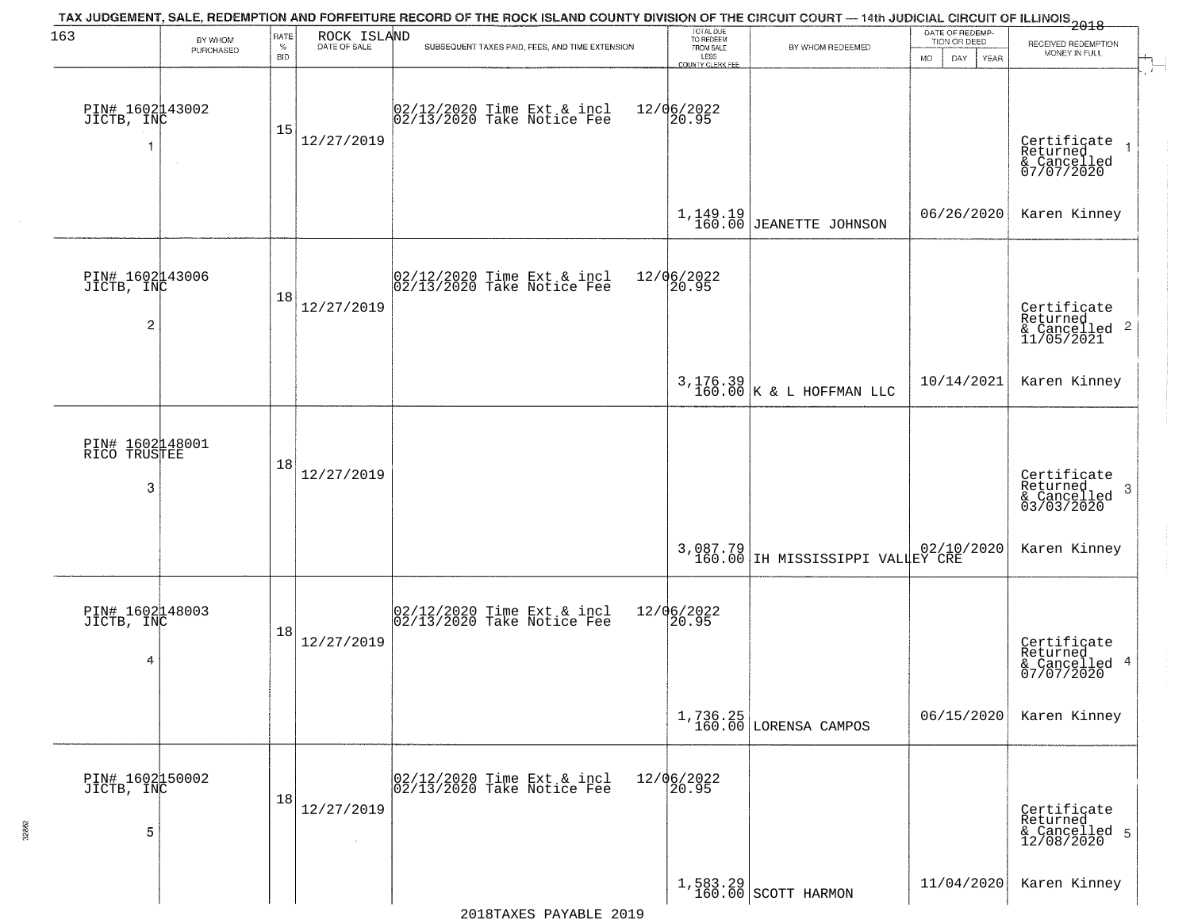| 163                                             | BY WHOM   | RATE               |                             | TAX JUDGEMENT, SALE, REDEMPTION AND FORFEITURE RECORD OF THE ROCK ISLAND COUNTY DIVISION OF THE CIRCUIT COURT — 14th JUDICIAL CIRCUIT OF ILLINOIS 2018 | TOTAL DUE<br>TO REDEEM                       |                                              | DATE OF REDEMP-                            |                                                         |
|-------------------------------------------------|-----------|--------------------|-----------------------------|--------------------------------------------------------------------------------------------------------------------------------------------------------|----------------------------------------------|----------------------------------------------|--------------------------------------------|---------------------------------------------------------|
|                                                 | PURCHASED | $\%$<br><b>BID</b> | ROCK ISLAND<br>DATE OF SALE | SUBSEQUENT TAXES PAID, FEES, AND TIME EXTENSION                                                                                                        | FROM SALE<br>LESS<br><b>COUNTY CLERK FEE</b> | BY WHOM REDEEMED                             | TION OR DEED<br>MO.<br>DAY.<br><b>YEAR</b> | RECEIVED REDEMPTION<br>MONEY IN FULL                    |
| PIN# 1602143002<br>JICTB, INC                   |           | 15                 | 12/27/2019                  | 02/12/2020 Time Ext & incl<br>02/13/2020 Take Notice Fee                                                                                               | 12/06/2022<br>20.95                          |                                              |                                            | Certificate<br>Returned<br>& Cancelled<br>07/07/2020    |
|                                                 |           |                    |                             |                                                                                                                                                        |                                              | $1,149.19$<br>$160.00$ JEANETTE JOHNSON      | 06/26/2020                                 | Karen Kinney                                            |
| PIN# 1602143006<br>JICTB, INC<br>$\overline{c}$ |           | 18                 | 12/27/2019                  | $ 02/12/2020$ Time Ext & incl<br>$ 02/13/2020$ Take Notice Fee                                                                                         | 12/06/2022<br>20.95                          |                                              |                                            | Certificate<br>Returned<br>& Cancelled 2<br>11/05/2021  |
|                                                 |           |                    |                             |                                                                                                                                                        |                                              | $3,176.39$<br>160.00 K & L HOFFMAN LLC       | 10/14/2021                                 | Karen Kinney                                            |
| PIN# 1602148001<br>RICO TRUSTEE<br>3            |           | 18                 | 12/27/2019                  |                                                                                                                                                        |                                              |                                              |                                            | Certificate<br>Returned<br>-3<br>$\frac{1}{03/03/2020}$ |
|                                                 |           |                    |                             |                                                                                                                                                        |                                              | 3,087.79<br>160.00 IH MISSISSIPPI VALLEY CRE |                                            | Karen Kinney                                            |
| PIN# 1602148003<br>JICTB, INC<br>4              |           | 18                 | 12/27/2019                  | $ 02/12/2020$ Time Ext & incl<br>$ 02/13/2020$ Take Notice Fee                                                                                         | 12/06/2022<br>20.95                          |                                              |                                            | Certificate<br>Returned<br>& Cancelled 4<br>07/07/2020  |
|                                                 |           |                    |                             |                                                                                                                                                        |                                              | 1,736.25<br>160.00 LORENSA CAMPOS            | 06/15/2020                                 | Karen Kinney                                            |
| PIN# 1602150002<br>JICTB, INC<br>5              |           | 18                 | 12/27/2019                  | 02/12/2020 Time Ext & incl<br>02/13/2020 Take Notice Fee                                                                                               | 12/06/2022<br>20.95                          |                                              |                                            | Certificate<br>Returned<br>& Cancelled 5<br>12/08/2020  |
|                                                 |           |                    |                             |                                                                                                                                                        |                                              | $1,583.29$<br>160.00 SCOTT HARMON            | 11/04/2020                                 | Karen Kinney                                            |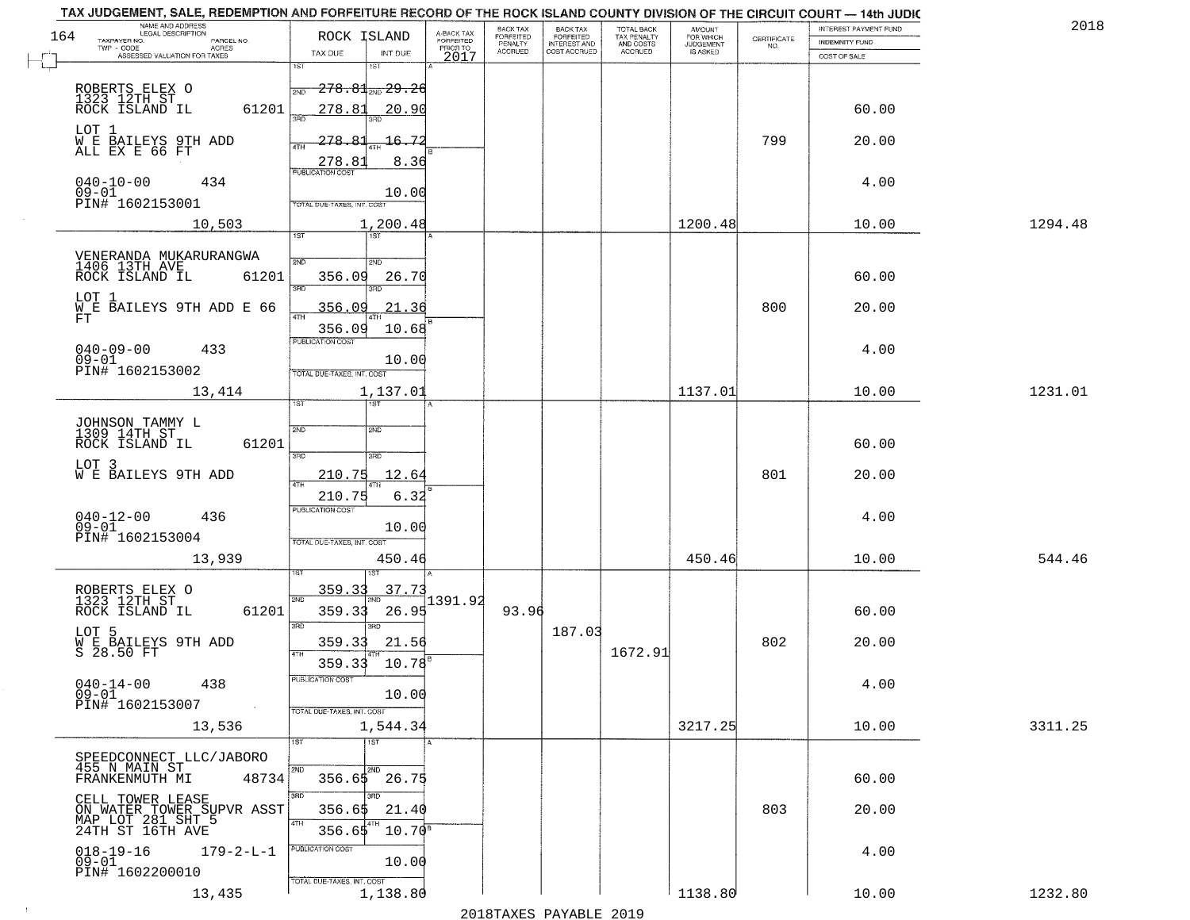|     | TAX JUDGEMENT, SALE, REDEMPTION AND FORFEITURE RECORD OF THE ROCK ISLAND COUNTY DIVISION OF THE CIRCUIT COURT - 14th JUDIC |                            |                          |                                     | BACK TAX             |                                       |                                        |                                  |                    | INTEREST PAYMENT FUND | 2018    |
|-----|----------------------------------------------------------------------------------------------------------------------------|----------------------------|--------------------------|-------------------------------------|----------------------|---------------------------------------|----------------------------------------|----------------------------------|--------------------|-----------------------|---------|
| 164 | NAME AND ADDRESS<br>LEGAL DESCRIPTION<br>TAXPAYER NO.<br>PARCEL NO.                                                        | ROCK ISLAND                |                          | A-BACK TAX<br>FORFEITED<br>PRIOR TO | FORFEITED<br>PENALTY | BACK TAX<br>FORFEITED<br>INTEREST AND | TOTAL BACK<br>TAX PENALTY<br>AND COSTS | AMOUNT<br>FOR WHICH<br>JUDGEMENT | CERTIFICATE<br>NO. | <b>INDEMNITY FUND</b> |         |
|     | TWP - CODE<br>ACRES<br>ASSESSED VALUATION FOR TAXES                                                                        | TAX DUE                    | INT DUE                  | 2017                                | <b>ACCRUED</b>       | COST ACCRUED                          | <b>ACCRUED</b>                         | IS ASKED                         |                    | COST OF SALE          |         |
|     |                                                                                                                            | 1ST                        | 1ST                      |                                     |                      |                                       |                                        |                                  |                    |                       |         |
|     |                                                                                                                            | 2ND                        | <del>278.81, 29.26</del> |                                     |                      |                                       |                                        |                                  |                    |                       |         |
|     | ROBERTS ELEX O<br>1323 12TH ST<br>ROCK ISLAND IL                                                                           |                            |                          |                                     |                      |                                       |                                        |                                  |                    |                       |         |
|     | 61201                                                                                                                      | 278.81<br>350              | 20.90                    |                                     |                      |                                       |                                        |                                  |                    | 60.00                 |         |
|     | LOT 1                                                                                                                      |                            |                          |                                     |                      |                                       |                                        |                                  |                    |                       |         |
|     | W E BAILEYS 9TH ADD<br>ALL EX E 66 FT                                                                                      | 278.81<br>4TH              | 16.72                    |                                     |                      |                                       |                                        |                                  | 799                | 20.00                 |         |
|     |                                                                                                                            | 278.81                     | 8.36                     |                                     |                      |                                       |                                        |                                  |                    |                       |         |
|     | $040 - 10 - 00$<br>434                                                                                                     | <b>PUBLICATION COST</b>    |                          |                                     |                      |                                       |                                        |                                  |                    | 4.00                  |         |
|     | $09 - 01$                                                                                                                  |                            | 10.00                    |                                     |                      |                                       |                                        |                                  |                    |                       |         |
|     | PIN# <sup>-1602153001</sup>                                                                                                | TOTAL DUE-TAXES, INT. COST |                          |                                     |                      |                                       |                                        |                                  |                    |                       |         |
|     | 10,503                                                                                                                     |                            | 1,200.48                 |                                     |                      |                                       |                                        | 1200.48                          |                    | 10.00                 | 1294.48 |
|     |                                                                                                                            | 1ST                        |                          |                                     |                      |                                       |                                        |                                  |                    |                       |         |
|     | VENERANDA MUKARURANGWA<br>1406 13TH AVE                                                                                    | 2ND                        | 2ND                      |                                     |                      |                                       |                                        |                                  |                    |                       |         |
|     | ROCK ISLAND IL<br>61201                                                                                                    | 356.09                     | 26.70                    |                                     |                      |                                       |                                        |                                  |                    | 60.00                 |         |
|     | LOT 1                                                                                                                      | 3BD                        | 3RD                      |                                     |                      |                                       |                                        |                                  |                    |                       |         |
|     | WE BAILEYS 9TH ADD E 66                                                                                                    | <u>356.09</u>              | 21.36                    |                                     |                      |                                       |                                        |                                  | 800                | 20.00                 |         |
|     | FT                                                                                                                         | 356.09                     | 10.68                    |                                     |                      |                                       |                                        |                                  |                    |                       |         |
|     |                                                                                                                            | PUBLICATION COST           |                          |                                     |                      |                                       |                                        |                                  |                    |                       |         |
|     | $040 - 09 - 00$<br>433<br>$09 - 01$                                                                                        |                            | 10.00                    |                                     |                      |                                       |                                        |                                  |                    | 4.00                  |         |
|     | PIN# 1602153002                                                                                                            | TOTAL DUE-TAXES, INT. COST |                          |                                     |                      |                                       |                                        |                                  |                    |                       |         |
|     | 13,414                                                                                                                     |                            | 1,137.01                 |                                     |                      |                                       |                                        | 1137.01                          |                    | 10.00                 | 1231.01 |
|     |                                                                                                                            | TST"                       | 1ST                      |                                     |                      |                                       |                                        |                                  |                    |                       |         |
|     |                                                                                                                            |                            |                          |                                     |                      |                                       |                                        |                                  |                    |                       |         |
|     | JOHNSON TAMMY L<br>1309 14TH ST                                                                                            | 2ND                        | 2ND                      |                                     |                      |                                       |                                        |                                  |                    | 60.00                 |         |
|     | ROCK ISLAND IL<br>61201                                                                                                    | 3 <sub>BD</sub>            | 3BD                      |                                     |                      |                                       |                                        |                                  |                    |                       |         |
|     | LOT 3<br>W E BAILEYS 9TH ADD                                                                                               | 210.75                     | 12.64                    |                                     |                      |                                       |                                        |                                  | 801                | 20.00                 |         |
|     |                                                                                                                            | 4TH                        |                          |                                     |                      |                                       |                                        |                                  |                    |                       |         |
|     |                                                                                                                            | 210.75                     | 6.32                     |                                     |                      |                                       |                                        |                                  |                    |                       |         |
|     | $040 - 12 - 00$<br>09-01<br>436                                                                                            | <b>PUBLICATION COST</b>    |                          |                                     |                      |                                       |                                        |                                  |                    | 4.00                  |         |
|     | PIN# 1602153004                                                                                                            |                            | 10.00                    |                                     |                      |                                       |                                        |                                  |                    |                       |         |
|     |                                                                                                                            | TOTAL OUE-TAXES, INT. COST |                          |                                     |                      |                                       |                                        |                                  |                    |                       |         |
|     | 13,939                                                                                                                     |                            | 450.46                   |                                     |                      |                                       |                                        | 450.46                           |                    | 10.00                 | 544.46  |
|     |                                                                                                                            |                            |                          |                                     |                      |                                       |                                        |                                  |                    |                       |         |
|     | ROBERTS ELEX O<br>1323 12TH ST                                                                                             | 359.33<br>2ND              | 37.73                    | 1391.92                             |                      |                                       |                                        |                                  |                    |                       |         |
|     | ROCK ISLAND IL<br>61201                                                                                                    | 359.33                     | 26.95                    |                                     | 93.96                |                                       |                                        |                                  |                    | 60.00                 |         |
|     | LOT 5                                                                                                                      | 3RD                        | $\overline{3BD}$         |                                     |                      | 187.03                                |                                        |                                  |                    |                       |         |
|     | WE BAILEYS 9TH ADD<br>S 28.50 FT                                                                                           | 359.33                     | 21.56                    |                                     |                      |                                       |                                        |                                  | 802                | 20.00                 |         |
|     |                                                                                                                            | 4TH<br>359.33              | $10.78^{B}$              |                                     |                      |                                       | 1672.91                                |                                  |                    |                       |         |
|     | $040 - 14 - 00$                                                                                                            | UBLICA HUN COS-            |                          |                                     |                      |                                       |                                        |                                  |                    |                       |         |
|     | 438<br>09-01                                                                                                               |                            | 10.00                    |                                     |                      |                                       |                                        |                                  |                    | 4.00                  |         |
|     | PIN# 1602153007<br>$\sim 100$                                                                                              | TOTAL DUE-TAXES, INT. COST |                          |                                     |                      |                                       |                                        |                                  |                    |                       |         |
|     | 13,536                                                                                                                     |                            | 1,544.34                 |                                     |                      |                                       |                                        | 3217.25                          |                    | 10.00                 | 3311.25 |
|     |                                                                                                                            | 1ST                        | 1ST                      |                                     |                      |                                       |                                        |                                  |                    |                       |         |
|     | SPEEDCONNECT LLC/JABORO                                                                                                    |                            |                          |                                     |                      |                                       |                                        |                                  |                    |                       |         |
|     | 455 N MAIN ST<br>48734<br>FRANKENMUTH MI                                                                                   | 2ND                        | 2ND<br>356.65 26.75      |                                     |                      |                                       |                                        |                                  |                    | 60.00                 |         |
|     |                                                                                                                            | 3RD                        | חחו                      |                                     |                      |                                       |                                        |                                  |                    |                       |         |
|     | CELL TOWER LEASE<br>ON WATER TOWER SUPVR ASST                                                                              | 356.65                     | 21.40                    |                                     |                      |                                       |                                        |                                  | 803                | 20.00                 |         |
|     | MAP LOT 281 SHT 5                                                                                                          | 4TH                        | $10.70^8$                |                                     |                      |                                       |                                        |                                  |                    |                       |         |
|     | 24TH ST 16TH AVE                                                                                                           | 356.65                     |                          |                                     |                      |                                       |                                        |                                  |                    |                       |         |
|     | $018 - 19 - 16$<br>$179 - 2 - L - 1$<br>09-01                                                                              | PUBLICATION COST           | 10.00                    |                                     |                      |                                       |                                        |                                  |                    | 4.00                  |         |
|     | PIN# 1602200010                                                                                                            |                            |                          |                                     |                      |                                       |                                        |                                  |                    |                       |         |
|     | 13,435                                                                                                                     | TOTAL DUE-TAXES, INT. COST | 1,138.80                 |                                     |                      |                                       |                                        | 1138.80                          |                    | 10.00                 | 1232.80 |

 $\sim 10^{-1}$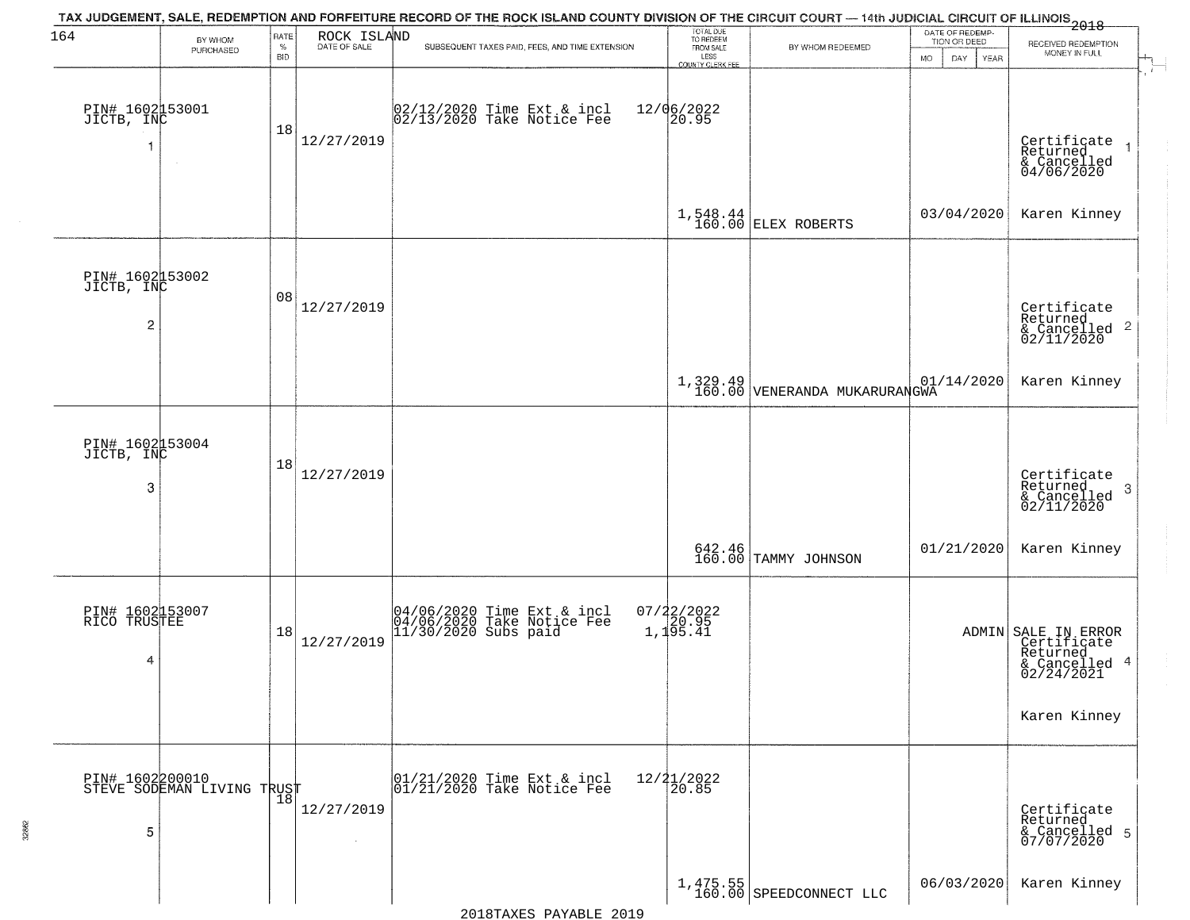| 164                                  | BY WHOM                                           | RATE               |                             | TAX JUDGEMENT, SALE, REDEMPTION AND FORFEITURE RECORD OF THE ROCK ISLAND COUNTY DIVISION OF THE CIRCUIT COURT — 14th JUDICIAL CIRCUIT OF ILLINOIS 2018 | TOTAL DUE<br>TO REDEEM<br>FROM SALE            |                                                                                                                | DATE OF REDEMP-<br>TION OR DEED |                                                                                               |
|--------------------------------------|---------------------------------------------------|--------------------|-----------------------------|--------------------------------------------------------------------------------------------------------------------------------------------------------|------------------------------------------------|----------------------------------------------------------------------------------------------------------------|---------------------------------|-----------------------------------------------------------------------------------------------|
|                                      | PURCHASED                                         | $\%$<br><b>BID</b> | ROCK ISLAND<br>DATE OF SALE | SUBSEQUENT TAXES PAID, FEES, AND TIME EXTENSION                                                                                                        | LESS                                           | BY WHOM REDEEMED                                                                                               | <b>MO</b><br>DAY<br>YEAR        | RECEIVED REDEMPTION<br>MONEY IN FULL                                                          |
| PIN# 1602153001<br>JICTB, INC<br>1   | $\sim$                                            | 18                 | 12/27/2019                  | 02/12/2020 Time Ext & incl<br>02/13/2020 Take Notice Fee                                                                                               | <b>COUNTY CLERK FEE</b><br>12/06/2022<br>20.95 |                                                                                                                |                                 | Certificate<br>Returned<br>& Cancelled<br>04/06/2020                                          |
|                                      |                                                   |                    |                             |                                                                                                                                                        |                                                | $1,548.44$ ELEX ROBERTS                                                                                        | 03/04/2020                      | Karen Kinney                                                                                  |
| PIN# 1602153002<br>JICTB, INC<br>2   |                                                   | 08                 | 12/27/2019                  |                                                                                                                                                        |                                                |                                                                                                                |                                 | Certificate<br>Returned<br>$\mathbf{2}$<br>& Cancelled<br>02/11/2020                          |
|                                      |                                                   |                    |                             |                                                                                                                                                        |                                                | $\begin{array}{c c} \text{1, 329.49} & \text{01,}\\ \text{160.00} & \text{VENERANDA MUKARURANGWA} \end{array}$ | 01/14/2020                      | Karen Kinney                                                                                  |
| PIN# 1602153004<br>JICTB, INC<br>3   |                                                   | 18                 | 12/27/2019                  |                                                                                                                                                        |                                                |                                                                                                                |                                 | Certificate<br>Returned<br>3<br>$\frac{1}{2}$ Cancelled<br>02/11/2020                         |
|                                      |                                                   |                    |                             |                                                                                                                                                        |                                                | 642.46<br>160.00 TAMMY JOHNSON                                                                                 | 01/21/2020                      | Karen Kinney                                                                                  |
| PIN# 1602153007<br>RICO TRUSTEE<br>4 |                                                   | 18                 | 12/27/2019                  | 04/06/2020 Time Ext & incl<br>04/06/2020 Take Notice Fee<br>11/30/2020 Subs paid                                                                       | $07/22/2022$<br>1,195.41                       |                                                                                                                |                                 | ADMIN SALE IN ERROR<br>Certificate<br>Returned<br>$\overline{4}$<br>& Cancelled<br>02/24/2021 |
|                                      |                                                   |                    |                             |                                                                                                                                                        |                                                |                                                                                                                |                                 | Karen Kinney                                                                                  |
| 5                                    | PIN# 1602200010    <br>STEVE SODEMAN LIVING TRUST | 18                 | 12/27/2019                  | 01/21/2020 Time Ext & incl<br>01/21/2020 Take Notice Fee                                                                                               | $12/21/2022$<br>$20.85$                        |                                                                                                                |                                 | Certificate<br>Returned<br>& Cancelled 5<br>07/07/2020                                        |
|                                      |                                                   |                    |                             |                                                                                                                                                        |                                                | $1,475.55$<br>160.00 SPEEDCONNECT LLC                                                                          | 06/03/2020                      | Karen Kinney                                                                                  |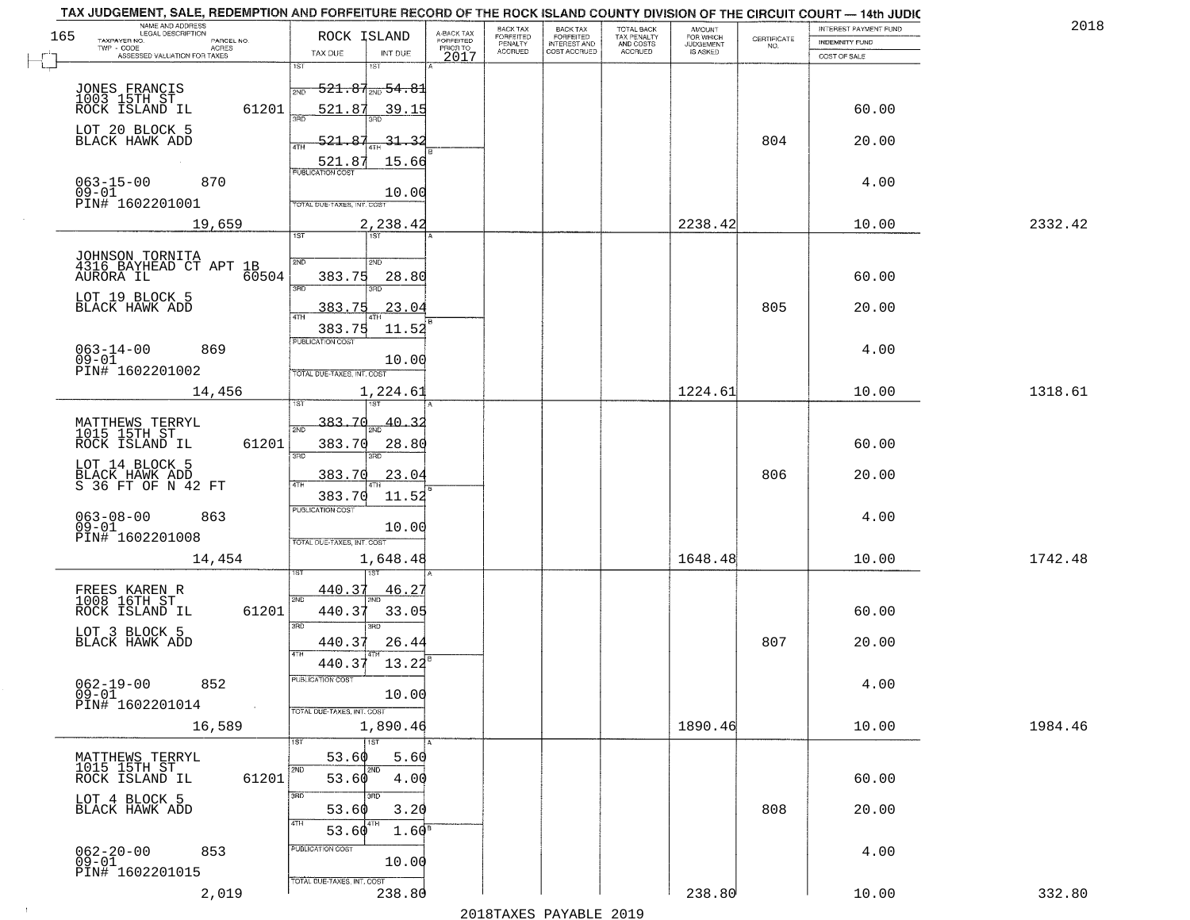|     | TAX JUDGEMENT, SALE, REDEMPTION AND FORFEITURE RECORD OF THE ROCK ISLAND COUNTY DIVISION OF THE CIRCUIT COURT - 14th JUDIC<br>NAME AND ADDRESS<br>LEGAL DESCRIPTION |                                                                        |                                                |                                     | BACK TAX             |                                       |                                        |                                  |                    | INTEREST PAYMENT FUND  | 2018    |
|-----|---------------------------------------------------------------------------------------------------------------------------------------------------------------------|------------------------------------------------------------------------|------------------------------------------------|-------------------------------------|----------------------|---------------------------------------|----------------------------------------|----------------------------------|--------------------|------------------------|---------|
| 165 | TAXPAYER NO.<br>PARCEL NO.                                                                                                                                          | ROCK ISLAND                                                            |                                                | A-BACK TAX<br>FORFEITED<br>PRIOR TO | FORFEITED<br>PENALTY | BACK TAX<br>FORFEITED<br>INTEREST AND | TOTAL BACK<br>TAX PENALTY<br>AND COSTS | AMOUNT<br>FOR WHICH<br>JUDGEMENT | CERTIFICATE<br>NO. | <b>INDEMNITY FUND</b>  |         |
|     | ACRES<br>ASSESSED VALUATION FOR TAXES                                                                                                                               | TAX DUE                                                                | INT DUE                                        | 2017                                | <b>ACCRUED</b>       | COST ACCRUED                          | <b>ACCRUED</b>                         | IS ASKED                         |                    | COST OF SALE           |         |
|     | JONES FRANCIS<br>1003 15TH ST<br>ROCK ISLAND IL<br>61201                                                                                                            | 1ST<br>2ND<br>521.87                                                   | 1ST<br>$-521.87_{\rm 2ND}$ 54.81<br>39.15      |                                     |                      |                                       |                                        |                                  |                    | 60.00                  |         |
|     | LOT 20 BLOCK 5<br>BLACK HAWK ADD                                                                                                                                    | 521.87<br>ATH<br>521.87                                                | 31.32<br>15.66                                 |                                     |                      |                                       |                                        |                                  | 804                | 20.00                  |         |
|     | $063 - 15 - 00$<br>870<br>$09 - 01$<br>PIN# 1602201001                                                                                                              | TOTAL DUE-TAXES, INT. COST                                             | 10.00                                          |                                     |                      |                                       |                                        |                                  |                    | 4.00                   |         |
|     | 19,659                                                                                                                                                              | 1ST                                                                    | 2,238.42                                       |                                     |                      |                                       |                                        | 2238.42                          |                    | 10.00                  | 2332.42 |
|     | JOHNSON TORNITA<br>4316_BAYHEAD CT APT 1B<br>60504<br>AURORA IL<br>LOT 19 BLOCK 5<br>BLACK HAWK ADD<br>$063 - 14 - 00$<br>869<br>$09 - 01$                          | 2ND<br>383.75<br>3RD<br>383.75<br>383.75<br>PUBLICATION COST           | 2ND<br>28.80<br>3RD<br>23.04<br>11.52<br>10.00 |                                     |                      |                                       |                                        |                                  | 805                | 60.00<br>20.00<br>4.00 |         |
|     | PIN# 1602201002<br>14,456                                                                                                                                           | TOTAL DUE-TAXES, INT. COST<br>is T                                     | 1,224.61                                       |                                     |                      |                                       |                                        | 1224.61                          |                    | 10.00                  | 1318.61 |
|     | MATTHEWS TERRYL<br>1015 15TH ST<br>ROCK ISLAND IL<br>61201<br>LOT 14 BLOCK 5                                                                                        | 383.70<br>2ND<br>383.70<br>3BD<br>383.70                               | 40.<br>28.80<br>3RD<br>23.04                   |                                     |                      |                                       |                                        |                                  | 806                | 60.00<br>20.00         |         |
|     | BLACK HAWK ADD<br>S 36 FT OF N 42 FT<br>$063 - 08 - 00$<br>863<br>$09 - 01$<br>PIN# 1602201008<br>14,454                                                            | 4TH<br>383.70<br><b>PUBLICATION COST</b><br>TOTAL OUE-TAXES, INT. COST | 11.52<br>10.00<br>1,648.48                     |                                     |                      |                                       |                                        | 1648.48                          |                    | 4.00<br>10.00          | 1742.48 |
|     |                                                                                                                                                                     |                                                                        | 151                                            |                                     |                      |                                       |                                        |                                  |                    |                        |         |
|     | FREES KAREN R<br>1008 16TH ST<br>ROCK ISLAND IL<br>61201<br>LOT 3 BLOCK 5<br>BLACK HAWK ADD                                                                         | 440.37<br>2ND<br>440.37<br>3 <sub>BD</sub><br>440.37                   | 46.2<br>33.05<br>3RD<br>26.44                  |                                     |                      |                                       |                                        |                                  | 807                | 60.00<br>20.00         |         |
|     | $062 - 19 - 00$<br>852<br>$09 - 01$<br>PIN# 1602201014<br>$\sim 100$ km s                                                                                           | 4TH<br>440.37<br>UBLICA HUN COS-<br>TOTAL DUE-TAXES, INT. COST         | 13.22<br>10.00                                 |                                     |                      |                                       |                                        |                                  |                    | 4.00                   |         |
|     | 16,589                                                                                                                                                              |                                                                        | 1,890.46                                       |                                     |                      |                                       |                                        | 1890.46                          |                    | 10.00                  | 1984.46 |
|     | MATTHEWS TERRYL<br>1015 15TH ST<br>61201<br>ROCK ISLAND IL                                                                                                          | 53.60<br>2ND<br>53.60<br>3RD                                           | 1ST<br>5.60<br>2ND<br>4.00                     |                                     |                      |                                       |                                        |                                  |                    | 60.00                  |         |
|     | LOT 4 BLOCK 5<br>BLACK HAWK ADD                                                                                                                                     | 53.60<br>4TH<br>53.60                                                  | 3.20<br>4TH<br>1.60 <sup>s</sup>               |                                     |                      |                                       |                                        |                                  | 808                | 20.00                  |         |
|     | $062 - 20 - 00$<br>853<br>09-01<br>PIN# 1602201015                                                                                                                  | PUBLICATION COST<br>TOTAL DUE-TAXES, INT. COST                         | 10.00                                          |                                     |                      |                                       |                                        |                                  |                    | 4.00                   |         |
|     | 2,019                                                                                                                                                               |                                                                        | 238.80                                         |                                     |                      |                                       |                                        | 238.80                           |                    | 10.00                  | 332.80  |

 $\sim 10$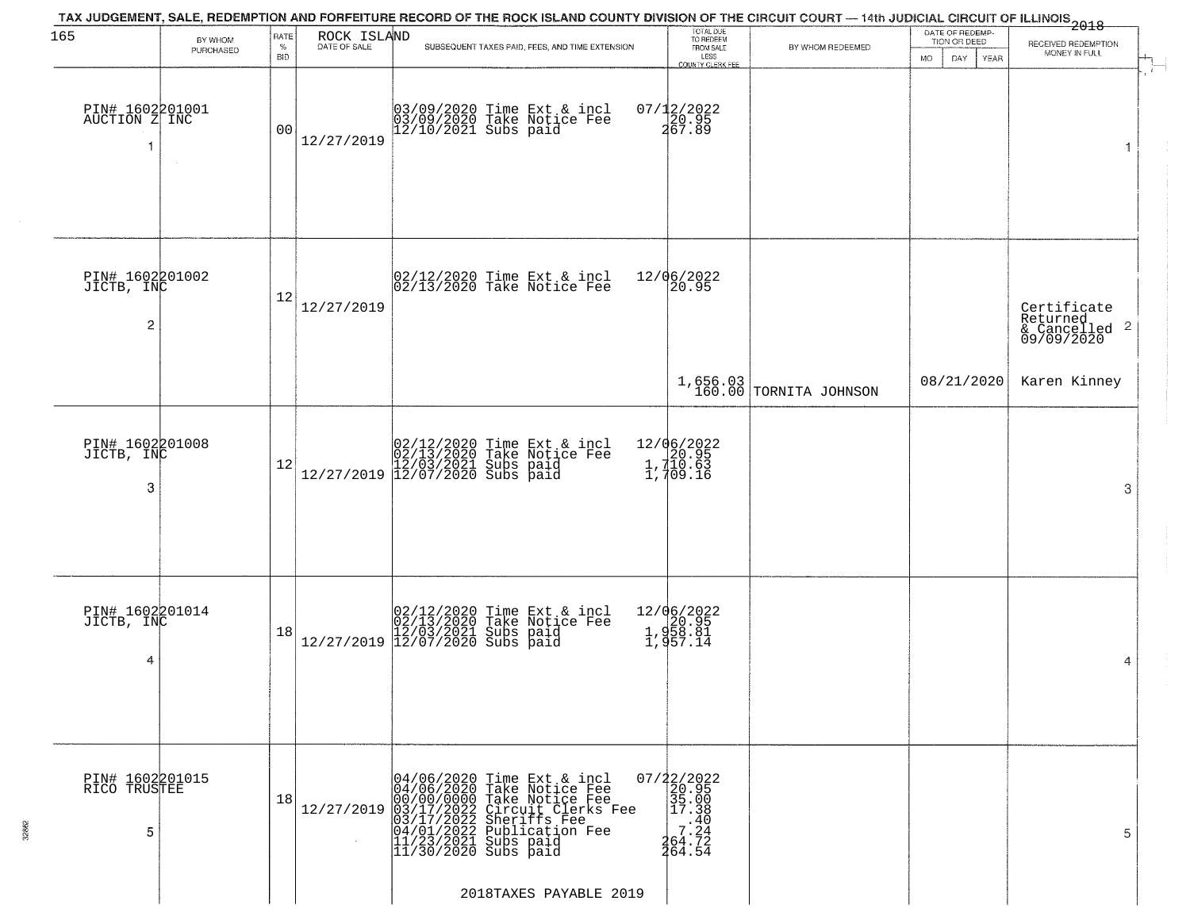| 165                                  | BY WHOM   | RATE               | ROCK ISLAND<br>DATE OF SALE | TAX JUDGEMENT, SALE, REDEMPTION AND FORFEITURE RECORD OF THE ROCK ISLAND COUNTY DIVISION OF THE CIRCUIT COURT — 14th JUDICIAL CIRCUIT OF ILLINOIS<br>2018 - The Contemporary of the Carolina County of the Circuit County of the | TOTAL DUE<br>TO REDEEM                                                                         |                            | DATE OF REDEMP-<br>TION OR DEED | RECEIVED REDEMPTION                                                |
|--------------------------------------|-----------|--------------------|-----------------------------|----------------------------------------------------------------------------------------------------------------------------------------------------------------------------------------------------------------------------------|------------------------------------------------------------------------------------------------|----------------------------|---------------------------------|--------------------------------------------------------------------|
|                                      | PURCHASED | $\%$<br><b>BID</b> |                             | SUBSEQUENT TAXES PAID, FEES, AND TIME EXTENSION                                                                                                                                                                                  | FROM SALE<br>LESS<br>COUNTY CLERK FEE                                                          | BY WHOM REDEEMED           | MO.<br>DAY<br><b>YEAR</b>       | MONEY IN FULL                                                      |
| PIN# 1602201001<br>AUCTION Z INC     | $\sim$    | 0 <sub>0</sub>     | 12/27/2019                  | 03/09/2020 Time Ext & incl<br>03/09/2020 Take Notice Fee<br>12/10/2021 Subs paid                                                                                                                                                 | 07/12/2022<br>20.95<br>267.89                                                                  |                            |                                 | 1                                                                  |
| PIN# 1602201002<br>JICTB, INC<br>2   |           | 12                 | 12/27/2019                  | 02/12/2020 Time Ext & incl<br>02/13/2020 Take Notice Fee                                                                                                                                                                         | 12/06/2022<br>20.95                                                                            |                            |                                 | Certificate<br>Returned<br>$\frac{1}{6}$ Cancelled 2<br>09/09/2020 |
|                                      |           |                    |                             |                                                                                                                                                                                                                                  |                                                                                                | $1,656.03$ TORNITA JOHNSON | 08/21/2020                      | Karen Kinney                                                       |
| PIN# 1602201008<br>JICTB, INC<br>3   |           | 12                 |                             | $[02/12/2020 \t\t Time Ext & incl02/13/2020 \tTake Notice Free12/27/2019 \t\t 12/03/2021 \tSubs paid12/27/2019 \t\t 12/07/2020 \tSubs paid$                                                                                      | 12/06/2022<br>20.95<br>1,710.63<br>1,709.16                                                    |                            |                                 | 3                                                                  |
| PIN# 1602201014<br>JICTB, INC<br>4   |           | 18                 |                             | $[02/12/2020 \t\t Time Ext & incl02/13/2020 \tTake Notice Free12/27/2019 \t\t 12/03/2021 \tSubs paid12/27/2019 \t\t 12/07/2020 \tSubs paid$                                                                                      | 12/06/2022<br>1,958.81<br>1,958.81                                                             |                            |                                 | 4                                                                  |
| PIN# 1602201015<br>RICO TRUSTEE<br>5 |           | 18                 | 12/27/2019                  | 04/06/2020 Time Ext & incl<br>04/06/2020 Take Notice Fee<br>00/00/0000 Take Notice Fee<br>03/17/2022 Circuit Clerks Fee<br>03/17/2022 Sheriffs Fee<br>04/01/2022 Publication Fee<br>11/23/2021 Subs paid<br>11/30/2020 Subs paid | 07/22/2022<br>20.95<br>35.00<br>35.00<br>7.340<br>7.242<br>464.724<br>7.242<br>7.242<br>264.54 |                            |                                 | 5                                                                  |
|                                      |           |                    |                             | 2018TAXES PAYABLE 2019                                                                                                                                                                                                           |                                                                                                |                            |                                 |                                                                    |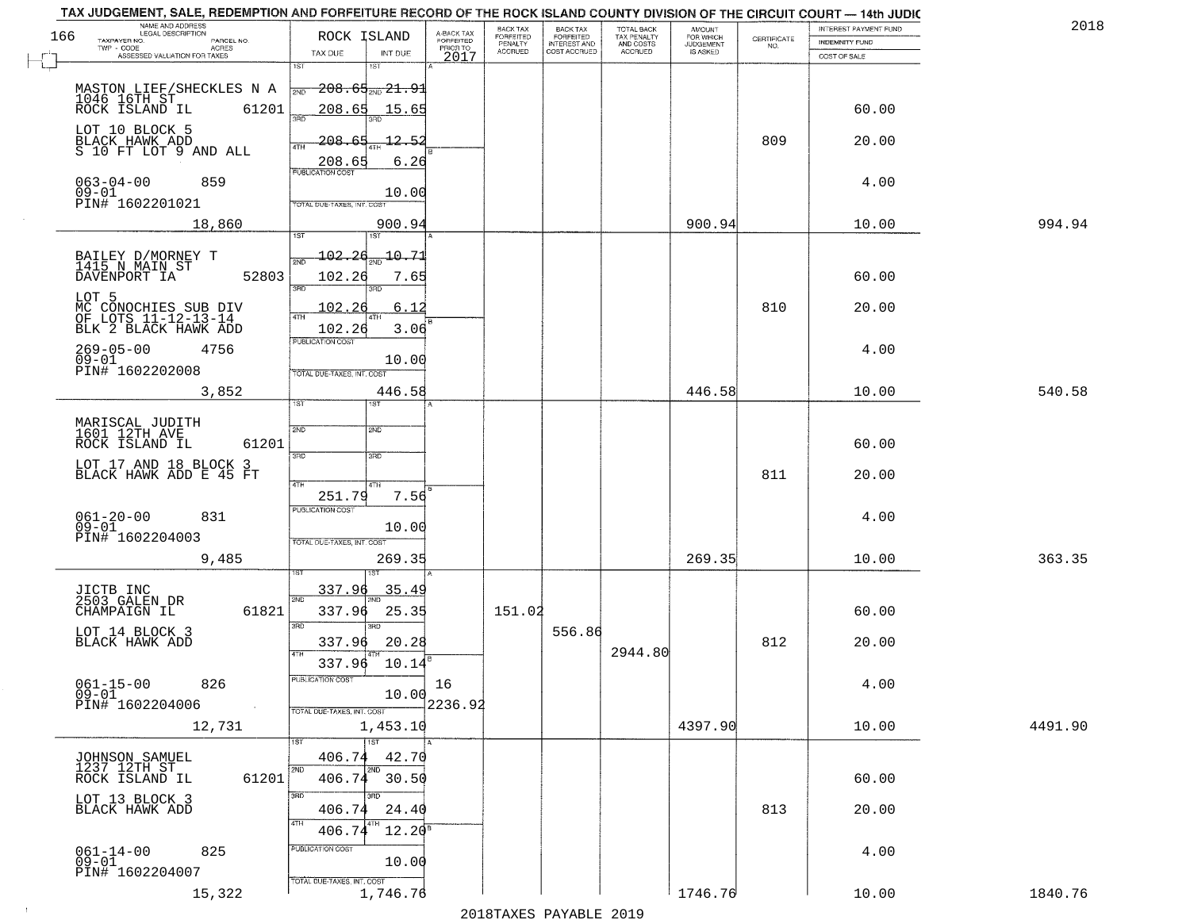|                                     | TAX JUDGEMENT, SALE, REDEMPTION AND FORFEITURE RECORD OF THE ROCK ISLAND COUNTY DIVISION OF THE CIRCUIT COURT - 14th JUDIC<br>NAME AND ADDRESS<br>LEGAL DESCRIPTION |                                   |                                     | BACK TAX             | <b>BACK TAX</b>                  |                                        |                                  |                                                                 | INTEREST PAYMENT FUND | 2018    |
|-------------------------------------|---------------------------------------------------------------------------------------------------------------------------------------------------------------------|-----------------------------------|-------------------------------------|----------------------|----------------------------------|----------------------------------------|----------------------------------|-----------------------------------------------------------------|-----------------------|---------|
| 166<br>TAXPAYER NO.                 | PARCEL NO.<br>ACRES                                                                                                                                                 | ROCK ISLAND                       | A-BACK TAX<br>FORFEITED<br>PRIOR TO | FORFEITED<br>PENALTY | FORFEITED<br><b>INTEREST AND</b> | TOTAL BACK<br>TAX PENALTY<br>AND COSTS | AMOUNT<br>FOR WHICH<br>JUDGEMENT | $\begin{array}{c} \text{CERTIFICATE} \\ \text{NO.} \end{array}$ | <b>INDEMNITY FUND</b> |         |
|                                     | ASSESSED VALUATION FOR TAXES                                                                                                                                        | TAX DUE                           | INT DUE<br>2017                     | <b>ACCRUED</b>       | COST ACCRUED                     | ACCRUED                                | IS ASKED                         |                                                                 | COST OF SALE          |         |
|                                     |                                                                                                                                                                     | 1ST<br>$1S$ T                     |                                     |                      |                                  |                                        |                                  |                                                                 |                       |         |
|                                     |                                                                                                                                                                     | $208.65$ <sub>21.91</sub><br>2ND  |                                     |                      |                                  |                                        |                                  |                                                                 |                       |         |
|                                     | MASTON LIEF/SHECKLES N A<br>1046 16TH ST<br>ROCK ISLAND IL 61201<br>61201                                                                                           | 208.65                            | 15.65                               |                      |                                  |                                        |                                  |                                                                 | 60.00                 |         |
|                                     |                                                                                                                                                                     | 350                               |                                     |                      |                                  |                                        |                                  |                                                                 |                       |         |
| LOT 10 BLOCK 5<br>BLACK HAWK ADD    |                                                                                                                                                                     | <u> 208.65</u>                    | 12.52                               |                      |                                  |                                        |                                  | 809                                                             | 20.00                 |         |
|                                     | S 10 FT LOT 9 AND ALL                                                                                                                                               | 4TH                               |                                     |                      |                                  |                                        |                                  |                                                                 |                       |         |
|                                     |                                                                                                                                                                     | 208.65                            | 6.26                                |                      |                                  |                                        |                                  |                                                                 |                       |         |
| $063 - 04 - 00$                     | 859                                                                                                                                                                 |                                   |                                     |                      |                                  |                                        |                                  |                                                                 | 4.00                  |         |
| $09 - 01$<br>PIN# 1602201021        |                                                                                                                                                                     | <b>TOTAL DUE-TAXES, INT. COST</b> | 10.00                               |                      |                                  |                                        |                                  |                                                                 |                       |         |
|                                     |                                                                                                                                                                     |                                   |                                     |                      |                                  |                                        |                                  |                                                                 |                       |         |
|                                     | 18,860                                                                                                                                                              | 1ST                               | 900.94                              |                      |                                  |                                        | 900.94                           |                                                                 | 10.00                 | 994.94  |
|                                     |                                                                                                                                                                     | 102.26                            | $-10.71$                            |                      |                                  |                                        |                                  |                                                                 |                       |         |
| BAILEY D/MORNEY T<br>1415 N MAIN ST |                                                                                                                                                                     | সাঁচ                              |                                     |                      |                                  |                                        |                                  |                                                                 |                       |         |
| DAVENPORT IA                        | 52803                                                                                                                                                               | 102.26<br>3RD                     | 7.65                                |                      |                                  |                                        |                                  |                                                                 | 60.00                 |         |
| LOT 5                               |                                                                                                                                                                     |                                   |                                     |                      |                                  |                                        |                                  |                                                                 |                       |         |
|                                     | MC CONOCHIES SUB DIV<br>OF LOTS 11-12-13-14                                                                                                                         | 102.26<br>ৰাম                     | 6.12                                |                      |                                  |                                        |                                  | 810                                                             | 20.00                 |         |
|                                     | BLK 2 BLACK HAWK ADD                                                                                                                                                | 102.26                            | 3.06                                |                      |                                  |                                        |                                  |                                                                 |                       |         |
| $269 - 05 - 00$                     | 4756                                                                                                                                                                | PUBLICATION COST                  |                                     |                      |                                  |                                        |                                  |                                                                 | 4.00                  |         |
| $09 - 01$<br>PIN# 1602202008        |                                                                                                                                                                     |                                   | 10.00                               |                      |                                  |                                        |                                  |                                                                 |                       |         |
|                                     |                                                                                                                                                                     | TOTAL DUE-TAXES, INT. COST        |                                     |                      |                                  |                                        |                                  |                                                                 |                       |         |
|                                     | 3,852                                                                                                                                                               | 1ST<br>1ST                        | 446.58                              |                      |                                  |                                        | 446.58                           |                                                                 | 10.00                 | 540.58  |
|                                     |                                                                                                                                                                     |                                   |                                     |                      |                                  |                                        |                                  |                                                                 |                       |         |
| MARISCAL JUDITH<br>1601 12TH AVE    |                                                                                                                                                                     | 2ND<br><b>2ND</b>                 |                                     |                      |                                  |                                        |                                  |                                                                 |                       |         |
| ROCK ISLAND IL                      | 61201                                                                                                                                                               |                                   |                                     |                      |                                  |                                        |                                  |                                                                 | 60.00                 |         |
|                                     | LOT 17 AND 18 BLOCK 3<br>BLACK HAWK ADD E 45 FT                                                                                                                     | 3RD<br>3RD                        |                                     |                      |                                  |                                        |                                  |                                                                 |                       |         |
|                                     |                                                                                                                                                                     | 4TH<br>4TH                        |                                     |                      |                                  |                                        |                                  | 811                                                             | 20.00                 |         |
|                                     |                                                                                                                                                                     | 251.79                            | 7.56                                |                      |                                  |                                        |                                  |                                                                 |                       |         |
|                                     | 831                                                                                                                                                                 | <b>PUBLICATION COST</b>           |                                     |                      |                                  |                                        |                                  |                                                                 | 4.00                  |         |
| $061 - 20 - 00$<br>09-01            |                                                                                                                                                                     |                                   | 10.00                               |                      |                                  |                                        |                                  |                                                                 |                       |         |
| PIN# 1602204003                     |                                                                                                                                                                     | TOTAL OUE-TAXES, INT. COST        |                                     |                      |                                  |                                        |                                  |                                                                 |                       |         |
|                                     | 9,485                                                                                                                                                               |                                   | 269.35                              |                      |                                  |                                        | 269.35                           |                                                                 | 10.00                 | 363.35  |
|                                     |                                                                                                                                                                     | IST.                              |                                     |                      |                                  |                                        |                                  |                                                                 |                       |         |
| JICTB INC<br>2503 GALEN DR          |                                                                                                                                                                     | 337.96<br>2ND                     | <u>35.49</u>                        |                      |                                  |                                        |                                  |                                                                 |                       |         |
| CHAMPAIGN IL                        | 61821                                                                                                                                                               | 337.96                            | 25.35                               | 151.02               |                                  |                                        |                                  |                                                                 | 60.00                 |         |
| LOT 14 BLOCK 3                      |                                                                                                                                                                     | 3RD<br>3RD                        |                                     |                      | 556.86                           |                                        |                                  |                                                                 |                       |         |
| BLACK HAWK ADD                      |                                                                                                                                                                     | 337.96<br>4TH                     | 20.28                               |                      |                                  | 2944.80                                |                                  | 812                                                             | 20.00                 |         |
|                                     |                                                                                                                                                                     | 337.96                            | 10.14                               |                      |                                  |                                        |                                  |                                                                 |                       |         |
|                                     | 826                                                                                                                                                                 | UBLICA HUN CUS                    | 16                                  |                      |                                  |                                        |                                  |                                                                 | 4.00                  |         |
| $061 - 15 - 00$<br>09-01            |                                                                                                                                                                     |                                   | 10.00                               |                      |                                  |                                        |                                  |                                                                 |                       |         |
| PIN# 1602204006                     | $\sim 10$                                                                                                                                                           | TOTAL DUE-TAXES, INT. COST        | 2236.92                             |                      |                                  |                                        |                                  |                                                                 |                       |         |
|                                     | 12,731                                                                                                                                                              |                                   | 1,453.10                            |                      |                                  |                                        | 4397.90                          |                                                                 | 10.00                 | 4491.90 |
|                                     |                                                                                                                                                                     | 1ST<br>1ST                        |                                     |                      |                                  |                                        |                                  |                                                                 |                       |         |
| JOHNSON SAMUEL<br>1237 12TH ST      |                                                                                                                                                                     | 406.74                            | 42.70                               |                      |                                  |                                        |                                  |                                                                 |                       |         |
| ROCK ISLAND IL                      | 61201                                                                                                                                                               | 2ND<br>2ND<br>$406.74$ 30.50      |                                     |                      |                                  |                                        |                                  |                                                                 | 60.00                 |         |
|                                     |                                                                                                                                                                     | 3RD<br>3BD                        |                                     |                      |                                  |                                        |                                  |                                                                 |                       |         |
| LOT 13 BLOCK 3<br>BLACK HAWK ADD    |                                                                                                                                                                     | 406.74                            | 24.40                               |                      |                                  |                                        |                                  | 813                                                             | 20.00                 |         |
|                                     |                                                                                                                                                                     | 4TH<br>406.74                     | $12.20^8$                           |                      |                                  |                                        |                                  |                                                                 |                       |         |
| $061 - 14 - 00$                     | 825                                                                                                                                                                 | PUBLICATION COST                  |                                     |                      |                                  |                                        |                                  |                                                                 | 4.00                  |         |
| $09 - 01$                           |                                                                                                                                                                     |                                   | 10.00                               |                      |                                  |                                        |                                  |                                                                 |                       |         |
| PIN# 1602204007                     |                                                                                                                                                                     | TOTAL DUE-TAXES, INT. COST        |                                     |                      |                                  |                                        |                                  |                                                                 |                       |         |
|                                     | 15,322                                                                                                                                                              |                                   | 1,746.76                            |                      |                                  |                                        | 1746.76                          |                                                                 | 10.00                 | 1840.76 |

 $\sim$  1  $^\circ$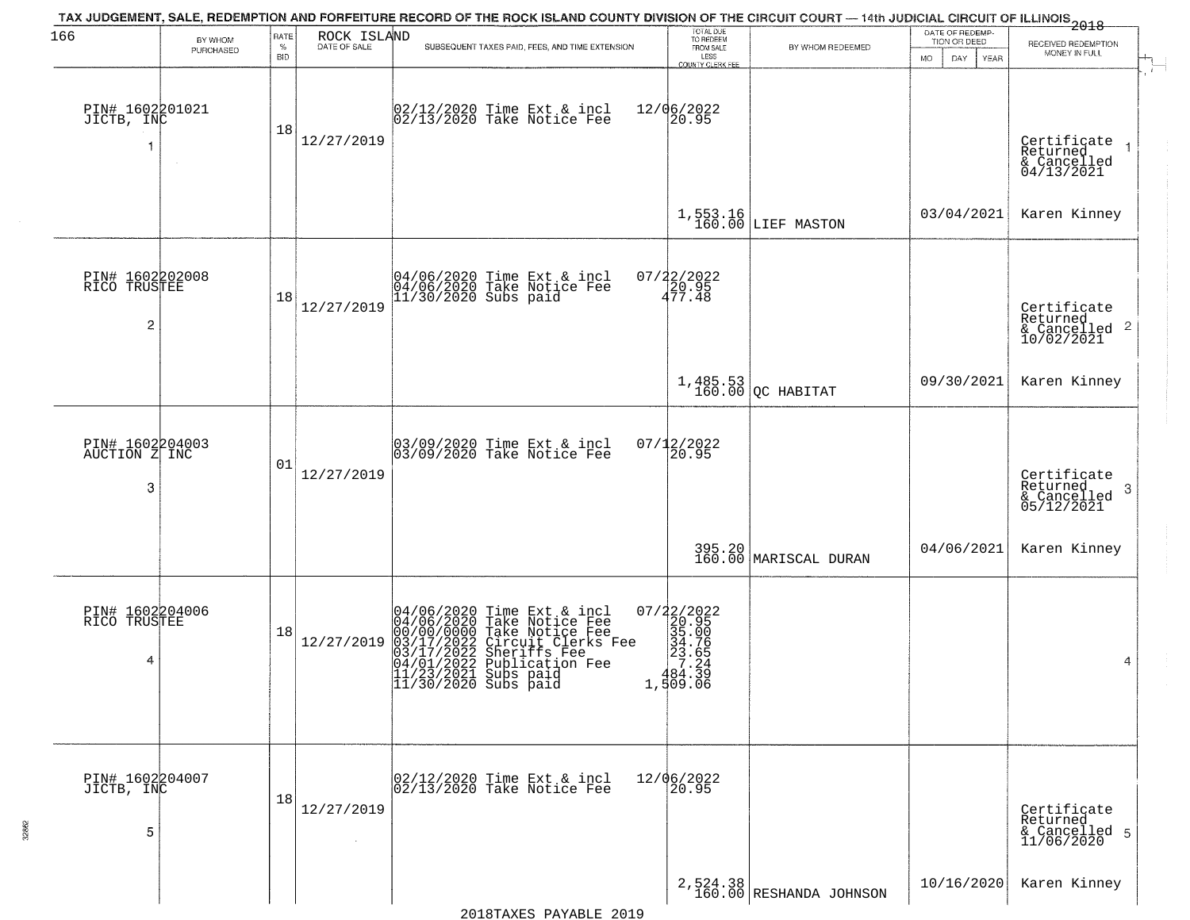| 166                                               | BY WHOM   | RATE               | ROCK ISLAND          | TAX JUDGEMENT, SALE, REDEMPTION AND FORFEITURE RECORD OF THE ROCK ISLAND COUNTY DIVISION OF THE CIRCUIT COURT — 14th JUDICIAL CIRCUIT OF ILLINOIS 2018                                                                                                                                                   | TOTAL DUE<br>TO REDEEM                |                                       | DATE OF REDEMP-<br>TION OR DEED | RECEIVED REDEMPTION                                                    |
|---------------------------------------------------|-----------|--------------------|----------------------|----------------------------------------------------------------------------------------------------------------------------------------------------------------------------------------------------------------------------------------------------------------------------------------------------------|---------------------------------------|---------------------------------------|---------------------------------|------------------------------------------------------------------------|
|                                                   | PURCHASED | $\%$<br><b>BID</b> | DATE OF SALE         | SUBSEQUENT TAXES PAID, FEES, AND TIME EXTENSION                                                                                                                                                                                                                                                          | FROM SALE<br>LESS<br>COUNTY CLERK FEE | BY WHOM REDEEMED                      | MO.<br>DAY.<br><b>YEAR</b>      | MONEY IN FULL                                                          |
| PIN# 1602201021<br>JICTB, INC                     |           | 18                 | 12/27/2019           | 02/12/2020 Time Ext & incl<br>02/13/2020 Take Notice Fee                                                                                                                                                                                                                                                 | 12/06/2022<br>20.95                   |                                       |                                 | Certificate<br>Returned<br>& Cancelled<br>04/13/2021                   |
|                                                   |           |                    |                      |                                                                                                                                                                                                                                                                                                          |                                       | $1,553.16$ LIEF MASTON                | 03/04/2021                      | Karen Kinney                                                           |
| PIN# 1602202008<br>RICO TRUSTEE<br>$\overline{c}$ |           | 18                 | 12/27/2019           | 04/06/2020 Time Ext & incl<br>04/06/2020 Take Notice Fee<br>11/30/2020 Subs paid                                                                                                                                                                                                                         | $07/22/2022$<br>$20.95$<br>$477.48$   |                                       |                                 | Certificate<br>Returned<br>$\overline{2}$<br>& Cancelled<br>10/02/2021 |
|                                                   |           |                    |                      |                                                                                                                                                                                                                                                                                                          |                                       | $1,485.53$ (20 HABITAT                | 09/30/2021                      | Karen Kinney                                                           |
| PIN# 1602204003<br>AUCTION Z INC<br>3             |           | 01                 | 12/27/2019           | 03/09/2020 Time Ext & incl<br>03/09/2020 Take Notice Fee                                                                                                                                                                                                                                                 | $07/12/2022$<br>20.95                 |                                       |                                 | Certificate<br>Returned<br>3<br>$\frac{6}{05/12/2021}$                 |
|                                                   |           |                    |                      |                                                                                                                                                                                                                                                                                                          |                                       | 395.20<br>160.00 MARISCAL DURAN       | 04/06/2021                      | Karen Kinney                                                           |
| PIN# 1602204006<br>RICO TRUSTEE<br>4              |           | 18                 | 12/27/2019           | 04/06/2020 Time Ext &<br>04/06/2020 Take Notic<br>00/00/0000 Take Notic<br>03/17/2022 Circuit Cl<br>04/01/2022 Sublicatic<br>11/23/2021 Subs paid<br>11/30/2020 Subs paid<br>Time Ext & incl<br>Take Notice Fee<br>Take Notice Fee<br>Circuit Clerks Fee<br>Sheriffs Fee<br>Publication Fee<br>Subs paid |                                       |                                       |                                 | 4                                                                      |
| PIN# 1602204007<br>JICTB, INC<br>5                |           | 18                 | 12/27/2019<br>$\sim$ | 02/12/2020 Time Ext & incl<br>02/13/2020 Take Notice Fee                                                                                                                                                                                                                                                 | 12/06/2022<br>20.95                   |                                       |                                 | Certificate<br>Returned<br>& Cancelled 5<br>11/06/2020                 |
|                                                   |           |                    |                      |                                                                                                                                                                                                                                                                                                          |                                       | $2,524.38$<br>160.00 RESHANDA JOHNSON | 10/16/2020                      | Karen Kinney                                                           |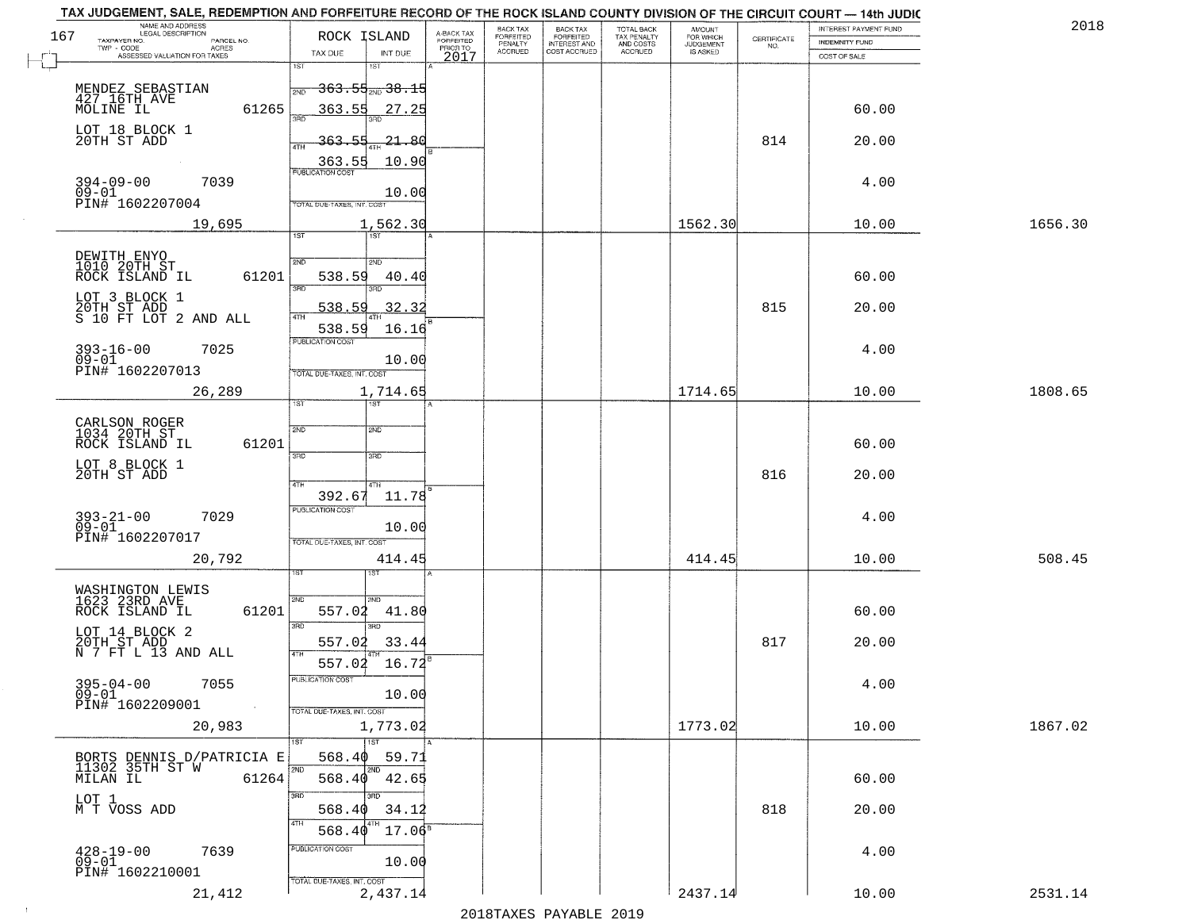|     | TAX JUDGEMENT, SALE, REDEMPTION AND FORFEITURE RECORD OF THE ROCK ISLAND COUNTY DIVISION OF THE CIRCUIT COURT - 14th JUDIC<br>NAME AND ADDRESS<br>LEGAL DESCRIPTION |                                              |                                     | BACK TAX             | <b>BACK TAX</b>           |                                        |                                  |                    | INTEREST PAYMENT FUND | 201     |
|-----|---------------------------------------------------------------------------------------------------------------------------------------------------------------------|----------------------------------------------|-------------------------------------|----------------------|---------------------------|----------------------------------------|----------------------------------|--------------------|-----------------------|---------|
| 167 | TAXPAYER NO.<br>PARCEL NO.<br>ACRES                                                                                                                                 | ROCK ISLAND                                  | A-BACK TAX<br>FORFEITED<br>PRIOR TO | FORFEITED<br>PENALTY | FORFEITED<br>INTEREST AND | TOTAL BACK<br>TAX PENALTY<br>AND COSTS | AMOUNT<br>FOR WHICH<br>JUDGEMENT | CERTIFICATE<br>NO. | <b>INDEMNITY FUND</b> |         |
|     | ASSESSED VALUATION FOR TAXES                                                                                                                                        | TAX DUE                                      | INT DUE<br>2017                     | <b>ACCRUED</b>       | COST ACCRUED              | ACCRUED                                | <b>IS ASKED</b>                  |                    | COST OF SALE          |         |
|     |                                                                                                                                                                     | 1ST<br><del>363.55<sub>2ND</sub> 38.15</del> |                                     |                      |                           |                                        |                                  |                    |                       |         |
|     | MENDEZ SEBASTIAN<br>427_16TH_AVE<br>61265<br>MOLINE IL                                                                                                              | 2ND<br>363.55 27.25                          |                                     |                      |                           |                                        |                                  |                    | 60.00                 |         |
|     | LOT 18 BLOCK 1<br>20TH ST ADD                                                                                                                                       | 363.55                                       | -21.80                              |                      |                           |                                        |                                  | 814                | 20.00                 |         |
|     |                                                                                                                                                                     | 363.55                                       | 10.90                               |                      |                           |                                        |                                  |                    |                       |         |
|     | $394 - 09 - 00$<br>7039<br>$09 - 01$                                                                                                                                |                                              | 10.00                               |                      |                           |                                        |                                  |                    | 4.00                  |         |
|     | PIN# 1602207004                                                                                                                                                     | <b>TOTAL DUE-TAXES, INT. COST</b>            |                                     |                      |                           |                                        |                                  |                    |                       |         |
|     | 19,695                                                                                                                                                              | 1ST                                          | 1,562.30                            |                      |                           |                                        | 1562.30                          |                    | 10.00                 | 1656.30 |
|     | DEWITH ENYO<br>1010 20TH ST                                                                                                                                         | 2ND<br>2ND                                   |                                     |                      |                           |                                        |                                  |                    |                       |         |
|     | 61201<br>ROCK ISLAND IL                                                                                                                                             | 538.59<br><b>उस</b> र्<br>3RD                | 40.40                               |                      |                           |                                        |                                  |                    | 60.00                 |         |
|     | LOT 3 BLOCK 1<br>20TH ST ADD<br>S 10 FT LOT 2 AND ALL                                                                                                               | 538.59                                       | 32.32                               |                      |                           |                                        |                                  | 815                | 20.00                 |         |
|     |                                                                                                                                                                     | 538.59<br>PUBLICATION COST                   | 16.16                               |                      |                           |                                        |                                  |                    |                       |         |
|     | $393 - 16 - 00$<br>7025<br>$09 - 01$                                                                                                                                |                                              | 10.00                               |                      |                           |                                        |                                  |                    | 4.00                  |         |
|     | PIN# 1602207013<br>26,289                                                                                                                                           | TOTAL DUE-TAXES, INT. COST                   | 1,714.65                            |                      |                           |                                        | 1714.65                          |                    | 10.00                 | 1808.65 |
|     |                                                                                                                                                                     | īST<br>1ST                                   |                                     |                      |                           |                                        |                                  |                    |                       |         |
|     | CARLSON ROGER<br>1034 20TH ST                                                                                                                                       | 2ND<br>2ND                                   |                                     |                      |                           |                                        |                                  |                    |                       |         |
|     | ROCK ISLAND IL<br>61201<br>LOT 8 BLOCK 1                                                                                                                            | 3RD<br>3RD                                   |                                     |                      |                           |                                        |                                  |                    | 60.00                 |         |
|     | 20TH ST ADD                                                                                                                                                         | 4TH<br>4TH<br>392.67                         | 11.78                               |                      |                           |                                        |                                  | 816                | 20.00                 |         |
|     | $393 - 21 - 00$<br>09-01<br>7029                                                                                                                                    | <b>PUBLICATION COST</b>                      |                                     |                      |                           |                                        |                                  |                    | 4.00                  |         |
|     | PIN# 1602207017                                                                                                                                                     | TOTAL OUE-TAXES, INT. COST                   | 10.00                               |                      |                           |                                        |                                  |                    |                       |         |
|     | 20,792                                                                                                                                                              |                                              | 414.45                              |                      |                           |                                        | 414.45                           |                    | 10.00                 | 508.45  |
|     | WASHINGTON LEWIS<br>1623 23RD AVE                                                                                                                                   |                                              |                                     |                      |                           |                                        |                                  |                    |                       |         |
|     | ROCK ISLAND IL<br>61201                                                                                                                                             | 2ND<br>2ND.<br>557.02                        | 41.80                               |                      |                           |                                        |                                  |                    | 60.00                 |         |
|     | LOT 14 BLOCK 2<br>20TH ST ADD<br>N 7 FT L 13 AND ALL                                                                                                                | 3RD<br>3BD<br>557.02                         | 33.44                               |                      |                           |                                        |                                  | 817                | 20.00                 |         |
|     |                                                                                                                                                                     | 4TH<br>$557.02 \quad 16.72$                  |                                     |                      |                           |                                        |                                  |                    |                       |         |
|     | $395 - 04 - 00$<br>7055<br>09–01                                                                                                                                    | -usuca i un cus-                             | 10.00                               |                      |                           |                                        |                                  |                    | 4.00                  |         |
|     | PIN# 1602209001<br>$\sim 100$<br>20,983                                                                                                                             | TOTAL DUE-TAXES, INT. COST<br>1,773.02       |                                     |                      |                           |                                        | 1773.02                          |                    | 10.00                 | 1867.02 |
|     |                                                                                                                                                                     | 1ST                                          |                                     |                      |                           |                                        |                                  |                    |                       |         |
|     | BORTS DENNIS D/PATRICIA E<br>11302 35TH ST W<br>MILAN IL 61264                                                                                                      | 568.40<br>2ND<br>568.40                      | 59.71<br>42.65                      |                      |                           |                                        |                                  |                    | 60.00                 |         |
|     |                                                                                                                                                                     | 3RD<br>חחי                                   |                                     |                      |                           |                                        |                                  |                    |                       |         |
|     | LOT 1<br>M T VOSS ADD                                                                                                                                               | 568.40<br>4TH                                | 34.12                               |                      |                           |                                        |                                  | 818                | 20.00                 |         |
|     | 7639                                                                                                                                                                | 568.40<br>PUBLICATION COST                   | $17.06^{\rm s}$                     |                      |                           |                                        |                                  |                    | 4.00                  |         |
|     |                                                                                                                                                                     |                                              |                                     |                      |                           |                                        |                                  |                    |                       |         |
|     | 428-19-00<br>09-01<br>PIN# 1602210001                                                                                                                               | TOTAL DUE-TAXES, INT. COST                   | 10.00                               |                      |                           |                                        |                                  |                    |                       |         |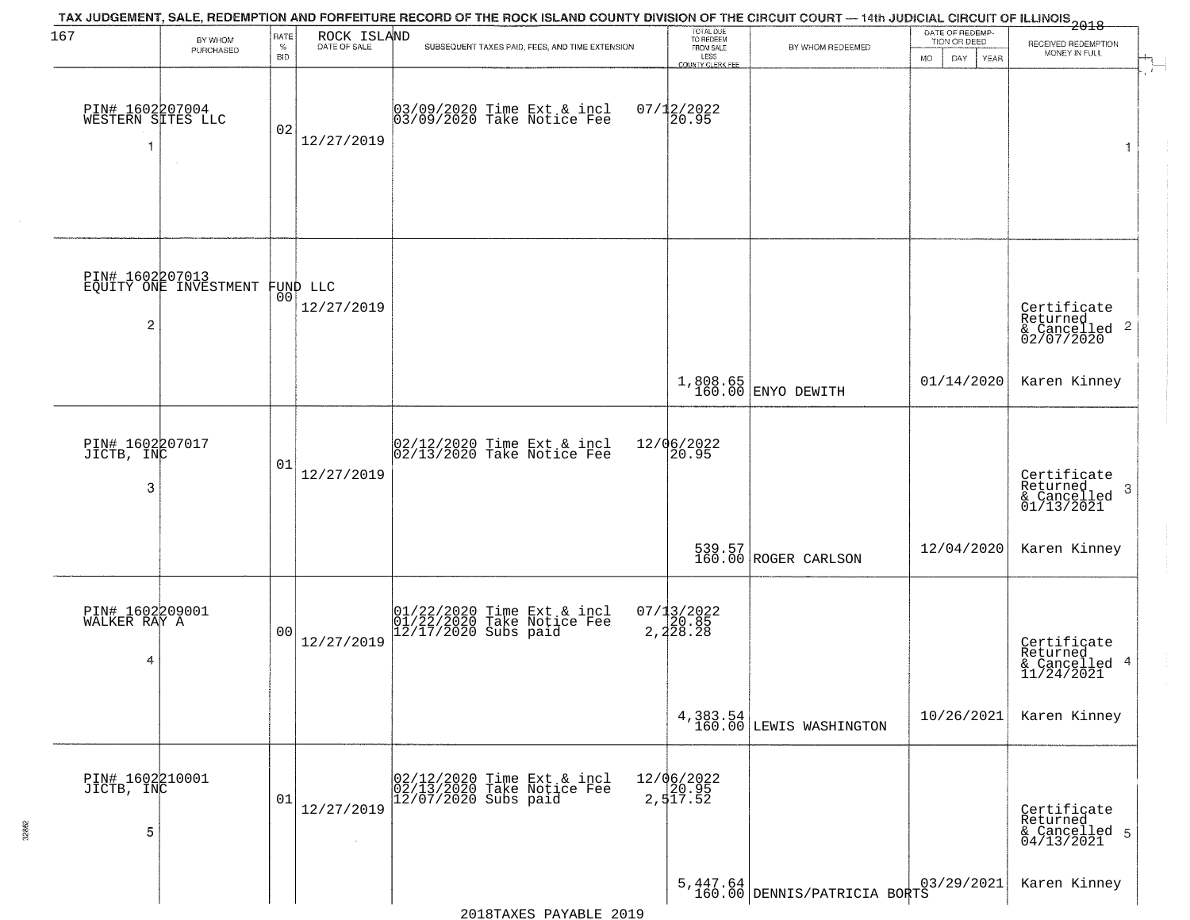| 167                                  | BY WHOM<br>PURCHASED                              | RATE<br>$\%$<br><b>BID</b> | ROCK ISLAND<br>DATE OF SALE | TAX JUDGEMENT, SALE, REDEMPTION AND FORFEITURE RECORD OF THE ROCK ISLAND COUNTY DIVISION OF THE CIRCUIT COURT — 14th JUDICIAL CIRCUIT OF ILLINOIS 2018<br>SUBSEQUENT TAXES PAID, FEES, AND TIME EXTENSION | TOTAL DUE<br>TO REDEEM<br>FROM SALE<br>LESS<br>COUNTY CLERK FEE | BY WHOM REDEEMED                         | DATE OF REDEMP-<br>TION OR DEED<br>MO.<br>DAY.<br><b>YEAR</b> | RECEIVED REDEMPTION<br>MONEY IN FULL                               |
|--------------------------------------|---------------------------------------------------|----------------------------|-----------------------------|-----------------------------------------------------------------------------------------------------------------------------------------------------------------------------------------------------------|-----------------------------------------------------------------|------------------------------------------|---------------------------------------------------------------|--------------------------------------------------------------------|
| PIN# 1602207004<br>WESTERN SITES LLC |                                                   | 02                         | 12/27/2019                  | 03/09/2020 Time Ext & incl<br>03/09/2020 Take Notice Fee                                                                                                                                                  | $07/12/2022$<br>20.95                                           |                                          |                                                               | 1                                                                  |
| $\overline{c}$                       | PIN# 1602207013<br>EQUITY ONE INVESTMENT FUND LLC |                            | 12/27/2019                  |                                                                                                                                                                                                           |                                                                 |                                          |                                                               | Certificate<br>Returned<br>$\frac{1}{6}$ Cancelled 2<br>02/07/2020 |
|                                      |                                                   |                            |                             |                                                                                                                                                                                                           |                                                                 | 1,808.65<br>160.00 ENYO DEWITH           | 01/14/2020                                                    | Karen Kinney                                                       |
| PIN# 1602207017<br>JICTB, INC<br>3   |                                                   | 01                         | 12/27/2019                  | 02/12/2020 Time Ext & incl<br>02/13/2020 Take Notice Fee                                                                                                                                                  | 12/06/2022<br>20.95                                             |                                          |                                                               | Certificate<br>Returned<br>-3<br>$\frac{1}{01/13/2021}$            |
|                                      |                                                   |                            |                             |                                                                                                                                                                                                           |                                                                 | 539.57<br>160.00 ROGER CARLSON           | 12/04/2020                                                    | Karen Kinney                                                       |
| PIN# 1602209001<br>WALKER RAY A<br>4 |                                                   | 0 <sub>0</sub>             | 12/27/2019                  | 01/22/2020 Time Ext & incl<br>01/22/2020 Take Notice Fee<br>12/17/2020 Subs paid                                                                                                                          | $07/13/2022$<br>20.85<br>2,228.28                               |                                          |                                                               | Certificate<br>Returned<br>& Cancelled 4<br>11/24/2021             |
|                                      |                                                   |                            |                             |                                                                                                                                                                                                           |                                                                 | 4,383.54<br>160.00 LEWIS WASHINGTON      | 10/26/2021                                                    | Karen Kinney                                                       |
| PIN# 1602210001<br>JICTB, INC<br>5   |                                                   | 01                         | 12/27/2019                  | 02/12/2020 Time Ext & incl<br>02/13/2020 Take Notice Fee<br>$12/07/2020$ Subs paid                                                                                                                        | 12/06/2022<br>20.95<br>2,517.52                                 |                                          |                                                               | Certificate<br>Returned<br>& Cancelled 5<br>04/13/2021             |
|                                      |                                                   |                            |                             |                                                                                                                                                                                                           |                                                                 | 5,447.64<br>160.00 DENNIS/PATRICIA BORTS |                                                               | Karen Kinney                                                       |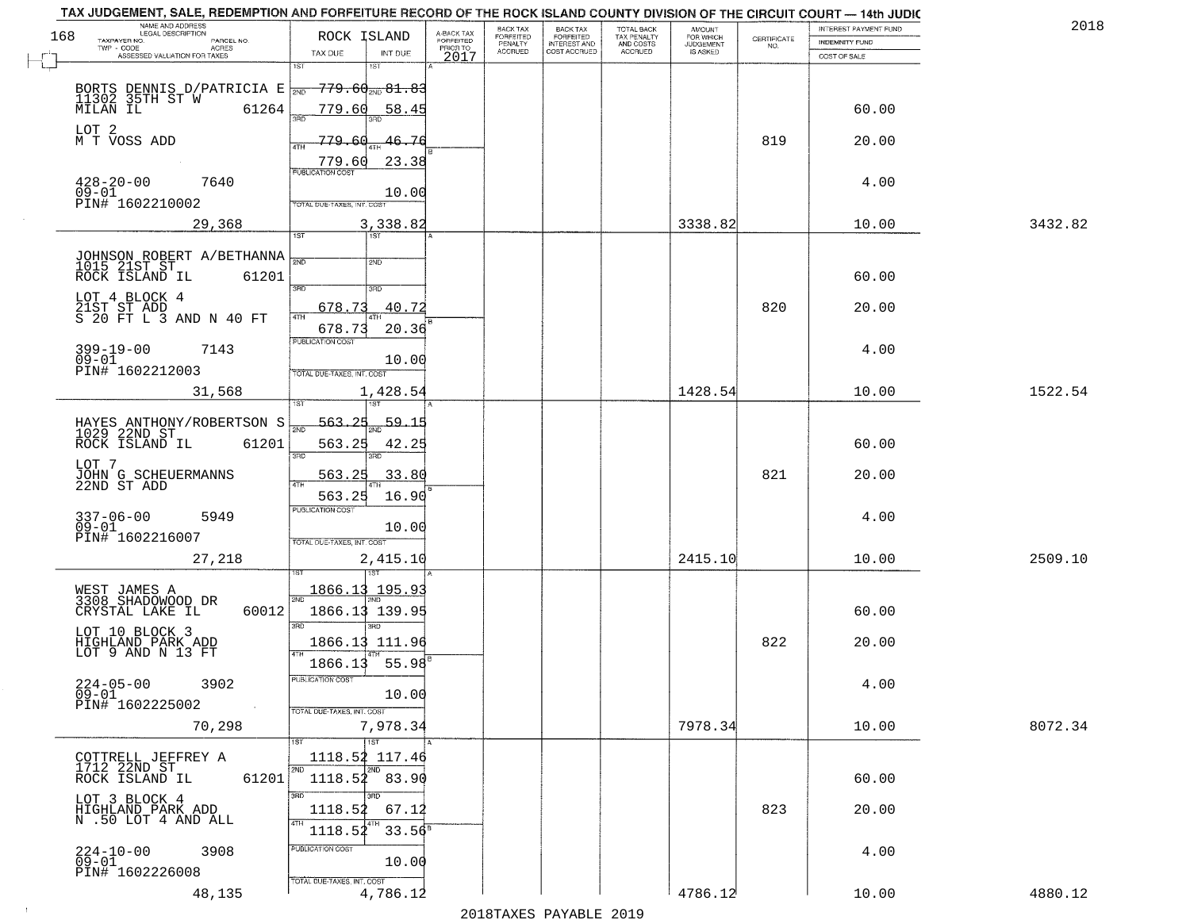| NAME AND ADDRESS<br>LEGAL DESCRIPTION<br>168                          | ROCK ISLAND                                                        |                                     | BACK TAX                               | <b>BACK TAX</b>           | TOTAL BACK<br>TAX PENALTY<br>AND COSTS | AMOUNT<br>FOR WHICH                 |                                                                 | INTEREST PAYMENT FUND | 2018    |
|-----------------------------------------------------------------------|--------------------------------------------------------------------|-------------------------------------|----------------------------------------|---------------------------|----------------------------------------|-------------------------------------|-----------------------------------------------------------------|-----------------------|---------|
| TAXPAYER NO.<br>PARCEL NO.<br>ACRES                                   |                                                                    | A-BACK TAX<br>FORFEITED<br>PRIOR TO | FORFEITED<br>PENALTY<br><b>ACCRUED</b> | FORFEITED<br>INTEREST AND | ACCRUED                                | <b>JUDGEMENT</b><br><b>IS ASKED</b> | $\begin{array}{c} \text{CERTIFICATE} \\ \text{NO.} \end{array}$ | <b>INDEMNITY FUND</b> |         |
| ASSESSED VALUATION FOR TAXES                                          | TAX DUE<br>INT DUE<br>1ST<br>1ST                                   | 2017                                |                                        | COST ACCRUED              |                                        |                                     |                                                                 | COST OF SALE          |         |
| BORTS DENNIS D/PATRICIA E NOTE 11302 35TH ST W 61264                  | <del>779.60 mg 81.83</del><br>779.60<br>58.45                      |                                     |                                        |                           |                                        |                                     |                                                                 | 60.00                 |         |
| LOT 2                                                                 | 76                                                                 |                                     |                                        |                           |                                        |                                     | 819                                                             |                       |         |
| M T VOSS ADD                                                          | 779.60<br>ATH<br>23.38<br>779.60<br><b>PUBLICATION COST</b>        |                                     |                                        |                           |                                        |                                     |                                                                 | 20.00                 |         |
| $428 - 20 - 00$<br>7640<br>$09 - 01$<br>PIN# 1602210002               | 10.00<br>TOTAL DUE-TAXES, INT. COST                                |                                     |                                        |                           |                                        |                                     |                                                                 | 4.00                  |         |
| 29,368                                                                | 3,338.82<br>1ST                                                    |                                     |                                        |                           |                                        | 3338.82                             |                                                                 | 10.00                 | 3432.82 |
| JOHNSON ROBERT A/BETHANNA<br>1015 21ST ST<br>ROCK ISLAND IL<br>61201  | সাঁচ<br>2ND<br>3RD<br>3RD                                          |                                     |                                        |                           |                                        |                                     |                                                                 | 60.00                 |         |
| LOT 4 BLOCK 4<br>21ST ST ADD<br>S 20 FT L 3 AND N 40 FT               | 40.72<br>678.73<br>ৰাম<br>678.73<br>20.36                          |                                     |                                        |                           |                                        |                                     | 820                                                             | 20.00                 |         |
| $399 - 19 - 00$<br>7143<br>$09 - 01$<br>PIN# 1602212003               | PUBLICATION COST<br>10.00<br>TOTAL DUE-TAXES, INT. COST            |                                     |                                        |                           |                                        |                                     |                                                                 | 4.00                  |         |
| 31,568                                                                | 1,428.54<br>1ST                                                    |                                     |                                        |                           |                                        | 1428.54                             |                                                                 | 10.00                 | 1522.54 |
| HAYES ANTHONY/ROBERTSON S<br>1029 22ND ST<br>ROCK ISLAND IL<br>61201  | -563.25<br><u>59.15</u><br>2ND<br>563.25<br>42.25<br>3BD<br>3RD    |                                     |                                        |                           |                                        |                                     |                                                                 | 60.00                 |         |
| LOT 7<br>JOHN G SCHEUERMANNS<br>22ND ST ADD                           | 33.80<br><u>563.25</u><br>563.25<br>16.90                          |                                     |                                        |                           |                                        |                                     | 821                                                             | 20.00                 |         |
| $337 - 06 - 00$<br>5949<br>$09 - 01$<br>PIN# 1602216007               | <b>PUBLICATION COST</b><br>10.00<br>TOTAL OUE-TAXES, INT. COST     |                                     |                                        |                           |                                        |                                     |                                                                 | 4.00                  |         |
| 27,218                                                                | 2,415.10                                                           |                                     |                                        |                           |                                        | 2415.10                             |                                                                 | 10.00                 | 2509.10 |
| WEST JAMES A<br>3308 SHADOWOOD DR<br>CRYSTAL LAKE IL<br>60012         | 1866.13 195.93<br>2ND<br>1866.13 139.95<br>$\overline{\text{3BD}}$ |                                     |                                        |                           |                                        |                                     |                                                                 | 60.00                 |         |
| LOT 10 BLOCK 3<br>HIGHLAND PARK ADD<br>LOT 9 AND N 13 FT              | 1866.13 111.96<br>55.98<br>1866.13                                 |                                     |                                        |                           |                                        |                                     | 822                                                             | 20.00                 |         |
| $224 - 05 - 00$<br>3902<br>$09 - 01$<br>PIN# 1602225002<br>$\sim 100$ | "UBLICA HUN CUS"<br>10.00<br>TOTAL DUE-TAXES, INT. COST            |                                     |                                        |                           |                                        |                                     |                                                                 | 4.00                  |         |
| 70,298                                                                | 7,978.34<br><b>TST</b>                                             |                                     |                                        |                           |                                        | 7978.34                             |                                                                 | 10.00                 | 8072.34 |
| COTTRELL JEFFREY A<br>1712 22ND ST<br>61201<br>ROCK ISLAND IL         | 1118.52 117.46<br>2ND<br>2ND<br>$1118.52$ 83.90                    |                                     |                                        |                           |                                        |                                     |                                                                 | 60.00                 |         |
| LOT 3 BLOCK 4<br>HIGHLAND PARK ADD<br>N .50 LOT 4 AND ALL             | 3BD<br>1118.52<br>67.12<br>  4TH<br>1118.52<br>$33.56^8$           |                                     |                                        |                           |                                        |                                     | 823                                                             | 20.00                 |         |
| 224-10-00<br>09-01<br>3908<br>PIN# 1602226008                         | <b>PUBLICATION COST</b><br>10.00<br>TOTAL DUE-TAXES, INT. COST     |                                     |                                        |                           |                                        |                                     |                                                                 | 4.00                  |         |
| 48,135                                                                | 4,786.12                                                           |                                     |                                        |                           |                                        | 4786.12                             |                                                                 | 10.00                 | 4880.12 |

 $\sim 10^{-1}$ 

2018TAXES PAYABLE 2019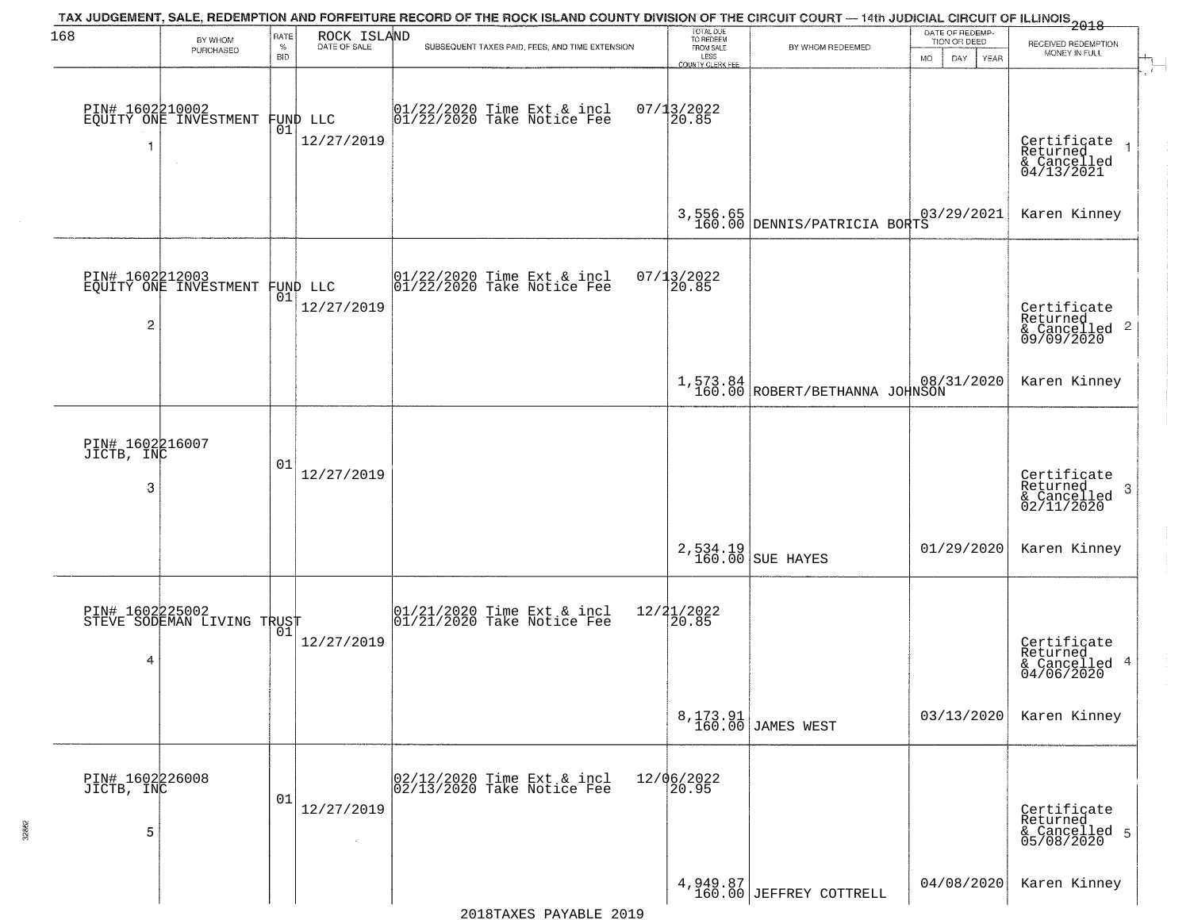| 168                                | BY WHOM<br>PURCHASED                              | RATE<br>$\%$     | ROCK ISLAND<br>DATE OF SALE | TAX JUDGEMENT, SALE, REDEMPTION AND FORFEITURE RECORD OF THE ROCK ISLAND COUNTY DIVISION OF THE CIRCUIT COURT — 14th JUDICIAL CIRCUIT OF ILLINOIS 2018<br>SUBSEQUENT TAXES PAID, FEES, AND TIME EXTENSION | TOTAL DUE<br>TO REDEEM<br>FROM SALE               | BY WHOM REDEEMED                           | DATE OF REDEMP-<br>TION OR DEED  | RECEIVED REDEMPTION<br>MONEY IN FULL                                   |
|------------------------------------|---------------------------------------------------|------------------|-----------------------------|-----------------------------------------------------------------------------------------------------------------------------------------------------------------------------------------------------------|---------------------------------------------------|--------------------------------------------|----------------------------------|------------------------------------------------------------------------|
|                                    | PIN# 1602210002<br>EQUITY ONE INVESTMENT          | <b>BID</b><br>01 | FUND LLC<br>12/27/2019      | 01/22/2020 Time Ext & incl<br>01/22/2020 Take Notice Fee                                                                                                                                                  | LESS<br>COUNTY CLERK FEE<br>$07/13/2022$<br>20.85 |                                            | DAY.<br><b>MO</b><br><b>YEAR</b> | Certificate<br>Returned                                                |
|                                    |                                                   |                  |                             |                                                                                                                                                                                                           |                                                   | 3,556.65<br>160.00 DENNIS/PATRICIA BORTS   |                                  | & Cancelled<br>04/13/2021<br>Karen Kinney                              |
| $\overline{c}$                     | PIN# 1602212003<br>EQUITY ONE INVESTMENT FUND LLC |                  | 12/27/2019                  | 01/22/2020 Time Ext & incl<br>01/22/2020 Take Notice Fee                                                                                                                                                  | $07/13/2022$<br>20.85                             |                                            |                                  | Certificate<br>Returned<br>$\frac{1}{2}$ Cancelled 2<br>09/09/2020     |
|                                    |                                                   |                  |                             |                                                                                                                                                                                                           |                                                   | 1,573.84<br>160.00 ROBERT/BETHANNA JOHNSON | 08/31/2020                       | Karen Kinney                                                           |
| PIN# 1602216007<br>JICTB, INC<br>3 |                                                   | 01               | 12/27/2019                  |                                                                                                                                                                                                           |                                                   |                                            |                                  | Certificate<br>Returned<br>-3<br>$\frac{1}{2}$ Cancelled<br>02/11/2020 |
|                                    |                                                   |                  |                             |                                                                                                                                                                                                           |                                                   | 2,534.19<br>160.00 SUE HAYES               | 01/29/2020                       | Karen Kinney                                                           |
| 4                                  | PIN# 1602225002<br>STEVE SODEMAN LIVING TRUST     |                  | 12/27/2019                  | 01/21/2020 Time Ext & incl<br>01/21/2020 Take Notice Fee                                                                                                                                                  | 12/21/2022<br>$\overline{20.85}$                  |                                            |                                  | Certificate<br>Returned<br>& Cancelled 4<br>04/06/2020                 |
|                                    |                                                   |                  |                             |                                                                                                                                                                                                           |                                                   | 8,173.91<br>160.00 JAMES WEST              | 03/13/2020                       | Karen Kinney                                                           |
| PIN# 1602226008<br>JICTB, INC<br>5 |                                                   | 01               | 12/27/2019                  | 02/12/2020 Time Ext & incl<br>02/13/2020 Take Notice Fee                                                                                                                                                  | 12/06/2022<br>20.95                               |                                            |                                  | Certificate<br>Returned<br>& Cancelled 5<br>05/08/2020                 |
|                                    |                                                   |                  |                             |                                                                                                                                                                                                           |                                                   | 4,949.87<br>160.00 JEFFREY COTTRELL        | 04/08/2020                       | Karen Kinney                                                           |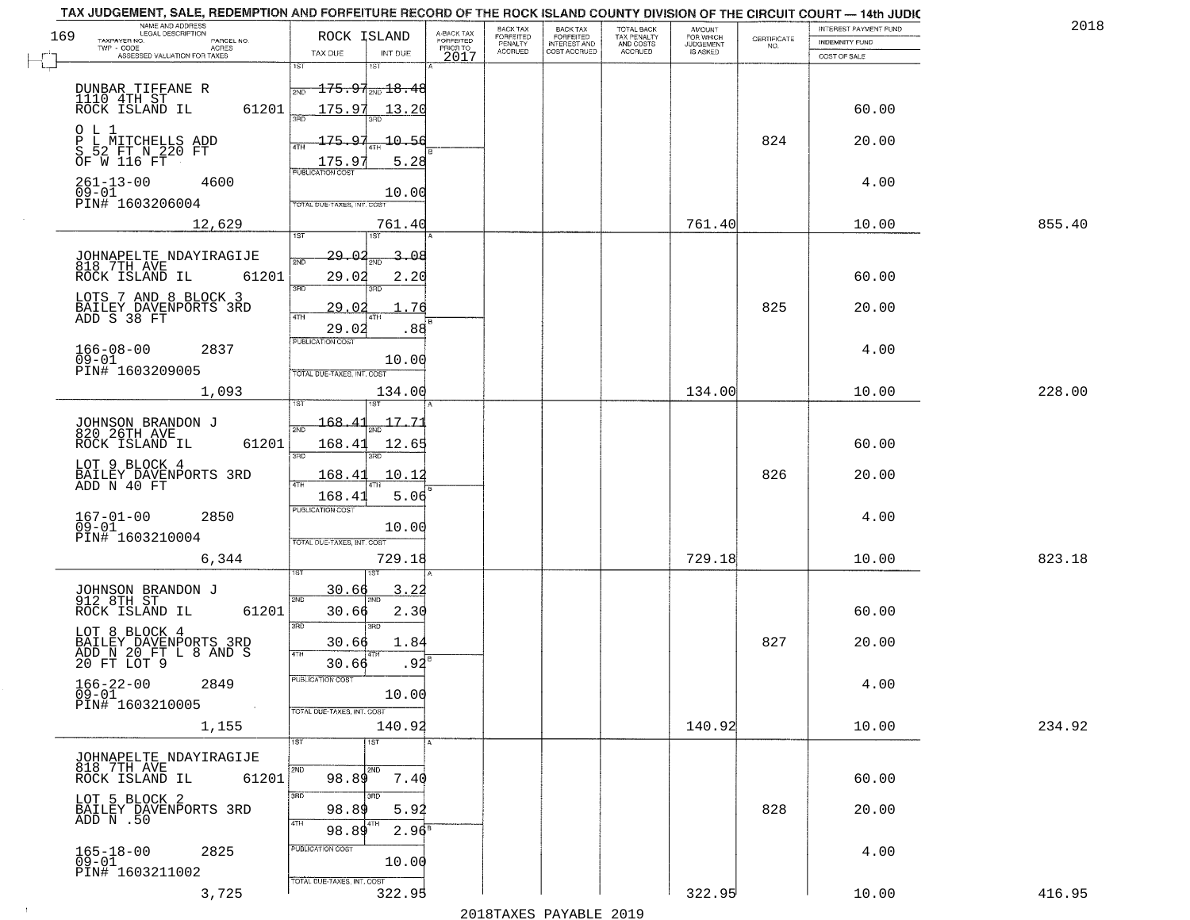| NAME AND ADDRESS<br>LEGAL DESCRIPTION                             |                                         |                                     | <b>BACK TAX</b>             | <b>BACK TAX</b>                           | TOTAL BACK<br>TAX PENALTY<br>AND COSTS<br>ACCRUED | <b>AMOUNT</b>                      |                    | INTEREST PAYMENT FUND | 2018   |
|-------------------------------------------------------------------|-----------------------------------------|-------------------------------------|-----------------------------|-------------------------------------------|---------------------------------------------------|------------------------------------|--------------------|-----------------------|--------|
| 169<br>TAXPAYER NO.<br>PARCEL NO.<br>$TWP - CODE$<br><b>ACRES</b> | ROCK ISLAND                             | A-BACK TAX<br>FORFEITED<br>PRIOR TO | <b>FORFEITED</b><br>PENALTY | FORFEITED<br>INTEREST AND<br>COST ACCRUED |                                                   | FOR WHICH<br>JUDGEMENT<br>IS ASKED | CERTIFICATE<br>NO. | <b>INDEMNITY FUND</b> |        |
| ASSESSED VALUATION FOR TAXES                                      | TAX DUE<br>INT DUE                      | 2017                                | ACCRUED                     |                                           |                                                   |                                    |                    | COST OF SALE          |        |
|                                                                   | 151<br>1ST                              |                                     |                             |                                           |                                                   |                                    |                    |                       |        |
|                                                                   | $175.97_{\text{\tiny 2ND}}18.48$<br>2ND |                                     |                             |                                           |                                                   |                                    |                    |                       |        |
| DUNBAR TIFFANE R<br>1110 4TH ST<br>ROCK ISLAND IL                 |                                         |                                     |                             |                                           |                                                   |                                    |                    |                       |        |
| 61201                                                             | 175.97<br>13.20                         |                                     |                             |                                           |                                                   |                                    |                    | 60.00                 |        |
| 0 L 1                                                             |                                         |                                     |                             |                                           |                                                   |                                    |                    |                       |        |
| P L MITCHELLS ADD<br>S 52 FT N 220 FT                             | 175.97<br>10.56                         |                                     |                             |                                           |                                                   |                                    | 824                | 20.00                 |        |
| OF W 116 FT                                                       | 5.28<br>175.97                          |                                     |                             |                                           |                                                   |                                    |                    |                       |        |
| $261 - 13 - 00$<br>4600                                           | <b>PUBLICATION COST</b>                 |                                     |                             |                                           |                                                   |                                    |                    | 4.00                  |        |
| $09 - 01$                                                         | 10.00                                   |                                     |                             |                                           |                                                   |                                    |                    |                       |        |
| PIN# 1603206004                                                   | TOTAL DUE-TAXES, INT. COST              |                                     |                             |                                           |                                                   |                                    |                    |                       |        |
| 12,629                                                            | 761.40                                  |                                     |                             |                                           |                                                   | 761.40                             |                    | 10.00                 | 855.40 |
|                                                                   | 1ST<br>151                              |                                     |                             |                                           |                                                   |                                    |                    |                       |        |
| JOHNAPELTE NDAYIRAGIJE<br>818 7TH AVE                             | 29.02<br>2ND                            | Ω£                                  |                             |                                           |                                                   |                                    |                    |                       |        |
| 61201<br>ROCK ISLAND IL                                           | 29.02<br>2.20                           |                                     |                             |                                           |                                                   |                                    |                    | 60.00                 |        |
|                                                                   | 3BD<br>3RD                              |                                     |                             |                                           |                                                   |                                    |                    |                       |        |
| LOTS 7 AND 8 BLOCK 3                                              | 29.02                                   | 76                                  |                             |                                           |                                                   |                                    | 825                | 20.00                 |        |
| BAILEY DAVENPORTS 3RD<br>ADD S 38 FT                              | <b>ATH</b>                              |                                     |                             |                                           |                                                   |                                    |                    |                       |        |
|                                                                   | 29.02<br>PUBLICATION COST               | .88                                 |                             |                                           |                                                   |                                    |                    |                       |        |
| $166 - 08 - 00$<br>2837                                           |                                         |                                     |                             |                                           |                                                   |                                    |                    | 4.00                  |        |
| $09 - 01$<br>PIN# 1603209005                                      | 10.00                                   |                                     |                             |                                           |                                                   |                                    |                    |                       |        |
|                                                                   | TOTAL DUE-TAXES, INT. COST              |                                     |                             |                                           |                                                   |                                    |                    |                       |        |
| 1,093                                                             | 134.00<br>ST                            |                                     |                             |                                           |                                                   | 134.00                             |                    | 10.00                 | 228.00 |
|                                                                   |                                         |                                     |                             |                                           |                                                   |                                    |                    |                       |        |
| JOHNSON BRANDON J<br>820 26TH AVE                                 | 168.41<br>$17-$<br>2ND                  | .71                                 |                             |                                           |                                                   |                                    |                    |                       |        |
| 61201<br>ROCK ISLAND IL                                           | 168.41<br>12.65                         |                                     |                             |                                           |                                                   |                                    |                    | 60.00                 |        |
| LOT 9 BLOCK 4                                                     | 3RD<br>3RD                              |                                     |                             |                                           |                                                   |                                    |                    |                       |        |
| BAILEY DAVENPORTS 3RD                                             | 168.41<br>10.12                         |                                     |                             |                                           |                                                   |                                    | 826                | 20.00                 |        |
| ADD N 40 FT                                                       | 4TH<br>168.41<br>5.06                   |                                     |                             |                                           |                                                   |                                    |                    |                       |        |
|                                                                   | <b>PUBLICATION COST</b>                 |                                     |                             |                                           |                                                   |                                    |                    |                       |        |
| 167-01-00<br>09-01<br>2850                                        | 10.00                                   |                                     |                             |                                           |                                                   |                                    |                    | 4.00                  |        |
| PIN# 1603210004                                                   | TOTAL OUE-TAXES, INT. COST              |                                     |                             |                                           |                                                   |                                    |                    |                       |        |
| 6,344                                                             | 729.18                                  |                                     |                             |                                           |                                                   | 729.18                             |                    | 10.00                 | 823.18 |
|                                                                   |                                         |                                     |                             |                                           |                                                   |                                    |                    |                       |        |
|                                                                   | 30.66<br>$\overline{3}$ .               | . 22                                |                             |                                           |                                                   |                                    |                    |                       |        |
| JOHNSON BRANDON J<br>912 8TH ST                                   | 2ND                                     |                                     |                             |                                           |                                                   |                                    |                    |                       |        |
| 61201<br>ROCK ISLAND IL                                           | 2.30<br>30.66                           |                                     |                             |                                           |                                                   |                                    |                    | 60.00                 |        |
| LOT 8 BLOCK 4                                                     | 3BD<br>3RD                              |                                     |                             |                                           |                                                   |                                    |                    |                       |        |
| BAILEY DAVENPORTS 3RD<br>ADD N 20 FT L 8 AND S                    | 1.84<br>30.66                           |                                     |                             |                                           |                                                   |                                    | 827                | 20.00                 |        |
| 20 FT LOT 9                                                       | 30.66                                   | .92                                 |                             |                                           |                                                   |                                    |                    |                       |        |
| $166 - 22 - 00$<br>2849                                           | PUBLICATION COST                        |                                     |                             |                                           |                                                   |                                    |                    | 4.00                  |        |
| 166-22<br>09-01                                                   | 10.00                                   |                                     |                             |                                           |                                                   |                                    |                    |                       |        |
| PIN# 1603210005<br>$\sim 100$ km s                                | TOTAL DUE-TAXES, INT. COST              |                                     |                             |                                           |                                                   |                                    |                    |                       |        |
| 1,155                                                             | 140.92                                  |                                     |                             |                                           |                                                   | 140.92                             |                    | 10.00                 | 234.92 |
|                                                                   | $\overline{1}$ ST<br>1ST                |                                     |                             |                                           |                                                   |                                    |                    |                       |        |
| JOHNAPELTE NDAYIRAGIJE<br>818 7TH AVE                             |                                         |                                     |                             |                                           |                                                   |                                    |                    |                       |        |
| ROCK ISLAND IL<br>61201                                           | <b>2ND</b><br>2ND<br>7.40<br>98.89      |                                     |                             |                                           |                                                   |                                    |                    | 60.00                 |        |
|                                                                   | 3RD<br>3RD                              |                                     |                             |                                           |                                                   |                                    |                    |                       |        |
| LOT 5 BLOCK 2<br>BAILEY DAVENPORTS 3RD                            | 98.89<br>5.92                           |                                     |                             |                                           |                                                   |                                    | 828                | 20.00                 |        |
| ADD $\overline{N}$ .50                                            | 4TH<br>  4TH                            |                                     |                             |                                           |                                                   |                                    |                    |                       |        |
|                                                                   | 98.89<br>2.96 <sup>8</sup>              |                                     |                             |                                           |                                                   |                                    |                    |                       |        |
| $165 - 18 - 00$<br>09-01<br>2825                                  | PUBLICATION COST                        |                                     |                             |                                           |                                                   |                                    |                    | 4.00                  |        |
| PIN# 1603211002                                                   | 10.00                                   |                                     |                             |                                           |                                                   |                                    |                    |                       |        |
|                                                                   | TOTAL DUE-TAXES, INT. COST              |                                     |                             |                                           |                                                   |                                    |                    |                       |        |
| 3,725                                                             | 322.95                                  |                                     |                             |                                           |                                                   | 322.95                             |                    | 10.00                 | 416.95 |

 $\sim 10$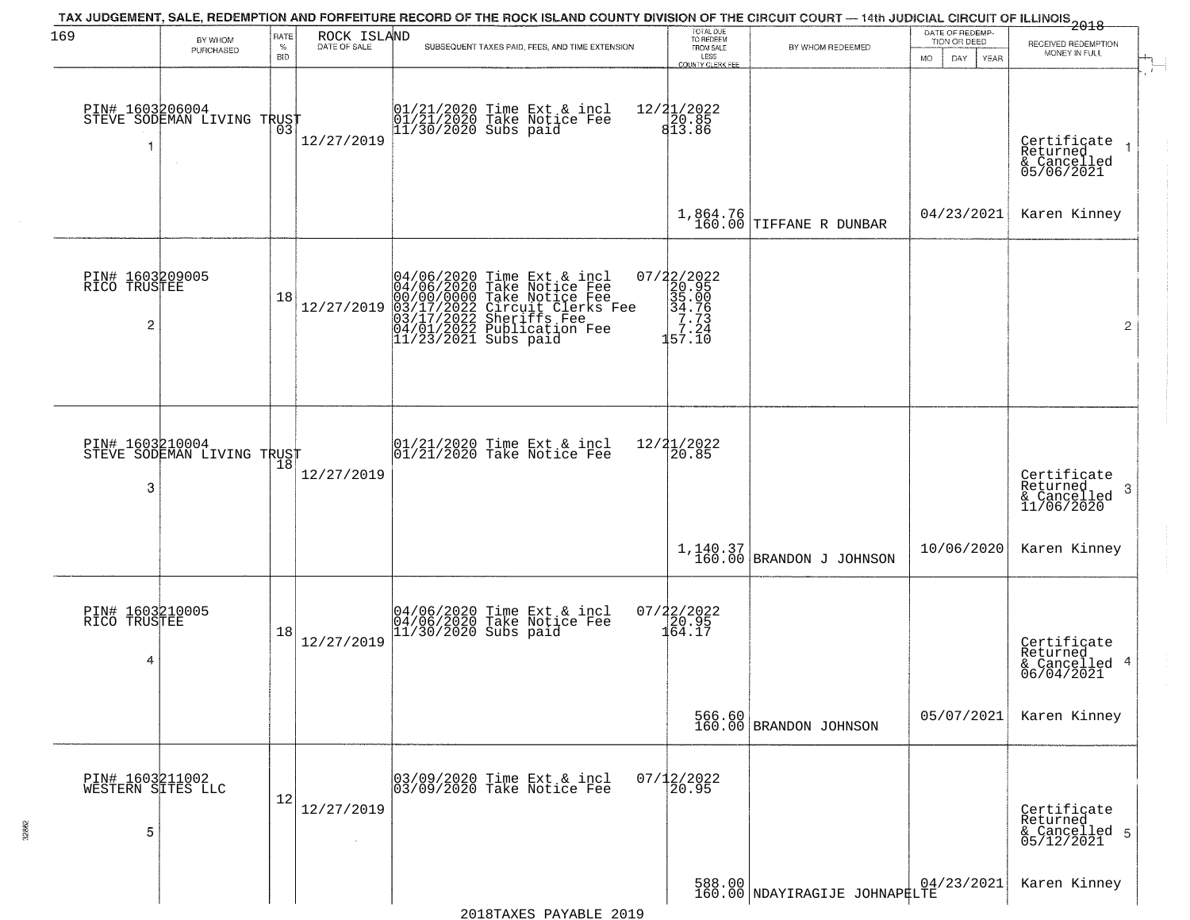| 169                                       |                                                         | RATE               |                             | TAX JUDGEMENT, SALE, REDEMPTION AND FORFEITURE RECORD OF THE ROCK ISLAND COUNTY DIVISION OF THE CIRCUIT COURT — 14th JUDICIAL CIRCUIT OF ILLINOIS 2018                                                   | TOTAL DUE<br>TO REDEEM                                                                            |                                        | DATE OF REDEMP-                     |                                                           |
|-------------------------------------------|---------------------------------------------------------|--------------------|-----------------------------|----------------------------------------------------------------------------------------------------------------------------------------------------------------------------------------------------------|---------------------------------------------------------------------------------------------------|----------------------------------------|-------------------------------------|-----------------------------------------------------------|
|                                           | BY WHOM<br>PURCHASED                                    | $\%$<br><b>BID</b> | ROCK ISLAND<br>DATE OF SALE | SUBSEQUENT TAXES PAID, FEES, AND TIME EXTENSION                                                                                                                                                          | FROM SALE<br>LESS<br>COUNTY CLERK FEE                                                             | BY WHOM REDEEMED                       | TION OR DEED<br>DAY.<br>MO.<br>YEAR | RECEIVED REDEMPTION<br>MONEY IN FULL                      |
| 1                                         | PIN# 1603206004<br>STEVE SODEMAN LIVING TRUST<br>$\sim$ |                    | 12/27/2019                  | 01/21/2020 Time Ext & incl<br>01/21/2020 Take Notice Fee<br>11/30/2020 Subs paid                                                                                                                         | $\begin{array}{r} 12/21/2022 \\ 20.85 \\ 813.86 \end{array}$                                      |                                        |                                     | Certificate<br>Returned<br>& Cancelled<br>05/06/2021      |
|                                           |                                                         |                    |                             |                                                                                                                                                                                                          |                                                                                                   | 1,864.76<br>160.00 TIFFANE R DUNBAR    | 04/23/2021                          | Karen Kinney                                              |
| PIN# 1603209005<br>RICO TRUSTEE<br>2      |                                                         | 18                 | 12/27/2019                  | 04/06/2020 Time Ext & incl<br>04/06/2020 Take Notice Fee<br>00/00/0000 Take Notice Fee<br>03/17/2022 Circuit Clerks Fee<br>03/17/2022 Sheriffs Fee<br>04/01/2022 Publication Fee<br>11/23/2021 Subs paid | $=\begin{smallmatrix} 07/22/2022\\ 20.95\\ 35.00\\ 34.76\\ 7.73\\ 7.24\\ 57.10 \end{smallmatrix}$ |                                        |                                     | $\mathbf{2}$                                              |
| 3                                         | PIN# 1603210004    <br>STEVE SODEMAN LIVING TRUST       | 18                 | 12/27/2019                  | $\begin{array}{cc}  01/21/2020 \rangle \\  01/21/2020 \rangle \rangle \end{array}$ Take Notice Fee                                                                                                       | 12/21/2022<br>20.85                                                                               |                                        |                                     | Certificate<br>Returned<br>3<br>& Cancelled<br>11/06/2020 |
|                                           |                                                         |                    |                             |                                                                                                                                                                                                          |                                                                                                   | $1,140.37$<br>160.00 BRANDON J JOHNSON | 10/06/2020                          | Karen Kinney                                              |
| PIN# 1603210005<br>RICO TRUSTEE<br>4      |                                                         | 18                 | 12/27/2019                  | 04/06/2020 Time Ext & incl<br>04/06/2020 Take Notice Fee<br>11/30/2020 Subs paid                                                                                                                         | $07/22/2022$<br>$120.95$<br>$164.17$                                                              |                                        |                                     | Certificate<br>Returned<br>& Cancelled 4<br>06/04/2021    |
|                                           |                                                         |                    |                             |                                                                                                                                                                                                          |                                                                                                   | 566.60<br>160.00 BRANDON JOHNSON       | 05/07/2021                          | Karen Kinney                                              |
| PIN# 1603211002<br>WESTERN SITES LLC<br>5 |                                                         | 12                 | 12/27/2019                  | 03/09/2020 Time Ext & incl<br>03/09/2020 Take Notice Fee                                                                                                                                                 | $07/12/2022$<br>20.95                                                                             |                                        |                                     | Certificate<br>Returned<br>& Cancelled 5<br>05/12/2021    |
|                                           |                                                         |                    |                             |                                                                                                                                                                                                          |                                                                                                   | 588.00 NDAYIRAGIJE JOHNAP#LTE          |                                     | Karen Kinney                                              |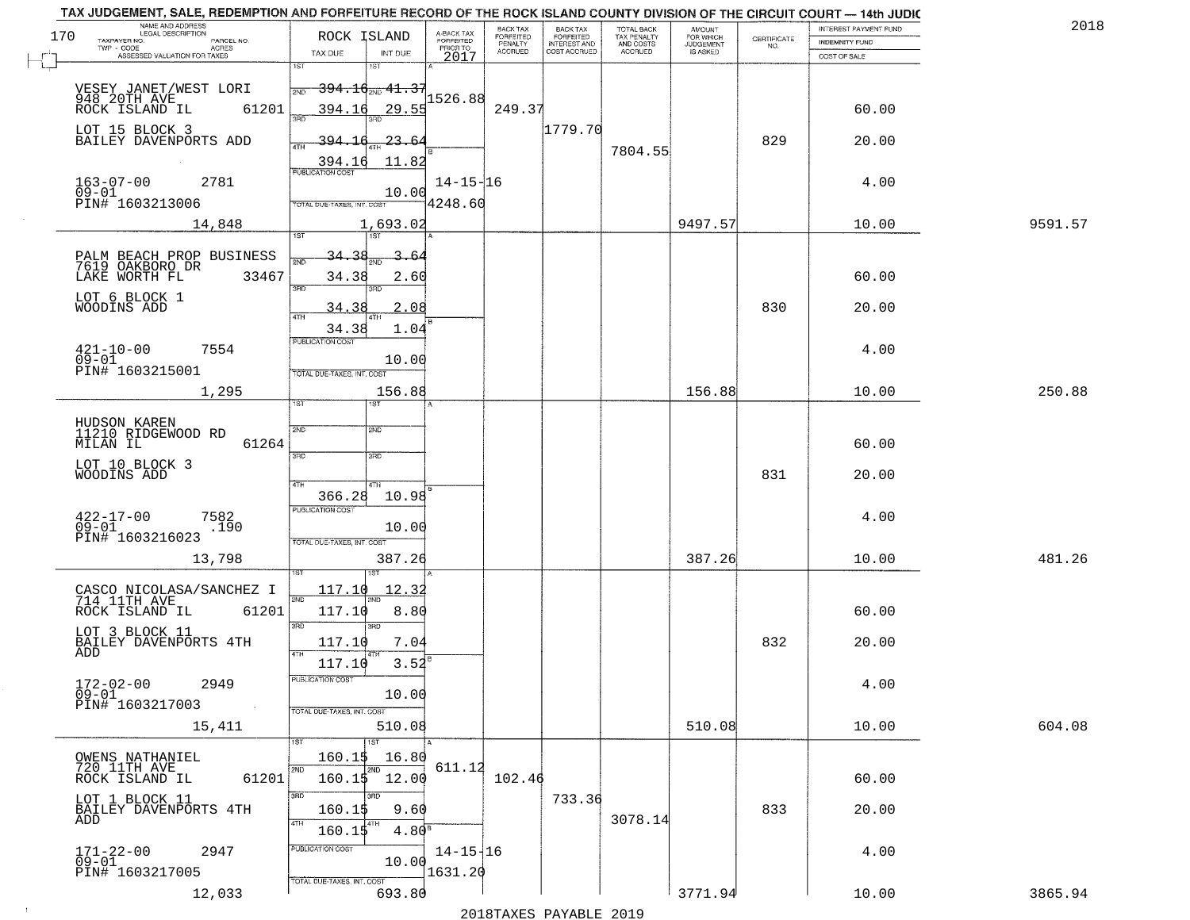|     | TAX JUDGEMENT, SALE, REDEMPTION AND FORFEITURE RECORD OF THE ROCK ISLAND COUNTY DIVISION OF THE CIRCUIT COURT - 14th JUDIC<br>NAME AND ADDRESS |                                                                            |                           |                              |                                       |                                        |                     |                                                                 |                       |         |
|-----|------------------------------------------------------------------------------------------------------------------------------------------------|----------------------------------------------------------------------------|---------------------------|------------------------------|---------------------------------------|----------------------------------------|---------------------|-----------------------------------------------------------------|-----------------------|---------|
| 170 | <b>LEGAL DESCRIPTION</b>                                                                                                                       | ROCK ISLAND                                                                | A-BACK TAX<br>FORFEITED   | BACK TAX<br><b>FORFEITED</b> | BACK TAX<br>FORFEITED<br>INTEREST AND | TOTAL BACK<br>TAX PENALTY<br>AND COSTS | AMOUNT<br>FOR WHICH |                                                                 | INTEREST PAYMENT FUND | 2018    |
|     | TAXPAYER NO.<br>PARCEL NO.<br>TWP - CODE<br><b>ACRES</b>                                                                                       |                                                                            | PRIOR TO                  | PENALTY                      |                                       |                                        | <b>JUDGEMENT</b>    | $\begin{array}{c} \text{CERTIFICATE} \\ \text{NO.} \end{array}$ | <b>INDEMNITY FUND</b> |         |
|     | ASSESSED VALUATION FOR TAXES                                                                                                                   | INT DUE<br>TAX DUE                                                         | 2017                      | <b>ACCRUED</b>               | COST ACCRUED                          | ACCRUED                                | IS ASKED            |                                                                 | COST OF SALE          |         |
|     | VESEY JANET/WEST LORI<br>948_20TH_AVE__                                                                                                        | 1ST<br>1ST<br><del>394.10 mg 41.37</del><br>2ND                            | 1526.88                   |                              |                                       |                                        |                     |                                                                 |                       |         |
|     | 61201<br>ROCK ISLAND IL<br>LOT 15 BLOCK 3<br>BAILEY DAVENPORTS ADD                                                                             | 394.16<br>29.55<br>395<br>394.16<br>23.64                                  |                           | 249.37                       | 1779.70                               |                                        |                     | 829                                                             | 60.00<br>20.00        |         |
|     |                                                                                                                                                | 11.82<br>394.16<br><b>PUBLICATION COST</b>                                 |                           |                              |                                       | 7804.55                                |                     |                                                                 |                       |         |
|     | $163 - 07 - 00$<br>09-01<br>2781<br>PIN# 1603213006                                                                                            | 10.00<br>TOTAL DUE-TAXES, INT. COST                                        | $14 - 15 - 16$<br>4248.60 |                              |                                       |                                        |                     |                                                                 | 4.00                  |         |
|     | 14,848                                                                                                                                         | 1,693.02<br>1ST                                                            |                           |                              |                                       |                                        | 9497.57             |                                                                 | 10.00                 | 9591.57 |
|     | PALM BEACH PROP BUSINESS<br>7619 OAKBORO DR<br>LAKE WORTH FL<br>33467                                                                          | <u>34.38</u><br>3.64<br>34.38<br>2.60<br>ਬਾ<br>חחז                         |                           |                              |                                       |                                        |                     |                                                                 | 60.00                 |         |
|     | LOT 6 BLOCK 1<br>WOODINS ADD                                                                                                                   | 34.38<br>2.08<br>34.38<br>1.04                                             |                           |                              |                                       |                                        |                     | 830                                                             | 20.00                 |         |
|     | $421 - 10 - 00$<br>7554<br>$09 - 01$<br>PIN# 1603215001                                                                                        | PUBLICATION COST<br>10.00<br>TOTAL DUE-TAXES, INT. COST                    |                           |                              |                                       |                                        |                     |                                                                 | 4.00                  |         |
|     | 1,295                                                                                                                                          | 156.88<br><b>IST</b><br>ist.                                               |                           |                              |                                       |                                        | 156.88              |                                                                 | 10.00                 | 250.88  |
|     | HUDSON KAREN<br>11210 RIDGEWOOD RD<br>MILAN IL<br>61264                                                                                        | SVD<br><b>SMD</b><br>3RD<br>3RD                                            |                           |                              |                                       |                                        |                     |                                                                 | 60.00                 |         |
|     | LOT 10 BLOCK 3<br>WOODINS ADD                                                                                                                  | 4TH<br>4TH.<br>10.98<br>366.28                                             |                           |                              |                                       |                                        |                     | 831                                                             | 20.00                 |         |
|     | $^{422-17-00}_{09-01}$<br>7582<br>.190<br>PIN# 1603216023                                                                                      | <b>PUBLICATION COST</b><br>10.00<br>TOTAL OUE-TAXES, INT. COST             |                           |                              |                                       |                                        |                     |                                                                 | 4.00                  |         |
|     | 13,798                                                                                                                                         | 387.26                                                                     |                           |                              |                                       |                                        | 387.26              |                                                                 | 10.00                 | 481.26  |
|     | CASCO NICOLASA/SANCHEZ I<br>714 11TH AVE<br>ROCK ISLAND IL<br>61201                                                                            | 117.10<br><u> 12.32</u><br>2ND<br>117.10<br>8.80<br>3RD<br>3 <sub>BD</sub> |                           |                              |                                       |                                        |                     |                                                                 | 60.00                 |         |
|     | LOT 3 BLOCK 11<br>BAILEY DAVENPORTS 4TH<br>ADD                                                                                                 | 7.04<br>117.10<br>4TH<br>3.52<br>117.10                                    |                           |                              |                                       |                                        |                     | 832                                                             | 20.00                 |         |
|     | $172 - 02 - 00$<br>2949<br>$09 - 01$<br>PIN# 1603217003                                                                                        | ruslica i IUN COS<br>10.00<br>TOTAL DUE-TAXES, INT. COST                   |                           |                              |                                       |                                        |                     |                                                                 | 4.00                  |         |
|     | 15,411                                                                                                                                         | 510.08<br>1ST                                                              |                           |                              |                                       |                                        | 510.08              |                                                                 | 10.00                 | 604.08  |
|     | OWENS NATHANIEL<br>720 I1TH AVE<br>ROCK ISLAND IL<br>61201                                                                                     | 16.80<br>160.15<br>2ND<br>2ND<br>$160.15$ $12.00$<br>3RD                   | 611.12                    | 102.46                       |                                       |                                        |                     |                                                                 | 60.00                 |         |
|     | LOT 1 BLOCK 11<br>BAILEY DAVENPORTS 4TH<br>ADD                                                                                                 | 3RD<br>160.15<br>9.60<br>4TH<br>4TH<br>4.80 <sup>s</sup><br>160.15         |                           |                              | 733.36                                | 3078.14                                |                     | 833                                                             | 20.00                 |         |
|     | $171 - 22 - 00$<br>09-01<br>2947<br>PIN# 1603217005                                                                                            | PUBLICATION COST<br>10.00<br>TOTAL DUE-TAXES, INT. COST                    | $14 - 15 + 16$<br>1631.20 |                              |                                       |                                        |                     |                                                                 | 4.00                  |         |
|     | 12,033                                                                                                                                         | 693.80                                                                     |                           |                              | 2010 ELITATIO DI VIDI E 2010          |                                        | 3771.94             |                                                                 | 10.00                 | 3865.94 |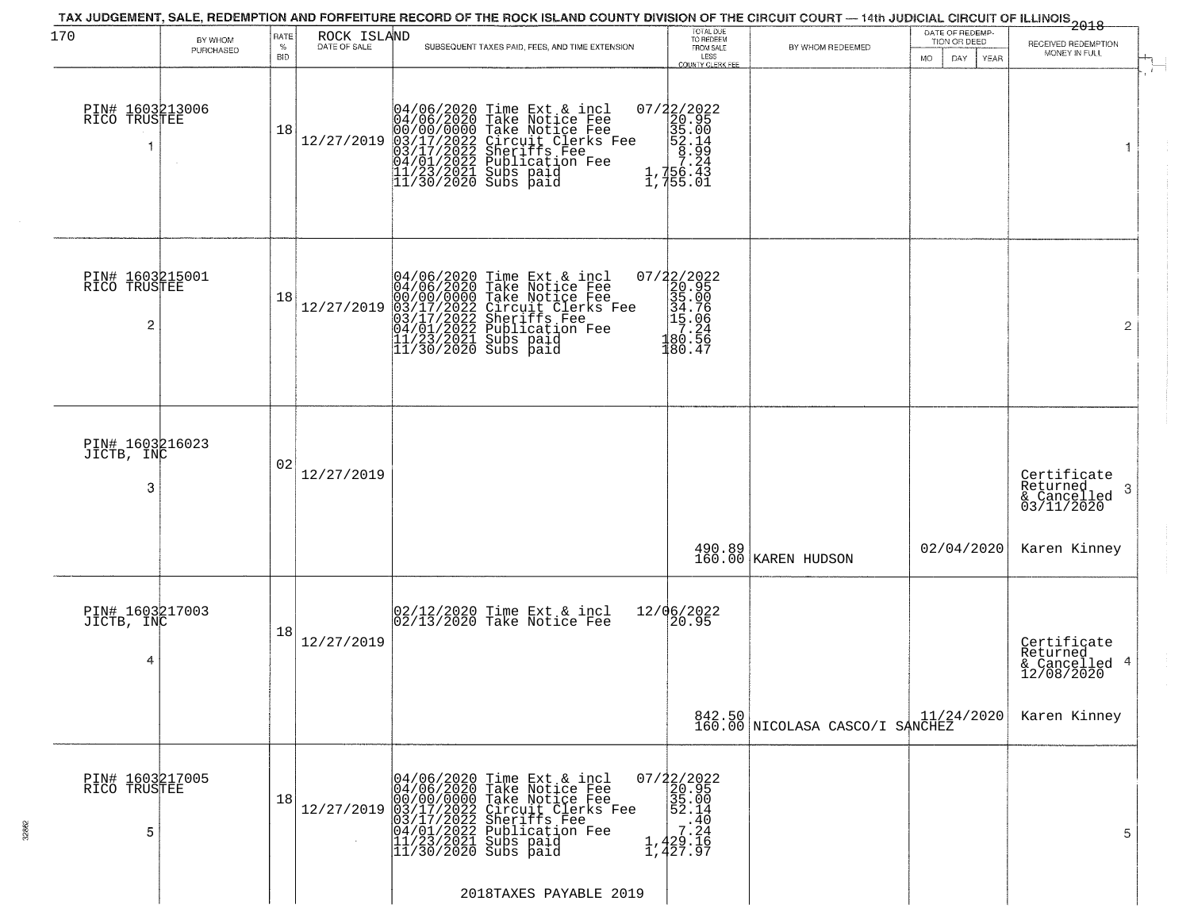| 170                                  | BY WHOM   | RATE               | ROCK ISLAND  | TAX JUDGEMENT, SALE, REDEMPTION AND FORFEITURE RECORD OF THE ROCK ISLAND COUNTY DIVISION OF THE CIRCUIT COURT — 14th JUDICIAL CIRCUIT OF ILLINOIS 2018                                                                                              | TOTAL DUE<br>TO REDEEM<br>FROM SALE                                                                                           |                                 | DATE OF REDEMP-<br>TION OR DEED | RECEIVED REDEMPTION                                                   |  |
|--------------------------------------|-----------|--------------------|--------------|-----------------------------------------------------------------------------------------------------------------------------------------------------------------------------------------------------------------------------------------------------|-------------------------------------------------------------------------------------------------------------------------------|---------------------------------|---------------------------------|-----------------------------------------------------------------------|--|
|                                      | PURCHASED | $\%$<br><b>BID</b> | DATE OF SALE | SUBSEQUENT TAXES PAID, FEES, AND TIME EXTENSION                                                                                                                                                                                                     | LESS<br>COUNTY CLERK FEE                                                                                                      | BY WHOM REDEEMED                | MO.<br>DAY.<br><b>YEAR</b>      | MONEY IN FULL                                                         |  |
| PIN# 1603213006<br>RICO TRUSTEE      |           | 18                 | 12/27/2019   | 04/06/2020 Time Ext & incl<br>04/06/2020 Take Notice Fee<br>00/00/0000 Take Notice Fee<br>03/17/2022 Circuit Clerks Fee<br>03/17/2022 Sublication Fee<br>04/01/2022 Publication Fee<br>11/23/2021 Subs paid<br>11/30/2020 Subs paid                 | 07/22/2022<br>20.95<br>35.00<br>35.00<br>52.14<br>75.24<br>75.24<br>$\frac{1}{1}$ , $\frac{756}{15}$ . 01                     |                                 |                                 | 1                                                                     |  |
| PIN# 1603215001<br>RICO TRUSTEE<br>2 |           | 18                 | 12/27/2019   | $04/06/2020$ Time Ext & incl<br>04/06/2020 Take Notice Fee<br>00/00/00000 Take Notice Fee<br>03/17/2022 Circuit Clerks Fee<br>03/17/2022 Suberiffs Fee<br>04/01/2022 Publication Fee<br>11/23/2021 Subs paid<br>11/30/2020 Subs paid                | $\begin{array}{r} 07/22/2022\\20.95\\35.00\\34.76\\1\\ 19.06\\180.56\\180.47\end{array}$                                      |                                 |                                 | $\overline{2}$                                                        |  |
| PIN# 1603216023<br>JICTB, INC<br>3   |           | 02                 | 12/27/2019   |                                                                                                                                                                                                                                                     |                                                                                                                               |                                 |                                 | Certificate<br>Returned<br>3<br>$\frac{1}{2}$ Cancelled<br>03/11/2020 |  |
|                                      |           |                    |              |                                                                                                                                                                                                                                                     | 490.89<br>160.00                                                                                                              | KAREN HUDSON                    | 02/04/2020                      | Karen Kinney                                                          |  |
| PIN# 1603217003<br>JICTB, INC<br>4   |           | 18                 | 12/27/2019   | 02/12/2020 Time Ext & incl<br>02/13/2020 Take Notice Fee                                                                                                                                                                                            | 12/06/2022<br>20.95                                                                                                           |                                 |                                 | Certificate<br>Returned<br>& Cancelled 4<br>12/08/2020                |  |
|                                      |           |                    |              |                                                                                                                                                                                                                                                     |                                                                                                                               | 842.50 NICOLASA CASCO/I SANCHEZ | 11/24/2020                      | Karen Kinney                                                          |  |
| PIN# 1603217005<br>RICO TRUSTEE<br>5 |           | 18                 |              | 04/06/2020 Time Ext & incl<br>04/06/2020 Take Notice Fee<br>00/07/00/000 Take Notice Fee<br>12/27/2019 03/17/2022 Circuit Clerks Fee<br>03/17/2022 Sheriffs Fee<br>04/01/2022 Publication Fee<br>11/23/2021 Publication Fee<br>11/30/2020 Subs paid | $07/22/2022$<br>20.95<br>$\frac{35.00}{52.14}$<br>$\begin{array}{c} 2.40 \\ 7.24 \\ 7.24 \\ 1,429.16 \\ 1,427.97 \end{array}$ |                                 |                                 | 5                                                                     |  |
|                                      |           |                    |              | 2018TAXES PAYABLE 2019                                                                                                                                                                                                                              |                                                                                                                               |                                 |                                 |                                                                       |  |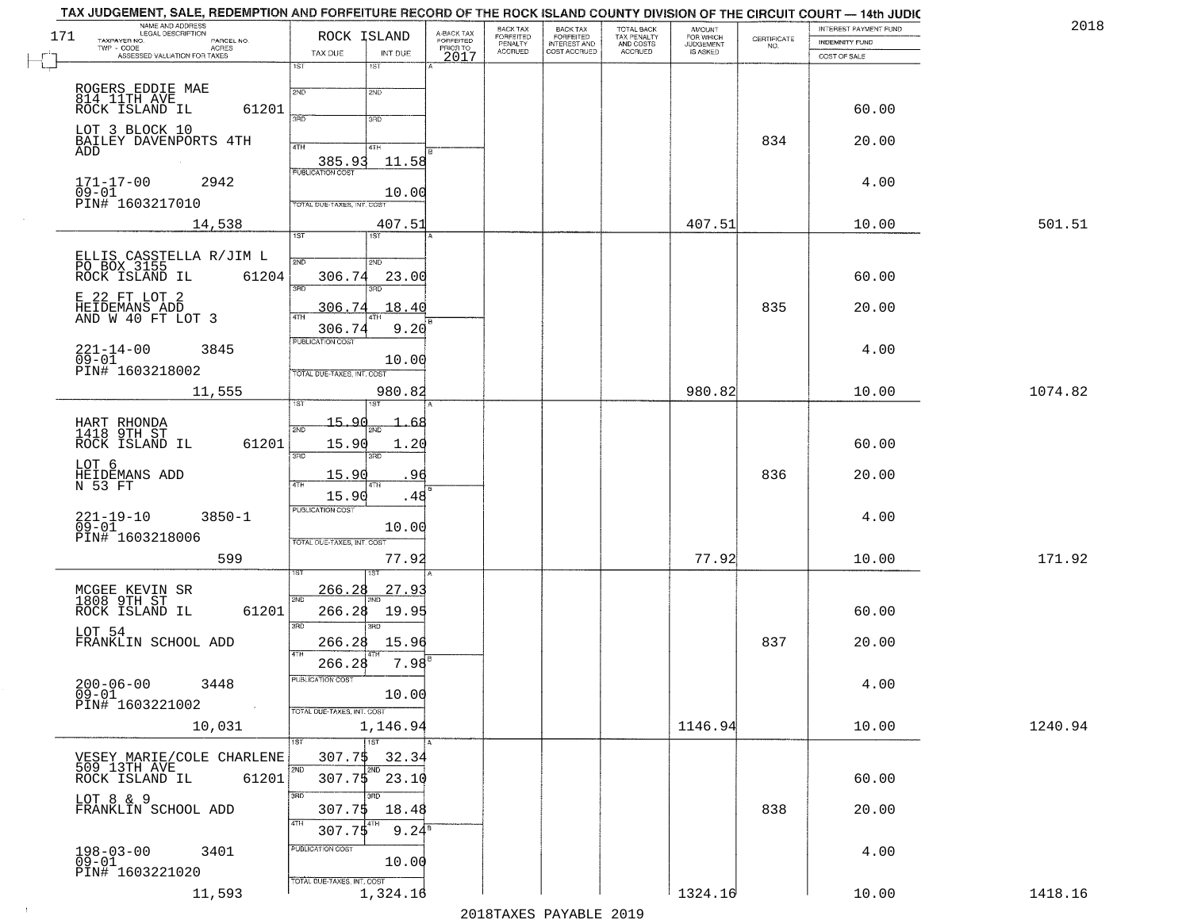| NAME AND ADDRESS<br>LEGAL DESCRIPTION<br>171<br>TAXPAYER NO.             | ROCK ISLAND                                               | A-BACK TAX<br>FORFEITED | BACK TAX<br>FORFEITED | <b>BACK TAX</b><br><b>FORFEITED</b> | TOTAL BACK<br>TAX PENALTY | <b>AMOUNT</b>                      |                                                                 | INTEREST PAYMENT FUND | 2018    |
|--------------------------------------------------------------------------|-----------------------------------------------------------|-------------------------|-----------------------|-------------------------------------|---------------------------|------------------------------------|-----------------------------------------------------------------|-----------------------|---------|
| PARCEL NO.<br>TWP - CODE<br>- CODE ACRES<br>ASSESSED VALUATION FOR TAXES | TAX DUE<br>INT DUE                                        | PRIOR TO                | PENALTY<br>ACCRUED    | INTEREST AND<br>COST ACCRUED        | AND COSTS<br>ACCRUED      | FOR WHICH<br>JUDGEMENT<br>IS ASKED | $\begin{array}{c} \text{CEPTIFICATE} \\ \text{NO.} \end{array}$ | INDEMNITY FUND        |         |
|                                                                          | 1ST<br>1ST                                                | 2017                    |                       |                                     |                           |                                    |                                                                 | COST OF SALE          |         |
| ROGERS EDDIE MAE<br>814 11TH AVE                                         | 2ND<br>2ND                                                |                         |                       |                                     |                           |                                    |                                                                 |                       |         |
| ROCK ISLAND IL<br>61201                                                  | 370<br>3RD                                                |                         |                       |                                     |                           |                                    |                                                                 | 60.00                 |         |
| LOT 3 BLOCK 10<br>BAILEY DAVENPORTS 4TH                                  |                                                           |                         |                       |                                     |                           |                                    | 834                                                             | 20.00                 |         |
| ADD                                                                      | 4TH<br>4TH<br>385.93<br>11.58                             |                         |                       |                                     |                           |                                    |                                                                 |                       |         |
| 2942<br>171-17-00                                                        | PUBLICATION COST                                          |                         |                       |                                     |                           |                                    |                                                                 | 4.00                  |         |
| $\overline{0}9 - 01$<br>PIN# 1603217010                                  | 10.00<br>TOTAL DUE-TAXES, INT. COS                        |                         |                       |                                     |                           |                                    |                                                                 |                       |         |
| 14,538                                                                   | 407.51<br>1ST<br>1ST                                      |                         |                       |                                     |                           | 407.51                             |                                                                 | 10.00                 | 501.51  |
|                                                                          | 2ND                                                       |                         |                       |                                     |                           |                                    |                                                                 |                       |         |
| ELLIS CASSTELLA R/JIM L<br>PO BOX 3155<br>ROCK ISLAND IL<br>61204        | 2ND<br>306.74<br>23.00                                    |                         |                       |                                     |                           |                                    |                                                                 | 60.00                 |         |
| E 22 FT LOT 2                                                            | 3RD<br>3RD                                                |                         |                       |                                     |                           |                                    |                                                                 |                       |         |
| HEIDEMANS ADD<br>AND W 40 FT LOT 3                                       | <u>306.74</u><br>18.40<br>47H<br>9.20<br>306.74           |                         |                       |                                     |                           |                                    | 835                                                             | 20.00                 |         |
| $221 - 14 - 00$<br>3845                                                  | PUBLICATION COST                                          |                         |                       |                                     |                           |                                    |                                                                 | 4.00                  |         |
| $09-01$<br>PIN# 1603218002                                               | 10.00<br>TOTAL DUE-TAXES, INT. COST                       |                         |                       |                                     |                           |                                    |                                                                 |                       |         |
| 11,555                                                                   | 980.82                                                    |                         |                       |                                     |                           | 980.82                             |                                                                 | 10.00                 | 1074.82 |
|                                                                          | 15.90<br>6٤                                               |                         |                       |                                     |                           |                                    |                                                                 |                       |         |
| HART RHONDA<br>1418 9TH ST<br>61201<br>ROCK ISLAND IL                    | 2ND<br>15.90<br>1.20                                      |                         |                       |                                     |                           |                                    |                                                                 | 60.00                 |         |
| LOT 6                                                                    | 3RD<br>3RD                                                |                         |                       |                                     |                           |                                    |                                                                 |                       |         |
| HEIDEMANS ADD<br>N 53 FT                                                 | 15.90<br>96<br>1TH<br>15.90<br>.48                        |                         |                       |                                     |                           |                                    | 836                                                             | 20.00                 |         |
| $3850 - 1$                                                               | <b>PUBLICATION COST</b>                                   |                         |                       |                                     |                           |                                    |                                                                 | 4.00                  |         |
| $221 - 19 - 10$<br>09-01<br>PIN# 1603218006                              | 10.00<br>TOTAL OUE-TAXES, INT. COST                       |                         |                       |                                     |                           |                                    |                                                                 |                       |         |
| 599                                                                      | 77.92                                                     |                         |                       |                                     |                           | 77.92                              |                                                                 | 10.00                 | 171.92  |
|                                                                          | <u>266.28</u><br>27.9                                     |                         |                       |                                     |                           |                                    |                                                                 |                       |         |
| MCGEE KEVIN SR<br>1808 9TH ST<br>ROCK ISLAND IL<br>61201                 | 2ND<br>266.28<br>19.95                                    |                         |                       |                                     |                           |                                    |                                                                 | 60.00                 |         |
| LOT 54                                                                   | 3RD<br>3RD                                                |                         |                       |                                     |                           |                                    |                                                                 |                       |         |
| FRANKLIN SCHOOL ADD                                                      | 266.28<br>15.96<br>4TH                                    |                         |                       |                                     |                           |                                    | 837                                                             | 20.00                 |         |
| $200 - 06 - 00$<br>3448                                                  | 266.28<br>7.98<br>PUBLICATION COST                        |                         |                       |                                     |                           |                                    |                                                                 | 4.00                  |         |
| 09-01<br>PIN# 1603221002<br>$\sim 100$                                   | 10.00                                                     |                         |                       |                                     |                           |                                    |                                                                 |                       |         |
| 10,031                                                                   | TOTAL DUE-TAXES, INT. COST<br>1,146.94                    |                         |                       |                                     |                           | 1146.94                            |                                                                 | 10.00                 | 1240.94 |
|                                                                          | $\overline{1} \overline{S}$<br>1ST <sup>1</sup><br>307.75 |                         |                       |                                     |                           |                                    |                                                                 |                       |         |
| VESEY MARIE/COLE CHARLENE<br>509 13TH AVE<br>ROCK ISLAND IL<br>61201     | 32.34<br>2ND<br>2ND<br>307.75<br>23.10                    |                         |                       |                                     |                           |                                    |                                                                 | 60.00                 |         |
| LOT 8 & 9                                                                | 3RD<br>3RD                                                |                         |                       |                                     |                           |                                    |                                                                 |                       |         |
| FRANKLIN SCHOOL ADD                                                      | 307.75<br>18.48<br>4TH<br> 4TH                            |                         |                       |                                     |                           |                                    | 838                                                             | 20.00                 |         |
| $198 - 03 - 00$                                                          | $9.24^{\overline{8}}$<br>307.75<br>PUBLICATION COST       |                         |                       |                                     |                           |                                    |                                                                 |                       |         |
| 3401<br>$09 - 01$<br>PIN# 1603221020                                     | 10.00                                                     |                         |                       |                                     |                           |                                    |                                                                 | 4.00                  |         |
| 11,593                                                                   | TOTAL DUE-TAXES, INT. COST<br>1,324.16                    |                         |                       |                                     |                           | 1324.16                            |                                                                 | 10.00                 | 1418.16 |

 $\sim 100$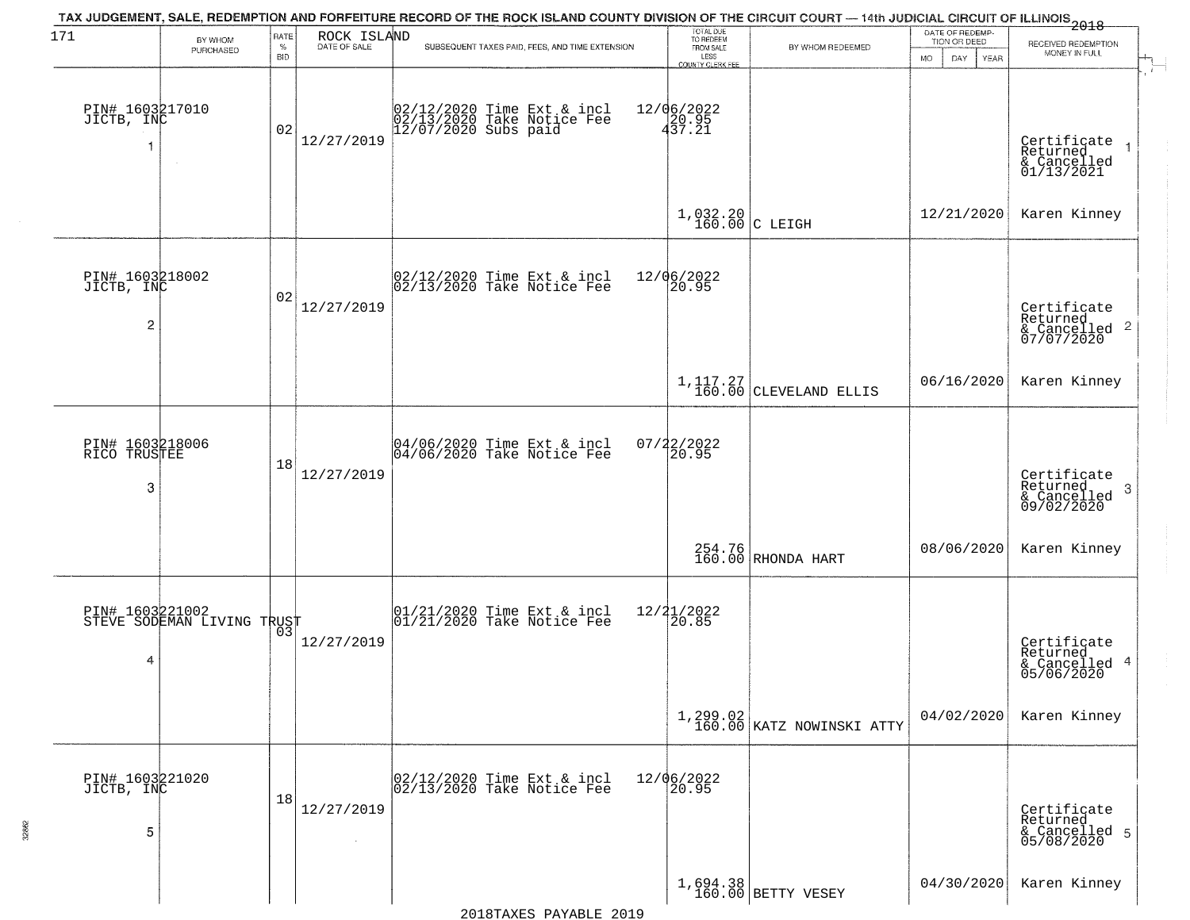| 171                                  | BY WHOM                                       | RATE               | ROCK ISLAND<br>DATE OF SALE | TAX JUDGEMENT, SALE, REDEMPTION AND FORFEITURE RECORD OF THE ROCK ISLAND COUNTY DIVISION OF THE CIRCUIT COURT — 14th JUDICIAL CIRCUIT OF ILLINOIS 2018 | TOTAL DUE<br>TO REDEEM                |                                         | DATE OF REDEMP-<br>TION OR DEED |                                                                    |
|--------------------------------------|-----------------------------------------------|--------------------|-----------------------------|--------------------------------------------------------------------------------------------------------------------------------------------------------|---------------------------------------|-----------------------------------------|---------------------------------|--------------------------------------------------------------------|
|                                      | PURCHASED                                     | $\%$<br><b>BID</b> |                             | SUBSEQUENT TAXES PAID, FEES, AND TIME EXTENSION                                                                                                        | FROM SALE<br>LESS<br>COUNTY CLERK FEE | BY WHOM REDEEMED                        | <b>MO</b><br>DAY<br><b>YEAR</b> | RECEIVED REDEMPTION<br>MONEY IN FULL                               |
| PIN# 1603217010<br>JICTB, INC<br>1   | $\sim$ 4 $^\circ$                             | 02                 | 12/27/2019                  | 02/12/2020 Time Ext & incl<br>02/13/2020 Take Notice Fee<br>12/07/2020 Subs paid                                                                       | 12/06/2022<br>430.95<br>437.21        |                                         |                                 | Certificate<br>Returned<br>& Cancelled<br>01/13/2021               |
|                                      |                                               |                    |                             |                                                                                                                                                        | $1,032.20$ C LEIGH                    |                                         | 12/21/2020                      | Karen Kinney                                                       |
| PIN# 1603218002<br>JICTB, INC<br>2   |                                               | 02                 | 12/27/2019                  | 02/12/2020 Time Ext & incl<br>02/13/2020 Take Notice Fee                                                                                               | 12/06/2022<br>20.95                   |                                         |                                 | Certificate<br>Returned<br>$\frac{1}{2}$ Cancelled 2<br>07/07/2020 |
|                                      |                                               |                    |                             |                                                                                                                                                        |                                       | $1,117.27$ CLEVELAND ELLIS              | 06/16/2020                      | Karen Kinney                                                       |
| PIN# 1603218006<br>RICO TRUSTEE<br>3 |                                               | 18                 | 12/27/2019                  | 04/06/2020 Time Ext & incl<br>04/06/2020 Take Notice Fee                                                                                               | $07/22/2022$<br>20.95                 |                                         |                                 | Certificate<br>Returned<br>3<br>& Cancelled<br>09/02/2020          |
|                                      |                                               |                    |                             |                                                                                                                                                        |                                       | 254.76<br>160.00 RHONDA HART            | 08/06/2020                      | Karen Kinney                                                       |
| 4                                    | PIN# 1603221002<br>STEVE SODEMAN LIVING TRUST |                    | 12/27/2019                  | 01/21/2020 Time Ext & incl<br>01/21/2020 Take Notice Fee                                                                                               | 12/21/2022<br>120.85                  |                                         |                                 | Certificate<br>Returned<br>& Cancelled 4<br>05/06/2020             |
|                                      |                                               |                    |                             |                                                                                                                                                        |                                       | $1,299.02$<br>160.00 KATZ NOWINSKI ATTY | 04/02/2020                      | Karen Kinney                                                       |
| PIN# 1603221020<br>JICTB, INC<br>5   |                                               | 18                 | 12/27/2019                  | 02/12/2020 Time Ext & incl<br>02/13/2020 Take Notice Fee                                                                                               | 12/06/2022<br>20.95                   |                                         |                                 | Certificate<br>Returned<br>& Cancelled 5<br>05/08/2020             |
|                                      |                                               |                    |                             |                                                                                                                                                        |                                       | $1,694.38$ BETTY VESEY                  | 04/30/2020                      | Karen Kinney                                                       |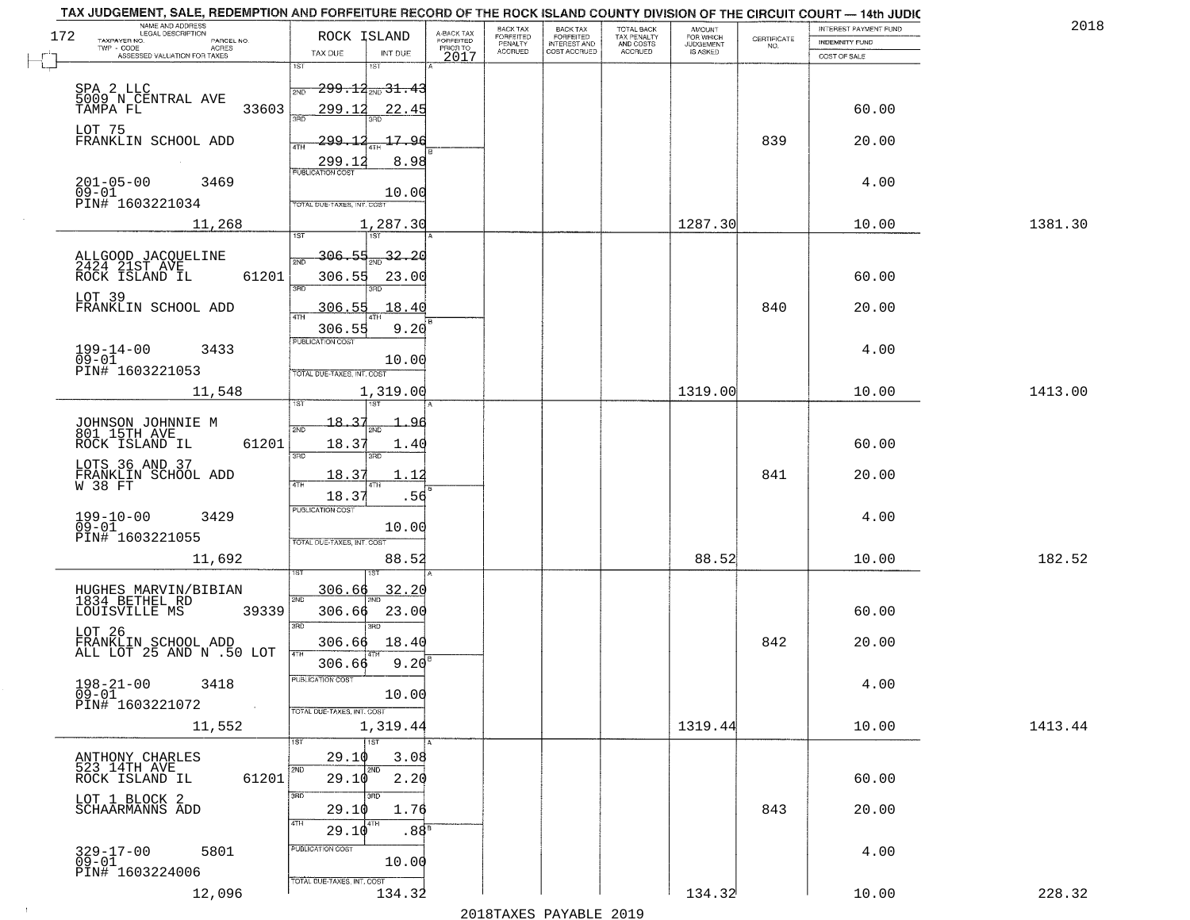| NAME AND ADDRESS<br>LEGAL DESCRIPTION                                                                                         |                                                                                                                                              |                                     | BACK TAX             | BACK TAX<br>FORFEITED<br>INTEREST AND |                                        |                                  |                    | INTEREST PAYMENT FUND  | 2018    |
|-------------------------------------------------------------------------------------------------------------------------------|----------------------------------------------------------------------------------------------------------------------------------------------|-------------------------------------|----------------------|---------------------------------------|----------------------------------------|----------------------------------|--------------------|------------------------|---------|
| 172<br>TAXPAYER NO.<br>PARCEL NO.<br>ACRES                                                                                    | ROCK ISLAND                                                                                                                                  | A-BACK TAX<br>FORFEITED<br>PRIOR TO | FORFEITED<br>PENALTY |                                       | TOTAL BACK<br>TAX PENALTY<br>AND COSTS | AMOUNT<br>FOR WHICH<br>JUDGEMENT | CERTIFICATE<br>NO. | <b>INDEMNITY FUND</b>  |         |
| ASSESSED VALUATION FOR TAXES                                                                                                  | TAX DUE<br>INT DUE<br>1ST<br>1ST                                                                                                             | 2017                                | <b>ACCRUED</b>       | COST ACCRUED                          | <b>ACCRUED</b>                         | IS ASKED                         |                    | COST OF SALE           |         |
| SPA 2 LLC<br>5009 N CENTRAL AVE<br>33603<br>TAMPA FL<br>LOT 75<br>FRANKLIN SCHOOL ADD<br>$201 - 05 - 00$<br>09-01<br>3469     | $299.14_{200}31.43$<br>2ND<br>299.12<br>22.45<br>350<br><u> 299.12</u><br>17.96<br>4TH<br>8.98<br>299.12<br><b>PUBLICATION COST</b><br>10.00 |                                     |                      |                                       |                                        |                                  | 839                | 60.00<br>20.00<br>4.00 |         |
| PIN# 1603221034                                                                                                               | TOTAL DUE-TAXES, INT. COST                                                                                                                   |                                     |                      |                                       |                                        |                                  |                    |                        |         |
| 11,268                                                                                                                        | 1,287.30                                                                                                                                     |                                     |                      |                                       |                                        | 1287.30                          |                    | 10.00                  | 1381.30 |
| ALLGOOD JACQUELINE<br>2424 21ST AVE<br>ROCK ISLAND IL<br>61201<br>LOT 39<br>FRANKLIN SCHOOL ADD<br>$199 - 14 - 00$<br>3433    | 306.55<br>$\frac{32.20}{200}$<br>306.55<br>23.00<br>$\overline{3BD}$<br>18.40<br><u>306.55</u><br>9.20<br>306.55<br>PUBLICATION COST         |                                     |                      |                                       |                                        |                                  | 840                | 60.00<br>20.00<br>4.00 |         |
| $09 - 01$<br>PIN# 1603221053                                                                                                  | 10.00<br>TOTAL DUE-TAXES, INT. COST                                                                                                          |                                     |                      |                                       |                                        |                                  |                    |                        |         |
| 11,548                                                                                                                        | 1,319.00<br>is T<br>١S٦                                                                                                                      |                                     |                      |                                       |                                        | 1319.00                          |                    | 10.00                  | 1413.00 |
| JOHNSON JOHNNIE M<br>801 15TH AVE<br>ROCK ISLAND IL<br>61201<br>LOTS 36 AND 37<br>FRANKLIN SCHOOL ADD<br>W 38 FT              | $-18 - 37$<br>2ND<br>18.37<br>1.40<br>3 <sub>BD</sub><br>3RD<br>18.37<br>1.1<br>4TH<br>1TH<br>18.37                                          | .56                                 |                      |                                       |                                        |                                  | 841                | 60.00<br>20.00         |         |
| 199-10-00<br>09-01<br>3429<br>PIN# 1603221055<br>11,692                                                                       | <b>PUBLICATION COST</b><br>10.00<br>TOTAL OUE-TAXES, INT. COST<br>88.52                                                                      |                                     |                      |                                       |                                        | 88.52                            |                    | 4.00<br>10.00          | 182.52  |
| HUGHES MARVIN/BIBIAN<br>1834 BETHEL RD<br>LOUISVILLE MS<br>39339<br>LOT 26<br>FRANKLIN SCHOOL ADD<br>ALL LOT 25 AND N .50 LOT | 306.66<br>32.20<br>2ND<br>306.66<br>23.00<br>3RD<br>$\overline{3BD}$<br>306.66<br>18.40<br>4TH                                               |                                     |                      |                                       |                                        |                                  | 842                | 60.00<br>20.00         |         |
| $198 - 21 - 00$<br>3418<br>$09 - 01$<br>PIN# 1603221072<br>$\sim 100$<br>11,552                                               | 9.20<br>306.66<br>"UBLICA HUN CUS<br>10.00<br>TOTAL DUE-TAXES, INT. COST<br>1,319.44                                                         |                                     |                      |                                       |                                        | 1319.44                          |                    | 4.00<br>10.00          | 1413.44 |
|                                                                                                                               | 1ST<br>1ST                                                                                                                                   |                                     |                      |                                       |                                        |                                  |                    |                        |         |
| ANTHONY CHARLES<br>523 14TH AVE<br>61201<br>ROCK ISLAND IL<br>LOT 1 BLOCK 2<br>SCHAARMANNS ADD                                | 29.10<br>2ND<br>2ND<br>29.10<br>2.20<br>3RD<br>29.10<br>4TH<br>4TH<br>29.10                                                                  | 3.08<br>1.76<br>.88 <sup>B</sup>    |                      |                                       |                                        |                                  | 843                | 60.00<br>20.00         |         |
| 329-17-00<br>09-01<br>5801<br>PIN# 1603224006<br>12,096                                                                       | PUBLICATION COST<br>10.00<br>TOTAL DUE-TAXES, INT. COST<br>134.32                                                                            |                                     |                      |                                       |                                        | 134.32                           |                    | 4.00<br>10.00          | 228.32  |
|                                                                                                                               |                                                                                                                                              |                                     |                      |                                       |                                        |                                  |                    |                        |         |

 $\sim 10^{-1}$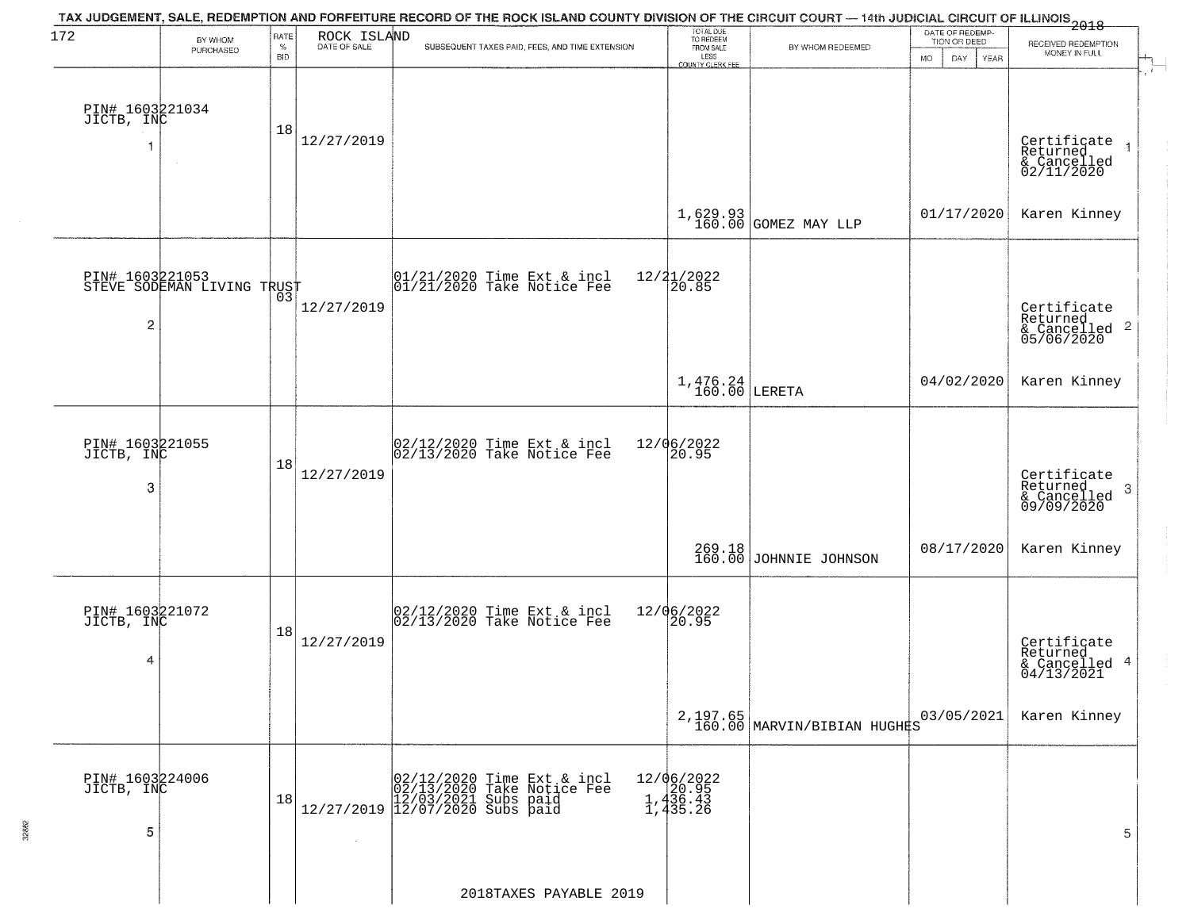| 172                                | BY WHOM                                       | RATE               | ROCK ISLAND<br>DATE OF SALE | TAX JUDGEMENT, SALE, REDEMPTION AND FORFEITURE RECORD OF THE ROCK ISLAND COUNTY DIVISION OF THE CIRCUIT COURT — 14th JUDICIAL CIRCUIT OF ILLINOIS 2018 | TOTAL DUE<br>TO REDEEM                      |                                          | DATE OF REDEMP-<br>TION OR DEED |                                                                        |
|------------------------------------|-----------------------------------------------|--------------------|-----------------------------|--------------------------------------------------------------------------------------------------------------------------------------------------------|---------------------------------------------|------------------------------------------|---------------------------------|------------------------------------------------------------------------|
|                                    | PURCHASED                                     | $\%$<br><b>BID</b> |                             | SUBSEQUENT TAXES PAID, FEES, AND TIME EXTENSION                                                                                                        | FROM SALE<br>LESS<br>COUNTY CLERK FEE       | BY WHOM REDEEMED                         | MO.<br>DAY<br>YEAR              | RECEIVED REDEMPTION<br>MONEY IN FULL                                   |
| PIN# 1603221034<br>JICTB, INC      | $\sim$                                        | 18                 | 12/27/2019                  |                                                                                                                                                        |                                             |                                          |                                 | Certificate<br>Returned<br>$\overline{1}$<br>& Cancelled<br>02/11/2020 |
|                                    |                                               |                    |                             |                                                                                                                                                        |                                             | 1,629.93 GOMEZ MAY LLP                   | 01/17/2020                      | Karen Kinney                                                           |
| 2                                  | PIN# 1603221053<br>STEVE SODEMAN LIVING TRUST |                    | 12/27/2019                  | $ 01/21/2020$ Time Ext & incl<br>$ 01/21/2020$ Take Notice Fee                                                                                         | $12/21/2022$<br>20.85                       |                                          |                                 | Certificate<br>Returned<br>$& \text{Cancelled}$ 2<br>05/06/2020        |
|                                    |                                               |                    |                             |                                                                                                                                                        | $1,476.24$ LERETA                           |                                          | 04/02/2020                      | Karen Kinney                                                           |
| PIN# 1603221055<br>JICTB, INC<br>3 |                                               | 18                 | 12/27/2019                  | $ 02/12/2020$ Time Ext & incl<br>$ 02/13/2020$ Take Notice Fee                                                                                         | 12/06/2022<br>20.95                         |                                          |                                 | Certificate<br>Returned<br>3<br>& Cancelled<br>09/09/2020              |
|                                    |                                               |                    |                             |                                                                                                                                                        |                                             | 269.18<br>160.00 JOHNNIE JOHNSON         | 08/17/2020                      | Karen Kinney                                                           |
| PIN# 1603221072<br>JICTB, INC<br>4 |                                               | 18                 | 12/27/2019                  | $[02/12/2020$ Time Ext & incl<br>$[02/13/2020$ Take Notice Fee                                                                                         | 12/06/2022<br>20.95                         |                                          |                                 | Certificate<br>Returned<br>& Cancelled 4<br>04/13/2021                 |
|                                    |                                               |                    |                             |                                                                                                                                                        |                                             | 2, 197.65<br>160.00 MARVIN/BIBIAN HUGHES | 03/05/2021                      | Karen Kinney                                                           |
| PIN# 1603224006<br>JICTB, INC<br>5 |                                               | 18                 | $\sim 10^{-1}$              | Time Ext & incl<br>Take Notice Fee<br>$[02/12/2020$ Time Ext &<br>02/13/2020 Take Notic<br>12/27/2019 12/07/2021 Subs paid<br>12/07/2020 Subs paid     | 12/06/2022<br>20.95<br>1,436.43<br>1,435.26 |                                          |                                 | 5                                                                      |
|                                    |                                               |                    |                             | 2018TAXES PAYABLE 2019                                                                                                                                 |                                             |                                          |                                 |                                                                        |

32862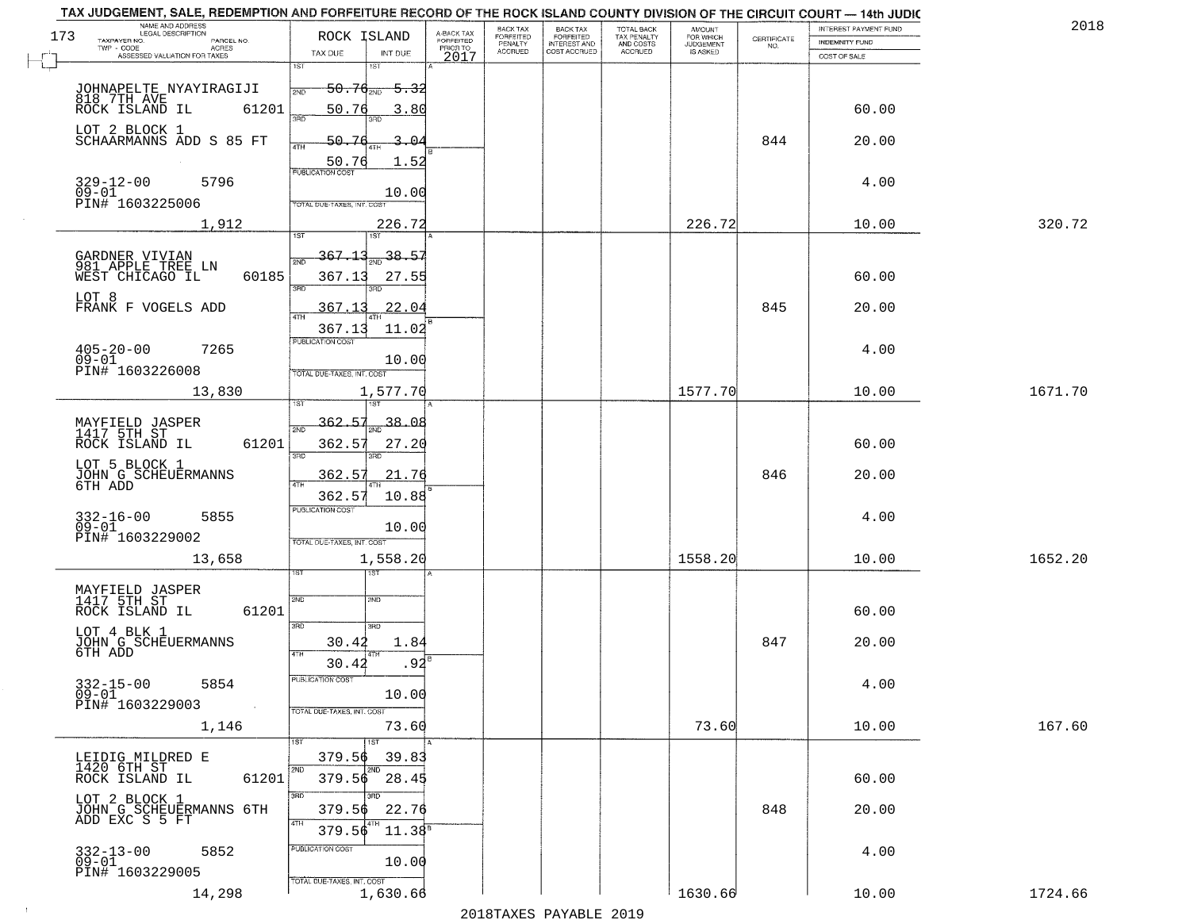| NAME AND ADDRESS<br>LEGAL DESCRIPTION<br>173              | ROCK ISLAND                |                                                | BACK TAX                               | <b>BACK TAX</b>                           | TOTAL BACK<br>TAX PENALTY<br>AND COSTS | AMOUNT<br>FOR WHICH                 |                    | INTEREST PAYMENT FUND | 2018    |
|-----------------------------------------------------------|----------------------------|------------------------------------------------|----------------------------------------|-------------------------------------------|----------------------------------------|-------------------------------------|--------------------|-----------------------|---------|
| TAXPAYER NO.<br>PARCEL NO.<br>ACRES                       | TAX DUE                    | A-BACK TAX<br>FORFEITED<br>PRIOR TO<br>INT DUE | FORFEITED<br>PENALTY<br><b>ACCRUED</b> | FORFEITED<br>INTEREST AND<br>COST ACCRUED | ACCRUED                                | <b>JUDGEMENT</b><br><b>IS ASKED</b> | CERTIFICATE<br>NO. | <b>INDEMNITY FUND</b> |         |
| ASSESSED VALUATION FOR TAXES                              | 1ST<br>1ST                 | 2017                                           |                                        |                                           |                                        |                                     |                    | COST OF SALE          |         |
|                                                           | $50.76_{200}$<br>2ND       | <del>5.32</del>                                |                                        |                                           |                                        |                                     |                    |                       |         |
| JOHNAPELTE NYAYIRAGIJI<br>818.7TH AVE                     |                            |                                                |                                        |                                           |                                        |                                     |                    |                       |         |
| 61201<br>ROCK ISLAND IL                                   | 50.76<br>350               | 3.80                                           |                                        |                                           |                                        |                                     |                    | 60.00                 |         |
| LOT 2 BLOCK 1<br>SCHAARMANNS ADD S 85 FT                  | 50.76                      | $3 - 04$                                       |                                        |                                           |                                        |                                     | 844                | 20.00                 |         |
|                                                           | 4TH                        | 1.52                                           |                                        |                                           |                                        |                                     |                    |                       |         |
|                                                           | 50.76<br>PUBLICATION COST  |                                                |                                        |                                           |                                        |                                     |                    |                       |         |
| $329 - 12 - 00$<br>5796<br>$09 - 01$                      |                            | 10.00                                          |                                        |                                           |                                        |                                     |                    | 4.00                  |         |
| PIN# 1603225006                                           | TOTAL DUE-TAXES, INT. COST |                                                |                                        |                                           |                                        |                                     |                    |                       |         |
| 1,912                                                     |                            | 226.72                                         |                                        |                                           |                                        | 226.72                              |                    | 10.00                 | 320.72  |
|                                                           | 367.13                     | 38.57                                          |                                        |                                           |                                        |                                     |                    |                       |         |
| GARDNER VIVIAN<br>981 APPLE TREE LN                       | חות                        |                                                |                                        |                                           |                                        |                                     |                    |                       |         |
| 60185<br>WEST CHICAGO IL                                  | 367.13<br>3RD<br>3RD       | 27.55                                          |                                        |                                           |                                        |                                     |                    | 60.00                 |         |
| LOT 8<br>FRANK F VOGELS ADD                               | 367.13                     | 22.04                                          |                                        |                                           |                                        |                                     | 845                | 20.00                 |         |
|                                                           | 47H<br>367.13              | 11.02                                          |                                        |                                           |                                        |                                     |                    |                       |         |
| $405 - 20 - 00$<br>7265                                   | PUBLICATION COST           |                                                |                                        |                                           |                                        |                                     |                    | 4.00                  |         |
| $09 - 01$                                                 |                            | 10.00                                          |                                        |                                           |                                        |                                     |                    |                       |         |
| PIN# 1603226008                                           | TOTAL DUE-TAXES, INT. COST |                                                |                                        |                                           |                                        |                                     |                    |                       |         |
| 13,830                                                    | 1ST                        | 1,577.70                                       |                                        |                                           |                                        | 1577.70                             |                    | 10.00                 | 1671.70 |
|                                                           | 362.57                     | 38.08                                          |                                        |                                           |                                        |                                     |                    |                       |         |
| MAYFIELD JASPER<br>1417 5TH ST<br>ROCK ISLAND IL<br>61201 | 2ND<br>362.57              | 27.20                                          |                                        |                                           |                                        |                                     |                    | 60.00                 |         |
|                                                           | 3BD<br>3RD                 |                                                |                                        |                                           |                                        |                                     |                    |                       |         |
| LOT 5 BLOCK 1<br>JOHN G SCHEUERMANNS<br>6TH ADD           | 362.57                     | 21.76                                          |                                        |                                           |                                        |                                     | 846                | 20.00                 |         |
|                                                           | 4TH<br>362.57              | 10.88                                          |                                        |                                           |                                        |                                     |                    |                       |         |
| 5855                                                      | <b>PUBLICATION COST</b>    |                                                |                                        |                                           |                                        |                                     |                    | 4.00                  |         |
| 332-16-00<br>09-01<br>PIN# 1603229002                     |                            | 10.00                                          |                                        |                                           |                                        |                                     |                    |                       |         |
|                                                           | TOTAL OUE-TAXES, INT. COST |                                                |                                        |                                           |                                        |                                     |                    |                       |         |
| 13,658                                                    | ख़ा                        | 1,558.20                                       |                                        |                                           |                                        | 1558.20                             |                    | 10.00                 | 1652.20 |
|                                                           |                            |                                                |                                        |                                           |                                        |                                     |                    |                       |         |
| MAYFIELD JASPER<br>1417 5TH ST<br>ROCK ISLAND IL<br>61201 | 2ND<br>2ND                 |                                                |                                        |                                           |                                        |                                     |                    | 60.00                 |         |
|                                                           | 3BD<br>3RD                 |                                                |                                        |                                           |                                        |                                     |                    |                       |         |
| LOT 4 BLK 1<br>JOHN G SCHEUERMANNS                        | 30.42                      | 1.84                                           |                                        |                                           |                                        |                                     | 847                | 20.00                 |         |
| 6TH ADD                                                   | 30.42                      | $.92^{\overline{6}}$                           |                                        |                                           |                                        |                                     |                    |                       |         |
| $332 - 15 - 00$<br>5854                                   | PUBLICA HUN COS            |                                                |                                        |                                           |                                        |                                     |                    | 4.00                  |         |
| $09 - 01$<br>PIN# 1603229003<br>$\sim 100$ km $^{-1}$     |                            | 10.00                                          |                                        |                                           |                                        |                                     |                    |                       |         |
|                                                           | TOTAL DUE-TAXES, INT. COST |                                                |                                        |                                           |                                        |                                     |                    |                       |         |
| 1,146                                                     | 1ST                        | 73.60                                          |                                        |                                           |                                        | 73.60                               |                    | 10.00                 | 167.60  |
| LEIDIG MILDRED E                                          | 379.56                     | 39.83                                          |                                        |                                           |                                        |                                     |                    |                       |         |
| 1420 6TH ST<br>61201<br>ROCK ISLAND IL                    | 2ND<br>2ND<br>379.56 28.45 |                                                |                                        |                                           |                                        |                                     |                    | 60.00                 |         |
| LOT 2 BLOCK 1                                             | 3RD<br>3BD                 |                                                |                                        |                                           |                                        |                                     |                    |                       |         |
| JOHN G SCHEUERMANNS 6TH                                   | 379.56                     | 22.76                                          |                                        |                                           |                                        |                                     | 848                | 20.00                 |         |
| ADD EXC S 5 FT                                            | 4TH<br>  4TH<br>379.56     | $11.38^{\circ}$                                |                                        |                                           |                                        |                                     |                    |                       |         |
| 5852                                                      | PUBLICATION COST           |                                                |                                        |                                           |                                        |                                     |                    | 4.00                  |         |
| 332-13-00<br>09-01<br>PIN# 1603229005                     |                            | 10.00                                          |                                        |                                           |                                        |                                     |                    |                       |         |
| 14,298                                                    | TOTAL DUE-TAXES, INT. COST | 1,630.66                                       |                                        |                                           |                                        | 1630.66                             |                    | 10.00                 | 1724.66 |
|                                                           |                            |                                                |                                        |                                           |                                        |                                     |                    |                       |         |

 $\sim 100$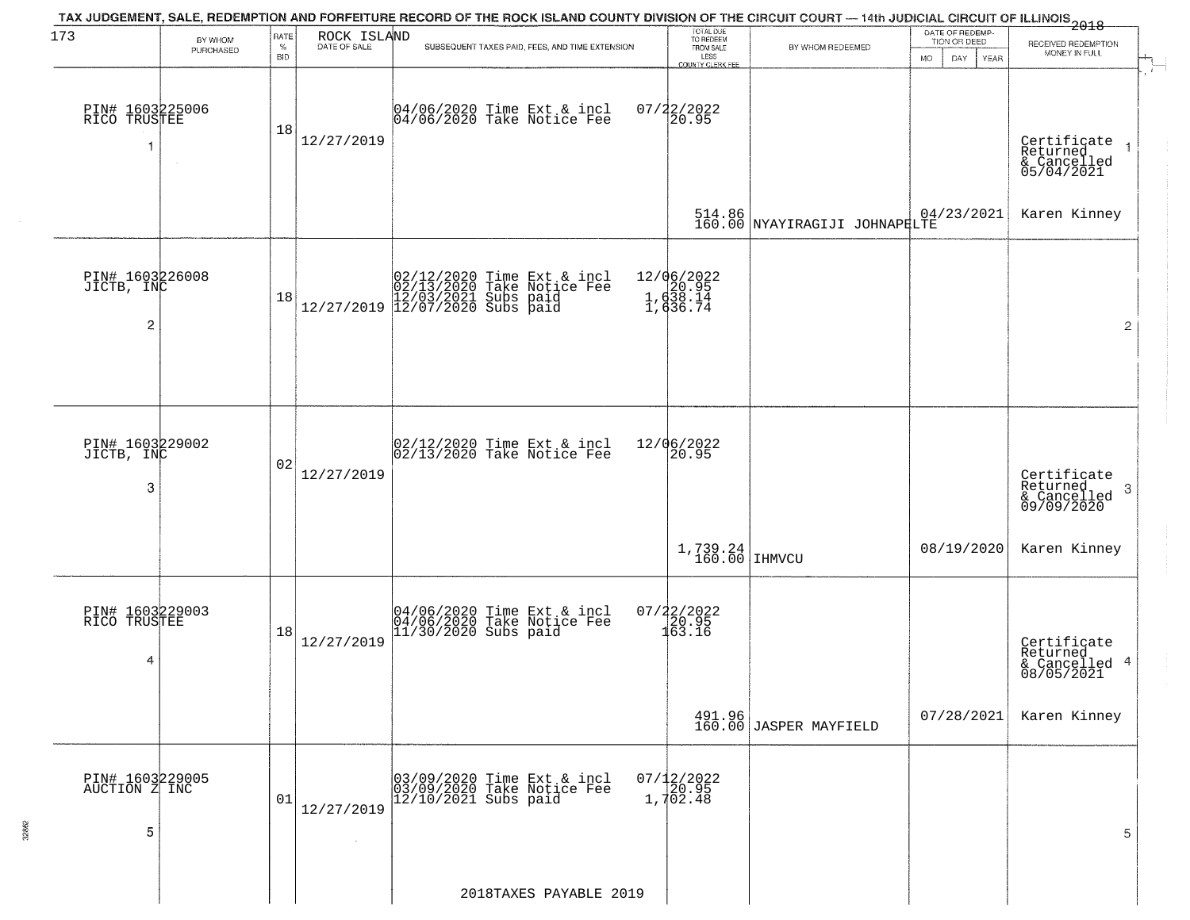| 173                                             | BY WHOM<br>PURCHASED | RATE<br>$\%$<br><b>BID</b> | ROCK ISLAND<br>DATE OF SALE | TAX JUDGEMENT, SALE, REDEMPTION AND FORFEITURE RECORD OF THE ROCK ISLAND COUNTY DIVISION OF THE CIRCUIT COURT — 14th JUDICIAL CIRCUIT OF ILLINOIS 2018<br>SUBSEQUENT TAXES PAID, FEES, AND TIME EXTENSION | TOTAL DUE<br>TO REDEEM<br>FROM SALE<br>LESS<br>COUNTY CLERK FEE | BY WHOM REDEEMED                        | DATE OF REDEMP-<br>TION OR DEED<br><b>MO</b><br>DAY<br><b>YEAR</b> | RECEIVED REDEMPTION<br>MONEY IN FULL                      |
|-------------------------------------------------|----------------------|----------------------------|-----------------------------|-----------------------------------------------------------------------------------------------------------------------------------------------------------------------------------------------------------|-----------------------------------------------------------------|-----------------------------------------|--------------------------------------------------------------------|-----------------------------------------------------------|
| PIN# 1603225006<br>RICO TRUSTEE                 | $\sim$               | 18                         | 12/27/2019                  | 04/06/2020 Time Ext & incl<br>04/06/2020 Take Notice Fee                                                                                                                                                  | $07/22/2022$<br>20.95                                           |                                         |                                                                    | Certificate<br>Returned<br>& Cancelled<br>05/04/2021      |
|                                                 |                      |                            |                             |                                                                                                                                                                                                           |                                                                 | 514.86<br>160.00 NYAYIRAGIJI JOHNAPELTE | 04/23/2021                                                         | Karen Kinney                                              |
| PIN# 1603226008<br>JICTB, INC<br>$\overline{c}$ |                      | 18                         |                             | $[02/12/2020 \t\t Time \t\t Ext & incl \\ 02/13/2020 \t\t Take \t Notice \tFe \\ 12/27/2019 \t\t 12/07/2020 \t\} \tSubs \t paid \\ 12/07/2020 \tSubs \t paid \\$                                          | 12/06/2022<br>1, d20.95<br>1, d38.14<br>1, d36.74               |                                         |                                                                    | $\overline{2}$                                            |
| PIN# 1603229002<br>JICTB, INC<br>3              |                      | 02                         | 12/27/2019                  | 02/12/2020 Time Ext & incl<br>02/13/2020 Take Notice Fee                                                                                                                                                  | 12/06/2022<br>20.95                                             |                                         |                                                                    | Certificate<br>Returned<br>3<br>& Cancelled<br>09/09/2020 |
|                                                 |                      |                            |                             |                                                                                                                                                                                                           | 1,739.24<br>160.00                                              | <b>IHMVCU</b>                           | 08/19/2020                                                         | Karen Kinney                                              |
| PIN# 1603229003<br>RICO TRUSTEE<br>4            |                      | 18                         | 12/27/2019                  | 04/06/2020 Time Ext & incl<br>04/06/2020 Take Notice Fee<br>11/30/2020 Subs paid                                                                                                                          | $07/22/2022$<br>$120.95$<br>$163.16$                            |                                         |                                                                    | Certificate<br>Returned<br>& Cancelled 4<br>08/05/2021    |
|                                                 |                      |                            |                             |                                                                                                                                                                                                           |                                                                 | 491.96<br>160.00 JASPER MAYFIELD        | 07/28/2021                                                         | Karen Kinney                                              |
| PIN# 1603229005<br>AUCTION Z INC<br>5           |                      | 01                         | 12/27/2019                  | 03/09/2020 Time Ext & incl<br>03/09/2020 Take Notice Fee<br>$12/10/2021$ Subs paid                                                                                                                        | $07/12/2022$<br>$20.95$<br>$1,702.48$                           |                                         |                                                                    | 5                                                         |
|                                                 |                      |                            |                             | 2018TAXES PAYABLE 2019                                                                                                                                                                                    |                                                                 |                                         |                                                                    |                                                           |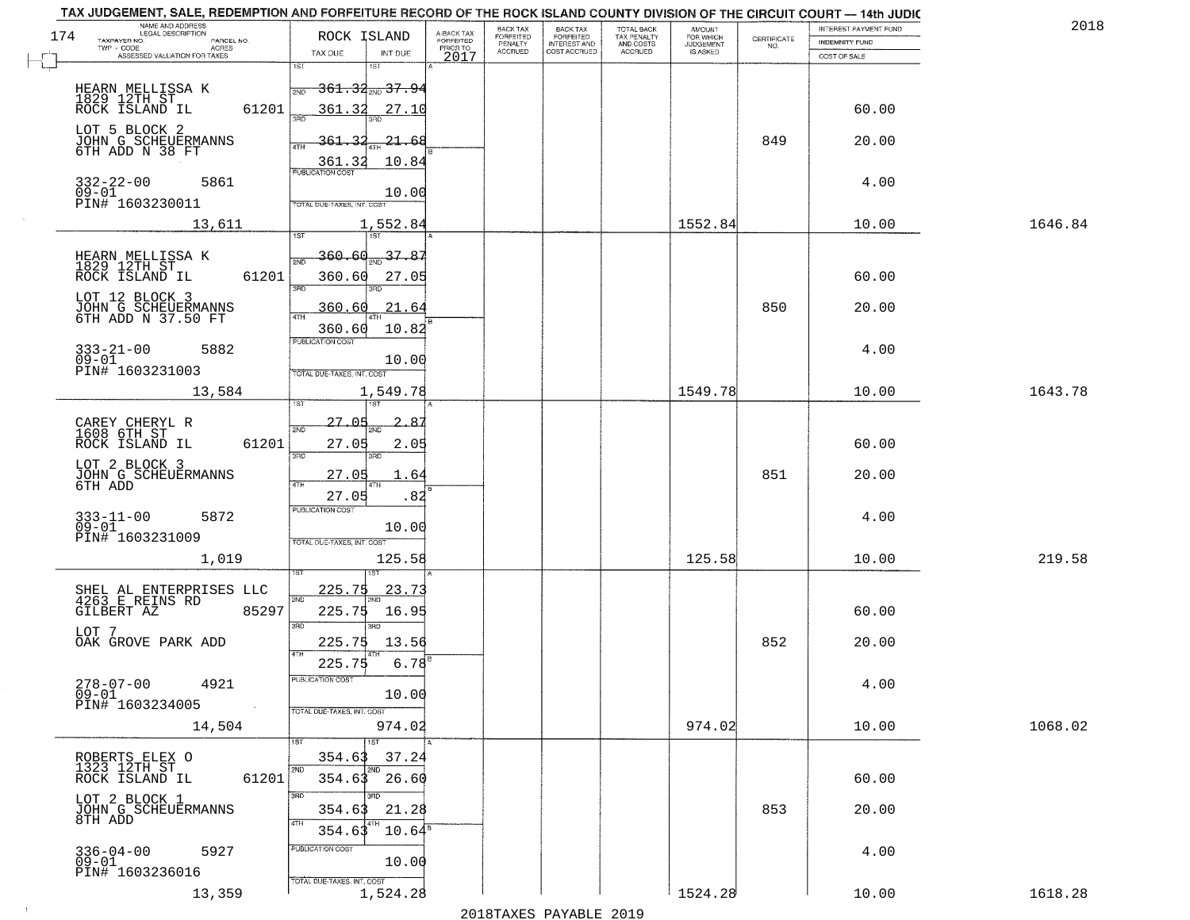| TAX JUDGEMENT, SALE, REDEMPTION AND FORFEITURE RECORD OF THE ROCK ISLAND COUNTY DIVISION OF THE CIRCUIT COURT - 14th JUDIC<br>NAME AND ADDRESS<br>LEGAL DESCRIPTION |                                                                                                       | BACK TAX                                                    | BACK TAX<br>FORFEITED | <b>TOTAL BACK</b>        | AMOUNT<br>FOR WHICH |                                                                 | INTEREST PAYMENT FUND | 2018    |
|---------------------------------------------------------------------------------------------------------------------------------------------------------------------|-------------------------------------------------------------------------------------------------------|-------------------------------------------------------------|-----------------------|--------------------------|---------------------|-----------------------------------------------------------------|-----------------------|---------|
| 174<br>TAXPAYER NO.<br>PARCEL NO.<br>TWP - CODE<br>ACRES                                                                                                            | ROCK ISLAND                                                                                           | A-BACK TAX<br>FORFEITED<br>PRIOR TO<br>FORFEITED<br>PENALTY | <b>INTEREST AND</b>   | TAX PENALTY<br>AND COSTS | <b>JUDGEMENT</b>    | $\begin{array}{c} \text{CEPTIFICATE} \\ \text{NO.} \end{array}$ | <b>INDEMNITY FUND</b> |         |
| ASSESSED VALUATION FOR TAXES                                                                                                                                        | TAX DUE<br>INT DUE<br>1ST                                                                             | <b>ACCRUED</b><br>2017                                      | COST ACCRUED          | <b>ACCRUED</b>           | IS ASKED            |                                                                 | COST OF SALE          |         |
| HEARN MELLISSA K<br>1829 12TH ST<br>ROCK ISLAND IL<br>61201                                                                                                         | 1ST<br>$361.34_{200}37.94$<br>2ND<br>361.32<br>27.10<br>350                                           |                                                             |                       |                          |                     |                                                                 | 60.00                 |         |
| LOT 5 BLOCK 2<br>JOHN G SCHEUERMANNS<br>6TH ADD N 38 FT                                                                                                             | <u>361.32</u><br><u>21.68</u><br>10.84<br>361.32                                                      |                                                             |                       |                          |                     | 849                                                             | 20.00                 |         |
| $332 - 22 - 00$<br>09-01<br>5861<br>PIN# <sup>-1603230011</sup>                                                                                                     | <b>PUBLICATION COST</b><br>10.00<br>TOTAL DUE-TAXES, INT. COST                                        |                                                             |                       |                          |                     |                                                                 | 4.00                  |         |
| 13,611                                                                                                                                                              | 1,552.84                                                                                              |                                                             |                       |                          | 1552.84             |                                                                 | 10.00                 | 1646.84 |
| HEARN MELLISSA K<br>1829 12TH ST<br>ROCK ISLAND IL<br>61201<br>LOT 12 BLOCK 3<br>JOHN G SCHEUERMANNS<br>6TH ADD N 37.50 FT                                          | 37.87<br><u>360.60</u><br><b>PND</b><br>360.60<br>27.05<br>3RD<br>360.60<br>.21.64<br>10.82<br>360.60 |                                                             |                       |                          |                     | 850                                                             | 60.00<br>20.00        |         |
| $333 - 21 - 00$<br>5882<br>$09 - 01$<br>PIN# 1603231003                                                                                                             | PUBLICATION COST<br>10.00<br>TOTAL DUE-TAXES, INT. COST                                               |                                                             |                       |                          |                     |                                                                 | 4.00                  |         |
| 13,584                                                                                                                                                              | 1,549.78                                                                                              |                                                             |                       |                          | 1549.78             |                                                                 | 10.00                 | 1643.78 |
| CAREY CHERYL R<br>1608 6TH ST<br>ROCK ISLAND IL<br>61201                                                                                                            | ist<br>١S٦<br>27.05<br>2ND<br>27.05<br>2.05<br>3BD<br>3RD                                             |                                                             |                       |                          |                     |                                                                 | 60.00                 |         |
| LOT 2 BLOCK 3<br>JOHN G SCHEUERMANNS<br>6TH ADD                                                                                                                     | 27.05<br>1.64<br>4TH<br>27.05<br>.82                                                                  |                                                             |                       |                          |                     | 851                                                             | 20.00                 |         |
| 5872<br>$333 - 11 - 00$<br>09-01<br>PIN# 1603231009                                                                                                                 | <b>PUBLICATION COST</b><br>10.00<br>TOTAL OUE-TAXES, INT. COST                                        |                                                             |                       |                          |                     |                                                                 | 4.00                  |         |
| 1,019                                                                                                                                                               | 125.58                                                                                                |                                                             |                       |                          | 125.58              |                                                                 | 10.00                 | 219.58  |
| SHEL AL ENTERPRISES LLC<br>4263 E REINS RD<br>GILBERT AZ<br>85297<br>LOT 7                                                                                          | <u> 225.75</u><br>23.73<br>2ND<br>225.75<br>16.95<br>3RD<br>3RD                                       |                                                             |                       |                          |                     |                                                                 | 60.00                 |         |
| OAK GROVE PARK ADD                                                                                                                                                  | 13.56<br>225.75<br>4TH                                                                                |                                                             |                       |                          |                     | 852                                                             | 20.00                 |         |
| 278-07-00<br>4921<br>09-01<br>PIN# 1603234005<br>$\sim 100$                                                                                                         | 6.78<br>225.75<br>"UBLICA HUN CUS<br>10.00<br>TOTAL DUE-TAXES, INT. COST                              |                                                             |                       |                          |                     |                                                                 | 4.00                  |         |
| 14,504                                                                                                                                                              | 974.02                                                                                                |                                                             |                       |                          | 974.02              |                                                                 | 10.00                 | 1068.02 |
| ROBERTS ELEX O<br>1323 12TH ST<br>61201<br>ROCK ISLAND IL                                                                                                           | 1ST<br>354.63<br>37.24<br>2ND<br>2ND<br>354.63 26.60                                                  |                                                             |                       |                          |                     |                                                                 | 60.00                 |         |
| LOT 2 BLOCK 1<br>JOHN G SCHEUERMANNS<br>8TH ADD                                                                                                                     | 3RD<br>21.28<br>354.63<br>4TH<br>$10.64^{\circ}$<br>354.63                                            |                                                             |                       |                          |                     | 853                                                             | 20.00                 |         |
| $336 - 04 - 00$<br>5927<br>ŏ9–oi<br>PIN# 1603236016                                                                                                                 | PUBLICATION COST<br>10.00<br>TOTAL DUE-TAXES, INT. COST                                               |                                                             |                       |                          |                     |                                                                 | 4.00                  |         |
| 13,359                                                                                                                                                              | 1,524.28                                                                                              |                                                             |                       |                          | 1524.28             |                                                                 | 10.00                 | 1618.28 |

 $\sim 10^{-1}$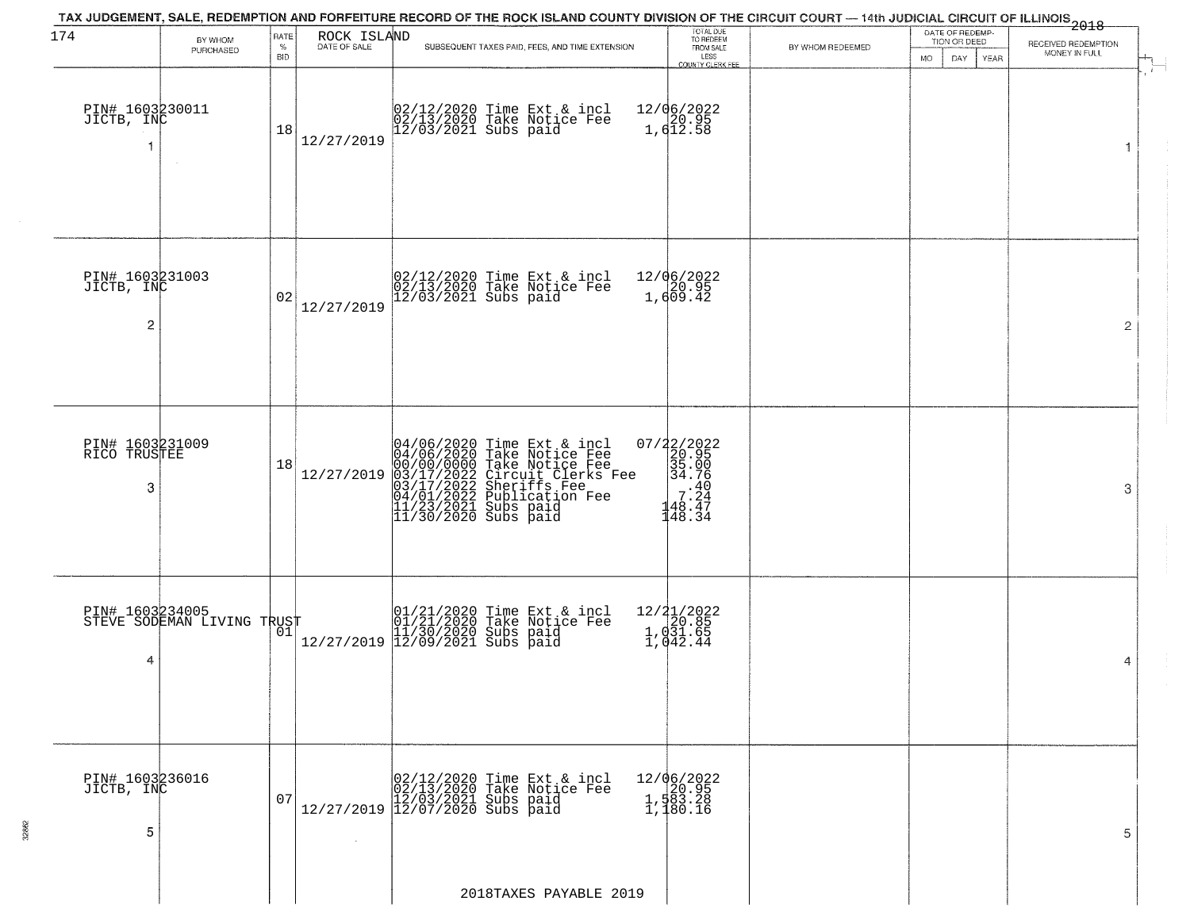| 174                                             | BY WHOM                                       | RATE               | ROCK ISLAND<br>DATE OF SALE | TAX JUDGEMENT, SALE, REDEMPTION AND FORFEITURE RECORD OF THE ROCK ISLAND COUNTY DIVISION OF THE CIRCUIT COURT — 14th JUDICIAL CIRCUIT OF ILLINOIS 2018                                                                                |                        | TOTAL DUE<br>TO REDEEM<br>FROM SALE                                                                                 |                  | DATE OF REDEMP-<br>TION OR DEED | RECEIVED REDEMPTION |
|-------------------------------------------------|-----------------------------------------------|--------------------|-----------------------------|---------------------------------------------------------------------------------------------------------------------------------------------------------------------------------------------------------------------------------------|------------------------|---------------------------------------------------------------------------------------------------------------------|------------------|---------------------------------|---------------------|
|                                                 | PURCHASED                                     | $\%$<br><b>BID</b> |                             | SUBSEQUENT TAXES PAID, FEES, AND TIME EXTENSION                                                                                                                                                                                       |                        | LESS<br>COUNTY CLERK FEE                                                                                            | BY WHOM REDEEMED | DAY<br>YEAR<br>MO.              | MONEY IN FULL       |
| PIN# 1603230011<br>JICTB, INC                   | $\sim$                                        | 18                 | 12/27/2019                  | 02/12/2020 Time Ext & incl<br>02/13/2020 Take Notice Fee<br>12/03/2021 Subs paid                                                                                                                                                      |                        | 12/06/2022<br>20.95<br>1,612.58                                                                                     |                  |                                 | $\mathbf{1}$        |
| PIN# 1603231003<br>JICTB, INC<br>$\overline{c}$ |                                               | 02                 | 12/27/2019                  | 02/12/2020 Time Ext & incl<br>02/13/2020 Take Notice Fee<br>12/03/2021 Subs paid                                                                                                                                                      |                        | 12/06/2022<br>20.95<br>1,609.42                                                                                     |                  |                                 | $\overline{2}$      |
| PIN# 1603231009<br>RICO TRUSTEE<br>3            |                                               | 18                 | 12/27/2019                  | 04/06/2020 Time Ext & incl<br>04/06/2020 Take Notice Fee<br>00/00/00/000 Take Notice Fee<br>03/17/2022 Circuit Clerks Fee<br>03/17/2022 Sublication Fee<br>04/01/2022 Publication Fee<br>11/23/2021 Subs paid<br>11/30/2020 Subs paid |                        | 07/22/2022<br>20.95<br>35.00<br>34.76<br>$\begin{array}{rr}\n & 40 \\  & 7.24 \\  & 48.47 \\  & 48.34\n\end{array}$ |                  |                                 | 3                   |
| 4                                               | PIN# 1603234005<br>STEVE SODEMAN LIVING TRUST |                    |                             | 01/21/2020 Time Ext & incl<br>01/21/2020 Take Notice Fee<br>11/30/2020 Subs paid<br>12/27/2019 12/09/2021 Subs paid                                                                                                                   |                        | 12/21/2022<br>1, 031.65<br>1, 031.65<br>1, 042.44                                                                   |                  |                                 | 4                   |
| PIN# 1603236016<br>JICTB, INC<br>5              |                                               | 07                 | $\sim 10^{-1}$              | $[02/12/2020 \t\t Time Ext & incl02/13/2020 \tTake Notice Free12/27/2019 \t\t 12/03/2021 \tSubs paid12/27/2019 \t\t 12/07/2020 \tSubs paid$                                                                                           |                        | 12/06/2022<br>1,583.28<br>1,583.28<br>1,180.16                                                                      |                  |                                 | 5                   |
|                                                 |                                               |                    |                             |                                                                                                                                                                                                                                       | 2018TAXES PAYABLE 2019 |                                                                                                                     |                  |                                 |                     |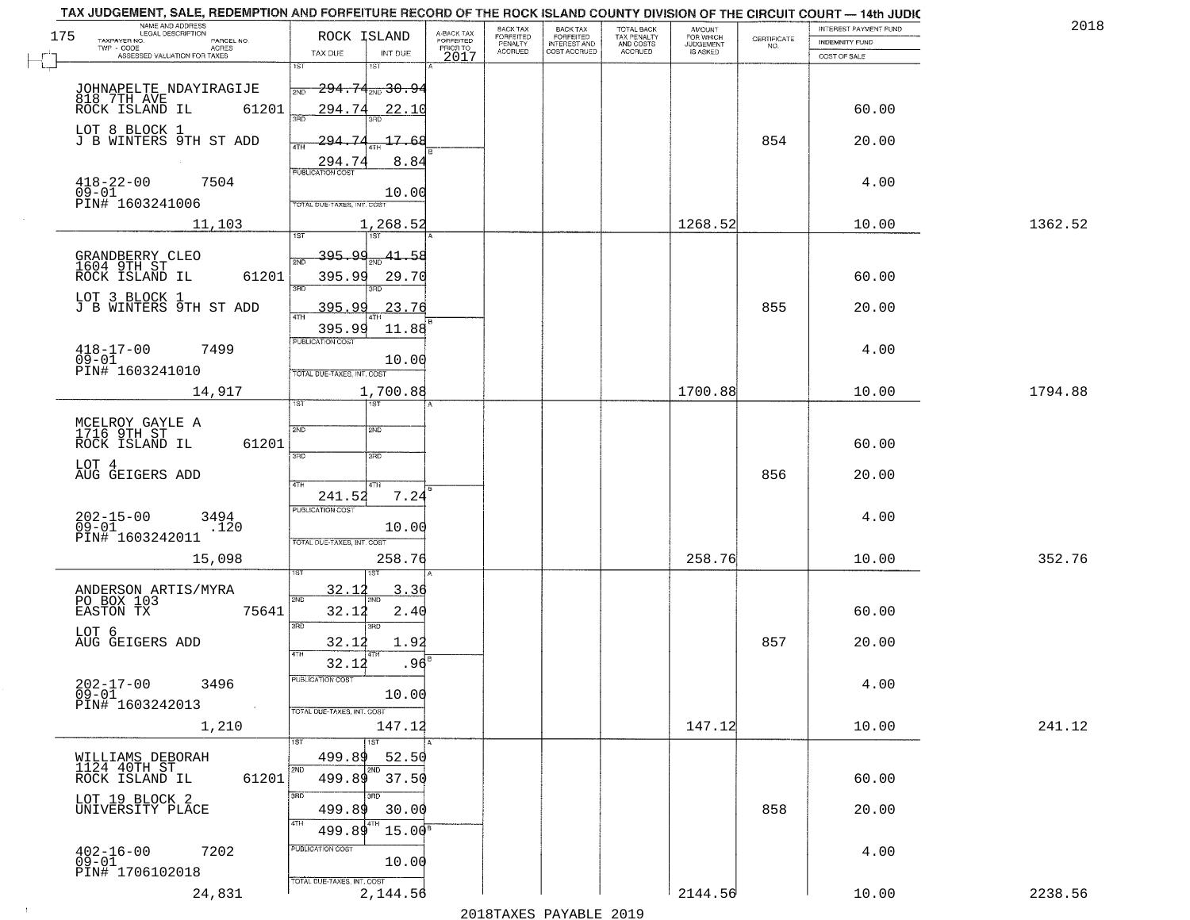|     | TAX JUDGEMENT, SALE, REDEMPTION AND FORFEITURE RECORD OF THE ROCK ISLAND COUNTY DIVISION OF THE CIRCUIT COURT - 14th JUDIC<br>NAME AND ADDRESS<br>LEGAL DESCRIPTION |                                     |                                     | BACK TAX                    | BACK TAX<br>FORFEITED |                                        | AMOUNT<br>FOR WHICH |                                                                 | INTEREST PAYMENT FUND | 2018    |
|-----|---------------------------------------------------------------------------------------------------------------------------------------------------------------------|-------------------------------------|-------------------------------------|-----------------------------|-----------------------|----------------------------------------|---------------------|-----------------------------------------------------------------|-----------------------|---------|
| 175 | TAXPAYER NO.<br>PARCEL NO.                                                                                                                                          | ROCK ISLAND                         | A-BACK TAX<br>FORFEITED<br>PRIOR TO | <b>FORFEITED</b><br>PENALTY | <b>INTEREST AND</b>   | TOTAL BACK<br>TAX PENALTY<br>AND COSTS | <b>JUDGEMENT</b>    | $\begin{array}{c} \text{CERTIFICATE} \\ \text{NO.} \end{array}$ | INDEMNITY FUND        |         |
|     | ACRES<br>ASSESSED VALUATION FOR TAXES                                                                                                                               | TAX DUE<br>INT DUE                  | 2017                                | <b>ACCRUED</b>              | COST ACCRUED          | ACCRUED                                | IS ASKED            |                                                                 | COST OF SALE          |         |
|     |                                                                                                                                                                     | 1ST<br>1ST                          |                                     |                             |                       |                                        |                     |                                                                 |                       |         |
|     |                                                                                                                                                                     | <del>294.74, 30.94</del><br>2ND     |                                     |                             |                       |                                        |                     |                                                                 |                       |         |
|     | JOHNAPELTE NDAYIRAGIJE<br>818 7TH AVE<br>ROCK ISLAND IL 612<br>61201                                                                                                | 294.74<br>22.10                     |                                     |                             |                       |                                        |                     |                                                                 | 60.00                 |         |
|     |                                                                                                                                                                     | 350                                 |                                     |                             |                       |                                        |                     |                                                                 |                       |         |
|     | LOT 8 BLOCK 1<br>J B WINTERS 9TH ST ADD                                                                                                                             | <u> 294.74</u><br>17.68             |                                     |                             |                       |                                        |                     | 854                                                             | 20.00                 |         |
|     |                                                                                                                                                                     | ATH                                 |                                     |                             |                       |                                        |                     |                                                                 |                       |         |
|     |                                                                                                                                                                     | 8.84<br>294.74                      |                                     |                             |                       |                                        |                     |                                                                 |                       |         |
|     | $418 - 22 - 00$<br>09-01<br>7504                                                                                                                                    | 10.00                               |                                     |                             |                       |                                        |                     |                                                                 | 4.00                  |         |
|     | PIN# 1603241006                                                                                                                                                     | TOTAL DUE-TAXES, INT. COST          |                                     |                             |                       |                                        |                     |                                                                 |                       |         |
|     | 11,103                                                                                                                                                              | 1,268.52                            |                                     |                             |                       |                                        | 1268.52             |                                                                 | 10.00                 | 1362.52 |
|     |                                                                                                                                                                     |                                     |                                     |                             |                       |                                        |                     |                                                                 |                       |         |
|     |                                                                                                                                                                     | 395.99 <sub>2ND</sub> 41.58         |                                     |                             |                       |                                        |                     |                                                                 |                       |         |
|     | GRANDBERRY CLEO<br>1604 9TH ST<br>61201<br>ROCK ISLAND IL                                                                                                           | 395.99<br>29.70                     |                                     |                             |                       |                                        |                     |                                                                 | 60.00                 |         |
|     |                                                                                                                                                                     | बन्ना<br>3RD                        |                                     |                             |                       |                                        |                     |                                                                 |                       |         |
|     | LOT 3 BLOCK 1<br>J B WINTERS 9TH ST ADD                                                                                                                             | <u>395.99</u><br>23.76              |                                     |                             |                       |                                        |                     | 855                                                             | 20.00                 |         |
|     |                                                                                                                                                                     |                                     |                                     |                             |                       |                                        |                     |                                                                 |                       |         |
|     |                                                                                                                                                                     | 395.99<br>11.88<br>PUBLICATION COST |                                     |                             |                       |                                        |                     |                                                                 |                       |         |
|     | $418 - 17 - 00$<br>7499                                                                                                                                             |                                     |                                     |                             |                       |                                        |                     |                                                                 | 4.00                  |         |
|     | $09 - 01$<br>PIN# 1603241010                                                                                                                                        | 10.00<br>TOTAL DUE-TAXES, INT. COST |                                     |                             |                       |                                        |                     |                                                                 |                       |         |
|     |                                                                                                                                                                     |                                     |                                     |                             |                       |                                        | 1700.88             |                                                                 |                       | 1794.88 |
|     | 14,917                                                                                                                                                              | 1,700.88<br>1ST<br>ist              |                                     |                             |                       |                                        |                     |                                                                 | 10.00                 |         |
|     |                                                                                                                                                                     |                                     |                                     |                             |                       |                                        |                     |                                                                 |                       |         |
|     | MCELROY GAYLE A<br>1716 9TH ST                                                                                                                                      | 2ND<br>2ND                          |                                     |                             |                       |                                        |                     |                                                                 |                       |         |
|     | ROCK ISLAND IL<br>61201                                                                                                                                             | 3RD<br>3RD                          |                                     |                             |                       |                                        |                     |                                                                 | 60.00                 |         |
|     | LOT 4                                                                                                                                                               |                                     |                                     |                             |                       |                                        |                     |                                                                 |                       |         |
|     | AUG GEIGERS ADD                                                                                                                                                     | 4TH<br>4TH                          |                                     |                             |                       |                                        |                     | 856                                                             | 20.00                 |         |
|     |                                                                                                                                                                     | 7.24<br>241.52                      |                                     |                             |                       |                                        |                     |                                                                 |                       |         |
|     | $202 - 15 - 00$<br>09-01<br>3494                                                                                                                                    | <b>PUBLICATION COST</b>             |                                     |                             |                       |                                        |                     |                                                                 | 4.00                  |         |
|     | .120<br>PIN# 1603242011                                                                                                                                             | 10.00                               |                                     |                             |                       |                                        |                     |                                                                 |                       |         |
|     |                                                                                                                                                                     | TOTAL OUE-TAXES, INT. COST          |                                     |                             |                       |                                        |                     |                                                                 |                       |         |
|     | 15,098                                                                                                                                                              | 258.76                              |                                     |                             |                       |                                        | 258.76              |                                                                 | 10.00                 | 352.76  |
|     |                                                                                                                                                                     | 3.36                                |                                     |                             |                       |                                        |                     |                                                                 |                       |         |
|     | ANDERSON ARTIS/MYRA<br>PO BOX 103                                                                                                                                   | 32.1<br>2ND                         |                                     |                             |                       |                                        |                     |                                                                 |                       |         |
|     | EASTON TX<br>75641                                                                                                                                                  | 2.40<br>32.12                       |                                     |                             |                       |                                        |                     |                                                                 | 60.00                 |         |
|     | LOT 6                                                                                                                                                               | 3BD<br>3RD                          |                                     |                             |                       |                                        |                     |                                                                 |                       |         |
|     | AUG GEIGERS ADD                                                                                                                                                     | 32.12<br>1.92                       |                                     |                             |                       |                                        |                     | 857                                                             | 20.00                 |         |
|     |                                                                                                                                                                     | .96<br>32.12                        |                                     |                             |                       |                                        |                     |                                                                 |                       |         |
|     | $202 - 17 - 00$<br>3496                                                                                                                                             | PUBLICATION COST                    |                                     |                             |                       |                                        |                     |                                                                 | 4.00                  |         |
|     | $\overline{0}\overline{9}$ - $0\overline{1}$<br>PIN# 1603242013                                                                                                     | 10.00                               |                                     |                             |                       |                                        |                     |                                                                 |                       |         |
|     | $\sim 100$                                                                                                                                                          | TOTAL DUE-TAXES, INT. COST          |                                     |                             |                       |                                        |                     |                                                                 |                       |         |
|     | 1,210                                                                                                                                                               | 147.12                              |                                     |                             |                       |                                        | 147.12              |                                                                 | 10.00                 | 241.12  |
|     |                                                                                                                                                                     |                                     |                                     |                             |                       |                                        |                     |                                                                 |                       |         |
|     | WILLIAMS DEBORAH<br>1124 40TH ST                                                                                                                                    | 52.50<br>499.89                     |                                     |                             |                       |                                        |                     |                                                                 |                       |         |
|     | ROCK ISLAND IL<br>61201                                                                                                                                             | 499.89<br>37.50                     |                                     |                             |                       |                                        |                     |                                                                 | 60.00                 |         |
|     | LOT 19 BLOCK 2                                                                                                                                                      | 3RD                                 |                                     |                             |                       |                                        |                     |                                                                 |                       |         |
|     | UNIVERSITY PLACE                                                                                                                                                    | 499.89<br>30.00                     |                                     |                             |                       |                                        |                     | 858                                                             | 20.00                 |         |
|     |                                                                                                                                                                     | $15.00^8$<br>499.89                 |                                     |                             |                       |                                        |                     |                                                                 |                       |         |
|     | $402 - 16 - 00$<br>7202                                                                                                                                             | PUBLICATION COST                    |                                     |                             |                       |                                        |                     |                                                                 | 4.00                  |         |
|     | $09-01$                                                                                                                                                             | 10.00                               |                                     |                             |                       |                                        |                     |                                                                 |                       |         |
|     | PIN# 1706102018                                                                                                                                                     | TOTAL DUE-TAXES, INT. COST          |                                     |                             |                       |                                        |                     |                                                                 |                       |         |
|     | 24,831                                                                                                                                                              | 2,144.56                            |                                     |                             |                       |                                        | 2144.56             |                                                                 | 10.00                 | 2238.56 |
|     |                                                                                                                                                                     |                                     |                                     |                             | 2010                  |                                        |                     |                                                                 |                       |         |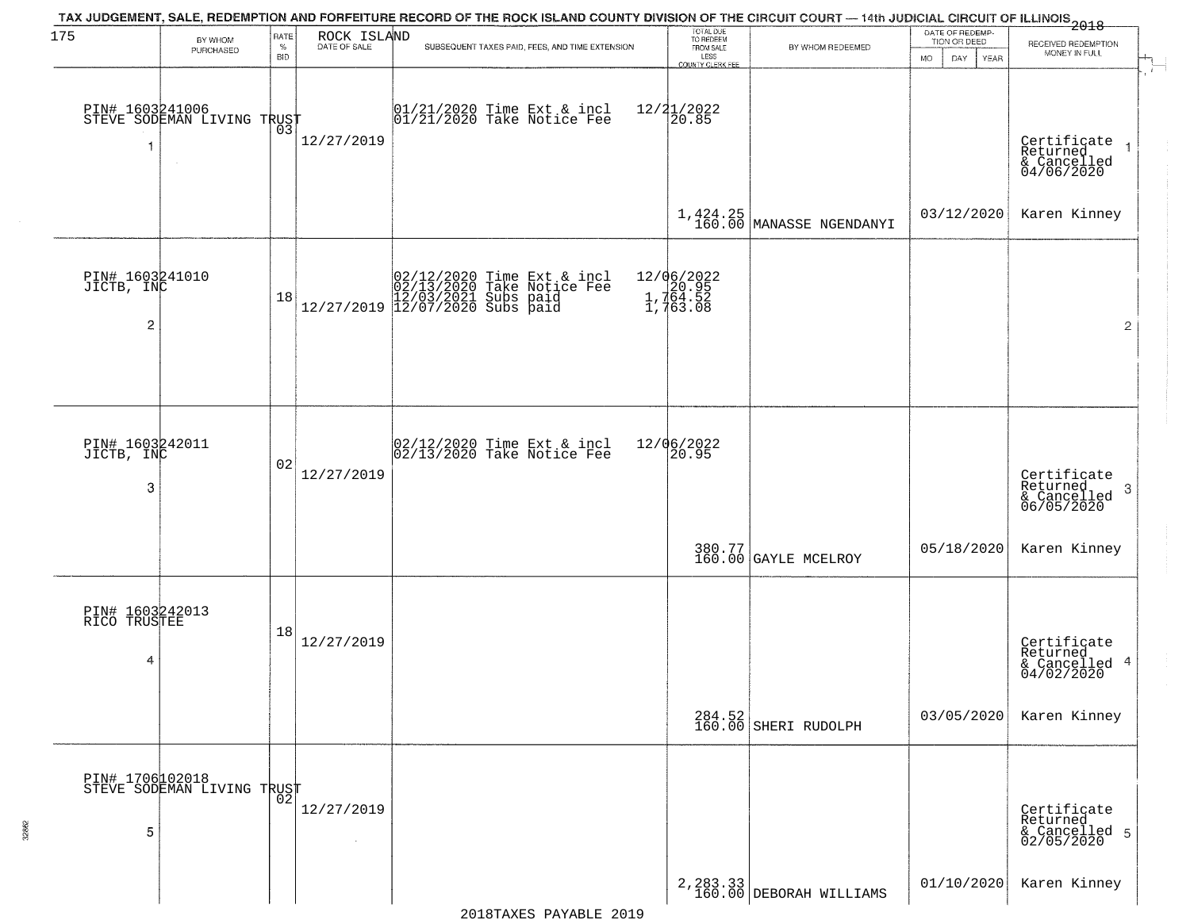| 175                                  | BY WHOM                                                 | RATE               | ROCK ISLAND<br>DATE OF SALE | TAX JUDGEMENT, SALE, REDEMPTION AND FORFEITURE RECORD OF THE ROCK ISLAND COUNTY DIVISION OF THE CIRCUIT COURT — 14th JUDICIAL CIRCUIT OF ILLINOIS 2018 | TOTAL DUE<br>TO REDEEM                           |                                             | DATE OF REDEMP-<br>TION OR DEED | RECEIVED REDEMPTION                                    |
|--------------------------------------|---------------------------------------------------------|--------------------|-----------------------------|--------------------------------------------------------------------------------------------------------------------------------------------------------|--------------------------------------------------|---------------------------------------------|---------------------------------|--------------------------------------------------------|
|                                      | PURCHASED                                               | $\%$<br><b>BID</b> |                             | SUBSEQUENT TAXES PAID, FEES, AND TIME EXTENSION                                                                                                        | FROM SALE<br>LESS<br>COUNTY CLERK FEE            | BY WHOM REDEEMED                            | DAY.<br>YEAR<br><b>MO</b>       | MONEY IN FULL                                          |
| 1                                    | PIN# 1603241006<br>STEVE SODEMAN LIVING TRUST<br>$\sim$ |                    | 12/27/2019                  | 01/21/2020 Time Ext & incl<br>01/21/2020 Take Notice Fee                                                                                               | 12/21/2022<br>20.85                              |                                             |                                 | Certificate<br>Returned<br>& Cancelled<br>04/06/2020   |
|                                      |                                                         |                    |                             |                                                                                                                                                        |                                                  | $1,424.25$<br>$160.00$<br>MANASSE NGENDANYI | 03/12/2020                      | Karen Kinney                                           |
| PIN# 1603241010<br>JICTB, INC<br>2   |                                                         | 18                 |                             | $[02/12/2020 \t\t Time \t\t Ext & incl \\ 02/13/2020 \t\t Take \t Notice \tFe \\ 12/27/2019 \t\t 12/07/2020 \tSubs \t paid \\$                         | 12/06/2022<br>1, 20.95<br>1, 764.52<br>1, 763.08 |                                             |                                 | $\mathbf{2}$                                           |
| PIN# 1603242011<br>JICTB, INC        |                                                         | 02                 | 12/27/2019                  | $\begin{array}{c} 02/12/2020 \\ 02/13/2020 \\ 04 \end{array}$ Take Notice Fee                                                                          | 12/06/2022<br>20.95                              |                                             |                                 | Certificate<br>Returned                                |
| 3                                    |                                                         |                    |                             |                                                                                                                                                        |                                                  | 380.77<br>160.00 GAYLE MCELROY              | 05/18/2020                      | 3<br>& Cancelled<br>06/05/2020<br>Karen Kinney         |
| PIN# 1603242013<br>RICO TRUSTEE<br>4 |                                                         | 18                 | 12/27/2019                  |                                                                                                                                                        |                                                  |                                             |                                 | Certificate<br>Returned<br>& Cancelled 4<br>04/02/2020 |
|                                      |                                                         |                    |                             |                                                                                                                                                        |                                                  | 284.52<br>160.00 SHERI RUDOLPH              | 03/05/2020                      | Karen Kinney                                           |
| 5                                    | PIN# 1706102018<br>STEVE SODEMAN LIVING TRUST           |                    | 12/27/2019<br>$\sim$        |                                                                                                                                                        |                                                  |                                             |                                 | Certificate<br>Returned<br>& Cancelled 5<br>02/05/2020 |
|                                      |                                                         |                    |                             |                                                                                                                                                        |                                                  | $2,283.33$<br>160.00 DEBORAH WILLIAMS       | 01/10/2020                      | Karen Kinney                                           |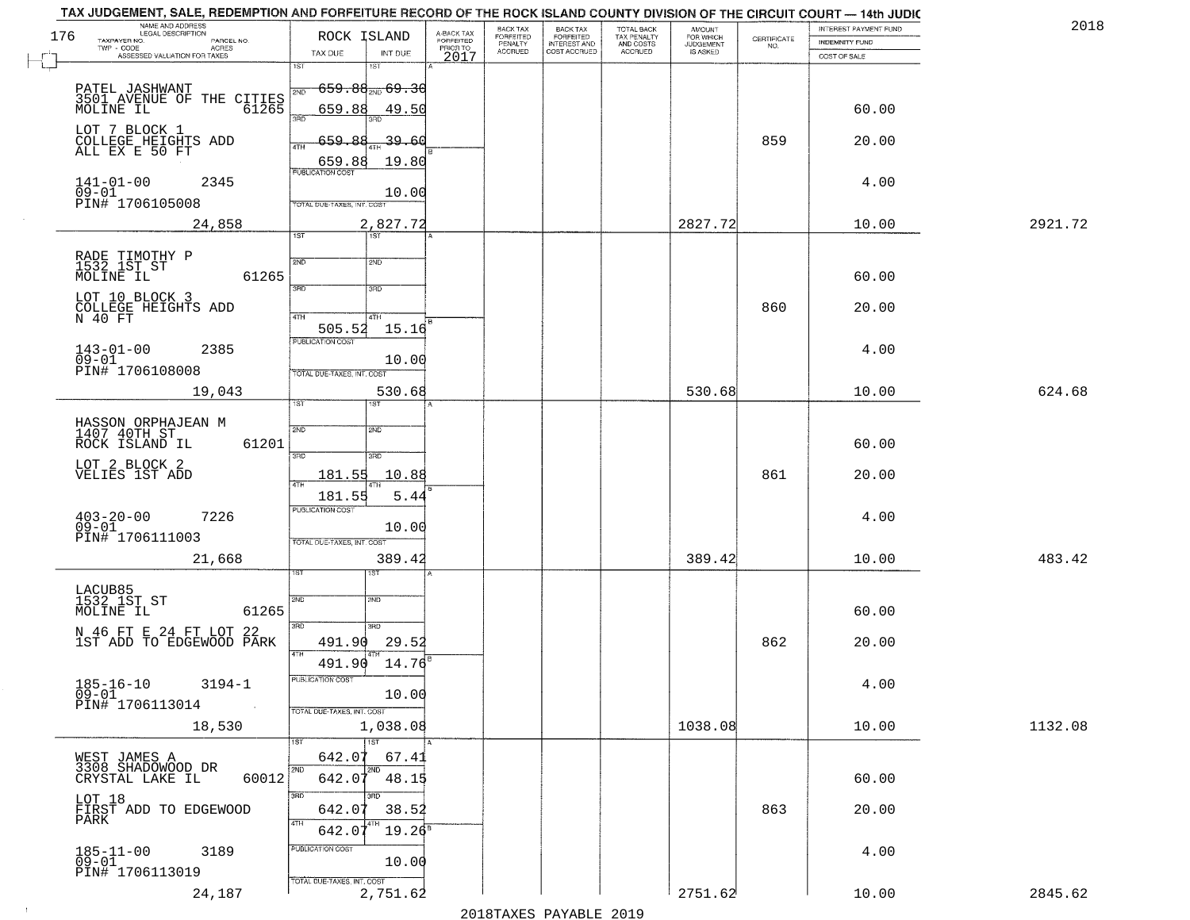|     | TAX JUDGEMENT, SALE, REDEMPTION AND FORFEITURE RECORD OF THE ROCK ISLAND COUNTY DIVISION OF THE CIRCUIT COURT - 14th JUDIC<br>NAME AND ADDRESS<br>LEGAL DESCRIPTION |                                             |                      |                                     | BACK TAX             |                                       |                                        |                                  |                                                                 | INTEREST PAYMENT FUND | 2018    |
|-----|---------------------------------------------------------------------------------------------------------------------------------------------------------------------|---------------------------------------------|----------------------|-------------------------------------|----------------------|---------------------------------------|----------------------------------------|----------------------------------|-----------------------------------------------------------------|-----------------------|---------|
| 176 | TAXPAYER NO.<br>PARCEL NO.                                                                                                                                          | ROCK ISLAND                                 |                      | A-BACK TAX<br>FORFEITED<br>PRIOR TO | FORFEITED<br>PENALTY | BACK TAX<br>FORFEITED<br>INTEREST AND | TOTAL BACK<br>TAX PENALTY<br>AND COSTS | AMOUNT<br>FOR WHICH<br>JUDGEMENT | $\begin{array}{c} \text{CERTIFICATE} \\ \text{NO.} \end{array}$ | <b>INDEMNITY FUND</b> |         |
|     | TWP - CODE<br>ACRES<br>ASSESSED VALUATION FOR TAXES                                                                                                                 | TAX DUE                                     | INT DUE              | 2017                                | <b>ACCRUED</b>       | COST ACCRUED                          | <b>ACCRUED</b>                         | IS ASKED                         |                                                                 | COST OF SALE          |         |
|     |                                                                                                                                                                     | 1ST                                         | 1ST                  |                                     |                      |                                       |                                        |                                  |                                                                 |                       |         |
|     | PATEL JASHWANT                                                                                                                                                      | <del>659.88<sub>2ND</sub> 69.3</del><br>2ND |                      |                                     |                      |                                       |                                        |                                  |                                                                 |                       |         |
|     | 3501 AVENUE OF THE CITIES<br>MOLINE IL 61265                                                                                                                        | 659.88<br>3RD                               | 49.50                |                                     |                      |                                       |                                        |                                  |                                                                 | 60.00                 |         |
|     | LOT 7 BLOCK 1<br>COLLEGE HEIGHTS ADD                                                                                                                                |                                             |                      |                                     |                      |                                       |                                        |                                  |                                                                 |                       |         |
|     | ALL EX E 50 FT                                                                                                                                                      | 659.88<br>4TH                               | 39.60                |                                     |                      |                                       |                                        |                                  | 859                                                             | 20.00                 |         |
|     |                                                                                                                                                                     | 659.88<br><b>PUBLICATION COST</b>           | 19.80                |                                     |                      |                                       |                                        |                                  |                                                                 |                       |         |
|     | $141 - 01 - 00$<br>2345<br>$09 - 01$                                                                                                                                |                                             | 10.00                |                                     |                      |                                       |                                        |                                  |                                                                 | 4.00                  |         |
|     | PIN# 1706105008                                                                                                                                                     | TOTAL DUE-TAXES, INT. COST                  |                      |                                     |                      |                                       |                                        |                                  |                                                                 |                       |         |
|     | 24,858                                                                                                                                                              |                                             | 2,827.72             |                                     |                      |                                       |                                        | 2827.72                          |                                                                 | 10.00                 | 2921.72 |
|     |                                                                                                                                                                     | 1ST                                         | 1ST                  |                                     |                      |                                       |                                        |                                  |                                                                 |                       |         |
|     | RADE TIMOTHY P<br>1532 1ST ST<br>MOLINE IL                                                                                                                          | 2ND                                         | 2ND                  |                                     |                      |                                       |                                        |                                  |                                                                 |                       |         |
|     | 61265                                                                                                                                                               | 3RD                                         | 3RD                  |                                     |                      |                                       |                                        |                                  |                                                                 | 60.00                 |         |
|     | LOT 10 BLOCK 3                                                                                                                                                      |                                             |                      |                                     |                      |                                       |                                        |                                  | 860                                                             | 20.00                 |         |
|     | COLLEGE HEIGHTS ADD<br>N 40 FT                                                                                                                                      | 47H<br>505.52                               | 4TH<br>15.16         |                                     |                      |                                       |                                        |                                  |                                                                 |                       |         |
|     |                                                                                                                                                                     | PUBLICATION COST                            |                      |                                     |                      |                                       |                                        |                                  |                                                                 |                       |         |
|     | $143 - 01 - 00$<br>2385<br>$09 - 01$                                                                                                                                |                                             | 10.00                |                                     |                      |                                       |                                        |                                  |                                                                 | 4.00                  |         |
|     | PIN# <sup>1</sup> 1706108008                                                                                                                                        | TOTAL DUE-TAXES, INT. COST                  |                      |                                     |                      |                                       |                                        |                                  |                                                                 |                       |         |
|     | 19,043                                                                                                                                                              | 1ST.                                        | 530.68<br><b>IST</b> |                                     |                      |                                       |                                        | 530.68                           |                                                                 | 10.00                 | 624.68  |
|     |                                                                                                                                                                     |                                             |                      |                                     |                      |                                       |                                        |                                  |                                                                 |                       |         |
|     | HASSON ORPHAJEAN M<br>1407 40TH ST<br>ROCK ISLAND IL<br>61201                                                                                                       | 2ND                                         | SMD                  |                                     |                      |                                       |                                        |                                  |                                                                 | 60.00                 |         |
|     |                                                                                                                                                                     | 3BD                                         | 3BD                  |                                     |                      |                                       |                                        |                                  |                                                                 |                       |         |
|     | LOT 2 BLOCK 2<br>VELIES 1ST ADD                                                                                                                                     | 181.55                                      | 10.88                |                                     |                      |                                       |                                        |                                  | 861                                                             | 20.00                 |         |
|     |                                                                                                                                                                     | 181.55                                      | 5.44                 |                                     |                      |                                       |                                        |                                  |                                                                 |                       |         |
|     | $403 - 20 - 00$<br>09-01<br>7226                                                                                                                                    | <b>PUBLICATION COST</b>                     |                      |                                     |                      |                                       |                                        |                                  |                                                                 | 4.00                  |         |
|     | PIN# 1706111003                                                                                                                                                     | TOTAL OUE-TAXES, INT. COST                  | 10.00                |                                     |                      |                                       |                                        |                                  |                                                                 |                       |         |
|     | 21,668                                                                                                                                                              |                                             | 389.42               |                                     |                      |                                       |                                        | 389.42                           |                                                                 | 10.00                 | 483.42  |
|     |                                                                                                                                                                     |                                             | १९४                  |                                     |                      |                                       |                                        |                                  |                                                                 |                       |         |
|     | LACUB85<br>1532 1ST ST                                                                                                                                              | 2ND                                         | 2ND                  |                                     |                      |                                       |                                        |                                  |                                                                 |                       |         |
|     | MOLINE IL<br>61265                                                                                                                                                  |                                             |                      |                                     |                      |                                       |                                        |                                  |                                                                 | 60.00                 |         |
|     | N 46 FT E 24 FT LOT 22                                                                                                                                              | 3RD                                         | 3BD                  |                                     |                      |                                       |                                        |                                  |                                                                 |                       |         |
|     | 1ST ADD TO EDGEWOOD PARK                                                                                                                                            | 491.90<br>4TH                               | 29.52                |                                     |                      |                                       |                                        |                                  | 862                                                             | 20.00                 |         |
|     |                                                                                                                                                                     | 491.90<br>PUBLICATION COST                  | 14.76                |                                     |                      |                                       |                                        |                                  |                                                                 |                       |         |
|     | $185 - 16 - 10$<br>$3194 - 1$<br>$\overline{0}\,\overline{9}-0\,\overline{1}$                                                                                       |                                             | 10.00                |                                     |                      |                                       |                                        |                                  |                                                                 | 4.00                  |         |
|     | PIN# 1706113014                                                                                                                                                     | TOTAL DUE-TAXES, INT. COST                  |                      |                                     |                      |                                       |                                        |                                  |                                                                 |                       |         |
|     | 18,530                                                                                                                                                              |                                             | 1,038.08             |                                     |                      |                                       |                                        | 1038.08                          |                                                                 | 10.00                 | 1132.08 |
|     |                                                                                                                                                                     | 1ST<br>642.07                               | 1ST<br>67.41         |                                     |                      |                                       |                                        |                                  |                                                                 |                       |         |
|     | WEST JAMES A<br>3308 SHADOWOOD DR                                                                                                                                   | 2ND                                         | 2ND                  |                                     |                      |                                       |                                        |                                  |                                                                 |                       |         |
|     | 60012<br>CRYSTAL LAKE IL                                                                                                                                            | 642.07<br>3RD <sup>-</sup>                  | 48.15<br>अंग         |                                     |                      |                                       |                                        |                                  |                                                                 | 60.00                 |         |
|     | LOT 18<br>FIRST ADD TO EDGEWOOD                                                                                                                                     | 642.07                                      | 38.52                |                                     |                      |                                       |                                        |                                  | 863                                                             | 20.00                 |         |
|     | PARK                                                                                                                                                                | 4TH<br>642.07                               | $19.26^{\circ}$      |                                     |                      |                                       |                                        |                                  |                                                                 |                       |         |
|     | 3189                                                                                                                                                                | PUBLICATION COST                            |                      |                                     |                      |                                       |                                        |                                  |                                                                 | 4.00                  |         |
|     | $185 - 11 - 00$<br>09-01<br>PIN# 1706113019                                                                                                                         |                                             | 10.00                |                                     |                      |                                       |                                        |                                  |                                                                 |                       |         |
|     | 24,187                                                                                                                                                              | TOTAL DUE-TAXES, INT. COST                  |                      |                                     |                      |                                       |                                        | 2751.62                          |                                                                 | 10.00                 | 2845.62 |
|     |                                                                                                                                                                     |                                             | 2,751.62             |                                     |                      |                                       |                                        |                                  |                                                                 |                       |         |

 $\sim 10$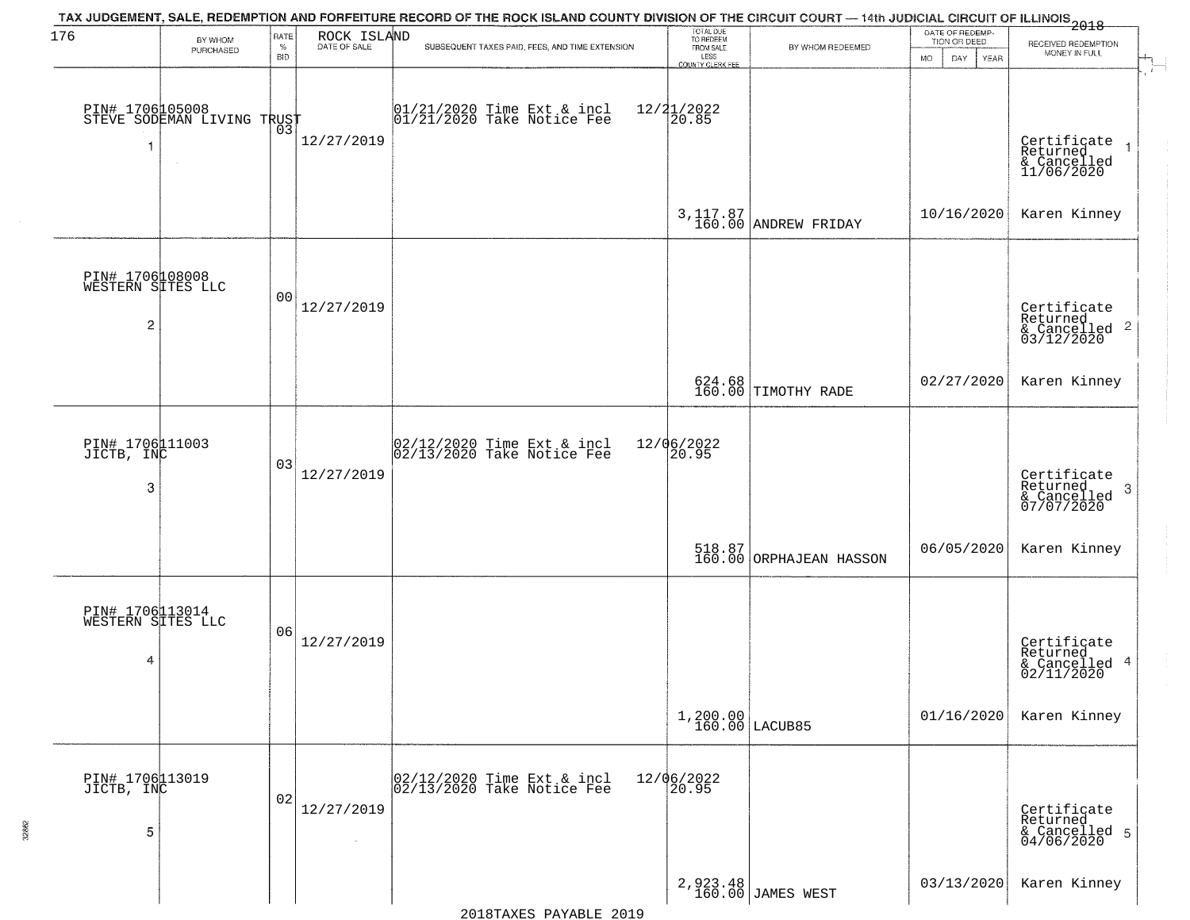| 176                                       |                                                             | RATE               |             | TAX JUDGEMENT, SALE, REDEMPTION AND FORFEITURE RECORD OF THE ROCK ISLAND COUNTY DIVISION OF THE CIRCUIT COURT — 14th JUDICIAL CIRCUIT OF ILLINOIS 2018 |                                             |                                   | DATE OF REDEMP-                          |                                                                    |
|-------------------------------------------|-------------------------------------------------------------|--------------------|-------------|--------------------------------------------------------------------------------------------------------------------------------------------------------|---------------------------------------------|-----------------------------------|------------------------------------------|--------------------------------------------------------------------|
|                                           | BY WHOM<br>PURCHASED                                        | $\%$<br><b>BID</b> | ROCK ISLAND | SUBSEQUENT TAXES PAID, FEES, AND TIME EXTENSION                                                                                                        | TOTAL DUE<br>TO REDEEM<br>FROM SALE<br>LESS | BY WHOM REDEEMED                  | TION OR DEED<br><b>MO</b><br>DAY<br>YEAR | RECEIVED REDEMPTION<br>MONEY IN FULL                               |
| 1                                         | PIN# 1706105008    <br>STEVE SODEMAN LIVING TRUST<br>$\sim$ | 03                 | 12/27/2019  | $01/21/2020$ Time Ext & incl<br>$01/21/2020$ Take Notice Fee                                                                                           | COUNTY CLERK FEE<br>$12/21/2022$<br>20.85   |                                   |                                          | Certificate<br>Returned<br>& Cancelled<br>11/06/2020               |
|                                           |                                                             |                    |             |                                                                                                                                                        |                                             | 3, 117.87<br>160.00 ANDREW FRIDAY | 10/16/2020                               | Karen Kinney                                                       |
| PIN# 1706108008<br>WESTERN SITES LLC<br>2 |                                                             | 0 <sub>0</sub>     | 12/27/2019  |                                                                                                                                                        |                                             |                                   |                                          | Certificate<br>Returned<br>$\frac{1}{6}$ Cancelled 2<br>03/12/2020 |
|                                           |                                                             |                    |             |                                                                                                                                                        |                                             | 624.68<br>160.00 TIMOTHY RADE     | 02/27/2020                               | Karen Kinney                                                       |
| PIN# 1706111003<br>JICTB, INC<br>3        |                                                             | 03                 | 12/27/2019  | 02/12/2020 Time Ext & incl<br>02/13/2020 Take Notice Fee                                                                                               | 12/06/2022<br>20.95                         |                                   |                                          | Certificate<br>Returned<br>3<br>& Cancelled<br>07/07/2020          |
|                                           |                                                             |                    |             |                                                                                                                                                        |                                             | 518.87<br>160.00 ORPHAJEAN HASSON | 06/05/2020                               | Karen Kinney                                                       |
| PIN# 1706113014<br>WESTERN SITES LLC<br>4 |                                                             | 06                 | 12/27/2019  |                                                                                                                                                        |                                             |                                   |                                          | Certificate<br>Returned<br>& Cancelled 4<br>02/11/2020             |
|                                           |                                                             |                    |             |                                                                                                                                                        | $1,200.00$<br>$160.00$ LACUB85              |                                   | 01/16/2020                               | Karen Kinney                                                       |
| PIN# 1706113019<br>JICTB, INC<br>5        |                                                             | 02                 | 12/27/2019  | 02/12/2020 Time Ext & incl<br>02/13/2020 Take Notice Fee                                                                                               | 12/06/2022<br>20.95                         |                                   |                                          | Certificate<br>Returned<br>& Cancelled 5<br>04/06/2020             |
|                                           |                                                             |                    |             |                                                                                                                                                        |                                             | 2,923.48<br>160.00 JAMES WEST     | 03/13/2020                               | Karen Kinney                                                       |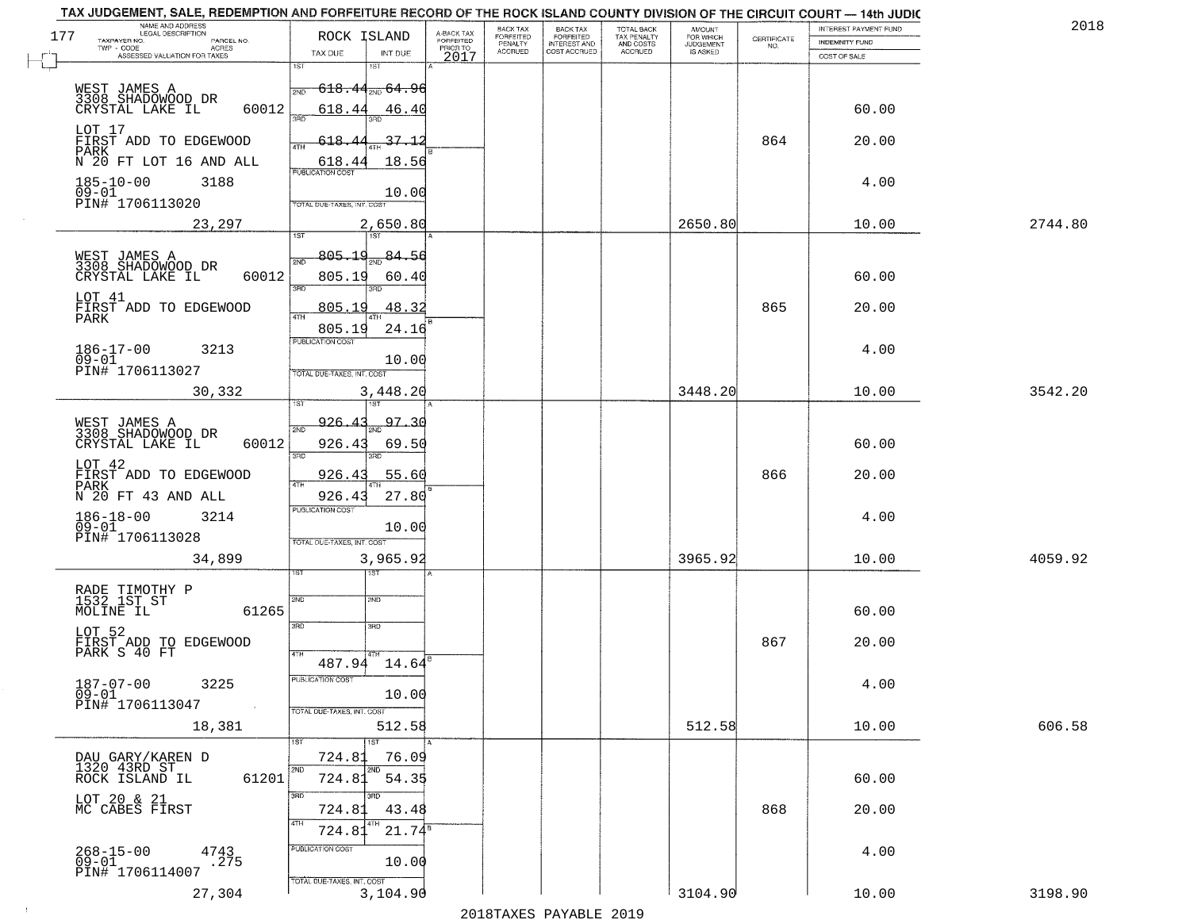| TAX JUDGEMENT, SALE, REDEMPTION AND FORFEITURE RECORD OF THE ROCK ISLAND COUNTY DIVISION OF THE CIRCUIT COURT - 14th JUDIC<br>NAME AND ADDRESS<br>LEGAL DESCRIPTION |                                                                                                                                          |                                     | BACK TAX             | <b>BACK TAX</b>           |                                        |                                         |                                                                 | INTEREST PAYMENT FUND  | 2018    |
|---------------------------------------------------------------------------------------------------------------------------------------------------------------------|------------------------------------------------------------------------------------------------------------------------------------------|-------------------------------------|----------------------|---------------------------|----------------------------------------|-----------------------------------------|-----------------------------------------------------------------|------------------------|---------|
| 177<br>TAXPAYER NO.<br>PARCEL NO.                                                                                                                                   | ROCK ISLAND                                                                                                                              | A-BACK TAX<br>FORFEITED<br>PRIOR TO | FORFEITED<br>PENALTY | FORFEITED<br>INTEREST AND | TOTAL BACK<br>TAX PENALTY<br>AND COSTS | AMOUNT<br>FOR WHICH<br><b>JUDGEMENT</b> | $\begin{array}{c} \text{CERTIFICATE} \\ \text{NO.} \end{array}$ | INDEMNITY FUND         |         |
| ACRES<br>ASSESSED VALUATION FOR TAXES                                                                                                                               | TAX DUE<br>INT DUE                                                                                                                       | 2017                                | <b>ACCRUED</b>       | COST ACCRUED              | <b>ACCRUED</b>                         | IS ASKED                                |                                                                 | COST OF SALE           |         |
| WEST JAMES A<br>3308 SHADOMOOD DR<br>60012<br>CRYSTAL LAKE IL                                                                                                       | 1ST<br>18T<br>$-618$ , $44_{\scriptscriptstyle 700}$ $64$ , $96$<br>2ND<br>618.44<br>46.40                                               |                                     |                      |                           |                                        |                                         |                                                                 | 60.00                  |         |
| LOT 17<br>FIRST ADD TO EDGEWOOD<br>PARK<br>N 20 FT LOT 16 AND ALL                                                                                                   | 396<br>37.12<br><u>618.44</u><br>18.56<br>618.44                                                                                         |                                     |                      |                           |                                        |                                         | 864                                                             | 20.00                  |         |
| $185 - 10 - 00$<br>3188<br>$09 - 01$<br>PIN# 1706113020                                                                                                             | 10.00<br>TOTAL DUE-TAXES, INT. COST                                                                                                      |                                     |                      |                           |                                        |                                         |                                                                 | 4.00                   |         |
| 23,297                                                                                                                                                              | 2,650.80                                                                                                                                 |                                     |                      |                           |                                        | 2650.80                                 |                                                                 | 10.00                  | 2744.80 |
| WEST JAMES A<br>3308 SHADOWOOD DR<br>60012<br>CRYSTAL LAKE IL<br>LOT 41<br>FIRST ADD TO EDGEWOOD<br>PARK<br>$186 - 17 - 00$<br>3213                                 | 805.19<br>$\frac{1}{2ND}$ 84.5d<br>2ND<br>805.19<br>60.40<br>3RD<br>3RD<br>48.32<br>805.19<br>ৰাম<br>24.16<br>805.19<br>PUBLICATION COST |                                     |                      |                           |                                        |                                         | 865                                                             | 60.00<br>20.00<br>4.00 |         |
| $09 - 01$                                                                                                                                                           | 10.00                                                                                                                                    |                                     |                      |                           |                                        |                                         |                                                                 |                        |         |
| PIN# 1706113027<br>30,332                                                                                                                                           | TOTAL DUE-TAXES, INT. COST<br>3,448.20<br>īsT<br>187                                                                                     |                                     |                      |                           |                                        | 3448.20                                 |                                                                 | 10.00                  | 3542.20 |
| WEST JAMES A<br>3308 SHADOWOOD DR<br>CRYSTAL LAKE IL<br>60012                                                                                                       | 97.30<br>926.43<br>2ND<br>926.43<br>69.50<br>3RD<br>3RD                                                                                  |                                     |                      |                           |                                        |                                         |                                                                 | 60.00                  |         |
| LOT 42<br>FIRST ADD TO EDGEWOOD<br>PARK<br>N 20 FT 43 AND ALL                                                                                                       | 926.4<br>55.60<br>ATH<br>27.80<br>926.41                                                                                                 |                                     |                      |                           |                                        |                                         | 866                                                             | 20.00                  |         |
| $186 - 18 - 00$<br>09-01<br>3214<br>PIN# 1706113028                                                                                                                 | <b>PUBLICATION COST</b><br>10.00<br>TOTAL OUE-TAXES, INT. COST                                                                           |                                     |                      |                           |                                        |                                         |                                                                 | 4.00                   |         |
| 34,899                                                                                                                                                              | 3,965.92                                                                                                                                 |                                     |                      |                           |                                        | 3965.92                                 |                                                                 | 10.00                  | 4059.92 |
| RADE TIMOTHY P<br>1532 1ST ST<br>MOLINE IL<br>61265<br>LOT 52                                                                                                       | 151<br>2ND<br>2ND<br>3RD<br>3RD                                                                                                          |                                     |                      |                           |                                        |                                         | 867                                                             | 60.00                  |         |
| FIRST ADD TO EDGEWOOD<br>PARK S 40 FT<br>$187 - 07 - 00$<br>3225<br>$09 - 01$                                                                                       | 4TH<br>487.94 14.64<br>PUBLICATION COS<br>10.00                                                                                          |                                     |                      |                           |                                        |                                         |                                                                 | 20.00<br>4.00          |         |
| PIN# 1706113047<br>$\sim 10^{11}$ km $^{-1}$<br>18,381                                                                                                              | TOTAL DUE-TAXES, INT. COST<br>512.58<br>1ST                                                                                              |                                     |                      |                           |                                        | 512.58                                  |                                                                 | 10.00                  | 606.58  |
| DAU GARY/KAREN D<br>1320 43RD ST<br>61201<br>ROCK ISLAND IL                                                                                                         | 724.81<br>76.09<br>2ND<br>2ND<br>724.81<br>54.35                                                                                         |                                     |                      |                           |                                        |                                         |                                                                 | 60.00                  |         |
| LOT 20 & 21<br>MC CABES FIRST                                                                                                                                       | 3RD<br>an n<br>43.48<br>724.81<br>4TH<br>724.81<br>$21.74^8$                                                                             |                                     |                      |                           |                                        |                                         | 868                                                             | 20.00                  |         |
| $268 - 15 - 00$<br>4743<br>275<br>09-01<br>PIN# 1706114007                                                                                                          | PUBLICATION COST<br>10.00<br>TOTAL DUE-TAXES, INT. COST                                                                                  |                                     |                      |                           |                                        |                                         |                                                                 | 4.00                   |         |
| 27,304                                                                                                                                                              | 3,104.90                                                                                                                                 |                                     |                      |                           |                                        | 3104.90                                 |                                                                 | 10.00                  | 3198.90 |

 $\sim 10^{-1}$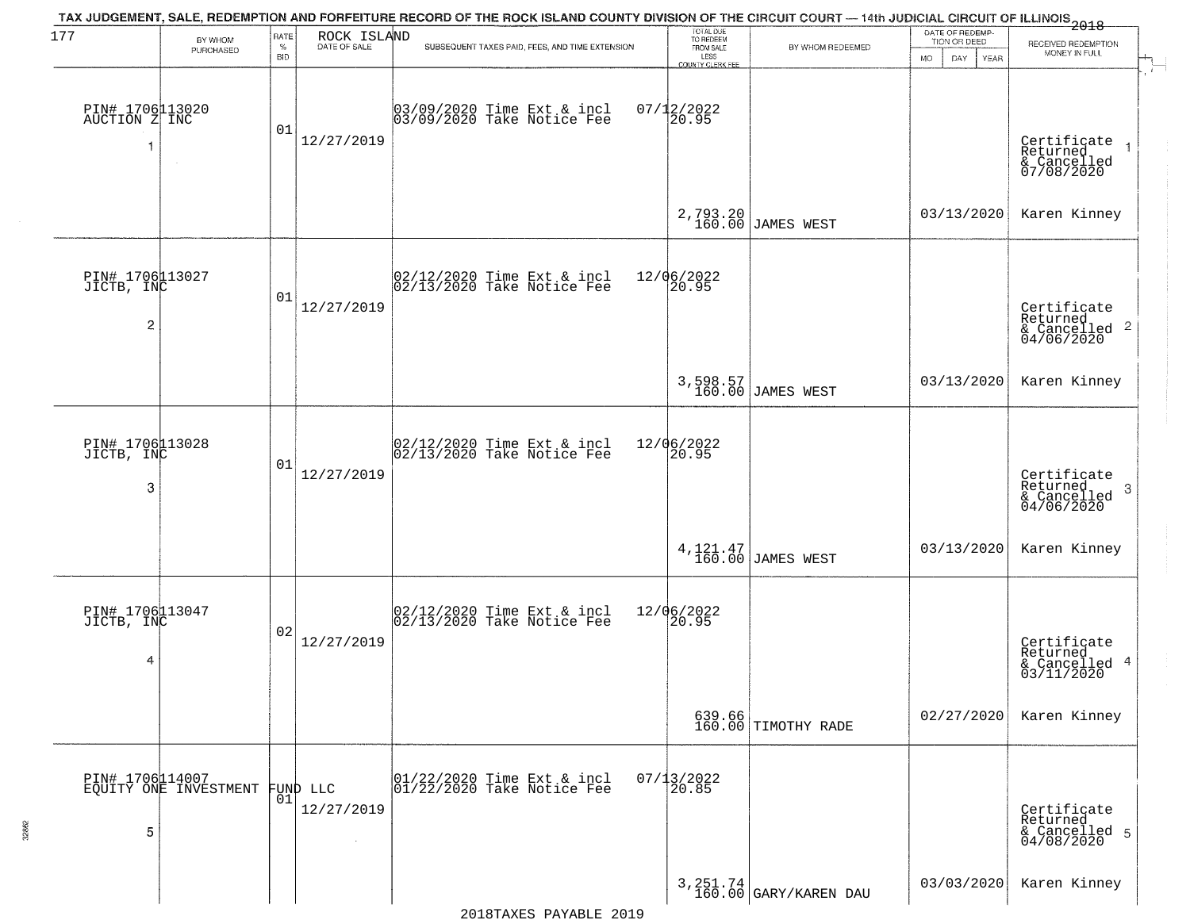| 177                                             | BY WHOM                                  | RATE               | ROCK ISLAND                      | TAX JUDGEMENT, SALE, REDEMPTION AND FORFEITURE RECORD OF THE ROCK ISLAND COUNTY DIVISION OF THE CIRCUIT COURT — 14th JUDICIAL CIRCUIT OF ILLINOIS 2018 | TOTAL DUE<br>TO REDEEM                       |                                    | DATE OF REDEMP-<br>TION OR DEED |                                                                    |
|-------------------------------------------------|------------------------------------------|--------------------|----------------------------------|--------------------------------------------------------------------------------------------------------------------------------------------------------|----------------------------------------------|------------------------------------|---------------------------------|--------------------------------------------------------------------|
|                                                 | PURCHASED                                | $\%$<br><b>BID</b> | DATE OF SALE                     | SUBSEQUENT TAXES PAID, FEES, AND TIME EXTENSION                                                                                                        | FROM SALE<br>LESS<br><b>COUNTY CLERK FEE</b> | BY WHOM REDEEMED                   | MO.<br>DAY.<br><b>YEAR</b>      | RECEIVED REDEMPTION<br>MONEY IN FULL                               |
| PIN# 1706113020<br>AUCTION Z INC                | $\sim$                                   | 01                 | 12/27/2019                       | 03/09/2020 Time Ext & incl<br>03/09/2020 Take Notice Fee                                                                                               | $07/12/2022$<br>20.95                        |                                    |                                 | Certificate<br>Returned<br>& Cancelled<br>07/08/2020               |
|                                                 |                                          |                    |                                  |                                                                                                                                                        |                                              | 2,793.20<br>160.00 JAMES WEST      | 03/13/2020                      | Karen Kinney                                                       |
| PIN# 1706113027<br>JICTB, INC<br>$\overline{c}$ |                                          | 01                 | 12/27/2019                       | $ 02/12/2020$ Time Ext & incl<br>$ 02/13/2020$ Take Notice Fee                                                                                         | 12/06/2022<br>20.95                          |                                    |                                 | Certificate<br>Returned<br>$\frac{1}{2}$ Cancelled 2<br>04/06/2020 |
|                                                 |                                          |                    |                                  |                                                                                                                                                        |                                              | 3,598.57<br>160.00 JAMES WEST      | 03/13/2020                      | Karen Kinney                                                       |
| PIN# 1706113028<br>JICTB, INC<br>3              |                                          | 01                 | 12/27/2019                       | $ 02/12/2020$ Time Ext & incl<br>$ 02/13/2020$ Take Notice Fee                                                                                         | 12/06/2022<br>20.95                          |                                    |                                 | Certificate<br>Returned<br>-3<br>$\frac{6}{04/06/2020}$            |
|                                                 |                                          |                    |                                  |                                                                                                                                                        |                                              | 4, 121. 47<br>160.00 JAMES WEST    | 03/13/2020                      | Karen Kinney                                                       |
| PIN# 1706113047<br>JICTB, INC<br>4              |                                          | 02                 | 12/27/2019                       | $ 02/12/2020$ Time Ext & incl<br>$ 02/13/2020$ Take Notice Fee                                                                                         | 12/06/2022<br>20.95                          |                                    |                                 | Certificate<br>Returned<br>& Cancelled 4<br>03/11/2020             |
|                                                 |                                          |                    |                                  |                                                                                                                                                        |                                              | 639.66<br>160.00 TIMOTHY RADE      | 02/27/2020                      | Karen Kinney                                                       |
| 5                                               | PIN# 1706114007<br>EQUITY ONE INVESTMENT | 01                 | FUND LLC<br>12/27/2019<br>$\sim$ | 01/22/2020 Time Ext & incl<br>01/22/2020 Take Notice Fee                                                                                               | $07/13/2022$<br>20.85                        |                                    |                                 | Certificate<br>Returned<br>& Cancelled 5<br>04/08/2020             |
|                                                 |                                          |                    |                                  |                                                                                                                                                        |                                              | 3, 251.74<br>160.00 GARY/KAREN DAU | 03/03/2020                      | Karen Kinney                                                       |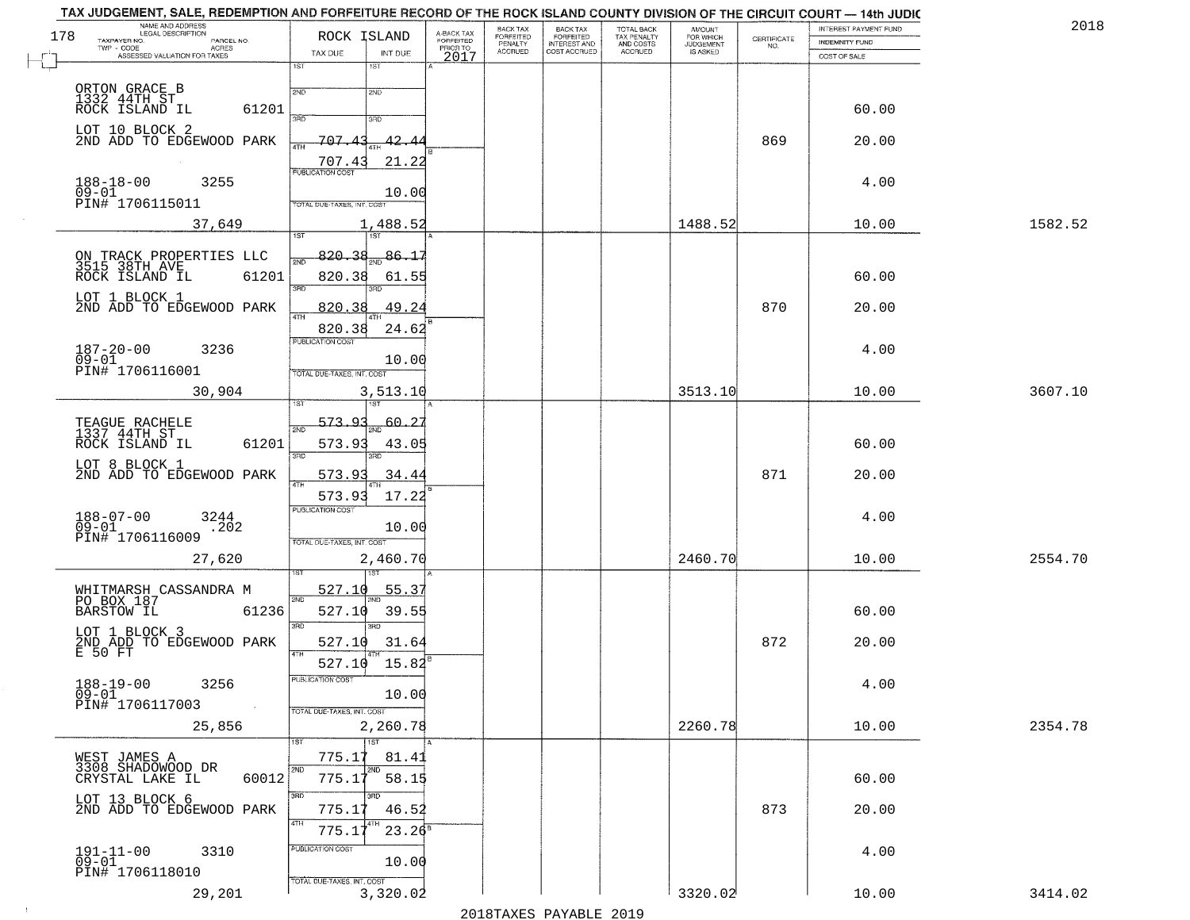| 178 | NAME AND ADDRESS<br>LEGAL DESCRIPTION<br>TAXPAYER NO.<br>PARCEL NO.<br>ACRES<br>TWP - CODE        | ROCK ISLAND                                                                      | A-BACK TAX<br>FORFEITED<br>PRIOR TO | <b>BACK TAX</b><br>FORFEITED<br>PENALTY | BACK TAX<br>FORFEITED<br>INTEREST AND | TOTAL BACK<br>TAX PENALTY<br>AND COSTS | AMOUNT<br>FOR WHICH<br><b>JUDGEMENT</b> | $\begin{array}{c} \text{CERTIFICATE} \\ \text{NO.} \end{array}$ | INTEREST PAYMENT FUND<br><b>INDEMNITY FUND</b> | 2018    |
|-----|---------------------------------------------------------------------------------------------------|----------------------------------------------------------------------------------|-------------------------------------|-----------------------------------------|---------------------------------------|----------------------------------------|-----------------------------------------|-----------------------------------------------------------------|------------------------------------------------|---------|
|     | ASSESSED VALUATION FOR TAXES                                                                      | TAX DUE<br>INT DUE<br>1ST<br>1ST                                                 | 2017                                | <b>ACCRUED</b>                          | COST ACCRUED                          | ACCRUED                                | IS ASKED                                |                                                                 | COST OF SALE                                   |         |
|     | ORTON GRACE B<br>1332 44TH ST<br>ROCK ISLAND IL<br>61201                                          | 2ND<br>2ND                                                                       |                                     |                                         |                                       |                                        |                                         |                                                                 | 60.00                                          |         |
|     | LOT 10 BLOCK 2<br>2ND ADD TO EDGEWOOD PARK                                                        | 3RD<br>3RD<br>707<br>42.<br>707.4<br>21.22                                       |                                     |                                         |                                       |                                        |                                         | 869                                                             | 20.00                                          |         |
|     | $188 - 18 - 00$<br>3255<br>$09 - 01$<br>PIN# 1706115011                                           | <b>PUBLICATION COST</b><br>10.00<br>TOTAL DUE-TAXES, INT. COST                   |                                     |                                         |                                       |                                        |                                         |                                                                 | 4.00                                           |         |
|     | 37,649                                                                                            | 1,488.52<br>1ST<br>1ST                                                           |                                     |                                         |                                       |                                        | 1488.52                                 |                                                                 | 10.00                                          | 1582.52 |
|     | ON TRACK PROPERTIES LLC<br>3515 38TH AVE<br>ROCK ISLAND IL 6120<br>61201<br>LOT 1 BLOCK 1         | 820.38<br>86.15<br>820.38<br>61.55<br>3RD                                        |                                     |                                         |                                       |                                        |                                         |                                                                 | 60.00                                          |         |
|     | 2ND ADD TO EDGEWOOD PARK                                                                          | 49.24<br>820.38                                                                  |                                     |                                         |                                       |                                        |                                         | 870                                                             | 20.00                                          |         |
|     | $187 - 20 - 00$<br>3236<br>$09 - 01$<br>PIN# <sup>1</sup> 706116001                               | 24.62<br>820.38<br>PUBLICATION COST<br>10.00<br>TOTAL DUE-TAXES, INT. COST       |                                     |                                         |                                       |                                        |                                         |                                                                 | 4.00                                           |         |
|     | 30,904                                                                                            | 3,513.10                                                                         |                                     |                                         |                                       |                                        | 3513.10                                 |                                                                 | 10.00                                          | 3607.10 |
|     | TEAGUE RACHELE<br>1337 44TH ST<br>ROCK ISLAND IL<br>61201                                         | 1ST<br>'ST<br><u>573.93</u><br>$60 - 27$<br>2ND<br>573.93<br>43.05<br>3RD<br>3RD |                                     |                                         |                                       |                                        |                                         |                                                                 | 60.00                                          |         |
|     | LOT 8 BLOCK 1<br>2ND ADD TO EDGEWOOD PARK                                                         | 573.9<br>34.44<br>573.93<br>17.22                                                |                                     |                                         |                                       |                                        |                                         | 871                                                             | 20.00                                          |         |
|     | $188 - 07 - 00$<br>3244<br>.202<br>$09 - 01$<br>PIN# 1706116009                                   | <b>PUBLICATION COST</b><br>10.00<br>TOTAL OUE-TAXES, INT. COST                   |                                     |                                         |                                       |                                        |                                         |                                                                 | 4.00                                           |         |
|     | 27,620                                                                                            | 2,460.70                                                                         |                                     |                                         |                                       |                                        | 2460.70                                 |                                                                 | 10.00                                          | 2554.70 |
|     | WHITMARSH CASSANDRA M<br>PO BOX 187<br><b>BARSTOW IL</b><br>61236                                 | 527.10<br>55.3'<br>2ND<br>527.10<br>39.55<br>3RD<br>3BD                          |                                     |                                         |                                       |                                        |                                         |                                                                 | 60.00                                          |         |
|     | LOT 1 BLOCK 3<br>2ND ADD TO EDGEWOOD PARK                                                         | 527.10<br>31.64                                                                  |                                     |                                         |                                       |                                        |                                         | 872                                                             | 20.00                                          |         |
|     | E 50 FT<br>$188 - 19 - 00$<br>3256<br>$\overline{0}\overline{9}-0\overline{1}$<br>PIN# 1706117003 | 4TH<br>527.10 15.82<br>PUBLICATION COST<br>10.00<br>TOTAL DUE-TAXES, INT. COST   |                                     |                                         |                                       |                                        |                                         |                                                                 | 4.00                                           |         |
|     | 25,856                                                                                            | 2,260.78                                                                         |                                     |                                         |                                       |                                        | 2260.78                                 |                                                                 | 10.00                                          | 2354.78 |
|     | WEST JAMES A<br>3308 SHADOWOOD DR<br>60012<br>CRYSTAL LAKE IL                                     | 1ST<br>775.17<br>81.41<br>2ND<br>2ND<br>775.17<br>58.15                          |                                     |                                         |                                       |                                        |                                         |                                                                 | 60.00                                          |         |
|     | LOT 13 BLOCK 6<br>2ND ADD TO EDGEWOOD PARK                                                        | 3RD<br>3RD<br>775.17<br>46.52<br>4TH<br>$23.26^8$<br>775.17                      |                                     |                                         |                                       |                                        |                                         | 873                                                             | 20.00                                          |         |
|     | $191 - 11 - 00$<br>$09 - 01$<br>3310<br>PIN# 1706118010                                           | PUBLICATION COST<br>10.00<br>TOTAL DUE-TAXES, INT. COST                          |                                     |                                         |                                       |                                        |                                         |                                                                 | 4.00                                           |         |
|     | 29,201                                                                                            | 3,320.02                                                                         |                                     |                                         |                                       |                                        | 3320.02                                 |                                                                 | 10.00                                          | 3414.02 |
|     |                                                                                                   |                                                                                  |                                     |                                         | מרמפ הדתגעונת מהעושמרמפ               |                                        |                                         |                                                                 |                                                |         |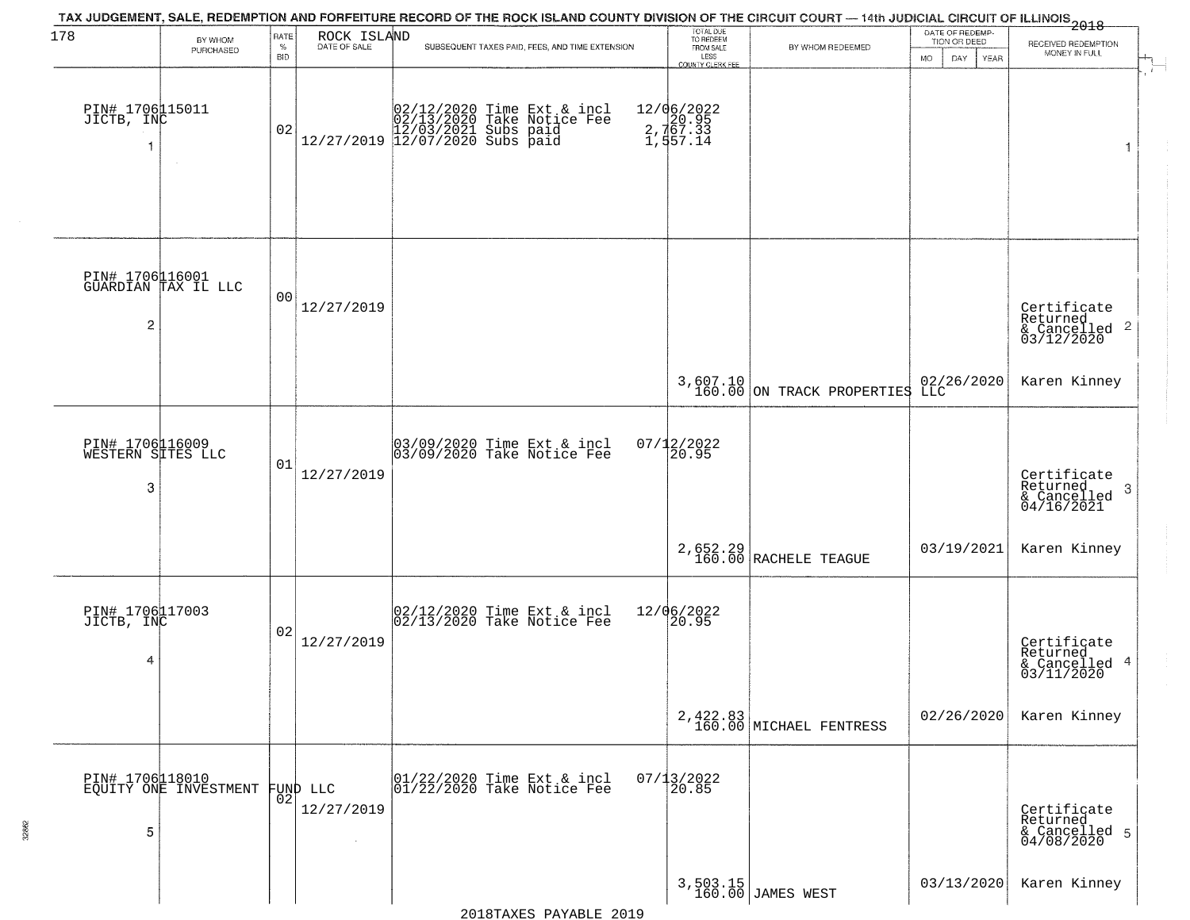| 178                                       | BY WHOM                                  | RATE               | ROCK ISLAND            | TAX JUDGEMENT, SALE, REDEMPTION AND FORFEITURE RECORD OF THE ROCK ISLAND COUNTY DIVISION OF THE CIRCUIT COURT — 14th JUDICIAL CIRCUIT OF ILLINOIS 2018 | TOTAL DUE<br>TO REDEEM |                                                                          | DATE OF REDEMP-<br>TION OR DEED      |                    |                                                                    |
|-------------------------------------------|------------------------------------------|--------------------|------------------------|--------------------------------------------------------------------------------------------------------------------------------------------------------|------------------------|--------------------------------------------------------------------------|--------------------------------------|--------------------|--------------------------------------------------------------------|
|                                           | PURCHASED                                | $\%$<br><b>BID</b> | DATE OF SALE           | SUBSEQUENT TAXES PAID, FEES, AND TIME EXTENSION                                                                                                        |                        | FROM SALE<br>LESS                                                        | BY WHOM REDEEMED                     | DAY<br>MO.<br>YEAR | RECEIVED REDEMPTION<br>MONEY IN FULL                               |
| PIN# 1706115011<br>JICTB, INC             | $\sim$                                   | 02                 |                        |                                                                                                                                                        |                        | <b>COUNTY CLERK FEE</b><br>12/06/2022<br>20.95<br>2, 167.33<br>1, 557.14 |                                      |                    | $\mathbf{1}$                                                       |
| $\overline{c}$                            | PIN# 1706116001<br>GUARDIAN TAX IL LLC   | 0 <sub>0</sub>     | 12/27/2019             |                                                                                                                                                        |                        |                                                                          |                                      |                    | Certificate<br>Returned<br>$\frac{1}{6}$ Cancelled 2<br>03/12/2020 |
|                                           |                                          |                    |                        |                                                                                                                                                        |                        |                                                                          | $3,607.10$ ON TRACK PROPERTIES       | 02/26/2020<br>LLC  | Karen Kinney                                                       |
| PIN# 1706116009<br>WESTERN SITES LLC<br>3 |                                          | 01                 | 12/27/2019             | 03/09/2020 Time Ext & incl<br>03/09/2020 Take Notice Fee                                                                                               |                        | 07/12/2022<br>20.95                                                      |                                      |                    | Certificate<br>Returned<br>3<br>$\frac{6}{04/16/2021}$             |
|                                           |                                          |                    |                        |                                                                                                                                                        |                        |                                                                          | 2,652.29<br>160.00 RACHELE TEAGUE    | 03/19/2021         | Karen Kinney                                                       |
| PIN# 1706117003<br>JICTB, INC<br>4        |                                          | 02                 | 12/27/2019             | 02/12/2020 Time Ext & incl<br>02/13/2020 Take Notice Fee                                                                                               |                        | 12/06/2022<br> 20.95                                                     |                                      |                    | Certificate<br>Returned<br>& Cancelled 4<br>03/11/2020             |
|                                           |                                          |                    |                        |                                                                                                                                                        |                        |                                                                          | 2, 422.83<br>160.00 MICHAEL FENTRESS | 02/26/2020         | Karen Kinney                                                       |
| 5                                         | PIN# 1706118010<br>EQUITY ONE INVESTMENT | 02                 | FUND LLC<br>12/27/2019 | 01/22/2020 Time Ext & incl<br>01/22/2020 Take Notice Fee                                                                                               |                        | $07/13/2022$<br>20.85                                                    |                                      |                    | Certificate<br>Returned<br>& Cancelled 5<br>04/08/2020             |
|                                           |                                          |                    |                        |                                                                                                                                                        |                        |                                                                          | 3,503.15<br>160.00 JAMES WEST        | 03/13/2020         | Karen Kinney                                                       |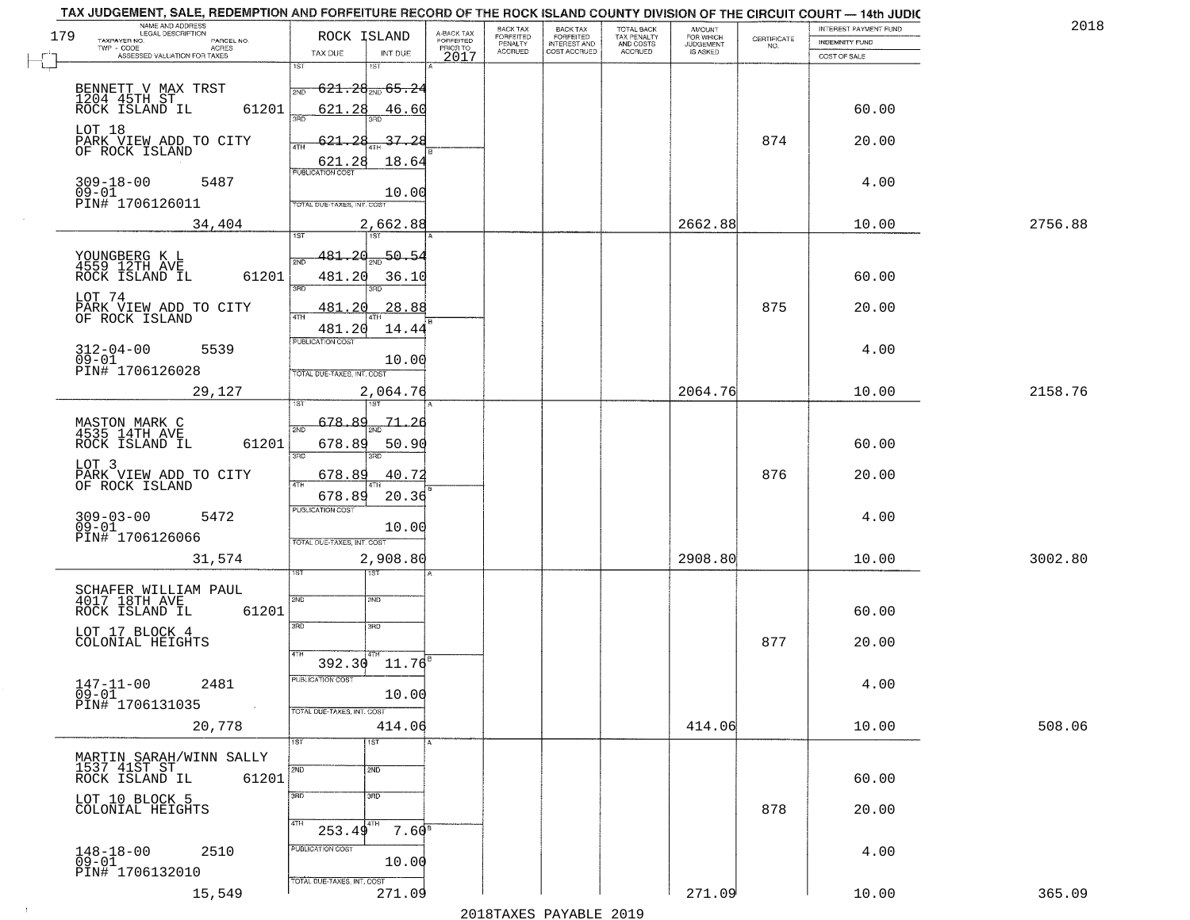| TAX JUDGEMENT, SALE, REDEMPTION AND FORFEITURE RECORD OF THE ROCK ISLAND COUNTY DIVISION OF THE CIRCUIT COURT - 14th JUDIC<br>NAME AND ADDRESS<br>LEGAL DESCRIPTION |            |                                   |                                |                                     | BACK TAX                    |                                              |                                        |                                         |                                                                 | INTEREST PAYMENT FUND | 2018    |
|---------------------------------------------------------------------------------------------------------------------------------------------------------------------|------------|-----------------------------------|--------------------------------|-------------------------------------|-----------------------------|----------------------------------------------|----------------------------------------|-----------------------------------------|-----------------------------------------------------------------|-----------------------|---------|
| 179<br>TAXPAYER NO.                                                                                                                                                 | PARCEL NO. |                                   | ROCK ISLAND                    | A-BACK TAX<br>FORFEITED<br>PRIOR TO | <b>FORFEITED</b><br>PENALTY | BACK TAX<br>FORFEITED<br><b>INTEREST AND</b> | TOTAL BACK<br>TAX PENALTY<br>AND COSTS | AMOUNT<br>FOR WHICH<br><b>JUDGEMENT</b> | $\begin{array}{c} \text{CERTIFICATE} \\ \text{NO.} \end{array}$ | INDEMNITY FUND        |         |
| ASSESSED VALUATION FOR TAXES                                                                                                                                        | ACRES      | TAX DUE                           | INT DUE                        | 2017                                | <b>ACCRUED</b>              | COST ACCRUED                                 | <b>ACCRUED</b>                         | IS ASKED                                |                                                                 | COST OF SALE          |         |
|                                                                                                                                                                     |            | 1ST                               | 1ST                            |                                     |                             |                                              |                                        |                                         |                                                                 |                       |         |
| BENNETT V MAX TRST                                                                                                                                                  |            | 2ND                               | $-621.28_{\tiny\rm 2ND}$ 65.24 |                                     |                             |                                              |                                        |                                         |                                                                 |                       |         |
| 1204 45TH ST ROCK ISLAND IL                                                                                                                                         |            |                                   |                                |                                     |                             |                                              |                                        |                                         |                                                                 |                       |         |
|                                                                                                                                                                     | 61201      | 621.28<br>350                     | 46.60                          |                                     |                             |                                              |                                        |                                         |                                                                 | 60.00                 |         |
| LOT 18                                                                                                                                                              |            |                                   |                                |                                     |                             |                                              |                                        |                                         |                                                                 |                       |         |
| PARK VIEW ADD TO CITY<br>OF ROCK ISLAND                                                                                                                             |            | 621.28                            | <u>37.28</u>                   |                                     |                             |                                              |                                        |                                         | 874                                                             | 20.00                 |         |
|                                                                                                                                                                     |            | 621.28                            | 18.64                          |                                     |                             |                                              |                                        |                                         |                                                                 |                       |         |
|                                                                                                                                                                     | 5487       |                                   |                                |                                     |                             |                                              |                                        |                                         |                                                                 | 4.00                  |         |
| 309-18-00<br>09-01                                                                                                                                                  |            |                                   | 10.00                          |                                     |                             |                                              |                                        |                                         |                                                                 |                       |         |
| PIN# 1706126011                                                                                                                                                     |            | TOTAL DUE-TAXES, INT. COST        |                                |                                     |                             |                                              |                                        |                                         |                                                                 |                       |         |
|                                                                                                                                                                     | 34,404     |                                   | 2,662.88                       |                                     |                             |                                              |                                        | 2662.88                                 |                                                                 | 10.00                 | 2756.88 |
|                                                                                                                                                                     |            |                                   |                                |                                     |                             |                                              |                                        |                                         |                                                                 |                       |         |
| YOUNGBERG K L<br>4559 12TH AVE                                                                                                                                      |            |                                   | $481.20_{20}$ 50.54            |                                     |                             |                                              |                                        |                                         |                                                                 |                       |         |
| ROCK ISLAND IL                                                                                                                                                      | 61201      | 481.20                            | 36.10                          |                                     |                             |                                              |                                        |                                         |                                                                 | 60.00                 |         |
|                                                                                                                                                                     |            | उन्नत                             | 3RD                            |                                     |                             |                                              |                                        |                                         |                                                                 |                       |         |
| LOT 74                                                                                                                                                              |            | 481.<br>. 20                      | 28.88                          |                                     |                             |                                              |                                        |                                         | 875                                                             | 20.00                 |         |
| PARK VIEW ADD TO CITY<br>OF ROCK ISLAND                                                                                                                             |            |                                   |                                |                                     |                             |                                              |                                        |                                         |                                                                 |                       |         |
|                                                                                                                                                                     |            | 481.20                            | 14.44                          |                                     |                             |                                              |                                        |                                         |                                                                 |                       |         |
| $312 - 04 - 00$                                                                                                                                                     | 5539       | PUBLICATION COST                  |                                |                                     |                             |                                              |                                        |                                         |                                                                 | 4.00                  |         |
| $09 - 01$                                                                                                                                                           |            |                                   | 10.00                          |                                     |                             |                                              |                                        |                                         |                                                                 |                       |         |
| PIN# 1706126028                                                                                                                                                     |            | TOTAL DUE-TAXES, INT. COST        |                                |                                     |                             |                                              |                                        |                                         |                                                                 |                       |         |
|                                                                                                                                                                     | 29,127     |                                   | 2,064.76                       |                                     |                             |                                              |                                        | 2064.76                                 |                                                                 | 10.00                 | 2158.76 |
|                                                                                                                                                                     |            |                                   | 1ST                            |                                     |                             |                                              |                                        |                                         |                                                                 |                       |         |
| MASTON MARK C<br>4535 14TH AVE                                                                                                                                      |            | 678.89<br>2ND                     | <u>71, 26</u>                  |                                     |                             |                                              |                                        |                                         |                                                                 |                       |         |
| ROCK ISLAND IL                                                                                                                                                      | 61201      | 678.89                            | 50.90                          |                                     |                             |                                              |                                        |                                         |                                                                 | 60.00                 |         |
|                                                                                                                                                                     |            | 3RD                               | 3RD                            |                                     |                             |                                              |                                        |                                         |                                                                 |                       |         |
| LOT 3                                                                                                                                                               |            | 678.89                            | 40.72                          |                                     |                             |                                              |                                        |                                         | 876                                                             | 20.00                 |         |
| PARK VIEW ADD TO CITY<br>OF ROCK ISLAND                                                                                                                             |            | 4TH                               |                                |                                     |                             |                                              |                                        |                                         |                                                                 |                       |         |
|                                                                                                                                                                     |            | 678.89<br><b>PUBLICATION COST</b> | 20.36                          |                                     |                             |                                              |                                        |                                         |                                                                 |                       |         |
| 309-03-00<br>09-01                                                                                                                                                  | 5472       |                                   |                                |                                     |                             |                                              |                                        |                                         |                                                                 | 4.00                  |         |
| PIN# 1706126066                                                                                                                                                     |            | TOTAL OUE-TAXES, INT. COST        | 10.00                          |                                     |                             |                                              |                                        |                                         |                                                                 |                       |         |
|                                                                                                                                                                     |            |                                   |                                |                                     |                             |                                              |                                        |                                         |                                                                 |                       |         |
|                                                                                                                                                                     | 31,574     |                                   | 2,908.80<br>१९४                |                                     |                             |                                              |                                        | 2908.80                                 |                                                                 | 10.00                 | 3002.80 |
|                                                                                                                                                                     |            |                                   |                                |                                     |                             |                                              |                                        |                                         |                                                                 |                       |         |
| SCHAFER WILLIAM PAUL<br>4017 18TH AVE                                                                                                                               |            | 2ND                               | 2ND                            |                                     |                             |                                              |                                        |                                         |                                                                 |                       |         |
| ROCK ISLAND IL                                                                                                                                                      | 61201      |                                   |                                |                                     |                             |                                              |                                        |                                         |                                                                 | 60.00                 |         |
| LOT 17 BLOCK 4                                                                                                                                                      |            | 3RD                               | 3HD                            |                                     |                             |                                              |                                        |                                         |                                                                 |                       |         |
| COLONIAL HEIGHTS                                                                                                                                                    |            |                                   |                                |                                     |                             |                                              |                                        |                                         | 877                                                             | 20.00                 |         |
|                                                                                                                                                                     |            | 4TH.                              | $392.30$ $11.76$ <sup>E</sup>  |                                     |                             |                                              |                                        |                                         |                                                                 |                       |         |
| $147 - 11 - 00$                                                                                                                                                     |            | PUBLICATION COS.                  |                                |                                     |                             |                                              |                                        |                                         |                                                                 |                       |         |
| $09 - 01$                                                                                                                                                           | 2481       |                                   | 10.00                          |                                     |                             |                                              |                                        |                                         |                                                                 | 4.00                  |         |
| PIN# 1706131035                                                                                                                                                     | $\sim 100$ | TOTAL DUE-TAXES, INT. COST        |                                |                                     |                             |                                              |                                        |                                         |                                                                 |                       |         |
|                                                                                                                                                                     | 20,778     |                                   | 414.06                         |                                     |                             |                                              |                                        | 414.06                                  |                                                                 | 10.00                 | 508.06  |
|                                                                                                                                                                     |            | 1ST                               |                                |                                     |                             |                                              |                                        |                                         |                                                                 |                       |         |
| MARTIN SARAH/WINN SALLY                                                                                                                                             |            |                                   |                                |                                     |                             |                                              |                                        |                                         |                                                                 |                       |         |
| 1537 41ST ST                                                                                                                                                        |            | 2ND                               | 2ND                            |                                     |                             |                                              |                                        |                                         |                                                                 |                       |         |
| ROCK ISLAND IL                                                                                                                                                      | 61201      |                                   |                                |                                     |                             |                                              |                                        |                                         |                                                                 | 60.00                 |         |
| LOT 10 BLOCK 5                                                                                                                                                      |            | 3RD                               | 3RD                            |                                     |                             |                                              |                                        |                                         |                                                                 |                       |         |
| COLONIAL HEIGHTS                                                                                                                                                    |            | 4TH                               |                                |                                     |                             |                                              |                                        |                                         | 878                                                             | 20.00                 |         |
|                                                                                                                                                                     |            | 253.49                            | $7.60^{\circ}$                 |                                     |                             |                                              |                                        |                                         |                                                                 |                       |         |
| $148 - 18 - 00$                                                                                                                                                     | 2510       | PUBLICATION COST                  |                                |                                     |                             |                                              |                                        |                                         |                                                                 | 4.00                  |         |
| $09 - 01$                                                                                                                                                           |            |                                   | 10.00                          |                                     |                             |                                              |                                        |                                         |                                                                 |                       |         |
| PIN# 1706132010                                                                                                                                                     |            | TOTAL DUE-TAXES, INT. COST        |                                |                                     |                             |                                              |                                        |                                         |                                                                 |                       |         |
|                                                                                                                                                                     | 15,549     |                                   | 271.09                         |                                     |                             |                                              |                                        | 271.09                                  |                                                                 | 10.00                 | 365.09  |
|                                                                                                                                                                     |            |                                   |                                |                                     |                             | 2010                                         |                                        |                                         |                                                                 |                       |         |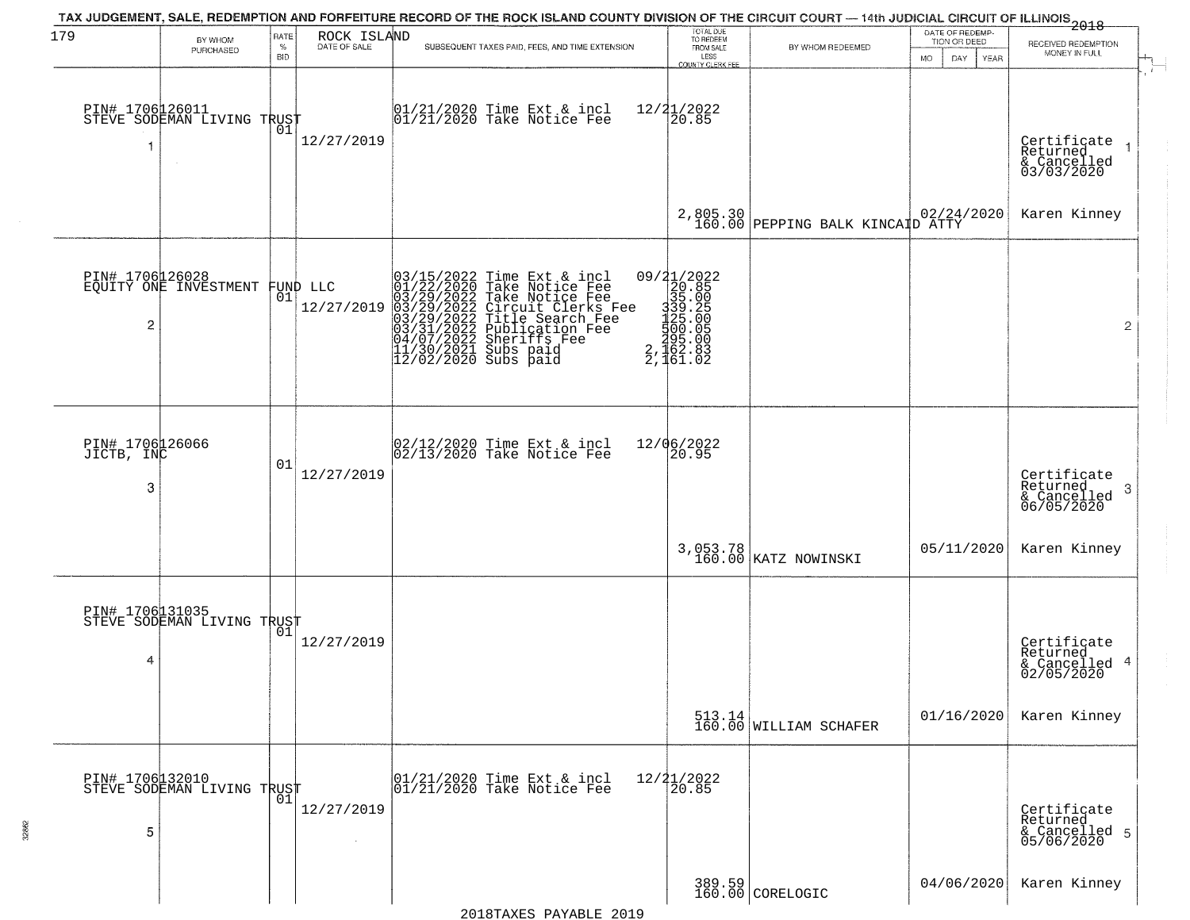| 179                           | BY WHOM<br>PURCHASED                                                | RATE<br>$\%$<br><b>BID</b> | ROCK ISLAND<br>DATE OF SALE | TAX JUDGEMENT, SALE, REDEMPTION AND FORFEITURE RECORD OF THE ROCK ISLAND COUNTY DIVISION OF THE CIRCUIT COURT — 14th JUDICIAL CIRCUIT OF ILLINOIS 2018<br>SUBSEQUENT TAXES PAID, FEES, AND TIME EXTENSION                                             | TOTAL DUE<br>TO REDEEM<br>FROM SALE<br>LESS<br>COUNTY CLERK FEI                                                          | BY WHOM REDEEMED                   | DATE OF REDEMP-<br>TION OR DEED<br>MO.<br>DAY.<br><b>YEAR</b> | RECEIVED REDEMPTION<br>MONEY IN FULL                                  |
|-------------------------------|---------------------------------------------------------------------|----------------------------|-----------------------------|-------------------------------------------------------------------------------------------------------------------------------------------------------------------------------------------------------------------------------------------------------|--------------------------------------------------------------------------------------------------------------------------|------------------------------------|---------------------------------------------------------------|-----------------------------------------------------------------------|
|                               | PIN# 1706126011    <br>STEVE SODEMAN LIVING TRUST                   | 01                         | 12/27/2019                  | 01/21/2020 Time Ext & incl<br>01/21/2020 Take Notice Fee                                                                                                                                                                                              | $12/21/2022$<br>20.85                                                                                                    |                                    |                                                               | Certificate<br>Returned<br>$\rightarrow$<br>& Cancelled<br>03/03/2020 |
|                               |                                                                     |                            |                             |                                                                                                                                                                                                                                                       |                                                                                                                          | 2,805.30 PEPPING BALK KINCAID ATTY |                                                               | Karen Kinney                                                          |
|                               | PIN# 1706026028<br>EQUITY ONE INVESTMENT FUND LLC<br>$\overline{c}$ |                            | 12/27/2019                  | 03/15/2022 Time Ext & incl<br>01/22/2020 Take Notice Fee<br>03/29/2022 Take Notice Fee<br>03/29/2022 Circuit Clerks Fee<br>03/29/2022 Title Search Fee<br>03/21/2022 Fublication Fee<br>04/07/2022 Sheriffs Fee<br>11/30/2021 Subs paid<br>12/02/2020 | 09/21/2022<br>20.85<br>35.00<br>$\begin{array}{r} 339.25 \\ 139.25 \\ 125.00 \\ 500 \\ 2,162.83 \\ 2,161.02 \end{array}$ |                                    |                                                               | 2                                                                     |
| PIN# 1706126066<br>JICTB, INC | 3                                                                   | 01                         | 12/27/2019                  | 02/12/2020 Time Ext & incl<br>02/13/2020 Take Notice Fee                                                                                                                                                                                              | 12/06/2022<br>20.95                                                                                                      |                                    |                                                               | Certificate<br>Returned<br>-3<br>& Cancelled<br>06/05/2020            |
|                               |                                                                     |                            |                             |                                                                                                                                                                                                                                                       |                                                                                                                          | 3,053.78<br>160.00 KATZ NOWINSKI   | 05/11/2020                                                    | Karen Kinney                                                          |
|                               | PIN# 1706131035<br>STEVE SODEMAN LIVING TRUST<br>4                  | 01                         | 12/27/2019                  |                                                                                                                                                                                                                                                       |                                                                                                                          |                                    |                                                               | Certificate<br>Returned<br>4<br>& Cancelled<br>02/05/2020             |
|                               |                                                                     |                            |                             |                                                                                                                                                                                                                                                       |                                                                                                                          |                                    | 01/16/2020                                                    | Karen Kinney                                                          |
|                               | PIN# 1706132010<br>STEVE SODEMAN LIVING TRUST<br>5                  |                            | 12/27/2019<br>$\sim$        | 01/21/2020 Time Ext & incl<br>01/21/2020 Take Notice Fee                                                                                                                                                                                              | 12/21/2022<br>20.85                                                                                                      |                                    |                                                               | Certificate<br>Returned<br>& Cancelled 5<br>05/06/2020                |
|                               |                                                                     |                            |                             |                                                                                                                                                                                                                                                       |                                                                                                                          | 389.59<br>160.00 CORELOGIC         | 04/06/2020                                                    | Karen Kinney                                                          |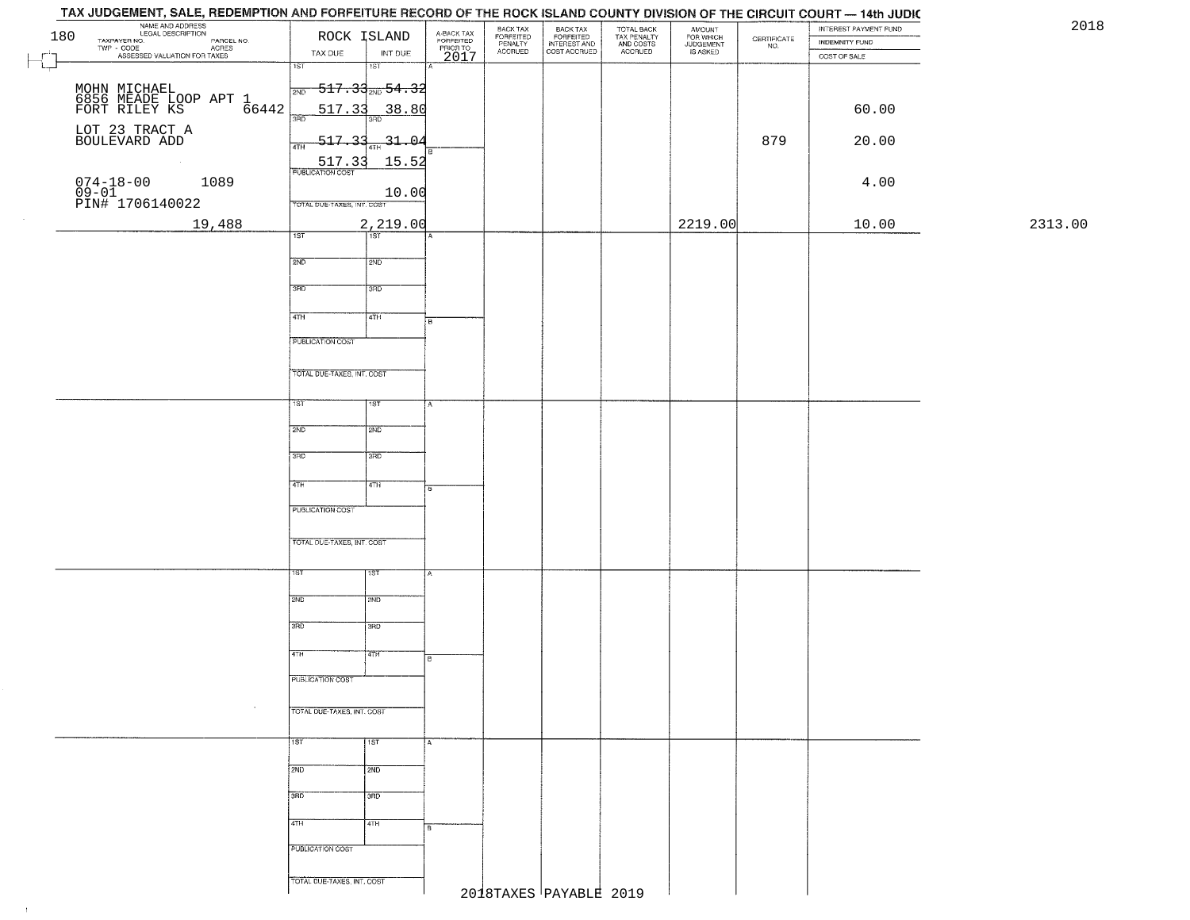|         | INTEREST PAYMENT FUND<br>INDEMNITY FUND | $\begin{array}{c} \text{CEPTIFICATE} \\ \text{NO.} \end{array}$ | AMOUNT<br>FOR WHICH<br>JUDGEMENT<br>IS ASKED | TOTAL BACK<br>TAX PENALTY<br>AND COSTS<br>ACCRUED | BACK TAX<br>FORFEITED<br>INTEREST AND<br>COST ACCRUED | BACK TAX<br>FORFEITED<br>PENALTY<br>ACCRUED | A-BACK TAX<br>FORFEITED<br>PRIOR TO<br>2017 |                  | ROCK ISLAND                                 | NAME AND ADDRESS<br>LEGAL DESCRIPTION<br>TAXPAYER NO.<br>180<br>TAXPAYER NO. LEGAL DESCRIPTION PARCEL NO.<br>TWP - CODE ACRES<br>ASSESSED VALUATION FOR TAXES |
|---------|-----------------------------------------|-----------------------------------------------------------------|----------------------------------------------|---------------------------------------------------|-------------------------------------------------------|---------------------------------------------|---------------------------------------------|------------------|---------------------------------------------|---------------------------------------------------------------------------------------------------------------------------------------------------------------|
|         | COST OF SALE                            |                                                                 |                                              |                                                   |                                                       |                                             |                                             | INT DUE<br>1ST   | TAX DUE<br>$\overline{1ST}$                 |                                                                                                                                                               |
|         |                                         |                                                                 |                                              |                                                   |                                                       |                                             |                                             |                  | $\frac{1}{2ND}$ 517.33 <sub>2ND</sub> 54.32 |                                                                                                                                                               |
|         | 60.00                                   |                                                                 |                                              |                                                   |                                                       |                                             |                                             | 38.80            | 517.33                                      | MOHN MICHAEL<br>6856 MEADE LOOP APT 1<br>FORT RILEY KS 66442                                                                                                  |
|         |                                         |                                                                 |                                              |                                                   |                                                       |                                             |                                             | 3BD.             | 3AD                                         | LOT 23 TRACT A<br>BOULEVARD ADD                                                                                                                               |
|         | 20.00                                   | 879                                                             |                                              |                                                   |                                                       |                                             |                                             | $-31 - 04$       | $-517.33$<br>4TH                            |                                                                                                                                                               |
|         |                                         |                                                                 |                                              |                                                   |                                                       |                                             |                                             | 15.52            | 517.33<br><b>PUBLICATION COST</b>           | $\sim 10^{-1}$                                                                                                                                                |
|         | 4.00                                    |                                                                 |                                              |                                                   |                                                       |                                             |                                             | 10.00            | TOTAL DUE-TAXES, INT. COST                  | 074-18-00<br>09-01<br>PIN# 1706140022<br>1089                                                                                                                 |
| 2313.00 | 10.00                                   |                                                                 | 2219.00                                      |                                                   |                                                       |                                             |                                             | 2,219.00         |                                             | 19,488                                                                                                                                                        |
|         |                                         |                                                                 |                                              |                                                   |                                                       |                                             |                                             | $\overline{1ST}$ | 1ST                                         |                                                                                                                                                               |
|         |                                         |                                                                 |                                              |                                                   |                                                       |                                             |                                             | 2ND              | 2ND                                         |                                                                                                                                                               |
|         |                                         |                                                                 |                                              |                                                   |                                                       |                                             |                                             | 3RD              | 3BD                                         |                                                                                                                                                               |
|         |                                         |                                                                 |                                              |                                                   |                                                       |                                             |                                             | 4TH              | 47H                                         |                                                                                                                                                               |
|         |                                         |                                                                 |                                              |                                                   |                                                       |                                             |                                             |                  |                                             |                                                                                                                                                               |
|         |                                         |                                                                 |                                              |                                                   |                                                       |                                             |                                             |                  | <b>PUBLICATION COST</b>                     |                                                                                                                                                               |
|         |                                         |                                                                 |                                              |                                                   |                                                       |                                             |                                             |                  | TOTAL DUE-TAXES, INT. COST                  |                                                                                                                                                               |
|         |                                         |                                                                 |                                              |                                                   |                                                       |                                             |                                             | 1ST              | TST"                                        |                                                                                                                                                               |
|         |                                         |                                                                 |                                              |                                                   |                                                       |                                             |                                             | 2ND              | 2ND                                         |                                                                                                                                                               |
|         |                                         |                                                                 |                                              |                                                   |                                                       |                                             |                                             |                  |                                             |                                                                                                                                                               |
|         |                                         |                                                                 |                                              |                                                   |                                                       |                                             |                                             | 3 <sub>3</sub>   | 3BD                                         |                                                                                                                                                               |
|         |                                         |                                                                 |                                              |                                                   |                                                       |                                             |                                             | 4TH              | 4TH                                         |                                                                                                                                                               |
|         |                                         |                                                                 |                                              |                                                   |                                                       |                                             |                                             |                  | PUBLICATION COST                            |                                                                                                                                                               |
|         |                                         |                                                                 |                                              |                                                   |                                                       |                                             |                                             |                  | TOTAL OUE-TAXES, INT. COST                  |                                                                                                                                                               |
|         |                                         |                                                                 |                                              |                                                   |                                                       |                                             |                                             |                  |                                             |                                                                                                                                                               |
|         |                                         |                                                                 |                                              |                                                   |                                                       |                                             |                                             | १९४              | <b>ST</b>                                   |                                                                                                                                                               |
|         |                                         |                                                                 |                                              |                                                   |                                                       |                                             |                                             | 2ND              | 2ND                                         |                                                                                                                                                               |
|         |                                         |                                                                 |                                              |                                                   |                                                       |                                             |                                             | 3BD              | 3RD                                         |                                                                                                                                                               |
|         |                                         |                                                                 |                                              |                                                   |                                                       |                                             | в                                           | 4TH              | 4TH                                         |                                                                                                                                                               |
|         |                                         |                                                                 |                                              |                                                   |                                                       |                                             |                                             |                  | PUBLICATION COST                            |                                                                                                                                                               |
|         |                                         |                                                                 |                                              |                                                   |                                                       |                                             |                                             |                  |                                             |                                                                                                                                                               |
|         |                                         |                                                                 |                                              |                                                   |                                                       |                                             |                                             |                  | TOTAL DUE-TAXES, INT. COST                  |                                                                                                                                                               |
|         |                                         |                                                                 |                                              |                                                   |                                                       |                                             | A                                           | 1ST              | 1ST                                         |                                                                                                                                                               |
|         |                                         |                                                                 |                                              |                                                   |                                                       |                                             |                                             | 2ND              | 2ND                                         |                                                                                                                                                               |
|         |                                         |                                                                 |                                              |                                                   |                                                       |                                             |                                             | 3RD              | 3BD                                         |                                                                                                                                                               |
|         |                                         |                                                                 |                                              |                                                   |                                                       |                                             |                                             |                  |                                             |                                                                                                                                                               |
|         |                                         |                                                                 |                                              |                                                   |                                                       |                                             |                                             | 4TH              | 4TH                                         |                                                                                                                                                               |
|         |                                         |                                                                 |                                              |                                                   |                                                       |                                             |                                             |                  | PUBLICATION COST                            |                                                                                                                                                               |
|         |                                         |                                                                 |                                              |                                                   |                                                       |                                             |                                             |                  |                                             |                                                                                                                                                               |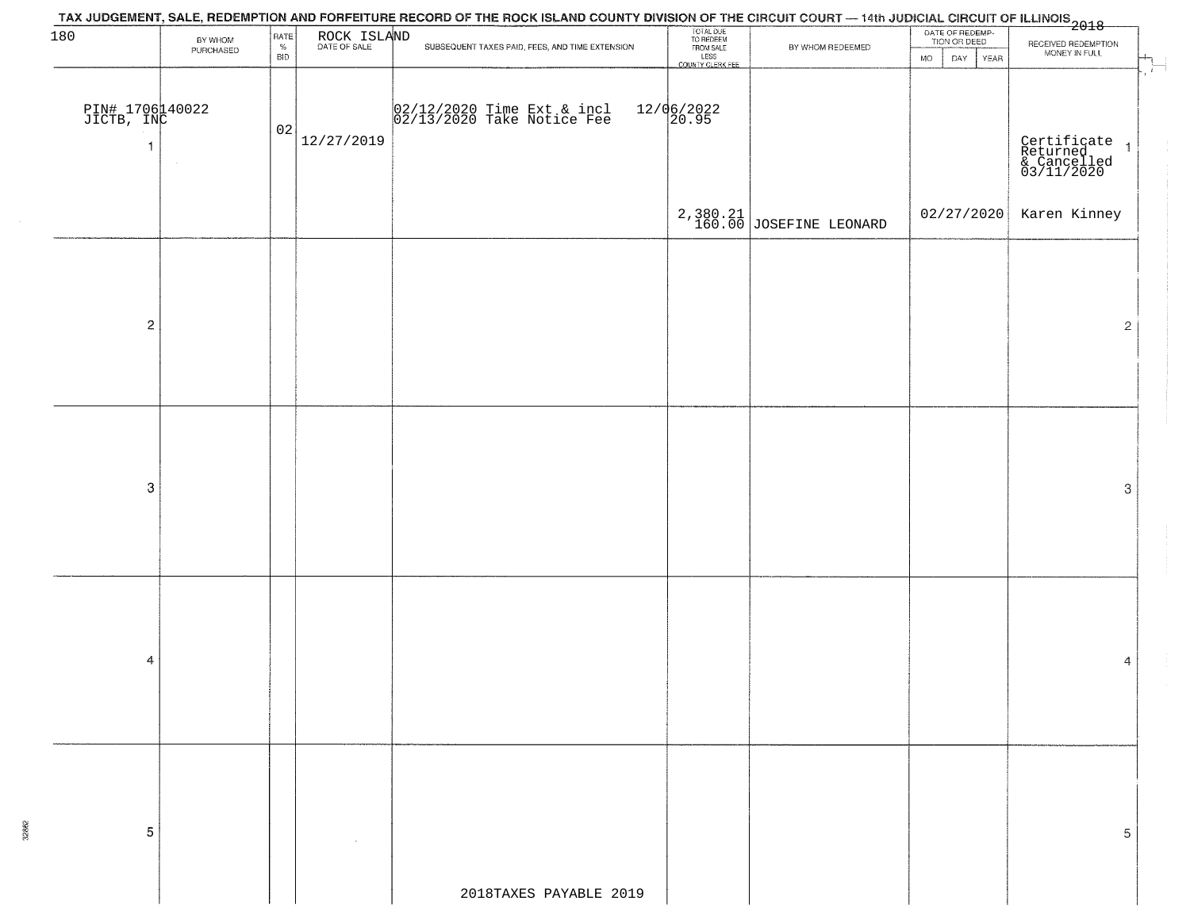| 180                           |                      | RATE               |             | TAX JUDGEMENT, SALE, REDEMPTION AND FORFEITURE RECORD OF THE ROCK ISLAND COUNTY DIVISION OF THE CIRCUIT COURT — 14th JUDICIAL CIRCUIT OF ILLINOIS<br>2018 - And Lease Lease Lease Lease Lease Lease Lease Lease Lease Lease Lease |                                                                 |                             | DATE OF REDEMP-<br>TION OR DEED |                                                        |
|-------------------------------|----------------------|--------------------|-------------|-----------------------------------------------------------------------------------------------------------------------------------------------------------------------------------------------------------------------------------|-----------------------------------------------------------------|-----------------------------|---------------------------------|--------------------------------------------------------|
|                               | BY WHOM<br>PURCHASED | $\%$<br><b>BID</b> | ROCK ISLAND | SUBSEQUENT TAXES PAID, FEES, AND TIME EXTENSION.                                                                                                                                                                                  | TOTAL DUE<br>TO REDEEM<br>FROM SALE<br>LESS<br>COUNTY CLERK FEE | BY WHOM REDEEMED            |                                 | RECEIVED REDEMPTION<br>MONEY IN FULL                   |
|                               |                      |                    |             |                                                                                                                                                                                                                                   |                                                                 |                             | <b>MO</b><br>DAY YEAR           |                                                        |
|                               |                      |                    |             |                                                                                                                                                                                                                                   |                                                                 |                             |                                 |                                                        |
| PIN# 1706140022<br>JICTB, INC |                      |                    |             | 02/12/2020 Time Ext & incl<br>02/13/2020 Take Notice Fee                                                                                                                                                                          | $12/06/2022$<br>20.95                                           |                             |                                 |                                                        |
|                               |                      | 02                 |             |                                                                                                                                                                                                                                   |                                                                 |                             |                                 |                                                        |
| -1                            |                      |                    | 12/27/2019  |                                                                                                                                                                                                                                   |                                                                 |                             |                                 | Certificate<br>Returned 1<br>& Cancelled<br>03/11/2020 |
|                               |                      |                    |             |                                                                                                                                                                                                                                   |                                                                 |                             |                                 |                                                        |
|                               |                      |                    |             |                                                                                                                                                                                                                                   |                                                                 |                             |                                 |                                                        |
|                               |                      |                    |             |                                                                                                                                                                                                                                   |                                                                 |                             | 02/27/2020                      | Karen Kinney                                           |
|                               |                      |                    |             |                                                                                                                                                                                                                                   |                                                                 | $2,380.21$ JOSEFINE LEONARD |                                 |                                                        |
|                               |                      |                    |             |                                                                                                                                                                                                                                   |                                                                 |                             |                                 |                                                        |
|                               |                      |                    |             |                                                                                                                                                                                                                                   |                                                                 |                             |                                 |                                                        |
|                               |                      |                    |             |                                                                                                                                                                                                                                   |                                                                 |                             |                                 |                                                        |
|                               |                      |                    |             |                                                                                                                                                                                                                                   |                                                                 |                             |                                 |                                                        |
| $\overline{c}$                |                      |                    |             |                                                                                                                                                                                                                                   |                                                                 |                             |                                 | $\mathbf{2}$                                           |
|                               |                      |                    |             |                                                                                                                                                                                                                                   |                                                                 |                             |                                 |                                                        |
|                               |                      |                    |             |                                                                                                                                                                                                                                   |                                                                 |                             |                                 |                                                        |
|                               |                      |                    |             |                                                                                                                                                                                                                                   |                                                                 |                             |                                 |                                                        |
|                               |                      |                    |             |                                                                                                                                                                                                                                   |                                                                 |                             |                                 |                                                        |
|                               |                      |                    |             |                                                                                                                                                                                                                                   |                                                                 |                             |                                 |                                                        |
|                               |                      |                    |             |                                                                                                                                                                                                                                   |                                                                 |                             |                                 |                                                        |
|                               |                      |                    |             |                                                                                                                                                                                                                                   |                                                                 |                             |                                 |                                                        |
| $\boldsymbol{3}$              |                      |                    |             |                                                                                                                                                                                                                                   |                                                                 |                             |                                 | $\ensuremath{\mathbf{3}}$                              |
|                               |                      |                    |             |                                                                                                                                                                                                                                   |                                                                 |                             |                                 |                                                        |
|                               |                      |                    |             |                                                                                                                                                                                                                                   |                                                                 |                             |                                 |                                                        |
|                               |                      |                    |             |                                                                                                                                                                                                                                   |                                                                 |                             |                                 |                                                        |
|                               |                      |                    |             |                                                                                                                                                                                                                                   |                                                                 |                             |                                 |                                                        |
|                               |                      |                    |             |                                                                                                                                                                                                                                   |                                                                 |                             |                                 |                                                        |
|                               |                      |                    |             |                                                                                                                                                                                                                                   |                                                                 |                             |                                 |                                                        |
|                               |                      |                    |             |                                                                                                                                                                                                                                   |                                                                 |                             |                                 |                                                        |
| 4                             |                      |                    |             |                                                                                                                                                                                                                                   |                                                                 |                             |                                 | 4                                                      |
|                               |                      |                    |             |                                                                                                                                                                                                                                   |                                                                 |                             |                                 |                                                        |
|                               |                      |                    |             |                                                                                                                                                                                                                                   |                                                                 |                             |                                 |                                                        |
|                               |                      |                    |             |                                                                                                                                                                                                                                   |                                                                 |                             |                                 |                                                        |
|                               |                      |                    |             |                                                                                                                                                                                                                                   |                                                                 |                             |                                 |                                                        |
|                               |                      |                    |             |                                                                                                                                                                                                                                   |                                                                 |                             |                                 |                                                        |
|                               |                      |                    |             |                                                                                                                                                                                                                                   |                                                                 |                             |                                 |                                                        |
|                               |                      |                    |             |                                                                                                                                                                                                                                   |                                                                 |                             |                                 |                                                        |
| 5                             |                      |                    |             |                                                                                                                                                                                                                                   |                                                                 |                             |                                 | 5                                                      |
|                               |                      |                    |             |                                                                                                                                                                                                                                   |                                                                 |                             |                                 |                                                        |
|                               |                      |                    |             |                                                                                                                                                                                                                                   |                                                                 |                             |                                 |                                                        |
|                               |                      |                    |             | 2018TAXES PAYABLE 2019                                                                                                                                                                                                            |                                                                 |                             |                                 |                                                        |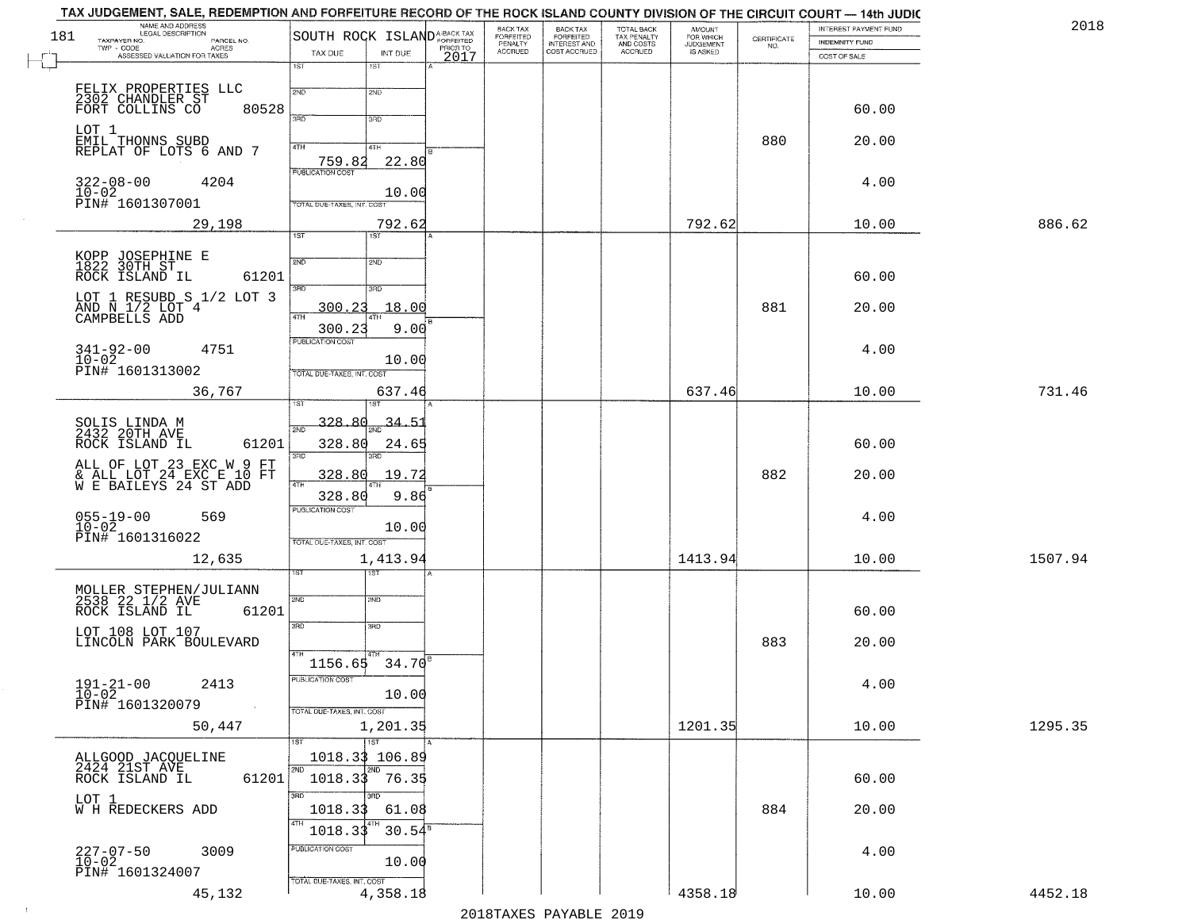| 181 | NAME AND ADDRESS                                            |                                        |                     |      | BACK TAX<br>FORFEITED<br>PENALTY |                                                       | TOTAL BACK<br>TAX PENALTY<br>AND COSTS | AMOUNT<br>FOR WHICH          |                    | INTEREST PAYMENT FUND | 2018    |  |
|-----|-------------------------------------------------------------|----------------------------------------|---------------------|------|----------------------------------|-------------------------------------------------------|----------------------------------------|------------------------------|--------------------|-----------------------|---------|--|
|     | TAXPAYER NO.<br>PARCEL NO.<br>ACRES<br>TWP - CODE           | SOUTH ROCK ISLANDA-BACK TAX<br>TAX DUE |                     |      | <b>ACCRUED</b>                   | BACK TAX<br>FORFEITED<br>INTEREST AND<br>COST ACCRUED | ACCRUED                                | JUDGEMENT<br><b>IS ASKED</b> | CERTIFICATE<br>NO. | INDEMNITY FUND        |         |  |
|     | ASSESSED VALUATION FOR TAXES                                | $\overline{1ST}$                       | INT DUE<br>15T      | 2017 |                                  |                                                       |                                        |                              |                    | COST OF SALE          |         |  |
|     |                                                             |                                        |                     |      |                                  |                                                       |                                        |                              |                    |                       |         |  |
|     | FELIX PROPERTIES LLC<br>2302 CHANDLER ST<br>FORT COLLINS CO | 2ND                                    | 2ND                 |      |                                  |                                                       |                                        |                              |                    |                       |         |  |
|     | 80528                                                       | 3RD                                    | 3RD                 |      |                                  |                                                       |                                        |                              |                    | 60.00                 |         |  |
|     | LOT 1                                                       |                                        |                     |      |                                  |                                                       |                                        |                              | 880                | 20.00                 |         |  |
|     | EMIL THONNS SUBD<br>REPLAT OF LOTS 6 AND 7                  | 4TH                                    | 4TH                 |      |                                  |                                                       |                                        |                              |                    |                       |         |  |
|     |                                                             | 759.82<br><b>PUBLICATION COST</b>      | 22.80               |      |                                  |                                                       |                                        |                              |                    |                       |         |  |
|     | $322 - 08 - 00$<br>4204                                     |                                        | 10.00               |      |                                  |                                                       |                                        |                              |                    | 4.00                  |         |  |
|     | 10-02<br>PIN# 1601307001                                    | TOTAL DUE-TAXES, INT, COST             |                     |      |                                  |                                                       |                                        |                              |                    |                       |         |  |
|     | 29,198                                                      |                                        | 792.62              |      |                                  |                                                       |                                        | 792.62                       |                    | 10.00                 | 886.62  |  |
|     |                                                             | 1ST                                    | 1ST                 |      |                                  |                                                       |                                        |                              |                    |                       |         |  |
|     | KOPP JOSEPHINE E<br>1822 30TH ST                            | 2ND                                    | 2ND                 |      |                                  |                                                       |                                        |                              |                    |                       |         |  |
|     | 61201<br>ROCK ISLAND IL                                     | 3RD                                    | 3RD                 |      |                                  |                                                       |                                        |                              |                    | 60.00                 |         |  |
|     | LOT 1 RESUBD S 1/2 LOT 3                                    |                                        |                     |      |                                  |                                                       |                                        |                              |                    |                       |         |  |
|     | AND N 1/2 LOT 4<br>CAMPBELLS ADD                            | 300.23<br>47H                          | 18.00               |      |                                  |                                                       |                                        |                              | 881                | 20.00                 |         |  |
|     |                                                             | 300.23<br>PUBLICATION COST             | 9.00                |      |                                  |                                                       |                                        |                              |                    |                       |         |  |
|     | $341 - 92 - 00$<br>$10 - 02$<br>4751                        |                                        | 10.00               |      |                                  |                                                       |                                        |                              |                    | 4.00                  |         |  |
|     | PIN# 1601313002                                             | TOTAL DUE-TAXES, INT. COST             |                     |      |                                  |                                                       |                                        |                              |                    |                       |         |  |
|     | 36,767                                                      |                                        | 637.46              |      |                                  |                                                       |                                        | 637.46                       |                    | 10.00                 | 731.46  |  |
|     |                                                             |                                        | 1ST                 |      |                                  |                                                       |                                        |                              |                    |                       |         |  |
|     | SOLIS LINDA M<br>2432 20TH AVE                              | 328.80<br>2ND                          | $\frac{34.51}{200}$ |      |                                  |                                                       |                                        |                              |                    |                       |         |  |
|     | ROCK ISLAND IL<br>61201                                     | 328.80                                 | 24.65               |      |                                  |                                                       |                                        |                              |                    | 60.00                 |         |  |
|     | ALL OF LOT 23 EXC W 9 FT                                    | 3BD                                    | <b>IRD</b>          |      |                                  |                                                       |                                        |                              |                    |                       |         |  |
|     | & ALL LOT 24 EXC E 10 FT<br>W E BAILEYS 24 ST ADD           | 328.80<br>4TH                          | 19.72               |      |                                  |                                                       |                                        |                              | 882                | 20.00                 |         |  |
|     |                                                             | 328.80<br><b>PUBLICATION COST</b>      | 9.86                |      |                                  |                                                       |                                        |                              |                    |                       |         |  |
|     | $055 - 19 - 00$<br>569<br>$10 - 02$                         |                                        | 10.00               |      |                                  |                                                       |                                        |                              |                    | 4.00                  |         |  |
|     | PIN# 1601316022                                             | TOTAL OUE-TAXES, INT. COST             |                     |      |                                  |                                                       |                                        |                              |                    |                       |         |  |
|     | 12,635                                                      |                                        | 1,413.94            |      |                                  |                                                       |                                        | 1413.94                      |                    | 10.00                 | 1507.94 |  |
|     |                                                             |                                        | ड़ा                 |      |                                  |                                                       |                                        |                              |                    |                       |         |  |
|     | MOLLER STEPHEN/JULIANN<br>2538 22 172 AVE                   | 2ND                                    | 2ND                 |      |                                  |                                                       |                                        |                              |                    |                       |         |  |
|     | ROCK ISLAND IL<br>61201                                     |                                        |                     |      |                                  |                                                       |                                        |                              |                    | 60.00                 |         |  |
|     | LOT 108 LOT 107                                             | 3 <sub>BD</sub>                        | $\overline{3BD}$    |      |                                  |                                                       |                                        |                              |                    |                       |         |  |
|     | LINCOLN PARK BOULEVARD                                      |                                        |                     |      |                                  |                                                       |                                        |                              | 883                | 20.00                 |         |  |
|     |                                                             | 1156.65                                | 34.70               |      |                                  |                                                       |                                        |                              |                    |                       |         |  |
|     | 2413<br>$191 - 21 - 00$                                     | PUBLICATION COST                       |                     |      |                                  |                                                       |                                        |                              |                    | 4.00                  |         |  |
|     | $10 - 02$<br>PIN# 1601320079                                | TOTAL DUE-TAXES, INT. COST             | 10.00               |      |                                  |                                                       |                                        |                              |                    |                       |         |  |
|     | 50,447                                                      |                                        | 1,201.35            |      |                                  |                                                       |                                        | 1201.35                      |                    | 10.00                 | 1295.35 |  |
|     |                                                             | 1ST                                    | $\overline{11}$ st  |      |                                  |                                                       |                                        |                              |                    |                       |         |  |
|     | ALLGOOD JACQUELINE<br>2424 21ST AVE                         | 1018.33 106.89                         |                     |      |                                  |                                                       |                                        |                              |                    |                       |         |  |
|     | ROCK ISLAND IL<br>61201                                     | 2ND<br>$1018.33$ 76.35                 |                     |      |                                  |                                                       |                                        |                              |                    | 60.00                 |         |  |
|     | LOT 1                                                       | 3RD                                    | 3RD                 |      |                                  |                                                       |                                        |                              |                    |                       |         |  |
|     | W H REDECKERS ADD                                           | 1018.33                                | 61.08               |      |                                  |                                                       |                                        |                              | 884                | 20.00                 |         |  |
|     |                                                             | 4TH<br>1018.33                         | $30.54^{\circ}$     |      |                                  |                                                       |                                        |                              |                    |                       |         |  |
|     | $227 - 07 - 50$<br>10-02<br>3009                            | PUBLICATION COST                       |                     |      |                                  |                                                       |                                        |                              |                    | 4.00                  |         |  |
|     | PIN# 1601324007                                             |                                        | 10.00               |      |                                  |                                                       |                                        |                              |                    |                       |         |  |
|     | 45,132                                                      | TOTAL DUE-TAXES, INT. COST             | 4,358.18            |      |                                  |                                                       |                                        | 4358.18                      |                    | 10.00                 | 4452.18 |  |
|     |                                                             |                                        |                     |      |                                  |                                                       |                                        |                              |                    |                       |         |  |

 $\sim 10^{-1}$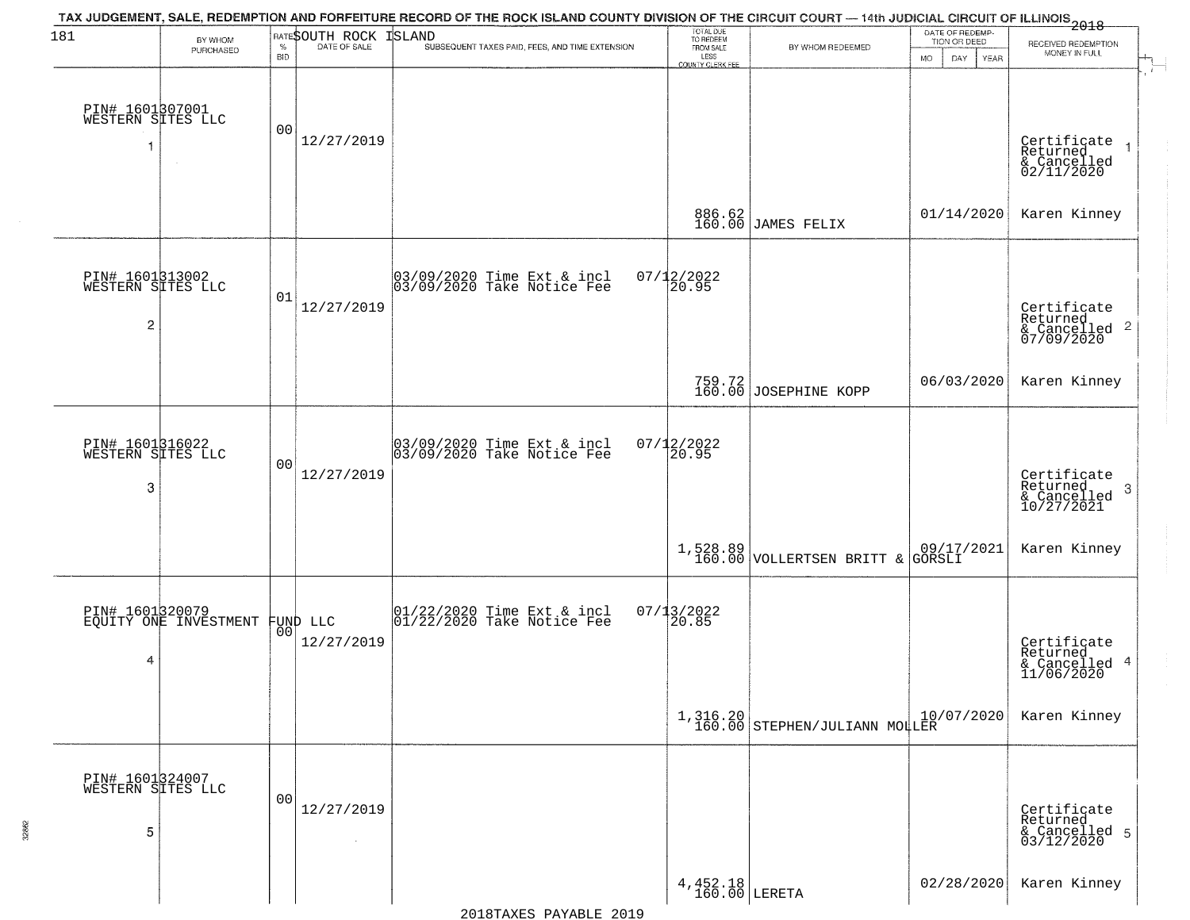| 181                                                    | BY WHOM<br>PURCHASED                              | $\%$           | RATESOUTH ROCK<br>DATE OF SALE | TAX JUDGEMENT, SALE, REDEMPTION AND FORFEITURE RECORD OF THE ROCK ISLAND COUNTY DIVISION OF THE CIRCUIT COURT — 14th JUDICIAL CIRCUIT OF ILLINOIS<br>2018<br><b>ISLAND</b><br>SUBSEQUENT TAXES PAID, FEES, AND TIME EXTENSION | TOTAL DUE<br>TO REDEEM<br>FROM SALE | BY WHOM REDEEMED                  | DATE OF REDEMP-<br>TION OR DEED                                        | RECEIVED REDEMPTION                                    |
|--------------------------------------------------------|---------------------------------------------------|----------------|--------------------------------|-------------------------------------------------------------------------------------------------------------------------------------------------------------------------------------------------------------------------------|-------------------------------------|-----------------------------------|------------------------------------------------------------------------|--------------------------------------------------------|
|                                                        |                                                   | <b>BID</b>     |                                |                                                                                                                                                                                                                               | LESS<br>COUNTY CLERK FEE            |                                   | <b>MO</b><br>DAY<br><b>YEAR</b>                                        | MONEY IN FULL                                          |
| PIN# 1601307001<br>WESTERN SITES LLC                   |                                                   | 00             | 12/27/2019                     |                                                                                                                                                                                                                               |                                     |                                   |                                                                        | Certificate<br>Returned<br>& Cancelled<br>02/11/2020   |
|                                                        |                                                   |                |                                |                                                                                                                                                                                                                               | 886.62<br>160.00                    | JAMES FELIX                       | 01/14/2020                                                             | Karen Kinney                                           |
| PIN# 1601313002<br>WESTERN SITES LLC<br>$\overline{c}$ |                                                   | 01             | 12/27/2019                     | 03/09/2020 Time Ext & incl<br>03/09/2020 Take Notice Fee                                                                                                                                                                      | $07/12/2022$<br>20.95               |                                   |                                                                        | Certificate<br>Returned<br>& Cancelled 2<br>07/09/2020 |
|                                                        |                                                   |                |                                |                                                                                                                                                                                                                               |                                     | 759.72<br>160.00 JOSEPHINE KOPP   | 06/03/2020                                                             | Karen Kinney                                           |
| PIN# 1601316022<br>WESTERN SITES LLC<br>3              |                                                   | 00             | 12/27/2019                     | 03/09/2020 Time Ext & incl<br>03/09/2020 Take Notice Fee                                                                                                                                                                      | $07/12/2022$<br>20.95               |                                   |                                                                        | Certificate<br>Returned<br>3<br>$\frac{6}{10/27/2021}$ |
|                                                        |                                                   |                |                                |                                                                                                                                                                                                                               | 1,528.89<br>160.00                  | VOLLERTSEN BRITT &                | $\begin{array}{ c c c c c }\n 09/17/2021 & \text{GORSLI}\n\end{array}$ | Karen Kinney                                           |
| 4                                                      | PIN# 1601320079<br>EQUITY ONE INVESTMENT FUND LLC | 00             | 12/27/2019                     | $\begin{bmatrix} 01/22/2020 \\ 01/22/2020 \\ 01 \end{bmatrix}$ Take Notice Fee                                                                                                                                                | $07/13/2022$<br>20.85               |                                   |                                                                        | Certificate<br>Returned<br>& Cancelled 4<br>11/06/2020 |
|                                                        |                                                   |                |                                |                                                                                                                                                                                                                               |                                     | $1,316.20$ STEPHEN/JULIANN MOLLER | 10/07/2020                                                             | Karen Kinney                                           |
| PIN# 1601324007<br>WESTERN SITES LLC<br>5              |                                                   | 0 <sub>0</sub> | 12/27/2019<br>$\sim$           |                                                                                                                                                                                                                               |                                     |                                   |                                                                        | Certificate<br>Returned<br>& Cancelled 5<br>03/12/2020 |
|                                                        |                                                   |                |                                |                                                                                                                                                                                                                               | $4,452.18$ LERETA                   |                                   | 02/28/2020                                                             | Karen Kinney                                           |

32862

2018TAXES PAYABLE 2019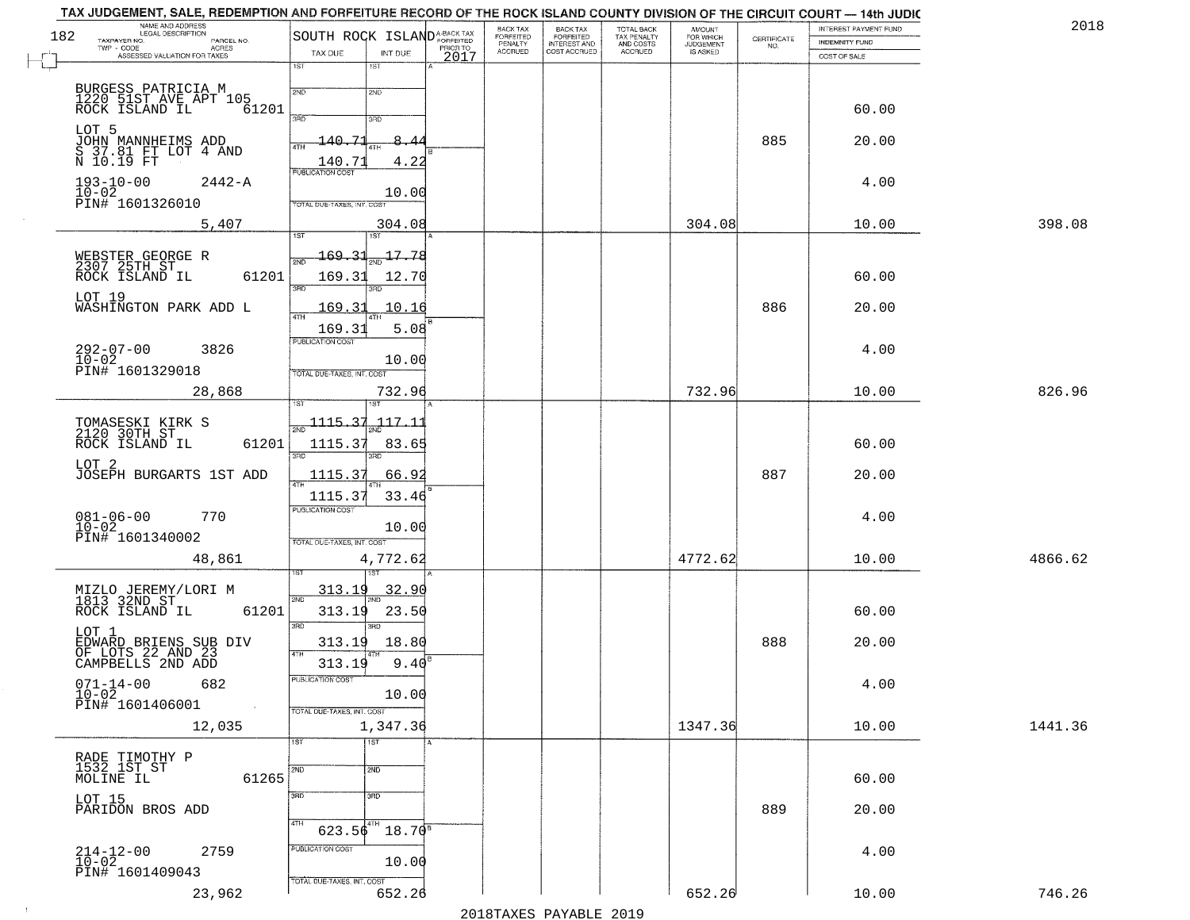| 182 | NAME AND ADDRESS<br>LEGAL DESCRIPTION<br>TAXPAYER NO.<br>PARCEL NO. | SOUTH ROCK ISLAND <sup>A-BACK TAX</sup>    |                  | BACK TAX<br>FORFEITED     | BACK TAX<br>FORFEITED<br>INTEREST AND | TOTAL BACK<br>TAX PENALTY<br>AND COSTS | AMOUNT<br>FOR WHICH<br>JUDGEMENT | $\begin{array}{c} \text{CERTIFICATE} \\ \text{NO.} \end{array}$ | <b>INTEREST PAYMENT FUND</b><br><b>INDEMNITY FUND</b> | 2018    |
|-----|---------------------------------------------------------------------|--------------------------------------------|------------------|---------------------------|---------------------------------------|----------------------------------------|----------------------------------|-----------------------------------------------------------------|-------------------------------------------------------|---------|
|     | TWP - CODE<br>ACRES<br>ASSESSED VALUATION FOR TAXES                 | TAX DUE<br>INT DUE                         | PRIOR TO<br>2017 | PENALTY<br><b>ACCRUED</b> | COST ACCRUED                          | <b>ACCRUED</b>                         | IS ASKED                         |                                                                 | COST OF SALE                                          |         |
|     |                                                                     | 1ST<br>1ST                                 |                  |                           |                                       |                                        |                                  |                                                                 |                                                       |         |
|     | BURGESS PATRICIA M<br>1220 51ST AVE APT 105<br>ROCK ISLAND IL 63    | 2ND<br>2ND                                 |                  |                           |                                       |                                        |                                  |                                                                 |                                                       |         |
|     | 61201                                                               | 3RD<br>3RD                                 |                  |                           |                                       |                                        |                                  |                                                                 | 60.00                                                 |         |
|     |                                                                     | 140.71<br>8.<br>4<br>4TH                   |                  |                           |                                       |                                        |                                  | 885                                                             | 20.00                                                 |         |
|     | LOT 5<br>JOHN MANNHEIMS ADD<br>S 37.81 FT LOT 4 AND<br>N 10.19 FT   | 4.22<br>140.71                             |                  |                           |                                       |                                        |                                  |                                                                 |                                                       |         |
|     | $193 - 10 - 00$<br>$2442 - A$                                       | <b>PUBLICATION COST</b>                    |                  |                           |                                       |                                        |                                  |                                                                 | 4.00                                                  |         |
|     | $10 - 02$<br>PIN# 1601326010                                        | 10.00<br>TOTAL DUE-TAXES, INT. COST        |                  |                           |                                       |                                        |                                  |                                                                 |                                                       |         |
|     | 5,407                                                               | 304.08                                     |                  |                           |                                       |                                        | 304.08                           |                                                                 | 10.00                                                 | 398.08  |
|     |                                                                     | 1ST<br>169.31<br>17.78                     |                  |                           |                                       |                                        |                                  |                                                                 |                                                       |         |
|     | WEBSTER GEORGE R<br>2307 25TH ST<br>ROCK ISLAND IL<br>61201         | 169.31<br>12.70                            |                  |                           |                                       |                                        |                                  |                                                                 | 60.00                                                 |         |
|     | LOT 19                                                              | 3RD<br>חוז                                 |                  |                           |                                       |                                        |                                  |                                                                 |                                                       |         |
|     | WASHINGTON PARK ADD L                                               | 169.31<br>10.16<br>47H                     |                  |                           |                                       |                                        |                                  | 886                                                             | 20.00                                                 |         |
|     |                                                                     | 5.08<br>169.31<br>PUBLICATION COST         |                  |                           |                                       |                                        |                                  |                                                                 |                                                       |         |
|     | $292 - 07 - 00$<br>3826                                             | 10.00                                      |                  |                           |                                       |                                        |                                  |                                                                 | 4.00                                                  |         |
|     | 10-02<br>PIN# 1601329018                                            | TOTAL DUE-TAXES, INT. COST                 |                  |                           |                                       |                                        |                                  |                                                                 |                                                       |         |
|     | 28,868                                                              | 732.96                                     |                  |                           |                                       |                                        | 732.96                           |                                                                 | 10.00                                                 | 826.96  |
|     | TOMASESKI KIRK S<br>2120 30TH ST                                    | $-1115.31$<br>117.1                        |                  |                           |                                       |                                        |                                  |                                                                 |                                                       |         |
|     | ROCK ISLAND IL<br>61201                                             | 1115.37<br>83.65                           |                  |                           |                                       |                                        |                                  |                                                                 | 60.00                                                 |         |
|     | LOT <sub>2</sub><br>JOSEPH BURGARTS 1ST ADD                         | 3RD<br>3RD<br>1115.37<br>66.9              |                  |                           |                                       |                                        |                                  | 887                                                             | 20.00                                                 |         |
|     |                                                                     | 1115.37<br>33.46                           |                  |                           |                                       |                                        |                                  |                                                                 |                                                       |         |
|     | 770                                                                 | <b>PUBLICATION COST</b>                    |                  |                           |                                       |                                        |                                  |                                                                 | 4.00                                                  |         |
|     | $081 - 06 - 00$<br>$10 - 02$<br>PIN# 1601340002                     | 10.00<br>TOTAL OUE-TAXES, INT. COST        |                  |                           |                                       |                                        |                                  |                                                                 |                                                       |         |
|     | 48,861                                                              | 4,772.62                                   |                  |                           |                                       |                                        | 4772.62                          |                                                                 | 10.00                                                 | 4866.62 |
|     |                                                                     |                                            |                  |                           |                                       |                                        |                                  |                                                                 |                                                       |         |
|     | MIZLO JEREMY/LORI M<br>1813 32ND ST<br>ROCK ISLAND IL               | <u>313.19</u><br>32.91<br>2ND              |                  |                           |                                       |                                        |                                  |                                                                 |                                                       |         |
|     | 61201<br>LOT 1                                                      | 313.19<br>23.50<br>3RD<br>$\overline{3BD}$ |                  |                           |                                       |                                        |                                  |                                                                 | 60.00                                                 |         |
|     | EDWARD BRIENS SUB DIV<br>OF LOTS 22 AND 23<br>CAMPBELLS 2ND ADD     | 18.80<br>313.19<br>4TH                     |                  |                           |                                       |                                        |                                  | 888                                                             | 20.00                                                 |         |
|     |                                                                     | 9.40<br>313.19                             |                  |                           |                                       |                                        |                                  |                                                                 |                                                       |         |
|     | $071 - 14 - 00$<br>682<br>$10-02$                                   | PUBLICATION COST<br>10.00                  |                  |                           |                                       |                                        |                                  |                                                                 | 4.00                                                  |         |
|     | PIN# 1601406001<br>$\sim 100$                                       | TOTAL DUE-TAXES, INT. COST                 |                  |                           |                                       |                                        |                                  |                                                                 |                                                       |         |
|     | 12,035                                                              | 1,347.36<br>$\overline{1ST}$<br>1ST        |                  |                           |                                       |                                        | 1347.36                          |                                                                 | 10.00                                                 | 1441.36 |
|     | RADE TIMOTHY P<br>1532 1ST ST                                       |                                            |                  |                           |                                       |                                        |                                  |                                                                 |                                                       |         |
|     | 61265<br>MOLINE IL                                                  | 2ND<br>2ND                                 |                  |                           |                                       |                                        |                                  |                                                                 | 60.00                                                 |         |
|     | LOT 15                                                              | 3 <sub>BD</sub><br>3RD                     |                  |                           |                                       |                                        |                                  |                                                                 |                                                       |         |
|     | PARIDON BROS ADD                                                    | 4TH<br>$623.56^{4TH}$<br>$18.70^8$         |                  |                           |                                       |                                        |                                  | 889                                                             | 20.00                                                 |         |
|     | 2759                                                                | PUBLICATION COST                           |                  |                           |                                       |                                        |                                  |                                                                 | 4.00                                                  |         |
|     | $214-12-00$<br>10-02<br>PIN# 1601409043                             | 10.00                                      |                  |                           |                                       |                                        |                                  |                                                                 |                                                       |         |
|     | 23,962                                                              | TOTAL DUE-TAXES, INT. COST<br>652.26       |                  |                           |                                       |                                        | 652.26                           |                                                                 | 10.00                                                 | 746.26  |
|     |                                                                     |                                            |                  |                           |                                       |                                        |                                  |                                                                 |                                                       |         |

 $\sim 10$ 

2018TAXES PAYABLE 2019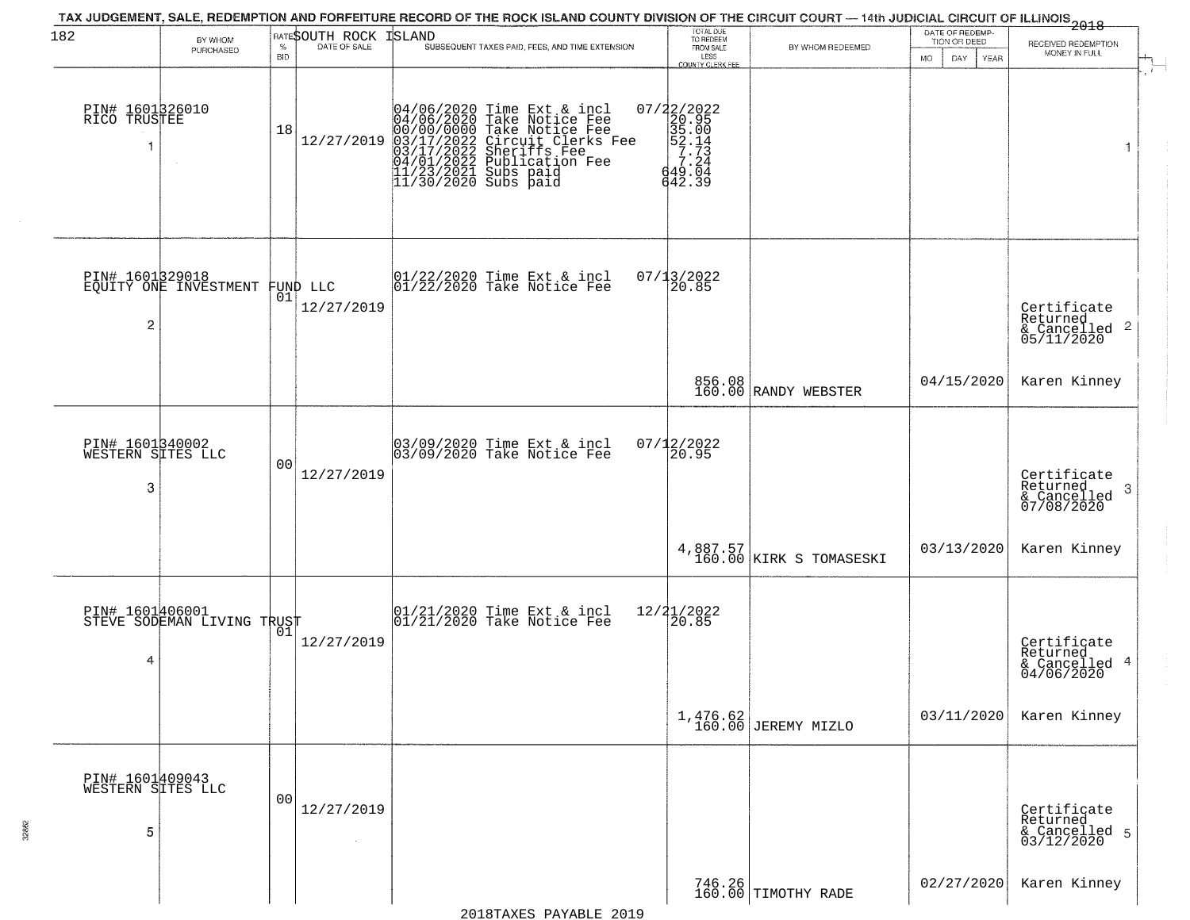| 182                                       | BY WHOM<br>PURCHASED                              | $\%$<br><b>BID</b> | RATESOUTH ROCK<br>DATE OF SALE | TAX JUDGEMENT, SALE, REDEMPTION AND FORFEITURE RECORD OF THE ROCK ISLAND COUNTY DIVISION OF THE CIRCUIT COURT — 14th JUDICIAL CIRCUIT OF ILLINOIS 2018<br>ISLAND<br>SUBSEQUENT TAXES PAID, FEES, AND TIME EXTENSION                  | TOTAL DUE<br>TO REDEEM<br>FROM SALE<br>LESS<br>COUNTY CLERK FEE              | BY WHOM REDEEMED                    | DATE OF REDEMP-<br>TION OR DEED<br>MO.<br>DAY<br><b>YEAR</b> | RECEIVED REDEMPTION<br>MONEY IN FULL                               |
|-------------------------------------------|---------------------------------------------------|--------------------|--------------------------------|--------------------------------------------------------------------------------------------------------------------------------------------------------------------------------------------------------------------------------------|------------------------------------------------------------------------------|-------------------------------------|--------------------------------------------------------------|--------------------------------------------------------------------|
| PIN# 1601326010<br>RICO TRUSTEE           |                                                   | 18                 | 12/27/2019                     | 04/06/2020 Time Ext & incl<br>04/06/2020 Take Notice Fee<br>00/00/00000 Take Notice Fee<br>03/17/2022 Circuit Clerks Fee<br>03/17/2022 Sublication Fee<br>04/01/2022 Publication Fee<br>11/23/2021 Subs paid<br>11/30/2020 Subs paid | 07/22/2022<br>20.95<br>35.00<br>57.14<br>7.24<br>443.04<br>$\frac{42.39}{9}$ |                                     |                                                              | 1                                                                  |
| 2                                         | PIN# 1601329018<br>EQUITY ONE INVESTMENT FUND LLC | 01                 | 12/27/2019                     | 01/22/2020 Time Ext & incl<br>01/22/2020 Take Notice Fee                                                                                                                                                                             | 07/13/2022<br>20.85                                                          |                                     |                                                              | Certificate<br>Returned<br>$\frac{1}{6}$ Cancelled 2<br>05/11/2020 |
|                                           |                                                   |                    |                                |                                                                                                                                                                                                                                      |                                                                              | 856.08<br>160.00 RANDY WEBSTER      | 04/15/2020                                                   | Karen Kinney                                                       |
| PIN# 1601340002<br>WESTERN SITES LLC<br>3 |                                                   | 00                 | 12/27/2019                     | 03/09/2020 Time Ext & incl<br>03/09/2020 Take Notice Fee                                                                                                                                                                             | $07/12/2022$<br>20.95                                                        |                                     |                                                              | Certificate<br>Returned<br>-3<br>& Cancelled<br>07/08/2020         |
|                                           |                                                   |                    |                                |                                                                                                                                                                                                                                      |                                                                              | 4,887.57<br>160.00 KIRK S TOMASESKI | 03/13/2020                                                   | Karen Kinney                                                       |
| 4                                         | PIN# 1601406001<br>STEVE SODEMAN LIVING TRUST     |                    | 12/27/2019                     | $\begin{array}{c}  01/21/2020 \text{ Time} \text{ Ext} & \text{incl} \\ 01/21/2020 \text{ Take Notice } \text{Fe} \end{array}$                                                                                                       | 12/21/2022<br>$\overline{20.85}$                                             |                                     |                                                              | Certificate<br>Returned<br>& Cancelled 4<br>04/06/2020             |
|                                           |                                                   |                    |                                |                                                                                                                                                                                                                                      |                                                                              | 1,476.62<br>160.00 JEREMY MIZLO     | 03/11/2020                                                   | Karen Kinney                                                       |
| PIN# 1601409043<br>WESTERN SITES LLC<br>5 |                                                   | 00                 | 12/27/2019<br>$\sim$           |                                                                                                                                                                                                                                      |                                                                              |                                     |                                                              | Certificate<br>Returned<br>& Cancelled 5<br>03/12/2020             |
|                                           |                                                   |                    |                                |                                                                                                                                                                                                                                      |                                                                              | 746.26<br>160.00 TIMOTHY RADE       | 02/27/2020                                                   | Karen Kinney                                                       |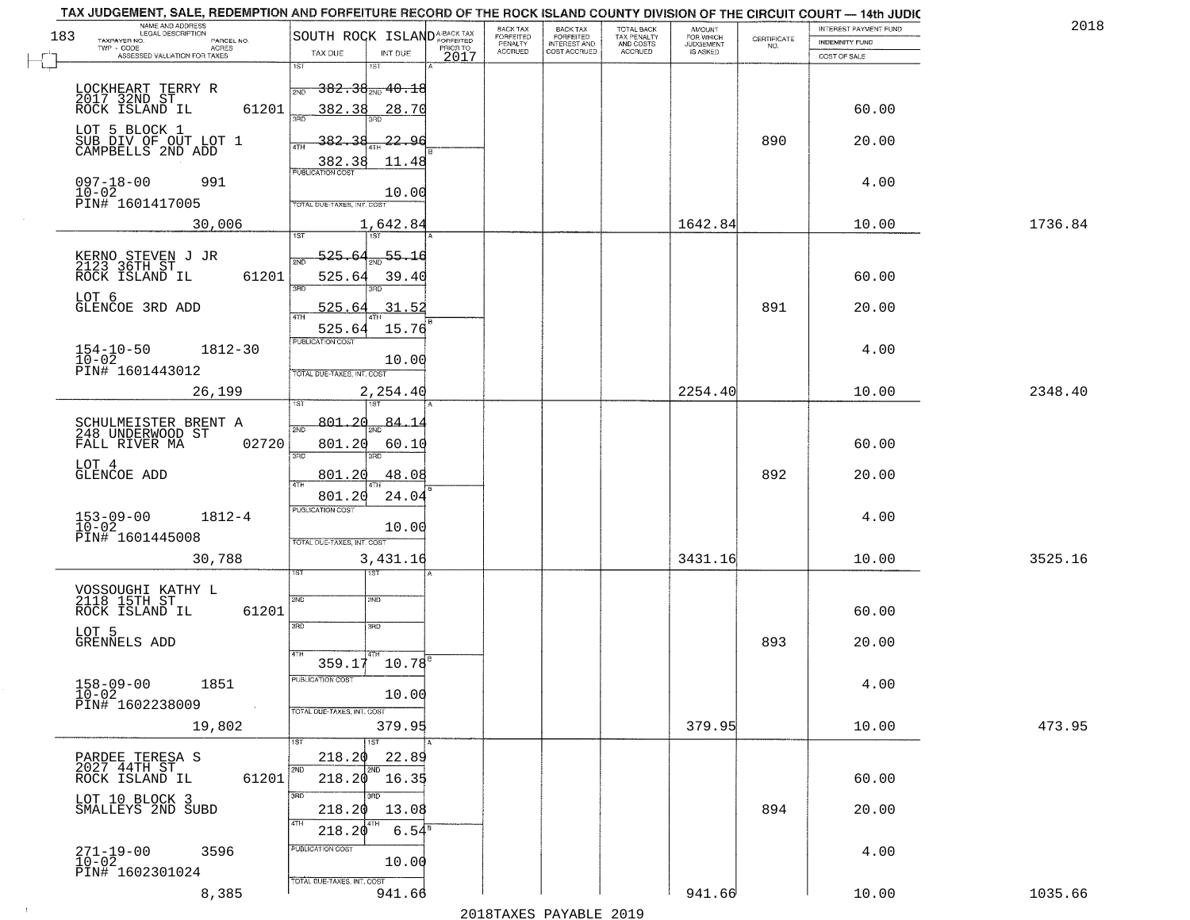| 2018    | INTEREST PAYMENT FUND |                                                                 | <b>AMOUNT</b><br>FOR WHICH | TOTAL BACK<br>TAX PENALTY<br>AND COSTS<br>ACCRUED | <b>BACK TAX</b><br><b>FORFEITED</b> | BACK TAX<br><b>FORFEITED</b> |                       | SOUTH ROCK ISLAND <sup>A-BACK TAX</sup>    |       | NAME AND ADDRESS<br>LEGAL DESCRIPTION                      |
|---------|-----------------------|-----------------------------------------------------------------|----------------------------|---------------------------------------------------|-------------------------------------|------------------------------|-----------------------|--------------------------------------------|-------|------------------------------------------------------------|
|         | INDEMNITY FUND        | $\begin{array}{c} \text{CERTIFICATE} \\ \text{NO.} \end{array}$ | JUDGEMENT                  |                                                   | INTEREST AND<br>COST ACCRUED        | PENALTY<br>ACCRUED           | PRIOR TO              |                                            |       | TAXPAYER NO.<br>PARCEL NO.<br>TWP - CODE<br><b>ACRES</b>   |
|         | COST OF SALE          |                                                                 |                            |                                                   |                                     |                              | INT DUE<br>2017       | TAX DUE<br>1ST<br>1ST                      |       | ASSESSED VALUATION FOR TAXES                               |
|         |                       |                                                                 |                            |                                                   |                                     |                              |                       | <del>382.38<sub>2№</sub>40.18</del><br>2ND |       | LOCKHEART TERRY R<br>2017 32ND ST                          |
|         | 60.00                 |                                                                 |                            |                                                   |                                     |                              | 28.70                 | 382.38                                     | 61201 | ROCK ISLAND IL                                             |
|         | 20.00                 | 890                                                             |                            |                                                   |                                     |                              | -22.96                | 382.                                       |       | LOT 5 BLOCK 1<br>SUB DIV OF OUT LOT 1<br>CAMPBELLS 2ND ADD |
|         | 4.00                  |                                                                 |                            |                                                   |                                     |                              | 11.48                 | 382.38<br><b>PUBLICATION COST</b>          |       | $097 - 18 - 00$<br>991                                     |
|         |                       |                                                                 |                            |                                                   |                                     |                              | 10.00                 | TOTAL DUE-TAXES, INT. COST                 |       | 10-02<br>PIN# 1601417005                                   |
| 1736.84 | 10.00                 |                                                                 | 1642.84                    |                                                   |                                     |                              |                       | 1,642.84<br>1ST<br>1ST                     |       | 30,006                                                     |
|         |                       |                                                                 |                            |                                                   |                                     |                              | 55.16                 | 525.<br>2ND                                |       | KERNO STEVEN J JR<br>2123 36TH ST                          |
|         | 60.00                 |                                                                 |                            |                                                   |                                     |                              | 39.40                 | 525.64<br>3RD                              | 61201 | ROCK ISLAND IL<br>LOT 6                                    |
|         | 20.00                 | 891                                                             |                            |                                                   |                                     |                              | 31.52<br>15.76        | 525.<br>525.64                             |       | GLENCOE 3RD ADD                                            |
|         | 4.00                  |                                                                 |                            |                                                   |                                     |                              |                       | PUBLICATION COST                           |       | $154-10-50$<br>$10-02$<br>1812-30                          |
|         |                       |                                                                 |                            |                                                   |                                     |                              | 10.00                 | TOTAL DUE-TAXES, INT. COST                 |       | PIN# 1601443012                                            |
| 2348.40 | 10.00                 |                                                                 | 2254.40                    |                                                   |                                     |                              |                       | 2,254.40                                   |       | 26,199                                                     |
|         | 60.00                 |                                                                 |                            |                                                   |                                     |                              | <u>84.14</u><br>60.10 | 801, 20<br>801.20                          | 02720 | SCHULMEISTER BRENT A<br>248 UNDERWOOD ST<br>FALL RIVER MA  |
|         |                       |                                                                 |                            |                                                   |                                     |                              |                       | 3BD<br>3RD                                 |       | LOT 4                                                      |
|         | 20.00                 | 892                                                             |                            |                                                   |                                     |                              | 48.08<br>24.04        | 801.20<br>801.20                           |       | GLENCOE ADD                                                |
|         | 4.00                  |                                                                 |                            |                                                   |                                     |                              | 10.00                 | <b>PUBLICATION COST</b>                    |       | 153-09-00<br>10-02<br>$1812 - 4$                           |
| 3525.16 | 10.00                 |                                                                 | 3431.16                    |                                                   |                                     |                              |                       | TOTAL OUE-TAXES, INT. COST<br>3,431.16     |       | PIN# 1601445008<br>30,788                                  |
|         |                       |                                                                 |                            |                                                   |                                     |                              |                       | ख                                          |       |                                                            |
|         | 60.00                 |                                                                 |                            |                                                   |                                     |                              |                       | 2ND<br>SND                                 | 61201 | VOSSOUGHI KATHY L<br>2118 15TH ST<br>ROCK ISLAND IL        |
|         | 20.00                 | 893                                                             |                            |                                                   |                                     |                              |                       | 3RD<br>3BD                                 |       | LOT 5<br>GRENNELS ADD                                      |
|         |                       |                                                                 |                            |                                                   |                                     |                              |                       | $359.17$ $10.78$ <sup>8</sup>              |       |                                                            |
|         | 4.00                  |                                                                 |                            |                                                   |                                     |                              | 10.00                 | PUBLICATION COST                           |       | $158 - 09 - 00$<br>$10 - 02$<br>1851<br>PIN# 1602238009    |
| 473.95  | 10.00                 |                                                                 | 379.95                     |                                                   |                                     |                              | 379.95                | TOTAL DUE-TAXES, INT. COST                 |       | 19,802                                                     |
|         |                       |                                                                 |                            |                                                   |                                     |                              | 22.89                 | 1ST<br>1ST<br>218.20                       |       |                                                            |
|         | 60.00                 |                                                                 |                            |                                                   |                                     |                              | $^{\circ}$ 16.35      | 2ND<br>2ND<br>218.20                       | 61201 | PARDEE TERESA S<br>2027 44TH ST<br>ROCK ISLAND IL          |
|         | 20.00                 | 894                                                             |                            |                                                   |                                     |                              | 13.08                 | 3RD<br>3RD<br>218.20                       |       | LOT 10 BLOCK 3<br>SMALLEYS 2ND SUBD                        |
|         |                       |                                                                 |                            |                                                   |                                     |                              | $6.54^{8}$            | 4TH<br>4TH<br>218.20<br>PUBLICATION COST   |       |                                                            |
|         | 4.00                  |                                                                 |                            |                                                   |                                     |                              | 10.00                 |                                            |       | $271 - 19 - 00$<br>10-02<br>3596                           |
|         |                       |                                                                 |                            |                                                   |                                     |                              |                       | TOTAL DUE-TAXES, INT. COST                 |       | PIN# 1602301024                                            |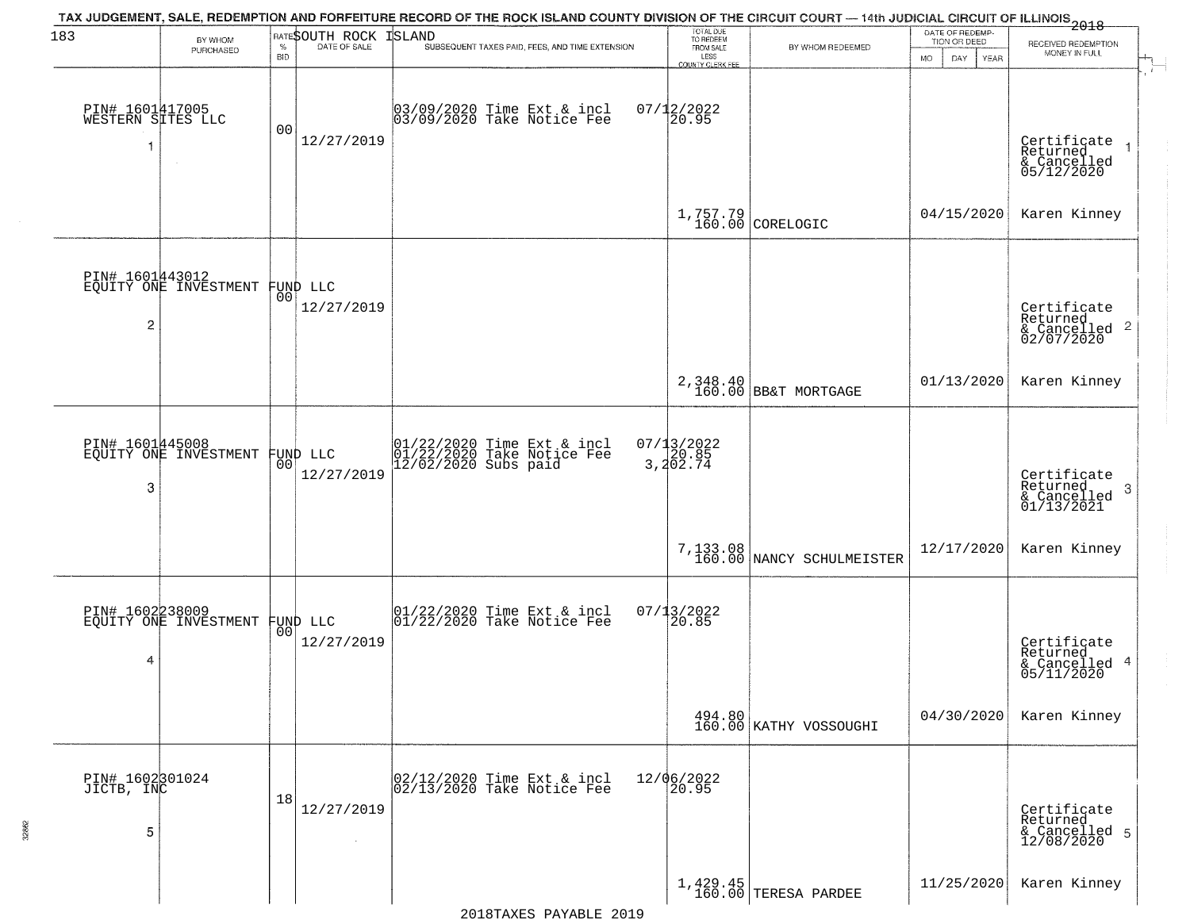| 183                                  | BY WHOM<br>PURCHASED                              | <b>BID</b> | <b>RATESOUTH ROCK ISLAND</b>   | TAX JUDGEMENT, SALE, REDEMPTION AND FORFEITURE RECORD OF THE ROCK ISLAND COUNTY DIVISION OF THE CIRCUIT COURT — 14th JUDICIAL CIRCUIT OF ILLINOIS 2018<br>SUBSEQUENT TAXES PAID, FEES, AND TIME EXTENSION | TOTAL DUE<br>TO REDEEM<br>FROM SALE<br>LESS<br>COUNTY CLERK FEE | BY WHOM REDEEMED                      | DATE OF REDEMP.<br>TION OR DEED<br>MO.<br>YEAR<br>DAY. | RECEIVED REDEMPTION<br>MONEY IN FULL                       |
|--------------------------------------|---------------------------------------------------|------------|--------------------------------|-----------------------------------------------------------------------------------------------------------------------------------------------------------------------------------------------------------|-----------------------------------------------------------------|---------------------------------------|--------------------------------------------------------|------------------------------------------------------------|
| PIN# 1601417005<br>WESTERN SITES LLC |                                                   | 00         | 12/27/2019                     | 03/09/2020 Time Ext & incl<br>03/09/2020 Take Notice Fee                                                                                                                                                  | $07/12/2022$<br>20.95                                           |                                       |                                                        | Certificate<br>Returned<br>& Cancelled<br>05/12/2020       |
|                                      |                                                   |            |                                |                                                                                                                                                                                                           |                                                                 | $1,757.79$ CORELOGIC                  | 04/15/2020                                             | Karen Kinney                                               |
| 2                                    | PIN# 1601443012<br>EQUITY ONE INVESTMENT FUND LLC |            | 12/27/2019                     |                                                                                                                                                                                                           |                                                                 |                                       |                                                        | Certificate<br>Returned<br>$\frac{12241164}{62/07/2020}$ 2 |
|                                      |                                                   |            |                                |                                                                                                                                                                                                           |                                                                 | 2,348.40<br>160.00 BB&T MORTGAGE      | 01/13/2020                                             | Karen Kinney                                               |
| PIN# 1601445008<br>3                 | EQUITY ONE INVESTMENT                             | 0O         | FUND LLC<br>12/27/2019         | 01/22/2020 Time Ext & incl<br>01/22/2020 Take Notice Fee<br>12/02/2020 Subs paid                                                                                                                          | 07/13/2022<br>20.85<br>3,202.74                                 |                                       |                                                        | Certificate<br>Returned<br>-3<br>& Cancelled<br>01/13/2021 |
|                                      |                                                   |            |                                |                                                                                                                                                                                                           |                                                                 | 7,133.08<br>160.00 NANCY SCHULMEISTER | 12/17/2020                                             | Karen Kinney                                               |
| PIN# 1602238009<br>4                 | EQUITY ONE INVESTMENT                             |            | FUND LLC<br> 00 <br>12/27/2019 | $\begin{array}{c}  01/22/2020 \text{ Time} \text{ Ext} & \text{incl} \\ 01/22/2020 \text{ Take Notice } \text{Fe} \end{array}$                                                                            | $07/13/2022$<br>20.85                                           |                                       |                                                        | Certificate<br>Returned<br>& Cancelled 4<br>05/11/2020     |
|                                      |                                                   |            |                                |                                                                                                                                                                                                           |                                                                 | 494.80<br>160.00 KATHY VOSSOUGHI      | 04/30/2020                                             | Karen Kinney                                               |
| PIN# 1602301024<br>JICTB, INC<br>5   |                                                   | 18         | 12/27/2019                     | 02/12/2020 Time Ext & incl<br>02/13/2020 Take Notice Fee                                                                                                                                                  | 12/06/2022<br>20.95                                             |                                       |                                                        | Certificate<br>Returned<br>& Cancelled 5<br>12/08/2020     |
|                                      |                                                   |            |                                |                                                                                                                                                                                                           |                                                                 | $1,429.45$ TERESA PARDEE              | 11/25/2020                                             | Karen Kinney                                               |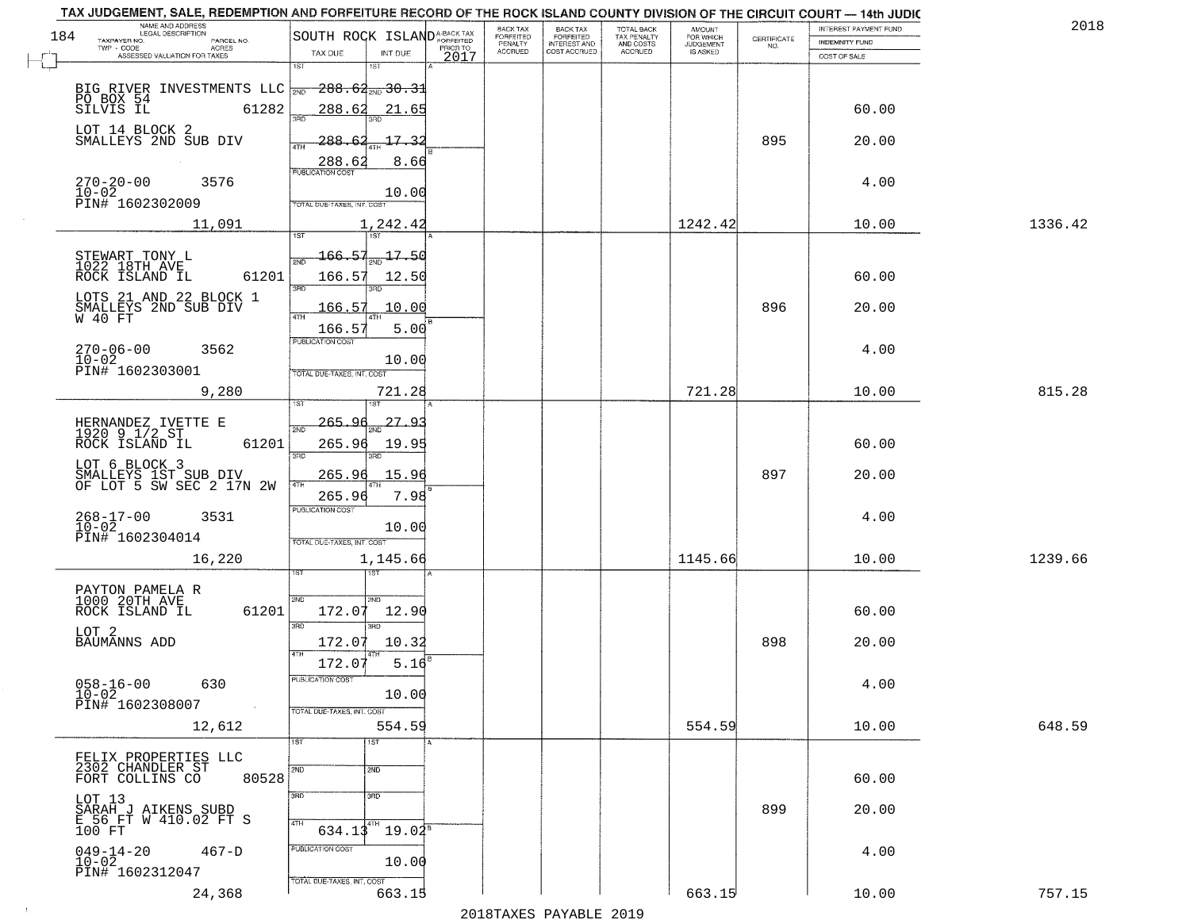| NAME AND ADDRESS<br>LEGAL DESCRIPTION<br>184                |                                   |                             |      | BACK TAX                               | BACK TAX<br>FORFEITED               | TOTAL BACK<br>TAX PENALTY<br>AND COSTS | AMOUNT<br>FOR WHICH<br>JUDGEMENT |                    | INTEREST PAYMENT FUND | 2018    |
|-------------------------------------------------------------|-----------------------------------|-----------------------------|------|----------------------------------------|-------------------------------------|----------------------------------------|----------------------------------|--------------------|-----------------------|---------|
| TAXPAYER NO.<br>PARCEL NO.<br>ACRES                         | SOUTH ROCK ISLANDA-BACK TAX       |                             |      | FORFEITED<br>PENALTY<br><b>ACCRUED</b> | <b>INTEREST AND</b><br>COST ACCRUED | <b>ACCRUED</b>                         | IS ASKED                         | CERTIFICATE<br>NO. | <b>INDEMNITY FUND</b> |         |
| ASSESSED VALUATION FOR TAXES                                | TAX DUE<br>1ST                    | INT DUE<br>1ST              | 2017 |                                        |                                     |                                        |                                  |                    | COST OF SALE          |         |
|                                                             |                                   |                             |      |                                        |                                     |                                        |                                  |                    |                       |         |
| BIG RIVER INVESTMENTS LLC NO BOX 54<br>SILVIS IL 61282      |                                   | $-288.62_{\text{200}}30.31$ |      |                                        |                                     |                                        |                                  |                    |                       |         |
|                                                             | 288.62<br>390                     | 21.65                       |      |                                        |                                     |                                        |                                  |                    | 60.00                 |         |
| LOT 14 BLOCK 2                                              |                                   |                             |      |                                        |                                     |                                        |                                  |                    |                       |         |
| SMALLEYS 2ND SUB DIV                                        | <u> 288.62</u><br>4TH             | 17.32                       |      |                                        |                                     |                                        |                                  | 895                | 20.00                 |         |
|                                                             | 288.62<br><b>PUBLICATION COST</b> | 8.66                        |      |                                        |                                     |                                        |                                  |                    |                       |         |
| $270 - 20 - 00$<br>$10 - 02$<br>3576                        |                                   |                             |      |                                        |                                     |                                        |                                  |                    | 4.00                  |         |
| PIN# 1602302009                                             | TOTAL DUE-TAXES, INT. COST        | 10.00                       |      |                                        |                                     |                                        |                                  |                    |                       |         |
| 11,091                                                      |                                   | 1,242.42                    |      |                                        |                                     |                                        | 1242.42                          |                    | 10.00                 | 1336.42 |
|                                                             |                                   |                             |      |                                        |                                     |                                        |                                  |                    |                       |         |
| STEWART TONY L<br>1022 18TH AVE                             | 166.57                            | $-17 - 50$                  |      |                                        |                                     |                                        |                                  |                    |                       |         |
| 61201<br>ROCK ISLAND IL                                     | 166.57                            | 12.50                       |      |                                        |                                     |                                        |                                  |                    | 60.00                 |         |
| LOTS 21 AND 22 BLOCK 1                                      | 3RD                               |                             |      |                                        |                                     |                                        |                                  |                    |                       |         |
| SMALLEYS 2ND SUB DIV<br>W 40 FT                             | 166.57                            | 10.00                       |      |                                        |                                     |                                        |                                  | 896                | 20.00                 |         |
|                                                             | 166.57                            | 5.00                        |      |                                        |                                     |                                        |                                  |                    |                       |         |
| $270 - 06 - 00$<br>3562                                     | PUBLICATION COST                  |                             |      |                                        |                                     |                                        |                                  |                    | 4.00                  |         |
| $10 - 02$<br>PIN# 1602303001                                |                                   | 10.00                       |      |                                        |                                     |                                        |                                  |                    |                       |         |
|                                                             | TOTAL DUE-TAXES, INT. COST        |                             |      |                                        |                                     |                                        |                                  |                    |                       |         |
| 9,280                                                       | 1ST                               | 721.28                      |      |                                        |                                     |                                        | 721.28                           |                    | 10.00                 | 815.28  |
|                                                             | 265.9                             | $27-$<br><u>_Q</u>          |      |                                        |                                     |                                        |                                  |                    |                       |         |
| HERNANDEZ IVETTE E<br>1920 9 1/2 ST                         | 2ND                               |                             |      |                                        |                                     |                                        |                                  |                    |                       |         |
| ROCK ISLAND IL<br>61201                                     | 265.96<br>3BD                     | 19.95<br>3RD                |      |                                        |                                     |                                        |                                  |                    | 60.00                 |         |
| LOT 6 BLOCK 3                                               | <u> 265.96</u>                    | 15.96                       |      |                                        |                                     |                                        |                                  | 897                | 20.00                 |         |
| SMALLEYS 1ST SUB DIV<br>OF LOT 5 SW SEC 2 17N 2W            | 4TH<br>265.96                     | 7.98                        |      |                                        |                                     |                                        |                                  |                    |                       |         |
|                                                             | <b>PUBLICATION COST</b>           |                             |      |                                        |                                     |                                        |                                  |                    |                       |         |
| $268 - 17 - 00$<br>10-02<br>3531                            |                                   | 10.00                       |      |                                        |                                     |                                        |                                  |                    | 4.00                  |         |
| PIN# 1602304014                                             | TOTAL OUE-TAXES, INT. COST        |                             |      |                                        |                                     |                                        |                                  |                    |                       |         |
| 16,220                                                      |                                   | 1,145.66                    |      |                                        |                                     |                                        | 1145.66                          |                    | 10.00                 | 1239.66 |
|                                                             |                                   | नङ्ग                        |      |                                        |                                     |                                        |                                  |                    |                       |         |
| PAYTON PAMELA R<br>1000 20TH AVE                            | 2ND                               | 2ND                         |      |                                        |                                     |                                        |                                  |                    |                       |         |
| ROCK ISLAND IL<br>61201                                     | 172.07                            | 12.90                       |      |                                        |                                     |                                        |                                  |                    | 60.00                 |         |
| LOT <sub>2</sub>                                            | 3RD                               | 3RD                         |      |                                        |                                     |                                        |                                  |                    |                       |         |
| <b>BAUMANNS ADD</b>                                         | 172.07<br>4TH                     | 10.32                       |      |                                        |                                     |                                        |                                  | 898                | 20.00                 |         |
|                                                             | 172.07                            | 5.16                        |      |                                        |                                     |                                        |                                  |                    |                       |         |
| $058 - 16 - 00$<br>630                                      | PUBLICATION COS                   |                             |      |                                        |                                     |                                        |                                  |                    | 4.00                  |         |
| $10 - 02$<br>PIN# 1602308007<br>$\sim 10^{11}$ km s $^{-1}$ | TOTAL DUE-TAXES, INT. COST        | 10.00                       |      |                                        |                                     |                                        |                                  |                    |                       |         |
| 12,612                                                      |                                   | 554.59                      |      |                                        |                                     |                                        | 554.59                           |                    | 10.00                 | 648.59  |
|                                                             | 1ST                               | 1ST                         |      |                                        |                                     |                                        |                                  |                    |                       |         |
| FELIX PROPERTIES LLC                                        |                                   |                             |      |                                        |                                     |                                        |                                  |                    |                       |         |
| 2302 CHANDLER ST<br>FORT COLLINS CO<br>80528                | 2ND                               | 2ND                         |      |                                        |                                     |                                        |                                  |                    | 60.00                 |         |
|                                                             | 3RD                               | 3BD                         |      |                                        |                                     |                                        |                                  |                    |                       |         |
| LOT 13<br>SARAH J AIKENS SUBD<br>F.56 FT W 410.02 FT S      |                                   |                             |      |                                        |                                     |                                        |                                  | 899                | 20.00                 |         |
| 100 FT                                                      | 4TH<br>634.13                     | 4TH<br>$19.04^{\circ}$      |      |                                        |                                     |                                        |                                  |                    |                       |         |
| $049 - 14 - 20$<br>$467-D$                                  | PUBLICATION COST                  |                             |      |                                        |                                     |                                        |                                  |                    | 4.00                  |         |
| $10 - 02$<br>PIN# 1602312047                                |                                   | 10.00                       |      |                                        |                                     |                                        |                                  |                    |                       |         |
| 24,368                                                      | TOTAL DUE-TAXES, INT. COST        | 663.15                      |      |                                        |                                     |                                        | 663.15                           |                    | 10.00                 | 757.15  |
|                                                             |                                   |                             |      |                                        |                                     |                                        |                                  |                    |                       |         |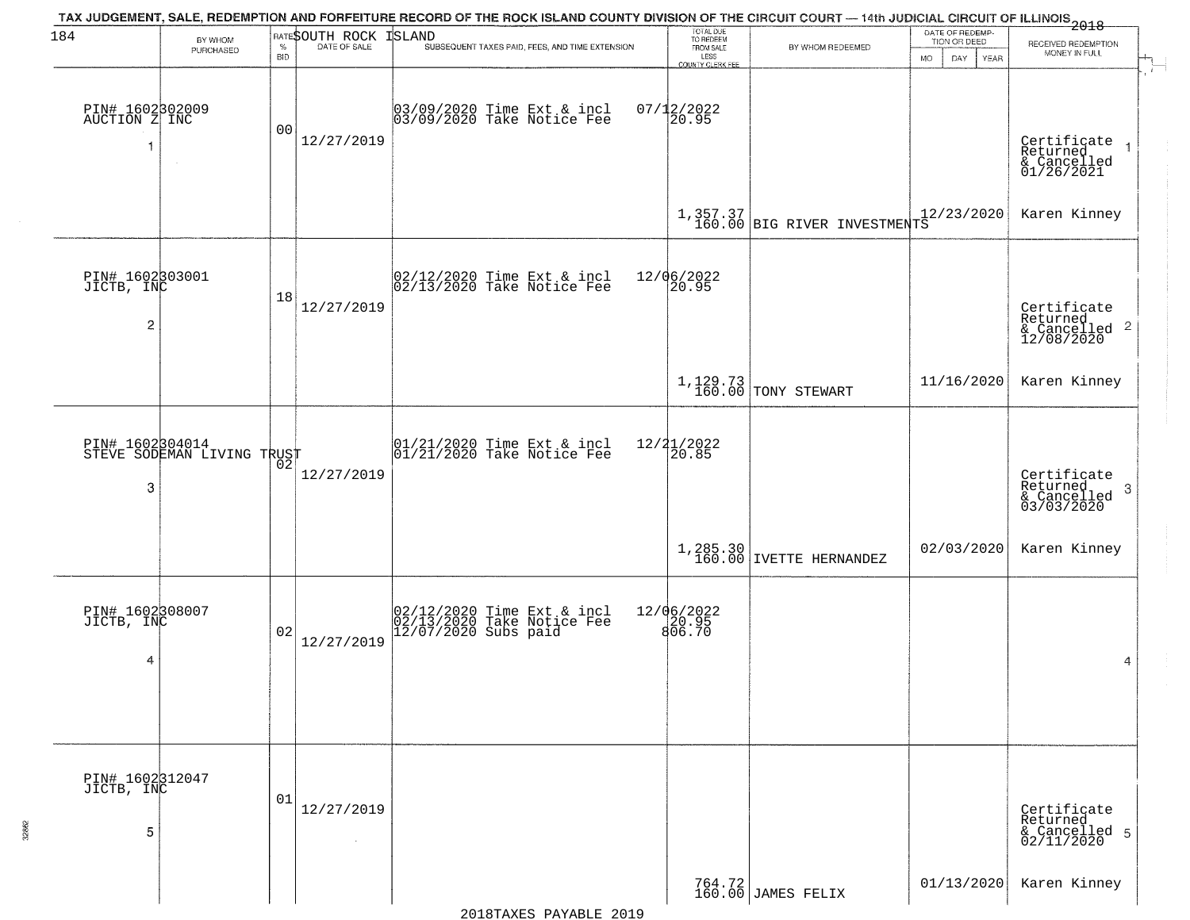| 184                              | BY WHOM<br>PURCHASED                          |            | <b>RATESOUTH ROCK</b> | TAX JUDGEMENT, SALE, REDEMPTION AND FORFEITURE RECORD OF THE ROCK ISLAND COUNTY DIVISION OF THE CIRCUIT COURT — 14th JUDICIAL CIRCUIT OF ILLINOIS 2018<br><b>ISLAND</b><br>SUBSEQUENT TAXES PAID, FEES, AND TIME EXTENSION | TOTAL DUE<br>TO REDEEM<br>FROM SALE | BY WHOM REDEEMED                                                                                               | DATE OF REDEMP-<br>TION OR DEED | RECEIVED REDEMPTION                                        |
|----------------------------------|-----------------------------------------------|------------|-----------------------|----------------------------------------------------------------------------------------------------------------------------------------------------------------------------------------------------------------------------|-------------------------------------|----------------------------------------------------------------------------------------------------------------|---------------------------------|------------------------------------------------------------|
|                                  |                                               | <b>BID</b> |                       |                                                                                                                                                                                                                            | LESS<br>COUNTY CLERK FEE            |                                                                                                                | MO.<br>DAY.<br>YEAR             | MONEY IN FULL                                              |
| PIN# 1602302009<br>AUCTION Z INC | $\sim$                                        | 00         | 12/27/2019            | 03/09/2020 Time Ext & incl<br>03/09/2020 Take Notice Fee                                                                                                                                                                   | $07/12/2022$<br>20.95               |                                                                                                                |                                 | Certificate<br>Returned<br>& Cancelled<br>01/26/2021       |
|                                  |                                               |            |                       |                                                                                                                                                                                                                            |                                     | $\left[1,357.37\atop160.00\right]$ BIG RIVER INVESTMENTS                                                       |                                 | Karen Kinney                                               |
|                                  |                                               |            |                       |                                                                                                                                                                                                                            |                                     |                                                                                                                |                                 |                                                            |
| PIN# 1602303001<br>JICTB, INC    |                                               | 18         |                       | 02/12/2020 Time Ext & incl<br>02/13/2020 Take Notice Fee                                                                                                                                                                   | 12/06/2022<br>20.95                 |                                                                                                                |                                 |                                                            |
| $\overline{c}$                   |                                               |            | 12/27/2019            |                                                                                                                                                                                                                            |                                     |                                                                                                                |                                 | Certificate<br>Returned<br>& Cancelled 2<br>12/08/2020     |
|                                  |                                               |            |                       |                                                                                                                                                                                                                            |                                     | 1,129.73<br>160.00 TONY STEWART                                                                                | 11/16/2020                      | Karen Kinney                                               |
|                                  | PIN# 1602304014<br>STEVE SODEMAN LIVING TRUST | 02         |                       | $\begin{array}{cc} 01/21/2020 &$ Time Ext & incl<br>$01/21/2020 &$ Take Notice Fee                                                                                                                                         | $\frac{12}{2}$ $\frac{21}{20.85}$   |                                                                                                                |                                 |                                                            |
| 3                                |                                               |            | 12/27/2019            |                                                                                                                                                                                                                            |                                     |                                                                                                                |                                 | Certificate<br>Returned<br>-3<br>& Cancelled<br>03/03/2020 |
|                                  |                                               |            |                       |                                                                                                                                                                                                                            |                                     | $\begin{array}{c} \texttt{1,285.30}\mid \\ \texttt{160.00}\mid \texttt{IVETTE} \texttt{ HERNANDEZ}\end{array}$ | 02/03/2020                      | Karen Kinney                                               |
| PIN# 1602308007<br>JICTB, INC    |                                               |            |                       | 02/12/2020 Time Ext & incl<br>02/13/2020 Take Notice Fee<br>12/07/2020 Subs paid                                                                                                                                           | 12/06/2022<br>20.95<br>806.70       |                                                                                                                |                                 |                                                            |
| 4                                |                                               | 02         | 12/27/2019            |                                                                                                                                                                                                                            |                                     |                                                                                                                |                                 | 4                                                          |
|                                  |                                               |            |                       |                                                                                                                                                                                                                            |                                     |                                                                                                                |                                 |                                                            |
| PIN# 1602312047<br>JICTB, INC    |                                               |            |                       |                                                                                                                                                                                                                            |                                     |                                                                                                                |                                 |                                                            |
| 5                                |                                               | 01         | 12/27/2019<br>$\sim$  |                                                                                                                                                                                                                            |                                     |                                                                                                                |                                 | Certificate<br>Returned<br>& Cancelled 5<br>02/11/2020     |
|                                  |                                               |            |                       |                                                                                                                                                                                                                            |                                     | 764.72<br>160.00 JAMES FELIX                                                                                   | 01/13/2020                      | Karen Kinney                                               |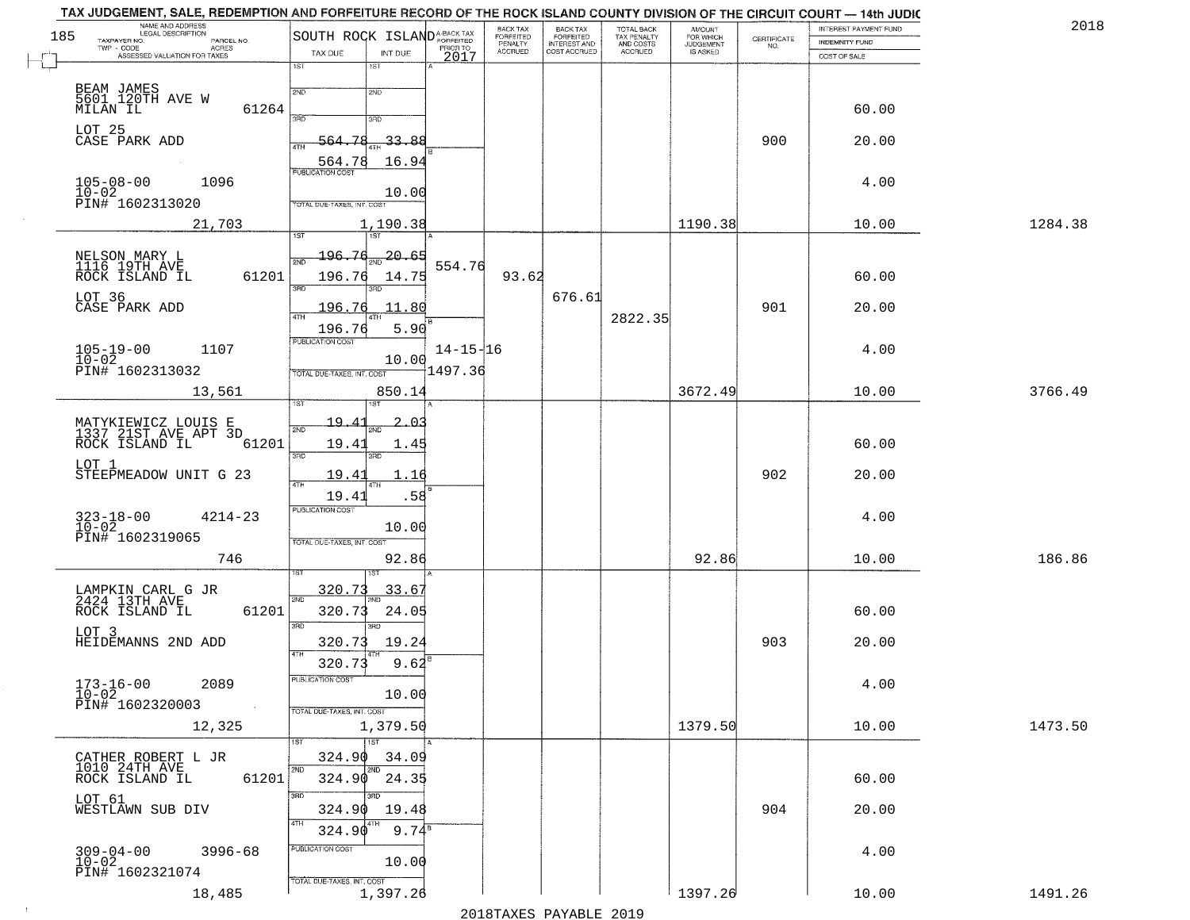| 185 | NAME AND ADDRESS<br>LEGAL DESCRIPTION<br>TAXPAYER NO.<br>PARCEL NO. | SOUTH ROCK ISLAND <sup>A-BACK TAX</sup>          |                  | BACK TAX<br>FORFEITED | <b>BACK TAX</b><br><b>FORFEITED</b> | TOTAL BACK<br>TAX PENALTY<br>AND COSTS<br>ACCRUED | <b>AMOUNT</b>                      |                                                                 | INTEREST PAYMENT FUND          | 2018    |
|-----|---------------------------------------------------------------------|--------------------------------------------------|------------------|-----------------------|-------------------------------------|---------------------------------------------------|------------------------------------|-----------------------------------------------------------------|--------------------------------|---------|
|     | TWP - CODE<br>- CODE ACRES<br>ASSESSED VALUATION FOR TAXES          | TAX DUE<br>INT DUE                               | PRIOR TO<br>2017 | PENALTY<br>ACCRUED    | INTEREST AND<br>COST ACCRUED        |                                                   | FOR WHICH<br>JUDGEMENT<br>IS ASKED | $\begin{array}{c} \text{CEPTIFICATE} \\ \text{NO.} \end{array}$ | INDEMNITY FUND<br>COST OF SALE |         |
|     |                                                                     | 1ST<br>1ST                                       |                  |                       |                                     |                                                   |                                    |                                                                 |                                |         |
|     | BEAM JAMES<br>5601_120TH AVE W                                      | 2ND<br>2ND                                       |                  |                       |                                     |                                                   |                                    |                                                                 |                                |         |
|     | 61264<br>MILAN IL                                                   | 390<br>3RD                                       |                  |                       |                                     |                                                   |                                    |                                                                 | 60.00                          |         |
|     | LOT 25<br>CASE PARK ADD                                             | -78<br>$-33.88$<br>564.                          |                  |                       |                                     |                                                   |                                    | 900                                                             | 20.00                          |         |
|     |                                                                     | ATH<br>16.94<br>564.78                           |                  |                       |                                     |                                                   |                                    |                                                                 |                                |         |
|     | $105 - 08 - 00$<br>1096                                             | PUBLICATION COST                                 |                  |                       |                                     |                                                   |                                    |                                                                 | 4.00                           |         |
|     | $10 - 02$<br>PIN# 1602313020                                        | 10.00<br>TOTAL DUE-TAXES, INT. COS               |                  |                       |                                     |                                                   |                                    |                                                                 |                                |         |
|     | 21,703                                                              | 1,190.38<br>7ST<br>1ST                           |                  |                       |                                     |                                                   | 1190.38                            |                                                                 | 10.00                          | 1284.38 |
|     |                                                                     | 196.76<br>20.65                                  |                  |                       |                                     |                                                   |                                    |                                                                 |                                |         |
|     | NELSON MARY L<br>1116 19TH AVE<br>ROCK ISLAND IL<br>61201           | 2ND<br>196.76<br>14.75                           | 554.76           | 93.62                 |                                     |                                                   |                                    |                                                                 | 60.00                          |         |
|     | LOT 36                                                              | 3RD<br>3RD                                       |                  |                       | 676.61                              |                                                   |                                    |                                                                 |                                |         |
|     | CASE PARK ADD                                                       | 196.76<br>11.80<br>47H                           |                  |                       |                                     | 2822.35                                           |                                    | 901                                                             | 20.00                          |         |
|     |                                                                     | 5.90<br>196.76<br>PUBLICATION COST               | $14 - 15 - 16$   |                       |                                     |                                                   |                                    |                                                                 | 4.00                           |         |
|     | $105 - 19 - 00$<br>$10 - 02$<br>1107<br>PIN# 1602313032             | 10.00                                            | 1497.36          |                       |                                     |                                                   |                                    |                                                                 |                                |         |
|     | 13,561                                                              | TOTAL DUE-TAXES, INT. COST<br>850.14             |                  |                       |                                     |                                                   | 3672.49                            |                                                                 | 10.00                          | 3766.49 |
|     |                                                                     |                                                  |                  |                       |                                     |                                                   |                                    |                                                                 |                                |         |
|     | MATYKIEWICZ LOUIS E<br>1337 21ST AVE APT 3D                         | $19 -$<br>ت ۱<br>2ND                             |                  |                       |                                     |                                                   |                                    |                                                                 |                                |         |
|     | 61201<br>ROCK ISLAND IL                                             | 19.41<br>1.4!<br>3 <sub>BD</sub><br>3RD          |                  |                       |                                     |                                                   |                                    |                                                                 | 60.00                          |         |
|     | LOT 1<br>STEEPMEADOW UNIT G 23                                      | 19.41<br>.16<br>4TH                              |                  |                       |                                     |                                                   |                                    | 902                                                             | 20.00                          |         |
|     |                                                                     | 19.41<br>.58                                     |                  |                       |                                     |                                                   |                                    |                                                                 |                                |         |
|     | $323 - 18 - 00$<br>$10 - 02$<br>$4214 - 23$                         | <b>PUBLICATION COST</b><br>10.00                 |                  |                       |                                     |                                                   |                                    |                                                                 | 4.00                           |         |
|     | PIN# 1602319065                                                     | TOTAL OUE-TAXES, INT. COST                       |                  |                       |                                     |                                                   |                                    |                                                                 |                                |         |
|     | 746                                                                 | 92.86                                            |                  |                       |                                     |                                                   | 92.86                              |                                                                 | 10.00                          | 186.86  |
|     | LAMPKIN CARL G JR<br>2424 13TH AVE                                  | 320.73<br>33.6'                                  |                  |                       |                                     |                                                   |                                    |                                                                 |                                |         |
|     | 61201<br>ROCK ISLAND IL                                             | 2ND<br>320.73<br>24.05                           |                  |                       |                                     |                                                   |                                    |                                                                 | 60.00                          |         |
|     | LOT 3                                                               | 3RD<br>$\overline{3BD}$                          |                  |                       |                                     |                                                   |                                    | 903                                                             |                                |         |
|     | HEIDEMANNS 2ND ADD                                                  | 19.24<br>320.73<br>4TH<br>9.62<br>320.73         |                  |                       |                                     |                                                   |                                    |                                                                 | 20.00                          |         |
|     | 2089                                                                | PUBLICATION COST                                 |                  |                       |                                     |                                                   |                                    |                                                                 | 4.00                           |         |
|     | $173 - 16 - 00$<br>$10 - 02$<br>PIN# 1602320003<br>$\sim 10$        | 10.00<br>TOTAL DUE-TAXES, INT. COST              |                  |                       |                                     |                                                   |                                    |                                                                 |                                |         |
|     | 12,325                                                              | 1,379.50                                         |                  |                       |                                     |                                                   | 1379.50                            |                                                                 | 10.00                          | 1473.50 |
|     |                                                                     | 1ST<br>1ST                                       |                  |                       |                                     |                                                   |                                    |                                                                 |                                |         |
|     | CATHER ROBERT L JR<br>1010 24TH AVE<br>61201                        | 324.90<br>34.09<br>2ND<br>2ND<br>324.90<br>24.35 |                  |                       |                                     |                                                   |                                    |                                                                 | 60.00                          |         |
|     | ROCK ISLAND IL<br>LOT 61                                            | 3BD                                              |                  |                       |                                     |                                                   |                                    |                                                                 |                                |         |
|     | WESTLAWN SUB DIV                                                    | 324.90<br>19.48<br>4TH                           |                  |                       |                                     |                                                   |                                    | 904                                                             | 20.00                          |         |
|     |                                                                     | $9.74^{\overline{8}}$<br>324.90                  |                  |                       |                                     |                                                   |                                    |                                                                 |                                |         |
|     | $309 - 04 - 00$<br>$3996 - 68$<br>$10 - 02$                         | PUBLICATION COST<br>10.00                        |                  |                       |                                     |                                                   |                                    |                                                                 | 4.00                           |         |
|     | PIN# 1602321074                                                     | TOTAL DUE-TAXES, INT. COST                       |                  |                       |                                     |                                                   |                                    |                                                                 |                                |         |
|     | 18,485                                                              | 1,397.26                                         |                  |                       |                                     |                                                   | 1397.26                            |                                                                 | 10.00                          | 1491.26 |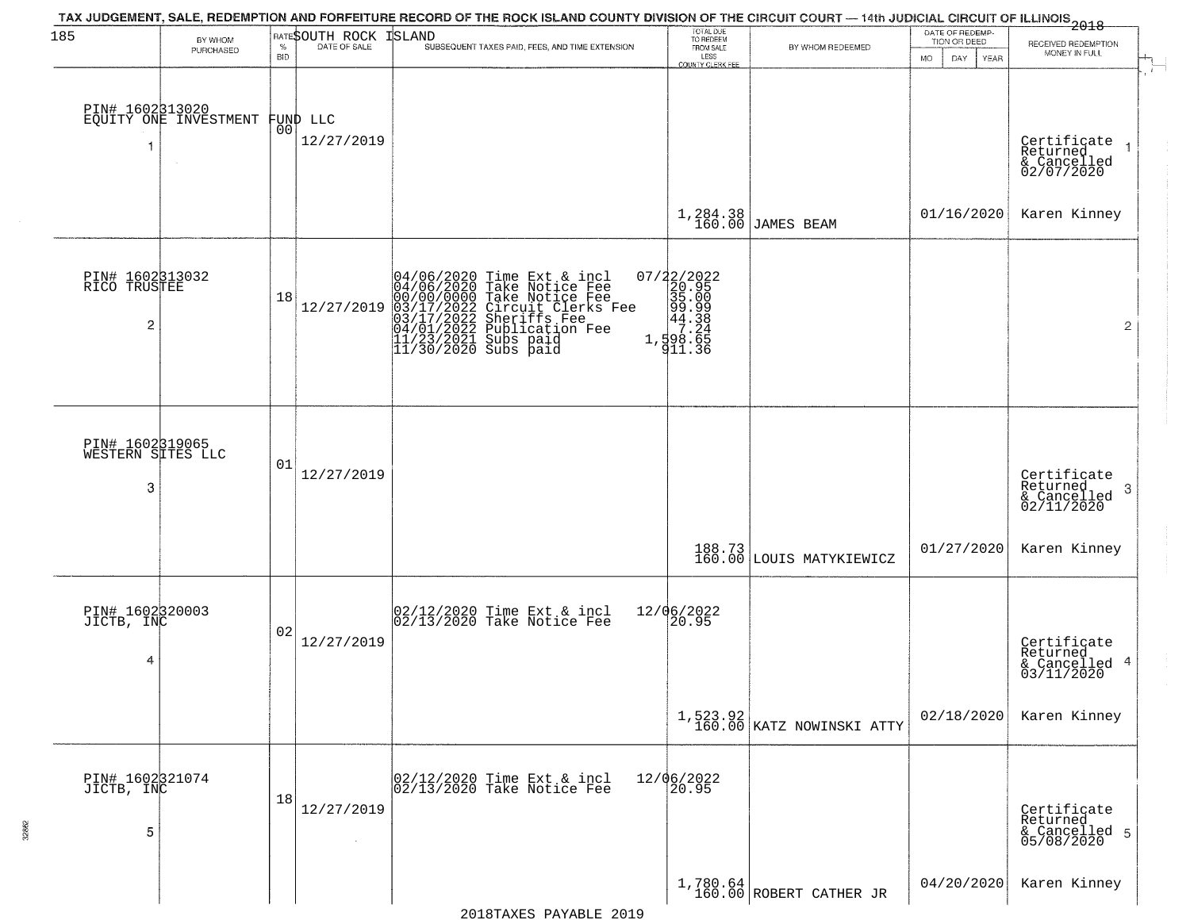| 185                                               | BY WHOM<br>PURCHASED                     | $\%$<br><b>BID</b> | <b>RATESOUTH ROCK ISLAND</b><br>DATE OF SALE | TAX JUDGEMENT, SALE, REDEMPTION AND FORFEITURE RECORD OF THE ROCK ISLAND COUNTY DIVISION OF THE CIRCUIT COURT — 14th JUDICIAL CIRCUIT OF ILLINOIS 2018<br>SUBSEQUENT TAXES PAID, FEES, AND TIME EXTENSION                            | TOTAL DUE<br>TO REDEEM<br>FROM SALE<br>LESS                                                                          | BY WHOM REDEEMED                        | DATE OF REDEMP-<br>TION OR DEED<br>MO.<br>DAY<br>YEAR | RECEIVED REDEMPTION<br>MONEY IN FULL                      |
|---------------------------------------------------|------------------------------------------|--------------------|----------------------------------------------|--------------------------------------------------------------------------------------------------------------------------------------------------------------------------------------------------------------------------------------|----------------------------------------------------------------------------------------------------------------------|-----------------------------------------|-------------------------------------------------------|-----------------------------------------------------------|
| 1                                                 | PIN# 1602313020<br>EQUITY ONE INVESTMENT | 00                 | FUND LLC<br>12/27/2019                       |                                                                                                                                                                                                                                      | COUNTY CLERK FEE                                                                                                     |                                         |                                                       | Certificate<br>Returned<br>& Cancelled<br>02/07/2020      |
|                                                   |                                          |                    |                                              |                                                                                                                                                                                                                                      | 1,284.38<br>160.00                                                                                                   | <b>JAMES BEAM</b>                       | 01/16/2020                                            | Karen Kinney                                              |
| PIN# 1602313032<br>RICO TRUSTEE<br>$\overline{c}$ |                                          | 18                 | 12/27/2019                                   | 04/06/2020 Time Ext & incl<br>04/06/2020 Take Notice Fee<br>00/00/00000 Take Notice Fee<br>03/17/2022 Circuit Clerks Fee<br>03/17/2022 Sublication Fee<br>04/01/2022 Publication Fee<br>11/23/2021 Subs paid<br>11/30/2020 Subs paid | $\begin{smallmatrix} 07/22/2022\\ 20.95\\ 35.009\\ 99.999\\ 44.38\\ 1\\ 7.24\\ 1\\ 98.65\\ 911.36 \end{smallmatrix}$ |                                         |                                                       | $\overline{2}$                                            |
| PIN# 1602319065<br>WESTERN SITES LLC<br>3         |                                          | 01                 | 12/27/2019                                   |                                                                                                                                                                                                                                      |                                                                                                                      |                                         |                                                       | Certificate<br>Returned<br>3<br>& Cancelled<br>02/11/2020 |
|                                                   |                                          |                    |                                              |                                                                                                                                                                                                                                      |                                                                                                                      | 188.73<br>160.00 LOUIS MATYKIEWICZ      | 01/27/2020                                            | Karen Kinney                                              |
| PIN# 1602320003<br>JICTB, INC<br>4                |                                          | 02                 | 12/27/2019                                   | 02/12/2020 Time Ext & incl<br>02/13/2020 Take Notice Fee                                                                                                                                                                             | 12/06/2022<br>20.95                                                                                                  |                                         |                                                       | Certificate<br>Returned<br>& Cancelled 4<br>03/11/2020    |
|                                                   |                                          |                    |                                              |                                                                                                                                                                                                                                      |                                                                                                                      | $1,523.92$<br>160.00 KATZ NOWINSKI ATTY | 02/18/2020                                            | Karen Kinney                                              |
| PIN# 1602321074<br>JICTB, INC<br>5                |                                          | 18                 | 12/27/2019                                   | 02/12/2020 Time Ext & incl<br>02/13/2020 Take Notice Fee                                                                                                                                                                             | 12/06/2022<br>20.95                                                                                                  |                                         |                                                       | Certificate<br>Returned<br>& Cancelled 5<br>05/08/2020    |
|                                                   |                                          |                    |                                              |                                                                                                                                                                                                                                      |                                                                                                                      | $1,780.64$ ROBERT CATHER JR             | 04/20/2020                                            | Karen Kinney                                              |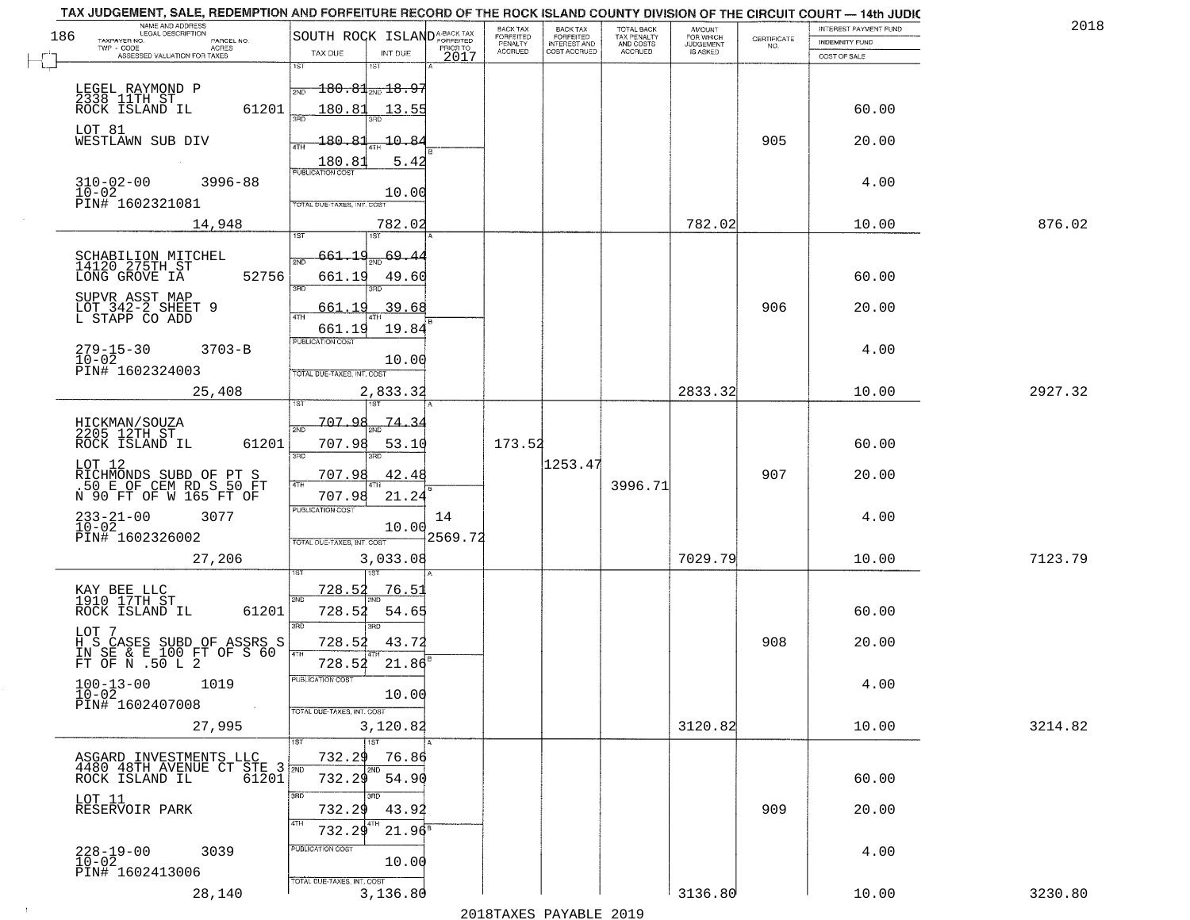| 186 | NAME AND ADDRESS<br>LEGAL DESCRIPTION                                                 |                                                                |            | BACK TAX                               | BACK TAX<br>FORFEITED<br>INTEREST AND | TOTAL BACK                                 | AMOUNT<br>FOR WHICH<br>JUDGEMENT |                                                                 | INTEREST PAYMENT FUND | 2018    |
|-----|---------------------------------------------------------------------------------------|----------------------------------------------------------------|------------|----------------------------------------|---------------------------------------|--------------------------------------------|----------------------------------|-----------------------------------------------------------------|-----------------------|---------|
|     | TAXPAYER NO.<br>PARCEL NO.<br>TWP - CODE<br>ACRES                                     | SOUTH ROCK ISLANDA-BACK TAX                                    |            | FORFEITED<br>PENALTY<br><b>ACCRUED</b> | COST ACCRUED                          | TAX PENALTY<br>AND COSTS<br><b>ACCRUED</b> | IS ASKED                         | $\begin{array}{c} \text{CEPTIFICATE} \\ \text{NO.} \end{array}$ | <b>INDEMNITY FUND</b> |         |
|     | ASSESSED VALUATION FOR TAXES                                                          | TAX DUE<br>INT DUE<br>1ST<br>1ST                               | 2017       |                                        |                                       |                                            |                                  |                                                                 | COST OF SALE          |         |
|     | LEGEL RAYMOND P<br>2338 11TH ST                                                       | $\overline{180.81}$ and $\overline{18.9}$<br>2ND               |            |                                        |                                       |                                            |                                  |                                                                 |                       |         |
|     | 61201<br>ROCK ISLAND IL                                                               | 180.81<br>13.55<br>350                                         |            |                                        |                                       |                                            |                                  |                                                                 | 60.00                 |         |
|     | LOT 81<br>WESTLAWN SUB DIV                                                            | 180.81<br>10.84<br>4TH<br>180.81<br>5.42                       |            |                                        |                                       |                                            |                                  | 905                                                             | 20.00                 |         |
|     | 310-02-00<br>$3996 - 88$<br>$10 - 02$<br>PIN# 1602321081                              | <b>PUBLICATION COST</b><br>10.00<br>TOTAL DUE-TAXES, INT. COST |            |                                        |                                       |                                            |                                  |                                                                 | 4.00                  |         |
|     | 14,948                                                                                | 782.02                                                         |            |                                        |                                       |                                            | 782.02                           |                                                                 | 10.00                 | 876.02  |
|     |                                                                                       |                                                                |            |                                        |                                       |                                            |                                  |                                                                 |                       |         |
|     | SCHABILION MITCHEL<br>14120 275TH ST<br>LONG GROVE IA<br>52756                        | 661.19<br>$\frac{69.4}{200}$<br>661.19<br>49.60<br>3RD         |            |                                        |                                       |                                            |                                  |                                                                 | 60.00                 |         |
|     | SUPVR ASST MAP<br>LOT 342-2 SHEET 9<br>L STAPP CO ADD                                 | 39.68<br>661.19<br>47H<br>19.84<br>661.19                      |            |                                        |                                       |                                            |                                  | 906                                                             | 20.00                 |         |
|     | $279 - 15 - 30$<br>$3703 - B$<br>$10 - 02$<br>PIN# 1602324003                         | PUBLICATION COST<br>10.00                                      |            |                                        |                                       |                                            |                                  |                                                                 | 4.00                  |         |
|     | 25,408                                                                                | TOTAL DUE-TAXES, INT. COST<br>2,833.32                         |            |                                        |                                       |                                            | 2833.32                          |                                                                 | 10.00                 | 2927.32 |
|     |                                                                                       | i ST<br>707.98                                                 |            |                                        |                                       |                                            |                                  |                                                                 |                       |         |
|     | HICKMAN/SOUZA<br>2205 12TH ST<br>ROCK ISLAND IL<br>61201                              | <u>74.34</u><br>2ND<br>707.98<br>53.1(<br>3BD<br>3RD           |            | 173.52                                 |                                       |                                            |                                  |                                                                 | 60.00                 |         |
|     | LOT 12<br>RICHMONDS SUBD OF PT S<br>.50 E OF CEM RD S 50 FT<br>N 90 FT OF W 165 FT OF | 707.98<br>42.4<br>4TH<br>21.24<br>707.98                       |            |                                        | 1253.47                               | 3996.71                                    |                                  | 907                                                             | 20.00                 |         |
|     | $233 - 21 - 00$<br>10-02<br>3077                                                      | <b>PUBLICATION COST</b><br>10.00                               | 14         |                                        |                                       |                                            |                                  |                                                                 | 4.00                  |         |
|     | PIN# 1602326002<br>27,206                                                             | TOTAL OUE-TAXES, INT. COST<br>3,033.08                         | $-2569.72$ |                                        |                                       |                                            | 7029.79                          |                                                                 | 10.00                 | 7123.79 |
|     |                                                                                       |                                                                |            |                                        |                                       |                                            |                                  |                                                                 |                       |         |
|     | KAY BEE LLC<br>1910 17TH ST<br>ROCK ISLAND IL<br>61201                                | 728.52<br>76.51<br>2ND<br>728.52<br>54.65<br>3RD               |            |                                        |                                       |                                            |                                  |                                                                 | 60.00                 |         |
|     | LOT 7<br>H S CASES SUBD OF ASSRS S<br>IN SE & E 100 FT OF S 60<br>FT OF N .50 L 2     | 3RD<br>728.52<br>43.72<br>4TH                                  |            |                                        |                                       |                                            |                                  | 908                                                             | 20.00                 |         |
|     | $100 - 13 - 00$<br>1019<br>$10 - 02$                                                  | 728.52<br>21.86<br>'usuca hun cus<br>10.00                     |            |                                        |                                       |                                            |                                  |                                                                 | 4.00                  |         |
|     | PIN# 1602407008<br>$\sim 100$<br>27,995                                               | TOTAL DUE-TAXES, INT. COST<br>3,120.82                         |            |                                        |                                       |                                            | 3120.82                          |                                                                 | 10.00                 | 3214.82 |
|     |                                                                                       | 1ST                                                            |            |                                        |                                       |                                            |                                  |                                                                 |                       |         |
|     | ASGARD INVESTMENTS LLC<br>4480 48TH AVENUE CT STE 3 2ND<br>ROCK ISLAND IL 61201       | 732.29<br>76.86<br>2ND<br>732.29<br>54.90                      |            |                                        |                                       |                                            |                                  |                                                                 | 60.00                 |         |
|     | LOT 11<br>RESERVOIR PARK                                                              | 3RD<br>732.29<br>43.92<br>4TH<br>4TH                           |            |                                        |                                       |                                            |                                  | 909                                                             | 20.00                 |         |
|     | $228 - 19 - 00$<br>$10 - 02$<br>3039<br>PIN# 1602413006                               | 732.29<br>$21.96^8$<br>PUBLICATION COST<br>10.00               |            |                                        |                                       |                                            |                                  |                                                                 | 4.00                  |         |
|     | 28,140                                                                                | TOTAL DUE-TAXES, INT. COST<br>3,136.80                         |            |                                        |                                       |                                            | 3136.80                          |                                                                 | 10.00                 | 3230.80 |

 $\sim 10^{-1}$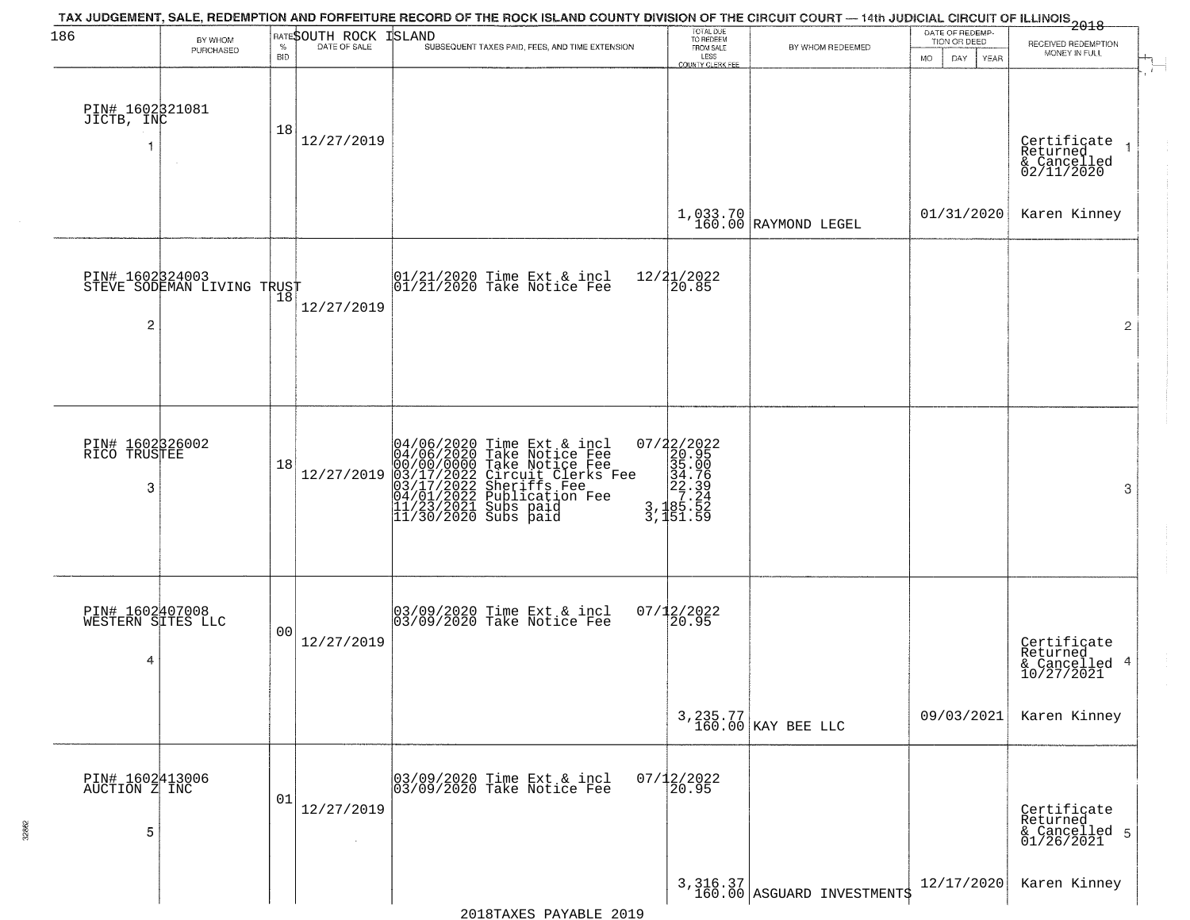| 186                                   | BY WHOM                              |                    | RATESOUTH ROCK | TAX JUDGEMENT, SALE, REDEMPTION AND FORFEITURE RECORD OF THE ROCK ISLAND COUNTY DIVISION OF THE CIRCUIT COURT — 14th JUDICIAL CIRCUIT OF ILLINOIS 2018<br>ISLAND                                                                      | TOTAL DUE<br>TO REDEEM<br>FROM SALE                                                                |                                         | DATE OF REDEMP-<br>TION OR DEED | RECEIVED REDEMPTION                                       |
|---------------------------------------|--------------------------------------|--------------------|----------------|---------------------------------------------------------------------------------------------------------------------------------------------------------------------------------------------------------------------------------------|----------------------------------------------------------------------------------------------------|-----------------------------------------|---------------------------------|-----------------------------------------------------------|
|                                       | PURCHASED                            | $\%$<br><b>BID</b> | DATE OF SALE   | SUBSEQUENT TAXES PAID, FEES, AND TIME EXTENSION                                                                                                                                                                                       | LESS<br><b>COUNTY CLERK FEE</b>                                                                    | BY WHOM REDEEMED                        | <b>MO</b><br>DAY<br>YEAR        | MONEY IN FULL                                             |
| PIN# 1602321081<br>JICTB, INC         |                                      | 18                 | 12/27/2019     |                                                                                                                                                                                                                                       |                                                                                                    |                                         |                                 | Certificate<br>Returned<br>& Cancelled<br>02/11/2020      |
|                                       |                                      |                    |                |                                                                                                                                                                                                                                       |                                                                                                    | $1,033.70$ RAYMOND LEGEL                | 01/31/2020                      | Karen Kinney                                              |
| PIN# 1602324003<br>2                  | STEVE SODEMAN LIVING TRUST           |                    | 12/27/2019     | 01/21/2020 Time Ext & incl<br>01/21/2020 Take Notice Fee                                                                                                                                                                              | 12/21/2022<br>20.85                                                                                |                                         |                                 | $\overline{2}$                                            |
| PIN# 1602326002<br>RICO TRUSTEE<br>3  |                                      | 18                 | 12/27/2019     | 04/06/2020 Time Ext & incl<br>04/06/2020 Take Notice Fee<br>00/00/00/000 Take Notice Fee<br>03/17/2022 Circuit Clerks Fee<br>03/17/2022 Sublication Fee<br>04/01/2022 Publication Fee<br>11/23/2021 Subs paid<br>11/30/2020 Subs paid | $\begin{smallmatrix} 07/22/2022\\20.95\\35.00\\34.75\\22.39\\3,185.52\\3,151.59 \end{smallmatrix}$ |                                         |                                 | 3                                                         |
|                                       |                                      |                    |                |                                                                                                                                                                                                                                       |                                                                                                    |                                         |                                 |                                                           |
| 4                                     | PIN# 1602407008<br>WESTERN SITES LLC | 00                 | 12/27/2019     | 03/09/2020 Time Ext & incl<br>03/09/2020 Take Notice Fee                                                                                                                                                                              | $07/12/2022$<br>20.95                                                                              |                                         |                                 | Certificate<br>Returned<br>4<br>& Cancelled<br>10/27/2021 |
|                                       |                                      |                    |                |                                                                                                                                                                                                                                       |                                                                                                    | 3, 235.77<br>160.00 KAY BEE LLC         | 09/03/2021                      | Karen Kinney                                              |
| PIN# 1602413006<br>AUCTION Z INC<br>5 |                                      | 01                 | 12/27/2019     | 03/09/2020 Time Ext & incl<br>03/09/2020 Take Notice Fee                                                                                                                                                                              | $07/12/2022$<br>20.95                                                                              |                                         |                                 | Certificate<br>Returned<br>& Cancelled 5<br>01/26/2021    |
|                                       |                                      |                    |                |                                                                                                                                                                                                                                       |                                                                                                    | 3, 316.37<br>160.00 ASGUARD INVESTMENTS | 12/17/2020                      | Karen Kinney                                              |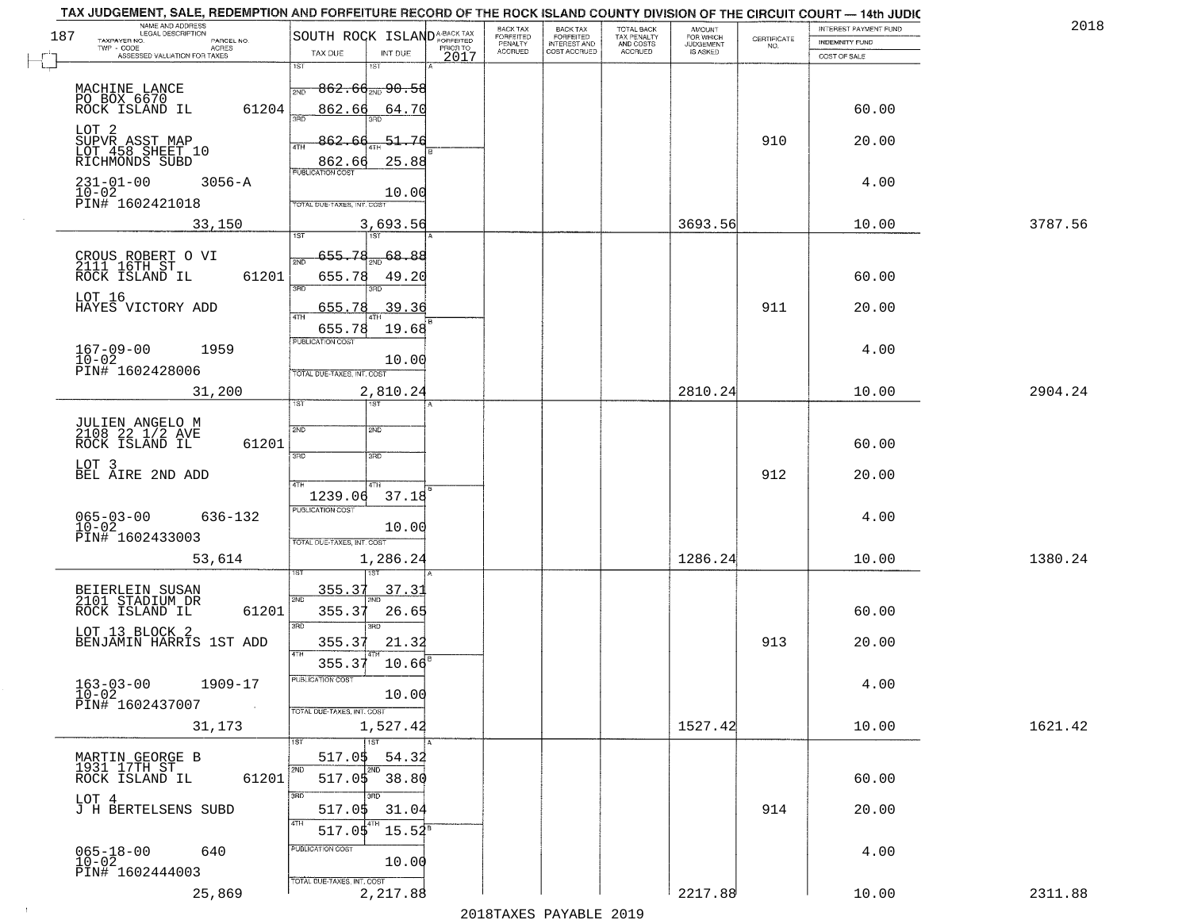| 187 | NAME AND ADDRESS<br>LEGAL DESCRIPTION<br>TAXPAYER NO.<br>PARCEL NO.             | SOUTH ROCK ISLAND <sup>A-BACK TAX</sup>                                 | BACK TAX<br>FORFEITED | <b>BACK TAX</b><br><b>FORFEITED</b> | TOTAL BACK<br>TAX PENALTY | <b>AMOUNT</b>                      | $\begin{array}{c} \text{CERTIFICATE} \\ \text{NO.} \end{array}$ | INTEREST PAYMENT FUND<br>INDEMNITY FUND | 2018    |
|-----|---------------------------------------------------------------------------------|-------------------------------------------------------------------------|-----------------------|-------------------------------------|---------------------------|------------------------------------|-----------------------------------------------------------------|-----------------------------------------|---------|
|     | $TWP - CODE$<br><b>ACRES</b><br>ASSESSED VALUATION FOR TAXES                    | PRIOR TO<br>TAX DUE<br>INT DUE<br>2017                                  | PENALTY<br>ACCRUED    | INTEREST AND<br>COST ACCRUED        | AND COSTS<br>ACCRUED      | FOR WHICH<br>JUDGEMENT<br>IS ASKED |                                                                 | COST OF SALE                            |         |
|     |                                                                                 | 1ST                                                                     |                       |                                     |                           |                                    |                                                                 |                                         |         |
|     | MACHINE LANCE<br>PO BOX 6670<br>ROCK ISLAND IL<br>61204                         | -862.66 <sub>2№</sub> 90.58<br>2ND<br>862.66<br>64.70<br>$3 - 5$<br>3BD |                       |                                     |                           |                                    |                                                                 | 60.00                                   |         |
|     | LOT 2<br>SUPVR ASST MAP<br>LOT 458 SHEET 10<br>RICHMONDS SUBD                   | 862.<br>$-51.76$<br>4TH                                                 |                       |                                     |                           |                                    | 910                                                             | 20.00                                   |         |
|     | $231 - 01 - 00$<br>$3056 - A$                                                   | 862.66<br>25.88<br><b>PUBLICATION COST</b>                              |                       |                                     |                           |                                    |                                                                 | 4.00                                    |         |
|     | 10-02<br>PIN# 1602421018                                                        | 10.00<br>TOTAL DUE-TAXES, INT. COST                                     |                       |                                     |                           |                                    |                                                                 |                                         |         |
|     | 33,150                                                                          | 3,693.56<br><b>TST</b><br>1ST                                           |                       |                                     |                           | 3693.56                            |                                                                 | 10.00                                   | 3787.56 |
|     | CROUS ROBERT O VI<br>2111 16TH ST                                               | 655.78<br>68.88<br>2ND                                                  |                       |                                     |                           |                                    |                                                                 |                                         |         |
|     | ROCK ISLAND IL<br>61201                                                         | 655.78<br>49.20<br>3BD<br>3RD                                           |                       |                                     |                           |                                    |                                                                 | 60.00                                   |         |
|     | LOT 16<br>HAYES VICTORY ADD                                                     | 655.78<br>39.36<br>47H                                                  |                       |                                     |                           |                                    | 911                                                             | 20.00                                   |         |
|     | $167 - 09 - 00$<br>1959                                                         | 19.68<br>655.78<br>PUBLICATION COST                                     |                       |                                     |                           |                                    |                                                                 | 4.00                                    |         |
|     | $10 - 02$<br>PIN# 1602428006                                                    | 10.00<br>TOTAL DUE-TAXES, INT. COST                                     |                       |                                     |                           |                                    |                                                                 |                                         |         |
|     | 31,200                                                                          | 2,810.24<br>1ST<br>1ST                                                  |                       |                                     |                           | 2810.24                            |                                                                 | 10.00                                   | 2904.24 |
|     |                                                                                 | 2ND<br>2ND                                                              |                       |                                     |                           |                                    |                                                                 |                                         |         |
|     | JULIEN ANGELO M<br>2108 22 1/2 AVE<br>ROCK ISLAND IL<br>61201                   | 3 <sub>BD</sub><br>3RD                                                  |                       |                                     |                           |                                    |                                                                 | 60.00                                   |         |
|     | LOT 3<br>BEL AIRE 2ND ADD                                                       | 4TH                                                                     |                       |                                     |                           |                                    | 912                                                             | 20.00                                   |         |
|     |                                                                                 | 1239.06<br>37.18<br><b>PUBLICATION COST</b>                             |                       |                                     |                           |                                    |                                                                 |                                         |         |
|     | $065 - 03 - 00$<br>10-02<br>636-132<br>PIN# 1602433003                          | 10.00<br>TOTAL OUE-TAXES, INT. COST                                     |                       |                                     |                           |                                    |                                                                 | 4.00                                    |         |
|     | 53,614                                                                          | 1,286.24                                                                |                       |                                     |                           | 1286.24                            |                                                                 | 10.00                                   | 1380.24 |
|     | BEIERLEIN SUSAN<br>2101 STADIUM DR                                              | 355.37<br>37.3<br>2ND                                                   |                       |                                     |                           |                                    |                                                                 |                                         |         |
|     | 61201<br>ROCK ISLAND IL                                                         | 355.37<br>26.65<br>3RD<br>3RD                                           |                       |                                     |                           |                                    |                                                                 | 60.00                                   |         |
|     | LOT 13 BLOCK 2<br>BENJAMIN HARRIS 1ST ADD                                       | 355.37<br>21.32<br>4TH                                                  |                       |                                     |                           |                                    | 913                                                             | 20.00                                   |         |
|     |                                                                                 | 355.37<br>10.66<br>PUBLICATION COST                                     |                       |                                     |                           |                                    |                                                                 |                                         |         |
|     | $163 - 03 - 00$<br>$10 - 02$<br>1909-17<br>PIN# 1602437007<br>$\sim 10^{11}$ km | 10.00<br>TOTAL DUE-TAXES, INT. COST                                     |                       |                                     |                           |                                    |                                                                 | 4.00                                    |         |
|     | 31,173                                                                          | 1,527.42                                                                |                       |                                     |                           | 1527.42                            |                                                                 | 10.00                                   | 1621.42 |
|     | MARTIN GEORGE B<br>1931 17TH ST                                                 | $\overline{1ST}$<br>517.0\$<br>54.32                                    |                       |                                     |                           |                                    |                                                                 |                                         |         |
|     | ROCK ISLAND IL<br>61201                                                         | 2ND<br><b>ZND</b><br>$517.05$ 38.80                                     |                       |                                     |                           |                                    |                                                                 | 60.00                                   |         |
|     | LOT 4<br>J H BERTELSENS SUBD                                                    | अंगर<br>3RD<br>517.0\$<br>31.04                                         |                       |                                     |                           |                                    | 914                                                             | 20.00                                   |         |
|     |                                                                                 | 4TH<br>$15.54^{\overline{8}}$<br>517.05<br>PUBLICATION COST             |                       |                                     |                           |                                    |                                                                 |                                         |         |
|     | $065 - 18 - 00$<br>10-02<br>640<br>PIN# 1602444003                              | 10.00                                                                   |                       |                                     |                           |                                    |                                                                 | 4.00                                    |         |
|     | 25,869                                                                          | TOTAL DUE-TAXES, INT. COST<br>2,217.88                                  |                       |                                     |                           | 2217.88                            |                                                                 | 10.00                                   | 2311.88 |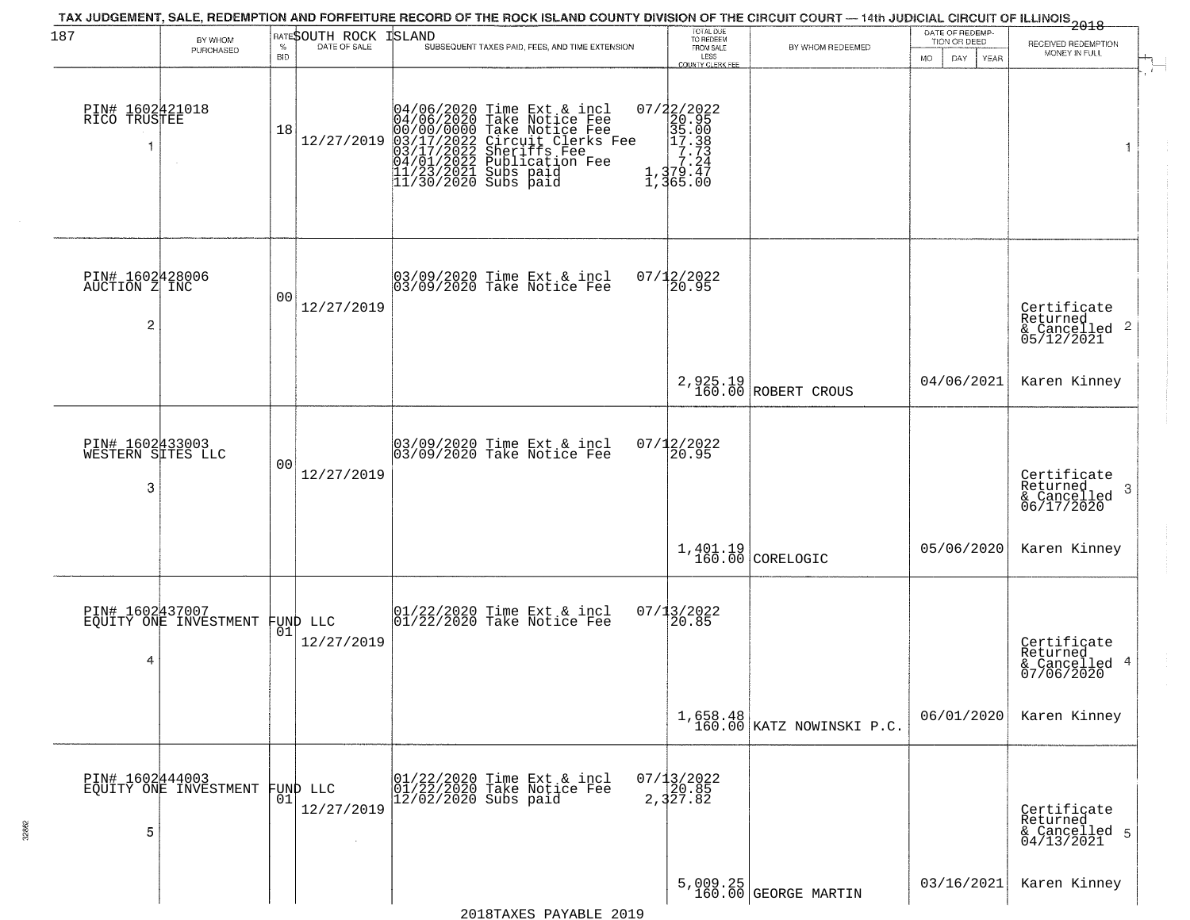| 187                                                | BY WHOM<br>PURCHASED           | $\%$<br><b>BID</b> | RATESOUTH ROCK<br>DATE OF SALE | TAX JUDGEMENT, SALE, REDEMPTION AND FORFEITURE RECORD OF THE ROCK ISLAND COUNTY DIVISION OF THE CIRCUIT COURT — 14th JUDICIAL CIRCUIT OF ILLINOIS 2018<br>ISLAND<br>SUBSEQUENT TAXES PAID, FEES, AND TIME EXTENSION                  | TOTAL DUE<br>TO REDEEM<br>FROM SALE<br>LESS<br>COUNTY CLERK FEE | BY WHOM REDEEMED                      | DATE OF REDEMP-<br>TION OR DEED<br>MO.<br>DAY.<br><b>YEAR</b> | RECEIVED REDEMPTION<br>MONEY IN FULL                                   |
|----------------------------------------------------|--------------------------------|--------------------|--------------------------------|--------------------------------------------------------------------------------------------------------------------------------------------------------------------------------------------------------------------------------------|-----------------------------------------------------------------|---------------------------------------|---------------------------------------------------------------|------------------------------------------------------------------------|
| PIN# 1602421018<br>RICO TRUSTEE                    |                                | 18                 | 12/27/2019                     | 04/06/2020 Time Ext & incl<br>04/06/2020 Take Notice Fee<br>00/00/00000 Take Notice Fee<br>03/17/2022 Circuit Clerks Fee<br>03/17/2022 Sublication Fee<br>04/01/2022 Sublication Fee<br>11/23/2021 Subs paid<br>11/30/2020 Subs paid |                                                                 |                                       |                                                               | 1                                                                      |
| PIN# 1602428006<br>AUCTION Z INC<br>$\overline{c}$ |                                | 0 <sub>0</sub>     | 12/27/2019                     | 03/09/2020 Time Ext & incl<br>03/09/2020 Take Notice Fee                                                                                                                                                                             | 07/12/2022<br>20.95                                             |                                       |                                                               | Certificate<br>Returned<br>$\overline{2}$<br>& Cancelled<br>05/12/2021 |
|                                                    |                                |                    |                                |                                                                                                                                                                                                                                      |                                                                 | 2,925.19<br>160.00 ROBERT CROUS       | 04/06/2021                                                    | Karen Kinney                                                           |
| PIN# 1602433003<br>WESTERN SITES LLC<br>3          |                                | 0 <sub>0</sub>     | 12/27/2019                     | 03/09/2020 Time Ext & incl<br>03/09/2020 Take Notice Fee                                                                                                                                                                             | $07/12/2022$<br>20.95                                           |                                       |                                                               | Certificate<br>Returned<br>-3<br>$\frac{1}{06/17/2020}$                |
|                                                    |                                |                    |                                |                                                                                                                                                                                                                                      |                                                                 | $1,401.19$ CORELOGIC                  | 05/06/2020                                                    | Karen Kinney                                                           |
| PIN# 1602437007<br>4                               | EQUITY ONE INVESTMENT FUND LLC |                    | 12/27/2019                     | $ 01/22/2020$ Time Ext & incl<br>$ 01/22/2020$ Take Notice Fee                                                                                                                                                                       | 07/13/2022<br>120.85                                            |                                       |                                                               | Certificate<br>Returned<br>4<br>& Cancelled<br>07/06/2020              |
|                                                    |                                |                    |                                |                                                                                                                                                                                                                                      |                                                                 | 1,658.48<br>160.00 KATZ NOWINSKI P.C. | 06/01/2020                                                    | Karen Kinney                                                           |
| PIN# 1602444003<br>5                               | EQUITY ONE INVESTMENT          | 01                 | FUND LLC<br>12/27/2019         | 01/22/2020 Time Ext & incl<br>01/22/2020 Take Notice Fee<br>$12/02/2020$ Subs paid                                                                                                                                                   | $07/13/2022$<br>2, 320.85<br>2, 327.82                          |                                       |                                                               | Certificate<br>Returned<br>& Cancelled 5<br>04/13/2021                 |
|                                                    |                                |                    |                                |                                                                                                                                                                                                                                      |                                                                 | $5,009.25$ (GEORGE MARTIN             | 03/16/2021                                                    | Karen Kinney                                                           |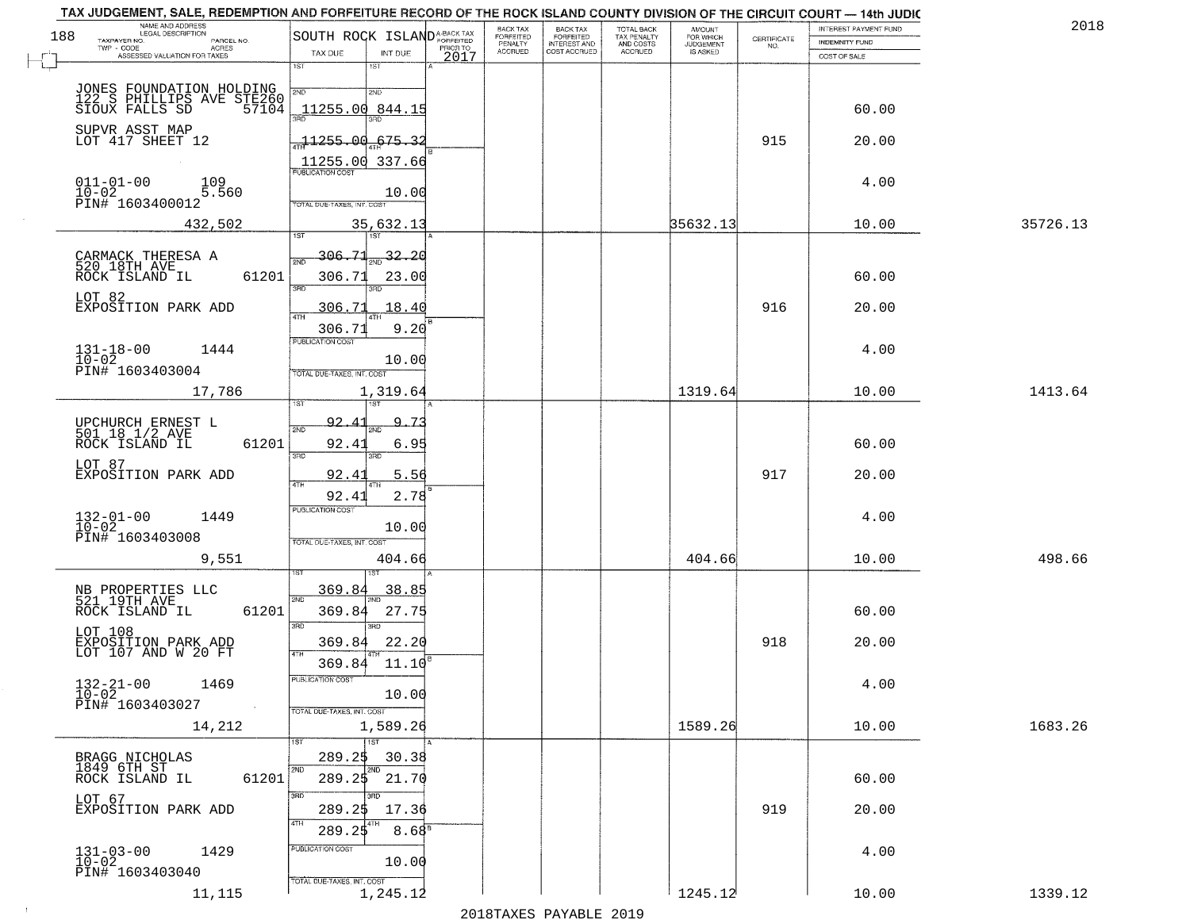| 188 | NAME AND ADDRESS<br>LEGAL DESCRIPTION                          | SOUTH ROCK ISLAND <sup>A-BACK TAX</sup> |                   |          | <b>BACK TAX</b><br><b>FORFEITED</b> | BACK TAX<br>FORFEITED | TOTAL BACK<br>TAX PENALTY<br>AND COSTS | AMOUNT<br>FOR WHICH |                                                                | INTEREST PAYMENT FUND | 2018     |
|-----|----------------------------------------------------------------|-----------------------------------------|-------------------|----------|-------------------------------------|-----------------------|----------------------------------------|---------------------|----------------------------------------------------------------|-----------------------|----------|
|     | TAXPAYER NO.<br>PARCEL NO.<br>TWP - CODE<br>ACRES              |                                         |                   | PRIOR TO | PENALTY                             | <b>INTEREST AND</b>   |                                        | <b>JUDGEMENT</b>    | $\begin{array}{c} \text{GETIFICATE} \\ \text{NO.} \end{array}$ | <b>INDEMNITY FUND</b> |          |
|     | ASSESSED VALUATION FOR TAXES                                   | TAX DUE<br>1ST                          | INT DUE<br>$1S$ T | 2017     | <b>ACCRUED</b>                      | COST ACCRUED          | ACCRUED                                | IS ASKED            |                                                                | COST OF SALE          |          |
|     |                                                                |                                         |                   |          |                                     |                       |                                        |                     |                                                                |                       |          |
|     | JONES FOUNDATION HOLDING                                       | 2ND                                     | 2ND               |          |                                     |                       |                                        |                     |                                                                |                       |          |
|     | 122 S PHILLIPS AVE STE260<br>SIOUX FALLS SD 57104              | 11255.00 844.15                         |                   |          |                                     |                       |                                        |                     |                                                                | 60.00                 |          |
|     |                                                                |                                         |                   |          |                                     |                       |                                        |                     |                                                                |                       |          |
|     | SUPVR ASST MAP<br>LOT 417 SHEET 12                             | 77255.00                                | 675.32            |          |                                     |                       |                                        |                     | 915                                                            | 20.00                 |          |
|     |                                                                | 11255.00 337.66                         |                   |          |                                     |                       |                                        |                     |                                                                |                       |          |
|     | $011 - 01 - 00$<br>109                                         | <b>PUBLICATION COST</b>                 |                   |          |                                     |                       |                                        |                     |                                                                | 4.00                  |          |
|     | $10 - 02$<br>5.560                                             | TOTAL DUE-TAXES, INT. COST              | 10.00             |          |                                     |                       |                                        |                     |                                                                |                       |          |
|     | PIN# 1603400012                                                |                                         |                   |          |                                     |                       |                                        |                     |                                                                |                       |          |
|     | 432,502                                                        | 1ST                                     | 35,632.13         |          |                                     |                       |                                        | 35632.13            |                                                                | 10.00                 | 35726.13 |
|     |                                                                |                                         |                   |          |                                     |                       |                                        |                     |                                                                |                       |          |
|     | CARMACK THERESA A<br>520 18TH AVE                              | 306.71                                  | 32.20             |          |                                     |                       |                                        |                     |                                                                |                       |          |
|     | ROCK ISLAND IL<br>61201                                        | 306.71<br>3RD                           | 23.00             |          |                                     |                       |                                        |                     |                                                                | 60.00                 |          |
|     | LOT 82                                                         |                                         |                   |          |                                     |                       |                                        |                     |                                                                |                       |          |
|     | EXPOSITION PARK ADD                                            | 306.71<br>47H                           | 18.40             |          |                                     |                       |                                        |                     | 916                                                            | 20.00                 |          |
|     |                                                                | 306.71<br><b>PUBLICATION COST</b>       | 9.20              |          |                                     |                       |                                        |                     |                                                                |                       |          |
|     | $131 - 18 - 00$<br>$10 - 02$<br>1444                           |                                         |                   |          |                                     |                       |                                        |                     |                                                                | 4.00                  |          |
|     | PIN# 1603403004                                                | TOTAL DUE-TAXES, INT. COST              | 10.00             |          |                                     |                       |                                        |                     |                                                                |                       |          |
|     | 17,786                                                         |                                         | 1,319.64          |          |                                     |                       |                                        | 1319.64             |                                                                | 10.00                 | 1413.64  |
|     |                                                                |                                         |                   |          |                                     |                       |                                        |                     |                                                                |                       |          |
|     |                                                                | 92.4                                    | 9.73              |          |                                     |                       |                                        |                     |                                                                |                       |          |
|     | UPCHURCH ERNEST L<br>501 18 1/2 AVE<br>ROCK ISLAND IL<br>61201 | 2ND                                     |                   |          |                                     |                       |                                        |                     |                                                                | 60.00                 |          |
|     |                                                                | 92.4<br>3RD                             | 6.95<br>3RD       |          |                                     |                       |                                        |                     |                                                                |                       |          |
|     | LOT 87<br>EXPOSITION PARK ADD                                  | 92.4                                    | 5.56              |          |                                     |                       |                                        |                     | 917                                                            | 20.00                 |          |
|     |                                                                | 4TH<br>92.41                            | 2.78              |          |                                     |                       |                                        |                     |                                                                |                       |          |
|     |                                                                | <b>PUBLICATION COST</b>                 |                   |          |                                     |                       |                                        |                     |                                                                |                       |          |
|     | $132 - 01 - 00$<br>$10 - 02$<br>1449                           |                                         | 10.00             |          |                                     |                       |                                        |                     |                                                                | 4.00                  |          |
|     | PIN# 1603403008                                                | TOTAL OUE-TAXES, INT. COST              |                   |          |                                     |                       |                                        |                     |                                                                |                       |          |
|     | 9,551                                                          |                                         | 404.66            |          |                                     |                       |                                        | 404.66              |                                                                | 10.00                 | 498.66   |
|     |                                                                |                                         |                   |          |                                     |                       |                                        |                     |                                                                |                       |          |
|     | NB PROPERTIES LLC<br>521 19TH AVE                              | 369.8<br>2ND                            | 38.85             |          |                                     |                       |                                        |                     |                                                                |                       |          |
|     | ROCK ISLAND IL<br>61201                                        | 369.84                                  | 27.75             |          |                                     |                       |                                        |                     |                                                                | 60.00                 |          |
|     | LOT 108                                                        | 3BD                                     | 3BD               |          |                                     |                       |                                        |                     |                                                                |                       |          |
|     | EXPOSITION PARK ADD<br>LOT 107 AND W 20 FT                     | 369.84<br>4TH                           | 22.20             |          |                                     |                       |                                        |                     | 918                                                            | 20.00                 |          |
|     |                                                                | 369.84                                  | 11.10             |          |                                     |                       |                                        |                     |                                                                |                       |          |
|     | $132 - 21 - 00$<br>1469                                        | PUBLICATION COST                        |                   |          |                                     |                       |                                        |                     |                                                                | 4.00                  |          |
|     | $10 - 02$<br>PIN# 1603403027                                   |                                         | 10.00             |          |                                     |                       |                                        |                     |                                                                |                       |          |
|     | $\sim 100$                                                     | TOTAL DUE-TAXES, INT. COST              |                   |          |                                     |                       |                                        |                     |                                                                |                       |          |
|     | 14,212                                                         |                                         | 1,589.26          |          |                                     |                       |                                        | 1589.26             |                                                                | 10.00                 | 1683.26  |
|     |                                                                | 1ST                                     | 1ST               |          |                                     |                       |                                        |                     |                                                                |                       |          |
|     | BRAGG NICHOLAS<br>1849 6TH ST                                  | 289.25<br>2ND                           | 30.38<br>2ND      |          |                                     |                       |                                        |                     |                                                                |                       |          |
|     | 61201<br>ROCK ISLAND IL                                        | 289.25                                  | 21.70             |          |                                     |                       |                                        |                     |                                                                | 60.00                 |          |
|     | LOT 67                                                         | 3RD                                     | חחי               |          |                                     |                       |                                        |                     |                                                                |                       |          |
|     | EXPOSITION PARK ADD                                            | 289.25<br>4TH                           | 17.36             |          |                                     |                       |                                        |                     | 919                                                            | 20.00                 |          |
|     |                                                                | 289.25                                  | $8.68^{8}$        |          |                                     |                       |                                        |                     |                                                                |                       |          |
|     | $131 - 03 - 00$<br>$10 - 02$<br>1429                           | PUBLICATION COST                        |                   |          |                                     |                       |                                        |                     |                                                                | 4.00                  |          |
|     | PIN# 1603403040                                                |                                         | 10.00             |          |                                     |                       |                                        |                     |                                                                |                       |          |
|     | 11,115                                                         | TOTAL DUE-TAXES, INT. COST              | 1,245.12          |          |                                     |                       |                                        | 1245.12             |                                                                | 10.00                 | 1339.12  |
|     |                                                                |                                         |                   |          |                                     |                       |                                        |                     |                                                                |                       |          |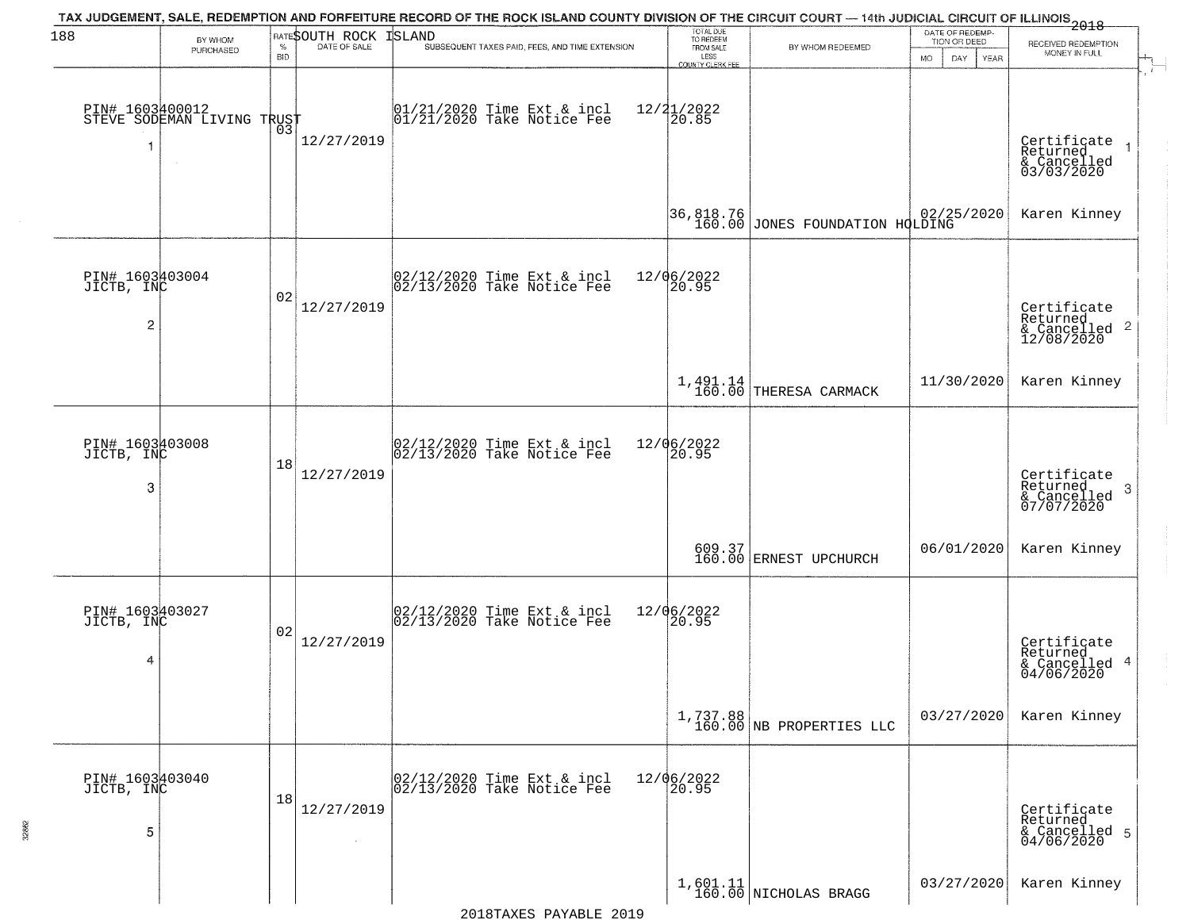| 188                                             | BY WHOM<br>PURCHASED                          | $\%$<br><b>BID</b> | RATESOUTH ROCK<br>DATE OF SALE | TAX JUDGEMENT, SALE, REDEMPTION AND FORFEITURE RECORD OF THE ROCK ISLAND COUNTY DIVISION OF THE CIRCUIT COURT — 14th JUDICIAL CIRCUIT OF ILLINOIS 2018<br><b>ISLAND</b><br>SUBSEQUENT TAXES PAID, FEES, AND TIME EXTENSION | TOTAL DUE<br>TO REDEEM<br>FROM SALE<br>LESS<br><b>COUNTY CLERK FEE</b> | BY WHOM REDEEMED                                                                                                              | DATE OF REDEMP-<br>TION OR DEED<br>MO.<br>DAY.<br><b>YEAR</b> | RECEIVED REDEMPTION<br>MONEY IN FULL                       |
|-------------------------------------------------|-----------------------------------------------|--------------------|--------------------------------|----------------------------------------------------------------------------------------------------------------------------------------------------------------------------------------------------------------------------|------------------------------------------------------------------------|-------------------------------------------------------------------------------------------------------------------------------|---------------------------------------------------------------|------------------------------------------------------------|
|                                                 | PIN# 1603400012<br>STEVE SODEMAN LIVING TRUST | Ō3                 | 12/27/2019                     | 01/21/2020 Time Ext & incl<br>01/21/2020 Take Notice Fee                                                                                                                                                                   | $12/21/2022$<br>20.85                                                  |                                                                                                                               |                                                               | Certificate<br>Returned<br>& Cancelled<br>03/03/2020       |
|                                                 |                                               |                    |                                |                                                                                                                                                                                                                            |                                                                        | 36,818.76<br>160.00 JONES FOUNDATION HOLDING                                                                                  |                                                               | Karen Kinney                                               |
| PIN# 1603403004<br>JICTB, INC<br>$\overline{c}$ |                                               | 02                 | 12/27/2019                     | $ 02/12/2020$ Time Ext & incl<br>$ 02/13/2020$ Take Notice Fee                                                                                                                                                             | 12/06/2022<br>20.95                                                    |                                                                                                                               |                                                               | Certificate<br>Returned<br>& Cancelled 2<br>12/08/2020     |
|                                                 |                                               |                    |                                |                                                                                                                                                                                                                            |                                                                        | $1,491.14$<br>$160.00$ THERESA CARMACK                                                                                        | 11/30/2020                                                    | Karen Kinney                                               |
| PIN# 1603403008<br>JICTB, INC<br>3              |                                               | 18                 | 12/27/2019                     | $02/12/2020$ Time Ext & incl<br>$02/13/2020$ Take Notice Fee                                                                                                                                                               | 12/06/2022<br>20.95                                                    |                                                                                                                               |                                                               | Certificate<br>Returned<br>-3<br>& Cancelled<br>07/07/2020 |
|                                                 |                                               |                    |                                |                                                                                                                                                                                                                            |                                                                        | $\begin{array}{c c} 609.37 \\ 160.00 \end{array} \begin{array}{ c c c } \hline \texttt{ERNET } \texttt{UPCHURCH} \end{array}$ | 06/01/2020                                                    | Karen Kinney                                               |
| PIN# 1603403027<br>JICTB, INC<br>4              |                                               | 02                 | 12/27/2019                     | $ 02/12/2020$ Time Ext & incl<br>$ 02/13/2020$ Take Notice Fee                                                                                                                                                             | 12/06/2022<br>20.95                                                    |                                                                                                                               |                                                               | Certificate<br>Returned<br>& Cancelled 4<br>04/06/2020     |
|                                                 |                                               |                    |                                |                                                                                                                                                                                                                            |                                                                        | $1,737.88$<br>160.00 NB PROPERTIES LLC                                                                                        | 03/27/2020                                                    | Karen Kinney                                               |
| PIN# 1603403040<br>JICTB, INC<br>5              |                                               | 18                 | 12/27/2019<br>$\sim$           | 02/12/2020 Time Ext & incl<br>02/13/2020 Take Notice Fee                                                                                                                                                                   | 12/06/2022<br>20.95                                                    |                                                                                                                               |                                                               | Certificate<br>Returned<br>& Cancelled 5<br>04/06/2020     |
|                                                 |                                               |                    |                                |                                                                                                                                                                                                                            |                                                                        | $1,601.11$<br>160.00 NICHOLAS BRAGG                                                                                           | 03/27/2020                                                    | Karen Kinney                                               |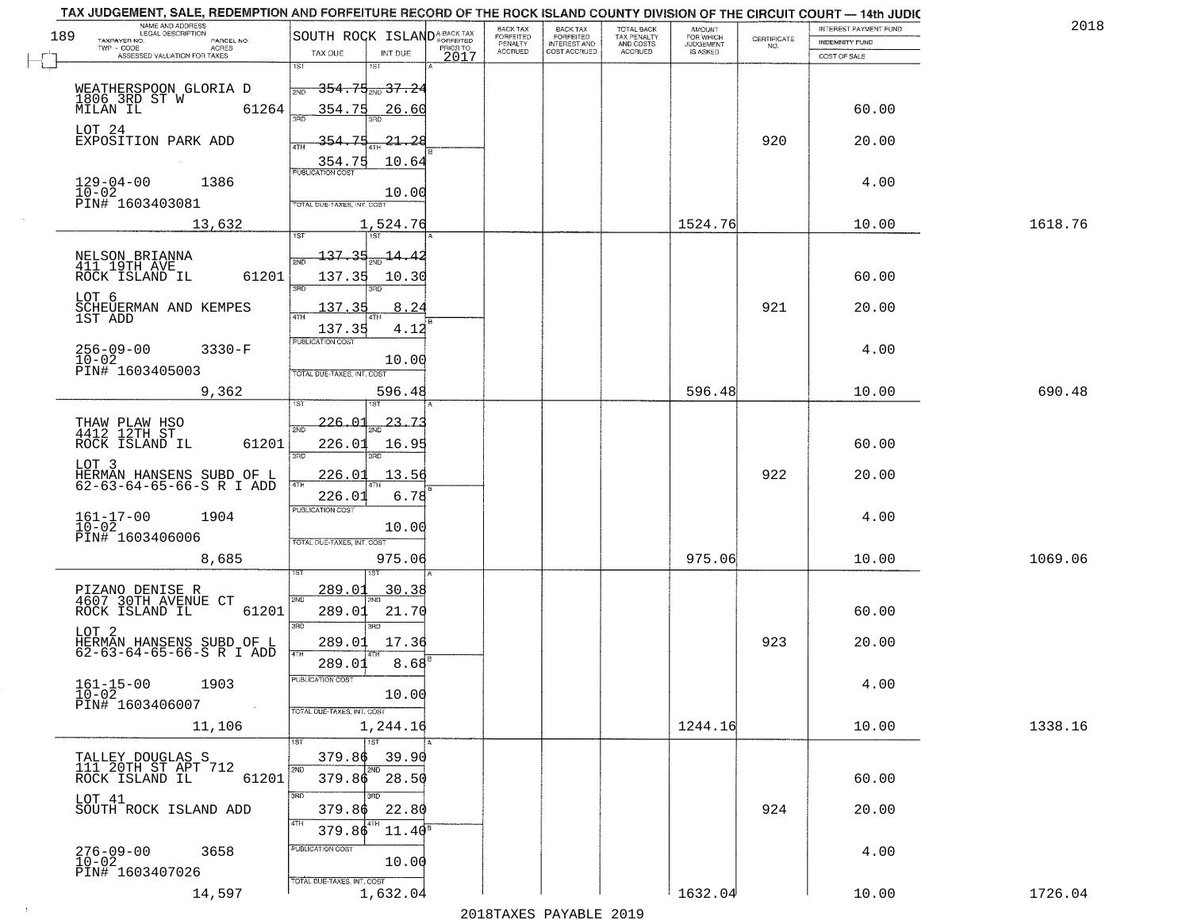| 189 | NAME AND ADDRESS<br>LEGAL DESCRIPTION                |                                              |            |      | BACK TAX                               | BACK TAX<br>FORFEITED               | <b>TOTAL BACK</b>                          | AMOUNT<br>FOR WHICH<br>JUDGEMENT |                    | INTEREST PAYMENT FUND | 2018    |
|-----|------------------------------------------------------|----------------------------------------------|------------|------|----------------------------------------|-------------------------------------|--------------------------------------------|----------------------------------|--------------------|-----------------------|---------|
|     | TAXPAYER NO.<br>PARCEL NO.<br>$TWP - CODE$<br>ACRES  | SOUTH ROCK ISLANDA-BACK TAX                  |            |      | FORFEITED<br>PENALTY<br><b>ACCRUED</b> | <b>INTEREST AND</b><br>COST ACCRUED | TAX PENALTY<br>AND COSTS<br><b>ACCRUED</b> | IS ASKED                         | CERTIFICATE<br>NO. | <b>INDEMNITY FUND</b> |         |
|     | ASSESSED VALUATION FOR TAXES                         | TAX DUE<br>1ST<br>1ST                        | INT DUE    | 2017 |                                        |                                     |                                            |                                  |                    | COST OF SALE          |         |
|     |                                                      |                                              |            |      |                                        |                                     |                                            |                                  |                    |                       |         |
|     | WEATHERSPOON GLORIA D<br>1806 3RD ST W               | <del>354.75 <sub>2ND</sub>37.24</del><br>2ND |            |      |                                        |                                     |                                            |                                  |                    |                       |         |
|     | 61264<br>MILAN IL                                    | 354.75                                       | 26.60      |      |                                        |                                     |                                            |                                  |                    | 60.00                 |         |
|     | LOT 24<br>EXPOSITION PARK ADD                        | 354.75                                       | $-21 - 28$ |      |                                        |                                     |                                            |                                  | 920                | 20.00                 |         |
|     |                                                      |                                              |            |      |                                        |                                     |                                            |                                  |                    |                       |         |
|     |                                                      | $\frac{354.75}{FUBUCATON COST}$              | 10.64      |      |                                        |                                     |                                            |                                  |                    |                       |         |
|     | $129 - 04 - 00$<br>1386<br>$10-02$                   |                                              | 10.00      |      |                                        |                                     |                                            |                                  |                    | 4.00                  |         |
|     | PIN# 1603403081                                      | TOTAL DUE-TAXES, INT. COST                   |            |      |                                        |                                     |                                            |                                  |                    |                       |         |
|     | 13,632                                               |                                              | 1,524.76   |      |                                        |                                     |                                            | 1524.76                          |                    | 10.00                 | 1618.76 |
|     |                                                      |                                              |            |      |                                        |                                     |                                            |                                  |                    |                       |         |
|     | NELSON BRIANNA<br>411 19TH AVE                       | 137.35                                       | -14.42     |      |                                        |                                     |                                            |                                  |                    |                       |         |
|     | 61201<br>ROCK ISLAND IL                              | 137.35<br>3RD                                | 10.30      |      |                                        |                                     |                                            |                                  |                    | 60.00                 |         |
|     | LOT 6                                                |                                              |            |      |                                        |                                     |                                            |                                  | 921                |                       |         |
|     | SCHEUERMAN AND KEMPES<br>1ST ADD                     | 137.35                                       | 8.24       |      |                                        |                                     |                                            |                                  |                    | 20.00                 |         |
|     |                                                      | 137.35<br>PUBLICATION COST                   | 4.12       |      |                                        |                                     |                                            |                                  |                    |                       |         |
|     | $256 - 09 - 00$<br>$3330-F$<br>$10 - 02$             |                                              | 10.00      |      |                                        |                                     |                                            |                                  |                    | 4.00                  |         |
|     | PIN# 1603405003                                      | TOTAL DUE-TAXES, INT. COST                   |            |      |                                        |                                     |                                            |                                  |                    |                       |         |
|     | 9,362                                                |                                              | 596.48     |      |                                        |                                     |                                            | 596.48                           |                    | 10.00                 | 690.48  |
|     |                                                      |                                              |            |      |                                        |                                     |                                            |                                  |                    |                       |         |
|     | THAW PLAW HSO<br>4412 12TH ST                        | 226.01<br>2ND                                | 23.7       |      |                                        |                                     |                                            |                                  |                    |                       |         |
|     | ROCK ISLAND IL<br>61201                              | 226.01<br>3 <sub>BD</sub><br>3RD             | 16.95      |      |                                        |                                     |                                            |                                  |                    | 60.00                 |         |
|     | LOT 3                                                |                                              |            |      |                                        |                                     |                                            |                                  | 922                |                       |         |
|     | HERMAN HANSENS SUBD OF L<br>62-63-64-65-66-S R I ADD | <u>226.01</u><br>4TH                         | 13.56      |      |                                        |                                     |                                            |                                  |                    | 20.00                 |         |
|     |                                                      | 226.01<br><b>PUBLICATION COST</b>            | 6.78       |      |                                        |                                     |                                            |                                  |                    |                       |         |
|     | $161 - 17 - 00$<br>$10 - 02$<br>1904                 |                                              | 10.00      |      |                                        |                                     |                                            |                                  |                    | 4.00                  |         |
|     | PIN# 1603406006                                      | TOTAL OUE-TAXES, INT. COST                   |            |      |                                        |                                     |                                            |                                  |                    |                       |         |
|     | 8,685                                                |                                              | 975.06     |      |                                        |                                     |                                            | 975.06                           |                    | 10.00                 | 1069.06 |
|     |                                                      |                                              |            |      |                                        |                                     |                                            |                                  |                    |                       |         |
|     | PIZANO DENISE R<br>4607 30TH AVENUE CT               | 289.01<br>2ND                                | 30.38      |      |                                        |                                     |                                            |                                  |                    |                       |         |
|     | ROCK ISLAND IL<br>61201                              | 289.01                                       | 21.70      |      |                                        |                                     |                                            |                                  |                    | 60.00                 |         |
|     | LOT <sub>2</sub>                                     | 3RD<br>$\overline{3BD}$                      |            |      |                                        |                                     |                                            |                                  |                    |                       |         |
|     | HERMAN HANSENS SUBD OF L<br>62-63-64-65-66-S R I ADD | 289.01                                       | 17.36      |      |                                        |                                     |                                            |                                  | 923                | 20.00                 |         |
|     |                                                      | 289.01                                       | 8.68       |      |                                        |                                     |                                            |                                  |                    |                       |         |
|     | $161 - 15 - 00$<br>1903<br>$10 - 02$                 | "UBLICATION COS"                             | 10.00      |      |                                        |                                     |                                            |                                  |                    | 4.00                  |         |
|     | PIN# 1603406007<br><b>Contractor</b>                 | TOTAL DUE-TAXES, INT. COST                   |            |      |                                        |                                     |                                            |                                  |                    |                       |         |
|     | 11,106                                               |                                              | 1,244.16   |      |                                        |                                     |                                            | 1244.16                          |                    | 10.00                 | 1338.16 |
|     |                                                      | 1ST                                          |            |      |                                        |                                     |                                            |                                  |                    |                       |         |
|     | TALLEY DOUGLAS S<br>111 20TH ST APT 712              | 379.86<br>2ND<br>2ND                         | 39.90      |      |                                        |                                     |                                            |                                  |                    |                       |         |
|     | 61201<br>ROCK ISLAND IL                              | 379.86 28.50                                 |            |      |                                        |                                     |                                            |                                  |                    | 60.00                 |         |
|     | LOT 41                                               | 3RD<br>חחו                                   |            |      |                                        |                                     |                                            |                                  |                    |                       |         |
|     | SOUTH ROCK ISLAND ADD                                | 379.86<br>4TH                                | 22.80      |      |                                        |                                     |                                            |                                  | 924                | 20.00                 |         |
|     |                                                      | 379.86                                       | $11.40^8$  |      |                                        |                                     |                                            |                                  |                    |                       |         |
|     | $276 - 09 - 00$<br>3658<br>$10 - 02$                 | PUBLICATION COST                             | 10.00      |      |                                        |                                     |                                            |                                  |                    | 4.00                  |         |
|     | PIN# 1603407026                                      | TOTAL DUE-TAXES, INT. COST                   |            |      |                                        |                                     |                                            |                                  |                    |                       |         |
|     | 14,597                                               |                                              | 1,632.04   |      |                                        |                                     |                                            | 1632.04                          |                    | 10.00                 | 1726.04 |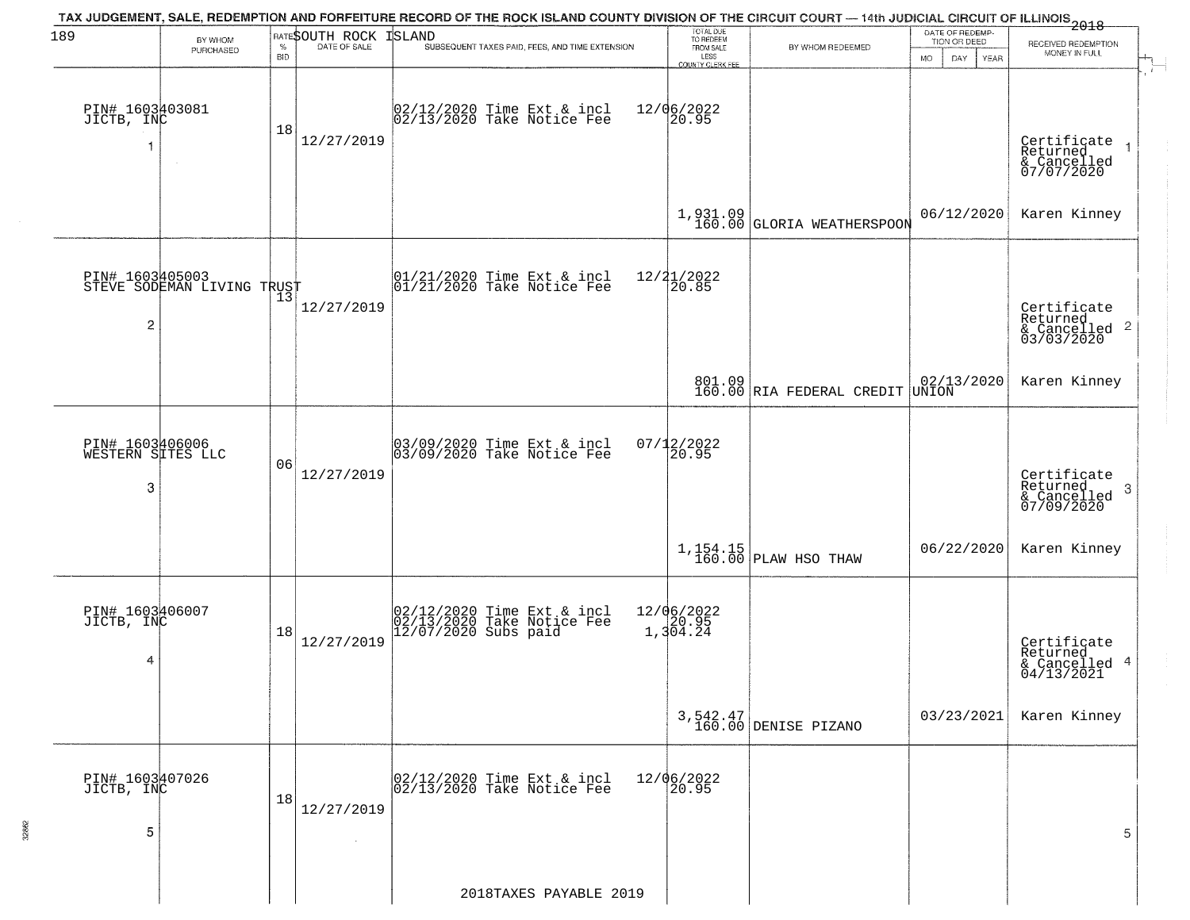| 189                                       | BY WHOM<br>PURCHASED                          | $\%$<br><b>BID</b> | RATESOUTH ROCK<br>DATE OF SALE | TAX JUDGEMENT, SALE, REDEMPTION AND FORFEITURE RECORD OF THE ROCK ISLAND COUNTY DIVISION OF THE CIRCUIT COURT — 14th JUDICIAL CIRCUIT OF ILLINOIS<br>2018<br>ISLAND<br>SUBSEQUENT TAXES PAID, FEES, AND TIME EXTENSION | TOTAL DUE<br>TO REDEEM<br>FROM SALE<br>LESS | BY WHOM REDEEMED                         | DATE OF REDEMP-<br>TION OR DEED<br><b>MO</b><br>DAY<br>YEAR | RECEIVED REDEMPTION<br>MONEY IN FULL                       |
|-------------------------------------------|-----------------------------------------------|--------------------|--------------------------------|------------------------------------------------------------------------------------------------------------------------------------------------------------------------------------------------------------------------|---------------------------------------------|------------------------------------------|-------------------------------------------------------------|------------------------------------------------------------|
| PIN# 1603403081<br>JICTB, INC             |                                               | 18                 | 12/27/2019                     | 02/12/2020 Time Ext & incl<br>02/13/2020 Take Notice Fee                                                                                                                                                               | COUNTY CLERK FEE<br>12/06/2022<br>20.95     |                                          |                                                             | Certificate<br>Returned<br>& Cancelled<br>07/07/2020       |
|                                           |                                               |                    |                                |                                                                                                                                                                                                                        |                                             | $1,931.09$<br>160.00 GLORIA WEATHERSPOON | 06/12/2020                                                  | Karen Kinney                                               |
| $\overline{c}$                            | PIN# 1603405003<br>STEVE SODEMAN LIVING TRUST |                    | 12/27/2019                     | $\begin{array}{cc}  01/21/2020 \rangle \\  01/21/2020 \rangle \rangle \end{array}$ Take Notice Fee                                                                                                                     | 12/21/2022<br>20.85                         |                                          |                                                             | Certificate<br>Returned<br>& Cancelled 2<br>03/03/2020     |
|                                           |                                               |                    |                                |                                                                                                                                                                                                                        |                                             | 801.09<br>160.00 RIA FEDERAL CREDIT      | $02/13/2020$<br>UNION                                       | Karen Kinney                                               |
| PIN# 1603406006<br>WESTERN SITES LLC<br>3 |                                               | 06                 | 12/27/2019                     | 03/09/2020 Time Ext & incl<br>03/09/2020 Take Notice Fee                                                                                                                                                               | 07/12/2022<br>20.95                         |                                          |                                                             | Certificate<br>Returned<br>-3<br>& Cancelled<br>07/09/2020 |
|                                           |                                               |                    |                                |                                                                                                                                                                                                                        |                                             | $1,154.15$ PLAW HSO THAW                 | 06/22/2020                                                  | Karen Kinney                                               |
| PIN# 1603406007<br>JICTB, INC<br>4        |                                               | 18                 | 12/27/2019                     | 02/12/2020 Time Ext & incl<br>02/13/2020 Take Notice Fee<br>12/07/2020 Subs paid                                                                                                                                       | 12/06/2022<br>1,304.24                      |                                          |                                                             | Certificate<br>Returned<br>& Cancelled 4<br>04/13/2021     |
|                                           |                                               |                    |                                |                                                                                                                                                                                                                        |                                             | 3,542.47<br>160.00 DENISE PIZANO         | 03/23/2021                                                  | Karen Kinney                                               |
| PIN# 1603407026<br>JICTB, INC<br>5        |                                               | 18                 | 12/27/2019                     | 02/12/2020 Time Ext & incl<br>02/13/2020 Take Notice Fee                                                                                                                                                               | 12/06/2022<br>20.95                         |                                          |                                                             | 5                                                          |
|                                           |                                               |                    |                                | 2018TAXES PAYABLE 2019                                                                                                                                                                                                 |                                             |                                          |                                                             |                                                            |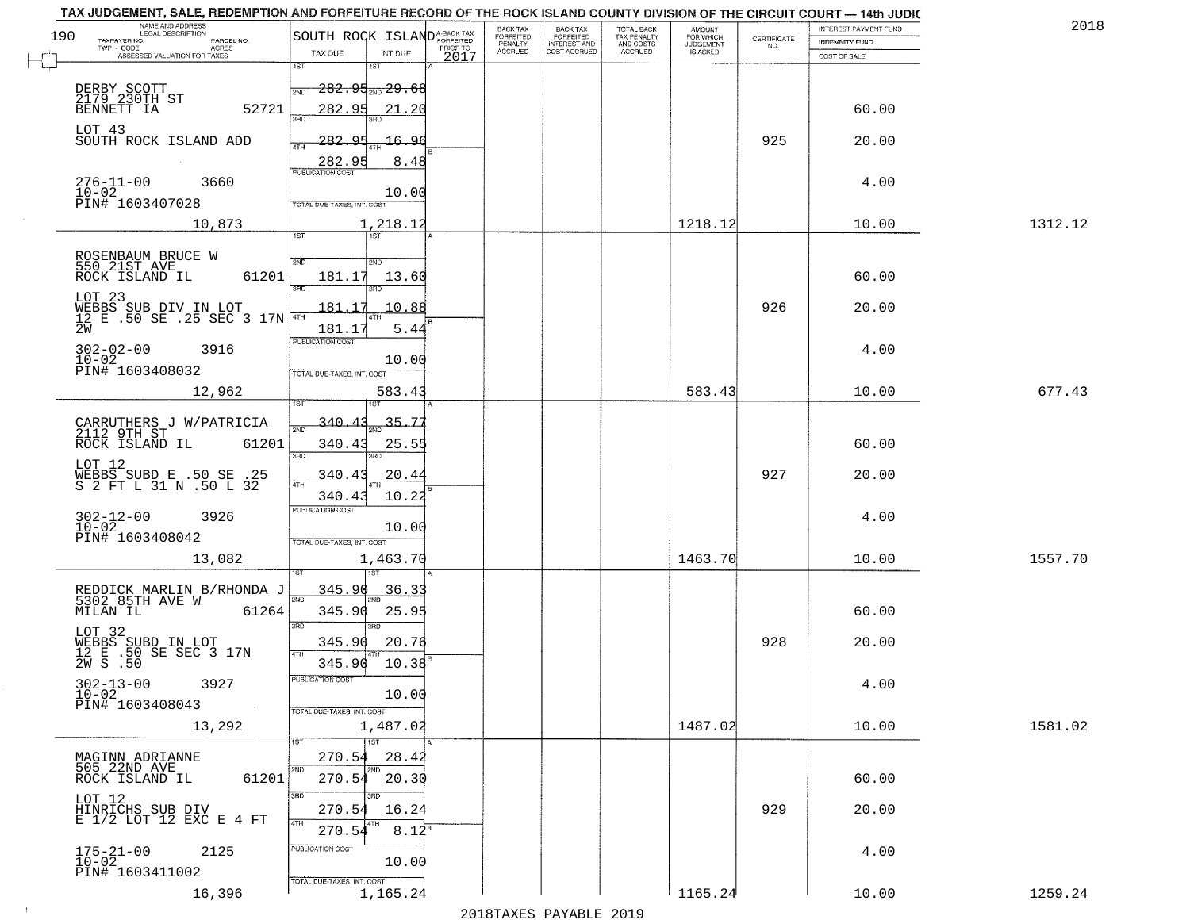| NAME AND ADDRESS<br>LEGAL DESCRIPTION                                                                                                                                                        |                                                                                                                                                                                 | BACK TAX                         | <b>BACK TAX</b><br>TOTAL BACK                                | AMOUNT<br>FOR WHICH |                                                                 | INTEREST PAYMENT FUND  | 201     |
|----------------------------------------------------------------------------------------------------------------------------------------------------------------------------------------------|---------------------------------------------------------------------------------------------------------------------------------------------------------------------------------|----------------------------------|--------------------------------------------------------------|---------------------|-----------------------------------------------------------------|------------------------|---------|
| 190<br>TAXPAYER NO.<br>PARCEL NO.<br>TWP - CODE<br>ACRES                                                                                                                                     | SOUTH ROCK ISLAND <sup>A-BACK TAX</sup>                                                                                                                                         | FORFEITED<br>PENALTY<br>PRIOR TO | FORFEITED<br>TAX PENALTY<br>AND COSTS<br><b>INTEREST AND</b> | <b>JUDGEMENT</b>    | $\begin{array}{c} \text{CERTIFICATE} \\ \text{NO.} \end{array}$ | <b>INDEMNITY FUND</b>  |         |
| ASSESSED VALUATION FOR TAXES                                                                                                                                                                 | TAX DUE<br>INT DUE                                                                                                                                                              | <b>ACCRUED</b><br>2017           | COST ACCRUED<br>ACCRUED                                      | IS ASKED            |                                                                 | COST OF SALE           |         |
| DERBY SCOTT<br>2 <u>179 23</u> 0TH ST<br>52721<br>BENNETT IA<br>LOT 43<br>SOUTH ROCK ISLAND ADD<br>$276 - 11 - 00$<br>3660<br>$10 - 02$                                                      | 1ST<br>$1S$ T<br>$282.95_{200}29.66$<br>2ND<br>282.95<br>21.20<br>350<br>282.95<br>16.96<br>4TH<br>282.95<br>8.48<br>10.00                                                      |                                  |                                                              |                     | 925                                                             | 60.00<br>20.00<br>4.00 |         |
| PIN# 1603407028                                                                                                                                                                              | TOTAL DUE-TAXES, INT. COST                                                                                                                                                      |                                  |                                                              |                     |                                                                 |                        |         |
| 10,873                                                                                                                                                                                       | 1,218.12<br>1ST                                                                                                                                                                 |                                  |                                                              | 1218.12             |                                                                 | 10.00                  | 1312.12 |
| ROSENBAUM BRUCE W<br>550 21ST AVE<br>ROCK ISLAND IL<br>61201<br>LOT 23<br>WEBBS SUB DIV IN LOT<br>12 E .50 SE .25 SEC 3 17N<br>2W<br>$302 - 02 - 00$<br>3916<br>$10 - 02$<br>PIN# 1603408032 | 2ND<br>5 <sub>MD</sub><br>181.17<br>13.60<br>तका<br>3RD<br>10.88<br>181.17<br>181.17<br>5.44<br>PUBLICATION COST<br>10.00<br>TOTAL DUE-TAXES, INT. COST                         |                                  |                                                              |                     | 926                                                             | 60.00<br>20.00<br>4.00 |         |
| 12,962                                                                                                                                                                                       | 583.43<br>ist<br>181                                                                                                                                                            |                                  |                                                              | 583.43              |                                                                 | 10.00                  | 677.43  |
| CARRUTHERS J W/PATRICIA<br>2112 9TH ST<br>ROCK ISLAND IL<br>61201<br>LOT 12<br>WEBBS SUBD E .50 SE .25<br>S 2 FT L 31 N .50 L 32<br>$302 - 12 - 00$<br>3926<br>$10 - 02$<br>PIN# 1603408042  | 340.4<br>35.7<br>2ND<br>340.43<br>25.55<br>3 <sub>BD</sub><br>3RD<br>340.43<br>20.4<br>4TH<br>340.43<br>10.22<br><b>PUBLICATION COST</b><br>10.00<br>TOTAL OUE-TAXES, INT. COST |                                  |                                                              |                     | 927                                                             | 60.00<br>20.00<br>4.00 |         |
| 13,082                                                                                                                                                                                       | 1,463.70                                                                                                                                                                        |                                  |                                                              | 1463.70             |                                                                 | 10.00                  | 1557.70 |
| REDDICK MARLIN B/RHONDA J<br>5302 85TH AVE W<br>MILAN IL<br>61264<br>LOT 32<br>WEBBS SUBD IN LOT<br>12 E .50 SE SEC 3 17N<br>2W S .50<br>$302 - 13 - 00$<br>3927<br>$10 - 02$                | <u>345.90</u><br><u>36.33</u><br>2ND<br>345.90<br>25.95<br>3RD<br>3RD<br>20.76<br>345.90<br>4TH<br>$10.38^{B}$<br>345.90<br>PUBLICATION COS'<br>10.00                           |                                  |                                                              |                     | 928                                                             | 60.00<br>20.00<br>4.00 |         |
| PIN# 1603408043<br>$\sim 100$ km $^{-1}$                                                                                                                                                     | TOTAL DUE-TAXES, INT. COST                                                                                                                                                      |                                  |                                                              |                     |                                                                 |                        |         |
| 13,292                                                                                                                                                                                       | 1,487.02<br>$\overline{1}$ 1st                                                                                                                                                  |                                  |                                                              | 1487.02             |                                                                 | 10.00                  | 1581.02 |
| MAGINN ADRIANNE<br>505 22ND AVE<br>61201<br>ROCK ISLAND IL<br>LOT 12<br>HINRICHS SUB DIV<br>E 1/2 LOT 12 EXC E 4 FT                                                                          | 270.54<br>28.42<br>2ND<br>$270.54$ $20.30$<br>3RD<br>зñп<br>16.24<br>270.54<br>4TH<br>$8.12^{8}$<br>270.54                                                                      |                                  |                                                              |                     | 929                                                             | 60.00<br>20.00         |         |
| $175 - 21 - 00$<br>2125<br>$10 - 02$<br>PIN# 1603411002                                                                                                                                      | PUBLICATION COST<br>10.00                                                                                                                                                       |                                  |                                                              |                     |                                                                 | 4.00                   |         |
| 16,396                                                                                                                                                                                       | TOTAL DUE-TAXES, INT. COST<br>1,165.24                                                                                                                                          |                                  |                                                              | 1165.24             |                                                                 | 10.00                  | 1259.24 |

 $\sim 10$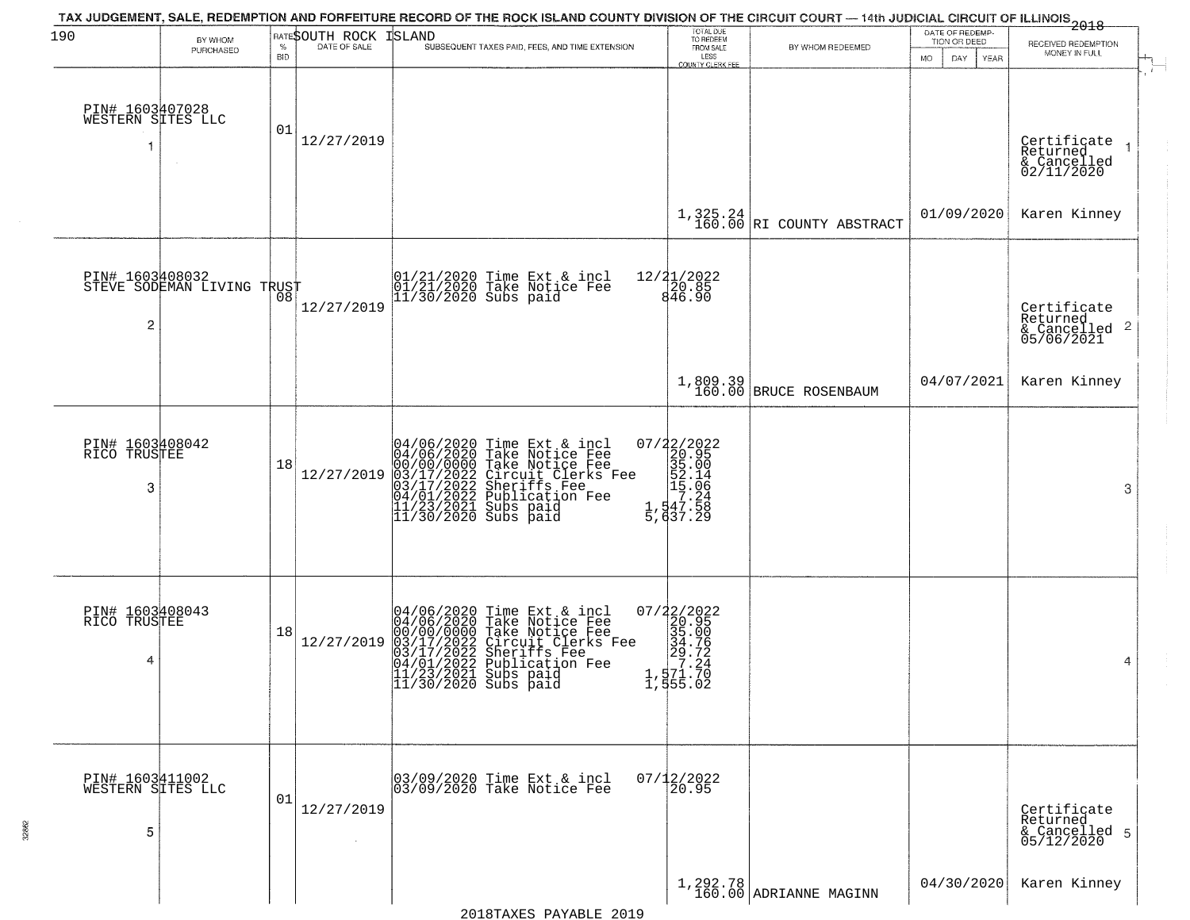| 190                                        | BY WHOM                    |                 | RATESOUTH ROCK | TAX JUDGEMENT, SALE, REDEMPTION AND FORFEITURE RECORD OF THE ROCK ISLAND COUNTY DIVISION OF THE CIRCUIT COURT — 14th JUDICIAL CIRCUIT OF ILLINOIS 2018<br><b>ISLAND</b>                                                                                                                                                         | TOTAL DUE<br>TO REDEEM<br>FROM SALE                                                                     |                                      | DATE OF REDEMP-<br>TION OR DEED |                                                                                  |
|--------------------------------------------|----------------------------|-----------------|----------------|---------------------------------------------------------------------------------------------------------------------------------------------------------------------------------------------------------------------------------------------------------------------------------------------------------------------------------|---------------------------------------------------------------------------------------------------------|--------------------------------------|---------------------------------|----------------------------------------------------------------------------------|
|                                            | PURCHASED                  | %<br><b>BID</b> | DATE OF SALE   | SUBSEQUENT TAXES PAID, FEES, AND TIME EXTENSION                                                                                                                                                                                                                                                                                 | LESS<br>COUNTY CLERK FER                                                                                | BY WHOM REDEEMED                     | <b>MO</b><br>DAY<br>YEAR        | RECEIVED REDEMPTION<br>MONEY IN FULL                                             |
| PIN# 1603407028<br>WESTERN SITES LLC<br>-1 |                            | 01              | 12/27/2019     |                                                                                                                                                                                                                                                                                                                                 |                                                                                                         |                                      |                                 | Certificate<br>Returned<br>$\overline{\phantom{a}}$<br>& Cancelled<br>02/11/2020 |
|                                            |                            |                 |                |                                                                                                                                                                                                                                                                                                                                 |                                                                                                         | $1,325.24$ RI COUNTY ABSTRACT        | 01/09/2020                      | Karen Kinney                                                                     |
| PIN# 1603408032<br>$\overline{c}$          | STEVE SODEMAN LIVING TRUST |                 | 12/27/2019     | 01/21/2020 Time Ext & incl<br>01/21/2020 Take Notice Fee<br>11/30/2020 Subs paid                                                                                                                                                                                                                                                | 12/21/2022<br>20.85<br>846.90                                                                           |                                      |                                 | Certificate<br>Returned<br>$\overline{2}$<br>& Cancelled<br>05/06/2021           |
|                                            |                            |                 |                |                                                                                                                                                                                                                                                                                                                                 |                                                                                                         | 1,809.39<br>160.00 BRUCE ROSENBAUM   | 04/07/2021                      | Karen Kinney                                                                     |
| PIN# 1603408042<br>RICO TRUSTEE<br>3       |                            | 18              | 12/27/2019     | 04/06/2020 Time Ext & incl<br>04/06/2020 Take Notice Fee<br>00/00/00/000 Take Notice Fee<br>03/17/2022 Circuit Clerks Fee<br>03/17/2022 Sublication Fee<br>04/01/2022 Publication Fee<br>11/23/2021 Subs paid<br>11/30/2020 Subs paid                                                                                           | $\begin{smallmatrix} 07/22/2022\\ 20.95\\ 35.00\\ 52.14\\ 15.24\\ 1,47.58\\ 5,637.29 \end{smallmatrix}$ |                                      |                                 | 3                                                                                |
| PIN# 1603408043<br>RICO TRUSTEE<br>4       |                            | 18              | 12/27/2019     | 04/06/2020 Time Ext &<br>04/06/2020 Take Notic<br>00/00/0000 Take Notic<br>03/17/2022 Circuit Cl<br>03/17/2022 Sheriffs<br>04/01/2022 Publicatio<br>11/23/2021 Subs paid<br>11/30/2020 Subs paid<br>Time Ext & incl<br>Take Notice Fee<br>Take Notice Fee<br>Circuit Clerks Fee<br>Sheriffs Fee<br>Publication Fee<br>Subs paid |                                                                                                         |                                      |                                 | 4                                                                                |
| PIN# 1603411002<br>WESTERN SITES LLC<br>5  |                            | 01              | 12/27/2019     | 03/09/2020 Time Ext & incl<br>03/09/2020 Take Notice Fee                                                                                                                                                                                                                                                                        | $07/12/2022$<br>20.95                                                                                   |                                      |                                 | Certificate<br>Returned<br>& Cancelled 5<br>05/12/2020                           |
|                                            |                            |                 |                |                                                                                                                                                                                                                                                                                                                                 |                                                                                                         | $1,292.78$<br>160.00 ADRIANNE MAGINN | 04/30/2020                      | Karen Kinney                                                                     |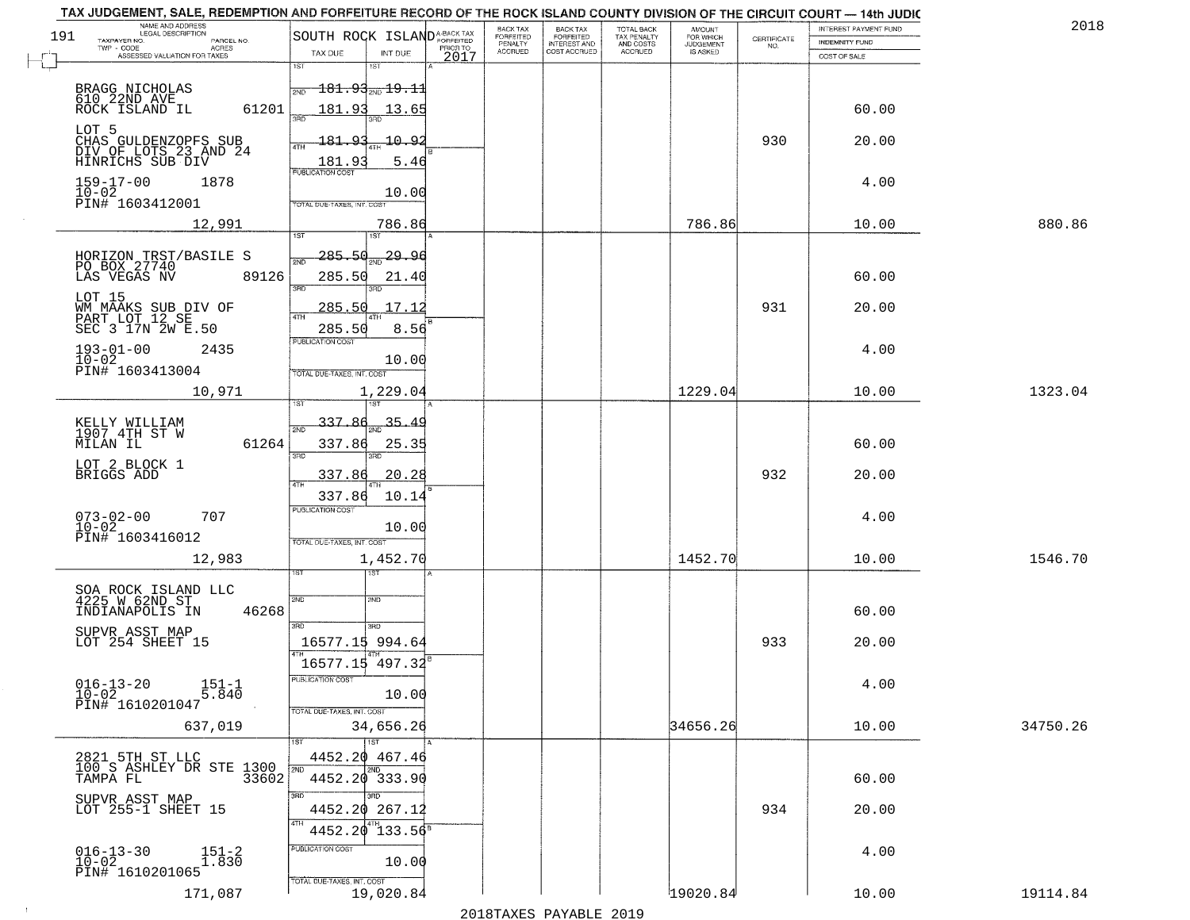| TAX JUDGEMENT, SALE, REDEMPTION AND FORFEITURE RECORD OF THE ROCK ISLAND COUNTY DIVISION OF THE CIRCUIT COURT - 14th JUDIC         |                                                   |                                        |                                     |                                        |                                  |                    |                       |          |
|------------------------------------------------------------------------------------------------------------------------------------|---------------------------------------------------|----------------------------------------|-------------------------------------|----------------------------------------|----------------------------------|--------------------|-----------------------|----------|
| NAME AND ADDRESS<br>LEGAL DESCRIPTION<br>191                                                                                       |                                                   | BACK TAX                               | BACK TAX<br>FORFEITED               | TOTAL BACK<br>TAX PENALTY<br>AND COSTS | AMOUNT<br>FOR WHICH<br>JUDGEMENT |                    | INTEREST PAYMENT FUND | 2018     |
| TAXPAYER NO.<br>PARCEL NO.<br>ACRES<br>ASSESSED VALUATION FOR TAXES                                                                | SOUTH ROCK ISLANDA-BACK TAX<br>TAX DUE<br>INT DUE | FORFEITED<br>PENALTY<br><b>ACCRUED</b> | <b>INTEREST AND</b><br>COST ACCRUED | <b>ACCRUED</b>                         | IS ASKED                         | CERTIFICATE<br>NO. | <b>INDEMNITY FUND</b> |          |
|                                                                                                                                    | 1ST<br>1ST                                        | 2017                                   |                                     |                                        |                                  |                    | COST OF SALE          |          |
|                                                                                                                                    | $\overline{181.93}$ sm $\overline{19.11}$<br>2ND  |                                        |                                     |                                        |                                  |                    |                       |          |
| BRAGG NICHOLAS<br>610 22ND AVE<br>ROCK ISLAND IL<br>61201                                                                          | 181.93<br>13.65                                   |                                        |                                     |                                        |                                  |                    | 60.00                 |          |
|                                                                                                                                    | 350                                               |                                        |                                     |                                        |                                  |                    |                       |          |
| LOT 5<br>CHAS GULDENZOPFS SUB<br>DIV OF LOTS 23 AND 24                                                                             | 181.93<br>$-10.92$<br>4TH                         |                                        |                                     |                                        |                                  | 930                | 20.00                 |          |
| HINRICHS SUB DIV                                                                                                                   | 181.93<br>5.46                                    |                                        |                                     |                                        |                                  |                    |                       |          |
| $159 - 17 - 00$<br>1878                                                                                                            | <b>PUBLICATION COST</b>                           |                                        |                                     |                                        |                                  |                    | 4.00                  |          |
| $10 - 02$<br>PIN# 1603412001                                                                                                       | 10.00<br>TOTAL DUE-TAXES, INT. COST               |                                        |                                     |                                        |                                  |                    |                       |          |
|                                                                                                                                    |                                                   |                                        |                                     |                                        |                                  |                    |                       |          |
| 12,991                                                                                                                             | 786.86<br>1ST                                     |                                        |                                     |                                        | 786.86                           |                    | 10.00                 | 880.86   |
| HORIZON TRST/BASILE S<br>PO BOX 27740                                                                                              | 285.50<br>29.90                                   |                                        |                                     |                                        |                                  |                    |                       |          |
| 89126<br>LAS VEGAS NV                                                                                                              | 285.50<br>21.40                                   |                                        |                                     |                                        |                                  |                    | 60.00                 |          |
| LOT 15                                                                                                                             | 3RD                                               |                                        |                                     |                                        |                                  |                    |                       |          |
| WM MAAKS SUB DIV OF<br>PART LOT 12 SE                                                                                              | 17.12<br>285.50                                   |                                        |                                     |                                        |                                  | 931                | 20.00                 |          |
| SEC 3 17N 2W E.50                                                                                                                  | 8.56<br>285.50                                    |                                        |                                     |                                        |                                  |                    |                       |          |
| $193 - 01 - 00$<br>2435                                                                                                            | PUBLICATION COST                                  |                                        |                                     |                                        |                                  |                    | 4.00                  |          |
| $10 - 02$<br>PIN# 1603413004                                                                                                       | 10.00<br>TOTAL DUE-TAXES, INT. COST               |                                        |                                     |                                        |                                  |                    |                       |          |
| 10,971                                                                                                                             | 1,229.04                                          |                                        |                                     |                                        | 1229.04                          |                    | 10.00                 | 1323.04  |
|                                                                                                                                    | is T                                              |                                        |                                     |                                        |                                  |                    |                       |          |
| KELLY WILLIAM<br>1907 4TH ST W                                                                                                     | 337.86<br>35.<br>2ND                              |                                        |                                     |                                        |                                  |                    |                       |          |
| 61264<br>MILAN IL                                                                                                                  | 337.86<br>25.35                                   |                                        |                                     |                                        |                                  |                    | 60.00                 |          |
| LOT 2 BLOCK 1                                                                                                                      | 3RD<br>3RD                                        |                                        |                                     |                                        |                                  |                    |                       |          |
| BRIGGS ADD                                                                                                                         | 337.86<br>20.28<br>4TH                            |                                        |                                     |                                        |                                  | 932                | 20.00                 |          |
|                                                                                                                                    | 337.86<br>10.14<br><b>PUBLICATION COST</b>        |                                        |                                     |                                        |                                  |                    |                       |          |
| $073 - 02 - 00$<br>$10 - 02$<br>707                                                                                                | 10.00                                             |                                        |                                     |                                        |                                  |                    | 4.00                  |          |
| PIN# 1603416012                                                                                                                    | TOTAL OUE-TAXES, INT. COST                        |                                        |                                     |                                        |                                  |                    |                       |          |
| 12,983                                                                                                                             | 1,452.70                                          |                                        |                                     |                                        | 1452.70                          |                    | 10.00                 | 1546.70  |
|                                                                                                                                    | ৰৱা                                               |                                        |                                     |                                        |                                  |                    |                       |          |
| SOA ROCK ISLAND LLC<br>4225 W 62ND ST                                                                                              | 2ND<br>2ND                                        |                                        |                                     |                                        |                                  |                    |                       |          |
| 46268<br>INDIANAPOLIS IN                                                                                                           | 3BD<br>3 <sub>BD</sub>                            |                                        |                                     |                                        |                                  |                    | 60.00                 |          |
| SUPVR ASST MAP<br>LOT 254 SHEET 15                                                                                                 | 16577.15 994.64                                   |                                        |                                     |                                        |                                  | 933                | 20.00                 |          |
|                                                                                                                                    | 16577.15 497.32                                   |                                        |                                     |                                        |                                  |                    |                       |          |
| $016 - 13 - 20$<br>$151 - 1$                                                                                                       | -usuca i un cus-                                  |                                        |                                     |                                        |                                  |                    | 4.00                  |          |
| 5.840<br>$10 - 02$<br>PIN# 1610201047                                                                                              | 10.00                                             |                                        |                                     |                                        |                                  |                    |                       |          |
|                                                                                                                                    | TOTAL DUE-TAXES, INT. COST                        |                                        |                                     |                                        | 34656.26                         |                    | 10.00                 | 34750.26 |
| 637,019                                                                                                                            | 34,656.26<br>1ST                                  |                                        |                                     |                                        |                                  |                    |                       |          |
| $\begin{tabular}{cc} 2821 & 5TH & ST & LLC \\ \hline 100 & S & ASHLEY & DR & STE & 1300 \\ -3.00 & S & T & 33602 \\ \end{tabular}$ | 4452.20 467.46                                    |                                        |                                     |                                        |                                  |                    |                       |          |
|                                                                                                                                    | 12ND<br>2ND<br>4452.20 333.90                     |                                        |                                     |                                        |                                  |                    | 60.00                 |          |
| SUPVR ASST MAP                                                                                                                     | 3RD<br>3RD                                        |                                        |                                     |                                        |                                  |                    |                       |          |
| LOT 255-1 SHEET 15                                                                                                                 | 4452.20 267.12                                    |                                        |                                     |                                        |                                  | 934                | 20.00                 |          |
|                                                                                                                                    | 4TH<br>4452.20<br>$133.56^{8}$                    |                                        |                                     |                                        |                                  |                    |                       |          |
| $016 - 13 - 30$<br>10-02<br>$151 - 2 \\ 1.830$                                                                                     | PUBLICATION COST                                  |                                        |                                     |                                        |                                  |                    | 4.00                  |          |
| PIN# 1610201065                                                                                                                    | 10.00<br>TOTAL DUE-TAXES, INT. COST               |                                        |                                     |                                        |                                  |                    |                       |          |
| 171,087                                                                                                                            | 19,020.84                                         |                                        |                                     |                                        | 19020.84                         |                    | 10.00                 | 19114.84 |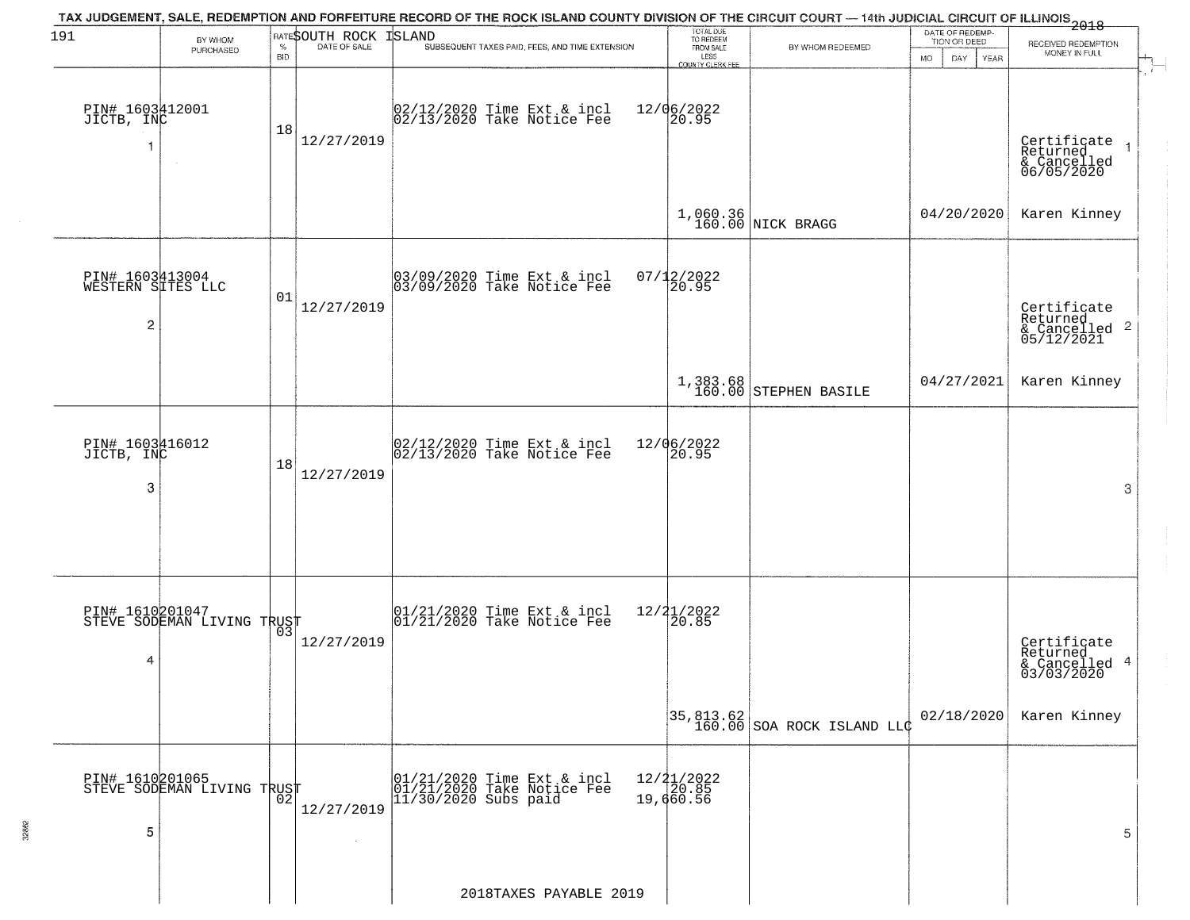| 191                                       | BY WHOM                                           |            | <b>RATESOUTH ROCK</b> | TAX JUDGEMENT, SALE, REDEMPTION AND FORFEITURE RECORD OF THE ROCK ISLAND COUNTY DIVISION OF THE CIRCUIT COURT — 14th JUDICIAL CIRCUIT OF ILLINOIS<br>2018 - The Case of Many County of Management County of Management County of<br>ISLAND | TOTAL DUE<br>TO REDEEM                |                                                                         | DATE OF REDEMP-<br>TION OR DEED | RECEIVED REDEMPTION                                                |  |
|-------------------------------------------|---------------------------------------------------|------------|-----------------------|--------------------------------------------------------------------------------------------------------------------------------------------------------------------------------------------------------------------------------------------|---------------------------------------|-------------------------------------------------------------------------|---------------------------------|--------------------------------------------------------------------|--|
|                                           | PURCHASED                                         | <b>BID</b> |                       | SUBSEQUENT TAXES PAID, FEES, AND TIME EXTENSION                                                                                                                                                                                            | FROM SALE<br>LESS<br>COUNTY CLERK FEE | BY WHOM REDEEMED                                                        | MO.<br>DAY.<br>YEAR             | MONEY IN FULL                                                      |  |
| PIN# 1603412001<br>JICTB, INC<br>1        | $\sim$                                            | 18         | 12/27/2019            | 02/12/2020 Time Ext & incl<br>02/13/2020 Take Notice Fee                                                                                                                                                                                   | 12/06/2022<br>20.95                   |                                                                         |                                 | Certificate<br>Returned<br>& Cancelled<br>06/05/2020               |  |
|                                           |                                                   |            |                       |                                                                                                                                                                                                                                            |                                       | 1,060.36<br>160.00 NICK BRAGG                                           | 04/20/2020                      | Karen Kinney                                                       |  |
| PIN# 1603413004<br>WESTERN SITES LLC<br>2 |                                                   | 01         | 12/27/2019            | 03/09/2020 Time Ext & incl<br>03/09/2020 Take Notice Fee                                                                                                                                                                                   | $07/12/2022$<br>20.95                 |                                                                         |                                 | Certificate<br>Returned<br>$\frac{1}{2}$ Cancelled 2<br>05/12/2021 |  |
|                                           |                                                   |            |                       |                                                                                                                                                                                                                                            |                                       | 1,383.68<br>160.00 STEPHEN BASILE                                       | 04/27/2021                      | Karen Kinney                                                       |  |
| PIN# 1603416012<br>JICTB, INC<br>3        |                                                   | 18         | 12/27/2019            | $\begin{bmatrix} 02/12/2020 \\ 02/13/2020 \\ 04 \end{bmatrix}$ Take Notice Fee                                                                                                                                                             | 12/06/2022<br>20.95                   |                                                                         |                                 | 3                                                                  |  |
| 4                                         | PIN# 1610201047<br>STEVE SODEMAN LIVING TRUST     |            | 12/27/2019            | $\begin{bmatrix} 01/21/2020 \\ 01/21/2020 \\ 01 \end{bmatrix}$ Take Notice Fee                                                                                                                                                             | $12/21/2022$<br>20.85                 |                                                                         |                                 | Certificate<br>Returned<br>& Cancelled 4<br>03/03/2020             |  |
|                                           |                                                   |            |                       |                                                                                                                                                                                                                                            |                                       | $\begin{bmatrix} 35,813.62 \\ 160.00 \end{bmatrix}$ SOA ROCK ISLAND LLC | 02/18/2020                      | Karen Kinney                                                       |  |
| 5                                         | PIN# 1610201065    <br>STEVE SODEMAN LIVING TRUST | 02         | 12/27/2019            | 01/21/2020 Time Ext & incl<br>01/21/2020 Take Notice Fee<br>11/30/2020 Subs paid                                                                                                                                                           | $12/21/2022$<br>$20.85$<br>19,660.56  |                                                                         |                                 | 5                                                                  |  |
|                                           |                                                   |            |                       | 2018TAXES PAYABLE 2019                                                                                                                                                                                                                     |                                       |                                                                         |                                 |                                                                    |  |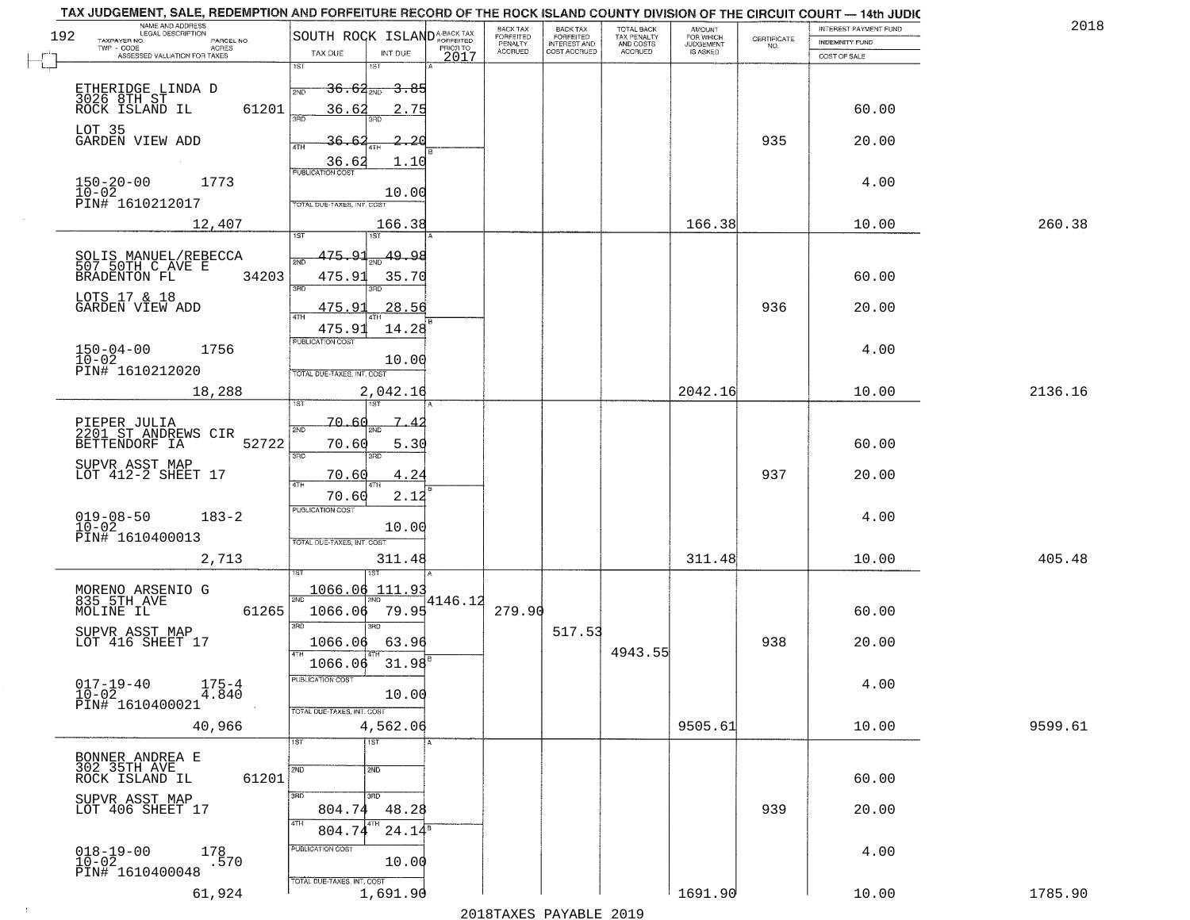| TAX JUDGEMENT, SALE, REDEMPTION AND FORFEITURE RECORD OF THE ROCK ISLAND COUNTY DIVISION OF THE CIRCUIT COURT - 14th JUDIC |                                                                                                             |                              |                                     |                                        |                                     |                                                                 |                       |         |
|----------------------------------------------------------------------------------------------------------------------------|-------------------------------------------------------------------------------------------------------------|------------------------------|-------------------------------------|----------------------------------------|-------------------------------------|-----------------------------------------------------------------|-----------------------|---------|
| NAME AND ADDRESS<br>LEGAL DESCRIPTION<br>192                                                                               | SOUTH ROCK ISLAND <sup>A-BACK TAX</sup>                                                                     | BACK TAX<br><b>FORFEITED</b> | <b>BACK TAX</b><br>FORFEITED        | TOTAL BACK<br>TAX PENALTY<br>AND COSTS | AMOUNT<br>FOR WHICH                 |                                                                 | INTEREST PAYMENT FUND | 2018    |
| TAXPAYER NO.<br>PARCEL NO.<br>ACRES                                                                                        | PRIOR TO                                                                                                    | PENALTY<br><b>ACCRUED</b>    | <b>INTEREST AND</b><br>COST ACCRUED | ACCRUED                                | <b>JUDGEMENT</b><br><b>IS ASKED</b> | $\begin{array}{c} \text{CERTIFICATE} \\ \text{NO.} \end{array}$ | <b>INDEMNITY FUND</b> |         |
| ASSESSED VALUATION FOR TAXES                                                                                               | TAX DUE<br>INT DUE<br>2017<br>1ST<br>1ST                                                                    |                              |                                     |                                        |                                     |                                                                 | COST OF SALE          |         |
| ETHERIDGE LINDA D<br>3026 8TH ST<br>ROCK ISLAND IL<br>61201                                                                | <del>36.62</del> 210<br><del>3.85</del><br>2ND<br>36.62<br>2.75                                             |                              |                                     |                                        |                                     |                                                                 | 60.00                 |         |
| LOT 35<br>GARDEN VIEW ADD                                                                                                  | 36.6<br>2.26<br>1.10                                                                                        |                              |                                     |                                        |                                     | 935                                                             | 20.00                 |         |
| $150 - 20 - 00$<br>$10 - 02$<br>1773<br>PIN# 1610212017                                                                    | $\frac{36.62}{FUBUCATONCGST}$<br>10.00<br><b>TOTAL DUE-TAXES, INT. COST</b>                                 |                              |                                     |                                        |                                     |                                                                 | 4.00                  |         |
| 12,407                                                                                                                     | 166.38                                                                                                      |                              |                                     |                                        | 166.38                              |                                                                 | 10.00                 | 260.38  |
| SOLIS MANUEL/REBECCA<br>507 50TH C AVE E<br>34203<br>BRADENTON FL<br>LOTS 17 & 18                                          | 1ST<br>475.91<br>49.98<br>475.91<br>35.70<br>$\overline{3BD}$                                               |                              |                                     |                                        |                                     |                                                                 | 60.00                 |         |
| GARDEN VIEW ADD<br>$150 - 04 - 00$<br>1756<br>$10 - 02$<br>PIN# 1610212020                                                 | <u>475.91</u><br>28.56<br>ৰাম<br>475.91<br>14.28<br>PUBLICATION COST<br>10.00<br>TOTAL DUE-TAXES, INT. COST |                              |                                     |                                        |                                     | 936                                                             | 20.00<br>4.00         |         |
| 18,288                                                                                                                     | 2,042.16                                                                                                    |                              |                                     |                                        | 2042.16                             |                                                                 | 10.00                 | 2136.16 |
| PIEPER JULIA<br>2201 ST ANDREWS CIR<br>52722<br>BETTENDORF IA<br>SUPVR ASST MAP<br>LOT 412-2 SHEET 17                      | 1ST<br>181<br>70.60<br>2ND<br>70.60<br>5.30<br>3RD<br>3RD<br>70.60<br>4.24<br>4TH                           |                              |                                     |                                        |                                     | 937                                                             | 60.00<br>20.00        |         |
| $019 - 08 - 50$<br>$183 - 2$<br>$10 - 02$<br>PIN# 1610400013<br>2,713                                                      | 70.60<br>2.12<br><b>PUBLICATION COST</b><br>10.00<br>TOTAL OUE-TAXES, INT. COST<br>311.48                   |                              |                                     |                                        | 311.48                              |                                                                 | 4.00<br>10.00         | 405.48  |
| MORENO ARSENIO G<br>835 5TH AVE<br>MOLINE IL<br>61265<br>SUPVR ASST MAP<br>LOT 416 SHEET 17                                | 1ST<br>1066.06<br>111.93<br>4146.12<br>2ND<br>79.95<br>1066.06<br>3RD<br>3RD<br>1066.06<br>63.96            | 279.90                       | 517.53                              | 4943.55                                |                                     | 938                                                             | 60.00<br>20.00        |         |
| $017 - 19 - 40$<br>$175 - 4$<br>$1\overline{0} - 0\overline{2}$<br>4.840<br>PIN# 1610400021                                | 31.98<br>1066.06<br>PUBLICATION COST<br>10.00<br>TOTAL DUE-TAXES, INT. COST                                 |                              |                                     |                                        |                                     |                                                                 | 4.00                  |         |
| 40,966                                                                                                                     | 4,562.06                                                                                                    |                              |                                     |                                        | 9505.61                             |                                                                 | 10.00                 | 9599.61 |
| BONNER ANDREA E<br>302 35TH AVE<br>61201<br>ROCK ISLAND IL                                                                 | १डा<br>1ST<br>2ND<br>2ND<br>3RD                                                                             |                              |                                     |                                        |                                     |                                                                 | 60.00                 |         |
| SUPVR ASST MAP<br>LOT 406 SHEET 17                                                                                         | 3 <sub>BD</sub><br>804.74<br>48.28<br>4TH<br>4TH<br>$24.14^{8}$<br>804.74                                   |                              |                                     |                                        |                                     | 939                                                             | 20.00                 |         |
| $018 - 19 - 00$<br>10-02<br>178<br>.570<br>PIN# 1610400048                                                                 | PUBLICATION COST<br>10.00<br>TOTAL DUE-TAXES, INT. COST                                                     |                              |                                     |                                        |                                     |                                                                 | 4.00                  |         |
| 61,924                                                                                                                     | 1,691.90                                                                                                    |                              |                                     |                                        | 1691.90                             |                                                                 | 10.00                 | 1785.90 |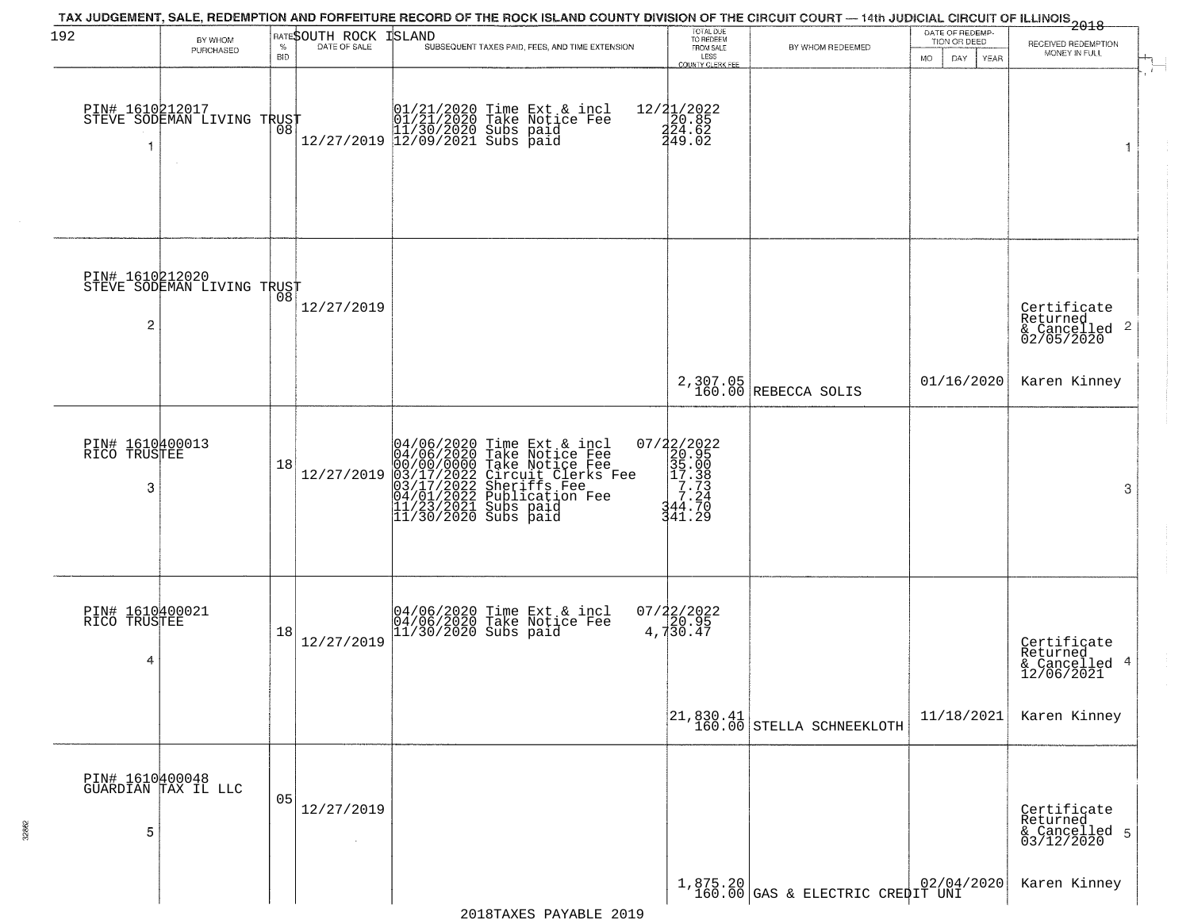| 192                                  | BY WHOM<br>PURCHASED                                | $\%$<br><b>BID</b> | RATESOUTH ROCK<br>DATE OF SALE | TAX JUDGEMENT, SALE, REDEMPTION AND FORFEITURE RECORD OF THE ROCK ISLAND COUNTY DIVISION OF THE CIRCUIT COURT — 14th JUDICIAL CIRCUIT OF ILLINOIS 2018<br>ISLAND<br>SUBSEQUENT TAXES PAID, FEES, AND TIME EXTENSION                 | TOTAL DUE<br>TO REDEEM<br>FROM SALE<br>LESS<br>COUNTY CLERK FEI   | BY WHOM REDEEMED                                                        | DATE OF REDEMP-<br>TION OR DEED<br>DAY.<br>MO.<br><b>YEAR</b> | RECEIVED REDEMPTION<br>MONEY IN FULL                                   |
|--------------------------------------|-----------------------------------------------------|--------------------|--------------------------------|-------------------------------------------------------------------------------------------------------------------------------------------------------------------------------------------------------------------------------------|-------------------------------------------------------------------|-------------------------------------------------------------------------|---------------------------------------------------------------|------------------------------------------------------------------------|
|                                      | PIN# 1610212017      <br>STEVE SODEMAN LIVING TRUST | ŌÕ.                |                                | $[01/21/2020 \t\t Time Ext & incl01/21/2020 Take Notice Free11/30/2020 Subs paid12/27/2019 12/09/2021 Subs paid$                                                                                                                    | 12/21/2022<br>20.85<br>241.62<br>449.02                           |                                                                         |                                                               | 1                                                                      |
| PIN# 1610212020<br>$\overline{c}$    | STEVE SODEMAN LIVING TRUST                          |                    | 12/27/2019                     |                                                                                                                                                                                                                                     |                                                                   |                                                                         |                                                               | Certificate<br>Returned<br>$\overline{2}$<br>& Cancelled<br>02/05/2020 |
|                                      |                                                     |                    |                                |                                                                                                                                                                                                                                     |                                                                   | 2,307.05<br>160.00 REBECCA SOLIS                                        | 01/16/2020                                                    | Karen Kinney                                                           |
| PIN# 1610400013<br>RICO TRUSTEE<br>3 |                                                     | 18                 | 12/27/2019                     | 04/06/2020 Time Ext & incl<br>04/06/2020 Take Notice Fee<br>00/00/0000 Take Notice Fee<br>03/17/2022 Circuit Clerks Fee<br>03/17/2022 Sublication Fee<br>04/01/2022 Publication Fee<br>11/23/2021 Subs paid<br>11/30/2020 Subs paid | 07/22/2022<br>20.95<br>35.00<br>17.38<br>7.24<br>344.70<br>341.29 |                                                                         |                                                               | 3                                                                      |
| PIN# 1610400021<br>RICO TRUSTEE<br>4 |                                                     | 18                 | 12/27/2019                     | 04/06/2020 Time Ext & incl<br>04/06/2020 Take Notice Fee<br>11/30/2020 Subs paid                                                                                                                                                    | $07/22/2022$<br>4,730.47                                          |                                                                         |                                                               | Certificate<br>Returned<br>4<br>& Cancelled<br>12/06/2021              |
|                                      |                                                     |                    |                                |                                                                                                                                                                                                                                     |                                                                   | $\begin{bmatrix} 21, 830.41 \\ 160.00 \end{bmatrix}$ STELLA SCHNEEKLOTH | 11/18/2021                                                    | Karen Kinney                                                           |
| 5                                    | PIN# 1610400048<br>GUARDIAN TAX IL LLC              | 05                 | 12/27/2019<br>$\sim$           |                                                                                                                                                                                                                                     |                                                                   |                                                                         |                                                               | Certificate<br>Returned<br>& Cancelled 5<br>03/12/2020                 |
|                                      |                                                     |                    |                                |                                                                                                                                                                                                                                     |                                                                   | $1,875.20$ (GAS & ELECTRIC CREPIT UNI $02/04/2020$                      |                                                               | Karen Kinney                                                           |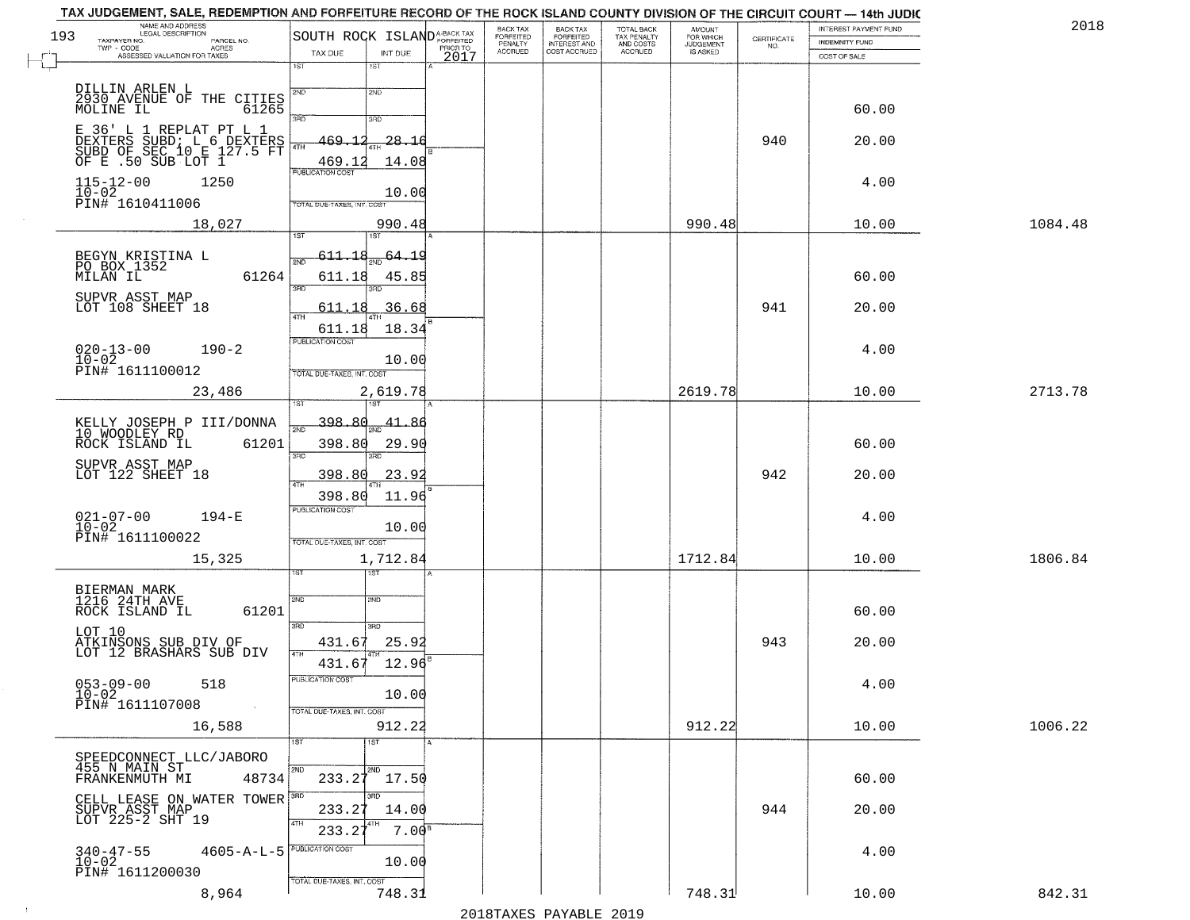|     | NAME AND ADDRESS                                                             |                             |                     |      | BACK TAX<br>FORFEITED | BACK TAX<br>FORFEITED<br>INTEREST AND |                                        | AMOUNT<br>FOR WHICH |                                                                 | INTEREST PAYMENT FUND | 2018    |
|-----|------------------------------------------------------------------------------|-----------------------------|---------------------|------|-----------------------|---------------------------------------|----------------------------------------|---------------------|-----------------------------------------------------------------|-----------------------|---------|
| 193 | TAXPAYER NO.<br>PARCEL NO.<br>ACRES<br>$TWP - CODE$                          | SOUTH ROCK ISLANDA-BACK TAX |                     |      | PENALTY               |                                       | TOTAL BACK<br>TAX PENALTY<br>AND COSTS | <b>JUDGEMENT</b>    | $\begin{array}{c} \text{CERTIFICATE} \\ \text{NO.} \end{array}$ | <b>INDEMNITY FUND</b> |         |
|     | ASSESSED VALUATION FOR TAXES                                                 | TAX DUE<br>1ST              | INT DUE<br>1ST      | 2017 | <b>ACCRUED</b>        | COST ACCRUED                          | ACCRUED                                |                     |                                                                 | COST OF SALE          |         |
|     |                                                                              |                             |                     |      |                       |                                       |                                        |                     |                                                                 |                       |         |
|     | DILLIN ARLEN L                                                               | 2ND                         | 2ND                 |      |                       |                                       |                                        |                     |                                                                 |                       |         |
|     | 2930 AVENUE OF THE CITIES<br>MOLINE IL 61265                                 |                             |                     |      |                       |                                       |                                        |                     |                                                                 | 60.00                 |         |
|     | E 36' L 1 REPLAT PT L 1                                                      | 3RD                         | 3RD                 |      |                       |                                       |                                        |                     |                                                                 |                       |         |
|     |                                                                              | 469.12<br>4TH               | $-28 - 16$          |      |                       |                                       |                                        |                     | 940                                                             | 20.00                 |         |
|     | DEXTERS SUBD: LIG DEXTERS<br>SUBD OF SEC 10 E 127.5 FT<br>OF E .50 SUB LOT 1 | 469.12                      | 14.08               |      |                       |                                       |                                        |                     |                                                                 |                       |         |
|     | 1250                                                                         | PUBLICATION COST            |                     |      |                       |                                       |                                        |                     |                                                                 | 4.00                  |         |
|     | $115 - 12 - 00$<br>$10 - 02$                                                 |                             | 10.00               |      |                       |                                       |                                        |                     |                                                                 |                       |         |
|     | PIN# 1610411006                                                              | TOTAL DUE-TAXES, INT. COS   |                     |      |                       |                                       |                                        |                     |                                                                 |                       |         |
|     | 18,027                                                                       | 1ST                         | 990.48<br>1ST       |      |                       |                                       |                                        | 990.48              |                                                                 | 10.00                 | 1084.48 |
|     |                                                                              |                             |                     |      |                       |                                       |                                        |                     |                                                                 |                       |         |
|     | BEGYN KRISTINA L<br>PO BOX 1352                                              | <u>611.18</u><br>2ND        | $\frac{64.19}{200}$ |      |                       |                                       |                                        |                     |                                                                 |                       |         |
|     | 61264<br>MILAN IL                                                            | 611.18<br>3RD               | 45.85<br>3BD.       |      |                       |                                       |                                        |                     |                                                                 | 60.00                 |         |
|     | SUPVR ASST MAP                                                               |                             |                     |      |                       |                                       |                                        |                     |                                                                 |                       |         |
|     | LOT 108 SHEET 18                                                             | 611.18<br>$\sqrt{4}$        | 36.68               |      |                       |                                       |                                        |                     | 941                                                             | 20.00                 |         |
|     |                                                                              | 611.18<br>PUBLICATION COST  | 18.34               |      |                       |                                       |                                        |                     |                                                                 |                       |         |
|     | $020 - 13 - 00$<br>$190 - 2$                                                 |                             |                     |      |                       |                                       |                                        |                     |                                                                 | 4.00                  |         |
|     | $10 - 02$<br>PIN# 1611100012                                                 | TOTAL DUE-TAXES, INT. COST  | 10.00               |      |                       |                                       |                                        |                     |                                                                 |                       |         |
|     | 23,486                                                                       |                             | 2,619.78            |      |                       |                                       |                                        | 2619.78             |                                                                 | 10.00                 | 2713.78 |
|     |                                                                              |                             | 18T                 |      |                       |                                       |                                        |                     |                                                                 |                       |         |
|     | KELLY JOSEPH P III/DONNA                                                     | 398.80<br>2ND               | $-41.86$            |      |                       |                                       |                                        |                     |                                                                 |                       |         |
|     | 10 WOODLEY RD<br>ROCK ISLAND IL<br>61201                                     | 398.80                      | 29.90               |      |                       |                                       |                                        |                     |                                                                 | 60.00                 |         |
|     | SUPVR ASST MAP                                                               | 3RD                         |                     |      |                       |                                       |                                        |                     |                                                                 |                       |         |
|     | LOT 122 SHEET 18                                                             | 398.80                      | 23.92               |      |                       |                                       |                                        |                     | 942                                                             | 20.00                 |         |
|     |                                                                              | 398.80                      | 11.96               |      |                       |                                       |                                        |                     |                                                                 |                       |         |
|     | $021 - 07 - 00$<br>$194 - E$                                                 | PUBLICATION COST            |                     |      |                       |                                       |                                        |                     |                                                                 | 4.00                  |         |
|     | $10 - 02$                                                                    |                             | 10.00               |      |                       |                                       |                                        |                     |                                                                 |                       |         |
|     | PIN# 1611100022                                                              | TOTAL OUE-TAXES, INT. COST  |                     |      |                       |                                       |                                        |                     |                                                                 |                       |         |
|     | 15,325                                                                       |                             | 1,712.84            |      |                       |                                       |                                        | 1712.84             |                                                                 | 10.00                 | 1806.84 |
|     |                                                                              |                             | १९४                 |      |                       |                                       |                                        |                     |                                                                 |                       |         |
|     | BIERMAN MARK<br>1216 24TH AVE                                                | 2ND                         | 2ND                 |      |                       |                                       |                                        |                     |                                                                 |                       |         |
|     | ROCK ISLAND IL<br>61201                                                      | 3RD                         |                     |      |                       |                                       |                                        |                     |                                                                 | 60.00                 |         |
|     | LOT 10                                                                       | 431.67                      | 3BD<br>25.92        |      |                       |                                       |                                        |                     | 943                                                             | 20.00                 |         |
|     | ATKINSONS SUB DIV OF<br>LOT 12 BRASHARS SUB DIV                              | 4TH                         |                     |      |                       |                                       |                                        |                     |                                                                 |                       |         |
|     |                                                                              | 431.67<br>PUBLICATION COST  | 12.96               |      |                       |                                       |                                        |                     |                                                                 |                       |         |
|     | $053 - 09 - 00$<br>518<br>$10 - 02$                                          |                             | 10.00               |      |                       |                                       |                                        |                     |                                                                 | 4.00                  |         |
|     | PIN# 1611107008                                                              | TOTAL DUE-TAXES, INT. COST  |                     |      |                       |                                       |                                        |                     |                                                                 |                       |         |
|     | 16,588                                                                       |                             | 912.22              |      |                       |                                       |                                        | 912.22              |                                                                 | 10.00                 | 1006.22 |
|     |                                                                              | 1ST                         | 1ST                 |      |                       |                                       |                                        |                     |                                                                 |                       |         |
|     | SPEEDCONNECT LLC/JABORO<br>455 N MAIN ST                                     |                             |                     |      |                       |                                       |                                        |                     |                                                                 |                       |         |
|     | FRANKENMUTH MI<br>48734                                                      | 2ND<br>233.27               | 2ND<br>17.50        |      |                       |                                       |                                        |                     |                                                                 | 60.00                 |         |
|     |                                                                              | 3RD                         | 3RD                 |      |                       |                                       |                                        |                     |                                                                 |                       |         |
|     | CELL LEASE ON WATER TOWER<br>SUPVR ASST MAP<br>LOT 225-2 SHT 19              | 233.27                      | 14.00               |      |                       |                                       |                                        |                     | 944                                                             | 20.00                 |         |
|     |                                                                              | 4TH<br>233.2                | 7.00 <sup>8</sup>   |      |                       |                                       |                                        |                     |                                                                 |                       |         |
|     | $4605 - A - L - 5$                                                           | PUBLICATION COST            |                     |      |                       |                                       |                                        |                     |                                                                 | 4.00                  |         |
|     | $340 - 47 - 55$<br>$10 - 02$<br>PIN# 1611200030                              |                             | 10.00               |      |                       |                                       |                                        |                     |                                                                 |                       |         |
|     |                                                                              | TOTAL DUE-TAXES, INT. COST  |                     |      |                       |                                       |                                        |                     |                                                                 |                       | 842.31  |
|     | 8,964                                                                        |                             | 748.31              |      |                       |                                       |                                        | 748.31              |                                                                 | 10.00                 |         |

 $\sim 10^{-1}$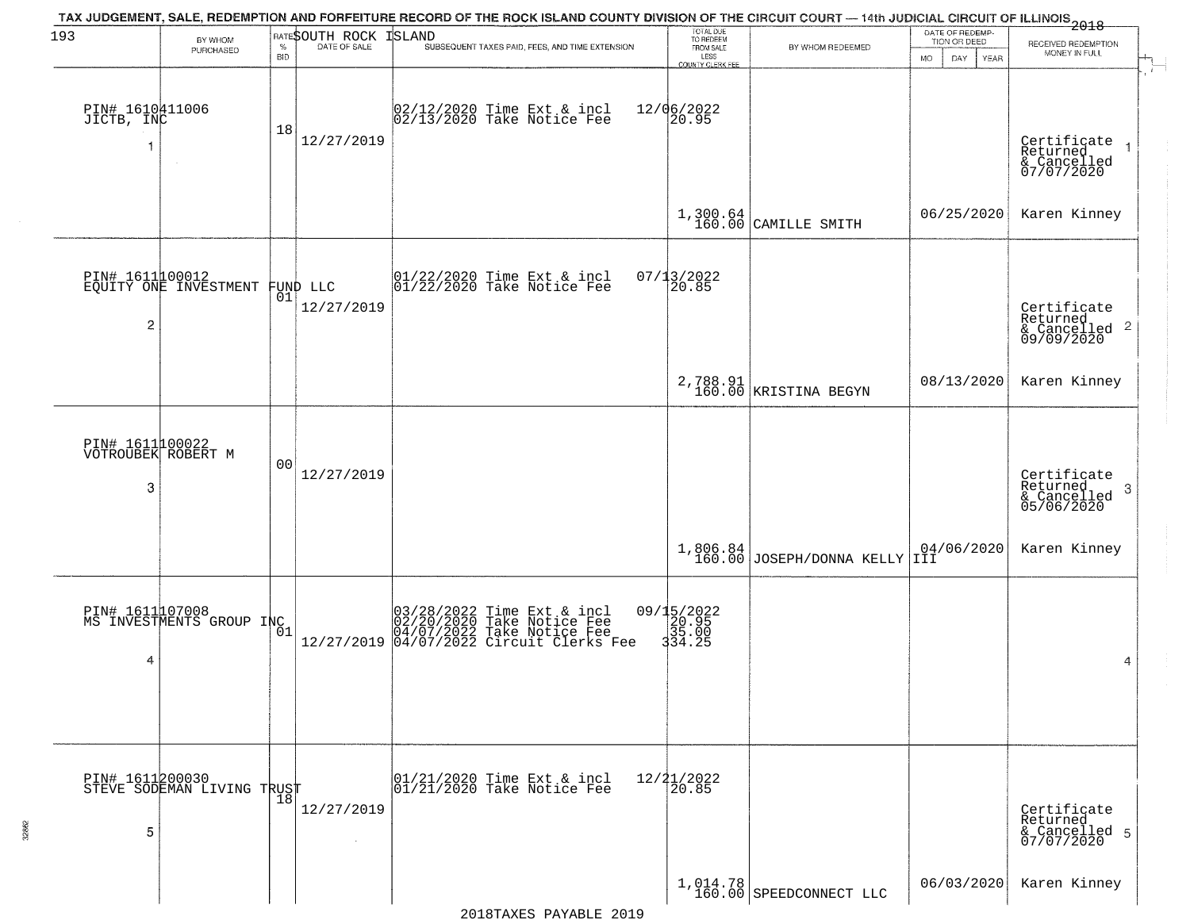| 193                                        | BY WHOM<br>PURCHASED                                | $\%$<br><b>BID</b> | RATESOUTH ROCK<br>DATE OF SALE | TAX JUDGEMENT, SALE, REDEMPTION AND FORFEITURE RECORD OF THE ROCK ISLAND COUNTY DIVISION OF THE CIRCUIT COURT — 14th JUDICIAL CIRCUIT OF ILLINOIS 2018<br><b>ISLAND</b><br>SUBSEQUENT TAXES PAID, FEES, AND TIME EXTENSION | TOTAL DUE<br>TO REDEEM<br>FROM SALE<br>LESS<br>COUNTY CLERK FEE | BY WHOM REDEEMED                      | DATE OF REDEMP-<br>TION OR DEED<br>MO.<br>DAY.<br><b>YEAR</b> | RECEIVED REDEMPTION<br>MONEY IN FULL                                   |
|--------------------------------------------|-----------------------------------------------------|--------------------|--------------------------------|----------------------------------------------------------------------------------------------------------------------------------------------------------------------------------------------------------------------------|-----------------------------------------------------------------|---------------------------------------|---------------------------------------------------------------|------------------------------------------------------------------------|
| PIN# 1610411006<br>JICTB, INC              |                                                     | 18                 | 12/27/2019                     | 02/12/2020 Time Ext & incl<br>02/13/2020 Take Notice Fee                                                                                                                                                                   | 12/06/2022<br>20.95                                             |                                       |                                                               | Certificate<br>Returned<br>& Cancelled<br>07/07/2020                   |
|                                            |                                                     |                    |                                |                                                                                                                                                                                                                            |                                                                 | $1,300.64$ CAMILLE SMITH              | 06/25/2020                                                    | Karen Kinney                                                           |
| $\overline{c}$                             | PIN# 161100012<br>EQUITY ONE INVESTMENT FUND LLC    |                    | 12/27/2019                     | $ 01/22/2020$ Time Ext & incl<br>$ 01/22/2020$ Take Notice Fee                                                                                                                                                             | $07/13/2022$<br>20.85                                           |                                       |                                                               | Certificate<br>Returned<br>$\overline{2}$<br>& Cancelled<br>09/09/2020 |
|                                            |                                                     |                    |                                |                                                                                                                                                                                                                            |                                                                 | 2,788.91<br>160.00 KRISTINA BEGYN     | 08/13/2020                                                    | Karen Kinney                                                           |
| PIN# 1611100022<br>VOTROUBEK ROBERT M<br>3 |                                                     | 0 <sub>0</sub>     | 12/27/2019                     |                                                                                                                                                                                                                            |                                                                 |                                       |                                                               | Certificate<br>Returned<br>-3<br>& Cancelled<br>05/06/2020             |
|                                            |                                                     |                    |                                |                                                                                                                                                                                                                            |                                                                 | $1,806.84$ JOSEPH/DONNA KELLY 1II     | 04/06/2020                                                    | Karen Kinney                                                           |
| 4                                          | PIN# 1611107008<br>MS INVESTMENTS GROUP INC         | 01                 |                                | 03/28/2022 Time Ext & incl<br>02/20/2020 Take Notice Fee<br>04/07/2022 Take Notice Fee<br>12/27/2019 04/07/2022 Circuit Clerks Fee                                                                                         | 09/15/2022<br>20.95<br>35.00<br>334.25                          |                                       |                                                               | 4                                                                      |
| 5                                          | PIN# 1611200030      <br>STEVE SODEMAN LIVING TRUST | $\overline{18}$    | 12/27/2019<br>$\sim$           | 01/21/2020 Time Ext & incl<br>01/21/2020 Take Notice Fee                                                                                                                                                                   | $12/21/2022$<br>$20.85$                                         |                                       |                                                               | Certificate<br>Returned<br>& Cancelled 5<br>07/07/2020                 |
|                                            |                                                     |                    |                                |                                                                                                                                                                                                                            |                                                                 | $1,014.78$<br>160.00 SPEEDCONNECT LLC | 06/03/2020                                                    | Karen Kinney                                                           |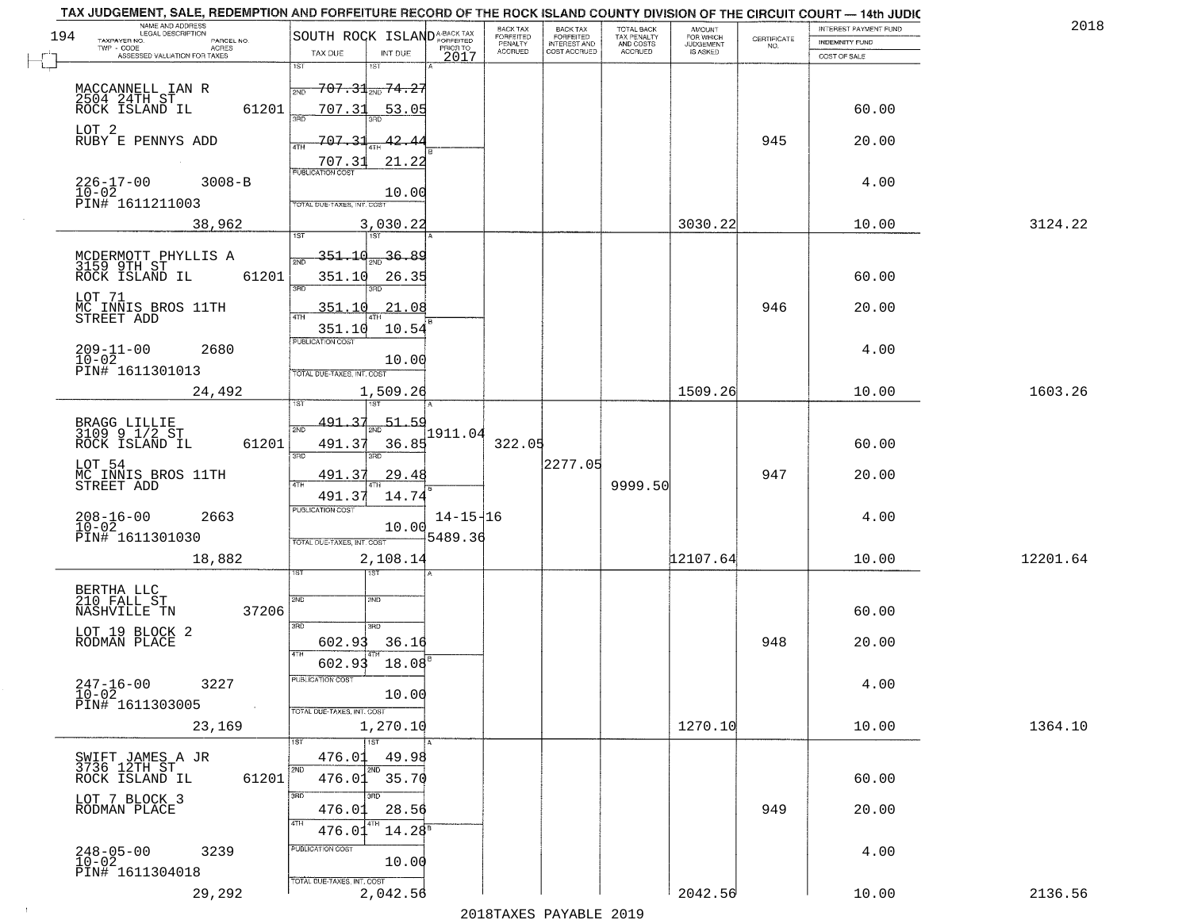| NAME AND ADDRESS<br>LEGAL DESCRIPTION                                                              |                                                                        |                                                |                              | BACK TAX             |                                       |                                        |                                  |                    | INTEREST PAYMENT FUND | 2018     |
|----------------------------------------------------------------------------------------------------|------------------------------------------------------------------------|------------------------------------------------|------------------------------|----------------------|---------------------------------------|----------------------------------------|----------------------------------|--------------------|-----------------------|----------|
| 194<br>TAXPAYER NO.<br>PARCEL NO.<br>TWP - CODE<br>ACRES                                           | SOUTH ROCK ISLANDA-BACK TAX                                            |                                                |                              | FORFEITED<br>PENALTY | BACK TAX<br>FORFEITED<br>INTEREST AND | TOTAL BACK<br>TAX PENALTY<br>AND COSTS | AMOUNT<br>FOR WHICH<br>JUDGEMENT | CERTIFICATE<br>NO. | <b>INDEMNITY FUND</b> |          |
| ASSESSED VALUATION FOR TAXES                                                                       | TAX DUE<br>1ST                                                         | INT DUE<br>1ST                                 | 2017                         | <b>ACCRUED</b>       | COST ACCRUED                          | <b>ACCRUED</b>                         | IS ASKED                         |                    | COST OF SALE          |          |
| MACCANNELL IAN R<br>2504 24TH ST<br>ROCK ISLAND IL                                                 | <del>707.31<sub>2ND</sub> 74.27</del><br>2ND<br>707.31<br>61201<br>350 | 53.05                                          |                              |                      |                                       |                                        |                                  |                    | 60.00                 |          |
| LOT 2<br>RUBY E PENNYS ADD                                                                         | 707.33<br>4TH<br>707.31                                                | 42.<br>21.22                                   |                              |                      |                                       |                                        |                                  | 945                | 20.00                 |          |
| $226 - 17 - 00$<br>$10 - 02$<br>$3008 - B$<br>PIN# 1611211003                                      | <b>PUBLICATION COST</b><br>TOTAL DUE-TAXES, INT. COST                  | 10.00                                          |                              |                      |                                       |                                        |                                  |                    | 4.00                  |          |
| 38,962                                                                                             |                                                                        | 3,030.22                                       |                              |                      |                                       |                                        | 3030.22                          |                    | 10.00                 | 3124.22  |
| MCDERMOTT PHYLLIS A<br>3159 9TH ST<br>ROCK ISLAND IL<br>LOT 71<br>MC INNIS BROS 11TH<br>STREET ADD | 351.10<br>61201<br>351.10<br>3RD<br>351.10<br>351.10                   | $\frac{36.89}{200}$<br>26.35<br>21.08<br>10.54 |                              |                      |                                       |                                        |                                  | 946                | 60.00<br>20.00        |          |
| $209 - 11 - 00$<br>$10 - 02$<br>2680<br>PIN# 1611301013                                            | PUBLICATION COST<br>TOTAL DUE-TAXES, INT. COST                         | 10.00                                          |                              |                      |                                       |                                        |                                  |                    | 4.00                  |          |
| 24,492                                                                                             |                                                                        | 1,509.26                                       |                              |                      |                                       |                                        | 1509.26                          |                    | 10.00                 | 1603.26  |
| BRAGG LILLIE<br>3109 9 1/2 ST<br>ROCK ISLAND IL                                                    | isT<br>491.37<br>2ND<br>61201<br>491.37<br>3 <sub>BD</sub>             | <b>IST</b><br>51.59<br>36.85<br>3RD            | 1911.04                      | 322.05               |                                       |                                        |                                  |                    | 60.00                 |          |
| LOT 54<br>MC INNIS BROS 11TH<br>STREET ADD                                                         | 491.37<br>4TH<br>491.37                                                | 29.48<br>14.74                                 |                              |                      | 2277.05                               | 9999.50                                |                                  | 947                | 20.00                 |          |
| $208 - 16 - 00$<br>10-02<br>2663<br>PIN# 1611301030                                                | <b>PUBLICATION COST</b><br><b>TOTAL OUE-TAXES, INT. COST</b>           | 10.00                                          | $14 - 15 - 16$<br>$+5489.36$ |                      |                                       |                                        |                                  |                    | 4.00                  |          |
| 18,882                                                                                             |                                                                        | 2,108.14                                       |                              |                      |                                       |                                        | 12107.64                         |                    | 10.00                 | 12201.64 |
| BERTHA LLC<br>210 FALL ST<br>NASHVILLE TN                                                          | 2ND<br>37206<br>3BD                                                    | বরদ<br>2ND                                     |                              |                      |                                       |                                        |                                  |                    | 60.00                 |          |
| LOT 19 BLOCK 2<br>RODMAN PLACE                                                                     | 602.93<br>4TH<br>602.93                                                | 3RD<br>36.16<br>18.08                          |                              |                      |                                       |                                        |                                  | 948                | 20.00                 |          |
| $247 - 16 - 00$<br>3227<br>$10-02$<br>PIN# 1611303005<br><b>Contract</b>                           | UBLICA HUN COS-<br>TOTAL DUE-TAXES, INT. COST                          | 10.00                                          |                              |                      |                                       |                                        |                                  |                    | 4.00                  |          |
| 23,169                                                                                             |                                                                        | 1,270.10<br>$\overline{1ST}$                   |                              |                      |                                       |                                        | 1270.10                          |                    | 10.00                 | 1364.10  |
| SWIFT JAMES A JR<br>3736 12TH ST<br>ROCK ISLAND IL                                                 | 476.01<br>2ND<br>476.01 35.70<br>61201                                 | 49.98<br>2ND                                   |                              |                      |                                       |                                        |                                  |                    | 60.00                 |          |
| LOT 7 BLOCK 3<br>RODMAN PLACE                                                                      | 3RD<br>476.01<br>4TH<br>476.01                                         | חחו<br>28.56<br>4TH<br>$14.28^{\circ}$         |                              |                      |                                       |                                        |                                  | 949                | 20.00                 |          |
| $248 - 05 - 00$<br>3239<br>$10 - 02$<br>PIN# 1611304018                                            | PUBLICATION COST<br>TOTAL DUE-TAXES, INT. COST                         | 10.00                                          |                              |                      |                                       |                                        |                                  |                    | 4.00                  |          |
| 29,292                                                                                             |                                                                        | 2,042.56                                       |                              |                      |                                       |                                        | 2042.56                          |                    | 10.00                 | 2136.56  |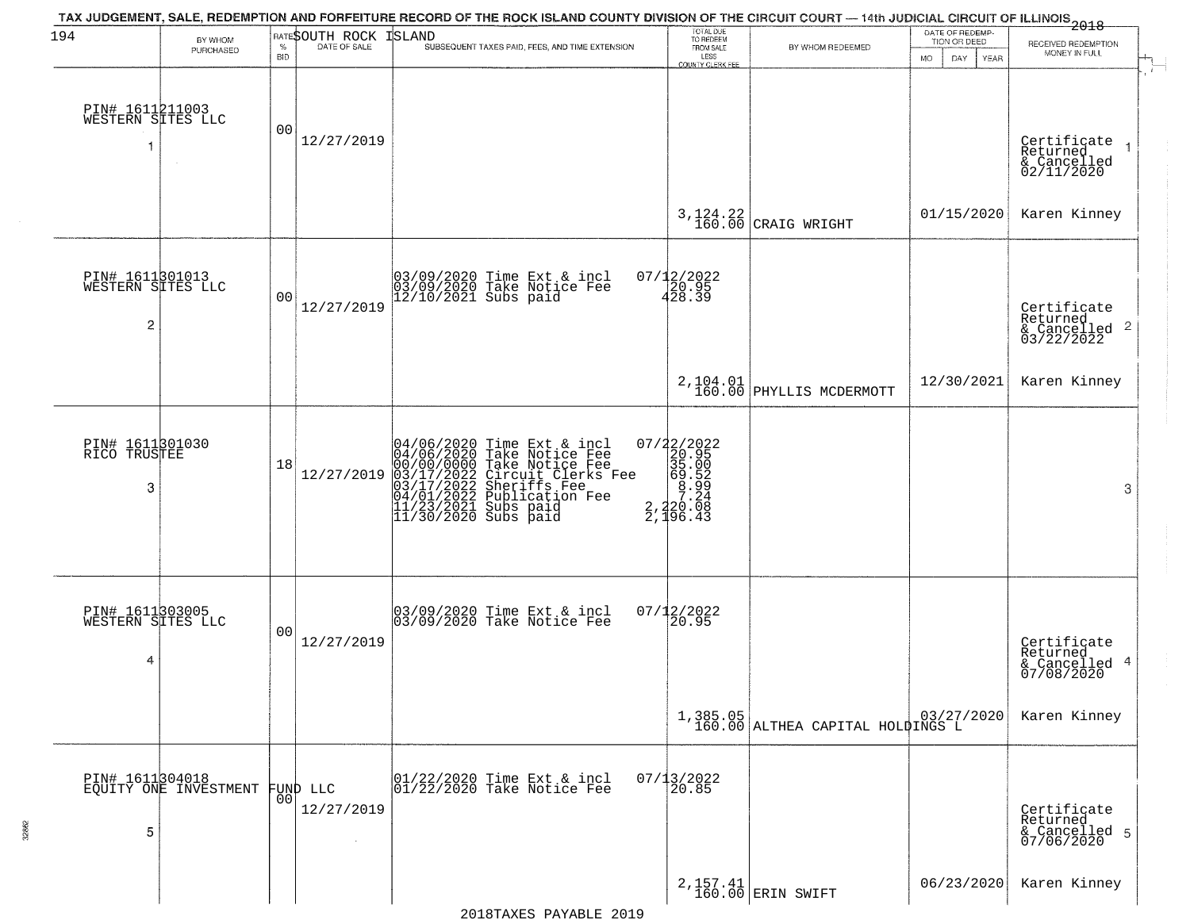| 194                                                    | BY WHOM                                  |                    | RATESOUTH ROCK         | TAX JUDGEMENT, SALE, REDEMPTION AND FORFEITURE RECORD OF THE ROCK ISLAND COUNTY DIVISION OF THE CIRCUIT COURT — 14th JUDICIAL CIRCUIT OF ILLINOIS 2018<br><b>ISLAND</b>                                                               | TOTAL DUE<br>TO REDEEM<br>FROM SALE                                                                                                   |                                                               | DATE OF REDEMP-<br>TION OR DEED |                                                                        |
|--------------------------------------------------------|------------------------------------------|--------------------|------------------------|---------------------------------------------------------------------------------------------------------------------------------------------------------------------------------------------------------------------------------------|---------------------------------------------------------------------------------------------------------------------------------------|---------------------------------------------------------------|---------------------------------|------------------------------------------------------------------------|
|                                                        | PURCHASED                                | $\%$<br><b>BID</b> | DATE OF SALE           | SUBSEQUENT TAXES PAID, FEES, AND TIME EXTENSION                                                                                                                                                                                       | LESS<br><b>COUNTY CLERK FEE</b>                                                                                                       | BY WHOM REDEEMED                                              | <b>MO</b><br>DAY<br>YEAR        | RECEIVED REDEMPTION<br>MONEY IN FULL                                   |
| PIN# 1611211003<br>WESTERN SITES LLC<br>-1             |                                          | 00                 | 12/27/2019             |                                                                                                                                                                                                                                       |                                                                                                                                       |                                                               |                                 | Certificate<br>Returned<br>$\rightarrow$<br>& Cancelled<br>02/11/2020  |
|                                                        |                                          |                    |                        |                                                                                                                                                                                                                                       |                                                                                                                                       | $3,124.22$ CRAIG WRIGHT                                       | 01/15/2020                      | Karen Kinney                                                           |
| PIN# 1611801013<br>WESTERN SITES LLC<br>$\overline{c}$ |                                          | 0 <sub>0</sub>     | 12/27/2019             | 03/09/2020 Time Ext & incl<br>03/09/2020 Take Notice Fee<br>12/10/2021 Subs paid                                                                                                                                                      | 07/12/2022<br>20.95<br>428.39                                                                                                         |                                                               |                                 | Certificate<br>Returned<br>$\overline{2}$<br>& Cancelled<br>03/22/2022 |
|                                                        |                                          |                    |                        |                                                                                                                                                                                                                                       |                                                                                                                                       | 2, 104.01<br>160.00 PHYLLIS MCDERMOTT                         | 12/30/2021                      | Karen Kinney                                                           |
| PIN# 1611301030<br>RICO TRUSTEE<br>3                   |                                          | 18                 | 12/27/2019             | 04/06/2020 Time Ext & incl<br>04/06/2020 Take Notice Fee<br>00/00/00/000 Take Notice Fee<br>03/17/2022 Circuit Clerks Fee<br>03/17/2022 Sublication Fee<br>04/01/2022 Publication Fee<br>11/23/2021 Subs paid<br>11/30/2020 Subs paid | $\begin{array}{r} 07/22/2022\\20.95\\35.00\\ \textrm{=} \begin{array}{c} 20.95\\35.00\\69.52\\7.24\\2.496.43 \end{array} \end{array}$ |                                                               |                                 | 3                                                                      |
| PIN# 1611303005<br>WESTERN SITES LLC<br>4              |                                          | 00                 | 12/27/2019             | 03/09/2020 Time Ext & incl<br>03/09/2020 Take Notice Fee                                                                                                                                                                              | $07/12/2022$<br>20.95                                                                                                                 |                                                               |                                 | Certificate<br>Returned<br>4<br>& Cancelled<br>07/08/2020              |
|                                                        |                                          |                    |                        |                                                                                                                                                                                                                                       |                                                                                                                                       | $1,385.05$ $  03/27/2020$<br>160.00 ALTHEA CAPITAL HOLDINGS L |                                 | Karen Kinney                                                           |
| 5                                                      | PIN# 1611304018<br>EQUITY ONE INVESTMENT | 00                 | FUND LLC<br>12/27/2019 | 01/22/2020 Time Ext & incl<br>01/22/2020 Take Notice Fee                                                                                                                                                                              | $07/13/2022$<br>20.85                                                                                                                 |                                                               |                                 | Certificate<br>Returned<br>& Cancelled 5<br>07/06/2020                 |
|                                                        |                                          |                    |                        |                                                                                                                                                                                                                                       |                                                                                                                                       | 2, 157. 41<br>160.00 ERIN SWIFT                               | 06/23/2020                      | Karen Kinney                                                           |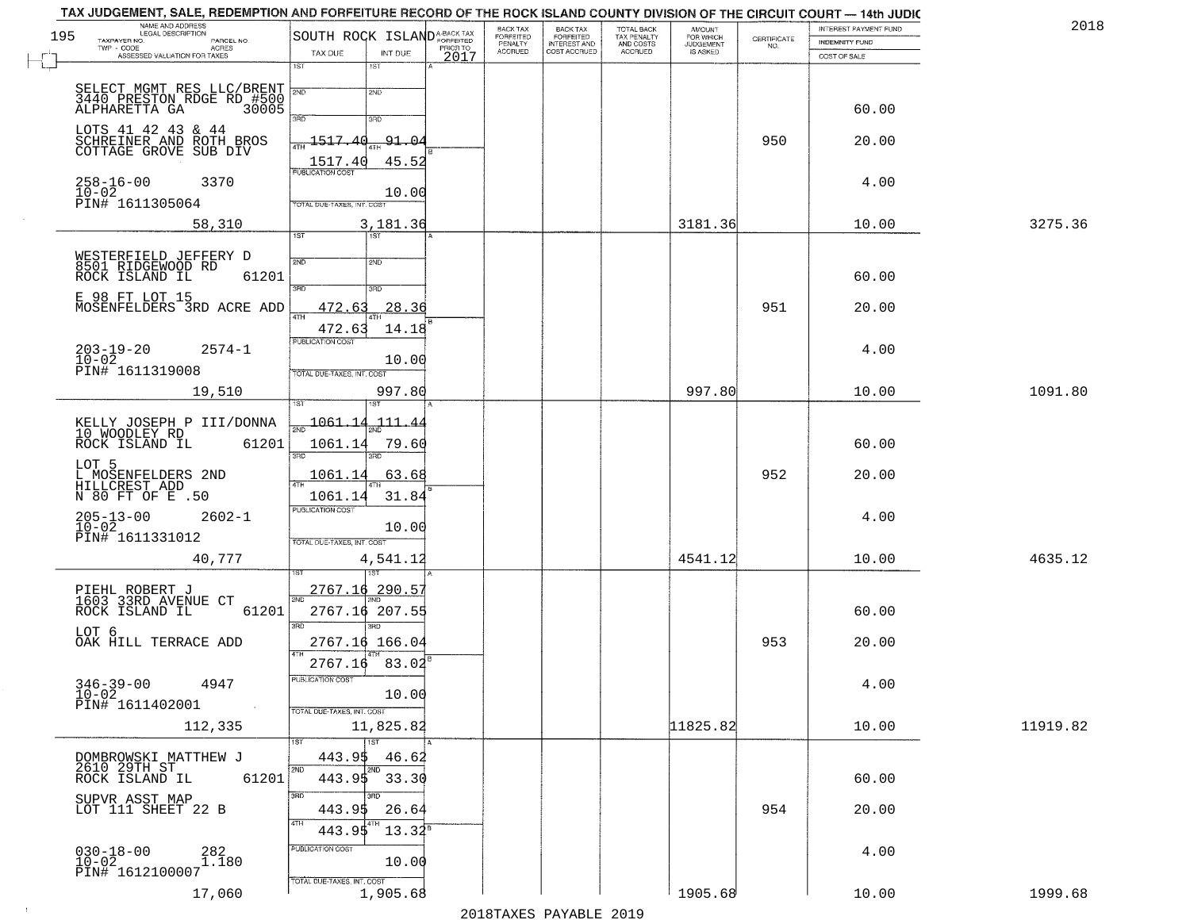| 195 | NAME AND ADDRESS                                    |                                    |                         |      | BACK TAX                               |                                                       | TOTAL BACK<br>TAX PENALTY<br>AND COSTS | AMOUNT<br>FOR WHICH          |                    | INTEREST PAYMENT FUND | 2018     |
|-----|-----------------------------------------------------|------------------------------------|-------------------------|------|----------------------------------------|-------------------------------------------------------|----------------------------------------|------------------------------|--------------------|-----------------------|----------|
|     | TAXPAYER NO.<br>PARCEL NO.<br>TWP - CODE<br>ACRES   | SOUTH ROCK ISLANDA-BACK TAX        |                         |      | FORFEITED<br>PENALTY<br><b>ACCRUED</b> | BACK TAX<br>FORFEITED<br>INTEREST AND<br>COST ACCRUED | ACCRUED                                | JUDGEMENT<br><b>IS ASKED</b> | CERTIFICATE<br>NO. | INDEMNITY FUND        |          |
|     | ASSESSED VALUATION FOR TAXES                        | TAX DUE<br>1ST                     | INT DUE<br>1ST          | 2017 |                                        |                                                       |                                        |                              |                    | COST OF SALE          |          |
|     | SELECT MGMT RES LLC/BRENT                           |                                    |                         |      |                                        |                                                       |                                        |                              |                    |                       |          |
|     | 3440 PRESTON RDGE RD #500<br>ALPHARETTA GA 30005    | 2ND                                | 2ND                     |      |                                        |                                                       |                                        |                              |                    |                       |          |
|     |                                                     | 3RD                                | 3RD                     |      |                                        |                                                       |                                        |                              |                    | 60.00                 |          |
|     | LOTS 41 42 43 & 44                                  | 1517.40                            | 91.04                   |      |                                        |                                                       |                                        |                              | 950                | 20.00                 |          |
|     | SCHREINER AND ROTH BROS<br>COTTAGE GROVE SUB DIV    | 1517.40                            | 45.52                   |      |                                        |                                                       |                                        |                              |                    |                       |          |
|     |                                                     | <b>PUBLICATION COST</b>            |                         |      |                                        |                                                       |                                        |                              |                    |                       |          |
|     | $258 - 16 - 00$<br>3370<br>10-02<br>PIN# 1611305064 |                                    | 10.00                   |      |                                        |                                                       |                                        |                              |                    | 4.00                  |          |
|     |                                                     | TOTAL DUE-TAXES, INT. COST         |                         |      |                                        |                                                       |                                        |                              |                    |                       |          |
|     | 58,310                                              | 1ST                                | 3,181.36<br>1ST         |      |                                        |                                                       |                                        | 3181.36                      |                    | 10.00                 | 3275.36  |
|     |                                                     |                                    |                         |      |                                        |                                                       |                                        |                              |                    |                       |          |
|     | WESTERFIELD JEFFERY D<br>8501 RIDGEWOOD RD          | 2ND                                | 2ND                     |      |                                        |                                                       |                                        |                              |                    |                       |          |
|     | 61201<br>ROCK ISLAND IL                             | 3RD                                | 3RD                     |      |                                        |                                                       |                                        |                              |                    | 60.00                 |          |
|     | E 98 FT LOT 15<br>MOSENFELDERS 3RD ACRE ADD         | 472.63                             | 28.36                   |      |                                        |                                                       |                                        |                              | 951                | 20.00                 |          |
|     |                                                     | 47H                                |                         |      |                                        |                                                       |                                        |                              |                    |                       |          |
|     |                                                     | 472.63<br>PUBLICATION COST         | 14.18                   |      |                                        |                                                       |                                        |                              |                    |                       |          |
|     | $203 - 19 - 20$<br>$2574 - 1$<br>$10 - 02$          |                                    | 10.00                   |      |                                        |                                                       |                                        |                              |                    | 4.00                  |          |
|     | PIN# 1611319008                                     | TOTAL DUE-TAXES, INT. COST         |                         |      |                                        |                                                       |                                        |                              |                    |                       |          |
|     | 19,510                                              |                                    | 997.80                  |      |                                        |                                                       |                                        | 997.80                       |                    | 10.00                 | 1091.80  |
|     |                                                     |                                    | <b>IST</b>              |      |                                        |                                                       |                                        |                              |                    |                       |          |
|     | KELLY JOSEPH P III/DONNA<br>10 WOODLEY RD           | <u> 1061.14</u>                    | 111.44                  |      |                                        |                                                       |                                        |                              |                    |                       |          |
|     | ROCK ISLAND IL<br>61201                             | 1061.14<br>3BD                     | 79.60                   |      |                                        |                                                       |                                        |                              |                    | 60.00                 |          |
|     | LOT 5                                               |                                    |                         |      |                                        |                                                       |                                        |                              |                    |                       |          |
|     | L MOSENFELDERS 2ND<br>HILLCREST ADD                 | 1061.14                            | 63.68                   |      |                                        |                                                       |                                        |                              | 952                | 20.00                 |          |
|     | N 80 FT OF E .50                                    | 1061.14<br><b>PUBLICATION COST</b> | 31.84                   |      |                                        |                                                       |                                        |                              |                    |                       |          |
|     | $205 - 13 - 00$<br>10-02<br>$2602 - 1$              |                                    | 10.00                   |      |                                        |                                                       |                                        |                              |                    | 4.00                  |          |
|     | PIN# 1611331012                                     | TOTAL OUE-TAXES, INT. COST         |                         |      |                                        |                                                       |                                        |                              |                    |                       |          |
|     | 40,777                                              |                                    | 4,541.12                |      |                                        |                                                       |                                        | 4541.12                      |                    | 10.00                 | 4635.12  |
|     |                                                     |                                    |                         |      |                                        |                                                       |                                        |                              |                    |                       |          |
|     | PIEHL ROBERT J<br>1603 33RD AVENUE CT               | 2767.16                            | $290.5^{\circ}$         |      |                                        |                                                       |                                        |                              |                    |                       |          |
|     | ROCK ISLAND IL<br>61201                             |                                    | 2767.16 207.55          |      |                                        |                                                       |                                        |                              |                    | 60.00                 |          |
|     | LOT 6                                               | 3BD                                | $\overline{3BD}$        |      |                                        |                                                       |                                        |                              |                    |                       |          |
|     | OAK HILL TERRACE ADD                                |                                    | 2767.16 166.04          |      |                                        |                                                       |                                        |                              | 953                | 20.00                 |          |
|     |                                                     | 2767.16                            | 83.02                   |      |                                        |                                                       |                                        |                              |                    |                       |          |
|     | $346 - 39 - 00$<br>4947                             | PUBLICATION COST                   |                         |      |                                        |                                                       |                                        |                              |                    | 4.00                  |          |
|     | $10 - 02$<br>PIN# 1611402001                        | TOTAL DUE-TAXES, INT. COST         | 10.00                   |      |                                        |                                                       |                                        |                              |                    |                       |          |
|     | 112,335                                             |                                    | 11,825.82               |      |                                        |                                                       |                                        | 11825.82                     |                    | 10.00                 | 11919.82 |
|     |                                                     | 1ST                                | $\overline{1}$ 1st      |      |                                        |                                                       |                                        |                              |                    |                       |          |
|     | DOMBROWSKI MATTHEW J                                | 443.9\$                            | 46.62                   |      |                                        |                                                       |                                        |                              |                    |                       |          |
|     | 2610 29TH ST<br>ROCK ISLAND IL<br>61201             | 2ND                                | 2ND<br>$443.95$ $33.30$ |      |                                        |                                                       |                                        |                              |                    | 60.00                 |          |
|     |                                                     | 3RD                                | 3RD                     |      |                                        |                                                       |                                        |                              |                    |                       |          |
|     | SUPVR ASST MAP<br>LOT 111 SHEET 22 B                | 443.95                             | 26.64                   |      |                                        |                                                       |                                        |                              | 954                | 20.00                 |          |
|     |                                                     | 4TH<br>443.95                      | $13.34^8$               |      |                                        |                                                       |                                        |                              |                    |                       |          |
|     | $030 - 18 - 00$<br>$10 - 02$<br>282<br>1.180        | <b>PUBLICATION COST</b>            |                         |      |                                        |                                                       |                                        |                              |                    | 4.00                  |          |
|     | PIN# 1612100007                                     |                                    | 10.00                   |      |                                        |                                                       |                                        |                              |                    |                       |          |
|     | 17,060                                              | TOTAL DUE-TAXES, INT. COST         | 1,905.68                |      |                                        |                                                       |                                        | 1905.68                      |                    | 10.00                 | 1999.68  |
|     |                                                     |                                    |                         |      |                                        |                                                       |                                        |                              |                    |                       |          |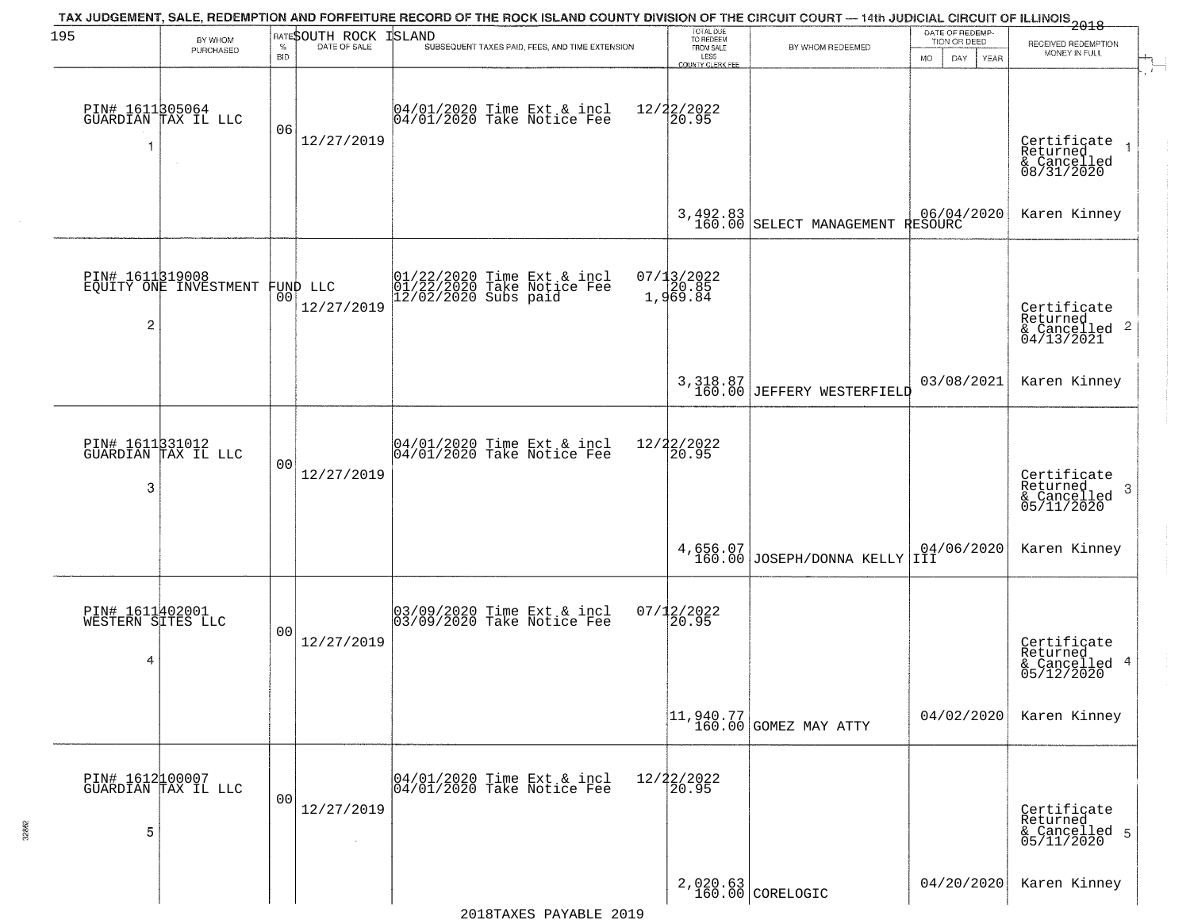| 195                                       | BY WHOM<br>PURCHASED                              | $\%$<br><b>BID</b> | RATESOUTH ROCK<br>DATE OF SALE | TAX JUDGEMENT, SALE, REDEMPTION AND FORFEITURE RECORD OF THE ROCK ISLAND COUNTY DIVISION OF THE CIRCUIT COURT — 14th JUDICIAL CIRCUIT OF ILLINOIS 2018<br><b>ISLAND</b><br>SUBSEQUENT TAXES PAID, FEES, AND TIME EXTENSION | TOTAL DUE<br>TO REDEEM<br>FROM SALE<br>LESS | BY WHOM REDEEMED                                                    | DATE OF REDEMP-<br>TION OR DEED<br><b>MO</b><br>DAY.<br><b>YEAR</b> | RECEIVED REDEMPTION<br>MONEY IN FULL                                  |
|-------------------------------------------|---------------------------------------------------|--------------------|--------------------------------|----------------------------------------------------------------------------------------------------------------------------------------------------------------------------------------------------------------------------|---------------------------------------------|---------------------------------------------------------------------|---------------------------------------------------------------------|-----------------------------------------------------------------------|
| 1                                         | PIN# 1611305064<br>GUARDIAN TAX IL LLC<br>$\sim$  | 06                 | 12/27/2019                     | 04/01/2020 Time Ext & incl<br>04/01/2020 Take Notice Fee                                                                                                                                                                   | COUNTY CLERK FEE<br>12/22/2022<br>20.95     |                                                                     |                                                                     | Certificate<br>Returned<br>& Cancelled<br>08/31/2020                  |
|                                           |                                                   |                    |                                |                                                                                                                                                                                                                            |                                             | $3,492.83$<br>160.00 SELECT MANAGEMENT                              | 06/04/2020<br>RESOURC                                               | Karen Kinney                                                          |
| 2                                         | PIN# 1611819008<br>EQUITY ONE INVESTMENT FUND LLC |                    | 12/27/2019                     | 01/22/2020 Time Ext & incl<br>01/22/2020 Take Notice Fee<br>12/02/2020 Subs paid                                                                                                                                           | 07/13/2022<br>1,969.84                      |                                                                     |                                                                     | Certificate<br>Returned<br>$\mathbf{2}$<br>& Cancelled<br>04/13/2021  |
|                                           |                                                   |                    |                                |                                                                                                                                                                                                                            |                                             | 3,318.87<br>160.00 JEFFERY WESTERFIELD                              | 03/08/2021                                                          | Karen Kinney                                                          |
| 3                                         | PIN# 1611331012<br>GUARDIAN TAX IL LLC            | 0 <sub>0</sub>     | 12/27/2019                     | 04/01/2020 Time Ext & incl<br>04/01/2020 Take Notice Fee                                                                                                                                                                   | 12/22/2022<br>20.95                         |                                                                     |                                                                     | Certificate<br>Returned<br>3<br>$\frac{1}{6}$ Cancelled<br>05/11/2020 |
|                                           |                                                   |                    |                                |                                                                                                                                                                                                                            |                                             | 4,656.07<br>160.00 JOSEPH/DONNA KELLY                               | 04/06/2020<br> III                                                  | Karen Kinney                                                          |
| PIN# 1611402001<br>WESTERN SITES LLC<br>4 |                                                   | 0 <sub>0</sub>     | 12/27/2019                     | 03/09/2020 Time Ext & incl<br>03/09/2020 Take Notice Fee                                                                                                                                                                   | $07/12/2022$<br>20.95                       |                                                                     |                                                                     | Certificate<br>Returned<br>4<br>& Cancelled<br>05/12/2020             |
|                                           |                                                   |                    |                                |                                                                                                                                                                                                                            |                                             | $\begin{bmatrix} 11, 940.77 \\ 160.00 \end{bmatrix}$ GOMEZ MAY ATTY | 04/02/2020                                                          | Karen Kinney                                                          |
| 5                                         | PIN# 1612100007<br>GUARDIAN TAX IL LLC            | 0 <sub>0</sub>     | 12/27/2019<br>$\sim$           | 04/01/2020 Time Ext & incl<br>04/01/2020 Take Notice Fee                                                                                                                                                                   | 12/22/2022<br>20.95                         |                                                                     |                                                                     | Certificate<br>Returned<br>& Cancelled 5<br>05/11/2020                |
|                                           |                                                   |                    |                                |                                                                                                                                                                                                                            |                                             | 2,020.63<br>160.00 CORELOGIC                                        | 04/20/2020                                                          | Karen Kinney                                                          |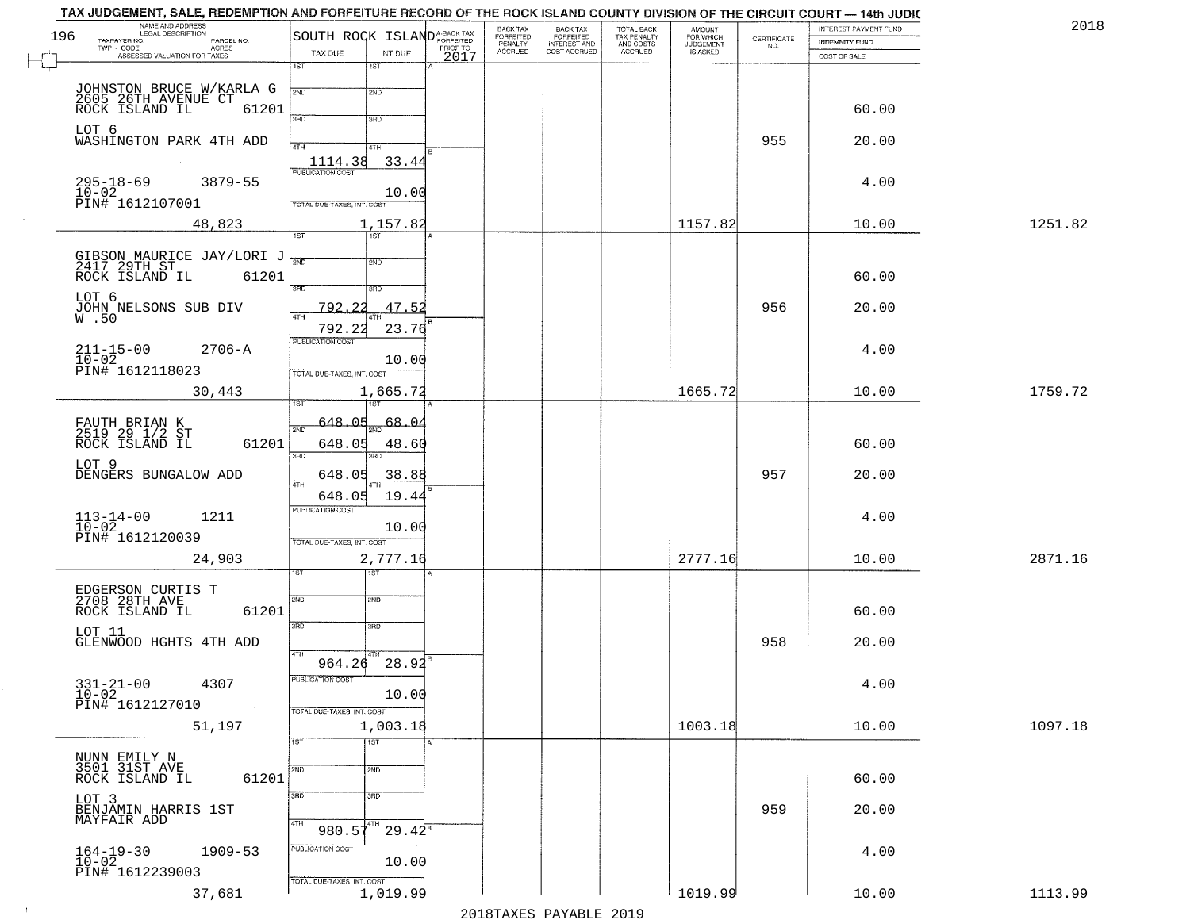| 196 | NAME AND ADDRESS<br>LEGAL DESCRIPTION<br>TAXPAYER NO.                            | SOUTH ROCK ISLAND <sup>A-BACK TAX</sup> |                   |          | BACK TAX<br>FORFEITED | <b>BACK TAX</b><br><b>FORFEITED</b> | TOTAL BACK<br>TAX PENALTY | <b>AMOUNT</b>                      |                                                                 | INTEREST PAYMENT FUND | 2018    |
|-----|----------------------------------------------------------------------------------|-----------------------------------------|-------------------|----------|-----------------------|-------------------------------------|---------------------------|------------------------------------|-----------------------------------------------------------------|-----------------------|---------|
|     | PARCEL NO.<br>TWP - CODE<br><b>ACRES</b><br>ASSESSED VALUATION FOR TAXES         | TAX DUE                                 | INT DUE           | PRIOR TO | PENALTY<br>ACCRUED    | INTEREST AND<br>COST ACCRUED        | AND COSTS<br>ACCRUED      | FOR WHICH<br>JUDGEMENT<br>IS ASKED | $\begin{array}{c} \text{CEPTIFICATE} \\ \text{NO.} \end{array}$ | <b>INDEMNITY FUND</b> |         |
|     |                                                                                  | 1ST                                     | 1ST               | 2017     |                       |                                     |                           |                                    |                                                                 | COST OF SALE          |         |
|     |                                                                                  | 2ND                                     | 2ND               |          |                       |                                     |                           |                                    |                                                                 |                       |         |
|     | JOHNSTON BRUCE W/KARLA G<br>2605 26TH AVENUE CT<br>ROCK ISLAND IL 61201<br>61201 |                                         |                   |          |                       |                                     |                           |                                    |                                                                 | 60.00                 |         |
|     | LOT 6                                                                            | 3RD                                     | 3RD               |          |                       |                                     |                           |                                    |                                                                 |                       |         |
|     | WASHINGTON PARK 4TH ADD                                                          | 4TH                                     | 4TH               |          |                       |                                     |                           |                                    | 955                                                             | 20.00                 |         |
|     |                                                                                  | 1114.38<br>PUBLICATION COST             | 33.44             |          |                       |                                     |                           |                                    |                                                                 |                       |         |
|     | $295 - 18 - 69$<br>$3879 - 55$<br>$10 - 02$                                      |                                         | 10.00             |          |                       |                                     |                           |                                    |                                                                 | 4.00                  |         |
|     | PIN# 1612107001                                                                  | <b>FOTAL DUE-TAXES, INT. COST</b>       |                   |          |                       |                                     |                           |                                    |                                                                 |                       |         |
|     | 48,823                                                                           | 187                                     | 1,157.82<br>757   |          |                       |                                     |                           | 1157.82                            |                                                                 | 10.00                 | 1251.82 |
|     |                                                                                  | 2ND                                     | 2ND               |          |                       |                                     |                           |                                    |                                                                 |                       |         |
|     | GIBSON MAURICE JAY/LORI J<br>2417 29TH ST<br>ROCK ISLAND IL 61201                |                                         |                   |          |                       |                                     |                           |                                    |                                                                 | 60.00                 |         |
|     | LOT 6                                                                            | 3RD                                     | 3HD               |          |                       |                                     |                           |                                    |                                                                 |                       |         |
|     | JOHN NELSONS SUB DIV<br>W.50                                                     | 792.<br>2.2<br>ৰাম                      | 47.52             |          |                       |                                     |                           |                                    | 956                                                             | 20.00                 |         |
|     |                                                                                  | 792.22<br>PUBLICATION COST              | 23.76             |          |                       |                                     |                           |                                    |                                                                 |                       |         |
|     | $211 - 15 - 00$<br>$10 - 02$<br>$2706 - A$                                       |                                         | 10.00             |          |                       |                                     |                           |                                    |                                                                 | 4.00                  |         |
|     | PIN# 1612118023                                                                  | TOTAL DUE-TAXES, INT. COST              |                   |          |                       |                                     |                           |                                    |                                                                 |                       |         |
|     | 30,443                                                                           |                                         | 1,665.72          |          |                       |                                     |                           | 1665.72                            |                                                                 | 10.00                 | 1759.72 |
|     |                                                                                  | 648.05<br>2ND                           | 68.04             |          |                       |                                     |                           |                                    |                                                                 |                       |         |
|     | FAUTH BRIAN K<br>2519 29 1/2 ST<br>ROCK ISLAND IL<br>61201                       | 648.05                                  | 48.60             |          |                       |                                     |                           |                                    |                                                                 | 60.00                 |         |
|     | LOT 9                                                                            | 3 <sub>BD</sub>                         | 3RD               |          |                       |                                     |                           |                                    |                                                                 |                       |         |
|     | DENGERS BUNGALOW ADD                                                             | 648.05<br>4TH                           | 38.88             |          |                       |                                     |                           |                                    | 957                                                             | 20.00                 |         |
|     | 1211                                                                             | 648.05<br><b>PUBLICATION COST</b>       | 19.44             |          |                       |                                     |                           |                                    |                                                                 | 4.00                  |         |
|     | $113 - 14 - 00$<br>$10 - 02$<br>PIN# 1612120039                                  |                                         | 10.00             |          |                       |                                     |                           |                                    |                                                                 |                       |         |
|     | 24,903                                                                           | TOTAL OUE-TAXES, INT. COST              | 2,777.16          |          |                       |                                     |                           | 2777.16                            |                                                                 | 10.00                 | 2871.16 |
|     |                                                                                  |                                         | इड                |          |                       |                                     |                           |                                    |                                                                 |                       |         |
|     | EDGERSON CURTIS T<br>2708 28TH AVE                                               | 2ND                                     | SMD               |          |                       |                                     |                           |                                    |                                                                 |                       |         |
|     | 61201<br>ROCK ISLAND IL                                                          |                                         |                   |          |                       |                                     |                           |                                    |                                                                 | 60.00                 |         |
|     | LOT 11<br>GLENWOOD HGHTS 4TH ADD                                                 | 3RD                                     | 3BD               |          |                       |                                     |                           |                                    | 958                                                             | 20.00                 |         |
|     |                                                                                  | 4TH<br>964.26                           | $28.92^{8}$       |          |                       |                                     |                           |                                    |                                                                 |                       |         |
|     | $331 - 21 - 00$<br>$10 - 02$<br>4307                                             | PUBLICATION COST                        |                   |          |                       |                                     |                           |                                    |                                                                 | 4.00                  |         |
|     | PIN# 1612127010<br>$\sim 100$                                                    | TOTAL DUE-TAXES, INT. COST              | 10.00             |          |                       |                                     |                           |                                    |                                                                 |                       |         |
|     | 51,197                                                                           |                                         | 1,003.18          |          |                       |                                     |                           | 1003.18                            |                                                                 | 10.00                 | 1097.18 |
|     |                                                                                  | 1ST                                     | $\overline{1}$ ST |          |                       |                                     |                           |                                    |                                                                 |                       |         |
|     | NUNN EMILY N<br>3501 31ST AVE                                                    | 2ND                                     | 2ND               |          |                       |                                     |                           |                                    |                                                                 |                       |         |
|     | ROCK ISLAND IL<br>61201                                                          | 3RD                                     | 3 <sub>BD</sub>   |          |                       |                                     |                           |                                    |                                                                 | 60.00                 |         |
|     | LOT 3<br>BENJAMIN HARRIS 1ST                                                     |                                         |                   |          |                       |                                     |                           |                                    | 959                                                             | 20.00                 |         |
|     | MAYFAIR ADD                                                                      | 4TH<br>$980.57^{4TH}$                   | $29.42^8$         |          |                       |                                     |                           |                                    |                                                                 |                       |         |
|     | $164-19-30$<br>$10-02$<br>1909-53                                                | PUBLICATION COST                        |                   |          |                       |                                     |                           |                                    |                                                                 | 4.00                  |         |
|     | PIN# 1612239003                                                                  | TOTAL DUE-TAXES, INT. COST              | 10.00             |          |                       |                                     |                           |                                    |                                                                 |                       |         |
|     | 37,681                                                                           |                                         | 1,019.99          |          |                       |                                     |                           | 1019.99                            |                                                                 | 10.00                 | 1113.99 |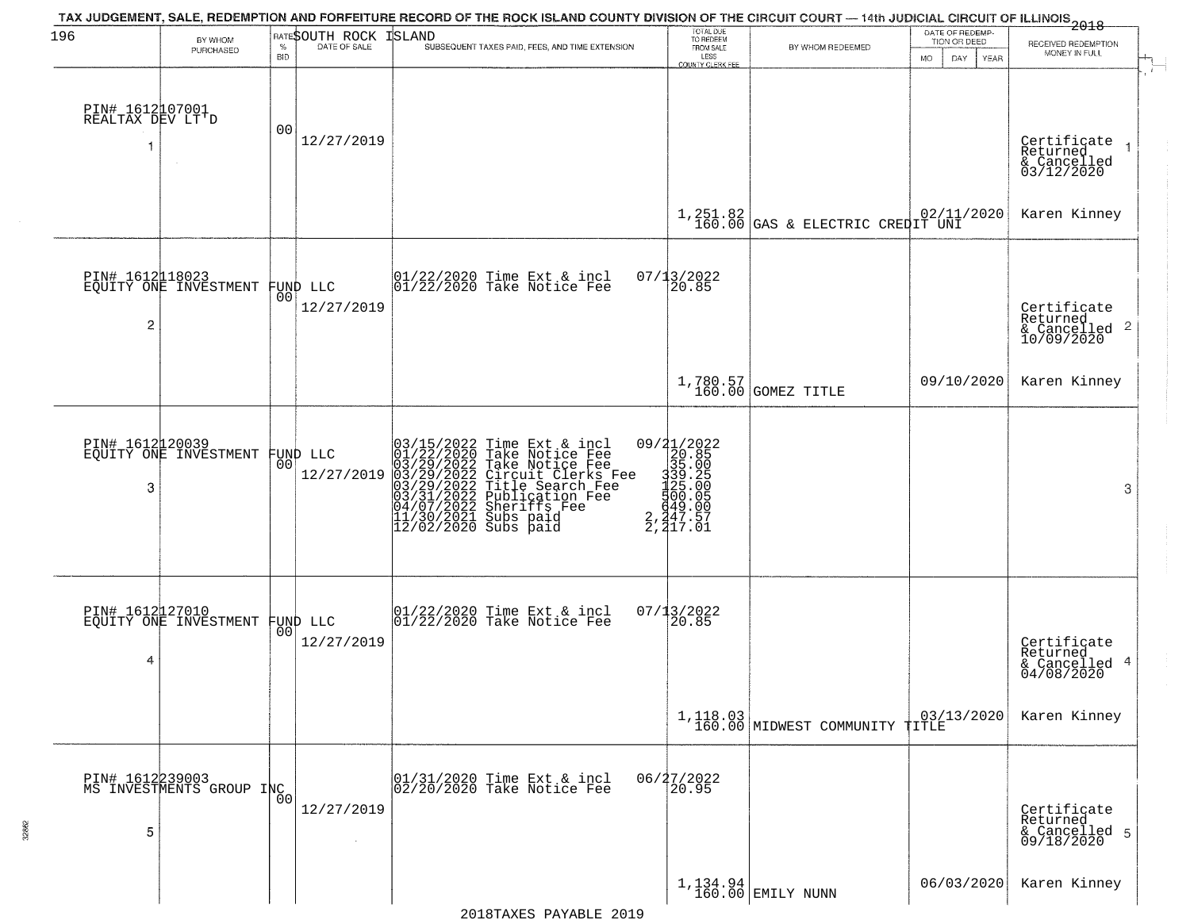| 196                                      |                                             |                 |                                | TAX JUDGEMENT, SALE, REDEMPTION AND FORFEITURE RECORD OF THE ROCK ISLAND COUNTY DIVISION OF THE CIRCUIT COURT — 14th JUDICIAL CIRCUIT OF ILLINOIS 2018                                                                                                |                                                                                         |                                                | DATE OF REDEMP-          |                                                                      |
|------------------------------------------|---------------------------------------------|-----------------|--------------------------------|-------------------------------------------------------------------------------------------------------------------------------------------------------------------------------------------------------------------------------------------------------|-----------------------------------------------------------------------------------------|------------------------------------------------|--------------------------|----------------------------------------------------------------------|
|                                          | BY WHOM<br>PURCHASED                        | %               | RATESOUTH ROCK<br>DATE OF SALE | ISLAND<br>SUBSEQUENT TAXES PAID, FEES, AND TIME EXTENSION                                                                                                                                                                                             | TOTAL DUE<br>TO REDEEM<br>FROM SALE                                                     | BY WHOM REDEEMED                               | TION OR DEED             | RECEIVED REDEMPTION                                                  |
|                                          |                                             | <b>BID</b>      |                                |                                                                                                                                                                                                                                                       | LESS<br>COUNTY CLERK FEE                                                                |                                                | DAY<br><b>MO</b><br>YEAR | MONEY IN FULL                                                        |
| PIN# 1612107001<br>REALTAX DEV LT'D<br>1 |                                             | 0 <sub>0</sub>  | 12/27/2019                     |                                                                                                                                                                                                                                                       |                                                                                         |                                                |                          | Certificate<br>Returned<br>$\mathbf{1}$<br>& Cancelled<br>03/12/2020 |
|                                          |                                             |                 |                                |                                                                                                                                                                                                                                                       |                                                                                         | $1,251.82$<br>160.00 GAS & ELECTRIC CREDIT UNI |                          | Karen Kinney                                                         |
| $\overline{c}$                           | PIN# 1612118023<br>EQUITY ONE INVESTMENT    | 00              | FUND LLC<br>12/27/2019         | 01/22/2020 Time Ext & incl<br>01/22/2020 Take Notice Fee                                                                                                                                                                                              | 07/13/2022<br>20.85                                                                     |                                                |                          | Certificate<br>Returned<br>$\frac{1}{2}$ Cancelled 2<br>10/09/2020   |
|                                          |                                             |                 |                                |                                                                                                                                                                                                                                                       |                                                                                         | $1,780.57$<br>160.00 GOMEZ TITLE               | 09/10/2020               | Karen Kinney                                                         |
| 3                                        | PIN# 1612120039<br>EQUITY ONE INVESTMENT    | 00              | FUND LLC<br>12/27/2019         | 03/15/2022 Time Ext & incl<br>01/22/2020 Take Notice Fee<br>03/29/2022 Take Notice Fee<br>03/29/2022 Tircuit Clerks Fee<br>03/29/2022 Title Search Fee<br>03/31/2022 Dublication Fee<br>04/07/2022 Dublication Fee<br>11/30/2021 Subs paid<br>12/02/2 | 09/21/2022<br>20.85<br>335.005<br>335.005<br>325.005<br>449.005<br>2,247.57<br>2,247.01 |                                                |                          | 3                                                                    |
| PIN# 1612127010<br>4                     | EQUITY ONE INVESTMENT                       | 00 <sup>1</sup> | FUND LLC<br>12/27/2019         | 01/22/2020 Time Ext & incl<br>01/22/2020 Take Notice Fee                                                                                                                                                                                              | 07/13/2022<br>120.85                                                                    |                                                |                          | Certificate<br>Returned<br>4<br>& Cancelled<br>04/08/2020            |
|                                          |                                             |                 |                                |                                                                                                                                                                                                                                                       |                                                                                         | 1,118.03<br>160.00 MIDWEST COMMUNITY TITLE     | 03/13/2020               | Karen Kinney                                                         |
| 5                                        | PIN# 1612239003<br>MS INVESTMENTS GROUP INC | 00              | 12/27/2019                     | 01/31/2020 Time Ext & incl<br>02/20/2020 Take Notice Fee                                                                                                                                                                                              | 06/27/2022<br>20.95                                                                     |                                                |                          | Certificate<br>Returned<br>& Cancelled 5<br>09/18/2020               |
|                                          |                                             |                 |                                |                                                                                                                                                                                                                                                       |                                                                                         | $1,134.94$ EMILY NUNN                          | 06/03/2020               | Karen Kinney                                                         |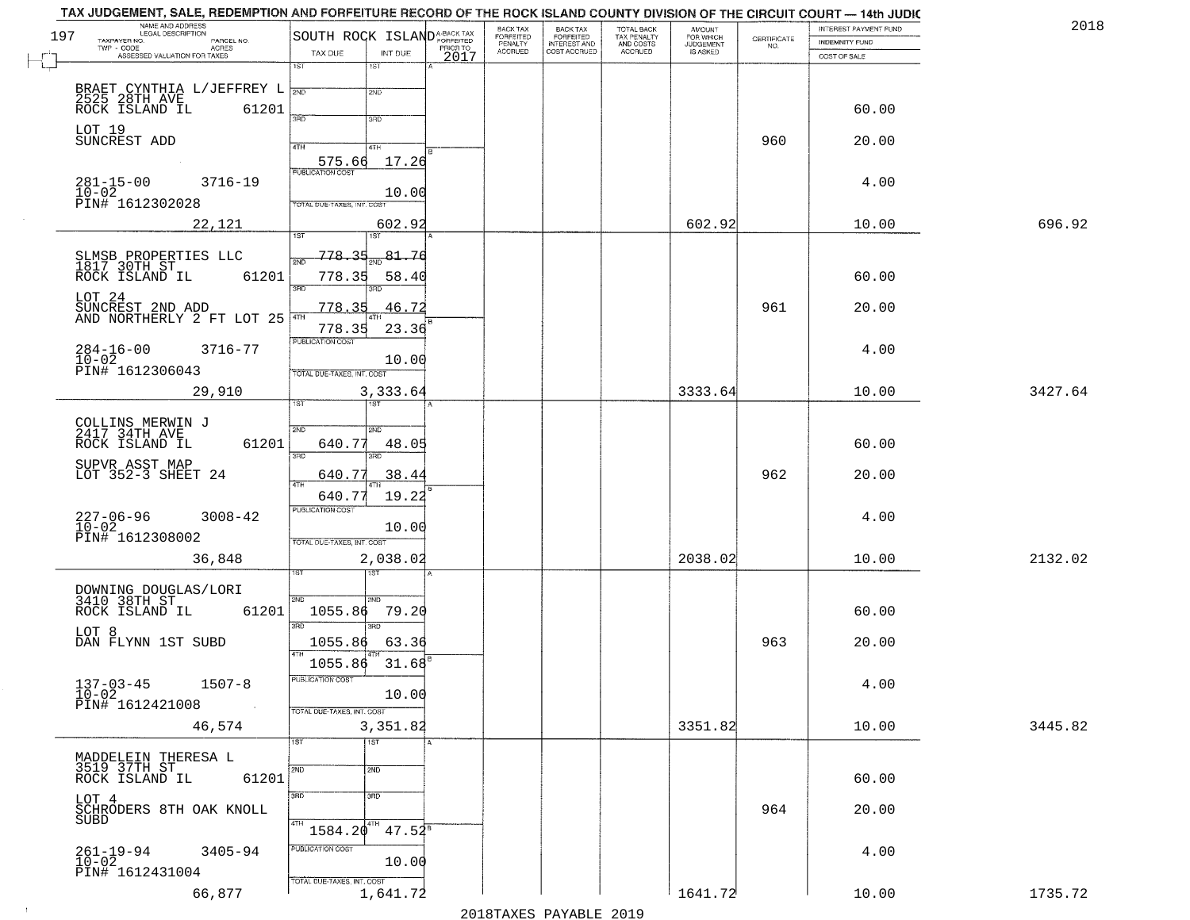| 197 | NAME AND ADDRESS<br>LEGAL DESCRIPTION                              | SOUTH ROCK ISLAND <sup>A-BACK TAX</sup> |                          |          | BACK TAX<br>FORFEITED | <b>BACK TAX</b><br><b>FORFEITED</b> | TOTAL BACK<br>TAX PENALTY<br>AND COSTS | <b>AMOUNT</b>                      |                                                                 | INTEREST PAYMENT FUND | 2018    |
|-----|--------------------------------------------------------------------|-----------------------------------------|--------------------------|----------|-----------------------|-------------------------------------|----------------------------------------|------------------------------------|-----------------------------------------------------------------|-----------------------|---------|
|     | TAXPAYER NO.<br>PARCEL NO.<br>TWP - CODE<br><b>ACRES</b>           | TAX DUE                                 | INT DUE                  | PRIOR TO | PENALTY<br>ACCRUED    | INTEREST AND<br>COST ACCRUED        | ACCRUED                                | FOR WHICH<br>JUDGEMENT<br>IS ASKED | $\begin{array}{c} \text{CERTIFICATE} \\ \text{NO.} \end{array}$ | INDEMNITY FUND        |         |
|     | ASSESSED VALUATION FOR TAXES                                       | 1ST                                     | $1S$ T                   | 2017     |                       |                                     |                                        |                                    |                                                                 | COST OF SALE          |         |
|     |                                                                    |                                         | 2ND                      |          |                       |                                     |                                        |                                    |                                                                 |                       |         |
|     | BRAET CYNTHIA L/JEFFREY L<br>2525 28TH AVE<br>ROCK ISLAND IL 61201 |                                         |                          |          |                       |                                     |                                        |                                    |                                                                 | 60.00                 |         |
|     | LOT 19<br>SUNCREST ADD                                             | 3PD                                     | 3BD                      |          |                       |                                     |                                        |                                    |                                                                 |                       |         |
|     |                                                                    | 4TH                                     | 4TH                      |          |                       |                                     |                                        |                                    | 960                                                             | 20.00                 |         |
|     |                                                                    | 575.66<br><b>PUBLICATION COST</b>       | 17.26                    |          |                       |                                     |                                        |                                    |                                                                 |                       |         |
|     | $281 - 15 - 00$<br>3716-19<br>$\overline{10} - \overline{02}$      |                                         | 10.00                    |          |                       |                                     |                                        |                                    |                                                                 | 4.00                  |         |
|     | PIN# 1612302028                                                    | TOTAL DUE-TAXES, INT. COST              |                          |          |                       |                                     |                                        |                                    |                                                                 |                       |         |
|     | 22,121                                                             | 1ST                                     | 602.92<br>1ST            |          |                       |                                     |                                        | 602.92                             |                                                                 | 10.00                 | 696.92  |
|     | SLMSB PROPERTIES LLC<br>1817 30TH ST                               | 778.35                                  | 81.76                    |          |                       |                                     |                                        |                                    |                                                                 |                       |         |
|     | ROCK ISLAND IL<br>61201                                            | 778.35                                  | 58.40                    |          |                       |                                     |                                        |                                    |                                                                 | 60.00                 |         |
|     | LOT 24                                                             | 3RD                                     | 3RD                      |          |                       |                                     |                                        |                                    |                                                                 |                       |         |
|     | SUNCREST 2ND ADD<br>AND NORTHERLY 2 FT LOT 25                      | 778.35                                  | 46.72                    |          |                       |                                     |                                        |                                    | 961                                                             | 20.00                 |         |
|     |                                                                    | 778.35<br>PUBLICATION COST              | 23.36                    |          |                       |                                     |                                        |                                    |                                                                 |                       |         |
|     | $284 - 16 - 00$<br>3716-77<br>$10 - 02$                            |                                         | 10.00                    |          |                       |                                     |                                        |                                    |                                                                 | 4.00                  |         |
|     | PIN# 1612306043                                                    | TOTAL DUE-TAXES, INT. COST              |                          |          |                       |                                     |                                        | 3333.64                            |                                                                 | 10.00                 | 3427.64 |
|     | 29,910                                                             | 1ST                                     | 3,333.64                 |          |                       |                                     |                                        |                                    |                                                                 |                       |         |
|     | COLLINS MERWIN J<br>2417 34TH AVE                                  | 2ND                                     | SND                      |          |                       |                                     |                                        |                                    |                                                                 |                       |         |
|     | 61201<br>ROCK ISLAND IL                                            | 640.77<br>3RD                           | 48.05<br>3 <sub>RD</sub> |          |                       |                                     |                                        |                                    |                                                                 | 60.00                 |         |
|     | SUPVR ASST MAP<br>LOT 352-3 SHEET 24                               | 640.77                                  | 38.44                    |          |                       |                                     |                                        |                                    | 962                                                             | 20.00                 |         |
|     |                                                                    | 4TH<br>640.77                           | 19.22                    |          |                       |                                     |                                        |                                    |                                                                 |                       |         |
|     | $3008 - 42$                                                        | PUBLICATION COST                        |                          |          |                       |                                     |                                        |                                    |                                                                 | 4.00                  |         |
|     | 227-06-96<br>10-02<br>PIN# 1612308002                              | TOTAL OUE-TAXES, INT. COST              | 10.00                    |          |                       |                                     |                                        |                                    |                                                                 |                       |         |
|     | 36,848                                                             |                                         | 2,038.02                 |          |                       |                                     |                                        | 2038.02                            |                                                                 | 10.00                 | 2132.02 |
|     |                                                                    |                                         |                          |          |                       |                                     |                                        |                                    |                                                                 |                       |         |
|     | DOWNING DOUGLAS/LORI<br>3410 38TH ST                               | 2ND                                     | 2ND.                     |          |                       |                                     |                                        |                                    |                                                                 |                       |         |
|     | 61201<br>ROCK ISLAND IL                                            | 1055.86<br>3RD                          | 79.20<br>3RD             |          |                       |                                     |                                        |                                    |                                                                 | 60.00                 |         |
|     | LOT 8<br>DAN FLYNN 1ST SUBD                                        | 1055.86                                 | 63.36                    |          |                       |                                     |                                        |                                    | 963                                                             | 20.00                 |         |
|     |                                                                    | 1055.86                                 | $31.68^{B}$              |          |                       |                                     |                                        |                                    |                                                                 |                       |         |
|     | $137 - 03 - 45$<br>$10 - 02$<br>$1507 - 8$                         | PUBLICATION COST                        |                          |          |                       |                                     |                                        |                                    |                                                                 | 4.00                  |         |
|     | PIN# 1612421008<br><b>Contract</b>                                 | TOTAL DUE-TAXES, INT. COST              | 10.00                    |          |                       |                                     |                                        |                                    |                                                                 |                       |         |
|     | 46,574                                                             |                                         | 3,351.82                 |          |                       |                                     |                                        | 3351.82                            |                                                                 | 10.00                 | 3445.82 |
|     |                                                                    | 1ST                                     | $\overline{1ST}$         |          |                       |                                     |                                        |                                    |                                                                 |                       |         |
|     | MADDELEIN THERESA L<br>3519 37TH ST                                | 2ND                                     | 2ND                      |          |                       |                                     |                                        |                                    |                                                                 |                       |         |
|     | 61201<br>ROCK ISLAND IL<br>LOT 4                                   | 3RD                                     | 3RD                      |          |                       |                                     |                                        |                                    |                                                                 | 60.00                 |         |
|     | SCHRODERS 8TH OAK KNOLL<br>SUBD                                    |                                         |                          |          |                       |                                     |                                        |                                    | 964                                                             | 20.00                 |         |
|     |                                                                    | 4TH<br>1584.20                          | 4TH<br>$47.52^8$         |          |                       |                                     |                                        |                                    |                                                                 |                       |         |
|     | 261-19-94<br>10-02<br>$3405 - 94$                                  | PUBLICATION COST                        | 10.00                    |          |                       |                                     |                                        |                                    |                                                                 | 4.00                  |         |
|     | PIN# 1612431004                                                    | TOTAL DUE-TAXES, INT. COST              |                          |          |                       |                                     |                                        |                                    |                                                                 |                       |         |
|     | 66,877                                                             |                                         | 1,641.72                 |          |                       |                                     |                                        | 1641.72                            |                                                                 | 10.00                 | 1735.72 |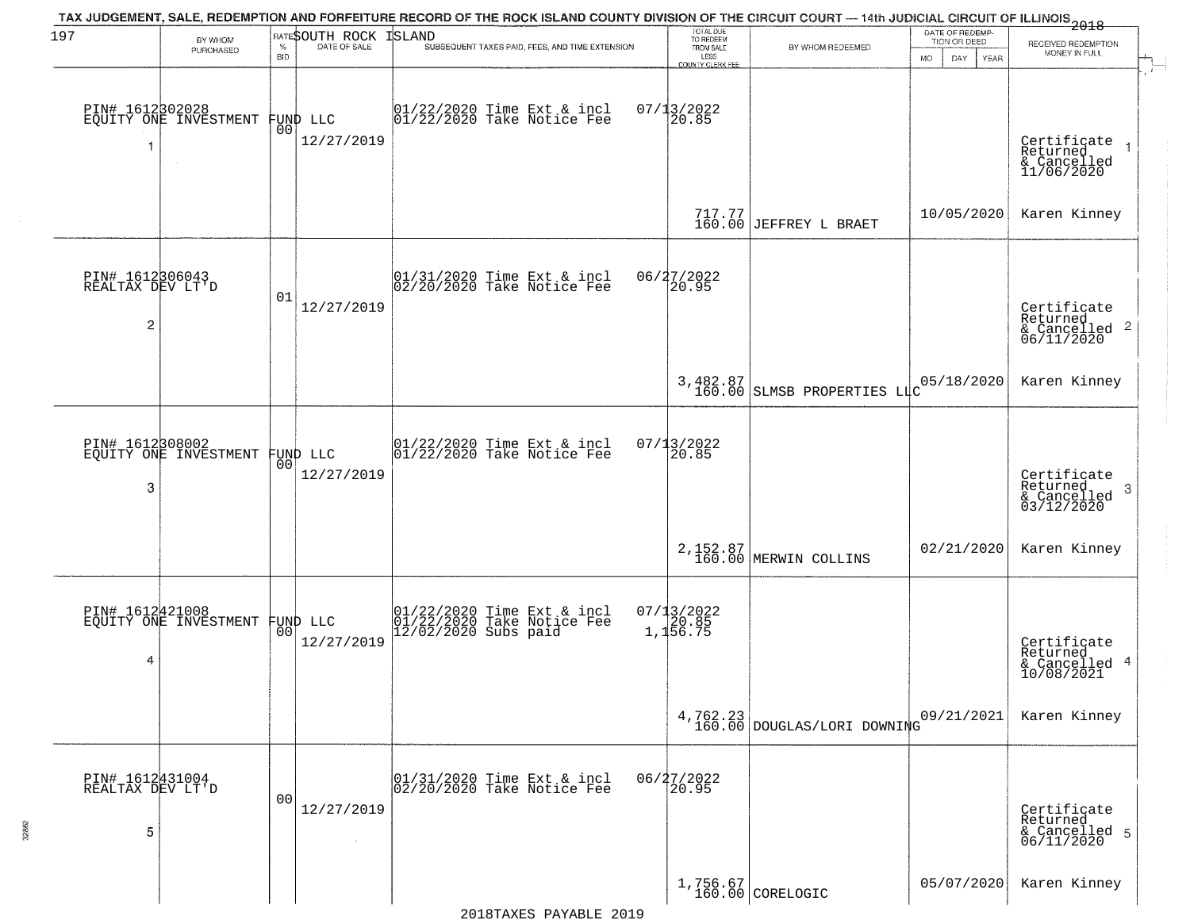| 197                                 |                                          |                    | RATESOUTH ROCK         | TAX JUDGEMENT, SALE, REDEMPTION AND FORFEITURE RECORD OF THE ROCK ISLAND COUNTY DIVISION OF THE CIRCUIT COURT — 14th JUDICIAL CIRCUIT OF ILLINOIS 2018<br><b>ISLAND</b> | TOTAL DUE<br>TO REDEEM                           |                                         | DATE OF REDEMP-                  |                                                        |
|-------------------------------------|------------------------------------------|--------------------|------------------------|-------------------------------------------------------------------------------------------------------------------------------------------------------------------------|--------------------------------------------------|-----------------------------------------|----------------------------------|--------------------------------------------------------|
|                                     | BY WHOM<br>PURCHASED                     | $\%$<br><b>BID</b> | DATE OF SALE           | SUBSEQUENT TAXES PAID, FEES, AND TIME EXTENSION                                                                                                                         | FROM SALE<br>LESS                                | BY WHOM REDEEMED                        | TION OR DEED<br>DAY<br><b>MO</b> | RECEIVED REDEMPTION<br>MONEY IN FULL                   |
|                                     | PIN# 1612302028<br>EQUITY ONE INVESTMENT |                    |                        | 01/22/2020 Time Ext & incl<br>01/22/2020 Take Notice Fee                                                                                                                | <b>COUNTY CLERK FEE</b><br>$07/13/2022$<br>20.85 |                                         | YEAR                             |                                                        |
| 1                                   |                                          | 0O                 | FUND LLC<br>12/27/2019 |                                                                                                                                                                         |                                                  |                                         |                                  | Certificate<br>Returned<br>& Cancelled<br>11/06/2020   |
|                                     |                                          |                    |                        |                                                                                                                                                                         |                                                  | 717.77<br>160.00 JEFFREY L BRAET        | 10/05/2020                       | Karen Kinney                                           |
| PIN# 1612306043<br>REALTAX DEV LT'D |                                          | 01                 | 12/27/2019             | 01/31/2020 Time Ext & incl<br>02/20/2020 Take Notice Fee                                                                                                                | 06/27/2022<br>20.95                              |                                         |                                  | Certificate<br>Returned                                |
| 2                                   |                                          |                    |                        |                                                                                                                                                                         |                                                  |                                         |                                  | $\frac{1}{6}$ Cancelled 2<br>06/11/2020                |
|                                     |                                          |                    |                        |                                                                                                                                                                         |                                                  | 3,482.87<br>160.00 SLMSB PROPERTIES LLC | 05/18/2020                       | Karen Kinney                                           |
|                                     | PIN# 1612308002<br>EQUITY ONE INVESTMENT | 0 <sup>0</sup>     | FUND LLC               | 01/22/2020 Time Ext & incl<br>01/22/2020 Take Notice Fee                                                                                                                | 07/13/2022<br>20.85                              |                                         |                                  |                                                        |
| 3                                   |                                          |                    | 12/27/2019             |                                                                                                                                                                         |                                                  |                                         |                                  | Certificate<br>Returned<br>3<br>$\frac{1}{03/12/2020}$ |
|                                     |                                          |                    |                        |                                                                                                                                                                         |                                                  | 2, 152.87<br>160.00 MERWIN COLLINS      | 02/21/2020                       | Karen Kinney                                           |
|                                     | PIN# 1612421008<br>EQUITY ONE INVESTMENT |                    | FUND LLC<br> 00        | 01/22/2020 Time Ext & incl<br>01/22/2020 Take Notice Fee<br>12/02/2020 Subs paid                                                                                        | $07/13/2022$<br>$1,156.75$                       |                                         |                                  |                                                        |
| 4                                   |                                          |                    | 12/27/2019             |                                                                                                                                                                         |                                                  |                                         |                                  | Certificate<br>Returned<br>& Cancelled 4<br>10/08/2021 |
|                                     |                                          |                    |                        |                                                                                                                                                                         |                                                  | $4,762.23$ DOUGLAS/LORI DOWNING         | 09/21/2021                       | Karen Kinney                                           |
| PIN# 1612431004<br>REALTAX DEV LT'D |                                          | 00                 |                        | 01/31/2020 Time Ext & incl<br>02/20/2020 Take Notice Fee                                                                                                                | 06/27/2022<br>20.95                              |                                         |                                  |                                                        |
| 5                                   |                                          |                    | 12/27/2019             |                                                                                                                                                                         |                                                  |                                         |                                  | Certificate<br>Returned<br>& Cancelled 5<br>06/11/2020 |
|                                     |                                          |                    |                        |                                                                                                                                                                         |                                                  | $1,756.67$ CORELOGIC                    | 05/07/2020                       | Karen Kinney                                           |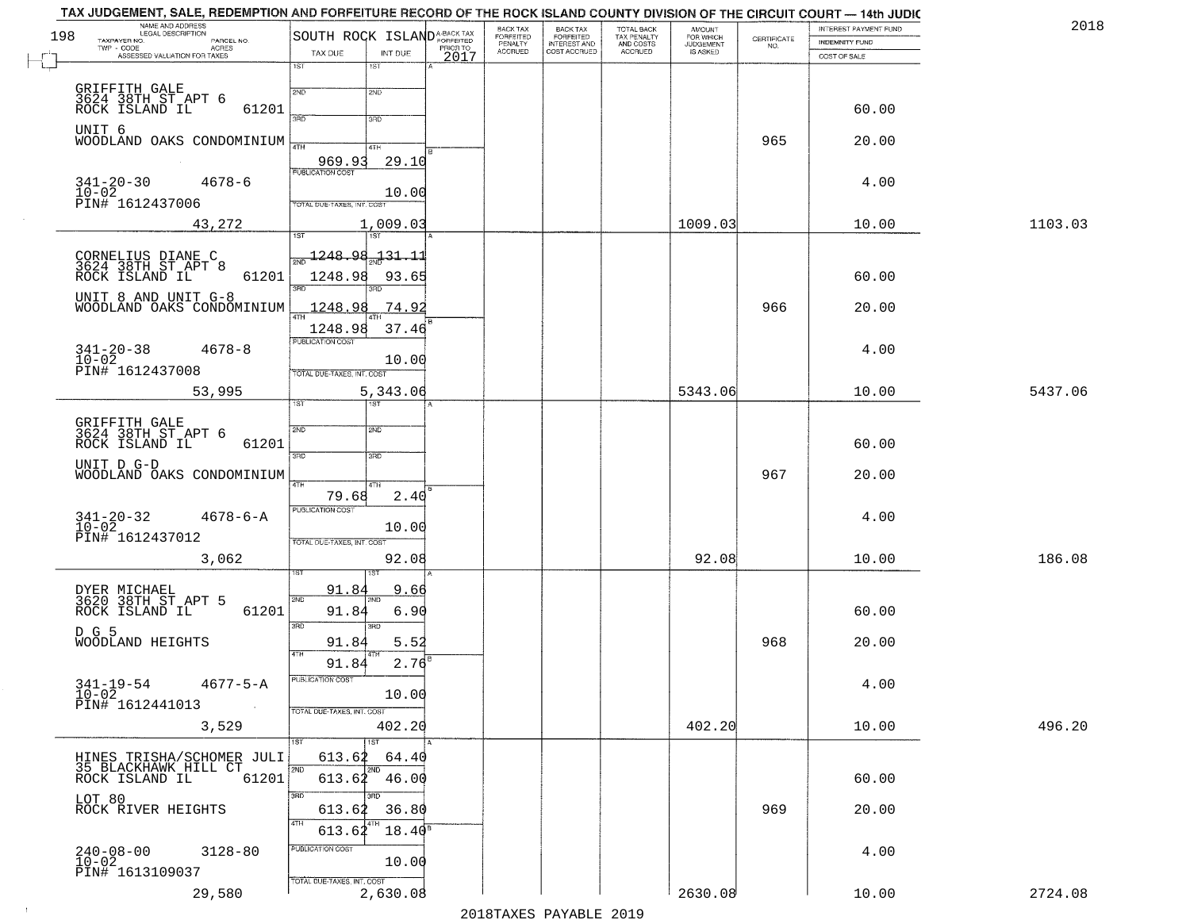|     | NAME AND ADDRESS<br>LEGAL DESCRIPTION                                                      |                                         |                |          | BACK TAX                        |                                                       |                                        |                                  |                                                                 | INTEREST PAYMENT FUND | 2018    |
|-----|--------------------------------------------------------------------------------------------|-----------------------------------------|----------------|----------|---------------------------------|-------------------------------------------------------|----------------------------------------|----------------------------------|-----------------------------------------------------------------|-----------------------|---------|
| 198 | TAXPAYER NO.<br>PARCEL NO.<br>$TWP - CODE$<br>- CODE AGRES<br>ASSESSED VALUATION FOR TAXES | SOUTH ROCK ISLAND <sup>A-BACK TAX</sup> |                | PRIOR TO | FORFEITED<br>PENALTY<br>ACCRUED | BACK TAX<br>FORFEITED<br>INTEREST AND<br>COST ACCRUED | TOTAL BACK<br>TAX PENALTY<br>AND COSTS | AMOUNT<br>FOR WHICH<br>JUDGEMENT | $\begin{array}{c} \text{CERTIFICATE} \\ \text{NO.} \end{array}$ | INDEMNITY FUND        |         |
|     |                                                                                            | TAX DUE<br>1ST                          | INT DUE<br>1ST | 2017     |                                 |                                                       | ACCRUED                                | IS ASKED                         |                                                                 | COST OF SALE          |         |
|     |                                                                                            |                                         |                |          |                                 |                                                       |                                        |                                  |                                                                 |                       |         |
|     | GRIFFITH GALE<br>3624 38TH ST APT 6                                                        | 2ND                                     | 2ND            |          |                                 |                                                       |                                        |                                  |                                                                 |                       |         |
|     | 61201<br>ROCK ISLAND IL                                                                    | 3RD                                     | 3RD            |          |                                 |                                                       |                                        |                                  |                                                                 | 60.00                 |         |
|     | UNIT 6                                                                                     |                                         |                |          |                                 |                                                       |                                        |                                  | 965                                                             | 20.00                 |         |
|     | WOODLAND OAKS CONDOMINIUM                                                                  |                                         | 4TH            |          |                                 |                                                       |                                        |                                  |                                                                 |                       |         |
|     |                                                                                            | 969.93<br>PUBLICATION COST              | 29.10          |          |                                 |                                                       |                                        |                                  |                                                                 |                       |         |
|     | $341 - 20 - 30$<br>$10 - 02$<br>$4678 - 6$                                                 |                                         | 10.00          |          |                                 |                                                       |                                        |                                  |                                                                 | 4.00                  |         |
|     | PIN# 1612437006                                                                            | TOTAL DUE-TAXES, INT. COST              |                |          |                                 |                                                       |                                        |                                  |                                                                 |                       |         |
|     | 43,272                                                                                     |                                         | 1,009.03       |          |                                 |                                                       |                                        | 1009.03                          |                                                                 | 10.00                 | 1103.03 |
|     |                                                                                            | 1ST                                     | <b>TST</b>     |          |                                 |                                                       |                                        |                                  |                                                                 |                       |         |
|     | CORNELIUS DIANE C<br>3624 38TH ST APT 8<br>ROCK ISLAND IL                                  | <u>1248.98.131.11</u><br>সূঁয়া         |                |          |                                 |                                                       |                                        |                                  |                                                                 |                       |         |
|     | 61201                                                                                      | 1248.98<br>3RD                          | 93.65          |          |                                 |                                                       |                                        |                                  |                                                                 | 60.00                 |         |
|     | UNIT 8 AND UNIT G-8                                                                        |                                         |                |          |                                 |                                                       |                                        |                                  | 966                                                             |                       |         |
|     | WOODLAND OAKS CONDOMINIUM                                                                  | 1248.98<br>47H                          | <u>74.92</u>   |          |                                 |                                                       |                                        |                                  |                                                                 | 20.00                 |         |
|     |                                                                                            | 1248.98<br><b>PUBLICATION COST</b>      | 37.46          |          |                                 |                                                       |                                        |                                  |                                                                 |                       |         |
|     | $341 - 20 - 38$<br>$10 - 02$<br>$4678 - 8$                                                 |                                         | 10.00          |          |                                 |                                                       |                                        |                                  |                                                                 | 4.00                  |         |
|     | PIN# 1612437008                                                                            | TOTAL DUE-TAXES, INT. COST              |                |          |                                 |                                                       |                                        |                                  |                                                                 |                       |         |
|     | 53,995                                                                                     |                                         | 5,343.06       |          |                                 |                                                       |                                        | 5343.06                          |                                                                 | 10.00                 | 5437.06 |
|     |                                                                                            | 1ST                                     |                |          |                                 |                                                       |                                        |                                  |                                                                 |                       |         |
|     | GRIFFITH GALE<br>3624 38TH ST_APT 6                                                        | 2ND                                     | SMD.           |          |                                 |                                                       |                                        |                                  |                                                                 |                       |         |
|     | ROCK ISLAND IL<br>61201                                                                    | 3RD                                     | 3RD            |          |                                 |                                                       |                                        |                                  |                                                                 | 60.00                 |         |
|     | UNIT D G-D<br>WOODLAND OAKS CONDOMINIUM                                                    |                                         |                |          |                                 |                                                       |                                        |                                  | 967                                                             | 20.00                 |         |
|     |                                                                                            | 4TH<br>79.68                            | 4TH<br>2.40    |          |                                 |                                                       |                                        |                                  |                                                                 |                       |         |
|     |                                                                                            | <b>PUBLICATION COST</b>                 |                |          |                                 |                                                       |                                        |                                  |                                                                 | 4.00                  |         |
|     | $341 - 20 - 32$<br>$10 - 02$<br>$4678 - 6 - A$                                             |                                         | 10.00          |          |                                 |                                                       |                                        |                                  |                                                                 |                       |         |
|     | PIN# 1612437012                                                                            | TOTAL OUE-TAXES, INT. COST              |                |          |                                 |                                                       |                                        |                                  |                                                                 |                       |         |
|     | 3,062                                                                                      |                                         | 92.08          |          |                                 |                                                       |                                        | 92.08                            |                                                                 | 10.00                 | 186.08  |
|     |                                                                                            | 91.8                                    | 9.66           |          |                                 |                                                       |                                        |                                  |                                                                 |                       |         |
|     | DYER MICHAEL<br>3620 38TH ST APT 5<br>ROCK ISLAND IL<br>61201                              | 2ND<br>91.84                            | 6.90           |          |                                 |                                                       |                                        |                                  |                                                                 | 60.00                 |         |
|     |                                                                                            | 3RD                                     | 3RD            |          |                                 |                                                       |                                        |                                  |                                                                 |                       |         |
|     | D G 5<br>WOODLAND HEIGHTS                                                                  | 91.84                                   | 5.52           |          |                                 |                                                       |                                        |                                  | 968                                                             | 20.00                 |         |
|     |                                                                                            | 4TH<br>91.84                            | $2.76^{B}$     |          |                                 |                                                       |                                        |                                  |                                                                 |                       |         |
|     | $4677 - 5 - A$<br>$341 - 19 - 54$                                                          | PUBLICATION COST                        |                |          |                                 |                                                       |                                        |                                  |                                                                 | 4.00                  |         |
|     | $10-02$<br>PIN# 1612441013                                                                 |                                         | 10.00          |          |                                 |                                                       |                                        |                                  |                                                                 |                       |         |
|     |                                                                                            | TOTAL DUE-TAXES, INT. COST              |                |          |                                 |                                                       |                                        |                                  |                                                                 |                       |         |
|     | 3,529                                                                                      | 1ST                                     | 402.20<br>1ST  |          |                                 |                                                       |                                        | 402.20                           |                                                                 | 10.00                 | 496.20  |
|     |                                                                                            | 613.62                                  | 64.40          |          |                                 |                                                       |                                        |                                  |                                                                 |                       |         |
|     | HINES TRISHA/SCHOMER JULI<br>35 BLACKHAWK HILL CT<br>61201<br>ROCK ISLAND IL               | 2ND<br>613.62                           | 46.00          |          |                                 |                                                       |                                        |                                  |                                                                 | 60.00                 |         |
|     | LOT 80                                                                                     | 3BD                                     | 3HD            |          |                                 |                                                       |                                        |                                  |                                                                 |                       |         |
|     | ROCK RIVER HEIGHTS                                                                         | 613.62                                  | 36.80          |          |                                 |                                                       |                                        |                                  | 969                                                             | 20.00                 |         |
|     |                                                                                            | 4TH<br>613.62                           | $18.40^8$      |          |                                 |                                                       |                                        |                                  |                                                                 |                       |         |
|     | $240 - 08 - 00$<br>$3128 - 80$                                                             | PUBLICATION COST                        |                |          |                                 |                                                       |                                        |                                  |                                                                 | 4.00                  |         |
|     | $\overline{10} - 0\overline{2}$<br>PIN# 1613109037                                         |                                         | 10.00          |          |                                 |                                                       |                                        |                                  |                                                                 |                       |         |
|     | 29,580                                                                                     | TOTAL DUE-TAXES, INT. COST              | 2,630.08       |          |                                 |                                                       |                                        | 2630.08                          |                                                                 | 10.00                 | 2724.08 |
|     |                                                                                            |                                         |                |          |                                 |                                                       |                                        |                                  |                                                                 |                       |         |

 $\sim 10^{-1}$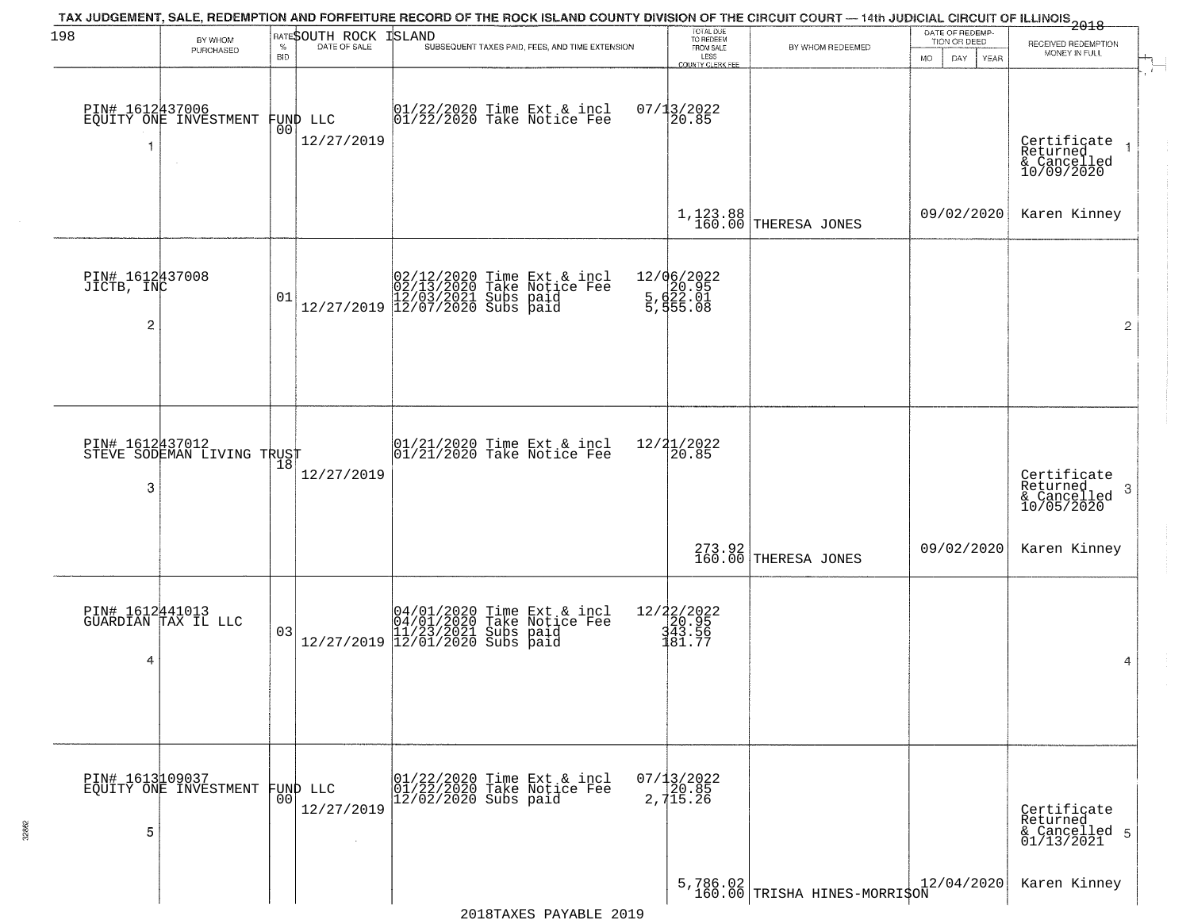| 198                           |                                               |            | RATESOUTH ROCK | <b>ISLAND</b>                                                                                                                                                                                                                                            |                                                   | TAX JUDGEMENT, SALE, REDEMPTION AND FORFEITURE RECORD OF THE ROCK ISLAND COUNTY DIVISION OF THE CIRCUIT COURT — 14th JUDICIAL CIRCUIT OF ILLINOIS 2018 | DATE OF REDEMP-          |                                      |
|-------------------------------|-----------------------------------------------|------------|----------------|----------------------------------------------------------------------------------------------------------------------------------------------------------------------------------------------------------------------------------------------------------|---------------------------------------------------|--------------------------------------------------------------------------------------------------------------------------------------------------------|--------------------------|--------------------------------------|
|                               | BY WHOM<br>PURCHASED                          | $\%$       | DATE OF SALE   | SUBSEQUENT TAXES PAID, FEES, AND TIME EXTENSION                                                                                                                                                                                                          | TOTAL DUE<br>TO REDEEM<br>FROM SALE               | BY WHOM REDEEMED                                                                                                                                       | TION OR DEED             | RECEIVED REDEMPTION<br>MONEY IN FULL |
|                               |                                               | <b>BID</b> |                |                                                                                                                                                                                                                                                          | LESS<br>COUNTY CLERK FEE                          |                                                                                                                                                        | DAY<br><b>MO</b><br>YEAR |                                      |
|                               |                                               |            |                |                                                                                                                                                                                                                                                          |                                                   |                                                                                                                                                        |                          |                                      |
|                               | PIN# 1612437006<br>EQUITY ONE INVESTMENT      |            | FUND LLC       | 01/22/2020 Time Ext & incl<br>01/22/2020 Take Notice Fee                                                                                                                                                                                                 | $07/13/2022$<br>20.85                             |                                                                                                                                                        |                          |                                      |
| 1                             |                                               | 00         | 12/27/2019     |                                                                                                                                                                                                                                                          |                                                   |                                                                                                                                                        |                          | Certificate<br>Returned              |
|                               |                                               |            |                |                                                                                                                                                                                                                                                          |                                                   |                                                                                                                                                        |                          | & Cancelled<br>10/09/2020            |
|                               |                                               |            |                |                                                                                                                                                                                                                                                          |                                                   |                                                                                                                                                        |                          |                                      |
|                               |                                               |            |                |                                                                                                                                                                                                                                                          |                                                   | 1,123.88<br>160.00 THERESA JONES                                                                                                                       | 09/02/2020               | Karen Kinney                         |
|                               |                                               |            |                |                                                                                                                                                                                                                                                          |                                                   |                                                                                                                                                        |                          |                                      |
|                               |                                               |            |                |                                                                                                                                                                                                                                                          |                                                   |                                                                                                                                                        |                          |                                      |
| PIN# 1612437008<br>JICTB, INC |                                               |            |                | $\begin{array}{ c c c c c c } \hline &02/12/2020 &\hbox{Time Ext & &\hbox{incl}} \\ \hline &02/13/2020 &\hbox{Take Notice Free} & 12/27/2019 & 12/03/2021 &\hbox{Subs paid} \\ \hline &12/27/2019 & 12/07/2020 &\hbox{Subs paid} & & \hline \end{array}$ | 12/06/2022<br>5, d20.95<br>5, d22.01<br>5, d55.08 |                                                                                                                                                        |                          |                                      |
|                               |                                               | 01         |                |                                                                                                                                                                                                                                                          |                                                   |                                                                                                                                                        |                          |                                      |
| 2                             |                                               |            |                |                                                                                                                                                                                                                                                          |                                                   |                                                                                                                                                        |                          | $\overline{2}$                       |
|                               |                                               |            |                |                                                                                                                                                                                                                                                          |                                                   |                                                                                                                                                        |                          |                                      |
|                               |                                               |            |                |                                                                                                                                                                                                                                                          |                                                   |                                                                                                                                                        |                          |                                      |
|                               |                                               |            |                |                                                                                                                                                                                                                                                          |                                                   |                                                                                                                                                        |                          |                                      |
|                               |                                               |            |                |                                                                                                                                                                                                                                                          |                                                   |                                                                                                                                                        |                          |                                      |
|                               | PIN# 1612437012<br>STEVE SODEMAN LIVING TRUST | 18         |                | $01/21/2020$ Time Ext & incl<br>$01/21/2020$ Take Notice Fee                                                                                                                                                                                             | 12/21/2022<br>$\overline{20.85}$                  |                                                                                                                                                        |                          |                                      |
| 3                             |                                               |            | 12/27/2019     |                                                                                                                                                                                                                                                          |                                                   |                                                                                                                                                        |                          | Certificate<br>Returned<br>3         |
|                               |                                               |            |                |                                                                                                                                                                                                                                                          |                                                   |                                                                                                                                                        |                          | & Cancelled<br>10/05/2020            |
|                               |                                               |            |                |                                                                                                                                                                                                                                                          |                                                   |                                                                                                                                                        |                          |                                      |
|                               |                                               |            |                |                                                                                                                                                                                                                                                          |                                                   | 273.92<br>160.00 THERESA JONES                                                                                                                         | 09/02/2020               | Karen Kinney                         |
|                               |                                               |            |                |                                                                                                                                                                                                                                                          |                                                   |                                                                                                                                                        |                          |                                      |
|                               |                                               |            |                |                                                                                                                                                                                                                                                          |                                                   |                                                                                                                                                        |                          |                                      |
|                               | PIN# 1612441013<br>GUARDIAN TAX IL LLC        | 03         |                | $[04/01/2020 \t\t Time Ext & incl04/01/2020 Take Notice Free11/23/2021 Subs paid12/27/2019 12/01/2020 Subs paid$                                                                                                                                         | 12/22/2022<br>20.95<br>343.56<br>481.77           |                                                                                                                                                        |                          |                                      |
|                               |                                               |            |                |                                                                                                                                                                                                                                                          |                                                   |                                                                                                                                                        |                          |                                      |
| 4                             |                                               |            |                |                                                                                                                                                                                                                                                          |                                                   |                                                                                                                                                        |                          | 4                                    |
|                               |                                               |            |                |                                                                                                                                                                                                                                                          |                                                   |                                                                                                                                                        |                          |                                      |
|                               |                                               |            |                |                                                                                                                                                                                                                                                          |                                                   |                                                                                                                                                        |                          |                                      |
|                               |                                               |            |                |                                                                                                                                                                                                                                                          |                                                   |                                                                                                                                                        |                          |                                      |
|                               |                                               |            |                |                                                                                                                                                                                                                                                          |                                                   |                                                                                                                                                        |                          |                                      |
|                               | PIN# 1613109037<br>EQUITY ONE INVESTMENT      | 00         | FUND LLC       | 01/22/2020 Time Ext & incl<br>01/22/2020 Take Notice Fee<br>12/02/2020 Subs paid                                                                                                                                                                         | 07/13/2022<br>20.85<br>2,715.26                   |                                                                                                                                                        |                          |                                      |
|                               |                                               |            | 12/27/2019     |                                                                                                                                                                                                                                                          |                                                   |                                                                                                                                                        |                          | Certificate<br>Returned              |
| 5                             |                                               |            |                |                                                                                                                                                                                                                                                          |                                                   |                                                                                                                                                        |                          | & Cancelled 5<br>01/13/2021          |
|                               |                                               |            |                |                                                                                                                                                                                                                                                          |                                                   |                                                                                                                                                        |                          |                                      |
|                               |                                               |            |                |                                                                                                                                                                                                                                                          |                                                   |                                                                                                                                                        |                          |                                      |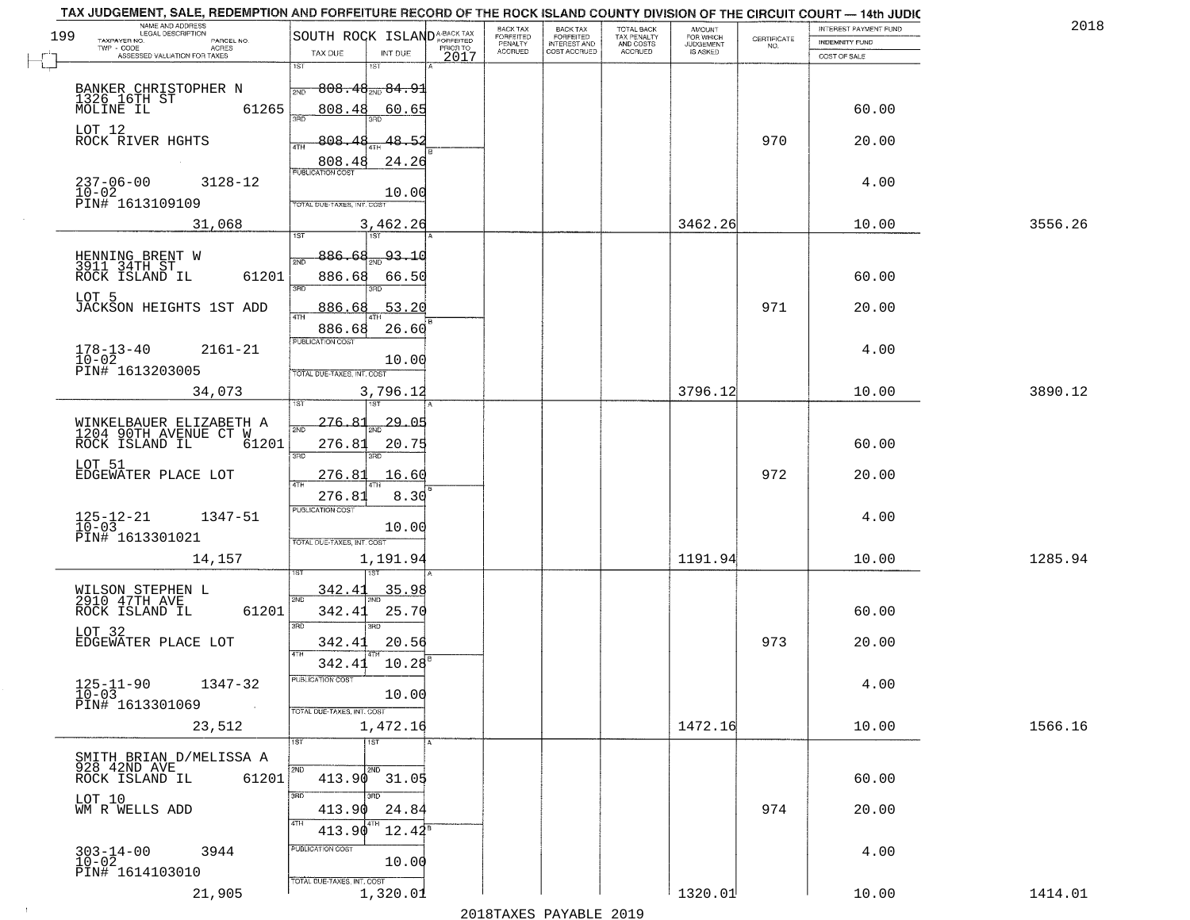| TAX JUDGEMENT, SALE, REDEMPTION AND FORFEITURE RECORD OF THE ROCK ISLAND COUNTY DIVISION OF THE CIRCUIT COURT - 14th JUDIC |                                         | <b>BACK TAX</b>           |                                     |                                        |                                     |                                                                 | INTEREST PAYMENT FUND | 2018    |
|----------------------------------------------------------------------------------------------------------------------------|-----------------------------------------|---------------------------|-------------------------------------|----------------------------------------|-------------------------------------|-----------------------------------------------------------------|-----------------------|---------|
| NAME AND ADDRESS<br>LEGAL DESCRIPTION<br>199                                                                               | SOUTH ROCK ISLAND <sup>A-BACK TAX</sup> | FORFEITED                 | BACK TAX<br>FORFEITED               | TOTAL BACK<br>TAX PENALTY<br>AND COSTS | AMOUNT<br>FOR WHICH                 | $\begin{array}{c} \text{CERTIFICATE} \\ \text{NO.} \end{array}$ | <b>INDEMNITY FUND</b> |         |
| TAXPAYER NO.<br>PARCEL NO.<br>ACRES<br>ASSESSED VALUATION FOR TAXES                                                        | PRIOR TO<br>TAX DUE<br>INT DUE<br>2017  | PENALTY<br><b>ACCRUED</b> | <b>INTEREST AND</b><br>COST ACCRUED | ACCRUED                                | <b>JUDGEMENT</b><br><b>IS ASKED</b> |                                                                 | COST OF SALE          |         |
|                                                                                                                            | 1ST<br>1ST                              |                           |                                     |                                        |                                     |                                                                 |                       |         |
|                                                                                                                            | $808.48_{200}84.91$                     |                           |                                     |                                        |                                     |                                                                 |                       |         |
| BANKER CHRISTOPHER N                                                                                                       | 2ND                                     |                           |                                     |                                        |                                     |                                                                 |                       |         |
| 1326 16TH ST<br>61265                                                                                                      | 808.48<br>60.65<br>заг                  |                           |                                     |                                        |                                     |                                                                 | 60.00                 |         |
| LOT 12                                                                                                                     |                                         |                           |                                     |                                        |                                     |                                                                 |                       |         |
| ROCK RIVER HGHTS                                                                                                           | 808.48<br>48.52<br>ATH                  |                           |                                     |                                        |                                     | 970                                                             | 20.00                 |         |
|                                                                                                                            | 808.48<br>24.26                         |                           |                                     |                                        |                                     |                                                                 |                       |         |
| $237 - 06 - 00$<br>3128-12                                                                                                 | <b>PUBLICATION COST</b>                 |                           |                                     |                                        |                                     |                                                                 | 4.00                  |         |
| $10-02$                                                                                                                    | 10.00                                   |                           |                                     |                                        |                                     |                                                                 |                       |         |
| PIN# 1613109109                                                                                                            | OTAL DUE-TAXES, INT. COST               |                           |                                     |                                        |                                     |                                                                 |                       |         |
| 31,068                                                                                                                     | 3,462.26                                |                           |                                     |                                        | 3462.26                             |                                                                 | 10.00                 | 3556.26 |
|                                                                                                                            |                                         |                           |                                     |                                        |                                     |                                                                 |                       |         |
| HENNING BRENT W<br>3911 34TH ST                                                                                            | 886.68<br>$\frac{93.10}{200}$<br>সূঁা   |                           |                                     |                                        |                                     |                                                                 |                       |         |
| 61201<br>ROCK ISLAND IL                                                                                                    | 886.68                                  |                           |                                     |                                        |                                     |                                                                 | 60.00                 |         |
|                                                                                                                            | 66.50<br>3RD                            |                           |                                     |                                        |                                     |                                                                 |                       |         |
| LOT 5<br>JACKSON HEIGHTS 1ST ADD                                                                                           | .53.20<br>886.68                        |                           |                                     |                                        |                                     | 971                                                             | 20.00                 |         |
|                                                                                                                            | ৰাম                                     |                           |                                     |                                        |                                     |                                                                 |                       |         |
|                                                                                                                            | 886.68<br>26.60<br>PUBLICATION COST     |                           |                                     |                                        |                                     |                                                                 |                       |         |
| $178 - 13 - 40$<br>$2161 - 21$                                                                                             |                                         |                           |                                     |                                        |                                     |                                                                 | 4.00                  |         |
| $10 - 02$<br>PIN# 1613203005                                                                                               | 10.00                                   |                           |                                     |                                        |                                     |                                                                 |                       |         |
|                                                                                                                            | TOTAL DUE-TAXES, INT. COST              |                           |                                     |                                        |                                     |                                                                 |                       |         |
| 34,073                                                                                                                     | 3,796.12<br>1ST                         |                           |                                     |                                        | 3796.12                             |                                                                 | 10.00                 | 3890.12 |
|                                                                                                                            |                                         |                           |                                     |                                        |                                     |                                                                 |                       |         |
| WINKELBAUER ELIZABETH A<br>1204 90TH AVENUE CT W                                                                           | 276.81<br><u> 29.05</u><br>2ND          |                           |                                     |                                        |                                     |                                                                 |                       |         |
| ROCK ISLAND IL<br>61201                                                                                                    | 276.81<br>20.75                         |                           |                                     |                                        |                                     |                                                                 | 60.00                 |         |
| LOT 51                                                                                                                     | 3RD<br>3RD                              |                           |                                     |                                        |                                     |                                                                 |                       |         |
| EDGEWATER PLACE LOT                                                                                                        | <u>276.81</u><br>16.60                  |                           |                                     |                                        |                                     | 972                                                             | 20.00                 |         |
|                                                                                                                            | 4TH<br>276.81<br>8.30                   |                           |                                     |                                        |                                     |                                                                 |                       |         |
|                                                                                                                            | <b>PUBLICATION COST</b>                 |                           |                                     |                                        |                                     |                                                                 |                       |         |
| $125 - 12 - 21$<br>$10 - 03$<br>1347-51                                                                                    | 10.00                                   |                           |                                     |                                        |                                     |                                                                 | 4.00                  |         |
| PIN# 1613301021                                                                                                            | TOTAL OUE-TAXES, INT. COST              |                           |                                     |                                        |                                     |                                                                 |                       |         |
| 14,157                                                                                                                     | 1,191.94                                |                           |                                     |                                        | 1191.94                             |                                                                 | 10.00                 | 1285.94 |
|                                                                                                                            |                                         |                           |                                     |                                        |                                     |                                                                 |                       |         |
|                                                                                                                            | 342.41<br>35.98                         |                           |                                     |                                        |                                     |                                                                 |                       |         |
| WILSON STEPHEN L<br>2910 47TH AVE                                                                                          | 2ND                                     |                           |                                     |                                        |                                     |                                                                 |                       |         |
| ROCK ISLAND IL<br>61201                                                                                                    | 342.41<br>25.70<br>3RD                  |                           |                                     |                                        |                                     |                                                                 | 60.00                 |         |
| LOT 32                                                                                                                     | 3BD                                     |                           |                                     |                                        |                                     |                                                                 |                       |         |
| EDGEWATER PLACE LOT                                                                                                        | 342.41<br>20.56<br>4TH                  |                           |                                     |                                        |                                     | 973                                                             | 20.00                 |         |
|                                                                                                                            | 10.28<br>342.41                         |                           |                                     |                                        |                                     |                                                                 |                       |         |
| 1347-32                                                                                                                    | PUBLICATION COST                        |                           |                                     |                                        |                                     |                                                                 | 4.00                  |         |
| $125 - 11 - 90$<br>$10 - 03$                                                                                               | 10.00                                   |                           |                                     |                                        |                                     |                                                                 |                       |         |
| PIN# 1613301069<br>$\sim 100$                                                                                              | TOTAL DUE-TAXES, INT. COST              |                           |                                     |                                        |                                     |                                                                 |                       |         |
| 23,512                                                                                                                     | 1,472.16                                |                           |                                     |                                        | 1472.16                             |                                                                 | 10.00                 | 1566.16 |
|                                                                                                                            | १डा<br>1ST                              |                           |                                     |                                        |                                     |                                                                 |                       |         |
| SMITH BRIAN D/MELISSA A                                                                                                    |                                         |                           |                                     |                                        |                                     |                                                                 |                       |         |
| 928 42ND AVE<br>ROCK ISLAND IL<br>61201                                                                                    | 2ND<br>2ND<br>$413.90$ $31.05$          |                           |                                     |                                        |                                     |                                                                 | 60.00                 |         |
|                                                                                                                            | 3RD                                     |                           |                                     |                                        |                                     |                                                                 |                       |         |
| LOT 10<br>WM R WELLS ADD                                                                                                   | 413.90<br>24.84                         |                           |                                     |                                        |                                     | 974                                                             | 20.00                 |         |
|                                                                                                                            | 4TH                                     |                           |                                     |                                        |                                     |                                                                 |                       |         |
|                                                                                                                            | 413.90<br>$12.42^8$                     |                           |                                     |                                        |                                     |                                                                 |                       |         |
| $303 - 14 - 00$<br>$10 - 02$<br>3944                                                                                       | PUBLICATION COST                        |                           |                                     |                                        |                                     |                                                                 | 4.00                  |         |
| PIN# 1614103010                                                                                                            | 10.00                                   |                           |                                     |                                        |                                     |                                                                 |                       |         |
| 21,905                                                                                                                     | TOTAL DUE-TAXES, INT. COST              |                           |                                     |                                        |                                     |                                                                 |                       |         |
|                                                                                                                            | 1,320.01                                |                           |                                     |                                        | 1320.01                             |                                                                 | 10.00                 | 1414.01 |

 $\sim 10$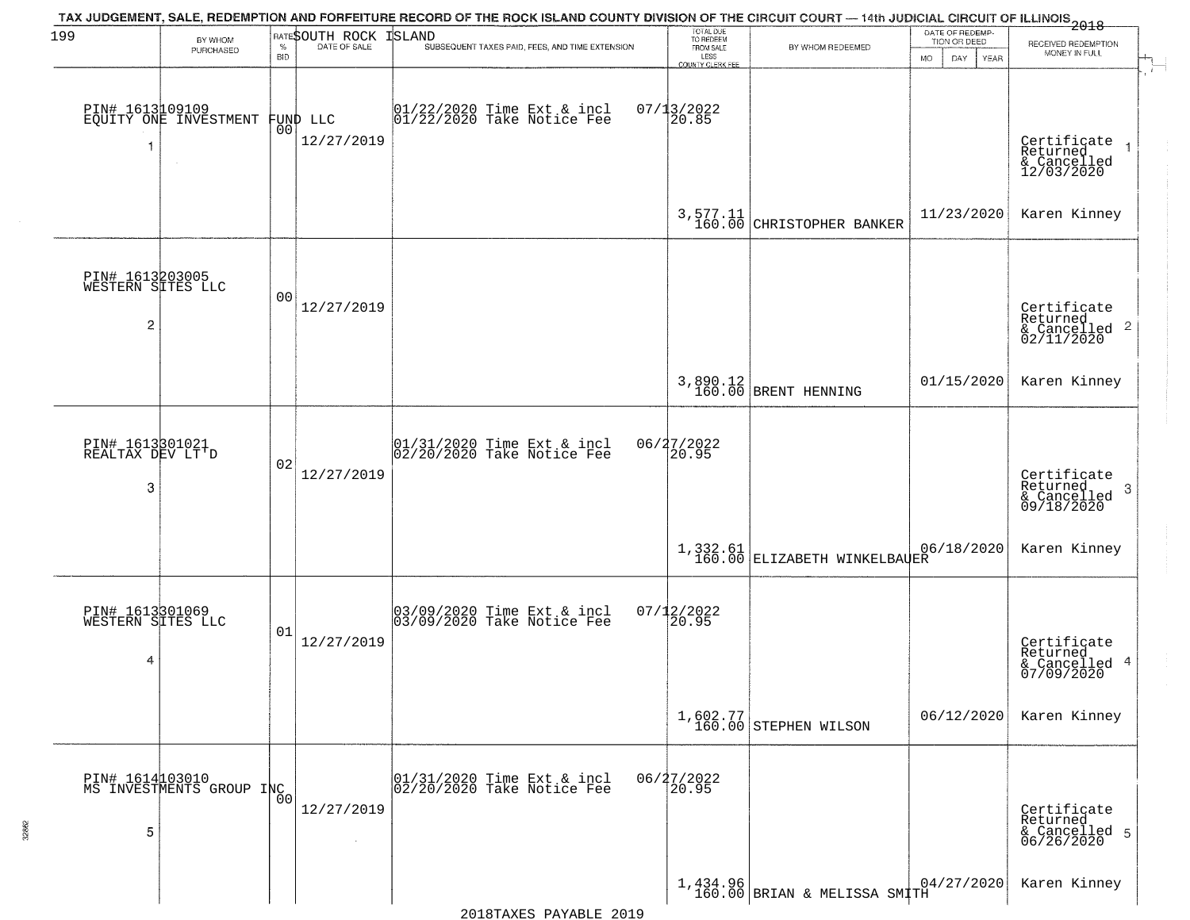| 199                                                    | BY WHOM                                     |                    | RATESOUTH ROCK                 | TAX JUDGEMENT, SALE, REDEMPTION AND FORFEITURE RECORD OF THE ROCK ISLAND COUNTY DIVISION OF THE CIRCUIT COURT — 14th JUDICIAL CIRCUIT OF ILLINOIS 2018<br><b>ISLAND</b> | TOTAL DUE<br>TO REDEEM                |                                                                                        | DATE OF REDEMP-<br>TION OR DEED  |                                                                      |
|--------------------------------------------------------|---------------------------------------------|--------------------|--------------------------------|-------------------------------------------------------------------------------------------------------------------------------------------------------------------------|---------------------------------------|----------------------------------------------------------------------------------------|----------------------------------|----------------------------------------------------------------------|
|                                                        | PURCHASED                                   | $\%$<br><b>BID</b> | DATE OF SALE                   | SUBSEQUENT TAXES PAID, FEES, AND TIME EXTENSION                                                                                                                         | FROM SALE<br>LESS<br>COUNTY CLERK FER | BY WHOM REDEEMED                                                                       | <b>MO</b><br>DAY.<br><b>YEAR</b> | RECEIVED REDEMPTION<br>MONEY IN FULL                                 |
| -1                                                     | PIN# 1613109109<br>EQUITY ONE INVESTMENT    |                    | FUND LLC<br> 00 <br>12/27/2019 | $01/22/2020$ Time Ext & incl<br>$01/22/2020$ Take Notice Fee                                                                                                            | $07/13/2022$<br>20.85                 |                                                                                        |                                  | Certificate<br>Returned<br>& Cancelled<br>12/03/2020                 |
|                                                        |                                             |                    |                                |                                                                                                                                                                         |                                       | $3,577.11$ CHRISTOPHER BANKER                                                          | 11/23/2020                       | Karen Kinney                                                         |
| PIN# 1613203005<br>WESTERN SITES LLC<br>$\overline{c}$ |                                             | 00                 | 12/27/2019                     |                                                                                                                                                                         |                                       |                                                                                        |                                  | Certificate<br>Returned<br>$\mathbf{2}$<br>& Cancelled<br>02/11/2020 |
|                                                        |                                             |                    |                                |                                                                                                                                                                         |                                       | 3,890.12<br>160.00 BRENT HENNING                                                       | 01/15/2020                       | Karen Kinney                                                         |
| PIN# 1613301021<br>REALTAX DEV LT'D<br>3               |                                             | 02                 | 12/27/2019                     | 01/31/2020 Time Ext & incl<br>02/20/2020 Take Notice Fee                                                                                                                | 06/27/2022<br>20.95                   |                                                                                        |                                  | Certificate<br>Returned<br>3<br>& Cancelled<br>09/18/2020            |
|                                                        |                                             |                    |                                |                                                                                                                                                                         |                                       | $\begin{array}{c c} 1,332.61 & 0 \\ 160.00 & \text{ELIZABETH WINKELBAQER} \end{array}$ | 06/18/2020                       | Karen Kinney                                                         |
| PIN# 1613301069<br>WESTERN SITES LLC<br>4              |                                             | 01                 | 12/27/2019                     | 03/09/2020 Time Ext & incl<br>03/09/2020 Take Notice Fee                                                                                                                | $07/12/2022$<br>20.95                 |                                                                                        |                                  | Certificate<br>Returned<br>4<br>& Cancelled<br>07/09/2020            |
|                                                        |                                             |                    |                                |                                                                                                                                                                         |                                       | $1,602.77$<br>160.00 STEPHEN WILSON                                                    | 06/12/2020                       | Karen Kinney                                                         |
| 5                                                      | PIN# 1614103010<br>MS INVESTMENTS GROUP INC | 0 <sub>0</sub>     | 12/27/2019                     | 01/31/2020 Time Ext & incl<br>02/20/2020 Take Notice Fee                                                                                                                | 06/27/2022<br>20.95                   |                                                                                        |                                  | Certificate<br>Returned<br>& Cancelled 5<br>06/26/2020               |
|                                                        |                                             |                    |                                |                                                                                                                                                                         |                                       | 1,434.96<br>160.00 BRIAN & MELISSA SMITH                                               | 04/27/2020                       | Karen Kinney                                                         |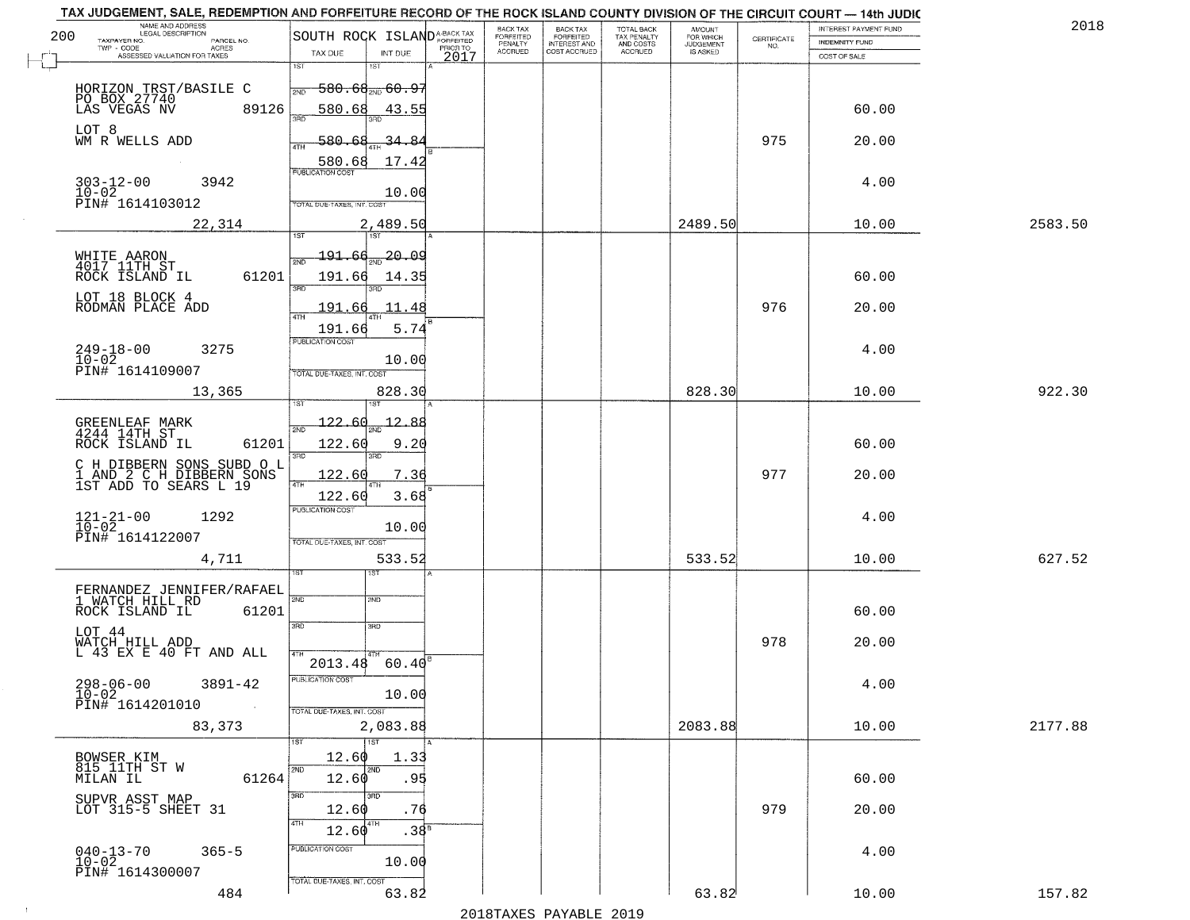| NAME AND ADDRESS<br>LEGAL DESCRIPTION<br>200                                                                                                |                                                                                                                                      | <b>BACK TAX</b>                        | BACK TAX<br>FORFEITED               | TOTAL BACK<br>TAX PENALTY<br>AND COSTS | AMOUNT<br>FOR WHICH          |                    | INTEREST PAYMENT FUND | 201     |
|---------------------------------------------------------------------------------------------------------------------------------------------|--------------------------------------------------------------------------------------------------------------------------------------|----------------------------------------|-------------------------------------|----------------------------------------|------------------------------|--------------------|-----------------------|---------|
| TAXPAYER NO.<br>PARCEL NO.<br>TWP - CODE<br>ACRES                                                                                           | SOUTH ROCK ISLANDA-BACK TAX                                                                                                          | FORFEITED<br>PENALTY<br><b>ACCRUED</b> | <b>INTEREST AND</b><br>COST ACCRUED | <b>ACCRUED</b>                         | <b>JUDGEMENT</b><br>IS ASKED | CERTIFICATE<br>NO. | INDEMNITY FUND        |         |
| ASSESSED VALUATION FOR TAXES                                                                                                                | TAX DUE<br>INT DUE<br>1ST<br>$1S$ T                                                                                                  | 2017                                   |                                     |                                        |                              |                    | COST OF SALE          |         |
| HORIZON TRST/BASILE C<br>PO BOX 27740<br>LAS VEGAS NV 89<br>89126                                                                           | <del>580.68<sub>210</sub>.60.97</del><br>2ND<br>580.68<br>43.55<br>350                                                               |                                        |                                     |                                        |                              |                    | 60.00                 |         |
| LOT 8<br>WM R WELLS ADD                                                                                                                     | 580.68<br>∡يم<br>34-<br>4TH<br>17.42<br>580.68                                                                                       |                                        |                                     |                                        |                              | 975                | 20.00                 |         |
| $303 - 12 - 00$<br>$10 - 02$<br>3942<br>PIN# 1614103012                                                                                     | <b>PUBLICATION COST</b><br>10.00<br>TOTAL DUE-TAXES, INT. COST                                                                       |                                        |                                     |                                        |                              |                    | 4.00                  |         |
| 22,314                                                                                                                                      | 2,489.50                                                                                                                             |                                        |                                     |                                        | 2489.50                      |                    | 10.00                 | 2583.50 |
| WHITE AARON<br>4017 11TH ST<br>61201<br>ROCK ISLAND IL<br>LOT 18 BLOCK 4<br>RODMAN PLACE ADD                                                | -20.09<br><u> 191.66</u><br>191.66<br>14.35<br>3RD<br>3RD<br>191.66<br>11.48                                                         |                                        |                                     |                                        |                              | 976                | 60.00<br>20.00        |         |
| $249 - 18 - 00$<br>3275<br>$10 - 02$<br>PIN# 1614109007                                                                                     | 5.74<br>191.66<br>PUBLICATION COST<br>10.00<br>TOTAL DUE-TAXES, INT. COST                                                            |                                        |                                     |                                        |                              |                    | 4.00                  |         |
| 13,365                                                                                                                                      | 828.30                                                                                                                               |                                        |                                     |                                        | 828.30                       |                    | 10.00                 | 922.30  |
| GREENLEAF MARK<br>4244 14TH ST<br>ROCK ISLAND IL<br>61201<br>C H DIBBERN SONS SUBD O L<br>1 AND 2 C H DIBBERN SONS<br>1ST ADD TO SEARS L 19 | 1ST<br>i ST<br>122.60<br><u> 12.88</u><br>2ND<br>122.60<br>9.20<br>3 <sub>BD</sub><br>3RD<br>122.60<br>7.36<br>4TH<br>122.60<br>3.68 |                                        |                                     |                                        |                              | 977                | 60.00<br>20.00        |         |
| $121 - 21 - 00$<br>$10 - 02$<br>1292<br>PIN# 1614122007<br>4,711                                                                            | <b>PUBLICATION COST</b><br>10.00<br>TOTAL OUE-TAXES, INT. COST<br>533.52                                                             |                                        |                                     |                                        | 533.52                       |                    | 4.00<br>10.00         | 627.52  |
| FERNANDEZ_JENNIFER/RAFAEL<br>1 WATCH HILL RD<br>ROCK ISLAND IL<br>61201<br>LOT 44                                                           | 1ST<br>2ND<br>2ND<br>3RD<br>3BD                                                                                                      |                                        |                                     |                                        |                              | 978                | 60.00<br>20.00        |         |
| WATCH HILL ADD<br>L 43 EX E 40 FT AND ALL<br>$298 - 06 - 00$<br>10-02<br>$3891 - 42$<br>PIN# 1614201010                                     | 4TH<br>$60.40^{B}$<br>2013.48<br>PUBLICAT∣ON COS<br>10.00<br>TOTAL DUE-TAXES, INT. COST                                              |                                        |                                     |                                        |                              |                    | 4.00                  |         |
| 83,373                                                                                                                                      | 2,083.88                                                                                                                             |                                        |                                     |                                        | 2083.88                      |                    | 10.00                 | 2177.88 |
| BOWSER KIM<br>815 11TH ST W<br>61264<br>MILAN IL<br>SUPVR ASST MAP<br>LOT 315-5 SHEET 31                                                    | 1ST<br>12.60<br>1.33<br>$\overline{2ND}$<br>2ND<br>12.60<br>.95<br>3RD<br>3RD                                                        |                                        |                                     |                                        |                              | 979                | 60.00                 |         |
| $040 - 13 - 70$<br>10-02<br>$365 - 5$<br>PIN# 1614300007                                                                                    | 12.60<br>.76<br>4TH<br>4TH<br>.38 <sup>B</sup><br>12.60<br>PUBLICATION COST<br>10.00<br>TOTAL DUE-TAXES, INT. COST                   |                                        |                                     |                                        |                              |                    | 20.00<br>4.00         |         |
| 484                                                                                                                                         | 63.82                                                                                                                                |                                        |                                     |                                        | 63.82                        |                    | 10.00                 | 157.82  |

 $\sim 10^{-1}$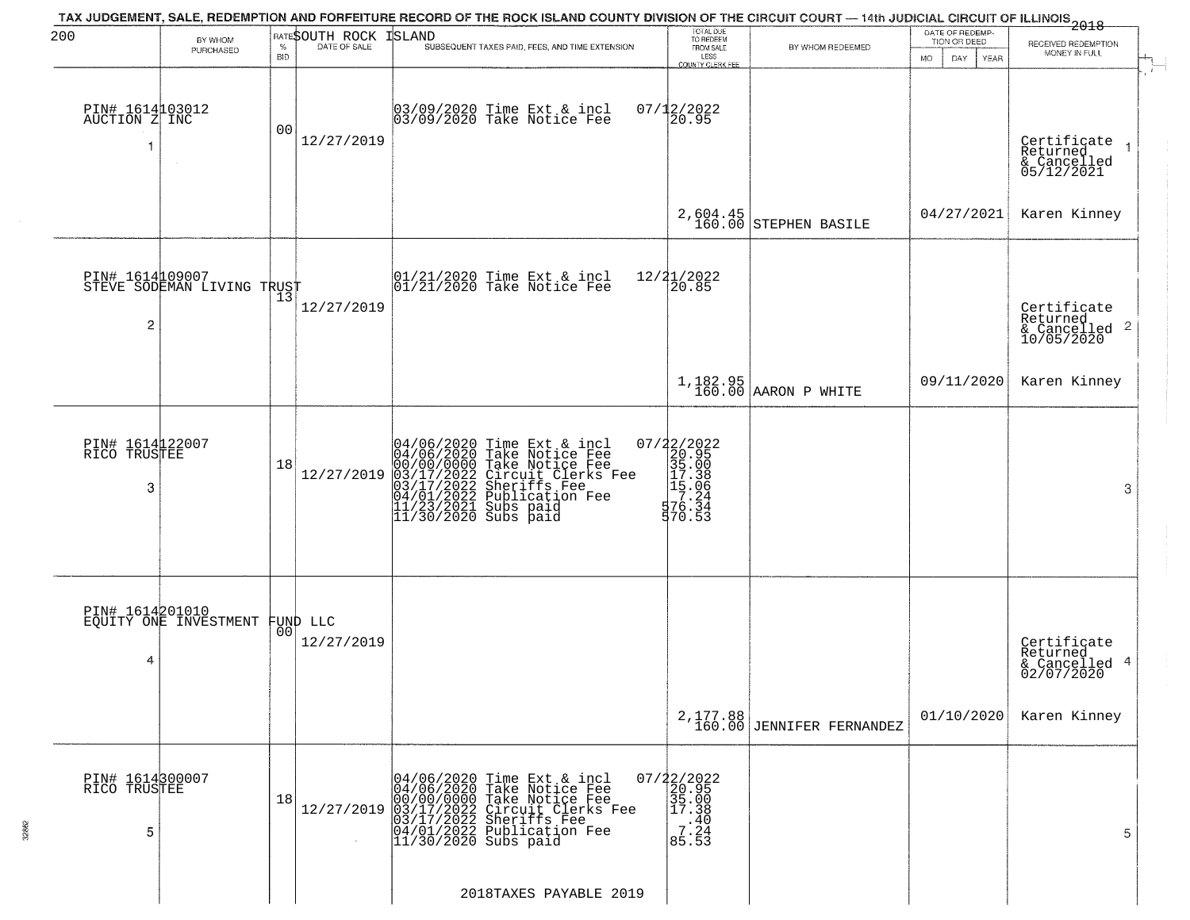| 200                                   | BY WHOM                                           |                    | BATESOUTH ROCK | TAX JUDGEMENT, SALE, REDEMPTION AND FORFEITURE RECORD OF THE ROCK ISLAND COUNTY DIVISION OF THE CIRCUIT COURT — 14th JUDICIAL CIRCUIT OF ILLINOIS 2018<br><b>ISLAND</b>                                                              | TOTAL DUE<br>TO REDEEM                                                                                                                                                                                                                                                              |                                        | DATE OF REDEMP<br>TION OR DEED | RECEIVED REDEMPTION                                    |
|---------------------------------------|---------------------------------------------------|--------------------|----------------|--------------------------------------------------------------------------------------------------------------------------------------------------------------------------------------------------------------------------------------|-------------------------------------------------------------------------------------------------------------------------------------------------------------------------------------------------------------------------------------------------------------------------------------|----------------------------------------|--------------------------------|--------------------------------------------------------|
|                                       | PURCHASED                                         | $\%$<br><b>BID</b> | DATE OF SALE   | SUBSEQUENT TAXES PAID, FEES, AND TIME EXTENSION                                                                                                                                                                                      | FROM SALE<br>LESS<br>COUNTY CLERK FEE                                                                                                                                                                                                                                               | BY WHOM REDEEMED                       | MO.<br>DAY.<br>YEAR            | MONEY IN FULL                                          |
| PIN# 1614103012<br>AUCTION Z INC<br>1 | $\sim$                                            | 0 <sub>0</sub>     | 12/27/2019     | 03/09/2020 Time Ext & incl<br>03/09/2020 Take Notice Fee                                                                                                                                                                             | $07/12/2022$<br>20.95                                                                                                                                                                                                                                                               |                                        |                                | Certificate<br>Returned<br>& Cancelled<br>05/12/2021   |
|                                       |                                                   |                    |                |                                                                                                                                                                                                                                      |                                                                                                                                                                                                                                                                                     | $2,604.45$<br>160.00 STEPHEN BASILE    | 04/27/2021                     | Karen Kinney                                           |
| PIN# 1614109007<br>2                  | STEVE SODEMAN LIVING TRUST                        | 13                 | 12/27/2019     | $ 01/21/2020$ Time Ext & incl<br>$ 01/21/2020$ Take Notice Fee                                                                                                                                                                       | 12/21/2022<br>20.85                                                                                                                                                                                                                                                                 |                                        |                                | Certificate<br>Returned<br>& Cancelled 2<br>10/05/2020 |
|                                       |                                                   |                    |                |                                                                                                                                                                                                                                      |                                                                                                                                                                                                                                                                                     | $1,182.95$<br>160.00 AARON P WHITE     | 09/11/2020                     | Karen Kinney                                           |
| PIN# 1614122007<br>RICO TRUSTEE<br>3  |                                                   | 18                 | 12/27/2019     | 04/06/2020 Time Ext & incl<br>04/06/2020 Take Notice Fee<br>00/00/00000 Take Notice Fee<br>03/17/2022 Circuit Clerks Fee<br>03/17/2022 Sublication Fee<br>04/01/2022 Sublication Fee<br>11/23/2021 Subs paid<br>11/30/2020 Subs paid | $\begin{array}{r} 07/22/2022\\20.95\\35.00\\15.38\\117.38\\17.24\\576.34\\77.24\\77.34\\77.34\\77.34\\77.34\\77.34\\77.34\\77.34\\77.34\\77.34\\77.34\\77.34\\77.34\\77.34\\77.34\\77.34\\77.34\\77.34\\77.34\\77.34\\77.34\\77.34\\77.34\\77.34\\77.34\\77.34\\77.34\\7$<br>570.53 |                                        |                                | 3                                                      |
| 4                                     | PIN# 1614201010<br>EQUITY ONE INVESTMENT FUND LLC |                    | 12/27/2019     |                                                                                                                                                                                                                                      |                                                                                                                                                                                                                                                                                     |                                        |                                | Certificate<br>Returned<br>& Cancelled 4<br>02/07/2020 |
|                                       |                                                   |                    |                |                                                                                                                                                                                                                                      |                                                                                                                                                                                                                                                                                     | 2, 177.88<br>160.00 JENNIFER FERNANDEZ | 01/10/2020                     | Karen Kinney                                           |
| PIN# 1614300007<br>RICO TRUSTEE<br>5  |                                                   | 18                 | 12/27/2019     | 04/06/2020 Time Ext & incl<br>04/06/2020 Take Notice Fee<br>00/00/0000 Take Notice Fee<br>03/17/2022 Circuit Clerks Fee<br>03/17/2022 Sheriffs Fee<br>04/01/2022 Publication Fee<br>11/30/2020 Subs paid                             | $07/22/2022$<br>20.95<br>35.00<br>17.38<br>$\frac{1}{10}$ : 40<br>7.24<br>85.53                                                                                                                                                                                                     |                                        |                                | 5                                                      |
|                                       |                                                   |                    |                | 2018TAXES PAYABLE 2019                                                                                                                                                                                                               |                                                                                                                                                                                                                                                                                     |                                        |                                |                                                        |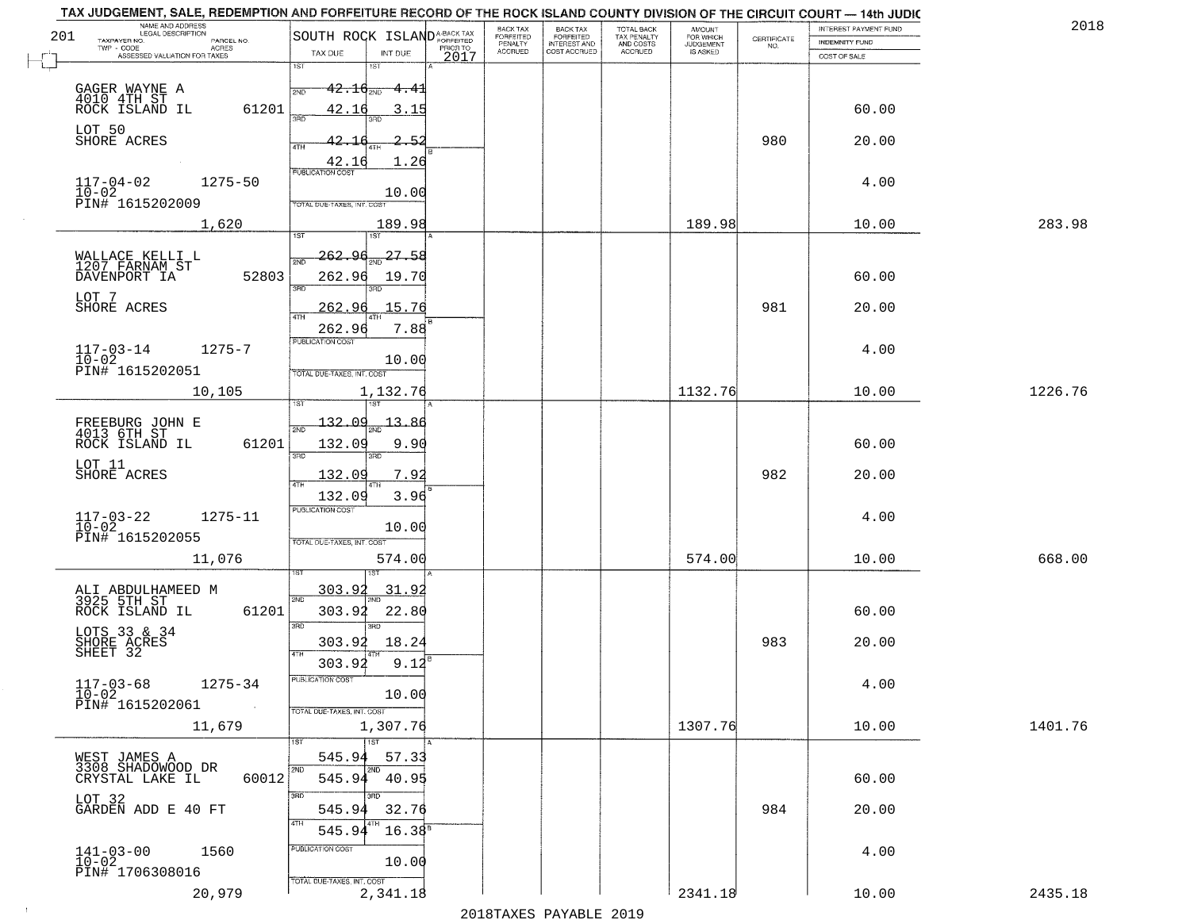|     | TAX JUDGEMENT, SALE, REDEMPTION AND FORFEITURE RECORD OF THE ROCK ISLAND COUNTY DIVISION OF THE CIRCUIT COURT - 14th JUDIC<br>NAME AND ADDRESS<br>LEGAL DESCRIPTION |                                                                                                                                                    | BACK TAX             |                                       |                                        |                                  |                    | INTEREST PAYMENT FUND  | 2018    |
|-----|---------------------------------------------------------------------------------------------------------------------------------------------------------------------|----------------------------------------------------------------------------------------------------------------------------------------------------|----------------------|---------------------------------------|----------------------------------------|----------------------------------|--------------------|------------------------|---------|
| 201 | TAXPAYER NO.<br>PARCEL NO.                                                                                                                                          | SOUTH ROCK ISLANDA-BACK TAX                                                                                                                        | FORFEITED<br>PENALTY | BACK TAX<br>FORFEITED<br>INTEREST AND | TOTAL BACK<br>TAX PENALTY<br>AND COSTS | AMOUNT<br>FOR WHICH<br>JUDGEMENT | CERTIFICATE<br>NO. | <b>INDEMNITY FUND</b>  |         |
|     | ACRES<br>ASSESSED VALUATION FOR TAXES                                                                                                                               | TAX DUE<br>INT DUE<br>2017                                                                                                                         | <b>ACCRUED</b>       | COST ACCRUED                          | <b>ACCRUED</b>                         | IS ASKED                         |                    | COST OF SALE           |         |
|     | GAGER WAYNE A<br>4010 4TH ST<br>ROCK ISLAND IL<br>61201                                                                                                             | 1ST<br>1ST<br>$42.16_{200}$<br><del>4.4</del> 1<br>2ND<br>42.16<br>3.15<br>350                                                                     |                      |                                       |                                        |                                  |                    | 60.00                  |         |
|     | LOT 50<br>SHORE ACRES                                                                                                                                               | 42.1<br>-5.<br>4TH<br>1.26<br>$\frac{42.16}{FUBUCATON COST}$                                                                                       |                      |                                       |                                        |                                  | 980                | 20.00                  |         |
|     | $117 - 04 - 02$<br>1275-50<br>$10-02$<br>PIN# 1615202009                                                                                                            | 10.00<br>TOTAL DUE-TAXES, INT. COST                                                                                                                |                      |                                       |                                        |                                  |                    | 4.00                   |         |
|     | 1,620                                                                                                                                                               | 189.98                                                                                                                                             |                      |                                       |                                        | 189.98                           |                    | 10.00                  | 283.98  |
|     | WALLACE KELLI L<br>1207 FARNAM ST<br>52803<br>DAVENPORT IA<br>LOT 7<br>SHORE ACRES                                                                                  | 27.58<br>262.96<br><b>PND</b><br>262.96<br>19.70<br>3RD<br>15.76<br>262.96<br>$\overline{ATH}$<br>7.88                                             |                      |                                       |                                        |                                  | 981                | 60.00<br>20.00         |         |
|     | $117 - 03 - 14$<br>$1275 - 7$<br>$10-02$<br>PIN# 1615202051                                                                                                         | 262.96<br>PUBLICATION COST<br>10.00<br>TOTAL DUE-TAXES, INT. COST                                                                                  |                      |                                       |                                        |                                  |                    | 4.00                   |         |
|     | 10,105                                                                                                                                                              | 1,132.76                                                                                                                                           |                      |                                       |                                        | 1132.76                          |                    | 10.00                  | 1226.76 |
|     | FREEBURG JOHN E<br>4013 6TH ST<br>ROCK ISLAND IL<br>61201<br>LOT 11<br>SHORE ACRES                                                                                  | i ST<br>132.09<br>13<br>2ND<br>132.09<br>9.90<br>3BD<br>3RD<br>132.09<br>7.9<br>4TH                                                                |                      |                                       |                                        |                                  | 982                | 60.00<br>20.00         |         |
|     | $117 - 03 - 22$<br>$10 - 02$<br>$1275 - 11$<br>PIN# 1615202055<br>11,076                                                                                            | 3.96<br>132.09<br><b>PUBLICATION COST</b><br>10.00<br>TOTAL OUE-TAXES, INT. COST<br>574.00                                                         |                      |                                       |                                        | 574.00                           |                    | 4.00<br>10.00          | 668.00  |
|     | ALI ABDULHAMEED M<br>3925 5TH ST<br>ROCK ISLAND IL<br>61201<br>LOTS 33 & 34<br>SHORE ACRES<br>SHEET 32<br>$117 - 03 - 68$<br>$1275 - 34$<br>$10 - 02$               | <u>303.92</u><br>31.9<br>2ND<br>303.92<br>22.80<br>3 <sub>BD</sub><br>3RD<br>303.92<br>18.24<br>4TH<br>303.92<br>9.12<br>-usuca i un cus-<br>10.00 |                      |                                       |                                        |                                  | 983                | 60.00<br>20.00<br>4.00 |         |
|     | PIN# 1615202061<br>$\sim 100$ km $^{-1}$<br>11,679                                                                                                                  | TOTAL DUE-TAXES, INT. COST<br>1,307.76<br>1ST                                                                                                      |                      |                                       |                                        | 1307.76                          |                    | 10.00                  | 1401.76 |
|     | WEST JAMES A<br>3308_SHADOMOOD_DR<br>60012<br>CRYSTAL LAKE IL<br>LOT 32<br>GARDEN ADD E 40 FT                                                                       | 545.94<br>57.33<br>2ND<br>2ND<br>545.94 40.95<br>3RD<br>3RD<br>32.76<br>545.94<br>4TH                                                              |                      |                                       |                                        |                                  | 984                | 60.00<br>20.00         |         |
|     | $141 - 03 - 00$<br>$10 - 02$<br>1560<br>PIN# 1706308016<br>20,979                                                                                                   | 545.94<br>$16.38^{B}$<br>PUBLICATION COST<br>10.00<br>TOTAL DUE-TAXES, INT. COST<br>2,341.18                                                       |                      |                                       |                                        | 2341.18                          |                    | 4.00<br>10.00          | 2435.18 |
|     |                                                                                                                                                                     |                                                                                                                                                    |                      |                                       |                                        |                                  |                    |                        |         |

 $\sim 40$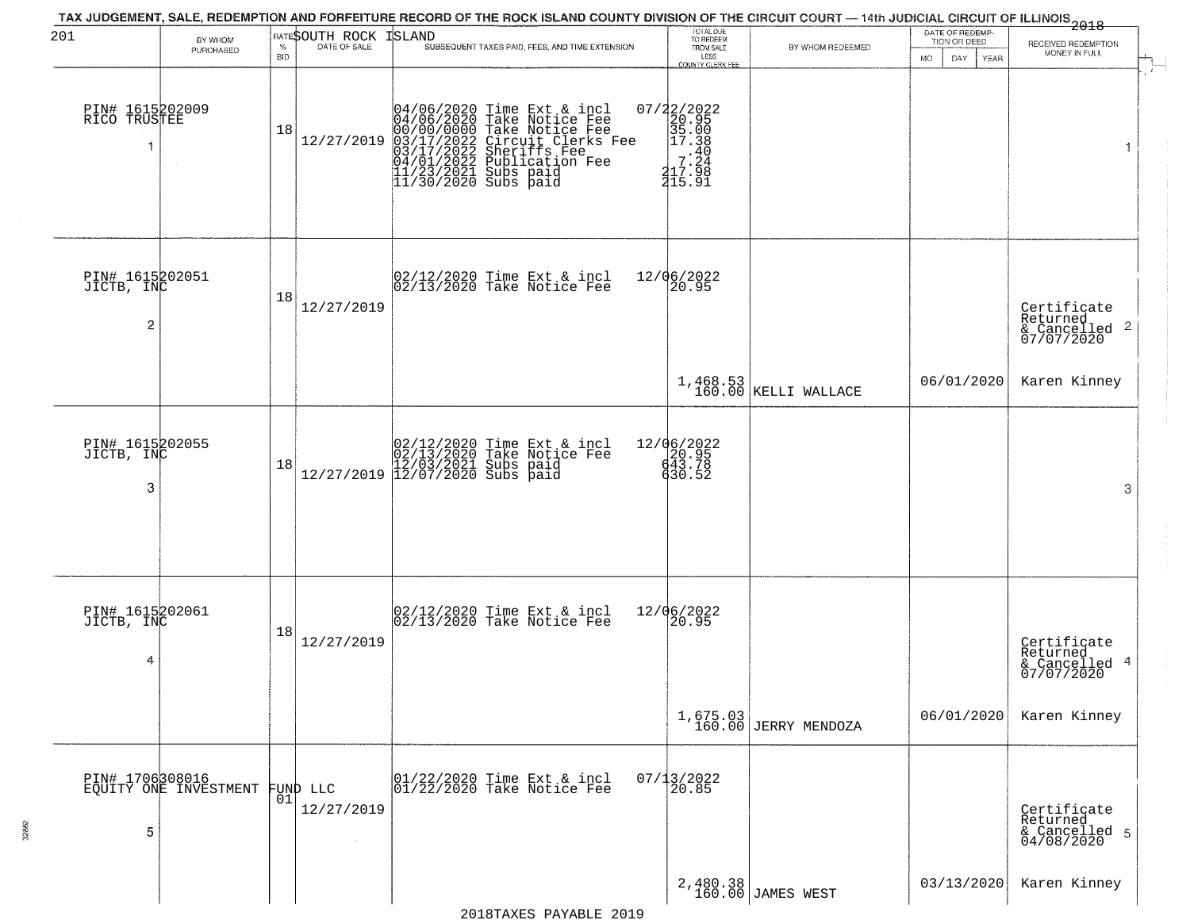| 201                                             | BY WHOM<br>PURCHASED                     | $\%$<br><b>BID</b> | RATESOUTH ROCK<br>DATE OF SALE   | TAX JUDGEMENT, SALE, REDEMPTION AND FORFEITURE RECORD OF THE ROCK ISLAND COUNTY DIVISION OF THE CIRCUIT COURT — 14th JUDICIAL CIRCUIT OF ILLINOIS 2018<br>ISLAND<br>SUBSEQUENT TAXES PAID, FEES, AND TIME EXTENSION                  | TOTAL DUE<br>TO REDEEM<br>FROM SALE<br>LESS<br>COUNTY CLERK FEE                                                   | BY WHOM REDEEMED                 | DATE OF REDEMP-<br>TION OR DEED<br>MO.<br>DAY.<br><b>YEAR</b> | RECEIVED REDEMPTION<br>MONEY IN FULL                               |
|-------------------------------------------------|------------------------------------------|--------------------|----------------------------------|--------------------------------------------------------------------------------------------------------------------------------------------------------------------------------------------------------------------------------------|-------------------------------------------------------------------------------------------------------------------|----------------------------------|---------------------------------------------------------------|--------------------------------------------------------------------|
| PIN# 1615202009<br>RICO TRUSTEE                 |                                          | 18                 | 12/27/2019                       | 04/06/2020 Time Ext & incl<br>04/06/2020 Take Notice Fee<br>00/00/00000 Take Notice Fee<br>03/17/2022 Circuit Clerks Fee<br>03/17/2022 Sublication Fee<br>04/01/2022 Publication Fee<br>11/23/2021 Subs paid<br>11/30/2020 Subs paid | 07/22/2022<br>20.95<br>35.00<br>35.00<br>37.38<br>7.49<br>$\begin{array}{c} 7:24 \\ 217:98 \\ 415.91 \end{array}$ |                                  |                                                               | 1                                                                  |
| PIN# 1615202051<br>JICTB, INC<br>$\overline{c}$ |                                          | 18                 | 12/27/2019                       | 02/12/2020 Time Ext & incl<br>02/13/2020 Take Notice Fee                                                                                                                                                                             | 12/06/2022<br>20.95                                                                                               |                                  |                                                               | Certificate<br>Returned<br>$\frac{1}{2}$ Cancelled 2<br>07/07/2020 |
|                                                 |                                          |                    |                                  |                                                                                                                                                                                                                                      |                                                                                                                   | 1,468.53<br>160.00 KELLI WALLACE | 06/01/2020                                                    | Karen Kinney                                                       |
| PIN# 1615202055<br>JICTB, INC<br>3              |                                          | 18                 |                                  | $[02/12/2020 \t\t Time Ext & incl 02/13/2020 \t\t Take Notice Free 12/27/2019] 12/03/2021 \tSubs paid 12/27/2019]$                                                                                                                   | 12/06/2022<br>$\begin{array}{c} 20.95 \\ 43.78 \\ 643.52 \end{array}$                                             |                                  |                                                               | 3                                                                  |
| PIN# 1615202061<br>JICTB, INC<br>4              |                                          | 18                 | 12/27/2019                       | 02/12/2020 Time Ext & incl<br>02/13/2020 Take Notice Fee                                                                                                                                                                             | 12/06/2022<br>$\frac{20.95}{ }$                                                                                   |                                  |                                                               | Certificate<br>Returned<br>4<br>& Cancelled<br>07/07/2020          |
|                                                 |                                          |                    |                                  |                                                                                                                                                                                                                                      |                                                                                                                   | 1,675.03<br>160.00 JERRY MENDOZA | 06/01/2020                                                    | Karen Kinney                                                       |
| 5                                               | PIN# 1706308016<br>EQUITY ONE INVESTMENT | 01                 | FUND LLC<br>12/27/2019<br>$\sim$ | 01/22/2020 Time Ext & incl<br>01/22/2020 Take Notice Fee                                                                                                                                                                             | $07/13/2022$<br>20.85                                                                                             |                                  |                                                               | Certificate<br>Returned<br>& Cancelled 5<br>04/08/2020             |
|                                                 |                                          |                    |                                  |                                                                                                                                                                                                                                      |                                                                                                                   | 2,480.38<br>160.00 JAMES WEST    | 03/13/2020                                                    | Karen Kinney                                                       |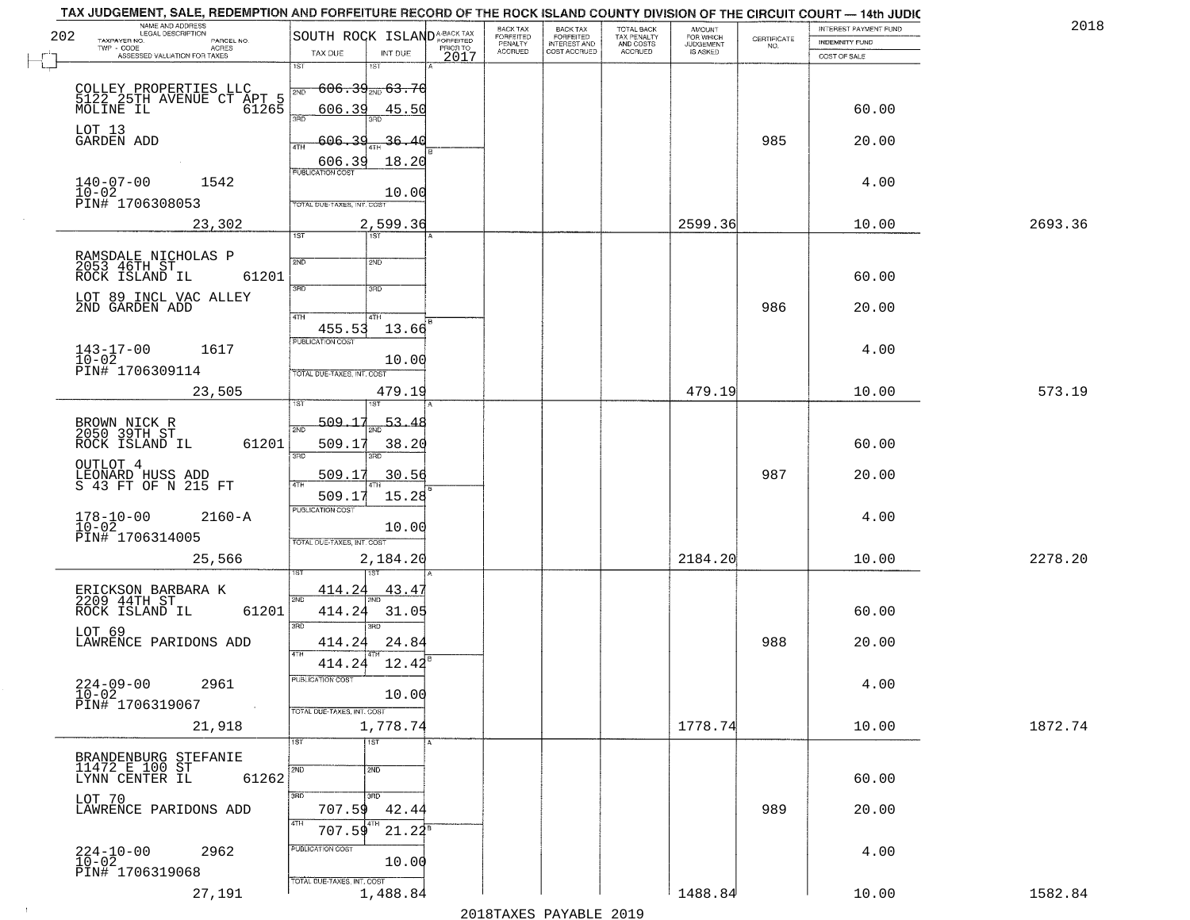|     | TAX JUDGEMENT, SALE, REDEMPTION AND FORFEITURE RECORD OF THE ROCK ISLAND COUNTY DIVISION OF THE CIRCUIT COURT - 14th JUDIC<br>NAME AND ADDRESS<br>LEGAL DESCRIPTION |                                              |             |                  | BACK TAX             |                                       |                                        |                                  |                                                                 | INTEREST PAYMENT FUND | 2018    |
|-----|---------------------------------------------------------------------------------------------------------------------------------------------------------------------|----------------------------------------------|-------------|------------------|----------------------|---------------------------------------|----------------------------------------|----------------------------------|-----------------------------------------------------------------|-----------------------|---------|
| 202 | TAXPAYER NO.<br>PARCEL NO.                                                                                                                                          | SOUTH ROCK ISLAND <sup>A-BACK TAX</sup>      |             |                  | FORFEITED<br>PENALTY | BACK TAX<br>FORFEITED<br>INTEREST AND | TOTAL BACK<br>TAX PENALTY<br>AND COSTS | AMOUNT<br>FOR WHICH<br>JUDGEMENT | $\begin{array}{c} \text{CERTIFICATE} \\ \text{NO.} \end{array}$ | <b>INDEMNITY FUND</b> |         |
|     | TWP - CODE<br>ACRES<br>ASSESSED VALUATION FOR TAXES                                                                                                                 | TAX DUE                                      | INT DUE     | PRIOR TO<br>2017 | <b>ACCRUED</b>       | COST ACCRUED                          | <b>ACCRUED</b>                         | IS ASKED                         |                                                                 | COST OF SALE          |         |
|     |                                                                                                                                                                     | 1ST<br>1ST                                   |             |                  |                      |                                       |                                        |                                  |                                                                 |                       |         |
|     |                                                                                                                                                                     | <del>606.39<sub>210</sub>63.7</del> 6<br>2ND |             |                  |                      |                                       |                                        |                                  |                                                                 |                       |         |
|     | COLLEY PROPERTIES LLC<br>5122 25TH AVENUE CT APT 5<br>MOLINE IL 61265                                                                                               | 606.39                                       | 45.50       |                  |                      |                                       |                                        |                                  |                                                                 | 60.00                 |         |
|     |                                                                                                                                                                     | 3RD                                          |             |                  |                      |                                       |                                        |                                  |                                                                 |                       |         |
|     | LOT 13<br>GARDEN ADD                                                                                                                                                | 606.39<br>4TH                                | -36.<br>41  |                  |                      |                                       |                                        |                                  | 985                                                             | 20.00                 |         |
|     |                                                                                                                                                                     | 606.39<br><b>PUBLICATION COST</b>            | 18.20       |                  |                      |                                       |                                        |                                  |                                                                 |                       |         |
|     | $140 - 07 - 00$<br>1542                                                                                                                                             |                                              |             |                  |                      |                                       |                                        |                                  |                                                                 | 4.00                  |         |
|     | $10 - 02$<br>PIN# 1706308053                                                                                                                                        | TOTAL DUE-TAXES, INT. COST                   | 10.00       |                  |                      |                                       |                                        |                                  |                                                                 |                       |         |
|     | 23,302                                                                                                                                                              |                                              | 2,599.36    |                  |                      |                                       |                                        | 2599.36                          |                                                                 | 10.00                 | 2693.36 |
|     |                                                                                                                                                                     | 1ST<br>1ST                                   |             |                  |                      |                                       |                                        |                                  |                                                                 |                       |         |
|     | RAMSDALE NICHOLAS P<br>2053 46TH ST<br>ROCK ISLAND IL                                                                                                               | 2ND<br>2ND                                   |             |                  |                      |                                       |                                        |                                  |                                                                 |                       |         |
|     | 61201                                                                                                                                                               |                                              |             |                  |                      |                                       |                                        |                                  |                                                                 | 60.00                 |         |
|     | LOT 89 INCL VAC ALLEY                                                                                                                                               | 3RD<br>3RD                                   |             |                  |                      |                                       |                                        |                                  |                                                                 |                       |         |
|     | 2ND GARDEN ADD                                                                                                                                                      | 47H<br>4TH                                   |             |                  |                      |                                       |                                        |                                  | 986                                                             | 20.00                 |         |
|     |                                                                                                                                                                     | 455.53<br>PUBLICATION COST                   | 13.66       |                  |                      |                                       |                                        |                                  |                                                                 |                       |         |
|     | $143 - 17 - 00$<br>1617                                                                                                                                             |                                              |             |                  |                      |                                       |                                        |                                  |                                                                 | 4.00                  |         |
|     | 10-02<br>PIN# 1706309114                                                                                                                                            | TOTAL DUE-TAXES, INT. COST                   | 10.00       |                  |                      |                                       |                                        |                                  |                                                                 |                       |         |
|     | 23,505                                                                                                                                                              |                                              | 479.19      |                  |                      |                                       |                                        | 479.19                           |                                                                 | 10.00                 | 573.19  |
|     |                                                                                                                                                                     | 1ST                                          |             |                  |                      |                                       |                                        |                                  |                                                                 |                       |         |
|     | BROWN NICK R<br>2050 39TH ST                                                                                                                                        | 509.17<br>2ND                                | 53.48       |                  |                      |                                       |                                        |                                  |                                                                 |                       |         |
|     | 61201<br>ROCK ISLAND IL                                                                                                                                             | 509.17<br>3BD<br>3RD                         | 38.20       |                  |                      |                                       |                                        |                                  |                                                                 | 60.00                 |         |
|     |                                                                                                                                                                     |                                              |             |                  |                      |                                       |                                        |                                  |                                                                 |                       |         |
|     | OUTLOT 4<br>LEONARD HUSS ADD<br>S 43 FT OF N 215 FT                                                                                                                 | 509.17                                       | 30.56       |                  |                      |                                       |                                        |                                  | 987                                                             | 20.00                 |         |
|     |                                                                                                                                                                     | 509.17<br><b>PUBLICATION COST</b>            | 15.28       |                  |                      |                                       |                                        |                                  |                                                                 |                       |         |
|     | $2160 - A$<br>178-10-00<br>10-02                                                                                                                                    |                                              | 10.00       |                  |                      |                                       |                                        |                                  |                                                                 | 4.00                  |         |
|     | PIN# 1706314005                                                                                                                                                     | <b>TOTAL OUE-TAXES, INT. COST</b>            |             |                  |                      |                                       |                                        |                                  |                                                                 |                       |         |
|     | 25,566                                                                                                                                                              |                                              | 2,184.20    |                  |                      |                                       |                                        | 2184.20                          |                                                                 | 10.00                 | 2278.20 |
|     |                                                                                                                                                                     |                                              |             |                  |                      |                                       |                                        |                                  |                                                                 |                       |         |
|     | ERICKSON BARBARA K<br>2209 44TH ST                                                                                                                                  | <u>414.24</u><br>2ND                         | <u>43.4</u> |                  |                      |                                       |                                        |                                  |                                                                 |                       |         |
|     | ROCK ISLAND IL<br>61201                                                                                                                                             | 414.24<br>3RD<br><b>IRD</b>                  | 31.05       |                  |                      |                                       |                                        |                                  |                                                                 | 60.00                 |         |
|     | LOT 69<br>LAWRENCE PARIDONS ADD                                                                                                                                     | 414.24                                       | 24.84       |                  |                      |                                       |                                        |                                  | 988                                                             | 20.00                 |         |
|     |                                                                                                                                                                     | 4TH<br>414.24                                | 12.42       |                  |                      |                                       |                                        |                                  |                                                                 |                       |         |
|     |                                                                                                                                                                     | PUBLICATION COST                             |             |                  |                      |                                       |                                        |                                  |                                                                 |                       |         |
|     | $224 - 09 - 00$<br>$10 - 02$<br>2961                                                                                                                                |                                              | 10.00       |                  |                      |                                       |                                        |                                  |                                                                 | 4.00                  |         |
|     | PIN# 1706319067<br>$\sim 100$                                                                                                                                       | TOTAL DUE-TAXES, INT. COST                   |             |                  |                      |                                       |                                        |                                  |                                                                 |                       |         |
|     | 21,918                                                                                                                                                              |                                              | 1,778.74    |                  |                      |                                       |                                        | 1778.74                          |                                                                 | 10.00                 | 1872.74 |
|     |                                                                                                                                                                     | 1ST<br>1ST                                   |             |                  |                      |                                       |                                        |                                  |                                                                 |                       |         |
|     | BRANDENBURG STEFANIE<br>11472 E 100 ST<br>LYNN CENTER IL<br>61262                                                                                                   | 2ND<br>2ND                                   |             |                  |                      |                                       |                                        |                                  |                                                                 |                       |         |
|     |                                                                                                                                                                     | 3RD <sup>-</sup><br>$\overline{3}$ RD        |             |                  |                      |                                       |                                        |                                  |                                                                 | 60.00                 |         |
|     | LOT 70<br>LAWRENCE PARIDONS ADD                                                                                                                                     | 707.59                                       | 42.44       |                  |                      |                                       |                                        |                                  | 989                                                             | 20.00                 |         |
|     |                                                                                                                                                                     | 4TH<br>4TH<br>707.59                         | $21.22^8$   |                  |                      |                                       |                                        |                                  |                                                                 |                       |         |
|     | 2962                                                                                                                                                                | PUBLICATION COST                             |             |                  |                      |                                       |                                        |                                  |                                                                 | 4.00                  |         |
|     | $224-10-00$<br>10-02<br>PIN# 1706319068                                                                                                                             |                                              | 10.00       |                  |                      |                                       |                                        |                                  |                                                                 |                       |         |
|     |                                                                                                                                                                     | TOTAL DUE-TAXES, INT. COST                   |             |                  |                      |                                       |                                        |                                  |                                                                 |                       |         |
|     | 27,191                                                                                                                                                              |                                              | 1,488.84    |                  |                      |                                       |                                        | 1488.84                          |                                                                 | 10.00                 | 1582.84 |

 $\sim 10$ 

2018TAXES PAYABLE 2019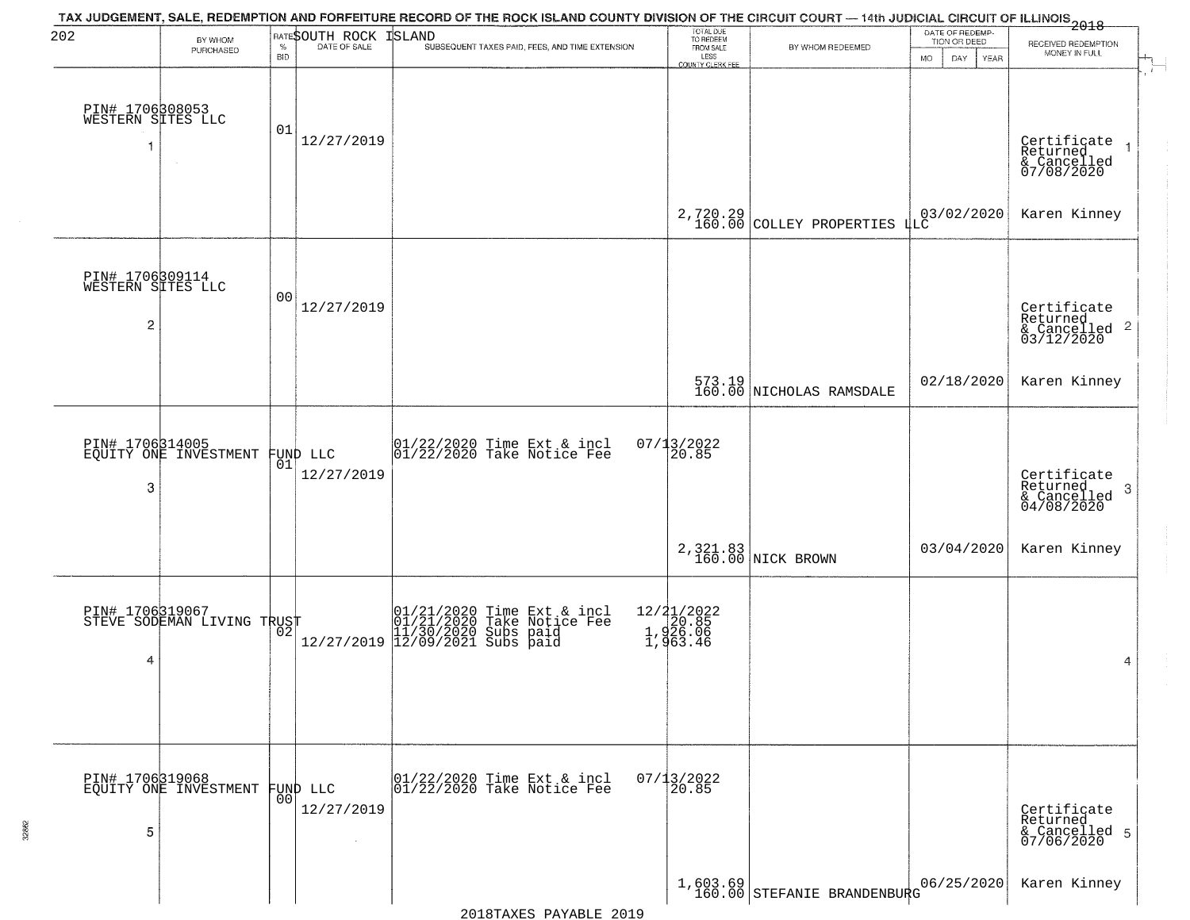| 202                                       | BY WHOM                                       |            | <b>RATESOUTH ROCK</b>                    | TAX JUDGEMENT, SALE, REDEMPTION AND FORFEITURE RECORD OF THE ROCK ISLAND COUNTY DIVISION OF THE CIRCUIT COURT — 14th JUDICIAL CIRCUIT OF ILLINOIS<br>2018 - The Contemporary of the Contemporary of the Carolina of the County of<br><b>ISLAND</b> | TOTAL DUE<br>TO REDEEM                         |                                                                                    |           | DATE OF REDEMP-<br>TION OR DEED | RECEIVED REDEMPTION                                                |
|-------------------------------------------|-----------------------------------------------|------------|------------------------------------------|----------------------------------------------------------------------------------------------------------------------------------------------------------------------------------------------------------------------------------------------------|------------------------------------------------|------------------------------------------------------------------------------------|-----------|---------------------------------|--------------------------------------------------------------------|
|                                           | PURCHASED                                     | <b>BID</b> |                                          | SUBSEQUENT TAXES PAID, FEES, AND TIME EXTENSION                                                                                                                                                                                                    | FROM SALE<br>LESS<br>COUNTY CLERK FEE          | BY WHOM REDEEMED                                                                   | <b>MO</b> | DAY<br>YEAR                     | MONEY IN FULL                                                      |
| PIN# 1706308053<br>WESTERN SITES LLC      |                                               | 01         | 12/27/2019                               |                                                                                                                                                                                                                                                    |                                                |                                                                                    |           |                                 | Certificate<br>Returned<br>& Cancelled<br>07/08/2020               |
|                                           |                                               |            |                                          |                                                                                                                                                                                                                                                    |                                                | 2,720.29 COLLEY PROPERTIES 4LC                                                     |           |                                 | Karen Kinney                                                       |
| PIN# 1706309114<br>WESTERN SITES LLC<br>2 |                                               | 00         | 12/27/2019                               |                                                                                                                                                                                                                                                    |                                                |                                                                                    |           |                                 | Certificate<br>Returned<br>$\frac{1}{6}$ Cancelled 2<br>03/12/2020 |
|                                           |                                               |            |                                          |                                                                                                                                                                                                                                                    |                                                | 573.19<br>160.00 NICHOLAS RAMSDALE                                                 |           | 02/18/2020                      | Karen Kinney                                                       |
| 3                                         | PIN# 1706314005<br>EQUITY ONE INVESTMENT      | 01         | FUND LLC<br>12/27/2019                   | $ 01/22/2020$ Time Ext & incl<br>$ 01/22/2020$ Take Notice Fee                                                                                                                                                                                     | $07/13/2022$<br>20.85                          |                                                                                    |           |                                 | Certificate<br>Returned<br>3<br>& Cancelled<br>04/08/2020          |
|                                           |                                               |            |                                          |                                                                                                                                                                                                                                                    |                                                | 2,321.83<br>160.00 NICK BROWN                                                      |           | 03/04/2020                      | Karen Kinney                                                       |
| 4                                         | PIN# 1706319067<br>STEVE SODEMAN LIVING TRUST |            |                                          | $[01/21/2020 \t\t Time Ext & incl01/21/2020 Take Notice Free11/30/2020 Subs paid12/27/2019]12/09/2021 Subs paid$                                                                                                                                   | 12/21/2022<br>1,920.85<br>1,926.06<br>1,963.46 |                                                                                    |           |                                 | 4                                                                  |
| 5                                         | PIN# 1706319068<br>EQUITY ONE INVESTMENT      | 00         | FUND LLC<br>12/27/2019<br>$\sim 10^{-1}$ | $\begin{array}{cc}  01/22/2020 \rangle \text{ Time} & \text{Ext} & \text{incl} \\  01/22/2020 \rangle \text{ Take Notice } \text{Fe} \end{array}$                                                                                                  | $07/13/2022$<br>20.85                          |                                                                                    |           |                                 | Certificate<br>Returned<br>& Cancelled 5<br>07/06/2020             |
|                                           |                                               |            |                                          |                                                                                                                                                                                                                                                    |                                                | $\left.\begin{array}{c} 1,603.69\\ 160.00 \end{array}\right $ STEFANIE BRANDENBURG |           | 06/25/2020                      | Karen Kinney                                                       |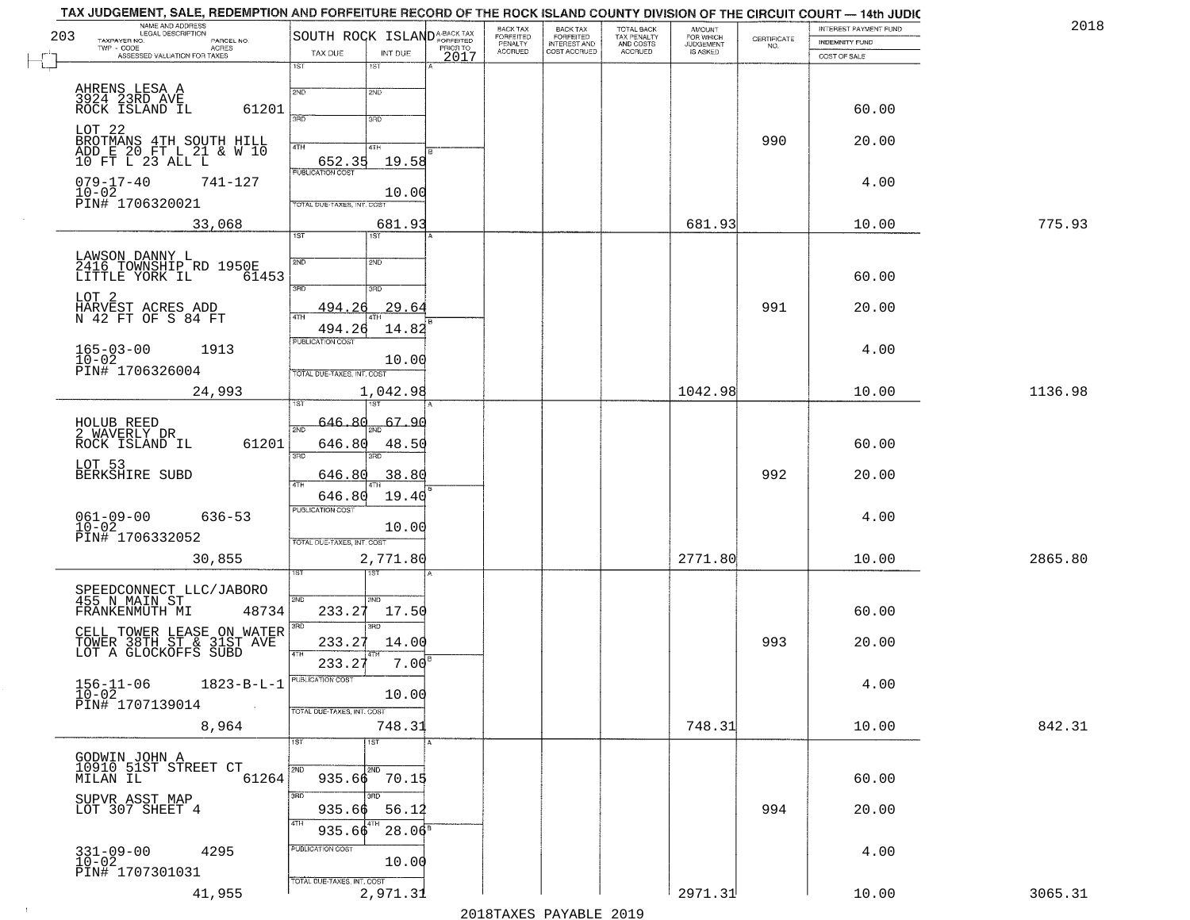| NAME AND ADDRESS<br>203                                                       |                                                   | BACK TAX<br>FORFEITED<br>PENALTY |                                                       | TOTAL BACK<br>TAX PENALTY<br>AND COSTS | AMOUNT<br>FOR WHICH |                    | INTEREST PAYMENT FUND | 2018    |
|-------------------------------------------------------------------------------|---------------------------------------------------|----------------------------------|-------------------------------------------------------|----------------------------------------|---------------------|--------------------|-----------------------|---------|
| TAXPAYER NO.<br>PARCEL NO.<br>ACRES<br>TWP - CODE                             | SOUTH ROCK ISLANDA-BACK TAX<br>TAX DUE<br>INT DUE | <b>ACCRUED</b>                   | BACK TAX<br>FORFEITED<br>INTEREST AND<br>COST ACCRUED | ACCRUED                                | <b>JUDGEMENT</b>    | CERTIFICATE<br>NO. | INDEMNITY FUND        |         |
| ASSESSED VALUATION FOR TAXES                                                  | 2017<br>1ST<br>1S <sub>T</sub>                    |                                  |                                                       |                                        |                     |                    | COST OF SALE          |         |
|                                                                               | 2ND<br>2ND                                        |                                  |                                                       |                                        |                     |                    |                       |         |
| AHRENS LESA A<br>3924 23RD AVE<br>ROCK ISLAND IL                              | 61201                                             |                                  |                                                       |                                        |                     |                    | 60.00                 |         |
|                                                                               | 3RD<br>3RD                                        |                                  |                                                       |                                        |                     |                    |                       |         |
| LOT <sub>22</sub>                                                             | 4TH<br>4TH                                        |                                  |                                                       |                                        |                     | 990                | 20.00                 |         |
| BROTMANS 4TH SOUTH HILL<br>ADD E 20 FT L 21 & W 10<br>10 FT L 23 ALL L        | 652.35<br>19.58                                   |                                  |                                                       |                                        |                     |                    |                       |         |
| $079 - 17 - 40$<br>741-127                                                    | <b>PUBLICATION COST</b>                           |                                  |                                                       |                                        |                     |                    | 4.00                  |         |
| $10 - 02$<br>PIN# 1706320021                                                  | 10.00<br>TOTAL DUE-TAXES, INT. COST               |                                  |                                                       |                                        |                     |                    |                       |         |
| 33,068                                                                        | 681.93                                            |                                  |                                                       |                                        | 681.93              |                    | 10.00                 | 775.93  |
|                                                                               | 1ST<br>1ST                                        |                                  |                                                       |                                        |                     |                    |                       |         |
| LAWSON DANNY L<br>2416 TOWNSHIP RD 1950E                                      | 2ND<br>5 <sub>MD</sub>                            |                                  |                                                       |                                        |                     |                    |                       |         |
| LITTLE YORK IL                                                                | 61453                                             |                                  |                                                       |                                        |                     |                    | 60.00                 |         |
| LOT 2                                                                         | 3RD<br>3RD                                        |                                  |                                                       |                                        |                     |                    |                       |         |
| HARVEST ACRES ADD<br>N 42 FT OF S 84 FT                                       | 29.64<br><u>494.26</u><br>47H                     |                                  |                                                       |                                        |                     | 991                | 20.00                 |         |
|                                                                               | 494.26<br>14.82<br><b>PUBLICATION COST</b>        |                                  |                                                       |                                        |                     |                    |                       |         |
| $165 - 03 - 00$<br>1913<br>$10 - 02$                                          | 10.00                                             |                                  |                                                       |                                        |                     |                    | 4.00                  |         |
| PIN# 1706326004                                                               | TOTAL DUE-TAXES, INT. COST                        |                                  |                                                       |                                        |                     |                    |                       |         |
| 24,993                                                                        | 1,042.98                                          |                                  |                                                       |                                        | 1042.98             |                    | 10.00                 | 1136.98 |
| HOLUB REED                                                                    | 646.80<br>67.90                                   |                                  |                                                       |                                        |                     |                    |                       |         |
| 2 WAVERLY DR<br>ROCK ISLAND IL                                                | 2ND<br>61201<br>646.80<br>48.50                   |                                  |                                                       |                                        |                     |                    | 60.00                 |         |
| LOT 53                                                                        | 3BD                                               |                                  |                                                       |                                        |                     |                    |                       |         |
| BERKSHIRE SUBD                                                                | 38.80<br>646.80<br>4TH                            |                                  |                                                       |                                        |                     | 992                | 20.00                 |         |
|                                                                               | 646.80<br>19.40                                   |                                  |                                                       |                                        |                     |                    |                       |         |
| $061 - 09 - 00$<br>$636 - 53$                                                 | <b>PUBLICATION COST</b>                           |                                  |                                                       |                                        |                     |                    | 4.00                  |         |
| $10 - 02$<br>PIN# 1706332052                                                  | 10.00<br>TOTAL OUE-TAXES, INT. COST               |                                  |                                                       |                                        |                     |                    |                       |         |
| 30,855                                                                        | 2,771.80                                          |                                  |                                                       |                                        | 2771.80             |                    | 10.00                 | 2865.80 |
|                                                                               |                                                   |                                  |                                                       |                                        |                     |                    |                       |         |
| SPEEDCONNECT LLC/JABORO<br>455 N MAIN ST                                      | 2ND<br>2ND                                        |                                  |                                                       |                                        |                     |                    |                       |         |
| FRANKENMUTH MI                                                                | 233.27<br>48734<br>17.50<br>3RD<br>3RD            |                                  |                                                       |                                        |                     |                    | 60.00                 |         |
| CELL TOWER LEASE ON WATER<br>TOWER 38TH ST & 31ST AVE<br>LOT A GLOCKOFFS SUBD | 233.27<br>14.00                                   |                                  |                                                       |                                        |                     | 993                | 20.00                 |         |
|                                                                               | 4TH<br>7.00<br>233.27                             |                                  |                                                       |                                        |                     |                    |                       |         |
| $156 - 11 - 06$                                                               | $1823 - B - L - 1$                                |                                  |                                                       |                                        |                     |                    | 4.00                  |         |
| $10 - 02$<br>PIN# 1707139014                                                  | 10.00<br>$\sim 100$                               |                                  |                                                       |                                        |                     |                    |                       |         |
| 8,964                                                                         | TOTAL DUE-TAXES, INT. COST<br>748.31              |                                  |                                                       |                                        | 748.31              |                    | 10.00                 | 842.31  |
|                                                                               | 1ST<br>1ST                                        |                                  |                                                       |                                        |                     |                    |                       |         |
| GODWIN JOHN A                                                                 |                                                   |                                  |                                                       |                                        |                     |                    |                       |         |
| 10910 51ST STREET CT<br>MILAN IL                                              | 2ND<br>2ND<br>61264<br>935.66 70.15               |                                  |                                                       |                                        |                     |                    | 60.00                 |         |
| SUPVR ASST MAP<br>LOT 307 SHEET 4                                             | 3BD<br>3RD                                        |                                  |                                                       |                                        |                     |                    |                       |         |
|                                                                               | 935.66<br>56.12<br>4TH                            |                                  |                                                       |                                        |                     | 994                | 20.00                 |         |
|                                                                               | $28.06^{\circ}$<br>935.66<br>PUBLICATION COST     |                                  |                                                       |                                        |                     |                    |                       |         |
| $331 - 09 - 00$<br>4295<br>$10-02$                                            | 10.00                                             |                                  |                                                       |                                        |                     |                    | 4.00                  |         |
| PIN# 1707301031                                                               | TOTAL DUE-TAXES, INT. COST                        |                                  |                                                       |                                        |                     |                    |                       |         |
| 41,955                                                                        | 2,971.31                                          |                                  |                                                       |                                        | 2971.31             |                    | 10.00                 | 3065.31 |

 $\sim 10^6$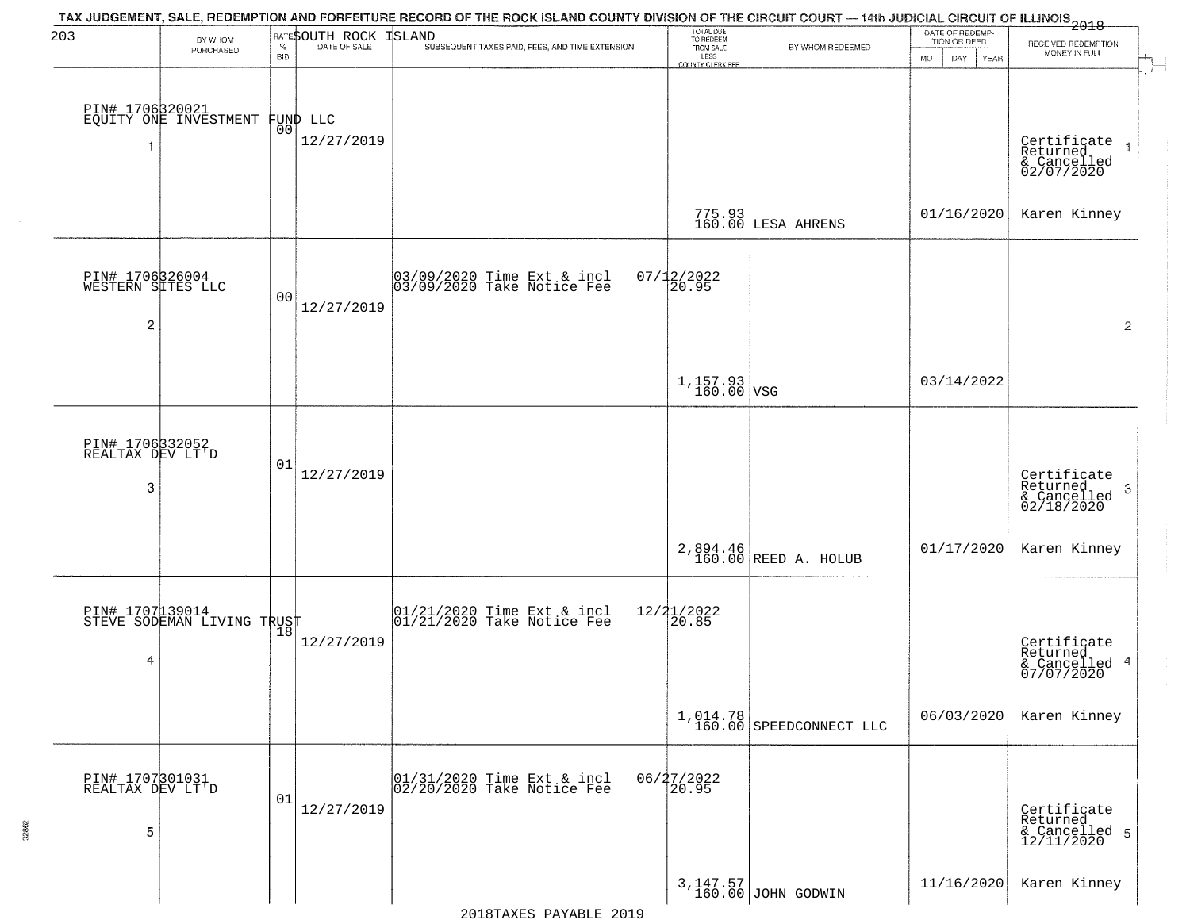| 203                                                    | BY WHOM<br>PURCHASED                          | $\%$<br><b>BID</b> | RATESOUTH ROCK<br>DATE OF SALE | TAX JUDGEMENT, SALE, REDEMPTION AND FORFEITURE RECORD OF THE ROCK ISLAND COUNTY DIVISION OF THE CIRCUIT COURT — 14th JUDICIAL CIRCUIT OF ILLINOIS 2018<br><b>ISLAND</b><br>SUBSEQUENT TAXES PAID, FEES, AND TIME EXTENSION | TOTAL DUE<br>TO REDEEM<br>FROM SALE<br>LESS | BY WHOM REDEEMED                    | DATE OF REDEMP-<br>TION OR DEED<br>MO.<br>DAY<br>YEAR | RECEIVED REDEMPTION<br>MONEY IN FULL                                  |
|--------------------------------------------------------|-----------------------------------------------|--------------------|--------------------------------|----------------------------------------------------------------------------------------------------------------------------------------------------------------------------------------------------------------------------|---------------------------------------------|-------------------------------------|-------------------------------------------------------|-----------------------------------------------------------------------|
|                                                        | PIN# 1706320021<br>EQUITY ONE INVESTMENT      | 00                 | FUND LLC<br>12/27/2019         |                                                                                                                                                                                                                            | <b>COUNTY CLERK FEE</b>                     |                                     |                                                       |                                                                       |
|                                                        |                                               |                    |                                |                                                                                                                                                                                                                            |                                             | 775.93<br>160.00 LESA AHRENS        | 01/16/2020                                            | Certificate<br>Returned<br>& Cancelled<br>02/07/2020<br>Karen Kinney  |
| PIN# 1706326004<br>WESTERN SITES LLC<br>$\overline{c}$ |                                               | 0 <sub>0</sub>     | 12/27/2019                     | 03/09/2020 Time Ext & incl<br>03/09/2020 Take Notice Fee                                                                                                                                                                   | $07/12/2022$<br>20.95                       |                                     |                                                       | $\overline{2}$                                                        |
|                                                        |                                               |                    |                                |                                                                                                                                                                                                                            | $1,157.93$ VSG                              |                                     | 03/14/2022                                            |                                                                       |
| PIN# 1706332052<br>REALTAX DEV LT'D<br>3               |                                               | 01                 | 12/27/2019                     |                                                                                                                                                                                                                            |                                             |                                     |                                                       | Certificate<br>Returned<br>3<br>$\frac{1}{2}$ Cancelled<br>02/18/2020 |
|                                                        |                                               |                    |                                |                                                                                                                                                                                                                            |                                             | 2,894.46<br>160.00 REED A. HOLUB    | 01/17/2020                                            | Karen Kinney                                                          |
| 4                                                      | PIN# 1707139014<br>STEVE SODEMAN LIVING TRUST |                    | 12/27/2019                     | 01/21/2020 Time Ext & incl<br>01/21/2020 Take Notice Fee                                                                                                                                                                   | $12/21/2022$<br>20.85                       |                                     |                                                       | Certificate<br>Returned<br>& Cancelled<br>07/07/2020<br>4             |
|                                                        |                                               |                    |                                |                                                                                                                                                                                                                            |                                             | 1,014.78<br>160.00 SPEEDCONNECT LLC | 06/03/2020                                            | Karen Kinney                                                          |
| PIN# 1707301031<br>REALTAX DEV LT'D<br>5               |                                               | 01                 | 12/27/2019<br>$\sim 10^{-1}$   | 01/31/2020 Time Ext & incl<br>02/20/2020 Take Notice Fee                                                                                                                                                                   | $06/27/2022$<br>20.95                       |                                     |                                                       | Certificate<br>Returned<br>& Cancelled 5<br>12/11/2020                |
|                                                        |                                               |                    |                                |                                                                                                                                                                                                                            |                                             | 3,147.57<br>160.00 JOHN GODWIN      | 11/16/2020                                            | Karen Kinney                                                          |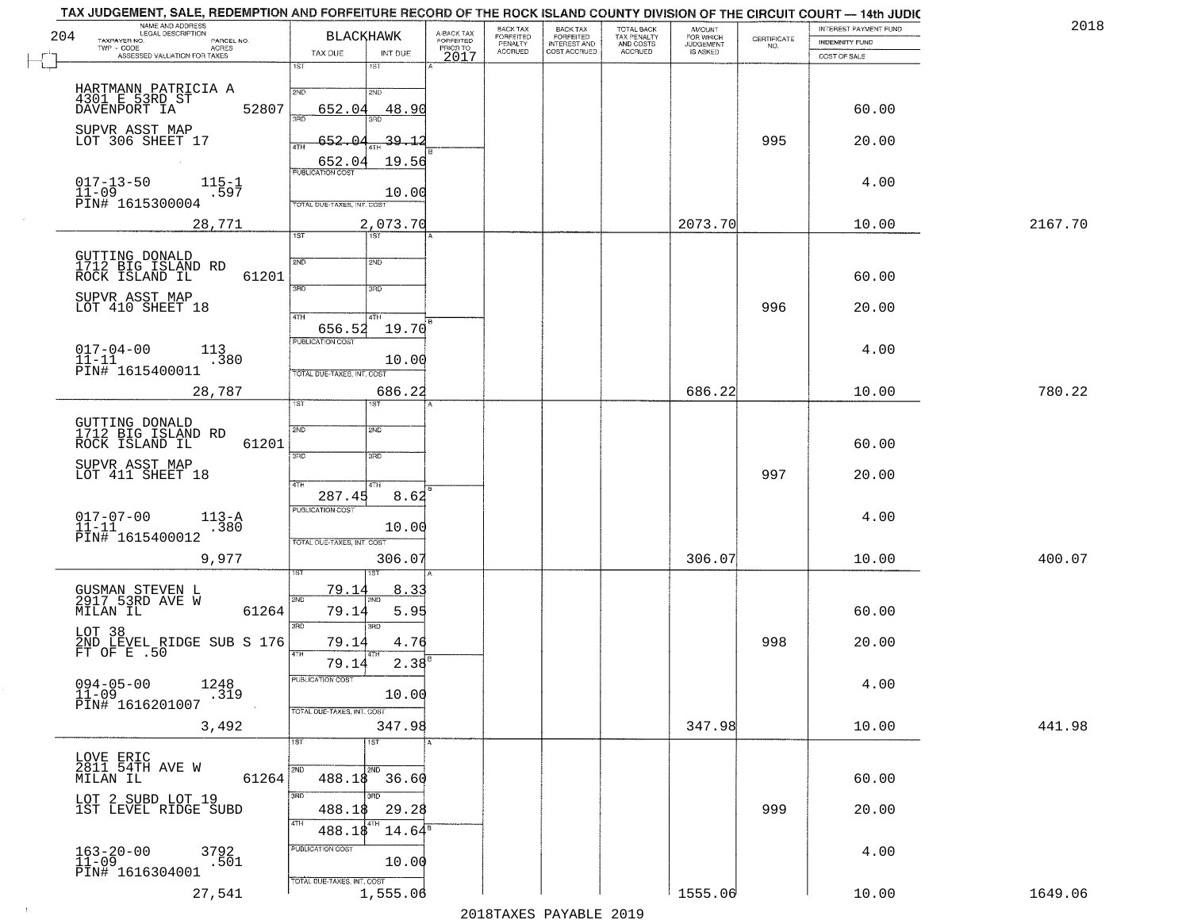| 204 | TAX JUDGEMENT, SALE, REDEMPTION AND FORFEITURE RECORD OF THE ROCK ISLAND COUNTY DIVISION OF THE CIRCUIT COURT — 14th JUDIC<br>NAME AND ADDRESS<br>LEGAL DESCRIPTION<br>TAXPAYER NO.<br>PARCEL NO. | <b>BLACKHAWK</b>                                                          |                               | A-BACK TAX<br>FORFEITED | BACK TAX                        | BACK TAX<br>FORFEITED        | TOTAL BACK<br>TAX PENALTY<br>AND COSTS<br>ACCRUED | <b>AMOUNT</b>                      | CERTIFICATE | INTEREST PAYMENT FUND          | 2018    |
|-----|---------------------------------------------------------------------------------------------------------------------------------------------------------------------------------------------------|---------------------------------------------------------------------------|-------------------------------|-------------------------|---------------------------------|------------------------------|---------------------------------------------------|------------------------------------|-------------|--------------------------------|---------|
|     | TWP - CODE<br>- CODE ACRES<br>ASSESSED VALUATION FOR TAXES                                                                                                                                        | TAX DUE                                                                   | INT DUE                       | PRIORTO<br>2017         | FORFEITED<br>PENALTY<br>ACCRUED | INTEREST AND<br>COST ACCRUED |                                                   | FOR WHICH<br>JUDGEMENT<br>IS ASKED | NO.         | INDEMNITY FUND<br>COST OF SALE |         |
|     |                                                                                                                                                                                                   | 1ST<br>1ST                                                                |                               |                         |                                 |                              |                                                   |                                    |             |                                |         |
|     | HARTMANN PATRICIA A<br>4301 E 53RD ST<br>DAVENPORT IA<br>52807                                                                                                                                    | 2ND<br>2ND<br>652.04<br>3AD<br>3BD                                        | 48.90                         |                         |                                 |                              |                                                   |                                    |             | 60.00                          |         |
|     | SUPVR ASST MAP<br>LOT 306 SHEET 17                                                                                                                                                                | -652<br>4TH                                                               | <u>39.12</u>                  |                         |                                 |                              |                                                   |                                    | 995         | 20.00                          |         |
|     | $115 - 1$<br>$017 - 13 - 50$<br>$11 - 09$<br>.597<br>PIN# 1615300004                                                                                                                              | 652.04<br><b>PUBLICATION COST</b>                                         | 19.56<br>10.00                |                         |                                 |                              |                                                   |                                    |             | 4.00                           |         |
|     | 28,771                                                                                                                                                                                            | TOTAL DUE-TAXES, INT. COST<br>$\overline{1ST}$<br>$\overline{151}$        | 2,073.70                      |                         |                                 |                              |                                                   | 2073.70                            |             | 10.00                          | 2167.70 |
|     | GUTTING DONALD<br>1712 BIG ISLAND RD<br>ROCK ISLAND IL<br>61201                                                                                                                                   | 2ND<br>2ND                                                                |                               |                         |                                 |                              |                                                   |                                    |             | 60.00                          |         |
|     | SUPVR ASST MAP<br>LOT 410 SHEET 18                                                                                                                                                                | उन्नठ<br>3RD                                                              |                               |                         |                                 |                              |                                                   |                                    | 996         | 20.00                          |         |
|     | $017 - 04 - 00$<br>11-11<br>113<br>.380                                                                                                                                                           | 47H<br>4TH<br>656.52<br>PUBLICATION COST                                  | 19.70<br>10.00                |                         |                                 |                              |                                                   |                                    |             | 4.00                           |         |
|     | PIN# 1615400011<br>28,787                                                                                                                                                                         | TOTAL DUE-TAXES, INT. COST                                                | 686.22                        |                         |                                 |                              |                                                   | 686.22                             |             | 10.00                          | 780.22  |
|     | GUTTING DONALD<br>1712 BIG ISLAND RD<br>ROCK ISLAND IL<br>61201                                                                                                                                   | 1ST.<br>2ND<br>2ND<br>3RD<br>3BD                                          |                               |                         |                                 |                              |                                                   |                                    |             | 60.00                          |         |
|     | SUPVR ASST MAP<br>LOT 411 SHEET 18                                                                                                                                                                | 4TH<br>4TH                                                                |                               |                         |                                 |                              |                                                   |                                    | 997         | 20.00                          |         |
|     | $017 - 07 - 00$<br>11-11<br>$113 - A$<br>.380<br>PIN# 1615400012                                                                                                                                  | 287.45<br><b>PUBLICATION COST</b><br>TOTAL OUE-TAXES, INT. COST           | 8.62<br>10.00                 |                         |                                 |                              |                                                   |                                    |             | 4.00                           |         |
|     | 9,977                                                                                                                                                                                             |                                                                           | 306.07                        |                         |                                 |                              |                                                   | 306.07                             |             | 10.00                          | 400.07  |
|     | GUSMAN STEVEN L<br>2917 53RD AVE W<br>61264<br>MILAN IL                                                                                                                                           | <u>79.1.</u><br>2ND<br>79.14                                              | 8.3<br>5.95                   |                         |                                 |                              |                                                   |                                    |             | 60.00                          |         |
|     | LOT 38<br>2ND LEVEL RIDGE SUB S 176<br>FT OF E .50                                                                                                                                                | 3RD<br>3RD<br>79.14                                                       | 4.76                          |                         |                                 |                              |                                                   |                                    | 998         | 20.00                          |         |
|     | $094 - 05 - 00$ 1248<br>$11 - 09$<br>.319<br>PIN# 1616201007                                                                                                                                      | 79.14<br>PUBLICATION COST                                                 | 2.38<br>10.00                 |                         |                                 |                              |                                                   |                                    |             | 4.00                           |         |
|     | 3,492                                                                                                                                                                                             | TOTAL DUE-TAXES, INT. COST                                                | 347.98                        |                         |                                 |                              |                                                   | 347.98                             |             | 10.00                          | 441.98  |
|     | LOVE ERIC<br>2811 54TH AVE W<br>61264<br>MILAN IL                                                                                                                                                 | 1ST <sup>1</sup><br>$\overline{\text{1ST}}$<br>2ND<br>2ND<br>488.18 36.60 |                               |                         |                                 |                              |                                                   |                                    |             | 60.00                          |         |
|     | LOT 2 SUBD LOT 19<br>1ST LEVEL RIDGE SUBD                                                                                                                                                         | 3RD<br>350<br>488.18<br>4TH                                               | 29.28                         |                         |                                 |                              |                                                   |                                    | 999         | 20.00                          |         |
|     | $163 - 20 - 00$<br>11-09<br>3792<br>.501<br>PIN# 1616304001                                                                                                                                       | 488.18<br>PUBLICATION COST                                                | $14.64^{\mathrm{s}}$<br>10.00 |                         |                                 |                              |                                                   |                                    |             | 4.00                           |         |
|     | 27,541                                                                                                                                                                                            | TOTAL DUE-TAXES, INT. COST                                                | 1,555.06                      |                         |                                 | מרמכ הזהגעות מהעושמרמכ       |                                                   | 1555.06                            |             | 10.00                          | 1649.06 |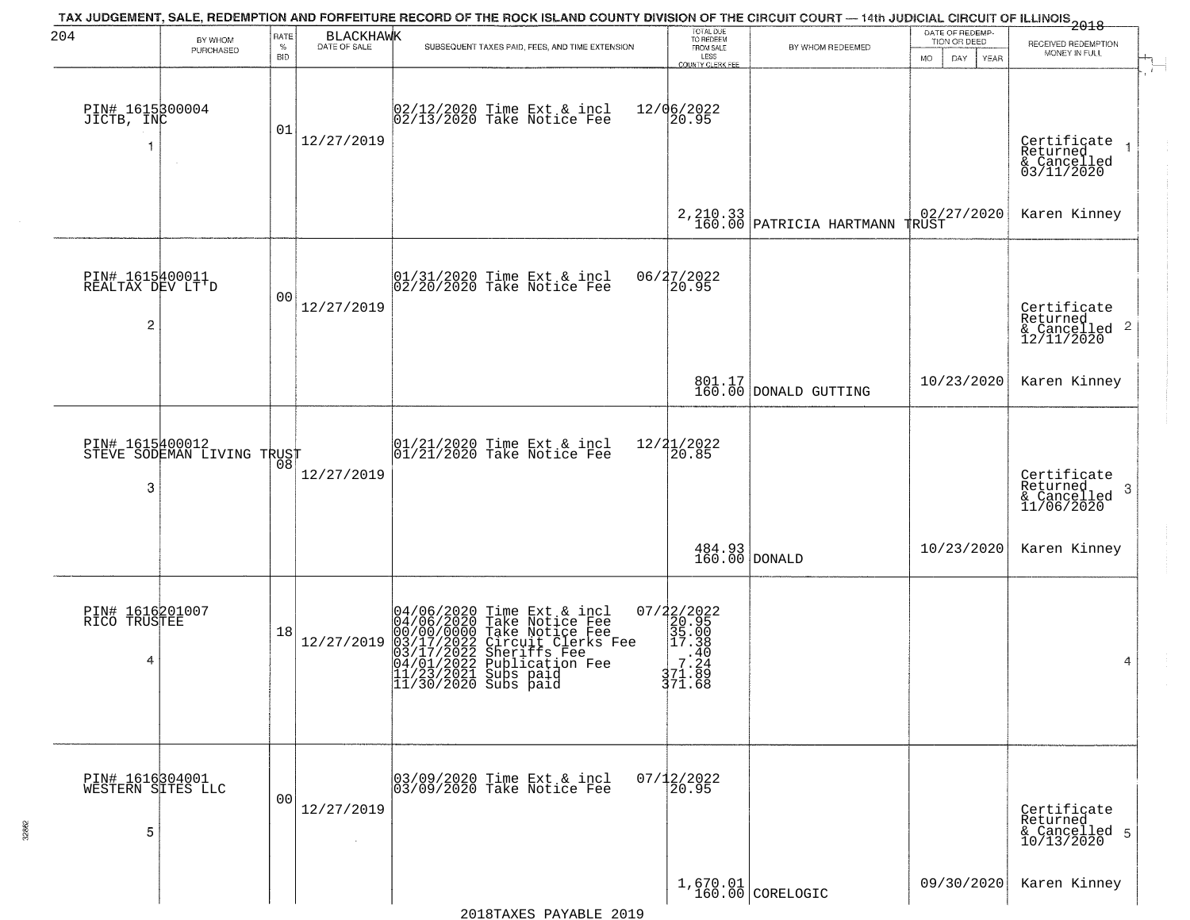| 204                                                   | BY WHOM<br>PURCHASED                          | RATE<br>%<br><b>BID</b> | <b>BLACKHAWK</b><br>DATE OF SALE | TAX JUDGEMENT, SALE, REDEMPTION AND FORFEITURE RECORD OF THE ROCK ISLAND COUNTY DIVISION OF THE CIRCUIT COURT — 14th JUDICIAL CIRCUIT OF ILLINOIS 2018<br>SUBSEQUENT TAXES PAID, FEES, AND TIME EXTENSION                                                                                                | TOTAL DUE<br>TO REDEEM<br>FROM SALE<br>LESS<br>COUNTY CLERK FEE               | BY WHOM REDEEMED                                       | DATE OF REDEMP-<br>TION OR DEED<br>MO.<br>DAY.<br><b>YEAR</b> | RECEIVED REDEMPTION<br>MONEY IN FULL                               |
|-------------------------------------------------------|-----------------------------------------------|-------------------------|----------------------------------|----------------------------------------------------------------------------------------------------------------------------------------------------------------------------------------------------------------------------------------------------------------------------------------------------------|-------------------------------------------------------------------------------|--------------------------------------------------------|---------------------------------------------------------------|--------------------------------------------------------------------|
| PIN# 1615300004<br>JICTB, INC                         |                                               | 01                      | 12/27/2019                       | 02/12/2020 Time Ext & incl<br>02/13/2020 Take Notice Fee                                                                                                                                                                                                                                                 | 12/06/2022<br>20.95                                                           |                                                        |                                                               | Certificate<br>Returned<br>& Cancelled<br>03/11/2020               |
|                                                       |                                               |                         |                                  |                                                                                                                                                                                                                                                                                                          |                                                                               | $2,210.33 \atop 160.00 \text{ PARTRICIA HARTMANN}$     | $02/27/2020$ TRUST                                            | Karen Kinney                                                       |
| PIN# 1615400011<br>REALTAX DEV LT'D<br>$\overline{c}$ |                                               | 0 <sub>0</sub>          | 12/27/2019                       | $ 01/31/2020$ Time Ext & incl<br>$ 02/20/2020$ Take Notice Fee                                                                                                                                                                                                                                           | 06/27/2022<br>20.95                                                           |                                                        |                                                               | Certificate<br>Returned<br>$\frac{1}{2}$ Cancelled 2<br>12/11/2020 |
|                                                       |                                               |                         |                                  |                                                                                                                                                                                                                                                                                                          |                                                                               | 801.17<br>160.00 DONALD GUTTING                        | 10/23/2020                                                    | Karen Kinney                                                       |
| 3                                                     | PIN# 1615400012<br>STEVE SODEMAN LIVING TRUST | 08                      | 12/27/2019                       | $\begin{array}{cc}  01/21/2020 \rangle \\  01/21/2020 \rangle \rangle \end{array}$ Take Notice Fee                                                                                                                                                                                                       | $12/21/2022$<br>$20.85$                                                       |                                                        |                                                               | Certificate<br>Returned<br>3<br>& Cancelled<br>11/06/2020          |
|                                                       |                                               |                         |                                  |                                                                                                                                                                                                                                                                                                          |                                                                               | $\begin{array}{c} 484.93 \\ 160.00 \end{array}$ DONALD | 10/23/2020                                                    | Karen Kinney                                                       |
| PIN# 1616201007<br>RICO TRUSTEE<br>4                  |                                               | 18                      | 12/27/2019                       | 04/06/2020 Time Ext &<br>04/06/2020 Take Notic<br>00/00/0000 Take Notic<br>03/17/2022 Circuit Cl<br>04/01/2022 Sublicatic<br>11/23/2021 Subs paid<br>11/30/2020 Subs paid<br>Time Ext & incl<br>Take Notice Fee<br>Take Notice Fee<br>Circuit Clerks Fee<br>Sheriffs Fee<br>Publication Fee<br>Subs paid | 07/22/2022<br>20.95<br>35.000<br>37.38<br>7.240<br>7.244<br>37.1.88<br>371.68 |                                                        |                                                               | 4                                                                  |
| PIN# 1616304001<br>WESTERN SITES LLC<br>5             |                                               | 0 <sub>0</sub>          | 12/27/2019<br>$\sim$             | 03/09/2020 Time Ext & incl<br>03/09/2020 Take Notice Fee                                                                                                                                                                                                                                                 | $07/12/2022$<br>20.95                                                         |                                                        |                                                               | Certificate<br>Returned<br>& Cancelled 5<br>10/13/2020             |
|                                                       |                                               |                         |                                  |                                                                                                                                                                                                                                                                                                          |                                                                               | $1,670.01$ CORELOGIC                                   | 09/30/2020                                                    | Karen Kinney                                                       |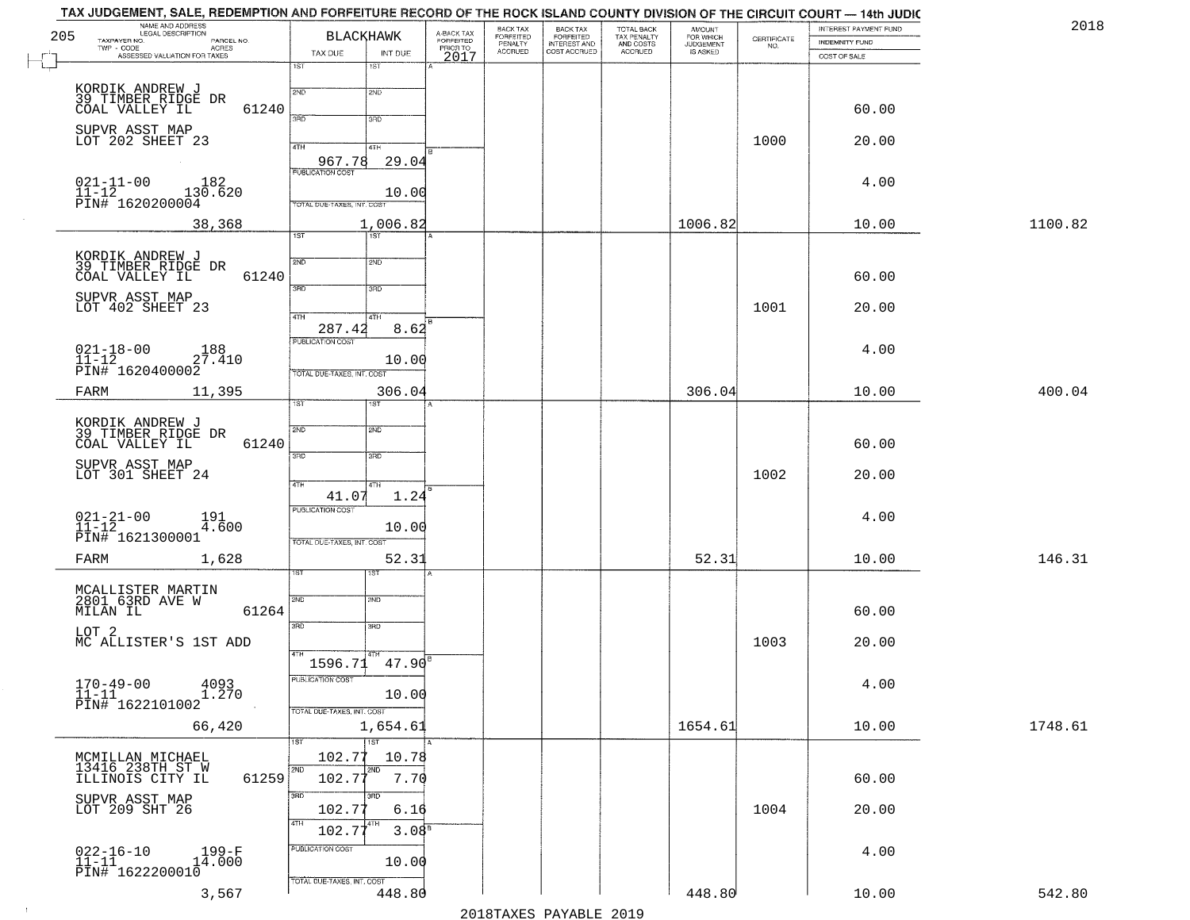| NAME AND ADDRESS<br>LEGAL DESCRIPTION                          |                                                                                                                                                                                                                                                                                                                                                                                                                                                                                                          |                                                                                                                                                                                                 | BACK TAX                                                                                                                                                                          | <b>BACK TAX</b>                        | TOTAL BACK                                       | <b>AMOUNT</b>                       |                                   | INTEREST PAYMENT FUND                                                   | 2018                                              |
|----------------------------------------------------------------|----------------------------------------------------------------------------------------------------------------------------------------------------------------------------------------------------------------------------------------------------------------------------------------------------------------------------------------------------------------------------------------------------------------------------------------------------------------------------------------------------------|-------------------------------------------------------------------------------------------------------------------------------------------------------------------------------------------------|-----------------------------------------------------------------------------------------------------------------------------------------------------------------------------------|----------------------------------------|--------------------------------------------------|-------------------------------------|-----------------------------------|-------------------------------------------------------------------------|---------------------------------------------------|
| TAXPAYER NO.<br>PARCEL NO.                                     |                                                                                                                                                                                                                                                                                                                                                                                                                                                                                                          | FORFEITED                                                                                                                                                                                       |                                                                                                                                                                                   |                                        |                                                  |                                     |                                   | INDEMNITY FUND                                                          |                                                   |
| ASSESSED VALUATION FOR TAXES                                   |                                                                                                                                                                                                                                                                                                                                                                                                                                                                                                          | 2017                                                                                                                                                                                            |                                                                                                                                                                                   |                                        |                                                  |                                     |                                   | COST OF SALE                                                            |                                                   |
|                                                                | 2ND<br>2ND                                                                                                                                                                                                                                                                                                                                                                                                                                                                                               |                                                                                                                                                                                                 |                                                                                                                                                                                   |                                        |                                                  |                                     |                                   |                                                                         |                                                   |
|                                                                | 3RD<br>3RD                                                                                                                                                                                                                                                                                                                                                                                                                                                                                               |                                                                                                                                                                                                 |                                                                                                                                                                                   |                                        |                                                  |                                     |                                   | 60.00                                                                   |                                                   |
|                                                                | 4TH<br>41H                                                                                                                                                                                                                                                                                                                                                                                                                                                                                               |                                                                                                                                                                                                 |                                                                                                                                                                                   |                                        |                                                  |                                     | 1000                              | 20.00                                                                   |                                                   |
| $021 - 11 - 00$<br>182                                         | <b>PUBLICATION COST</b>                                                                                                                                                                                                                                                                                                                                                                                                                                                                                  |                                                                                                                                                                                                 |                                                                                                                                                                                   |                                        |                                                  |                                     |                                   | 4.00                                                                    |                                                   |
|                                                                | TOTAL DUE-TAXES, INT. COST                                                                                                                                                                                                                                                                                                                                                                                                                                                                               |                                                                                                                                                                                                 |                                                                                                                                                                                   |                                        |                                                  | 1006.82                             |                                   |                                                                         | 1100.82                                           |
|                                                                | $\overline{1ST}$<br>1ST                                                                                                                                                                                                                                                                                                                                                                                                                                                                                  |                                                                                                                                                                                                 |                                                                                                                                                                                   |                                        |                                                  |                                     |                                   |                                                                         |                                                   |
|                                                                | 2ND<br>2ND                                                                                                                                                                                                                                                                                                                                                                                                                                                                                               |                                                                                                                                                                                                 |                                                                                                                                                                                   |                                        |                                                  |                                     |                                   |                                                                         |                                                   |
| SUPVR ASST MAP                                                 | 3RD<br>3RD                                                                                                                                                                                                                                                                                                                                                                                                                                                                                               |                                                                                                                                                                                                 |                                                                                                                                                                                   |                                        |                                                  |                                     |                                   |                                                                         |                                                   |
|                                                                | $\overline{47H}$<br>4TH<br>287.42                                                                                                                                                                                                                                                                                                                                                                                                                                                                        |                                                                                                                                                                                                 |                                                                                                                                                                                   |                                        |                                                  |                                     |                                   |                                                                         |                                                   |
| $021 - 18 - 00$<br>11-12<br>188<br>27.410                      | PUBLICATION COST                                                                                                                                                                                                                                                                                                                                                                                                                                                                                         |                                                                                                                                                                                                 |                                                                                                                                                                                   |                                        |                                                  |                                     |                                   | 4.00                                                                    |                                                   |
| FARM<br>11,395                                                 |                                                                                                                                                                                                                                                                                                                                                                                                                                                                                                          |                                                                                                                                                                                                 |                                                                                                                                                                                   |                                        |                                                  | 306.04                              |                                   | 10.00                                                                   | 400.04                                            |
|                                                                |                                                                                                                                                                                                                                                                                                                                                                                                                                                                                                          |                                                                                                                                                                                                 |                                                                                                                                                                                   |                                        |                                                  |                                     |                                   |                                                                         |                                                   |
| COAL VALLEY IL                                                 | 2ND<br>2ND                                                                                                                                                                                                                                                                                                                                                                                                                                                                                               |                                                                                                                                                                                                 |                                                                                                                                                                                   |                                        |                                                  |                                     |                                   | 60.00                                                                   |                                                   |
| SUPVR ASST MAP<br>LOT 301 SHEET 24                             |                                                                                                                                                                                                                                                                                                                                                                                                                                                                                                          |                                                                                                                                                                                                 |                                                                                                                                                                                   |                                        |                                                  |                                     | 1002                              | 20.00                                                                   |                                                   |
|                                                                | 41.07<br><b>PUBLICATION COST</b>                                                                                                                                                                                                                                                                                                                                                                                                                                                                         |                                                                                                                                                                                                 |                                                                                                                                                                                   |                                        |                                                  |                                     |                                   |                                                                         |                                                   |
| PIN# 1621300001                                                | TOTAL OUE-TAXES, INT. COST                                                                                                                                                                                                                                                                                                                                                                                                                                                                               |                                                                                                                                                                                                 |                                                                                                                                                                                   |                                        |                                                  |                                     |                                   |                                                                         |                                                   |
| 1,628<br>FARM                                                  | IST                                                                                                                                                                                                                                                                                                                                                                                                                                                                                                      |                                                                                                                                                                                                 |                                                                                                                                                                                   |                                        |                                                  | 52.31                               |                                   | 10.00                                                                   | 146.31                                            |
|                                                                | SVD<br>SND                                                                                                                                                                                                                                                                                                                                                                                                                                                                                               |                                                                                                                                                                                                 |                                                                                                                                                                                   |                                        |                                                  |                                     |                                   |                                                                         |                                                   |
|                                                                | 3RD<br>3RD                                                                                                                                                                                                                                                                                                                                                                                                                                                                                               |                                                                                                                                                                                                 |                                                                                                                                                                                   |                                        |                                                  |                                     |                                   |                                                                         |                                                   |
| MC ALLISTER'S 1ST ADD                                          | 4TH                                                                                                                                                                                                                                                                                                                                                                                                                                                                                                      |                                                                                                                                                                                                 |                                                                                                                                                                                   |                                        |                                                  |                                     | 1003                              | 20.00                                                                   |                                                   |
| 4093                                                           | PUBLICATION COST                                                                                                                                                                                                                                                                                                                                                                                                                                                                                         |                                                                                                                                                                                                 |                                                                                                                                                                                   |                                        |                                                  |                                     |                                   | 4.00                                                                    |                                                   |
|                                                                | TOTAL DUE-TAXES, INT. COST                                                                                                                                                                                                                                                                                                                                                                                                                                                                               |                                                                                                                                                                                                 |                                                                                                                                                                                   |                                        |                                                  |                                     |                                   |                                                                         | 1748.61                                           |
|                                                                | $\overline{1ST}$<br>1ST                                                                                                                                                                                                                                                                                                                                                                                                                                                                                  |                                                                                                                                                                                                 |                                                                                                                                                                                   |                                        |                                                  |                                     |                                   |                                                                         |                                                   |
| MCMILLAN MICHAEL<br>13416 238TH ST W<br>ILLINOIS CITY IL       | 102.77<br>2ND.<br>2ND<br>102.77                                                                                                                                                                                                                                                                                                                                                                                                                                                                          |                                                                                                                                                                                                 |                                                                                                                                                                                   |                                        |                                                  |                                     |                                   | 60.00                                                                   |                                                   |
| SUPVR ASST MAP<br>LOT 209 SHT 26                               | 3RD<br>अंग<br>102.77<br>6.16                                                                                                                                                                                                                                                                                                                                                                                                                                                                             |                                                                                                                                                                                                 |                                                                                                                                                                                   |                                        |                                                  |                                     | 1004                              | 20.00                                                                   |                                                   |
|                                                                | 4TH<br>L4TH<br>3.08 <sup>F</sup><br>102.77                                                                                                                                                                                                                                                                                                                                                                                                                                                               |                                                                                                                                                                                                 |                                                                                                                                                                                   |                                        |                                                  |                                     |                                   |                                                                         |                                                   |
|                                                                |                                                                                                                                                                                                                                                                                                                                                                                                                                                                                                          |                                                                                                                                                                                                 |                                                                                                                                                                                   |                                        |                                                  |                                     |                                   |                                                                         |                                                   |
| $022 - 16 - 10$<br>11-11<br>199-F<br>14.000<br>PIN# 1622200010 | PUBLICATION COST<br>10.00<br>TOTAL DUE-TAXES, INT. COST                                                                                                                                                                                                                                                                                                                                                                                                                                                  |                                                                                                                                                                                                 |                                                                                                                                                                                   |                                        |                                                  |                                     |                                   | 4.00                                                                    |                                                   |
|                                                                | TWP - CODE<br><b>ACRES</b><br>KORDIK ANDREW J<br>39 TIMBER RIDGE DR<br>COAL VALLEY IL<br>SUPVR ASST MAP<br>LOT 202 SHEET 23<br>$11-12$<br>PIN# 1620200004<br>38,368<br>KORDIK ANDREW J<br>39 TIMBER RIDGE DR<br>COAL VALLEY IL<br>LOT 402 SHEET 23<br>PIN# 1620400002<br>KORDIK ANDREW J<br>39 TIMBER RIDGE DR<br>$021 - 21 - 00$<br>11-12<br>191<br>4.600<br>MCALLISTER MARTIN<br>2801 63RD AVE W<br>MILAN IL<br>LOT <sub>2</sub><br>$170 - 49 - 00$<br>$11 - 11$<br>1.270<br>PIN# 1622101002<br>66,420 | <b>BLACKHAWK</b><br>TAX DUE<br>INT DUE<br>1ST<br>1ST<br>61240<br>967.78<br>61240<br>TOTAL DUE-TAXES, INT. COST<br>ist.<br>1ST<br>61240<br>3RD<br>3 <sub>3</sub><br>4TH<br>4TH<br>61264<br>61259 | A-BACK TAX<br>PRIOR TO<br>29.04<br>10.00<br>1,006.82<br>8.62<br>10.00<br>306.04<br>1.24<br>10.00<br>52.31<br>$1596.71$ $47.90$ <sup>B</sup><br>10.00<br>1,654.61<br>10.78<br>7.70 | <b>FORFEITED</b><br>PENALTY<br>ACCRUED | <b>FORFEITED</b><br>INTEREST AND<br>COST ACCRUED | TAX PENALTY<br>AND COSTS<br>ACCRUED | FOR WHICH<br>JUDGEMENT<br>1654.61 | $\begin{array}{c} \text{CERTIFICATE} \\ \text{NO.} \end{array}$<br>1001 | 10.00<br>60.00<br>20.00<br>4.00<br>60.00<br>10.00 |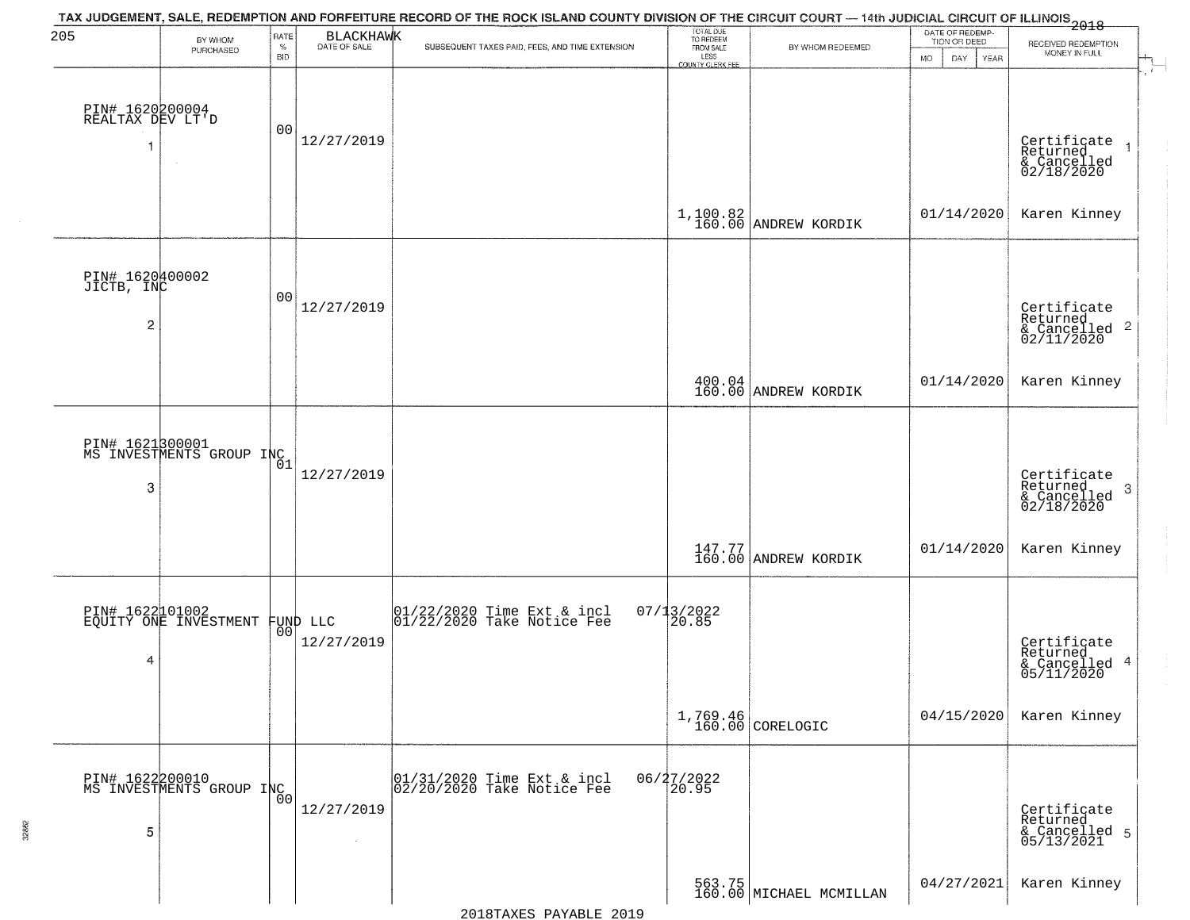| 205                                 | BY WHOM<br>PURCHASED                              | RATE<br>$\%$<br><b>BID</b> | BLACKHAWK                    | TAX JUDGEMENT, SALE, REDEMPTION AND FORFEITURE RECORD OF THE ROCK ISLAND COUNTY DIVISION OF THE CIRCUIT COURT — 14th JUDICIAL CIRCUIT OF ILLINOIS 2018<br>SUBSEQUENT TAXES PAID, FEES, AND TIME EXTENSION | TOTAL DUE<br>TO REDEEM<br>FROM SALE<br>LESS<br><b>COUNTY CLERK FEE</b> | BY WHOM REDEEMED                  | DATE OF REDEMP-<br>TION OR DEED<br>MO.<br>DAY<br>YEAR | RECEIVED REDEMPTION<br>MONEY IN FULL                                                     |
|-------------------------------------|---------------------------------------------------|----------------------------|------------------------------|-----------------------------------------------------------------------------------------------------------------------------------------------------------------------------------------------------------|------------------------------------------------------------------------|-----------------------------------|-------------------------------------------------------|------------------------------------------------------------------------------------------|
| PIN# 1620200004<br>REALTAX DEV LT'D |                                                   | 00                         | 12/27/2019                   |                                                                                                                                                                                                           |                                                                        |                                   |                                                       | Certificate<br>Returned<br>& Cancelled<br>02/18/2020                                     |
|                                     |                                                   |                            |                              |                                                                                                                                                                                                           |                                                                        | $1,100.82$ ANDREW KORDIK          | 01/14/2020                                            | Karen Kinney                                                                             |
| PIN# 1620400002<br>JICTB, INC<br>2  |                                                   | 00                         | 12/27/2019                   |                                                                                                                                                                                                           |                                                                        |                                   |                                                       | Certificate<br>Returned<br>$\overline{2}$<br>& Cancelled<br>02/11/2020                   |
|                                     |                                                   |                            |                              |                                                                                                                                                                                                           |                                                                        | 400.04<br>160.00 ANDREW KORDIK    | 01/14/2020                                            | Karen Kinney                                                                             |
| 3                                   | PIN# 1621800001<br>MS INVESTMENTS GROUP INC       |                            | 12/27/2019                   |                                                                                                                                                                                                           |                                                                        |                                   |                                                       | Certificate<br>Returned<br>$\boldsymbol{\beta}$<br>$\frac{1}{2}$ Cancelled<br>02/18/2020 |
|                                     |                                                   |                            |                              |                                                                                                                                                                                                           |                                                                        | 147.77 ANDREW KORDIK              | 01/14/2020                                            | Karen Kinney                                                                             |
| 4                                   | PIN# 1622101002<br>EQUITY ONE INVESTMENT FUND LLC | 00                         | 12/27/2019                   | $\begin{array}{cc} 01/22/2020 &$ Time Ext & incl<br>01/22/2020 Take Notice Fee                                                                                                                            | $07/13/2022$<br>20.85                                                  |                                   |                                                       | Certificate<br>Returned<br>$\overline{4}$<br>& Cancelled<br>05/11/2020                   |
|                                     |                                                   |                            |                              |                                                                                                                                                                                                           |                                                                        | 1,769.46<br>160.00 CORELOGIC      | 04/15/2020                                            | Karen Kinney                                                                             |
| 5                                   | PIN# 1622200010<br>MS INVESTMENTS GROUP INC       | 00°                        | 12/27/2019<br>$\sim 10^{-1}$ | 01/31/2020 Time Ext & incl<br>02/20/2020 Take Notice Fee                                                                                                                                                  | 06/27/2022<br>20.95                                                    |                                   |                                                       | Certificate<br>Returned<br>& Cancelled 5<br>05/13/2021                                   |
|                                     |                                                   |                            |                              |                                                                                                                                                                                                           |                                                                        | 563.75<br>160.00 MICHAEL MCMILLAN | 04/27/2021                                            | Karen Kinney                                                                             |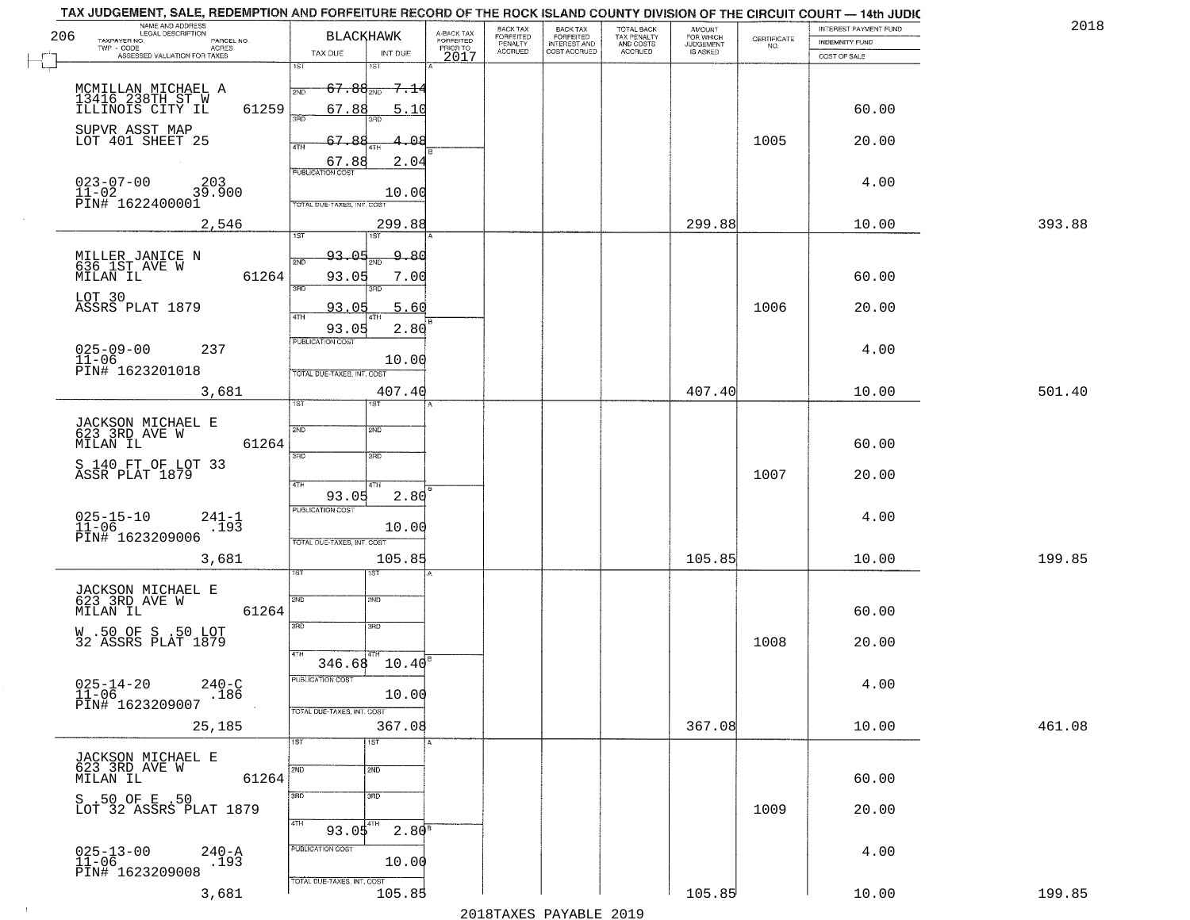| 206  | NAME AND ADDRESS<br>LEGAL DESCRIPTION<br>TAXPAYER NO.<br>PARCEL NO.<br>ACRES<br>TWP - CODE | <b>BLACKHAWK</b>                                                                     | A-BACK TAX<br>FORFEITED<br>PRIOR TO | <b>BACK TAX</b><br>FORFEITED<br>PENALTY | BACK TAX<br>FORFEITED<br>INTEREST AND | TOTAL BACK<br>TAX PENALTY<br>AND COSTS | AMOUNT<br>FOR WHICH<br><b>JUDGEMENT</b> | $\begin{array}{c} \text{CERTIFICATE} \\ \text{NO.} \end{array}$ | <b>INTEREST PAYMENT FUND</b><br><b>INDEMNITY FUND</b> | 2018   |
|------|--------------------------------------------------------------------------------------------|--------------------------------------------------------------------------------------|-------------------------------------|-----------------------------------------|---------------------------------------|----------------------------------------|-----------------------------------------|-----------------------------------------------------------------|-------------------------------------------------------|--------|
|      | ASSESSED VALUATION FOR TAXES                                                               | TAX DUE<br>INT DUE<br>1ST<br>1ST                                                     | 2017                                | <b>ACCRUED</b>                          | COST ACCRUED                          | ACCRUED                                | IS ASKED                                |                                                                 | COST OF SALE                                          |        |
|      | MCMILLAN MICHAEL A<br>13416 238TH ST W<br>ILLINOIS CITY IL<br>61259                        | $67.88_{200}$<br><del>7.1</del> 4<br>2ND<br>67.88<br>5.10                            |                                     |                                         |                                       |                                        |                                         |                                                                 | 60.00                                                 |        |
|      | SUPVR ASST MAP<br>LOT 401 SHEET 25                                                         | 67.88<br>1.08<br>4TH<br>67.88<br>2.04                                                |                                     |                                         |                                       |                                        |                                         | 1005                                                            | 20.00                                                 |        |
|      | $023 - 07 - 00$<br>203<br>39.900<br>$11 - 02$<br>PIN# 1622400001                           | <b>PUBLICATION COST</b><br>10.00<br>TOTAL DUE-TAXES, INT. COST                       |                                     |                                         |                                       |                                        |                                         |                                                                 | 4.00                                                  |        |
|      | 2,546                                                                                      | 299.88<br>1ST<br>1ST                                                                 |                                     |                                         |                                       |                                        | 299.88                                  |                                                                 | 10.00                                                 | 393.88 |
|      | MILLER JANICE N<br>636 1ST AVE W<br>MILAN IL<br>61264                                      | 93.05<br><u>9.80</u><br>2ND<br>93.05<br>7.00<br>बन्ना<br>3BD                         |                                     |                                         |                                       |                                        |                                         |                                                                 | 60.00                                                 |        |
|      | LOT 30<br>ASSRS PLAT 1879                                                                  | 93.05<br>5.60                                                                        |                                     |                                         |                                       |                                        |                                         | 1006                                                            | 20.00                                                 |        |
|      | $025 - 09 - 00$<br>237<br>$11 - 06$<br>PIN# 1623201018                                     | 93.05<br>2.80<br>PUBLICATION COST<br>10.00<br>TOTAL DUE-TAXES, INT. COST             |                                     |                                         |                                       |                                        |                                         |                                                                 | 4.00                                                  |        |
|      | 3,681                                                                                      | 407.40                                                                               |                                     |                                         |                                       |                                        | 407.40                                  |                                                                 | 10.00                                                 | 501.40 |
|      | JACKSON MICHAEL E<br>623 3RD AVE W<br>MILAN IL<br>61264                                    | 1ST<br>ist.<br>2ND<br>SMD<br>3RD<br>3 <sub>BD</sub>                                  |                                     |                                         |                                       |                                        |                                         |                                                                 | 60.00                                                 |        |
|      | S 140 FT OF LOT 33<br>ASSR PLAT 1879                                                       | 4TH<br>4TH<br>93.05<br>2.80                                                          |                                     |                                         |                                       |                                        |                                         | 1007                                                            | 20.00                                                 |        |
|      | $025 - 15 - 10$<br>11-06<br>$241 - 1$<br>.193<br>PIN# 1623209006                           | <b>PUBLICATION COST</b><br>10.00<br>TOTAL OUE-TAXES, INT. COST                       |                                     |                                         |                                       |                                        |                                         |                                                                 | 4.00                                                  |        |
|      | 3,681                                                                                      | 105.85                                                                               |                                     |                                         |                                       |                                        | 105.85                                  |                                                                 | 10.00                                                 | 199.85 |
|      | JACKSON MICHAEL E<br>623 3RD AVE W<br>61264<br>MILAN IL                                    | ड़ा<br>2ND<br>2ND<br>3RD<br>3BD                                                      |                                     |                                         |                                       |                                        |                                         |                                                                 | 60.00                                                 |        |
|      | W.50 OF S.50 LOT<br>32 ASSRS PLAT 1879                                                     |                                                                                      |                                     |                                         |                                       |                                        |                                         | 1008                                                            | 20.00                                                 |        |
|      | $025 - 14 - 20$<br>11-06<br>$240 - C$<br>.186<br>PIN# 1623209007                           | 4TH<br>$346.68$ $10.40^8$<br>PUBLICATION COST<br>10.00<br>TOTAL DUE-TAXES, INT. COST |                                     |                                         |                                       |                                        |                                         |                                                                 | 4.00                                                  |        |
|      | 25,185                                                                                     | 367.08                                                                               |                                     |                                         |                                       |                                        | 367.08                                  |                                                                 | 10.00                                                 | 461.08 |
|      | JACKSON MICHAEL E<br>623 3RD AVE W<br>61264<br>MILAN IL                                    | 1ST<br>1ST<br>2ND<br>2ND                                                             |                                     |                                         |                                       |                                        |                                         |                                                                 | 60.00                                                 |        |
|      | S .50 OF E .50<br>LOT 32 ASSRS PLAT 1879                                                   | 3 <sub>RD</sub><br>3RD<br>4TH<br>4TH<br>$2.80$ <sup>B</sup><br>93.05                 |                                     |                                         |                                       |                                        |                                         | 1009                                                            | 20.00                                                 |        |
|      | $025 - 13 - 00$<br>11-06<br>$240 - A$<br>.193<br>PIN# 1623209008                           | PUBLICATION COST<br>10.00                                                            |                                     |                                         |                                       |                                        |                                         |                                                                 | 4.00                                                  |        |
| $+1$ | 3,681                                                                                      | TOTAL DUE-TAXES, INT. COST<br>105.85                                                 |                                     |                                         | מרמפ הדתגעונת מהעושפומפ               |                                        | 105.85                                  |                                                                 | 10.00                                                 | 199.85 |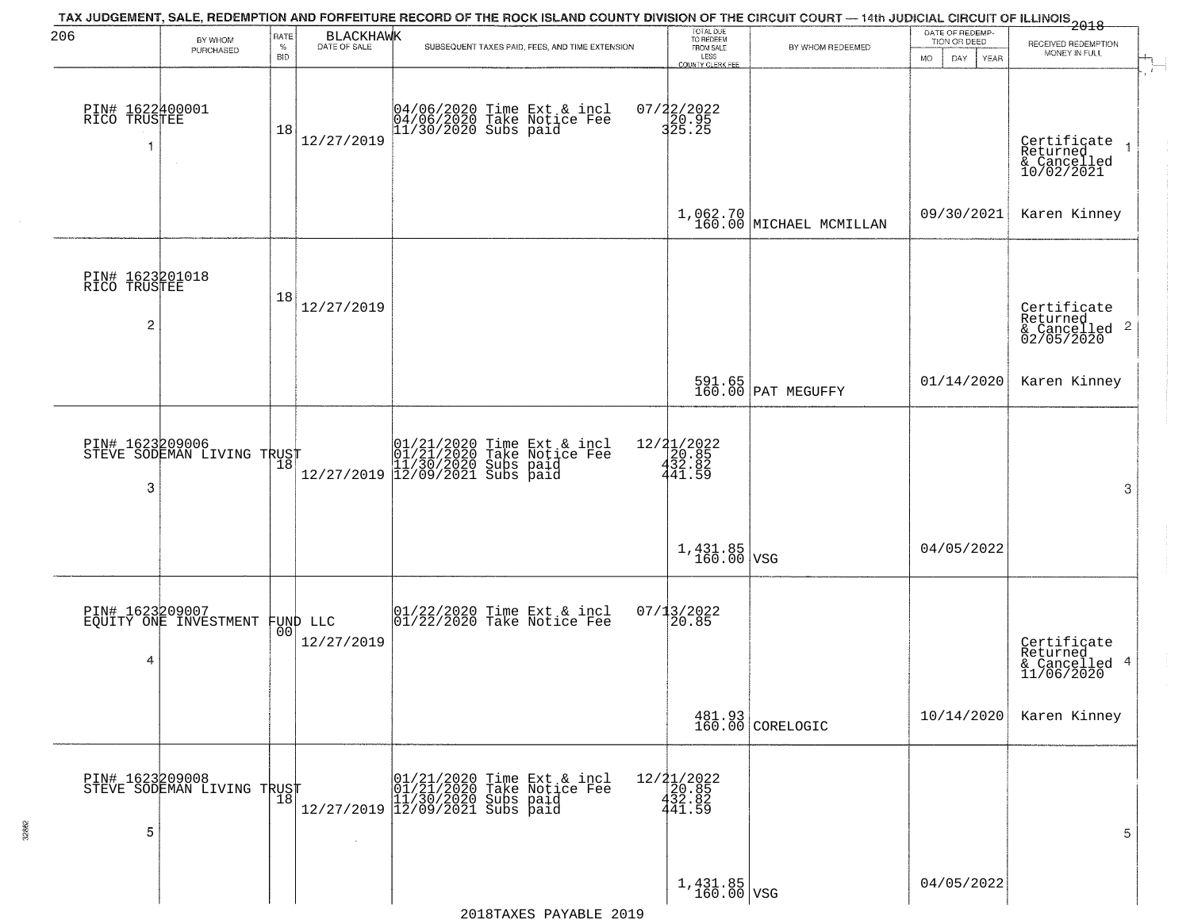|                                 |                            |                            |                                  | TAX JUDGEMENT, SALE, REDEMPTION AND FORFEITURE RECORD OF THE ROCK ISLAND COUNTY DIVISION OF THE CIRCUIT COURT — 14th JUDICIAL CIRCUIT OF ILLINOIS 2018 |                                                                                  |                              | DATE OF REDEMP-     |                                                            |
|---------------------------------|----------------------------|----------------------------|----------------------------------|--------------------------------------------------------------------------------------------------------------------------------------------------------|----------------------------------------------------------------------------------|------------------------------|---------------------|------------------------------------------------------------|
| 206                             | BY WHOM<br>PURCHASED       | RATE<br>$\%$<br><b>BID</b> | <b>BLACKHAWK</b><br>DATE OF SALE | SUBSEQUENT TAXES PAID, FEES, AND TIME EXTENSION                                                                                                        | TOTAL DUE<br>TO REDEEM<br>FROM SALE<br>LESS                                      | BY WHOM REDEEMED             | TION OR DEED        | RECEIVED REDEMPTION<br>MONEY IN FULL                       |
|                                 |                            |                            |                                  |                                                                                                                                                        | <b>COUNTY CLERK FEE</b>                                                          |                              | MO.<br>DAY.<br>YEAR |                                                            |
| PIN# 1622400001<br>RICO TRUSTEE | $\sim$                     | 18                         | 12/27/2019                       | 04/06/2020 Time Ext & incl<br>04/06/2020 Take Notice Fee<br>11/30/2020 Subs paid                                                                       | 07/22/2022<br>20.95<br>325.25                                                    |                              |                     | Certificate<br>Returned<br>& Cancelled<br>10/02/2021       |
|                                 |                            |                            |                                  |                                                                                                                                                        |                                                                                  | $1,062.70$ MICHAEL MCMILLAN  | 09/30/2021          | Karen Kinney                                               |
| PIN# 1623201018<br>RICO TRUSTEE |                            | 18                         | 12/27/2019                       |                                                                                                                                                        |                                                                                  |                              |                     |                                                            |
| $\overline{c}$                  |                            |                            |                                  |                                                                                                                                                        |                                                                                  |                              |                     | Certificate<br>Returned<br>$\frac{12241164}{62/05/2020}$ 2 |
|                                 |                            |                            |                                  |                                                                                                                                                        |                                                                                  | 591.65<br>160.00 PAT MEGUFFY | 01/14/2020          | Karen Kinney                                               |
| PIN# 1623209006                 | STEVE SODEMAN LIVING TRUST | 18                         |                                  | 01/21/2020 Time Ext & incl<br>01/21/2020 Take Notice Fee<br>11/30/2020 Subs paid<br>12/09/2021 Subs paid                                               | 12/21/2022<br>$\begin{smallmatrix} 120.85 \\ 432.82 \\ 441.59 \end{smallmatrix}$ |                              |                     |                                                            |
| 3                               |                            |                            | 12/27/2019                       |                                                                                                                                                        |                                                                                  |                              |                     | 3                                                          |
|                                 |                            |                            |                                  |                                                                                                                                                        | $1,431.85$ VSG                                                                   |                              | 04/05/2022          |                                                            |
| PIN# 1623209007                 | EQUITY ONE INVESTMENT      |                            | FUND LLC                         | $ 01/22/2020$ Time Ext & incl<br>$ 01/22/2020$ Take Notice Fee                                                                                         | $07/13/2022$<br>20.85                                                            |                              |                     |                                                            |
| 4                               |                            | 00                         | 12/27/2019                       |                                                                                                                                                        |                                                                                  |                              |                     | Certificate<br>Returned<br>& Cancelled 4<br>11/06/2020     |
|                                 |                            |                            |                                  |                                                                                                                                                        |                                                                                  | 481.93<br>160.00 CORELOGIC   | 10/14/2020          | Karen Kinney                                               |
| PIN# 1623209008                 | STEVE ŠODEMAN LIVING TRUST | 18                         |                                  | 01/21/2020 Time Ext & incl<br>01/21/2020 Take Notice Fee<br>12/27/2019 12/09/2021 Subs paid<br>12/27/2019 12/09/2021 Subs paid                         | 12/21/2022<br>20.85<br>432.82                                                    |                              |                     |                                                            |
| 5                               |                            |                            | $\sim$                           |                                                                                                                                                        | 441.59                                                                           |                              |                     | 5                                                          |
|                                 |                            |                            |                                  |                                                                                                                                                        |                                                                                  |                              |                     |                                                            |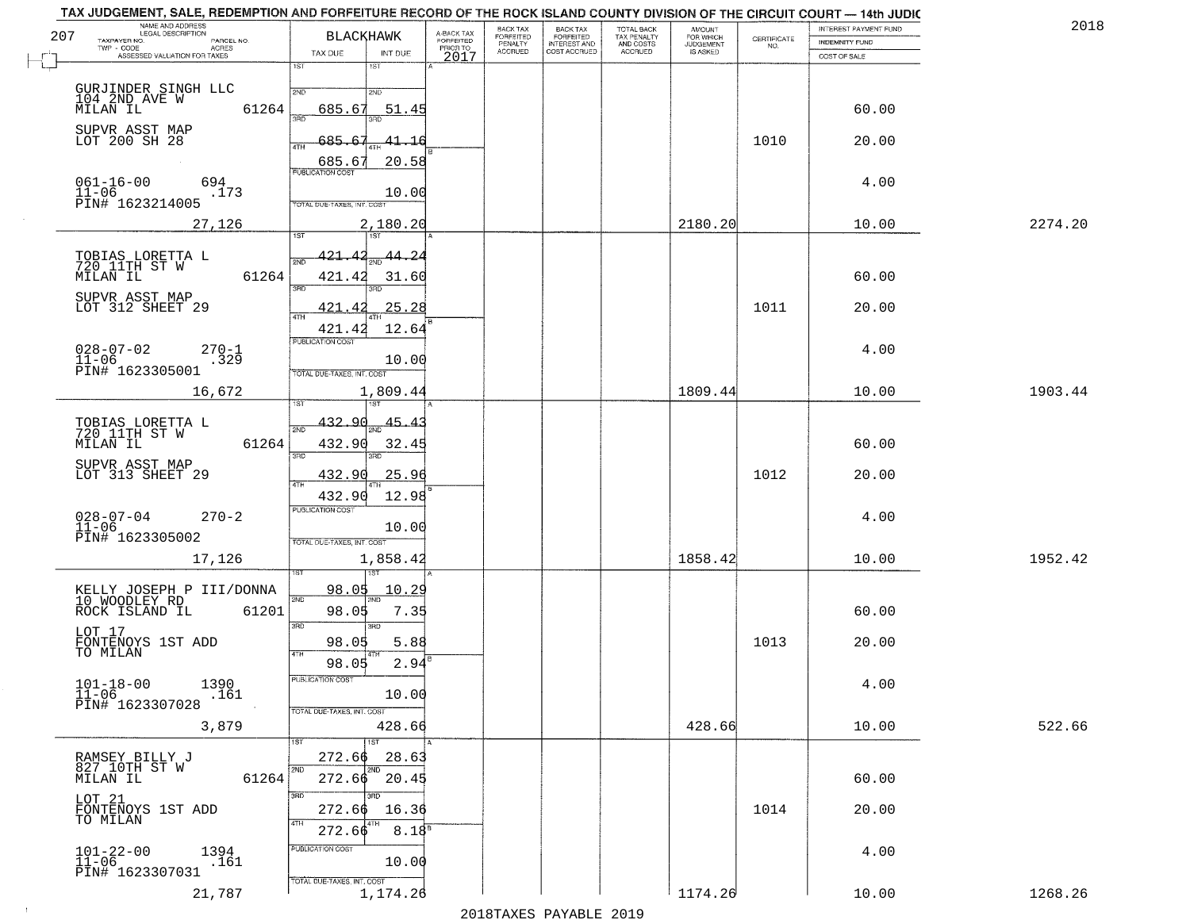|     | NAME AND ADDRESS<br>LEGAL DESCRIPTION                                |                                            |                                     | BACK TAX             |                                       |                                        |                                  |                    | INTEREST PAYMENT FUND | 2018    |
|-----|----------------------------------------------------------------------|--------------------------------------------|-------------------------------------|----------------------|---------------------------------------|----------------------------------------|----------------------------------|--------------------|-----------------------|---------|
| 207 | TAXPAYER NO.<br>PARCEL NO.<br>ACRES                                  | <b>BLACKHAWK</b>                           | A-BACK TAX<br>FORFEITED<br>PRIOR TO | FORFEITED<br>PENALTY | BACK TAX<br>FORFEITED<br>INTEREST AND | TOTAL BACK<br>TAX PENALTY<br>AND COSTS | AMOUNT<br>FOR WHICH<br>JUDGEMENT | CERTIFICATE<br>NO. | <b>INDEMNITY FUND</b> |         |
|     | ASSESSED VALUATION FOR TAXES                                         | TAX DUE<br>INT DUE<br>1ST                  | 2017                                | <b>ACCRUED</b>       | COST ACCRUED                          | <b>ACCRUED</b>                         | IS ASKED                         |                    | COST OF SALE          |         |
|     |                                                                      | 18T                                        |                                     |                      |                                       |                                        |                                  |                    |                       |         |
|     | GURJINDER SINGH LLC<br>104 2ND AVE W                                 | 2ND<br>2ND                                 |                                     |                      |                                       |                                        |                                  |                    |                       |         |
|     | 61264<br>MILAN IL                                                    | 685.67<br>51.45<br>बन्नल                   |                                     |                      |                                       |                                        |                                  |                    | 60.00                 |         |
|     | SUPVR ASST MAP<br>LOT 200 SH 28                                      |                                            |                                     |                      |                                       |                                        |                                  |                    |                       |         |
|     |                                                                      | 685.67<br>41.16<br>ATH                     |                                     |                      |                                       |                                        |                                  | 1010               | 20.00                 |         |
|     |                                                                      | 20.58<br>685.67<br><b>PUBLICATION COST</b> |                                     |                      |                                       |                                        |                                  |                    |                       |         |
|     | $061 - 16 - 00$<br>694                                               |                                            |                                     |                      |                                       |                                        |                                  |                    | 4.00                  |         |
|     | $11 - 06$<br>.173<br>PIN# 1623214005                                 | 10.00<br>TOTAL DUE-TAXES, INT. COST        |                                     |                      |                                       |                                        |                                  |                    |                       |         |
|     |                                                                      |                                            |                                     |                      |                                       |                                        |                                  |                    |                       | 2274.20 |
|     | 27,126                                                               | 2,180.20                                   |                                     |                      |                                       |                                        | 2180.20                          |                    | 10.00                 |         |
|     |                                                                      | 421.42<br><u>44.24</u>                     |                                     |                      |                                       |                                        |                                  |                    |                       |         |
|     | TOBIAS LORETTA L<br>720 11TH ST W                                    | 2ND                                        |                                     |                      |                                       |                                        |                                  |                    |                       |         |
|     | 61264<br>MILAN IL                                                    | 421.42<br>31.60<br>3RD                     |                                     |                      |                                       |                                        |                                  |                    | 60.00                 |         |
|     | SUPVR ASST MAP<br>LOT 312 SHEET 29                                   | 25.28<br>421<br>-42                        |                                     |                      |                                       |                                        |                                  | 1011               | 20.00                 |         |
|     |                                                                      | $\overline{ATH}$                           |                                     |                      |                                       |                                        |                                  |                    |                       |         |
|     |                                                                      | 12.64<br>421.42<br>PUBLICATION COST        |                                     |                      |                                       |                                        |                                  |                    |                       |         |
|     | $028 - 07 - 02$<br>$270 - 1$<br>$11 - 06$<br>.329                    | 10.00                                      |                                     |                      |                                       |                                        |                                  |                    | 4.00                  |         |
|     | PIN# 1623305001                                                      | TOTAL DUE-TAXES, INT. COST                 |                                     |                      |                                       |                                        |                                  |                    |                       |         |
|     | 16,672                                                               | 1,809.44                                   |                                     |                      |                                       |                                        | 1809.44                          |                    | 10.00                 | 1903.44 |
|     |                                                                      | is T                                       |                                     |                      |                                       |                                        |                                  |                    |                       |         |
|     | TOBIAS LORETTA L<br>720 11TH ST W                                    | 432.90<br>45.<br>2ND                       |                                     |                      |                                       |                                        |                                  |                    |                       |         |
|     | 61264<br>MILAN IL                                                    | 432.90<br>32.4                             |                                     |                      |                                       |                                        |                                  |                    | 60.00                 |         |
|     | SUPVR ASST MAP                                                       | 3RD<br>3RD                                 |                                     |                      |                                       |                                        |                                  |                    |                       |         |
|     | LOT 313 SHEET 29                                                     | 432.90<br>25.96<br>4TH                     |                                     |                      |                                       |                                        |                                  | 1012               | 20.00                 |         |
|     |                                                                      | 12.98<br>432.90                            |                                     |                      |                                       |                                        |                                  |                    |                       |         |
|     | $028 - 07 - 04$<br>$270 - 2$                                         | <b>PUBLICATION COST</b>                    |                                     |                      |                                       |                                        |                                  |                    | 4.00                  |         |
|     | $11 - 06$<br>PIN# 1623305002                                         | 10.00                                      |                                     |                      |                                       |                                        |                                  |                    |                       |         |
|     |                                                                      | TOTAL OUE-TAXES, INT. COST                 |                                     |                      |                                       |                                        | 1858.42                          |                    |                       | 1952.42 |
|     | 17,126                                                               | 1,858.42<br>151                            |                                     |                      |                                       |                                        |                                  |                    | 10.00                 |         |
|     |                                                                      | 98.05<br>10.29                             |                                     |                      |                                       |                                        |                                  |                    |                       |         |
|     | KELLY JOSEPH P III/DONNA<br>10 WOODLEY RD<br>ROCK ISLAND IL<br>61201 | 2ND<br>98.05<br>7.35                       |                                     |                      |                                       |                                        |                                  |                    | 60.00                 |         |
|     |                                                                      | 3RD<br>3RD                                 |                                     |                      |                                       |                                        |                                  |                    |                       |         |
|     | LOT 17                                                               | 98.05<br>5.88                              |                                     |                      |                                       |                                        |                                  | 1013               | 20.00                 |         |
|     | FONTENOYS 1ST ADD<br>TO MILAN                                        | 4TH<br>2.94<br>98.05                       |                                     |                      |                                       |                                        |                                  |                    |                       |         |
|     |                                                                      | "UBLICA HUN CUS                            |                                     |                      |                                       |                                        |                                  |                    |                       |         |
|     | $101 - 18 - 00$<br>1390<br>$11 - 06$<br>.161                         | 10.00                                      |                                     |                      |                                       |                                        |                                  |                    | 4.00                  |         |
|     | PIN# 1623307028                                                      | TOTAL DUE-TAXES, INT. COST                 |                                     |                      |                                       |                                        |                                  |                    |                       |         |
|     | 3,879                                                                | 428.66                                     |                                     |                      |                                       |                                        | 428.66                           |                    | 10.00                 | 522.66  |
|     |                                                                      | 1ST                                        |                                     |                      |                                       |                                        |                                  |                    |                       |         |
|     | RAMSEY BILLY J<br>827 10TH ST W                                      | 272.66<br>28.63<br>2ND                     |                                     |                      |                                       |                                        |                                  |                    |                       |         |
|     | 61264<br>MILAN IL                                                    | $272.66$ $20.45$                           |                                     |                      |                                       |                                        |                                  |                    | 60.00                 |         |
|     | LOT 21<br>FONTENOYS 1ST ADD                                          | 3RD                                        |                                     |                      |                                       |                                        |                                  |                    |                       |         |
|     | TO MILAN                                                             | 272.66<br>16.36                            |                                     |                      |                                       |                                        |                                  | 1014               | 20.00                 |         |
|     |                                                                      | 272.66<br>8.18 <sup>8</sup>                |                                     |                      |                                       |                                        |                                  |                    |                       |         |
|     | $101 - 22 - 00$<br>1394                                              | PUBLICATION COST                           |                                     |                      |                                       |                                        |                                  |                    | 4.00                  |         |
|     | $11 - 06$<br>.161<br>PIN# 1623307031                                 | 10.00                                      |                                     |                      |                                       |                                        |                                  |                    |                       |         |
|     | 21,787                                                               | TOTAL DUE-TAXES, INT. COST<br>1,174.26     |                                     |                      |                                       |                                        | 1174.26                          |                    | 10.00                 | 1268.26 |
|     |                                                                      |                                            |                                     |                      |                                       |                                        |                                  |                    |                       |         |

 $\sim 10^{-1}$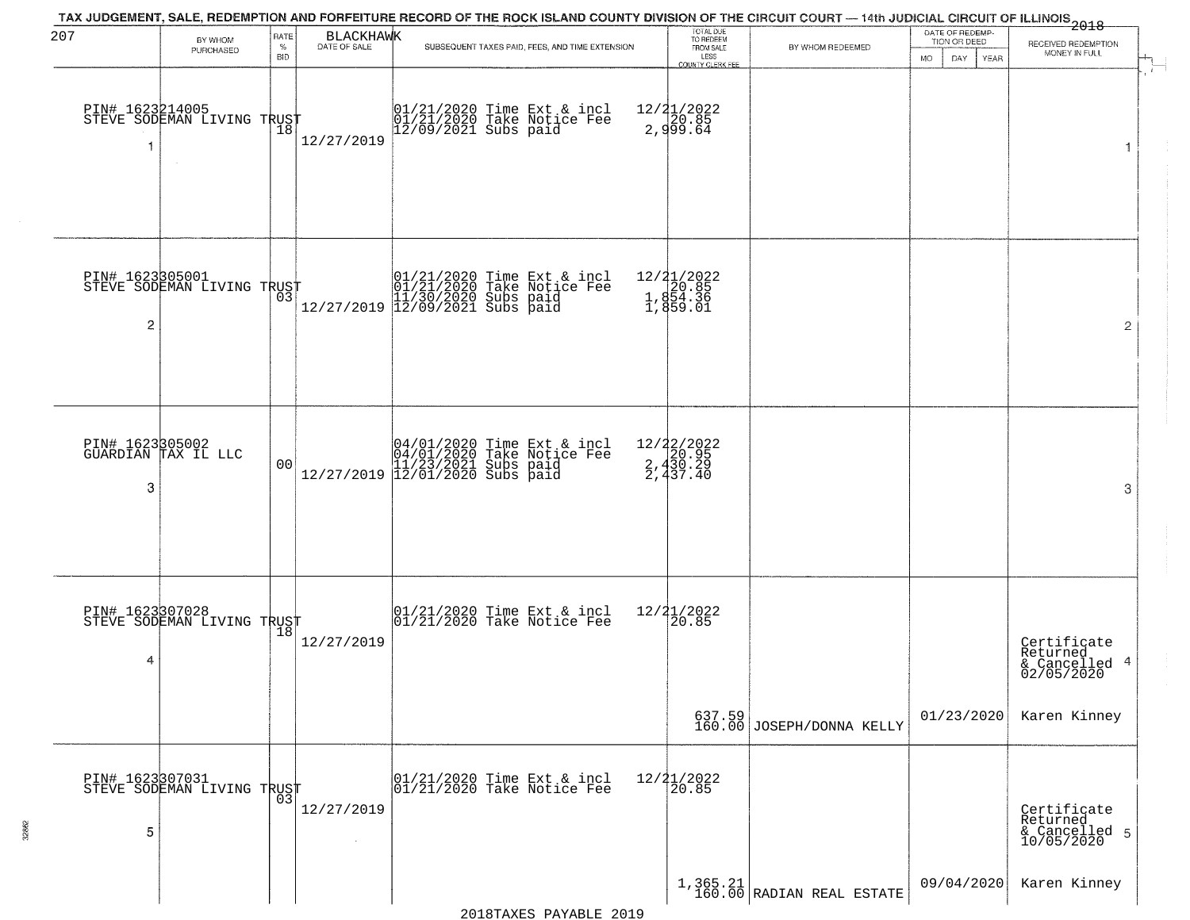| 207                  | BY WHOM<br>PURCHASED                                    | RATE<br>$\%$<br><b>BID</b> | <b>BLACKHAWK</b><br>DATE OF SALE | TAX JUDGEMENT, SALE, REDEMPTION AND FORFEITURE RECORD OF THE ROCK ISLAND COUNTY DIVISION OF THE CIRCUIT COURT — 14th JUDICIAL CIRCUIT OF ILLINOIS 2018<br>SUBSEQUENT TAXES PAID, FEES, AND TIME EXTENSION | TOTAL DUE<br>TO REDEEM<br>FROM SALE<br>LESS         | BY WHOM REDEEMED                                         | DATE OF REDEMP-<br>TION OR DEED<br>DAY<br>MO.<br>YEAR | RECEIVED REDEMPTION<br>MONEY IN FULL                      |
|----------------------|---------------------------------------------------------|----------------------------|----------------------------------|-----------------------------------------------------------------------------------------------------------------------------------------------------------------------------------------------------------|-----------------------------------------------------|----------------------------------------------------------|-------------------------------------------------------|-----------------------------------------------------------|
| 1                    | PIN# 1623214005<br>STEVE SODEMAN LIVING TRUST<br>$\sim$ | $\overline{18}$            | 12/27/2019                       | 01/21/2020 Time Ext & incl<br>01/21/2020 Take Notice Fee<br>12/09/2021 Subs paid                                                                                                                          | COUNTY CLERK FEE<br>12/21/2022<br>20.85<br>2,999.64 |                                                          |                                                       | 1                                                         |
| PIN# 1623305001<br>2 | STEVE SODEMAN LIVING TRUST                              |                            |                                  | $[01/21/2020 \t\t Time Ext & incl 01/21/2020 \t\t Take Notice Free 11/30/2020 Subs paid 12/27/2019] 12/09/2021 Subs paid 13/209/2021$                                                                     | 12/21/2022<br>1,854.36<br>1,854.36<br>1,859.01      |                                                          |                                                       | $\overline{2}$                                            |
| 3                    | PIN# 1623305002<br>GUARDIAN TAX IL LLC                  | 00                         |                                  | $[04/01/2020 \t\t Time Ext & incl04/01/2020 \tTake Notice Free11/23/2021 Subs paid12/27/2019 \t\t 12/01/2020 Subs paid$                                                                                   | 12/22/2022<br>2,430.95<br>2,430.29<br>2,437.40      |                                                          |                                                       | 3                                                         |
| 4                    | PIN# 1623307028<br>STEVE SODEMAN LIVING TRUST           |                            | 12/27/2019                       | 01/21/2020 Time Ext & incl<br>01/21/2020 Take Notice Fee                                                                                                                                                  | 12/21/2022<br>120.85                                |                                                          |                                                       | Certificate<br>Returned<br>4<br>& Cancelled<br>02/05/2020 |
|                      |                                                         |                            |                                  |                                                                                                                                                                                                           |                                                     | 637.59<br>160.00 JOSEPH/DONNA KELLY                      | 01/23/2020                                            | Karen Kinney                                              |
| 5                    | PIN# 1623307031    <br>STEVE SODEMAN LIVING TRUST       | 03                         | 12/27/2019                       | 01/21/2020 Time Ext & incl<br>01/21/2020 Take Notice Fee                                                                                                                                                  | $12/21/2022$<br>20.85                               |                                                          |                                                       | Certificate<br>Returned<br>& Cancelled 5<br>10/05/2020    |
|                      |                                                         |                            |                                  |                                                                                                                                                                                                           |                                                     | $\left[1, 365.21 \atop 160.00\right]$ RADIAN REAL ESTATE | 09/04/2020                                            | Karen Kinney                                              |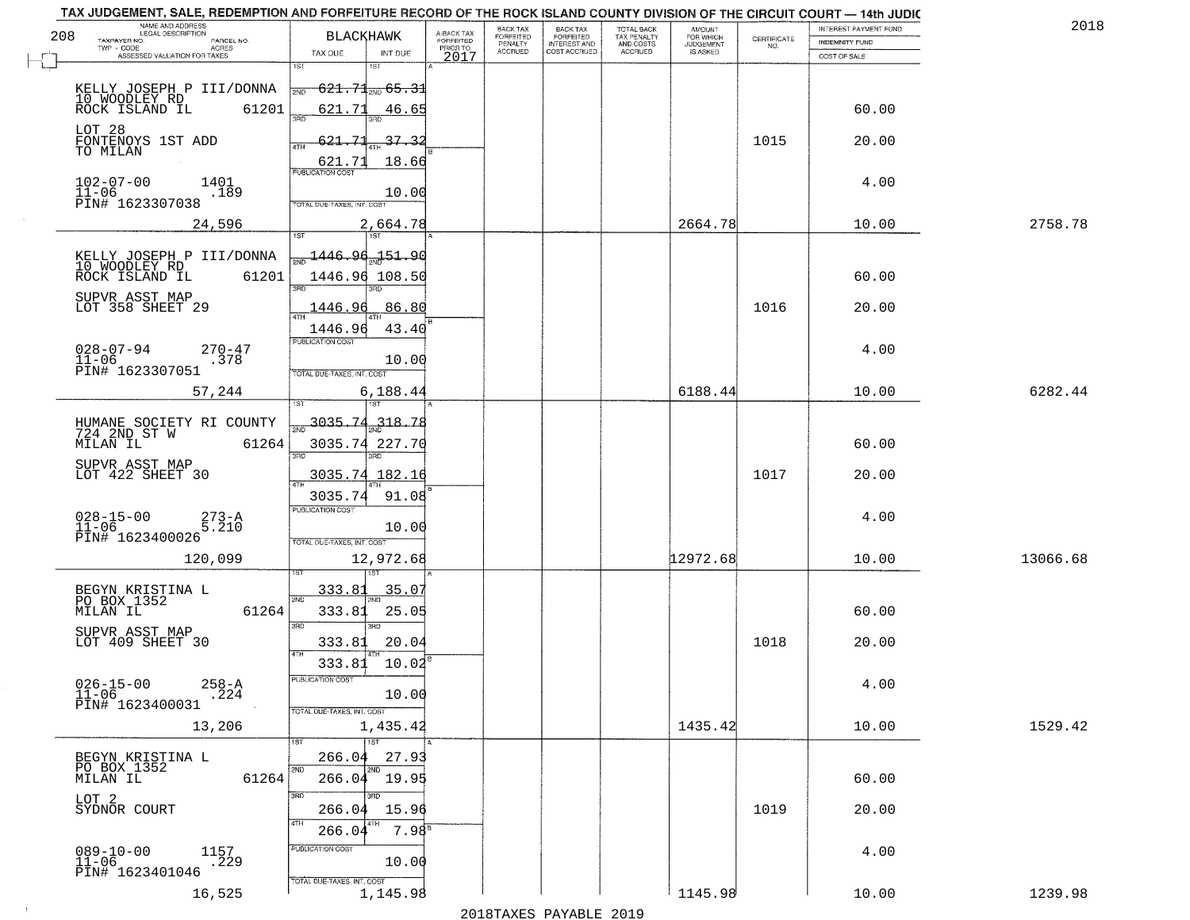| TAX JUDGEMENT, SALE, REDEMPTION AND FORFEITURE RECORD OF THE ROCK ISLAND COUNTY DIVISION OF THE CIRCUIT COURT - 14th JUDIC<br>NAME AND ADDRESS<br>LEGAL DESCRIPTION |                     |                                    |                           |                                     | BACK TAX             | <b>BACK TAX</b>                  | TOTAL BACK               | AMOUNT<br>FOR WHICH |                    | INTEREST PAYMENT FUND | 2018     |
|---------------------------------------------------------------------------------------------------------------------------------------------------------------------|---------------------|------------------------------------|---------------------------|-------------------------------------|----------------------|----------------------------------|--------------------------|---------------------|--------------------|-----------------------|----------|
| 208<br>TAXPAYER NO.<br>TWP - CODE                                                                                                                                   | PARCEL NO.<br>ACRES |                                    | BLACKHAWK                 | A-BACK TAX<br>FORFEITED<br>PRIOR TO | FORFEITED<br>PENALTY | FORFEITED<br><b>INTEREST AND</b> | TAX PENALTY<br>AND COSTS | <b>JUDGEMENT</b>    | CERTIFICATE<br>NO. | <b>INDEMNITY FUND</b> |          |
| ASSESSED VALUATION FOR TAXES                                                                                                                                        |                     | TAX DUE<br>1ST                     | INT DUE<br>1ST            | 2017                                | <b>ACCRUED</b>       | COST ACCRUED                     | <b>ACCRUED</b>           | IS ASKED            |                    | COST OF SALE          |          |
|                                                                                                                                                                     |                     |                                    |                           |                                     |                      |                                  |                          |                     |                    |                       |          |
| KELLY JOSEPH P III/DONNA<br>10 WOODLEY RD<br>ROCK ISLAND IL                                                                                                         |                     | 2ND                                | $621.71_{200}65.31$       |                                     |                      |                                  |                          |                     |                    |                       |          |
|                                                                                                                                                                     | 61201               | 621.71<br>350                      | 46.65                     |                                     |                      |                                  |                          |                     |                    | 60.00                 |          |
| LOT 28                                                                                                                                                              |                     | 621.71                             | 37.33                     |                                     |                      |                                  |                          |                     | 1015               | 20.00                 |          |
| FONTENOYS 1ST ADD<br>TO MILAN                                                                                                                                       |                     | ATH                                |                           |                                     |                      |                                  |                          |                     |                    |                       |          |
|                                                                                                                                                                     |                     | $\frac{621.71}{FUBUCATON COST}$    | 18.66                     |                                     |                      |                                  |                          |                     |                    |                       |          |
| $102 - 07 - 00$<br>$11 - 06$                                                                                                                                        | 1401<br>.189        |                                    | 10.00                     |                                     |                      |                                  |                          |                     |                    | 4.00                  |          |
| PIN# 1623307038                                                                                                                                                     |                     | TOTAL DUE-TAXES, INT. COST         |                           |                                     |                      |                                  |                          |                     |                    |                       |          |
|                                                                                                                                                                     | 24,596              |                                    | 2,664.78                  |                                     |                      |                                  |                          | 2664.78             |                    | 10.00                 | 2758.78  |
| KELLY JOSEPH P III/DONNA                                                                                                                                            |                     | <del>m 1446.96.151.9</del> 0       |                           |                                     |                      |                                  |                          |                     |                    |                       |          |
| 10 WOODLEY RD<br>ROCK ISLAND IL                                                                                                                                     | 61201               |                                    | 1446.96 108.50            |                                     |                      |                                  |                          |                     |                    | 60.00                 |          |
|                                                                                                                                                                     |                     |                                    |                           |                                     |                      |                                  |                          |                     |                    |                       |          |
| SUPVR ASST MAP<br>LOT 358 SHEET 29                                                                                                                                  |                     | 1446.96                            | 86.80                     |                                     |                      |                                  |                          |                     | 1016               | 20.00                 |          |
|                                                                                                                                                                     |                     | 1446.96                            | 43.40                     |                                     |                      |                                  |                          |                     |                    |                       |          |
| $028 - 07 - 94$                                                                                                                                                     | $270 - 47$          | PUBLICATION COST                   |                           |                                     |                      |                                  |                          |                     |                    | 4.00                  |          |
| $11 - 06$<br>PIN# 1623307051                                                                                                                                        | .378                | TOTAL DUE-TAXES, INT. COST         | 10.00                     |                                     |                      |                                  |                          |                     |                    |                       |          |
|                                                                                                                                                                     | 57,244              |                                    | 6,188.44                  |                                     |                      |                                  |                          | 6188.44             |                    | 10.00                 | 6282.44  |
|                                                                                                                                                                     |                     | 1ST                                | ١S٦                       |                                     |                      |                                  |                          |                     |                    |                       |          |
| HUMANE SOCIETY RI COUNTY<br>724 2ND ST W                                                                                                                            |                     | 3035.74                            | 318.78                    |                                     |                      |                                  |                          |                     |                    |                       |          |
| MILAN IL                                                                                                                                                            | 61264               |                                    | 3035.74 227.70            |                                     |                      |                                  |                          |                     |                    | 60.00                 |          |
| SUPVR ASST MAP                                                                                                                                                      |                     | 3RD                                | 3RD                       |                                     |                      |                                  |                          |                     |                    |                       |          |
| LOT 422 SHEET 30                                                                                                                                                    |                     |                                    | 3035.74 182.16            |                                     |                      |                                  |                          |                     | 1017               | 20.00                 |          |
|                                                                                                                                                                     |                     | 3035.74<br><b>PUBLICATION COST</b> | 91.08                     |                                     |                      |                                  |                          |                     |                    |                       |          |
| $028 - 15 - 00$<br>11-06                                                                                                                                            | 273-A<br>5.210      |                                    | 10.00                     |                                     |                      |                                  |                          |                     |                    | 4.00                  |          |
| PIN# 1623400026                                                                                                                                                     |                     | TOTAL OUE-TAXES, INT. COST         |                           |                                     |                      |                                  |                          |                     |                    |                       |          |
|                                                                                                                                                                     | 120,099             |                                    | 12,972.68                 |                                     |                      |                                  |                          | 12972.68            |                    | 10.00                 | 13066.68 |
|                                                                                                                                                                     |                     |                                    |                           |                                     |                      |                                  |                          |                     |                    |                       |          |
| BEGYN KRISTINA L<br>PO BOX 1352                                                                                                                                     |                     | 333.81<br>2ND                      | 35.07                     |                                     |                      |                                  |                          |                     |                    |                       |          |
| MILAN IL                                                                                                                                                            | 61264               | 333.81                             | 25.05                     |                                     |                      |                                  |                          |                     |                    | 60.00                 |          |
| SUPVR ASST MAP<br>LOT 409 SHEET 30                                                                                                                                  |                     | 3RD<br>333.81                      | 3BD<br>20.04              |                                     |                      |                                  |                          |                     | 1018               | 20.00                 |          |
|                                                                                                                                                                     |                     | 4TH<br>333.81                      | 10.02                     |                                     |                      |                                  |                          |                     |                    |                       |          |
|                                                                                                                                                                     |                     | PUBLICATION COS                    |                           |                                     |                      |                                  |                          |                     |                    |                       |          |
| $026 - 15 - 00$<br>$11-06$                                                                                                                                          | $258 - A$<br>.224   |                                    | 10.00                     |                                     |                      |                                  |                          |                     |                    | 4.00                  |          |
| PIN# 1623400031                                                                                                                                                     |                     | TOTAL DUE-TAXES, INT. COST         |                           |                                     |                      |                                  |                          |                     |                    |                       |          |
|                                                                                                                                                                     | 13,206              |                                    | 1,435.42                  |                                     |                      |                                  |                          | 1435.42             |                    | 10.00                 | 1529.42  |
| BEGYN KRISTINA L                                                                                                                                                    |                     | 266.04                             | $\overline{1ST}$<br>27.93 |                                     |                      |                                  |                          |                     |                    |                       |          |
| PO BOX 1352                                                                                                                                                         | 61264               |                                    | 2ND<br>266.04 19.95       |                                     |                      |                                  |                          |                     |                    | 60.00                 |          |
| MILAN IL                                                                                                                                                            |                     | 3RD                                |                           |                                     |                      |                                  |                          |                     |                    |                       |          |
| LOT 2<br>SYDNOR COURT                                                                                                                                               |                     | 266.04                             | 15.96                     |                                     |                      |                                  |                          |                     | 1019               | 20.00                 |          |
|                                                                                                                                                                     |                     | 4TH<br>266.04                      | 7.98 <sup>8</sup>         |                                     |                      |                                  |                          |                     |                    |                       |          |
| $089 - 10 - 00$                                                                                                                                                     | 1157                | PUBLICATION COST                   |                           |                                     |                      |                                  |                          |                     |                    | 4.00                  |          |
| $11 - 06$<br>PIN# 1623401046                                                                                                                                        | .229                |                                    | 10.00                     |                                     |                      |                                  |                          |                     |                    |                       |          |
|                                                                                                                                                                     | 16,525              | TOTAL DUE-TAXES, INT. COST         | 1,145.98                  |                                     |                      |                                  |                          | 1145.98             |                    | 10.00                 | 1239.98  |
|                                                                                                                                                                     |                     |                                    |                           |                                     |                      |                                  |                          |                     |                    |                       |          |

 $\sim 10$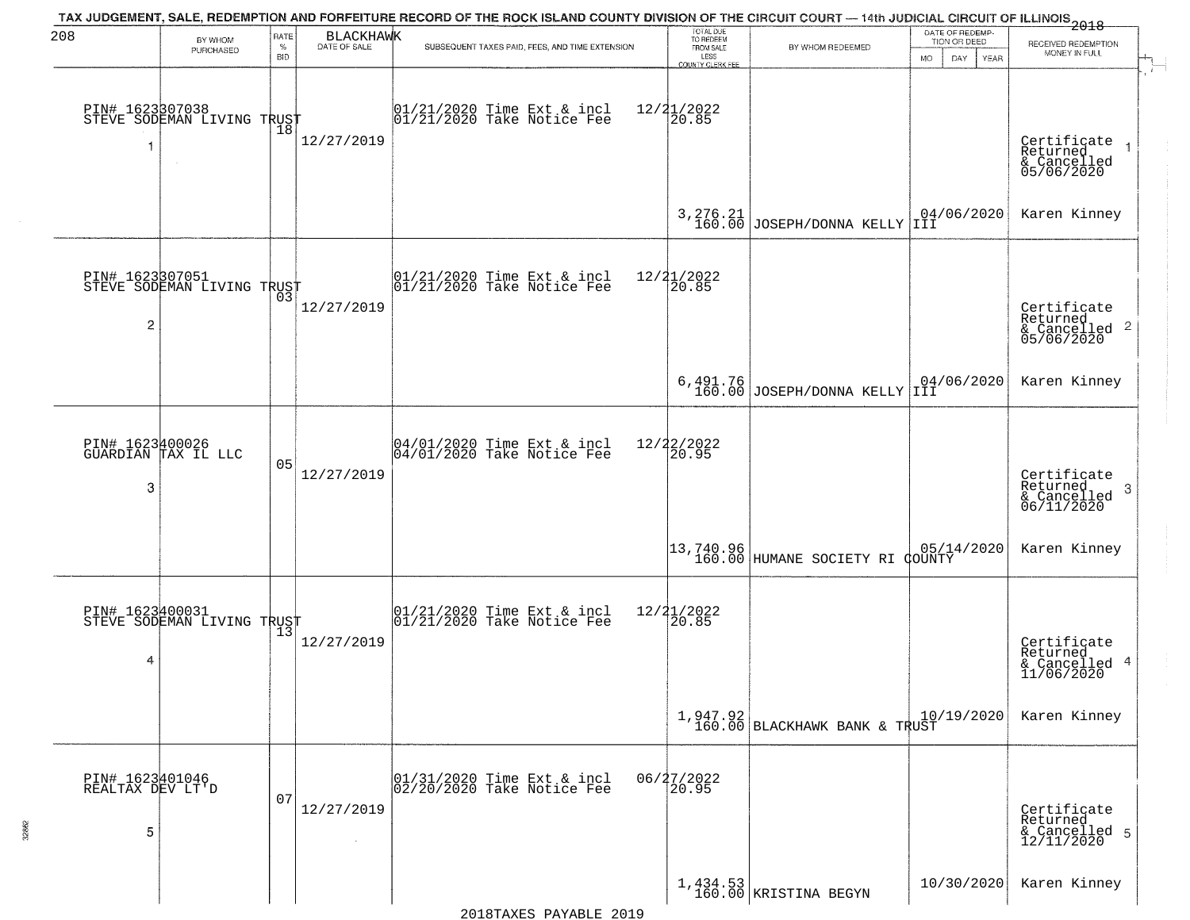| 208                                      | BY WHOM                                                     | RATE<br>$\%$ | <b>BLACKHAWK</b><br>DATE OF SALE | TAX JUDGEMENT, SALE, REDEMPTION AND FORFEITURE RECORD OF THE ROCK ISLAND COUNTY DIVISION OF THE CIRCUIT COURT — 14th JUDICIAL CIRCUIT OF ILLINOIS 2018<br>SUBSEQUENT TAXES PAID, FEES, AND TIME EXTENSION | TOTAL DUE<br>TO REDEEM<br>FROM SALE | BY WHOM REDEEMED                                              | DATE OF REDEMP<br>TION OR DEED | RECEIVED REDEMPTION                                        |
|------------------------------------------|-------------------------------------------------------------|--------------|----------------------------------|-----------------------------------------------------------------------------------------------------------------------------------------------------------------------------------------------------------|-------------------------------------|---------------------------------------------------------------|--------------------------------|------------------------------------------------------------|
|                                          | PURCHASED                                                   | <b>BID</b>   |                                  |                                                                                                                                                                                                           | LESS<br>COUNTY CLERK FEE            |                                                               | DAY.<br><b>MO</b><br>YEAR      | MONEY IN FULL                                              |
|                                          | PIN# 1623307038    <br>STEVE SODEMAN LIVING TRUST<br>$\sim$ | 18           | 12/27/2019                       | 01/21/2020 Time Ext & incl<br>01/21/2020 Take Notice Fee                                                                                                                                                  | $12/21/2022$<br>20.85               |                                                               |                                | Certificate<br>Returned<br>& Cancelled<br>05/06/2020       |
|                                          |                                                             |              |                                  |                                                                                                                                                                                                           | 3,276.21<br>160.00                  | JOSEPH/DONNA KELLY                                            | 04/06/2020<br>IÌI              | Karen Kinney                                               |
| PIN# 1623307051<br>$\overline{c}$        | STEVE SODEMAN LIVING TRUST                                  |              | 12/27/2019                       | $ 01/21/2020$ Time Ext & incl<br>$ 01/21/2020$ Take Notice Fee                                                                                                                                            | 12/21/2022<br>20.85                 |                                                               |                                | Certificate<br>Returned<br>& Cancelled 2<br>05/06/2020     |
|                                          |                                                             |              |                                  |                                                                                                                                                                                                           |                                     | $6,491.76$<br>160.00 JOSEPH/DONNA KELLY                       | 04/06/2020<br>IÌI              | Karen Kinney                                               |
| 3                                        | PIN# 1623400026<br>GUARDIAN TAX IL LLC                      | 05           | 12/27/2019                       | 04/01/2020 Time Ext & incl<br>04/01/2020 Take Notice Fee                                                                                                                                                  | 12/22/2022<br>20.95                 |                                                               |                                | Certificate<br>Returned<br>-3<br>& Cancelled<br>06/11/2020 |
|                                          |                                                             |              |                                  |                                                                                                                                                                                                           |                                     | 13,740.96<br>160.00 HUMANE SOCIETY RI COUNTY                  |                                | Karen Kinney                                               |
| 4                                        | PIN# 1623400031<br>STEVE SODEMAN LIVING TRUST               |              | 12/27/2019                       | 01/21/2020 Time Ext & incl<br>01/21/2020 Take Notice Fee                                                                                                                                                  | 12/21/2022<br>$\overline{20.85}$    |                                                               |                                | Certificate<br>Returned<br>& Cancelled 4<br>11/06/2020     |
|                                          |                                                             |              |                                  |                                                                                                                                                                                                           |                                     | $\left[1, 947.92 \atop 160.00 \right]$ BLACKHAWK BANK & TRUST | 10/19/2020                     | Karen Kinney                                               |
| PIN# 1623401046<br>REALTAX DEV LT'D<br>5 |                                                             | 07           | 12/27/2019                       | 01/31/2020 Time Ext & incl<br>02/20/2020 Take Notice Fee                                                                                                                                                  | 06/27/2022<br>20.95                 |                                                               |                                | Certificate<br>Returned<br>& Cancelled 5<br>12/11/2020     |
|                                          |                                                             |              |                                  |                                                                                                                                                                                                           |                                     | 1,434.53<br>160.00 KRISTINA BEGYN                             | 10/30/2020                     | Karen Kinney                                               |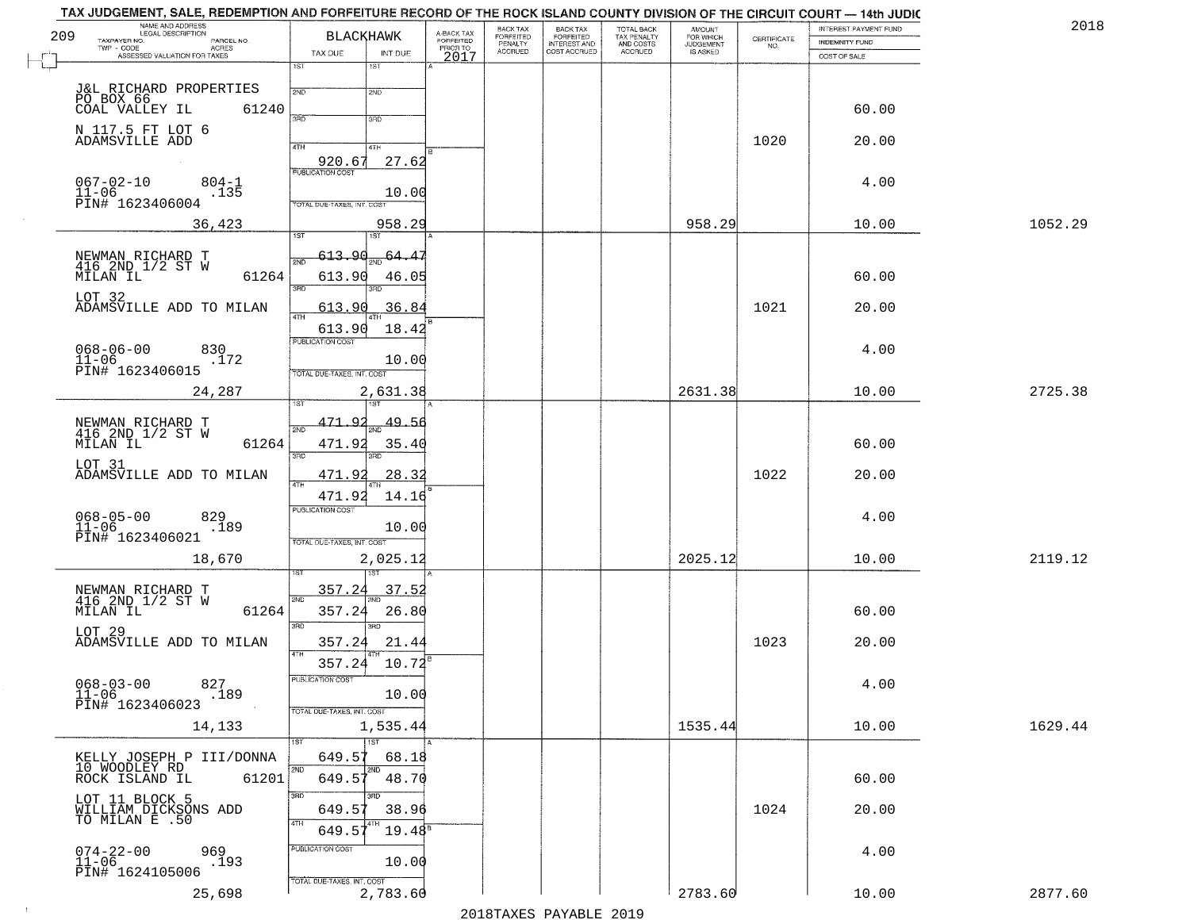| 209 | NAME AND ADDRESS<br>LEGAL DESCRIPTION                      | <b>BLACKHAWK</b>                       |                                     | BACK TAX<br>FORFEITED     | BACK TAX<br>FORFEITED<br>INTEREST AND | TOTAL BACK<br>TAX PENALTY<br>AND COSTS | AMOUNT<br>FOR WHICH<br>JUDGEMENT |                                                                 | INTEREST PAYMENT FUND | 2018    |
|-----|------------------------------------------------------------|----------------------------------------|-------------------------------------|---------------------------|---------------------------------------|----------------------------------------|----------------------------------|-----------------------------------------------------------------|-----------------------|---------|
|     | TAXPAYER NO.<br>PARCEL NO.<br>$TWP - CODE$<br>ACRES        | TAX DUE<br>INT DUE                     | A-BACK TAX<br>FORFEITED<br>PRIOR TO | PENALTY<br><b>ACCRUED</b> | COST ACCRUED                          | <b>ACCRUED</b>                         | IS ASKED                         | $\begin{array}{c} \text{CERTIFICATE} \\ \text{NO.} \end{array}$ | <b>INDEMNITY FUND</b> |         |
|     | ASSESSED VALUATION FOR TAXES                               | 1ST<br>1ST                             | 2017                                |                           |                                       |                                        |                                  |                                                                 | COST OF SALE          |         |
|     |                                                            |                                        |                                     |                           |                                       |                                        |                                  |                                                                 |                       |         |
|     |                                                            | 2ND<br>2ND                             |                                     |                           |                                       |                                        |                                  |                                                                 |                       |         |
|     | 61240<br>COAL VALLEY IL                                    | 3RD<br>3RD                             |                                     |                           |                                       |                                        |                                  |                                                                 | 60.00                 |         |
|     | N 117.5 FT LOT 6<br>ADAMSVILLE ADD                         |                                        |                                     |                           |                                       |                                        |                                  | 1020                                                            | 20.00                 |         |
|     |                                                            | 4TH<br>4TH<br>27.62<br>920.67          |                                     |                           |                                       |                                        |                                  |                                                                 |                       |         |
|     | $067 - 02 - 10$<br>$804 - 1$                               | <b>PUBLICATION COST</b>                |                                     |                           |                                       |                                        |                                  |                                                                 | 4.00                  |         |
|     | $11 - 06$<br>.135<br>PIN# 1623406004                       | 10.00<br>TOTAL DUE-TAXES, INT. COST    |                                     |                           |                                       |                                        |                                  |                                                                 |                       |         |
|     |                                                            | 958.29                                 |                                     |                           |                                       |                                        | 958.29                           |                                                                 | 10.00                 | 1052.29 |
|     | 36,423                                                     | 1ST                                    |                                     |                           |                                       |                                        |                                  |                                                                 |                       |         |
|     | NEWMAN RICHARD T<br>416 2ND 1/2 ST W                       | 613.9d<br>64.<br>41                    |                                     |                           |                                       |                                        |                                  |                                                                 |                       |         |
|     | MILAN IL<br>61264                                          | 613.90<br>46.05                        |                                     |                           |                                       |                                        |                                  |                                                                 | 60.00                 |         |
|     | LOT 32                                                     | 3RD<br>הוא                             |                                     |                           |                                       |                                        |                                  |                                                                 |                       |         |
|     | ADAMSVILLE ADD TO MILAN                                    | 613.90<br>36.84<br>47H                 |                                     |                           |                                       |                                        |                                  | 1021                                                            | 20.00                 |         |
|     |                                                            | 18.42<br>613.90<br>PUBLICATION COST    |                                     |                           |                                       |                                        |                                  |                                                                 |                       |         |
|     | $068 - 06 - 00$<br>830<br>$11 - 06$<br>.172                | 10.00                                  |                                     |                           |                                       |                                        |                                  |                                                                 | 4.00                  |         |
|     | PIN# 1623406015                                            | TOTAL DUE-TAXES, INT. COST             |                                     |                           |                                       |                                        |                                  |                                                                 |                       |         |
|     | 24,287                                                     | 2,631.38                               |                                     |                           |                                       |                                        | 2631.38                          |                                                                 | 10.00                 | 2725.38 |
|     |                                                            |                                        |                                     |                           |                                       |                                        |                                  |                                                                 |                       |         |
|     | NEWMAN RICHARD T<br>416 2ND 1/2 ST W                       | 471.92<br>49.56<br>2ND                 |                                     |                           |                                       |                                        |                                  |                                                                 |                       |         |
|     | MILAN IL<br>61264                                          | 471.92<br>35.4<br>3RD<br>3RD           |                                     |                           |                                       |                                        |                                  |                                                                 | 60.00                 |         |
|     | LOT 31<br>ADAMSVILLE ADD TO MILAN                          | 471.92<br>28.3                         |                                     |                           |                                       |                                        |                                  | 1022                                                            | 20.00                 |         |
|     |                                                            | 4TH<br>471.92<br>14.16                 |                                     |                           |                                       |                                        |                                  |                                                                 |                       |         |
|     |                                                            | <b>PUBLICATION COST</b>                |                                     |                           |                                       |                                        |                                  |                                                                 | 4.00                  |         |
|     | $068 - 05 - 00$<br>11-06<br>829<br>.189<br>PIN# 1623406021 | 10.00                                  |                                     |                           |                                       |                                        |                                  |                                                                 |                       |         |
|     | 18,670                                                     | TOTAL OUE-TAXES, INT. COST             |                                     |                           |                                       |                                        | 2025.12                          |                                                                 | 10.00                 | 2119.12 |
|     |                                                            | 2,025.12                               |                                     |                           |                                       |                                        |                                  |                                                                 |                       |         |
|     |                                                            | 357.24<br>37.5<br>2ND                  |                                     |                           |                                       |                                        |                                  |                                                                 |                       |         |
|     | NEWMAN RICHARD T<br>416 2ND 1/2 ST W<br>MILAN IL<br>61264  | 26.80<br>357.24                        |                                     |                           |                                       |                                        |                                  |                                                                 | 60.00                 |         |
|     | LOT 29                                                     | 3RD<br>$\overline{3BD}$                |                                     |                           |                                       |                                        |                                  |                                                                 |                       |         |
|     | ADAMSVILLE ADD TO MILAN                                    | 357.24<br>21.44<br>4TH                 |                                     |                           |                                       |                                        |                                  | 1023                                                            | 20.00                 |         |
|     |                                                            | 357.24 10.72                           |                                     |                           |                                       |                                        |                                  |                                                                 |                       |         |
|     | $068 - 03 - 00$<br>827<br>$11-06$<br>$\overline{.}189$     | PUBLICATION COST<br>10.00              |                                     |                           |                                       |                                        |                                  |                                                                 | 4.00                  |         |
|     | PIN# 1623406023                                            | TOTAL DUE-TAXES, INT. COST             |                                     |                           |                                       |                                        |                                  |                                                                 |                       |         |
|     | 14,133                                                     | 1,535.44                               |                                     |                           |                                       |                                        | 1535.44                          |                                                                 | 10.00                 | 1629.44 |
|     |                                                            | 1ST<br>1ST                             |                                     |                           |                                       |                                        |                                  |                                                                 |                       |         |
|     | KELLY JOSEPH P III/DONNA<br>10 WOODLEY RD                  | 649.57<br>68.18<br>2ND<br>2ND          |                                     |                           |                                       |                                        |                                  |                                                                 |                       |         |
|     | 61201<br>ROCK ISLAND IL                                    | 649.51<br>48.70<br>3RD<br>חחו          |                                     |                           |                                       |                                        |                                  |                                                                 | 60.00                 |         |
|     | LOT 11 BLOCK 5<br>WILLIAM DICKSONS ADD                     | 649.57<br>38.96                        |                                     |                           |                                       |                                        |                                  | 1024                                                            | 20.00                 |         |
|     | TO MILAN E .50                                             | 4TH<br>$19.48^{\circ}$<br>649.57       |                                     |                           |                                       |                                        |                                  |                                                                 |                       |         |
|     |                                                            | PUBLICATION COST                       |                                     |                           |                                       |                                        |                                  |                                                                 | 4.00                  |         |
|     | $074 - 22 - 00$<br>11-06<br>969<br>.193<br>PIN# 1624105006 | 10.00                                  |                                     |                           |                                       |                                        |                                  |                                                                 |                       |         |
|     | 25,698                                                     | TOTAL DUE-TAXES, INT. COST<br>2,783.60 |                                     |                           |                                       |                                        | 2783.60                          |                                                                 | 10.00                 | 2877.60 |
|     |                                                            |                                        |                                     |                           |                                       |                                        |                                  |                                                                 |                       |         |

 $\sim 40$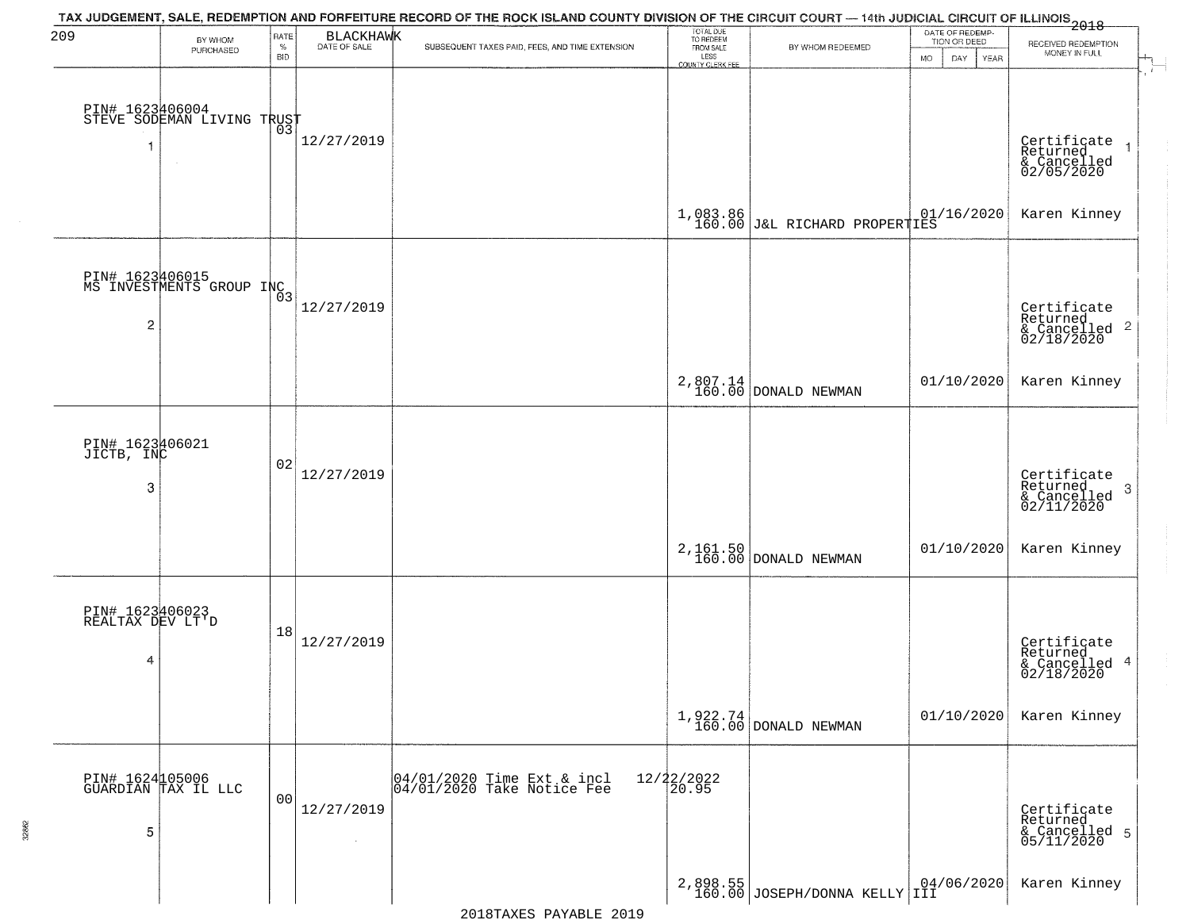| 209                                      | BY WHOM<br>PURCHASED                          | RATE<br>$\%$<br><b>BID</b> | BLACKHAWK            | TAX JUDGEMENT, SALE, REDEMPTION AND FORFEITURE RECORD OF THE ROCK ISLAND COUNTY DIVISION OF THE CIRCUIT COURT — 14th JUDICIAL CIRCUIT OF ILLINOIS 2018<br>SUBSEQUENT TAXES PAID, FEES, AND TIME EXTENSION | TOTAL DUE<br>TO REDEEM<br>FROM SALE<br>LESS<br>COUNTY CLERK FEE | BY WHOM REDEEMED                                         | DATE OF REDEMP-<br>TION OR DEED<br>DAY<br>YEAR<br><b>MO</b> | RECEIVED REDEMPTION<br>MONEY IN FULL                                   |
|------------------------------------------|-----------------------------------------------|----------------------------|----------------------|-----------------------------------------------------------------------------------------------------------------------------------------------------------------------------------------------------------|-----------------------------------------------------------------|----------------------------------------------------------|-------------------------------------------------------------|------------------------------------------------------------------------|
|                                          | PIN# 1623406004<br>STEVE SODEMAN LIVING TRUST |                            | 12/27/2019           |                                                                                                                                                                                                           |                                                                 |                                                          |                                                             | Certificate<br>Returned<br>& Cancelled<br>02/05/2020<br>$\overline{1}$ |
|                                          |                                               |                            |                      |                                                                                                                                                                                                           |                                                                 | $1,083.86$ $01/16/2020$<br>160.00 J&L RICHARD PROPERTIES |                                                             | Karen Kinney                                                           |
| 2                                        | PIN# 1623406015<br>MS INVESTMENTS GROUP INC3  |                            | 12/27/2019           |                                                                                                                                                                                                           |                                                                 |                                                          |                                                             | Certificate<br>Returned<br>& Cancelled <sup>2</sup><br>02/18/2020      |
|                                          |                                               |                            |                      |                                                                                                                                                                                                           |                                                                 | $2,807.14$ DONALD NEWMAN                                 | 01/10/2020                                                  | Karen Kinney                                                           |
| PIN# 1623406021<br>JICTB, INC<br>3       |                                               | 02                         | 12/27/2019           |                                                                                                                                                                                                           |                                                                 |                                                          |                                                             | Certificate<br>Returned<br>3<br>& Cancelled<br>02/11/2020              |
|                                          |                                               |                            |                      |                                                                                                                                                                                                           |                                                                 | 2, 161.50<br>160.00 DONALD NEWMAN                        | 01/10/2020                                                  | Karen Kinney                                                           |
| PIN# 1623406023<br>REALTAX DEV LT'D<br>4 |                                               | 18                         | 12/27/2019           |                                                                                                                                                                                                           |                                                                 |                                                          |                                                             | Certificate<br>Returned<br>& Cancelled 4<br>02/18/2020                 |
|                                          |                                               |                            |                      |                                                                                                                                                                                                           |                                                                 | $1,922.74$ DONALD NEWMAN                                 | 01/10/2020                                                  | Karen Kinney                                                           |
| 5                                        | PIN# 1624105006<br>GUARDIAN TAX IL LLC        | 0 <sub>0</sub>             | 12/27/2019<br>$\sim$ | 04/01/2020 Time Ext & incl<br>04/01/2020 Take Notice Fee                                                                                                                                                  | 12/22/2022<br>20.95                                             |                                                          |                                                             | Certificate<br>Returned<br>& Cancelled 5<br>05/11/2020                 |
|                                          |                                               |                            |                      |                                                                                                                                                                                                           |                                                                 | $2,898.55$ JOSEPH/DONNA KELLY $104/06/2020$              |                                                             | Karen Kinney                                                           |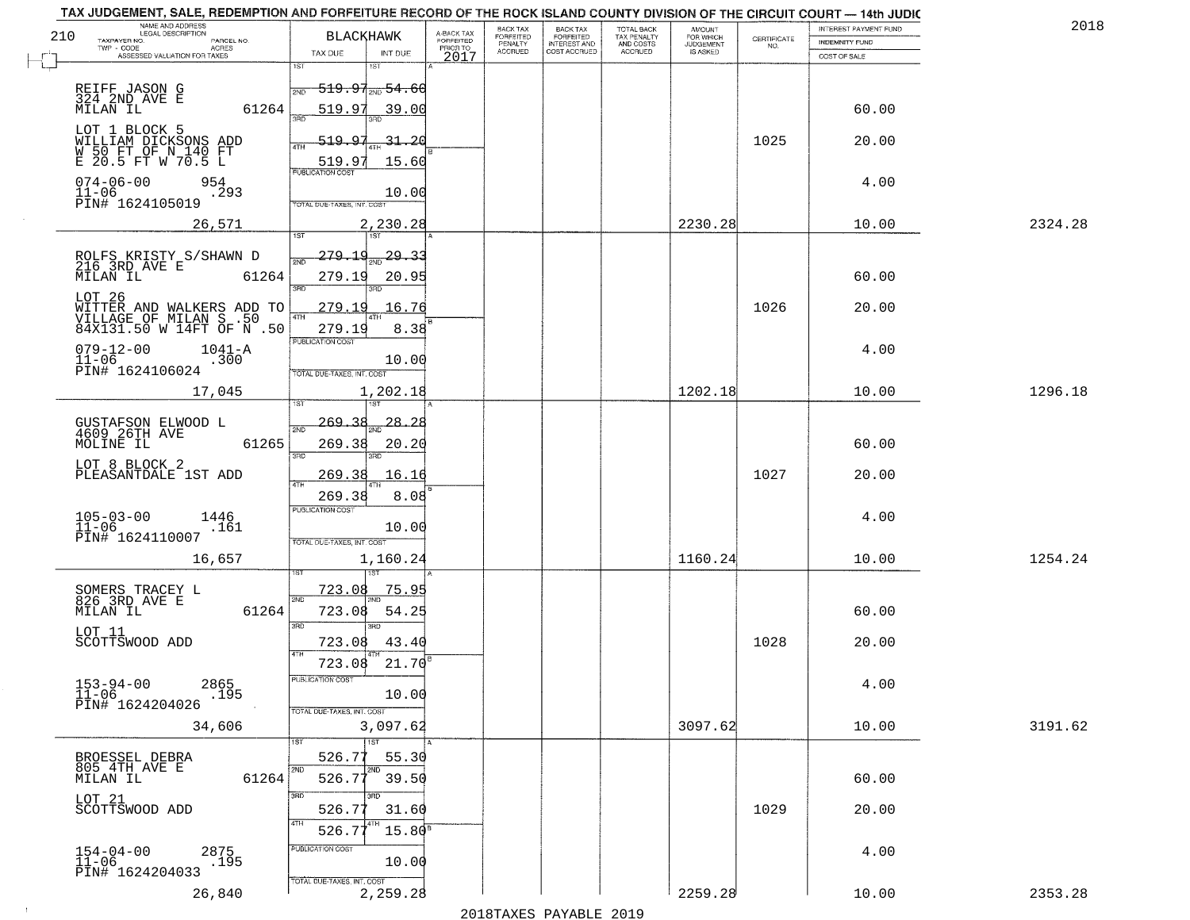| 210 | NAME AND ADDRESS<br>LEGAL DESCRIPTION                                            | <b>BLACKHAWK</b>                |                        |                                     | BACK TAX                               | <b>BACK TAX</b>                           | TOTAL BACK<br>TAX PENALTY<br>AND COSTS | AMOUNT<br>FOR WHICH                 |                                                                 | INTEREST PAYMENT FUND |         | 2018 |
|-----|----------------------------------------------------------------------------------|---------------------------------|------------------------|-------------------------------------|----------------------------------------|-------------------------------------------|----------------------------------------|-------------------------------------|-----------------------------------------------------------------|-----------------------|---------|------|
|     | TAXPAYER NO.<br>PARCEL NO.<br>ACRES                                              |                                 |                        | A-BACK TAX<br>FORFEITED<br>PRIOR TO | FORFEITED<br>PENALTY<br><b>ACCRUED</b> | FORFEITED<br>INTEREST AND<br>COST ACCRUED | ACCRUED                                | <b>JUDGEMENT</b><br><b>IS ASKED</b> | $\begin{array}{c} \text{CERTIFICATE} \\ \text{NO.} \end{array}$ | <b>INDEMNITY FUND</b> |         |      |
|     | ASSESSED VALUATION FOR TAXES                                                     | TAX DUE<br>1ST                  | INT DUE<br>1ST         | 2017                                |                                        |                                           |                                        |                                     |                                                                 | COST OF SALE          |         |      |
|     | REIFF JASON G                                                                    |                                 | $-519.97_{200}$ 54.60  |                                     |                                        |                                           |                                        |                                     |                                                                 |                       |         |      |
|     | 324 2ND AVE E                                                                    | 2ND                             |                        |                                     |                                        |                                           |                                        |                                     |                                                                 |                       |         |      |
|     | 61264<br>MILAN IL                                                                | 519.97                          | 39.00                  |                                     |                                        |                                           |                                        |                                     |                                                                 | 60.00                 |         |      |
|     | LOT 1 BLOCK 5                                                                    | 519.97<br>ATH                   | 31,20                  |                                     |                                        |                                           |                                        |                                     | 1025                                                            | 20.00                 |         |      |
|     | WILLIAM DICKSONS ADD<br>W 50 FT OF N 140 FT<br>E 20.5 FT W 70.5 L                | 519.97                          | 15.60                  |                                     |                                        |                                           |                                        |                                     |                                                                 |                       |         |      |
|     | 954                                                                              | <b>PUBLICATION COST</b>         |                        |                                     |                                        |                                           |                                        |                                     |                                                                 |                       |         |      |
|     | $074 - 06 - 00$<br>$11 - 06$<br>.293                                             |                                 | 10.00                  |                                     |                                        |                                           |                                        |                                     |                                                                 | 4.00                  |         |      |
|     | PĪN# 1624105019                                                                  | TOTAL DUE-TAXES, INT. COST      |                        |                                     |                                        |                                           |                                        |                                     |                                                                 |                       |         |      |
|     | 26,571                                                                           |                                 | 2,230.28               |                                     |                                        |                                           |                                        | 2230.28                             |                                                                 | 10.00                 | 2324.28 |      |
|     |                                                                                  | <u>279.14</u>                   | 29.33                  |                                     |                                        |                                           |                                        |                                     |                                                                 |                       |         |      |
|     | ROLFS KRISTY S/SHAWN D<br>216 3RD AVE E                                          |                                 |                        |                                     |                                        |                                           |                                        |                                     |                                                                 |                       |         |      |
|     | MILAN IL<br>61264                                                                | 279.19<br>$\overline{\text{R}}$ | 20.95<br>3RD           |                                     |                                        |                                           |                                        |                                     |                                                                 | 60.00                 |         |      |
|     | LOT 26                                                                           | 279.19                          | 16.76                  |                                     |                                        |                                           |                                        |                                     | 1026                                                            | 20.00                 |         |      |
|     | WITTER AND WALKERS ADD TO<br>VILLAGE OF MILAN S .50<br>84X131.50 W 14FT OF N .50 | 47H<br>279.19                   | 8.38                   |                                     |                                        |                                           |                                        |                                     |                                                                 |                       |         |      |
|     | $079 - 12 - 00$<br>$1041 - A$                                                    | PUBLICATION COST                |                        |                                     |                                        |                                           |                                        |                                     |                                                                 | 4.00                  |         |      |
|     | $11 - 06$<br>.300                                                                |                                 | 10.00                  |                                     |                                        |                                           |                                        |                                     |                                                                 |                       |         |      |
|     | PIN# 1624106024                                                                  | TOTAL DUE-TAXES, INT. COST      |                        |                                     |                                        |                                           |                                        |                                     |                                                                 |                       |         |      |
|     | 17,045                                                                           |                                 | 1,202.18<br>$1S$ T     |                                     |                                        |                                           |                                        | 1202.18                             |                                                                 | 10.00                 | 1296.18 |      |
|     |                                                                                  | 269.38                          | 28.28                  |                                     |                                        |                                           |                                        |                                     |                                                                 |                       |         |      |
|     | GUSTAFSON ELWOOD L<br>4609 26TH AVE<br>MOLINE IL<br>61265                        | 2ND<br>269.38                   | 20.20                  |                                     |                                        |                                           |                                        |                                     |                                                                 | 60.00                 |         |      |
|     |                                                                                  | 3BD                             | 3RD                    |                                     |                                        |                                           |                                        |                                     |                                                                 |                       |         |      |
|     | LOT 8 BLOCK 2<br>PLEASANTDALE 1ST ADD                                            | <u> 269.38</u>                  | 16.16                  |                                     |                                        |                                           |                                        |                                     | 1027                                                            | 20.00                 |         |      |
|     |                                                                                  | 4TH<br>269.38                   | 8.08                   |                                     |                                        |                                           |                                        |                                     |                                                                 |                       |         |      |
|     | $105 - 03 - 00$<br>1446                                                          | <b>PUBLICATION COST</b>         |                        |                                     |                                        |                                           |                                        |                                     |                                                                 | 4.00                  |         |      |
|     | $11 - 06$<br>.161<br>PIN# 1624110007                                             |                                 | 10.00                  |                                     |                                        |                                           |                                        |                                     |                                                                 |                       |         |      |
|     |                                                                                  | TOTAL OUE-TAXES, INT. COST      |                        |                                     |                                        |                                           |                                        |                                     |                                                                 |                       |         |      |
|     | 16,657                                                                           |                                 | 1,160.24               |                                     |                                        |                                           |                                        | 1160.24                             |                                                                 | 10.00                 | 1254.24 |      |
|     |                                                                                  | 723.08                          | 75.95                  |                                     |                                        |                                           |                                        |                                     |                                                                 |                       |         |      |
|     | SOMERS TRACEY L<br>826 3RD AVE E<br>MILAN IL<br>61264                            | 2ND<br>723.08                   | 54.25                  |                                     |                                        |                                           |                                        |                                     |                                                                 | 60.00                 |         |      |
|     |                                                                                  | 3BD                             | $\overline{3BD}$       |                                     |                                        |                                           |                                        |                                     |                                                                 |                       |         |      |
|     | LOT 11<br>SCOTTSWOOD ADD                                                         | 723.08                          | 43.40                  |                                     |                                        |                                           |                                        |                                     | 1028                                                            | 20.00                 |         |      |
|     |                                                                                  | 723.08                          | 21.70                  |                                     |                                        |                                           |                                        |                                     |                                                                 |                       |         |      |
|     | 2865                                                                             | PUBLICATION COS                 |                        |                                     |                                        |                                           |                                        |                                     |                                                                 | 4.00                  |         |      |
|     | $153 - 94 - 00$<br>$11 - 06$<br>.195<br>PIN# 1624204026                          |                                 | 10.00                  |                                     |                                        |                                           |                                        |                                     |                                                                 |                       |         |      |
|     |                                                                                  | TOTAL DUE-TAXES, INT. COST      |                        |                                     |                                        |                                           |                                        |                                     |                                                                 |                       |         |      |
|     | 34,606                                                                           |                                 | 3,097.62<br><b>TST</b> |                                     |                                        |                                           |                                        | 3097.62                             |                                                                 | 10.00                 | 3191.62 |      |
|     | BROESSEL DEBRA                                                                   | 526.77                          | 55.30                  |                                     |                                        |                                           |                                        |                                     |                                                                 |                       |         |      |
|     | 805 4TH AVE E<br>61264<br>MILAN IL                                               | 2ND                             | 2ND<br>$526.77$ 39.50  |                                     |                                        |                                           |                                        |                                     |                                                                 | 60.00                 |         |      |
|     | LOT 21                                                                           | 3BD                             |                        |                                     |                                        |                                           |                                        |                                     |                                                                 |                       |         |      |
|     | SCOTTSWOOD ADD                                                                   | 526.77                          | 31.60                  |                                     |                                        |                                           |                                        |                                     | 1029                                                            | 20.00                 |         |      |
|     |                                                                                  | 526.77                          | $15.80^8$              |                                     |                                        |                                           |                                        |                                     |                                                                 |                       |         |      |
|     | $154 - 04 - 00$                                                                  | PUBLICATION COST                |                        |                                     |                                        |                                           |                                        |                                     |                                                                 | 4.00                  |         |      |
|     | 2875<br>.195<br>$11 - 06$<br>PIN# 1624204033                                     |                                 | 10.00                  |                                     |                                        |                                           |                                        |                                     |                                                                 |                       |         |      |
|     | 26,840                                                                           | TOTAL DUE-TAXES, INT. COST      | 2,259.28               |                                     |                                        |                                           |                                        | 2259.28                             |                                                                 | 10.00                 | 2353.28 |      |
|     |                                                                                  |                                 |                        |                                     |                                        |                                           |                                        |                                     |                                                                 |                       |         |      |

 $\sim$  1  $^\circ$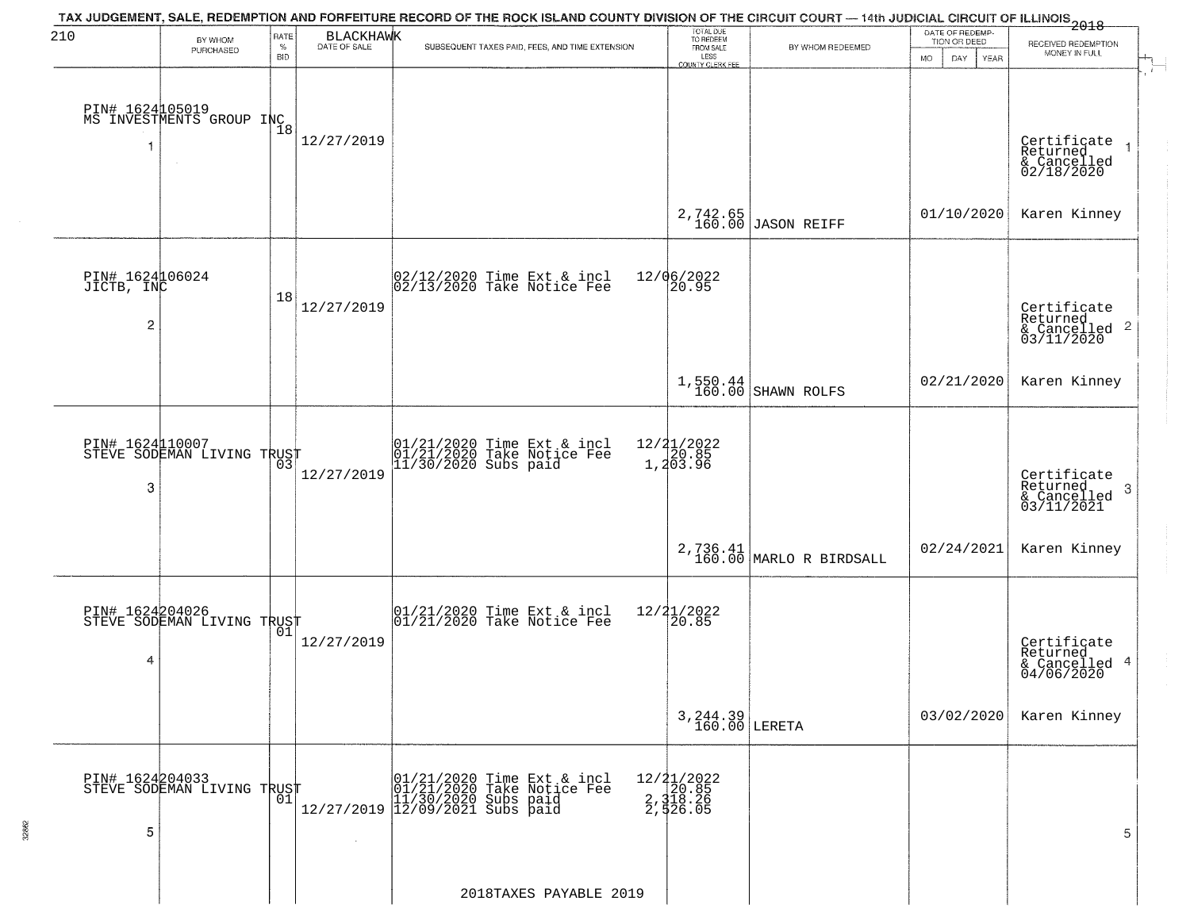| 210             |                                                   | RATE               |            | TAX JUDGEMENT, SALE, REDEMPTION AND FORFEITURE RECORD OF THE ROCK ISLAND COUNTY DIVISION OF THE CIRCUIT COURT — 14th JUDICIAL CIRCUIT OF ILLINOIS<br>2018 - The Contract of California (1994) | TOTAL DUE<br>TO REDEEM                      |                             | DATE OF REDEMP-          |                                                        |
|-----------------|---------------------------------------------------|--------------------|------------|-----------------------------------------------------------------------------------------------------------------------------------------------------------------------------------------------|---------------------------------------------|-----------------------------|--------------------------|--------------------------------------------------------|
|                 | BY WHOM<br>PURCHASED                              | $\%$<br><b>BID</b> | BLACKHAWK  | SUBSEQUENT TAXES PAID, FEES, AND TIME EXTENSION                                                                                                                                               | FROM SALE                                   | BY WHOM REDEEMED            | TION OR DEED             | RECEIVED REDEMPTION<br>MONEY IN FULL                   |
|                 |                                                   |                    |            |                                                                                                                                                                                               | LESS<br>COUNTY CLERK FEE                    |                             | <b>MO</b><br>DAY<br>YEAR |                                                        |
|                 |                                                   |                    |            |                                                                                                                                                                                               |                                             |                             |                          |                                                        |
|                 | PIN# 1624 105019<br>MS INVESTMENTS GROUP INC      |                    |            |                                                                                                                                                                                               |                                             |                             |                          |                                                        |
|                 |                                                   |                    | 12/27/2019 |                                                                                                                                                                                               |                                             |                             |                          |                                                        |
|                 |                                                   |                    |            |                                                                                                                                                                                               |                                             |                             |                          | Certificate<br>Returned                                |
|                 |                                                   |                    |            |                                                                                                                                                                                               |                                             |                             |                          | & Cancelled<br>02/18/2020                              |
|                 |                                                   |                    |            |                                                                                                                                                                                               |                                             |                             |                          | Karen Kinney                                           |
|                 |                                                   |                    |            |                                                                                                                                                                                               | 2,742.65<br>160.00                          | JASON REIFF                 | 01/10/2020               |                                                        |
|                 |                                                   |                    |            |                                                                                                                                                                                               |                                             |                             |                          |                                                        |
| PIN# 1624106024 |                                                   |                    |            | 02/12/2020 Time Ext & incl<br>02/13/2020 Take Notice Fee                                                                                                                                      | 12/06/2022<br>20.95                         |                             |                          |                                                        |
| JICTB, INC      |                                                   | 18                 | 12/27/2019 |                                                                                                                                                                                               |                                             |                             |                          |                                                        |
| 2               |                                                   |                    |            |                                                                                                                                                                                               |                                             |                             |                          | Certificate<br>Returned                                |
|                 |                                                   |                    |            |                                                                                                                                                                                               |                                             |                             |                          | $\frac{1}{6}$ Cancelled 2<br>03/11/2020                |
|                 |                                                   |                    |            |                                                                                                                                                                                               |                                             |                             |                          |                                                        |
|                 |                                                   |                    |            |                                                                                                                                                                                               | 1,550.44<br>160.00                          | SHAWN ROLFS                 | 02/21/2020               | Karen Kinney                                           |
|                 |                                                   |                    |            |                                                                                                                                                                                               |                                             |                             |                          |                                                        |
| PIN# 1624110007 |                                                   |                    |            |                                                                                                                                                                                               |                                             |                             |                          |                                                        |
|                 | STEVE SODEMAN LIVING TRUST                        |                    | 12/27/2019 | 01/21/2020 Time Ext & incl<br>01/21/2020 Take Notice Fee<br>11/30/2020 Subs paid                                                                                                              | 12/ <b>2</b> 1/2022<br>1,20.85<br>1,203.96  |                             |                          |                                                        |
| 3               |                                                   |                    |            |                                                                                                                                                                                               |                                             |                             |                          | Certificate<br>Returned<br>3                           |
|                 |                                                   |                    |            |                                                                                                                                                                                               |                                             |                             |                          | & Cancelled<br>03/11/2021                              |
|                 |                                                   |                    |            |                                                                                                                                                                                               |                                             |                             |                          |                                                        |
|                 |                                                   |                    |            |                                                                                                                                                                                               |                                             | $2,736.41$ MARLO R BIRDSALL | 02/24/2021               | Karen Kinney                                           |
|                 |                                                   |                    |            |                                                                                                                                                                                               |                                             |                             |                          |                                                        |
|                 | PIN# 1624204026    <br>STEVE SODEMAN LIVING TRUST |                    |            | 01/21/2020 Time Ext & incl<br>01/21/2020 Take Notice Fee                                                                                                                                      | $\frac{12}{2}$ $\frac{21}{20.85}$           |                             |                          |                                                        |
|                 |                                                   | 01                 | 12/27/2019 |                                                                                                                                                                                               |                                             |                             |                          |                                                        |
| 4               |                                                   |                    |            |                                                                                                                                                                                               |                                             |                             |                          | Certificate<br>Returned<br>& Cancelled 4<br>04/06/2020 |
|                 |                                                   |                    |            |                                                                                                                                                                                               |                                             |                             |                          |                                                        |
|                 |                                                   |                    |            |                                                                                                                                                                                               |                                             |                             | 03/02/2020               | Karen Kinney                                           |
|                 |                                                   |                    |            |                                                                                                                                                                                               | $3,244.39$ LERETA                           |                             |                          |                                                        |
|                 |                                                   |                    |            |                                                                                                                                                                                               |                                             |                             |                          |                                                        |
|                 | PIN# 1624204033    <br>STEVE SODEMAN LIVING TRUST |                    |            | Time Ext & incl<br>Take Notice Fee                                                                                                                                                            |                                             |                             |                          |                                                        |
|                 |                                                   | 01                 |            | 01/21/2020 Time Ext<br>101/21/2020 Take Notic<br>12/27/2019 12/09/2021 Subs paid<br>12/27/2019 12/09/2021 Subs paid                                                                           | 12/21/2022<br>20.85<br>2,318.26<br>2,526.05 |                             |                          |                                                        |
| 5               |                                                   |                    |            |                                                                                                                                                                                               |                                             |                             |                          | 5                                                      |
|                 |                                                   |                    | $\sim$     |                                                                                                                                                                                               |                                             |                             |                          |                                                        |
|                 |                                                   |                    |            |                                                                                                                                                                                               |                                             |                             |                          |                                                        |
|                 |                                                   |                    |            | 2018TAXES PAYABLE 2019                                                                                                                                                                        |                                             |                             |                          |                                                        |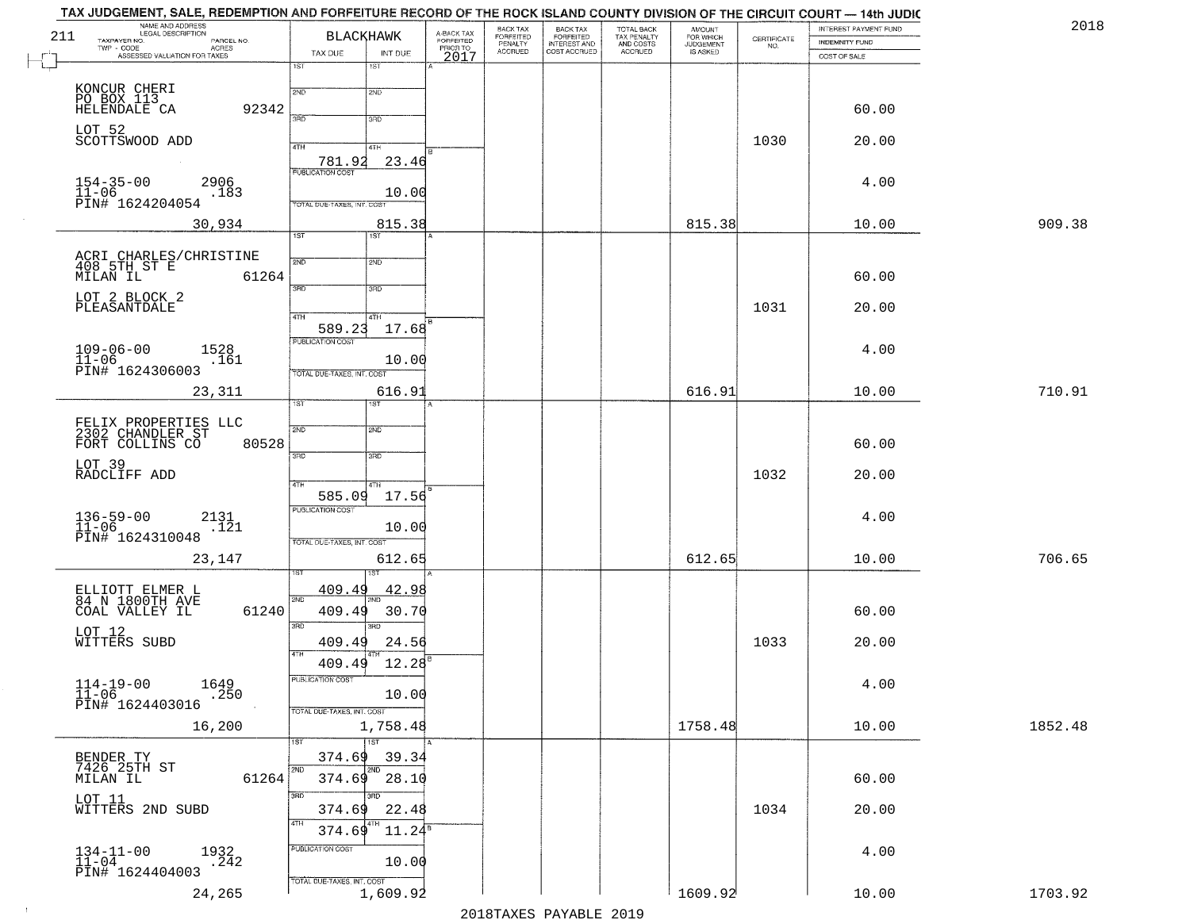|     | TAX JUDGEMENT, SALE, REDEMPTION AND FORFEITURE RECORD OF THE ROCK ISLAND COUNTY DIVISION OF THE CIRCUIT COURT — 14th JUDIC<br>NAME AND ADDRESS<br>LEGAL DESCRIPTION |                                   |                          |                                             | BACK TAX                        |                                                       |                                        | <b>AMOUNT</b>          |                                                                 | INTEREST PAYMENT FUND | 201     |
|-----|---------------------------------------------------------------------------------------------------------------------------------------------------------------------|-----------------------------------|--------------------------|---------------------------------------------|---------------------------------|-------------------------------------------------------|----------------------------------------|------------------------|-----------------------------------------------------------------|-----------------------|---------|
| 211 | TAXPAYER NO.<br>PARCEL NO.                                                                                                                                          |                                   | <b>BLACKHAWK</b>         |                                             | FORFEITED<br>PENALTY<br>ACCRUED | BACK TAX<br>FORFEITED<br>INTEREST AND<br>COST ACCRUED | TOTAL BACK<br>TAX PENALTY<br>AND COSTS | FOR WHICH<br>JUDGEMENT | $\begin{array}{c} \text{CERTIFICATE} \\ \text{NO.} \end{array}$ | INDEMNITY FUND        |         |
|     | TWP - CODE<br>ASSESSED VALUATION FOR TAXES                                                                                                                          | TAX DUE                           | INT DUE                  | A-BACK TAX<br>FORFEITED<br>PRIOR TO<br>2017 |                                 |                                                       | <b>ACCRUED</b>                         | IS ASKED               |                                                                 | COST OF SALE          |         |
|     |                                                                                                                                                                     | 1ST                               | 1ST                      |                                             |                                 |                                                       |                                        |                        |                                                                 |                       |         |
|     | KONCUR CHERI<br>PO BOX 113                                                                                                                                          | 2ND                               | 2ND                      |                                             |                                 |                                                       |                                        |                        |                                                                 |                       |         |
|     | 92342<br>HELENDALE CA                                                                                                                                               | 3RD                               | 3RD                      |                                             |                                 |                                                       |                                        |                        |                                                                 | 60.00                 |         |
|     | LOT 52                                                                                                                                                              |                                   |                          |                                             |                                 |                                                       |                                        |                        |                                                                 |                       |         |
|     | SCOTTSWOOD ADD                                                                                                                                                      | 4TH                               | 4TH                      |                                             |                                 |                                                       |                                        |                        | 1030                                                            | 20.00                 |         |
|     |                                                                                                                                                                     | 781.92<br><b>PUBLICATION COST</b> | 23.46                    |                                             |                                 |                                                       |                                        |                        |                                                                 |                       |         |
|     | $154 - 35 - 00$<br>2906<br>$11 - 06$<br>.183                                                                                                                        |                                   | 10.00                    |                                             |                                 |                                                       |                                        |                        |                                                                 | 4.00                  |         |
|     | PIN# 1624204054                                                                                                                                                     | TOTAL DUE-TAXES, INT. COST        |                          |                                             |                                 |                                                       |                                        |                        |                                                                 |                       |         |
|     | 30,934                                                                                                                                                              |                                   | 815.38                   |                                             |                                 |                                                       |                                        | 815.38                 |                                                                 | 10.00                 | 909.38  |
|     |                                                                                                                                                                     | 1ST                               | 1ST                      |                                             |                                 |                                                       |                                        |                        |                                                                 |                       |         |
|     | ACRI CHARLES/CHRISTINE<br>408 5TH ST E                                                                                                                              | 2ND                               | 2ND                      |                                             |                                 |                                                       |                                        |                        |                                                                 |                       |         |
|     | 61264<br>MILAN IL                                                                                                                                                   | 3RD                               | 3RD                      |                                             |                                 |                                                       |                                        |                        |                                                                 | 60.00                 |         |
|     | LOT 2 BLOCK 2<br>PLEASANTDALE                                                                                                                                       |                                   |                          |                                             |                                 |                                                       |                                        |                        | 1031                                                            | 20.00                 |         |
|     |                                                                                                                                                                     | 4TH<br>589.23                     | 4TH<br>17.68             |                                             |                                 |                                                       |                                        |                        |                                                                 |                       |         |
|     | $109 - 06 - 00$<br>1528                                                                                                                                             | PUBLICATION COST                  |                          |                                             |                                 |                                                       |                                        |                        |                                                                 | 4.00                  |         |
|     | $11 - 06$<br>.161                                                                                                                                                   |                                   | 10.00                    |                                             |                                 |                                                       |                                        |                        |                                                                 |                       |         |
|     | PIN# 1624306003                                                                                                                                                     | TOTAL DUE-TAXES, INT. COST        |                          |                                             |                                 |                                                       |                                        |                        |                                                                 |                       |         |
|     | 23,311                                                                                                                                                              | 1ST                               | 616.91                   |                                             |                                 |                                                       |                                        | 616.91                 |                                                                 | 10.00                 | 710.91  |
|     | FELIX PROPERTIES LLC<br>2302 CHANDLER ST                                                                                                                            | 2ND                               |                          |                                             |                                 |                                                       |                                        |                        |                                                                 |                       |         |
|     | 80528<br>FORT COLLINS CO                                                                                                                                            |                                   | 2ND                      |                                             |                                 |                                                       |                                        |                        |                                                                 | 60.00                 |         |
|     | LOT 39                                                                                                                                                              | 3RD                               | 3RD                      |                                             |                                 |                                                       |                                        |                        |                                                                 |                       |         |
|     | RADCLIFF ADD                                                                                                                                                        | 4TH                               | 4TH                      |                                             |                                 |                                                       |                                        |                        | 1032                                                            | 20.00                 |         |
|     |                                                                                                                                                                     | 585.09                            | 17.56                    |                                             |                                 |                                                       |                                        |                        |                                                                 |                       |         |
|     | $136 - 59 - 00$<br>11-06<br>2131                                                                                                                                    | <b>PUBLICATION COST</b>           |                          |                                             |                                 |                                                       |                                        |                        |                                                                 | 4.00                  |         |
|     | .121<br>PIN# 1624310048                                                                                                                                             | TOTAL OUE-TAXES, INT. COST        | 10.00                    |                                             |                                 |                                                       |                                        |                        |                                                                 |                       |         |
|     | 23,147                                                                                                                                                              |                                   | 612.65                   |                                             |                                 |                                                       |                                        | 612.65                 |                                                                 | 10.00                 | 706.65  |
|     |                                                                                                                                                                     |                                   |                          |                                             |                                 |                                                       |                                        |                        |                                                                 |                       |         |
|     | ELLIOTT ELMER L<br>84 N 1800TH AVE                                                                                                                                  | 409.49<br>2ND                     | 42.98                    |                                             |                                 |                                                       |                                        |                        |                                                                 |                       |         |
|     | COAL VALLEY IL<br>61240                                                                                                                                             | 409.49                            | 30.70                    |                                             |                                 |                                                       |                                        |                        |                                                                 | 60.00                 |         |
|     | LOT 12<br>WITTERS SUBD                                                                                                                                              | 3 <sub>BD</sub><br>409.49         | 3 <sub>BD</sub><br>24.56 |                                             |                                 |                                                       |                                        |                        | 1033                                                            | 20.00                 |         |
|     |                                                                                                                                                                     | 4TH                               |                          |                                             |                                 |                                                       |                                        |                        |                                                                 |                       |         |
|     |                                                                                                                                                                     | 409.49<br>PUBLICATION COST        | 12.28                    |                                             |                                 |                                                       |                                        |                        |                                                                 |                       |         |
|     | 1649<br>$114 - 19 - 00$<br>$\frac{11-06}{P1N#}$ 1624403016<br>.250                                                                                                  |                                   | 10.00                    |                                             |                                 |                                                       |                                        |                        |                                                                 | 4.00                  |         |
|     |                                                                                                                                                                     | TOTAL DUE-TAXES, INT. COST        |                          |                                             |                                 |                                                       |                                        |                        |                                                                 |                       |         |
|     | 16,200                                                                                                                                                              |                                   | 1,758.48                 |                                             |                                 |                                                       |                                        | 1758.48                |                                                                 | 10.00                 | 1852.48 |
|     |                                                                                                                                                                     | 1ST<br>374.69                     | 1ST<br>39.34             |                                             |                                 |                                                       |                                        |                        |                                                                 |                       |         |
|     | BENDER TY<br>7426 25TH ST<br>MILAN IL<br>61264                                                                                                                      | 2ND<br>374.69                     | 2ND<br>28.10             |                                             |                                 |                                                       |                                        |                        |                                                                 | 60.00                 |         |
|     | LOT 11                                                                                                                                                              | 3RD                               | 3HD                      |                                             |                                 |                                                       |                                        |                        |                                                                 |                       |         |
|     | WITTERS 2ND SUBD                                                                                                                                                    | 374.69                            | 22.48                    |                                             |                                 |                                                       |                                        |                        | 1034                                                            | 20.00                 |         |
|     |                                                                                                                                                                     | 4TH<br>374.69                     | $11.24^{\rm s}$          |                                             |                                 |                                                       |                                        |                        |                                                                 |                       |         |
|     | $134-11-00$<br>$11-04$<br>1932<br>.242                                                                                                                              | PUBLICATION COST                  |                          |                                             |                                 |                                                       |                                        |                        |                                                                 | 4.00                  |         |
|     | PIN# 1624404003                                                                                                                                                     |                                   | 10.00                    |                                             |                                 |                                                       |                                        |                        |                                                                 |                       |         |
|     | 24,265                                                                                                                                                              | TOTAL DUE-TAXES, INT. COST        | 1,609.92                 |                                             |                                 |                                                       |                                        | 1609.92                |                                                                 | 10.00                 | 1703.92 |

 $\sim 100$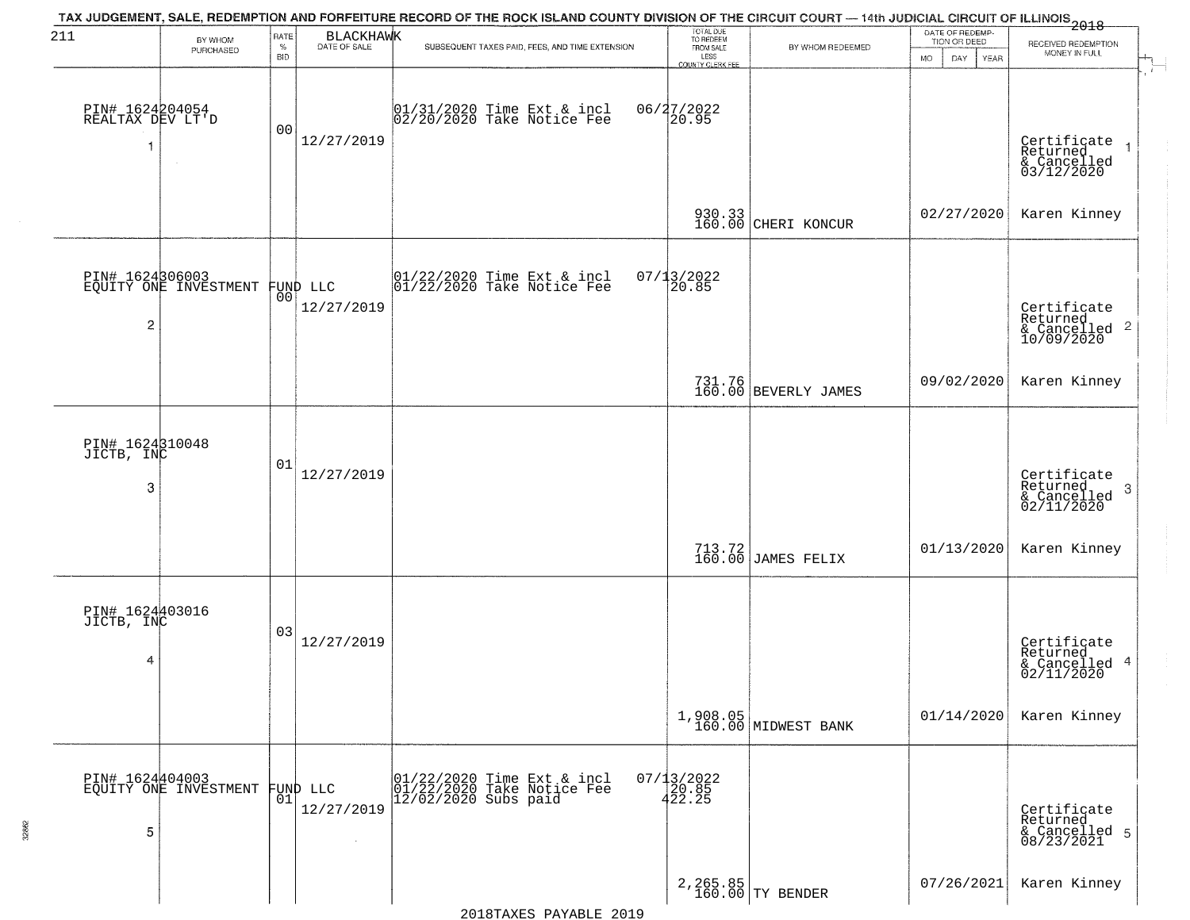| 211                                 | BY WHOM                                           | RATE               | BLACKHAWK                        | TAX JUDGEMENT, SALE, REDEMPTION AND FORFEITURE RECORD OF THE ROCK ISLAND COUNTY DIVISION OF THE CIRCUIT COURT — 14th JUDICIAL CIRCUIT OF ILLINOIS 2018 | TOTAL DUE<br>TO REDEEM                       |                                 | DATE OF REDEMP-<br>TION OR DEED |                                                           |
|-------------------------------------|---------------------------------------------------|--------------------|----------------------------------|--------------------------------------------------------------------------------------------------------------------------------------------------------|----------------------------------------------|---------------------------------|---------------------------------|-----------------------------------------------------------|
|                                     | PURCHASED                                         | $\%$<br><b>BID</b> |                                  | SUBSEQUENT TAXES PAID, FEES, AND TIME EXTENSION                                                                                                        | FROM SALE<br>LESS<br><b>COUNTY CLERK FEE</b> | BY WHOM REDEEMED                | MO.<br>DAY.<br>YEAR             | RECEIVED REDEMPTION<br>MONEY IN FULL                      |
| PIN# 1624204054<br>REALTAX DEV LT'D |                                                   | 00                 | 12/27/2019                       | 01/31/2020 Time Ext & incl<br>02/20/2020 Take Notice Fee                                                                                               | 06/27/2022<br>20.95                          |                                 |                                 | Certificate<br>Returned<br>& Cancelled<br>03/12/2020      |
|                                     |                                                   |                    |                                  |                                                                                                                                                        | 930.33<br>160.00                             | CHERI KONCUR                    | 02/27/2020                      | Karen Kinney                                              |
| $\overline{c}$                      | PIN# 1624306003<br>EQUITY ONE INVESTMENT FUND LLC |                    | 12/27/2019                       | $ 01/22/2020$ Time Ext & incl<br>$ 01/22/2020$ Take Notice Fee                                                                                         | 07/13/2022<br>20.85                          |                                 |                                 | Certificate<br>Returned<br>& Cancelled 2<br>10/09/2020    |
|                                     |                                                   |                    |                                  |                                                                                                                                                        |                                              | 731.76<br>160.00 BEVERLY JAMES  | 09/02/2020                      | Karen Kinney                                              |
| PIN# 1624310048<br>JICTB, INC<br>3  |                                                   | 01                 | 12/27/2019                       |                                                                                                                                                        |                                              |                                 |                                 | Certificate<br>Returned<br>3<br>& Cancelled<br>02/11/2020 |
|                                     |                                                   |                    |                                  |                                                                                                                                                        |                                              | 713.72 JAMES FELIX              | 01/13/2020                      | Karen Kinney                                              |
| PIN# 1624403016<br>JICTB, INC<br>4  |                                                   | 03                 | 12/27/2019                       |                                                                                                                                                        |                                              |                                 |                                 | Certificate<br>Returned<br>& Cancelled 4<br>02/11/2020    |
|                                     |                                                   |                    |                                  |                                                                                                                                                        |                                              | 1,908.05<br>160.00 MIDWEST BANK | 01/14/2020                      | Karen Kinney                                              |
| 5                                   | PIN# 1624404003<br>EQUITY ONE INVESTMENT          | Ō1                 | FUND LLC<br>12/27/2019<br>$\sim$ | 01/22/2020 Time Ext & incl<br>01/22/2020 Take Notice Fee<br>$1\overline{2}/\overline{0}\overline{2}/\overline{20}\overline{20}$ Subs paid              | 07/13/2022<br>20.85<br>422.25                |                                 |                                 | Certificate<br>Returned<br>& Cancelled 5<br>08/23/2021    |
|                                     |                                                   |                    |                                  |                                                                                                                                                        |                                              | 2, 265.85<br>160.00 TY BENDER   | 07/26/2021                      | Karen Kinney                                              |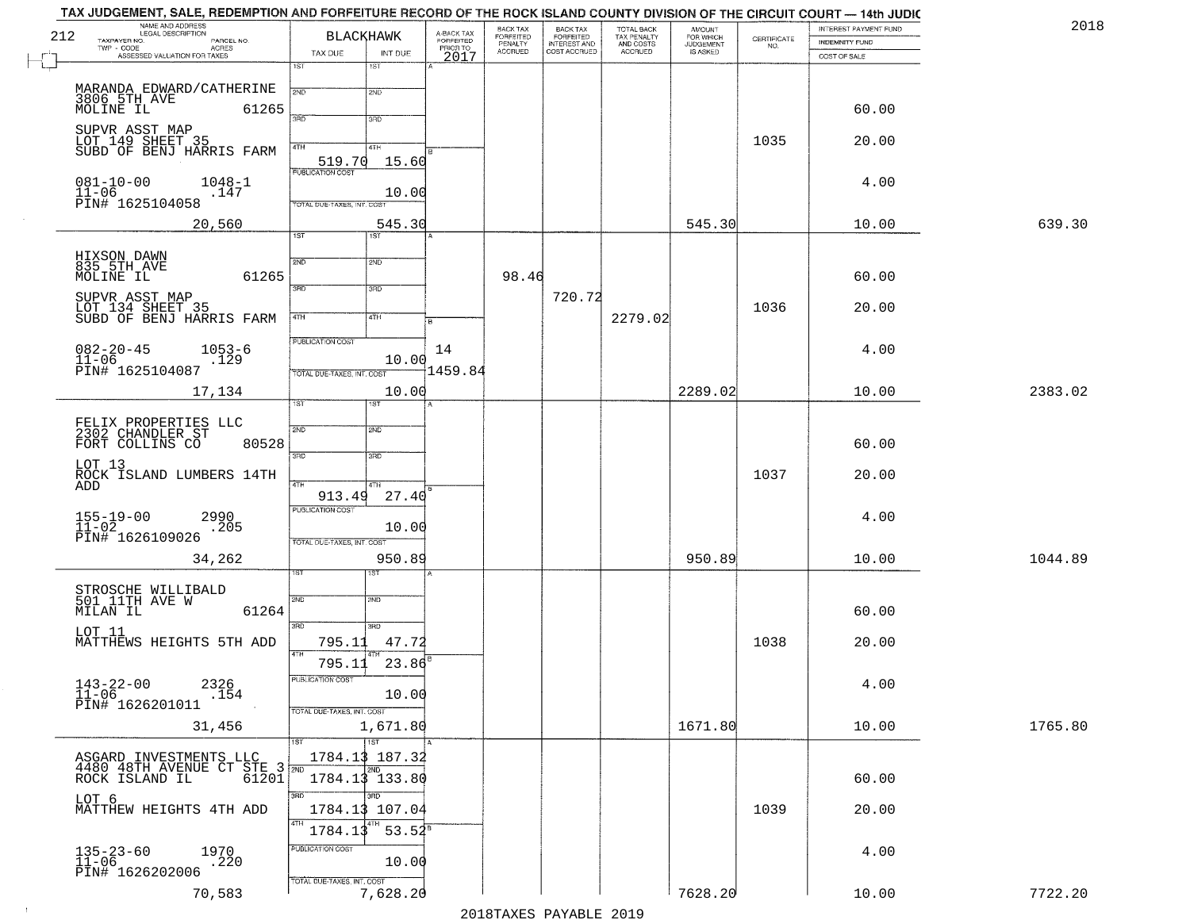|     | TAX JUDGEMENT, SALE, REDEMPTION AND FORFEITURE RECORD OF THE ROCK ISLAND COUNTY DIVISION OF THE CIRCUIT COURT - 14th JUDIC<br>NAME AND ADDRESS<br>LEGAL DESCRIPTION |                                            |                                     | BACK TAX             |                                       |                                        |                                  |                    | INTEREST PAYMENT FUND | 2018    |
|-----|---------------------------------------------------------------------------------------------------------------------------------------------------------------------|--------------------------------------------|-------------------------------------|----------------------|---------------------------------------|----------------------------------------|----------------------------------|--------------------|-----------------------|---------|
| 212 | TAXPAYER NO.<br>PARCEL NO.<br>TWP - CODE<br>ACRES                                                                                                                   | <b>BLACKHAWK</b>                           | A-BACK TAX<br>FORFEITED<br>PRIOR TO | FORFEITED<br>PENALTY | BACK TAX<br>FORFEITED<br>INTEREST AND | TOTAL BACK<br>TAX PENALTY<br>AND COSTS | AMOUNT<br>FOR WHICH<br>JUDGEMENT | CERTIFICATE<br>NO. | <b>INDEMNITY FUND</b> |         |
|     | ASSESSED VALUATION FOR TAXES                                                                                                                                        | TAX DUE<br>INT DUE                         | 2017                                | <b>ACCRUED</b>       | COST ACCRUED                          | <b>ACCRUED</b>                         | IS ASKED                         |                    | COST OF SALE          |         |
|     |                                                                                                                                                                     | 1ST<br>1ST                                 |                                     |                      |                                       |                                        |                                  |                    |                       |         |
|     | MARANDA EDWARD/CATHERINE<br>3806 5TH AVE                                                                                                                            | 2ND<br>2ND                                 |                                     |                      |                                       |                                        |                                  |                    |                       |         |
|     | 61265                                                                                                                                                               | 3RD<br>3RD                                 |                                     |                      |                                       |                                        |                                  |                    | 60.00                 |         |
|     | SUPVR ASST MAP<br>LOT 149 SHEET 35<br>SUBD OF BENJ HARRIS FARM                                                                                                      | 4TH<br>4TH                                 |                                     |                      |                                       |                                        |                                  | 1035               | 20.00                 |         |
|     |                                                                                                                                                                     | 519.70<br>15.60<br><b>PUBLICATION COST</b> |                                     |                      |                                       |                                        |                                  |                    |                       |         |
|     | $081 - 10 - 00$<br>$11 - 06$<br>$1048 - 1$<br>.147                                                                                                                  | 10.00                                      |                                     |                      |                                       |                                        |                                  |                    | 4.00                  |         |
|     | PĪN# 1625104058                                                                                                                                                     | TOTAL DUE-TAXES, INT. COST                 |                                     |                      |                                       |                                        |                                  |                    |                       |         |
|     | 20,560                                                                                                                                                              | 545.30<br>1ST<br>1ST                       |                                     |                      |                                       |                                        | 545.30                           |                    | 10.00                 | 639.30  |
|     |                                                                                                                                                                     |                                            |                                     |                      |                                       |                                        |                                  |                    |                       |         |
|     | HIXSON DAWN<br>835 5TH AVE<br>MOLINE IL<br>61265                                                                                                                    | 2ND<br>2ND                                 |                                     | 98.46                |                                       |                                        |                                  |                    | 60.00                 |         |
|     |                                                                                                                                                                     | 3RD<br>3RD                                 |                                     |                      | 720.72                                |                                        |                                  |                    |                       |         |
|     | SUPVR ASST MAP<br>LOT 134 SHEET 35<br>SUBD OF BENJ HARRIS FARM                                                                                                      | 47H<br>4TH                                 | łв                                  |                      |                                       | 2279.02                                |                                  | 1036               | 20.00                 |         |
|     |                                                                                                                                                                     | PUBLICATION COST                           |                                     |                      |                                       |                                        |                                  |                    |                       |         |
|     | $082 - 20 - 45$<br>$1053 - 6$<br>$11 - 06$<br>.129                                                                                                                  | 10.00                                      | 14                                  |                      |                                       |                                        |                                  |                    | 4.00                  |         |
|     | PIN# 1625104087                                                                                                                                                     | TOTAL DUE-TAXES, INT. COST                 | 1459.84                             |                      |                                       |                                        |                                  |                    |                       |         |
|     | 17,134                                                                                                                                                              | 10.00<br>1ST.<br><b>IST</b>                |                                     |                      |                                       |                                        | 2289.02                          |                    | 10.00                 | 2383.02 |
|     | FELIX PROPERTIES LLC<br>2302 CHANDLER ST                                                                                                                            | 2ND<br>SMD                                 |                                     |                      |                                       |                                        |                                  |                    |                       |         |
|     | FORT COLLINS CO<br>80528                                                                                                                                            |                                            |                                     |                      |                                       |                                        |                                  |                    | 60.00                 |         |
|     | LOT 13<br>ROCK ISLAND LUMBERS 14TH                                                                                                                                  | 3 <sub>BD</sub><br>3RD                     |                                     |                      |                                       |                                        |                                  | 1037               | 20.00                 |         |
|     | ADD                                                                                                                                                                 | 4TH<br>4TH<br>913.49<br>27.40              |                                     |                      |                                       |                                        |                                  |                    |                       |         |
|     |                                                                                                                                                                     | <b>PUBLICATION COST</b>                    |                                     |                      |                                       |                                        |                                  |                    | 4.00                  |         |
|     | 2990<br>205<br>155-19-00<br>11-02<br>PIN# 1626109026                                                                                                                | 10.00<br>TOTAL OUE-TAXES, INT. COST        |                                     |                      |                                       |                                        |                                  |                    |                       |         |
|     | 34,262                                                                                                                                                              | 950.89                                     |                                     |                      |                                       |                                        | 950.89                           |                    | 10.00                 | 1044.89 |
|     |                                                                                                                                                                     | ड़िंग                                      |                                     |                      |                                       |                                        |                                  |                    |                       |         |
|     | STROSCHE WILLIBALD<br>501 11TH AVE W                                                                                                                                | 2ND<br>2ND                                 |                                     |                      |                                       |                                        |                                  |                    |                       |         |
|     | MILAN IL<br>61264                                                                                                                                                   | 3RD<br>3BD                                 |                                     |                      |                                       |                                        |                                  |                    | 60.00                 |         |
|     | LOT 11<br>MATTHEWS HEIGHTS 5TH ADD                                                                                                                                  | 47.72<br>795.11<br>4TH                     |                                     |                      |                                       |                                        |                                  | 1038               | 20.00                 |         |
|     |                                                                                                                                                                     | 23.86<br>795.11                            |                                     |                      |                                       |                                        |                                  |                    |                       |         |
|     | $143 - 22 - 00$<br>$11 - 06$<br>2326<br>.154                                                                                                                        | PUBLICATION COST<br>10.00                  |                                     |                      |                                       |                                        |                                  |                    | 4.00                  |         |
|     | PIN# 1626201011                                                                                                                                                     | TOTAL DUE-TAXES, INT. COST                 |                                     |                      |                                       |                                        |                                  |                    |                       |         |
|     | 31,456                                                                                                                                                              | 1,671.80                                   |                                     |                      |                                       |                                        | 1671.80                          |                    | 10.00                 | 1765.80 |
|     |                                                                                                                                                                     | 1ST<br>1ST<br>1784.13 187.32               |                                     |                      |                                       |                                        |                                  |                    |                       |         |
|     | ASGARD INVESTMENTS LLC<br>4480 48TH AVENUE CT STE 3 2ND<br>ROCK ISLAND IL 61201                                                                                     | 2ND<br>1784.13 133.80                      |                                     |                      |                                       |                                        |                                  |                    | 60.00                 |         |
|     | LOT 6                                                                                                                                                               | 3RD<br>उनेट                                |                                     |                      |                                       |                                        |                                  |                    |                       |         |
|     | MATTHEW HEIGHTS 4TH ADD                                                                                                                                             | 1784.13 107.04<br>4TH                      |                                     |                      |                                       |                                        |                                  | 1039               | 20.00                 |         |
|     |                                                                                                                                                                     | 1784.13<br>$53.54^8$<br>PUBLICATION COST   |                                     |                      |                                       |                                        |                                  |                    |                       |         |
|     | $135 - 23 - 60$<br>11-06<br>1970<br>.220                                                                                                                            | 10.00                                      |                                     |                      |                                       |                                        |                                  |                    | 4.00                  |         |
|     | PIN# 1626202006<br>70,583                                                                                                                                           | TOTAL DUE-TAXES, INT. COST                 |                                     |                      |                                       |                                        | 7628.20                          |                    |                       | 7722.20 |
|     |                                                                                                                                                                     | 7,628.20                                   |                                     |                      |                                       |                                        |                                  |                    | 10.00                 |         |

 $\sim 40$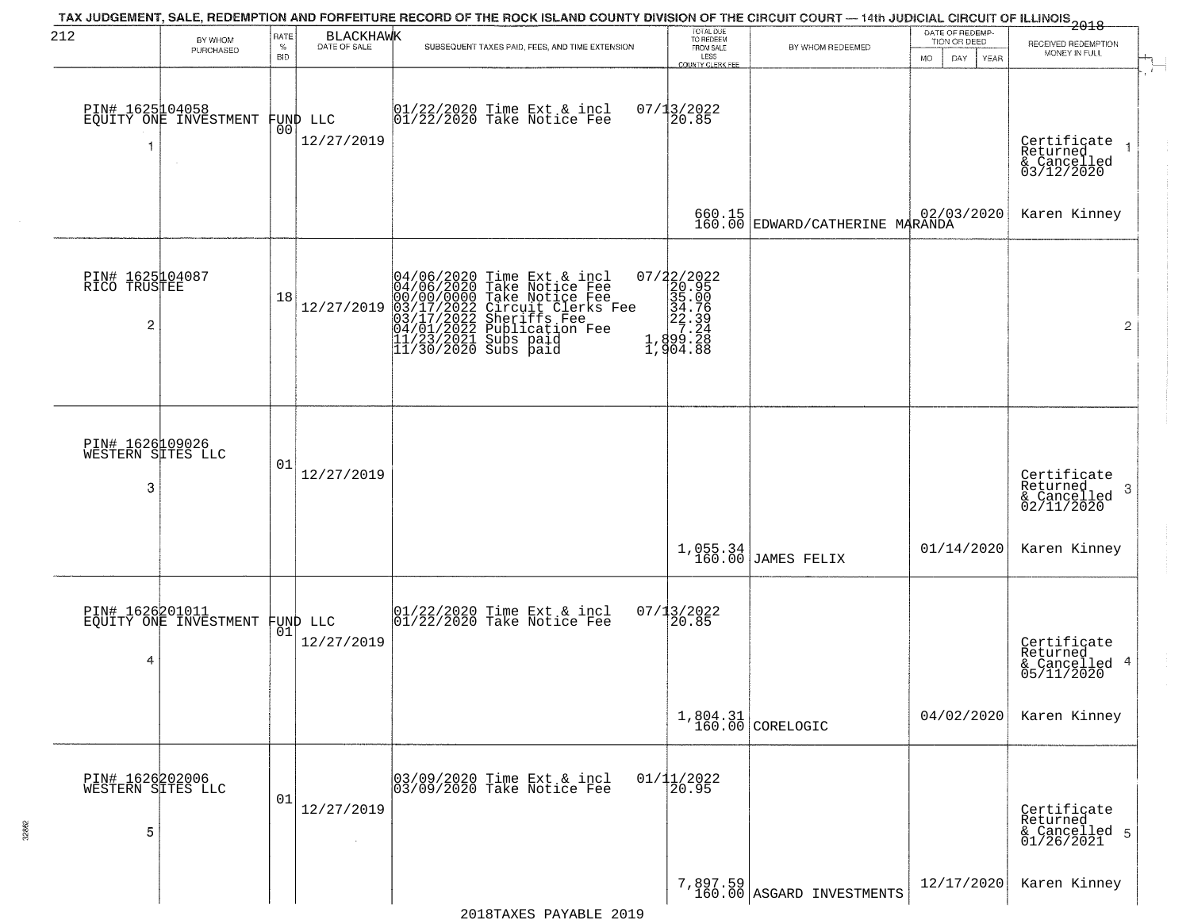| 212                                       | BY WHOM<br>PURCHASED                               | RATE<br>$\%$<br><b>BID</b> | BLACKHAWK                      | TAX JUDGEMENT, SALE, REDEMPTION AND FORFEITURE RECORD OF THE ROCK ISLAND COUNTY DIVISION OF THE CIRCUIT COURT — 14th JUDICIAL CIRCUIT OF ILLINOIS 2018<br>SUBSEQUENT TAXES PAID, FEES, AND TIME EXTENSION                            | TOTAL DUE<br>TO REDEEM<br>FROM SALE<br>LESS<br>COUNTY CLERK FEE                                          | BY WHOM REDEEMED                                     | DATE OF REDEMP.<br>TION OR DEED<br>MO.<br>DAY.<br><b>YEAR</b> | RECEIVED REDEMPTION<br>MONEY IN FULL                       |
|-------------------------------------------|----------------------------------------------------|----------------------------|--------------------------------|--------------------------------------------------------------------------------------------------------------------------------------------------------------------------------------------------------------------------------------|----------------------------------------------------------------------------------------------------------|------------------------------------------------------|---------------------------------------------------------------|------------------------------------------------------------|
| 1                                         | PIN# 1625104058<br>EQUITY ONE INVESTMENT<br>$\sim$ | 00                         | FUND LLC<br>12/27/2019         | 01/22/2020 Time Ext & incl<br>01/22/2020 Take Notice Fee                                                                                                                                                                             | 07/13/2022<br>20.85                                                                                      |                                                      |                                                               | Certificate<br>Returned<br>& Cancelled<br>03/12/2020       |
|                                           |                                                    |                            |                                |                                                                                                                                                                                                                                      |                                                                                                          | 660.15 02/03/2020<br>160.00 EDWARD/CATHERINE MARANDA |                                                               | Karen Kinney                                               |
| PIN# 1625104087<br>RICO TRUSTEE<br>2      |                                                    | 18                         | 12/27/2019                     | 04/06/2020 Time Ext & incl<br>04/06/2020 Take Notice Fee<br>00/00/00000 Take Notice Fee<br>03/17/2022 Circuit Clerks Fee<br>03/17/2022 Sublication Fee<br>04/01/2022 Publication Fee<br>11/23/2021 Subs paid<br>11/30/2020 Subs paid | $\begin{smallmatrix} 07/22/2022\\ 20.95\\ 35.00\\ 34.79\\ 27.24\\ 1,899.28\\ 1,904.88 \end{smallmatrix}$ |                                                      |                                                               | $\overline{2}$                                             |
| PIN# 1626109026<br>WESTERN SITES LLC<br>3 |                                                    | 01                         | 12/27/2019                     |                                                                                                                                                                                                                                      |                                                                                                          |                                                      |                                                               | Certificate<br>Returned<br>-3<br>& Cancelled<br>02/11/2020 |
|                                           |                                                    |                            |                                |                                                                                                                                                                                                                                      |                                                                                                          | $1,055.34$ JAMES FELIX                               | 01/14/2020                                                    | Karen Kinney                                               |
| PIN# 1626201011<br>4                      | EQUITY ONE INVESTMENT                              |                            | FUND LLC<br> 01 <br>12/27/2019 | $ 01/22/2020$ Time Ext & incl<br>$ 01/22/2020$ Take Notice Fee                                                                                                                                                                       | $07/13/2022$<br>20.85                                                                                    |                                                      |                                                               | Certificate<br>Returned<br>& Cancelled 4<br>05/11/2020     |
|                                           |                                                    |                            |                                |                                                                                                                                                                                                                                      |                                                                                                          | $1,804.31$ CORELOGIC                                 | 04/02/2020                                                    | Karen Kinney                                               |
| PIN# 1626202006<br>WESTERN SITES LLC<br>5 |                                                    | 01                         | 12/27/2019                     | 03/09/2020 Time Ext & incl<br>03/09/2020 Take Notice Fee                                                                                                                                                                             | $01/11/2022$<br>20.95                                                                                    |                                                      |                                                               | Certificate<br>Returned<br>& Cancelled 5<br>01/26/2021     |
|                                           |                                                    |                            |                                |                                                                                                                                                                                                                                      |                                                                                                          | $7,897.59$<br>160.00 ASGARD INVESTMENTS              | 12/17/2020                                                    | Karen Kinney                                               |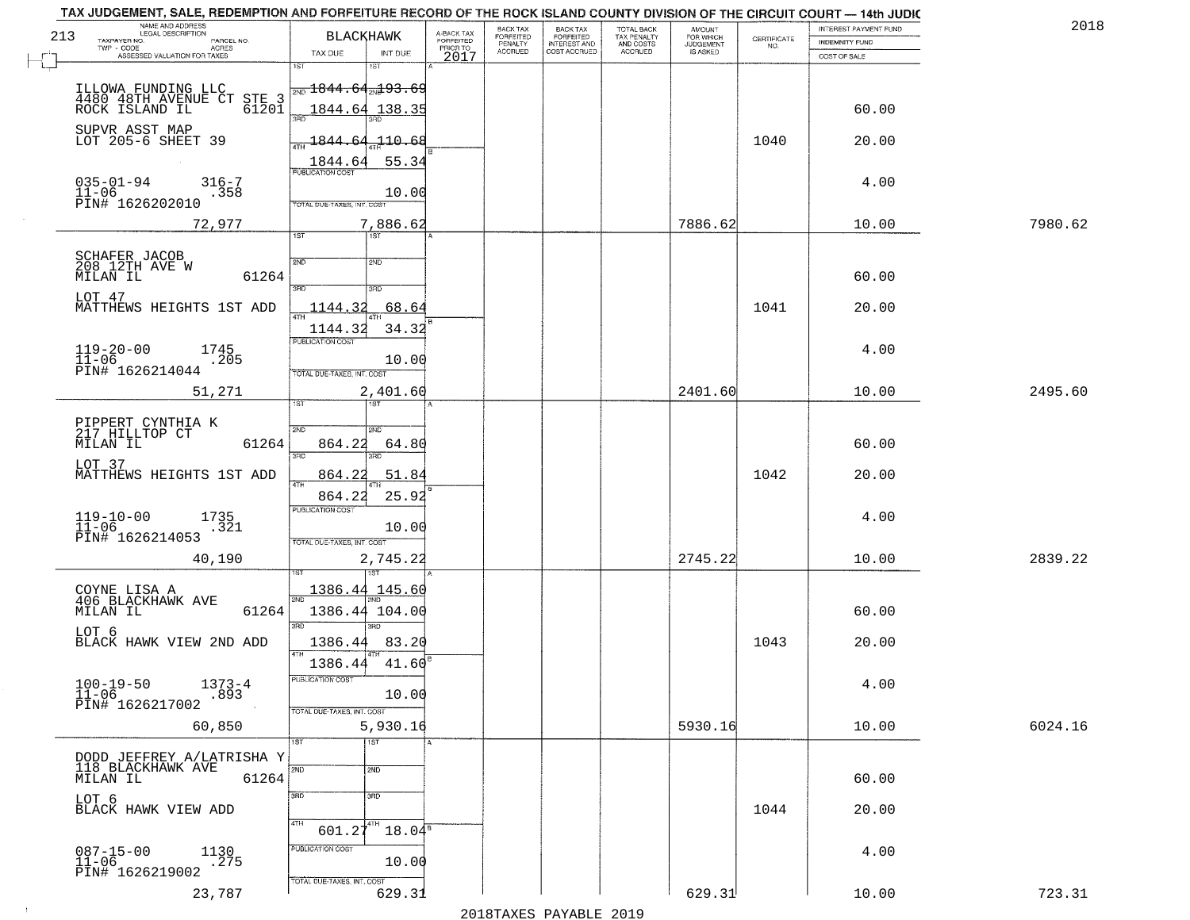| 2018    | INTEREST PAYMENT FUND |                    | <b>AMOUNT</b><br>FOR WHICH | TOTAL BACK                          | <b>BACK TAX</b><br><b>FORFEITED</b> | BACK TAX<br><b>FORFEITED</b> | A-BACK TAX                   | <b>BLACKHAWK</b>                                        | NAME AND ADDRESS<br>LEGAL DESCRIPTION<br>213                            |
|---------|-----------------------|--------------------|----------------------------|-------------------------------------|-------------------------------------|------------------------------|------------------------------|---------------------------------------------------------|-------------------------------------------------------------------------|
|         | INDEMNITY FUND        | CERTIFICATE<br>NO. | JUDGEMENT                  | TAX PENALTY<br>AND COSTS<br>ACCRUED | INTEREST AND<br>COST ACCRUED        | PENALTY<br>ACCRUED           | <b>FORFEITED</b><br>PRIOR TO |                                                         | TAXPAYER NO.<br>PARCEL NO.<br>TWP - CODE<br><b>ACRES</b>                |
|         | COST OF SALE          |                    |                            |                                     |                                     |                              | 2017                         | TAX DUE<br>INT DUE<br>1ST<br>i ST                       | ASSESSED VALUATION FOR TAXES                                            |
|         |                       |                    |                            |                                     |                                     |                              |                              | $\frac{1}{2ND}$ $1844$ , $64$ <sub>2N</sub> $93$ , $69$ | ILLOWA FUNDING LLC<br>4480 48TH AVENUE CT STE 3<br>ROCK ISLAND IL 61201 |
|         | 60.00                 |                    |                            |                                     |                                     |                              |                              | 1844.64<br>138.3<br>355                                 |                                                                         |
|         | 20.00                 | 1040               |                            |                                     |                                     |                              |                              | 110.68<br><u> 1844.64</u><br>55.34<br>1844.64           | SUPVR ASST MAP<br>LOT 205-6 SHEET 39                                    |
|         | 4.00                  |                    |                            |                                     |                                     |                              |                              | <b>PUBLICATION COST</b>                                 | $035 - 01 - 94$<br>$316 - 7$                                            |
|         |                       |                    |                            |                                     |                                     |                              |                              | 10.00<br>TOTAL DUE-TAXES, INT. COST                     | 11-06<br>PIN# 1626202010<br>.358                                        |
| 7980.62 | 10.00                 |                    | 7886.62                    |                                     |                                     |                              |                              | 7,886.62<br>1ST<br>1ST                                  | 72,977                                                                  |
|         |                       |                    |                            |                                     |                                     |                              |                              |                                                         |                                                                         |
|         | 60.00                 |                    |                            |                                     |                                     |                              |                              | 2ND<br>2ND<br>3RD<br>3RD                                | SCHAFER JACOB<br>208 12TH AVE W<br>MILAN IL<br>61264                    |
|         | 20.00                 | 1041               |                            |                                     |                                     |                              |                              | 1144.32<br>68.64                                        | LOT 47<br>MATTHEWS HEIGHTS 1ST ADD                                      |
|         |                       |                    |                            |                                     |                                     |                              |                              | 1144.32<br>34.32                                        |                                                                         |
|         | 4.00                  |                    |                            |                                     |                                     |                              |                              | PUBLICATION COST                                        |                                                                         |
|         |                       |                    |                            |                                     |                                     |                              |                              | 10.00                                                   | $119-20-00$<br>$11-06$<br>1745<br>205.                                  |
|         |                       |                    |                            |                                     |                                     |                              |                              | TOTAL DUE-TAXES, INT. COST                              | PIN# 1626214044                                                         |
| 2495.60 | 10.00                 |                    | 2401.60                    |                                     |                                     |                              |                              | 2,401.60<br>ist.                                        | 51,271                                                                  |
|         |                       |                    |                            |                                     |                                     |                              |                              | 2ND<br>2ND                                              | PIPPERT CYNTHIA K<br>217 HILLTOP CT                                     |
|         | 60.00                 |                    |                            |                                     |                                     |                              |                              | 864.22<br>64.80<br>3RD<br>3RD                           | 61264<br>MILAN IL                                                       |
|         | 20.00                 | 1042               |                            |                                     |                                     |                              |                              | 51.84<br><u>864.22</u>                                  | LOT 37<br>MATTHEWS HEIGHTS 1ST ADD                                      |
|         |                       |                    |                            |                                     |                                     |                              |                              | 864.22<br>25.92                                         |                                                                         |
|         | 4.00                  |                    |                            |                                     |                                     |                              |                              | <b>PUBLICATION COST</b>                                 | $119-10-00$<br>11-06<br>1735<br>.321                                    |
|         |                       |                    |                            |                                     |                                     |                              |                              | 10.00<br>TOTAL OUE-TAXES, INT. COST                     | PIN# 1626214053                                                         |
| 2839.22 | 10.00                 |                    | 2745.22                    |                                     |                                     |                              |                              | 2,745.22                                                | 40,190                                                                  |
|         |                       |                    |                            |                                     |                                     |                              |                              |                                                         |                                                                         |
|         |                       |                    |                            |                                     |                                     |                              |                              | 145.60<br><u> 1386.44</u><br>2ND                        | COYNE LISA A<br>406 BLACKHAWK AVE                                       |
|         | 60.00                 |                    |                            |                                     |                                     |                              |                              | 1386.44 104.00<br>3RD<br>3RD                            | 61264<br>MILAN IL                                                       |
|         | 20.00                 | 1043               |                            |                                     |                                     |                              |                              | 1386.44<br>83.20                                        | LOT 6<br>BLACK HAWK VIEW 2ND ADD                                        |
|         |                       |                    |                            |                                     |                                     |                              |                              | 1386.44<br>41.60                                        |                                                                         |
|         | 4.00                  |                    |                            |                                     |                                     |                              |                              | PUBLICATION COST<br>10.00                               | $100 - 19 - 50$<br>$11 - 06$<br>$1373 - 4$<br>.893                      |
|         |                       |                    |                            |                                     |                                     |                              |                              | TOTAL DUE-TAXES, INT. COST                              | PIN# 1626217002                                                         |
| 6024.16 | 10.00                 |                    | 5930.16                    |                                     |                                     |                              |                              | 5,930.16                                                | 60,850                                                                  |
|         |                       |                    |                            |                                     |                                     |                              |                              | $\overline{151}$<br>1ST.                                |                                                                         |
|         | 60.00                 |                    |                            |                                     |                                     |                              |                              | 2ND<br>2ND                                              | DODD JEFFREY A/LATRISHA Y<br>118 BLACKHAWK AVE<br>61264<br>MILAN IL     |
|         |                       |                    |                            |                                     |                                     |                              |                              | 3RD<br>$\overline{3}$ RD                                | LOT 6                                                                   |
|         | 20.00                 | 1044               |                            |                                     |                                     |                              |                              | 4TH                                                     | BLACK HAWK VIEW ADD                                                     |
|         |                       |                    |                            |                                     |                                     |                              |                              | $601.27^{4TH}$<br>$18.04^5$                             |                                                                         |
|         | 4.00                  |                    |                            |                                     |                                     |                              |                              | PUBLICATION COST<br>10.00                               | $087 - 15 - 00$<br>11-06<br>1130<br>.275                                |
|         |                       |                    |                            |                                     |                                     |                              |                              |                                                         | PIN# 1626219002                                                         |
|         |                       |                    |                            |                                     |                                     |                              |                              | TOTAL DUE-TAXES, INT. COST                              |                                                                         |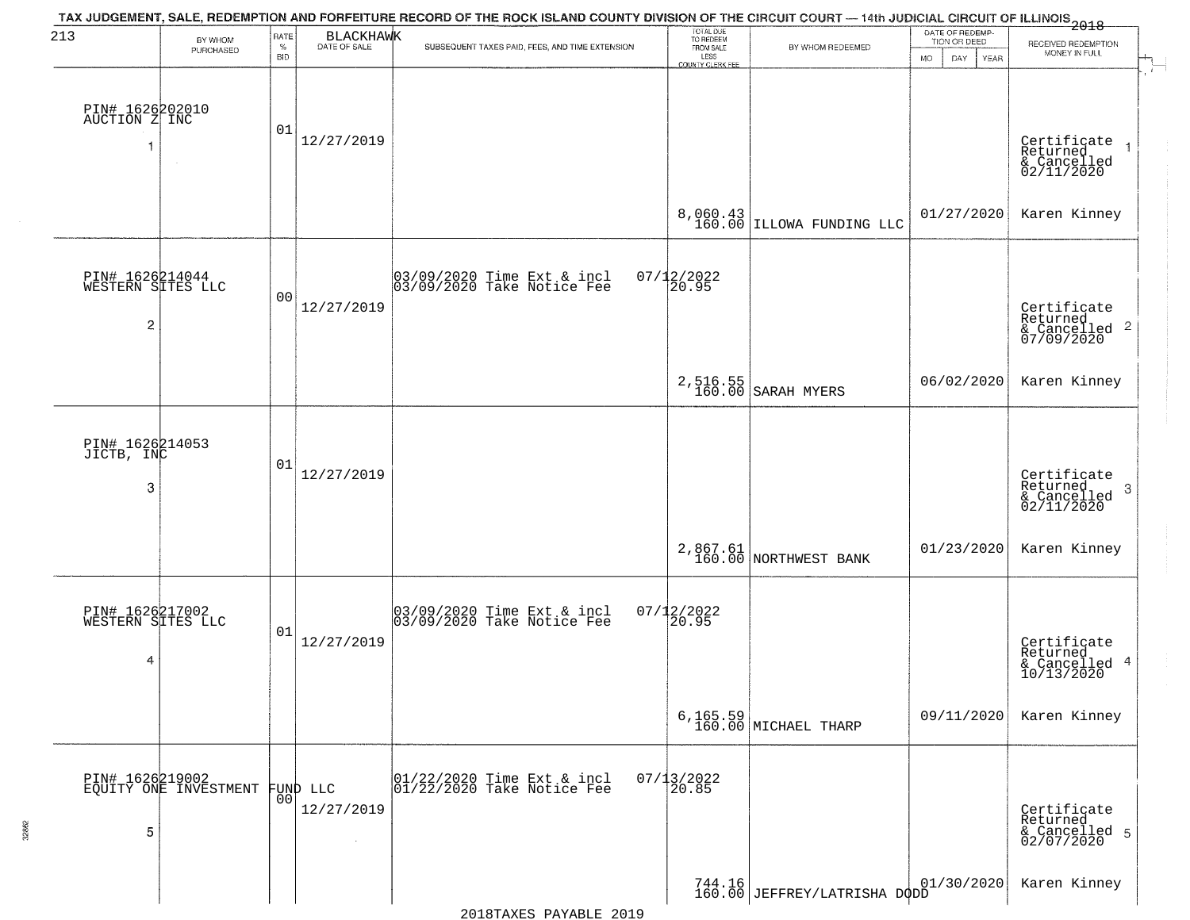| 213                                                    | BY WHOM                                  | RATE               | <b>BLACKHAWK</b>       | TAX JUDGEMENT, SALE, REDEMPTION AND FORFEITURE RECORD OF THE ROCK ISLAND COUNTY DIVISION OF THE CIRCUIT COURT — 14th JUDICIAL CIRCUIT OF ILLINOIS 2018 | TOTAL DUE<br>TO REDEEM                       |                                         | DATE OF REDEMP-<br>TION OR DEED |                                                                       |
|--------------------------------------------------------|------------------------------------------|--------------------|------------------------|--------------------------------------------------------------------------------------------------------------------------------------------------------|----------------------------------------------|-----------------------------------------|---------------------------------|-----------------------------------------------------------------------|
|                                                        | PURCHASED                                | $\%$<br><b>BID</b> | DATE OF SALE           | SUBSEQUENT TAXES PAID, FEES, AND TIME EXTENSION                                                                                                        | FROM SALE<br>LESS<br><b>COUNTY CLERK FEE</b> | BY WHOM REDEEMED                        | <b>MO</b><br>DAY<br>YEAR        | RECEIVED REDEMPTION<br>MONEY IN FULL                                  |
| PIN# 1626202010<br>AUCTION Z INC                       | $\sim$                                   | 01                 | 12/27/2019             |                                                                                                                                                        |                                              |                                         |                                 | Certificate<br>Returned<br>$\rightarrow$<br>& Cancelled<br>02/11/2020 |
|                                                        |                                          |                    |                        |                                                                                                                                                        |                                              | $8,060.43$ LELOWA FUNDING LLC           | 01/27/2020                      | Karen Kinney                                                          |
| PIN# 1626214044<br>WESTERN SITES LLC<br>$\overline{c}$ |                                          | 0 <sub>0</sub>     | 12/27/2019             | 03/09/2020 Time Ext & incl<br>03/09/2020 Take Notice Fee                                                                                               | $07/12/2022$<br>20.95                        |                                         |                                 | Certificate<br>Returned<br>$& \text{Cancelled}$ 2<br>07/09/2020       |
|                                                        |                                          |                    |                        |                                                                                                                                                        | 2,516.55<br>160.00                           | SARAH MYERS                             | 06/02/2020                      | Karen Kinney                                                          |
| PIN# 1626214053<br>JICTB, INC<br>3                     |                                          | 01                 | 12/27/2019             |                                                                                                                                                        |                                              |                                         |                                 | Certificate<br>Returned<br>3<br>$\frac{1}{02/11/2020}$                |
|                                                        |                                          |                    |                        |                                                                                                                                                        |                                              | 2,867.61<br>160.00 NORTHWEST BANK       | 01/23/2020                      | Karen Kinney                                                          |
| PIN# 1626217002<br>WESTERN SITES LLC<br>4              |                                          | 01                 | 12/27/2019             | 03/09/2020 Time Ext & incl<br>03/09/2020 Take Notice Fee                                                                                               | $07/12/2022$<br>20.95                        |                                         |                                 | Certificate<br>Returned<br>& Cancelled 4<br>10/13/2020                |
|                                                        |                                          |                    |                        |                                                                                                                                                        |                                              | $6, 165.59$ MICHAEL THARP               | 09/11/2020                      | Karen Kinney                                                          |
| 5                                                      | PIN# 1626219002<br>EQUITY ONE INVESTMENT | 0 <sup>0</sup>     | FUND LLC<br>12/27/2019 | 01/22/2020 Time Ext & incl<br>01/22/2020 Take Notice Fee                                                                                               | $07/13/2022$<br>20.85                        |                                         |                                 | Certificate<br>Returned<br>& Cancelled 5<br>02/07/2020                |
|                                                        |                                          |                    |                        |                                                                                                                                                        |                                              | 16   01<br>160.00 JEFFREY/LATRISHA DODD | 01/30/2020                      | Karen Kinney                                                          |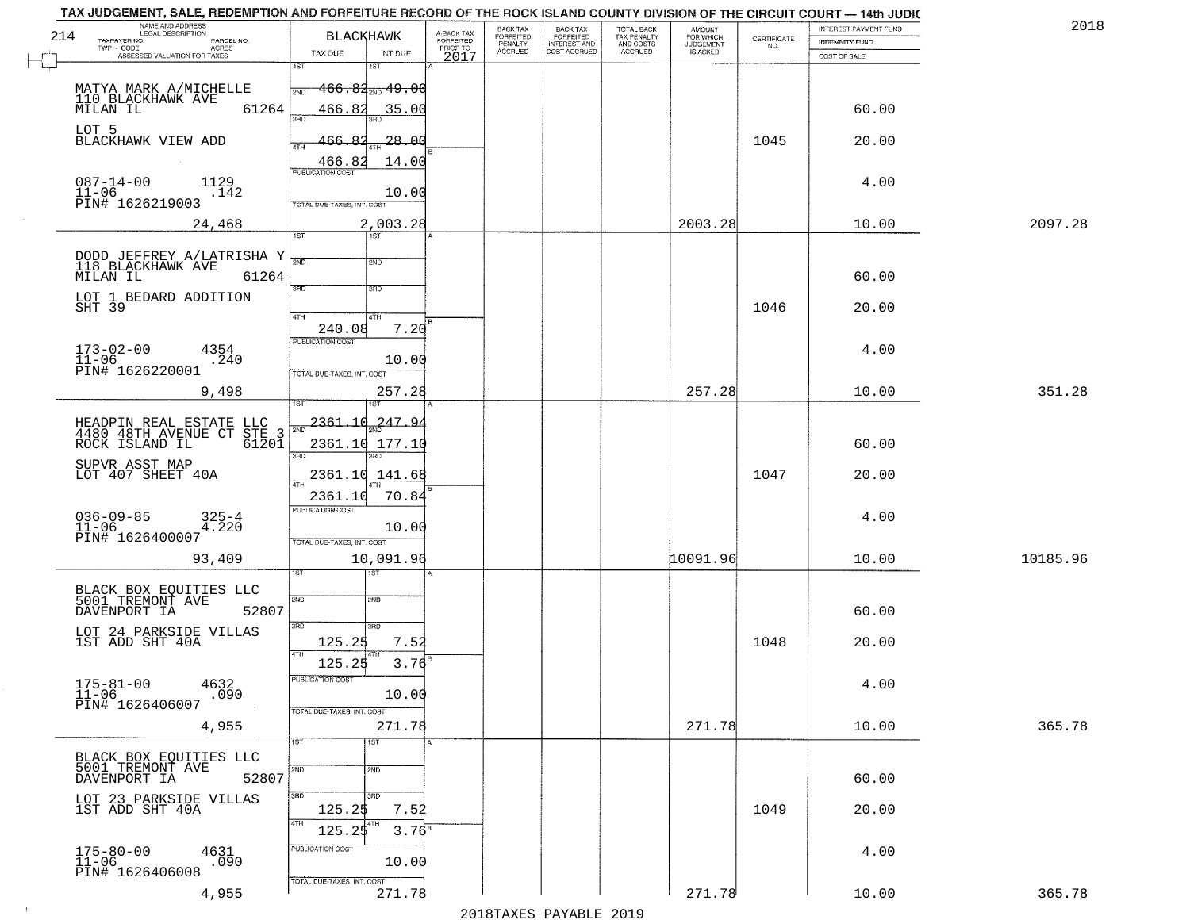| 214 | NAME AND ADDRESS<br>LEGAL DESCRIPTION<br>TAXPAYER NO.<br>PARCEL NO.          | <b>BLACKHAWK</b>           |                                        | A-BACK TAX<br>FORFEITED<br>PRIOR TO | BACK TAX<br>FORFEITED     | BACK TAX<br>FORFEITED<br>INTEREST AND | TOTAL BACK<br>TAX PENALTY<br>AND COSTS | AMOUNT<br>FOR WHICH          | $\begin{array}{c} \text{CERTIFICATE} \\ \text{NO.} \end{array}$ | INTEREST PAYMENT FUND<br><b>INDEMNITY FUND</b> | 2018     |
|-----|------------------------------------------------------------------------------|----------------------------|----------------------------------------|-------------------------------------|---------------------------|---------------------------------------|----------------------------------------|------------------------------|-----------------------------------------------------------------|------------------------------------------------|----------|
|     | TWP - CODE<br>ACRES<br>ASSESSED VALUATION FOR TAXES                          | TAX DUE                    | INT DUE                                | 2017                                | PENALTY<br><b>ACCRUED</b> | COST ACCRUED                          | <b>ACCRUED</b>                         | <b>JUDGEMENT</b><br>IS ASKED |                                                                 | COST OF SALE                                   |          |
|     |                                                                              | 1ST                        | 1ST                                    |                                     |                           |                                       |                                        |                              |                                                                 |                                                |          |
|     | MATYA MARK A/MICHELLE<br>110 BLACKHAWK AVE                                   |                            | $466.84_{\tiny{\textrm{2ND}}}$ $49.06$ |                                     |                           |                                       |                                        |                              |                                                                 |                                                |          |
|     | 61264<br>MILAN IL                                                            | 466.82<br>350              | 35.00                                  |                                     |                           |                                       |                                        |                              |                                                                 | 60.00                                          |          |
|     | LOT 5<br>BLACKHAWK VIEW ADD                                                  | 82                         | $-28.00$                               |                                     |                           |                                       |                                        |                              | 1045                                                            | 20.00                                          |          |
|     |                                                                              | ATH<br>466.82              | 14.00                                  |                                     |                           |                                       |                                        |                              |                                                                 |                                                |          |
|     | $087 - 14 - 00$<br>1129                                                      | <b>PUBLICATION COST</b>    |                                        |                                     |                           |                                       |                                        |                              |                                                                 | 4.00                                           |          |
|     | $11 - 06$<br>.142<br>PĪN# 1626219003                                         | TOTAL DUE-TAXES, INT. COST | 10.00                                  |                                     |                           |                                       |                                        |                              |                                                                 |                                                |          |
|     | 24,468                                                                       |                            | 2,003.28                               |                                     |                           |                                       |                                        | 2003.28                      |                                                                 | 10.00                                          | 2097.28  |
|     |                                                                              | 1ST                        | 1ST                                    |                                     |                           |                                       |                                        |                              |                                                                 |                                                |          |
|     | DODD JEFFREY A/LATRISHA Y<br>118 BLACKHAWK AVE                               | 2ND                        | 2ND                                    |                                     |                           |                                       |                                        |                              |                                                                 |                                                |          |
|     | 61264<br>MILAN IL                                                            | 3RD                        | 3RD                                    |                                     |                           |                                       |                                        |                              |                                                                 | 60.00                                          |          |
|     | LOT 1 BEDARD ADDITION<br>SHT 39                                              |                            |                                        |                                     |                           |                                       |                                        |                              | 1046                                                            | 20.00                                          |          |
|     |                                                                              | 47H<br>240.08              | 4TH<br>7.20                            |                                     |                           |                                       |                                        |                              |                                                                 |                                                |          |
|     | $173 - 02 - 00$<br>4354                                                      | PUBLICATION COST           |                                        |                                     |                           |                                       |                                        |                              |                                                                 | 4.00                                           |          |
|     | $11 - 06$<br>.240<br>PIN# 1626220001                                         | TOTAL DUE-TAXES, INT. COST | 10.00                                  |                                     |                           |                                       |                                        |                              |                                                                 |                                                |          |
|     | 9,498                                                                        |                            | 257.28                                 |                                     |                           |                                       |                                        | 257.28                       |                                                                 | 10.00                                          | 351.28   |
|     |                                                                              | 1ST                        |                                        |                                     |                           |                                       |                                        |                              |                                                                 |                                                |          |
|     | HEADPIN REAL ESTATE LLC<br>4480 48TH AVENUE CT STE 3<br>ROCK ISLAND IL 61201 | 2361.10<br>2ND             | 247.94                                 |                                     |                           |                                       |                                        |                              |                                                                 |                                                |          |
|     |                                                                              | 3 <sub>BD</sub>            | 2361.10 177.10<br>3RD                  |                                     |                           |                                       |                                        |                              |                                                                 | 60.00                                          |          |
|     | SUPVR ASST MAP<br>LOT 407 SHEET 40A                                          |                            | 2361.10 141.68                         |                                     |                           |                                       |                                        |                              | 1047                                                            | 20.00                                          |          |
|     |                                                                              | 2361.10                    | 70.84                                  |                                     |                           |                                       |                                        |                              |                                                                 |                                                |          |
|     | $036 - 09 - 85$<br>325-4<br>4.220                                            | <b>PUBLICATION COST</b>    |                                        |                                     |                           |                                       |                                        |                              |                                                                 | 4.00                                           |          |
|     | $11 - 06$<br>PIN# 1626400007                                                 | TOTAL OUE-TAXES, INT. COST | 10.00                                  |                                     |                           |                                       |                                        |                              |                                                                 |                                                |          |
|     | 93,409                                                                       |                            | 10,091.96                              |                                     |                           |                                       |                                        | 10091.96                     |                                                                 | 10.00                                          | 10185.96 |
|     |                                                                              |                            | डिक                                    |                                     |                           |                                       |                                        |                              |                                                                 |                                                |          |
|     | BLACK BOX EQUITIES LLC<br>5001 TREMONT AVE                                   | 2ND                        | 2ND                                    |                                     |                           |                                       |                                        |                              |                                                                 |                                                |          |
|     | DAVENPORT IA<br>52807                                                        | 3RD                        | 3BD                                    |                                     |                           |                                       |                                        |                              |                                                                 | 60.00                                          |          |
|     | LOT 24 PARKSIDE VILLAS<br>1ST ADD SHT 40A                                    | 125.25                     | 7.52                                   |                                     |                           |                                       |                                        |                              | 1048                                                            | 20.00                                          |          |
|     |                                                                              | 4TH<br>125.25              | 3.76                                   |                                     |                           |                                       |                                        |                              |                                                                 |                                                |          |
|     | $175 - 81 - 00$<br>4632<br>$\bar{1}\bar{1}$ – $0\bar{6}$<br>.090             | PUBLICATION COST           | 10.00                                  |                                     |                           |                                       |                                        |                              |                                                                 | 4.00                                           |          |
|     | PIN# 1626406007                                                              | TOTAL DUE-TAXES, INT. COST |                                        |                                     |                           |                                       |                                        |                              |                                                                 |                                                |          |
|     | 4,955                                                                        |                            | 271.78                                 |                                     |                           |                                       |                                        | 271.78                       |                                                                 | 10.00                                          | 365.78   |
|     |                                                                              | 1ST                        | 1ST                                    |                                     |                           |                                       |                                        |                              |                                                                 |                                                |          |
|     | BLACK BOX EQUITIES LLC<br>5001 TREMONT AVE<br>52807<br>DAVENPORT IA          | 2ND                        | 2ND                                    |                                     |                           |                                       |                                        |                              |                                                                 | 60.00                                          |          |
|     | LOT 23 PARKSIDE VILLAS                                                       | 3HD                        | 3RD                                    |                                     |                           |                                       |                                        |                              |                                                                 |                                                |          |
|     | 1ST ADD SHT 40A                                                              | 125.2\$<br>4TH             | 7.52<br>4TH                            |                                     |                           |                                       |                                        |                              | 1049                                                            | 20.00                                          |          |
|     |                                                                              | 125.25                     | $3.76^{B}$                             |                                     |                           |                                       |                                        |                              |                                                                 |                                                |          |
|     | $175 - 80 - 00$<br>$11 - 06$<br>4631<br>.090                                 | PUBLICATION COST           | 10.00                                  |                                     |                           |                                       |                                        |                              |                                                                 | 4.00                                           |          |
|     | PIN# 1626406008                                                              | TOTAL DUE-TAXES, INT. COST |                                        |                                     |                           |                                       |                                        |                              |                                                                 |                                                |          |
|     | 4,955                                                                        |                            | 271.78                                 |                                     |                           |                                       |                                        | 271.78                       |                                                                 | 10.00                                          | 365.78   |

 $\sim 10^{-1}$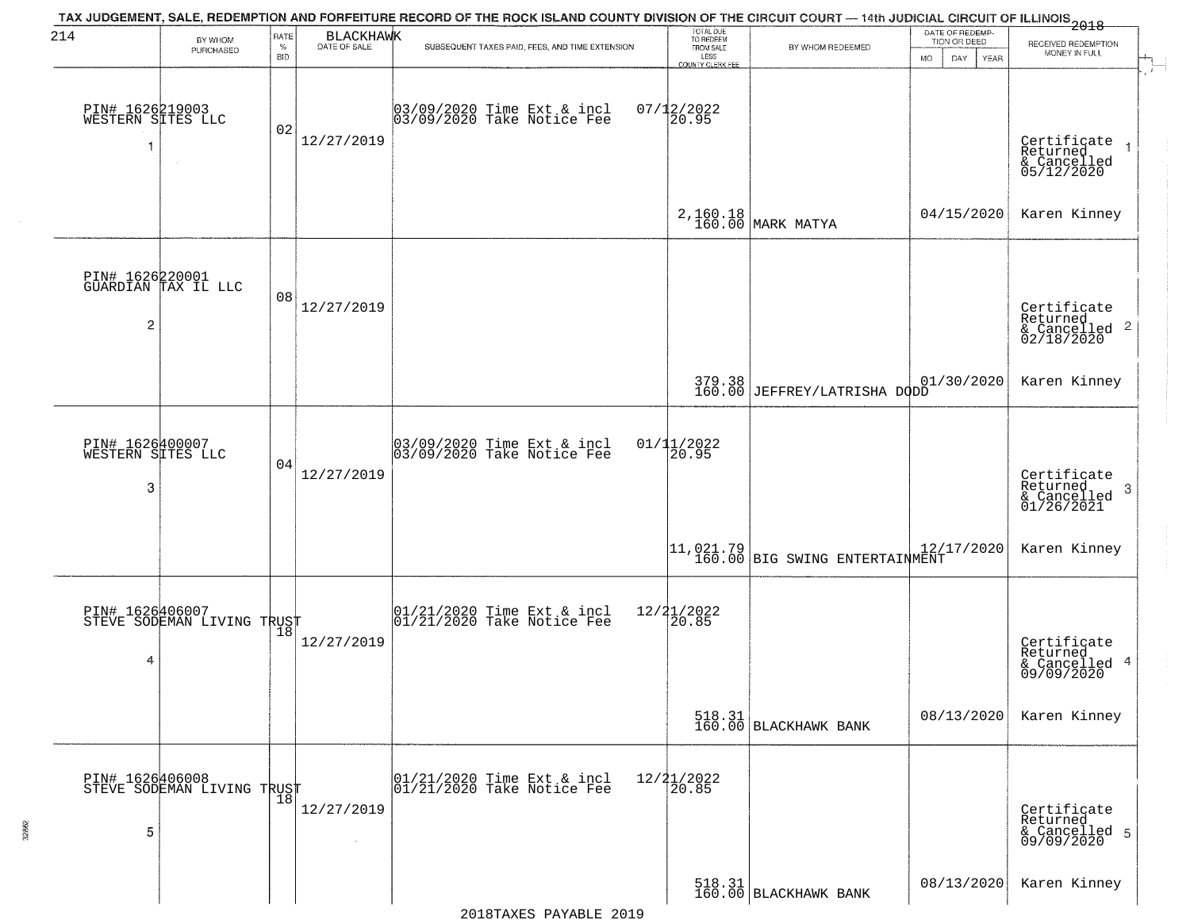| 214                                        | BY WHOM<br>PURCHASED                          | RATE<br>$\%$<br><b>BID</b> | <b>BLACKHAWK</b><br>DATE OF SALE | TAX JUDGEMENT, SALE, REDEMPTION AND FORFEITURE RECORD OF THE ROCK ISLAND COUNTY DIVISION OF THE CIRCUIT COURT — 14th JUDICIAL CIRCUIT OF ILLINOIS 2018<br>SUBSEQUENT TAXES PAID, FEES, AND TIME EXTENSION | TOTAL DUE<br>TO REDEEM<br>FROM SALE<br>LESS<br><b>COUNTY CLERK FEE</b> | BY WHOM REDEEMED                                                                                                                           | DATE OF REDEMP-<br>TION OR DEED<br><b>MO</b><br>DAY<br>YEAR | RECEIVED REDEMPTION<br>MONEY IN FULL                                  |
|--------------------------------------------|-----------------------------------------------|----------------------------|----------------------------------|-----------------------------------------------------------------------------------------------------------------------------------------------------------------------------------------------------------|------------------------------------------------------------------------|--------------------------------------------------------------------------------------------------------------------------------------------|-------------------------------------------------------------|-----------------------------------------------------------------------|
| PIN# 1626219003<br>WESTERN SITES LLC<br>-1 |                                               | 02                         | 12/27/2019                       | 03/09/2020 Time Ext & incl<br>03/09/2020 Take Notice Fee                                                                                                                                                  | $07/12/2022$<br>20.95                                                  |                                                                                                                                            |                                                             | Certificate<br>Returned<br>$\rightarrow$<br>& Cancelled<br>05/12/2020 |
|                                            |                                               |                            |                                  |                                                                                                                                                                                                           |                                                                        | 2,160.18<br>160.00 MARK MATYA                                                                                                              | 04/15/2020                                                  | Karen Kinney                                                          |
| $\overline{2}$                             | PIN# 1626220001<br>GUARDIAN TAX IL LLC        | 08                         | 12/27/2019                       |                                                                                                                                                                                                           |                                                                        |                                                                                                                                            |                                                             | Certificate<br>Returned<br>$\frac{1}{2}$ Cancelled 2<br>02/18/2020    |
|                                            |                                               |                            |                                  |                                                                                                                                                                                                           | 379.38<br>160.00                                                       | JEFFREY/LATRISHA DODD                                                                                                                      | 01/30/2020                                                  | Karen Kinney                                                          |
| PIN# 1626400007<br>WESTERN SITES LLC<br>3  |                                               | 04                         | 12/27/2019                       | 03/09/2020 Time Ext & incl<br>03/09/2020 Take Notice Fee                                                                                                                                                  | 01/11/2022<br>20.95                                                    |                                                                                                                                            |                                                             | Certificate<br>Returned<br>3<br>& Cancelled<br>01/26/2021             |
|                                            |                                               |                            |                                  |                                                                                                                                                                                                           |                                                                        | $\begin{array}{ c c c c c c }\n\hline\n11.021.79 & & & 12/17/2020 \\ \hline\n160.00 & \text{BIG SWING ENTERTAIMMENT}\n\hline\n\end{array}$ |                                                             | Karen Kinney                                                          |
| 4                                          | PIN# 1626406007<br>STEVE SODEMAN LIVING TRUST |                            | 12/27/2019                       | $\begin{array}{c} 01/21/2020 \\ 01/21/2020 \\ 01 \end{array}$ Take Notice Fee                                                                                                                             | 12/21/2022<br>120.85                                                   |                                                                                                                                            |                                                             | Certificate<br>Returned<br>& Cancelled 4<br>09/09/2020                |
|                                            |                                               |                            |                                  |                                                                                                                                                                                                           |                                                                        | 518.31<br>160.00 BLACKHAWK BANK                                                                                                            | 08/13/2020                                                  | Karen Kinney                                                          |
| 5                                          | PIN# 1626406008<br>STEVE SODEMAN LIVING TRUST |                            | 12/27/2019                       | 01/21/2020 Time Ext & incl<br>01/21/2020 Take Notice Fee                                                                                                                                                  | $12/21/2022$<br>$20.85$                                                |                                                                                                                                            |                                                             | Certificate<br>Returned<br>& Cancelled 5<br>09/09/2020                |
|                                            |                                               |                            |                                  |                                                                                                                                                                                                           |                                                                        | 518.31  <br>160.00   BLACKHAWK BANK                                                                                                        | 08/13/2020                                                  | Karen Kinney                                                          |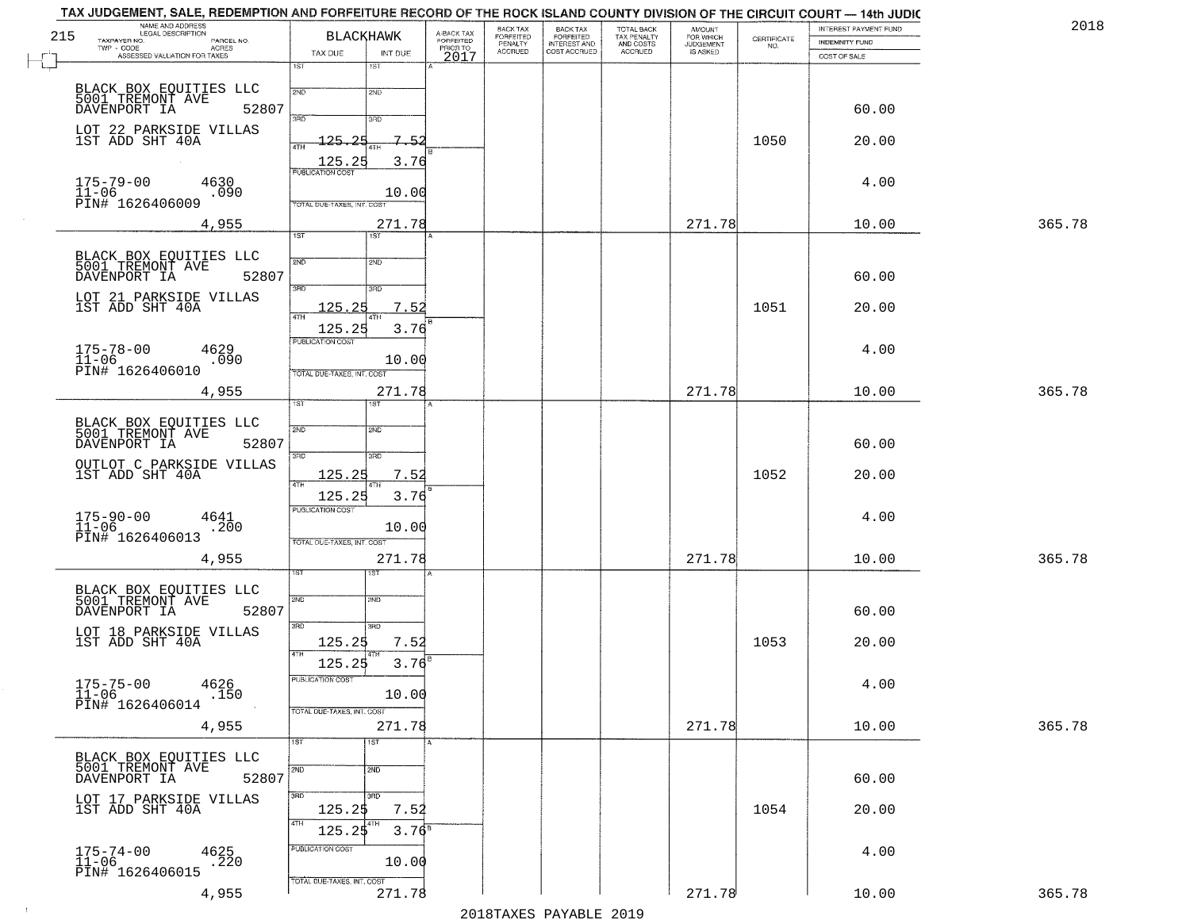| 215 | TAX JUDGEMENT, SALE, REDEMPTION AND FORFEITURE RECORD OF THE ROCK ISLAND COUNTY DIVISION OF THE CIRCUIT COURT — 14th JUDIC<br>NAME AND ADDRESS<br>LEGAL DESCRIPTION |                                   | <b>BLACKHAWK</b> | A-BACK TAX<br>FORFEITED | BACK TAX<br>FORFEITED |                                                       |                                                   | <b>AMOUNT</b>                      |                                                                 | INTEREST PAYMENT FUND                 | 2018   |
|-----|---------------------------------------------------------------------------------------------------------------------------------------------------------------------|-----------------------------------|------------------|-------------------------|-----------------------|-------------------------------------------------------|---------------------------------------------------|------------------------------------|-----------------------------------------------------------------|---------------------------------------|--------|
|     | TAXPAYER NO.<br>PARCEL NO.<br>$TWP - CODE$<br>- CODE AGRES<br>ASSESSED VALUATION FOR TAXES                                                                          | TAX DUE                           | INT DUE          | PRIOR TO                | PENALTY<br>ACCRUED    | BACK TAX<br>FORFEITED<br>INTEREST AND<br>COST ACCRUED | TOTAL BACK<br>TAX PENALTY<br>AND COSTS<br>ACCRUED | FOR WHICH<br>JUDGEMENT<br>IS ASKED | $\begin{array}{c} \text{CEPTIFICATE} \\ \text{NO.} \end{array}$ | <b>INDEMNITY FUND</b><br>COST OF SALE |        |
|     |                                                                                                                                                                     | 1ST                               | 1ST              | 2017                    |                       |                                                       |                                                   |                                    |                                                                 |                                       |        |
|     | BLACK BOX EQUITIES LLC<br>5001 TREMONT AVE                                                                                                                          | 2ND                               | 2ND              |                         |                       |                                                       |                                                   |                                    |                                                                 |                                       |        |
|     | DAVENPORT IA<br>52807                                                                                                                                               | 3PD                               |                  |                         |                       |                                                       |                                                   |                                    |                                                                 | 60.00                                 |        |
|     | LOT 22 PARKSIDE VILLAS<br>1ST ADD SHT 40A                                                                                                                           |                                   | 3RD<br>7.52      |                         |                       |                                                       |                                                   |                                    |                                                                 |                                       |        |
|     |                                                                                                                                                                     | 125.25<br>4TH                     |                  |                         |                       |                                                       |                                                   |                                    | 1050                                                            | 20.00                                 |        |
|     | $175 - 79 - 00$<br>4630                                                                                                                                             | 125.25<br><b>PUBLICATION COST</b> | 3.76             |                         |                       |                                                       |                                                   |                                    |                                                                 | 4.00                                  |        |
|     | $\overline{11} - 06$<br>.090<br>PĪN# 1626406009                                                                                                                     | TOTAL DUE-TAXES, INT. COST        | 10.00            |                         |                       |                                                       |                                                   |                                    |                                                                 |                                       |        |
|     | 4,955                                                                                                                                                               |                                   | 271.78           |                         |                       |                                                       |                                                   | 271.78                             |                                                                 | 10.00                                 | 365.78 |
|     |                                                                                                                                                                     | 1ST                               | 1ST <sup>1</sup> |                         |                       |                                                       |                                                   |                                    |                                                                 |                                       |        |
|     | BLACK BOX EQUITIES LLC<br>5001 TREMONT AVE                                                                                                                          | 2ND                               | SMD.             |                         |                       |                                                       |                                                   |                                    |                                                                 |                                       |        |
|     | DAVENPORT IA<br>52807                                                                                                                                               | 3RD                               | 3RD              |                         |                       |                                                       |                                                   |                                    |                                                                 | 60.00                                 |        |
|     | LOT 21 PARKSIDE VILLAS<br>1ST ADD SHT 40A                                                                                                                           | 125.25                            | 7.52             |                         |                       |                                                       |                                                   |                                    | 1051                                                            | 20.00                                 |        |
|     |                                                                                                                                                                     | 4TH<br>125.25                     | 3.76             |                         |                       |                                                       |                                                   |                                    |                                                                 |                                       |        |
|     | $175 - 78 - 00$<br>4629                                                                                                                                             | PUBLICATION COST                  |                  |                         |                       |                                                       |                                                   |                                    |                                                                 | 4.00                                  |        |
|     | $11 - 06$<br>.090<br>PIN# 1626406010                                                                                                                                | TOTAL DUE-TAXES, INT. COST        | 10.00            |                         |                       |                                                       |                                                   |                                    |                                                                 |                                       |        |
|     | 4,955                                                                                                                                                               |                                   | 271.78           |                         |                       |                                                       |                                                   | 271.78                             |                                                                 | 10.00                                 | 365.78 |
|     |                                                                                                                                                                     | 1ST                               |                  |                         |                       |                                                       |                                                   |                                    |                                                                 |                                       |        |
|     | BLACK BOX EQUITIES LLC<br>5001 TREMONT AVE                                                                                                                          | 2ND                               | 2ND              |                         |                       |                                                       |                                                   |                                    |                                                                 |                                       |        |
|     | DAVENPORT IA<br>52807                                                                                                                                               | 3RD                               | 3RD              |                         |                       |                                                       |                                                   |                                    |                                                                 | 60.00                                 |        |
|     | OUTLOT C PARKSIDE VILLAS<br>1ST ADD SHT 40A                                                                                                                         | <u> 125.25</u><br>4TH             | 7.52<br>4TH      |                         |                       |                                                       |                                                   |                                    | 1052                                                            | 20.00                                 |        |
|     |                                                                                                                                                                     | 125.25                            | 3.76             |                         |                       |                                                       |                                                   |                                    |                                                                 |                                       |        |
|     | $175 - 90 - 00$<br>$11 - 06$<br>4641<br>.200                                                                                                                        | <b>PUBLICATION COST</b>           | 10.00            |                         |                       |                                                       |                                                   |                                    |                                                                 | 4.00                                  |        |
|     | PIN# 1626406013                                                                                                                                                     | TOTAL OUE-TAXES, INT. COST        |                  |                         |                       |                                                       |                                                   |                                    |                                                                 |                                       |        |
|     | 4,955                                                                                                                                                               |                                   | 271.78<br>ख़     |                         |                       |                                                       |                                                   | 271.78                             |                                                                 | 10.00                                 | 365.78 |
|     |                                                                                                                                                                     |                                   |                  |                         |                       |                                                       |                                                   |                                    |                                                                 |                                       |        |
|     | BLACK BOX EQUITIES LLC<br>5001 TREMONT AVE<br>52807<br>DAVENPORT IA                                                                                                 | 2ND                               | 2ND              |                         |                       |                                                       |                                                   |                                    |                                                                 | 60.00                                 |        |
|     | LOT 18 PARKSIDE VILLAS                                                                                                                                              | 3RD                               | 3RD              |                         |                       |                                                       |                                                   |                                    |                                                                 |                                       |        |
|     | 1ST ADD SHT 40A                                                                                                                                                     | 125.25<br>4TH                     | 7.52             |                         |                       |                                                       |                                                   |                                    | 1053                                                            | 20.00                                 |        |
|     |                                                                                                                                                                     | 125.25<br>PUBLICATION COST        | 3.76             |                         |                       |                                                       |                                                   |                                    |                                                                 |                                       |        |
|     | 175-75-00 4626<br>11-06 150<br>PIN# 1626406014<br>.150                                                                                                              |                                   | 10.00            |                         |                       |                                                       |                                                   |                                    |                                                                 | 4.00                                  |        |
|     |                                                                                                                                                                     | TOTAL DUE-TAXES, INT. COST        |                  |                         |                       |                                                       |                                                   |                                    |                                                                 |                                       |        |
|     | 4,955                                                                                                                                                               | 1ST                               | 271.78<br>1ST    |                         |                       |                                                       |                                                   | 271.78                             |                                                                 | 10.00                                 | 365.78 |
|     | BLACK BOX EQUITIES LLC                                                                                                                                              |                                   |                  |                         |                       |                                                       |                                                   |                                    |                                                                 |                                       |        |
|     | 5001 TREMONT AVE<br>52807<br>DAVENPORT IA                                                                                                                           | 2ND                               | 2ND              |                         |                       |                                                       |                                                   |                                    |                                                                 | 60.00                                 |        |
|     | LOT 17 PARKSIDE VILLAS<br>1ST ADD SHT 40A                                                                                                                           | 3RD<br>125.2\$                    | 3RD<br>7.52      |                         |                       |                                                       |                                                   |                                    | 1054                                                            | 20.00                                 |        |
|     |                                                                                                                                                                     | 4TH<br>125.25                     | $3.76^{B}$       |                         |                       |                                                       |                                                   |                                    |                                                                 |                                       |        |
|     | 4625                                                                                                                                                                | PUBLICATION COST                  |                  |                         |                       |                                                       |                                                   |                                    |                                                                 | 4.00                                  |        |
|     | 175-74-00<br>11-06<br>.220<br>PIN# 1626406015                                                                                                                       |                                   | 10.00            |                         |                       |                                                       |                                                   |                                    |                                                                 |                                       |        |
|     | 4,955                                                                                                                                                               | TOTAL OUE-TAXES, INT. COST        | 271.78           |                         |                       |                                                       |                                                   | 271.78                             |                                                                 | 10.00                                 | 365.78 |

 $\sim 100$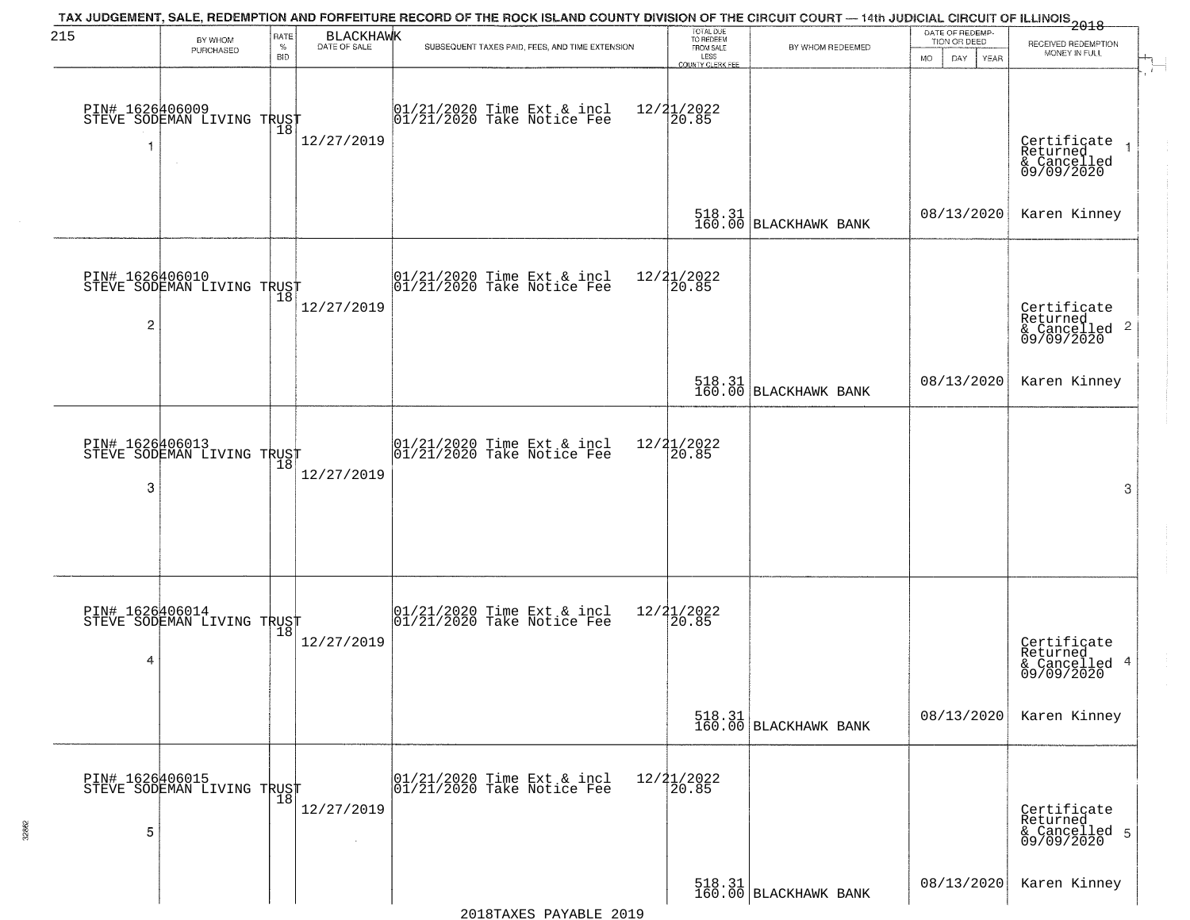| 215                  | BY WHOM<br>PURCHASED                                    | RATE<br>$\%$ | BLACKHAWK            | TAX JUDGEMENT, SALE, REDEMPTION AND FORFEITURE RECORD OF THE ROCK ISLAND COUNTY DIVISION OF THE CIRCUIT COURT — 14th JUDICIAL CIRCUIT OF ILLINOIS 2018<br>SUBSEQUENT TAXES PAID, FEES, AND TIME EXTENSION | TOTAL DUE<br>TO REDEEM<br>FROM SALE | BY WHOM REDEEMED                                                                                                     | DATE OF REDEMP-<br>TION OR DEED | RECEIVED REDEMPTION                                                |
|----------------------|---------------------------------------------------------|--------------|----------------------|-----------------------------------------------------------------------------------------------------------------------------------------------------------------------------------------------------------|-------------------------------------|----------------------------------------------------------------------------------------------------------------------|---------------------------------|--------------------------------------------------------------------|
|                      |                                                         | <b>BID</b>   |                      |                                                                                                                                                                                                           | LESS<br>COUNTY CLERK FEE            |                                                                                                                      | MO.<br>DAY.<br>YEAR             | MONEY IN FULL                                                      |
| 1                    | PIN# 1626406009<br>STEVE SODEMAN LIVING TRUST<br>$\sim$ |              | 12/27/2019           | 01/21/2020 Time Ext & incl<br>01/21/2020 Take Notice Fee                                                                                                                                                  | $12/21/2022$<br>20.85               |                                                                                                                      |                                 | Certificate 1<br>Returned 1<br>& Cancelled<br>09/09/2020           |
|                      |                                                         |              |                      |                                                                                                                                                                                                           |                                     | $\begin{array}{ c c c c }\n 518.31 & \text{BLACKHAWK BANK}\n \end{array}$                                            | 08/13/2020                      | Karen Kinney                                                       |
| 2                    | PIN# 1626406010<br>STEVE SODEMAN LIVING TRUST           |              | 12/27/2019           | $ 01/21/2020$ Time Ext & incl<br>$ 01/21/2020$ Take Notice Fee                                                                                                                                            | 12/21/2022<br>20.85                 |                                                                                                                      |                                 | Certificate<br>Returned<br>$\frac{1}{6}$ Cancelled 2<br>09/09/2020 |
|                      |                                                         |              |                      |                                                                                                                                                                                                           |                                     | 518.31<br>160.00 BLACKHAWK BANK                                                                                      | 08/13/2020                      | Karen Kinney                                                       |
| PIN# 1626406013<br>3 | STEVE SODEMAN LIVING TRUST                              | 18           | 12/27/2019           | $ 01/21/2020$ Time Ext & incl<br>$ 01/21/2020$ Take Notice Fee                                                                                                                                            | $12/21/2022$<br>20.85               |                                                                                                                      |                                 | 3                                                                  |
| 4                    | PIN# 1626406014<br>STEVE SODEMAN LIVING TRUST           |              | 12/27/2019           | $\begin{bmatrix} 01/21/2020 \\ 01/21/2020 \\ 01 \end{bmatrix}$ Take Notice Fee                                                                                                                            | $12/21/2022$<br>20.85               |                                                                                                                      |                                 | Certificate<br>Returned<br>& Cancelled 4<br>09/09/2020             |
|                      |                                                         |              |                      |                                                                                                                                                                                                           |                                     | 518.31<br>160.00 BLACKHAWK BANK                                                                                      | 08/13/2020                      | Karen Kinney                                                       |
| 5                    | PIN# 1626406015<br>STEVE SODEMAN LIVING TRUST           |              | 12/27/2019<br>$\sim$ | $\begin{array}{c}  01/21/2020 \rangle \\  01/21/2020 \rangle \end{array}$ Take Notice Fee                                                                                                                 | $12/21/2022$<br>$20.85$             |                                                                                                                      |                                 | Certificate<br>Returned<br>& Cancelled 5<br>09/09/2020             |
|                      |                                                         |              |                      |                                                                                                                                                                                                           |                                     | $\begin{array}{ c c c c c }\hline 518.31 & & \\ \hline 160.00 & \text{BLACKHAVK} & \text{BANK} \\\hline \end{array}$ | 08/13/2020                      | Karen Kinney                                                       |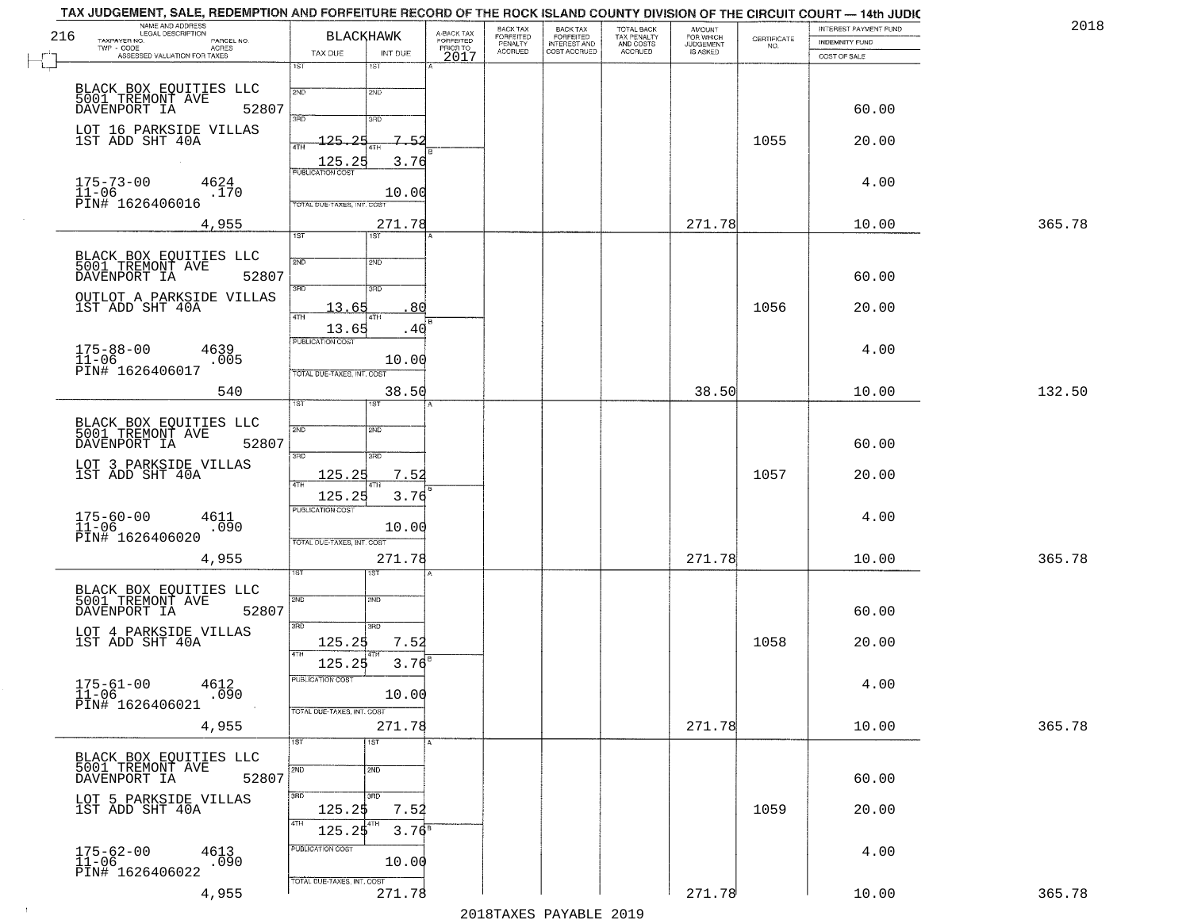|     | TAX JUDGEMENT, SALE, REDEMPTION AND FORFEITURE RECORD OF THE ROCK ISLAND COUNTY DIVISION OF THE CIRCUIT COURT — 14th JUDIC<br>NAME AND ADDRESS<br>LEGAL DESCRIPTION |                            |                            |                                     | BACK TAX                        |                                                       |                                                   | <b>AMOUNT</b>          |                                                                 | INTEREST PAYMENT FUND | 2018   |
|-----|---------------------------------------------------------------------------------------------------------------------------------------------------------------------|----------------------------|----------------------------|-------------------------------------|---------------------------------|-------------------------------------------------------|---------------------------------------------------|------------------------|-----------------------------------------------------------------|-----------------------|--------|
| 216 | TAXPAYER NO.<br>PARCEL NO.                                                                                                                                          |                            | <b>BLACKHAWK</b>           | A-BACK TAX<br>FORFEITED<br>PRIOR TO | FORFEITED<br>PENALTY<br>ACCRUED | BACK TAX<br>FORFEITED<br>INTEREST AND<br>COST ACCRUED | TOTAL BACK<br>TAX PENALTY<br>AND COSTS<br>ACCRUED | FOR WHICH<br>JUDGEMENT | $\begin{array}{c} \text{CERTIFICATE} \\ \text{NO.} \end{array}$ | <b>INDEMNITY FUND</b> |        |
|     | TWP - CODE<br>ASSESSED VALUATION FOR TAXES                                                                                                                          | TAX DUE                    | INT DUE                    | 2017                                |                                 |                                                       |                                                   | IS ASKED               |                                                                 | COST OF SALE          |        |
|     |                                                                                                                                                                     | 1ST                        | 18T                        |                                     |                                 |                                                       |                                                   |                        |                                                                 |                       |        |
|     |                                                                                                                                                                     | 2ND                        | 2ND                        |                                     |                                 |                                                       |                                                   |                        |                                                                 |                       |        |
|     | BLACK BOX EQUITIES LLC<br>5001 TREMONT AVE                                                                                                                          |                            |                            |                                     |                                 |                                                       |                                                   |                        |                                                                 |                       |        |
|     | DAVENPORT IA<br>52807                                                                                                                                               | 3RD                        | 3RD                        |                                     |                                 |                                                       |                                                   |                        |                                                                 | 60.00                 |        |
|     | LOT 16 PARKSIDE VILLAS<br>1ST ADD SHT 40A                                                                                                                           | つに                         | $7^{\circ}$<br>-5          |                                     |                                 |                                                       |                                                   |                        |                                                                 |                       |        |
|     |                                                                                                                                                                     | $125 -$<br>4TH             |                            |                                     |                                 |                                                       |                                                   |                        | 1055                                                            | 20.00                 |        |
|     |                                                                                                                                                                     | 125.25                     | 3.76                       |                                     |                                 |                                                       |                                                   |                        |                                                                 |                       |        |
|     | $175 - 73 - 00$<br>4624                                                                                                                                             | <b>PUBLICATION COST</b>    |                            |                                     |                                 |                                                       |                                                   |                        |                                                                 | 4.00                  |        |
|     | $\bar{1}1 - 06$<br>.170<br>PIN# 1626406016                                                                                                                          |                            | 10.00                      |                                     |                                 |                                                       |                                                   |                        |                                                                 |                       |        |
|     |                                                                                                                                                                     | TOTAL DUE-TAXES, INT. COS  |                            |                                     |                                 |                                                       |                                                   |                        |                                                                 |                       |        |
|     | 4,955                                                                                                                                                               | 1ST                        | 271.78<br>1ST <sup>1</sup> |                                     |                                 |                                                       |                                                   | 271.78                 |                                                                 | 10.00                 | 365.78 |
|     |                                                                                                                                                                     |                            |                            |                                     |                                 |                                                       |                                                   |                        |                                                                 |                       |        |
|     | BLACK BOX EQUITIES LLC<br>5001 TREMONT AVE                                                                                                                          | 2ND                        | 2ND                        |                                     |                                 |                                                       |                                                   |                        |                                                                 |                       |        |
|     | 52807<br>DAVENPORT IA                                                                                                                                               |                            |                            |                                     |                                 |                                                       |                                                   |                        |                                                                 | 60.00                 |        |
|     | OUTLOT A PARKSIDE VILLAS                                                                                                                                            | 3BD                        | 3RD                        |                                     |                                 |                                                       |                                                   |                        |                                                                 |                       |        |
|     | 1ST ADD SHT 40A                                                                                                                                                     | 13.65<br>47H               | 80<br>4TH                  |                                     |                                 |                                                       |                                                   |                        | 1056                                                            | 20.00                 |        |
|     |                                                                                                                                                                     | 13.65                      | .40                        |                                     |                                 |                                                       |                                                   |                        |                                                                 |                       |        |
|     | 4639                                                                                                                                                                | PUBLICATION COST           |                            |                                     |                                 |                                                       |                                                   |                        |                                                                 | 4.00                  |        |
|     | $175 - 88 - 00$<br>$11 - 06$<br>.005                                                                                                                                |                            | 10.00                      |                                     |                                 |                                                       |                                                   |                        |                                                                 |                       |        |
|     | PIN# 1626406017                                                                                                                                                     | TOTAL DUE-TAXES, INT. COST |                            |                                     |                                 |                                                       |                                                   |                        |                                                                 |                       |        |
|     | 540                                                                                                                                                                 |                            | 38.50                      |                                     |                                 |                                                       |                                                   | 38.50                  |                                                                 | 10.00                 | 132.50 |
|     |                                                                                                                                                                     | TST                        | 1ST                        |                                     |                                 |                                                       |                                                   |                        |                                                                 |                       |        |
|     | BLACK BOX EQUITIES LLC<br>5001 TREMONT AVE                                                                                                                          | 2ND                        | 2ND                        |                                     |                                 |                                                       |                                                   |                        |                                                                 |                       |        |
|     | 52807<br>DAVENPORT IA                                                                                                                                               |                            |                            |                                     |                                 |                                                       |                                                   |                        |                                                                 | 60.00                 |        |
|     |                                                                                                                                                                     | 3RD                        | 3RD                        |                                     |                                 |                                                       |                                                   |                        |                                                                 |                       |        |
|     | LOT 3 PARKSIDE VILLAS<br>1ST ADD SHT 40A                                                                                                                            | <u> 125.25</u>             | 7.52                       |                                     |                                 |                                                       |                                                   |                        | 1057                                                            | 20.00                 |        |
|     |                                                                                                                                                                     | 125.25                     | 3.76                       |                                     |                                 |                                                       |                                                   |                        |                                                                 |                       |        |
|     |                                                                                                                                                                     | <b>PUBLICATION COST</b>    |                            |                                     |                                 |                                                       |                                                   |                        |                                                                 |                       |        |
|     | 175-60-00<br>11-06<br>4611<br>.090                                                                                                                                  |                            | 10.00                      |                                     |                                 |                                                       |                                                   |                        |                                                                 | 4.00                  |        |
|     | PIN# 1626406020                                                                                                                                                     | TOTAL OUE-TAXES, INT. COST |                            |                                     |                                 |                                                       |                                                   |                        |                                                                 |                       |        |
|     | 4,955                                                                                                                                                               |                            | 271.78                     |                                     |                                 |                                                       |                                                   | 271.78                 |                                                                 | 10.00                 | 365.78 |
|     |                                                                                                                                                                     |                            | ख़                         |                                     |                                 |                                                       |                                                   |                        |                                                                 |                       |        |
|     |                                                                                                                                                                     |                            |                            |                                     |                                 |                                                       |                                                   |                        |                                                                 |                       |        |
|     | BLACK BOX EQUITIES LLC<br>5001 TREMONT AVE                                                                                                                          | 2ND                        | 2ND                        |                                     |                                 |                                                       |                                                   |                        |                                                                 |                       |        |
|     | DAVENPORT IA<br>52807                                                                                                                                               | 3RD                        | 3BD                        |                                     |                                 |                                                       |                                                   |                        |                                                                 | 60.00                 |        |
|     | LOT 4 PARKSIDE VILLAS<br>1ST ADD SHT 40A                                                                                                                            | 125.25                     | 7.52                       |                                     |                                 |                                                       |                                                   |                        | 1058                                                            | 20.00                 |        |
|     |                                                                                                                                                                     | 4TH                        |                            |                                     |                                 |                                                       |                                                   |                        |                                                                 |                       |        |
|     |                                                                                                                                                                     | 125.25                     | 3.76                       |                                     |                                 |                                                       |                                                   |                        |                                                                 |                       |        |
|     | 4612<br>$175 - 61 - 00$                                                                                                                                             | PUBLICATION COST           |                            |                                     |                                 |                                                       |                                                   |                        |                                                                 | 4.00                  |        |
|     | $\overline{11-06}$ $\overline{6}$ $\overline{1626406021}$<br>.090                                                                                                   |                            | 10.00                      |                                     |                                 |                                                       |                                                   |                        |                                                                 |                       |        |
|     |                                                                                                                                                                     | TOTAL DUE-TAXES, INT. COST |                            |                                     |                                 |                                                       |                                                   | 271.78                 |                                                                 |                       | 365.78 |
|     | 4,955                                                                                                                                                               | 1ST                        | 271.78<br>1ST              |                                     |                                 |                                                       |                                                   |                        |                                                                 | 10.00                 |        |
|     |                                                                                                                                                                     |                            |                            |                                     |                                 |                                                       |                                                   |                        |                                                                 |                       |        |
|     | BLACK BOX EQUITIES LLC<br>5001 TREMONT AVE                                                                                                                          | 2ND                        | 2ND                        |                                     |                                 |                                                       |                                                   |                        |                                                                 |                       |        |
|     | DAVENPORT IA<br>52807                                                                                                                                               |                            |                            |                                     |                                 |                                                       |                                                   |                        |                                                                 | 60.00                 |        |
|     | LOT 5 PARKSIDE VILLAS                                                                                                                                               | 3RD                        | 3RD                        |                                     |                                 |                                                       |                                                   |                        |                                                                 |                       |        |
|     | 1ST ADD SHT 40A                                                                                                                                                     | 125.25<br>4TH              | 7.52                       |                                     |                                 |                                                       |                                                   |                        | 1059                                                            | 20.00                 |        |
|     |                                                                                                                                                                     | 125.25                     | 3.76 <sup>s</sup>          |                                     |                                 |                                                       |                                                   |                        |                                                                 |                       |        |
|     | 4613                                                                                                                                                                | PUBLICATION COST           |                            |                                     |                                 |                                                       |                                                   |                        |                                                                 | 4.00                  |        |
|     | 175-62-00<br>11-06<br>.090<br>PIN# 1626406022                                                                                                                       |                            | 10.00                      |                                     |                                 |                                                       |                                                   |                        |                                                                 |                       |        |
|     |                                                                                                                                                                     | TOTAL DUE-TAXES, INT. COST |                            |                                     |                                 |                                                       |                                                   |                        |                                                                 |                       |        |
|     | 4,955                                                                                                                                                               |                            | 271.78                     |                                     |                                 |                                                       |                                                   | 271.78                 |                                                                 | 10.00                 | 365.78 |

 $\sim 100$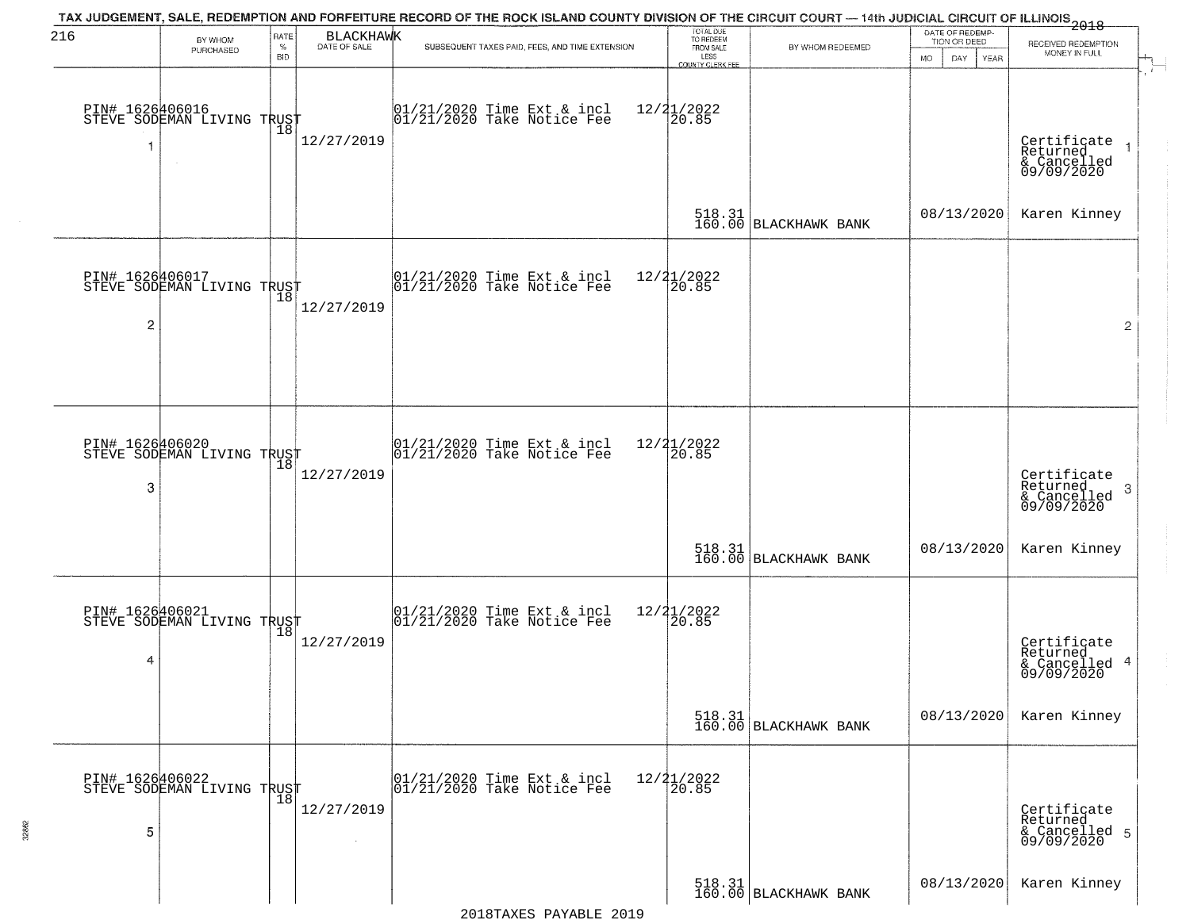| 216                  | BY WHOM                                                     | RATE               | <b>BLACKHAWK</b><br>DATE OF SALE | TAX JUDGEMENT, SALE, REDEMPTION AND FORFEITURE RECORD OF THE ROCK ISLAND COUNTY DIVISION OF THE CIRCUIT COURT — 14th JUDICIAL CIRCUIT OF ILLINOIS 2018 | TOTAL DUE<br>TO REDEEM                       |                                                                 | DATE OF REDEMP-<br>TION OR DEED | RECEIVED REDEMPTION                                       |
|----------------------|-------------------------------------------------------------|--------------------|----------------------------------|--------------------------------------------------------------------------------------------------------------------------------------------------------|----------------------------------------------|-----------------------------------------------------------------|---------------------------------|-----------------------------------------------------------|
|                      | PURCHASED                                                   | $\%$<br><b>BID</b> |                                  | SUBSEQUENT TAXES PAID, FEES, AND TIME EXTENSION                                                                                                        | FROM SALE<br>LESS<br><b>COUNTY CLERK FEE</b> | BY WHOM REDEEMED                                                | <b>MO</b><br>DAY<br>YEAR        | MONEY IN FULL                                             |
| 1                    | PIN# 1626406016    <br>STEVE SODEMAN LIVING TRUST<br>$\sim$ | 18                 | 12/27/2019                       | $01/21/2020$ Time Ext & incl<br>$01/21/2020$ Take Notice Fee                                                                                           | $12/21/2022$<br>20.85                        |                                                                 |                                 | Certificate<br>Returned<br>& Cancelled<br>09/09/2020      |
|                      |                                                             |                    |                                  |                                                                                                                                                        |                                              | 518.31<br>160.00 BLACKHAWK BANK                                 | 08/13/2020                      | Karen Kinney                                              |
| 2                    | PIN# 1626406017<br>STEVE SODEMAN LIVING TRUST               |                    | 12/27/2019                       | $ 01/21/2020$ Time Ext & incl<br>$ 01/21/2020$ Take Notice Fee                                                                                         | 12/21/2022<br>20.85                          |                                                                 |                                 | $\overline{2}$                                            |
|                      |                                                             |                    |                                  |                                                                                                                                                        |                                              |                                                                 |                                 |                                                           |
| PIN# 1626406020<br>3 | STEVE SODEMAN LIVING TRUST                                  | 18                 | 12/27/2019                       | 01/21/2020 Time Ext & incl<br>01/21/2020 Take Notice Fee                                                                                               | 12/21/2022<br>$\overline{20.85}$             |                                                                 |                                 | Certificate<br>Returned<br>3<br>& Cancelled<br>09/09/2020 |
|                      |                                                             |                    |                                  |                                                                                                                                                        |                                              | 518.31 BLACKHAWK BANK                                           | 08/13/2020                      | Karen Kinney                                              |
| 4                    | PIN# 1626406021<br>STEVE SODEMAN LIVING TRUST               |                    | 12/27/2019                       | 01/21/2020 Time Ext & incl<br>01/21/2020 Take Notice Fee                                                                                               | 12/21/2022<br>120.85                         |                                                                 |                                 | Certificate<br>Returned<br>& Cancelled 4<br>09/09/2020    |
|                      |                                                             |                    |                                  |                                                                                                                                                        |                                              | $\begin{bmatrix} 518.31 \\ 160.00 \end{bmatrix}$ BLACKHAWK BANK | 08/13/2020                      | Karen Kinney                                              |
| 5                    | PIN# 1626406022<br>STEVE SODEMAN LIVING TRUST               |                    | 12/27/2019                       | 01/21/2020 Time Ext & incl<br>01/21/2020 Take Notice Fee                                                                                               | $\frac{12}{21}$<br>$\frac{21}{20.85}$        |                                                                 |                                 | Certificate<br>Returned<br>& Cancelled 5<br>09/09/2020    |
|                      |                                                             |                    |                                  |                                                                                                                                                        |                                              | 518.31<br>160.00 BLACKHAWK BANK                                 | 08/13/2020                      | Karen Kinney                                              |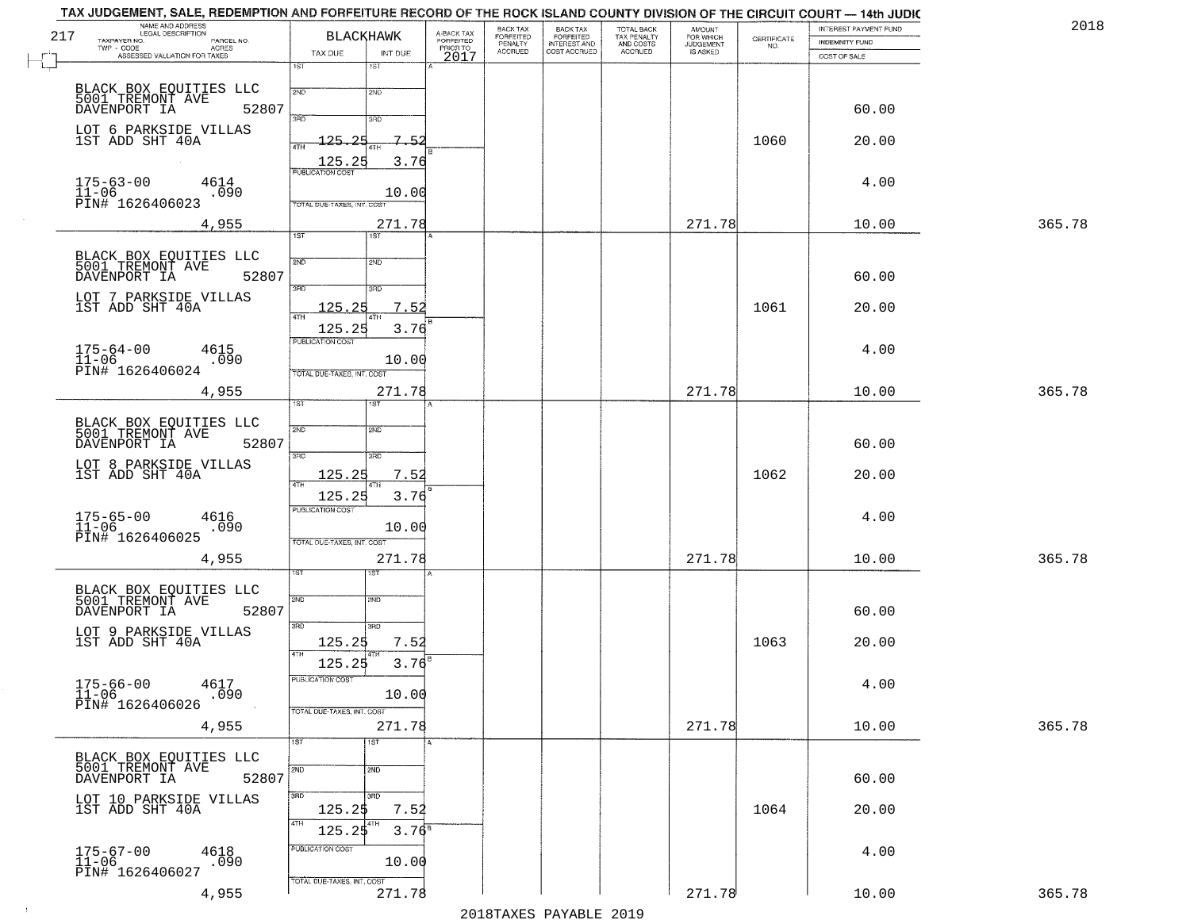| 217<br>TAXPAYER NO.                                        | NAME AND ADDRESS<br>LEGAL DESCRIPTION<br>PARCEL NO.<br>TWP - CODE AGRES<br>ASSESSED VALUATION FOR TAXES | TAX DUE                                               | <b>BLACKHAWK</b><br>INT DUE | A-BACK TAX<br>FORFEITED<br>PRIOR TO<br>2017 | BACK TAX<br><b>FORFEITED</b><br>PENALTY<br>ACCRUED | BACK TAX<br>FORFEITED<br>INTEREST AND<br>COST ACCRUED | TOTAL BACK<br>TAX PENALTY<br>AND COSTS<br>ACCRUED | <b>AMOUNT</b><br>FOR WHICH<br>JUDGEMENT<br>IS ASKED | CERTIFICATE<br>NO. | INTEREST PAYMENT FUND<br>INDEMNITY FUND<br>COST OF SALE | 2018   |
|------------------------------------------------------------|---------------------------------------------------------------------------------------------------------|-------------------------------------------------------|-----------------------------|---------------------------------------------|----------------------------------------------------|-------------------------------------------------------|---------------------------------------------------|-----------------------------------------------------|--------------------|---------------------------------------------------------|--------|
|                                                            |                                                                                                         | 1ST                                                   | 1ST                         |                                             |                                                    |                                                       |                                                   |                                                     |                    |                                                         |        |
| DAVENPORT IA                                               | BLACK BOX EQUITIES LLC<br>5001 TREMONT AVE<br>52807                                                     | 2ND<br>3RD                                            | 2ND<br>3RD                  |                                             |                                                    |                                                       |                                                   |                                                     |                    | 60.00                                                   |        |
| 1ST ADD SHT 40A                                            | LOT 6 PARKSIDE VILLAS                                                                                   | $-125.$<br>つに<br>4TH<br>125.25                        | $7 - 5$<br>3.76             |                                             |                                                    |                                                       |                                                   |                                                     | 1060               | 20.00                                                   |        |
| $175 - 63 - 00$<br>$\overline{11} - 06$<br>PĪN# 1626406023 | 4614<br>.090                                                                                            | <b>PUBLICATION COST</b><br>TOTAL DUE-TAXES, INT. COST | 10.00                       |                                             |                                                    |                                                       |                                                   |                                                     |                    | 4.00                                                    |        |
|                                                            | 4,955                                                                                                   | $\overline{1ST}$                                      | 271.78<br>1ST <sup></sup>   |                                             |                                                    |                                                       |                                                   | 271.78                                              |                    | 10.00                                                   | 365.78 |
| DAVENPORT IA                                               | BLACK BOX EQUITIES LLC<br>5001 TREMONT AVE<br>52807                                                     | 2ND                                                   | 2ND                         |                                             |                                                    |                                                       |                                                   |                                                     |                    | 60.00                                                   |        |
| 1ST ADD SHT 40A                                            | LOT 7 PARKSIDE VILLAS                                                                                   | 3RD<br>125.25<br>47H<br>125.25                        | 3HD<br>7.52<br>3.76         |                                             |                                                    |                                                       |                                                   |                                                     | 1061               | 20.00                                                   |        |
| $175 - 64 - 00$<br>$\overline{11} - 06$<br>PIN# 1626406024 | 4615<br>.090                                                                                            | PUBLICATION COST<br>TOTAL DUE-TAXES, INT. COST        | 10.00                       |                                             |                                                    |                                                       |                                                   |                                                     |                    | 4.00                                                    |        |
|                                                            | 4,955                                                                                                   | 1ST                                                   | 271.78                      |                                             |                                                    |                                                       |                                                   | 271.78                                              |                    | 10.00                                                   | 365.78 |
| DAVENPORT IA                                               | BLACK BOX EQUITIES LLC<br>5001 TREMONT AVE<br>52807                                                     | 2ND<br>3BD                                            | <b>SMD</b><br>3RD           |                                             |                                                    |                                                       |                                                   |                                                     |                    | 60.00                                                   |        |
| 1ST ADD SHT 40A                                            | LOT 8 PARKSIDE VILLAS                                                                                   | 125.25<br>4TH<br>125.25                               | 7.52<br>3.76                |                                             |                                                    |                                                       |                                                   |                                                     | 1062               | 20.00                                                   |        |
| 175-65-00<br>11-06<br>PIN# 1626406025                      | 4616<br>.090                                                                                            | <b>PUBLICATION COST</b><br>TOTAL OUE-TAXES, INT. COST | 10.00                       |                                             |                                                    |                                                       |                                                   |                                                     |                    | 4.00                                                    |        |
|                                                            | 4,955                                                                                                   | $_{\rm ST}$                                           | 271.78<br>ख़ा               |                                             |                                                    |                                                       |                                                   | 271.78                                              |                    | 10.00                                                   | 365.78 |
| DAVENPORT IA                                               | BLACK BOX EQUITIES LLC<br>5001 TREMONT AVE<br>52807                                                     | 2ND                                                   | 2ND                         |                                             |                                                    |                                                       |                                                   |                                                     |                    | 60.00                                                   |        |
| 1ST ADD SHT 40A                                            | LOT 9 PARKSIDE VILLAS                                                                                   | 3RD<br>125.25<br>4TH                                  | 3HD<br>7.52                 |                                             |                                                    |                                                       |                                                   |                                                     | 1063               | 20.00                                                   |        |
| PIN# 1626406026                                            | 175-66-00 4617<br>11-06 .090<br>.090                                                                    | 125.25<br>PUBLICATION COST                            | 3.76<br>10.00               |                                             |                                                    |                                                       |                                                   |                                                     |                    | 4.00                                                    |        |
|                                                            | 4,955                                                                                                   | TOTAL DUE-TAXES, INT. COST                            | 271.78                      |                                             |                                                    |                                                       |                                                   | 271.78                                              |                    | 10.00                                                   | 365.78 |
| 5001 TREMONT AVE<br>DAVENPORT IA                           | BLACK BOX EQUITIES LLC<br>52807                                                                         | 1ST<br>2ND                                            | 1ST<br>2ND                  | А                                           |                                                    |                                                       |                                                   |                                                     |                    | 60.00                                                   |        |
| 1ST ADD SHT 40A                                            | LOT 10 PARKSIDE VILLAS                                                                                  | 3BD<br>125.25<br>4TH                                  | 3RD<br>7.52                 |                                             |                                                    |                                                       |                                                   |                                                     | 1064               | 20.00                                                   |        |
| 175-67-00<br>11-06<br>PIN# 1626406027                      | 4618<br>.090                                                                                            | 125.25<br>PUBLICATION COST                            | $3.76^{B}$<br>10.00         |                                             |                                                    |                                                       |                                                   |                                                     |                    | 4.00                                                    |        |
|                                                            | 4,955                                                                                                   | TOTAL DUE-TAXES, INT. COST                            | 271.78                      |                                             |                                                    |                                                       |                                                   | 271.78                                              |                    | 10.00                                                   | 365.78 |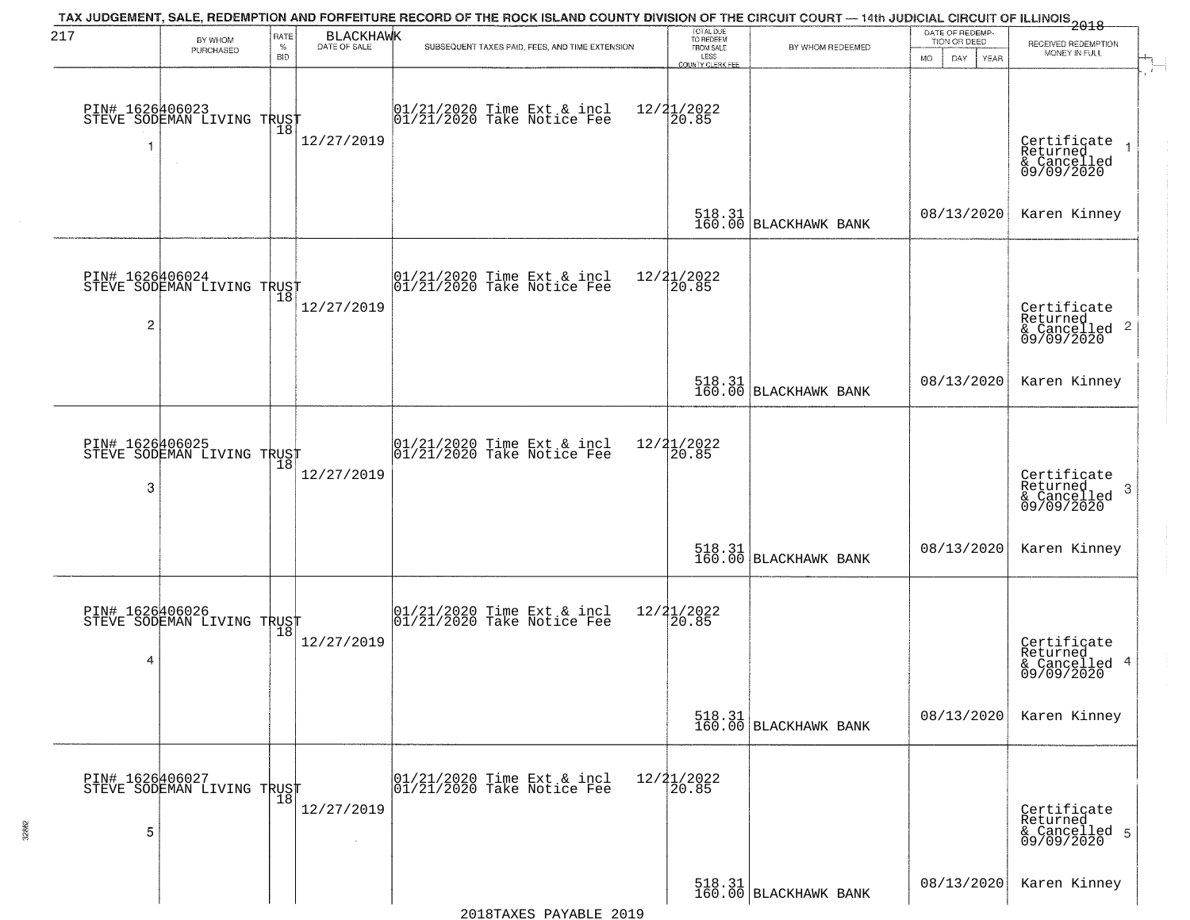| 217            | BY WHOM                                       | RATE               | <b>BLACKHAWK</b> | TAX JUDGEMENT, SALE, REDEMPTION AND FORFEITURE RECORD OF THE ROCK ISLAND COUNTY DIVISION OF THE CIRCUIT COURT — 14th JUDICIAL CIRCUIT OF ILLINOIS 2018 | TOTAL DUE<br>TO REDEEM                |                                 | DATE OF REDEMP-<br>TION OR DEED | RECEIVED REDEMPTION                                                |
|----------------|-----------------------------------------------|--------------------|------------------|--------------------------------------------------------------------------------------------------------------------------------------------------------|---------------------------------------|---------------------------------|---------------------------------|--------------------------------------------------------------------|
|                | PURCHASED                                     | $\%$<br><b>BID</b> | DATE OF SALE     | SUBSEQUENT TAXES PAID, FEES, AND TIME EXTENSION                                                                                                        | FROM SALE<br>LESS<br>COUNTY CLERK FEE | BY WHOM REDEEMED                | MO.<br>DAY<br>YEAR              | MONEY IN FULL                                                      |
|                | PIN# 1626406023<br>STEVE SODEMAN LIVING TRUST | Ίõ                 | 12/27/2019       | $01/21/2020$ Time Ext & incl<br>$01/21/2020$ Take Notice Fee                                                                                           | $12/21/2022$<br>20.85                 |                                 |                                 | Certificate<br>Returned<br>& Cancelled<br>09/09/2020               |
|                |                                               |                    |                  |                                                                                                                                                        |                                       | 518.31 BLACKHAWK BANK           | 08/13/2020                      | Karen Kinney                                                       |
| $\overline{c}$ | PIN# 1626406024<br>STEVE SODEMAN LIVING TRUST |                    | 12/27/2019       | $ 01/21/2020$ Time Ext & incl<br>$ 01/21/2020$ Take Notice Fee                                                                                         | 12/21/2022<br>20.85                   |                                 |                                 | Certificate<br>Returned<br>$\frac{1}{6}$ Cancelled 2<br>09/09/2020 |
|                |                                               |                    |                  |                                                                                                                                                        |                                       | 518.31<br>160.00 BLACKHAWK BANK | 08/13/2020                      | Karen Kinney                                                       |
| 3              | PIN# 1626406025<br>STEVE SODEMAN LIVING TRUST | 18                 | 12/27/2019       | $\begin{array}{cc}  01/21/2020 \rangle \\  01/21/2020 \rangle \rangle \end{array}$ Take Notice Fee                                                     | 12/21/2022<br>20.85                   |                                 |                                 | Certificate<br>Returned<br>3<br>& Cancelled<br>09/09/2020          |
|                |                                               |                    |                  |                                                                                                                                                        |                                       | 518.31 BLACKHAWK BANK           | 08/13/2020                      | Karen Kinney                                                       |
| 4              | PIN# 1626406026<br>STEVE SODEMAN LIVING TRUST |                    | 12/27/2019       | $ 01/21/2020$ Time Ext & incl<br>$ 01/21/2020$ Take Notice Fee                                                                                         | 12/21/2022<br>30.85                   |                                 |                                 | Certificate<br>Returned<br>& Cancelled 4<br>09/09/2020             |
|                |                                               |                    |                  |                                                                                                                                                        |                                       | 518.31<br>160.00 BLACKHAWK BANK | 08/13/2020                      | Karen Kinney                                                       |
| 5              | PIN# 1626406027<br>STEVE SODEMAN LIVING TRUST |                    | 12/27/2019       | 01/21/2020 Time Ext & incl<br>01/21/2020 Take Notice Fee                                                                                               | $12/21/2022$<br>$20.85$               |                                 |                                 | Certificate<br>Returned<br>& Cancelled 5<br>09/09/2020             |
|                |                                               |                    |                  |                                                                                                                                                        |                                       | 518.31<br>160.00 BLACKHAWK BANK | 08/13/2020                      | Karen Kinney                                                       |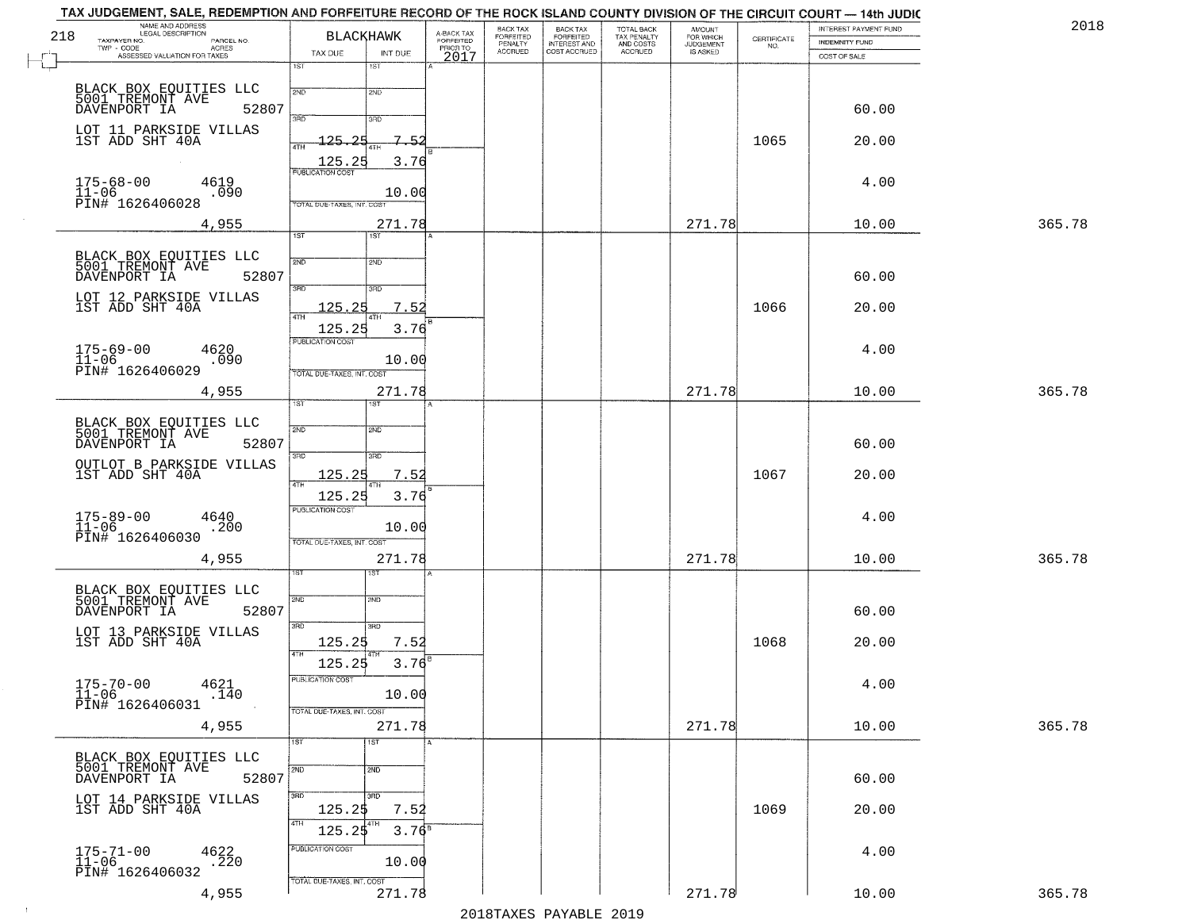| 218                                     | NAME AND ADDRESS<br>LEGAL DESCRIPTION<br>TAXPAYER NO.<br>PARCEL NO.<br>TWP - CODE AGRES<br>ASSESSED VALUATION FOR TAXES | TAX DUE                                        | <b>BLACKHAWK</b><br>INT DUE | A-BACK TAX<br>FORFEITED<br>PRIOR TO<br>2017 | BACK TAX<br>FORFEITED<br>PENALTY<br>ACCRUED | BACK TAX<br>FORFEITED<br>INTEREST AND<br>COST ACCRUED | TOTAL BACK<br>TAX PENALTY<br>AND COSTS<br>ACCRUED | <b>AMOUNT</b><br>FOR WHICH<br>JUDGEMENT<br>IS ASKED | CERTIFICATE<br>NO. | INTEREST PAYMENT FUND<br>INDEMNITY FUND<br>COST OF SALE | 2018   |
|-----------------------------------------|-------------------------------------------------------------------------------------------------------------------------|------------------------------------------------|-----------------------------|---------------------------------------------|---------------------------------------------|-------------------------------------------------------|---------------------------------------------------|-----------------------------------------------------|--------------------|---------------------------------------------------------|--------|
|                                         |                                                                                                                         | 1ST                                            | 1ST                         |                                             |                                             |                                                       |                                                   |                                                     |                    |                                                         |        |
|                                         | BLACK BOX EQUITIES LLC<br>5001 TREMONT AVE<br>DAVENPORT IA<br>52807                                                     | 2ND<br>3RD                                     | 2ND<br>3RD                  |                                             |                                             |                                                       |                                                   |                                                     |                    | 60.00                                                   |        |
|                                         | LOT 11 PARKSIDE VILLAS<br>1ST ADD SHT 40A                                                                               | $-125.$<br>つに<br>4TH<br>125.25                 | $7 - 5$<br>3.76             |                                             |                                             |                                                       |                                                   |                                                     | 1065               | 20.00                                                   |        |
| $175 - 68 - 00$<br>$\overline{11} - 06$ | 4619<br>.090                                                                                                            | <b>PUBLICATION COST</b>                        | 10.00                       |                                             |                                             |                                                       |                                                   |                                                     |                    | 4.00                                                    |        |
|                                         | PĪN# 1626406028<br>4,955                                                                                                | TOTAL DUE-TAXES, INT. COST<br>$\overline{1ST}$ | 271.78<br>1ST <sup>1</sup>  |                                             |                                             |                                                       |                                                   | 271.78                                              |                    | 10.00                                                   | 365.78 |
|                                         | BLACK BOX EQUITIES LLC<br>5001 TREMONT AVE<br>52807<br>DAVENPORT IA                                                     | 2ND                                            | 2ND                         |                                             |                                             |                                                       |                                                   |                                                     |                    | 60.00                                                   |        |
|                                         | LOT 12 PARKSIDE VILLAS<br>1ST ADD SHT 40A                                                                               | 3RD<br>125.25<br>47H                           | 3HD<br>7.52                 |                                             |                                             |                                                       |                                                   |                                                     | 1066               | 20.00                                                   |        |
| $175 - 69 - 00$<br>$11 - 06$            | 4620<br>.090                                                                                                            | 125.25<br>PUBLICATION COST                     | 3.76<br>10.00               |                                             |                                             |                                                       |                                                   |                                                     |                    | 4.00                                                    |        |
|                                         | PIN# 1626406029<br>4,955                                                                                                | TOTAL DUE-TAXES, INT. COST<br>1ST              | 271.78                      |                                             |                                             |                                                       |                                                   | 271.78                                              |                    | 10.00                                                   | 365.78 |
|                                         | BLACK BOX EQUITIES LLC<br>5001 TREMONT AVE<br>DAVENPORT IA<br>52807                                                     | 2ND                                            | 2ND                         |                                             |                                             |                                                       |                                                   |                                                     |                    | 60.00                                                   |        |
|                                         | OUTLOT B PARKSIDE VILLAS<br>1ST ADD SHT 40A                                                                             | 3BD<br><u> 125.25</u><br>4TH                   | 3RD<br>7.52                 |                                             |                                             |                                                       |                                                   |                                                     | 1067               | 20.00                                                   |        |
| $175 - 89 - 00$<br>$11 - 06$            | 4640<br>.200<br>PIN# 1626406030                                                                                         | 125.25<br><b>PUBLICATION COST</b>              | 3.76<br>10.00               |                                             |                                             |                                                       |                                                   |                                                     |                    | 4.00                                                    |        |
|                                         | 4,955                                                                                                                   | TOTAL OUE-TAXES, INT. COST<br>sт               | 271.78<br>ख़ा               |                                             |                                             |                                                       |                                                   | 271.78                                              |                    | 10.00                                                   | 365.78 |
|                                         | BLACK BOX EQUITIES LLC<br>5001 TREMONT AVE<br>52807<br>DAVENPORT IA                                                     | 2ND                                            | 2ND                         |                                             |                                             |                                                       |                                                   |                                                     |                    | 60.00                                                   |        |
|                                         | LOT 13 PARKSIDE VILLAS<br>1ST ADD SHT 40A                                                                               | 3RD<br>125.25<br>4TH                           | 3BD<br>7.52                 |                                             |                                             |                                                       |                                                   |                                                     | 1068               | 20.00                                                   |        |
|                                         | $175 - 70 - 00$ 4621<br>11-06 14<br>.140                                                                                | 125.25<br>PUBLICATION COST                     | 3.76<br>10.00               |                                             |                                             |                                                       |                                                   |                                                     |                    | 4.00                                                    |        |
|                                         | PIN# 1626406031<br>4,955                                                                                                | TOTAL DUE-TAXES, INT. COST<br>1ST              | 271.78<br>1ST               | А                                           |                                             |                                                       |                                                   | 271.78                                              |                    | 10.00                                                   | 365.78 |
|                                         | BLACK BOX EQUITIES LLC<br>5001 TREMONT AVE<br>52807<br>DAVENPORT IA                                                     | 2ND                                            | 2ND                         |                                             |                                             |                                                       |                                                   |                                                     |                    | 60.00                                                   |        |
|                                         | LOT 14 PARKSIDE VILLAS<br>1ST ADD SHT 40A                                                                               | 3BD<br>125.25<br>4TH                           | 3HD<br>7.52                 |                                             |                                             |                                                       |                                                   |                                                     | 1069               | 20.00                                                   |        |
| $175 - 71 - 00$<br>$11 - 06$            | 4622<br>.220                                                                                                            | 125.25<br>PUBLICATION COST                     | $3.76^{B}$<br>10.00         |                                             |                                             |                                                       |                                                   |                                                     |                    | 4.00                                                    |        |
|                                         | PIN# 1626406032<br>4,955                                                                                                | TOTAL DUE-TAXES, INT. COST                     | 271.78                      |                                             |                                             |                                                       |                                                   | 271.78                                              |                    | 10.00                                                   | 365.78 |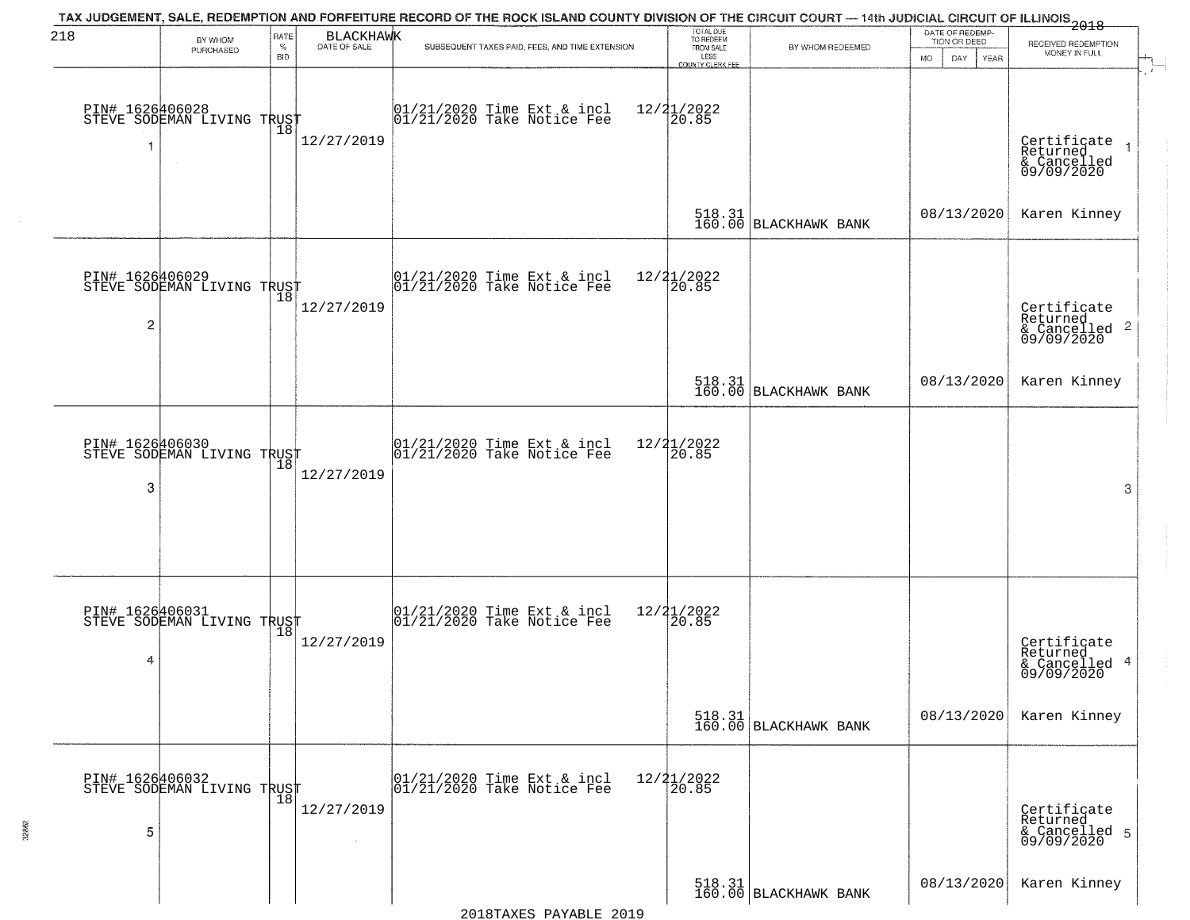| 218             |                                                   | RATE               | <b>BLACKHAWK</b> | TAX JUDGEMENT, SALE, REDEMPTION AND FORFEITURE RECORD OF THE ROCK ISLAND COUNTY DIVISION OF THE CIRCUIT COURT — 14th JUDICIAL CIRCUIT OF ILLINOIS 2018 | TOTAL DUE<br>TO REDEEM                |                                                                                                                      | DATE OF REDEMP-                  |                                                        |
|-----------------|---------------------------------------------------|--------------------|------------------|--------------------------------------------------------------------------------------------------------------------------------------------------------|---------------------------------------|----------------------------------------------------------------------------------------------------------------------|----------------------------------|--------------------------------------------------------|
|                 | BY WHOM<br>PURCHASED                              | $\%$<br><b>BID</b> | DATE OF SALE     | SUBSEQUENT TAXES PAID, FEES, AND TIME EXTENSION                                                                                                        | FROM SALE<br>LESS                     | BY WHOM REDEEMED                                                                                                     | TION OR DEED<br><b>MO</b><br>DAY | RECEIVED REDEMPTION<br>MONEY IN FULL                   |
|                 |                                                   |                    |                  |                                                                                                                                                        | <b>COUNTY CLERK FEE</b>               |                                                                                                                      | YEAR                             |                                                        |
|                 |                                                   |                    |                  |                                                                                                                                                        |                                       |                                                                                                                      |                                  |                                                        |
|                 | PIN# 1626406028    <br>STEVE SODEMAN LIVING TRUST |                    |                  | $01/21/2020$ Time Ext & incl<br>$01/21/2020$ Take Notice Fee                                                                                           | $12/21/2022$<br>20.85                 |                                                                                                                      |                                  |                                                        |
| 1               |                                                   | 18                 | 12/27/2019       |                                                                                                                                                        |                                       |                                                                                                                      |                                  | Certificate<br>Returned                                |
|                 | $\sim$                                            |                    |                  |                                                                                                                                                        |                                       |                                                                                                                      |                                  | & Cancelled<br>09/09/2020                              |
|                 |                                                   |                    |                  |                                                                                                                                                        |                                       |                                                                                                                      |                                  |                                                        |
|                 |                                                   |                    |                  |                                                                                                                                                        |                                       | $\begin{array}{c} 518.31 \\ 160.00 \end{array}$ BLACKHAWK BANK                                                       | 08/13/2020                       | Karen Kinney                                           |
|                 |                                                   |                    |                  |                                                                                                                                                        |                                       |                                                                                                                      |                                  |                                                        |
|                 |                                                   |                    |                  |                                                                                                                                                        |                                       |                                                                                                                      |                                  |                                                        |
|                 | PIN# 1626406029<br>STEVE SODEMAN LIVING TRUST     |                    |                  | $ 01/21/2020$ Time Ext & incl<br>$ 01/21/2020$ Take Notice Fee                                                                                         | 12/21/2022<br>20.85                   |                                                                                                                      |                                  |                                                        |
| 2               |                                                   |                    | 12/27/2019       |                                                                                                                                                        |                                       |                                                                                                                      |                                  | Certificate<br>Returned                                |
|                 |                                                   |                    |                  |                                                                                                                                                        |                                       |                                                                                                                      |                                  | & Cancelled 2<br>09/09/2020                            |
|                 |                                                   |                    |                  |                                                                                                                                                        |                                       |                                                                                                                      |                                  |                                                        |
|                 |                                                   |                    |                  |                                                                                                                                                        |                                       | $\begin{array}{ c c c c c }\hline 518.31 & & \\ \hline 160.00 & \text{BLACKHAVK} & \text{BANK} \\\hline \end{array}$ | 08/13/2020                       | Karen Kinney                                           |
|                 |                                                   |                    |                  |                                                                                                                                                        |                                       |                                                                                                                      |                                  |                                                        |
| PIN# 1626406030 |                                                   |                    |                  | 01/21/2020 Time Ext & incl<br>01/21/2020 Take Notice Fee                                                                                               | 12/21/2022                            |                                                                                                                      |                                  |                                                        |
|                 | STEVE SODEMAN LIVING TRUST                        | 18                 | 12/27/2019       |                                                                                                                                                        | 20.85                                 |                                                                                                                      |                                  |                                                        |
| 3               |                                                   |                    |                  |                                                                                                                                                        |                                       |                                                                                                                      |                                  | 3                                                      |
|                 |                                                   |                    |                  |                                                                                                                                                        |                                       |                                                                                                                      |                                  |                                                        |
|                 |                                                   |                    |                  |                                                                                                                                                        |                                       |                                                                                                                      |                                  |                                                        |
|                 |                                                   |                    |                  |                                                                                                                                                        |                                       |                                                                                                                      |                                  |                                                        |
|                 |                                                   |                    |                  |                                                                                                                                                        |                                       |                                                                                                                      |                                  |                                                        |
|                 | PIN# 1626406031<br>STEVE SODEMAN LIVING TRUST     |                    |                  | 01/21/2020 Time Ext & incl<br>01/21/2020 Take Notice Fee                                                                                               | 12/21/2022<br>120.85                  |                                                                                                                      |                                  |                                                        |
|                 |                                                   |                    | 12/27/2019       |                                                                                                                                                        |                                       |                                                                                                                      |                                  | Certificate<br>Returned                                |
| 4               |                                                   |                    |                  |                                                                                                                                                        |                                       |                                                                                                                      |                                  | & Cancelled 4<br>09/09/2020                            |
|                 |                                                   |                    |                  |                                                                                                                                                        |                                       |                                                                                                                      |                                  |                                                        |
|                 |                                                   |                    |                  |                                                                                                                                                        |                                       | $\begin{bmatrix} 518.31 \\ 160.00 \end{bmatrix}$ BLACKHAWK BANK                                                      | 08/13/2020                       | Karen Kinney                                           |
|                 |                                                   |                    |                  |                                                                                                                                                        |                                       |                                                                                                                      |                                  |                                                        |
|                 |                                                   |                    |                  |                                                                                                                                                        |                                       |                                                                                                                      |                                  |                                                        |
|                 | PIN# 1626406032<br>STEVE SODEMAN LIVING TRUST     |                    |                  | 01/21/2020 Time Ext & incl<br>01/21/2020 Take Notice Fee                                                                                               | $\frac{12}{21}$<br>$\frac{21}{20.85}$ |                                                                                                                      |                                  |                                                        |
|                 |                                                   |                    | 12/27/2019       |                                                                                                                                                        |                                       |                                                                                                                      |                                  | Certificate<br>Returned<br>& Cancelled 5<br>09/09/2020 |
| 5               |                                                   |                    |                  |                                                                                                                                                        |                                       |                                                                                                                      |                                  |                                                        |
|                 |                                                   |                    |                  |                                                                                                                                                        |                                       |                                                                                                                      |                                  |                                                        |
|                 |                                                   |                    |                  |                                                                                                                                                        |                                       | 518.31<br>160.00 BLACKHAWK BANK                                                                                      | 08/13/2020                       | Karen Kinney                                           |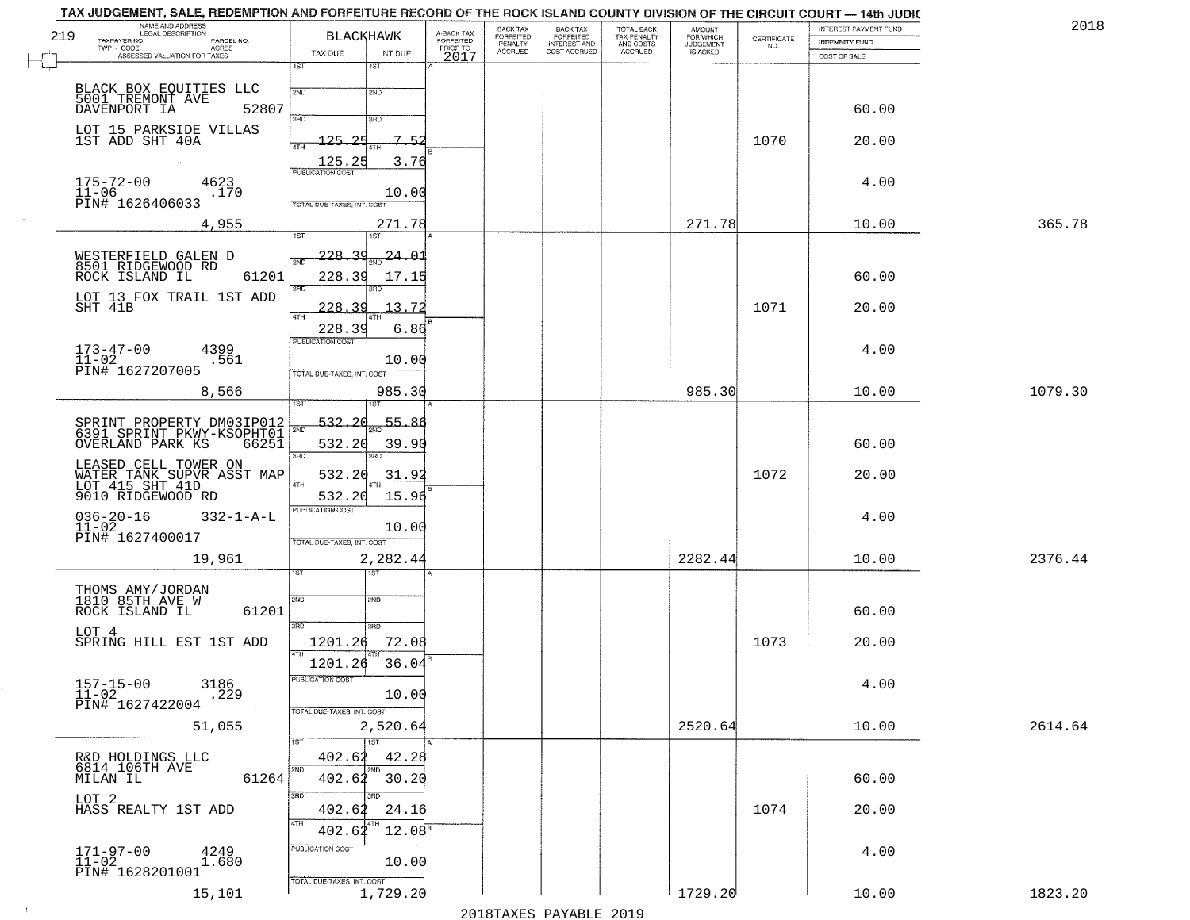|     | TAX JUDGEMENT, SALE, REDEMPTION AND FORFEITURE RECORD OF THE ROCK ISLAND COUNTY DIVISION OF THE CIRCUIT COURT - 14th JUDIC<br>NAME AND ADDRESS<br>LEGAL DESCRIPTION |                                             |                                     | BACK TAX             |                                       |                                        |                                         |                    | INTEREST PAYMENT FUND | 2018    |
|-----|---------------------------------------------------------------------------------------------------------------------------------------------------------------------|---------------------------------------------|-------------------------------------|----------------------|---------------------------------------|----------------------------------------|-----------------------------------------|--------------------|-----------------------|---------|
| 219 | TAXPAYER NO.<br>PARCEL NO.                                                                                                                                          | <b>BLACKHAWK</b>                            | A-BACK TAX<br>FORFEITED<br>PRIOR TO | FORFEITED<br>PENALTY | BACK TAX<br>FORFEITED<br>INTEREST AND | TOTAL BACK<br>TAX PENALTY<br>AND COSTS | AMOUNT<br>FOR WHICH<br><b>JUDGEMENT</b> | CERTIFICATE<br>NO. | <b>INDEMNITY FUND</b> |         |
|     | $TWP - CODE$<br>ACRES<br>ASSESSED VALUATION FOR TAXES                                                                                                               | TAX DUE<br>INT DUE                          | 2017                                | <b>ACCRUED</b>       | COST ACCRUED                          | <b>ACCRUED</b>                         | IS ASKED                                |                    | COST OF SALE          |         |
|     |                                                                                                                                                                     | 1ST<br>1ST<br>2ND                           |                                     |                      |                                       |                                        |                                         |                    |                       |         |
|     | BLACK BOX EQUITIES LLC<br>5001 TREMONT AVE<br>DAVENPORT IA 528<br>52807                                                                                             | 2ND<br>3RD<br>3RD                           |                                     |                      |                                       |                                        |                                         |                    | 60.00                 |         |
|     | LOT 15 PARKSIDE VILLAS<br>1ST ADD SHT 40A                                                                                                                           | 125.25<br>7.52<br>4TH                       |                                     |                      |                                       |                                        |                                         | 1070               | 20.00                 |         |
|     |                                                                                                                                                                     | 125.25<br>3.76<br><b>PUBLICATION COST</b>   |                                     |                      |                                       |                                        |                                         |                    |                       |         |
|     | $175 - 72 - 00$<br>4623<br>$\bar{1}1 - 06$<br>.170<br>PIN# 1626406033                                                                                               | 10.00<br>TOTAL DUE-TAXES, INT. COST         |                                     |                      |                                       |                                        |                                         |                    | 4.00                  |         |
|     | 4,955                                                                                                                                                               | 271.78<br>1ST<br>1ST                        |                                     |                      |                                       |                                        | 271.78                                  |                    | 10.00                 | 365.78  |
|     | WESTERFIELD GALEN D                                                                                                                                                 | <u>228.39</u><br><u>24.01</u><br><b>PND</b> |                                     |                      |                                       |                                        |                                         |                    |                       |         |
|     | 8501 RIDGEWOOD RD<br>ROCK ISLAND IL<br>61201                                                                                                                        | 228.39<br>17.15<br>3RD                      |                                     |                      |                                       |                                        |                                         |                    | 60.00                 |         |
|     | LOT 13 FOX TRAIL 1ST ADD<br>SHT 41B                                                                                                                                 | .3.72<br>228.39<br>47H                      |                                     |                      |                                       |                                        |                                         | 1071               | 20.00                 |         |
|     |                                                                                                                                                                     | 228.39<br>6.86<br>PUBLICATION COST          |                                     |                      |                                       |                                        |                                         |                    |                       |         |
|     | 4399<br>$173 - 47 - 00$<br>11-02<br>PIN# 1627207005<br>.561                                                                                                         | 10.00<br>TOTAL DUE-TAXES, INT. COST         |                                     |                      |                                       |                                        |                                         |                    | 4.00                  |         |
|     | 8,566                                                                                                                                                               | 985.30<br>isT                               |                                     |                      |                                       |                                        | 985.30                                  |                    | 10.00                 | 1079.30 |
|     | SPRINT PROPERTY DM03IP012<br>6391 SPRINT PKWY-KSOPHT01                                                                                                              | 532.20<br>55.86                             |                                     |                      |                                       |                                        |                                         |                    |                       |         |
|     | OVERLAND PARK KS<br>66251                                                                                                                                           | 532.20<br>39.90<br>3BD<br>3RD               |                                     |                      |                                       |                                        |                                         |                    | 60.00                 |         |
|     | LEASED CELL TOWER ON<br>WATER TANK SUPVR ASST MAP<br>LOT 415 SHT 41D                                                                                                | 532.20<br>31.91                             |                                     |                      |                                       |                                        |                                         | 1072               | 20.00                 |         |
|     | 9010 RIDGEWOOD RD                                                                                                                                                   | 532.20<br>15.96<br><b>PUBLICATION COST</b>  |                                     |                      |                                       |                                        |                                         |                    |                       |         |
|     | $036 - 20 - 16$<br>11-02<br>$332 - 1 - A - L$<br>PIN# 1627400017                                                                                                    | 10.00<br>TOTAL OUE-TAXES, INT. COST         |                                     |                      |                                       |                                        |                                         |                    | 4.00                  |         |
|     | 19,961                                                                                                                                                              | 2,282.44                                    |                                     |                      |                                       |                                        | 2282.44                                 |                    | 10.00                 | 2376.44 |
|     |                                                                                                                                                                     | १९४<br>2ND                                  |                                     |                      |                                       |                                        |                                         |                    |                       |         |
|     | THOMS AMY/JORDAN<br>1810 85TH AVE W<br>ROCK ISLAND IL<br>61201                                                                                                      | 2ND<br>3RD<br>3BD                           |                                     |                      |                                       |                                        |                                         |                    | 60.00                 |         |
|     | LOT 4<br>SPRING HILL EST 1ST ADD                                                                                                                                    | 1201.26<br>72.08<br>4TH                     |                                     |                      |                                       |                                        |                                         | 1073               | 20.00                 |         |
|     | 3186                                                                                                                                                                | 1201.26<br>36.04<br>PUBLICATION COST        |                                     |                      |                                       |                                        |                                         |                    | 4.00                  |         |
|     | $157 - 15 - 00$<br>$11 - 02$<br>$\overline{.}229$<br>PIN# 1627422004                                                                                                | 10.00<br>TOTAL DUE-TAXES, INT. COST         |                                     |                      |                                       |                                        |                                         |                    |                       |         |
|     | 51,055                                                                                                                                                              | 2,520.64<br>1ST<br>1ST                      |                                     |                      |                                       |                                        | 2520.64                                 |                    | 10.00                 | 2614.64 |
|     | R&D HOLDINGS LLC<br>6814 106TH AVE                                                                                                                                  | 402.62<br>42.28<br>2ND<br>2ND               |                                     |                      |                                       |                                        |                                         |                    |                       |         |
|     | 61264<br>MILAN IL                                                                                                                                                   | $402.62$ 30.20<br>3BD<br>3RD.               |                                     |                      |                                       |                                        |                                         |                    | 60.00                 |         |
|     | LOT <sub>2</sub><br>HASS REALTY 1ST ADD                                                                                                                             | 402.62<br>24.16<br>4TH                      |                                     |                      |                                       |                                        |                                         | 1074               | 20.00                 |         |
|     |                                                                                                                                                                     | $12.08^5$<br>402.62<br>PUBLICATION COST     |                                     |                      |                                       |                                        |                                         |                    | 4.00                  |         |
|     | $171 - 97 - 00$<br>$11 - 02$<br>4249<br>1.680<br>PIN# 1628201001                                                                                                    | 10.00<br>TOTAL DUE-TAXES, INT. COST         |                                     |                      |                                       |                                        |                                         |                    |                       |         |
|     | 15,101                                                                                                                                                              | 1,729.20                                    |                                     |                      |                                       |                                        | 1729.20                                 |                    | 10.00                 | 1823.20 |

 $\sim 40$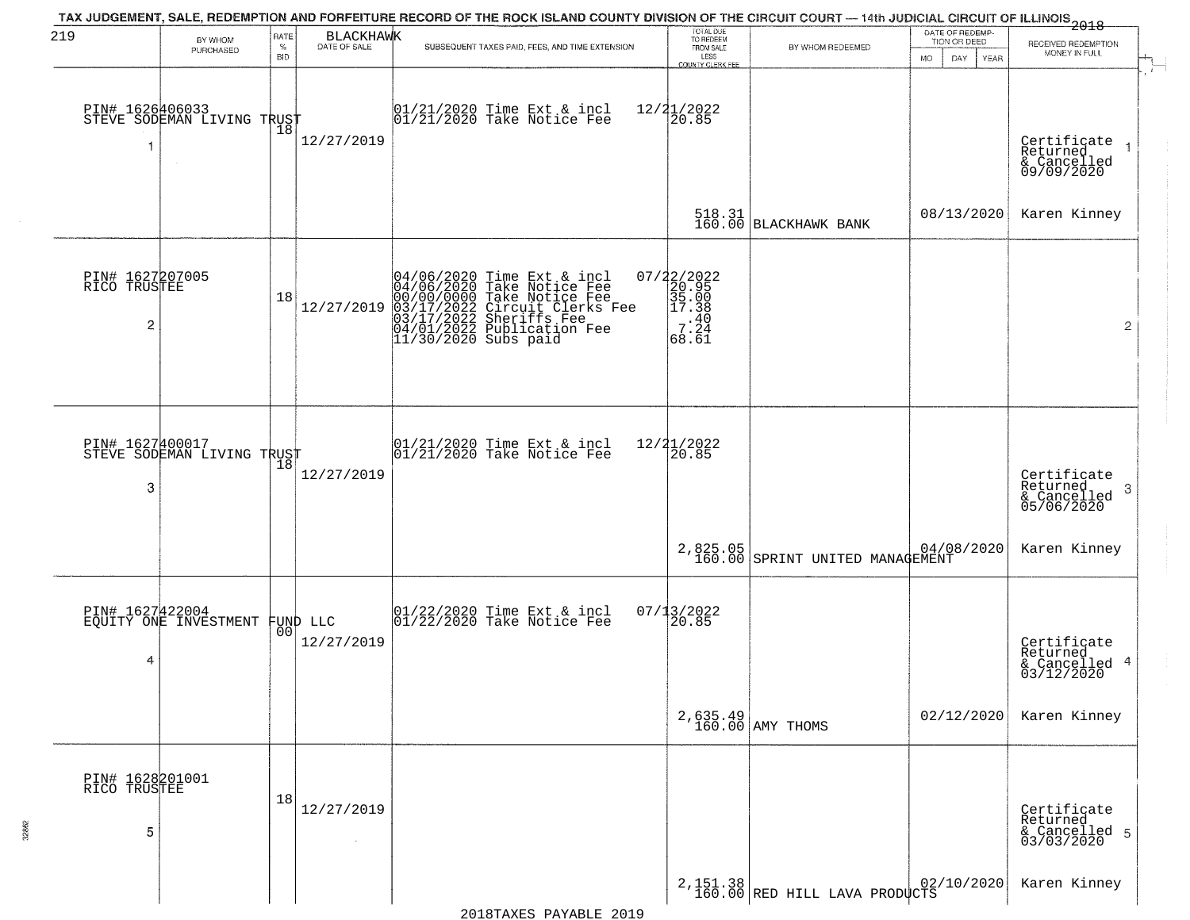| 219                                  | BY WHOM                                                 | RATE               | <b>BLACKHAWK</b>               | TAX JUDGEMENT, SALE, REDEMPTION AND FORFEITURE RECORD OF THE ROCK ISLAND COUNTY DIVISION OF THE CIRCUIT COURT — 14th JUDICIAL CIRCUIT OF ILLINOIS 2018                                                     | TOTAL DUE<br>TO REDEEM                                                                         |                                                                | DATE OF REDEMP-<br>TION OR DEED  | RECEIVED REDEMPTION                                       |
|--------------------------------------|---------------------------------------------------------|--------------------|--------------------------------|------------------------------------------------------------------------------------------------------------------------------------------------------------------------------------------------------------|------------------------------------------------------------------------------------------------|----------------------------------------------------------------|----------------------------------|-----------------------------------------------------------|
|                                      | PURCHASED                                               | $\%$<br><b>BID</b> | DATE OF SALE                   | SUBSEQUENT TAXES PAID, FEES, AND TIME EXTENSION                                                                                                                                                            | FROM SALE<br>LESS<br>COUNTY CLERK FEE                                                          | BY WHOM REDEEMED                                               | <b>MO</b><br>DAY.<br><b>YEAR</b> | MONEY IN FULL                                             |
| 1                                    | PIN# 1626406033<br>STEVE SODEMAN LIVING TRUST<br>$\sim$ | Ίõ                 | 12/27/2019                     | $01/21/2020$ Time Ext & incl<br>$01/21/2020$ Take Notice Fee                                                                                                                                               | $12/21/2022$<br>20.85                                                                          |                                                                |                                  | Certificate<br>Returned<br>& Cancelled<br>09/09/2020      |
|                                      |                                                         |                    |                                |                                                                                                                                                                                                            |                                                                                                | 518.31<br>160.00 BLACKHAWK BANK                                | 08/13/2020                       | Karen Kinney                                              |
| PIN# 1627207005<br>RICO TRUSTEE<br>2 |                                                         | 18                 | 12/27/2019                     | 04/06/2020 Time Ext & incl<br>04/06/2020 Take Notice Fee<br>00/00/00/000 Take Notice Fee<br>03/17/2022 Circuit Clerks Fee<br>03/17/2022 Sheriffs Fee<br>04/01/2022 Publication Fee<br>11/30/2020 Subs paid | 07/22/2022<br>20.95<br>35.00<br>2 17.38<br>.40<br>$\begin{array}{c} 7.24 \\ 68.61 \end{array}$ |                                                                |                                  | $\overline{2}$                                            |
| 3                                    | PIN# 1627400017<br>STEVE SODEMAN LIVING TRUST           | 18                 | 12/27/2019                     | $01/21/2020$ Time Ext & incl<br>$01/21/2020$ Take Notice Fee                                                                                                                                               | 12/21/2022<br>20.85                                                                            |                                                                |                                  | Certificate<br>Returned<br>3<br>& Cancelled<br>05/06/2020 |
|                                      |                                                         |                    |                                |                                                                                                                                                                                                            |                                                                                                | 2,825.05<br>160.00 SPRINT UNITED MANAGEMENT                    |                                  | Karen Kinney                                              |
| 4                                    | PIN# 1627422004<br>EQUITY ONE INVESTMENT                |                    | FUND LLC<br> 00 <br>12/27/2019 | 01/22/2020 Time Ext & incl<br>01/22/2020 Take Notice Fee                                                                                                                                                   | 07/13/2022<br>120.85                                                                           |                                                                |                                  | Certificate<br>Returned<br>4<br>& Cancelled<br>03/12/2020 |
|                                      |                                                         |                    |                                |                                                                                                                                                                                                            |                                                                                                | $2,635.49$ AMY THOMS                                           | 02/12/2020                       | Karen Kinney                                              |
| PIN# 1628201001<br>RICO TRUSTEE<br>5 |                                                         | 18                 | 12/27/2019                     |                                                                                                                                                                                                            |                                                                                                |                                                                |                                  | Certificate<br>Returned<br>& Cancelled 5<br>03/03/2020    |
|                                      |                                                         |                    |                                |                                                                                                                                                                                                            |                                                                                                | 2, 151.38 RED HILL LAVA PRODUCTS 160.00 RED HILL LAVA PRODUCTS |                                  | Karen Kinney                                              |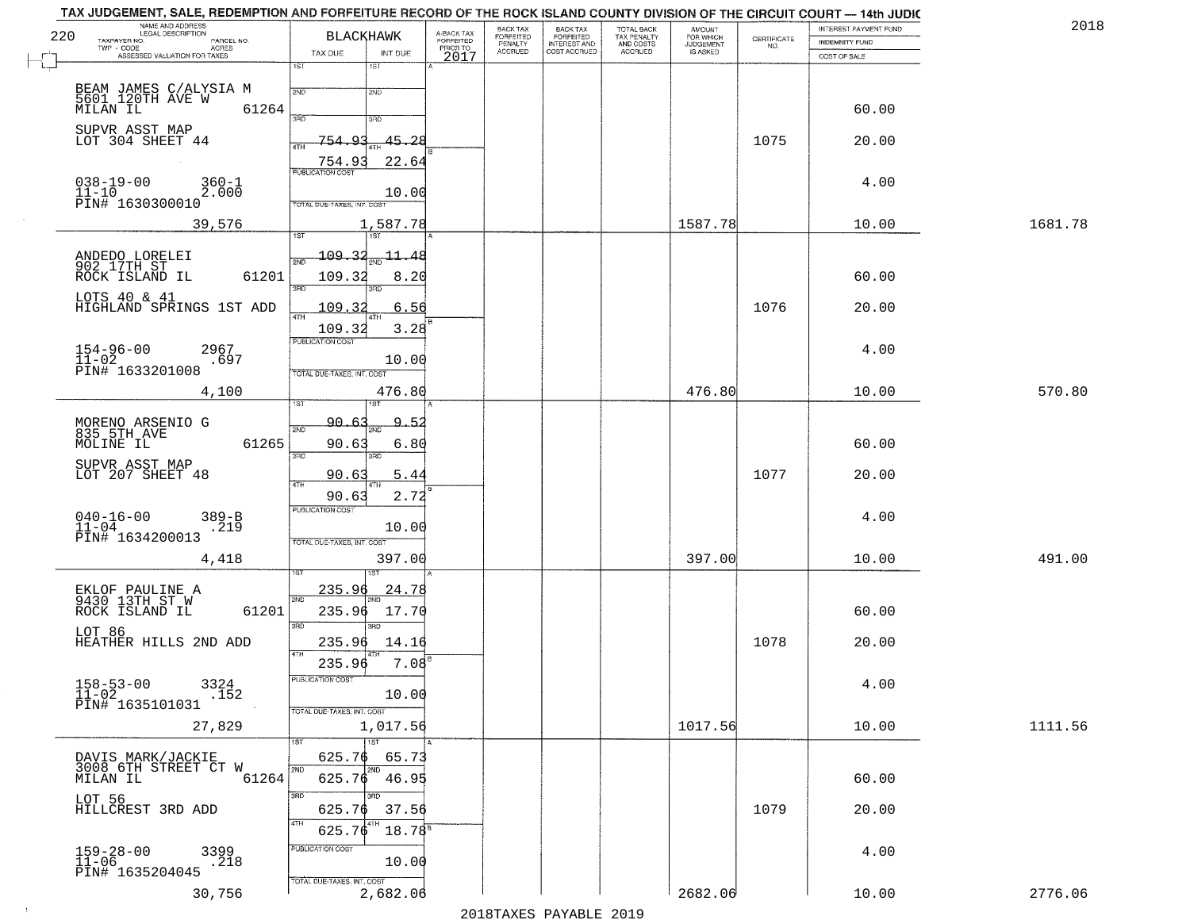| 220 | NAME AND ADDRESS<br>LEGAL DESCRIPTION<br>TAXPAYER NO.<br>PARCEL NO.          | <b>BLACKHAWK</b>                        | A-BACK TAX<br>FORFEITED<br>PRIOR TO | BACK TAX<br>FORFEITED     | BACK TAX<br>FORFEITED<br>INTEREST AND | TOTAL BACK<br>TAX PENALTY<br>AND COSTS | AMOUNT<br>FOR WHICH<br>JUDGEMENT |                                                                 | INTEREST PAYMENT FUND                 | 2018    |
|-----|------------------------------------------------------------------------------|-----------------------------------------|-------------------------------------|---------------------------|---------------------------------------|----------------------------------------|----------------------------------|-----------------------------------------------------------------|---------------------------------------|---------|
|     | $TWP - CODE$<br>ACRES<br>ASSESSED VALUATION FOR TAXES                        | TAX DUE<br>INT DUE                      | 2017                                | PENALTY<br><b>ACCRUED</b> | COST ACCRUED                          | <b>ACCRUED</b>                         | IS ASKED                         | $\begin{array}{c} \text{CEPTIFICATE} \\ \text{NO.} \end{array}$ | <b>INDEMNITY FUND</b><br>COST OF SALE |         |
|     |                                                                              | 1ST<br>1ST                              |                                     |                           |                                       |                                        |                                  |                                                                 |                                       |         |
|     |                                                                              | 2ND<br>2ND                              |                                     |                           |                                       |                                        |                                  |                                                                 |                                       |         |
|     | 61264                                                                        | 3RD<br>3RD                              |                                     |                           |                                       |                                        |                                  |                                                                 | 60.00                                 |         |
|     | SUPVR ASST MAP<br>LOT 304 SHEET 44                                           | $-45.28$<br>754<br>റാ                   |                                     |                           |                                       |                                        |                                  | 1075                                                            | 20.00                                 |         |
|     |                                                                              | 4TH<br>22.64<br>754.93                  |                                     |                           |                                       |                                        |                                  |                                                                 |                                       |         |
|     | $038 - 19 - 00$<br>$360 - 1$                                                 | <b>PUBLICATION COST</b>                 |                                     |                           |                                       |                                        |                                  |                                                                 | 4.00                                  |         |
|     | $11 - 10$<br>2.000<br>PIN# 1630300010                                        | 10.00<br>TOTAL DUE-TAXES, INT. COST     |                                     |                           |                                       |                                        |                                  |                                                                 |                                       |         |
|     | 39,576                                                                       | 1,587.78                                |                                     |                           |                                       |                                        | 1587.78                          |                                                                 | 10.00                                 | 1681.78 |
|     |                                                                              | 1ST<br>1ST<br>109.32                    |                                     |                           |                                       |                                        |                                  |                                                                 |                                       |         |
|     | ANDEDO LORELEI<br>902 17TH ST<br>ROCK ISLAND IL<br>61201                     | $\pm\pm$<br>48<br>2ND<br>109.32<br>8.20 |                                     |                           |                                       |                                        |                                  |                                                                 | 60.00                                 |         |
|     | LOTS 40 & 41                                                                 | $\overline{\text{3BD}}$<br>3RD          |                                     |                           |                                       |                                        |                                  |                                                                 |                                       |         |
|     | HIGHLAND SPRINGS 1ST ADD                                                     | 109.32<br>6.56<br>47H                   |                                     |                           |                                       |                                        |                                  | 1076                                                            | 20.00                                 |         |
|     |                                                                              | 3.28<br>109.32<br>PUBLICATION COST      |                                     |                           |                                       |                                        |                                  |                                                                 |                                       |         |
|     | $154 - 96 - 00$<br>2967<br>$11 - 02$<br>.697                                 | 10.00                                   |                                     |                           |                                       |                                        |                                  |                                                                 | 4.00                                  |         |
|     | PIN# 1633201008                                                              | TOTAL DUE-TAXES, INT. COST              |                                     |                           |                                       |                                        |                                  |                                                                 |                                       |         |
|     | 4,100                                                                        | 476.80<br>1ST                           |                                     |                           |                                       |                                        | 476.80                           |                                                                 | 10.00                                 | 570.80  |
|     | MORENO ARSENIO G<br>835 5TH AVE                                              | $90 - 6.3$<br>9.<br>یو۔<br>2ND          |                                     |                           |                                       |                                        |                                  |                                                                 |                                       |         |
|     | 61265<br>MOLINE IL                                                           | 90.63<br>6.80<br>3RD<br>3RD             |                                     |                           |                                       |                                        |                                  |                                                                 | 60.00                                 |         |
|     | SUPVR ASST MAP<br>LOT 207 SHEET 48                                           | 90.63<br>5.44                           |                                     |                           |                                       |                                        |                                  | 1077                                                            | 20.00                                 |         |
|     |                                                                              | 4TH<br>2.72<br>90.63                    |                                     |                           |                                       |                                        |                                  |                                                                 |                                       |         |
|     | $040 - 16 - 00$<br>389-B<br>219                                              | <b>PUBLICATION COST</b>                 |                                     |                           |                                       |                                        |                                  |                                                                 | 4.00                                  |         |
|     | $11 - 04$<br>PIN# 1634200013                                                 | 10.00<br>TOTAL OUE-TAXES, INT. COST     |                                     |                           |                                       |                                        |                                  |                                                                 |                                       |         |
|     | 4,418                                                                        | 397.00                                  |                                     |                           |                                       |                                        | 397.00                           |                                                                 | 10.00                                 | 491.00  |
|     |                                                                              | 235.96<br><u>24.78</u>                  |                                     |                           |                                       |                                        |                                  |                                                                 |                                       |         |
|     | EKLOF PAULINE A<br>9430 13TH ST W<br>ROCK ISLAND IL<br>61201                 | 2ND<br>235.96<br>17.70                  |                                     |                           |                                       |                                        |                                  |                                                                 | 60.00                                 |         |
|     | LOT 86                                                                       | 3BD<br>3BD                              |                                     |                           |                                       |                                        |                                  |                                                                 |                                       |         |
|     | HEATHER HILLS 2ND ADD                                                        | 235.96<br>14.16<br>4TH                  |                                     |                           |                                       |                                        |                                  | 1078                                                            | 20.00                                 |         |
|     |                                                                              | 7.08<br>235.96<br>PUBLICATION COST      |                                     |                           |                                       |                                        |                                  |                                                                 |                                       |         |
|     | $158 - 53 - 00$<br>$11 - 02$<br>3324<br>$\overline{.}152$<br>PIN# 1635101031 | 10.00                                   |                                     |                           |                                       |                                        |                                  |                                                                 | 4.00                                  |         |
|     | 27,829                                                                       | TOTAL DUE-TAXES, INT. COST<br>1,017.56  |                                     |                           |                                       |                                        | 1017.56                          |                                                                 | 10.00                                 | 1111.56 |
|     |                                                                              | 1ST<br>1ST                              |                                     |                           |                                       |                                        |                                  |                                                                 |                                       |         |
|     | DAVIS MARK/JACKIE<br>3008 6TH STREET CT W                                    | 625.76<br>65.73<br>2ND<br>2ND           |                                     |                           |                                       |                                        |                                  |                                                                 |                                       |         |
|     | 61264<br>MILAN IL                                                            | 625.76<br>46.95                         |                                     |                           |                                       |                                        |                                  |                                                                 | 60.00                                 |         |
|     | LOT 56<br>HILLCREST 3RD ADD                                                  | 3RD<br>חחו<br>37.56<br>625.76           |                                     |                           |                                       |                                        |                                  | 1079                                                            | 20.00                                 |         |
|     |                                                                              | 4TH<br>$18.78^{5}$<br>625.76            |                                     |                           |                                       |                                        |                                  |                                                                 |                                       |         |
|     | 159-28-00<br>11-06<br>3399<br>.218                                           | PUBLICATION COST                        |                                     |                           |                                       |                                        |                                  |                                                                 | 4.00                                  |         |
|     | PIN# 1635204045                                                              | 10.00<br>TOTAL DUE-TAXES, INT. COST     |                                     |                           |                                       |                                        |                                  |                                                                 |                                       |         |
|     | 30,756                                                                       | 2,682.06                                |                                     |                           |                                       |                                        | 2682.06                          |                                                                 | 10.00                                 | 2776.06 |

 $\sim 40$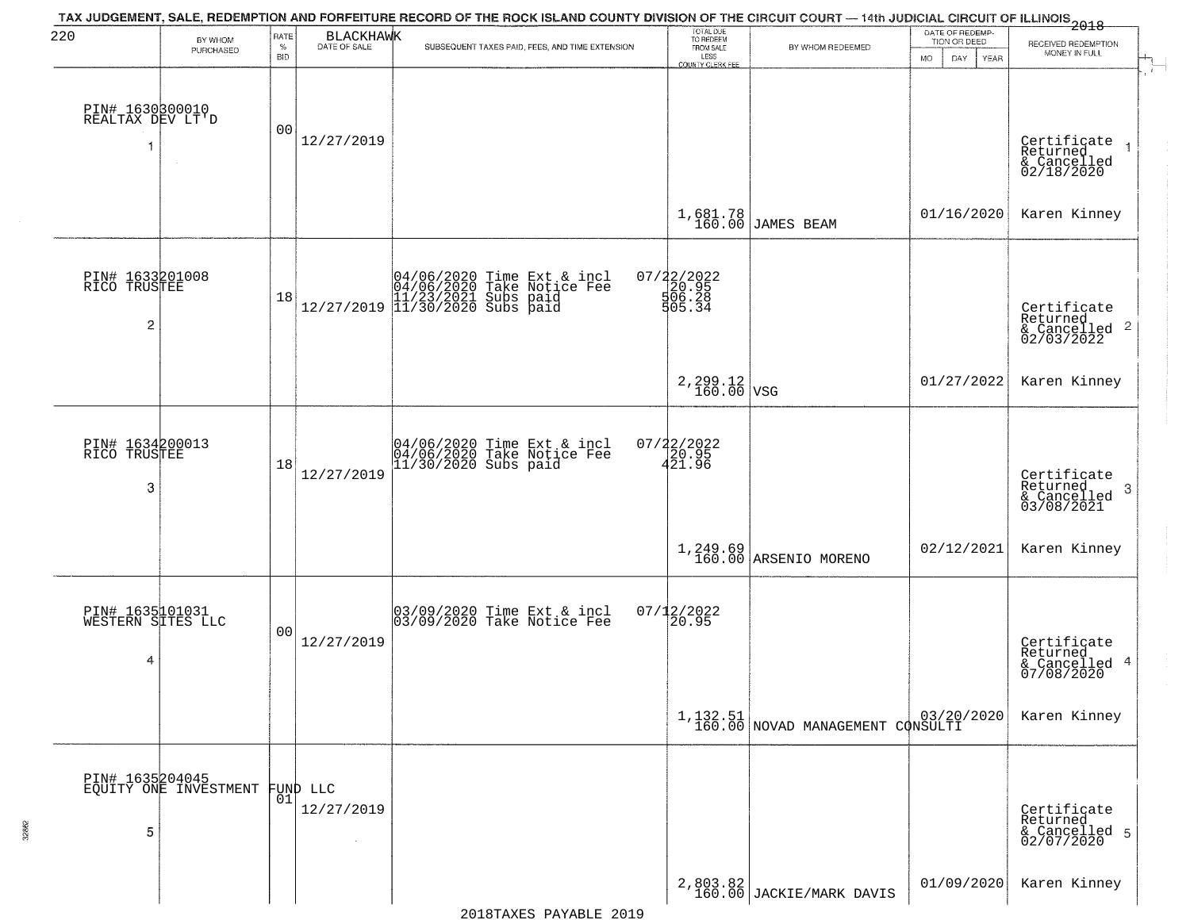| 220                                       |                                          | RATE               |                                         | TAX JUDGEMENT, SALE, REDEMPTION AND FORFEITURE RECORD OF THE ROCK ISLAND COUNTY DIVISION OF THE CIRCUIT COURT — 14th JUDICIAL CIRCUIT OF ILLINOIS<br>2018 - The Contract of December 1999 | TOTAL DUE<br>TO REDEEM                  |                                                                                              | DATE OF REDEMP-                          |                                                                    |
|-------------------------------------------|------------------------------------------|--------------------|-----------------------------------------|-------------------------------------------------------------------------------------------------------------------------------------------------------------------------------------------|-----------------------------------------|----------------------------------------------------------------------------------------------|------------------------------------------|--------------------------------------------------------------------|
|                                           | BY WHOM<br>PURCHASED                     | $\%$<br><b>BID</b> | BLACKHAWK                               | SUBSEQUENT TAXES PAID, FEES, AND TIME EXTENSION                                                                                                                                           | FROM SALE<br>LESS<br>COUNTY CLERK FEE   | BY WHOM REDEEMED                                                                             | TION OR DEED<br><b>MO</b><br>DAY<br>YEAR | RECEIVED REDEMPTION<br>MONEY IN FULL                               |
| PIN# 1630300010<br>REALTAX DEV LT'D       |                                          | 00                 | 12/27/2019                              |                                                                                                                                                                                           |                                         |                                                                                              |                                          | Certificate<br>Returned<br>& Cancelled<br>02/18/2020               |
|                                           |                                          |                    |                                         |                                                                                                                                                                                           |                                         | 1,681.78<br>160.00 JAMES BEAM                                                                | 01/16/2020                               | Karen Kinney                                                       |
| PIN# 1633201008<br>RICO TRUSTEE<br>2      |                                          | 18                 |                                         | $[04/06/2020 \t\t Time Ext & incl 04/06/2020 \t\t Take Notice Free 11/23/2021 Subs paid 12/27/2019] 11/30/2020 Subs paid$                                                                 | 07/22/2022<br>20.95<br>506.28<br>505.34 |                                                                                              |                                          | Certificate<br>Returned<br>$\frac{1}{2}$ Cancelled 2<br>02/03/2022 |
|                                           |                                          |                    |                                         |                                                                                                                                                                                           | $2,299.12$ VSG                          |                                                                                              | 01/27/2022                               | Karen Kinney                                                       |
| PIN# 1634200013<br>RICO TRUSTEE<br>3      |                                          | 18                 | 12/27/2019                              | 04/06/2020 Time Ext & incl<br>04/06/2020 Take Notice Fee<br>11/30/2020 Subs paid                                                                                                          | 07/22/2022<br>20.95<br>421.96           |                                                                                              |                                          | Certificate<br>Returned<br>3<br>& Cancelled<br>03/08/2021          |
|                                           |                                          |                    |                                         |                                                                                                                                                                                           |                                         | $1,249.69$<br>160.00 ARSENIO MORENO                                                          | 02/12/2021                               | Karen Kinney                                                       |
| PIN# 1635101031<br>WESTERN SITES LLC<br>4 |                                          | 0 <sub>0</sub>     | 12/27/2019                              | 03/09/2020 Time Ext & incl<br>03/09/2020 Take Notice Fee                                                                                                                                  | $07/12/2022$<br>20.95                   |                                                                                              |                                          | Certificate<br>Returned<br>& Cancelled 4<br>07/08/2020             |
|                                           |                                          |                    |                                         |                                                                                                                                                                                           |                                         | $\left[ \begin{array}{c c} 1,132.51 \\ 160.00 \end{array} \right]$ NOVAD MANAGEMENT CONSULTI |                                          | Karen Kinney                                                       |
| 5                                         | PIN# 1635204045<br>EQUITY ONE INVESTMENT | 01                 | <b>FUND LLC</b><br>12/27/2019<br>$\sim$ |                                                                                                                                                                                           |                                         |                                                                                              |                                          | Certificate<br>Returned<br>& Cancelled 5<br>02/07/2020             |
|                                           |                                          |                    |                                         |                                                                                                                                                                                           |                                         | 2,803.82<br>160.00 JACKIE/MARK DAVIS                                                         | 01/09/2020                               | Karen Kinney                                                       |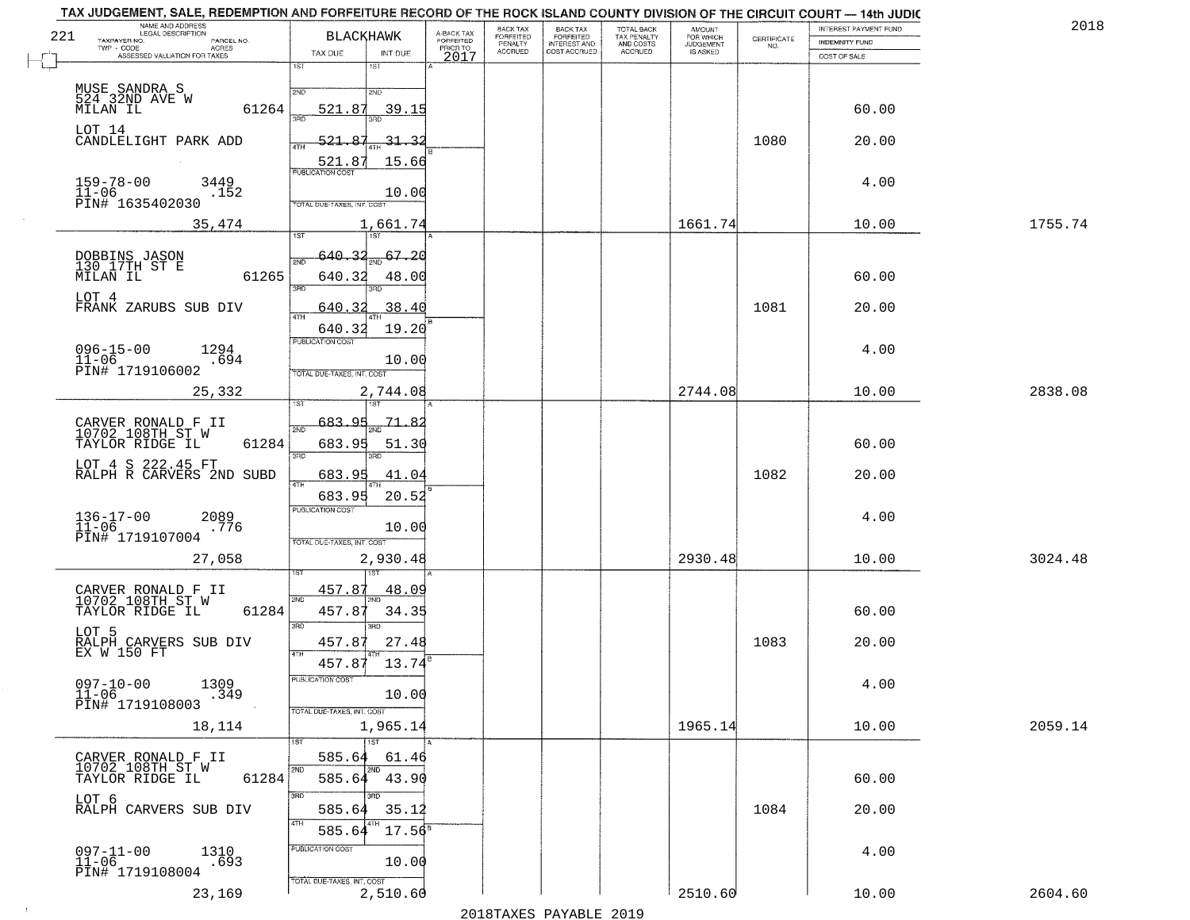|     | TAX JUDGEMENT, SALE, REDEMPTION AND FORFEITURE RECORD OF THE ROCK ISLAND COUNTY DIVISION OF THE CIRCUIT COURT - 14th JUDIC<br>NAME AND ADDRESS<br>LEGAL DESCRIPTION |                                 |                         | BACK TAX                  |                                     |                                        |                              |                                                                 | INTEREST PAYMENT FUND | 2018    |
|-----|---------------------------------------------------------------------------------------------------------------------------------------------------------------------|---------------------------------|-------------------------|---------------------------|-------------------------------------|----------------------------------------|------------------------------|-----------------------------------------------------------------|-----------------------|---------|
| 221 | PARCEL NO.                                                                                                                                                          | <b>BLACKHAWK</b>                | A-BACK TAX<br>FORFEITED | <b>FORFEITED</b>          | BACK TAX<br>FORFEITED               | TOTAL BACK<br>TAX PENALTY<br>AND COSTS | AMOUNT<br>FOR WHICH          | $\begin{array}{c} \text{CERTIFICATE} \\ \text{NO.} \end{array}$ | INDEMNITY FUND        |         |
|     | TAXPAYER NO.<br>ACRES<br>ASSESSED VALUATION FOR TAXES                                                                                                               | TAX DUE<br>INT DUE              | PRIOR TO<br>2017        | PENALTY<br><b>ACCRUED</b> | <b>INTEREST AND</b><br>COST ACCRUED | ACCRUED                                | <b>JUDGEMENT</b><br>IS ASKED |                                                                 | COST OF SALE          |         |
|     |                                                                                                                                                                     | 1ST<br>1ST                      |                         |                           |                                     |                                        |                              |                                                                 |                       |         |
|     |                                                                                                                                                                     |                                 |                         |                           |                                     |                                        |                              |                                                                 |                       |         |
|     | MUSE SANDRA S<br>524 32ND AVE W                                                                                                                                     | 2ND<br>2ND                      |                         |                           |                                     |                                        |                              |                                                                 |                       |         |
|     | 61264<br>MILAN IL                                                                                                                                                   | 521.87<br>39.15                 |                         |                           |                                     |                                        |                              |                                                                 | 60.00                 |         |
|     | LOT 14                                                                                                                                                              |                                 |                         |                           |                                     |                                        |                              |                                                                 |                       |         |
|     | CANDLELIGHT PARK ADD                                                                                                                                                | 521.87<br><u>31.32</u>          |                         |                           |                                     |                                        |                              | 1080                                                            | 20.00                 |         |
|     |                                                                                                                                                                     | 15.66<br>521.87                 |                         |                           |                                     |                                        |                              |                                                                 |                       |         |
|     |                                                                                                                                                                     |                                 |                         |                           |                                     |                                        |                              |                                                                 |                       |         |
|     | 159-78-00<br>11-06<br>3449<br>.152                                                                                                                                  | 10.00                           |                         |                           |                                     |                                        |                              |                                                                 | 4.00                  |         |
|     | PIN# 1635402030                                                                                                                                                     | TOTAL DUE-TAXES, INT. COST      |                         |                           |                                     |                                        |                              |                                                                 |                       |         |
|     | 35,474                                                                                                                                                              | 1,661.74                        |                         |                           |                                     |                                        | 1661.74                      |                                                                 | 10.00                 | 1755.74 |
|     |                                                                                                                                                                     |                                 |                         |                           |                                     |                                        |                              |                                                                 |                       |         |
|     |                                                                                                                                                                     | $\frac{67.20}{200}$<br>640.     |                         |                           |                                     |                                        |                              |                                                                 |                       |         |
|     | DOBBINS JASON<br>130 17TH ST E                                                                                                                                      |                                 |                         |                           |                                     |                                        |                              |                                                                 |                       |         |
|     | 61265<br>MILAN IL                                                                                                                                                   | 640.32<br>48.00<br>बन्ना<br>3PD |                         |                           |                                     |                                        |                              |                                                                 | 60.00                 |         |
|     | LOT 4                                                                                                                                                               |                                 |                         |                           |                                     |                                        |                              |                                                                 |                       |         |
|     | FRANK ZARUBS SUB DIV                                                                                                                                                | .38.40<br>640.32<br>ৰাম         |                         |                           |                                     |                                        |                              | 1081                                                            | 20.00                 |         |
|     |                                                                                                                                                                     | 19.20<br>640.32                 |                         |                           |                                     |                                        |                              |                                                                 |                       |         |
|     | $096 - 15 - 00$<br>1294                                                                                                                                             | PUBLICATION COST                |                         |                           |                                     |                                        |                              |                                                                 | 4.00                  |         |
|     | $11 - 06$<br>.694                                                                                                                                                   | 10.00                           |                         |                           |                                     |                                        |                              |                                                                 |                       |         |
|     | PIN# 1719106002                                                                                                                                                     | TOTAL DUE-TAXES, INT. COST      |                         |                           |                                     |                                        |                              |                                                                 |                       |         |
|     | 25,332                                                                                                                                                              | 2,744.08                        |                         |                           |                                     |                                        | 2744.08                      |                                                                 | 10.00                 | 2838.08 |
|     |                                                                                                                                                                     | 1ST                             |                         |                           |                                     |                                        |                              |                                                                 |                       |         |
|     | CARVER RONALD F II<br>10702 108TH ST W                                                                                                                              | 683.<br>-71.<br>QE<br>2ND       |                         |                           |                                     |                                        |                              |                                                                 |                       |         |
|     | TAYLOR RIDGE IL<br>61284                                                                                                                                            | 683.95<br>51.30                 |                         |                           |                                     |                                        |                              |                                                                 | 60.00                 |         |
|     |                                                                                                                                                                     | 3RD<br>3RD                      |                         |                           |                                     |                                        |                              |                                                                 |                       |         |
|     | LOT 4 S 222.45 FT<br>RALPH R CARVERS 2ND SUBD                                                                                                                       | 683.95<br>41.04                 |                         |                           |                                     |                                        |                              | 1082                                                            | 20.00                 |         |
|     |                                                                                                                                                                     | 4TH                             |                         |                           |                                     |                                        |                              |                                                                 |                       |         |
|     |                                                                                                                                                                     | 683.95<br>20.52                 |                         |                           |                                     |                                        |                              |                                                                 |                       |         |
|     | $136 - 17 - 00$<br>$11 - 06$<br>2089                                                                                                                                | <b>PUBLICATION COST</b>         |                         |                           |                                     |                                        |                              |                                                                 | 4.00                  |         |
|     | .776<br>PIN# 1719107004                                                                                                                                             | 10.00                           |                         |                           |                                     |                                        |                              |                                                                 |                       |         |
|     |                                                                                                                                                                     | TOTAL OUE-TAXES, INT. COST      |                         |                           |                                     |                                        |                              |                                                                 |                       |         |
|     | 27,058                                                                                                                                                              | 2,930.48                        |                         |                           |                                     |                                        | 2930.48                      |                                                                 | 10.00                 | 3024.48 |
|     |                                                                                                                                                                     |                                 |                         |                           |                                     |                                        |                              |                                                                 |                       |         |
|     | CARVER RONALD F II<br>10702 108TH ST W                                                                                                                              | 457.87<br><u>48.09</u><br>2ND   |                         |                           |                                     |                                        |                              |                                                                 |                       |         |
|     | TAYLOR RIDGE IL<br>61284                                                                                                                                            | 457.87<br>34.35                 |                         |                           |                                     |                                        |                              |                                                                 | 60.00                 |         |
|     | LOT 5                                                                                                                                                               | 3RD<br>3RD                      |                         |                           |                                     |                                        |                              |                                                                 |                       |         |
|     | RALPH CARVERS SUB DIV<br>EX W 150 FT                                                                                                                                | 27.48<br>457.87                 |                         |                           |                                     |                                        |                              | 1083                                                            | 20.00                 |         |
|     |                                                                                                                                                                     | 457.87<br>13.74                 |                         |                           |                                     |                                        |                              |                                                                 |                       |         |
|     |                                                                                                                                                                     | PUBLICA HUN COS                 |                         |                           |                                     |                                        |                              |                                                                 |                       |         |
|     | $097 - 10 - 00$<br>1309<br>$11 - 06$<br>.349                                                                                                                        | 10.00                           |                         |                           |                                     |                                        |                              |                                                                 | 4.00                  |         |
|     | PIN# 1719108003                                                                                                                                                     | TOTAL DUE-TAXES, INT. COST      |                         |                           |                                     |                                        |                              |                                                                 |                       |         |
|     | 18,114                                                                                                                                                              | 1,965.14                        |                         |                           |                                     |                                        | 1965.14                      |                                                                 | 10.00                 | 2059.14 |
|     |                                                                                                                                                                     | 11ST                            |                         |                           |                                     |                                        |                              |                                                                 |                       |         |
|     | CARVER RONALD F II                                                                                                                                                  | 585.64<br>61.46                 |                         |                           |                                     |                                        |                              |                                                                 |                       |         |
|     | 10702 108TH ST W                                                                                                                                                    |                                 |                         |                           |                                     |                                        |                              |                                                                 |                       |         |
|     | 61284<br>TAYLOR RIDGE IL                                                                                                                                            | 585.64 43.90                    |                         |                           |                                     |                                        |                              |                                                                 | 60.00                 |         |
|     | LOT 6<br>RALPH CARVERS SUB DIV                                                                                                                                      | 3RD<br>3BD                      |                         |                           |                                     |                                        |                              |                                                                 |                       |         |
|     |                                                                                                                                                                     | 585.64<br>35.12                 |                         |                           |                                     |                                        |                              | 1084                                                            | 20.00                 |         |
|     |                                                                                                                                                                     | $17.56^8$<br>585.64             |                         |                           |                                     |                                        |                              |                                                                 |                       |         |
|     | $097 - 11 - 00$                                                                                                                                                     | PUBLICATION COST                |                         |                           |                                     |                                        |                              |                                                                 | 4.00                  |         |
|     | 1310<br>.693<br>$11 - 06$                                                                                                                                           | 10.00                           |                         |                           |                                     |                                        |                              |                                                                 |                       |         |
|     | PIN# 1719108004                                                                                                                                                     | TOTAL DUE-TAXES, INT. COST      |                         |                           |                                     |                                        |                              |                                                                 |                       |         |
|     | 23,169                                                                                                                                                              | 2,510.60                        |                         |                           |                                     |                                        | 2510.60                      |                                                                 | 10.00                 | 2604.60 |
|     |                                                                                                                                                                     |                                 |                         |                           | 2010                                |                                        |                              |                                                                 |                       |         |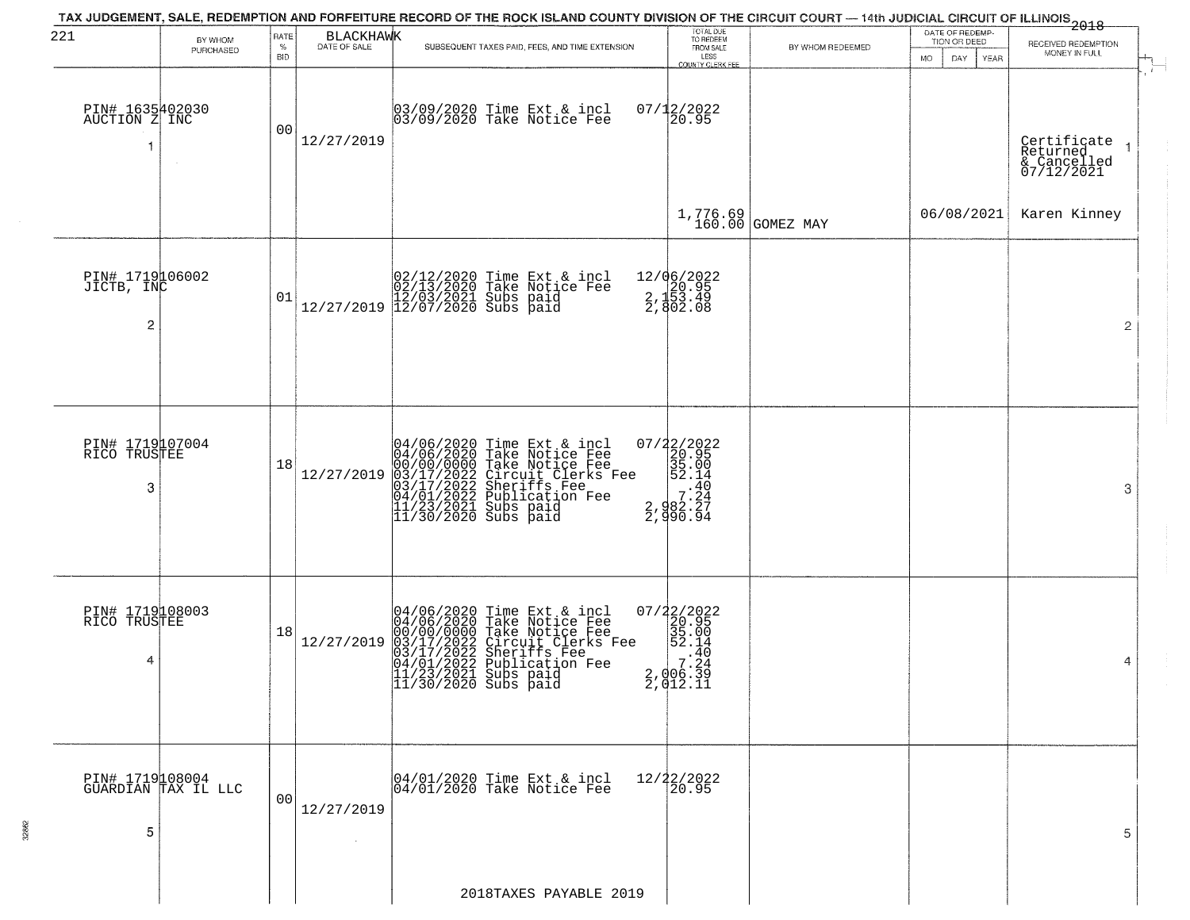| 221                                   |                      | RATE               | <b>BLACKHAWK</b>             | TAX JUDGEMENT, SALE, REDEMPTION AND FORFEITURE RECORD OF THE ROCK ISLAND COUNTY DIVISION OF THE CIRCUIT COURT — 14th JUDICIAL CIRCUIT OF ILLINOIS 2018                                                                              | TOTAL DUE<br>TO REDEEM<br>FROM SALE         |                      | DATE OF REDEMP-                          |                                                      |
|---------------------------------------|----------------------|--------------------|------------------------------|-------------------------------------------------------------------------------------------------------------------------------------------------------------------------------------------------------------------------------------|---------------------------------------------|----------------------|------------------------------------------|------------------------------------------------------|
|                                       | BY WHOM<br>PURCHASED | $\%$<br><b>BID</b> | DATE OF SALE                 | SUBSEQUENT TAXES PAID, FEES, AND TIME EXTENSION                                                                                                                                                                                     | LESS                                        | BY WHOM REDEEMED     | TION OR DEED<br><b>MO</b><br>DAY<br>YEAR | RECEIVED REDEMPTION<br>MONEY IN FULL                 |
| PIN# 1635402030<br>AUCTION Z INC<br>1 | $\sim$               | 0 <sub>0</sub>     | 12/27/2019                   | 03/09/2020 Time Ext & incl<br>03/09/2020 Take Notice Fee                                                                                                                                                                            | COUNTY CLERK FEE<br>$07/12/2022$<br>20.95   |                      |                                          | Certificate<br>Returned<br>& Cancelled<br>07/12/2021 |
|                                       |                      |                    |                              |                                                                                                                                                                                                                                     |                                             | $1,776.69$ GOMEZ MAY | 06/08/2021                               | Karen Kinney                                         |
| PIN# 1719106002<br>JICTB, INC<br>2    |                      | 01                 |                              | $[02/12/2020 \t\t Time Ext & incl \\ 02/13/2020 \t\t Take Notice Free \\ 12/27/2019 \t\t 12/07/2020 \t\ Subs paid \\ 12/07/2020 \t\t Subs paid$                                                                                     | 12/06/2022<br>20.95<br>2,153.49<br>2,802.08 |                      |                                          | $\overline{2}$                                       |
| PIN# 1719107004<br>RICO TRUSTEE<br>3  |                      | 18                 | 12/27/2019                   | 04/06/2020 Time Ext & incl<br>04/06/2020 Take Notice Fee<br>00/00/0000 Take Notice Fee<br>03/17/2022 Circuit Clerks Fee<br>03/17/2022 Sublication Fee<br>04/01/2022 Publication Fee<br>11/23/2021 Subs paid<br>11/30/2020 Subs paid |                                             |                      |                                          | 3                                                    |
| PIN# 1719108003<br>RICO TRUSTEE<br>4  |                      | 18                 | 12/27/2019                   | 04/06/2020 Time Ext & incl<br>04/06/2020 Take Notice Fee<br>00/00/0000 Take Notice Fee<br>03/17/2022 Circuit Clerks Fee<br>03/17/2022 Suberiffs Fee<br>04/01/2022 Publication Fee<br>11/23/2021 Subs paid<br>11/30/2020 Subs paid   |                                             |                      |                                          | 4                                                    |
| PIN# 1719108004<br>5                  | GÜARDĪAN TAX IL LLC  | 0 <sub>0</sub>     | 12/27/2019<br>$\sim 10^{-1}$ | 04/01/2020 Time Ext & incl<br>04/01/2020 Take Notice Fee                                                                                                                                                                            | $\frac{12}{22}$<br>$\frac{22}{20.95}$       |                      |                                          | 5                                                    |
|                                       |                      |                    |                              | 2018TAXES PAYABLE 2019                                                                                                                                                                                                              |                                             |                      |                                          |                                                      |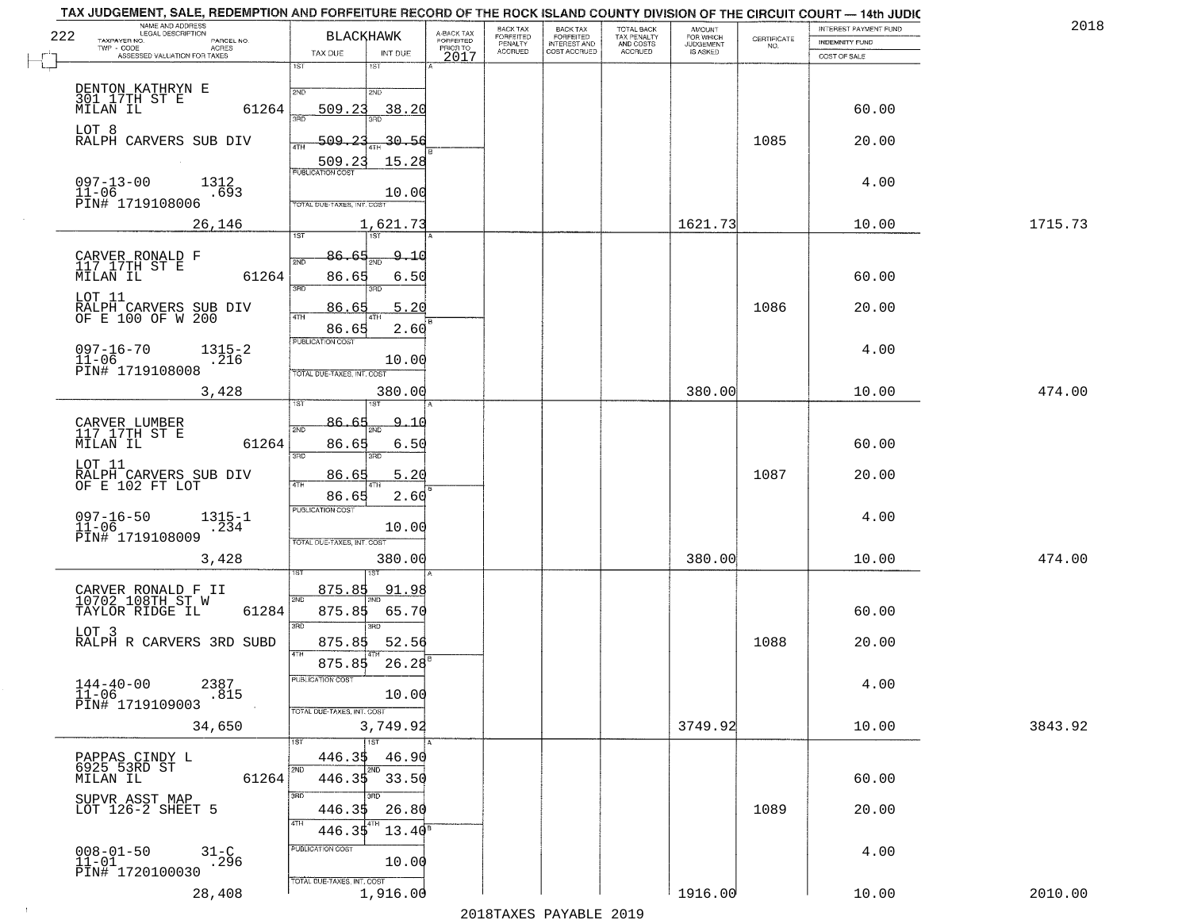|     | NAME AND ADDRESS<br>LEGAL DESCRIPTION                                                                         |                                                                                                                      |                                     | BACK TAX             | BACK TAX<br>FORFEITED |                                        | AMOUNT<br>FOR WHICH |                                                                 | INTEREST PAYMENT FUND | 2018    |
|-----|---------------------------------------------------------------------------------------------------------------|----------------------------------------------------------------------------------------------------------------------|-------------------------------------|----------------------|-----------------------|----------------------------------------|---------------------|-----------------------------------------------------------------|-----------------------|---------|
| 222 | TAXPAYER NO.<br>PARCEL NO.<br>TWP - CODE<br>ACRES                                                             | <b>BLACKHAWK</b>                                                                                                     | A-BACK TAX<br>FORFEITED<br>PRIOR TO | FORFEITED<br>PENALTY | <b>INTEREST AND</b>   | TOTAL BACK<br>TAX PENALTY<br>AND COSTS | <b>JUDGEMENT</b>    | $\begin{array}{c} \text{CERTIFICATE} \\ \text{NO.} \end{array}$ | <b>INDEMNITY FUND</b> |         |
|     | ASSESSED VALUATION FOR TAXES                                                                                  | TAX DUE<br>INT DUE<br>18T<br>1ST                                                                                     | 2017                                | <b>ACCRUED</b>       | COST ACCRUED          | <b>ACCRUED</b>                         | IS ASKED            |                                                                 | COST OF SALE          |         |
|     | DENTON KATHRYN E<br>301 17TH ST E<br>61264<br>MILAN IL                                                        | 2ND<br>2ND<br>509.23<br>38.20                                                                                        |                                     |                      |                       |                                        |                     |                                                                 | 60.00                 |         |
|     | LOT 8<br>RALPH CARVERS SUB DIV                                                                                | बन्नल<br><u>509.23</u><br>30.56<br>ATH                                                                               |                                     |                      |                       |                                        |                     | 1085                                                            | 20.00                 |         |
|     | $097 - 13 - 00$<br>1312<br>$11 - 06$<br>.693<br>PIN# 1719108006                                               | 15.28<br>509.23<br><b>PUBLICATION COST</b><br>10.00<br>TOTAL DUE-TAXES, INT. COST                                    |                                     |                      |                       |                                        |                     |                                                                 | 4.00                  |         |
|     | 26,146                                                                                                        | 1,621.73                                                                                                             |                                     |                      |                       |                                        | 1621.73             |                                                                 | 10.00                 | 1715.73 |
|     | CARVER RONALD F<br>117 17TH ST E<br>MILAN IL<br>61264<br>LOT 11<br>RALPH CARVERS SUB DIV<br>OF E 100 OF W 200 | 86.65<br>$\Omega$<br>그 0<br>2ND<br>86.65<br>6.50<br>$\overline{3BD}$<br>3RD<br>5.20<br>86.65<br>47H<br>2.60<br>86.65 |                                     |                      |                       |                                        |                     | 1086                                                            | 60.00<br>20.00        |         |
|     | $097 - 16 - 70$<br>$1315 - 2$<br>$11 - 06$<br>.216<br>PIN# 1719108008                                         | PUBLICATION COST<br>10.00<br>TOTAL DUE-TAXES, INT. COST                                                              |                                     |                      |                       |                                        |                     |                                                                 | 4.00                  |         |
|     | 3,428                                                                                                         | 380.00                                                                                                               |                                     |                      |                       |                                        | 380.00              |                                                                 | 10.00                 | 474.00  |
|     | CARVER LUMBER<br>117 17TH ST E<br>MILAN IL<br>61264                                                           | <b>IST</b><br>1ST<br>86.<br><u>٩</u><br>2ND<br>86.65<br>6.50<br>3BD<br>3RD                                           |                                     |                      |                       |                                        |                     |                                                                 | 60.00                 |         |
|     | LOT 11<br>RALPH CARVERS SUB DIV<br>OF E 102 FT LOT                                                            | 86.65<br>5.20<br>4TH<br>2.60<br>86.65                                                                                |                                     |                      |                       |                                        |                     | 1087                                                            | 20.00                 |         |
|     | $097 - 16 - 50$<br>$1315 - 1$<br>$11 - 06$<br>.234<br>PIN# 1719108009                                         | <b>PUBLICATION COST</b><br>10.00<br>TOTAL OUE-TAXES, INT. COST                                                       |                                     |                      |                       |                                        |                     |                                                                 | 4.00                  |         |
|     | 3,428                                                                                                         | 380.00                                                                                                               |                                     |                      |                       |                                        | 380.00              |                                                                 | 10.00                 | 474.00  |
|     | CARVER RONALD F II<br>10702 108TH ST W<br>TAYLOR RIDGE IL<br>61284                                            | 875.85<br>91.98<br>2ND<br>875.85<br>65.70<br>3RD<br>$\overline{3BD}$                                                 |                                     |                      |                       |                                        |                     |                                                                 | 60.00                 |         |
|     | LOT 3<br>RALPH R CARVERS 3RD SUBD                                                                             | 52.56<br>875.85<br>4TH<br>26.28<br>875.85                                                                            |                                     |                      |                       |                                        |                     | 1088                                                            | 20.00                 |         |
|     | $144 - 40 - 00$<br>2387<br>.815<br>$11 - 06$<br>PIN# 1719109003                                               | -usuca i un cus-<br>10.00<br>TOTAL DUE-TAXES, INT. COST                                                              |                                     |                      |                       |                                        |                     |                                                                 | 4.00                  |         |
|     | 34,650                                                                                                        | 3,749.92                                                                                                             |                                     |                      |                       |                                        | 3749.92             |                                                                 | 10.00                 | 3843.92 |
|     | PAPPAS CINDY L<br>6925 53RD ST<br>61264<br>MILAN IL                                                           | 1ST<br>446.35<br>46.90<br>2ND<br>2ND<br>446.35 33.50                                                                 |                                     |                      |                       |                                        |                     |                                                                 | 60.00                 |         |
|     | SUPVR ASST MAP<br>LOT 126-2 SHEET 5                                                                           | 3RD<br>26.80<br>446.35<br>4TH<br>  4TH<br>446.35<br>$13.40^8$                                                        |                                     |                      |                       |                                        |                     | 1089                                                            | 20.00                 |         |
|     | $008 - 01 - 50$<br>$31-C$<br>.296<br>11-01<br>PIN# <sup>-1720100030</sup>                                     | PUBLICATION COST<br>10.00<br>TOTAL DUE-TAXES, INT. COST                                                              |                                     |                      |                       |                                        |                     |                                                                 | 4.00                  |         |
|     | 28,408                                                                                                        | 1,916.00                                                                                                             |                                     |                      |                       |                                        | 1916.00             |                                                                 | 10.00                 | 2010.00 |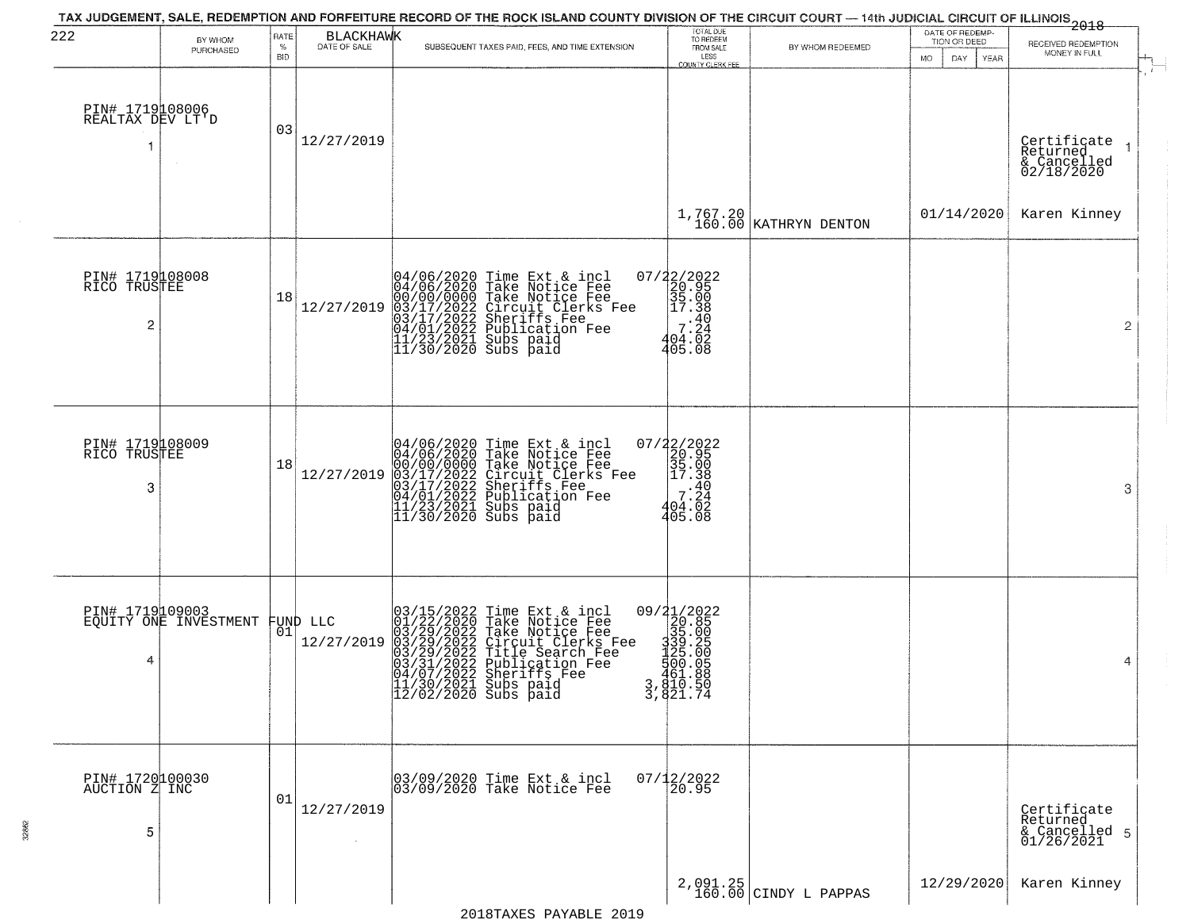| 222                                   | BY WHOM<br>PURCHASED                     | RATE<br>$\%$<br><b>BID</b> | <b>BLACKHAWK</b><br>DATE OF SALE | TAX JUDGEMENT, SALE, REDEMPTION AND FORFEITURE RECORD OF THE ROCK ISLAND COUNTY DIVISION OF THE CIRCUIT COURT — 14th JUDICIAL CIRCUIT OF ILLINOIS 2018<br>SUBSEQUENT TAXES PAID, FEES, AND TIME EXTENSION                                                                                                                                      | TOTAL DUE<br>TO REDEEM<br>FROM SALE<br>LESS<br><b>COUNTY CLERK FEE</b>                                                  | BY WHOM REDEEMED                    | DATE OF REDEMP-<br>TION OR DEED<br>MO.<br>DAY.<br>YEAR | RECEIVED REDEMPTION<br>MONEY IN FULL                                             |
|---------------------------------------|------------------------------------------|----------------------------|----------------------------------|------------------------------------------------------------------------------------------------------------------------------------------------------------------------------------------------------------------------------------------------------------------------------------------------------------------------------------------------|-------------------------------------------------------------------------------------------------------------------------|-------------------------------------|--------------------------------------------------------|----------------------------------------------------------------------------------|
| PIN# 1719108006<br>REALTAX DEV LT'D   |                                          | 03                         | 12/27/2019                       |                                                                                                                                                                                                                                                                                                                                                |                                                                                                                         |                                     |                                                        | Certificate<br>Returned<br>$\overline{\phantom{a}}$<br>& Cancelled<br>02/18/2020 |
|                                       |                                          |                            |                                  |                                                                                                                                                                                                                                                                                                                                                |                                                                                                                         | $1,767.20$ KATHRYN DENTON           | 01/14/2020                                             | Karen Kinney                                                                     |
| PIN# 1719108008<br>RICO TRUSTEE<br>2  |                                          | 18                         | 12/27/2019                       | 04/06/2020 Time Ext & incl<br>04/06/2020 Take Notice Fee<br>00/00/00/000 Take Notice Fee<br>03/17/2022 Circuit Clerks Fee<br>03/17/2022 Sublication Fee<br>04/01/2022 Publication Fee<br>11/23/2021 Subs paid<br>11/30/2020 Subs paid                                                                                                          | 07/22/2022<br>20.95<br>35.00<br>2 17.38<br>.40<br>404.02<br>405.08                                                      |                                     |                                                        | 2                                                                                |
| PIN# 1719108009<br>RICO TRUSTEE<br>3  |                                          | 18                         | 12/27/2019                       | 04/06/2020 Time Ext & incl<br>04/06/2020 Take Notice Fee<br>00/00/00/000 Take Notice Fee<br>03/17/2022 Circuit Clerks Fee<br>03/17/2022 Sublication Fee<br>04/01/2022 Publication Fee<br>11/23/2021 Subs paid<br>11/30/2020 Subs paid                                                                                                          | $\begin{array}{r} 07/22/2022\\20.95\\35.00\\17.38\\40\\7.24\\7.24\\7.24\\7.24\\7.24\\7.24\\7.6\\8\end{array}$<br>405.08 |                                     |                                                        | 3                                                                                |
| 4                                     | PIN# 1719109003<br>EQUITY ONE INVESTMENT |                            | FUND LLC<br> 01 <br>12/27/2019   | $\begin{smallmatrix} 03/15/2022\\01/22/2020\\03/29/2022\\03/29/2022\\03/29/2022\\03/31/20222\\04/07/2022\\11/30/2021 \end{smallmatrix}$<br>Time Ext & incl<br>Take Notice Fee<br>Take Notice Fee<br>Circuit Clerks Fee<br>Title Search Fee<br>Publication Fee<br>Sheriffs Fee<br>Sherifs Fee<br> 11/30/2021 Subs paid<br> 12/02/2020 Subs paid | 09/21/2022<br>320.85<br>339.00<br>339.20<br>3451.888.00<br>451.888<br>3, 810.50<br>3, 821.74                            |                                     |                                                        | 4                                                                                |
| PIN# 1720100030<br>AUCTION Z INC<br>5 |                                          | 01                         | 12/27/2019                       | 03/09/2020 Time Ext & incl<br>03/09/2020 Take Notice Fee                                                                                                                                                                                                                                                                                       | $07/12/2022$<br>20.95                                                                                                   |                                     |                                                        | Certificate<br>Returned<br>& Cancelled 5<br>01/26/2021                           |
|                                       |                                          |                            |                                  |                                                                                                                                                                                                                                                                                                                                                |                                                                                                                         | $2,091.25$<br>160.00 CINDY L PAPPAS | 12/29/2020                                             | Karen Kinney                                                                     |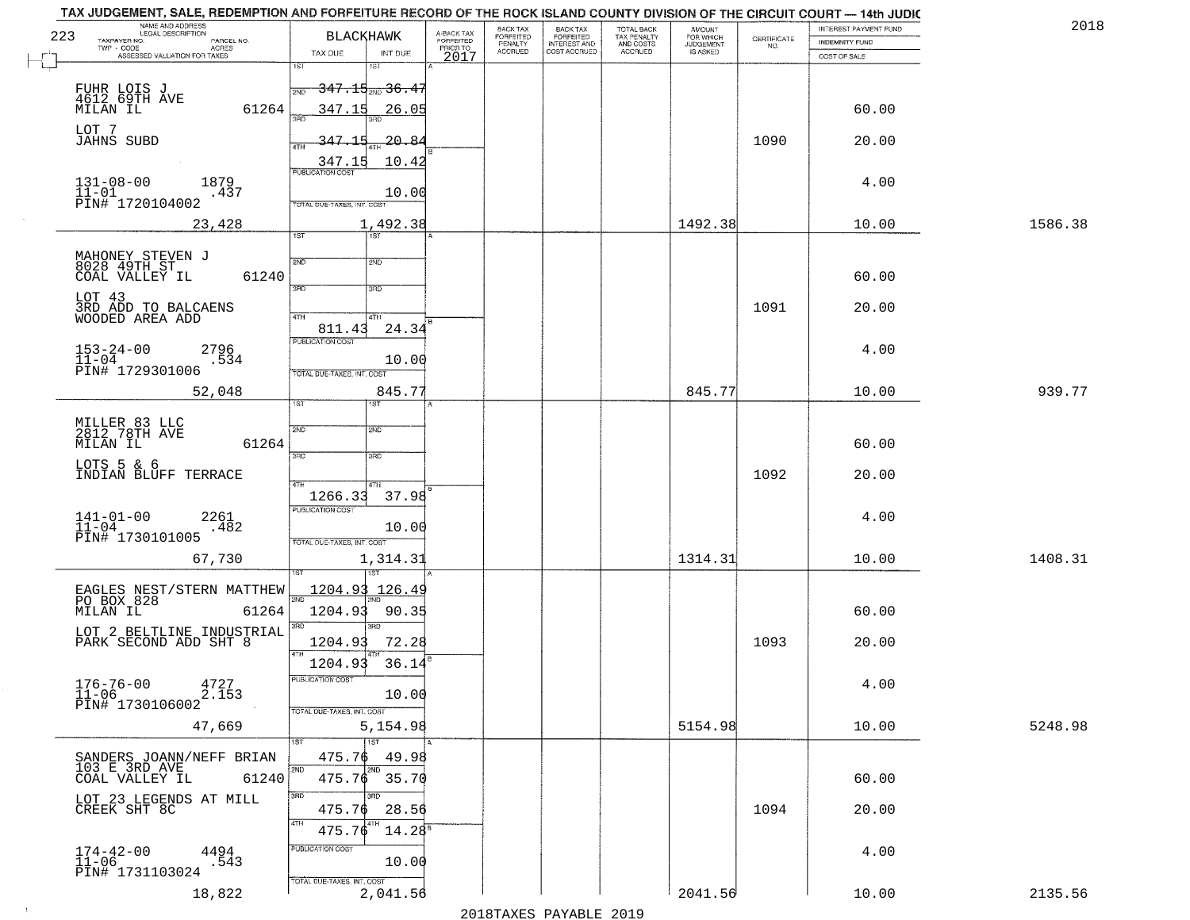| 223 | NAME AND ADDRESS<br>LEGAL DESCRIPTION<br>TAXPAYER NO.<br>PARCEL NO.<br>ACRES<br>TWP - CODE                         | <b>BLACKHAWK</b>                                                                  | A-BACK TAX<br>FORFEITED<br>PRIOR TO | <b>BACK TAX</b><br>FORFEITED<br>PENALTY<br><b>ACCRUED</b> | BACK TAX<br>FORFEITED<br>INTEREST AND<br>COST ACCRUED | TOTAL BACK<br>TAX PENALTY<br>AND COSTS<br>ACCRUED | AMOUNT<br>FOR WHICH<br><b>JUDGEMENT</b><br>IS ASKED | $\begin{array}{c} \text{CERTIFICATE} \\ \text{NO.} \end{array}$ | INTEREST PAYMENT FUND<br><b>INDEMNITY FUND</b> | 2018    |
|-----|--------------------------------------------------------------------------------------------------------------------|-----------------------------------------------------------------------------------|-------------------------------------|-----------------------------------------------------------|-------------------------------------------------------|---------------------------------------------------|-----------------------------------------------------|-----------------------------------------------------------------|------------------------------------------------|---------|
|     | ASSESSED VALUATION FOR TAXES                                                                                       | TAX DUE<br>INT DUE<br>1ST<br>1ST                                                  | 2017                                |                                                           |                                                       |                                                   |                                                     |                                                                 | COST OF SALE                                   |         |
|     | FUHR LOIS J<br>4612 69TH AVE<br>MILAN IL<br>61264                                                                  | <del>347.15<sub>2ND</sub> 36.47</del><br>347.15<br>26.05                          |                                     |                                                           |                                                       |                                                   |                                                     |                                                                 | 60.00                                          |         |
|     | LOT 7<br>JAHNS SUBD                                                                                                | <u>347.15</u><br>-20.84<br><b>ATH</b>                                             |                                     |                                                           |                                                       |                                                   |                                                     | 1090                                                            | 20.00                                          |         |
|     | $131 - 08 - 00$<br>1879<br>$11 - 01$<br>.437<br>PIN# <sup>-1720104002</sup>                                        | 347.15<br>10.42<br><b>PUBLICATION COST</b><br>10.00<br>TOTAL DUE-TAXES, INT. COST |                                     |                                                           |                                                       |                                                   |                                                     |                                                                 | 4.00                                           |         |
|     | 23,428                                                                                                             | 1,492.38<br>1ST<br>1ST                                                            |                                     |                                                           |                                                       |                                                   | 1492.38                                             |                                                                 | 10.00                                          | 1586.38 |
|     | MAHONEY STEVEN J<br>8028 49TH ST<br>COAL VALLEY IL<br>61240                                                        | 2ND<br>2ND<br>$\overline{3BD}$<br>3RD                                             |                                     |                                                           |                                                       |                                                   |                                                     |                                                                 | 60.00                                          |         |
|     | LOT 43<br>3RD ADD TO BALCAENS<br>WOODED AREA ADD                                                                   | 47H<br>4TH                                                                        |                                     |                                                           |                                                       |                                                   |                                                     | 1091                                                            | 20.00                                          |         |
|     | $153 - 24 - 00$<br>$11 - 04$<br>2796<br>.534<br>PIN# 1729301006                                                    | 24.34<br>811.43<br>PUBLICATION COST<br>10.00<br>TOTAL DUE-TAXES, INT. COST        |                                     |                                                           |                                                       |                                                   |                                                     |                                                                 | 4.00                                           |         |
|     | 52,048                                                                                                             | 845.77<br>1ST<br>ist.                                                             |                                     |                                                           |                                                       |                                                   | 845.77                                              |                                                                 | 10.00                                          | 939.77  |
|     | MILLER 83 LLC<br>2812 78TH AVE<br>MILAN IL<br>61264                                                                | 2ND<br>SMD<br>3RD<br>3 <sub>BD</sub>                                              |                                     |                                                           |                                                       |                                                   |                                                     |                                                                 | 60.00                                          |         |
|     | LOTS 5 & 6<br>INDIAN BLUFF TERRACE                                                                                 | 4TH.<br>1266.33<br>37.98                                                          |                                     |                                                           |                                                       |                                                   |                                                     | 1092                                                            | 20.00                                          |         |
|     | $141 - 01 - 00$<br>$11 - 04$<br>2261<br>.482<br>PIN# 1730101005                                                    | <b>PUBLICATION COST</b><br>10.00<br>TOTAL OUE-TAXES, INT. COST                    |                                     |                                                           |                                                       |                                                   |                                                     |                                                                 | 4.00                                           |         |
|     | 67,730                                                                                                             | 1,314.31                                                                          |                                     |                                                           |                                                       |                                                   | 1314.31                                             |                                                                 | 10.00                                          | 1408.31 |
|     | EAGLES NEST/STERN MATTHEW<br>PO BOX 828<br>MILAN IL<br>61264<br>LOT 2 BELTLINE INDUSTRIAL<br>PARK SECOND ADD SHT 8 | <u>1204.93</u><br>126.49<br>2ND<br>1204.93<br>90.35<br>3BD<br>3RD                 |                                     |                                                           |                                                       |                                                   |                                                     |                                                                 | 60.00                                          |         |
|     |                                                                                                                    | 1204.93<br>72.28<br>4TH                                                           |                                     |                                                           |                                                       |                                                   |                                                     | 1093                                                            | 20.00                                          |         |
|     | $176 - 76 - 00$<br>$11 - 06$<br>4727<br>2.153<br>PIN# 1730106002                                                   | 1204.93<br>36.14<br>PUBLICATION COST<br>10.00<br>TOTAL DUE-TAXES, INT. COST       |                                     |                                                           |                                                       |                                                   |                                                     |                                                                 | 4.00                                           |         |
|     | 47,669                                                                                                             | 5,154.98                                                                          |                                     |                                                           |                                                       |                                                   | 5154.98                                             |                                                                 | 10.00                                          | 5248.98 |
|     | SANDERS JOANN/NEFF BRIAN<br>103 E 3RD AVE<br>61240<br>COAL VALLEY IL                                               | 1ST<br>475.76<br>49.98<br>2ND<br>2ND<br>475.76 35.70                              |                                     |                                                           |                                                       |                                                   |                                                     |                                                                 | 60.00                                          |         |
|     | LOT 23 LEGENDS AT MILL<br>CREEK SHT 8C                                                                             | 3RD<br>3RD.<br>475.76<br>28.56<br>4TH<br>475.76<br>$14.28^s$                      |                                     |                                                           |                                                       |                                                   |                                                     | 1094                                                            | 20.00                                          |         |
|     | $174-42-00$<br>$11-06$<br>4494<br>.543<br>PIN# 1731103024                                                          | PUBLICATION COST<br>10.00                                                         |                                     |                                                           |                                                       |                                                   |                                                     |                                                                 | 4.00                                           |         |
|     | 18,822                                                                                                             | TOTAL DUE-TAXES, INT. COST<br>2,041.56                                            |                                     |                                                           | מרמפ הדתגעונת מהעושפומפ                               |                                                   | 2041.56                                             |                                                                 | 10.00                                          | 2135.56 |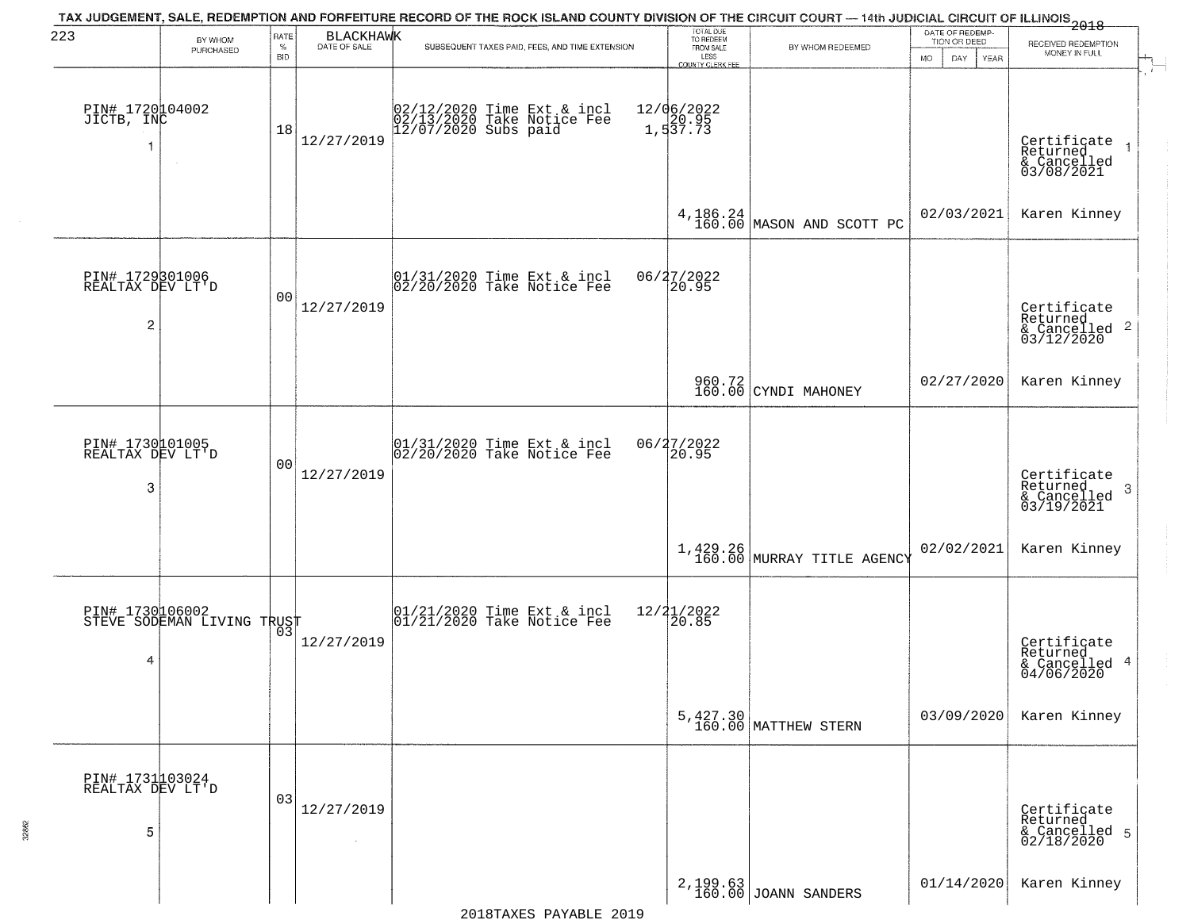| 223                                      | BY WHOM                                       | RATE               | BLACKHAWK            | TAX JUDGEMENT, SALE, REDEMPTION AND FORFEITURE RECORD OF THE ROCK ISLAND COUNTY DIVISION OF THE CIRCUIT COURT — 14th JUDICIAL CIRCUIT OF ILLINOIS 2018 | TOTAL DUE<br>TO REDEEM                |                                   | DATE OF REDEMP-<br>TION OR DEED | RECEIVED REDEMPTION                                                |
|------------------------------------------|-----------------------------------------------|--------------------|----------------------|--------------------------------------------------------------------------------------------------------------------------------------------------------|---------------------------------------|-----------------------------------|---------------------------------|--------------------------------------------------------------------|
|                                          | PURCHASED                                     | $\%$<br><b>BID</b> |                      | SUBSEQUENT TAXES PAID, FEES, AND TIME EXTENSION                                                                                                        | FROM SALE<br>LESS<br>COUNTY CLERK FEE | BY WHOM REDEEMED                  | DAY.<br>YEAR<br><b>MO</b>       | MONEY IN FULL                                                      |
| PIN# 1720104002<br>JICTB, INC            | $\sim$                                        | 18                 | 12/27/2019           | 02/12/2020 Time Ext & incl<br>02/13/2020 Take Notice Fee<br>12/07/2020 Subs paid                                                                       | 12/06/2022<br>1,537.73                |                                   |                                 | Certificate<br>Returned<br>& Cancelled<br>03/08/2021               |
|                                          |                                               |                    |                      |                                                                                                                                                        |                                       | $4,186.24$ MASON AND SCOTT PC     | 02/03/2021                      | Karen Kinney                                                       |
| PIN# 1729301006<br>REALTAX DEV LT'D<br>2 |                                               | 00                 | 12/27/2019           | 01/31/2020 Time Ext & incl<br>02/20/2020 Take Notice Fee                                                                                               | 06/27/2022<br>20.95                   |                                   |                                 | Certificate<br>Returned<br>$\frac{1}{6}$ Cancelled 2<br>03/12/2020 |
|                                          |                                               |                    |                      |                                                                                                                                                        |                                       | 960.72<br>160.00 CYNDI MAHONEY    | 02/27/2020                      | Karen Kinney                                                       |
| PIN# 1730101005<br>REALTAX DEV LT'D<br>3 |                                               | 00                 | 12/27/2019           | 01/31/2020 Time Ext & incl<br>02/20/2020 Take Notice Fee                                                                                               | 06/27/2022<br>20.95                   |                                   |                                 | Certificate<br>Returned<br>3<br>& Cancelled<br>03/19/2021          |
|                                          |                                               |                    |                      |                                                                                                                                                        |                                       | 1,429.26 MURRAY TITLE AGENCY      | 02/02/2021                      | Karen Kinney                                                       |
| 4                                        | PIN# 1730106002<br>STEVE SODEMAN LIVING TRUST |                    | 12/27/2019           | $ 01/21/2020$ Time Ext & incl<br>$ 01/21/2020$ Take Notice Fee                                                                                         | 12/21/2022<br>20.85                   |                                   |                                 | Certificate<br>Returned<br>& Cancelled 4<br>04/06/2020             |
|                                          |                                               |                    |                      |                                                                                                                                                        |                                       | 5,427.30<br>160.00 MATTHEW STERN  | 03/09/2020                      | Karen Kinney                                                       |
| PIN# 1731103024<br>REALTAX DEV LT'D<br>5 |                                               | 03                 | 12/27/2019<br>$\sim$ |                                                                                                                                                        |                                       |                                   |                                 | Certificate<br>Returned<br>& Cancelled 5<br>02/18/2020             |
|                                          |                                               |                    |                      |                                                                                                                                                        |                                       | 2, 199.63<br>160.00 JOANN SANDERS | 01/14/2020                      | Karen Kinney                                                       |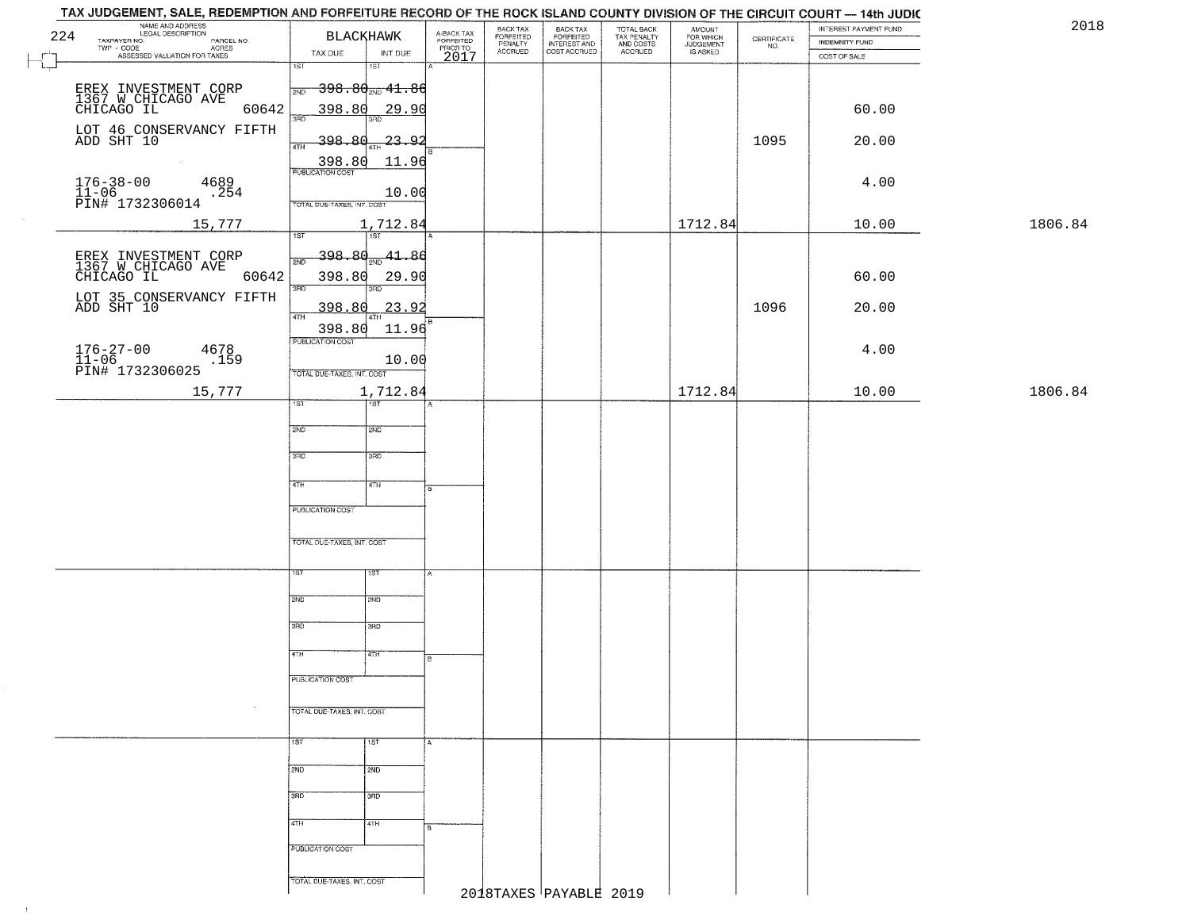| NAME AND ADDRESS<br>224                                             | BLACKHAWK                                                  | A-BACK TAX<br>FORFEITED<br>PRIOR TO | BACK TAX<br>FORFEITED<br>PENALTY | BACK TAX<br>FORFEITED<br>INTEREST AND | TOTAL BACK<br>TAX PENALTY<br>AND COSTS | AMOUNT<br>FOR WHICH<br>JUDGEMENT |                                                                 | INTEREST PAYMENT FUND                 | 2018    |
|---------------------------------------------------------------------|------------------------------------------------------------|-------------------------------------|----------------------------------|---------------------------------------|----------------------------------------|----------------------------------|-----------------------------------------------------------------|---------------------------------------|---------|
| TAXPAYER NO.<br>PARCEL NO.<br>ACRES<br>ASSESSED VALUATION FOR TAXES | INT DUE<br>TAX DUE                                         | 2017                                | <b>ACCRUED</b>                   | COST ACCRUED                          | ACCRUED                                | IS ASKED                         | $\begin{array}{c} \text{CERTIFICATE} \\ \text{NO.} \end{array}$ | <b>INDEMNITY FUND</b><br>COST OF SALE |         |
|                                                                     | 1ST<br>1ST                                                 |                                     |                                  |                                       |                                        |                                  |                                                                 |                                       |         |
|                                                                     | $\rightarrow$ 398.80 $_{\tiny{\textrm{2ND}}}$ 41.86<br>2ND |                                     |                                  |                                       |                                        |                                  |                                                                 |                                       |         |
| EREX INVESTMENT CORP<br>1367 W CHICAGO AVE<br>CHICAGO IL<br>60642   | 398.80<br>29.90                                            |                                     |                                  |                                       |                                        |                                  |                                                                 | 60.00                                 |         |
| LOT 46 CONSERVANCY FIFTH<br>ADD SHT 10                              | 3RD                                                        |                                     |                                  |                                       |                                        |                                  |                                                                 |                                       |         |
|                                                                     | -398.80<br>-23.92<br>4TH                                   |                                     |                                  |                                       |                                        |                                  | 1095                                                            | 20.00                                 |         |
|                                                                     | $\frac{398.80}{FUBUCATON COST}$<br>11.96                   |                                     |                                  |                                       |                                        |                                  |                                                                 |                                       |         |
| $176 - 38 - 00$<br>4689<br>11-06<br>PIN# 1732306014<br>.254         | 10.00                                                      |                                     |                                  |                                       |                                        |                                  |                                                                 | 4.00                                  |         |
|                                                                     | TOTAL DUE-TAXES, INT. COST                                 |                                     |                                  |                                       |                                        |                                  |                                                                 |                                       | 1806.84 |
| 15,777                                                              | 1,712.84<br>1ST<br>1ST                                     |                                     |                                  |                                       |                                        | 1712.84                          |                                                                 | 10.00                                 |         |
|                                                                     | <u>398.80</u><br>41.86<br>2ND                              |                                     |                                  |                                       |                                        |                                  |                                                                 |                                       |         |
| EREX INVESTMENT CORP<br>1367 W CHICAGO AVE<br>CHICAGO IL<br>60642   | 398.80<br>29.90                                            |                                     |                                  |                                       |                                        |                                  |                                                                 | 60.00                                 |         |
| LOT 35 CONSERVANCY FIFTH<br>ADD SHT 10                              | 3RD<br>3BD                                                 |                                     |                                  |                                       |                                        |                                  |                                                                 |                                       |         |
|                                                                     | 398.80<br>23.92<br>$\sqrt{4}$                              |                                     |                                  |                                       |                                        |                                  | 1096                                                            | 20.00                                 |         |
|                                                                     | 398.80<br>11.96<br>PUBLICATION COST                        |                                     |                                  |                                       |                                        |                                  |                                                                 |                                       |         |
| 176-27-00<br>11-06<br>PIN# 1732306025<br>4678<br>.159               | 10.00                                                      |                                     |                                  |                                       |                                        |                                  |                                                                 | 4.00                                  |         |
|                                                                     | TOTAL DUE-TAXES, INT. COST                                 |                                     |                                  |                                       |                                        |                                  |                                                                 |                                       |         |
| 15,777                                                              | 1,712.84<br>TST                                            |                                     |                                  |                                       |                                        | 1712.84                          |                                                                 | 10.00                                 | 1806.84 |
|                                                                     | 2ND<br>SMD                                                 |                                     |                                  |                                       |                                        |                                  |                                                                 |                                       |         |
|                                                                     |                                                            |                                     |                                  |                                       |                                        |                                  |                                                                 |                                       |         |
|                                                                     | 3RD<br>3 <sub>BD</sub>                                     |                                     |                                  |                                       |                                        |                                  |                                                                 |                                       |         |
|                                                                     | 4TH<br>4TH                                                 | B                                   |                                  |                                       |                                        |                                  |                                                                 |                                       |         |
|                                                                     | <b>PUBLICATION COST</b>                                    |                                     |                                  |                                       |                                        |                                  |                                                                 |                                       |         |
|                                                                     |                                                            |                                     |                                  |                                       |                                        |                                  |                                                                 |                                       |         |
|                                                                     | TOTAL OUE-TAXES, INT. COST                                 |                                     |                                  |                                       |                                        |                                  |                                                                 |                                       |         |
|                                                                     | 1ST<br>1ST                                                 |                                     |                                  |                                       |                                        |                                  |                                                                 |                                       |         |
|                                                                     |                                                            |                                     |                                  |                                       |                                        |                                  |                                                                 |                                       |         |
|                                                                     | 2ND<br>SND                                                 |                                     |                                  |                                       |                                        |                                  |                                                                 |                                       |         |
|                                                                     | 3RD<br>$\overline{3BD}$                                    |                                     |                                  |                                       |                                        |                                  |                                                                 |                                       |         |
|                                                                     | 4TH<br>4TH                                                 |                                     |                                  |                                       |                                        |                                  |                                                                 |                                       |         |
|                                                                     | PUBLICATION COST                                           |                                     |                                  |                                       |                                        |                                  |                                                                 |                                       |         |
|                                                                     |                                                            |                                     |                                  |                                       |                                        |                                  |                                                                 |                                       |         |
| $\sim$                                                              | TOTAL DUE-TAXES, INT. COST                                 |                                     |                                  |                                       |                                        |                                  |                                                                 |                                       |         |
|                                                                     | 1ST<br>$\overline{1}$ st                                   | A                                   |                                  |                                       |                                        |                                  |                                                                 |                                       |         |
|                                                                     |                                                            |                                     |                                  |                                       |                                        |                                  |                                                                 |                                       |         |
|                                                                     | 2ND<br>2ND                                                 |                                     |                                  |                                       |                                        |                                  |                                                                 |                                       |         |
|                                                                     | 3BD<br>3 <sub>RD</sub>                                     |                                     |                                  |                                       |                                        |                                  |                                                                 |                                       |         |
|                                                                     | 4TH<br>4TH                                                 |                                     |                                  |                                       |                                        |                                  |                                                                 |                                       |         |
|                                                                     | PUBLICATION COST                                           |                                     |                                  |                                       |                                        |                                  |                                                                 |                                       |         |
|                                                                     |                                                            |                                     |                                  |                                       |                                        |                                  |                                                                 |                                       |         |
|                                                                     | TOTAL DUE-TAXES, INT. COST                                 |                                     |                                  |                                       |                                        |                                  |                                                                 |                                       |         |
|                                                                     |                                                            |                                     | 2018TAXES PAYABLE 2019           |                                       |                                        |                                  |                                                                 |                                       |         |

 $\uparrow$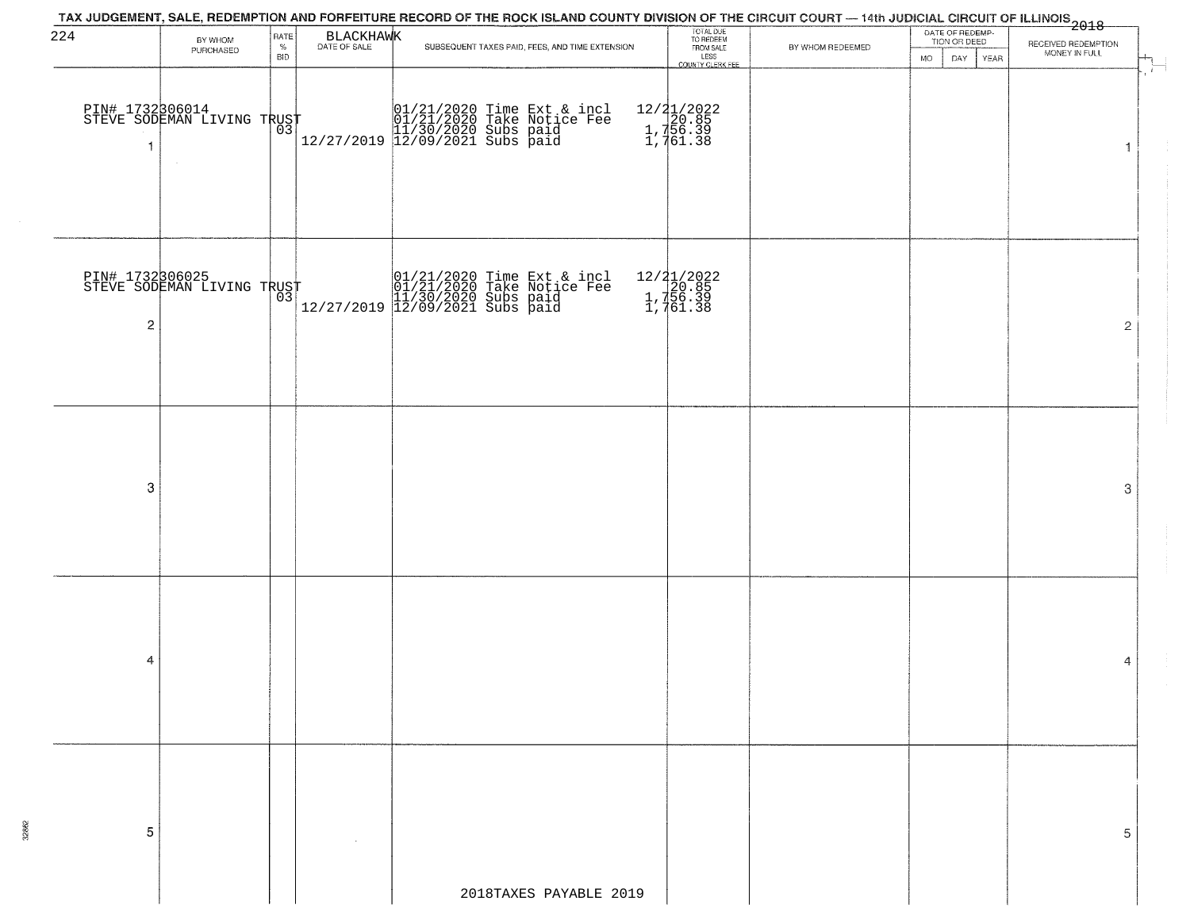| 224         | BY WHOM                                                 | RATE               | BLACKHAWK | TAX JUDGEMENT, SALE, REDEMPTION AND FORFEITURE RECORD OF THE ROCK ISLAND COUNTY DIVISION OF THE CIRCUIT COURT — 14th JUDICIAL CIRCUIT OF ILLINOIS 2018                               | TOTAL DUE<br>TO REDEEM<br>FROM SALE               |                  | DATE OF REDEMP-<br>TION OR DEED |                                      |
|-------------|---------------------------------------------------------|--------------------|-----------|--------------------------------------------------------------------------------------------------------------------------------------------------------------------------------------|---------------------------------------------------|------------------|---------------------------------|--------------------------------------|
|             | PURCHASED                                               | $\%$<br><b>BID</b> |           | SUBSEQUENT TAXES PAID, FEES, AND TIME EXTENSION                                                                                                                                      | LESS<br>LESS<br>COUNTY CLERK FEE                  | BY WHOM REDEEMED | DAY<br>MO.<br>YEAR              | RECEIVED REDEMPTION<br>MONEY IN FULL |
|             | PIN# 1732306014<br>STEVE SODEMAN LIVING TRUST<br>$\sim$ |                    |           | 01/21/2020 Time Ext & incl<br>01/21/2020 Take Notice Fee<br>11/30/2020 Subs paid<br>12/27/2019 12/09/2021 Subs paid                                                                  | 12/21/2022<br>1, 720.85<br>1, 756.39<br>1, 761.38 |                  |                                 | $\overline{\mathbf{1}}$              |
| $\mathbf 2$ | PIN# 1732306025<br>STEVE SODEMAN LIVING TRUST           |                    |           | $\begin{tabular}{ll} \hline & 01/21/2020 Time Ext & incl \\ \hline 01/21/2020 Take Notice Free \\ 11/30/2020 Subs paid \\ 12/27/2019 & 12/09/2021 Subs paid \\ \hline \end{tabular}$ | 12/21/2022<br>1,756.39<br>1,756.39                |                  |                                 | $\overline{2}$                       |
| 3           |                                                         |                    |           |                                                                                                                                                                                      |                                                   |                  |                                 | 3                                    |
| 4           |                                                         |                    |           |                                                                                                                                                                                      |                                                   |                  |                                 | 4                                    |
| 5           |                                                         |                    |           | 2018TAXES PAYABLE 2019                                                                                                                                                               |                                                   |                  |                                 | 5                                    |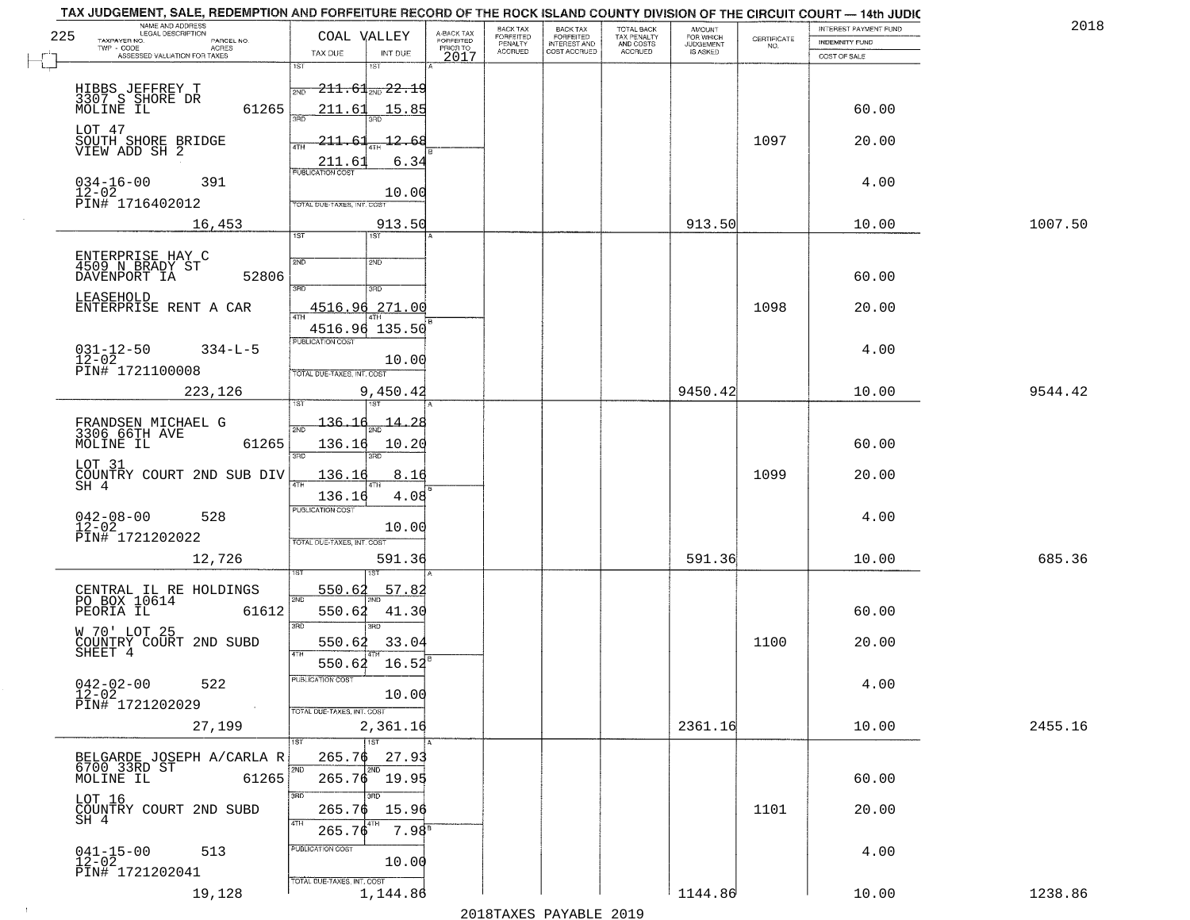| TAX JUDGEMENT, SALE, REDEMPTION AND FORFEITURE RECORD OF THE ROCK ISLAND COUNTY DIVISION OF THE CIRCUIT COURT - 14th JUDIC<br>NAME AND ADDRESS<br>LEGAL DESCRIPTION |                                                       |                                                           |                                     | BACK TAX             | BACK TAX<br>FORFEITED | TOTAL BACK               | AMOUNT<br>FOR WHICH |                    | INTEREST PAYMENT FUND | 2018    |
|---------------------------------------------------------------------------------------------------------------------------------------------------------------------|-------------------------------------------------------|-----------------------------------------------------------|-------------------------------------|----------------------|-----------------------|--------------------------|---------------------|--------------------|-----------------------|---------|
| 225<br>TAXPAYER NO.<br>PARCEL NO.<br>TWP - CODE<br>ACRES                                                                                                            | COAL VALLEY                                           |                                                           | A-BACK TAX<br>FORFEITED<br>PRIOR TO | FORFEITED<br>PENALTY | <b>INTEREST AND</b>   | TAX PENALTY<br>AND COSTS | <b>JUDGEMENT</b>    | CERTIFICATE<br>NO. | <b>INDEMNITY FUND</b> |         |
| ASSESSED VALUATION FOR TAXES                                                                                                                                        | TAX DUE                                               | INT DUE                                                   | 2017                                | <b>ACCRUED</b>       | COST ACCRUED          | <b>ACCRUED</b>           | IS ASKED            |                    | COST OF SALE          |         |
| HIBBS JEFFREY T<br>3307 S SHORE DR<br>MOLINE IL<br>61265                                                                                                            | 1ST<br>2ND<br>211.61                                  | 1ST<br>$211.61$ and $22.19$<br>15.85                      |                                     |                      |                       |                          |                     |                    | 60.00                 |         |
| LOT 47<br>SOUTH SHORE BRIDGE<br>VIEW ADD SH 2                                                                                                                       | बन्नल<br><u> 211.61</u><br>4TH<br>211.61              | <u> 12.68</u><br>6.34                                     |                                     |                      |                       |                          |                     | 1097               | 20.00                 |         |
| $034 - 16 - 00$<br>391<br>$12 - 02$<br>PIN# <sup>-1716402012</sup>                                                                                                  | <b>PUBLICATION COST</b><br>TOTAL DUE-TAXES, INT. COST | 10.00                                                     |                                     |                      |                       |                          |                     |                    | 4.00                  |         |
| 16,453                                                                                                                                                              |                                                       | 913.50                                                    |                                     |                      |                       |                          | 913.50              |                    | 10.00                 | 1007.50 |
| ENTERPRISE HAY C<br>4509 N BRADY ST<br>DAVENPORT IA<br>52806<br>LEASEHOLD<br>ENTERPRISE RENT A CAR                                                                  | 1ST<br>2ND<br>$\overline{3BD}$<br>4516.96             | 1ST <sup></sup><br>2ND<br>3RD<br>271.00<br>4516.96 135.50 |                                     |                      |                       |                          |                     | 1098               | 60.00<br>20.00        |         |
| $031 - 12 - 50$<br>12-02<br>$334 - L - 5$<br>PIN# 1721100008                                                                                                        | PUBLICATION COST<br>TOTAL DUE-TAXES, INT. COST        | 10.00                                                     |                                     |                      |                       |                          |                     |                    | 4.00                  |         |
| 223,126                                                                                                                                                             | i ST                                                  | 9,450.42<br>181                                           |                                     |                      |                       |                          | 9450.42             |                    | 10.00                 | 9544.42 |
| FRANDSEN MICHAEL G<br>3306 66TH AVE<br>MOLINE IL<br>61265                                                                                                           | 136.16<br>2ND<br>136.16<br>3RD                        | <u> 14.28</u><br>10.20<br>3RD                             |                                     |                      |                       |                          |                     |                    | 60.00                 |         |
| LOT 31<br>COUNTRY COURT 2ND SUB DIV<br>SH 4                                                                                                                         | 136.16<br>136.16                                      | 8.16<br>4.08                                              |                                     |                      |                       |                          |                     | 1099               | 20.00                 |         |
| $042 - 08 - 00$<br>12-02<br>528<br>PIN# 1721202022                                                                                                                  | <b>PUBLICATION COST</b><br>TOTAL OUE-TAXES, INT. COST | 10.00                                                     |                                     |                      |                       |                          |                     |                    | 4.00                  |         |
| 12,726                                                                                                                                                              |                                                       | 591.36                                                    |                                     |                      |                       |                          | 591.36              |                    | 10.00                 | 685.36  |
| CENTRAL IL RE HOLDINGS<br>PO BOX 10614<br>PEORIA IL<br>61612                                                                                                        | 550.62<br>2ND<br>550.62<br>3RD                        | 57.82<br>41.30<br>3RD                                     |                                     |                      |                       |                          |                     |                    | 60.00                 |         |
| W 70' LOT 25<br>COUNTRY COURT 2ND SUBD<br>SHEET 4                                                                                                                   | 550.62<br><b>ATH</b><br>550.62                        | 33.04<br>16.52                                            |                                     |                      |                       |                          |                     | 1100               | 20.00                 |         |
| $042 - 02 - 00$<br>522<br>$12 - 02$<br>PIN# 1721202029<br>$\sim 100$ km s $^{-1}$                                                                                   | "UBLICA HUN CUS<br>TOTAL DUE-TAXES, INT. COST         | 10.00                                                     |                                     |                      |                       |                          |                     |                    | 4.00                  |         |
| 27,199                                                                                                                                                              |                                                       | 2,361.16                                                  |                                     |                      |                       |                          | 2361.16             |                    | 10.00                 | 2455.16 |
| BELGARDE JOSEPH A/CARLA R<br>6700 33RD ST<br>MOLINE IL<br>61265                                                                                                     | 265.76<br>2ND                                         | 1ST<br>27.93<br>2ND<br>265.76 19.95                       |                                     |                      |                       |                          |                     |                    | 60.00                 |         |
| LOT 16<br>COUNTRY COURT 2ND SUBD<br>SH 4                                                                                                                            | 3RD<br>265.76<br>4TH<br>265.76                        | 15.96<br>7.98 <sup>s</sup>                                |                                     |                      |                       |                          |                     | 1101               | 20.00                 |         |
| $041 - 15 - 00$<br>$12 - 02$<br>513<br>PIN# 1721202041                                                                                                              | PUBLICATION COST<br>TOTAL DUE-TAXES, INT. COST        | 10.00                                                     |                                     |                      |                       |                          |                     |                    | 4.00                  |         |
| 19,128                                                                                                                                                              |                                                       | 1,144.86                                                  |                                     |                      |                       |                          | 1144.86             |                    | 10.00                 | 1238.86 |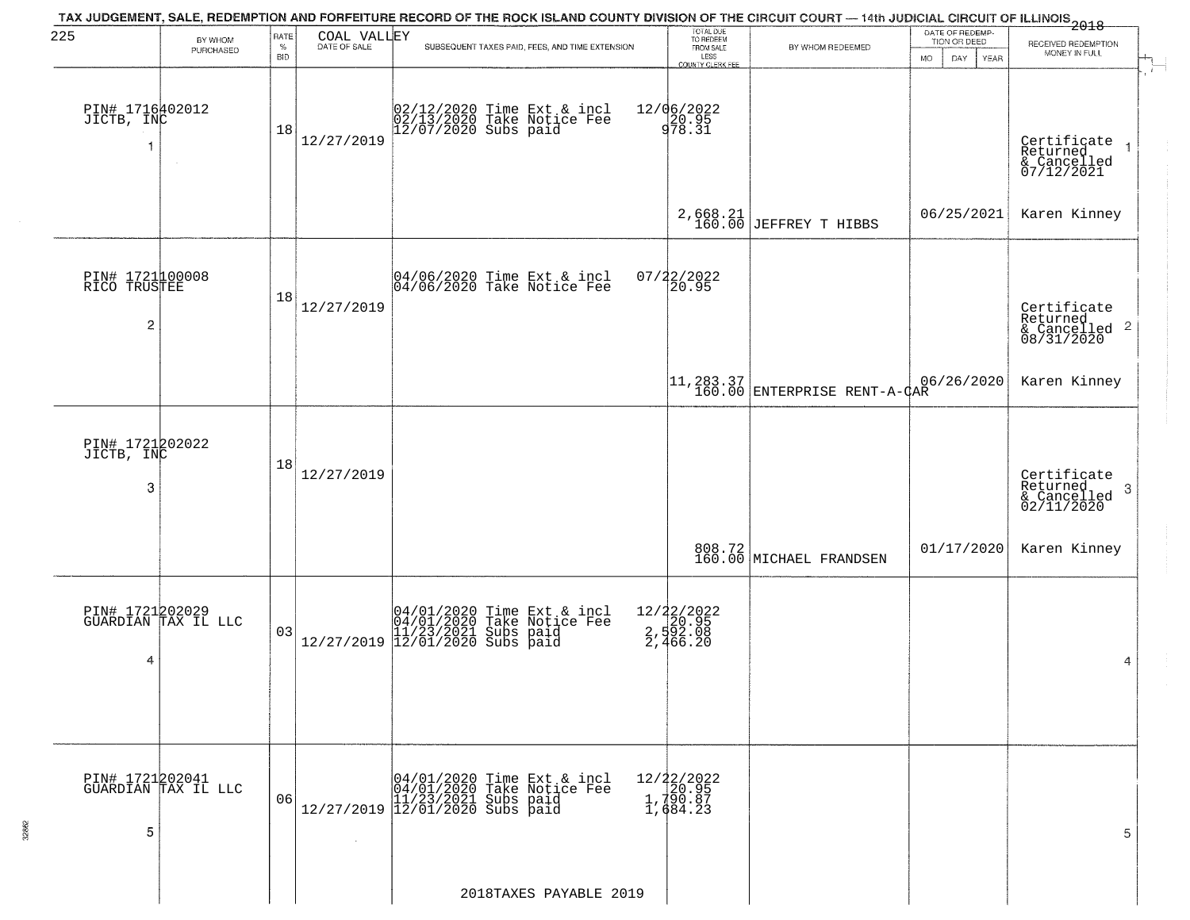| 225                                  | BY WHOM                                | RATE               | COAL VALLEY    | TAX JUDGEMENT, SALE, REDEMPTION AND FORFEITURE RECORD OF THE ROCK ISLAND COUNTY DIVISION OF THE CIRCUIT COURT — 14th JUDICIAL CIRCUIT OF ILLINOIS 2018 | TOTAL DUE<br>TO REDEEM<br>FROM SALE               |                                           | DATE OF REDEMP-<br>TION OR DEED |                                                                        |
|--------------------------------------|----------------------------------------|--------------------|----------------|--------------------------------------------------------------------------------------------------------------------------------------------------------|---------------------------------------------------|-------------------------------------------|---------------------------------|------------------------------------------------------------------------|
|                                      | PURCHASED                              | $\%$<br><b>BID</b> |                | SUBSEQUENT TAXES PAID, FEES, AND TIME EXTENSION                                                                                                        | LESS                                              | BY WHOM REDEEMED                          | <b>MO</b><br>DAY.<br>YEAR       | RECEIVED REDEMPTION<br>MONEY IN FULL                                   |
| PIN# 1716402012<br>JICTB, INC        | $\sim$                                 | 18                 | 12/27/2019     | 02/12/2020 Time Ext & incl<br>02/13/2020 Take Notice Fee<br>12/07/2020 Subs paid                                                                       | COUNTY CLERK FEE<br>12/06/2022<br>20.95<br>978.31 |                                           |                                 | Certificate<br>Returned<br>& Cancelled<br>07/12/2021                   |
|                                      |                                        |                    |                |                                                                                                                                                        |                                                   | $2,668.21$<br>160.00 JEFFREY T HIBBS      | 06/25/2021                      | Karen Kinney                                                           |
| PIN# 1721100008<br>RICO TRUSTEE<br>2 |                                        | 18                 | 12/27/2019     | 04/06/2020 Time Ext & incl<br>04/06/2020 Take Notice Fee                                                                                               | $07/22/2022$<br>20.95                             |                                           |                                 | Certificate<br>Returned<br>$\overline{c}$<br>& Cancelled<br>08/31/2020 |
|                                      |                                        |                    |                |                                                                                                                                                        |                                                   | 11,283.37<br>160.00 ENTERPRISE RENT-A-CAR | 06/26/2020                      | Karen Kinney                                                           |
| PIN# 1721202022<br>JICTB, INC<br>3   |                                        | 18                 | 12/27/2019     |                                                                                                                                                        |                                                   |                                           |                                 | Certificate<br>Returned<br>3<br>$\frac{1}{2}$ Cancelled<br>02/11/2020  |
|                                      |                                        |                    |                |                                                                                                                                                        |                                                   | 808.72<br>160.00 MICHAEL FRANDSEN         | 01/17/2020                      | Karen Kinney                                                           |
| 4                                    | PIN# 1721202029<br>GUARDIAN TAX IL LLC | 03                 |                | $[04/01/2020$ Time Ext & incl<br>04/01/2020 Take Notice Fee<br>11/23/2021 Subs paid<br>12/27/2019 12/01/2020 Subs paid                                 | 12/22/2022<br>2,592.95<br>2,592.08<br>2,466.20    |                                           |                                 | 4                                                                      |
| PIN# 1721202041<br>5                 | GUARDIAN TAX IL LLC                    | 06                 | $\sim 10^{-1}$ | $[04/01/2020 \t\t Time Ext & incl 04/01/2020 \t\t Take Notice Free 11/23/2021 Subs paid 12/27/2019] 12/01/2020 Subs paid$                              | 12/22/2022<br>1,790.95<br>1,790.87<br>1,684.23    |                                           |                                 | 5                                                                      |
|                                      |                                        |                    |                | 2018TAXES PAYABLE 2019                                                                                                                                 |                                                   |                                           |                                 |                                                                        |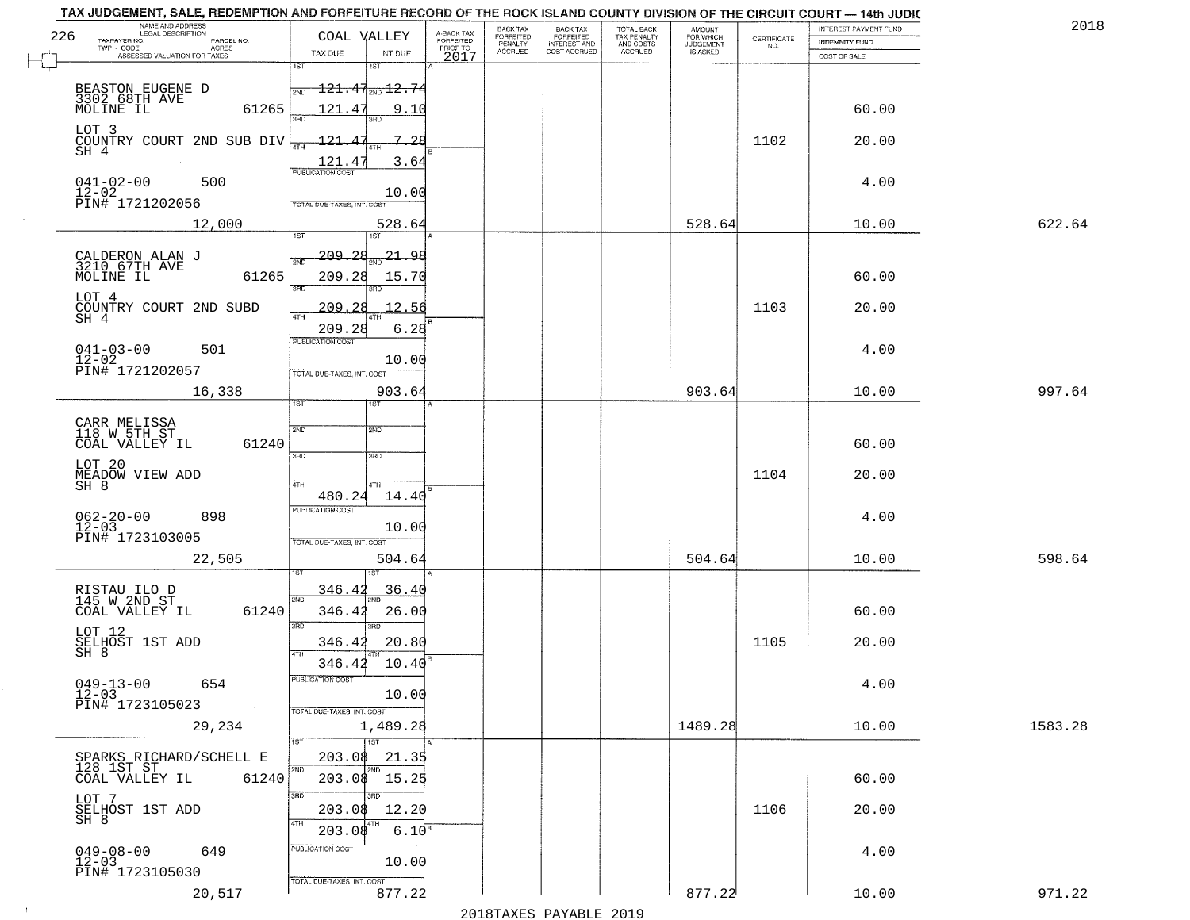| 226 | NAME AND ADDRESS<br>LEGAL DESCRIPTION                                     |                                                                                      |                                     | BACK TAX             | BACK TAX<br>FORFEITED<br>INTEREST AND | TOTAL BACK<br>TAX PENALTY<br>AND COSTS | AMOUNT<br>FOR WHICH<br>JUDGEMENT |                    | INTEREST PAYMENT FUND | 2018    |
|-----|---------------------------------------------------------------------------|--------------------------------------------------------------------------------------|-------------------------------------|----------------------|---------------------------------------|----------------------------------------|----------------------------------|--------------------|-----------------------|---------|
|     | TAXPAYER NO.<br>PARCEL NO.<br>ACRES                                       | COAL VALLEY                                                                          | A-BACK TAX<br>FORFEITED<br>PRIOR TO | FORFEITED<br>PENALTY |                                       |                                        |                                  | CERTIFICATE<br>NO. | <b>INDEMNITY FUND</b> |         |
|     | ASSESSED VALUATION FOR TAXES                                              | TAX DUE<br>INT DUE<br>1ST<br>1ST                                                     | 2017                                | <b>ACCRUED</b>       | COST ACCRUED                          | <b>ACCRUED</b>                         | IS ASKED                         |                    | COST OF SALE          |         |
|     | BEASTON EUGENE D<br>3302 68TH AVE<br>MOLINE IL<br>61265                   | $\textcolor{red}{\textbf{-121.47}}\textcolor{white}{\bullet}$ 12.74<br>2ND<br>121.47 | 9.10                                |                      |                                       |                                        |                                  |                    | 60.00                 |         |
|     | LOT 3<br>COUNTRY COURT 2ND SUB DIV<br>SH 4                                | $-121.47$                                                                            | - 7-28                              |                      |                                       |                                        |                                  | 1102               | 20.00                 |         |
|     | $041 - 02 - 00$<br>500<br>$12 - 02$<br>PIN# 1721202056                    | $\frac{121.47}{FUBUCATON CGST}$<br>TOTAL DUE-TAXES, INT. COST                        | 3.64<br>10.00                       |                      |                                       |                                        |                                  |                    | 4.00                  |         |
|     | 12,000                                                                    | 528.64                                                                               |                                     |                      |                                       |                                        | 528.64                           |                    | 10.00                 | 622.64  |
|     | CALDERON ALAN J<br>3210 67TH AVE<br>MOLINE IL<br>61265<br>LOT 4           | $-209 - 28$<br>সাঁচ<br>209.28<br>$\overline{3BD}$                                    | <u>21,98</u><br>15.70               |                      |                                       |                                        |                                  |                    | 60.00                 |         |
|     | COUNTRY COURT 2ND SUBD<br>$SH$ <sup>4</sup>                               | 209.28<br>209.28<br>PUBLICATION COST                                                 | 12.56<br>6.28                       |                      |                                       |                                        |                                  | 1103               | 20.00                 |         |
|     | $041 - 03 - 00$<br>501<br>$12 - 02$<br>PIN# 1721202057                    | TOTAL DUE-TAXES, INT. COST                                                           | 10.00                               |                      |                                       |                                        |                                  |                    | 4.00                  |         |
|     | 16,338                                                                    | 903.64<br>TST"<br>1ST                                                                |                                     |                      |                                       |                                        | 903.64                           |                    | 10.00                 | 997.64  |
|     | CARR MELISSA<br>118 W 5TH ST<br>COAL VALLEY IL<br>61240                   | 2ND<br>2ND<br>3BD<br>3BD                                                             |                                     |                      |                                       |                                        |                                  |                    | 60.00                 |         |
|     | LOT 20<br>MEADOW VIEW ADD<br>SH 8                                         | 4TH<br>4TH<br>480.24                                                                 | 14.40                               |                      |                                       |                                        |                                  | 1104               | 20.00                 |         |
|     | $062 - 20 - 00$<br>12-03<br>898<br>PIN# 1723103005                        | <b>PUBLICATION COST</b><br>TOTAL OUE-TAXES, INT. COST                                | 10.00                               |                      |                                       |                                        |                                  |                    | 4.00                  |         |
|     | 22,505                                                                    | 504.64                                                                               |                                     |                      |                                       |                                        | 504.64                           |                    | 10.00                 | 598.64  |
|     | RISTAU ILO D<br>145 W 2ND ST<br>COAL VALLEY IL<br>61240                   | 346.42<br>2ND<br>346.42<br>3RD<br>3BD                                                | 36.40<br>26.00                      |                      |                                       |                                        |                                  |                    | 60.00                 |         |
|     | LOT 12<br>SELHOST 1ST ADD<br>SH 8                                         | 346.42<br>4TH<br>346.42                                                              | 20.80<br>10.40                      |                      |                                       |                                        |                                  | 1105               | 20.00                 |         |
|     | $049 - 13 - 00$<br>654<br>$12 - 03$<br>PIN# 1723105023<br><b>Contract</b> | -usuca i un cus-<br>TOTAL DUE-TAXES, INT. COST                                       | 10.00                               |                      |                                       |                                        |                                  |                    | 4.00                  |         |
|     | 29,234                                                                    | 1,489.28                                                                             |                                     |                      |                                       |                                        | 1489.28                          |                    | 10.00                 | 1583.28 |
|     | SPARKS RICHARD/SCHELL E<br>128 1ST ST<br>61240<br>COAL VALLEY IL          | 1ST<br>203.08<br>2ND<br>2ND<br>203.08 15.25                                          | 21.35                               |                      |                                       |                                        |                                  |                    | 60.00                 |         |
|     | LOT 7<br>SELHOST 1ST ADD<br>SH 8                                          | 3RD<br>3RD<br>203.08<br>203.08                                                       | 12.20<br>6.10 <sup>8</sup>          |                      |                                       |                                        |                                  | 1106               | 20.00                 |         |
|     | $049 - 08 - 00$<br>649<br>$12 - 03$<br>PIN# 1723105030                    | PUBLICATION COST<br>TOTAL DUE-TAXES, INT. COST                                       | 10.00                               |                      |                                       |                                        |                                  |                    | 4.00                  |         |
|     | 20,517                                                                    | 877.22                                                                               |                                     |                      |                                       |                                        | 877.22                           |                    | 10.00                 | 971.22  |

 $\sim 10$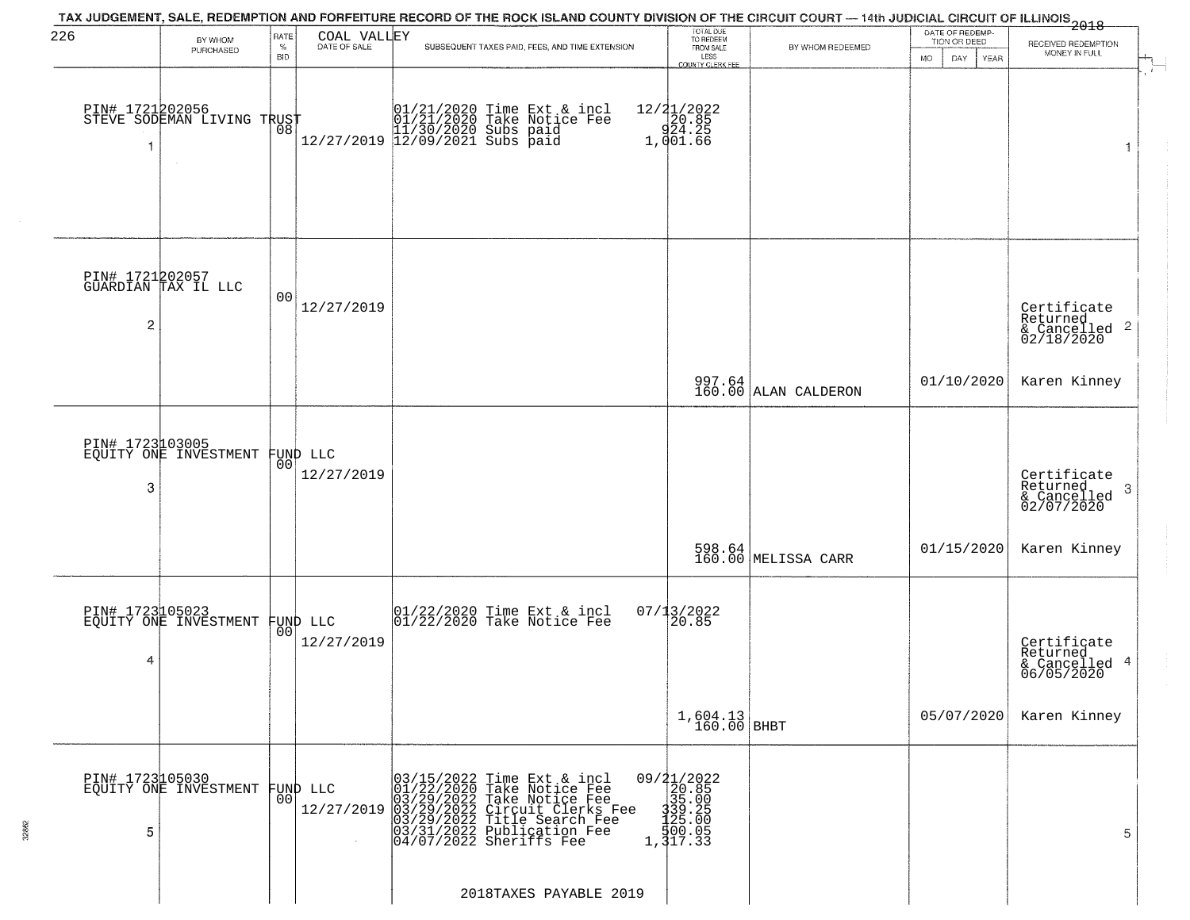| 226                  |                                                         | RATE               | COAL VALLEY            | TAX JUDGEMENT, SALE, REDEMPTION AND FORFEITURE RECORD OF THE ROCK ISLAND COUNTY DIVISION OF THE CIRCUIT COURT — 14th JUDICIAL CIRCUIT OF ILLINOIS 2018                                                                      | TOTAL DUE<br>TO REDEEM<br>FROM SALE                                                        |                                | DATE OF REDEMP-                     |                                                            |
|----------------------|---------------------------------------------------------|--------------------|------------------------|-----------------------------------------------------------------------------------------------------------------------------------------------------------------------------------------------------------------------------|--------------------------------------------------------------------------------------------|--------------------------------|-------------------------------------|------------------------------------------------------------|
|                      | BY WHOM<br>PURCHASED                                    | $\%$<br><b>BID</b> | DATE OF SALE           | SUBSEQUENT TAXES PAID, FEES, AND TIME EXTENSION                                                                                                                                                                             | LESS                                                                                       | BY WHOM REDEEMED               | TION OR DEED<br>MO.<br>DAY.<br>YEAR | RECEIVED REDEMPTION<br>MONEY IN FULL                       |
|                      | PIN# 1721202056<br>STEVE SODEMAN LIVING TRUST<br>$\sim$ | 08                 |                        | $[01/21/2020 \tTime Ext & incl01/21/2020 Take Notice Free11/30/2020 Subs paid12/27/2019 12/09/2021 Subs paid$                                                                                                               | <b>COUNTY CLERK FEE</b><br>12/21/2022<br>20.85<br>24.25<br>1,001.66                        |                                |                                     | $\mathbf{1}$                                               |
| 2                    | PIN# 1721202057<br>GUARDIAN TAX IL LLC                  | 0 <sub>0</sub>     | 12/27/2019             |                                                                                                                                                                                                                             |                                                                                            |                                |                                     | Certificate<br>Returned<br>$\frac{12241164}{62/18/2020}$ 2 |
|                      |                                                         |                    |                        |                                                                                                                                                                                                                             |                                                                                            | 997.64<br>160.00 ALAN CALDERON | 01/10/2020                          | Karen Kinney                                               |
| 3                    | PIN# 1723103005<br>EQUITY ONE INVESTMENT                | 0 <sub>0</sub>     | FUND LLC<br>12/27/2019 |                                                                                                                                                                                                                             |                                                                                            |                                |                                     | Certificate<br>Returned<br>3<br>& Cancelled<br>02/07/2020  |
|                      |                                                         |                    |                        |                                                                                                                                                                                                                             |                                                                                            | 598.64<br>160.00 MELISSA CARR  | 01/15/2020                          | Karen Kinney                                               |
| 4                    | PIN# 1723105023<br>EQUITY ONE INVESTMENT FUND LLC       |                    | 12/27/2019             | $\begin{array}{c} 01/22/2020 \\ 01/22/2020 \\ 01 \end{array}$ Take Notice Fee                                                                                                                                               | 07/13/2022<br>20.85                                                                        |                                |                                     | Certificate<br>Returned<br>& Cancelled 4<br>06/05/2020     |
|                      |                                                         |                    |                        |                                                                                                                                                                                                                             | $1,604.13$ BHBT                                                                            |                                | 05/07/2020                          | Karen Kinney                                               |
| PIN# 1723105030<br>5 | EOUÏTY ONE INVESTMENT                                   | 0 <sub>0</sub>     | FUND LLC<br>12/27/2019 | 03/15/2022 Time Ext & incl<br>01/22/2020 Take Notice Fee<br>$03/29/2022$ Take Notice Fee<br>$03/29/2022$ Circuit Clerks Fee<br>$03/29/2022$ Circuit Clerks Fee<br>$03/31/2022$ Publication Fee<br>$04/07/2022$ Sheriffs Fee | 09/21/2022<br>20.85<br>35.00<br>$\frac{339}{125}$ . 25<br>125. 00<br>500. 05<br>1, 317. 33 |                                |                                     | 5                                                          |
|                      |                                                         |                    |                        | 2018TAXES PAYABLE 2019                                                                                                                                                                                                      |                                                                                            |                                |                                     |                                                            |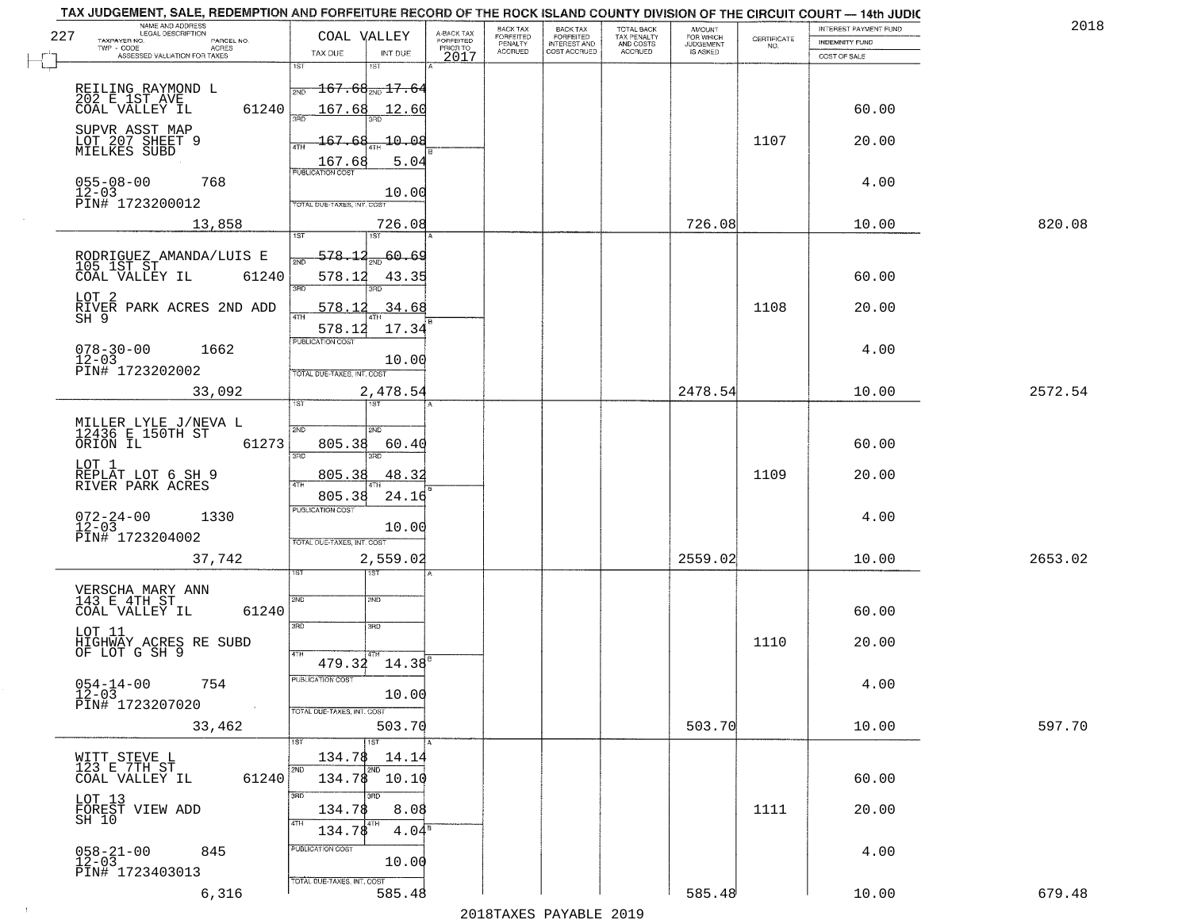|     | TAX JUDGEMENT, SALE, REDEMPTION AND FORFEITURE RECORD OF THE ROCK ISLAND COUNTY DIVISION OF THE CIRCUIT COURT - 14th JUDIC<br>NAME AND ADDRESS<br>LEGAL DESCRIPTION |                                                                                                             |                                     | BACK TAX             |                                       | <b>TOTAL BACK</b>        |                                  |                    | INTEREST PAYMENT FUND  | 2018    |
|-----|---------------------------------------------------------------------------------------------------------------------------------------------------------------------|-------------------------------------------------------------------------------------------------------------|-------------------------------------|----------------------|---------------------------------------|--------------------------|----------------------------------|--------------------|------------------------|---------|
| 227 | TAXPAYER NO.<br>PARCEL NO.<br>TWP CODE<br>ACRES                                                                                                                     | COAL VALLEY                                                                                                 | A-BACK TAX<br>FORFEITED<br>PRIOR TO | FORFEITED<br>PENALTY | BACK TAX<br>FORFEITED<br>INTEREST AND | TAX PENALTY<br>AND COSTS | AMOUNT<br>FOR WHICH<br>JUDGEMENT | CERTIFICATE<br>NO. | <b>INDEMNITY FUND</b>  |         |
|     | ASSESSED VALUATION FOR TAXES                                                                                                                                        | TAX DUE<br>INT DUE                                                                                          | 2017                                | <b>ACCRUED</b>       | COST ACCRUED                          | <b>ACCRUED</b>           | IS ASKED                         |                    | COST OF SALE           |         |
|     | REILING RAYMOND L<br>202 E 1ST AVE<br>61240<br>COAL VALLEY IL                                                                                                       | 1ST<br>1ST<br>$-167.68_{\text{\tiny 2ND}}$ $17.64$<br>2ND<br>167.68<br>12.60                                |                                     |                      |                                       |                          |                                  |                    | 60.00                  |         |
|     | SUPVR ASST MAP<br>LOT 207 SHEET 9<br>MIELKES SUBD                                                                                                                   | 10.08<br>167.68<br>ATH<br>5.04<br>167.68                                                                    |                                     |                      |                                       |                          |                                  | 1107               | 20.00                  |         |
|     | $055 - 08 - 00$<br>768<br>$12 - 03$<br>PIN# 1723200012                                                                                                              | <b>PUBLICATION COST</b><br>10.00<br>TOTAL DUE-TAXES, INT. COST                                              |                                     |                      |                                       |                          |                                  |                    | 4.00                   |         |
|     | 13,858                                                                                                                                                              | 726.08                                                                                                      |                                     |                      |                                       |                          | 726.08                           |                    | 10.00                  | 820.08  |
|     | RODRIGUEZ AMANDA/LUIS E<br>105 1ST ST<br>61240<br>COAL VALLEY IL<br>LOT 2<br>RIVER PARK ACRES 2ND ADD<br>$SH$ $9$<br>$078 - 30 - 00$<br>1662                        | 578.12<br>200.69<br>578.12<br>43.35<br>3RD<br>3RD<br>578.12<br>34.68<br>17.34<br>578.12<br>PUBLICATION COST |                                     |                      |                                       |                          |                                  | 1108               | 60.00<br>20.00<br>4.00 |         |
|     | $12 - 03$<br>PIN# 1723202002                                                                                                                                        | 10.00<br>TOTAL DUE-TAXES, INT. COST                                                                         |                                     |                      |                                       |                          |                                  |                    |                        |         |
|     | 33,092                                                                                                                                                              | 2,478.54                                                                                                    |                                     |                      |                                       |                          | 2478.54                          |                    | 10.00                  | 2572.54 |
|     | MILLER LYLE J/NEVA L<br>12436 E 150TH ST<br>ORION IL<br>61273<br>LOT 1<br>REPLAT LOT 6 SH 9<br>RIVER PARK ACRES                                                     | 1ST<br>1ST.<br>2ND<br>SMD<br>805.38<br>60.40<br>3BD<br>3RD<br>805.38<br>48.32<br>4TH                        |                                     |                      |                                       |                          |                                  | 1109               | 60.00<br>20.00         |         |
|     | $072 - 24 - 00$<br>12-03<br>1330<br>PIN# 1723204002<br>37,742                                                                                                       | 805.38<br>24.16<br><b>PUBLICATION COST</b><br>10.00<br>TOTAL OUE-TAXES, INT. COST<br>2,559.02               |                                     |                      |                                       |                          | 2559.02                          |                    | 4.00<br>10.00          | 2653.02 |
|     | VERSCHA MARY ANN<br>143 E 4TH ST<br>COAL VALLEY IL<br>61240<br>LOT 11                                                                                               | ৰৱা<br>2ND<br>2ND<br>3RD<br>3RD                                                                             |                                     |                      |                                       |                          |                                  |                    | 60.00                  |         |
|     | HIGHWAY ACRES RE SUBD<br>OF LOT G SH 9<br>$054 - 14 - 00$<br>754<br>$12 - 03$<br>PIN# 1723207020<br>$\sim 100$                                                      | 4TH<br>$479.34$ $14.38$ <sup>B</sup><br>-usuca i un cus-<br>10.00<br>TOTAL DUE-TAXES, INT. COST             |                                     |                      |                                       |                          |                                  | 1110               | 20.00<br>4.00          |         |
|     | 33,462                                                                                                                                                              | 503.70                                                                                                      |                                     |                      |                                       |                          | 503.70                           |                    | 10.00                  | 597.70  |
|     | WITT STEVE L<br>123 E 7TH ST<br>61240<br>COAL VALLEY IL                                                                                                             | 1ST<br>134.78<br>14.14<br>2ND<br>2ND<br>$134.78$ 10.10<br>3RD<br>3RC                                        |                                     |                      |                                       |                          |                                  |                    | 60.00                  |         |
|     | LOT 13<br>FOREST VIEW ADD<br>SH 10                                                                                                                                  | 134.78<br>8.08<br>4TH<br>4TH<br>134.78<br>4.04 <sup>8</sup><br>PUBLICATION COST                             |                                     |                      |                                       |                          |                                  | 1111               | 20.00                  |         |
|     | $058 - 21 - 00$<br>845<br>$12 - 03$<br>PIN# 1723403013                                                                                                              | 10.00                                                                                                       |                                     |                      |                                       |                          |                                  |                    | 4.00                   |         |
|     | 6,316                                                                                                                                                               | TOTAL DUE-TAXES, INT. COST<br>585.48                                                                        |                                     |                      |                                       |                          | 585.48                           |                    | 10.00                  | 679.48  |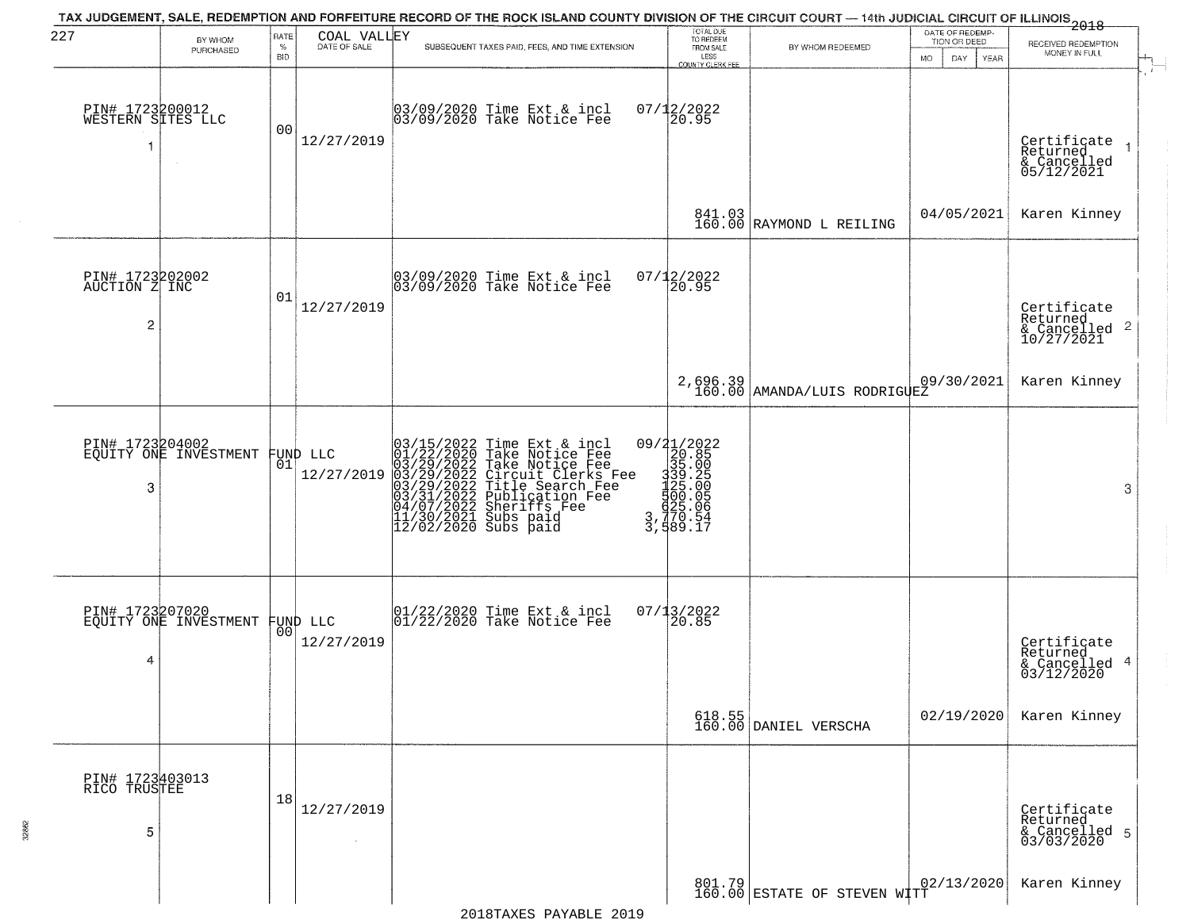| 227                                                | BY WHOM                                  | RATE               | COAL VALLEY                    | TAX JUDGEMENT, SALE, REDEMPTION AND FORFEITURE RECORD OF THE ROCK ISLAND COUNTY DIVISION OF THE CIRCUIT COURT — 14th JUDICIAL CIRCUIT OF ILLINOIS 2018                                                                                                                                                                                                                         | TOTAL DUE<br>TO REDEEM                                                                                             |                                                                                | DATE OF REDEMP-<br>TION OR DEED  | RECEIVED REDEMPTION                                                    |  |
|----------------------------------------------------|------------------------------------------|--------------------|--------------------------------|--------------------------------------------------------------------------------------------------------------------------------------------------------------------------------------------------------------------------------------------------------------------------------------------------------------------------------------------------------------------------------|--------------------------------------------------------------------------------------------------------------------|--------------------------------------------------------------------------------|----------------------------------|------------------------------------------------------------------------|--|
|                                                    | PURCHASED                                | $\%$<br><b>BID</b> | DATE OF SALE                   | SUBSEQUENT TAXES PAID, FEES, AND TIME EXTENSION                                                                                                                                                                                                                                                                                                                                | FROM SALE<br>LESS<br>COUNTY CLERK FEE                                                                              | BY WHOM REDEEMED                                                               | <b>MO</b><br>DAY.<br><b>YEAR</b> | MONEY IN FULL                                                          |  |
| PIN# 1723200012<br>WESTERN SITES LLC<br>-1         |                                          | 00                 | 12/27/2019                     | 03/09/2020 Time Ext & incl<br>03/09/2020 Take Notice Fee                                                                                                                                                                                                                                                                                                                       | $07/12/2022$<br>20.95                                                                                              |                                                                                |                                  | Certificate<br>Returned<br>$\rightarrow$<br>& Cancelled<br>05/12/2021  |  |
|                                                    |                                          |                    |                                |                                                                                                                                                                                                                                                                                                                                                                                |                                                                                                                    | $\begin{array}{ c c c c c }\n 841.03 & \text{RAYMOND L REILING}\n \end{array}$ | 04/05/2021                       | Karen Kinney                                                           |  |
| PIN# 1723202002<br>AUCTION Z INC<br>$\overline{c}$ |                                          | 01                 | 12/27/2019                     | 03/09/2020 Time Ext & incl<br>03/09/2020 Take Notice Fee                                                                                                                                                                                                                                                                                                                       | 07/12/2022<br>20.95                                                                                                |                                                                                |                                  | Certificate<br>Returned<br>$\overline{2}$<br>& Cancelled<br>10/27/2021 |  |
|                                                    |                                          |                    |                                |                                                                                                                                                                                                                                                                                                                                                                                |                                                                                                                    | 2,696.39<br>160.00 AMANDA/LUIS RODRIGUEZ                                       | 09/30/2021                       | Karen Kinney                                                           |  |
| 3                                                  | PIN# 1723204002<br>EQUITY ONE INVESTMENT | 01                 | FUND LLC<br>12/27/2019         | 03/15/2022 Time Ext &<br>01/22/2020 Take Notic<br>03/29/2022 Take Notic<br>03/29/2022 Tircuit Cl<br>03/29/2022 Title Sear<br>04/07/2022 Dublicatic<br>11/30/2021 Subs paid<br>11/30/2021 Subs paid<br>12/02/2020 Subs paid<br>Time Ext & incl<br>Take Notice Fee<br>Take Notice Fee<br>Circuit Clerks Fee<br>Title Search Fee<br>Publication Fee<br>Sherifs Fee<br>Sherifs Fee | 09/21/2022<br>320.85<br>3335.00<br>3339.20<br>500.05<br>53.00<br>33.005.05<br>$3, \overline{770}$ . 54<br>3,589.17 |                                                                                |                                  | 3                                                                      |  |
| 4                                                  | PIN# 1723207020<br>EQUITY ONE INVESTMENT |                    | FUND LLC<br> 00 <br>12/27/2019 | 01/22/2020 Time Ext & incl<br>01/22/2020 Take Notice Fee                                                                                                                                                                                                                                                                                                                       | 07/13/2022<br>20.85                                                                                                |                                                                                |                                  | Certificate<br>Returned<br>4<br>& Cancelled<br>03/12/2020              |  |
|                                                    |                                          |                    |                                |                                                                                                                                                                                                                                                                                                                                                                                |                                                                                                                    | 618.55<br>160.00 DANIEL VERSCHA                                                | 02/19/2020                       | Karen Kinney                                                           |  |
| PIN# 1723403013<br>RICO TRUSTEE<br>5               |                                          | 18                 | 12/27/2019                     |                                                                                                                                                                                                                                                                                                                                                                                |                                                                                                                    |                                                                                |                                  | Certificate<br>Returned<br>& Cancelled 5<br>03/03/2020                 |  |
|                                                    |                                          |                    |                                |                                                                                                                                                                                                                                                                                                                                                                                |                                                                                                                    | 801.79  <br>160.00 ESTATE OF STEVEN WITT                                       | 02/13/2020                       | Karen Kinney                                                           |  |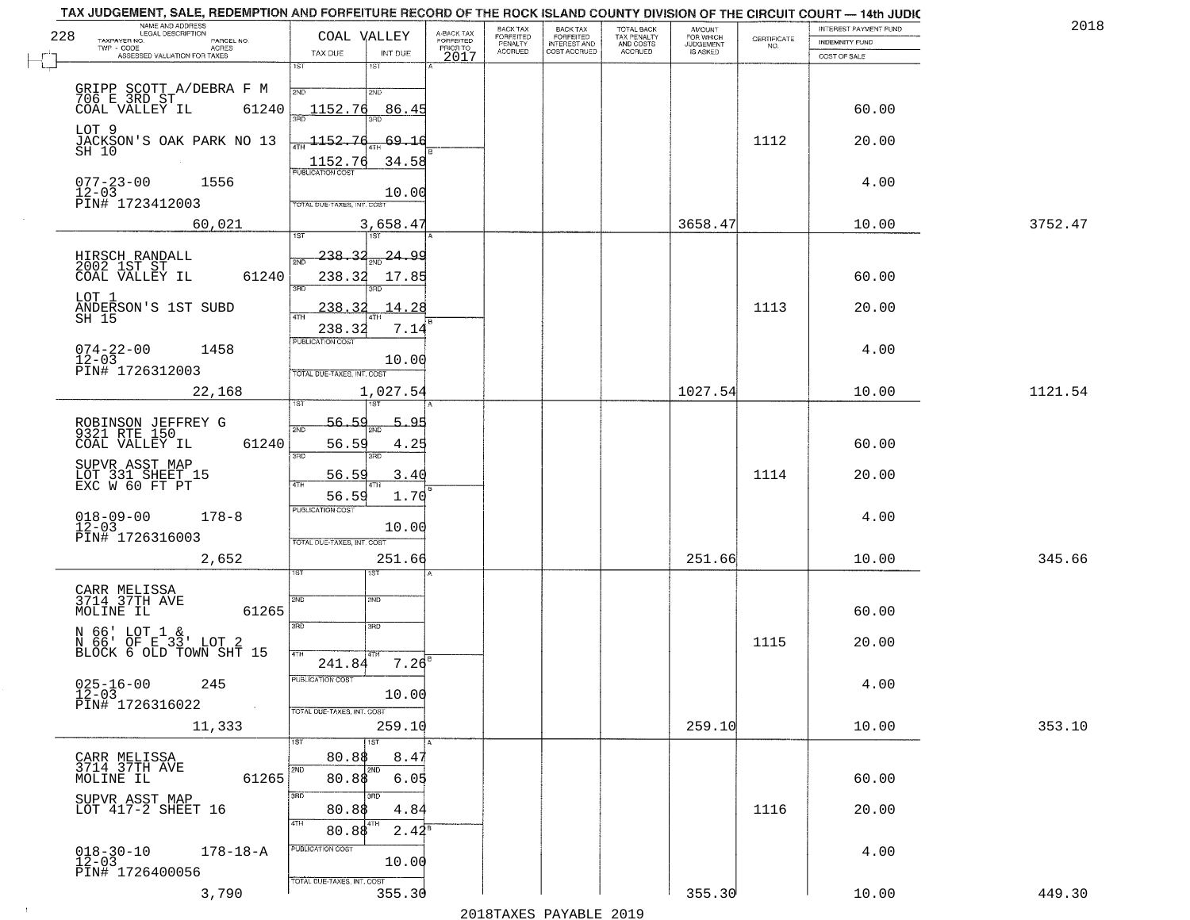| 2018    | INTEREST PAYMENT FUND |                                                                 | AMOUNT<br>FOR WHICH |                                        | <b>BACK TAX</b>           | BACK TAX             |                                     |                                                                                                  | TAX JUDGEMENT, SALE, REDEMPTION AND FORFEITURE RECORD OF THE ROCK ISLAND COUNTY DIVISION OF THE CIRCUIT COURT - 14th JUDIC<br>NAME AND ADDRESS<br>LEGAL DESCRIPTION |
|---------|-----------------------|-----------------------------------------------------------------|---------------------|----------------------------------------|---------------------------|----------------------|-------------------------------------|--------------------------------------------------------------------------------------------------|---------------------------------------------------------------------------------------------------------------------------------------------------------------------|
|         | INDEMNITY FUND        | $\begin{array}{c} \text{CERTIFICATE} \\ \text{NO.} \end{array}$ | <b>JUDGEMENT</b>    | TOTAL BACK<br>TAX PENALTY<br>AND COSTS | FORFEITED<br>INTEREST AND | FORFEITED<br>PENALTY | A-BACK TAX<br>FORFEITED<br>PRIOR TO | COAL VALLEY                                                                                      | 228<br>TAXPAYER NO.<br>PARCEL NO.<br>ACRES                                                                                                                          |
|         | COST OF SALE          |                                                                 | IS ASKED            | <b>ACCRUED</b>                         | COST ACCRUED              | <b>ACCRUED</b>       | 2017                                | TAX DUE<br>INT DUE                                                                               | ASSESSED VALUATION FOR TAXES                                                                                                                                        |
|         | 60.00                 |                                                                 |                     |                                        |                           |                      |                                     | 1ST<br>$1S$ T<br>2ND<br>2ND<br>1152.76                                                           | GRIPP SCOTT A/DEBRA F M<br>706 E 3RD ST<br>61240                                                                                                                    |
|         | 20.00                 | 1112                                                            |                     |                                        |                           |                      |                                     | <u>86.45</u><br>1152.76<br>69.16                                                                 | COAL VALLEY IL<br>LOT 9<br>JACKSON'S OAK PARK NO 13<br>SH 10                                                                                                        |
|         | 4.00                  |                                                                 |                     |                                        |                           |                      |                                     | $\frac{1152.76}{FUBUCATON COST}$<br>34.58<br>10.00<br>TOTAL DUE-TAXES, INT. COST                 | $077 - 23 - 00$<br>1556<br>$12 - 03$<br>PIN# 1723412003                                                                                                             |
| 3752.47 | 10.00                 |                                                                 | 3658.47             |                                        |                           |                      |                                     | 3,658.47                                                                                         | 60,021                                                                                                                                                              |
|         | 60.00<br>20.00        | 1113                                                            |                     |                                        |                           |                      |                                     | 24.99<br><u> 238.32</u><br>সাঁচ<br>238.32<br>17.85<br>3RD<br>14.28<br>238.32<br>$\overline{47H}$ | HIRSCH RANDALL<br>2002 1ST ST<br>61240<br>COAL VALLEY IL<br>LOT 1<br>ANDERSON'S 1ST SUBD<br>SH 15                                                                   |
|         | 4.00                  |                                                                 |                     |                                        |                           |                      |                                     | 238.32<br>7.14<br>PUBLICATION COST<br>10.00<br>TOTAL DUE-TAXES, INT. COST                        | $074 - 22 - 00$<br>1458<br>$12 - 03$<br>PIN# 1726312003                                                                                                             |
| 1121.54 | 10.00                 |                                                                 | 1027.54             |                                        |                           |                      |                                     | 1,027.54<br>īst<br>1ST                                                                           | 22,168                                                                                                                                                              |
|         | 60.00                 |                                                                 |                     |                                        |                           |                      |                                     | 56.59<br>5.95<br>2ND<br>56.59<br>4.25<br>3RD<br>3RD                                              | ROBINSON JEFFREY G<br>9321 RTE 150<br>COAL VALLEY IL<br>61240                                                                                                       |
|         | 20.00                 | 1114                                                            |                     |                                        |                           |                      |                                     | 56.59<br>3.40<br>4TH                                                                             | SUPVR ASST MAP<br>LOT 331 SHEET 15<br>EXC W 60 FT PT                                                                                                                |
|         | 4.00                  |                                                                 |                     |                                        |                           |                      |                                     | 56.59<br>1.70<br><b>PUBLICATION COST</b><br>10.00<br>TOTAL OUE-TAXES, INT. COST                  | $018 - 09 - 00$<br>12-03<br>$178 - 8$<br>PIN# 1726316003                                                                                                            |
| 345.66  | 10.00                 |                                                                 | 251.66              |                                        |                           |                      |                                     | 251.66                                                                                           | 2,652                                                                                                                                                               |
|         | 60.00                 |                                                                 |                     |                                        |                           |                      |                                     | 2ND<br>2ND<br>3RD<br>3RD                                                                         | CARR MELISSA<br>3714 37TH AVE<br>MOLINE IL<br>61265<br>N 66' LOT 1 &                                                                                                |
|         | 20.00<br>4.00         | 1115                                                            |                     |                                        |                           |                      |                                     | 4TH<br>$7.26^{B}$<br>241.84<br>PUBLICATION COST<br>10.00                                         | N 66' OF E 33' LOT 2<br>BLOCK 6 OLD TOWN SHT 15<br>$025 - 16 - 00$<br>12-03<br>245                                                                                  |
| 353.10  | 10.00                 |                                                                 | 259.10              |                                        |                           |                      |                                     | TOTAL DUE-TAXES, INT. COST<br>259.10                                                             | PIN# 1726316022<br>$\sim 100$ km $^{-1}$<br>11,333                                                                                                                  |
|         | 60.00                 |                                                                 |                     |                                        |                           |                      |                                     | 1ST<br>80.8\$<br>8.47<br>2ND<br>2ND<br>80.88<br>6.05                                             | CARR MELISSA<br>3714 37TH AVE<br>61265<br>MOLINE IL                                                                                                                 |
|         | 20.00                 | 1116                                                            |                     |                                        |                           |                      |                                     | 3RD<br>3RD<br>80.88<br>4.84<br>4TH<br>$2.42^8$<br>80.88                                          | SUPVR ASST MAP<br>LOT 417-2 SHEET 16                                                                                                                                |
|         | 4.00                  |                                                                 |                     |                                        |                           |                      |                                     | PUBLICATION COST<br>10.00<br>TOTAL DUE-TAXES, INT. COST                                          | $018 - 30 - 10$<br>12-03<br>$178 - 18 - A$<br>PIN# 1726400056                                                                                                       |
| 449.30  | 10.00                 |                                                                 | 355.30              |                                        |                           |                      |                                     | 355.30                                                                                           | 3,790                                                                                                                                                               |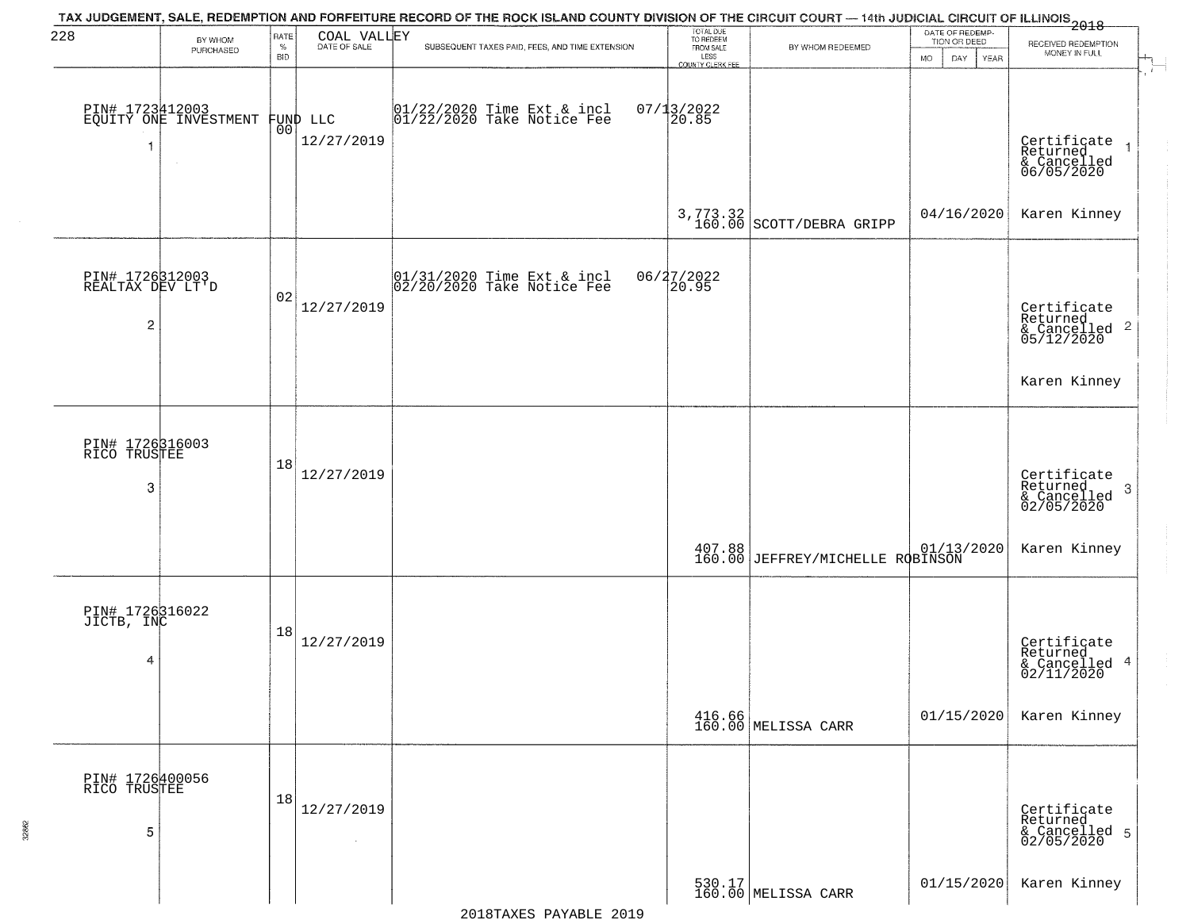| 228                                 |                                          | RATE        |                 | TAX JUDGEMENT, SALE, REDEMPTION AND FORFEITURE RECORD OF THE ROCK ISLAND COUNTY DIVISION OF THE CIRCUIT COURT — 14th JUDICIAL CIRCUIT OF ILLINOIS 2018 | TOTAL DUE<br>TO REDEEM   |                                                                                                                                                                                                                                                             | DATE OF REDEMP-                           |                                                                   |
|-------------------------------------|------------------------------------------|-------------|-----------------|--------------------------------------------------------------------------------------------------------------------------------------------------------|--------------------------|-------------------------------------------------------------------------------------------------------------------------------------------------------------------------------------------------------------------------------------------------------------|-------------------------------------------|-------------------------------------------------------------------|
|                                     | BY WHOM<br>PURCHASED                     | $\%$<br>BID | COAL VALLEY     | SUBSEQUENT TAXES PAID, FEES, AND TIME EXTENSION                                                                                                        | FROM SALE                | BY WHOM REDEEMED                                                                                                                                                                                                                                            | TION OR DEED<br><b>MO</b><br>DAY.<br>YEAR | RECEIVED REDEMPTION<br>MONEY IN FULL                              |
|                                     |                                          |             |                 |                                                                                                                                                        | LESS<br>COUNTY CLERK FEE |                                                                                                                                                                                                                                                             |                                           |                                                                   |
|                                     |                                          |             |                 |                                                                                                                                                        |                          |                                                                                                                                                                                                                                                             |                                           |                                                                   |
|                                     | PIN# 1723412003<br>EQUITY ONE INVESTMENT |             | FUND LLC<br> 00 | $01/22/2020$ Time Ext & incl<br>$01/22/2020$ Take Notice Fee                                                                                           | $07/13/2022$<br>20.85    |                                                                                                                                                                                                                                                             |                                           |                                                                   |
|                                     |                                          |             | 12/27/2019      |                                                                                                                                                        |                          |                                                                                                                                                                                                                                                             |                                           |                                                                   |
|                                     |                                          |             |                 |                                                                                                                                                        |                          |                                                                                                                                                                                                                                                             |                                           | Certificate<br>Returned<br>& Cancelled<br>06/05/2020              |
|                                     |                                          |             |                 |                                                                                                                                                        |                          |                                                                                                                                                                                                                                                             |                                           |                                                                   |
|                                     |                                          |             |                 |                                                                                                                                                        |                          | 3,773.32<br>160.00 SCOTT/DEBRA GRIPP                                                                                                                                                                                                                        | 04/16/2020                                | Karen Kinney                                                      |
|                                     |                                          |             |                 |                                                                                                                                                        |                          |                                                                                                                                                                                                                                                             |                                           |                                                                   |
|                                     |                                          |             |                 |                                                                                                                                                        |                          |                                                                                                                                                                                                                                                             |                                           |                                                                   |
| PIN# 1726312003<br>REALTAX DEV LT'D |                                          | 02          |                 | 01/31/2020 Time Ext & incl<br>02/20/2020 Take Notice Fee                                                                                               | 06/27/2022<br>20.95      |                                                                                                                                                                                                                                                             |                                           |                                                                   |
|                                     |                                          |             | 12/27/2019      |                                                                                                                                                        |                          |                                                                                                                                                                                                                                                             |                                           |                                                                   |
| 2                                   |                                          |             |                 |                                                                                                                                                        |                          |                                                                                                                                                                                                                                                             |                                           | Certificate<br>Returned<br>& Cancelled <sup>2</sup><br>05/12/2020 |
|                                     |                                          |             |                 |                                                                                                                                                        |                          |                                                                                                                                                                                                                                                             |                                           |                                                                   |
|                                     |                                          |             |                 |                                                                                                                                                        |                          |                                                                                                                                                                                                                                                             |                                           | Karen Kinney                                                      |
|                                     |                                          |             |                 |                                                                                                                                                        |                          |                                                                                                                                                                                                                                                             |                                           |                                                                   |
|                                     |                                          |             |                 |                                                                                                                                                        |                          |                                                                                                                                                                                                                                                             |                                           |                                                                   |
| PIN# 1726316003<br>RICO TRUSTEE     |                                          | 18          |                 |                                                                                                                                                        |                          |                                                                                                                                                                                                                                                             |                                           |                                                                   |
| 3                                   |                                          |             | 12/27/2019      |                                                                                                                                                        |                          |                                                                                                                                                                                                                                                             |                                           | Certificate<br>Returned<br>3                                      |
|                                     |                                          |             |                 |                                                                                                                                                        |                          |                                                                                                                                                                                                                                                             |                                           | & Cancelled<br>02/05/2020                                         |
|                                     |                                          |             |                 |                                                                                                                                                        |                          |                                                                                                                                                                                                                                                             |                                           |                                                                   |
|                                     |                                          |             |                 |                                                                                                                                                        |                          | $\begin{array}{ c c c c c c c } \hline 407.88 & 01/13/2020 & 01/13/2020 & 01/13/2020 & 01/13/2020 & 01/13/2020 & 01/13/2020 & 01/13/2020 & 01/13/2020 & 01/13/2020 & 01/13/2020 & 01/13/2020 & 01/13/2020 & 01/13/2020 & 01/13/2020 & 01/13/2020 & 01/13/2$ |                                           | Karen Kinney                                                      |
|                                     |                                          |             |                 |                                                                                                                                                        |                          |                                                                                                                                                                                                                                                             |                                           |                                                                   |
| PIN# 1726316022<br>JICTB, INC       |                                          |             |                 |                                                                                                                                                        |                          |                                                                                                                                                                                                                                                             |                                           |                                                                   |
|                                     |                                          | 18          | 12/27/2019      |                                                                                                                                                        |                          |                                                                                                                                                                                                                                                             |                                           |                                                                   |
| 4                                   |                                          |             |                 |                                                                                                                                                        |                          |                                                                                                                                                                                                                                                             |                                           | Certificate<br>Returned<br>& Cancelled 4<br>02/11/2020            |
|                                     |                                          |             |                 |                                                                                                                                                        |                          |                                                                                                                                                                                                                                                             |                                           |                                                                   |
|                                     |                                          |             |                 |                                                                                                                                                        |                          |                                                                                                                                                                                                                                                             | 01/15/2020                                | Karen Kinney                                                      |
|                                     |                                          |             |                 |                                                                                                                                                        |                          | 416.66<br>160.00 MELISSA CARR                                                                                                                                                                                                                               |                                           |                                                                   |
|                                     |                                          |             |                 |                                                                                                                                                        |                          |                                                                                                                                                                                                                                                             |                                           |                                                                   |
| PIN# 1726400056<br>RICO TRUSTEE     |                                          |             |                 |                                                                                                                                                        |                          |                                                                                                                                                                                                                                                             |                                           |                                                                   |
|                                     |                                          | 18          | 12/27/2019      |                                                                                                                                                        |                          |                                                                                                                                                                                                                                                             |                                           |                                                                   |
| 5                                   |                                          |             |                 |                                                                                                                                                        |                          |                                                                                                                                                                                                                                                             |                                           | Certificate<br>Returned<br>& Cancelled 5<br>02/05/2020            |
|                                     |                                          |             | $\sim$          |                                                                                                                                                        |                          |                                                                                                                                                                                                                                                             |                                           |                                                                   |
|                                     |                                          |             |                 |                                                                                                                                                        |                          |                                                                                                                                                                                                                                                             | 01/15/2020                                | Karen Kinney                                                      |
|                                     |                                          |             |                 |                                                                                                                                                        |                          | 530.17<br>160.00 MELISSA CARR                                                                                                                                                                                                                               |                                           |                                                                   |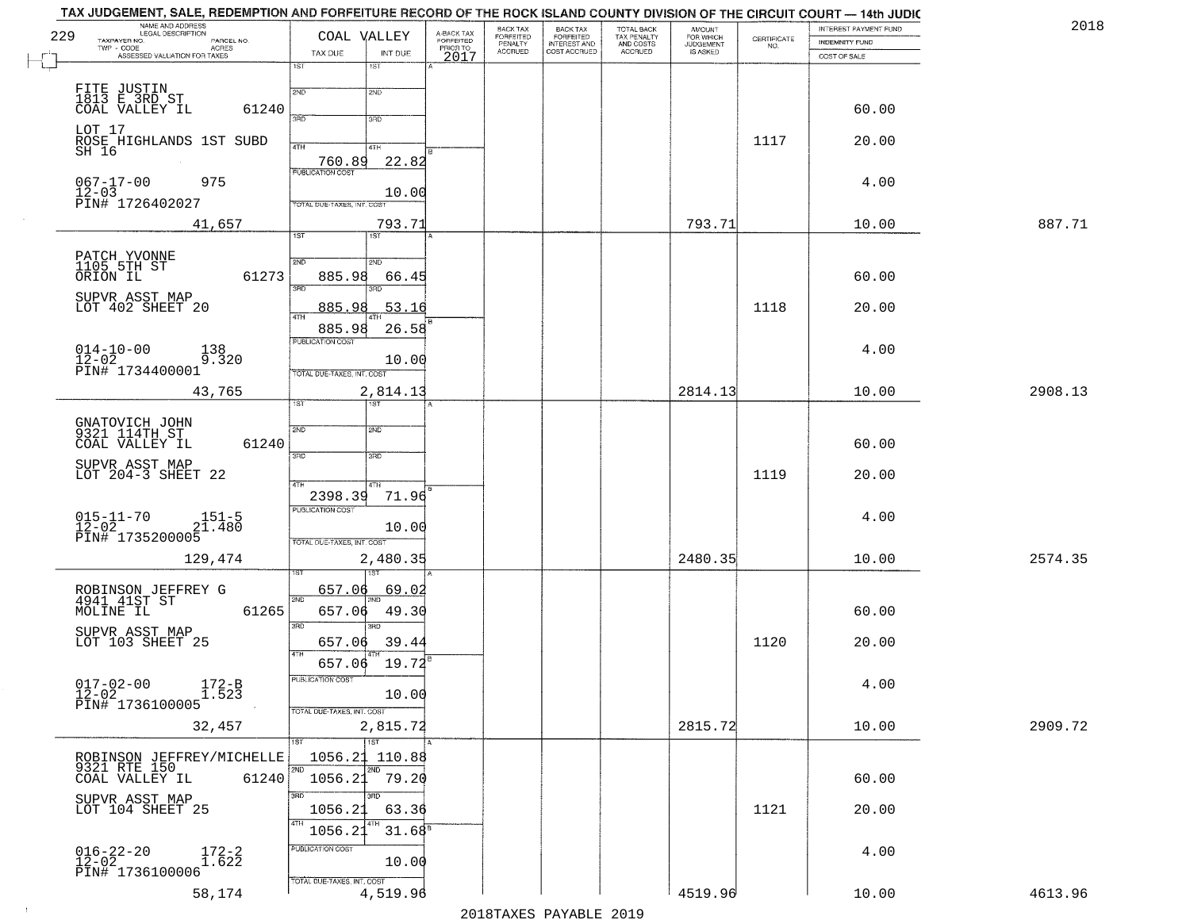| 229 | NAME AND ADDRESS<br>LEGAL DESCRIPTION<br>TAXPAYER NO.<br>PARCEL NO.<br>TWP - CODE<br>ACRES                                               | COAL VALLEY                                 | A-BACK TAX<br><b>FORFEITED</b><br>PRIOR TO | <b>BACK TAX</b><br><b>FORFEITED</b><br>PENALTY | BACK TAX<br>FORFEITED<br>INTEREST AND | TOTAL BACK<br>TAX PENALTY<br>AND COSTS | AMOUNT<br>FOR WHICH<br><b>JUDGEMENT</b> | $\begin{array}{c} \text{CERTIFICATE} \\ \text{NO.} \end{array}$ | INTEREST PAYMENT FUND<br><b>INDEMNITY FUND</b> | 201     |
|-----|------------------------------------------------------------------------------------------------------------------------------------------|---------------------------------------------|--------------------------------------------|------------------------------------------------|---------------------------------------|----------------------------------------|-----------------------------------------|-----------------------------------------------------------------|------------------------------------------------|---------|
|     | ASSESSED VALUATION FOR TAXES                                                                                                             | TAX DUE<br>INT DUE<br>1ST<br>1ST            | 2017                                       | <b>ACCRUED</b>                                 | COST ACCRUED                          | ACCRUED                                | <b>IS ASKED</b>                         |                                                                 | COST OF SALE                                   |         |
|     |                                                                                                                                          |                                             |                                            |                                                |                                       |                                        |                                         |                                                                 |                                                |         |
|     | FITE JUSTIN<br>1813 E 3RD ST<br>COAL VALLEY IL                                                                                           | 2ND<br>2ND                                  |                                            |                                                |                                       |                                        |                                         |                                                                 |                                                |         |
|     | 61240                                                                                                                                    | 3PD<br>3RD                                  |                                            |                                                |                                       |                                        |                                         |                                                                 | 60.00                                          |         |
|     | LOT 17<br>ROSE HIGHLANDS 1ST SUBD<br>SH 16                                                                                               | 4TH                                         |                                            |                                                |                                       |                                        |                                         | 1117                                                            | 20.00                                          |         |
|     |                                                                                                                                          | 4TH<br>22.82<br>760.89                      |                                            |                                                |                                       |                                        |                                         |                                                                 |                                                |         |
|     | $067 - 17 - 00$<br>975                                                                                                                   |                                             |                                            |                                                |                                       |                                        |                                         |                                                                 | 4.00                                           |         |
|     | 12-03<br>PIN# 1726402027                                                                                                                 | 10.00<br>TOTAL DUE-TAXES, INT. COST         |                                            |                                                |                                       |                                        |                                         |                                                                 |                                                |         |
|     | 41,657                                                                                                                                   | 793.71                                      |                                            |                                                |                                       |                                        | 793.71                                  |                                                                 | 10.00                                          | 887.71  |
|     |                                                                                                                                          | 1ST                                         |                                            |                                                |                                       |                                        |                                         |                                                                 |                                                |         |
|     | PATCH YVONNE<br>1105 5TH ST<br>ORION IL                                                                                                  | 2ND<br>2ND                                  |                                            |                                                |                                       |                                        |                                         |                                                                 |                                                |         |
|     | 61273                                                                                                                                    | 885.98<br>66.45<br>उन्नत                    |                                            |                                                |                                       |                                        |                                         |                                                                 | 60.00                                          |         |
|     | SUPVR ASST MAP<br>LOT 402 SHEET 20                                                                                                       | 885.98<br>53.16                             |                                            |                                                |                                       |                                        |                                         | 1118                                                            | 20.00                                          |         |
|     |                                                                                                                                          | 47H                                         |                                            |                                                |                                       |                                        |                                         |                                                                 |                                                |         |
|     |                                                                                                                                          | 26.58<br>885.98<br>PUBLICATION COST         |                                            |                                                |                                       |                                        |                                         |                                                                 |                                                |         |
|     | $\begin{array}{ll} 014-10-00 & \textcolor{red}{\ddots} \\ 12-02 & \textcolor{red}{\text{PINH}} & 1734400001 \end{array}$<br>138<br>9.320 | 10.00                                       |                                            |                                                |                                       |                                        |                                         |                                                                 | 4.00                                           |         |
|     |                                                                                                                                          | TOTAL DUE-TAXES, INT. COST                  |                                            |                                                |                                       |                                        |                                         |                                                                 |                                                |         |
|     | 43,765                                                                                                                                   | 2,814.13<br>1ST                             |                                            |                                                |                                       |                                        | 2814.13                                 |                                                                 | 10.00                                          | 2908.13 |
|     | GNATOVICH JOHN<br>9321 114TH ST                                                                                                          | 2ND<br>2ND                                  |                                            |                                                |                                       |                                        |                                         |                                                                 |                                                |         |
|     | COAL VALLEY IL<br>61240                                                                                                                  |                                             |                                            |                                                |                                       |                                        |                                         |                                                                 | 60.00                                          |         |
|     | SUPVR ASST MAP<br>LOT 204-3 SHEET 22                                                                                                     | 3RD<br>3RD                                  |                                            |                                                |                                       |                                        |                                         |                                                                 |                                                |         |
|     |                                                                                                                                          | 4TH<br>4TH                                  |                                            |                                                |                                       |                                        |                                         | 1119                                                            | 20.00                                          |         |
|     |                                                                                                                                          | 2398.39<br>71.96<br><b>PUBLICATION COST</b> |                                            |                                                |                                       |                                        |                                         |                                                                 |                                                |         |
|     | $015 - 11 - 70$<br>12-02<br>$151 - 5$<br>21.480                                                                                          | 10.00                                       |                                            |                                                |                                       |                                        |                                         |                                                                 | 4.00                                           |         |
|     | PIN# 1735200005                                                                                                                          | TOTAL OUE-TAXES, INT. COST                  |                                            |                                                |                                       |                                        |                                         |                                                                 |                                                |         |
|     | 129,474                                                                                                                                  | 2,480.35                                    |                                            |                                                |                                       |                                        | 2480.35                                 |                                                                 | 10.00                                          | 2574.35 |
|     |                                                                                                                                          | 657.06<br><u>69.02</u>                      |                                            |                                                |                                       |                                        |                                         |                                                                 |                                                |         |
|     | ROBINSON JEFFREY G<br>4941 41ST ST<br>61265<br>MOLINE IL                                                                                 | 2ND<br>49.30<br>657.06                      |                                            |                                                |                                       |                                        |                                         |                                                                 | 60.00                                          |         |
|     | SUPVR ASST MAP                                                                                                                           | 3RD<br>3BD                                  |                                            |                                                |                                       |                                        |                                         |                                                                 |                                                |         |
|     | LOT 103 SHEET 25                                                                                                                         | 39.44<br>657.06<br><b>4TH</b>               |                                            |                                                |                                       |                                        |                                         | 1120                                                            | 20.00                                          |         |
|     |                                                                                                                                          | $657.06$ 19.72 <sup>8</sup>                 |                                            |                                                |                                       |                                        |                                         |                                                                 |                                                |         |
|     | $017 - 02 - 00$<br>12-02<br>$172 - B$<br>1.523                                                                                           | PUBLICATION COST<br>10.00                   |                                            |                                                |                                       |                                        |                                         |                                                                 | 4.00                                           |         |
|     | PIN# 1736100005                                                                                                                          | TOTAL DUE-TAXES, INT. COST                  |                                            |                                                |                                       |                                        |                                         |                                                                 |                                                |         |
|     | 32,457                                                                                                                                   | 2,815.72                                    |                                            |                                                |                                       |                                        | 2815.72                                 |                                                                 | 10.00                                          | 2909.72 |
|     |                                                                                                                                          | 1ST<br>1ST                                  |                                            |                                                |                                       |                                        |                                         |                                                                 |                                                |         |
|     | ROBINSON JEFFREY/MICHELLE<br>9321 RTE 150                                                                                                | 1056.21<br>110.88<br>2ND<br>2ND             |                                            |                                                |                                       |                                        |                                         |                                                                 |                                                |         |
|     | COAL VALLEY IL<br>61240                                                                                                                  | 79.20<br>1056.23<br>3RD<br>3RD              |                                            |                                                |                                       |                                        |                                         |                                                                 | 60.00                                          |         |
|     | SUPVR ASST MAP<br>LOT 104 SHEET 25                                                                                                       | 1056.2<br>63.36                             |                                            |                                                |                                       |                                        |                                         | 1121                                                            | 20.00                                          |         |
|     |                                                                                                                                          | 4TH<br>31.68 <sup>s</sup><br>1056.21        |                                            |                                                |                                       |                                        |                                         |                                                                 |                                                |         |
|     |                                                                                                                                          | PUBLICATION COST                            |                                            |                                                |                                       |                                        |                                         |                                                                 | 4.00                                           |         |
|     | $016 - 22 - 20$<br>12-02<br>$172 - 2$<br>1.622<br>PIN# 1736100006                                                                        | 10.00                                       |                                            |                                                |                                       |                                        |                                         |                                                                 |                                                |         |
|     | 58,174                                                                                                                                   | TOTAL DUE-TAXES, INT. COST<br>4,519.96      |                                            |                                                |                                       |                                        | 4519.96                                 |                                                                 | 10.00                                          | 4613.96 |
|     |                                                                                                                                          |                                             |                                            |                                                | 2010 הזמגעות מהעגדומר                 |                                        |                                         |                                                                 |                                                |         |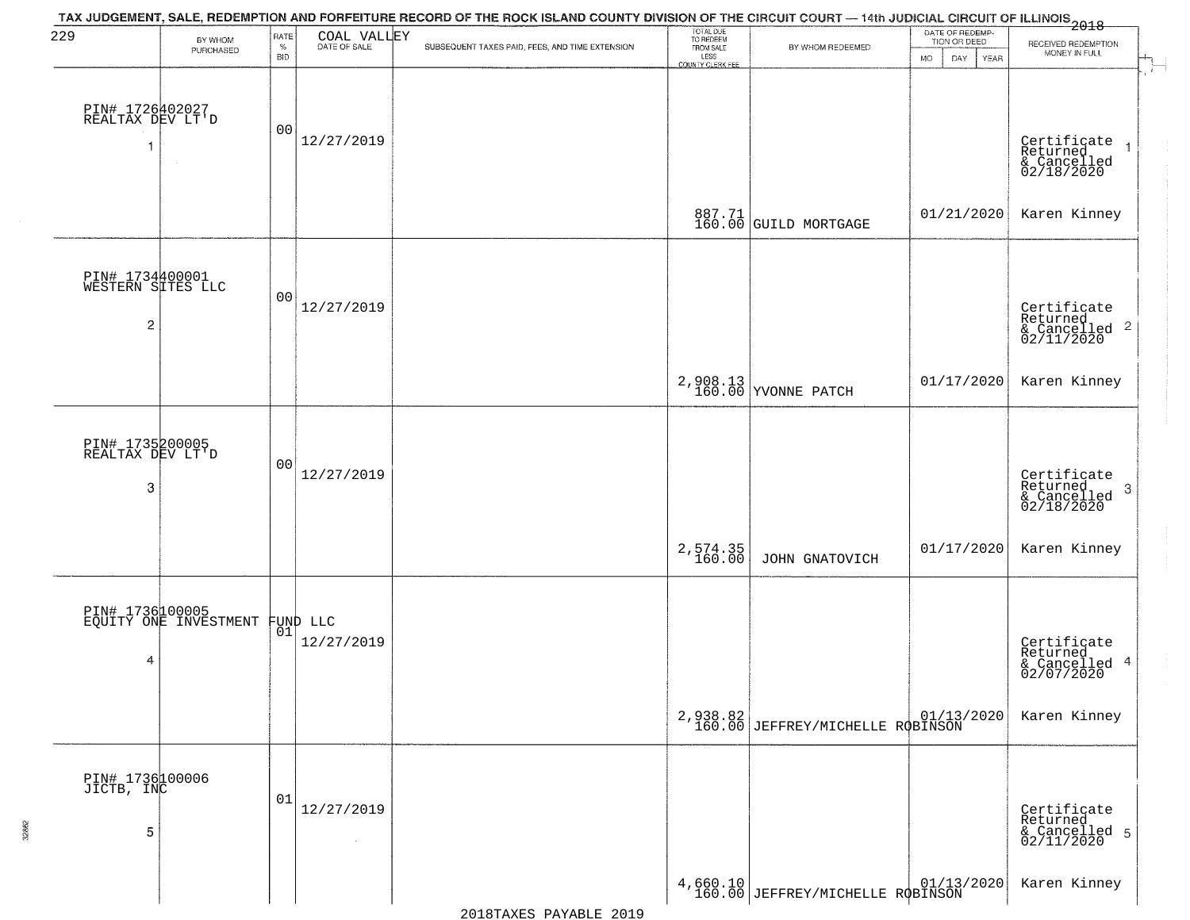| 229                                       | BY WHOM<br>PURCHASED                     | RATE<br>$\%$ | COAL VALLEY            | TAX JUDGEMENT, SALE, REDEMPTION AND FORFEITURE RECORD OF THE ROCK ISLAND COUNTY DIVISION OF THE CIRCUIT COURT — 14th JUDICIAL CIRCUIT OF ILLINOIS<br>2018<br>SUBSEQUENT TAXES PAID, FEES, AND TIME EXTENSION | TOTAL DUE<br>TO REDEEM<br>FROM SALE | BY WHOM REDEEMED                             | DATE OF REDEMP-<br>TION OR DEED | RECEIVED REDEMPTION<br>MONEY IN FULL                                         |
|-------------------------------------------|------------------------------------------|--------------|------------------------|--------------------------------------------------------------------------------------------------------------------------------------------------------------------------------------------------------------|-------------------------------------|----------------------------------------------|---------------------------------|------------------------------------------------------------------------------|
|                                           |                                          | <b>BID</b>   |                        |                                                                                                                                                                                                              | LESS<br>COUNTY CLERK FEE            |                                              | <b>MO</b><br>DAY<br>YEAR        |                                                                              |
| PIN# 1726402027<br>REALTAX DEV LT'D       |                                          | 00           | 12/27/2019             |                                                                                                                                                                                                              |                                     |                                              |                                 | Certificate<br>Returned<br>& Cancelled<br>02/18/2020                         |
|                                           |                                          |              |                        |                                                                                                                                                                                                              |                                     | 887.71<br>160.00 GUILD MORTGAGE              | 01/21/2020                      | Karen Kinney                                                                 |
| PIN# 1734400001<br>WESTERN SITES LLC<br>2 |                                          | 00           | 12/27/2019             |                                                                                                                                                                                                              |                                     |                                              |                                 | Certificate<br>Returned<br>& Cancelled <sup>2</sup><br>02/11/2020            |
|                                           |                                          |              |                        |                                                                                                                                                                                                              |                                     | 2,908.13<br>160.00 YVONNE PATCH              | 01/17/2020                      | Karen Kinney                                                                 |
| PIN# 1735200005<br>REALTAX DEV LT'D<br>3  |                                          | 00           | 12/27/2019             |                                                                                                                                                                                                              |                                     |                                              |                                 | Certificate<br>Returned<br>$\boldsymbol{\beta}$<br>& Cancelled<br>02/18/2020 |
|                                           |                                          |              |                        |                                                                                                                                                                                                              | 2,574.35<br>160.00                  | JOHN GNATOVICH                               | 01/17/2020                      | Karen Kinney                                                                 |
| 4                                         | PIN# 1736100005<br>EQUITY ONE INVESTMENT | 01           | FUND LLC<br>12/27/2019 |                                                                                                                                                                                                              |                                     |                                              |                                 | Certificate<br>Returned<br>& Cancelled 4<br>02/07/2020                       |
|                                           |                                          |              |                        |                                                                                                                                                                                                              |                                     | 2,938.82<br>160.00 JEFFREY/MICHELLE ROBINSON |                                 | Karen Kinney                                                                 |
| PIN# 1736100006<br>JICTB, INC<br>5        |                                          | 01           | 12/27/2019             |                                                                                                                                                                                                              |                                     |                                              |                                 | Certificate<br>Returned<br>& Cancelled 5<br>02/11/2020                       |
|                                           |                                          |              |                        |                                                                                                                                                                                                              |                                     | $4,660.10$ JEFFREY/MICHELLE ROBINSON         |                                 | Karen Kinney                                                                 |

32862

2018TAXES PAYABLE 2019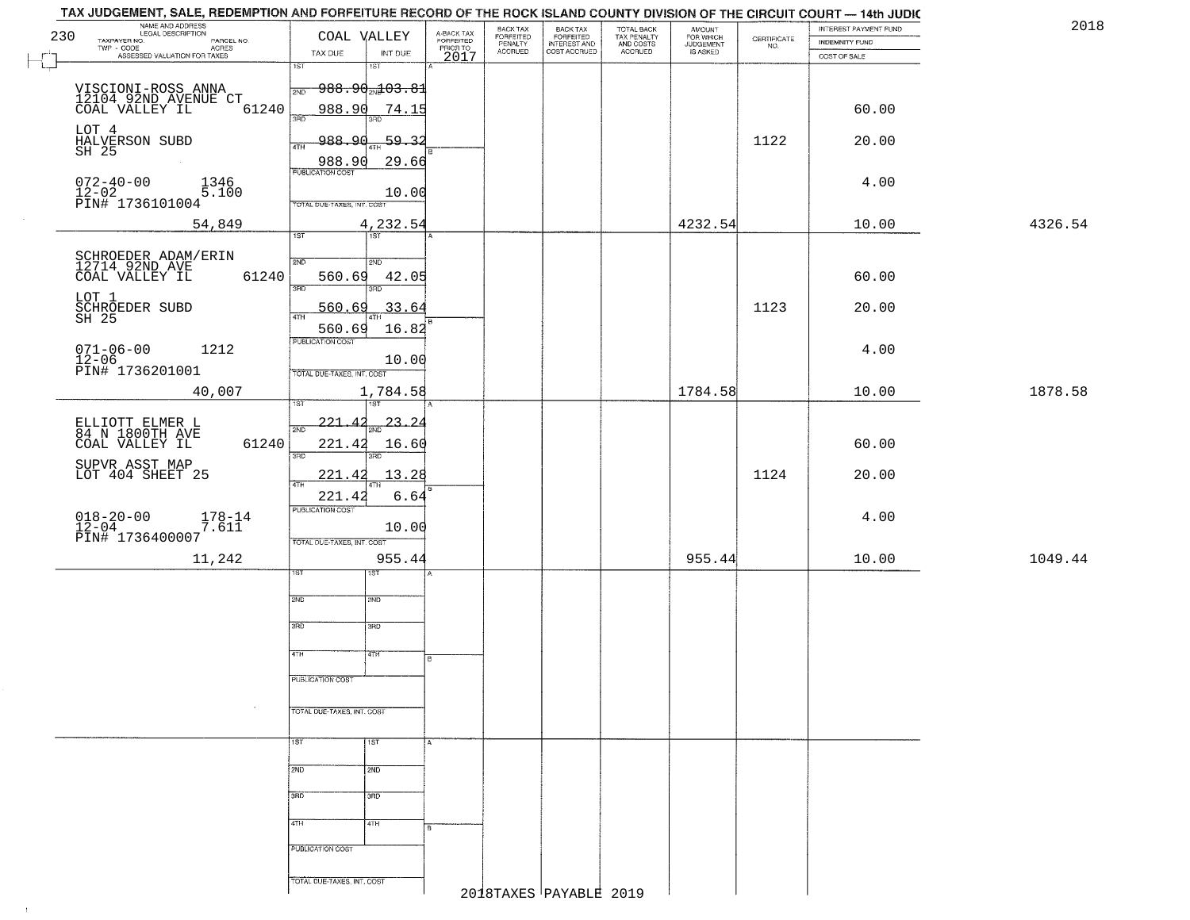| NAME AND ADDRESS<br>LEGAL DESCRIPTION<br>230<br>TAXPAYER NO.<br>PARCEL NO.<br>ACRES | COAL VALLEY                                   | A-BACK TAX<br>FORFEITED<br>PRIOR TO | BACK TAX<br>FORFEITED<br>PENALTY | BACK TAX<br>FORFEITED<br>INTEREST AND | TOTAL BACK<br>TAX PENALTY<br>AND COSTS | AMOUNT<br>FOR WHICH<br><b>JUDGEMENT</b> | $\begin{array}{c} \text{CERTIFICATE} \\ \text{NO.} \end{array}$ | INTEREST PAYMENT FUND<br>INDEMNITY FUND | 2018    |
|-------------------------------------------------------------------------------------|-----------------------------------------------|-------------------------------------|----------------------------------|---------------------------------------|----------------------------------------|-----------------------------------------|-----------------------------------------------------------------|-----------------------------------------|---------|
| $r^{-1}$<br>ASSESSED VALUATION FOR TAXES<br>└┙                                      | INT DUE<br>TAX DUE<br>$\overline{1ST}$<br>18T | 2017                                | <b>ACCRUED</b>                   | COST ACCRUED                          | ACCRUED                                | IS ASKED                                |                                                                 | COST OF SALE                            |         |
|                                                                                     | <del>988.90<sub>2N</sub>103.81</del><br>2ND   |                                     |                                  |                                       |                                        |                                         |                                                                 |                                         |         |
| VISCIONI-ROSS ANNA<br>12104 92ND AVENUE CT<br>COAL VALLEY IL (<br>61240             | 988.90<br>74.15                               |                                     |                                  |                                       |                                        |                                         |                                                                 | 60.00                                   |         |
|                                                                                     | 3RD                                           |                                     |                                  |                                       |                                        |                                         |                                                                 |                                         |         |
| LOT 4<br>HALVERSON SUBD<br>SH 25                                                    | 988.90<br>$-59.32$<br>4TH<br>29.66<br>988.90  |                                     |                                  |                                       |                                        |                                         | 1122                                                            | 20.00                                   |         |
| $072 - 40 - 00$<br>1346                                                             | <b>PUBLICATION COST</b>                       |                                     |                                  |                                       |                                        |                                         |                                                                 | 4.00                                    |         |
| $12-02$<br>PIN# 1736101004<br>5.100                                                 | 10.00<br>TOTAL DUE-TAXES, INT. COST           |                                     |                                  |                                       |                                        |                                         |                                                                 |                                         |         |
| 54,849                                                                              | 4,232.54<br>1ST                               |                                     |                                  |                                       |                                        | 4232.54                                 |                                                                 | 10.00                                   | 4326.54 |
|                                                                                     |                                               |                                     |                                  |                                       |                                        |                                         |                                                                 |                                         |         |
| SCHROEDER ADAM/ERIN<br>12714 92ND AVE<br>COAL VALLEY IL<br>61240                    | 2ND<br>2ND<br>560.69<br>42.05                 |                                     |                                  |                                       |                                        |                                         |                                                                 | 60.00                                   |         |
| LOT 1<br>SCHROEDER SUBD                                                             | 3RD<br>3RD<br>560.69<br>33.64                 |                                     |                                  |                                       |                                        |                                         | 1123                                                            | 20.00                                   |         |
| $SH$ 25                                                                             | 47H<br>16.82<br>560.69                        |                                     |                                  |                                       |                                        |                                         |                                                                 |                                         |         |
| $071 - 06 - 00$<br>1212                                                             | PUBLICATION COST                              |                                     |                                  |                                       |                                        |                                         |                                                                 | 4.00                                    |         |
| 12-06<br>PIN# 1736201001                                                            | 10.00<br>TOTAL DUE-TAXES, INT. COST           |                                     |                                  |                                       |                                        |                                         |                                                                 |                                         |         |
| 40,007                                                                              | 1,784.58<br>1ST.                              |                                     |                                  |                                       |                                        | 1784.58                                 |                                                                 | 10.00                                   | 1878.58 |
| ELLIOTT ELMER L<br>84 N 1800TH AVE                                                  | $-23 - 24$<br>221<br>2ND                      |                                     |                                  |                                       |                                        |                                         |                                                                 |                                         |         |
| 61240<br>COAL VALLEY IL                                                             | 221.42<br>16.60<br>3RD<br>3RD                 |                                     |                                  |                                       |                                        |                                         |                                                                 | 60.00                                   |         |
| SUPVR ASST MAP<br>LOT 404 SHEET 25                                                  | 221.42<br>13.28                               |                                     |                                  |                                       |                                        |                                         | 1124                                                            | 20.00                                   |         |
|                                                                                     | 4TH<br>221.42<br>6.64                         |                                     |                                  |                                       |                                        |                                         |                                                                 |                                         |         |
| $018 - 20 - 00$<br>12-04<br>$^{178-14}_{7.611}$                                     | PUBLICATION COST<br>10.00                     |                                     |                                  |                                       |                                        |                                         |                                                                 | 4.00                                    |         |
| PIN# 1736400007                                                                     | TOTAL OUE-TAXES, INT. COST                    |                                     |                                  |                                       |                                        |                                         |                                                                 |                                         |         |
| 11,242                                                                              | 955.44<br>1ST<br>इड़ा                         |                                     |                                  |                                       |                                        | 955.44                                  |                                                                 | 10.00                                   | 1049.44 |
|                                                                                     | 2ND<br>2ND                                    |                                     |                                  |                                       |                                        |                                         |                                                                 |                                         |         |
|                                                                                     | 3RD<br>3BD                                    |                                     |                                  |                                       |                                        |                                         |                                                                 |                                         |         |
|                                                                                     | 4TH<br>4TH                                    |                                     |                                  |                                       |                                        |                                         |                                                                 |                                         |         |
|                                                                                     |                                               |                                     |                                  |                                       |                                        |                                         |                                                                 |                                         |         |
|                                                                                     | PUBLICATION COST                              |                                     |                                  |                                       |                                        |                                         |                                                                 |                                         |         |
| $\sim$                                                                              | TOTAL DUE-TAXES, INT. COST                    |                                     |                                  |                                       |                                        |                                         |                                                                 |                                         |         |
|                                                                                     | 1ST <sup>1</sup><br>1ST                       |                                     |                                  |                                       |                                        |                                         |                                                                 |                                         |         |
|                                                                                     | 2ND<br>2ND                                    |                                     |                                  |                                       |                                        |                                         |                                                                 |                                         |         |
|                                                                                     | 3RD<br>3RD                                    |                                     |                                  |                                       |                                        |                                         |                                                                 |                                         |         |
|                                                                                     | 4TH<br>4TH                                    |                                     |                                  |                                       |                                        |                                         |                                                                 |                                         |         |
|                                                                                     | PUBLICATION COST                              |                                     |                                  |                                       |                                        |                                         |                                                                 |                                         |         |
|                                                                                     |                                               |                                     |                                  |                                       |                                        |                                         |                                                                 |                                         |         |
|                                                                                     | TOTAL DUE-TAXES, INT. COST                    |                                     |                                  | 2018TAXES PAYABLE 2019                |                                        |                                         |                                                                 |                                         |         |

 $\vdash$ 

 $\uparrow$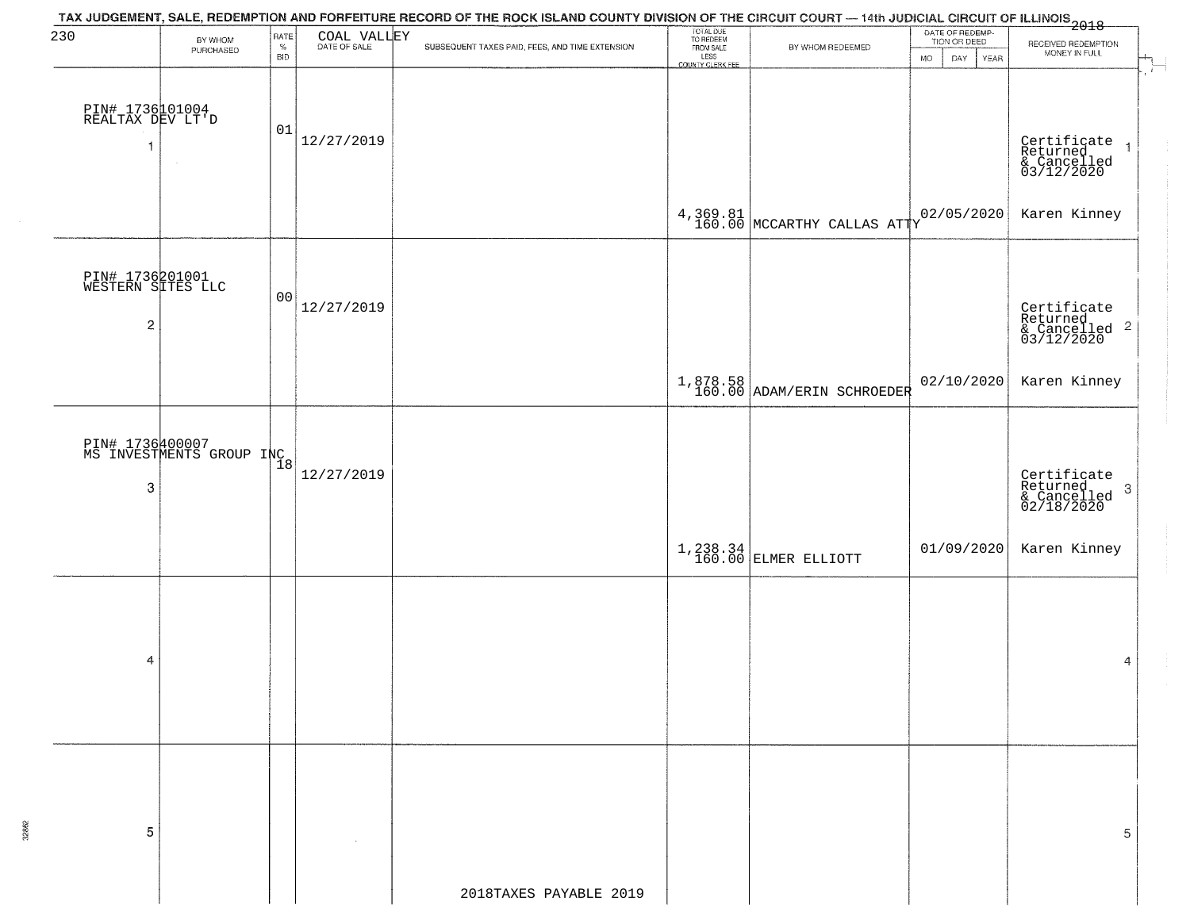| 230                                       | BY WHOM<br>PURCHASED                                     | RATE<br>$\%$<br><b>BID</b> | COAL VALLEY | TAX JUDGEMENT, SALE, REDEMPTION AND FORFEITURE RECORD OF THE ROCK ISLAND COUNTY DIVISION OF THE CIRCUIT COURT — 14th JUDICIAL CIRCUIT OF ILLINOIS<br>2018 — ALL ANDREW MARRIET COURT COURT COURT OF THE ROCK ISLAND COUNTY DIVISI<br>SUBSEQUENT TAXES PAID, FEES, AND TIME EXTENSION | TOTAL DUE<br>TO REDEEM<br>FROM SALE<br>LESS | BY WHOM REDEEMED                       | MO | DATE OF REDEMP-<br>TION OR DEED<br>DAY<br>YEAR | RECEIVED REDEMPTION<br>MONEY IN FULL                                 |
|-------------------------------------------|----------------------------------------------------------|----------------------------|-------------|--------------------------------------------------------------------------------------------------------------------------------------------------------------------------------------------------------------------------------------------------------------------------------------|---------------------------------------------|----------------------------------------|----|------------------------------------------------|----------------------------------------------------------------------|
| PIN# 1736101004<br>REALTAX DEV LT'D<br>1  | $\sim$                                                   | 01                         | 12/27/2019  |                                                                                                                                                                                                                                                                                      | <b>COUNTY CLERK FEE</b>                     |                                        |    |                                                | Certificate<br>Returned<br>& Cancelled<br>03/12/2020                 |
|                                           |                                                          |                            |             |                                                                                                                                                                                                                                                                                      |                                             | $4,369.81$ MCCARTHY CALLAS ATTY        |    | 02/05/2020                                     | Karen Kinney                                                         |
| PIN# 1736201001<br>WESTERN SITES LLC<br>2 |                                                          | 0 <sub>0</sub>             | 12/27/2019  |                                                                                                                                                                                                                                                                                      |                                             |                                        |    |                                                | Certificate<br>Returned<br>& Cancelled 2<br>03/12/2020               |
|                                           |                                                          |                            |             |                                                                                                                                                                                                                                                                                      |                                             | 1,878.58<br>160.00 ADAM/ERIN SCHROEDER |    | 02/10/2020                                     | Karen Kinney                                                         |
| 3                                         | PIN# 1736400007<br>MS INVESTMENTS GROUP INC <sub>8</sub> |                            | 12/27/2019  |                                                                                                                                                                                                                                                                                      |                                             |                                        |    |                                                | Certificate<br>Returned<br>& Cancelled<br>02/18/2020<br>$\mathbf{3}$ |
|                                           |                                                          |                            |             |                                                                                                                                                                                                                                                                                      |                                             | $1,238.34$ ELMER ELLIOTT               |    | 01/09/2020                                     | Karen Kinney                                                         |
| 4                                         |                                                          |                            |             |                                                                                                                                                                                                                                                                                      |                                             |                                        |    |                                                | $\overline{4}$                                                       |
| 5                                         |                                                          |                            |             | 2018TAXES PAYABLE 2019                                                                                                                                                                                                                                                               |                                             |                                        |    |                                                | 5                                                                    |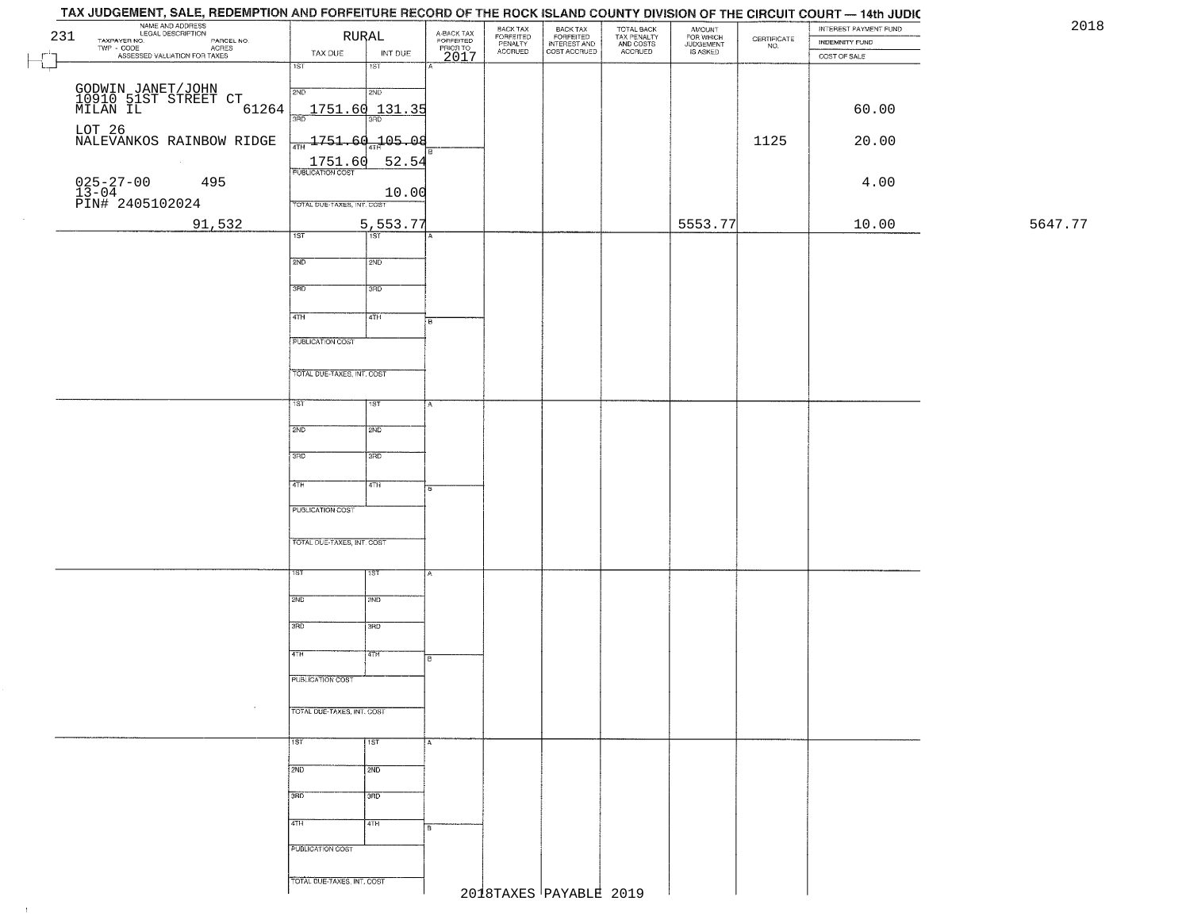|         | INTEREST PAYMENT FUND<br><b>INDEMNITY FUND</b> | CERTIFICATE | AMOUNT<br>FOR WHICH<br>JUDGEMENT<br>IS ASKED | TOTAL BACK<br>TAX PENALTY<br>AND COSTS<br>ACCRUED | BACK TAX<br>FORFEITED<br>INTEREST AND<br>COST ACCRUED | BACK TAX<br>FORFEITED<br>PENALTY | A-BACK TAX<br>FORFEITED<br>PRIOR TO |            | RURAL                                               | NAME AND ADDRESS<br>LEGAL DESCRIPTION<br>TAXPAYER NO.                                             | 231 |
|---------|------------------------------------------------|-------------|----------------------------------------------|---------------------------------------------------|-------------------------------------------------------|----------------------------------|-------------------------------------|------------|-----------------------------------------------------|---------------------------------------------------------------------------------------------------|-----|
|         | COST OF SALE                                   | NO.         |                                              |                                                   |                                                       | <b>ACCRUED</b>                   | 2017                                | INT DUE    | TAX DUE                                             | ECONOMIC DESCRIPTION PARCEL NO.<br>- CODE ACRES<br>- ASSESSED VALUATION FOR TAXES<br>$TWP - CODE$ |     |
|         |                                                |             |                                              |                                                   |                                                       |                                  |                                     | 1ST        | 1ST                                                 |                                                                                                   |     |
|         |                                                |             |                                              |                                                   |                                                       |                                  |                                     | 2ND        | 2ND                                                 | GODWIN JANET/JOHN<br>10910 51ST STREET CT<br>MILAN IL                                             |     |
|         | 60.00                                          |             |                                              |                                                   |                                                       |                                  |                                     |            | $1751.60$ $131.35$<br>3RD                           | 61264                                                                                             |     |
|         |                                                |             |                                              |                                                   |                                                       |                                  |                                     |            |                                                     | LOT 26                                                                                            |     |
|         | 20.00                                          | 1125        |                                              |                                                   |                                                       |                                  |                                     |            | $\frac{1}{4\pi H}$ 1751.60 $\frac{1}{4\pi H}$ 05.08 | NALEVANKOS RAINBOW RIDGE                                                                          |     |
|         |                                                |             |                                              |                                                   |                                                       |                                  |                                     | 52.54      | 1751.60<br><b>PUBLICATION COST</b>                  |                                                                                                   |     |
|         | 4.00                                           |             |                                              |                                                   |                                                       |                                  |                                     | 10.00      |                                                     | 025-27-00<br>13-04<br>PIN# 2405102024<br>495                                                      |     |
|         |                                                |             |                                              |                                                   |                                                       |                                  |                                     |            | TOTAL DUE-TAXES, INT. COST                          |                                                                                                   |     |
| 5647.77 | 10.00                                          |             | 5553.77                                      |                                                   |                                                       |                                  |                                     | 5,553.77   |                                                     | 91,532                                                                                            |     |
|         |                                                |             |                                              |                                                   |                                                       |                                  |                                     | सिंहा      | 1ST                                                 |                                                                                                   |     |
|         |                                                |             |                                              |                                                   |                                                       |                                  |                                     | 2ND        | 2ND                                                 |                                                                                                   |     |
|         |                                                |             |                                              |                                                   |                                                       |                                  |                                     | 3RD        | 3RD                                                 |                                                                                                   |     |
|         |                                                |             |                                              |                                                   |                                                       |                                  |                                     |            |                                                     |                                                                                                   |     |
|         |                                                |             |                                              |                                                   |                                                       |                                  | в                                   | 4TH        | $\sqrt{47H}$                                        |                                                                                                   |     |
|         |                                                |             |                                              |                                                   |                                                       |                                  |                                     |            | PUBLICATION COST                                    |                                                                                                   |     |
|         |                                                |             |                                              |                                                   |                                                       |                                  |                                     |            |                                                     |                                                                                                   |     |
|         |                                                |             |                                              |                                                   |                                                       |                                  |                                     |            | TOTAL DUE-TAXES, INT. COST                          |                                                                                                   |     |
|         |                                                |             |                                              |                                                   |                                                       |                                  |                                     | 1ST        | 1ST"                                                |                                                                                                   |     |
|         |                                                |             |                                              |                                                   |                                                       |                                  |                                     |            |                                                     |                                                                                                   |     |
|         |                                                |             |                                              |                                                   |                                                       |                                  |                                     | <b>SHD</b> | 2ND                                                 |                                                                                                   |     |
|         |                                                |             |                                              |                                                   |                                                       |                                  |                                     | 3RD        | 3RD                                                 |                                                                                                   |     |
|         |                                                |             |                                              |                                                   |                                                       |                                  |                                     |            |                                                     |                                                                                                   |     |
|         |                                                |             |                                              |                                                   |                                                       |                                  | B                                   | 4TH        | 4TH                                                 |                                                                                                   |     |
|         |                                                |             |                                              |                                                   |                                                       |                                  |                                     |            | PUBLICATION COST                                    |                                                                                                   |     |
|         |                                                |             |                                              |                                                   |                                                       |                                  |                                     |            |                                                     |                                                                                                   |     |
|         |                                                |             |                                              |                                                   |                                                       |                                  |                                     |            | TOTAL OUE-TAXES, INT. COST                          |                                                                                                   |     |
|         |                                                |             |                                              |                                                   |                                                       |                                  |                                     | 15T        | 1ST                                                 |                                                                                                   |     |
|         |                                                |             |                                              |                                                   |                                                       |                                  |                                     |            |                                                     |                                                                                                   |     |
|         |                                                |             |                                              |                                                   |                                                       |                                  |                                     | 2ND        | 2ND                                                 |                                                                                                   |     |
|         |                                                |             |                                              |                                                   |                                                       |                                  |                                     | 3RD        | 3RD                                                 |                                                                                                   |     |
|         |                                                |             |                                              |                                                   |                                                       |                                  |                                     | 47H        | 4TH                                                 |                                                                                                   |     |
|         |                                                |             |                                              |                                                   |                                                       |                                  | в.                                  |            |                                                     |                                                                                                   |     |
|         |                                                |             |                                              |                                                   |                                                       |                                  |                                     |            | PUBLICATION COST                                    |                                                                                                   |     |
|         |                                                |             |                                              |                                                   |                                                       |                                  |                                     |            | TOTAL DUE-TAXES, INT. COST                          | $\sim$                                                                                            |     |
|         |                                                |             |                                              |                                                   |                                                       |                                  |                                     |            |                                                     |                                                                                                   |     |
|         |                                                |             |                                              |                                                   |                                                       |                                  | А                                   | 1ST        | <b>TST</b>                                          |                                                                                                   |     |
|         |                                                |             |                                              |                                                   |                                                       |                                  |                                     |            |                                                     |                                                                                                   |     |
|         |                                                |             |                                              |                                                   |                                                       |                                  |                                     | 2ND        | 2ND                                                 |                                                                                                   |     |
|         |                                                |             |                                              |                                                   |                                                       |                                  |                                     | 3RD        | 3BD                                                 |                                                                                                   |     |
|         |                                                |             |                                              |                                                   |                                                       |                                  |                                     | 4TH        | 4TH                                                 |                                                                                                   |     |
|         |                                                |             |                                              |                                                   |                                                       |                                  | 8                                   |            |                                                     |                                                                                                   |     |
|         |                                                |             |                                              |                                                   |                                                       |                                  |                                     |            | PUBLICATION COST                                    |                                                                                                   |     |
|         |                                                |             |                                              |                                                   |                                                       |                                  |                                     |            |                                                     |                                                                                                   |     |
|         |                                                |             |                                              |                                                   | 2018TAXES PAYABLE 2019                                |                                  |                                     |            | TOTAL DUE-TAXES, INT. COST                          |                                                                                                   |     |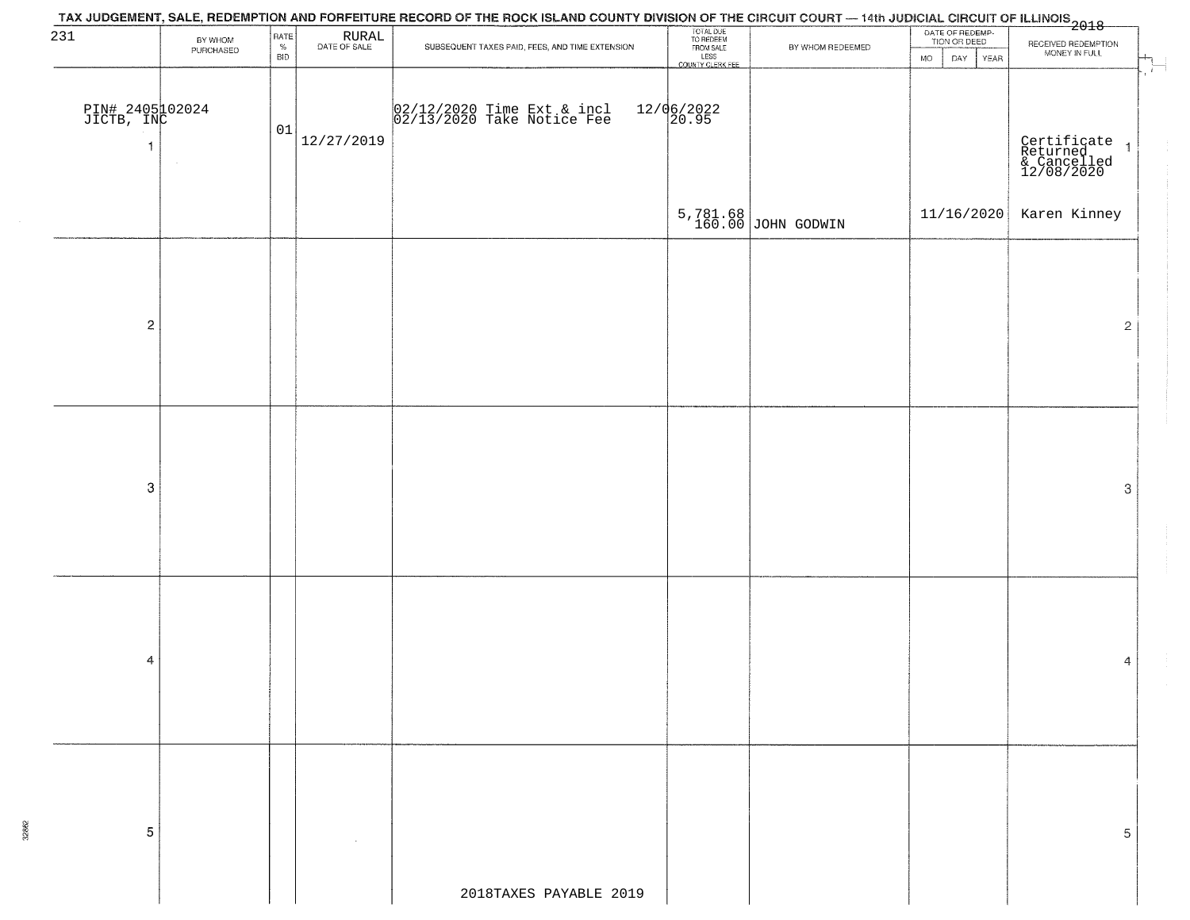| 231                           | BY WHOM   | RATE               | $\begin{array}{c} \text{RURAL} \\ \text{DATE of SALE} \end{array}$ |                                                          | TOTAL DUE<br>TO REDEEM<br>FROM SALE |                                | DATE OF REDEMP-<br>TION OR DEED |                                                          |
|-------------------------------|-----------|--------------------|--------------------------------------------------------------------|----------------------------------------------------------|-------------------------------------|--------------------------------|---------------------------------|----------------------------------------------------------|
|                               | PURCHASED | $\%$<br><b>BID</b> |                                                                    | SUBSEQUENT TAXES PAID, FEES, AND TIME EXTENSION          | LESS<br>LESS<br>COUNTY CLERK FEE    | BY WHOM REDEEMED               | DAY YEAR<br>MO.                 | RECEIVED REDEMPTION<br>MONEY IN FULL                     |
|                               |           |                    |                                                                    |                                                          |                                     |                                |                                 |                                                          |
|                               |           |                    |                                                                    |                                                          |                                     |                                |                                 |                                                          |
| PIN# 2405102024<br>JICTB, INC |           |                    |                                                                    | 02/12/2020 Time Ext & incl<br>02/13/2020 Take Notice Fee | $12/06/2022$<br>20.95               |                                |                                 |                                                          |
|                               |           | 01                 |                                                                    |                                                          |                                     |                                |                                 |                                                          |
|                               |           |                    | 12/27/2019                                                         |                                                          |                                     |                                |                                 |                                                          |
|                               |           |                    |                                                                    |                                                          |                                     |                                |                                 | Certificate 1<br>Returned 1<br>& Cancelled<br>12/08/2020 |
|                               |           |                    |                                                                    |                                                          |                                     |                                |                                 |                                                          |
|                               |           |                    |                                                                    |                                                          |                                     |                                | 11/16/2020                      | Karen Kinney                                             |
|                               |           |                    |                                                                    |                                                          |                                     | 5,781.68<br>160.00 JOHN GODWIN |                                 |                                                          |
|                               |           |                    |                                                                    |                                                          |                                     |                                |                                 |                                                          |
|                               |           |                    |                                                                    |                                                          |                                     |                                |                                 |                                                          |
|                               |           |                    |                                                                    |                                                          |                                     |                                |                                 |                                                          |
|                               |           |                    |                                                                    |                                                          |                                     |                                |                                 |                                                          |
| $\sqrt{2}$                    |           |                    |                                                                    |                                                          |                                     |                                |                                 | $\overline{2}$                                           |
|                               |           |                    |                                                                    |                                                          |                                     |                                |                                 |                                                          |
|                               |           |                    |                                                                    |                                                          |                                     |                                |                                 |                                                          |
|                               |           |                    |                                                                    |                                                          |                                     |                                |                                 |                                                          |
|                               |           |                    |                                                                    |                                                          |                                     |                                |                                 |                                                          |
|                               |           |                    |                                                                    |                                                          |                                     |                                |                                 |                                                          |
|                               |           |                    |                                                                    |                                                          |                                     |                                |                                 |                                                          |
|                               |           |                    |                                                                    |                                                          |                                     |                                |                                 |                                                          |
| $\mbox{3}$                    |           |                    |                                                                    |                                                          |                                     |                                |                                 | 3                                                        |
|                               |           |                    |                                                                    |                                                          |                                     |                                |                                 |                                                          |
|                               |           |                    |                                                                    |                                                          |                                     |                                |                                 |                                                          |
|                               |           |                    |                                                                    |                                                          |                                     |                                |                                 |                                                          |
|                               |           |                    |                                                                    |                                                          |                                     |                                |                                 |                                                          |
|                               |           |                    |                                                                    |                                                          |                                     |                                |                                 |                                                          |
|                               |           |                    |                                                                    |                                                          |                                     |                                |                                 |                                                          |
|                               |           |                    |                                                                    |                                                          |                                     |                                |                                 |                                                          |
| 4                             |           |                    |                                                                    |                                                          |                                     |                                |                                 | 4                                                        |
|                               |           |                    |                                                                    |                                                          |                                     |                                |                                 |                                                          |
|                               |           |                    |                                                                    |                                                          |                                     |                                |                                 |                                                          |
|                               |           |                    |                                                                    |                                                          |                                     |                                |                                 |                                                          |
|                               |           |                    |                                                                    |                                                          |                                     |                                |                                 |                                                          |
|                               |           |                    |                                                                    |                                                          |                                     |                                |                                 |                                                          |
|                               |           |                    |                                                                    |                                                          |                                     |                                |                                 |                                                          |
|                               |           |                    |                                                                    |                                                          |                                     |                                |                                 |                                                          |
|                               |           |                    |                                                                    |                                                          |                                     |                                |                                 |                                                          |
| 5                             |           |                    |                                                                    |                                                          |                                     |                                |                                 | 5                                                        |
|                               |           |                    |                                                                    |                                                          |                                     |                                |                                 |                                                          |
|                               |           |                    |                                                                    |                                                          |                                     |                                |                                 |                                                          |
|                               |           |                    |                                                                    | 2018TAXES PAYABLE 2019                                   |                                     |                                |                                 |                                                          |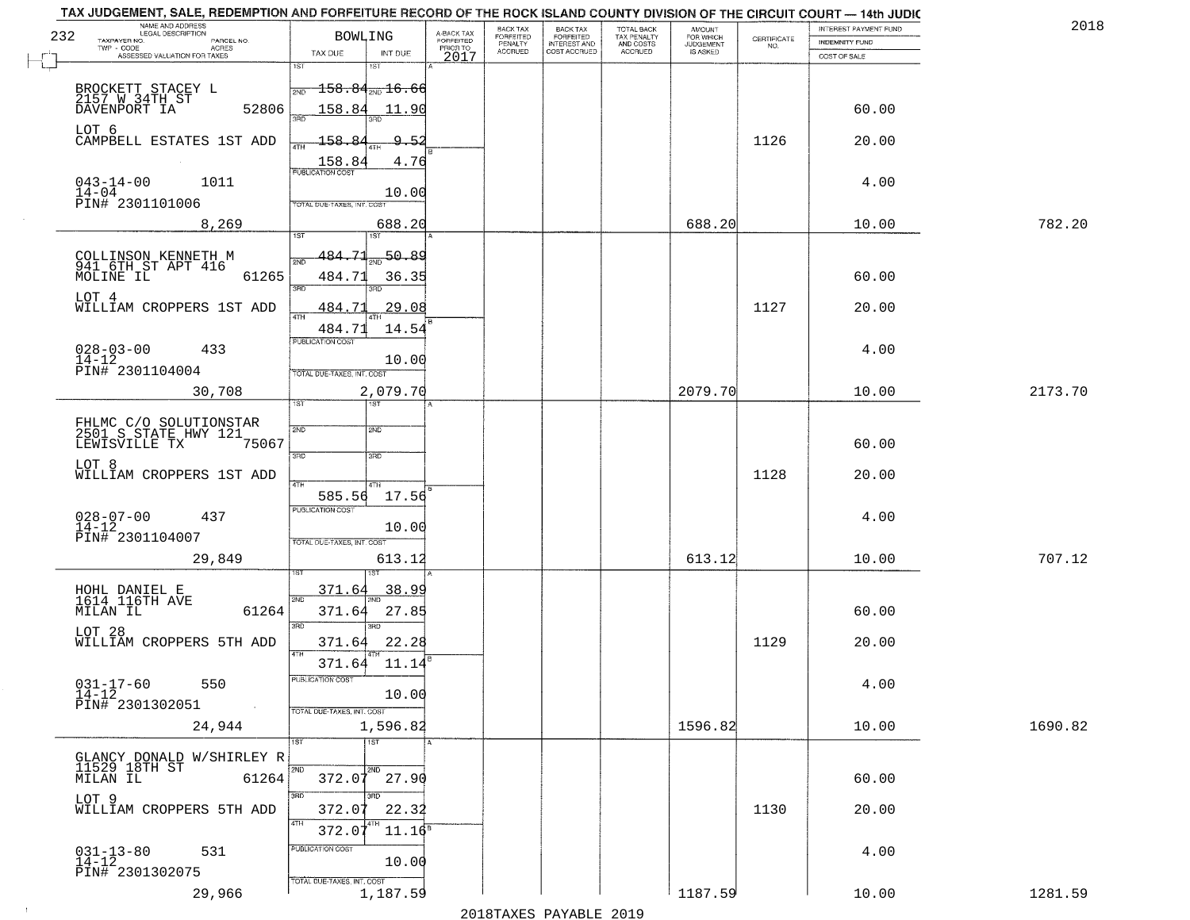| 232 | NAME AND ADDRESS<br>LEGAL DESCRIPTION                              | <b>BOWLING</b>                    |                                       |                                     | BACK TAX<br>FORFEITED     | BACK TAX<br>FORFEITED               | <b>TOTAL BACK</b>                          | AMOUNT<br>FOR WHICH          |                                                                 | INTEREST PAYMENT FUND | 2018    |  |
|-----|--------------------------------------------------------------------|-----------------------------------|---------------------------------------|-------------------------------------|---------------------------|-------------------------------------|--------------------------------------------|------------------------------|-----------------------------------------------------------------|-----------------------|---------|--|
|     | TAXPAYER NO.<br>PARCEL NO.<br>ACRES                                |                                   |                                       | A-BACK TAX<br>FORFEITED<br>PRIOR TO | PENALTY<br><b>ACCRUED</b> | <b>INTEREST AND</b><br>COST ACCRUED | TAX PENALTY<br>AND COSTS<br><b>ACCRUED</b> | <b>JUDGEMENT</b><br>IS ASKED | $\begin{array}{c} \text{CEPTIFICATE} \\ \text{NO.} \end{array}$ | <b>INDEMNITY FUND</b> |         |  |
|     | ASSESSED VALUATION FOR TAXES                                       | TAX DUE<br>1ST                    | INT DUE<br>181                        | 2017                                |                           |                                     |                                            |                              |                                                                 | COST OF SALE          |         |  |
|     |                                                                    |                                   |                                       |                                     |                           |                                     |                                            |                              |                                                                 |                       |         |  |
|     | BROCKETT STACEY L<br>2157 W 34TH ST                                | 2ND                               | $\overline{158.84_{\text{2ND}}16.66}$ |                                     |                           |                                     |                                            |                              |                                                                 |                       |         |  |
|     | 52806<br>DAVENPORT IA                                              | 158.84                            | 11.90                                 |                                     |                           |                                     |                                            |                              |                                                                 | 60.00                 |         |  |
|     | LOT 6                                                              | 158.84                            | <u>_Q</u>                             |                                     |                           |                                     |                                            |                              |                                                                 |                       |         |  |
|     | CAMPBELL ESTATES 1ST ADD                                           | ATH                               | -5.                                   |                                     |                           |                                     |                                            |                              | 1126                                                            | 20.00                 |         |  |
|     |                                                                    | $\frac{158.84}{FUBUCATON CGST}$   | 4.76                                  |                                     |                           |                                     |                                            |                              |                                                                 |                       |         |  |
|     | $043 - 14 - 00$<br>1011<br>$14 - 04$                               |                                   | 10.00                                 |                                     |                           |                                     |                                            |                              |                                                                 | 4.00                  |         |  |
|     | PIN# 2301101006                                                    | TOTAL DUE-TAXES, INT. COST        |                                       |                                     |                           |                                     |                                            |                              |                                                                 |                       |         |  |
|     | 8,269                                                              |                                   | 688.20                                |                                     |                           |                                     |                                            | 688.20                       |                                                                 | 10.00                 | 782.20  |  |
|     |                                                                    |                                   | 1ST                                   |                                     |                           |                                     |                                            |                              |                                                                 |                       |         |  |
|     | COLLINSON KENNETH M<br>941 6TH ST APT 416                          | 484.71<br>সাঁচ                    | 50.89                                 |                                     |                           |                                     |                                            |                              |                                                                 |                       |         |  |
|     | MOLINE IL<br>61265                                                 | 484.71                            | 36.35                                 |                                     |                           |                                     |                                            |                              |                                                                 | 60.00                 |         |  |
|     | LOT 4                                                              | $\overline{3BD}$                  | 3RD                                   |                                     |                           |                                     |                                            |                              |                                                                 |                       |         |  |
|     | WILLIAM CROPPERS 1ST ADD                                           | 484.71<br>ৰাম                     | 29.08                                 |                                     |                           |                                     |                                            |                              | 1127                                                            | 20.00                 |         |  |
|     |                                                                    | 484.71                            | 14.54                                 |                                     |                           |                                     |                                            |                              |                                                                 |                       |         |  |
|     | $028 - 03 - 00$<br>433                                             | PUBLICATION COST                  |                                       |                                     |                           |                                     |                                            |                              |                                                                 | 4.00                  |         |  |
|     | $14 - 12$                                                          |                                   | 10.00                                 |                                     |                           |                                     |                                            |                              |                                                                 |                       |         |  |
|     | PIN# 2301104004                                                    | TOTAL DUE-TAXES, INT. COST        |                                       |                                     |                           |                                     |                                            |                              |                                                                 |                       |         |  |
|     | 30,708                                                             | TST"                              | 2,079.70<br>1ST                       |                                     |                           |                                     |                                            | 2079.70                      |                                                                 | 10.00                 | 2173.70 |  |
|     |                                                                    |                                   |                                       |                                     |                           |                                     |                                            |                              |                                                                 |                       |         |  |
|     | FHLMC C/O SOLUTIONSTAR<br>2501 S STATE HWY 121<br>LEWISVILLE TX 75 | 2ND                               | 2ND                                   |                                     |                           |                                     |                                            |                              |                                                                 |                       |         |  |
|     | 75067                                                              | 3RD                               | 3 <sub>3</sub>                        |                                     |                           |                                     |                                            |                              |                                                                 | 60.00                 |         |  |
|     | LOT 8                                                              |                                   |                                       |                                     |                           |                                     |                                            |                              |                                                                 |                       |         |  |
|     | WILLIAM CROPPERS 1ST ADD                                           | 4TH                               | 4TH                                   |                                     |                           |                                     |                                            |                              | 1128                                                            | 20.00                 |         |  |
|     |                                                                    | 585.56<br><b>PUBLICATION COST</b> | 17.56                                 |                                     |                           |                                     |                                            |                              |                                                                 |                       |         |  |
|     | $028 - 07 - 00$<br>14-12<br>437                                    |                                   | 10.00                                 |                                     |                           |                                     |                                            |                              |                                                                 | 4.00                  |         |  |
|     | PIN# 2301104007                                                    | TOTAL OUE-TAXES, INT. COST        |                                       |                                     |                           |                                     |                                            |                              |                                                                 |                       |         |  |
|     | 29,849                                                             |                                   | 613.12                                |                                     |                           |                                     |                                            | 613.12                       |                                                                 | 10.00                 | 707.12  |  |
|     |                                                                    |                                   |                                       |                                     |                           |                                     |                                            |                              |                                                                 |                       |         |  |
|     | HOHL DANIEL E<br>1614 116TH AVE                                    | 371.64                            | 38.99                                 |                                     |                           |                                     |                                            |                              |                                                                 |                       |         |  |
|     | MILAN IL<br>61264                                                  | 2ND<br>371.64                     | 27.85                                 |                                     |                           |                                     |                                            |                              |                                                                 | 60.00                 |         |  |
|     | LOT 28                                                             | 3BD                               | $\overline{3BD}$                      |                                     |                           |                                     |                                            |                              |                                                                 |                       |         |  |
|     | WILLIAM CROPPERS 5TH ADD                                           | 371.64                            | 22.28                                 |                                     |                           |                                     |                                            |                              | 1129                                                            | 20.00                 |         |  |
|     |                                                                    | 4TH<br>371.64                     | 11.14                                 |                                     |                           |                                     |                                            |                              |                                                                 |                       |         |  |
|     | $031 - 17 - 60$<br>550                                             | UBLICA HUN COS-                   |                                       |                                     |                           |                                     |                                            |                              |                                                                 | 4.00                  |         |  |
|     | $14 - 12$                                                          |                                   | 10.00                                 |                                     |                           |                                     |                                            |                              |                                                                 |                       |         |  |
|     | PIN# 2301302051<br><b>Contract</b>                                 | TOTAL DUE-TAXES, INT. COST        |                                       |                                     |                           |                                     |                                            |                              |                                                                 |                       |         |  |
|     | 24,944                                                             |                                   | 1,596.82                              |                                     |                           |                                     |                                            | 1596.82                      |                                                                 | 10.00                 | 1690.82 |  |
|     |                                                                    | $\overline{15T}$                  | 1ST                                   |                                     |                           |                                     |                                            |                              |                                                                 |                       |         |  |
|     | GLANCY DONALD W/SHIRLEY R<br>11529 18TH ST                         | 2ND                               | 2ND                                   |                                     |                           |                                     |                                            |                              |                                                                 |                       |         |  |
|     | 61264<br>MILAN IL                                                  |                                   | $372.07$ 27.90                        |                                     |                           |                                     |                                            |                              |                                                                 | 60.00                 |         |  |
|     | LOT 9                                                              | 3RD <sup>-</sup>                  |                                       |                                     |                           |                                     |                                            |                              |                                                                 |                       |         |  |
|     | WILLIAM CROPPERS 5TH ADD                                           | 372.07<br>4TH                     | 22.32                                 |                                     |                           |                                     |                                            |                              | 1130                                                            | 20.00                 |         |  |
|     |                                                                    | 372.07                            | $11.16^s$                             |                                     |                           |                                     |                                            |                              |                                                                 |                       |         |  |
|     | $031 - 13 - 80$<br>$14 - 12$<br>531                                | PUBLICATION COST                  |                                       |                                     |                           |                                     |                                            |                              |                                                                 | 4.00                  |         |  |
|     | PIN# 2301302075                                                    |                                   | 10.00                                 |                                     |                           |                                     |                                            |                              |                                                                 |                       |         |  |
|     | 29,966                                                             | TOTAL DUE-TAXES, INT. COST        | 1,187.59                              |                                     |                           |                                     |                                            | 1187.59                      |                                                                 | 10.00                 | 1281.59 |  |
|     |                                                                    |                                   |                                       |                                     |                           |                                     |                                            |                              |                                                                 |                       |         |  |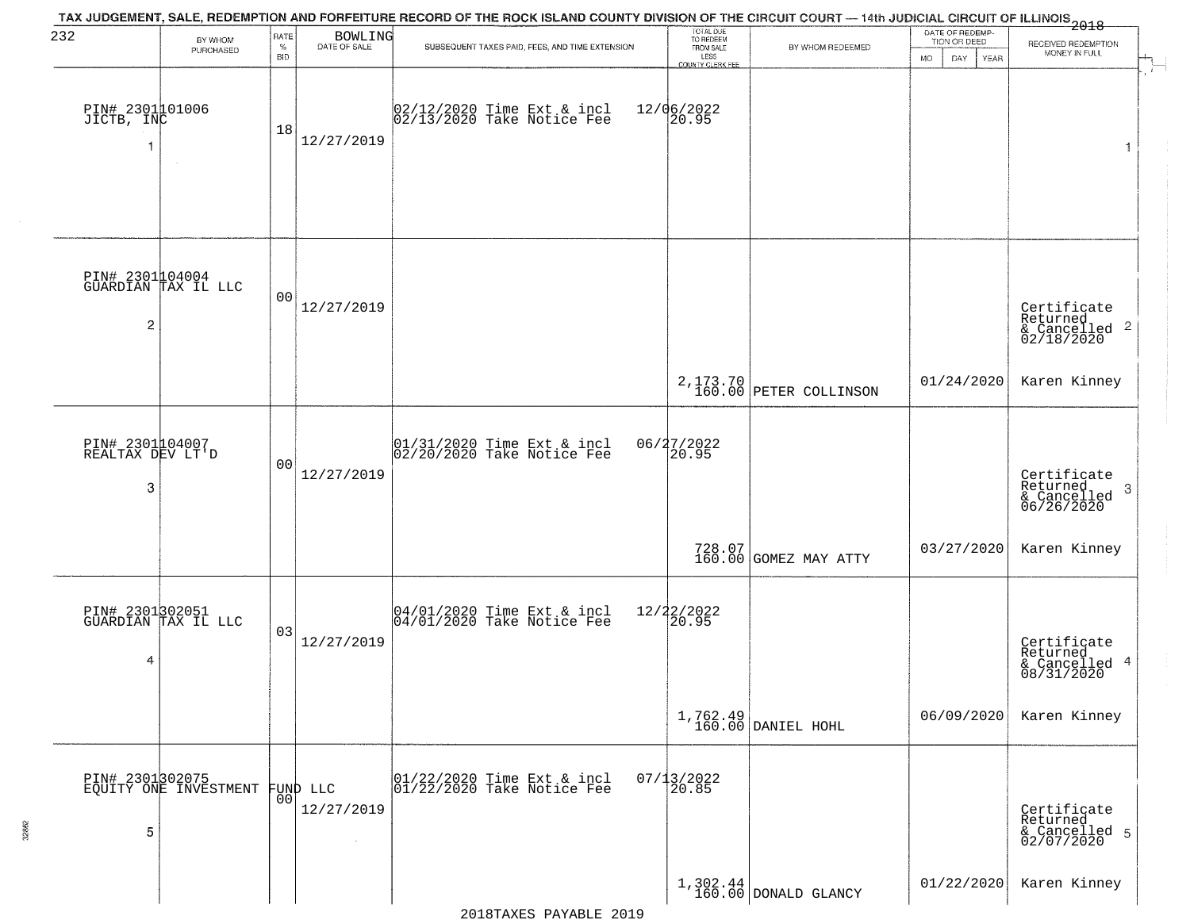| 232                                      | BY WHOM<br>PURCHASED                     | RATE<br>$\%$<br><b>BID</b> | <b>BOWLING</b><br>DATE OF SALE | TAX JUDGEMENT, SALE, REDEMPTION AND FORFEITURE RECORD OF THE ROCK ISLAND COUNTY DIVISION OF THE CIRCUIT COURT — 14th JUDICIAL CIRCUIT OF ILLINOIS 2018<br>SUBSEQUENT TAXES PAID, FEES, AND TIME EXTENSION | TOTAL DUE<br>TO REDEEM<br>FROM SALE<br>LESS    | BY WHOM REDEEMED                   | DATE OF REDEMP-<br>TION OR DEED | RECEIVED REDEMPTION<br>MONEY IN FULL                      |
|------------------------------------------|------------------------------------------|----------------------------|--------------------------------|-----------------------------------------------------------------------------------------------------------------------------------------------------------------------------------------------------------|------------------------------------------------|------------------------------------|---------------------------------|-----------------------------------------------------------|
| PIN# 2301101006<br>JICTB, INC            | $\sim$                                   | 18                         | 12/27/2019                     | 02/12/2020 Time Ext & incl<br>02/13/2020 Take Notice Fee                                                                                                                                                  | <b>COUNTY CLERK FEE</b><br>12/06/2022<br>20.95 |                                    | <b>MO</b><br>DAY.<br>YEAR       | $\mathbf{1}$                                              |
| 2                                        | PIN# 2301104004<br>GUARDIAN TAX IL LLC   | 0 <sub>0</sub>             | 12/27/2019                     |                                                                                                                                                                                                           |                                                |                                    |                                 | Certificate<br>Returned<br>& Cancelled 2<br>02/18/2020    |
|                                          |                                          |                            |                                |                                                                                                                                                                                                           |                                                | 2,173.70<br>160.00 PETER COLLINSON | 01/24/2020                      | Karen Kinney                                              |
| PIN# 2301104007<br>REALTAX DEV LT'D<br>3 |                                          | 00                         | 12/27/2019                     | 01/31/2020 Time Ext & incl<br>02/20/2020 Take Notice Fee                                                                                                                                                  | 06/27/2022<br>20.95                            |                                    |                                 | Certificate<br>Returned<br>3<br>& Cancelled<br>06/26/2020 |
|                                          |                                          |                            |                                |                                                                                                                                                                                                           |                                                | 728.07<br>160.00 GOMEZ MAY ATTY    | 03/27/2020                      | Karen Kinney                                              |
| 4                                        | PIN# 2301302051<br>GUARDIAN TAX IL LLC   | 03                         | 12/27/2019                     | 04/01/2020 Time Ext & incl<br>04/01/2020 Take Notice Fee                                                                                                                                                  | 12/22/2022<br>20.95                            |                                    |                                 | Certificate<br>Returned<br>& Cancelled 4<br>08/31/2020    |
|                                          |                                          |                            |                                |                                                                                                                                                                                                           |                                                | $1,762.49$ DANIEL HOHL             | 06/09/2020                      | Karen Kinney                                              |
| 5                                        | PIN# 2301302075<br>EQUITY ONE INVESTMENT | 00                         | FUND LLC<br>12/27/2019         | 01/22/2020 Time Ext & incl<br>01/22/2020 Take Notice Fee                                                                                                                                                  | $07/13/2022$<br>20.85                          |                                    |                                 | Certificate<br>Returned<br>& Cancelled 5<br>02/07/2020    |
|                                          |                                          |                            |                                |                                                                                                                                                                                                           |                                                | $1,302.44$ DONALD GLANCY           | 01/22/2020                      | Karen Kinney                                              |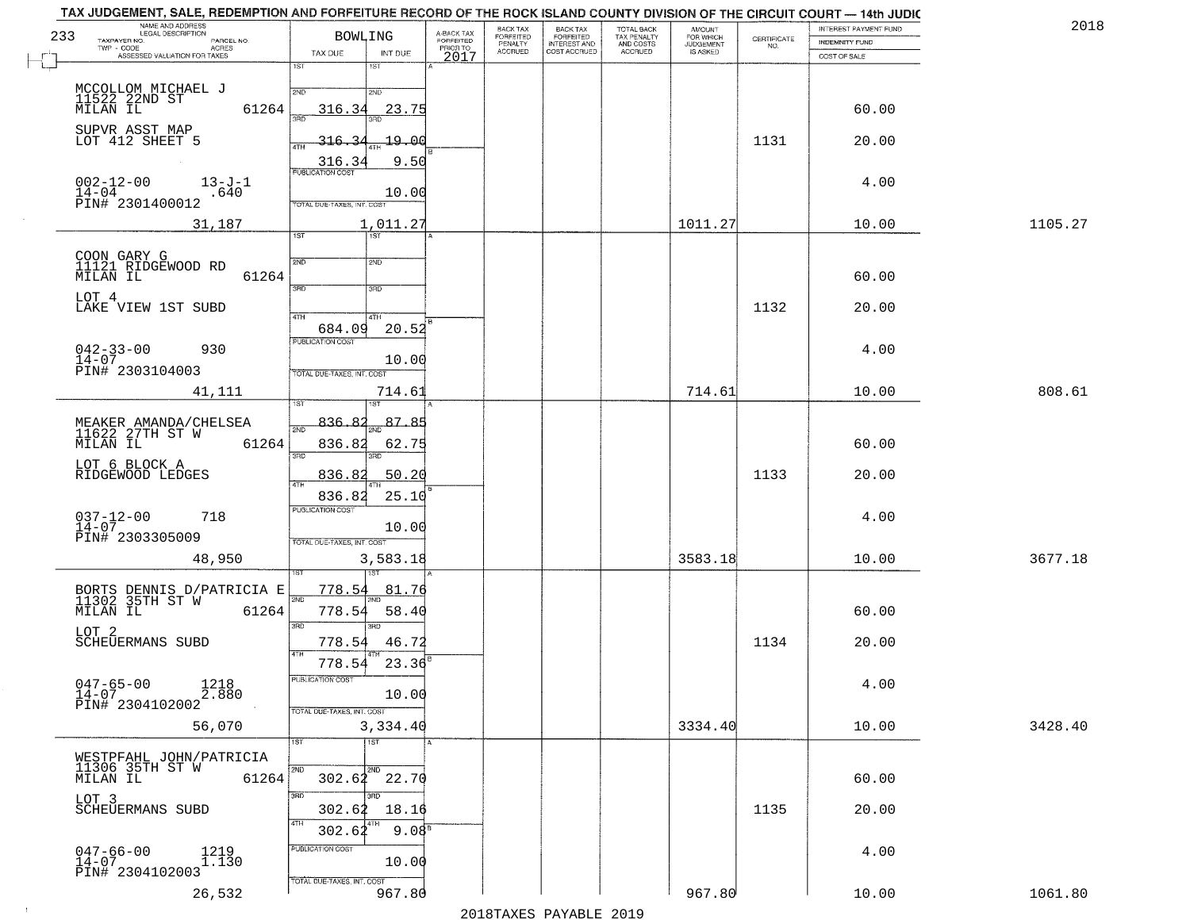| NAME AND ADDRESS<br>LEGAL DESCRIPTION<br>233<br>TAXPAYER NO.<br>PARCEL NO. | <b>BOWLING</b>                              | A-BACK TAX<br>FORFEITED | BACK TAX<br>FORFEITED<br>PENALTY | <b>BACK TAX</b><br><b>FORFEITED</b> | TOTAL BACK<br>TAX PENALTY | <b>AMOUNT</b><br>FOR WHICH<br>JUDGEMENT | CERTIFICATE | INTEREST PAYMENT FUND<br>INDEMNITY FUND | 2018    |
|----------------------------------------------------------------------------|---------------------------------------------|-------------------------|----------------------------------|-------------------------------------|---------------------------|-----------------------------------------|-------------|-----------------------------------------|---------|
| $TWP - CODE$<br><b>ACRES</b><br>ASSESSED VALUATION FOR TAXES               | TAX DUE<br>INT DUE<br>1ST<br>18T            | PRIOR TO<br>2017        | <b>ACCRUED</b>                   | INTEREST AND                        | AND COSTS<br>ACCRUED      | IS ASKED                                | NO.         | COST OF SALE                            |         |
|                                                                            | 2ND<br>2ND                                  |                         |                                  |                                     |                           |                                         |             |                                         |         |
| MCCOLLOM MICHAEL J<br>11522 22ND ST<br>MILAN IL<br>61264                   | 23.75<br>316.34                             |                         |                                  |                                     |                           |                                         |             | 60.00                                   |         |
| SUPVR ASST MAP<br>LOT 412 SHEET 5                                          | -19.00<br>316.                              |                         |                                  |                                     |                           |                                         | 1131        | 20.00                                   |         |
|                                                                            | 316.3<br>9.50<br><b>PUBLICATION COST</b>    |                         |                                  |                                     |                           |                                         |             |                                         |         |
| $002 - 12 - 00$<br>$13 - J - 1$<br>$14-04$<br>PIN# 2301400012<br>.640      | 10.00<br>TOTAL DUE-TAXES, INT. COST         |                         |                                  |                                     |                           |                                         |             | 4.00                                    |         |
| 31,187                                                                     | 1,011.27                                    |                         |                                  |                                     |                           | 1011.27                                 |             | 10.00                                   | 1105.27 |
|                                                                            | Tst<br>1ST                                  |                         |                                  |                                     |                           |                                         |             |                                         |         |
| COON GARY G<br>11121 RIDGEWOOD RD<br>61264<br>MILAN IL                     | 2ND<br>2ND                                  |                         |                                  |                                     |                           |                                         |             | 60.00                                   |         |
| LOT 4<br>LAKE VIEW 1ST SUBD                                                | 3BD<br>3HD                                  |                         |                                  |                                     |                           |                                         | 1132        | 20.00                                   |         |
|                                                                            | $\overline{47H}$<br>4TH<br>20.52<br>684.09  |                         |                                  |                                     |                           |                                         |             |                                         |         |
| $042 - 33 - 00$<br>930<br>$14 - 07$                                        | PUBLICATION COST<br>10.00                   |                         |                                  |                                     |                           |                                         |             | 4.00                                    |         |
| PIN# 2303104003                                                            | TOTAL DUE-TAXES, INT. COST                  |                         |                                  |                                     |                           |                                         |             |                                         |         |
| 41,111                                                                     | 714.61                                      |                         |                                  |                                     |                           | 714.61                                  |             | 10.00                                   | 808.61  |
| MEAKER AMANDA/CHELSEA<br>11622 27TH ST W<br>MILAN IL 63                    | 87.85<br>836.82<br>$\overline{2ND}$         |                         |                                  |                                     |                           |                                         |             |                                         |         |
| 61264                                                                      | 836.82<br>62.75<br>3RD<br>3RD               |                         |                                  |                                     |                           |                                         |             | 60.00                                   |         |
| LOT 6 BLOCK A<br>RIDGEWOOD LEDGES                                          | 836.82<br>50.20<br>4TH                      |                         |                                  |                                     |                           |                                         | 1133        | 20.00                                   |         |
|                                                                            | 25.10<br>836.82<br><b>PUBLICATION COST</b>  |                         |                                  |                                     |                           |                                         |             |                                         |         |
| $037 - 12 - 00$<br>14-07<br>718<br>PIN# 2303305009                         | 10.00<br>TOTAL OUE-TAXES, INT. COST         |                         |                                  |                                     |                           |                                         |             | 4.00                                    |         |
| 48,950                                                                     | 3,583.18                                    |                         |                                  |                                     |                           | 3583.18                                 |             | 10.00                                   | 3677.18 |
| BORTS DENNIS D/PATRICIA E<br>11302 35TH ST W                               | <u>778.54</u><br><u>81.76</u>               |                         |                                  |                                     |                           |                                         |             |                                         |         |
| 61264<br>MILAN IL                                                          | 2ND<br>778.54<br>58.40                      |                         |                                  |                                     |                           |                                         |             | 60.00                                   |         |
| LOT 2<br><b>SCHEUERMANS SUBD</b>                                           | 3RD<br>3RD<br>778.54<br>46.72               |                         |                                  |                                     |                           |                                         | 1134        | 20.00                                   |         |
|                                                                            | 4TH<br>23.36<br>778.54                      |                         |                                  |                                     |                           |                                         |             |                                         |         |
| $047 - 65 - 00$<br>$14 - 07$<br>1218<br>2.880                              | PUBLICATION COST<br>10.00                   |                         |                                  |                                     |                           |                                         |             | 4.00                                    |         |
| PIN# 2304102002<br>56,070                                                  | TOTAL DUE-TAXES, INT. COST<br>3,334.40      |                         |                                  |                                     |                           | 3334.40                                 |             | 10.00                                   | 3428.40 |
|                                                                            | $\overline{1}$ ST<br>1ST                    |                         |                                  |                                     |                           |                                         |             |                                         |         |
| 61264                                                                      | 2ND<br>2ND<br>$302.62$ $22.70$              |                         |                                  |                                     |                           |                                         |             | 60.00                                   |         |
| LOT 3                                                                      | 3RD<br>$\overline{3BD}$<br>302.62           |                         |                                  |                                     |                           |                                         |             |                                         |         |
| SCHEUERMANS SUBD                                                           | 18.16<br>4TH<br>9.08 <sup>5</sup><br>302.62 |                         |                                  |                                     |                           |                                         | 1135        | 20.00                                   |         |
| $047 - 66 - 00$<br>14-07<br>1219<br>1.130                                  | PUBLICATION COST<br>10.00                   |                         |                                  |                                     |                           |                                         |             | 4.00                                    |         |
| PIN# 2304102003                                                            | TOTAL DUE-TAXES, INT. COST                  |                         |                                  |                                     |                           |                                         |             |                                         |         |
| 26,532                                                                     | 967.80                                      |                         |                                  |                                     |                           | 967.80                                  |             | 10.00                                   | 1061.80 |

 $\sim 100$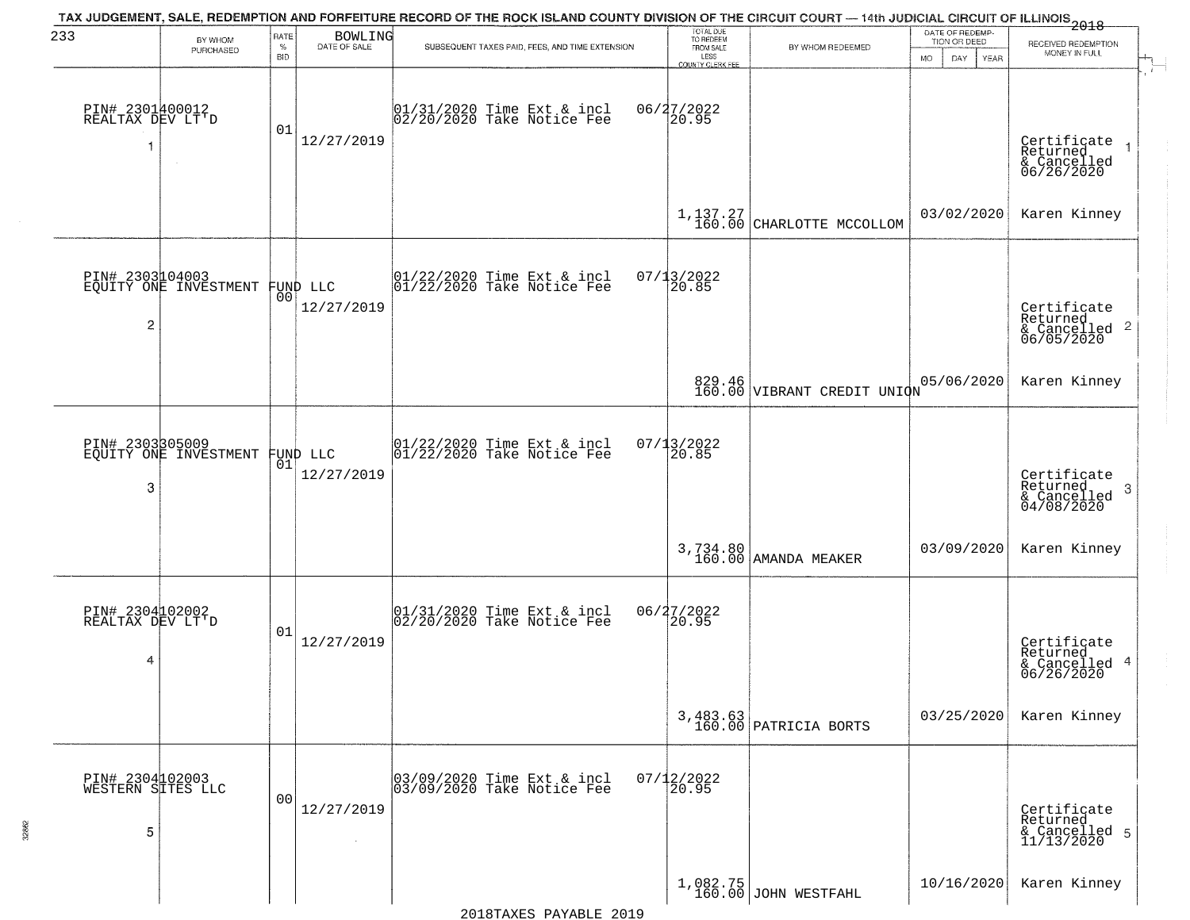| 233                                       | BY WHOM                                  | RATE               | <b>BOWLING</b>                 | TAX JUDGEMENT, SALE, REDEMPTION AND FORFEITURE RECORD OF THE ROCK ISLAND COUNTY DIVISION OF THE CIRCUIT COURT — 14th JUDICIAL CIRCUIT OF ILLINOIS 2018 | TOTAL DUE<br>TO REDEEM                |                                            | DATE OF REDEMP-<br>TION OR DEED  | RECEIVED REDEMPTION                                                    |
|-------------------------------------------|------------------------------------------|--------------------|--------------------------------|--------------------------------------------------------------------------------------------------------------------------------------------------------|---------------------------------------|--------------------------------------------|----------------------------------|------------------------------------------------------------------------|
|                                           | PURCHASED                                | $\%$<br><b>BID</b> | DATE OF SALE                   | SUBSEQUENT TAXES PAID, FEES, AND TIME EXTENSION                                                                                                        | FROM SALE<br>LESS<br>COUNTY CLERK FEE | BY WHOM REDEEMED                           | <b>MO</b><br>DAY.<br><b>YEAR</b> | MONEY IN FULL                                                          |
| PIN# 2301400012<br>REALTAX DEV LT'D<br>1  | $\sim$                                   | 01                 | 12/27/2019                     | 01/31/2020 Time Ext & incl<br>02/20/2020 Take Notice Fee                                                                                               | 06/27/2022<br>20.95                   |                                            |                                  | Certificate<br>Returned<br>& Cancelled<br>06/26/2020                   |
|                                           |                                          |                    |                                |                                                                                                                                                        |                                       | $1, 137.27$<br>$160.00$ CHARLOTTE MCCOLLOM | 03/02/2020                       | Karen Kinney                                                           |
| $\overline{c}$                            | PIN# 2303104003<br>EQUITY ONE INVESTMENT |                    | FUND LLC<br> 00 <br>12/27/2019 | 01/22/2020 Time Ext & incl<br>01/22/2020 Take Notice Fee                                                                                               | 07/13/2022<br>20.85                   |                                            |                                  | Certificate<br>Returned<br>$\overline{2}$<br>& Cancelled<br>06/05/2020 |
|                                           |                                          |                    |                                |                                                                                                                                                        |                                       | 829.46<br>160.00 VIBRANT CREDIT UNION      | 05/06/2020                       | Karen Kinney                                                           |
| 3                                         | PIN# 2303305009<br>EQUITY ONE INVESTMENT | 01                 | FUND LLC<br>12/27/2019         | 01/22/2020 Time Ext & incl<br>01/22/2020 Take Notice Fee                                                                                               | 07/13/2022<br>20.85                   |                                            |                                  | Certificate<br>Returned<br>3<br>& Cancelled<br>04/08/2020              |
|                                           |                                          |                    |                                |                                                                                                                                                        |                                       | 3,734.80<br>160.00 AMANDA MEAKER           | 03/09/2020                       | Karen Kinney                                                           |
| PIN# 2304102002<br>REALTAX DEV LT'D<br>4  |                                          | 01                 | 12/27/2019                     | 01/31/2020 Time Ext & incl<br>02/20/2020 Take Notice Fee                                                                                               | 06/27/2022<br>20.95                   |                                            |                                  | Certificate<br>Returned<br>4<br>& Cancelled<br>06/26/2020              |
|                                           |                                          |                    |                                |                                                                                                                                                        |                                       | 3,483.63<br>160.00 PATRICIA BORTS          | 03/25/2020                       | Karen Kinney                                                           |
| PIN# 2304102003<br>WESTERN SITES LLC<br>5 |                                          | 0 <sub>0</sub>     | 12/27/2019<br>$\sim$           | 03/09/2020 Time Ext & incl<br>03/09/2020 Take Notice Fee                                                                                               | $07/12/2022$<br>20.95                 |                                            |                                  | Certificate<br>Returned<br>& Cancelled 5<br>11/13/2020                 |
|                                           |                                          |                    |                                |                                                                                                                                                        |                                       | $1,082.75$ JOHN WESTFAHL                   | 10/16/2020                       | Karen Kinney                                                           |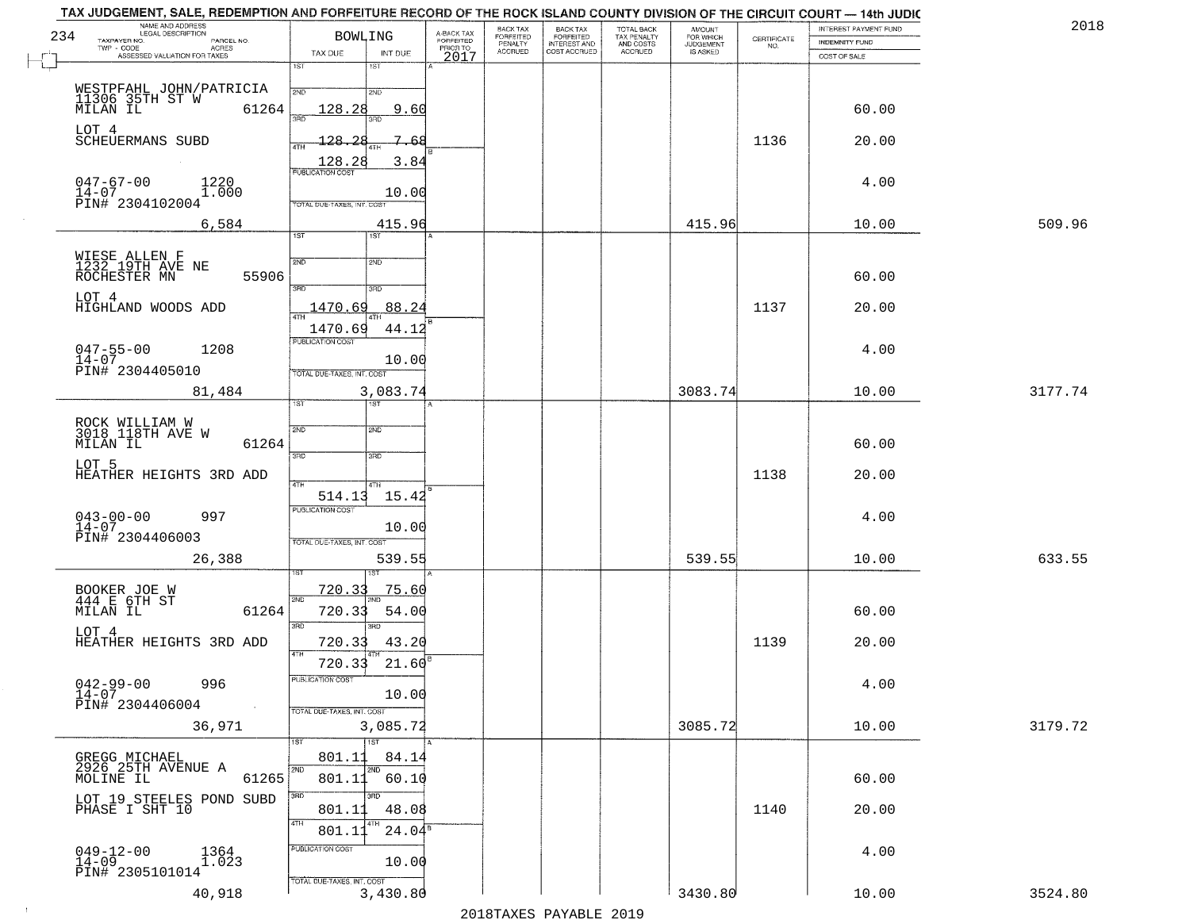|     | TAX JUDGEMENT, SALE, REDEMPTION AND FORFEITURE RECORD OF THE ROCK ISLAND COUNTY DIVISION OF THE CIRCUIT COURT - 14th JUDIC<br>NAME AND ADDRESS<br>LEGAL DESCRIPTION |                                        |                                     | BACK TAX<br>FORFEITED     | BACK TAX<br>FORFEITED<br>INTEREST AND | TOTAL BACK<br>TAX PENALTY<br>AND COSTS | AMOUNT<br>FOR WHICH<br>JUDGEMENT |                                                                 | INTEREST PAYMENT FUND | 2018    |
|-----|---------------------------------------------------------------------------------------------------------------------------------------------------------------------|----------------------------------------|-------------------------------------|---------------------------|---------------------------------------|----------------------------------------|----------------------------------|-----------------------------------------------------------------|-----------------------|---------|
| 234 | TAXPAYER NO.<br>PARCEL NO.<br>TWP - CODE<br>ACRES                                                                                                                   | <b>BOWLING</b>                         | A-BACK TAX<br>FORFEITED<br>PRIOR TO | PENALTY<br><b>ACCRUED</b> | COST ACCRUED                          | <b>ACCRUED</b>                         | IS ASKED                         | $\begin{array}{c} \text{CERTIFICATE} \\ \text{NO.} \end{array}$ | <b>INDEMNITY FUND</b> |         |
|     | ASSESSED VALUATION FOR TAXES                                                                                                                                        | INT DUE<br>TAX DUE<br>1ST<br>1ST       | 2017                                |                           |                                       |                                        |                                  |                                                                 | COST OF SALE          |         |
|     |                                                                                                                                                                     |                                        |                                     |                           |                                       |                                        |                                  |                                                                 |                       |         |
|     | WESTPFAHL JOHN/PATRICIA<br>11306 35TH ST W<br>MILAN IL                                                                                                              | 2ND<br>2ND                             |                                     |                           |                                       |                                        |                                  |                                                                 |                       |         |
|     | 61264                                                                                                                                                               | 9.60<br>128.28                         |                                     |                           |                                       |                                        |                                  |                                                                 | 60.00                 |         |
|     | LOT 4<br>SCHEUERMANS SUBD                                                                                                                                           | $-128$<br>7.<br>つら<br>-68              |                                     |                           |                                       |                                        |                                  | 1136                                                            | 20.00                 |         |
|     |                                                                                                                                                                     | 4TH                                    |                                     |                           |                                       |                                        |                                  |                                                                 |                       |         |
|     |                                                                                                                                                                     | 3.84                                   |                                     |                           |                                       |                                        |                                  |                                                                 |                       |         |
|     | $047 - 67 - 00$<br>1220<br>$14 - 07$<br>1.000                                                                                                                       | 10.00                                  |                                     |                           |                                       |                                        |                                  |                                                                 | 4.00                  |         |
|     | PIN# 2304102004                                                                                                                                                     | TOTAL DUE-TAXES, INT. COST             |                                     |                           |                                       |                                        |                                  |                                                                 |                       |         |
|     | 6,584                                                                                                                                                               | 415.96<br>1ST<br>1ST                   |                                     |                           |                                       |                                        | 415.96                           |                                                                 | 10.00                 | 509.96  |
|     |                                                                                                                                                                     |                                        |                                     |                           |                                       |                                        |                                  |                                                                 |                       |         |
|     | WIESE ALLEN F<br>1232 19TH AVE NE<br>ROCHESTER MN                                                                                                                   | 2ND<br>2ND                             |                                     |                           |                                       |                                        |                                  |                                                                 |                       |         |
|     | 55906                                                                                                                                                               | 3RD<br>3RD                             |                                     |                           |                                       |                                        |                                  |                                                                 | 60.00                 |         |
|     | LOT <sub>4</sub><br>HIGHLAND WOODS ADD                                                                                                                              | 88.24<br>1470.69                       |                                     |                           |                                       |                                        |                                  | 1137                                                            | 20.00                 |         |
|     |                                                                                                                                                                     |                                        |                                     |                           |                                       |                                        |                                  |                                                                 |                       |         |
|     |                                                                                                                                                                     | 44.12<br>1470.69<br>PUBLICATION COST   |                                     |                           |                                       |                                        |                                  |                                                                 |                       |         |
|     | $047 - 55 - 00$<br>1208<br>$14 - 07$                                                                                                                                | 10.00                                  |                                     |                           |                                       |                                        |                                  |                                                                 | 4.00                  |         |
|     | PIN# 2304405010                                                                                                                                                     | TOTAL DUE-TAXES, INT. COST             |                                     |                           |                                       |                                        |                                  |                                                                 |                       |         |
|     | 81,484                                                                                                                                                              | 3,083.74<br>1ST.<br>1ST                |                                     |                           |                                       |                                        | 3083.74                          |                                                                 | 10.00                 | 3177.74 |
|     |                                                                                                                                                                     |                                        |                                     |                           |                                       |                                        |                                  |                                                                 |                       |         |
|     | ROCK WILLIAM W<br>3018 118TH AVE W                                                                                                                                  | 2ND<br>SMD                             |                                     |                           |                                       |                                        |                                  |                                                                 |                       |         |
|     | 61264<br>MILAN IL                                                                                                                                                   | 3BD<br>3 <sub>3</sub>                  |                                     |                           |                                       |                                        |                                  |                                                                 | 60.00                 |         |
|     | LOT 5<br>HEATHER HEIGHTS 3RD ADD                                                                                                                                    |                                        |                                     |                           |                                       |                                        |                                  | 1138                                                            | 20.00                 |         |
|     |                                                                                                                                                                     | 4TH<br>4TH<br>514.13<br>15.42          |                                     |                           |                                       |                                        |                                  |                                                                 |                       |         |
|     | 997                                                                                                                                                                 | <b>PUBLICATION COST</b>                |                                     |                           |                                       |                                        |                                  |                                                                 | 4.00                  |         |
|     | $043 - 00 - 00$<br>$14 - 07$                                                                                                                                        | 10.00                                  |                                     |                           |                                       |                                        |                                  |                                                                 |                       |         |
|     | PIN# 2304406003                                                                                                                                                     | TOTAL OUE-TAXES, INT. COST             |                                     |                           |                                       |                                        |                                  |                                                                 |                       |         |
|     | 26,388                                                                                                                                                              | 539.55                                 |                                     |                           |                                       |                                        | 539.55                           |                                                                 | 10.00                 | 633.55  |
|     |                                                                                                                                                                     | <u>720.33</u><br><u>75.60</u>          |                                     |                           |                                       |                                        |                                  |                                                                 |                       |         |
|     | BOOKER JOE W<br>444 E 6TH ST<br>MILAN IL<br>61264                                                                                                                   | 2ND<br>720.33<br>54.00                 |                                     |                           |                                       |                                        |                                  |                                                                 | 60.00                 |         |
|     |                                                                                                                                                                     | 3RD<br>$\overline{3BD}$                |                                     |                           |                                       |                                        |                                  |                                                                 |                       |         |
|     | LOT 4<br>HEATHER HEIGHTS 3RD ADD                                                                                                                                    | 43.20<br>720.33                        |                                     |                           |                                       |                                        |                                  | 1139                                                            | 20.00                 |         |
|     |                                                                                                                                                                     | 4TH<br>720.33<br>21.60                 |                                     |                           |                                       |                                        |                                  |                                                                 |                       |         |
|     | $042 - 99 - 00$<br>996                                                                                                                                              | PUBLICATION COST                       |                                     |                           |                                       |                                        |                                  |                                                                 | 4.00                  |         |
|     | $14-07$<br>PIN# 2304406004                                                                                                                                          | 10.00                                  |                                     |                           |                                       |                                        |                                  |                                                                 |                       |         |
|     |                                                                                                                                                                     | TOTAL DUE-TAXES, INT. COST             |                                     |                           |                                       |                                        | 3085.72                          |                                                                 |                       | 3179.72 |
|     | 36,971                                                                                                                                                              | 3,085.72<br>1ST<br>1ST                 |                                     |                           |                                       |                                        |                                  |                                                                 | 10.00                 |         |
|     | GREGG MICHAEL<br>2926 25TH AVENUE A                                                                                                                                 | 801.11<br>84.14                        |                                     |                           |                                       |                                        |                                  |                                                                 |                       |         |
|     | 61265<br>MOLINE IL                                                                                                                                                  | 2ND<br>2ND<br>801.11<br>60.10          |                                     |                           |                                       |                                        |                                  |                                                                 | 60.00                 |         |
|     | LOT 19 STEELES POND SUBD                                                                                                                                            | उत्तर                                  |                                     |                           |                                       |                                        |                                  |                                                                 |                       |         |
|     | PHASE I SHT 10                                                                                                                                                      | 48.08<br>801.11                        |                                     |                           |                                       |                                        |                                  | 1140                                                            | 20.00                 |         |
|     |                                                                                                                                                                     | 4TH<br>4TH<br>$24.04^5$<br>801.11      |                                     |                           |                                       |                                        |                                  |                                                                 |                       |         |
|     | $049 - 12 - 00$<br>$14 - 09$<br>1364<br>1.023                                                                                                                       | PUBLICATION COST                       |                                     |                           |                                       |                                        |                                  |                                                                 | 4.00                  |         |
|     | PIN# 2305101014                                                                                                                                                     | 10.00                                  |                                     |                           |                                       |                                        |                                  |                                                                 |                       |         |
|     | 40,918                                                                                                                                                              | TOTAL DUE-TAXES, INT. COST<br>3,430.80 |                                     |                           |                                       |                                        | 3430.80                          |                                                                 | 10.00                 | 3524.80 |
|     |                                                                                                                                                                     |                                        |                                     |                           |                                       |                                        |                                  |                                                                 |                       |         |

 $\sim 40$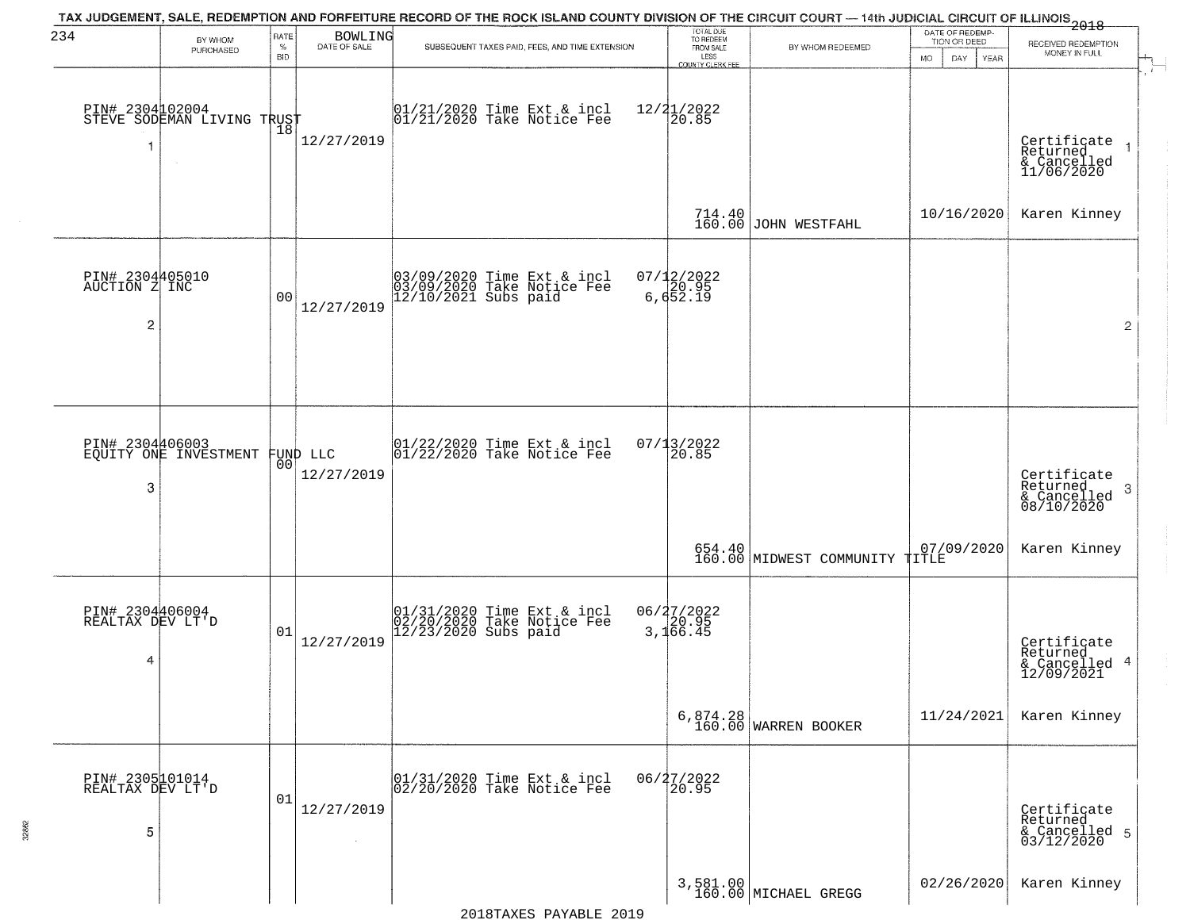| 234                                                | BY WHOM<br>PURCHASED                              | <b>RATE</b><br>$\%$<br><b>BID</b> | BOWLING<br>DATE OF SALE | TAX JUDGEMENT, SALE, REDEMPTION AND FORFEITURE RECORD OF THE ROCK ISLAND COUNTY DIVISION OF THE CIRCUIT COURT — 14th JUDICIAL CIRCUIT OF ILLINOIS 2018<br>SUBSEQUENT TAXES PAID, FEES, AND TIME EXTENSION | TOTAL DUE<br>TO REDEEM<br>FROM SALE<br>LESS<br><b>COUNTY CLERK FEE</b> | BY WHOM REDEEMED                 | DATE OF REDEMP-<br>TION OR DEED<br><b>MO</b><br>DAY.<br>YEAR | RECEIVED REDEMPTION<br>MONEY IN FULL                   |
|----------------------------------------------------|---------------------------------------------------|-----------------------------------|-------------------------|-----------------------------------------------------------------------------------------------------------------------------------------------------------------------------------------------------------|------------------------------------------------------------------------|----------------------------------|--------------------------------------------------------------|--------------------------------------------------------|
| -1                                                 | PIN# 2304102004    <br>STEVE SODEMAN LIVING TRUST | Ίõ                                | 12/27/2019              | 01/21/2020 Time Ext & incl<br>01/21/2020 Take Notice Fee                                                                                                                                                  | $12/21/2022$<br>20.85                                                  |                                  |                                                              | Certificate<br>Returned<br>& Cancelled<br>11/06/2020   |
|                                                    |                                                   |                                   |                         |                                                                                                                                                                                                           |                                                                        | 714.40<br>160.00 JOHN WESTFAHL   | 10/16/2020                                                   | Karen Kinney                                           |
| PIN# 2304405010<br>AUCTION Z INC<br>$\overline{c}$ |                                                   | 0 <sub>0</sub>                    | 12/27/2019              | 03/09/2020 Time Ext & incl<br>03/09/2020 Take Notice Fee<br>12/10/2021 Subs paid                                                                                                                          | 07/12/2022<br>6,652.19                                                 |                                  |                                                              | $\overline{2}$                                         |
|                                                    |                                                   |                                   |                         |                                                                                                                                                                                                           |                                                                        |                                  |                                                              |                                                        |
| PIN# 2304406003<br>3                               | EQUITY ONE INVESTMENT FUND LLC                    | 00 <sup>o</sup>                   | 12/27/2019              | $ 01/22/2020$ Time Ext & incl<br>$ 01/22/2020$ Take Notice Fee                                                                                                                                            | 07/13/2022<br>20.85                                                    |                                  |                                                              | Certificate<br>Returned<br>3<br>$\frac{1}{08/10/2020}$ |
|                                                    |                                                   |                                   |                         |                                                                                                                                                                                                           |                                                                        | 160.00 MIDWEST COMMUNITY TITLE   | 07/09/2020                                                   | Karen Kinney                                           |
| PIN# 2304406004<br>REALTAX DEV LT'D<br>4           |                                                   | 01                                | 12/27/2019              | 01/31/2020 Time Ext & incl<br>02/20/2020 Take Notice Fee<br>12/23/2020 Subs paid                                                                                                                          | 06/27/2022<br>3,120.95<br>3,166.45                                     |                                  |                                                              | Certificate<br>Returned<br>& Cancelled 4<br>12/09/2021 |
|                                                    |                                                   |                                   |                         |                                                                                                                                                                                                           | 6,874.28<br>160.00                                                     | WARREN BOOKER                    | 11/24/2021                                                   | Karen Kinney                                           |
| PIN# 2305101014<br>REALTAX DEV LT'D<br>5           |                                                   | 01                                | 12/27/2019              | 01/31/2020 Time Ext & incl<br>02/20/2020 Take Notice Fee                                                                                                                                                  | 06/27/2022<br>20.95                                                    |                                  |                                                              | Certificate<br>Returned<br>& Cancelled 5<br>03/12/2020 |
|                                                    |                                                   |                                   |                         |                                                                                                                                                                                                           |                                                                        | 3,581.00<br>160.00 MICHAEL GREGG | 02/26/2020                                                   | Karen Kinney                                           |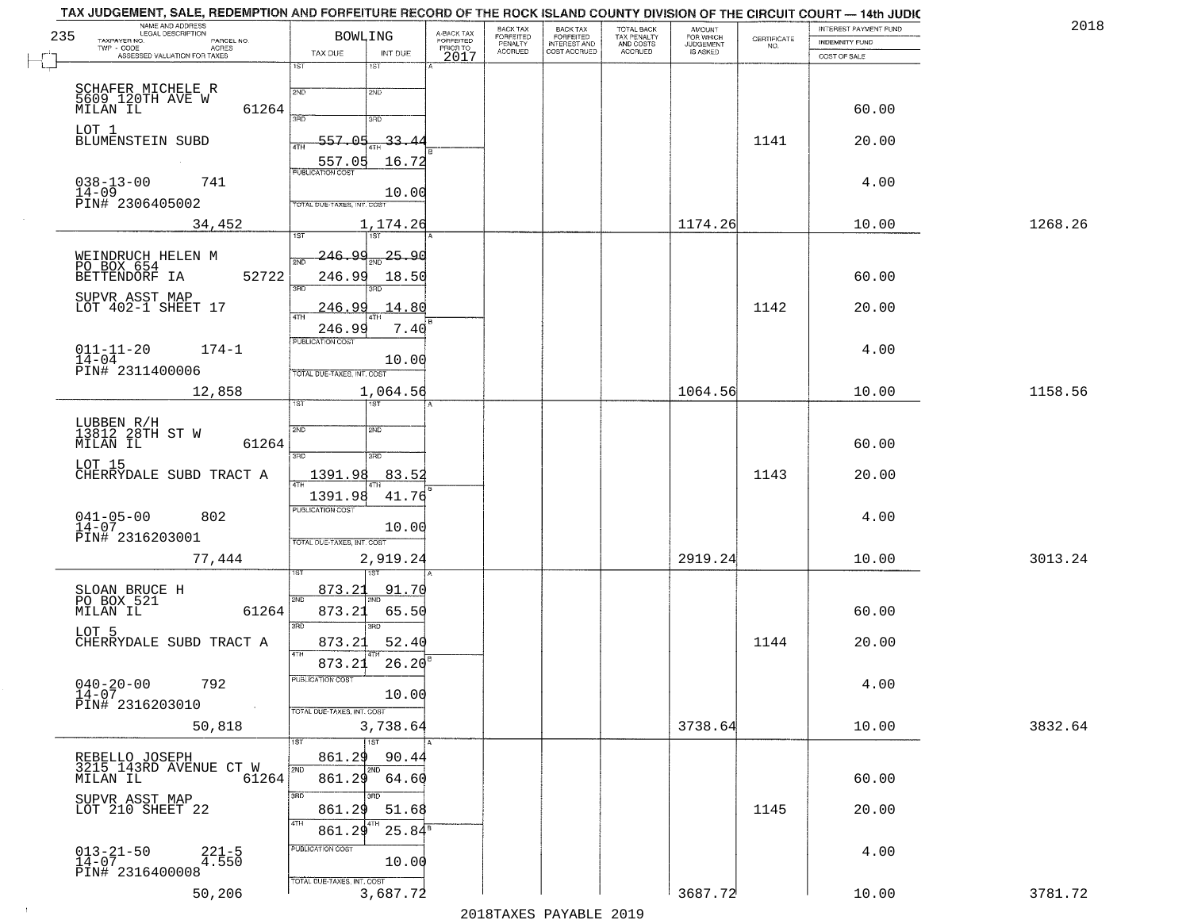| 235 | NAME AND ADDRESS<br>LEGAL DESCRIPTION                                             | <b>BOWLING</b>                             |                                     | BACK TAX<br>FORFEITED     | BACK TAX<br>FORFEITED<br>INTEREST AND | TOTAL BACK<br>TAX PENALTY<br>AND COSTS | AMOUNT<br>FOR WHICH<br>JUDGEMENT |                                                                 | INTEREST PAYMENT FUND | 2018    |
|-----|-----------------------------------------------------------------------------------|--------------------------------------------|-------------------------------------|---------------------------|---------------------------------------|----------------------------------------|----------------------------------|-----------------------------------------------------------------|-----------------------|---------|
|     | TAXPAYER NO.<br>PARCEL NO.<br>TWP - CODE<br>ACRES<br>ASSESSED VALUATION FOR TAXES | INT DUE<br>TAX DUE                         | A-BACK TAX<br>FORFEITED<br>PRIOR TO | PENALTY<br><b>ACCRUED</b> | COST ACCRUED                          | <b>ACCRUED</b>                         | IS ASKED                         | $\begin{array}{c} \text{CERTIFICATE} \\ \text{NO.} \end{array}$ | <b>INDEMNITY FUND</b> |         |
|     |                                                                                   | 1ST<br>1ST                                 | 2017                                |                           |                                       |                                        |                                  |                                                                 | COST OF SALE          |         |
|     |                                                                                   | 2ND<br>2ND                                 |                                     |                           |                                       |                                        |                                  |                                                                 |                       |         |
|     | SCHAFER MICHELE R<br>5609 120TH AVE W<br>MILAN IL<br>61264                        |                                            |                                     |                           |                                       |                                        |                                  |                                                                 | 60.00                 |         |
|     | LOT 1                                                                             | 3RD<br>3RD                                 |                                     |                           |                                       |                                        |                                  |                                                                 |                       |         |
|     | BLUMENSTEIN SUBD                                                                  | 557.05<br>-33-<br>ATH                      |                                     |                           |                                       |                                        |                                  | 1141                                                            | 20.00                 |         |
|     |                                                                                   | 557.05<br>16.72<br><b>PUBLICATION COST</b> |                                     |                           |                                       |                                        |                                  |                                                                 |                       |         |
|     | $038 - 13 - 00$<br>741<br>$14 - 09$                                               | 10.00                                      |                                     |                           |                                       |                                        |                                  |                                                                 | 4.00                  |         |
|     | PIN# 2306405002                                                                   | TOTAL DUE-TAXES, INT. COST                 |                                     |                           |                                       |                                        |                                  |                                                                 |                       |         |
|     | 34,452                                                                            | 1,174.26<br>1ST <sup></sup><br>1ST         |                                     |                           |                                       |                                        | 1174.26                          |                                                                 | 10.00                 | 1268.26 |
|     |                                                                                   | <u>246.99</u><br>25.90                     |                                     |                           |                                       |                                        |                                  |                                                                 |                       |         |
|     | WEINDRUCH HELEN M<br>PO BOX 654<br>BETTENDORF IA<br>52722                         |                                            |                                     |                           |                                       |                                        |                                  |                                                                 |                       |         |
|     |                                                                                   | 246.99<br>18.50<br>3BD                     |                                     |                           |                                       |                                        |                                  |                                                                 | 60.00                 |         |
|     | SUPVR ASST MAP<br>LOT 402-1 SHEET 17                                              | <u>246.99</u><br>14.80<br>47H              |                                     |                           |                                       |                                        |                                  | 1142                                                            | 20.00                 |         |
|     |                                                                                   | 7.40<br>246.99                             |                                     |                           |                                       |                                        |                                  |                                                                 |                       |         |
|     | $011 - 11 - 20$<br>$174 - 1$                                                      | PUBLICATION COST                           |                                     |                           |                                       |                                        |                                  |                                                                 | 4.00                  |         |
|     | $14 - 04$<br>PIN# 2311400006                                                      | 10.00<br>TOTAL DUE-TAXES, INT. COST        |                                     |                           |                                       |                                        |                                  |                                                                 |                       |         |
|     | 12,858                                                                            | 1,064.56                                   |                                     |                           |                                       |                                        | 1064.56                          |                                                                 | 10.00                 | 1158.56 |
|     |                                                                                   | 1ST.                                       |                                     |                           |                                       |                                        |                                  |                                                                 |                       |         |
|     | LUBBEN R/H<br>13812 28TH ST W                                                     | <b>2VD</b><br>SMD                          |                                     |                           |                                       |                                        |                                  |                                                                 |                       |         |
|     | MILAN IL<br>61264                                                                 | 3BD<br>3RD                                 |                                     |                           |                                       |                                        |                                  |                                                                 | 60.00                 |         |
|     | LOT 15<br>CHERRYDALE SUBD TRACT A                                                 | 1391.98<br>83.52                           |                                     |                           |                                       |                                        |                                  | 1143                                                            | 20.00                 |         |
|     |                                                                                   | 1391.98<br>41.76                           |                                     |                           |                                       |                                        |                                  |                                                                 |                       |         |
|     | $041 - 05 - 00$<br>$14 - 07$<br>802                                               | <b>PUBLICATION COST</b>                    |                                     |                           |                                       |                                        |                                  |                                                                 | 4.00                  |         |
|     | PIN# 2316203001                                                                   | 10.00<br>TOTAL OUE-TAXES, INT. COST        |                                     |                           |                                       |                                        |                                  |                                                                 |                       |         |
|     | 77,444                                                                            | 2,919.24                                   |                                     |                           |                                       |                                        | 2919.24                          |                                                                 | 10.00                 | 3013.24 |
|     |                                                                                   |                                            |                                     |                           |                                       |                                        |                                  |                                                                 |                       |         |
|     | SLOAN BRUCE H<br>PO BOX 521<br>MILAN IL                                           | 873.21<br><u>91.70</u><br>2ND              |                                     |                           |                                       |                                        |                                  |                                                                 |                       |         |
|     | 61264                                                                             | 873.21<br>65.50<br>3BD<br>$\overline{3BD}$ |                                     |                           |                                       |                                        |                                  |                                                                 | 60.00                 |         |
|     | LOT 5<br>CHERRYDALE SUBD TRACT A                                                  | 52.40<br>873.21                            |                                     |                           |                                       |                                        |                                  | 1144                                                            | 20.00                 |         |
|     |                                                                                   | 4TH<br>26.20<br>873.21                     |                                     |                           |                                       |                                        |                                  |                                                                 |                       |         |
|     | $040 - 20 - 00$<br>792                                                            | PUBLICATION COST                           |                                     |                           |                                       |                                        |                                  |                                                                 | 4.00                  |         |
|     | $14 - 07$<br>PIN# 2316203010<br>$\sim 100$                                        | 10.00<br>TOTAL DUE-TAXES, INT. COST        |                                     |                           |                                       |                                        |                                  |                                                                 |                       |         |
|     | 50,818                                                                            | 3,738.64                                   |                                     |                           |                                       |                                        | 3738.64                          |                                                                 | 10.00                 | 3832.64 |
|     |                                                                                   | 1ST<br>1ST                                 |                                     |                           |                                       |                                        |                                  |                                                                 |                       |         |
|     | REBELLO JOSEPH<br>3215 143RD AVENUE CT W                                          | 861.29<br>90.44<br>2ND<br>2ND              |                                     |                           |                                       |                                        |                                  |                                                                 |                       |         |
|     | 61264<br>MILAN IL                                                                 | 861.29<br>64.60                            |                                     |                           |                                       |                                        |                                  |                                                                 | 60.00                 |         |
|     | SUPVR ASST MAP<br>LOT 210 SHEET 22                                                | 3RD<br>अंग<br>861.29<br>51.68              |                                     |                           |                                       |                                        |                                  | 1145                                                            | 20.00                 |         |
|     |                                                                                   | 4TH<br>$25.84$ <sup>s</sup><br>861.29      |                                     |                           |                                       |                                        |                                  |                                                                 |                       |         |
|     |                                                                                   | PUBLICATION COST                           |                                     |                           |                                       |                                        |                                  |                                                                 | 4.00                  |         |
|     | $013 - 21 - 50$<br>14-07<br>$221 - 5$<br>4.550<br>PIN# 2316400008                 | 10.00                                      |                                     |                           |                                       |                                        |                                  |                                                                 |                       |         |
|     | 50,206                                                                            | TOTAL DUE-TAXES, INT. COST<br>3,687.72     |                                     |                           |                                       |                                        | 3687.72                          |                                                                 | 10.00                 | 3781.72 |
|     |                                                                                   |                                            |                                     |                           |                                       |                                        |                                  |                                                                 |                       |         |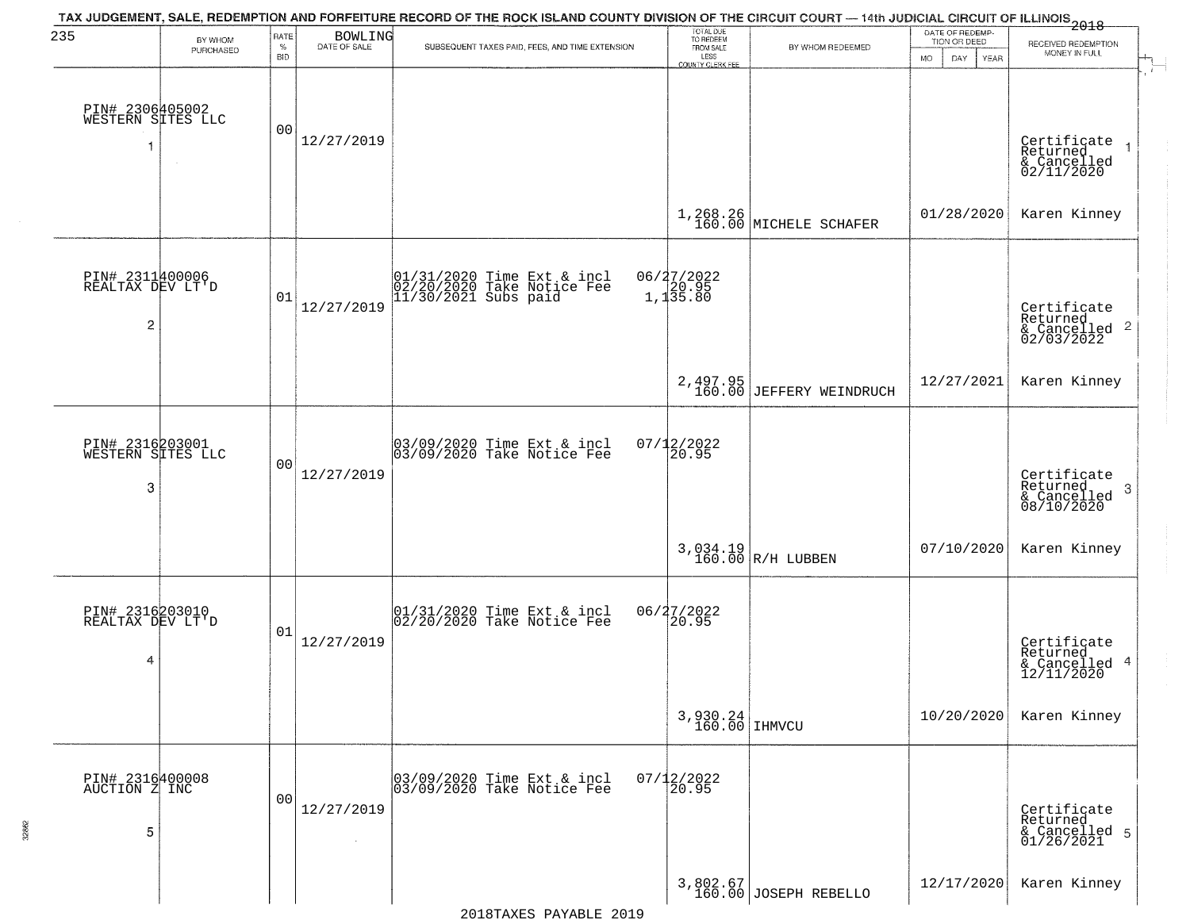| 235                                                   | BY WHOM                                        | RATE               | <b>BOWLING</b> | TAX JUDGEMENT, SALE, REDEMPTION AND FORFEITURE RECORD OF THE ROCK ISLAND COUNTY DIVISION OF THE CIRCUIT COURT — 14th JUDICIAL CIRCUIT OF ILLINOIS 2018 | TOTAL DUE<br>TO REDEEM                       |                                         | DATE OF REDEMP-<br>TION OR DEED |                                                                       |
|-------------------------------------------------------|------------------------------------------------|--------------------|----------------|--------------------------------------------------------------------------------------------------------------------------------------------------------|----------------------------------------------|-----------------------------------------|---------------------------------|-----------------------------------------------------------------------|
|                                                       | PURCHASED                                      | $\%$<br><b>BID</b> | DATE OF SALE   | SUBSEQUENT TAXES PAID, FEES, AND TIME EXTENSION                                                                                                        | FROM SALE<br>LESS<br><b>COUNTY CLERK FEE</b> | BY WHOM REDEEMED                        | <b>MO</b><br>DAY<br>YEAR        | RECEIVED REDEMPTION<br>MONEY IN FULL                                  |
|                                                       | PIN# 2306405002<br>WESTERN SITES LLC<br>$\sim$ | 00                 | 12/27/2019     |                                                                                                                                                        |                                              |                                         |                                 | Certificate<br>Returned<br>$\rightarrow$<br>& Cancelled<br>02/11/2020 |
|                                                       |                                                |                    |                |                                                                                                                                                        |                                              | $1,268.26$ MICHELE SCHAFER              | 01/28/2020                      | Karen Kinney                                                          |
| PIN# 2311400006<br>REALTAX DEV LT'D<br>$\overline{c}$ |                                                | 01                 | 12/27/2019     | 01/31/2020 Time Ext & incl<br>02/20/2020 Take Notice Fee<br>11/30/2021 Subs paid                                                                       | 06/27/2022<br>20.95<br>1,135.80              |                                         |                                 | Certificate<br>Returned<br>$\frac{1}{6}$ Cancelled 2<br>02/03/2022    |
|                                                       |                                                |                    |                |                                                                                                                                                        | 2,497.95<br>160.00                           | JEFFERY WEINDRUCH                       | 12/27/2021                      | Karen Kinney                                                          |
| 3                                                     | PIN# 2316203001<br>WESTERN SITES LLC           | 0 <sub>0</sub>     | 12/27/2019     | 03/09/2020 Time Ext & incl<br>03/09/2020 Take Notice Fee                                                                                               | $07/12/2022$<br>20.95                        |                                         |                                 | Certificate<br>Returned<br>3<br>$\frac{1}{08/10/2020}$                |
|                                                       |                                                |                    |                |                                                                                                                                                        |                                              | $3,034.19$ R/H LUBBEN 160.00 R/H LUBBEN | 07/10/2020                      | Karen Kinney                                                          |
| PIN# 2316203010<br>REALTAX DEV LT'D<br>4              |                                                | 01                 | 12/27/2019     | 01/31/2020 Time Ext & incl<br>02/20/2020 Take Notice Fee                                                                                               | 06/27/2022<br>$\left[20.95\right]$           |                                         |                                 | Certificate<br>Returned<br>& Cancelled 4<br>12/11/2020                |
|                                                       |                                                |                    |                |                                                                                                                                                        | $3,930.24$ IHMVCU                            |                                         | 10/20/2020                      | Karen Kinney                                                          |
| PIN# 2316400008<br>AUCTION Z INC<br>5                 |                                                | 0 <sub>0</sub>     | 12/27/2019     | 03/09/2020 Time Ext & incl<br>03/09/2020 Take Notice Fee                                                                                               | $07/12/2022$<br>20.95                        |                                         |                                 | Certificate<br>Returned<br>& Cancelled 5<br>01/26/2021                |
|                                                       |                                                |                    |                |                                                                                                                                                        |                                              | 3,802.67<br>160.00 JOSEPH REBELLO       | 12/17/2020                      | Karen Kinney                                                          |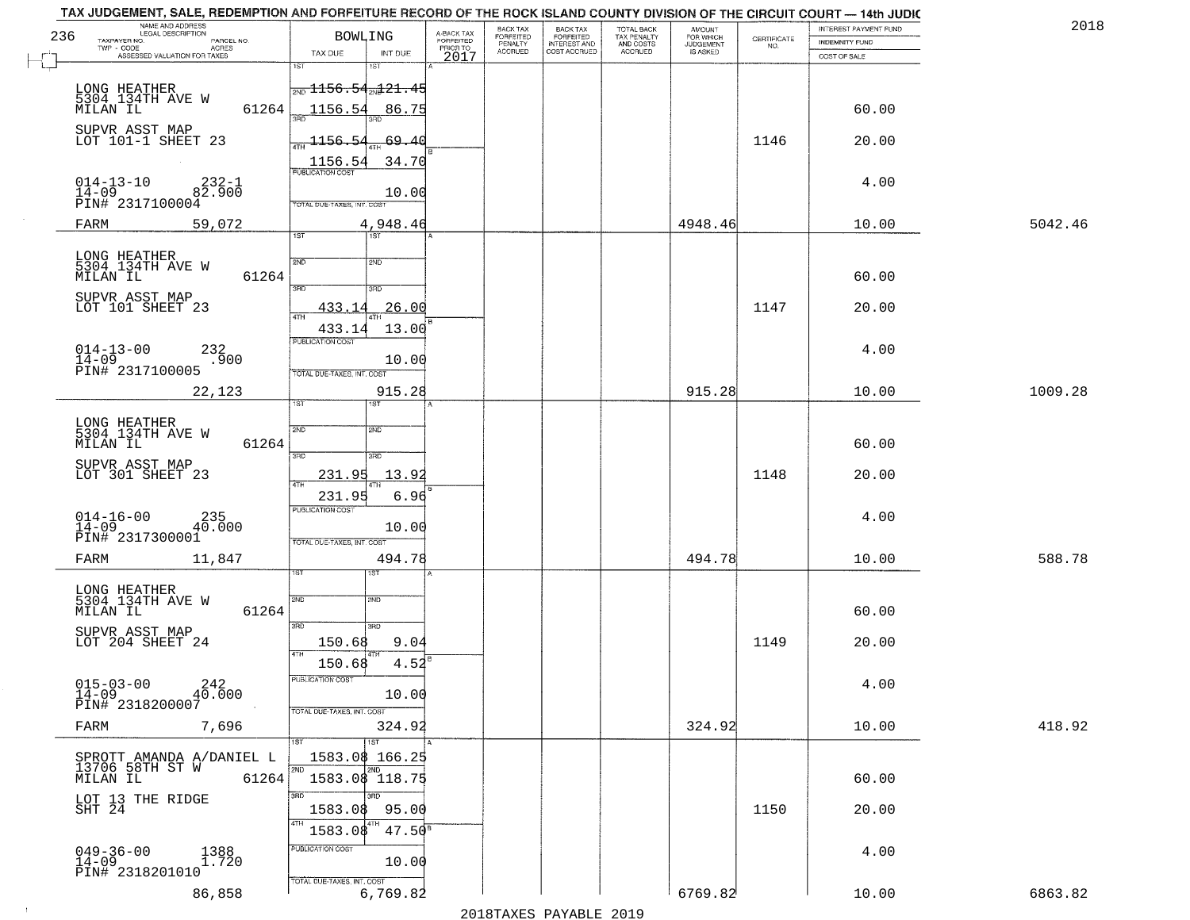|     | TAX JUDGEMENT, SALE, REDEMPTION AND FORFEITURE RECORD OF THE ROCK ISLAND COUNTY DIVISION OF THE CIRCUIT COURT - 14th JUDIC<br>NAME AND ADDRESS<br>LEGAL DESCRIPTION |                                               |                                     | BACK TAX             |                                       |                                        | AMOUNT<br>FOR WHICH |                                                                 | INTEREST PAYMENT FUND | 2018    |
|-----|---------------------------------------------------------------------------------------------------------------------------------------------------------------------|-----------------------------------------------|-------------------------------------|----------------------|---------------------------------------|----------------------------------------|---------------------|-----------------------------------------------------------------|-----------------------|---------|
| 236 | TAXPAYER NO.<br>PARCEL NO.                                                                                                                                          | <b>BOWLING</b>                                | A-BACK TAX<br>FORFEITED<br>PRIOR TO | FORFEITED<br>PENALTY | BACK TAX<br>FORFEITED<br>INTEREST AND | TOTAL BACK<br>TAX PENALTY<br>AND COSTS | <b>JUDGEMENT</b>    | $\begin{array}{c} \text{CERTIFICATE} \\ \text{NO.} \end{array}$ | INDEMNITY FUND        |         |
|     | TWP - CODE<br>ACRES<br>ASSESSED VALUATION FOR TAXES                                                                                                                 | TAX DUE<br>INT DUE                            | 2017                                | <b>ACCRUED</b>       | COST ACCRUED                          | ACCRUED                                | IS ASKED            |                                                                 | COST OF SALE          |         |
|     |                                                                                                                                                                     | 1ST<br>IST                                    |                                     |                      |                                       |                                        |                     |                                                                 |                       |         |
|     |                                                                                                                                                                     | $\frac{1}{200}$ 1156.54 $\frac{1}{201}$ 21.45 |                                     |                      |                                       |                                        |                     |                                                                 |                       |         |
|     | LONG HEATHER<br>5304_134TH AVE W                                                                                                                                    |                                               |                                     |                      |                                       |                                        |                     |                                                                 |                       |         |
|     | 61264<br>MILAN IL                                                                                                                                                   | 1156.54<br>86.75                              |                                     |                      |                                       |                                        |                     |                                                                 | 60.00                 |         |
|     | SUPVR ASST MAP                                                                                                                                                      |                                               |                                     |                      |                                       |                                        |                     |                                                                 |                       |         |
|     | LOT 101-1 SHEET 23                                                                                                                                                  | 1156.54<br>-69.40                             |                                     |                      |                                       |                                        |                     | 1146                                                            | 20.00                 |         |
|     |                                                                                                                                                                     | 34.70                                         |                                     |                      |                                       |                                        |                     |                                                                 |                       |         |
|     |                                                                                                                                                                     |                                               |                                     |                      |                                       |                                        |                     |                                                                 |                       |         |
|     | $014 - 13 - 10$<br>$232 - 1$<br>$14 - 09$<br>82.900                                                                                                                 | 10.00                                         |                                     |                      |                                       |                                        |                     |                                                                 | 4.00                  |         |
|     | PIN# 2317100004                                                                                                                                                     | TOTAL DUE-TAXES, INT. COST                    |                                     |                      |                                       |                                        |                     |                                                                 |                       |         |
|     | 59,072<br>FARM                                                                                                                                                      | 4,948.46                                      |                                     |                      |                                       |                                        | 4948.46             |                                                                 | 10.00                 | 5042.46 |
|     |                                                                                                                                                                     | 1ST                                           |                                     |                      |                                       |                                        |                     |                                                                 |                       |         |
|     |                                                                                                                                                                     |                                               |                                     |                      |                                       |                                        |                     |                                                                 |                       |         |
|     | LONG HEATHER<br>5304 134TH AVE W                                                                                                                                    | 2ND<br>2ND                                    |                                     |                      |                                       |                                        |                     |                                                                 |                       |         |
|     | 61264<br>MILAN IL                                                                                                                                                   | 3RD<br>3RD                                    |                                     |                      |                                       |                                        |                     |                                                                 | 60.00                 |         |
|     | SUPVR ASST MAP                                                                                                                                                      |                                               |                                     |                      |                                       |                                        |                     |                                                                 |                       |         |
|     | LOT 101 SHEET 23                                                                                                                                                    | 26.00<br>433.14                               |                                     |                      |                                       |                                        |                     | 1147                                                            | 20.00                 |         |
|     |                                                                                                                                                                     | 13.00<br>433.14                               |                                     |                      |                                       |                                        |                     |                                                                 |                       |         |
|     |                                                                                                                                                                     | PUBLICATION COST                              |                                     |                      |                                       |                                        |                     |                                                                 |                       |         |
|     | $014 - 13 - 00$<br>$14 - 09$<br>232<br>.900                                                                                                                         | 10.00                                         |                                     |                      |                                       |                                        |                     |                                                                 | 4.00                  |         |
|     | PIN# 2317100005                                                                                                                                                     | TOTAL DUE-TAXES, INT. COST                    |                                     |                      |                                       |                                        |                     |                                                                 |                       |         |
|     | 22,123                                                                                                                                                              | 915.28                                        |                                     |                      |                                       |                                        | 915.28              |                                                                 | 10.00                 | 1009.28 |
|     |                                                                                                                                                                     | ST<br>IST                                     |                                     |                      |                                       |                                        |                     |                                                                 |                       |         |
|     |                                                                                                                                                                     |                                               |                                     |                      |                                       |                                        |                     |                                                                 |                       |         |
|     | LONG HEATHER<br>5304 134TH AVE W                                                                                                                                    | SVD<br>2ND                                    |                                     |                      |                                       |                                        |                     |                                                                 |                       |         |
|     | 61264<br>MILAN IL                                                                                                                                                   |                                               |                                     |                      |                                       |                                        |                     |                                                                 | 60.00                 |         |
|     | SUPVR ASST MAP                                                                                                                                                      | 3RD<br>3RD                                    |                                     |                      |                                       |                                        |                     |                                                                 |                       |         |
|     | LOT 301 SHEET 23                                                                                                                                                    | 231.95<br>13.92                               |                                     |                      |                                       |                                        |                     | 1148                                                            | 20.00                 |         |
|     |                                                                                                                                                                     | 231.95<br>6.96                                |                                     |                      |                                       |                                        |                     |                                                                 |                       |         |
|     |                                                                                                                                                                     | <b>PUBLICATION COST</b>                       |                                     |                      |                                       |                                        |                     |                                                                 |                       |         |
|     | $014 - 16 - 00$<br>14-09<br>40.000                                                                                                                                  | 10.00                                         |                                     |                      |                                       |                                        |                     |                                                                 | 4.00                  |         |
|     | PIN# 2317300001                                                                                                                                                     | TOTAL OUE-TAXES, INT. COST                    |                                     |                      |                                       |                                        |                     |                                                                 |                       |         |
|     | 11,847<br>FARM                                                                                                                                                      | 494.78                                        |                                     |                      |                                       |                                        | 494.78              |                                                                 | 10.00                 | 588.78  |
|     |                                                                                                                                                                     |                                               |                                     |                      |                                       |                                        |                     |                                                                 |                       |         |
|     |                                                                                                                                                                     |                                               |                                     |                      |                                       |                                        |                     |                                                                 |                       |         |
|     | LONG HEATHER<br>5304 134TH AVE W                                                                                                                                    | 2ND<br>2ND                                    |                                     |                      |                                       |                                        |                     |                                                                 |                       |         |
|     | MILAN IL<br>61264                                                                                                                                                   |                                               |                                     |                      |                                       |                                        |                     |                                                                 | 60.00                 |         |
|     | SUPVR ASST MAP                                                                                                                                                      | 3RD<br>3RD                                    |                                     |                      |                                       |                                        |                     |                                                                 |                       |         |
|     | LOT 204 SHEET 24                                                                                                                                                    | 150.68<br>9.04                                |                                     |                      |                                       |                                        |                     | 1149                                                            | 20.00                 |         |
|     |                                                                                                                                                                     | 4TH<br>150.68<br>4.52                         |                                     |                      |                                       |                                        |                     |                                                                 |                       |         |
|     |                                                                                                                                                                     | PUBLICATION COS-                              |                                     |                      |                                       |                                        |                     |                                                                 |                       |         |
|     | $015 - 03 - 00$<br>40.000<br>$14 - 09$                                                                                                                              | 10.00                                         |                                     |                      |                                       |                                        |                     |                                                                 | 4.00                  |         |
|     | PIN# 2318200007                                                                                                                                                     | TOTAL DUE-TAXES, INT. COST                    |                                     |                      |                                       |                                        |                     |                                                                 |                       |         |
|     | 7,696<br>FARM                                                                                                                                                       | 324.92                                        |                                     |                      |                                       |                                        | 324.92              |                                                                 | 10.00                 | 418.92  |
|     |                                                                                                                                                                     | 1ST                                           |                                     |                      |                                       |                                        |                     |                                                                 |                       |         |
|     | SPROTT AMANDA A/DANIEL L                                                                                                                                            | 1583.08 166.25                                |                                     |                      |                                       |                                        |                     |                                                                 |                       |         |
|     | 13706 58TH ST W                                                                                                                                                     | 2ND                                           |                                     |                      |                                       |                                        |                     |                                                                 |                       |         |
|     | 61264<br>MILAN IL                                                                                                                                                   | 1583.08 118.75                                |                                     |                      |                                       |                                        |                     |                                                                 | 60.00                 |         |
|     |                                                                                                                                                                     | 3RD<br>3BD                                    |                                     |                      |                                       |                                        |                     |                                                                 |                       |         |
|     | LOT 13 THE RIDGE<br>SHT 24                                                                                                                                          | 95.00<br>1583.08                              |                                     |                      |                                       |                                        |                     | 1150                                                            | 20.00                 |         |
|     |                                                                                                                                                                     | 4TH<br>1583.08<br>$47.50^8$                   |                                     |                      |                                       |                                        |                     |                                                                 |                       |         |
|     |                                                                                                                                                                     | <b>PUBLICATION COST</b>                       |                                     |                      |                                       |                                        |                     |                                                                 |                       |         |
|     | $049 - 36 - 00$<br>1388<br>1.720<br>$14 - 09$                                                                                                                       | 10.00                                         |                                     |                      |                                       |                                        |                     |                                                                 | 4.00                  |         |
|     | PIN# 2318201010                                                                                                                                                     |                                               |                                     |                      |                                       |                                        |                     |                                                                 |                       |         |
|     | 86,858                                                                                                                                                              | TOTAL DUE-TAXES, INT. COST<br>6,769.82        |                                     |                      |                                       |                                        | 6769.82             |                                                                 | 10.00                 | 6863.82 |
|     |                                                                                                                                                                     |                                               |                                     |                      |                                       |                                        |                     |                                                                 |                       |         |
|     |                                                                                                                                                                     |                                               |                                     | 0.01.0mm             | $\mathbf{D}$                          | 0011                                   |                     |                                                                 |                       |         |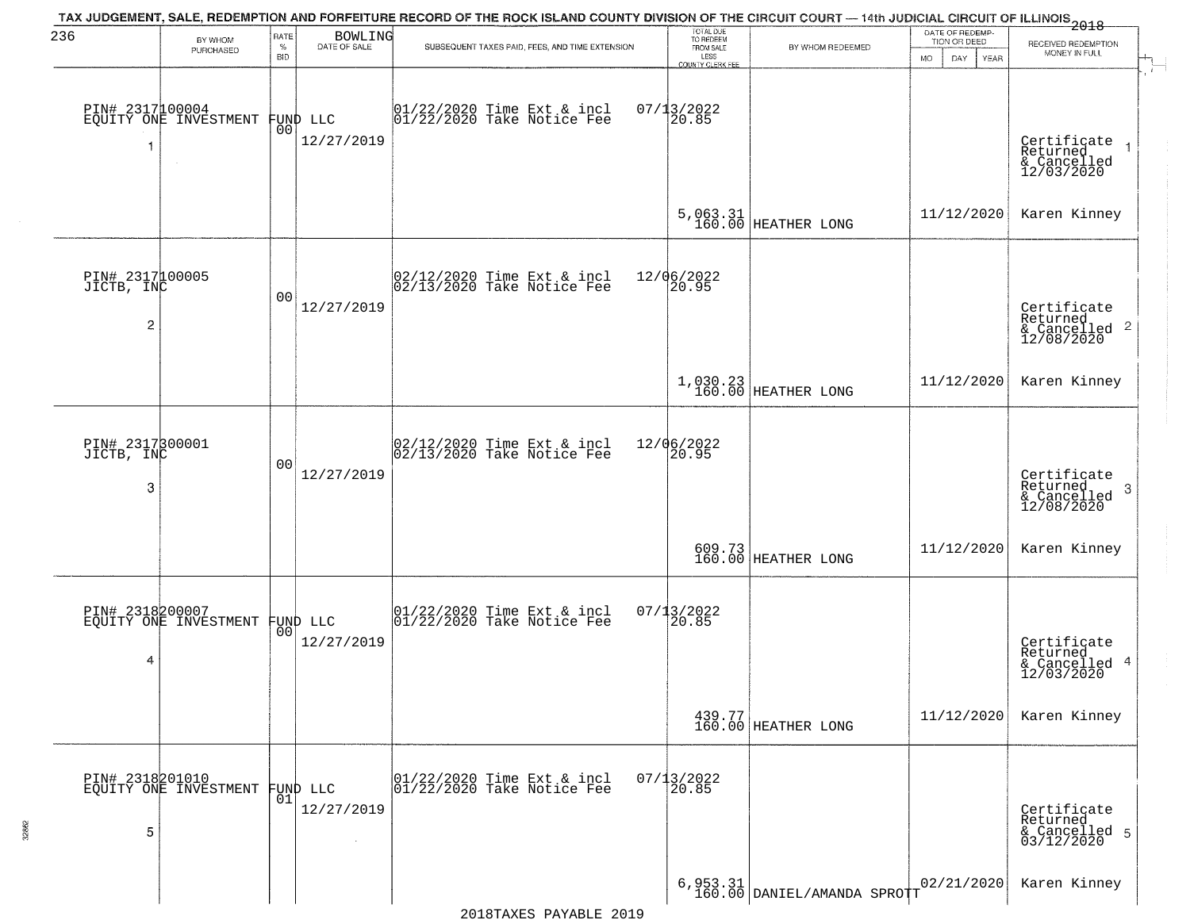| 236                                | BY WHOM<br>PURCHASED                     | RATE<br>$\%$<br><b>BID</b> | <b>BOWLING</b><br>DATE OF SALE | TAX JUDGEMENT, SALE, REDEMPTION AND FORFEITURE RECORD OF THE ROCK ISLAND COUNTY DIVISION OF THE CIRCUIT COURT — 14th JUDICIAL CIRCUIT OF ILLINOIS 2018<br>SUBSEQUENT TAXES PAID, FEES, AND TIME EXTENSION | TOTAL DUE<br>TO REDEEM<br>FROM SALE<br>LESS | BY WHOM REDEEMED                        | DATE OF REDEMP-<br>TION OR DEED<br><b>MO</b><br>DAY<br>YEAR | RECEIVED REDEMPTION<br>MONEY IN FULL                      |
|------------------------------------|------------------------------------------|----------------------------|--------------------------------|-----------------------------------------------------------------------------------------------------------------------------------------------------------------------------------------------------------|---------------------------------------------|-----------------------------------------|-------------------------------------------------------------|-----------------------------------------------------------|
| 1                                  | PIN# 2317100004<br>EQUITY ONE INVESTMENT | 0O                         | FUND LLC<br>12/27/2019         | $ 01/22/2020$ Time Ext & incl<br>$ 01/22/2020$ Take Notice Fee                                                                                                                                            | COUNTY CLERK FEE<br>$07/13/2022$<br>20.85   |                                         |                                                             | Certificate<br>Returned<br>& Cancelled<br>12/03/2020      |
|                                    |                                          |                            |                                |                                                                                                                                                                                                           |                                             | $5,063.31$ HEATHER LONG                 | 11/12/2020                                                  | Karen Kinney                                              |
| PIN# 2317100005<br>JICTB, INC<br>2 |                                          | 00                         | 12/27/2019                     | 02/12/2020 Time Ext & incl<br>02/13/2020 Take Notice Fee                                                                                                                                                  | 12/06/2022<br>20.95                         |                                         |                                                             | Certificate<br>Returned<br>& Cancelled 2<br>12/08/2020    |
|                                    |                                          |                            |                                |                                                                                                                                                                                                           |                                             | 1,030.23<br>160.00 HEATHER LONG         | 11/12/2020                                                  | Karen Kinney                                              |
| PIN# 2317300001<br>JICTB, INC<br>3 |                                          | 00                         | 12/27/2019                     | 02/12/2020 Time Ext & incl<br>02/13/2020 Take Notice Fee                                                                                                                                                  | 12/06/2022<br>20.95                         |                                         |                                                             | Certificate<br>Returned<br>3<br>& Cancelled<br>12/08/2020 |
|                                    |                                          |                            |                                |                                                                                                                                                                                                           |                                             | 609.73<br>160.00 HEATHER LONG           | 11/12/2020                                                  | Karen Kinney                                              |
| 4                                  | PIN# 2318200007<br>EQUITY ONE INVESTMENT |                            | FUND LLC<br> 00 <br>12/27/2019 | 01/22/2020 Time Ext & incl<br>01/22/2020 Take Notice Fee                                                                                                                                                  | 07/13/2022<br>120.85                        |                                         |                                                             | Certificate<br>Returned<br>& Cancelled 4<br>12/03/2020    |
|                                    |                                          |                            |                                |                                                                                                                                                                                                           |                                             | 439.77<br>160.00 HEATHER LONG           | 11/12/2020                                                  | Karen Kinney                                              |
| 5                                  | PIN# 2318201010<br>EQUITY ONE INVESTMENT | 01                         | FUND LLC<br>12/27/2019         | 01/22/2020 Time Ext & incl<br>01/22/2020 Take Notice Fee                                                                                                                                                  | $07/13/2022$<br>20.85                       |                                         |                                                             | Certificate<br>Returned<br>& Cancelled 5<br>03/12/2020    |
|                                    |                                          |                            |                                |                                                                                                                                                                                                           |                                             | $6,953.31  160.00  DANIEL/AMANDA SPROT$ | 02/21/2020                                                  | Karen Kinney                                              |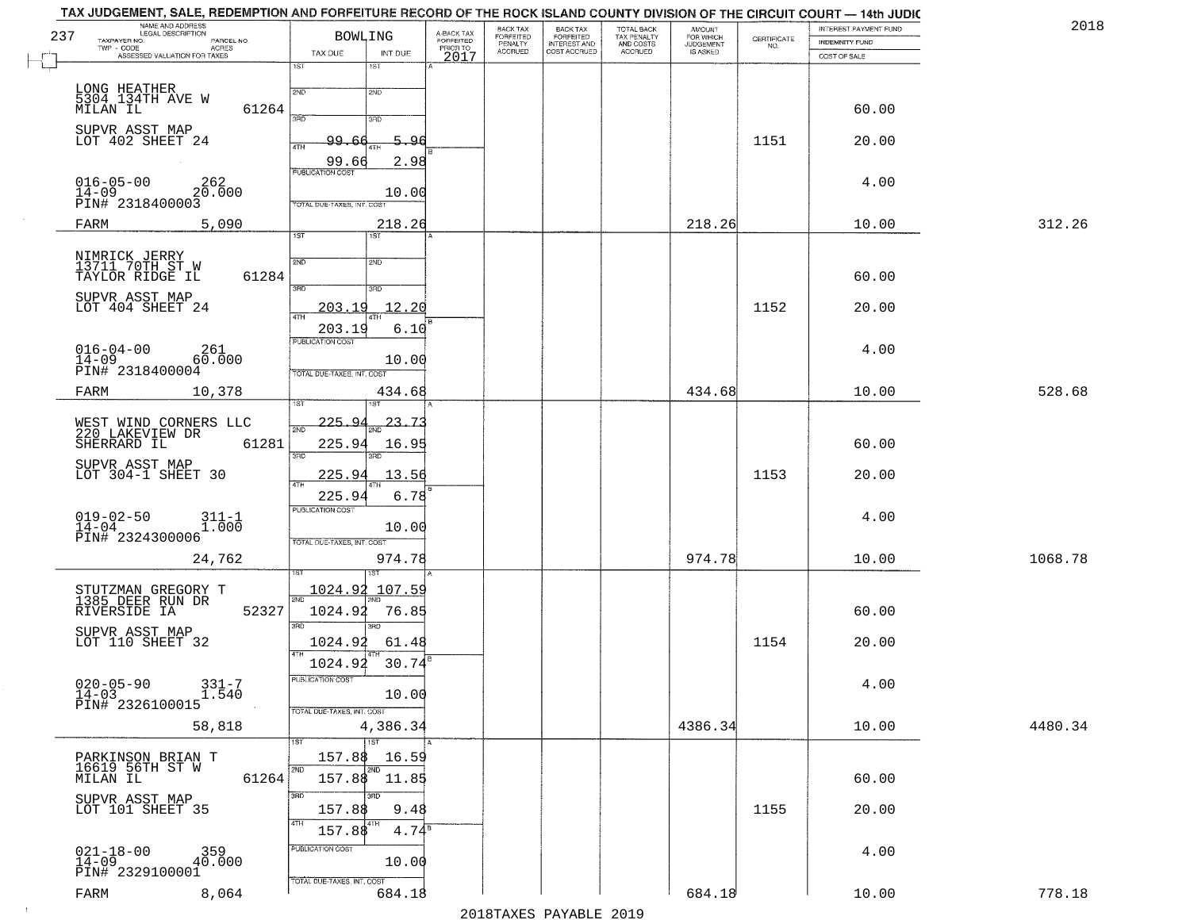| 237 | NAME AND ADDRESS<br>LEGAL DESCRIPTION<br>TAXPAYER NO.<br>PARCEL NO. | <b>BOWLING</b>                           | A-BACK TAX<br>FORFEITED | BACK TAX<br>FORFEITED | <b>BACK TAX</b><br><b>FORFEITED</b> | TOTAL BACK<br>TAX PENALTY | <b>AMOUNT</b>                      | CERTIFICATE | INTEREST PAYMENT FUND<br><b>INDEMNITY FUND</b> | 2018    |
|-----|---------------------------------------------------------------------|------------------------------------------|-------------------------|-----------------------|-------------------------------------|---------------------------|------------------------------------|-------------|------------------------------------------------|---------|
|     | TWP - CODE<br>ACRES<br>ASSESSED VALUATION FOR TAXES                 | TAX DUE<br>INT DUE                       | PRIOR TO<br>2017        | PENALTY<br>ACCRUED    | INTEREST AND<br>COST ACCRUED        | AND COSTS<br>ACCRUED      | FOR WHICH<br>JUDGEMENT<br>IS ASKED | NO.         | COST OF SALE                                   |         |
|     |                                                                     | 1ST<br>1ST                               |                         |                       |                                     |                           |                                    |             |                                                |         |
|     | LONG HEATHER<br>5304 134TH AVE W                                    | 2ND<br>2ND                               |                         |                       |                                     |                           |                                    |             |                                                |         |
|     | 61264<br>MILAN IL                                                   | 390<br>3RD                               |                         |                       |                                     |                           |                                    |             | 60.00                                          |         |
|     | SUPVR ASST MAP<br>LOT 402 SHEET 24                                  | 5.96<br>99.<br>4TH                       |                         |                       |                                     |                           |                                    | 1151        | 20.00                                          |         |
|     |                                                                     | 99.66<br>2.98<br><b>PUBLICATION COST</b> |                         |                       |                                     |                           |                                    |             |                                                |         |
|     | $016 - 05 - 00$<br>262<br>$14-09$<br>PIN# 2318400003                | 10.00                                    |                         |                       |                                     |                           |                                    |             | 4.00                                           |         |
|     |                                                                     | TOTAL DUE-TAXES, INT. COS                |                         |                       |                                     |                           |                                    |             |                                                |         |
|     | FARM<br>5,090                                                       | 218.26<br>$\overline{1ST}$<br>1ST        |                         |                       |                                     |                           | 218.26                             |             | 10.00                                          | 312.26  |
|     | NIMRICK JERRY<br>13711 70TH ST W                                    | 2ND<br>2ND                               |                         |                       |                                     |                           |                                    |             |                                                |         |
|     | TAYLOR RIDGE IL<br>61284                                            | 3RD<br>3RD                               |                         |                       |                                     |                           |                                    |             | 60.00                                          |         |
|     | SUPVR ASST MAP<br>LOT 404 SHEET 24                                  | 12.20<br>203.19<br>47H                   |                         |                       |                                     |                           |                                    | 1152        | 20.00                                          |         |
|     |                                                                     | 203.19<br>6.10                           |                         |                       |                                     |                           |                                    |             |                                                |         |
|     | $016 - 04 - 00$<br>261<br>$14 - 09$<br>60.000                       | PUBLICATION COST<br>10.00                |                         |                       |                                     |                           |                                    |             | 4.00                                           |         |
|     | PIN# 2318400004                                                     | TOTAL DUE-TAXES, INT. COST               |                         |                       |                                     |                           |                                    |             |                                                |         |
|     | FARM<br>10,378                                                      | 434.68                                   |                         |                       |                                     |                           | 434.68                             |             | 10.00                                          | 528.68  |
|     | WEST WIND CORNERS LLC<br>220 LAKEVIEW DR                            | 225.94<br>23<br>স্মা                     |                         |                       |                                     |                           |                                    |             |                                                |         |
|     | SHERRARD IL<br>61281                                                | 225.94<br>16.9<br>3RD<br>3RD             |                         |                       |                                     |                           |                                    |             | 60.00                                          |         |
|     | SUPVR ASST MAP<br>LOT 304-1 SHEET 30                                | 225.94<br>13.56                          |                         |                       |                                     |                           |                                    | 1153        | 20.00                                          |         |
|     |                                                                     | 4TH<br>6.78<br>225.94                    |                         |                       |                                     |                           |                                    |             |                                                |         |
|     | $019 - 02 - 50$<br>14-04<br>$311 - 1$<br>$1.000$                    | <b>PUBLICATION COST</b><br>10.00         |                         |                       |                                     |                           |                                    |             | 4.00                                           |         |
|     | PIN# 2324300006                                                     | TOTAL OUE-TAXES, INT. COST               |                         |                       |                                     |                           |                                    |             |                                                |         |
|     | 24,762                                                              | 974.78                                   |                         |                       |                                     |                           | 974.78                             |             | 10.00                                          | 1068.78 |
|     | STUTZMAN GREGORY T<br>1385 DEER RUN DR                              | 1024.92 107.59<br>2ND                    |                         |                       |                                     |                           |                                    |             |                                                |         |
|     | 52327<br>RIVERSIDE IA                                               | 1024.92<br>76.85<br>3RD                  |                         |                       |                                     |                           |                                    |             | 60.00                                          |         |
|     | SUPVR ASST MAP<br>LOT 110 SHEET 32                                  | 3RD<br>1024.92<br>61.48                  |                         |                       |                                     |                           |                                    | 1154        | 20.00                                          |         |
|     |                                                                     | 1024.92<br>30.74                         |                         |                       |                                     |                           |                                    |             |                                                |         |
|     | $020 - 05 - 90$<br>$331 - 7$<br>1.540<br>14-03                      | PUBLICATION COST<br>10.00                |                         |                       |                                     |                           |                                    |             | 4.00                                           |         |
|     | PIN# 2326100015                                                     | TOTAL DUE-TAXES, INT. COST               |                         |                       |                                     |                           |                                    |             |                                                |         |
|     | 58,818                                                              | 4,386.34<br>1ST<br>1ST                   |                         |                       |                                     |                           | 4386.34                            |             | 10.00                                          | 4480.34 |
|     |                                                                     | 157.88<br>16.59<br>2ND                   |                         |                       |                                     |                           |                                    |             |                                                |         |
|     | PARKINSON BRIAN T<br>16619 56TH ST W<br>MILAN IL<br>61264           | 2ND<br>157.88<br>11.85                   |                         |                       |                                     |                           |                                    |             | 60.00                                          |         |
|     | SUPVR ASST MAP<br>LOT 101 SHEET 35                                  | 3RD<br>3RD<br>157.88<br>9.48             |                         |                       |                                     |                           |                                    | 1155        | 20.00                                          |         |
|     |                                                                     | 4TH<br>4TH<br>$4.74^8$<br>157.88         |                         |                       |                                     |                           |                                    |             |                                                |         |
|     | $021 - 18 - 00$<br>14-09<br>$359$<br>$40.000$                       | PUBLICATION COST<br>10.00                |                         |                       |                                     |                           |                                    |             | 4.00                                           |         |
|     | PIN# 2329100001                                                     | TOTAL DUE-TAXES, INT. COST               |                         |                       |                                     |                           |                                    |             |                                                |         |
|     | FARM<br>8,064                                                       | 684.18                                   |                         |                       |                                     |                           | 684.18                             |             | 10.00                                          | 778.18  |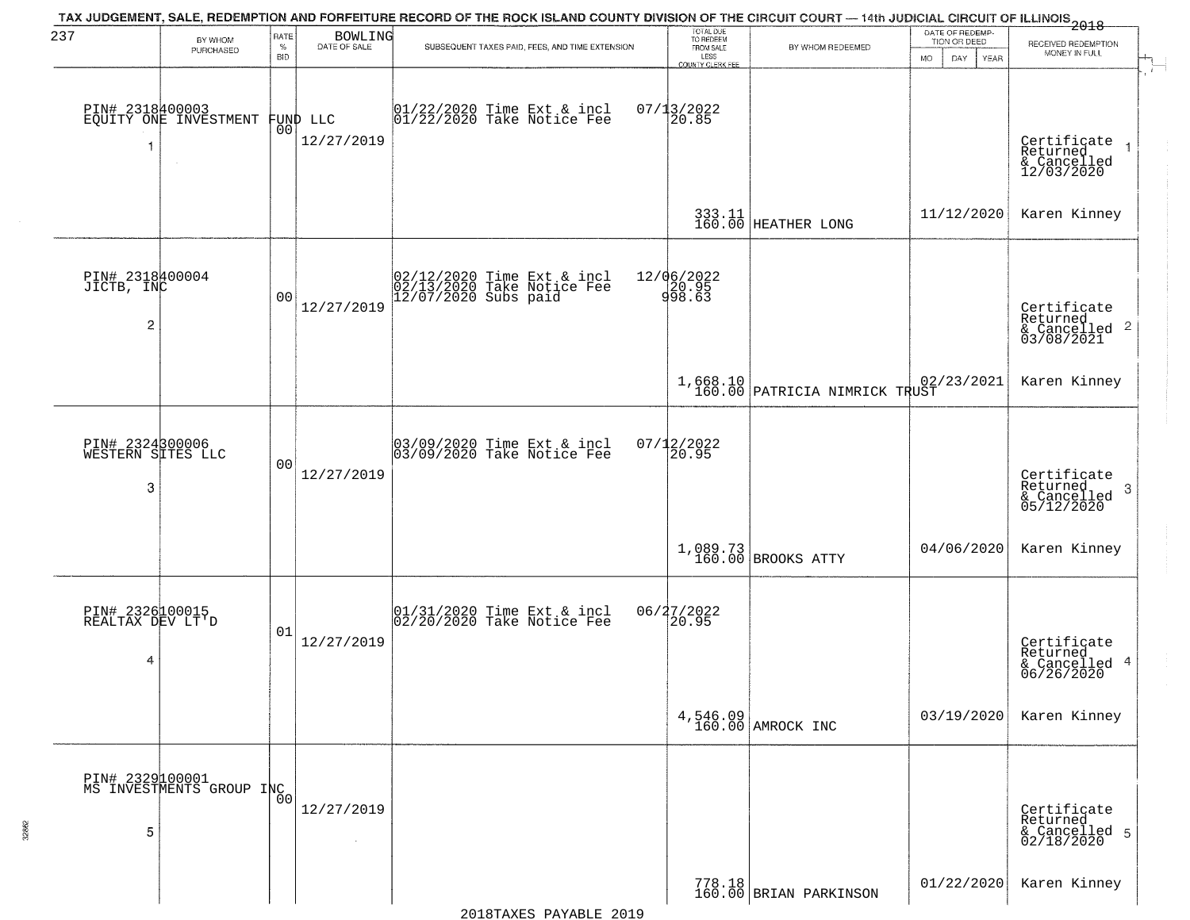| 237                                             | BY WHOM                                     | RATE               | <b>BOWLING</b>                 | TAX JUDGEMENT, SALE, REDEMPTION AND FORFEITURE RECORD OF THE ROCK ISLAND COUNTY DIVISION OF THE CIRCUIT COURT — 14th JUDICIAL CIRCUIT OF ILLINOIS 2018 | TOTAL DUE<br>TO REDEEM                |                                           | DATE OF REDEMP-<br>TION OR DEED  | RECEIVED REDEMPTION                                                    |  |
|-------------------------------------------------|---------------------------------------------|--------------------|--------------------------------|--------------------------------------------------------------------------------------------------------------------------------------------------------|---------------------------------------|-------------------------------------------|----------------------------------|------------------------------------------------------------------------|--|
|                                                 | PURCHASED                                   | $\%$<br><b>BID</b> | DATE OF SALE                   | SUBSEQUENT TAXES PAID, FEES, AND TIME EXTENSION                                                                                                        | FROM SALE<br>LESS<br>COUNTY CLERK FEE | BY WHOM REDEEMED                          | <b>MO</b><br>DAY.<br><b>YEAR</b> | MONEY IN FULL                                                          |  |
| -1                                              | PIN# 2318400003<br>EQUITY ONE INVESTMENT    |                    | FUND LLC<br> 00 <br>12/27/2019 | $01/22/2020$ Time Ext & incl<br>$01/22/2020$ Take Notice Fee                                                                                           | $07/13/2022$<br>20.85                 |                                           |                                  | Certificate<br>Returned<br>& Cancelled<br>12/03/2020                   |  |
|                                                 |                                             |                    |                                |                                                                                                                                                        |                                       | 333.11<br>160.00 HEATHER LONG             | 11/12/2020                       | Karen Kinney                                                           |  |
| PIN# 2318400004<br>JICTB, INC<br>$\overline{c}$ |                                             | 0 <sub>0</sub>     | 12/27/2019                     | 02/12/2020 Time Ext & incl<br>02/13/2020 Take Notice Fee<br>12/07/2020 Subs paid                                                                       | 12/06/2022<br>20.95<br>998.63         |                                           |                                  | Certificate<br>Returned<br>$\overline{2}$<br>& Cancelled<br>03/08/2021 |  |
|                                                 |                                             |                    |                                |                                                                                                                                                        |                                       | 1,668.10<br>160.00 PATRICIA NIMRICK TRUST | 02/23/2021                       | Karen Kinney                                                           |  |
| PIN# 2324300006<br>WESTERN SITES LLC<br>3       |                                             | 00                 | 12/27/2019                     | 03/09/2020 Time Ext & incl<br>03/09/2020 Take Notice Fee                                                                                               | $07/12/2022$<br>20.95                 |                                           |                                  | Certificate<br>Returned<br>3<br>& Cancelled<br>05/12/2020              |  |
|                                                 |                                             |                    |                                |                                                                                                                                                        |                                       | $1,089.73$ BROOKS ATTY                    | 04/06/2020                       | Karen Kinney                                                           |  |
| PIN# 2326100015<br>REALTAX DEV LT'D<br>4        |                                             | 01                 | 12/27/2019                     | 01/31/2020 Time Ext & incl<br>02/20/2020 Take Notice Fee                                                                                               | 06/27/2022<br>20.95                   |                                           |                                  | Certificate<br>Returned<br>& Cancelled 4<br>06/26/2020                 |  |
|                                                 |                                             |                    |                                |                                                                                                                                                        |                                       | 4,546.09<br>160.00 AMROCK INC             | 03/19/2020                       | Karen Kinney                                                           |  |
| 5                                               | PIN# 2329100001<br>MS INVESTMENTS GROUP INC | 0 <sup>0</sup>     | 12/27/2019                     |                                                                                                                                                        |                                       |                                           |                                  | Certificate<br>Returned<br>& Cancelled 5<br>02/18/2020                 |  |
|                                                 |                                             |                    |                                |                                                                                                                                                        |                                       | 778.18<br>160.00 BRIAN PARKINSON          | 01/22/2020                       | Karen Kinney                                                           |  |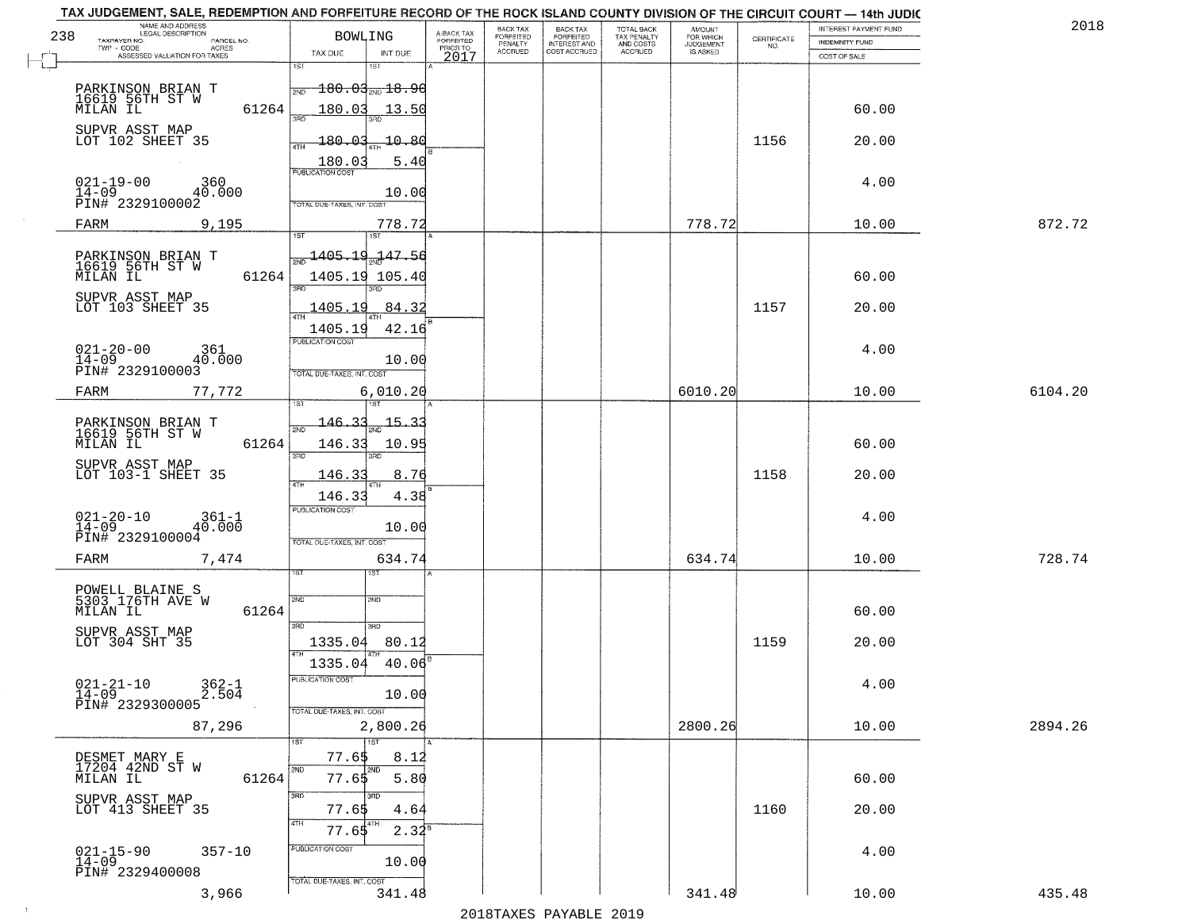|     | NAME AND ADDRESS<br>LEGAL DESCRIPTION                     | <b>BOWLING</b>                                             |                                     | BACK TAX<br>FORFEITED | BACK TAX<br>FORFEITED | TOTAL BACK               | AMOUNT<br>FOR WHICH |                                                                 | INTEREST PAYMENT FUND | 2018    |
|-----|-----------------------------------------------------------|------------------------------------------------------------|-------------------------------------|-----------------------|-----------------------|--------------------------|---------------------|-----------------------------------------------------------------|-----------------------|---------|
| 238 | TAXPAYER NO.<br>PARCEL NO.<br>TWP - CODE<br>ACRES         |                                                            | A-BACK TAX<br>FORFEITED<br>PRIOR TO | PENALTY               | <b>INTEREST AND</b>   | TAX PENALTY<br>AND COSTS | <b>JUDGEMENT</b>    | $\begin{array}{c} \text{CEPTIFICATE} \\ \text{NO.} \end{array}$ | <b>INDEMNITY FUND</b> |         |
|     | ASSESSED VALUATION FOR TAXES                              | TAX DUE<br>INT DUE<br>1ST<br>1ST                           | 2017                                | <b>ACCRUED</b>        | COST ACCRUED          | <b>ACCRUED</b>           | IS ASKED            |                                                                 | COST OF SALE          |         |
|     |                                                           |                                                            |                                     |                       |                       |                          |                     |                                                                 |                       |         |
|     | PARKINSON BRIAN T<br>16619 56TH ST W<br>MILAN IL          | $180.03_{\scriptscriptstyle \rm 2ND}18.96$<br>2ND          |                                     |                       |                       |                          |                     |                                                                 |                       |         |
|     | 61264                                                     | 180.03<br>13.50                                            |                                     |                       |                       |                          |                     |                                                                 | 60.00                 |         |
|     | SUPVR ASST MAP<br>LOT 102 SHEET 35                        |                                                            |                                     |                       |                       |                          |                     |                                                                 |                       |         |
|     |                                                           | <u> 180.03</u><br>$\textcolor{red}{\textbf{10.80}}$<br>ATH |                                     |                       |                       |                          |                     | 1156                                                            | 20.00                 |         |
|     |                                                           | 180.03<br>5.40<br><b>PUBLICATION COST</b>                  |                                     |                       |                       |                          |                     |                                                                 |                       |         |
|     | $021 - 19 - 00$<br>360                                    |                                                            |                                     |                       |                       |                          |                     |                                                                 | 4.00                  |         |
|     | $14 - 09$<br>40.000<br>PIN# 2329100002                    | 10.00<br>TOTAL DUE-TAXES, INT. COST                        |                                     |                       |                       |                          |                     |                                                                 |                       |         |
|     | 9,195<br>FARM                                             | 778.72                                                     |                                     |                       |                       |                          | 778.72              |                                                                 | 10.00                 | 872.72  |
|     |                                                           |                                                            |                                     |                       |                       |                          |                     |                                                                 |                       |         |
|     | PARKINSON BRIAN T<br>16619 56TH ST W                      | $\frac{1405.19}{47.50}$                                    |                                     |                       |                       |                          |                     |                                                                 |                       |         |
|     | MILAN IL<br>61264                                         | 1405.19 105.40                                             |                                     |                       |                       |                          |                     |                                                                 | 60.00                 |         |
|     |                                                           | $\overline{\text{R}}$                                      |                                     |                       |                       |                          |                     |                                                                 |                       |         |
|     | SUPVR ASST MAP<br>LOT 103 SHEET 35                        | 84.32<br><u>1405.19</u>                                    |                                     |                       |                       |                          |                     | 1157                                                            | 20.00                 |         |
|     |                                                           | 42.16<br>1405.19                                           |                                     |                       |                       |                          |                     |                                                                 |                       |         |
|     | $021 - 20 - 00$<br>361                                    | PUBLICATION COST                                           |                                     |                       |                       |                          |                     |                                                                 | 4.00                  |         |
|     | 40.000<br>14-09<br>PIN# 2329100003                        | 10.00                                                      |                                     |                       |                       |                          |                     |                                                                 |                       |         |
|     |                                                           | TOTAL DUE-TAXES, INT. COST                                 |                                     |                       |                       |                          |                     |                                                                 |                       |         |
|     | 77,772<br>FARM                                            | 6,010.20<br>١S٦<br>i ST                                    |                                     |                       |                       |                          | 6010.20             |                                                                 | 10.00                 | 6104.20 |
|     |                                                           | $146 - 35$<br>15.                                          |                                     |                       |                       |                          |                     |                                                                 |                       |         |
|     | PARKINSON BRIAN T<br>16619 56TH ST W<br>MILAN IL<br>61264 | 2ND<br>146.33                                              |                                     |                       |                       |                          |                     |                                                                 | 60.00                 |         |
|     |                                                           | 10.95<br>3RD<br>3RD                                        |                                     |                       |                       |                          |                     |                                                                 |                       |         |
|     | SUPVR ASST MAP<br>LOT 103-1 SHEET 35                      | 146.33<br>8.76                                             |                                     |                       |                       |                          |                     | 1158                                                            | 20.00                 |         |
|     |                                                           | 4TH<br>146.33<br>4.38                                      |                                     |                       |                       |                          |                     |                                                                 |                       |         |
|     |                                                           | <b>PUBLICATION COST</b>                                    |                                     |                       |                       |                          |                     |                                                                 |                       |         |
|     | $021 - 20 - 10$<br>14-09<br>$361-1$<br>40.000             | 10.00                                                      |                                     |                       |                       |                          |                     |                                                                 | 4.00                  |         |
|     | PIN# 2329100004                                           | TOTAL OUE-TAXES, INT. COST                                 |                                     |                       |                       |                          |                     |                                                                 |                       |         |
|     | FARM<br>7,474                                             | 634.74                                                     |                                     |                       |                       |                          | 634.74              |                                                                 | 10.00                 | 728.74  |
|     |                                                           | 15T                                                        |                                     |                       |                       |                          |                     |                                                                 |                       |         |
|     | POWELL BLAINE S<br>5303 176TH AVE W                       | 2ND<br>2ND                                                 |                                     |                       |                       |                          |                     |                                                                 |                       |         |
|     | MILAN IL<br>61264                                         |                                                            |                                     |                       |                       |                          |                     |                                                                 | 60.00                 |         |
|     | SUPVR ASST MAP<br>LOT 304 SHT 35                          | 3BD<br>3 <sub>BD</sub><br>1335.04<br>80.12                 |                                     |                       |                       |                          |                     | 1159                                                            | 20.00                 |         |
|     |                                                           |                                                            |                                     |                       |                       |                          |                     |                                                                 |                       |         |
|     |                                                           | 1335.04<br>40.06                                           |                                     |                       |                       |                          |                     |                                                                 |                       |         |
|     | $021 - 21 - 10$<br>$362 - 1$<br>2.504<br>14-09            | -usuca i un cus-<br>10.00                                  |                                     |                       |                       |                          |                     |                                                                 | 4.00                  |         |
|     | PIN# 2329300005                                           | TOTAL DUE-TAXES, INT. COST                                 |                                     |                       |                       |                          |                     |                                                                 |                       |         |
|     | 87,296                                                    | 2,800.26                                                   |                                     |                       |                       |                          | 2800.26             |                                                                 | 10.00                 | 2894.26 |
|     |                                                           | 1ST                                                        |                                     |                       |                       |                          |                     |                                                                 |                       |         |
|     | DESMET MARY E<br>17204 42ND ST W                          | 77.65<br>8.12<br>2ND<br>2ND                                |                                     |                       |                       |                          |                     |                                                                 |                       |         |
|     | 61264<br>MILAN IL                                         | 5.80<br>77.65                                              |                                     |                       |                       |                          |                     |                                                                 | 60.00                 |         |
|     | SUPVR ASST MAP                                            | 3RD                                                        |                                     |                       |                       |                          |                     |                                                                 |                       |         |
|     | LOT 413 SHEET 35                                          | 77.65<br>4.64<br>4TH<br>4TH                                |                                     |                       |                       |                          |                     | 1160                                                            | 20.00                 |         |
|     |                                                           | $2.34^{B}$<br>77.65                                        |                                     |                       |                       |                          |                     |                                                                 |                       |         |
|     | $021 - 15 - 90$<br>14-09<br>$357 - 10$                    | PUBLICATION COST                                           |                                     |                       |                       |                          |                     |                                                                 | 4.00                  |         |
|     | PIN# 2329400008                                           | 10.00                                                      |                                     |                       |                       |                          |                     |                                                                 |                       |         |
|     | 3,966                                                     | TOTAL DUE-TAXES, INT. COST<br>341.48                       |                                     |                       |                       |                          | 341.48              |                                                                 | 10.00                 | 435.48  |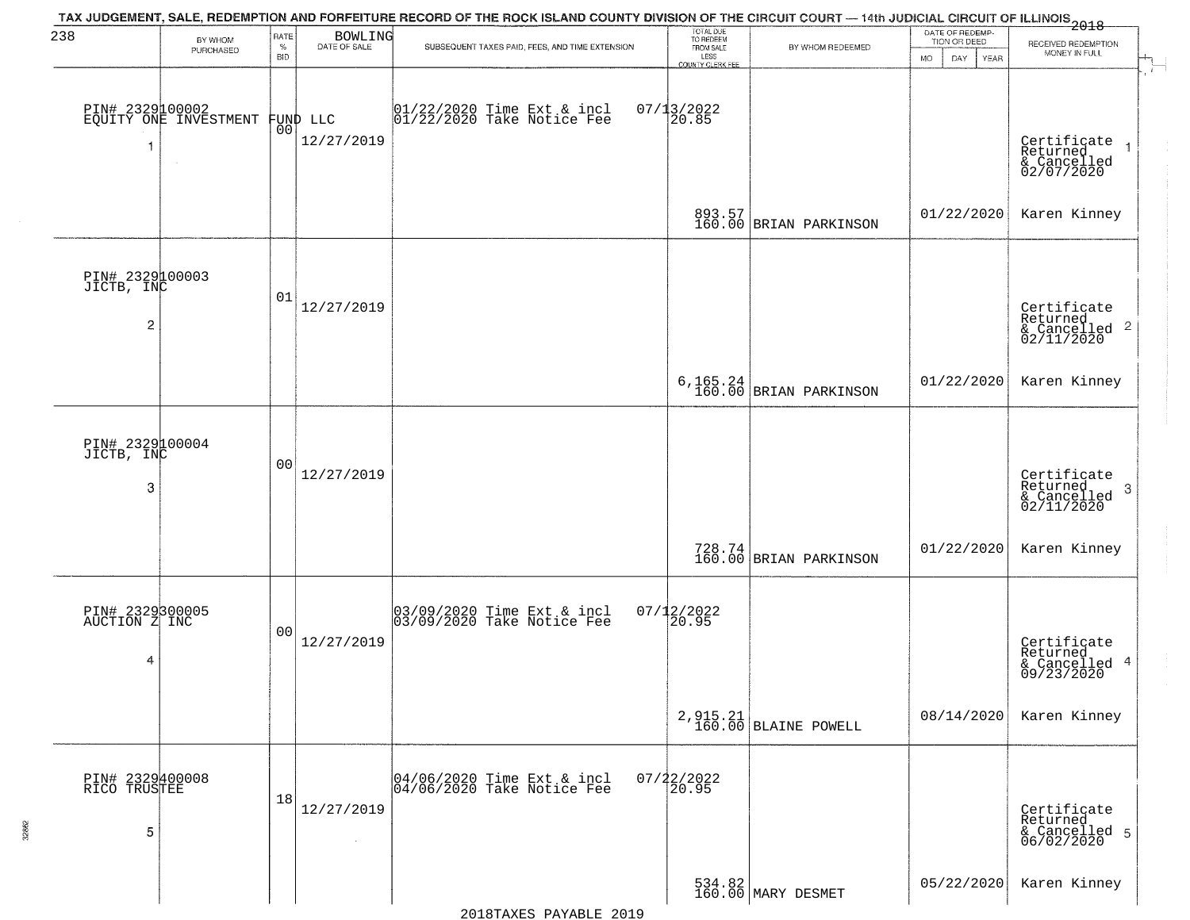| 238                                             | BY WHOM<br>PURCHASED                     | RATE<br>$\%$<br><b>BID</b> | <b>BOWLING</b><br>DATE OF SALE | TAX JUDGEMENT, SALE, REDEMPTION AND FORFEITURE RECORD OF THE ROCK ISLAND COUNTY DIVISION OF THE CIRCUIT COURT — 14th JUDICIAL CIRCUIT OF ILLINOIS 2018<br>SUBSEQUENT TAXES PAID, FEES, AND TIME EXTENSION | TOTAL DUE<br>TO REDEEM<br>FROM SALE<br>LESS<br><b>COUNTY CLERK FEE</b> | BY WHOM REDEEMED                                                | DATE OF REDEMP-<br>TION OR DEED<br>MO.<br>DAY.<br><b>YEAR</b> | RECEIVED REDEMPTION<br>MONEY IN FULL                                   |
|-------------------------------------------------|------------------------------------------|----------------------------|--------------------------------|-----------------------------------------------------------------------------------------------------------------------------------------------------------------------------------------------------------|------------------------------------------------------------------------|-----------------------------------------------------------------|---------------------------------------------------------------|------------------------------------------------------------------------|
|                                                 | PIN# 2329100002<br>EQUITY ONE INVESTMENT | 0 <sub>0</sub>             | FUND LLC<br>12/27/2019         | 01/22/2020 Time Ext & incl<br>01/22/2020 Take Notice Fee                                                                                                                                                  | $07/13/2022$<br>20.85                                                  |                                                                 |                                                               | Certificate<br>Returned<br>& Cancelled<br>02/07/2020                   |
|                                                 |                                          |                            |                                |                                                                                                                                                                                                           |                                                                        | 893.57<br>160.00 BRIAN PARKINSON                                | 01/22/2020                                                    | Karen Kinney                                                           |
| PIN# 2329100003<br>JICTB, INC<br>$\overline{c}$ |                                          | 01                         | 12/27/2019                     |                                                                                                                                                                                                           |                                                                        |                                                                 |                                                               | Certificate<br>Returned<br>$\frac{1}{2}$ Cancelled 2<br>02/11/2020     |
|                                                 |                                          |                            |                                |                                                                                                                                                                                                           |                                                                        | $6,165.24$ BRIAN PARKINSON                                      | 01/22/2020                                                    | Karen Kinney                                                           |
| PIN# 2329100004<br>JICTB, INC<br>3              |                                          | 0 <sub>0</sub>             | 12/27/2019                     |                                                                                                                                                                                                           |                                                                        |                                                                 |                                                               | Certificate<br>Returned<br>-3<br>$\frac{1}{2}$ Cancelled<br>02/11/2020 |
|                                                 |                                          |                            |                                |                                                                                                                                                                                                           |                                                                        | $\begin{array}{c} 728.74 \\ 160.00 \end{array}$ BRIAN PARKINSON | 01/22/2020                                                    | Karen Kinney                                                           |
| PIN# 2329300005<br>AUCTION Z INC<br>4           |                                          | 0 <sub>0</sub>             | 12/27/2019                     | 03/09/2020 Time Ext & incl<br>03/09/2020 Take Notice Fee                                                                                                                                                  | $07/12/2022$<br>20.95                                                  |                                                                 |                                                               | Certificate<br>Returned<br>& Cancelled 4<br>09/23/2020                 |
|                                                 |                                          |                            |                                |                                                                                                                                                                                                           |                                                                        | $2,915.21$ BLAINE POWELL                                        | 08/14/2020                                                    | Karen Kinney                                                           |
| PIN# 2329400008<br>RICO TRUSTEE<br>5            |                                          | 18                         | 12/27/2019<br>$\sim$           | 04/06/2020 Time Ext & incl<br>04/06/2020 Take Notice Fee                                                                                                                                                  | $07/22/2022$<br>20.95                                                  |                                                                 |                                                               | Certificate<br>Returned<br>& Cancelled 5<br>06/02/2020                 |
|                                                 |                                          |                            |                                |                                                                                                                                                                                                           |                                                                        | 534.82<br>160.00 MARY DESMET                                    | 05/22/2020                                                    | Karen Kinney                                                           |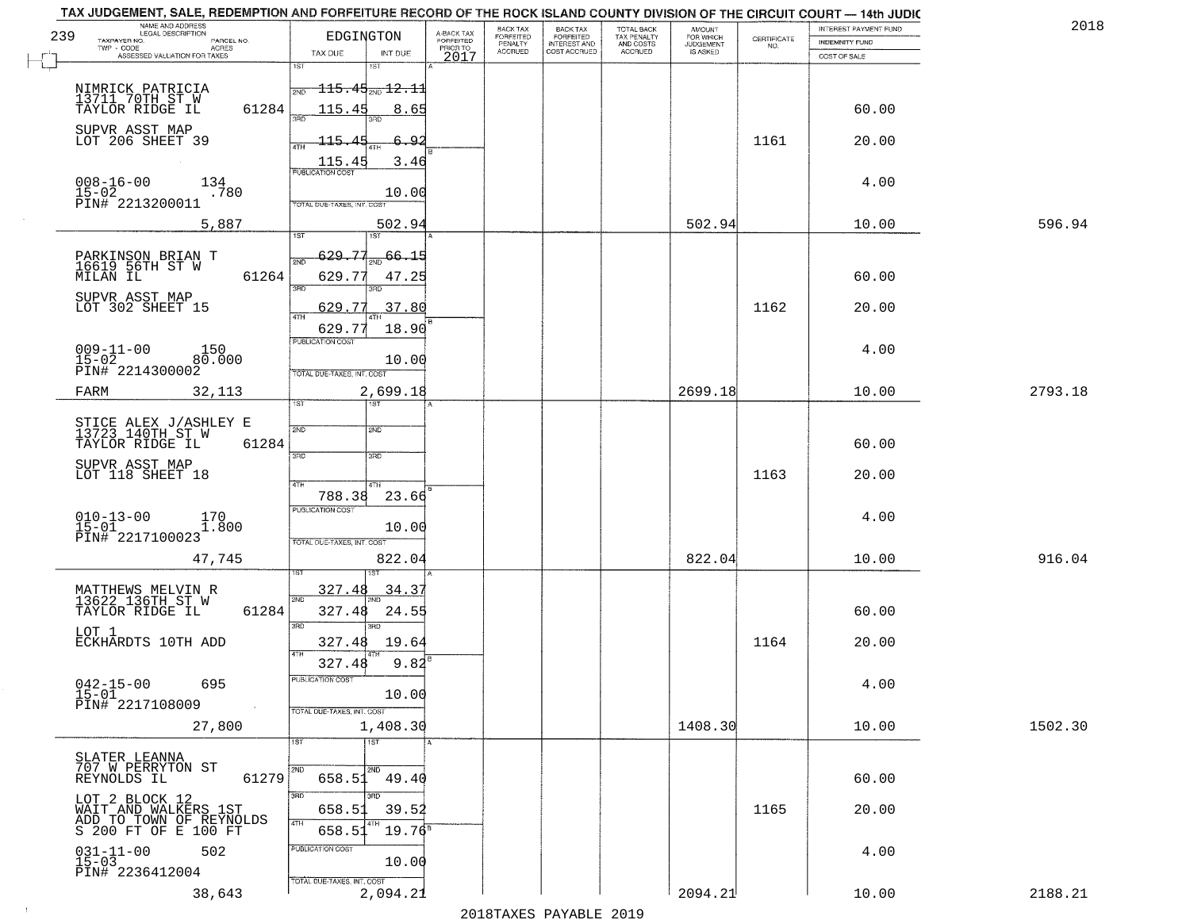|     | TAX JUDGEMENT, SALE, REDEMPTION AND FORFEITURE RECORD OF THE ROCK ISLAND COUNTY DIVISION OF THE CIRCUIT COURT - 14th JUDIC |                                                                                    |                                     |                                     |                                     |                                        |                              |                                                                 |                       | 2018    |
|-----|----------------------------------------------------------------------------------------------------------------------------|------------------------------------------------------------------------------------|-------------------------------------|-------------------------------------|-------------------------------------|----------------------------------------|------------------------------|-----------------------------------------------------------------|-----------------------|---------|
| 239 | NAME AND ADDRESS<br>LEGAL DESCRIPTION<br>PARCEL NO.                                                                        | EDGINGTON                                                                          | A-BACK TAX<br>FORFEITED<br>PRIOR TO | <b>BACK TAX</b><br><b>FORFEITED</b> | BACK TAX<br>FORFEITED               | TOTAL BACK<br>TAX PENALTY<br>AND COSTS | AMOUNT<br>FOR WHICH          |                                                                 | INTEREST PAYMENT FUND |         |
|     | TAXPAYER NO.<br>ACRES                                                                                                      | TAX DUE<br>INT DUE                                                                 |                                     | PENALTY<br><b>ACCRUED</b>           | <b>INTEREST AND</b><br>COST ACCRUED | ACCRUED                                | <b>JUDGEMENT</b><br>IS ASKED | $\begin{array}{c} \text{CERTIFICATE} \\ \text{NO.} \end{array}$ | INDEMNITY FUND        |         |
|     | ASSESSED VALUATION FOR TAXES                                                                                               | 1ST<br>IST                                                                         | 2017                                |                                     |                                     |                                        |                              |                                                                 | COST OF SALE          |         |
|     |                                                                                                                            |                                                                                    |                                     |                                     |                                     |                                        |                              |                                                                 |                       |         |
|     | NIMRICK PATRICIA<br>13711 70TH ST W<br>TAYLOR RIDGE IL                                                                     | $\frac{}{\left.\right _{\mathrm{2NO}}-115\cdot$ 45 $_{\mathrm{2NO}}$ 12 $\cdot$ 11 |                                     |                                     |                                     |                                        |                              |                                                                 |                       |         |
|     | 61284                                                                                                                      | 115.45<br>8.65                                                                     |                                     |                                     |                                     |                                        |                              |                                                                 | 60.00                 |         |
|     | SUPVR ASST MAP                                                                                                             |                                                                                    |                                     |                                     |                                     |                                        |                              |                                                                 |                       |         |
|     | LOT 206 SHEET 39                                                                                                           | 115.45<br>6.92                                                                     |                                     |                                     |                                     |                                        |                              | 1161                                                            | 20.00                 |         |
|     |                                                                                                                            | 3.46                                                                               |                                     |                                     |                                     |                                        |                              |                                                                 |                       |         |
|     |                                                                                                                            | $\frac{115.45}{FUBUCATON COST}$                                                    |                                     |                                     |                                     |                                        |                              |                                                                 |                       |         |
|     | $008 - 16 - 00$<br>15-02<br>134<br>.780                                                                                    | 10.00                                                                              |                                     |                                     |                                     |                                        |                              |                                                                 | 4.00                  |         |
|     | PIN# 2213200011                                                                                                            | TOTAL DUE-TAXES, INT. COST                                                         |                                     |                                     |                                     |                                        |                              |                                                                 |                       |         |
|     | 5,887                                                                                                                      | 502.94                                                                             |                                     |                                     |                                     |                                        | 502.94                       |                                                                 | 10.00                 | 596.94  |
|     |                                                                                                                            |                                                                                    |                                     |                                     |                                     |                                        |                              |                                                                 |                       |         |
|     |                                                                                                                            | 629.77<br>$\frac{1}{2ND}$ 66.15                                                    |                                     |                                     |                                     |                                        |                              |                                                                 |                       |         |
|     | PARKINSON BRIAN T<br>16619 56TH ST W                                                                                       |                                                                                    |                                     |                                     |                                     |                                        |                              |                                                                 |                       |         |
|     | 61264<br>MILAN IL                                                                                                          | 629.77<br>47.25<br>त्रहा<br>3RD                                                    |                                     |                                     |                                     |                                        |                              |                                                                 | 60.00                 |         |
|     | SUPVR ASST MAP<br>LOT 302 SHEET 15                                                                                         |                                                                                    |                                     |                                     |                                     |                                        |                              |                                                                 |                       |         |
|     |                                                                                                                            | 629.77<br>.37.80<br>ৰাম                                                            |                                     |                                     |                                     |                                        |                              | 1162                                                            | 20.00                 |         |
|     |                                                                                                                            | 18.90<br>629.77                                                                    |                                     |                                     |                                     |                                        |                              |                                                                 |                       |         |
|     | $009 - 11 - 00$<br>150                                                                                                     | PUBLICATION COST                                                                   |                                     |                                     |                                     |                                        |                              |                                                                 | 4.00                  |         |
|     | $15 - 02$<br>80.000                                                                                                        | 10.00                                                                              |                                     |                                     |                                     |                                        |                              |                                                                 |                       |         |
|     | PIN# 2214300002                                                                                                            | TOTAL DUE-TAXES, INT. COST                                                         |                                     |                                     |                                     |                                        |                              |                                                                 |                       |         |
|     | 32,113<br>FARM                                                                                                             | 2,699.18                                                                           |                                     |                                     |                                     |                                        | 2699.18                      |                                                                 | 10.00                 | 2793.18 |
|     |                                                                                                                            | 1ST<br>1ST                                                                         |                                     |                                     |                                     |                                        |                              |                                                                 |                       |         |
|     | STICE ALEX J/ASHLEY E<br>13723 140TH ST W                                                                                  | 2ND                                                                                |                                     |                                     |                                     |                                        |                              |                                                                 |                       |         |
|     | TAYLOR RIDGE IL<br>61284                                                                                                   | 2ND                                                                                |                                     |                                     |                                     |                                        |                              |                                                                 | 60.00                 |         |
|     |                                                                                                                            | 3RD<br>3RD                                                                         |                                     |                                     |                                     |                                        |                              |                                                                 |                       |         |
|     | SUPVR ASST MAP<br>LOT 118 SHEET 18                                                                                         |                                                                                    |                                     |                                     |                                     |                                        |                              | 1163                                                            | 20.00                 |         |
|     |                                                                                                                            | 4TH<br>4TH                                                                         |                                     |                                     |                                     |                                        |                              |                                                                 |                       |         |
|     |                                                                                                                            | 788.38<br>23.66                                                                    |                                     |                                     |                                     |                                        |                              |                                                                 |                       |         |
|     | $010 - 13 - 00$<br>15-01<br>170<br>1.800                                                                                   | <b>PUBLICATION COST</b>                                                            |                                     |                                     |                                     |                                        |                              |                                                                 | 4.00                  |         |
|     | PIN# 2217100023                                                                                                            | 10.00                                                                              |                                     |                                     |                                     |                                        |                              |                                                                 |                       |         |
|     |                                                                                                                            | TOTAL OUE-TAXES, INT. COST                                                         |                                     |                                     |                                     |                                        |                              |                                                                 |                       |         |
|     | 47,745                                                                                                                     | 822.04                                                                             |                                     |                                     |                                     |                                        | 822.04                       |                                                                 | 10.00                 | 916.04  |
|     |                                                                                                                            |                                                                                    |                                     |                                     |                                     |                                        |                              |                                                                 |                       |         |
|     | MATTHEWS MELVIN R<br>13622 136TH ST W                                                                                      | 327.48<br>34.37<br>2ND.                                                            |                                     |                                     |                                     |                                        |                              |                                                                 |                       |         |
|     | 61284<br>TAYLOR RIDGE IL                                                                                                   | 327.48<br>24.55                                                                    |                                     |                                     |                                     |                                        |                              |                                                                 | 60.00                 |         |
|     | LOT 1                                                                                                                      | 3BD<br>3RD                                                                         |                                     |                                     |                                     |                                        |                              |                                                                 |                       |         |
|     | ECKHARDTS 10TH ADD                                                                                                         | 19.64<br>327.48                                                                    |                                     |                                     |                                     |                                        |                              | 1164                                                            | 20.00                 |         |
|     |                                                                                                                            | 4TH<br>9.82<br>327.48                                                              |                                     |                                     |                                     |                                        |                              |                                                                 |                       |         |
|     |                                                                                                                            | PUBLICATION COS-                                                                   |                                     |                                     |                                     |                                        |                              |                                                                 |                       |         |
|     | $042 - 15 - 00$<br>695<br>$15-01$                                                                                          | 10.00                                                                              |                                     |                                     |                                     |                                        |                              |                                                                 | 4.00                  |         |
|     | PIN# 2217108009<br>$\sim 10^{-1}$                                                                                          | TOTAL DUE-TAXES, INT. COST                                                         |                                     |                                     |                                     |                                        |                              |                                                                 |                       |         |
|     | 27,800                                                                                                                     | 1,408.30                                                                           |                                     |                                     |                                     |                                        | 1408.30                      |                                                                 | 10.00                 | 1502.30 |
|     |                                                                                                                            | 1ST<br>$\overline{1}$ 1ST                                                          |                                     |                                     |                                     |                                        |                              |                                                                 |                       |         |
|     |                                                                                                                            |                                                                                    |                                     |                                     |                                     |                                        |                              |                                                                 |                       |         |
|     | SLATER LEANNA<br>707 W PERRYTON ST                                                                                         |                                                                                    |                                     |                                     |                                     |                                        |                              |                                                                 |                       |         |
|     | REYNOLDS IL<br>61279                                                                                                       | 658.51<br>49.40                                                                    |                                     |                                     |                                     |                                        |                              |                                                                 | 60.00                 |         |
|     | LOT 2 BLOCK 12                                                                                                             | 3RD<br>3BD                                                                         |                                     |                                     |                                     |                                        |                              |                                                                 |                       |         |
|     | WAIT AND WALKERS 1ST<br>ADD TO TOWN OF REYNOLDS                                                                            | 658.5<br>39.52<br>4TH                                                              |                                     |                                     |                                     |                                        |                              | 1165                                                            | 20.00                 |         |
|     | S 200 FT OF E 100 FT                                                                                                       | $19.76^8$<br>658.5                                                                 |                                     |                                     |                                     |                                        |                              |                                                                 |                       |         |
|     | 502                                                                                                                        | PUBLICATION COST                                                                   |                                     |                                     |                                     |                                        |                              |                                                                 | 4.00                  |         |
|     | $031 - 11 - 00$<br>15-03                                                                                                   | 10.00                                                                              |                                     |                                     |                                     |                                        |                              |                                                                 |                       |         |
|     | PIN# 2236412004                                                                                                            | TOTAL DUE-TAXES, INT. COST                                                         |                                     |                                     |                                     |                                        |                              |                                                                 |                       |         |
|     | 38,643                                                                                                                     | 2,094.21                                                                           |                                     |                                     |                                     |                                        | 2094.21                      |                                                                 | 10.00                 | 2188.21 |
|     |                                                                                                                            |                                                                                    |                                     |                                     | 2010                                |                                        |                              |                                                                 |                       |         |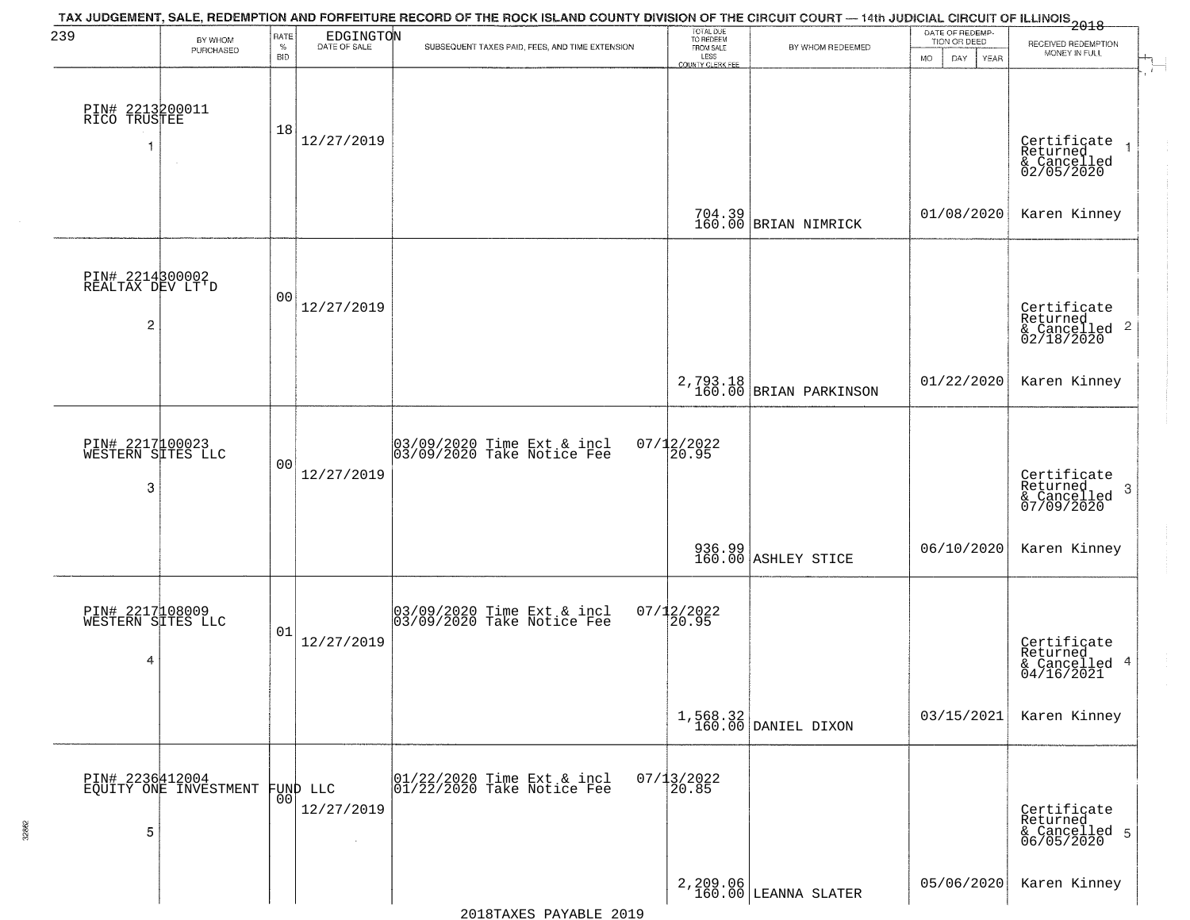| 239                                                   | BY WHOM<br>PURCHASED                     | RATE<br>$\%$<br><b>BID</b> | EDGINGTON              | TAX JUDGEMENT, SALE, REDEMPTION AND FORFEITURE RECORD OF THE ROCK ISLAND COUNTY DIVISION OF THE CIRCUIT COURT — 14th JUDICIAL CIRCUIT OF ILLINOIS 2018<br>SUBSEQUENT TAXES PAID, FEES, AND TIME EXTENSION | TOTAL DUE<br>TO REDEEM<br>FROM SALE<br>LESS | BY WHOM REDEEMED                   | DATE OF REDEMP-<br>TION OR DEED<br><b>MO</b><br>DAY.<br>YEAR | RECEIVED REDEMPTION<br>MONEY IN FULL                               |
|-------------------------------------------------------|------------------------------------------|----------------------------|------------------------|-----------------------------------------------------------------------------------------------------------------------------------------------------------------------------------------------------------|---------------------------------------------|------------------------------------|--------------------------------------------------------------|--------------------------------------------------------------------|
| PIN# 2213200011<br>RICO TRUSTEE<br>1                  | $\sim$ $\sim$                            | 18                         | 12/27/2019             |                                                                                                                                                                                                           | COUNTY CLERK FEE                            |                                    |                                                              | Certificate<br>Returned<br>& Cancelled<br>02/05/2020               |
|                                                       |                                          |                            |                        |                                                                                                                                                                                                           |                                             | 704.39<br>160.00 BRIAN NIMRICK     | 01/08/2020                                                   | Karen Kinney                                                       |
| PIN# 2214300002<br>REALTAX DEV LT'D<br>$\overline{c}$ |                                          | 0 <sub>0</sub>             | 12/27/2019             |                                                                                                                                                                                                           |                                             |                                    |                                                              | Certificate<br>Returned<br>$\frac{1}{2}$ Cancelled 2<br>02/18/2020 |
|                                                       |                                          |                            |                        |                                                                                                                                                                                                           |                                             | 2,793.18<br>160.00 BRIAN PARKINSON | 01/22/2020                                                   | Karen Kinney                                                       |
| PIN# 2217100023<br>WESTERN SITES LLC<br>3             |                                          | 0 <sub>0</sub>             | 12/27/2019             | 03/09/2020 Time Ext & incl<br>03/09/2020 Take Notice Fee                                                                                                                                                  | $07/12/2022$<br>20.95                       |                                    |                                                              | Certificate<br>Returned<br>-3<br>& Cancelled<br>07/09/2020         |
|                                                       |                                          |                            |                        |                                                                                                                                                                                                           |                                             | 936.99<br>160.00 ASHLEY STICE      | 06/10/2020                                                   | Karen Kinney                                                       |
| PIN# 2217108009<br>WESTERN SITES LLC<br>4             |                                          | 01                         | 12/27/2019             | 03/09/2020 Time Ext & incl<br>03/09/2020 Take Notice Fee                                                                                                                                                  | $07/12/2022$<br>20.95                       |                                    |                                                              | Certificate<br>Returned<br>& Cancelled 4<br>04/16/2021             |
|                                                       |                                          |                            |                        |                                                                                                                                                                                                           |                                             | $1,568.32$ DANIEL DIXON            | 03/15/2021                                                   | Karen Kinney                                                       |
| 5                                                     | PIN# 2236412004<br>EQUITY ONE INVESTMENT | 0 <sup>0</sup>             | FUND LLC<br>12/27/2019 | 01/22/2020 Time Ext & incl<br>01/22/2020 Take Notice Fee                                                                                                                                                  | $07/13/2022$<br>20.85                       |                                    |                                                              | Certificate<br>Returned<br>& Cancelled 5<br>06/05/2020             |
|                                                       |                                          |                            |                        |                                                                                                                                                                                                           |                                             | 2, 209.06<br>160.00 LEANNA SLATER  | 05/06/2020                                                   | Karen Kinney                                                       |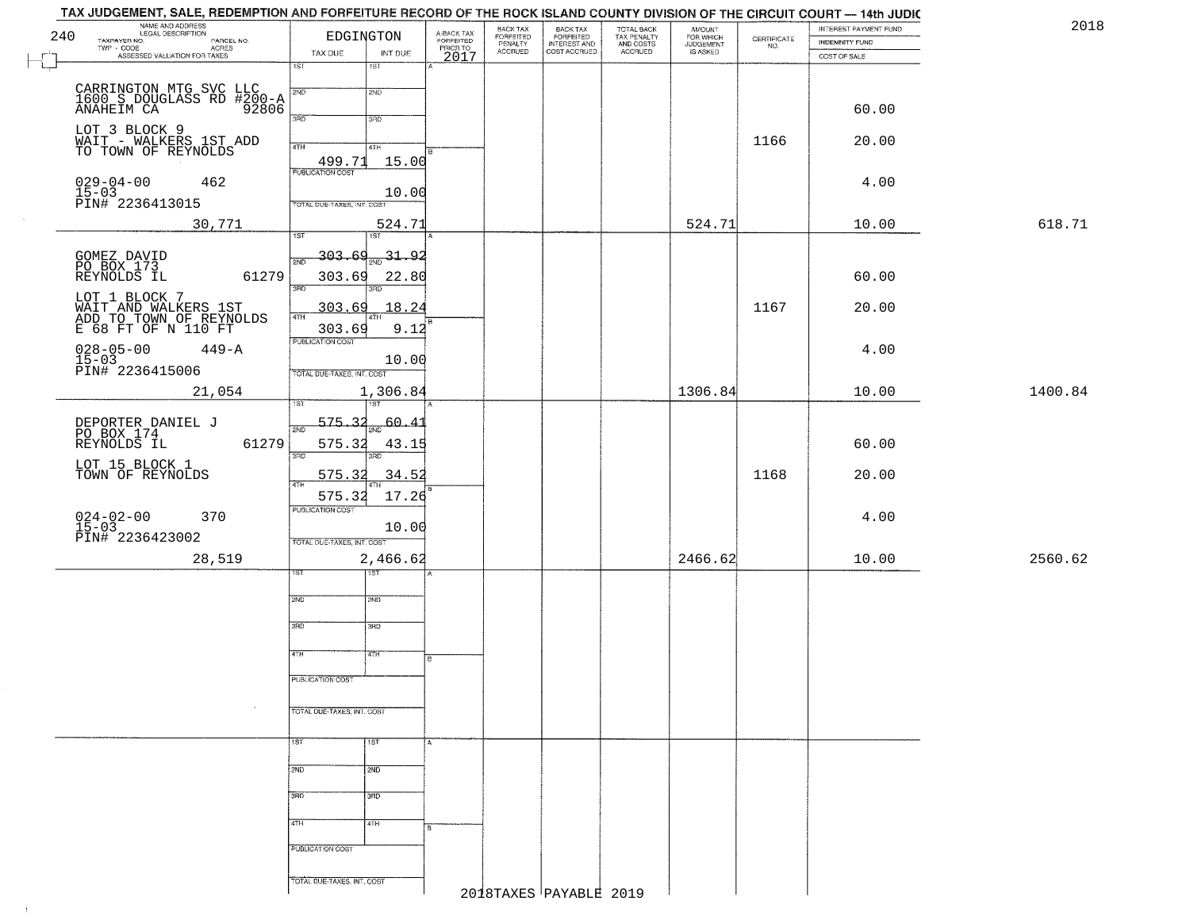|     | TAX JUDGEMENT, SALE, REDEMPTION AND FORFEITURE RECORD OF THE ROCK ISLAND COUNTY DIVISION OF THE CIRCUIT COURT - 14th JUDIC<br>NAME AND ADDRESS |                                 |                       |                                     | BACK TAX             |                                       |                                        |                                              |                                                                 | INTEREST PAYMENT FUND |         | 2018 |
|-----|------------------------------------------------------------------------------------------------------------------------------------------------|---------------------------------|-----------------------|-------------------------------------|----------------------|---------------------------------------|----------------------------------------|----------------------------------------------|-----------------------------------------------------------------|-----------------------|---------|------|
| 240 | <b>LEGAL DESCRIPTION</b><br>TAXPAYER NO.                                                                                                       |                                 | EDGINGTON             | A-BACK TAX<br>FORFEITED<br>PRIOR TO | FORFEITED<br>PENALTY | BACK TAX<br>FORFEITED<br>INTEREST AND | TOTAL BACK<br>TAX PENALTY<br>AND COSTS | AMOUNT<br>FOR WHICH<br>JUDGEMENT<br>IS ASKED | $\begin{array}{c} \text{CERTIFICATE} \\ \text{NO.} \end{array}$ | <b>INDEMNITY FUND</b> |         |      |
|     | PARCEL NO.<br>ACRES<br>TWP - CODE<br>ASSESSED VALUATION FOR TAXES                                                                              | TAX DUE                         | INT DUE               | 2017                                | <b>ACCRUED</b>       | COST ACCRUED                          | <b>ACCRUED</b>                         |                                              |                                                                 | COST OF SALE          |         |      |
|     |                                                                                                                                                | 1ST                             | 15T                   |                                     |                      |                                       |                                        |                                              |                                                                 |                       |         |      |
|     |                                                                                                                                                | 2ND                             | 2ND                   |                                     |                      |                                       |                                        |                                              |                                                                 |                       |         |      |
|     | CARRINGTON MTG SVC LLC<br>1600 S DOUGLASS RD #200-A<br>ANAHEIM CA 92806                                                                        |                                 |                       |                                     |                      |                                       |                                        |                                              |                                                                 | 60.00                 |         |      |
|     |                                                                                                                                                | 3RD                             | 3RD                   |                                     |                      |                                       |                                        |                                              |                                                                 |                       |         |      |
|     | LOT 3 BLOCK 9<br>WAIT - WALKERS 1ST ADD<br>TO TOWN OF REYNOLDS                                                                                 |                                 |                       |                                     |                      |                                       |                                        |                                              | 1166                                                            | 20.00                 |         |      |
|     |                                                                                                                                                | 4TH                             | 4TH                   |                                     |                      |                                       |                                        |                                              |                                                                 |                       |         |      |
|     |                                                                                                                                                | $\frac{499.71}{PUBUCATON COST}$ | 15.00                 |                                     |                      |                                       |                                        |                                              |                                                                 |                       |         |      |
|     | 462                                                                                                                                            |                                 |                       |                                     |                      |                                       |                                        |                                              |                                                                 | 4.00                  |         |      |
|     | 029-04-00<br>15-03<br>PIN# 2236413015                                                                                                          | TOTAL DUE-TAXES, INT. COST      | 10.00                 |                                     |                      |                                       |                                        |                                              |                                                                 |                       |         |      |
|     | 30,771                                                                                                                                         |                                 | 524.71                |                                     |                      |                                       |                                        | 524.71                                       |                                                                 | 10.00                 | 618.71  |      |
|     |                                                                                                                                                | $\overline{\text{1ST}}$         | 1ST                   |                                     |                      |                                       |                                        |                                              |                                                                 |                       |         |      |
|     |                                                                                                                                                | <u>303.69</u><br>2ND            | $\frac{1}{2ND}$ 31.92 |                                     |                      |                                       |                                        |                                              |                                                                 |                       |         |      |
|     | GOMEZ DAVID<br>PO BOX 173<br>REYNOLDS IL<br>61279                                                                                              | 303.69                          | 22.80                 |                                     |                      |                                       |                                        |                                              |                                                                 | 60.00                 |         |      |
|     |                                                                                                                                                | $\overline{3BD}$                | 3HD                   |                                     |                      |                                       |                                        |                                              |                                                                 |                       |         |      |
|     | LOT 1 BLOCK 7                                                                                                                                  | 303.69                          | 18.24                 |                                     |                      |                                       |                                        |                                              | 1167                                                            | 20.00                 |         |      |
|     | WAIT AND WALKERS 1ST<br>ADD TO TOWN OF REYNOLDS<br>E 68 FT OF N 110 FT                                                                         | $\overline{47H}$<br>303.69      |                       |                                     |                      |                                       |                                        |                                              |                                                                 |                       |         |      |
|     |                                                                                                                                                | PUBLICATION COST                | 9.12                  |                                     |                      |                                       |                                        |                                              |                                                                 |                       |         |      |
|     | $028 - 05 - 00$<br>$449 - A$                                                                                                                   |                                 | 10.00                 |                                     |                      |                                       |                                        |                                              |                                                                 | 4.00                  |         |      |
|     | 15-03<br>PIN# 2236415006                                                                                                                       | TOTAL DUE-TAXES, INT. COST      |                       |                                     |                      |                                       |                                        |                                              |                                                                 |                       |         |      |
|     | 21,054                                                                                                                                         |                                 | 1,306.84              |                                     |                      |                                       |                                        | 1306.84                                      |                                                                 | 10.00                 | 1400.84 |      |
|     |                                                                                                                                                | ۱S٦                             | <b>1ST</b>            |                                     |                      |                                       |                                        |                                              |                                                                 |                       |         |      |
|     |                                                                                                                                                | 575.32<br>2ND                   | 60.41                 |                                     |                      |                                       |                                        |                                              |                                                                 |                       |         |      |
|     | DEPORTER DANIEL J<br>PO BOX 174<br>REYNOLDS IL<br>61279                                                                                        | 575.32                          | 43.15                 |                                     |                      |                                       |                                        |                                              |                                                                 | 60.00                 |         |      |
|     |                                                                                                                                                | 3RD                             |                       |                                     |                      |                                       |                                        |                                              |                                                                 |                       |         |      |
|     | LOT 15 BLOCK 1<br>TOWN OF REYNOLDS                                                                                                             | 575.32                          | 34.52                 |                                     |                      |                                       |                                        |                                              | 1168                                                            | 20.00                 |         |      |
|     |                                                                                                                                                | 4TH<br>575.32                   | 17.26                 |                                     |                      |                                       |                                        |                                              |                                                                 |                       |         |      |
|     |                                                                                                                                                | <b>PUBLICATION COST</b>         |                       |                                     |                      |                                       |                                        |                                              |                                                                 |                       |         |      |
|     | $024 - 02 - 00$<br>15-03<br>370                                                                                                                |                                 | 10.00                 |                                     |                      |                                       |                                        |                                              |                                                                 | 4.00                  |         |      |
|     | PIN# 2236423002                                                                                                                                | TOTAL OUE-TAXES, INT. COST      |                       |                                     |                      |                                       |                                        |                                              |                                                                 |                       |         |      |
|     | 28,519                                                                                                                                         |                                 | 2,466.62              |                                     |                      |                                       |                                        | 2466.62                                      |                                                                 | 10.00                 | 2560.62 |      |
|     |                                                                                                                                                |                                 | বরস                   |                                     |                      |                                       |                                        |                                              |                                                                 |                       |         |      |
|     |                                                                                                                                                | 2ND                             | 2ND                   |                                     |                      |                                       |                                        |                                              |                                                                 |                       |         |      |
|     |                                                                                                                                                |                                 |                       |                                     |                      |                                       |                                        |                                              |                                                                 |                       |         |      |
|     |                                                                                                                                                | 3RD                             | 3BD                   |                                     |                      |                                       |                                        |                                              |                                                                 |                       |         |      |
|     |                                                                                                                                                |                                 |                       |                                     |                      |                                       |                                        |                                              |                                                                 |                       |         |      |
|     |                                                                                                                                                | 4TH                             | 47H                   | B                                   |                      |                                       |                                        |                                              |                                                                 |                       |         |      |
|     |                                                                                                                                                | PUBLICATION COST                |                       |                                     |                      |                                       |                                        |                                              |                                                                 |                       |         |      |
|     |                                                                                                                                                |                                 |                       |                                     |                      |                                       |                                        |                                              |                                                                 |                       |         |      |
|     |                                                                                                                                                | TOTAL DUE-TAXES, INT. COST      |                       |                                     |                      |                                       |                                        |                                              |                                                                 |                       |         |      |
|     |                                                                                                                                                |                                 |                       |                                     |                      |                                       |                                        |                                              |                                                                 |                       |         |      |
|     |                                                                                                                                                | 1ST                             | 1ST                   | A.                                  |                      |                                       |                                        |                                              |                                                                 |                       |         |      |
|     |                                                                                                                                                |                                 |                       |                                     |                      |                                       |                                        |                                              |                                                                 |                       |         |      |
|     |                                                                                                                                                | 2ND                             | 2ND                   |                                     |                      |                                       |                                        |                                              |                                                                 |                       |         |      |
|     |                                                                                                                                                | 3BD                             | 3BD                   |                                     |                      |                                       |                                        |                                              |                                                                 |                       |         |      |
|     |                                                                                                                                                |                                 |                       |                                     |                      |                                       |                                        |                                              |                                                                 |                       |         |      |
|     |                                                                                                                                                | 4TH                             | 4TH                   | B.                                  |                      |                                       |                                        |                                              |                                                                 |                       |         |      |
|     |                                                                                                                                                | PUBLICATION COST                |                       |                                     |                      |                                       |                                        |                                              |                                                                 |                       |         |      |
|     |                                                                                                                                                |                                 |                       |                                     |                      |                                       |                                        |                                              |                                                                 |                       |         |      |
|     |                                                                                                                                                | TOTAL DUE-TAXES, INT. COST      |                       |                                     |                      |                                       |                                        |                                              |                                                                 |                       |         |      |
|     |                                                                                                                                                |                                 |                       |                                     |                      | 2018TAXES PAYABLE 2019                |                                        |                                              |                                                                 |                       |         |      |

 $\sim 10^6$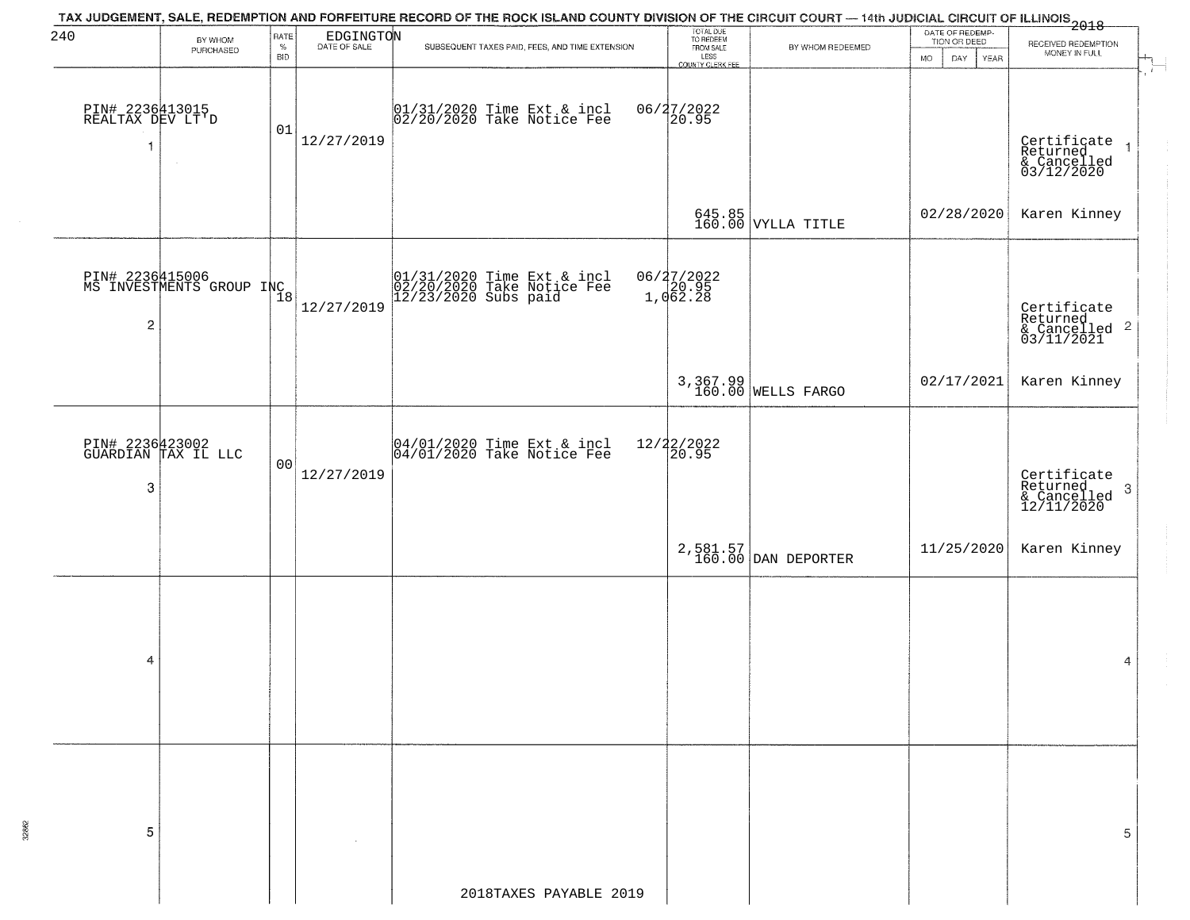| 240                                                 | BY WHOM                                     | RATE            | $\begin{array}{c} \mathtt{EDGINGTO} \mathtt{N} \\ \mathtt{DATE OF SALE} \end{array}$ | TAX JUDGEMENT, SALE, REDEMPTION AND FORFEITURE RECORD OF THE ROCK ISLAND COUNTY DIVISION OF THE CIRCUIT COURT — 14th JUDICIAL CIRCUIT OF ILLINOIS 2018 | TOTAL DUE<br>TO REDEEM<br>FROM SALE |                                 | DATE OF REDEMP-<br>TION OR DEED  |                                                                                                                                                                                                                                                                                                      |
|-----------------------------------------------------|---------------------------------------------|-----------------|--------------------------------------------------------------------------------------|--------------------------------------------------------------------------------------------------------------------------------------------------------|-------------------------------------|---------------------------------|----------------------------------|------------------------------------------------------------------------------------------------------------------------------------------------------------------------------------------------------------------------------------------------------------------------------------------------------|
|                                                     | PURCHASED                                   | %<br><b>BID</b> |                                                                                      | SUBSEQUENT TAXES PAID, FEES, AND TIME EXTENSION                                                                                                        | LESS<br>COUNTY CLERK FEE            | BY WHOM REDEEMED                | <b>MO</b><br>DAY.<br><b>YEAR</b> | RECEIVED REDEMPTION<br>MONEY IN FULL                                                                                                                                                                                                                                                                 |
| PIN# 2236413015<br>REALTAX DEV LT'D<br>$\mathbf{1}$ |                                             | 01              | 12/27/2019                                                                           | 01/31/2020 Time Ext & incl<br>02/20/2020 Take Notice Fee                                                                                               | 06/27/2022<br>20.95                 |                                 |                                  | Certificate<br>Returned<br>& Cancelled<br>03/12/2020                                                                                                                                                                                                                                                 |
|                                                     |                                             |                 |                                                                                      |                                                                                                                                                        |                                     | 645.85<br>160.00 VYLLA TITLE    | 02/28/2020                       | Karen Kinney                                                                                                                                                                                                                                                                                         |
| $\overline{c}$                                      | PIN# 2236415006<br>MS INVESTMENTS GROUP INC |                 | 12/27/2019                                                                           | $01/31/2020$ Time Ext & incl<br>$02/20/2020$ Take Notice Fee<br>$12/23/2020$ Subs paid                                                                 | 06/27/2022<br>1,062.28              |                                 |                                  | Certificate<br>Returned<br>$\begin{array}{c} 0.000000 & 0.00000 \\ 0.00000 & 0.00000 \\ 0.00000 & 0.00000 \\ 0.00000 & 0.00000 \\ 0.00000 & 0.00000 \\ 0.00000 & 0.00000 \\ 0.00000 & 0.00000 \\ 0.00000 & 0.00000 \\ 0.00000 & 0.00000 \\ 0.00000 & 0.00000 \\ 0.00000 & 0.00000 \\ 0.00000 & 0.00$ |
|                                                     |                                             |                 |                                                                                      |                                                                                                                                                        |                                     | 3,367.99<br>160.00 WELLS FARGO  | 02/17/2021                       | Karen Kinney                                                                                                                                                                                                                                                                                         |
| PIN# 2236423002<br>GUARDIAN TAX IL LLC<br>3         |                                             | 00              | 12/27/2019                                                                           | 04/01/2020 Time Ext & incl<br>04/01/2020 Take Notice Fee                                                                                               | 12/22/2022<br>20.95                 |                                 |                                  | Certificate<br>Returned<br>$\boldsymbol{\beta}$<br>& Cancelled<br>12/11/2020                                                                                                                                                                                                                         |
|                                                     |                                             |                 |                                                                                      |                                                                                                                                                        |                                     | 2,581.57<br>160.00 DAN DEPORTER | 11/25/2020                       | Karen Kinney                                                                                                                                                                                                                                                                                         |
| 4                                                   |                                             |                 |                                                                                      |                                                                                                                                                        |                                     |                                 |                                  | 4                                                                                                                                                                                                                                                                                                    |
| 5                                                   |                                             |                 |                                                                                      |                                                                                                                                                        |                                     |                                 |                                  | 5                                                                                                                                                                                                                                                                                                    |
|                                                     |                                             |                 |                                                                                      | 2018TAXES PAYABLE 2019                                                                                                                                 |                                     |                                 |                                  |                                                                                                                                                                                                                                                                                                      |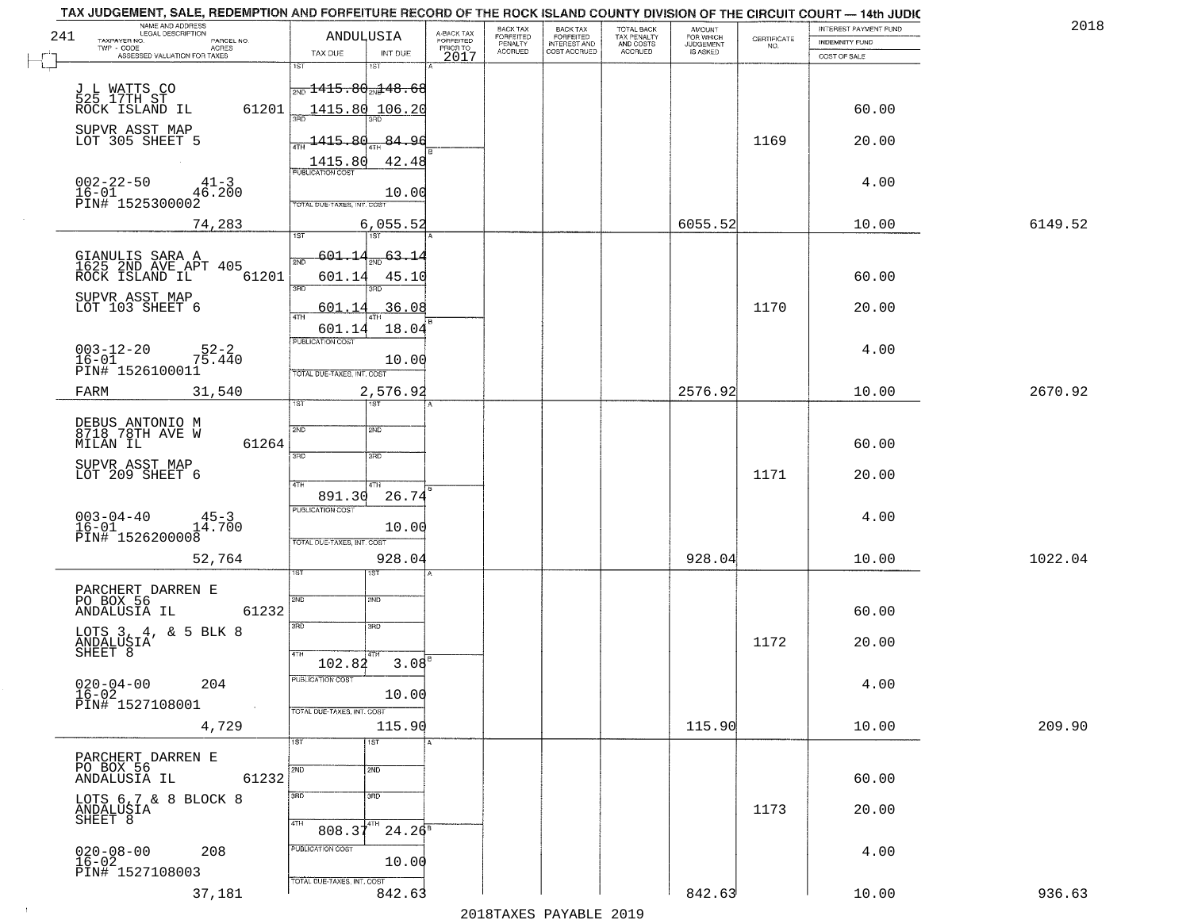|     | TAX JUDGEMENT, SALE, REDEMPTION AND FORFEITURE RECORD OF THE ROCK ISLAND COUNTY DIVISION OF THE CIRCUIT COURT — 14th JUDIC |                                      |                         |                                             |                              |                                                   |                                    |             |                                         | 2018    |
|-----|----------------------------------------------------------------------------------------------------------------------------|--------------------------------------|-------------------------|---------------------------------------------|------------------------------|---------------------------------------------------|------------------------------------|-------------|-----------------------------------------|---------|
| 241 | NAME AND ADDRESS<br>LEGAL DESCRIPTION<br>TAXPAYER NO.<br>PARCEL NO.                                                        | ANDULUSIA                            | A-BACK TAX<br>FORFEITED | BACK TAX<br>FORFEITED<br>PENALTY<br>ACCRUED | BACK TAX<br>FORFEITED        | TOTAL BACK<br>TAX PENALTY<br>AND COSTS<br>ACCRUED | <b>AMOUNT</b>                      | CERTIFICATE | INTEREST PAYMENT FUND<br>INDEMNITY FUND |         |
|     | TWP - CODE<br>- CODE ACRES<br>ASSESSED VALUATION FOR TAXES                                                                 | TAX DUE<br>INT DUE                   | PRIORTO<br>2017         |                                             | INTEREST AND<br>COST ACCRUED |                                                   | FOR WHICH<br>JUDGEMENT<br>IS ASKED | NO.         | COST OF SALE                            |         |
|     |                                                                                                                            | 1ST<br>1ST                           |                         |                                             |                              |                                                   |                                    |             |                                         |         |
|     |                                                                                                                            | <del>.,,, 1415.80,,,148.68</del>     |                         |                                             |                              |                                                   |                                    |             |                                         |         |
|     | J L WATTS CO<br>525 17TH ST<br>ROCK ISLAND IL<br>61201                                                                     | 1415.80 106.20                       |                         |                                             |                              |                                                   |                                    |             | 60.00                                   |         |
|     |                                                                                                                            |                                      |                         |                                             |                              |                                                   |                                    |             |                                         |         |
|     | SUPVR ASST MAP<br>LOT 305 SHEET 5                                                                                          | 1415.<br>عھ<br>84.96                 |                         |                                             |                              |                                                   |                                    | 1169        | 20.00                                   |         |
|     |                                                                                                                            | 1415.80<br>42.48                     |                         |                                             |                              |                                                   |                                    |             |                                         |         |
|     |                                                                                                                            | PUBLICATION COST                     |                         |                                             |                              |                                                   |                                    |             |                                         |         |
|     | $002 - 22 - 50$<br>$41 - 3$<br>$16 - 01$<br>46.200                                                                         | 10.00                                |                         |                                             |                              |                                                   |                                    |             | 4.00                                    |         |
|     | PIN# <sup>-1525300002</sup>                                                                                                | TOTAL DUE-TAXES, INT. COST           |                         |                                             |                              |                                                   |                                    |             |                                         |         |
|     | 74,283                                                                                                                     | 6,055.52                             |                         |                                             |                              |                                                   | 6055.52                            |             | 10.00                                   | 6149.52 |
|     |                                                                                                                            | 1ST<br>l ist                         |                         |                                             |                              |                                                   |                                    |             |                                         |         |
|     | GIANULIS SARA A<br>1625 2ND AVE APT 405<br>ROCK ISLAND IL                                                                  | 601.14<br>-63.14<br>2ND              |                         |                                             |                              |                                                   |                                    |             |                                         |         |
|     | 61201                                                                                                                      | 601.14<br>45.10                      |                         |                                             |                              |                                                   |                                    |             | 60.00                                   |         |
|     | SUPVR ASST MAP                                                                                                             | 3RD<br>3RD                           |                         |                                             |                              |                                                   |                                    |             |                                         |         |
|     | LOT 103 SHEET 6                                                                                                            | 36.08<br>601.<br>4TH                 |                         |                                             |                              |                                                   |                                    | 1170        | 20.00                                   |         |
|     |                                                                                                                            | 18.04<br>601.14                      |                         |                                             |                              |                                                   |                                    |             |                                         |         |
|     | $52 - 2$<br>$003 - 12 - 20$                                                                                                | PUBLICATION COST                     |                         |                                             |                              |                                                   |                                    |             | 4.00                                    |         |
|     | $16 - 01$<br>75.440<br>PIN# 1526100011                                                                                     | 10.00<br>TOTAL DUE-TAXES, INT. COST  |                         |                                             |                              |                                                   |                                    |             |                                         |         |
|     |                                                                                                                            |                                      |                         |                                             |                              |                                                   |                                    |             |                                         |         |
|     | 31,540<br>FARM                                                                                                             | 2,576.92<br>īST                      |                         |                                             |                              |                                                   | 2576.92                            |             | 10.00                                   | 2670.92 |
|     |                                                                                                                            |                                      |                         |                                             |                              |                                                   |                                    |             |                                         |         |
|     | DEBUS ANTONIO M<br>8718 78TH AVE W                                                                                         | 2ND<br>2ND                           |                         |                                             |                              |                                                   |                                    |             |                                         |         |
|     | 61264<br>MILAN IL                                                                                                          | 3RD<br>3BD                           |                         |                                             |                              |                                                   |                                    |             | 60.00                                   |         |
|     | SUPVR ASST MAP<br>LOT 209 SHEET 6                                                                                          |                                      |                         |                                             |                              |                                                   |                                    | 1171        | 20.00                                   |         |
|     |                                                                                                                            | 4TH<br>4TH                           |                         |                                             |                              |                                                   |                                    |             |                                         |         |
|     |                                                                                                                            | 891.30<br>26.74<br>PUBLICATION COST  |                         |                                             |                              |                                                   |                                    |             |                                         |         |
|     | $003 - 04 - 40$<br>$145 - 3$<br>14.700<br>$16 - 01$                                                                        | 10.00                                |                         |                                             |                              |                                                   |                                    |             | 4.00                                    |         |
|     | PIN# 1526200008                                                                                                            | TOTAL OUE-TAXES, INT. COST           |                         |                                             |                              |                                                   |                                    |             |                                         |         |
|     | 52,764                                                                                                                     | 928.04                               |                         |                                             |                              |                                                   | 928.04                             |             | 10.00                                   | 1022.04 |
|     |                                                                                                                            | ड़िंग                                |                         |                                             |                              |                                                   |                                    |             |                                         |         |
|     | PARCHERT DARREN E<br>PO BOX 56                                                                                             | 2ND<br>2ND                           |                         |                                             |                              |                                                   |                                    |             |                                         |         |
|     | 61232<br>ANDALUSIA IL                                                                                                      |                                      |                         |                                             |                              |                                                   |                                    |             | 60.00                                   |         |
|     | LOTS 3, 4, & 5 BLK 8                                                                                                       | 3RD<br>3RD                           |                         |                                             |                              |                                                   |                                    |             |                                         |         |
|     | ANDALUSIA<br>SHEET <sup>8</sup>                                                                                            |                                      |                         |                                             |                              |                                                   |                                    | 1172        | 20.00                                   |         |
|     |                                                                                                                            | 102.82                               | 3.08                    |                                             |                              |                                                   |                                    |             |                                         |         |
|     | $020 - 04 - 00$<br>204                                                                                                     | PUBLICATION COST                     |                         |                                             |                              |                                                   |                                    |             | 4.00                                    |         |
|     | 16-02<br>PIN# 1527108001                                                                                                   | 10.00                                |                         |                                             |                              |                                                   |                                    |             |                                         |         |
|     |                                                                                                                            | TOTAL DUE-TAXES, INT. COST<br>115.90 |                         |                                             |                              |                                                   | 115.90                             |             |                                         | 209.90  |
|     | 4,729                                                                                                                      | 1ST<br>1ST                           |                         |                                             |                              |                                                   |                                    |             | 10.00                                   |         |
|     | PARCHERT DARREN E                                                                                                          |                                      |                         |                                             |                              |                                                   |                                    |             |                                         |         |
|     | PO BOX 56<br>61232<br>ANDALUSIA IL                                                                                         | 2ND<br>2ND                           |                         |                                             |                              |                                                   |                                    |             | 60.00                                   |         |
|     |                                                                                                                            | 3RD<br>3 <sub>RD</sub>               |                         |                                             |                              |                                                   |                                    |             |                                         |         |
|     | LOTS 6,7 & 8 BLOCK 8                                                                                                       |                                      |                         |                                             |                              |                                                   |                                    | 1173        | 20.00                                   |         |
|     | ANDALUSIA<br>SHEET 8                                                                                                       | 4TH<br>$808.37^{4TH}$                | $24.26^8$               |                                             |                              |                                                   |                                    |             |                                         |         |
|     |                                                                                                                            | PUBLICATION COST                     |                         |                                             |                              |                                                   |                                    |             |                                         |         |
|     | 208<br>$020 - 08 - 00$<br>16-02                                                                                            | 10.00                                |                         |                                             |                              |                                                   |                                    |             | 4.00                                    |         |
|     | PIN# 1527108003                                                                                                            | TOTAL DUE-TAXES, INT. COST           |                         |                                             |                              |                                                   |                                    |             |                                         |         |
|     | 37,181                                                                                                                     | 842.63                               |                         |                                             |                              |                                                   | 842.63                             |             | 10.00                                   | 936.63  |
|     |                                                                                                                            |                                      |                         |                                             | 2010 ELITATIO DI VIDI E 2010 |                                                   |                                    |             |                                         |         |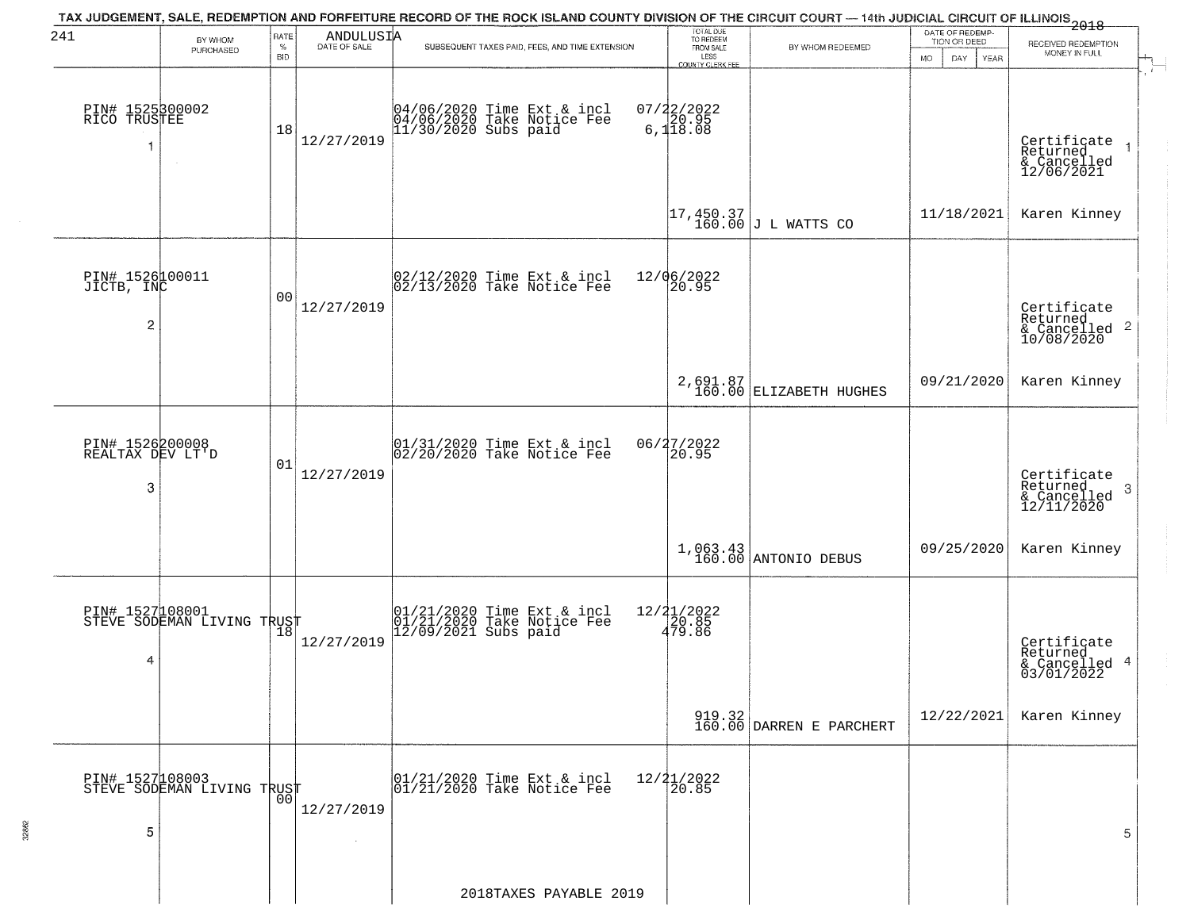| 241                                      | BY WHOM                                           | RATE               | $\begin{array}{c} \text{ANDULUS I} \text{A} \\ \text{DATE of }\text{SALE} \end{array}$ | TAX JUDGEMENT, SALE, REDEMPTION AND FORFEITURE RECORD OF THE ROCK ISLAND COUNTY DIVISION OF THE CIRCUIT COURT — 14th JUDICIAL CIRCUIT OF ILLINOIS<br>1998 - 1999 - 1999 - 1999 - 1999 - 1999 - 1999 - 1999 - 1999 - 1999 - 1999 - | TOTAL DUE<br>TO REDEEM<br>FROM SALE  |                                                                  | DATE OF REDEMP-<br>TION OR DEED |                                                        |
|------------------------------------------|---------------------------------------------------|--------------------|----------------------------------------------------------------------------------------|-----------------------------------------------------------------------------------------------------------------------------------------------------------------------------------------------------------------------------------|--------------------------------------|------------------------------------------------------------------|---------------------------------|--------------------------------------------------------|
|                                          | PURCHASED                                         | $\%$<br><b>BID</b> |                                                                                        | SUBSEQUENT TAXES PAID, FEES, AND TIME EXTENSION                                                                                                                                                                                   | LESS<br>COUNTY CLERK FEE             | BY WHOM REDEEMED                                                 | <b>MO</b><br>DAY<br>YEAR        | RECEIVED REDEMPTION<br>MONEY IN FULL                   |
| PIN# 1525300002<br>RICO TRUSTEE<br>1     | $\sim$                                            | 18                 | 12/27/2019                                                                             | 04/06/2020 Time Ext & incl<br>04/06/2020 Take Notice Fee<br>11/30/2020 Subs paid                                                                                                                                                  | $07/22/2022$<br>6,120.95<br>6,118.08 |                                                                  |                                 | Certificate<br>Returned<br>& Cancelled<br>12/06/2021   |
|                                          |                                                   |                    |                                                                                        |                                                                                                                                                                                                                                   |                                      | $\begin{vmatrix} 17,450.37 \\ 160.00 \end{vmatrix}$ J L WATTS CO | 11/18/2021                      | Karen Kinney                                           |
| PIN# 1526100011<br>JICTB, INC<br>2       |                                                   | 0 <sub>0</sub>     | 12/27/2019                                                                             | 02/12/2020 Time Ext & incl<br>02/13/2020 Take Notice Fee                                                                                                                                                                          | 12/06/2022<br>20.95                  |                                                                  |                                 | Certificate<br>Returned                                |
|                                          |                                                   |                    |                                                                                        |                                                                                                                                                                                                                                   |                                      | 2,691.87<br>160.00 ELIZABETH HUGHES                              | 09/21/2020                      | Karen Kinney                                           |
| PIN# 1526200008<br>REALTAX DEV LT'D<br>3 |                                                   | 01                 | 12/27/2019                                                                             | 01/31/2020 Time Ext & incl<br>02/20/2020 Take Notice Fee                                                                                                                                                                          | 06/27/2022<br>20.95                  |                                                                  |                                 | Certificate<br>Returned<br>3<br>$\frac{6}{12/11/2020}$ |
|                                          |                                                   |                    |                                                                                        |                                                                                                                                                                                                                                   |                                      | 1,063.43<br>160.00 ANTONIO DEBUS                                 | 09/25/2020                      | Karen Kinney                                           |
| 4                                        | PIN# 1527108001<br>STEVE SODEMAN LIVING TRUST     |                    | 12/27/2019                                                                             | $01/21/2020$ Time Ext & incl<br>$01/21/2020$ Take Notice Fee<br>$12/09/2021$ Subs paid                                                                                                                                            | 12/21/2022<br>20.85<br>479.86        |                                                                  |                                 | Certificate<br>Returned<br>& Cancelled 4<br>03/01/2022 |
|                                          |                                                   |                    |                                                                                        |                                                                                                                                                                                                                                   |                                      | 919.32<br>160.00 DARREN E PARCHERT                               | 12/22/2021                      | Karen Kinney                                           |
| 5                                        | PIN# 1527108003    <br>STEVE SODEMAN LIVING TRUST | 0 <sub>0</sub>     | 12/27/2019                                                                             | 01/21/2020 Time Ext & incl<br>01/21/2020 Take Notice Fee                                                                                                                                                                          | $12/21/2022$<br>20.85                |                                                                  |                                 | 5                                                      |
|                                          |                                                   |                    |                                                                                        | 2018TAXES PAYABLE 2019                                                                                                                                                                                                            |                                      |                                                                  |                                 |                                                        |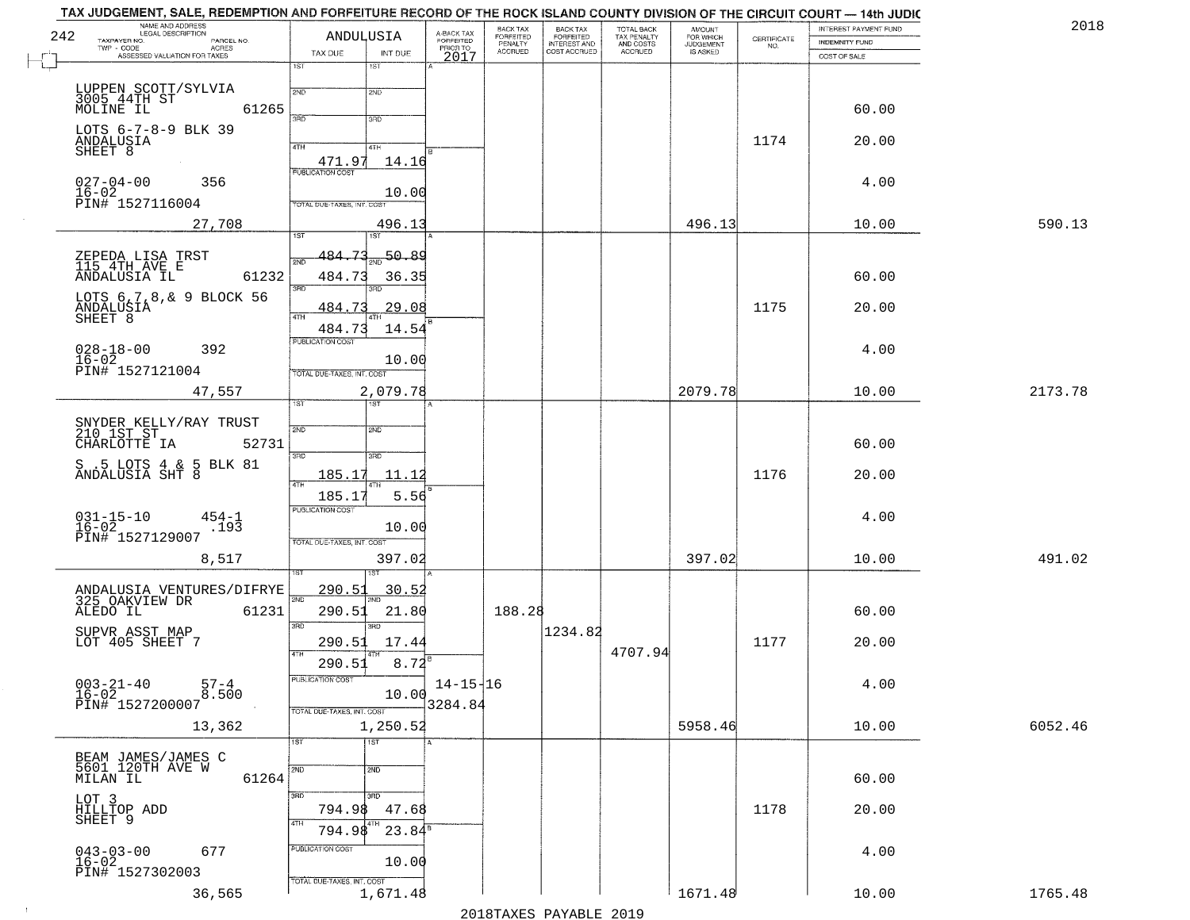| 242 | NAME AND ADDRESS<br>LEGAL DESCRIPTION<br>TAXPAYER NO.<br>PARCEL NO. | ANDULUSIA                         |                   | A-BACK TAX<br>FORFEITED | BACK TAX<br>FORFEITED | <b>BACK TAX</b><br><b>FORFEITED</b> | TOTAL BACK<br>TAX PENALTY | <b>AMOUNT</b>                      | CERTIFICATE | INTEREST PAYMENT FUND | 2018    |
|-----|---------------------------------------------------------------------|-----------------------------------|-------------------|-------------------------|-----------------------|-------------------------------------|---------------------------|------------------------------------|-------------|-----------------------|---------|
|     | TWP - CODE<br>- CODE ACRES<br>ASSESSED VALUATION FOR TAXES          | TAX DUE                           | INT DUE           | PRIOR TO                | PENALTY<br>ACCRUED    | INTEREST AND<br>COST ACCRUED        | AND COSTS<br>ACCRUED      | FOR WHICH<br>JUDGEMENT<br>IS ASKED | NO.         | <b>INDEMNITY FUND</b> |         |
|     |                                                                     | 1ST                               | 1ST               | 2017                    |                       |                                     |                           |                                    |             | COST OF SALE          |         |
|     | LUPPEN SCOTT/SYLVIA<br>3005 44TH ST                                 | 2ND                               | 2ND               |                         |                       |                                     |                           |                                    |             |                       |         |
|     | MOLINE IL<br>61265                                                  | 3RD                               | 3RD               |                         |                       |                                     |                           |                                    |             | 60.00                 |         |
|     | LOTS 6-7-8-9 BLK 39<br>ANDALUSIA                                    |                                   |                   |                         |                       |                                     |                           |                                    |             |                       |         |
|     | SHEET 8                                                             | 4TH<br>471.97                     | 4TH<br>14.16      |                         |                       |                                     |                           |                                    | 1174        | 20.00                 |         |
|     | $027 - 04 - 00$<br>356                                              | <b>PUBLICATION COST</b>           |                   |                         |                       |                                     |                           |                                    |             | 4.00                  |         |
|     | $16 - 02$<br>PIN# 1527116004                                        | TOTAL DUE-TAXES, INT. COS         | 10.00             |                         |                       |                                     |                           |                                    |             |                       |         |
|     | 27,708                                                              |                                   | 496.13            |                         |                       |                                     |                           | 496.13                             |             | 10.00                 | 590.13  |
|     |                                                                     | 1ST                               | 1ST               |                         |                       |                                     |                           |                                    |             |                       |         |
|     | ZEPEDA LISA TRST<br>115 4TH AVE E                                   | 484.73<br>2ND                     | 50.89             |                         |                       |                                     |                           |                                    |             |                       |         |
|     | ANDALUSIA IL<br>61232                                               | 484.73<br>3RD                     | 36.35             |                         |                       |                                     |                           |                                    |             | 60.00                 |         |
|     | LOTS 6, 7, 8, & 9 BLOCK 56<br>ANDALUŞIA                             | 484.<br>47H                       | 29.08             |                         |                       |                                     |                           |                                    | 1175        | 20.00                 |         |
|     | SHEET 8                                                             | 484.73                            | 14.54             |                         |                       |                                     |                           |                                    |             |                       |         |
|     | $028 - 18 - 00$<br>392<br>$16 - 02$                                 | PUBLICATION COST                  |                   |                         |                       |                                     |                           |                                    |             | 4.00                  |         |
|     | PIN# 1527121004                                                     | TOTAL DUE-TAXES, INT. COST        | 10.00             |                         |                       |                                     |                           |                                    |             |                       |         |
|     | 47,557                                                              | 1ST.                              | 2,079.78<br>1ST   |                         |                       |                                     |                           | 2079.78                            |             | 10.00                 | 2173.78 |
|     |                                                                     |                                   |                   |                         |                       |                                     |                           |                                    |             |                       |         |
|     | SNYDER KELLY/RAY TRUST<br>210 1ST ST<br>52731<br>CHARLOTTE IA       | 2ND                               | 2ND               |                         |                       |                                     |                           |                                    |             | 60.00                 |         |
|     | $S$ .5 LOTS 4 $\&$ 5 BLK 81 ANDALUSIA SHT 8                         | 3 <sub>BD</sub>                   | 3RD               |                         |                       |                                     |                           |                                    |             |                       |         |
|     |                                                                     | 185.17<br>4TH                     | 11.12             |                         |                       |                                     |                           |                                    | 1176        | 20.00                 |         |
|     |                                                                     | 185.17<br><b>PUBLICATION COST</b> | 5.56              |                         |                       |                                     |                           |                                    |             |                       |         |
|     | $031 - 15 - 10$<br>16-02<br>$454 - 1$<br>.193                       |                                   | 10.00             |                         |                       |                                     |                           |                                    |             | 4.00                  |         |
|     | PIN# 1527129007<br>8,517                                            | TOTAL OUE-TAXES, INT. COST        | 397.02            |                         |                       |                                     |                           | 397.02                             |             | 10.00                 | 491.02  |
|     |                                                                     |                                   |                   |                         |                       |                                     |                           |                                    |             |                       |         |
|     | ANDALUSIA VENTURES/DIFRYE<br>325_OAKVIEW DR                         | <u> 290.51</u><br>2ND             | <u>30.52</u>      |                         |                       |                                     |                           |                                    |             |                       |         |
|     | 61231<br>ALEDO IL                                                   | 290.51<br>3RD                     | 21.80             |                         | 188.28                |                                     |                           |                                    |             | 60.00                 |         |
|     | SUPVR ASST MAP<br>LOT 405 SHEET 7                                   | 290.51                            | 3BD<br>17.44      |                         |                       | 1234.82                             |                           |                                    | 1177        | 20.00                 |         |
|     |                                                                     | 4TH<br>290.51                     | 8.72              |                         |                       |                                     | 4707.94                   |                                    |             |                       |         |
|     | $003 - 21 - 40$<br>16-02<br>$57 - 4$                                | PUBLICATION COST                  |                   | $14 - 15 - 16$          |                       |                                     |                           |                                    |             | 4.00                  |         |
|     | 8.500<br>PIN# 1527200007                                            | TOTAL DUE-TAXES, INT. COST        | 10.00             | 3284.84                 |                       |                                     |                           |                                    |             |                       |         |
|     | 13,362                                                              |                                   | 1,250.52          |                         |                       |                                     |                           | 5958.46                            |             | 10.00                 | 6052.46 |
|     |                                                                     | 1ST                               | $\overline{1}$ ST |                         |                       |                                     |                           |                                    |             |                       |         |
|     | BEAM JAMES/JAMES C<br>5601 120TH AVE W<br>61264<br>MILAN IL         | 2ND                               | 2ND               |                         |                       |                                     |                           |                                    |             | 60.00                 |         |
|     | LOT 3                                                               | 3RD                               | 3RD               |                         |                       |                                     |                           |                                    |             |                       |         |
|     | HILLTOP ADD<br>SHEET 9                                              | 794.98<br>4TH                     | 47.68             |                         |                       |                                     |                           |                                    | 1178        | 20.00                 |         |
|     |                                                                     | 794.98                            | 4TH<br>$23.84^5$  |                         |                       |                                     |                           |                                    |             |                       |         |
|     | 677<br>$043 - 03 - 00$<br>$16 - 02$                                 | PUBLICATION COST                  | 10.00             |                         |                       |                                     |                           |                                    |             | 4.00                  |         |
|     | PIN# 1527302003                                                     | TOTAL DUE-TAXES, INT. COST        |                   |                         |                       |                                     |                           |                                    |             |                       |         |
|     | 36,565                                                              |                                   | 1,671.48          |                         |                       |                                     |                           | 1671.48                            |             | 10.00                 | 1765.48 |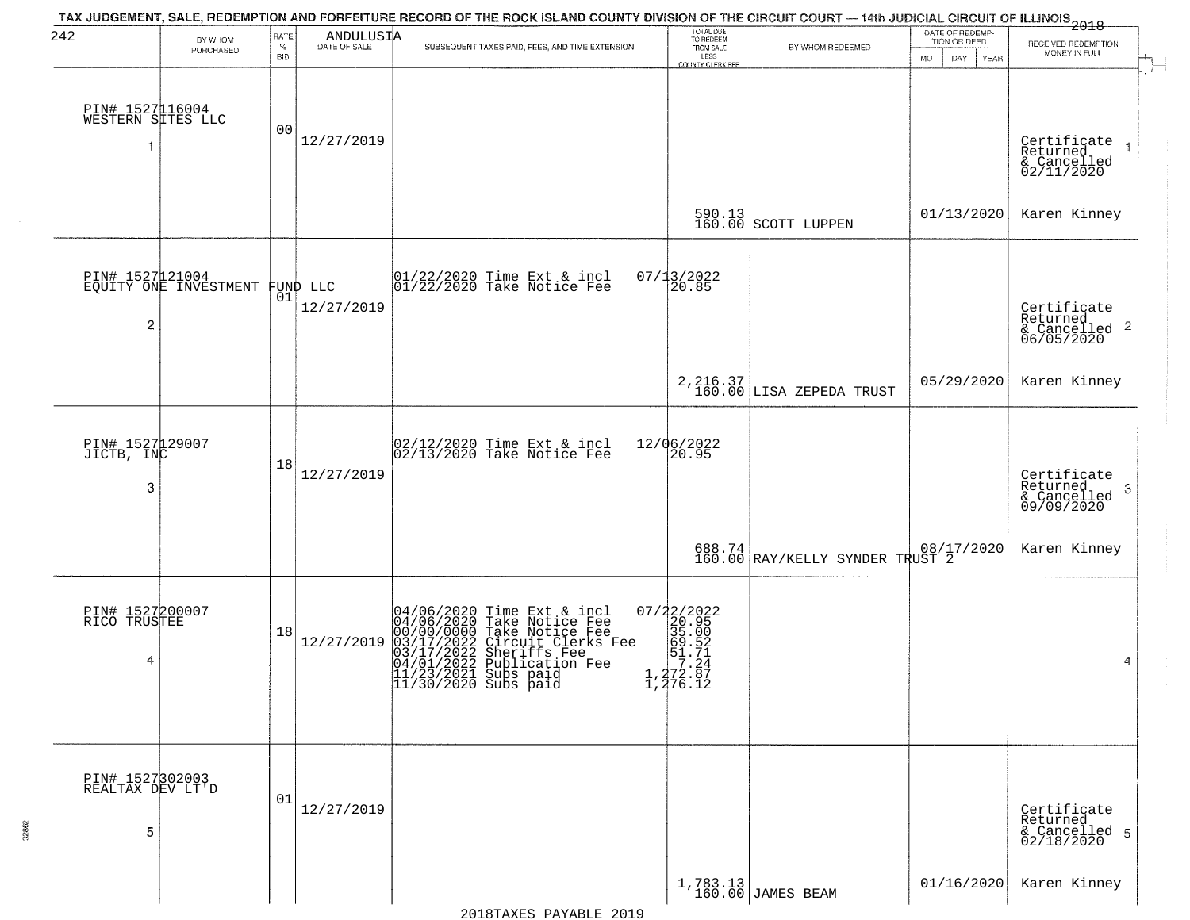| 242                                       | BY WHOM                                           | RATE<br>$\%$   | ANDULUSIA            | TAX JUDGEMENT, SALE, REDEMPTION AND FORFEITURE RECORD OF THE ROCK ISLAND COUNTY DIVISION OF THE CIRCUIT COURT — 14th JUDICIAL CIRCUIT OF ILLINOIS<br>2018 - The Case of Many County of Management County of Management County of<br>SUBSEQUENT TAXES PAID, FEES, AND TIME EXTENSION | TOTAL DUE<br>TO REDEEM<br>FROM SALE                                                                                  | BY WHOM REDEEMED                                               | DATE OF REDEMP-<br>TION OR DEED | RECEIVED REDEMPTION                                                |
|-------------------------------------------|---------------------------------------------------|----------------|----------------------|-------------------------------------------------------------------------------------------------------------------------------------------------------------------------------------------------------------------------------------------------------------------------------------|----------------------------------------------------------------------------------------------------------------------|----------------------------------------------------------------|---------------------------------|--------------------------------------------------------------------|
|                                           | PURCHASED                                         | <b>BID</b>     |                      |                                                                                                                                                                                                                                                                                     | LESS<br>COUNTY CLERK FEE                                                                                             |                                                                | MO.<br>DAY.<br>YEAR             | MONEY IN FULL                                                      |
| PIN# 1527116004<br>WESTERN SITES LLC<br>1 | $\sim$                                            | 0 <sub>0</sub> | 12/27/2019           |                                                                                                                                                                                                                                                                                     |                                                                                                                      |                                                                |                                 | Certificate 1<br>Returned 1<br>& Cancelled<br>02/11/2020           |
|                                           |                                                   |                |                      |                                                                                                                                                                                                                                                                                     |                                                                                                                      | $\begin{array}{c c} 590.13 \\ 160.00 \end{array}$ SCOTT LUPPEN | 01/13/2020                      | Karen Kinney                                                       |
| 2                                         | PIN# 1527121004<br>EQUITY ONE INVESTMENT FUND LLC |                | 12/27/2019           | $ 01/22/2020$ Time Ext & incl<br>$ 01/22/2020$ Take Notice Fee                                                                                                                                                                                                                      | $07/13/2022$<br>20.85                                                                                                |                                                                |                                 | Certificate<br>Returned<br>$\frac{1}{6}$ Cancelled 2<br>06/05/2020 |
|                                           |                                                   |                |                      |                                                                                                                                                                                                                                                                                     |                                                                                                                      | 2, 216.37<br>160.00 LISA ZEPEDA TRUST                          | 05/29/2020                      | Karen Kinney                                                       |
| PIN# 1527129007<br>JICTB, INC<br>3        |                                                   | 18             | 12/27/2019           | 02/12/2020 Time Ext & incl<br>02/13/2020 Take Notice Fee                                                                                                                                                                                                                            | 12/06/2022<br>20.95                                                                                                  |                                                                |                                 | Certificate<br>Returned<br>3<br>& Cancelled<br>09/09/2020          |
|                                           |                                                   |                |                      |                                                                                                                                                                                                                                                                                     |                                                                                                                      | 688.74 08/17/2020<br>160.00 RAY/KELLY SYNDER TRUST 2           |                                 | Karen Kinney                                                       |
| PIN# 1527200007<br>RICO TRUSTEE<br>4      |                                                   | 18             | 12/27/2019           | 04/06/2020 Time Ext & incl<br>04/06/2020 Take Notice Fee<br>00/00/0000 Take Notice Fee<br>03/17/2022 Circuit Clerks Fee<br>03/17/2022 Suberiffs Fee<br>04/01/2022 Publication Fee<br>11/23/2021 Subs paid<br>11/30/2020 Subs paid                                                   | $\begin{array}{r} 07/22/2022 \\ 20.95 \\ 35.00 \\ -8.51.71 \\ -1.77.24 \\ \end{array}$<br>$1, 272.57$<br>$1, 276.12$ |                                                                |                                 | 4                                                                  |
| PIN# 1527302003<br>REALTAX DEV LT'D<br>5  |                                                   | 01             | 12/27/2019<br>$\sim$ |                                                                                                                                                                                                                                                                                     |                                                                                                                      |                                                                |                                 | Certificate<br>Returned<br>& Cancelled 5<br>02/18/2020             |
|                                           |                                                   |                |                      |                                                                                                                                                                                                                                                                                     |                                                                                                                      | 1,783.13<br>160.00 JAMES BEAM                                  | 01/16/2020                      | Karen Kinney                                                       |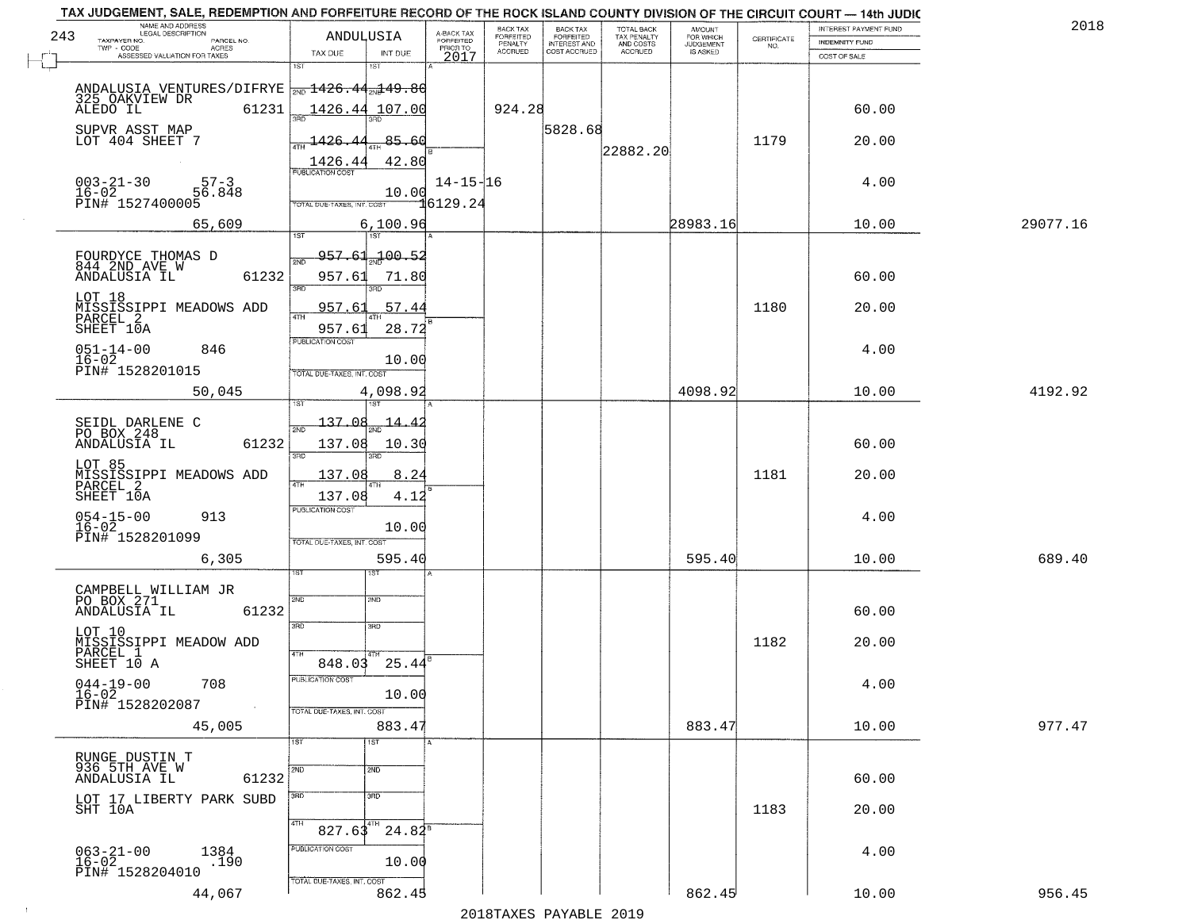|     | TAX JUDGEMENT, SALE, REDEMPTION AND FORFEITURE RECORD OF THE ROCK ISLAND COUNTY DIVISION OF THE CIRCUIT COURT - 14th JUDIC<br>NAME AND ADDRESS<br>LEGAL DESCRIPTION |                                   |                |                         | BACK TAX                    |                                              |                                        |                                         |                                                                 | INTEREST PAYMENT FUND | 2018     |
|-----|---------------------------------------------------------------------------------------------------------------------------------------------------------------------|-----------------------------------|----------------|-------------------------|-----------------------------|----------------------------------------------|----------------------------------------|-----------------------------------------|-----------------------------------------------------------------|-----------------------|----------|
| 243 | TAXPAYER NO.<br>PARCEL NO.                                                                                                                                          | ANDULUSIA                         |                | A-BACK TAX<br>FORFEITED | <b>FORFEITED</b><br>PENALTY | BACK TAX<br>FORFEITED<br><b>INTEREST AND</b> | TOTAL BACK<br>TAX PENALTY<br>AND COSTS | AMOUNT<br>FOR WHICH<br><b>JUDGEMENT</b> | $\begin{array}{c} \text{CERTIFICATE} \\ \text{NO.} \end{array}$ | INDEMNITY FUND        |          |
|     | ACRES<br>ASSESSED VALUATION FOR TAXES                                                                                                                               | TAX DUE                           | INT DUE        | PRIOR TO<br>2017        | <b>ACCRUED</b>              | COST ACCRUED                                 | ACCRUED                                | IS ASKED                                |                                                                 | COST OF SALE          |          |
|     |                                                                                                                                                                     | 1ST                               | 18T            |                         |                             |                                              |                                        |                                         |                                                                 |                       |          |
|     | ANDALUSIA VENTURES/DIFRYE $_{2ND}$ 1426.44 $_{2ND}$ 49.80                                                                                                           |                                   |                |                         |                             |                                              |                                        |                                         |                                                                 |                       |          |
|     | 325 OAKVIEW DR                                                                                                                                                      |                                   |                |                         |                             |                                              |                                        |                                         |                                                                 |                       |          |
|     | 61231<br>ALEDO IL                                                                                                                                                   |                                   | 1426.44 107.00 |                         | 924.28                      |                                              |                                        |                                         |                                                                 | 60.00                 |          |
|     | SUPVR ASST MAP                                                                                                                                                      |                                   |                |                         |                             | 5828.68                                      |                                        |                                         |                                                                 |                       |          |
|     | LOT 404 SHEET 7                                                                                                                                                     | 1426.44                           | 85.60          |                         |                             |                                              |                                        |                                         | 1179                                                            | 20.00                 |          |
|     |                                                                                                                                                                     |                                   | 42.80          |                         |                             |                                              | 22882.20                               |                                         |                                                                 |                       |          |
|     |                                                                                                                                                                     | 1426.44                           |                |                         |                             |                                              |                                        |                                         |                                                                 |                       |          |
|     | $003 - 21 - 30$<br>16-02<br>$57 - 3$                                                                                                                                |                                   |                | $14 - 15 - 16$          |                             |                                              |                                        |                                         |                                                                 | 4.00                  |          |
|     | 56.848<br>PIN# 1527400005                                                                                                                                           | TOTAL DUE-TAXES, INT, COST        | 10.00          | ปี6129.24               |                             |                                              |                                        |                                         |                                                                 |                       |          |
|     |                                                                                                                                                                     |                                   |                |                         |                             |                                              |                                        |                                         |                                                                 |                       |          |
|     | 65,609                                                                                                                                                              |                                   | 6,100.96       |                         |                             |                                              |                                        | 28983.16                                |                                                                 | 10.00                 | 29077.16 |
|     |                                                                                                                                                                     |                                   |                |                         |                             |                                              |                                        |                                         |                                                                 |                       |          |
|     | FOURDYCE THOMAS D                                                                                                                                                   | <del>957.61</del>                 | 52.00 ہے۔      |                         |                             |                                              |                                        |                                         |                                                                 |                       |          |
|     | 844 2ND AVE W<br>61232<br>ANDALUSIA IL                                                                                                                              | 957.61                            | 71.80          |                         |                             |                                              |                                        |                                         |                                                                 | 60.00                 |          |
|     |                                                                                                                                                                     | त्रहा                             | 3RD            |                         |                             |                                              |                                        |                                         |                                                                 |                       |          |
|     | LOT 18                                                                                                                                                              |                                   |                |                         |                             |                                              |                                        |                                         |                                                                 |                       |          |
|     | MISSISSIPPI MEADOWS ADD<br>PARCEL 2                                                                                                                                 | 957.61                            | 57.44          |                         |                             |                                              |                                        |                                         | 1180                                                            | 20.00                 |          |
|     | SHEET 10A                                                                                                                                                           | 957.61                            | 28.72          |                         |                             |                                              |                                        |                                         |                                                                 |                       |          |
|     | $051 - 14 - 00$<br>846                                                                                                                                              | PUBLICATION COST                  |                |                         |                             |                                              |                                        |                                         |                                                                 | 4.00                  |          |
|     | $16 - 02$                                                                                                                                                           |                                   | 10.00          |                         |                             |                                              |                                        |                                         |                                                                 |                       |          |
|     | PIN# 1528201015                                                                                                                                                     | TOTAL DUE-TAXES, INT. COST        |                |                         |                             |                                              |                                        |                                         |                                                                 |                       |          |
|     | 50,045                                                                                                                                                              |                                   | 4,098.92       |                         |                             |                                              |                                        | 4098.92                                 |                                                                 | 10.00                 | 4192.92  |
|     |                                                                                                                                                                     |                                   | 1ST            |                         |                             |                                              |                                        |                                         |                                                                 |                       |          |
|     |                                                                                                                                                                     | 137.08                            |                |                         |                             |                                              |                                        |                                         |                                                                 |                       |          |
|     | SEIDL DARLENE C<br>PO BOX 248                                                                                                                                       | 2ND                               | 14.4           |                         |                             |                                              |                                        |                                         |                                                                 |                       |          |
|     | 61232<br>ANDALUSIA IL                                                                                                                                               | 137.08                            | 10.30          |                         |                             |                                              |                                        |                                         |                                                                 | 60.00                 |          |
|     | LOT 85                                                                                                                                                              | 3RD                               | 3RD            |                         |                             |                                              |                                        |                                         |                                                                 |                       |          |
|     | MISSISSIPPI MEADOWS ADD<br>PARCEL 2                                                                                                                                 | 137.08                            | 8.24           |                         |                             |                                              |                                        |                                         | 1181                                                            | 20.00                 |          |
|     |                                                                                                                                                                     | 4TH                               |                |                         |                             |                                              |                                        |                                         |                                                                 |                       |          |
|     | SHEET 10A                                                                                                                                                           | 137.08<br><b>PUBLICATION COST</b> | 4.12           |                         |                             |                                              |                                        |                                         |                                                                 |                       |          |
|     | $054 - 15 - 00$<br>16-02<br>913                                                                                                                                     |                                   |                |                         |                             |                                              |                                        |                                         |                                                                 | 4.00                  |          |
|     | PIN# 1528201099                                                                                                                                                     |                                   | 10.00          |                         |                             |                                              |                                        |                                         |                                                                 |                       |          |
|     |                                                                                                                                                                     | TOTAL OUE-TAXES, INT. COST        |                |                         |                             |                                              |                                        |                                         |                                                                 |                       |          |
|     | 6,305                                                                                                                                                               |                                   | 595.40         |                         |                             |                                              |                                        | 595.40                                  |                                                                 | 10.00                 | 689.40   |
|     |                                                                                                                                                                     |                                   | 1ST            |                         |                             |                                              |                                        |                                         |                                                                 |                       |          |
|     | CAMPBELL WILLIAM JR                                                                                                                                                 |                                   |                |                         |                             |                                              |                                        |                                         |                                                                 |                       |          |
|     | PO BOX 271<br>ANDALUSIA IL<br>61232                                                                                                                                 | 2ND                               | 2ND            |                         |                             |                                              |                                        |                                         |                                                                 | 60.00                 |          |
|     |                                                                                                                                                                     | 3 <sub>BD</sub>                   | 3HD            |                         |                             |                                              |                                        |                                         |                                                                 |                       |          |
|     | LOT 10                                                                                                                                                              |                                   |                |                         |                             |                                              |                                        |                                         | 1182                                                            |                       |          |
|     | MISSISSIPPI MEADOW ADD<br>PARCEL 1                                                                                                                                  | 4TH                               |                |                         |                             |                                              |                                        |                                         |                                                                 | 20.00                 |          |
|     | SHEET 10 A                                                                                                                                                          | 848.03                            | 25.44          |                         |                             |                                              |                                        |                                         |                                                                 |                       |          |
|     | 708                                                                                                                                                                 | PUBLICATION COS-                  |                |                         |                             |                                              |                                        |                                         |                                                                 | 4.00                  |          |
|     | $044 - 19 - 00$<br>$16 - 02$                                                                                                                                        |                                   | 10.00          |                         |                             |                                              |                                        |                                         |                                                                 |                       |          |
|     | PIN# 1528202087<br>$\sim 10$                                                                                                                                        | TOTAL DUE-TAXES, INT. COST        |                |                         |                             |                                              |                                        |                                         |                                                                 |                       |          |
|     | 45,005                                                                                                                                                              |                                   | 883.47         |                         |                             |                                              |                                        | 883.47                                  |                                                                 | 10.00                 | 977.47   |
|     |                                                                                                                                                                     | 1ST                               | 1ST            |                         |                             |                                              |                                        |                                         |                                                                 |                       |          |
|     | RUNGE DUSTIN T                                                                                                                                                      |                                   |                |                         |                             |                                              |                                        |                                         |                                                                 |                       |          |
|     | 936 5TH AVE W                                                                                                                                                       | 2ND.                              | 2ND            |                         |                             |                                              |                                        |                                         |                                                                 |                       |          |
|     | 61232<br>ANDALUSIA IL                                                                                                                                               |                                   |                |                         |                             |                                              |                                        |                                         |                                                                 | 60.00                 |          |
|     |                                                                                                                                                                     | 3RD.                              | 3RD            |                         |                             |                                              |                                        |                                         |                                                                 |                       |          |
|     | LOT 17 LIBERTY PARK SUBD<br>SHT 10A                                                                                                                                 |                                   |                |                         |                             |                                              |                                        |                                         | 1183                                                            | 20.00                 |          |
|     |                                                                                                                                                                     | 4TH<br>827.63                     | $24.84^5$      |                         |                             |                                              |                                        |                                         |                                                                 |                       |          |
|     |                                                                                                                                                                     |                                   |                |                         |                             |                                              |                                        |                                         |                                                                 |                       |          |
|     | $063 - 21 - 00$<br>1384                                                                                                                                             | PUBLICATION COST                  |                |                         |                             |                                              |                                        |                                         |                                                                 | 4.00                  |          |
|     | $16 - 02$<br>.190<br>PIN# 1528204010                                                                                                                                |                                   | 10.00          |                         |                             |                                              |                                        |                                         |                                                                 |                       |          |
|     |                                                                                                                                                                     | TOTAL DUE-TAXES, INT. COST        |                |                         |                             |                                              |                                        |                                         |                                                                 |                       |          |
|     | 44,067                                                                                                                                                              |                                   | 862.45         |                         |                             |                                              |                                        | 862.45                                  |                                                                 | 10.00                 | 956.45   |
|     |                                                                                                                                                                     |                                   |                |                         |                             | 2010                                         |                                        |                                         |                                                                 |                       |          |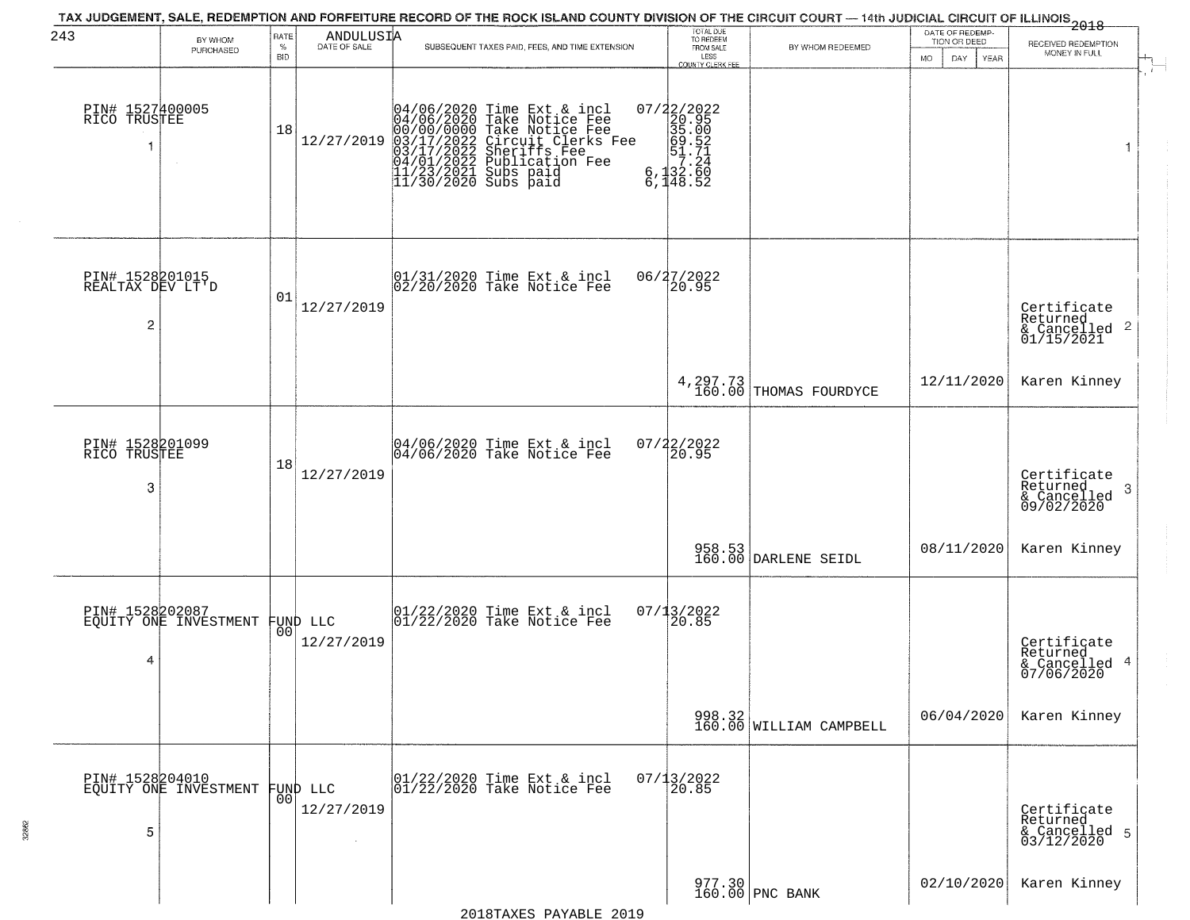| 243                                      | BY WHOM<br>PURCHASED                     | RATE<br>$\%$<br><b>BID</b> | $\begin{array}{c}\n\text{ANDULUS I} \\ \text{DATE of SALE}\n\end{array}$ | TAX JUDGEMENT, SALE, REDEMPTION AND FORFEITURE RECORD OF THE ROCK ISLAND COUNTY DIVISION OF THE CIRCUIT COURT — 14th JUDICIAL CIRCUIT OF ILLINOIS 2018<br>SUBSEQUENT TAXES PAID, FEES, AND TIME EXTENSION                            | TOTAL DUE<br>TO REDEEM<br>FROM SALE<br>LESS<br>COUNTY CLERK FEE                              | BY WHOM REDEEMED                                                 | DATE OF REDEMP-<br>TION OR DEED<br>MO.<br>DAY<br><b>YEAR</b> | RECEIVED REDEMPTION<br>MONEY IN FULL                                   |
|------------------------------------------|------------------------------------------|----------------------------|--------------------------------------------------------------------------|--------------------------------------------------------------------------------------------------------------------------------------------------------------------------------------------------------------------------------------|----------------------------------------------------------------------------------------------|------------------------------------------------------------------|--------------------------------------------------------------|------------------------------------------------------------------------|
| PIN# 1527400005<br>RICO TRUSTEE          |                                          | 18                         | 12/27/2019                                                               | 04/06/2020 Time Ext & incl<br>04/06/2020 Take Notice Fee<br>00/00/00000 Take Notice Fee<br>03/17/2022 Circuit Clerks Fee<br>03/17/2022 Sublication Fee<br>04/01/2022 Publication Fee<br>11/23/2021 Subs paid<br>11/30/2020 Subs paid | $\begin{smallmatrix} 07/22/2022\\20.95\\35.00\\691.52\\6,132.60\\6,148.52 \end{smallmatrix}$ |                                                                  |                                                              | 1                                                                      |
| PIN# 1528201015<br>REALTAX DEV LT'D<br>2 |                                          | 01                         | 12/27/2019                                                               | 01/31/2020 Time Ext & incl<br>02/20/2020 Take Notice Fee                                                                                                                                                                             | 06/27/2022<br>20.95                                                                          |                                                                  |                                                              | Certificate<br>Returned<br>$\overline{2}$<br>& Cancelled<br>01/15/2021 |
|                                          |                                          |                            |                                                                          |                                                                                                                                                                                                                                      |                                                                                              | 4, 297.73<br>160.00 THOMAS FOURDYCE                              | 12/11/2020                                                   | Karen Kinney                                                           |
| PIN# 1528201099<br>RICO TRUSTEE<br>3     |                                          | 18                         | 12/27/2019                                                               | 04/06/2020 Time Ext & incl<br>04/06/2020 Take Notice Fee                                                                                                                                                                             | $07/22/2022$<br>20.95                                                                        |                                                                  |                                                              | Certificate<br>Returned<br>-3<br>& Cancelled<br>09/02/2020             |
|                                          |                                          |                            |                                                                          |                                                                                                                                                                                                                                      |                                                                                              | 958.53<br>160.00 DARLENE SEIDL                                   | 08/11/2020                                                   | Karen Kinney                                                           |
| PIN# 1528202087<br>4                     | EQUITY ONE INVESTMENT                    | 00                         | FUND LLC<br>12/27/2019                                                   | 01/22/2020 Time Ext & incl<br>01/22/2020 Take Notice Fee                                                                                                                                                                             | 07/13/2022<br>$\overline{20.85}$                                                             |                                                                  |                                                              | Certificate<br>Returned<br>4<br>& Cancelled<br>07/06/2020              |
|                                          |                                          |                            |                                                                          |                                                                                                                                                                                                                                      |                                                                                              | $\begin{array}{c} 998.32 \\ 160.00 \end{array}$ WILLIAM CAMPBELL | 06/04/2020                                                   | Karen Kinney                                                           |
| 5                                        | PIN# 1528204010<br>EQUITY ONE INVESTMENT | 00                         | FUND LLC<br>12/27/2019                                                   | 01/22/2020 Time Ext & incl<br>01/22/2020 Take Notice Fee                                                                                                                                                                             | $07/13/2022$<br>20.85                                                                        |                                                                  |                                                              | Certificate<br>Returned<br>& Cancelled 5<br>03/12/2020                 |
|                                          |                                          |                            |                                                                          |                                                                                                                                                                                                                                      |                                                                                              | 977.30<br>160.00 PNC BANK                                        | 02/10/2020                                                   | Karen Kinney                                                           |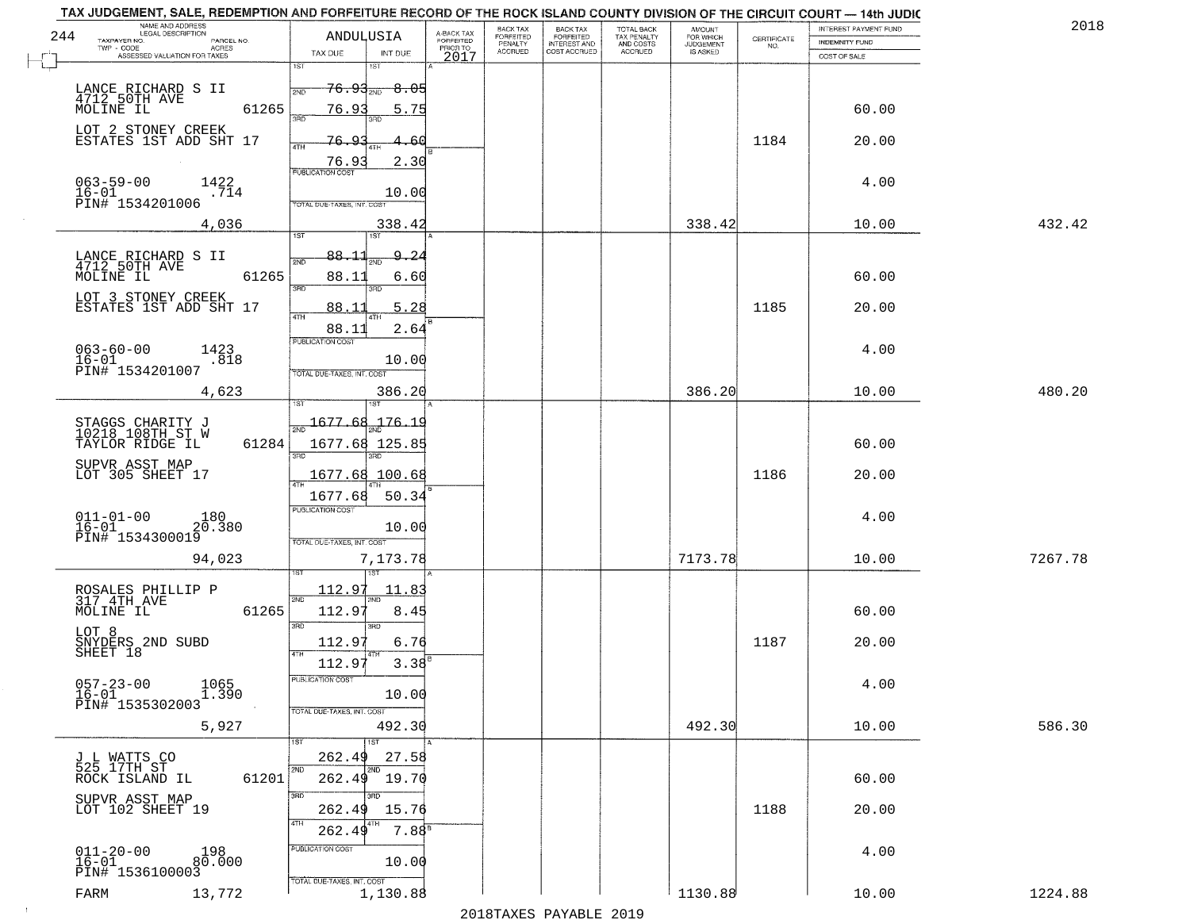|     | TAX JUDGEMENT, SALE, REDEMPTION AND FORFEITURE RECORD OF THE ROCK ISLAND COUNTY DIVISION OF THE CIRCUIT COURT - 14th JUDIC<br>NAME AND ADDRESS<br>LEGAL DESCRIPTION |                                                                    |                                     | BACK TAX                      |                                       |                                        |                                         |                                                                 | INTEREST PAYMENT FUND | 2018    |
|-----|---------------------------------------------------------------------------------------------------------------------------------------------------------------------|--------------------------------------------------------------------|-------------------------------------|-------------------------------|---------------------------------------|----------------------------------------|-----------------------------------------|-----------------------------------------------------------------|-----------------------|---------|
| 244 | TAXPAYER NO.<br>PARCEL NO.                                                                                                                                          | ANDULUSIA                                                          | A-BACK TAX<br>FORFEITED<br>PRIOR TO | FORFEITED<br>PENALTY          | BACK TAX<br>FORFEITED<br>INTEREST AND | TOTAL BACK<br>TAX PENALTY<br>AND COSTS | AMOUNT<br>FOR WHICH<br><b>JUDGEMENT</b> | $\begin{array}{c} \text{CERTIFICATE} \\ \text{NO.} \end{array}$ | INDEMNITY FUND        |         |
|     | TWP - CODE<br>ACRES<br>ASSESSED VALUATION FOR TAXES                                                                                                                 | TAX DUE<br>INT DUE                                                 | 2017                                | <b>ACCRUED</b>                | COST ACCRUED                          | <b>ACCRUED</b>                         | IS ASKED                                |                                                                 | COST OF SALE          |         |
|     |                                                                                                                                                                     | 1ST<br>IST                                                         |                                     |                               |                                       |                                        |                                         |                                                                 |                       |         |
|     |                                                                                                                                                                     | <del>76.93<sub>ლი</sub></del><br>$\textcolor{red}{\mathbf{-8.05}}$ |                                     |                               |                                       |                                        |                                         |                                                                 |                       |         |
|     | LANCE RICHARD S II<br>4712.50TH AVE                                                                                                                                 | 2ND                                                                |                                     |                               |                                       |                                        |                                         |                                                                 |                       |         |
|     | 61265<br>MOLINE IL                                                                                                                                                  | 76.93<br>5.75<br>3BD                                               |                                     |                               |                                       |                                        |                                         |                                                                 | 60.00                 |         |
|     | LOT 2 STONEY CREEK                                                                                                                                                  |                                                                    |                                     |                               |                                       |                                        |                                         |                                                                 |                       |         |
|     | ESTATES 1ST ADD SHT 17                                                                                                                                              | 76.93<br>-60                                                       |                                     |                               |                                       |                                        |                                         | 1184                                                            | 20.00                 |         |
|     |                                                                                                                                                                     | PUBLICATION COST<br>2.30                                           |                                     |                               |                                       |                                        |                                         |                                                                 |                       |         |
|     | 1422                                                                                                                                                                |                                                                    |                                     |                               |                                       |                                        |                                         |                                                                 | 4.00                  |         |
|     | $063 - 59 - 00$<br>$16 - 01$<br>.714                                                                                                                                | 10.00                                                              |                                     |                               |                                       |                                        |                                         |                                                                 |                       |         |
|     | PIN# 1534201006                                                                                                                                                     | TOTAL DUE-TAXES, INT. COST                                         |                                     |                               |                                       |                                        |                                         |                                                                 |                       |         |
|     | 4,036                                                                                                                                                               | 338.42                                                             |                                     |                               |                                       |                                        | 338.42                                  |                                                                 | 10.00                 | 432.42  |
|     |                                                                                                                                                                     |                                                                    |                                     |                               |                                       |                                        |                                         |                                                                 |                       |         |
|     | LANCE RICHARD S II<br>4712 50TH AVE                                                                                                                                 | 88.11<br>Q.                                                        |                                     |                               |                                       |                                        |                                         |                                                                 |                       |         |
|     | MOLINE IL<br>61265                                                                                                                                                  | 88.11<br>6.60                                                      |                                     |                               |                                       |                                        |                                         |                                                                 | 60.00                 |         |
|     | LOT 3 STONEY CREEK                                                                                                                                                  | 3BD<br>3RD                                                         |                                     |                               |                                       |                                        |                                         |                                                                 |                       |         |
|     | ESTATES 1ST ADD SHT 17                                                                                                                                              | 5.28<br>88.11                                                      |                                     |                               |                                       |                                        |                                         | 1185                                                            | 20.00                 |         |
|     |                                                                                                                                                                     | 2.64<br>88.11                                                      |                                     |                               |                                       |                                        |                                         |                                                                 |                       |         |
|     |                                                                                                                                                                     | PUBLICATION COST                                                   |                                     |                               |                                       |                                        |                                         |                                                                 |                       |         |
|     | $063 - 60 - 00$<br>1423<br>$16 - 01$<br>.818                                                                                                                        | 10.00                                                              |                                     |                               |                                       |                                        |                                         |                                                                 | 4.00                  |         |
|     | PIN# 1534201007                                                                                                                                                     | TOTAL DUE-TAXES, INT. COST                                         |                                     |                               |                                       |                                        |                                         |                                                                 |                       |         |
|     | 4,623                                                                                                                                                               | 386.20                                                             |                                     |                               |                                       |                                        | 386.20                                  |                                                                 | 10.00                 | 480.20  |
|     |                                                                                                                                                                     | <b>ST</b>                                                          |                                     |                               |                                       |                                        |                                         |                                                                 |                       |         |
|     | STAGGS CHARITY J<br>10218 108TH ST W                                                                                                                                | 1677.68<br><u> 176.19</u><br>2ND                                   |                                     |                               |                                       |                                        |                                         |                                                                 |                       |         |
|     | TAYLOR RIDGE IL<br>61284                                                                                                                                            | 1677.68 125.85                                                     |                                     |                               |                                       |                                        |                                         |                                                                 | 60.00                 |         |
|     |                                                                                                                                                                     | 3RD<br>3RD                                                         |                                     |                               |                                       |                                        |                                         |                                                                 |                       |         |
|     | SUPVR ASST MAP<br>LOT 305 SHEET 17                                                                                                                                  | 100.68<br>1677.68                                                  |                                     |                               |                                       |                                        |                                         | 1186                                                            | 20.00                 |         |
|     |                                                                                                                                                                     | 1677.68<br>50.34                                                   |                                     |                               |                                       |                                        |                                         |                                                                 |                       |         |
|     |                                                                                                                                                                     | <b>PUBLICATION COST</b>                                            |                                     |                               |                                       |                                        |                                         |                                                                 |                       |         |
|     | $011 - 01 - 00$<br>16-01<br>180<br>20.380                                                                                                                           | 10.00                                                              |                                     |                               |                                       |                                        |                                         |                                                                 | 4.00                  |         |
|     | PIN# 1534300019                                                                                                                                                     | TOTAL OUE-TAXES, INT. COST                                         |                                     |                               |                                       |                                        |                                         |                                                                 |                       |         |
|     | 94,023                                                                                                                                                              | 7,173.78                                                           |                                     |                               |                                       |                                        | 7173.78                                 |                                                                 | 10.00                 | 7267.78 |
|     |                                                                                                                                                                     |                                                                    |                                     |                               |                                       |                                        |                                         |                                                                 |                       |         |
|     | ROSALES PHILLIP P<br>317 4TH AVE                                                                                                                                    | <u> 112.97</u><br>11.83                                            |                                     |                               |                                       |                                        |                                         |                                                                 |                       |         |
|     | MOLINE IL<br>61265                                                                                                                                                  | 2ND<br>112.97<br>8.45                                              |                                     |                               |                                       |                                        |                                         |                                                                 | 60.00                 |         |
|     |                                                                                                                                                                     | 3BD<br>3RD                                                         |                                     |                               |                                       |                                        |                                         |                                                                 |                       |         |
|     | LOT 8                                                                                                                                                               | 112.97<br>6.76                                                     |                                     |                               |                                       |                                        |                                         | 1187                                                            | 20.00                 |         |
|     | SNYDERS 2ND SUBD<br>SHEET 18                                                                                                                                        | 4TH                                                                |                                     |                               |                                       |                                        |                                         |                                                                 |                       |         |
|     |                                                                                                                                                                     | 112.97<br>3.38                                                     |                                     |                               |                                       |                                        |                                         |                                                                 |                       |         |
|     | $057 - 23 - 00$<br>1065<br>1.390<br>$16 - 01$                                                                                                                       | PUBLICATION COS-<br>10.00                                          |                                     |                               |                                       |                                        |                                         |                                                                 | 4.00                  |         |
|     | PIN# 1535302003                                                                                                                                                     | TOTAL DUE-TAXES, INT. COST                                         |                                     |                               |                                       |                                        |                                         |                                                                 |                       |         |
|     | 5,927                                                                                                                                                               | 492.30                                                             |                                     |                               |                                       |                                        | 492.30                                  |                                                                 | 10.00                 | 586.30  |
|     |                                                                                                                                                                     |                                                                    |                                     |                               |                                       |                                        |                                         |                                                                 |                       |         |
|     |                                                                                                                                                                     | 27.58<br>262.49                                                    |                                     |                               |                                       |                                        |                                         |                                                                 |                       |         |
|     | J L WATTS CO<br>525 17TH ST                                                                                                                                         | 2ND                                                                |                                     |                               |                                       |                                        |                                         |                                                                 |                       |         |
|     | 61201<br>ROCK ISLAND IL                                                                                                                                             | 262.49<br>19.70                                                    |                                     |                               |                                       |                                        |                                         |                                                                 | 60.00                 |         |
|     | SUPVR ASST MAP<br>LOT 102 SHEET 19                                                                                                                                  | 3RD<br>262.49<br>15.76                                             |                                     |                               |                                       |                                        |                                         | 1188                                                            | 20.00                 |         |
|     |                                                                                                                                                                     | 4TH                                                                |                                     |                               |                                       |                                        |                                         |                                                                 |                       |         |
|     |                                                                                                                                                                     | $7.88^{8}$<br>262.49                                               |                                     |                               |                                       |                                        |                                         |                                                                 |                       |         |
|     | $011 - 20 - 00$<br>80.000                                                                                                                                           | PUBLICATION COST                                                   |                                     |                               |                                       |                                        |                                         |                                                                 | 4.00                  |         |
|     | $16 - 01$<br>PIN# 1536100003                                                                                                                                        | 10.00                                                              |                                     |                               |                                       |                                        |                                         |                                                                 |                       |         |
|     | 13,772<br>FARM                                                                                                                                                      | TOTAL DUE-TAXES, INT. COST<br>1,130.88                             |                                     |                               |                                       |                                        | 1130.88                                 |                                                                 | 10.00                 | 1224.88 |
|     |                                                                                                                                                                     |                                                                    |                                     | $0.01.0$ ma $\overline{3}$ ma | $\mathbf{D}$                          | 0011                                   |                                         |                                                                 |                       |         |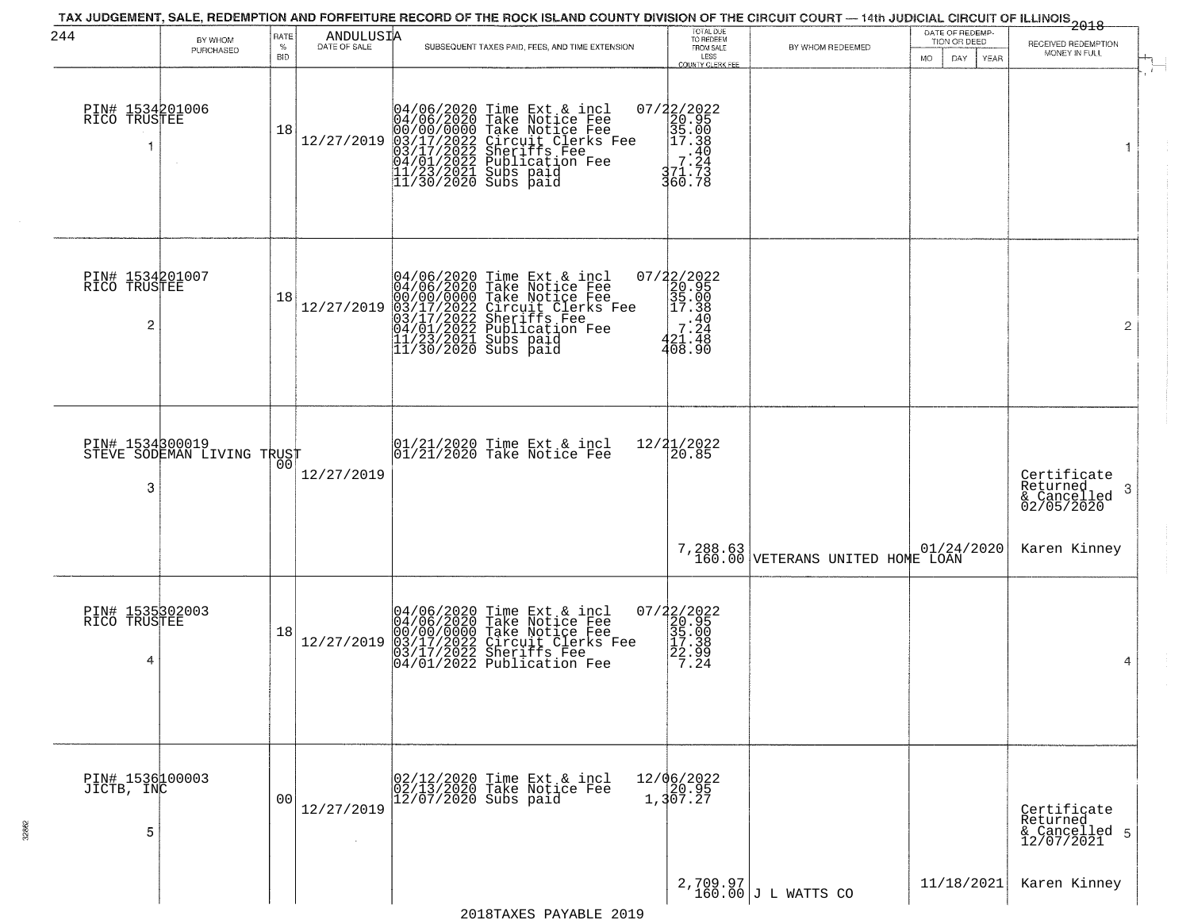| 244                                  | BY WHOM                    | <b>RATE</b>        | ANDULUSIA  |                        | TAX JUDGEMENT, SALE, REDEMPTION AND FORFEITURE RECORD OF THE ROCK ISLAND COUNTY DIVISION OF THE CIRCUIT COURT — 14th JUDICIAL CIRCUIT OF ILLINOIS 2018                                                                               | TOTAL DUE<br>TO REDEEM                                                                                           |                                      | DATE OF REDEMP-<br>TION OR DEED |                                                            |
|--------------------------------------|----------------------------|--------------------|------------|------------------------|--------------------------------------------------------------------------------------------------------------------------------------------------------------------------------------------------------------------------------------|------------------------------------------------------------------------------------------------------------------|--------------------------------------|---------------------------------|------------------------------------------------------------|
|                                      | PURCHASED                  | $\%$<br><b>BID</b> |            |                        | SUBSEQUENT TAXES PAID, FEES, AND TIME EXTENSION                                                                                                                                                                                      | FROM SALE<br>LESS<br>COUNTY CLERK FEE                                                                            | BY WHOM REDEEMED                     | DAY<br>MO.<br><b>YEAR</b>       | RECEIVED REDEMPTION<br>MONEY IN FULL                       |
| PIN# 1534201006<br>RICO TRUSTEE      |                            | 18                 | 12/27/2019 |                        | 04/06/2020 Time Ext & incl<br>04/06/2020 Take Notice Fee<br>00/00/0000 Take Notice Fee<br>03/17/2022 Circuit Clerks Fee<br>03/17/2022 Sublication Fee<br>04/01/2022 Publication Fee<br>11/23/2021 Subs paid<br>11/30/2020 Subs paid  | 07/22/2022<br>$\begin{array}{r} 2/20.956 \\ 20.95 \\ 35.08 \\ 17.38 \\ 7.27 \\ 7.7 \\ 3.7 \end{array}$<br>360.78 |                                      |                                 |                                                            |
| PIN# 1534201007<br>RICO TRUSTEE<br>2 |                            | 18                 | 12/27/2019 |                        | 04/06/2020 Time Ext & incl<br>04/06/2020 Take Notice Fee<br>00/00/00000 Take Notice Fee<br>03/17/2022 Circuit Clerks Fee<br>03/17/2022 Dublication Fee<br>04/01/2022 Publication Fee<br>11/23/2021 Subs paid<br>11/30/2020 Subs paid | 07/22/2022<br>20.95<br>35.00<br>35.00<br>-248<br>7.248<br>420.438<br>408.90                                      |                                      |                                 | $\overline{2}$                                             |
| PIN# 1534300019<br>3                 | STEVE SODEMAN LIVING TRUST | 00                 | 12/27/2019 |                        | $ 01/21/2020$ Time Ext & incl<br>$ 01/21/2020$ Take Notice Fee                                                                                                                                                                       | 12/21/2022<br>20.85                                                                                              |                                      |                                 | Certificate<br>Returned<br>-3<br>& Cancelled<br>02/05/2020 |
|                                      |                            |                    |            |                        |                                                                                                                                                                                                                                      |                                                                                                                  | $7,288.63$ VETERANS UNITED HOME LOAN | 01/24/2020                      | Karen Kinney                                               |
| PIN# 1535302003<br>RICO TRUSTEE<br>4 |                            | 18                 | 12/27/2019 |                        | 04/06/2020 Time Ext & incl<br>04/06/2020 Take Notice Fee<br>00/00/0000 Take Notice Fee<br>03/17/2022 Circuit Clerks Fee<br>03/17/2022 Sheriffs Fee<br>04/01/2022 Publication Fee                                                     | $\begin{array}{c} 07/22/2022 \\ 20.95 \\ 35.00 \\ 17.38 \\ 22.99 \\ 7.24 \end{array}$                            |                                      |                                 | 4                                                          |
| PIN# 1536100003<br>JICTB, INC<br>5   |                            | 00                 | 12/27/2019 | $12/07/2020$ Subs paid | 02/12/2020 Time Ext & incl<br>02/13/2020 Take Notice Fee                                                                                                                                                                             | $12/06/2022$<br>$120.95$<br>1,307.27                                                                             |                                      |                                 | Certificate<br>Returned<br>& Cancelled 5<br>12/07/2021     |
|                                      |                            |                    |            |                        |                                                                                                                                                                                                                                      |                                                                                                                  | $2,709.97$<br>160.00 J L WATTS CO    | 11/18/2021                      | Karen Kinney                                               |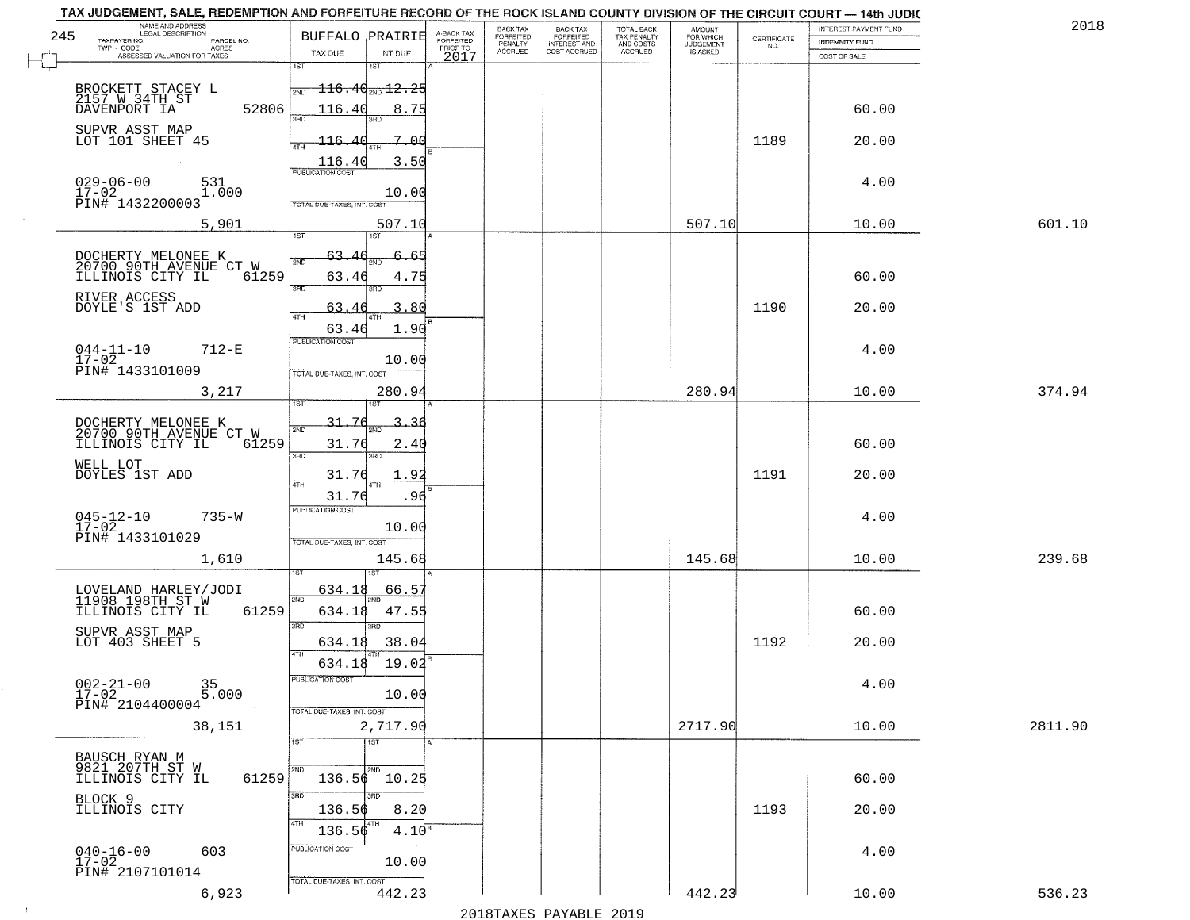| 245 | NAME AND ADDRESS<br>LEGAL DESCRIPTION<br>TAXPAYER NO.<br>PARCEL NO.       | <b>BUFFALO PRAIRIE</b>                                                      |                   | A-BACK TAX<br>FORFEITED | BACK TAX<br>FORFEITED | <b>BACK TAX</b><br><b>FORFEITED</b> | TOTAL BACK<br>TAX PENALTY | <b>AMOUNT</b>                      | $\begin{array}{c} \text{CERTIFICATE} \\ \text{NO.} \end{array}$ | INTEREST PAYMENT FUND<br><b>INDEMNITY FUND</b> | 2018    |
|-----|---------------------------------------------------------------------------|-----------------------------------------------------------------------------|-------------------|-------------------------|-----------------------|-------------------------------------|---------------------------|------------------------------------|-----------------------------------------------------------------|------------------------------------------------|---------|
|     | TWP - CODE<br>ACRES<br>ASSESSED VALUATION FOR TAXES                       | TAX DUE                                                                     | INT DUE           | PRIOR TO<br>2017        | PENALTY<br>ACCRUED    | INTEREST AND                        | AND COSTS<br>ACCRUED      | FOR WHICH<br>JUDGEMENT<br>IS ASKED |                                                                 | COST OF SALE                                   |         |
|     |                                                                           | 1ST<br>181                                                                  |                   |                         |                       |                                     |                           |                                    |                                                                 |                                                |         |
|     | BROCKETT STACEY L<br>2157 W 34TH ST                                       | $\textcolor{red}{\textbf{116.40}} \textcolor{black}{\textbf{12.25}}$<br>2ND |                   |                         |                       |                                     |                           |                                    |                                                                 |                                                |         |
|     | 52806<br>DAVENPORT IA                                                     | 116.40<br>3BD.                                                              | 8.75              |                         |                       |                                     |                           |                                    |                                                                 | 60.00                                          |         |
|     | SUPVR ASST MAP<br>LOT 101 SHEET 45                                        | -116.<br>40                                                                 | 7.00              |                         |                       |                                     |                           |                                    | 1189                                                            | 20.00                                          |         |
|     |                                                                           | 4TH<br>116.40                                                               | 3.50              |                         |                       |                                     |                           |                                    |                                                                 |                                                |         |
|     | $029 - 06 - 00$<br>531                                                    | <b>PUBLICATION COST</b>                                                     |                   |                         |                       |                                     |                           |                                    |                                                                 | 4.00                                           |         |
|     | $\frac{17-02}{PIN\#}$ 1432200003<br>1.000                                 | TOTAL DUE-TAXES, INT. COST                                                  | 10.00             |                         |                       |                                     |                           |                                    |                                                                 |                                                |         |
|     | 5,901                                                                     |                                                                             | 507.10            |                         |                       |                                     |                           | 507.10                             |                                                                 | 10.00                                          | 601.10  |
|     |                                                                           | 1ST<br>1ST                                                                  |                   |                         |                       |                                     |                           |                                    |                                                                 |                                                |         |
|     | DOCHERTY MELONEE K<br>20700 90TH AVENUE CT W                              | 63.                                                                         | 6.65              |                         |                       |                                     |                           |                                    |                                                                 |                                                |         |
|     | ILLINOIS CITY IL<br>61259                                                 | 63.46<br>3BD<br>3RD                                                         | 4.75              |                         |                       |                                     |                           |                                    |                                                                 | 60.00                                          |         |
|     | RIVER ACCESS<br>DOYLE'S 1ST ADD                                           | 63.46<br>4TH                                                                | 3.80              |                         |                       |                                     |                           |                                    | 1190                                                            | 20.00                                          |         |
|     |                                                                           | 63.46                                                                       | 1.90              |                         |                       |                                     |                           |                                    |                                                                 |                                                |         |
|     | $044 - 11 - 10$<br>$712 - E$<br>$17 - 02$                                 | <b>PUBLICATION COST</b>                                                     | 10.00             |                         |                       |                                     |                           |                                    |                                                                 | 4.00                                           |         |
|     | PIN# 1433101009                                                           | TOTAL DUE-TAXES, INT. COST                                                  |                   |                         |                       |                                     |                           |                                    |                                                                 |                                                |         |
|     | 3,217                                                                     |                                                                             | 280.94            |                         |                       |                                     |                           | 280.94                             |                                                                 | 10.00                                          | 374.94  |
|     |                                                                           | $31 -$<br>76<br>2ND                                                         |                   |                         |                       |                                     |                           |                                    |                                                                 |                                                |         |
|     | DOCHERTY MELONEE K<br>20700 90TH AVENUE CT W<br>61259<br>ILLINOIS CITY IL | 31.76                                                                       | 2.40              |                         |                       |                                     |                           |                                    |                                                                 | 60.00                                          |         |
|     | WELL LOT                                                                  | 3RD<br>3RD                                                                  |                   |                         |                       |                                     |                           |                                    |                                                                 |                                                |         |
|     | DOYLES 1ST ADD                                                            | 31.76<br>4TH                                                                | 1.92              |                         |                       |                                     |                           |                                    | 1191                                                            | 20.00                                          |         |
|     | $735 - W$                                                                 | 31.76<br><b>PUBLICATION COST</b>                                            | .96               |                         |                       |                                     |                           |                                    |                                                                 | 4.00                                           |         |
|     | $045 - 12 - 10$<br>17-02<br>PIN# 1433101029                               |                                                                             | 10.00             |                         |                       |                                     |                           |                                    |                                                                 |                                                |         |
|     | 1,610                                                                     | TOTAL OUE-TAXES, INT. COST                                                  | 145.68            |                         |                       |                                     |                           | 145.68                             |                                                                 | 10.00                                          | 239.68  |
|     |                                                                           |                                                                             |                   |                         |                       |                                     |                           |                                    |                                                                 |                                                |         |
|     | LOVELAND HARLEY/JODI<br>11908 198TH ST W                                  | <u>634.1</u> 8<br>2ND                                                       | 66.57             |                         |                       |                                     |                           |                                    |                                                                 |                                                |         |
|     | 61259<br>ILLINOIS CITY IL                                                 | 634.18<br>3RD<br>3RD                                                        | 47.55             |                         |                       |                                     |                           |                                    |                                                                 | 60.00                                          |         |
|     | SUPVR ASST MAP<br>LOT 403 SHEET 5                                         | 634.18                                                                      | 38.04             |                         |                       |                                     |                           |                                    | 1192                                                            | 20.00                                          |         |
|     |                                                                           | 4TH<br>634.18                                                               | $19.02^8$         |                         |                       |                                     |                           |                                    |                                                                 |                                                |         |
|     | $002 - 21 - 00$<br>17-02<br>35<br>5.000                                   | PUBLICATION COST                                                            |                   |                         |                       |                                     |                           |                                    |                                                                 | 4.00                                           |         |
|     | PIN# 2104400004                                                           | TOTAL DUE-TAXES, INT. COST                                                  | 10.00             |                         |                       |                                     |                           |                                    |                                                                 |                                                |         |
|     | 38,151                                                                    |                                                                             | 2,717.90          |                         |                       |                                     |                           | 2717.90                            |                                                                 | 10.00                                          | 2811.90 |
|     |                                                                           | $\overline{1ST}$<br>1ST                                                     |                   |                         |                       |                                     |                           |                                    |                                                                 |                                                |         |
|     | BAUSCH RYAN M<br>9821 207TH ST W<br>ILLINOIS CITY IL<br>61259             | 2ND<br>2ND<br>$136.56$ $10.25$                                              |                   |                         |                       |                                     |                           |                                    |                                                                 | 60.00                                          |         |
|     | BLOCK 9                                                                   | 3RD<br>3BD                                                                  |                   |                         |                       |                                     |                           |                                    |                                                                 |                                                |         |
|     | ILLINOIS CITY                                                             | 136.56<br>4TH                                                               | 8.20              |                         |                       |                                     |                           |                                    | 1193                                                            | 20.00                                          |         |
|     |                                                                           | 136.56                                                                      | 4.10 <sup>s</sup> |                         |                       |                                     |                           |                                    |                                                                 |                                                |         |
|     | $040 - 16 - 00$<br>17-02<br>603                                           | PUBLICATION COST                                                            | 10.00             |                         |                       |                                     |                           |                                    |                                                                 | 4.00                                           |         |
|     | PIN# 2107101014                                                           | TOTAL OUE-TAXES, INT. COST                                                  |                   |                         |                       |                                     |                           |                                    |                                                                 |                                                |         |
|     | 6,923                                                                     |                                                                             | 442.23            |                         |                       |                                     |                           | 442.23                             |                                                                 | 10.00                                          | 536.23  |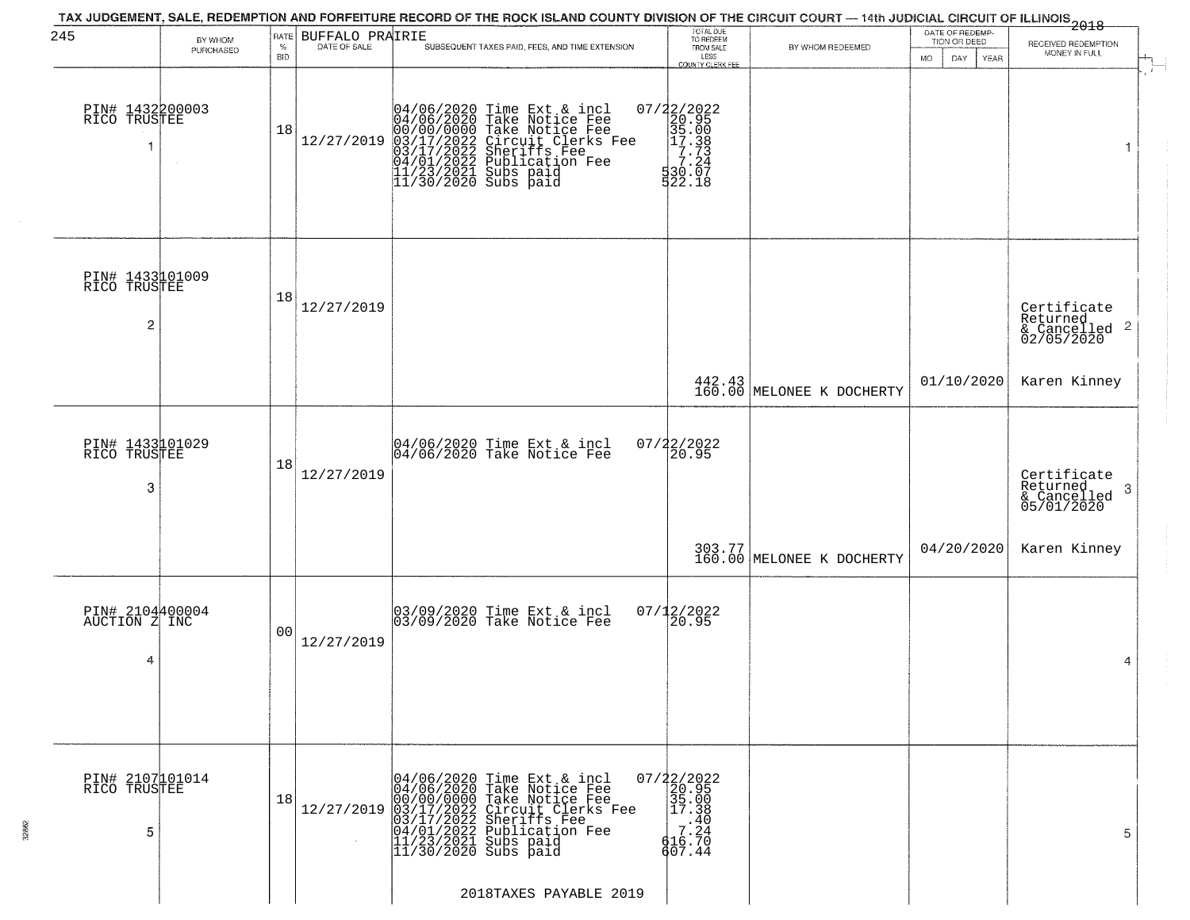| 245                                   | BY WHOM<br>PURCHASED | RATE<br>$\%$<br><b>BID</b> | BUFFALO PRAIRIE<br>DATE OF SALE | TAX JUDGEMENT, SALE, REDEMPTION AND FORFEITURE RECORD OF THE ROCK ISLAND COUNTY DIVISION OF THE CIRCUIT COURT — 14th JUDICIAL CIRCUIT OF ILLINOIS 2018<br>SUBSEQUENT TAXES PAID, FEES, AND TIME EXTENSION                            | TOTAL DUE<br>TO REDEEM<br>FROM SALE<br>LESS                                                                                    | BY WHOM REDEEMED                    | DATE OF REDEMP-<br>TION OR DEED<br><b>MO</b><br>DAY<br><b>YEAR</b> | RECEIVED REDEMPTION<br>MONEY IN FULL                                                                            |
|---------------------------------------|----------------------|----------------------------|---------------------------------|--------------------------------------------------------------------------------------------------------------------------------------------------------------------------------------------------------------------------------------|--------------------------------------------------------------------------------------------------------------------------------|-------------------------------------|--------------------------------------------------------------------|-----------------------------------------------------------------------------------------------------------------|
| PIN# 1432200003<br>RICO TRUSTEE       |                      | 18                         | 12/27/2019                      | 04/06/2020 Time Ext & incl<br>04/06/2020 Take Notice Fee<br>00/00/00000 Take Notice Fee<br>03/17/2022 Circuit Clerks Fee<br>03/17/2022 Sublication Fee<br>04/01/2022 Publication Fee<br>11/23/2021 Subs paid<br>11/30/2020 Subs paid | <b>COUNTY CLERK FEE</b><br>$\begin{array}{r} 07/22/2022\\20.95\\35.00\\17.38\\ -17.33\\ 7.24\\ 530.07\\ \end{array}$<br>522.18 |                                     |                                                                    |                                                                                                                 |
| PIN# 1433101009<br>RICO TRUSTEE<br>2  |                      | 18                         | 12/27/2019                      |                                                                                                                                                                                                                                      |                                                                                                                                |                                     |                                                                    | Certificate<br>Returned<br>$\begin{array}{c}\text{cosum} \\ \text{6} \text{Cancelled} \\ 02/05/2020\end{array}$ |
|                                       |                      |                            |                                 |                                                                                                                                                                                                                                      |                                                                                                                                | 442.43<br>160.00 MELONEE K DOCHERTY | 01/10/2020                                                         | Karen Kinney                                                                                                    |
| PIN# 1433101029<br>RICO TRUSTEE<br>3  |                      | 18                         | 12/27/2019                      | 04/06/2020 Time Ext & incl<br>04/06/2020 Take Notice Fee                                                                                                                                                                             | 07/22/2022<br>20.95                                                                                                            |                                     |                                                                    | Certificate<br>Returned<br>-3<br>& Cancelled<br>05/01/2020                                                      |
|                                       |                      |                            |                                 |                                                                                                                                                                                                                                      |                                                                                                                                | 303.77<br>160.00 MELONEE K DOCHERTY | 04/20/2020                                                         | Karen Kinney                                                                                                    |
| PIN# 2104400004<br>AUCTION Z INC<br>4 |                      | 00                         | 12/27/2019                      | 03/09/2020 Time Ext & incl<br>03/09/2020 Take Notice Fee                                                                                                                                                                             | $07/12/2022$<br>20.95                                                                                                          |                                     |                                                                    | 4                                                                                                               |
| PIN# 2107101014<br>RICO TRUSTEE<br>5  |                      | 18                         | 12/27/2019                      | 04/06/2020 Time Ext & incl<br>04/06/2020 Take Notice Fee<br>00/00/0000 Take Notice Fee<br>03/17/2022 Circuit Clerks Fee<br>03/17/2022 Sublication Fee<br>04/01/2022 Publication Fee<br>11/23/2021 Subs paid<br>11/30/2020 Subs paid  | $07/22/2022$<br>20.95<br>35.00<br>17.38<br>$\begin{matrix} 1.40 \\ 7.24 \\ 4.6.70 \end{matrix}$<br>607.44                      |                                     |                                                                    | 5                                                                                                               |
|                                       |                      |                            |                                 | 2018TAXES PAYABLE 2019                                                                                                                                                                                                               |                                                                                                                                |                                     |                                                                    |                                                                                                                 |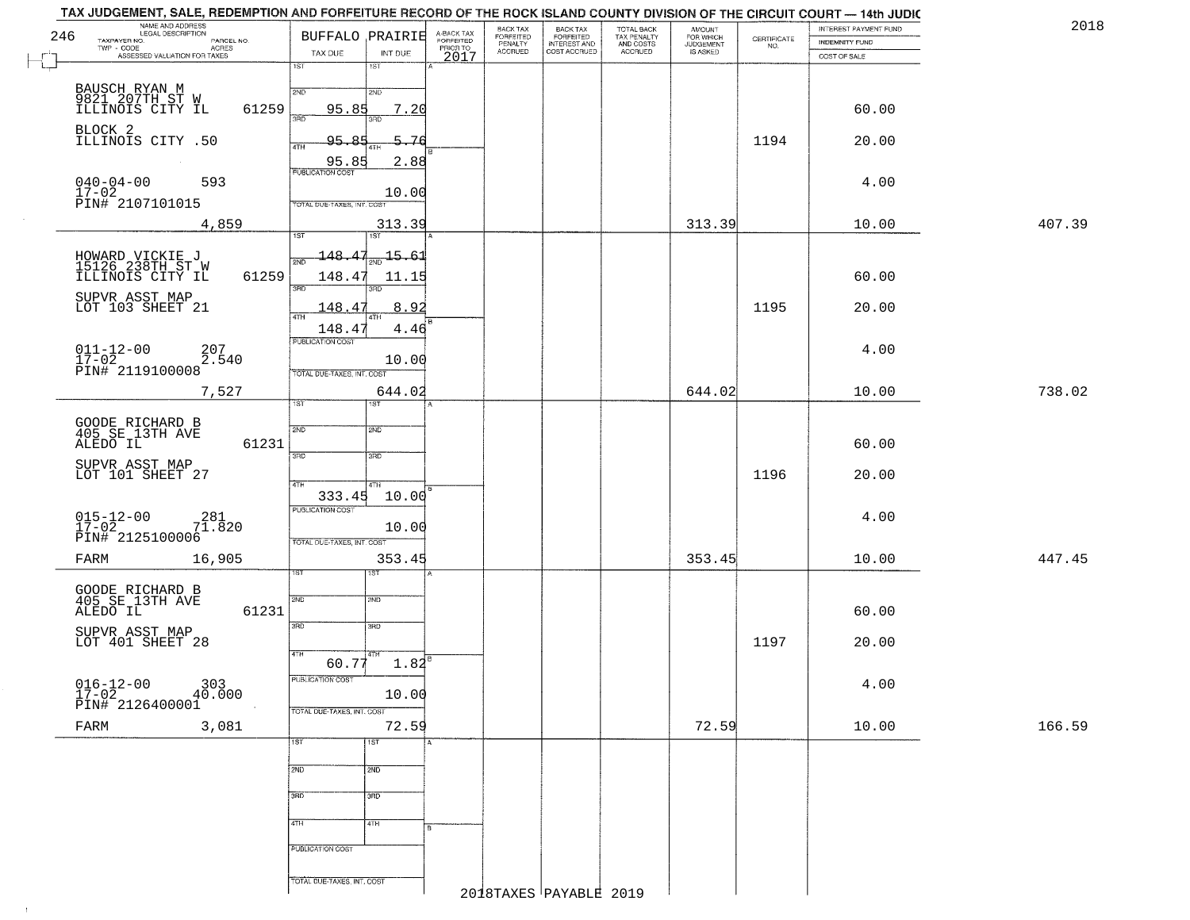|     | NAME AND ADDRESS<br>LEGAL DESCRIPTION                                                                         |                     |                             |                    |                                     | <b>BACK TAX</b>      |                                       |                                        |                                  |                                                                 | TAX JUDGEMENT, SALE, REDEMPTION AND FORFEITURE RECORD OF THE ROCK ISLAND COUNTY DIVISION OF THE CIRCUIT COURT - 14th JUDIC<br>INTEREST PAYMENT FUND | 2018   |
|-----|---------------------------------------------------------------------------------------------------------------|---------------------|-----------------------------|--------------------|-------------------------------------|----------------------|---------------------------------------|----------------------------------------|----------------------------------|-----------------------------------------------------------------|-----------------------------------------------------------------------------------------------------------------------------------------------------|--------|
| 246 | TAXPAYER NO.<br>TWP - CODE                                                                                    | PARCEL NO.<br>ACRES | <b>BUFFALO PRAIRIE</b>      |                    | A-BACK TAX<br>FORFEITED<br>PRIOR TO | FORFEITED<br>PENALTY | BACK TAX<br>FORFEITED<br>INTEREST AND | TOTAL BACK<br>TAX PENALTY<br>AND COSTS | AMOUNT<br>FOR WHICH<br>JUDGEMENT | $\begin{array}{c} \text{CERTIFICATE} \\ \text{NO.} \end{array}$ | INDEMNITY FUND                                                                                                                                      |        |
|     | ASSESSED VALUATION FOR TAXES                                                                                  |                     | TAX DUE<br>$\overline{1ST}$ | INT DUE<br>18T     | 2017                                | <b>ACCRUED</b>       | COST ACCRUED                          | ACCRUED                                | IS ASKED                         |                                                                 | COST OF SALE                                                                                                                                        |        |
|     |                                                                                                               |                     |                             |                    |                                     |                      |                                       |                                        |                                  |                                                                 |                                                                                                                                                     |        |
|     | BAUSCH RYAN M<br>9821 207TH ST W<br>ILLINOIS CITY IL                                                          | 61259               | 2ND<br>95.85                | 2ND<br>7.20<br>3BD |                                     |                      |                                       |                                        |                                  |                                                                 | 60.00                                                                                                                                               |        |
|     | BLOCK 2<br>ILLINOIS CITY .50                                                                                  |                     | 95.85<br>4TH                | 5.76               |                                     |                      |                                       |                                        |                                  | 1194                                                            | 20.00                                                                                                                                               |        |
|     | $040 - 04 - 00$                                                                                               | 593                 | 95.85                       | 2.88               |                                     |                      |                                       |                                        |                                  |                                                                 | 4.00                                                                                                                                                |        |
|     | 17-02<br>PIN# 2107101015                                                                                      |                     | TOTAL DUE-TAXES, INT. COST  | 10.00              |                                     |                      |                                       |                                        |                                  |                                                                 |                                                                                                                                                     |        |
|     |                                                                                                               | 4,859               | 1ST                         | 313.39<br>1ST      |                                     |                      |                                       |                                        | 313.39                           |                                                                 | 10.00                                                                                                                                               | 407.39 |
|     |                                                                                                               |                     | 148.47                      | $-15.61$           |                                     |                      |                                       |                                        |                                  |                                                                 |                                                                                                                                                     |        |
|     | HOWARD VICKIE J<br>15126 238TH ST W<br>ILLINOIS CITY IL                                                       | 61259               | 148.47                      | 11.15<br>3BD       |                                     |                      |                                       |                                        |                                  |                                                                 | 60.00                                                                                                                                               |        |
|     | SUPVR ASST MAP<br>LOT 103 SHEET 21                                                                            |                     | 148.47                      | 8.92               |                                     |                      |                                       |                                        |                                  | 1195                                                            | 20.00                                                                                                                                               |        |
|     |                                                                                                               |                     | 148.47<br>PUBLICATION COST  | 4.46               |                                     |                      |                                       |                                        |                                  |                                                                 |                                                                                                                                                     |        |
|     | $\begin{array}{ll} 011\text{--}12\text{--}00 & \vdots\\ 17\text{--}02 & \text{PINH} & 2119100008 \end{array}$ | 207<br>2.540        |                             | 10.00              |                                     |                      |                                       |                                        |                                  |                                                                 | 4.00                                                                                                                                                |        |
|     |                                                                                                               | 7,527               | TOTAL DUE-TAXES, INT. COST  | 644.02             |                                     |                      |                                       |                                        | 644.02                           |                                                                 | 10.00                                                                                                                                               | 738.02 |
|     |                                                                                                               |                     | TST                         |                    |                                     |                      |                                       |                                        |                                  |                                                                 |                                                                                                                                                     |        |
|     | GOODE RICHARD B<br>405 SE 13TH AVE<br>ALEDO IL                                                                | 61231               | 2ND                         | SMD                |                                     |                      |                                       |                                        |                                  |                                                                 | 60.00                                                                                                                                               |        |
|     | SUPVR ASST MAP<br>LOT 101 SHEET 27                                                                            |                     | 3RD                         | 3 <sub>BD</sub>    |                                     |                      |                                       |                                        |                                  | 1196                                                            | 20.00                                                                                                                                               |        |
|     |                                                                                                               |                     | 4TH<br>333.45               | 4TH.<br>10.00      |                                     |                      |                                       |                                        |                                  |                                                                 |                                                                                                                                                     |        |
|     | $015 - 12 - 00$<br>17-02                                                                                      | $7^{281}_{1.820}$   | <b>PUBLICATION COST</b>     | 10.00              |                                     |                      |                                       |                                        |                                  |                                                                 | 4.00                                                                                                                                                |        |
|     | PIN# 2125100006<br>FARM                                                                                       | 16,905              | TOTAL OUE-TAXES, INT. COST  | 353.45             |                                     |                      |                                       |                                        | 353.45                           |                                                                 | 10.00                                                                                                                                               | 447.45 |
|     |                                                                                                               |                     |                             | IST                |                                     |                      |                                       |                                        |                                  |                                                                 |                                                                                                                                                     |        |
|     | GOODE RICHARD B<br>405 SE 13TH AVE<br>ALEDO IL                                                                | 61231               | 2ND                         | 2ND                |                                     |                      |                                       |                                        |                                  |                                                                 | 60.00                                                                                                                                               |        |
|     | SUPVR ASST MAP                                                                                                |                     | 3RD                         | 3HD                |                                     |                      |                                       |                                        |                                  |                                                                 |                                                                                                                                                     |        |
|     | LOT 401 SHEET 28                                                                                              |                     | 4TH<br>60.77                | $1.82^{B}$         |                                     |                      |                                       |                                        |                                  | 1197                                                            | 20.00                                                                                                                                               |        |
|     | $016 - 12 - 00$<br>$17 - 02$                                                                                  | 303<br>40.000       | PUBLICATION COST            | 10.00              |                                     |                      |                                       |                                        |                                  |                                                                 | 4.00                                                                                                                                                |        |
|     | PIN# 2126400001                                                                                               |                     | TOTAL DUE-TAXES, INT. COST  |                    |                                     |                      |                                       |                                        |                                  |                                                                 |                                                                                                                                                     |        |
|     | FARM                                                                                                          | 3,081               | 1ST                         | 72.59<br>1ST       |                                     |                      |                                       |                                        | 72.59                            |                                                                 | 10.00                                                                                                                                               | 166.59 |
|     |                                                                                                               |                     | 2ND                         | 2ND                |                                     |                      |                                       |                                        |                                  |                                                                 |                                                                                                                                                     |        |
|     |                                                                                                               |                     | 3RD                         | $\overline{3}$ RD  |                                     |                      |                                       |                                        |                                  |                                                                 |                                                                                                                                                     |        |
|     |                                                                                                               |                     | 4TH                         |                    |                                     |                      |                                       |                                        |                                  |                                                                 |                                                                                                                                                     |        |
|     |                                                                                                               |                     | PUBLICATION COST            | 4TH                |                                     |                      |                                       |                                        |                                  |                                                                 |                                                                                                                                                     |        |
|     |                                                                                                               |                     |                             |                    |                                     |                      |                                       |                                        |                                  |                                                                 |                                                                                                                                                     |        |
|     |                                                                                                               |                     | TOTAL DUE-TAXES, INT. COST  |                    |                                     |                      | 2018TAXES PAYABLE 2019                |                                        |                                  |                                                                 |                                                                                                                                                     |        |

 $\frac{1}{2}$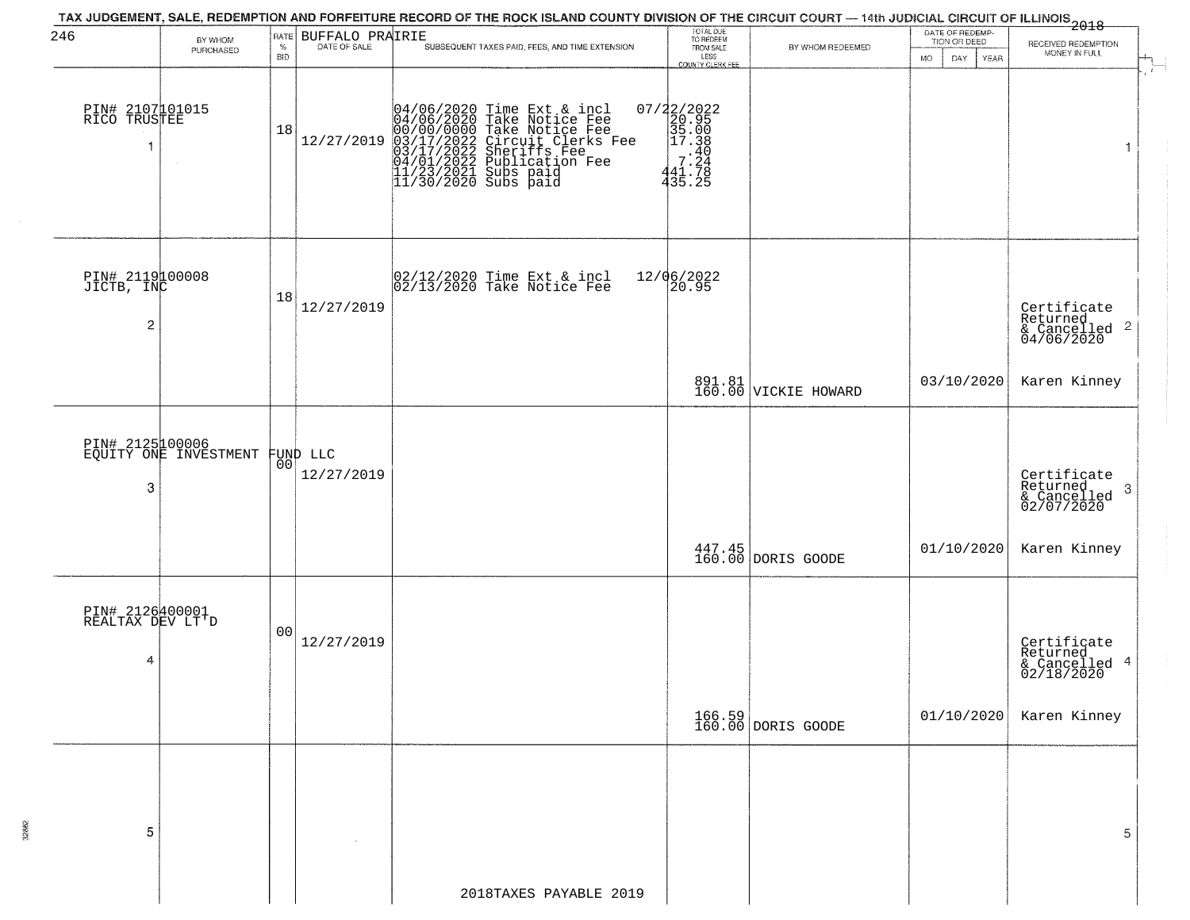| 246                                      |                                          | RATE       |                        | TAX JUDGEMENT, SALE, REDEMPTION AND FORFEITURE RECORD OF THE ROCK ISLAND COUNTY DIVISION OF THE CIRCUIT COURT — 14th JUDICIAL CIRCUIT OF ILLINOIS<br>2018 - The Contract of December 1999                                           | TOTAL DUE<br>TO REDEEM                                                                                                                        |                                | DATE OF REDEMP-           |                                                                   |
|------------------------------------------|------------------------------------------|------------|------------------------|-------------------------------------------------------------------------------------------------------------------------------------------------------------------------------------------------------------------------------------|-----------------------------------------------------------------------------------------------------------------------------------------------|--------------------------------|---------------------------|-------------------------------------------------------------------|
|                                          | BY WHOM<br>PURCHASED                     | $\%$       | BUFFALO PRAIRIE        | SUBSEQUENT TAXES PAID, FEES, AND TIME EXTENSION                                                                                                                                                                                     | FROM SALE                                                                                                                                     | BY WHOM REDEEMED               | TION OR DEED              | RECEIVED REDEMPTION<br>MONEY IN FULL                              |
|                                          |                                          | <b>BID</b> |                        |                                                                                                                                                                                                                                     | LESS<br>COUNTY CLERK FEE                                                                                                                      |                                | DAY<br>MO.<br><b>YEAR</b> |                                                                   |
| PIN# 2107101015<br>RICO TRUSTEE          |                                          | 18         | 12/27/2019             | 04/06/2020 Time Ext & incl<br>04/06/2020 Take Notice Fee<br>00/00/0000 Take Notice Fee<br>03/17/2022 Circuit Clerks Fee<br>03/17/2022 Sublication Fee<br>04/01/2022 Publication Fee<br>11/23/2021 Subs paid<br>11/30/2020 Subs paid | $\begin{array}{c} 07/22/2022\\20.95\\35.00\\ \textrm{=} \begin{array}{c} 20.95\\35.00\\17.38\\7.244\\441.78\\ 435.25 \end{array} \end{array}$ |                                |                           | $\mathbf{1}$                                                      |
| PIN# 2119100008<br>JICTB, INC<br>2       |                                          | 18         | 12/27/2019             | 02/12/2020 Time Ext & incl<br>02/13/2020 Take Notice Fee                                                                                                                                                                            | 12/06/2022<br>20.95                                                                                                                           |                                |                           | Certificate<br>Returned<br>& Cancelled <sup>2</sup><br>04/06/2020 |
|                                          |                                          |            |                        |                                                                                                                                                                                                                                     |                                                                                                                                               | 891.81<br>160.00 VICKIE HOWARD | 03/10/2020                | Karen Kinney                                                      |
| 3                                        | PIN# 2125100006<br>EQUITY ONE INVESTMENT | 00         | FUND LLC<br>12/27/2019 |                                                                                                                                                                                                                                     |                                                                                                                                               |                                |                           | Certificate<br>Returned<br>3<br>& Cancelled<br>02/07/2020         |
|                                          |                                          |            |                        |                                                                                                                                                                                                                                     |                                                                                                                                               | 447.45<br>160.00 DORIS GOODE   | 01/10/2020                | Karen Kinney                                                      |
| PIN# 2126400001<br>REALTAX DEV LT'D<br>4 |                                          | 00         | 12/27/2019             |                                                                                                                                                                                                                                     |                                                                                                                                               |                                |                           | Certificate<br>Returned<br>& Cancelled 4<br>02/18/2020            |
|                                          |                                          |            |                        |                                                                                                                                                                                                                                     |                                                                                                                                               | 166.59<br>160.00 DORIS GOODE   | 01/10/2020                | Karen Kinney                                                      |
| 5                                        |                                          |            |                        |                                                                                                                                                                                                                                     |                                                                                                                                               |                                |                           | 5                                                                 |
|                                          |                                          |            |                        | 2018TAXES PAYABLE 2019                                                                                                                                                                                                              |                                                                                                                                               |                                |                           |                                                                   |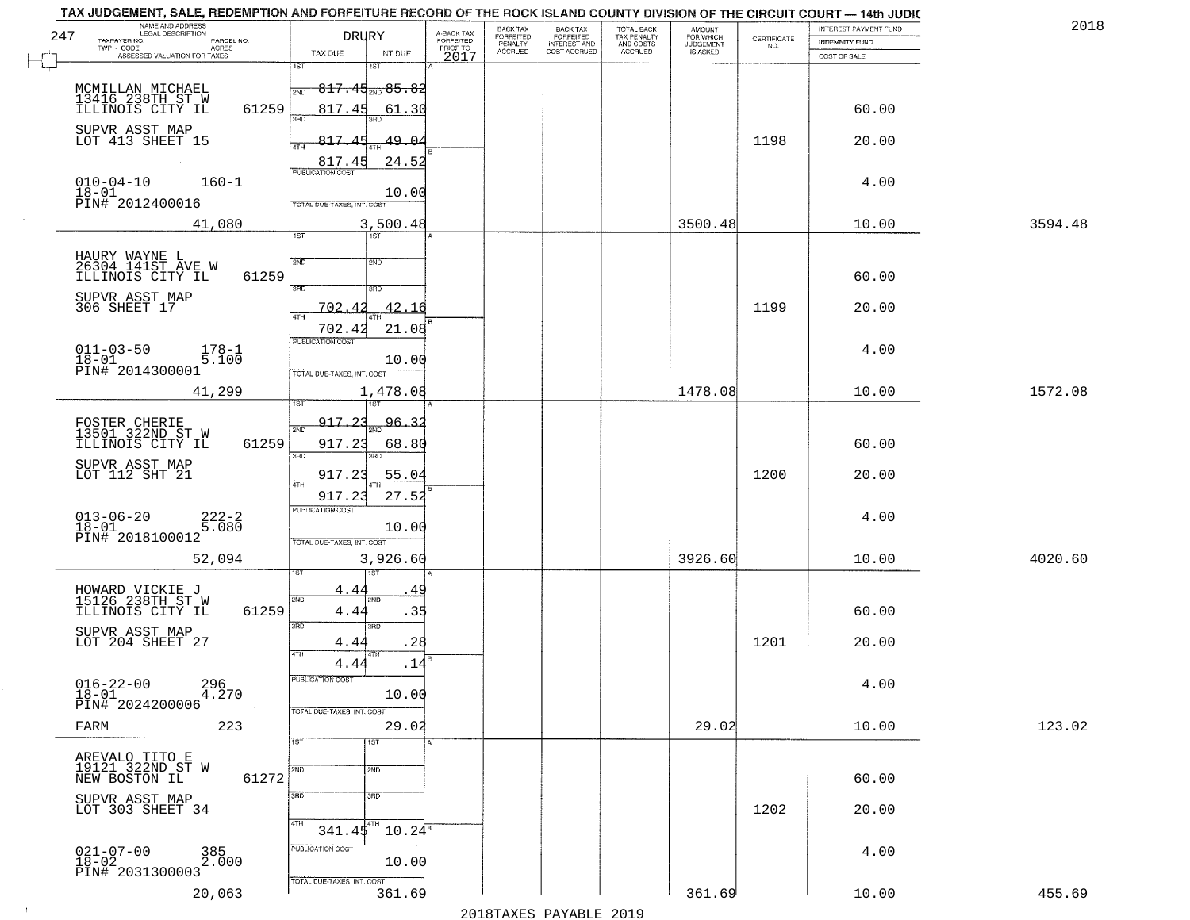| 247  | NAME AND ADDRESS<br>LEGAL DESCRIPTION<br>TAXPAYER NO.<br>PARCEL NO.<br>ACRES<br>TWP - CODE             | <b>DRURY</b>                                                                        | A-BACK TAX<br>FORFEITED<br>PRIOR TO | <b>BACK TAX</b><br>FORFEITED<br>PENALTY | BACK TAX<br>FORFEITED<br>INTEREST AND | TOTAL BACK<br>TAX PENALTY<br>AND COSTS | AMOUNT<br>FOR WHICH<br><b>JUDGEMENT</b> | $\begin{array}{c} \text{CERTIFICATE} \\ \text{NO.} \end{array}$ | INTEREST PAYMENT FUND<br><b>INDEMNITY FUND</b> | 2018    |
|------|--------------------------------------------------------------------------------------------------------|-------------------------------------------------------------------------------------|-------------------------------------|-----------------------------------------|---------------------------------------|----------------------------------------|-----------------------------------------|-----------------------------------------------------------------|------------------------------------------------|---------|
|      | ASSESSED VALUATION FOR TAXES                                                                           | TAX DUE<br>INT DUE<br>1ST<br>1ST                                                    | 2017                                | <b>ACCRUED</b>                          | COST ACCRUED                          | ACCRUED                                | IS ASKED                                |                                                                 | COST OF SALE                                   |         |
|      | MCMILLAN MICHAEL<br>13416 238TH ST W<br>ILLINOIS CITY IL<br>61259                                      | <del>817.45<sub>2ND</sub> 85.82</del><br>2ND<br>817.45<br>61.30                     |                                     |                                         |                                       |                                        |                                         |                                                                 | 60.00                                          |         |
|      | SUPVR ASST MAP<br>LOT 413 SHEET 15                                                                     | 817<br>49.04<br>ATH<br>24.52<br>817.45                                              |                                     |                                         |                                       |                                        |                                         | 1198                                                            | 20.00                                          |         |
|      | $010 - 04 - 10$<br>$160 - 1$<br>18-01<br>PIN# 2012400016                                               | <b>PUBLICATION COST</b><br>10.00<br>TOTAL DUE-TAXES, INT. COST                      |                                     |                                         |                                       |                                        |                                         |                                                                 | 4.00                                           |         |
|      | 41,080                                                                                                 | 3,500.48                                                                            |                                     |                                         |                                       |                                        | 3500.48                                 |                                                                 | 10.00                                          | 3594.48 |
|      | HAURY WAYNE L<br>26304 141ST AVE W<br>ILLINOIS CITY IL<br>61259<br>SUPVR ASST MAP                      | 1ST<br>1ST<br>2ND<br>2ND<br>$\overline{3BD}$<br>3RD                                 |                                     |                                         |                                       |                                        |                                         |                                                                 | 60.00                                          |         |
|      | 306 SHEET 17                                                                                           | 702.42<br>42.16                                                                     |                                     |                                         |                                       |                                        |                                         | 1199                                                            | 20.00                                          |         |
|      | $011 - 03 - 50$<br>$178 - 1$<br>5.100<br>$18 - 01$<br>PIN# 2014300001                                  | 21.08<br>702.42<br>PUBLICATION COST<br>10.00<br>TOTAL DUE-TAXES, INT. COST          |                                     |                                         |                                       |                                        |                                         |                                                                 | 4.00                                           |         |
|      | 41,299                                                                                                 | 1,478.08                                                                            |                                     |                                         |                                       |                                        | 1478.08                                 |                                                                 | 10.00                                          | 1572.08 |
|      | FOSTER CHERIE<br>13501 322ND ST W<br>ILLINOIS CITY IL<br>61259                                         | 1ST<br>181<br><u>917.23</u><br><u>96.32</u><br>2ND<br>917.23<br>68.80<br>3BD<br>3RD |                                     |                                         |                                       |                                        |                                         |                                                                 | 60.00                                          |         |
|      | SUPVR ASST MAP<br>LOT 112 SHT 21                                                                       | 55.04<br>917.23<br>917.23<br>27.52                                                  |                                     |                                         |                                       |                                        |                                         | 1200                                                            | 20.00                                          |         |
|      | $013 - 06 - 20$<br>$222 - 2$<br>5.080<br>$18 - 01$<br>PIN# 2018100012                                  | <b>PUBLICATION COST</b><br>10.00<br>TOTAL OUE-TAXES, INT. COST                      |                                     |                                         |                                       |                                        |                                         |                                                                 | 4.00                                           |         |
|      | 52,094                                                                                                 | 3,926.60                                                                            |                                     |                                         |                                       |                                        | 3926.60                                 |                                                                 | 10.00                                          | 4020.60 |
|      | HOWARD VICKIE J<br>15126 238TH ST W<br>ILLINOIS CITY IL<br>61259<br>SUPVR ASST MAP<br>LOT 204 SHEET 27 | 4.4<br>2ND<br>ND.<br>.35<br>4.4<br>3RD<br>3RD<br>.28<br>4.44                        |                                     |                                         |                                       |                                        |                                         | 1201                                                            | 60.00<br>20.00                                 |         |
|      | $016 - 22 - 00$<br>296<br>4.270<br>$18 - 01$                                                           | 4TH<br>.14<br>4.44<br>PUBLICATION COST<br>10.00                                     |                                     |                                         |                                       |                                        |                                         |                                                                 | 4.00                                           |         |
|      | PIN# 2024200006<br>223<br>FARM                                                                         | TOTAL DUE-TAXES, INT. COST<br>29.02<br>1ST<br>1ST                                   |                                     |                                         |                                       |                                        | 29.02                                   |                                                                 | 10.00                                          | 123.02  |
|      | AREVALO TITO E<br>19121 322ND ST W<br>NEW BOSTON IL<br>61272                                           | 2ND<br>2ND                                                                          |                                     |                                         |                                       |                                        |                                         |                                                                 | 60.00                                          |         |
|      | SUPVR ASST MAP<br>LOT 303 SHEET 34                                                                     | 3 <sub>RD</sub><br>3RD<br>4TH<br>$341.45^{4}$ 10.24 <sup>8</sup>                    |                                     |                                         |                                       |                                        |                                         | 1202                                                            | 20.00                                          |         |
|      | $021 - 07 - 00$<br>$18 - 02$<br>385<br>2.000<br>PIN# 2031300003                                        | PUBLICATION COST<br>10.00                                                           |                                     |                                         |                                       |                                        |                                         |                                                                 | 4.00                                           |         |
| $+1$ | 20,063                                                                                                 | TOTAL DUE-TAXES, INT. COST<br>361.69                                                |                                     |                                         | 0.10 הזמגזגת מהעגדות                  |                                        | 361.69                                  |                                                                 | 10.00                                          | 455.69  |